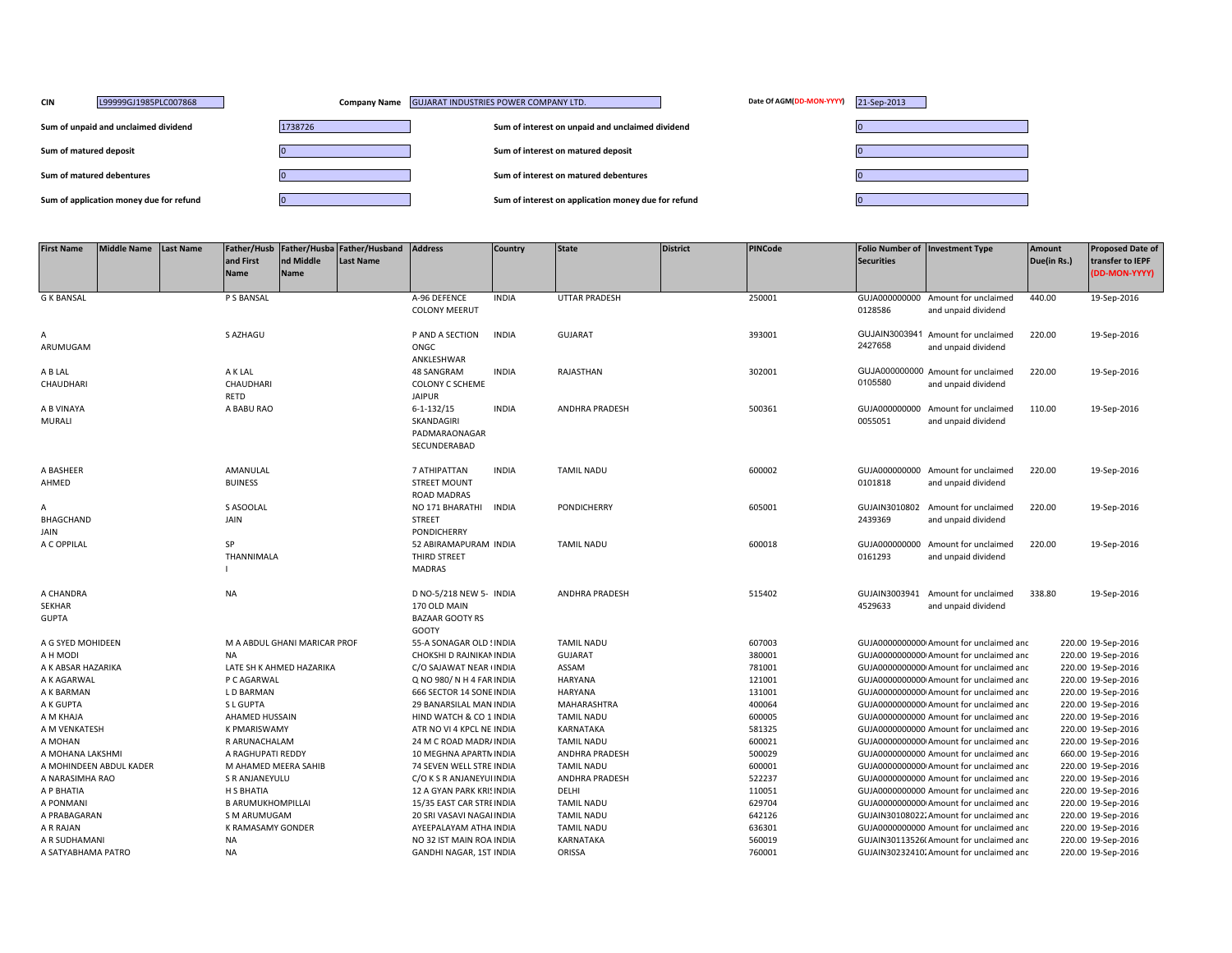| <b>CIN</b>             | L99999GJ1985PLC007868                   |         | Company Name GUJARAT INDUSTRIES POWER COMPANY LTD.  | Date Of AGM(DD-MON-YYYY) | 21-Sep-2013 |
|------------------------|-----------------------------------------|---------|-----------------------------------------------------|--------------------------|-------------|
|                        | Sum of unpaid and unclaimed dividend    | 1738726 | Sum of interest on unpaid and unclaimed dividend    |                          |             |
| Sum of matured deposit |                                         |         | Sum of interest on matured deposit                  |                          |             |
|                        | Sum of matured debentures               |         | Sum of interest on matured debentures               |                          |             |
|                        | Sum of application money due for refund |         | Sum of interest on application money due for refund |                          |             |

| <b>First Name</b>       | <b>Middle Name</b> | <b>Last Name</b> |                          |                              | Father/Husb Father/Husba Father/Husband | <b>Address</b>            | <b>Country</b> | <b>State</b>          | <b>District</b> | <b>PINCode</b> |                   | Folio Number of Investment Type          | <b>Amount</b> | <b>Proposed Date of</b> |
|-------------------------|--------------------|------------------|--------------------------|------------------------------|-----------------------------------------|---------------------------|----------------|-----------------------|-----------------|----------------|-------------------|------------------------------------------|---------------|-------------------------|
|                         |                    |                  | and First                | nd Middle                    | <b>Last Name</b>                        |                           |                |                       |                 |                | <b>Securities</b> |                                          | Due(in Rs.)   | transfer to IEPF        |
|                         |                    |                  | Name                     | <b>Name</b>                  |                                         |                           |                |                       |                 |                |                   |                                          |               | (DD-MON-YYYY)           |
|                         |                    |                  |                          |                              |                                         |                           |                |                       |                 |                |                   |                                          |               |                         |
| <b>G K BANSAL</b>       |                    |                  | P S BANSAL               |                              |                                         | A-96 DEFENCE              | <b>INDIA</b>   | <b>UTTAR PRADESH</b>  |                 | 250001         |                   | GUJA000000000 Amount for unclaimed       | 440.00        | 19-Sep-2016             |
|                         |                    |                  |                          |                              |                                         | <b>COLONY MEERUT</b>      |                |                       |                 |                | 0128586           | and unpaid dividend                      |               |                         |
|                         |                    |                  |                          |                              |                                         |                           |                |                       |                 |                |                   |                                          |               |                         |
| A                       |                    |                  | S AZHAGU                 |                              |                                         | P AND A SECTION           | <b>INDIA</b>   | <b>GUJARAT</b>        |                 | 393001         |                   | GUJAIN3003941 Amount for unclaimed       | 220.00        | 19-Sep-2016             |
| ARUMUGAM                |                    |                  |                          |                              |                                         | ONGC                      |                |                       |                 |                | 2427658           | and unpaid dividend                      |               |                         |
|                         |                    |                  |                          |                              |                                         | ANKLESHWAR                |                |                       |                 |                |                   |                                          |               |                         |
| A B LAL                 |                    |                  | A K LAL                  |                              |                                         | 48 SANGRAM                | <b>INDIA</b>   | RAJASTHAN             |                 | 302001         |                   | GUJA000000000 Amount for unclaimed       | 220.00        | 19-Sep-2016             |
| CHAUDHARI               |                    |                  | CHAUDHARI                |                              |                                         | <b>COLONY C SCHEME</b>    |                |                       |                 |                | 0105580           | and unpaid dividend                      |               |                         |
|                         |                    |                  | RETD                     |                              |                                         | <b>JAIPUR</b>             |                |                       |                 |                |                   |                                          |               |                         |
| A B VINAYA              |                    |                  | A BABU RAO               |                              |                                         | $6 - 1 - 132/15$          | <b>INDIA</b>   | ANDHRA PRADESH        |                 | 500361         |                   | GUJA000000000 Amount for unclaimed       | 110.00        | 19-Sep-2016             |
| MURALI                  |                    |                  |                          |                              |                                         | SKANDAGIRI                |                |                       |                 |                | 0055051           | and unpaid dividend                      |               |                         |
|                         |                    |                  |                          |                              |                                         | PADMARAONAGAR             |                |                       |                 |                |                   |                                          |               |                         |
|                         |                    |                  |                          |                              |                                         | SECUNDERABAD              |                |                       |                 |                |                   |                                          |               |                         |
| A BASHEER               |                    |                  | AMANULAL                 |                              |                                         | 7 ATHIPATTAN              | <b>INDIA</b>   | <b>TAMIL NADU</b>     |                 | 600002         |                   | GUJA000000000 Amount for unclaimed       | 220.00        | 19-Sep-2016             |
| AHMED                   |                    |                  | <b>BUINESS</b>           |                              |                                         | <b>STREET MOUNT</b>       |                |                       |                 |                | 0101818           | and unpaid dividend                      |               |                         |
|                         |                    |                  |                          |                              |                                         | ROAD MADRAS               |                |                       |                 |                |                   |                                          |               |                         |
| A                       |                    |                  | S ASOOLAL                |                              |                                         | NO 171 BHARATHI           | <b>INDIA</b>   | <b>PONDICHERRY</b>    |                 | 605001         |                   | GUJAIN3010802 Amount for unclaimed       | 220.00        | 19-Sep-2016             |
| <b>BHAGCHAND</b>        |                    |                  | JAIN                     |                              |                                         | <b>STREET</b>             |                |                       |                 |                | 2439369           | and unpaid dividend                      |               |                         |
| JAIN                    |                    |                  |                          |                              |                                         | <b>PONDICHERRY</b>        |                |                       |                 |                |                   |                                          |               |                         |
| A C OPPILAL             |                    |                  | SP                       |                              |                                         | 52 ABIRAMAPURAM INDIA     |                | <b>TAMIL NADU</b>     |                 | 600018         |                   | GUJA000000000 Amount for unclaimed       | 220.00        | 19-Sep-2016             |
|                         |                    |                  | THANNIMALA               |                              |                                         | THIRD STREET              |                |                       |                 |                | 0161293           | and unpaid dividend                      |               |                         |
|                         |                    |                  |                          |                              |                                         | <b>MADRAS</b>             |                |                       |                 |                |                   |                                          |               |                         |
|                         |                    |                  |                          |                              |                                         |                           |                |                       |                 |                |                   |                                          |               |                         |
| A CHANDRA               |                    |                  | <b>NA</b>                |                              |                                         | D NO-5/218 NEW 5- INDIA   |                | <b>ANDHRA PRADESH</b> |                 | 515402         |                   | GUJAIN3003941 Amount for unclaimed       | 338.80        | 19-Sep-2016             |
| <b>SEKHAR</b>           |                    |                  |                          |                              |                                         | 170 OLD MAIN              |                |                       |                 |                | 4529633           | and unpaid dividend                      |               |                         |
| <b>GUPTA</b>            |                    |                  |                          |                              |                                         | <b>BAZAAR GOOTY RS</b>    |                |                       |                 |                |                   |                                          |               |                         |
|                         |                    |                  |                          |                              |                                         | GOOTY                     |                |                       |                 |                |                   |                                          |               |                         |
| A G SYED MOHIDEEN       |                    |                  |                          | M A ABDUL GHANI MARICAR PROF |                                         | 55-A SONAGAR OLD ! INDIA  |                | <b>TAMIL NADU</b>     |                 | 607003         |                   | GUJA00000000000 Amount for unclaimed and |               | 220.00 19-Sep-2016      |
| A H MODI                |                    |                  | <b>NA</b>                |                              |                                         | CHOKSHI D RAJNIKAN INDIA  |                | <b>GUJARAT</b>        |                 | 380001         |                   | GUJA00000000000 Amount for unclaimed and |               | 220.00 19-Sep-2016      |
| A K ABSAR HAZARIKA      |                    |                  |                          | LATE SH K AHMED HAZARIKA     |                                         | C/O SAJAWAT NEAR INDIA    |                | ASSAM                 |                 | 781001         |                   | GUJA00000000000 Amount for unclaimed and |               | 220.00 19-Sep-2016      |
| A K AGARWAL             |                    |                  | P C AGARWAL              |                              |                                         | Q NO 980/N H 4 FAR INDIA  |                | <b>HARYANA</b>        |                 | 121001         |                   | GUJA00000000000 Amount for unclaimed and |               | 220.00 19-Sep-2016      |
| A K BARMAN              |                    |                  | L D BARMAN               |                              |                                         | 666 SECTOR 14 SONE INDIA  |                | <b>HARYANA</b>        |                 | 131001         |                   | GUJA00000000000 Amount for unclaimed and |               | 220.00 19-Sep-2016      |
| A K GUPTA               |                    |                  | S L GUPTA                |                              |                                         | 29 BANARSILAL MAN INDIA   |                | MAHARASHTRA           |                 | 400064         |                   | GUJA00000000000 Amount for unclaimed and |               | 220.00 19-Sep-2016      |
| A M KHAJA               |                    |                  | <b>AHAMED HUSSAIN</b>    |                              |                                         | HIND WATCH & CO 1 INDIA   |                | <b>TAMIL NADU</b>     |                 | 600005         |                   | GUJA0000000000 Amount for unclaimed and  |               | 220.00 19-Sep-2016      |
| A M VENKATESH           |                    |                  | <b>K PMARISWAMY</b>      |                              |                                         | ATR NO VI 4 KPCL NE INDIA |                | KARNATAKA             |                 | 581325         |                   | GUJA0000000000 Amount for unclaimed and  |               | 220.00 19-Sep-2016      |
| A MOHAN                 |                    |                  | R ARUNACHALAM            |                              |                                         | 24 M C ROAD MADR/ INDIA   |                | <b>TAMIL NADU</b>     |                 | 600021         |                   | GUJA0000000000 Amount for unclaimed and  |               | 220.00 19-Sep-2016      |
| A MOHANA LAKSHMI        |                    |                  | A RAGHUPATI REDDY        |                              |                                         | 10 MEGHNA APARTN INDIA    |                | ANDHRA PRADESH        |                 | 500029         |                   | GUJA0000000000 Amount for unclaimed and  |               | 660.00 19-Sep-2016      |
| A MOHINDEEN ABDUL KADER |                    |                  | M AHAMED MEERA SAHIB     |                              |                                         | 74 SEVEN WELL STRE INDIA  |                | <b>TAMIL NADU</b>     |                 | 600001         |                   | GUJA00000000000 Amount for unclaimed and |               | 220.00 19-Sep-2016      |
| A NARASIMHA RAO         |                    |                  | S R ANJANEYULU           |                              |                                         | C/O K S R ANJANEYUI INDIA |                | ANDHRA PRADESH        |                 | 522237         |                   | GUJA0000000000 Amount for unclaimed and  |               | 220.00 19-Sep-2016      |
| A P BHATIA              |                    |                  | H S BHATIA               |                              |                                         | 12 A GYAN PARK KRISINDIA  |                | DELHI                 |                 | 110051         |                   | GUJA0000000000 Amount for unclaimed and  |               | 220.00 19-Sep-2016      |
| A PONMANI               |                    |                  | <b>B ARUMUKHOMPILLAI</b> |                              |                                         | 15/35 EAST CAR STRE INDIA |                | <b>TAMIL NADU</b>     |                 | 629704         |                   | GUJA00000000000 Amount for unclaimed and |               | 220.00 19-Sep-2016      |
| A PRABAGARAN            |                    |                  | S M ARUMUGAM             |                              |                                         | 20 SRI VASAVI NAGAI INDIA |                | <b>TAMIL NADU</b>     |                 | 642126         |                   | GUJAIN30108022. Amount for unclaimed and |               | 220.00 19-Sep-2016      |
| A R RAJAN               |                    |                  | K RAMASAMY GONDER        |                              |                                         | AYEEPALAYAM ATHA INDIA    |                | <b>TAMIL NADU</b>     |                 | 636301         |                   | GUJA0000000000 Amount for unclaimed and  |               | 220.00 19-Sep-2016      |
| A R SUDHAMANI           |                    |                  | <b>NA</b>                |                              |                                         | NO 32 IST MAIN ROA INDIA  |                | KARNATAKA             |                 | 560019         |                   | GUJAIN30113526( Amount for unclaimed and |               | 220.00 19-Sep-2016      |
| A SATYABHAMA PATRO      |                    |                  | <b>NA</b>                |                              |                                         | GANDHI NAGAR, 1ST INDIA   |                | ORISSA                |                 | 760001         |                   | GUJAIN30232410. Amount for unclaimed and |               | 220.00 19-Sep-2016      |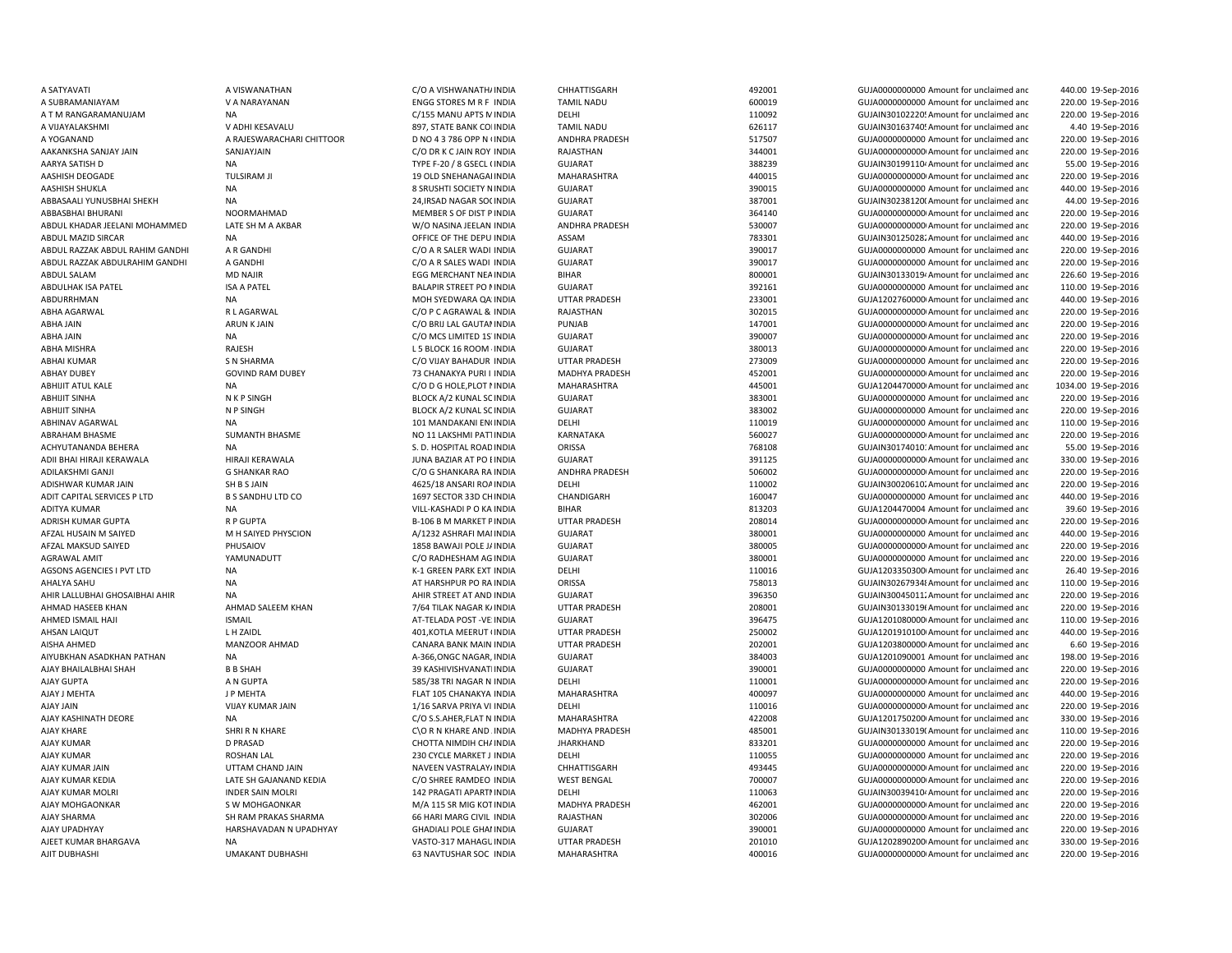| A SATYAVATI                     |
|---------------------------------|
| A SUBRAMANIAYAM                 |
| A T M RANGARAMANUJAM            |
| A VIJAYALAKSHMI                 |
| A YOGANAND                      |
| AAKANKSHA SANJAY JAIN           |
| AARYA SATISH D                  |
| AASHISH DEOGADE                 |
| AASHISH SHUKLA                  |
| ABBASAALI YUNUSBHAI SHEKH       |
| ABBASBHAI BHURANI               |
| ABDUL KHADAR JEELANI MOHAMMED   |
| ABDUL MAZID SIRCAR              |
| ABDUL RAZZAK ABDUL RAHIM GANDHI |
| ABDUL RAZZAK ABDULRAHIM GANDHI  |
| ABDUL SALAM                     |
| ABDULHAK ISA PATEL              |
| ABDURRHMAN                      |
| <b>ABHA AGARWAL</b>             |
| ABHA JAIN                       |
| ABHA JAIN                       |
| ABHA MISHRA                     |
| <b>ABHAI KUMAR</b>              |
| <b>ABHAY DUBEY</b>              |
| <b>ABHIJIT ATUL KALE</b>        |
| <b>ABHIJIT SINHA</b>            |
| <b>ABHIJIT SINHA</b>            |
| ABHINAV AGARWAL                 |
| ABRAHAM BHASME                  |
| ACHYUTANANDA BEHERA             |
| ADII BHAI HIRAJI KERAWALA       |
| ADILAKSHMI GANJI                |
| ADISHWAR KUMAR JAIN             |
| ADIT CAPITAL SERVICES P LTD     |
| <b>ADITYA KUMAR</b>             |
| ADRISH KUMAR GUPTA              |
| AFZAL HUSAIN M SAIYED           |
| AFZAL MAKSUD SAIYED             |
| <b>AGRAWAL AMIT</b>             |
| AGSONS AGENCIES I PVT LTD       |
| AHALYA SAHU                     |
| AHIR LALLUBHAI GHOSAIBHAI AHIR  |
| AHMAD HASEEB KHAN               |
| AHMED ISMAIL HAJI               |
| AHSAN LAIQUT                    |
| AISHA AHMED                     |
| AIYUBKHAN ASADKHAN PATHAN       |
| AJAY BHAILALBHAI SHAH           |
| <b>AJAY GUPTA</b>               |
| AJAY J MEHTA                    |
| <b>AJAY JAIN</b>                |
| AJAY KASHINATH DEORE            |
| <b>AJAY KHARE</b>               |
| <b>AJAY KUMAR</b>               |
| <b>AJAY KUMAR</b>               |
|                                 |
| AJAY KUMAR JAIN                 |
| AJAY KUMAR KEDIA                |
| AJAY KUMAR MOLRI                |
| AJAY MOHGAONKAR                 |
| <b>AJAY SHARMA</b>              |
| AJAY UPADHYAY                   |
| AJEET KUMAR BHARGAVA            |
| AJIT DUBHASHI                   |

NOORMAHMAD **ABBASE BEEN SOF DIST PINDIA** NA NA KULO NA VILL-KASHADI P O KA INDIA NA AT HARSHPUR PO RAINDIA

A SATYAVATI A VISWANATHAN C/O A VISHWANATHAINDIA CHHATTISGARH 492001 GUJA0000000000 Amount for unclaimed and 440.00 19-Sep-2016 VA NARAYANAN CHURCH STORES M R F INDIA TAMIL NADU 600019 600019 GUJA000000000000000000000000000 Amount for unclaimed and 220.00 19-Sep-2016 A T M RANGARAMAN C/155 MANU APTS N INDIA DELHI 110092 CUJAIN3010222014 AMOUNT for unclaimed and 220.00 19-Sep-2016 VADHI KESAVALU 897, STATE BANK COLINDIA TAMIL NADU 626117 6UJAIN301637405Amount for unclaimed anc 4.40 19-Sep-2016 A RAJESWARACHARI CHITTOOR D NO 4 3 786 OPP N (INDIA ANDHRA PRADESH 517507 GUJA0000000000 Amount for unclaimed and 220.00 19-Sep-2016 SANJAYJAIN C/O DR K C JAIN ROY INDIA RAJASTHAN 344001 344001 GUJA000000000Amount for unclaimed and 220.00 19-Sep-2016 NA ARYA SATISH D NA TYPE F-20 / 8 GSECL (INDIA GUJARAT GUJARAT SASSES) 388239 GUJAIN30199110<sup>,</sup> Amount for unclaimed and 55.00 19-Sep-2016 TULSIRAM JI 19 OLD SNEHANAGAI INDIA MAHARASHTRA 440015 440015 GUJA0000000000 Amount for unclaimed and 220.00 19-Sep-2016 AASHISH SHUKLA NA 8 SRUSHTI SOCIETY NINDIA GUJARAT 390015 GUJA0000000000 Amount for unclaimed and 440.00 19-Sep-2016 ABBASARA SOCINDIA GUJARAT SHEKAH SARAT SARAT SHEKAH SHEKH NA 24, ISBN 19-Sep-2016 GUJARAT GUJARAT 364140 364140 GUJA000000000000Amount for unclaimed and 220.00 19-Sep-2016 LATE SH M A AKBAR MEDIA MOHAMMED WARE AND MOHAMMED AND ANDHRA PRADESH STRUGGEN STRUGGEN STRUGGEN STRUGGEN STRUGGEN STRUGGEN STRUGGEN STRUGGEN STRUGGEN STRUGGEN STRUGGEN STRUGGEN STRUGGEN STRUGGEN STRUGGEN STRUGGEN STRUGGEN NA CHE DEPU INDIA ASSAM 783301 GUJAIN30125028. Amount for unclaimed and 440.00 19-Sep-2016 AB GANDHI CADA RALER WADI INDIA GUJARAT GUJARAT 390017 GUJA0000000000000000000 Amount for unclaimed and 220.00 19-Sep-2016 A GANDHI C/O A R SALES WADI INDIA GUJARAT GUJARAT 390017 GUJA0000000000 Amount for unclaimed and 220.00 19-Sep-2016 ABDUL SALAM MD NAJIR SALAM SALAM MD NAJIR SALAM SALAM SALAM SALAM SALAM SALAM SALAM SALAM SALAM SALAM SALAM SA<br>ABDUL SALAM SALAM SALAM SALAM SALAM SALAM SALAM SALAM SALAM SALAM SALAM SALAM SALAM SALAM SALAM SALAM SALAM SA 226.60 19-Sep-2016 SA A PATEL SA PATEL SALAPIR STREET PO MINDIA GUJARAT GUJARAT SERIES AND SERIES AND SERIES ON A PATEL SALAPIR STREET PO MINDIA 110.00 19-Sep-2016 MOH SYEDWARA QA INDIA UTTAR PRADESH 233001 GUJA1202760000 Amount for unclaimed and 440.00 19-Sep-2016 R L AGARWAL C/O P C AGRAWAL & INDIA RAJASTHAN 302015 GUJA0000000000Amount for unclaimed and 220.00 19-Sep-2016 ARUN K JAIN C/O BRIJ LAL GAUTAI INDIA PUNJAB PUNJAB 147001 GUJA000000000Amount for unclaimed and 220.00 19-Sep-2016 ABHA JAIN NA C/O MCS LIMITED 1S'INDIA GUJARAT GUJARAT 390007 GUJA0000000000000000000Amount for unclaimed and 220.00 19-Sep-2016 RAJESH CHA MISHRA L 5 BLOCK 16 ROOM INDIA GUJARAT GUJARAT 380013 GUJA00000000000000Amount for unclaimed and 220.00 19-Sep-2016 S N SHARMA C/O VIJAY BAHADUR INDIA UTTAR PRADESH 273009 GUJA0000000000 Amount for unclaimed and 220.00 19-Sep-2016 GOVIND RAM DUBEY **12 CHANAKYA PURI I INDIA** MADHYA PRADESH 452001 453001 GUJA000000000000Amount for unclaimed and 220.00 19-Sep-2016 NA C/O D G HOLE, PLOT I INDIA MAHARASHTRA 445001 445001 GUJA1204470000 Amount for unclaimed and 1034.00 19-Sep-2016 N K P SINGH BLOCK A/2 KUNAL SC INDIA GUJARAT GUJA 383001 GUJA0000000000 Amount for unclaimed and 220.00 19-Sep-2016 ABHIJIT SINHA N P SINGH BLOCK A/2 KUNAL SOINDIA GUJARAT 383002 GUJA0000000000 Amount for unclaimed and 220.00 19-Sep-2016 ABHINAV AGARWAL NA 101 MANDAKANI ENCINDIA DELHI 110019 GUJA0000000000 Amount for unclaimed and 110.00 19-Sep-2016 SUMANTH BHASME SUMANTH BHASME NO 11 LAKSHMI PATTINDIA KARNATAKA SUMA SEGOOZT SUMANTH BHASME SUJA000000000 Amount for unclaimed and 220.00 19-Sep-2016 NA S. D. HOSPITAL ROAD INDIA ORISSA CONSTANTING THE 768108 GUJAIN30174010: Amount for unclaimed and 55.00 19-Sep-2016 ADII BHAI HIRAJI KERAWALA HIRAJI KERAWALA JUNA BAZIAR AT PO BINDIA GUJARAT 391125 GUJA00000000000Amount for unclaimed and 330.00 19-Sep-2016 G SHANKAR RAO C/O G SHANKARA RA INDIA ANDHRA PRADESH 506002 GUJA0000000000Amount for unclaimed and 220.00 19-Sep-2016 SH B S JAIN 110002 GUJAIN300206102.Amount for unclaimed and 220.00 19-Sep-2016 ADIT CAPITAL SERVICES P LTD B S SANDHU LTD CO 1697 SECTOR 33D CHINDIA CHANDIGARH 160047 GUJA0000000000 Amount for unclaimed and 440.00 19-Sep-2016 BIHAR BIHAR BIHAR BIJS203 BIHAR BIHAR BIHAR BIHAR BIHAR BIJS2016 BIHAR BIJS2016 BIHAR BIJS2016 BIJS2016 BIJS2016 R P GUPTA B-106 B M MARKET PINDIA UTTAR PRADESH 208014 CUJA00000000000000000000000000000000000 Amount for unclaimed and 220.00 19-Sep-2016 AFZAL HUSAIN M SAIYED M H SAIYED PHYSCION A/1232 ASHRAFI MANINDIA GUJARAT 380001 GUJA0000000000 Amount for unclaimed and 440.00 19-Sep-2016 PHUSAIOV 1858 BAWAJI POLE JAINDIA GUJARAT 380005 380005 GUJA00000000000000000000000000 DHUJA000000000 Amount for unclaimed and 220.00 19-Sep-2016 AGRAWAL AMIT YAMUNADUTT C/O RADHESHAM AGINDIA GUJARAT 380001 GUJA0000000000 Amount for unclaimed and 220.00 19-Sep-2016 NA CHEEN PARK EXT INDIA DELHI 110016 110016 GUJA1203350300 Amount for unclaimed and 26.40 19-Sep-2016 ORISSA 2013 758013 758013 GUJAIN302679348 Amount for unclaimed and 110.00 19-Sep-2016 AHIR STREET AT AND INDIA GUJARAT GUTARAT 396350 GUJAIN30045011. Amount for unclaimed and 220.00 19-Sep-2016 AHMAD SALEEM KHAN 2020.00 19-Sep-2016 7/64 TILAK NAGAR K/INDIA UTTAR PRADESH 208001 208001 GUJAIN30133019f Amount for unclaimed anc 220.00 19-Sep-2016 AHMED ISMAIL HAJI ISMAIL AT-TELADA POST -VESINDIA GUJARAT 396475 GUJA12010800000Amount for unclaimed and 110.00 19-Sep-2016 LH ZAIDL 201,KOTLA MEERUT (INDIA UTTAR PRADESH 250002 GUJA1201910100 Amount for unclaimed and 440.00 19-Sep-2016 MANZOOR AHMAD CANARA BANK MAIN INDIA UTTAR PRADESH 202001 GUJA1203800000I Amount for unclaimed and 6.60 19-Sep-2016 A-366,ONGC NAGAR, INDIA GUJARAT 384003 GUJA1201090001 Amount for unclaimed and 198.00 19-Sep-2016 BB SHAH 39 KASHIVISHVANATI INDIA GUJARAT SHAH 390001 GUJA0000000000 Amount for unclaimed and 220.00 19-Sep-2016 AJAY GUPTA A N GUPTA 585/38 TRI NAGAR N INDIA DELHI 110001 GUJA00000000000Amount for unclaimed and 220.00 19-Sep-2016 LAJAY JP MEHTA JAYAYA JAYAYA JAYAYA JAYAHARASHTRA JAYAYA HALAHARASHTRA 400097 GUJA0000000000 Amount for unclaimed and 440.00 19-Sep-2016 AJAY JAIN VIJAY KUMAR JAIN 1/16 SARVA PRIYA VI INDIA DELHI 110016 GUJA00000000000Amount for unclaimed and 220.00 19-Sep-2016 RJATAT DEORE NA CO S.S.AHER,FLAT N INDIA MAHARASHTRA 422008 422008 GUJA1201750200 Amount for unclaimed and 330.00 19-Sep-2016 SHRI R N KHARE SHARE SHARE AND AND AND MADHYA PRADESH 485001 GUJAIN301330191Amount for unclaimed and 110.00 19-Sep-2016 AJAY KUMAR D PRASAD CHOTTA NIMDIH CHAINDIA JHARKHAND 833201 GUJA0000000000 Amount for unclaimed and 220.00 19-Sep-2016 ROSHAN LAL 230 CYCLE MARKET J INDIA DELHI 230 CYCLE MARKET J INDIA DELHI 110055 GUJA0000000000 Amount for unclaimed and 220.00 19-Sep-2016 UTTAM CHAND JAIN NAVEEN VASTRALAY INDIA CHHATTISGARH 493445 GUJA0000000000 Amount for unclaimed and 220.00 19-Sep-2016 LATE SH GAJANAND KEDIA C/O SHREE RAMDEO INDIA WEST BENGAL 700007 700007 GUJA000000000Amount for unclaimed and 220.00 19-Sep-2016 INDER SAIN MOLRI **142 PRAGATI APARTI INDIA** DELHI 110063 GUJAIN30039410<sup>4</sup> Amount for unclaimed and 220.00 19-Sep-2016 AJAY MOHGAONKAR S SW MOHGAONKAR MADHYA 115 SR MIG KOTINDIA MADHYA PRADESH 462001 GUJA0000000000000000000000000Amount for unclaimed and 220.00 19-Sep-2016 SH RAM PRAKAS SHARMA 66 HARI MARG CIVIL INDIA RAJASTHAN 66 HARI MARG CIVIL INDIA RAJASTHAN 302006 GUJA000000000000000000000000000000000 Amount for unclaimed and 220.00 19-Sep-2016 HARSHAVADAN N UPADHYAY GHADIALI POLE GHAI INDIA GUJARAT GUJARAT 390001 SHOWADADADOO Amount for unclaimed and 220.00 19-Sep-2016 NA 201010 AJEET AJEET AVASTO-317 MAHAGLINDIA UTTAR PRADESH 201010 201010 GUJA1202890200 Amount for unclaimed and 330.00 19-Sep-2016 UMAKANT DUBHASHI CHASHI 63 NAVTUSHAR SOC INDIA MAHARASHTRA 400016 400016 GUJA00000000000000Amount for unclaimed and 220.00 19-Sep-2016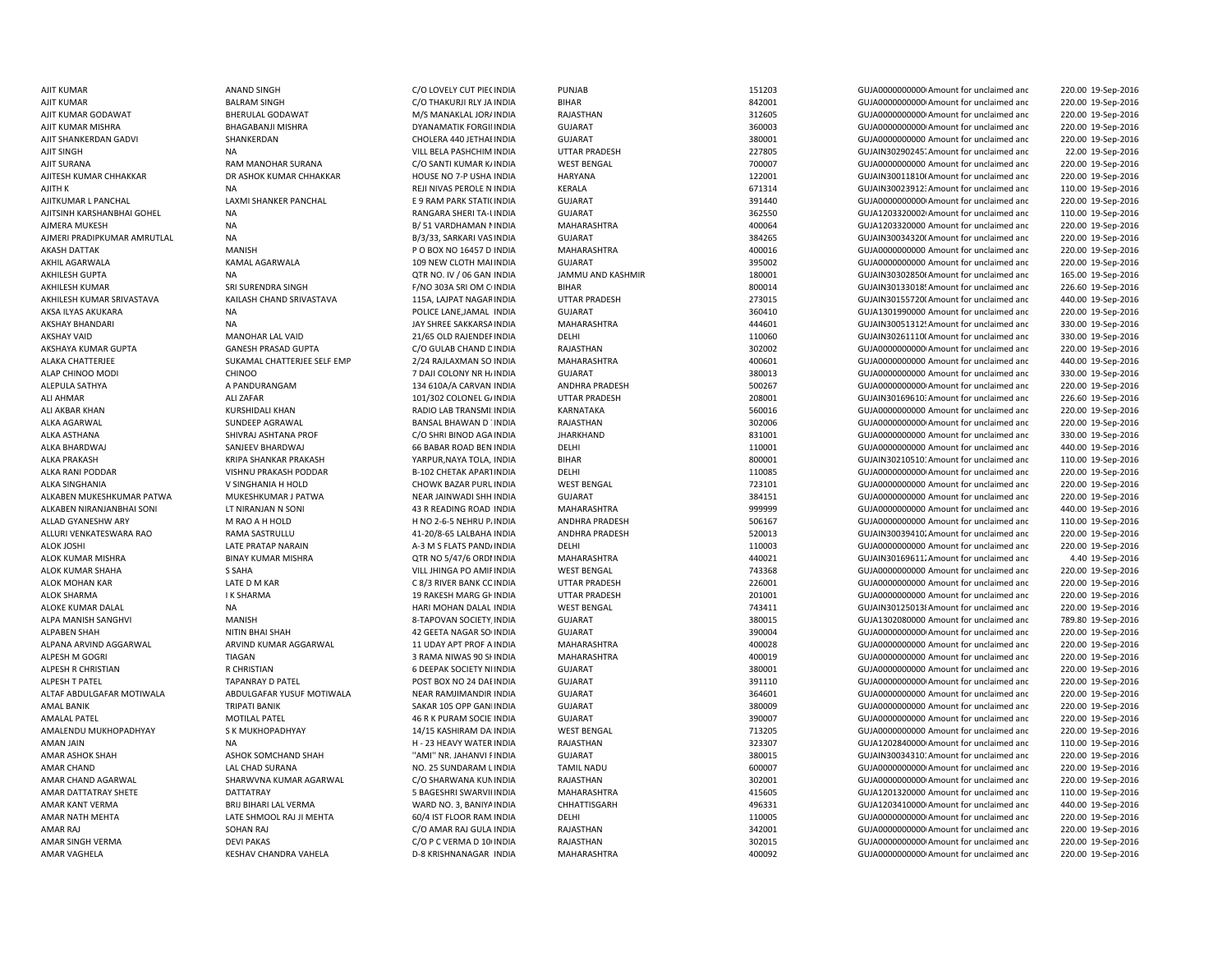ALPANA ARVIND AGGARWAL ARVIND KUMAR AGGARWAL 11 UDAY APT PROF A INDIA AMAN JAIN NA H - 23 HFAVY WATER INDIA AMAR CHAND LAL CHAD SURANA NO. 25 SUNDARAM LINDIA

AJIT KUMAR ANAND SINGH C/O LOVELY CUT PIECINDIA PUNJAB 151203 GUJA00000000000Amount for unclaimed and 220.00 19-Sep-2016 AJIT KUMAR BALRAM SINGH C/O THAKURJI RLY JA INDIA BIHAR 842001 GUJA00000000000Amount for unclaimed and 220.00 19-Sep-2016 AJIT KUMAR GODAWAT BHERULAL GODAWAT M/S MANAKLAL JORAINDIA RAJASTHAN 312605 GUJA00000000000Amount for unclaimed and 220.00 19-Sep-2016 AJIT KUMAR MISHRA BHAGABANJI MISHRA DYANAMATIK FORGII INDIA GUJARAT SUMATA 360003 GUJA000000000000000000000000 amount for unclaimed and 220.00 19-Sep-2016 AJIT SHANKERDAN GADVI SHANKERDAN CHOLERA 440 JETHAI INDIA GUJARAT SALAMAT 380001 GUJA00000000000 Amount for unclaimed and 220.00 19-Sep-2016 AJIT SINGH NA NA NA VILL BELA PASHCHIM INDIA UTTAR PRADESH 227805 GUJAIN30290245. Amount for unclaimed and 22.00 19-Sep-2016 AJIT SURANA RAM MANOHAR SURANA C/O SANTI KUMAR KAINDIA WEST BENGAL 700007 6UJA000000000 Amount for unclaimed and 220.00 19-Sep-2016 AJITESH KUMAR CHHAKKAR DR ASHOK KUMAR CHHAKKAR HOUSE NO 7-P USHA INDIA HARYANA 122001 122001 GUJAIN30011810(Amount for unclaimed and 220.00 19-Sep-2016 AJITH K NA REJI NIVAS PEROLE N INDIA KERALA 671314 GUJAIN300239123Amount for unclaimed and 110.00 19-Sep-2016 AJITKUMAR L PANCHAL LAXMI SHANKER PANCHAL E 9 RAM PARK STATIOINDIA GUJARAT 391440 GUJA00000000000Amount for unclaimed and 220.00 19-Sep-2016 AJITSINH KARSHANBHAI GOHEL NA NA RANGARA SHERI TA-UINDIA GUJARAT SALAHAT 362550 GUJA12033200021 Amount for unclaimed and 110.00 19-Sep-2016 AJMERA MUKESH NA BALA BALA BASI YARDHAMAN NINDIA MAHARASHTRA 400064 400064 GUJA1203320000 Amount for unclaimed and 220.00 19-Sep-2016 AJMERI PRADIPKUMAR AMRUTLAL NA NA SEP-2016 B/3/33, SARKARI VAS INDIA GUJARAT SARAGE 384265 GUJAIN30034320(Amount for unclaimed and 220.00 19-Sep-2016 AKASH DATTAK MANISH MANISH MANISH P O BOX NO 16457 D INDIA MAHARASHTRA 400016 400016 GUJA0000000000000000000000 Amount for unclaimed and 220.00 19-Sep-2016 AKHIL AGARWALA KAMAL AGARWALA 109 NEW CLOTH MAI INDIA GUJARAT 395002 GUJA0000000000 Amount for unclaimed and 220.00 19-Sep-2016 AKHILESH GUPTA NA NA DISPEDSION DEN CORR NO. IV / 06 GAN INDIA JAMMU AND KASHMIR 180001 GUJAIN303028506 Amount for unclaimed and 165.00 19-Sep-2016 AKHILESH KUMAR SRI SURENDRA SINGH F/NO 303A SRI OM C INDIA BIHAR 800014 800014 GUJAIN30133018! Amount for unclaimed and 226.60 19-Sep-2016 AKHILESH KUMAR SRIVASTAVA KAILASH CHAND SRIVASTAVA 115A, LAJPAT NAGARINDIA UTTAR PRADESH 273015 GUJAIN301557200Amount for unclaimed and 440.00 19-Sep-2016 AKSA ILYAS AKUKARA NA POLICE LANE,JAMAL INDIA GUJARAT 360410 GUJA1301990000 Amount for unclaimed and 220.00 19-Sep-2016 AKSHAY BHANDARI NA NA NA SHREE SAKKARSA INDIA MAHARASHTRA 444601 444601 GUJAIN30051312! Amount for unclaimed and 330.00 19-Sep-2016 AKSHAY VAID MANOHAR LAL VAID 21/65 OLD RAJENDER INDIA DELHI 20060 110060 GUJAIN30261110(Amount for unclaimed anc 330.00 19-Sep-2016 AKSHAYA KUMAR GUPTA GANESH PRASAD GUPTA C/O GULAB CHAND DINDIA RAJASTHAN 302002 GUJA00000000000Amount for unclaimed and 220.00 19-Sep-2016 ALAKA CHATTERJEE SUKAMAL CHATTERJEE SELF EMP 2/24 RAJLAXMAN SO INDIA MAHARASHTRA 400601 400601 GUJA0000000000 Amount for unclaimed and 440.00 19-Sep-2016 ALAP CHINOO MODI CHINOO CHINOO 7 DAJI COLONY NR HAINDIA GUJARAT CHINOO MOODI 380013 GUJA00000000000000000000000 Amount for unclaimed and 330.00 19-Sep-2016 ALEPULA SATHYA A PANDURANGAM 134 610A/A CARVAN INDIA ANDHRA PRADESH 500267 GUJA00000000000Amount for unclaimed and 220.00 19-Sep-2016 ALI AHMAR 226.60 19-Sep-2016 101/302 COLONEL GAINDIA UTTAR PRADESH 208001 CUJAIN30169610: Amount for unclaimed and 226.60 19-Sep-2016 ALI AKBAR KHAN KURSHIDALI KHAN RADIO LAB TRANSMI INDIA KARNATAKA 560016 560016 GUJA000000000 Amount for unclaimed and 220.00 19-Sep-2016 ALKA AGARWAL SUNDEEP AGRAWAL SANSAL BANSAL BHAWAN DUNDIA RAJASTHAN 302006 302006 GUJA000000000000000000AMount for unclaimed and 220.00 19-Sep-2016 ALKA ASTHANA SHIVRAJ ASHTANA PROF C/O SHRI BINOD AGA INDIA JHARKHAND 831001 831001 GUJA0000000000 Amount for unclaimed and 330.00 19-Sep-2016 ALKA BHARDWAJ SANJEEV BHARDWAJ 66 BABAR ROAD BEN INDIA DELHI 110001 110001 GUJA000000000 Amount for unclaimed and 440.00 19-Sep-2016 ALKA PRAKASH **KRIPA SHANKAR PRAKASH YARPUR,NAYA TOLA, IN**DIA BIHAR 800001 800001 GUJAIN30210510: Amount for unclaimed and 110.00 19-Sep-2016 ALKA RANI PODDAR VISHNU PRAKASH PODDAR B-102 CHETAK APARTINDIA DELHI 110085 GUJA00000000000Amount for unclaimed and 220.00 19-Sep-2016 ALKA SINGHANIA V SINGHANIA H HOLD CHOWK BAZAR PURL INDIA WEST BENGAL 723101 GUJA00000000000000000 Amount for unclaimed and 220.00 19-Sep-2016 ALKABEN MUKESHKUMAR PATWA MUKESHKUMAR J PATWA NEAR JAINWADI SHH INDIA GUJARAT SUJARAT SASA151 GUJA00000000000000000000000000000 Amount for unclaimed and 220.00 19-Sep-2016 ALKABEN NIRANJANBHAI SONI LT NIRANJAN N SONI 43 R READING ROAD INDIA MAHARASHTRA 999999 GUJA0000000000 Amount for unclaimed and 440.00 19-Sep-2016 ALLAD GYANESHW ARY **MEAO A H HOLD H NO 2-6-5 NEHRU PAINDIA** ANDHRA PRADESH 506167 GUJA000000000 Amount for unclaimed and 110.00 19-Sep-2016 ALLURI VENKATESWARA RAO **RAMA SASTRULLU 41-20/8-65 LALBAHA INDIA** ANDHRA PRADESH 520013 GUJAIN30039410. Amount for unclaimed and 220.00 19-Sep-2016 ALOK JOSHI NATE PRATAP NARAIN A-3 M S FLATS PANDAINDIA DELHI 2000 110003 GUJA0000000000000000 Amount for unclaimed and 220.00 19-Sep-2016 ALOK KUMAR MISHRA BINAY KUMAR MISHRA QTR NO 5/47/6 ORDNINDIA MAHARASHTRA 440021 GUJAIN301696112Amount for unclaimed and 4.40 19-Sep-2016 ALOK KUMAR SHAHA S SAHA VILL JHINGA PO AMIRINDIA WEST BENGAL 743368 GUJA0000000000 Amount for unclaimed and 220.00 19-Sep-2016 ALOK MOHAN KAR LATE D M KAR C 8/3 RIVER BANK COINDIA UTTAR PRADESH 226001 GUJA0000000000 Amount for unclaimed and 220.00 19-Sep-2016 ALOK SHARMA I K SHARMA 19 RAKESH MARG GHINDIA UTTAR PRADESH 201001 201001 GUJA000000000 Amount for unclaimed and 220.00 19-Sep-2016 ALOKE KUMAR DALAL NA HARI MOHAN DALAL INDIA WEST BENGAL NA TABAL 743411 GUJAIN301250138Amount for unclaimed and 220.00 19-Sep-2016 ALPA MANISH SANGHVI MANISH 8-TAPOVAN SOCIETY,INDIA GUJARAT 380015 GUJA1302080000 Amount for unclaimed and 789.80 19-Sep-2016 ALPABEN SHAH NITIN BHAI SHAH 42 GEETA NAGAR SO INDIA GUJARAT 390004 390004 GUJA000000000Amount for unclaimed and 220.00 19-Sep-2016 INDIA MAHARASHTRA 400028 GUJA0000000000 Amount for unclaimed and 220.00 19-Sep-2016 ALPESH M GOGRI NEW TIAGAN 2 TIAGAN 3 RAMA NIWAS 90 SHINDIA MAHARASHTRA 400019 400019 GUJA00000000000000000000 Amount for unclaimed and 220.00 19-Sep-2016 ALPESH R CHRISTIAN R CHRISTIAN 6 DEEPAK SOCIETY NEINDIA GUJARAT 380001 GUJA0000000000 Amount for unclaimed and 220.00 19-Sep-2016 ALPESH T PATEL TAPANRAY D PATEL POST BOX NO 24 DABINDIA GUJARAT 391110 GUJA00000000000Amount for unclaimed and 220.00 19-Sep-2016 ALTAF ABDULGAFAR MOTIWALA ABDULGAFAR YUSUF MOTIWALA NEAR RAMJIMANDIR INDIA GUJARAT SUSARAT SAGGO1 GUJA0000000000 Amount for unclaimed and 220.00 19-Sep-2016 AMAL BANIK SAKAR 105 OPP GANINDIA SAKAR 105 OPP GANINDIA GUJARAT 380009 SAKAR 30000 GUJA0000000000 Amount for unclaimed and 220.00 19-Sep-2016 AMALAL PATEL MOTILAL PATEL AND MOTILAL PATEL AND THE SALE AS A GUJARAT AND A GUJANG GUJADO AMOUNT OF UNCLAIMED AND A GUJADO AMOUNT OF UNCLAIMED AND A GUJADO AMOUNT OF UNCLAIMED AND A GUJADO AMOUNT OF UNCLAIMED AND A GUJADO 220.00 19-Sep-2016 AMALENDU MUKHOPADHYAY S K MUKHOPADHYAY 14/15 KASHIRAM DA INDIA WEST BENGAL 713205 GUJA000000000 Amount for unclaimed and 220.00 19-Sep-2016 RAJASTHAN 323307 323307 GUJA1202840000 Amount for unclaimed and 110.00 19-Sep-2016 AMAR ASHOK SOMCHAND SHAH ''AMI'' NR. JAHANVI FINDIA GUJARAT 380015 GUJAIN30034310: Amount for unclaimed and 220.00 19-Sep-2016 TAMIL NADU 600007 600007 GUJA0000000000000Amount for unclaimed and 220.00 19-Sep-2016 AMAR CHAND AGARWAL SHARWVNA KUMAR AGARWAL C/O SHARWANA KUNINDIA RAJASTHAN 302001 GUJA00000000000Amount for unclaimed and 220.00 19-Sep-2016 AMAR DATTATRAY SHETE SANG DATTATRAY SANG SANGGESHRI SANGGESHRI SWARVIHINDIA MAHARASHTRA SANGGESHRI SANGGESHRI SANGGESHRI SANGGESHRI SANGGESHRI SANGGESHRI SANGGESHRI SANGGESHRI SANGGESHRI SANGGESHRI SANGGESHRI SANGGESHRI SA 110.00 19-Sep-2016 AMAR KANT VERMA BRIJ BIHARI LAL VERMA WARD NO. 3, BANIYA INDIA CHHATTISGARH 496331 GUJA1203410000 Amount for unclaimed and 440.00 19-Sep-2016 AMAR NATH MEHTA LATE SHMOOL RAJ JI MEHTA 60/4 IST FLOOR RAM INDIA DELHI CHELHI 110005 GUJA000000000Amount for unclaimed and 220.00 19-Sep-2016 AMAR RAJ SOHAN RAJ C/O AMAR RAJ GULA INDIA RAJASTHAN 342001 GUJA00000000000Amount for unclaimed and 220.00 19-Sep-2016 AMAR SINGH VERMA DEVI PAKAS CONTROLLED CO P C VERMA D 101 INDIA RAJASTHAN 302015 COULA0000000000Amount for unclaimed and 220.00 19-Sep-2016 AMAR VAGHELA KESHAV CHANDRA VAHELA D-8 KRISHNANAGAR INDIA MAHARASHTRA 400092 GUJA0000000000000000000000 Amount for unclaimed and 220.00 19-Sep-2016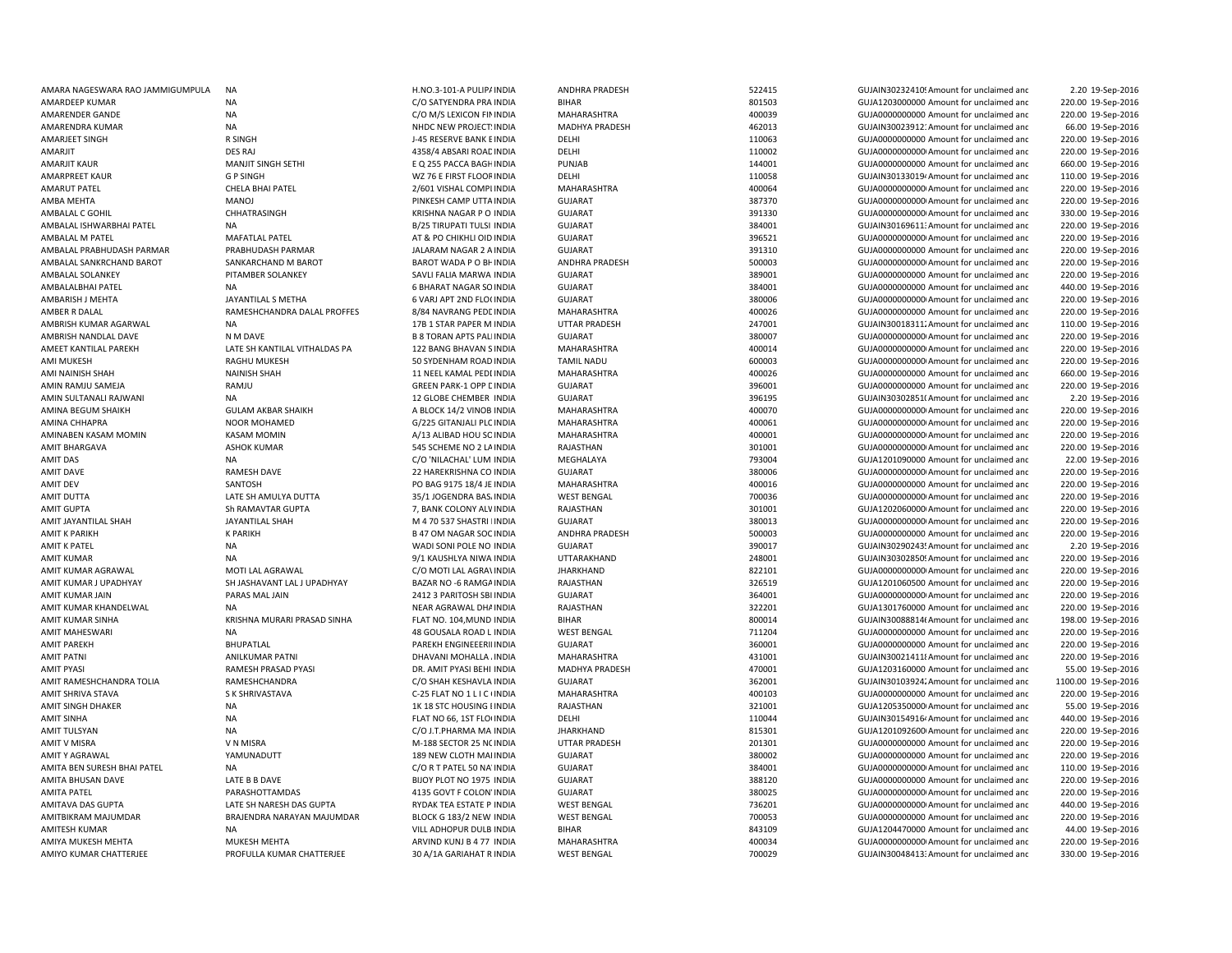| AMARA NAGESWARA RAO JAMMIGUMPULA | <b>NA</b>                     | H.NO.3-101-A PULIP/ INDIA      | ANDHRA PRADESH       | 522415 | GUJAIN30232410! Amount for unclaimed and             | 2.20 19-Sep-2016    |
|----------------------------------|-------------------------------|--------------------------------|----------------------|--------|------------------------------------------------------|---------------------|
| AMARDEEP KUMAR                   | <b>NA</b>                     | C/O SATYENDRA PRA INDIA        | BIHAR                | 801503 | GUJA1203000000 Amount for unclaimed and              | 220.00 19-Sep-2016  |
| AMARENDER GANDE                  | <b>NA</b>                     | C/O M/S LEXICON FIN INDIA      | MAHARASHTRA          | 400039 | GUJA0000000000 Amount for unclaimed and              | 220.00 19-Sep-2016  |
| AMARENDRA KUMAR                  | <b>NA</b>                     | NHDC NEW PROJECT: INDIA        | MADHYA PRADESH       | 462013 | GUJAIN30023912: Amount for unclaimed and             | 66.00 19-Sep-2016   |
| AMARJEET SINGH                   | R SINGH                       | J-45 RESERVE BANK E INDIA      | DELHI                | 110063 | GUJA0000000000 Amount for unclaimed and              | 220.00 19-Sep-2016  |
| AMARJIT                          | <b>DES RAJ</b>                | 4358/4 ABSARI ROAC INDIA       | DELHI                | 110002 | GUJA0000000000 Amount for unclaimed and              | 220.00 19-Sep-2016  |
| AMARJIT KAUR                     | MANJIT SINGH SETHI            | E Q 255 PACCA BAGH INDIA       | PUNJAB               | 144001 | GUJA0000000000 Amount for unclaimed and              | 660.00 19-Sep-2016  |
| <b>AMARPREET KAUR</b>            | <b>GP SINGH</b>               | WZ 76 E FIRST FLOOF INDIA      | DELHI                | 110058 | GUJAIN30133019 <sup>,</sup> Amount for unclaimed and | 110.00 19-Sep-2016  |
| AMARUT PATEL                     | CHELA BHAI PATEL              | 2/601 VISHAL COMPI INDIA       | MAHARASHTRA          | 400064 | GUJA0000000000 Amount for unclaimed and              | 220.00 19-Sep-2016  |
|                                  |                               |                                |                      |        |                                                      |                     |
| AMBA MEHTA                       | MANOJ                         | PINKESH CAMP UTTA INDIA        | <b>GUJARAT</b>       | 387370 | GUJA0000000000 Amount for unclaimed and              | 220.00 19-Sep-2016  |
| AMBALAL C GOHIL                  | CHHATRASINGH                  | KRISHNA NAGAR P O INDIA        | <b>GUJARAT</b>       | 391330 | GUJA00000000000 Amount for unclaimed and             | 330.00 19-Sep-2016  |
| AMBALAL ISHWARBHAI PATEL         | <b>NA</b>                     | B/25 TIRUPATI TULSI INDIA      | <b>GUJARAT</b>       | 384001 | GUJAIN30169611: Amount for unclaimed and             | 220.00 19-Sep-2016  |
| AMBALAL M PATEL                  | <b>MAFATLAL PATEL</b>         | AT & PO CHIKHLI OID INDIA      | <b>GUJARAT</b>       | 396521 | GUJA0000000000 Amount for unclaimed and              | 220.00 19-Sep-2016  |
| AMBALAL PRABHUDASH PARMAR        | PRABHUDASH PARMAR             | JALARAM NAGAR 2 A INDIA        | <b>GUJARAT</b>       | 391310 | GUJA0000000000 Amount for unclaimed and              | 220.00 19-Sep-2016  |
| AMBALAL SANKRCHAND BAROT         | SANKARCHAND M BAROT           | BAROT WADA P O BH INDIA        | ANDHRA PRADESH       | 500003 | GUJA0000000000 Amount for unclaimed and              | 220.00 19-Sep-2016  |
| AMBALAL SOLANKEY                 | PITAMBER SOLANKEY             | SAVLI FALIA MARWA INDIA        | <b>GUJARAT</b>       | 389001 | GUJA0000000000 Amount for unclaimed and              | 220.00 19-Sep-2016  |
| AMBALALBHAI PATEL                | <b>NA</b>                     | <b>6 BHARAT NAGAR SO INDIA</b> | <b>GUJARAT</b>       | 384001 | GUJA0000000000 Amount for unclaimed and              | 440.00 19-Sep-2016  |
| AMBARISH J MEHTA                 | JAYANTILAL S METHA            | 6 VARJ APT 2ND FLO( INDIA      | <b>GUJARAT</b>       | 380006 | GUJA0000000000 Amount for unclaimed and              | 220.00 19-Sep-2016  |
| AMBER R DALAL                    | RAMESHCHANDRA DALAL PROFFES   | 8/84 NAVRANG PEDE INDIA        | MAHARASHTRA          | 400026 | GUJA0000000000 Amount for unclaimed and              | 220.00 19-Sep-2016  |
| AMBRISH KUMAR AGARWAL            | <b>NA</b>                     | 17B 1 STAR PAPER M INDIA       | <b>UTTAR PRADESH</b> | 247001 | GUJAIN30018311. Amount for unclaimed and             | 110.00 19-Sep-2016  |
| AMBRISH NANDLAL DAVE             | N M DAVE                      | <b>B 8 TORAN APTS PALINDIA</b> | <b>GUJARAT</b>       | 380007 | GUJA0000000000 Amount for unclaimed and              | 220.00 19-Sep-2016  |
| AMEET KANTILAL PAREKH            | LATE SH KANTILAL VITHALDAS PA | 122 BANG BHAVAN S INDIA        | MAHARASHTRA          | 400014 | GUJA0000000000 Amount for unclaimed and              | 220.00 19-Sep-2016  |
| AMI MUKESH                       | RAGHU MUKESH                  | 50 SYDENHAM ROAD INDIA         | <b>TAMIL NADU</b>    | 600003 | GUJA0000000000 Amount for unclaimed and              | 220.00 19-Sep-2016  |
| AMI NAINISH SHAH                 | <b>NAINISH SHAH</b>           | 11 NEEL KAMAL PEDI INDIA       | MAHARASHTRA          | 400026 | GUJA0000000000 Amount for unclaimed and              | 660.00 19-Sep-2016  |
| AMIN RAMJU SAMEJA                | RAMJU                         | <b>GREEN PARK-1 OPP LINDIA</b> | <b>GUJARAT</b>       | 396001 | GUJA0000000000 Amount for unclaimed and              | 220.00 19-Sep-2016  |
| AMIN SULTANALI RAJWANI           | <b>NA</b>                     | 12 GLOBE CHEMBER INDIA         | <b>GUJARAT</b>       | 396195 | GUJAIN30302851(Amount for unclaimed and              | 2.20 19-Sep-2016    |
|                                  |                               |                                |                      |        |                                                      |                     |
| AMINA BEGUM SHAIKH               | <b>GULAM AKBAR SHAIKH</b>     | A BLOCK 14/2 VINOB INDIA       | MAHARASHTRA          | 400070 | GUJA0000000000 Amount for unclaimed and              | 220.00 19-Sep-2016  |
| AMINA CHHAPRA                    | NOOR MOHAMED                  | G/225 GITANJALI PLC INDIA      | MAHARASHTRA          | 400061 | GUJA00000000000 Amount for unclaimed and             | 220.00 19-Sep-2016  |
| AMINABEN KASAM MOMIN             | <b>KASAM MOMIN</b>            | A/13 ALIBAD HOU SC INDIA       | MAHARASHTRA          | 400001 | GUJA00000000000 Amount for unclaimed and             | 220.00 19-Sep-2016  |
| <b>AMIT BHARGAVA</b>             | <b>ASHOK KUMAR</b>            | 545 SCHEME NO 2 LA INDIA       | RAJASTHAN            | 301001 | GUJA0000000000 Amount for unclaimed and              | 220.00 19-Sep-2016  |
| AMIT DAS                         | <b>NA</b>                     | C/O 'NILACHAL' LUM INDIA       | MEGHALAYA            | 793004 | GUJA1201090000 Amount for unclaimed and              | 22.00 19-Sep-2016   |
| <b>AMIT DAVE</b>                 | RAMESH DAVE                   | 22 HAREKRISHNA CO INDIA        | <b>GUJARAT</b>       | 380006 | GUJA0000000000 Amount for unclaimed and              | 220.00 19-Sep-2016  |
| <b>AMIT DEV</b>                  | SANTOSH                       | PO BAG 9175 18/4 JE INDIA      | MAHARASHTRA          | 400016 | GUJA0000000000 Amount for unclaimed and              | 220.00 19-Sep-2016  |
| AMIT DUTTA                       | LATE SH AMULYA DUTTA          | 35/1 JOGENDRA BAS. INDIA       | <b>WEST BENGAL</b>   | 700036 | GUJA0000000000 Amount for unclaimed and              | 220.00 19-Sep-2016  |
| <b>AMIT GUPTA</b>                | Sh RAMAVTAR GUPTA             | 7, BANK COLONY ALV INDIA       | RAJASTHAN            | 301001 | GUJA1202060000 Amount for unclaimed and              | 220.00 19-Sep-2016  |
| AMIT JAYANTILAL SHAH             | JAYANTILAL SHAH               | M 4 70 537 SHASTRI INDIA       | <b>GUJARAT</b>       | 380013 | GUJA0000000000 Amount for unclaimed and              | 220.00 19-Sep-2016  |
| <b>AMIT K PARIKH</b>             | <b>K PARIKH</b>               | <b>B 47 OM NAGAR SOC INDIA</b> | ANDHRA PRADESH       | 500003 | GUJA0000000000 Amount for unclaimed and              | 220.00 19-Sep-2016  |
| <b>AMIT K PATEL</b>              | <b>NA</b>                     | WADI SONI POLE NO INDIA        | <b>GUJARAT</b>       | 390017 | GUJAIN30290243! Amount for unclaimed and             | 2.20 19-Sep-2016    |
| <b>AMIT KUMAR</b>                | <b>NA</b>                     | 9/1 KAUSHLYA NIWA INDIA        | UTTARAKHAND          | 248001 | GUJAIN30302850! Amount for unclaimed and             | 220.00 19-Sep-2016  |
| AMIT KUMAR AGRAWAL               | MOTI LAL AGRAWAL              | C/O MOTI LAL AGRA\ INDIA       | <b>JHARKHAND</b>     | 822101 | GUJA0000000000 Amount for unclaimed and              | 220.00 19-Sep-2016  |
| AMIT KUMAR J UPADHYAY            | SH JASHAVANT LAL J UPADHYAY   | BAZAR NO -6 RAMGA INDIA        | RAJASTHAN            | 326519 | GUJA1201060500 Amount for unclaimed and              | 220.00 19-Sep-2016  |
| AMIT KUMAR JAIN                  | PARAS MAL JAIN                | 2412 3 PARITOSH SBI INDIA      | GUJARAT              | 364001 | GUJA0000000000 Amount for unclaimed and              | 220.00 19-Sep-2016  |
| AMIT KUMAR KHANDELWAL            | <b>NA</b>                     | NEAR AGRAWAL DHA INDIA         | RAJASTHAN            | 322201 | GUJA1301760000 Amount for unclaimed and              | 220.00 19-Sep-2016  |
| <b>AMIT KUMAR SINHA</b>          | KRISHNA MURARI PRASAD SINHA   | FLAT NO. 104, MUND INDIA       | <b>BIHAR</b>         | 800014 | GUJAIN30088814( Amount for unclaimed and             | 198.00 19-Sep-2016  |
| <b>AMIT MAHESWARI</b>            | <b>NA</b>                     | 48 GOUSALA ROAD L INDIA        | <b>WEST BENGAL</b>   | 711204 | GUJA0000000000 Amount for unclaimed and              | 220.00 19-Sep-2016  |
|                                  | <b>BHUPATLAL</b>              | PAREKH ENGINEEERII INDIA       | <b>GUJARAT</b>       | 360001 | GUJA0000000000 Amount for unclaimed and              |                     |
| <b>AMIT PAREKH</b>               |                               |                                |                      |        |                                                      | 220.00 19-Sep-2016  |
| <b>AMIT PATNI</b>                | ANILKUMAR PATNI               | DHAVANI MOHALLA . INDIA        | MAHARASHTRA          | 431001 | GUJAIN300214118 Amount for unclaimed and             | 220.00 19-Sep-2016  |
| <b>AMIT PYASI</b>                | RAMESH PRASAD PYASI           | DR. AMIT PYASI BEHI INDIA      | MADHYA PRADESH       | 470001 | GUJA1203160000 Amount for unclaimed and              | 55.00 19-Sep-2016   |
| AMIT RAMESHCHANDRA TOLIA         | RAMESHCHANDRA                 | C/O SHAH KESHAVLA INDIA        | <b>GUJARAT</b>       | 362001 | GUJAIN30103924. Amount for unclaimed and             | 1100.00 19-Sep-2016 |
| AMIT SHRIVA STAVA                | S K SHRIVASTAVA               | C-25 FLAT NO 1 L I C (INDIA    | MAHARASHTRA          | 400103 | GUJA0000000000 Amount for unclaimed and              | 220.00 19-Sep-2016  |
| AMIT SINGH DHAKER                | <b>NA</b>                     | 1K 18 STC HOUSING I INDIA      | RAJASTHAN            | 321001 | GUJA1205350000 Amount for unclaimed and              | 55.00 19-Sep-2016   |
| <b>AMIT SINHA</b>                | <b>NA</b>                     | FLAT NO 66, 1ST FLO INDIA      | DELHI                | 110044 | GUJAIN30154916 <sup>,</sup> Amount for unclaimed and | 440.00 19-Sep-2016  |
| <b>AMIT TULSYAN</b>              | <b>NA</b>                     | C/O J.T.PHARMA MA INDIA        | <b>JHARKHAND</b>     | 815301 | GUJA1201092600 Amount for unclaimed and              | 220.00 19-Sep-2016  |
| <b>AMIT V MISRA</b>              | V N MISRA                     | M-188 SECTOR 25 N( INDIA       | <b>UTTAR PRADESH</b> | 201301 | GUJA0000000000 Amount for unclaimed and              | 220.00 19-Sep-2016  |
| <b>AMITY AGRAWAL</b>             | YAMUNADUTT                    | 189 NEW CLOTH MAI INDIA        | <b>GUJARAT</b>       | 380002 | GUJA0000000000 Amount for unclaimed and              | 220.00 19-Sep-2016  |
| AMITA BEN SURESH BHAI PATEL      | NA                            | C/O R T PATEL 50 NA INDIA      | <b>GUJARAT</b>       | 384001 | GUJA0000000000 Amount for unclaimed and              | 110.00 19-Sep-2016  |
| AMITA BHUSAN DAVE                | LATE B B DAVE                 | BIJOY PLOT NO 1975 INDIA       | <b>GUJARAT</b>       | 388120 | GUJA0000000000 Amount for unclaimed and              | 220.00 19-Sep-2016  |
| <b>AMITA PATEL</b>               | PARASHOTTAMDAS                | 4135 GOVT F COLON' INDIA       | <b>GUJARAT</b>       | 380025 | GUJA0000000000 Amount for unclaimed and              | 220.00 19-Sep-2016  |
| AMITAVA DAS GUPTA                | LATE SH NARESH DAS GUPTA      | RYDAK TEA ESTATE P INDIA       | <b>WEST BENGAL</b>   | 736201 | GUJA0000000000 Amount for unclaimed and              | 440.00 19-Sep-2016  |
| AMITBIKRAM MAJUMDAR              | BRAJENDRA NARAYAN MAJUMDAR    | BLOCK G 183/2 NEW INDIA        | <b>WEST BENGAL</b>   | 700053 | GUJA0000000000 Amount for unclaimed and              | 220.00 19-Sep-2016  |
| <b>AMITESH KUMAR</b>             | <b>NA</b>                     | VILL ADHOPUR DULB INDIA        | <b>BIHAR</b>         | 843109 | GUJA1204470000 Amount for unclaimed and              | 44.00 19-Sep-2016   |
| AMIYA MUKESH MEHTA               | MUKESH MEHTA                  | ARVIND KUNJ B 4 77 INDIA       | MAHARASHTRA          | 400034 | GUJA0000000000 Amount for unclaimed and              | 220.00 19-Sep-2016  |
| AMIYO KUMAR CHATTERJEE           | PROFULLA KUMAR CHATTERJEE     | 30 A/1A GARIAHAT R INDIA       | <b>WEST BENGAL</b>   | 700029 | GUJAIN30048413: Amount for unclaimed and             | 330.00 19-Sep-2016  |
|                                  |                               |                                |                      |        |                                                      |                     |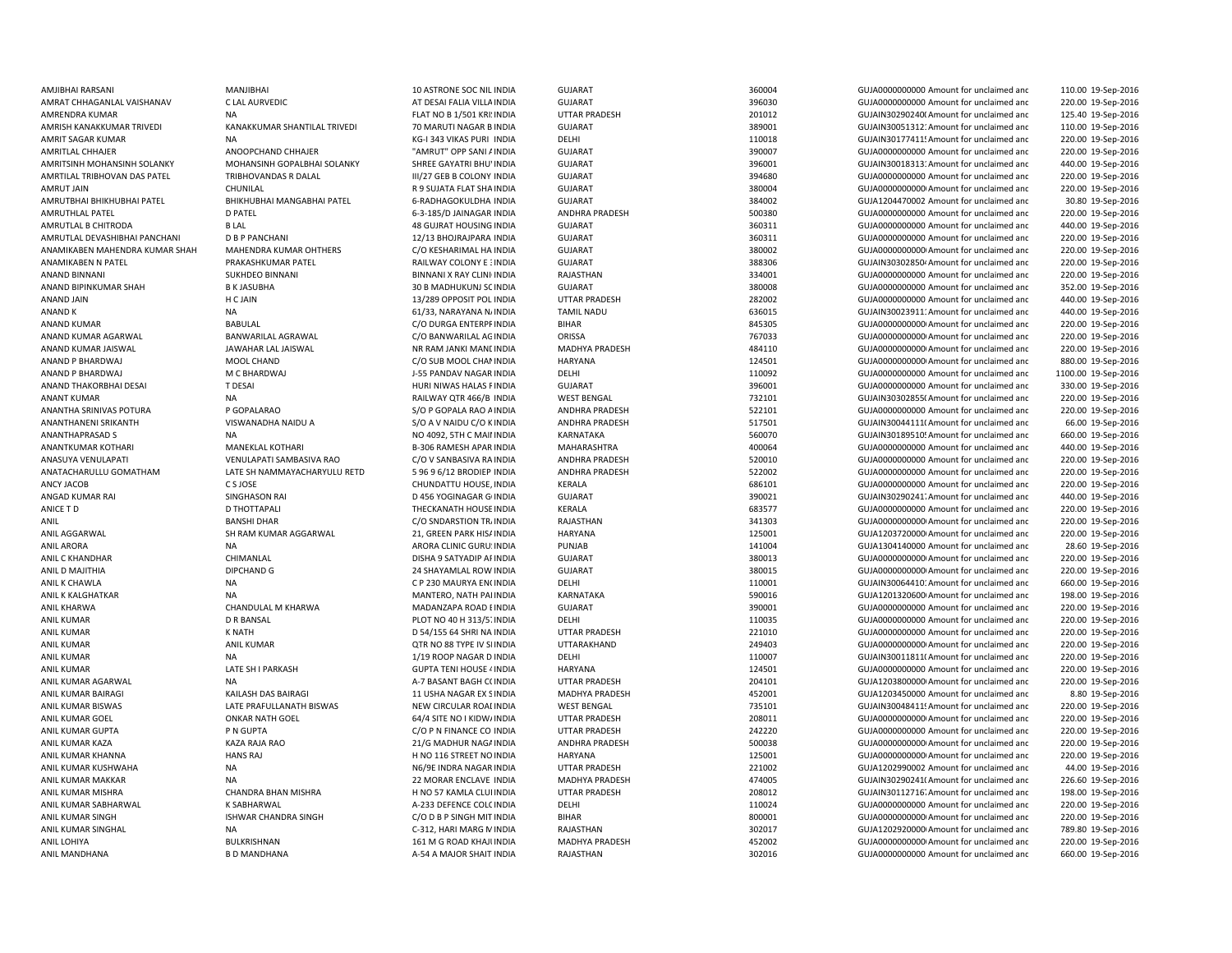AMJIBHAI RARSANI MANJIBHAI 10 ASTRONE SOC NILAMRISH KANAKKUMAR TRIVEDI KANAKKUMAR SHANTILAL TRIVEDI 70 MARUTI NAGAR BANAND P BHARDWAJ M C BHARDWAJ M C BHARDWAJ J-55 PANDAV NAGAR INDIA ANANTKUMAR KOTHARI MANEKLAL KOTHARI MANEKLAL KOTHARI B-306 RAMESH APAR INDIA ANIL D MAJITHIA DIPCHAND G 24 SHAYAMLAL ROW INDIA

GUIARAT GUIARAT 360004 360004 GUIA0000000000 Amount for unclaimed and 110.00 19-Sep-2016 AMRAT CHHAGANLAL VAISHANAV CLAL AURVEDIC CHARAT AT DESAI FALIA VILLA INDIA GUJARAT CHARAT SAN SERBEDIA OD SOSSO SANOUNO AMOUNT OF unclaimed and 220.00 19-Sep-2016 AMRENDRA KUMAR NA NA REACH NA FLAT NO B 1/501 KRI: INDIA UTTAR PRADESH 201012 201012 GUJAIN30290240( Amount for unclaimed and 125.40 19-Sep-2016 GUJARAT 389001 389001 GUJAIN30051312: Amount for unclaimed and 110.00 19-Sep-2016 AMRIT SAGAR KUMAR NA NA NA KG-I 343 VIKAS PURI INDIA DELHI 110018 110018 GUJAIN30177411:Amount for unclaimed and 220.00 19-Sep-2016 AMRITLAL CHHAJER **ANOOPCHAND CHHAJER** "AMRUT" OPP SANI AINDIA GUJARAT 390007 SANI 390007 GUJA00000000000 Amount for unclaimed and 220.00 19-Sep-2016 AMRITSINH MOHANSINH SOLANKY MOHANSINH GOPALBHAI SOLANKY SHREE GAYATRI BHUVINDIA GUJARAT 396001 GUJAIN300183131Amount for unclaimed and 440.00 19-Sep-2016 AMRTILAL TRIBHOVAN DAS PATEL TRIBHOVANDAS R DALAL III/27 GEB B COLONY INDIA GUJARAT 394680 GUJA0000000000 Amount for unclaimed and 220.00 19-Sep-2016 AMRUT JAIN CHUNILAL R 9 SUJATA FLAT SHAINDIA GUJARAT 380004 GUJA00000000000Amount for unclaimed and 220.00 19-Sep-2016 AMRUTBHAI BHIKHUBHAI PATEL BHIKHUBHAI MANGABHAI PATEL 6-RADHAGOKULDHA INDIA GUJARAT 384002 GUJA1204470002 Amount for unclaimed and 30.80 19-Sep-2016 AMRUTHLAL PATEL 2016 DEATEL 220.00 19-Sep-2016 6-3-185/D JAINAGAR INDIA ANDHRA PRADESH 500380 GUJA0000000000000000000000000000 Amount for unclaimed and 220.00 19-Sep-2016 AMRUTLAL B CHITRODA B LAL 48 GUJRAT HOUSING INDIA GUJARAT 360311 GUJA0000000000 Amount for unclaimed and 440.00 19-Sep-2016 AMRUTLAL DEVASHIBHAI PANCHANI D B P PANCHANI 1999 12/13 BHOJRAJPARA INDIA GUJARAT 360311 360311 GUJA0000000000 Amount for unclaimed and 220.00 19-Sep-2016 ANAMIKABEN MAHENDRA KUMAR SHAH MAHENDRA KUMAR OHTHERS C/O KESHARIMAL HA INDIA GUJARAT 380002 GUJA00000000000Amount for unclaimed and 220.00 19-Sep-2016 ANAMIKABEN N PATEL PRAKASHKUMAR PATEL PATEL RAILWAY COLONY E 3NDIA SUJARAT SUJARAT SANG ANG ANG ANG ANG ANG ANG GUJAIN30302850 Amount for unclaimed and 220.00 19-Sep-2016 ANAND BINNANI SUKHDEO BINNANI SUKHDEO BINNANI RESERVEN DENGANI X RAY CLINI INDIA RAJASTHAN 334001 GUJA000000000 Amount for unclaimed and 220.00 19-Sep-2016 ANAND BIPINKUMAR SHAH B K JASUBHA 30 B MADHUKUNJ SC INDIA GUJARAT SANAHOR SHAHAH 380008 GUJA0000000000 Amount for unclaimed and 352.00 19-Sep-2016 ANAND JAIN 13/289 OPPOSIT POL INDIA UTTAR PRADESH 282002 GUJA0000000000 Amount for unclaimed anc 440.00 19-Sep-2016 ANAND K NA 61/33, NARAYANA NAINDIA TAMIL NADU 636015 GUJAIN300239111Amount for unclaimed and 440.00 19-Sep-2016 ANAND KUMAR **BABULAL BABULAL C/O DURGA ENTERPFINDIA** BIHAR BHAR 845305 GUJA0000000000Amount for unclaimed and 220.00 19-Sep-2016 ANAND KUMAR AGARWAL BANWARILAL AGRAWAL C/O BANWARILAL AGINDIA ORISSA 767033 GUJA00000000000Amount for unclaimed and 220.00 19-Sep-2016 ANAND KUMAR JAISWAL JAWAHAR LAL JAISWAL NR RAM JANKI MANDINDIA MADHYA PRADESH 484110 GUJA00000000000Amount for unclaimed and 220.00 19-Sep-2016 ANAND P BHARDWAJ MOOL CHAND C/O SUB MOOL CHANINDIA HARYANA 124501 CHANINDIA HARYANA CHANINDIA HARYANA 124501 GUJA0000000000Amount for unclaimed and 880.00 19-Sep-2016 INDIA DELHI 110092 GUJA0000000000 Amount for unclaimed and 1100.00 19-Sep-2016 ANAND THAKORBHAI DESAI T DESAI T DESAI HURI NIWAS HALAS FINDIA GUJARAT SUNA SHOOT 396001 GUJA000000000 Amount for unclaimed and 330.00 19-Sep-2016 ANANT KUMAR NA RAILWAY QTR 466/B INDIA WEST BENGAL 732101 GUJAIN303028550Amount for unclaimed and 220.00 19-Sep-2016 ANANTHA SRINIVAS POTURA PROPALARAO S/O POOPALA RAO AINDIA ANDHRA PRADESH 522101 GUJA0000000000 Amount for unclaimed and 220.00 19-Sep-2016 ANANTHANENI SRIKANTH VISWANADHA NAIDU A S/O A V NAIDU C/O K INDIA ANDHRA PRADESH 517501 GUJAIN300441110Amount for unclaimed and 66.00 19-Sep-2016 ANANTHAPRASAD S NA NO 4092, 5TH C MAININDIA KARNATAKA 560070 GUJAIN301895105Amount for unclaimed and 660.00 19-Sep-2016 INDIA MAHARASHTRA 400064 GUJA0000000000 Amount for unclaimed and 440.00 19-Sep-2016 ANASUYA VENULAPATI VENULAPATI SAMBASIVA RAO C/O V SANBASIVA RA INDIA ANDHRA PRADESH 520010 520010 GUJA0000000000 Amount for unclaimed and 220.00 19-Sep-2016 ANATACHARULLU GOMATHAM LATE SH NAMMAYACHARYULU RETD 5 96 9 6/12 BRODIEP INDIA ANDHRA PRADESH 522002 522002 GUJA000000000 Amount for unclaimed and 220.00 19-Sep-2016 ANCY JACOB CSJOSE CHUNDATTU HOUSE, INDIA KERALA 686101 686101 GUJA0000000000 Amount for unclaimed and 220.00 19-Sep-2016 ANGAD KUMAR RAI SINGHASON RAI D 456 YOGINAGAR GOINDIA GUJARAT 390021 GUJAIN302902417Amount for unclaimed and 440.00 19-Sep-2016 ANICE T D D THOTTAPALI CHANATH THECKANATH HOUSE INDIA KERALA CHANATH GASS TO GUJA000000000 Amount for unclaimed and 220.00 19-Sep-2016 ANIL BANSHI DHAR C/O SNDARSTION TRAINDIA RAJASTHAN 341303 GUJA0000000000Amount for unclaimed and 220.00 19-Sep-2016 ANIL AGGARWAL SH RAM KUMAR AGGARWAL 21, GREEN PARK HIS/INDIA HARYANA 125001 125001 GUJA1203720000 Amount for unclaimed and 220.00 19-Sep-2016 ANIL ARORA CLINIC GURU: INDIA PUNJAB 141004 GUJA1304140000 Amount for unclaimed and 28.60 19-Sep-2016 ANIL C KHANDHAR CHIMANLAL DISHA 9 SATYADIP APINDIA GUJARAT 380013 GUJA00000000000Amount for unclaimed and 220.00 19-Sep-2016 GUJARAT 380015 380015 380015 GUJA000000000000000000000000 Amount for unclaimed and 220.00 19-Sep-2016 ANIL K CHAWLA NA NA NA C P 230 MAURYA ENCINDIA DELHI 110001 110001 GUJAIN30064410' Amount for unclaimed and 660.00 19-Sep-2016 ANIL K KALGHATKAR NA MANTERO, NATH PAIINDIA KARNATAKA 590016 GUJA1201320600 Amount for unclaimed and 198.00 19-Sep-2016 ANIL KHARWA CHANDULAL M KHARWA MADANZAPA ROAD EINDIA GUJARAT SUMARAT 390001 GUJA0000000000 Amount for unclaimed and 220.00 19-Sep-2016 ANIL KUMAR CONSIDERT DR BANSAL CONSIDERT DIGT NO 40 H 313/5" INDIA DELHI 11003 DELHI 110035 GUJA00000000000000000000 Amount for unclaimed and 220.00 19-Sep-2016 ANIL KUMAR K NATH D 54/155 64 SHRI NA INDIA UTTAR PRADESH 221010 GUJA0000000000 Amount for unclaimed and 220.00 19-Sep-2016 ANIL KUMAR ANIL KUMAR QTR NO 88 TYPE IV SEINDIA UTTARAKHAND 249403 GUJA00000000000Amount for unclaimed and 220.00 19-Sep-2016 ANIL KUMAR 1000 12-000 19-Sep-2016 110007 ANIL KUMAR 110007 GUJAIN30011811(Amount for unclaimed and 200.00 19-Sep-2016 ANIL KUMAR CHATE SHI PARKASH GUPTA TENI HOUSE 4 INDIA HARYANA HARYANA 124501 GUJA0000000000 Amount for unclaimed and 220.00 19-Sep-2016 ANIL KUMAR AGARWAL NA NA NA A-7 BASANT BAGH COINDIA UTTAR PRADESH 204101 204101 GUJA1203800000 Amount for unclaimed and 220.00 19-Sep-2016 ANIL KUMAR BAIRAGI NEW KAILASH DAS BAIRAGI 11 YOHA NAGAR EX SINDIA MADHYA PRADESH 452001 452001 GUJA1203450000 Amount for unclaimed and 8.80 19-Sep-2016 ANIL KUMAR BISWAS LATE PRAFULLANATH BISWAS NEW CIRCULAR ROAI INDIA WEST BENGAL 735101 GUJAIN30048411! Amount for unclaimed and 220.00 19-Sep-2016 ANIL KUMAR GOEL ONKAR NATH GOEL 64/4 SITE NO I KIDW/INDIA UTTAR PRADESH 208011 CUJA0000000000Amount for unclaimed and 220.00 19-Sep-2016 ANIL KUMAR GUPTA P N GUPTA P NGUPTA C/O P N FINANCE CO INDIA UTTAR PRADESH 242220 GUJA000000000 Amount for unclaimed and 220.00 19-Sep-2016 ANIL KUMAR KAZA KAZA RAJA RAO 21/G MADHUR NAGAINDIA ANDHRA PRADESH 500038 GUJA00000000000Amount for unclaimed and 220.00 19-Sep-2016 ANIL KUMAR KHANNA HANS RAJ H NO 116 STREET NOINDIA HARYANA 125001 GUJA00000000000Amount for unclaimed and 220.00 19-Sep-2016 ANIL KUMAR KUSHWAHA NA N6/9E INDRA NAGAR INDIA UTTAR PRADESH 221002 GUJA1202990002 Amount for unclaimed and 44.00 19-Sep-2016 ANIL KUMAR MAKKAR NA 22 MORAR ENCLAVE INDIA MADHYA PRADESH 474005 GUJAIN302902411Amount for unclaimed and 226.60 19-Sep-2016 ANIL KUMAR MISHRA CHANDRA BHAN MISHRA H NO 57 KAMLA CLUI INDIA UTTAR PRADESH 208012 GUJAIN30112716. Amount for unclaimed and 198.00 19-Sep-2016 ANIL KUMAR SABHARWAL K SABHARWAL A-233 DEFENCE COLOINDIA DELHI 110024 GUJA0000000000 Amount for unclaimed and 220.00 19-Sep-2016 ANIL KUMAR SINGH CHANDRA SINGH COD B P SINGH MIT INDIA BIHAR 800001 800001 GUJA0000000000Amount for unclaimed and 220.00 19-Sep-2016 ANIL KUMAR SINGHAL NA NA NA C-312, HARI MARG MINDIA RAJASTHAN 302017 GUJA1202920000 Amount for unclaimed and 789.80 19-Sep-2016 ANIL LOHIYA BULKRISHNAN 161 M G ROAD KHAJUINDIA MADHYA PRADESH 452002 GUJA00000000000Amount for unclaimed and 220.00 19-Sep-2016 ANIL MANDHANA B D MANDHANA B DANDHANA A-54 A MAJOR SHAIT INDIA RAJASTHAN 302016 SUJA0000000000 Amount for unclaimed and 660.00 19-Sep-2016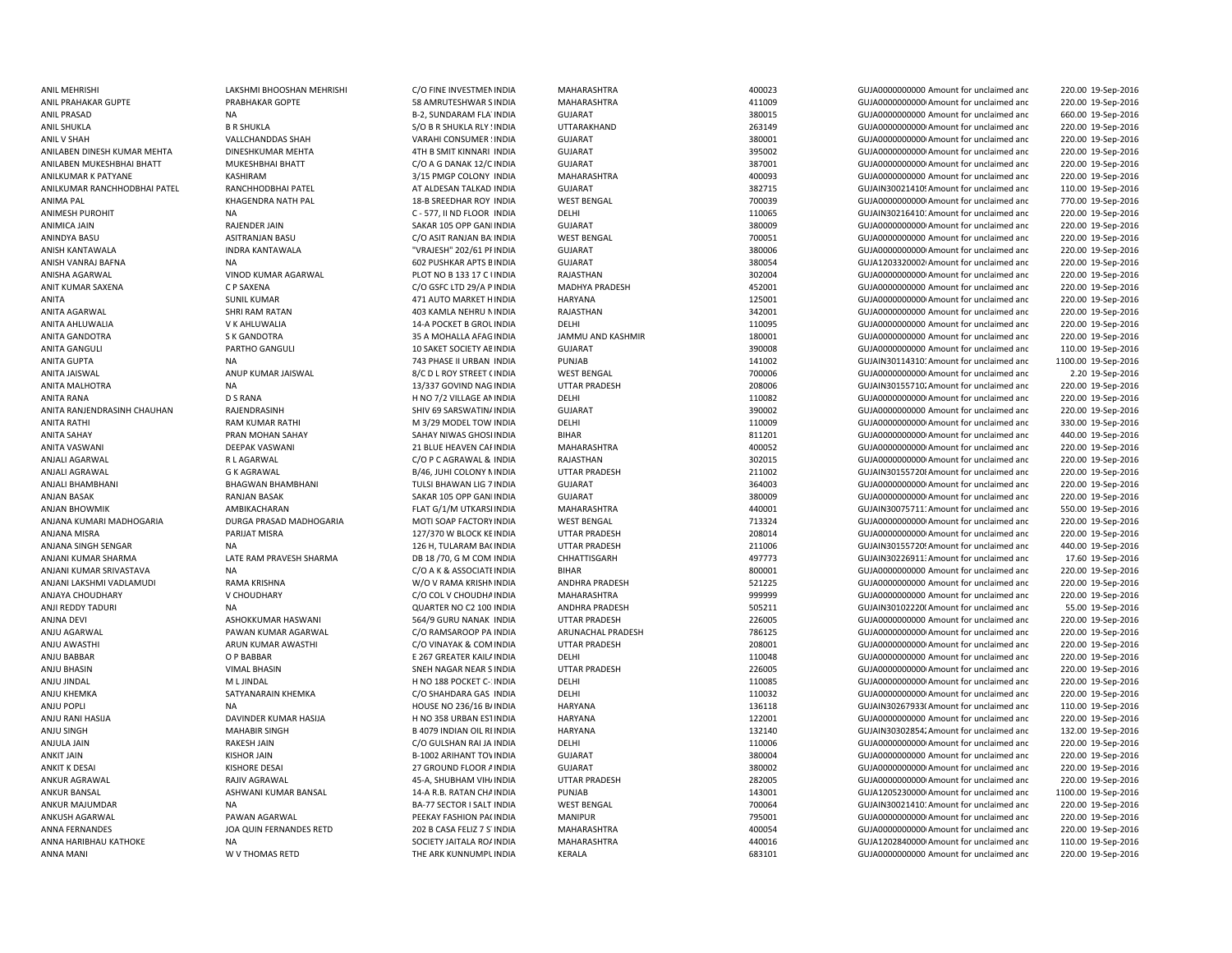ANIL PRAHAKAR GUPTE PRABHAKAR GOPTE SAMRUTESHWAR SINDIA ANISHA AGARWAL CHOT NO BLOT NO B 133 17 C UNDIA RAJASTHAN 302004 302004 GUJA0000000000000000000AMount for unclaimed and ANITA SAHAY PRAN MOHAN SAHAY SAHAY NIWAS GHOSI INDIA ANJALI BHAMBHANI BHAGWAN BHAMBHANI TULSI BHAWAN LIG 7ANJU BHASIN VIMAL BHASIN SNEH NAGAR NEAR S

ANIL MEHRISHI CHANGHAN MEHRISHI LAKSHMI BHOOSHAN MEHRISHI C/O FINE INVESTMENINDIA MAHARASHTRA 400023 GUJA000000000 Amount for unclaimed and 220.00 19-Sep-2016 INDIA MAHARASHTRA 411009 GUJA00000000000Amount for unclaimed and 220.00 19-Sep-2016 ANIL PRASAD NA B-2, SUNDARAM FLATINDIA GUJARAT 380015 GUJA0000000000 Amount for unclaimed and 660.00 19-Sep-2016 ANIL SHUKLA B R SHUKLA S/O B R SHUKLA RLY SINDIA UTTARAKHAND 263149 GUJA00000000000Amount for unclaimed and 220.00 19-Sep-2016 ANIL V SHAH VALLCHANDDAS SHAH VARAHI CONSUMER SINDIA GUJARAT SANDA SANDOO AMOUNDOO AMOUNT GUJA000000000 AMOUNT GUTADOO AMOUNT GUTADOO OO AMOUNT GUTADOO OO AMOUNT GUTADOO OO AMOUNT GUTADOO AMOUNT GUTADOO OO AMOUNT GUTADOO A 220.00 19-Sep-2016 ANILABEN DINESH KUMAR MEHTA DINESHKUMAR MEHTA 4TH B SMIT KINNARI INDIA GUJARAT GUTARAT 395002 GUJA00000000000000000000000000000000 Amount for unclaimed and 220.00 19-Sep-2016 ANILABEN MUKESHBHAI BHATT MUKESHBHAI BHATT C/O A G DANAK 12/C INDIA GUJARAT 387001 GUJA00000000000Amount for unclaimed and 220.00 19-Sep-2016 ANILKUMAR K PATYANE KASHIRAM 3/15 PMGP COLONY INDIA MAHARASHTRA 400093 GUJA0000000000 Amount for unclaimed and 220.00 19-Sep-2016 ANILKUMAR RANCHHODBHAI PATEL RANCHHODBHAI PATEL AT ALDESAN TALKAD INDIA GUJARAT GUJARAT 382715 GUJAIN30021410'Amount for unclaimed and 110.00 19-Sep-2016 ANIMA PAL KHAGENDRA NATH PAL 18-B SREEDHAR ROY INDIA WEST BENGAL 700039 GUJA00000000000Amount for unclaimed and 770.00 19-Sep-2016 ANIMESH PUROHIT NA NA C-577, II ND FLOOR INDIA DELHI 110065 GUJAIN30216410' Amount for unclaimed and 220.00 19-Sep-2016 ANIMICA JAIN RAJENDER JAIN RAJENDER JAIN SAKAR 105 OPP GAN INDIA GUJARAT SAKAR 105 OPP GANDINDIA SAKAR 105 OPP GANINDIA 220.00 19-Sep-2016 ANINDYA BASU ASITRANJAN BASU C/O ASIT RANJAN BA INDIA WEST BENGAL 700051 700051 GUJA0000000000 Amount for unclaimed and 220.00 19-Sep-2016 ANISH KANTAWALA INDRA KANTAWALA "VRAJESH" 202/61 PRINDIA GUJARAT 380006 GUJA00000000000Amount for unclaimed and 220.00 19-Sep-2016 ANISH VANRAJ BAFNA NA 602 PUSHKAR APTS BINDIA GUJARAT 380054 GUJA12033200020Amount for unclaimed and 220.00 19-Sep-2016 220.00 19-Sep-2016 ANIT KUMAR SAXENA CP SAXENA COSSEC LTD 29/A P INDIA MADHYA PRADESH 452001 GUJA0000000000 Amount for unclaimed and 220.00 19-Sep-2016 ANITA SUNIL KUMAR 471 AUTO MARKET HINDIA HARYANA HARYANA 125001 GUJA000000000 Amount for unclaimed and 220.00 19-Sep-2016 ANITA AGARWAL SHRI RAM RATAN 403 KAMLA NEHRU NINDIA RAJASTHAN 342001 GUJA0000000000 Amount for unclaimed and 220.00 19-Sep-2016 ANITA AHLUWALIA V K AHLUWALIA 14-A POCKET B GROUINDIA DELHI 110095 GUJA000000000000000000000000 Amount for unclaimed and 220.00 19-Sep-2016 ANITA GANDOTRA S K GANDOTRA 35 A MOHALLA AFAGINDIA JAMMU AND KASHMIR 180001 GUJA0000000000 Amount for unclaimed and 220.00 19-Sep-2016 ANITA GANGULI PARTHO GANGULI 10 SAKET SOCIETY AE INDIA GUJARAT 390008 390008 GUJA000000000000000 Amount for unclaimed and 110.00 19-Sep-2016 ANITA GUPTA NA 2012 DA 23 PHASE II URBAN INDIA PUNJAB 141002 141002 GUJAIN30114310: Amount for unclaimed and 1100.00 19-Sep-2016 ANITA JAISWAL ANUP KUMAR JAISWAL BENGAL BELA BENGAL WEST BENGAL TO ANG TODOO A SALIBADOO AMOUNT FOR UNCLOSED 2019-Sep-2016 ANITA MALHOTRA NA 220.00 19-Sep-2016 13/337 GOVIND NAG INDIA UTTAR PRADESH 208006 208006 GUJAIN301557102Amount for unclaimed and 220.00 19-Sep-2016 ANITA RANA D S RANA D S RANA H NO 7/2 VILLAGE ANINDIA DELHI CHELHI 110082 GUJA0000000000Amount for unclaimed and 220.00 19-Sep-2016 ANITA RANJENDRASINH CHAUHAN RAJENDRASINH SHIV 69 SARSWATINAINDIA GUJARAT SHIV 69 SARSWATINA GUJADOO Amount for unclaimed and 220.00 19-Sep-2016 ANITA RATHI RAM KUMAR RATHI M 3/29 MODEL TOW INDIA DELHI DELHI 110009 GUJA000000000Amount for unclaimed and 330.00 19-Sep-2016 INDIA BIHAR 811201 GUJA00000000000Amount for unclaimed and 440.00 19-Sep-2016 ANITA VASWANI DEEPAK VASWANI 21 BLUE HEAVEN CARINDIA MAHARASHTRA 400052 GUJA00000000000Amount for unclaimed and 220.00 19-Sep-2016 ANJALI AGARWAL R L AGARWAL C/O P C AGRAWAL & INDIA RAJASTHAN 302015 GUJA00000000000Amount for unclaimed and 220.00 19-Sep-2016 ANJALI AGRAWAL G K AGRAWAL G CHONY A BOAG, JUHI COLONY N INDIA UTTAR PRADESH 211002 CUJAIN301557208Amount for unclaimed and 220.00 19-Sep-2016 INDIA GUJARAT 364003 GUJA00000000000Amount for unclaimed and 220.00 19-Sep-2016 ANJAN BASAK RANJAN BASAK SAKAR 105 OPP GANDINDIA GUJARAT 380009 GUJA00000000000Amount for unclaimed and 220.00 19-Sep-2016 ANJAN BHOWMIK **AMBIKACHARAN FRAM BEAT GALAHARASHTRA MAHARASHTRA** AMBIKAT AMBIKAT AMBIKACHARAN FLAT GALAHARASHTRA MAHARASHTRA 440001 GUJAIN30075711<sup>.</sup> Amount for unclaimed and 550.00 19-Sep-2016 ANJANA KUMARI MADHOGARIA DURGA PRASAD MADHOGARIA MOTI SOAP FACTORY INDIA WEST BENGAL 713324 GUJA000000000 Amount for unclaimed and 220.00 19-Sep-2016 ANJANA MISRA PARIJAT MISRA 127/370 W BLOCK KEINDIA UTTAR PRADESH 208014 GUJA00000000000Amount for unclaimed and 220.00 19-Sep-2016 ANJANA SINGH SENGAR NA 140.00 19-Sep-2016 126 H, TULARAM BA(INDIA UTTAR PRADESH 211006 SUJAIN30155720! Amount for unclaimed and 440.00 19-Sep-2016 ANJANI KUMAR SHARMA LATE RAM PRAVESH SHARMA DB 18 /70, G M COM INDIA CHHATTISGARH 497773 GUJAIN302269113Amount for unclaimed and 17.60 19-Sep-2016 ANJANI KUMAR SRIVASTAVA NA NA CHO A CHO A K A ASSOCIATE INDIA BIHAR BIHAR 800001 GUJA0000000000 Amount for unclaimed and 220.00 19-Sep-2016 ANJANI LAKSHMI VADLAMUDI RAMA KRISHNA W/O V RAMA KRISHNINDIA ANDHRA PRADESH 521225 GUJA0000000000 Amount for unclaimed and 220.00 19-Sep-2016 ANJAYA CHOUDHARY V CHOUDHARY C/O COL V CHOUDHAINDIA MAHARASHTRA 999999 GUJA0000000000 Amount for unclaimed and 220.00 19-Sep-2016 ANJI REDDY TADURI NA NA NA SEP-2016 CUARTER NO C2 100 INDIA ANDHRA PRADESH 505211 505211 GUJAIN30102220(Amount for unclaimed and 55.00 19-Sep-2016 ANJNA DEVI ASHOKKUMAR HASWANI 564/9 GURU NANAK INDIA UTTAR PRADESH 226005 GUJA0000000000 Amount for unclaimed and 220.00 19-Sep-2016 ANJU AGARWAL PAWAN KUMAR AGARWAL C/O RAMSAROOP PA INDIA ARUNACHAL PRADESH 786125 GUJA00000000000Amount for unclaimed and 220.00 19-Sep-2016 ANJU AWASTHI ARUN KUMAR AWASTHI C/O VINAYAK & COMINDIA UTTAR PRADESH 208001 GUJA00000000000Amount for unclaimed and 220.00 19-Sep-2016 ANJU BABBAR OP BABBAR COREATER KAILAINDIA DELHI 110048 110048 GUJA000000000000000000 Amount for unclaimed and 220.00 19-Sep-2016 UTTAR PRADESH 226005 226005 GUJA000000000000000Amount for unclaimed and 220.00 19-Sep-2016 ANJU JINDAL M L JINDAL H NO 188 POCKET C-1INDIA DELHI 110085 GUJA00000000000Amount for unclaimed and 220.00 19-Sep-2016 ANJU KHEMKA SATYANARAIN KHEMKA C/O SHAHDARA GAS INDIA DELHI 110032 GUJA00000000000Amount for unclaimed and 220.00 19-Sep-2016 ANJU POPLI NA NA NA HOUSE NO 236/16 BAINDIA HARYANA HARYANA 136118 GUJAIN30267933(Amount for unclaimed and 110.00 19-Sep-2016 ANJU RANI HASIJA DAVINDER KUMAR HASIJA H NO 358 URBAN ESTINDIA HARYANA 122001 122001 GUJA00000000000 Amount for unclaimed and 220.00 19-Sep-2016 ANJU SINGH MAHABIR SINGH MAHABIR SINGH B 4079 INDIAN OIL RI INDIA HARYANA 132140 132140 GUJAIN30302854; Amount for unclaimed and 132.00 19-Sep-2016 ANJULA JAIN RAKESH JAIN RAKESH JAIN CO GULSHAN RAI JA INDIA DELHI DELHI 110006 GUJA000000000Amount for unclaimed and 220.00 19-Sep-2016 ANKIT JAIN KISHOR JAIN B-1002 ARIHANT TOWINDIA GUJARAT 380004 GUJA0000000000 Amount for unclaimed and 220.00 19-Sep-2016 ANKIT K DESAI KISHORE DESAI CHAORE DESAI 27 GROUND FLOOR AINDIA GUJARAT CHAORE 380002 GUJA00000000000000000000000000000000 Amount for unclaimed and 220.00 19-Sep-2016 ANKUR AGRAWAL 1980 ANIV AGRAWAL 1990 AS-A, SHUBHAM VIH/INDIA UTTAR PRADESH 282005 CUJA0000000000Amount for unclaimed and 220.00 19-Sep-2016 ANKUR BANSAL ASHWANI KUMAR BANSAL 14-A R.B. RATAN CHAINDIA PUNJAB 143001 143001 GUJA1205230000 Amount for unclaimed and 1100.00 19-Sep-2016 ANKUR MAJUMDAR NA NA BA-77 SECTOR I SALT INDIA WEST BENGAL TIMBA TOOGA GUJAIN300214101' Amount for unclaimed and 220.00 19-Sep-2016 ANKUSH AGARWAL PAWAN AGARWAL PAWAN AGARWAL PEEKAY FASHION PACINDIA MANIPUR MANIPUR 795001 GUJA00000000Amount for unclaimed and 220.00 19-Sep-2016 ANNA FERNANDES 202 10 19-SEP-2016 202 B CASA FELIZ 7 S'INDIA MAHARASHTRA 400054 GUJA000000000000000000000000000000 Amount for unclaimed and 220.00 19-Sep-2016 ANNA HARIBHAU KATHOKE NA NA SOCIETY JAITALA ROAINDIA MAHARASHTRA 440016 440016 GUJA1202840000 Amount for unclaimed and 110.00 19-Sep-2016 ANNA MANI W V THOMAS RETD THE ARK KUNNUMPUINDIA KERALA 683101 GUJA0000000000 Amount for unclaimed and220.00 19-Sep-2016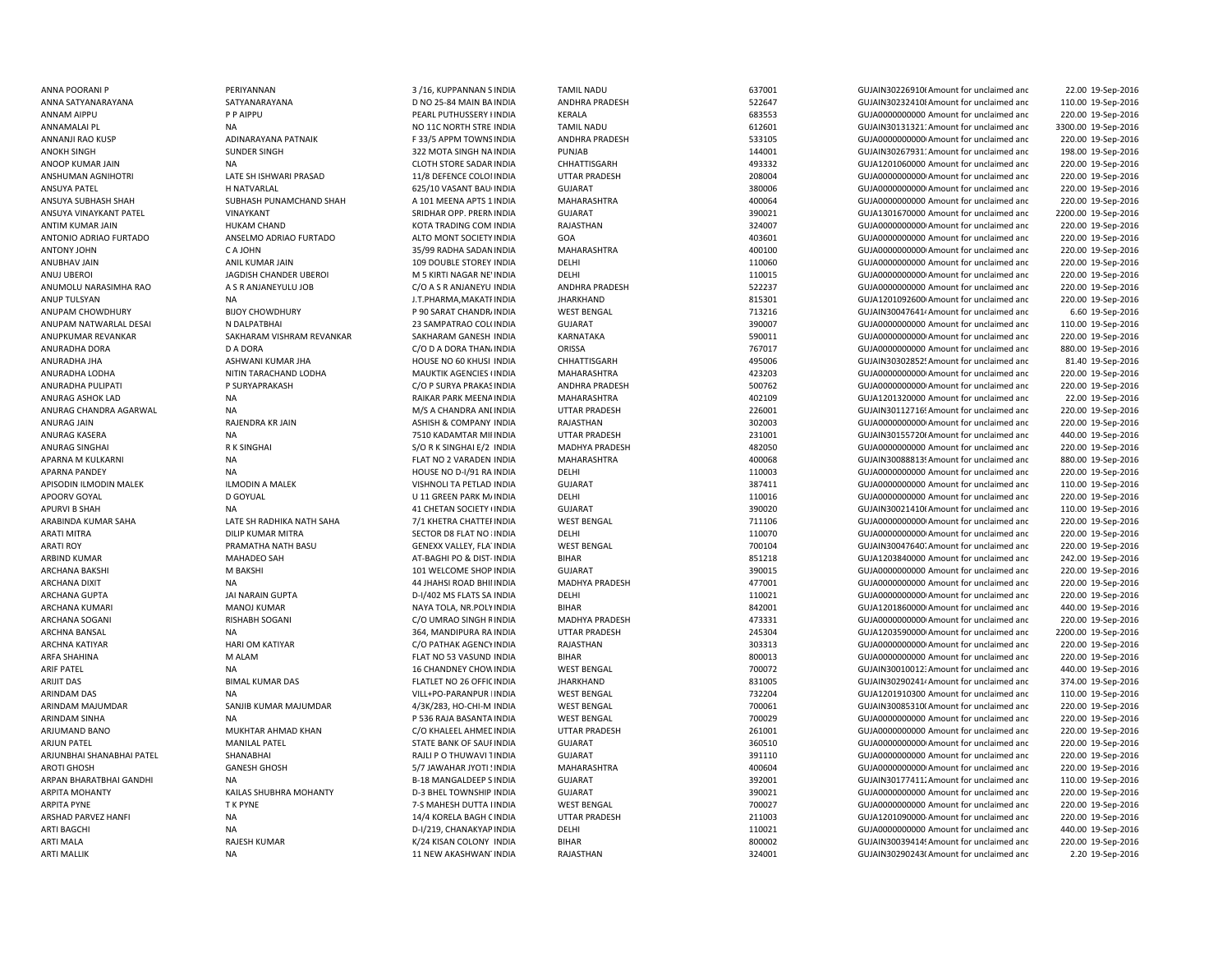ANNA SATYANARAYANA SATYANARAYANA D NO 25-84 MAIN BAANOOP KUMAR JAIN NA KALENDAR OO MA SADAR INDIA NA CLOTH STORE SADAR INDIA ANSUYA SURHASH SHAH SUBHASH PUNAMCHAND SHAH A 101 MEENA APTS 1 INDIA ANTONIO ADRIAO FURTADO ANSELMO ADRIAO FURTADO ALTO MONT SOCIETYARCHANA BAKSHI MARCHANA BAKSHI M BAKSHI NA MARCHANA MELEOME SHOP INDIA ARINDAM SINHA NA PISSO RAJA BASANTA INDIA NA PERSONA NA PERSONA PESA PASANTA INDIA ARPAN BHARATBHAI GANDHI NA B-18 MANGALDEEP SINDIA

ANNA POORANI P PERIYANNAN PRESTANNAN SANG BERIYANNAN SINDIA TAMIL NADU 637001 GUJAIN302269106Amount for unclaimed and 22.00 19-Sep-2016 INDIA ANDHRA PRADESH 522647 GUJAIN302324108Amount for unclaimed and 110.00 19-Sep-2016 ANNAM AIPPU PIP AIPPU PEARL PUTHUSSERY IINDIA KERALA 683553 GUJA0000000000000000000000000000 Amount for unclaimed and 220.00 19-Sep-2016 ANNAMALAI PL **ANNAMALAI PL** NA NA NA NO 11C NORTH STRE INDIA TAMIL NADU 612601 612601 GUJAIN30131321: Amount for unclaimed and 3300.00 19-Sep-2016 ANNANJI RAO KUSP **ADINARAYANA PATNAIK** F 33/5 APPM TOWNSINDIA ANDHRA PRADESH 533105 GUJA0000000000Amount for unclaimed anc 220.00 19-Sep-2016 ANOKH SINGH SUNDER SINGH SUNDER SINGH 322 MOTA SINGH NA INDIA PUNJAB 144001 144001 GUJAIN30267931:Amount for unclaimed and 198.00 19-Sep-2016 INDIA CHHATTISGARH 493332 GUJA1201060000 Amount for unclaimed and 220.00 19-Sep-2016 ANSHUMAN AGNIHOTRI CHATE SH ISHWARI PRASAD 11/8 DEFENCE COLOI INDIA UTTAR PRADESH 208004 GUJA000000000Amount for unclaimed and 220.00 19-Sep-2016 ANSUYA PATEL H NATVARLAL 625/10 VASANT BAUGINDIA GUJARAT 380006 GUJA00000000000Amount for unclaimed and 220.00 19-Sep-2016 INDIA MAHARASHTRA 400064 GUJA0000000000 Amount for unclaimed and 220.00 19-Sep-2016 ANSUYA VINAYKANT PATEL VINAYKANT VINAYKANT SRIDHAR OPP. PRERNINDIA GUJARAT SANTA SANG 190021 GUJA1301670000 Amount for unclaimed and 2200.00 19-Sep-2016 ANTIM KUMAR JAIN HUKAM CHAND KOTA TRADING COM INDIA RAJASTHAN 324007 GUJA00000000000Amount for unclaimed and 220.00 19-Sep-2016 INDIA GOA 403601 GUJA0000000000 Amount for unclaimed and 220.00 19-Sep-2016 ANTONY JOHN C A JOHN 35/99 RADHA SADANINDIA MAHARASHTRA 400100 GUJA00000000000Amount for unclaimed and 220.00 19-Sep-2016 ANUBHAV JAIN ANIL KUMAR JAIN 109 DOUBLE STOREY INDIA DELHI DELHI 110060 110060 GUJA0000000000 Amount for unclaimed and 220.00 19-Sep-2016 ANUJ UBEROI JAGDISH CHANDER UBEROI M 5 KIRTI NAGAR NEWINDIA DELHI 110015 GUJA00000000000Amount for unclaimed and 220.00 19-Sep-2016 ANUMOLU NARASIMHA RAO A S R ANJANEYULU JOB C/O A S R ANJANEYU INDIA ANDHRA PRADESH 522237 GUJA0000000000 Amount for unclaimed and 220.00 19-Sep-2016 ANUP TULSYAN NA NA NA J.T.PHARMA,MAKATFINDIA JHARKHAND 815301 GUJA1201092600 Amount for unclaimed and 220.00 19-Sep-2016 ANUPAM CHOWDHURY BIJOY CHOWDHURY P 90 SARAT CHANDRAINDIA WEST BENGAL 713216 GUJAIN300476414Amount for unclaimed and 6.60 19-Sep-2016 ANUPAM NATWARLAL DESAI N DALPATBHAI 23 SAMPATRAO COLOINDIA GUJARAT 390007 GUJA0000000000 Amount for unclaimed and 110.00 19-Sep-2016 ANUPKUMAR REVANKAR SAKHARAM VISHRAM REVANKAR SAKHARAM GANESH INDIA KARNATAKA SAKHARAM SANG SOOD11 GUJA0000000000 Amount for unclaimed and 220.00 19-Sep-2016 ANURADHA DORA DA DORA DA DORA DA DORA THANAINDIA ORISSA THANA DORS DA DORA THO AND ANNO TELEMA DORISSA THANAINDIA DORS DESCOLO AMOUNT OF UNCLOSED 2016 ANURADHA JHA ASHWANI KUMAR JHA HOUSE NO 60 KHUSI INDIA CHHATTISGARH 495006 495006 GUJAIN30302852! Amount for unclaimed and 81.40 19-Sep-2016 ANURADHA LODHA NITIN TARACHAND LODHA MAUKTIK AGENCIES (INDIA MAHARASHTRA 423203 GUJA000000000000000000000000 Amount for unclaimed and 220.00 19-Sep-2016 ANURADHA PULIPATI P SURYAPRAKASH C/O P SURYA PRAKASINDIA ANDHRA PRADESH 500762 GUJA0000000000Amount for unclaimed anc 220.00 19-Sep-2016 ANURAG ASHOK LAD NA NA RAIKAR PARK MEENAINDIA MAHARASHTRA 402109 402109 GUJA1201320000 Amount for unclaimed and 22.00 19-Sep-2016 ANURAG CHANDRA AGARWAL NA NA MA CHANDRA ANINDIA UTTAR PRADESH 226001 226001 GUJAIN301127169Amount for unclaimed and 220.00 19-Sep-2016 ANURAG JAIN RAJENDRA KR JAIN RAJENDRA KR JAIN ASHISH & COMPANY INDIA RAJASTHAN 302003 GUJA00000000000000000000000000000000000 Amount for unclaimed and 220.00 19-Sep-2016 ANURAG KASERA NA NA 231001 NA 231001 TAR PRADESH 231001 231001 GUJAIN30155720f Amount for unclaimed and 440.00 19-Sep-2016 ANURAG SINGHAI R K SINGHAI S/O R K SINGHAI E/2 INDIA MADHYA PRADESH 482050 GUJA0000000000 Amount for unclaimed and 220.00 19-Sep-2016 APARNA M KULKARNI NA NA RAMA TA SA FLAT NO 2 VARADEN INDIA MAHARASHTRA 400068 400068 GUJAIN30088813! Amount for unclaimed and 880.00 19-Sep-2016 APARNA PANDEY **NA HOUSE NO D-I/91 RA INDIA** DELHI DELHI 110003 GUJA000000000 Amount for unclaimed and 220.00 19-Sep-2016 APISODIN ILMODIN MALEK AND ILMODIN A MALEK VISHNOLI TA PETLAD INDIA GUJARAT GUTARAT 387411 GUJA0000000000 Amount for unclaimed and 110.00 19-Sep-2016 APOORV GOYAL D GOYUAL U 11 GREEN PARK MAINDIA DELHI 110016 GUJA0000000000 Amount for unclaimed and 220.00 19-Sep-2016 APURVI B SHAH NA 41 CHETAN SOCIETY ON GUJARAT SULARAT AND SULARAT SULARAT SULARAT SULARAT SULAN SULAN SULAN SULAN SULARAT SULAN SULAN SULAN SULAN SULAN SULAN SULAN SULAN SULAN SULAN SULAN SULAN SULAN SULAN SULAN SULAN SULA 110.00 19-Sep-2016 ARABINDA KUMAR SAHA LATE SH RADHIKA NATH SAHA 7/1 KHETRA CHATTERINDIA WEST BENGAL 711106 GUJA00000000000Amount for unclaimed and 220.00 19-Sep-2016 ARATI MITRA DILIP KUMAR MITRA SECTOR D8 FLAT NO 8INDIA DELHI 110070 110070 GUJA00000000000000000 Amount for unclaimed and 220.00 19-Sep-2016 ARATI ROY **EXAMATHA NATH BASU GENEXX VALLEY, FLA' INDIA** WEST BENGAL 700104 700104 GUJAIN30047640. Amount for unclaimed and 220.00 19-Sep-2016 ARBIND KUMAR **AT-BAGHI PO AT-BAGHI PO & DIST-INDIA** BIHAR BIHAR 851218 GUJA1203840000 Amount for unclaimed and 242.00 19-Sep-2016 INDIA GUJARAT 390015 GUJA0000000000 Amount for unclaimed and 220.00 19-Sep-2016 ARCHANA DIXIT CHANA HAHSI ROAD BHII INDIA MADHYA PRADESH 477001 GUJA000000000 Amount for unclaimed and 220.00 19-Sep-2016 ARCHANA GUPTA JAI NARAIN GUPTA D-I/402 MS FLATS SA INDIA DELHI DELHI 110021 GUJA000000000Amount for unclaimed anc 220.00 19-Sep-2016 ARCHANA KUMARI MANOJ KUMAR NAYA TOLA, NR.POLY INDIA BIHAR 842001 842001 GUJA1201860000 Amount for unclaimed anc 440.00 19-Sep-2016 ARCHANA SOGANI RISHABH SOGANI C/O UMRAO SINGH RINDIA MADHYA PRADESH 473331 GUJA00000000000Amount for unclaimed and 220.00 19-Sep-2016 ARCHNA BANSAL SAL NA 3200.00 19-Sep-2016 364, MANDIPURA RA INDIA UTTAR PRADESH 245304 GUJA1203590000 Amount for unclaimed and 2200.00 19-Sep-2016 ARCHNA KATIYAR HARI OM KATIYAR C/O PATHAK AGENCY INDIA RAJASTHAN 303313 GUJA0000000000Amount for unclaimed and 220.00 19-Sep-2016 ARFA SHAHINA M ALAM FLAT NO 53 VASUND INDIA BIHAR 800013 GUJA0000000000 Amount for unclaimed and 220.00 19-Sep-2016 ARIF PATEL **19 CHANDIEY CHOWINDIA** 16 CHANDNEY CHOWINDIA WEST BENGAL 700072 700072 GUJAIN30010012:Amount for unclaimed and 440.00 19-Sep-2016 ARIJIT DAS GUJAIN30290241<sup>,</sup> AMAL KUMAR DAS FLATLET NO 26 OFFIC INDIA JHARKHAND 831005 GUJAIN30290241<sup>,</sup> Amount for unclaimed and 374.00 19-Sep-2016 ARINDAM DAS NA NA REGIONAL VILL+PO-PARANPUR INDIA WEST BENGAL 732204 732204 GUJA1201910300 Amount for unclaimed and 110.00 19-Sep-2016 ARINDAM MAJUMDAR SANJIB KUMAR MAJUMDAR 4/3K/283, HO-CHI-M INDIA WEST BENGAL 700061 700061 GUJAIN30085310(Amount for unclaimed and 220.00 19-Sep-2016 INDIA WEST BENGAL 700029 GUJA0000000000 Amount for unclaimed and 220.00 19-Sep-2016 ARJUMAND BANO MUKHTAR AHMAD KHAN C/O KHALEEL AHMEDINDIA UTTAR PRADESH 261001 GUJA0000000000 Amount for unclaimed and 220.00 19-Sep-2016 ARJUN PATEL MANILAL PATEL STATE BANK OF SAURINDIA GUJARAT 360510 GUJA00000000000Amount for unclaimed and 220.00 19-Sep-2016 ARJUNBHAI SHANABHAI PATEL SHANABHAI RAJLI P O THUWAVI TINDIA GUJARAT GUJARAT SHANABHAI RAJLI PO THUWAVI TINDIA 220.00 19-Sep-2016 AROTI GHOSH GANESH GHOSH GANESH GHOSH SANDAR MAHAR JYOTI!INDIA MAHARASHTRA 400604 400604 GUJA0000000000Amount for unclaimed and 220.00 19-Sep-2016 GUJARAT **INDIA GUJAIN301774112** Amount for unclaimed and GUJAIN301774112 Amount for unclaimed and 110.00 19-Sep-2016 ARPITA MOHANTY KAILAS SHUBHRA MOHANTY D-3 BHEL TOWNSHIP INDIA GUJARAT 390021 GUJA0000000000 Amount for unclaimed and 220.00 19-Sep-2016 ARPITA PYNE T K PYNE T K PYNE T K PYNE T A SALESH DUTTA LINDIA WEST BENGAL THE TRONOMIC TRONOMIC AMOUNT OF UNCLAIMEd and 220.00 19-Sep-2016 ARSHAD PARVEZ HANFI **14/4 KORELA BAGH CINDIA** UTTAR PRADESH 211003 GUJA1201090000-Amount for unclaimed and 220.00 19-Sep-2016 ARTI BAGCHI NA D-I/219, CHANAKYAP INDIA DELHI DELHI 110021 GUJA000000000 Amount for unclaimed and 440.00 19-Sep-2016 ARTI MALA RAJESH KUMAR K/24 KISAN COLONY INDIA BIHAR BIHAR 800002 GUJAIN30039414! Amount for unclaimed and 220.00 19-Sep-2016 ARTI MALLIK NA 11 NEW AKASHWANTINDIA RAJASTHAN 20001 324001 GUJAIN30290243(Amount for unclaimed and 2.20 19-Sep-2016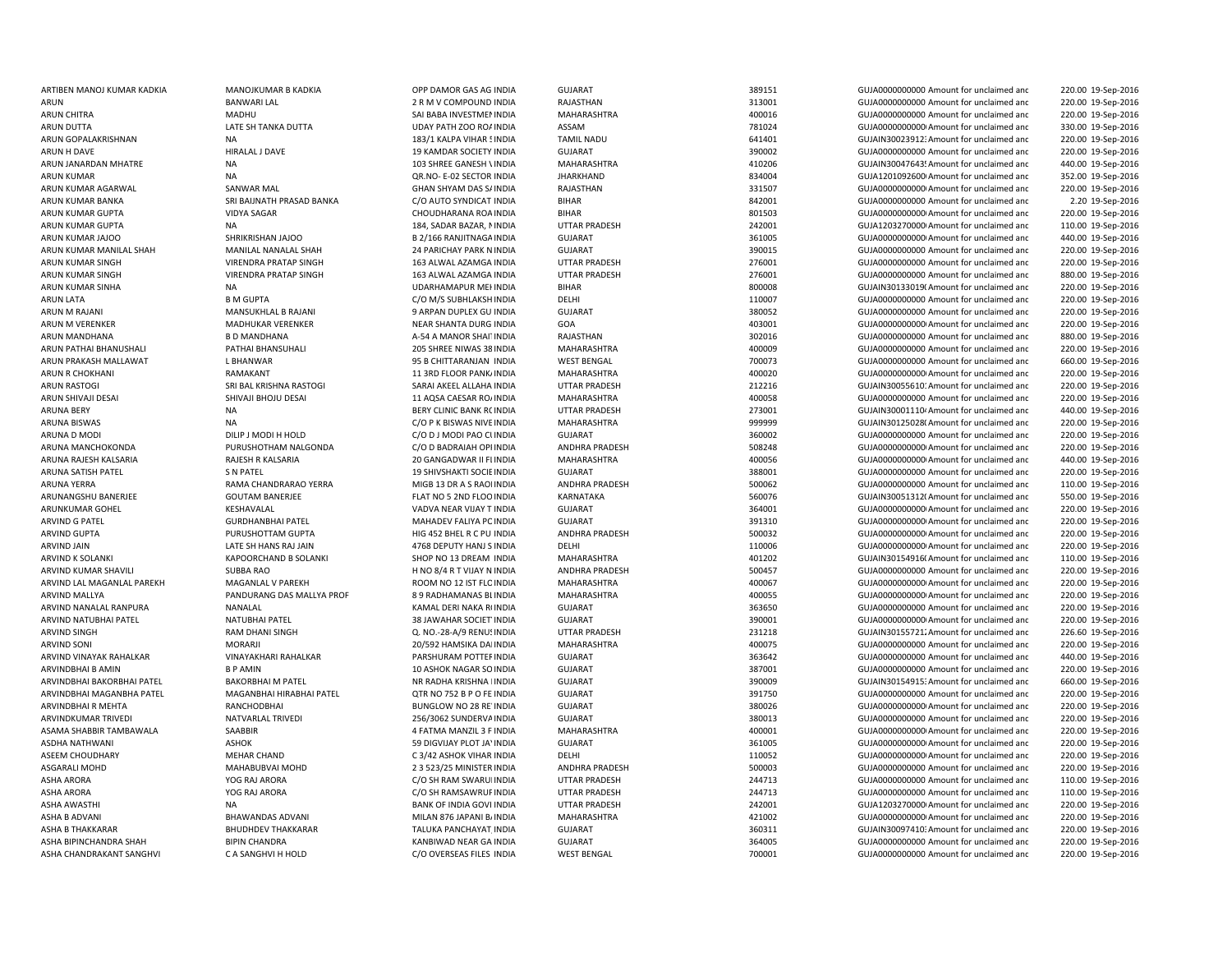ARUN KUMAR SINGH VIRENDRA PRATAP SINGH 163 ALWAL AZAMGAARUN KUMAR SINGH VIRENDRA PRATAP SINGH 163 ALWAL AZAMGAARUN RASTOGI SRI BAL KRISHNA RASTOGI SARAI AKEEL ALLAHA INDIA ARUNKUMAR GOHEL KESHAVALAL KESHAVALAL VADVA NEAR VIJAY TINDIA ARVIND JAIN LATE SH HANS RAJ JAIN 1999 2008 2019 1918 1920 2019 2020 2021 2030 2040 2040 2040 2040 2040 2040 20 ASHA BIPINCHANDRA SHAH BIPIN CHANDRA KANBIWAD NEAR GA INDIA

ARTIBEN MANOJ KUMAR KADKIA MANOJKUMAR B KADKIA OPP DAMOR GAS AG INDIA GUJARAT SALAH SALAH SALAH SALAH GUJAOODOODOO Amount for unclaimed and 220.00 19-Sep-2016 ARUN BANWARI LAL 2 R M V COMPOUND INDIA RAJASTHAN 313001 313001 GUJA000000000 Amount for unclaimed and 220.00 19-Sep-2016 ARUN CHITRA MADHU MADHU SAI BABA INVESTMENINDIA MAHARASHTRA 400016 400016 GUJA00000000000 Amount for unclaimed and 220.00 19-Sep-2016 ARUN DUTTA LATE SH TANKA DUTTA UDAY PATH ZOO ROAINDIA ASSAM ASSAM 781024 GUJA00000000000000000000Amount for unclaimed and 330.00 19-Sep-2016 ARUN GOPALAKRISHNAN NA 1920.00 19-Sep-2016 183/1 KALPA VIHAR 5INDIA TAMIL NADU 641401 6UJAIN30023912: Amount for unclaimed and 220.00 19-Sep-2016 ARUN H DAVE HIRALAL J DAVE 19 KAMDAR SOCIETY INDIA GUJARAT 390002 GUJA0000000000 Amount for unclaimed and 220.00 19-Sep-2016 ARUN JANARDAN MHATRE NA 103 SHREE GANESH VINDIA MAHARASHTRA 410206 410206 GUJAIN300476435Amount for unclaimed and 440.00 19-Sep-2016 ARUN KUMAR NA NA DE-02 SECTOR INDIA JHARKHAND 834004 GUJA1201092600 Amount for unclaimed and 352.00 19-Sep-2016 ARUN KUMAR AGARWAL SANWAR MAL GHAN SHYAM DAS SAINDIA RAJASTHAN 331507 GUJA00000000000Amount for unclaimed and 220.00 19-Sep-2016 ARUN KUMAR BANKA SRI BAUNATH PRASAD BANKA C/O AUTO SYNDICAT INDIA BIHAR SALE AND SALE AND SALE GUJAOOOOOOOOO Amount for unclaimed and 2.20 19-Sep-2016 ARUN KUMAR GUPTA VIDYA SAGAR VIDYA SAGAR CHOUDHARANA ROAINDIA BIHAR BIHAR 801503 GUJA000000000000000000Amount for unclaimed and 220.00 19-Sep-2016 ARUN KUMAR GUPTA NA NA 2010 NA 184, SADAR BAZAR, NINDIA UTTAR PRADESH 242001 GUJA1203270000 Amount for unclaimed and 110.00 19-Sep-2016 ARUN KUMAR JAJOO SHRIKRISHAN JAJOO B 2/166 RANJITNAGA INDIA GUJARAT 361005 GUJA0000000000Amount for unclaimed anc 440.00 19-Sep-2016 ARUN KUMAR MANILAL SHAH MANILAL NANALAL SHAH 24 PARICHAY PARK NINDIA GUJARAT SHAH 390015 GUJA0000000000 Amount for unclaimed and 220.00 19-Sep-2016 INDIA UTTAR PRADESH 276001 GUJA0000000000 Amount for unclaimed and 220.00 19-Sep-2016 INDIA UTTAR PRADESH 276001 GUJA0000000000 Amount for unclaimed and 880.00 19-Sep-2016 ARUN KUMAR SINHA NA NA NA UDARHAMAPUR MEHINDIA BIHAR BIHAR 800008 GUJAIN301330191 Amount for unclaimed and 220.00 19-Sep-2016 ARUN LATA B M GUPTA B GUPTA C/O M/S SUBHLAKSH INDIA DELHI CHELHI 110007 GUJA0000000000 Amount for unclaimed anc 220.00 19-Sep-2016 ARUN M RAJANI MANSUKHLAL B RAJANI SARPAN DUPLEX GU INDIA GUJARAT GUARAT SARPAN DUPLEX GU INDIA GUJADOOD AMOUNT OF UNCLAIMEd and 220.00 19-Sep-2016 ARUN M VERENKER MADHUKAR VERENKER NEAR SHANTA DURG INDIA GOA 403001 GUJA00000000000Amount for unclaimed and 220.00 19-Sep-2016 ARUN MANDHANA B D MANDHANA B SA SA A-54 A MANOR SHAITINDIA RAJASTHAN 302016 GUJA0000000000 Amount for unclaimed and 880.00 19-Sep-2016 ARUN PATHAI BHANUSHALI PATHAI BHANSUHALI 205 SHREE NIWAS 38 INDIA MAHARASHTRA 400009 GUJA0000000000000 Amount for unclaimed and 220.00 19-Sep-2016 ARUN PRAKASH MALLAWAT L BHANWAR LEGAN MART SERITTARANJAN INDIA WEST BENGAL 700073 GUJA00000000000000000000000000000000000 Amount for unclaimed and 660.00 19-Sep-2016 ARUN R CHOKHANI **RAMAKANT RAMAKANT 11 3RD FLOOR PANKAINDIA** MAHARASHTRA 400020 400020 GUJA000000000000000000 Amount for unclaimed and 220.00 19-Sep-2016 INDIA UTTAR PRADESH 212216 GUJAIN300556101Amount for unclaimed and 220.00 19-Sep-2016 ARUN SHIVAJI DESAI SHIVAJI BHOJU DESAI 11 AQSA CAESAR ROAINDIA MAHARASHTRA 400058 GUJA0000000000 Amount for unclaimed and 220.00 19-Sep-2016 ARUNA BERY NA NA RERY CLINIC BANK ROINDIA UTTAR PRADESH 273001 CUJAIN30001110<sup>,</sup> Amount for unclaimed and 440.00 19-Sep-2016 ARUNA BISWAS NA CHOR RESERVAS NIVE INDIA MAHARASHTRA 999999 GUJAIN30125028(Amount for unclaimed and 220.00 19-Sep-2016 ARUNA D MODI DILIP J MODI HOLD CO D J MODI PAO CUINDIA GUJARAT CHANA GUJAO CO DO SEP-2016 ARUNA MANCHOKONDA PURUSHOTHAM NALGONDA C/O D BADRAIAH OPI INDIA ANDHRA PRADESH 508248 GUJA0000000000 Amount for unclaimed and 220.00 19-Sep-2016 ARUNA RAJESH RALSARIA RAJESH R KALSARIA CHARA ARAJESH TRAJESH TRAJEGA RAJESH TRAJEGA RAJESH R KALSARIA 20 GANGADWAR II FI INDIA MAHARASHTRA 400056 400056 GUJA0000000000000000 Amount for unclaimed and 440.00 19-Sep-2016 ARUNA SATISH PATEL SIMPATEL SIMPATEL SIMPATEL SUN SERVIT SOCIENNIA GUJARAT GUJARAT SOCIENNIA SUNA SERVIT SOCIENNIA GUJAOOOD AMOUNT OF UNCLOSED AMOUNT FOR UNCLOSED AMOUNT SUNADRO AND SUNADRO AMOUNT SUNADRO AMOUNT SUNA SERVI 220.00 19-Sep-2016 ARUNA YERRA CHANDRARAO YERRA MIGB 13 DR A S RAONINDIA ANDHRA PRADESH 500062 GUJA0000000000000000 Amount for unclaimed and 110.00 19-Sep-2016 ARUNANGSHU BANERJEE GOUTAM BANERJEE FLAT NO 5 2ND FLOOINDIA KARNATAKA 560076 GUJAIN300513120Amount for unclaimed and 550.00 19-Sep-2016 INDIA GUJARAT 364001 GUJA00000000000Amount for unclaimed and 220.00 19-Sep-2016 ARVIND G PATFL GURDHANBHAI PATFL SAN MAHADEV FALIYA PC INDIA GUJARAT 391310 GUJA000000000 Amount for unclaimed and 220.00 19-Sep-2016 ARVIND GUPTA PURUSHOTTAM GUPTA HIG 452 BHEL R C PU INDIA ANDHRA PRADESH 500032 GUJA000000000000000000 Amount for unclaimed and 220.00 19-Sep-2016 INDIA DELHI 110006 GUJA00000000000Amount for unclaimed and 220.00 19-Sep-2016 ARVIND K SOLANKI KAPOORCHAND B SOLANKI SHOP NO 13 DREAM INDIA MAHARASHTRA 401202 401202 GUJAIN30154916(Amount for unclaimed and 110.00 19-Sep-2016 ARVIND KUMAR SHAVILI SUBBA RAO H NO 8/4 R T VIJAY N INDIA ANDHRA PRADESH 500457 GUJA0000000000 Amount for unclaimed and 220.00 19-Sep-2016 ARVIND LAL MAGANLAL PAREKH MAGANLAL V PAREKH ROOM NO 12 IST FLC INDIA MAHARASHTRA 400067 GUJA000000000Amount for unclaimed and 220.00 19-Sep-2016 ARVIND MALLYA **PANDURANG DAS MALLYA PROF 89 RADHAMANAS B**LINDIA MAHARASHTRA 400055 GUJA00000000000000000 Amount for unclaimed and 220.00 19-Sep-2016 ARVIND NANALAL RANPURA NANALAL NANALAL NANAL DERI NAKA RINDIA GUJARAT SULARAT 363650 GUJA0000000000 Amount for unclaimed and 220.00 19-Sep-2016 ARVIND NATUBHAI PATEL NATUBHAI PATEL NATUBHAI PATEL NATUBHAI PATEL NATUBHAI PATEL SA SANAHAR SOCIET INDIA GUJARAT GUJARAT SANAHAR SOCIET INDIA GUJARAT SANAHAR SOCIET INDIA GUJARAT SANAHAR SOCIET INDIA GUJARAT SANAHAR SOCIE 220.00 19-Sep-2016 ARVIND SINGH RAM DHANI SINGH Q. NO.-28-A/9 RENUSINDIA UTTAR PRADESH 231218 GUJAIN301557212Amount for unclaimed and 226.60 19-Sep-2016 ARVIND SONI CONI MORARJI MORARJI 20/592 HAMSIKA DAI INDIA MAHARASHTRA 400075 GUJA0000000000 Amount for unclaimed and 220.00 19-Sep-2016 ARVIND VINAYAK RAHALKAR VINAYAKHARI RAHALKAR PARSHURAM POTTEFINDIA GUJARAT SALAMAT 363642 GUJA0000000000000000000000000000 Amount for unclaimed and 440.00 19-Sep-2016 ARVINDBHAI B AMIN B P AMIN 10 ASHOK NAGAR SOINDIA GUJARAT 387001 GUJA0000000000 Amount for unclaimed and 220.00 19-Sep-2016 ARVINDBHAI BAKORBHAI PATEL BAKORBHAI M PATEL NR RADHA KRISHNA MINDIA GUJARAT 390009 GUJAIN301549153Amount for unclaimed and 660.00 19-Sep-2016 ARVINDBHAI MAGANBHA PATEL MAGANBHAI HIRABHAI PATEL QTR NO 752 B P O FE INDIA GUJARAT 391750 GUJA0000000000 Amount for unclaimed and 220.00 19-Sep-2016 ARVINDBHAI R MEHTA RANCHODBHAI BUNGLOW NO 28 REVINDIA GUJARAT 380026 GUJA00000000000Amount for unclaimed and 220.00 19-Sep-2016 ARVINDKUMAR TRIVEDI NATVARLAL TRIVEDI 256/3062 SUNDERVAINDIA GUJARAT 380013 GUJA0000000000 Amount for unclaimed and 220.00 19-Sep-2016 ASAMA SHABBIR TAMBAWALA SAABBIR 4 FATMA MANZIL 3 F INDIA MAHARASHTRA 400001 GUJA00000000000Amount for unclaimed and 220.00 19-Sep-2016 ASDHA NATHWANI ASHOK 59 DIGVIJAY PLOT JAYINDIA GUJARAT 361005 GUJA00000000000Amount for unclaimed and 220.00 19-Sep-2016 ASEEM CHOUDHARY **ALL CHAN CHAND** C 3/42 ASHOK VIHAR INDIA DELHI CHAND COMBET DELEN 220.00 19-Sep-2016 ASGARALI MOHD MAHABUBVAI MOHD 2 3 523/25 MINISTER INDIA ANDHRA PRADESH 500003 GUJA0000000000 Amount for unclaimed and 220.00 19-Sep-2016 ASHA ARORA YOG RAJ ARORA C/O SH RAM SWARU! INDIA UTTAR PRADESH 244713 GUJA0000000000 Amount for unclaimed and 110.00 19-Sep-2016 ASHA ARORA YOG RAJ ARORA C/O SH RAMSAWRUPINDIA UTTAR PRADESH 244713 GUJA0000000000 Amount for unclaimed and 110.00 19-Sep-2016 ASHA AWASTHI NA NA BANK OF INDIA GOVI INDIA UTTAR PRADESH 242001 242001 GUIA1203270000 Amount for unclaimed and 220.00 19-Sep-2016 ASHA B ADVANI BHAWANDAS ADVANI MILAN 876 JAPANI BAINDIA MAHARASHTRA 421002 AZION GUJAOOOOOOOOOOO Amount for unclaimed and 220.00 19-Sep-2016 ASHA B THAKKARAR BHUDHDEV THAKKARAR TALUKA PANCHAYAT INDIA GUJARAT 360311 360311 GUJAIN30097410: Amount for unclaimed and 220.00 19-Sep-2016 INDIA GUJARAT 364005 GUJA0000000000 Amount for unclaimed and 220.00 19-Sep-2016 ASHA CHANDRAKANT SANGHVI CA SANGHVI HOLD CO OVERSEAS FILES INDIA WEST BENGAL 700001 700001 GUJA0000000000 Amount for unclaimed and 220.00 19-Sep-2016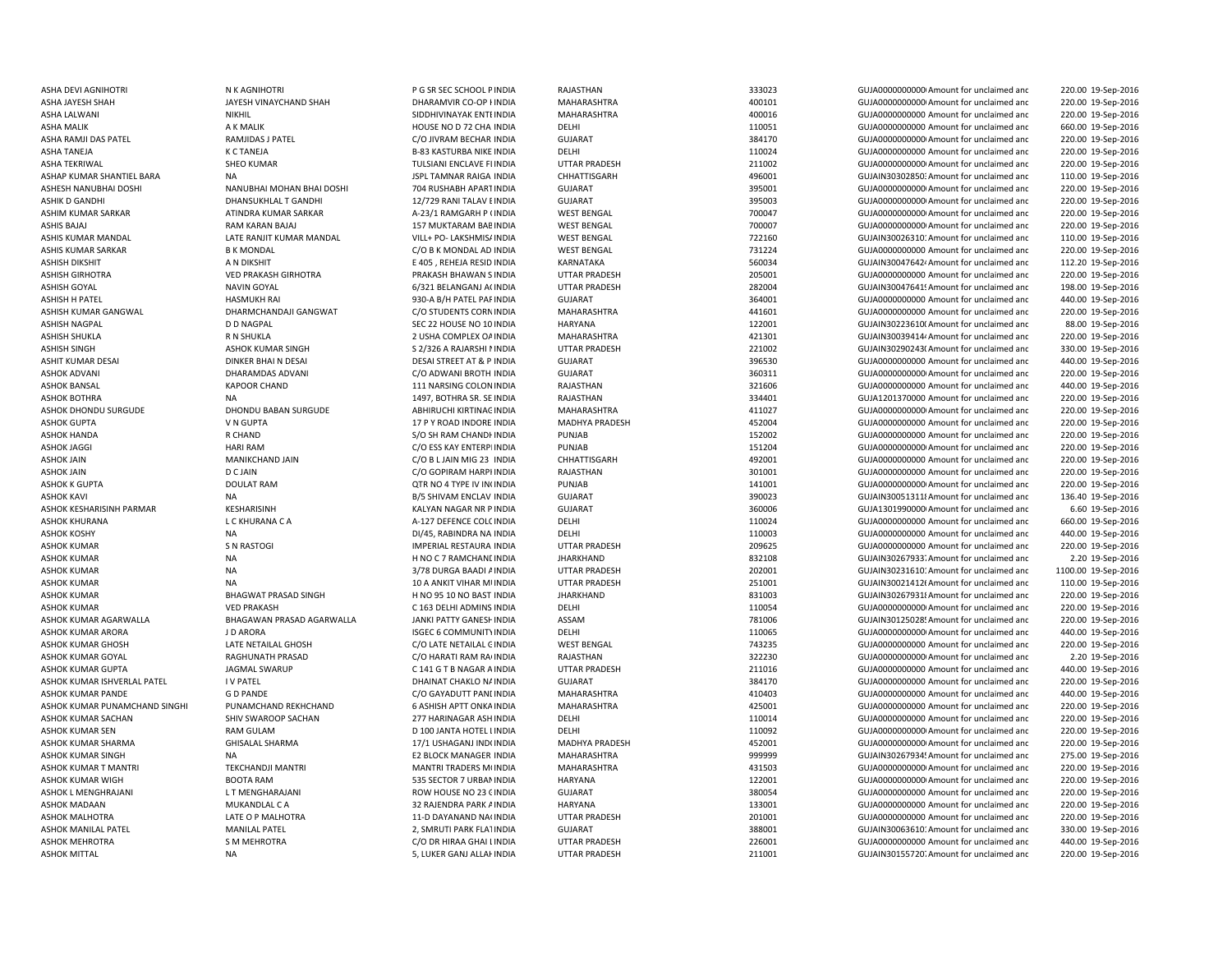ASHA TANEJA K C TANEJA B-83 KASTURBA NIKE INDIA ASHISH GIRHOTRA VED PRAKASH GIRHOTRA PRAKASH BHAWAN SASHISH NAGPAL D D NAGPAL D D NAGPAL SEC 22 HOUSE NO 10 INDIA ASHOK KESHARISINH PARMAR KESHARISINH KESHARISINH KALYAN NAGAR NR PINDIA

ASHA DEVI AGNIHOTRI N K AGNIHOTRI SAN SECTION PROGRESS OF SER SEC SCHOOL PINDIA RAJASTHAN 333023 ASHA DEVI AGNIHOTRI SANG HALIM AGNIHOTRI SANG ATACIM AGNIHOTRI SANG ATACIM AGNIHOTRI SANG ATACIM AGNIHOTRI SANG ATACIM AGNIHO

 220.00 19-Sep-2016 ASHA JAYESH SHAH JAYESH VINAYCHAND SHAH DHARAMVIR CO-OP I INDIA MAHARASHTRA 400101 400101 GUJA00000000000000000 Amount for unclaimed and 220.00 19-Sep-2016 ASHA LALWANI NIKHIL NIKHIL NIKHIL SIDDHIVINAYAK ENTEINDIA MAHARASHTRA 400016 400016 GUJA00000000000 Amount for unclaimed and 220.00 19-Sep-2016 ASHA MALIK A K MALIK A CHA LOUSE NO D 72 CHA INDIA DELHI 110051 110051 GUJA000000000000000000000 Amount for unclaimed and 660.00 19-Sep-2016 ASHA RAMJI DAS PATEL RAMJIDAS J PATEL C/O JIVRAM BECHAR INDIA GUJARAT 384170 GUJA00000000000Amount for unclaimed and 220.00 19-Sep-2016 INDIA DELHI 110024 GUJA0000000000 Amount for unclaimed and 220.00 19-Sep-2016 ASHA TEKRIWAL SHEO KUMAR SHEO KUMAR TULSIANI ENCLAVE FLINDIA UTTAR PRADESH 211002 GUJA000000000Amount for unclaimed and 220.00 19-Sep-2016 ASHAP KUMAR SHANTIEL BARA NA NA JABA SHANTIGA DANA SHANTIGARH CHHATTISGARH 496001 GUJAIN303028503 Amount for unclaimed and 110.00 19-Sep-2016 ASHESH NANUBHAI DOSHI NANUBHAI MOHAN BHAI DOSHI 704 RUSHABH APARTINDIA GUJARAT 395001 395001 GUJA00000000000000000000000000000000 amount for unclaimed and 220.00 19-Sep-2016 ASHIK D GANDHI 12/729 RANI TALAV E INDIA GUJARAT 395003 GUJA00000000000000000Amount for unclaimed and 220.00 19-Sep-2016 ASHIM KUMAR SARKAR ATINDRA KUMAR SARKAR ANG A-23/1 RAMGARH P (INDIA WEST BENGAL 700047 GUJA0000000000000000000000000000000000 Amount for unclaimed and 220.00 19-Sep-2016 ASHIS BAJAJ RAM KARAN BAJAJ 157 MUKTARAM BABINDIA WEST BENGAL 700007 700007 GUJA00000000000000000 Amount for unclaimed and 220.00 19-Sep-2016 ASHIS KUMAR MANDAL LATE RANJIT KUMAR MANDAL VILL+ PO- LAKSHMIS/INDIA WEST BENGAL 722160 GUJAIN30026310: Amount for unclaimed and 110.00 19-Sep-2016 ASHIS KUMAR SARKAR B K MONDAL CO B K MONDAL AD INDIA WEST BENGAL 731224 GUJA0000000000 Amount for unclaimed and 220.00 19-Sep-2016 ASHISH DIKSHIT A N DIKSHIT E 405 , REHEJA RESID INDIA KARNATAKA 560034 GUJAIN300476424Amount for unclaimed and 112.20 19-Sep-2016 INDIA UTTAR PRADESH 205001 GUJA0000000000 Amount for unclaimed and 220.00 19-Sep-2016 ASHISH GOYAL NAVIN GOYAL NAVIN GOYAL 6/321 BELANGANJ A(INDIA UTTAR PRADESH 282004 GUJAIN30047641! Amount for unclaimed and 198.00 19-Sep-2016 ASHISH H PATEL HASMUKH RAI 930-A B/H PATEL PARINDIA GUJARAT 364001 GUJA0000000000 Amount for unclaimed and 440.00 19-Sep-2016 ASHISH KUMAR GANGWAL CHARMCHANDAJI GANGWAT CORNINDIA CORNINDIA MAHARASHTRA 441601 GUJA0000000000 Amount for unclaimed and 220.00 19-Sep-2016 HARYANA 122001 122001 GUJAIN30223610(Amount for unclaimed and 88.00 19-Sep-2016 ASHISH SHUKLA R N SHUKLA R N SHUKLA 2 USHA COMPLEX OAINDIA MAHARASHTRA 421301 GUJAIN300394144 Amount for unclaimed and 220.00 19-Sep-2016 ASHISH SINGH ASHOK KUMAR SINGH SANGH ANG A SALISH A SALISH AT A SALISH DITTAR PRADESH 221002 A SUJAIN30290243(Amount for unclaimed and 330.00 19-Sep-2016 ASHIT KUMAR DESAI DINKER BHAI N DESAI DESAI DESAI STREET AT & P INDIA GUJARAT GUTARAT SESAI STREET AT & P INDIA GUJARAT SESAI STREET AT & P INDIA GUJARAT SESAI STREET AT & P INDIA GUJARAT SESAI STREET AT & P INDIA GUJARAT 440.00 19-Sep-2016 ASHOK ADVANI DHARAMDAS ADVANI C/O ADWANI BROTH INDIA GUJARAT 360311 GUJA00000000000Amount for unclaimed and 220.00 19-Sep-2016 ASHOK BANSAL CHAND KAPOOR CHAND 111 NARSING COLONINDIA RAJASTHAN 321606 321606 GUJA000000000 Amount for unclaimed and 440.00 19-Sep-2016 ASHOK BOTHRA NA 1497, BOTHRA SR. SE INDIA RAJASTHAN 334401 GUJA1201370000 Amount for unclaimed and 220.00 19-Sep-2016 ASHOK DHONDU SURGUDE DHONDU BABAN SURGUDE ABHIRUCHI KIRTINAG INDIA MAHARASHTRA 411027 411027 GUJA000000000000000000 Amount for unclaimed and 220.00 19-Sep-2016 ASHOK GUPTA V N GUPTA 17 P Y ROAD INDORE INDIA MADHYA PRADESH 452004 GUJA0000000000 Amount for unclaimed and 220.00 19-Sep-2016 ASHOK HANDA R CHAND R CHAND S/O SH RAM CHANDHINDIA PUNJAB PUNJAB 152002 GUJA0000000000 Amount for unclaimed and 220.00 19-Sep-2016 ASHOK JAGGI NARI RAM HARI RAM CONSKAY ENTERPIINDIA PUNJAB PUNJAB 151204 GUJA0000000000Amount for unclaimed and 220.00 19-Sep-2016 ASHOK JAIN MANIKCHAND JAIN C/O B L JAIN MIG 23 INDIA CHHATTISGARH 492001 GUJA0000000000 Amount for unclaimed and 220.00 19-Sep-2016 ASHOK JAIN D C JAIN D CAIN CO GOPIRAM HARPI INDIA RAJASTHAN RAJASTHAN 301001 GUJA0000000000 Amount for unclaimed and 220.00 19-Sep-2016 ASHOK K GUPTA DOULAT RAM DOULAT RAM QTR NO 4 TYPE IV IN INDIA PUNJAB 141001 141001 GUJA000000000Amount for unclaimed and 220.00 19-Sep-2016 ASHOK KAVI NA NA RICHAVI DIS SHIVAM ENCLAV INDIA GUJARAT SHOWA SHOOD 390023 GUJAIN300513118Amount for unclaimed anc 136.40 19-Sep-2016 INDIA GUJARAT 360006 GUJA13019900000Amount for unclaimed and 6.60 19-Sep-2016 ASHOK KHURANA CHURANA CA C C KHURANA CA A-127 DEFENCE COLOINDIA DELHI 110024 GUJA000000000 Amount for unclaimed and 660.00 19-Sep-2016 ASHOK KOSHY NA DI/45, RABINDRA NA INDIA DELHI DELHI 110003 GUJA0000000000 Amount for unclaimed anc 440.00 19-Sep-2016 ASHOK KUMAR SIMPERIAL RESTAURA INDIA UTTAR PRADESH 209625 GUJA000000000000000000000000000000 Amount for unclaimed and 220.00 19-Sep-2016 ASHOK KUMAR NA H NO C 7 RAMCHANI INDIA JHARKHAND 832108 GUJAIN30267933. Amount for unclaimed and 2.20 19-Sep-2016 ASHOK KUMAR **ALLA ADI AINDIA AT A 202001** COLOMATION COLOMATION CONTROVERSION CONTROVERSION AND A 202001 GUJAIN30231610: Amount for unclaimed and 1100.00 19-Sep-2016 ASHOK KUMAR NA 10 A ANKIT VIHAR MUNDIA UTTAR PRADESH 251001 251001 GUJAIN300214126Amount for unclaimed and 110.00 19-Sep-2016 ASHOK KUMAR BHAGWAT PRASAD SINGH H NO 95 10 NO BAST INDIA JHARKHAND BASHOK BASHOK AND BASHOK AND A GUJAIN302679318Amount for unclaimed and 220.00 19-Sep-2016 ASHOK KUMAR CONDROX VED PRAKASH C 163 DELHI ADMINS INDIA DELHI 110054 110054 GUJA0000000000 Amount for unclaimed and 220.00 19-Sep-2016 ASHOK KUMAR AGARWALLA BHAGAWAN PRASAD AGARWALLA JANKI PATTY GANESHINDIA ASSAM 781006 781006 GUJAIN30125028' Amount for unclaimed and 220.00 19-Sep-2016 ASHOK KUMAR ARORA J D ARORA J DARORA ISGEC 6 COMMUNITY INDIA DELHI 110065 GUJA0000000000 Amount for unclaimed and 440.00 19-Sep-2016 ASHOK KUMAR GHOSH CHOSH LATE NETAILAL GHOSH CO LATE NETAILAL CINDIA WEST BENGAL 743235 GUJA0000000000 Amount for unclaimed and 220.00 19-Sep-2016 ASHOK KUMAR GOYAL RAGHUNATH PRASAD C/O HARATI RAM RAGINDIA RAJASTHAN 322230 GUJA00000000000Amount for unclaimed and 2.20 19-Sep-2016 ASHOK KUMAR GUPTA JAGMAL SWARUP C 141 G T B NAGAR AINDIA UTTAR PRADESH 211016 GUJA0000000000 Amount for unclaimed and 440.00 19-Sep-2016 ASHOK KUMAR ISHVERLAL PATEL I V PATEL DHAINAT CHAKLO NAINDIA GUJARAT 384170 GUJA0000000000 Amount for unclaimed and 220.00 19-Sep-2016 ASHOK KUMAR PANDE G D PANDE C/O GAYADUTT PANDINDIA MAHARASHTRA 410403 GUJA0000000000 Amount for unclaimed and 440.00 19-Sep-2016 ASHOK KUMAR PUNAMCHAND SINGHI PUNAMCHAND REKHCHAND 6 ASHISH APTT ONKA INDIA MAHARASHTRA 425001 456001 AMOUNDOODOOD Amount for unclaimed and 220.00 19-Sep-2016 ASHOK KUMAR SACHAN SHIV SWAROOP SACHAN 277 HARINAGAR ASHINDIA DELHI 110014 110014 GUJA0000000000 Amount for unclaimed and 220.00 19-Sep-2016 ASHOK KUMAR SEN COLLAM RAM GULAM D 100 JANTA HOTEL LINDIA DELHI 110092 GUJA000000000000000000000000000Amount for unclaimed and 220.00 19-Sep-2016 ASHOK KUMAR SHARMA GHISALAL SHARMA 17/1 USHAGANJ INDOINDIA MADHYA PRADESH 452001 GUJA0000000000 Amount for unclaimed and 220.00 19-Sep-2016 ASHOK KUMAR SINGH NA NA NA E2 BLOCK MANAGER INDIA MAHARASHTRA 999999 GUJAIN30267934! Amount for unclaimed and 275.00 19-Sep-2016 ASHOK KUMAR T MANTRI TEKCHANDJI MANTRI MANTRI TRADERS MOINDIA MAHARASHTRA 431503 GUJA00000000000Amount for unclaimed and 220.00 19-Sep-2016 ASHOK KUMAR WIGH BOOTA RAM 636 SECTOR 7 URBANINDIA HARYANA 122001 122001 GUJA00000000000000000Amount for unclaimed and 220.00 19-Sep-2016 ASHOK L MENGHRAJANI LT MENGHARAJANI CHANG HARAJANI ROW HOUSE NO 23 (INDIA GUJARAT SUJARAT SESSOS 4 GUJA000000000000000000000000000 Amount for unclaimed and 220.00 19-Sep-2016 ASHOK MADAAN MUKANDLAL CA 2 32 RAJENDRA PARK AINDIA HARYANA 133001 133001 GUJA00000000000 Amount for unclaimed and 220.00 19-Sep-2016 ASHOK MALHOTRA LATE O P MALHOTRA 11-D DAYANAND NAGINDIA UTTAR PRADESH 201001 GUJA00000000000000000000000000000 Amount for unclaimed and 220.00 19-Sep-2016 ASHOK MANILAL PATEL MANILAL PATEL 2, SMRUTI PARK FLATINDIA GUJARAT 388001 GUJAIN30063610: Amount for unclaimed and 330.00 19-Sep-2016 ASHOK MEHROTRA S M MEHROTRA C/O DR HIRAA GHAI LINDIA UTTAR PRADESH 226001 GUJA000000000 Amount for unclaimed and 440.00 19-Sep-2016 ASHOK MITTAL NA 5, LUKER GANJ ALLAHINDIA UTTAR PRADESH 211001 GUJAIN301557207Amount for unclaimed and 220.00 19-Sep-2016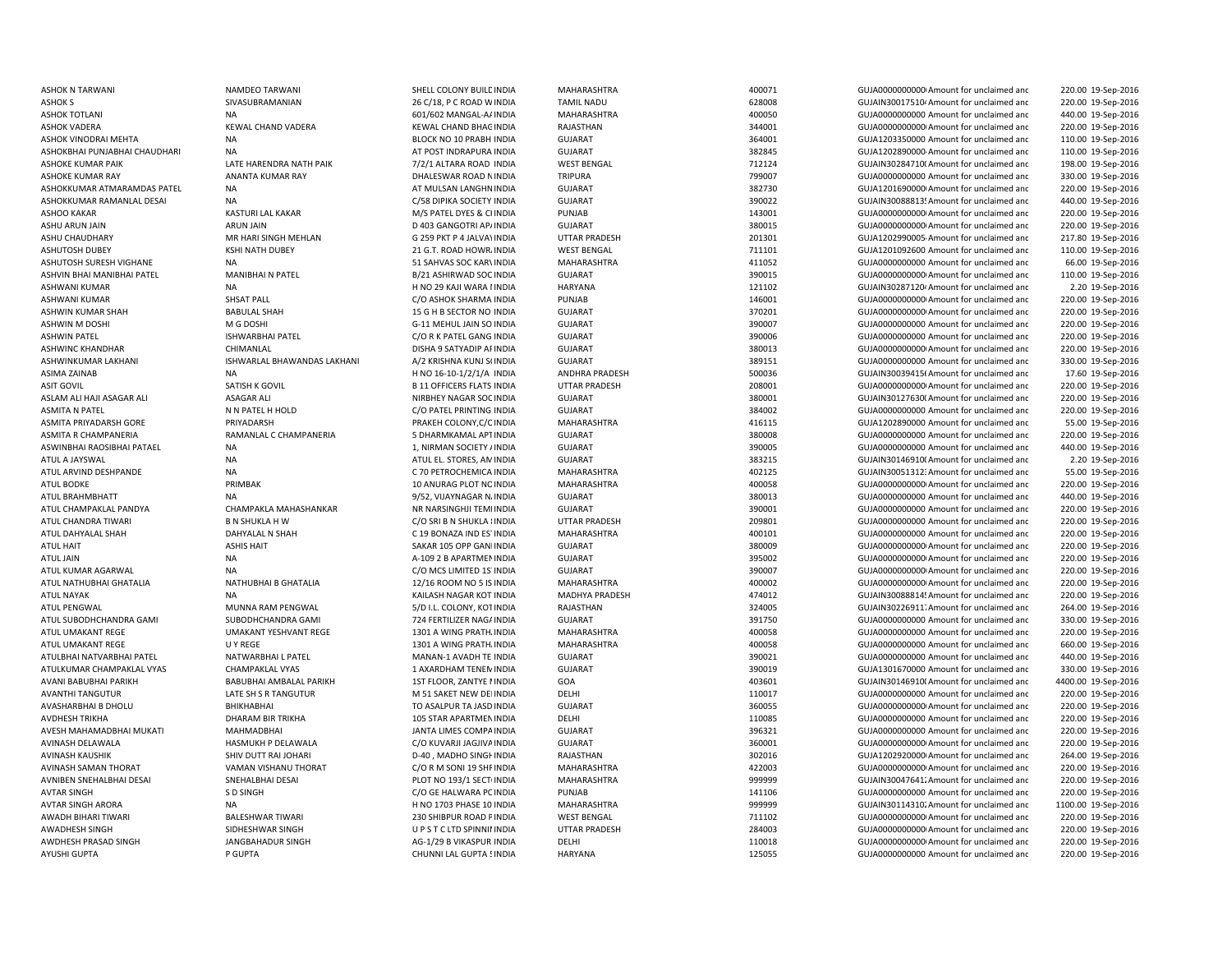ASHOK N TARWANI NAMDEO TARWANI SHELL COLONY BUILDINDIA MAHARASHTRA 400071 400071 GUJA00000000000Amount for unclaimed and ASHOKBHAI PUNJABHAI CHAUDHARI NA NA AT AT POST INDRAPURA INDIA ASHWIN M DOSHI M G DOSHI M G DOSHI G-11 MEHUL JAIN SO INDIA ATUL ARVIND DESHPANDE NA NA CONSTRUCTED ON A CONSTRUCTED ON A CONSTRUCTED ON A CONSTRUCTED ON A CONSTRUCTED ON A ATUL NAYAK NA KAILASH NAGAR KOT INDIA NA KAILASH NAGAR KOT INDIA AVASHARBHAI B DHOLU BHIKHABHAI TO ASALPUR TA JASD

 220.00 19-Sep-2016 ASHOK S SIVASUBRAMANIAN 2007 26 C/18, P C ROAD WINDIA TAMIL NADU 628008 GUJAIN30017510<sup>,</sup> Amount for unclaimed and 200.00 19-Sep-2016 ASHOK TOTLANI NA 601/602 MANGAL-AAINDIA MAHARASHTRA 400050 GUJA0000000000 Amount for unclaimed and 440.00 19-Sep-2016 ASHOK VADERA KEWAL CHAND VADERA KEWAL CHAND BHAGINDIA RAJASTHAN 344001 344001 GUJA00000000000000000000Amount for unclaimed and 220.00 19-Sep-2016 ASHOK VINODRAI MEHTA NA NA REACK NO 10 PRABH INDIA GUJARAT CHARA CHARAT 364001 GUJA1203350000 Amount for unclaimed and 110.00 19-Sep-2016 GUJARAT 382845 GUJA1202890000-Amount for unclaimed and 110.00 19-Sep-2016 ASHOKE KUMAR PAIK CHARENDRA NATH PAIK 7/2/1 ALTARA ROAD INDIA WEST BENGAL 712124 6UJAIN302847100Amount for unclaimed and 198.00 19-Sep-2016 ASHOKE KUMAR RAY ANANTA KUMAR RAY DHALESWAR ROAD NINDIA TRIPURA 799007 799007 GUJA0000000000 Amount for unclaimed and 330.00 19-Sep-2016 ASHOKKUMAR ATMARAMDAS PATEL NA AT MULSAN LANGHNINDIA GUJARAT 382730 GUJA12016900000Amount for unclaimed and 220.00 19-Sep-2016 ASHOKKUMAR RAMANLAL DESAI NA NA SALA SEPERTA GUJARAT GUJARAT SALA SANG SALAWA SOCIETY INDIA GUJARAT 390022 GUJAIN30088813'Amount for unclaimed and 440.00 19-Sep-2016 ASHOO KAKAR KASTURI LAL KAKAR M/S PATEL DYES & CHINDIA PUNJAB 143001 143001 GUJA0000000000000000000000000000000000 Amount for unclaimed and 220.00 19-Sep-2016 ASHU ARUN JAIN ARUN JAIN ARUN JAIN DE AGANGOTRI APAINDIA GUJARAT SENGERAT SENGERAT SENGERAT SENGERAT SENGERAT SENGERAT SENGERAT SENGERAT SENGERAT SENGERAT SENGERAT SENGERAT SENGERAT SENGERAT SENGERAT SENGERAT SENGERAT SENG 220.00 19-Sep-2016 ASHU CHAUDHARY **MR HARI SINGH MEHLAN G 259 PKT P 4 JALVAYINDIA** UTTAR PRADESH 201301 GUJA1202990005-Amount for unclaimed and 217.80 19-Sep-2016 ASHUTOSH DUBEY KSHI NATH DUBEY 21 G.T. ROAD HOWR, INDIA WEST BENGAL 711101 711101 GUJA1201092600 Amount for unclaimed and 110.00 19-Sep-2016 ASHUTOSH SURESH VIGHANE NA NA 51 SAHVAS SOC KARVINDIA MAHARASHTRA 411052 401652 GUJA0000000000 Amount for unclaimed and 66.00 19-Sep-2016 ASHVIN BHAI MANIBHAI PATEL MANIBHAI N PATEL B/21 ASHIRWAD SOC INDIA GUJARAT 390015 GUJA00000000000Amount for unclaimed and 110.00 19-Sep-2016 ASHWANI KUMAR NA NA H NO 29 KAJI WARA I INDIA HARYANA HARYANA 121102 GUJAIN302871204 Amount for unclaimed and 2.20 19-Sep-2016 ASHWANI KUMAR SHSAT PALL C/O ASHOK SHARMA INDIA PUNJAB 146001 GUJA00000000000Amount for unclaimed and 220.00 19-Sep-2016 ASHWIN KUMAR SHAH BABULAL SHAH 15 G H B SECTOR NO INDIA GUJARAT 370201 GUJA00000000000Amount for unclaimed and 220.00 19-Sep-2016 INDIA GUJARAT 390007 GUJA0000000000 Amount for unclaimed and 220.00 19-Sep-2016 ASHWIN PATEL ISHWARBHAI PATEL C/O R K PATEL GANG INDIA GUJARAT 390006 GUJA0000000000 Amount for unclaimed and 220.00 19-Sep-2016 ASHWINC KHANDHAR CHIMANLAL DISHA 9 SATYADIP APINDIA GUJARAT 380013 GUJA00000000000Amount for unclaimed and 220.00 19-Sep-2016 ASHWINKUMAR LAKHANI SHWARLAL BHAWANDAS LAKHANI A/2 KRISHNA KUNJ SI INDIA GUJARAT 389151 GUJA0000000000 Amount for unclaimed anc 330.00 19-Sep-2016 ASIMA ZAINAB NA NA NEW H NO 16-10-1/2/1/A INDIA ANDHRA PRADESH 500036 500036 GUJAIN300394156Amount for unclaimed and 17.60 19-Sep-2016 ASIT GOVIL SATISH K GOVIL B 11 OFFICERS FLATS INDIA UTTAR PRADESH 208001 GUJA00000000000Amount for unclaimed and 220.00 19-Sep-2016 ASLAM ALI HAJI ASAGAR ALI ASAGAR ALI NIRBHEY NAGAR SOCINDIA GUJARAT GUJARAT 380001 GUJAIN301276300Amount for unclaimed and 220.00 19-Sep-2016 ASMITA N PATEL N N PATEL H HOLD C/O PATEL PRINTING INDIA GUJARAT 384002 GUJA0000000000 Amount for unclaimed and 220.00 19-Sep-2016 ASMITA PRIYADARSH GORE PRIYADARSH PRIYADARSH PRAKEH COLONY,C/C INDIA MAHARASHTRA 416115 GUJA1202890000 Amount for unclaimed and 55.00 19-Sep-2016 ASMITA R CHAMPANERIA RAMANLAL C CHAMPANERIA SUBARMKAMAL APTINDIA GUJARAT CHAMPANERIA SENGIONING ON THE SENGION CHAMPANERIA 220.00 19-Sep-2016 ASWINBHAI RAOSIBHAI PATAEL NA NA 2019-Sep-2016 1, NIRMAN SOCIETY / INDIA GUJARAT 390005 GUJA0000000000 Amount for unclaimed and 440.00 19-Sep-2016 ATUL A JAYSWAL NA ATUL EL. STORES, AMINDIA GUJARAT 383215 GUJAIN301469100 Amount for unclaimed and 2.20 19-Sep-2016 INDIA MAHARASHTRA 402125 GUJAIN300513123Amount for unclaimed and 55.00 19-Sep-2016 ATUL BODKE CHORAG PRIMBAK PLOT NOINDIA MAHARASHTRA 400058 GUJA00000000000000000000000000000Amount for unclaimed and 220.00 19-Sep-2016 ATUL BRAHMBHATT NA 9/52, VIJAYNAGAR NAINDIA GUJARAT 380013 GUJA0000000000 Amount for unclaimed and 440.00 19-Sep-2016 ATUL CHAMPAKLAL PANDYA CHAMPAKLA MAHASHANKAR NR NARSINGHJI TEMPINDIA GUJARAT 390001 GUJA0000000000 Amount for unclaimed and 220.00 19-Sep-2016 ATUL CHANDRA TIWARI **BA SHUKLA H W** C/O SRI B N SHUKLA 8INDIA UTTAR PRADESH 209801 GUJA0000000000 Amount for unclaimed and 220.00 19-Sep-2016 ATUL DAHYALAL SHAH DAHYALAL N SHAH C 19 BONAZA IND ES'INDIA MAHARASHTRA 400101 400101 GUJA0000000000000000000000 Amount for unclaimed and 220.00 19-Sep-2016 ATUL HAIT ASHIS HAIT SAKAR 105 OPP GANDINDIA GUJARAT 380009 GUJA00000000000Amount for unclaimed and 220.00 19-Sep-2016 ATUL JAIN NA A-109 2 B APARTMENINDIA GUJARAT 395002 GUJA00000000000Amount for unclaimed and 220.00 19-Sep-2016 ATUL KUMAR AGARWAL NA C/O MCS LIMITED 1STINDIA GUJARAT 390007 GUJA00000000000Amount for unclaimed and 220.00 19-Sep-2016 ATUL NATHUBHAI GHATALIA NATHUBHAI B GHATALIA 12/16 ROOM NO 5 IS INDIA MAHARASHTRA 400002 GUJA00000000000Amount for unclaimed and 220.00 19-Sep-2016 INDIA MADHYA PRADESH 474012 GUJAIN300888145Amount for unclaimed and 220.00 19-Sep-2016 ATUL PENGWAL MUNNA RAM PENGWAL 5/D I.L. COLONY, KOTINDIA RAJASTHAN 324005 GUJAIN30226911. Amount for unclaimed anc 264.00 19-Sep-2016 ATUL SUBODHCHANDRA GAMI SUBODHCHANDRA GAMI 724 FERTILIZER NAGAINDIA GUJARAT 391750 391750 GUJA000000000 Amount for unclaimed and 330.00 19-Sep-2016 ATUL UMAKANT REGE THE UMAKANT YESHVANT REGE 1301 A WING PRATH, INDIA MAHARASHTRA 400058 400058 GUJA0000000000 Amount for unclaimed and 220.00 19-Sep-2016 ATUL UMAKANT REGE **ATUL UMAKANT REGE** U Y REGE A MAHARASHTRA MAHARASHTRA MAHARASHTRA A MAHARASHTRA 400058 GUJA000000000000000000000000 Amount for unclaimed and 660.00 19-Sep-2016 ATULBHAI NATVARBHAI PATEL NATWARBHAI L PATEL MANAN-1 AVADH TE INDIA GUJARAT 390021 GUJA0000000000 Amount for unclaimed and 440.00 19-Sep-2016 ATULKUMAR CHAMPAKLAL VYAS CHAMPAKLAL VYAS 1 AXARDHAM TENEMINDIA GUJARAT SUNARAT 390019 GUJA1301670000 Amount for unclaimed and 330.00 19-Sep-2016 AVANI BABUBHAI AMBALAL PARIKH 1ST FLOOR, ZANTYE I INDIA GOA 403601 403601 GUJAIN30146910(Amount for unclaimed anc 4400.00 19-Sep-2016 AVANTHI TANGUTUR LATE SH S R TANGUTUR M 51 SAKET NEW DELINDIA DELHI 110017 GUJA0000000000 Amount for unclaimed and 220.00 19-Sep-2016 GUJARAT 360055 360055 GUJA000000000000000000000 Amount for unclaimed and 220.00 19-Sep-2016 AVDHESH TRIKHA DHARAM BIR TRIKHA 105 STAR APARTMEN INDIA DELHI 110085 110085 GUJA0000000000 Amount for unclaimed and 220.00 19-Sep-2016 AVESH MAHAMADBHAI MUKATI MAHMADBHAI MAHMADBHAI JANTA LIMES COMPAINDIA GUJARAT GUARAT 396321 GUJA0000000000 Amount for unclaimed and 220.00 19-Sep-2016 AVINASH DELAWALA HASMUKH P DELAWALA C/O KUVARJI JAGJIVAINDIA GUJARAT 360001 GUJA00000000000Amount for unclaimed and 220.00 19-Sep-2016 AVINASH KAUSHIK SHIV DUTT RAI JOHARI D-40 , MADHO SINGHINDIA RAJASTHAN 302016 GUJA12029200000Amount for unclaimed and 264.00 19-Sep-2016 AVINASH SAMAN THORAT VAMAN VISHANU THORAT CO R M SONI 19 SHF INDIA MAHARASHTRA 422003 GUJA0000000000Amount for unclaimed and 220.00 19-Sep-2016 AVNIBEN SNEHALBHAI DESAI SNEHALBHAI DESAI PLOT NO 193/1 SECTUNDIA MAHARASHTRA 999999 GUJAIN300476412Amount for unclaimed and 220.00 19-Sep-2016 AVTAR SINGH SO SINGH SO SINGH SANGH CO GE HALWARA PUNJAB PUNJAB PUNJAB 141106 GUJA0000000000 Amount for unclaimed and 220.00 19-Sep-2016 AVTAR SINGH ARORA NA H NO 1703 PHASE 10 INDIA MAHARASHTRA 999999 GUJAIN301143102 Amount for unclaimed and 1100.00 19-Sep-2016 AWADH BIHARI TIWARI BALESHWAR TIWARI 230 SHIBPUR ROAD PINDIA WEST BENGAL 711102 GUJA00000000000Amount for unclaimed and 220.00 19-Sep-2016 AWADHESH SINGH SIDHESHWAR SINGH U P S T C LTD SPINNININDIA UTTAR PRADESH 284003 GUJA000000000000000000Amount for unclaimed and 220.00 19-Sep-2016 AWDHESH PRASAD SINGH JANGBAHADUR SINGH AG-1/29 B VIKASPUR INDIA DELHI DELHI 110018 GUJA000000000Amount for unclaimed and 220.00 19-Sep-2016 AYUSHI GUPTA P GUPTA P GUPTA CHUNNI LAL GUPTA 5 126055 CHUNNI LAL GUPTA 5 125055 AMOUNT AND AND AMOUNT OF UNCLO 220.00 19-Sep-2016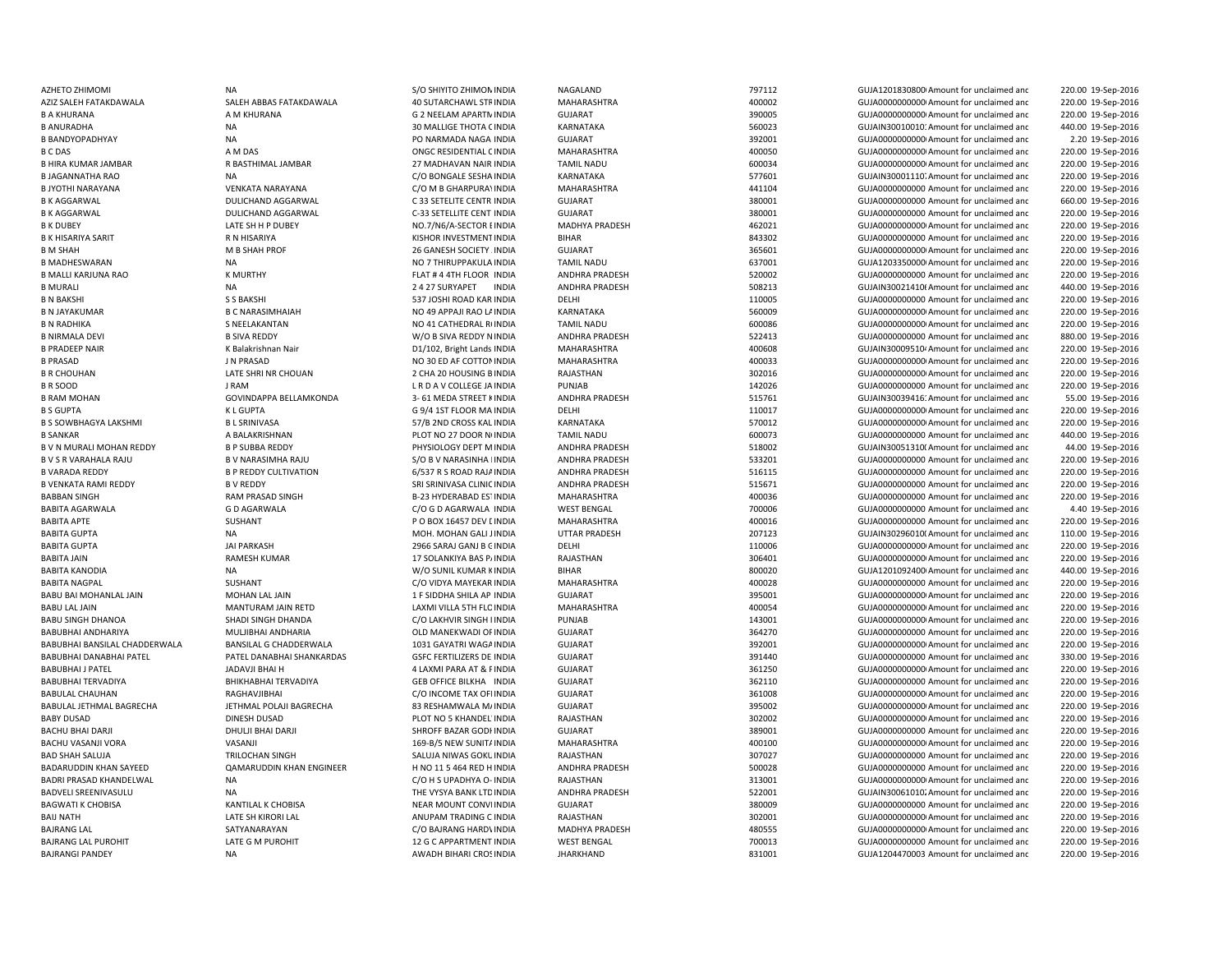AZHETO ZHIMOMI NA NA SANTA SANTA SANTA SANTA SANTA NAGALAND TAGALAND TAGALAND TAGALAND SUJA1201830800 Amount for unclaimed and 220.00 19-Sep-2016 AZIZ SALEH FATAKDAWALA SALEH ABBAS FATAKDAWALA 40 SUTARCHAWL STFINDIA MAHARASHTRA 400002 400002 GUJA000000000000000000000000000 Amount for unclaimed and B A KHURANA A M KHURANA C 2 NEELAM APARTMINDIA GUJARAT CHATA 390005 GUJA000000000000000000 Amount for unclaimed and B ANURADHA NA 2012 MA 30 MALLIGE THOTA (INDIA KARNATAKA 560023 560023 GUJAIN30010010: Amount for unclaimed and B BANDYOPADHYAY **NA READING A READING A PO NARMADA NAGA INDIA** GUJARAT CHANG ANG A SENGENO AMOUND A SHOWADOOD AMOUNT OF unclaimed and B C DAS A M DAS A MOS CONSERIDENTIAL CINDIA MAHARASHTRA A 400050 4000000 GUJA0000000000000000000Amount for unclaimed and B HIRA KUMAR JAMBAR R BASTHIMAL JAMBAR 27 MADHAVAN NAIR INDIA TAMIL NADU 600034 GUJA0000000000Amount for unclaimed and BJAGANNATHA RAO NA NA C/O BONGALE SESHA INDIA KARNATAKA 577601 GUJAIN30001110. Amount for unclaimed and 220.00 19-Sep-2016 B JYOTHI NARAYANA VENKATA NARAYANA C/O M B GHARPURAYINDIA MAHARASHTRA 441104 GUJA0000000000 Amount for unclaimed and 220.00 19-Sep-2016 B K AGGARWAL DULICHAND AGGARWAL C 33 SETELITE CENTR INDIA GUJARAT 380001 GUJA0000000000 Amount for unclaimed andB K AGGARWAL DULICHAND AGGARWAL C-33 SETELLITE CENT INDIA GUJARAT 380001 380001 GUJA0000000000 Amount for unclaimed and B K DUBEY LATE SH H P DUBEY NO.7/N6/A-SECTOR E INDIA MADHYA PRADESH 462021 GUJA0000000000Amount for unclaimed and 220.00 19-Sep-2016 B K HISARIYA SARIT RIM RISARIYA RESERVENTINDIA KISHOR INVESTMENTINDIA BIHAR SA SA SA SA SA SA SA SA GUJA0000000000 Amount for unclaimed and B M SHAH M B SHAH PROF 26 GANESH SOCIETY AINDIA GUJARAT 365601 GUJA00000000000Amount for unclaimed andB MADHESWARAN NA NO 7 THIRUPPAKULAB MALLI KARJUNA RAO K MURTHY FLAT # 4 4TH FLOOR INDIA ANDHRA PRADESH 520002 GUJA0000000000 Amount for unclaimed andB MURALI NA 24 27 SURYAPET INDIA ANDHRA PRADESH 508213 GUJAIN30021410t Amount for unclaimed and B N BAKSHI S S BAKSHI S S BAKSHI SAKSHI SANG SANG SARAT SA SANG DALIH DELHI DELHI SANG DALIH DELHI SANG SANG DALIH DELHI DALIH DALIH DALIH DALIH DALIH DALIH DALIH DALIH DALIH DALIH DALIH DALIH DALIH DALIH DALIH DALIH DALIH B N JAYAKUMAR CONSIDERATION B C NARASIMHAIAH NO 49 APPAJI RAO LAINDIA KARNATAKA SARATAKA 560009 GUJA0000000000000000000000000000 Amount for unclaimed and B N RADHIKA S NEELAKANTAN S NEELAKANTAN NO 41 CATHEDRAL RUNDIA TAMIL NADU 600086 600086 GUJA0000000000000000000000000 Amount for unclaimed and B NIRMALA DEVI B SIVA REDDY W/O B SIVA REDDY NINDIA ANDHRA PRADESH 522413 GUJA0000000000 Amount for unclaimed anc 880.00 19-Sep-2016 B PRADEEP NAIR COLLET A MAHARASHTRA AND A MAHARASHTRA A 400608 GUJAIN30009510<sup>,</sup> Amount for unclaimed and 220.00 19-Sep-2016 B PRASAD J N PRASAD NO 30 ED AF COTTONINDIA MAHARASHTRA 400033 GUJA00000000000Amount for unclaimed andB R CHOUHAN LATE SHRI NR CHOUAN 2 CHA 20 HOUSING B INDIA B R SOOD JRAM JRAM JURA V COLLEGE JA INDIA PUNJAB 142026 142026 GUJA000000000 Amount for unclaimed and B RAM MOHAN GOVINDAPPA BELLAMKONDA 3- 61 MEDA STREET KINDIA ANDHRA PRADESH 515761 515761 GUJAIN30039416: Amount for unclaimed and B S GUPTA K L GUPTA COPTA COME COME COME CONTROLLER COME CONTROLLER COME CONTROLLER COME CONTROLLER COME COME COME CONTROLLER COME CONTROLLER COME CONTROLLER COME CONTROLLER COME CONTROLLER COME COME CONTROLLER COME COME C B S SOWBHAGYA LAKSHMI BL SRINIVASA 57/B 2ND CROSS KAL INDIA KARNATAKA 570012 570012 GUJA000000000Amount for unclaimed and 220.00 19-Sep-2016 B SANKAR **A BALAKRISHNAN BEALAKRISHNAN PLOT NO 27 DOOR N**UNDIA TAMIL NADU 600073 GUJA0000000000 Amount for unclaimed and B V N MURALI MOHAN REDDY B P SUBBA REDDY B HYSIOLOGY DEPT M INDIA B V S R VARAHALA RAJU B V NARASIMHA RAJU S/O B V NARASINHA I INDIA ANDHRA PRADESH 533201 GUJA0000000000 Amount for unclaimed and 220.00 19-Sep-2016 B VARADA REDDY BP REDDY CULTIVATION 6/537 R S ROAD RAJAINDIA ANDHRA PRADESH 516115 GUJA0000000000 Amount for unclaimed and 220.00 19-Sep-2016 B VENKATA RAMI REDDY B V REDDY SRI SRINIVASA CLINICINDIA ANDHRA PRADESH 515671 GUJA0000000000 Amount for unclaimed andBABBAN SINGH RAM PRASAD SINGH B-23 HYDERABAD ESTINDIA MAHARASHTRA 400036 GUJA0000000000 Amount for unclaimed andBABITA AGARWALA GO AGARWALA CO DAGARWALA CO G D AGARWALA INDIA WEST BENGAL 700006 700006 GUJA0000000000 Amount for unclaimed and 4.40 19-Sep-2016 BABITA APTE SUSHANT SUSHANT CONSULTED BOX 16457 DEV LINDIA MAHARASHTRA 400016 400016 GUJA000000000 Amount for unclaimed and BABITA GUPTA NA NA NA MOHAN GALI JINDIA UTTAR PRADESH 207123 GUJAIN302960100 Amount for unclaimed and BABITA GUPTA CULLE DELLE SARAJ GANJ B GINDIA DELHI DELHI 2966 SARAJ GANJ B GUJADO DELHI 110006 GUJA0000000000000000000000000000 Amount for unclaimed and BABITA JAIN RAMESH KUMAR 17 SOLANKIYA BAS PAINDIA RAJASTHAN 206401 306401 GUJA0000000000000000000 Amount for unclaimed and BABITA KANODIA NA NA W/O SUNIL KUMAR KINDIA BIHAR 800020 SUJA1201092400I Amount for unclaimed and 440.00 19-Sep-2016 BABITA NAGPAL SUSHANT SUSHANT C/O VIDYA MAYEKAR INDIA MAHARASHTRA 400028 GUJA0000000000 Amount for unclaimed and 220.00 19-Sep-2016 BABU BAI MOHANLAL JAIN MOHAN LAL JAIN 1 F SIDDHA SHILA AP INDIA GUJARAT SAN SENGERAN SENGERAN SENGERANG SENGERANG SENGERANG SENGERANG SENGERANG SENGERANG SENGERANG SENGERANG SENGERANG SENGERANG SENGERANG SENGERANG SENGERAN BABU LAL JAIN MANTURAM JAIN RETD LAXMI VILLA 5TH FLC INDIA MAHARASHTRA 400054 400054 GUJA0000000000Amount for unclaimed and BABU SINGH DHANOA SHADI SINGH DHANDA C/O LAKHVIR SINGH I INDIA PUNJAB 143001 GUJA00000000000Amount for unclaimed and 220.00 19-Sep-2016 BABUBHAI ANDHARIYA MULJIBHAI ANDHARIA OLD MANEKWADI OFINDIA GUJARAT 364270 364270 GUJA000000000 Amount for unclaimed and BABUBHAI BANSILAL CHADDERWALA BANSILAL G CHADDERWALA 1031 GAYATRI WAGAINDIA GUJARAT SUJARAT 392001 GUJA0000000000 Amount for unclaimed and BABUBHAI DANABHAI PATEL PATEL DANABHAI SHANKARDAS GSFC FERTILIZERS DE INDIA GUJARAT GUJARAT 391440 GUJA0000000000 Amount for unclaimed and BABUBHAI J PATEL JADAVJI BHAI H 4 LAXMI PARA AT & PINDIA GUJARAT 361250 GUJA00000000000Amount for unclaimed andBABUBHAI TERVADIYA BHIKHABHAI TERVADIYA GEB OFFICE BILKHA INDIA GUJARAT SALAMAT SALAMA SE2110 GUJA0000000000 Amount for unclaimed and BABULAL CHAUHAN RAGHAVJIBHAI C/O INCOME TAX OFFINDIA GUJARAT 361008 GUJA00000000000Amount for unclaimed and 220.00 19-Sep-2016 BABULAL JETHMAL BAGRECHA JETHMAL POLAJI BAGRECHA 83 RESHAMWALA MAINDIA GUJARAT 395002 GUJA00000000000Amount for unclaimed andBABY DUSAD DINESH DUSAD DINESH DUSAD PLOT NO 5 KHANDEL'INDIA RAJASTHAN 302002 302002 GUJA000000000000000000 Amount for unclaimed and BACHU BHAI DARJI DHULJI BHAI DARJI SHROFF BAZAR GODHINDIA GUJARAT GU SHROFF BAZAR GODHINDIA GUJARAT SHROFF BAZAR GODHINDIA GUJARAT SHROFF BAZAR GODHINDIA GUJARAT SHROFF BAZAR GODHINDIA GUJARAT SHROFF BAZAR GODHINDIA GUJARA BACHU VASANJI VORA VASANJI VORA VASANJI VORA VASANJI VORA VASANJI 169-B/5 NEW SUNITAINDIA MAHARASHTRA 400100 400100 GUJA000000000Amount for unclaimed and 220.00 19-Sep-2016 BAD SHAH SALUJA TRILOCHAN SINGH SALUJA NIWAS GOKU INDIA RAJASTHAN 307027 307027 GUJA0000000000 Amount for unclaimed and BADARUDDIN KHAN SAYEED QAMARUDDIN KHAN ENGINEER H NO 11 5 464 RED H INDIA ANDHRA PRADESH 500028 500028 GUJA000000000 Amount for unclaimed anc 220.00 19-Sep-2016 BADRI PRASAD KHANDELWAL NA NA CHOLOGO NA COMBONYA O- INDIA RAJASTHAN 313001 GUJA0000000000Amount for unclaimed and 220.00 19-Sep-2016 BADVELI SREENIVASULU NA NA THE VYSYA BANK LTDINDIA ANDHRA PRADESH 522001 GUJAIN30061010. Amount for unclaimed and BAGWATI K CHOBISA KANTILAL K CHOBISA NEAR MOUNT CONVEINDIA GUJARAT SULADO SERVERSION SANOOP SANOOD GUJADOODOODOO Amount for unclaimed and BAIJ NATH LATE SH KIRORI LAI AN LATE SH KIRORI LAL ANIJPAM TRADING CINDIA BAJRANG LAL SATYANARAYAN C/O BAJRANG HARDWINDIA MADHYA PRADESH 480555 GUJA0000000000 Amount for unclaimed and 220.00 19-Sep-2016 BAJRANG LAL PUROHIT LATE G M PUROHIT LATE G M PUROHIT 12 G C APPARTMENT INDIA BAJRANGI PANDEY **Same AWADH BIHARI CROSINDIA** JHARKHAND 19831001 831001 6UJA1204470003 Amount for unclaimed and

 220.00 19-Sep-2016 220.00 19-Sep-2016 440.00 19-Sep-2016 2.20 19-Sep-2016 220.00 19-Sep-2016 220.00 19-Sep-2016 660.00 19-Sep-2016 220.00 19-Sep-2016 220.00 19-Sep-2016 220.00 19-Sep-2016 TAMIL NADU 637001 637001 637001 6UJA1203350000 Amount for unclaimed and 220.00 19-Sep-2016 220.00 19-Sep-2016 440.00 19-Sep-2016 220.00 19-Sep-2016 220.00 19-Sep-2016 220.00 19-Sep-2016 220.00 19-Sep-2016 RAJASTHAN 302016 302016 GUJA00000000000000000000000 Amount for unclaimed and 220.00 19-Sep-2016 220.00 19-Sep-2016 55.00 19-Sep-2016 440.00 19-Sep-2016 INDIA ANDHRA PRADESH 518002 GUJAIN300513100Amount for unclaimed and 44.00 19-Sep-2016 220.00 19-Sep-2016 220.00 19-Sep-2016 220.00 19-Sep-2016 110.00 19-Sep-2016 220.00 19-Sep-2016 220.00 19-Sep-2016 220.00 19-Sep-2016 220.00 19-Sep-2016 220.00 19-Sep-2016 220.00 19-Sep-2016 330.00 19-Sep-2016 220.00 19-Sep-2016 220.00 19-Sep-2016 220.00 19-Sep-2016 220.00 19-Sep-2016 220.00 19-Sep-2016 220.00 19-Sep-2016 220.00 19-Sep-2016 220.00 19-Sep-2016 RAJASTHAN 302001 302001 GUJA0000000000000000000000000 Amount for unclaimed and 220.00 19-Sep-2016 INDIA WEST BENGAL 700013 GUJA0000000000 Amount for unclaimed and 220.00 19-Sep-2016 220.00 19-Sep-2016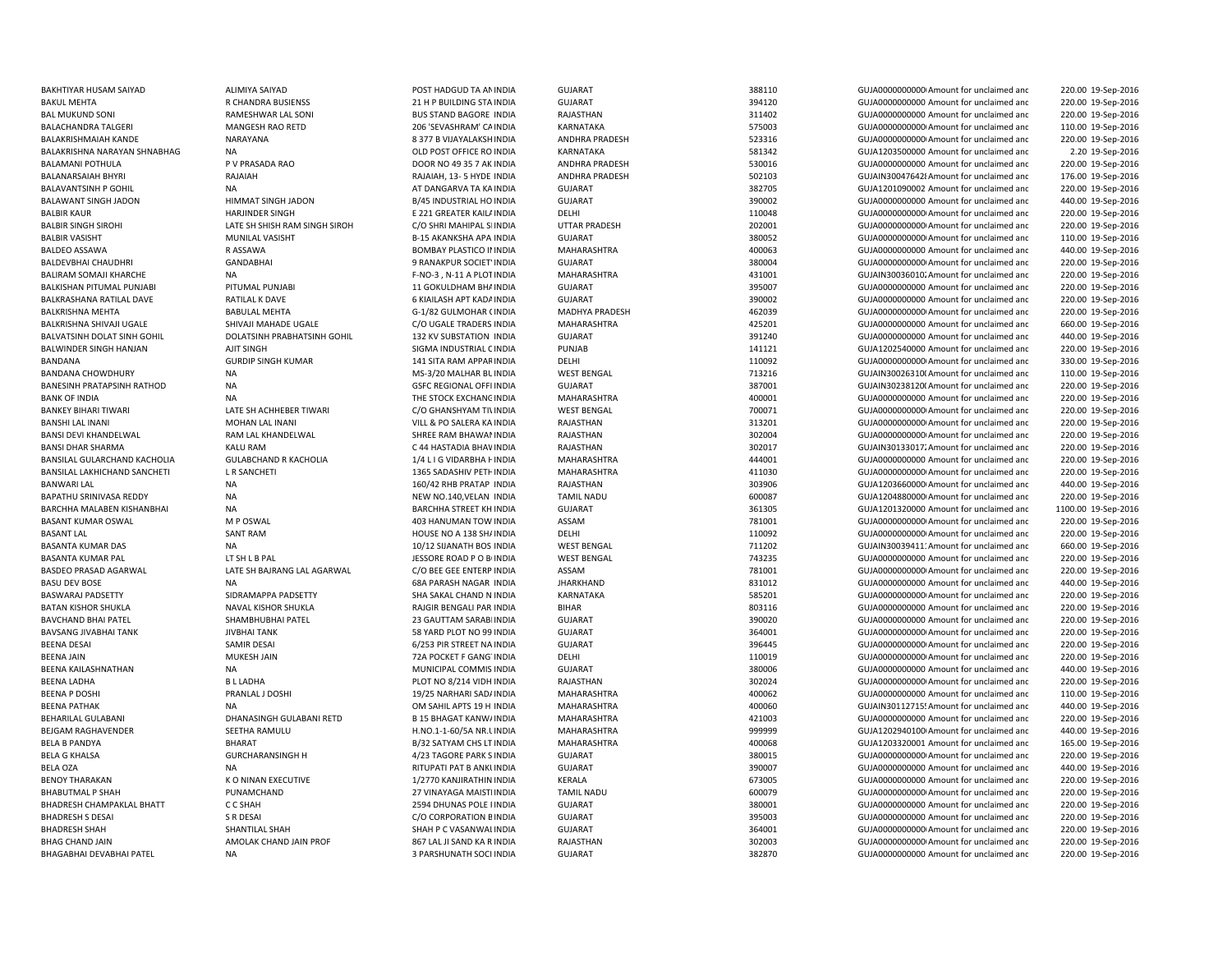BAKHTIYAR HUSAM SAIYAD ALIMIYA SAIYAD POST HADGUD TA ANINDIA GUJARAT 388110 388110 GUJA00000000Amount for unclaimed and BAKUL MEHTA R CHANDRA BUSIENSS 21 H P BUILDING STABALAMANI POTHULA P V PRASADA RAO DOOR NO 49 35 7 AK INDIA BANSHI LAL INANI MOHAN LAL INANI VILL & PO SALERA KABASANT KUMAR OSWAL M P OSWAL M P OSWAL AND TOW INDIA BHAG CHAND JAIN AND LAND AMOLAK CHAND JAIN PROF 867 LAL JI SAND KA RINDIA

 220.00 19-Sep-2016 INDIA GUJARAT 394120 GUJA0000000000 Amount for unclaimed and 220.00 19-Sep-2016 BAL MUKUND SONI RAMESHWAR LAL SONI BUS STAND BAGORE INDIA RAJASTHAN 311402 GUJA0000000000 Amount for unclaimed and 220.00 19-Sep-2016 BALACHANDRA TALGERI NAO MANGESH RAO RETD 206 'SEVASHRAM' CAINDIA KARNATAKA 575003 GUJA0000000000000000000000000 Amount for unclaimed and 110.00 19-Sep-2016 BALAKRISHMAIAH KANDE NARAYANA NARAYANA SERI BERIYA BERIYA SERI ANDHRA PRADESH SERI SERI SERI SERI SERI SERI SE 220.00 19-Sep-2016 BALAKRISHNA NARAYAN SHNABHAG NA OLD POST OFFICE RO INDIA KARNATAKA 581342 GUJA1203500000 Amount for unclaimed and 2.20 19-Sep-2016 INDIA ANDHRA PRADESH 530016 GUJA0000000000 Amount for unclaimed and 220.00 19-Sep-2016 BALANARSAIAH BHYRI RAJAIAH RAJAIAH RAJAIAH, 13-5 HYDE INDIA ANDHRA PRADESH 502103 GUJAIN300476428Amount for unclaimed anc 176.00 19-Sep-2016 BALAVANTSINH P GOHIL NA NA SANTA AT DANGARVA TA KAINDIA GUJARAT GUJARAT SANTS SANTS GUJAN GUJANGARAT GUJANGARAT SANTS 220.00 19-Sep-2016 BALAWANT SINGH JADON HIMMAT SINGH JADON B/45 INDUSTRIAL HO INDIA GUJARAT 390002 GUJA0000000000 Amount for unclaimed and 440.00 19-Sep-2016 BALBIR KAUR **E 221 GREATER KAILAINDER SINGH E 221 GREATER KAILAINDIA** DELHI 110048 110048 GUJA000000000000000000000000000 Amount for unclaimed and 220.00 19-Sep-2016 BALBIR SINGH SIROHI CHATE SH SHISH RAM SINGH SIROH C/O SHRI MAHIPAL SI INDIA UTTAR PRADESH 202001 202001 GUJA000000000Amount for unclaimed and 220.00 19-Sep-2016 BALBIR VASISHT MUNILAL VASISHT B-15 AKANKSHA APA INDIA GUJARAT 380052 GUJA00000000000Amount for unclaimed and 110.00 19-Sep-2016 BALDEO ASSAWA R ASSAWA R ASSAWA BOMBAY PLASTICO II INDIA MAHARASHTRA 400063 400063 GUJA00000000000 Amount for unclaimed and 440.00 19-Sep-2016 BALDEVBHAI CHAUDHRI GANDABHAI 9 RANAKPUR SOCIETYINDIA GUJARAT 380004 GUJA00000000000Amount for unclaimed and 220.00 19-Sep-2016 BALIRAM SOMAJI KHARCHE NA NA CHO-3 NA F-NO-3 N-11 A PLOTINDIA MAHARASHTRA 431001 431001 GUJAIN300360102Amount for unclaimed and 220.00 19-Sep-2016 BALKISHAN PITUMAL PUNJABI PITUMAL PUNJABI 11 GOKULDHAM BHAINDIA GUJARAT GUJARAT 395007 GUJA0000000000 Amount for unclaimed and 220.00 19-Sep-2016 BALKRASHANA RATILAL DAVE RATILAL K DAVE CHARAT GUJARAT GUJARAT SENGLADA HERE SENGLADA DAVE GUJADOOD AMOUNT FOR UNCLAIMED and 220.00 19-Sep-2016 BALKRISHNA MEHTA BABULAL MEHTA G-1/82 GULMOHAR (INDIA MADHYA PRADESH 462039 GUJA000000000Amount for unclaimed and 220.00 19-Sep-2016 BALKRISHNA SHIVAJI UGALE SHIVAJI MAHADE UGALE CO UGALE TRADERS INDIA MAHARASHTRA 425201 GUJA000000000 Amount for unclaimed and 660.00 19-Sep-2016 BALVATSINH DOLAT SINH GOHIL DOLATSINH PRABHATSINH GOHIL 132 KV SUBSTATION INDIA GUJARAT SUJARAT 391240 GUJA0000000000 Amount for unclaimed and 440.00 19-Sep-2016 BALWINDER SINGH HANJAN AJIT SINGH SIGMA INDUSTRIAL CINDIA PUNJAB 141121 GUJA1202540000 Amount for unclaimed and 220.00 19-Sep-2016 BANDANA GURDIP SINGH KUMAR 141 SITA RAM APPAR INDIA DELHI DELHI 110092 GUJA0000000000000000AMount for unclaimed and 330.00 19-Sep-2016 BANDANA CHOWDHURY NA NA SEPERTENGAL MS-3/20 MALHAR BUINDIA WEST BENGAL 713216 TELES GUJAIN30026310(Amount for unclaimed and 110.00 19-Sep-2016 BANESINH PRATAPSINH RATHOD NA NA SEE GEG REGIONAL OFFI INDIA GUJARAT SULARAT 387001 GUJAIN302381200Amount for unclaimed and 220.00 19-Sep-2016 BANK OF INDIA NA NA RESTOCK EXCHANG INDIA MAHARASHTRA 400001 400001 GUJA000000000000000000000 Amount for unclaimed and 220.00 19-Sep-2016 BANKEY BIHARI TIWARI CHATE SH ACHHEBER TIWARI CO GHANSHYAM TI\INDIA WEST BENGAL 700071 700071 GUJA0000000000Amount for unclaimed and 220.00 19-Sep-2016 INDIA RAJASTHAN 313201 GUJA00000000000Amount for unclaimed and 220.00 19-Sep-2016 BANSI DEVI KHANDELWAL RAM LAL KHANDELWAL SHREE RAM BHAWAN INDIA RAJASTHAN 302004 SHOWANINDIA RAM DELIMED AND RAM DELIMED AND SOLDA DELIMED AND RAM DELIMED AND RAM DELIMED AND SOLDAY DELIMED AND SULLAR DELIMED AND SULLAR DE 220.00 19-Sep-2016 BANSI DHAR SHARMA KALU RAM KALU RAM C 44 HASTADIA BHAV INDIA RAJASTHAN RAJASTHAN 302017 GUJAIN30133017. Amount for unclaimed and 220.00 19-Sep-2016 BANSILAL GULARCHAND KACHOLIA GULABCHAND R KACHOLIA 1/4 L I G VIDARBHA F INDIA MAHARASHTRA 444001 GUJA000000000 Amount for unclaimed and 220.00 19-Sep-2016 BANSILAL LAKHICHAND SANCHETI LR SANCHETI 1365 SADASHIV PETHINDIA MAHARASHTRA 411030 4411030 GUJA000000000000000000000000000000 Amount for unclaimed and 220.00 19-Sep-2016 BANWARI LAL NA 160/42 RHB PRATAP INDIA RAJASTHAN 303906 GUJA1203660000 Amount for unclaimed and 440.00 19-Sep-2016 BAPATHU SRINIVASA REDDY NA NEW NO.140,VELAN INDIA TAMIL NADU 600087 GUJA12048800000Amount for unclaimed and 220.00 19-Sep-2016 BARCHHA MALABEN KISHANBHAI NA BARCHHA STREET KH INDIA GUJARAT 361305 GUJA1201320000 Amount for unclaimed and 1100.00 19-Sep-2016 INDIA ASSAM 781001 GUJA00000000000Amount for unclaimed and 220.00 19-Sep-2016 BASANT LAL SANT RAM SANT RAM HOUSE NO A 138 SHAINDIA DELHI 110092 110092 GUJA00000000000000000000000 Amount for unclaimed and 220.00 19-Sep-2016 BASANTA KUMAR DAS NA 19-2016 NA 2012 SUANATH BOS INDIA WEST BENGAL 711202 6UJAIN30039411.' Amount for unclaimed and 660.00 19-Sep-2016 BASANTA KUMAR PAL LT SH L B PAL JESSORE ROAD P O BOINDIA WEST BENGAL 743235 GUJA0000000000 Amount for unclaimed and 220.00 19-Sep-2016 BASDEO PRASAD AGARWAL LATE SH BAJRANG LAL AGARWAL C/O BEE GEE ENTERP INDIA ASSAM 781001 781001 GUJA0000000000Amount for unclaimed and 220.00 19-Sep-2016 BASU DEV BOSE NA NA REGION DESCRIPTION OF SA PARASH NAGAR INDIA HARKHAND STATES AND STATES STATES STATES OF GUJA000000000 Amount for unclaimed and 440.00 19-Sep-2016 BASWARAJ PADSETTY SIDRAMAPPA PADSETTY SHA SAKAL CHAND N INDIA KARNATAKA 585201 SHA SAL GUJA000000000 Amount for unclaimed and 220.00 19-Sep-2016 BATAN KISHOR SHUKLA NAVAL KISHOR SHUKLA RAJGIR BENGALI PAR INDIA BIHAR 803116 803116 GUJA0000000000 Amount for unclaimed and 220.00 19-Sep-2016 BAVCHAND BHAI PATEL SHAMBHUBHAI PATEL 23 GAUTTAM SARABHINDIA GUJARAT 390020 GUJA0000000000 Amount for unclaimed and 220.00 19-Sep-2016 BAVSANG JIVABHAI TANK JIVBHAI TANK SA SANG PLOT NO 99 INDIA GUJARAT 364001 364001 GUJA000000000Amount for unclaimed and 220.00 19-Sep-2016 BEENA DESAI SAMIR DESAI SAMIR DESAI SAMIR DESAI SAMIR DESAI SAMIR DESAIN SAMIR DESAIN SAMIR DESAIN SAMIR DESAI SAMIR DESAIN SAMIR DESAIN SAMIR DESAIN SAMIR DESAIN SAMIR DESAIN SAMIR DESAIN SAMIR DESAIN SAMIR DESAIN SAMIR D BEENA JAIN MUKESH JAIN MUKESH JAIN 72A POCKET F GANG'INDIA DELHI 110019 110019 GUJA000000000000000000000 Amount for unclaimed and 220.00 19-Sep-2016 BEENA KAILASHNATHAN **NA MUNICIPAL COMMIS INDIA GUJARAT** GUJARAT 380006 GUJA0000000000 Amount for unclaimed and 440.00 19-Sep-2016 BEENA LADHA B L LADHA PLOT NO 8/214 VIDH INDIA RAJASTHAN 302024 GUJA00000000000Amount for unclaimed and 220.00 19-Sep-2016 BEENA P DOSHI PRANLAL J DOSHI PRANLAL J DOSHI 19/25 NARHARI SADJINDIA MAHARASHTRA 400062 400062 GUJA000000000 Amount for unclaimed and 110.00 19-Sep-2016 BEENA PATHAK NA NA DIA SAHIL APTS 19 H INDIA MAHARASHTRA 400060 400060 GUJAIN30112715! Amount for unclaimed and 440.00 19-Sep-2016 BEHARILAL GULABANI **DHANASINGH GULABANI RETD** B 15 BHAGAT KANWAINDIA MAHARASHTRA 421003 GUJA00000000000000000000000 Amount for unclaimed and 220.00 19-Sep-2016 BEJGAM RAGHAVENDER SEETHA RAMULU H.NO.1-1-60/5A NR.UINDIA MAHARASHTRA 999999 GUJA1202940100 Amount for unclaimed and 440.00 19-Sep-2016 BELA BPANDYA BHARAT BHARAT BOLA BARAT BASILA BASILA BASILA BASILA DA BARAGA BASILA DA BASILA DA BASILA DA BASILA DA BASILA DA BASILA DA BASILA DA BASILA DA BASILA DA BASILA DA BASILA DA BASILA DA BASILA DA BASILA DA BASILA BELA G KHALSA CURCHARANSINGH H 4/23 TAGORE PARK SINDIA GUJARAT 380015 GUJA0000000000Amount for unclaimed and 220.00 19-Sep-2016 BELA OZA NA RITUPATI PAT B ANKUINDIA GUJARAT 390007 GUJA0000000000 Amount for unclaimed and 440.00 19-Sep-2016 BENOY THARAKAN KO NINAN EXECUTIVE 1/2770 KANJIRATHIN INDIA KERALA 673005 673005 GUJA0000000000 Amount for unclaimed and 220.00 19-Sep-2016 BHABUTMAL P SHAH PUNAMCHAND PUNAMCHAND 27 VINAYAGA MAISTI INDIA TAMIL NADU 600079 GUJA000000000000000000000000 Amount for unclaimed and 220.00 19-Sep-2016 BHADRESH CHAMPAKLAL BHATT C C SHAH 2594 DHUNAS POLE PINDIA GUJARAT 380001 GUJA0000000000 Amount for unclaimed and 220.00 19-Sep-2016 BHADRESH S DESAI S R DESAI SA DESAI CORPORATION E INDIA GUJARAT GUJAODO A SUSANG SA SA GUJAODO AMOUNT OF unclaimed ant 220.00 19-Sep-2016 BHADRESH SHAH SHANTILAL SHAH SHANTILAL SHAH SHAH P C VASANWALINDIA GUJARAT SHAH SHAQDESH 364001 GUJA00000000000000000000000000000000000 Amount for unclaimed and 220.00 19-Sep-2016 INDIA RAJASTHAN 302003 GUJA00000000000Amount for unclaimed and 220.00 19-Sep-2016 BHAGABHAI DEVABHAI PATEL NA 3 PARSHUNATH SOCI INDIA GUJARAT 382870 GUJA0000000000 Amount for unclaimed and220.00 19-Sep-2016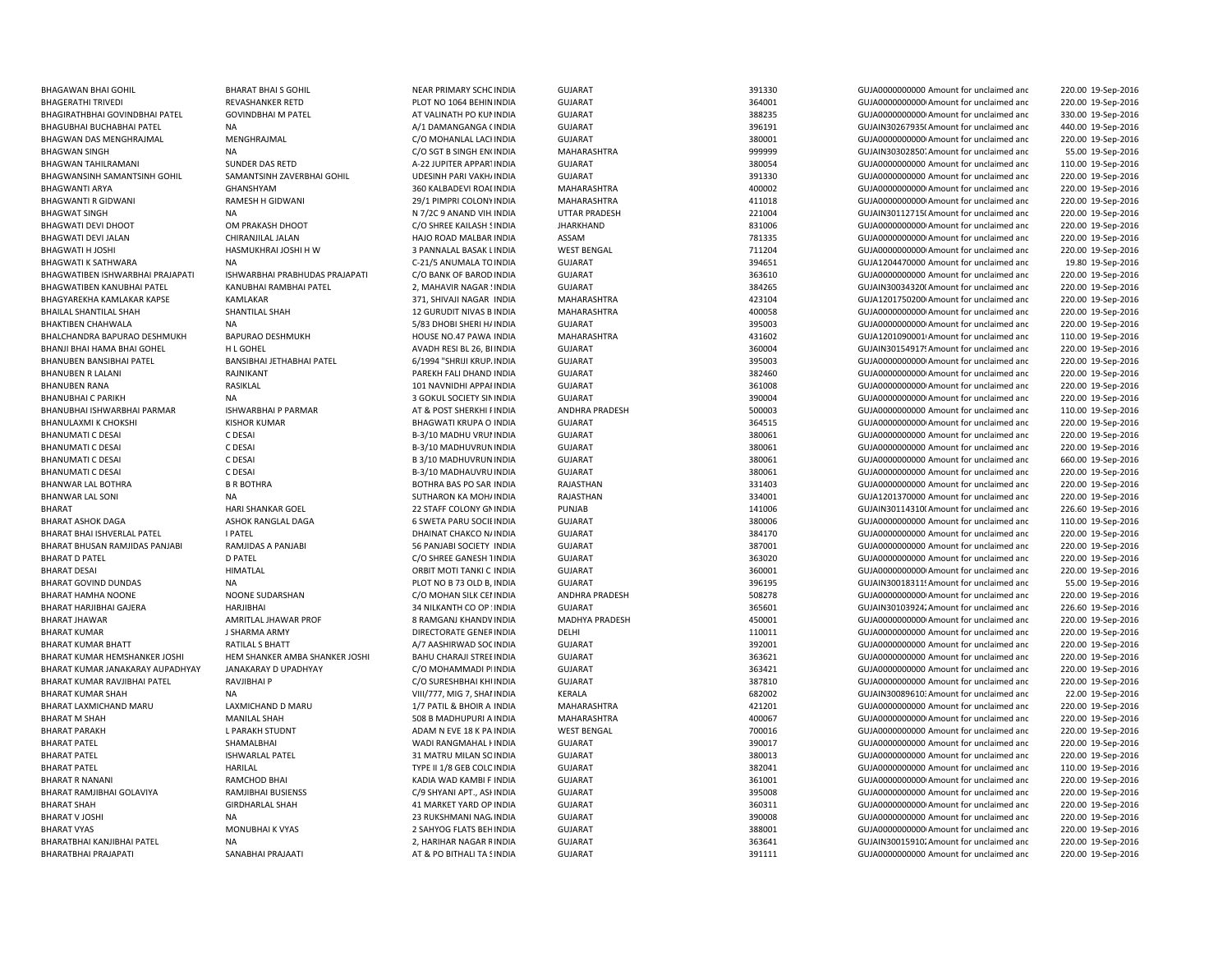BHAGAWAN BHAI GOHIL BHARAT BHAI S GOHIL NEAR PRIMARY SCHOINDIA GUIARAT GUIARAT 391330 GUIA000000000 Amount for unclaimed and BHAGWAN TAHILRAMANI SUNDER DAS RETD A-22 JUPITER APPARTINDIA GUJARAT 380054 SUJA000000000 Amount for unclaimed and BHANUBEN RANA RASIKLAL 2002 RASIKLAL 101 NAVNIDHI APPALINDIA GUJARAT 361008 361008 GUJA00000000Amount for unclaimed and BHANUBHAI C PARIKH NA 3 GOKUL SOCIETY SININDIA GUJARAT 390004 GUJA00000000000Amount for unclaimed andBHARAT HARJIBHAI GAJERA HARJIBHAI 34 NILKANTH CO OP SINDIA GUJARAT 365601 365601 GUJAIN30103924. Amount for unclaimed and BHARAT M SHAH MANILAL SHAH MANILAL SHAH SOB B MADHUPURI A INDIA BHARAT PARAKH L PARAKH STUDNT ADAM N EVE 18 K PA INDIA RHARAT SHAH GIRDHARLAL SHAH 41 MARKET YARD OP INDIA BHARATBHAI PRAJAPATI SANABHAI PRAJAATI SANABHAI PRAJAATI AT BO BITHALI TA SINDIA GUJARAT GUZANAT SHARATBHAI PRAJAPOOOOOOOO Amount for unclaimed and

 220.00 19-Sep-2016 BHAGERATHI TRIVEDI SEVASHANKER RETD PLOT NO 1064 BEHININDIA GUJARAT 364001 364001 GUJA00000000Amount for unclaimed and 220.00 19-Sep-2016 BHAGIRATHBHAI GOVINDBHAI PATEL GOVINDBHAI M PATEL AT VALINATH PO KUNINDIA GUJARAT 388235 GUJA00000000000Amount for unclaimed and 330.00 19-Sep-2016 BHAGUBHAI BUCHABHAI PATEL NA A/1 DAMANGANGA CINDIA GUJARAT 396191 GUJAIN302679350Amount for unclaimed and 440.00 19-Sep-2016 BHAGWAN DAS MENGHRAJMAL MENGHRAJMAL COM COMBANLAL LACI INDIA GUJARAT COM COMBANG COMBANG 20001 GUJA0000000000AMount for unclaimed and 220.00 19-Sep-2016 BHAGWAN SINGH NA NA C/O SGT B SINGH EN(INDIA MAHARASHTRA 999999 GUJAIN30302850;Amount for unclaimed and 55.00 19-Sep-2016 110.00 19-Sep-2016 BHAGWANSINH SAMANTSINH GOHIL SAMANTSINH ZAVERBHAI GOHIL UDESINH PARI VAKHAINDIA GUJARAT SAMANTSINH SAMANTSINH GOHIL SAMANTSINH ZAVERBHAI GOHIL UDESINH PARI VAKHAINDIA GUJARAT SAMANTSINH SAMANTSINH GOHIL SAMANTSINH ZAVERBHA 220.00 19-Sep-2016 BHAGWANTI ARYA GHANSHYAM 360 KALBADEVI ROADINDIA MAHARASHTRA 400002 GUJA00000000000Amount for unclaimed and 220.00 19-Sep-2016 BHAGWANTI R GIDWANI RAMESH H GIDWANI 29/1 PIMPRI COLONYINDIA MAHARASHTRA 411018 411018 GUJA0000000000 Amount for unclaimed and 220.00 19-Sep-2016 BHAGWAT SINGH NA N 7/2C 9 ANAND VIHAINDIA UTTAR PRADESH 221004 GUJAIN301127150Amount for unclaimed and 220.00 19-Sep-2016 BHAGWATI DEVI DHOOT OM PRAKASH DHOOT COSHREE KAILASH SINDIA JHARKHAND 831006 GUJA000000000Amount for unclaimed and 220.00 19-Sep-2016 BHAGWATI DEVI JALAN CHIRANJILAL JALAN HAJO ROAD MALBAR INDIA ASSAM 781335 GUJA0000000000000000000 Amount for unclaimed and 220.00 19-Sep-2016 BHAGWATI H JOSHI HASMUKHRAI JOSHI H W 3 PANNALAL BASAK LINDIA WEST BENGAL 711204 GUJA00000000000Amount for unclaimed and 220.00 19-Sep-2016 BHAGWATI K SATHWARA NA NA C-21/5 ANUMALA TOINDIA GUJARAT 394651 GUJA1204470000 Amount for unclaimed and 19.80 19-Sep-2016 BHAGWATIBEN ISHWARBHAI PRAJAPATI ISHWARBHAI PRABHUDAS PRAJAPATI C/O BANK OF BARODINDIA GUJARAT 363610 363610 GUJA000000000 Amount for unclaimed and 220.00 19-Sep-2016 BHAGWATIBEN KANUBHAI PATEL KANUBHAI RAMBHAI PATEL 2, MAHAVIR NAGAR ! INDIA GUJARAT SANDA 384265 GUJAIN300343200 Amount for unclaimed and 220.00 19-Sep-2016 BHAGYAREKHA KAMLAKAR KAPSE KAMLAKAR SAMLAKAR 371, SHIVAJI NAGAR INDIA MAHARASHTRA 423104 GUJA1201750200 Amount for unclaimed and 220.00 19-Sep-2016 BHAILAL SHANTILAL SHAH SHANTILAL SHAH 12 GURUDIT NIVAS B INDIA MAHARASHTRA 400058 GUJA00000000000Amount for unclaimed and 220.00 19-Sep-2016 BHAKTIBEN CHAHWALA NA NA SEPERI SHERI HAINDIA GUJARAT 395003 GUJA00000000000000000000Amount for unclaimed and 220.00 19-Sep-2016 BHALCHANDRA BAPURAO DESHMUKH BAPURAO DESHMUKH HOUSE NO.47 PAWA INDIA MAHARASHTRA 431602 GUJA12010900010Amount for unclaimed and 110.00 19-Sep-2016 BHANJI BHAI HAMA BHAI GOHEL HL GOHEL HOHEL ANADH RESI BL 26, BI INDIA GUJARAT GUJARAT 360004 GUJAIN30154917! Amount for unclaimed and 220.00 19-Sep-2016 BHANUBEN BANSIBHAI PATEL BANSIBHAI JETHABHAI PATEL 6/1994 "SHRIJI KRUP. INDIA GUJARAT 395003 GUJA000000000Amount for unclaimed and 220.00 19-Sep-2016 BHANUBEN R LALANI RAJNIKANT PAREKH FALI DHAND INDIA GUJARAT 382460 GUJA00000000000Amount for unclaimed and 220.00 19-Sep-2016 220.00 19-Sep-2016 220.00 19-Sep-2016 BHANUBHAI ISHWARBHAI PARMAR SAN BHANAR AT BOST SHERKHI INDIA ANDHRA PRADESH 500003 GUJA000000000000000000000 Amount for unclaimed and 110.00 19-Sep-2016 BHANULAXMI K CHOKSHI KISHOR KUMAR SHAGWATI KRUPA O INDIA GUJARAT SHAGWATI SHAGWATI SHAGWATI SHAGWATI GUJARAT SHAGWATI SHAGWATI SHAGWATI SHAGWATI SHAGWATI SHAGWATI SHAGWATI SHAGWATI SHAGWATI SHAGWATI SHAGWATI SHAGWATI SHAGW 220.00 19-Sep-2016 BHANUMATI C DESAI C DESAI COS DESAI B-3/10 MADHU VRUI INDIA GUJARAT 380061 380061 GUJA0000000000 Amount for unclaimed and 220.00 19-Sep-2016 BHANUMATI C DESAI C DESAI CORSAI B-3/10 MADHUVRUN INDIA GUJARAT 380061 380061 GUJA0000000000 Amount for unclaimed and 220.00 19-Sep-2016 BHANUMATI C DESAI C DESAI COS DESAI B 3/10 MADHUVRUN INDIA GUJARAT 380061 380061 GUJA0000000000 Amount for unclaimed and 660.00 19-Sep-2016 BHANUMATI C DESAI C DESAI COS DESAI B-3/10 MADHAUVRU INDIA GUJARAT 380061 380061 GUJA0000000000 Amount for unclaimed and 220.00 19-Sep-2016 BHANWAR LAL BOTHRA B R BOTHRA BOTHRA BAS PO SAR INDIA RAJASTHAN 331403 GUJA0000000000 Amount for unclaimed and 220.00 19-Sep-2016 BHANWAR LAL SONI SUTHARON KA MOHINDIA RAJASTHAN SUTHARON KA MOHINDIA RAJASTHAN 334001 GUJA1201370000 Amount for unclaimed and 220.00 19-Sep-2016 BHARAT **HARI SHANKAR GOEL 22 STAFF COLONY GNINDIA** PUNJAB 141006 14006 GUJAIN301143100Amount for unclaimed and 226.60 19-Sep-2016 BHARAT ASHOK DAGA ASHOK RANGLAL DAGA 6 SWETA PARU SOCIEINDIA GUJARAT 380006 380006 GUJA000000000 Amount for unclaimed and 110.00 19-Sep-2016 BHARAT BHAI ISHVERLAL PATEL I PATEL I PATEL DHAINAT CHAINAT CHAKCO NAINDIA GUJARAT GUARAT SAN SANGHOOD AMOUNDOOD Amount for unclaimed and 220.00 19-Sep-2016 BHARAT BHUSAN RAMJIDAS PANJABI RAMJIDAS A PANJABI SANJABI SOCIETY INDIA GUJARAT GUTANG SERIYADA SANJABI SOCIETY INDIA GUJARAT SANJABI SOCIETY INDIA GUJARAT SANJABI SOCIETY INDIA GUJARAT SANJABI SOCIETY INDIA GUJARAT SANJAB 220.00 19-Sep-2016 BHARAT D PATEL DIRTEL DEATEL DEATEL CONNECE ANESH TINDIA GUJARAT GUJADO CONNECE ANESH SEP-2016 19-SEP-2016 19-SEP-2016 BHARAT DESAI HIMATLAL ORBIT MOTI TANKI C INDIA GUJARAT 360001 GUJA00000000000Amount for unclaimed and 220.00 19-Sep-2016 BHARAT GOVIND DUNDAS NA NA PLOT NO B 73 OLD B, INDIA GUJARAT 396195 396195 GUJAIN30018311! Amount for unclaimed and 55.00 19-Sep-2016 BHARAT HAMHA NOONE SUNARSHAN C/O MOHAN SILK CENINDIA ANDHRA PRADESH 508278 GUJA0000000000Amount for unclaimed and 220.00 19-Sep-2016 226.60 19-Sep-2016 BHARAT JHAWAR AMRITLAL JHAWAR PROF 8 RAMGANJ KHANDV INDIA MADHYA PRADESH 450001 460001 GUJA00000000000Amount for unclaimed and 220.00 19-Sep-2016 BHARAT KUMAR CHARMA ARMY DIRECTORATE GENERINDIA DELHI 110011 GUJA000000000 Amount for unclaimed and 220.00 19-Sep-2016 BHARAT KUMAR BHATT RATILAL S BHATT AN ANTIAL SANTHRWAD SOCINDIA GUJARAT SULARAT 392001 GUJA0000000000 Amount for unclaimed and 220.00 19-Sep-2016 BHARAT KUMAR HEMSHANKER JOSHI HEM SHANKER AMBA SHANKER JOSHI BAHU CHARAJI STREEINDIA GUJARAT 363621 GUJA0000000000 Amount for unclaimed and 220.00 19-Sep-2016 BHARAT KUMAR JANAKARAY AUPADHYAY JANAKARAY D UPADHYAY C/O MOHAMMADI PLINDIA GUJARAT 363421 GUJA0000000000 Amount for unclaimed and 220.00 19-Sep-2016 BHARAT KUMAR RAVJIBHAI PATEL RAVJIBHAI P C/O SURESHBHAI KHUINDIA GUJARAT 387810 GUJA000000000 Amount for unclaimed and 220.00 19-Sep-2016 BHARAT KUMAR SHAH NA NA NA VIII/777, MIG 7, SHAI INDIA KERALA 682002 GUJAIN30089610: Amount for unclaimed and 22.00 19-Sep-2016 BHARAT LAXMICHAND MARU LAXMICHAND D MARU 1/7 PATIL & BHOIR A INDIA MAHARASHTRA 421201 GUJA0000000000 Amount for unclaimed and 220.00 19-Sep-2016 INDIA MAHARASHTRA 400067 GUJA00000000000Amount for unclaimed and 220.00 19-Sep-2016 INDIA WEST BENGAL 700016 GUJA0000000000 Amount for unclaimed and 220.00 19-Sep-2016 BHARAT PATEL SHAMALBHAI WADI RANGMAHAL HINDIA GUJARAT 390017 GUJA0000000000 Amount for unclaimed and 220.00 19-Sep-2016 BHARAT PATEL ISHWARLAL PATEL 31 MATRU MILAN SOINDIA GUJARAT 380013 GUJA0000000000 Amount for unclaimed and 220.00 19-Sep-2016 BHARAT PATEL **Example 20 HARILAL COLOINDIA** TYPE II 1/8 GEB COLC INDIA GUJARAT COLOINDIA 382041 GUJA0000000000 Amount for unclaimed and 110.00 19-Sep-2016 BHARAT R NANANI RAMCHOD BHAI KADIA WAD KAMBI F INDIA GUJARAT 361001 GUJA00000000000Amount for unclaimed and 220.00 19-Sep-2016 BHARAT RAMJIBHAI GOLAVIYA RAMJIBHAI BUSIENSS COSTEN COMPORTAT GUJARAT COLLANDA GUJAON SEPERANG SANGHOOD AMOUNT GOLANDOOD AMOUNT OF UNCLOSED 2000 19-Sep-2016 GUIARAT 360311 360311 GUIA000000000Amount for unclaimed and 220.00 19-Sep-2016 BHARAT V JOSHI NA 23 RUKSHMANI NAGAINDIA GUJARAT 390008 GUJA0000000000 Amount for unclaimed and 220.00 19-Sep-2016 BHARAT VYAS MONUBHAI K VYAS 2 SAHYOG FLATS BEHINDIA GUJARAT 388001 388001 GUJA00000000000000000 Amount for unclaimed and 220.00 19-Sep-2016 BHARATBHAI KANJIBHAI PATEL NA NA 220.00 19-Sep-2016 2. HARIHAR NAGAR RINDIA GUJARAT 363641 363641 GUJAIN30015910; Amount for unclaimed and 220.00 19-Sep-2016 220.00 19-Sep-2016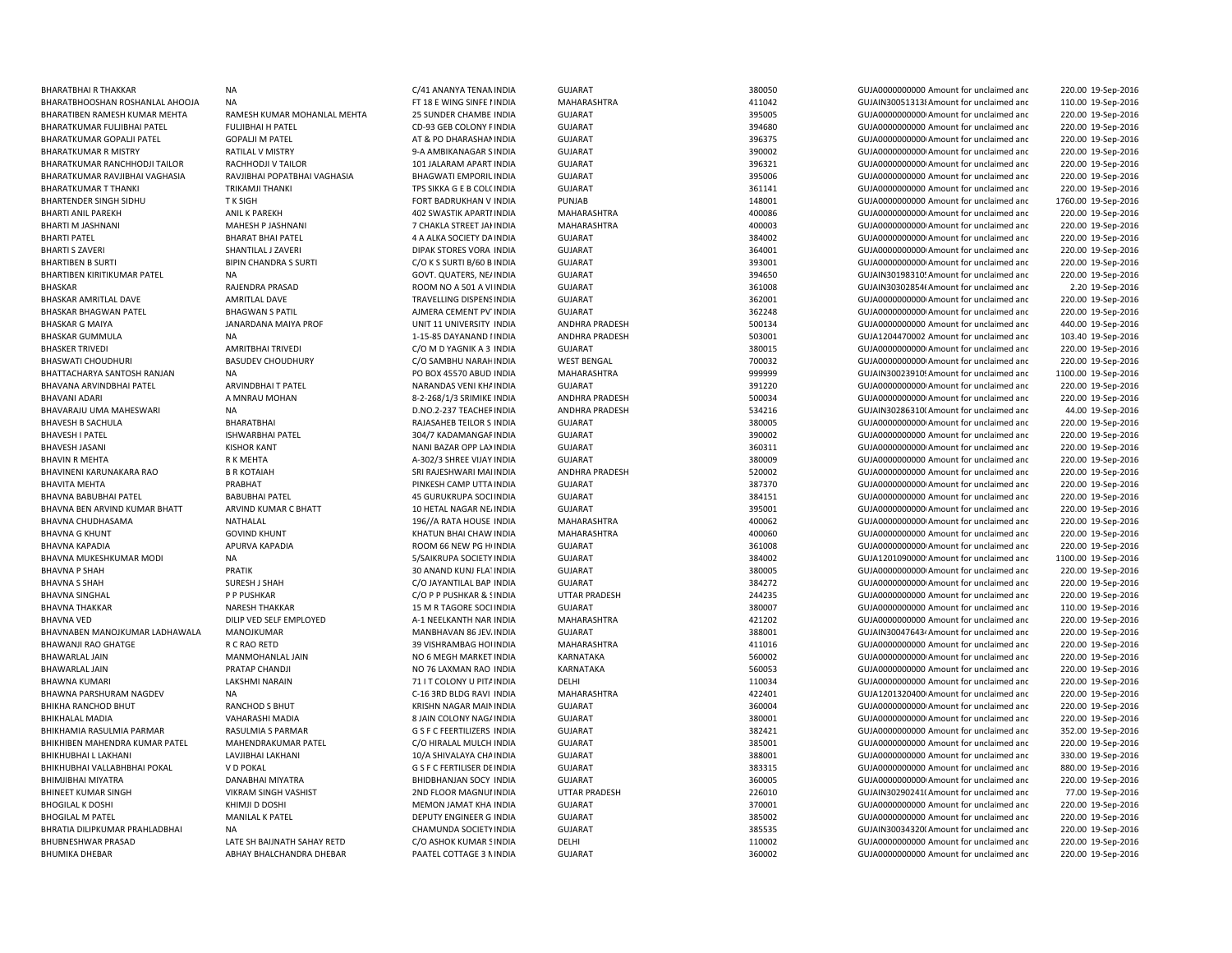| <b>BHARATBHAIR THAKKAR</b>      | <b>NA</b>                    | C/41 ANANYA TENAN INDIA       | <b>GUJARAT</b>        | 380050 | GUJA0000000000 Amount for unclaimed and  | 220.00 19-Sep-2016  |
|---------------------------------|------------------------------|-------------------------------|-----------------------|--------|------------------------------------------|---------------------|
|                                 | <b>NA</b>                    |                               |                       | 411042 |                                          |                     |
| BHARATBHOOSHAN ROSHANLAL AHOOJA |                              | FT 18 E WING SINFE I INDIA    | MAHARASHTRA           |        | GUJAIN300513138 Amount for unclaimed and | 110.00 19-Sep-2016  |
| BHARATIBEN RAMESH KUMAR MEHTA   | RAMESH KUMAR MOHANLAL MEHTA  | 25 SUNDER CHAMBE INDIA        | GUJARAT               | 395005 | GUJA00000000000 Amount for unclaimed and | 220.00 19-Sep-2016  |
| BHARATKUMAR FULJIBHAI PATEL     | <b>FULJIBHAI H PATEL</b>     | CD-93 GEB COLONY F INDIA      | <b>GUJARAT</b>        | 394680 | GUJA0000000000 Amount for unclaimed and  | 220.00 19-Sep-2016  |
| BHARATKUMAR GOPALJI PATEL       | <b>GOPALJI M PATEL</b>       | AT & PO DHARASHAI INDIA       | <b>GUJARAT</b>        | 396375 | GUJA0000000000 Amount for unclaimed and  | 220.00 19-Sep-2016  |
| <b>BHARATKUMAR R MISTRY</b>     | RATILAL V MISTRY             | 9-A AMBIKANAGAR S INDIA       | <b>GUJARAT</b>        | 390002 | GUJA00000000000 Amount for unclaimed and | 220.00 19-Sep-2016  |
| BHARATKUMAR RANCHHODJI TAILOR   | RACHHODJI V TAILOR           | 101 JALARAM APART INDIA       | <b>GUJARAT</b>        | 396321 | GUJA00000000000 Amount for unclaimed and | 220.00 19-Sep-2016  |
| BHARATKUMAR RAVJIBHAI VAGHASIA  | RAVJIBHAI POPATBHAI VAGHASIA | <b>BHAGWATI EMPORIL INDIA</b> | <b>GUJARAT</b>        | 395006 | GUJA0000000000 Amount for unclaimed and  | 220.00 19-Sep-2016  |
| <b>BHARATKUMAR T THANKI</b>     | TRIKAMJI THANKI              | TPS SIKKA G E B COL( INDIA    | <b>GUJARAT</b>        | 361141 | GUJA0000000000 Amount for unclaimed and  | 220.00 19-Sep-2016  |
| BHARTENDER SINGH SIDHU          | <b>TK SIGH</b>               | FORT BADRUKHAN V INDIA        | PUNJAB                | 148001 | GUJA0000000000 Amount for unclaimed and  | 1760.00 19-Sep-2016 |
| <b>BHARTI ANIL PAREKH</b>       | <b>ANIL K PAREKH</b>         | 402 SWASTIK APARTI INDIA      | MAHARASHTRA           | 400086 | GUJA00000000000 Amount for unclaimed and | 220.00 19-Sep-2016  |
| BHARTI M JASHNANI               | MAHESH P JASHNANI            | 7 CHAKLA STREET JAI INDIA     | MAHARASHTRA           | 400003 | GUJA00000000000 Amount for unclaimed and | 220.00 19-Sep-2016  |
| <b>BHARTI PATEL</b>             | <b>BHARAT BHAI PATEL</b>     | 4 A ALKA SOCIETY DA INDIA     | <b>GUJARAT</b>        | 384002 | GUJA00000000000 Amount for unclaimed and | 220.00 19-Sep-2016  |
| <b>BHARTI S ZAVERI</b>          | SHANTILAL J ZAVERI           | DIPAK STORES VORA INDIA       | <b>GUJARAT</b>        | 364001 | GUJA00000000000 Amount for unclaimed and | 220.00 19-Sep-2016  |
| <b>BHARTIBEN B SURTI</b>        | <b>BIPIN CHANDRA S SURTI</b> | C/O K S SURTI B/60 B INDIA    | <b>GUJARAT</b>        | 393001 | GUJA00000000000 Amount for unclaimed and | 220.00 19-Sep-2016  |
| BHARTIBEN KIRITIKUMAR PATEL     | <b>NA</b>                    | GOVT. QUATERS, NE/ INDIA      | <b>GUJARAT</b>        | 394650 | GUJAIN30198310! Amount for unclaimed and | 220.00 19-Sep-2016  |
| <b>BHASKAR</b>                  | RAJENDRA PRASAD              | ROOM NO A 501 A VI INDIA      | <b>GUJARAT</b>        | 361008 | GUJAIN30302854( Amount for unclaimed and | 2.20 19-Sep-2016    |
|                                 |                              |                               |                       |        |                                          |                     |
| BHASKAR AMRITLAL DAVE           | <b>AMRITLAL DAVE</b>         | TRAVELLING DISPENS INDIA      | <b>GUJARAT</b>        | 362001 | GUJA00000000000 Amount for unclaimed and | 220.00 19-Sep-2016  |
| <b>BHASKAR BHAGWAN PATEL</b>    | <b>BHAGWAN S PATIL</b>       | AJMERA CEMENT PV INDIA        | <b>GUJARAT</b>        | 362248 | GUJA00000000000 Amount for unclaimed and | 220.00 19-Sep-2016  |
| <b>BHASKAR G MAIYA</b>          | JANARDANA MAIYA PROF         | UNIT 11 UNIVERSITY INDIA      | ANDHRA PRADESH        | 500134 | GUJA0000000000 Amount for unclaimed and  | 440.00 19-Sep-2016  |
| <b>BHASKAR GUMMULA</b>          | NA                           | 1-15-85 DAYANAND I INDIA      | <b>ANDHRA PRADESH</b> | 503001 | GUJA1204470002 Amount for unclaimed and  | 103.40 19-Sep-2016  |
| <b>BHASKER TRIVEDI</b>          | <b>AMRITBHAI TRIVEDI</b>     | C/O M D YAGNIK A 3 INDIA      | <b>GUJARAT</b>        | 380015 | GUJA00000000000 Amount for unclaimed and | 220.00 19-Sep-2016  |
| <b>BHASWATI CHOUDHURI</b>       | <b>BASUDEV CHOUDHURY</b>     | C/O SAMBHU NARAH INDIA        | <b>WEST BENGAL</b>    | 700032 | GUJA00000000000 Amount for unclaimed and | 220.00 19-Sep-2016  |
| BHATTACHARYA SANTOSH RANJAN     | NA                           | PO BOX 45570 ABUD INDIA       | MAHARASHTRA           | 999999 | GUJAIN30023910! Amount for unclaimed and | 1100.00 19-Sep-2016 |
| BHAVANA ARVINDBHAI PATEL        | ARVINDBHAI T PATEL           | NARANDAS VENI KHA INDIA       | <b>GUJARAT</b>        | 391220 | GUJA0000000000 Amount for unclaimed and  | 220.00 19-Sep-2016  |
| <b>BHAVANI ADARI</b>            | A MNRAU MOHAN                | 8-2-268/1/3 SRIMIKE INDIA     | <b>ANDHRA PRADESH</b> | 500034 | GUJA0000000000 Amount for unclaimed and  | 220.00 19-Sep-2016  |
| BHAVARAJU UMA MAHESWARI         | <b>NA</b>                    | D.NO.2-237 TEACHEF INDIA      | ANDHRA PRADESH        | 534216 | GUJAIN30286310(Amount for unclaimed and  | 44.00 19-Sep-2016   |
| <b>BHAVESH B SACHULA</b>        | BHARATBHAI                   | RAJASAHEB TEILOR S INDIA      | <b>GUJARAT</b>        | 380005 | GUJA00000000000 Amount for unclaimed and | 220.00 19-Sep-2016  |
| <b>BHAVESH I PATEL</b>          | <b>ISHWARBHAI PATEL</b>      | 304/7 KADAMANGAF INDIA        | <b>GUJARAT</b>        | 390002 | GUJA0000000000 Amount for unclaimed and  | 220.00 19-Sep-2016  |
| <b>BHAVESH JASAN</b>            | <b>KISHOR KANT</b>           | NANI BAZAR OPP LA) INDIA      | <b>GUJARAT</b>        | 360311 | GUJA0000000000 Amount for unclaimed and  | 220.00 19-Sep-2016  |
| <b>BHAVIN R MEHTA</b>           |                              |                               | <b>GUJARAT</b>        | 380009 |                                          |                     |
|                                 | R K MEHTA                    | A-302/3 SHREE VIJAY INDIA     |                       |        | GUJA0000000000 Amount for unclaimed and  | 220.00 19-Sep-2016  |
| BHAVINENI KARUNAKARA RAO        | <b>B R KOTAIAH</b>           | SRI RAJESHWARI MAI INDIA      | ANDHRA PRADESH        | 520002 | GUJA0000000000 Amount for unclaimed and  | 220.00 19-Sep-2016  |
| <b>BHAVITA MEHTA</b>            | PRABHAT                      | PINKESH CAMP UTTA INDIA       | <b>GUJARAT</b>        | 387370 | GUJA0000000000 Amount for unclaimed and  | 220.00 19-Sep-2016  |
| BHAVNA BABUBHAI PATEL           | <b>BABUBHAI PATEL</b>        | 45 GURUKRUPA SOCI INDIA       | <b>GUJARAT</b>        | 384151 | GUJA0000000000 Amount for unclaimed and  | 220.00 19-Sep-2016  |
| BHAVNA BEN ARVIND KUMAR BHATT   | ARVIND KUMAR C BHATT         | 10 HETAL NAGAR NE INDIA       | <b>GUJARAT</b>        | 395001 | GUJA00000000000 Amount for unclaimed and | 220.00 19-Sep-2016  |
| BHAVNA CHUDHASAMA               | NATHALAL                     | 196//A RATA HOUSE INDIA       | MAHARASHTRA           | 400062 | GUJA00000000000 Amount for unclaimed and | 220.00 19-Sep-2016  |
| <b>BHAVNA G KHUNT</b>           | <b>GOVIND KHUNT</b>          | KHATUN BHAI CHAW INDIA        | MAHARASHTRA           | 400060 | GUJA0000000000 Amount for unclaimed and  | 220.00 19-Sep-2016  |
| <b>BHAVNA KAPADIA</b>           | APURVA KAPADIA               | ROOM 66 NEW PG H INDIA        | <b>GUJARAT</b>        | 361008 | GUJA0000000000 Amount for unclaimed and  | 220.00 19-Sep-2016  |
| BHAVNA MUKESHKUMAR MODI         | <b>NA</b>                    | 5/SAIKRUPA SOCIETY INDIA      | <b>GUJARAT</b>        | 384002 | GUJA1201090000! Amount for unclaimed and | 1100.00 19-Sep-2016 |
| <b>BHAVNA P SHAH</b>            | PRATIK                       | 30 ANAND KUNJ FLATINDIA       | <b>GUJARAT</b>        | 380005 | GUJA0000000000 Amount for unclaimed and  | 220.00 19-Sep-2016  |
| <b>BHAVNA S SHAH</b>            | SURESH J SHAH                | C/O JAYANTILAL BAP INDIA      | <b>GUJARAT</b>        | 384272 | GUJA0000000000 Amount for unclaimed and  | 220.00 19-Sep-2016  |
| <b>BHAVNA SINGHAL</b>           | P P PUSHKAR                  | C/O P P PUSHKAR & ! INDIA     | <b>UTTAR PRADESH</b>  | 244235 | GUJA0000000000 Amount for unclaimed and  | 220.00 19-Sep-2016  |
| <b>BHAVNA THAKKAR</b>           | <b>NARESH THAKKAR</b>        | 15 M R TAGORE SOCI INDIA      | <b>GUJARAT</b>        | 380007 | GUJA0000000000 Amount for unclaimed and  | 110.00 19-Sep-2016  |
| <b>BHAVNA VED</b>               | DILIP VED SELF EMPLOYED      | A-1 NEELKANTH NAR INDIA       | MAHARASHTRA           | 421202 | GUJA0000000000 Amount for unclaimed and  | 220.00 19-Sep-2016  |
| BHAVNABEN MANOJKUMAR LADHAWALA  | MANOJKUMAR                   | MANBHAVAN 86 JEV. INDIA       | <b>GUJARAT</b>        | 388001 | GUJAIN300476434 Amount for unclaimed and |                     |
| <b>BHAWANJI RAO GHATGE</b>      |                              |                               |                       |        |                                          | 220.00 19-Sep-2016  |
|                                 | R C RAO RETD                 | 39 VISHRAMBAG HOI INDIA       | MAHARASHTRA           | 411016 | GUJA0000000000 Amount for unclaimed and  | 220.00 19-Sep-2016  |
| <b>BHAWARLAL JAIN</b>           | MANMOHANLAL JAIN             | NO 6 MEGH MARKET INDIA        | KARNATAKA             | 560002 | GUJA00000000000 Amount for unclaimed and | 220.00 19-Sep-2016  |
| <b>BHAWARLAL JAIN</b>           | PRATAP CHANDJI               | NO 76 LAXMAN RAO INDIA        | KARNATAKA             | 560053 | GUJA0000000000 Amount for unclaimed and  | 220.00 19-Sep-2016  |
| <b>BHAWNA KUMARI</b>            | <b>LAKSHMI NARAIN</b>        | 71 I T COLONY U PITA INDIA    | DELHI                 | 110034 | GUJA0000000000 Amount for unclaimed and  | 220.00 19-Sep-2016  |
| <b>BHAWNA PARSHURAM NAGDEV</b>  | <b>NA</b>                    | C-16 3RD BLDG RAVI INDIA      | MAHARASHTRA           | 422401 | GUJA1201320400 Amount for unclaimed and  | 220.00 19-Sep-2016  |
| BHIKHA RANCHOD BHUT             | RANCHOD S BHUT               | KRISHN NAGAR MAIN INDIA       | <b>GUJARAT</b>        | 360004 | GUJA00000000000 Amount for unclaimed and | 220.00 19-Sep-2016  |
| <b>BHIKHALAL MADIA</b>          | VAHARASHI MADIA              | 8 JAIN COLONY NAG/ INDIA      | <b>GUJARAT</b>        | 380001 | GUJA00000000000 Amount for unclaimed and | 220.00 19-Sep-2016  |
| BHIKHAMIA RASULMIA PARMAR       | RASULMIA S PARMAR            | G S F C FEERTILIZERS INDIA    | <b>GUJARAT</b>        | 382421 | GUJA0000000000 Amount for unclaimed and  | 352.00 19-Sep-2016  |
| BHIKHIBEN MAHENDRA KUMAR PATEL  | <b>MAHENDRAKUMAR PATEL</b>   | C/O HIRALAL MULCH INDIA       | <b>GUJARAT</b>        | 385001 | GUJA0000000000 Amount for unclaimed and  | 220.00 19-Sep-2016  |
| BHIKHUBHAI L LAKHANI            | LAVJIBHAI LAKHANI            | 10/A SHIVALAYA CHA INDIA      | <b>GUJARAT</b>        | 388001 | GUJA0000000000 Amount for unclaimed and  | 330.00 19-Sep-2016  |
| BHIKHUBHAI VALLABHBHAI POKAL    | <b>VD POKAL</b>              | G S F C FERTILISER DE INDIA   | <b>GUJARAT</b>        | 383315 | GUJA0000000000 Amount for unclaimed and  | 880.00 19-Sep-2016  |
| <b>BHIMJIBHAI MIYATRA</b>       | DANABHAI MIYATRA             | BHIDBHANJAN SOCY INDIA        | <b>GUJARAT</b>        | 360005 | GUJA0000000000 Amount for unclaimed and  | 220.00 19-Sep-2016  |
| <b>BHINEET KUMAR SINGH</b>      | <b>VIKRAM SINGH VASHIST</b>  | 2ND FLOOR MAGNUI INDIA        | <b>UTTAR PRADESH</b>  | 226010 | GUJAIN30290241(Amount for unclaimed and  | 77.00 19-Sep-2016   |
| <b>BHOGILAL K DOSHI</b>         | KHIMJI D DOSHI               | MEMON JAMAT KHA INDIA         | <b>GUJARAT</b>        | 370001 | GUJA0000000000 Amount for unclaimed and  | 220.00 19-Sep-2016  |
|                                 |                              |                               |                       |        |                                          |                     |
| <b>BHOGILAL M PATEL</b>         | <b>MANILAL K PATEL</b>       | DEPUTY ENGINEER G INDIA       | <b>GUJARAT</b>        | 385002 | GUJA0000000000 Amount for unclaimed and  | 220.00 19-Sep-2016  |
| BHRATIA DILIPKUMAR PRAHLADBHAI  | <b>NA</b>                    | CHAMUNDA SOCIETY INDIA        | <b>GUJARAT</b>        | 385535 | GUJAIN30034320(Amount for unclaimed and  | 220.00 19-Sep-2016  |
| <b>BHUBNESHWAR PRASAD</b>       | LATE SH BAIJNATH SAHAY RETD  | C/O ASHOK KUMAR SINDIA        | DELHI                 | 110002 | GUJA0000000000 Amount for unclaimed and  | 220.00 19-Sep-2016  |
| <b>BHUMIKA DHEBAR</b>           | ABHAY BHALCHANDRA DHEBAR     | PAATEL COTTAGE 3 N INDIA      | <b>GUJARAT</b>        | 360002 | GUJA0000000000 Amount for unclaimed and  | 220.00 19-Sep-2016  |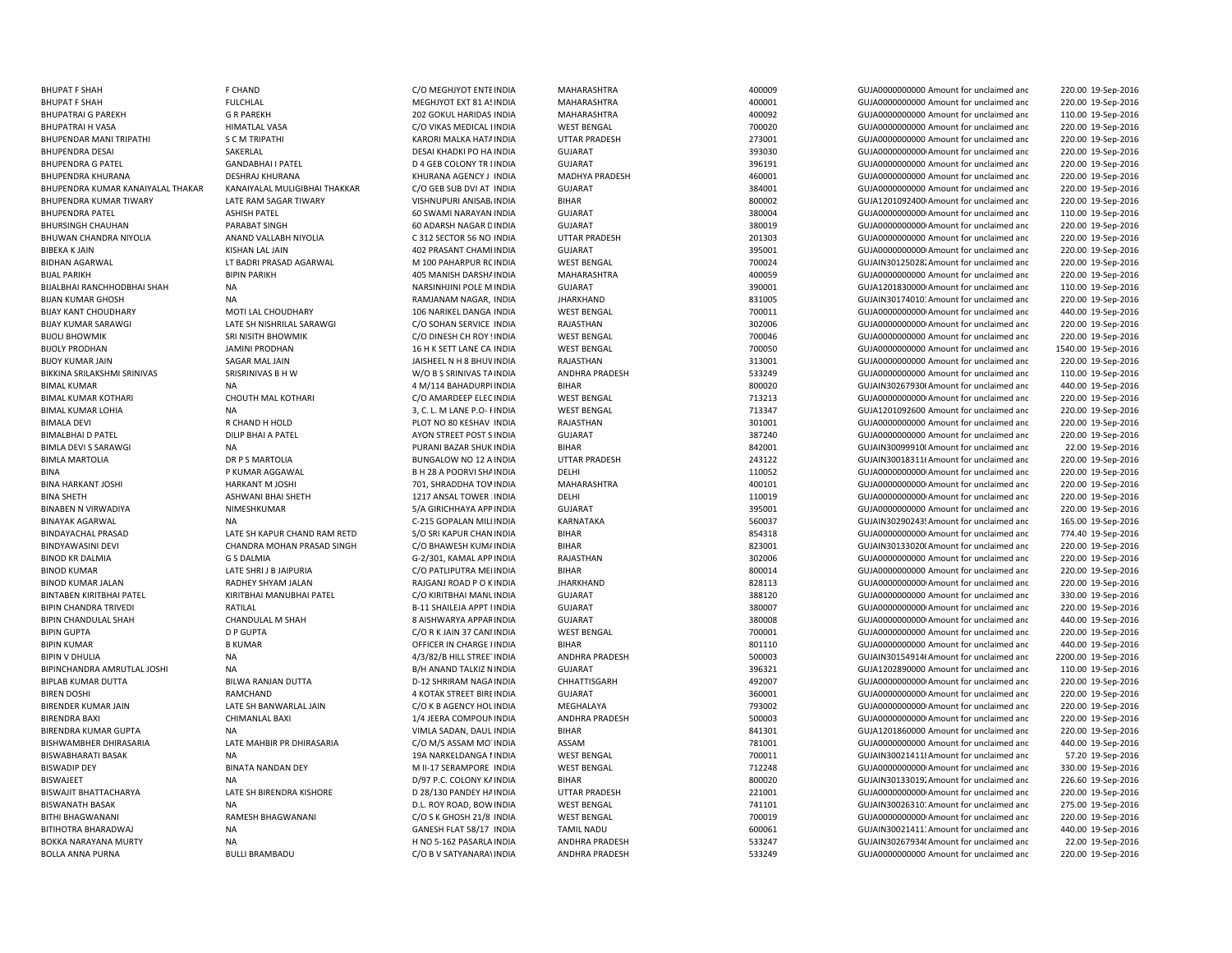| <b>BHUPAT F SHAH</b>                            | F CHAND                       | C/O MEGHJYOT ENTE INDIA           | MAHARASHTRA           | 400009 | GUJA0000000000 Amount for unclaimed and                                             | 220.00 19-Sep-2016  |
|-------------------------------------------------|-------------------------------|-----------------------------------|-----------------------|--------|-------------------------------------------------------------------------------------|---------------------|
| <b>BHUPAT F SHAH</b>                            | <b>FULCHLAL</b>               | MEGHJYOT EXT 81 A! INDIA          | MAHARASHTRA           | 400001 | GUJA0000000000 Amount for unclaimed and                                             | 220.00 19-Sep-2016  |
| <b>BHUPATRAI G PAREKH</b>                       | <b>G R PAREKH</b>             | 202 GOKUL HARIDAS INDIA           | MAHARASHTRA           | 400092 | GUJA0000000000 Amount for unclaimed and                                             | 110.00 19-Sep-2016  |
| <b>BHUPATRAI H VASA</b>                         | <b>HIMATLAL VASA</b>          | C/O VIKAS MEDICAL I INDIA         | <b>WEST BENGAL</b>    | 700020 | GUJA0000000000 Amount for unclaimed and                                             | 220.00 19-Sep-2016  |
| BHUPENDAR MANI TRIPATHI                         | <b>SCM TRIPATHI</b>           | KARORI MALKA HAT/ INDIA           | <b>UTTAR PRADESH</b>  | 273001 | GUJA0000000000 Amount for unclaimed and                                             | 220.00 19-Sep-2016  |
| <b>BHUPENDRA DESAI</b>                          | SAKERLAL                      | DESAI KHADKI PO HA INDIA          | <b>GUJARAT</b>        | 393030 | GUJA0000000000 Amount for unclaimed and                                             | 220.00 19-Sep-2016  |
| <b>BHUPENDRA G PATEL</b>                        | <b>GANDABHAI I PATEL</b>      | <b>D 4 GEB COLONY TR I INDIA</b>  | <b>GUJARAT</b>        | 396191 | GUJA0000000000 Amount for unclaimed and                                             | 220.00 19-Sep-2016  |
| <b>BHUPENDRA KHURANA</b>                        | <b>DESHRAJ KHURANA</b>        | KHURANA AGENCY J INDIA            | <b>MADHYA PRADESH</b> | 460001 | GUJA0000000000 Amount for unclaimed and                                             | 220.00 19-Sep-2016  |
| BHUPENDRA KUMAR KANAIYALAL THAKAR               | KANAIYALAL MULIGIBHAI THAKKAR | C/O GEB SUB DVI AT INDIA          | <b>GUJARAT</b>        | 384001 | GUJA0000000000 Amount for unclaimed and                                             | 220.00 19-Sep-2016  |
| <b>BHUPENDRA KUMAR TIWARY</b>                   | LATE RAM SAGAR TIWARY         | VISHNUPURI ANISAB. INDIA          | <b>BIHAR</b>          | 800002 | GUJA1201092400 Amount for unclaimed and                                             | 220.00 19-Sep-2016  |
| <b>BHUPENDRA PATEL</b>                          | <b>ASHISH PATEL</b>           | 60 SWAMI NARAYAN INDIA            | <b>GUJARAT</b>        | 380004 | GUJA0000000000 Amount for unclaimed and                                             | 110.00 19-Sep-2016  |
| <b>BHURSINGH CHAUHAN</b>                        | PARABAT SINGH                 | 60 ADARSH NAGAR D INDIA           | <b>GUJARAT</b>        | 380019 | GUJA0000000000 Amount for unclaimed and                                             | 220.00 19-Sep-2016  |
| BHUWAN CHANDRA NIYOLIA                          | ANAND VALLABH NIYOLIA         | C 312 SECTOR 56 NO INDIA          | <b>UTTAR PRADESH</b>  | 201303 | GUJA0000000000 Amount for unclaimed and                                             | 220.00 19-Sep-2016  |
| <b>BIBEKA K JAIN</b>                            | KISHAN LAL JAIN               | 402 PRASANT CHAMI INDIA           | <b>GUJARAT</b>        | 395001 | GUJA00000000000 Amount for unclaimed and                                            | 220.00 19-Sep-2016  |
| <b>BIDHAN AGARWAL</b>                           | LT BADRI PRASAD AGARWAL       | M 100 PAHARPUR RC INDIA           | <b>WEST BENGAL</b>    | 700024 | GUJAIN30125028. Amount for unclaimed and                                            | 220.00 19-Sep-2016  |
| <b>BIJAL PARIKH</b>                             | <b>BIPIN PARIKH</b>           | 405 MANISH DARSH/ INDIA           | MAHARASHTRA           | 400059 | GUJA0000000000 Amount for unclaimed and                                             | 220.00 19-Sep-2016  |
| BIJALBHAI RANCHHODBHAI SHAH                     | <b>NA</b>                     | NARSINHJINI POLE M INDIA          | <b>GUJARAT</b>        | 390001 | GUJA1201830000 Amount for unclaimed and                                             | 110.00 19-Sep-2016  |
| <b>BIJAN KUMAR GHOSH</b>                        | <b>NA</b>                     | RAMJANAM NAGAR, INDIA             | <b>JHARKHAND</b>      | 831005 | GUJAIN30174010: Amount for unclaimed and                                            | 220.00 19-Sep-2016  |
| <b>BIJAY KANT CHOUDHARY</b>                     | MOTI LAL CHOUDHARY            | 106 NARIKEL DANGA INDIA           | <b>WEST BENGAL</b>    | 700011 | GUJA00000000000 Amount for unclaimed and                                            | 440.00 19-Sep-2016  |
| <b>BIJAY KUMAR SARAWGI</b>                      | LATE SH NISHRILAL SARAWGI     | C/O SOHAN SERVICE INDIA           | RAJASTHAN             | 302006 | GUJA0000000000 Amount for unclaimed and                                             | 220.00 19-Sep-2016  |
| <b>BIJOLI BHOWMIK</b>                           | SRI NISITH BHOWMIK            | C/O DINESH CH ROY ! INDIA         | <b>WEST BENGAL</b>    | 700046 | GUJA0000000000 Amount for unclaimed and                                             | 220.00 19-Sep-2016  |
| <b>BIJOLY PRODHAN</b>                           | <b>JAMINI PRODHAN</b>         | 16 H K SETT LANE CA INDIA         | <b>WEST BENGAL</b>    | 700050 | GUJA0000000000 Amount for unclaimed and                                             | 1540.00 19-Sep-2016 |
| <b>BIJOY KUMAR JAIN</b>                         | SAGAR MAL JAIN                | JAISHEEL N H 8 BHUV INDIA         | RAJASTHAN             | 313001 | GUJA0000000000 Amount for unclaimed and                                             | 220.00 19-Sep-2016  |
| BIKKINA SRILAKSHMI SRINIVAS                     | SRISRINIVAS B H W             | W/O B S SRINIVAS TA INDIA         | <b>ANDHRA PRADESH</b> | 533249 | GUJA0000000000 Amount for unclaimed and                                             | 110.00 19-Sep-2016  |
| <b>BIMAL KUMAR</b>                              | <b>NA</b>                     | 4 M/114 BAHADURPI INDIA           | <b>BIHAR</b>          | 800020 | GUJAIN30267930t Amount for unclaimed and                                            | 440.00 19-Sep-2016  |
| <b>BIMAL KUMAR KOTHARI</b>                      | CHOUTH MAL KOTHARI            | C/O AMARDEEP ELEC INDIA           | <b>WEST BENGAL</b>    | 713213 | GUJA0000000000 Amount for unclaimed and                                             | 220.00 19-Sep-2016  |
| <b>BIMAL KUMAR LOHIA</b>                        | <b>NA</b>                     | 3, C. L. M LANE P.O- FINDIA       | <b>WEST BENGAL</b>    | 713347 | GUJA1201092600 Amount for unclaimed and                                             | 220.00 19-Sep-2016  |
| <b>BIMALA DEVI</b>                              | R CHAND H HOLD                | PLOT NO 80 KESHAV INDIA           | RAJASTHAN             | 301001 | GUJA0000000000 Amount for unclaimed and                                             | 220.00 19-Sep-2016  |
| <b>BIMALBHAI D PATEL</b>                        | DILIP BHAI A PATEL            | AYON STREET POST S INDIA          | <b>GUJARAT</b>        | 387240 | GUJA0000000000 Amount for unclaimed and                                             | 220.00 19-Sep-2016  |
| <b>BIMLA DEVI S SARAWGI</b>                     | NA                            | PURANI BAZAR SHUK INDIA           | <b>BIHAR</b>          | 842001 | GUJAIN30099910(Amount for unclaimed and                                             | 22.00 19-Sep-2016   |
| <b>BIMLA MARTOLIA</b>                           | DR P S MARTOLIA               | BUNGALOW NO 12 A INDIA            | UTTAR PRADESH         | 243122 | GUJAIN30018311(Amount for unclaimed and                                             | 220.00 19-Sep-2016  |
| <b>BINA</b>                                     | P KUMAR AGGAWAL               | B H 28 A POORVI SHA INDIA         | DELHI                 | 110052 | GUJA00000000000 Amount for unclaimed and                                            | 220.00 19-Sep-2016  |
| <b>BINA HARKANT JOSHI</b>                       | <b>HARKANT M JOSHI</b>        | 701, SHRADDHA TOV INDIA           | <b>MAHARASHTRA</b>    | 400101 | GUJA0000000000 Amount for unclaimed and                                             | 220.00 19-Sep-2016  |
| <b>BINA SHETH</b>                               | ASHWANI BHAI SHETH            | 1217 ANSAL TOWER INDIA            | DELHI                 | 110019 | GUJA0000000000 Amount for unclaimed and                                             | 220.00 19-Sep-2016  |
| <b>BINABEN N VIRWADIYA</b>                      | NIMESHKUMAR                   | 5/A GIRICHHAYA APP INDIA          | <b>GUJARAT</b>        | 395001 | GUJA0000000000 Amount for unclaimed and                                             | 220.00 19-Sep-2016  |
| <b>BINAYAK AGARWAL</b>                          | <b>NA</b>                     | C-215 GOPALAN MILI INDIA          | KARNATAKA             | 560037 | GUJAIN30290243! Amount for unclaimed and                                            | 165.00 19-Sep-2016  |
| <b>BINDAYACHAL PRASAD</b>                       | LATE SH KAPUR CHAND RAM RETD  | S/O SRI KAPUR CHAN INDIA          | <b>BIHAR</b>          | 854318 | GUJA00000000000 Amount for unclaimed and                                            | 774.40 19-Sep-2016  |
| <b>BINDYAWASINI DEVI</b>                        | CHANDRA MOHAN PRASAD SINGH    | C/O BHAWESH KUM/ INDIA            | <b>BIHAR</b>          | 823001 | GUJAIN30133020(Amount for unclaimed and                                             | 220.00 19-Sep-2016  |
| <b>BINOD KR DALMIA</b>                          | <b>G S DALMIA</b>             | G-2/301, KAMAL APP INDIA          | RAJASTHAN             | 302006 | GUJA0000000000 Amount for unclaimed and                                             | 220.00 19-Sep-2016  |
| <b>BINOD KUMAR</b>                              | LATE SHRI J B JAIPURIA        | C/O PATLIPUTRA MEI INDIA          | <b>BIHAR</b>          | 800014 | GUJA0000000000 Amount for unclaimed and                                             | 220.00 19-Sep-2016  |
| <b>BINOD KUMAR JALAN</b>                        | RADHEY SHYAM JALAN            | RAJGANJ ROAD P O K INDIA          | <b>JHARKHAND</b>      | 828113 | GUJA0000000000 Amount for unclaimed and                                             | 220.00 19-Sep-2016  |
| <b>BINTABEN KIRITBHAI PATEL</b>                 | KIRITBHAI MANUBHAI PATEL      | C/O KIRITBHAI MANL INDIA          | <b>GUJARAT</b>        | 388120 | GUJA0000000000 Amount for unclaimed and                                             | 330.00 19-Sep-2016  |
| <b>BIPIN CHANDRA TRIVEDI</b>                    | RATILAL                       | <b>B-11 SHAILEJA APPT I INDIA</b> | <b>GUJARAT</b>        | 380007 | GUJA0000000000 Amount for unclaimed and                                             | 220.00 19-Sep-2016  |
| <b>BIPIN CHANDULAL SHAH</b>                     | CHANDULAL M SHAH              | 8 AISHWARYA APPAF INDIA           | <b>GUJARAT</b>        | 380008 | GUJA0000000000 Amount for unclaimed and                                             | 440.00 19-Sep-2016  |
| <b>BIPIN GUPTA</b>                              | <b>D P GUPTA</b>              | C/O R K JAIN 37 CANI INDIA        | <b>WEST BENGAL</b>    | 700001 | GUJA0000000000 Amount for unclaimed and                                             | 220.00 19-Sep-2016  |
| <b>BIPIN KUMAR</b>                              | <b>B KUMAR</b>                | OFFICER IN CHARGE I INDIA         | <b>BIHAR</b>          | 801110 | GUJA0000000000 Amount for unclaimed and                                             | 440.00 19-Sep-2016  |
| <b>BIPIN V DHULIA</b>                           | <b>NA</b>                     |                                   | <b>ANDHRA PRADESH</b> | 500003 | GUJAIN30154914(Amount for unclaimed and                                             | 2200.00 19-Sep-2016 |
|                                                 | <b>NA</b>                     | 4/3/82/B HILL STREE' INDIA        |                       |        |                                                                                     |                     |
| BIPINCHANDRA AMRUTLAL JOSHI                     |                               | B/H ANAND TALKIZ N INDIA          | <b>GUJARAT</b>        | 396321 | GUJA1202890000 Amount for unclaimed and                                             | 110.00 19-Sep-2016  |
| <b>BIPLAB KUMAR DUTTA</b><br><b>BIREN DOSHI</b> | <b>BILWA RANJAN DUTTA</b>     | D-12 SHRIRAM NAGA INDIA           | CHHATTISGARH          | 492007 | GUJA0000000000 Amount for unclaimed and                                             | 220.00 19-Sep-2016  |
|                                                 | RAMCHAND                      | 4 KOTAK STREET BIRE INDIA         | <b>GUJARAT</b>        | 360001 | GUJA00000000000 Amount for unclaimed and<br>GUJA0000000000 Amount for unclaimed and | 220.00 19-Sep-2016  |
| <b>BIRENDER KUMAR JAIN</b>                      | LATE SH BANWARLAL JAIN        | C/O K B AGENCY HOL INDIA          | MEGHALAYA             | 793002 |                                                                                     | 220.00 19-Sep-2016  |
| <b>BIRENDRA BAXI</b>                            | CHIMANLAL BAXI                | 1/4 JEERA COMPOUN INDIA           | ANDHRA PRADESH        | 500003 | GUJA0000000000 Amount for unclaimed and                                             | 220.00 19-Sep-2016  |
| <b>BIRENDRA KUMAR GUPTA</b>                     | <b>NA</b>                     | VIMLA SADAN, DAUL INDIA           | <b>BIHAR</b>          | 841301 | GUJA1201860000 Amount for unclaimed and                                             | 220.00 19-Sep-2016  |
| <b>BISHWAMBHER DHIRASARIA</b>                   | LATE MAHBIR PR DHIRASARIA     | C/O M/S ASSAM MO' INDIA           | ASSAM                 | 781001 | GUJA0000000000 Amount for unclaimed and                                             | 440.00 19-Sep-2016  |
| <b>BISWABHARATI BASAK</b>                       | <b>NA</b>                     | 19A NARKELDANGA I INDIA           | <b>WEST BENGAL</b>    | 700011 | GUJAIN300214118 Amount for unclaimed and                                            | 57.20 19-Sep-2016   |
| <b>BISWADIP DEY</b>                             | <b>BINATA NANDAN DEY</b>      | M II-17 SERAMPORE INDIA           | <b>WEST BENGAL</b>    | 712248 | GUJA0000000000 Amount for unclaimed and                                             | 330.00 19-Sep-2016  |
| <b>BISWAJEET</b>                                | <b>NA</b>                     | D/97 P.C. COLONY KA INDIA         | <b>BIHAR</b>          | 800020 | GUJAIN30133019. Amount for unclaimed and                                            | 226.60 19-Sep-2016  |
| <b>BISWAJIT BHATTACHARYA</b>                    | LATE SH BIRENDRA KISHORE      | D 28/130 PANDEY HA INDIA          | <b>UTTAR PRADESH</b>  | 221001 | GUJA00000000000 Amount for unclaimed and                                            | 220.00 19-Sep-2016  |
| <b>BISWANATH BASAK</b>                          | <b>NA</b>                     | D.L. ROY ROAD, BOW INDIA          | <b>WEST BENGAL</b>    | 741101 | GUJAIN30026310: Amount for unclaimed and                                            | 275.00 19-Sep-2016  |
| <b>BITHI BHAGWANANI</b>                         | <b>RAMESH BHAGWANANI</b>      | C/O S K GHOSH 21/8 INDIA          | <b>WEST BENGAL</b>    | 700019 | GUJA0000000000 Amount for unclaimed and                                             | 220.00 19-Sep-2016  |
| BITIHOTRA BHARADWAJ                             | <b>NA</b>                     | GANESH FLAT 58/17 INDIA           | <b>TAMIL NADU</b>     | 600061 | GUJAIN30021411: Amount for unclaimed and                                            | 440.00 19-Sep-2016  |
| BOKKA NARAYANA MURTY                            | <b>NA</b>                     | H NO 5-162 PASARLA INDIA          | ANDHRA PRADESH        | 533247 | GUJAIN30267934( Amount for unclaimed and                                            | 22.00 19-Sep-2016   |
| <b>BOLLA ANNA PURNA</b>                         | <b>BULLI BRAMBADU</b>         | C/O B V SATYANARA) INDIA          | <b>ANDHRA PRADESH</b> | 533249 | GUJA0000000000 Amount for unclaimed and                                             | 220.00 19-Sep-2016  |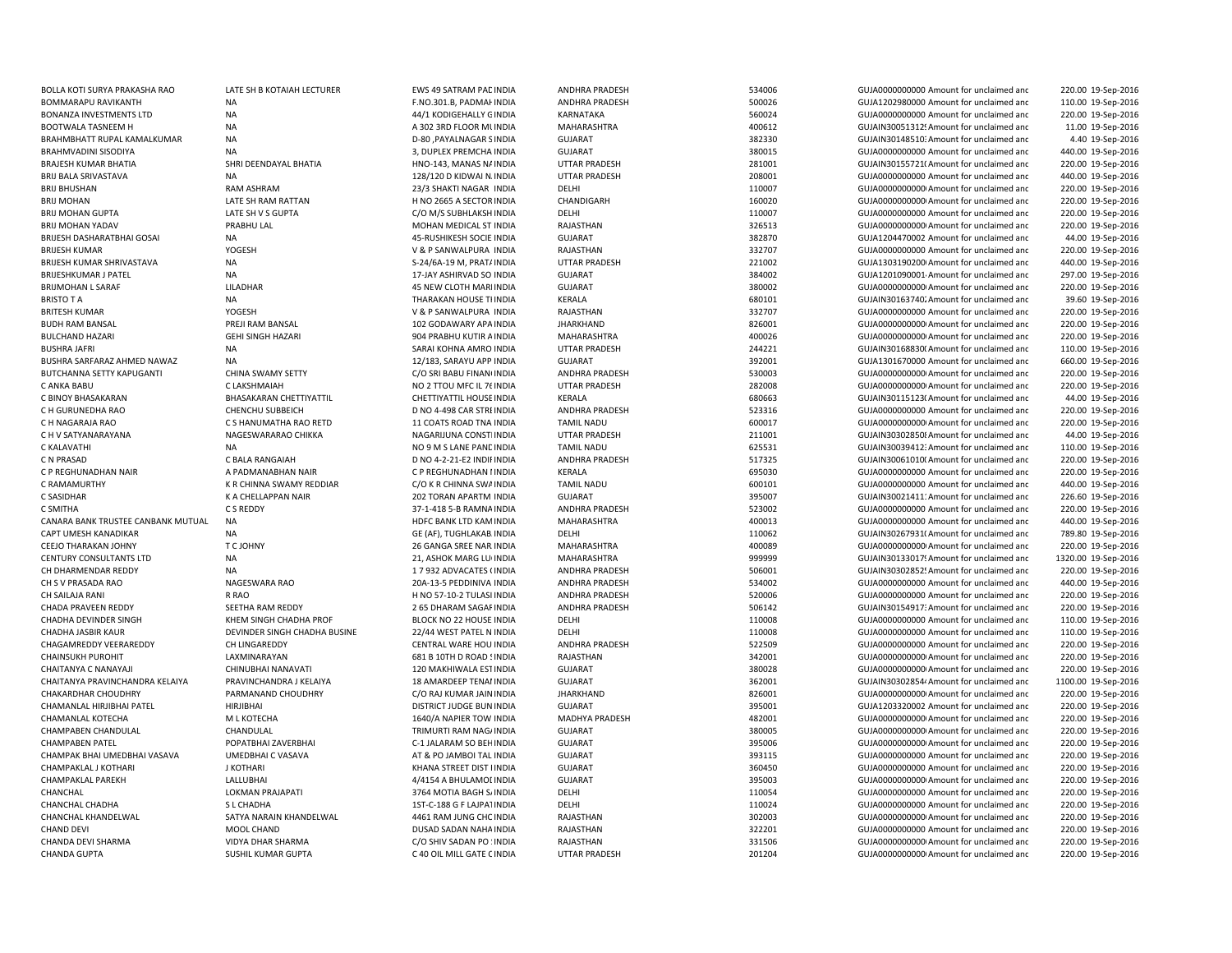| BOLLA KOTI SURYA PRAKASHA RAO      | LATE SH B KOTAIAH LECTURER   | EWS 49 SATRAM PAC INDIA    | ANDHRA PRADESH        | 534006 | GUJA0000000000 Amount for unclaimed and  | 220.00 19-Sep-2016  |
|------------------------------------|------------------------------|----------------------------|-----------------------|--------|------------------------------------------|---------------------|
| BOMMARAPU RAVIKANTH                | <b>NA</b>                    | F.NO.301.B, PADMAI INDIA   | <b>ANDHRA PRADESH</b> | 500026 | GUJA1202980000 Amount for unclaimed and  | 110.00 19-Sep-2016  |
| <b>BONANZA INVESTMENTS LTD</b>     | <b>NA</b>                    | 44/1 KODIGEHALLY G INDIA   | KARNATAKA             | 560024 | GUJA0000000000 Amount for unclaimed and  | 220.00 19-Sep-2016  |
| <b>BOOTWALA TASNEEM H</b>          | <b>NA</b>                    | A 302 3RD FLOOR MI INDIA   | MAHARASHTRA           | 400612 | GUJAIN30051312! Amount for unclaimed and | 11.00 19-Sep-2016   |
| BRAHMBHATT RUPAL KAMALKUMAR        | <b>NA</b>                    | D-80, PAYALNAGAR S INDIA   | <b>GUJARAT</b>        | 382330 | GUJAIN30148510: Amount for unclaimed and | 4.40 19-Sep-2016    |
| BRAHMVADINI SISODIYA               | <b>NA</b>                    | 3, DUPLEX PREMCHA INDIA    | <b>GUJARAT</b>        | 380015 | GUJA0000000000 Amount for unclaimed and  | 440.00 19-Sep-2016  |
| <b>BRAJESH KUMAR BHATIA</b>        | SHRI DEENDAYAL BHATIA        | HNO-143, MANAS N/ INDIA    | <b>UTTAR PRADESH</b>  | 281001 | GUJAIN30155721(Amount for unclaimed and  | 220.00 19-Sep-2016  |
| <b>BRIJ BALA SRIVASTAVA</b>        | <b>NA</b>                    | 128/120 D KIDWAI N. INDIA  | <b>UTTAR PRADESH</b>  | 208001 | GUJA0000000000 Amount for unclaimed and  | 440.00 19-Sep-2016  |
| <b>BRIJ BHUSHAN</b>                | RAM ASHRAM                   | 23/3 SHAKTI NAGAR INDIA    | DELHI                 | 110007 | GUJA0000000000 Amount for unclaimed and  | 220.00 19-Sep-2016  |
| <b>BRIJ MOHAN</b>                  | LATE SH RAM RATTAN           | H NO 2665 A SECTOR INDIA   | CHANDIGARH            | 160020 | GUJA0000000000 Amount for unclaimed and  | 220.00 19-Sep-2016  |
| <b>BRIJ MOHAN GUPTA</b>            | LATE SH V S GUPTA            | C/O M/S SUBHLAKSH INDIA    | DELHI                 | 110007 | GUJA0000000000 Amount for unclaimed and  | 220.00 19-Sep-2016  |
| <b>BRIJ MOHAN YADAV</b>            | PRABHU LAL                   |                            |                       | 326513 |                                          | 220.00 19-Sep-2016  |
|                                    |                              | MOHAN MEDICAL ST INDIA     | RAJASTHAN             |        | GUJA0000000000 Amount for unclaimed and  |                     |
| BRIJESH DASHARATBHAI GOSAI         | <b>NA</b>                    | 45-RUSHIKESH SOCIE INDIA   | <b>GUJARAT</b>        | 382870 | GUJA1204470002 Amount for unclaimed and  | 44.00 19-Sep-2016   |
| <b>BRIJESH KUMAR</b>               | YOGESH                       | V & P SANWALPURA INDIA     | RAJASTHAN             | 332707 | GUJA0000000000 Amount for unclaimed and  | 220.00 19-Sep-2016  |
| BRIJESH KUMAR SHRIVASTAVA          | NA                           | S-24/6A-19 M, PRAT/ INDIA  | <b>UTTAR PRADESH</b>  | 221002 | GUJA1303190200 Amount for unclaimed and  | 440.00 19-Sep-2016  |
| <b>BRIJESHKUMAR J PATEL</b>        | <b>NA</b>                    | 17-JAY ASHIRVAD SO INDIA   | <b>GUJARAT</b>        | 384002 | GUJA1201090001 Amount for unclaimed and  | 297.00 19-Sep-2016  |
| <b>BRIJMOHAN L SARAF</b>           | LILADHAR                     | 45 NEW CLOTH MARI INDIA    | <b>GUJARAT</b>        | 380002 | GUJA00000000000 Amount for unclaimed and | 220.00 19-Sep-2016  |
| <b>BRISTO T A</b>                  | <b>NA</b>                    | THARAKAN HOUSE TI INDIA    | KERALA                | 680101 | GUJAIN30163740. Amount for unclaimed and | 39.60 19-Sep-2016   |
| <b>BRITESH KUMAR</b>               | YOGESH                       | V & P SANWALPURA INDIA     | RAJASTHAN             | 332707 | GUJA0000000000 Amount for unclaimed and  | 220.00 19-Sep-2016  |
| <b>BUDH RAM BANSAL</b>             | PREJI RAM BANSAL             | 102 GODAWARY APA INDIA     | <b>JHARKHAND</b>      | 826001 | GUJA0000000000 Amount for unclaimed and  | 220.00 19-Sep-2016  |
| <b>BULCHAND HAZARI</b>             | <b>GEHI SINGH HAZARI</b>     | 904 PRABHU KUTIR A INDIA   | MAHARASHTRA           | 400026 | GUJA0000000000 Amount for unclaimed and  | 220.00 19-Sep-2016  |
| <b>BUSHRA JAFRI</b>                | <b>NA</b>                    | SARAI KOHNA AMRO INDIA     | UTTAR PRADESH         | 244221 | GUJAIN30168830( Amount for unclaimed and | 110.00 19-Sep-2016  |
| BUSHRA SARFARAZ AHMED NAWAZ        | <b>NA</b>                    | 12/183, SARAYU APP INDIA   | <b>GUJARAT</b>        | 392001 | GUJA1301670000 Amount for unclaimed and  | 660.00 19-Sep-2016  |
| BUTCHANNA SETTY KAPUGANTI          | CHINA SWAMY SETTY            | C/O SRI BABU FINAN INDIA   | <b>ANDHRA PRADESH</b> | 530003 | GUJA0000000000 Amount for unclaimed and  | 220.00 19-Sep-2016  |
| C ANKA BABU                        | C LAKSHMAIAH                 | NO 2 TTOU MFC IL 76 INDIA  | <b>UTTAR PRADESH</b>  | 282008 | GUJA0000000000 Amount for unclaimed and  | 220.00 19-Sep-2016  |
| C BINOY BHASAKARAN                 | BHASAKARAN CHETTIYATTIL      | CHETTIYATTIL HOUSE INDIA   | KERALA                | 680663 | GUJAIN30115123( Amount for unclaimed and | 44.00 19-Sep-2016   |
|                                    |                              |                            |                       |        |                                          |                     |
| C H GURUNEDHA RAO                  | CHENCHU SUBBEICH             | D NO 4-498 CAR STRI INDIA  | <b>ANDHRA PRADESH</b> | 523316 | GUJA0000000000 Amount for unclaimed and  | 220.00 19-Sep-2016  |
| C H NAGARAJA RAO                   | C S HANUMATHA RAO RETD       | 11 COATS ROAD TNA INDIA    | <b>TAMIL NADU</b>     | 600017 | GUJA0000000000 Amount for unclaimed and  | 220.00 19-Sep-2016  |
| C H V SATYANARAYANA                | NAGESWARARAO CHIKKA          | NAGARIJUNA CONSTINDIA      | <b>UTTAR PRADESH</b>  | 211001 | GUJAIN303028508 Amount for unclaimed and | 44.00 19-Sep-2016   |
| C KALAVATHI                        | <b>NA</b>                    | NO 9 M S LANE PANE INDIA   | <b>TAMIL NADU</b>     | 625531 | GUJAIN30039412: Amount for unclaimed and | 110.00 19-Sep-2016  |
| C N PRASAD                         | C BALA RANGAIAH              | D NO 4-2-21-E2 INDIFINDIA  | <b>ANDHRA PRADESH</b> | 517325 | GUJAIN30061010(Amount for unclaimed and  | 220.00 19-Sep-2016  |
| C P REGHUNADHAN NAIR               | A PADMANABHAN NAIR           | C P REGHUNADHAN I INDIA    | KERALA                | 695030 | GUJA0000000000 Amount for unclaimed and  | 220.00 19-Sep-2016  |
| C RAMAMURTHY                       | K R CHINNA SWAMY REDDIAR     | C/O K R CHINNA SWA INDIA   | <b>TAMIL NADU</b>     | 600101 | GUJA0000000000 Amount for unclaimed and  | 440.00 19-Sep-2016  |
| C SASIDHAR                         | K A CHELLAPPAN NAIR          | 202 TORAN APARTM INDIA     | <b>GUJARAT</b>        | 395007 | GUJAIN30021411: Amount for unclaimed and | 226.60 19-Sep-2016  |
| C SMITHA                           | C S REDDY                    | 37-1-418 5-B RAMNA INDIA   | ANDHRA PRADESH        | 523002 | GUJA0000000000 Amount for unclaimed and  | 220.00 19-Sep-2016  |
| CANARA BANK TRUSTEE CANBANK MUTUAL | <b>NA</b>                    | HDFC BANK LTD KAM INDIA    | MAHARASHTRA           | 400013 | GUJA0000000000 Amount for unclaimed and  | 440.00 19-Sep-2016  |
| CAPT UMESH KANADIKAR               | <b>NA</b>                    | GE (AF), TUGHLAKAB INDIA   | DELHI                 | 110062 | GUJAIN30267931(Amount for unclaimed and  | 789.80 19-Sep-2016  |
| CEEJO THARAKAN JOHNY               | T C JOHNY                    | 26 GANGA SREE NAR INDIA    | MAHARASHTRA           | 400089 | GUJA00000000000 Amount for unclaimed and | 220.00 19-Sep-2016  |
| <b>CENTURY CONSULTANTS LTD</b>     | <b>NA</b>                    | 21, ASHOK MARG LU INDIA    | MAHARASHTRA           | 999999 | GUJAIN30133017! Amount for unclaimed and | 1320.00 19-Sep-2016 |
| CH DHARMENDAR REDDY                | <b>NA</b>                    | 1 7 932 ADVACATES (INDIA   | ANDHRA PRADESH        | 506001 | GUJAIN30302852! Amount for unclaimed and | 220.00 19-Sep-2016  |
| CH S V PRASADA RAO                 | NAGESWARA RAO                | 20A-13-5 PEDDINIVA INDIA   | ANDHRA PRADESH        | 534002 | GUJA0000000000 Amount for unclaimed and  | 440.00 19-Sep-2016  |
| CH SAILAJA RANI                    | R RAO                        | H NO 57-10-2 TULASI INDIA  | <b>ANDHRA PRADESH</b> | 520006 | GUJA0000000000 Amount for unclaimed and  | 220.00 19-Sep-2016  |
| CHADA PRAVEEN REDDY                | SEETHA RAM REDDY             | 2 65 DHARAM SAGAF INDIA    | <b>ANDHRA PRADESH</b> | 506142 | GUJAIN30154917: Amount for unclaimed and | 220.00 19-Sep-2016  |
| CHADHA DEVINDER SINGH              | KHEM SINGH CHADHA PROF       | BLOCK NO 22 HOUSE INDIA    | DELHI                 | 110008 | GUJA0000000000 Amount for unclaimed and  | 110.00 19-Sep-2016  |
| CHADHA JASBIR KAUR                 | DEVINDER SINGH CHADHA BUSINE | 22/44 WEST PATEL N INDIA   | DELHI                 | 110008 |                                          |                     |
|                                    |                              |                            |                       |        | GUJA0000000000 Amount for unclaimed and  | 110.00 19-Sep-2016  |
| CHAGAMREDDY VEERAREDDY             | CH LINGAREDDY                | CENTRAL WARE HOU INDIA     | <b>ANDHRA PRADESH</b> | 522509 | GUJA0000000000 Amount for unclaimed and  | 220.00 19-Sep-2016  |
| <b>CHAINSUKH PUROHIT</b>           | LAXMINARAYAN                 | 681 B 10TH D ROAD ! INDIA  | RAJASTHAN             | 342001 | GUJA0000000000 Amount for unclaimed and  | 220.00 19-Sep-2016  |
| CHAITANYA C NANAYAJI               | CHINUBHAI NANAVATI           | 120 MAKHIWALA ESTINDIA     | <b>GUJARAT</b>        | 380028 | GUJA0000000000 Amount for unclaimed and  | 220.00 19-Sep-2016  |
| CHAITANYA PRAVINCHANDRA KELAIYA    | PRAVINCHANDRA J KELAIYA      | 18 AMARDEEP TENAI INDIA    | <b>GUJARAT</b>        | 362001 | GUJAIN303028544 Amount for unclaimed and | 1100.00 19-Sep-2016 |
| CHAKARDHAR CHOUDHRY                | PARMANAND CHOUDHRY           | C/O RAJ KUMAR JAIN INDIA   | <b>JHARKHAND</b>      | 826001 | GUJA00000000000 Amount for unclaimed and | 220.00 19-Sep-2016  |
| CHAMANLAL HIRJIBHAI PATEL          | <b>HIRJIBHAI</b>             | DISTRICT JUDGE BUN INDIA   | <b>GUJARAT</b>        | 395001 | GUJA1203320002 Amount for unclaimed and  | 220.00 19-Sep-2016  |
| CHAMANLAL KOTECHA                  | M L KOTECHA                  | 1640/A NAPIER TOW INDIA    | <b>MADHYA PRADESH</b> | 482001 | GUJA00000000000 Amount for unclaimed and | 220.00 19-Sep-2016  |
| CHAMPABEN CHANDULAL                | CHANDULAL                    | TRIMURTI RAM NAG/ INDIA    | <b>GUJARAT</b>        | 380005 | GUJA00000000000 Amount for unclaimed and | 220.00 19-Sep-2016  |
| <b>CHAMPABEN PATEL</b>             | POPATBHAI ZAVERBHAI          | C-1 JALARAM SO BEH INDIA   | <b>GUJARAT</b>        | 395006 | GUJA00000000000 Amount for unclaimed and | 220.00 19-Sep-2016  |
| CHAMPAK BHAI UMEDBHAI VASAVA       | UMEDBHAI C VASAVA            | AT & PO JAMBOI TAL INDIA   | <b>GUJARAT</b>        | 393115 | GUJA0000000000 Amount for unclaimed and  | 220.00 19-Sep-2016  |
| CHAMPAKLAL J KOTHARI               | <b>J KOTHARI</b>             | KHANA STREET DIST I INDIA  | <b>GUJARAT</b>        | 360450 | GUJA0000000000 Amount for unclaimed and  | 220.00 19-Sep-2016  |
| <b>CHAMPAKLAL PAREKH</b>           | LALLUBHAI                    | 4/4154 A BHULAMOI INDIA    | <b>GUJARAT</b>        | 395003 | GUJA0000000000 Amount for unclaimed and  | 220.00 19-Sep-2016  |
| CHANCHAL                           | LOKMAN PRAJAPATI             | 3764 MOTIA BAGH S/ INDIA   | DELHI                 | 110054 | GUJA0000000000 Amount for unclaimed and  | 220.00 19-Sep-2016  |
| CHANCHAL CHADHA                    | S L CHADHA                   | 1ST-C-188 G F LAJPA1 INDIA | DELHI                 | 110024 | GUJA0000000000 Amount for unclaimed and  | 220.00 19-Sep-2016  |
| CHANCHAL KHANDELWAL                | SATYA NARAIN KHANDELWAL      | 4461 RAM JUNG CHC INDIA    | RAJASTHAN             | 302003 | GUJA00000000000 Amount for unclaimed and | 220.00 19-Sep-2016  |
| <b>CHAND DEVI</b>                  | MOOL CHAND                   | DUSAD SADAN NAHA INDIA     | RAJASTHAN             | 322201 | GUJA0000000000 Amount for unclaimed and  | 220.00 19-Sep-2016  |
| CHANDA DEVI SHARMA                 | VIDYA DHAR SHARMA            | C/O SHIV SADAN PO : INDIA  | RAJASTHAN             | 331506 | GUJA00000000000 Amount for unclaimed and | 220.00 19-Sep-2016  |
|                                    |                              |                            |                       |        |                                          |                     |
| <b>CHANDA GUPTA</b>                | SUSHIL KUMAR GUPTA           | C 40 OIL MILL GATE C INDIA | <b>UTTAR PRADESH</b>  | 201204 | GUJA00000000000 Amount for unclaimed and | 220.00 19-Sep-2016  |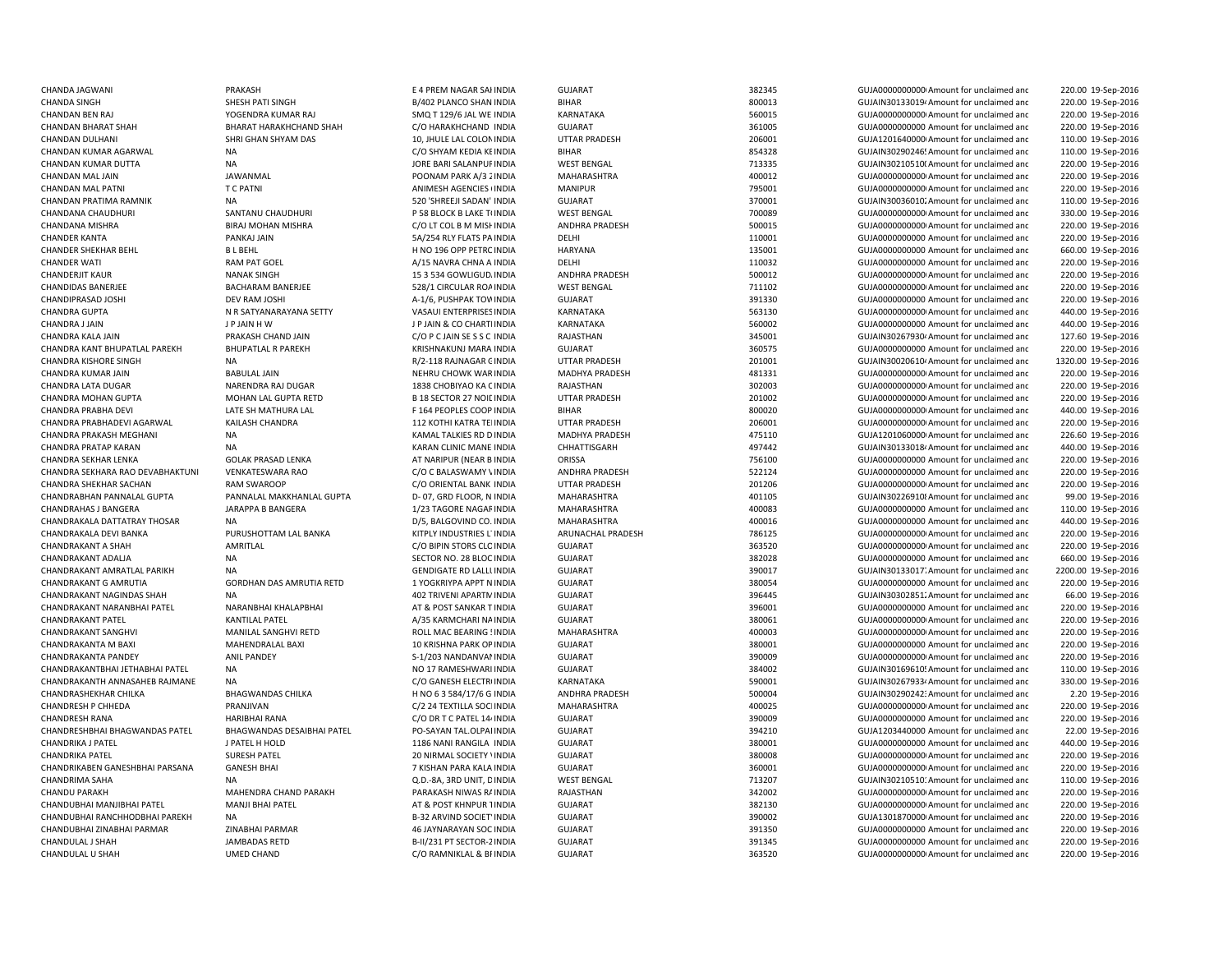CHANDA JAGWANI PRAKASH E 4 PREM NAGAR SAHINDIA GUJARAT 382345 GUJA00000000000Amount for unclaimed andCHANDAN KUMAR DUTTA NA NA DURE BARI SALANPUR INDIA WEST BENGAL THE STANDAN THE SALAND SALANPURINDIA ON THE SALAND SALAND THE SALAND SALAND SALAND SALAND SALAND SALAND SALAND SALAND SALAND SALAND SALAND SALAND SALAND SALAND CHANDAN MAL PATNI T C PATNI ANIMESH AGENCIES 6INDIA MANIPUR 795001 GUJA00000000000Amount for unclaimed andCHANDAN PRATIMA RAMNIK NA NA 200 NA 520 'SHREEJI SADAN' INDIA GUJARAT 370001 370001 GUJAIN30036010. Amount for unclaimed and CHANDANA CHAUDHURI SANTANU CHAUDHURI P 58 BLOCK B LAKE TUNDIA WEST BENGAL 700089 GUJA000000000Amount for unclaimed and CHANDER SHEKHAR BEHL B L BEHL H NO 196 OPP PETROINDIA HARYANA 135001 GUJA0000000000 Amount for unclaimed andCHANDERJIT KAUR NANAK SINGH 15 3 534 GOWLIGUDAINDIA ANDHRA PRADESH 500012 GUJA00000000000Amount for unclaimed andCHANDRA GUPTA N R SATYANARAYANA SETTY VASAUI ENTERPRISES UNIA KARNATAKA SATA SESSENGAN GUJAOOOOOOOOOOOOOOO Amount for unclaimed and CHANDRA JIAIN JAIN JE JAIN H W JE JAIN JE JAIN JE JAIN JE CO CHARTIINDIA KARNATAKA SANATAKA SANATAKA SANATAKA SANATAKA SANATAKA SANATAKA SANATAKA SANATAKA SANATAKA SANATAKA SANATAKA SANATAKA SANATAKA SANATAKA SANATAKA SANA CHANDRA KANT BHUPATLAL PAREKH BHUPATLAL R PAREKH KRISHNAKUNJ MARA INDIA GUJARAT SHANDRA SHOSTS GUJA0000000000 Amount for unclaimed and CHANDRA KUMAR JAIN BABULAL JAIN NEHRU CHOWK WARINDIA MADHYA PRADESH 481331 GUJA00000000000Amount for unclaimed andCHANDRA LATA DUGAR NARENDRA RAJ DUGAR 1838 CHOBIYAO KA CINDIA RAJASTHAN 302003 GUJA00000000000Amount for unclaimed andCHANDRA MOHAN GUPTA MOHAN LAL GUPTA RETD B 18 SECTOR 27 NOIL INDIA UTTAR PRADESH 201002 GUJA000000000Amount for unclaimed and CHANDRA PRABHA DEVI **LATE SH MATHURA LAL TERMI E 164 PEOPLES COOP INDIA** CHANDRA PRABHADEVI AGARWAL KAILASH CHANDRA 112 KOTHI KATRA TELINDIA UTTAR PRADESH 206001 CHANDRA GUJA00000000000000000000000 Amount for unclaimed and CHANDRA PRAKASH MEGHANI NA NA KAMAL TALKIES RD DINDIA MADHYA PRADESH 475110 475110 GUJA1201060000 Amount for unclaimed and CHANDRA PRATAP KARAN NA NA KARAN CLINIC MANE INDIA CHHATTISGARH 497442 GUJAIN301330184Amount for unclaimed and CHANDRAKALA DEVI BANKA PURUSHOTTAM LAL BANKA KITPLY INDUSTRIES LTINDIA ARUNACHAL PRADESH 786125 GUJA00000000000Amount for unclaimed andCHANDRAKANT ADALJA NA NA SECTOR NO. 28 BLOC INDIA CHANDRAKANT AMRATLAL PARIKH NA GENDIGATE RD LALLUINDIA GUJARAT 390017 GUJAIN301330177Amount for unclaimed andCHANDRAKANT G AMRUTIA CORDHAN DAS AMRUTIA RETD 1 YOGKRIYPA APPT NINDIA GUJARAT CHANDRAKANT 380054 GUJA0000000000000000000000000 Amount for unclaimed and CHANDRAKANT NAGINDAS SHAH NA NA 201 TRIVENI APARTMINDIA GUJARAT GUJARAT 396445 GUJAIN30302851.Amount for unclaimed and CHANDRAKANT NARANBHAI PATEL NARANBHAI KHALAPBHAI AT AT & POST SANKAR TINDIA CHANDRAKANT SANGHVI MANILAL SANGHVI RETD ROLL MAC BEARING ! INDIA MAHARASHTRA 400003 GUJA0000000000000000000000000 Amount for unclaimed and CHANDRAKANTA M BAXI MAHENDRALAL BAXI 10 MAHENDRALAL BAXI 10 KRISHNA PARK OPINDIA GUJARAT 60 GUJA0001 380001 60 GUJA0000000000000 Amount for unclaimed and CHANDRAKANTBHAI JETHABHAI PATEL NA NO 17 RAMESHWARI INDIA GUJARAT GUJARAT 384002 GUJAIN30169610! Amount for unclaimed and CHANDRESHBHAI BHAGWANDAS PATEL BHAGWANDAS DESAIBHAI PATEL PO-SAYAN TAL.OLPAI INDIA GUJARAT SAN SANG 194210 GUJA1203440000 Amount for unclaimed and CHANDRIKA J PATEL JPATEL HOLD 1186 NANI RANGILA INDIA GUJARAT 380001 380001 GUJA0000000000 Amount for unclaimed and CHANDRIKA PATEL SURESH PATEL SURESH PATEL 20 NIRMAL SOCIETY VINDIA GUJARAT CHANDRIKA 380008 GUJA000000000000000000000000000000000 Amount for unclaimed and CHANDRIKABEN GANESHBHAI PARSANA GANESH BHAI GANESH BHAI 7 KISHAN PARA KALA INDIA CHANDU PARAKH MAHENDRA CHAND PARAKH PARAKASH NIWAS RAINDIA RAJASTHAN 342002 GUJA00000000000Amount for unclaimed andCHANDUBHAI MANJIBHAI PATEL MANJI BHAI PATEL AT & POST KHNPUR TINDIA GUJARAT 382130 GUJA00000000000Amount for unclaimed andCHANDUBHAI RANCHHODBHAI PAREKH NA CHANDUBU DESTROVIND SOCIET INDIA GUJARAT GUJARAT 390002 GUJA1301870000 Amount for unclaimed and CHANDUBHAI ZINABHAI PARMAR ZINABHAI PARMAR ZINABHAI PARMAR ATA SHANDA AG JAYNARAYAN SOC INDIA

 220.00 19-Sep-2016 CHANDA SINGH SHESH PATI SINGH SHESH PATI SINGH SHAN BACO SHAN INDIA BIHAR BIHAR SOO013 GUJAIN301330194 Amount for unclaimed and 220.00 19-Sep-2016 CHANDAN BEN RAJ YOGENDRA KUMAR RAJ SMQ T 129/6 JAL WE INDIA KARNATAKA 560015 GUJA00000000000Amount for unclaimed and 220.00 19-Sep-2016 CHANDAN BHARAT SHAH BHARAT HARAKHCHAND SHAH C/O HARAKHCHAND INDIA GUJARAT 361005 GUJA0000000000 Amount for unclaimed and 220.00 19-Sep-2016 CHANDAN DULHANI SHRI GHAN SHYAM DAS 10, JHULE LAL COLONINDIA UTTAR PRADESH 206001 GUJA12016400000Amount for unclaimed and 110.00 19-Sep-2016 CHANDAN KUMAR AGARWAL NA NA NA SEPERTEMBENG CO SHYAM KEDIA KEINDIA BIHAR BIHAR 854328 GUJAIN30290246! Amount for unclaimed and 110.00 19-Sep-2016 220.00 19-Sep-2016 CHANDAN MAL JAIN JAWANMAL POONAM PARK A/3 2INDIA MAHARASHTRA 400012 GUJA00000000000Amount for unclaimed and 220.00 19-Sep-2016 220.00 19-Sep-2016 110.00 19-Sep-2016 330.00 19-Sep-2016 CHANDANA MISHRA BIRAJ MOHAN MISHRA C/O LT COL B M MISH INDIA ANDHRA PRADESH 500015 GUJA0000000000Amount for unclaimed and 220.00 19-Sep-2016 CHANDER KANTA PANKAJ JAIN PANKAJ JAIN SA/254 RLY FLATS PAINDIA DELHI PALEM PALEM 110001 GUJA0000000000 Amount for unclaimed and 220.00 19-Sep-2016 660.00 19-Sep-2016 CHANDER WATI RAM PAT GOEL A/15 NAVRA CHNA A INDIA DELHI 110032 GUJA0000000000 Amount for unclaimed and 220.00 19-Sep-2016 220.00 19-Sep-2016 CHANDIDAS BANERJEE BACHARAM BANERJEE 528/1 CIRCULAR ROAINDIA WEST BENGAL 711102 GUJA0000000000Amount for unclaimed and 220.00 19-Sep-2016 CHANDIPRASAD JOSHI DEV RAM JOSHI A-1/6, PUSHPAK TOWINDIA GUJARAT 391330 GUJA0000000000 Amount for unclaimed and 220.00 19-Sep-2016 440.00 19-Sep-2016 440.00 19-Sep-2016 CHANDRA KALA JAIN CHAND AND ARA CHAND JAIN CO P C JAIN SE S S C INDIA RAJASTHAN 345001 CO AND AND SUJAIN302679304 Amount for unclaimed and 127.60 19-Sep-2016 220.00 19-Sep-2016 CHANDRA KISHORE SINGH NA R/2-118 RAJNAGAR GINDIA UTTAR PRADESH 201001 GUJAIN300206104Amount for unclaimed and 1320.00 19-Sep-2016 220.00 19-Sep-2016 220.00 19-Sep-2016 220.00 19-Sep-2016 INDIA BIHAR 800020 GUJA00000000000Amount for unclaimed and 440.00 19-Sep-2016 220.00 19-Sep-2016 226.60 19-Sep-2016 440.00 19-Sep-2016 CHANDRA SEKHAR LENKA GOLAK PRASAD LENKA AT NARIPUR (NEAR B INDIA ORISSA 756100 756100 GUJA0000000000 Amount for unclaimed and 220.00 19-Sep-2016 CHANDRA SEKHARA RAO DEVABHAKTUNI VENKATESWARA RAO C/O C BALASWAMY VINDIA ANDHRA PRADESH 522124 GUJA0000000000 Amount for unclaimed and 220.00 19-Sep-2016 CHANDRA SHEKHAR SACHAN RAM SWAROOP C/O ORIENTAL BANK INDIA UTTAR PRADESH 201206 GUJA00000000000Amount for unclaimed and 220.00 19-Sep-2016 CHANDRABHAN PANNALAL GUPTA PANNALAL MAKKHANLAL GUPTA D- 07, GRD FLOOR, N INDIA MAHARASHTRA 401105 GUJAIN302269108Amount for unclaimed and 99.00 19-Sep-2016 CHANDRAHAS J BANGERA JARAPPA B BANGERA 1/23 TAGORE NAGAR INDIA MAHARASHTRA 400083 GUJA0000000000 Amount for unclaimed and 110.00 19-Sep-2016 CHANDRAKALA DATTATRAY THOSAR NA CHANDRA NA DISPONSIBLE DISPONSIBLE DISPONSIBLE DISPONSIBLE DEL AND DEL ANGLORED DISPONSIBLE DISPONSIBLE DEL AND DISPONSIBLE DEL AND DISPONSIBLE DISPONSIBLE DISPONSIBLE DISPONSIBLE DISPONSIBL 220.00 19-Sep-2016 CHANDRAKANT A SHAH AMRITLAL C/O BIPIN STORS CLOINDIA GUJARAT 363520 GUJA00000000000Amount for unclaimed and 220.00 19-Sep-2016 GUJARAT 382028 382028 GUJA0000000000 Amount for unclaimed and 660.00 19-Sep-2016 2200.00 19-Sep-2016 220.00 19-Sep-2016 66.00 19-Sep-2016 INDIA GUJARAT 396001 GUJA0000000000 Amount for unclaimed and 220.00 19-Sep-2016 CHANDRAKANT PATEL KANTILAL PATEL A/35 KARMCHARI NAINDIA GUJARAT 380061 GUJA00000000000Amount for unclaimed and 220.00 19-Sep-2016 220.00 19-Sep-2016 220.00 19-Sep-2016 CHANDRAKANTA PANDEY ANIL PANDEY S-1/203 NANDANVANINDIA GUJARAT 390009 GUJA00000000000Amount for unclaimed and 220.00 19-Sep-2016 110.00 19-Sep-2016 CHANDRAKANTH ANNASAHEB RAJMANE NA CONTENTROINDIA CO GANESH ELECTROINDIA KARNATAKA 590001 590001 GUJAIN302679334 Amount for unclaimed and 330.00 19-Sep-2016 CHANDRASHEKHAR CHILKA BHAGWANDAS CHILKA H NO 6 3 584/17/6 G INDIA ANDHRA PRADESH 500004 GUJAIN30290242: Amount for unclaimed and 2.20 19-Sep-2016 CHANDRESH P CHHEDA PRANJIVAN PRANJIVAN C/2 24 TEXTILLA SOCIINDIA MAHARASHTRA 400025 GUJA000000000M Amount for unclaimed and 220.00 19-Sep-2016 CHANDRESH RANA HARIBHAI RANA C/O DR T C PATEL 144INDIA GUJARAT 390009 GUJA0000000000 Amount for unclaimed and 220.00 19-Sep-2016 22.00 19-Sep-2016 440.00 19-Sep-2016 220.00 19-Sep-2016 GUJARAT 360001 360001 360001 GUJA000000000000000000000 Amount for unclaimed and 220.00 19-Sep-2016 CHANDRIMA SAHA NA NA DINA DEL SA, 3RD UNIT, DINDIA WEST BENGAL 713207 GUJAIN30210510: Amount for unclaimed and 110.00 19-Sep-2016 220.00 19-Sep-2016 220.00 19-Sep-2016 220.00 19-Sep-2016 INDIA GUJARAT 391350 GUJA0000000000 Amount for unclaimed and 220.00 19-Sep-2016 CHANDULAL J SHAH JAMBADAS RETD B-II/231 PT SECTOR-2INDIA GUJARAT 391345 GUJA0000000000 Amount for unclaimed and 220.00 19-Sep-2016 CHANDULAL U SHAH UMED CHAND UMED CHAND C/O RAMNIKLAL & BIINDIA GUJARAT 363520 GUJA000000000Amount for unclaimed and 220.00 19-Sep-2016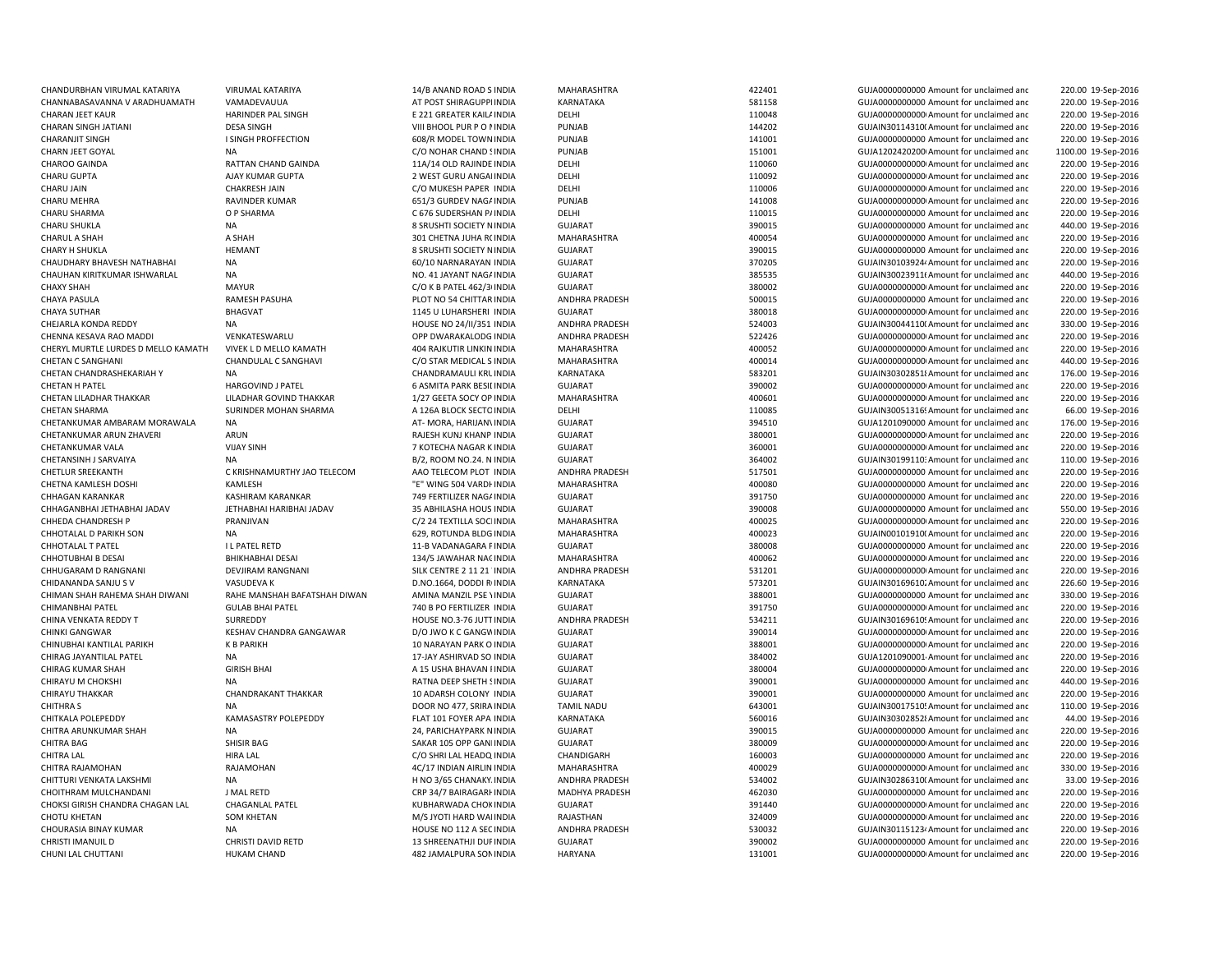| CHANDURBHAN VIRUMAL KATARIYA        | VIRUMAL KATARIYA             | 14/B ANAND ROAD S INDIA         | MAHARASHTRA           | 422401 | GUJA0000000000 Amount for unclaimed and              | 220.00 19-Sep-2016  |
|-------------------------------------|------------------------------|---------------------------------|-----------------------|--------|------------------------------------------------------|---------------------|
| CHANNABASAVANNA V ARADHUAMATH       | VAMADEVAUUA                  | AT POST SHIRAGUPPI INDIA        | KARNATAKA             | 581158 | GUJA0000000000 Amount for unclaimed and              | 220.00 19-Sep-2016  |
| <b>CHARAN JEET KAUR</b>             | <b>HARINDER PAL SINGH</b>    | E 221 GREATER KAIL/ INDIA       | DELHI                 | 110048 | GUJA00000000000 Amount for unclaimed and             | 220.00 19-Sep-2016  |
| <b>CHARAN SINGH JATIANI</b>         | <b>DESA SINGH</b>            | VIII BHOOL PUR P O I INDIA      | PUNJAB                | 144202 | GUJAIN30114310( Amount for unclaimed and             | 220.00 19-Sep-2016  |
| <b>CHARANJIT SINGH</b>              | I SINGH PROFFECTION          | 608/R MODEL TOWN INDIA          | PUNJAB                | 141001 | GUJA0000000000 Amount for unclaimed and              | 220.00 19-Sep-2016  |
| <b>CHARN JEET GOYAL</b>             | <b>NA</b>                    | C/O NOHAR CHAND ! INDIA         | PUNJAB                | 151001 | GUJA1202420200 Amount for unclaimed and              | 1100.00 19-Sep-2016 |
| CHAROO GAINDA                       | RATTAN CHAND GAINDA          | 11A/14 OLD RAJINDE INDIA        | DELHI                 | 110060 | GUJA00000000000 Amount for unclaimed and             | 220.00 19-Sep-2016  |
| CHARU GUPTA                         | AJAY KUMAR GUPTA             | 2 WEST GURU ANGAI INDIA         | DELHI                 | 110092 | GUJA00000000000 Amount for unclaimed and             | 220.00 19-Sep-2016  |
| <b>CHARU JAIN</b>                   | <b>CHAKRESH JAIN</b>         | C/O MUKESH PAPER INDIA          | DELHI                 | 110006 | GUJA00000000000 Amount for unclaimed and             | 220.00 19-Sep-2016  |
| CHARU MEHRA                         | RAVINDER KUMAR               | 651/3 GURDEV NAGA INDIA         | PUNJAB                | 141008 | GUJA00000000000 Amount for unclaimed and             | 220.00 19-Sep-2016  |
| CHARU SHARMA                        | O P SHARMA                   | C 676 SUDERSHAN P/ INDIA        | DELHI                 | 110015 | GUJA0000000000 Amount for unclaimed and              | 220.00 19-Sep-2016  |
| <b>CHARU SHUKLA</b>                 | <b>NA</b>                    | 8 SRUSHTI SOCIETY N INDIA       | <b>GUJARAT</b>        | 390015 | GUJA0000000000 Amount for unclaimed and              | 440.00 19-Sep-2016  |
| CHARUL A SHAH                       | A SHAH                       | 301 CHETNA JUHA R( INDIA        | MAHARASHTRA           | 400054 | GUJA0000000000 Amount for unclaimed and              | 220.00 19-Sep-2016  |
| <b>CHARY H SHUKLA</b>               | <b>HEMANT</b>                | 8 SRUSHTI SOCIETY N INDIA       | <b>GUJARAT</b>        | 390015 | GUJA0000000000 Amount for unclaimed and              | 220.00 19-Sep-2016  |
| CHAUDHARY BHAVESH NATHABHAI         | <b>NA</b>                    | 60/10 NARNARAYAN INDIA          | <b>GUJARAT</b>        | 370205 | GUJAIN30103924/ Amount for unclaimed and             | 220.00 19-Sep-2016  |
| CHAUHAN KIRITKUMAR ISHWARLAL        | <b>NA</b>                    | NO. 41 JAYANT NAGA INDIA        | GUJARAT               | 385535 | GUJAIN30023911(Amount for unclaimed and              | 440.00 19-Sep-2016  |
| <b>CHAXY SHAH</b>                   | <b>MAYUR</b>                 | C/O K B PATEL 462/3 INDIA       | <b>GUJARAT</b>        | 380002 | GUJA00000000000 Amount for unclaimed and             | 220.00 19-Sep-2016  |
| <b>CHAYA PASULA</b>                 | RAMESH PASUHA                | PLOT NO 54 CHITTAR INDIA        | <b>ANDHRA PRADESH</b> | 500015 | GUJA0000000000 Amount for unclaimed and              | 220.00 19-Sep-2016  |
| <b>CHAYA SUTHAR</b>                 | <b>BHAGVAT</b>               | 1145 U LUHARSHERI INDIA         | <b>GUJARAT</b>        | 380018 | GUJA00000000000 Amount for unclaimed and             | 220.00 19-Sep-2016  |
| CHEJARLA KONDA REDDY                | <b>NA</b>                    | HOUSE NO 24/II/351 INDIA        | ANDHRA PRADESH        | 524003 | GUJAIN30044110(Amount for unclaimed and              | 330.00 19-Sep-2016  |
| CHENNA KESAVA RAO MADDI             | VENKATESWARLU                | OPP DWARAKALODG INDIA           | ANDHRA PRADESH        | 522426 | GUJA00000000000 Amount for unclaimed and             | 220.00 19-Sep-2016  |
| CHERYL MURTLE LURDES D MELLO KAMATH | VIVEK L D MELLO KAMATH       | 404 RAJKUTIR LINKIN INDIA       | MAHARASHTRA           | 400052 | GUJA00000000000 Amount for unclaimed and             | 220.00 19-Sep-2016  |
| <b>CHETAN C SANGHANI</b>            | CHANDULAL C SANGHAVI         | C/O STAR MEDICAL S INDIA        | MAHARASHTRA           | 400014 | GUJA00000000000 Amount for unclaimed and             | 440.00 19-Sep-2016  |
| CHETAN CHANDRASHEKARIAH Y           | <b>NA</b>                    | CHANDRAMAULI KRL INDIA          | KARNATAKA             | 583201 | GUJAIN303028518 Amount for unclaimed and             | 176.00 19-Sep-2016  |
| CHETAN H PATEL                      | <b>HARGOVIND J PATEL</b>     | 6 ASMITA PARK BESILINDIA        | <b>GUJARAT</b>        | 390002 | GUJA00000000000 Amount for unclaimed and             | 220.00 19-Sep-2016  |
| CHETAN LILADHAR THAKKAR             | LILADHAR GOVIND THAKKAR      | 1/27 GEETA SOCY OP INDIA        | MAHARASHTRA           | 400601 | GUJA00000000000 Amount for unclaimed and             | 220.00 19-Sep-2016  |
| <b>CHETAN SHARMA</b>                | SURINDER MOHAN SHARMA        | A 126A BLOCK SECTO INDIA        | DELHI                 | 110085 | GUJAIN30051316! Amount for unclaimed and             | 66.00 19-Sep-2016   |
| CHETANKUMAR AMBARAM MORAWALA        | <b>NA</b>                    | AT- MORA, HARIJAN\ INDIA        | <b>GUJARAT</b>        | 394510 | GUJA1201090000 Amount for unclaimed and              | 176.00 19-Sep-2016  |
| CHETANKUMAR ARUN ZHAVERI            | ARUN                         | RAJESH KUNJ KHANP INDIA         | <b>GUJARAT</b>        | 380001 | GUJA00000000000 Amount for unclaimed and             | 220.00 19-Sep-2016  |
| CHETANKUMAR VALA                    | <b>VIJAY SINH</b>            | 7 KOTECHA NAGAR K INDIA         | GUJARAT               | 360001 | GUJA00000000000 Amount for unclaimed and             | 220.00 19-Sep-2016  |
| CHETANSINH J SARVAIYA               | <b>NA</b>                    | B/2, ROOM NO.24. N INDIA        | <b>GUJARAT</b>        | 364002 | GUJAIN30199110: Amount for unclaimed and             | 110.00 19-Sep-2016  |
| <b>CHETLUR SREEKANTH</b>            | C KRISHNAMURTHY JAO TELECOM  | AAO TELECOM PLOT INDIA          | ANDHRA PRADESH        | 517501 | GUJA0000000000 Amount for unclaimed and              | 220.00 19-Sep-2016  |
| CHETNA KAMLESH DOSHI                | KAMLESH                      | "E" WING 504 VARDI INDIA        | MAHARASHTRA           | 400080 | GUJA0000000000 Amount for unclaimed and              | 220.00 19-Sep-2016  |
| CHHAGAN KARANKAR                    | KASHIRAM KARANKAR            | 749 FERTILIZER NAG/ INDIA       | GUJARAT               | 391750 | GUJA0000000000 Amount for unclaimed and              | 220.00 19-Sep-2016  |
| CHHAGANBHAI JETHABHAI JADAV         | JETHABHAI HARIBHAI JADAV     | 35 ABHILASHA HOUS INDIA         | <b>GUJARAT</b>        | 390008 | GUJA0000000000 Amount for unclaimed and              | 550.00 19-Sep-2016  |
| CHHEDA CHANDRESH P                  | PRANJIVAN                    | C/2 24 TEXTILLA SOCI INDIA      | MAHARASHTRA           | 400025 | GUJA0000000000 Amount for unclaimed and              | 220.00 19-Sep-2016  |
| CHHOTALAL D PARIKH SON              | <b>NA</b>                    | 629, ROTUNDA BLDG INDIA         | MAHARASHTRA           | 400023 | GUJAIN00101910(Amount for unclaimed and              | 220.00 19-Sep-2016  |
| <b>CHHOTALAL T PATEL</b>            | <b>IL PATEL RETD</b>         | 11-B VADANAGARA F INDIA         | <b>GUJARAT</b>        | 380008 | GUJA0000000000 Amount for unclaimed and              | 220.00 19-Sep-2016  |
| <b>CHHOTUBHAI B DESAI</b>           | <b>BHIKHABHAI DESAI</b>      | 134/5 JAWAHAR NACINDIA          | MAHARASHTRA           | 400062 | GUJA00000000000 Amount for unclaimed and             | 220.00 19-Sep-2016  |
| CHHUGARAM D RANGNANI                | DEVJIRAM RANGNANI            | SILK CENTRE 2 11 21 INDIA       | ANDHRA PRADESH        | 531201 | GUJA00000000000 Amount for unclaimed and             | 220.00 19-Sep-2016  |
| CHIDANANDA SANJU S V                | VASUDEVA K                   | D.NO.1664, DODDI R INDIA        | KARNATAKA             | 573201 | GUJAIN30169610. Amount for unclaimed and             | 226.60 19-Sep-2016  |
| CHIMAN SHAH RAHEMA SHAH DIWANI      | RAHE MANSHAH BAFATSHAH DIWAN | AMINA MANZIL PSE \ INDIA        | GUJARAT               | 388001 | GUJA0000000000 Amount for unclaimed and              | 330.00 19-Sep-2016  |
| <b>CHIMANBHAI PATEL</b>             | <b>GULAB BHAI PATEL</b>      | 740 B PO FERTILIZER INDIA       | <b>GUJARAT</b>        | 391750 | GUJA00000000000 Amount for unclaimed and             | 220.00 19-Sep-2016  |
| CHINA VENKATA REDDY T               | SURREDDY                     | HOUSE NO.3-76 JUTT INDIA        | ANDHRA PRADESH        | 534211 | GUJAIN30169610! Amount for unclaimed and             | 220.00 19-Sep-2016  |
| CHINKI GANGWAR                      | KESHAV CHANDRA GANGAWAR      | D/O JWO K C GANGV INDIA         | <b>GUJARAT</b>        | 390014 | GUJA00000000000 Amount for unclaimed and             | 220.00 19-Sep-2016  |
| CHINUBHAI KANTILAL PARIKH           | <b>K B PARIKH</b>            | 10 NARAYAN PARK O INDIA         | GUJARAT               | 388001 | GUJA00000000000 Amount for unclaimed and             | 220.00 19-Sep-2016  |
| CHIRAG JAYANTILAL PATEL             | <b>NA</b>                    | 17-JAY ASHIRVAD SO INDIA        | <b>GUJARAT</b>        | 384002 | GUJA1201090001 Amount for unclaimed and              | 220.00 19-Sep-2016  |
| <b>CHIRAG KUMAR SHAH</b>            | <b>GIRISH BHAI</b>           | A 15 USHA BHAVAN I INDIA        | <b>GUJARAT</b>        | 380004 | GUJA00000000000 Amount for unclaimed and             | 220.00 19-Sep-2016  |
| CHIRAYU M CHOKSHI                   | <b>NA</b>                    | RATNA DEEP SHETH ! INDIA        | <b>GUJARAT</b>        | 390001 | GUJA0000000000 Amount for unclaimed and              | 440.00 19-Sep-2016  |
| <b>CHIRAYU THAKKAR</b>              | <b>CHANDRAKANT THAKKAR</b>   | 10 ADARSH COLONY INDIA          | <b>GUJARAT</b>        | 390001 | GUJA0000000000 Amount for unclaimed and              | 220.00 19-Sep-2016  |
| <b>CHITHRA S</b>                    | <b>NA</b>                    | DOOR NO 477, SRIRA INDIA        | <b>TAMIL NADU</b>     | 643001 | GUJAIN30017510! Amount for unclaimed and             | 110.00 19-Sep-2016  |
| CHITKALA POLEPEDDY                  | KAMASASTRY POLEPEDDY         | FLAT 101 FOYER APA INDIA        | KARNATAKA             | 560016 | GUJAIN303028528 Amount for unclaimed and             | 44.00 19-Sep-2016   |
| CHITRA ARUNKUMAR SHAH               | <b>NA</b>                    | 24, PARICHAYPARK N INDIA        | GUJARAT               | 390015 | GUJA0000000000 Amount for unclaimed and              | 220.00 19-Sep-2016  |
| <b>CHITRA BAG</b>                   | SHISIR BAG                   | SAKAR 105 OPP GAN INDIA         | <b>GUJARAT</b>        | 380009 | GUJA00000000000 Amount for unclaimed and             | 220.00 19-Sep-2016  |
| <b>CHITRA LAL</b>                   | <b>HIRA LAL</b>              | C/O SHRI LAL HEADQ INDIA        | CHANDIGARH            | 160003 | GUJA0000000000 Amount for unclaimed and              | 220.00 19-Sep-2016  |
| CHITRA RAJAMOHAN                    | RAJAMOHAN                    | 4C/17 INDIAN AIRLIN INDIA       | MAHARASHTRA           | 400029 | GUJA00000000000 Amount for unclaimed and             | 330.00 19-Sep-2016  |
| CHITTURI VENKATA LAKSHMI            | <b>NA</b>                    | H NO 3/65 CHANAKY. INDIA        | ANDHRA PRADESH        | 534002 | GUJAIN30286310(Amount for unclaimed and              | 33.00 19-Sep-2016   |
| CHOITHRAM MULCHANDANI               | J MAL RETD                   | CRP 34/7 BAIRAGARI INDIA        | MADHYA PRADESH        | 462030 | GUJA0000000000 Amount for unclaimed and              | 220.00 19-Sep-2016  |
| CHOKSI GIRISH CHANDRA CHAGAN LAL    | <b>CHAGANLAL PATEL</b>       | KUBHARWADA CHOK INDIA           | <b>GUJARAT</b>        | 391440 | GUJA00000000000 Amount for unclaimed and             | 220.00 19-Sep-2016  |
| <b>CHOTU KHETAN</b>                 | <b>SOM KHETAN</b>            | M/S JYOTI HARD WAI INDIA        | RAJASTHAN             | 324009 | GUJA00000000000 Amount for unclaimed and             | 220.00 19-Sep-2016  |
| CHOURASIA BINAY KUMAR               | <b>NA</b>                    | HOUSE NO 112 A SEC INDIA        | ANDHRA PRADESH        | 530032 | GUJAIN30115123 <sup>,</sup> Amount for unclaimed and | 220.00 19-Sep-2016  |
| <b>CHRISTI IMANUIL D</b>            | <b>CHRISTI DAVID RETD</b>    | <b>13 SHREENATHJI DUF INDIA</b> | <b>GUJARAT</b>        | 390002 | GUJA0000000000 Amount for unclaimed and              | 220.00 19-Sep-2016  |
| CHUNI LAL CHUTTANI                  | <b>HUKAM CHAND</b>           | 482 JAMALPURA SON INDIA         | <b>HARYANA</b>        | 131001 | GUJA0000000000 Amount for unclaimed and              | 220.00 19-Sep-2016  |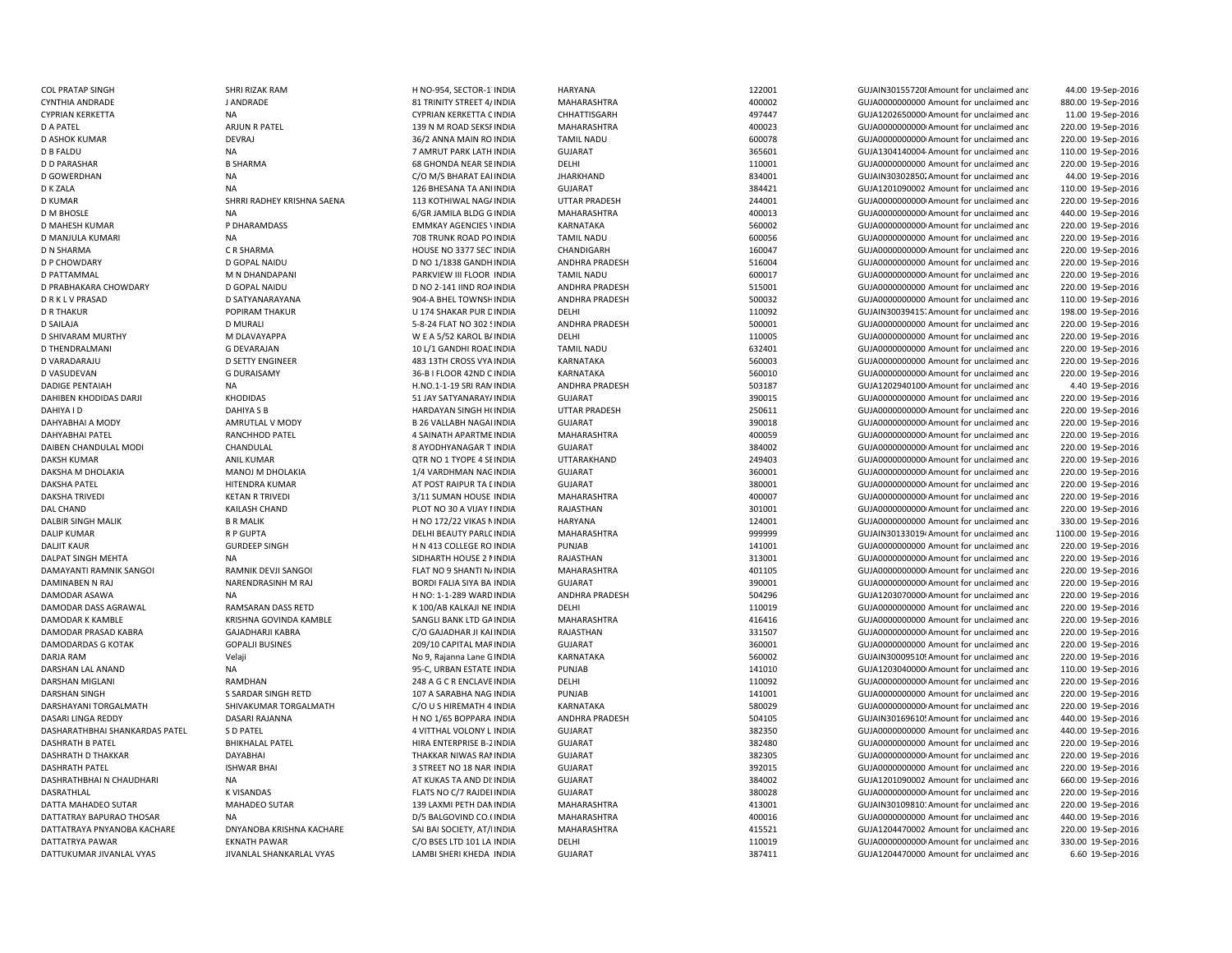| <b>COL PRATAP SINGH</b>        | SHRI RIZAK RAM             | H NO-954, SECTOR-1 INDIA        | <b>HARYANA</b>        | 122001 | GUJAIN30155720  Amount for unclaimed and             | 44.00 19-Sep-2016   |
|--------------------------------|----------------------------|---------------------------------|-----------------------|--------|------------------------------------------------------|---------------------|
| <b>CYNTHIA ANDRADE</b>         | J ANDRADE                  | 81 TRINITY STREET 4/ INDIA      | MAHARASHTRA           | 400002 | GUJA0000000000 Amount for unclaimed and              | 880.00 19-Sep-2016  |
| <b>CYPRIAN KERKETTA</b>        | NA                         | CYPRIAN KERKETTA C INDIA        | CHHATTISGARH          | 497447 | GUJA1202650000 Amount for unclaimed and              | 11.00 19-Sep-2016   |
| <b>D A PATEL</b>               | ARJUN R PATEL              | 139 N M ROAD SEKSF INDIA        | MAHARASHTRA           | 400023 | GUJA0000000000 Amount for unclaimed and              | 220.00 19-Sep-2016  |
| D ASHOK KUMAR                  | <b>DEVRAJ</b>              | 36/2 ANNA MAIN RO INDIA         | <b>TAMIL NADU</b>     | 600078 | GUJA0000000000 Amount for unclaimed and              | 220.00 19-Sep-2016  |
| <b>D B FALDU</b>               | <b>NA</b>                  | 7 AMRUT PARK LATH INDIA         | <b>GUJARAT</b>        | 365601 | GUJA1304140004 Amount for unclaimed and              | 110.00 19-Sep-2016  |
| <b>D D PARASHAR</b>            | <b>B SHARMA</b>            | <b>68 GHONDA NEAR SE INDIA</b>  | DELHI                 | 110001 | GUJA0000000000 Amount for unclaimed and              | 220.00 19-Sep-2016  |
| <b>D GOWERDHAN</b>             | <b>NA</b>                  |                                 | JHARKHAND             | 834001 | GUJAIN30302850. Amount for unclaimed and             | 44.00 19-Sep-2016   |
|                                |                            | C/O M/S BHARAT EAI INDIA        | <b>GUJARAT</b>        |        |                                                      |                     |
| D K ZALA                       | <b>NA</b>                  | 126 BHESANA TA ANI INDIA        |                       | 384421 | GUJA1201090002 Amount for unclaimed and              | 110.00 19-Sep-2016  |
| <b>D KUMAR</b>                 | SHRRI RADHEY KRISHNA SAENA | 113 KOTHIWAL NAG/ INDIA         | <b>UTTAR PRADESH</b>  | 244001 | GUJA0000000000 Amount for unclaimed and              | 220.00 19-Sep-2016  |
| <b>D M BHOSLE</b>              | <b>NA</b>                  | 6/GR JAMILA BLDG G INDIA        | MAHARASHTRA           | 400013 | GUJA0000000000 Amount for unclaimed and              | 440.00 19-Sep-2016  |
| D MAHESH KUMAR                 | P DHARAMDASS               | <b>EMMKAY AGENCIES \INDIA</b>   | KARNATAKA             | 560002 | GUJA00000000000 Amount for unclaimed and             | 220.00 19-Sep-2016  |
| D MANJULA KUMARI               | <b>NA</b>                  | 708 TRUNK ROAD PO INDIA         | <b>TAMIL NADU</b>     | 600056 | GUJA0000000000 Amount for unclaimed and              | 220.00 19-Sep-2016  |
| <b>D N SHARMA</b>              | C R SHARMA                 | HOUSE NO 3377 SEC INDIA         | CHANDIGARH            | 160047 | GUJA0000000000 Amount for unclaimed and              | 220.00 19-Sep-2016  |
| <b>D P CHOWDARY</b>            | D GOPAL NAIDU              | D NO 1/1838 GANDH INDIA         | ANDHRA PRADESH        | 516004 | GUJA0000000000 Amount for unclaimed and              | 220.00 19-Sep-2016  |
| D PATTAMMAL                    | M N DHANDAPANI             | PARKVIEW III FLOOR INDIA        | <b>TAMIL NADU</b>     | 600017 | GUJA00000000000 Amount for unclaimed and             | 220.00 19-Sep-2016  |
| D PRABHAKARA CHOWDARY          | D GOPAL NAIDU              | D NO 2-141 IIND ROA INDIA       | ANDHRA PRADESH        | 515001 | GUJA0000000000 Amount for unclaimed and              | 220.00 19-Sep-2016  |
| <b>DRKLVPRASAD</b>             | D SATYANARAYANA            | 904-A BHEL TOWNSH INDIA         | ANDHRA PRADESH        | 500032 | GUJA0000000000 Amount for unclaimed and              | 110.00 19-Sep-2016  |
| <b>D R THAKUR</b>              | POPIRAM THAKUR             | U 174 SHAKAR PUR C INDIA        | DELHI                 | 110092 | GUJAIN30039415. Amount for unclaimed and             | 198.00 19-Sep-2016  |
| D SAILAJA                      | <b>D MURALI</b>            | 5-8-24 FLAT NO 302 SINDIA       | ANDHRA PRADESH        | 500001 | GUJA0000000000 Amount for unclaimed and              | 220.00 19-Sep-2016  |
| D SHIVARAM MURTHY              | M DLAVAYAPPA               | W E A 5/52 KAROL B/ INDIA       | DELHI                 | 110005 | GUJA0000000000 Amount for unclaimed and              | 220.00 19-Sep-2016  |
| D THENDRALMANI                 | <b>G DEVARAJAN</b>         | 10 L/1 GANDHI ROAE INDIA        | <b>TAMIL NADU</b>     | 632401 | GUJA0000000000 Amount for unclaimed and              | 220.00 19-Sep-2016  |
| D VARADARAJU                   | <b>D SETTY ENGINEER</b>    | 483 13TH CROSS VYA INDIA        | KARNATAKA             | 560003 | GUJA0000000000 Amount for unclaimed and              | 220.00 19-Sep-2016  |
| D VASUDEVAN                    | <b>G DURAISAMY</b>         | 36-B I FLOOR 42ND C INDIA       | KARNATAKA             | 560010 | GUJA0000000000 Amount for unclaimed and              |                     |
|                                |                            |                                 |                       |        |                                                      | 220.00 19-Sep-2016  |
| <b>DADIGE PENTAIAH</b>         | NA                         | H.NO.1-1-19 SRI RAN INDIA       | <b>ANDHRA PRADESH</b> | 503187 | GUJA1202940100 Amount for unclaimed and              | 4.40 19-Sep-2016    |
| DAHIBEN KHODIDAS DARJI         | KHODIDAS                   | 51 JAY SATYANARAY/ INDIA        | <b>GUJARAT</b>        | 390015 | GUJA0000000000 Amount for unclaimed and              | 220.00 19-Sep-2016  |
| DAHIYA I D                     | DAHIYA S B                 | HARDAYAN SINGH H(INDIA          | UTTAR PRADESH         | 250611 | GUJA0000000000 Amount for unclaimed and              | 220.00 19-Sep-2016  |
| DAHYABHAI A MODY               | AMRUTLAL V MODY            | <b>B 26 VALLABH NAGAI INDIA</b> | <b>GUJARAT</b>        | 390018 | GUJA0000000000 Amount for unclaimed and              | 220.00 19-Sep-2016  |
| DAHYABHAI PATEL                | RANCHHOD PATEL             | 4 SAINATH APARTME INDIA         | MAHARASHTRA           | 400059 | GUJA00000000000 Amount for unclaimed and             | 220.00 19-Sep-2016  |
| DAIBEN CHANDULAL MODI          | CHANDULAL                  | 8 AYODHYANAGAR T INDIA          | <b>GUJARAT</b>        | 384002 | GUJA0000000000 Amount for unclaimed and              | 220.00 19-Sep-2016  |
| <b>DAKSH KUMAR</b>             | <b>ANIL KUMAR</b>          | QTR NO 1 TYOPE 4 SE INDIA       | UTTARAKHAND           | 249403 | GUJA0000000000 Amount for unclaimed and              | 220.00 19-Sep-2016  |
| DAKSHA M DHOLAKIA              | MANOJ M DHOLAKIA           | 1/4 VARDHMAN NAC INDIA          | <b>GUJARAT</b>        | 360001 | GUJA0000000000 Amount for unclaimed and              | 220.00 19-Sep-2016  |
| <b>DAKSHA PATEL</b>            | HITENDRA KUMAR             | AT POST RAIPUR TA LINDIA        | <b>GUJARAT</b>        | 380001 | GUJA0000000000 Amount for unclaimed and              | 220.00 19-Sep-2016  |
| <b>DAKSHA TRIVEDI</b>          | <b>KETAN R TRIVEDI</b>     | 3/11 SUMAN HOUSE INDIA          | MAHARASHTRA           | 400007 | GUJA0000000000 Amount for unclaimed and              | 220.00 19-Sep-2016  |
| <b>DAL CHAND</b>               | KAILASH CHAND              | PLOT NO 30 A VIJAY I INDIA      | RAJASTHAN             | 301001 | GUJA00000000000 Amount for unclaimed and             | 220.00 19-Sep-2016  |
| <b>DALBIR SINGH MALIK</b>      | <b>B R MALIK</b>           | H NO 172/22 VIKAS N INDIA       | <b>HARYANA</b>        | 124001 | GUJA0000000000 Amount for unclaimed and              | 330.00 19-Sep-2016  |
| <b>DALIP KUMAR</b>             | R P GUPTA                  | DELHI BEAUTY PARLC INDIA        | MAHARASHTRA           | 999999 | GUJAIN30133019 <sup>,</sup> Amount for unclaimed and | 1100.00 19-Sep-2016 |
| <b>DALJIT KAUR</b>             | <b>GURDEEP SINGH</b>       | H N 413 COLLEGE RO INDIA        | PUNJAB                | 141001 | GUJA0000000000 Amount for unclaimed and              | 220.00 19-Sep-2016  |
| DALPAT SINGH MEHTA             | <b>NA</b>                  | SIDHARTH HOUSE 2 I INDIA        | RAJASTHAN             | 313001 | GUJA00000000000 Amount for unclaimed and             | 220.00 19-Sep-2016  |
| DAMAYANTI RAMNIK SANGOI        | RAMNIK DEVJI SANGOI        | FLAT NO 9 SHANTI N/ INDIA       | MAHARASHTRA           | 401105 | GUJA0000000000 Amount for unclaimed and              | 220.00 19-Sep-2016  |
| <b>DAMINABEN N RAJ</b>         | NARENDRASINH M RAJ         | BORDI FALIA SIYA BA INDIA       | <b>GUJARAT</b>        | 390001 | GUJA0000000000 Amount for unclaimed and              | 220.00 19-Sep-2016  |
|                                | <b>NA</b>                  |                                 |                       |        |                                                      |                     |
| DAMODAR ASAWA                  |                            | H NO: 1-1-289 WARD INDIA        | ANDHRA PRADESH        | 504296 | GUJA1203070000 Amount for unclaimed and              | 220.00 19-Sep-2016  |
| DAMODAR DASS AGRAWAL           | RAMSARAN DASS RETD         | K 100/AB KALKAJI NE INDIA       | DELHI                 | 110019 | GUJA0000000000 Amount for unclaimed and              | 220.00 19-Sep-2016  |
| DAMODAR K KAMBLE               | KRISHNA GOVINDA KAMBLE     | SANGLI BANK LTD GA INDIA        | MAHARASHTRA           | 416416 | GUJA0000000000 Amount for unclaimed and              | 220.00 19-Sep-2016  |
| DAMODAR PRASAD KABRA           | <b>GAJADHARJI KABRA</b>    | C/O GAJADHAR JI KAI INDIA       | RAJASTHAN             | 331507 | GUJA0000000000 Amount for unclaimed and              | 220.00 19-Sep-2016  |
| DAMODARDAS G KOTAK             | <b>GOPALJI BUSINES</b>     | 209/10 CAPITAL MAF INDIA        | <b>GUJARAT</b>        | 360001 | GUJA0000000000 Amount for unclaimed and              | 220.00 19-Sep-2016  |
| DARJA RAM                      | Velaji                     | No 9, Rajanna Lane G INDIA      | KARNATAKA             | 560002 | GUJAIN30009510! Amount for unclaimed and             | 220.00 19-Sep-2016  |
| DARSHAN LAL ANAND              | NA                         | 95-C, URBAN ESTATE INDIA        | <b>PUNJAB</b>         | 141010 | GUJA1203040000 Amount for unclaimed and              | 110.00 19-Sep-2016  |
| DARSHAN MIGLANI                | RAMDHAN                    | 248 A G C R ENCLAVE INDIA       | DELHI                 | 110092 | GUJA0000000000 Amount for unclaimed and              | 220.00 19-Sep-2016  |
| <b>DARSHAN SINGH</b>           | S SARDAR SINGH RETD        | 107 A SARABHA NAG INDIA         | PUNJAB                | 141001 | GUJA0000000000 Amount for unclaimed and              | 220.00 19-Sep-2016  |
| DARSHAYANI TORGALMATH          | SHIVAKUMAR TORGALMATH      | C/O U S HIREMATH 4 INDIA        | KARNATAKA             | 580029 | GUJA00000000000 Amount for unclaimed and             | 220.00 19-Sep-2016  |
| DASARI LINGA REDDY             | <b>DASARI RAJANNA</b>      | H NO 1/65 BOPPARA INDIA         | <b>ANDHRA PRADESH</b> | 504105 | GUJAIN30169610! Amount for unclaimed and             | 440.00 19-Sep-2016  |
| DASHARATHBHAI SHANKARDAS PATEL | S D PATEL                  | 4 VITTHAL VOLONY L INDIA        | <b>GUJARAT</b>        | 382350 | GUJA0000000000 Amount for unclaimed and              | 440.00 19-Sep-2016  |
| <b>DASHRATH B PATEL</b>        | <b>BHIKHALAL PATEL</b>     | HIRA ENTERPRISE B-2 INDIA       | <b>GUJARAT</b>        | 382480 | GUJA0000000000 Amount for unclaimed and              | 220.00 19-Sep-2016  |
| DASHRATH D THAKKAR             | DAYABHAI                   | THAKKAR NIWAS RAI INDIA         | <b>GUJARAT</b>        | 382305 | GUJA00000000000 Amount for unclaimed and             | 220.00 19-Sep-2016  |
| <b>DASHRATH PATEL</b>          | <b>ISHWAR BHAI</b>         | 3 STREET NO 18 NAR INDIA        | <b>GUJARAT</b>        | 392015 | GUJA0000000000 Amount for unclaimed and              | 220.00 19-Sep-2016  |
| DASHRATHBHAI N CHAUDHARI       | <b>NA</b>                  | AT KUKAS TA AND DI: INDIA       | <b>GUJARAT</b>        | 384002 | GUJA1201090002 Amount for unclaimed and              | 660.00 19-Sep-2016  |
| DASRATHLAL                     |                            |                                 |                       |        |                                                      |                     |
|                                | <b>K VISANDAS</b>          | FLATS NO C/7 RAJDEI INDIA       | <b>GUJARAT</b>        | 380028 | GUJA0000000000 Amount for unclaimed and              | 220.00 19-Sep-2016  |
| DATTA MAHADEO SUTAR            | MAHADEO SUTAR              | 139 LAXMI PETH DAN INDIA        | MAHARASHTRA           | 413001 | GUJAIN30109810: Amount for unclaimed and             | 220.00 19-Sep-2016  |
| DATTATRAY BAPURAO THOSAR       | <b>NA</b>                  | D/5 BALGOVIND CO.(INDIA         | MAHARASHTRA           | 400016 | GUJA0000000000 Amount for unclaimed and              | 440.00 19-Sep-2016  |
| DATTATRAYA PNYANOBA KACHARE    | DNYANOBA KRISHNA KACHARE   | SAI BAI SOCIETY, AT/I INDIA     | MAHARASHTRA           | 415521 | GUJA1204470002 Amount for unclaimed and              | 220.00 19-Sep-2016  |
| DATTATRYA PAWAR                | <b>EKNATH PAWAR</b>        | C/O BSES LTD 101 LA INDIA       | DELHI                 | 110019 | GUJA0000000000 Amount for unclaimed and              | 330.00 19-Sep-2016  |
| DATTUKUMAR JIVANLAL VYAS       | JIVANLAL SHANKARLAL VYAS   | LAMBI SHERI KHEDA INDIA         | <b>GUJARAT</b>        | 387411 | GUJA1204470000 Amount for unclaimed and              | 6.60 19-Sep-2016    |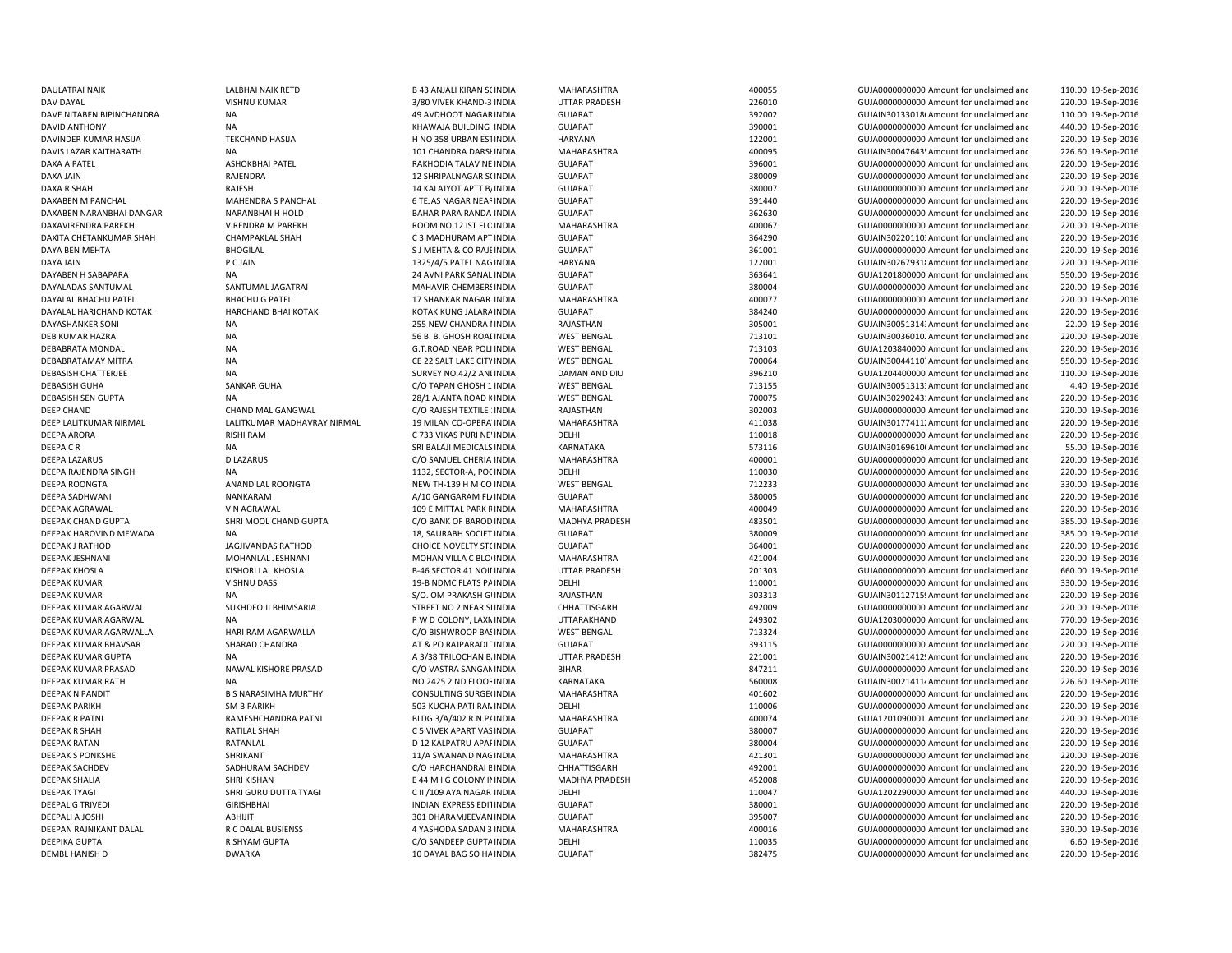DAXA A PATEL ASHOKBHAI PATEL ASHOKBHAI PATEL ASHONG ASHOKBHAI PATEL ASHOKBHAI PATEL ASHOKBHAI PATEL ASHOKBHAI PATEL ASHOKBHAI PATEL ASHOKBHAI PATEL ASHOKBHAI PATEL ASHOKBHAI PATEL ASHOKBHAI PATEL ASHOKBHAI PATEL ASHOKBHAI DAXITA CHETANKUMAR SHAH CHAMPAKLAL SHAH CHAMPAKLAL SHAH C 3 MADHURAM APT INDIA DAYABEN H SABAPARA NA 24 AVNI PARK SANAL INDIA DEEPA C R NA SRI BALAJI MEDICALS INDIA

DAULATRAI NAIK LALBHAI NAIK RETD RAN ANGLI KIRAN SOINDIA MAHARASHTRA 400055 AND GUJA000000000 Amount for unclaimed and 110.00 19-Sep-2016 DAV DAYAL VISHNU KUMAR 3/80 VIVEK KHAND-3 INDIA UTTAR PRADESH 226010 GUJA00000000000Amount for unclaimed and 220.00 19-Sep-2016 DAVE NITABEN BIPINCHANDRA NA 49 AVDHOOT NAGARINDIA GUJARAT 392002 GUJAIN301330186Amount for unclaimed and 110.00 19-Sep-2016 DAVID ANTHONY CONFIDENTIAL CONFIDENCIAL CONFIDENCIAL CONTRACT CONTRACT CONTRACT CONFIDENCIAL CONFIDENCIAL CONFIDENCIAL CONFIDENCIAL CONFIDENCIAL CONFIDENCIAL CONFIDENCIAL CONFIDENCIAL CONFIDENCIAL CONFIDENCIAL CONFIDENCIAL 440.00 19-Sep-2016 DAVINDER KUMAR HASIJA TEKCHAND HASIJA H NO 358 URBAN ESTINDIA HARYANA 122001 122001 GUJA000000000000 Amount for unclaimed and 220.00 19-Sep-2016 DAVIS LAZAR KAITHARATH NA 101 CHANDRA DARSHINDIA MAHARASHTRA 400095 GUJAIN30047643! Amount for unclaimed and 226.60 19-Sep-2016 INDIA GUJARAT 396001 GUJA0000000000 Amount for unclaimed and 220.00 19-Sep-2016 DAXA JAIN GUJA0000000000 Amount for unclaimed and state of the state of the SHRIPALNAGAR SCINDIA GUJARAT GUJATHAGAR SCINDIA SCINDIA GUJA000000000000 amount for unclaimed and 220.00 19-Sep-2016 DAXA R SHAH RAJESH 14 KALAJYOT APTT B/INDIA GUJARAT 380007 GUJA00000000000Amount for unclaimed and 220.00 19-Sep-2016 DAXABEN M PANCHAL MAHENDRA S PANCHAL 6 TEJAS NAGAR NEARINDIA GUJARAT 391440 GUJA00000000000Amount for unclaimed and 220.00 19-Sep-2016 DAXABEN NARANBHAI DANGAR NARANBHAI H HOLD BAHAR PARA RANDA INDIA GUJARAT 362630 362630 GUJA000000000 Amount for unclaimed and 220.00 19-Sep-2016 DAXAVIRENDRA PAREKH VIRENDRA M PAREKH ROOM NO 12 IST FLC INDIA MAHARASHTRA 400067 400067 GUJA000000000000 Amount for unclaimed and 220.00 19-Sep-2016 GUJARAT GUJARAT 364290 GUJAIN30220110: Amount for unclaimed and 220.00 19-Sep-2016 DAYA BEN MEHTA BHOGILAL S J MEHTA & CO RAJEINDIA GUJARAT 361001 GUJA00000000000Amount for unclaimed and 220.00 19-Sep-2016 DAYA JAIN P C JAIN 1325/4/5 PATEL NAGINDIA HARYANA 122001 GUJAIN302679318Amount for unclaimed and 220.00 19-Sep-2016 INDIA GUJARAT 363641 GUJA1201800000 Amount for unclaimed and 550.00 19-Sep-2016 DAYALADAS SANTUMAL SANTUMAL JAGATRAI SANTUMAL JAGATRAI MAHAVIR CHEMBERSINDIA GUJARAT SANTA SANTUMAL SANTUMAL DA SANTUMAL DA SANTUMAL JAGATRAI MAHAVIR CHEMBERSINDIA GUJARAT SANTUM SANTUM SANTUM SANTUMAL JAGATRAI MAHAVIR CHE 220.00 19-Sep-2016 DAYALAL BHACHU PATEL BHACHU G PATEL 17 SHANKAR NAGAR INDIA MAHARASHTRA 400077 400077 GUJA0000000000Amount for unclaimed and 220.00 19-Sep-2016 DAYALAL HARICHAND KOTAK HARCHAND BHAI KOTAK KOTAK KUNG JALARAINDIA GUJARAT 384240 GUJA00000000000Amount for unclaimed and 220.00 19-Sep-2016 DAYASHANKER SONI NA 255 NEW CHANDRA I INDIA RAJASTHAN 2008 225 NEW CHANDRA I INDIA RAJASTHAN 305001 GUJAIN30051314: Amount for unclaimed and 22.00 19-Sep-2016 DEB KUMAR HAZRA **NA 56 B. B. GHOSH ROADINDIA** WEST BENGAL 713101 GUJAIN30036010. Amount for unclaimed and 220.00 19-Sep-2016 DEBABRATA MONDAL **NA SALAD NA GUJA1203840000** Amount for unclaimed and GUJA1203840000 Amount for unclaimed and GUJA1203840000 Amount for unclaimed and 220.00 19-Sep-2016 DEBABRATAMAY MITRA NA NA NA CE 22 SALT LAKE CITY INDIA WEST BENGAL 700064 700064 GUJAIN30044110. Amount for unclaimed and 550.00 19-Sep-2016 DEBASISH CHATTERJEE NA NA SURVEY NO.42/2 ANI INDIA DAMAN AND DIU 396210 GUJA1204400000 Amount for unclaimed and 110.00 19-Sep-2016 DEBASISH GUHA SANKAR GUHA SANKAR GUHA SANKAR GUHA SANG DEBASI SANG GUGA DEBASISH 1 UNCLAIRED AND SANKAR GUGA SANG DEBASISH ALGA DEBASISH TILIDIG DEBASISH TILIDIG DEBASISH TILIDIG AND A 40 19-Sep-2016 DEBASISH SEN GUPTA NA NA 220.00 19-Sep-2016 28/1 AJANTA ROAD KINDIA WEST BENGAL 700075 700075 GUJAIN30290243: Amount for unclaimed and 220.00 19-Sep-2016 DEEP CHAND CHAND MAL GANGWAL C/O RAJESH TEXTILE 1INDIA RAJASTHAN 302003 GUJA00000000000Amount for unclaimed and 220.00 19-Sep-2016 DEEP LALITKUMAR NIRMAL LALITKUMAR MADHAVRAY NIRMAL 19 MILAN CO-OPERATINDIA MAHARASHTRA 411038 GUJAIN301774112Amount for unclaimed and 220.00 19-Sep-2016 DEEPA ARORA C 733 VIKAS PURI NE'INDIA DELHI 2000 DELHI 110018 GUJA0000000000000000000000000000 Amount for unclaimed and 220.00 19-Sep-2016 KARNATAKA 573116 GUJAIN30169610t Amount for unclaimed and GUJAIN30169610t Amount for unclaimed and 55.00 19-Sep-2016 DEEPA LAZARUS D LAZARUS DUAZARUS C/O SAMUEL CHERIA INDIA MAHARASHTRA 400001 4000001 GUJA0000000000 Amount for unclaimed and 220.00 19-Sep-2016 DEEPA RAJENDRA SINGH NA 1132, SECTOR-A, POCINDIA DELHI 110030 GUJA0000000000 Amount for unclaimed and 220.00 19-Sep-2016 DEEPA ROONGTA ANAND LAL ROONGTA NEW TH-139 H M CO INDIA WEST BENGAL 712233 GUJA00000000000 Amount for unclaimed and 330.00 19-Sep-2016 DEEPA SADHWANI NANKARAM NANKARAM ANG ALIO GANGARAM FLAINDIA GUJARAT SADARAT SADOOS SADHWANI GUJA00000000000000AMount for unclaimed anc 220.00 19-Sep-2016 DEEPAK AGRAWAL V N AGRAWAL 109 E MITTAL PARK RINDIA MAHARASHTRA 400049 GUJA0000000000 Amount for unclaimed and 220.00 19-Sep-2016 DEEPAK CHAND GUPTA SHRI MOOL CHAND GUPTA C/O BANK OF BAROD INDIA MADHYA PRADESH 483501 GUJA0000000000Amount for unclaimed and 385.00 19-Sep-2016 DEEPAK HAROVIND MEWADA NA NA 285.00 19-Sep-2016 18, SAURABH SOCIET INDIA GUJARAT 380009 380009 GUJA0000000000 Amount for unclaimed and 385.00 19-Sep-2016 DEEPAK J RATHOD JAGJIVANDAS RATHOD CHOICE NOVELTY STOINDIA GUJARAT 364001 GUJA00000000000Amount for unclaimed and 220.00 19-Sep-2016 DEEPAK JESHNANI MOHANLAL JESHNANI MOHANI MOHAN VILLA C BLO INDIA MAHARASHTRA 421004 421004 GUJA0000000000000 Amount for unclaimed and 220.00 19-Sep-2016 DEEPAK KHOSLA KISHORI LAL KHOSLA B-46 SECTOR 41 NOIDINDIA UTTAR PRADESH 201303 GUJA00000000000Amount for unclaimed and 660.00 19-Sep-2016 DEFPAK KUMAR CHATS OF THE VISHNU DASS THE SERVICE OF A SERVICE OF THE DELHI DELHI DELEMI DELEMI DELHI DELEMI DELEMI DELEMI DELEMI DELEMI DELEMI DELEMI DELEMI DELEMI DELEMI DELEMI DELEMI DELEMI DELEMI DELEMI DELEMI DELEMI D 330.00 19-Sep-2016 DEEPAK KUMAR NA NA NA S/O. OM PRAKASH GUINDIA RAJASTHAN 303313 GUJAIN30112715! Amount for unclaimed and 220.00 19-Sep-2016 DEEPAK KUMAR AGARWAL SUKHDEO JI BHIMSARIA STREET NO 2 NEAR SI INDIA CHHATTISGARH 492009 GUJA00000000000 Amount for unclaimed and 220.00 19-Sep-2016 DEEPAK KUMAR AGARWAL NA P W P COLONY, LAXMINDIA UTTARAKHAND 249302 GUJA1203000000 Amount for unclaimed and 770.00 19-Sep-2016 DEEPAK KUMAR AGARWALLA HARI RAM AGARWALLA C/O BISHWROOP BASINDIA WEST BENGAL 713324 GUJA00000000000Amount for unclaimed and 220.00 19-Sep-2016 DEEPAK KUMAR BHAVSAR SHARAD CHANDRA AT & PO RAJPARADI TINDIA GUJARAT 393115 GUJA00000000000Amount for unclaimed and 220.00 19-Sep-2016 DEEPAK KUMAR GUPTA NA NA A SA'S TRILOCHAN B. INDIA UTTAR PRADESH 221001 GUJAIN30021412! Amount for unclaimed and 220.00 19-Sep-2016 DEEPAK KUMAR PRASAD NAWAL KISHORE PRASAD C/O VASTRA SANGAMINDIA BIHAR BALAR 847211 GUJA0000000000Amount for unclaimed and 220.00 19-Sep-2016 DEEPAK KUMAR RATH NA NA NA NA NO 2425 2 ND FLOORINDIA KARNATAKA 560008 560008 GUJAIN30021411<sup>,</sup> Amount for unclaimed and 226.60 19-Sep-2016 DEEPAK N PANDIT B S NARASIMHA MURTHY CONSULTING SURGE(INDIA MAHARASHTRA 401602 401602 GUJA00000000000 Amount for unclaimed and 220.00 19-Sep-2016 DEEPAK PARIKH SM B PARIKH SM B PARIKH SM B PARIKH SAMINDIA DELHI DELHI DELHI DELHI 110006 GUJA000000000000000000000000000000 Amount for unclaimed and 220.00 19-Sep-2016 DEEPAK R PATNI RAMESHCHANDRA PATNI BLDG 3/A/402 R.N.PAINDIA MAHARASHTRA 400074 GUJA1201090001 Amount for unclaimed and 220.00 19-Sep-2016 DEEPAK R SHAH RATILAL SHAH C 5 VIVEK APART VASINDIA GUJARAT 380007 GUJA00000000000Amount for unclaimed and 220.00 19-Sep-2016 DEEPAK RATAN RATANLAL D 12 KALPATRU APARINDIA GUJARAT 380004 GUJA00000000000Amount for unclaimed and 220.00 19-Sep-2016 DEEPAK S PONKSHE SHRIKANT 11/A SWANAND NAGINDIA MAHARASHTRA 421301 GUJA0000000000 Amount for unclaimed and 220.00 19-Sep-2016 DEEPAK SACHDEV SADHURAM SACHDEV C/O HARCHANDRAI BINDIA CHHATTISGARH 492001 GUJA00000000000Amount for unclaimed and 220.00 19-Sep-2016 DEEPAK SHALIA SHRI KISHAN E 44 M I G COLONY ININDIA MADHYA PRADESH 452008 GUJA00000000000Amount for unclaimed and 220.00 19-Sep-2016 DEEPAK TYAGI SHRI GURU DUTTA TYAGI C II /109 AYA NAGAR INDIA DELHI DELHI 110047 GUJA1202290000 Amount for unclaimed anc 440.00 19-Sep-2016 DEEPAL G TRIVEDI GIRISHBHAI INDIAN EXPRESS EDITINDIA GUJARAT 380001 GUJA0000000000 Amount for unclaimed and 220.00 19-Sep-2016 DEEPALI A JOSHI ABHIJIT 301 DHARAMJEEVANINDIA GUJARAT 395007 GUJA0000000000 Amount for unclaimed and 220.00 19-Sep-2016 DEEPAN RAJNIKANT DALAL **ALAL ALAL REGALAL BUSIENSS** 4 YASHODA SADAN 3 INDIA MAHARASHTRA 400016 400016 GUJA000000000000000 Amount for unclaimed and 330.00 19-Sep-2016 DEEPIKA GUPTA R SHYAM GUPTA C/O SANDEEP GUPTA INDIA DELHI 2000 DELHI 110035 GUJA000000000 Amount for unclaimed and 6.60 19-Sep-2016 DEMBL HANISH D DWARKA 10 DAYAL BAG SO HAINDIA GUJARAT 382475 GUJA00000000000Amount for unclaimed and220.00 19-Sep-2016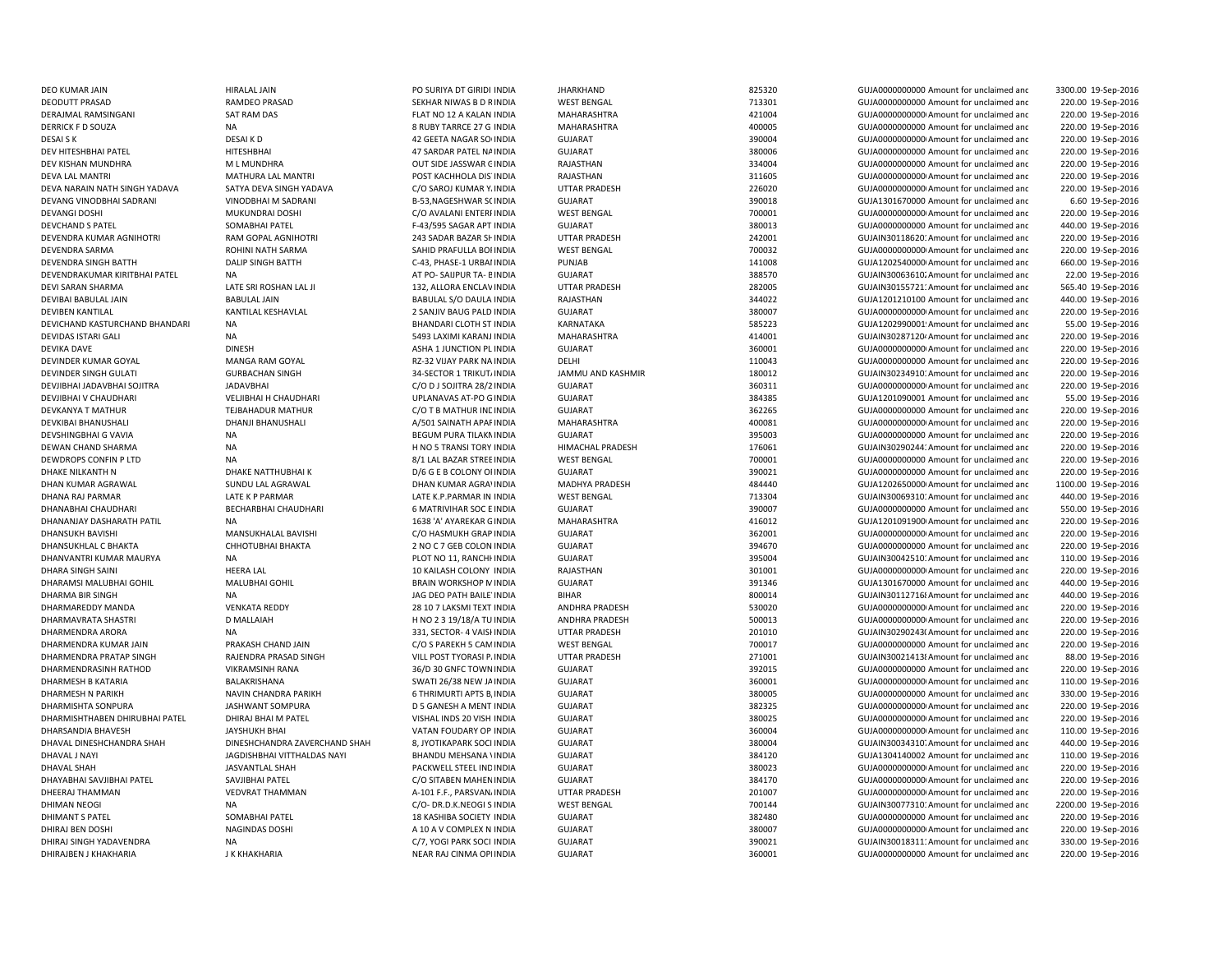DEO KUMAR JAIN HIRALAL JAIN PO SURIYA DT GIRIDI INDIA HARKHAND 825320 GUJA0000000000000000 Amount for unclaimed and DEVIKA DAVE DINESH DINESH DINESH ASHA 1 JUNCTION PLINDIA DEVINDER KUMAR GOYAL MANGA RAM GOYAL DEVINDER KUMAR GOYAL RZ-32 VIJAY PARK NA INDIA DHAN KUMAR AGRAWAL SUNDU LAL AGRAWAL DHANABHAI CHAUDHARI BECHARBHAI CHAUDHARI 6 MATRIVIHAR SOC E

DHAN KUMAR AGRA' INDIA

 3300.00 19-Sep-2016 DEODUTT PRASAD **RAMDEO PRASAD** SEKHAR NIWAS B D RINDIA WEST BENGAL 713301 GUJA000000000 Amount for unclaimed and 220.00 19-Sep-2016 DERAJMAL RAMSINGANI SAT RAM DAS SAT RAM DAS FLAT NO 12 A KALAN INDIA MAHARASHTRA 421004 421004 GUJA000000000000000000000000000000 Amount for unclaimed and 220.00 19-Sep-2016 DERRICK F D SOUZA NA 8 RUBY TARRCE 27 G INDIA MAHARASHTRA 400005 GUJA0000000000 Amount for unclaimed and 220.00 19-Sep-2016 DESAI S K DESAI K D 42 GEETA NAGAR SOCINDIA GUJARAT 390004 GUJA00000000000Amount for unclaimed and 220.00 19-Sep-2016 DEV HITESHBHAI PATEL NEIND HITESHBHAI 1999 HITESHBHAI 47 SARDAR PATEL NAINDIA GUJARAT GUARAT 380006 380006 GUJA00000000000000000000000 Amount for unclaimed and 220.00 19-Sep-2016 DEV KISHAN MUNDHRA M L MUNDHRA M LOUT SIDE JASSWAR GINDIA RAJASTHAN 334004 334004 GUJA000000000 Amount for unclaimed and 220.00 19-Sep-2016 DEVA LAL MANTRI MATHURA LAL MANTRI POST KACHHOLA DIS'INDIA RAJASTHAN 311605 311605 GUJA0000000000Amount for unclaimed and 220.00 19-Sep-2016 DEVA NARAIN NATH SINGH YADAVA SATYA DEVA SINGH YADAVA C/O SAROJ KUMAR YAINDIA UTTAR PRADESH 226020 GUJA00000000000Amount for unclaimed and 220.00 19-Sep-2016 DEVANG VINODBHAI SADRANI VINODBHAI M SADRANI B-53,NAGESHWAR SOINDIA GUJARAT 390018 GUJA1301670000 Amount for unclaimed and 6.60 19-Sep-2016 DEVANGI DOSHI MUKUNDRAI DOSHI C/O AVALANI ENTERI INDIA WEST BENGAL 700001 700001 GUJA000000000000000000000000 Amount for unclaimed and 220.00 19-Sep-2016 DEVCHAND S PATEL SOMABHAI PATEL F-43/595 SAGAR APT INDIA GUJARAT 380013 GUJA0000000000 Amount for unclaimed and 440.00 19-Sep-2016 DEVENDRA KUMAR AGNIHOTRI RAM GOPAL AGNIHOTRI 243 SADAR BAZAR SHINDIA UTTAR PRADESH 242001 GUJAIN30118620: Amount for unclaimed and 220.00 19-Sep-2016 DEVENDRA SARMA ROHINI NATH SARMA SAHID PRAFULLA BORINDIA WEST BENGAL 700032 GUJA00000000000Amount for unclaimed and 220.00 19-Sep-2016 DEVENDRA SINGH BATTH DALIP SINGH BATTH C-43, PHASE-1 URBANINDIA PUNJAB 141008 GUJA12025400000Amount for unclaimed and 660.00 19-Sep-2016 DEVENDRAKUMAR KIRITBHAI PATEL NA CHANG AT PO- SAIJPUR TA- EINDIA GUJARAT GUJARAT 388570 GUJAIN30063610. Amount for unclaimed and 22.00 19-Sep-2016 DEVI SARAN SHARMA LATE SRI ROSHAN LAL JI 2000 2020 132, ALLORA ENCLAVINDIA UTTAR PRADESH 282005 GUJAIN30155721: Amount for unclaimed and 565.40 19-Sep-2016 DEVIBAI BABULAL JAIN BABULAL JAIN BABULAL S/O DAULA INDIA RAJASTHAN 344022 GUJA1201210100 Amount for unclaimed and 440.00 19-Sep-2016 DEVIBEN KANTILAL KANTILAL KESHAVLAL 2 SANJIV BAUG PALD INDIA GUJARAT 380007 GUJA00000000000Amount for unclaimed and 220.00 19-Sep-2016 DEVICHAND KASTURCHAND BHANDARI NA SANDARI DEVICHANDARI CLOTH ST INDIA KARNATAKA SANDARI SES223 GUJA1202990001! Amount for unclaimed and 55.00 19-Sep-2016 DEVIDAS ISTARI GALI NA 5493 LAXIMI KARANJ INDIA MAHARASHTRA 414001 414001 GUJAIN302871204Amount for unclaimed and 220.00 19-Sep-2016 INDIA GUJARAT 360001 GUJA00000000000Amount for unclaimed and 220.00 19-Sep-2016 INDIA DELHI 110043 GUJA0000000000 Amount for unclaimed and 220.00 19-Sep-2016 DEVINDER SINGH GULATI CURBACHAN SINGH 34-SECTOR 1 TRIKUTAINDIA JAMMU AND KASHMIR 180012 GUJAIN30234910: Amount for unclaimed and 220.00 19-Sep-2016 DEVJIBHAI JADAVBHAI SOJITRA JADAVBHAI C/O D J SOJITRA 28/2 INDIA GUJARAT 360311 GUJA00000000000Amount for unclaimed and 220.00 19-Sep-2016 DEVJIBHAI V CHAUDHARI VELJIBHAI H CHAUDHARI UPLANAVAS AT-PO GINDIA GUJARAT 384385 GUJA1201090001 Amount for unclaimed and 55.00 19-Sep-2016 DEVKANYA T MATHUR TEJBAHADUR MATHUR CO T B MATHUR INDIA GUJARAT 362265 GUJA000000000 Amount for unclaimed and 220.00 19-Sep-2016 DEVKIBAI BHANUSHALI DHANJI BHANUSHALI A/501 SAINATH APARINDIA MAHARASHTRA 400081 GUJA00000000000Amount for unclaimed and 220.00 19-Sep-2016 DEVSHINGBHAI G VAVIA NA BEGUM PURA TILAKMINDIA GUJARAT 395003 GUJA0000000000 Amount for unclaimed and 220.00 19-Sep-2016 DEWAN CHAND SHARMA NA NA NA H NO 5 TRANSI TORY INDIA HIMACHAL PRADESH 176061 176061 GUJAIN30290244: Amount for unclaimed and 220.00 19-Sep-2016 DEWDROPS CONFIN P LTD NA NA SALL BAZAR STREEINDIA WEST BENGAL 700001 700001 GUJA0000000000 Amount for unclaimed and 220.00 19-Sep-2016 DHAKE NILKANTH N DHAKE NATTHUBHAI K D/6 G E B COLONY OI INDIA GUJARAT 390021 GUJA0000000000 Amount for unclaimed and 220.00 19-Sep-2016 MADHYA PRADESH 484440 GUJA1202650000 Amount for unclaimed and 1100.00 19-Sep-2016 DHANA RAJ PARMAR LATE K P PARMAR LATE K.P.PARMAR IN INDIA WEST BENGAL 713304 GUJAIN300693101Amount for unclaimed and 440.00 19-Sep-2016 INDIA GUJARAT 390007 GUJA0000000000 Amount for unclaimed and 550.00 19-Sep-2016 DHANANJAY DASHARATH PATIL NA 1638 'A' AYAREKAR GINDIA MAHARASHTRA 416012 GUJA12010919000Amount for unclaimed and 220.00 19-Sep-2016 DHANSUKH BAVISHI MANSUKHALAL BAVISHI C/O HASMUKH GRAP INDIA GUJARAT 362001 GUJA00000000000Amount for unclaimed and 220.00 19-Sep-2016 DHANSUKHLAL C BHAKTA CHHOTUBHAI BHAKTA 2 NO C 7 GEB COLON INDIA GUJARAT 394670 SUJA0000000000 Amount for unclaimed and 220.00 19-Sep-2016 DHANVANTRI KUMAR MAURYA NA NA PLOT NO 11, RANCHHINDIA GUJARAT SUJARAT 395004 GUJAIN30042510: Amount for unclaimed and 110.00 19-Sep-2016 DHARA SINGH SAINI **HEERA LAL** 10 KAILASH COLONY INDIA RAJASTHAN 301001 301001 GUJA000000000000000000000 Amount for unclaimed and 220.00 19-Sep-2016 DHARAMSI MALUBHAI GOHIL MALUBHAI GOHIL BRAIN WORKSHOP MINDIA GUJARAT 391346 GUJA1301670000 Amount for unclaimed and 440.00 19-Sep-2016 DHARMA BIR SINGH NA NA NA DHARMA DHARMA DHAR BIHAR BIHAR BIHAR SOO 24 SOO 21 GUJAIN301127168Amount for unclaimed and 440.00 19-Sep-2016 DHARMAREDDY MANDA VENKATA REDDY 28 10 7 LAKSMI TEXT INDIA ANDHRA PRADESH 530020 GUJA0000000000Amount for unclaimed and 220.00 19-Sep-2016 DHARMAVRATA SHASTRI DIMALLAIAH DIMALLAIAH H NO 2 3 19/18/A TU INDIA ANDHRA PRADESH 500013 GUJA0000000000Amount for unclaimed and 220.00 19-Sep-2016 DHARMENDRA ARORA NA NA 220.00 19-Sep-2016 331, SECTOR- 4 VAISHINDIA UTTAR PRADESH 201010 201010 GUJAIN30290243(Amount for unclaimed and 220.00 19-Sep-2016 DHARMENDRA KUMAR JAIN PRAKASH CHAND JAIN COS PAREKH 5 CAMINDIA WEST BENGAL 700017 GUJA0000000000 Amount for unclaimed and 220.00 19-Sep-2016 DHARMENDRA PRATAP SINGH RAJENDRA PRASAD SINGH VILL POST TYORASI P. INDIA UTTAR PRADESH 271001 GUJAIN300214138Amount for unclaimed and 88.00 19-Sep-2016 DHARMENDRASINH RATHOD VIKRAMSINH RANA 36/D 30 GNFC TOWNINDIA GUJARAT 392015 GUJA0000000000 Amount for unclaimed and 220.00 19-Sep-2016 DHARMESH B KATARIA SWATI 26/38 NEW JAINDIA GUJARAT 360001 360001 GUJA000000000000000Amount for unclaimed and 110.00 19-Sep-2016 DHARMESH N PARIKH NAVIN CHANDRA PARIKH 6 THRIMURTI APTS B/INDIA GUJARAT 380005 GUJA0000000000 Amount for unclaimed and 330.00 19-Sep-2016 DHARMISHTA SONPURA JASHWANT SOMPURA D 5 GANESH A MENT INDIA GUJARAT 382325 GUJA00000000000Amount for unclaimed and 220.00 19-Sep-2016 DHARMISHTHABEN DHIRUBHAI PATEL DHIRAJ BHAI M PATEL VISHAL INDS 20 VISH INDIA GUJARAT 380025 GUJA00000000000Amount for unclaimed and 220.00 19-Sep-2016 DHARSANDIA BHAVESH JAYSHUKH BHAI VATAN FOUDARY OP INDIA GUJARAT 360004 GUJA00000000000Amount for unclaimed and 110.00 19-Sep-2016 DHAVAL DINESHCHANDRA SHAH DINESHCHANDRA ZAVERCHAND SHAH 8, JYOTIKAPARK SOCI INDIA GUJARAT 380004 380004 GUJAIN30034310. Amount for unclaimed and 440.00 19-Sep-2016 DHAVAL JNAYI DHAVAL JAGDISHBHAI VITTHALDAS NAYI BHANDU MEHSANA VINDIA GUJARAT SANA SANA SANA DHAVAL JNAYI GUJA1304140002 Amount for unclaimed and 110.00 19-Sep-2016 DHAVAL SHAH JASVANTLAL SHAH PACKWELL STEEL INDINDIA GUJARAT 380023 GUJA00000000000Amount for unclaimed and 220.00 19-Sep-2016 DHAYABHAI SAVJIBHAI PATEL SAVJIBHAI PATEL CO SITABEN MAHEN INDIA GUJARAT 384170 GUJA000000000Amount for unclaimed and 220.00 19-Sep-2016 DHEERAJ THAMMAN VEDVRAT THAMMAN A-101 F.F., PARSVANAINDIA UTTAR PRADESH 201007 GUJA00000000000Amount for unclaimed and 220.00 19-Sep-2016 DHIMAN NEOGI NA NA NA C/O- DR.D.K.NEOGI SINDIA WEST BENGAL 700144 GUJAIN300773101 Amount for unclaimed and 2200.00 19-Sep-2016 DHIMANT S PATEL SOMABHAI PATEL SOMABHAI PATEL 2 AND ANN ANN AN SULARAT GUJARAT GUJARAT SALLE AND SALLE SOMAGHAI PATEL SOMAGHAI PATEL SOMAGHAI PATEL SOMAGHAI PATEL SOMAGHAI PATEL SOMAGHAI PATEL SOMAGHAI PATEL SOMAGHAI PATEL 220.00 19-Sep-2016 DHIRAJ BEN DOSHI NAGINDAS DOSHI NAGINDAS DOSHI A 10 A V COMPLEX N INDIA GUJARAT GUARAT 380007 GUJA0000000000000000000000000000000Amount for unclaimed and 220.00 19-Sep-2016 DHIRAJ SINGH YADAVENDRA NA NA SANG TANGHANG SANGHANG SANG TANGGALI DAN GUJAINA GUJAINA SANG SANG SANG ANG SANGHANGGA<br>Dina dikalih sanggali dan masa sanggali dan masa sanggali dan masa sanggali dan masa sanggali dan masa sa DHIRAJBEN J KHAKHARIA J K KHAKHARIA NEAR RAJ CHAMA OPI INDIA GUJARAT GUJARAT SHOOD 360001 GUJA000000000000000000000000000 Amount for unclaimed and 220.00 19-Sep-2016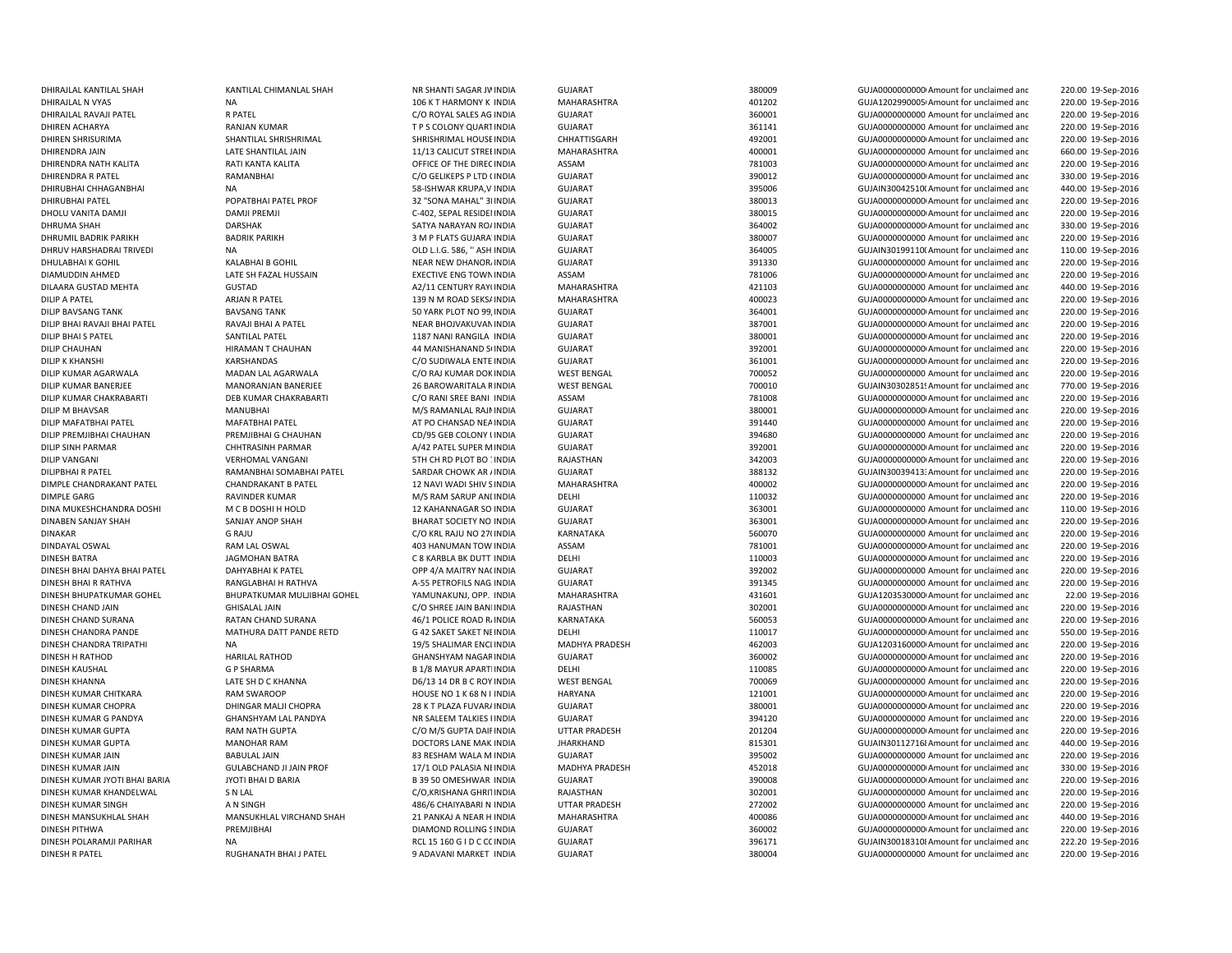| DHIRAJLAL KANTILAL SHAH       | KANTILAL CHIMANLAL SHAH        | NR SHANTI SAGAR JV INDIA         | <b>GUJARAT</b>        | 380009 | GUJA0000000000 Amount for unclaimed and  | 220.00 19-Sep-2016 |
|-------------------------------|--------------------------------|----------------------------------|-----------------------|--------|------------------------------------------|--------------------|
| DHIRAJLAL N VYAS              | <b>NA</b>                      | 106 K T HARMONY K INDIA          | MAHARASHTRA           | 401202 | GUJA1202990005 Amount for unclaimed and  | 220.00 19-Sep-2016 |
| DHIRAJLAL RAVAJI PATEL        | <b>R PATEL</b>                 | C/O ROYAL SALES AG INDIA         | <b>GUJARAT</b>        | 360001 | GUJA0000000000 Amount for unclaimed and  | 220.00 19-Sep-2016 |
| DHIREN ACHARYA                | <b>RANJAN KUMAR</b>            | T P S COLONY QUART INDIA         | <b>GUJARAT</b>        | 361141 | GUJA0000000000 Amount for unclaimed and  | 220.00 19-Sep-2016 |
| DHIREN SHRISURIMA             | SHANTILAL SHRISHRIMAL          | SHRISHRIMAL HOUSE INDIA          | CHHATTISGARH          | 492001 | GUJA00000000000 Amount for unclaimed and | 220.00 19-Sep-2016 |
| DHIRENDRA JAIN                | LATE SHANTILAL JAIN            | 11/13 CALICUT STREE INDIA        | MAHARASHTRA           | 400001 | GUJA0000000000 Amount for unclaimed and  | 660.00 19-Sep-2016 |
| DHIRENDRA NATH KALITA         | RATI KANTA KALITA              | OFFICE OF THE DIREC INDIA        | ASSAM                 | 781003 | GUJA00000000000 Amount for unclaimed and | 220.00 19-Sep-2016 |
| <b>DHIRENDRA R PATEL</b>      | RAMANBHAI                      | C/O GELIKEPS P LTD (INDIA        | <b>GUJARAT</b>        | 390012 | GUJA0000000000 Amount for unclaimed and  | 330.00 19-Sep-2016 |
| DHIRUBHAI CHHAGANBHAI         | <b>NA</b>                      | 58-ISHWAR KRUPA, V INDIA         | <b>GUJARAT</b>        | 395006 | GUJAIN30042510(Amount for unclaimed and  | 440.00 19-Sep-2016 |
| DHIRUBHAI PATEL               | POPATBHAI PATEL PROF           | 32 "SONA MAHAL" 3I INDIA         | <b>GUJARAT</b>        | 380013 | GUJA00000000000 Amount for unclaimed and | 220.00 19-Sep-2016 |
| DHOLU VANITA DAMJI            | <b>DAMJI PREMJI</b>            | C-402, SEPAL RESIDEI INDIA       | <b>GUJARAT</b>        | 380015 | GUJA00000000000 Amount for unclaimed and | 220.00 19-Sep-2016 |
| <b>DHRUMA SHAH</b>            | <b>DARSHAK</b>                 | SATYA NARAYAN RO/ INDIA          | <b>GUJARAT</b>        | 364002 | GUJA00000000000 Amount for unclaimed and | 330.00 19-Sep-2016 |
|                               |                                |                                  |                       |        |                                          |                    |
| DHRUMIL BADRIK PARIKH         | <b>BADRIK PARIKH</b>           | 3 M P FLATS GUJARA INDIA         | <b>GUJARAT</b>        | 380007 | GUJA0000000000 Amount for unclaimed and  | 220.00 19-Sep-2016 |
| DHRUV HARSHADRAI TRIVEDI      | <b>NA</b>                      | OLD L.I.G. 586, " ASH INDIA      | <b>GUJARAT</b>        | 364005 | GUJAIN30199110(Amount for unclaimed and  | 110.00 19-Sep-2016 |
| DHULABHAI K GOHIL             | <b>KALABHAI B GOHIL</b>        | NEAR NEW DHANOR, INDIA           | <b>GUJARAT</b>        | 391330 | GUJA0000000000 Amount for unclaimed and  | 220.00 19-Sep-2016 |
| DIAMUDDIN AHMED               | LATE SH FAZAL HUSSAIN          | <b>EXECTIVE ENG TOWN INDIA</b>   | ASSAM                 | 781006 | GUJA00000000000 Amount for unclaimed and | 220.00 19-Sep-2016 |
| DILAARA GUSTAD MEHTA          | <b>GUSTAD</b>                  | A2/11 CENTURY RAY( INDIA         | <b>MAHARASHTRA</b>    | 421103 | GUJA0000000000 Amount for unclaimed and  | 440.00 19-Sep-2016 |
| <b>DILIP A PATEL</b>          | ARJAN R PATEL                  | 139 N M ROAD SEKS/ INDIA         | <b>MAHARASHTRA</b>    | 400023 | GUJA00000000000 Amount for unclaimed and | 220.00 19-Sep-2016 |
| <b>DILIP BAVSANG TANK</b>     | <b>BAVSANG TANK</b>            | 50 YARK PLOT NO 99, INDIA        | <b>GUJARAT</b>        | 364001 | GUJA00000000000 Amount for unclaimed and | 220.00 19-Sep-2016 |
| DILIP BHAI RAVAJI BHAI PATEL  | RAVAJI BHAI A PATEL            | NEAR BHOJVAKUVAN INDIA           | <b>GUJARAT</b>        | 387001 | GUJA00000000000 Amount for unclaimed and | 220.00 19-Sep-2016 |
| <b>DILIP BHAI S PATEL</b>     | SANTILAL PATEL                 | 1187 NANI RANGILA INDIA          | <b>GUJARAT</b>        | 380001 | GUJA0000000000 Amount for unclaimed and  | 220.00 19-Sep-2016 |
| <b>DILIP CHAUHAN</b>          | HIRAMAN T CHAUHAN              | 44 MANISHANAND SI INDIA          | <b>GUJARAT</b>        | 392001 | GUJA00000000000 Amount for unclaimed and | 220.00 19-Sep-2016 |
| <b>DILIP K KHANSHI</b>        | KARSHANDAS                     | C/O SUDIWALA ENTE INDIA          | <b>GUJARAT</b>        | 361001 | GUJA00000000000 Amount for unclaimed and | 220.00 19-Sep-2016 |
|                               |                                |                                  |                       |        |                                          |                    |
| DILIP KUMAR AGARWALA          | MADAN LAL AGARWALA             | C/O RAJ KUMAR DOK INDIA          | <b>WEST BENGAL</b>    | 700052 | GUJA0000000000 Amount for unclaimed and  | 220.00 19-Sep-2016 |
| DILIP KUMAR BANERJEE          | MANORANJAN BANERJEE            | 26 BAROWARITALA RINDIA           | <b>WEST BENGAL</b>    | 700010 | GUJAIN30302851! Amount for unclaimed and | 770.00 19-Sep-2016 |
| DILIP KUMAR CHAKRABARTI       | DEB KUMAR CHAKRABARTI          | C/O RANI SREE BANI INDIA         | ASSAM                 | 781008 | GUJA0000000000 Amount for unclaimed and  | 220.00 19-Sep-2016 |
| DILIP M BHAVSAR               | <b>MANUBHAI</b>                | M/S RAMANLAL RAJNINDIA           | <b>GUJARAT</b>        | 380001 | GUJA00000000000 Amount for unclaimed and | 220.00 19-Sep-2016 |
| DILIP MAFATBHAI PATEL         | MAFATBHAI PATEL                | AT PO CHANSAD NEA INDIA          | <b>GUJARAT</b>        | 391440 | GUJA0000000000 Amount for unclaimed and  | 220.00 19-Sep-2016 |
| DILIP PREMJIBHAI CHAUHAN      | PREMJIBHAI G CHAUHAN           | CD/95 GEB COLONY I INDIA         | <b>GUJARAT</b>        | 394680 | GUJA0000000000 Amount for unclaimed and  | 220.00 19-Sep-2016 |
| <b>DILIP SINH PARMAR</b>      | CHHTRASINH PARMAR              | A/42 PATEL SUPER M INDIA         | <b>GUJARAT</b>        | 392001 | GUJA00000000000 Amount for unclaimed and | 220.00 19-Sep-2016 |
| <b>DILIP VANGANI</b>          | <b>VERHOMAL VANGANI</b>        | <b>5TH CH RD PLOT BO : INDIA</b> | RAJASTHAN             | 342003 | GUJA00000000000 Amount for unclaimed and | 220.00 19-Sep-2016 |
| <b>DILIPBHAI R PATEL</b>      | RAMANBHAI SOMABHAI PATEL       | SARDAR CHOWK AR / INDIA          | <b>GUJARAT</b>        | 388132 | GUJAIN30039413: Amount for unclaimed and | 220.00 19-Sep-2016 |
| DIMPLE CHANDRAKANT PATEL      | <b>CHANDRAKANT B PATEL</b>     | 12 NAVI WADI SHIV SINDIA         | <b>MAHARASHTRA</b>    | 400002 | GUJA00000000000 Amount for unclaimed and | 220.00 19-Sep-2016 |
| <b>DIMPLE GARG</b>            | <b>RAVINDER KUMAR</b>          | M/S RAM SARUP ANI INDIA          | <b>DELHI</b>          | 110032 | GUJA0000000000 Amount for unclaimed and  | 220.00 19-Sep-2016 |
| DINA MUKESHCHANDRA DOSHI      | M C B DOSHI H HOLD             | 12 KAHANNAGAR SO INDIA           | <b>GUJARAT</b>        | 363001 | GUJA0000000000 Amount for unclaimed and  | 110.00 19-Sep-2016 |
|                               |                                |                                  | <b>GUJARAT</b>        |        |                                          |                    |
| DINABEN SANJAY SHAH           | SANJAY ANOP SHAH               | BHARAT SOCIETY NO INDIA          |                       | 363001 | GUJA00000000000 Amount for unclaimed and | 220.00 19-Sep-2016 |
| <b>DINAKAR</b>                | <b>G RAJU</b>                  | C/O KRL RAJU NO 27( INDIA        | KARNATAKA             | 560070 | GUJA0000000000 Amount for unclaimed and  | 220.00 19-Sep-2016 |
| DINDAYAL OSWAL                | RAM LAL OSWAL                  | 403 HANUMAN TOW INDIA            | ASSAM                 | 781001 | GUJA00000000000 Amount for unclaimed and | 220.00 19-Sep-2016 |
| <b>DINESH BATRA</b>           | <b>JAGMOHAN BATRA</b>          | C 8 KARBLA BK DUTT INDIA         | DELHI                 | 110003 | GUJA0000000000 Amount for unclaimed and  | 220.00 19-Sep-2016 |
| DINESH BHAI DAHYA BHAI PATEL  | DAHYABHAI K PATEL              | OPP 4/A MAITRY NACINDIA          | <b>GUJARAT</b>        | 392002 | GUJA0000000000 Amount for unclaimed and  | 220.00 19-Sep-2016 |
| DINESH BHAI R RATHVA          | RANGLABHAI H RATHVA            | A-55 PETROFILS NAG INDIA         | <b>GUJARAT</b>        | 391345 | GUJA0000000000 Amount for unclaimed and  | 220.00 19-Sep-2016 |
| DINESH BHUPATKUMAR GOHEL      | BHUPATKUMAR MULJIBHAI GOHEL    | YAMUNAKUNJ, OPP. INDIA           | <b>MAHARASHTRA</b>    | 431601 | GUJA1203530000 Amount for unclaimed and  | 22.00 19-Sep-2016  |
| DINESH CHAND JAIN             | <b>GHISALAL JAIN</b>           | C/O SHREE JAIN BAN INDIA         | RAJASTHAN             | 302001 | GUJA00000000000 Amount for unclaimed and | 220.00 19-Sep-2016 |
| DINESH CHAND SURANA           | RATAN CHAND SURANA             | 46/1 POLICE ROAD R. INDIA        | KARNATAKA             | 560053 | GUJA00000000000 Amount for unclaimed and | 220.00 19-Sep-2016 |
| DINESH CHANDRA PANDE          | MATHURA DATT PANDE RETD        | G 42 SAKET SAKET NE INDIA        | DELHI                 | 110017 | GUJA0000000000 Amount for unclaimed and  | 550.00 19-Sep-2016 |
| DINESH CHANDRA TRIPATHI       | <b>NA</b>                      | 19/5 SHALIMAR ENCLINDIA          | <b>MADHYA PRADESH</b> | 462003 | GUJA1203160000 Amount for unclaimed and  | 220.00 19-Sep-2016 |
| <b>DINESH H RATHOD</b>        | <b>HARILAL RATHOD</b>          |                                  | <b>GUJARAT</b>        | 360002 | GUJA0000000000 Amount for unclaimed and  |                    |
|                               |                                | <b>GHANSHYAM NAGAR INDIA</b>     |                       |        |                                          | 220.00 19-Sep-2016 |
| DINESH KAUSHAL                | <b>G P SHARMA</b>              | <b>B 1/8 MAYUR APART INDIA</b>   | DELHI                 | 110085 | GUJA00000000000 Amount for unclaimed and | 220.00 19-Sep-2016 |
| <b>DINESH KHANNA</b>          | LATE SH D C KHANNA             | D6/13 14 DR B C ROY INDIA        | <b>WEST BENGAL</b>    | 700069 | GUJA0000000000 Amount for unclaimed and  | 220.00 19-Sep-2016 |
| DINESH KUMAR CHITKARA         | <b>RAM SWAROOP</b>             | HOUSE NO 1 K 68 N I INDIA        | <b>HARYANA</b>        | 121001 | GUJA00000000000 Amount for unclaimed and | 220.00 19-Sep-2016 |
| DINESH KUMAR CHOPRA           | DHINGAR MALJI CHOPRA           | 28 K T PLAZA FUVAR/ INDIA        | <b>GUJARAT</b>        | 380001 | GUJA00000000000 Amount for unclaimed and | 220.00 19-Sep-2016 |
| DINESH KUMAR G PANDYA         | GHANSHYAM LAL PANDYA           | NR SALEEM TALKIES I INDIA        | <b>GUJARAT</b>        | 394120 | GUJA0000000000 Amount for unclaimed and  | 220.00 19-Sep-2016 |
| DINESH KUMAR GUPTA            | RAM NATH GUPTA                 | C/O M/S GUPTA DAIF INDIA         | UTTAR PRADESH         | 201204 | GUJA00000000000 Amount for unclaimed and | 220.00 19-Sep-2016 |
| <b>DINESH KUMAR GUPTA</b>     | <b>MANOHAR RAM</b>             | DOCTORS LANE MAK INDIA           | <b>JHARKHAND</b>      | 815301 | GUJAIN301127168 Amount for unclaimed and | 440.00 19-Sep-2016 |
| DINESH KUMAR JAIN             | <b>BABULAL JAIN</b>            | 83 RESHAM WALA M INDIA           | <b>GUJARAT</b>        | 395002 | GUJA0000000000 Amount for unclaimed and  | 220.00 19-Sep-2016 |
| DINESH KUMAR JAIN             | <b>GULABCHAND JI JAIN PROF</b> | 17/1 OLD PALASIA NI INDIA        | <b>MADHYA PRADESH</b> | 452018 | GUJA0000000000 Amount for unclaimed and  | 330.00 19-Sep-2016 |
| DINESH KUMAR JYOTI BHAI BARIA | JYOTI BHAI D BARIA             | B 39 50 OMESHWAR INDIA           | <b>GUJARAT</b>        | 390008 | GUJA00000000000 Amount for unclaimed and | 220.00 19-Sep-2016 |
| DINESH KUMAR KHANDELWAL       | S N LAL                        |                                  | RAJASTHAN             |        | GUJA0000000000 Amount for unclaimed and  |                    |
|                               |                                | C/O, KRISHANA GHRITINDIA         |                       | 302001 |                                          | 220.00 19-Sep-2016 |
| <b>DINESH KUMAR SINGH</b>     | A N SINGH                      | 486/6 CHAIYABARI N INDIA         | <b>UTTAR PRADESH</b>  | 272002 | GUJA0000000000 Amount for unclaimed and  | 220.00 19-Sep-2016 |
| DINESH MANSUKHLAL SHAH        | MANSUKHLAL VIRCHAND SHAH       | 21 PANKAJ A NEAR H INDIA         | MAHARASHTRA           | 400086 | GUJA0000000000 Amount for unclaimed and  | 440.00 19-Sep-2016 |
| <b>DINESH PITHWA</b>          | PREMJIBHAI                     | DIAMOND ROLLING SINDIA           | <b>GUJARAT</b>        | 360002 | GUJA0000000000 Amount for unclaimed and  | 220.00 19-Sep-2016 |
| DINESH POLARAMJI PARIHAR      | <b>NA</b>                      | RCL 15 160 G I D C C( INDIA      | <b>GUJARAT</b>        | 396171 | GUJAIN300183108 Amount for unclaimed and | 222.20 19-Sep-2016 |
| <b>DINESH R PATEL</b>         | RUGHANATH BHAI J PATEL         | 9 ADAVANI MARKET INDIA           | <b>GUJARAT</b>        | 380004 | GUJA0000000000 Amount for unclaimed and  | 220.00 19-Sep-2016 |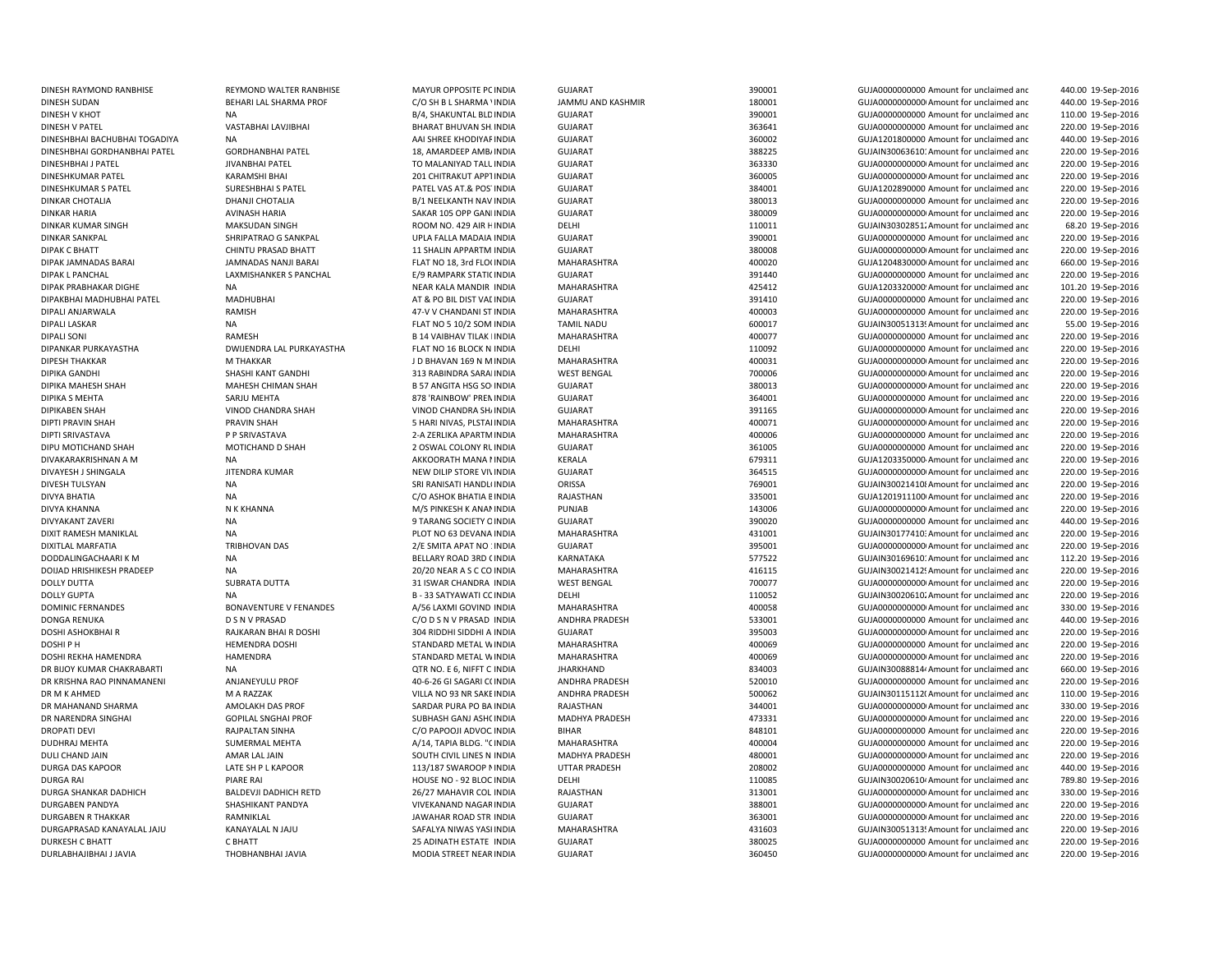| DINESH RAYMOND RANBHISE       | REYMOND WALTER RANBHISE       | MAYUR OPPOSITE PC INDIA         | <b>GUJARAT</b>        | 390001 | GUJA0000000000 Amount for unclaimed and              | 440.00 19-Sep-2016 |
|-------------------------------|-------------------------------|---------------------------------|-----------------------|--------|------------------------------------------------------|--------------------|
| DINESH SUDAN                  | BEHARI LAL SHARMA PROF        | C/O SH B L SHARMA ' INDIA       | JAMMU AND KASHMIR     | 180001 | GUJA00000000000 Amount for unclaimed and             | 440.00 19-Sep-2016 |
| DINESH V KHOT                 | <b>NA</b>                     | B/4, SHAKUNTAL BLD INDIA        | GUJARAT               | 390001 | GUJA0000000000 Amount for unclaimed and              | 110.00 19-Sep-2016 |
| <b>DINESH V PATEL</b>         | VASTABHAI LAVJIBHAI           | BHARAT BHUVAN SH INDIA          | <b>GUJARAT</b>        | 363641 | GUJA0000000000 Amount for unclaimed and              | 220.00 19-Sep-2016 |
| DINESHBHAI BACHUBHAI TOGADIYA | <b>NA</b>                     | AAI SHREE KHODIYAF INDIA        | GUJARAT               | 360002 | GUJA1201800000 Amount for unclaimed and              | 440.00 19-Sep-2016 |
| DINESHBHAI GORDHANBHAI PATEL  | <b>GORDHANBHAI PATEL</b>      | 18, AMARDEEP AMB/ INDIA         | GUJARAT               | 388225 | GUJAIN30063610: Amount for unclaimed and             | 220.00 19-Sep-2016 |
| DINESHBHAI J PATEL            | JIVANBHAI PATEL               | TO MALANIYAD TALL INDIA         | <b>GUJARAT</b>        | 363330 | GUJA00000000000 Amount for unclaimed and             | 220.00 19-Sep-2016 |
| DINESHKUMAR PATEL             | KARAMSHI BHAI                 | 201 CHITRAKUT APP1 INDIA        | GUJARAT               | 360005 | GUJA00000000000 Amount for unclaimed and             | 220.00 19-Sep-2016 |
| <b>DINESHKUMAR S PATEL</b>    | <b>SURESHBHAI S PATEL</b>     | PATEL VAS AT.& POS' INDIA       | GUJARAT               | 384001 | GUJA1202890000 Amount for unclaimed and              | 220.00 19-Sep-2016 |
| <b>DINKAR CHOTALIA</b>        |                               |                                 |                       |        |                                                      |                    |
|                               | DHANJI CHOTALIA               | B/1 NEELKANTH NAV INDIA         | GUJARAT               | 380013 | GUJA0000000000 Amount for unclaimed and              | 220.00 19-Sep-2016 |
| <b>DINKAR HARIA</b>           | <b>AVINASH HARIA</b>          | SAKAR 105 OPP GAN INDIA         | <b>GUJARAT</b>        | 380009 | GUJA00000000000 Amount for unclaimed and             | 220.00 19-Sep-2016 |
| <b>DINKAR KUMAR SINGH</b>     | <b>MAKSUDAN SINGH</b>         | ROOM NO. 429 AIR HINDIA         | DELHI                 | 110011 | GUJAIN30302851. Amount for unclaimed and             | 68.20 19-Sep-2016  |
| <b>DINKAR SANKPAL</b>         | SHRIPATRAO G SANKPAL          | UPLA FALLA MADAIA INDIA         | <b>GUJARAT</b>        | 390001 | GUJA0000000000 Amount for unclaimed and              | 220.00 19-Sep-2016 |
| <b>DIPAK C BHATT</b>          | CHINTU PRASAD BHATT           | <b>11 SHALIN APPARTM INDIA</b>  | <b>GUJARAT</b>        | 380008 | GUJA0000000000 Amount for unclaimed and              | 220.00 19-Sep-2016 |
| DIPAK JAMNADAS BARAI          | <b>JAMNADAS NANJI BARAI</b>   | FLAT NO 18, 3rd FLO( INDIA      | <b>MAHARASHTRA</b>    | 400020 | GUJA1204830000 Amount for unclaimed and              | 660.00 19-Sep-2016 |
| <b>DIPAK L PANCHAL</b>        | LAXMISHANKER S PANCHAL        | E/9 RAMPARK STATI( INDIA        | <b>GUJARAT</b>        | 391440 | GUJA0000000000 Amount for unclaimed and              | 220.00 19-Sep-2016 |
| DIPAK PRABHAKAR DIGHE         | <b>NA</b>                     | NEAR KALA MANDIR INDIA          | <b>MAHARASHTRA</b>    | 425412 | GUJA1203320000 Amount for unclaimed and              | 101.20 19-Sep-2016 |
| DIPAKBHAI MADHUBHAI PATEL     | <b>MADHUBHAI</b>              | AT & PO BIL DIST VAL INDIA      | <b>GUJARAT</b>        | 391410 | GUJA0000000000 Amount for unclaimed and              | 220.00 19-Sep-2016 |
| DIPALI ANJARWALA              | RAMISH                        | 47-V V CHANDANI ST INDIA        | MAHARASHTRA           | 400003 | GUJA0000000000 Amount for unclaimed and              | 220.00 19-Sep-2016 |
| <b>DIPALI LASKAR</b>          | <b>NA</b>                     | FLAT NO 5 10/2 SOM INDIA        | <b>TAMIL NADU</b>     | 600017 | GUJAIN30051313! Amount for unclaimed and             | 55.00 19-Sep-2016  |
| DIPALI SONI                   | RAMESH                        | <b>B 14 VAIBHAV TILAK INDIA</b> | MAHARASHTRA           | 400077 | GUJA0000000000 Amount for unclaimed and              | 220.00 19-Sep-2016 |
| DIPANKAR PURKAYASTHA          | DWIJENDRA LAL PURKAYASTHA     | FLAT NO 16 BLOCK N INDIA        | DELHI                 | 110092 | GUJA0000000000 Amount for unclaimed and              | 220.00 19-Sep-2016 |
| <b>DIPESH THAKKAR</b>         | M THAKKAR                     | J D BHAVAN 169 N M INDIA        | MAHARASHTRA           | 400031 | GUJA0000000000 Amount for unclaimed and              | 220.00 19-Sep-2016 |
| <b>DIPIKA GANDHI</b>          | SHASHI KANT GANDHI            | 313 RABINDRA SARAI INDIA        | <b>WEST BENGAL</b>    | 700006 | GUJA0000000000 Amount for unclaimed and              | 220.00 19-Sep-2016 |
| DIPIKA MAHESH SHAH            | MAHESH CHIMAN SHAH            | <b>B 57 ANGITA HSG SO INDIA</b> | <b>GUJARAT</b>        | 380013 | GUJA0000000000 Amount for unclaimed and              | 220.00 19-Sep-2016 |
| <b>DIPIKA S MEHTA</b>         | SARJU MEHTA                   | 878 'RAINBOW' PREN INDIA        | <b>GUJARAT</b>        | 364001 | GUJA0000000000 Amount for unclaimed and              | 220.00 19-Sep-2016 |
| <b>DIPIKABEN SHAH</b>         | VINOD CHANDRA SHAH            | VINOD CHANDRA SHI INDIA         | <b>GUJARAT</b>        | 391165 | GUJA0000000000 Amount for unclaimed and              | 220.00 19-Sep-2016 |
| <b>DIPTI PRAVIN SHAH</b>      | <b>PRAVIN SHAH</b>            | 5 HARI NIVAS, PLSTAI INDIA      | MAHARASHTRA           | 400071 | GUJA0000000000 Amount for unclaimed and              | 220.00 19-Sep-2016 |
|                               |                               |                                 | MAHARASHTRA           | 400006 | GUJA0000000000 Amount for unclaimed and              |                    |
| DIPTI SRIVASTAVA              | P P SRIVASTAVA                | 2-A ZERLIKA APARTM INDIA        |                       |        |                                                      | 220.00 19-Sep-2016 |
| DIPU MOTICHAND SHAH           | MOTICHAND D SHAH              | 2 OSWAL COLONY RL INDIA         | GUJARAT               | 361005 | GUJA0000000000 Amount for unclaimed and              | 220.00 19-Sep-2016 |
| DIVAKARAKRISHNAN A M          | NA                            | AKKOORATH MANA I INDIA          | KERALA                | 679311 | GUJA1203350000 Amount for unclaimed and              | 220.00 19-Sep-2016 |
| DIVAYESH J SHINGALA           | <b>JITENDRA KUMAR</b>         | NEW DILIP STORE VIVINDIA        | <b>GUJARAT</b>        | 364515 | GUJA00000000000 Amount for unclaimed and             | 220.00 19-Sep-2016 |
| <b>DIVESH TULSYAN</b>         | <b>NA</b>                     | SRI RANISATI HANDLI INDIA       | ORISSA                | 769001 | GUJAIN300214108 Amount for unclaimed and             | 220.00 19-Sep-2016 |
| DIVYA BHATIA                  | <b>NA</b>                     | C/O ASHOK BHATIA E INDIA        | RAJASTHAN             | 335001 | GUJA1201911100 Amount for unclaimed and              | 220.00 19-Sep-2016 |
| <b>DIVYA KHANNA</b>           | N K KHANNA                    | M/S PINKESH K ANAMINDIA         | PUNJAB                | 143006 | GUJA00000000000 Amount for unclaimed and             | 220.00 19-Sep-2016 |
| <b>DIVYAKANT ZAVERI</b>       | <b>NA</b>                     | 9 TARANG SOCIETY C INDIA        | <b>GUJARAT</b>        | 390020 | GUJA0000000000 Amount for unclaimed and              | 440.00 19-Sep-2016 |
| DIXIT RAMESH MANIKLAL         | <b>NA</b>                     | PLOT NO 63 DEVANA INDIA         | <b>MAHARASHTRA</b>    | 431001 | GUJAIN30177410: Amount for unclaimed and             | 220.00 19-Sep-2016 |
| <b>DIXITLAL MARFATIA</b>      | TRIBHOVAN DAS                 | 2/E SMITA APAT NO : INDIA       | GUJARAT               | 395001 | GUJA00000000000 Amount for unclaimed and             | 220.00 19-Sep-2016 |
| DODDALINGACHAARI K M          | <b>NA</b>                     | BELLARY ROAD 3RD (INDIA         | <b>KARNATAKA</b>      | 577522 | GUJAIN30169610: Amount for unclaimed and             | 112.20 19-Sep-2016 |
| DOIJAD HRISHIKESH PRADEEP     | <b>NA</b>                     | 20/20 NEAR A S C CO INDIA       | MAHARASHTRA           | 416115 | GUJAIN30021412! Amount for unclaimed and             | 220.00 19-Sep-2016 |
| <b>DOLLY DUTTA</b>            | <b>SUBRATA DUTTA</b>          | 31 ISWAR CHANDRA INDIA          | <b>WEST BENGAL</b>    | 700077 | GUJA0000000000 Amount for unclaimed and              | 220.00 19-Sep-2016 |
| <b>DOLLY GUPTA</b>            | <b>NA</b>                     | B - 33 SATYAWATI CC INDIA       | DELHI                 | 110052 | GUJAIN30020610. Amount for unclaimed and             | 220.00 19-Sep-2016 |
| <b>DOMINIC FERNANDES</b>      | <b>BONAVENTURE V FENANDES</b> | A/56 LAXMI GOVIND INDIA         | MAHARASHTRA           | 400058 | GUJA0000000000 Amount for unclaimed and              | 330.00 19-Sep-2016 |
| <b>DONGA RENUKA</b>           | <b>D S N V PRASAD</b>         | C/O D S N V PRASAD INDIA        | <b>ANDHRA PRADESH</b> | 533001 | GUJA0000000000 Amount for unclaimed and              | 440.00 19-Sep-2016 |
| DOSHI ASHOKBHAI R             | RAJKARAN BHAI R DOSHI         | 304 RIDDHI SIDDHI A INDIA       | <b>GUJARAT</b>        | 395003 | GUJA00000000000 Amount for unclaimed and             | 220.00 19-Sep-2016 |
| DOSHI P H                     | <b>HEMENDRA DOSHI</b>         | STANDARD METAL W INDIA          | MAHARASHTRA           | 400069 | GUJA0000000000 Amount for unclaimed and              | 220.00 19-Sep-2016 |
| DOSHI REKHA HAMENDRA          | <b>HAMENDRA</b>               | STANDARD METAL W INDIA          | <b>MAHARASHTRA</b>    | 400069 | GUJA00000000000 Amount for unclaimed and             | 220.00 19-Sep-2016 |
| DR BIJOY KUMAR CHAKRABARTI    | <b>NA</b>                     | QTR NO. E 6, NIFFT C INDIA      | <b>JHARKHAND</b>      | 834003 | GUJAIN30088814 <sup>,</sup> Amount for unclaimed and | 660.00 19-Sep-2016 |
|                               |                               |                                 |                       |        |                                                      |                    |
| DR KRISHNA RAO PINNAMANENI    | ANJANEYULU PROF               | 40-6-26 GI SAGARI C( INDIA      | ANDHRA PRADESH        | 520010 | GUJA0000000000 Amount for unclaimed and              | 220.00 19-Sep-2016 |
| DR M K AHMED                  | M A RAZZAK                    | VILLA NO 93 NR SAKE INDIA       | <b>ANDHRA PRADESH</b> | 500062 | GUJAIN30115112(Amount for unclaimed and              | 110.00 19-Sep-2016 |
| DR MAHANAND SHARMA            | AMOLAKH DAS PROF              | SARDAR PURA PO BA INDIA         | RAJASTHAN             | 344001 | GUJA0000000000 Amount for unclaimed and              | 330.00 19-Sep-2016 |
| DR NARENDRA SINGHAI           | <b>GOPILAL SNGHAI PROF</b>    | SUBHASH GANJ ASH( INDIA         | MADHYA PRADESH        | 473331 | GUJA0000000000 Amount for unclaimed and              | 220.00 19-Sep-2016 |
| <b>DROPATI DEVI</b>           | RAJPALTAN SINHA               | C/O PAPOOJI ADVOC INDIA         | BIHAR                 | 848101 | GUJA0000000000 Amount for unclaimed and              | 220.00 19-Sep-2016 |
| DUDHRAJ MEHTA                 | <b>SUMERMAL MEHTA</b>         | A/14, TAPIA BLDG. "CINDIA       | MAHARASHTRA           | 400004 | GUJA0000000000 Amount for unclaimed and              | 220.00 19-Sep-2016 |
| DULI CHAND JAIN               | AMAR LAL JAIN                 | SOUTH CIVIL LINES N INDIA       | <b>MADHYA PRADESH</b> | 480001 | GUJA0000000000 Amount for unclaimed and              | 220.00 19-Sep-2016 |
| DURGA DAS KAPOOR              | LATE SH P L KAPOOR            | 113/187 SWAROOP N INDIA         | <b>UTTAR PRADESH</b>  | 208002 | GUJA0000000000 Amount for unclaimed and              | 440.00 19-Sep-2016 |
| <b>DURGA RAI</b>              | <b>PIARE RAI</b>              | HOUSE NO - 92 BLOC INDIA        | DELHI                 | 110085 | GUJAIN30020610 <sup>,</sup> Amount for unclaimed and | 789.80 19-Sep-2016 |
| DURGA SHANKAR DADHICH         | <b>BALDEVJI DADHICH RETD</b>  | 26/27 MAHAVIR COL INDIA         | RAJASTHAN             | 313001 | GUJA00000000000 Amount for unclaimed and             | 330.00 19-Sep-2016 |
| <b>DURGABEN PANDYA</b>        | SHASHIKANT PANDYA             | VIVEKANAND NAGAR INDIA          | GUJARAT               | 388001 | GUJA00000000000 Amount for unclaimed and             | 220.00 19-Sep-2016 |
| <b>DURGABEN R THAKKAR</b>     | RAMNIKLAL                     | JAWAHAR ROAD STR INDIA          | <b>GUJARAT</b>        | 363001 | GUJA00000000000 Amount for unclaimed and             | 220.00 19-Sep-2016 |
| DURGAPRASAD KANAYALAL JAJU    | KANAYALAL N JAJU              | SAFALYA NIWAS YASI INDIA        | MAHARASHTRA           | 431603 | GUJAIN30051313! Amount for unclaimed and             | 220.00 19-Sep-2016 |
| DURKESH C BHATT               | C BHATT                       | 25 ADINATH ESTATE INDIA         | <b>GUJARAT</b>        | 380025 | GUJA0000000000 Amount for unclaimed and              | 220.00 19-Sep-2016 |
| DURLABHAJIBHAI J JAVIA        | THOBHANBHAI JAVIA             | MODIA STREET NEAR INDIA         | GUJARAT               | 360450 | GUJA00000000000 Amount for unclaimed and             | 220.00 19-Sep-2016 |
|                               |                               |                                 |                       |        |                                                      |                    |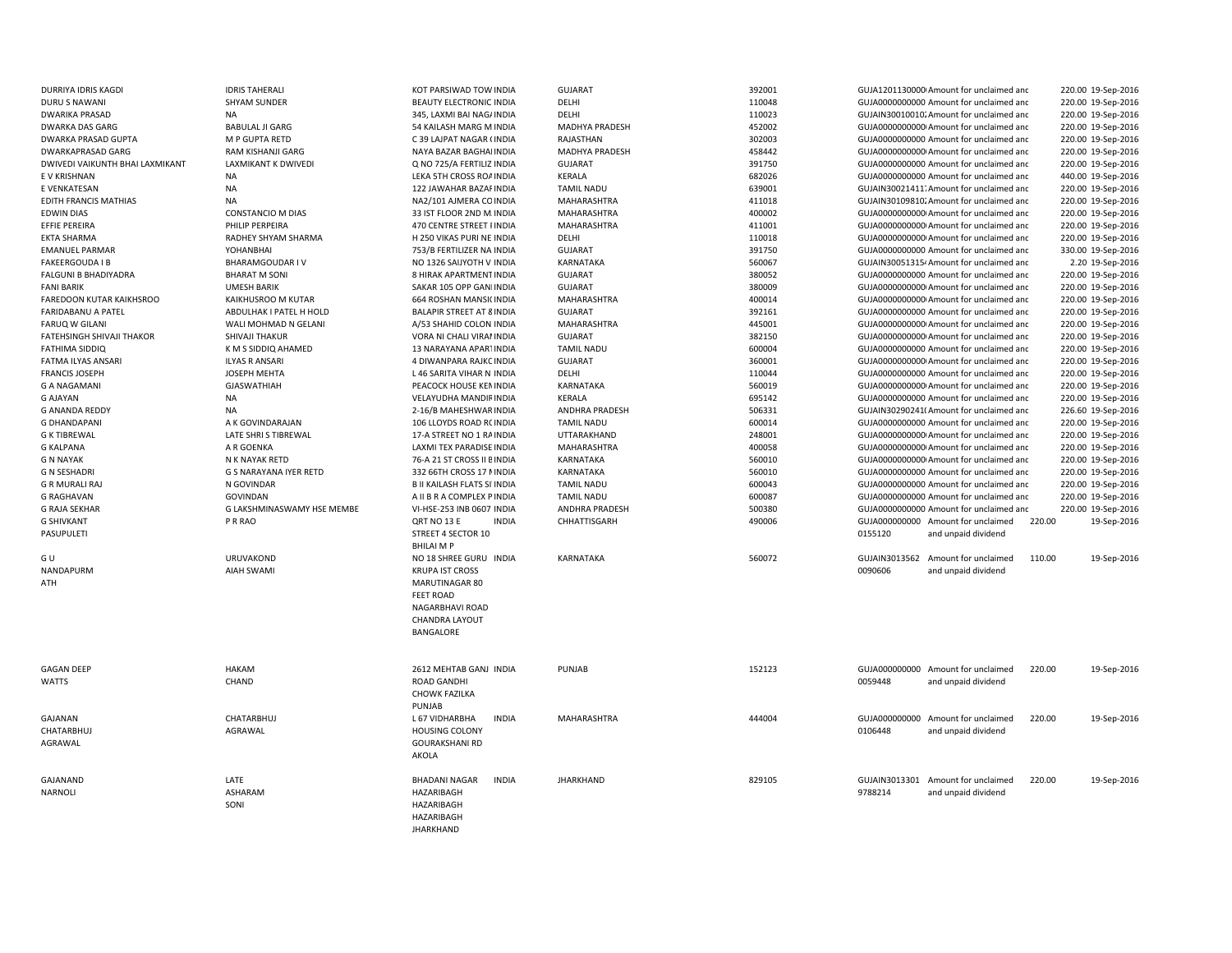| DURRIYA IDRIS KAGDI                      | <b>IDRIS TAHERALI</b>              | KOT PARSIWAD TOW INDIA                           | <b>GUJARAT</b>           | 392001           | 220.00 19-Sep-2016<br>GUJA1201130000 Amount for unclaimed and                                                                  |  |
|------------------------------------------|------------------------------------|--------------------------------------------------|--------------------------|------------------|--------------------------------------------------------------------------------------------------------------------------------|--|
| <b>DURU S NAWANI</b>                     | <b>SHYAM SUNDER</b>                | <b>BEAUTY ELECTRONIC INDIA</b>                   | DELHI                    | 110048           | GUJA0000000000 Amount for unclaimed and<br>220.00 19-Sep-2016                                                                  |  |
| <b>DWARIKA PRASAD</b>                    | <b>NA</b>                          | 345, LAXMI BAI NAG/ INDIA                        | DELHI                    | 110023           | 220.00 19-Sep-2016<br>GUJAIN30010010. Amount for unclaimed and                                                                 |  |
| <b>DWARKA DAS GARG</b>                   | <b>BABULAL JI GARG</b>             | 54 KAILASH MARG M INDIA                          | <b>MADHYA PRADESH</b>    | 452002           | GUJA00000000000 Amount for unclaimed and<br>220.00 19-Sep-2016                                                                 |  |
| <b>DWARKA PRASAD GUPTA</b>               | M P GUPTA RETD                     | C 39 LAJPAT NAGAR (INDIA                         | RAJASTHAN                | 302003           | GUJA0000000000 Amount for unclaimed and<br>220.00 19-Sep-2016                                                                  |  |
| <b>DWARKAPRASAD GARG</b>                 | RAM KISHANJI GARG                  | NAYA BAZAR BAGHAI INDIA                          | MADHYA PRADESH           | 458442           | GUJA0000000000 Amount for unclaimed and<br>220.00 19-Sep-2016                                                                  |  |
| DWIVEDI VAIKUNTH BHAI LAXMIKANT          | LAXMIKANT K DWIVEDI                | Q NO 725/A FERTILIZ INDIA                        | <b>GUJARAT</b>           | 391750           | GUJA0000000000 Amount for unclaimed and<br>220.00 19-Sep-2016                                                                  |  |
| E V KRISHNAN                             | <b>NA</b>                          | LEKA 5TH CROSS ROA INDIA                         | KERALA                   | 682026           | 440.00 19-Sep-2016<br>GUJA0000000000 Amount for unclaimed and                                                                  |  |
| E VENKATESAN                             | <b>NA</b>                          | 122 JAWAHAR BAZAF INDIA                          | <b>TAMIL NADU</b>        | 639001           | GUJAIN30021411. Amount for unclaimed and<br>220.00 19-Sep-2016                                                                 |  |
| EDITH FRANCIS MATHIAS                    | NA                                 | NA2/101 AJMERA CO INDIA                          | MAHARASHTRA              | 411018           | GUJAIN30109810. Amount for unclaimed and<br>220.00 19-Sep-2016                                                                 |  |
| <b>EDWIN DIAS</b>                        | CONSTANCIO M DIAS                  | 33 IST FLOOR 2ND M. INDIA                        | MAHARASHTRA              | 400002           | GUJA00000000000 Amount for unclaimed and<br>220.00 19-Sep-2016                                                                 |  |
| EFFIE PEREIRA                            | PHILIP PERPEIRA                    | 470 CENTRE STREET I INDIA                        | MAHARASHTRA              | 411001           | GUJA00000000000 Amount for unclaimed and<br>220.00 19-Sep-2016                                                                 |  |
| <b>EKTA SHARMA</b>                       | RADHEY SHYAM SHARMA                | H 250 VIKAS PURI NE INDIA                        | DELHI                    | 110018           | GUJA0000000000 Amount for unclaimed and<br>220.00 19-Sep-2016                                                                  |  |
| <b>EMANUEL PARMAR</b>                    | YOHANBHAI                          | 753/B FERTILIZER NA INDIA                        | <b>GUJARAT</b>           | 391750           | GUJA0000000000 Amount for unclaimed and<br>330.00 19-Sep-2016                                                                  |  |
| <b>FAKEERGOUDA I B</b>                   | BHARAMGOUDAR IV                    | NO 1326 SAIJYOTH V INDIA                         | KARNATAKA                | 560067           | 2.20 19-Sep-2016<br>GUJAIN30051315 <sup>,</sup> Amount for unclaimed and                                                       |  |
| <b>FALGUNI B BHADIYADRA</b>              | <b>BHARAT M SONI</b>               | 8 HIRAK APARTMENT INDIA                          | <b>GUJARAT</b>           | 380052           | GUJA0000000000 Amount for unclaimed and<br>220.00 19-Sep-2016                                                                  |  |
| <b>FANI BARIK</b>                        | <b>UMESH BARIK</b>                 | SAKAR 105 OPP GAN INDIA                          | <b>GUJARAT</b>           | 380009           | GUJA0000000000 Amount for unclaimed and<br>220.00 19-Sep-2016                                                                  |  |
| FAREDOON KUTAR KAIKHSROO                 | KAIKHUSROO M KUTAR                 | 664 ROSHAN MANSI( INDIA                          | MAHARASHTRA              | 400014           | 220.00 19-Sep-2016<br>GUJA00000000000 Amount for unclaimed and                                                                 |  |
| <b>FARIDABANU A PATEL</b>                | ABDULHAK I PATEL H HOLD            | <b>BALAPIR STREET AT 8 INDIA</b>                 | <b>GUJARAT</b>           | 392161           | GUJA0000000000 Amount for unclaimed and<br>220.00 19-Sep-2016                                                                  |  |
| <b>FARUQ W GILANI</b>                    | WALI MOHMAD N GELANI               | A/53 SHAHID COLON INDIA                          | MAHARASHTRA              | 445001           | GUJA00000000000 Amount for unclaimed and<br>220.00 19-Sep-2016                                                                 |  |
| <b>FATEHSINGH SHIVAJI THAKOR</b>         | SHIVAJI THAKUR                     | VORA NI CHALI VIRAI INDIA                        | <b>GUJARAT</b>           | 382150           | GUJA00000000000 Amount for unclaimed and<br>220.00 19-Sep-2016                                                                 |  |
| <b>FATHIMA SIDDIQ</b>                    | K M S SIDDIQ AHAMED                | 13 NARAYANA APARTINDIA                           | <b>TAMIL NADU</b>        | 600004           | GUJA0000000000 Amount for unclaimed and<br>220.00 19-Sep-2016                                                                  |  |
| <b>FATMA ILYAS ANSARI</b>                | <b>ILYAS R ANSARI</b>              | 4 DIWANPARA RAJKC INDIA                          | <b>GUJARAT</b>           | 360001           | GUJA0000000000 Amount for unclaimed and<br>220.00 19-Sep-2016                                                                  |  |
| <b>FRANCIS JOSEPH</b>                    | JOSEPH MEHTA<br><b>GJASWATHIAH</b> | L 46 SARITA VIHAR N INDIA                        | DELHI                    | 110044           | GUJA0000000000 Amount for unclaimed and<br>220.00 19-Sep-2016                                                                  |  |
| <b>G A NAGAMANI</b>                      |                                    | PEACOCK HOUSE KEN INDIA                          | KARNATAKA                | 560019           | 220.00 19-Sep-2016<br>GUJA0000000000 Amount for unclaimed and                                                                  |  |
| <b>G AJAYAN</b><br><b>G ANANDA REDDY</b> | NA<br><b>NA</b>                    | VELAYUDHA MANDIF INDIA<br>2-16/B MAHESHWAR INDIA | KERALA<br>ANDHRA PRADESH | 695142<br>506331 | GUJA0000000000 Amount for unclaimed and<br>220.00 19-Sep-2016<br>GUJAIN30290241(Amount for unclaimed and<br>226.60 19-Sep-2016 |  |
| <b>G DHANDAPANI</b>                      | A K GOVINDARAJAN                   | 106 LLOYDS ROAD R( INDIA                         | <b>TAMIL NADU</b>        | 600014           | 220.00 19-Sep-2016<br>GUJA0000000000 Amount for unclaimed and                                                                  |  |
| <b>G K TIBREWAL</b>                      | LATE SHRIS TIBREWAL                | 17-A STREET NO 1 RA INDIA                        | UTTARAKHAND              | 248001           | GUJA0000000000 Amount for unclaimed and<br>220.00 19-Sep-2016                                                                  |  |
| <b>G KALPANA</b>                         | A R GOENKA                         | LAXMI TEX PARADISE INDIA                         | MAHARASHTRA              | 400058           | 220.00 19-Sep-2016<br>GUJA00000000000 Amount for unclaimed and                                                                 |  |
| <b>G N NAYAK</b>                         | N K NAYAK RETD                     | 76-A 21 ST CROSS II E INDIA                      | KARNATAKA                | 560010           | GUJA0000000000 Amount for unclaimed and<br>220.00 19-Sep-2016                                                                  |  |
| <b>G N SESHADRI</b>                      | G S NARAYANA IYER RETD             | 332 66TH CROSS 17 NINDIA                         | KARNATAKA                | 560010           | GUJA0000000000 Amount for unclaimed and<br>220.00 19-Sep-2016                                                                  |  |
| <b>G R MURALI RAJ</b>                    | N GOVINDAR                         | <b>B II KAILASH FLATS SI INDIA</b>               | <b>TAMIL NADU</b>        | 600043           | GUJA0000000000 Amount for unclaimed and<br>220.00 19-Sep-2016                                                                  |  |
| <b>G RAGHAVAN</b>                        | GOVINDAN                           | A II B R A COMPLEX P INDIA                       | <b>TAMIL NADU</b>        | 600087           | GUJA0000000000 Amount for unclaimed and<br>220.00 19-Sep-2016                                                                  |  |
| <b>G RAJA SEKHAR</b>                     | G LAKSHMINASWAMY HSE MEMBE         | VI-HSE-253 INB 0607 INDIA                        | ANDHRA PRADESH           | 500380           | GUJA0000000000 Amount for unclaimed and<br>220.00 19-Sep-2016                                                                  |  |
| <b>G SHIVKANT</b>                        | P R RAO                            | QRT NO 13 E<br><b>INDIA</b>                      | CHHATTISGARH             | 490006           | GUJA000000000 Amount for unclaimed<br>220.00<br>19-Sep-2016                                                                    |  |
| PASUPULETI                               |                                    | STREET 4 SECTOR 10                               |                          |                  | 0155120<br>and unpaid dividend                                                                                                 |  |
|                                          |                                    | <b>BHILAI MP</b>                                 |                          |                  |                                                                                                                                |  |
| G U                                      | <b>URUVAKOND</b>                   | NO 18 SHREE GURU INDIA                           | KARNATAKA                | 560072           | GUJAIN3013562<br>Amount for unclaimed<br>110.00<br>19-Sep-2016                                                                 |  |
| NANDAPURM                                | <b>AIAH SWAMI</b>                  | <b>KRUPA IST CROSS</b>                           |                          |                  | 0090606<br>and unpaid dividend                                                                                                 |  |
| ATH                                      |                                    | MARUTINAGAR 80                                   |                          |                  |                                                                                                                                |  |
|                                          |                                    | <b>FEET ROAD</b>                                 |                          |                  |                                                                                                                                |  |
|                                          |                                    | NAGARBHAVI ROAD                                  |                          |                  |                                                                                                                                |  |
|                                          |                                    | CHANDRA LAYOUT                                   |                          |                  |                                                                                                                                |  |
|                                          |                                    | BANGALORE                                        |                          |                  |                                                                                                                                |  |
|                                          |                                    |                                                  |                          |                  |                                                                                                                                |  |
|                                          |                                    |                                                  |                          |                  |                                                                                                                                |  |
| <b>GAGAN DEEP</b>                        | <b>HAKAM</b>                       | 2612 MEHTAB GANJ INDIA                           | PUNJAB                   | 152123           | GUJA000000000 Amount for unclaimed<br>220.00<br>19-Sep-2016                                                                    |  |
| <b>WATTS</b>                             | CHAND                              | <b>ROAD GANDHI</b>                               |                          |                  | 0059448<br>and unpaid dividend                                                                                                 |  |
|                                          |                                    | <b>CHOWK FAZILKA</b>                             |                          |                  |                                                                                                                                |  |
|                                          |                                    | PUNJAB                                           |                          |                  |                                                                                                                                |  |
| GAJANAN                                  | <b>CHATARBHUJ</b>                  | <b>INDIA</b><br>L 67 VIDHARBHA                   | MAHARASHTRA              | 444004           | GUJA000000000 Amount for unclaimed<br>220.00<br>19-Sep-2016                                                                    |  |
| CHATARBHUJ                               | AGRAWAL                            | <b>HOUSING COLONY</b>                            |                          |                  | 0106448<br>and unpaid dividend                                                                                                 |  |
| AGRAWAL                                  |                                    | <b>GOURAKSHANI RD</b>                            |                          |                  |                                                                                                                                |  |
|                                          |                                    | AKOLA                                            |                          |                  |                                                                                                                                |  |
| GAJANAND                                 | LATE                               | <b>INDIA</b><br><b>BHADANI NAGAR</b>             | <b>JHARKHAND</b>         | 829105           | GUJAIN3013301 Amount for unclaimed<br>220.00<br>19-Sep-2016                                                                    |  |
| <b>NARNOLI</b>                           | ASHARAM                            | HAZARIBAGH                                       |                          |                  | 9788214<br>and unpaid dividend                                                                                                 |  |
|                                          | SONI                               | HAZARIBAGH                                       |                          |                  |                                                                                                                                |  |
|                                          |                                    | HAZARIBAGH                                       |                          |                  |                                                                                                                                |  |
|                                          |                                    | <b>JHARKHAND</b>                                 |                          |                  |                                                                                                                                |  |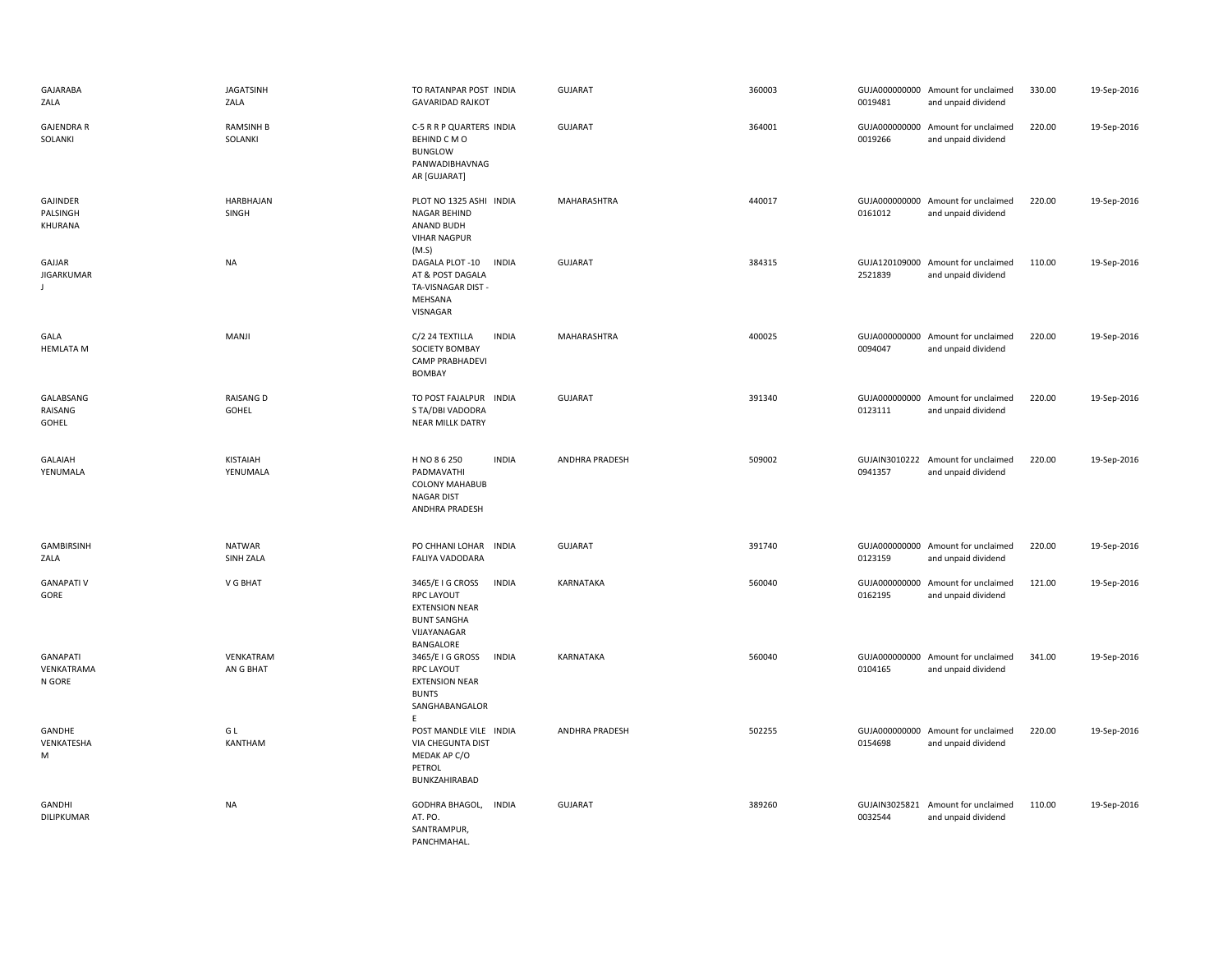| GAJARABA<br>ZALA                        | <b>JAGATSINH</b><br>ZALA    | TO RATANPAR POST INDIA<br><b>GAVARIDAD RAJKOT</b>                                                                                | GUJARAT        | 360003 | 0019481                  | GUJA000000000 Amount for unclaimed<br>and unpaid dividend | 330.00 | 19-Sep-2016 |
|-----------------------------------------|-----------------------------|----------------------------------------------------------------------------------------------------------------------------------|----------------|--------|--------------------------|-----------------------------------------------------------|--------|-------------|
| <b>GAJENDRA R</b><br>SOLANKI            | <b>RAMSINH B</b><br>SOLANKI | C-5 R R P QUARTERS INDIA<br>BEHIND C M O<br><b>BUNGLOW</b><br>PANWADIBHAVNAG<br>AR [GUJARAT]                                     | <b>GUJARAT</b> | 364001 | 0019266                  | GUJA000000000 Amount for unclaimed<br>and unpaid dividend | 220.00 | 19-Sep-2016 |
| GAJINDER<br>PALSINGH<br>KHURANA         | HARBHAJAN<br>SINGH          | PLOT NO 1325 ASHI INDIA<br>NAGAR BEHIND<br>ANAND BUDH<br><b>VIHAR NAGPUR</b><br>(M.S)                                            | MAHARASHTRA    | 440017 | 0161012                  | GUJA000000000 Amount for unclaimed<br>and unpaid dividend | 220.00 | 19-Sep-2016 |
| GAJJAR<br>JIGARKUMAR<br>$\perp$         | <b>NA</b>                   | <b>INDIA</b><br>DAGALA PLOT-10<br>AT & POST DAGALA<br>TA-VISNAGAR DIST -<br>MEHSANA<br>VISNAGAR                                  | GUJARAT        | 384315 | GUJA120109000<br>2521839 | Amount for unclaimed<br>and unpaid dividend               | 110.00 | 19-Sep-2016 |
| GALA<br><b>HEMLATA M</b>                | MANJI                       | <b>INDIA</b><br>C/2 24 TEXTILLA<br>SOCIETY BOMBAY<br>CAMP PRABHADEVI<br><b>BOMBAY</b>                                            | MAHARASHTRA    | 400025 | 0094047                  | GUJA000000000 Amount for unclaimed<br>and unpaid dividend | 220.00 | 19-Sep-2016 |
| GALABSANG<br>RAISANG<br>GOHEL           | <b>RAISANG D</b><br>GOHEL   | TO POST FAJALPUR INDIA<br>S TA/DBI VADODRA<br>NEAR MILLK DATRY                                                                   | <b>GUJARAT</b> | 391340 | 0123111                  | GUJA000000000 Amount for unclaimed<br>and unpaid dividend | 220.00 | 19-Sep-2016 |
| GALAIAH<br>YENUMALA                     | KISTAIAH<br>YENUMALA        | <b>INDIA</b><br>H NO 8 6 250<br>PADMAVATHI<br><b>COLONY MAHABUB</b><br><b>NAGAR DIST</b><br>ANDHRA PRADESH                       | ANDHRA PRADESH | 509002 | 0941357                  | GUJAIN3010222 Amount for unclaimed<br>and unpaid dividend | 220.00 | 19-Sep-2016 |
| GAMBIRSINH<br>ZALA                      | <b>NATWAR</b><br>SINH ZALA  | PO CHHANI LOHAR INDIA<br>FALIYA VADODARA                                                                                         | <b>GUJARAT</b> | 391740 | 0123159                  | GUJA000000000 Amount for unclaimed<br>and unpaid dividend | 220.00 | 19-Sep-2016 |
| <b>GANAPATI V</b><br>GORE               | V G BHAT                    | 3465/E I G CROSS<br><b>INDIA</b><br><b>RPC LAYOUT</b><br><b>EXTENSION NEAR</b><br><b>BUNT SANGHA</b><br>VIJAYANAGAR<br>BANGALORE | KARNATAKA      | 560040 | GUJA000000000<br>0162195 | Amount for unclaimed<br>and unpaid dividend               | 121.00 | 19-Sep-2016 |
| <b>GANAPATI</b><br>VENKATRAMA<br>N GORE | VENKATRAM<br>AN G BHAT      | 3465/E I G GROSS<br><b>INDIA</b><br><b>RPC LAYOUT</b><br><b>EXTENSION NEAR</b><br><b>BUNTS</b><br>SANGHABANGALOR<br>E            | KARNATAKA      | 560040 | 0104165                  | GUJA000000000 Amount for unclaimed<br>and unpaid dividend | 341.00 | 19-Sep-2016 |
| GANDHE<br>VENKATESHA<br>M               | G L<br>KANTHAM              | POST MANDLE VILE INDIA<br>VIA CHEGUNTA DIST<br>MEDAK AP C/O<br>PETROL<br>BUNKZAHIRABAD                                           | ANDHRA PRADESH | 502255 | 0154698                  | GUJA000000000 Amount for unclaimed<br>and unpaid dividend | 220.00 | 19-Sep-2016 |
| GANDHI<br>DILIPKUMAR                    | <b>NA</b>                   | GODHRA BHAGOL,<br><b>INDIA</b><br>AT. PO.<br>SANTRAMPUR,<br>PANCHMAHAL.                                                          | GUJARAT        | 389260 | 0032544                  | GUJAIN3025821 Amount for unclaimed<br>and unpaid dividend | 110.00 | 19-Sep-2016 |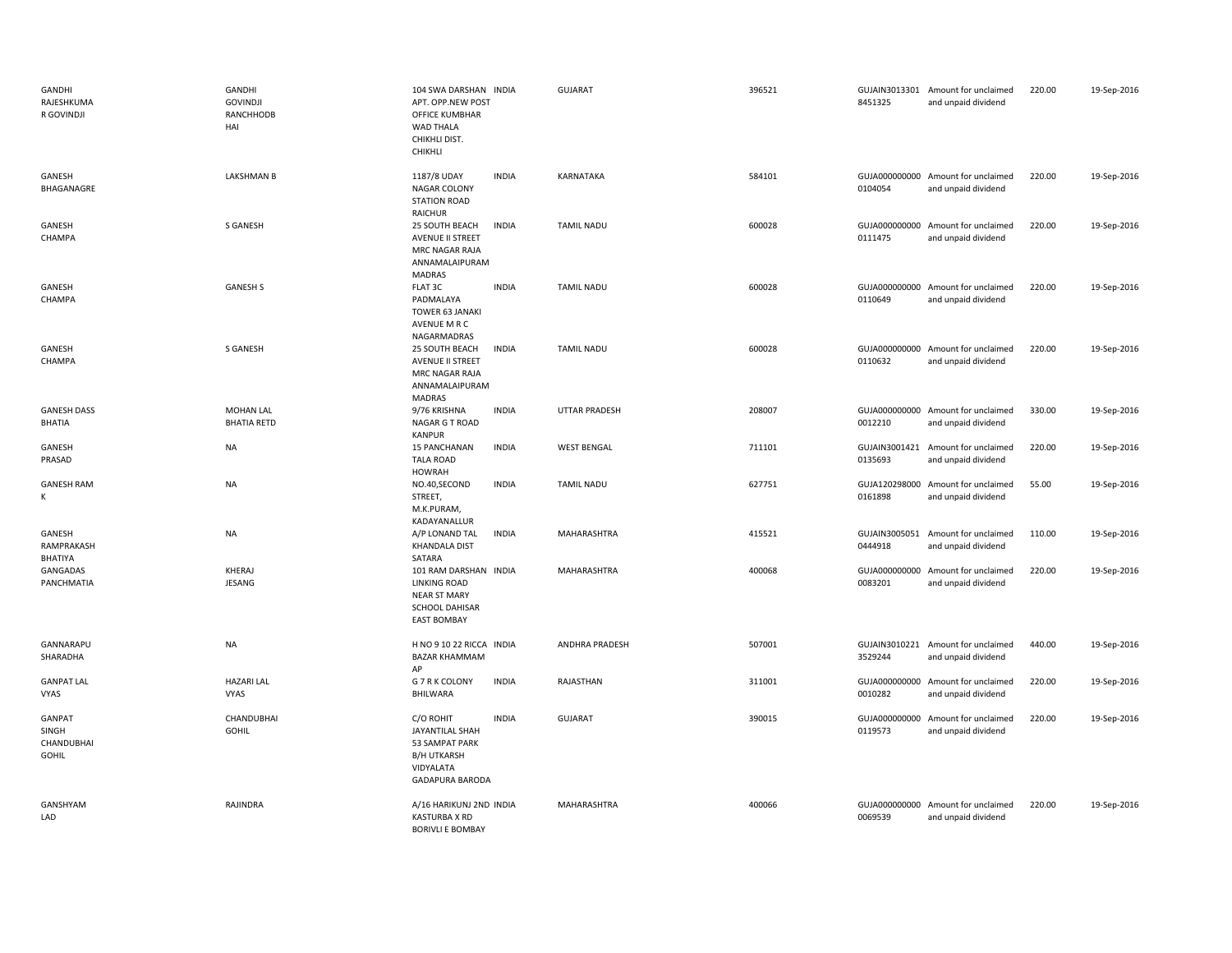| GANDHI<br>RAJESHKUMA<br>R GOVINDJI            | GANDHI<br><b>GOVINDJI</b><br>RANCHHODB<br>HAI | 104 SWA DARSHAN INDIA<br>APT. OPP.NEW POST<br>OFFICE KUMBHAR<br><b>WAD THALA</b><br>CHIKHLI DIST.<br>CHIKHLI       |              | <b>GUJARAT</b>        | 396521 | 8451325                  | GUJAIN3013301 Amount for unclaimed<br>and unpaid dividend | 220.00 | 19-Sep-2016 |
|-----------------------------------------------|-----------------------------------------------|--------------------------------------------------------------------------------------------------------------------|--------------|-----------------------|--------|--------------------------|-----------------------------------------------------------|--------|-------------|
| GANESH<br>BHAGANAGRE                          | <b>LAKSHMAN B</b>                             | 1187/8 UDAY<br>NAGAR COLONY<br><b>STATION ROAD</b><br>RAICHUR                                                      | <b>INDIA</b> | KARNATAKA             | 584101 | 0104054                  | GUJA000000000 Amount for unclaimed<br>and unpaid dividend | 220.00 | 19-Sep-2016 |
| GANESH<br>CHAMPA                              | S GANESH                                      | 25 SOUTH BEACH<br>AVENUE II STREET<br>MRC NAGAR RAJA<br>ANNAMALAIPURAM<br><b>MADRAS</b>                            | <b>INDIA</b> | <b>TAMIL NADU</b>     | 600028 | 0111475                  | GUJA000000000 Amount for unclaimed<br>and unpaid dividend | 220.00 | 19-Sep-2016 |
| GANESH<br>CHAMPA                              | <b>GANESH S</b>                               | FLAT 3C<br>PADMALAYA<br>TOWER 63 JANAKI<br>AVENUE M R C<br>NAGARMADRAS                                             | <b>INDIA</b> | <b>TAMIL NADU</b>     | 600028 | 0110649                  | GUJA000000000 Amount for unclaimed<br>and unpaid dividend | 220.00 | 19-Sep-2016 |
| GANESH<br>CHAMPA                              | S GANESH                                      | 25 SOUTH BEACH<br>AVENUE II STREET<br>MRC NAGAR RAJA<br>ANNAMALAIPURAM<br>MADRAS                                   | <b>INDIA</b> | <b>TAMIL NADU</b>     | 600028 | 0110632                  | GUJA000000000 Amount for unclaimed<br>and unpaid dividend | 220.00 | 19-Sep-2016 |
| <b>GANESH DASS</b><br>BHATIA                  | MOHAN LAL<br><b>BHATIA RETD</b>               | 9/76 KRISHNA<br>NAGAR G T ROAD<br><b>KANPUR</b>                                                                    | <b>INDIA</b> | <b>UTTAR PRADESH</b>  | 208007 | 0012210                  | GUJA000000000 Amount for unclaimed<br>and unpaid dividend | 330.00 | 19-Sep-2016 |
| GANESH<br>PRASAD                              | <b>NA</b>                                     | 15 PANCHANAN<br><b>TALA ROAD</b><br><b>HOWRAH</b>                                                                  | <b>INDIA</b> | <b>WEST BENGAL</b>    | 711101 | 0135693                  | GUJAIN3001421 Amount for unclaimed<br>and unpaid dividend | 220.00 | 19-Sep-2016 |
| <b>GANESH RAM</b><br>К                        | <b>NA</b>                                     | NO.40,SECOND<br>STREET,<br>M.K.PURAM,<br>KADAYANALLUR                                                              | <b>INDIA</b> | <b>TAMIL NADU</b>     | 627751 | GUJA120298000<br>0161898 | Amount for unclaimed<br>and unpaid dividend               | 55.00  | 19-Sep-2016 |
| GANESH<br>RAMPRAKASH<br>BHATIYA               | <b>NA</b>                                     | A/P LONAND TAL<br><b>KHANDALA DIST</b><br>SATARA                                                                   | <b>INDIA</b> | MAHARASHTRA           | 415521 | GUJAIN3005051<br>0444918 | Amount for unclaimed<br>and unpaid dividend               | 110.00 | 19-Sep-2016 |
| GANGADAS<br>PANCHMATIA                        | KHERAJ<br>JESANG                              | 101 RAM DARSHAN INDIA<br><b>LINKING ROAD</b><br>NEAR ST MARY<br><b>SCHOOL DAHISAR</b><br><b>EAST BOMBAY</b>        |              | MAHARASHTRA           | 400068 | 0083201                  | GUJA000000000 Amount for unclaimed<br>and unpaid dividend | 220.00 | 19-Sep-2016 |
| GANNARAPU<br>SHARADHA                         | <b>NA</b>                                     | H NO 9 10 22 RICCA INDIA<br><b>BAZAR KHAMMAM</b><br>AP                                                             |              | <b>ANDHRA PRADESH</b> | 507001 | 3529244                  | GUJAIN3010221 Amount for unclaimed<br>and unpaid dividend | 440.00 | 19-Sep-2016 |
| <b>GANPAT LAL</b><br>VYAS                     | <b>HAZARI LAL</b><br>VYAS                     | G 7 R K COLONY<br>BHILWARA                                                                                         | <b>INDIA</b> | RAJASTHAN             | 311001 | GUJA000000000<br>0010282 | Amount for unclaimed<br>and unpaid dividend               | 220.00 | 19-Sep-2016 |
| GANPAT<br>SINGH<br>CHANDUBHAI<br><b>GOHIL</b> | CHANDUBHAI<br><b>GOHIL</b>                    | C/O ROHIT<br><b>JAYANTILAL SHAH</b><br>53 SAMPAT PARK<br><b>B/H UTKARSH</b><br>VIDYALATA<br><b>GADAPURA BARODA</b> | <b>INDIA</b> | <b>GUJARAT</b>        | 390015 | GUJA000000000<br>0119573 | Amount for unclaimed<br>and unpaid dividend               | 220.00 | 19-Sep-2016 |
| GANSHYAM<br>LAD                               | RAJINDRA                                      | A/16 HARIKUNJ 2ND INDIA<br>KASTURBA X RD<br><b>BORIVLI E BOMBAY</b>                                                |              | MAHARASHTRA           | 400066 | GUJA000000000<br>0069539 | Amount for unclaimed<br>and unpaid dividend               | 220.00 | 19-Sep-2016 |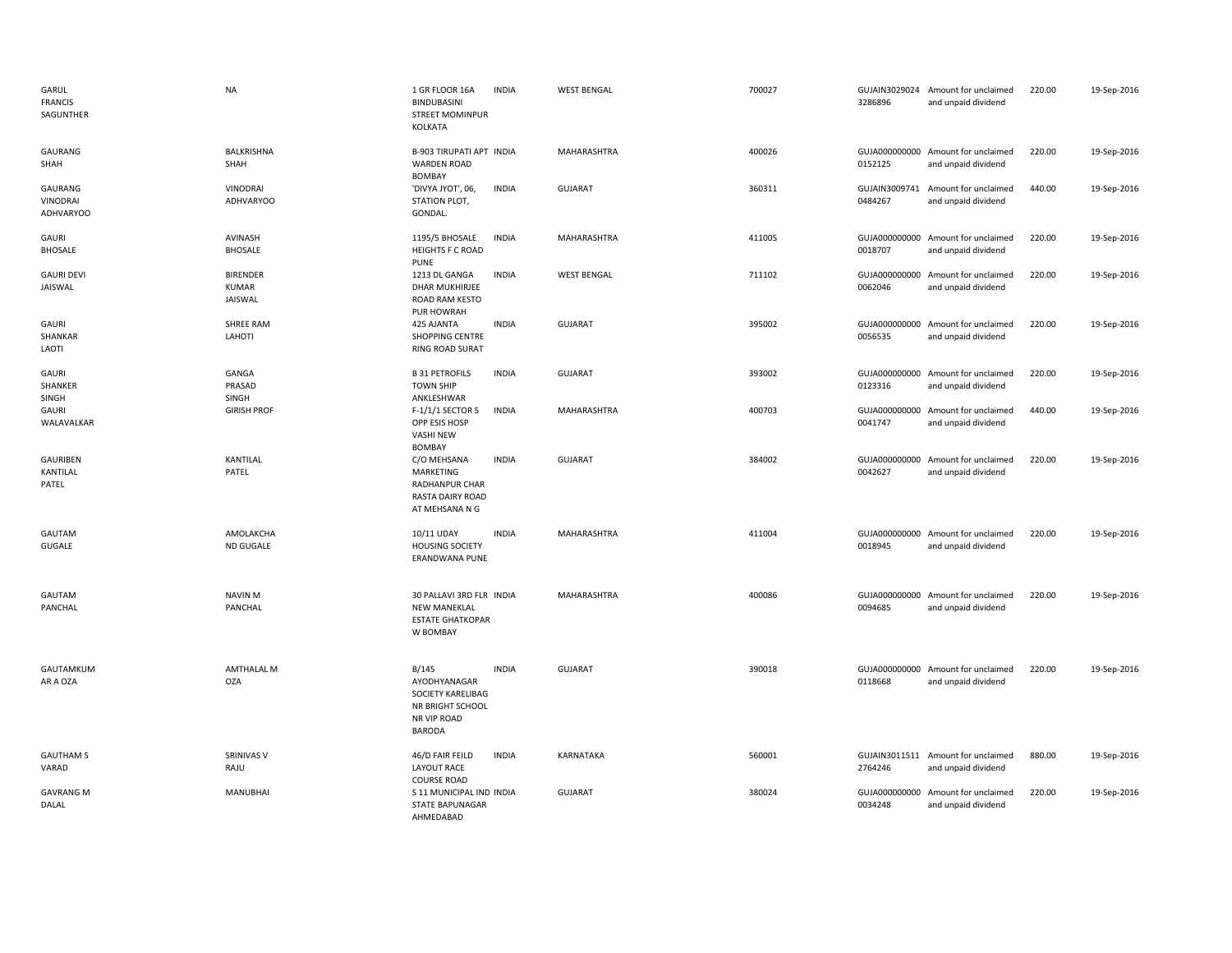| GARUL<br><b>FRANCIS</b><br>SAGUNTHER    | <b>NA</b>                                         | 1 GR FLOOR 16A<br><b>BINDUBASINI</b><br><b>STREET MOMINPUR</b><br>KOLKATA                      | <b>INDIA</b> | <b>WEST BENGAL</b> | 700027 | 3286896 | GUJAIN3029024 Amount for unclaimed<br>and unpaid dividend | 220.00 | 19-Sep-2016 |
|-----------------------------------------|---------------------------------------------------|------------------------------------------------------------------------------------------------|--------------|--------------------|--------|---------|-----------------------------------------------------------|--------|-------------|
| GAURANG<br>SHAH                         | <b>BALKRISHNA</b><br>SHAH                         | <b>B-903 TIRUPATI APT INDIA</b><br><b>WARDEN ROAD</b><br><b>BOMBAY</b>                         |              | MAHARASHTRA        | 400026 | 0152125 | GUJA000000000 Amount for unclaimed<br>and unpaid dividend | 220.00 | 19-Sep-2016 |
| GAURANG<br>VINODRAI<br><b>ADHVARYOO</b> | <b>VINODRAI</b><br><b>ADHVARYOO</b>               | 'DIVYA JYOT', 06,<br>STATION PLOT,<br>GONDAL.                                                  | <b>INDIA</b> | <b>GUJARAT</b>     | 360311 | 0484267 | GUJAIN3009741 Amount for unclaimed<br>and unpaid dividend | 440.00 | 19-Sep-2016 |
| GAURI<br><b>BHOSALE</b>                 | AVINASH<br><b>BHOSALE</b>                         | 1195/5 BHOSALE<br><b>HEIGHTS F C ROAD</b><br><b>PUNE</b>                                       | <b>INDIA</b> | MAHARASHTRA        | 411005 | 0018707 | GUJA000000000 Amount for unclaimed<br>and unpaid dividend | 220.00 | 19-Sep-2016 |
| <b>GAURI DEVI</b><br>JAISWAL            | <b>BIRENDER</b><br><b>KUMAR</b><br><b>JAISWAL</b> | 1213 DL GANGA<br>DHAR MUKHIRJEE<br>ROAD RAM KESTO<br>PUR HOWRAH                                | <b>INDIA</b> | <b>WEST BENGAL</b> | 711102 | 0062046 | GUJA000000000 Amount for unclaimed<br>and unpaid dividend | 220.00 | 19-Sep-2016 |
| GAURI<br>SHANKAR<br>LAOTI               | <b>SHREE RAM</b><br>LAHOTI                        | 425 AJANTA<br>SHOPPING CENTRE<br><b>RING ROAD SURAT</b>                                        | <b>INDIA</b> | GUJARAT            | 395002 | 0056535 | GUJA000000000 Amount for unclaimed<br>and unpaid dividend | 220.00 | 19-Sep-2016 |
| GAURI<br>SHANKER<br>SINGH               | GANGA<br>PRASAD<br>SINGH                          | <b>B 31 PETROFILS</b><br><b>TOWN SHIP</b><br>ANKLESHWAR                                        | <b>INDIA</b> | <b>GUJARAT</b>     | 393002 | 0123316 | GUJA000000000 Amount for unclaimed<br>and unpaid dividend | 220.00 | 19-Sep-2016 |
| GAURI<br>WALAVALKAR                     | <b>GIRISH PROF</b>                                | F-1/1/1 SECTOR 5<br>OPP ESIS HOSP<br><b>VASHI NEW</b><br>BOMBAY                                | <b>INDIA</b> | MAHARASHTRA        | 400703 | 0041747 | GUJA000000000 Amount for unclaimed<br>and unpaid dividend | 440.00 | 19-Sep-2016 |
| GAURIBEN<br>KANTILAL<br>PATEL           | KANTILAL<br>PATEL                                 | C/O MEHSANA<br><b>MARKETING</b><br>RADHANPUR CHAR<br>RASTA DAIRY ROAD<br>AT MEHSANA N G        | <b>INDIA</b> | <b>GUJARAT</b>     | 384002 | 0042627 | GUJA000000000 Amount for unclaimed<br>and unpaid dividend | 220.00 | 19-Sep-2016 |
| GAUTAM<br><b>GUGALE</b>                 | AMOLAKCHA<br><b>ND GUGALE</b>                     | 10/11 UDAY<br><b>HOUSING SOCIETY</b><br>ERANDWANA PUNE                                         | <b>INDIA</b> | MAHARASHTRA        | 411004 | 0018945 | GUJA000000000 Amount for unclaimed<br>and unpaid dividend | 220.00 | 19-Sep-2016 |
| GAUTAM<br>PANCHAL                       | <b>NAVIN M</b><br>PANCHAL                         | 30 PALLAVI 3RD FLR INDIA<br><b>NEW MANEKLAL</b><br><b>ESTATE GHATKOPAR</b><br>W BOMBAY         |              | MAHARASHTRA        | 400086 | 0094685 | GUJA000000000 Amount for unclaimed<br>and unpaid dividend | 220.00 | 19-Sep-2016 |
| GAUTAMKUM<br>AR A OZA                   | <b>AMTHALAL M</b><br>OZA                          | B/145<br>AYODHYANAGAR<br>SOCIETY KARELIBAG<br><b>NR BRIGHT SCHOOL</b><br>NR VIP ROAD<br>BARODA | <b>INDIA</b> | <b>GUJARAT</b>     | 390018 | 0118668 | GUJA000000000 Amount for unclaimed<br>and unpaid dividend | 220.00 | 19-Sep-2016 |
| <b>GAUTHAM S</b><br>VARAD               | SRINIVAS V<br>RAJU                                | 46/D FAIR FEILD<br><b>LAYOUT RACE</b><br><b>COURSE ROAD</b>                                    | <b>INDIA</b> | KARNATAKA          | 560001 | 2764246 | GUJAIN3011511 Amount for unclaimed<br>and unpaid dividend | 880.00 | 19-Sep-2016 |
| <b>GAVRANG M</b><br>DALAL               | MANUBHAI                                          | S 11 MUNICIPAL IND INDIA<br><b>STATE BAPUNAGAR</b><br>AHMFDARAD                                |              | <b>GUJARAT</b>     | 380024 | 0034248 | GUJA000000000 Amount for unclaimed<br>and unpaid dividend | 220.00 | 19-Sep-2016 |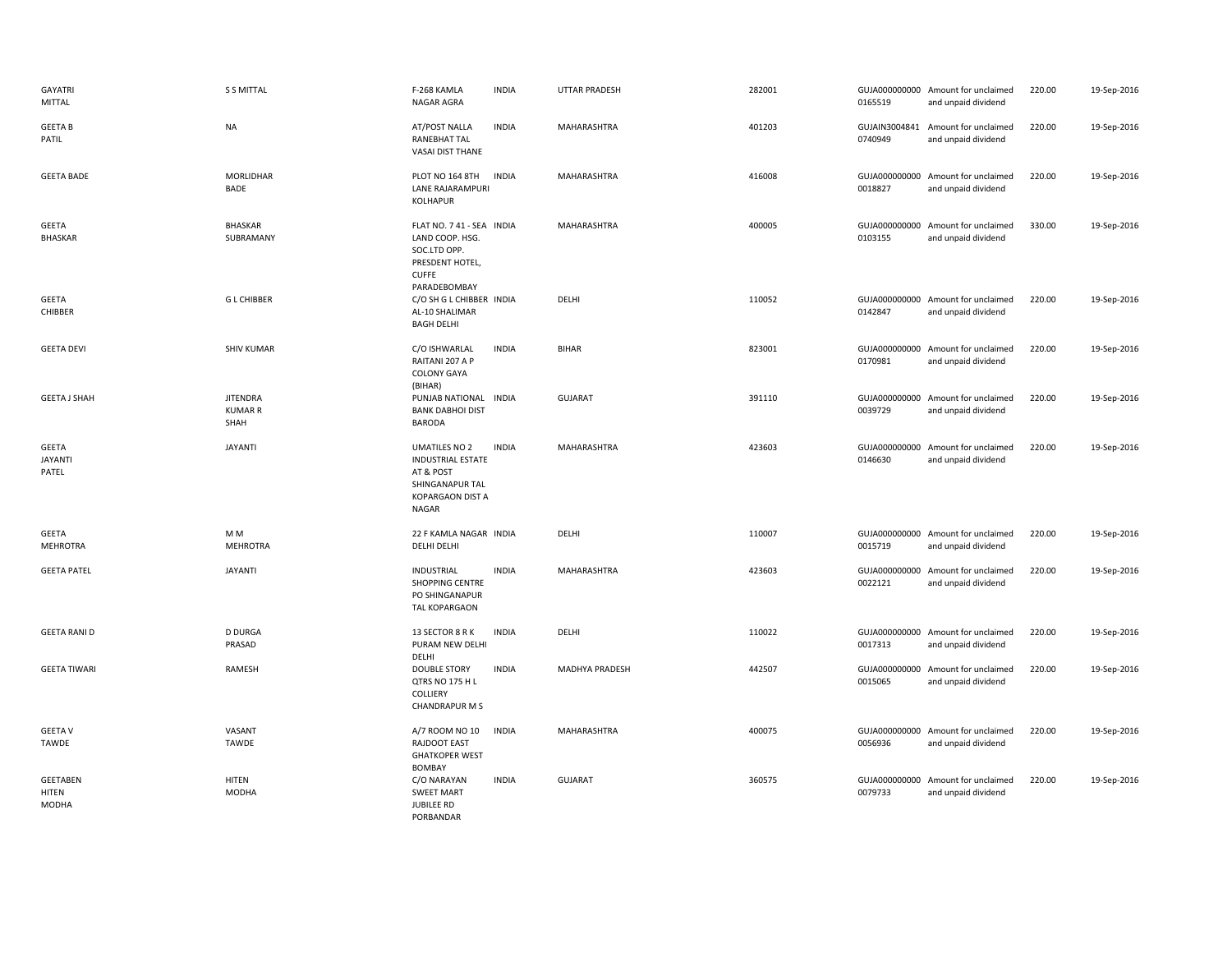| <b>GAYATRI</b><br><b>MITTAL</b>          | <b>S S MITTAL</b>                         | F-268 KAMLA<br>NAGAR AGRA                                                                                                   | <b>INDIA</b> | <b>UTTAR PRADESH</b> | 282001 | 0165519                  | GUJA000000000 Amount for unclaimed<br>and unpaid dividend | 220.00 | 19-Sep-2016 |
|------------------------------------------|-------------------------------------------|-----------------------------------------------------------------------------------------------------------------------------|--------------|----------------------|--------|--------------------------|-----------------------------------------------------------|--------|-------------|
| <b>GEETA B</b><br>PATIL                  | <b>NA</b>                                 | AT/POST NALLA<br>RANEBHAT TAL<br>VASAI DIST THANE                                                                           | <b>INDIA</b> | <b>MAHARASHTRA</b>   | 401203 | 0740949                  | GUJAIN3004841 Amount for unclaimed<br>and unpaid dividend | 220.00 | 19-Sep-2016 |
| <b>GEETA BADE</b>                        | <b>MORLIDHAR</b><br>BADE                  | <b>PLOT NO 164 8TH</b><br>LANE RAJARAMPUR<br>KOLHAPUR                                                                       | <b>INDIA</b> | <b>MAHARASHTRA</b>   | 416008 | 0018827                  | GUJA000000000 Amount for unclaimed<br>and unpaid dividend | 220.00 | 19-Sep-2016 |
| <b>GEETA</b><br><b>BHASKAR</b>           | <b>BHASKAR</b><br>SUBRAMANY               | FLAT NO. 7 41 - SEA INDIA<br>LAND COOP. HSG.<br>SOC.LTD OPP.<br>PRESDENT HOTEL,<br><b>CUFFE</b><br>PARADEBOMBAY             |              | MAHARASHTRA          | 400005 | 0103155                  | GUJA000000000 Amount for unclaimed<br>and unpaid dividend | 330.00 | 19-Sep-2016 |
| <b>GEETA</b><br>CHIBBER                  | <b>GL CHIBBER</b>                         | C/O SH G L CHIBBER INDIA<br>AL-10 SHALIMAR<br><b>BAGH DELHI</b>                                                             |              | DELHI                | 110052 | 0142847                  | GUJA000000000 Amount for unclaimed<br>and unpaid dividend | 220.00 | 19-Sep-2016 |
| <b>GEETA DEVI</b>                        | <b>SHIV KUMAR</b>                         | C/O ISHWARLAL<br>RAITANI 207 A P<br><b>COLONY GAYA</b><br>(BIHAR)                                                           | <b>INDIA</b> | <b>BIHAR</b>         | 823001 | 0170981                  | GUJA000000000 Amount for unclaimed<br>and unpaid dividend | 220.00 | 19-Sep-2016 |
| <b>GEETA J SHAH</b>                      | <b>JITENDRA</b><br><b>KUMAR R</b><br>SHAH | PUNJAB NATIONAL INDIA<br><b>BANK DABHOI DIST</b><br><b>BARODA</b>                                                           |              | <b>GUJARAT</b>       | 391110 | 0039729                  | GUJA000000000 Amount for unclaimed<br>and unpaid dividend | 220.00 | 19-Sep-2016 |
| <b>GEETA</b><br><b>JAYANTI</b><br>PATEL  | <b>JAYANTI</b>                            | <b>UMATILES NO 2</b><br><b>INDUSTRIAL ESTATE</b><br>AT & POST<br>SHINGANAPUR TAL<br><b>KOPARGAON DIST A</b><br><b>NAGAR</b> | <b>INDIA</b> | MAHARASHTRA          | 423603 | 0146630                  | GUJA000000000 Amount for unclaimed<br>and unpaid dividend | 220.00 | 19-Sep-2016 |
| <b>GEETA</b><br><b>MEHROTRA</b>          | M <sub>M</sub><br><b>MEHROTRA</b>         | 22 F KAMLA NAGAR INDIA<br>DELHI DELHI                                                                                       |              | DELHI                | 110007 | 0015719                  | GUJA000000000 Amount for unclaimed<br>and unpaid dividend | 220.00 | 19-Sep-2016 |
| <b>GEETA PATEL</b>                       | <b>JAYANTI</b>                            | <b>INDUSTRIAL</b><br><b>SHOPPING CENTRE</b><br>PO SHINGANAPUR<br>TAL KOPARGAON                                              | <b>INDIA</b> | MAHARASHTRA          | 423603 | GUJA000000000<br>0022121 | Amount for unclaimed<br>and unpaid dividend               | 220.00 | 19-Sep-2016 |
| <b>GEETA RANI D</b>                      | <b>D DURGA</b><br>PRASAD                  | 13 SECTOR 8 R K<br>PURAM NEW DELHI<br>DELHI                                                                                 | <b>INDIA</b> | DELHI                | 110022 | 0017313                  | GUJA000000000 Amount for unclaimed<br>and unpaid dividend | 220.00 | 19-Sep-2016 |
| <b>GEETA TIWARI</b>                      | RAMESH                                    | <b>DOUBLE STORY</b><br>QTRS NO 175 H L<br>COLLIERY<br><b>CHANDRAPUR M S</b>                                                 | <b>INDIA</b> | MADHYA PRADESH       | 442507 | 0015065                  | GUJA000000000 Amount for unclaimed<br>and unpaid dividend | 220.00 | 19-Sep-2016 |
| <b>GEETA V</b><br>TAWDE                  | VASANT<br>TAWDE                           | A/7 ROOM NO 10<br>RAJDOOT EAST<br><b>GHATKOPER WEST</b><br><b>BOMBAY</b>                                                    | <b>INDIA</b> | MAHARASHTRA          | 400075 | 0056936                  | GUJA000000000 Amount for unclaimed<br>and unpaid dividend | 220.00 | 19-Sep-2016 |
| <b>GEETABEN</b><br>HITEN<br><b>MODHA</b> | HITEN<br><b>MODHA</b>                     | C/O NARAYAN<br><b>SWEET MART</b><br>JUBILEE RD<br>PORBANDAR                                                                 | <b>INDIA</b> | <b>GUJARAT</b>       | 360575 | 0079733                  | GUJA000000000 Amount for unclaimed<br>and unpaid dividend | 220.00 | 19-Sep-2016 |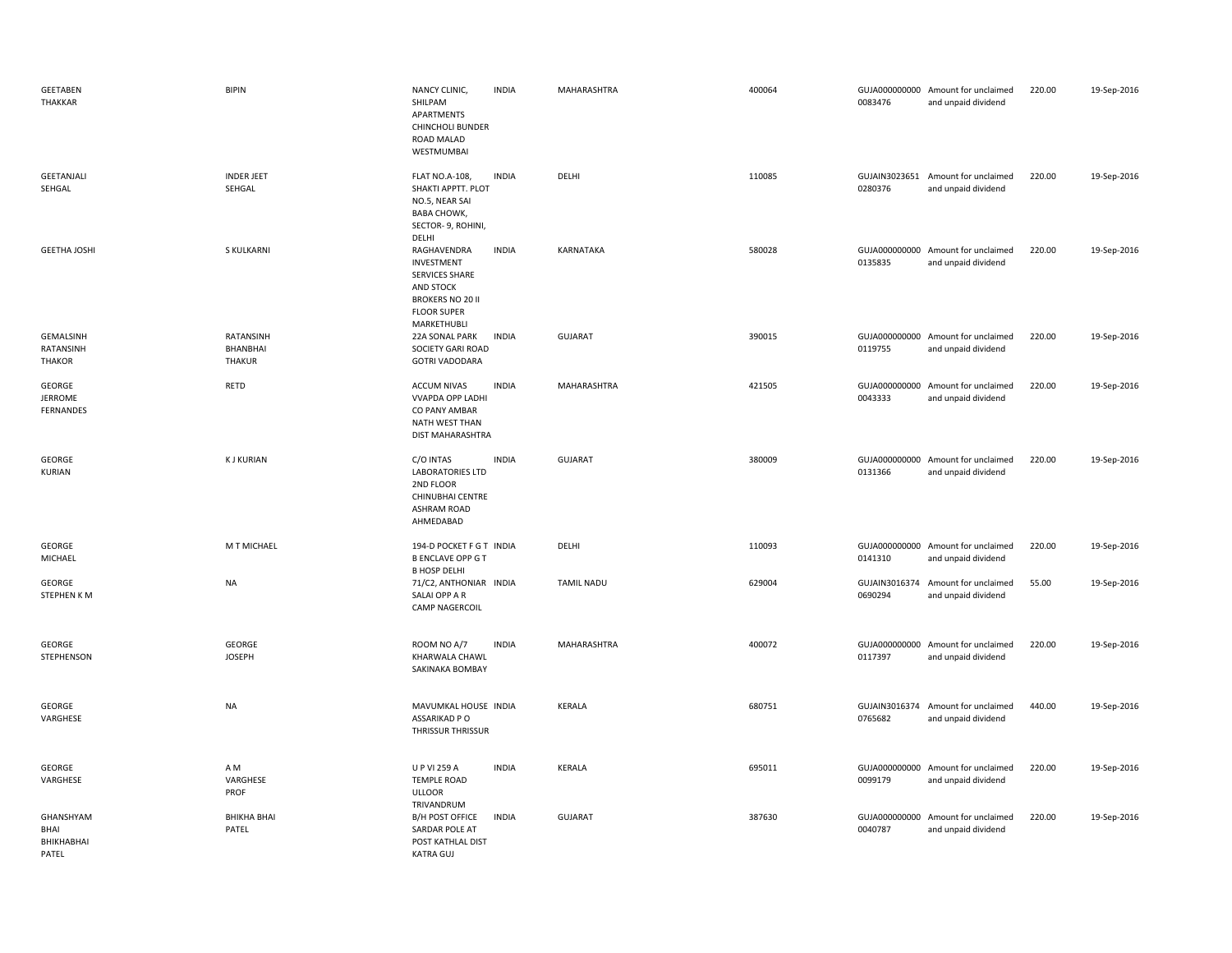| <b>GEETABEN</b><br><b>THAKKAR</b>        | <b>BIPIN</b>                           | NANCY CLINIC,<br><b>INDIA</b><br>SHILPAM<br>APARTMENTS<br><b>CHINCHOLI BUNDER</b><br>ROAD MALAD<br>WESTMUMBAI                            | MAHARASHTRA       | 400064 | 0083476                  | GUJA000000000 Amount for unclaimed<br>and unpaid dividend | 220.00 | 19-Sep-2016 |
|------------------------------------------|----------------------------------------|------------------------------------------------------------------------------------------------------------------------------------------|-------------------|--------|--------------------------|-----------------------------------------------------------|--------|-------------|
| GEETANJALI<br>SEHGAL                     | <b>INDER JEET</b><br>SEHGAL            | <b>FLAT NO.A-108,</b><br><b>INDIA</b><br>SHAKTI APPTT. PLOT<br>NO.5, NEAR SAI<br><b>BABA CHOWK,</b><br>SECTOR- 9, ROHINI,<br>DELHI       | DELHI             | 110085 | 0280376                  | GUJAIN3023651 Amount for unclaimed<br>and unpaid dividend | 220.00 | 19-Sep-2016 |
| <b>GEETHA JOSHI</b>                      | S KULKARNI                             | <b>INDIA</b><br>RAGHAVENDRA<br>INVESTMENT<br>SERVICES SHARE<br>AND STOCK<br><b>BROKERS NO 20 II</b><br><b>FLOOR SUPER</b><br>MARKETHUBLI | KARNATAKA         | 580028 | 0135835                  | GUJA000000000 Amount for unclaimed<br>and unpaid dividend | 220.00 | 19-Sep-2016 |
| GEMALSINH<br>RATANSINH<br><b>THAKOR</b>  | RATANSINH<br>BHANBHAI<br><b>THAKUR</b> | <b>INDIA</b><br>22A SONAL PARK<br>SOCIETY GARI ROAD<br><b>GOTRI VADODARA</b>                                                             | GUJARAT           | 390015 | 0119755                  | GUJA000000000 Amount for unclaimed<br>and unpaid dividend | 220.00 | 19-Sep-2016 |
| GEORGE<br><b>JERROME</b><br>FERNANDES    | RETD                                   | <b>INDIA</b><br><b>ACCUM NIVAS</b><br><b>VVAPDA OPP LADHI</b><br>CO PANY AMBAR<br>NATH WEST THAN<br>DIST MAHARASHTRA                     | MAHARASHTRA       | 421505 | 0043333                  | GUJA000000000 Amount for unclaimed<br>and unpaid dividend | 220.00 | 19-Sep-2016 |
| GEORGE<br><b>KURIAN</b>                  | <b>KJ KURIAN</b>                       | C/O INTAS<br><b>INDIA</b><br><b>LABORATORIES LTD</b><br>2ND FLOOR<br><b>CHINUBHAI CENTRE</b><br><b>ASHRAM ROAD</b><br>AHMEDABAD          | <b>GUJARAT</b>    | 380009 | 0131366                  | GUJA000000000 Amount for unclaimed<br>and unpaid dividend | 220.00 | 19-Sep-2016 |
| GEORGE<br>MICHAEL                        | M T MICHAEL                            | 194-D POCKET F G T INDIA<br><b>B ENCLAVE OPP G T</b><br><b>B HOSP DELHI</b>                                                              | DELHI             | 110093 | 0141310                  | GUJA000000000 Amount for unclaimed<br>and unpaid dividend | 220.00 | 19-Sep-2016 |
| GEORGE<br>STEPHEN KM                     | <b>NA</b>                              | 71/C2, ANTHONIAR INDIA<br>SALAI OPP A R<br><b>CAMP NAGERCOIL</b>                                                                         | <b>TAMIL NADU</b> | 629004 | 0690294                  | GUJAIN3016374 Amount for unclaimed<br>and unpaid dividend | 55.00  | 19-Sep-2016 |
| GEORGE<br>STEPHENSON                     | GEORGE<br><b>JOSEPH</b>                | ROOM NO A/7<br><b>INDIA</b><br>KHARWALA CHAWL<br>SAKINAKA BOMBAY                                                                         | MAHARASHTRA       | 400072 | 0117397                  | GUJA000000000 Amount for unclaimed<br>and unpaid dividend | 220.00 | 19-Sep-2016 |
| GEORGE<br>VARGHESE                       | NA                                     | MAVUMKAL HOUSE INDIA<br>ASSARIKAD P O<br>THRISSUR THRISSUR                                                                               | KERALA            | 680751 | GUJAIN3016374<br>0765682 | Amount for unclaimed<br>and unpaid dividend               | 440.00 | 19-Sep-2016 |
| GEORGE<br>VARGHESE                       | A M<br>VARGHESE<br>PROF                | U P VI 259 A<br><b>INDIA</b><br><b>TEMPLE ROAD</b><br><b>ULLOOR</b>                                                                      | KERALA            | 695011 | GUJA000000000<br>0099179 | Amount for unclaimed<br>and unpaid dividend               | 220.00 | 19-Sep-2016 |
| GHANSHYAM<br>BHAI<br>BHIKHABHAI<br>PATEL | <b>BHIKHA BHAI</b><br>PATEL            | TRIVANDRUM<br>B/H POST OFFICE<br><b>INDIA</b><br>SARDAR POLE AT<br>POST KATHLAL DIST<br>KATRA GUJ                                        | <b>GUJARAT</b>    | 387630 | 0040787                  | GUJA000000000 Amount for unclaimed<br>and unpaid dividend | 220.00 | 19-Sep-2016 |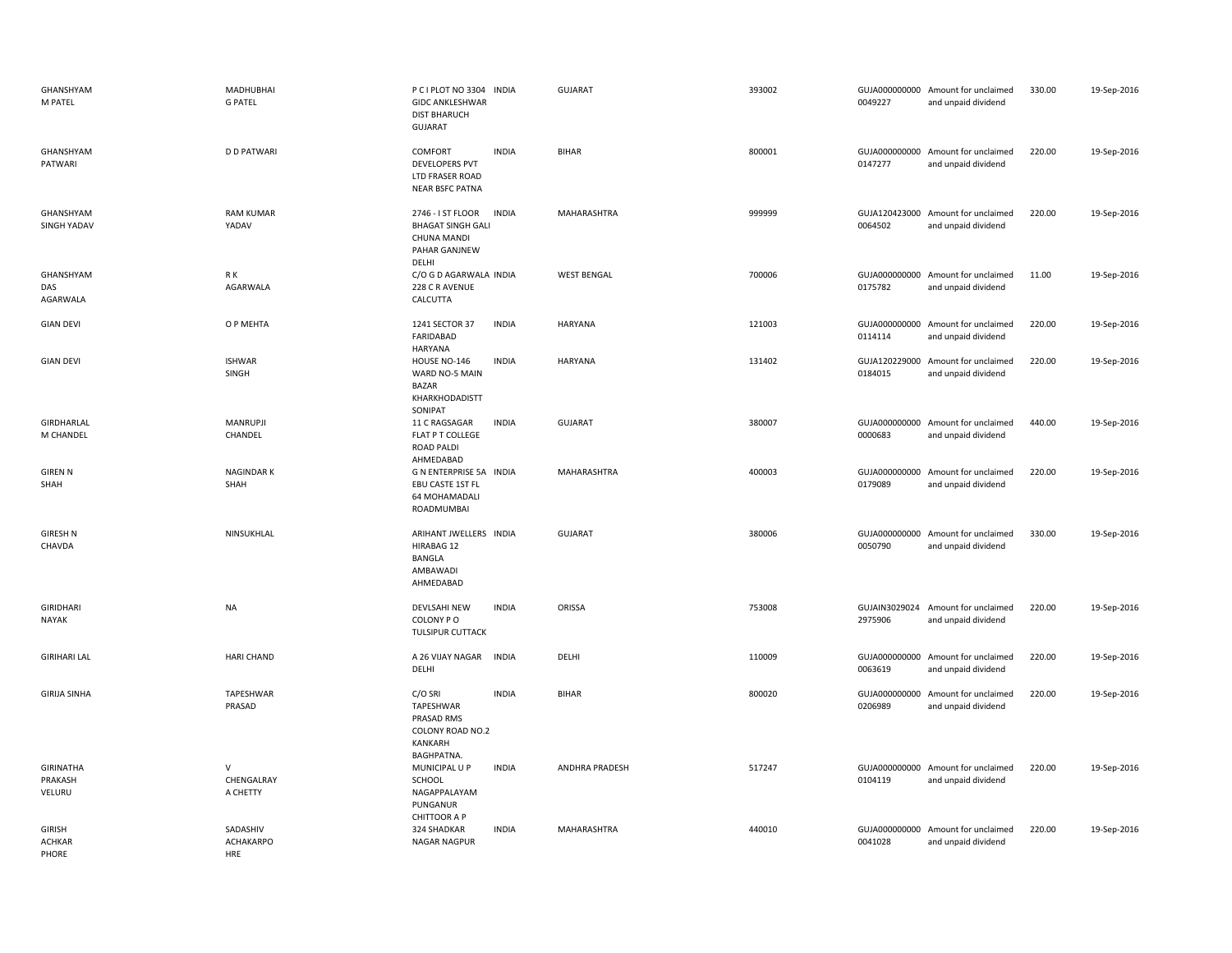| GHANSHYAM<br>M PATEL                    | <b>MADHUBHAI</b><br><b>G PATEL</b>         | P C I PLOT NO 3304 INDIA<br><b>GIDC ANKLESHWAR</b><br><b>DIST BHARUCH</b><br>GUJARAT |              | <b>GUJARAT</b>     | 393002 | 0049227                  | GUJA000000000 Amount for unclaimed<br>and unpaid dividend | 330.00 | 19-Sep-2016 |
|-----------------------------------------|--------------------------------------------|--------------------------------------------------------------------------------------|--------------|--------------------|--------|--------------------------|-----------------------------------------------------------|--------|-------------|
| GHANSHYAM<br>PATWARI                    | <b>D D PATWARI</b>                         | COMFORT<br><b>DEVELOPERS PVT</b><br>LTD FRASER ROAD<br><b>NEAR BSFC PATNA</b>        | <b>INDIA</b> | <b>BIHAR</b>       | 800001 | 0147277                  | GUJA000000000 Amount for unclaimed<br>and unpaid dividend | 220.00 | 19-Sep-2016 |
| GHANSHYAM<br>SINGH YADAV                | <b>RAM KUMAR</b><br>YADAV                  | 2746 - I ST FLOOR<br><b>BHAGAT SINGH GALI</b><br><b>CHUNA MANDI</b><br>PAHAR GANJNEW | <b>INDIA</b> | MAHARASHTRA        | 999999 | 0064502                  | GUJA120423000 Amount for unclaimed<br>and unpaid dividend | 220.00 | 19-Sep-2016 |
| GHANSHYAM<br>DAS<br>AGARWALA            | R K<br>AGARWALA                            | DELHI<br>C/O G D AGARWALA INDIA<br>228 C R AVENUE<br>CALCUTTA                        |              | <b>WEST BENGAL</b> | 700006 | 0175782                  | GUJA000000000 Amount for unclaimed<br>and unpaid dividend | 11.00  | 19-Sep-2016 |
| <b>GIAN DEVI</b>                        | O P MEHTA                                  | 1241 SECTOR 37<br>FARIDABAD<br><b>HARYANA</b>                                        | <b>INDIA</b> | HARYANA            | 121003 | 0114114                  | GUJA000000000 Amount for unclaimed<br>and unpaid dividend | 220.00 | 19-Sep-2016 |
| <b>GIAN DEVI</b>                        | <b>ISHWAR</b><br>SINGH                     | HOUSE NO-146<br>WARD NO-5 MAIN<br><b>BAZAR</b><br>KHARKHODADISTT<br>SONIPAT          | <b>INDIA</b> | <b>HARYANA</b>     | 131402 | GUJA120229000<br>0184015 | Amount for unclaimed<br>and unpaid dividend               | 220.00 | 19-Sep-2016 |
| GIRDHARLAL<br>M CHANDEL                 | <b>MANRUPJI</b><br>CHANDEL                 | 11 C RAGSAGAR<br>FLAT P T COLLEGE<br>ROAD PALDI<br>AHMEDABAD                         | <b>INDIA</b> | <b>GUJARAT</b>     | 380007 | 0000683                  | GUJA000000000 Amount for unclaimed<br>and unpaid dividend | 440.00 | 19-Sep-2016 |
| <b>GIREN N</b><br>SHAH                  | <b>NAGINDARK</b><br>SHAH                   | G N ENTERPRISE 5A INDIA<br>EBU CASTE 1ST FL<br>64 MOHAMADALI<br>ROADMUMBAI           |              | MAHARASHTRA        | 400003 | GUJA000000000<br>0179089 | Amount for unclaimed<br>and unpaid dividend               | 220.00 | 19-Sep-2016 |
| <b>GIRESH N</b><br>CHAVDA               | NINSUKHLAL                                 | ARIHANT JWELLERS INDIA<br>HIRABAG 12<br>BANGLA<br>AMBAWADI<br>AHMEDABAD              |              | GUJARAT            | 380006 | GUJA000000000<br>0050790 | Amount for unclaimed<br>and unpaid dividend               | 330.00 | 19-Sep-2016 |
| <b>GIRIDHARI</b><br><b>NAYAK</b>        | <b>NA</b>                                  | DEVLSAHI NEW<br>COLONY PO<br>TULSIPUR CUTTACK                                        | <b>INDIA</b> | ORISSA             | 753008 | 2975906                  | GUJAIN3029024 Amount for unclaimed<br>and unpaid dividend | 220.00 | 19-Sep-2016 |
| <b>GIRIHARI LAL</b>                     | <b>HARI CHAND</b>                          | A 26 VIJAY NAGAR<br>DELHI                                                            | <b>INDIA</b> | DELHI              | 110009 | 0063619                  | GUJA000000000 Amount for unclaimed<br>and unpaid dividend | 220.00 | 19-Sep-2016 |
| <b>GIRIJA SINHA</b>                     | TAPESHWAR<br>PRASAD                        | C/O SRI<br>TAPESHWAR<br>PRASAD RMS<br>COLONY ROAD NO.2<br>KANKARH<br>BAGHPATNA.      | <b>INDIA</b> | <b>BIHAR</b>       | 800020 | GUJA000000000<br>0206989 | Amount for unclaimed<br>and unpaid dividend               | 220.00 | 19-Sep-2016 |
| <b>GIRINATHA</b><br>PRAKASH<br>VELURU   | $\vee$<br>CHENGALRAY<br>A CHETTY           | MUNICIPAL U P<br>SCHOOL<br>NAGAPPALAYAM<br>PUNGANUR<br><b>CHITTOOR A P</b>           | <b>INDIA</b> | ANDHRA PRADESH     | 517247 | 0104119                  | GUJA000000000 Amount for unclaimed<br>and unpaid dividend | 220.00 | 19-Sep-2016 |
| <b>GIRISH</b><br><b>ACHKAR</b><br>PHORE | SADASHIV<br><b>ACHAKARPO</b><br><b>HRE</b> | 324 SHADKAR<br>NAGAR NAGPUR                                                          | <b>INDIA</b> | MAHARASHTRA        | 440010 | GUJA000000000<br>0041028 | Amount for unclaimed<br>and unpaid dividend               | 220.00 | 19-Sep-2016 |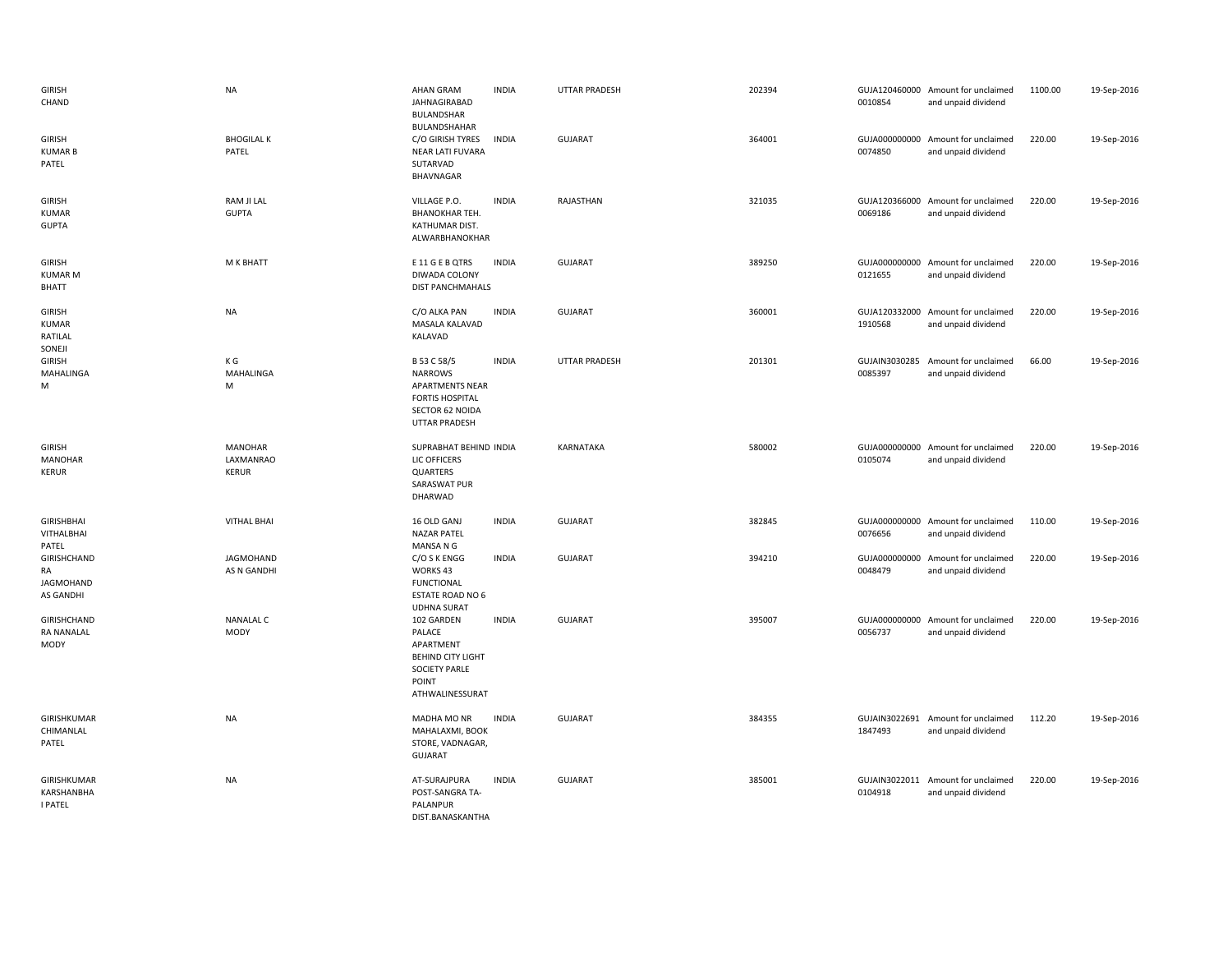| <b>GIRISH</b><br>CHAND                             | <b>NA</b>                                   | <b>AHAN GRAM</b><br>JAHNAGIRABAD<br>BULANDSHAR                                                                               | <b>INDIA</b> | <b>UTTAR PRADESH</b> | 202394 | 0010854                  | GUJA120460000 Amount for unclaimed<br>and unpaid dividend | 1100.00 | 19-Sep-2016 |
|----------------------------------------------------|---------------------------------------------|------------------------------------------------------------------------------------------------------------------------------|--------------|----------------------|--------|--------------------------|-----------------------------------------------------------|---------|-------------|
| <b>GIRISH</b><br><b>KUMAR B</b><br>PATEL           | <b>BHOGILAL K</b><br>PATEL                  | BULANDSHAHAR<br>C/O GIRISH TYRES<br>NEAR LATI FUVARA<br>SUTARVAD<br>BHAVNAGAR                                                | <b>INDIA</b> | <b>GUJARAT</b>       | 364001 | 0074850                  | GUJA000000000 Amount for unclaimed<br>and unpaid dividend | 220.00  | 19-Sep-2016 |
| <b>GIRISH</b><br><b>KUMAR</b><br><b>GUPTA</b>      | RAM JI LAL<br><b>GUPTA</b>                  | VILLAGE P.O.<br><b>BHANOKHAR TEH.</b><br>KATHUMAR DIST.<br>ALWARBHANOKHAR                                                    | <b>INDIA</b> | RAJASTHAN            | 321035 | 0069186                  | GUJA120366000 Amount for unclaimed<br>and unpaid dividend | 220.00  | 19-Sep-2016 |
| <b>GIRISH</b><br><b>KUMAR M</b><br><b>BHATT</b>    | M K BHATT                                   | E 11 G E B QTRS<br>DIWADA COLONY<br><b>DIST PANCHMAHALS</b>                                                                  | <b>INDIA</b> | GUJARAT              | 389250 | 0121655                  | GUJA000000000 Amount for unclaimed<br>and unpaid dividend | 220.00  | 19-Sep-2016 |
| <b>GIRISH</b><br><b>KUMAR</b><br>RATILAL<br>SONEJI | <b>NA</b>                                   | C/O ALKA PAN<br>MASALA KALAVAD<br>KALAVAD                                                                                    | <b>INDIA</b> | GUJARAT              | 360001 | 1910568                  | GUJA120332000 Amount for unclaimed<br>and unpaid dividend | 220.00  | 19-Sep-2016 |
| <b>GIRISH</b><br>MAHALINGA<br>M                    | ΚG<br>MAHALINGA<br>M                        | B 53 C 58/5<br><b>NARROWS</b><br><b>APARTMENTS NEAR</b><br><b>FORTIS HOSPITAL</b><br>SECTOR 62 NOIDA<br><b>UTTAR PRADESH</b> | <b>INDIA</b> | <b>UTTAR PRADESH</b> | 201301 | GUJAIN3030285<br>0085397 | Amount for unclaimed<br>and unpaid dividend               | 66.00   | 19-Sep-2016 |
| <b>GIRISH</b><br><b>MANOHAR</b><br><b>KERUR</b>    | <b>MANOHAR</b><br>LAXMANRAO<br><b>KERUR</b> | SUPRABHAT BEHIND INDIA<br>LIC OFFICERS<br>QUARTERS<br>SARASWAT PUR<br>DHARWAD                                                |              | KARNATAKA            | 580002 | 0105074                  | GUJA000000000 Amount for unclaimed<br>and unpaid dividend | 220.00  | 19-Sep-2016 |
| <b>GIRISHBHAI</b><br>VITHALBHAI<br>PATEL           | <b>VITHAL BHAI</b>                          | 16 OLD GANJ<br><b>NAZAR PATEL</b><br>MANSA N G                                                                               | <b>INDIA</b> | GUJARAT              | 382845 | 0076656                  | GUJA000000000 Amount for unclaimed<br>and unpaid dividend | 110.00  | 19-Sep-2016 |
| GIRISHCHAND<br>RA<br>JAGMOHAND<br>AS GANDHI        | <b>JAGMOHAND</b><br>AS N GANDHI             | C/O S K ENGG<br>WORKS 43<br><b>FUNCTIONAL</b><br>ESTATE ROAD NO 6<br><b>UDHNA SURAT</b>                                      | <b>INDIA</b> | <b>GUJARAT</b>       | 394210 | 0048479                  | GUJA000000000 Amount for unclaimed<br>and unpaid dividend | 220.00  | 19-Sep-2016 |
| GIRISHCHAND<br><b>RA NANALAL</b><br>MODY           | <b>NANALAL C</b><br>MODY                    | 102 GARDEN<br>PALACE<br>APARTMENT<br><b>BEHIND CITY LIGHT</b><br><b>SOCIETY PARLE</b><br>POINT<br>ATHWALINESSURAT            | <b>INDIA</b> | GUJARAT              | 395007 | 0056737                  | GUJA000000000 Amount for unclaimed<br>and unpaid dividend | 220.00  | 19-Sep-2016 |
| GIRISHKUMAR<br>CHIMANLAL<br>PATEL                  | <b>NA</b>                                   | MADHA MO NR<br>MAHALAXMI, BOOK<br>STORE, VADNAGAR,<br><b>GUJARAT</b>                                                         | <b>INDIA</b> | <b>GUJARAT</b>       | 384355 | 1847493                  | GUJAIN3022691 Amount for unclaimed<br>and unpaid dividend | 112.20  | 19-Sep-2016 |
| GIRISHKUMAR<br>KARSHANBHA<br><b>I PATEL</b>        | <b>NA</b>                                   | AT-SURAJPURA<br>POST-SANGRA TA-<br>PALANPUR<br>DIST.BANASKANTHA                                                              | <b>INDIA</b> | <b>GUJARAT</b>       | 385001 | 0104918                  | GUJAIN3022011 Amount for unclaimed<br>and unpaid dividend | 220.00  | 19-Sep-2016 |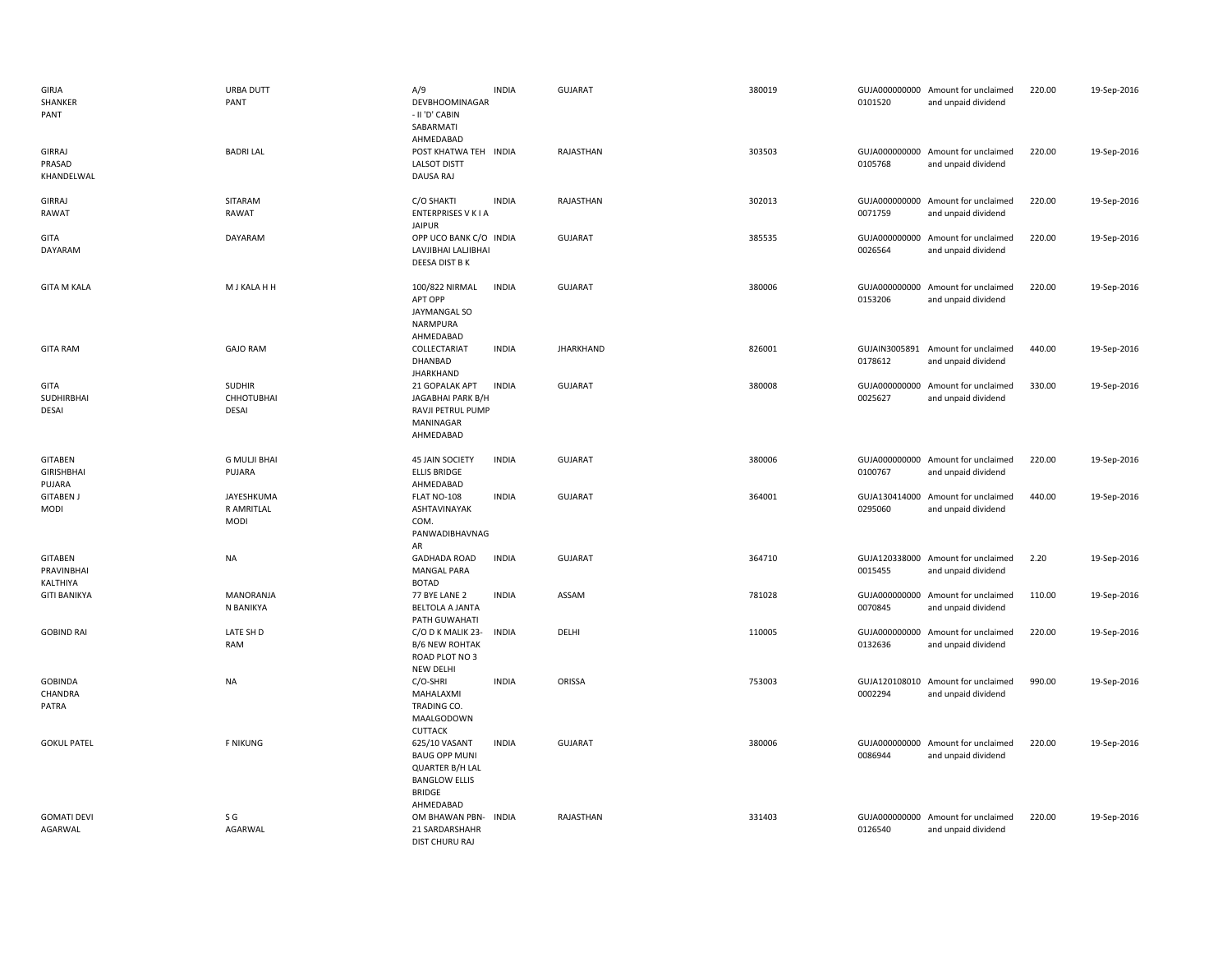| GIRJA<br>SHANKER<br>PANT                      | URBA DUTT<br>PANT                       | A/9<br>DEVBHOOMINAGAR<br>- II 'D' CABIN<br>SABARMATI<br>AHMEDABAD                                              | <b>INDIA</b> | <b>GUJARAT</b>   | 380019 | 0101520                  | GUJA000000000 Amount for unclaimed<br>and unpaid dividend | 220.00 | 19-Sep-2016 |
|-----------------------------------------------|-----------------------------------------|----------------------------------------------------------------------------------------------------------------|--------------|------------------|--------|--------------------------|-----------------------------------------------------------|--------|-------------|
| <b>GIRRAJ</b><br>PRASAD<br>KHANDELWAL         | <b>BADRILAL</b>                         | POST KHATWA TEH INDIA<br><b>LALSOT DISTT</b><br>DAUSA RAJ                                                      |              | RAJASTHAN        | 303503 | 0105768                  | GUJA000000000 Amount for unclaimed<br>and unpaid dividend | 220.00 | 19-Sep-2016 |
| GIRRAJ<br>RAWAT                               | SITARAM<br>RAWAT                        | C/O SHAKTI<br>ENTERPRISES V K I A<br><b>JAIPUR</b>                                                             | <b>INDIA</b> | RAJASTHAN        | 302013 | 0071759                  | GUJA000000000 Amount for unclaimed<br>and unpaid dividend | 220.00 | 19-Sep-2016 |
| GITA<br>DAYARAM                               | DAYARAM                                 | OPP UCO BANK C/O INDIA<br>LAVJIBHAI LALJIBHAI<br>DEESA DIST B K                                                |              | <b>GUJARAT</b>   | 385535 | 0026564                  | GUJA000000000 Amount for unclaimed<br>and unpaid dividend | 220.00 | 19-Sep-2016 |
| <b>GITA M KALA</b>                            | M J KALA H H                            | 100/822 NIRMAL<br>APT OPP<br>JAYMANGAL SO<br>NARMPURA<br>AHMEDABAD                                             | <b>INDIA</b> | <b>GUJARAT</b>   | 380006 | 0153206                  | GUJA000000000 Amount for unclaimed<br>and unpaid dividend | 220.00 | 19-Sep-2016 |
| <b>GITA RAM</b>                               | <b>GAJO RAM</b>                         | COLLECTARIAT<br>DHANBAD<br><b>JHARKHAND</b>                                                                    | <b>INDIA</b> | <b>JHARKHAND</b> | 826001 | GUJAIN3005891<br>0178612 | Amount for unclaimed<br>and unpaid dividend               | 440.00 | 19-Sep-2016 |
| GITA<br>SUDHIRBHAI<br>DESAI                   | <b>SUDHIR</b><br>CHHOTUBHAI<br>DESAI    | 21 GOPALAK APT<br>JAGABHAI PARK B/H<br>RAVJI PETRUL PUMP<br>MANINAGAR<br>AHMEDABAD                             | <b>INDIA</b> | <b>GUJARAT</b>   | 380008 | GUJA000000000<br>0025627 | Amount for unclaimed<br>and unpaid dividend               | 330.00 | 19-Sep-2016 |
| <b>GITABEN</b><br><b>GIRISHBHAI</b><br>PUJARA | <b>G MULJI BHAI</b><br>PUJARA           | 45 JAIN SOCIETY<br><b>ELLIS BRIDGE</b><br>AHMEDABAD                                                            | <b>INDIA</b> | <b>GUJARAT</b>   | 380006 | 0100767                  | GUJA000000000 Amount for unclaimed<br>and unpaid dividend | 220.00 | 19-Sep-2016 |
| <b>GITABEN J</b><br>MODI                      | JAYESHKUMA<br>R AMRITLAL<br><b>MODI</b> | FLAT NO-108<br>ASHTAVINAYAK<br>COM.<br>PANWADIBHAVNAG<br>AR                                                    | <b>INDIA</b> | GUJARAT          | 364001 | 0295060                  | GUJA130414000 Amount for unclaimed<br>and unpaid dividend | 440.00 | 19-Sep-2016 |
| <b>GITABEN</b><br>PRAVINBHAI<br>KALTHIYA      | <b>NA</b>                               | <b>GADHADA ROAD</b><br><b>MANGAL PARA</b><br><b>BOTAD</b>                                                      | <b>INDIA</b> | <b>GUJARAT</b>   | 364710 | 0015455                  | GUJA120338000 Amount for unclaimed<br>and unpaid dividend | 2.20   | 19-Sep-2016 |
| <b>GITI BANIKYA</b>                           | <b>MANORANJA</b><br>N BANIKYA           | 77 BYE LANE 2<br><b>BELTOLA A JANTA</b><br>PATH GUWAHATI                                                       | <b>INDIA</b> | ASSAM            | 781028 | 0070845                  | GUJA000000000 Amount for unclaimed<br>and unpaid dividend | 110.00 | 19-Sep-2016 |
| <b>GOBIND RAI</b>                             | LATE SH D<br>RAM                        | C/O D K MALIK 23-<br><b>B/6 NEW ROHTAK</b><br>ROAD PLOT NO 3<br><b>NEW DELHI</b>                               | <b>INDIA</b> | DELHI            | 110005 | GUJA000000000<br>0132636 | Amount for unclaimed<br>and unpaid dividend               | 220.00 | 19-Sep-2016 |
| <b>GOBINDA</b><br>CHANDRA<br>PATRA            | <b>NA</b>                               | C/O-SHRI<br>MAHALAXMI<br>TRADING CO.<br>MAALGODOWN<br><b>CUTTACK</b>                                           | <b>INDIA</b> | ORISSA           | 753003 | 0002294                  | GUJA120108010 Amount for unclaimed<br>and unpaid dividend | 990.00 | 19-Sep-2016 |
| <b>GOKUL PATEL</b>                            | <b>F NIKUNG</b>                         | 625/10 VASANT<br><b>BAUG OPP MUNI</b><br>QUARTER B/H LAL<br><b>BANGLOW ELLIS</b><br><b>BRIDGE</b><br>AHMEDABAD | <b>INDIA</b> | <b>GUJARAT</b>   | 380006 | 0086944                  | GUJA000000000 Amount for unclaimed<br>and unpaid dividend | 220.00 | 19-Sep-2016 |
| <b>GOMATI DEVI</b><br>AGARWAL                 | S G<br>AGARWAL                          | OM BHAWAN PBN- INDIA<br>21 SARDARSHAHR<br>DIST CHURU RAI                                                       |              | RAJASTHAN        | 331403 | 0126540                  | GUJA000000000 Amount for unclaimed<br>and unpaid dividend | 220.00 | 19-Sep-2016 |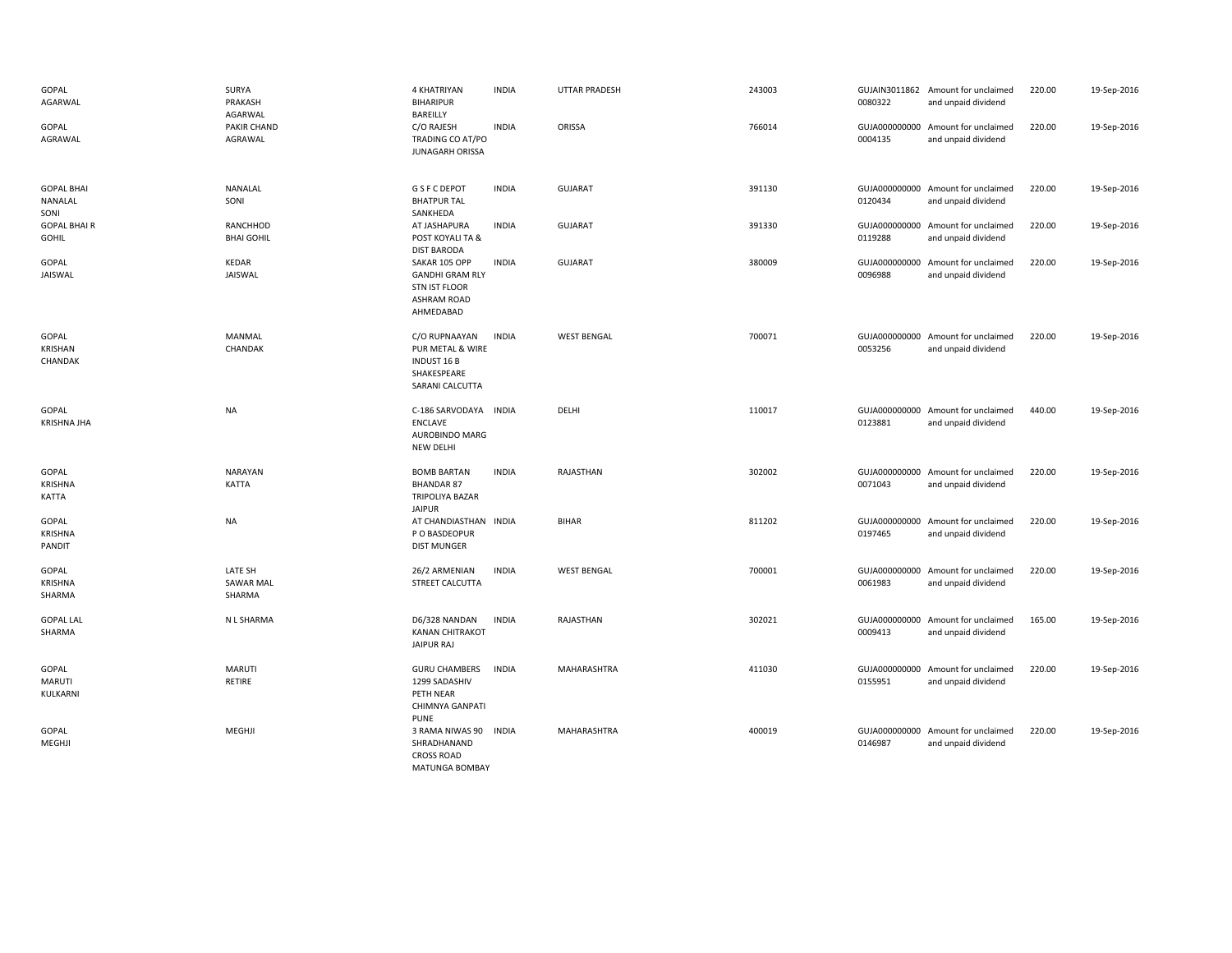| GOPAL<br>AGARWAL<br>GOPAL<br>AGRAWAL      | SURYA<br>PRAKASH<br>AGARWAL<br>PAKIR CHAND<br>AGRAWAL | 4 KHATRIYAN<br><b>BIHARIPUR</b><br>BAREILLY<br>C/O RAJESH<br>TRADING CO AT/PO<br><b>JUNAGARH ORISSA</b> | <b>INDIA</b><br><b>INDIA</b> | UTTAR PRADESH<br>ORISSA | 243003<br>766014 | 0080322<br>0004135 | GUJAIN3011862 Amount for unclaimed<br>and unpaid dividend<br>GUJA000000000 Amount for unclaimed<br>and unpaid dividend | 220.00<br>220.00 | 19-Sep-2016<br>19-Sep-2016 |
|-------------------------------------------|-------------------------------------------------------|---------------------------------------------------------------------------------------------------------|------------------------------|-------------------------|------------------|--------------------|------------------------------------------------------------------------------------------------------------------------|------------------|----------------------------|
| <b>GOPAL BHAI</b><br>NANALAL<br>SONI      | NANALAL<br>SONI                                       | <b>G S F C DEPOT</b><br><b>BHATPUR TAL</b><br>SANKHEDA                                                  | <b>INDIA</b>                 | <b>GUJARAT</b>          | 391130           | 0120434            | GUJA000000000 Amount for unclaimed<br>and unpaid dividend                                                              | 220.00           | 19-Sep-2016                |
| <b>GOPAL BHAIR</b><br><b>GOHIL</b>        | RANCHHOD<br><b>BHAI GOHIL</b>                         | AT JASHAPURA<br>POST KOYALI TA &<br><b>DIST BARODA</b>                                                  | <b>INDIA</b>                 | <b>GUJARAT</b>          | 391330           | 0119288            | GUJA000000000 Amount for unclaimed<br>and unpaid dividend                                                              | 220.00           | 19-Sep-2016                |
| GOPAL<br>JAISWAL                          | KEDAR<br>JAISWAL                                      | SAKAR 105 OPP<br><b>GANDHI GRAM RLY</b><br><b>STN IST FLOOR</b><br><b>ASHRAM ROAD</b><br>AHMEDABAD      | <b>INDIA</b>                 | <b>GUJARAT</b>          | 380009           | 0096988            | GUJA000000000 Amount for unclaimed<br>and unpaid dividend                                                              | 220.00           | 19-Sep-2016                |
| GOPAL<br>KRISHAN<br>CHANDAK               | MANMAL<br>CHANDAK                                     | C/O RUPNAAYAN<br>PUR METAL & WIRE<br><b>INDUST 16 B</b><br>SHAKESPEARE<br>SARANI CALCUTTA               | <b>INDIA</b>                 | <b>WEST BENGAL</b>      | 700071           | 0053256            | GUJA000000000 Amount for unclaimed<br>and unpaid dividend                                                              | 220.00           | 19-Sep-2016                |
| GOPAL<br><b>KRISHNA JHA</b>               | <b>NA</b>                                             | C-186 SARVODAYA INDIA<br>ENCLAVE<br>AUROBINDO MARG<br>NEW DELHI                                         |                              | DELHI                   | 110017           | 0123881            | GUJA000000000 Amount for unclaimed<br>and unpaid dividend                                                              | 440.00           | 19-Sep-2016                |
| GOPAL<br><b>KRISHNA</b><br>KATTA          | <b>NARAYAN</b><br><b>KATTA</b>                        | <b>BOMB BARTAN</b><br><b>BHANDAR 87</b><br>TRIPOLIYA BAZAR<br><b>JAIPUR</b>                             | <b>INDIA</b>                 | RAJASTHAN               | 302002           | 0071043            | GUJA000000000 Amount for unclaimed<br>and unpaid dividend                                                              | 220.00           | 19-Sep-2016                |
| GOPAL<br><b>KRISHNA</b><br>PANDIT         | <b>NA</b>                                             | AT CHANDIASTHAN INDIA<br>P O BASDEOPUR<br><b>DIST MUNGER</b>                                            |                              | <b>BIHAR</b>            | 811202           | 0197465            | GUJA000000000 Amount for unclaimed<br>and unpaid dividend                                                              | 220.00           | 19-Sep-2016                |
| GOPAL<br><b>KRISHNA</b><br>SHARMA         | LATE SH<br><b>SAWAR MAL</b><br>SHARMA                 | 26/2 ARMENIAN<br>STREET CALCUTTA                                                                        | <b>INDIA</b>                 | <b>WEST BENGAL</b>      | 700001           | 0061983            | GUJA000000000 Amount for unclaimed<br>and unpaid dividend                                                              | 220.00           | 19-Sep-2016                |
| <b>GOPAL LAL</b><br>SHARMA                | N L SHARMA                                            | D6/328 NANDAN<br><b>KANAN CHITRAKOT</b><br><b>JAIPUR RAJ</b>                                            | <b>INDIA</b>                 | RAJASTHAN               | 302021           | 0009413            | GUJA000000000 Amount for unclaimed<br>and unpaid dividend                                                              | 165.00           | 19-Sep-2016                |
| <b>GOPAL</b><br><b>MARUTI</b><br>KULKARNI | <b>MARUTI</b><br>RETIRE                               | <b>GURU CHAMBERS</b><br>1299 SADASHIV<br>PETH NEAR<br>CHIMNYA GANPATI<br><b>PUNE</b>                    | <b>INDIA</b>                 | MAHARASHTRA             | 411030           | 0155951            | GUJA000000000 Amount for unclaimed<br>and unpaid dividend                                                              | 220.00           | 19-Sep-2016                |
| <b>GOPAL</b><br>MEGHJI                    | MEGHJI                                                | 3 RAMA NIWAS 90<br>SHRADHANAND<br><b>CROSS ROAD</b><br><b>MATUNGA BOMBAY</b>                            | <b>INDIA</b>                 | <b>MAHARASHTRA</b>      | 400019           | 0146987            | GUJA000000000 Amount for unclaimed<br>and unpaid dividend                                                              | 220.00           | 19-Sep-2016                |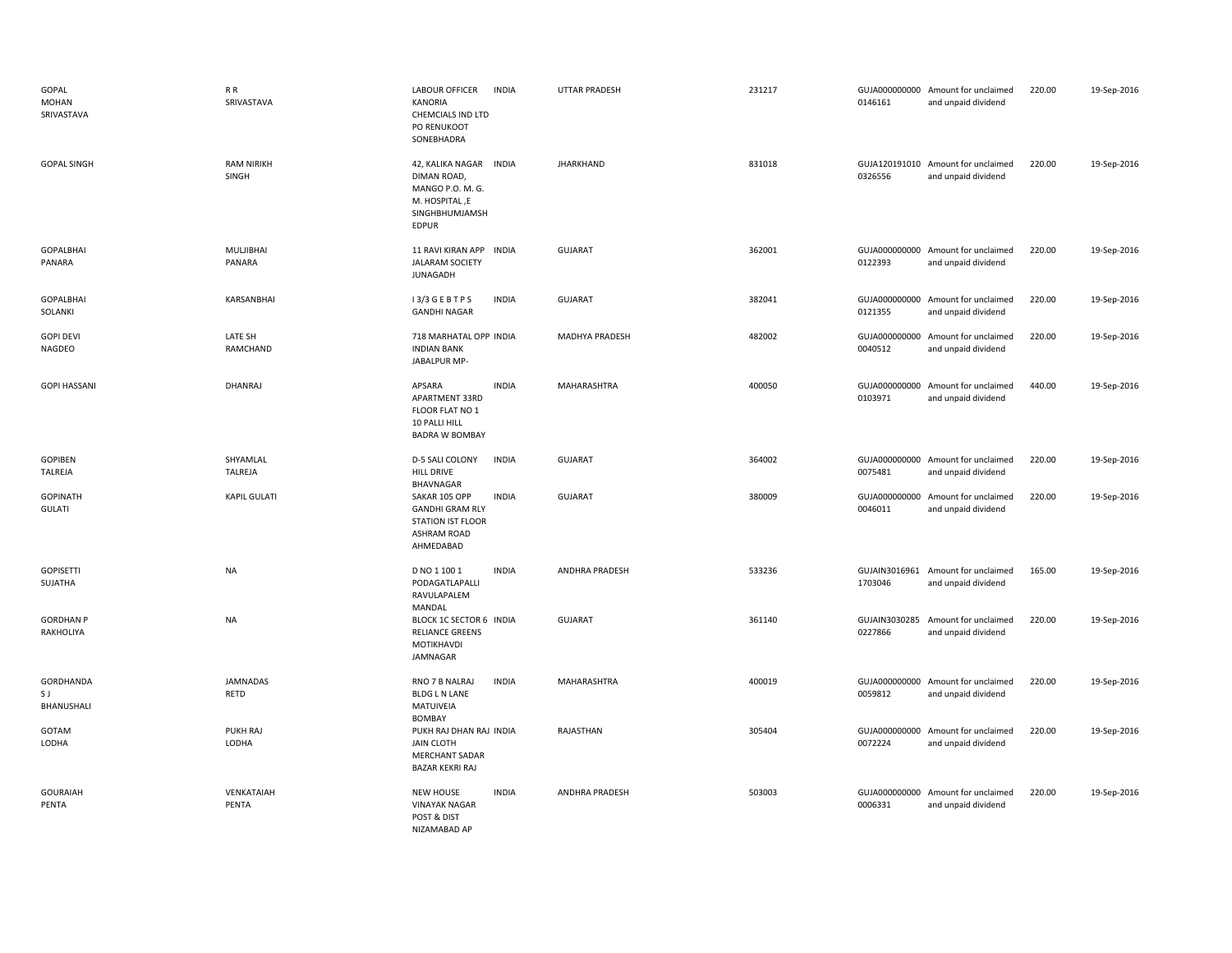| GOPAL<br><b>MOHAN</b><br>SRIVASTAVA | R R<br>SRIVASTAVA          | LABOUR OFFICER<br><b>INDIA</b><br>KANORIA<br>CHEMCIALS IND LTD<br>PO RENUKOOT<br>SONEBHADRA                            | UTTAR PRADESH         | 231217 | 0146161 | GUJA000000000 Amount for unclaimed<br>and unpaid dividend | 220.00 | 19-Sep-2016 |
|-------------------------------------|----------------------------|------------------------------------------------------------------------------------------------------------------------|-----------------------|--------|---------|-----------------------------------------------------------|--------|-------------|
| <b>GOPAL SINGH</b>                  | <b>RAM NIRIKH</b><br>SINGH | 42, KALIKA NAGAR INDIA<br>DIMAN ROAD,<br>MANGO P.O. M. G.<br>M. HOSPITAL, E<br>SINGHBHUMJAMSH<br><b>EDPUR</b>          | <b>JHARKHAND</b>      | 831018 | 0326556 | GUJA120191010 Amount for unclaimed<br>and unpaid dividend | 220.00 | 19-Sep-2016 |
| <b>GOPALBHAI</b><br>PANARA          | MULJIBHAI<br>PANARA        | 11 RAVI KIRAN APP INDIA<br><b>JALARAM SOCIETY</b><br><b>JUNAGADH</b>                                                   | <b>GUJARAT</b>        | 362001 | 0122393 | GUJA000000000 Amount for unclaimed<br>and unpaid dividend | 220.00 | 19-Sep-2016 |
| <b>GOPALBHAI</b><br>SOLANKI         | KARSANBHAI                 | I3/3 GEBTPS<br><b>INDIA</b><br><b>GANDHI NAGAR</b>                                                                     | GUJARAT               | 382041 | 0121355 | GUJA000000000 Amount for unclaimed<br>and unpaid dividend | 220.00 | 19-Sep-2016 |
| <b>GOPI DEVI</b><br>NAGDEO          | LATE SH<br>RAMCHAND        | 718 MARHATAL OPP INDIA<br><b>INDIAN BANK</b><br>JABALPUR MP-                                                           | <b>MADHYA PRADESH</b> | 482002 | 0040512 | GUJA000000000 Amount for unclaimed<br>and unpaid dividend | 220.00 | 19-Sep-2016 |
| <b>GOPI HASSANI</b>                 | DHANRAJ                    | APSARA<br><b>INDIA</b><br>APARTMENT 33RD<br>FLOOR FLAT NO 1<br>10 PALLI HILL<br><b>BADRA W BOMBAY</b>                  | MAHARASHTRA           | 400050 | 0103971 | GUJA000000000 Amount for unclaimed<br>and unpaid dividend | 440.00 | 19-Sep-2016 |
| GOPIBEN<br>TALREJA                  | SHYAMLAL<br>TALREJA        | <b>INDIA</b><br>D-5 SALI COLONY<br><b>HILL DRIVE</b><br>BHAVNAGAR                                                      | <b>GUJARAT</b>        | 364002 | 0075481 | GUJA000000000 Amount for unclaimed<br>and unpaid dividend | 220.00 | 19-Sep-2016 |
| <b>GOPINATH</b><br><b>GULATI</b>    | <b>KAPIL GULATI</b>        | SAKAR 105 OPP<br><b>INDIA</b><br><b>GANDHI GRAM RLY</b><br><b>STATION IST FLOOR</b><br><b>ASHRAM ROAD</b><br>AHMEDABAD | <b>GUJARAT</b>        | 380009 | 0046011 | GUJA000000000 Amount for unclaimed<br>and unpaid dividend | 220.00 | 19-Sep-2016 |
| <b>GOPISETTI</b><br>SUJATHA         | <b>NA</b>                  | D NO 1 100 1<br><b>INDIA</b><br>PODAGATLAPALLI<br>RAVULAPALEM<br>MANDAL                                                | ANDHRA PRADESH        | 533236 | 1703046 | GUJAIN3016961 Amount for unclaimed<br>and unpaid dividend | 165.00 | 19-Sep-2016 |
| <b>GORDHAN P</b><br>RAKHOLIYA       | <b>NA</b>                  | BLOCK 1C SECTOR 6 INDIA<br><b>RELIANCE GREENS</b><br>MOTIKHAVDI<br>JAMNAGAR                                            | GUJARAT               | 361140 | 0227866 | GUJAIN3030285 Amount for unclaimed<br>and unpaid dividend | 220.00 | 19-Sep-2016 |
| GORDHANDA<br>S J<br>BHANUSHALI      | JAMNADAS<br>RETD           | RNO 7 B NALRAJ<br><b>INDIA</b><br><b>BLDG L N LANE</b><br>MATUIVEIA<br>BOMBAY                                          | MAHARASHTRA           | 400019 | 0059812 | GUJA000000000 Amount for unclaimed<br>and unpaid dividend | 220.00 | 19-Sep-2016 |
| GOTAM<br>LODHA                      | PUKH RAJ<br>LODHA          | PUKH RAJ DHAN RAJ INDIA<br><b>JAIN CLOTH</b><br><b>MERCHANT SADAR</b><br>BAZAR KEKRI RAJ                               | RAJASTHAN             | 305404 | 0072224 | GUJA000000000 Amount for unclaimed<br>and unpaid dividend | 220.00 | 19-Sep-2016 |
| <b>GOURAIAH</b><br>PENTA            | VENKATAIAH<br>PENTA        | <b>INDIA</b><br><b>NEW HOUSE</b><br><b>VINAYAK NAGAR</b><br>POST & DIST<br>NIZAMABAD AP                                | ANDHRA PRADESH        | 503003 | 0006331 | GUJA000000000 Amount for unclaimed<br>and unpaid dividend | 220.00 | 19-Sep-2016 |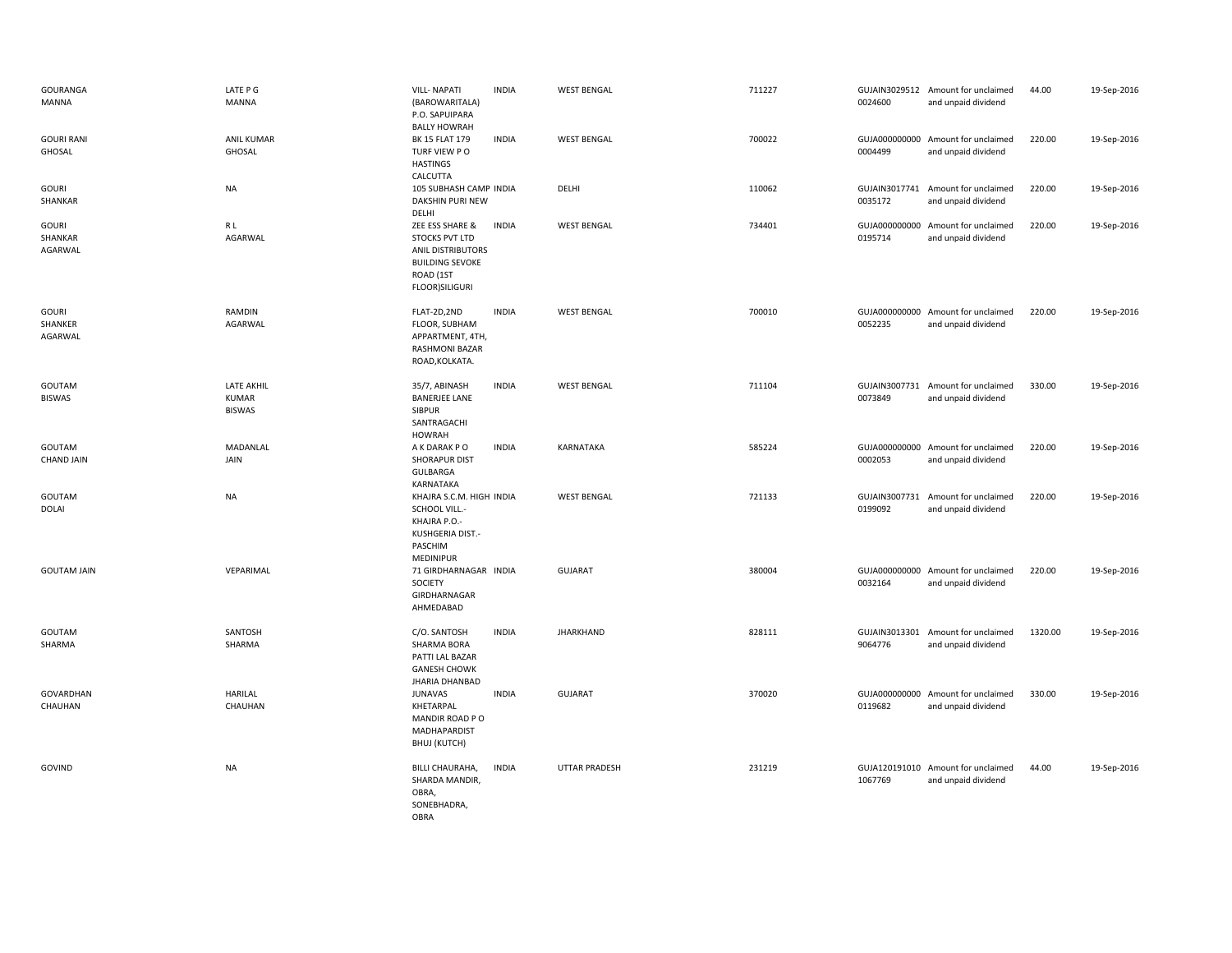| GOURANGA<br>MANNA                  | LATE P G<br><b>MANNA</b>                    | <b>VILL-NAPATI</b><br>(BAROWARITALA)<br>P.O. SAPUIPARA<br><b>BALLY HOWRAH</b>                                                 | <b>INDIA</b> | <b>WEST BENGAL</b>   | 711227 | 0024600                  | GUJAIN3029512 Amount for unclaimed<br>and unpaid dividend | 44.00   | 19-Sep-2016 |
|------------------------------------|---------------------------------------------|-------------------------------------------------------------------------------------------------------------------------------|--------------|----------------------|--------|--------------------------|-----------------------------------------------------------|---------|-------------|
| <b>GOURI RANI</b><br>GHOSAL        | <b>ANIL KUMAR</b><br>GHOSAL                 | BK 15 FLAT 179<br>TURF VIEW PO<br><b>HASTINGS</b><br>CALCUTTA                                                                 | <b>INDIA</b> | <b>WEST BENGAL</b>   | 700022 | 0004499                  | GUJA000000000 Amount for unclaimed<br>and unpaid dividend | 220.00  | 19-Sep-2016 |
| <b>GOURI</b><br>SHANKAR            | <b>NA</b>                                   | 105 SUBHASH CAMP INDIA<br>DAKSHIN PURI NEW<br>DELHI                                                                           |              | DELHI                | 110062 | 0035172                  | GUJAIN3017741 Amount for unclaimed<br>and unpaid dividend | 220.00  | 19-Sep-2016 |
| <b>GOURI</b><br>SHANKAR<br>AGARWAL | R L<br>AGARWAL                              | ZEE ESS SHARE &<br>STOCKS PVT LTD<br><b>ANIL DISTRIBUTORS</b><br><b>BUILDING SEVOKE</b><br>ROAD (1ST<br><b>FLOOR)SILIGURI</b> | <b>INDIA</b> | <b>WEST BENGAL</b>   | 734401 | 0195714                  | GUJA000000000 Amount for unclaimed<br>and unpaid dividend | 220.00  | 19-Sep-2016 |
| <b>GOURI</b><br>SHANKER<br>AGARWAL | RAMDIN<br>AGARWAL                           | FLAT-2D,2ND<br>FLOOR, SUBHAM<br>APPARTMENT, 4TH,<br>RASHMONI BAZAR<br>ROAD, KOLKATA.                                          | <b>INDIA</b> | <b>WEST BENGAL</b>   | 700010 | 0052235                  | GUJA000000000 Amount for unclaimed<br>and unpaid dividend | 220.00  | 19-Sep-2016 |
| GOUTAM<br><b>BISWAS</b>            | <b>LATE AKHIL</b><br>KUMAR<br><b>BISWAS</b> | 35/7, ABINASH<br><b>BANERJEE LANE</b><br>SIBPUR<br>SANTRAGACHI<br><b>HOWRAH</b>                                               | <b>INDIA</b> | <b>WEST BENGAL</b>   | 711104 | 0073849                  | GUJAIN3007731 Amount for unclaimed<br>and unpaid dividend | 330.00  | 19-Sep-2016 |
| GOUTAM<br><b>CHAND JAIN</b>        | MADANLAL<br>JAIN                            | A K DARAK P O<br>SHORAPUR DIST<br>GULBARGA<br>KARNATAKA                                                                       | <b>INDIA</b> | KARNATAKA            | 585224 | 0002053                  | GUJA000000000 Amount for unclaimed<br>and unpaid dividend | 220.00  | 19-Sep-2016 |
| GOUTAM<br><b>DOLAI</b>             | <b>NA</b>                                   | KHAJRA S.C.M. HIGH INDIA<br>SCHOOL VILL.-<br>KHAJRA P.O.-<br>KUSHGERIA DIST.-<br>PASCHIM<br>MEDINIPUR                         |              | <b>WEST BENGAL</b>   | 721133 | GUJAIN3007731<br>0199092 | Amount for unclaimed<br>and unpaid dividend               | 220.00  | 19-Sep-2016 |
| <b>GOUTAM JAIN</b>                 | VEPARIMAL                                   | 71 GIRDHARNAGAR INDIA<br>SOCIETY<br>GIRDHARNAGAR<br>AHMEDABAD                                                                 |              | GUJARAT              | 380004 | 0032164                  | GUJA000000000 Amount for unclaimed<br>and unpaid dividend | 220.00  | 19-Sep-2016 |
| GOUTAM<br>SHARMA                   | SANTOSH<br>SHARMA                           | C/O. SANTOSH<br>SHARMA BORA<br>PATTI LAL BAZAR<br><b>GANESH CHOWK</b><br><b>JHARIA DHANBAD</b>                                | <b>INDIA</b> | <b>JHARKHAND</b>     | 828111 | GUJAIN3013301<br>9064776 | Amount for unclaimed<br>and unpaid dividend               | 1320.00 | 19-Sep-2016 |
| GOVARDHAN<br>CHAUHAN               | <b>HARILAL</b><br>CHAUHAN                   | <b>JUNAVAS</b><br>KHETARPAL<br>MANDIR ROAD PO<br>MADHAPARDIST<br>BHUJ (KUTCH)                                                 | <b>INDIA</b> | <b>GUJARAT</b>       | 370020 | GUJA000000000<br>0119682 | Amount for unclaimed<br>and unpaid dividend               | 330.00  | 19-Sep-2016 |
| GOVIND                             | <b>NA</b>                                   | BILLI CHAURAHA,<br>SHARDA MANDIR,<br>OBRA,<br>SONEBHADRA,<br>OBRA                                                             | <b>INDIA</b> | <b>UTTAR PRADESH</b> | 231219 | 1067769                  | GUJA120191010 Amount for unclaimed<br>and unpaid dividend | 44.00   | 19-Sep-2016 |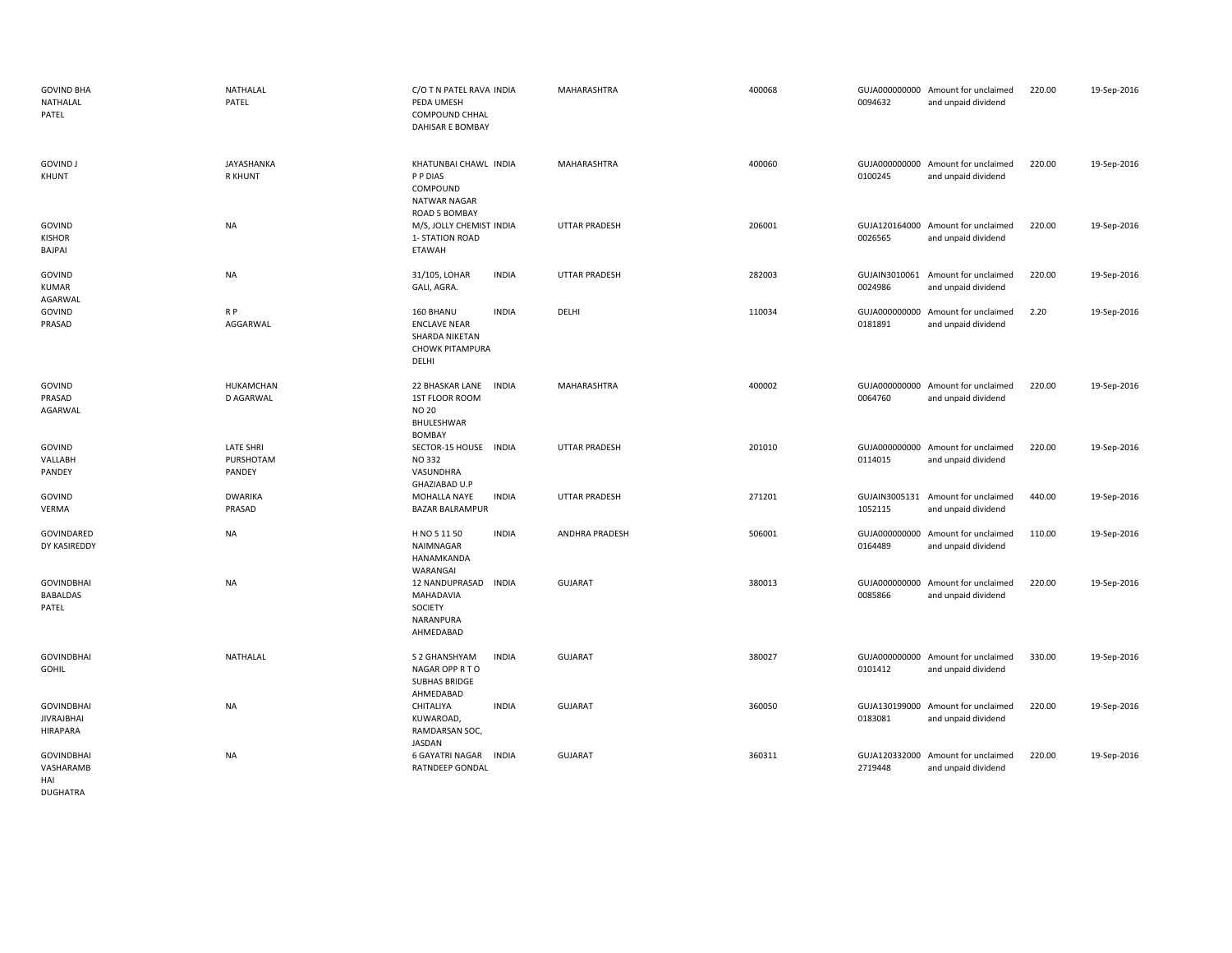| <b>GOVIND BHA</b><br>NATHALAL<br>PATEL                    | NATHALAL<br>PATEL                       | C/O T N PATEL RAVA INDIA<br>PEDA UMESH<br>COMPOUND CHHAL<br>DAHISAR E BOMBAY                          | MAHARASHTRA           | 400068 | 0094632                  | GUJA000000000 Amount for unclaimed<br>and unpaid dividend | 220.00 | 19-Sep-2016 |
|-----------------------------------------------------------|-----------------------------------------|-------------------------------------------------------------------------------------------------------|-----------------------|--------|--------------------------|-----------------------------------------------------------|--------|-------------|
| <b>GOVIND J</b><br>KHUNT                                  | JAYASHANKA<br><b>R KHUNT</b>            | KHATUNBAI CHAWL INDIA<br>P P DIAS<br>COMPOUND<br>NATWAR NAGAR<br>ROAD 5 BOMBAY                        | <b>MAHARASHTRA</b>    | 400060 | 0100245                  | GUJA000000000 Amount for unclaimed<br>and unpaid dividend | 220.00 | 19-Sep-2016 |
| GOVIND<br><b>KISHOR</b><br>BAJPAI                         | <b>NA</b>                               | M/S, JOLLY CHEMIST INDIA<br>1- STATION ROAD<br><b>ETAWAH</b>                                          | <b>UTTAR PRADESH</b>  | 206001 | 0026565                  | GUJA120164000 Amount for unclaimed<br>and unpaid dividend | 220.00 | 19-Sep-2016 |
| GOVIND<br>KUMAR<br>AGARWAL                                | <b>NA</b>                               | 31/105, LOHAR<br><b>INDIA</b><br>GALI, AGRA.                                                          | <b>UTTAR PRADESH</b>  | 282003 | 0024986                  | GUJAIN3010061 Amount for unclaimed<br>and unpaid dividend | 220.00 | 19-Sep-2016 |
| GOVIND<br>PRASAD                                          | R P<br>AGGARWAL                         | 160 BHANU<br><b>INDIA</b><br><b>ENCLAVE NEAR</b><br>SHARDA NIKETAN<br><b>CHOWK PITAMPURA</b><br>DELHI | DELHI                 | 110034 | 0181891                  | GUJA000000000 Amount for unclaimed<br>and unpaid dividend | 2.20   | 19-Sep-2016 |
| GOVIND<br>PRASAD<br>AGARWAL                               | HUKAMCHAN<br>D AGARWAL                  | 22 BHASKAR LANE<br><b>INDIA</b><br>1ST FLOOR ROOM<br><b>NO 20</b><br>BHULESHWAR<br><b>BOMBAY</b>      | MAHARASHTRA           | 400002 | 0064760                  | GUJA000000000 Amount for unclaimed<br>and unpaid dividend | 220.00 | 19-Sep-2016 |
| GOVIND<br>VALLABH<br>PANDEY                               | <b>LATE SHRI</b><br>PURSHOTAM<br>PANDEY | SECTOR-15 HOUSE INDIA<br><b>NO 332</b><br>VASUNDHRA<br>GHAZIABAD U.P                                  | <b>UTTAR PRADESH</b>  | 201010 | 0114015                  | GUJA000000000 Amount for unclaimed<br>and unpaid dividend | 220.00 | 19-Sep-2016 |
| GOVIND<br>VERMA                                           | <b>DWARIKA</b><br>PRASAD                | MOHALLA NAYE<br><b>INDIA</b><br><b>BAZAR BALRAMPUR</b>                                                | <b>UTTAR PRADESH</b>  | 271201 | GUJAIN3005131<br>1052115 | Amount for unclaimed<br>and unpaid dividend               | 440.00 | 19-Sep-2016 |
| GOVINDARED<br>DY KASIREDDY                                | <b>NA</b>                               | <b>INDIA</b><br>H NO 5 11 50<br>NAIMNAGAR<br>HANAMKANDA<br>WARANGAI                                   | <b>ANDHRA PRADESH</b> | 506001 | GUJA000000000<br>0164489 | Amount for unclaimed<br>and unpaid dividend               | 110.00 | 19-Sep-2016 |
| <b>GOVINDBHAI</b><br><b>BABALDAS</b><br>PATEL             | <b>NA</b>                               | 12 NANDUPRASAD<br><b>INDIA</b><br>MAHADAVIA<br><b>SOCIETY</b><br>NARANPURA<br>AHMEDABAD               | <b>GUJARAT</b>        | 380013 | 0085866                  | GUJA000000000 Amount for unclaimed<br>and unpaid dividend | 220.00 | 19-Sep-2016 |
| <b>GOVINDBHAI</b><br><b>GOHIL</b>                         | NATHALAL                                | S 2 GHANSHYAM<br><b>INDIA</b><br>NAGAR OPP R TO<br><b>SUBHAS BRIDGE</b><br>AHMEDABAD                  | <b>GUJARAT</b>        | 380027 | 0101412                  | GUJA000000000 Amount for unclaimed<br>and unpaid dividend | 330.00 | 19-Sep-2016 |
| <b>GOVINDBHAI</b><br><b>JIVRAJBHAI</b><br><b>HIRAPARA</b> | <b>NA</b>                               | CHITALIYA<br><b>INDIA</b><br>KUWAROAD,<br>RAMDARSAN SOC,<br><b>JASDAN</b>                             | <b>GUJARAT</b>        | 360050 | 0183081                  | GUJA130199000 Amount for unclaimed<br>and unpaid dividend | 220.00 | 19-Sep-2016 |
| <b>GOVINDBHAI</b><br>VASHARAMB<br>HAI                     | <b>NA</b>                               | 6 GAYATRI NAGAR INDIA<br><b>RATNDEEP GONDAL</b>                                                       | GUJARAT               | 360311 | 2719448                  | GUJA120332000 Amount for unclaimed<br>and unpaid dividend | 220.00 | 19-Sep-2016 |

DUGHATRA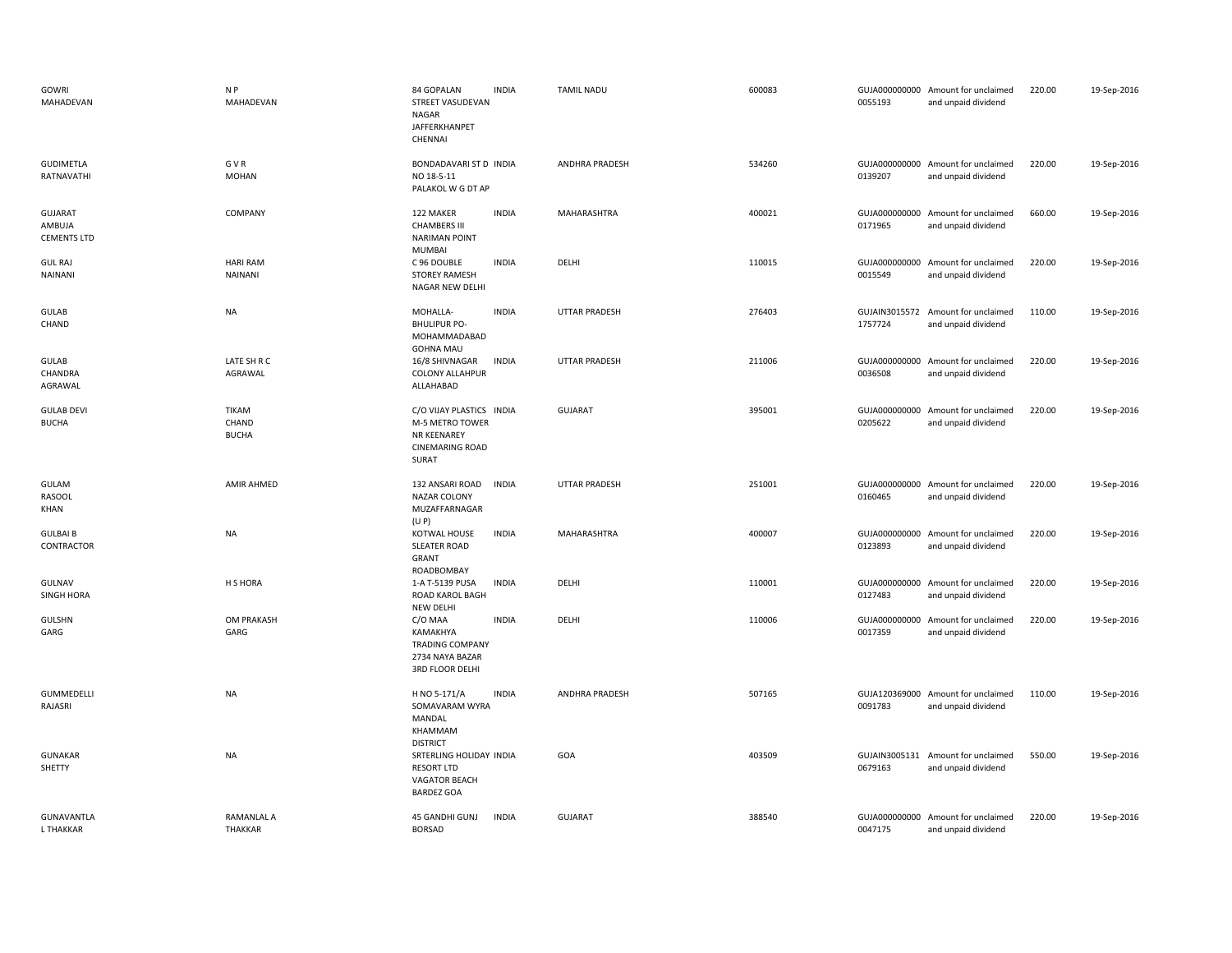| GOWRI<br>MAHADEVAN                      | N <sub>P</sub><br>MAHADEVAN           | 84 GOPALAN<br>STREET VASUDEVAN<br>NAGAR<br>JAFFERKHANPET<br>CHENNAI                                  | <b>INDIA</b> | <b>TAMIL NADU</b>     | 600083 | 0055193                  | GUJA000000000 Amount for unclaimed<br>and unpaid dividend | 220.00 | 19-Sep-2016 |
|-----------------------------------------|---------------------------------------|------------------------------------------------------------------------------------------------------|--------------|-----------------------|--------|--------------------------|-----------------------------------------------------------|--------|-------------|
| <b>GUDIMETLA</b><br>RATNAVATHI          | G V R<br><b>MOHAN</b>                 | BONDADAVARI ST D INDIA<br>NO 18-5-11<br>PALAKOL W G DT AP                                            |              | ANDHRA PRADESH        | 534260 | 0139207                  | GUJA000000000 Amount for unclaimed<br>and unpaid dividend | 220.00 | 19-Sep-2016 |
| GUJARAT<br>AMBUJA<br><b>CEMENTS LTD</b> | COMPANY                               | 122 MAKER<br><b>CHAMBERS III</b><br><b>NARIMAN POINT</b><br><b>MUMBAI</b>                            | <b>INDIA</b> | MAHARASHTRA           | 400021 | 0171965                  | GUJA000000000 Amount for unclaimed<br>and unpaid dividend | 660.00 | 19-Sep-2016 |
| <b>GUL RAJ</b><br>NAINANI               | <b>HARI RAM</b><br><b>NAINANI</b>     | C 96 DOUBLE<br><b>STOREY RAMESH</b><br>NAGAR NEW DELHI                                               | <b>INDIA</b> | DELHI                 | 110015 | 0015549                  | GUJA000000000 Amount for unclaimed<br>and unpaid dividend | 220.00 | 19-Sep-2016 |
| <b>GULAB</b><br>CHAND                   | <b>NA</b>                             | MOHALLA-<br><b>BHULIPUR PO-</b><br>MOHAMMADABAD<br><b>GOHNA MAU</b>                                  | <b>INDIA</b> | UTTAR PRADESH         | 276403 | 1757724                  | GUJAIN3015572 Amount for unclaimed<br>and unpaid dividend | 110.00 | 19-Sep-2016 |
| GULAB<br>CHANDRA<br>AGRAWAL             | LATE SH R C<br>AGRAWAL                | 16/8 SHIVNAGAR<br><b>COLONY ALLAHPUR</b><br>ALLAHABAD                                                | <b>INDIA</b> | <b>UTTAR PRADESH</b>  | 211006 | GUJA000000000<br>0036508 | Amount for unclaimed<br>and unpaid dividend               | 220.00 | 19-Sep-2016 |
| <b>GULAB DEVI</b><br><b>BUCHA</b>       | <b>TIKAM</b><br>CHAND<br><b>BUCHA</b> | C/O VIJAY PLASTICS INDIA<br>M-5 METRO TOWER<br><b>NR KEENAREY</b><br><b>CINEMARING ROAD</b><br>SURAT |              | <b>GUJARAT</b>        | 395001 | 0205622                  | GUJA000000000 Amount for unclaimed<br>and unpaid dividend | 220.00 | 19-Sep-2016 |
| <b>GULAM</b><br><b>RASOOL</b><br>KHAN   | <b>AMIR AHMED</b>                     | 132 ANSARI ROAD<br>NAZAR COLONY<br>MUZAFFARNAGAR<br>(U P)                                            | <b>INDIA</b> | UTTAR PRADESH         | 251001 | 0160465                  | GUJA000000000 Amount for unclaimed<br>and unpaid dividend | 220.00 | 19-Sep-2016 |
| <b>GULBAI B</b><br>CONTRACTOR           | <b>NA</b>                             | KOTWAL HOUSE<br><b>SLEATER ROAD</b><br>GRANT<br>ROADBOMBAY                                           | <b>INDIA</b> | <b>MAHARASHTRA</b>    | 400007 | 0123893                  | GUJA000000000 Amount for unclaimed<br>and unpaid dividend | 220.00 | 19-Sep-2016 |
| GULNAV<br><b>SINGH HORA</b>             | H S HORA                              | 1-A T-5139 PUSA<br>ROAD KAROL BAGH<br><b>NEW DELHI</b>                                               | <b>INDIA</b> | DELHI                 | 110001 | GUJA000000000<br>0127483 | Amount for unclaimed<br>and unpaid dividend               | 220.00 | 19-Sep-2016 |
| <b>GULSHN</b><br>GARG                   | OM PRAKASH<br>GARG                    | C/O MAA<br>KAMAKHYA<br><b>TRADING COMPANY</b><br>2734 NAYA BAZAR<br>3RD FLOOR DELHI                  | <b>INDIA</b> | DELHI                 | 110006 | GUJA000000000<br>0017359 | Amount for unclaimed<br>and unpaid dividend               | 220.00 | 19-Sep-2016 |
| <b>GUMMEDELLI</b><br>RAJASRI            | <b>NA</b>                             | H NO 5-171/A<br>SOMAVARAM WYRA<br>MANDAL<br>KHAMMAM<br><b>DISTRICT</b>                               | <b>INDIA</b> | <b>ANDHRA PRADESH</b> | 507165 | 0091783                  | GUJA120369000 Amount for unclaimed<br>and unpaid dividend | 110.00 | 19-Sep-2016 |
| <b>GUNAKAR</b><br>SHETTY                | <b>NA</b>                             | SRTERLING HOLIDAY INDIA<br><b>RESORT LTD</b><br>VAGATOR BEACH<br><b>BARDEZ GOA</b>                   |              | GOA                   | 403509 | 0679163                  | GUJAIN3005131 Amount for unclaimed<br>and unpaid dividend | 550.00 | 19-Sep-2016 |
| <b>GUNAVANTLA</b><br><b>L THAKKAR</b>   | RAMANLAL A<br><b>THAKKAR</b>          | 45 GANDHI GUNJ<br><b>BORSAD</b>                                                                      | <b>INDIA</b> | <b>GUJARAT</b>        | 388540 | 0047175                  | GUJA000000000 Amount for unclaimed<br>and unpaid dividend | 220.00 | 19-Sep-2016 |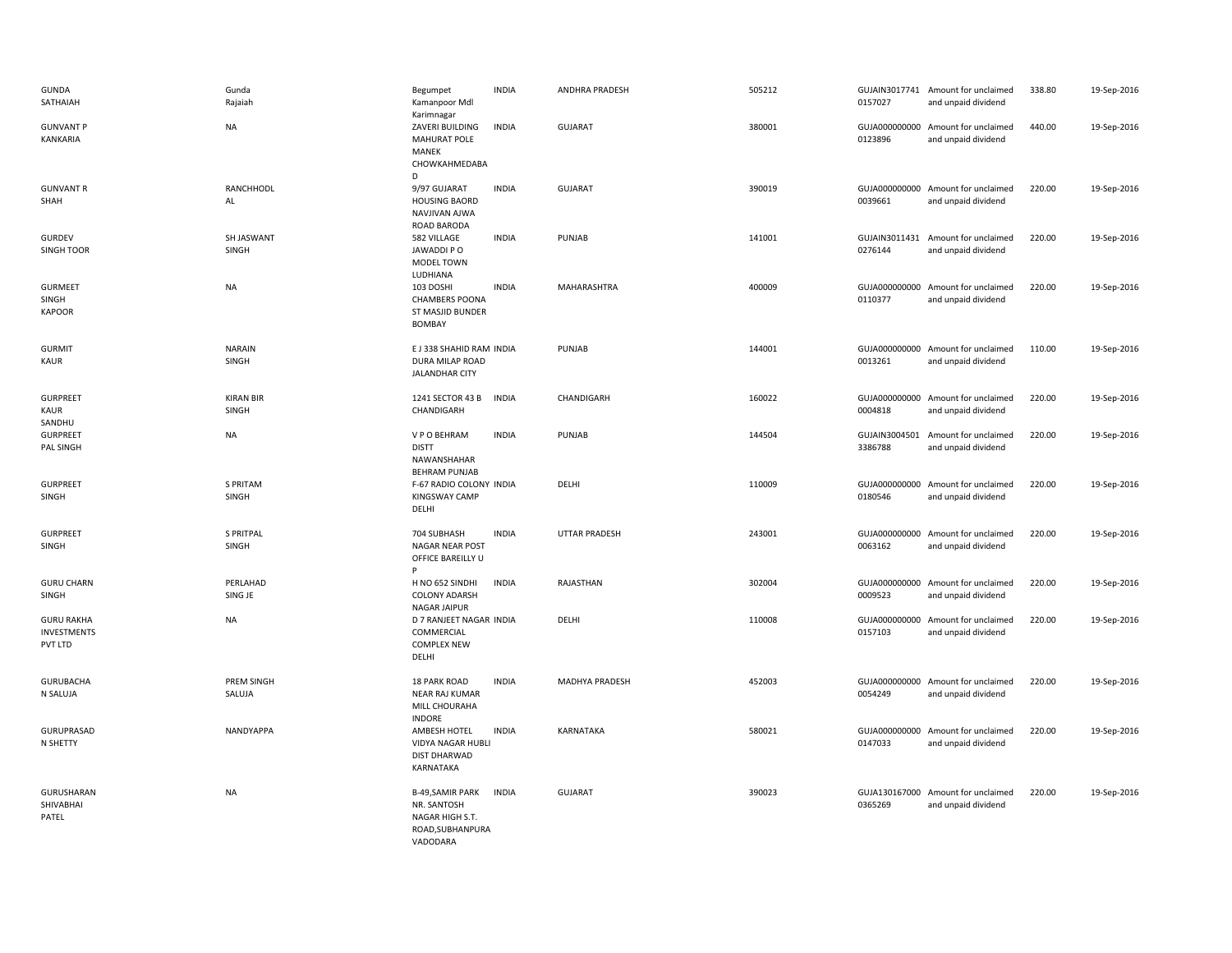| <b>GUNDA</b><br>SATHAIAH                           | Gunda<br>Rajaiah          | Begumpet<br>Kamanpoor Mdl<br>Karimnagar                                                   | <b>INDIA</b> | ANDHRA PRADESH       | 505212 | 0157027 | GUJAIN3017741 Amount for unclaimed<br>and unpaid dividend | 338.80 | 19-Sep-2016 |
|----------------------------------------------------|---------------------------|-------------------------------------------------------------------------------------------|--------------|----------------------|--------|---------|-----------------------------------------------------------|--------|-------------|
| <b>GUNVANT P</b><br>KANKARIA                       | NA                        | ZAVERI BUILDING<br><b>MAHURAT POLE</b><br>MANEK<br>CHOWKAHMEDABA<br>D                     | <b>INDIA</b> | <b>GUJARAT</b>       | 380001 | 0123896 | GUJA000000000 Amount for unclaimed<br>and unpaid dividend | 440.00 | 19-Sep-2016 |
| <b>GUNVANT R</b><br>SHAH                           | RANCHHODL<br>AL           | 9/97 GUJARAT<br><b>HOUSING BAORD</b><br>NAVJIVAN AJWA<br><b>ROAD BARODA</b>               | <b>INDIA</b> | <b>GUJARAT</b>       | 390019 | 0039661 | GUJA000000000 Amount for unclaimed<br>and unpaid dividend | 220.00 | 19-Sep-2016 |
| <b>GURDEV</b><br><b>SINGH TOOR</b>                 | SH JASWANT<br>SINGH       | 582 VILLAGE<br>JAWADDI PO<br>MODEL TOWN<br>LUDHIANA                                       | <b>INDIA</b> | PUNJAB               | 141001 | 0276144 | GUJAIN3011431 Amount for unclaimed<br>and unpaid dividend | 220.00 | 19-Sep-2016 |
| <b>GURMEET</b><br>SINGH<br><b>KAPOOR</b>           | NA                        | 103 DOSHI<br><b>CHAMBERS POONA</b><br>ST MASJID BUNDER<br>BOMBAY                          | <b>INDIA</b> | MAHARASHTRA          | 400009 | 0110377 | GUJA000000000 Amount for unclaimed<br>and unpaid dividend | 220.00 | 19-Sep-2016 |
| <b>GURMIT</b><br>KAUR                              | <b>NARAIN</b><br>SINGH    | E J 338 SHAHID RAM INDIA<br>DURA MILAP ROAD<br><b>JALANDHAR CITY</b>                      |              | PUNJAB               | 144001 | 0013261 | GUJA000000000 Amount for unclaimed<br>and unpaid dividend | 110.00 | 19-Sep-2016 |
| <b>GURPREET</b><br><b>KAUR</b><br>SANDHU           | <b>KIRAN BIR</b><br>SINGH | 1241 SECTOR 43 B<br>CHANDIGARH                                                            | <b>INDIA</b> | CHANDIGARH           | 160022 | 0004818 | GUJA000000000 Amount for unclaimed<br>and unpaid dividend | 220.00 | 19-Sep-2016 |
| <b>GURPREET</b><br>PAL SINGH                       | <b>NA</b>                 | V P O BEHRAM<br><b>DISTT</b><br>NAWANSHAHAR<br><b>BEHRAM PUNJAB</b>                       | <b>INDIA</b> | PUNJAB               | 144504 | 3386788 | GUJAIN3004501 Amount for unclaimed<br>and unpaid dividend | 220.00 | 19-Sep-2016 |
| <b>GURPREET</b><br>SINGH                           | S PRITAM<br>SINGH         | F-67 RADIO COLONY INDIA<br><b>KINGSWAY CAMP</b><br>DELHI                                  |              | DELHI                | 110009 | 0180546 | GUJA000000000 Amount for unclaimed<br>and unpaid dividend | 220.00 | 19-Sep-2016 |
| <b>GURPREET</b><br>SINGH                           | <b>S PRITPAL</b><br>SINGH | 704 SUBHASH<br>NAGAR NEAR POST<br>OFFICE BAREILLY U                                       | <b>INDIA</b> | <b>UTTAR PRADESH</b> | 243001 | 0063162 | GUJA000000000 Amount for unclaimed<br>and unpaid dividend | 220.00 | 19-Sep-2016 |
| <b>GURU CHARN</b><br>SINGH                         | PERLAHAD<br>SING JE       | H NO 652 SINDHI<br><b>COLONY ADARSH</b><br>NAGAR JAIPUR                                   | <b>INDIA</b> | RAJASTHAN            | 302004 | 0009523 | GUJA000000000 Amount for unclaimed<br>and unpaid dividend | 220.00 | 19-Sep-2016 |
| <b>GURU RAKHA</b><br><b>INVESTMENTS</b><br>PVT LTD | NA                        | D 7 RANJEET NAGAR INDIA<br>COMMERCIAL<br><b>COMPLEX NEW</b><br>DELHI                      |              | DELHI                | 110008 | 0157103 | GUJA000000000 Amount for unclaimed<br>and unpaid dividend | 220.00 | 19-Sep-2016 |
| <b>GURUBACHA</b><br>N SALUJA                       | PREM SINGH<br>SALUJA      | 18 PARK ROAD<br><b>NEAR RAJ KUMAR</b><br>MILL CHOURAHA<br><b>INDORE</b>                   | <b>INDIA</b> | MADHYA PRADESH       | 452003 | 0054249 | GUJA000000000 Amount for unclaimed<br>and unpaid dividend | 220.00 | 19-Sep-2016 |
| GURUPRASAD<br>N SHETTY                             | NANDYAPPA                 | AMBESH HOTEL<br>VIDYA NAGAR HUBLI<br>DIST DHARWAD<br>KARNATAKA                            | <b>INDIA</b> | KARNATAKA            | 580021 | 0147033 | GUJA000000000 Amount for unclaimed<br>and unpaid dividend | 220.00 | 19-Sep-2016 |
| GURUSHARAN<br>SHIVABHAI<br>PATEL                   | <b>NA</b>                 | <b>B-49, SAMIR PARK</b><br>NR. SANTOSH<br>NAGAR HIGH S.T.<br>ROAD, SUBHANPURA<br>VADODARA | <b>INDIA</b> | <b>GUJARAT</b>       | 390023 | 0365269 | GUJA130167000 Amount for unclaimed<br>and unpaid dividend | 220.00 | 19-Sep-2016 |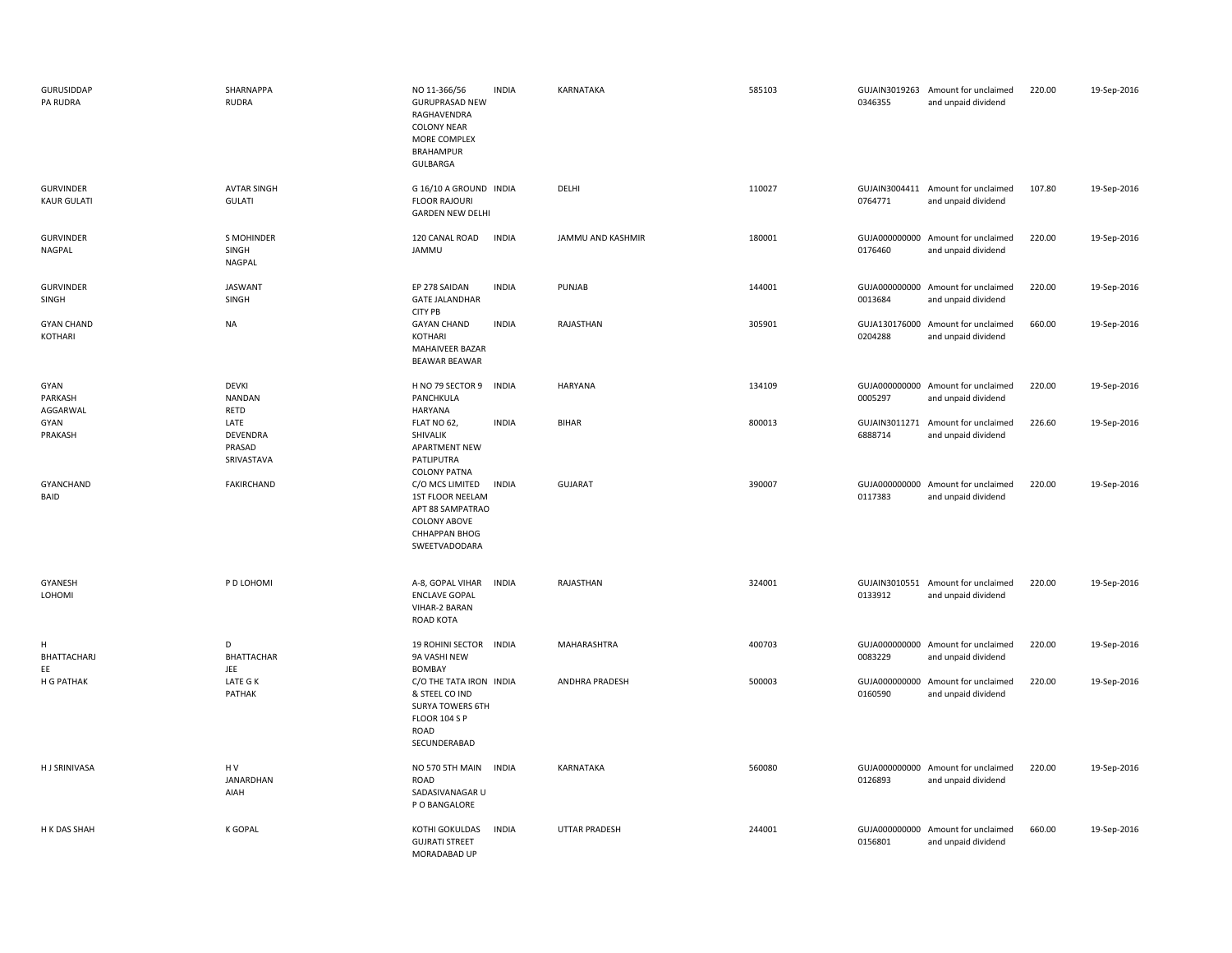| GURUSIDDAP<br>PA RUDRA                 | SHARNAPPA<br><b>RUDRA</b>                | NO 11-366/56<br><b>GURUPRASAD NEW</b><br>RAGHAVENDRA<br><b>COLONY NEAR</b><br>MORE COMPLEX<br>BRAHAMPUR<br>GULBARGA         | <b>INDIA</b> | KARNATAKA            | 585103 | 0346355                  | GUJAIN3019263 Amount for unclaimed<br>and unpaid dividend | 220.00 | 19-Sep-2016 |
|----------------------------------------|------------------------------------------|-----------------------------------------------------------------------------------------------------------------------------|--------------|----------------------|--------|--------------------------|-----------------------------------------------------------|--------|-------------|
| <b>GURVINDER</b><br><b>KAUR GULATI</b> | <b>AVTAR SINGH</b><br><b>GULATI</b>      | G 16/10 A GROUND INDIA<br><b>FLOOR RAJOURI</b><br><b>GARDEN NEW DELHI</b>                                                   |              | DELHI                | 110027 | 0764771                  | GUJAIN3004411 Amount for unclaimed<br>and unpaid dividend | 107.80 | 19-Sep-2016 |
| <b>GURVINDER</b><br>NAGPAL             | S MOHINDER<br>SINGH<br><b>NAGPAL</b>     | 120 CANAL ROAD<br>JAMMU                                                                                                     | <b>INDIA</b> | JAMMU AND KASHMIR    | 180001 | 0176460                  | GUJA000000000 Amount for unclaimed<br>and unpaid dividend | 220.00 | 19-Sep-2016 |
| <b>GURVINDER</b><br>SINGH              | <b>JASWANT</b><br>SINGH                  | EP 278 SAIDAN<br><b>GATE JALANDHAR</b><br>CITY PB                                                                           | <b>INDIA</b> | PUNJAB               | 144001 | GUJA000000000<br>0013684 | Amount for unclaimed<br>and unpaid dividend               | 220.00 | 19-Sep-2016 |
| <b>GYAN CHAND</b><br>KOTHARI           | <b>NA</b>                                | <b>GAYAN CHAND</b><br>KOTHARI<br>MAHAIVEER BAZAR<br><b>BEAWAR BEAWAR</b>                                                    | <b>INDIA</b> | RAJASTHAN            | 305901 | 0204288                  | GUJA130176000 Amount for unclaimed<br>and unpaid dividend | 660.00 | 19-Sep-2016 |
| GYAN<br>PARKASH<br>AGGARWAL            | <b>DEVKI</b><br><b>NANDAN</b><br>RETD    | H NO 79 SECTOR 9<br>PANCHKULA<br><b>HARYANA</b>                                                                             | <b>INDIA</b> | HARYANA              | 134109 | 0005297                  | GUJA000000000 Amount for unclaimed<br>and unpaid dividend | 220.00 | 19-Sep-2016 |
| GYAN<br>PRAKASH                        | LATE<br>DEVENDRA<br>PRASAD<br>SRIVASTAVA | FLAT NO 62<br>SHIVALIK<br>APARTMENT NEW<br>PATLIPUTRA<br><b>COLONY PATNA</b>                                                | <b>INDIA</b> | <b>BIHAR</b>         | 800013 | 6888714                  | GUJAIN3011271 Amount for unclaimed<br>and unpaid dividend | 226.60 | 19-Sep-2016 |
| GYANCHAND<br>BAID                      | <b>FAKIRCHAND</b>                        | C/O MCS LIMITED<br>1ST FLOOR NEELAM<br>APT 88 SAMPATRAO<br>COLONY ABOVE<br><b>CHHAPPAN BHOG</b><br>SWEETVADODARA            | <b>INDIA</b> | <b>GUJARAT</b>       | 390007 | 0117383                  | GUJA000000000 Amount for unclaimed<br>and unpaid dividend | 220.00 | 19-Sep-2016 |
| GYANESH<br>LOHOMI                      | P D LOHOMI                               | A-8, GOPAL VIHAR<br><b>ENCLAVE GOPAL</b><br>VIHAR-2 BARAN<br>ROAD KOTA                                                      | <b>INDIA</b> | RAJASTHAN            | 324001 | 0133912                  | GUJAIN3010551 Amount for unclaimed<br>and unpaid dividend | 220.00 | 19-Sep-2016 |
| н<br>BHATTACHARJ<br>EE                 | D<br><b>BHATTACHAR</b><br>JEE            | 19 ROHINI SECTOR INDIA<br>9A VASHI NEW<br><b>BOMBAY</b>                                                                     |              | MAHARASHTRA          | 400703 | 0083229                  | GUJA000000000 Amount for unclaimed<br>and unpaid dividend | 220.00 | 19-Sep-2016 |
| H G PATHAK                             | LATE G K<br>PATHAK                       | C/O THE TATA IRON INDIA<br>& STEEL CO IND<br><b>SURYA TOWERS 6TH</b><br><b>FLOOR 104 S P</b><br><b>ROAD</b><br>SECUNDERABAD |              | ANDHRA PRADESH       | 500003 | GUJA000000000<br>0160590 | Amount for unclaimed<br>and unpaid dividend               | 220.00 | 19-Sep-2016 |
| H J SRINIVASA                          | HV<br>JANARDHAN<br>AIAH                  | NO 570 5TH MAIN<br>ROAD<br>SADASIVANAGAR U<br>P O BANGALORE                                                                 | <b>INDIA</b> | KARNATAKA            | 560080 | 0126893                  | GUJA000000000 Amount for unclaimed<br>and unpaid dividend | 220.00 | 19-Sep-2016 |
| H K DAS SHAH                           | K GOPAL                                  | KOTHI GOKULDAS<br><b>GUJRATI STREET</b><br>MORADABAD UP                                                                     | <b>INDIA</b> | <b>UTTAR PRADESH</b> | 244001 | GUJA000000000<br>0156801 | Amount for unclaimed<br>and unpaid dividend               | 660.00 | 19-Sep-2016 |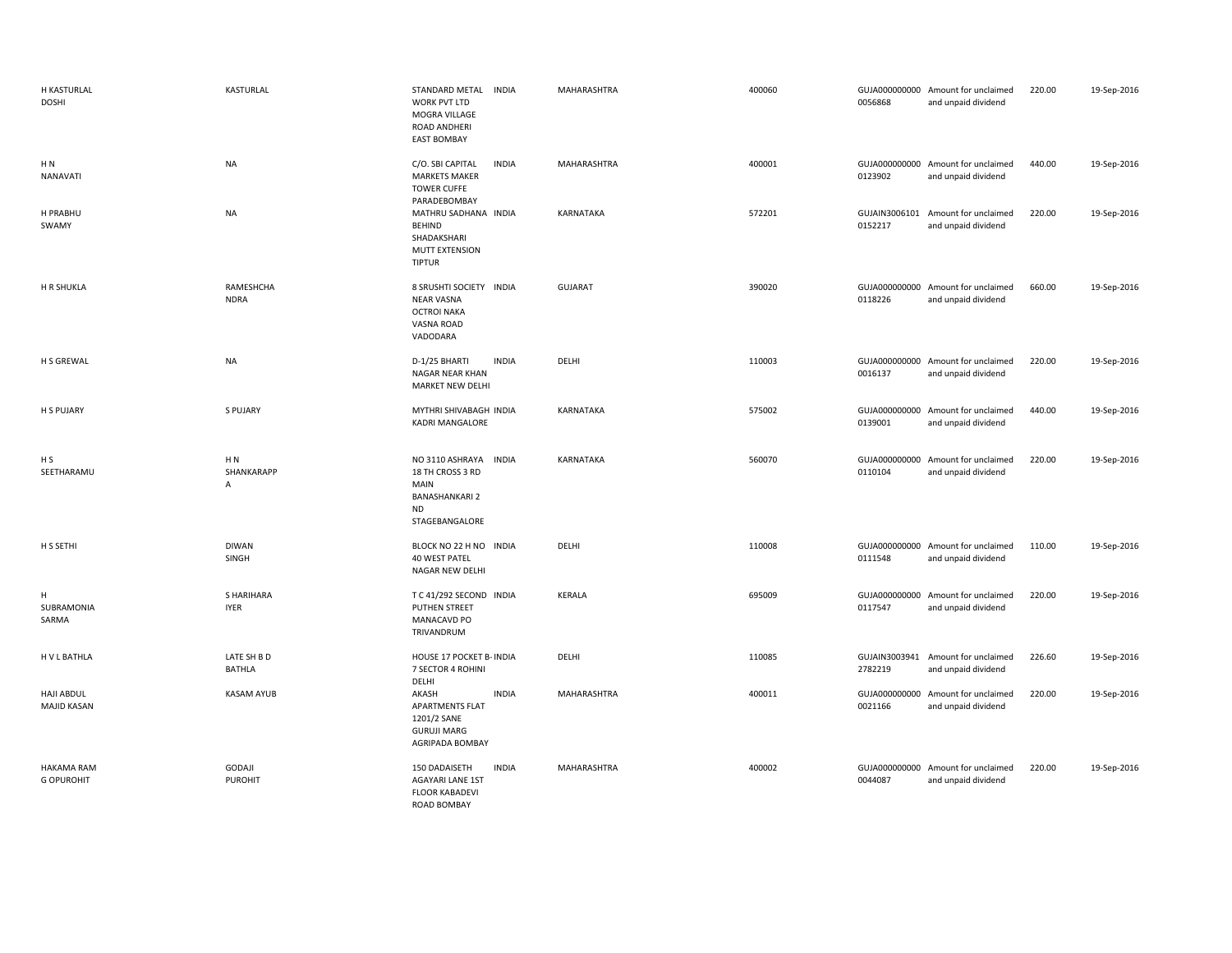| H KASTURLAL<br><b>DOSHI</b>            | KASTURLAL                       | STANDARD METAL INDIA<br>WORK PVT LTD<br>MOGRA VILLAGE<br>ROAD ANDHERI<br><b>EAST BOMBAY</b>                         | MAHARASHTRA    | 400060 | 0056868 | GUJA000000000 Amount for unclaimed<br>and unpaid dividend | 220.00 | 19-Sep-2016 |
|----------------------------------------|---------------------------------|---------------------------------------------------------------------------------------------------------------------|----------------|--------|---------|-----------------------------------------------------------|--------|-------------|
| H N<br>NANAVATI                        | <b>NA</b>                       | <b>INDIA</b><br>C/O. SBI CAPITAL<br><b>MARKETS MAKER</b><br><b>TOWER CUFFE</b><br>PARADEBOMBAY                      | MAHARASHTRA    | 400001 | 0123902 | GUJA000000000 Amount for unclaimed<br>and unpaid dividend | 440.00 | 19-Sep-2016 |
| H PRABHU<br>SWAMY                      | <b>NA</b>                       | MATHRU SADHANA INDIA<br><b>BEHIND</b><br>SHADAKSHARI<br>MUTT EXTENSION<br><b>TIPTUR</b>                             | KARNATAKA      | 572201 | 0152217 | GUJAIN3006101 Amount for unclaimed<br>and unpaid dividend | 220.00 | 19-Sep-2016 |
| H R SHUKLA                             | RAMESHCHA<br><b>NDRA</b>        | 8 SRUSHTI SOCIETY INDIA<br><b>NEAR VASNA</b><br><b>OCTROI NAKA</b><br>VASNA ROAD<br>VADODARA                        | <b>GUJARAT</b> | 390020 | 0118226 | GUJA000000000 Amount for unclaimed<br>and unpaid dividend | 660.00 | 19-Sep-2016 |
| H S GREWAL                             | <b>NA</b>                       | <b>INDIA</b><br>D-1/25 BHARTI<br>NAGAR NEAR KHAN<br>MARKET NEW DELHI                                                | DELHI          | 110003 | 0016137 | GUJA000000000 Amount for unclaimed<br>and unpaid dividend | 220.00 | 19-Sep-2016 |
| <b>H S PUJARY</b>                      | <b>S PUJARY</b>                 | MYTHRI SHIVABAGH INDIA<br><b>KADRI MANGALORE</b>                                                                    | KARNATAKA      | 575002 | 0139001 | GUJA000000000 Amount for unclaimed<br>and unpaid dividend | 440.00 | 19-Sep-2016 |
| H <sub>S</sub><br>SEETHARAMU           | H N<br>SHANKARAPP<br>A          | NO 3110 ASHRAYA<br><b>INDIA</b><br>18 TH CROSS 3 RD<br>MAIN<br><b>BANASHANKARI 2</b><br><b>ND</b><br>STAGEBANGALORE | KARNATAKA      | 560070 | 0110104 | GUJA000000000 Amount for unclaimed<br>and unpaid dividend | 220.00 | 19-Sep-2016 |
| H S SETHI                              | <b>DIWAN</b><br>SINGH           | BLOCK NO 22 H NO INDIA<br>40 WEST PATEL<br>NAGAR NEW DELHI                                                          | DELHI          | 110008 | 0111548 | GUJA000000000 Amount for unclaimed<br>and unpaid dividend | 110.00 | 19-Sep-2016 |
| н<br>SUBRAMONIA<br>SARMA               | S HARIHARA<br><b>IYER</b>       | T C 41/292 SECOND INDIA<br>PUTHEN STREET<br><b>MANACAVD PO</b><br>TRIVANDRUM                                        | KERALA         | 695009 | 0117547 | GUJA000000000 Amount for unclaimed<br>and unpaid dividend | 220.00 | 19-Sep-2016 |
| H V L BATHLA                           | LATE SH B D<br><b>BATHLA</b>    | HOUSE 17 POCKET B- INDIA<br>7 SECTOR 4 ROHINI<br>DELHI                                                              | DELHI          | 110085 | 2782219 | GUJAIN3003941 Amount for unclaimed<br>and unpaid dividend | 226.60 | 19-Sep-2016 |
| HAJI ABDUL<br><b>MAJID KASAN</b>       | <b>KASAM AYUB</b>               | AKASH<br><b>INDIA</b><br>APARTMENTS FLAT<br>1201/2 SANE<br><b>GURUJI MARG</b><br>AGRIPADA BOMBAY                    | MAHARASHTRA    | 400011 | 0021166 | GUJA000000000 Amount for unclaimed<br>and unpaid dividend | 220.00 | 19-Sep-2016 |
| <b>HAKAMA RAM</b><br><b>G OPUROHIT</b> | <b>GODAJI</b><br><b>PUROHIT</b> | <b>INDIA</b><br>150 DADAISETH<br><b>AGAYARI LANE 1ST</b><br><b>FLOOR KABADEVI</b><br>ROAD BOMBAY                    | MAHARASHTRA    | 400002 | 0044087 | GUJA000000000 Amount for unclaimed<br>and unpaid dividend | 220.00 | 19-Sep-2016 |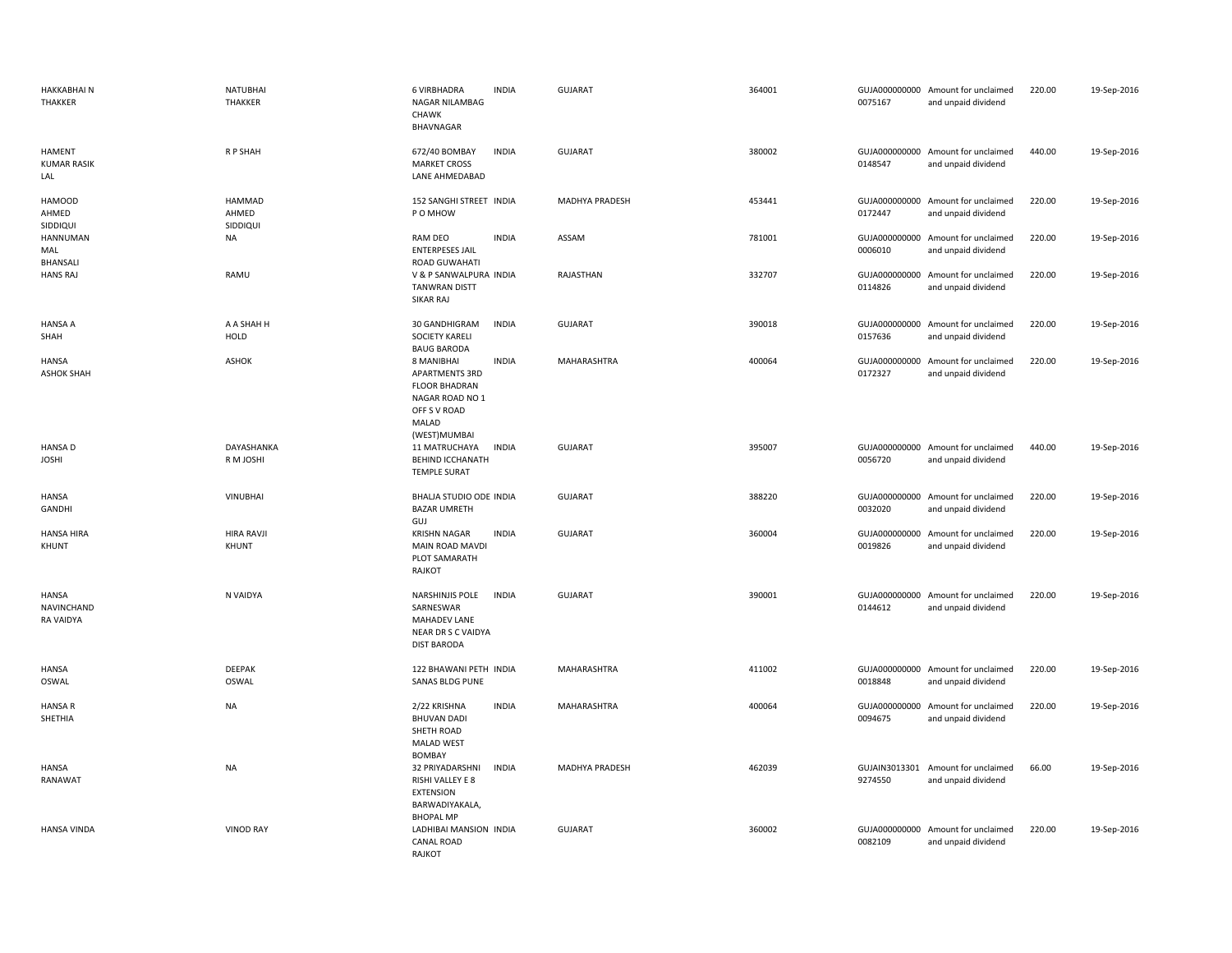| <b>HAKKABHAIN</b><br>THAKKER                   | <b>NATUBHAI</b><br><b>THAKKER</b> | <b>6 VIRBHADRA</b><br>NAGAR NILAMBAG<br>CHAWK<br><b>BHAVNAGAR</b>                                                | <b>INDIA</b> | <b>GUJARAT</b>   | 364001 | 0075167 | GUJA000000000 Amount for unclaimed<br>and unpaid dividend | 220.00 | 19-Sep-2016 |
|------------------------------------------------|-----------------------------------|------------------------------------------------------------------------------------------------------------------|--------------|------------------|--------|---------|-----------------------------------------------------------|--------|-------------|
| HAMENT<br><b>KUMAR RASIK</b><br>LAL            | R P SHAH                          | 672/40 BOMBAY<br><b>MARKET CROSS</b><br>LANE AHMEDABAD                                                           | <b>INDIA</b> | <b>GUJARAT</b>   | 380002 | 0148547 | GUJA000000000 Amount for unclaimed<br>and unpaid dividend | 440.00 | 19-Sep-2016 |
| <b>HAMOOD</b><br>AHMED<br>SIDDIQUI             | HAMMAD<br>AHMED<br>SIDDIQUI       | 152 SANGHI STREET INDIA<br>P O MHOW                                                                              |              | MADHYA PRADESH   | 453441 | 0172447 | GUJA000000000 Amount for unclaimed<br>and unpaid dividend | 220.00 | 19-Sep-2016 |
| HANNUMAN<br>MAL<br><b>BHANSALI</b>             | NA                                | RAM DEO<br><b>ENTERPESES JAIL</b><br><b>ROAD GUWAHATI</b>                                                        | <b>INDIA</b> | ASSAM            | 781001 | 0006010 | GUJA000000000 Amount for unclaimed<br>and unpaid dividend | 220.00 | 19-Sep-2016 |
| <b>HANS RAJ</b>                                | RAMU                              | V & P SANWALPURA INDIA<br><b>TANWRAN DISTT</b><br>SIKAR RAJ                                                      |              | <b>RAJASTHAN</b> | 332707 | 0114826 | GUJA000000000 Amount for unclaimed<br>and unpaid dividend | 220.00 | 19-Sep-2016 |
| <b>HANSA A</b><br>SHAH                         | A A SHAH H<br>HOLD                | 30 GANDHIGRAM<br><b>SOCIETY KARELI</b><br><b>BAUG BARODA</b>                                                     | <b>INDIA</b> | <b>GUJARAT</b>   | 390018 | 0157636 | GUJA000000000 Amount for unclaimed<br>and unpaid dividend | 220.00 | 19-Sep-2016 |
| <b>HANSA</b><br><b>ASHOK SHAH</b>              | <b>ASHOK</b>                      | 8 MANIBHAI<br>APARTMENTS 3RD<br><b>FLOOR BHADRAN</b><br>NAGAR ROAD NO 1<br>OFF S V ROAD<br>MALAD<br>(WEST)MUMBAI | <b>INDIA</b> | MAHARASHTRA      | 400064 | 0172327 | GUJA000000000 Amount for unclaimed<br>and unpaid dividend | 220.00 | 19-Sep-2016 |
| <b>HANSA D</b><br><b>JOSHI</b>                 | DAYASHANKA<br>R M JOSHI           | 11 MATRUCHAYA<br>BEHIND ICCHANATH<br><b>TEMPLE SURAT</b>                                                         | <b>INDIA</b> | <b>GUJARAT</b>   | 395007 | 0056720 | GUJA000000000 Amount for unclaimed<br>and unpaid dividend | 440.00 | 19-Sep-2016 |
| <b>HANSA</b><br><b>GANDHI</b>                  | VINUBHAI                          | BHALJA STUDIO ODE INDIA<br><b>BAZAR UMRETH</b><br>GUJ                                                            |              | <b>GUJARAT</b>   | 388220 | 0032020 | GUJA000000000 Amount for unclaimed<br>and unpaid dividend | 220.00 | 19-Sep-2016 |
| HANSA HIRA<br>KHUNT                            | <b>HIRA RAVJI</b><br>KHUNT        | <b>KRISHN NAGAR</b><br>MAIN ROAD MAVDI<br>PLOT SAMARATH<br>RAJKOT                                                | <b>INDIA</b> | <b>GUJARAT</b>   | 360004 | 0019826 | GUJA000000000 Amount for unclaimed<br>and unpaid dividend | 220.00 | 19-Sep-2016 |
| <b>HANSA</b><br><b>NAVINCHAND</b><br>RA VAIDYA | N VAIDYA                          | NARSHINJIS POLE<br>SARNESWAR<br>MAHADEV LANE<br>NEAR DR S C VAIDYA<br><b>DIST BARODA</b>                         | <b>INDIA</b> | <b>GUJARAT</b>   | 390001 | 0144612 | GUJA000000000 Amount for unclaimed<br>and unpaid dividend | 220.00 | 19-Sep-2016 |
| <b>HANSA</b><br>OSWAL                          | DEEPAK<br>OSWAL                   | 122 BHAWANI PETH INDIA<br>SANAS BLDG PUNE                                                                        |              | MAHARASHTRA      | 411002 | 0018848 | GUJA000000000 Amount for unclaimed<br>and unpaid dividend | 220.00 | 19-Sep-2016 |
| <b>HANSA R</b><br>SHETHIA                      | <b>NA</b>                         | 2/22 KRISHNA<br><b>BHUVAN DADI</b><br>SHETH ROAD<br><b>MALAD WEST</b><br><b>BOMBAY</b>                           | <b>INDIA</b> | MAHARASHTRA      | 400064 | 0094675 | GUJA000000000 Amount for unclaimed<br>and unpaid dividend | 220.00 | 19-Sep-2016 |
| <b>HANSA</b><br>RANAWAT                        | NA                                | 32 PRIYADARSHNI<br>RISHI VALLEY E 8<br>EXTENSION<br>BARWADIYAKALA,<br><b>BHOPAL MP</b>                           | <b>INDIA</b> | MADHYA PRADESH   | 462039 | 9274550 | GUJAIN3013301 Amount for unclaimed<br>and unpaid dividend | 66.00  | 19-Sep-2016 |
| <b>HANSA VINDA</b>                             | <b>VINOD RAY</b>                  | LADHIBAI MANSION INDIA<br><b>CANAL ROAD</b><br>RAJKOT                                                            |              | <b>GUJARAT</b>   | 360002 | 0082109 | GUJA000000000 Amount for unclaimed<br>and unpaid dividend | 220.00 | 19-Sep-2016 |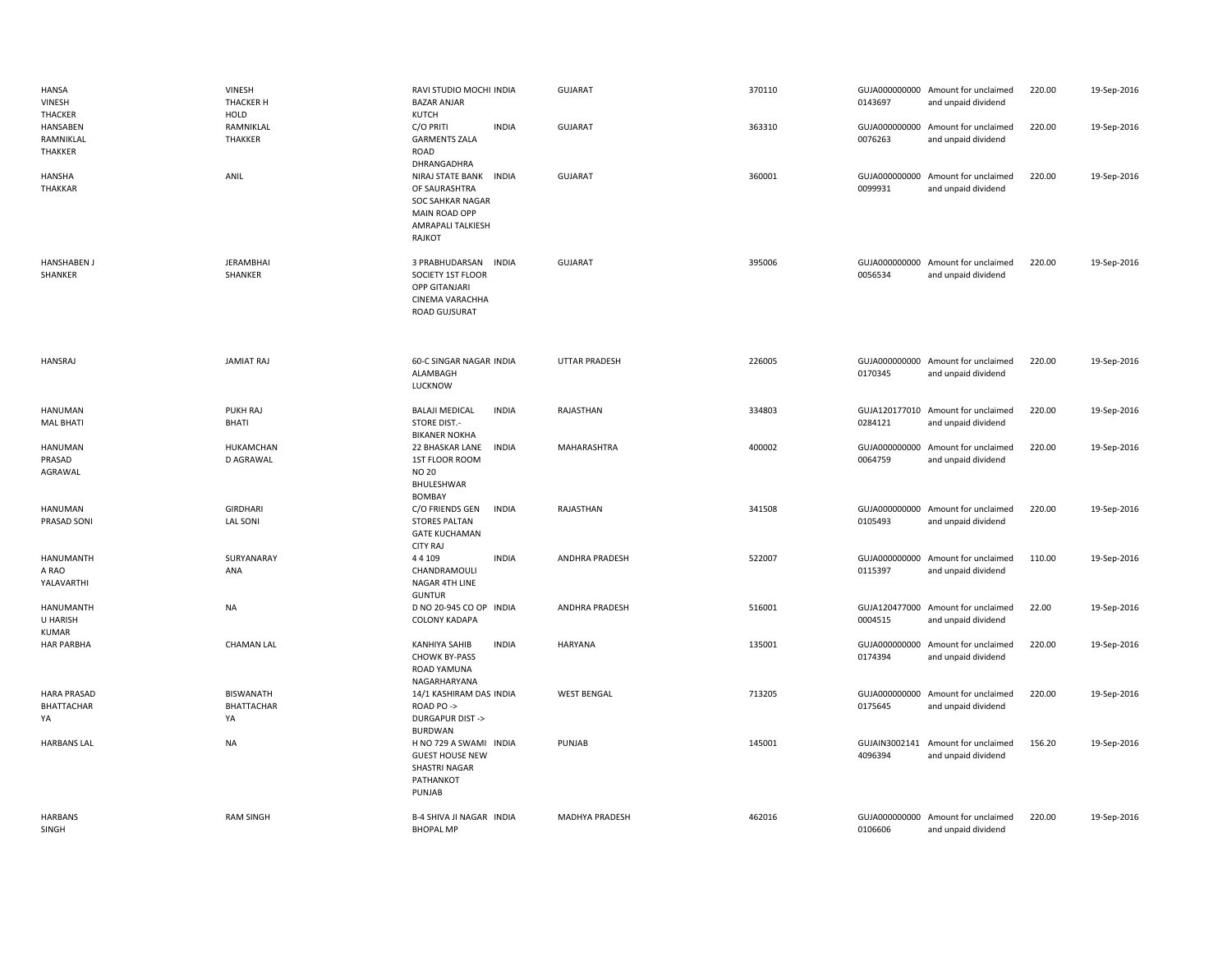| HANSA<br>VINESH<br>THACKER                   | VINESH<br><b>THACKER H</b><br>HOLD          | RAVI STUDIO MOCHI INDIA<br><b>BAZAR ANJAR</b><br><b>KUTCH</b>                                                                | <b>GUJARAT</b>        | 370110 | 0143697                  | GUJA000000000 Amount for unclaimed<br>and unpaid dividend | 220.00 | 19-Sep-2016 |
|----------------------------------------------|---------------------------------------------|------------------------------------------------------------------------------------------------------------------------------|-----------------------|--------|--------------------------|-----------------------------------------------------------|--------|-------------|
| HANSABEN<br>RAMNIKLAL<br>THAKKER             | RAMNIKLAL<br><b>THAKKER</b>                 | C/O PRITI<br><b>INDIA</b><br><b>GARMENTS ZALA</b><br>ROAD<br>DHRANGADHRA                                                     | <b>GUJARAT</b>        | 363310 | 0076263                  | GUJA000000000 Amount for unclaimed<br>and unpaid dividend | 220.00 | 19-Sep-2016 |
| HANSHA<br><b>THAKKAR</b>                     | ANIL                                        | NIRAJ STATE BANK<br><b>INDIA</b><br>OF SAURASHTRA<br><b>SOC SAHKAR NAGAR</b><br>MAIN ROAD OPP<br>AMRAPALI TALKIESH<br>RAJKOT | <b>GUJARAT</b>        | 360001 | 0099931                  | GUJA000000000 Amount for unclaimed<br>and unpaid dividend | 220.00 | 19-Sep-2016 |
| <b>HANSHABEN J</b><br>SHANKER                | <b>JERAMBHAI</b><br>SHANKER                 | 3 PRABHUDARSAN<br><b>INDIA</b><br>SOCIETY 1ST FLOOR<br>OPP GITANJARI<br>CINEMA VARACHHA<br>ROAD GUJSURAT                     | GUJARAT               | 395006 | 0056534                  | GUJA000000000 Amount for unclaimed<br>and unpaid dividend | 220.00 | 19-Sep-2016 |
| <b>HANSRAJ</b>                               | <b>JAMIAT RAJ</b>                           | 60-C SINGAR NAGAR INDIA<br>ALAMBAGH<br>LUCKNOW                                                                               | <b>UTTAR PRADESH</b>  | 226005 | 0170345                  | GUJA000000000 Amount for unclaimed<br>and unpaid dividend | 220.00 | 19-Sep-2016 |
| HANUMAN<br><b>MAL BHATI</b>                  | PUKH RAJ<br>BHATI                           | <b>BALAJI MEDICAL</b><br><b>INDIA</b><br>STORE DIST.-<br><b>BIKANER NOKHA</b>                                                | RAJASTHAN             | 334803 | 0284121                  | GUJA120177010 Amount for unclaimed<br>and unpaid dividend | 220.00 | 19-Sep-2016 |
| HANUMAN<br>PRASAD<br>AGRAWAL                 | HUKAMCHAN<br>D AGRAWAL                      | 22 BHASKAR LANE<br><b>INDIA</b><br>1ST FLOOR ROOM<br><b>NO 20</b><br>BHULESHWAR<br><b>BOMBAY</b>                             | MAHARASHTRA           | 400002 | 0064759                  | GUJA000000000 Amount for unclaimed<br>and unpaid dividend | 220.00 | 19-Sep-2016 |
| HANUMAN<br>PRASAD SONI                       | <b>GIRDHARI</b><br><b>LAL SONI</b>          | C/O FRIENDS GEN<br><b>INDIA</b><br><b>STORES PALTAN</b><br><b>GATE KUCHAMAN</b><br><b>CITY RAJ</b>                           | RAJASTHAN             | 341508 | 0105493                  | GUJA000000000 Amount for unclaimed<br>and unpaid dividend | 220.00 | 19-Sep-2016 |
| HANUMANTH<br>A RAO<br>YALAVARTHI             | SURYANARAY<br>ANA                           | 44 109<br><b>INDIA</b><br>CHANDRAMOULI<br>NAGAR 4TH LINE<br><b>GUNTUR</b>                                                    | <b>ANDHRA PRADESH</b> | 522007 | 0115397                  | GUJA000000000 Amount for unclaimed<br>and unpaid dividend | 110.00 | 19-Sep-2016 |
| <b>HANUMANTH</b><br>U HARISH<br><b>KUMAR</b> | NA                                          | D NO 20-945 CO OP INDIA<br><b>COLONY KADAPA</b>                                                                              | ANDHRA PRADESH        | 516001 | 0004515                  | GUJA120477000 Amount for unclaimed<br>and unpaid dividend | 22.00  | 19-Sep-2016 |
| <b>HAR PARBHA</b>                            | <b>CHAMAN LAL</b>                           | <b>INDIA</b><br><b>KANHIYA SAHIB</b><br><b>CHOWK BY-PASS</b><br>ROAD YAMUNA<br>NAGARHARYANA                                  | HARYANA               | 135001 | GUJA000000000<br>0174394 | Amount for unclaimed<br>and unpaid dividend               | 220.00 | 19-Sep-2016 |
| <b>HARA PRASAD</b><br>BHATTACHAR<br>YA       | <b>BISWANATH</b><br><b>BHATTACHAR</b><br>YA | 14/1 KASHIRAM DAS INDIA<br>ROAD PO -><br><b>DURGAPUR DIST-&gt;</b><br><b>BURDWAN</b>                                         | <b>WEST BENGAL</b>    | 713205 | 0175645                  | GUJA000000000 Amount for unclaimed<br>and unpaid dividend | 220.00 | 19-Sep-2016 |
| <b>HARBANS LAL</b>                           | NA                                          | H NO 729 A SWAMI INDIA<br><b>GUEST HOUSE NEW</b><br>SHASTRI NAGAR<br>PATHANKOT<br>PUNJAB                                     | PUNJAB                | 145001 | GUJAIN3002141<br>4096394 | Amount for unclaimed<br>and unpaid dividend               | 156.20 | 19-Sep-2016 |
| <b>HARBANS</b><br>SINGH                      | <b>RAM SINGH</b>                            | B-4 SHIVA JI NAGAR INDIA<br><b>BHOPAL MP</b>                                                                                 | MADHYA PRADESH        | 462016 | 0106606                  | GUJA000000000 Amount for unclaimed<br>and unpaid dividend | 220.00 | 19-Sep-2016 |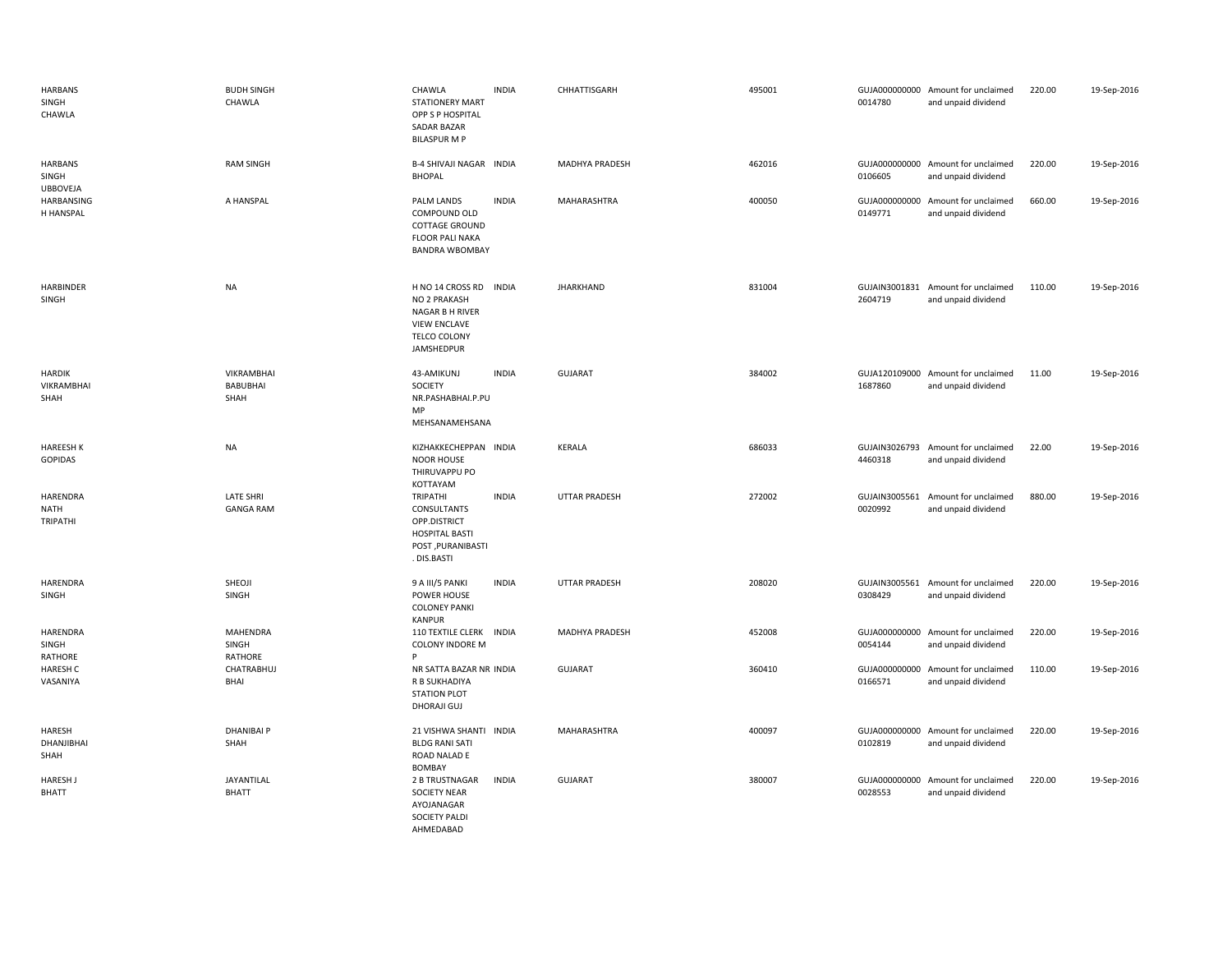| <b>HARBANS</b><br>SINGH<br>CHAWLA          | <b>BUDH SINGH</b><br>CHAWLA           | CHAWLA<br><b>STATIONERY MART</b><br>OPP S P HOSPITAL<br><b>SADAR BAZAR</b><br><b>BILASPUR M P</b>              | <b>INDIA</b> | CHHATTISGARH          | 495001 | 0014780                  | GUJA000000000 Amount for unclaimed<br>and unpaid dividend | 220.00 | 19-Sep-2016 |
|--------------------------------------------|---------------------------------------|----------------------------------------------------------------------------------------------------------------|--------------|-----------------------|--------|--------------------------|-----------------------------------------------------------|--------|-------------|
| <b>HARBANS</b><br>SINGH                    | <b>RAM SINGH</b>                      | <b>B-4 SHIVAJI NAGAR INDIA</b><br><b>BHOPAL</b>                                                                |              | <b>MADHYA PRADESH</b> | 462016 | 0106605                  | GUJA000000000 Amount for unclaimed<br>and unpaid dividend | 220.00 | 19-Sep-2016 |
| <b>UBBOVEJA</b><br>HARBANSING<br>H HANSPAL | A HANSPAL                             | PALM LANDS<br>COMPOUND OLD<br>COTTAGE GROUND<br>FLOOR PALI NAKA<br><b>BANDRA WBOMBAY</b>                       | <b>INDIA</b> | MAHARASHTRA           | 400050 | GUJA000000000<br>0149771 | Amount for unclaimed<br>and unpaid dividend               | 660.00 | 19-Sep-2016 |
| HARBINDER<br>SINGH                         | <b>NA</b>                             | H NO 14 CROSS RD INDIA<br>NO 2 PRAKASH<br>NAGAR B H RIVER<br><b>VIEW ENCLAVE</b><br>TELCO COLONY<br>JAMSHEDPUR |              | <b>JHARKHAND</b>      | 831004 | 2604719                  | GUJAIN3001831 Amount for unclaimed<br>and unpaid dividend | 110.00 | 19-Sep-2016 |
| <b>HARDIK</b><br>VIKRAMBHAI<br>SHAH        | <b>VIKRAMBHAI</b><br>BABUBHAI<br>SHAH | 43-AMIKUNJ<br>SOCIETY<br>NR.PASHABHAI.P.PU<br>MP<br>MEHSANAMEHSANA                                             | <b>INDIA</b> | <b>GUJARAT</b>        | 384002 | 1687860                  | GUJA120109000 Amount for unclaimed<br>and unpaid dividend | 11.00  | 19-Sep-2016 |
| <b>HAREESH K</b><br><b>GOPIDAS</b>         | <b>NA</b>                             | KIZHAKKECHEPPAN INDIA<br><b>NOOR HOUSE</b><br>THIRUVAPPU PO<br>KOTTAYAM                                        |              | <b>KERALA</b>         | 686033 | 4460318                  | GUJAIN3026793 Amount for unclaimed<br>and unpaid dividend | 22.00  | 19-Sep-2016 |
| HARENDRA<br><b>NATH</b><br>TRIPATHI        | <b>LATE SHRI</b><br><b>GANGA RAM</b>  | TRIPATHI<br>CONSULTANTS<br>OPP.DISTRICT<br><b>HOSPITAL BASTI</b><br>POST, PURANIBASTI<br>. DIS.BASTI           | <b>INDIA</b> | <b>UTTAR PRADESH</b>  | 272002 | GUJAIN3005561<br>0020992 | Amount for unclaimed<br>and unpaid dividend               | 880.00 | 19-Sep-2016 |
| <b>HARENDRA</b><br>SINGH                   | SHEOJI<br>SINGH                       | 9 A III/5 PANKI<br>POWER HOUSE<br><b>COLONEY PANKI</b><br><b>KANPUR</b>                                        | <b>INDIA</b> | <b>UTTAR PRADESH</b>  | 208020 | GUJAIN3005561<br>0308429 | Amount for unclaimed<br>and unpaid dividend               | 220.00 | 19-Sep-2016 |
| HARENDRA<br>SINGH<br>RATHORE               | MAHENDRA<br>SINGH<br>RATHORE          | 110 TEXTILE CLERK INDIA<br><b>COLONY INDORE M</b><br>P                                                         |              | MADHYA PRADESH        | 452008 | 0054144                  | GUJA000000000 Amount for unclaimed<br>and unpaid dividend | 220.00 | 19-Sep-2016 |
| <b>HARESH C</b><br>VASANIYA                | CHATRABHUJ<br>BHAI                    | NR SATTA BAZAR NR INDIA<br>R B SUKHADIYA<br><b>STATION PLOT</b><br>DHORAJI GUJ                                 |              | <b>GUJARAT</b>        | 360410 | 0166571                  | GUJA000000000 Amount for unclaimed<br>and unpaid dividend | 110.00 | 19-Sep-2016 |
| HARESH<br>DHANJIBHAI<br>SHAH               | <b>DHANIBAI P</b><br>SHAH             | 21 VISHWA SHANTI INDIA<br><b>BLDG RANI SATI</b><br>ROAD NALAD E<br><b>BOMBAY</b>                               |              | MAHARASHTRA           | 400097 | 0102819                  | GUJA000000000 Amount for unclaimed<br>and unpaid dividend | 220.00 | 19-Sep-2016 |
| <b>HARESH J</b><br><b>BHATT</b>            | JAYANTILAL<br><b>BHATT</b>            | 2 B TRUSTNAGAR<br>SOCIETY NEAR<br>AYOJANAGAR<br><b>SOCIETY PALDI</b><br>AHMEDABAD                              | <b>INDIA</b> | <b>GUJARAT</b>        | 380007 | 0028553                  | GUJA000000000 Amount for unclaimed<br>and unpaid dividend | 220.00 | 19-Sep-2016 |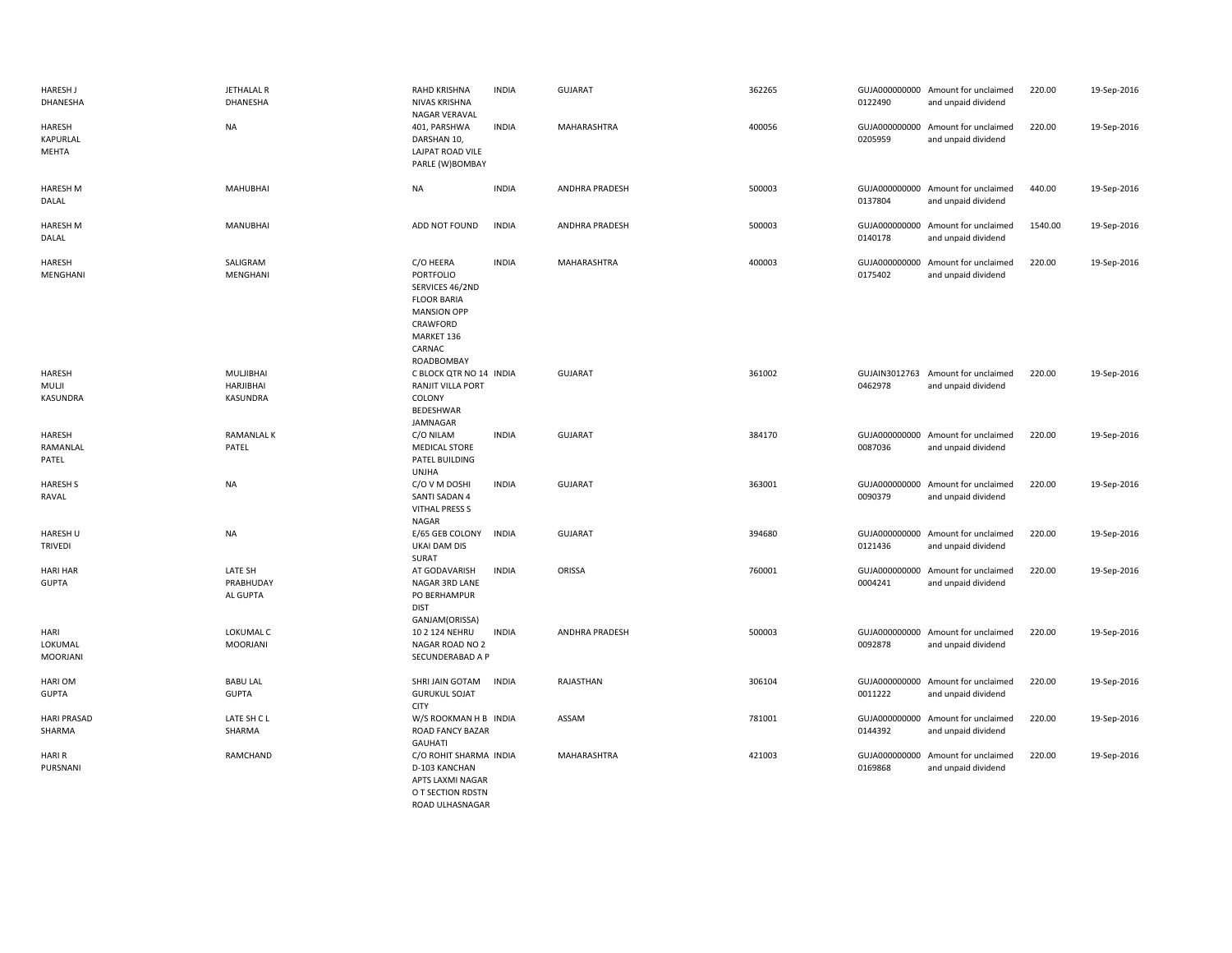| <b>HARESH J</b><br>DHANESHA     | JETHALAL R<br>DHANESHA                    | RAHD KRISHNA<br>NIVAS KRISHNA<br>NAGAR VERAVAL                                                                                          | <b>INDIA</b> | <b>GUJARAT</b>        | 362265 | 0122490 | GUJA000000000 Amount for unclaimed<br>and unpaid dividend | 220.00  | 19-Sep-2016 |
|---------------------------------|-------------------------------------------|-----------------------------------------------------------------------------------------------------------------------------------------|--------------|-----------------------|--------|---------|-----------------------------------------------------------|---------|-------------|
| HARESH<br>KAPURLAL<br>MEHTA     | <b>NA</b>                                 | 401, PARSHWA<br>DARSHAN 10,<br>LAJPAT ROAD VILE<br>PARLE (W)BOMBAY                                                                      | <b>INDIA</b> | MAHARASHTRA           | 400056 | 0205959 | GUJA000000000 Amount for unclaimed<br>and unpaid dividend | 220.00  | 19-Sep-2016 |
| <b>HARESH M</b><br>DALAL        | MAHUBHAI                                  | <b>NA</b>                                                                                                                               | <b>INDIA</b> | ANDHRA PRADESH        | 500003 | 0137804 | GUJA000000000 Amount for unclaimed<br>and unpaid dividend | 440.00  | 19-Sep-2016 |
| <b>HARESH M</b><br>DALAL        | <b>MANUBHAI</b>                           | ADD NOT FOUND                                                                                                                           | <b>INDIA</b> | <b>ANDHRA PRADESH</b> | 500003 | 0140178 | GUJA000000000 Amount for unclaimed<br>and unpaid dividend | 1540.00 | 19-Sep-2016 |
| HARESH<br>MENGHANI              | SALIGRAM<br>MENGHANI                      | C/O HEERA<br>PORTFOLIO<br>SERVICES 46/2ND<br><b>FLOOR BARIA</b><br><b>MANSION OPP</b><br>CRAWFORD<br>MARKET 136<br>CARNAC<br>ROADBOMBAY | <b>INDIA</b> | <b>MAHARASHTRA</b>    | 400003 | 0175402 | GUJA000000000 Amount for unclaimed<br>and unpaid dividend | 220.00  | 19-Sep-2016 |
| HARESH<br>MULJI<br>KASUNDRA     | MULJIBHAI<br>HARJIBHAI<br><b>KASUNDRA</b> | C BLOCK QTR NO 14 INDIA<br>RANJIT VILLA PORT<br>COLONY<br>BEDESHWAR<br>JAMNAGAR                                                         |              | <b>GUJARAT</b>        | 361002 | 0462978 | GUJAIN3012763 Amount for unclaimed<br>and unpaid dividend | 220.00  | 19-Sep-2016 |
| HARESH<br>RAMANLAL<br>PATEL     | <b>RAMANLAL K</b><br>PATEL                | C/O NILAM<br><b>MEDICAL STORE</b><br>PATEL BUILDING<br><b>UNJHA</b>                                                                     | <b>INDIA</b> | <b>GUJARAT</b>        | 384170 | 0087036 | GUJA000000000 Amount for unclaimed<br>and unpaid dividend | 220.00  | 19-Sep-2016 |
| <b>HARESH S</b><br>RAVAL        | <b>NA</b>                                 | C/O V M DOSHI<br>SANTI SADAN 4<br><b>VITHAL PRESS S</b><br><b>NAGAR</b>                                                                 | <b>INDIA</b> | <b>GUJARAT</b>        | 363001 | 0090379 | GUJA000000000 Amount for unclaimed<br>and unpaid dividend | 220.00  | 19-Sep-2016 |
| HARESH U<br><b>TRIVEDI</b>      | <b>NA</b>                                 | E/65 GEB COLONY<br><b>UKAI DAM DIS</b><br>SURAT                                                                                         | <b>INDIA</b> | <b>GUJARAT</b>        | 394680 | 0121436 | GUJA000000000 Amount for unclaimed<br>and unpaid dividend | 220.00  | 19-Sep-2016 |
| <b>HARI HAR</b><br><b>GUPTA</b> | LATE SH<br>PRABHUDAY<br>AL GUPTA          | AT GODAVARISH<br>NAGAR 3RD LANE<br>PO BERHAMPUR<br><b>DIST</b>                                                                          | <b>INDIA</b> | ORISSA                | 760001 | 0004241 | GUJA000000000 Amount for unclaimed<br>and unpaid dividend | 220.00  | 19-Sep-2016 |
| HARI<br>LOKUMAL<br>MOORJANI     | LOKUMAL C<br>MOORJANI                     | GANJAM(ORISSA)<br>10 2 124 NEHRU<br>NAGAR ROAD NO 2<br>SECUNDERABAD A P                                                                 | <b>INDIA</b> | <b>ANDHRA PRADESH</b> | 500003 | 0092878 | GUJA000000000 Amount for unclaimed<br>and unpaid dividend | 220.00  | 19-Sep-2016 |
| HARI OM<br><b>GUPTA</b>         | <b>BABU LAL</b><br><b>GUPTA</b>           | SHRI JAIN GOTAM<br><b>GURUKUL SOJAT</b><br><b>CITY</b>                                                                                  | <b>INDIA</b> | RAJASTHAN             | 306104 | 0011222 | GUJA000000000 Amount for unclaimed<br>and unpaid dividend | 220.00  | 19-Sep-2016 |
| <b>HARI PRASAD</b><br>SHARMA    | LATE SH C L<br>SHARMA                     | W/S ROOKMAN H B INDIA<br><b>ROAD FANCY BAZAR</b>                                                                                        |              | ASSAM                 | 781001 | 0144392 | GUJA000000000 Amount for unclaimed<br>and unpaid dividend | 220.00  | 19-Sep-2016 |
| <b>HARIR</b><br>PURSNANI        | RAMCHAND                                  | <b>GAUHATI</b><br>C/O ROHIT SHARMA INDIA<br>D-103 KANCHAN<br>APTS LAXMI NAGAR<br>O T SECTION RDSTN<br>ROAD ULHASNAGAR                   |              | MAHARASHTRA           | 421003 | 0169868 | GUJA000000000 Amount for unclaimed<br>and unpaid dividend | 220.00  | 19-Sep-2016 |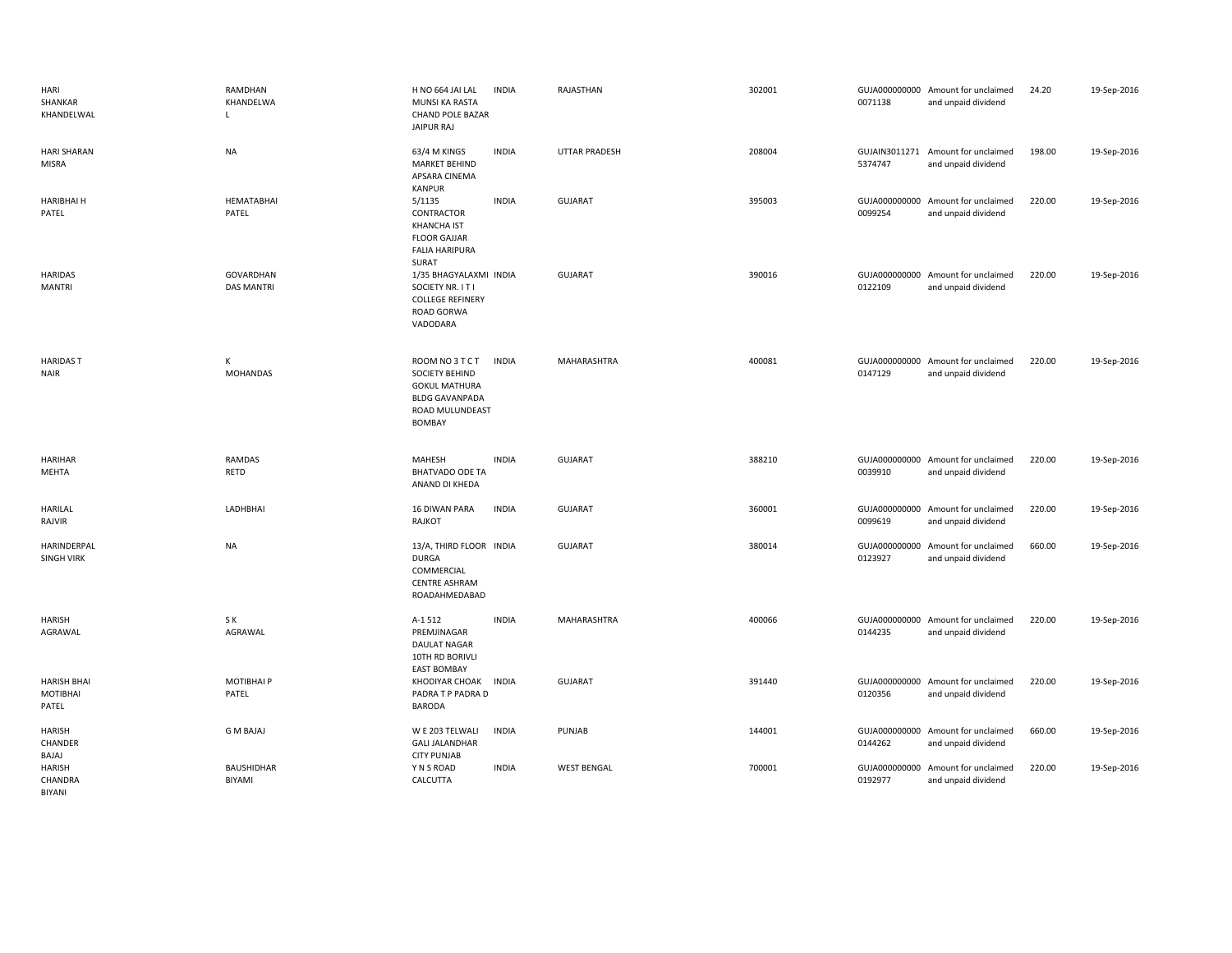| HARI<br>SHANKAR<br>KHANDELWAL           | RAMDHAN<br>KHANDELWA<br>$\mathsf{L}$  | H NO 664 JAI LAL<br>MUNSI KA RASTA<br>CHAND POLE BAZAR<br><b>JAIPUR RAJ</b>                                     | <b>INDIA</b> | RAJASTHAN            | 302001 | 0071138       | GUJA000000000 Amount for unclaimed<br>and unpaid dividend | 24.20  | 19-Sep-2016 |
|-----------------------------------------|---------------------------------------|-----------------------------------------------------------------------------------------------------------------|--------------|----------------------|--------|---------------|-----------------------------------------------------------|--------|-------------|
| <b>HARI SHARAN</b><br><b>MISRA</b>      | <b>NA</b>                             | 63/4 M KINGS<br>MARKET BEHIND<br>APSARA CINEMA<br>KANPUR                                                        | <b>INDIA</b> | <b>UTTAR PRADESH</b> | 208004 | 5374747       | GUJAIN3011271 Amount for unclaimed<br>and unpaid dividend | 198.00 | 19-Sep-2016 |
| <b>HARIBHAI H</b><br>PATEL              | <b>HEMATABHAI</b><br>PATEL            | 5/1135<br>CONTRACTOR<br><b>KHANCHA IST</b><br><b>FLOOR GAJJAR</b><br><b>FALIA HARIPURA</b><br>SURAT             | <b>INDIA</b> | <b>GUJARAT</b>       | 395003 | 0099254       | GUJA000000000 Amount for unclaimed<br>and unpaid dividend | 220.00 | 19-Sep-2016 |
| <b>HARIDAS</b><br><b>MANTRI</b>         | <b>GOVARDHAN</b><br><b>DAS MANTRI</b> | 1/35 BHAGYALAXMI INDIA<br>SOCIETY NR. IT I<br><b>COLLEGE REFINERY</b><br>ROAD GORWA<br>VADODARA                 |              | GUJARAT              | 390016 | 0122109       | GUJA000000000 Amount for unclaimed<br>and unpaid dividend | 220.00 | 19-Sep-2016 |
| <b>HARIDAST</b><br><b>NAIR</b>          | К<br><b>MOHANDAS</b>                  | ROOM NO 3 T C T<br>SOCIETY BEHIND<br><b>GOKUL MATHURA</b><br><b>BLDG GAVANPADA</b><br>ROAD MULUNDEAST<br>BOMBAY | <b>INDIA</b> | MAHARASHTRA          | 400081 | 0147129       | GUJA000000000 Amount for unclaimed<br>and unpaid dividend | 220.00 | 19-Sep-2016 |
| <b>HARIHAR</b><br>MEHTA                 | <b>RAMDAS</b><br>RETD                 | MAHESH<br><b>BHATVADO ODE TA</b><br>ANAND DI KHEDA                                                              | <b>INDIA</b> | <b>GUJARAT</b>       | 388210 | 0039910       | GUJA000000000 Amount for unclaimed<br>and unpaid dividend | 220.00 | 19-Sep-2016 |
| <b>HARILAL</b><br>RAJVIR                | LADHBHAI                              | 16 DIWAN PARA<br>RAJKOT                                                                                         | <b>INDIA</b> | <b>GUJARAT</b>       | 360001 | 0099619       | GUJA000000000 Amount for unclaimed<br>and unpaid dividend | 220.00 | 19-Sep-2016 |
| HARINDERPAL<br><b>SINGH VIRK</b>        | <b>NA</b>                             | 13/A, THIRD FLOOR INDIA<br><b>DURGA</b><br>COMMERCIAL<br><b>CENTRE ASHRAM</b><br>ROADAHMEDABAD                  |              | <b>GUJARAT</b>       | 380014 | 0123927       | GUJA000000000 Amount for unclaimed<br>and unpaid dividend | 660.00 | 19-Sep-2016 |
| <b>HARISH</b><br>AGRAWAL                | S K<br>AGRAWAL                        | A-1 512<br>PREMJINAGAR<br>DAULAT NAGAR<br>10TH RD BORIVLI                                                       | <b>INDIA</b> | MAHARASHTRA          | 400066 | 0144235       | GUJA000000000 Amount for unclaimed<br>and unpaid dividend | 220.00 | 19-Sep-2016 |
| <b>HARISH BHAI</b><br>MOTIBHAI<br>PATEL | MOTIBHAI P<br>PATEL                   | <b>EAST BOMBAY</b><br>KHODIYAR CHOAK<br>PADRA T P PADRA D<br><b>BARODA</b>                                      | <b>INDIA</b> | GUJARAT              | 391440 | 0120356       | GUJA000000000 Amount for unclaimed<br>and unpaid dividend | 220.00 | 19-Sep-2016 |
| <b>HARISH</b><br>CHANDER                | <b>GMBAJAJ</b>                        | W E 203 TELWALI                                                                                                 | <b>INDIA</b> | PUNJAB               | 144001 | GUJA000000000 | Amount for unclaimed                                      | 660.00 | 19-Sep-2016 |
| BAJAJ                                   |                                       | <b>GALI JALANDHAR</b><br><b>CITY PUNJAB</b>                                                                     |              |                      |        | 0144262       | and unpaid dividend                                       |        |             |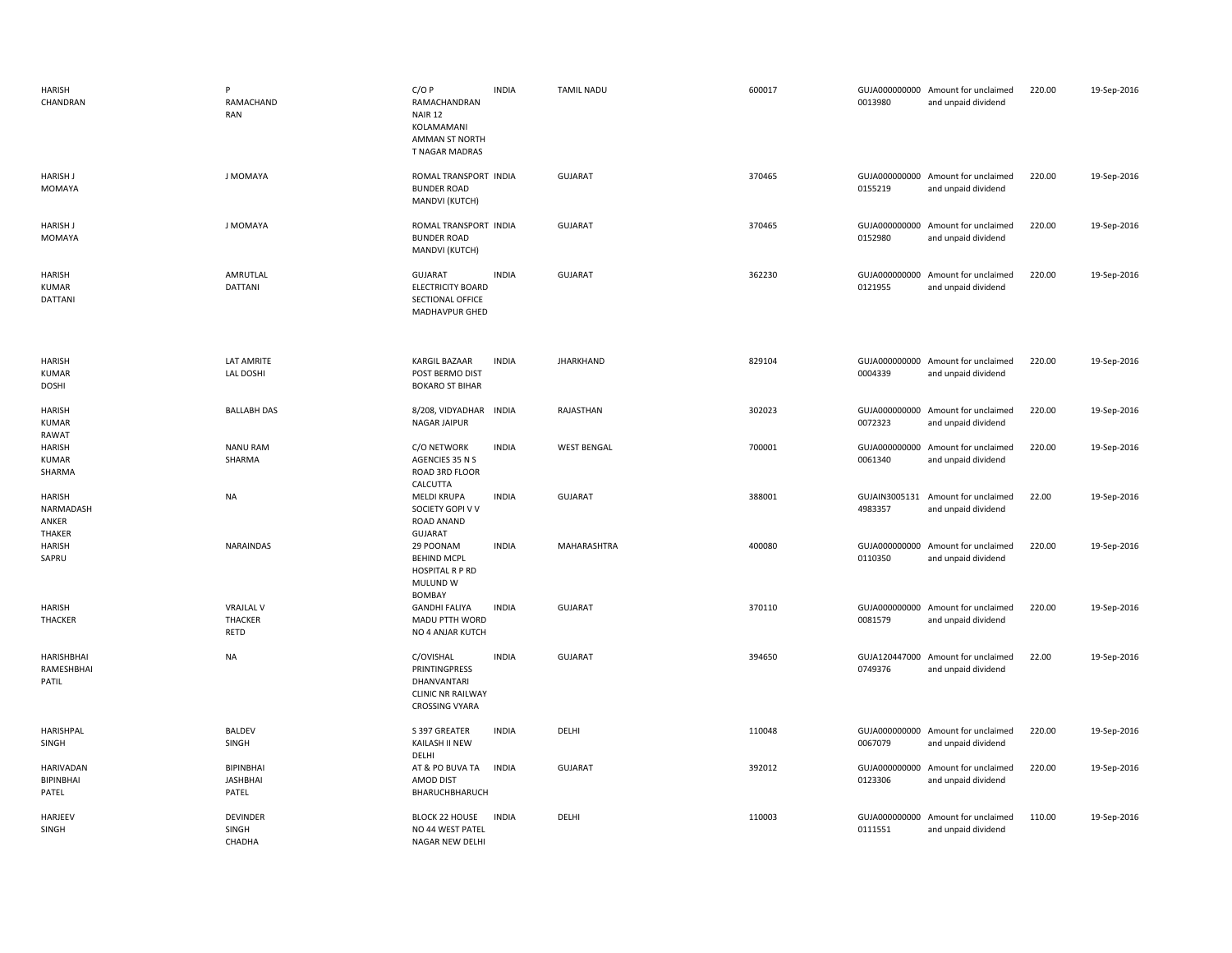| <b>HARISH</b><br>CHANDRAN                     | P<br>RAMACHAND<br>RAN                             | $C/O$ $P$<br>RAMACHANDRAN<br><b>NAIR 12</b><br>KOLAMAMANI<br><b>AMMAN ST NORTH</b><br><b>T NAGAR MADRAS</b> | <b>INDIA</b> | <b>TAMIL NADU</b>  | 600017 | 0013980                  | GUJA000000000 Amount for unclaimed<br>and unpaid dividend | 220.00 | 19-Sep-2016 |
|-----------------------------------------------|---------------------------------------------------|-------------------------------------------------------------------------------------------------------------|--------------|--------------------|--------|--------------------------|-----------------------------------------------------------|--------|-------------|
| <b>HARISH J</b><br>MOMAYA                     | J MOMAYA                                          | ROMAL TRANSPORT INDIA<br><b>BUNDER ROAD</b><br>MANDVI (KUTCH)                                               |              | <b>GUJARAT</b>     | 370465 | 0155219                  | GUJA000000000 Amount for unclaimed<br>and unpaid dividend | 220.00 | 19-Sep-2016 |
| <b>HARISH J</b><br>MOMAYA                     | J MOMAYA                                          | ROMAL TRANSPORT INDIA<br><b>BUNDER ROAD</b><br>MANDVI (KUTCH)                                               |              | <b>GUJARAT</b>     | 370465 | 0152980                  | GUJA000000000 Amount for unclaimed<br>and unpaid dividend | 220.00 | 19-Sep-2016 |
| <b>HARISH</b><br>KUMAR<br>DATTANI             | AMRUTLAL<br>DATTANI                               | <b>GUJARAT</b><br><b>ELECTRICITY BOARD</b><br>SECTIONAL OFFICE<br>MADHAVPUR GHED                            | <b>INDIA</b> | <b>GUJARAT</b>     | 362230 | 0121955                  | GUJA000000000 Amount for unclaimed<br>and unpaid dividend | 220.00 | 19-Sep-2016 |
| <b>HARISH</b><br><b>KUMAR</b><br><b>DOSHI</b> | <b>LAT AMRITE</b><br>LAL DOSHI                    | <b>KARGIL BAZAAR</b><br>POST BERMO DIST<br><b>BOKARO ST BIHAR</b>                                           | <b>INDIA</b> | <b>JHARKHAND</b>   | 829104 | 0004339                  | GUJA000000000 Amount for unclaimed<br>and unpaid dividend | 220.00 | 19-Sep-2016 |
| <b>HARISH</b><br><b>KUMAR</b><br>RAWAT        | <b>BALLABH DAS</b>                                | 8/208, VIDYADHAR INDIA<br>NAGAR JAIPUR                                                                      |              | RAJASTHAN          | 302023 | 0072323                  | GUJA000000000 Amount for unclaimed<br>and unpaid dividend | 220.00 | 19-Sep-2016 |
| <b>HARISH</b><br><b>KUMAR</b><br>SHARMA       | <b>NANU RAM</b><br>SHARMA                         | C/O NETWORK<br>AGENCIES 35 N S<br>ROAD 3RD FLOOR<br>CALCUTTA                                                | <b>INDIA</b> | <b>WEST BENGAL</b> | 700001 | GUJA000000000<br>0061340 | Amount for unclaimed<br>and unpaid dividend               | 220.00 | 19-Sep-2016 |
| <b>HARISH</b><br>NARMADASH<br>ANKER<br>THAKER | <b>NA</b>                                         | <b>MELDI KRUPA</b><br>SOCIETY GOPI V V<br>ROAD ANAND<br><b>GUJARAT</b>                                      | <b>INDIA</b> | <b>GUJARAT</b>     | 388001 | 4983357                  | GUJAIN3005131 Amount for unclaimed<br>and unpaid dividend | 22.00  | 19-Sep-2016 |
| <b>HARISH</b><br>SAPRU                        | <b>NARAINDAS</b>                                  | 29 POONAM<br><b>BEHIND MCPL</b><br>HOSPITAL R P RD<br>MULUND W<br>BOMBAY                                    | <b>INDIA</b> | MAHARASHTRA        | 400080 | 0110350                  | GUJA000000000 Amount for unclaimed<br>and unpaid dividend | 220.00 | 19-Sep-2016 |
| <b>HARISH</b><br><b>THACKER</b>               | <b>VRAJLAL V</b><br><b>THACKER</b><br><b>RETD</b> | <b>GANDHI FALIYA</b><br>MADU PTTH WORD<br>NO 4 ANJAR KUTCH                                                  | <b>INDIA</b> | <b>GUJARAT</b>     | 370110 | 0081579                  | GUJA000000000 Amount for unclaimed<br>and unpaid dividend | 220.00 | 19-Sep-2016 |
| HARISHBHAI<br>RAMESHBHAI<br>PATIL             | <b>NA</b>                                         | C/OVISHAL<br>PRINTINGPRESS<br>DHANVANTARI<br><b>CLINIC NR RAILWAY</b><br><b>CROSSING VYARA</b>              | <b>INDIA</b> | GUJARAT            | 394650 | 0749376                  | GUJA120447000 Amount for unclaimed<br>and unpaid dividend | 22.00  | 19-Sep-2016 |
| HARISHPAL<br>SINGH                            | <b>BALDEV</b><br>SINGH                            | S 397 GREATER<br>KAILASH II NEW<br>DELHI                                                                    | <b>INDIA</b> | DELHI              | 110048 | 0067079                  | GUJA000000000 Amount for unclaimed<br>and unpaid dividend | 220.00 | 19-Sep-2016 |
| HARIVADAN<br>BIPINBHAI<br>PATEL               | <b>BIPINBHAI</b><br><b>JASHBHAI</b><br>PATEL      | AT & PO BUVA TA<br>AMOD DIST<br>BHARUCHBHARUCH                                                              | <b>INDIA</b> | <b>GUJARAT</b>     | 392012 | 0123306                  | GUJA000000000 Amount for unclaimed<br>and unpaid dividend | 220.00 | 19-Sep-2016 |
| HARJEEV<br>SINGH                              | <b>DEVINDER</b><br>SINGH<br>CHADHA                | <b>BLOCK 22 HOUSE</b><br>NO 44 WEST PATEL<br>NAGAR NEW DELHI                                                | <b>INDIA</b> | DELHI              | 110003 | GUJA000000000<br>0111551 | Amount for unclaimed<br>and unpaid dividend               | 110.00 | 19-Sep-2016 |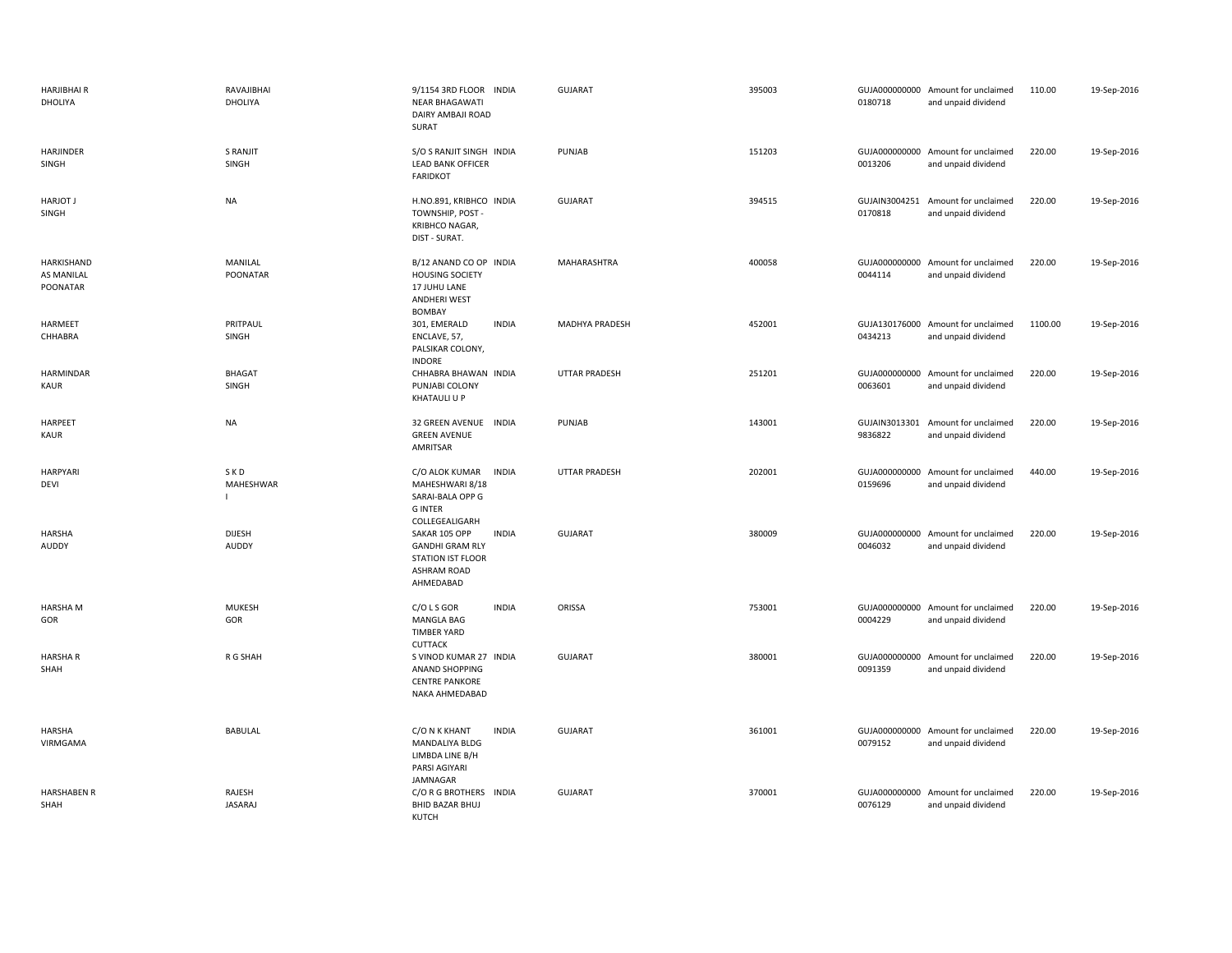| <b>HARJIBHAIR</b><br>DHOLIYA                | RAVAJIBHAI<br>DHOLIYA         | 9/1154 3RD FLOOR INDIA<br>NEAR BHAGAWATI<br>DAIRY AMBAJI ROAD<br>SURAT                                          | <b>GUJARAT</b>       | 395003 | 0180718                  | GUJA000000000 Amount for unclaimed<br>and unpaid dividend | 110.00  | 19-Sep-2016 |
|---------------------------------------------|-------------------------------|-----------------------------------------------------------------------------------------------------------------|----------------------|--------|--------------------------|-----------------------------------------------------------|---------|-------------|
| HARJINDER<br>SINGH                          | S RANJIT<br>SINGH             | S/O S RANJIT SINGH INDIA<br><b>LEAD BANK OFFICER</b><br><b>FARIDKOT</b>                                         | PUNJAB               | 151203 | 0013206                  | GUJA000000000 Amount for unclaimed<br>and unpaid dividend | 220.00  | 19-Sep-2016 |
| <b>HARJOT J</b><br>SINGH                    | <b>NA</b>                     | H.NO.891, KRIBHCO INDIA<br>TOWNSHIP, POST -<br>KRIBHCO NAGAR,<br>DIST - SURAT.                                  | <b>GUJARAT</b>       | 394515 | GUJAIN3004251<br>0170818 | Amount for unclaimed<br>and unpaid dividend               | 220.00  | 19-Sep-2016 |
| <b>HARKISHAND</b><br>AS MANILAL<br>POONATAR | MANILAL<br>POONATAR           | B/12 ANAND CO OP INDIA<br><b>HOUSING SOCIETY</b><br>17 JUHU LANE<br><b>ANDHERI WEST</b><br><b>BOMBAY</b>        | MAHARASHTRA          | 400058 | 0044114                  | GUJA000000000 Amount for unclaimed<br>and unpaid dividend | 220.00  | 19-Sep-2016 |
| HARMEET<br>CHHABRA                          | PRITPAUL<br>SINGH             | <b>INDIA</b><br>301, EMERALD<br>ENCLAVE, 57,<br>PALSIKAR COLONY,<br><b>INDORE</b>                               | MADHYA PRADESH       | 452001 | 0434213                  | GUJA130176000 Amount for unclaimed<br>and unpaid dividend | 1100.00 | 19-Sep-2016 |
| HARMINDAR<br><b>KAUR</b>                    | <b>BHAGAT</b><br>SINGH        | CHHABRA BHAWAN INDIA<br>PUNJABI COLONY<br>KHATAULI U P                                                          | <b>UTTAR PRADESH</b> | 251201 | 0063601                  | GUJA000000000 Amount for unclaimed<br>and unpaid dividend | 220.00  | 19-Sep-2016 |
| HARPEET<br>KAUR                             | <b>NA</b>                     | 32 GREEN AVENUE INDIA<br><b>GREEN AVENUE</b><br>AMRITSAR                                                        | PUNJAB               | 143001 | 9836822                  | GUJAIN3013301 Amount for unclaimed<br>and unpaid dividend | 220.00  | 19-Sep-2016 |
| HARPYARI<br>DEVI                            | SKD<br>MAHESHWAR              | C/O ALOK KUMAR<br><b>INDIA</b><br>MAHESHWARI 8/18<br>SARAI-BALA OPP G<br><b>GINTER</b><br>COLLEGEALIGARH        | <b>UTTAR PRADESH</b> | 202001 | 0159696                  | GUJA000000000 Amount for unclaimed<br>and unpaid dividend | 440.00  | 19-Sep-2016 |
|                                             |                               |                                                                                                                 |                      |        |                          |                                                           |         |             |
| <b>HARSHA</b><br>AUDDY                      | <b>DIJESH</b><br><b>AUDDY</b> | SAKAR 105 OPP<br><b>INDIA</b><br><b>GANDHI GRAM RLY</b><br>STATION IST FLOOR<br><b>ASHRAM ROAD</b><br>AHMEDABAD | <b>GUJARAT</b>       | 380009 | 0046032                  | GUJA000000000 Amount for unclaimed<br>and unpaid dividend | 220.00  | 19-Sep-2016 |
| HARSHA M<br>GOR                             | <b>MUKESH</b><br>GOR          | C/O L S GOR<br><b>INDIA</b><br><b>MANGLA BAG</b><br><b>TIMBER YARD</b>                                          | ORISSA               | 753001 | 0004229                  | GUJA000000000 Amount for unclaimed<br>and unpaid dividend | 220.00  | 19-Sep-2016 |
| <b>HARSHAR</b><br>SHAH                      | R G SHAH                      | <b>CUTTACK</b><br>S VINOD KUMAR 27 INDIA<br>ANAND SHOPPING<br><b>CENTRE PANKORE</b><br>NAKA AHMEDABAD           | <b>GUJARAT</b>       | 380001 | 0091359                  | GUJA000000000 Amount for unclaimed<br>and unpaid dividend | 220.00  | 19-Sep-2016 |
| HARSHA<br>VIRMGAMA                          | <b>BABULAL</b>                | C/O N K KHANT<br><b>INDIA</b><br>MANDALIYA BLDG<br>LIMBDA LINE B/H<br>PARSI AGIYARI<br>JAMNAGAR                 | <b>GUJARAT</b>       | 361001 | 0079152                  | GUJA000000000 Amount for unclaimed<br>and unpaid dividend | 220.00  | 19-Sep-2016 |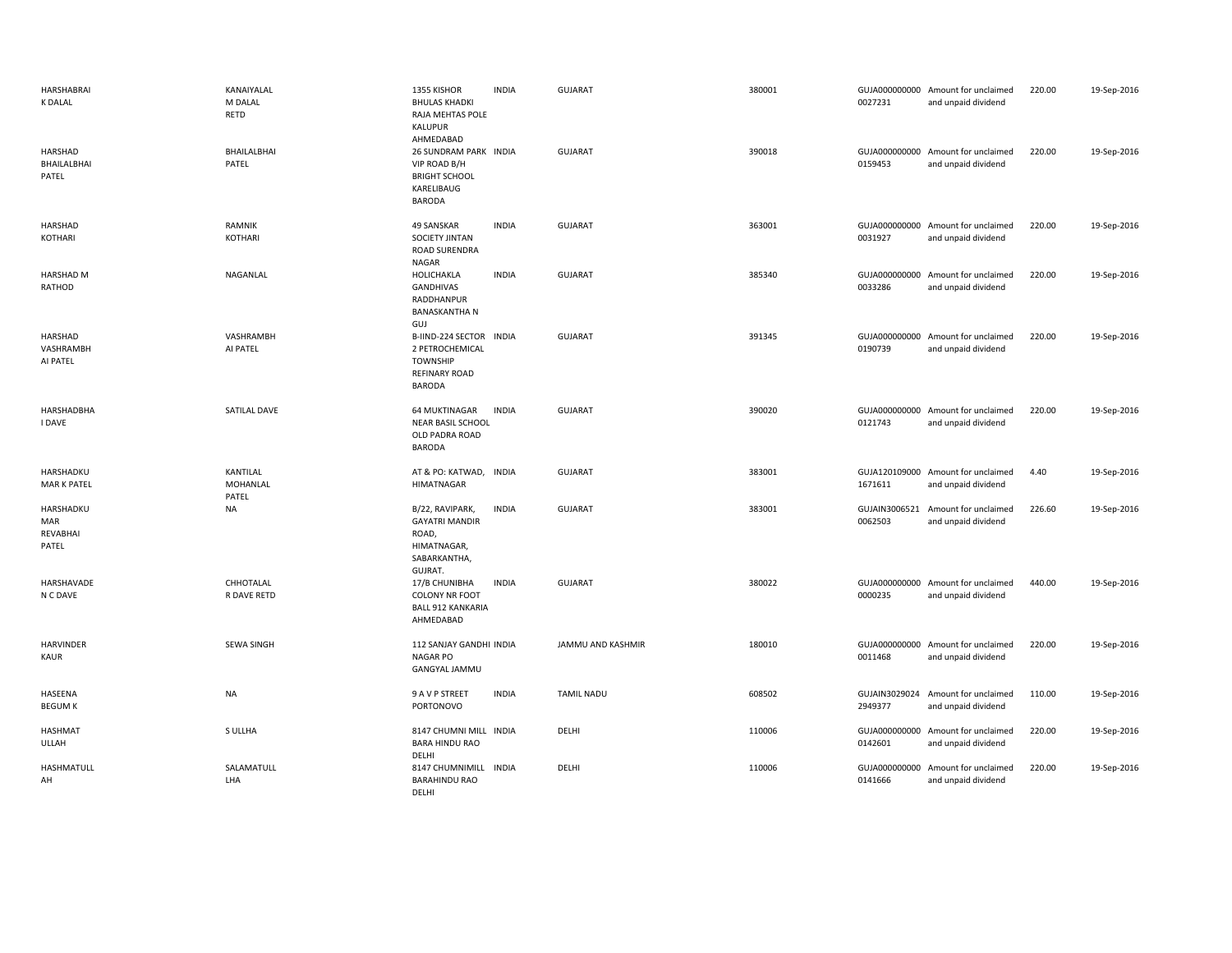| HARSHABRAI<br><b>K DALAL</b>            | KANAIYALAL<br>M DALAL<br><b>RETD</b> | 1355 KISHOR<br><b>BHULAS KHADKI</b><br>RAJA MEHTAS POLE<br><b>KALUPUR</b><br>AHMEDABAD           | <b>INDIA</b> | <b>GUJARAT</b>    | 380001 | 0027231                  | GUJA000000000 Amount for unclaimed<br>and unpaid dividend | 220.00 | 19-Sep-2016 |
|-----------------------------------------|--------------------------------------|--------------------------------------------------------------------------------------------------|--------------|-------------------|--------|--------------------------|-----------------------------------------------------------|--------|-------------|
| HARSHAD<br>BHAILALBHAI<br>PATEL         | BHAILALBHAI<br>PATEL                 | 26 SUNDRAM PARK INDIA<br>VIP ROAD B/H<br><b>BRIGHT SCHOOL</b><br>KARELIBAUG<br><b>BARODA</b>     |              | GUJARAT           | 390018 | 0159453                  | GUJA000000000 Amount for unclaimed<br>and unpaid dividend | 220.00 | 19-Sep-2016 |
| HARSHAD<br>KOTHARI                      | RAMNIK<br><b>KOTHARI</b>             | 49 SANSKAR<br>SOCIETY JINTAN<br>ROAD SURENDRA<br>NAGAR                                           | <b>INDIA</b> | <b>GUJARAT</b>    | 363001 | 0031927                  | GUJA000000000 Amount for unclaimed<br>and unpaid dividend | 220.00 | 19-Sep-2016 |
| HARSHAD M<br>RATHOD                     | NAGANLAL                             | HOLICHAKLA<br>GANDHIVAS<br>RADDHANPUR<br><b>BANASKANTHA N</b><br>GUJ                             | <b>INDIA</b> | <b>GUJARAT</b>    | 385340 | 0033286                  | GUJA000000000 Amount for unclaimed<br>and unpaid dividend | 220.00 | 19-Sep-2016 |
| <b>HARSHAD</b><br>VASHRAMBH<br>AI PATEL | VASHRAMBH<br>AI PATEL                | B-IIND-224 SECTOR<br>2 PETROCHEMICAL<br><b>TOWNSHIP</b><br><b>REFINARY ROAD</b><br><b>BARODA</b> | <b>INDIA</b> | <b>GUJARAT</b>    | 391345 | 0190739                  | GUJA000000000 Amount for unclaimed<br>and unpaid dividend | 220.00 | 19-Sep-2016 |
| HARSHADBHA<br>I DAVE                    | <b>SATILAL DAVE</b>                  | <b>64 MUKTINAGAR</b><br><b>NEAR BASIL SCHOOL</b><br>OLD PADRA ROAD<br><b>BARODA</b>              | <b>INDIA</b> | <b>GUJARAT</b>    | 390020 | 0121743                  | GUJA000000000 Amount for unclaimed<br>and unpaid dividend | 220.00 | 19-Sep-2016 |
| HARSHADKU<br>MAR K PATEL                | KANTILAL<br>MOHANLAL<br>PATEL        | AT & PO: KATWAD,<br><b>HIMATNAGAR</b>                                                            | <b>INDIA</b> | <b>GUJARAT</b>    | 383001 | 1671611                  | GUJA120109000 Amount for unclaimed<br>and unpaid dividend | 4.40   | 19-Sep-2016 |
| HARSHADKU<br>MAR<br>REVABHAI<br>PATEL   | <b>NA</b>                            | B/22, RAVIPARK,<br><b>GAYATRI MANDIR</b><br>ROAD,<br>HIMATNAGAR,<br>SABARKANTHA,<br>GUJRAT.      | <b>INDIA</b> | <b>GUJARAT</b>    | 383001 | 0062503                  | GUJAIN3006521 Amount for unclaimed<br>and unpaid dividend | 226.60 | 19-Sep-2016 |
| HARSHAVADE<br>N C DAVE                  | CHHOTALAL<br>R DAVE RETD             | 17/B CHUNIBHA<br><b>COLONY NR FOOT</b><br><b>BALL 912 KANKARIA</b><br>AHMEDABAD                  | <b>INDIA</b> | <b>GUJARAT</b>    | 380022 | 0000235                  | GUJA000000000 Amount for unclaimed<br>and unpaid dividend | 440.00 | 19-Sep-2016 |
| <b>HARVINDER</b><br><b>KAUR</b>         | <b>SEWA SINGH</b>                    | 112 SANJAY GANDHI INDIA<br>NAGAR PO<br><b>GANGYAL JAMMU</b>                                      |              | JAMMU AND KASHMIR | 180010 | 0011468                  | GUJA000000000 Amount for unclaimed<br>and unpaid dividend | 220.00 | 19-Sep-2016 |
| HASEENA<br><b>BEGUM K</b>               | <b>NA</b>                            | 9 A V P STREET<br>PORTONOVO                                                                      | <b>INDIA</b> | <b>TAMIL NADU</b> | 608502 | GUJAIN3029024<br>2949377 | Amount for unclaimed<br>and unpaid dividend               | 110.00 | 19-Sep-2016 |
| HASHMAT<br>ULLAH                        | S ULLHA                              | 8147 CHUMNI MILL INDIA<br><b>BARA HINDU RAO</b><br>DELHI                                         |              | DELHI             | 110006 | GUJA000000000<br>0142601 | Amount for unclaimed<br>and unpaid dividend               | 220.00 | 19-Sep-2016 |
| <b>HASHMATULL</b><br>AH                 | SALAMATULL<br>LHA                    | 8147 CHUMNIMILL<br><b>BARAHINDU RAO</b><br>DELHI                                                 | <b>INDIA</b> | DELHI             | 110006 | GUJA000000000<br>0141666 | Amount for unclaimed<br>and unpaid dividend               | 220.00 | 19-Sep-2016 |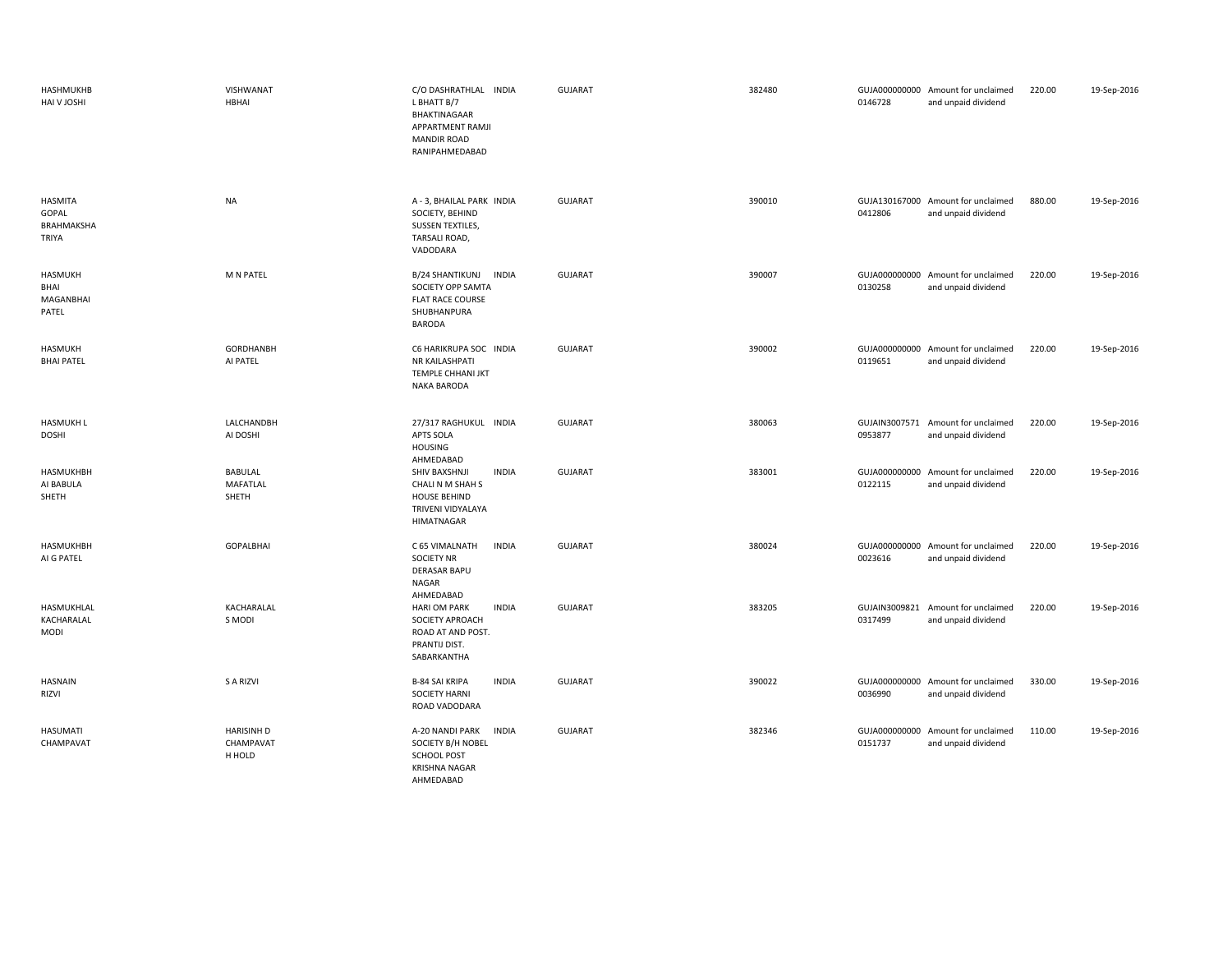| HASHMUKHB<br>HAI V JOSHI                       | VISHWANAT<br>HBHAI                         | C/O DASHRATHLAL INDIA<br>L BHATT B/7<br>BHAKTINAGAAR<br>APPARTMENT RAMJI<br><b>MANDIR ROAD</b><br>RANIPAHMEDABAD         | GUJARAT        | 382480 | 0146728                  | GUJA000000000 Amount for unclaimed<br>and unpaid dividend | 220.00 | 19-Sep-2016 |
|------------------------------------------------|--------------------------------------------|--------------------------------------------------------------------------------------------------------------------------|----------------|--------|--------------------------|-----------------------------------------------------------|--------|-------------|
| <b>HASMITA</b><br>GOPAL<br>BRAHMAKSHA<br>TRIYA | <b>NA</b>                                  | A - 3, BHAILAL PARK INDIA<br>SOCIETY, BEHIND<br>SUSSEN TEXTILES,<br>TARSALI ROAD,<br>VADODARA                            | <b>GUJARAT</b> | 390010 | 0412806                  | GUJA130167000 Amount for unclaimed<br>and unpaid dividend | 880.00 | 19-Sep-2016 |
| <b>HASMUKH</b><br>BHAI<br>MAGANBHAI<br>PATEL   | M N PATEL                                  | <b>B/24 SHANTIKUNJ</b><br><b>INDIA</b><br>SOCIETY OPP SAMTA<br><b>FLAT RACE COURSE</b><br>SHUBHANPURA<br><b>BARODA</b>   | <b>GUJARAT</b> | 390007 | 0130258                  | GUJA000000000 Amount for unclaimed<br>and unpaid dividend | 220.00 | 19-Sep-2016 |
| HASMUKH<br><b>BHAI PATEL</b>                   | GORDHANBH<br>AI PATEL                      | C6 HARIKRUPA SOC INDIA<br>NR KAILASHPATI<br>TEMPLE CHHANI JKT<br><b>NAKA BARODA</b>                                      | <b>GUJARAT</b> | 390002 | 0119651                  | GUJA000000000 Amount for unclaimed<br>and unpaid dividend | 220.00 | 19-Sep-2016 |
| <b>HASMUKH L</b><br><b>DOSHI</b>               | LALCHANDBH<br>AI DOSHI                     | 27/317 RAGHUKUL INDIA<br><b>APTS SOLA</b><br><b>HOUSING</b>                                                              | <b>GUJARAT</b> | 380063 | 0953877                  | GUJAIN3007571 Amount for unclaimed<br>and unpaid dividend | 220.00 | 19-Sep-2016 |
| <b>HASMUKHBH</b><br>AI BABULA<br>SHETH         | <b>BABULAL</b><br><b>MAFATLAL</b><br>SHETH | AHMEDABAD<br>SHIV BAXSHNJI<br><b>INDIA</b><br>CHALI N M SHAH S<br><b>HOUSE BEHIND</b><br>TRIVENI VIDYALAYA<br>HIMATNAGAR | <b>GUJARAT</b> | 383001 | 0122115                  | GUJA000000000 Amount for unclaimed<br>and unpaid dividend | 220.00 | 19-Sep-2016 |
| <b>HASMUKHBH</b><br>AI G PATEL                 | <b>GOPALBHAI</b>                           | C 65 VIMALNATH<br><b>INDIA</b><br><b>SOCIETY NR</b><br><b>DERASAR BAPU</b><br>NAGAR<br>AHMEDABAD                         | <b>GUJARAT</b> | 380024 | 0023616                  | GUJA000000000 Amount for unclaimed<br>and unpaid dividend | 220.00 | 19-Sep-2016 |
| HASMUKHLAL<br>KACHARALAL<br>MODI               | KACHARALAL<br>S MODI                       | <b>INDIA</b><br><b>HARI OM PARK</b><br>SOCIETY APROACH<br>ROAD AT AND POST.<br>PRANTIJ DIST.<br>SABARKANTHA              | <b>GUJARAT</b> | 383205 | GUJAIN3009821<br>0317499 | Amount for unclaimed<br>and unpaid dividend               | 220.00 | 19-Sep-2016 |
| <b>HASNAIN</b><br>RIZVI                        | S A RIZVI                                  | <b>B-84 SAI KRIPA</b><br><b>INDIA</b><br><b>SOCIETY HARNI</b><br>ROAD VADODARA                                           | <b>GUJARAT</b> | 390022 | 0036990                  | GUJA000000000 Amount for unclaimed<br>and unpaid dividend | 330.00 | 19-Sep-2016 |
| HASUMATI<br>CHAMPAVAT                          | <b>HARISINH D</b><br>CHAMPAVAT<br>H HOLD   | <b>INDIA</b><br>A-20 NANDI PARK<br>SOCIETY B/H NOBEL<br><b>SCHOOL POST</b><br><b>KRISHNA NAGAR</b><br>AHMEDABAD          | GUJARAT        | 382346 | 0151737                  | GUJA000000000 Amount for unclaimed<br>and unpaid dividend | 110.00 | 19-Sep-2016 |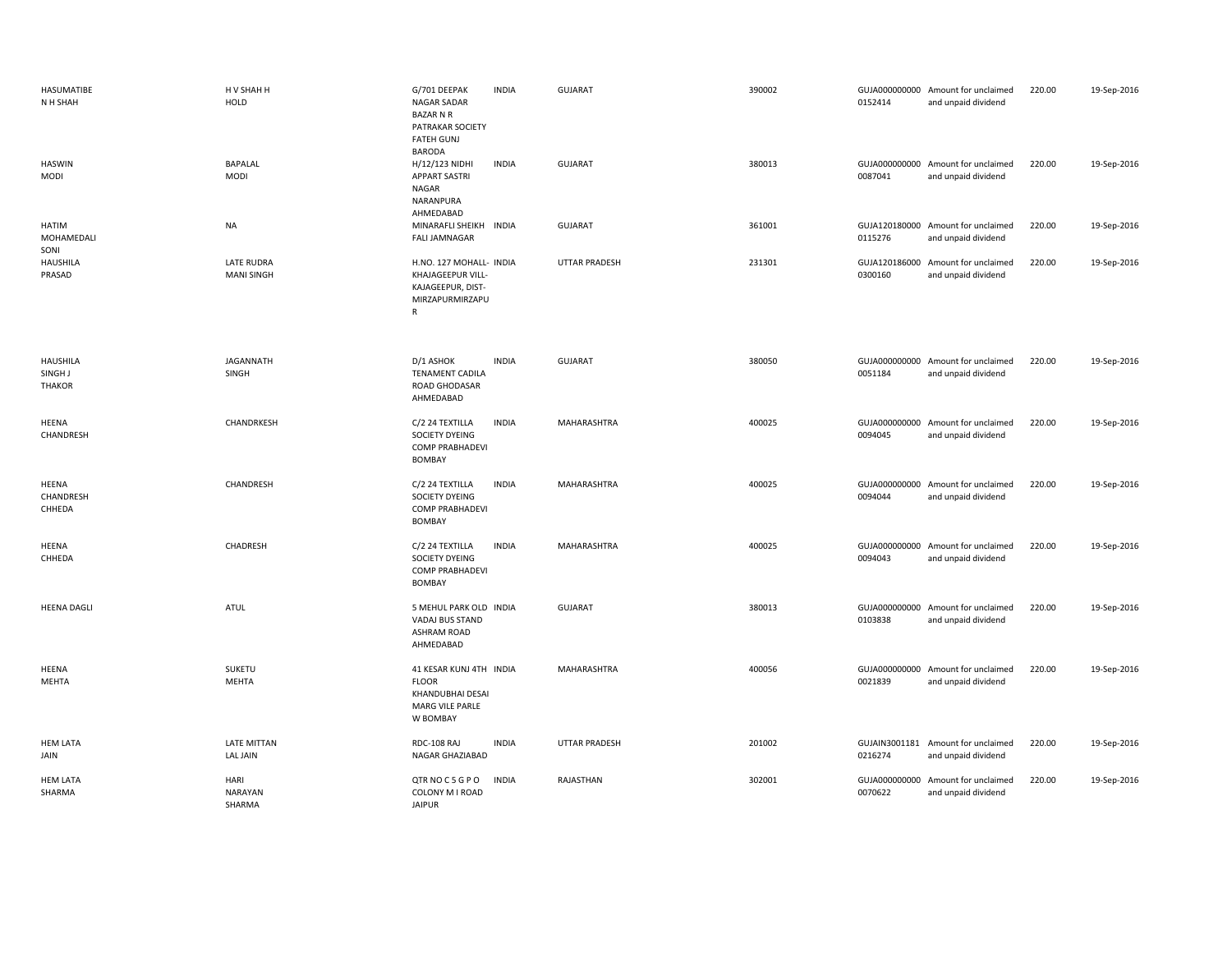| HASUMATIBE<br>N H SHAH                      | H V SHAH H<br><b>HOLD</b>              | G/701 DEEPAK<br><b>NAGAR SADAR</b><br><b>BAZAR N R</b><br>PATRAKAR SOCIETY<br><b>FATEH GUNJ</b><br><b>BARODA</b> | <b>INDIA</b> | <b>GUJARAT</b>       | 390002 | 0152414                  | GUJA000000000 Amount for unclaimed<br>and unpaid dividend | 220.00 | 19-Sep-2016 |
|---------------------------------------------|----------------------------------------|------------------------------------------------------------------------------------------------------------------|--------------|----------------------|--------|--------------------------|-----------------------------------------------------------|--------|-------------|
| <b>HASWIN</b><br>MODI                       | <b>BAPALAL</b><br><b>MODI</b>          | H/12/123 NIDHI<br><b>APPART SASTRI</b><br>NAGAR<br>NARANPURA<br>AHMEDABAD                                        | <b>INDIA</b> | <b>GUJARAT</b>       | 380013 | 0087041                  | GUJA000000000 Amount for unclaimed<br>and unpaid dividend | 220.00 | 19-Sep-2016 |
| HATIM<br>MOHAMEDALI<br>SONI                 | <b>NA</b>                              | MINARAFLI SHEIKH<br>INDIA<br><b>FALI JAMNAGAR</b>                                                                |              | <b>GUJARAT</b>       | 361001 | 0115276                  | GUJA120180000 Amount for unclaimed<br>and unpaid dividend | 220.00 | 19-Sep-2016 |
| <b>HAUSHILA</b><br>PRASAD                   | <b>LATE RUDRA</b><br><b>MANI SINGH</b> | H.NO. 127 MOHALL- INDIA<br>KHAJAGEEPUR VILL-<br>KAJAGEEPUR, DIST-<br>MIRZAPURMIRZAPU<br>${\sf R}$                |              | <b>UTTAR PRADESH</b> | 231301 | 0300160                  | GUJA120186000 Amount for unclaimed<br>and unpaid dividend | 220.00 | 19-Sep-2016 |
| <b>HAUSHILA</b><br>SINGH J<br><b>THAKOR</b> | <b>JAGANNATH</b><br>SINGH              | D/1 ASHOK<br><b>TENAMENT CADILA</b><br>ROAD GHODASAR<br>AHMEDABAD                                                | <b>INDIA</b> | <b>GUJARAT</b>       | 380050 | 0051184                  | GUJA000000000 Amount for unclaimed<br>and unpaid dividend | 220.00 | 19-Sep-2016 |
| HEENA<br>CHANDRESH                          | CHANDRKESH                             | C/2 24 TEXTILLA<br>SOCIETY DYEING<br><b>COMP PRABHADEVI</b><br><b>BOMBAY</b>                                     | <b>INDIA</b> | MAHARASHTRA          | 400025 | 0094045                  | GUJA000000000 Amount for unclaimed<br>and unpaid dividend | 220.00 | 19-Sep-2016 |
| HEENA<br>CHANDRESH<br>CHHEDA                | CHANDRESH                              | C/2 24 TEXTILLA<br>SOCIETY DYEING<br><b>COMP PRABHADEVI</b><br><b>BOMBAY</b>                                     | <b>INDIA</b> | MAHARASHTRA          | 400025 | 0094044                  | GUJA000000000 Amount for unclaimed<br>and unpaid dividend | 220.00 | 19-Sep-2016 |
| HEENA<br>CHHEDA                             | CHADRESH                               | C/2 24 TEXTILLA<br>SOCIETY DYEING<br><b>COMP PRABHADEVI</b><br><b>BOMBAY</b>                                     | <b>INDIA</b> | MAHARASHTRA          | 400025 | 0094043                  | GUJA000000000 Amount for unclaimed<br>and unpaid dividend | 220.00 | 19-Sep-2016 |
| <b>HEENA DAGLI</b>                          | <b>ATUL</b>                            | 5 MEHUL PARK OLD INDIA<br>VADAJ BUS STAND<br><b>ASHRAM ROAD</b><br>AHMEDABAD                                     |              | <b>GUJARAT</b>       | 380013 | 0103838                  | GUJA000000000 Amount for unclaimed<br>and unpaid dividend | 220.00 | 19-Sep-2016 |
| HEENA<br>MEHTA                              | SUKETU<br><b>MEHTA</b>                 | 41 KESAR KUNJ 4TH INDIA<br><b>FLOOR</b><br>KHANDUBHAI DESAI<br>MARG VILE PARLE<br>W BOMBAY                       |              | MAHARASHTRA          | 400056 | 0021839                  | GUJA000000000 Amount for unclaimed<br>and unpaid dividend | 220.00 | 19-Sep-2016 |
| <b>HEM LATA</b><br>JAIN                     | LATE MITTAN<br><b>LAL JAIN</b>         | RDC-108 RAJ<br>NAGAR GHAZIABAD                                                                                   | <b>INDIA</b> | <b>UTTAR PRADESH</b> | 201002 | 0216274                  | GUJAIN3001181 Amount for unclaimed<br>and unpaid dividend | 220.00 | 19-Sep-2016 |
| <b>HEM LATA</b><br>SHARMA                   | HARI<br>NARAYAN<br>SHARMA              | QTR NOC5GPO<br>COLONY M I ROAD<br><b>JAIPUR</b>                                                                  | <b>INDIA</b> | RAJASTHAN            | 302001 | GUJA000000000<br>0070622 | Amount for unclaimed<br>and unpaid dividend               | 220.00 | 19-Sep-2016 |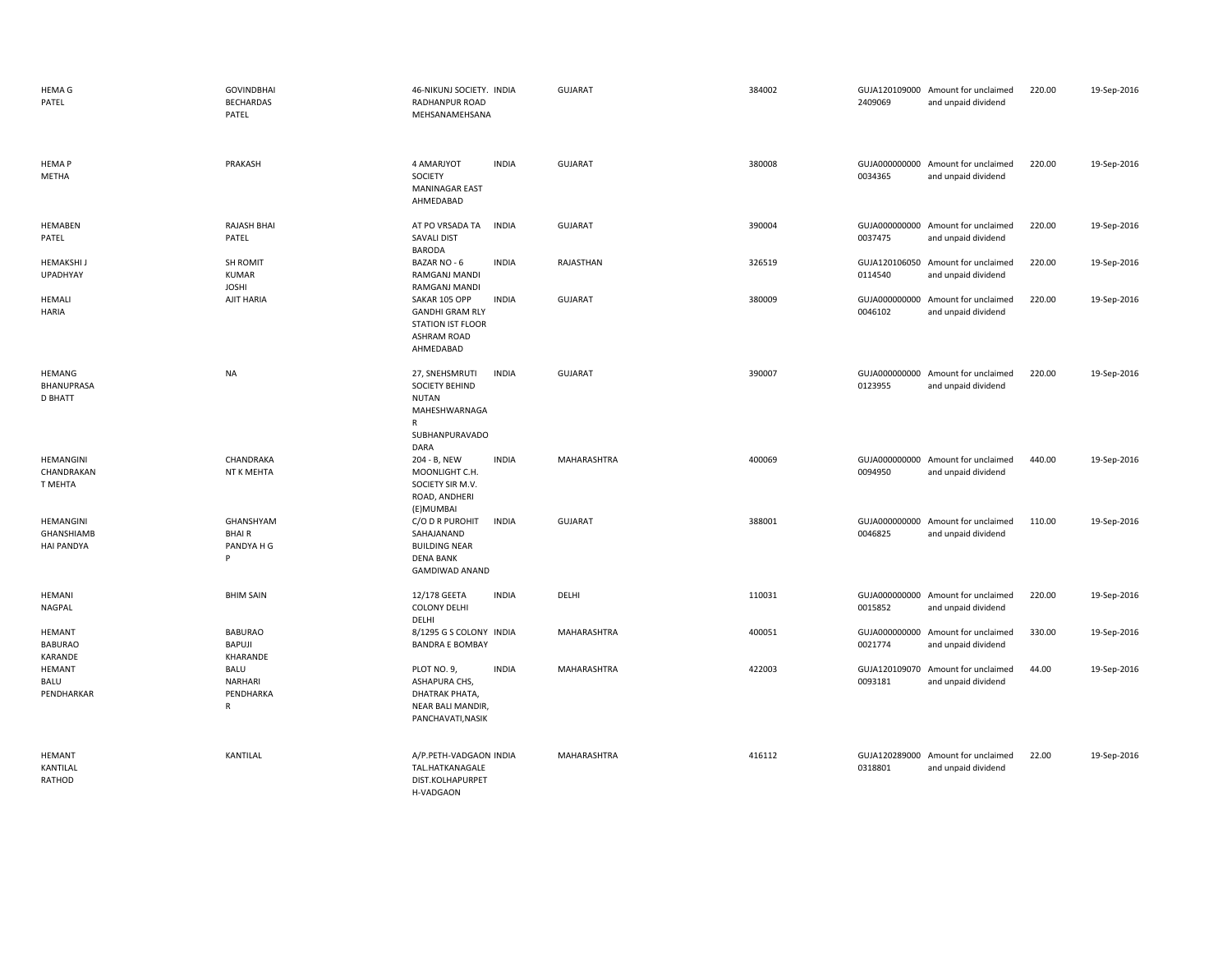| <b>HEMA G</b><br>PATEL                               | <b>GOVINDBHAI</b><br><b>BECHARDAS</b><br>PATEL      | 46-NIKUNJ SOCIETY. INDIA<br>RADHANPUR ROAD<br>MEHSANAMEHSANA                                                                | GUJARAT        | 384002 | 2409069                  | GUJA120109000 Amount for unclaimed<br>and unpaid dividend | 220.00 | 19-Sep-2016 |
|------------------------------------------------------|-----------------------------------------------------|-----------------------------------------------------------------------------------------------------------------------------|----------------|--------|--------------------------|-----------------------------------------------------------|--------|-------------|
| <b>HEMAP</b><br>METHA                                | PRAKASH                                             | 4 AMARJYOT<br><b>INDIA</b><br>SOCIETY<br><b>MANINAGAR EAST</b><br>AHMEDABAD                                                 | <b>GUJARAT</b> | 380008 | 0034365                  | GUJA000000000 Amount for unclaimed<br>and unpaid dividend | 220.00 | 19-Sep-2016 |
| <b>HEMABEN</b><br>PATEL                              | RAJASH BHAI<br>PATEL                                | AT PO VRSADA TA<br><b>INDIA</b><br><b>SAVALI DIST</b><br><b>BARODA</b>                                                      | <b>GUJARAT</b> | 390004 | 0037475                  | GUJA000000000 Amount for unclaimed<br>and unpaid dividend | 220.00 | 19-Sep-2016 |
| <b>HEMAKSHI</b><br><b>UPADHYAY</b>                   | SH ROMIT<br><b>KUMAR</b><br><b>JOSHI</b>            | BAZAR NO - 6<br><b>INDIA</b><br>RAMGANJ MANDI<br>RAMGANJ MANDI                                                              | RAJASTHAN      | 326519 | 0114540                  | GUJA120106050 Amount for unclaimed<br>and unpaid dividend | 220.00 | 19-Sep-2016 |
| <b>HEMALI</b><br>HARIA                               | AJIT HARIA                                          | SAKAR 105 OPP<br><b>INDIA</b><br><b>GANDHI GRAM RLY</b><br><b>STATION IST FLOOR</b><br>ASHRAM ROAD<br>AHMEDABAD             | <b>GUJARAT</b> | 380009 | 0046102                  | GUJA000000000 Amount for unclaimed<br>and unpaid dividend | 220.00 | 19-Sep-2016 |
| <b>HEMANG</b><br><b>BHANUPRASA</b><br><b>D BHATT</b> | NA                                                  | 27, SNEHSMRUTI<br><b>INDIA</b><br>SOCIETY BEHIND<br><b>NUTAN</b><br>MAHESHWARNAGA<br>$\mathsf{R}$<br>SUBHANPURAVADO<br>DARA | <b>GUJARAT</b> | 390007 | 0123955                  | GUJA000000000 Amount for unclaimed<br>and unpaid dividend | 220.00 | 19-Sep-2016 |
| HEMANGINI<br>CHANDRAKAN<br>T MEHTA                   | CHANDRAKA<br>NT K MEHTA                             | <b>INDIA</b><br>204 - B, NEW<br>MOONLIGHT C.H.<br>SOCIETY SIR M.V.<br>ROAD, ANDHERI<br>(E)MUMBAI                            | MAHARASHTRA    | 400069 | 0094950                  | GUJA000000000 Amount for unclaimed<br>and unpaid dividend | 440.00 | 19-Sep-2016 |
| HEMANGINI<br><b>GHANSHIAMB</b><br><b>HAI PANDYA</b>  | GHANSHYAM<br><b>BHAIR</b><br>PANDYA H G<br>P        | C/O D R PUROHIT<br><b>INDIA</b><br>SAHAJANAND<br><b>BUILDING NEAR</b><br><b>DENA BANK</b><br><b>GAMDIWAD ANAND</b>          | GUJARAT        | 388001 | GUJA000000000<br>0046825 | Amount for unclaimed<br>and unpaid dividend               | 110.00 | 19-Sep-2016 |
| HEMANI<br><b>NAGPAL</b>                              | <b>BHIM SAIN</b>                                    | <b>INDIA</b><br>12/178 GEETA<br><b>COLONY DELHI</b><br>DELHI                                                                | DELHI          | 110031 | 0015852                  | GUJA000000000 Amount for unclaimed<br>and unpaid dividend | 220.00 | 19-Sep-2016 |
| <b>HEMANT</b><br><b>BABURAO</b><br>KARANDE           | <b>BABURAO</b><br>BAPUJI<br>KHARANDE                | 8/1295 G S COLONY INDIA<br><b>BANDRA E BOMBAY</b>                                                                           | MAHARASHTRA    | 400051 | 0021774                  | GUJA000000000 Amount for unclaimed<br>and unpaid dividend | 330.00 | 19-Sep-2016 |
| <b>HEMANT</b><br>BALU<br>PENDHARKAR                  | <b>BALU</b><br>NARHARI<br>PENDHARKA<br>$\mathsf{R}$ | <b>INDIA</b><br>PLOT NO. 9,<br>ASHAPURA CHS,<br>DHATRAK PHATA,<br>NEAR BALI MANDIR,<br>PANCHAVATI, NASIK                    | MAHARASHTRA    | 422003 | 0093181                  | GUJA120109070 Amount for unclaimed<br>and unpaid dividend | 44.00  | 19-Sep-2016 |
| HEMANT<br>KANTILAL<br>RATHOD                         | KANTILAL                                            | A/P.PETH-VADGAON INDIA<br>TAL.HATKANAGALE<br>DIST.KOLHAPURPET<br>H-VADGAON                                                  | MAHARASHTRA    | 416112 | 0318801                  | GUJA120289000 Amount for unclaimed<br>and unpaid dividend | 22.00  | 19-Sep-2016 |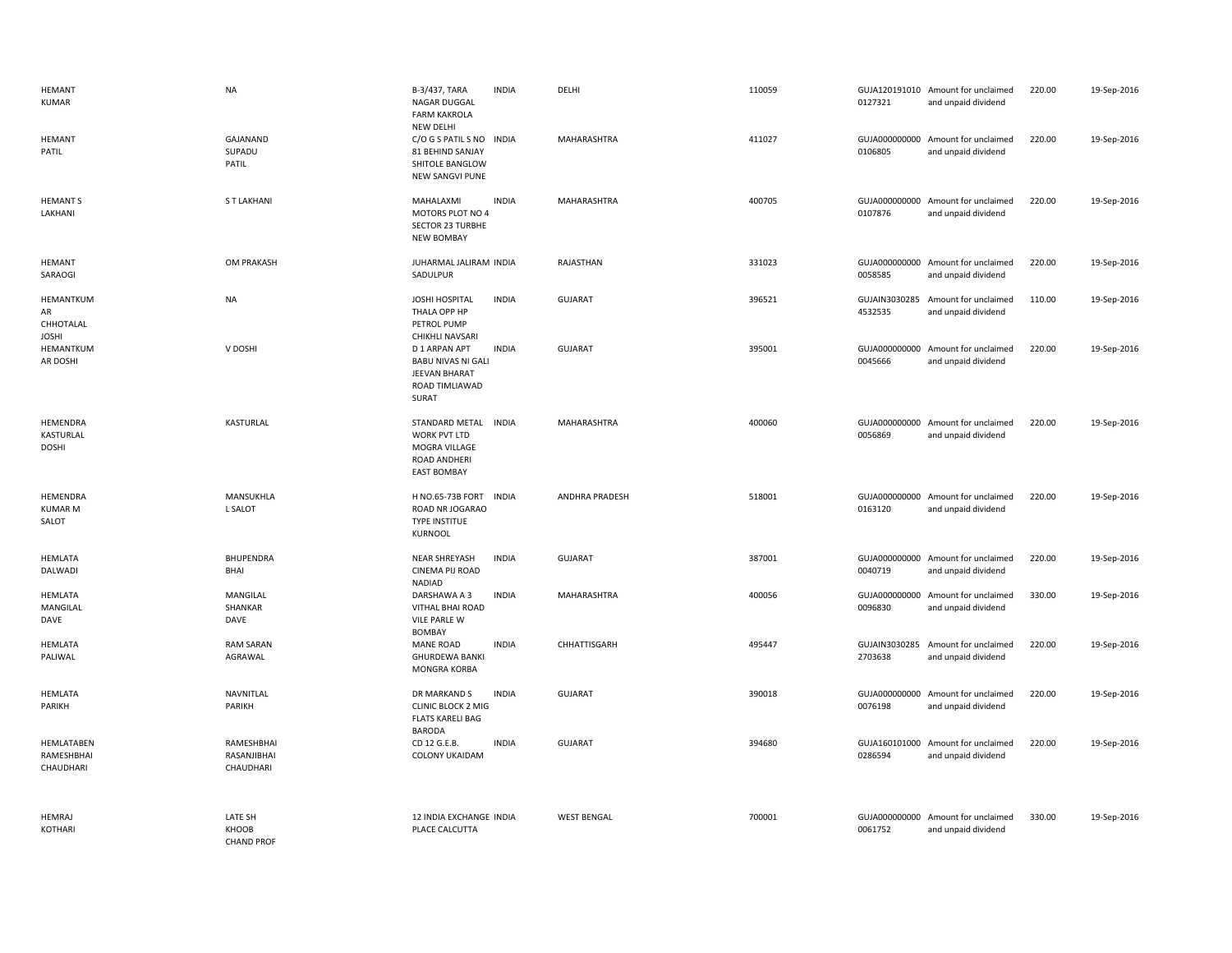| <b>HEMANT</b><br><b>KUMAR</b>                | <b>NA</b>                                    | B-3/437, TARA<br>NAGAR DUGGAL<br><b>FARM KAKROLA</b>                                        | <b>INDIA</b> | DELHI                 | 110059 | 0127321                  | GUJA120191010 Amount for unclaimed<br>and unpaid dividend | 220.00 | 19-Sep-2016 |
|----------------------------------------------|----------------------------------------------|---------------------------------------------------------------------------------------------|--------------|-----------------------|--------|--------------------------|-----------------------------------------------------------|--------|-------------|
| <b>HEMANT</b><br>PATIL                       | GAJANAND<br>SUPADU<br>PATIL                  | NEW DELHI<br>C/O G S PATIL S NO<br>81 BEHIND SANJAY<br>SHITOLE BANGLOW<br>NEW SANGVI PUNE   | <b>INDIA</b> | MAHARASHTRA           | 411027 | 0106805                  | GUJA000000000 Amount for unclaimed<br>and unpaid dividend | 220.00 | 19-Sep-2016 |
| <b>HEMANT S</b><br>LAKHANI                   | <b>ST LAKHANI</b>                            | MAHALAXMI<br>MOTORS PLOT NO 4<br><b>SECTOR 23 TURBHE</b><br><b>NEW BOMBAY</b>               | <b>INDIA</b> | MAHARASHTRA           | 400705 | 0107876                  | GUJA000000000 Amount for unclaimed<br>and unpaid dividend | 220.00 | 19-Sep-2016 |
| <b>HEMANT</b><br>SARAOGI                     | <b>OM PRAKASH</b>                            | JUHARMAL JALIRAM INDIA<br>SADULPUR                                                          |              | <b>RAJASTHAN</b>      | 331023 | 0058585                  | GUJA000000000 Amount for unclaimed<br>and unpaid dividend | 220.00 | 19-Sep-2016 |
| HEMANTKUM<br>AR<br>CHHOTALAL<br><b>JOSHI</b> | <b>NA</b>                                    | JOSHI HOSPITAL<br>THALA OPP HP<br>PETROL PUMP<br>CHIKHLI NAVSARI                            | <b>INDIA</b> | <b>GUJARAT</b>        | 396521 | GUJAIN3030285<br>4532535 | Amount for unclaimed<br>and unpaid dividend               | 110.00 | 19-Sep-2016 |
| HEMANTKUM<br>AR DOSHI                        | V DOSHI                                      | D 1 ARPAN APT<br><b>BABU NIVAS NI GALI</b><br>JEEVAN BHARAT<br>ROAD TIMLIAWAD<br>SURAT      | <b>INDIA</b> | <b>GUJARAT</b>        | 395001 | 0045666                  | GUJA000000000 Amount for unclaimed<br>and unpaid dividend | 220.00 | 19-Sep-2016 |
| HEMENDRA<br>KASTURLAL<br><b>DOSHI</b>        | KASTURLAL                                    | STANDARD METAL INDIA<br>WORK PVT LTD<br>MOGRA VILLAGE<br>ROAD ANDHERI<br><b>EAST BOMBAY</b> |              | MAHARASHTRA           | 400060 | 0056869                  | GUJA000000000 Amount for unclaimed<br>and unpaid dividend | 220.00 | 19-Sep-2016 |
| HEMENDRA<br><b>KUMAR M</b><br>SALOT          | MANSUKHLA<br>L SALOT                         | H NO.65-73B FORT<br>ROAD NR JOGARAO<br><b>TYPE INSTITUE</b><br>KURNOOL                      | <b>INDIA</b> | <b>ANDHRA PRADESH</b> | 518001 | 0163120                  | GUJA000000000 Amount for unclaimed<br>and unpaid dividend | 220.00 | 19-Sep-2016 |
| <b>HEMLATA</b><br>DALWADI                    | <b>BHUPENDRA</b><br>BHAI                     | NEAR SHREYASH<br>CINEMA PIJ ROAD<br>NADIAD                                                  | <b>INDIA</b> | <b>GUJARAT</b>        | 387001 | 0040719                  | GUJA000000000 Amount for unclaimed<br>and unpaid dividend | 220.00 | 19-Sep-2016 |
| <b>HEMLATA</b><br>MANGILAL<br>DAVE           | MANGILAL<br>SHANKAR<br>DAVE                  | DARSHAWA A 3<br>VITHAL BHAI ROAD<br><b>VILE PARLE W</b><br><b>BOMBAY</b>                    | <b>INDIA</b> | MAHARASHTRA           | 400056 | 0096830                  | GUJA000000000 Amount for unclaimed<br>and unpaid dividend | 330.00 | 19-Sep-2016 |
| <b>HEMLATA</b><br>PALIWAL                    | <b>RAM SARAN</b><br>AGRAWAL                  | <b>MANE ROAD</b><br><b>GHURDEWA BANKI</b><br>MONGRA KORBA                                   | <b>INDIA</b> | CHHATTISGARH          | 495447 | 2703638                  | GUJAIN3030285 Amount for unclaimed<br>and unpaid dividend | 220.00 | 19-Sep-2016 |
| <b>HEMLATA</b><br>PARIKH                     | NAVNITLAL<br>PARIKH                          | DR MARKAND S<br><b>CLINIC BLOCK 2 MIG</b><br><b>FLATS KARELI BAG</b><br><b>BARODA</b>       | <b>INDIA</b> | <b>GUJARAT</b>        | 390018 | GUJA000000000<br>0076198 | Amount for unclaimed<br>and unpaid dividend               | 220.00 | 19-Sep-2016 |
| HEMLATABEN<br>RAMESHBHAI<br>CHAUDHARI        | RAMESHBHAI<br>RASANJIBHAI<br>CHAUDHARI       | CD 12 G.E.B.<br><b>COLONY UKAIDAM</b>                                                       | <b>INDIA</b> | <b>GUJARAT</b>        | 394680 | 0286594                  | GUJA160101000 Amount for unclaimed<br>and unpaid dividend | 220.00 | 19-Sep-2016 |
| <b>HEMRAJ</b><br><b>KOTHARI</b>              | <b>LATE SH</b><br>KHOOB<br><b>CHAND PROF</b> | 12 INDIA EXCHANGE INDIA<br>PLACE CALCUTTA                                                   |              | <b>WEST BENGAL</b>    | 700001 | 0061752                  | GUJA000000000 Amount for unclaimed<br>and unpaid dividend | 330.00 | 19-Sep-2016 |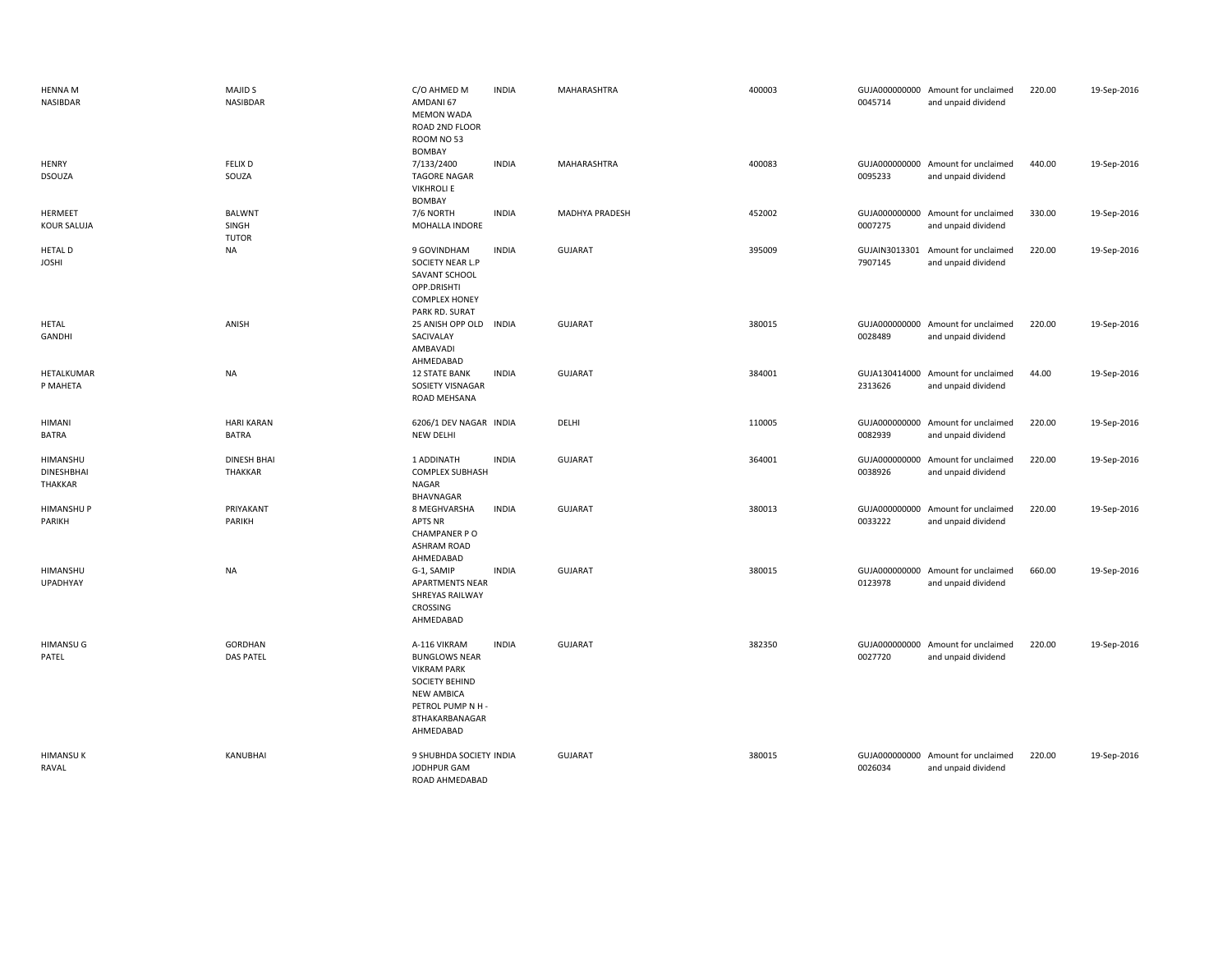| <b>HENNA M</b><br>NASIBDAR               | MAJID <sub>S</sub><br>NASIBDAR         | C/O AHMED M<br>AMDANI 67<br><b>MEMON WADA</b><br>ROAD 2ND FLOOR<br>ROOM NO 53<br><b>BOMBAY</b>                                                               | <b>INDIA</b> | MAHARASHTRA           | 400003 | 0045714                  | GUJA000000000 Amount for unclaimed<br>and unpaid dividend | 220.00 | 19-Sep-2016 |
|------------------------------------------|----------------------------------------|--------------------------------------------------------------------------------------------------------------------------------------------------------------|--------------|-----------------------|--------|--------------------------|-----------------------------------------------------------|--------|-------------|
| <b>HENRY</b><br><b>DSOUZA</b>            | <b>FELIX D</b><br>SOUZA                | 7/133/2400<br><b>TAGORE NAGAR</b><br><b>VIKHROLI E</b><br><b>BOMBAY</b>                                                                                      | <b>INDIA</b> | MAHARASHTRA           | 400083 | 0095233                  | GUJA000000000 Amount for unclaimed<br>and unpaid dividend | 440.00 | 19-Sep-2016 |
| HERMEET<br><b>KOUR SALUJA</b>            | <b>BALWNT</b><br>SINGH<br><b>TUTOR</b> | 7/6 NORTH<br>MOHALLA INDORE                                                                                                                                  | <b>INDIA</b> | <b>MADHYA PRADESH</b> | 452002 | 0007275                  | GUJA000000000 Amount for unclaimed<br>and unpaid dividend | 330.00 | 19-Sep-2016 |
| <b>HETAL D</b><br><b>JOSHI</b>           | <b>NA</b>                              | 9 GOVINDHAM<br>SOCIETY NEAR L.P<br>SAVANT SCHOOL<br>OPP.DRISHTI<br><b>COMPLEX HONEY</b><br>PARK RD. SURAT                                                    | <b>INDIA</b> | <b>GUJARAT</b>        | 395009 | GUJAIN3013301<br>7907145 | Amount for unclaimed<br>and unpaid dividend               | 220.00 | 19-Sep-2016 |
| <b>HETAL</b><br>GANDHI                   | ANISH                                  | 25 ANISH OPP OLD<br>SACIVALAY<br>AMBAVADI<br>AHMEDABAD                                                                                                       | <b>INDIA</b> | <b>GUJARAT</b>        | 380015 | 0028489                  | GUJA000000000 Amount for unclaimed<br>and unpaid dividend | 220.00 | 19-Sep-2016 |
| HETALKUMAR<br>P MAHETA                   | <b>NA</b>                              | <b>12 STATE BANK</b><br>SOSIETY VISNAGAR<br>ROAD MEHSANA                                                                                                     | <b>INDIA</b> | <b>GUJARAT</b>        | 384001 | 2313626                  | GUJA130414000 Amount for unclaimed<br>and unpaid dividend | 44.00  | 19-Sep-2016 |
| <b>HIMANI</b><br><b>BATRA</b>            | <b>HARI KARAN</b><br><b>BATRA</b>      | 6206/1 DEV NAGAR INDIA<br><b>NEW DELHI</b>                                                                                                                   |              | DELHI                 | 110005 | 0082939                  | GUJA000000000 Amount for unclaimed<br>and unpaid dividend | 220.00 | 19-Sep-2016 |
| HIMANSHU<br><b>DINESHBHAI</b><br>THAKKAR | <b>DINESH BHAI</b><br><b>THAKKAR</b>   | 1 ADDINATH<br><b>COMPLEX SUBHASH</b><br>NAGAR<br><b>BHAVNAGAR</b>                                                                                            | <b>INDIA</b> | <b>GUJARAT</b>        | 364001 | 0038926                  | GUJA000000000 Amount for unclaimed<br>and unpaid dividend | 220.00 | 19-Sep-2016 |
| <b>HIMANSHUP</b><br>PARIKH               | PRIYAKANT<br>PARIKH                    | 8 MEGHVARSHA<br><b>APTS NR</b><br>CHAMPANER PO<br><b>ASHRAM ROAD</b><br>AHMEDABAD                                                                            | <b>INDIA</b> | <b>GUJARAT</b>        | 380013 | 0033222                  | GUJA000000000 Amount for unclaimed<br>and unpaid dividend | 220.00 | 19-Sep-2016 |
| HIMANSHU<br>UPADHYAY                     | <b>NA</b>                              | G-1, SAMIP<br><b>APARTMENTS NEAR</b><br>SHREYAS RAILWAY<br>CROSSING<br>AHMEDABAD                                                                             | <b>INDIA</b> | <b>GUJARAT</b>        | 380015 | 0123978                  | GUJA000000000 Amount for unclaimed<br>and unpaid dividend | 660.00 | 19-Sep-2016 |
| <b>HIMANSU G</b><br>PATEL                | <b>GORDHAN</b><br><b>DAS PATEL</b>     | A-116 VIKRAM<br><b>BUNGLOWS NEAR</b><br><b>VIKRAM PARK</b><br><b>SOCIETY BEHIND</b><br><b>NEW AMBICA</b><br>PETROL PUMP N H -<br>8THAKARBANAGAR<br>AHMEDABAD | <b>INDIA</b> | <b>GUJARAT</b>        | 382350 | GUJA000000000<br>0027720 | Amount for unclaimed<br>and unpaid dividend               | 220.00 | 19-Sep-2016 |
| <b>HIMANSUK</b><br>RAVAL                 | KANUBHAI                               | 9 SHUBHDA SOCIETY INDIA<br>JODHPUR GAM<br>ROAD AHMEDABAD                                                                                                     |              | <b>GUJARAT</b>        | 380015 | 0026034                  | GUJA000000000 Amount for unclaimed<br>and unpaid dividend | 220.00 | 19-Sep-2016 |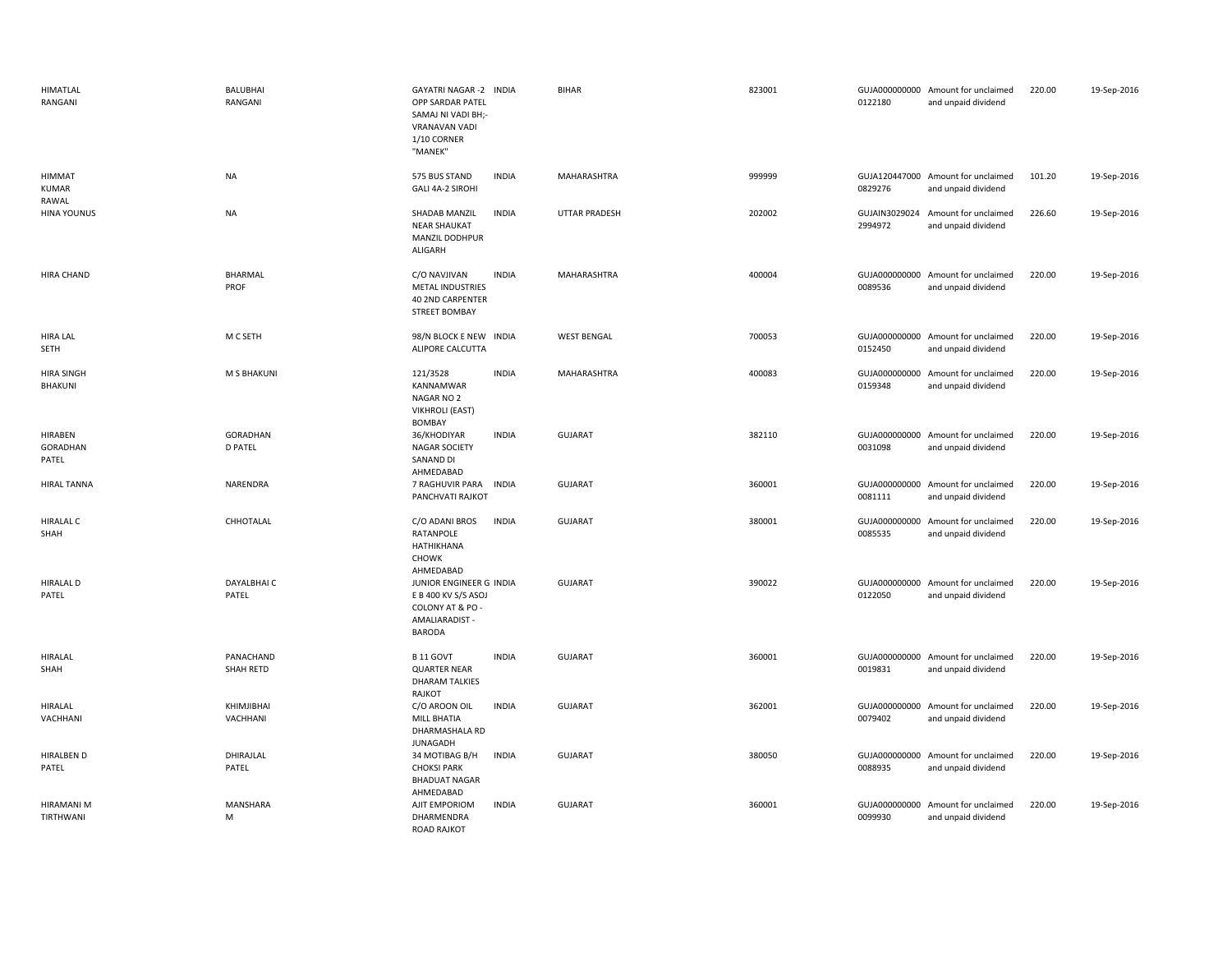| <b>HIMATLAL</b><br>RANGANI          | <b>BALUBHAI</b><br>RANGANI        | GAYATRI NAGAR -2 INDIA<br>OPP SARDAR PATEL<br>SAMAJ NI VADI BH;-<br>VRANAVAN VADI<br>1/10 CORNER<br>"MANEK" |              | <b>BIHAR</b>         | 823001 | 0122180                  | GUJA000000000 Amount for unclaimed<br>and unpaid dividend | 220.00 | 19-Sep-2016 |
|-------------------------------------|-----------------------------------|-------------------------------------------------------------------------------------------------------------|--------------|----------------------|--------|--------------------------|-----------------------------------------------------------|--------|-------------|
| HIMMAT<br><b>KUMAR</b><br>RAWAL     | <b>NA</b>                         | 575 BUS STAND<br>GALI 4A-2 SIROHI                                                                           | <b>INDIA</b> | MAHARASHTRA          | 999999 | 0829276                  | GUJA120447000 Amount for unclaimed<br>and unpaid dividend | 101.20 | 19-Sep-2016 |
| <b>HINA YOUNUS</b>                  | <b>NA</b>                         | SHADAB MANZIL<br><b>NEAR SHAUKAT</b><br>MANZIL DODHPUR<br>ALIGARH                                           | <b>INDIA</b> | <b>UTTAR PRADESH</b> | 202002 | 2994972                  | GUJAIN3029024 Amount for unclaimed<br>and unpaid dividend | 226.60 | 19-Sep-2016 |
| HIRA CHAND                          | BHARMAL<br>PROF                   | C/O NAVJIVAN<br><b>METAL INDUSTRIES</b><br>40 2ND CARPENTER<br><b>STREET BOMBAY</b>                         | <b>INDIA</b> | MAHARASHTRA          | 400004 | 0089536                  | GUJA000000000 Amount for unclaimed<br>and unpaid dividend | 220.00 | 19-Sep-2016 |
| <b>HIRA LAL</b><br>SETH             | M C SETH                          | 98/N BLOCK E NEW INDIA<br>ALIPORE CALCUTTA                                                                  |              | <b>WEST BENGAL</b>   | 700053 | 0152450                  | GUJA000000000 Amount for unclaimed<br>and unpaid dividend | 220.00 | 19-Sep-2016 |
| <b>HIRA SINGH</b><br>BHAKUNI        | <b>M S BHAKUNI</b>                | 121/3528<br>KANNAMWAR<br>NAGAR NO 2<br><b>VIKHROLI (EAST)</b><br><b>BOMBAY</b>                              | <b>INDIA</b> | MAHARASHTRA          | 400083 | 0159348                  | GUJA000000000 Amount for unclaimed<br>and unpaid dividend | 220.00 | 19-Sep-2016 |
| HIRABEN<br><b>GORADHAN</b><br>PATEL | <b>GORADHAN</b><br><b>D PATEL</b> | 36/KHODIYAR<br><b>NAGAR SOCIETY</b><br>SANAND DI<br>AHMEDABAD                                               | <b>INDIA</b> | <b>GUJARAT</b>       | 382110 | 0031098                  | GUJA000000000 Amount for unclaimed<br>and unpaid dividend | 220.00 | 19-Sep-2016 |
| <b>HIRAL TANNA</b>                  | NARENDRA                          | 7 RAGHUVIR PARA INDIA<br>PANCHVATI RAJKOT                                                                   |              | <b>GUJARAT</b>       | 360001 | 0081111                  | GUJA000000000 Amount for unclaimed<br>and unpaid dividend | 220.00 | 19-Sep-2016 |
| <b>HIRALAL C</b><br>SHAH            | CHHOTALAL                         | C/O ADANI BROS<br>RATANPOLE<br>HATHIKHANA<br>CHOWK<br>AHMEDABAD                                             | <b>INDIA</b> | <b>GUJARAT</b>       | 380001 | GUJA000000000<br>0085535 | Amount for unclaimed<br>and unpaid dividend               | 220.00 | 19-Sep-2016 |
| <b>HIRALAL D</b><br>PATEL           | DAYALBHAI C<br>PATEL              | JUNIOR ENGINEER G INDIA<br>E B 400 KV S/S ASOJ<br>COLONY AT & PO -<br>AMALIARADIST -<br><b>BARODA</b>       |              | <b>GUJARAT</b>       | 390022 | 0122050                  | GUJA000000000 Amount for unclaimed<br>and unpaid dividend | 220.00 | 19-Sep-2016 |
| HIRALAL<br>SHAH                     | PANACHAND<br>SHAH RETD            | B 11 GOVT<br><b>QUARTER NEAR</b><br><b>DHARAM TALKIES</b><br>RAJKOT                                         | <b>INDIA</b> | <b>GUJARAT</b>       | 360001 | 0019831                  | GUJA000000000 Amount for unclaimed<br>and unpaid dividend | 220.00 | 19-Sep-2016 |
| HIRALAL<br>VACHHANI                 | KHIMJIBHAI<br>VACHHANI            | C/O AROON OIL<br><b>MILL BHATIA</b><br>DHARMASHALA RD<br>JUNAGADH                                           | <b>INDIA</b> | <b>GUJARAT</b>       | 362001 | 0079402                  | GUJA000000000 Amount for unclaimed<br>and unpaid dividend | 220.00 | 19-Sep-2016 |
| <b>HIRALBEN D</b><br>PATEL          | DHIRAJLAL<br>PATEL                | 34 MOTIBAG B/H<br><b>CHOKSI PARK</b><br><b>BHADUAT NAGAR</b><br>AHMEDABAD                                   | <b>INDIA</b> | <b>GUJARAT</b>       | 380050 | 0088935                  | GUJA000000000 Amount for unclaimed<br>and unpaid dividend | 220.00 | 19-Sep-2016 |
| HIRAMANI M<br>TIRTHWANI             | MANSHARA<br>M                     | AJIT EMPORIOM<br>DHARMENDRA<br><b>ROAD RAJKOT</b>                                                           | <b>INDIA</b> | <b>GUJARAT</b>       | 360001 | GUJA000000000<br>0099930 | Amount for unclaimed<br>and unpaid dividend               | 220.00 | 19-Sep-2016 |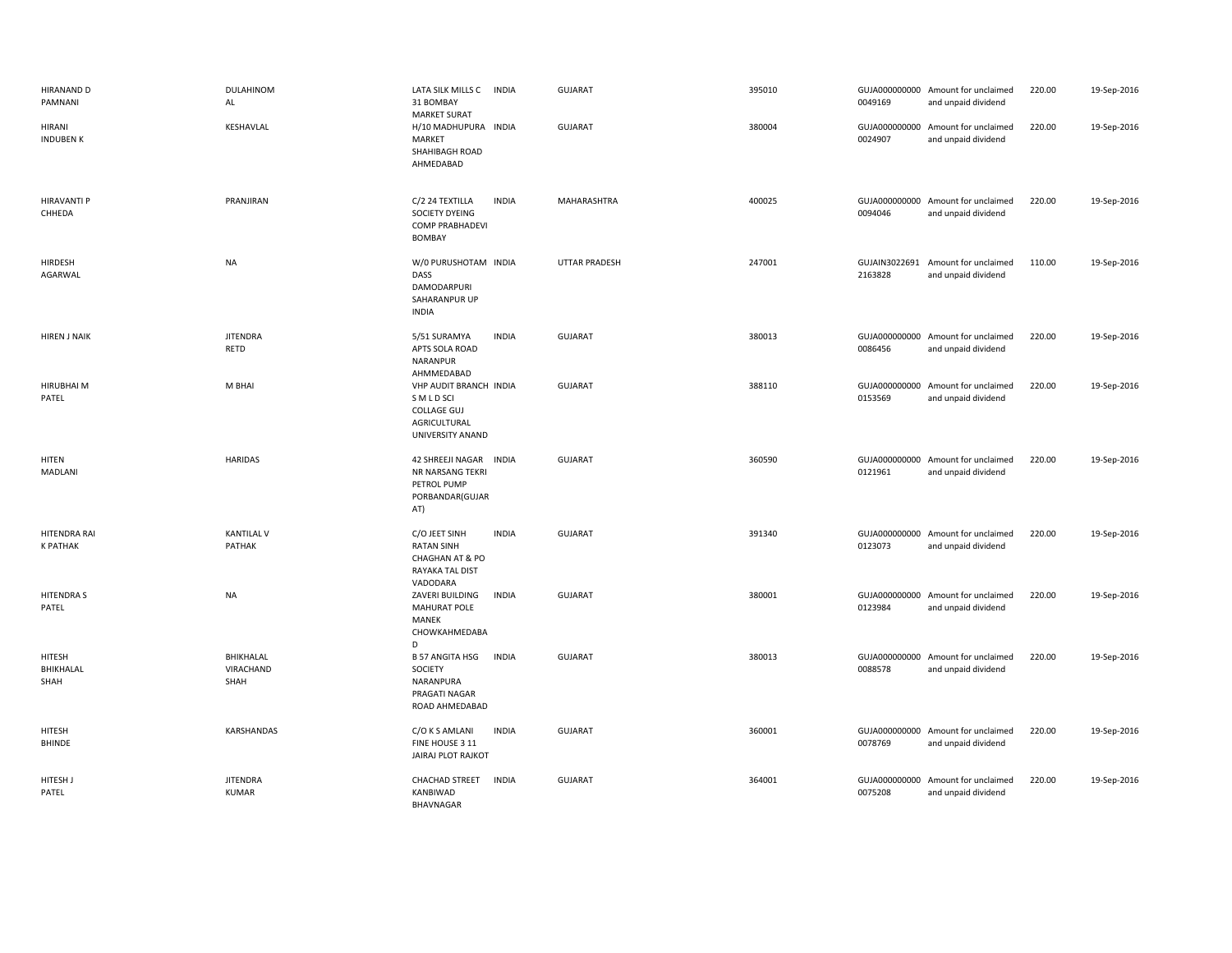| HIRANAND D<br>PAMNANI                  | DULAHINOM<br>AL                 | LATA SILK MILLS C INDIA<br>31 BOMBAY<br><b>MARKET SURAT</b>                                          | <b>GUJARAT</b> | 395010 | 0049169 | GUJA000000000 Amount for unclaimed<br>and unpaid dividend | 220.00 | 19-Sep-2016 |
|----------------------------------------|---------------------------------|------------------------------------------------------------------------------------------------------|----------------|--------|---------|-----------------------------------------------------------|--------|-------------|
| HIRANI<br><b>INDUBEN K</b>             | KESHAVLAL                       | H/10 MADHUPURA INDIA<br>MARKET<br>SHAHIBAGH ROAD<br>AHMEDABAD                                        | <b>GUJARAT</b> | 380004 | 0024907 | GUJA000000000 Amount for unclaimed<br>and unpaid dividend | 220.00 | 19-Sep-2016 |
| <b>HIRAVANTI P</b><br>CHHEDA           | PRANJIRAN                       | C/2 24 TEXTILLA<br><b>INDIA</b><br>SOCIETY DYEING<br><b>COMP PRABHADEVI</b><br><b>BOMBAY</b>         | MAHARASHTRA    | 400025 | 0094046 | GUJA000000000 Amount for unclaimed<br>and unpaid dividend | 220.00 | 19-Sep-2016 |
| HIRDESH<br>AGARWAL                     | <b>NA</b>                       | W/0 PURUSHOTAM INDIA<br>DASS<br>DAMODARPURI<br>SAHARANPUR UP<br>INDIA                                | UTTAR PRADESH  | 247001 | 2163828 | GUJAIN3022691 Amount for unclaimed<br>and unpaid dividend | 110.00 | 19-Sep-2016 |
| <b>HIREN J NAIK</b>                    | <b>JITENDRA</b><br>RETD         | <b>INDIA</b><br>5/51 SURAMYA<br>APTS SOLA ROAD<br>NARANPUR<br>AHMMEDABAD                             | <b>GUJARAT</b> | 380013 | 0086456 | GUJA000000000 Amount for unclaimed<br>and unpaid dividend | 220.00 | 19-Sep-2016 |
| <b>HIRUBHAI M</b><br>PATEL             | M BHAI                          | VHP AUDIT BRANCH INDIA<br>S M L D SCI<br><b>COLLAGE GUJ</b><br>AGRICULTURAL<br>UNIVERSITY ANAND      | <b>GUJARAT</b> | 388110 | 0153569 | GUJA000000000 Amount for unclaimed<br>and unpaid dividend | 220.00 | 19-Sep-2016 |
| HITEN<br>MADLANI                       | <b>HARIDAS</b>                  | 42 SHREEJI NAGAR INDIA<br>NR NARSANG TEKRI<br>PETROL PUMP<br>PORBANDAR(GUJAR<br>AT)                  | <b>GUJARAT</b> | 360590 | 0121961 | GUJA000000000 Amount for unclaimed<br>and unpaid dividend | 220.00 | 19-Sep-2016 |
| <b>HITENDRA RAI</b><br><b>K PATHAK</b> | <b>KANTILAL V</b><br>PATHAK     | C/O JEET SINH<br><b>INDIA</b><br><b>RATAN SINH</b><br>CHAGHAN AT & PO<br>RAYAKA TAL DIST<br>VADODARA | <b>GUJARAT</b> | 391340 | 0123073 | GUJA000000000 Amount for unclaimed<br>and unpaid dividend | 220.00 | 19-Sep-2016 |
| <b>HITENDRAS</b><br>PATEL              | <b>NA</b>                       | ZAVERI BUILDING<br><b>INDIA</b><br>MAHURAT POLE<br>MANEK<br>CHOWKAHMEDABA<br>D                       | <b>GUJARAT</b> | 380001 | 0123984 | GUJA000000000 Amount for unclaimed<br>and unpaid dividend | 220.00 | 19-Sep-2016 |
| HITESH<br>BHIKHALAL<br>SHAH            | BHIKHALAL<br>VIRACHAND<br>SHAH  | <b>B 57 ANGITA HSG</b><br><b>INDIA</b><br>SOCIETY<br>NARANPURA<br>PRAGATI NAGAR<br>ROAD AHMEDABAD    | <b>GUJARAT</b> | 380013 | 0088578 | GUJA000000000 Amount for unclaimed<br>and unpaid dividend | 220.00 | 19-Sep-2016 |
| HITESH<br>BHINDE                       | KARSHANDAS                      | C/O K S AMLANI<br><b>INDIA</b><br>FINE HOUSE 3 11<br>JAIRAJ PLOT RAJKOT                              | <b>GUJARAT</b> | 360001 | 0078769 | GUJA000000000 Amount for unclaimed<br>and unpaid dividend | 220.00 | 19-Sep-2016 |
| HITESH J<br>PATEL                      | <b>JITENDRA</b><br><b>KUMAR</b> | <b>CHACHAD STREET</b><br><b>INDIA</b><br>KANBIWAD<br>BHAVNAGAR                                       | <b>GUJARAT</b> | 364001 | 0075208 | GUJA000000000 Amount for unclaimed<br>and unpaid dividend | 220.00 | 19-Sep-2016 |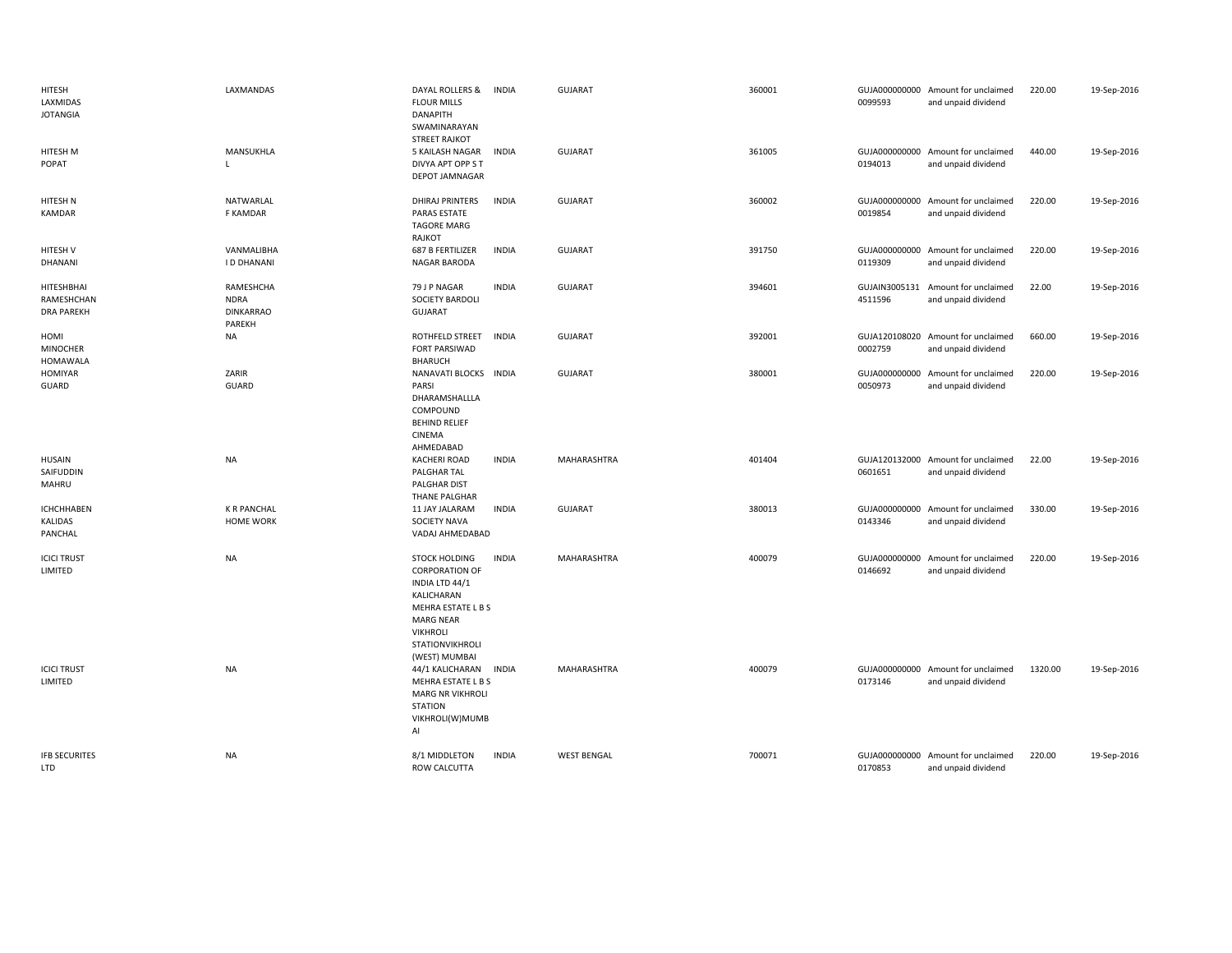| HITESH<br>LAXMIDAS<br><b>JOTANGIA</b>         | LAXMANDAS                                              | DAYAL ROLLERS &<br><b>FLOUR MILLS</b><br><b>DANAPITH</b><br>SWAMINARAYAN<br><b>STREET RAJKOT</b>                                                                               | <b>INDIA</b> | <b>GUJARAT</b>     | 360001 | 0099593                  | GUJA000000000 Amount for unclaimed<br>and unpaid dividend | 220.00  | 19-Sep-2016 |
|-----------------------------------------------|--------------------------------------------------------|--------------------------------------------------------------------------------------------------------------------------------------------------------------------------------|--------------|--------------------|--------|--------------------------|-----------------------------------------------------------|---------|-------------|
| HITESH M<br>POPAT                             | MANSUKHLA<br>$\mathsf{L}$                              | 5 KAILASH NAGAR<br>DIVYA APT OPP S T<br><b>DEPOT JAMNAGAR</b>                                                                                                                  | <b>INDIA</b> | GUJARAT            | 361005 | 0194013                  | GUJA000000000 Amount for unclaimed<br>and unpaid dividend | 440.00  | 19-Sep-2016 |
| HITESH N<br>KAMDAR                            | NATWARLAL<br>F KAMDAR                                  | <b>DHIRAJ PRINTERS</b><br>PARAS ESTATE<br>TAGORE MARG<br>RAJKOT                                                                                                                | <b>INDIA</b> | GUJARAT            | 360002 | 0019854                  | GUJA000000000 Amount for unclaimed<br>and unpaid dividend | 220.00  | 19-Sep-2016 |
| HITESH V<br><b>DHANANI</b>                    | VANMALIBHA<br><b>ID DHANANI</b>                        | 687 B FERTILIZER<br><b>NAGAR BARODA</b>                                                                                                                                        | <b>INDIA</b> | <b>GUJARAT</b>     | 391750 | 0119309                  | GUJA000000000 Amount for unclaimed<br>and unpaid dividend | 220.00  | 19-Sep-2016 |
| HITESHBHAI<br>RAMESHCHAN<br><b>DRA PAREKH</b> | RAMESHCHA<br><b>NDRA</b><br><b>DINKARRAO</b><br>PAREKH | 79 J P NAGAR<br><b>SOCIETY BARDOLI</b><br>GUJARAT                                                                                                                              | <b>INDIA</b> | GUJARAT            | 394601 | 4511596                  | GUJAIN3005131 Amount for unclaimed<br>and unpaid dividend | 22.00   | 19-Sep-2016 |
| HOMI<br><b>MINOCHER</b><br><b>HOMAWALA</b>    | NA                                                     | ROTHFELD STREET<br><b>FORT PARSIWAD</b><br><b>BHARUCH</b>                                                                                                                      | <b>INDIA</b> | <b>GUJARAT</b>     | 392001 | 0002759                  | GUJA120108020 Amount for unclaimed<br>and unpaid dividend | 660.00  | 19-Sep-2016 |
| <b>HOMIYAR</b><br>GUARD                       | ZARIR<br><b>GUARD</b>                                  | NANAVATI BLOCKS INDIA<br>PARSI<br>DHARAMSHALLLA<br>COMPOUND<br><b>BEHIND RELIEF</b><br>CINEMA<br>AHMEDABAD                                                                     |              | <b>GUJARAT</b>     | 380001 | GUJA000000000<br>0050973 | Amount for unclaimed<br>and unpaid dividend               | 220.00  | 19-Sep-2016 |
| <b>HUSAIN</b><br>SAIFUDDIN<br>MAHRU           | <b>NA</b>                                              | <b>KACHERI ROAD</b><br>PALGHAR TAL<br>PALGHAR DIST<br>THANE PALGHAR                                                                                                            | <b>INDIA</b> | MAHARASHTRA        | 401404 | 0601651                  | GUJA120132000 Amount for unclaimed<br>and unpaid dividend | 22.00   | 19-Sep-2016 |
| <b>ICHCHHABEN</b><br>KALIDAS<br>PANCHAL       | <b>K R PANCHAL</b><br><b>HOME WORK</b>                 | 11 JAY JALARAM<br><b>SOCIETY NAVA</b><br>VADAJ AHMEDABAD                                                                                                                       | <b>INDIA</b> | GUJARAT            | 380013 | 0143346                  | GUJA000000000 Amount for unclaimed<br>and unpaid dividend | 330.00  | 19-Sep-2016 |
| <b>ICICI TRUST</b><br>LIMITED                 | <b>NA</b>                                              | <b>STOCK HOLDING</b><br><b>CORPORATION OF</b><br>INDIA LTD 44/1<br>KALICHARAN<br>MEHRA ESTATE L B S<br><b>MARG NEAR</b><br><b>VIKHROLI</b><br>STATIONVIKHROLI<br>(WEST) MUMBAI | <b>INDIA</b> | MAHARASHTRA        | 400079 | 0146692                  | GUJA000000000 Amount for unclaimed<br>and unpaid dividend | 220.00  | 19-Sep-2016 |
| <b>ICICI TRUST</b><br>LIMITED                 | NA                                                     | 44/1 KALICHARAN<br>MEHRA ESTATE L B S<br><b>MARG NR VIKHROLI</b><br><b>STATION</b><br>VIKHROLI(W)MUMB<br>AI                                                                    | <b>INDIA</b> | MAHARASHTRA        | 400079 | 0173146                  | GUJA000000000 Amount for unclaimed<br>and unpaid dividend | 1320.00 | 19-Sep-2016 |
| <b>IFB SECURITES</b><br>LTD                   | NA                                                     | 8/1 MIDDLETON<br>ROW CALCUTTA                                                                                                                                                  | <b>INDIA</b> | <b>WEST BENGAL</b> | 700071 | 0170853                  | GUJA000000000 Amount for unclaimed<br>and unpaid dividend | 220.00  | 19-Sep-2016 |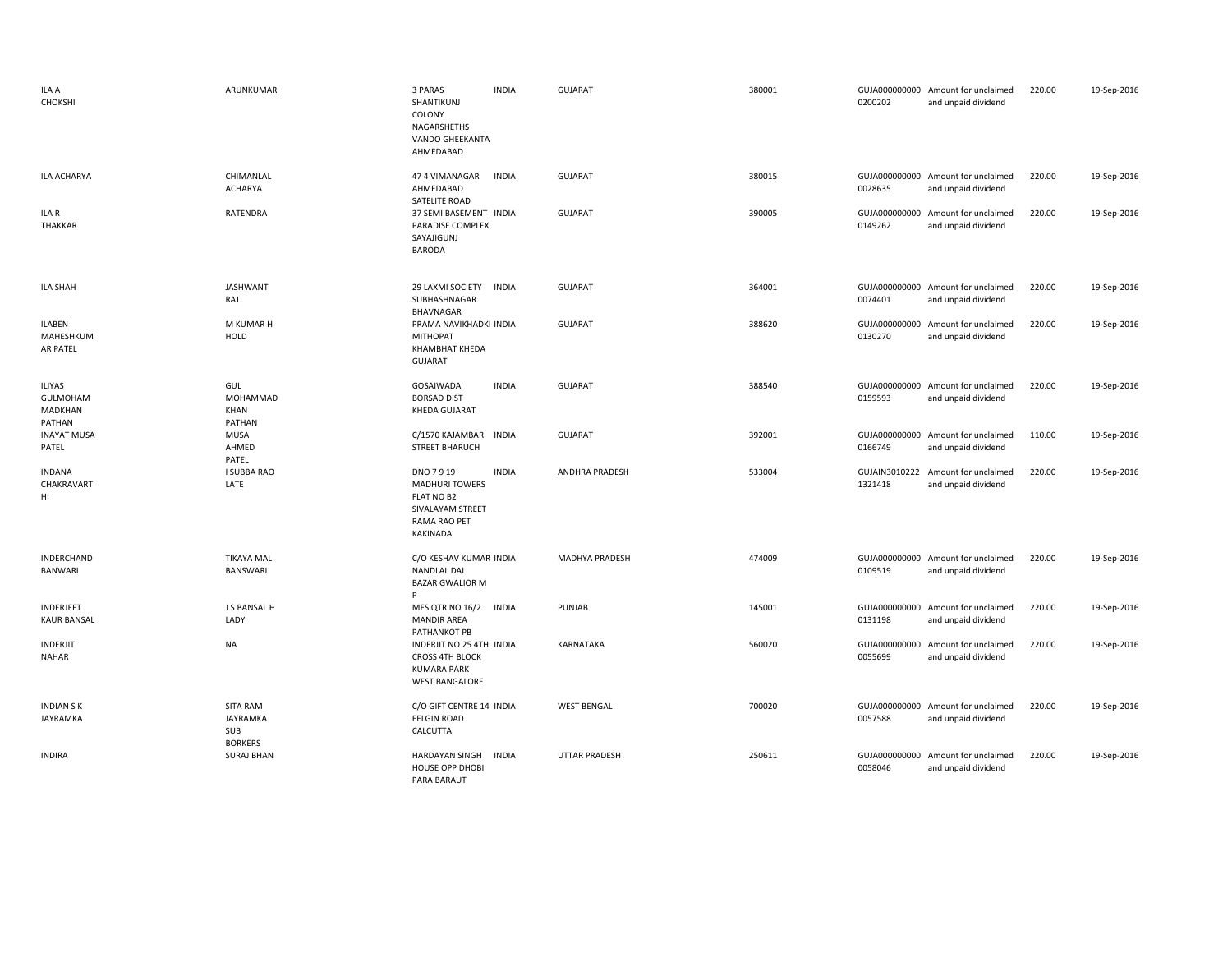| ILA A<br>CHOKSHI                        | ARUNKUMAR                                            | 3 PARAS<br><b>INDIA</b><br>SHANTIKUNJ<br>COLONY<br>NAGARSHETHS<br>VANDO GHEEKANTA<br>AHMEDABAD                         | <b>GUJARAT</b>        | 380001 | 0200202                  | GUJA000000000 Amount for unclaimed<br>and unpaid dividend | 220.00 | 19-Sep-2016 |
|-----------------------------------------|------------------------------------------------------|------------------------------------------------------------------------------------------------------------------------|-----------------------|--------|--------------------------|-----------------------------------------------------------|--------|-------------|
| ILA ACHARYA                             | CHIMANLAL<br><b>ACHARYA</b>                          | 47 4 VIMANAGAR<br><b>INDIA</b><br>AHMEDABAD<br>SATELITE ROAD                                                           | <b>GUJARAT</b>        | 380015 | 0028635                  | GUJA000000000 Amount for unclaimed<br>and unpaid dividend | 220.00 | 19-Sep-2016 |
| ILA R<br>THAKKAR                        | RATENDRA                                             | 37 SEMI BASEMENT INDIA<br>PARADISE COMPLEX<br>SAYAJIGUNJ<br>BARODA                                                     | <b>GUJARAT</b>        | 390005 | GUJA000000000<br>0149262 | Amount for unclaimed<br>and unpaid dividend               | 220.00 | 19-Sep-2016 |
| <b>ILA SHAH</b>                         | <b>JASHWANT</b><br>RAJ                               | 29 LAXMI SOCIETY<br><b>INDIA</b><br>SUBHASHNAGAR<br>BHAVNAGAR                                                          | <b>GUJARAT</b>        | 364001 | 0074401                  | GUJA000000000 Amount for unclaimed<br>and unpaid dividend | 220.00 | 19-Sep-2016 |
| <b>ILABEN</b><br>MAHESHKUM<br>AR PATEL  | M KUMAR H<br>HOLD                                    | PRAMA NAVIKHADKI INDIA<br><b>MITHOPAT</b><br>KHAMBHAT KHEDA<br><b>GUJARAT</b>                                          | <b>GUJARAT</b>        | 388620 | GUJA000000000<br>0130270 | Amount for unclaimed<br>and unpaid dividend               | 220.00 | 19-Sep-2016 |
| ILIYAS<br>GULMOHAM<br>MADKHAN<br>PATHAN | GUL<br>MOHAMMAD<br>KHAN<br>PATHAN                    | GOSAIWADA<br><b>INDIA</b><br><b>BORSAD DIST</b><br><b>KHEDA GUJARAT</b>                                                | <b>GUJARAT</b>        | 388540 | 0159593                  | GUJA000000000 Amount for unclaimed<br>and unpaid dividend | 220.00 | 19-Sep-2016 |
| <b>INAYAT MUSA</b><br>PATEL             | MUSA<br>AHMED<br>PATEL                               | C/1570 KAJAMBAR<br><b>INDIA</b><br><b>STREET BHARUCH</b>                                                               | <b>GUJARAT</b>        | 392001 | 0166749                  | GUJA000000000 Amount for unclaimed<br>and unpaid dividend | 110.00 | 19-Sep-2016 |
| <b>INDANA</b><br>CHAKRAVART<br>HI       | I SUBBA RAO<br>LATE                                  | DNO 7919<br><b>INDIA</b><br><b>MADHURI TOWERS</b><br>FLAT NO B2<br>SIVALAYAM STREET<br>RAMA RAO PET<br><b>KAKINADA</b> | <b>ANDHRA PRADESH</b> | 533004 | GUJAIN3010222<br>1321418 | Amount for unclaimed<br>and unpaid dividend               | 220.00 | 19-Sep-2016 |
| INDERCHAND<br><b>BANWARI</b>            | <b>TIKAYA MAL</b><br>BANSWARI                        | C/O KESHAV KUMAR INDIA<br>NANDLAL DAL<br><b>BAZAR GWALIOR M</b><br>P                                                   | MADHYA PRADESH        | 474009 | 0109519                  | GUJA000000000 Amount for unclaimed<br>and unpaid dividend | 220.00 | 19-Sep-2016 |
| INDERJEET<br><b>KAUR BANSAL</b>         | J S BANSAL H<br>LADY                                 | MES QTR NO 16/2<br><b>INDIA</b><br><b>MANDIR AREA</b><br>PATHANKOT PB                                                  | PUNJAB                | 145001 | 0131198                  | GUJA000000000 Amount for unclaimed<br>and unpaid dividend | 220.00 | 19-Sep-2016 |
| INDERJIT<br><b>NAHAR</b>                | NA                                                   | INDERJIT NO 25 4TH INDIA<br><b>CROSS 4TH BLOCK</b><br><b>KUMARA PARK</b><br><b>WEST BANGALORE</b>                      | KARNATAKA             | 560020 | GUJA000000000<br>0055699 | Amount for unclaimed<br>and unpaid dividend               | 220.00 | 19-Sep-2016 |
| <b>INDIAN SK</b><br>JAYRAMKA            | <b>SITA RAM</b><br>JAYRAMKA<br>SUB<br><b>BORKERS</b> | C/O GIFT CENTRE 14 INDIA<br><b>EELGIN ROAD</b><br>CALCUTTA                                                             | <b>WEST BENGAL</b>    | 700020 | 0057588                  | GUJA000000000 Amount for unclaimed<br>and unpaid dividend | 220.00 | 19-Sep-2016 |
| <b>INDIRA</b>                           | <b>SURAJ BHAN</b>                                    | <b>HARDAYAN SINGH</b><br><b>INDIA</b><br><b>HOUSE OPP DHOBI</b><br>PARA BARAUT                                         | <b>UTTAR PRADESH</b>  | 250611 | 0058046                  | GUJA000000000 Amount for unclaimed<br>and unpaid dividend | 220.00 | 19-Sep-2016 |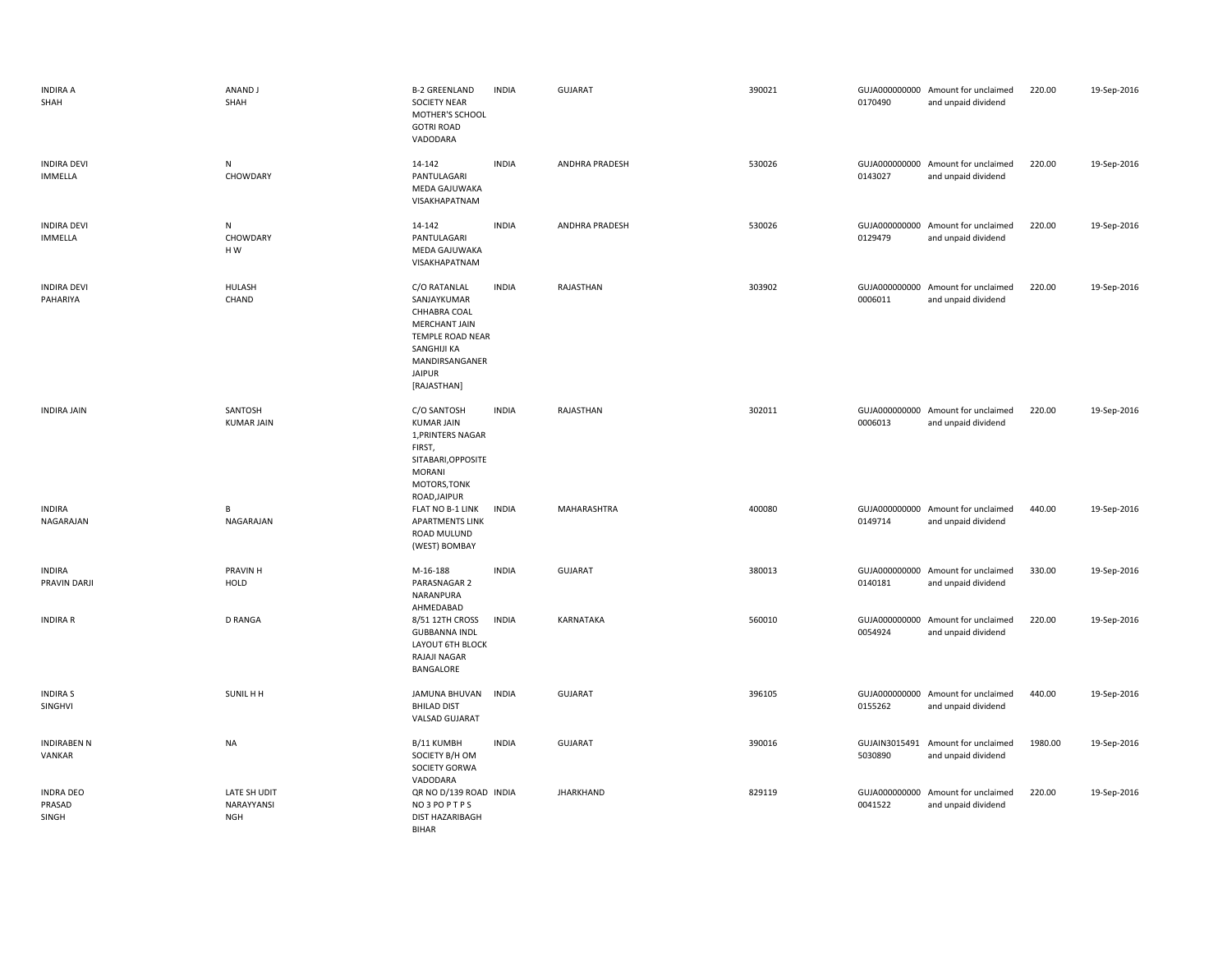| <b>INDIRA A</b><br>SHAH              | ANAND J<br>SHAH                          | <b>B-2 GREENLAND</b><br>SOCIETY NEAR<br>MOTHER'S SCHOOL<br><b>GOTRI ROAD</b><br>VADODARA                                                                 | <b>INDIA</b> | <b>GUJARAT</b>        | 390021 | 0170490                  | GUJA000000000 Amount for unclaimed<br>and unpaid dividend | 220.00  | 19-Sep-2016 |
|--------------------------------------|------------------------------------------|----------------------------------------------------------------------------------------------------------------------------------------------------------|--------------|-----------------------|--------|--------------------------|-----------------------------------------------------------|---------|-------------|
| <b>INDIRA DEVI</b><br><b>IMMELLA</b> | N<br>CHOWDARY                            | 14-142<br>PANTULAGARI<br>MEDA GAJUWAKA<br>VISAKHAPATNAM                                                                                                  | <b>INDIA</b> | <b>ANDHRA PRADESH</b> | 530026 | 0143027                  | GUJA000000000 Amount for unclaimed<br>and unpaid dividend | 220.00  | 19-Sep-2016 |
| <b>INDIRA DEVI</b><br><b>IMMELLA</b> | N<br>CHOWDARY<br>HW                      | 14-142<br>PANTULAGARI<br>MEDA GAJUWAKA<br>VISAKHAPATNAM                                                                                                  | <b>INDIA</b> | <b>ANDHRA PRADESH</b> | 530026 | 0129479                  | GUJA000000000 Amount for unclaimed<br>and unpaid dividend | 220.00  | 19-Sep-2016 |
| <b>INDIRA DEVI</b><br>PAHARIYA       | HULASH<br>CHAND                          | C/O RATANLAL<br>SANJAYKUMAR<br>CHHABRA COAL<br><b>MERCHANT JAIN</b><br>TEMPLE ROAD NEAR<br>SANGHIJI KA<br>MANDIRSANGANER<br><b>JAIPUR</b><br>[RAJASTHAN] | <b>INDIA</b> | RAJASTHAN             | 303902 | 0006011                  | GUJA000000000 Amount for unclaimed<br>and unpaid dividend | 220.00  | 19-Sep-2016 |
| <b>INDIRA JAIN</b>                   | SANTOSH<br><b>KUMAR JAIN</b>             | C/O SANTOSH<br><b>KUMAR JAIN</b><br>1, PRINTERS NAGAR<br>FIRST,<br>SITABARI, OPPOSITE<br><b>MORANI</b><br>MOTORS, TONK<br>ROAD, JAIPUR                   | <b>INDIA</b> | RAJASTHAN             | 302011 | 0006013                  | GUJA000000000 Amount for unclaimed<br>and unpaid dividend | 220.00  | 19-Sep-2016 |
| <b>INDIRA</b><br>NAGARAJAN           | В<br>NAGARAJAN                           | FLAT NO B-1 LINK<br><b>APARTMENTS LINK</b><br>ROAD MULUND<br>(WEST) BOMBAY                                                                               | <b>INDIA</b> | MAHARASHTRA           | 400080 | 0149714                  | GUJA000000000 Amount for unclaimed<br>and unpaid dividend | 440.00  | 19-Sep-2016 |
| <b>INDIRA</b><br>PRAVIN DARJI        | PRAVIN H<br><b>HOLD</b>                  | M-16-188<br>PARASNAGAR 2<br>NARANPURA<br>AHMEDABAD                                                                                                       | <b>INDIA</b> | <b>GUJARAT</b>        | 380013 | 0140181                  | GUJA000000000 Amount for unclaimed<br>and unpaid dividend | 330.00  | 19-Sep-2016 |
| <b>INDIRA R</b>                      | <b>D RANGA</b>                           | 8/51 12TH CROSS<br><b>GUBBANNA INDL</b><br>LAYOUT 6TH BLOCK<br>RAJAJI NAGAR<br>BANGALORE                                                                 | <b>INDIA</b> | KARNATAKA             | 560010 | 0054924                  | GUJA000000000 Amount for unclaimed<br>and unpaid dividend | 220.00  | 19-Sep-2016 |
| <b>INDIRA S</b><br>SINGHVI           | SUNIL H H                                | <b>JAMUNA BHUVAN</b><br><b>BHILAD DIST</b><br><b>VALSAD GUJARAT</b>                                                                                      | <b>INDIA</b> | <b>GUJARAT</b>        | 396105 | 0155262                  | GUJA000000000 Amount for unclaimed<br>and unpaid dividend | 440.00  | 19-Sep-2016 |
| <b>INDIRABEN N</b><br>VANKAR         | <b>NA</b>                                | B/11 KUMBH<br>SOCIETY B/H OM<br>SOCIETY GORWA<br>VADODARA                                                                                                | <b>INDIA</b> | GUJARAT               | 390016 | GUJAIN3015491<br>5030890 | Amount for unclaimed<br>and unpaid dividend               | 1980.00 | 19-Sep-2016 |
| <b>INDRA DEO</b><br>PRASAD<br>SINGH  | LATE SH UDIT<br>NARAYYANSI<br><b>NGH</b> | QR NO D/139 ROAD INDIA<br>NO3POPTPS<br>DIST HAZARIBAGH<br>BIHAR                                                                                          |              | <b>JHARKHAND</b>      | 829119 | 0041522                  | GUJA000000000 Amount for unclaimed<br>and unpaid dividend | 220.00  | 19-Sep-2016 |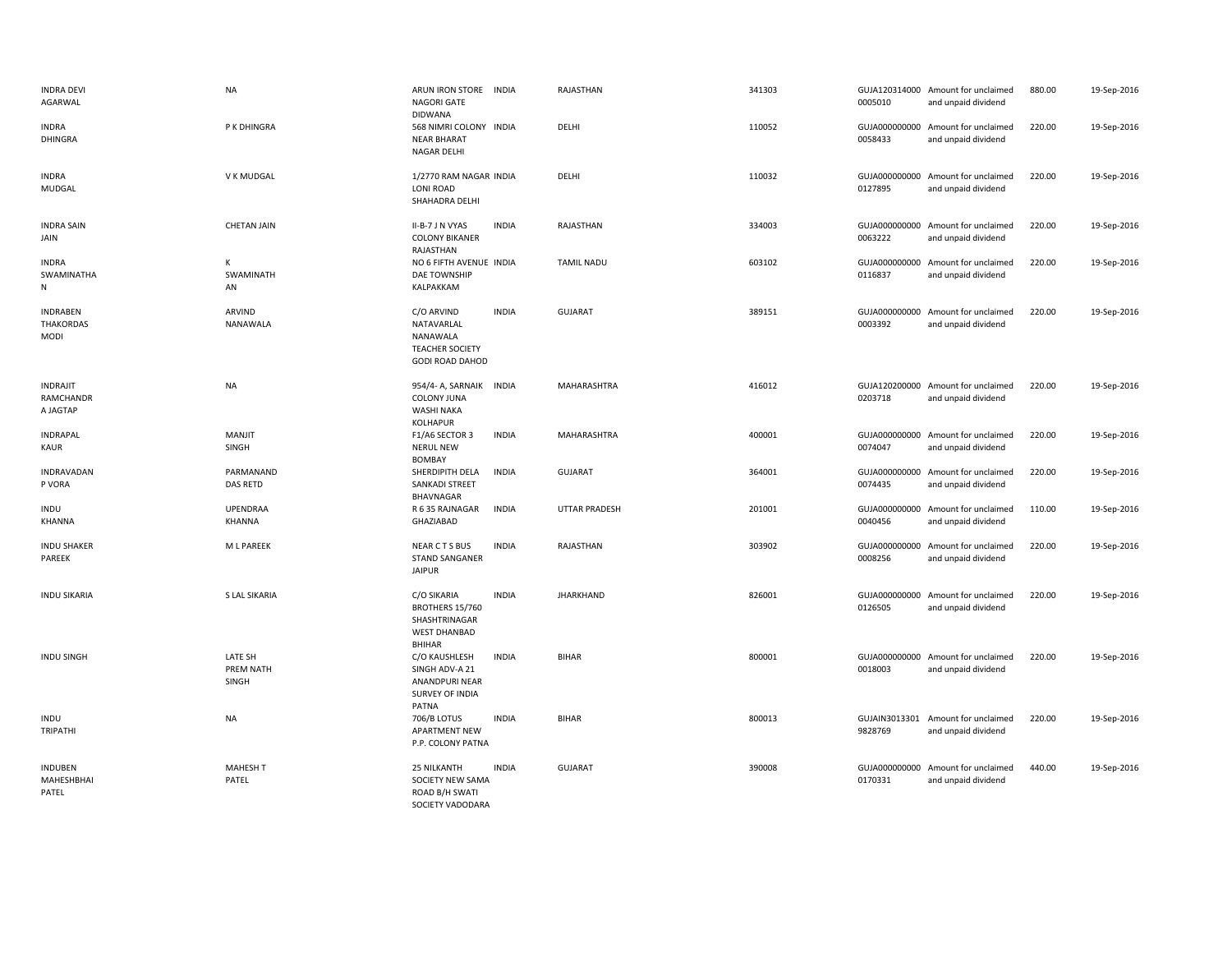| <b>INDRA DEVI</b><br>AGARWAL                       | <b>NA</b>                     | ARUN IRON STORE INDIA<br>NAGORI GATE<br><b>DIDWANA</b>                                   |              | RAJASTHAN            | 341303 | 0005010                  | GUJA120314000 Amount for unclaimed<br>and unpaid dividend | 880.00 | 19-Sep-2016 |
|----------------------------------------------------|-------------------------------|------------------------------------------------------------------------------------------|--------------|----------------------|--------|--------------------------|-----------------------------------------------------------|--------|-------------|
| <b>INDRA</b><br><b>DHINGRA</b>                     | P K DHINGRA                   | 568 NIMRI COLONY INDIA<br><b>NEAR BHARAT</b><br>NAGAR DELHI                              |              | DELHI                | 110052 | 0058433                  | GUJA000000000 Amount for unclaimed<br>and unpaid dividend | 220.00 | 19-Sep-2016 |
| <b>INDRA</b><br>MUDGAL                             | V K MUDGAL                    | 1/2770 RAM NAGAR INDIA<br><b>LONI ROAD</b><br>SHAHADRA DELHI                             |              | DELHI                | 110032 | 0127895                  | GUJA000000000 Amount for unclaimed<br>and unpaid dividend | 220.00 | 19-Sep-2016 |
| <b>INDRA SAIN</b><br>JAIN                          | <b>CHETAN JAIN</b>            | II-B-7 J N VYAS<br><b>COLONY BIKANER</b><br>RAJASTHAN                                    | <b>INDIA</b> | RAJASTHAN            | 334003 | 0063222                  | GUJA000000000 Amount for unclaimed<br>and unpaid dividend | 220.00 | 19-Sep-2016 |
| <b>INDRA</b><br>SWAMINATHA<br>N                    | К<br>SWAMINATH<br>AN          | NO 6 FIFTH AVENUE INDIA<br>DAE TOWNSHIP<br>KALPAKKAM                                     |              | <b>TAMIL NADU</b>    | 603102 | 0116837                  | GUJA000000000 Amount for unclaimed<br>and unpaid dividend | 220.00 | 19-Sep-2016 |
| <b>INDRABEN</b><br><b>THAKORDAS</b><br><b>MODI</b> | ARVIND<br>NANAWALA            | C/O ARVIND<br>NATAVARLAL<br>NANAWALA<br><b>TEACHER SOCIETY</b><br><b>GODI ROAD DAHOD</b> | <b>INDIA</b> | <b>GUJARAT</b>       | 389151 | 0003392                  | GUJA000000000 Amount for unclaimed<br>and unpaid dividend | 220.00 | 19-Sep-2016 |
| <b>INDRAJIT</b><br>RAMCHANDR<br>A JAGTAP           | <b>NA</b>                     | 954/4-A, SARNAIK INDIA<br><b>COLONY JUNA</b><br><b>WASHI NAKA</b><br><b>KOLHAPUR</b>     |              | MAHARASHTRA          | 416012 | 0203718                  | GUJA120200000 Amount for unclaimed<br>and unpaid dividend | 220.00 | 19-Sep-2016 |
| <b>INDRAPAL</b><br>KAUR                            | MANJIT<br>SINGH               | F1/A6 SECTOR 3<br><b>NERUL NEW</b><br><b>BOMBAY</b>                                      | <b>INDIA</b> | MAHARASHTRA          | 400001 | 0074047                  | GUJA000000000 Amount for unclaimed<br>and unpaid dividend | 220.00 | 19-Sep-2016 |
| INDRAVADAN<br>P VORA                               | PARMANAND<br>DAS RETD         | SHERDIPITH DELA<br>SANKADI STREET<br>BHAVNAGAR                                           | <b>INDIA</b> | GUJARAT              | 364001 | 0074435                  | GUJA000000000 Amount for unclaimed<br>and unpaid dividend | 220.00 | 19-Sep-2016 |
| <b>INDU</b><br>KHANNA                              | <b>UPENDRAA</b><br>KHANNA     | R 6 35 RAJNAGAR<br>GHAZIABAD                                                             | <b>INDIA</b> | <b>UTTAR PRADESH</b> | 201001 | GUJA000000000<br>0040456 | Amount for unclaimed<br>and unpaid dividend               | 110.00 | 19-Sep-2016 |
| <b>INDU SHAKER</b><br>PAREEK                       | M L PAREEK                    | NEAR CTS BUS<br><b>STAND SANGANER</b><br><b>JAIPUR</b>                                   | <b>INDIA</b> | RAJASTHAN            | 303902 | GUJA000000000<br>0008256 | Amount for unclaimed<br>and unpaid dividend               | 220.00 | 19-Sep-2016 |
| <b>INDU SIKARIA</b>                                | S LAL SIKARIA                 | C/O SIKARIA<br>BROTHERS 15/760<br>SHASHTRINAGAR<br><b>WEST DHANBAD</b><br>BHIHAR         | <b>INDIA</b> | <b>JHARKHAND</b>     | 826001 | 0126505                  | GUJA000000000 Amount for unclaimed<br>and unpaid dividend | 220.00 | 19-Sep-2016 |
| <b>INDU SINGH</b>                                  | LATE SH<br>PREM NATH<br>SINGH | C/O KAUSHLESH<br>SINGH ADV-A 21<br><b>ANANDPURI NEAR</b><br>SURVEY OF INDIA<br>PATNA     | <b>INDIA</b> | <b>BIHAR</b>         | 800001 | 0018003                  | GUJA000000000 Amount for unclaimed<br>and unpaid dividend | 220.00 | 19-Sep-2016 |
| <b>INDU</b><br>TRIPATHI                            | <b>NA</b>                     | 706/B LOTUS<br><b>APARTMENT NEW</b><br>P.P. COLONY PATNA                                 | <b>INDIA</b> | <b>BIHAR</b>         | 800013 | 9828769                  | GUJAIN3013301 Amount for unclaimed<br>and unpaid dividend | 220.00 | 19-Sep-2016 |
| INDUBEN<br>MAHESHBHAI<br>PATEL                     | <b>MAHESH T</b><br>PATEL      | <b>25 NILKANTH</b><br>SOCIETY NEW SAMA<br>ROAD B/H SWATI<br>SOCIETY VADODARA             | <b>INDIA</b> | <b>GUJARAT</b>       | 390008 | 0170331                  | GUJA000000000 Amount for unclaimed<br>and unpaid dividend | 440.00 | 19-Sep-2016 |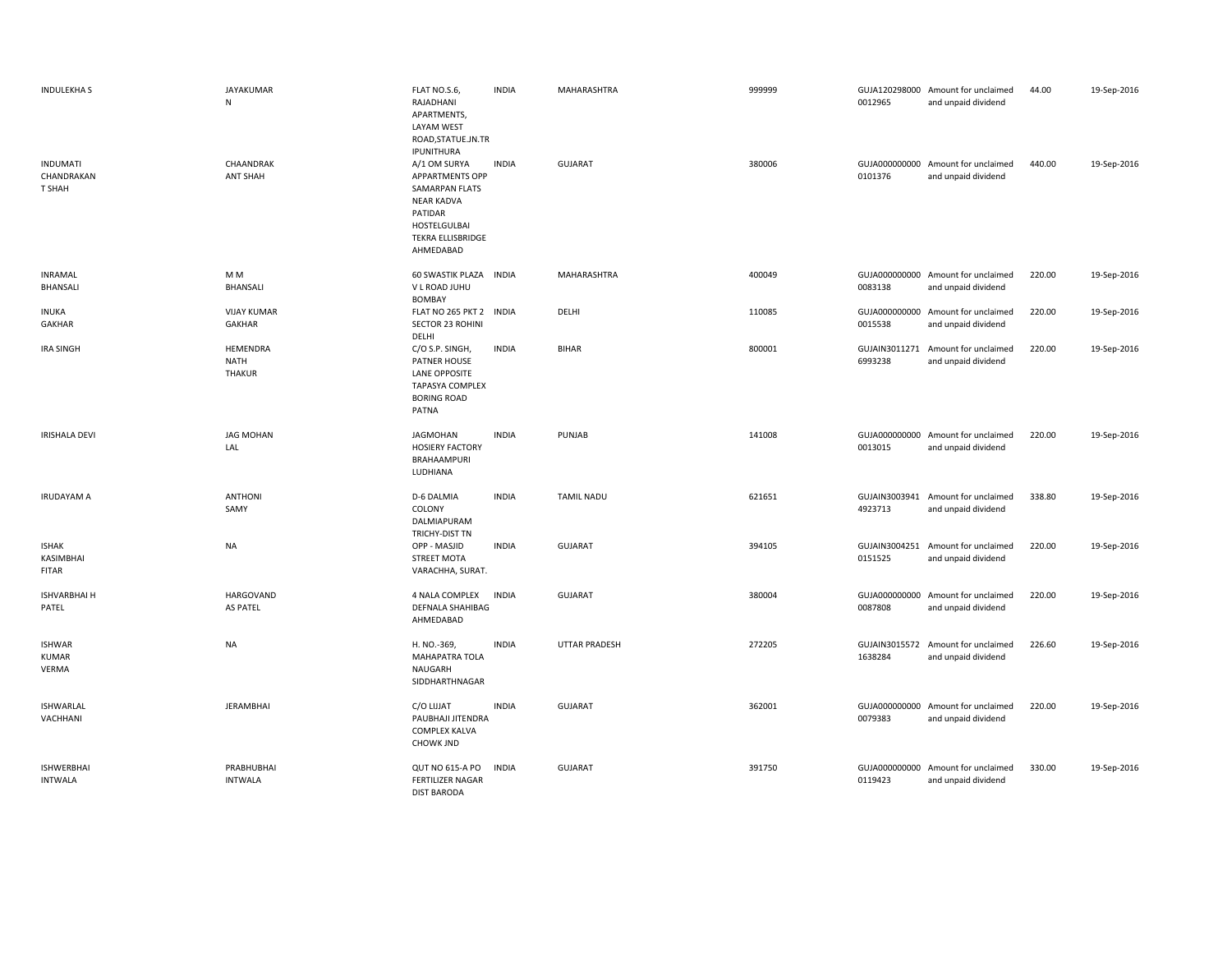| <b>INDULEKHAS</b>                         | <b>JAYAKUMAR</b><br>${\sf N}$     | FLAT NO.S.6,<br>RAJADHANI<br>APARTMENTS,<br>LAYAM WEST<br>ROAD, STATUE.JN.TR<br>IPUNITHURA                                                        | <b>INDIA</b> | MAHARASHTRA          | 999999 | 0012965                  | GUJA120298000 Amount for unclaimed<br>and unpaid dividend | 44.00  | 19-Sep-2016 |
|-------------------------------------------|-----------------------------------|---------------------------------------------------------------------------------------------------------------------------------------------------|--------------|----------------------|--------|--------------------------|-----------------------------------------------------------|--------|-------------|
| <b>INDUMATI</b><br>CHANDRAKAN<br>T SHAH   | CHAANDRAK<br><b>ANT SHAH</b>      | A/1 OM SURYA<br><b>APPARTMENTS OPP</b><br>SAMARPAN FLATS<br><b>NEAR KADVA</b><br>PATIDAR<br>HOSTELGULBAI<br><b>TEKRA ELLISBRIDGE</b><br>AHMEDABAD | <b>INDIA</b> | <b>GUJARAT</b>       | 380006 | 0101376                  | GUJA000000000 Amount for unclaimed<br>and unpaid dividend | 440.00 | 19-Sep-2016 |
| <b>INRAMAL</b><br><b>BHANSALI</b>         | M M<br>BHANSALI                   | 60 SWASTIK PLAZA INDIA<br>V L ROAD JUHU<br><b>BOMBAY</b>                                                                                          |              | MAHARASHTRA          | 400049 | 0083138                  | GUJA000000000 Amount for unclaimed<br>and unpaid dividend | 220.00 | 19-Sep-2016 |
| <b>INUKA</b><br>GAKHAR                    | <b>VIJAY KUMAR</b><br>GAKHAR      | FLAT NO 265 PKT 2 INDIA<br><b>SECTOR 23 ROHINI</b><br>DELHI                                                                                       |              | DELHI                | 110085 | 0015538                  | GUJA000000000 Amount for unclaimed<br>and unpaid dividend | 220.00 | 19-Sep-2016 |
| <b>IRA SINGH</b>                          | HEMENDRA<br>NATH<br><b>THAKUR</b> | C/O S.P. SINGH,<br>PATNER HOUSE<br><b>LANE OPPOSITE</b><br><b>TAPASYA COMPLEX</b><br><b>BORING ROAD</b><br>PATNA                                  | <b>INDIA</b> | <b>BIHAR</b>         | 800001 | GUJAIN3011271<br>6993238 | Amount for unclaimed<br>and unpaid dividend               | 220.00 | 19-Sep-2016 |
| <b>IRISHALA DEVI</b>                      | <b>JAG MOHAN</b><br>LAL           | <b>JAGMOHAN</b><br><b>HOSIERY FACTORY</b><br>BRAHAAMPURI<br>LUDHIANA                                                                              | <b>INDIA</b> | PUNJAB               | 141008 | 0013015                  | GUJA000000000 Amount for unclaimed<br>and unpaid dividend | 220.00 | 19-Sep-2016 |
| <b>IRUDAYAM A</b>                         | <b>ANTHONI</b><br>SAMY            | D-6 DALMIA<br>COLONY<br>DALMIAPURAM<br>TRICHY-DIST TN                                                                                             | <b>INDIA</b> | <b>TAMIL NADU</b>    | 621651 | 4923713                  | GUJAIN3003941 Amount for unclaimed<br>and unpaid dividend | 338.80 | 19-Sep-2016 |
| <b>ISHAK</b><br>KASIMBHAI<br><b>FITAR</b> | NA                                | OPP - MASJID<br><b>STREET MOTA</b><br>VARACHHA, SURAT.                                                                                            | <b>INDIA</b> | <b>GUJARAT</b>       | 394105 | 0151525                  | GUJAIN3004251 Amount for unclaimed<br>and unpaid dividend | 220.00 | 19-Sep-2016 |
| <b>ISHVARBHAI H</b><br>PATEL              | HARGOVAND<br><b>AS PATEL</b>      | 4 NALA COMPLEX<br><b>DEFNALA SHAHIBAG</b><br>AHMEDABAD                                                                                            | <b>INDIA</b> | <b>GUJARAT</b>       | 380004 | 0087808                  | GUJA000000000 Amount for unclaimed<br>and unpaid dividend | 220.00 | 19-Sep-2016 |
| <b>ISHWAR</b><br><b>KUMAR</b><br>VERMA    | NA                                | H. NO.-369,<br><b>MAHAPATRA TOLA</b><br>NAUGARH<br>SIDDHARTHNAGAR                                                                                 | <b>INDIA</b> | <b>UTTAR PRADESH</b> | 272205 | 1638284                  | GUJAIN3015572 Amount for unclaimed<br>and unpaid dividend | 226.60 | 19-Sep-2016 |
| <b>ISHWARLAL</b><br>VACHHANI              | JERAMBHAI                         | C/O LIJJAT<br>PAUBHAJI JITENDRA<br>COMPLEX KALVA<br><b>CHOWK JND</b>                                                                              | <b>INDIA</b> | <b>GUJARAT</b>       | 362001 | 0079383                  | GUJA000000000 Amount for unclaimed<br>and unpaid dividend | 220.00 | 19-Sep-2016 |
| <b>ISHWERBHAI</b><br>INTWALA              | PRABHUBHAI<br><b>INTWALA</b>      | <b>QUT NO 615-A PO</b><br><b>FERTILIZER NAGAR</b><br><b>DIST BARODA</b>                                                                           | <b>INDIA</b> | <b>GUJARAT</b>       | 391750 | 0119423                  | GUJA000000000 Amount for unclaimed<br>and unpaid dividend | 330.00 | 19-Sep-2016 |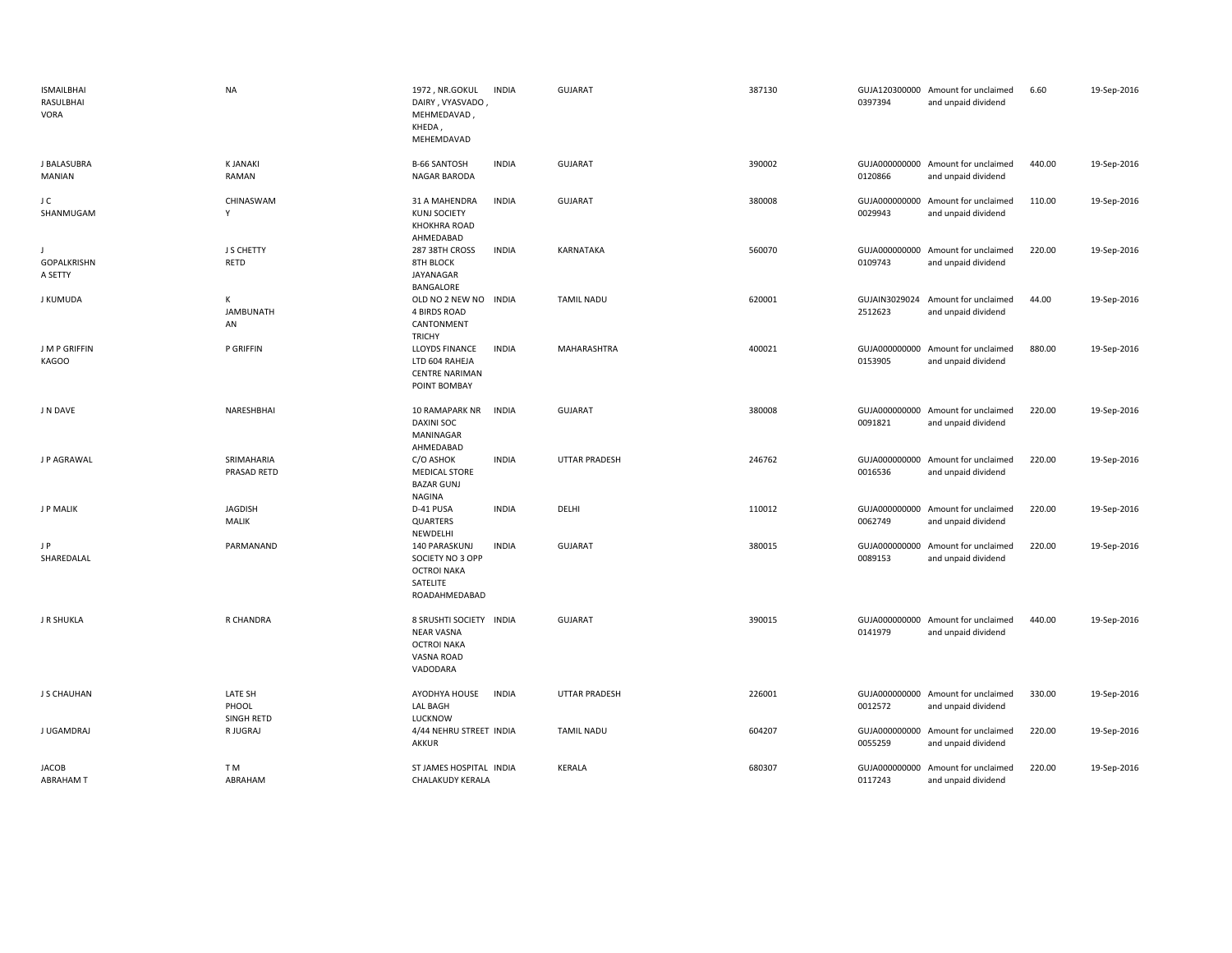| <b>ISMAILBHAI</b><br>RASULBHAI<br><b>VORA</b> | <b>NA</b>                      | 1972, NR.GOKUL<br><b>INDIA</b><br>DAIRY, VYASVADO<br>MEHMEDAVAD<br>KHEDA,<br>MEHEMDAVAD              | GUJARAT              | 387130 | 0397394 | GUJA120300000 Amount for unclaimed<br>and unpaid dividend | 6.60   | 19-Sep-2016 |
|-----------------------------------------------|--------------------------------|------------------------------------------------------------------------------------------------------|----------------------|--------|---------|-----------------------------------------------------------|--------|-------------|
| J BALASUBRA<br>MANIAN                         | <b>KJANAKI</b><br>RAMAN        | <b>INDIA</b><br><b>B-66 SANTOSH</b><br><b>NAGAR BARODA</b>                                           | <b>GUJARAT</b>       | 390002 | 0120866 | GUJA000000000 Amount for unclaimed<br>and unpaid dividend | 440.00 | 19-Sep-2016 |
| J C<br>SHANMUGAM                              | CHINASWAM<br>Y                 | 31 A MAHENDRA<br><b>INDIA</b><br><b>KUNJ SOCIETY</b><br><b>KHOKHRA ROAD</b><br>AHMEDABAD             | <b>GUJARAT</b>       | 380008 | 0029943 | GUJA000000000 Amount for unclaimed<br>and unpaid dividend | 110.00 | 19-Sep-2016 |
| <b>GOPALKRISHN</b><br>A SETTY                 | J S CHETTY<br>RETD             | 287 38TH CROSS<br><b>INDIA</b><br><b>8TH BLOCK</b><br>JAYANAGAR<br>BANGALORE                         | KARNATAKA            | 560070 | 0109743 | GUJA000000000 Amount for unclaimed<br>and unpaid dividend | 220.00 | 19-Sep-2016 |
| <b>J KUMUDA</b>                               | K<br><b>JAMBUNATH</b><br>AN    | OLD NO 2 NEW NO INDIA<br><b>4 BIRDS ROAD</b><br>CANTONMENT<br><b>TRICHY</b>                          | TAMIL NADU           | 620001 | 2512623 | GUJAIN3029024 Amount for unclaimed<br>and unpaid dividend | 44.00  | 19-Sep-2016 |
| J M P GRIFFIN<br><b>KAGOO</b>                 | P GRIFFIN                      | <b>INDIA</b><br>LLOYDS FINANCE<br>LTD 604 RAHEJA<br><b>CENTRE NARIMAN</b><br>POINT BOMBAY            | <b>MAHARASHTRA</b>   | 400021 | 0153905 | GUJA000000000 Amount for unclaimed<br>and unpaid dividend | 880.00 | 19-Sep-2016 |
| J N DAVE                                      | NARESHBHAI                     | 10 RAMAPARK NR<br><b>INDIA</b><br><b>DAXINI SOC</b><br>MANINAGAR<br>AHMEDABAD                        | <b>GUJARAT</b>       | 380008 | 0091821 | GUJA000000000 Amount for unclaimed<br>and unpaid dividend | 220.00 | 19-Sep-2016 |
| J P AGRAWAL                                   | SRIMAHARIA<br>PRASAD RETD      | C/O ASHOK<br><b>INDIA</b><br><b>MEDICAL STORE</b><br><b>BAZAR GUNJ</b><br>NAGINA                     | <b>UTTAR PRADESH</b> | 246762 | 0016536 | GUJA000000000 Amount for unclaimed<br>and unpaid dividend | 220.00 | 19-Sep-2016 |
| J P MALIK                                     | JAGDISH<br>MALIK               | D-41 PUSA<br><b>INDIA</b><br>QUARTERS<br>NEWDELHI                                                    | DELHI                | 110012 | 0062749 | GUJA000000000 Amount for unclaimed<br>and unpaid dividend | 220.00 | 19-Sep-2016 |
| J P<br>SHAREDALAL                             | PARMANAND                      | 140 PARASKUNJ<br><b>INDIA</b><br>SOCIETY NO 3 OPP<br><b>OCTROI NAKA</b><br>SATELITE<br>ROADAHMEDABAD | <b>GUJARAT</b>       | 380015 | 0089153 | GUJA000000000 Amount for unclaimed<br>and unpaid dividend | 220.00 | 19-Sep-2016 |
| J R SHUKLA                                    | R CHANDRA                      | 8 SRUSHTI SOCIETY INDIA<br><b>NEAR VASNA</b><br><b>OCTROI NAKA</b><br>VASNA ROAD<br>VADODARA         | <b>GUJARAT</b>       | 390015 | 0141979 | GUJA000000000 Amount for unclaimed<br>and unpaid dividend | 440.00 | 19-Sep-2016 |
| J S CHAUHAN                                   | LATE SH<br>PHOOL<br>SINGH RETD | AYODHYA HOUSE<br><b>INDIA</b><br><b>LAL BAGH</b><br>LUCKNOW                                          | <b>UTTAR PRADESH</b> | 226001 | 0012572 | GUJA000000000 Amount for unclaimed<br>and unpaid dividend | 330.00 | 19-Sep-2016 |
| J UGAMDRAJ                                    | R JUGRAJ                       | 4/44 NEHRU STREET INDIA<br><b>AKKUR</b>                                                              | <b>TAMIL NADU</b>    | 604207 | 0055259 | GUJA000000000 Amount for unclaimed<br>and unpaid dividend | 220.00 | 19-Sep-2016 |
| <b>JACOB</b><br><b>ABRAHAM T</b>              | T M<br>ABRAHAM                 | ST JAMES HOSPITAL INDIA<br><b>CHALAKUDY KERALA</b>                                                   | KERALA               | 680307 | 0117243 | GUJA000000000 Amount for unclaimed<br>and unpaid dividend | 220.00 | 19-Sep-2016 |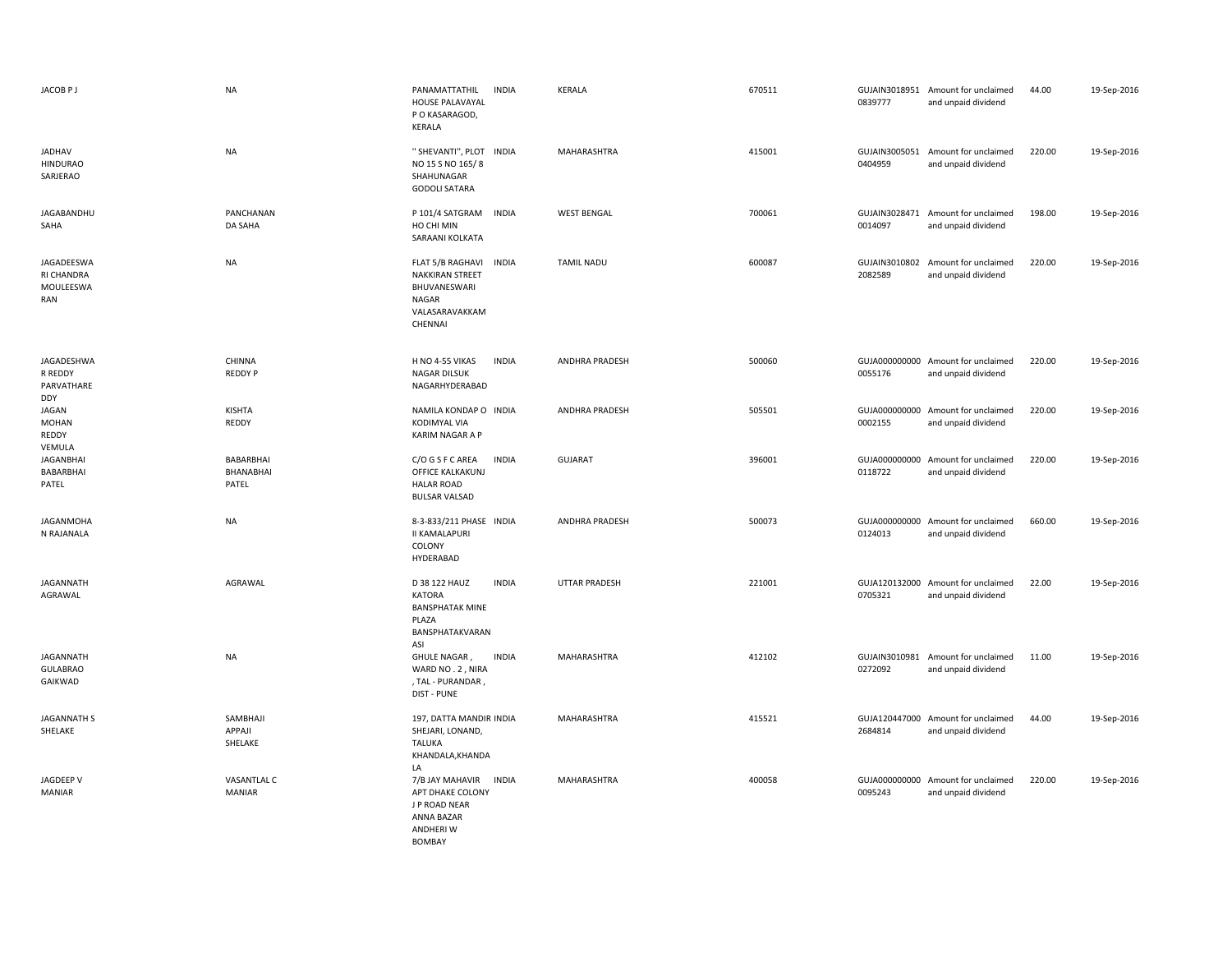| JACOB <sub>PJ</sub>                          | <b>NA</b>                       | PANAMATTATHIL<br><b>INDIA</b><br><b>HOUSE PALAVAYAL</b><br>P O KASARAGOD,<br><b>KERALA</b>                       | <b>KERALA</b>        | 670511 | 0839777                  | GUJAIN3018951 Amount for unclaimed<br>and unpaid dividend | 44.00  | 19-Sep-2016 |
|----------------------------------------------|---------------------------------|------------------------------------------------------------------------------------------------------------------|----------------------|--------|--------------------------|-----------------------------------------------------------|--------|-------------|
| <b>JADHAV</b><br><b>HINDURAO</b><br>SARJERAO | <b>NA</b>                       | " SHEVANTI", PLOT INDIA<br>NO 15 S NO 165/8<br>SHAHUNAGAR<br><b>GODOLI SATARA</b>                                | MAHARASHTRA          | 415001 | 0404959                  | GUJAIN3005051 Amount for unclaimed<br>and unpaid dividend | 220.00 | 19-Sep-2016 |
| JAGABANDHU<br>SAHA                           | PANCHANAN<br>DA SAHA            | P 101/4 SATGRAM INDIA<br>HO CHI MIN<br>SARAANI KOLKATA                                                           | <b>WEST BENGAL</b>   | 700061 | 0014097                  | GUJAIN3028471 Amount for unclaimed<br>and unpaid dividend | 198.00 | 19-Sep-2016 |
| JAGADEESWA<br>RI CHANDRA<br>MOULEESWA<br>RAN | <b>NA</b>                       | FLAT 5/B RAGHAVI<br><b>INDIA</b><br><b>NAKKIRAN STREET</b><br>BHUVANESWARI<br>NAGAR<br>VALASARAVAKKAM<br>CHENNAI | <b>TAMIL NADU</b>    | 600087 | GUJAIN3010802<br>2082589 | Amount for unclaimed<br>and unpaid dividend               | 220.00 | 19-Sep-2016 |
| JAGADESHWA<br>R REDDY<br>PARVATHARE<br>DDY   | CHINNA<br><b>REDDY P</b>        | H NO 4-55 VIKAS<br><b>INDIA</b><br><b>NAGAR DILSUK</b><br>NAGARHYDERABAD                                         | ANDHRA PRADESH       | 500060 | 0055176                  | GUJA000000000 Amount for unclaimed<br>and unpaid dividend | 220.00 | 19-Sep-2016 |
| JAGAN<br>MOHAN<br>REDDY<br>VEMULA            | KISHTA<br>REDDY                 | NAMILA KONDAP O INDIA<br>KODIMYAL VIA<br><b>KARIM NAGAR A P</b>                                                  | ANDHRA PRADESH       | 505501 | 0002155                  | GUJA000000000 Amount for unclaimed<br>and unpaid dividend | 220.00 | 19-Sep-2016 |
| <b>JAGANBHAI</b><br>BABARBHAI<br>PATEL       | BABARBHAI<br>BHANABHAI<br>PATEL | C/O G S F C AREA<br><b>INDIA</b><br>OFFICE KALKAKUNJ<br><b>HALAR ROAD</b><br><b>BULSAR VALSAD</b>                | <b>GUJARAT</b>       | 396001 | 0118722                  | GUJA000000000 Amount for unclaimed<br>and unpaid dividend | 220.00 | 19-Sep-2016 |
| JAGANMOHA<br>N RAJANALA                      | <b>NA</b>                       | 8-3-833/211 PHASE INDIA<br><b>II KAMALAPURI</b><br>COLONY<br>HYDERABAD                                           | ANDHRA PRADESH       | 500073 | 0124013                  | GUJA000000000 Amount for unclaimed<br>and unpaid dividend | 660.00 | 19-Sep-2016 |
| JAGANNATH<br>AGRAWAL                         | AGRAWAL                         | D 38 122 HAUZ<br><b>INDIA</b><br><b>KATORA</b><br><b>BANSPHATAK MINE</b><br>PLAZA<br>BANSPHATAKVARAN<br>ASI      | <b>UTTAR PRADESH</b> | 221001 | 0705321                  | GUJA120132000 Amount for unclaimed<br>and unpaid dividend | 22.00  | 19-Sep-2016 |
| JAGANNATH<br><b>GULABRAO</b><br>GAIKWAD      | <b>NA</b>                       | GHULE NAGAR,<br><b>INDIA</b><br>WARD NO. 2, NIRA<br>, TAL - PURANDAR,<br>DIST - PUNE                             | MAHARASHTRA          | 412102 | 0272092                  | GUJAIN3010981 Amount for unclaimed<br>and unpaid dividend | 11.00  | 19-Sep-2016 |
| <b>JAGANNATH S</b><br>SHELAKE                | SAMBHAJI<br>APPAJI<br>SHELAKE   | 197, DATTA MANDIR INDIA<br>SHEJARI, LONAND,<br><b>TALUKA</b><br>KHANDALA, KHANDA<br>LA                           | MAHARASHTRA          | 415521 | 2684814                  | GUJA120447000 Amount for unclaimed<br>and unpaid dividend | 44.00  | 19-Sep-2016 |
| JAGDEEP V<br><b>MANIAR</b>                   | VASANTLAL C<br><b>MANIAR</b>    | 7/B JAY MAHAVIR<br><b>INDIA</b><br>APT DHAKE COLONY<br>J P ROAD NEAR<br>ANNA BAZAR<br>ANDHERI W<br><b>BOMBAY</b> | MAHARASHTRA          | 400058 | 0095243                  | GUJA000000000 Amount for unclaimed<br>and unpaid dividend | 220.00 | 19-Sep-2016 |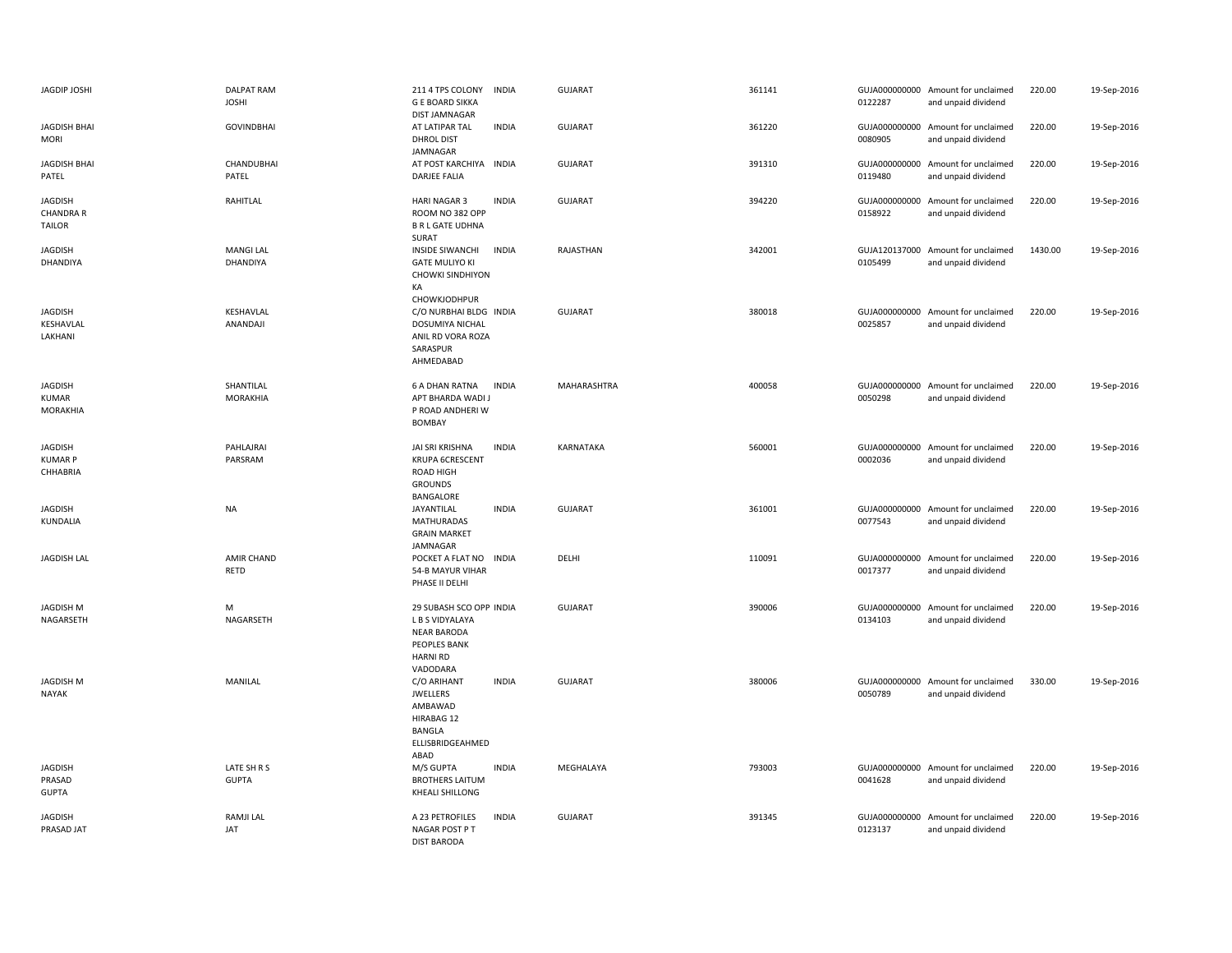| JAGDIP JOSHI                                        | <b>DALPAT RAM</b><br><b>JOSHI</b> | 211 4 TPS COLONY<br><b>G E BOARD SIKKA</b><br><b>DIST JAMNAGAR</b>                                                     | <b>INDIA</b> | GUJARAT        | 361141 | 0122287 | GUJA000000000 Amount for unclaimed<br>and unpaid dividend | 220.00  | 19-Sep-2016 |
|-----------------------------------------------------|-----------------------------------|------------------------------------------------------------------------------------------------------------------------|--------------|----------------|--------|---------|-----------------------------------------------------------|---------|-------------|
| <b>JAGDISH BHAI</b><br><b>MORI</b>                  | <b>GOVINDBHAI</b>                 | AT LATIPAR TAL<br><b>DHROL DIST</b><br>JAMNAGAR                                                                        | <b>INDIA</b> | <b>GUJARAT</b> | 361220 | 0080905 | GUJA000000000 Amount for unclaimed<br>and unpaid dividend | 220.00  | 19-Sep-2016 |
| <b>JAGDISH BHAI</b><br>PATEL                        | CHANDUBHAI<br>PATEL               | AT POST KARCHIYA INDIA<br>DARJEE FALIA                                                                                 |              | <b>GUJARAT</b> | 391310 | 0119480 | GUJA000000000 Amount for unclaimed<br>and unpaid dividend | 220.00  | 19-Sep-2016 |
| <b>JAGDISH</b><br><b>CHANDRA R</b><br><b>TAILOR</b> | RAHITLAL                          | <b>HARI NAGAR 3</b><br>ROOM NO 382 OPP<br><b>B R L GATE UDHNA</b><br>SURAT                                             | <b>INDIA</b> | <b>GUJARAT</b> | 394220 | 0158922 | GUJA000000000 Amount for unclaimed<br>and unpaid dividend | 220.00  | 19-Sep-2016 |
| JAGDISH<br>DHANDIYA                                 | <b>MANGI LAL</b><br>DHANDIYA      | <b>INSIDE SIWANCHI</b><br><b>GATE MULIYO KI</b><br><b>CHOWKI SINDHIYON</b><br>KA<br>CHOWKJODHPUR                       | <b>INDIA</b> | RAJASTHAN      | 342001 | 0105499 | GUJA120137000 Amount for unclaimed<br>and unpaid dividend | 1430.00 | 19-Sep-2016 |
| JAGDISH<br>KESHAVLAL<br>LAKHANI                     | KESHAVLAL<br>ANANDAJI             | C/O NURBHAI BLDG INDIA<br><b>DOSUMIYA NICHAL</b><br>ANIL RD VORA ROZA<br>SARASPUR<br>AHMEDABAD                         |              | <b>GUJARAT</b> | 380018 | 0025857 | GUJA000000000 Amount for unclaimed<br>and unpaid dividend | 220.00  | 19-Sep-2016 |
| <b>JAGDISH</b><br><b>KUMAR</b><br>MORAKHIA          | SHANTILAL<br>MORAKHIA             | <b>6 A DHAN RATNA</b><br>APT BHARDA WADI J<br>P ROAD ANDHERI W<br><b>BOMBAY</b>                                        | <b>INDIA</b> | MAHARASHTRA    | 400058 | 0050298 | GUJA000000000 Amount for unclaimed<br>and unpaid dividend | 220.00  | 19-Sep-2016 |
| <b>JAGDISH</b><br><b>KUMAR P</b><br>CHHABRIA        | PAHLAJRAI<br>PARSRAM              | JAI SRI KRISHNA<br>KRUPA 6CRESCENT<br>ROAD HIGH<br><b>GROUNDS</b><br>BANGALORE                                         | <b>INDIA</b> | KARNATAKA      | 560001 | 0002036 | GUJA000000000 Amount for unclaimed<br>and unpaid dividend | 220.00  | 19-Sep-2016 |
| JAGDISH<br>KUNDALIA                                 | NA                                | JAYANTILAL<br><b>MATHURADAS</b><br><b>GRAIN MARKET</b><br><b>JAMNAGAR</b>                                              | <b>INDIA</b> | <b>GUJARAT</b> | 361001 | 0077543 | GUJA000000000 Amount for unclaimed<br>and unpaid dividend | 220.00  | 19-Sep-2016 |
| <b>JAGDISH LAL</b>                                  | <b>AMIR CHAND</b><br>RETD         | POCKET A FLAT NO INDIA<br>54-B MAYUR VIHAR<br>PHASE II DELHI                                                           |              | DELHI          | 110091 | 0017377 | GUJA000000000 Amount for unclaimed<br>and unpaid dividend | 220.00  | 19-Sep-2016 |
| <b>JAGDISH M</b><br>NAGARSETH                       | M<br>NAGARSETH                    | 29 SUBASH SCO OPP INDIA<br>L B S VIDYALAYA<br><b>NEAR BARODA</b><br><b>PEOPLES BANK</b><br><b>HARNI RD</b><br>VADODARA |              | <b>GUJARAT</b> | 390006 | 0134103 | GUJA000000000 Amount for unclaimed<br>and unpaid dividend | 220.00  | 19-Sep-2016 |
| <b>JAGDISH M</b><br><b>NAYAK</b>                    | MANILAL                           | C/O ARIHANT<br><b>JWELLERS</b><br>AMBAWAD<br>HIRABAG 12<br><b>BANGLA</b><br>ELLISBRIDGEAHMED<br>ABAD                   | <b>INDIA</b> | <b>GUJARAT</b> | 380006 | 0050789 | GUJA000000000 Amount for unclaimed<br>and unpaid dividend | 330.00  | 19-Sep-2016 |
| <b>JAGDISH</b><br>PRASAD<br><b>GUPTA</b>            | LATE SH R S<br><b>GUPTA</b>       | M/S GUPTA<br><b>BROTHERS LAITUM</b><br>KHEALI SHILLONG                                                                 | <b>INDIA</b> | MEGHALAYA      | 793003 | 0041628 | GUJA000000000 Amount for unclaimed<br>and unpaid dividend | 220.00  | 19-Sep-2016 |
| JAGDISH<br>PRASAD JAT                               | <b>RAMJI LAL</b><br>JAT           | A 23 PETROFILES<br>NAGAR POST P T<br><b>DIST BARODA</b>                                                                | <b>INDIA</b> | <b>GUJARAT</b> | 391345 | 0123137 | GUJA000000000 Amount for unclaimed<br>and unpaid dividend | 220.00  | 19-Sep-2016 |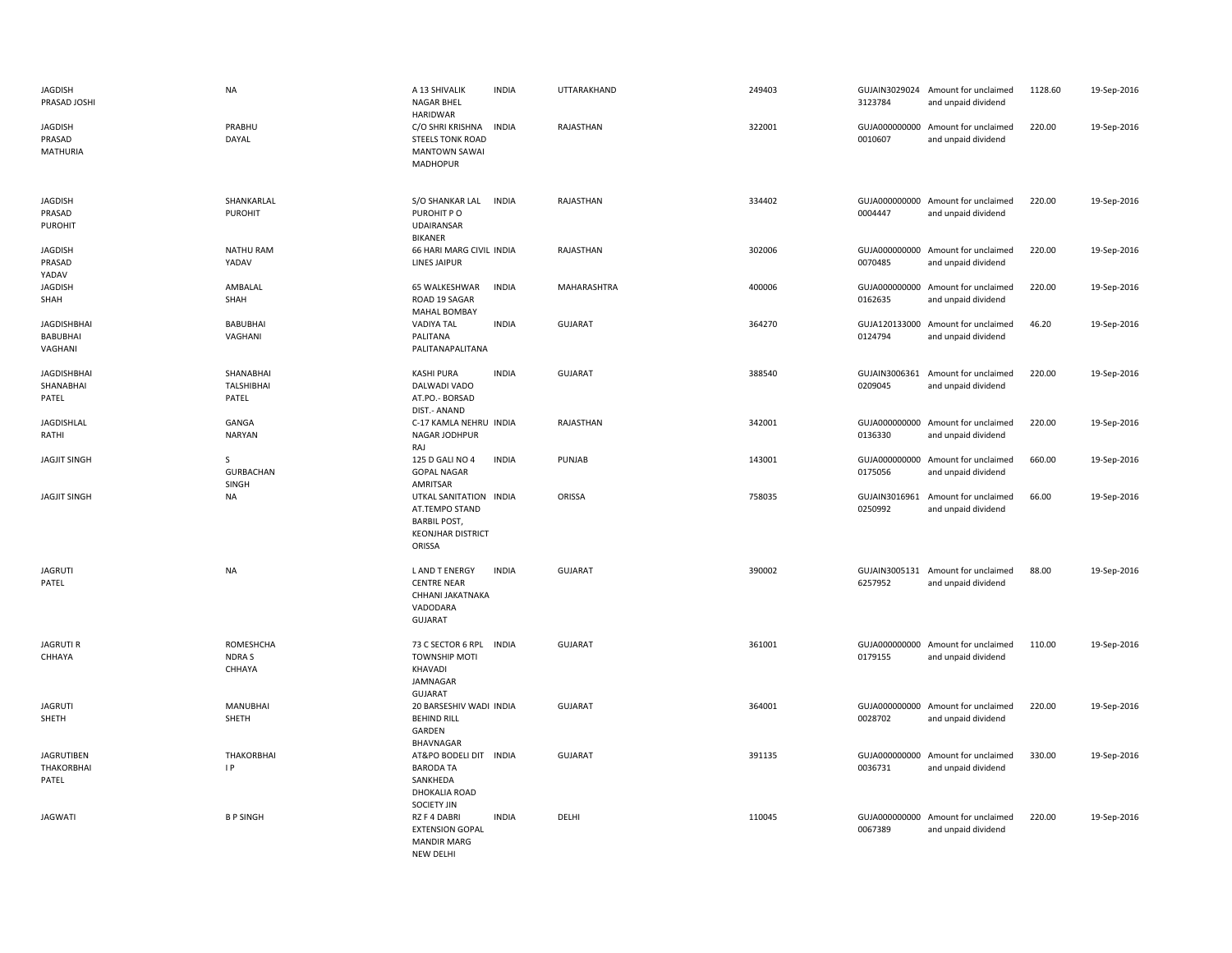| <b>JAGDISH</b><br>PRASAD JOSHI                   | <b>NA</b>                                 | A 13 SHIVALIK<br><b>NAGAR BHEL</b><br><b>HARIDWAR</b>                                                 | <b>INDIA</b> | UTTARAKHAND    | 249403 | 3123784                  | GUJAIN3029024 Amount for unclaimed<br>and unpaid dividend | 1128.60 | 19-Sep-2016 |
|--------------------------------------------------|-------------------------------------------|-------------------------------------------------------------------------------------------------------|--------------|----------------|--------|--------------------------|-----------------------------------------------------------|---------|-------------|
| <b>JAGDISH</b><br>PRASAD<br>MATHURIA             | PRABHU<br>DAYAL                           | C/O SHRI KRISHNA<br><b>STEELS TONK ROAD</b><br><b>MANTOWN SAWAI</b><br><b>MADHOPUR</b>                | <b>INDIA</b> | RAJASTHAN      | 322001 | 0010607                  | GUJA000000000 Amount for unclaimed<br>and unpaid dividend | 220.00  | 19-Sep-2016 |
| <b>JAGDISH</b><br>PRASAD<br><b>PUROHIT</b>       | SHANKARLAL<br>PUROHIT                     | S/O SHANKAR LAL<br>PUROHIT PO<br><b>UDAIRANSAR</b><br><b>BIKANER</b>                                  | <b>INDIA</b> | RAJASTHAN      | 334402 | 0004447                  | GUJA000000000 Amount for unclaimed<br>and unpaid dividend | 220.00  | 19-Sep-2016 |
| <b>JAGDISH</b><br>PRASAD<br>YADAV                | <b>NATHU RAM</b><br>YADAV                 | 66 HARI MARG CIVIL INDIA<br>LINES JAIPUR                                                              |              | RAJASTHAN      | 302006 | 0070485                  | GUJA000000000 Amount for unclaimed<br>and unpaid dividend | 220.00  | 19-Sep-2016 |
| <b>JAGDISH</b><br>SHAH                           | AMBALAL<br>SHAH                           | 65 WALKESHWAR<br>ROAD 19 SAGAR<br><b>MAHAL BOMBAY</b>                                                 | <b>INDIA</b> | MAHARASHTRA    | 400006 | 0162635                  | GUJA000000000 Amount for unclaimed<br>and unpaid dividend | 220.00  | 19-Sep-2016 |
| <b>JAGDISHBHAI</b><br><b>BABUBHAI</b><br>VAGHANI | <b>BABUBHAI</b><br>VAGHANI                | <b>VADIYA TAL</b><br>PALITANA<br>PALITANAPALITANA                                                     | <b>INDIA</b> | <b>GUJARAT</b> | 364270 | 0124794                  | GUJA120133000 Amount for unclaimed<br>and unpaid dividend | 46.20   | 19-Sep-2016 |
| <b>JAGDISHBHAI</b><br>SHANABHAI<br>PATEL         | SHANABHAI<br>TALSHIBHAI<br>PATEL          | <b>KASHI PURA</b><br>DALWADI VADO<br>AT.PO.- BORSAD                                                   | <b>INDIA</b> | <b>GUJARAT</b> | 388540 | GUJAIN3006361<br>0209045 | Amount for unclaimed<br>and unpaid dividend               | 220.00  | 19-Sep-2016 |
| <b>JAGDISHLAL</b><br>RATHI                       | GANGA<br><b>NARYAN</b>                    | DIST.- ANAND<br>C-17 KAMLA NEHRU INDIA<br>NAGAR JODHPUR<br>RAJ                                        |              | RAJASTHAN      | 342001 | 0136330                  | GUJA000000000 Amount for unclaimed<br>and unpaid dividend | 220.00  | 19-Sep-2016 |
| <b>JAGJIT SINGH</b>                              | <sub>S</sub><br><b>GURBACHAN</b><br>SINGH | 125 D GALI NO 4<br><b>GOPAL NAGAR</b><br>AMRITSAR                                                     | <b>INDIA</b> | PUNJAB         | 143001 | 0175056                  | GUJA000000000 Amount for unclaimed<br>and unpaid dividend | 660.00  | 19-Sep-2016 |
| <b>JAGJIT SINGH</b>                              | <b>NA</b>                                 | UTKAL SANITATION INDIA<br>AT.TEMPO STAND<br><b>BARBIL POST,</b><br><b>KEONJHAR DISTRICT</b><br>ORISSA |              | ORISSA         | 758035 | 0250992                  | GUJAIN3016961 Amount for unclaimed<br>and unpaid dividend | 66.00   | 19-Sep-2016 |
| <b>JAGRUTI</b><br>PATEL                          | <b>NA</b>                                 | <b>LAND T ENERGY</b><br><b>CENTRE NEAR</b><br>CHHANI JAKATNAKA<br>VADODARA<br>GUJARAT                 | <b>INDIA</b> | <b>GUJARAT</b> | 390002 | 6257952                  | GUJAIN3005131 Amount for unclaimed<br>and unpaid dividend | 88.00   | 19-Sep-2016 |
| <b>JAGRUTI R</b><br>CHHAYA                       | ROMESHCHA<br>NDRA S<br>CHHAYA             | 73 C SECTOR 6 RPL INDIA<br><b>TOWNSHIP MOTI</b><br>KHAVADI<br>JAMNAGAR<br>GUJARAT                     |              | <b>GUJARAT</b> | 361001 | 0179155                  | GUJA000000000 Amount for unclaimed<br>and unpaid dividend | 110.00  | 19-Sep-2016 |
| <b>JAGRUTI</b><br>SHETH                          | <b>MANUBHAI</b><br>SHETH                  | 20 BARSESHIV WADI INDIA<br><b>BEHIND RILL</b><br>GARDEN<br>BHAVNAGAR                                  |              | <b>GUJARAT</b> | 364001 | 0028702                  | GUJA000000000 Amount for unclaimed<br>and unpaid dividend | 220.00  | 19-Sep-2016 |
| <b>JAGRUTIBEN</b><br><b>THAKORBHAI</b><br>PATEL  | <b>THAKORBHAI</b><br> P                   | AT&PO BODELI DIT INDIA<br><b>BARODA TA</b><br>SANKHEDA<br>DHOKALIA ROAD<br><b>SOCIETY JIN</b>         |              | <b>GUJARAT</b> | 391135 | 0036731                  | GUJA000000000 Amount for unclaimed<br>and unpaid dividend | 330.00  | 19-Sep-2016 |
| <b>JAGWATI</b>                                   | <b>BP SINGH</b>                           | RZ F 4 DABRI<br><b>EXTENSION GOPAL</b><br><b>MANDIR MARG</b><br>NFW DFI HI                            | <b>INDIA</b> | DELHI          | 110045 | 0067389                  | GUJA000000000 Amount for unclaimed<br>and unpaid dividend | 220.00  | 19-Sep-2016 |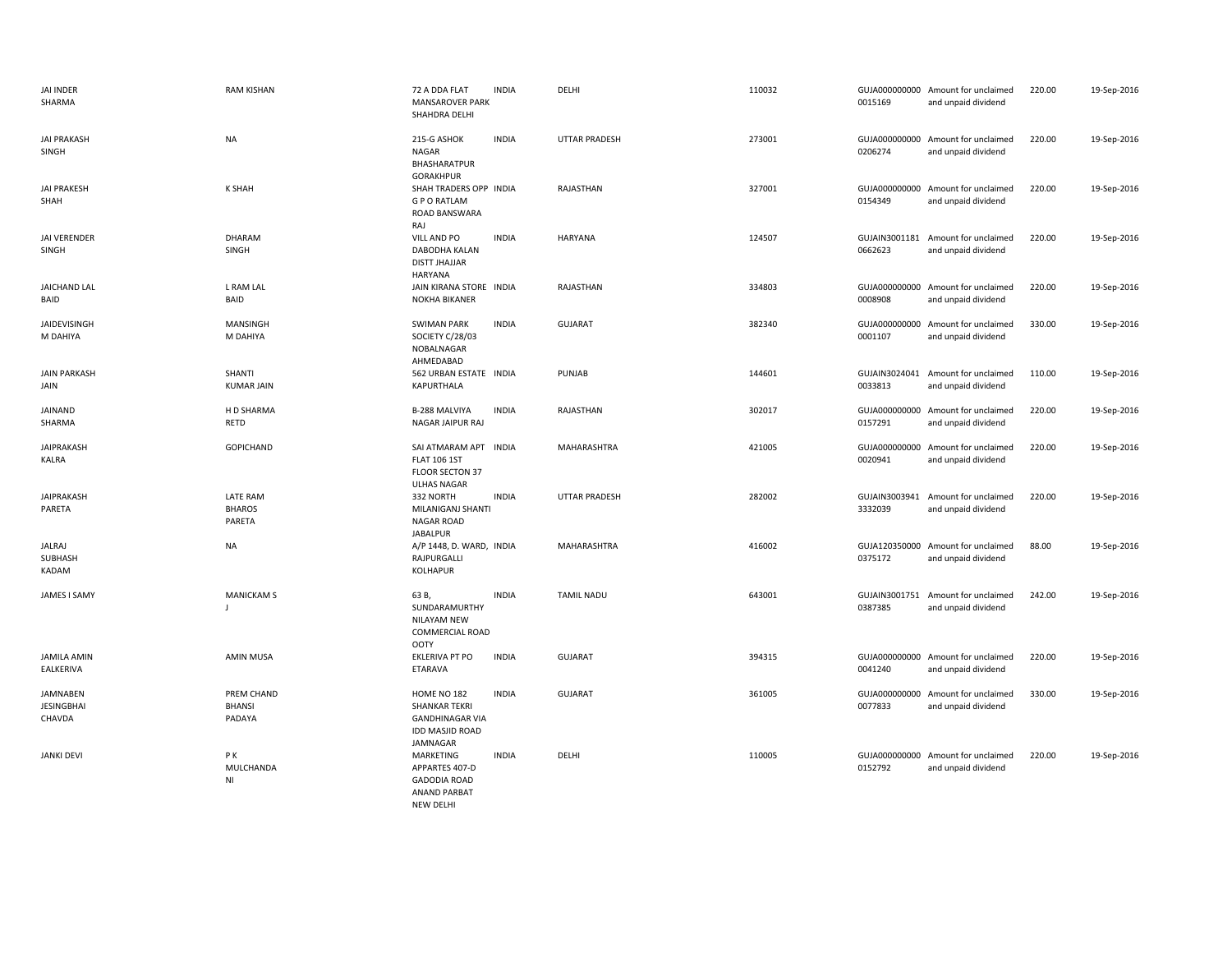| <b>JAI INDER</b><br>SHARMA                     | <b>RAM KISHAN</b>                          | 72 A DDA FLAT<br><b>MANSAROVER PARK</b><br>SHAHDRA DELHI                                            | <b>INDIA</b> | DELHI                | 110032 | 0015169                  | GUJA000000000 Amount for unclaimed<br>and unpaid dividend | 220.00 | 19-Sep-2016 |
|------------------------------------------------|--------------------------------------------|-----------------------------------------------------------------------------------------------------|--------------|----------------------|--------|--------------------------|-----------------------------------------------------------|--------|-------------|
| <b>JAI PRAKASH</b><br>SINGH                    | <b>NA</b>                                  | 215-G ASHOK<br><b>NAGAR</b><br>BHASHARATPUR<br><b>GORAKHPUR</b>                                     | <b>INDIA</b> | <b>UTTAR PRADESH</b> | 273001 | 0206274                  | GUJA000000000 Amount for unclaimed<br>and unpaid dividend | 220.00 | 19-Sep-2016 |
| <b>JAI PRAKESH</b><br>SHAH                     | <b>K SHAH</b>                              | SHAH TRADERS OPP INDIA<br><b>GPORATLAM</b><br>ROAD BANSWARA<br>RAJ                                  |              | RAJASTHAN            | 327001 | 0154349                  | GUJA000000000 Amount for unclaimed<br>and unpaid dividend | 220.00 | 19-Sep-2016 |
| JAI VERENDER<br>SINGH                          | DHARAM<br>SINGH                            | VILL AND PO<br>DABODHA KALAN<br><b>DISTT JHAJJAR</b><br><b>HARYANA</b>                              | <b>INDIA</b> | <b>HARYANA</b>       | 124507 | 0662623                  | GUJAIN3001181 Amount for unclaimed<br>and unpaid dividend | 220.00 | 19-Sep-2016 |
| <b>JAICHAND LAL</b><br>BAID                    | L RAM LAL<br>BAID                          | JAIN KIRANA STORE INDIA<br><b>NOKHA BIKANER</b>                                                     |              | RAJASTHAN            | 334803 | 0008908                  | GUJA000000000 Amount for unclaimed<br>and unpaid dividend | 220.00 | 19-Sep-2016 |
| JAIDEVISINGH<br>M DAHIYA                       | MANSINGH<br>M DAHIYA                       | <b>SWIMAN PARK</b><br>SOCIETY C/28/03<br>NOBALNAGAR<br>AHMEDABAD                                    | <b>INDIA</b> | GUJARAT              | 382340 | 0001107                  | GUJA000000000 Amount for unclaimed<br>and unpaid dividend | 330.00 | 19-Sep-2016 |
| <b>JAIN PARKASH</b><br>JAIN                    | SHANTI<br><b>KUMAR JAIN</b>                | 562 URBAN ESTATE INDIA<br>KAPURTHALA                                                                |              | PUNJAB               | 144601 | 0033813                  | GUJAIN3024041 Amount for unclaimed<br>and unpaid dividend | 110.00 | 19-Sep-2016 |
| JAINAND<br>SHARMA                              | H D SHARMA<br>RETD                         | B-288 MALVIYA<br>NAGAR JAIPUR RAJ                                                                   | <b>INDIA</b> | RAJASTHAN            | 302017 | 0157291                  | GUJA000000000 Amount for unclaimed<br>and unpaid dividend | 220.00 | 19-Sep-2016 |
| <b>JAIPRAKASH</b><br>KALRA                     | <b>GOPICHAND</b>                           | SAI ATMARAM APT INDIA<br><b>FLAT 106 1ST</b><br>FLOOR SECTON 37<br><b>ULHAS NAGAR</b>               |              | MAHARASHTRA          | 421005 | GUJA000000000<br>0020941 | Amount for unclaimed<br>and unpaid dividend               | 220.00 | 19-Sep-2016 |
| JAIPRAKASH<br>PARETA                           | <b>LATE RAM</b><br><b>BHAROS</b><br>PARETA | 332 NORTH<br>MILANIGANJ SHANTI<br><b>NAGAR ROAD</b><br><b>JABALPUR</b>                              | <b>INDIA</b> | <b>UTTAR PRADESH</b> | 282002 | 3332039                  | GUJAIN3003941 Amount for unclaimed<br>and unpaid dividend | 220.00 | 19-Sep-2016 |
| <b>JALRAJ</b><br>SUBHASH<br>KADAM              | <b>NA</b>                                  | A/P 1448, D. WARD, INDIA<br>RAJPURGALLI<br><b>KOLHAPUR</b>                                          |              | <b>MAHARASHTRA</b>   | 416002 | 0375172                  | GUJA120350000 Amount for unclaimed<br>and unpaid dividend | 88.00  | 19-Sep-2016 |
| JAMES I SAMY                                   | <b>MANICKAM S</b><br>$\blacksquare$        | 63 B,<br>SUNDARAMURTHY<br><b>NILAYAM NEW</b><br><b>COMMERCIAL ROAD</b><br><b>OOTY</b>               | <b>INDIA</b> | <b>TAMIL NADU</b>    | 643001 | GUJAIN3001751<br>0387385 | Amount for unclaimed<br>and unpaid dividend               | 242.00 | 19-Sep-2016 |
| <b>JAMILA AMIN</b><br>EALKERIVA                | <b>AMIN MUSA</b>                           | <b>EKLERIVA PT PO</b><br>ETARAVA                                                                    | <b>INDIA</b> | <b>GUJARAT</b>       | 394315 | GUJA000000000<br>0041240 | Amount for unclaimed<br>and unpaid dividend               | 220.00 | 19-Sep-2016 |
| <b>JAMNABEN</b><br><b>JESINGBHAI</b><br>CHAVDA | PREM CHAND<br><b>BHANSI</b><br>PADAYA      | HOME NO 182<br><b>SHANKAR TEKRI</b><br><b>GANDHINAGAR VIA</b><br><b>IDD MASJID ROAD</b><br>JAMNAGAR | <b>INDIA</b> | <b>GUJARAT</b>       | 361005 | GUJA000000000<br>0077833 | Amount for unclaimed<br>and unpaid dividend               | 330.00 | 19-Sep-2016 |
| <b>JANKI DEVI</b>                              | PK<br>MULCHANDA<br>NI                      | MARKETING<br>APPARTES 407-D<br><b>GADODIA ROAD</b><br><b>ANAND PARBAT</b>                           | <b>INDIA</b> | DELHI                | 110005 | 0152792                  | GUJA000000000 Amount for unclaimed<br>and unpaid dividend | 220.00 | 19-Sep-2016 |

NEW DELHI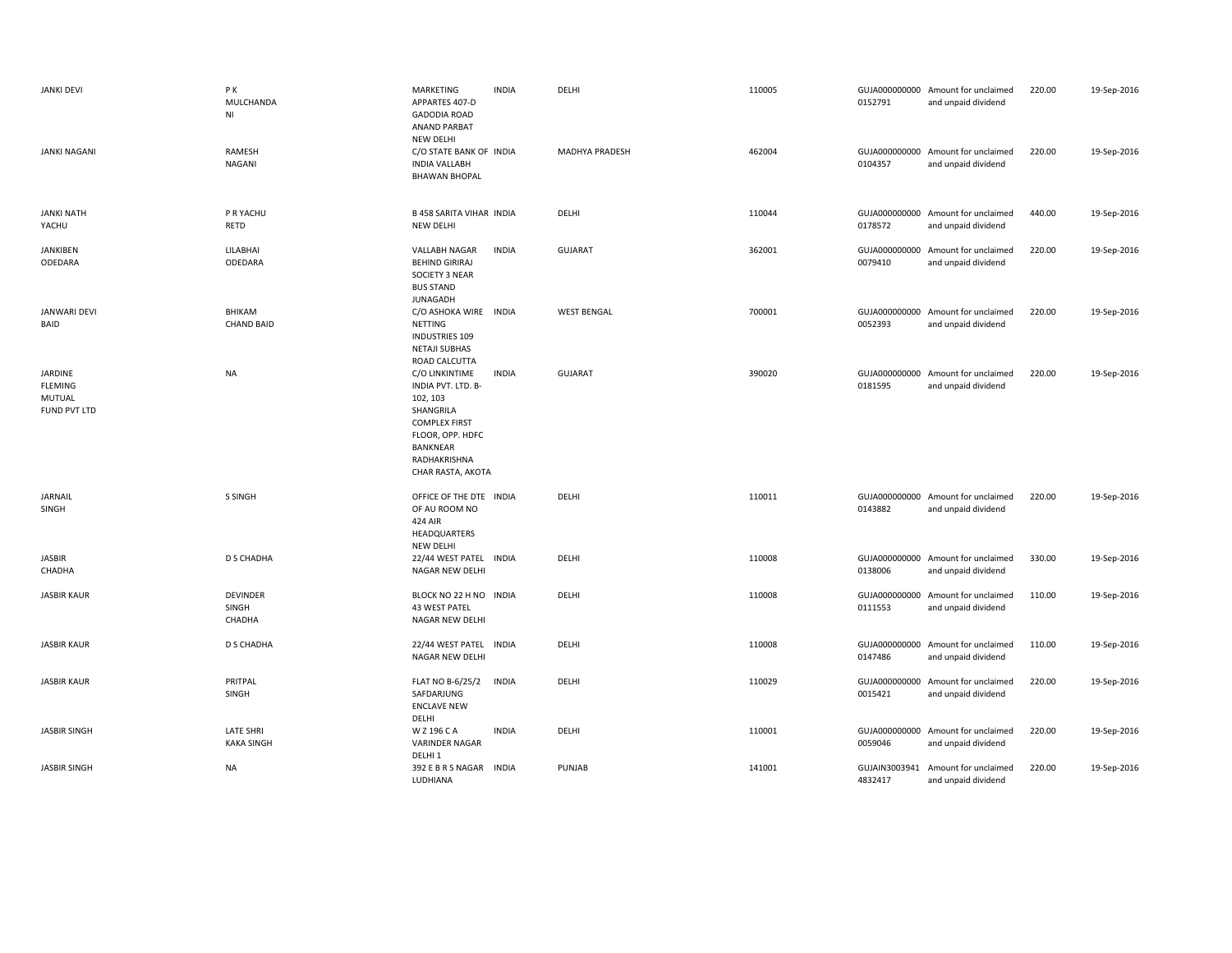| <b>JANKI DEVI</b>                                   | PΚ<br>MULCHANDA<br>NI                 | MARKETING<br><b>INDIA</b><br>APPARTES 407-D<br><b>GADODIA ROAD</b><br><b>ANAND PARBAT</b><br>NEW DELHI                                                                     | DELHI              | 110005 | 0152791                  | GUJA000000000 Amount for unclaimed<br>and unpaid dividend | 220.00 | 19-Sep-2016 |
|-----------------------------------------------------|---------------------------------------|----------------------------------------------------------------------------------------------------------------------------------------------------------------------------|--------------------|--------|--------------------------|-----------------------------------------------------------|--------|-------------|
| <b>JANKI NAGANI</b>                                 | RAMESH<br>NAGANI                      | C/O STATE BANK OF INDIA<br><b>INDIA VALLABH</b><br><b>BHAWAN BHOPAL</b>                                                                                                    | MADHYA PRADESH     | 462004 | 0104357                  | GUJA000000000 Amount for unclaimed<br>and unpaid dividend | 220.00 | 19-Sep-2016 |
| <b>JANKI NATH</b><br>YACHU                          | P R YACHU<br>RETD                     | <b>B 458 SARITA VIHAR INDIA</b><br>NEW DELHI                                                                                                                               | DELHI              | 110044 | 0178572                  | GUJA000000000 Amount for unclaimed<br>and unpaid dividend | 440.00 | 19-Sep-2016 |
| <b>JANKIBEN</b><br>ODEDARA                          | LILABHAI<br>ODEDARA                   | VALLABH NAGAR<br><b>INDIA</b><br><b>BEHIND GIRIRAJ</b><br>SOCIETY 3 NEAR<br><b>BUS STAND</b><br><b>JUNAGADH</b>                                                            | <b>GUJARAT</b>     | 362001 | GUJA000000000<br>0079410 | Amount for unclaimed<br>and unpaid dividend               | 220.00 | 19-Sep-2016 |
| <b>JANWARI DEVI</b><br>BAID                         | BHIKAM<br><b>CHAND BAID</b>           | C/O ASHOKA WIRE INDIA<br>NETTING<br><b>INDUSTRIES 109</b><br><b>NETAJI SUBHAS</b><br>ROAD CALCUTTA                                                                         | <b>WEST BENGAL</b> | 700001 | 0052393                  | GUJA000000000 Amount for unclaimed<br>and unpaid dividend | 220.00 | 19-Sep-2016 |
| JARDINE<br><b>FLEMING</b><br>MUTUAL<br>FUND PVT LTD | <b>NA</b>                             | C/O LINKINTIME<br><b>INDIA</b><br>INDIA PVT. LTD. B-<br>102, 103<br>SHANGRILA<br><b>COMPLEX FIRST</b><br>FLOOR, OPP. HDFC<br>BANKNEAR<br>RADHAKRISHNA<br>CHAR RASTA, AKOTA | <b>GUJARAT</b>     | 390020 | 0181595                  | GUJA000000000 Amount for unclaimed<br>and unpaid dividend | 220.00 | 19-Sep-2016 |
| JARNAIL<br>SINGH                                    | S SINGH                               | OFFICE OF THE DTE INDIA<br>OF AU ROOM NO<br>424 AIR<br>HEADQUARTERS<br>NEW DELHI                                                                                           | DELHI              | 110011 | 0143882                  | GUJA000000000 Amount for unclaimed<br>and unpaid dividend | 220.00 | 19-Sep-2016 |
| <b>JASBIR</b><br>CHADHA                             | D S CHADHA                            | 22/44 WEST PATEL INDIA<br>NAGAR NEW DELHI                                                                                                                                  | DELHI              | 110008 | 0138006                  | GUJA000000000 Amount for unclaimed<br>and unpaid dividend | 330.00 | 19-Sep-2016 |
| <b>JASBIR KAUR</b>                                  | <b>DEVINDER</b><br>SINGH<br>CHADHA    | BLOCK NO 22 H NO INDIA<br>43 WEST PATEL<br>NAGAR NEW DELHI                                                                                                                 | DELHI              | 110008 | 0111553                  | GUJA000000000 Amount for unclaimed<br>and unpaid dividend | 110.00 | 19-Sep-2016 |
| <b>JASBIR KAUR</b>                                  | <b>D S CHADHA</b>                     | 22/44 WEST PATEL INDIA<br>NAGAR NEW DELHI                                                                                                                                  | DELHI              | 110008 | GUJA000000000<br>0147486 | Amount for unclaimed<br>and unpaid dividend               | 110.00 | 19-Sep-2016 |
| <b>JASBIR KAUR</b>                                  | PRITPAL<br>SINGH                      | <b>FLAT NO B-6/25/2</b><br><b>INDIA</b><br>SAFDARJUNG<br><b>ENCLAVE NEW</b><br>DELHI                                                                                       | DELHI              | 110029 | GUJA000000000<br>0015421 | Amount for unclaimed<br>and unpaid dividend               | 220.00 | 19-Sep-2016 |
| <b>JASBIR SINGH</b>                                 | <b>LATE SHRI</b><br><b>KAKA SINGH</b> | W Z 196 C A<br><b>INDIA</b><br><b>VARINDER NAGAR</b><br>DELHI <sub>1</sub>                                                                                                 | DELHI              | 110001 | 0059046                  | GUJA000000000 Amount for unclaimed<br>and unpaid dividend | 220.00 | 19-Sep-2016 |
| <b>JASBIR SINGH</b>                                 | <b>NA</b>                             | 392 E B R S NAGAR INDIA<br>LUDHIANA                                                                                                                                        | <b>PUNJAB</b>      | 141001 | 4832417                  | GUJAIN3003941 Amount for unclaimed<br>and unpaid dividend | 220.00 | 19-Sep-2016 |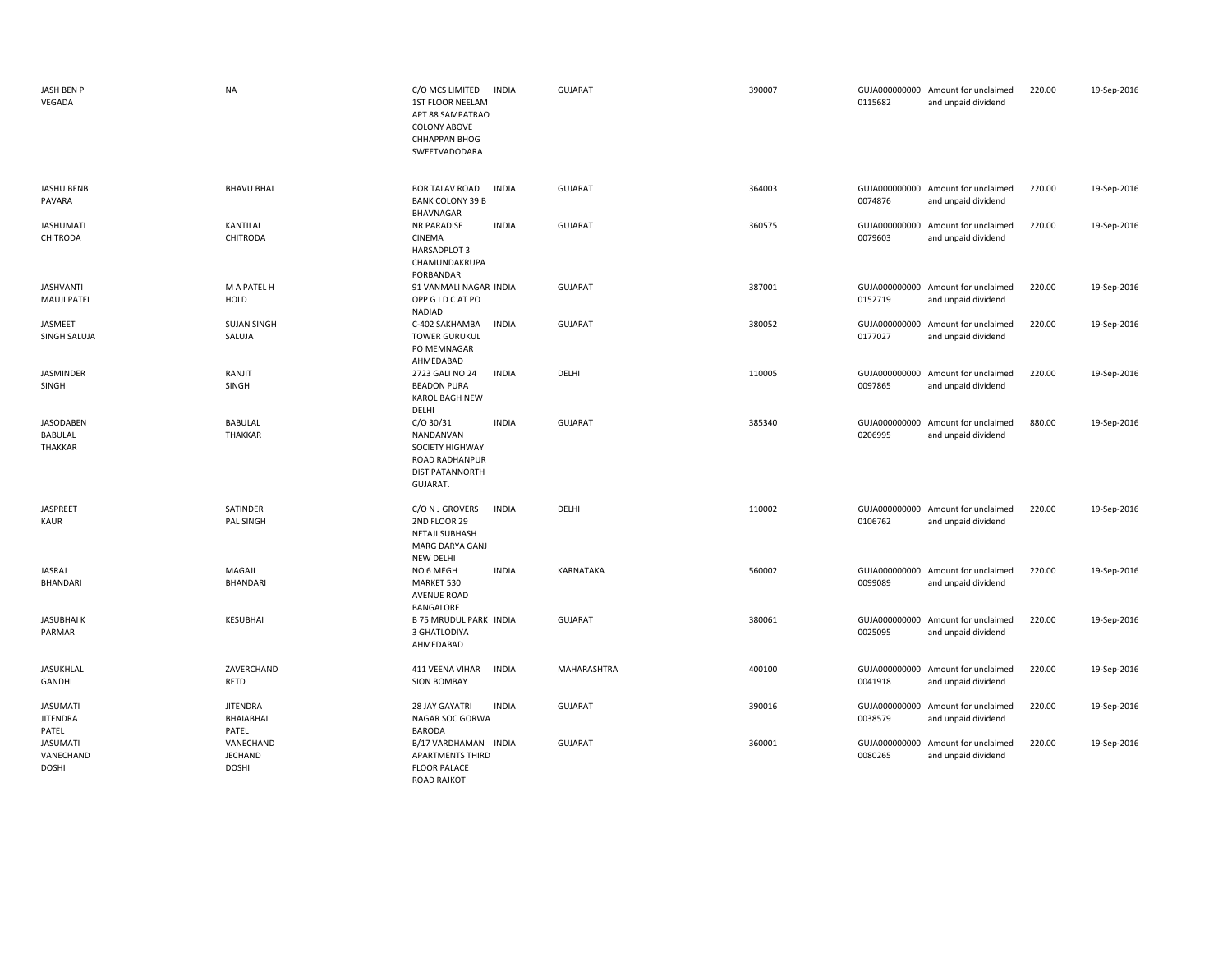| JASH BEN P<br>VEGADA                         | <b>NA</b>                                   | C/O MCS LIMITED<br><b>INDIA</b><br>1ST FLOOR NEELAM<br>APT 88 SAMPATRAO<br><b>COLONY ABOVE</b><br><b>CHHAPPAN BHOG</b><br>SWEETVADODARA |              | GUJARAT        | 390007 | 0115682                  | GUJA000000000 Amount for unclaimed<br>and unpaid dividend | 220.00 | 19-Sep-2016 |
|----------------------------------------------|---------------------------------------------|-----------------------------------------------------------------------------------------------------------------------------------------|--------------|----------------|--------|--------------------------|-----------------------------------------------------------|--------|-------------|
| <b>JASHU BENB</b><br>PAVARA                  | <b>BHAVU BHAI</b>                           | <b>INDIA</b><br><b>BOR TALAV ROAD</b><br><b>BANK COLONY 39 B</b><br>BHAVNAGAR                                                           |              | <b>GUJARAT</b> | 364003 | 0074876                  | GUJA000000000 Amount for unclaimed<br>and unpaid dividend | 220.00 | 19-Sep-2016 |
| <b>JASHUMATI</b><br>CHITRODA                 | KANTILAL<br><b>CHITRODA</b>                 | NR PARADISE<br>CINEMA<br><b>HARSADPLOT 3</b><br>CHAMUNDAKRUPA<br>PORBANDAR                                                              | <b>INDIA</b> | <b>GUJARAT</b> | 360575 | 0079603                  | GUJA000000000 Amount for unclaimed<br>and unpaid dividend | 220.00 | 19-Sep-2016 |
| <b>JASHVANTI</b><br><b>MAUJI PATEL</b>       | M A PATEL H<br>HOLD                         | 91 VANMALI NAGAR INDIA<br>OPP GID CAT PO<br><b>NADIAD</b>                                                                               |              | <b>GUJARAT</b> | 387001 | 0152719                  | GUJA000000000 Amount for unclaimed<br>and unpaid dividend | 220.00 | 19-Sep-2016 |
| JASMEET<br>SINGH SALUJA                      | <b>SUJAN SINGH</b><br>SALUJA                | C-402 SAKHAMBA<br><b>INDIA</b><br><b>TOWER GURUKUL</b><br>PO MEMNAGAR<br>AHMEDABAD                                                      |              | <b>GUJARAT</b> | 380052 | GUJA000000000<br>0177027 | Amount for unclaimed<br>and unpaid dividend               | 220.00 | 19-Sep-2016 |
| JASMINDER<br>SINGH                           | RANJIT<br>SINGH                             | 2723 GALI NO 24<br><b>INDIA</b><br><b>BEADON PURA</b><br>KAROL BAGH NEW<br>DELHI                                                        |              | DELHI          | 110005 | 0097865                  | GUJA000000000 Amount for unclaimed<br>and unpaid dividend | 220.00 | 19-Sep-2016 |
| <b>JASODABEN</b><br>BABULAL<br>THAKKAR       | <b>BABULAL</b><br><b>THAKKAR</b>            | $C/O$ 30/31<br>NANDANVAN<br>SOCIETY HIGHWAY<br>ROAD RADHANPUR<br><b>DIST PATANNORTH</b><br>GUJARAT.                                     | <b>INDIA</b> | <b>GUJARAT</b> | 385340 | 0206995                  | GUJA000000000 Amount for unclaimed<br>and unpaid dividend | 880.00 | 19-Sep-2016 |
| JASPREET<br><b>KAUR</b>                      | SATINDER<br>PAL SINGH                       | C/O N J GROVERS<br><b>INDIA</b><br>2ND FLOOR 29<br><b>NETAJI SUBHASH</b><br>MARG DARYA GANJ<br><b>NEW DELHI</b>                         |              | DELHI          | 110002 | 0106762                  | GUJA000000000 Amount for unclaimed<br>and unpaid dividend | 220.00 | 19-Sep-2016 |
| JASRAJ<br><b>BHANDARI</b>                    | MAGAJI<br>BHANDARI                          | NO 6 MEGH<br>MARKET 530<br><b>AVENUE ROAD</b><br>BANGALORE                                                                              | <b>INDIA</b> | KARNATAKA      | 560002 | 0099089                  | GUJA000000000 Amount for unclaimed<br>and unpaid dividend | 220.00 | 19-Sep-2016 |
| <b>JASUBHAIK</b><br>PARMAR                   | <b>KESUBHAI</b>                             | <b>B 75 MRUDUL PARK INDIA</b><br>3 GHATLODIYA<br>AHMEDABAD                                                                              |              | <b>GUJARAT</b> | 380061 | 0025095                  | GUJA000000000 Amount for unclaimed<br>and unpaid dividend | 220.00 | 19-Sep-2016 |
| <b>JASUKHLAL</b><br>GANDHI                   | ZAVERCHAND<br><b>RETD</b>                   | <b>INDIA</b><br>411 VEENA VIHAR<br><b>SION BOMBAY</b>                                                                                   |              | MAHARASHTRA    | 400100 | 0041918                  | GUJA000000000 Amount for unclaimed<br>and unpaid dividend | 220.00 | 19-Sep-2016 |
| <b>JASUMATI</b><br><b>JITENDRA</b><br>PATEL  | <b>JITENDRA</b><br>BHAIABHAI<br>PATEL       | 28 JAY GAYATRI<br><b>INDIA</b><br>NAGAR SOC GORWA<br><b>BARODA</b>                                                                      |              | <b>GUJARAT</b> | 390016 | 0038579                  | GUJA000000000 Amount for unclaimed<br>and unpaid dividend | 220.00 | 19-Sep-2016 |
| <b>JASUMATI</b><br>VANECHAND<br><b>DOSHI</b> | VANECHAND<br><b>JECHAND</b><br><b>DOSHI</b> | B/17 VARDHAMAN INDIA<br><b>APARTMENTS THIRD</b><br><b>FLOOR PALACE</b><br><b>ROAD RAJKOT</b>                                            |              | <b>GUJARAT</b> | 360001 | 0080265                  | GUJA000000000 Amount for unclaimed<br>and unpaid dividend | 220.00 | 19-Sep-2016 |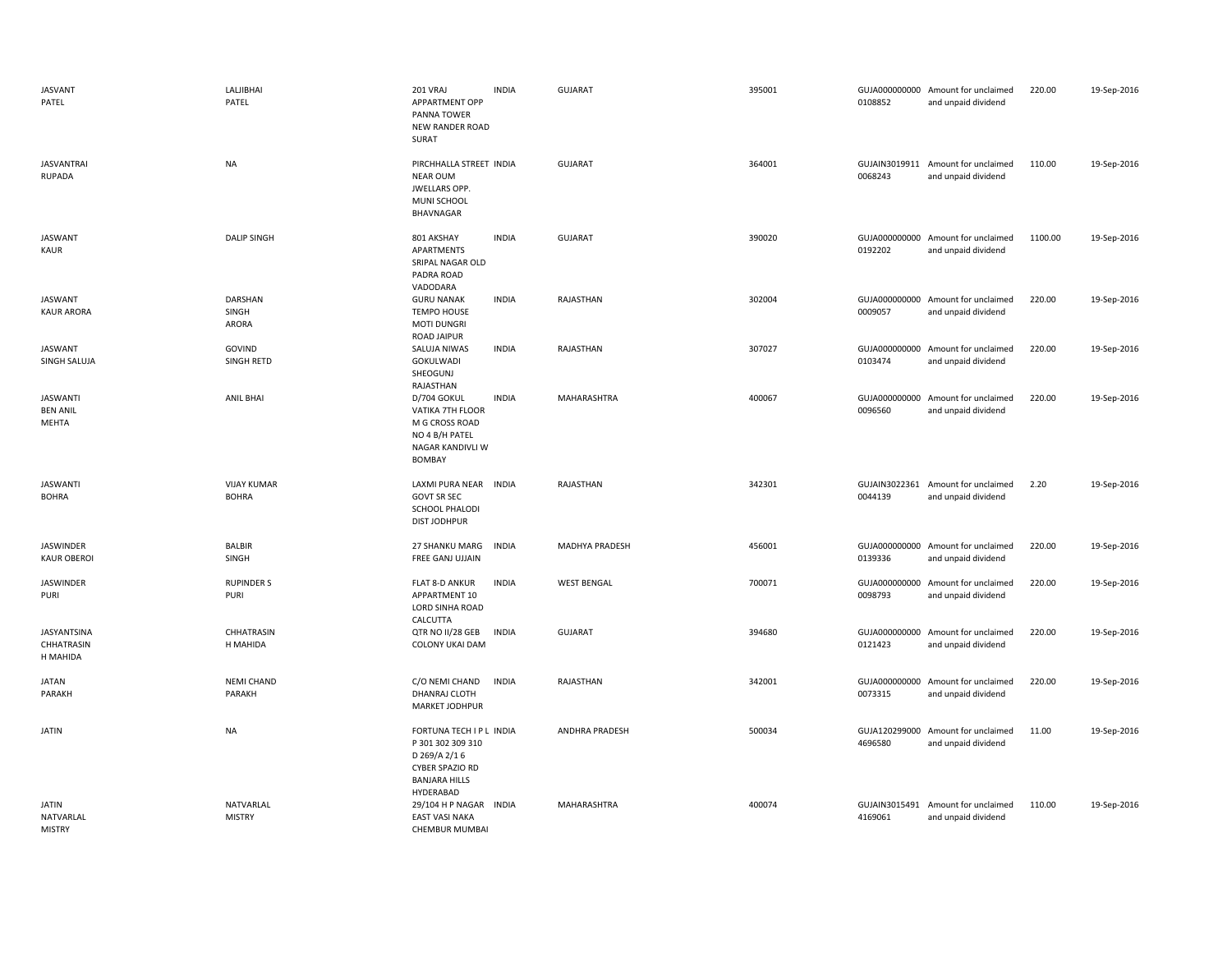| <b>JASVANT</b><br>PATEL                     | LALJIBHAI<br>PATEL                 | 201 VRAJ<br><b>INDIA</b><br>APPARTMENT OPP<br>PANNA TOWER<br><b>NEW RANDER ROAD</b><br>SURAT                          | <b>GUJARAT</b>        | 395001 | 0108852                  | GUJA000000000 Amount for unclaimed<br>and unpaid dividend | 220.00  | 19-Sep-2016 |
|---------------------------------------------|------------------------------------|-----------------------------------------------------------------------------------------------------------------------|-----------------------|--------|--------------------------|-----------------------------------------------------------|---------|-------------|
| <b>JASVANTRAI</b><br><b>RUPADA</b>          | <b>NA</b>                          | PIRCHHALLA STREET INDIA<br><b>NEAR OUM</b><br>JWELLARS OPP.<br>MUNI SCHOOL<br>BHAVNAGAR                               | <b>GUJARAT</b>        | 364001 | 0068243                  | GUJAIN3019911 Amount for unclaimed<br>and unpaid dividend | 110.00  | 19-Sep-2016 |
| <b>JASWANT</b><br>KAUR                      | <b>DALIP SINGH</b>                 | <b>INDIA</b><br>801 AKSHAY<br>APARTMENTS<br>SRIPAL NAGAR OLD<br>PADRA ROAD<br>VADODARA                                | <b>GUJARAT</b>        | 390020 | 0192202                  | GUJA000000000 Amount for unclaimed<br>and unpaid dividend | 1100.00 | 19-Sep-2016 |
| <b>JASWANT</b><br><b>KAUR ARORA</b>         | DARSHAN<br>SINGH<br>ARORA          | <b>GURU NANAK</b><br><b>INDIA</b><br><b>TEMPO HOUSE</b><br><b>MOTI DUNGRI</b><br><b>ROAD JAIPUR</b>                   | RAJASTHAN             | 302004 | 0009057                  | GUJA000000000 Amount for unclaimed<br>and unpaid dividend | 220.00  | 19-Sep-2016 |
| <b>JASWANT</b><br>SINGH SALUJA              | GOVIND<br>SINGH RETD               | SALUJA NIWAS<br><b>INDIA</b><br>GOKULWADI<br>SHEOGUNJ<br>RAJASTHAN                                                    | RAJASTHAN             | 307027 | 0103474                  | GUJA000000000 Amount for unclaimed<br>and unpaid dividend | 220.00  | 19-Sep-2016 |
| <b>JASWANTI</b><br><b>BEN ANIL</b><br>MEHTA | <b>ANIL BHAI</b>                   | D/704 GOKUL<br><b>INDIA</b><br>VATIKA 7TH FLOOR<br>M G CROSS ROAD<br>NO 4 B/H PATEL<br>NAGAR KANDIVLI W<br>BOMBAY     | MAHARASHTRA           | 400067 | 0096560                  | GUJA000000000 Amount for unclaimed<br>and unpaid dividend | 220.00  | 19-Sep-2016 |
| <b>JASWANTI</b><br><b>BOHRA</b>             | <b>VIJAY KUMAR</b><br><b>BOHRA</b> | LAXMI PURA NEAR INDIA<br><b>GOVT SR SEC</b><br><b>SCHOOL PHALODI</b><br><b>DIST JODHPUR</b>                           | RAJASTHAN             | 342301 | 0044139                  | GUJAIN3022361 Amount for unclaimed<br>and unpaid dividend | 2.20    | 19-Sep-2016 |
| JASWINDER<br><b>KAUR OBEROI</b>             | BALBIR<br>SINGH                    | 27 SHANKU MARG<br><b>INDIA</b><br>FREE GANJ UJJAIN                                                                    | MADHYA PRADESH        | 456001 | 0139336                  | GUJA000000000 Amount for unclaimed<br>and unpaid dividend | 220.00  | 19-Sep-2016 |
| JASWINDER<br>PURI                           | <b>RUPINDER S</b><br>PURI          | <b>FLAT 8-D ANKUR</b><br><b>INDIA</b><br>APPARTMENT 10<br>LORD SINHA ROAD<br>CALCUTTA                                 | <b>WEST BENGAL</b>    | 700071 | GUJA000000000<br>0098793 | Amount for unclaimed<br>and unpaid dividend               | 220.00  | 19-Sep-2016 |
| JASYANTSINA<br>CHHATRASIN<br>H MAHIDA       | CHHATRASIN<br>H MAHIDA             | <b>INDIA</b><br>QTR NO II/28 GEB<br>COLONY UKAI DAM                                                                   | <b>GUJARAT</b>        | 394680 | 0121423                  | GUJA000000000 Amount for unclaimed<br>and unpaid dividend | 220.00  | 19-Sep-2016 |
| <b>JATAN</b><br>PARAKH                      | <b>NEMI CHAND</b><br>PARAKH        | C/O NEMI CHAND<br><b>INDIA</b><br>DHANRAJ CLOTH<br><b>MARKET JODHPUR</b>                                              | RAJASTHAN             | 342001 | 0073315                  | GUJA000000000 Amount for unclaimed<br>and unpaid dividend | 220.00  | 19-Sep-2016 |
| <b>JATIN</b>                                | <b>NA</b>                          | FORTUNA TECH I P L INDIA<br>P 301 302 309 310<br>D 269/A 2/16<br>CYBER SPAZIO RD<br><b>BANJARA HILLS</b><br>HYDERABAD | <b>ANDHRA PRADESH</b> | 500034 | 4696580                  | GUJA120299000 Amount for unclaimed<br>and unpaid dividend | 11.00   | 19-Sep-2016 |
| <b>JATIN</b><br>NATVARLAL<br><b>MISTRY</b>  | NATVARLAL<br><b>MISTRY</b>         | 29/104 H P NAGAR INDIA<br><b>EAST VASI NAKA</b><br><b>CHEMBUR MUMBAI</b>                                              | <b>MAHARASHTRA</b>    | 400074 | GUJAIN3015491<br>4169061 | Amount for unclaimed<br>and unpaid dividend               | 110.00  | 19-Sep-2016 |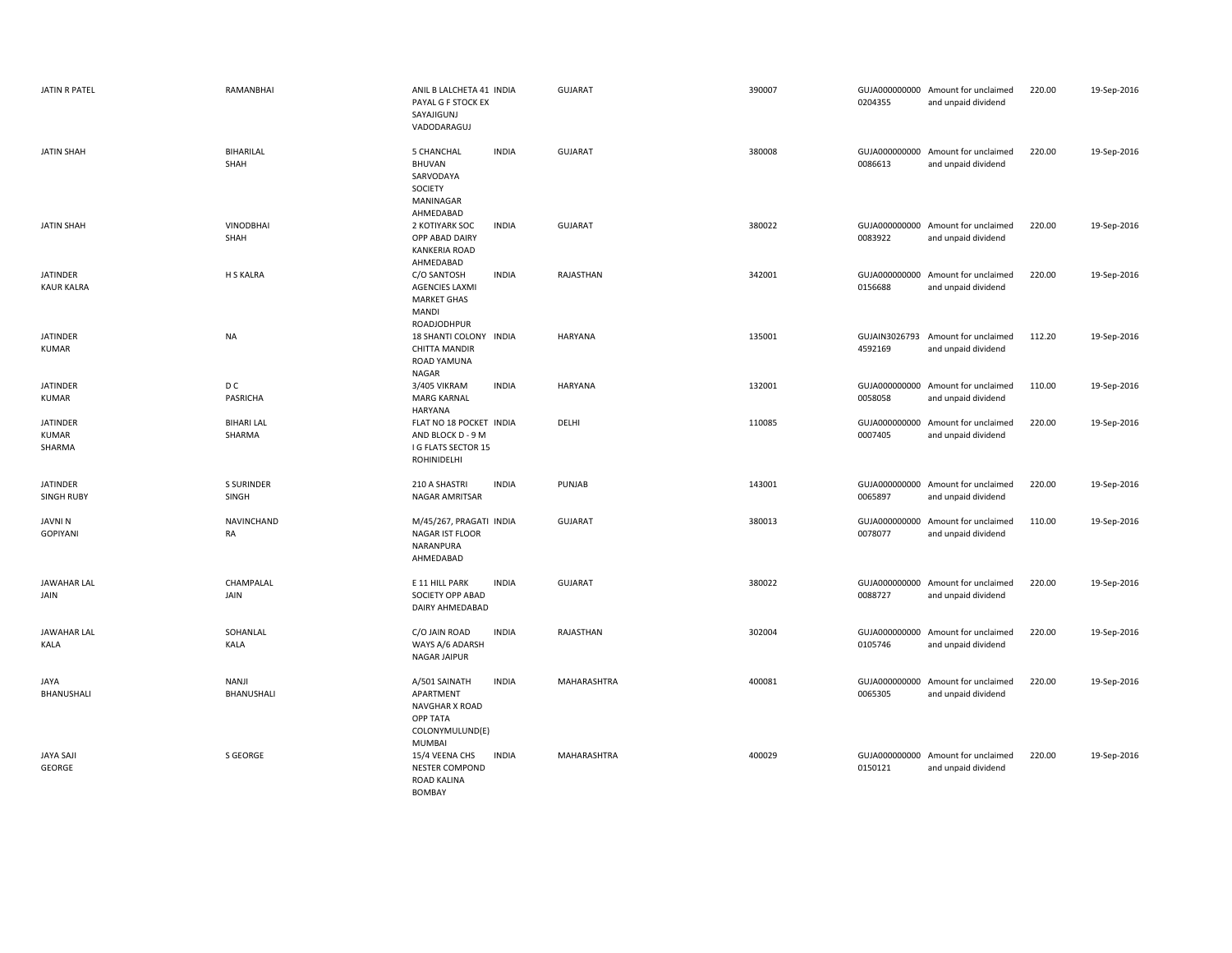| JATIN R PATEL                        | RAMANBHAI                   | ANIL B LALCHETA 41 INDIA<br>PAYAL G F STOCK EX<br>SAYAJIGUNJ<br>VADODARAGUJ                     |              | <b>GUJARAT</b> | 390007 | 0204355                  | GUJA000000000 Amount for unclaimed<br>and unpaid dividend | 220.00 | 19-Sep-2016 |
|--------------------------------------|-----------------------------|-------------------------------------------------------------------------------------------------|--------------|----------------|--------|--------------------------|-----------------------------------------------------------|--------|-------------|
| <b>JATIN SHAH</b>                    | BIHARILAL<br>SHAH           | 5 CHANCHAL<br>BHUVAN<br>SARVODAYA<br>SOCIETY<br>MANINAGAR<br>AHMEDABAD                          | <b>INDIA</b> | GUJARAT        | 380008 | 0086613                  | GUJA000000000 Amount for unclaimed<br>and unpaid dividend | 220.00 | 19-Sep-2016 |
| <b>JATIN SHAH</b>                    | VINODBHAI<br>SHAH           | 2 KOTIYARK SOC<br>OPP ABAD DAIRY<br><b>KANKERIA ROAD</b><br>AHMEDABAD                           | <b>INDIA</b> | <b>GUJARAT</b> | 380022 | 0083922                  | GUJA000000000 Amount for unclaimed<br>and unpaid dividend | 220.00 | 19-Sep-2016 |
| <b>JATINDER</b><br><b>KAUR KALRA</b> | H S KALRA                   | C/O SANTOSH<br><b>AGENCIES LAXMI</b><br><b>MARKET GHAS</b><br>MANDI<br>ROADJODHPUR              | <b>INDIA</b> | RAJASTHAN      | 342001 | 0156688                  | GUJA000000000 Amount for unclaimed<br>and unpaid dividend | 220.00 | 19-Sep-2016 |
| <b>JATINDER</b><br><b>KUMAR</b>      | <b>NA</b>                   | 18 SHANTI COLONY INDIA<br><b>CHITTA MANDIR</b><br>ROAD YAMUNA<br>NAGAR                          |              | HARYANA        | 135001 | 4592169                  | GUJAIN3026793 Amount for unclaimed<br>and unpaid dividend | 112.20 | 19-Sep-2016 |
| <b>JATINDER</b><br><b>KUMAR</b>      | D C<br>PASRICHA             | 3/405 VIKRAM<br><b>MARG KARNAL</b><br>HARYANA                                                   | <b>INDIA</b> | <b>HARYANA</b> | 132001 | 0058058                  | GUJA000000000 Amount for unclaimed<br>and unpaid dividend | 110.00 | 19-Sep-2016 |
| <b>JATINDER</b><br>KUMAR<br>SHARMA   | <b>BIHARI LAL</b><br>SHARMA | FLAT NO 18 POCKET INDIA<br>AND BLOCK D - 9 M<br>I G FLATS SECTOR 15<br>ROHINIDELHI              |              | DELHI          | 110085 | GUJA000000000<br>0007405 | Amount for unclaimed<br>and unpaid dividend               | 220.00 | 19-Sep-2016 |
| <b>JATINDER</b><br><b>SINGH RUBY</b> | <b>S SURINDER</b><br>SINGH  | 210 A SHASTRI<br>NAGAR AMRITSAR                                                                 | <b>INDIA</b> | PUNJAB         | 143001 | 0065897                  | GUJA000000000 Amount for unclaimed<br>and unpaid dividend | 220.00 | 19-Sep-2016 |
| JAVNI N<br><b>GOPIYANI</b>           | NAVINCHAND<br>RA            | M/45/267, PRAGATI INDIA<br>NAGAR IST FLOOR<br>NARANPURA<br>AHMEDABAD                            |              | <b>GUJARAT</b> | 380013 | GUJA000000000<br>0078077 | Amount for unclaimed<br>and unpaid dividend               | 110.00 | 19-Sep-2016 |
| <b>JAWAHAR LAL</b><br>JAIN           | CHAMPALAL<br>JAIN           | E 11 HILL PARK<br>SOCIETY OPP ABAD<br>DAIRY AHMEDABAD                                           | <b>INDIA</b> | <b>GUJARAT</b> | 380022 | 0088727                  | GUJA000000000 Amount for unclaimed<br>and unpaid dividend | 220.00 | 19-Sep-2016 |
| <b>JAWAHAR LAL</b><br><b>KALA</b>    | SOHANLAL<br>KALA            | C/O JAIN ROAD<br>WAYS A/6 ADARSH<br><b>NAGAR JAIPUR</b>                                         | <b>INDIA</b> | RAJASTHAN      | 302004 | 0105746                  | GUJA000000000 Amount for unclaimed<br>and unpaid dividend | 220.00 | 19-Sep-2016 |
| <b>JAYA</b><br>BHANUSHALI            | NANJI<br>BHANUSHALI         | A/501 SAINATH<br>APARTMENT<br><b>NAVGHAR X ROAD</b><br><b>OPP TATA</b><br>COLONYMULUND(E)       | <b>INDIA</b> | MAHARASHTRA    | 400081 | 0065305                  | GUJA000000000 Amount for unclaimed<br>and unpaid dividend | 220.00 | 19-Sep-2016 |
| <b>JAYA SAJI</b><br>GEORGE           | S GEORGE                    | <b>MUMBAI</b><br>15/4 VEENA CHS<br><b>NESTER COMPOND</b><br><b>ROAD KALINA</b><br><b>BOMBAY</b> | <b>INDIA</b> | MAHARASHTRA    | 400029 | 0150121                  | GUJA000000000 Amount for unclaimed<br>and unpaid dividend | 220.00 | 19-Sep-2016 |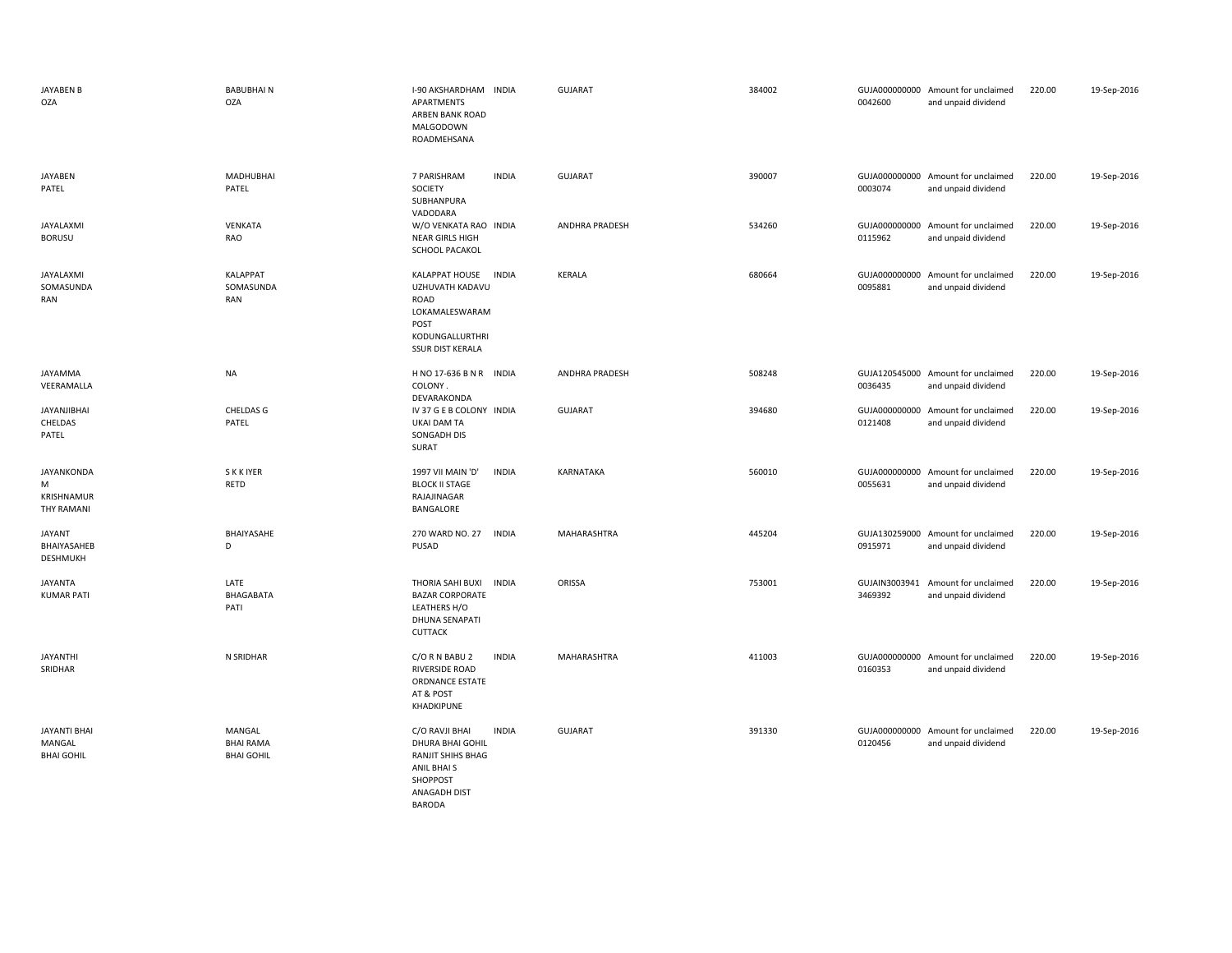| JAYABEN B<br><b>OZA</b>                                   | <b>BABUBHAIN</b><br>OZA                         | I-90 AKSHARDHAM INDIA<br>APARTMENTS<br>ARBEN BANK ROAD<br>MALGODOWN<br>ROADMEHSANA                                                  | <b>GUJARAT</b>     | 384002 | 0042600                  | GUJA000000000 Amount for unclaimed<br>and unpaid dividend | 220.00 | 19-Sep-2016 |
|-----------------------------------------------------------|-------------------------------------------------|-------------------------------------------------------------------------------------------------------------------------------------|--------------------|--------|--------------------------|-----------------------------------------------------------|--------|-------------|
| JAYABEN<br>PATEL                                          | <b>MADHUBHAI</b><br>PATEL                       | 7 PARISHRAM<br><b>INDIA</b><br>SOCIETY<br>SUBHANPURA<br>VADODARA                                                                    | <b>GUJARAT</b>     | 390007 | 0003074                  | GUJA000000000 Amount for unclaimed<br>and unpaid dividend | 220.00 | 19-Sep-2016 |
| JAYALAXMI<br><b>BORUSU</b>                                | VENKATA<br><b>RAO</b>                           | W/O VENKATA RAO INDIA<br><b>NEAR GIRLS HIGH</b><br>SCHOOL PACAKOL                                                                   | ANDHRA PRADESH     | 534260 | 0115962                  | GUJA000000000 Amount for unclaimed<br>and unpaid dividend | 220.00 | 19-Sep-2016 |
| JAYALAXMI<br>SOMASUNDA<br>RAN                             | <b>KALAPPAT</b><br>SOMASUNDA<br>RAN             | KALAPPAT HOUSE<br><b>INDIA</b><br>UZHUVATH KADAVU<br>ROAD<br>LOKAMALESWARAM<br>POST<br>KODUNGALLURTHRI<br><b>SSUR DIST KERALA</b>   | <b>KERALA</b>      | 680664 | 0095881                  | GUJA000000000 Amount for unclaimed<br>and unpaid dividend | 220.00 | 19-Sep-2016 |
| JAYAMMA<br>VEERAMALLA                                     | <b>NA</b>                                       | H NO 17-636 B N R INDIA<br>COLONY.<br>DEVARAKONDA                                                                                   | ANDHRA PRADESH     | 508248 | 0036435                  | GUJA120545000 Amount for unclaimed<br>and unpaid dividend | 220.00 | 19-Sep-2016 |
| <b>JAYANJIBHAI</b><br>CHELDAS<br>PATEL                    | <b>CHELDAS G</b><br>PATEL                       | IV 37 G E B COLONY INDIA<br><b>UKAI DAM TA</b><br>SONGADH DIS<br>SURAT                                                              | <b>GUJARAT</b>     | 394680 | GUJA000000000<br>0121408 | Amount for unclaimed<br>and unpaid dividend               | 220.00 | 19-Sep-2016 |
| <b>JAYANKONDA</b><br>M<br>KRISHNAMUR<br><b>THY RAMANI</b> | <b>SKKIYER</b><br>RETD                          | 1997 VII MAIN 'D'<br><b>INDIA</b><br><b>BLOCK II STAGE</b><br>RAJAJINAGAR<br>BANGALORE                                              | KARNATAKA          | 560010 | 0055631                  | GUJA000000000 Amount for unclaimed<br>and unpaid dividend | 220.00 | 19-Sep-2016 |
| <b>JAYANT</b><br>BHAIYASAHEB<br><b>DESHMUKH</b>           | BHAIYASAHE<br>D                                 | 270 WARD NO. 27<br><b>INDIA</b><br>PUSAD                                                                                            | MAHARASHTRA        | 445204 | 0915971                  | GUJA130259000 Amount for unclaimed<br>and unpaid dividend | 220.00 | 19-Sep-2016 |
| <b>JAYANTA</b><br><b>KUMAR PATI</b>                       | LATE<br>BHAGABATA<br>PATI                       | THORIA SAHI BUXI INDIA<br><b>BAZAR CORPORATE</b><br>LEATHERS H/O<br>DHUNA SENAPATI<br>CUTTACK                                       | ORISSA             | 753001 | GUJAIN3003941<br>3469392 | Amount for unclaimed<br>and unpaid dividend               | 220.00 | 19-Sep-2016 |
| <b>JAYANTHI</b><br>SRIDHAR                                | N SRIDHAR                                       | <b>INDIA</b><br>C/O R N BABU 2<br>RIVERSIDE ROAD<br><b>ORDNANCE ESTATE</b><br>AT & POST<br>KHADKIPUNE                               | <b>MAHARASHTRA</b> | 411003 | 0160353                  | GUJA000000000 Amount for unclaimed<br>and unpaid dividend | 220.00 | 19-Sep-2016 |
| <b>JAYANTI BHAI</b><br>MANGAL<br><b>BHAI GOHIL</b>        | MANGAL<br><b>BHAI RAMA</b><br><b>BHAI GOHIL</b> | C/O RAVJI BHAI<br><b>INDIA</b><br>DHURA BHAI GOHIL<br>RANJIT SHIHS BHAG<br>ANIL BHAI S<br>SHOPPOST<br>ANAGADH DIST<br><b>BARODA</b> | <b>GUJARAT</b>     | 391330 | 0120456                  | GUJA000000000 Amount for unclaimed<br>and unpaid dividend | 220.00 | 19-Sep-2016 |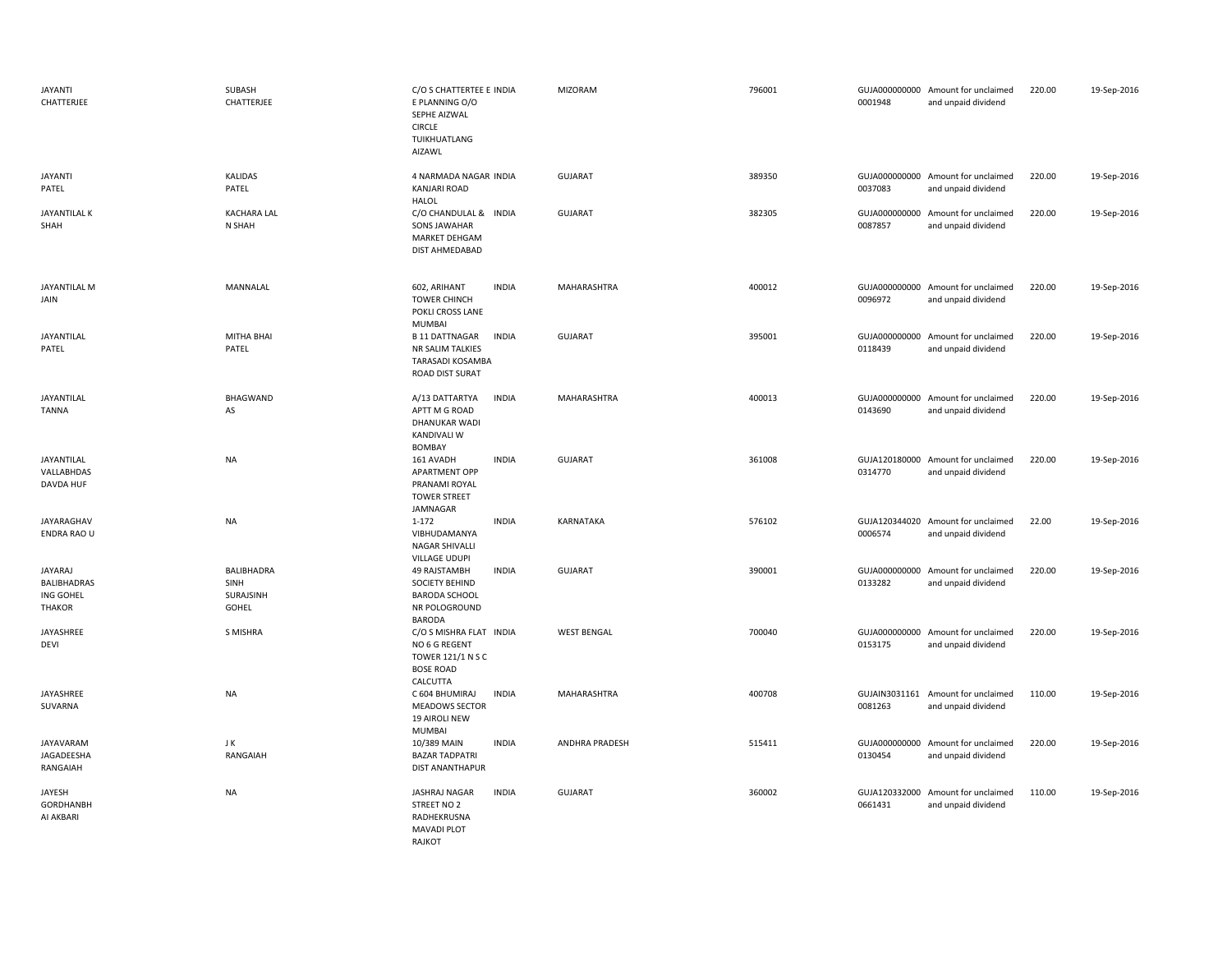| <b>JAYANTI</b><br>CHATTERJEE                                | SUBASH<br>CHATTERJEE                     | C/O S CHATTERTEE E INDIA<br>E PLANNING O/O<br>SEPHE AIZWAL<br><b>CIRCLE</b><br>TUIKHUATLANG<br>AIZAWL |              | MIZORAM            | 796001 | 0001948 | GUJA000000000 Amount for unclaimed<br>and unpaid dividend | 220.00 | 19-Sep-2016 |
|-------------------------------------------------------------|------------------------------------------|-------------------------------------------------------------------------------------------------------|--------------|--------------------|--------|---------|-----------------------------------------------------------|--------|-------------|
| <b>JAYANTI</b><br>PATEL                                     | <b>KALIDAS</b><br>PATEL                  | 4 NARMADA NAGAR INDIA<br><b>KANJARI ROAD</b><br><b>HALOL</b>                                          |              | GUJARAT            | 389350 | 0037083 | GUJA000000000 Amount for unclaimed<br>and unpaid dividend | 220.00 | 19-Sep-2016 |
| JAYANTILAL K<br>SHAH                                        | <b>KACHARA LAL</b><br>N SHAH             | C/O CHANDULAL & INDIA<br>SONS JAWAHAR<br>MARKET DEHGAM<br>DIST AHMEDABAD                              |              | <b>GUJARAT</b>     | 382305 | 0087857 | GUJA000000000 Amount for unclaimed<br>and unpaid dividend | 220.00 | 19-Sep-2016 |
| JAYANTILAL M<br>JAIN                                        | MANNALAL                                 | 602, ARIHANT<br><b>TOWER CHINCH</b><br>POKLI CROSS LANE<br><b>MUMBAI</b>                              | <b>INDIA</b> | MAHARASHTRA        | 400012 | 0096972 | GUJA000000000 Amount for unclaimed<br>and unpaid dividend | 220.00 | 19-Sep-2016 |
| JAYANTILAL<br>PATEL                                         | <b>MITHA BHAI</b><br>PATEL               | <b>B 11 DATTNAGAR</b><br>NR SALIM TALKIES<br><b>TARASADI KOSAMBA</b><br>ROAD DIST SURAT               | <b>INDIA</b> | <b>GUJARAT</b>     | 395001 | 0118439 | GUJA000000000 Amount for unclaimed<br>and unpaid dividend | 220.00 | 19-Sep-2016 |
| JAYANTILAL<br><b>TANNA</b>                                  | <b>BHAGWAND</b><br>AS                    | A/13 DATTARTYA<br>APTT M G ROAD<br>DHANUKAR WADI<br><b>KANDIVALI W</b><br>BOMBAY                      | <b>INDIA</b> | MAHARASHTRA        | 400013 | 0143690 | GUJA000000000 Amount for unclaimed<br>and unpaid dividend | 220.00 | 19-Sep-2016 |
| JAYANTILAL<br>VALLABHDAS<br>DAVDA HUF                       | <b>NA</b>                                | 161 AVADH<br>APARTMENT OPP<br>PRANAMI ROYAL<br><b>TOWER STREET</b><br>JAMNAGAR                        | <b>INDIA</b> | <b>GUJARAT</b>     | 361008 | 0314770 | GUJA120180000 Amount for unclaimed<br>and unpaid dividend | 220.00 | 19-Sep-2016 |
| JAYARAGHAV<br>ENDRA RAO U                                   | <b>NA</b>                                | $1 - 172$<br>VIBHUDAMANYA<br>NAGAR SHIVALLI<br>VILLAGE UDUPI                                          | <b>INDIA</b> | KARNATAKA          | 576102 | 0006574 | GUJA120344020 Amount for unclaimed<br>and unpaid dividend | 22.00  | 19-Sep-2016 |
| JAYARAJ<br><b>BALIBHADRAS</b><br>ING GOHEL<br><b>THAKOR</b> | BALIBHADRA<br>SINH<br>SURAJSINH<br>GOHEL | 49 RAJSTAMBH<br>SOCIETY BEHIND<br><b>BARODA SCHOOL</b><br>NR POLOGROUND<br><b>BARODA</b>              | <b>INDIA</b> | <b>GUJARAT</b>     | 390001 | 0133282 | GUJA000000000 Amount for unclaimed<br>and unpaid dividend | 220.00 | 19-Sep-2016 |
| JAYASHREE<br>DEVI                                           | S MISHRA                                 | C/O S MISHRA FLAT INDIA<br>NO 6 G REGENT<br>TOWER 121/1 N S C<br><b>BOSE ROAD</b><br>CALCUTTA         |              | <b>WEST BENGAL</b> | 700040 | 0153175 | GUJA000000000 Amount for unclaimed<br>and unpaid dividend | 220.00 | 19-Sep-2016 |
| JAYASHREE<br>SUVARNA                                        | NA                                       | C 604 BHUMIRAJ<br><b>MEADOWS SECTOR</b><br>19 AIROLI NEW<br><b>MUMBAI</b>                             | INDIA        | MAHARASHTRA        | 400708 | 0081263 | GUJAIN3031161 Amount for unclaimed<br>and unpaid dividend | 110.00 | 19-Sep-2016 |
| JAYAVARAM<br>JAGADEESHA<br>RANGAIAH                         | JK<br>RANGAIAH                           | 10/389 MAIN<br><b>BAZAR TADPATRI</b><br>DIST ANANTHAPUR                                               | <b>INDIA</b> | ANDHRA PRADESH     | 515411 | 0130454 | GUJA000000000 Amount for unclaimed<br>and unpaid dividend | 220.00 | 19-Sep-2016 |
| JAYESH<br>GORDHANBH<br>AI AKBARI                            | <b>NA</b>                                | JASHRAJ NAGAR<br>STREET NO 2<br>RADHEKRUSNA<br><b>MAVADI PLOT</b><br>RAJKOT                           | <b>INDIA</b> | <b>GUJARAT</b>     | 360002 | 0661431 | GUJA120332000 Amount for unclaimed<br>and unpaid dividend | 110.00 | 19-Sep-2016 |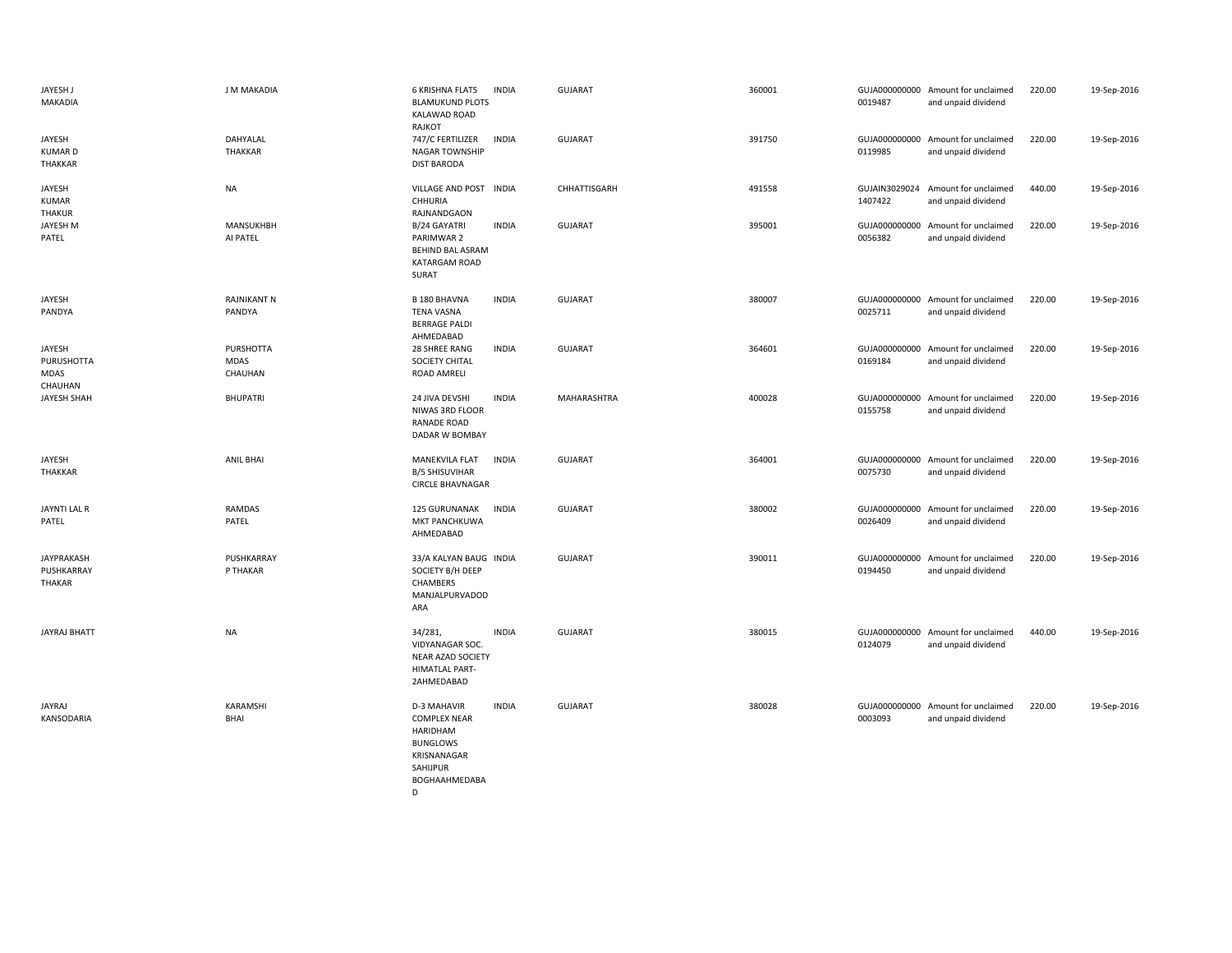| JAYESH J<br>MAKADIA                       | J M MAKADIA                         | <b>6 KRISHNA FLATS</b><br><b>INDIA</b><br><b>BLAMUKUND PLOTS</b><br><b>KALAWAD ROAD</b><br>RAJKOT                                    | <b>GUJARAT</b> | 360001 | 0019487 | GUJA000000000 Amount for unclaimed<br>and unpaid dividend | 220.00 | 19-Sep-2016 |
|-------------------------------------------|-------------------------------------|--------------------------------------------------------------------------------------------------------------------------------------|----------------|--------|---------|-----------------------------------------------------------|--------|-------------|
| JAYESH<br><b>KUMARD</b><br>THAKKAR        | DAHYALAL<br><b>THAKKAR</b>          | 747/C FERTILIZER<br><b>INDIA</b><br>NAGAR TOWNSHIP<br><b>DIST BARODA</b>                                                             | <b>GUJARAT</b> | 391750 | 0119985 | GUJA000000000 Amount for unclaimed<br>and unpaid dividend | 220.00 | 19-Sep-2016 |
| JAYESH<br><b>KUMAR</b><br>THAKUR          | <b>NA</b>                           | VILLAGE AND POST INDIA<br>CHHURIA<br>RAJNANDGAON                                                                                     | CHHATTISGARH   | 491558 | 1407422 | GUJAIN3029024 Amount for unclaimed<br>and unpaid dividend | 440.00 | 19-Sep-2016 |
| JAYESH M<br>PATEL                         | MANSUKHBH<br>AI PATEL               | <b>INDIA</b><br>B/24 GAYATRI<br>PARIMWAR 2<br><b>BEHIND BAL ASRAM</b><br>KATARGAM ROAD<br>SURAT                                      | <b>GUJARAT</b> | 395001 | 0056382 | GUJA000000000 Amount for unclaimed<br>and unpaid dividend | 220.00 | 19-Sep-2016 |
| JAYESH<br>PANDYA                          | <b>RAJNIKANT N</b><br>PANDYA        | <b>B 180 BHAVNA</b><br><b>INDIA</b><br><b>TENA VASNA</b><br><b>BERRAGE PALDI</b><br>AHMEDABAD                                        | <b>GUJARAT</b> | 380007 | 0025711 | GUJA000000000 Amount for unclaimed<br>and unpaid dividend | 220.00 | 19-Sep-2016 |
| JAYESH<br>PURUSHOTTA<br>MDAS<br>CHAUHAN   | PURSHOTTA<br><b>MDAS</b><br>CHAUHAN | 28 SHREE RANG<br><b>INDIA</b><br>SOCIETY CHITAL<br>ROAD AMRELI                                                                       | <b>GUJARAT</b> | 364601 | 0169184 | GUJA000000000 Amount for unclaimed<br>and unpaid dividend | 220.00 | 19-Sep-2016 |
| JAYESH SHAH                               | <b>BHUPATRI</b>                     | <b>INDIA</b><br>24 JIVA DEVSHI<br>NIWAS 3RD FLOOR<br><b>RANADE ROAD</b><br>DADAR W BOMBAY                                            | MAHARASHTRA    | 400028 | 0155758 | GUJA000000000 Amount for unclaimed<br>and unpaid dividend | 220.00 | 19-Sep-2016 |
| JAYESH<br>THAKKAR                         | <b>ANIL BHAI</b>                    | MANEKVILA FLAT<br><b>INDIA</b><br><b>B/5 SHISUVIHAR</b><br><b>CIRCLE BHAVNAGAR</b>                                                   | <b>GUJARAT</b> | 364001 | 0075730 | GUJA000000000 Amount for unclaimed<br>and unpaid dividend | 220.00 | 19-Sep-2016 |
| JAYNTI LAL R<br>PATEL                     | <b>RAMDAS</b><br>PATEL              | <b>INDIA</b><br>125 GURUNANAK<br>MKT PANCHKUWA<br>AHMEDABAD                                                                          | <b>GUJARAT</b> | 380002 | 0026409 | GUJA000000000 Amount for unclaimed<br>and unpaid dividend | 220.00 | 19-Sep-2016 |
| <b>JAYPRAKASH</b><br>PUSHKARRAY<br>THAKAR | PUSHKARRAY<br>P THAKAR              | 33/A KALYAN BAUG INDIA<br>SOCIETY B/H DEEP<br>CHAMBERS<br>MANJALPURVADOD<br>ARA                                                      | <b>GUJARAT</b> | 390011 | 0194450 | GUJA000000000 Amount for unclaimed<br>and unpaid dividend | 220.00 | 19-Sep-2016 |
| <b>JAYRAJ BHATT</b>                       | <b>NA</b>                           | 34/281,<br><b>INDIA</b><br>VIDYANAGAR SOC.<br>NEAR AZAD SOCIETY<br><b>HIMATLAL PART-</b><br>2AHMEDABAD                               | <b>GUJARAT</b> | 380015 | 0124079 | GUJA000000000 Amount for unclaimed<br>and unpaid dividend | 440.00 | 19-Sep-2016 |
| <b>JAYRAJ</b><br>KANSODARIA               | KARAMSHI<br>BHAI                    | <b>D-3 MAHAVIR</b><br><b>INDIA</b><br><b>COMPLEX NEAR</b><br>HARIDHAM<br><b>BUNGLOWS</b><br>KRISNANAGAR<br>SAHIJPUR<br>BOGHAAHMEDABA | <b>GUJARAT</b> | 380028 | 0003093 | GUJA000000000 Amount for unclaimed<br>and unpaid dividend | 220.00 | 19-Sep-2016 |

D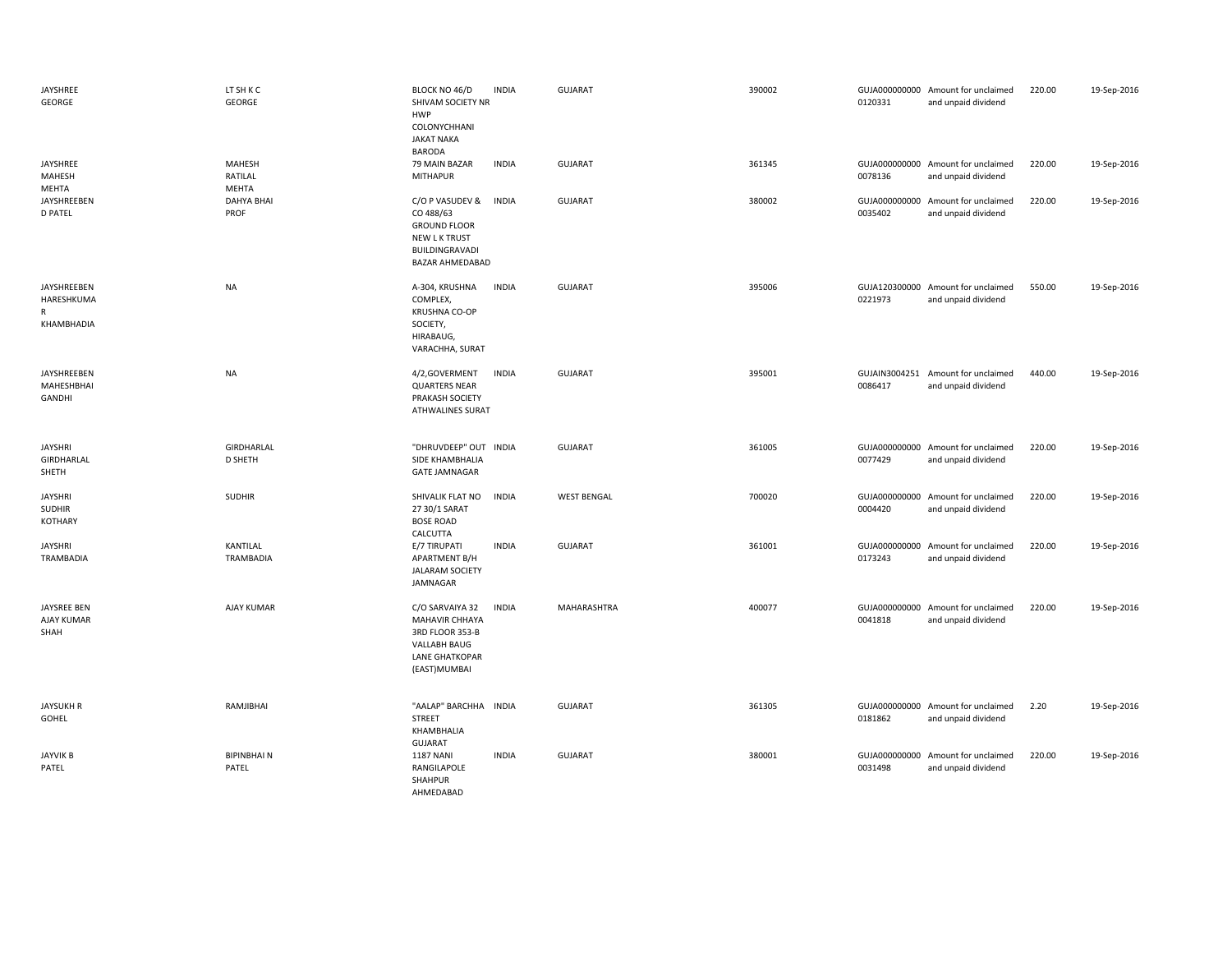| JAYSHREE<br>GEORGE                                | LT SH K C<br>GEORGE          | BLOCK NO 46/D<br>SHIVAM SOCIETY NR<br><b>HWP</b><br>COLONYCHHANI<br><b>JAKAT NAKA</b><br><b>BARODA</b>           | <b>INDIA</b> | <b>GUJARAT</b>     | 390002 | 0120331 | GUJA000000000 Amount for unclaimed<br>and unpaid dividend | 220.00 | 19-Sep-2016 |
|---------------------------------------------------|------------------------------|------------------------------------------------------------------------------------------------------------------|--------------|--------------------|--------|---------|-----------------------------------------------------------|--------|-------------|
| JAYSHREE<br>MAHESH<br>MEHTA                       | MAHESH<br>RATILAL<br>MEHTA   | 79 MAIN BAZAR<br><b>MITHAPUR</b>                                                                                 | <b>INDIA</b> | <b>GUJARAT</b>     | 361345 | 0078136 | GUJA000000000 Amount for unclaimed<br>and unpaid dividend | 220.00 | 19-Sep-2016 |
| <b>JAYSHREEBEN</b><br><b>D PATEL</b>              | <b>DAHYA BHAI</b><br>PROF    | C/O P VASUDEV &<br>CO 488/63<br><b>GROUND FLOOR</b><br>NEW L K TRUST<br>BUILDINGRAVADI<br><b>BAZAR AHMEDABAD</b> | <b>INDIA</b> | <b>GUJARAT</b>     | 380002 | 0035402 | GUJA000000000 Amount for unclaimed<br>and unpaid dividend | 220.00 | 19-Sep-2016 |
| JAYSHREEBEN<br>HARESHKUMA<br>R<br>KHAMBHADIA      | <b>NA</b>                    | A-304, KRUSHNA<br>COMPLEX,<br>KRUSHNA CO-OP<br>SOCIETY,<br>HIRABAUG,<br>VARACHHA, SURAT                          | <b>INDIA</b> | <b>GUJARAT</b>     | 395006 | 0221973 | GUJA120300000 Amount for unclaimed<br>and unpaid dividend | 550.00 | 19-Sep-2016 |
| JAYSHREEBEN<br>MAHESHBHAI<br>GANDHI               | <b>NA</b>                    | 4/2,GOVERMENT<br><b>QUARTERS NEAR</b><br>PRAKASH SOCIETY<br><b>ATHWALINES SURAT</b>                              | <b>INDIA</b> | <b>GUJARAT</b>     | 395001 | 0086417 | GUJAIN3004251 Amount for unclaimed<br>and unpaid dividend | 440.00 | 19-Sep-2016 |
| <b>JAYSHRI</b><br>GIRDHARLAL<br>SHETH             | GIRDHARLAL<br><b>D SHETH</b> | "DHRUVDEEP" OUT INDIA<br>SIDE KHAMBHALIA<br><b>GATE JAMNAGAR</b>                                                 |              | <b>GUJARAT</b>     | 361005 | 0077429 | GUJA000000000 Amount for unclaimed<br>and unpaid dividend | 220.00 | 19-Sep-2016 |
| <b>JAYSHRI</b><br><b>SUDHIR</b><br><b>KOTHARY</b> | <b>SUDHIR</b>                | SHIVALIK FLAT NO<br>27 30/1 SARAT<br><b>BOSE ROAD</b><br>CALCUTTA                                                | <b>INDIA</b> | <b>WEST BENGAL</b> | 700020 | 0004420 | GUJA000000000 Amount for unclaimed<br>and unpaid dividend | 220.00 | 19-Sep-2016 |
| <b>JAYSHRI</b><br>TRAMBADIA                       | KANTILAL<br>TRAMBADIA        | E/7 TIRUPATI<br>APARTMENT B/H<br><b>JALARAM SOCIETY</b><br>JAMNAGAR                                              | <b>INDIA</b> | <b>GUJARAT</b>     | 361001 | 0173243 | GUJA000000000 Amount for unclaimed<br>and unpaid dividend | 220.00 | 19-Sep-2016 |
| JAYSREE BEN<br>AJAY KUMAR<br>SHAH                 | AJAY KUMAR                   | C/O SARVAIYA 32<br>MAHAVIR CHHAYA<br>3RD FLOOR 353-B<br>VALLABH BAUG<br><b>LANE GHATKOPAR</b><br>(EAST)MUMBAI    | <b>INDIA</b> | MAHARASHTRA        | 400077 | 0041818 | GUJA000000000 Amount for unclaimed<br>and unpaid dividend | 220.00 | 19-Sep-2016 |
| <b>JAYSUKH R</b><br>GOHEL                         | RAMJIBHAI                    | "AALAP" BARCHHA INDIA<br><b>STREET</b><br>KHAMBHALIA<br><b>GUJARAT</b>                                           |              | <b>GUJARAT</b>     | 361305 | 0181862 | GUJA000000000 Amount for unclaimed<br>and unpaid dividend | 2.20   | 19-Sep-2016 |
| <b>JAYVIK B</b><br>PATEL                          | <b>BIPINBHAIN</b><br>PATEL   | <b>1187 NANI</b><br>RANGILAPOLE<br>SHAHPUR<br>AHMEDABAD                                                          | <b>INDIA</b> | <b>GUJARAT</b>     | 380001 | 0031498 | GUJA000000000 Amount for unclaimed<br>and unpaid dividend | 220.00 | 19-Sep-2016 |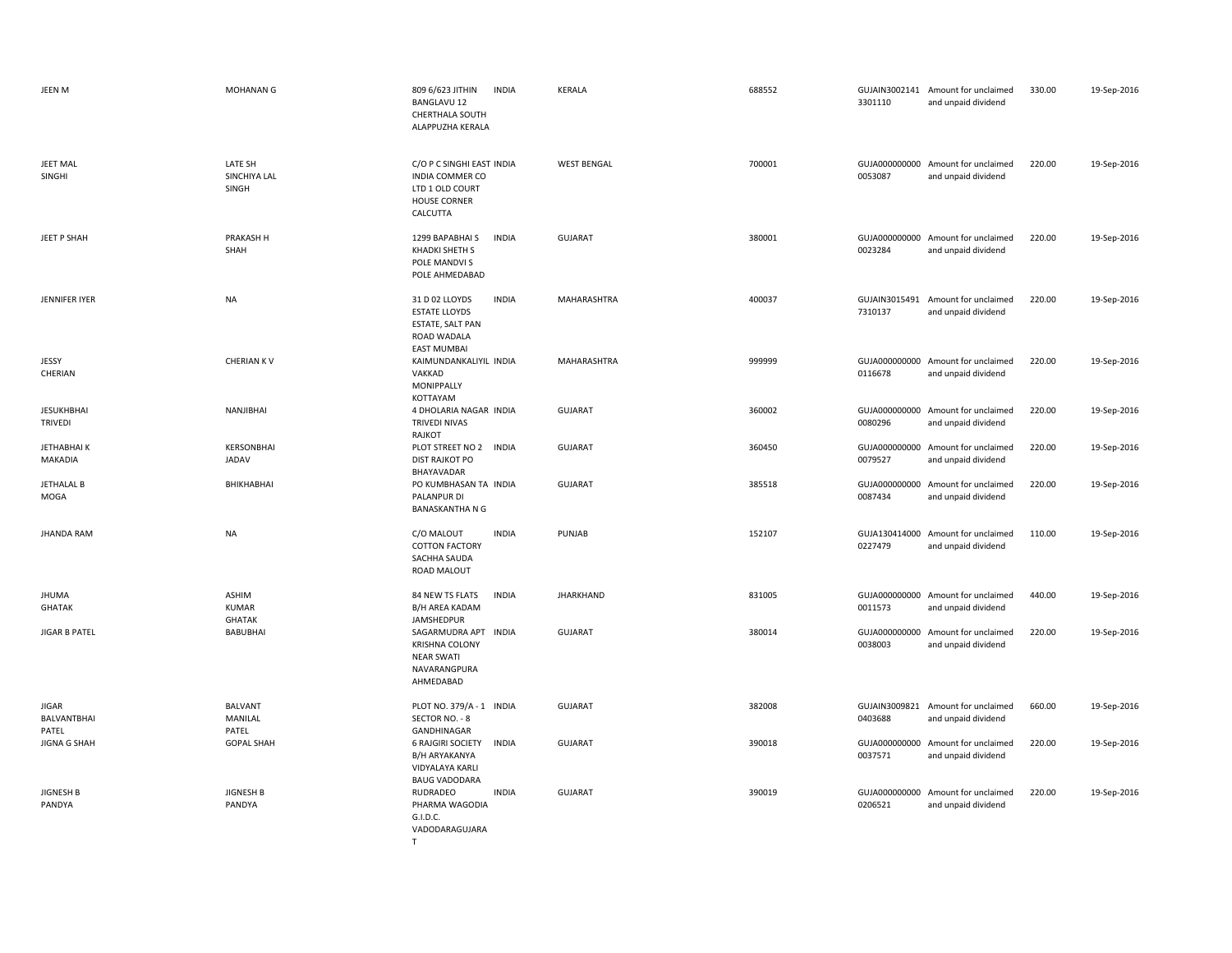| JEEN M                                      | <b>MOHANAN G</b>                              | 809 6/623 JITHIN<br><b>INDIA</b><br><b>BANGLAVU 12</b><br>CHERTHALA SOUTH<br>ALAPPUZHA KERALA                   | <b>KERALA</b>      | 688552 | 3301110                  | GUJAIN3002141 Amount for unclaimed<br>and unpaid dividend | 330.00 | 19-Sep-2016 |
|---------------------------------------------|-----------------------------------------------|-----------------------------------------------------------------------------------------------------------------|--------------------|--------|--------------------------|-----------------------------------------------------------|--------|-------------|
| <b>JEET MAL</b><br>SINGHI                   | LATE SH<br>SINCHIYA LAL<br>SINGH              | C/O P C SINGHI EAST INDIA<br><b>INDIA COMMER CO</b><br>LTD 1 OLD COURT<br>HOUSE CORNER<br>CALCUTTA              | <b>WEST BENGAL</b> | 700001 | 0053087                  | GUJA000000000 Amount for unclaimed<br>and unpaid dividend | 220.00 | 19-Sep-2016 |
| JEET P SHAH                                 | PRAKASH H<br>SHAH                             | 1299 BAPABHAI S<br><b>INDIA</b><br>KHADKI SHETH S<br>POLE MANDVI S<br>POLE AHMEDABAD                            | <b>GUJARAT</b>     | 380001 | 0023284                  | GUJA000000000 Amount for unclaimed<br>and unpaid dividend | 220.00 | 19-Sep-2016 |
| JENNIFER IYER                               | <b>NA</b>                                     | <b>INDIA</b><br>31 D 02 LLOYDS<br><b>ESTATE LLOYDS</b><br>ESTATE, SALT PAN<br>ROAD WADALA<br><b>EAST MUMBAI</b> | MAHARASHTRA        | 400037 | GUJAIN3015491<br>7310137 | Amount for unclaimed<br>and unpaid dividend               | 220.00 | 19-Sep-2016 |
| JESSY<br>CHERIAN                            | <b>CHERIAN KV</b>                             | KAIMUNDANKALIYIL INDIA<br>VAKKAD<br>MONIPPALLY<br>KOTTAYAM                                                      | MAHARASHTRA        | 999999 | 0116678                  | GUJA000000000 Amount for unclaimed<br>and unpaid dividend | 220.00 | 19-Sep-2016 |
| <b>JESUKHBHAI</b><br><b>TRIVEDI</b>         | NANJIBHAI                                     | 4 DHOLARIA NAGAR INDIA<br>TRIVEDI NIVAS<br>RAJKOT                                                               | <b>GUJARAT</b>     | 360002 | 0080296                  | GUJA000000000 Amount for unclaimed<br>and unpaid dividend | 220.00 | 19-Sep-2016 |
| JETHABHAI K<br>MAKADIA                      | KERSONBHAI<br>JADAV                           | PLOT STREET NO 2 INDIA<br><b>DIST RAJKOT PO</b><br>BHAYAVADAR                                                   | GUJARAT            | 360450 | 0079527                  | GUJA000000000 Amount for unclaimed<br>and unpaid dividend | 220.00 | 19-Sep-2016 |
| <b>JETHALAL B</b><br>MOGA                   | BHIKHABHAI                                    | PO KUMBHASAN TA INDIA<br>PALANPUR DI<br><b>BANASKANTHA N G</b>                                                  | <b>GUJARAT</b>     | 385518 | GUJA000000000<br>0087434 | Amount for unclaimed<br>and unpaid dividend               | 220.00 | 19-Sep-2016 |
| <b>JHANDA RAM</b>                           | <b>NA</b>                                     | C/O MALOUT<br><b>INDIA</b><br><b>COTTON FACTORY</b><br>SACHHA SAUDA<br><b>ROAD MALOUT</b>                       | PUNJAB             | 152107 | 0227479                  | GUJA130414000 Amount for unclaimed<br>and unpaid dividend | 110.00 | 19-Sep-2016 |
| <b>JHUMA</b><br><b>GHATAK</b>               | <b>ASHIM</b><br><b>KUMAR</b><br><b>GHATAK</b> | 84 NEW TS FLATS<br><b>INDIA</b><br><b>B/H AREA KADAM</b><br>JAMSHEDPUR                                          | <b>JHARKHAND</b>   | 831005 | 0011573                  | GUJA000000000 Amount for unclaimed<br>and unpaid dividend | 440.00 | 19-Sep-2016 |
| <b>JIGAR B PATEL</b>                        | <b>BABUBHAI</b>                               | SAGARMUDRA APT INDIA<br><b>KRISHNA COLONY</b><br><b>NEAR SWATI</b><br>NAVARANGPURA<br>AHMEDABAD                 | <b>GUJARAT</b>     | 380014 | 0038003                  | GUJA000000000 Amount for unclaimed<br>and unpaid dividend | 220.00 | 19-Sep-2016 |
| <b>JIGAR</b><br><b>BALVANTBHAI</b><br>PATEL | <b>BALVANT</b><br>MANILAL<br>PATEL            | PLOT NO. 379/A - 1 INDIA<br>SECTOR NO. - 8<br>GANDHINAGAR                                                       | <b>GUJARAT</b>     | 382008 | GUJAIN3009821<br>0403688 | Amount for unclaimed<br>and unpaid dividend               | 660.00 | 19-Sep-2016 |
| <b>JIGNA G SHAH</b>                         | <b>GOPAL SHAH</b>                             | <b>6 RAJGIRI SOCIETY</b><br><b>INDIA</b><br>B/H ARYAKANYA<br>VIDYALAYA KARLI<br><b>BAUG VADODARA</b>            | <b>GUJARAT</b>     | 390018 | 0037571                  | GUJA000000000 Amount for unclaimed<br>and unpaid dividend | 220.00 | 19-Sep-2016 |
| JIGNESH B<br>PANDYA                         | <b>JIGNESH B</b><br>PANDYA                    | <b>INDIA</b><br>RUDRADEO<br>PHARMA WAGODIA<br>G.I.D.C.<br>VADODARAGUJARA                                        | <b>GUJARAT</b>     | 390019 | 0206521                  | GUJA000000000 Amount for unclaimed<br>and unpaid dividend | 220.00 | 19-Sep-2016 |

T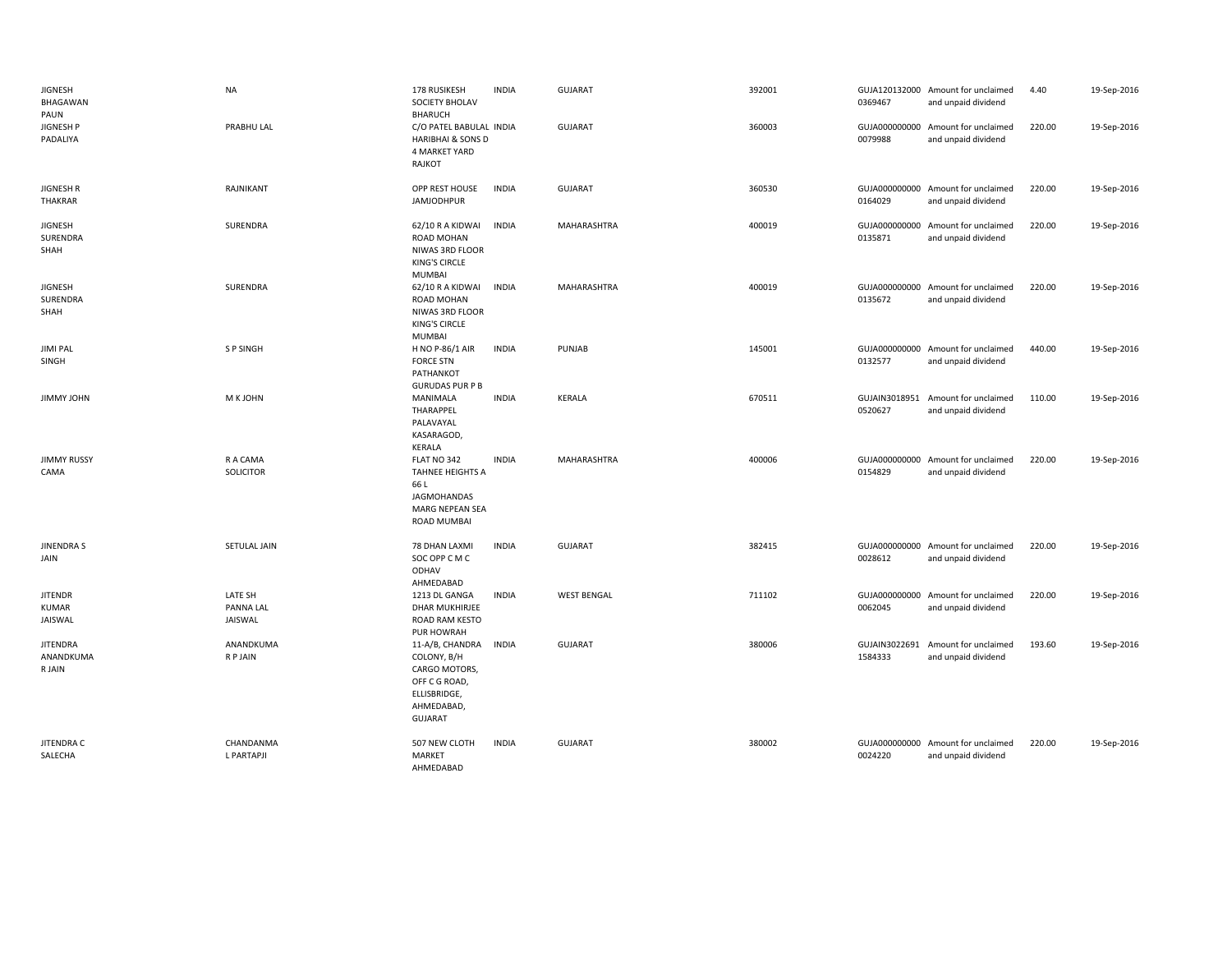| <b>JIGNESH</b><br>BHAGAWAN<br>PAUN        | <b>NA</b>                       | 178 RUSIKESH<br>SOCIETY BHOLAV<br><b>BHARUCH</b>                                                                 | <b>INDIA</b> | <b>GUJARAT</b>     | 392001 | 0369467 | GUJA120132000 Amount for unclaimed<br>and unpaid dividend | 4.40   | 19-Sep-2016 |
|-------------------------------------------|---------------------------------|------------------------------------------------------------------------------------------------------------------|--------------|--------------------|--------|---------|-----------------------------------------------------------|--------|-------------|
| <b>JIGNESH P</b><br>PADALIYA              | PRABHU LAL                      | C/O PATEL BABULAL INDIA<br><b>HARIBHAI &amp; SONS D</b><br>4 MARKET YARD<br>RAJKOT                               |              | <b>GUJARAT</b>     | 360003 | 0079988 | GUJA000000000 Amount for unclaimed<br>and unpaid dividend | 220.00 | 19-Sep-2016 |
| <b>JIGNESH R</b><br>THAKRAR               | RAJNIKANT                       | OPP REST HOUSE<br><b>JAMJODHPUR</b>                                                                              | INDIA        | <b>GUJARAT</b>     | 360530 | 0164029 | GUJA000000000 Amount for unclaimed<br>and unpaid dividend | 220.00 | 19-Sep-2016 |
| <b>JIGNESH</b><br>SURENDRA<br>SHAH        | SURENDRA                        | 62/10 R A KIDWAI<br>ROAD MOHAN<br>NIWAS 3RD FLOOR<br><b>KING'S CIRCLE</b><br><b>MUMBAI</b>                       | <b>INDIA</b> | MAHARASHTRA        | 400019 | 0135871 | GUJA000000000 Amount for unclaimed<br>and unpaid dividend | 220.00 | 19-Sep-2016 |
| <b>JIGNESH</b><br>SURENDRA<br>SHAH        | SURENDRA                        | 62/10 R A KIDWAI<br>ROAD MOHAN<br>NIWAS 3RD FLOOR<br><b>KING'S CIRCLE</b><br><b>MUMBAI</b>                       | <b>INDIA</b> | MAHARASHTRA        | 400019 | 0135672 | GUJA000000000 Amount for unclaimed<br>and unpaid dividend | 220.00 | 19-Sep-2016 |
| <b>JIMI PAL</b><br>SINGH                  | S P SINGH                       | H NO P-86/1 AIR<br><b>FORCE STN</b><br>PATHANKOT<br><b>GURUDAS PUR P B</b>                                       | <b>INDIA</b> | PUNJAB             | 145001 | 0132577 | GUJA000000000 Amount for unclaimed<br>and unpaid dividend | 440.00 | 19-Sep-2016 |
| JIMMY JOHN                                | M K JOHN                        | MANIMALA<br>THARAPPEL<br>PALAVAYAL<br>KASARAGOD,<br>KERALA                                                       | <b>INDIA</b> | <b>KERALA</b>      | 670511 | 0520627 | GUJAIN3018951 Amount for unclaimed<br>and unpaid dividend | 110.00 | 19-Sep-2016 |
| <b>JIMMY RUSSY</b><br>CAMA                | R A CAMA<br>SOLICITOR           | FLAT NO 342<br>TAHNEE HEIGHTS A<br>66 L<br><b>JAGMOHANDAS</b><br>MARG NEPEAN SEA<br>ROAD MUMBAI                  | <b>INDIA</b> | MAHARASHTRA        | 400006 | 0154829 | GUJA000000000 Amount for unclaimed<br>and unpaid dividend | 220.00 | 19-Sep-2016 |
| <b>JINENDRAS</b><br>JAIN                  | SETULAL JAIN                    | 78 DHAN LAXMI<br>SOC OPP C M C<br>ODHAV<br>AHMEDABAD                                                             | <b>INDIA</b> | <b>GUJARAT</b>     | 382415 | 0028612 | GUJA000000000 Amount for unclaimed<br>and unpaid dividend | 220.00 | 19-Sep-2016 |
| <b>JITENDR</b><br><b>KUMAR</b><br>JAISWAL | LATE SH<br>PANNA LAL<br>JAISWAL | 1213 DL GANGA<br><b>DHAR MUKHIRJEE</b><br>ROAD RAM KESTO<br>PUR HOWRAH                                           | INDIA        | <b>WEST BENGAL</b> | 711102 | 0062045 | GUJA000000000 Amount for unclaimed<br>and unpaid dividend | 220.00 | 19-Sep-2016 |
| <b>JITENDRA</b><br>ANANDKUMA<br>R JAIN    | ANANDKUMA<br>R P JAIN           | 11-A/B, CHANDRA<br>COLONY, B/H<br>CARGO MOTORS,<br>OFF C G ROAD,<br>ELLISBRIDGE,<br>AHMEDABAD,<br><b>GUJARAT</b> | <b>INDIA</b> | <b>GUJARAT</b>     | 380006 | 1584333 | GUJAIN3022691 Amount for unclaimed<br>and unpaid dividend | 193.60 | 19-Sep-2016 |
| JITENDRA C<br>SALECHA                     | CHANDANMA<br>L PARTAPJI         | 507 NEW CLOTH<br>MARKET<br>AHMEDABAD                                                                             | <b>INDIA</b> | <b>GUJARAT</b>     | 380002 | 0024220 | GUJA000000000 Amount for unclaimed<br>and unpaid dividend | 220.00 | 19-Sep-2016 |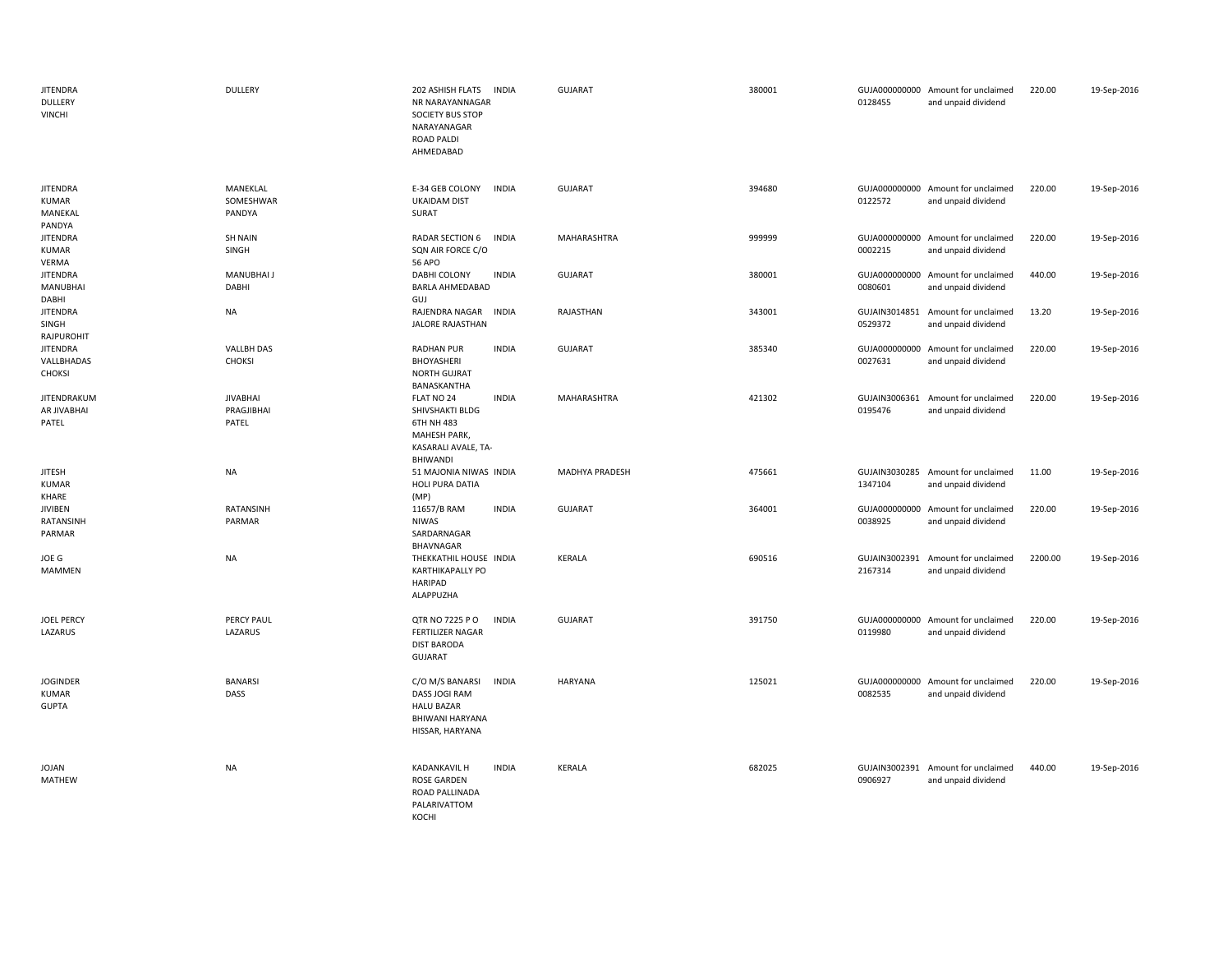| <b>JITENDRA</b><br><b>DULLERY</b><br><b>VINCHI</b> | DULLERY                                | 202 ASHISH FLATS<br><b>INDIA</b><br>NR NARAYANNAGAR<br><b>SOCIETY BUS STOP</b><br>NARAYANAGAR<br>ROAD PALDI<br>AHMEDABAD     | <b>GUJARAT</b> | 380001 | 0128455                  | GUJA000000000 Amount for unclaimed<br>and unpaid dividend | 220.00  | 19-Sep-2016 |
|----------------------------------------------------|----------------------------------------|------------------------------------------------------------------------------------------------------------------------------|----------------|--------|--------------------------|-----------------------------------------------------------|---------|-------------|
| <b>JITENDRA</b><br>KUMAR<br>MANEKAL<br>PANDYA      | MANEKLAL<br>SOMESHWAR<br>PANDYA        | E-34 GEB COLONY<br><b>INDIA</b><br><b>UKAIDAM DIST</b><br>SURAT                                                              | <b>GUJARAT</b> | 394680 | 0122572                  | GUJA000000000 Amount for unclaimed<br>and unpaid dividend | 220.00  | 19-Sep-2016 |
| <b>JITENDRA</b><br>KUMAR<br>VERMA                  | <b>SH NAIN</b><br>SINGH                | RADAR SECTION 6<br>INDIA<br>SQN AIR FORCE C/O<br><b>56 APO</b>                                                               | MAHARASHTRA    | 999999 | 0002215                  | GUJA000000000 Amount for unclaimed<br>and unpaid dividend | 220.00  | 19-Sep-2016 |
| <b>JITENDRA</b><br><b>MANUBHAI</b><br>DABHI        | <b>MANUBHAI J</b><br>DABHI             | DABHI COLONY<br><b>INDIA</b><br><b>BARLA AHMEDABAD</b><br>GUJ                                                                | <b>GUJARAT</b> | 380001 | 0080601                  | GUJA000000000 Amount for unclaimed<br>and unpaid dividend | 440.00  | 19-Sep-2016 |
| <b>JITENDRA</b><br>SINGH<br>RAJPUROHIT             | NA                                     | RAJENDRA NAGAR INDIA<br><b>JALORE RAJASTHAN</b>                                                                              | RAJASTHAN      | 343001 | 0529372                  | GUJAIN3014851 Amount for unclaimed<br>and unpaid dividend | 13.20   | 19-Sep-2016 |
| <b>JITENDRA</b><br>VALLBHADAS<br><b>CHOKSI</b>     | <b>VALLBH DAS</b><br><b>CHOKSI</b>     | <b>RADHAN PUR</b><br><b>INDIA</b><br>BHOYASHERI<br><b>NORTH GUJRAT</b><br>BANASKANTHA                                        | <b>GUJARAT</b> | 385340 | 0027631                  | GUJA000000000 Amount for unclaimed<br>and unpaid dividend | 220.00  | 19-Sep-2016 |
| JITENDRAKUM<br>AR JIVABHAI<br>PATEL                | <b>JIVABHAI</b><br>PRAGJIBHAI<br>PATEL | FLAT NO 24<br><b>INDIA</b><br>SHIVSHAKTI BLDG<br>6TH NH 483<br><b>MAHESH PARK,</b><br>KASARALI AVALE, TA-<br><b>BHIWANDI</b> | MAHARASHTRA    | 421302 | 0195476                  | GUJAIN3006361 Amount for unclaimed<br>and unpaid dividend | 220.00  | 19-Sep-2016 |
| <b>JITESH</b><br><b>KUMAR</b><br>KHARE             | <b>NA</b>                              | 51 MAJONIA NIWAS INDIA<br>HOLI PURA DATIA<br>(MP)                                                                            | MADHYA PRADESH | 475661 | 1347104                  | GUJAIN3030285 Amount for unclaimed<br>and unpaid dividend | 11.00   | 19-Sep-2016 |
| <b>JIVIBEN</b><br>RATANSINH<br>PARMAR              | RATANSINH<br>PARMAR                    | <b>INDIA</b><br>11657/B RAM<br>NIWAS<br>SARDARNAGAR<br>BHAVNAGAR                                                             | <b>GUJARAT</b> | 364001 | 0038925                  | GUJA000000000 Amount for unclaimed<br>and unpaid dividend | 220.00  | 19-Sep-2016 |
| JOE G<br>MAMMEN                                    | <b>NA</b>                              | THEKKATHIL HOUSE INDIA<br><b>KARTHIKAPALLY PO</b><br>HARIPAD<br>ALAPPUZHA                                                    | <b>KERALA</b>  | 690516 | GUJAIN3002391<br>2167314 | Amount for unclaimed<br>and unpaid dividend               | 2200.00 | 19-Sep-2016 |
| <b>JOEL PERCY</b><br>LAZARUS                       | PERCY PAUL<br>LAZARUS                  | <b>INDIA</b><br>QTR NO 7225 P O<br>FERTILIZER NAGAR<br><b>DIST BARODA</b><br>GUJARAT                                         | <b>GUJARAT</b> | 391750 | 0119980                  | GUJA000000000 Amount for unclaimed<br>and unpaid dividend | 220.00  | 19-Sep-2016 |
| <b>JOGINDER</b><br>KUMAR<br><b>GUPTA</b>           | <b>BANARSI</b><br>DASS                 | C/O M/S BANARSI<br><b>INDIA</b><br>DASS JOGI RAM<br><b>HALU BAZAR</b><br>BHIWANI HARYANA<br>HISSAR, HARYANA                  | <b>HARYANA</b> | 125021 | 0082535                  | GUJA000000000 Amount for unclaimed<br>and unpaid dividend | 220.00  | 19-Sep-2016 |
| JOJAN<br>MATHEW                                    | <b>NA</b>                              | <b>KADANKAVIL H</b><br><b>INDIA</b><br><b>ROSE GARDEN</b><br>ROAD PALLINADA<br>PALARIVATTOM<br>KOCHI                         | <b>KERALA</b>  | 682025 | 0906927                  | GUJAIN3002391 Amount for unclaimed<br>and unpaid dividend | 440.00  | 19-Sep-2016 |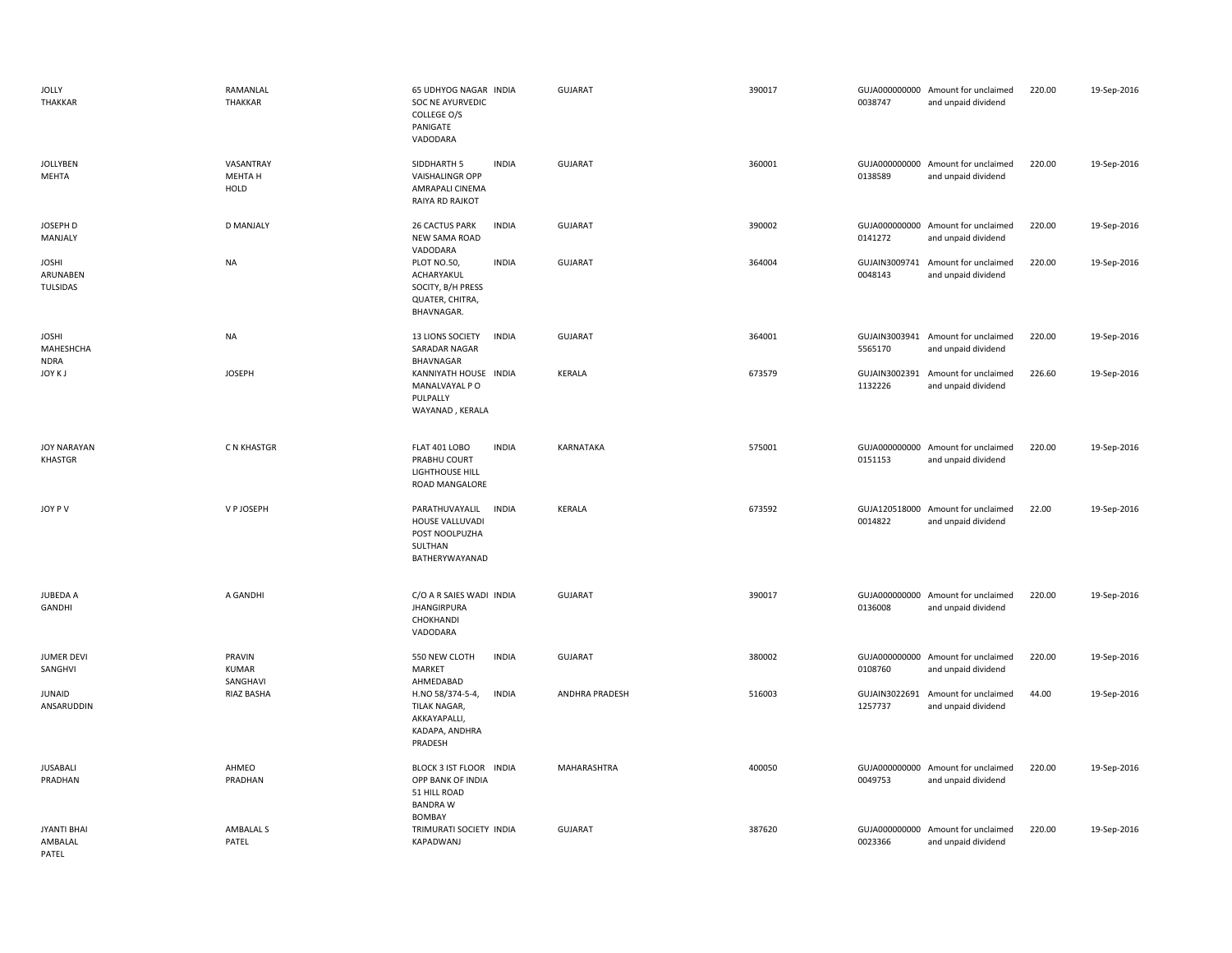| <b>JOLLY</b><br>THAKKAR                  | RAMANLAL<br>THAKKAR          | 65 UDHYOG NAGAR INDIA<br>SOC NE AYURVEDIC<br>COLLEGE O/S<br>PANIGATE<br>VADODARA                 | <b>GUJARAT</b> | 390017 | 0038747                  | GUJA000000000 Amount for unclaimed<br>and unpaid dividend | 220.00 | 19-Sep-2016 |
|------------------------------------------|------------------------------|--------------------------------------------------------------------------------------------------|----------------|--------|--------------------------|-----------------------------------------------------------|--------|-------------|
| <b>JOLLYBEN</b><br>MEHTA                 | VASANTRAY<br>MEHTA H<br>HOLD | SIDDHARTH 5<br><b>INDIA</b><br><b>VAISHALINGR OPP</b><br>AMRAPALI CINEMA<br>RAIYA RD RAJKOT      | <b>GUJARAT</b> | 360001 | 0138589                  | GUJA000000000 Amount for unclaimed<br>and unpaid dividend | 220.00 | 19-Sep-2016 |
| JOSEPH D<br>MANJALY                      | <b>D MANJALY</b>             | <b>INDIA</b><br><b>26 CACTUS PARK</b><br>NEW SAMA ROAD<br>VADODARA                               | <b>GUJARAT</b> | 390002 | 0141272                  | GUJA000000000 Amount for unclaimed<br>and unpaid dividend | 220.00 | 19-Sep-2016 |
| <b>JOSHI</b><br>ARUNABEN<br>TULSIDAS     | NA                           | PLOT NO.50,<br><b>INDIA</b><br>ACHARYAKUL<br>SOCITY, B/H PRESS<br>QUATER, CHITRA,<br>BHAVNAGAR.  | <b>GUJARAT</b> | 364004 | GUJAIN3009741<br>0048143 | Amount for unclaimed<br>and unpaid dividend               | 220.00 | 19-Sep-2016 |
| <b>JOSHI</b><br>MAHESHCHA<br><b>NDRA</b> | NA                           | <b>INDIA</b><br>13 LIONS SOCIETY<br>SARADAR NAGAR<br>BHAVNAGAR                                   | <b>GUJARAT</b> | 364001 | 5565170                  | GUJAIN3003941 Amount for unclaimed<br>and unpaid dividend | 220.00 | 19-Sep-2016 |
| JOY K J                                  | <b>JOSEPH</b>                | KANNIYATH HOUSE INDIA<br>MANALVAYAL P O<br>PULPALLY<br>WAYANAD, KERALA                           | <b>KERALA</b>  | 673579 | 1132226                  | GUJAIN3002391 Amount for unclaimed<br>and unpaid dividend | 226.60 | 19-Sep-2016 |
| <b>JOY NARAYAN</b><br>KHASTGR            | C N KHASTGR                  | <b>FLAT 401 LOBO</b><br><b>INDIA</b><br>PRABHU COURT<br>LIGHTHOUSE HILL<br>ROAD MANGALORE        | KARNATAKA      | 575001 | 0151153                  | GUJA000000000 Amount for unclaimed<br>and unpaid dividend | 220.00 | 19-Sep-2016 |
| JOY PV                                   | V P JOSEPH                   | <b>INDIA</b><br>PARATHUVAYALIL<br>HOUSE VALLUVADI<br>POST NOOLPUZHA<br>SULTHAN<br>BATHERYWAYANAD | <b>KERALA</b>  | 673592 | 0014822                  | GUJA120518000 Amount for unclaimed<br>and unpaid dividend | 22.00  | 19-Sep-2016 |
| <b>JUBEDA A</b><br><b>GANDHI</b>         | A GANDHI                     | C/O A R SAIES WADI INDIA<br><b>JHANGIRPURA</b><br>CHOKHANDI<br>VADODARA                          | <b>GUJARAT</b> | 390017 | 0136008                  | GUJA000000000 Amount for unclaimed<br>and unpaid dividend | 220.00 | 19-Sep-2016 |
| <b>JUMER DEVI</b><br>SANGHVI             | PRAVIN<br>KUMAR<br>SANGHAVI  | 550 NEW CLOTH<br><b>INDIA</b><br><b>MARKET</b><br>AHMEDABAD                                      | <b>GUJARAT</b> | 380002 | 0108760                  | GUJA000000000 Amount for unclaimed<br>and unpaid dividend | 220.00 | 19-Sep-2016 |
| <b>JUNAID</b><br>ANSARUDDIN              | RIAZ BASHA                   | H.NO 58/374-5-4,<br><b>INDIA</b><br>TILAK NAGAR,<br>AKKAYAPALLI,<br>KADAPA, ANDHRA<br>PRADESH    | ANDHRA PRADESH | 516003 | 1257737                  | GUJAIN3022691 Amount for unclaimed<br>and unpaid dividend | 44.00  | 19-Sep-2016 |
| JUSABALI<br>PRADHAN                      | AHMEO<br>PRADHAN             | BLOCK 3 IST FLOOR INDIA<br>OPP BANK OF INDIA<br>51 HILL ROAD<br><b>BANDRAW</b><br><b>BOMBAY</b>  | MAHARASHTRA    | 400050 | 0049753                  | GUJA000000000 Amount for unclaimed<br>and unpaid dividend | 220.00 | 19-Sep-2016 |
| <b>JYANTI BHAI</b><br>AMBALAL<br>PATEL   | AMBALAL S<br>PATEL           | TRIMURATI SOCIETY INDIA<br>KAPADWANJ                                                             | <b>GUJARAT</b> | 387620 | 0023366                  | GUJA000000000 Amount for unclaimed<br>and unpaid dividend | 220.00 | 19-Sep-2016 |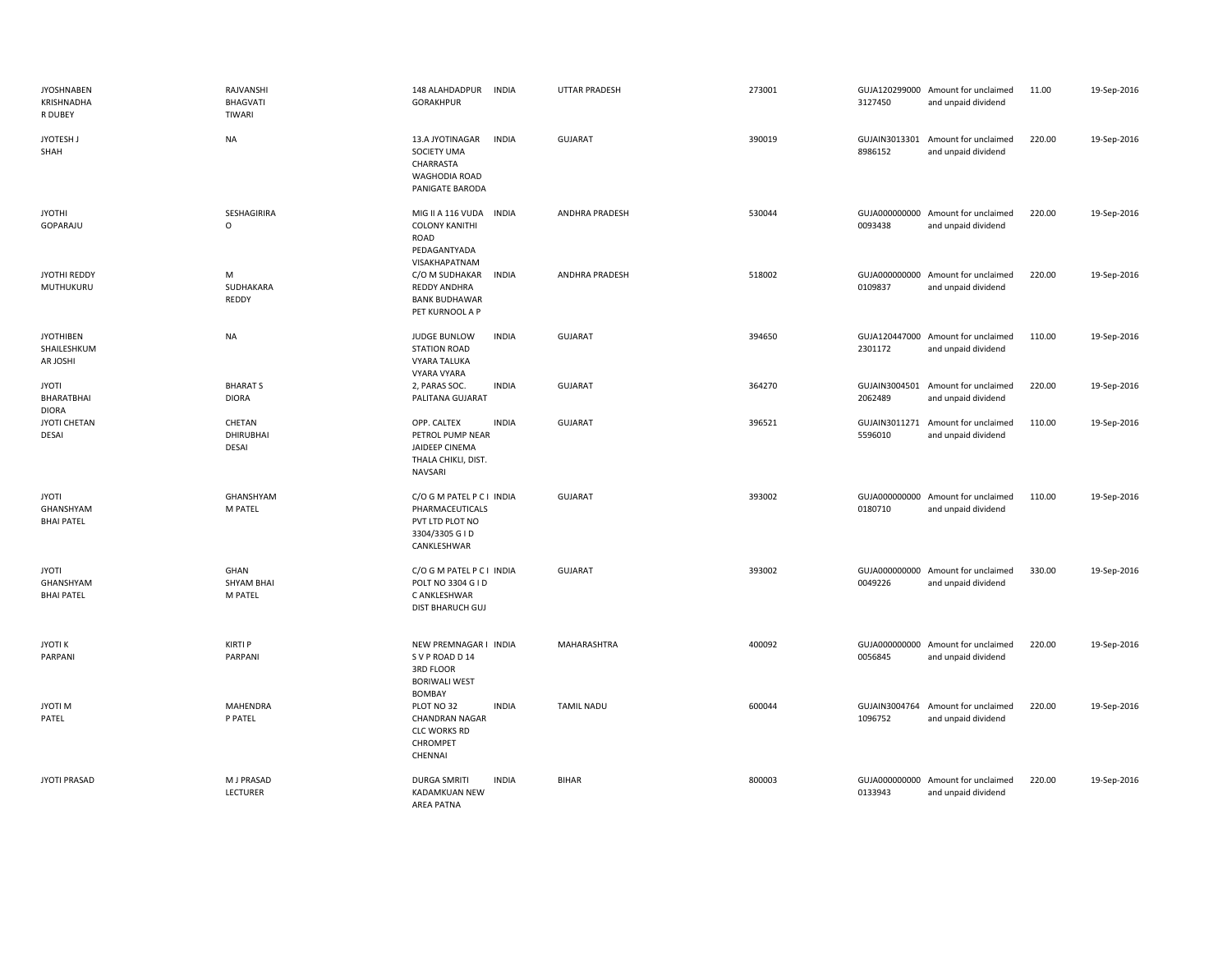| <b>JYOSHNABEN</b><br>KRISHNADHA<br>R DUBEY     | RAJVANSHI<br>BHAGVATI<br>TIWARI      | 148 ALAHDADPUR<br><b>INDIA</b><br><b>GORAKHPUR</b>                                                  | UTTAR PRADESH         | 273001 | 3127450 | GUJA120299000 Amount for unclaimed<br>and unpaid dividend | 11.00  | 19-Sep-2016 |
|------------------------------------------------|--------------------------------------|-----------------------------------------------------------------------------------------------------|-----------------------|--------|---------|-----------------------------------------------------------|--------|-------------|
| JYOTESH J<br>SHAH                              | <b>NA</b>                            | 13.A JYOTINAGAR<br><b>INDIA</b><br>SOCIETY UMA<br>CHARRASTA<br>WAGHODIA ROAD<br>PANIGATE BARODA     | <b>GUJARAT</b>        | 390019 | 8986152 | GUJAIN3013301 Amount for unclaimed<br>and unpaid dividend | 220.00 | 19-Sep-2016 |
| <b>JYOTHI</b><br>GOPARAJU                      | SESHAGIRIRA<br>$\circ$               | MIG II A 116 VUDA<br><b>INDIA</b><br><b>COLONY KANITHI</b><br>ROAD<br>PEDAGANTYADA<br>VISAKHAPATNAM | <b>ANDHRA PRADESH</b> | 530044 | 0093438 | GUJA000000000 Amount for unclaimed<br>and unpaid dividend | 220.00 | 19-Sep-2016 |
| JYOTHI REDDY<br>MUTHUKURU                      | ${\sf M}$<br>SUDHAKARA<br>REDDY      | C/O M SUDHAKAR<br><b>INDIA</b><br>REDDY ANDHRA<br><b>BANK BUDHAWAR</b><br>PET KURNOOL A P           | ANDHRA PRADESH        | 518002 | 0109837 | GUJA000000000 Amount for unclaimed<br>and unpaid dividend | 220.00 | 19-Sep-2016 |
| <b>JYOTHIBEN</b><br>SHAILESHKUM<br>AR JOSHI    | <b>NA</b>                            | <b>INDIA</b><br><b>JUDGE BUNLOW</b><br><b>STATION ROAD</b><br><b>VYARA TALUKA</b><br>VYARA VYARA    | <b>GUJARAT</b>        | 394650 | 2301172 | GUJA120447000 Amount for unclaimed<br>and unpaid dividend | 110.00 | 19-Sep-2016 |
| <b>JYOTI</b><br>BHARATBHAI<br><b>DIORA</b>     | <b>BHARATS</b><br><b>DIORA</b>       | 2, PARAS SOC.<br><b>INDIA</b><br>PALITANA GUJARAT                                                   | <b>GUJARAT</b>        | 364270 | 2062489 | GUJAIN3004501 Amount for unclaimed<br>and unpaid dividend | 220.00 | 19-Sep-2016 |
| JYOTI CHETAN<br>DESAI                          | CHETAN<br>DHIRUBHAI<br><b>DESAI</b>  | OPP. CALTEX<br><b>INDIA</b><br>PETROL PUMP NEAR<br>JAIDEEP CINEMA<br>THALA CHIKLI, DIST.<br>NAVSARI | <b>GUJARAT</b>        | 396521 | 5596010 | GUJAIN3011271 Amount for unclaimed<br>and unpaid dividend | 110.00 | 19-Sep-2016 |
| <b>JYOTI</b><br>GHANSHYAM<br><b>BHAI PATEL</b> | GHANSHYAM<br>M PATEL                 | C/O G M PATEL P C I INDIA<br>PHARMACEUTICALS<br>PVT LTD PLOT NO<br>3304/3305 G I D<br>CANKLESHWAR   | <b>GUJARAT</b>        | 393002 | 0180710 | GUJA000000000 Amount for unclaimed<br>and unpaid dividend | 110.00 | 19-Sep-2016 |
| <b>JYOTI</b><br>GHANSHYAM<br><b>BHAI PATEL</b> | GHAN<br><b>SHYAM BHAI</b><br>M PATEL | C/O G M PATEL P C I INDIA<br>POLT NO 3304 G I D<br>C ANKLESHWAR<br><b>DIST BHARUCH GUJ</b>          | <b>GUJARAT</b>        | 393002 | 0049226 | GUJA000000000 Amount for unclaimed<br>and unpaid dividend | 330.00 | 19-Sep-2016 |
| <b>JYOTIK</b><br>PARPANI                       | <b>KIRTI P</b><br>PARPANI            | NEW PREMNAGAR I INDIA<br>SVP ROAD D14<br>3RD FLOOR<br><b>BORIWALI WEST</b><br>BOMBAY                | MAHARASHTRA           | 400092 | 0056845 | GUJA000000000 Amount for unclaimed<br>and unpaid dividend | 220.00 | 19-Sep-2016 |
| JYOTI M<br>PATEL                               | MAHENDRA<br>P PATEL                  | PLOT NO 32<br><b>INDIA</b><br><b>CHANDRAN NAGAR</b><br><b>CLC WORKS RD</b><br>CHROMPET<br>CHENNAI   | <b>TAMIL NADU</b>     | 600044 | 1096752 | GUJAIN3004764 Amount for unclaimed<br>and unpaid dividend | 220.00 | 19-Sep-2016 |
| <b>JYOTI PRASAD</b>                            | M J PRASAD<br>LECTURER               | <b>DURGA SMRITI</b><br><b>INDIA</b><br>KADAMKUAN NEW<br><b>AREA PATNA</b>                           | <b>BIHAR</b>          | 800003 | 0133943 | GUJA000000000 Amount for unclaimed<br>and unpaid dividend | 220.00 | 19-Sep-2016 |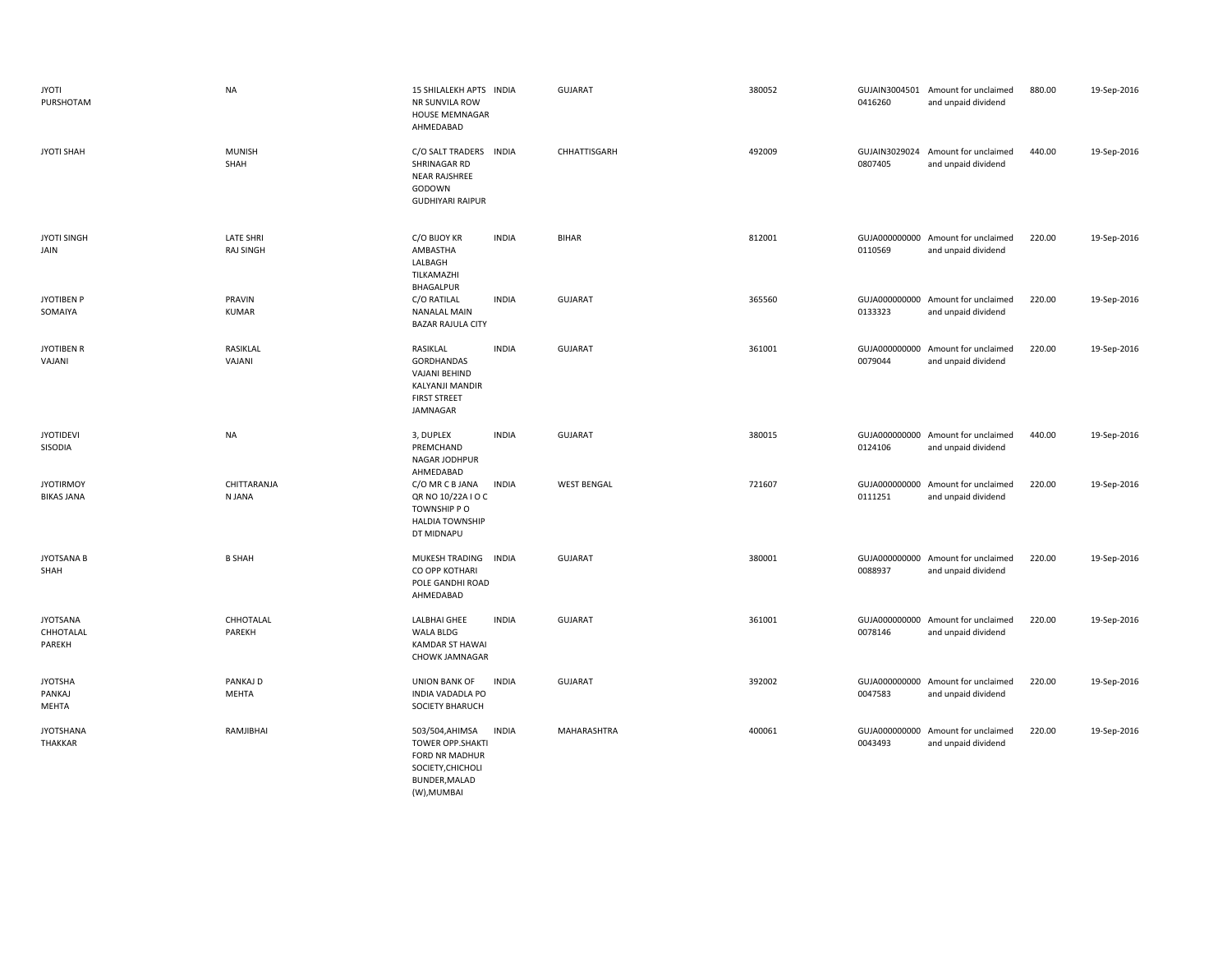| <b>JYOTI</b><br>PURSHOTAM              | <b>NA</b>                            | 15 SHILALEKH APTS INDIA<br>NR SUNVILA ROW<br><b>HOUSE MEMNAGAR</b><br>AHMEDABAD                                                   | <b>GUJARAT</b>     | 380052 | 0416260                  | GUJAIN3004501 Amount for unclaimed<br>and unpaid dividend | 880.00 | 19-Sep-2016 |
|----------------------------------------|--------------------------------------|-----------------------------------------------------------------------------------------------------------------------------------|--------------------|--------|--------------------------|-----------------------------------------------------------|--------|-------------|
| <b>JYOTI SHAH</b>                      | <b>MUNISH</b><br>SHAH                | C/O SALT TRADERS INDIA<br>SHRINAGAR RD<br>NEAR RAJSHREE<br>GODOWN<br><b>GUDHIYARI RAIPUR</b>                                      | CHHATTISGARH       | 492009 | 0807405                  | GUJAIN3029024 Amount for unclaimed<br>and unpaid dividend | 440.00 | 19-Sep-2016 |
| <b>JYOTI SINGH</b><br>JAIN             | <b>LATE SHRI</b><br><b>RAJ SINGH</b> | <b>INDIA</b><br>C/O BIJOY KR<br>AMBASTHA<br>LALBAGH<br>TILKAMAZHI<br><b>BHAGALPUR</b>                                             | <b>BIHAR</b>       | 812001 | 0110569                  | GUJA000000000 Amount for unclaimed<br>and unpaid dividend | 220.00 | 19-Sep-2016 |
| <b>JYOTIBEN P</b><br>SOMAIYA           | PRAVIN<br><b>KUMAR</b>               | C/O RATILAL<br><b>INDIA</b><br><b>NANALAL MAIN</b><br><b>BAZAR RAJULA CITY</b>                                                    | <b>GUJARAT</b>     | 365560 | 0133323                  | GUJA000000000 Amount for unclaimed<br>and unpaid dividend | 220.00 | 19-Sep-2016 |
| <b>JYOTIBEN R</b><br>VAJANI            | RASIKLAL<br>VAJANI                   | <b>INDIA</b><br>RASIKLAL<br>GORDHANDAS<br>VAJANI BEHIND<br><b>KALYANJI MANDIR</b><br><b>FIRST STREET</b><br>JAMNAGAR              | <b>GUJARAT</b>     | 361001 | 0079044                  | GUJA000000000 Amount for unclaimed<br>and unpaid dividend | 220.00 | 19-Sep-2016 |
| <b>JYOTIDEVI</b><br>SISODIA            | <b>NA</b>                            | 3, DUPLEX<br><b>INDIA</b><br>PREMCHAND<br>NAGAR JODHPUR<br>AHMEDABAD                                                              | <b>GUJARAT</b>     | 380015 | 0124106                  | GUJA000000000 Amount for unclaimed<br>and unpaid dividend | 440.00 | 19-Sep-2016 |
| <b>JYOTIRMOY</b><br><b>BIKAS JANA</b>  | CHITTARANJA<br>N JANA                | <b>INDIA</b><br>C/O MR C B JANA<br>QR NO 10/22A I O C<br>TOWNSHIP PO<br><b>HALDIA TOWNSHIP</b><br>DT MIDNAPU                      | <b>WEST BENGAL</b> | 721607 | 0111251                  | GUJA000000000 Amount for unclaimed<br>and unpaid dividend | 220.00 | 19-Sep-2016 |
| <b>JYOTSANA B</b><br>SHAH              | <b>B SHAH</b>                        | MUKESH TRADING<br><b>INDIA</b><br>CO OPP KOTHARI<br>POLE GANDHI ROAD<br>AHMEDABAD                                                 | <b>GUJARAT</b>     | 380001 | GUJA000000000<br>0088937 | Amount for unclaimed<br>and unpaid dividend               | 220.00 | 19-Sep-2016 |
| <b>JYOTSANA</b><br>CHHOTALAL<br>PAREKH | CHHOTALAL<br>PAREKH                  | <b>INDIA</b><br>LALBHAI GHEE<br><b>WALA BLDG</b><br>KAMDAR ST HAWAI<br>CHOWK JAMNAGAR                                             | <b>GUJARAT</b>     | 361001 | 0078146                  | GUJA000000000 Amount for unclaimed<br>and unpaid dividend | 220.00 | 19-Sep-2016 |
| <b>JYOTSHA</b><br>PANKAJ<br>MEHTA      | PANKAJ D<br>MEHTA                    | <b>INDIA</b><br>UNION BANK OF<br>INDIA VADADLA PO<br><b>SOCIETY BHARUCH</b>                                                       | <b>GUJARAT</b>     | 392002 | 0047583                  | GUJA000000000 Amount for unclaimed<br>and unpaid dividend | 220.00 | 19-Sep-2016 |
| <b>JYOTSHANA</b><br><b>THAKKAR</b>     | RAMJIBHAI                            | <b>INDIA</b><br>503/504, AHIMSA<br><b>TOWER OPP.SHAKTI</b><br>FORD NR MADHUR<br>SOCIETY, CHICHOLI<br>BUNDER, MALAD<br>(W), MUMBAI | MAHARASHTRA        | 400061 | GUJA000000000<br>0043493 | Amount for unclaimed<br>and unpaid dividend               | 220.00 | 19-Sep-2016 |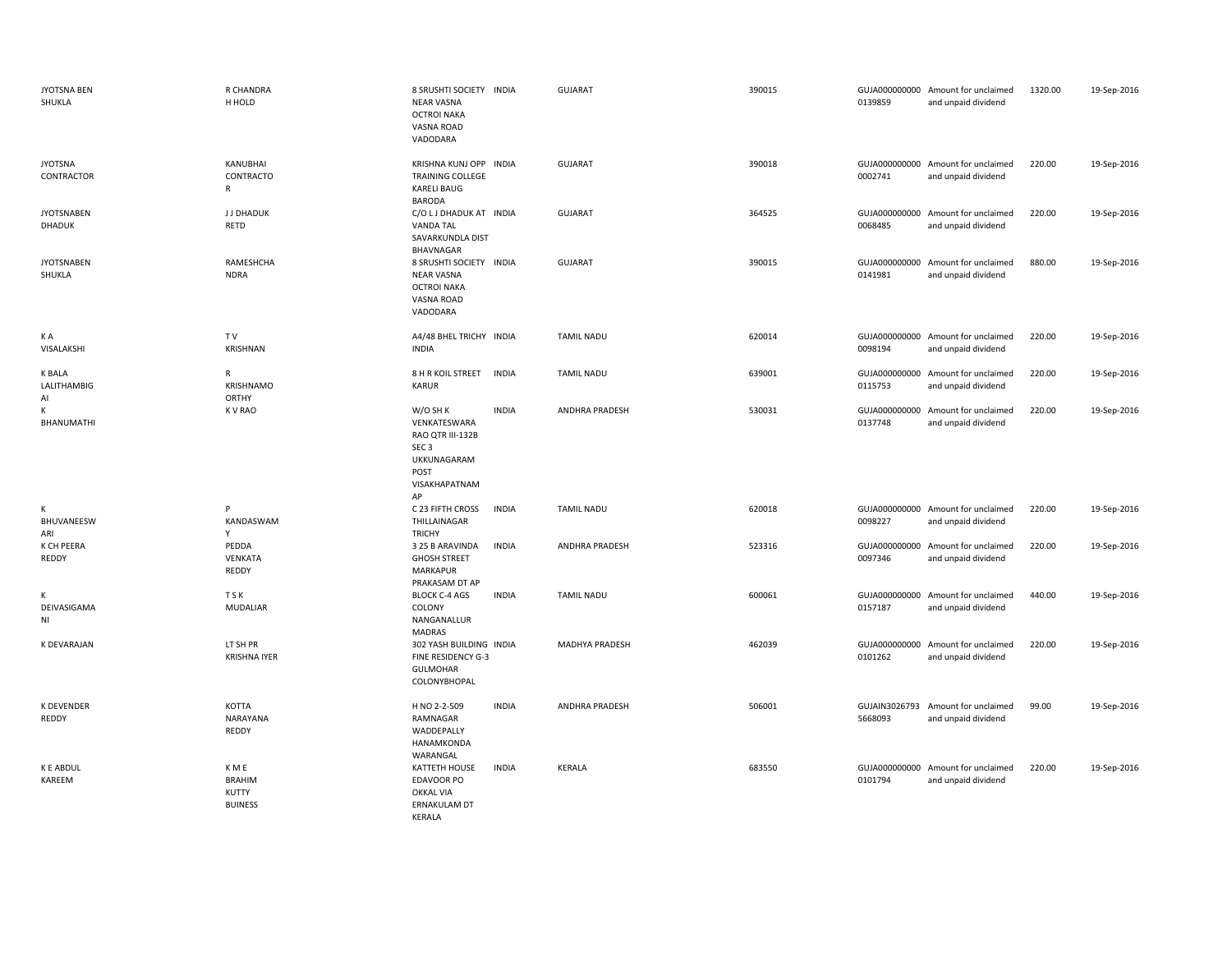| <b>JYOTSNA BEN</b><br>SHUKLA       | R CHANDRA<br>H HOLD                               | 8 SRUSHTI SOCIETY INDIA<br><b>NEAR VASNA</b><br><b>OCTROI NAKA</b><br><b>VASNA ROAD</b><br>VADODARA            |              | <b>GUJARAT</b>        | 390015 | 0139859                  | GUJA000000000 Amount for unclaimed<br>and unpaid dividend | 1320.00 | 19-Sep-2016 |
|------------------------------------|---------------------------------------------------|----------------------------------------------------------------------------------------------------------------|--------------|-----------------------|--------|--------------------------|-----------------------------------------------------------|---------|-------------|
| <b>JYOTSNA</b><br>CONTRACTOR       | KANUBHAI<br>CONTRACTO<br>R                        | KRISHNA KUNJ OPP INDIA<br><b>TRAINING COLLEGE</b><br><b>KARELI BAUG</b><br><b>BARODA</b>                       |              | <b>GUJARAT</b>        | 390018 | 0002741                  | GUJA000000000 Amount for unclaimed<br>and unpaid dividend | 220.00  | 19-Sep-2016 |
| <b>JYOTSNABEN</b><br><b>DHADUK</b> | J J DHADUK<br>RETD                                | C/O L J DHADUK AT INDIA<br><b>VANDA TAL</b><br>SAVARKUNDLA DIST<br>BHAVNAGAR                                   |              | <b>GUJARAT</b>        | 364525 | 0068485                  | GUJA000000000 Amount for unclaimed<br>and unpaid dividend | 220.00  | 19-Sep-2016 |
| <b>JYOTSNABEN</b><br>SHUKLA        | RAMESHCHA<br><b>NDRA</b>                          | 8 SRUSHTI SOCIETY INDIA<br><b>NEAR VASNA</b><br><b>OCTROI NAKA</b><br>VASNA ROAD<br>VADODARA                   |              | <b>GUJARAT</b>        | 390015 | 0141981                  | GUJA000000000 Amount for unclaimed<br>and unpaid dividend | 880.00  | 19-Sep-2016 |
| K A<br>VISALAKSHI                  | TV<br>KRISHNAN                                    | A4/48 BHEL TRICHY INDIA<br><b>INDIA</b>                                                                        |              | <b>TAMIL NADU</b>     | 620014 | 0098194                  | GUJA000000000 Amount for unclaimed<br>and unpaid dividend | 220.00  | 19-Sep-2016 |
| <b>K BALA</b><br>LALITHAMBIG<br>Al | R<br>KRISHNAMO<br><b>ORTHY</b>                    | 8 H R KOIL STREET<br><b>KARUR</b>                                                                              | <b>INDIA</b> | <b>TAMIL NADU</b>     | 639001 | 0115753                  | GUJA000000000 Amount for unclaimed<br>and unpaid dividend | 220.00  | 19-Sep-2016 |
| К<br>BHANUMATHI                    | <b>KVRAO</b>                                      | W/O SH K<br>VENKATESWARA<br>RAO QTR III-132B<br>SEC <sub>3</sub><br>UKKUNAGARAM<br>POST<br>VISAKHAPATNAM<br>AP | <b>INDIA</b> | <b>ANDHRA PRADESH</b> | 530031 | 0137748                  | GUJA000000000 Amount for unclaimed<br>and unpaid dividend | 220.00  | 19-Sep-2016 |
| К<br>BHUVANEESW<br>ARI             | P<br>KANDASWAM<br>Y                               | C 23 FIFTH CROSS<br>THILLAINAGAR<br><b>TRICHY</b>                                                              | <b>INDIA</b> | <b>TAMIL NADU</b>     | 620018 | 0098227                  | GUJA000000000 Amount for unclaimed<br>and unpaid dividend | 220.00  | 19-Sep-2016 |
| K CH PEERA<br>REDDY                | PEDDA<br>VENKATA<br>REDDY                         | 3 25 B ARAVINDA<br><b>GHOSH STREET</b><br><b>MARKAPUR</b><br>PRAKASAM DT AP                                    | <b>INDIA</b> | ANDHRA PRADESH        | 523316 | 0097346                  | GUJA000000000 Amount for unclaimed<br>and unpaid dividend | 220.00  | 19-Sep-2016 |
| К<br>DEIVASIGAMA<br>NI             | <b>TSK</b><br><b>MUDALIAR</b>                     | <b>BLOCK C-4 AGS</b><br>COLONY<br>NANGANALLUR<br><b>MADRAS</b>                                                 | <b>INDIA</b> | <b>TAMIL NADU</b>     | 600061 | GUJA000000000<br>0157187 | Amount for unclaimed<br>and unpaid dividend               | 440.00  | 19-Sep-2016 |
| K DEVARAJAN                        | LT SH PR<br><b>KRISHNA IYER</b>                   | 302 YASH BUILDING INDIA<br>FINE RESIDENCY G-3<br>GULMOHAR<br>COLONYBHOPAL                                      |              | MADHYA PRADESH        | 462039 | 0101262                  | GUJA000000000 Amount for unclaimed<br>and unpaid dividend | 220.00  | 19-Sep-2016 |
| <b>K DEVENDER</b><br>REDDY         | <b>KOTTA</b><br>NARAYANA<br>REDDY                 | H NO 2-2-509<br>RAMNAGAR<br>WADDEPALLY<br>HANAMKONDA<br>WARANGAL                                               | <b>INDIA</b> | <b>ANDHRA PRADESH</b> | 506001 | GUJAIN3026793<br>5668093 | Amount for unclaimed<br>and unpaid dividend               | 99.00   | 19-Sep-2016 |
| <b>K E ABDUL</b><br>KAREEM         | K M E<br><b>BRAHIM</b><br>KUTTY<br><b>BUINESS</b> | KATTETH HOUSE<br><b>EDAVOOR PO</b><br><b>OKKAL VIA</b><br>ERNAKULAM DT<br>KERALA                               | <b>INDIA</b> | KERALA                | 683550 | 0101794                  | GUJA000000000 Amount for unclaimed<br>and unpaid dividend | 220.00  | 19-Sep-2016 |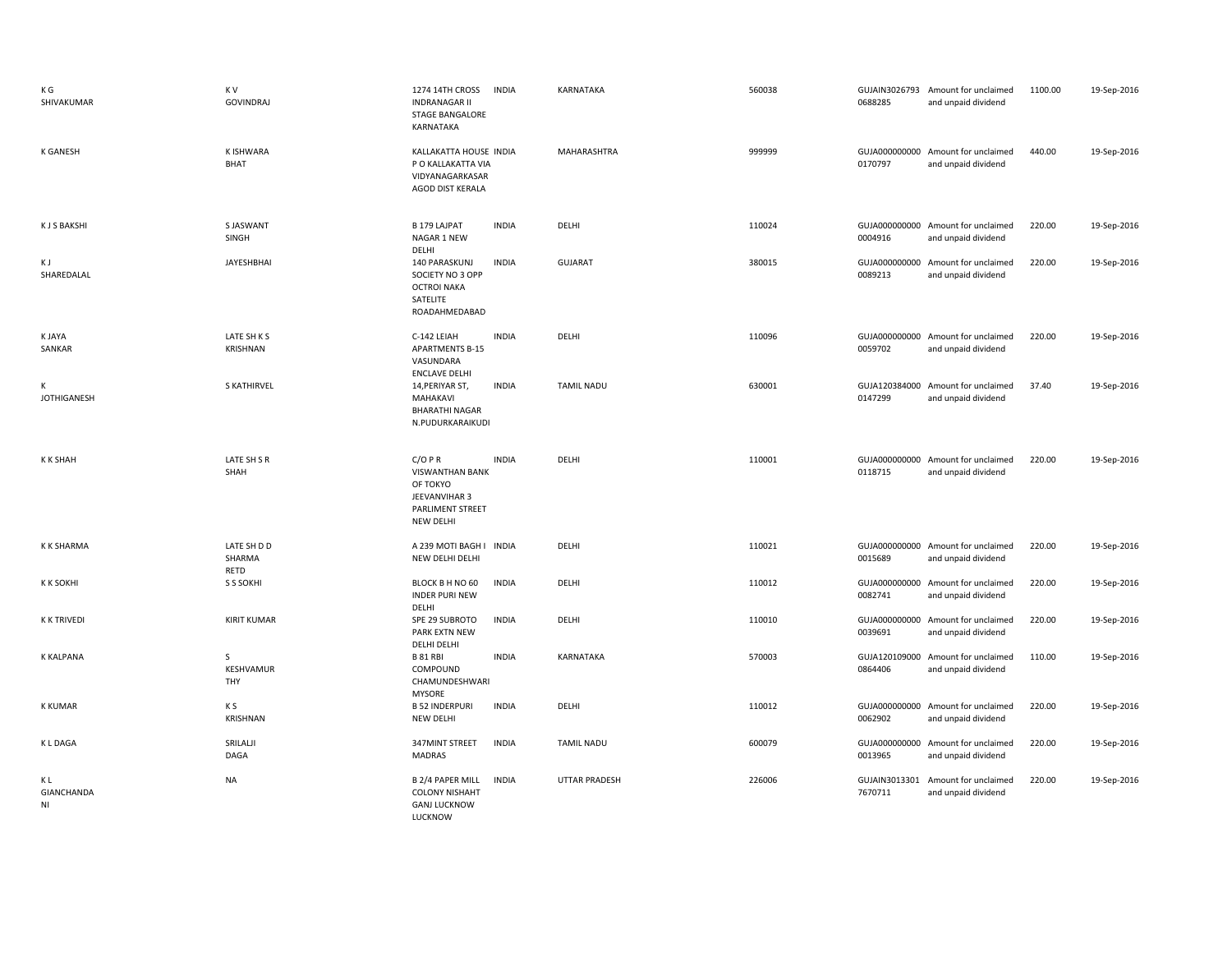| K G<br>SHIVAKUMAR             | K V<br><b>GOVINDRAJ</b>       | <b>1274 14TH CROSS</b><br><b>INDIA</b><br><b>INDRANAGAR II</b><br><b>STAGE BANGALORE</b><br>KARNATAKA                   | KARNATAKA            | 560038 | 0688285 | GUJAIN3026793 Amount for unclaimed<br>and unpaid dividend | 1100.00 | 19-Sep-2016 |
|-------------------------------|-------------------------------|-------------------------------------------------------------------------------------------------------------------------|----------------------|--------|---------|-----------------------------------------------------------|---------|-------------|
| <b>K GANESH</b>               | K ISHWARA<br><b>BHAT</b>      | KALLAKATTA HOUSE INDIA<br>P O KALLAKATTA VIA<br>VIDYANAGARKASAR<br>AGOD DIST KERALA                                     | MAHARASHTRA          | 999999 | 0170797 | GUJA000000000 Amount for unclaimed<br>and unpaid dividend | 440.00  | 19-Sep-2016 |
| <b>KJSBAKSHI</b>              | S JASWANT<br>SINGH            | B 179 LAJPAT<br><b>INDIA</b><br>NAGAR 1 NEW<br>DELHI                                                                    | DELHI                | 110024 | 0004916 | GUJA000000000 Amount for unclaimed<br>and unpaid dividend | 220.00  | 19-Sep-2016 |
| ΚJ<br>SHAREDALAL              | <b>JAYESHBHAI</b>             | 140 PARASKUNJ<br><b>INDIA</b><br>SOCIETY NO 3 OPP<br><b>OCTROI NAKA</b><br>SATELITE<br>ROADAHMEDABAD                    | <b>GUJARAT</b>       | 380015 | 0089213 | GUJA000000000 Amount for unclaimed<br>and unpaid dividend | 220.00  | 19-Sep-2016 |
| K JAYA<br>SANKAR              | LATE SH K S<br>KRISHNAN       | C-142 LEIAH<br><b>INDIA</b><br><b>APARTMENTS B-15</b><br>VASUNDARA<br><b>ENCLAVE DELHI</b>                              | DELHI                | 110096 | 0059702 | GUJA000000000 Amount for unclaimed<br>and unpaid dividend | 220.00  | 19-Sep-2016 |
| К<br><b>JOTHIGANESH</b>       | <b>S KATHIRVEL</b>            | 14, PERIYAR ST,<br><b>INDIA</b><br>MAHAKAVI<br><b>BHARATHI NAGAR</b><br>N.PUDURKARAIKUDI                                | <b>TAMIL NADU</b>    | 630001 | 0147299 | GUJA120384000 Amount for unclaimed<br>and unpaid dividend | 37.40   | 19-Sep-2016 |
| <b>KKSHAH</b>                 | LATE SH S R<br>SHAH           | $C/O$ PR<br><b>INDIA</b><br><b>VISWANTHAN BANK</b><br>OF TOKYO<br>JEEVANVIHAR 3<br>PARLIMENT STREET<br><b>NEW DELHI</b> | DELHI                | 110001 | 0118715 | GUJA000000000 Amount for unclaimed<br>and unpaid dividend | 220.00  | 19-Sep-2016 |
| <b>K K SHARMA</b>             | LATE SH D D<br>SHARMA<br>RETD | A 239 MOTI BAGH I INDIA<br>NEW DELHI DELHI                                                                              | DELHI                | 110021 | 0015689 | GUJA000000000 Amount for unclaimed<br>and unpaid dividend | 220.00  | 19-Sep-2016 |
| <b>K K SOKHI</b>              | S S SOKHI                     | BLOCK B H NO 60<br><b>INDIA</b><br><b>INDER PURI NEW</b><br>DELHI                                                       | DELHI                | 110012 | 0082741 | GUJA000000000 Amount for unclaimed<br>and unpaid dividend | 220.00  | 19-Sep-2016 |
| <b>K K TRIVEDI</b>            | <b>KIRIT KUMAR</b>            | SPE 29 SUBROTO<br><b>INDIA</b><br>PARK EXTN NEW<br><b>DELHI DELHI</b>                                                   | DELHI                | 110010 | 0039691 | GUJA000000000 Amount for unclaimed<br>and unpaid dividend | 220.00  | 19-Sep-2016 |
| K KALPANA                     | S<br>KESHVAMUR<br>THY         | <b>INDIA</b><br><b>B 81 RBI</b><br>COMPOUND<br>CHAMUNDESHWARI<br><b>MYSORE</b>                                          | KARNATAKA            | 570003 | 0864406 | GUJA120109000 Amount for unclaimed<br>and unpaid dividend | 110.00  | 19-Sep-2016 |
| <b>K KUMAR</b>                | K S<br>KRISHNAN               | <b>B 52 INDERPURI</b><br><b>INDIA</b><br><b>NEW DELHI</b>                                                               | DELHI                | 110012 | 0062902 | GUJA000000000 Amount for unclaimed<br>and unpaid dividend | 220.00  | 19-Sep-2016 |
| <b>KLDAGA</b>                 | SRILALJI<br>DAGA              | 347MINT STREET<br><b>INDIA</b><br>MADRAS                                                                                | <b>TAMIL NADU</b>    | 600079 | 0013965 | GUJA000000000 Amount for unclaimed<br>and unpaid dividend | 220.00  | 19-Sep-2016 |
| ΚL<br><b>GIANCHANDA</b><br>NI | NA                            | <b>B 2/4 PAPER MILL</b><br><b>INDIA</b><br><b>COLONY NISHAHT</b><br><b>GANJ LUCKNOW</b><br>LUCKNOW                      | <b>UTTAR PRADESH</b> | 226006 | 7670711 | GUJAIN3013301 Amount for unclaimed<br>and unpaid dividend | 220.00  | 19-Sep-2016 |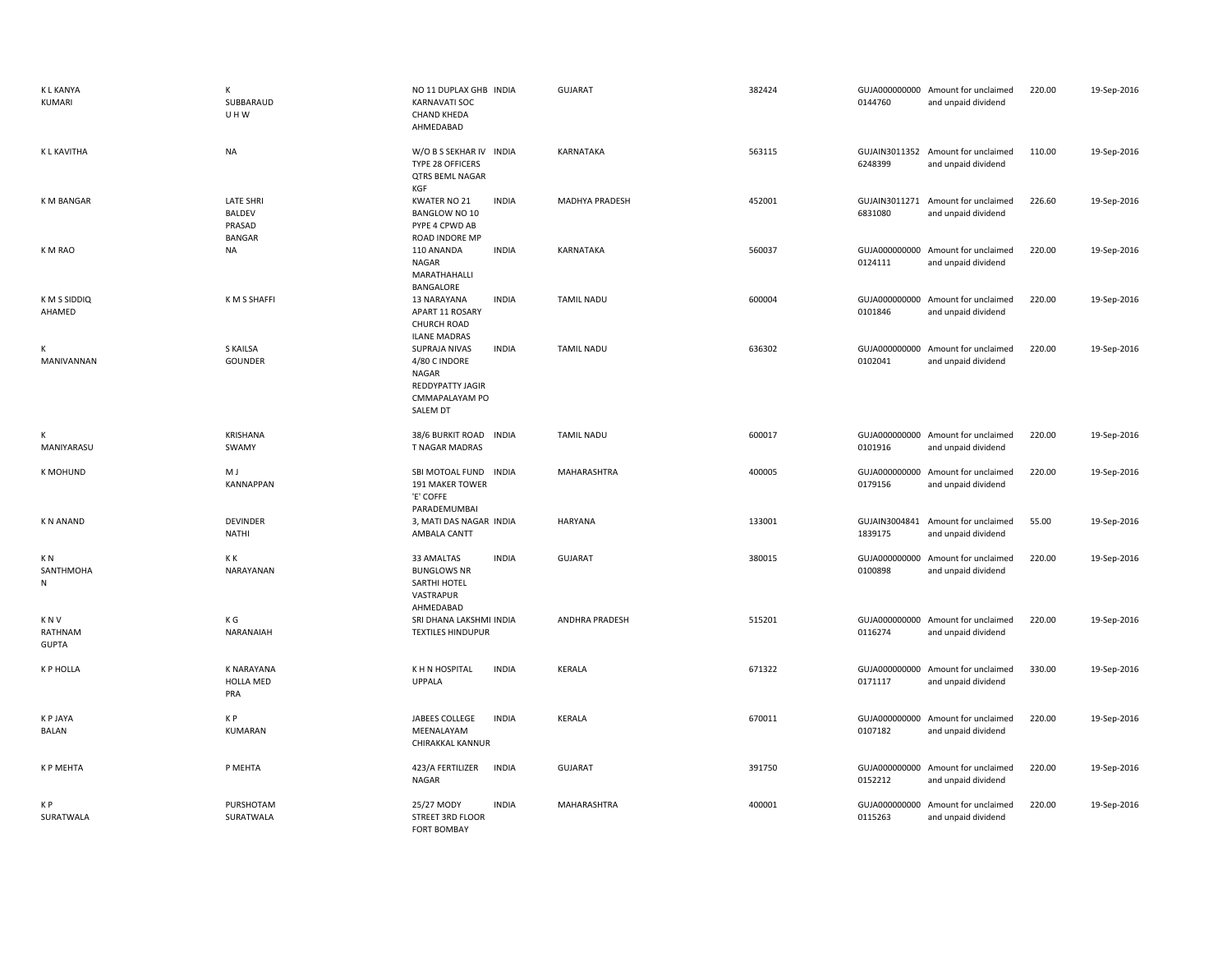| <b>KLKANYA</b><br>KUMARI         | K<br>SUBBARAUD<br>UHW                                        | NO 11 DUPLAX GHB INDIA<br><b>KARNAVATI SOC</b><br><b>CHAND KHEDA</b><br>AHMEDABAD                                | <b>GUJARAT</b>        | 382424 | 0144760                  | GUJA000000000 Amount for unclaimed<br>and unpaid dividend | 220.00 | 19-Sep-2016 |
|----------------------------------|--------------------------------------------------------------|------------------------------------------------------------------------------------------------------------------|-----------------------|--------|--------------------------|-----------------------------------------------------------|--------|-------------|
| K L KAVITHA                      | <b>NA</b>                                                    | W/O B S SEKHAR IV INDIA<br>TYPE 28 OFFICERS<br><b>QTRS BEML NAGAR</b><br>KGF                                     | KARNATAKA             | 563115 | 6248399                  | GUJAIN3011352 Amount for unclaimed<br>and unpaid dividend | 110.00 | 19-Sep-2016 |
| K M BANGAR                       | <b>LATE SHRI</b><br><b>BALDEV</b><br>PRASAD<br><b>BANGAR</b> | KWATER NO 21<br><b>INDIA</b><br><b>BANGLOW NO 10</b><br>PYPE 4 CPWD AB<br>ROAD INDORE MP                         | MADHYA PRADESH        | 452001 | GUJAIN3011271<br>6831080 | Amount for unclaimed<br>and unpaid dividend               | 226.60 | 19-Sep-2016 |
| K M RAO                          | <b>NA</b>                                                    | 110 ANANDA<br><b>INDIA</b><br>NAGAR<br>MARATHAHALLI<br>BANGALORE                                                 | KARNATAKA             | 560037 | 0124111                  | GUJA000000000 Amount for unclaimed<br>and unpaid dividend | 220.00 | 19-Sep-2016 |
| K M S SIDDIQ<br>AHAMED           | K M S SHAFFI                                                 | 13 NARAYANA<br><b>INDIA</b><br>APART 11 ROSARY<br><b>CHURCH ROAD</b><br><b>ILANE MADRAS</b>                      | TAMIL NADU            | 600004 | 0101846                  | GUJA000000000 Amount for unclaimed<br>and unpaid dividend | 220.00 | 19-Sep-2016 |
| К<br>MANIVANNAN                  | <b>S KAILSA</b><br>GOUNDER                                   | <b>INDIA</b><br>SUPRAJA NIVAS<br>4/80 C INDORE<br>NAGAR<br><b>REDDYPATTY JAGIR</b><br>CMMAPALAYAM PO<br>SALEM DT | <b>TAMIL NADU</b>     | 636302 | 0102041                  | GUJA000000000 Amount for unclaimed<br>and unpaid dividend | 220.00 | 19-Sep-2016 |
| К<br>MANIYARASU                  | <b>KRISHANA</b><br>SWAMY                                     | 38/6 BURKIT ROAD INDIA<br>T NAGAR MADRAS                                                                         | <b>TAMIL NADU</b>     | 600017 | 0101916                  | GUJA000000000 Amount for unclaimed<br>and unpaid dividend | 220.00 | 19-Sep-2016 |
| <b>K MOHUND</b>                  | M J<br><b>KANNAPPAN</b>                                      | SBI MOTOAL FUND<br><b>INDIA</b><br>191 MAKER TOWER<br>'E' COFFE<br>PARADEMUMBAI                                  | <b>MAHARASHTRA</b>    | 400005 | 0179156                  | GUJA000000000 Amount for unclaimed<br>and unpaid dividend | 220.00 | 19-Sep-2016 |
| <b>KN ANAND</b>                  | <b>DEVINDER</b><br><b>NATHI</b>                              | 3, MATI DAS NAGAR INDIA<br>AMBALA CANTT                                                                          | <b>HARYANA</b>        | 133001 | GUJAIN3004841<br>1839175 | Amount for unclaimed<br>and unpaid dividend               | 55.00  | 19-Sep-2016 |
| K N<br>SANTHMOHA<br>N            | K K<br>NARAYANAN                                             | 33 AMALTAS<br><b>INDIA</b><br><b>BUNGLOWS NR</b><br><b>SARTHI HOTEL</b><br>VASTRAPUR<br>AHMEDABAD                | <b>GUJARAT</b>        | 380015 | 0100898                  | GUJA000000000 Amount for unclaimed<br>and unpaid dividend | 220.00 | 19-Sep-2016 |
| K N V<br>RATHNAM<br><b>GUPTA</b> | K G<br>NARANAIAH                                             | SRI DHANA LAKSHMI INDIA<br><b>TEXTILES HINDUPUR</b>                                                              | <b>ANDHRA PRADESH</b> | 515201 | 0116274                  | GUJA000000000 Amount for unclaimed<br>and unpaid dividend | 220.00 | 19-Sep-2016 |
| <b>K P HOLLA</b>                 | <b>K NARAYANA</b><br><b>HOLLA MED</b><br>PRA                 | K H N HOSPITAL<br><b>INDIA</b><br><b>UPPALA</b>                                                                  | <b>KERALA</b>         | 671322 | 0171117                  | GUJA000000000 Amount for unclaimed<br>and unpaid dividend | 330.00 | 19-Sep-2016 |
| K P JAYA<br>BALAN                | K P<br>KUMARAN                                               | JABEES COLLEGE<br><b>INDIA</b><br>MEENALAYAM<br>CHIRAKKAL KANNUR                                                 | <b>KERALA</b>         | 670011 | 0107182                  | GUJA000000000 Amount for unclaimed<br>and unpaid dividend | 220.00 | 19-Sep-2016 |
| K P MEHTA                        | P MEHTA                                                      | <b>INDIA</b><br>423/A FERTILIZER<br><b>NAGAR</b>                                                                 | GUJARAT               | 391750 | 0152212                  | GUJA000000000 Amount for unclaimed<br>and unpaid dividend | 220.00 | 19-Sep-2016 |
| K P<br>SURATWALA                 | PURSHOTAM<br>SURATWALA                                       | 25/27 MODY<br><b>INDIA</b><br>STREET 3RD FLOOR<br><b>FORT BOMBAY</b>                                             | <b>MAHARASHTRA</b>    | 400001 | GUJA000000000<br>0115263 | Amount for unclaimed<br>and unpaid dividend               | 220.00 | 19-Sep-2016 |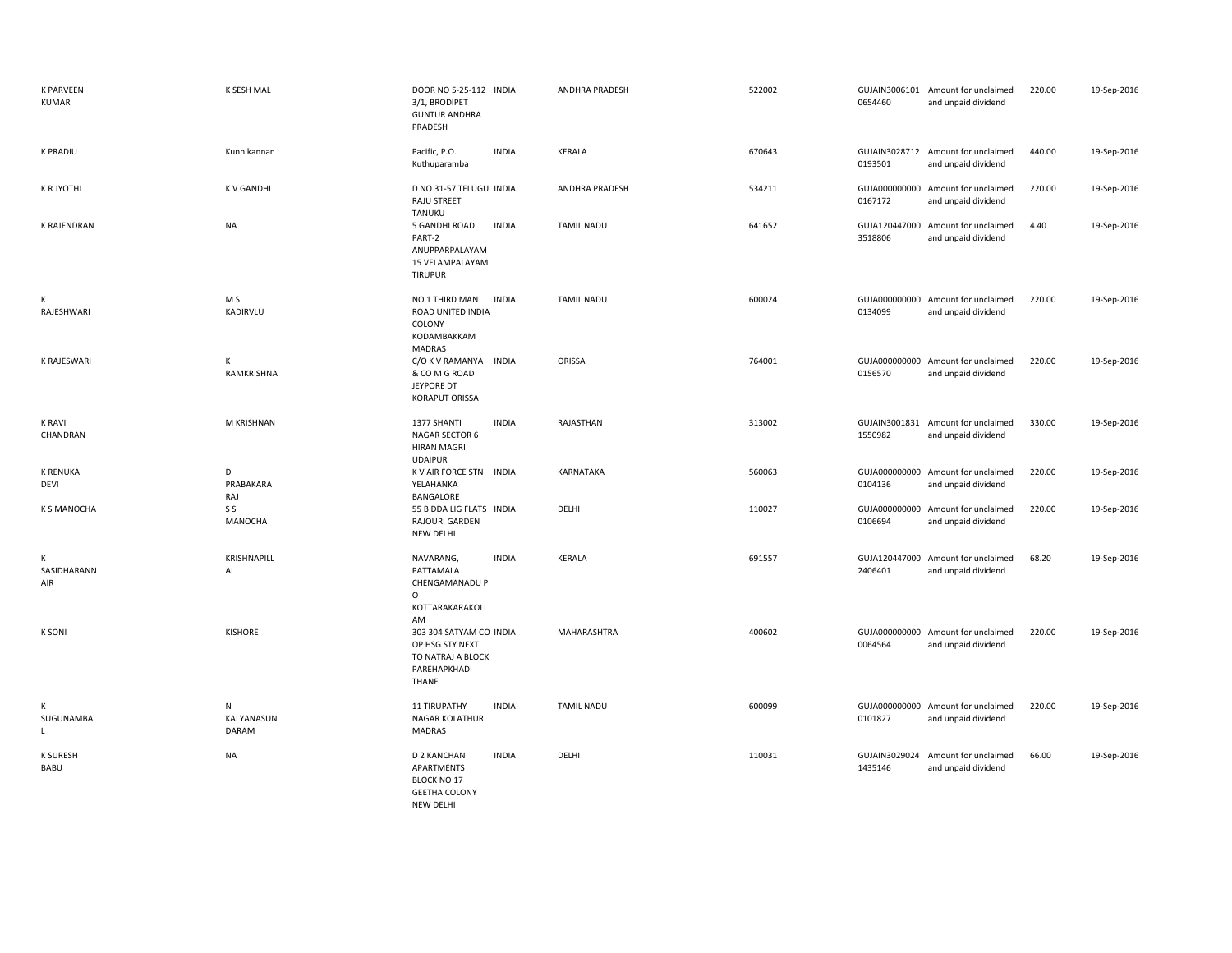| <b>K PARVEEN</b><br><b>KUMAR</b> | K SESH MAL               | DOOR NO 5-25-112 INDIA<br>3/1, BRODIPET<br><b>GUNTUR ANDHRA</b><br>PRADESH                                  | <b>ANDHRA PRADESH</b> | 522002 | 0654460                  | GUJAIN3006101 Amount for unclaimed<br>and unpaid dividend | 220.00 | 19-Sep-2016 |
|----------------------------------|--------------------------|-------------------------------------------------------------------------------------------------------------|-----------------------|--------|--------------------------|-----------------------------------------------------------|--------|-------------|
| <b>K PRADIU</b>                  | Kunnikannan              | Pacific, P.O.<br><b>INDIA</b><br>Kuthuparamba                                                               | KERALA                | 670643 | 0193501                  | GUJAIN3028712 Amount for unclaimed<br>and unpaid dividend | 440.00 | 19-Sep-2016 |
| K R JYOTHI                       | <b>KV GANDHI</b>         | D NO 31-57 TELUGU INDIA<br>RAJU STREET<br><b>TANUKU</b>                                                     | <b>ANDHRA PRADESH</b> | 534211 | 0167172                  | GUJA000000000 Amount for unclaimed<br>and unpaid dividend | 220.00 | 19-Sep-2016 |
| K RAJENDRAN                      | <b>NA</b>                | 5 GANDHI ROAD<br><b>INDIA</b><br>PART-2<br>ANUPPARPALAYAM<br>15 VELAMPALAYAM<br><b>TIRUPUR</b>              | <b>TAMIL NADU</b>     | 641652 | 3518806                  | GUJA120447000 Amount for unclaimed<br>and unpaid dividend | 4.40   | 19-Sep-2016 |
| К<br>RAJESHWARI                  | M S<br>KADIRVLU          | NO 1 THIRD MAN<br><b>INDIA</b><br>ROAD UNITED INDIA<br>COLONY<br>KODAMBAKKAM<br>MADRAS                      | <b>TAMIL NADU</b>     | 600024 | 0134099                  | GUJA000000000 Amount for unclaimed<br>and unpaid dividend | 220.00 | 19-Sep-2016 |
| K RAJESWARI                      | K<br>RAMKRISHNA          | C/O K V RAMANYA<br><b>INDIA</b><br>& CO M G ROAD<br>JEYPORE DT<br><b>KORAPUT ORISSA</b>                     | ORISSA                | 764001 | 0156570                  | GUJA000000000 Amount for unclaimed<br>and unpaid dividend | 220.00 | 19-Sep-2016 |
| <b>K RAVI</b><br>CHANDRAN        | M KRISHNAN               | 1377 SHANTI<br><b>INDIA</b><br>NAGAR SECTOR 6<br><b>HIRAN MAGRI</b><br><b>UDAIPUR</b>                       | RAJASTHAN             | 313002 | 1550982                  | GUJAIN3001831 Amount for unclaimed<br>and unpaid dividend | 330.00 | 19-Sep-2016 |
| <b>K RENUKA</b><br>DEVI          | D<br>PRABAKARA<br>RAJ    | K V AIR FORCE STN INDIA<br>YELAHANKA<br>BANGALORE                                                           | KARNATAKA             | 560063 | 0104136                  | GUJA000000000 Amount for unclaimed<br>and unpaid dividend | 220.00 | 19-Sep-2016 |
| <b>K S MANOCHA</b>               | S S<br>MANOCHA           | 55 B DDA LIG FLATS INDIA<br>RAJOURI GARDEN<br>NEW DELHI                                                     | DELHI                 | 110027 | GUJA000000000<br>0106694 | Amount for unclaimed<br>and unpaid dividend               | 220.00 | 19-Sep-2016 |
| К<br>SASIDHARANN<br>AIR          | KRISHNAPILL<br>Al        | <b>INDIA</b><br>NAVARANG,<br>PATTAMALA<br>CHENGAMANADU P<br>$\Omega$<br>KOTTARAKARAKOLL                     | KERALA                | 691557 | 2406401                  | GUJA120447000 Amount for unclaimed<br>and unpaid dividend | 68.20  | 19-Sep-2016 |
| <b>K SONI</b>                    | <b>KISHORE</b>           | AM<br>303 304 SATYAM CO INDIA<br>OP HSG STY NEXT<br>TO NATRAJ A BLOCK<br>PAREHAPKHADI<br>THANE              | <b>MAHARASHTRA</b>    | 400602 | 0064564                  | GUJA000000000 Amount for unclaimed<br>and unpaid dividend | 220.00 | 19-Sep-2016 |
| К<br>SUGUNAMBA<br>L              | N<br>KALYANASUN<br>DARAM | 11 TIRUPATHY<br><b>INDIA</b><br><b>NAGAR KOLATHUR</b><br>MADRAS                                             | TAMIL NADU            | 600099 | 0101827                  | GUJA000000000 Amount for unclaimed<br>and unpaid dividend | 220.00 | 19-Sep-2016 |
| <b>K SURESH</b><br>BABU          | <b>NA</b>                | <b>INDIA</b><br>D 2 KANCHAN<br>APARTMENTS<br><b>BLOCK NO 17</b><br><b>GEETHA COLONY</b><br><b>NEW DELHI</b> | DELHI                 | 110031 | 1435146                  | GUJAIN3029024 Amount for unclaimed<br>and unpaid dividend | 66.00  | 19-Sep-2016 |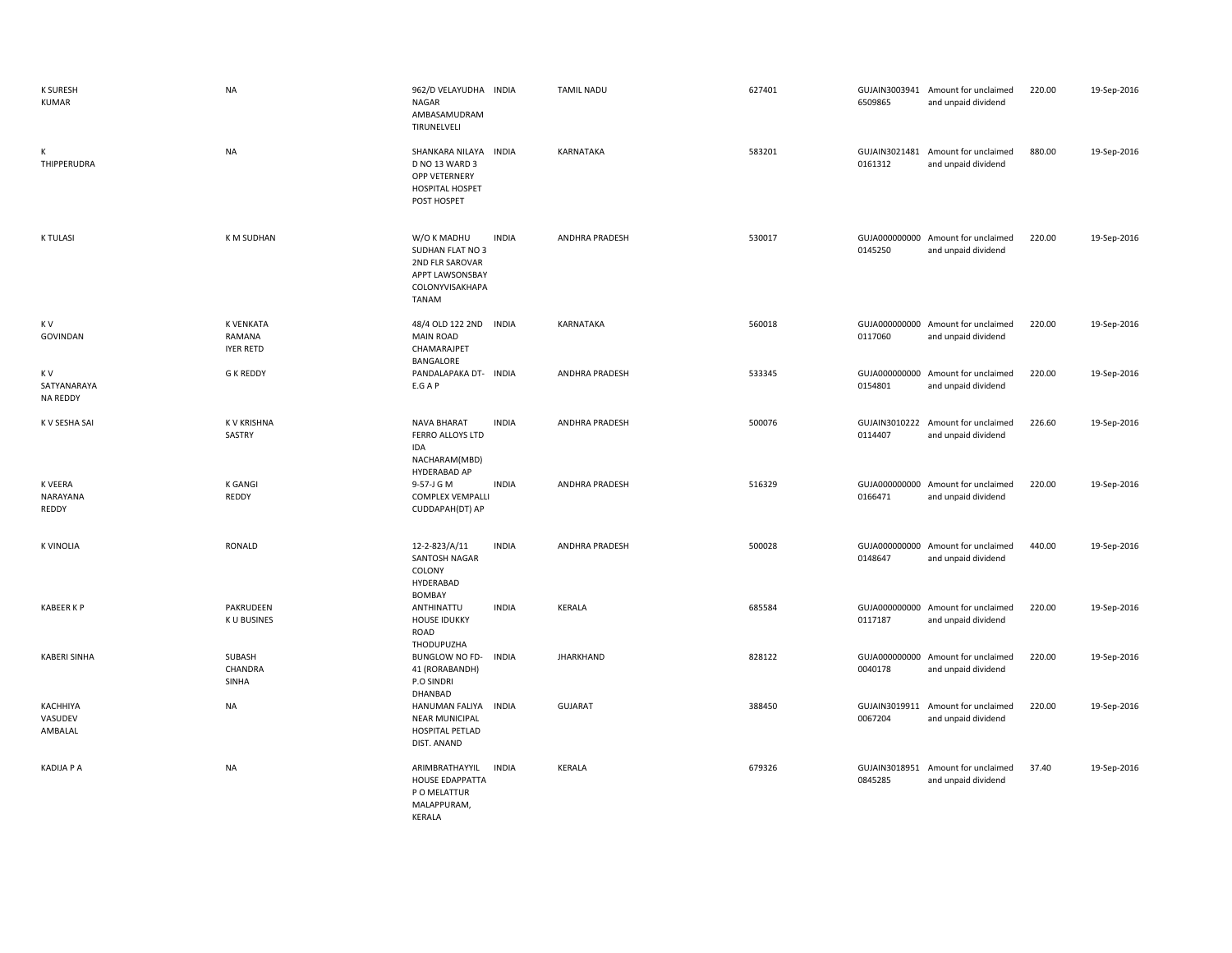| <b>K SURESH</b><br><b>KUMAR</b>       | <b>NA</b>                                      | 962/D VELAYUDHA INDIA<br><b>NAGAR</b><br>AMBASAMUDRAM<br>TIRUNELVELI                                     |              | <b>TAMIL NADU</b>     | 627401 | 6509865 | GUJAIN3003941 Amount for unclaimed<br>and unpaid dividend | 220.00 | 19-Sep-2016 |
|---------------------------------------|------------------------------------------------|----------------------------------------------------------------------------------------------------------|--------------|-----------------------|--------|---------|-----------------------------------------------------------|--------|-------------|
| К<br>THIPPERUDRA                      | <b>NA</b>                                      | SHANKARA NILAYA INDIA<br>D NO 13 WARD 3<br>OPP VETERNERY<br><b>HOSPITAL HOSPET</b><br>POST HOSPET        |              | KARNATAKA             | 583201 | 0161312 | GUJAIN3021481 Amount for unclaimed<br>and unpaid dividend | 880.00 | 19-Sep-2016 |
| <b>K TULASI</b>                       | K M SUDHAN                                     | W/O K MADHU<br>SUDHAN FLAT NO 3<br>2ND FLR SAROVAR<br>APPT LAWSONSBAY<br>COLONYVISAKHAPA<br><b>TANAM</b> | <b>INDIA</b> | ANDHRA PRADESH        | 530017 | 0145250 | GUJA000000000 Amount for unclaimed<br>and unpaid dividend | 220.00 | 19-Sep-2016 |
| K V<br>GOVINDAN                       | <b>K VENKATA</b><br>RAMANA<br><b>IYER RETD</b> | 48/4 OLD 122 2ND INDIA<br><b>MAIN ROAD</b><br>CHAMARAJPET<br>BANGALORE                                   |              | <b>KARNATAKA</b>      | 560018 | 0117060 | GUJA000000000 Amount for unclaimed<br>and unpaid dividend | 220.00 | 19-Sep-2016 |
| K V<br>SATYANARAYA<br><b>NA REDDY</b> | <b>G K REDDY</b>                               | PANDALAPAKA DT- INDIA<br>E.G A P                                                                         |              | <b>ANDHRA PRADESH</b> | 533345 | 0154801 | GUJA000000000 Amount for unclaimed<br>and unpaid dividend | 220.00 | 19-Sep-2016 |
| K V SESHA SAI                         | K V KRISHNA<br>SASTRY                          | <b>NAVA BHARAT</b><br>FERRO ALLOYS LTD<br>IDA<br>NACHARAM(MBD)                                           | <b>INDIA</b> | <b>ANDHRA PRADESH</b> | 500076 | 0114407 | GUJAIN3010222 Amount for unclaimed<br>and unpaid dividend | 226.60 | 19-Sep-2016 |
| K VEERA<br>NARAYANA<br>REDDY          | <b>K GANGI</b><br>REDDY                        | HYDERABAD AP<br>9-57-J G M<br><b>COMPLEX VEMPALLI</b><br>CUDDAPAH(DT) AP                                 | <b>INDIA</b> | <b>ANDHRA PRADESH</b> | 516329 | 0166471 | GUJA000000000 Amount for unclaimed<br>and unpaid dividend | 220.00 | 19-Sep-2016 |
| <b>K VINOLIA</b>                      | RONALD                                         | 12-2-823/A/11<br>SANTOSH NAGAR<br>COLONY<br>HYDERABAD<br><b>BOMBAY</b>                                   | <b>INDIA</b> | ANDHRA PRADESH        | 500028 | 0148647 | GUJA000000000 Amount for unclaimed<br>and unpaid dividend | 440.00 | 19-Sep-2016 |
| <b>KABEER K P</b>                     | PAKRUDEEN<br>K U BUSINES                       | ANTHINATTU<br><b>HOUSE IDUKKY</b><br>ROAD<br>THODUPUZHA                                                  | <b>INDIA</b> | <b>KERALA</b>         | 685584 | 0117187 | GUJA000000000 Amount for unclaimed<br>and unpaid dividend | 220.00 | 19-Sep-2016 |
| <b>KABERI SINHA</b>                   | SUBASH<br>CHANDRA<br>SINHA                     | <b>BUNGLOW NO FD-</b><br>41 (RORABANDH)<br>P.O SINDRI<br>DHANBAD                                         | <b>INDIA</b> | <b>JHARKHAND</b>      | 828122 | 0040178 | GUJA000000000 Amount for unclaimed<br>and unpaid dividend | 220.00 | 19-Sep-2016 |
| KACHHIYA<br>VASUDEV<br>AMBALAL        | <b>NA</b>                                      | HANUMAN FALIYA INDIA<br><b>NEAR MUNICIPAL</b><br>HOSPITAL PETLAD<br>DIST. ANAND                          |              | <b>GUJARAT</b>        | 388450 | 0067204 | GUJAIN3019911 Amount for unclaimed<br>and unpaid dividend | 220.00 | 19-Sep-2016 |
| <b>KADIJA P A</b>                     | <b>NA</b>                                      | ARIMBRATHAYYIL<br><b>HOUSE EDAPPATTA</b><br>P O MELATTUR<br>MALAPPURAM,<br>KERALA                        | <b>INDIA</b> | KERALA                | 679326 | 0845285 | GUJAIN3018951 Amount for unclaimed<br>and unpaid dividend | 37.40  | 19-Sep-2016 |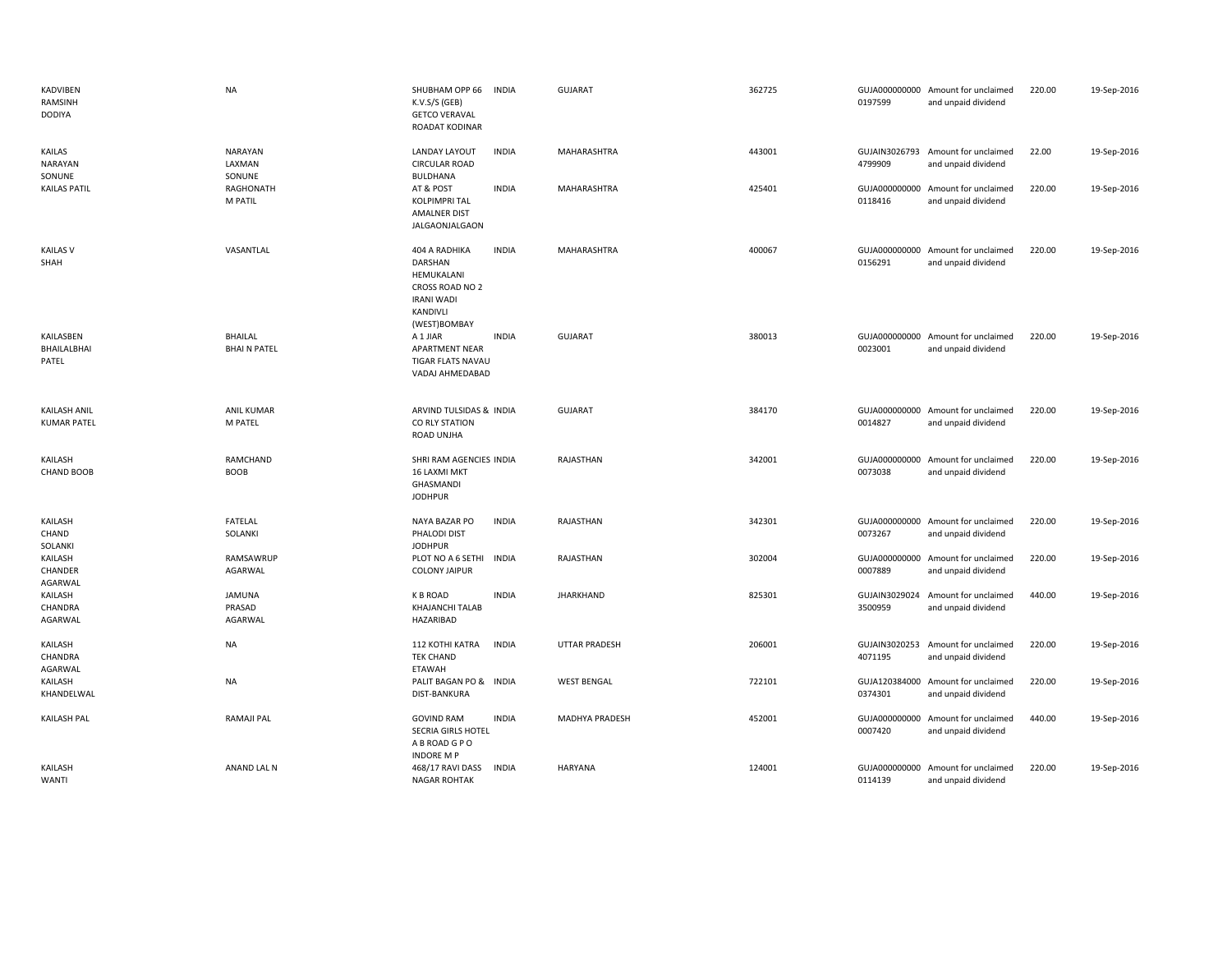| KADVIBEN<br>RAMSINH<br><b>DODIYA</b>      | <b>NA</b>                            | SHUBHAM OPP 66<br>K.V.S/S (GEB)<br><b>GETCO VERAVAL</b><br><b>ROADAT KODINAR</b>                                  | INDIA        | <b>GUJARAT</b>       | 362725 | 0197599                  | GUJA000000000 Amount for unclaimed<br>and unpaid dividend | 220.00 | 19-Sep-2016 |
|-------------------------------------------|--------------------------------------|-------------------------------------------------------------------------------------------------------------------|--------------|----------------------|--------|--------------------------|-----------------------------------------------------------|--------|-------------|
| KAILAS<br><b>NARAYAN</b><br>SONUNE        | <b>NARAYAN</b><br>LAXMAN<br>SONUNE   | LANDAY LAYOUT<br><b>CIRCULAR ROAD</b><br>BULDHANA                                                                 | <b>INDIA</b> | MAHARASHTRA          | 443001 | GUJAIN3026793<br>4799909 | Amount for unclaimed<br>and unpaid dividend               | 22.00  | 19-Sep-2016 |
| <b>KAILAS PATIL</b>                       | RAGHONATH<br>M PATIL                 | AT & POST<br><b>KOLPIMPRI TAL</b><br><b>AMALNER DIST</b><br>JALGAONJALGAON                                        | <b>INDIA</b> | MAHARASHTRA          | 425401 | 0118416                  | GUJA000000000 Amount for unclaimed<br>and unpaid dividend | 220.00 | 19-Sep-2016 |
| <b>KAILAS V</b><br>SHAH                   | VASANTLAL                            | 404 A RADHIKA<br><b>DARSHAN</b><br>HEMUKALANI<br>CROSS ROAD NO 2<br><b>IRANI WADI</b><br>KANDIVLI<br>(WEST)BOMBAY | <b>INDIA</b> | MAHARASHTRA          | 400067 | 0156291                  | GUJA000000000 Amount for unclaimed<br>and unpaid dividend | 220.00 | 19-Sep-2016 |
| KAILASBEN<br>BHAILALBHAI<br>PATEL         | <b>BHAILAL</b><br><b>BHAIN PATEL</b> | A 1 JIAR<br>APARTMENT NEAR<br><b>TIGAR FLATS NAVAU</b><br>VADAJ AHMEDABAD                                         | <b>INDIA</b> | <b>GUJARAT</b>       | 380013 | 0023001                  | GUJA000000000 Amount for unclaimed<br>and unpaid dividend | 220.00 | 19-Sep-2016 |
| <b>KAILASH ANIL</b><br><b>KUMAR PATEL</b> | <b>ANIL KUMAR</b><br>M PATEL         | ARVIND TULSIDAS & INDIA<br>CO RLY STATION<br>ROAD UNJHA                                                           |              | <b>GUJARAT</b>       | 384170 | 0014827                  | GUJA000000000 Amount for unclaimed<br>and unpaid dividend | 220.00 | 19-Sep-2016 |
| KAILASH<br><b>CHAND BOOB</b>              | RAMCHAND<br><b>BOOB</b>              | SHRI RAM AGENCIES INDIA<br><b>16 LAXMI MKT</b><br>GHASMANDI<br><b>JODHPUR</b>                                     |              | RAJASTHAN            | 342001 | 0073038                  | GUJA000000000 Amount for unclaimed<br>and unpaid dividend | 220.00 | 19-Sep-2016 |
| KAILASH<br>CHAND<br>SOLANKI               | FATELAL<br>SOLANKI                   | NAYA BAZAR PO<br>PHALODI DIST<br><b>JODHPUR</b>                                                                   | <b>INDIA</b> | RAJASTHAN            | 342301 | 0073267                  | GUJA000000000 Amount for unclaimed<br>and unpaid dividend | 220.00 | 19-Sep-2016 |
| KAILASH<br>CHANDER<br>AGARWAL             | RAMSAWRUP<br>AGARWAL                 | PLOT NO A 6 SETHI<br><b>COLONY JAIPUR</b>                                                                         | <b>INDIA</b> | RAJASTHAN            | 302004 | 0007889                  | GUJA000000000 Amount for unclaimed<br>and unpaid dividend | 220.00 | 19-Sep-2016 |
| KAILASH<br>CHANDRA<br>AGARWAL             | <b>JAMUNA</b><br>PRASAD<br>AGARWAL   | <b>K B ROAD</b><br><b>KHAJANCHI TALAB</b><br>HAZARIBAD                                                            | <b>INDIA</b> | <b>JHARKHAND</b>     | 825301 | 3500959                  | GUJAIN3029024 Amount for unclaimed<br>and unpaid dividend | 440.00 | 19-Sep-2016 |
| KAILASH<br>CHANDRA<br>AGARWAL             | <b>NA</b>                            | <b>112 KOTHI KATRA</b><br><b>TEK CHAND</b><br>ETAWAH                                                              | <b>INDIA</b> | <b>UTTAR PRADESH</b> | 206001 | GUJAIN3020253<br>4071195 | Amount for unclaimed<br>and unpaid dividend               | 220.00 | 19-Sep-2016 |
| KAILASH<br>KHANDELWAL                     | <b>NA</b>                            | PALIT BAGAN PO & INDIA<br>DIST-BANKURA                                                                            |              | <b>WEST BENGAL</b>   | 722101 | GUJA120384000<br>0374301 | Amount for unclaimed<br>and unpaid dividend               | 220.00 | 19-Sep-2016 |
| KAILASH PAL                               | RAMAJI PAL                           | <b>GOVIND RAM</b><br>SECRIA GIRLS HOTEL<br>A B ROAD G P O<br><b>INDORE MP</b>                                     | <b>INDIA</b> | MADHYA PRADESH       | 452001 | GUJA000000000<br>0007420 | Amount for unclaimed<br>and unpaid dividend               | 440.00 | 19-Sep-2016 |
| KAILASH<br><b>WANTI</b>                   | ANAND LAL N                          | 468/17 RAVI DASS<br><b>NAGAR ROHTAK</b>                                                                           | <b>INDIA</b> | <b>HARYANA</b>       | 124001 | 0114139                  | GUJA000000000 Amount for unclaimed<br>and unpaid dividend | 220.00 | 19-Sep-2016 |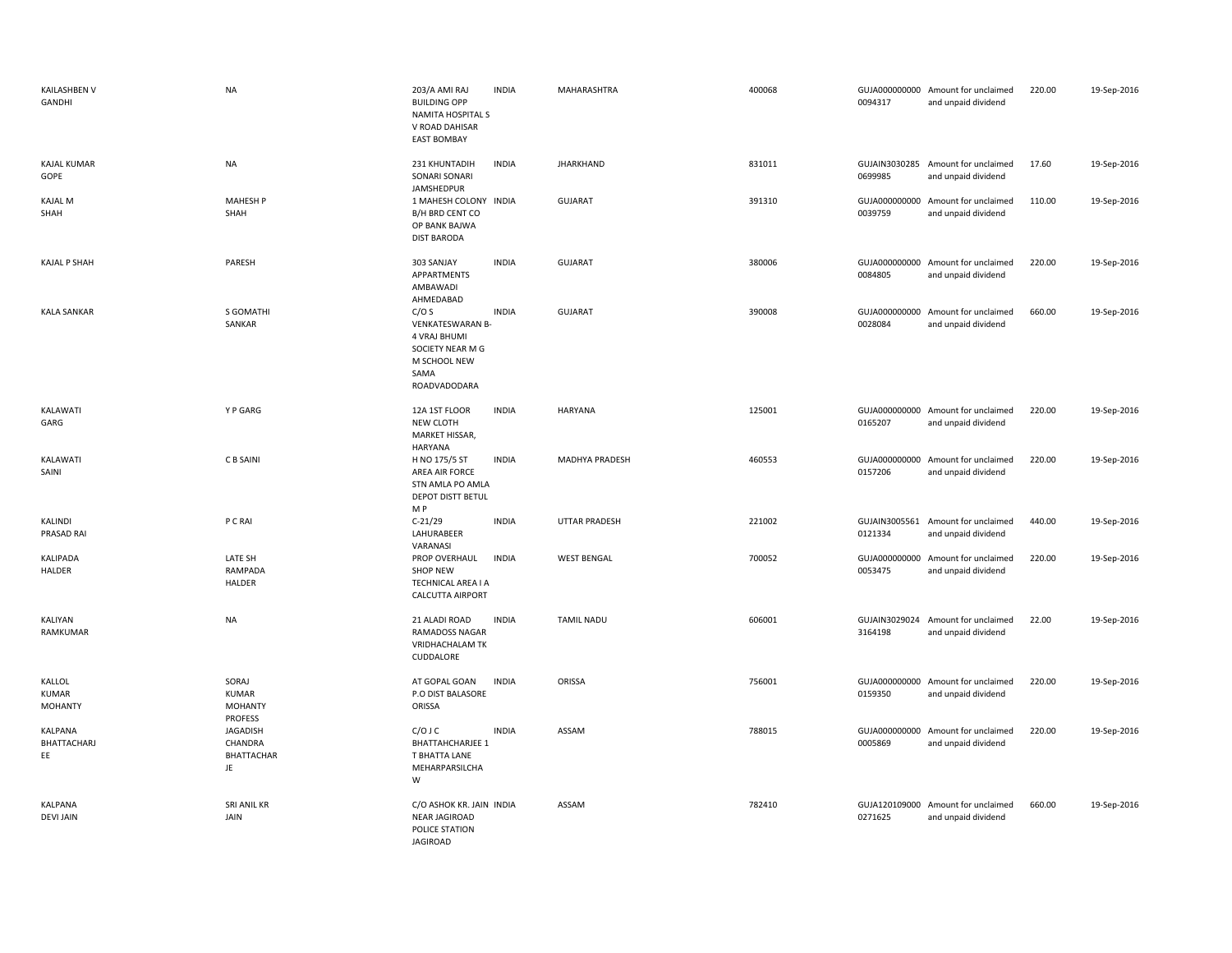| KAILASHBEN V<br>GANDHI                   | <b>NA</b>                                                               | 203/A AMI RAJ<br><b>BUILDING OPP</b><br>NAMITA HOSPITAL S<br>V ROAD DAHISAR<br><b>EAST BOMBAY</b>    | <b>INDIA</b> | MAHARASHTRA          | 400068 | 0094317                  | GUJA000000000 Amount for unclaimed<br>and unpaid dividend | 220.00 | 19-Sep-2016 |
|------------------------------------------|-------------------------------------------------------------------------|------------------------------------------------------------------------------------------------------|--------------|----------------------|--------|--------------------------|-----------------------------------------------------------|--------|-------------|
| <b>KAJAL KUMAR</b><br>GOPE               | <b>NA</b>                                                               | 231 KHUNTADIH<br>SONARI SONARI<br>JAMSHEDPUR                                                         | <b>INDIA</b> | <b>JHARKHAND</b>     | 831011 | 0699985                  | GUJAIN3030285 Amount for unclaimed<br>and unpaid dividend | 17.60  | 19-Sep-2016 |
| <b>KAJAL M</b><br>SHAH                   | <b>MAHESH P</b><br>SHAH                                                 | 1 MAHESH COLONY INDIA<br>B/H BRD CENT CO<br>OP BANK BAJWA<br><b>DIST BARODA</b>                      |              | <b>GUJARAT</b>       | 391310 | GUJA000000000<br>0039759 | Amount for unclaimed<br>and unpaid dividend               | 110.00 | 19-Sep-2016 |
| <b>KAJAL P SHAH</b>                      | PARESH                                                                  | 303 SANJAY<br>APPARTMENTS<br>AMBAWADI<br>AHMEDABAD                                                   | <b>INDIA</b> | <b>GUJARAT</b>       | 380006 | 0084805                  | GUJA000000000 Amount for unclaimed<br>and unpaid dividend | 220.00 | 19-Sep-2016 |
| <b>KALA SANKAR</b>                       | S GOMATHI<br>SANKAR                                                     | C/OS<br>VENKATESWARAN B-<br>4 VRAJ BHUMI<br>SOCIETY NEAR M G<br>M SCHOOL NEW<br>SAMA<br>ROADVADODARA | <b>INDIA</b> | <b>GUJARAT</b>       | 390008 | 0028084                  | GUJA000000000 Amount for unclaimed<br>and unpaid dividend | 660.00 | 19-Sep-2016 |
| KALAWATI<br>GARG                         | Y P GARG                                                                | 12A 1ST FLOOR<br>NEW CLOTH<br>MARKET HISSAR,<br>HARYANA                                              | <b>INDIA</b> | <b>HARYANA</b>       | 125001 | 0165207                  | GUJA000000000 Amount for unclaimed<br>and unpaid dividend | 220.00 | 19-Sep-2016 |
| KALAWATI<br>SAINI                        | C B SAINI                                                               | H NO 175/5 ST<br>AREA AIR FORCE<br>STN AMLA PO AMLA<br><b>DEPOT DISTT BETUL</b><br>M P               | <b>INDIA</b> | MADHYA PRADESH       | 460553 | 0157206                  | GUJA000000000 Amount for unclaimed<br>and unpaid dividend | 220.00 | 19-Sep-2016 |
| KALINDI<br>PRASAD RAI                    | P C RAI                                                                 | $C-21/29$<br>LAHURABEER<br>VARANASI                                                                  | <b>INDIA</b> | <b>UTTAR PRADESH</b> | 221002 | 0121334                  | GUJAIN3005561 Amount for unclaimed<br>and unpaid dividend | 440.00 | 19-Sep-2016 |
| KALIPADA<br>HALDER                       | LATE SH<br>RAMPADA<br>HALDER                                            | PROP OVERHAUL<br><b>SHOP NEW</b><br>TECHNICAL AREA I A<br><b>CALCUTTA AIRPORT</b>                    | <b>INDIA</b> | <b>WEST BENGAL</b>   | 700052 | 0053475                  | GUJA000000000 Amount for unclaimed<br>and unpaid dividend | 220.00 | 19-Sep-2016 |
| KALIYAN<br>RAMKUMAR                      | <b>NA</b>                                                               | 21 ALADI ROAD<br>RAMADOSS NAGAR<br><b>VRIDHACHALAM TK</b><br>CUDDALORE                               | <b>INDIA</b> | <b>TAMIL NADU</b>    | 606001 | 3164198                  | GUJAIN3029024 Amount for unclaimed<br>and unpaid dividend | 22.00  | 19-Sep-2016 |
| KALLOL<br><b>KUMAR</b><br><b>MOHANTY</b> | SORAJ<br><b>KUMAR</b><br><b>MOHANTY</b>                                 | AT GOPAL GOAN<br>P.O DIST BALASORE<br>ORISSA                                                         | <b>INDIA</b> | ORISSA               | 756001 | 0159350                  | GUJA000000000 Amount for unclaimed<br>and unpaid dividend | 220.00 | 19-Sep-2016 |
| KALPANA<br>BHATTACHARJ<br>EE             | <b>PROFESS</b><br><b>JAGADISH</b><br>CHANDRA<br><b>BHATTACHAR</b><br>JE | $C/O$ J $C$<br><b>BHATTAHCHARJEE 1</b><br>T BHATTA LANE<br>MEHARPARSILCHA<br>W                       | <b>INDIA</b> | ASSAM                | 788015 | 0005869                  | GUJA000000000 Amount for unclaimed<br>and unpaid dividend | 220.00 | 19-Sep-2016 |
| KALPANA<br><b>DEVI JAIN</b>              | SRI ANIL KR<br>JAIN                                                     | C/O ASHOK KR. JAIN INDIA<br><b>NEAR JAGIROAD</b><br>POLICE STATION<br>JAGIROAD                       |              | ASSAM                | 782410 | 0271625                  | GUJA120109000 Amount for unclaimed<br>and unpaid dividend | 660.00 | 19-Sep-2016 |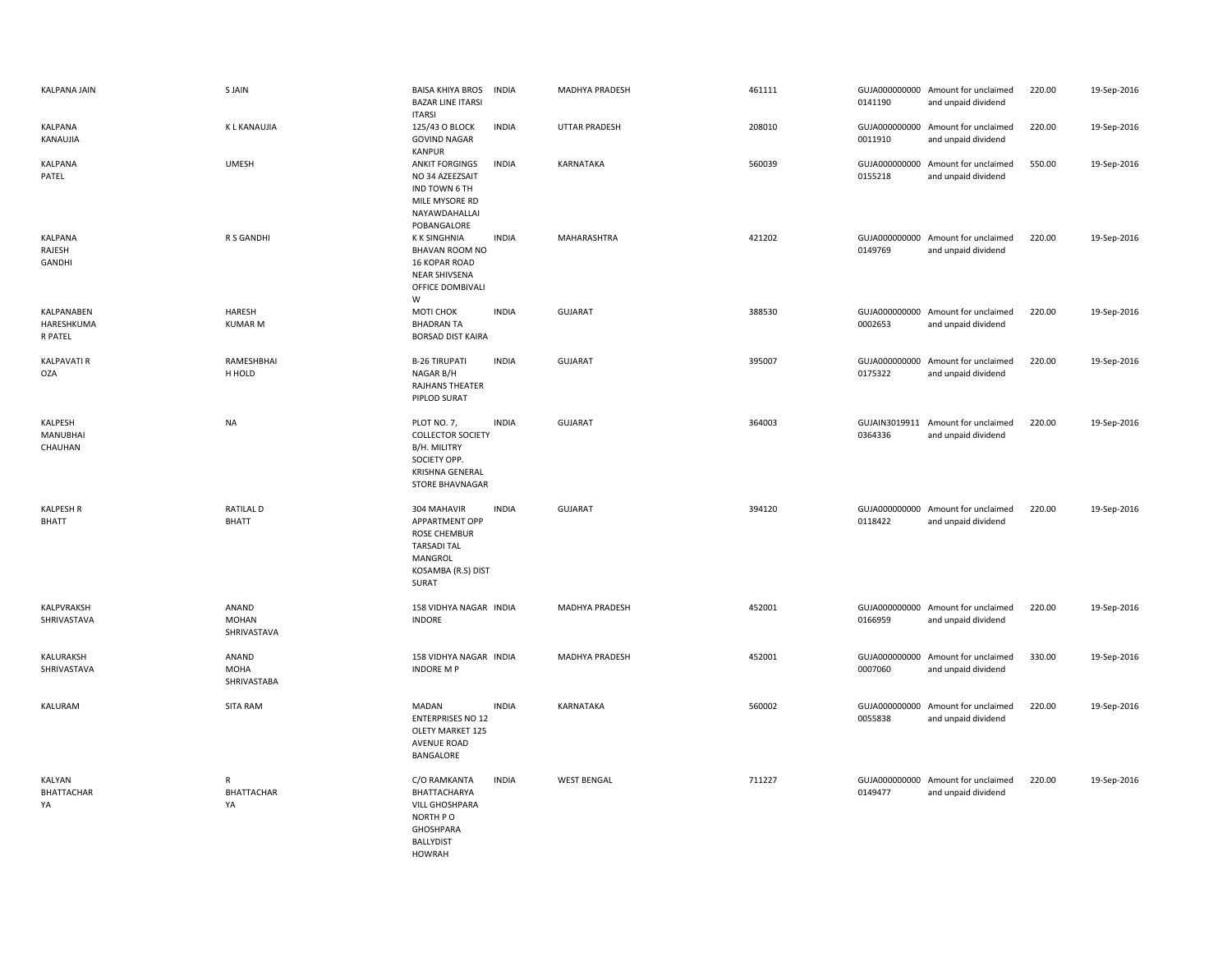| KALPANA JAIN                        | S JAIN                               | <b>BAISA KHIYA BROS</b><br><b>BAZAR LINE ITARSI</b><br><b>ITARSI</b>                                                 | <b>INDIA</b> | MADHYA PRADESH        | 461111 | 0141190 | GUJA000000000 Amount for unclaimed<br>and unpaid dividend | 220.00 | 19-Sep-2016 |
|-------------------------------------|--------------------------------------|----------------------------------------------------------------------------------------------------------------------|--------------|-----------------------|--------|---------|-----------------------------------------------------------|--------|-------------|
| KALPANA<br>KANAUJIA                 | K L KANAUJIA                         | 125/43 O BLOCK<br><b>GOVIND NAGAR</b><br>KANPUR                                                                      | <b>INDIA</b> | UTTAR PRADESH         | 208010 | 0011910 | GUJA000000000 Amount for unclaimed<br>and unpaid dividend | 220.00 | 19-Sep-2016 |
| KALPANA<br>PATEL                    | <b>UMESH</b>                         | <b>ANKIT FORGINGS</b><br>NO 34 AZEEZSAIT<br>IND TOWN 6 TH<br>MILE MYSORE RD<br>NAYAWDAHALLAI<br>POBANGALORE          | <b>INDIA</b> | KARNATAKA             | 560039 | 0155218 | GUJA000000000 Amount for unclaimed<br>and unpaid dividend | 550.00 | 19-Sep-2016 |
| KALPANA<br>RAJESH<br>GANDHI         | R S GANDHI                           | <b>KK SINGHNIA</b><br>BHAVAN ROOM NO<br>16 KOPAR ROAD<br><b>NEAR SHIVSENA</b><br>OFFICE DOMBIVALI<br>W               | <b>INDIA</b> | MAHARASHTRA           | 421202 | 0149769 | GUJA000000000 Amount for unclaimed<br>and unpaid dividend | 220.00 | 19-Sep-2016 |
| KALPANABEN<br>HARESHKUMA<br>R PATEL | HARESH<br><b>KUMAR M</b>             | MOTI CHOK<br><b>BHADRAN TA</b><br><b>BORSAD DIST KAIRA</b>                                                           | <b>INDIA</b> | <b>GUJARAT</b>        | 388530 | 0002653 | GUJA000000000 Amount for unclaimed<br>and unpaid dividend | 220.00 | 19-Sep-2016 |
| <b>KALPAVATI R</b><br><b>OZA</b>    | RAMESHBHAI<br>H HOLD                 | <b>B-26 TIRUPATI</b><br>NAGAR B/H<br>RAJHANS THEATER<br>PIPLOD SURAT                                                 | <b>INDIA</b> | <b>GUJARAT</b>        | 395007 | 0175322 | GUJA000000000 Amount for unclaimed<br>and unpaid dividend | 220.00 | 19-Sep-2016 |
| KALPESH<br>MANUBHAI<br>CHAUHAN      | <b>NA</b>                            | PLOT NO. 7,<br><b>COLLECTOR SOCIETY</b><br>B/H. MILITRY<br>SOCIETY OPP.<br>KRISHNA GENERAL<br>STORE BHAVNAGAR        | <b>INDIA</b> | <b>GUJARAT</b>        | 364003 | 0364336 | GUJAIN3019911 Amount for unclaimed<br>and unpaid dividend | 220.00 | 19-Sep-2016 |
| <b>KALPESH R</b><br><b>BHATT</b>    | <b>RATILAL D</b><br><b>BHATT</b>     | 304 MAHAVIR<br>APPARTMENT OPP<br><b>ROSE CHEMBUR</b><br><b>TARSADI TAL</b><br>MANGROL<br>KOSAMBA (R.S) DIST<br>SURAT | <b>INDIA</b> | <b>GUJARAT</b>        | 394120 | 0118422 | GUJA000000000 Amount for unclaimed<br>and unpaid dividend | 220.00 | 19-Sep-2016 |
| KALPVRAKSH<br>SHRIVASTAVA           | ANAND<br><b>MOHAN</b><br>SHRIVASTAVA | 158 VIDHYA NAGAR INDIA<br>INDORE                                                                                     |              | MADHYA PRADESH        | 452001 | 0166959 | GUJA000000000 Amount for unclaimed<br>and unpaid dividend | 220.00 | 19-Sep-2016 |
| KALURAKSH<br>SHRIVASTAVA            | ANAND<br>MOHA<br>SHRIVASTABA         | 158 VIDHYA NAGAR INDIA<br><b>INDORE MP</b>                                                                           |              | <b>MADHYA PRADESH</b> | 452001 | 0007060 | GUJA000000000 Amount for unclaimed<br>and unpaid dividend | 330.00 | 19-Sep-2016 |
| KALURAM                             | <b>SITA RAM</b>                      | MADAN<br><b>ENTERPRISES NO 12</b><br>OLETY MARKET 125<br><b>AVENUE ROAD</b><br>BANGALORE                             | <b>INDIA</b> | KARNATAKA             | 560002 | 0055838 | GUJA000000000 Amount for unclaimed<br>and unpaid dividend | 220.00 | 19-Sep-2016 |
| KALYAN<br><b>BHATTACHAR</b><br>YA   | R<br>BHATTACHAR<br>YA                | C/O RAMKANTA<br>BHATTACHARYA<br>VILL GHOSHPARA<br>NORTH PO<br>GHOSHPARA<br><b>BALLYDIST</b><br><b>HOWRAH</b>         | <b>INDIA</b> | <b>WEST BENGAL</b>    | 711227 | 0149477 | GUJA000000000 Amount for unclaimed<br>and unpaid dividend | 220.00 | 19-Sep-2016 |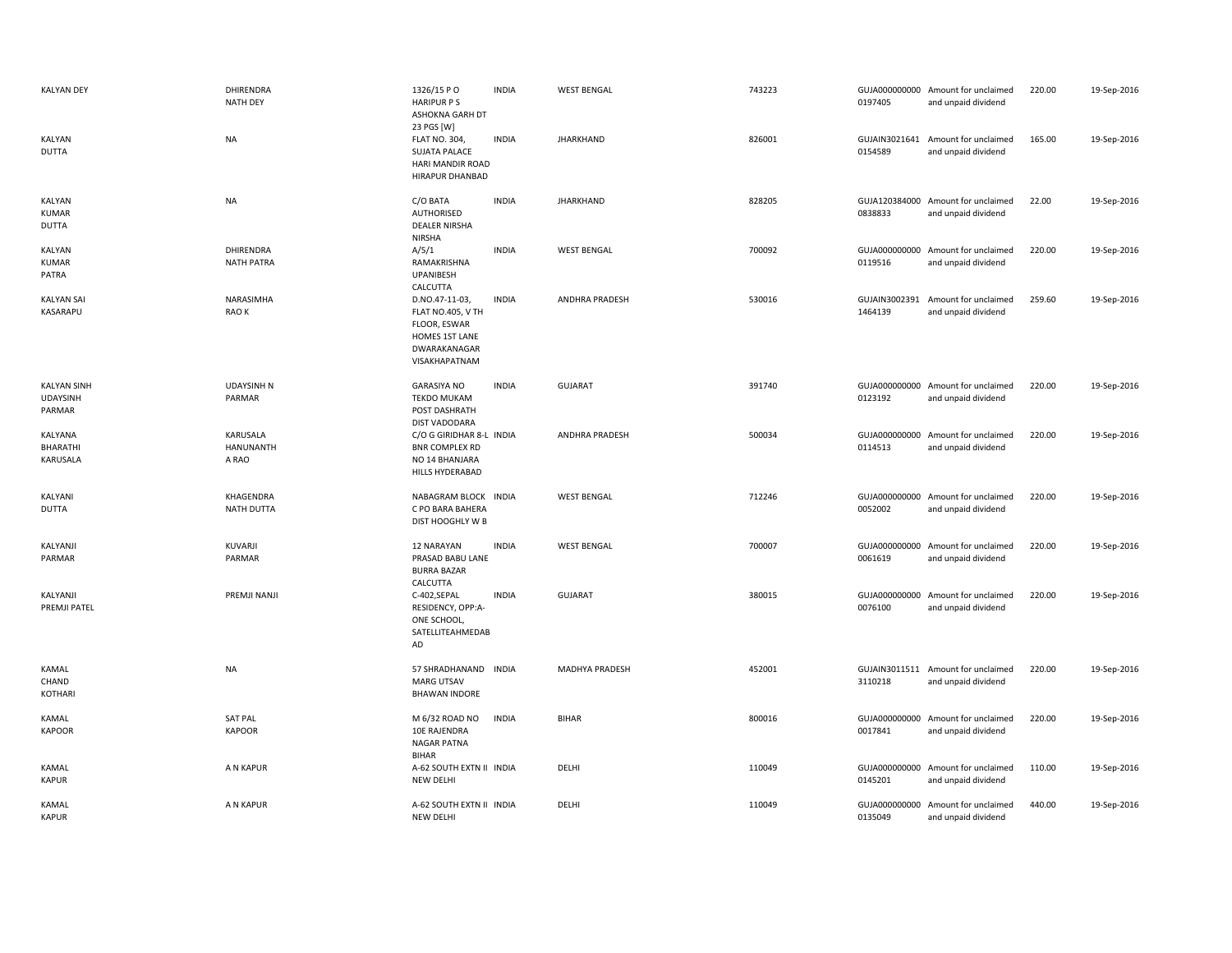| <b>KALYAN DEY</b>                               | DHIRENDRA<br><b>NATH DEY</b>    | 1326/15 PO<br><b>HARIPUR PS</b><br>ASHOKNA GARH DT                                                            | <b>INDIA</b> | <b>WEST BENGAL</b>    | 743223 | 0197405                  | GUJA000000000 Amount for unclaimed<br>and unpaid dividend | 220.00 | 19-Sep-2016 |
|-------------------------------------------------|---------------------------------|---------------------------------------------------------------------------------------------------------------|--------------|-----------------------|--------|--------------------------|-----------------------------------------------------------|--------|-------------|
| KALYAN<br><b>DUTTA</b>                          | <b>NA</b>                       | 23 PGS [W]<br><b>FLAT NO. 304,</b><br><b>SUJATA PALACE</b><br>HARI MANDIR ROAD<br>HIRAPUR DHANBAD             | <b>INDIA</b> | <b>JHARKHAND</b>      | 826001 | 0154589                  | GUJAIN3021641 Amount for unclaimed<br>and unpaid dividend | 165.00 | 19-Sep-2016 |
| KALYAN<br><b>KUMAR</b><br><b>DUTTA</b>          | <b>NA</b>                       | C/O BATA<br>AUTHORISED<br><b>DEALER NIRSHA</b><br><b>NIRSHA</b>                                               | <b>INDIA</b> | <b>JHARKHAND</b>      | 828205 | 0838833                  | GUJA120384000 Amount for unclaimed<br>and unpaid dividend | 22.00  | 19-Sep-2016 |
| KALYAN<br><b>KUMAR</b><br>PATRA                 | DHIRENDRA<br><b>NATH PATRA</b>  | A/5/1<br>RAMAKRISHNA<br>UPANIBESH<br>CALCUTTA                                                                 | <b>INDIA</b> | <b>WEST BENGAL</b>    | 700092 | 0119516                  | GUJA000000000 Amount for unclaimed<br>and unpaid dividend | 220.00 | 19-Sep-2016 |
| <b>KALYAN SAI</b><br>KASARAPU                   | NARASIMHA<br>RAO K              | D.NO.47-11-03,<br><b>FLAT NO.405, V TH</b><br>FLOOR, ESWAR<br>HOMES 1ST LANE<br>DWARAKANAGAR<br>VISAKHAPATNAM | <b>INDIA</b> | <b>ANDHRA PRADESH</b> | 530016 | GUJAIN3002391<br>1464139 | Amount for unclaimed<br>and unpaid dividend               | 259.60 | 19-Sep-2016 |
| <b>KALYAN SINH</b><br><b>UDAYSINH</b><br>PARMAR | <b>UDAYSINH N</b><br>PARMAR     | <b>GARASIYA NO</b><br><b>TEKDO MUKAM</b><br>POST DASHRATH<br><b>DIST VADODARA</b>                             | <b>INDIA</b> | <b>GUJARAT</b>        | 391740 | 0123192                  | GUJA000000000 Amount for unclaimed<br>and unpaid dividend | 220.00 | 19-Sep-2016 |
| KALYANA<br>BHARATHI<br>KARUSALA                 | KARUSALA<br>HANUNANTH<br>A RAO  | C/O G GIRIDHAR 8-L INDIA<br><b>BNR COMPLEX RD</b><br>NO 14 BHANJARA<br>HILLS HYDERABAD                        |              | <b>ANDHRA PRADESH</b> | 500034 | GUJA000000000<br>0114513 | Amount for unclaimed<br>and unpaid dividend               | 220.00 | 19-Sep-2016 |
| KALYANI<br><b>DUTTA</b>                         | KHAGENDRA<br>NATH DUTTA         | NABAGRAM BLOCK INDIA<br>C PO BARA BAHERA<br>DIST HOOGHLY W B                                                  |              | <b>WEST BENGAL</b>    | 712246 | 0052002                  | GUJA000000000 Amount for unclaimed<br>and unpaid dividend | 220.00 | 19-Sep-2016 |
| KALYANJI<br>PARMAR                              | KUVARJI<br>PARMAR               | 12 NARAYAN<br>PRASAD BABU LANE<br><b>BURRA BAZAR</b><br>CALCUTTA                                              | <b>INDIA</b> | <b>WEST BENGAL</b>    | 700007 | 0061619                  | GUJA000000000 Amount for unclaimed<br>and unpaid dividend | 220.00 | 19-Sep-2016 |
| KALYANJI<br><b>PREMJI PATEL</b>                 | PREMJI NANJI                    | C-402,SEPAL<br>RESIDENCY, OPP:A-<br>ONE SCHOOL,<br>SATELLITEAHMEDAB<br>AD                                     | <b>INDIA</b> | <b>GUJARAT</b>        | 380015 | GUJA000000000<br>0076100 | Amount for unclaimed<br>and unpaid dividend               | 220.00 | 19-Sep-2016 |
| KAMAL<br>CHAND<br>KOTHARI                       | <b>NA</b>                       | 57 SHRADHANAND INDIA<br><b>MARG UTSAV</b><br><b>BHAWAN INDORE</b>                                             |              | MADHYA PRADESH        | 452001 | 3110218                  | GUJAIN3011511 Amount for unclaimed<br>and unpaid dividend | 220.00 | 19-Sep-2016 |
| KAMAL<br><b>KAPOOR</b>                          | <b>SAT PAL</b><br><b>KAPOOR</b> | M 6/32 ROAD NO<br>10E RAJENDRA<br><b>NAGAR PATNA</b><br><b>BIHAR</b>                                          | <b>INDIA</b> | <b>BIHAR</b>          | 800016 | 0017841                  | GUJA000000000 Amount for unclaimed<br>and unpaid dividend | 220.00 | 19-Sep-2016 |
| KAMAL<br><b>KAPUR</b>                           | A N KAPUR                       | A-62 SOUTH EXTN II INDIA<br>NEW DELHI                                                                         |              | DELHI                 | 110049 | 0145201                  | GUJA000000000 Amount for unclaimed<br>and unpaid dividend | 110.00 | 19-Sep-2016 |
| KAMAL<br><b>KAPUR</b>                           | A N KAPUR                       | A-62 SOUTH EXTN II INDIA<br>NEW DELHI                                                                         |              | DELHI                 | 110049 | 0135049                  | GUJA000000000 Amount for unclaimed<br>and unpaid dividend | 440.00 | 19-Sep-2016 |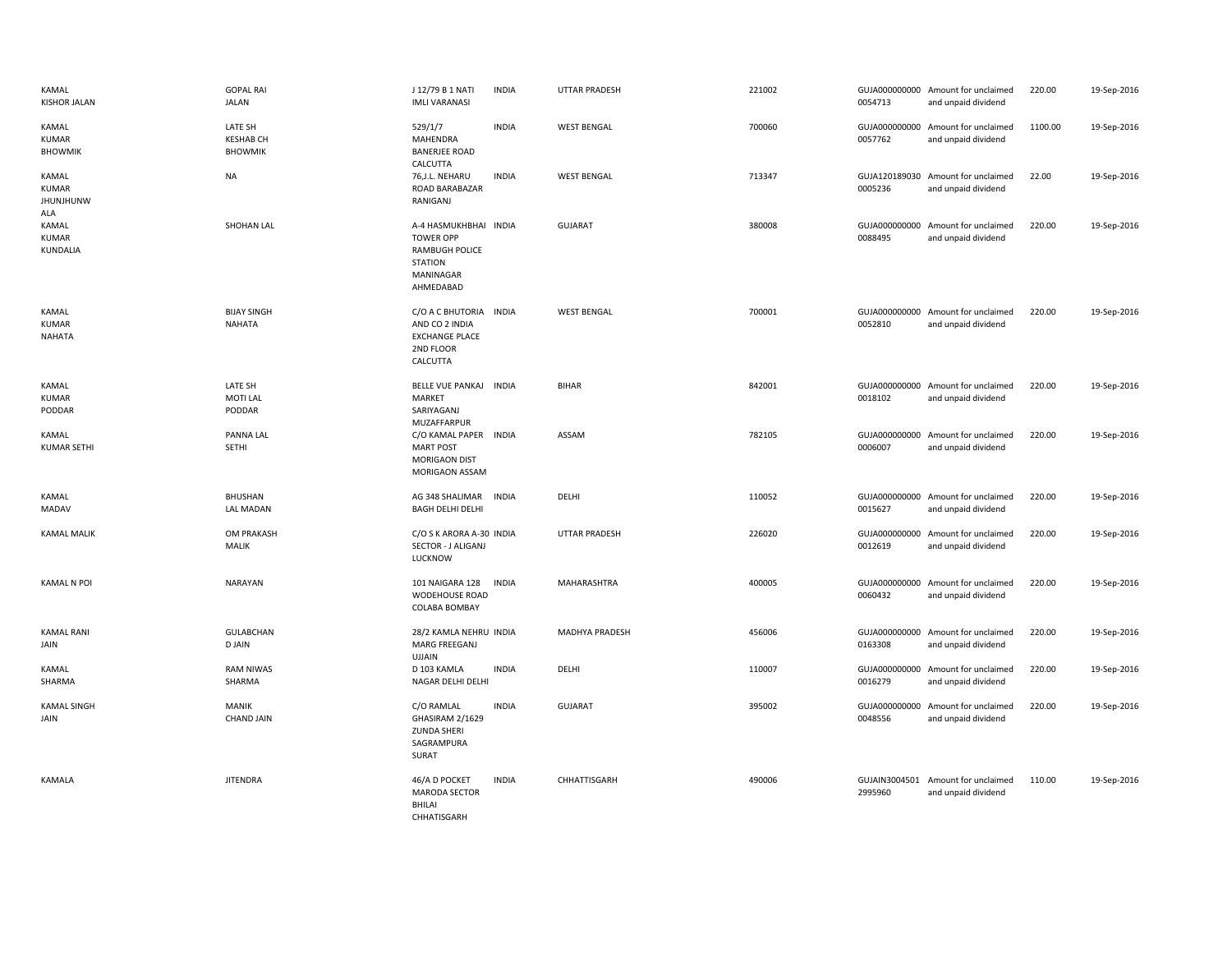| KAMAL<br><b>KISHOR JALAN</b>              | <b>GOPAL RAI</b><br><b>JALAN</b>              | J 12/79 B 1 NATI<br><b>IMLI VARANASI</b>                                                                       | <b>INDIA</b> | <b>UTTAR PRADESH</b>  | 221002 | 0054713                  | GUJA000000000 Amount for unclaimed<br>and unpaid dividend | 220.00  | 19-Sep-2016 |
|-------------------------------------------|-----------------------------------------------|----------------------------------------------------------------------------------------------------------------|--------------|-----------------------|--------|--------------------------|-----------------------------------------------------------|---------|-------------|
| <b>KAMAL</b><br>KUMAR<br><b>BHOWMIK</b>   | LATE SH<br><b>KESHAB CH</b><br><b>BHOWMIK</b> | 529/1/7<br>MAHENDRA<br><b>BANERJEE ROAD</b><br>CALCUTTA                                                        | <b>INDIA</b> | <b>WEST BENGAL</b>    | 700060 | 0057762                  | GUJA000000000 Amount for unclaimed<br>and unpaid dividend | 1100.00 | 19-Sep-2016 |
| KAMAL<br>KUMAR<br><b>JHUNJHUNW</b><br>ALA | <b>NA</b>                                     | 76, J.L. NEHARU<br>ROAD BARABAZAR<br>RANIGANJ                                                                  | <b>INDIA</b> | <b>WEST BENGAL</b>    | 713347 | 0005236                  | GUJA120189030 Amount for unclaimed<br>and unpaid dividend | 22.00   | 19-Sep-2016 |
| KAMAL<br>KUMAR<br>KUNDALIA                | SHOHAN LAL                                    | A-4 HASMUKHBHAI INDIA<br><b>TOWER OPP</b><br><b>RAMBUGH POLICE</b><br><b>STATION</b><br>MANINAGAR<br>AHMEDABAD |              | <b>GUJARAT</b>        | 380008 | 0088495                  | GUJA000000000 Amount for unclaimed<br>and unpaid dividend | 220.00  | 19-Sep-2016 |
| KAMAL<br>KUMAR<br>NAHATA                  | <b>BIJAY SINGH</b><br><b>NAHATA</b>           | C/O A C BHUTORIA INDIA<br>AND CO 2 INDIA<br><b>EXCHANGE PLACE</b><br>2ND FLOOR<br>CALCUTTA                     |              | <b>WEST BENGAL</b>    | 700001 | 0052810                  | GUJA000000000 Amount for unclaimed<br>and unpaid dividend | 220.00  | 19-Sep-2016 |
| KAMAL<br>KUMAR<br>PODDAR                  | LATE SH<br><b>MOTI LAL</b><br>PODDAR          | BELLE VUE PANKAJ<br>MARKET<br>SARIYAGANJ<br>MUZAFFARPUR                                                        | <b>INDIA</b> | <b>BIHAR</b>          | 842001 | 0018102                  | GUJA000000000 Amount for unclaimed<br>and unpaid dividend | 220.00  | 19-Sep-2016 |
| KAMAL<br><b>KUMAR SETHI</b>               | <b>PANNA LAL</b><br>SETHI                     | C/O KAMAL PAPER INDIA<br><b>MART POST</b><br><b>MORIGAON DIST</b><br>MORIGAON ASSAM                            |              | ASSAM                 | 782105 | 0006007                  | GUJA000000000 Amount for unclaimed<br>and unpaid dividend | 220.00  | 19-Sep-2016 |
| KAMAL<br>MADAV                            | <b>BHUSHAN</b><br><b>LAL MADAN</b>            | AG 348 SHALIMAR<br><b>BAGH DELHI DELHI</b>                                                                     | INDIA        | DELHI                 | 110052 | 0015627                  | GUJA000000000 Amount for unclaimed<br>and unpaid dividend | 220.00  | 19-Sep-2016 |
| <b>KAMAL MALIK</b>                        | OM PRAKASH<br>MALIK                           | C/O S K ARORA A-30 INDIA<br>SECTOR - J ALIGANJ<br>LUCKNOW                                                      |              | <b>UTTAR PRADESH</b>  | 226020 | GUJA000000000<br>0012619 | Amount for unclaimed<br>and unpaid dividend               | 220.00  | 19-Sep-2016 |
| <b>KAMAL N POI</b>                        | <b>NARAYAN</b>                                | 101 NAIGARA 128<br><b>WODEHOUSE ROAD</b><br>COLABA BOMBAY                                                      | <b>INDIA</b> | MAHARASHTRA           | 400005 | 0060432                  | GUJA000000000 Amount for unclaimed<br>and unpaid dividend | 220.00  | 19-Sep-2016 |
| <b>KAMAL RANI</b><br>JAIN                 | <b>GULABCHAN</b><br><b>D JAIN</b>             | 28/2 KAMLA NEHRU INDIA<br>MARG FREEGANJ<br><b>UJJAIN</b>                                                       |              | <b>MADHYA PRADESH</b> | 456006 | 0163308                  | GUJA000000000 Amount for unclaimed<br>and unpaid dividend | 220.00  | 19-Sep-2016 |
| KAMAL<br>SHARMA                           | <b>RAM NIWAS</b><br>SHARMA                    | D 103 KAMLA<br>NAGAR DELHI DELHI                                                                               | <b>INDIA</b> | DELHI                 | 110007 | 0016279                  | GUJA000000000 Amount for unclaimed<br>and unpaid dividend | 220.00  | 19-Sep-2016 |
| <b>KAMAL SINGH</b><br>JAIN                | <b>MANIK</b><br><b>CHAND JAIN</b>             | C/O RAMLAL<br>GHASIRAM 2/1629<br><b>ZUNDA SHERI</b><br>SAGRAMPURA<br>SURAT                                     | <b>INDIA</b> | GUJARAT               | 395002 | 0048556                  | GUJA000000000 Amount for unclaimed<br>and unpaid dividend | 220.00  | 19-Sep-2016 |
| KAMALA                                    | <b>JITENDRA</b>                               | 46/A D POCKET<br><b>MARODA SECTOR</b><br>BHILAI<br>CHHATISGARH                                                 | <b>INDIA</b> | CHHATTISGARH          | 490006 | 2995960                  | GUJAIN3004501 Amount for unclaimed<br>and unpaid dividend | 110.00  | 19-Sep-2016 |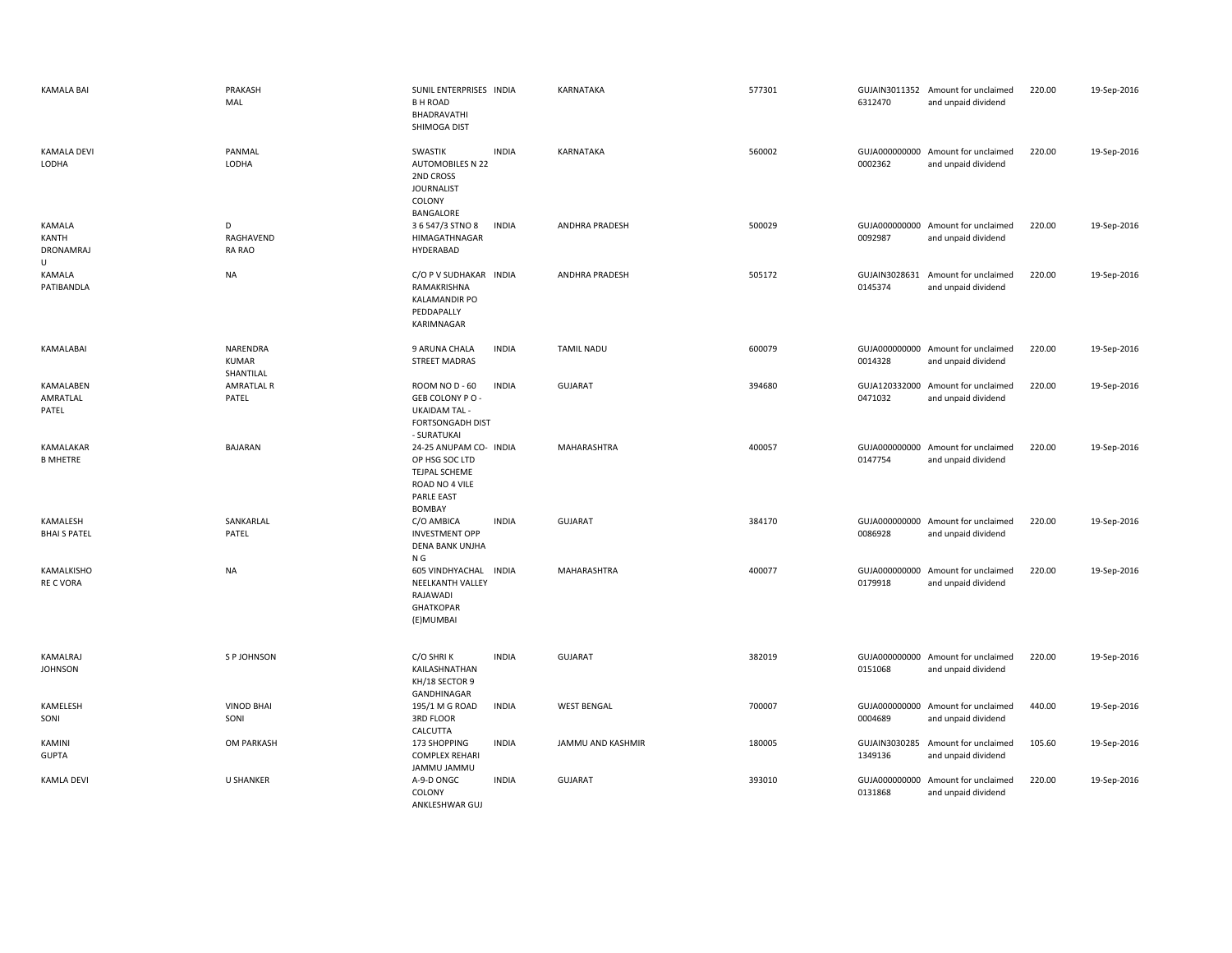| <b>KAMALA BAI</b>                 | PRAKASH<br>MAL                        | SUNIL ENTERPRISES INDIA<br><b>BH ROAD</b><br>BHADRAVATHI<br>SHIMOGA DIST                                   |              | KARNATAKA             | 577301 | 6312470                  | GUJAIN3011352 Amount for unclaimed<br>and unpaid dividend | 220.00 | 19-Sep-2016 |
|-----------------------------------|---------------------------------------|------------------------------------------------------------------------------------------------------------|--------------|-----------------------|--------|--------------------------|-----------------------------------------------------------|--------|-------------|
| <b>KAMALA DEVI</b><br>LODHA       | PANMAL<br>LODHA                       | SWASTIK<br><b>AUTOMOBILES N 22</b><br>2ND CROSS<br><b>JOURNALIST</b><br>COLONY<br>BANGALORE                | <b>INDIA</b> | KARNATAKA             | 560002 | 0002362                  | GUJA000000000 Amount for unclaimed<br>and unpaid dividend | 220.00 | 19-Sep-2016 |
| KAMALA<br>KANTH<br>DRONAMRAJ<br>U | D<br>RAGHAVEND<br><b>RA RAO</b>       | 3 6 547/3 STNO 8<br>HIMAGATHNAGAR<br>HYDERABAD                                                             | <b>INDIA</b> | <b>ANDHRA PRADESH</b> | 500029 | 0092987                  | GUJA000000000 Amount for unclaimed<br>and unpaid dividend | 220.00 | 19-Sep-2016 |
| KAMALA<br>PATIBANDLA              | <b>NA</b>                             | C/O P V SUDHAKAR INDIA<br>RAMAKRISHNA<br><b>KALAMANDIR PO</b><br>PEDDAPALLY<br>KARIMNAGAR                  |              | ANDHRA PRADESH        | 505172 | 0145374                  | GUJAIN3028631 Amount for unclaimed<br>and unpaid dividend | 220.00 | 19-Sep-2016 |
| KAMALABAI                         | NARENDRA<br><b>KUMAR</b><br>SHANTILAL | 9 ARUNA CHALA<br><b>STREET MADRAS</b>                                                                      | <b>INDIA</b> | <b>TAMIL NADU</b>     | 600079 | 0014328                  | GUJA000000000 Amount for unclaimed<br>and unpaid dividend | 220.00 | 19-Sep-2016 |
| KAMALABEN<br>AMRATLAL<br>PATEL    | <b>AMRATLAL R</b><br>PATEL            | ROOM NO D - 60<br>GEB COLONY PO-<br><b>UKAIDAM TAL -</b><br>FORTSONGADH DIST<br>- SURATUKAI                | <b>INDIA</b> | <b>GUJARAT</b>        | 394680 | 0471032                  | GUJA120332000 Amount for unclaimed<br>and unpaid dividend | 220.00 | 19-Sep-2016 |
| KAMALAKAR<br><b>B MHETRE</b>      | <b>BAJARAN</b>                        | 24-25 ANUPAM CO- INDIA<br>OP HSG SOC LTD<br>TEJPAL SCHEME<br>ROAD NO 4 VILE<br><b>PARLE EAST</b><br>BOMBAY |              | <b>MAHARASHTRA</b>    | 400057 | 0147754                  | GUJA000000000 Amount for unclaimed<br>and unpaid dividend | 220.00 | 19-Sep-2016 |
| KAMALESH<br><b>BHAI S PATEL</b>   | SANKARLAL<br>PATEL                    | C/O AMBICA<br><b>INVESTMENT OPP</b><br>DENA BANK UNJHA<br>N G                                              | <b>INDIA</b> | <b>GUJARAT</b>        | 384170 | 0086928                  | GUJA000000000 Amount for unclaimed<br>and unpaid dividend | 220.00 | 19-Sep-2016 |
| KAMALKISHO<br><b>RE C VORA</b>    | <b>NA</b>                             | <b>605 VINDHYACHAL</b><br><b>NEELKANTH VALLEY</b><br>RAJAWADI<br><b>GHATKOPAR</b><br>(E)MUMBAI             | <b>INDIA</b> | <b>MAHARASHTRA</b>    | 400077 | 0179918                  | GUJA000000000 Amount for unclaimed<br>and unpaid dividend | 220.00 | 19-Sep-2016 |
| KAMALRAJ<br><b>JOHNSON</b>        | S P JOHNSON                           | C/O SHRIK<br>KAILASHNATHAN<br>KH/18 SECTOR 9<br>GANDHINAGAR                                                | <b>INDIA</b> | <b>GUJARAT</b>        | 382019 | 0151068                  | GUJA000000000 Amount for unclaimed<br>and unpaid dividend | 220.00 | 19-Sep-2016 |
| KAMELESH<br>SONI                  | <b>VINOD BHAI</b><br>SONI             | 195/1 M G ROAD<br>3RD FLOOR<br>CALCUTTA                                                                    | <b>INDIA</b> | <b>WEST BENGAL</b>    | 700007 | 0004689                  | GUJA000000000 Amount for unclaimed<br>and unpaid dividend | 440.00 | 19-Sep-2016 |
| KAMINI<br><b>GUPTA</b>            | OM PARKASH                            | 173 SHOPPING<br><b>COMPLEX REHARI</b><br>JAMMU JAMMU                                                       | <b>INDIA</b> | JAMMU AND KASHMIR     | 180005 | GUJAIN3030285<br>1349136 | Amount for unclaimed<br>and unpaid dividend               | 105.60 | 19-Sep-2016 |
| <b>KAMLA DEVI</b>                 | <b>U SHANKER</b>                      | A-9-D ONGC<br>COLONY<br>ANKLESHWAR GUJ                                                                     | <b>INDIA</b> | <b>GUJARAT</b>        | 393010 | GUJA000000000<br>0131868 | Amount for unclaimed<br>and unpaid dividend               | 220.00 | 19-Sep-2016 |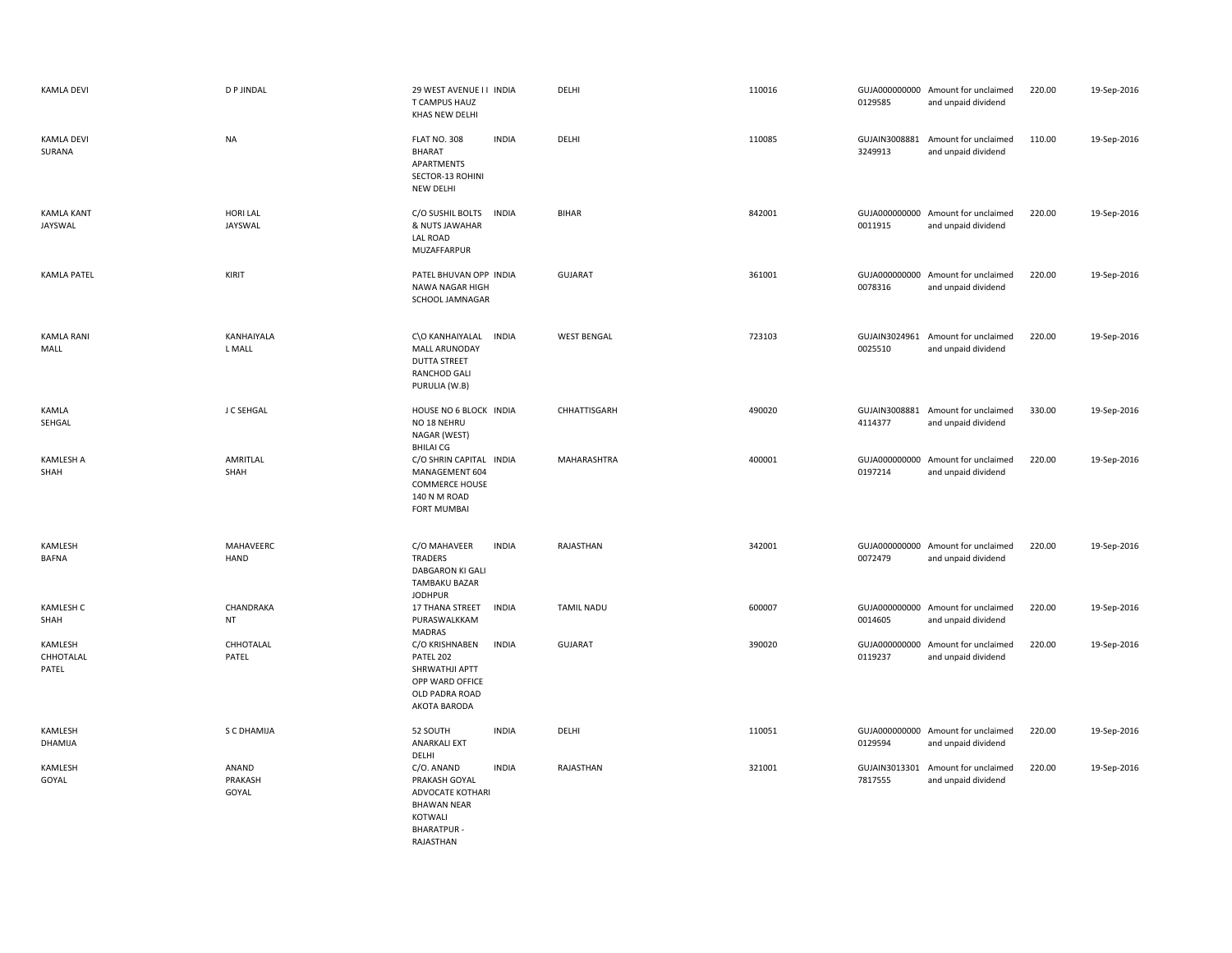| <b>KAMLA DEVI</b>             | <b>D P JINDAL</b>          | 29 WEST AVENUE I I INDIA<br>T CAMPUS HAUZ<br>KHAS NEW DELHI                                                                       | DELHI              | 110016 | 0129585                  | GUJA000000000 Amount for unclaimed<br>and unpaid dividend | 220.00 | 19-Sep-2016 |
|-------------------------------|----------------------------|-----------------------------------------------------------------------------------------------------------------------------------|--------------------|--------|--------------------------|-----------------------------------------------------------|--------|-------------|
| <b>KAMLA DEVI</b><br>SURANA   | <b>NA</b>                  | FLAT NO. 308<br><b>INDIA</b><br>BHARAT<br>APARTMENTS<br>SECTOR-13 ROHINI<br>NEW DELHI                                             | DELHI              | 110085 | GUJAIN3008881<br>3249913 | Amount for unclaimed<br>and unpaid dividend               | 110.00 | 19-Sep-2016 |
| <b>KAMLA KANT</b><br>JAYSWAL  | <b>HORI LAL</b><br>JAYSWAL | <b>INDIA</b><br>C/O SUSHIL BOLTS<br>& NUTS JAWAHAR<br>LAL ROAD<br>MUZAFFARPUR                                                     | <b>BIHAR</b>       | 842001 | 0011915                  | GUJA000000000 Amount for unclaimed<br>and unpaid dividend | 220.00 | 19-Sep-2016 |
| <b>KAMLA PATEL</b>            | KIRIT                      | PATEL BHUVAN OPP INDIA<br>NAWA NAGAR HIGH<br>SCHOOL JAMNAGAR                                                                      | <b>GUJARAT</b>     | 361001 | 0078316                  | GUJA000000000 Amount for unclaimed<br>and unpaid dividend | 220.00 | 19-Sep-2016 |
| KAMLA RANI<br>MALL            | KANHAIYALA<br>L MALL       | C\O KANHAIYALAL<br>INDIA<br>MALL ARUNODAY<br><b>DUTTA STREET</b><br><b>RANCHOD GALI</b><br>PURULIA (W.B)                          | <b>WEST BENGAL</b> | 723103 | 0025510                  | GUJAIN3024961 Amount for unclaimed<br>and unpaid dividend | 220.00 | 19-Sep-2016 |
| KAMLA<br>SEHGAL               | J C SEHGAL                 | HOUSE NO 6 BLOCK INDIA<br>NO 18 NEHRU<br>NAGAR (WEST)<br><b>BHILAI CG</b>                                                         | CHHATTISGARH       | 490020 | 4114377                  | GUJAIN3008881 Amount for unclaimed<br>and unpaid dividend | 330.00 | 19-Sep-2016 |
| <b>KAMLESH A</b><br>SHAH      | AMRITLAL<br>SHAH           | C/O SHRIN CAPITAL INDIA<br>MANAGEMENT 604<br><b>COMMERCE HOUSE</b><br>140 N M ROAD<br><b>FORT MUMBAI</b>                          | MAHARASHTRA        | 400001 | 0197214                  | GUJA000000000 Amount for unclaimed<br>and unpaid dividend | 220.00 | 19-Sep-2016 |
| KAMLESH<br><b>BAFNA</b>       | MAHAVEERC<br>HAND          | <b>INDIA</b><br>C/O MAHAVEER<br>TRADERS<br>DABGARON KI GALI<br>TAMBAKU BAZAR<br><b>JODHPUR</b>                                    | RAJASTHAN          | 342001 | 0072479                  | GUJA000000000 Amount for unclaimed<br>and unpaid dividend | 220.00 | 19-Sep-2016 |
| <b>KAMLESH C</b><br>SHAH      | CHANDRAKA<br>NT            | 17 THANA STREET<br><b>INDIA</b><br>PURASWALKKAM<br>MADRAS                                                                         | <b>TAMIL NADU</b>  | 600007 | 0014605                  | GUJA000000000 Amount for unclaimed<br>and unpaid dividend | 220.00 | 19-Sep-2016 |
| KAMLESH<br>CHHOTALAL<br>PATEL | CHHOTALAL<br>PATEL         | <b>INDIA</b><br>C/O KRISHNABEN<br>PATEL 202<br>SHRWATHJI APTT<br>OPP WARD OFFICE<br>OLD PADRA ROAD<br>AKOTA BARODA                | <b>GUJARAT</b>     | 390020 | 0119237                  | GUJA000000000 Amount for unclaimed<br>and unpaid dividend | 220.00 | 19-Sep-2016 |
| KAMLESH<br>DHAMIJA            | S C DHAMIJA                | 52 SOUTH<br><b>INDIA</b><br><b>ANARKALI EXT</b><br>DELHI                                                                          | DELHI              | 110051 | 0129594                  | GUJA000000000 Amount for unclaimed<br>and unpaid dividend | 220.00 | 19-Sep-2016 |
| KAMLESH<br>GOYAL              | ANAND<br>PRAKASH<br>GOYAL  | C/O. ANAND<br><b>INDIA</b><br>PRAKASH GOYAL<br>ADVOCATE KOTHARI<br><b>BHAWAN NEAR</b><br>KOTWALI<br><b>BHARATPUR</b><br>RAJASTHAN | RAJASTHAN          | 321001 | GUJAIN3013301<br>7817555 | Amount for unclaimed<br>and unpaid dividend               | 220.00 | 19-Sep-2016 |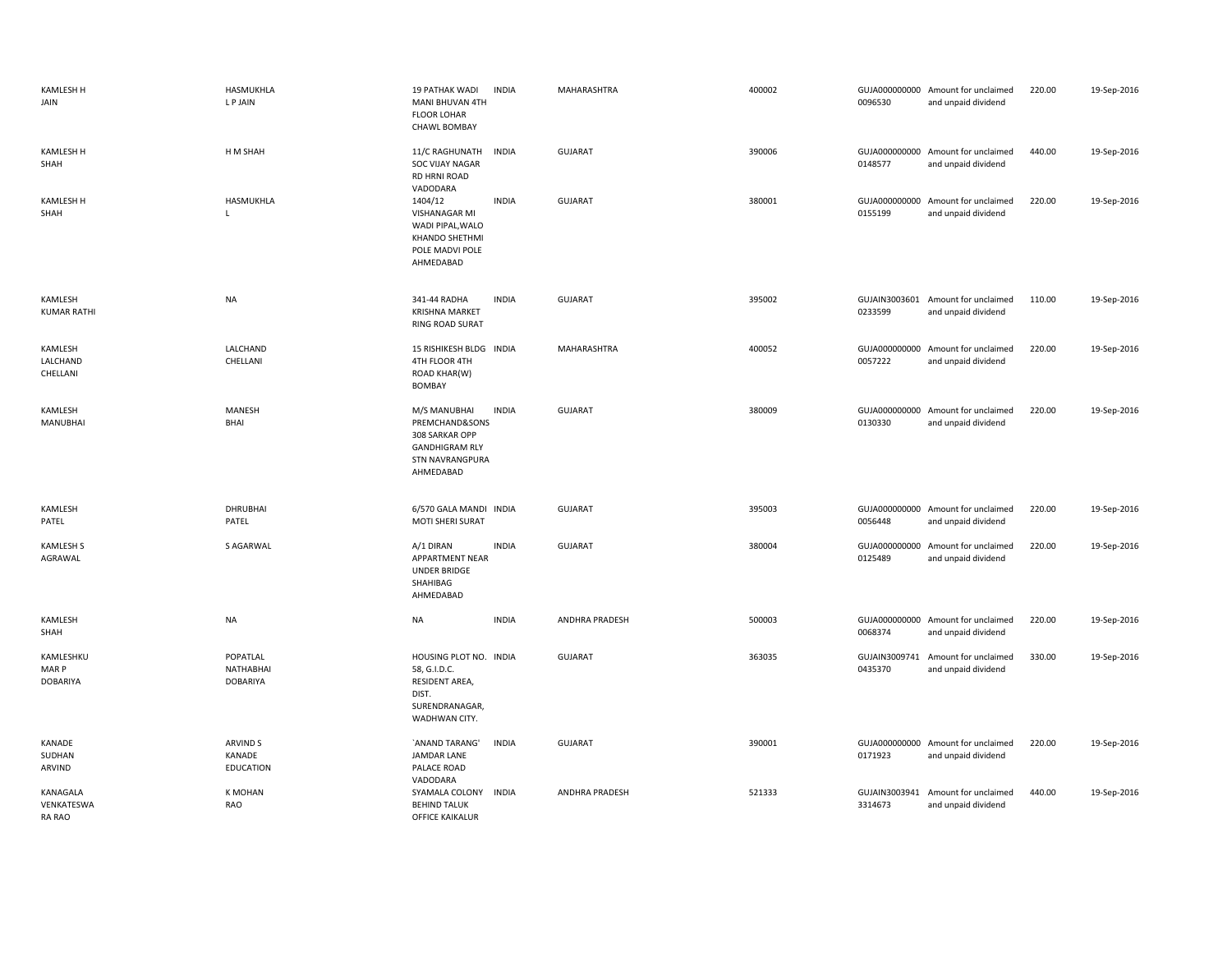| <b>KAMLESH H</b><br>JAIN         | HASMUKHLA<br>L P JAIN                    | 19 PATHAK WADI<br>MANI BHUVAN 4TH<br>FLOOR LOHAR<br>CHAWL BOMBAY                                                 | <b>INDIA</b> | MAHARASHTRA           | 400002 | 0096530                  | GUJA000000000 Amount for unclaimed<br>and unpaid dividend | 220.00 | 19-Sep-2016 |
|----------------------------------|------------------------------------------|------------------------------------------------------------------------------------------------------------------|--------------|-----------------------|--------|--------------------------|-----------------------------------------------------------|--------|-------------|
| <b>KAMLESH H</b><br>SHAH         | H M SHAH                                 | 11/C RAGHUNATH<br><b>SOC VIJAY NAGAR</b><br>RD HRNI ROAD<br>VADODARA                                             | <b>INDIA</b> | <b>GUJARAT</b>        | 390006 | 0148577                  | GUJA000000000 Amount for unclaimed<br>and unpaid dividend | 440.00 | 19-Sep-2016 |
| <b>KAMLESH H</b><br>SHAH         | HASMUKHLA<br>$\mathsf L$                 | 1404/12<br>VISHANAGAR MI<br>WADI PIPAL, WALO<br><b>KHANDO SHETHMI</b><br>POLE MADVI POLE<br>AHMEDABAD            | <b>INDIA</b> | <b>GUJARAT</b>        | 380001 | 0155199                  | GUJA000000000 Amount for unclaimed<br>and unpaid dividend | 220.00 | 19-Sep-2016 |
| KAMLESH<br><b>KUMAR RATHI</b>    | <b>NA</b>                                | 341-44 RADHA<br><b>KRISHNA MARKET</b><br><b>RING ROAD SURAT</b>                                                  | <b>INDIA</b> | GUJARAT               | 395002 | 0233599                  | GUJAIN3003601 Amount for unclaimed<br>and unpaid dividend | 110.00 | 19-Sep-2016 |
| KAMLESH<br>LALCHAND<br>CHELLANI  | LALCHAND<br>CHELLANI                     | 15 RISHIKESH BLDG INDIA<br>4TH FLOOR 4TH<br><b>ROAD KHAR(W)</b><br><b>BOMBAY</b>                                 |              | MAHARASHTRA           | 400052 | 0057222                  | GUJA000000000 Amount for unclaimed<br>and unpaid dividend | 220.00 | 19-Sep-2016 |
| KAMLESH<br><b>MANUBHAI</b>       | <b>MANESH</b><br>BHAI                    | M/S MANUBHAI<br>PREMCHAND&SONS<br>308 SARKAR OPP<br><b>GANDHIGRAM RLY</b><br><b>STN NAVRANGPURA</b><br>AHMEDABAD | <b>INDIA</b> | <b>GUJARAT</b>        | 380009 | 0130330                  | GUJA000000000 Amount for unclaimed<br>and unpaid dividend | 220.00 | 19-Sep-2016 |
| KAMLESH<br>PATEL                 | DHRUBHAI<br>PATEL                        | 6/570 GALA MANDI INDIA<br>MOTI SHERI SURAT                                                                       |              | GUJARAT               | 395003 | 0056448                  | GUJA000000000 Amount for unclaimed<br>and unpaid dividend | 220.00 | 19-Sep-2016 |
| KAMLESH S<br>AGRAWAL             | S AGARWAL                                | A/1 DIRAN<br>APPARTMENT NEAR<br><b>UNDER BRIDGE</b><br>SHAHIBAG<br>AHMEDABAD                                     | <b>INDIA</b> | GUJARAT               | 380004 | 0125489                  | GUJA000000000 Amount for unclaimed<br>and unpaid dividend | 220.00 | 19-Sep-2016 |
| KAMLESH<br>SHAH                  | <b>NA</b>                                | <b>NA</b>                                                                                                        | <b>INDIA</b> | ANDHRA PRADESH        | 500003 | 0068374                  | GUJA000000000 Amount for unclaimed<br>and unpaid dividend | 220.00 | 19-Sep-2016 |
| KAMLESHKU<br>MAR P<br>DOBARIYA   | POPATLAL<br>NATHABHAI<br><b>DOBARIYA</b> | HOUSING PLOT NO. INDIA<br>58, G.I.D.C.<br>RESIDENT AREA,<br>DIST.<br>SURENDRANAGAR,<br>WADHWAN CITY.             |              | GUJARAT               | 363035 | 0435370                  | GUJAIN3009741 Amount for unclaimed<br>and unpaid dividend | 330.00 | 19-Sep-2016 |
| KANADE<br>SUDHAN<br>ARVIND       | ARVIND S<br>KANADE<br><b>EDUCATION</b>   | 'ANAND TARANG'<br><b>JAMDAR LANE</b><br>PALACE ROAD<br>VADODARA                                                  | <b>INDIA</b> | <b>GUJARAT</b>        | 390001 | 0171923                  | GUJA000000000 Amount for unclaimed<br>and unpaid dividend | 220.00 | 19-Sep-2016 |
| KANAGALA<br>VENKATESWA<br>RA RAO | <b>K MOHAN</b><br>RAO                    | SYAMALA COLONY<br><b>BEHIND TALUK</b><br><b>OFFICE KAIKALUR</b>                                                  | <b>INDIA</b> | <b>ANDHRA PRADESH</b> | 521333 | GUJAIN3003941<br>3314673 | Amount for unclaimed<br>and unpaid dividend               | 440.00 | 19-Sep-2016 |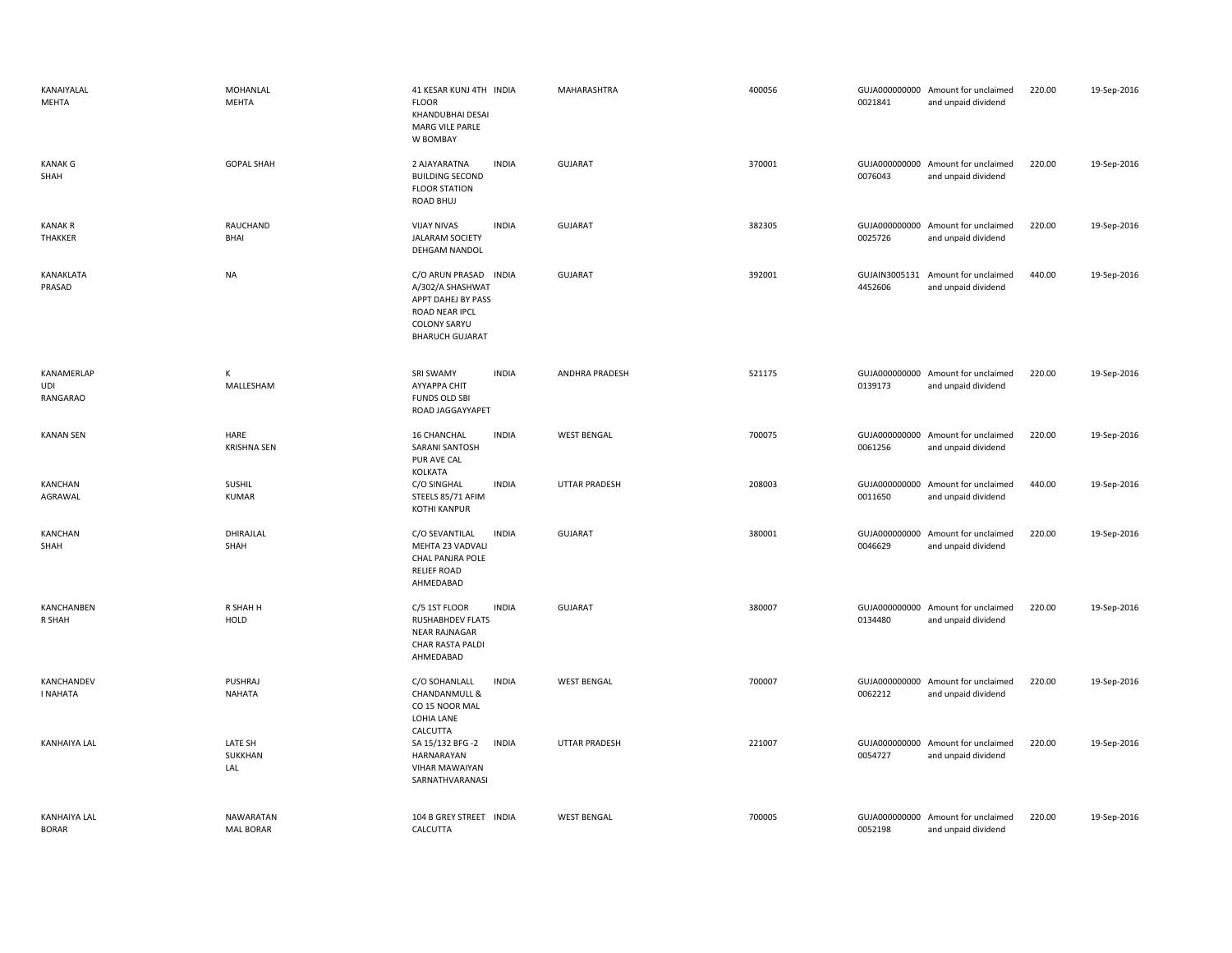| KANAIYALAL<br>MEHTA                 | MOHANLAL<br><b>MEHTA</b>             | 41 KESAR KUNJ 4TH INDIA<br><b>FLOOR</b><br>KHANDUBHAI DESAI<br><b>MARG VILE PARLE</b><br>W BOMBAY                                  |              | MAHARASHTRA          | 400056 | 0021841 | GUJA000000000 Amount for unclaimed<br>and unpaid dividend | 220.00 | 19-Sep-2016 |
|-------------------------------------|--------------------------------------|------------------------------------------------------------------------------------------------------------------------------------|--------------|----------------------|--------|---------|-----------------------------------------------------------|--------|-------------|
| <b>KANAK G</b><br>SHAH              | <b>GOPAL SHAH</b>                    | 2 AJAYARATNA<br><b>BUILDING SECOND</b><br><b>FLOOR STATION</b><br>ROAD BHUJ                                                        | <b>INDIA</b> | <b>GUJARAT</b>       | 370001 | 0076043 | GUJA000000000 Amount for unclaimed<br>and unpaid dividend | 220.00 | 19-Sep-2016 |
| <b>KANAK R</b><br>THAKKER           | RAUCHAND<br>BHAI                     | <b>VIJAY NIVAS</b><br><b>JALARAM SOCIETY</b><br>DEHGAM NANDOL                                                                      | <b>INDIA</b> | <b>GUJARAT</b>       | 382305 | 0025726 | GUJA000000000 Amount for unclaimed<br>and unpaid dividend | 220.00 | 19-Sep-2016 |
| KANAKLATA<br>PRASAD                 | NA                                   | C/O ARUN PRASAD INDIA<br>A/302/A SHASHWAT<br>APPT DAHEJ BY PASS<br>ROAD NEAR IPCL<br><b>COLONY SARYU</b><br><b>BHARUCH GUJARAT</b> |              | <b>GUJARAT</b>       | 392001 | 4452606 | GUJAIN3005131 Amount for unclaimed<br>and unpaid dividend | 440.00 | 19-Sep-2016 |
| KANAMERLAP<br>UDI<br>RANGARAO       | К<br>MALLESHAM                       | SRI SWAMY<br>AYYAPPA CHIT<br><b>FUNDS OLD SBI</b><br>ROAD JAGGAYYAPET                                                              | <b>INDIA</b> | ANDHRA PRADESH       | 521175 | 0139173 | GUJA000000000 Amount for unclaimed<br>and unpaid dividend | 220.00 | 19-Sep-2016 |
| <b>KANAN SEN</b>                    | HARE<br><b>KRISHNA SEN</b>           | 16 CHANCHAL<br>SARANI SANTOSH<br>PUR AVE CAL<br>KOLKATA                                                                            | <b>INDIA</b> | <b>WEST BENGAL</b>   | 700075 | 0061256 | GUJA000000000 Amount for unclaimed<br>and unpaid dividend | 220.00 | 19-Sep-2016 |
| KANCHAN<br>AGRAWAL                  | <b>SUSHIL</b><br>KUMAR               | C/O SINGHAL<br>STEELS 85/71 AFIM<br><b>KOTHI KANPUR</b>                                                                            | <b>INDIA</b> | <b>UTTAR PRADESH</b> | 208003 | 0011650 | GUJA000000000 Amount for unclaimed<br>and unpaid dividend | 440.00 | 19-Sep-2016 |
| KANCHAN<br>SHAH                     | DHIRAJLAL<br>SHAH                    | C/O SEVANTILAL<br>MEHTA 23 VADVALI<br>CHAL PANJRA POLE<br><b>RELIEF ROAD</b><br>AHMEDABAD                                          | <b>INDIA</b> | <b>GUJARAT</b>       | 380001 | 0046629 | GUJA000000000 Amount for unclaimed<br>and unpaid dividend | 220.00 | 19-Sep-2016 |
| KANCHANBEN<br>R SHAH                | R SHAH H<br>HOLD                     | C/5 1ST FLOOR<br><b>RUSHABHDEV FLATS</b><br><b>NEAR RAJNAGAR</b><br>CHAR RASTA PALDI<br>AHMEDABAD                                  | <b>INDIA</b> | <b>GUJARAT</b>       | 380007 | 0134480 | GUJA000000000 Amount for unclaimed<br>and unpaid dividend | 220.00 | 19-Sep-2016 |
| KANCHANDEV<br>I NAHATA              | PUSHRAJ<br><b>NAHATA</b>             | C/O SOHANLALL<br>CHANDANMULL &<br>CO 15 NOOR MAL<br>LOHIA LANE                                                                     | <b>INDIA</b> | <b>WEST BENGAL</b>   | 700007 | 0062212 | GUJA000000000 Amount for unclaimed<br>and unpaid dividend | 220.00 | 19-Sep-2016 |
| <b>KANHAIYA LAL</b>                 | LATE SH<br>SUKKHAN<br>LAL            | CALCUTTA<br>SA 15/132 BFG -2<br>HARNARAYAN<br><b>VIHAR MAWAIYAN</b><br>SARNATHVARANASI                                             | <b>INDIA</b> | <b>UTTAR PRADESH</b> | 221007 | 0054727 | GUJA000000000 Amount for unclaimed<br>and unpaid dividend | 220.00 | 19-Sep-2016 |
| <b>KANHAIYA LAL</b><br><b>BORAR</b> | <b>NAWARATAN</b><br><b>MAL BORAR</b> | 104 B GREY STREET INDIA<br>CALCUTTA                                                                                                |              | <b>WEST BENGAL</b>   | 700005 | 0052198 | GUJA000000000 Amount for unclaimed<br>and unpaid dividend | 220.00 | 19-Sep-2016 |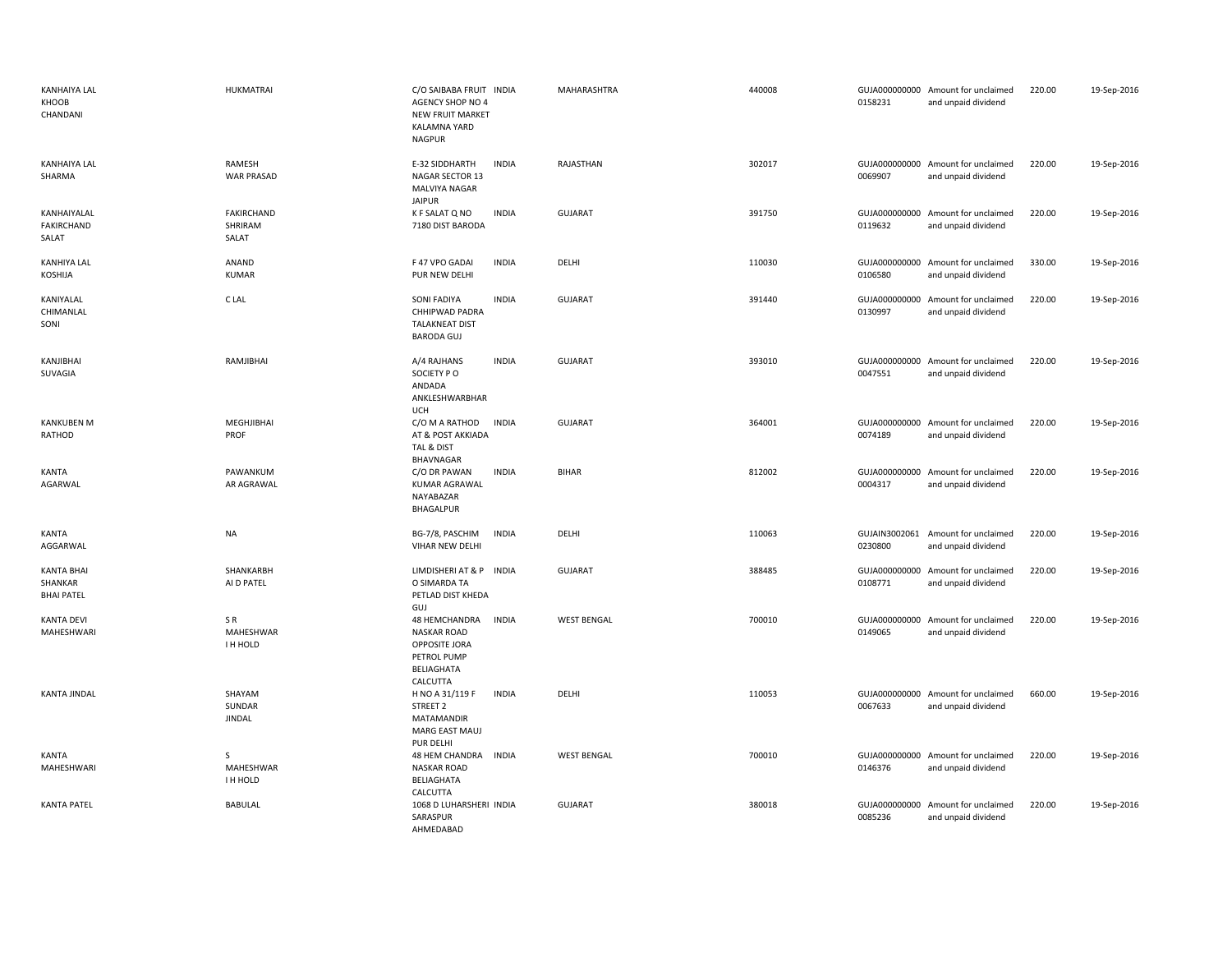| <b>KANHAIYA LAL</b><br>KHOOB<br>CHANDANI          | HUKMATRAI                             | C/O SAIBABA FRUIT INDIA<br><b>AGENCY SHOP NO 4</b><br><b>NEW FRUIT MARKET</b><br>KALAMNA YARD<br>NAGPUR              | MAHARASHTRA        | 440008 | 0158231                  | GUJA000000000 Amount for unclaimed<br>and unpaid dividend | 220.00 | 19-Sep-2016 |
|---------------------------------------------------|---------------------------------------|----------------------------------------------------------------------------------------------------------------------|--------------------|--------|--------------------------|-----------------------------------------------------------|--------|-------------|
| <b>KANHAIYA LAL</b><br>SHARMA                     | RAMESH<br><b>WAR PRASAD</b>           | E-32 SIDDHARTH<br><b>INDIA</b><br>NAGAR SECTOR 13<br>MALVIYA NAGAR<br><b>JAIPUR</b>                                  | RAJASTHAN          | 302017 | 0069907                  | GUJA000000000 Amount for unclaimed<br>and unpaid dividend | 220.00 | 19-Sep-2016 |
| KANHAIYALAL<br>FAKIRCHAND<br>SALAT                | <b>FAKIRCHAND</b><br>SHRIRAM<br>SALAT | K F SALAT Q NO<br><b>INDIA</b><br>7180 DIST BARODA                                                                   | <b>GUJARAT</b>     | 391750 | 0119632                  | GUJA000000000 Amount for unclaimed<br>and unpaid dividend | 220.00 | 19-Sep-2016 |
| KANHIYA LAL<br>KOSHIJA                            | ANAND<br>KUMAR                        | F 47 VPO GADAI<br><b>INDIA</b><br>PUR NEW DELHI                                                                      | DELHI              | 110030 | 0106580                  | GUJA000000000 Amount for unclaimed<br>and unpaid dividend | 330.00 | 19-Sep-2016 |
| KANIYALAL<br>CHIMANLAL<br>SONI                    | C LAL                                 | <b>SONI FADIYA</b><br><b>INDIA</b><br>CHHIPWAD PADRA<br><b>TALAKNEAT DIST</b><br><b>BARODA GUJ</b>                   | <b>GUJARAT</b>     | 391440 | 0130997                  | GUJA000000000 Amount for unclaimed<br>and unpaid dividend | 220.00 | 19-Sep-2016 |
| KANJIBHAI<br>SUVAGIA                              | RAMJIBHAI                             | <b>INDIA</b><br>A/4 RAJHANS<br>SOCIETY PO<br>ANDADA<br>ANKLESHWARBHAR<br>UCH                                         | <b>GUJARAT</b>     | 393010 | 0047551                  | GUJA000000000 Amount for unclaimed<br>and unpaid dividend | 220.00 | 19-Sep-2016 |
| <b>KANKUBEN M</b><br>RATHOD                       | MEGHJIBHAI<br>PROF                    | <b>INDIA</b><br>C/O M A RATHOD<br>AT & POST AKKIADA<br>TAL & DIST<br><b>BHAVNAGAR</b>                                | <b>GUJARAT</b>     | 364001 | 0074189                  | GUJA000000000 Amount for unclaimed<br>and unpaid dividend | 220.00 | 19-Sep-2016 |
| KANTA<br>AGARWAL                                  | PAWANKUM<br>AR AGRAWAL                | <b>INDIA</b><br>C/O DR PAWAN<br><b>KUMAR AGRAWAL</b><br>NAYABAZAR<br>BHAGALPUR                                       | <b>BIHAR</b>       | 812002 | 0004317                  | GUJA000000000 Amount for unclaimed<br>and unpaid dividend | 220.00 | 19-Sep-2016 |
| KANTA<br>AGGARWAL                                 | <b>NA</b>                             | <b>INDIA</b><br>BG-7/8, PASCHIM<br>VIHAR NEW DELHI                                                                   | DELHI              | 110063 | 0230800                  | GUJAIN3002061 Amount for unclaimed<br>and unpaid dividend | 220.00 | 19-Sep-2016 |
| <b>KANTA BHAI</b><br>SHANKAR<br><b>BHAI PATEL</b> | SHANKARBH<br>AI D PATEL               | LIMDISHERI AT & P INDIA<br>O SIMARDA TA<br>PETLAD DIST KHEDA<br>GUJ                                                  | <b>GUJARAT</b>     | 388485 | 0108771                  | GUJA000000000 Amount for unclaimed<br>and unpaid dividend | 220.00 | 19-Sep-2016 |
| <b>KANTA DEVI</b><br>MAHESHWARI                   | SR.<br>MAHESHWAR<br>I H HOLD          | <b>INDIA</b><br>48 HEMCHANDRA<br><b>NASKAR ROAD</b><br>OPPOSITE JORA<br>PETROL PUMP<br><b>BELIAGHATA</b><br>CALCUTTA | <b>WEST BENGAL</b> | 700010 | 0149065                  | GUJA000000000 Amount for unclaimed<br>and unpaid dividend | 220.00 | 19-Sep-2016 |
| <b>KANTA JINDAL</b>                               | SHAYAM<br>SUNDAR<br><b>JINDAL</b>     | H NO A 31/119 F<br><b>INDIA</b><br>STREET 2<br>MATAMANDIR<br>MARG EAST MAUJ<br>PUR DELHI                             | DELHI              | 110053 | 0067633                  | GUJA000000000 Amount for unclaimed<br>and unpaid dividend | 660.00 | 19-Sep-2016 |
| KANTA<br>MAHESHWARI                               | <sub>S</sub><br>MAHESHWAR<br>I H HOLD | 48 HEM CHANDRA<br><b>INDIA</b><br><b>NASKAR ROAD</b><br><b>BELIAGHATA</b><br>CALCUTTA                                | <b>WEST BENGAL</b> | 700010 | 0146376                  | GUJA000000000 Amount for unclaimed<br>and unpaid dividend | 220.00 | 19-Sep-2016 |
| <b>KANTA PATEL</b>                                | <b>BABULAL</b>                        | 1068 D LUHARSHERI INDIA<br>SARASPUR<br>AHMEDABAD                                                                     | <b>GUJARAT</b>     | 380018 | GUJA000000000<br>0085236 | Amount for unclaimed<br>and unpaid dividend               | 220.00 | 19-Sep-2016 |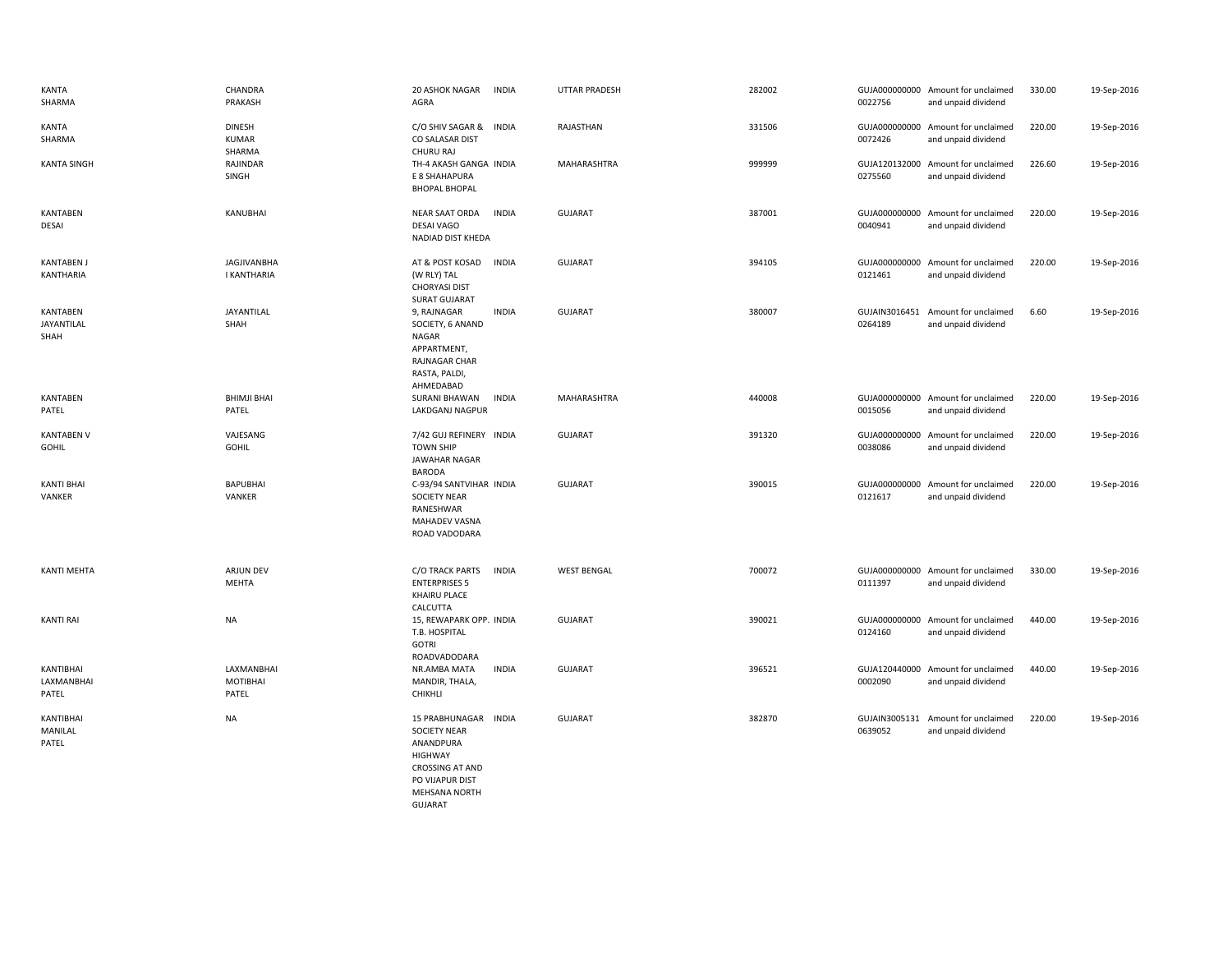| KANTA<br>SHARMA                  | CHANDRA<br>PRAKASH                      | <b>20 ASHOK NAGAR</b><br>INDIA<br>AGRA                                                                                                             | <b>UTTAR PRADESH</b> | 282002 | 0022756                  | GUJA000000000 Amount for unclaimed<br>and unpaid dividend | 330.00 | 19-Sep-2016 |
|----------------------------------|-----------------------------------------|----------------------------------------------------------------------------------------------------------------------------------------------------|----------------------|--------|--------------------------|-----------------------------------------------------------|--------|-------------|
| KANTA<br>SHARMA                  | <b>DINESH</b><br><b>KUMAR</b><br>SHARMA | C/O SHIV SAGAR &<br><b>INDIA</b><br>CO SALASAR DIST<br>CHURU RAJ                                                                                   | RAJASTHAN            | 331506 | 0072426                  | GUJA000000000 Amount for unclaimed<br>and unpaid dividend | 220.00 | 19-Sep-2016 |
| <b>KANTA SINGH</b>               | RAJINDAR<br>SINGH                       | TH-4 AKASH GANGA INDIA<br>E 8 SHAHAPURA<br><b>BHOPAL BHOPAL</b>                                                                                    | MAHARASHTRA          | 999999 | 0275560                  | GUJA120132000 Amount for unclaimed<br>and unpaid dividend | 226.60 | 19-Sep-2016 |
| KANTABEN<br>DESAI                | KANUBHAI                                | <b>NEAR SAAT ORDA</b><br><b>INDIA</b><br><b>DESAI VAGO</b><br>NADIAD DIST KHEDA                                                                    | <b>GUJARAT</b>       | 387001 | 0040941                  | GUJA000000000 Amount for unclaimed<br>and unpaid dividend | 220.00 | 19-Sep-2016 |
| <b>KANTABEN J</b><br>KANTHARIA   | <b>JAGJIVANBHA</b><br>I KANTHARIA       | INDIA<br>AT & POST KOSAD<br>(W RLY) TAL<br><b>CHORYASI DIST</b><br><b>SURAT GUJARAT</b>                                                            | <b>GUJARAT</b>       | 394105 | 0121461                  | GUJA000000000 Amount for unclaimed<br>and unpaid dividend | 220.00 | 19-Sep-2016 |
| KANTABEN<br>JAYANTILAL<br>SHAH   | JAYANTILAL<br>SHAH                      | 9, RAJNAGAR<br><b>INDIA</b><br>SOCIETY, 6 ANAND<br>NAGAR<br>APPARTMENT,<br>RAJNAGAR CHAR<br>RASTA, PALDI,<br>AHMEDABAD                             | GUJARAT              | 380007 | GUJAIN3016451<br>0264189 | Amount for unclaimed<br>and unpaid dividend               | 6.60   | 19-Sep-2016 |
| <b>KANTABEN</b><br>PATEL         | <b>BHIMJI BHAI</b><br>PATEL             | <b>SURANI BHAWAN</b><br>INDIA<br>LAKDGANJ NAGPUR                                                                                                   | MAHARASHTRA          | 440008 | 0015056                  | GUJA000000000 Amount for unclaimed<br>and unpaid dividend | 220.00 | 19-Sep-2016 |
| <b>KANTABEN V</b><br>GOHIL       | VAJESANG<br><b>GOHIL</b>                | 7/42 GUJ REFINERY INDIA<br><b>TOWN SHIP</b><br>JAWAHAR NAGAR<br>BARODA                                                                             | <b>GUJARAT</b>       | 391320 | 0038086                  | GUJA000000000 Amount for unclaimed<br>and unpaid dividend | 220.00 | 19-Sep-2016 |
| <b>KANTI BHAI</b><br>VANKER      | <b>BAPUBHAI</b><br>VANKER               | C-93/94 SANTVIHAR INDIA<br><b>SOCIETY NEAR</b><br>RANESHWAR<br><b>MAHADEV VASNA</b><br>ROAD VADODARA                                               | <b>GUJARAT</b>       | 390015 | 0121617                  | GUJA000000000 Amount for unclaimed<br>and unpaid dividend | 220.00 | 19-Sep-2016 |
| KANTI MEHTA                      | ARJUN DEV<br>MEHTA                      | C/O TRACK PARTS<br>INDIA<br><b>ENTERPRISES 5</b><br><b>KHAIRU PLACE</b><br>CALCUTTA                                                                | <b>WEST BENGAL</b>   | 700072 | 0111397                  | GUJA000000000 Amount for unclaimed<br>and unpaid dividend | 330.00 | 19-Sep-2016 |
| <b>KANTI RAI</b>                 | <b>NA</b>                               | 15, REWAPARK OPP. INDIA<br>T.B. HOSPITAL<br><b>GOTRI</b><br>ROADVADODARA                                                                           | GUJARAT              | 390021 | 0124160                  | GUJA000000000 Amount for unclaimed<br>and unpaid dividend | 440.00 | 19-Sep-2016 |
| KANTIBHAI<br>LAXMANBHAI<br>PATEL | LAXMANBHAI<br><b>MOTIBHAI</b><br>PATEL  | NR.AMBA MATA<br><b>INDIA</b><br>MANDIR, THALA,<br>CHIKHLI                                                                                          | <b>GUJARAT</b>       | 396521 | 0002090                  | GUJA120440000 Amount for unclaimed<br>and unpaid dividend | 440.00 | 19-Sep-2016 |
| KANTIBHAI<br>MANILAL<br>PATEL    | <b>NA</b>                               | <b>INDIA</b><br>15 PRABHUNAGAR<br><b>SOCIETY NEAR</b><br>ANANDPURA<br><b>HIGHWAY</b><br><b>CROSSING AT AND</b><br>PO VIJAPUR DIST<br>MEHSANA NORTH | GUJARAT              | 382870 | GUJAIN3005131<br>0639052 | Amount for unclaimed<br>and unpaid dividend               | 220.00 | 19-Sep-2016 |

GUJARAT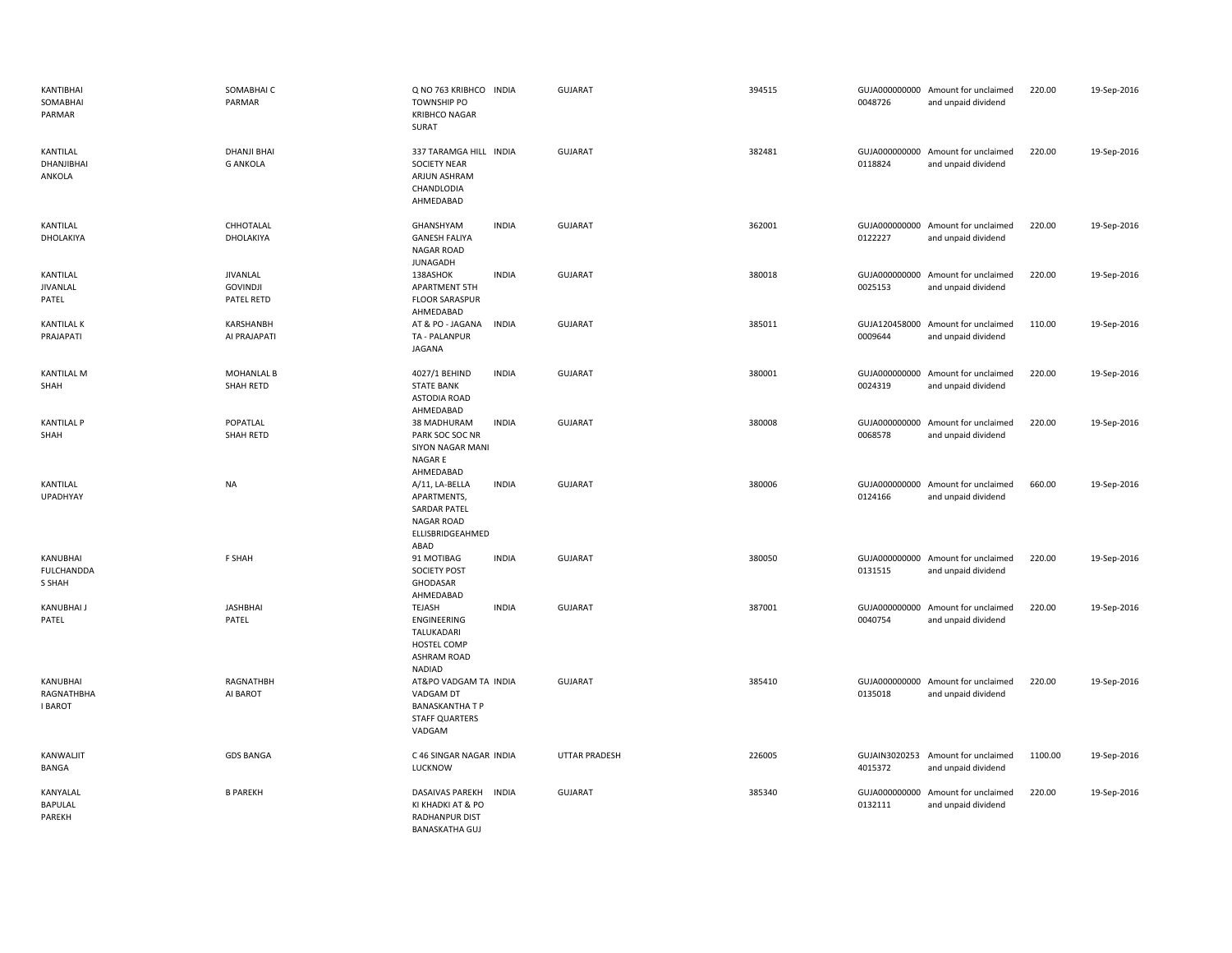| KANTIBHAI<br>SOMABHAI<br>PARMAR          | SOMABHAI C<br>PARMAR                      | Q NO 763 KRIBHCO INDIA<br><b>TOWNSHIP PO</b><br><b>KRIBHCO NAGAR</b><br>SURAT                   |              | <b>GUJARAT</b>       | 394515 | 0048726                  | GUJA000000000 Amount for unclaimed<br>and unpaid dividend | 220.00  | 19-Sep-2016 |
|------------------------------------------|-------------------------------------------|-------------------------------------------------------------------------------------------------|--------------|----------------------|--------|--------------------------|-----------------------------------------------------------|---------|-------------|
| KANTILAL<br>DHANJIBHAI<br>ANKOLA         | <b>DHANJI BHAI</b><br><b>G ANKOLA</b>     | 337 TARAMGA HILL INDIA<br><b>SOCIETY NEAR</b><br>ARJUN ASHRAM<br>CHANDLODIA<br>AHMEDABAD        |              | <b>GUJARAT</b>       | 382481 | 0118824                  | GUJA000000000 Amount for unclaimed<br>and unpaid dividend | 220.00  | 19-Sep-2016 |
| KANTILAL<br>DHOLAKIYA                    | CHHOTALAL<br>DHOLAKIYA                    | GHANSHYAM<br><b>GANESH FALIYA</b><br><b>NAGAR ROAD</b><br><b>JUNAGADH</b>                       | <b>INDIA</b> | <b>GUJARAT</b>       | 362001 | 0122227                  | GUJA000000000 Amount for unclaimed<br>and unpaid dividend | 220.00  | 19-Sep-2016 |
| KANTILAL<br>JIVANLAL<br>PATEL            | JIVANLAL<br><b>GOVINDJI</b><br>PATEL RETD | 138ASHOK<br><b>APARTMENT 5TH</b><br><b>FLOOR SARASPUR</b><br>AHMEDABAD                          | <b>INDIA</b> | GUJARAT              | 380018 | 0025153                  | GUJA000000000 Amount for unclaimed<br>and unpaid dividend | 220.00  | 19-Sep-2016 |
| <b>KANTILAL K</b><br>PRAJAPATI           | KARSHANBH<br>AI PRAJAPATI                 | AT & PO - JAGANA<br>TA - PALANPUR<br><b>JAGANA</b>                                              | <b>INDIA</b> | <b>GUJARAT</b>       | 385011 | 0009644                  | GUJA120458000 Amount for unclaimed<br>and unpaid dividend | 110.00  | 19-Sep-2016 |
| KANTILAL M<br>SHAH                       | <b>MOHANLAL B</b><br>SHAH RETD            | 4027/1 BEHIND<br><b>STATE BANK</b><br><b>ASTODIA ROAD</b><br>AHMEDABAD                          | <b>INDIA</b> | <b>GUJARAT</b>       | 380001 | 0024319                  | GUJA000000000 Amount for unclaimed<br>and unpaid dividend | 220.00  | 19-Sep-2016 |
| <b>KANTILAL P</b><br>SHAH                | POPATLAL<br>SHAH RETD                     | 38 MADHURAM<br>PARK SOC SOC NR<br>SIYON NAGAR MANI<br>NAGAR E<br>AHMEDABAD                      | <b>INDIA</b> | <b>GUJARAT</b>       | 380008 | GUJA000000000<br>0068578 | Amount for unclaimed<br>and unpaid dividend               | 220.00  | 19-Sep-2016 |
| KANTILAL<br><b>UPADHYAY</b>              | <b>NA</b>                                 | A/11, LA-BELLA<br>APARTMENTS,<br>SARDAR PATEL<br><b>NAGAR ROAD</b><br>ELLISBRIDGEAHMED<br>ABAD  | <b>INDIA</b> | <b>GUJARAT</b>       | 380006 | 0124166                  | GUJA000000000 Amount for unclaimed<br>and unpaid dividend | 660.00  | 19-Sep-2016 |
| KANUBHAI<br><b>FULCHANDDA</b><br>S SHAH  | F SHAH                                    | 91 MOTIBAG<br><b>SOCIETY POST</b><br>GHODASAR<br>AHMEDABAD                                      | <b>INDIA</b> | <b>GUJARAT</b>       | 380050 | 0131515                  | GUJA000000000 Amount for unclaimed<br>and unpaid dividend | 220.00  | 19-Sep-2016 |
| KANUBHAI J<br>PATEL                      | <b>JASHBHAI</b><br>PATEL                  | TEJASH<br>ENGINEERING<br>TALUKADARI<br>HOSTEL COMP<br><b>ASHRAM ROAD</b><br>NADIAD              | <b>INDIA</b> | <b>GUJARAT</b>       | 387001 | 0040754                  | GUJA000000000 Amount for unclaimed<br>and unpaid dividend | 220.00  | 19-Sep-2016 |
| KANUBHAI<br>RAGNATHBHA<br><b>I BAROT</b> | RAGNATHBH<br>AI BAROT                     | AT&PO VADGAM TA INDIA<br>VADGAM DT<br><b>BANASKANTHA T P</b><br><b>STAFF QUARTERS</b><br>VADGAM |              | <b>GUJARAT</b>       | 385410 | 0135018                  | GUJA000000000 Amount for unclaimed<br>and unpaid dividend | 220.00  | 19-Sep-2016 |
| KANWALJIT<br>BANGA                       | <b>GDS BANGA</b>                          | C 46 SINGAR NAGAR INDIA<br>LUCKNOW                                                              |              | <b>UTTAR PRADESH</b> | 226005 | 4015372                  | GUJAIN3020253 Amount for unclaimed<br>and unpaid dividend | 1100.00 | 19-Sep-2016 |
| KANYALAL<br><b>BAPULAL</b><br>PAREKH     | <b>B PAREKH</b>                           | <b>DASAIVAS PAREKH</b><br>KI KHADKI AT & PO<br><b>RADHANPUR DIST</b><br><b>BANASKATHA GUJ</b>   | <b>INDIA</b> | <b>GUJARAT</b>       | 385340 | 0132111                  | GUJA000000000 Amount for unclaimed<br>and unpaid dividend | 220.00  | 19-Sep-2016 |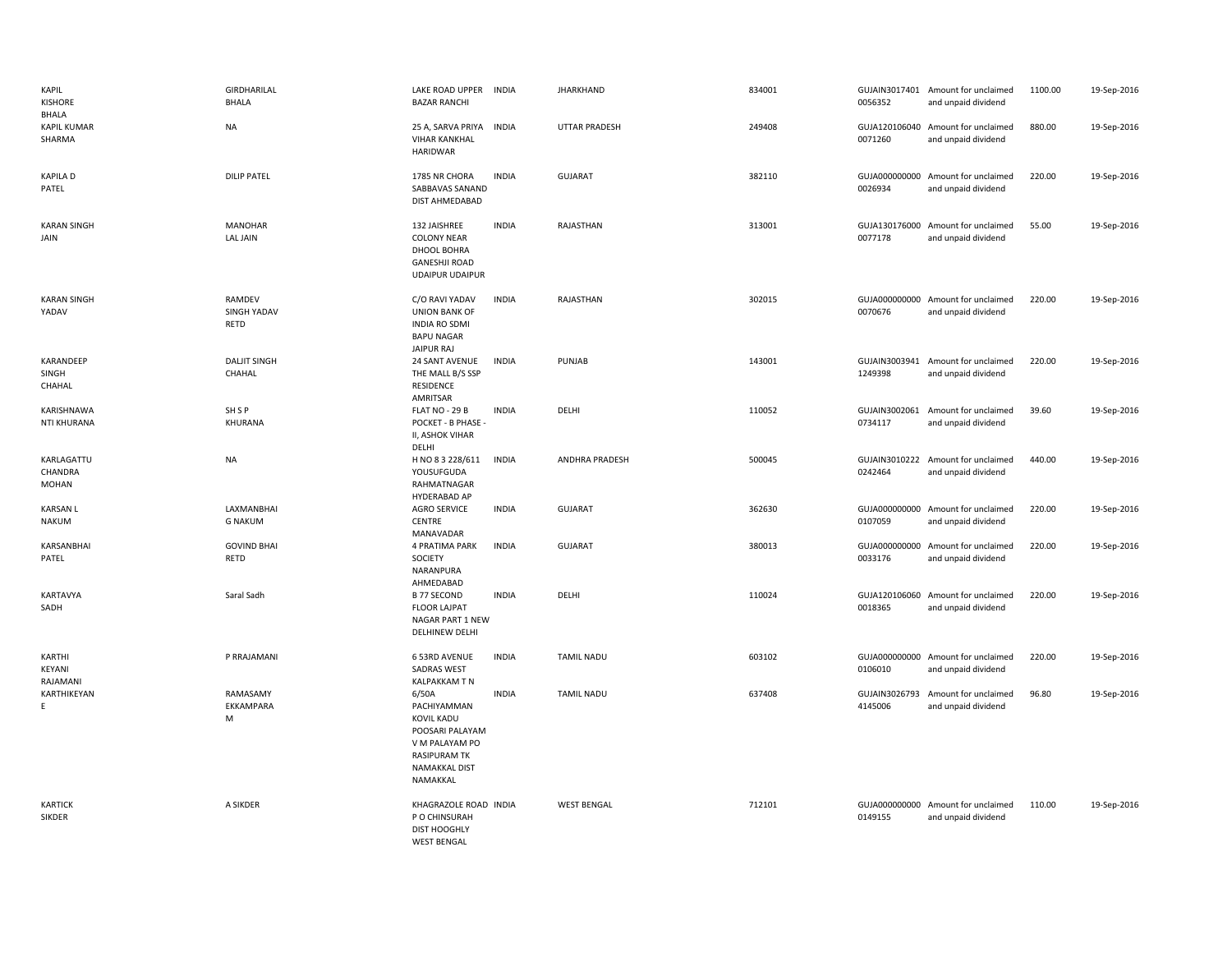| KAPIL<br><b>KISHORE</b><br>BHALA | GIRDHARILAL<br><b>BHALA</b>          | LAKE ROAD UPPER<br><b>BAZAR RANCHI</b>                                                                                                    | <b>INDIA</b> | <b>JHARKHAND</b>   | 834001 | 0056352                  | GUJAIN3017401 Amount for unclaimed<br>and unpaid dividend | 1100.00 | 19-Sep-2016 |
|----------------------------------|--------------------------------------|-------------------------------------------------------------------------------------------------------------------------------------------|--------------|--------------------|--------|--------------------------|-----------------------------------------------------------|---------|-------------|
| <b>KAPIL KUMAR</b><br>SHARMA     | <b>NA</b>                            | 25 A, SARVA PRIYA INDIA<br><b>VIHAR KANKHAL</b><br><b>HARIDWAR</b>                                                                        |              | UTTAR PRADESH      | 249408 | 0071260                  | GUJA120106040 Amount for unclaimed<br>and unpaid dividend | 880.00  | 19-Sep-2016 |
| <b>KAPILA D</b><br>PATEL         | <b>DILIP PATEL</b>                   | 1785 NR CHORA<br>SABBAVAS SANAND<br>DIST AHMEDABAD                                                                                        | <b>INDIA</b> | <b>GUJARAT</b>     | 382110 | 0026934                  | GUJA000000000 Amount for unclaimed<br>and unpaid dividend | 220.00  | 19-Sep-2016 |
| <b>KARAN SINGH</b><br>JAIN       | <b>MANOHAR</b><br><b>LAL JAIN</b>    | 132 JAISHREE<br><b>COLONY NEAR</b><br>DHOOL BOHRA<br><b>GANESHJI ROAD</b><br><b>UDAIPUR UDAIPUR</b>                                       | <b>INDIA</b> | RAJASTHAN          | 313001 | GUJA130176000<br>0077178 | Amount for unclaimed<br>and unpaid dividend               | 55.00   | 19-Sep-2016 |
| <b>KARAN SINGH</b><br>YADAV      | RAMDEV<br><b>SINGH YADAV</b><br>RETD | C/O RAVI YADAV<br><b>UNION BANK OF</b><br><b>INDIA RO SDMI</b><br><b>BAPU NAGAR</b><br>JAIPUR RAJ                                         | <b>INDIA</b> | RAJASTHAN          | 302015 | 0070676                  | GUJA000000000 Amount for unclaimed<br>and unpaid dividend | 220.00  | 19-Sep-2016 |
| KARANDEEP<br>SINGH<br>CHAHAL     | <b>DALJIT SINGH</b><br>CHAHAL        | 24 SANT AVENUE<br>THE MALL B/S SSP<br>RESIDENCE<br>AMRITSAR                                                                               | <b>INDIA</b> | PUNJAB             | 143001 | 1249398                  | GUJAIN3003941 Amount for unclaimed<br>and unpaid dividend | 220.00  | 19-Sep-2016 |
| KARISHNAWA<br>NTI KHURANA        | SH <sub>SP</sub><br>KHURANA          | FLAT NO - 29 B<br>POCKET - B PHASE -<br>II, ASHOK VIHAR<br>DELHI                                                                          | <b>INDIA</b> | DELHI              | 110052 | 0734117                  | GUJAIN3002061 Amount for unclaimed<br>and unpaid dividend | 39.60   | 19-Sep-2016 |
| KARLAGATTU<br>CHANDRA<br>MOHAN   | <b>NA</b>                            | H NO 8 3 228/611<br>YOUSUFGUDA<br>RAHMATNAGAR<br><b>HYDERABAD AP</b>                                                                      | <b>INDIA</b> | ANDHRA PRADESH     | 500045 | 0242464                  | GUJAIN3010222 Amount for unclaimed<br>and unpaid dividend | 440.00  | 19-Sep-2016 |
| <b>KARSAN L</b><br>NAKUM         | LAXMANBHAI<br><b>G NAKUM</b>         | <b>AGRO SERVICE</b><br>CENTRE<br>MANAVADAR                                                                                                | <b>INDIA</b> | <b>GUJARAT</b>     | 362630 | GUJA000000000<br>0107059 | Amount for unclaimed<br>and unpaid dividend               | 220.00  | 19-Sep-2016 |
| KARSANBHAI<br>PATEL              | <b>GOVIND BHAI</b><br>RETD           | 4 PRATIMA PARK<br>SOCIETY<br>NARANPURA<br>AHMEDABAD                                                                                       | <b>INDIA</b> | <b>GUJARAT</b>     | 380013 | 0033176                  | GUJA000000000 Amount for unclaimed<br>and unpaid dividend | 220.00  | 19-Sep-2016 |
| KARTAVYA<br>SADH                 | Saral Sadh                           | <b>B 77 SECOND</b><br><b>FLOOR LAJPAT</b><br>NAGAR PART 1 NEW<br>DELHINEW DELHI                                                           | <b>INDIA</b> | DELHI              | 110024 | 0018365                  | GUJA120106060 Amount for unclaimed<br>and unpaid dividend | 220.00  | 19-Sep-2016 |
| KARTHI<br>KEYANI<br>RAJAMANI     | P RRAJAMANI                          | 6 53RD AVENUE<br><b>SADRAS WEST</b><br><b>KALPAKKAM T N</b>                                                                               | <b>INDIA</b> | <b>TAMIL NADU</b>  | 603102 | GUJA000000000<br>0106010 | Amount for unclaimed<br>and unpaid dividend               | 220.00  | 19-Sep-2016 |
| KARTHIKEYAN<br>E.                | RAMASAMY<br>EKKAMPARA<br>M           | 6/50A<br>PACHIYAMMAN<br><b>KOVIL KADU</b><br>POOSARI PALAYAM<br>V M PALAYAM PO<br><b>RASIPURAM TK</b><br><b>NAMAKKAL DIST</b><br>NAMAKKAL | <b>INDIA</b> | <b>TAMIL NADU</b>  | 637408 | GUJAIN3026793<br>4145006 | Amount for unclaimed<br>and unpaid dividend               | 96.80   | 19-Sep-2016 |
| <b>KARTICK</b><br>SIKDER         | A SIKDER                             | KHAGRAZOLE ROAD INDIA<br>P O CHINSURAH<br><b>DIST HOOGHLY</b><br><b>WEST BENGAL</b>                                                       |              | <b>WEST BENGAL</b> | 712101 | 0149155                  | GUJA000000000 Amount for unclaimed<br>and unpaid dividend | 110.00  | 19-Sep-2016 |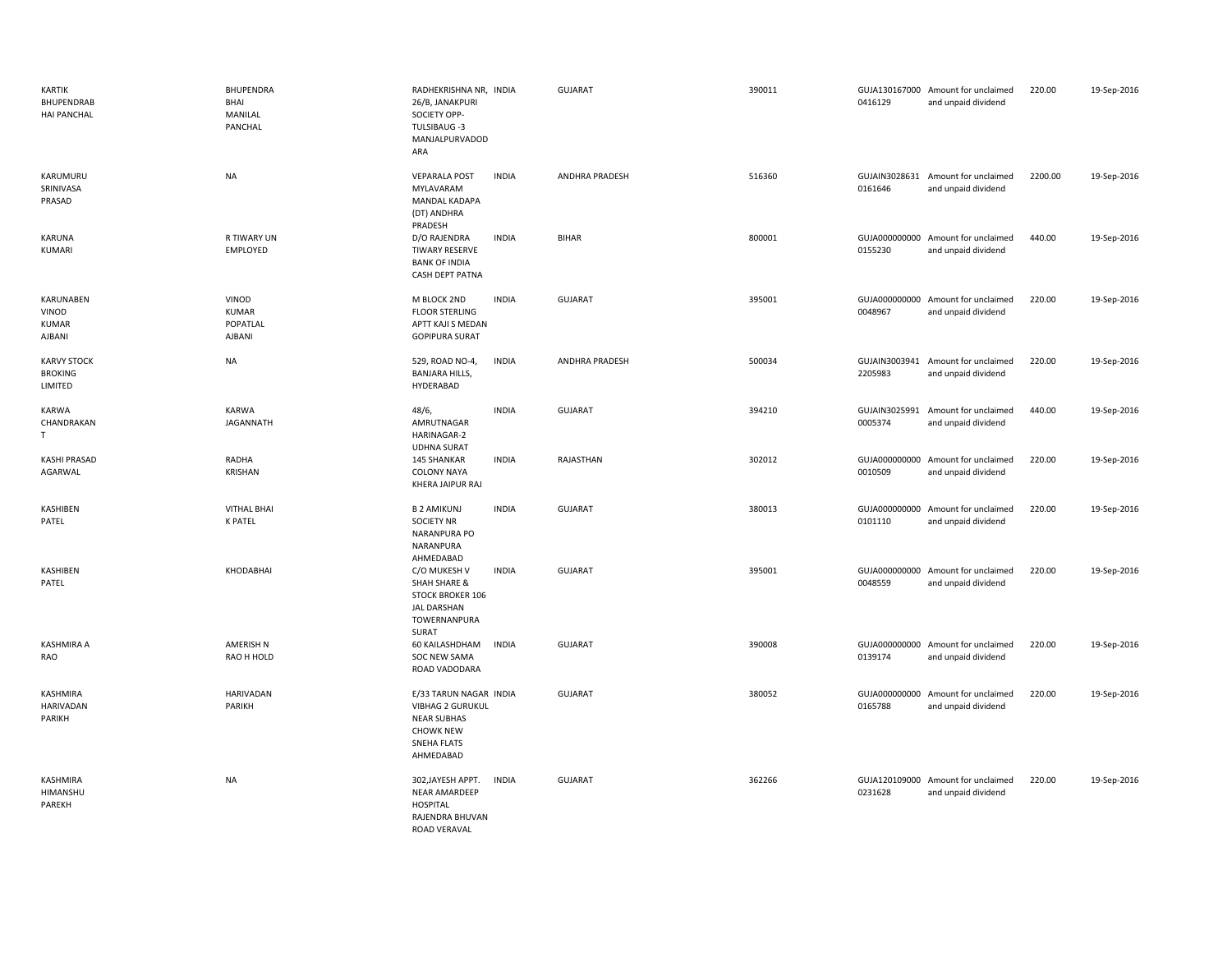| <b>KARTIK</b><br><b>BHUPENDRAB</b><br><b>HAI PANCHAL</b> | BHUPENDRA<br>BHAI<br>MANILAL<br>PANCHAL     | RADHEKRISHNA NR, INDIA<br>26/B, JANAKPURI<br>SOCIETY OPP-<br>TULSIBAUG -3<br>MANJALPURVADOD<br>ARA                             |              | <b>GUJARAT</b>        | 390011 | 0416129                  | GUJA130167000 Amount for unclaimed<br>and unpaid dividend | 220.00  | 19-Sep-2016 |
|----------------------------------------------------------|---------------------------------------------|--------------------------------------------------------------------------------------------------------------------------------|--------------|-----------------------|--------|--------------------------|-----------------------------------------------------------|---------|-------------|
| KARUMURU<br>SRINIVASA<br>PRASAD                          | <b>NA</b>                                   | <b>VEPARALA POST</b><br>MYLAVARAM<br><b>MANDAL KADAPA</b><br>(DT) ANDHRA<br>PRADESH                                            | <b>INDIA</b> | <b>ANDHRA PRADESH</b> | 516360 | 0161646                  | GUJAIN3028631 Amount for unclaimed<br>and unpaid dividend | 2200.00 | 19-Sep-2016 |
| KARUNA<br>KUMARI                                         | <b>R TIWARY UN</b><br>EMPLOYED              | D/O RAJENDRA<br><b>TIWARY RESERVE</b><br><b>BANK OF INDIA</b><br><b>CASH DEPT PATNA</b>                                        | <b>INDIA</b> | <b>BIHAR</b>          | 800001 | 0155230                  | GUJA000000000 Amount for unclaimed<br>and unpaid dividend | 440.00  | 19-Sep-2016 |
| KARUNABEN<br>VINOD<br><b>KUMAR</b><br><b>AJBANI</b>      | VINOD<br><b>KUMAR</b><br>POPATLAL<br>AJBANI | M BLOCK 2ND<br><b>FLOOR STERLING</b><br>APTT KAJI S MEDAN<br><b>GOPIPURA SURAT</b>                                             | <b>INDIA</b> | <b>GUJARAT</b>        | 395001 | 0048967                  | GUJA000000000 Amount for unclaimed<br>and unpaid dividend | 220.00  | 19-Sep-2016 |
| <b>KARVY STOCK</b><br><b>BROKING</b><br>LIMITED          | <b>NA</b>                                   | 529, ROAD NO-4,<br><b>BANJARA HILLS,</b><br>HYDERABAD                                                                          | <b>INDIA</b> | ANDHRA PRADESH        | 500034 | 2205983                  | GUJAIN3003941 Amount for unclaimed<br>and unpaid dividend | 220.00  | 19-Sep-2016 |
| KARWA<br>CHANDRAKAN<br>T.                                | KARWA<br><b>JAGANNATH</b>                   | 48/6,<br>AMRUTNAGAR<br>HARINAGAR-2<br><b>UDHNA SURAT</b>                                                                       | <b>INDIA</b> | <b>GUJARAT</b>        | 394210 | GUJAIN3025991<br>0005374 | Amount for unclaimed<br>and unpaid dividend               | 440.00  | 19-Sep-2016 |
| <b>KASHI PRASAD</b><br>AGARWAL                           | RADHA<br><b>KRISHAN</b>                     | 145 SHANKAR<br><b>COLONY NAYA</b><br>KHERA JAIPUR RAJ                                                                          | <b>INDIA</b> | RAJASTHAN             | 302012 | 0010509                  | GUJA000000000 Amount for unclaimed<br>and unpaid dividend | 220.00  | 19-Sep-2016 |
| KASHIBEN<br>PATEL                                        | <b>VITHAL BHAI</b><br><b>K PATEL</b>        | <b>B2 AMIKUNJ</b><br><b>SOCIETY NR</b><br><b>NARANPURA PO</b><br>NARANPURA<br>AHMEDABAD                                        | <b>INDIA</b> | <b>GUJARAT</b>        | 380013 | 0101110                  | GUJA000000000 Amount for unclaimed<br>and unpaid dividend | 220.00  | 19-Sep-2016 |
| KASHIBEN<br>PATEL                                        | KHODABHAI                                   | C/O MUKESH V<br>SHAH SHARE &<br><b>STOCK BROKER 106</b><br>JAL DARSHAN<br>TOWERNANPURA<br>SURAT                                | <b>INDIA</b> | <b>GUJARAT</b>        | 395001 | 0048559                  | GUJA000000000 Amount for unclaimed<br>and unpaid dividend | 220.00  | 19-Sep-2016 |
| KASHMIRA A<br>RAO                                        | AMERISH N<br>RAO H HOLD                     | 60 KAILASHDHAM<br>SOC NEW SAMA<br>ROAD VADODARA                                                                                | <b>INDIA</b> | <b>GUJARAT</b>        | 390008 | 0139174                  | GUJA000000000 Amount for unclaimed<br>and unpaid dividend | 220.00  | 19-Sep-2016 |
| KASHMIRA<br>HARIVADAN<br>PARIKH                          | <b>HARIVADAN</b><br><b>PARIKH</b>           | E/33 TARUN NAGAR INDIA<br><b>VIBHAG 2 GURUKUL</b><br><b>NEAR SUBHAS</b><br><b>CHOWK NEW</b><br><b>SNEHA FLATS</b><br>AHMEDABAD |              | <b>GUJARAT</b>        | 380052 | 0165788                  | GUJA000000000 Amount for unclaimed<br>and unpaid dividend | 220.00  | 19-Sep-2016 |
| KASHMIRA<br>HIMANSHU<br>PAREKH                           | <b>NA</b>                                   | 302, JAYESH APPT.<br>NEAR AMARDEEP<br><b>HOSPITAL</b><br>RAJENDRA BHUVAN<br>ROAD VERAVAL                                       | <b>INDIA</b> | <b>GUJARAT</b>        | 362266 | 0231628                  | GUJA120109000 Amount for unclaimed<br>and unpaid dividend | 220.00  | 19-Sep-2016 |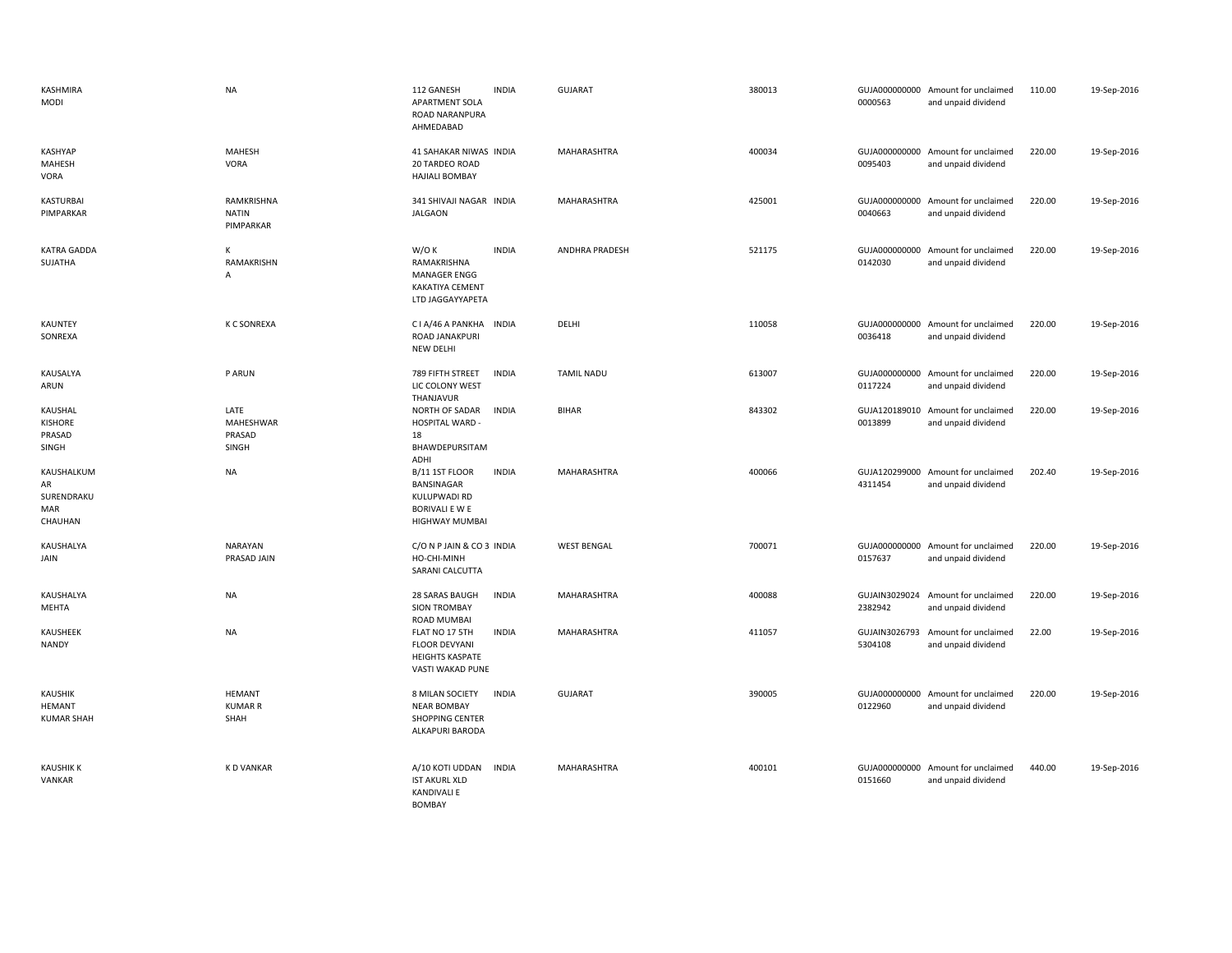| KASHMIRA<br>MODI                                 | <b>NA</b>                                   | 112 GANESH<br>APARTMENT SOLA<br>ROAD NARANPURA<br>AHMEDABAD                             | <b>INDIA</b> | <b>GUJARAT</b>        | 380013 | 0000563                  | GUJA000000000 Amount for unclaimed<br>and unpaid dividend | 110.00 | 19-Sep-2016 |
|--------------------------------------------------|---------------------------------------------|-----------------------------------------------------------------------------------------|--------------|-----------------------|--------|--------------------------|-----------------------------------------------------------|--------|-------------|
| <b>KASHYAP</b><br>MAHESH<br>VORA                 | <b>MAHESH</b><br>VORA                       | 41 SAHAKAR NIWAS INDIA<br>20 TARDEO ROAD<br><b>HAJIALI BOMBAY</b>                       |              | MAHARASHTRA           | 400034 | 0095403                  | GUJA000000000 Amount for unclaimed<br>and unpaid dividend | 220.00 | 19-Sep-2016 |
| KASTURBAI<br>PIMPARKAR                           | RAMKRISHNA<br><b>NATIN</b><br>PIMPARKAR     | 341 SHIVAJI NAGAR INDIA<br><b>JALGAON</b>                                               |              | MAHARASHTRA           | 425001 | 0040663                  | GUJA000000000 Amount for unclaimed<br>and unpaid dividend | 220.00 | 19-Sep-2016 |
| <b>KATRA GADDA</b><br>SUJATHA                    | K<br>RAMAKRISHN<br>Α                        | W/O K<br>RAMAKRISHNA<br>MANAGER ENGG<br>KAKATIYA CEMENT<br>LTD JAGGAYYAPETA             | <b>INDIA</b> | <b>ANDHRA PRADESH</b> | 521175 | 0142030                  | GUJA000000000 Amount for unclaimed<br>and unpaid dividend | 220.00 | 19-Sep-2016 |
| KAUNTEY<br>SONREXA                               | <b>K C SONREXA</b>                          | CIA/46 A PANKHA INDIA<br>ROAD JANAKPURI<br><b>NEW DELHI</b>                             |              | DELHI                 | 110058 | 0036418                  | GUJA000000000 Amount for unclaimed<br>and unpaid dividend | 220.00 | 19-Sep-2016 |
| KAUSALYA<br>ARUN                                 | P ARUN                                      | 789 FIFTH STREET<br>LIC COLONY WEST<br>THANJAVUR                                        | <b>INDIA</b> | <b>TAMIL NADU</b>     | 613007 | GUJA000000000<br>0117224 | Amount for unclaimed<br>and unpaid dividend               | 220.00 | 19-Sep-2016 |
| KAUSHAL<br>KISHORE<br>PRASAD<br>SINGH            | LATE<br><b>MAHESHWAR</b><br>PRASAD<br>SINGH | NORTH OF SADAR<br>HOSPITAL WARD -<br>18<br>BHAWDEPURSITAM<br>ADHI                       | <b>INDIA</b> | <b>BIHAR</b>          | 843302 | GUJA120189010<br>0013899 | Amount for unclaimed<br>and unpaid dividend               | 220.00 | 19-Sep-2016 |
| KAUSHALKUM<br>AR<br>SURENDRAKU<br>MAR<br>CHAUHAN | <b>NA</b>                                   | B/11 1ST FLOOR<br>BANSINAGAR<br>KULUPWADI RD<br><b>BORIVALI E W E</b><br>HIGHWAY MUMBAI | <b>INDIA</b> | MAHARASHTRA           | 400066 | GUJA120299000<br>4311454 | Amount for unclaimed<br>and unpaid dividend               | 202.40 | 19-Sep-2016 |
| KAUSHALYA<br>JAIN                                | NARAYAN<br>PRASAD JAIN                      | C/O N P JAIN & CO 3 INDIA<br>HO-CHI-MINH<br>SARANI CALCUTTA                             |              | <b>WEST BENGAL</b>    | 700071 | 0157637                  | GUJA000000000 Amount for unclaimed<br>and unpaid dividend | 220.00 | 19-Sep-2016 |
| KAUSHALYA<br>MEHTA                               | <b>NA</b>                                   | 28 SARAS BAUGH<br><b>SION TROMBAY</b><br><b>ROAD MUMBAI</b>                             | <b>INDIA</b> | MAHARASHTRA           | 400088 | GUJAIN3029024<br>2382942 | Amount for unclaimed<br>and unpaid dividend               | 220.00 | 19-Sep-2016 |
| KAUSHEEK<br>NANDY                                | <b>NA</b>                                   | FLAT NO 17 5TH<br><b>FLOOR DEVYANI</b><br><b>HEIGHTS KASPATE</b><br>VASTI WAKAD PUNE    | <b>INDIA</b> | MAHARASHTRA           | 411057 | GUJAIN3026793<br>5304108 | Amount for unclaimed<br>and unpaid dividend               | 22.00  | 19-Sep-2016 |
| <b>KAUSHIK</b><br>HEMANT<br><b>KUMAR SHAH</b>    | <b>HEMANT</b><br><b>KUMAR R</b><br>SHAH     | 8 MILAN SOCIETY<br><b>NEAR BOMBAY</b><br>SHOPPING CENTER<br>ALKAPURI BARODA             | <b>INDIA</b> | <b>GUJARAT</b>        | 390005 | 0122960                  | GUJA000000000 Amount for unclaimed<br>and unpaid dividend | 220.00 | 19-Sep-2016 |
| <b>KAUSHIK K</b><br>VANKAR                       | <b>KD VANKAR</b>                            | A/10 KOTI UDDAN<br><b>IST AKURL XLD</b><br><b>KANDIVALI E</b><br><b>BOMBAY</b>          | INDIA        | MAHARASHTRA           | 400101 | 0151660                  | GUJA000000000 Amount for unclaimed<br>and unpaid dividend | 440.00 | 19-Sep-2016 |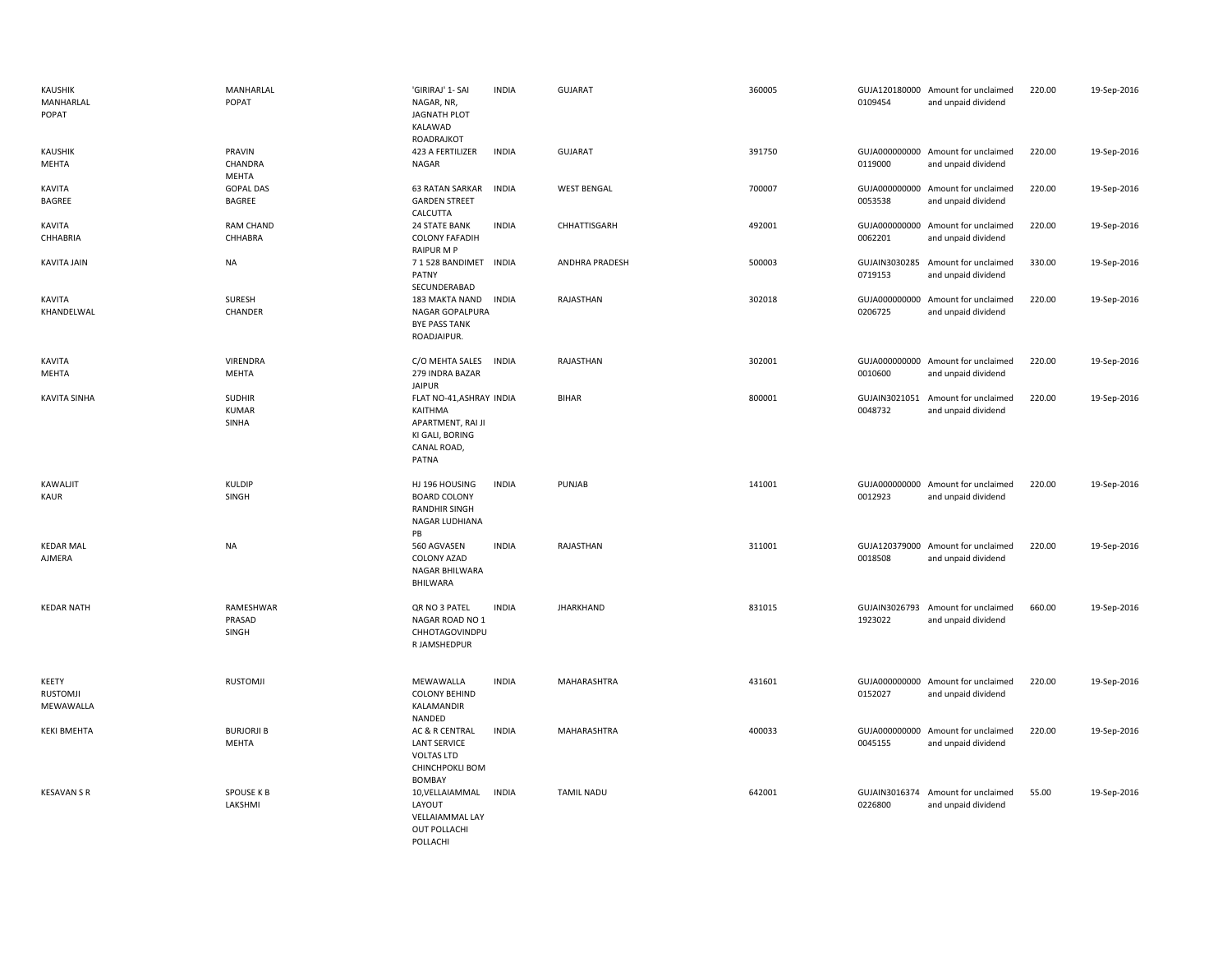| <b>KAUSHIK</b><br>MANHARLAL<br>POPAT  | MANHARLAL<br>POPAT                | 'GIRIRAJ' 1- SAI<br>NAGAR, NR,<br>JAGNATH PLOT<br>KALAWAD<br>ROADRAJKOT                             | <b>INDIA</b> | <b>GUJARAT</b>     | 360005 | 0109454                  | GUJA120180000 Amount for unclaimed<br>and unpaid dividend | 220.00 | 19-Sep-2016 |
|---------------------------------------|-----------------------------------|-----------------------------------------------------------------------------------------------------|--------------|--------------------|--------|--------------------------|-----------------------------------------------------------|--------|-------------|
| KAUSHIK<br>MEHTA                      | PRAVIN<br>CHANDRA<br>MEHTA        | 423 A FERTILIZER<br>NAGAR                                                                           | <b>INDIA</b> | <b>GUJARAT</b>     | 391750 | 0119000                  | GUJA000000000 Amount for unclaimed<br>and unpaid dividend | 220.00 | 19-Sep-2016 |
| KAVITA<br>BAGREE                      | <b>GOPAL DAS</b><br>BAGREE        | <b>63 RATAN SARKAR</b><br><b>GARDEN STREET</b><br>CALCUTTA                                          | <b>INDIA</b> | <b>WEST BENGAL</b> | 700007 | 0053538                  | GUJA000000000 Amount for unclaimed<br>and unpaid dividend | 220.00 | 19-Sep-2016 |
| KAVITA<br>CHHABRIA                    | RAM CHAND<br>CHHABRA              | 24 STATE BANK<br><b>COLONY FAFADIH</b><br><b>RAIPUR M P</b>                                         | <b>INDIA</b> | CHHATTISGARH       | 492001 | 0062201                  | GUJA000000000 Amount for unclaimed<br>and unpaid dividend | 220.00 | 19-Sep-2016 |
| <b>KAVITA JAIN</b>                    | NA                                | 7 1 528 BANDIMET<br>PATNY<br>SECUNDERABAD                                                           | INDIA        | ANDHRA PRADESH     | 500003 | GUJAIN3030285<br>0719153 | Amount for unclaimed<br>and unpaid dividend               | 330.00 | 19-Sep-2016 |
| KAVITA<br>KHANDELWAL                  | SURESH<br>CHANDER                 | 183 MAKTA NAND<br>NAGAR GOPALPURA<br><b>BYE PASS TANK</b><br>ROADJAIPUR.                            | INDIA        | RAJASTHAN          | 302018 | 0206725                  | GUJA000000000 Amount for unclaimed<br>and unpaid dividend | 220.00 | 19-Sep-2016 |
| KAVITA<br>MEHTA                       | <b>VIRENDRA</b><br>MEHTA          | C/O MEHTA SALES<br>279 INDRA BAZAR<br><b>JAIPUR</b>                                                 | <b>INDIA</b> | RAJASTHAN          | 302001 | 0010600                  | GUJA000000000 Amount for unclaimed<br>and unpaid dividend | 220.00 | 19-Sep-2016 |
| <b>KAVITA SINHA</b>                   | <b>SUDHIR</b><br>KUMAR<br>SINHA   | FLAT NO-41, ASHRAY INDIA<br>KAITHMA<br>APARTMENT, RAI JI<br>KI GALI, BORING<br>CANAL ROAD,<br>PATNA |              | <b>BIHAR</b>       | 800001 | 0048732                  | GUJAIN3021051 Amount for unclaimed<br>and unpaid dividend | 220.00 | 19-Sep-2016 |
| KAWALJIT<br><b>KAUR</b>               | KULDIP<br>SINGH                   | HJ 196 HOUSING<br><b>BOARD COLONY</b><br><b>RANDHIR SINGH</b><br>NAGAR LUDHIANA<br>PB               | <b>INDIA</b> | PUNJAB             | 141001 | 0012923                  | GUJA000000000 Amount for unclaimed<br>and unpaid dividend | 220.00 | 19-Sep-2016 |
| <b>KEDAR MAL</b><br>AJMERA            | NA                                | 560 AGVASEN<br><b>COLONY AZAD</b><br>NAGAR BHILWARA<br><b>BHILWARA</b>                              | <b>INDIA</b> | RAJASTHAN          | 311001 | 0018508                  | GUJA120379000 Amount for unclaimed<br>and unpaid dividend | 220.00 | 19-Sep-2016 |
| <b>KEDAR NATH</b>                     | RAMESHWAR<br>PRASAD<br>SINGH      | QR NO 3 PATEL<br>NAGAR ROAD NO 1<br>CHHOTAGOVINDPU<br>R JAMSHEDPUR                                  | <b>INDIA</b> | <b>JHARKHAND</b>   | 831015 | GUJAIN3026793<br>1923022 | Amount for unclaimed<br>and unpaid dividend               | 660.00 | 19-Sep-2016 |
| KEETY<br><b>RUSTOMJI</b><br>MEWAWALLA | <b>RUSTOMJI</b>                   | MEWAWALLA<br><b>COLONY BEHIND</b><br>KALAMANDIR<br>NANDED                                           | <b>INDIA</b> | MAHARASHTRA        | 431601 | 0152027                  | GUJA000000000 Amount for unclaimed<br>and unpaid dividend | 220.00 | 19-Sep-2016 |
| <b>KEKI BMEHTA</b>                    | <b>BURJORJI B</b><br><b>MEHTA</b> | AC & R CENTRAL<br><b>LANT SERVICE</b><br><b>VOLTAS LTD</b><br>CHINCHPOKLI BOM<br><b>BOMBAY</b>      | <b>INDIA</b> | MAHARASHTRA        | 400033 | 0045155                  | GUJA000000000 Amount for unclaimed<br>and unpaid dividend | 220.00 | 19-Sep-2016 |
| <b>KESAVAN S R</b>                    | SPOUSE K B<br>LAKSHMI             | 10, VELLAIAMMAL<br>LAYOUT<br>VELLAIAMMAL LAY<br>OUT POLLACHI<br>POLLACHI                            | <b>INDIA</b> | <b>TAMIL NADU</b>  | 642001 | GUJAIN3016374<br>0226800 | Amount for unclaimed<br>and unpaid dividend               | 55.00  | 19-Sep-2016 |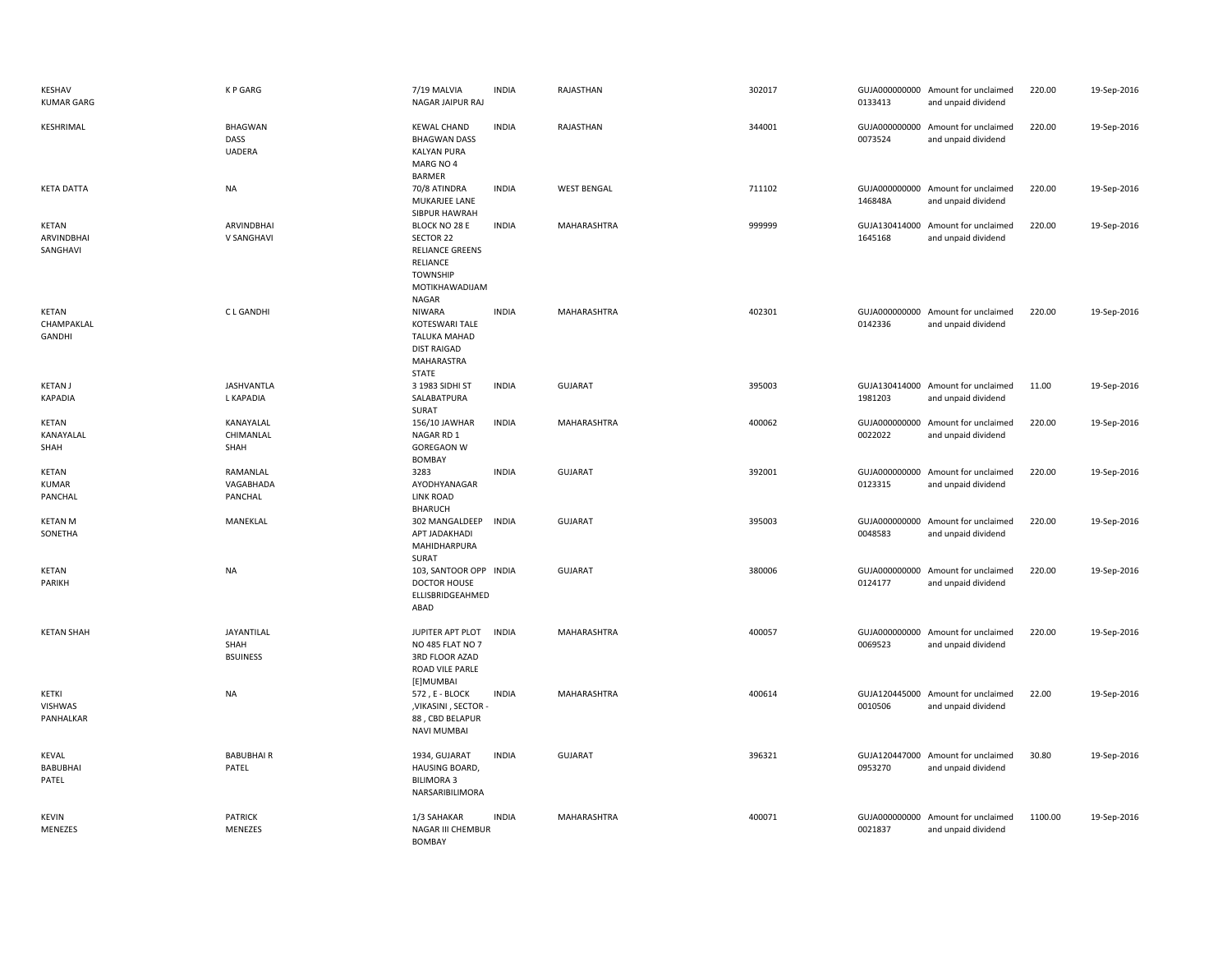| KESHAV<br><b>KUMAR GARG</b>          | <b>KP GARG</b>                          | 7/19 MALVIA<br>NAGAR JAIPUR RAJ                                                                                | <b>INDIA</b> | RAJASTHAN          | 302017 | 0133413 | GUJA000000000 Amount for unclaimed<br>and unpaid dividend | 220.00  | 19-Sep-2016 |
|--------------------------------------|-----------------------------------------|----------------------------------------------------------------------------------------------------------------|--------------|--------------------|--------|---------|-----------------------------------------------------------|---------|-------------|
| KESHRIMAL                            | <b>BHAGWAN</b><br>DASS<br><b>UADERA</b> | <b>KEWAL CHAND</b><br><b>BHAGWAN DASS</b><br><b>KALYAN PURA</b><br>MARG NO 4<br><b>BARMER</b>                  | <b>INDIA</b> | RAJASTHAN          | 344001 | 0073524 | GUJA000000000 Amount for unclaimed<br>and unpaid dividend | 220.00  | 19-Sep-2016 |
| <b>KETA DATTA</b>                    | NA                                      | 70/8 ATINDRA<br>MUKARJEE LANE<br>SIBPUR HAWRAH                                                                 | <b>INDIA</b> | <b>WEST BENGAL</b> | 711102 | 146848A | GUJA000000000 Amount for unclaimed<br>and unpaid dividend | 220.00  | 19-Sep-2016 |
| KETAN<br>ARVINDBHAI<br>SANGHAVI      | ARVINDBHAI<br>V SANGHAVI                | BLOCK NO 28 E<br>SECTOR 22<br><b>RELIANCE GREENS</b><br>RELIANCE<br><b>TOWNSHIP</b><br>MOTIKHAWADIJAM<br>NAGAR | <b>INDIA</b> | MAHARASHTRA        | 999999 | 1645168 | GUJA130414000 Amount for unclaimed<br>and unpaid dividend | 220.00  | 19-Sep-2016 |
| <b>KETAN</b><br>CHAMPAKLAL<br>GANDHI | <b>CLGANDHI</b>                         | <b>NIWARA</b><br>KOTESWARI TALE<br>TALUKA MAHAD<br><b>DIST RAIGAD</b><br>MAHARASTRA<br><b>STATE</b>            | <b>INDIA</b> | MAHARASHTRA        | 402301 | 0142336 | GUJA000000000 Amount for unclaimed<br>and unpaid dividend | 220.00  | 19-Sep-2016 |
| <b>KETAN J</b><br><b>KAPADIA</b>     | <b>JASHVANTLA</b><br>L KAPADIA          | 3 1983 SIDHI ST<br>SALABATPURA<br>SURAT                                                                        | <b>INDIA</b> | <b>GUJARAT</b>     | 395003 | 1981203 | GUJA130414000 Amount for unclaimed<br>and unpaid dividend | 11.00   | 19-Sep-2016 |
| <b>KETAN</b><br>KANAYALAL<br>SHAH    | KANAYALAL<br>CHIMANLAL<br>SHAH          | 156/10 JAWHAR<br>NAGAR RD 1<br><b>GOREGAON W</b><br><b>BOMBAY</b>                                              | <b>INDIA</b> | MAHARASHTRA        | 400062 | 0022022 | GUJA000000000 Amount for unclaimed<br>and unpaid dividend | 220.00  | 19-Sep-2016 |
| KETAN<br><b>KUMAR</b><br>PANCHAL     | RAMANLAL<br>VAGABHADA<br>PANCHAL        | 3283<br>AYODHYANAGAR<br><b>LINK ROAD</b><br><b>BHARUCH</b>                                                     | <b>INDIA</b> | <b>GUJARAT</b>     | 392001 | 0123315 | GUJA000000000 Amount for unclaimed<br>and unpaid dividend | 220.00  | 19-Sep-2016 |
| <b>KETAN M</b><br>SONETHA            | MANEKLAL                                | 302 MANGALDEEP<br>APT JADAKHADI<br>MAHIDHARPURA<br>SURAT                                                       | <b>INDIA</b> | <b>GUJARAT</b>     | 395003 | 0048583 | GUJA000000000 Amount for unclaimed<br>and unpaid dividend | 220.00  | 19-Sep-2016 |
| <b>KETAN</b><br>PARIKH               | <b>NA</b>                               | 103, SANTOOR OPP INDIA<br><b>DOCTOR HOUSE</b><br>ELLISBRIDGEAHMED<br>ABAD                                      |              | <b>GUJARAT</b>     | 380006 | 0124177 | GUJA000000000 Amount for unclaimed<br>and unpaid dividend | 220.00  | 19-Sep-2016 |
| <b>KETAN SHAH</b>                    | JAYANTILAL<br>SHAH<br><b>BSUINESS</b>   | JUPITER APT PLOT<br>NO 485 FLAT NO 7<br>3RD FLOOR AZAD<br>ROAD VILE PARLE<br>[E]MUMBAI                         | <b>INDIA</b> | MAHARASHTRA        | 400057 | 0069523 | GUJA000000000 Amount for unclaimed<br>and unpaid dividend | 220.00  | 19-Sep-2016 |
| KETKI<br>VISHWAS<br>PANHALKAR        | <b>NA</b>                               | 572, E - BLOCK<br>, VIKASINI, SECTOR<br>88, CBD BELAPUR<br><b>NAVI MUMBAI</b>                                  | <b>INDIA</b> | MAHARASHTRA        | 400614 | 0010506 | GUJA120445000 Amount for unclaimed<br>and unpaid dividend | 22.00   | 19-Sep-2016 |
| <b>KEVAL</b><br>BABUBHAI<br>PATEL    | <b>BABUBHAIR</b><br>PATEL               | 1934, GUJARAT<br>HAUSING BOARD,<br><b>BILIMORA 3</b><br>NARSARIBILIMORA                                        | <b>INDIA</b> | <b>GUJARAT</b>     | 396321 | 0953270 | GUJA120447000 Amount for unclaimed<br>and unpaid dividend | 30.80   | 19-Sep-2016 |
| <b>KEVIN</b><br>MENEZES              | <b>PATRICK</b><br>MENEZES               | 1/3 SAHAKAR<br>NAGAR III CHEMBUR<br><b>BOMBAY</b>                                                              | <b>INDIA</b> | MAHARASHTRA        | 400071 | 0021837 | GUJA000000000 Amount for unclaimed<br>and unpaid dividend | 1100.00 | 19-Sep-2016 |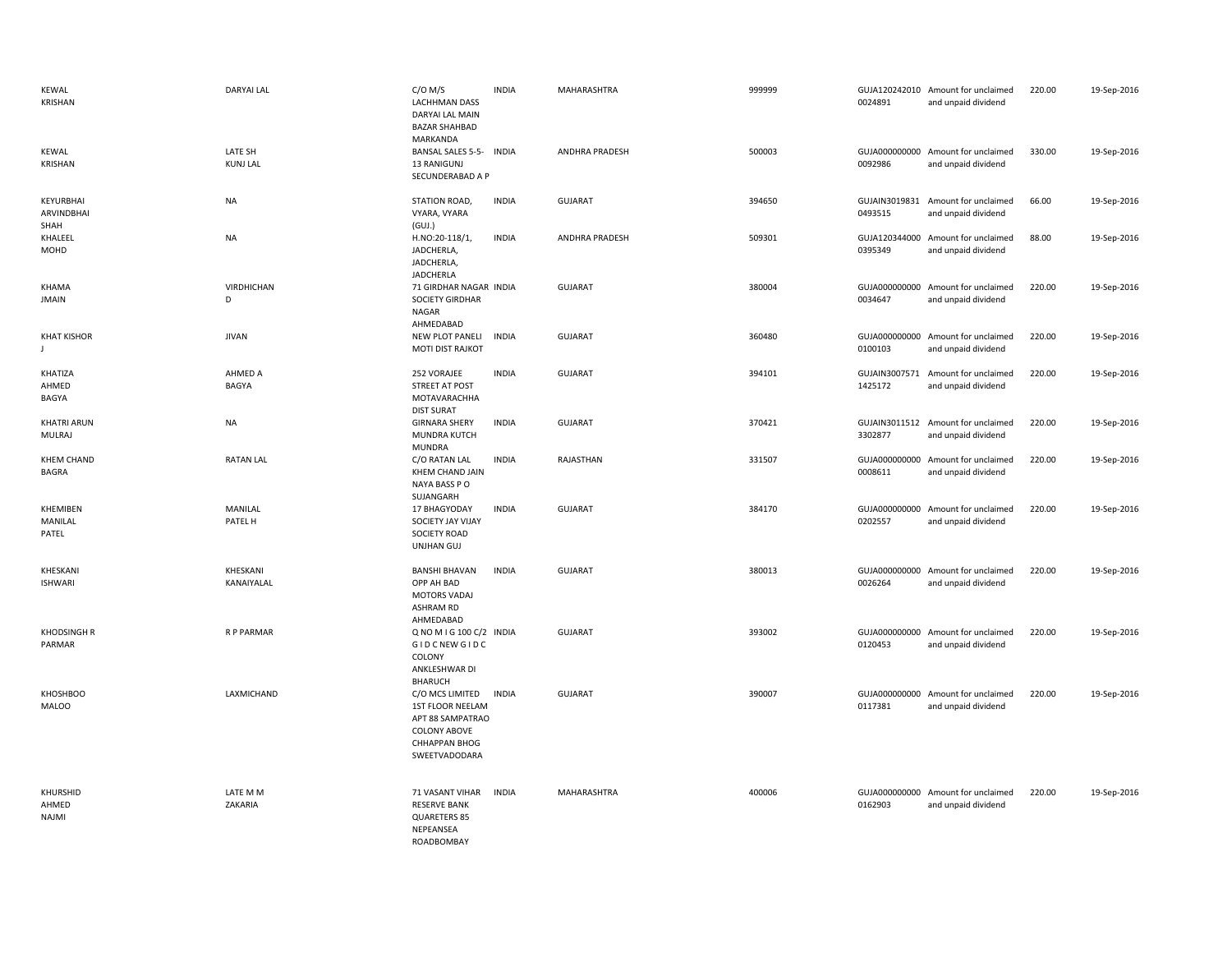| <b>KEWAL</b><br>KRISHAN             | <b>DARYAI LAL</b>          | $C/O$ M/S<br><b>LACHHMAN DASS</b><br><b>DARYAI LAL MAIN</b><br><b>BAZAR SHAHBAD</b><br>MARKANDA                         | <b>INDIA</b> | <b>MAHARASHTRA</b>    | 999999 | 0024891                  | GUJA120242010 Amount for unclaimed<br>and unpaid dividend | 220.00 | 19-Sep-2016 |
|-------------------------------------|----------------------------|-------------------------------------------------------------------------------------------------------------------------|--------------|-----------------------|--------|--------------------------|-----------------------------------------------------------|--------|-------------|
| <b>KEWAL</b><br>KRISHAN             | LATE SH<br><b>KUNJ LAL</b> | BANSAL SALES 5-5- INDIA<br>13 RANIGUNJ<br>SECUNDERABAD A P                                                              |              | <b>ANDHRA PRADESH</b> | 500003 | 0092986                  | GUJA000000000 Amount for unclaimed<br>and unpaid dividend | 330.00 | 19-Sep-2016 |
| KEYURBHAI<br>ARVINDBHAI<br>SHAH     | <b>NA</b>                  | STATION ROAD,<br>VYARA, VYARA<br>(GUI.)                                                                                 | <b>INDIA</b> | GUJARAT               | 394650 | GUJAIN3019831<br>0493515 | Amount for unclaimed<br>and unpaid dividend               | 66.00  | 19-Sep-2016 |
| KHALEEL<br>MOHD                     | <b>NA</b>                  | H.NO:20-118/1,<br>JADCHERLA,<br>JADCHERLA,<br>JADCHERLA                                                                 | <b>INDIA</b> | <b>ANDHRA PRADESH</b> | 509301 | 0395349                  | GUJA120344000 Amount for unclaimed<br>and unpaid dividend | 88.00  | 19-Sep-2016 |
| KHAMA<br><b>JMAIN</b>               | <b>VIRDHICHAN</b><br>D     | 71 GIRDHAR NAGAR INDIA<br>SOCIETY GIRDHAR<br>NAGAR<br>AHMEDABAD                                                         |              | <b>GUJARAT</b>        | 380004 | 0034647                  | GUJA000000000 Amount for unclaimed<br>and unpaid dividend | 220.00 | 19-Sep-2016 |
| <b>KHAT KISHOR</b><br>J.            | <b>JIVAN</b>               | NEW PLOT PANELI<br>MOTI DIST RAJKOT                                                                                     | <b>INDIA</b> | GUJARAT               | 360480 | 0100103                  | GUJA000000000 Amount for unclaimed<br>and unpaid dividend | 220.00 | 19-Sep-2016 |
| KHATIZA<br>AHMED<br>BAGYA           | AHMED A<br>BAGYA           | 252 VORAJEE<br>STREET AT POST<br>MOTAVARACHHA<br><b>DIST SURAT</b>                                                      | <b>INDIA</b> | <b>GUJARAT</b>        | 394101 | 1425172                  | GUJAIN3007571 Amount for unclaimed<br>and unpaid dividend | 220.00 | 19-Sep-2016 |
| <b>KHATRI ARUN</b><br>MULRAJ        | <b>NA</b>                  | <b>GIRNARA SHERY</b><br>MUNDRA KUTCH<br><b>MUNDRA</b>                                                                   | <b>INDIA</b> | <b>GUJARAT</b>        | 370421 | 3302877                  | GUJAIN3011512 Amount for unclaimed<br>and unpaid dividend | 220.00 | 19-Sep-2016 |
| <b>KHEM CHAND</b><br><b>BAGRA</b>   | <b>RATAN LAL</b>           | C/O RATAN LAL<br>KHEM CHAND JAIN<br>NAYA BASS PO<br>SUJANGARH                                                           | <b>INDIA</b> | RAJASTHAN             | 331507 | 0008611                  | GUJA000000000 Amount for unclaimed<br>and unpaid dividend | 220.00 | 19-Sep-2016 |
| <b>KHEMIBEN</b><br>MANILAL<br>PATEL | MANILAL<br>PATEL H         | 17 BHAGYODAY<br>SOCIETY JAY VIJAY<br><b>SOCIETY ROAD</b><br><b>UNJHAN GUJ</b>                                           | <b>INDIA</b> | <b>GUJARAT</b>        | 384170 | 0202557                  | GUJA000000000 Amount for unclaimed<br>and unpaid dividend | 220.00 | 19-Sep-2016 |
| KHESKANI<br><b>ISHWARI</b>          | KHESKANI<br>KANAIYALAL     | <b>BANSHI BHAVAN</b><br>OPP AH BAD<br><b>MOTORS VADAJ</b><br>ASHRAM RD<br>AHMEDABAD                                     | <b>INDIA</b> | GUJARAT               | 380013 | 0026264                  | GUJA000000000 Amount for unclaimed<br>and unpaid dividend | 220.00 | 19-Sep-2016 |
| <b>KHODSINGH R</b><br>PARMAR        | R P PARMAR                 | Q NO M I G 100 C/2 INDIA<br>GID CNEW GID C<br>COLONY<br>ANKLESHWAR DI<br><b>BHARUCH</b>                                 |              | <b>GUJARAT</b>        | 393002 | 0120453                  | GUJA000000000 Amount for unclaimed<br>and unpaid dividend | 220.00 | 19-Sep-2016 |
| <b>KHOSHBOO</b><br><b>MALOO</b>     | LAXMICHAND                 | C/O MCS LIMITED<br>1ST FLOOR NEELAM<br>APT 88 SAMPATRAO<br><b>COLONY ABOVE</b><br><b>CHHAPPAN BHOG</b><br>SWEETVADODARA | <b>INDIA</b> | GUJARAT               | 390007 | 0117381                  | GUJA000000000 Amount for unclaimed<br>and unpaid dividend | 220.00 | 19-Sep-2016 |
| KHURSHID<br>AHMED<br>NAJMI          | LATE M M<br>ZAKARIA        | <b>71 VASANT VIHAR</b><br><b>RESERVE BANK</b><br>QUARETERS 85<br>NEPEANSEA<br><b>ROADBOMBAY</b>                         | <b>INDIA</b> | MAHARASHTRA           | 400006 | 0162903                  | GUJA000000000 Amount for unclaimed<br>and unpaid dividend | 220.00 | 19-Sep-2016 |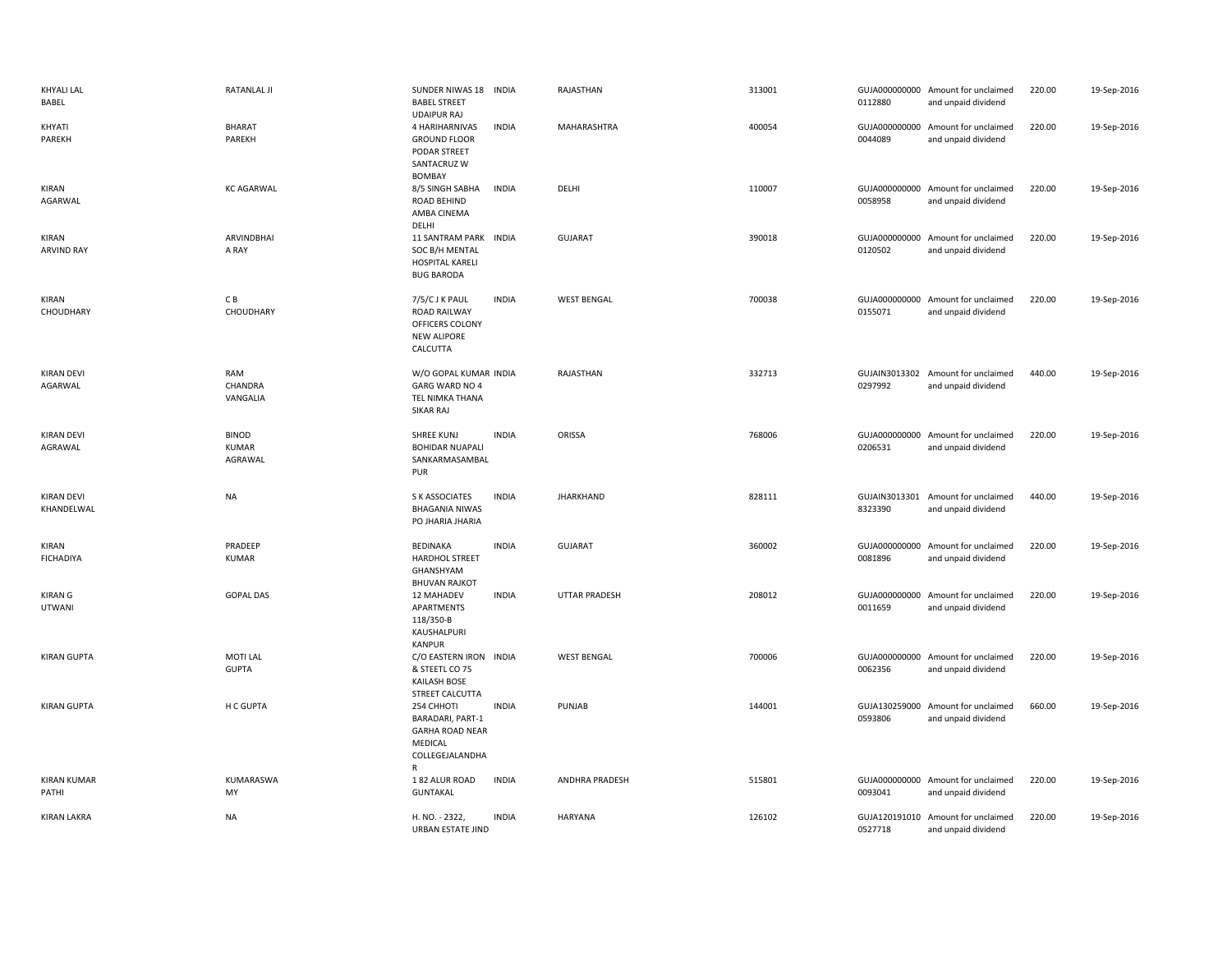| <b>KHYALI LAL</b><br>BABEL      | <b>RATANLAL JI</b>                      | SUNDER NIWAS 18<br><b>BABEL STREET</b><br><b>UDAIPUR RAJ</b>                                | <b>INDIA</b> | RAJASTHAN          | 313001 | 0112880 | GUJA000000000 Amount for unclaimed<br>and unpaid dividend | 220.00 | 19-Sep-2016 |
|---------------------------------|-----------------------------------------|---------------------------------------------------------------------------------------------|--------------|--------------------|--------|---------|-----------------------------------------------------------|--------|-------------|
| KHYATI<br>PAREKH                | <b>BHARAT</b><br>PAREKH                 | 4 HARIHARNIVAS<br><b>GROUND FLOOR</b><br>PODAR STREET<br>SANTACRUZ W<br><b>BOMBAY</b>       | <b>INDIA</b> | MAHARASHTRA        | 400054 | 0044089 | GUJA000000000 Amount for unclaimed<br>and unpaid dividend | 220.00 | 19-Sep-2016 |
| KIRAN<br>AGARWAL                | <b>KC AGARWAL</b>                       | 8/5 SINGH SABHA<br><b>ROAD BEHIND</b><br>AMBA CINEMA<br>DELHI                               | <b>INDIA</b> | DELHI              | 110007 | 0058958 | GUJA000000000 Amount for unclaimed<br>and unpaid dividend | 220.00 | 19-Sep-2016 |
| KIRAN<br><b>ARVIND RAY</b>      | ARVINDBHAI<br>A RAY                     | 11 SANTRAM PARK<br>SOC B/H MENTAL<br><b>HOSPITAL KARELI</b><br><b>BUG BARODA</b>            | <b>INDIA</b> | <b>GUJARAT</b>     | 390018 | 0120502 | GUJA000000000 Amount for unclaimed<br>and unpaid dividend | 220.00 | 19-Sep-2016 |
| KIRAN<br>CHOUDHARY              | CВ<br>CHOUDHARY                         | 7/5/CJKPAUL<br><b>ROAD RAILWAY</b><br>OFFICERS COLONY<br><b>NEW ALIPORE</b><br>CALCUTTA     | <b>INDIA</b> | <b>WEST BENGAL</b> | 700038 | 0155071 | GUJA000000000 Amount for unclaimed<br>and unpaid dividend | 220.00 | 19-Sep-2016 |
| <b>KIRAN DEVI</b><br>AGARWAL    | RAM<br>CHANDRA<br>VANGALIA              | W/O GOPAL KUMAR INDIA<br>GARG WARD NO 4<br>TEL NIMKA THANA<br>SIKAR RAJ                     |              | RAJASTHAN          | 332713 | 0297992 | GUJAIN3013302 Amount for unclaimed<br>and unpaid dividend | 440.00 | 19-Sep-2016 |
| <b>KIRAN DEVI</b><br>AGRAWAL    | <b>BINOD</b><br><b>KUMAR</b><br>AGRAWAL | <b>SHREE KUNJ</b><br><b>BOHIDAR NUAPALI</b><br>SANKARMASAMBAL<br>PUR                        | <b>INDIA</b> | ORISSA             | 768006 | 0206531 | GUJA000000000 Amount for unclaimed<br>and unpaid dividend | 220.00 | 19-Sep-2016 |
| <b>KIRAN DEVI</b><br>KHANDELWAL | <b>NA</b>                               | S K ASSOCIATES<br><b>BHAGANIA NIWAS</b><br>PO JHARIA JHARIA                                 | <b>INDIA</b> | <b>JHARKHAND</b>   | 828111 | 8323390 | GUJAIN3013301 Amount for unclaimed<br>and unpaid dividend | 440.00 | 19-Sep-2016 |
| KIRAN<br><b>FICHADIYA</b>       | PRADEEP<br><b>KUMAR</b>                 | BEDINAKA<br><b>HARDHOL STREET</b><br>GHANSHYAM<br><b>BHUVAN RAJKOT</b>                      | <b>INDIA</b> | <b>GUJARAT</b>     | 360002 | 0081896 | GUJA000000000 Amount for unclaimed<br>and unpaid dividend | 220.00 | 19-Sep-2016 |
| <b>KIRAN G</b><br>UTWANI        | <b>GOPAL DAS</b>                        | 12 MAHADEV<br>APARTMENTS<br>118/350-B<br>KAUSHALPURI<br><b>KANPUR</b>                       | <b>INDIA</b> | UTTAR PRADESH      | 208012 | 0011659 | GUJA000000000 Amount for unclaimed<br>and unpaid dividend | 220.00 | 19-Sep-2016 |
| <b>KIRAN GUPTA</b>              | MOTI LAL<br><b>GUPTA</b>                | C/O EASTERN IRON INDIA<br>& STEETL CO 75<br><b>KAILASH BOSE</b><br>STREET CALCUTTA          |              | <b>WEST BENGAL</b> | 700006 | 0062356 | GUJA000000000 Amount for unclaimed<br>and unpaid dividend | 220.00 | 19-Sep-2016 |
| <b>KIRAN GUPTA</b>              | H C GUPTA                               | 254 CHHOTI<br>BARADARI, PART-1<br><b>GARHA ROAD NEAR</b><br>MEDICAL<br>COLLEGEJALANDHA<br>R | <b>INDIA</b> | PUNJAB             | 144001 | 0593806 | GUJA130259000 Amount for unclaimed<br>and unpaid dividend | 660.00 | 19-Sep-2016 |
| <b>KIRAN KUMAR</b><br>PATHI     | KUMARASWA<br>MY                         | 182 ALUR ROAD<br><b>GUNTAKAL</b>                                                            | <b>INDIA</b> | ANDHRA PRADESH     | 515801 | 0093041 | GUJA000000000 Amount for unclaimed<br>and unpaid dividend | 220.00 | 19-Sep-2016 |
| <b>KIRAN LAKRA</b>              | <b>NA</b>                               | H. NO. - 2322,<br><b>URBAN ESTATE JIND</b>                                                  | <b>INDIA</b> | <b>HARYANA</b>     | 126102 | 0527718 | GUJA120191010 Amount for unclaimed<br>and unpaid dividend | 220.00 | 19-Sep-2016 |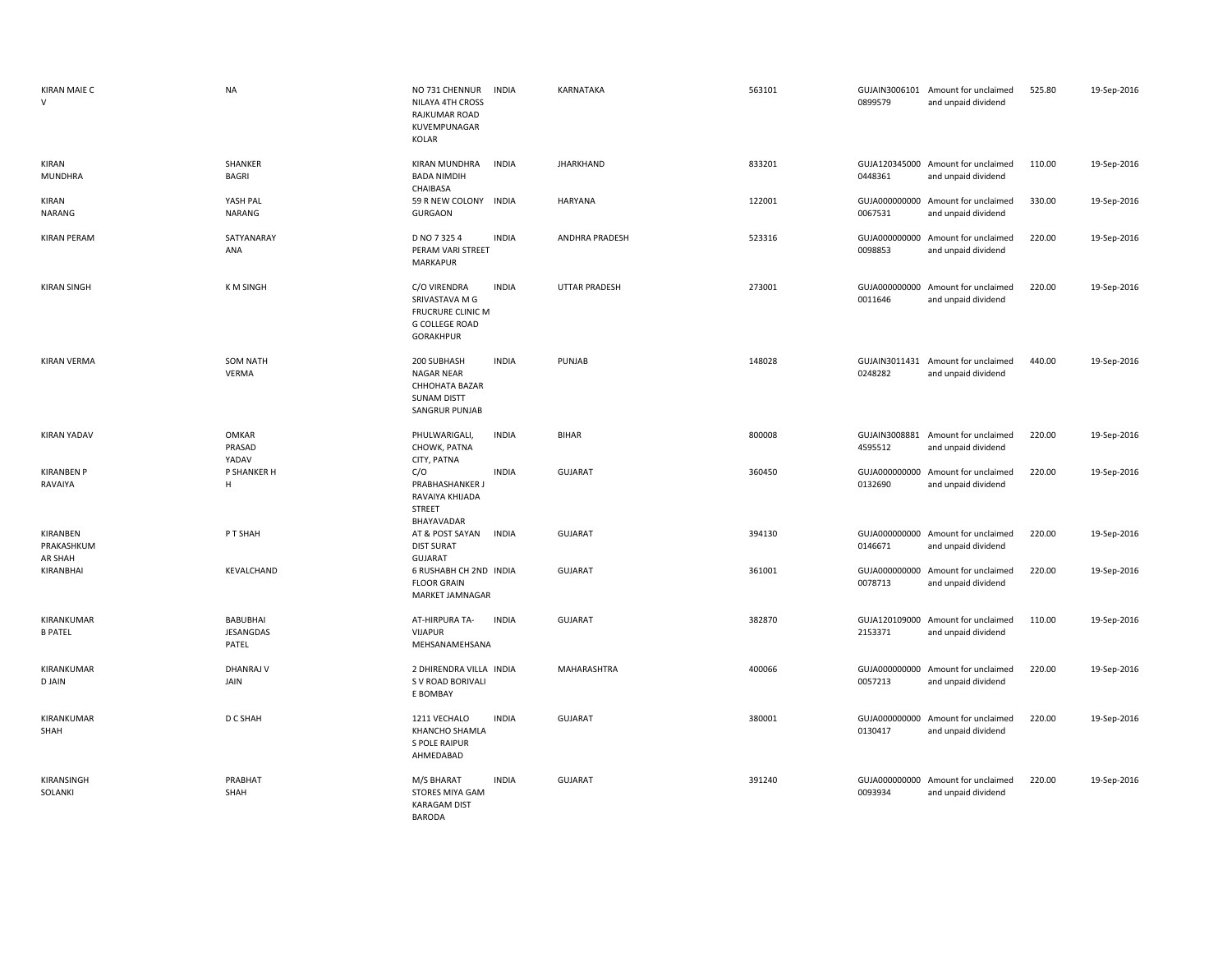| <b>KIRAN MAIE C</b><br>V          | <b>NA</b>                       | NO 731 CHENNUR<br>NILAYA 4TH CROSS<br>RAJKUMAR ROAD<br>KUVEMPUNAGAR<br>KOLAR                     | <b>INDIA</b> | KARNATAKA            | 563101 | 0899579                  | GUJAIN3006101 Amount for unclaimed<br>and unpaid dividend | 525.80 | 19-Sep-2016 |
|-----------------------------------|---------------------------------|--------------------------------------------------------------------------------------------------|--------------|----------------------|--------|--------------------------|-----------------------------------------------------------|--------|-------------|
| KIRAN<br><b>MUNDHRA</b>           | SHANKER<br><b>BAGRI</b>         | KIRAN MUNDHRA<br><b>BADA NIMDIH</b><br>CHAIBASA                                                  | <b>INDIA</b> | <b>JHARKHAND</b>     | 833201 | 0448361                  | GUJA120345000 Amount for unclaimed<br>and unpaid dividend | 110.00 | 19-Sep-2016 |
| KIRAN<br>NARANG                   | YASH PAL<br><b>NARANG</b>       | 59 R NEW COLONY INDIA<br><b>GURGAON</b>                                                          |              | <b>HARYANA</b>       | 122001 | 0067531                  | GUJA000000000 Amount for unclaimed<br>and unpaid dividend | 330.00 | 19-Sep-2016 |
| <b>KIRAN PERAM</b>                | SATYANARAY<br>ANA               | D NO 7 325 4<br>PERAM VARI STREET<br>MARKAPUR                                                    | <b>INDIA</b> | ANDHRA PRADESH       | 523316 | GUJA000000000<br>0098853 | Amount for unclaimed<br>and unpaid dividend               | 220.00 | 19-Sep-2016 |
| <b>KIRAN SINGH</b>                | <b>KM SINGH</b>                 | C/O VIRENDRA<br>SRIVASTAVA M G<br>FRUCRURE CLINIC M<br><b>G COLLEGE ROAD</b><br><b>GORAKHPUR</b> | <b>INDIA</b> | <b>UTTAR PRADESH</b> | 273001 | 0011646                  | GUJA000000000 Amount for unclaimed<br>and unpaid dividend | 220.00 | 19-Sep-2016 |
| <b>KIRAN VERMA</b>                | <b>SOM NATH</b><br>VERMA        | 200 SUBHASH<br>NAGAR NEAR<br>CHHOHATA BAZAR<br><b>SUNAM DISTT</b><br>SANGRUR PUNJAB              | <b>INDIA</b> | PUNJAB               | 148028 | 0248282                  | GUJAIN3011431 Amount for unclaimed<br>and unpaid dividend | 440.00 | 19-Sep-2016 |
| <b>KIRAN YADAV</b>                | <b>OMKAR</b><br>PRASAD<br>YADAV | PHULWARIGALI,<br>CHOWK, PATNA<br>CITY, PATNA                                                     | <b>INDIA</b> | <b>BIHAR</b>         | 800008 | GUJAIN3008881<br>4595512 | Amount for unclaimed<br>and unpaid dividend               | 220.00 | 19-Sep-2016 |
| <b>KIRANBEN P</b><br>RAVAIYA      | P SHANKER H<br>H                | C/O<br>PRABHASHANKER J<br>RAVAIYA KHIJADA<br><b>STREET</b><br>BHAYAVADAR                         | <b>INDIA</b> | <b>GUJARAT</b>       | 360450 | GUJA000000000<br>0132690 | Amount for unclaimed<br>and unpaid dividend               | 220.00 | 19-Sep-2016 |
| KIRANBEN<br>PRAKASHKUM<br>AR SHAH | P T SHAH                        | AT & POST SAYAN<br><b>DIST SURAT</b><br>GUJARAT                                                  | <b>INDIA</b> | <b>GUJARAT</b>       | 394130 | 0146671                  | GUJA000000000 Amount for unclaimed<br>and unpaid dividend | 220.00 | 19-Sep-2016 |
| KIRANBHAI                         | KEVALCHAND                      | 6 RUSHABH CH 2ND INDIA<br><b>FLOOR GRAIN</b><br>MARKET JAMNAGAR                                  |              | <b>GUJARAT</b>       | 361001 | 0078713                  | GUJA000000000 Amount for unclaimed<br>and unpaid dividend | 220.00 | 19-Sep-2016 |
| KIRANKUMAR<br><b>B PATEL</b>      | BABUBHAI<br>JESANGDAS<br>PATEL  | AT-HIRPURA TA-<br><b>VIJAPUR</b><br>MEHSANAMEHSANA                                               | <b>INDIA</b> | <b>GUJARAT</b>       | 382870 | 2153371                  | GUJA120109000 Amount for unclaimed<br>and unpaid dividend | 110.00 | 19-Sep-2016 |
| KIRANKUMAR<br>D JAIN              | <b>DHANRAJ V</b><br>JAIN        | 2 DHIRENDRA VILLA INDIA<br>S V ROAD BORIVALI<br>E BOMBAY                                         |              | MAHARASHTRA          | 400066 | 0057213                  | GUJA000000000 Amount for unclaimed<br>and unpaid dividend | 220.00 | 19-Sep-2016 |
| KIRANKUMAR<br>SHAH                | D C SHAH                        | 1211 VECHALO<br>KHANCHO SHAMLA<br><b>S POLE RAIPUR</b><br>AHMEDABAD                              | <b>INDIA</b> | <b>GUJARAT</b>       | 380001 | 0130417                  | GUJA000000000 Amount for unclaimed<br>and unpaid dividend | 220.00 | 19-Sep-2016 |
| KIRANSINGH<br>SOLANKI             | PRABHAT<br>SHAH                 | M/S BHARAT<br><b>STORES MIYA GAM</b><br><b>KARAGAM DIST</b><br><b>BARODA</b>                     | <b>INDIA</b> | <b>GUJARAT</b>       | 391240 | 0093934                  | GUJA000000000 Amount for unclaimed<br>and unpaid dividend | 220.00 | 19-Sep-2016 |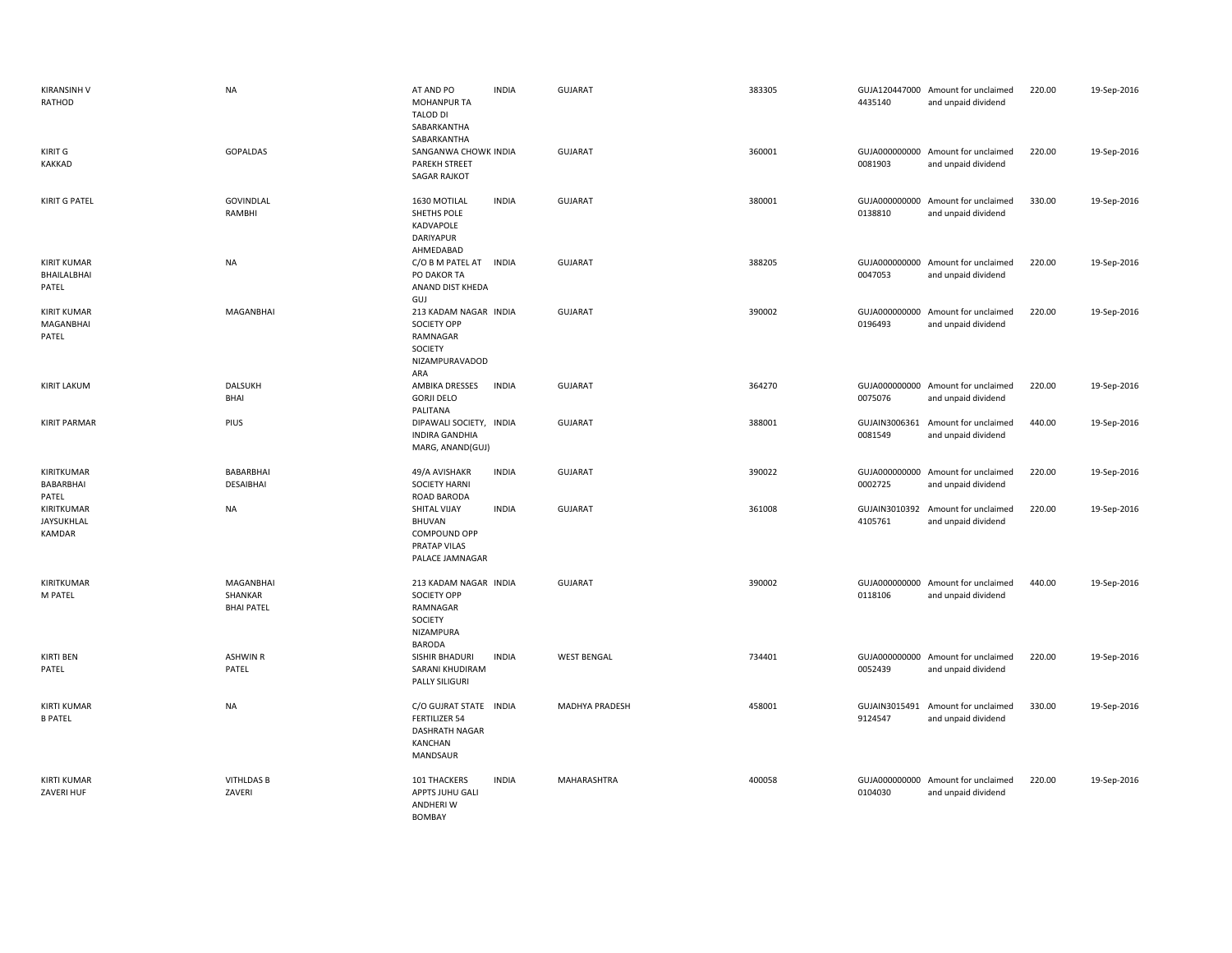| <b>KIRANSINH V</b><br>RATHOD               | <b>NA</b>                                 | AT AND PO<br><b>MOHANPUR TA</b><br><b>TALOD DI</b><br>SABARKANTHA<br>SABARKANTHA                 | <b>INDIA</b> | <b>GUJARAT</b>     | 383305 | 4435140                  | GUJA120447000 Amount for unclaimed<br>and unpaid dividend | 220.00 | 19-Sep-2016 |
|--------------------------------------------|-------------------------------------------|--------------------------------------------------------------------------------------------------|--------------|--------------------|--------|--------------------------|-----------------------------------------------------------|--------|-------------|
| KIRIT G<br><b>KAKKAD</b>                   | GOPALDAS                                  | SANGANWA CHOWK INDIA<br><b>PAREKH STREET</b><br><b>SAGAR RAJKOT</b>                              |              | <b>GUJARAT</b>     | 360001 | 0081903                  | GUJA000000000 Amount for unclaimed<br>and unpaid dividend | 220.00 | 19-Sep-2016 |
| <b>KIRIT G PATEL</b>                       | GOVINDLAL<br>RAMBHI                       | 1630 MOTILAL<br>SHETHS POLE<br>KADVAPOLE<br><b>DARIYAPUR</b><br>AHMEDABAD                        | <b>INDIA</b> | GUJARAT            | 380001 | 0138810                  | GUJA000000000 Amount for unclaimed<br>and unpaid dividend | 330.00 | 19-Sep-2016 |
| <b>KIRIT KUMAR</b><br>BHAILALBHAI<br>PATEL | <b>NA</b>                                 | C/O B M PATEL AT INDIA<br>PO DAKOR TA<br>ANAND DIST KHEDA<br>GUJ                                 |              | <b>GUJARAT</b>     | 388205 | 0047053                  | GUJA000000000 Amount for unclaimed<br>and unpaid dividend | 220.00 | 19-Sep-2016 |
| <b>KIRIT KUMAR</b><br>MAGANBHAI<br>PATEL   | <b>MAGANBHAI</b>                          | 213 KADAM NAGAR INDIA<br><b>SOCIETY OPP</b><br>RAMNAGAR<br>SOCIETY<br>NIZAMPURAVADOD<br>ARA      |              | <b>GUJARAT</b>     | 390002 | 0196493                  | GUJA000000000 Amount for unclaimed<br>and unpaid dividend | 220.00 | 19-Sep-2016 |
| <b>KIRIT LAKUM</b>                         | <b>DALSUKH</b><br><b>BHAI</b>             | AMBIKA DRESSES<br><b>GORJI DELO</b><br>PALITANA                                                  | <b>INDIA</b> | <b>GUJARAT</b>     | 364270 | 0075076                  | GUJA000000000 Amount for unclaimed<br>and unpaid dividend | 220.00 | 19-Sep-2016 |
| <b>KIRIT PARMAR</b>                        | PIUS                                      | DIPAWALI SOCIETY, INDIA<br><b>INDIRA GANDHIA</b><br>MARG, ANAND(GUJ)                             |              | <b>GUJARAT</b>     | 388001 | 0081549                  | GUJAIN3006361 Amount for unclaimed<br>and unpaid dividend | 440.00 | 19-Sep-2016 |
| KIRITKUMAR<br>BABARBHAI<br>PATEL           | BABARBHAI<br>DESAIBHAI                    | 49/A AVISHAKR<br><b>SOCIETY HARNI</b><br>ROAD BARODA                                             | <b>INDIA</b> | <b>GUJARAT</b>     | 390022 | 0002725                  | GUJA000000000 Amount for unclaimed<br>and unpaid dividend | 220.00 | 19-Sep-2016 |
| KIRITKUMAR<br><b>JAYSUKHLAL</b><br>KAMDAR  | <b>NA</b>                                 | SHITAL VIJAY<br><b>BHUVAN</b><br>COMPOUND OPP<br>PRATAP VILAS<br>PALACE JAMNAGAR                 | <b>INDIA</b> | <b>GUJARAT</b>     | 361008 | GUJAIN3010392<br>4105761 | Amount for unclaimed<br>and unpaid dividend               | 220.00 | 19-Sep-2016 |
| KIRITKUMAR<br>M PATEL                      | MAGANBHAI<br>SHANKAR<br><b>BHAI PATEL</b> | 213 KADAM NAGAR INDIA<br><b>SOCIETY OPP</b><br>RAMNAGAR<br>SOCIETY<br>NIZAMPURA<br><b>BARODA</b> |              | <b>GUJARAT</b>     | 390002 | 0118106                  | GUJA000000000 Amount for unclaimed<br>and unpaid dividend | 440.00 | 19-Sep-2016 |
| <b>KIRTI BEN</b><br>PATEL                  | <b>ASHWIN R</b><br>PATEL                  | SISHIR BHADURI<br>SARANI KHUDIRAM<br>PALLY SILIGURI                                              | <b>INDIA</b> | <b>WEST BENGAL</b> | 734401 | 0052439                  | GUJA000000000 Amount for unclaimed<br>and unpaid dividend | 220.00 | 19-Sep-2016 |
| <b>KIRTI KUMAR</b><br><b>B PATEL</b>       | <b>NA</b>                                 | C/O GUJRAT STATE INDIA<br><b>FERTILIZER 54</b><br><b>DASHRATH NAGAR</b><br>KANCHAN<br>MANDSAUR   |              | MADHYA PRADESH     | 458001 | GUJAIN3015491<br>9124547 | Amount for unclaimed<br>and unpaid dividend               | 330.00 | 19-Sep-2016 |
| <b>KIRTI KUMAR</b><br>ZAVERI HUF           | <b>VITHLDAS B</b><br>ZAVERI               | 101 THACKERS<br>APPTS JUHU GALI<br><b>ANDHERIW</b><br><b>BOMBAY</b>                              | <b>INDIA</b> | MAHARASHTRA        | 400058 | 0104030                  | GUJA000000000 Amount for unclaimed<br>and unpaid dividend | 220.00 | 19-Sep-2016 |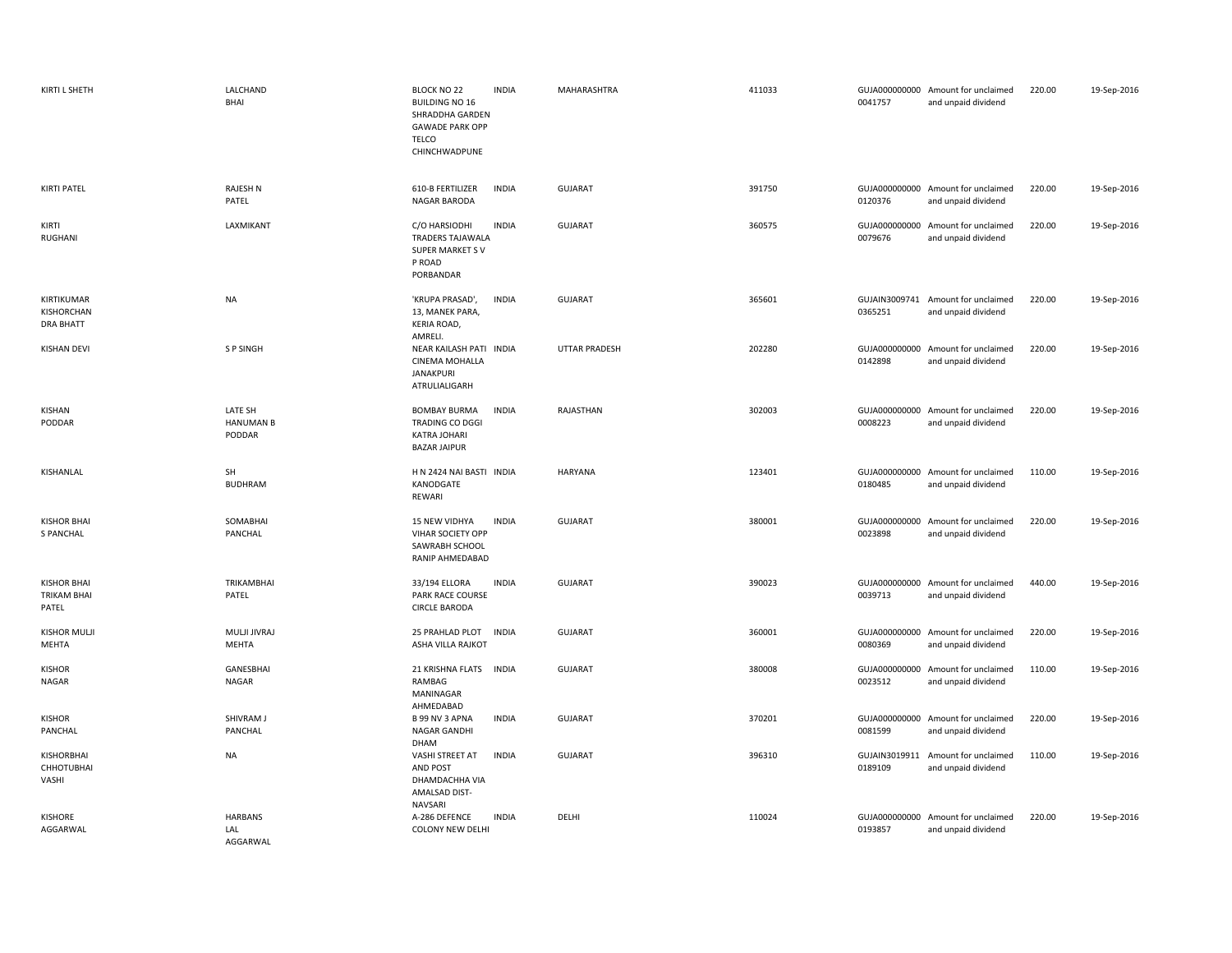| KIRTI L SHETH                              | LALCHAND<br>BHAI                      | <b>BLOCK NO 22</b><br><b>INDIA</b><br><b>BUILDING NO 16</b><br>SHRADDHA GARDEN<br><b>GAWADE PARK OPP</b><br><b>TELCO</b><br>CHINCHWADPUNE | MAHARASHTRA    | 411033 | 0041757                  | GUJA000000000 Amount for unclaimed<br>and unpaid dividend | 220.00 | 19-Sep-2016 |
|--------------------------------------------|---------------------------------------|-------------------------------------------------------------------------------------------------------------------------------------------|----------------|--------|--------------------------|-----------------------------------------------------------|--------|-------------|
| <b>KIRTI PATEL</b>                         | RAJESH N<br>PATEL                     | 610-B FERTILIZER<br><b>INDIA</b><br>NAGAR BARODA                                                                                          | <b>GUJARAT</b> | 391750 | 0120376                  | GUJA000000000 Amount for unclaimed<br>and unpaid dividend | 220.00 | 19-Sep-2016 |
| KIRTI<br>RUGHANI                           | LAXMIKANT                             | C/O HARSIODHI<br><b>INDIA</b><br><b>TRADERS TAJAWALA</b><br><b>SUPER MARKET SV</b><br>P ROAD<br>PORBANDAR                                 | <b>GUJARAT</b> | 360575 | 0079676                  | GUJA000000000 Amount for unclaimed<br>and unpaid dividend | 220.00 | 19-Sep-2016 |
| KIRTIKUMAR<br>KISHORCHAN<br>DRA BHATT      | <b>NA</b>                             | 'KRUPA PRASAD',<br><b>INDIA</b><br>13, MANEK PARA,<br>KERIA ROAD,<br>AMRELI.                                                              | <b>GUJARAT</b> | 365601 | 0365251                  | GUJAIN3009741 Amount for unclaimed<br>and unpaid dividend | 220.00 | 19-Sep-2016 |
| <b>KISHAN DEVI</b>                         | S P SINGH                             | NEAR KAILASH PATI INDIA<br>CINEMA MOHALLA<br><b>JANAKPURI</b><br>ATRULIALIGARH                                                            | UTTAR PRADESH  | 202280 | 0142898                  | GUJA000000000 Amount for unclaimed<br>and unpaid dividend | 220.00 | 19-Sep-2016 |
| KISHAN<br>PODDAR                           | LATE SH<br><b>HANUMAN B</b><br>PODDAR | <b>INDIA</b><br><b>BOMBAY BURMA</b><br>TRADING CO DGGI<br>KATRA JOHARI<br><b>BAZAR JAIPUR</b>                                             | RAJASTHAN      | 302003 | 0008223                  | GUJA000000000 Amount for unclaimed<br>and unpaid dividend | 220.00 | 19-Sep-2016 |
| KISHANLAL                                  | SH<br><b>BUDHRAM</b>                  | H N 2424 NAI BASTI INDIA<br>KANODGATE<br>REWARI                                                                                           | <b>HARYANA</b> | 123401 | 0180485                  | GUJA000000000 Amount for unclaimed<br>and unpaid dividend | 110.00 | 19-Sep-2016 |
| <b>KISHOR BHAI</b><br><b>S PANCHAL</b>     | SOMABHAI<br>PANCHAL                   | 15 NEW VIDHYA<br><b>INDIA</b><br>VIHAR SOCIETY OPP<br>SAWRABH SCHOOL<br>RANIP AHMEDABAD                                                   | GUJARAT        | 380001 | 0023898                  | GUJA000000000 Amount for unclaimed<br>and unpaid dividend | 220.00 | 19-Sep-2016 |
| <b>KISHOR BHAI</b><br>TRIKAM BHAI<br>PATEL | TRIKAMBHAI<br>PATEL                   | 33/194 ELLORA<br><b>INDIA</b><br>PARK RACE COURSE<br><b>CIRCLE BARODA</b>                                                                 | <b>GUJARAT</b> | 390023 | 0039713                  | GUJA000000000 Amount for unclaimed<br>and unpaid dividend | 440.00 | 19-Sep-2016 |
| <b>KISHOR MULJI</b><br>MEHTA               | MULJI JIVRAJ<br>MEHTA                 | 25 PRAHLAD PLOT<br><b>INDIA</b><br>ASHA VILLA RAJKOT                                                                                      | <b>GUJARAT</b> | 360001 | 0080369                  | GUJA000000000 Amount for unclaimed<br>and unpaid dividend | 220.00 | 19-Sep-2016 |
| <b>KISHOR</b><br>NAGAR                     | GANESBHAI<br>NAGAR                    | 21 KRISHNA FLATS INDIA<br>RAMBAG<br>MANINAGAR<br>AHMEDABAD                                                                                | <b>GUJARAT</b> | 380008 | 0023512                  | GUJA000000000 Amount for unclaimed<br>and unpaid dividend | 110.00 | 19-Sep-2016 |
| <b>KISHOR</b><br>PANCHAL                   | SHIVRAM J<br>PANCHAL                  | <b>INDIA</b><br>B 99 NV 3 APNA<br>NAGAR GANDHI                                                                                            | <b>GUJARAT</b> | 370201 | 0081599                  | GUJA000000000 Amount for unclaimed<br>and unpaid dividend | 220.00 | 19-Sep-2016 |
| KISHORBHAI<br>CHHOTUBHAI<br>VASHI          | <b>NA</b>                             | DHAM<br><b>INDIA</b><br>VASHI STREET AT<br>AND POST<br>DHAMDACHHA VIA<br>AMALSAD DIST-<br>NAVSARI                                         | <b>GUJARAT</b> | 396310 | GUJAIN3019911<br>0189109 | Amount for unclaimed<br>and unpaid dividend               | 110.00 | 19-Sep-2016 |
| KISHORE<br>AGGARWAL                        | <b>HARBANS</b><br>LAL<br>AGGARWAL     | A-286 DEFENCE<br><b>INDIA</b><br><b>COLONY NEW DELHI</b>                                                                                  | DELHI          | 110024 | 0193857                  | GUJA000000000 Amount for unclaimed<br>and unpaid dividend | 220.00 | 19-Sep-2016 |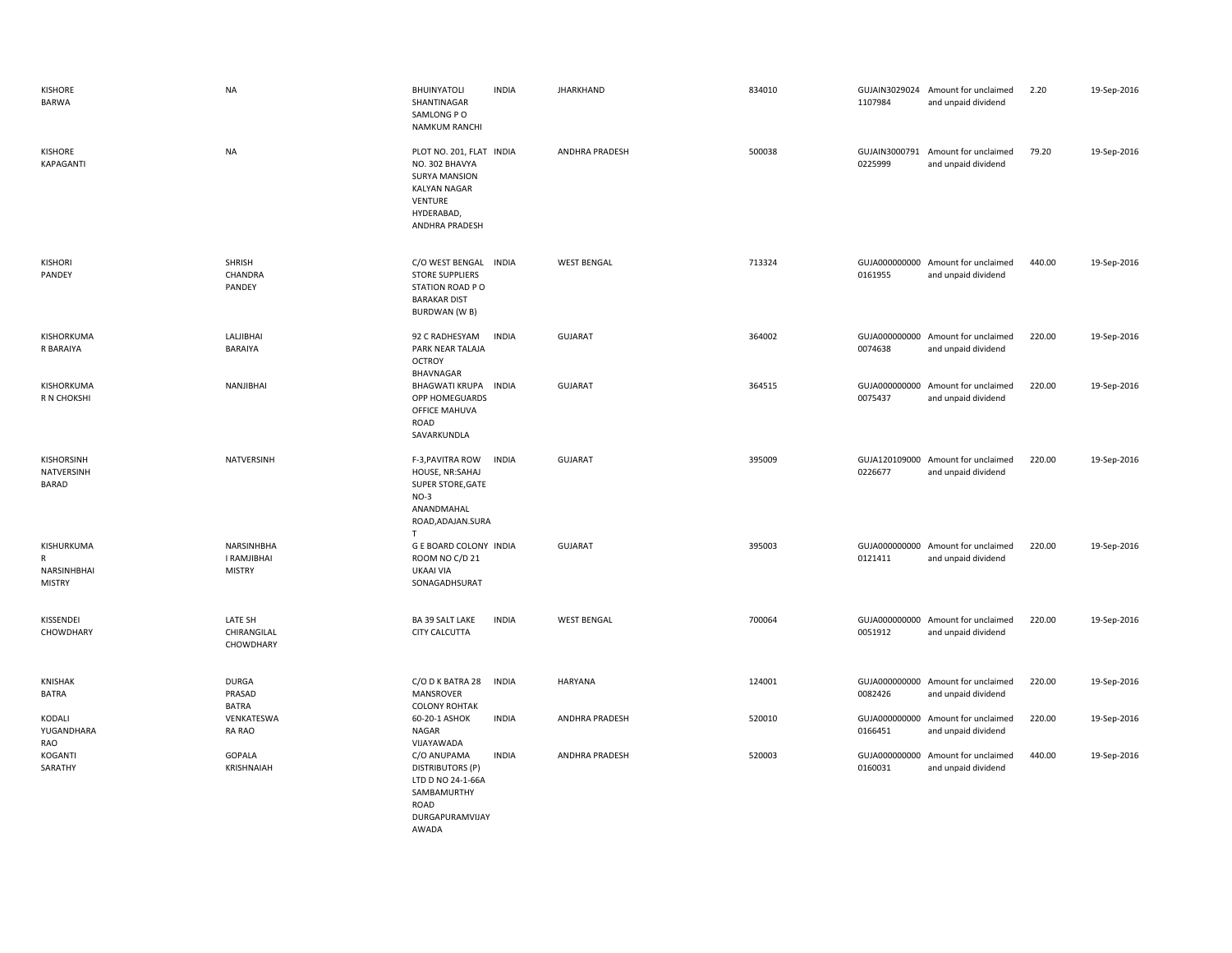| KISHORE<br>BARWA                                           | <b>NA</b>                                  | <b>BHUINYATOLI</b><br>SHANTINAGAR<br>SAMLONG PO<br><b>NAMKUM RANCHI</b>                                                              | <b>INDIA</b> | <b>JHARKHAND</b>      | 834010 | 1107984                  | GUJAIN3029024 Amount for unclaimed<br>and unpaid dividend | 2.20   | 19-Sep-2016 |
|------------------------------------------------------------|--------------------------------------------|--------------------------------------------------------------------------------------------------------------------------------------|--------------|-----------------------|--------|--------------------------|-----------------------------------------------------------|--------|-------------|
| KISHORE<br>KAPAGANTI                                       | <b>NA</b>                                  | PLOT NO. 201, FLAT INDIA<br>NO. 302 BHAVYA<br><b>SURYA MANSION</b><br><b>KALYAN NAGAR</b><br>VENTURE<br>HYDERABAD,<br>ANDHRA PRADESH |              | ANDHRA PRADESH        | 500038 | GUJAIN3000791<br>0225999 | Amount for unclaimed<br>and unpaid dividend               | 79.20  | 19-Sep-2016 |
| <b>KISHORI</b><br>PANDEY                                   | SHRISH<br>CHANDRA<br>PANDEY                | C/O WEST BENGAL INDIA<br><b>STORE SUPPLIERS</b><br>STATION ROAD PO<br><b>BARAKAR DIST</b><br><b>BURDWAN (W B)</b>                    |              | <b>WEST BENGAL</b>    | 713324 | 0161955                  | GUJA000000000 Amount for unclaimed<br>and unpaid dividend | 440.00 | 19-Sep-2016 |
| KISHORKUMA<br>R BARAIYA                                    | LALJIBHAI<br>BARAIYA                       | 92 C RADHESYAM<br>PARK NEAR TALAJA<br><b>OCTROY</b><br>BHAVNAGAR                                                                     | <b>INDIA</b> | <b>GUJARAT</b>        | 364002 | 0074638                  | GUJA000000000 Amount for unclaimed<br>and unpaid dividend | 220.00 | 19-Sep-2016 |
| KISHORKUMA<br>R N CHOKSHI                                  | NANJIBHAI                                  | BHAGWATI KRUPA INDIA<br>OPP HOMEGUARDS<br>OFFICE MAHUVA<br>ROAD<br>SAVARKUNDLA                                                       |              | <b>GUJARAT</b>        | 364515 | 0075437                  | GUJA000000000 Amount for unclaimed<br>and unpaid dividend | 220.00 | 19-Sep-2016 |
| KISHORSINH<br>NATVERSINH<br><b>BARAD</b>                   | NATVERSINH                                 | F-3, PAVITRA ROW<br>HOUSE, NR:SAHAJ<br>SUPER STORE, GATE<br>$NO-3$<br>ANANDMAHAL<br>ROAD, ADAJAN. SURA<br>$\mathsf{T}$               | <b>INDIA</b> | <b>GUJARAT</b>        | 395009 | 0226677                  | GUJA120109000 Amount for unclaimed<br>and unpaid dividend | 220.00 | 19-Sep-2016 |
| KISHURKUMA<br>$\mathsf{R}$<br>NARSINHBHAI<br><b>MISTRY</b> | NARSINHBHA<br>I RAMJIBHAI<br><b>MISTRY</b> | <b>G E BOARD COLONY INDIA</b><br>ROOM NO C/D 21<br>UKAAI VIA<br>SONAGADHSURAT                                                        |              | <b>GUJARAT</b>        | 395003 | 0121411                  | GUJA000000000 Amount for unclaimed<br>and unpaid dividend | 220.00 | 19-Sep-2016 |
| KISSENDEI<br>CHOWDHARY                                     | LATE SH<br>CHIRANGILAL<br>CHOWDHARY        | BA 39 SALT LAKE<br><b>CITY CALCUTTA</b>                                                                                              | <b>INDIA</b> | <b>WEST BENGAL</b>    | 700064 | 0051912                  | GUJA000000000 Amount for unclaimed<br>and unpaid dividend | 220.00 | 19-Sep-2016 |
| KNISHAK<br><b>BATRA</b>                                    | <b>DURGA</b><br>PRASAD<br><b>BATRA</b>     | C/O D K BATRA 28<br><b>MANSROVER</b><br><b>COLONY ROHTAK</b>                                                                         | <b>INDIA</b> | HARYANA               | 124001 | 0082426                  | GUJA000000000 Amount for unclaimed<br>and unpaid dividend | 220.00 | 19-Sep-2016 |
| KODALI<br>YUGANDHARA<br>RAO                                | VENKATESWA<br><b>RA RAO</b>                | 60-20-1 ASHOK<br>NAGAR<br>VIJAYAWADA                                                                                                 | <b>INDIA</b> | <b>ANDHRA PRADESH</b> | 520010 | 0166451                  | GUJA000000000 Amount for unclaimed<br>and unpaid dividend | 220.00 | 19-Sep-2016 |
| KOGANTI<br>SARATHY                                         | GOPALA<br>KRISHNAIAH                       | C/O ANUPAMA<br><b>DISTRIBUTORS (P)</b><br>LTD D NO 24-1-66A<br>SAMBAMURTHY<br>ROAD<br>DURGAPURAMVIJAY                                | <b>INDIA</b> | <b>ANDHRA PRADESH</b> | 520003 | 0160031                  | GUJA000000000 Amount for unclaimed<br>and unpaid dividend | 440.00 | 19-Sep-2016 |

AWADA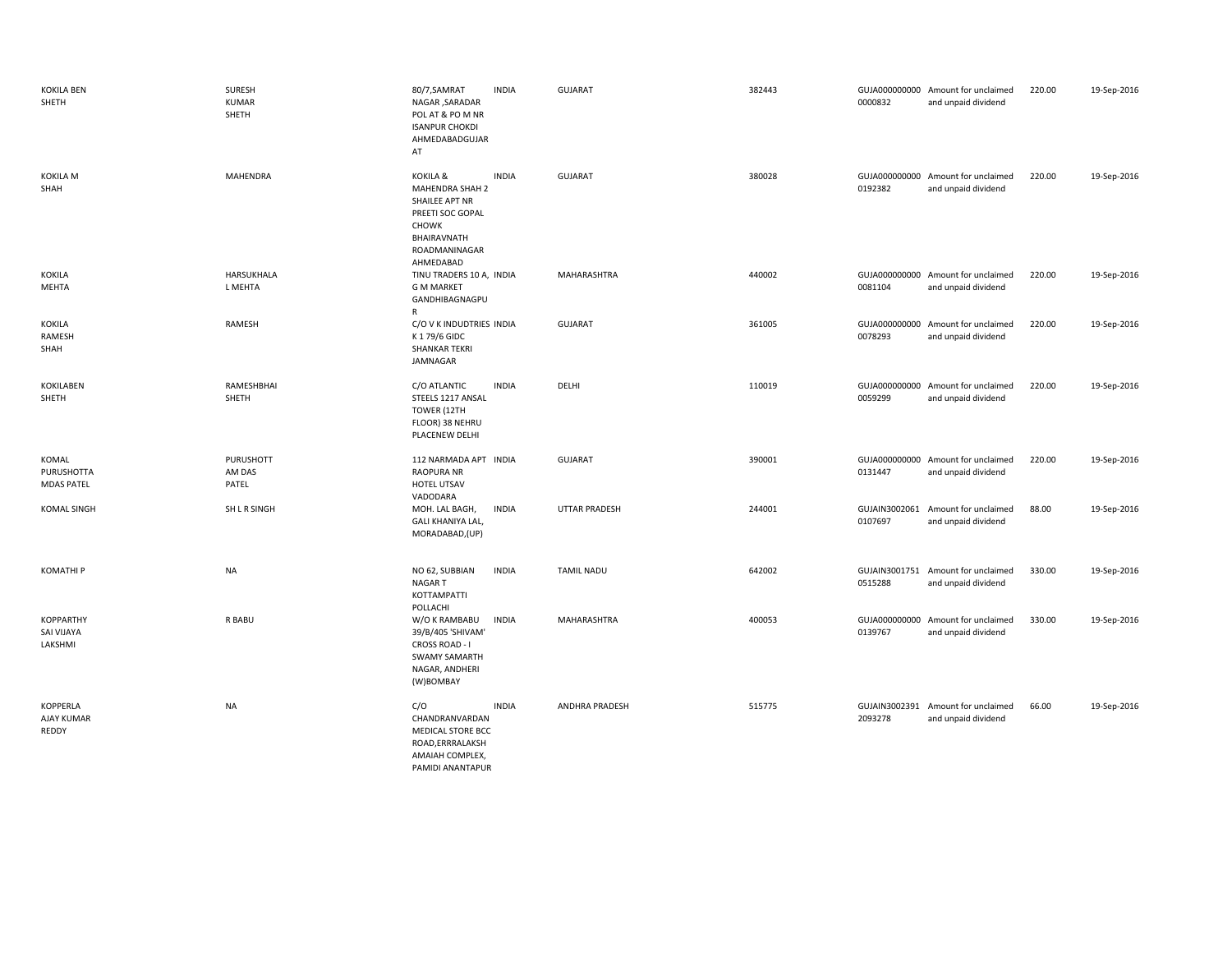| <b>KOKILA BEN</b><br>SHETH                       | SURESH<br><b>KUMAR</b><br>SHETH | 80/7, SAMRAT<br>NAGAR , SARADAR<br>POL AT & PO M NR<br><b>ISANPUR CHOKDI</b><br>AHMEDABADGUJAR<br>AT                    | <b>INDIA</b> | <b>GUJARAT</b>        | 382443 | 0000832 | GUJA000000000 Amount for unclaimed<br>and unpaid dividend | 220.00 | 19-Sep-2016 |
|--------------------------------------------------|---------------------------------|-------------------------------------------------------------------------------------------------------------------------|--------------|-----------------------|--------|---------|-----------------------------------------------------------|--------|-------------|
| KOKILA M<br>SHAH                                 | <b>MAHENDRA</b>                 | KOKILA &<br>MAHENDRA SHAH 2<br>SHAILEE APT NR<br>PREETI SOC GOPAL<br>CHOWK<br>BHAIRAVNATH<br>ROADMANINAGAR<br>AHMEDABAD | <b>INDIA</b> | <b>GUJARAT</b>        | 380028 | 0192382 | GUJA000000000 Amount for unclaimed<br>and unpaid dividend | 220.00 | 19-Sep-2016 |
| <b>KOKILA</b><br>MEHTA                           | HARSUKHALA<br>L MEHTA           | TINU TRADERS 10 A, INDIA<br><b>G M MARKET</b><br>GANDHIBAGNAGPU<br>R                                                    |              | MAHARASHTRA           | 440002 | 0081104 | GUJA000000000 Amount for unclaimed<br>and unpaid dividend | 220.00 | 19-Sep-2016 |
| KOKILA<br>RAMESH<br>SHAH                         | RAMESH                          | C/O V K INDUDTRIES INDIA<br>K 179/6 GIDC<br><b>SHANKAR TEKRI</b><br>JAMNAGAR                                            |              | <b>GUJARAT</b>        | 361005 | 0078293 | GUJA000000000 Amount for unclaimed<br>and unpaid dividend | 220.00 | 19-Sep-2016 |
| <b>KOKILABEN</b><br>SHETH                        | RAMESHBHAI<br>SHETH             | C/O ATLANTIC<br>STEELS 1217 ANSAL<br>TOWER (12TH<br>FLOOR) 38 NEHRU<br>PLACENEW DELHI                                   | <b>INDIA</b> | DELHI                 | 110019 | 0059299 | GUJA000000000 Amount for unclaimed<br>and unpaid dividend | 220.00 | 19-Sep-2016 |
| KOMAL<br><b>PURUSHOTTA</b><br><b>MDAS PATEL</b>  | PURUSHOTT<br>AM DAS<br>PATEL    | 112 NARMADA APT INDIA<br><b>RAOPURA NR</b><br>HOTEL UTSAV<br>VADODARA                                                   |              | <b>GUJARAT</b>        | 390001 | 0131447 | GUJA000000000 Amount for unclaimed<br>and unpaid dividend | 220.00 | 19-Sep-2016 |
| <b>KOMAL SINGH</b>                               | SH L R SINGH                    | MOH. LAL BAGH,<br>GALI KHANIYA LAL,<br>MORADABAD,(UP)                                                                   | <b>INDIA</b> | <b>UTTAR PRADESH</b>  | 244001 | 0107697 | GUJAIN3002061 Amount for unclaimed<br>and unpaid dividend | 88.00  | 19-Sep-2016 |
| <b>KOMATHIP</b>                                  | <b>NA</b>                       | NO 62, SUBBIAN<br>NAGAR T<br>KOTTAMPATTI<br>POLLACHI                                                                    | <b>INDIA</b> | <b>TAMIL NADU</b>     | 642002 | 0515288 | GUJAIN3001751 Amount for unclaimed<br>and unpaid dividend | 330.00 | 19-Sep-2016 |
| <b>KOPPARTHY</b><br><b>SAI VIJAYA</b><br>LAKSHMI | R BABU                          | W/O K RAMBABU<br>39/B/405 'SHIVAM'<br>CROSS ROAD - I<br><b>SWAMY SAMARTH</b><br>NAGAR, ANDHERI<br>(W)BOMBAY             | <b>INDIA</b> | MAHARASHTRA           | 400053 | 0139767 | GUJA000000000 Amount for unclaimed<br>and unpaid dividend | 330.00 | 19-Sep-2016 |
| <b>KOPPERLA</b><br>AJAY KUMAR<br>REDDY           | <b>NA</b>                       | C/O<br>CHANDRANVARDAN<br>MEDICAL STORE BCC<br>ROAD, ERRRALAKSH<br>AMAIAH COMPLEX,<br>PAMIDI ANANTAPUR                   | <b>INDIA</b> | <b>ANDHRA PRADESH</b> | 515775 | 2093278 | GUJAIN3002391 Amount for unclaimed<br>and unpaid dividend | 66.00  | 19-Sep-2016 |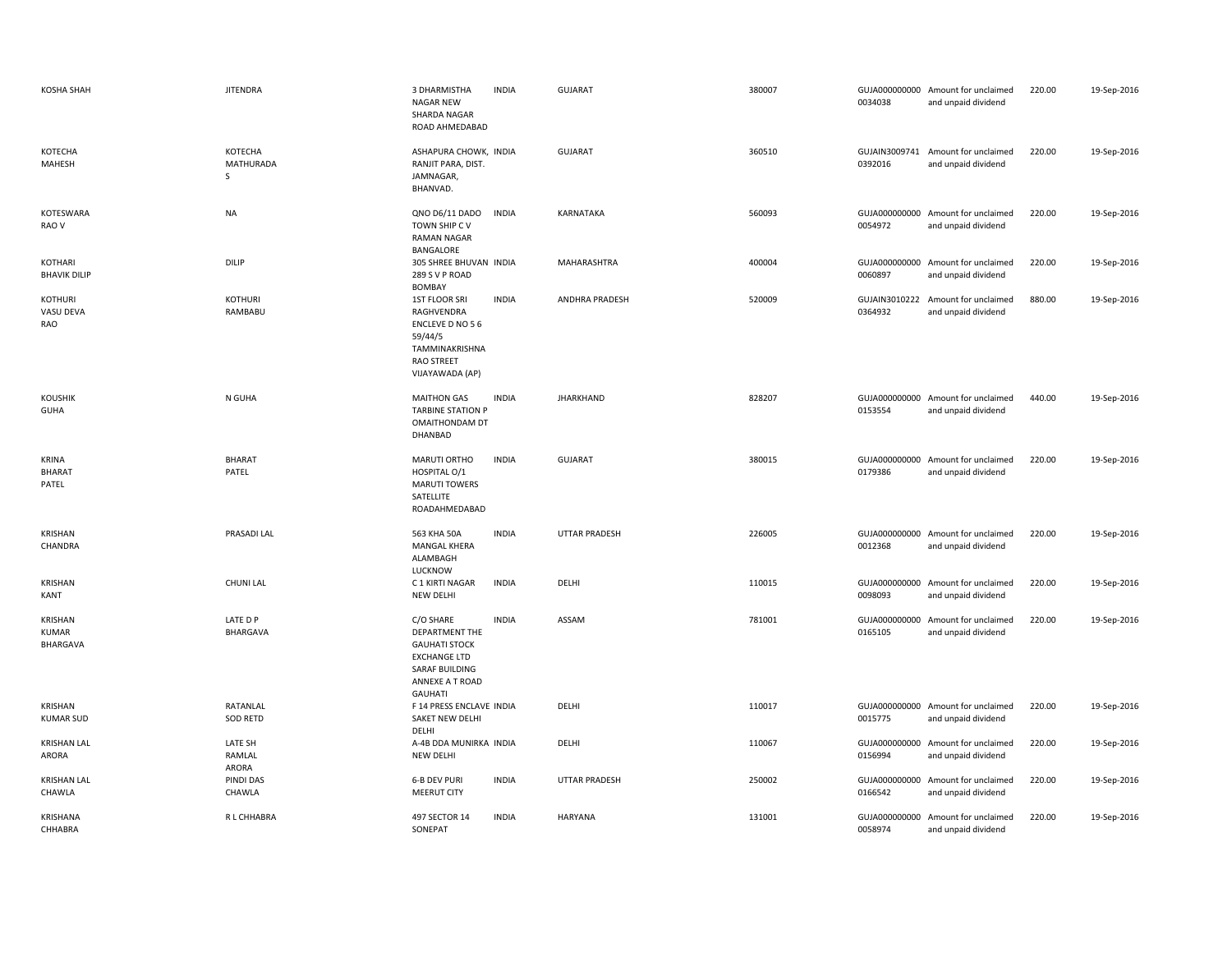| KOSHA SHAH                                 | <b>JITENDRA</b>            | 3 DHARMISTHA<br><b>NAGAR NEW</b><br>SHARDA NAGAR<br>ROAD AHMEDABAD                                                                | <b>INDIA</b> | <b>GUJARAT</b>       | 380007 | 0034038                  | GUJA000000000 Amount for unclaimed<br>and unpaid dividend | 220.00 | 19-Sep-2016 |
|--------------------------------------------|----------------------------|-----------------------------------------------------------------------------------------------------------------------------------|--------------|----------------------|--------|--------------------------|-----------------------------------------------------------|--------|-------------|
| КОТЕСНА<br>MAHESH                          | KOTECHA<br>MATHURADA<br>s  | ASHAPURA CHOWK, INDIA<br>RANJIT PARA, DIST.<br>JAMNAGAR,<br>BHANVAD.                                                              |              | <b>GUJARAT</b>       | 360510 | 0392016                  | GUJAIN3009741 Amount for unclaimed<br>and unpaid dividend | 220.00 | 19-Sep-2016 |
| KOTESWARA<br>RAO V                         | <b>NA</b>                  | QNO D6/11 DADO<br>TOWN SHIP CV<br><b>RAMAN NAGAR</b><br>BANGALORE                                                                 | <b>INDIA</b> | KARNATAKA            | 560093 | 0054972                  | GUJA000000000 Amount for unclaimed<br>and unpaid dividend | 220.00 | 19-Sep-2016 |
| KOTHARI<br><b>BHAVIK DILIP</b>             | <b>DILIP</b>               | 305 SHREE BHUVAN INDIA<br>289 S V P ROAD<br><b>BOMBAY</b>                                                                         |              | MAHARASHTRA          | 400004 | 0060897                  | GUJA000000000 Amount for unclaimed<br>and unpaid dividend | 220.00 | 19-Sep-2016 |
| KOTHURI<br>VASU DEVA<br>RAO                | <b>KOTHURI</b><br>RAMBABU  | <b>1ST FLOOR SRI</b><br>RAGHVENDRA<br>ENCLEVE D NO 56<br>59/44/5<br>TAMMINAKRISHNA<br><b>RAO STREET</b><br>VIJAYAWADA (AP)        | <b>INDIA</b> | ANDHRA PRADESH       | 520009 | GUJAIN3010222<br>0364932 | Amount for unclaimed<br>and unpaid dividend               | 880.00 | 19-Sep-2016 |
| KOUSHIK<br><b>GUHA</b>                     | N GUHA                     | <b>MAITHON GAS</b><br><b>TARBINE STATION P</b><br>OMAITHONDAM DT<br>DHANBAD                                                       | <b>INDIA</b> | <b>JHARKHAND</b>     | 828207 | 0153554                  | GUJA000000000 Amount for unclaimed<br>and unpaid dividend | 440.00 | 19-Sep-2016 |
| <b>KRINA</b><br><b>BHARAT</b><br>PATEL     | <b>BHARAT</b><br>PATEL     | MARUTI ORTHO<br>HOSPITAL O/1<br><b>MARUTI TOWERS</b><br>SATELLITE<br>ROADAHMEDABAD                                                | <b>INDIA</b> | <b>GUJARAT</b>       | 380015 | 0179386                  | GUJA000000000 Amount for unclaimed<br>and unpaid dividend | 220.00 | 19-Sep-2016 |
| KRISHAN<br>CHANDRA                         | PRASADI LAL                | 563 KHA 50A<br><b>MANGAL KHERA</b><br>ALAMBAGH<br>LUCKNOW                                                                         | <b>INDIA</b> | <b>UTTAR PRADESH</b> | 226005 | 0012368                  | GUJA000000000 Amount for unclaimed<br>and unpaid dividend | 220.00 | 19-Sep-2016 |
| KRISHAN<br>KANT                            | <b>CHUNI LAL</b>           | C 1 KIRTI NAGAR<br><b>NEW DELHI</b>                                                                                               | <b>INDIA</b> | DELHI                | 110015 | 0098093                  | GUJA000000000 Amount for unclaimed<br>and unpaid dividend | 220.00 | 19-Sep-2016 |
| KRISHAN<br><b>KUMAR</b><br><b>BHARGAVA</b> | LATE D P<br>BHARGAVA       | C/O SHARE<br>DEPARTMENT THE<br><b>GAUHATI STOCK</b><br><b>EXCHANGE LTD</b><br>SARAF BUILDING<br>ANNEXE A T ROAD<br><b>GAUHATI</b> | <b>INDIA</b> | ASSAM                | 781001 | 0165105                  | GUJA000000000 Amount for unclaimed<br>and unpaid dividend | 220.00 | 19-Sep-2016 |
| KRISHAN<br><b>KUMAR SUD</b>                | RATANLAL<br>SOD RETD       | F 14 PRESS ENCLAVE INDIA<br>SAKET NEW DELHI<br>DELHI                                                                              |              | DELHI                | 110017 | 0015775                  | GUJA000000000 Amount for unclaimed<br>and unpaid dividend | 220.00 | 19-Sep-2016 |
| <b>KRISHAN LAL</b><br>ARORA                | LATE SH<br>RAMLAL<br>ARORA | A-4B DDA MUNIRKA INDIA<br><b>NEW DELHI</b>                                                                                        |              | DELHI                | 110067 | 0156994                  | GUJA000000000 Amount for unclaimed<br>and unpaid dividend | 220.00 | 19-Sep-2016 |
| <b>KRISHAN LAL</b><br>CHAWLA               | PINDI DAS<br>CHAWLA        | <b>6-B DEV PURI</b><br><b>MEERUT CITY</b>                                                                                         | <b>INDIA</b> | <b>UTTAR PRADESH</b> | 250002 | 0166542                  | GUJA000000000 Amount for unclaimed<br>and unpaid dividend | 220.00 | 19-Sep-2016 |
| KRISHANA<br>CHHABRA                        | R L CHHABRA                | 497 SECTOR 14<br>SONEPAT                                                                                                          | <b>INDIA</b> | <b>HARYANA</b>       | 131001 | 0058974                  | GUJA000000000 Amount for unclaimed<br>and unpaid dividend | 220.00 | 19-Sep-2016 |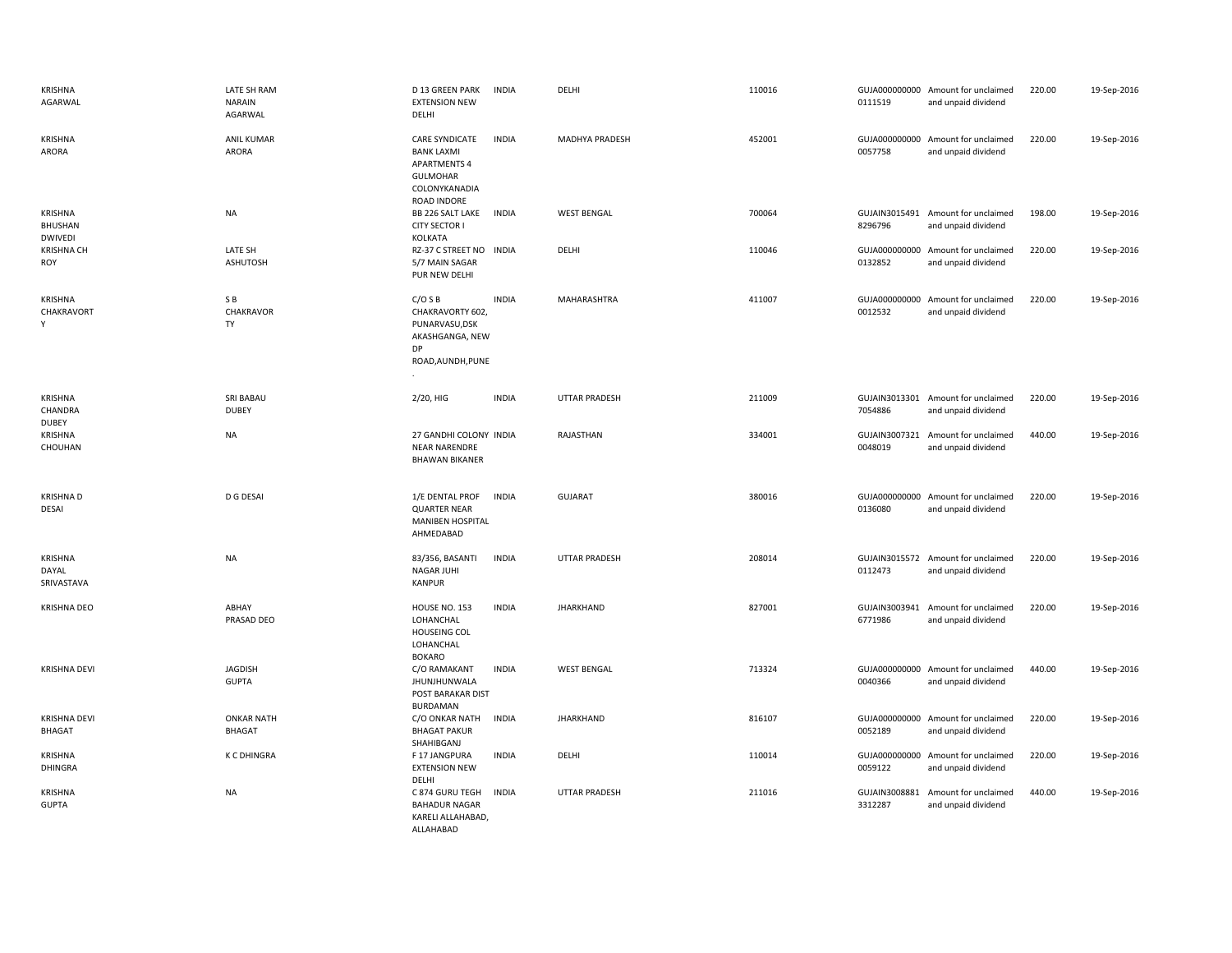| KRISHNA<br>AGARWAL                          | LATE SH RAM<br><b>NARAIN</b><br>AGARWAL | D 13 GREEN PARK<br><b>INDIA</b><br><b>EXTENSION NEW</b><br>DELHI                                                       | DELHI                | 110016 | 0111519 | GUJA000000000 Amount for unclaimed<br>and unpaid dividend | 220.00 | 19-Sep-2016 |
|---------------------------------------------|-----------------------------------------|------------------------------------------------------------------------------------------------------------------------|----------------------|--------|---------|-----------------------------------------------------------|--------|-------------|
| <b>KRISHNA</b><br>ARORA                     | <b>ANIL KUMAR</b><br><b>ARORA</b>       | CARE SYNDICATE<br><b>INDIA</b><br><b>BANK LAXMI</b><br><b>APARTMENTS 4</b><br>GULMOHAR<br>COLONYKANADIA<br>ROAD INDORE | MADHYA PRADESH       | 452001 | 0057758 | GUJA000000000 Amount for unclaimed<br>and unpaid dividend | 220.00 | 19-Sep-2016 |
| KRISHNA<br><b>BHUSHAN</b><br><b>DWIVEDI</b> | <b>NA</b>                               | BB 226 SALT LAKE<br><b>INDIA</b><br><b>CITY SECTOR I</b><br>KOLKATA                                                    | <b>WEST BENGAL</b>   | 700064 | 8296796 | GUJAIN3015491 Amount for unclaimed<br>and unpaid dividend | 198.00 | 19-Sep-2016 |
| <b>KRISHNA CH</b><br>ROY                    | LATE SH<br><b>ASHUTOSH</b>              | RZ-37 C STREET NO<br><b>INDIA</b><br>5/7 MAIN SAGAR<br>PUR NEW DELHI                                                   | DELHI                | 110046 | 0132852 | GUJA000000000 Amount for unclaimed<br>and unpaid dividend | 220.00 | 19-Sep-2016 |
| <b>KRISHNA</b><br>CHAKRAVORT<br>Y           | SB<br>CHAKRAVOR<br>TY                   | C/OSB<br><b>INDIA</b><br>CHAKRAVORTY 602,<br>PUNARVASU, DSK<br>AKASHGANGA, NEW<br>DP<br>ROAD, AUNDH, PUNE              | MAHARASHTRA          | 411007 | 0012532 | GUJA000000000 Amount for unclaimed<br>and unpaid dividend | 220.00 | 19-Sep-2016 |
| KRISHNA<br>CHANDRA<br><b>DUBEY</b>          | SRI BABAU<br><b>DUBEY</b>               | 2/20, HIG<br><b>INDIA</b>                                                                                              | <b>UTTAR PRADESH</b> | 211009 | 7054886 | GUJAIN3013301 Amount for unclaimed<br>and unpaid dividend | 220.00 | 19-Sep-2016 |
| KRISHNA<br>CHOUHAN                          | <b>NA</b>                               | 27 GANDHI COLONY INDIA<br><b>NEAR NARENDRE</b><br><b>BHAWAN BIKANER</b>                                                | RAJASTHAN            | 334001 | 0048019 | GUJAIN3007321 Amount for unclaimed<br>and unpaid dividend | 440.00 | 19-Sep-2016 |
| <b>KRISHNAD</b><br><b>DESAI</b>             | D G DESAI                               | <b>INDIA</b><br>1/E DENTAL PROF<br><b>QUARTER NEAR</b><br>MANIBEN HOSPITAL<br>AHMEDABAD                                | <b>GUJARAT</b>       | 380016 | 0136080 | GUJA000000000 Amount for unclaimed<br>and unpaid dividend | 220.00 | 19-Sep-2016 |
| <b>KRISHNA</b><br>DAYAL<br>SRIVASTAVA       | <b>NA</b>                               | 83/356, BASANTI<br><b>INDIA</b><br><b>NAGAR JUHI</b><br><b>KANPUR</b>                                                  | <b>UTTAR PRADESH</b> | 208014 | 0112473 | GUJAIN3015572 Amount for unclaimed<br>and unpaid dividend | 220.00 | 19-Sep-2016 |
| <b>KRISHNA DEO</b>                          | ABHAY<br>PRASAD DEO                     | HOUSE NO. 153<br><b>INDIA</b><br>LOHANCHAL<br><b>HOUSEING COL</b><br>LOHANCHAL<br><b>BOKARO</b>                        | <b>JHARKHAND</b>     | 827001 | 6771986 | GUJAIN3003941 Amount for unclaimed<br>and unpaid dividend | 220.00 | 19-Sep-2016 |
| <b>KRISHNA DEVI</b>                         | <b>JAGDISH</b><br><b>GUPTA</b>          | <b>INDIA</b><br>C/O RAMAKANT<br>JHUNJHUNWALA<br>POST BARAKAR DIST<br><b>BURDAMAN</b>                                   | <b>WEST BENGAL</b>   | 713324 | 0040366 | GUJA000000000 Amount for unclaimed<br>and unpaid dividend | 440.00 | 19-Sep-2016 |
| <b>KRISHNA DEVI</b><br>BHAGAT               | <b>ONKAR NATH</b><br><b>BHAGAT</b>      | C/O ONKAR NATH<br><b>INDIA</b><br><b>BHAGAT PAKUR</b><br>SHAHIBGANJ                                                    | <b>JHARKHAND</b>     | 816107 | 0052189 | GUJA000000000 Amount for unclaimed<br>and unpaid dividend | 220.00 | 19-Sep-2016 |
| KRISHNA<br><b>DHINGRA</b>                   | <b>K C DHINGRA</b>                      | F 17 JANGPURA<br><b>INDIA</b><br><b>EXTENSION NEW</b><br>DELHI                                                         | DELHI                | 110014 | 0059122 | GUJA000000000 Amount for unclaimed<br>and unpaid dividend | 220.00 | 19-Sep-2016 |
| <b>KRISHNA</b><br><b>GUPTA</b>              | <b>NA</b>                               | C 874 GURU TEGH<br><b>INDIA</b><br><b>BAHADUR NAGAR</b><br>KARELI ALLAHABAD,<br>ALLAHABAD                              | <b>UTTAR PRADESH</b> | 211016 | 3312287 | GUJAIN3008881 Amount for unclaimed<br>and unpaid dividend | 440.00 | 19-Sep-2016 |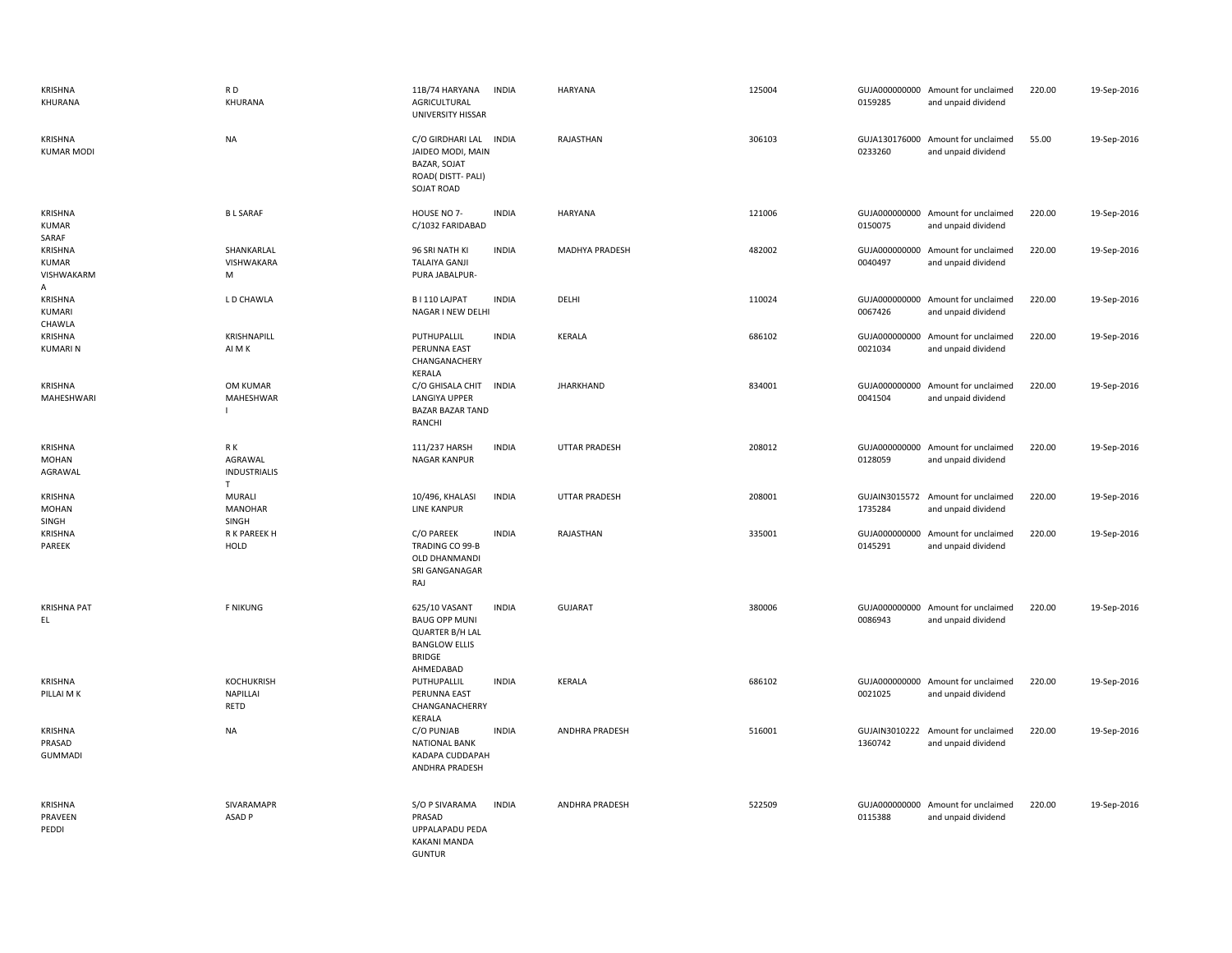| KRISHNA<br>KHURANA                         | RD<br>KHURANA                                        | 11B/74 HARYANA<br><b>INDIA</b><br>AGRICULTURAL<br>UNIVERSITY HISSAR                                                            | <b>HARYANA</b>        | 125004 | 0159285                  | GUJA000000000 Amount for unclaimed<br>and unpaid dividend | 220.00 | 19-Sep-2016 |
|--------------------------------------------|------------------------------------------------------|--------------------------------------------------------------------------------------------------------------------------------|-----------------------|--------|--------------------------|-----------------------------------------------------------|--------|-------------|
| KRISHNA<br><b>KUMAR MODI</b>               | <b>NA</b>                                            | C/O GIRDHARI LAL INDIA<br>JAIDEO MODI, MAIN<br>BAZAR, SOJAT<br>ROAD(DISTT-PALI)<br>SOJAT ROAD                                  | RAJASTHAN             | 306103 | 0233260                  | GUJA130176000 Amount for unclaimed<br>and unpaid dividend | 55.00  | 19-Sep-2016 |
| KRISHNA<br><b>KUMAR</b><br>SARAF           | <b>BL SARAF</b>                                      | HOUSE NO 7-<br><b>INDIA</b><br>C/1032 FARIDABAD                                                                                | <b>HARYANA</b>        | 121006 | 0150075                  | GUJA000000000 Amount for unclaimed<br>and unpaid dividend | 220.00 | 19-Sep-2016 |
| KRISHNA<br><b>KUMAR</b><br>VISHWAKARM<br>A | SHANKARLAL<br>VISHWAKARA<br>М                        | INDIA<br>96 SRI NATH KI<br><b>TALAIYA GANJI</b><br>PURA JABALPUR-                                                              | MADHYA PRADESH        | 482002 | 0040497                  | GUJA000000000 Amount for unclaimed<br>and unpaid dividend | 220.00 | 19-Sep-2016 |
| KRISHNA<br>KUMARI<br>CHAWLA                | L D CHAWLA                                           | B I 110 LAJPAT<br><b>INDIA</b><br>NAGAR I NEW DELHI                                                                            | DELHI                 | 110024 | GUJA000000000<br>0067426 | Amount for unclaimed<br>and unpaid dividend               | 220.00 | 19-Sep-2016 |
| KRISHNA<br><b>KUMARIN</b>                  | KRISHNAPILL<br>AI M K                                | <b>INDIA</b><br>PUTHUPALLIL<br>PERUNNA EAST<br>CHANGANACHERY<br>KERALA                                                         | KERALA                | 686102 | 0021034                  | GUJA000000000 Amount for unclaimed<br>and unpaid dividend | 220.00 | 19-Sep-2016 |
| KRISHNA<br>MAHESHWARI                      | OM KUMAR<br>MAHESHWAR<br>$\mathbf{I}$                | C/O GHISALA CHIT INDIA<br>LANGIYA UPPER<br><b>BAZAR BAZAR TAND</b><br>RANCHI                                                   | <b>JHARKHAND</b>      | 834001 | 0041504                  | GUJA000000000 Amount for unclaimed<br>and unpaid dividend | 220.00 | 19-Sep-2016 |
| KRISHNA<br><b>MOHAN</b><br>AGRAWAL         | R K<br>AGRAWAL<br><b>INDUSTRIALIS</b><br>$\mathsf T$ | 111/237 HARSH<br><b>INDIA</b><br><b>NAGAR KANPUR</b>                                                                           | <b>UTTAR PRADESH</b>  | 208012 | 0128059                  | GUJA000000000 Amount for unclaimed<br>and unpaid dividend | 220.00 | 19-Sep-2016 |
| <b>KRISHNA</b><br>MOHAN<br>SINGH           | MURALI<br><b>MANOHAR</b><br><b>SINGH</b>             | 10/496, KHALASI<br><b>INDIA</b><br>LINE KANPUR                                                                                 | <b>UTTAR PRADESH</b>  | 208001 | GUJAIN3015572<br>1735284 | Amount for unclaimed<br>and unpaid dividend               | 220.00 | 19-Sep-2016 |
| KRISHNA<br>PAREEK                          | R K PAREEK H<br>HOLD                                 | C/O PAREEK<br><b>INDIA</b><br>TRADING CO 99-B<br>OLD DHANMANDI<br>SRI GANGANAGAR<br>RAJ                                        | RAJASTHAN             | 335001 | GUJA000000000<br>0145291 | Amount for unclaimed<br>and unpaid dividend               | 220.00 | 19-Sep-2016 |
| <b>KRISHNA PAT</b><br>EL.                  | <b>F NIKUNG</b>                                      | 625/10 VASANT<br><b>INDIA</b><br><b>BAUG OPP MUNI</b><br>QUARTER B/H LAL<br><b>BANGLOW ELLIS</b><br><b>BRIDGE</b><br>AHMEDABAD | <b>GUJARAT</b>        | 380006 | 0086943                  | GUJA000000000 Amount for unclaimed<br>and unpaid dividend | 220.00 | 19-Sep-2016 |
| KRISHNA<br>PILLAI M K                      | <b>KOCHUKRISH</b><br>NAPILLAI<br><b>RETD</b>         | PUTHUPALLIL<br><b>INDIA</b><br>PERUNNA EAST<br>CHANGANACHERRY<br>KERALA                                                        | KERALA                | 686102 | 0021025                  | GUJA000000000 Amount for unclaimed<br>and unpaid dividend | 220.00 | 19-Sep-2016 |
| KRISHNA<br>PRASAD<br><b>GUMMADI</b>        | <b>NA</b>                                            | <b>INDIA</b><br>C/O PUNJAB<br><b>NATIONAL BANK</b><br>KADAPA CUDDAPAH<br>ANDHRA PRADESH                                        | ANDHRA PRADESH        | 516001 | GUJAIN3010222<br>1360742 | Amount for unclaimed<br>and unpaid dividend               | 220.00 | 19-Sep-2016 |
| KRISHNA<br>PRAVEEN<br>PEDDI                | SIVARAMAPR<br>ASAD <sub>P</sub>                      | <b>INDIA</b><br>S/O P SIVARAMA<br>PRASAD<br>UPPALAPADU PEDA<br><b>KAKANI MANDA</b><br><b>GUNTUR</b>                            | <b>ANDHRA PRADESH</b> | 522509 | 0115388                  | GUJA000000000 Amount for unclaimed<br>and unpaid dividend | 220.00 | 19-Sep-2016 |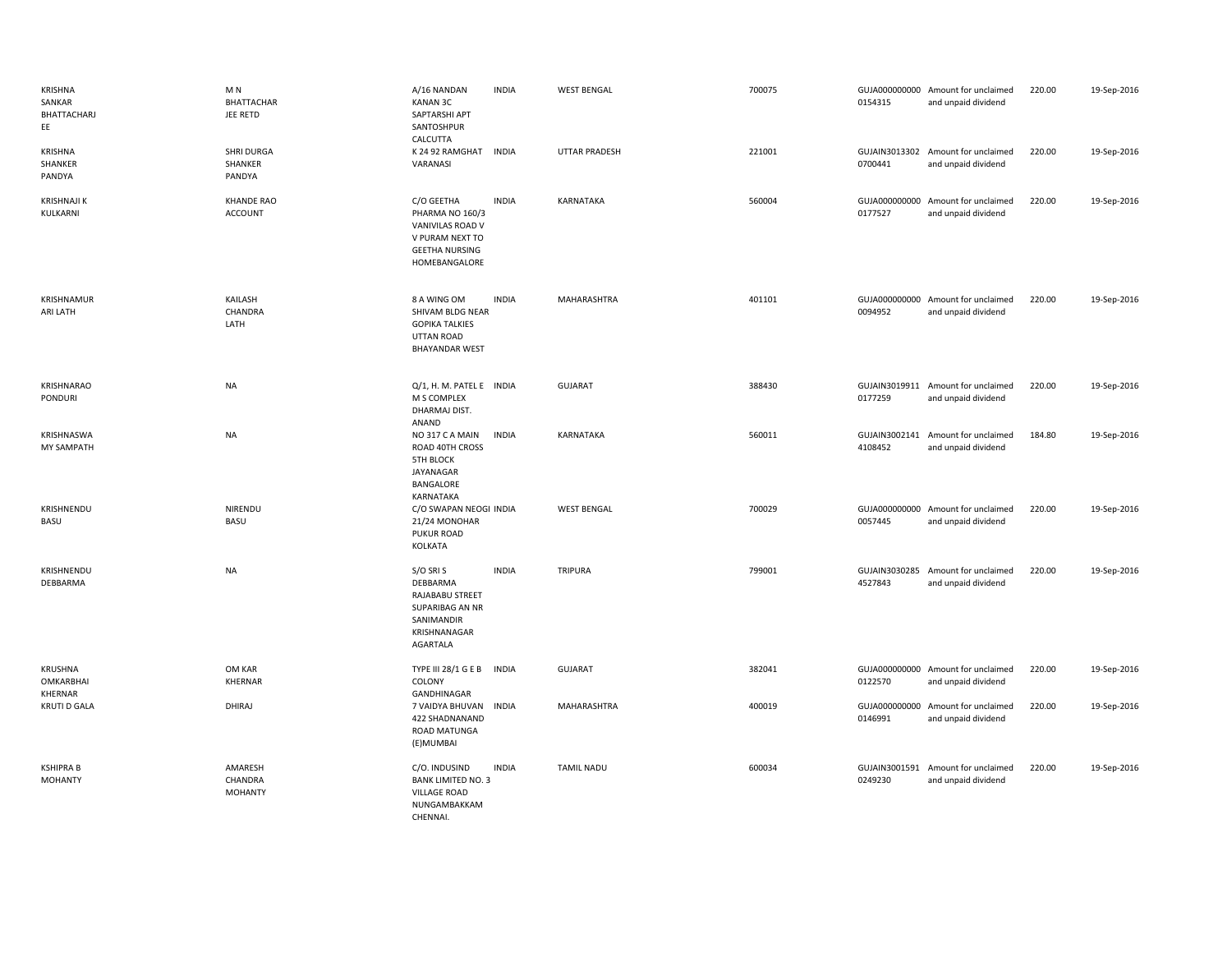| KRISHNA<br>SANKAR<br>BHATTACHARJ<br>EE        | M <sub>N</sub><br><b>BHATTACHAR</b><br>JEE RETD | A/16 NANDAN<br><b>KANAN 3C</b><br>SAPTARSHI APT<br>SANTOSHPUR<br>CALCUTTA                                           | <b>INDIA</b> | <b>WEST BENGAL</b>   | 700075 | 0154315                  | GUJA000000000 Amount for unclaimed<br>and unpaid dividend | 220.00 | 19-Sep-2016 |
|-----------------------------------------------|-------------------------------------------------|---------------------------------------------------------------------------------------------------------------------|--------------|----------------------|--------|--------------------------|-----------------------------------------------------------|--------|-------------|
| KRISHNA<br>SHANKER<br>PANDYA                  | <b>SHRI DURGA</b><br>SHANKER<br>PANDYA          | K 24 92 RAMGHAT<br>VARANASI                                                                                         | <b>INDIA</b> | <b>UTTAR PRADESH</b> | 221001 | 0700441                  | GUJAIN3013302 Amount for unclaimed<br>and unpaid dividend | 220.00 | 19-Sep-2016 |
| <b>KRISHNAJI K</b><br>KULKARNI                | <b>KHANDE RAO</b><br><b>ACCOUNT</b>             | C/O GEETHA<br>PHARMA NO 160/3<br>VANIVILAS ROAD V<br>V PURAM NEXT TO<br><b>GEETHA NURSING</b><br>HOMEBANGALORE      | <b>INDIA</b> | KARNATAKA            | 560004 | 0177527                  | GUJA000000000 Amount for unclaimed<br>and unpaid dividend | 220.00 | 19-Sep-2016 |
| KRISHNAMUR<br>ARI LATH                        | KAILASH<br>CHANDRA<br>LATH                      | 8 A WING OM<br>SHIVAM BLDG NEAR<br><b>GOPIKA TALKIES</b><br><b>UTTAN ROAD</b><br><b>BHAYANDAR WEST</b>              | <b>INDIA</b> | MAHARASHTRA          | 401101 | 0094952                  | GUJA000000000 Amount for unclaimed<br>and unpaid dividend | 220.00 | 19-Sep-2016 |
| KRISHNARAO<br>PONDURI                         | <b>NA</b>                                       | Q/1, H. M. PATEL E INDIA<br>M S COMPLEX<br>DHARMAJ DIST.<br>ANAND                                                   |              | <b>GUJARAT</b>       | 388430 | 0177259                  | GUJAIN3019911 Amount for unclaimed<br>and unpaid dividend | 220.00 | 19-Sep-2016 |
| KRISHNASWA<br><b>MY SAMPATH</b>               | <b>NA</b>                                       | NO 317 C A MAIN<br>ROAD 40TH CROSS<br><b>5TH BLOCK</b><br>JAYANAGAR<br>BANGALORE<br>KARNATAKA                       | <b>INDIA</b> | KARNATAKA            | 560011 | 4108452                  | GUJAIN3002141 Amount for unclaimed<br>and unpaid dividend | 184.80 | 19-Sep-2016 |
| KRISHNENDU<br>BASU                            | NIRENDU<br><b>BASU</b>                          | C/O SWAPAN NEOGI INDIA<br>21/24 MONOHAR<br><b>PUKUR ROAD</b><br>KOLKATA                                             |              | <b>WEST BENGAL</b>   | 700029 | 0057445                  | GUJA000000000 Amount for unclaimed<br>and unpaid dividend | 220.00 | 19-Sep-2016 |
| KRISHNENDU<br>DEBBARMA                        | <b>NA</b>                                       | S/O SRI S<br>DEBBARMA<br>RAJABABU STREET<br><b>SUPARIBAG AN NR</b><br>SANIMANDIR<br>KRISHNANAGAR<br><b>AGARTALA</b> | <b>INDIA</b> | <b>TRIPURA</b>       | 799001 | GUJAIN3030285<br>4527843 | Amount for unclaimed<br>and unpaid dividend               | 220.00 | 19-Sep-2016 |
| <b>KRUSHNA</b><br><b>OMKARBHAI</b><br>KHERNAR | OM KAR<br>KHERNAR                               | TYPE III 28/1 G E B<br>COLONY<br>GANDHINAGAR                                                                        | <b>INDIA</b> | <b>GUJARAT</b>       | 382041 | 0122570                  | GUJA000000000 Amount for unclaimed<br>and unpaid dividend | 220.00 | 19-Sep-2016 |
| <b>KRUTI D GALA</b>                           | DHIRAJ                                          | 7 VAIDYA BHUVAN INDIA<br>422 SHADNANAND<br><b>ROAD MATUNGA</b><br>(E) MUMBAI                                        |              | MAHARASHTRA          | 400019 | 0146991                  | GUJA000000000 Amount for unclaimed<br>and unpaid dividend | 220.00 | 19-Sep-2016 |
| <b>KSHIPRA B</b><br><b>MOHANTY</b>            | AMARESH<br>CHANDRA<br><b>MOHANTY</b>            | C/O. INDUSIND<br><b>BANK LIMITED NO. 3</b><br><b>VILLAGE ROAD</b><br>NUNGAMBAKKAM<br>CHENNAL                        | <b>INDIA</b> | <b>TAMIL NADU</b>    | 600034 | 0249230                  | GUJAIN3001591 Amount for unclaimed<br>and unpaid dividend | 220.00 | 19-Sep-2016 |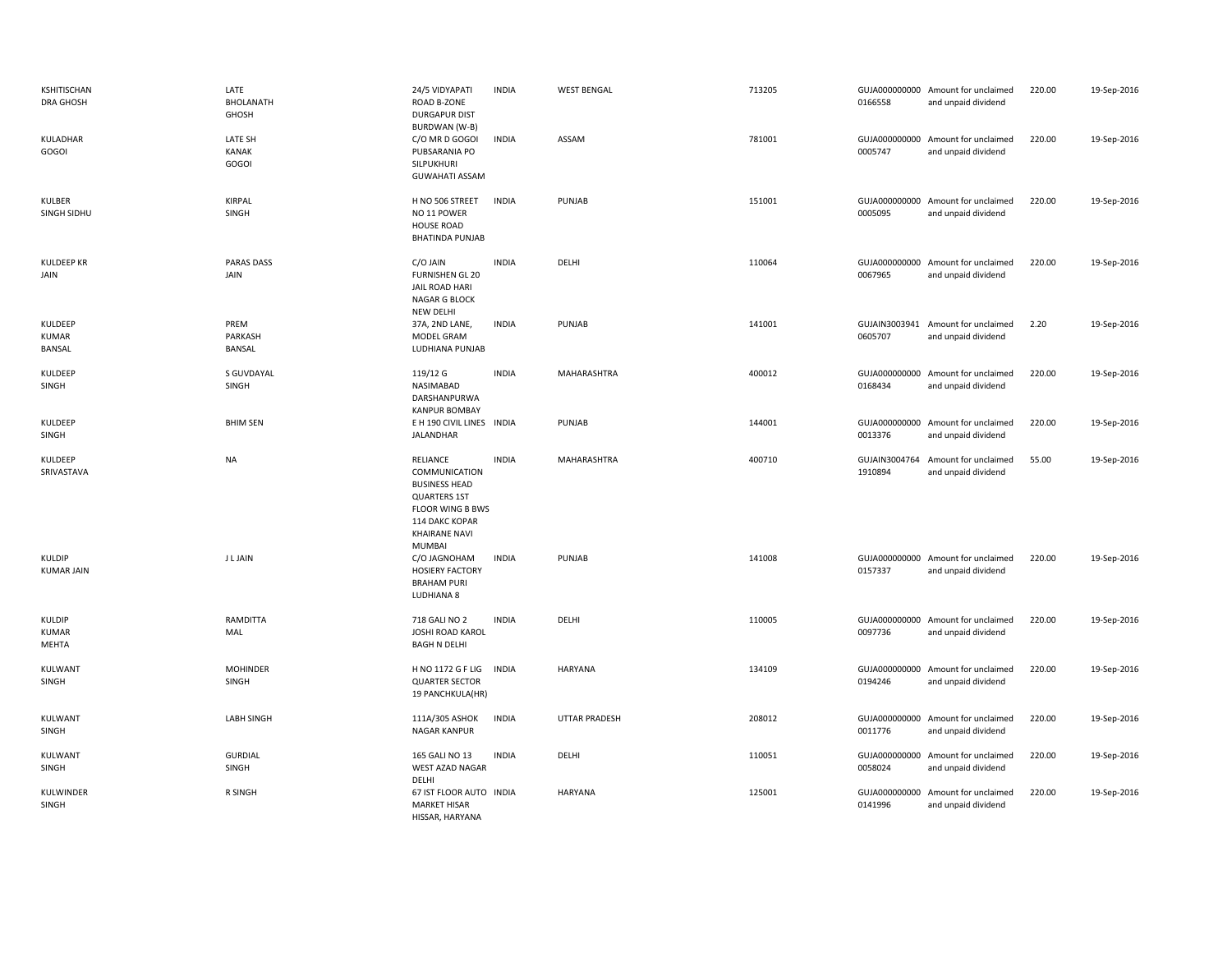| KSHITISCHAN<br><b>DRA GHOSH</b>   | LATE<br><b>BHOLANATH</b><br>GHOSH | 24/5 VIDYAPATI<br><b>ROAD B-ZONE</b><br><b>DURGAPUR DIST</b><br><b>BURDWAN (W-B)</b>                                                                                  | <b>INDIA</b> | <b>WEST BENGAL</b> | 713205 | 0166558                  | GUJA000000000 Amount for unclaimed<br>and unpaid dividend | 220.00 | 19-Sep-2016 |
|-----------------------------------|-----------------------------------|-----------------------------------------------------------------------------------------------------------------------------------------------------------------------|--------------|--------------------|--------|--------------------------|-----------------------------------------------------------|--------|-------------|
| KULADHAR<br>GOGOI                 | LATE SH<br><b>KANAK</b><br>GOGOI  | C/O MR D GOGOI<br>PUBSARANIA PO<br><b>SILPUKHURI</b><br><b>GUWAHATI ASSAM</b>                                                                                         | <b>INDIA</b> | ASSAM              | 781001 | GUJA000000000<br>0005747 | Amount for unclaimed<br>and unpaid dividend               | 220.00 | 19-Sep-2016 |
| KULBER<br>SINGH SIDHU             | <b>KIRPAL</b><br>SINGH            | H NO 506 STREET<br>NO 11 POWER<br><b>HOUSE ROAD</b><br><b>BHATINDA PUNJAB</b>                                                                                         | <b>INDIA</b> | PUNJAB             | 151001 | 0005095                  | GUJA000000000 Amount for unclaimed<br>and unpaid dividend | 220.00 | 19-Sep-2016 |
| <b>KULDEEP KR</b><br>JAIN         | <b>PARAS DASS</b><br>JAIN         | C/O JAIN<br><b>FURNISHEN GL 20</b><br>JAIL ROAD HARI<br>NAGAR G BLOCK<br>NEW DELHI                                                                                    | <b>INDIA</b> | DELHI              | 110064 | 0067965                  | GUJA000000000 Amount for unclaimed<br>and unpaid dividend | 220.00 | 19-Sep-2016 |
| KULDEEP<br><b>KUMAR</b><br>BANSAL | PREM<br>PARKASH<br>BANSAL         | 37A, 2ND LANE,<br>MODEL GRAM<br>LUDHIANA PUNJAB                                                                                                                       | <b>INDIA</b> | PUNJAB             | 141001 | 0605707                  | GUJAIN3003941 Amount for unclaimed<br>and unpaid dividend | 2.20   | 19-Sep-2016 |
| KULDEEP<br>SINGH                  | S GUVDAYAL<br>SINGH               | 119/12 G<br>NASIMABAD<br>DARSHANPURWA<br><b>KANPUR BOMBAY</b>                                                                                                         | <b>INDIA</b> | MAHARASHTRA        | 400012 | 0168434                  | GUJA000000000 Amount for unclaimed<br>and unpaid dividend | 220.00 | 19-Sep-2016 |
| KULDEEP<br>SINGH                  | <b>BHIM SEN</b>                   | E H 190 CIVIL LINES INDIA<br>JALANDHAR                                                                                                                                |              | PUNJAB             | 144001 | 0013376                  | GUJA000000000 Amount for unclaimed<br>and unpaid dividend | 220.00 | 19-Sep-2016 |
|                                   |                                   |                                                                                                                                                                       |              |                    |        |                          |                                                           |        |             |
| KULDEEP<br>SRIVASTAVA             | <b>NA</b>                         | <b>RELIANCE</b><br>COMMUNICATION<br><b>BUSINESS HEAD</b><br><b>QUARTERS 1ST</b><br><b>FLOOR WING B BWS</b><br>114 DAKC KOPAR<br><b>KHAIRANE NAVI</b><br><b>MUMBAI</b> | <b>INDIA</b> | MAHARASHTRA        | 400710 | GUJAIN3004764<br>1910894 | Amount for unclaimed<br>and unpaid dividend               | 55.00  | 19-Sep-2016 |
| KULDIP<br><b>KUMAR JAIN</b>       | <b>JLJAIN</b>                     | C/O JAGNOHAM<br><b>HOSIERY FACTORY</b><br><b>BRAHAM PURI</b><br>LUDHIANA 8                                                                                            | <b>INDIA</b> | PUNJAB             | 141008 | 0157337                  | GUJA000000000 Amount for unclaimed<br>and unpaid dividend | 220.00 | 19-Sep-2016 |
| KULDIP<br><b>KUMAR</b><br>MEHTA   | RAMDITTA<br>MAL                   | 718 GALI NO 2<br><b>JOSHI ROAD KAROL</b><br><b>BAGH N DELHI</b>                                                                                                       | <b>INDIA</b> | DELHI              | 110005 | 0097736                  | GUJA000000000 Amount for unclaimed<br>and unpaid dividend | 220.00 | 19-Sep-2016 |
| KULWANT<br>SINGH                  | <b>MOHINDER</b><br>SINGH          | H NO 1172 G F LIG<br><b>QUARTER SECTOR</b><br>19 PANCHKULA(HR)                                                                                                        | <b>INDIA</b> | HARYANA            | 134109 | 0194246                  | GUJA000000000 Amount for unclaimed<br>and unpaid dividend | 220.00 | 19-Sep-2016 |
| KULWANT<br>SINGH                  | <b>LABH SINGH</b>                 | 111A/305 ASHOK<br>NAGAR KANPUR                                                                                                                                        | <b>INDIA</b> | UTTAR PRADESH      | 208012 | 0011776                  | GUJA000000000 Amount for unclaimed<br>and unpaid dividend | 220.00 | 19-Sep-2016 |
| <b>KULWANT</b><br>SINGH           | <b>GURDIAL</b><br>SINGH           | 165 GALI NO 13<br>WEST AZAD NAGAR<br>DELHI                                                                                                                            | <b>INDIA</b> | DELHI              | 110051 | 0058024                  | GUJA000000000 Amount for unclaimed<br>and unpaid dividend | 220.00 | 19-Sep-2016 |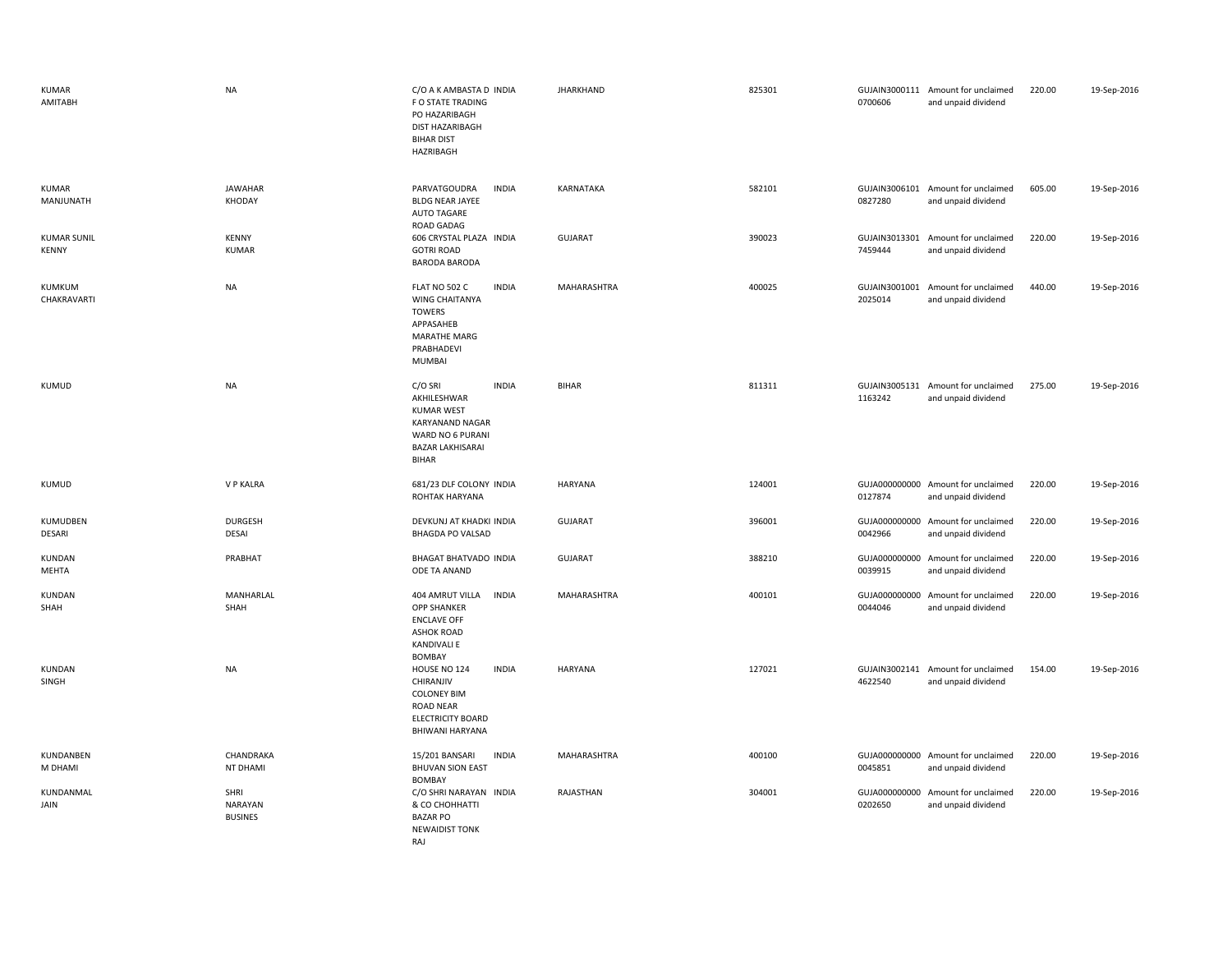| <b>KUMAR</b><br>AMITABH            | <b>NA</b>                         | C/O A K AMBASTA D INDIA<br>F O STATE TRADING<br>PO HAZARIBAGH<br>DIST HAZARIBAGH<br><b>BIHAR DIST</b><br><b>HAZRIBAGH</b>                            | <b>JHARKHAND</b> | 825301 | 0700606                  | GUJAIN3000111 Amount for unclaimed<br>and unpaid dividend | 220.00 | 19-Sep-2016 |
|------------------------------------|-----------------------------------|------------------------------------------------------------------------------------------------------------------------------------------------------|------------------|--------|--------------------------|-----------------------------------------------------------|--------|-------------|
| <b>KUMAR</b><br>MANJUNATH          | <b>JAWAHAR</b><br>KHODAY          | PARVATGOUDRA<br><b>INDIA</b><br><b>BLDG NEAR JAYEE</b><br><b>AUTO TAGARE</b><br>ROAD GADAG                                                           | KARNATAKA        | 582101 | 0827280                  | GUJAIN3006101 Amount for unclaimed<br>and unpaid dividend | 605.00 | 19-Sep-2016 |
| <b>KUMAR SUNIL</b><br><b>KENNY</b> | <b>KENNY</b><br><b>KUMAR</b>      | 606 CRYSTAL PLAZA INDIA<br><b>GOTRI ROAD</b><br><b>BARODA BARODA</b>                                                                                 | <b>GUJARAT</b>   | 390023 | 7459444                  | GUJAIN3013301 Amount for unclaimed<br>and unpaid dividend | 220.00 | 19-Sep-2016 |
| KUMKUM<br>CHAKRAVARTI              | <b>NA</b>                         | FLAT NO 502 C<br><b>INDIA</b><br><b>WING CHAITANYA</b><br><b>TOWERS</b><br>APPASAHEB<br><b>MARATHE MARG</b><br>PRABHADEVI<br><b>MUMBAI</b>           | MAHARASHTRA      | 400025 | GUJAIN3001001<br>2025014 | Amount for unclaimed<br>and unpaid dividend               | 440.00 | 19-Sep-2016 |
| KUMUD                              | <b>NA</b>                         | C/O SRI<br><b>INDIA</b><br>AKHILESHWAR<br><b>KUMAR WEST</b><br><b>KARYANAND NAGAR</b><br>WARD NO 6 PURANI<br><b>BAZAR LAKHISARAI</b><br><b>BIHAR</b> | <b>BIHAR</b>     | 811311 | 1163242                  | GUJAIN3005131 Amount for unclaimed<br>and unpaid dividend | 275.00 | 19-Sep-2016 |
| KUMUD                              | V P KALRA                         | 681/23 DLF COLONY INDIA<br>ROHTAK HARYANA                                                                                                            | HARYANA          | 124001 | 0127874                  | GUJA000000000 Amount for unclaimed<br>and unpaid dividend | 220.00 | 19-Sep-2016 |
| KUMUDBEN<br>DESARI                 | <b>DURGESH</b><br><b>DESAI</b>    | DEVKUNJ AT KHADKI INDIA<br><b>BHAGDA PO VALSAD</b>                                                                                                   | <b>GUJARAT</b>   | 396001 | 0042966                  | GUJA000000000 Amount for unclaimed<br>and unpaid dividend | 220.00 | 19-Sep-2016 |
| KUNDAN<br>MEHTA                    | PRABHAT                           | BHAGAT BHATVADO INDIA<br>ODE TA ANAND                                                                                                                | <b>GUJARAT</b>   | 388210 | 0039915                  | GUJA000000000 Amount for unclaimed<br>and unpaid dividend | 220.00 | 19-Sep-2016 |
| KUNDAN<br>SHAH                     | MANHARLAL<br>SHAH                 | <b>INDIA</b><br>404 AMRUT VILLA<br><b>OPP SHANKER</b><br><b>ENCLAVE OFF</b><br><b>ASHOK ROAD</b><br><b>KANDIVALI E</b><br>BOMBAY                     | MAHARASHTRA      | 400101 | 0044046                  | GUJA000000000 Amount for unclaimed<br>and unpaid dividend | 220.00 | 19-Sep-2016 |
| KUNDAN<br>SINGH                    | <b>NA</b>                         | <b>INDIA</b><br>HOUSE NO 124<br>CHIRANJIV<br><b>COLONEY BIM</b><br>ROAD NEAR<br><b>ELECTRICITY BOARD</b><br><b>BHIWANI HARYANA</b>                   | HARYANA          | 127021 | 4622540                  | GUJAIN3002141 Amount for unclaimed<br>and unpaid dividend | 154.00 | 19-Sep-2016 |
| KUNDANBEN<br>M DHAMI               | CHANDRAKA<br>NT DHAMI             | <b>INDIA</b><br>15/201 BANSARI<br><b>BHUVAN SION EAST</b><br>BOMBAY                                                                                  | MAHARASHTRA      | 400100 | 0045851                  | GUJA000000000 Amount for unclaimed<br>and unpaid dividend | 220.00 | 19-Sep-2016 |
| KUNDANMAL<br>JAIN                  | SHRI<br>NARAYAN<br><b>BUSINES</b> | C/O SHRI NARAYAN INDIA<br>& CO CHOHHATTI<br><b>BAZAR PO</b><br><b>NEWAIDIST TONK</b><br>RAJ                                                          | RAJASTHAN        | 304001 | 0202650                  | GUJA000000000 Amount for unclaimed<br>and unpaid dividend | 220.00 | 19-Sep-2016 |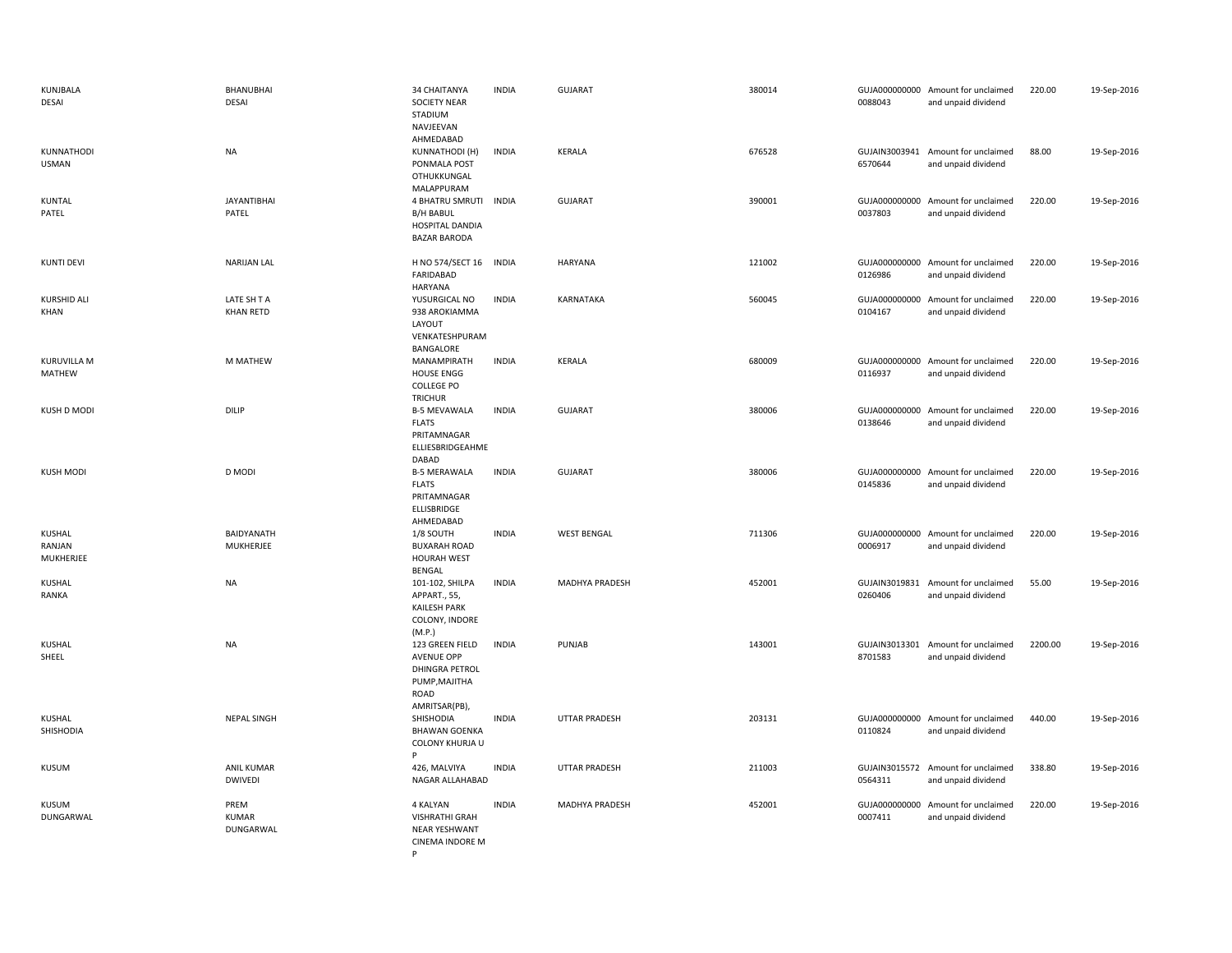| KUNJBALA<br>DESAI             | BHANUBHAI<br>DESAI                  | 34 CHAITANYA<br><b>SOCIETY NEAR</b><br>STADIUM<br>NAVJEEVAN<br>AHMEDABAD                         | <b>INDIA</b> | <b>GUJARAT</b>     | 380014 | 0088043 | GUJA000000000 Amount for unclaimed<br>and unpaid dividend | 220.00  | 19-Sep-2016 |
|-------------------------------|-------------------------------------|--------------------------------------------------------------------------------------------------|--------------|--------------------|--------|---------|-----------------------------------------------------------|---------|-------------|
| KUNNATHODI<br><b>USMAN</b>    | <b>NA</b>                           | <b>KUNNATHODI (H)</b><br>PONMALA POST<br>OTHUKKUNGAL<br>MALAPPURAM                               | <b>INDIA</b> | <b>KERALA</b>      | 676528 | 6570644 | GUJAIN3003941 Amount for unclaimed<br>and unpaid dividend | 88.00   | 19-Sep-2016 |
| <b>KUNTAL</b><br>PATEL        | <b>JAYANTIBHAI</b><br>PATEL         | 4 BHATRU SMRUTI<br><b>B/H BABUL</b><br>HOSPITAL DANDIA<br><b>BAZAR BARODA</b>                    | <b>INDIA</b> | <b>GUJARAT</b>     | 390001 | 0037803 | GUJA000000000 Amount for unclaimed<br>and unpaid dividend | 220.00  | 19-Sep-2016 |
| <b>KUNTI DEVI</b>             | <b>NARIJAN LAL</b>                  | H NO 574/SECT 16<br>FARIDABAD<br><b>HARYANA</b>                                                  | <b>INDIA</b> | <b>HARYANA</b>     | 121002 | 0126986 | GUJA000000000 Amount for unclaimed<br>and unpaid dividend | 220.00  | 19-Sep-2016 |
| KURSHID ALI<br>KHAN           | LATE SH T A<br><b>KHAN RETD</b>     | YUSURGICAL NO<br>938 AROKIAMMA<br>LAYOUT<br>VENKATESHPURAM<br>BANGALORE                          | <b>INDIA</b> | KARNATAKA          | 560045 | 0104167 | GUJA000000000 Amount for unclaimed<br>and unpaid dividend | 220.00  | 19-Sep-2016 |
| <b>KURUVILLA M</b><br>MATHEW  | M MATHEW                            | MANAMPIRATH<br><b>HOUSE ENGG</b><br><b>COLLEGE PO</b><br><b>TRICHUR</b>                          | <b>INDIA</b> | <b>KERALA</b>      | 680009 | 0116937 | GUJA000000000 Amount for unclaimed<br>and unpaid dividend | 220.00  | 19-Sep-2016 |
| KUSH D MODI                   | DILIP                               | <b>B-5 MEVAWALA</b><br><b>FLATS</b><br>PRITAMNAGAR<br>ELLIESBRIDGEAHME<br>DABAD                  | <b>INDIA</b> | <b>GUJARAT</b>     | 380006 | 0138646 | GUJA000000000 Amount for unclaimed<br>and unpaid dividend | 220.00  | 19-Sep-2016 |
| <b>KUSH MODI</b>              | D MODI                              | <b>B-5 MERAWALA</b><br><b>FLATS</b><br>PRITAMNAGAR<br>ELLISBRIDGE<br>AHMEDABAD                   | <b>INDIA</b> | <b>GUJARAT</b>     | 380006 | 0145836 | GUJA000000000 Amount for unclaimed<br>and unpaid dividend | 220.00  | 19-Sep-2016 |
| KUSHAL<br>RANJAN<br>MUKHERJEE | BAIDYANATH<br>MUKHERJEE             | 1/8 SOUTH<br><b>BUXARAH ROAD</b><br><b>HOURAH WEST</b><br>BENGAL                                 | <b>INDIA</b> | <b>WEST BENGAL</b> | 711306 | 0006917 | GUJA000000000 Amount for unclaimed<br>and unpaid dividend | 220.00  | 19-Sep-2016 |
| <b>KUSHAL</b><br>RANKA        | <b>NA</b>                           | 101-102, SHILPA<br>APPART., 55,<br><b>KAILESH PARK</b><br>COLONY, INDORE<br>(M.P.)               | <b>INDIA</b> | MADHYA PRADESH     | 452001 | 0260406 | GUJAIN3019831 Amount for unclaimed<br>and unpaid dividend | 55.00   | 19-Sep-2016 |
| <b>KUSHAL</b><br>SHEEL        | <b>NA</b>                           | 123 GREEN FIELD<br>AVENUE OPP<br><b>DHINGRA PETROL</b><br>PUMP, MAJITHA<br>ROAD<br>AMRITSAR(PB), | <b>INDIA</b> | PUNJAB             | 143001 | 8701583 | GUJAIN3013301 Amount for unclaimed<br>and unpaid dividend | 2200.00 | 19-Sep-2016 |
| KUSHAL<br>SHISHODIA           | <b>NEPAL SINGH</b>                  | SHISHODIA<br><b>BHAWAN GOENKA</b><br>COLONY KHURJA U<br>P                                        | <b>INDIA</b> | UTTAR PRADESH      | 203131 | 0110824 | GUJA000000000 Amount for unclaimed<br>and unpaid dividend | 440.00  | 19-Sep-2016 |
| <b>KUSUM</b>                  | <b>ANIL KUMAR</b><br><b>DWIVEDI</b> | 426, MALVIYA<br>NAGAR ALLAHABAD                                                                  | <b>INDIA</b> | UTTAR PRADESH      | 211003 | 0564311 | GUJAIN3015572 Amount for unclaimed<br>and unpaid dividend | 338.80  | 19-Sep-2016 |
| KUSUM<br>DUNGARWAL            | PREM<br><b>KUMAR</b><br>DUNGARWAL   | 4 KALYAN<br><b>VISHRATHI GRAH</b><br><b>NEAR YESHWANT</b><br>CINEMA INDORE M                     | <b>INDIA</b> | MADHYA PRADESH     | 452001 | 0007411 | GUJA000000000 Amount for unclaimed<br>and unpaid dividend | 220.00  | 19-Sep-2016 |

P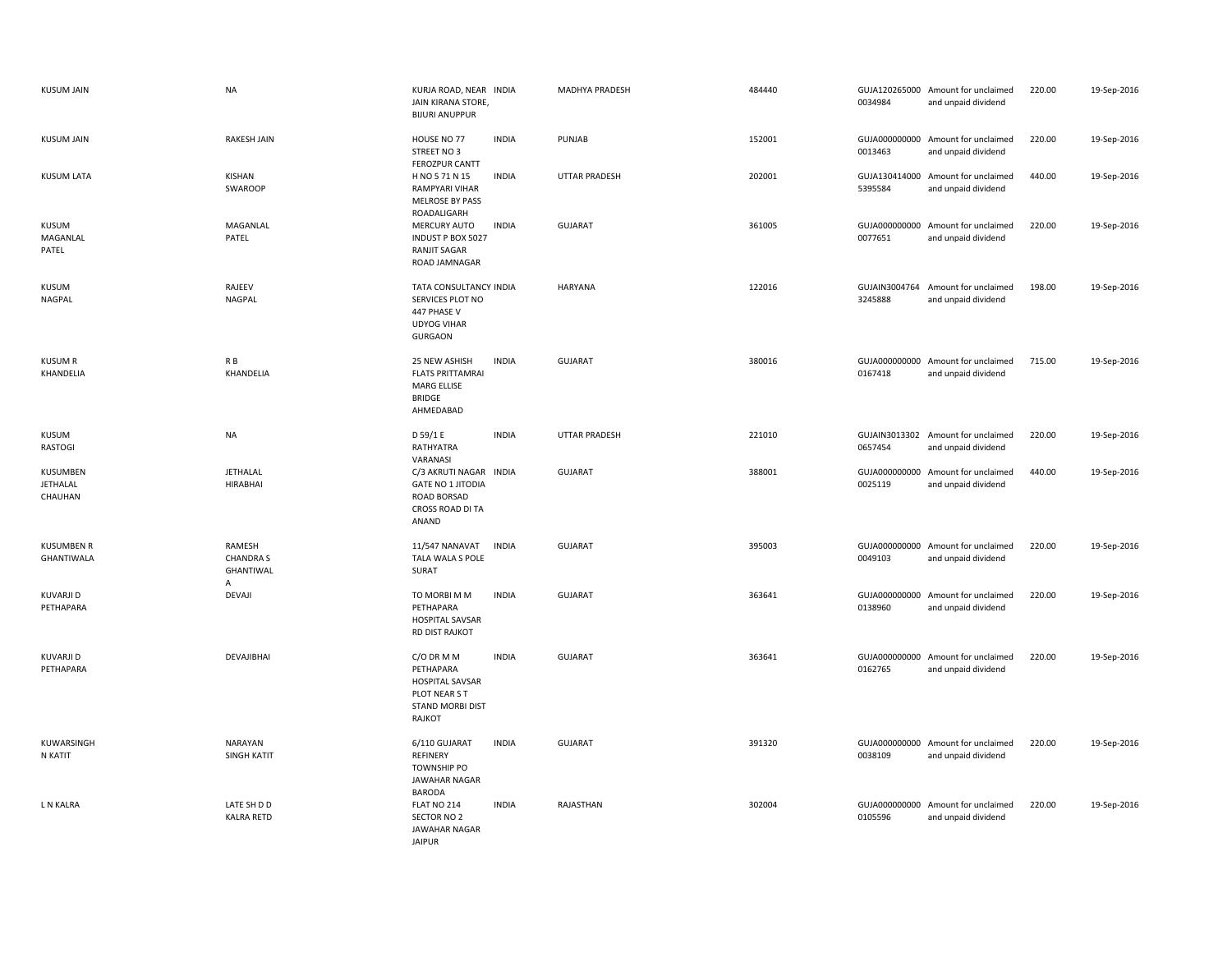| <b>KUSUM JAIN</b>                             | <b>NA</b>                                    | KURJA ROAD, NEAR INDIA<br>JAIN KIRANA STORE,<br><b>BIJURI ANUPPUR</b>                             |              | MADHYA PRADESH       | 484440 | 0034984                  | GUJA120265000 Amount for unclaimed<br>and unpaid dividend | 220.00 | 19-Sep-2016 |
|-----------------------------------------------|----------------------------------------------|---------------------------------------------------------------------------------------------------|--------------|----------------------|--------|--------------------------|-----------------------------------------------------------|--------|-------------|
| <b>KUSUM JAIN</b>                             | <b>RAKESH JAIN</b>                           | HOUSE NO 77<br>STREET NO 3<br><b>FEROZPUR CANTT</b>                                               | <b>INDIA</b> | PUNJAB               | 152001 | 0013463                  | GUJA000000000 Amount for unclaimed<br>and unpaid dividend | 220.00 | 19-Sep-2016 |
| KUSUM LATA                                    | KISHAN<br>SWAROOP                            | H NO 5 71 N 15<br><b>RAMPYARI VIHAR</b><br><b>MELROSE BY PASS</b><br>ROADALIGARH                  | <b>INDIA</b> | <b>UTTAR PRADESH</b> | 202001 | 5395584                  | GUJA130414000 Amount for unclaimed<br>and unpaid dividend | 440.00 | 19-Sep-2016 |
| KUSUM<br>MAGANLAL<br>PATEL                    | MAGANLAL<br>PATEL                            | MERCURY AUTO<br>INDUST P BOX 5027<br>RANJIT SAGAR<br>ROAD JAMNAGAR                                | <b>INDIA</b> | <b>GUJARAT</b>       | 361005 | 0077651                  | GUJA000000000 Amount for unclaimed<br>and unpaid dividend | 220.00 | 19-Sep-2016 |
| KUSUM<br><b>NAGPAL</b>                        | RAJEEV<br><b>NAGPAL</b>                      | TATA CONSULTANCY INDIA<br>SERVICES PLOT NO<br>447 PHASE V<br><b>UDYOG VIHAR</b><br><b>GURGAON</b> |              | <b>HARYANA</b>       | 122016 | GUJAIN3004764<br>3245888 | Amount for unclaimed<br>and unpaid dividend               | 198.00 | 19-Sep-2016 |
| <b>KUSUM R</b><br>KHANDELIA                   | R B<br>KHANDELIA                             | 25 NEW ASHISH<br><b>FLATS PRITTAMRAI</b><br><b>MARG ELLISE</b><br><b>BRIDGE</b><br>AHMEDABAD      | <b>INDIA</b> | <b>GUJARAT</b>       | 380016 | 0167418                  | GUJA000000000 Amount for unclaimed<br>and unpaid dividend | 715.00 | 19-Sep-2016 |
| KUSUM<br><b>RASTOGI</b>                       | <b>NA</b>                                    | D 59/1 E<br>RATHYATRA<br>VARANASI                                                                 | <b>INDIA</b> | UTTAR PRADESH        | 221010 | 0657454                  | GUJAIN3013302 Amount for unclaimed<br>and unpaid dividend | 220.00 | 19-Sep-2016 |
| <b>KUSUMBEN</b><br><b>JETHALAL</b><br>CHAUHAN | JETHALAL<br><b>HIRABHAI</b>                  | C/3 AKRUTI NAGAR INDIA<br><b>GATE NO 1 JITODIA</b><br>ROAD BORSAD<br>CROSS ROAD DI TA<br>ANAND    |              | <b>GUJARAT</b>       | 388001 | 0025119                  | GUJA000000000 Amount for unclaimed<br>and unpaid dividend | 440.00 | 19-Sep-2016 |
| <b>KUSUMBEN R</b><br>GHANTIWALA               | RAMESH<br><b>CHANDRA S</b><br>GHANTIWAL<br>A | 11/547 NANAVAT<br><b>INDIA</b><br>TALA WALA S POLE<br>SURAT                                       |              | <b>GUJARAT</b>       | 395003 | 0049103                  | GUJA000000000 Amount for unclaimed<br>and unpaid dividend | 220.00 | 19-Sep-2016 |
| KUVARJI D<br>PETHAPARA                        | <b>DEVAJI</b>                                | TO MORBI M M<br>PETHAPARA<br><b>HOSPITAL SAVSAR</b><br><b>RD DIST RAJKOT</b>                      | <b>INDIA</b> | GUJARAT              | 363641 | 0138960                  | GUJA000000000 Amount for unclaimed<br>and unpaid dividend | 220.00 | 19-Sep-2016 |
| KUVARJI D<br>PETHAPARA                        | DEVAJIBHAI                                   | C/O DR M M<br>PETHAPARA<br><b>HOSPITAL SAVSAR</b><br>PLOT NEAR S T<br>STAND MORBI DIST<br>RAJKOT  | <b>INDIA</b> | <b>GUJARAT</b>       | 363641 | 0162765                  | GUJA000000000 Amount for unclaimed<br>and unpaid dividend | 220.00 | 19-Sep-2016 |
| KUWARSINGH<br>N KATIT                         | NARAYAN<br>SINGH KATIT                       | 6/110 GUJARAT<br>REFINERY<br><b>TOWNSHIP PO</b><br><b>JAWAHAR NAGAR</b><br><b>BARODA</b>          | <b>INDIA</b> | <b>GUJARAT</b>       | 391320 | 0038109                  | GUJA000000000 Amount for unclaimed<br>and unpaid dividend | 220.00 | 19-Sep-2016 |
| L N KALRA                                     | LATE SH D D<br><b>KALRA RETD</b>             | FLAT NO 214<br>SECTOR NO 2<br>JAWAHAR NAGAR<br><b>JAIPUR</b>                                      | <b>INDIA</b> | RAJASTHAN            | 302004 | 0105596                  | GUJA000000000 Amount for unclaimed<br>and unpaid dividend | 220.00 | 19-Sep-2016 |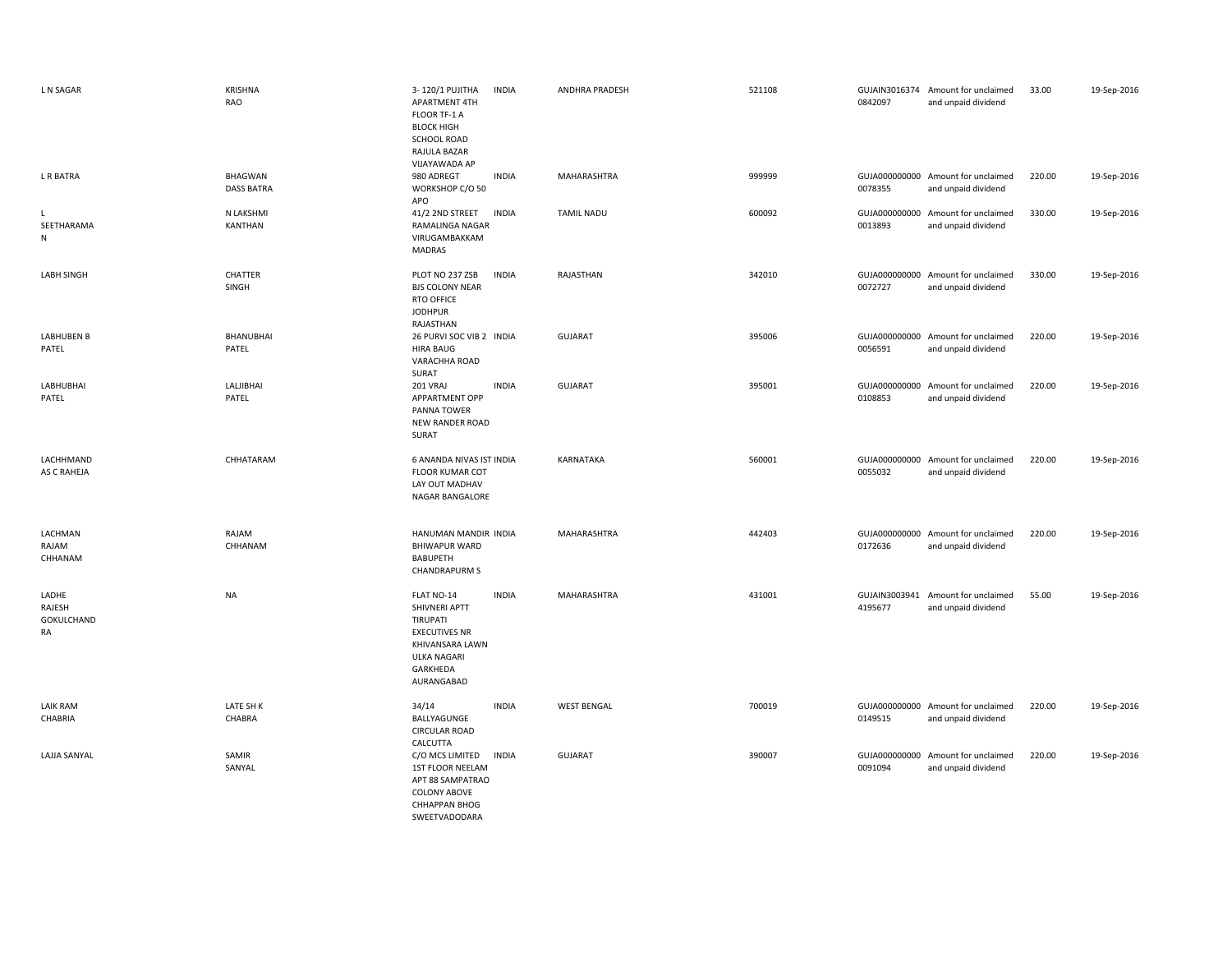| L N SAGAR                           | <b>KRISHNA</b><br>RAO               | 3-120/1 PUJITHA<br><b>INDIA</b><br>APARTMENT 4TH<br>FLOOR TF-1 A<br><b>BLOCK HIGH</b><br><b>SCHOOL ROAD</b><br>RAJULA BAZAR<br>VIJAYAWADA AP       | ANDHRA PRADESH     | 521108 | 0842097                  | GUJAIN3016374 Amount for unclaimed<br>and unpaid dividend | 33.00  | 19-Sep-2016 |
|-------------------------------------|-------------------------------------|----------------------------------------------------------------------------------------------------------------------------------------------------|--------------------|--------|--------------------------|-----------------------------------------------------------|--------|-------------|
| L R BATRA                           | <b>BHAGWAN</b><br><b>DASS BATRA</b> | 980 ADREGT<br><b>INDIA</b><br>WORKSHOP C/O 50<br>APO                                                                                               | MAHARASHTRA        | 999999 | 0078355                  | GUJA000000000 Amount for unclaimed<br>and unpaid dividend | 220.00 | 19-Sep-2016 |
| L<br>SEETHARAMA<br>N                | N LAKSHMI<br>KANTHAN                | <b>INDIA</b><br>41/2 2ND STREET<br>RAMALINGA NAGAR<br>VIRUGAMBAKKAM<br>MADRAS                                                                      | <b>TAMIL NADU</b>  | 600092 | 0013893                  | GUJA000000000 Amount for unclaimed<br>and unpaid dividend | 330.00 | 19-Sep-2016 |
| <b>LABH SINGH</b>                   | CHATTER<br>SINGH                    | PLOT NO 237 ZSB<br><b>INDIA</b><br><b>BJS COLONY NEAR</b><br>RTO OFFICE<br><b>JODHPUR</b><br>RAJASTHAN                                             | RAJASTHAN          | 342010 | 0072727                  | GUJA000000000 Amount for unclaimed<br>and unpaid dividend | 330.00 | 19-Sep-2016 |
| <b>LABHUBEN B</b><br>PATEL          | <b>BHANUBHAI</b><br>PATEL           | 26 PURVI SOC VIB 2 INDIA<br><b>HIRA BAUG</b><br>VARACHHA ROAD<br>SURAT                                                                             | <b>GUJARAT</b>     | 395006 | 0056591                  | GUJA000000000 Amount for unclaimed<br>and unpaid dividend | 220.00 | 19-Sep-2016 |
| LABHUBHAI<br>PATEL                  | LALJIBHAI<br>PATEL                  | <b>INDIA</b><br>201 VRAJ<br><b>APPARTMENT OPP</b><br>PANNA TOWER<br>NEW RANDER ROAD<br>SURAT                                                       | <b>GUJARAT</b>     | 395001 | 0108853                  | GUJA000000000 Amount for unclaimed<br>and unpaid dividend | 220.00 | 19-Sep-2016 |
| LACHHMAND<br>AS C RAHEJA            | CHHATARAM                           | 6 ANANDA NIVAS IST INDIA<br><b>FLOOR KUMAR COT</b><br>LAY OUT MADHAV<br>NAGAR BANGALORE                                                            | KARNATAKA          | 560001 | 0055032                  | GUJA000000000 Amount for unclaimed<br>and unpaid dividend | 220.00 | 19-Sep-2016 |
| LACHMAN<br>RAJAM<br>CHHANAM         | RAJAM<br>CHHANAM                    | HANUMAN MANDIR INDIA<br><b>BHIWAPUR WARD</b><br><b>BABUPETH</b><br><b>CHANDRAPURM S</b>                                                            | <b>MAHARASHTRA</b> | 442403 | 0172636                  | GUJA000000000 Amount for unclaimed<br>and unpaid dividend | 220.00 | 19-Sep-2016 |
| LADHE<br>RAJESH<br>GOKULCHAND<br>RA | <b>NA</b>                           | <b>INDIA</b><br>FLAT NO-14<br>SHIVNERI APTT<br>TIRUPATI<br><b>EXECUTIVES NR</b><br>KHIVANSARA LAWN<br><b>ULKA NAGARI</b><br>GARKHEDA<br>AURANGABAD | MAHARASHTRA        | 431001 | GUJAIN3003941<br>4195677 | Amount for unclaimed<br>and unpaid dividend               | 55.00  | 19-Sep-2016 |
| <b>LAIK RAM</b><br>CHABRIA          | LATE SH K<br>CHABRA                 | 34/14<br><b>INDIA</b><br>BALLYAGUNGE<br><b>CIRCULAR ROAD</b><br>CALCUTTA                                                                           | <b>WEST BENGAL</b> | 700019 | 0149515                  | GUJA000000000 Amount for unclaimed<br>and unpaid dividend | 220.00 | 19-Sep-2016 |
| LAJJA SANYAL                        | SAMIR<br>SANYAL                     | C/O MCS LIMITED<br><b>INDIA</b><br>1ST FLOOR NEELAM<br>APT 88 SAMPATRAO<br><b>COLONY ABOVE</b><br><b>CHHAPPAN BHOG</b><br>SWEETVADODARA            | <b>GUJARAT</b>     | 390007 | 0091094                  | GUJA000000000 Amount for unclaimed<br>and unpaid dividend | 220.00 | 19-Sep-2016 |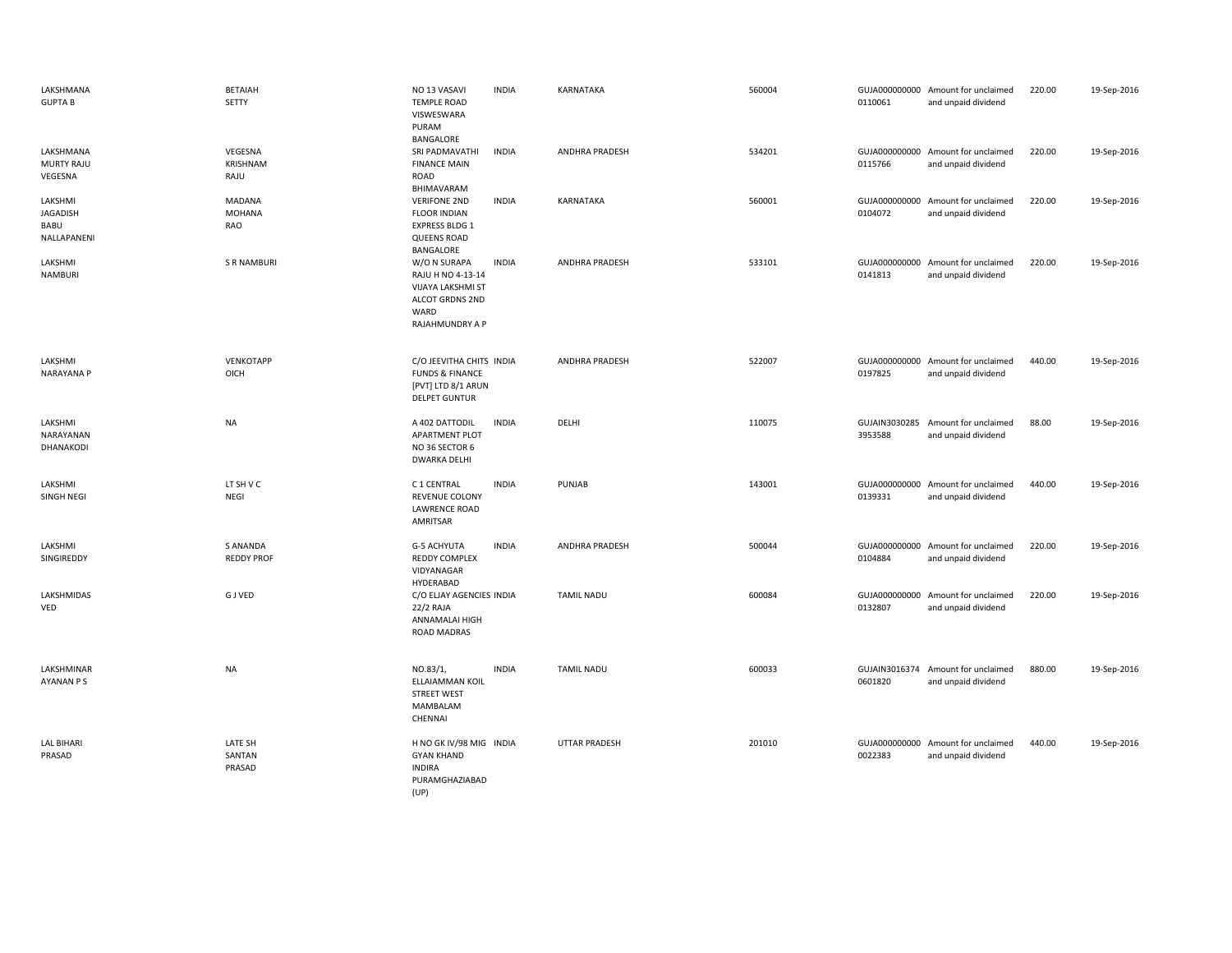| LAKSHMANA<br><b>GUPTA B</b>                | <b>BETAIAH</b><br><b>SETTY</b> | NO 13 VASAVI<br><b>TEMPLE ROAD</b><br>VISWESWARA<br>PURAM<br>BANGALORE                                 | <b>INDIA</b> | KARNATAKA             | 560004 | 0110061                  | GUJA000000000 Amount for unclaimed<br>and unpaid dividend | 220.00 | 19-Sep-2016 |
|--------------------------------------------|--------------------------------|--------------------------------------------------------------------------------------------------------|--------------|-----------------------|--------|--------------------------|-----------------------------------------------------------|--------|-------------|
| LAKSHMANA<br>MURTY RAJU<br>VEGESNA         | VEGESNA<br>KRISHNAM<br>RAJU    | SRI PADMAVATHI<br><b>FINANCE MAIN</b><br>ROAD<br>BHIMAVARAM                                            | <b>INDIA</b> | <b>ANDHRA PRADESH</b> | 534201 | 0115766                  | GUJA000000000 Amount for unclaimed<br>and unpaid dividend | 220.00 | 19-Sep-2016 |
| LAKSHMI<br>JAGADISH<br>BABU<br>NALLAPANENI | MADANA<br>MOHANA<br>RAO        | <b>VERIFONE 2ND</b><br><b>FLOOR INDIAN</b><br><b>EXPRESS BLDG 1</b><br><b>QUEENS ROAD</b><br>BANGALORE | <b>INDIA</b> | <b>KARNATAKA</b>      | 560001 | 0104072                  | GUJA000000000 Amount for unclaimed<br>and unpaid dividend | 220.00 | 19-Sep-2016 |
| LAKSHMI<br><b>NAMBURI</b>                  | <b>S R NAMBURI</b>             | W/O N SURAPA<br>RAJU H NO 4-13-14<br>VIJAYA LAKSHMI ST<br>ALCOT GRDNS 2ND<br>WARD<br>RAJAHMUNDRY A P   | <b>INDIA</b> | <b>ANDHRA PRADESH</b> | 533101 | 0141813                  | GUJA000000000 Amount for unclaimed<br>and unpaid dividend | 220.00 | 19-Sep-2016 |
| LAKSHMI<br><b>NARAYANA P</b>               | VENKOTAPP<br>OICH              | C/O JEEVITHA CHITS INDIA<br><b>FUNDS &amp; FINANCE</b><br>[PVT] LTD 8/1 ARUN<br><b>DELPET GUNTUR</b>   |              | <b>ANDHRA PRADESH</b> | 522007 | 0197825                  | GUJA000000000 Amount for unclaimed<br>and unpaid dividend | 440.00 | 19-Sep-2016 |
| LAKSHMI<br>NARAYANAN<br>DHANAKODI          | NA                             | A 402 DATTODIL<br><b>APARTMENT PLOT</b><br>NO 36 SECTOR 6<br><b>DWARKA DELHI</b>                       | <b>INDIA</b> | DELHI                 | 110075 | GUJAIN3030285<br>3953588 | Amount for unclaimed<br>and unpaid dividend               | 88.00  | 19-Sep-2016 |
| LAKSHMI<br>SINGH NEGI                      | LT SH V C<br>NEGI              | C 1 CENTRAL<br><b>REVENUE COLONY</b><br><b>LAWRENCE ROAD</b><br>AMRITSAR                               | <b>INDIA</b> | PUNJAB                | 143001 | 0139331                  | GUJA000000000 Amount for unclaimed<br>and unpaid dividend | 440.00 | 19-Sep-2016 |
| LAKSHMI<br>SINGIREDDY                      | S ANANDA<br><b>REDDY PROF</b>  | <b>G-5 ACHYUTA</b><br>REDDY COMPLEX<br>VIDYANAGAR<br>HYDERABAD                                         | <b>INDIA</b> | <b>ANDHRA PRADESH</b> | 500044 | 0104884                  | GUJA000000000 Amount for unclaimed<br>and unpaid dividend | 220.00 | 19-Sep-2016 |
| LAKSHMIDAS<br>VED                          | <b>GJVED</b>                   | C/O ELJAY AGENCIES INDIA<br>22/2 RAJA<br>ANNAMALAI HIGH<br>ROAD MADRAS                                 |              | TAMIL NADU            | 600084 | 0132807                  | GUJA000000000 Amount for unclaimed<br>and unpaid dividend | 220.00 | 19-Sep-2016 |
| LAKSHMINAR<br>AYANAN P S                   | NA                             | NO.83/1,<br>ELLAIAMMAN KOIL<br><b>STREET WEST</b><br>MAMBALAM<br>CHENNAI                               | <b>INDIA</b> | TAMIL NADU            | 600033 | 0601820                  | GUJAIN3016374 Amount for unclaimed<br>and unpaid dividend | 880.00 | 19-Sep-2016 |
| <b>LAL BIHARI</b><br>PRASAD                | LATE SH<br>SANTAN<br>PRASAD    | H NO GK IV/98 MIG INDIA<br><b>GYAN KHAND</b><br><b>INDIRA</b><br>PURAMGHAZIABAD<br>(UP)                |              | <b>UTTAR PRADESH</b>  | 201010 | 0022383                  | GUJA000000000 Amount for unclaimed<br>and unpaid dividend | 440.00 | 19-Sep-2016 |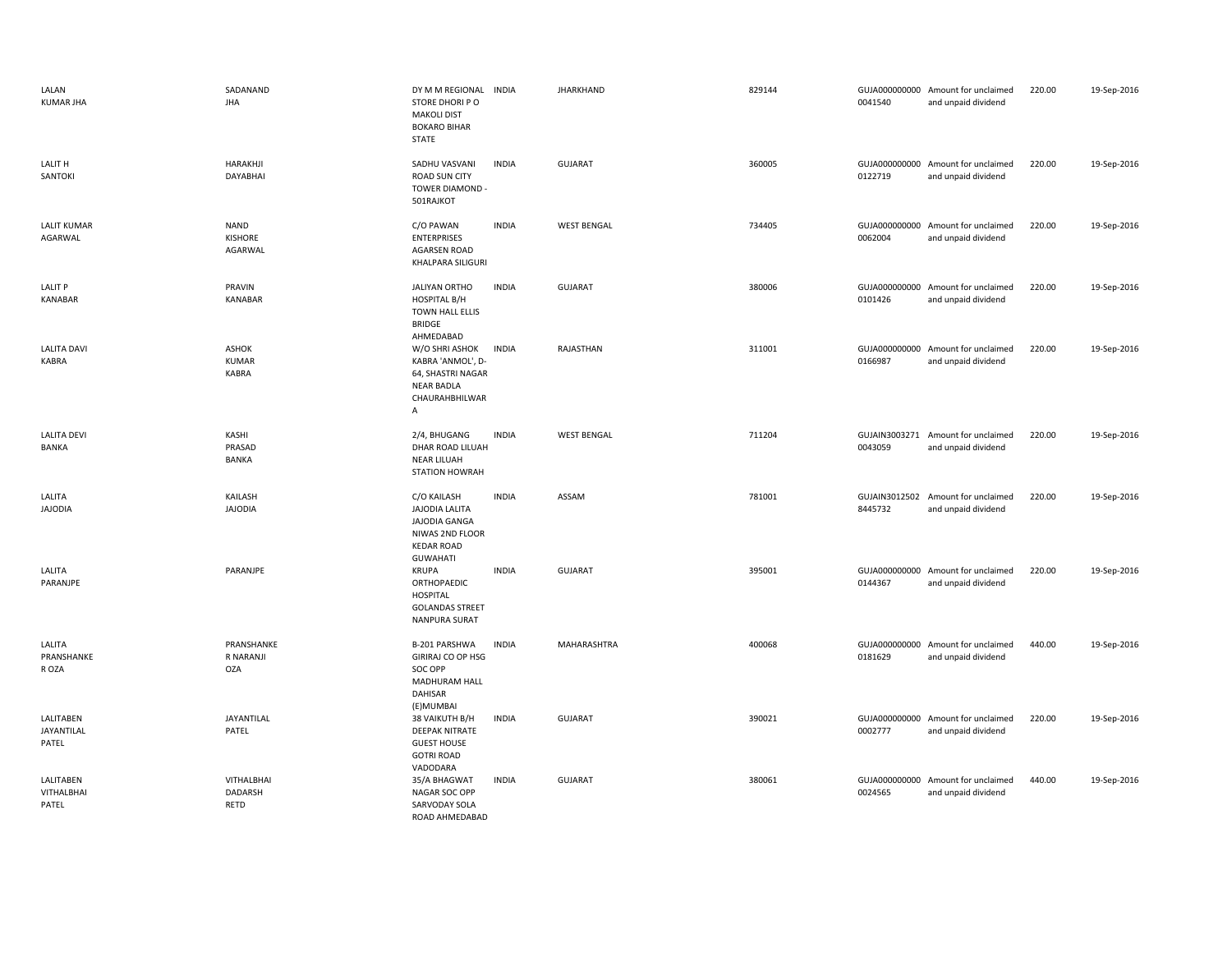| LALAN<br><b>KUMAR JHA</b>               | SADANAND<br><b>JHA</b>                | DY M M REGIONAL INDIA<br>STORE DHORI PO<br><b>MAKOLI DIST</b><br><b>BOKARO BIHAR</b><br>STATE                    |              | <b>JHARKHAND</b>   | 829144 | 0041540 | GUJA000000000 Amount for unclaimed<br>and unpaid dividend | 220.00 | 19-Sep-2016 |
|-----------------------------------------|---------------------------------------|------------------------------------------------------------------------------------------------------------------|--------------|--------------------|--------|---------|-----------------------------------------------------------|--------|-------------|
| LALIT H<br>SANTOKI                      | HARAKHJI<br>DAYABHAI                  | SADHU VASVANI<br><b>ROAD SUN CITY</b><br>TOWER DIAMOND -<br>501RAJKOT                                            | <b>INDIA</b> | GUJARAT            | 360005 | 0122719 | GUJA000000000 Amount for unclaimed<br>and unpaid dividend | 220.00 | 19-Sep-2016 |
| <b>LALIT KUMAR</b><br>AGARWAL           | <b>NAND</b><br>KISHORE<br>AGARWAL     | C/O PAWAN<br><b>ENTERPRISES</b><br>AGARSEN ROAD<br>KHALPARA SILIGURI                                             | <b>INDIA</b> | <b>WEST BENGAL</b> | 734405 | 0062004 | GUJA000000000 Amount for unclaimed<br>and unpaid dividend | 220.00 | 19-Sep-2016 |
| <b>LALIT P</b><br><b>KANABAR</b>        | PRAVIN<br>KANABAR                     | <b>JALIYAN ORTHO</b><br><b>HOSPITAL B/H</b><br>TOWN HALL ELLIS<br><b>BRIDGE</b><br>AHMEDABAD                     | <b>INDIA</b> | <b>GUJARAT</b>     | 380006 | 0101426 | GUJA000000000 Amount for unclaimed<br>and unpaid dividend | 220.00 | 19-Sep-2016 |
| <b>LALITA DAVI</b><br><b>KABRA</b>      | <b>ASHOK</b><br><b>KUMAR</b><br>KABRA | W/O SHRI ASHOK<br>KABRA 'ANMOL', D-<br>64, SHASTRI NAGAR<br><b>NEAR BADLA</b><br>CHAURAHBHILWAR<br>Α             | <b>INDIA</b> | RAJASTHAN          | 311001 | 0166987 | GUJA000000000 Amount for unclaimed<br>and unpaid dividend | 220.00 | 19-Sep-2016 |
| <b>LALITA DEVI</b><br>BANKA             | KASHI<br>PRASAD<br><b>BANKA</b>       | 2/4, BHUGANG<br>DHAR ROAD LILUAH<br><b>NEAR LILUAH</b><br><b>STATION HOWRAH</b>                                  | <b>INDIA</b> | <b>WEST BENGAL</b> | 711204 | 0043059 | GUJAIN3003271 Amount for unclaimed<br>and unpaid dividend | 220.00 | 19-Sep-2016 |
| LALITA<br><b>JAJODIA</b>                | KAILASH<br><b>JAJODIA</b>             | C/O KAILASH<br><b>JAJODIA LALITA</b><br>JAJODIA GANGA<br>NIWAS 2ND FLOOR<br><b>KEDAR ROAD</b><br><b>GUWAHATI</b> | <b>INDIA</b> | ASSAM              | 781001 | 8445732 | GUJAIN3012502 Amount for unclaimed<br>and unpaid dividend | 220.00 | 19-Sep-2016 |
| LALITA<br>PARANJPE                      | PARANJPE                              | <b>KRUPA</b><br>ORTHOPAEDIC<br><b>HOSPITAL</b><br><b>GOLANDAS STREET</b><br>NANPURA SURAT                        | <b>INDIA</b> | GUJARAT            | 395001 | 0144367 | GUJA000000000 Amount for unclaimed<br>and unpaid dividend | 220.00 | 19-Sep-2016 |
| LALITA<br>PRANSHANKE<br>R OZA           | PRANSHANKE<br>R NARANJI<br><b>OZA</b> | B-201 PARSHWA<br>GIRIRAJ CO OP HSG<br>SOC OPP<br>MADHURAM HALL<br><b>DAHISAR</b><br>(E) MUMBAI                   | <b>INDIA</b> | MAHARASHTRA        | 400068 | 0181629 | GUJA000000000 Amount for unclaimed<br>and unpaid dividend | 440.00 | 19-Sep-2016 |
| LALITABEN<br>JAYANTILAL<br>PATEL        | <b>JAYANTILAL</b><br>PATEL            | 38 VAIKUTH B/H<br><b>DEEPAK NITRATE</b><br><b>GUEST HOUSE</b><br><b>GOTRI ROAD</b><br>VADODARA                   | <b>INDIA</b> | <b>GUJARAT</b>     | 390021 | 0002777 | GUJA000000000 Amount for unclaimed<br>and unpaid dividend | 220.00 | 19-Sep-2016 |
| LALITABEN<br><b>VITHALBHAI</b><br>PATEL | VITHALBHAI<br>DADARSH<br><b>RETD</b>  | 35/A BHAGWAT<br>NAGAR SOC OPP<br>SARVODAY SOLA<br>ROAD AHMEDABAD                                                 | <b>INDIA</b> | <b>GUJARAT</b>     | 380061 | 0024565 | GUJA000000000 Amount for unclaimed<br>and unpaid dividend | 440.00 | 19-Sep-2016 |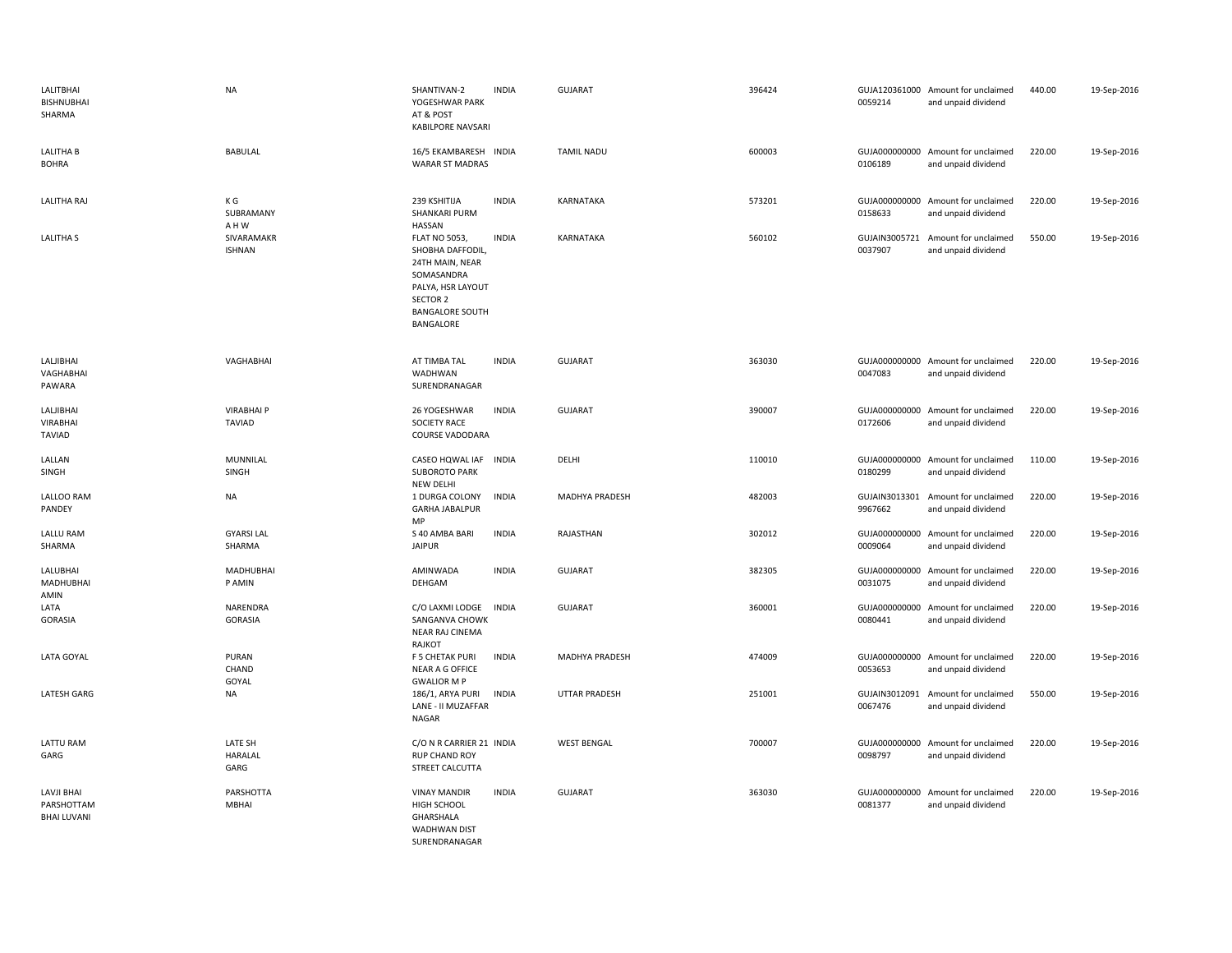| LALITBHAI<br>BISHNUBHAI<br>SHARMA              | <b>NA</b>                          | SHANTIVAN-2<br>YOGESHWAR PARK<br>AT & POST<br><b>KABILPORE NAVSARI</b>                                                                            | <b>INDIA</b> | <b>GUJARAT</b>        | 396424 | 0059214                  | GUJA120361000 Amount for unclaimed<br>and unpaid dividend | 440.00 | 19-Sep-2016 |
|------------------------------------------------|------------------------------------|---------------------------------------------------------------------------------------------------------------------------------------------------|--------------|-----------------------|--------|--------------------------|-----------------------------------------------------------|--------|-------------|
| <b>LALITHA B</b><br><b>BOHRA</b>               | <b>BABULAL</b>                     | 16/5 EKAMBARESH INDIA<br><b>WARAR ST MADRAS</b>                                                                                                   |              | <b>TAMIL NADU</b>     | 600003 | 0106189                  | GUJA000000000 Amount for unclaimed<br>and unpaid dividend | 220.00 | 19-Sep-2016 |
| <b>LALITHA RAJ</b>                             | K G<br>SUBRAMANY<br>A H W          | 239 KSHITIJA<br><b>SHANKARI PURM</b><br><b>HASSAN</b>                                                                                             | <b>INDIA</b> | <b>KARNATAKA</b>      | 573201 | GUJA000000000<br>0158633 | Amount for unclaimed<br>and unpaid dividend               | 220.00 | 19-Sep-2016 |
| <b>LALITHA S</b>                               | SIVARAMAKR<br><b>ISHNAN</b>        | <b>FLAT NO 5053,</b><br>SHOBHA DAFFODIL,<br>24TH MAIN, NEAR<br>SOMASANDRA<br>PALYA, HSR LAYOUT<br>SECTOR 2<br><b>BANGALORE SOUTH</b><br>BANGALORE | <b>INDIA</b> | KARNATAKA             | 560102 | 0037907                  | GUJAIN3005721 Amount for unclaimed<br>and unpaid dividend | 550.00 | 19-Sep-2016 |
| LALJIBHAI<br>VAGHABHAI<br>PAWARA               | VAGHABHAI                          | AT TIMBA TAL<br>WADHWAN<br>SURENDRANAGAR                                                                                                          | <b>INDIA</b> | GUJARAT               | 363030 | 0047083                  | GUJA000000000 Amount for unclaimed<br>and unpaid dividend | 220.00 | 19-Sep-2016 |
| LALJIBHAI<br><b>VIRABHAI</b><br><b>TAVIAD</b>  | <b>VIRABHAI P</b><br><b>TAVIAD</b> | 26 YOGESHWAR<br><b>SOCIETY RACE</b><br>COURSE VADODARA                                                                                            | <b>INDIA</b> | <b>GUJARAT</b>        | 390007 | 0172606                  | GUJA000000000 Amount for unclaimed<br>and unpaid dividend | 220.00 | 19-Sep-2016 |
| LALLAN<br>SINGH                                | MUNNILAL<br>SINGH                  | CASEO HQWAL IAF INDIA<br><b>SUBOROTO PARK</b><br><b>NEW DELHI</b>                                                                                 |              | DELHI                 | 110010 | 0180299                  | GUJA000000000 Amount for unclaimed<br>and unpaid dividend | 110.00 | 19-Sep-2016 |
| <b>LALLOO RAM</b><br>PANDEY                    | <b>NA</b>                          | 1 DURGA COLONY<br><b>GARHA JABALPUR</b><br>MP                                                                                                     | <b>INDIA</b> | <b>MADHYA PRADESH</b> | 482003 | 9967662                  | GUJAIN3013301 Amount for unclaimed<br>and unpaid dividend | 220.00 | 19-Sep-2016 |
| LALLU RAM<br>SHARMA                            | <b>GYARSI LAL</b><br>SHARMA        | S 40 AMBA BARI<br><b>JAIPUR</b>                                                                                                                   | <b>INDIA</b> | RAJASTHAN             | 302012 | 0009064                  | GUJA000000000 Amount for unclaimed<br>and unpaid dividend | 220.00 | 19-Sep-2016 |
| LALUBHAI<br>MADHUBHAI<br>AMIN                  | MADHUBHAI<br>P AMIN                | AMINWADA<br>DEHGAM                                                                                                                                | <b>INDIA</b> | <b>GUJARAT</b>        | 382305 | GUJA000000000<br>0031075 | Amount for unclaimed<br>and unpaid dividend               | 220.00 | 19-Sep-2016 |
| LATA<br><b>GORASIA</b>                         | <b>NARENDRA</b><br>GORASIA         | C/O LAXMI LODGE<br>SANGANVA CHOWK<br><b>NEAR RAJ CINEMA</b><br>RAJKOT                                                                             | <b>INDIA</b> | <b>GUJARAT</b>        | 360001 | GUJA000000000<br>0080441 | Amount for unclaimed<br>and unpaid dividend               | 220.00 | 19-Sep-2016 |
| LATA GOYAL                                     | PURAN<br>CHAND<br>GOYAL            | F 5 CHETAK PURI<br>NEAR A G OFFICE<br><b>GWALIOR M P</b>                                                                                          | <b>INDIA</b> | MADHYA PRADESH        | 474009 | 0053653                  | GUJA000000000 Amount for unclaimed<br>and unpaid dividend | 220.00 | 19-Sep-2016 |
| <b>LATESH GARG</b>                             | <b>NA</b>                          | 186/1, ARYA PURI<br>LANE - II MUZAFFAR<br><b>NAGAR</b>                                                                                            | <b>INDIA</b> | <b>UTTAR PRADESH</b>  | 251001 | GUJAIN3012091<br>0067476 | Amount for unclaimed<br>and unpaid dividend               | 550.00 | 19-Sep-2016 |
| LATTU RAM<br>GARG                              | LATE SH<br>HARALAL<br>GARG         | C/O N R CARRIER 21 INDIA<br>RUP CHAND ROY<br>STREET CALCUTTA                                                                                      |              | <b>WEST BENGAL</b>    | 700007 | 0098797                  | GUJA000000000 Amount for unclaimed<br>and unpaid dividend | 220.00 | 19-Sep-2016 |
| LAVJI BHAI<br>PARSHOTTAM<br><b>BHAI LUVANI</b> | PARSHOTTA<br><b>MBHAI</b>          | <b>VINAY MANDIR</b><br>HIGH SCHOOL<br>GHARSHALA<br>WADHWAN DIST<br>SURFNDRANAGAR                                                                  | <b>INDIA</b> | <b>GUJARAT</b>        | 363030 | GUJA000000000<br>0081377 | Amount for unclaimed<br>and unpaid dividend               | 220.00 | 19-Sep-2016 |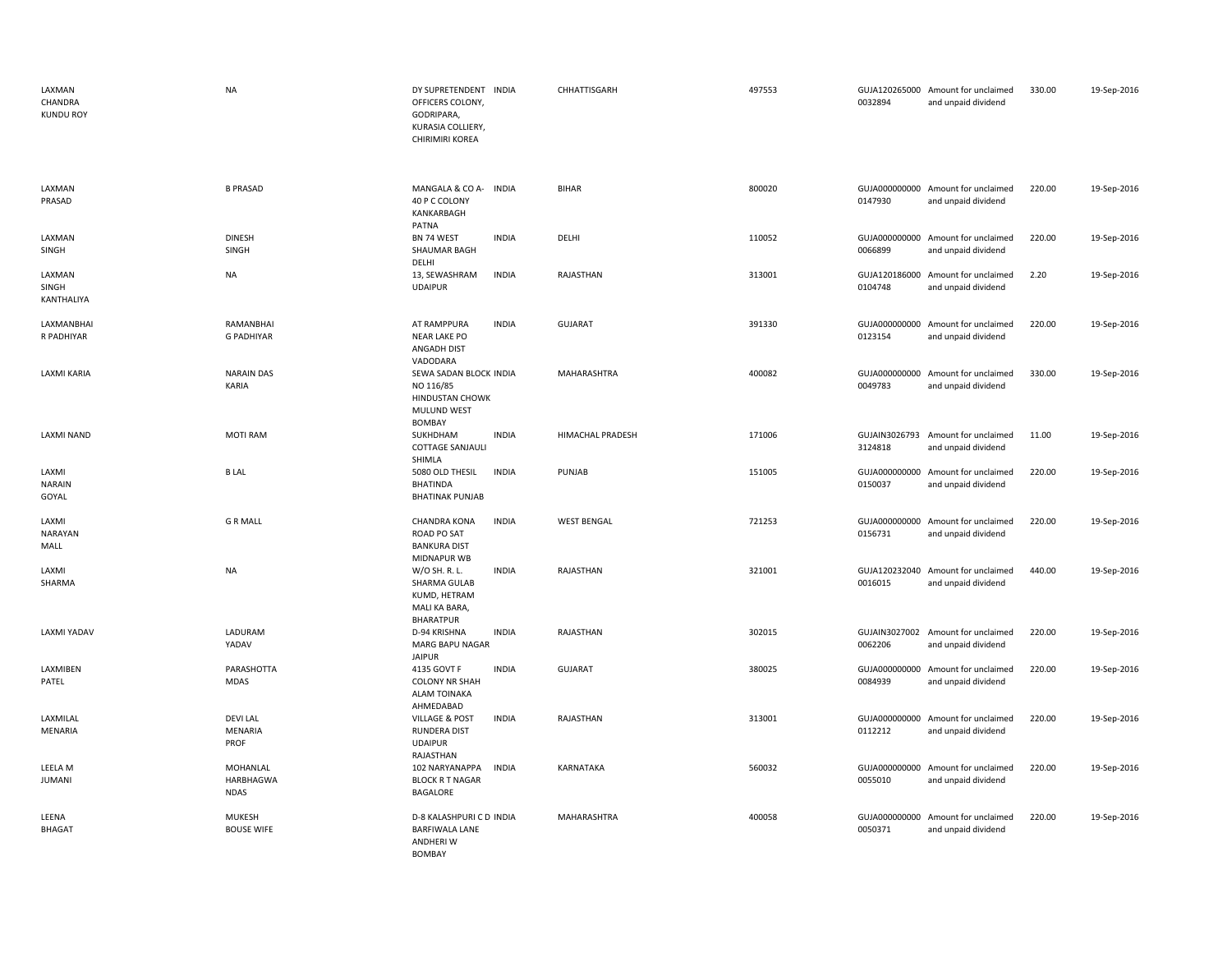| LAXMAN<br>CHANDRA<br><b>KUNDU ROY</b> | <b>NA</b>                            | DY SUPRETENDENT INDIA<br>OFFICERS COLONY,<br>GODRIPARA,<br>KURASIA COLLIERY,<br>CHIRIMIRI KOREA            |                    | CHHATTISGARH            | 497553 | 0032894                  | GUJA120265000 Amount for unclaimed<br>and unpaid dividend | 330.00 | 19-Sep-2016 |
|---------------------------------------|--------------------------------------|------------------------------------------------------------------------------------------------------------|--------------------|-------------------------|--------|--------------------------|-----------------------------------------------------------|--------|-------------|
| LAXMAN<br>PRASAD                      | <b>B PRASAD</b>                      | MANGALA & CO A- INDIA<br>40 P C COLONY<br>KANKARBAGH                                                       | <b>BIHAR</b>       |                         | 800020 | 0147930                  | GUJA000000000 Amount for unclaimed<br>and unpaid dividend | 220.00 | 19-Sep-2016 |
| LAXMAN<br>SINGH                       | <b>DINESH</b><br>SINGH               | PATNA<br>BN 74 WEST<br><b>INDIA</b><br>SHAUMAR BAGH<br>DELHI                                               | DELHI              |                         | 110052 | 0066899                  | GUJA000000000 Amount for unclaimed<br>and unpaid dividend | 220.00 | 19-Sep-2016 |
| LAXMAN<br>SINGH<br>KANTHALIYA         | <b>NA</b>                            | <b>INDIA</b><br>13, SEWASHRAM<br><b>UDAIPUR</b>                                                            | RAJASTHAN          |                         | 313001 | 0104748                  | GUJA120186000 Amount for unclaimed<br>and unpaid dividend | 2.20   | 19-Sep-2016 |
| LAXMANBHAI<br>R PADHIYAR              | RAMANBHAI<br><b>G PADHIYAR</b>       | <b>INDIA</b><br>AT RAMPPURA<br><b>NEAR LAKE PO</b><br>ANGADH DIST                                          | <b>GUJARAT</b>     |                         | 391330 | 0123154                  | GUJA000000000 Amount for unclaimed<br>and unpaid dividend | 220.00 | 19-Sep-2016 |
| LAXMI KARIA                           | <b>NARAIN DAS</b><br>KARIA           | VADODARA<br>SEWA SADAN BLOCK INDIA<br>NO 116/85<br><b>HINDUSTAN CHOWK</b><br><b>MULUND WEST</b><br>BOMBAY  |                    | MAHARASHTRA             | 400082 | GUJA000000000<br>0049783 | Amount for unclaimed<br>and unpaid dividend               | 330.00 | 19-Sep-2016 |
| <b>LAXMI NAND</b>                     | <b>MOTI RAM</b>                      | SUKHDHAM<br><b>INDIA</b><br>COTTAGE SANJAULI<br>SHIMLA                                                     |                    | <b>HIMACHAL PRADESH</b> | 171006 | GUJAIN3026793<br>3124818 | Amount for unclaimed<br>and unpaid dividend               | 11.00  | 19-Sep-2016 |
| LAXMI<br><b>NARAIN</b><br>GOYAL       | <b>BLAL</b>                          | <b>INDIA</b><br>5080 OLD THESIL<br><b>BHATINDA</b><br><b>BHATINAK PUNJAB</b>                               | PUNJAB             |                         | 151005 | GUJA000000000<br>0150037 | Amount for unclaimed<br>and unpaid dividend               | 220.00 | 19-Sep-2016 |
| LAXMI<br>NARAYAN<br>MALL              | <b>GRMALL</b>                        | <b>INDIA</b><br><b>CHANDRA KONA</b><br><b>ROAD PO SAT</b><br><b>BANKURA DIST</b>                           | <b>WEST BENGAL</b> |                         | 721253 | GUJA000000000<br>0156731 | Amount for unclaimed<br>and unpaid dividend               | 220.00 | 19-Sep-2016 |
| LAXMI<br>SHARMA                       | <b>NA</b>                            | MIDNAPUR WB<br><b>INDIA</b><br>W/O SH. R. L.<br>SHARMA GULAB<br>KUMD, HETRAM<br>MALI KA BARA,<br>BHARATPUR | RAJASTHAN          |                         | 321001 | 0016015                  | GUJA120232040 Amount for unclaimed<br>and unpaid dividend | 440.00 | 19-Sep-2016 |
| <b>LAXMI YADAV</b>                    | LADURAM<br>YADAV                     | D-94 KRISHNA<br><b>INDIA</b><br><b>MARG BAPU NAGAR</b><br><b>JAIPUR</b>                                    | RAJASTHAN          |                         | 302015 | 0062206                  | GUJAIN3027002 Amount for unclaimed<br>and unpaid dividend | 220.00 | 19-Sep-2016 |
| LAXMIBEN<br>PATEL                     | PARASHOTTA<br>MDAS                   | 4135 GOVT F<br><b>INDIA</b><br><b>COLONY NR SHAH</b><br>ALAM TOINAKA<br>AHMEDABAD                          | <b>GUJARAT</b>     |                         | 380025 | 0084939                  | GUJA000000000 Amount for unclaimed<br>and unpaid dividend | 220.00 | 19-Sep-2016 |
| LAXMILAL<br><b>MENARIA</b>            | <b>DEVILAL</b><br>MENARIA<br>PROF    | <b>VILLAGE &amp; POST</b><br><b>INDIA</b><br><b>RUNDERA DIST</b><br><b>UDAIPUR</b><br>RAJASTHAN            | RAJASTHAN          |                         | 313001 | 0112212                  | GUJA000000000 Amount for unclaimed<br>and unpaid dividend | 220.00 | 19-Sep-2016 |
| LEELA M<br><b>JUMANI</b>              | MOHANLAL<br>HARBHAGWA<br><b>NDAS</b> | 102 NARYANAPPA<br><b>INDIA</b><br><b>BLOCK R T NAGAR</b><br>BAGALORE                                       | KARNATAKA          |                         | 560032 | GUJA000000000<br>0055010 | Amount for unclaimed<br>and unpaid dividend               | 220.00 | 19-Sep-2016 |
| LEENA<br><b>BHAGAT</b>                | <b>MUKESH</b><br><b>BOUSE WIFE</b>   | D-8 KALASHPURI C D INDIA<br><b>BARFIWALA LANE</b><br><b>ANDHERIW</b><br><b>BOMBAY</b>                      |                    | MAHARASHTRA             | 400058 | GUJA000000000<br>0050371 | Amount for unclaimed<br>and unpaid dividend               | 220.00 | 19-Sep-2016 |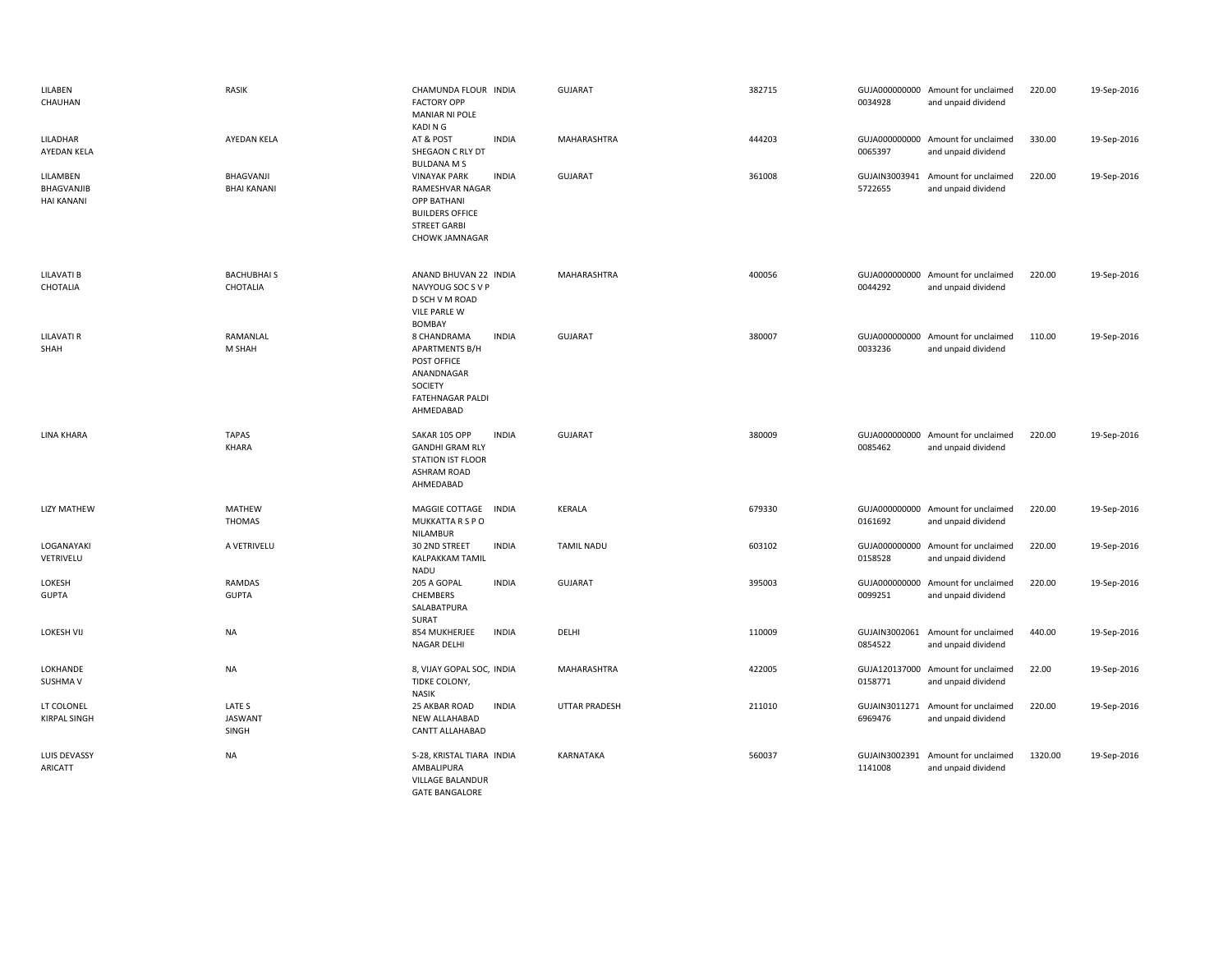| LILABEN<br>CHAUHAN                          | <b>RASIK</b>                      | CHAMUNDA FLOUR INDIA<br><b>FACTORY OPP</b><br><b>MANIAR NI POLE</b><br>KADI N G                                                                 | <b>GUJARAT</b>       | 382715 | 0034928                  | GUJA000000000 Amount for unclaimed<br>and unpaid dividend | 220.00  | 19-Sep-2016 |
|---------------------------------------------|-----------------------------------|-------------------------------------------------------------------------------------------------------------------------------------------------|----------------------|--------|--------------------------|-----------------------------------------------------------|---------|-------------|
| LILADHAR<br>AYEDAN KELA                     | AYEDAN KELA                       | AT & POST<br><b>INDIA</b><br>SHEGAON C RLY DT<br><b>BULDANA M S</b>                                                                             | MAHARASHTRA          | 444203 | 0065397                  | GUJA000000000 Amount for unclaimed<br>and unpaid dividend | 330.00  | 19-Sep-2016 |
| LILAMBEN<br>BHAGVANJIB<br><b>HAI KANANI</b> | BHAGVANJI<br><b>BHAI KANANI</b>   | <b>INDIA</b><br><b>VINAYAK PARK</b><br>RAMESHVAR NAGAR<br><b>OPP BATHANI</b><br><b>BUILDERS OFFICE</b><br><b>STREET GARBI</b><br>CHOWK JAMNAGAR | <b>GUJARAT</b>       | 361008 | GUJAIN3003941<br>5722655 | Amount for unclaimed<br>and unpaid dividend               | 220.00  | 19-Sep-2016 |
| LILAVATI B<br>CHOTALIA                      | <b>BACHUBHAI S</b><br>CHOTALIA    | ANAND BHUVAN 22 INDIA<br>NAVYOUG SOC S V P<br>D SCH V M ROAD<br><b>VILE PARLE W</b><br><b>BOMBAY</b>                                            | MAHARASHTRA          | 400056 | 0044292                  | GUJA000000000 Amount for unclaimed<br>and unpaid dividend | 220.00  | 19-Sep-2016 |
| <b>LILAVATI R</b><br>SHAH                   | RAMANLAL<br>M SHAH                | <b>INDIA</b><br>8 CHANDRAMA<br><b>APARTMENTS B/H</b><br>POST OFFICE<br>ANANDNAGAR<br>SOCIETY<br><b>FATEHNAGAR PALDI</b><br>AHMEDABAD            | <b>GUJARAT</b>       | 380007 | 0033236                  | GUJA000000000 Amount for unclaimed<br>and unpaid dividend | 110.00  | 19-Sep-2016 |
| LINA KHARA                                  | <b>TAPAS</b><br>KHARA             | <b>INDIA</b><br>SAKAR 105 OPP<br><b>GANDHI GRAM RLY</b><br><b>STATION IST FLOOR</b><br><b>ASHRAM ROAD</b><br>AHMEDABAD                          | <b>GUJARAT</b>       | 380009 | 0085462                  | GUJA000000000 Amount for unclaimed<br>and unpaid dividend | 220.00  | 19-Sep-2016 |
| <b>LIZY MATHEW</b>                          | MATHEW<br><b>THOMAS</b>           | MAGGIE COTTAGE<br><b>INDIA</b><br>MUKKATTA R S P O<br>NILAMBUR                                                                                  | <b>KERALA</b>        | 679330 | 0161692                  | GUJA000000000 Amount for unclaimed<br>and unpaid dividend | 220.00  | 19-Sep-2016 |
| LOGANAYAKI<br>VETRIVELU                     | A VETRIVELU                       | <b>INDIA</b><br>30 2ND STREET<br>KALPAKKAM TAMIL<br><b>NADU</b>                                                                                 | <b>TAMIL NADU</b>    | 603102 | 0158528                  | GUJA000000000 Amount for unclaimed<br>and unpaid dividend | 220.00  | 19-Sep-2016 |
| LOKESH<br><b>GUPTA</b>                      | RAMDAS<br><b>GUPTA</b>            | 205 A GOPAL<br><b>INDIA</b><br>CHEMBERS<br>SALABATPURA<br>SURAT                                                                                 | <b>GUJARAT</b>       | 395003 | 0099251                  | GUJA000000000 Amount for unclaimed<br>and unpaid dividend | 220.00  | 19-Sep-2016 |
| <b>LOKESH VIJ</b>                           | NA                                | <b>INDIA</b><br>854 MUKHERJEE<br>NAGAR DELHI                                                                                                    | DELHI                | 110009 | GUJAIN3002061<br>0854522 | Amount for unclaimed<br>and unpaid dividend               | 440.00  | 19-Sep-2016 |
| LOKHANDE<br>SUSHMA V                        | <b>NA</b>                         | 8, VIJAY GOPAL SOC, INDIA<br>TIDKE COLONY,<br><b>NASIK</b>                                                                                      | MAHARASHTRA          | 422005 | 0158771                  | GUJA120137000 Amount for unclaimed<br>and unpaid dividend | 22.00   | 19-Sep-2016 |
| LT COLONEL<br><b>KIRPAL SINGH</b>           | LATE S<br><b>JASWANT</b><br>SINGH | 25 AKBAR ROAD<br><b>INDIA</b><br><b>NEW ALLAHABAD</b><br>CANTT ALLAHABAD                                                                        | <b>UTTAR PRADESH</b> | 211010 | 6969476                  | GUJAIN3011271 Amount for unclaimed<br>and unpaid dividend | 220.00  | 19-Sep-2016 |
| LUIS DEVASSY<br>ARICATT                     | NA                                | S-28, KRISTAL TIARA INDIA<br>AMBALIPURA<br><b>VILLAGE BALANDUR</b><br><b>GATE BANGALORE</b>                                                     | KARNATAKA            | 560037 | 1141008                  | GUJAIN3002391 Amount for unclaimed<br>and unpaid dividend | 1320.00 | 19-Sep-2016 |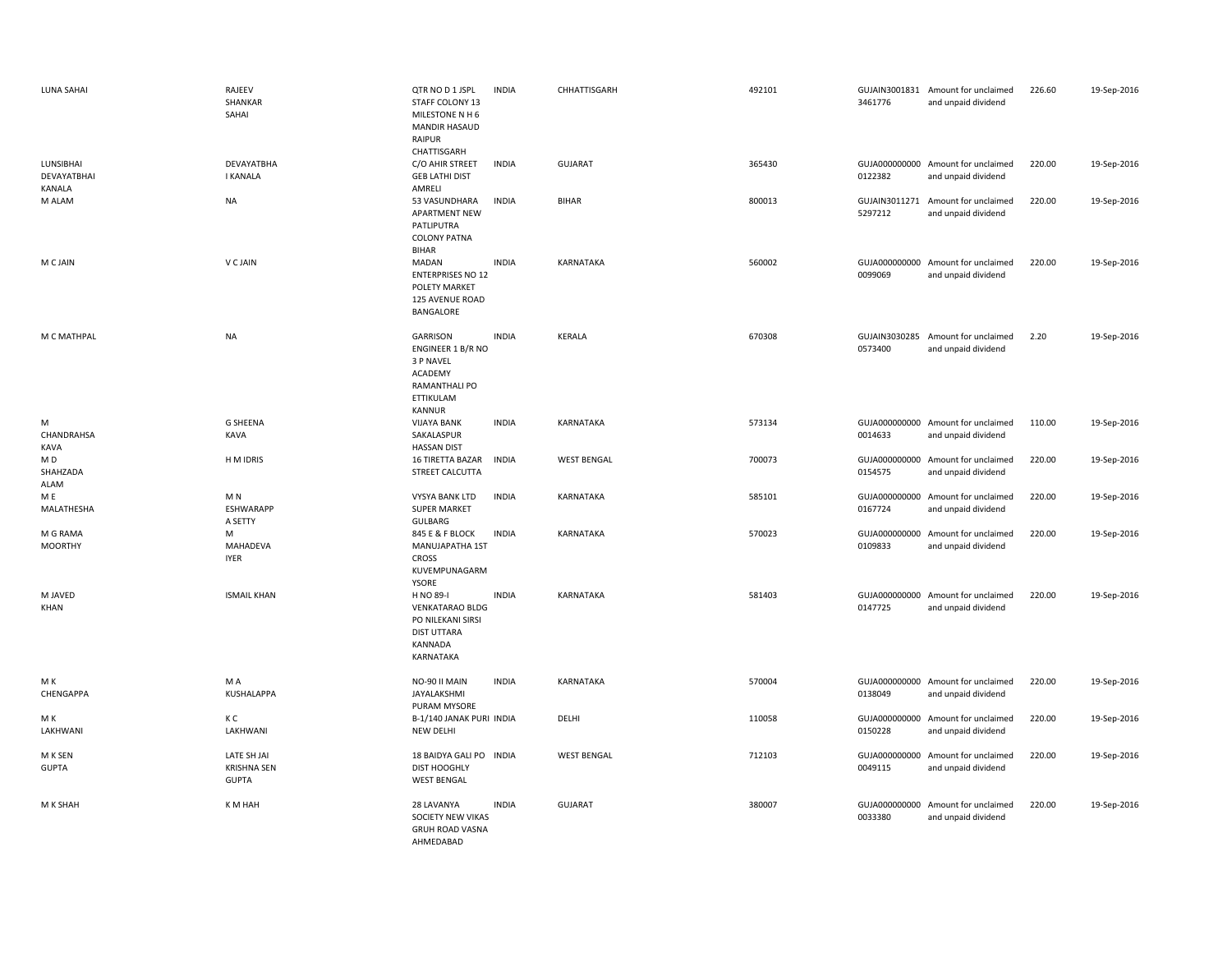| LUNA SAHAI                         | RAJEEV<br>SHANKAR<br>SAHAI                        | QTR NO D 1 JSPL<br>STAFF COLONY 13<br>MILESTONE N H 6<br><b>MANDIR HASAUD</b><br><b>RAIPUR</b><br>CHATTISGARH | <b>INDIA</b> | CHHATTISGARH       | 492101 | 3461776                  | GUJAIN3001831 Amount for unclaimed<br>and unpaid dividend | 226.60 | 19-Sep-2016 |
|------------------------------------|---------------------------------------------------|---------------------------------------------------------------------------------------------------------------|--------------|--------------------|--------|--------------------------|-----------------------------------------------------------|--------|-------------|
| LUNSIBHAI<br>DEVAYATBHAI<br>KANALA | DEVAYATBHA<br><b>I KANALA</b>                     | C/O AHIR STREET<br><b>GEB LATHI DIST</b><br>AMRELI                                                            | <b>INDIA</b> | <b>GUJARAT</b>     | 365430 | 0122382                  | GUJA000000000 Amount for unclaimed<br>and unpaid dividend | 220.00 | 19-Sep-2016 |
| M ALAM                             | <b>NA</b>                                         | 53 VASUNDHARA<br><b>APARTMENT NEW</b><br>PATLIPUTRA<br><b>COLONY PATNA</b><br><b>BIHAR</b>                    | <b>INDIA</b> | <b>BIHAR</b>       | 800013 | GUJAIN3011271<br>5297212 | Amount for unclaimed<br>and unpaid dividend               | 220.00 | 19-Sep-2016 |
| M C JAIN                           | V C JAIN                                          | MADAN<br><b>ENTERPRISES NO 12</b><br>POLETY MARKET<br>125 AVENUE ROAD<br>BANGALORE                            | <b>INDIA</b> | KARNATAKA          | 560002 | 0099069                  | GUJA000000000 Amount for unclaimed<br>and unpaid dividend | 220.00 | 19-Sep-2016 |
| M C MATHPAL                        | <b>NA</b>                                         | GARRISON<br>ENGINEER 1 B/R NO<br>3 P NAVEL<br>ACADEMY<br>RAMANTHALI PO<br>ETTIKULAM<br>KANNUR                 | <b>INDIA</b> | <b>KERALA</b>      | 670308 | 0573400                  | GUJAIN3030285 Amount for unclaimed<br>and unpaid dividend | 2.20   | 19-Sep-2016 |
| M<br>CHANDRAHSA<br>KAVA            | <b>G SHEENA</b><br>KAVA                           | <b>VIJAYA BANK</b><br>SAKALASPUR<br><b>HASSAN DIST</b>                                                        | <b>INDIA</b> | KARNATAKA          | 573134 | 0014633                  | GUJA000000000 Amount for unclaimed<br>and unpaid dividend | 110.00 | 19-Sep-2016 |
| M D<br>SHAHZADA<br><b>ALAM</b>     | H M IDRIS                                         | 16 TIRETTA BAZAR<br>STREET CALCUTTA                                                                           | <b>INDIA</b> | <b>WEST BENGAL</b> | 700073 | 0154575                  | GUJA000000000 Amount for unclaimed<br>and unpaid dividend | 220.00 | 19-Sep-2016 |
| M E<br>MALATHESHA                  | M N<br><b>ESHWARAPP</b><br>A SETTY                | VYSYA BANK LTD<br><b>SUPER MARKET</b><br>GULBARG                                                              | <b>INDIA</b> | KARNATAKA          | 585101 | 0167724                  | GUJA000000000 Amount for unclaimed<br>and unpaid dividend | 220.00 | 19-Sep-2016 |
| M G RAMA<br><b>MOORTHY</b>         | M<br>MAHADEVA<br><b>IYER</b>                      | 845 E & F BLOCK<br>MANUJAPATHA 1ST<br><b>CROSS</b><br>KUVEMPUNAGARM<br>YSORE                                  | <b>INDIA</b> | KARNATAKA          | 570023 | 0109833                  | GUJA000000000 Amount for unclaimed<br>and unpaid dividend | 220.00 | 19-Sep-2016 |
| M JAVED<br>KHAN                    | <b>ISMAIL KHAN</b>                                | H NO 89-I<br><b>VENKATARAO BLDG</b><br>PO NILEKANI SIRSI<br><b>DIST UTTARA</b><br>KANNADA<br>KARNATAKA        | <b>INDIA</b> | KARNATAKA          | 581403 | 0147725                  | GUJA000000000 Amount for unclaimed<br>and unpaid dividend | 220.00 | 19-Sep-2016 |
| M K<br>CHENGAPPA                   | M A<br>KUSHALAPPA                                 | NO-90 II MAIN<br>JAYALAKSHMI<br>PURAM MYSORE                                                                  | <b>INDIA</b> | KARNATAKA          | 570004 | 0138049                  | GUJA000000000 Amount for unclaimed<br>and unpaid dividend | 220.00 | 19-Sep-2016 |
| M K<br>LAKHWANI                    | КC<br>LAKHWANI                                    | B-1/140 JANAK PURI INDIA<br>NEW DELHI                                                                         |              | DELHI              | 110058 | 0150228                  | GUJA000000000 Amount for unclaimed<br>and unpaid dividend | 220.00 | 19-Sep-2016 |
| M K SEN<br><b>GUPTA</b>            | LATE SH JAI<br><b>KRISHNA SEN</b><br><b>GUPTA</b> | 18 BAIDYA GALI PO INDIA<br>DIST HOOGHLY<br><b>WEST BENGAL</b>                                                 |              | <b>WEST BENGAL</b> | 712103 | 0049115                  | GUJA000000000 Amount for unclaimed<br>and unpaid dividend | 220.00 | 19-Sep-2016 |
| M K SHAH                           | K M HAH                                           | 28 LAVANYA<br>SOCIETY NEW VIKAS<br><b>GRUH ROAD VASNA</b><br>AHMFDABAD                                        | <b>INDIA</b> | <b>GUJARAT</b>     | 380007 | 0033380                  | GUJA000000000 Amount for unclaimed<br>and unpaid dividend | 220.00 | 19-Sep-2016 |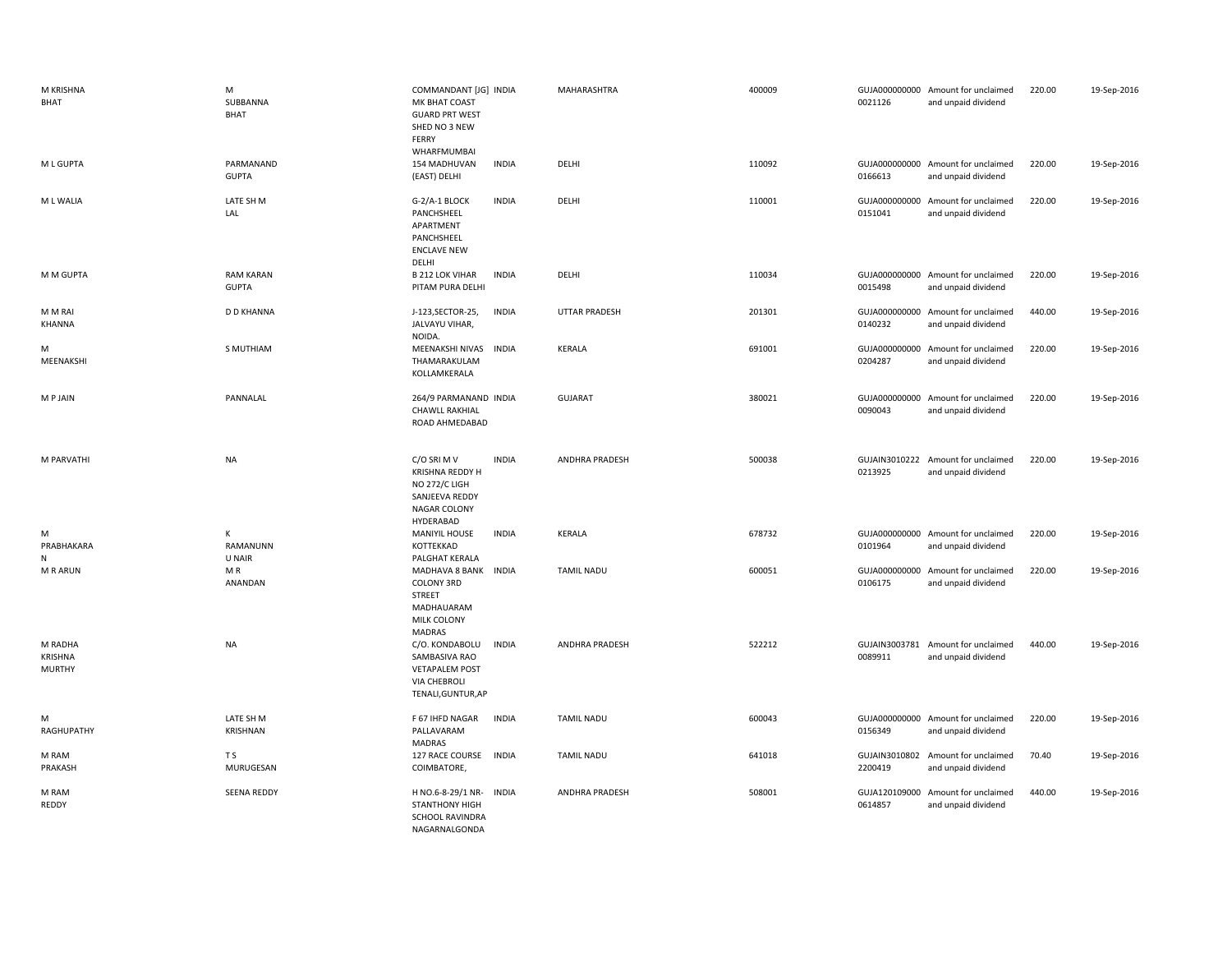| M KRISHNA<br><b>BHAT</b>            | M<br>SUBBANNA<br><b>BHAT</b>     | COMMANDANT [JG] INDIA<br>MK BHAT COAST<br><b>GUARD PRT WEST</b><br>SHED NO 3 NEW<br>FERRY<br>WHARFMUMBAI       | MAHARASHTRA           | 400009 | 0021126                  | GUJA000000000 Amount for unclaimed<br>and unpaid dividend | 220.00 | 19-Sep-2016 |
|-------------------------------------|----------------------------------|----------------------------------------------------------------------------------------------------------------|-----------------------|--------|--------------------------|-----------------------------------------------------------|--------|-------------|
| M L GUPTA                           | PARMANAND<br><b>GUPTA</b>        | 154 MADHUVAN<br><b>INDIA</b><br>(EAST) DELHI                                                                   | DELHI                 | 110092 | 0166613                  | GUJA000000000 Amount for unclaimed<br>and unpaid dividend | 220.00 | 19-Sep-2016 |
| M L WALIA                           | LATE SH M<br>LAL                 | G-2/A-1 BLOCK<br><b>INDIA</b><br>PANCHSHEEL<br>APARTMENT<br>PANCHSHEEL<br><b>ENCLAVE NEW</b><br>DELHI          | DELHI                 | 110001 | 0151041                  | GUJA000000000 Amount for unclaimed<br>and unpaid dividend | 220.00 | 19-Sep-2016 |
| M M GUPTA                           | <b>RAM KARAN</b><br><b>GUPTA</b> | <b>B 212 LOK VIHAR</b><br><b>INDIA</b><br>PITAM PURA DELHI                                                     | DELHI                 | 110034 | 0015498                  | GUJA000000000 Amount for unclaimed<br>and unpaid dividend | 220.00 | 19-Sep-2016 |
| M M RAI<br>KHANNA                   | <b>D D KHANNA</b>                | J-123, SECTOR-25,<br><b>INDIA</b><br>JALVAYU VIHAR,<br>NOIDA.                                                  | UTTAR PRADESH         | 201301 | 0140232                  | GUJA000000000 Amount for unclaimed<br>and unpaid dividend | 440.00 | 19-Sep-2016 |
| M<br>MEENAKSHI                      | S MUTHIAM                        | MEENAKSHI NIVAS<br><b>INDIA</b><br>THAMARAKULAM<br>KOLLAMKERALA                                                | KERALA                | 691001 | 0204287                  | GUJA000000000 Amount for unclaimed<br>and unpaid dividend | 220.00 | 19-Sep-2016 |
| <b>MPJAIN</b>                       | PANNALAL                         | 264/9 PARMANAND INDIA<br><b>CHAWLL RAKHIAL</b><br>ROAD AHMEDABAD                                               | <b>GUJARAT</b>        | 380021 | 0090043                  | GUJA000000000 Amount for unclaimed<br>and unpaid dividend | 220.00 | 19-Sep-2016 |
| M PARVATHI                          | <b>NA</b>                        | C/O SRI M V<br><b>INDIA</b><br>KRISHNA REDDY H<br>NO 272/C LIGH<br>SANJEEVA REDDY<br>NAGAR COLONY<br>HYDERABAD | <b>ANDHRA PRADESH</b> | 500038 | 0213925                  | GUJAIN3010222 Amount for unclaimed<br>and unpaid dividend | 220.00 | 19-Sep-2016 |
| М<br>PRABHAKARA<br>N                | K<br>RAMANUNN<br>U NAIR          | <b>MANIYIL HOUSE</b><br><b>INDIA</b><br>KOTTEKKAD<br>PALGHAT KERALA                                            | KERALA                | 678732 | 0101964                  | GUJA000000000 Amount for unclaimed<br>and unpaid dividend | 220.00 | 19-Sep-2016 |
| M R ARUN                            | MR.<br>ANANDAN                   | MADHAVA 8 BANK INDIA<br>COLONY 3RD<br>STREET<br>MADHAUARAM<br>MILK COLONY<br>MADRAS                            | <b>TAMIL NADU</b>     | 600051 | 0106175                  | GUJA000000000 Amount for unclaimed<br>and unpaid dividend | 220.00 | 19-Sep-2016 |
| M RADHA<br>KRISHNA<br><b>MURTHY</b> | <b>NA</b>                        | C/O. KONDABOLU<br><b>INDIA</b><br>SAMBASIVA RAO<br><b>VETAPALEM POST</b><br>VIA CHEBROLI<br>TENALI, GUNTUR, AP | ANDHRA PRADESH        | 522212 | GUJAIN3003781<br>0089911 | Amount for unclaimed<br>and unpaid dividend               | 440.00 | 19-Sep-2016 |
| M<br>RAGHUPATHY                     | LATE SH M<br>KRISHNAN            | <b>INDIA</b><br>F 67 IHFD NAGAR<br>PALLAVARAM<br>MADRAS                                                        | <b>TAMIL NADU</b>     | 600043 | 0156349                  | GUJA000000000 Amount for unclaimed<br>and unpaid dividend | 220.00 | 19-Sep-2016 |
| M RAM<br>PRAKASH                    | T S<br>MURUGESAN                 | 127 RACE COURSE<br><b>INDIA</b><br>COIMBATORE,                                                                 | <b>TAMIL NADU</b>     | 641018 | 2200419                  | GUJAIN3010802 Amount for unclaimed<br>and unpaid dividend | 70.40  | 19-Sep-2016 |
| M RAM<br>REDDY                      | <b>SEENA REDDY</b>               | H NO.6-8-29/1 NR-<br>INDIA<br><b>STANTHONY HIGH</b><br><b>SCHOOL RAVINDRA</b><br>NAGARNALGONDA                 | ANDHRA PRADESH        | 508001 | 0614857                  | GUJA120109000 Amount for unclaimed<br>and unpaid dividend | 440.00 | 19-Sep-2016 |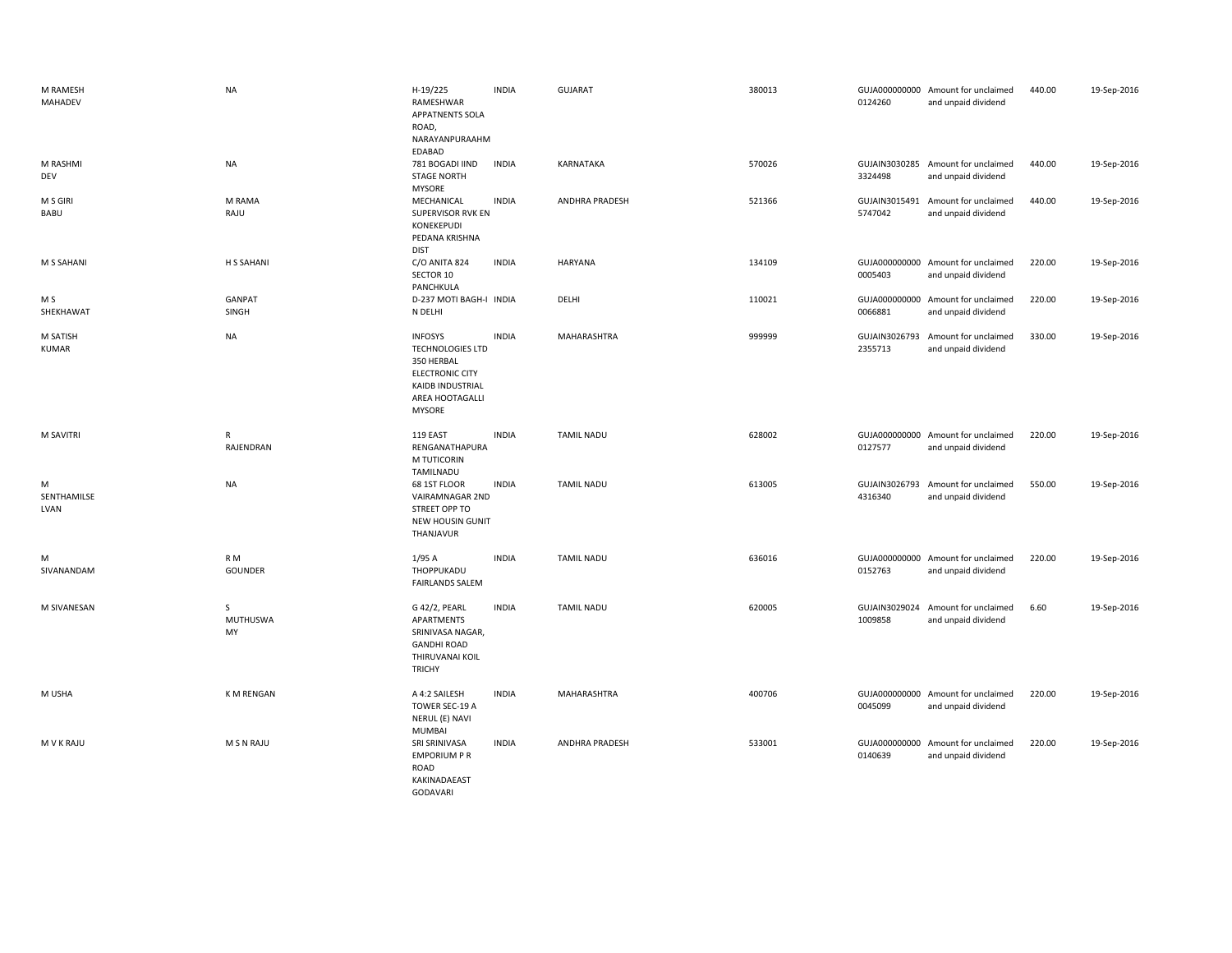| M RAMESH<br>MAHADEV      | <b>NA</b>                        | H-19/225<br>RAMESHWAR<br>APPATNENTS SOLA<br>ROAD,<br>NARAYANPURAAHM<br>EDABAD                                                                    | <b>INDIA</b> | <b>GUJARAT</b>    | 380013 | 0124260 | GUJA000000000 Amount for unclaimed<br>and unpaid dividend | 440.00 | 19-Sep-2016 |
|--------------------------|----------------------------------|--------------------------------------------------------------------------------------------------------------------------------------------------|--------------|-------------------|--------|---------|-----------------------------------------------------------|--------|-------------|
| M RASHMI<br>DEV          | <b>NA</b>                        | 781 BOGADI IIND<br><b>STAGE NORTH</b><br><b>MYSORE</b>                                                                                           | <b>INDIA</b> | KARNATAKA         | 570026 | 3324498 | GUJAIN3030285 Amount for unclaimed<br>and unpaid dividend | 440.00 | 19-Sep-2016 |
| M S GIRI<br>BABU         | M RAMA<br>RAJU                   | MECHANICAL<br><b>SUPERVISOR RVK EN</b><br>KONEKEPUDI<br>PEDANA KRISHNA<br><b>DIST</b>                                                            | <b>INDIA</b> | ANDHRA PRADESH    | 521366 | 5747042 | GUJAIN3015491 Amount for unclaimed<br>and unpaid dividend | 440.00 | 19-Sep-2016 |
| M S SAHANI               | H S SAHANI                       | C/O ANITA 824<br>SECTOR 10<br>PANCHKULA                                                                                                          | <b>INDIA</b> | HARYANA           | 134109 | 0005403 | GUJA000000000 Amount for unclaimed<br>and unpaid dividend | 220.00 | 19-Sep-2016 |
| M S<br>SHEKHAWAT         | <b>GANPAT</b><br>SINGH           | D-237 MOTI BAGH-I INDIA<br>N DELHI                                                                                                               |              | DELHI             | 110021 | 0066881 | GUJA000000000 Amount for unclaimed<br>and unpaid dividend | 220.00 | 19-Sep-2016 |
| M SATISH<br><b>KUMAR</b> | <b>NA</b>                        | <b>INFOSYS</b><br><b>TECHNOLOGIES LTD</b><br>350 HERBAL<br><b>ELECTRONIC CITY</b><br><b>KAIDB INDUSTRIAL</b><br>AREA HOOTAGALLI<br><b>MYSORE</b> | <b>INDIA</b> | MAHARASHTRA       | 999999 | 2355713 | GUJAIN3026793 Amount for unclaimed<br>and unpaid dividend | 330.00 | 19-Sep-2016 |
| <b>M SAVITRI</b>         | R<br>RAJENDRAN                   | 119 EAST<br>RENGANATHAPURA<br>M TUTICORIN<br>TAMILNADU                                                                                           | <b>INDIA</b> | <b>TAMIL NADU</b> | 628002 | 0127577 | GUJA000000000 Amount for unclaimed<br>and unpaid dividend | 220.00 | 19-Sep-2016 |
| м<br>SENTHAMILSE<br>LVAN | <b>NA</b>                        | 68 1ST FLOOR<br>VAIRAMNAGAR 2ND<br>STREET OPP TO<br>NEW HOUSIN GUNIT<br>THANJAVUR                                                                | <b>INDIA</b> | <b>TAMIL NADU</b> | 613005 | 4316340 | GUJAIN3026793 Amount for unclaimed<br>and unpaid dividend | 550.00 | 19-Sep-2016 |
| м<br>SIVANANDAM          | R <sub>M</sub><br><b>GOUNDER</b> | 1/95A<br>THOPPUKADU<br><b>FAIRLANDS SALEM</b>                                                                                                    | <b>INDIA</b> | <b>TAMIL NADU</b> | 636016 | 0152763 | GUJA000000000 Amount for unclaimed<br>and unpaid dividend | 220.00 | 19-Sep-2016 |
| M SIVANESAN              | S<br>MUTHUSWA<br>MY              | G 42/2, PEARL<br>APARTMENTS<br>SRINIVASA NAGAR,<br><b>GANDHI ROAD</b><br>THIRUVANAI KOIL<br><b>TRICHY</b>                                        | <b>INDIA</b> | <b>TAMIL NADU</b> | 620005 | 1009858 | GUJAIN3029024 Amount for unclaimed<br>and unpaid dividend | 6.60   | 19-Sep-2016 |
| M USHA                   | K M RENGAN                       | A 4:2 SAILESH<br>TOWER SEC-19 A<br>NERUL (E) NAVI<br><b>MUMBAI</b>                                                                               | <b>INDIA</b> | MAHARASHTRA       | 400706 | 0045099 | GUJA000000000 Amount for unclaimed<br>and unpaid dividend | 220.00 | 19-Sep-2016 |
| <b>MVKRAJU</b>           | M S N RAJU                       | SRI SRINIVASA<br><b>EMPORIUM P R</b><br>ROAD<br>KAKINADAEAST<br>GODAVARI                                                                         | <b>INDIA</b> | ANDHRA PRADESH    | 533001 | 0140639 | GUJA000000000 Amount for unclaimed<br>and unpaid dividend | 220.00 | 19-Sep-2016 |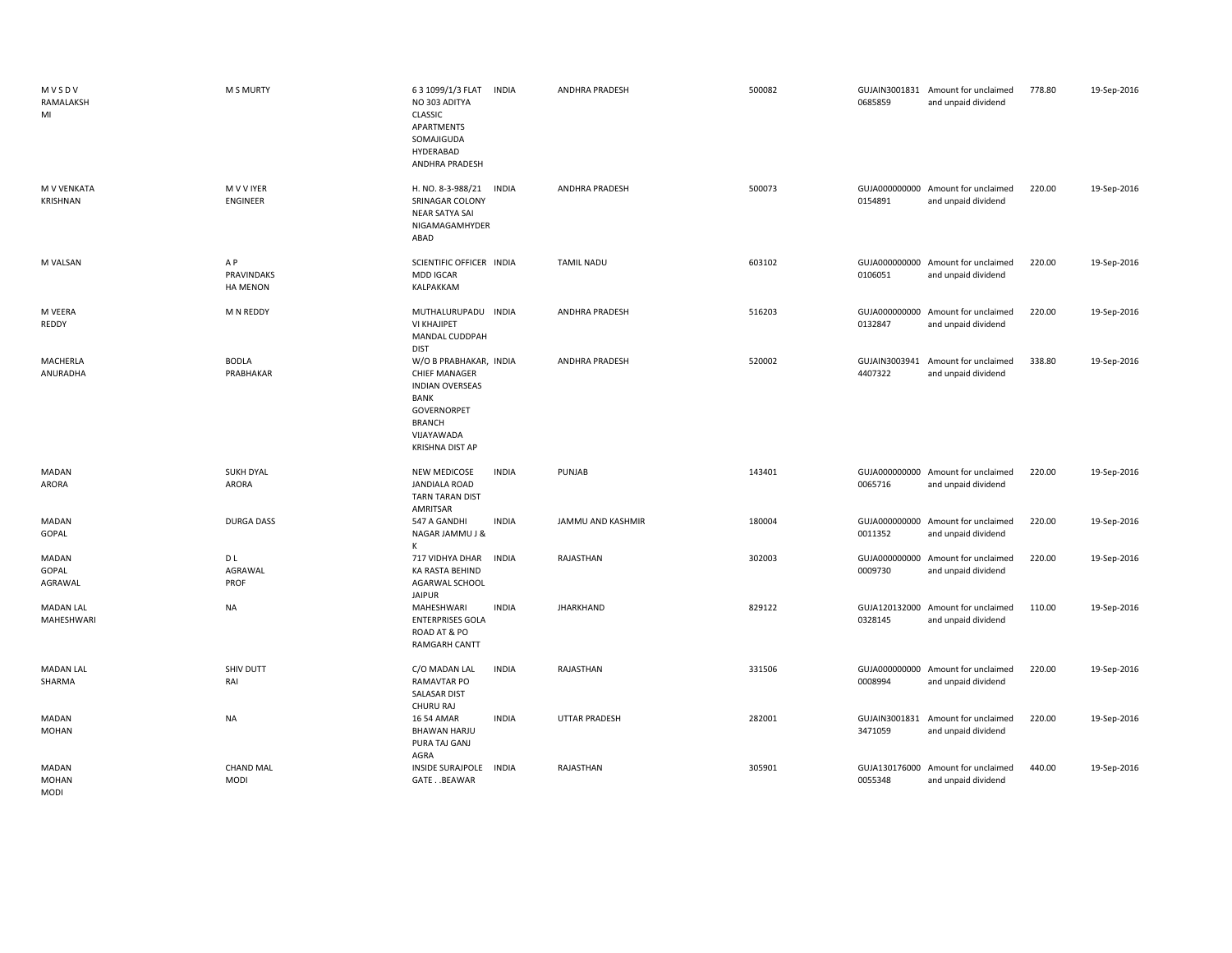| MVSDV<br>RAMALAKSH<br>MI             | <b>M S MURTY</b>                     | 63 1099/1/3 FLAT<br><b>INDIA</b><br>NO 303 ADITYA<br><b>CLASSIC</b><br>APARTMENTS<br>SOMAJIGUDA<br>HYDERABAD<br>ANDHRA PRADESH                                  | <b>ANDHRA PRADESH</b> | 500082 | 0685859                  | GUJAIN3001831 Amount for unclaimed<br>and unpaid dividend | 778.80 | 19-Sep-2016 |
|--------------------------------------|--------------------------------------|-----------------------------------------------------------------------------------------------------------------------------------------------------------------|-----------------------|--------|--------------------------|-----------------------------------------------------------|--------|-------------|
| M V VENKATA<br>KRISHNAN              | M V V IYER<br><b>ENGINEER</b>        | <b>INDIA</b><br>H. NO. 8-3-988/21<br>SRINAGAR COLONY<br>NEAR SATYA SAI<br>NIGAMAGAMHYDER<br>ABAD                                                                | ANDHRA PRADESH        | 500073 | 0154891                  | GUJA000000000 Amount for unclaimed<br>and unpaid dividend | 220.00 | 19-Sep-2016 |
| M VALSAN                             | A P<br>PRAVINDAKS<br><b>HA MENON</b> | SCIENTIFIC OFFICER INDIA<br><b>MDD IGCAR</b><br>KALPAKKAM                                                                                                       | <b>TAMIL NADU</b>     | 603102 | 0106051                  | GUJA000000000 Amount for unclaimed<br>and unpaid dividend | 220.00 | 19-Sep-2016 |
| M VEERA<br>REDDY                     | M N REDDY                            | MUTHALURUPADU INDIA<br>VI KHAJIPET<br>MANDAL CUDDPAH<br><b>DIST</b>                                                                                             | <b>ANDHRA PRADESH</b> | 516203 | 0132847                  | GUJA000000000 Amount for unclaimed<br>and unpaid dividend | 220.00 | 19-Sep-2016 |
| MACHERLA<br>ANURADHA                 | <b>BODLA</b><br>PRABHAKAR            | W/O B PRABHAKAR, INDIA<br><b>CHIEF MANAGER</b><br><b>INDIAN OVERSEAS</b><br><b>BANK</b><br>GOVERNORPET<br><b>BRANCH</b><br>VIJAYAWADA<br><b>KRISHNA DIST AP</b> | <b>ANDHRA PRADESH</b> | 520002 | 4407322                  | GUJAIN3003941 Amount for unclaimed<br>and unpaid dividend | 338.80 | 19-Sep-2016 |
| MADAN<br>ARORA                       | <b>SUKH DYAL</b><br><b>ARORA</b>     | NEW MEDICOSE<br><b>INDIA</b><br><b>JANDIALA ROAD</b><br>TARN TARAN DIST<br>AMRITSAR                                                                             | PUNJAB                | 143401 | 0065716                  | GUJA000000000 Amount for unclaimed<br>and unpaid dividend | 220.00 | 19-Sep-2016 |
| <b>MADAN</b><br>GOPAL                | <b>DURGA DASS</b>                    | <b>INDIA</b><br>547 A GANDHI<br>NAGAR JAMMU J &<br>к                                                                                                            | JAMMU AND KASHMIR     | 180004 | GUJA000000000<br>0011352 | Amount for unclaimed<br>and unpaid dividend               | 220.00 | 19-Sep-2016 |
| MADAN<br>GOPAL<br>AGRAWAL            | D L<br>AGRAWAL<br>PROF               | 717 VIDHYA DHAR<br><b>INDIA</b><br>KA RASTA BEHIND<br>AGARWAL SCHOOL<br><b>JAIPUR</b>                                                                           | RAJASTHAN             | 302003 | GUJA000000000<br>0009730 | Amount for unclaimed<br>and unpaid dividend               | 220.00 | 19-Sep-2016 |
| <b>MADAN LAL</b><br>MAHESHWARI       | <b>NA</b>                            | <b>INDIA</b><br>MAHESHWARI<br><b>ENTERPRISES GOLA</b><br>ROAD AT & PO<br><b>RAMGARH CANTT</b>                                                                   | <b>JHARKHAND</b>      | 829122 | 0328145                  | GUJA120132000 Amount for unclaimed<br>and unpaid dividend | 110.00 | 19-Sep-2016 |
| <b>MADAN LAL</b><br>SHARMA           | SHIV DUTT<br>RAI                     | <b>INDIA</b><br>C/O MADAN LAL<br>RAMAVTAR PO<br><b>SALASAR DIST</b><br>CHURU RAJ                                                                                | RAJASTHAN             | 331506 | 0008994                  | GUJA000000000 Amount for unclaimed<br>and unpaid dividend | 220.00 | 19-Sep-2016 |
| MADAN<br><b>MOHAN</b>                | <b>NA</b>                            | 16 54 AMAR<br><b>INDIA</b><br><b>BHAWAN HARJU</b><br>PURA TAJ GANJ<br>AGRA                                                                                      | <b>UTTAR PRADESH</b>  | 282001 | 3471059                  | GUJAIN3001831 Amount for unclaimed<br>and unpaid dividend | 220.00 | 19-Sep-2016 |
| MADAN<br><b>MOHAN</b><br><b>MODI</b> | <b>CHAND MAL</b><br><b>MODI</b>      | <b>INSIDE SURAJPOLE</b><br><b>INDIA</b><br>GATE. . BEAWAR                                                                                                       | RAJASTHAN             | 305901 | 0055348                  | GUJA130176000 Amount for unclaimed<br>and unpaid dividend | 440.00 | 19-Sep-2016 |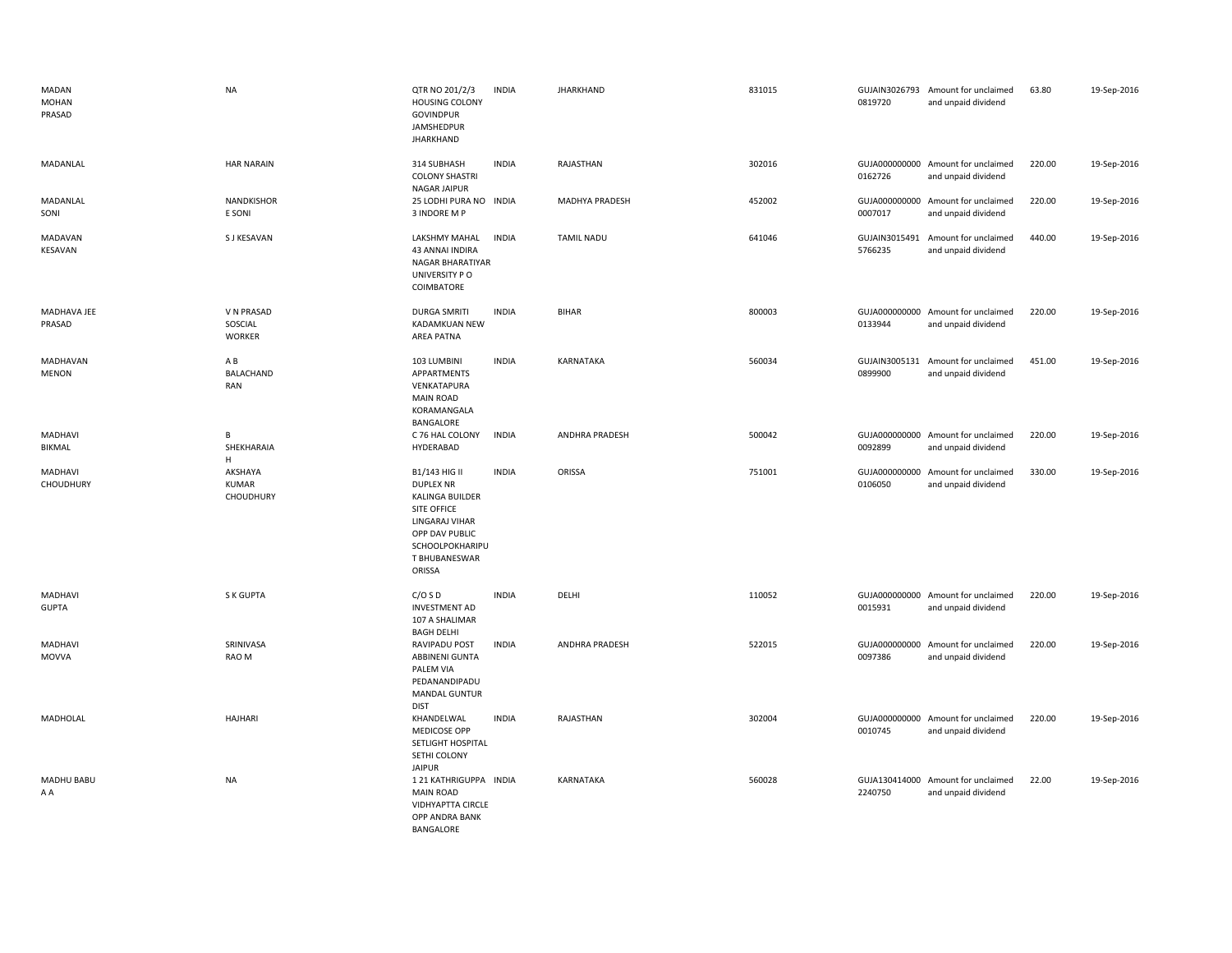| MADAN<br><b>MOHAN</b><br>PRASAD | <b>NA</b>                              | QTR NO 201/2/3<br><b>HOUSING COLONY</b><br><b>GOVINDPUR</b><br>JAMSHEDPUR<br><b>JHARKHAND</b>                                                                | <b>INDIA</b> | <b>JHARKHAND</b>  | 831015 | 0819720                  | GUJAIN3026793 Amount for unclaimed<br>and unpaid dividend | 63.80  | 19-Sep-2016 |
|---------------------------------|----------------------------------------|--------------------------------------------------------------------------------------------------------------------------------------------------------------|--------------|-------------------|--------|--------------------------|-----------------------------------------------------------|--------|-------------|
| MADANLAL                        | <b>HAR NARAIN</b>                      | 314 SUBHASH<br><b>COLONY SHASTRI</b><br>NAGAR JAIPUR                                                                                                         | <b>INDIA</b> | RAJASTHAN         | 302016 | 0162726                  | GUJA000000000 Amount for unclaimed<br>and unpaid dividend | 220.00 | 19-Sep-2016 |
| MADANLAL<br>SONI                | <b>NANDKISHOR</b><br>E SONI            | 25 LODHI PURA NO INDIA<br>3 INDORE M P                                                                                                                       |              | MADHYA PRADESH    | 452002 | GUJA000000000<br>0007017 | Amount for unclaimed<br>and unpaid dividend               | 220.00 | 19-Sep-2016 |
| <b>MADAVAN</b><br>KESAVAN       | S J KESAVAN                            | LAKSHMY MAHAL<br>43 ANNAI INDIRA<br>NAGAR BHARATIYAR<br>UNIVERSITY PO<br>COIMBATORE                                                                          | <b>INDIA</b> | <b>TAMIL NADU</b> | 641046 | GUJAIN3015491<br>5766235 | Amount for unclaimed<br>and unpaid dividend               | 440.00 | 19-Sep-2016 |
| MADHAVA JEE<br>PRASAD           | V N PRASAD<br>SOSCIAL<br><b>WORKER</b> | <b>DURGA SMRITI</b><br>KADAMKUAN NEW<br>AREA PATNA                                                                                                           | <b>INDIA</b> | <b>BIHAR</b>      | 800003 | 0133944                  | GUJA000000000 Amount for unclaimed<br>and unpaid dividend | 220.00 | 19-Sep-2016 |
| MADHAVAN<br><b>MENON</b>        | A B<br>BALACHAND<br>RAN                | 103 LUMBINI<br>APPARTMENTS<br>VENKATAPURA<br><b>MAIN ROAD</b><br>KORAMANGALA<br>BANGALORE                                                                    | <b>INDIA</b> | KARNATAKA         | 560034 | GUJAIN3005131<br>0899900 | Amount for unclaimed<br>and unpaid dividend               | 451.00 | 19-Sep-2016 |
| MADHAVI<br>BIKMAL               | В<br>SHEKHARAIA<br>H                   | C 76 HAL COLONY<br>HYDERABAD                                                                                                                                 | <b>INDIA</b> | ANDHRA PRADESH    | 500042 | 0092899                  | GUJA000000000 Amount for unclaimed<br>and unpaid dividend | 220.00 | 19-Sep-2016 |
| MADHAVI<br>CHOUDHURY            | AKSHAYA<br><b>KUMAR</b><br>CHOUDHURY   | B1/143 HIG II<br><b>DUPLEX NR</b><br>KALINGA BUILDER<br><b>SITE OFFICE</b><br>LINGARAJ VIHAR<br>OPP DAV PUBLIC<br>SCHOOLPOKHARIPU<br>T BHUBANESWAR<br>ORISSA | <b>INDIA</b> | ORISSA            | 751001 | 0106050                  | GUJA000000000 Amount for unclaimed<br>and unpaid dividend | 330.00 | 19-Sep-2016 |
| MADHAVI<br><b>GUPTA</b>         | S K GUPTA                              | C/OSD<br><b>INVESTMENT AD</b><br>107 A SHALIMAR<br><b>BAGH DELHI</b>                                                                                         | <b>INDIA</b> | DELHI             | 110052 | 0015931                  | GUJA000000000 Amount for unclaimed<br>and unpaid dividend | 220.00 | 19-Sep-2016 |
| MADHAVI<br>MOVVA                | SRINIVASA<br>RAO M                     | RAVIPADU POST<br><b>ABBINENI GUNTA</b><br>PALEM VIA<br>PEDANANDIPADU<br><b>MANDAL GUNTUR</b><br><b>DIST</b>                                                  | <b>INDIA</b> | ANDHRA PRADESH    | 522015 | GUJA000000000<br>0097386 | Amount for unclaimed<br>and unpaid dividend               | 220.00 | 19-Sep-2016 |
| MADHOLAL                        | <b>HAJHARI</b>                         | KHANDELWAL<br><b>MEDICOSE OPP</b><br>SETLIGHT HOSPITAL<br>SETHI COLONY<br><b>JAIPUR</b>                                                                      | <b>INDIA</b> | RAJASTHAN         | 302004 | 0010745                  | GUJA000000000 Amount for unclaimed<br>and unpaid dividend | 220.00 | 19-Sep-2016 |
| MADHU BABU<br>AA                | <b>NA</b>                              | 1 21 KATHRIGUPPA INDIA<br><b>MAIN ROAD</b><br>VIDHYAPTTA CIRCLE<br>OPP ANDRA BANK<br>BANGALORE                                                               |              | KARNATAKA         | 560028 | 2240750                  | GUJA130414000 Amount for unclaimed<br>and unpaid dividend | 22.00  | 19-Sep-2016 |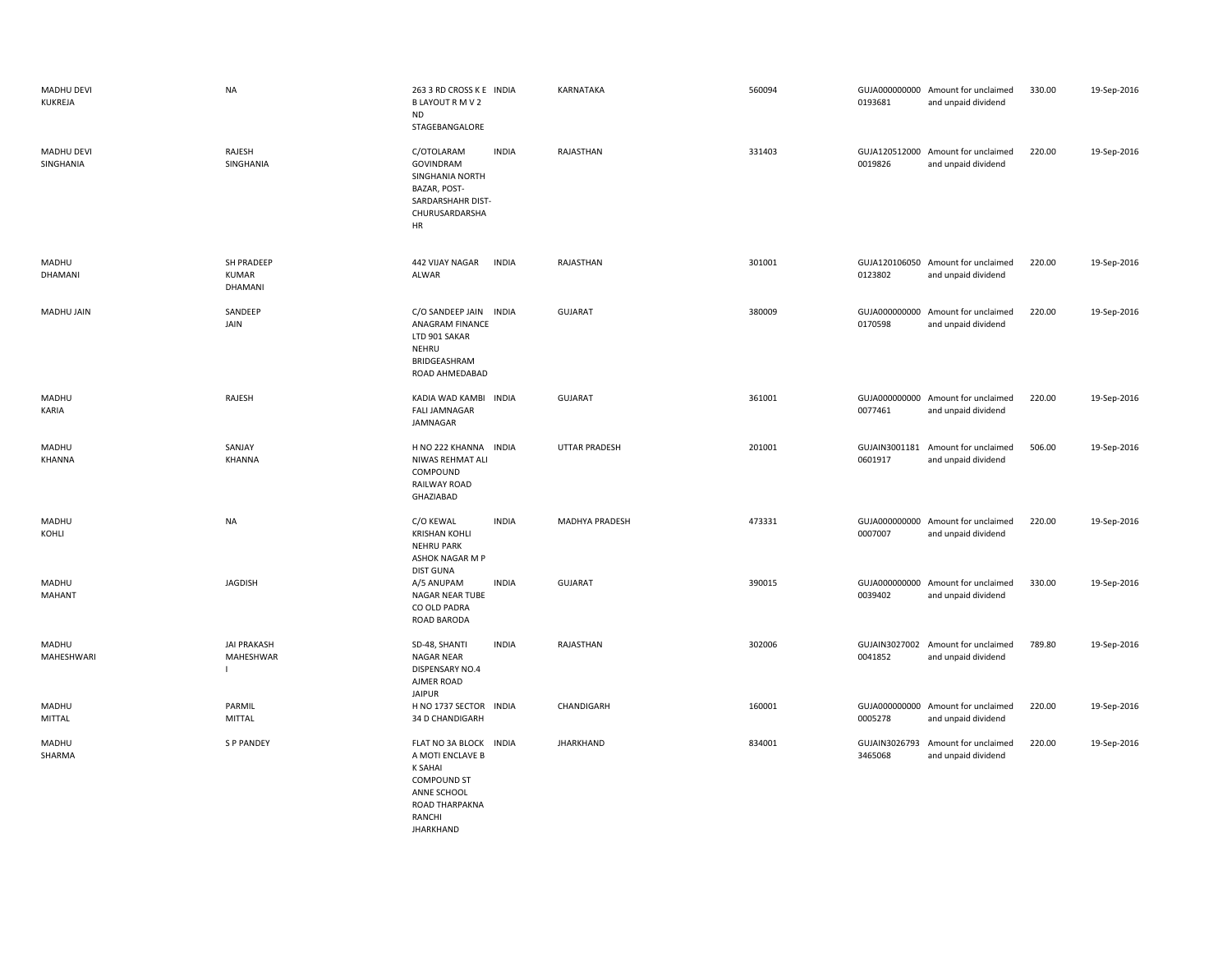| MADHU DEVI<br>KUKREJA          | <b>NA</b>                                       | 263 3 RD CROSS K E INDIA<br>B LAYOUT R M V 2<br><b>ND</b><br>STAGEBANGALORE                                                                                 | KARNATAKA             | 560094 | 0193681                  | GUJA000000000 Amount for unclaimed<br>and unpaid dividend | 330.00 | 19-Sep-2016 |
|--------------------------------|-------------------------------------------------|-------------------------------------------------------------------------------------------------------------------------------------------------------------|-----------------------|--------|--------------------------|-----------------------------------------------------------|--------|-------------|
| <b>MADHU DEVI</b><br>SINGHANIA | RAJESH<br>SINGHANIA                             | C/OTOLARAM<br><b>INDIA</b><br>GOVINDRAM<br>SINGHANIA NORTH<br>BAZAR, POST-<br>SARDARSHAHR DIST-<br>CHURUSARDARSHA<br>HR                                     | RAJASTHAN             | 331403 | 0019826                  | GUJA120512000 Amount for unclaimed<br>and unpaid dividend | 220.00 | 19-Sep-2016 |
| MADHU<br>DHAMANI               | SH PRADEEP<br><b>KUMAR</b><br>DHAMANI           | 442 VIJAY NAGAR<br><b>INDIA</b><br><b>ALWAR</b>                                                                                                             | RAJASTHAN             | 301001 | 0123802                  | GUJA120106050 Amount for unclaimed<br>and unpaid dividend | 220.00 | 19-Sep-2016 |
| MADHU JAIN                     | SANDEEP<br>JAIN                                 | C/O SANDEEP JAIN INDIA<br>ANAGRAM FINANCE<br>LTD 901 SAKAR<br>NEHRU<br>BRIDGEASHRAM<br>ROAD AHMEDABAD                                                       | <b>GUJARAT</b>        | 380009 | 0170598                  | GUJA000000000 Amount for unclaimed<br>and unpaid dividend | 220.00 | 19-Sep-2016 |
| MADHU<br>KARIA                 | RAJESH                                          | KADIA WAD KAMBI INDIA<br><b>FALI JAMNAGAR</b><br>JAMNAGAR                                                                                                   | <b>GUJARAT</b>        | 361001 | 0077461                  | GUJA000000000 Amount for unclaimed<br>and unpaid dividend | 220.00 | 19-Sep-2016 |
| MADHU<br>KHANNA                | SANJAY<br>KHANNA                                | H NO 222 KHANNA INDIA<br>NIWAS REHMAT ALI<br>COMPOUND<br>RAILWAY ROAD<br>GHAZIABAD                                                                          | <b>UTTAR PRADESH</b>  | 201001 | 0601917                  | GUJAIN3001181 Amount for unclaimed<br>and unpaid dividend | 506.00 | 19-Sep-2016 |
| MADHU<br>KOHLI                 | <b>NA</b>                                       | <b>INDIA</b><br>C/O KEWAL<br><b>KRISHAN KOHLI</b><br><b>NEHRU PARK</b><br>ASHOK NAGAR M P<br><b>DIST GUNA</b>                                               | <b>MADHYA PRADESH</b> | 473331 | 0007007                  | GUJA000000000 Amount for unclaimed<br>and unpaid dividend | 220.00 | 19-Sep-2016 |
| MADHU<br><b>MAHANT</b>         | <b>JAGDISH</b>                                  | A/5 ANUPAM<br><b>INDIA</b><br><b>NAGAR NEAR TUBE</b><br>CO OLD PADRA<br>ROAD BARODA                                                                         | <b>GUJARAT</b>        | 390015 | 0039402                  | GUJA000000000 Amount for unclaimed<br>and unpaid dividend | 330.00 | 19-Sep-2016 |
| MADHU<br>MAHESHWARI            | <b>JAI PRAKASH</b><br>MAHESHWAR<br>$\mathbf{L}$ | SD-48, SHANTI<br><b>INDIA</b><br><b>NAGAR NEAR</b><br>DISPENSARY NO.4<br>AJMER ROAD<br><b>JAIPUR</b>                                                        | RAJASTHAN             | 302006 | 0041852                  | GUJAIN3027002 Amount for unclaimed<br>and unpaid dividend | 789.80 | 19-Sep-2016 |
| MADHU<br>MITTAL                | PARMIL<br><b>MITTAL</b>                         | H NO 1737 SECTOR INDIA<br>34 D CHANDIGARH                                                                                                                   | CHANDIGARH            | 160001 | 0005278                  | GUJA000000000 Amount for unclaimed<br>and unpaid dividend | 220.00 | 19-Sep-2016 |
| MADHU<br>SHARMA                | <b>SP PANDEY</b>                                | FLAT NO 3A BLOCK<br><b>INDIA</b><br>A MOTI ENCLAVE B<br><b>K SAHAI</b><br><b>COMPOUND ST</b><br>ANNE SCHOOL<br>ROAD THARPAKNA<br>RANCHI<br><b>JHARKHAND</b> | <b>JHARKHAND</b>      | 834001 | GUJAIN3026793<br>3465068 | Amount for unclaimed<br>and unpaid dividend               | 220.00 | 19-Sep-2016 |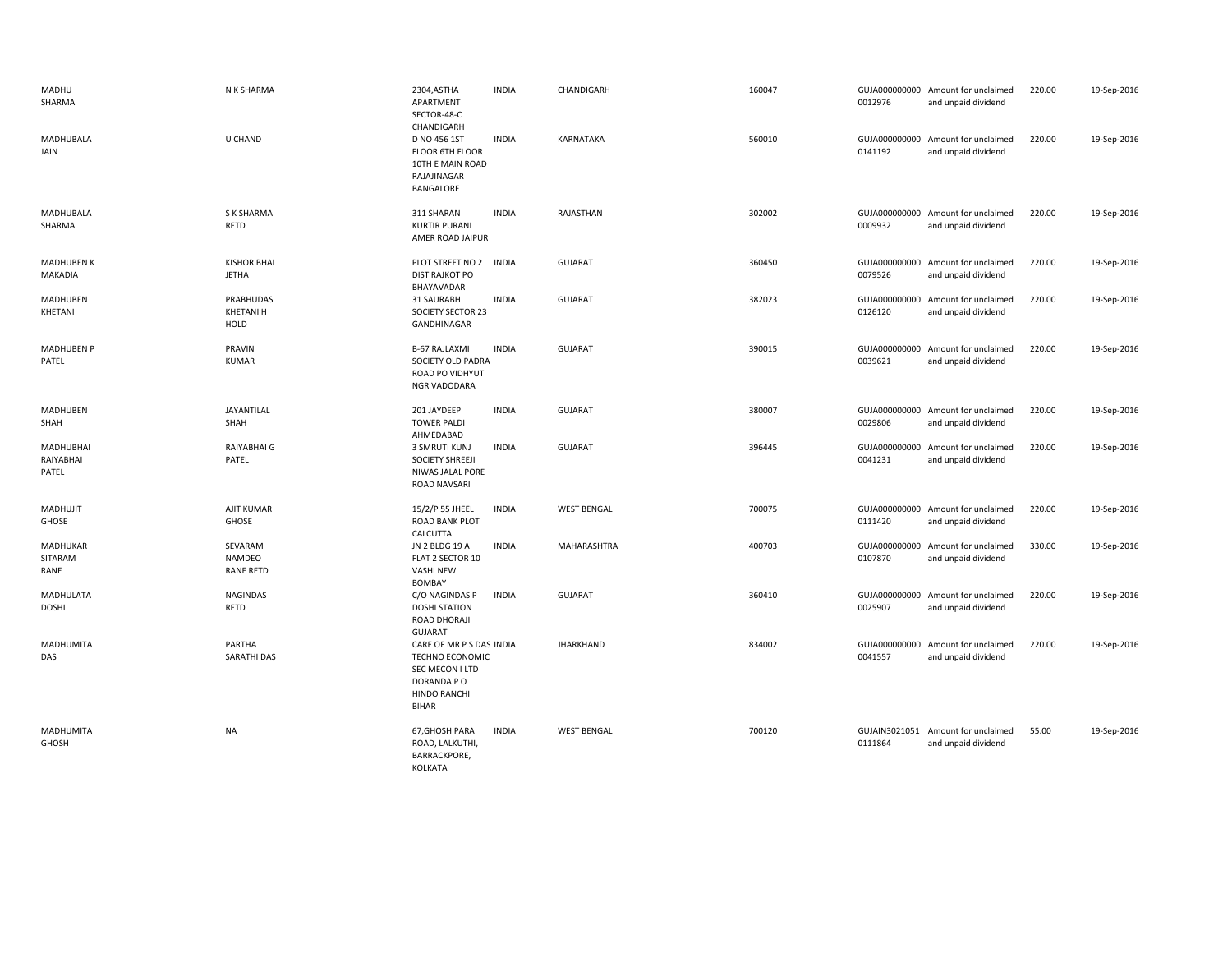| MADHU<br>SHARMA                 | N K SHARMA                            | 2304, ASTHA<br>APARTMENT<br>SECTOR-48-C<br>CHANDIGARH                                                        | <b>INDIA</b> | CHANDIGARH         | 160047 | 0012976 | GUJA000000000 Amount for unclaimed<br>and unpaid dividend | 220.00 | 19-Sep-2016 |
|---------------------------------|---------------------------------------|--------------------------------------------------------------------------------------------------------------|--------------|--------------------|--------|---------|-----------------------------------------------------------|--------|-------------|
| MADHUBALA<br>JAIN               | U CHAND                               | D NO 456 1ST<br>FLOOR 6TH FLOOR<br>10TH E MAIN ROAD<br>RAJAJINAGAR<br>BANGALORE                              | <b>INDIA</b> | KARNATAKA          | 560010 | 0141192 | GUJA000000000 Amount for unclaimed<br>and unpaid dividend | 220.00 | 19-Sep-2016 |
| MADHUBALA<br>SHARMA             | <b>S K SHARMA</b><br>RETD             | 311 SHARAN<br><b>KURTIR PURANI</b><br>AMER ROAD JAIPUR                                                       | <b>INDIA</b> | RAJASTHAN          | 302002 | 0009932 | GUJA000000000 Amount for unclaimed<br>and unpaid dividend | 220.00 | 19-Sep-2016 |
| <b>MADHUBEN K</b><br>MAKADIA    | <b>KISHOR BHAI</b><br><b>JETHA</b>    | PLOT STREET NO 2<br><b>DIST RAJKOT PO</b><br>BHAYAVADAR                                                      | <b>INDIA</b> | <b>GUJARAT</b>     | 360450 | 0079526 | GUJA000000000 Amount for unclaimed<br>and unpaid dividend | 220.00 | 19-Sep-2016 |
| MADHUBEN<br>KHETANI             | PRABHUDAS<br>KHETANI H<br>HOLD        | 31 SAURABH<br>SOCIETY SECTOR 23<br>GANDHINAGAR                                                               | <b>INDIA</b> | <b>GUJARAT</b>     | 382023 | 0126120 | GUJA000000000 Amount for unclaimed<br>and unpaid dividend | 220.00 | 19-Sep-2016 |
| <b>MADHUBEN P</b><br>PATEL      | PRAVIN<br><b>KUMAR</b>                | <b>B-67 RAJLAXMI</b><br>SOCIETY OLD PADRA<br>ROAD PO VIDHYUT<br>NGR VADODARA                                 | <b>INDIA</b> | <b>GUJARAT</b>     | 390015 | 0039621 | GUJA000000000 Amount for unclaimed<br>and unpaid dividend | 220.00 | 19-Sep-2016 |
| MADHUBEN<br>SHAH                | JAYANTILAL<br>SHAH                    | 201 JAYDEEP<br><b>TOWER PALDI</b><br>AHMEDABAD                                                               | <b>INDIA</b> | <b>GUJARAT</b>     | 380007 | 0029806 | GUJA000000000 Amount for unclaimed<br>and unpaid dividend | 220.00 | 19-Sep-2016 |
| MADHUBHAI<br>RAIYABHAI<br>PATEL | RAIYABHAI G<br>PATEL                  | 3 SMRUTI KUNJ<br><b>SOCIETY SHREEJI</b><br>NIWAS JALAL PORE<br>ROAD NAVSARI                                  | <b>INDIA</b> | <b>GUJARAT</b>     | 396445 | 0041231 | GUJA000000000 Amount for unclaimed<br>and unpaid dividend | 220.00 | 19-Sep-2016 |
| MADHUJIT<br>GHOSE               | AJIT KUMAR<br><b>GHOSE</b>            | 15/2/P 55 JHEEL<br><b>ROAD BANK PLOT</b><br>CALCUTTA                                                         | <b>INDIA</b> | <b>WEST BENGAL</b> | 700075 | 0111420 | GUJA000000000 Amount for unclaimed<br>and unpaid dividend | 220.00 | 19-Sep-2016 |
| MADHUKAR<br>SITARAM<br>RANE     | SEVARAM<br>NAMDEO<br><b>RANE RETD</b> | JN 2 BLDG 19 A<br>FLAT 2 SECTOR 10<br><b>VASHI NEW</b><br><b>BOMBAY</b>                                      | <b>INDIA</b> | MAHARASHTRA        | 400703 | 0107870 | GUJA000000000 Amount for unclaimed<br>and unpaid dividend | 330.00 | 19-Sep-2016 |
| MADHULATA<br><b>DOSHI</b>       | <b>NAGINDAS</b><br>RETD               | C/O NAGINDAS P<br><b>DOSHI STATION</b><br>ROAD DHORAJI<br><b>GUJARAT</b>                                     | <b>INDIA</b> | <b>GUJARAT</b>     | 360410 | 0025907 | GUJA000000000 Amount for unclaimed<br>and unpaid dividend | 220.00 | 19-Sep-2016 |
| MADHUMITA<br>DAS                | PARTHA<br><b>SARATHI DAS</b>          | CARE OF MR P S DAS INDIA<br>TECHNO ECONOMIC<br>SEC MECON I LTD<br>DORANDA PO<br>HINDO RANCHI<br><b>BIHAR</b> |              | <b>JHARKHAND</b>   | 834002 | 0041557 | GUJA000000000 Amount for unclaimed<br>and unpaid dividend | 220.00 | 19-Sep-2016 |
| MADHUMITA<br>GHOSH              | NA                                    | 67, GHOSH PARA<br>ROAD, LALKUTHI,<br>BARRACKPORE,<br>KOLKATA                                                 | <b>INDIA</b> | <b>WEST BENGAL</b> | 700120 | 0111864 | GUJAIN3021051 Amount for unclaimed<br>and unpaid dividend | 55.00  | 19-Sep-2016 |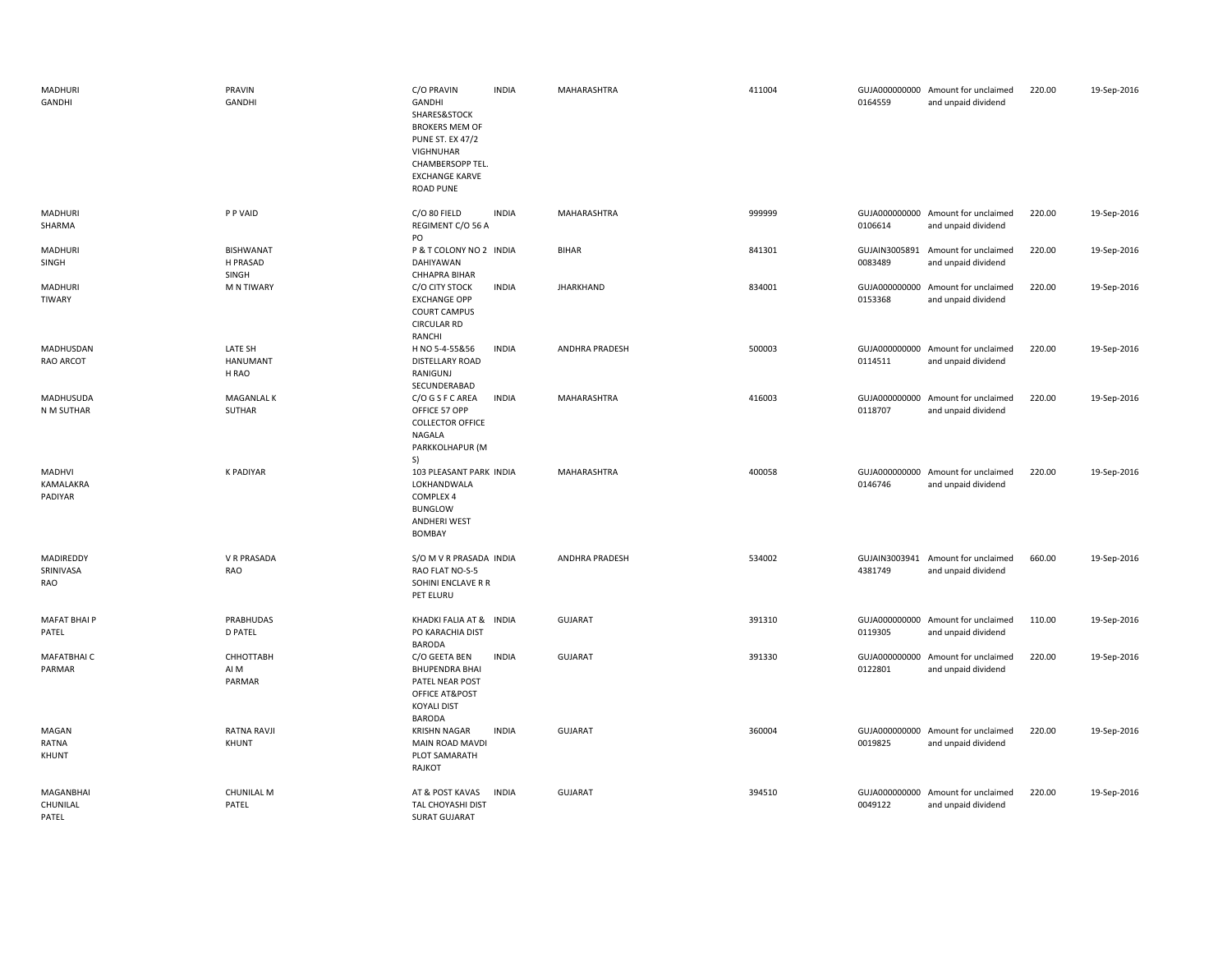| MADHURI<br>GANDHI              | PRAVIN<br>GANDHI                      | C/O PRAVIN<br>GANDHI<br>SHARES&STOCK<br><b>BROKERS MEM OF</b><br><b>PUNE ST. EX 47/2</b><br>VIGHNUHAR<br>CHAMBERSOPP TEL.<br><b>EXCHANGE KARVE</b><br><b>ROAD PUNE</b> | <b>INDIA</b> | MAHARASHTRA           | 411004 | 0164559 | GUJA000000000 Amount for unclaimed<br>and unpaid dividend | 220.00 | 19-Sep-2016 |
|--------------------------------|---------------------------------------|------------------------------------------------------------------------------------------------------------------------------------------------------------------------|--------------|-----------------------|--------|---------|-----------------------------------------------------------|--------|-------------|
| MADHURI<br>SHARMA              | P P VAID                              | C/O 80 FIELD<br>REGIMENT C/O 56 A<br>PO                                                                                                                                | <b>INDIA</b> | MAHARASHTRA           | 999999 | 0106614 | GUJA000000000 Amount for unclaimed<br>and unpaid dividend | 220.00 | 19-Sep-2016 |
| MADHURI<br>SINGH               | <b>BISHWANAT</b><br>H PRASAD<br>SINGH | P & T COLONY NO 2 INDIA<br>DAHIYAWAN<br>CHHAPRA BIHAR                                                                                                                  |              | <b>BIHAR</b>          | 841301 | 0083489 | GUJAIN3005891 Amount for unclaimed<br>and unpaid dividend | 220.00 | 19-Sep-2016 |
| MADHURI<br>TIWARY              | M N TIWARY                            | C/O CITY STOCK<br><b>EXCHANGE OPP</b><br><b>COURT CAMPUS</b><br><b>CIRCULAR RD</b><br>RANCHI                                                                           | <b>INDIA</b> | <b>JHARKHAND</b>      | 834001 | 0153368 | GUJA000000000 Amount for unclaimed<br>and unpaid dividend | 220.00 | 19-Sep-2016 |
| MADHUSDAN<br>RAO ARCOT         | LATE SH<br><b>HANUMANT</b><br>H RAO   | H NO 5-4-55&56<br>DISTELLARY ROAD<br>RANIGUNJ<br>SECUNDERABAD                                                                                                          | <b>INDIA</b> | ANDHRA PRADESH        | 500003 | 0114511 | GUJA000000000 Amount for unclaimed<br>and unpaid dividend | 220.00 | 19-Sep-2016 |
| MADHUSUDA<br>N M SUTHAR        | <b>MAGANLAL K</b><br>SUTHAR           | C/O G S F C AREA<br>OFFICE 57 OPP<br><b>COLLECTOR OFFICE</b><br>NAGALA<br>PARKKOLHAPUR (M<br>S)                                                                        | <b>INDIA</b> | MAHARASHTRA           | 416003 | 0118707 | GUJA000000000 Amount for unclaimed<br>and unpaid dividend | 220.00 | 19-Sep-2016 |
| MADHVI<br>KAMALAKRA<br>PADIYAR | <b>K PADIYAR</b>                      | 103 PLEASANT PARK INDIA<br>LOKHANDWALA<br>COMPLEX 4<br><b>BUNGLOW</b><br><b>ANDHERI WEST</b><br><b>BOMBAY</b>                                                          |              | <b>MAHARASHTRA</b>    | 400058 | 0146746 | GUJA000000000 Amount for unclaimed<br>and unpaid dividend | 220.00 | 19-Sep-2016 |
| MADIREDDY<br>SRINIVASA<br>RAO  | V R PRASADA<br><b>RAO</b>             | S/O M V R PRASADA INDIA<br>RAO FLAT NO-S-5<br>SOHINI ENCLAVE R R<br>PET ELURU                                                                                          |              | <b>ANDHRA PRADESH</b> | 534002 | 4381749 | GUJAIN3003941 Amount for unclaimed<br>and unpaid dividend | 660.00 | 19-Sep-2016 |
| MAFAT BHAI P<br>PATEL          | PRABHUDAS<br><b>D PATEL</b>           | KHADKI FALIA AT & INDIA<br>PO KARACHIA DIST<br>BARODA                                                                                                                  |              | GUJARAT               | 391310 | 0119305 | GUJA000000000 Amount for unclaimed<br>and unpaid dividend | 110.00 | 19-Sep-2016 |
| MAFATBHAI C<br>PARMAR          | СННОТТАВН<br>AI M<br>PARMAR           | C/O GEETA BEN<br><b>BHUPENDRA BHAI</b><br>PATEL NEAR POST<br>OFFICE AT&POST<br><b>KOYALI DIST</b><br><b>BARODA</b>                                                     | <b>INDIA</b> | <b>GUJARAT</b>        | 391330 | 0122801 | GUJA000000000 Amount for unclaimed<br>and unpaid dividend | 220.00 | 19-Sep-2016 |
| MAGAN<br>RATNA<br>KHUNT        | <b>RATNA RAVJI</b><br>KHUNT           | <b>KRISHN NAGAR</b><br>MAIN ROAD MAVDI<br>PLOT SAMARATH<br>RAJKOT                                                                                                      | <b>INDIA</b> | <b>GUJARAT</b>        | 360004 | 0019825 | GUJA000000000 Amount for unclaimed<br>and unpaid dividend | 220.00 | 19-Sep-2016 |
| MAGANBHAI<br>CHUNILAL<br>PATFL | <b>CHUNILAL M</b><br>PATEL            | AT & POST KAVAS<br>TAL CHOYASHI DIST<br><b>SURAT GUJARAT</b>                                                                                                           | <b>INDIA</b> | <b>GUJARAT</b>        | 394510 | 0049122 | GUJA000000000 Amount for unclaimed<br>and unpaid dividend | 220.00 | 19-Sep-2016 |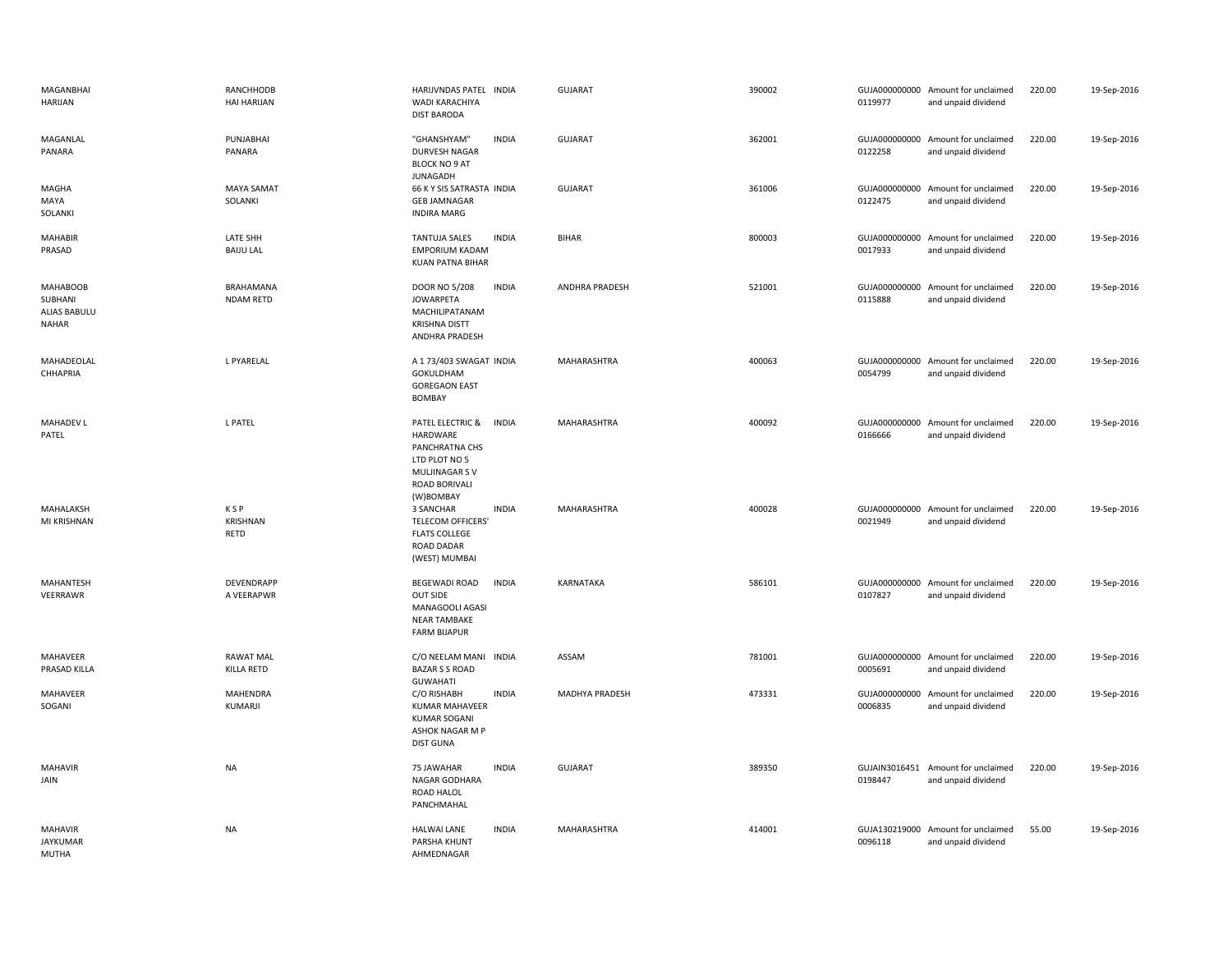| MAGANBHAI<br>HARIJAN                                | RANCHHODB<br><b>HAI HARIJAN</b>     | HARIJVNDAS PATEL INDIA<br>WADI KARACHIYA<br><b>DIST BARODA</b>                                                                  | <b>GUJARAT</b>        | 390002 | 0119977                  | GUJA000000000 Amount for unclaimed<br>and unpaid dividend | 220.00 | 19-Sep-2016 |
|-----------------------------------------------------|-------------------------------------|---------------------------------------------------------------------------------------------------------------------------------|-----------------------|--------|--------------------------|-----------------------------------------------------------|--------|-------------|
| MAGANLAL<br>PANARA                                  | PUNJABHAI<br>PANARA                 | "GHANSHYAM"<br><b>INDIA</b><br>DURVESH NAGAR<br><b>BLOCK NO 9 AT</b><br><b>JUNAGADH</b>                                         | <b>GUJARAT</b>        | 362001 | 0122258                  | GUJA000000000 Amount for unclaimed<br>and unpaid dividend | 220.00 | 19-Sep-2016 |
| MAGHA<br>MAYA<br>SOLANKI                            | <b>MAYA SAMAT</b><br>SOLANKI        | 66 K Y SIS SATRASTA INDIA<br><b>GEB JAMNAGAR</b><br><b>INDIRA MARG</b>                                                          | <b>GUJARAT</b>        | 361006 | 0122475                  | GUJA000000000 Amount for unclaimed<br>and unpaid dividend | 220.00 | 19-Sep-2016 |
| MAHABIR<br>PRASAD                                   | <b>LATE SHH</b><br><b>BAIJU LAL</b> | <b>TANTUJA SALES</b><br><b>INDIA</b><br><b>EMPORIUM KADAM</b><br><b>KUAN PATNA BIHAR</b>                                        | <b>BIHAR</b>          | 800003 | 0017933                  | GUJA000000000 Amount for unclaimed<br>and unpaid dividend | 220.00 | 19-Sep-2016 |
| <b>MAHABOOB</b><br>SUBHANI<br>ALIAS BABULU<br>NAHAR | BRAHAMANA<br>NDAM RETD              | <b>INDIA</b><br>DOOR NO 5/208<br><b>JOWARPETA</b><br>MACHILIPATANAM<br><b>KRISHNA DISTT</b><br>ANDHRA PRADESH                   | ANDHRA PRADESH        | 521001 | 0115888                  | GUJA000000000 Amount for unclaimed<br>and unpaid dividend | 220.00 | 19-Sep-2016 |
| MAHADEOLAL<br>CHHAPRIA                              | L PYARELAL                          | A 1 73/403 SWAGAT INDIA<br>GOKULDHAM<br><b>GOREGAON EAST</b><br><b>BOMBAY</b>                                                   | MAHARASHTRA           | 400063 | 0054799                  | GUJA000000000 Amount for unclaimed<br>and unpaid dividend | 220.00 | 19-Sep-2016 |
| <b>MAHADEV L</b><br>PATEL                           | <b>L PATEL</b>                      | <b>INDIA</b><br>PATEL ELECTRIC &<br>HARDWARE<br>PANCHRATNA CHS<br>LTD PLOT NO 5<br>MULJINAGAR S V<br>ROAD BORIVALI<br>(W)BOMBAY | <b>MAHARASHTRA</b>    | 400092 | 0166666                  | GUJA000000000 Amount for unclaimed<br>and unpaid dividend | 220.00 | 19-Sep-2016 |
| MAHALAKSH<br>MI KRISHNAN                            | <b>KSP</b><br>KRISHNAN<br>RETD      | <b>INDIA</b><br>3 SANCHAR<br><b>TELECOM OFFICERS'</b><br><b>FLATS COLLEGE</b><br><b>ROAD DADAR</b><br>(WEST) MUMBAI             | <b>MAHARASHTRA</b>    | 400028 | 0021949                  | GUJA000000000 Amount for unclaimed<br>and unpaid dividend | 220.00 | 19-Sep-2016 |
| MAHANTESH<br>VEERRAWR                               | DEVENDRAPP<br>A VEERAPWR            | <b>INDIA</b><br><b>BEGEWADI ROAD</b><br>OUT SIDE<br>MANAGOOLI AGASI<br><b>NEAR TAMBAKE</b><br><b>FARM BIJAPUR</b>               | KARNATAKA             | 586101 | 0107827                  | GUJA000000000 Amount for unclaimed<br>and unpaid dividend | 220.00 | 19-Sep-2016 |
| MAHAVEER<br>PRASAD KILLA                            | <b>RAWAT MAL</b><br>KILLA RETD      | C/O NEELAM MANI INDIA<br><b>BAZAR S S ROAD</b><br><b>GUWAHATI</b>                                                               | ASSAM                 | 781001 | 0005691                  | GUJA000000000 Amount for unclaimed<br>and unpaid dividend | 220.00 | 19-Sep-2016 |
| MAHAVEER<br>SOGANI                                  | MAHENDRA<br>KUMARJI                 | C/O RISHABH<br><b>INDIA</b><br><b>KUMAR MAHAVEER</b><br><b>KUMAR SOGANI</b><br>ASHOK NAGAR M P<br><b>DIST GUNA</b>              | <b>MADHYA PRADESH</b> | 473331 | 0006835                  | GUJA000000000 Amount for unclaimed<br>and unpaid dividend | 220.00 | 19-Sep-2016 |
| MAHAVIR<br>JAIN                                     | <b>NA</b>                           | <b>INDIA</b><br>75 JAWAHAR<br>NAGAR GODHARA<br>ROAD HALOL<br>PANCHMAHAL                                                         | <b>GUJARAT</b>        | 389350 | GUJAIN3016451<br>0198447 | Amount for unclaimed<br>and unpaid dividend               | 220.00 | 19-Sep-2016 |
| <b>MAHAVIR</b><br><b>JAYKUMAR</b><br>MUTHA          | <b>NA</b>                           | <b>HALWAI LANE</b><br><b>INDIA</b><br>PARSHA KHUNT<br>AHMEDNAGAR                                                                | MAHARASHTRA           | 414001 | 0096118                  | GUJA130219000 Amount for unclaimed<br>and unpaid dividend | 55.00  | 19-Sep-2016 |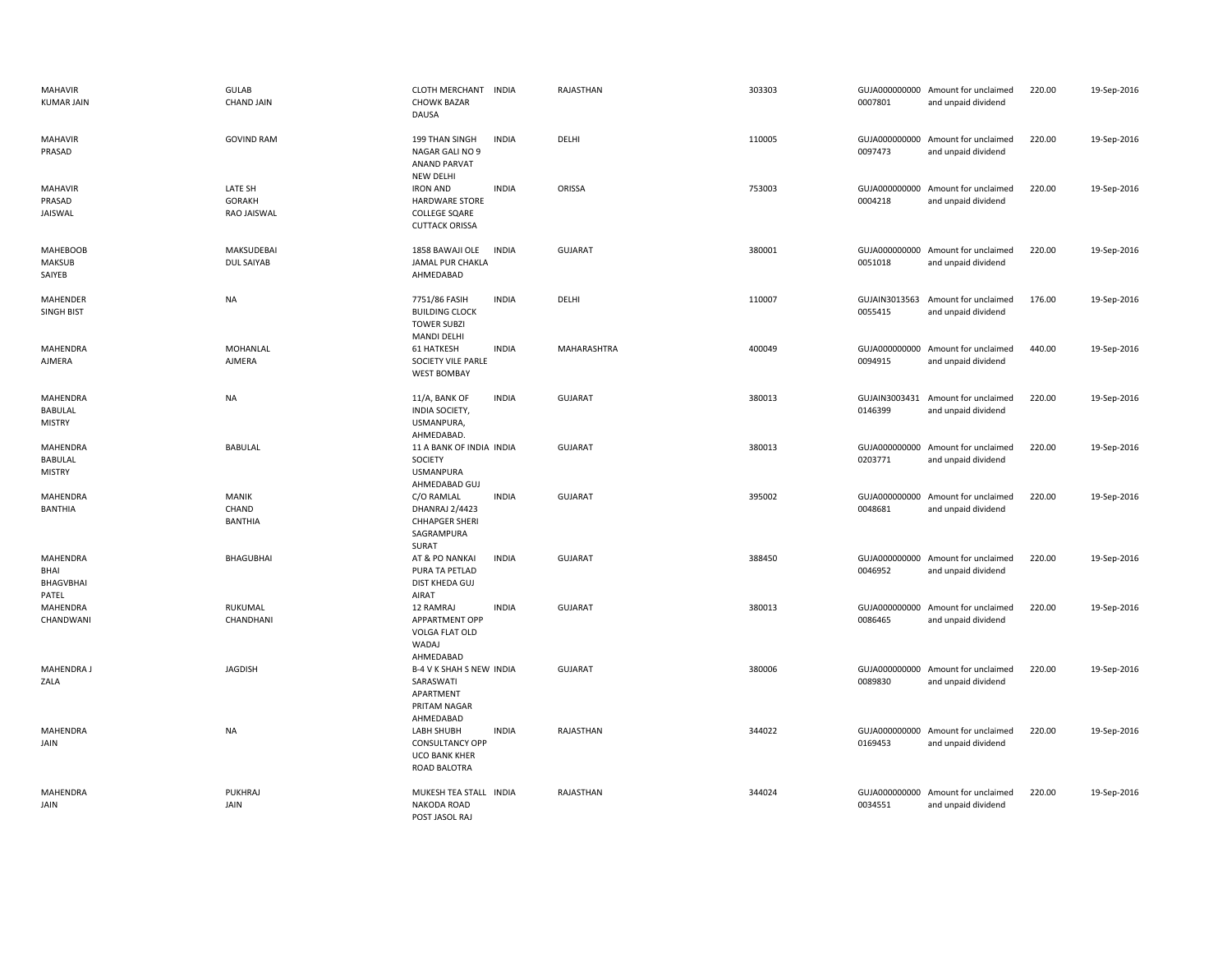| <b>MAHAVIR</b><br><b>KUMAR JAIN</b>                | GULAB<br><b>CHAND JAIN</b>              | CLOTH MERCHANT INDIA<br><b>CHOWK BAZAR</b><br><b>DAUSA</b>                                |              | RAJASTHAN      | 303303 | 0007801                  | GUJA000000000 Amount for unclaimed<br>and unpaid dividend | 220.00 | 19-Sep-2016 |
|----------------------------------------------------|-----------------------------------------|-------------------------------------------------------------------------------------------|--------------|----------------|--------|--------------------------|-----------------------------------------------------------|--------|-------------|
| <b>MAHAVIR</b><br>PRASAD                           | <b>GOVIND RAM</b>                       | 199 THAN SINGH<br>NAGAR GALI NO 9<br><b>ANAND PARVAT</b><br><b>NEW DELHI</b>              | <b>INDIA</b> | DELHI          | 110005 | 0097473                  | GUJA000000000 Amount for unclaimed<br>and unpaid dividend | 220.00 | 19-Sep-2016 |
| <b>MAHAVIR</b><br>PRASAD<br>JAISWAL                | LATE SH<br><b>GORAKH</b><br>RAO JAISWAL | <b>IRON AND</b><br><b>HARDWARE STORE</b><br><b>COLLEGE SQARE</b><br><b>CUTTACK ORISSA</b> | <b>INDIA</b> | ORISSA         | 753003 | 0004218                  | GUJA000000000 Amount for unclaimed<br>and unpaid dividend | 220.00 | 19-Sep-2016 |
| <b>MAHEBOOB</b><br><b>MAKSUB</b><br>SAIYEB         | MAKSUDEBAI<br>DUL SAIYAB                | 1858 BAWAJI OLE<br>JAMAL PUR CHAKLA<br>AHMEDABAD                                          | <b>INDIA</b> | <b>GUJARAT</b> | 380001 | 0051018                  | GUJA000000000 Amount for unclaimed<br>and unpaid dividend | 220.00 | 19-Sep-2016 |
| MAHENDER<br><b>SINGH BIST</b>                      | NA                                      | 7751/86 FASIH<br><b>BUILDING CLOCK</b><br><b>TOWER SUBZI</b><br><b>MANDI DELHI</b>        | <b>INDIA</b> | DELHI          | 110007 | GUJAIN3013563<br>0055415 | Amount for unclaimed<br>and unpaid dividend               | 176.00 | 19-Sep-2016 |
| MAHENDRA<br>AJMERA                                 | MOHANLAL<br>AJMERA                      | <b>61 HATKESH</b><br>SOCIETY VILE PARLE<br><b>WEST BOMBAY</b>                             | <b>INDIA</b> | MAHARASHTRA    | 400049 | 0094915                  | GUJA000000000 Amount for unclaimed<br>and unpaid dividend | 440.00 | 19-Sep-2016 |
| <b>MAHENDRA</b><br><b>BABULAL</b><br><b>MISTRY</b> | NA                                      | 11/A, BANK OF<br>INDIA SOCIETY,<br>USMANPURA,<br>AHMEDABAD.                               | <b>INDIA</b> | <b>GUJARAT</b> | 380013 | GUJAIN3003431<br>0146399 | Amount for unclaimed<br>and unpaid dividend               | 220.00 | 19-Sep-2016 |
| MAHENDRA<br>BABULAL<br><b>MISTRY</b>               | <b>BABULAL</b>                          | 11 A BANK OF INDIA INDIA<br>SOCIETY<br><b>USMANPURA</b><br>AHMEDABAD GUJ                  |              | <b>GUJARAT</b> | 380013 | 0203771                  | GUJA000000000 Amount for unclaimed<br>and unpaid dividend | 220.00 | 19-Sep-2016 |
| MAHENDRA<br><b>BANTHIA</b>                         | <b>MANIK</b><br>CHAND<br>BANTHIA        | C/O RAMLAL<br>DHANRAJ 2/4423<br><b>CHHAPGER SHERI</b><br>SAGRAMPURA<br>SURAT              | <b>INDIA</b> | <b>GUJARAT</b> | 395002 | GUJA000000000<br>0048681 | Amount for unclaimed<br>and unpaid dividend               | 220.00 | 19-Sep-2016 |
| MAHENDRA<br>BHAI<br>BHAGVBHAI<br>PATEL             | BHAGUBHAI                               | AT & PO NANKAI<br>PURA TA PETLAD<br><b>DIST KHEDA GUJ</b><br>AIRAT                        | <b>INDIA</b> | <b>GUJARAT</b> | 388450 | 0046952                  | GUJA000000000 Amount for unclaimed<br>and unpaid dividend | 220.00 | 19-Sep-2016 |
| MAHENDRA<br>CHANDWANI                              | RUKUMAL<br>CHANDHANI                    | 12 RAMRAJ<br>APPARTMENT OPP<br>VOLGA FLAT OLD<br>WADAJ<br>AHMEDABAD                       | <b>INDIA</b> | <b>GUJARAT</b> | 380013 | 0086465                  | GUJA000000000 Amount for unclaimed<br>and unpaid dividend | 220.00 | 19-Sep-2016 |
| <b>MAHENDRA J</b><br>ZALA                          | <b>JAGDISH</b>                          | <b>B-4 V K SHAH S NEW INDIA</b><br>SARASWATI<br>APARTMENT<br>PRITAM NAGAR<br>AHMEDABAD    |              | <b>GUJARAT</b> | 380006 | 0089830                  | GUJA000000000 Amount for unclaimed<br>and unpaid dividend | 220.00 | 19-Sep-2016 |
| MAHENDRA<br>JAIN                                   | NA                                      | LABH SHUBH<br><b>CONSULTANCY OPP</b><br><b>UCO BANK KHER</b><br>ROAD BALOTRA              | <b>INDIA</b> | RAJASTHAN      | 344022 | 0169453                  | GUJA000000000 Amount for unclaimed<br>and unpaid dividend | 220.00 | 19-Sep-2016 |
| MAHENDRA<br>JAIN                                   | PUKHRAJ<br>JAIN                         | MUKESH TEA STALL INDIA<br>NAKODA ROAD<br>POST JASOL RAJ                                   |              | RAJASTHAN      | 344024 | GUJA000000000<br>0034551 | Amount for unclaimed<br>and unpaid dividend               | 220.00 | 19-Sep-2016 |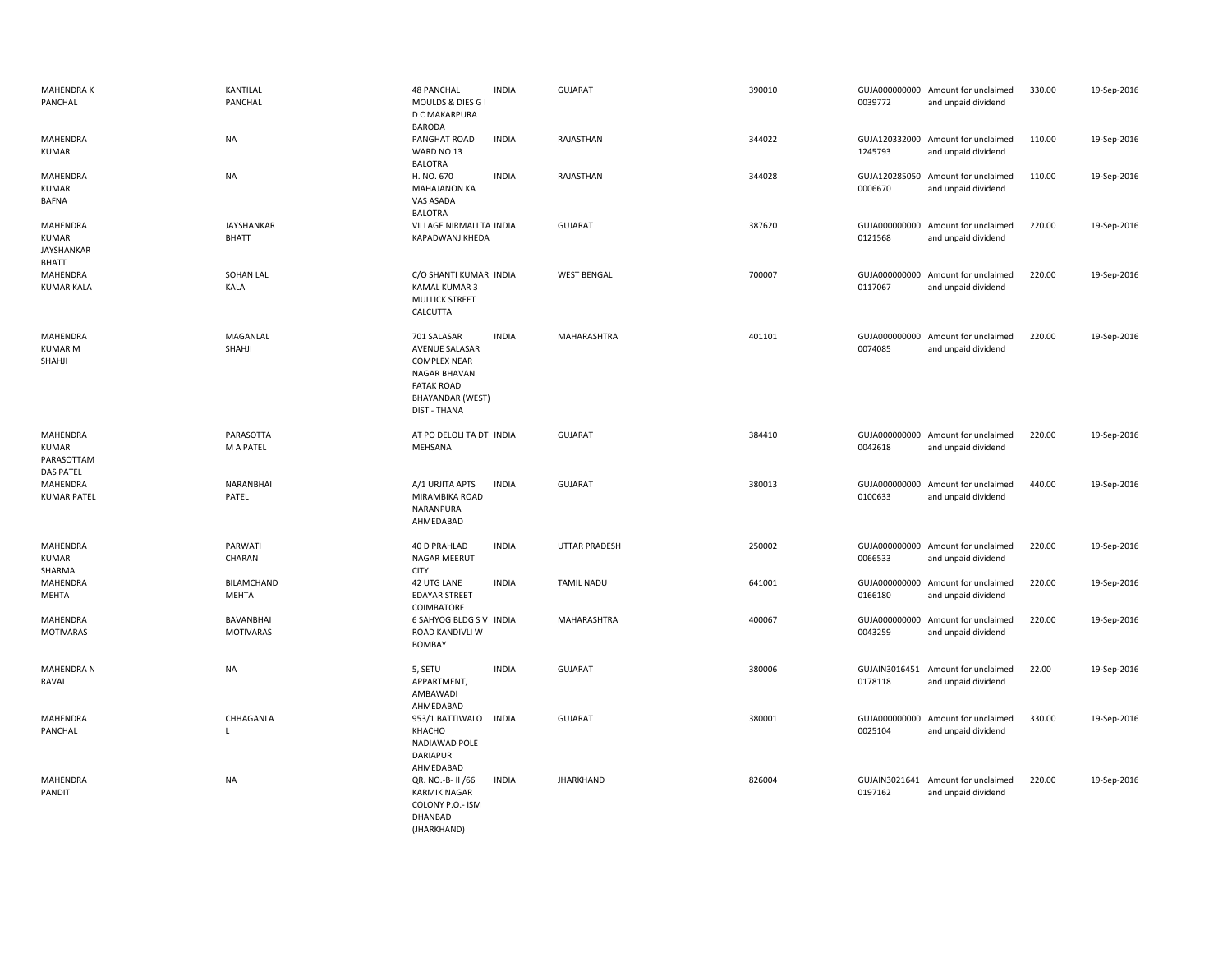| <b>MAHENDRAK</b><br>PANCHAL                                   | KANTILAL<br>PANCHAL                  | <b>48 PANCHAL</b><br><b>INDIA</b><br>MOULDS & DIES G I<br>D C MAKARPURA                                                                                            | <b>GUJARAT</b>       | 390010 | 0039772                  | GUJA000000000 Amount for unclaimed<br>and unpaid dividend | 330.00 | 19-Sep-2016 |
|---------------------------------------------------------------|--------------------------------------|--------------------------------------------------------------------------------------------------------------------------------------------------------------------|----------------------|--------|--------------------------|-----------------------------------------------------------|--------|-------------|
| MAHENDRA<br><b>KUMAR</b>                                      | NA                                   | <b>BARODA</b><br><b>INDIA</b><br>PANGHAT ROAD<br>WARD NO 13<br><b>BALOTRA</b>                                                                                      | RAJASTHAN            | 344022 | 1245793                  | GUJA120332000 Amount for unclaimed<br>and unpaid dividend | 110.00 | 19-Sep-2016 |
| MAHENDRA<br><b>KUMAR</b><br><b>BAFNA</b>                      | <b>NA</b>                            | H. NO. 670<br><b>INDIA</b><br><b>MAHAJANON KA</b><br>VAS ASADA<br><b>BALOTRA</b>                                                                                   | RAJASTHAN            | 344028 | 0006670                  | GUJA120285050 Amount for unclaimed<br>and unpaid dividend | 110.00 | 19-Sep-2016 |
| MAHENDRA<br><b>KUMAR</b><br><b>JAYSHANKAR</b><br><b>BHATT</b> | JAYSHANKAR<br><b>BHATT</b>           | VILLAGE NIRMALI TA INDIA<br>KAPADWANJ KHEDA                                                                                                                        | <b>GUJARAT</b>       | 387620 | 0121568                  | GUJA000000000 Amount for unclaimed<br>and unpaid dividend | 220.00 | 19-Sep-2016 |
| MAHENDRA<br><b>KUMAR KALA</b>                                 | SOHAN LAL<br>KALA                    | C/O SHANTI KUMAR INDIA<br>KAMAL KUMAR 3<br><b>MULLICK STREET</b><br>CALCUTTA                                                                                       | <b>WEST BENGAL</b>   | 700007 | 0117067                  | GUJA000000000 Amount for unclaimed<br>and unpaid dividend | 220.00 | 19-Sep-2016 |
| MAHENDRA<br><b>KUMAR M</b><br>SHAHJI                          | MAGANLAL<br>SHAHJI                   | 701 SALASAR<br><b>INDIA</b><br>AVENUE SALASAR<br><b>COMPLEX NEAR</b><br><b>NAGAR BHAVAN</b><br><b>FATAK ROAD</b><br><b>BHAYANDAR (WEST)</b><br><b>DIST - THANA</b> | MAHARASHTRA          | 401101 | 0074085                  | GUJA000000000 Amount for unclaimed<br>and unpaid dividend | 220.00 | 19-Sep-2016 |
| MAHENDRA<br><b>KUMAR</b><br>PARASOTTAM<br><b>DAS PATEL</b>    | PARASOTTA<br>M A PATEL               | AT PO DELOLI TA DT INDIA<br>MEHSANA                                                                                                                                | <b>GUJARAT</b>       | 384410 | 0042618                  | GUJA000000000 Amount for unclaimed<br>and unpaid dividend | 220.00 | 19-Sep-2016 |
| MAHENDRA<br><b>KUMAR PATEL</b>                                | NARANBHAI<br>PATEL                   | <b>INDIA</b><br>A/1 URJITA APTS<br>MIRAMBIKA ROAD<br>NARANPURA<br>AHMEDABAD                                                                                        | GUJARAT              | 380013 | GUJA000000000<br>0100633 | Amount for unclaimed<br>and unpaid dividend               | 440.00 | 19-Sep-2016 |
| MAHENDRA<br><b>KUMAR</b><br>SHARMA                            | PARWATI<br>CHARAN                    | 40 D PRAHLAD<br><b>INDIA</b><br>NAGAR MEERUT<br><b>CITY</b>                                                                                                        | <b>UTTAR PRADESH</b> | 250002 | 0066533                  | GUJA000000000 Amount for unclaimed<br>and unpaid dividend | 220.00 | 19-Sep-2016 |
| MAHENDRA<br>MEHTA                                             | BILAMCHAND<br>MEHTA                  | <b>INDIA</b><br>42 UTG LANE<br><b>EDAYAR STREET</b><br>COIMBATORE                                                                                                  | <b>TAMIL NADU</b>    | 641001 | GUJA000000000<br>0166180 | Amount for unclaimed<br>and unpaid dividend               | 220.00 | 19-Sep-2016 |
| MAHENDRA<br><b>MOTIVARAS</b>                                  | <b>BAVANBHAI</b><br><b>MOTIVARAS</b> | <b>6 SAHYOG BLDG S V INDIA</b><br>ROAD KANDIVLI W<br><b>BOMBAY</b>                                                                                                 | MAHARASHTRA          | 400067 | 0043259                  | GUJA000000000 Amount for unclaimed<br>and unpaid dividend | 220.00 | 19-Sep-2016 |
| <b>MAHENDRA N</b><br>RAVAL                                    | <b>NA</b>                            | 5, SETU<br><b>INDIA</b><br>APPARTMENT,<br>AMBAWADI<br>AHMEDABAD                                                                                                    | <b>GUJARAT</b>       | 380006 | 0178118                  | GUJAIN3016451 Amount for unclaimed<br>and unpaid dividend | 22.00  | 19-Sep-2016 |
| MAHENDRA<br>PANCHAL                                           | CHHAGANLA<br>L                       | 953/1 BATTIWALO INDIA<br>KHACHO<br>NADIAWAD POLE<br>DARIAPUR<br>AHMEDABAD                                                                                          | <b>GUJARAT</b>       | 380001 | 0025104                  | GUJA000000000 Amount for unclaimed<br>and unpaid dividend | 330.00 | 19-Sep-2016 |
| MAHENDRA<br>PANDIT                                            | <b>NA</b>                            | <b>INDIA</b><br>QR. NO.-B- II /66<br><b>KARMIK NAGAR</b><br>COLONY P.O.- ISM<br>DHANBAD<br>(JHARKHAND)                                                             | <b>JHARKHAND</b>     | 826004 | 0197162                  | GUJAIN3021641 Amount for unclaimed<br>and unpaid dividend | 220.00 | 19-Sep-2016 |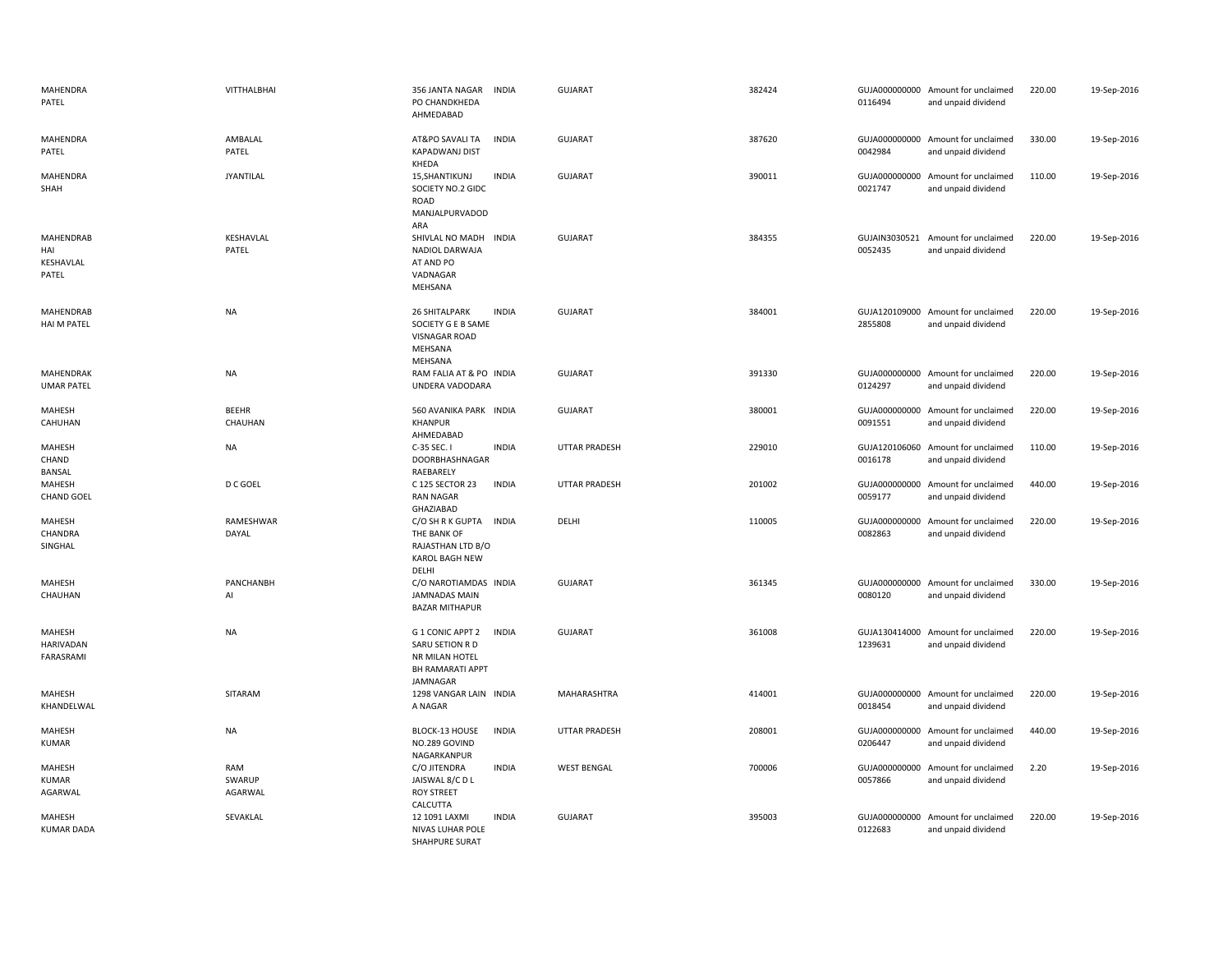| MAHENDRA<br>PATEL                             | VITTHALBHAI              | 356 JANTA NAGAR<br><b>INDIA</b><br>PO CHANDKHEDA<br>AHMEDABAD                                                | <b>GUJARAT</b>       | 382424 | 0116494                  | GUJA000000000 Amount for unclaimed<br>and unpaid dividend | 220.00 | 19-Sep-2016 |
|-----------------------------------------------|--------------------------|--------------------------------------------------------------------------------------------------------------|----------------------|--------|--------------------------|-----------------------------------------------------------|--------|-------------|
| MAHENDRA<br>PATEL                             | AMBALAL<br>PATEL         | <b>INDIA</b><br>AT&PO SAVALI TA<br><b>KAPADWANJ DIST</b><br>KHEDA                                            | <b>GUJARAT</b>       | 387620 | 0042984                  | GUJA000000000 Amount for unclaimed<br>and unpaid dividend | 330.00 | 19-Sep-2016 |
| MAHENDRA<br>SHAH                              | <b>JYANTILAL</b>         | <b>INDIA</b><br>15, SHANTIKUNJ<br>SOCIETY NO.2 GIDC<br>ROAD<br>MANJALPURVADOD<br>ARA                         | <b>GUJARAT</b>       | 390011 | 0021747                  | GUJA000000000 Amount for unclaimed<br>and unpaid dividend | 110.00 | 19-Sep-2016 |
| <b>MAHENDRAB</b><br>HAI<br>KESHAVLAL<br>PATEL | KESHAVLAL<br>PATEL       | SHIVLAL NO MADH<br><b>INDIA</b><br><b>NADIOL DARWAJA</b><br>AT AND PO<br>VADNAGAR<br>MEHSANA                 | <b>GUJARAT</b>       | 384355 | 0052435                  | GUJAIN3030521 Amount for unclaimed<br>and unpaid dividend | 220.00 | 19-Sep-2016 |
| MAHENDRAB<br>HAI M PATEL                      | <b>NA</b>                | <b>26 SHITALPARK</b><br><b>INDIA</b><br>SOCIETY G E B SAME<br><b>VISNAGAR ROAD</b><br>MEHSANA<br>MEHSANA     | <b>GUJARAT</b>       | 384001 | 2855808                  | GUJA120109000 Amount for unclaimed<br>and unpaid dividend | 220.00 | 19-Sep-2016 |
| <b>MAHENDRAK</b><br><b>UMAR PATEL</b>         | NA                       | RAM FALIA AT & PO INDIA<br>UNDERA VADODARA                                                                   | <b>GUJARAT</b>       | 391330 | 0124297                  | GUJA000000000 Amount for unclaimed<br>and unpaid dividend | 220.00 | 19-Sep-2016 |
| MAHESH<br>CAHUHAN                             | <b>BEEHR</b><br>CHAUHAN  | 560 AVANIKA PARK INDIA<br>KHANPUR<br>AHMEDABAD                                                               | GUJARAT              | 380001 | 0091551                  | GUJA000000000 Amount for unclaimed<br>and unpaid dividend | 220.00 | 19-Sep-2016 |
| MAHESH<br>CHAND<br>BANSAL                     | <b>NA</b>                | C-35 SEC. I<br><b>INDIA</b><br>DOORBHASHNAGAR<br>RAEBARELY                                                   | UTTAR PRADESH        | 229010 | GUJA120106060<br>0016178 | Amount for unclaimed<br>and unpaid dividend               | 110.00 | 19-Sep-2016 |
| MAHESH<br><b>CHAND GOEL</b>                   | D C GOEL                 | <b>INDIA</b><br>C 125 SECTOR 23<br><b>RAN NAGAR</b><br>GHAZIABAD                                             | <b>UTTAR PRADESH</b> | 201002 | 0059177                  | GUJA000000000 Amount for unclaimed<br>and unpaid dividend | 440.00 | 19-Sep-2016 |
| MAHESH<br>CHANDRA<br>SINGHAL                  | RAMESHWAR<br>DAYAL       | C/O SH R K GUPTA INDIA<br>THE BANK OF<br>RAJASTHAN LTD B/O<br><b>KAROL BAGH NEW</b><br>DELHI                 | DELHI                | 110005 | 0082863                  | GUJA000000000 Amount for unclaimed<br>and unpaid dividend | 220.00 | 19-Sep-2016 |
| MAHESH<br>CHAUHAN                             | PANCHANBH<br>Al          | C/O NAROTIAMDAS INDIA<br><b>JAMNADAS MAIN</b><br><b>BAZAR MITHAPUR</b>                                       | <b>GUJARAT</b>       | 361345 | 0080120                  | GUJA000000000 Amount for unclaimed<br>and unpaid dividend | 330.00 | 19-Sep-2016 |
| MAHESH<br><b>HARIVADAN</b><br>FARASRAMI       | <b>NA</b>                | G 1 CONIC APPT 2<br><b>INDIA</b><br>SARU SETION R D<br>NR MILAN HOTEL<br><b>BH RAMARATI APPT</b><br>JAMNAGAR | <b>GUJARAT</b>       | 361008 | 1239631                  | GUJA130414000 Amount for unclaimed<br>and unpaid dividend | 220.00 | 19-Sep-2016 |
| MAHESH<br>KHANDELWAL                          | SITARAM                  | 1298 VANGAR LAIN INDIA<br>A NAGAR                                                                            | MAHARASHTRA          | 414001 | GUJA000000000<br>0018454 | Amount for unclaimed<br>and unpaid dividend               | 220.00 | 19-Sep-2016 |
| MAHESH<br>KUMAR                               | <b>NA</b>                | <b>INDIA</b><br>BLOCK-13 HOUSE<br>NO.289 GOVIND<br>NAGARKANPUR                                               | <b>UTTAR PRADESH</b> | 208001 | GUJA000000000<br>0206447 | Amount for unclaimed<br>and unpaid dividend               | 440.00 | 19-Sep-2016 |
| MAHESH<br>KUMAR<br>AGARWAL                    | RAM<br>SWARUP<br>AGARWAL | C/O JITENDRA<br><b>INDIA</b><br>JAISWAL 8/CDL<br><b>ROY STREET</b><br>CALCUTTA                               | <b>WEST BENGAL</b>   | 700006 | 0057866                  | GUJA000000000 Amount for unclaimed<br>and unpaid dividend | 2.20   | 19-Sep-2016 |
| MAHESH<br><b>KUMAR DADA</b>                   | SEVAKLAL                 | 12 1091 LAXMI<br><b>INDIA</b><br><b>NIVAS LUHAR POLE</b><br>SHAHPURE SURAT                                   | <b>GUJARAT</b>       | 395003 | GUJA000000000<br>0122683 | Amount for unclaimed<br>and unpaid dividend               | 220.00 | 19-Sep-2016 |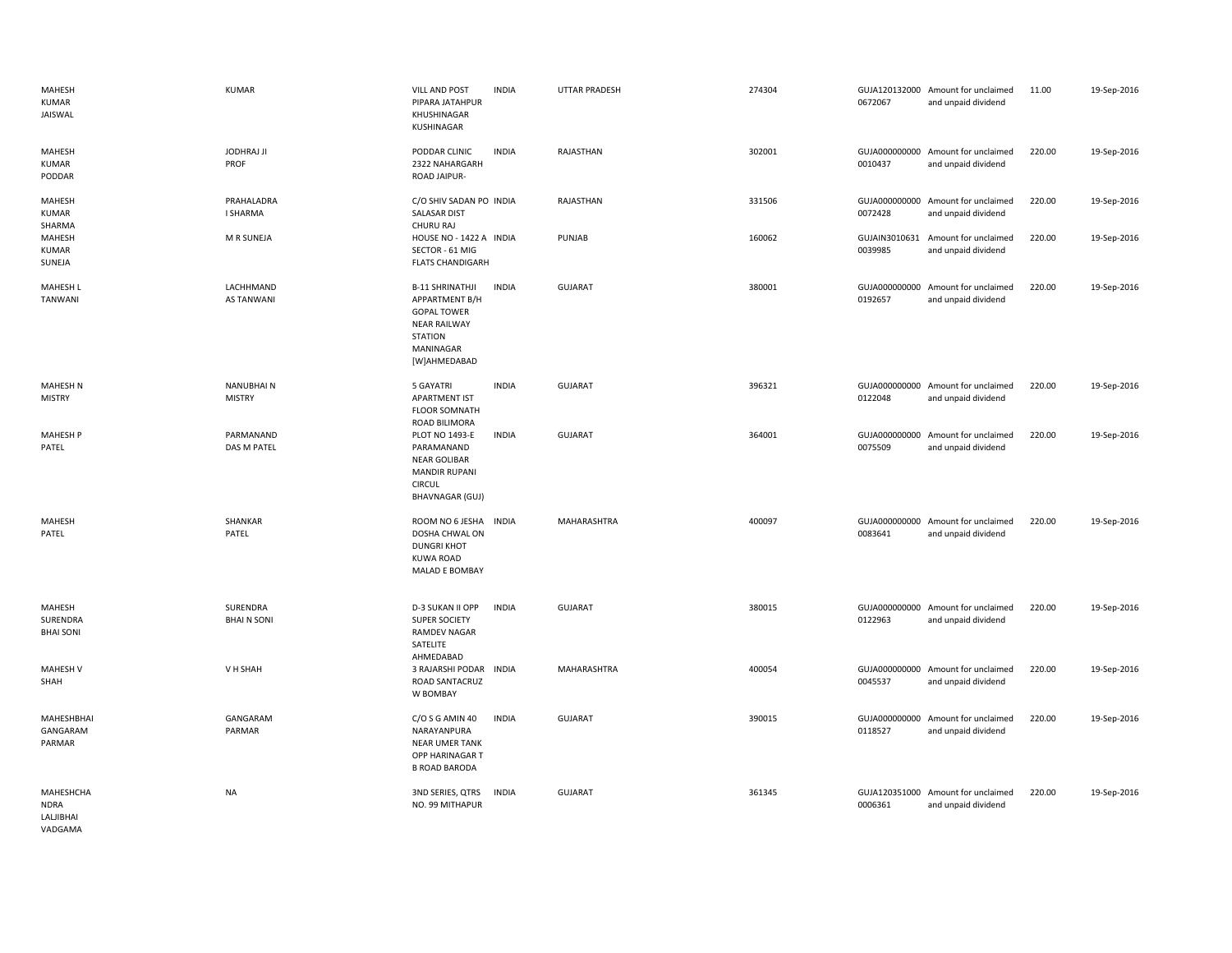| MAHESH<br><b>KUMAR</b><br>JAISWAL                | <b>KUMAR</b>                      | <b>VILL AND POST</b><br>PIPARA JATAHPUR<br>KHUSHINAGAR<br>KUSHINAGAR                                                                 | <b>INDIA</b> | <b>UTTAR PRADESH</b> | 274304 | 0672067                  | GUJA120132000 Amount for unclaimed<br>and unpaid dividend | 11.00  | 19-Sep-2016 |
|--------------------------------------------------|-----------------------------------|--------------------------------------------------------------------------------------------------------------------------------------|--------------|----------------------|--------|--------------------------|-----------------------------------------------------------|--------|-------------|
| MAHESH<br><b>KUMAR</b><br>PODDAR                 | <b>JODHRAJ JI</b><br>PROF         | PODDAR CLINIC<br>2322 NAHARGARH<br>ROAD JAIPUR-                                                                                      | <b>INDIA</b> | RAJASTHAN            | 302001 | 0010437                  | GUJA000000000 Amount for unclaimed<br>and unpaid dividend | 220.00 | 19-Sep-2016 |
| <b>MAHESH</b><br><b>KUMAR</b><br>SHARMA          | PRAHALADRA<br>I SHARMA            | C/O SHIV SADAN PO INDIA<br>SALASAR DIST<br>CHURU RAJ                                                                                 |              | RAJASTHAN            | 331506 | GUJA000000000<br>0072428 | Amount for unclaimed<br>and unpaid dividend               | 220.00 | 19-Sep-2016 |
| MAHESH<br><b>KUMAR</b><br>SUNEJA                 | M R SUNEJA                        | HOUSE NO - 1422 A INDIA<br>SECTOR - 61 MIG<br><b>FLATS CHANDIGARH</b>                                                                |              | PUNJAB               | 160062 | GUJAIN3010631<br>0039985 | Amount for unclaimed<br>and unpaid dividend               | 220.00 | 19-Sep-2016 |
| <b>MAHESH L</b><br>TANWANI                       | LACHHMAND<br><b>AS TANWANI</b>    | <b>B-11 SHRINATHJI</b><br>APPARTMENT B/H<br><b>GOPAL TOWER</b><br><b>NEAR RAILWAY</b><br><b>STATION</b><br>MANINAGAR<br>[W]AHMEDABAD | <b>INDIA</b> | <b>GUJARAT</b>       | 380001 | 0192657                  | GUJA000000000 Amount for unclaimed<br>and unpaid dividend | 220.00 | 19-Sep-2016 |
| <b>MAHESH N</b><br><b>MISTRY</b>                 | <b>NANUBHAIN</b><br><b>MISTRY</b> | 5 GAYATRI<br>APARTMENT IST<br><b>FLOOR SOMNATH</b><br>ROAD BILIMORA                                                                  | <b>INDIA</b> | <b>GUJARAT</b>       | 396321 | 0122048                  | GUJA000000000 Amount for unclaimed<br>and unpaid dividend | 220.00 | 19-Sep-2016 |
| MAHESH P<br>PATEL                                | PARMANAND<br>DAS M PATEL          | <b>PLOT NO 1493-E</b><br>PARAMANAND<br><b>NEAR GOLIBAR</b><br><b>MANDIR RUPANI</b><br><b>CIRCUL</b><br><b>BHAVNAGAR (GUJ)</b>        | <b>INDIA</b> | <b>GUJARAT</b>       | 364001 | 0075509                  | GUJA000000000 Amount for unclaimed<br>and unpaid dividend | 220.00 | 19-Sep-2016 |
| MAHESH<br>PATEL                                  | SHANKAR<br>PATEL                  | ROOM NO 6 JESHA<br>DOSHA CHWAL ON<br><b>DUNGRI KHOT</b><br><b>KUWA ROAD</b><br>MALAD E BOMBAY                                        | <b>INDIA</b> | MAHARASHTRA          | 400097 | 0083641                  | GUJA000000000 Amount for unclaimed<br>and unpaid dividend | 220.00 | 19-Sep-2016 |
| MAHESH<br>SURENDRA<br><b>BHAI SONI</b>           | SURENDRA<br><b>BHAIN SONI</b>     | D-3 SUKAN II OPP<br><b>SUPER SOCIETY</b><br><b>RAMDEV NAGAR</b><br>SATELITE<br>AHMEDABAD                                             | <b>INDIA</b> | <b>GUJARAT</b>       | 380015 | 0122963                  | GUJA000000000 Amount for unclaimed<br>and unpaid dividend | 220.00 | 19-Sep-2016 |
| <b>MAHESH V</b><br>SHAH                          | V H SHAH                          | 3 RAJARSHI PODAR INDIA<br>ROAD SANTACRUZ<br>W BOMBAY                                                                                 |              | MAHARASHTRA          | 400054 | 0045537                  | GUJA000000000 Amount for unclaimed<br>and unpaid dividend | 220.00 | 19-Sep-2016 |
| MAHESHBHAI<br>GANGARAM<br>PARMAR                 | GANGARAM<br>PARMAR                | C/O S G AMIN 40<br>NARAYANPURA<br><b>NEAR UMER TANK</b><br>OPP HARINAGAR T<br><b>B ROAD BARODA</b>                                   | <b>INDIA</b> | <b>GUJARAT</b>       | 390015 | 0118527                  | GUJA000000000 Amount for unclaimed<br>and unpaid dividend | 220.00 | 19-Sep-2016 |
| MAHESHCHA<br><b>NDRA</b><br>LALJIBHAI<br>VADGAMA | <b>NA</b>                         | 3ND SERIES, QTRS<br>NO. 99 MITHAPUR                                                                                                  | <b>INDIA</b> | <b>GUJARAT</b>       | 361345 | 0006361                  | GUJA120351000 Amount for unclaimed<br>and unpaid dividend | 220.00 | 19-Sep-2016 |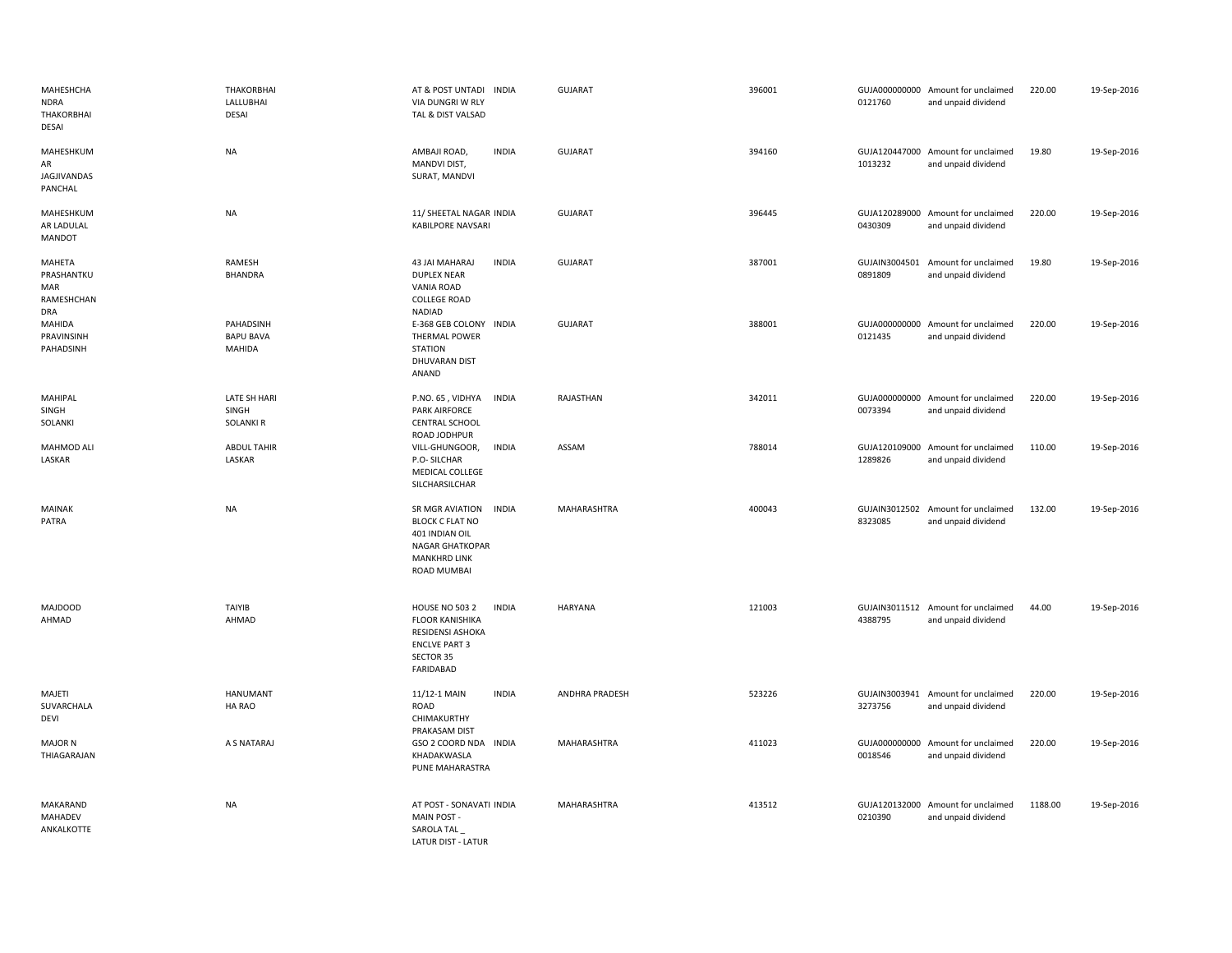| MAHESHCHA<br><b>NDRA</b><br>THAKORBHAI<br>DESAI  | <b>THAKORBHAI</b><br>LALLUBHAI<br>DESAI        | AT & POST UNTADI INDIA<br>VIA DUNGRI W RLY<br>TAL & DIST VALSAD                                                                       | <b>GUJARAT</b> | 396001 | 0121760                  | GUJA000000000 Amount for unclaimed<br>and unpaid dividend | 220.00  | 19-Sep-2016 |
|--------------------------------------------------|------------------------------------------------|---------------------------------------------------------------------------------------------------------------------------------------|----------------|--------|--------------------------|-----------------------------------------------------------|---------|-------------|
| MAHESHKUM<br>AR<br>JAGJIVANDAS<br>PANCHAL        | <b>NA</b>                                      | AMBAJI ROAD,<br><b>INDIA</b><br>MANDVI DIST,<br>SURAT, MANDVI                                                                         | <b>GUJARAT</b> | 394160 | 1013232                  | GUJA120447000 Amount for unclaimed<br>and unpaid dividend | 19.80   | 19-Sep-2016 |
| MAHESHKUM<br>AR LADULAL<br>MANDOT                | <b>NA</b>                                      | 11/ SHEETAL NAGAR INDIA<br>KABILPORE NAVSARI                                                                                          | <b>GUJARAT</b> | 396445 | 0430309                  | GUJA120289000 Amount for unclaimed<br>and unpaid dividend | 220.00  | 19-Sep-2016 |
| MAHETA<br>PRASHANTKU<br>MAR<br>RAMESHCHAN<br>DRA | RAMESH<br><b>BHANDRA</b>                       | 43 JAI MAHARAJ<br><b>INDIA</b><br><b>DUPLEX NEAR</b><br><b>VANIA ROAD</b><br><b>COLLEGE ROAD</b><br>NADIAD                            | <b>GUJARAT</b> | 387001 | GUJAIN3004501<br>0891809 | Amount for unclaimed<br>and unpaid dividend               | 19.80   | 19-Sep-2016 |
| MAHIDA<br>PRAVINSINH<br>PAHADSINH                | PAHADSINH<br><b>BAPU BAVA</b><br><b>MAHIDA</b> | E-368 GEB COLONY INDIA<br><b>THERMAL POWER</b><br><b>STATION</b><br>DHUVARAN DIST<br>ANAND                                            | <b>GUJARAT</b> | 388001 | 0121435                  | GUJA000000000 Amount for unclaimed<br>and unpaid dividend | 220.00  | 19-Sep-2016 |
| MAHIPAL<br>SINGH<br>SOLANKI                      | LATE SH HARI<br>SINGH<br><b>SOLANKI R</b>      | P.NO. 65, VIDHYA<br><b>INDIA</b><br><b>PARK AIRFORCE</b><br><b>CENTRAL SCHOOL</b><br>ROAD JODHPUR                                     | RAJASTHAN      | 342011 | 0073394                  | GUJA000000000 Amount for unclaimed<br>and unpaid dividend | 220.00  | 19-Sep-2016 |
| MAHMOD ALI<br>LASKAR                             | <b>ABDUL TAHIR</b><br>LASKAR                   | <b>INDIA</b><br>VILL-GHUNGOOR,<br>P.O-SILCHAR<br>MEDICAL COLLEGE<br>SILCHARSILCHAR                                                    | ASSAM          | 788014 | 1289826                  | GUJA120109000 Amount for unclaimed<br>and unpaid dividend | 110.00  | 19-Sep-2016 |
| MAINAK<br>PATRA                                  | NA                                             | SR MGR AVIATION<br><b>INDIA</b><br><b>BLOCK C FLAT NO</b><br>401 INDIAN OIL<br>NAGAR GHATKOPAR<br><b>MANKHRD LINK</b><br>ROAD MUMBAI  | MAHARASHTRA    | 400043 | 8323085                  | GUJAIN3012502 Amount for unclaimed<br>and unpaid dividend | 132.00  | 19-Sep-2016 |
| <b>MAJDOOD</b><br>AHMAD                          | TAIYIB<br>AHMAD                                | <b>HOUSE NO 503 2</b><br><b>INDIA</b><br><b>FLOOR KANISHIKA</b><br>RESIDENSI ASHOKA<br><b>ENCLVE PART 3</b><br>SECTOR 35<br>FARIDABAD | <b>HARYANA</b> | 121003 | 4388795                  | GUJAIN3011512 Amount for unclaimed<br>and unpaid dividend | 44.00   | 19-Sep-2016 |
| MAJETI<br>SUVARCHALA<br>DEVI                     | HANUMANT<br>HA RAO                             | 11/12-1 MAIN<br><b>INDIA</b><br>ROAD<br>CHIMAKURTHY<br>PRAKASAM DIST                                                                  | ANDHRA PRADESH | 523226 | GUJAIN3003941<br>3273756 | Amount for unclaimed<br>and unpaid dividend               | 220.00  | 19-Sep-2016 |
| <b>MAJOR N</b><br>THIAGARAJAN                    | A S NATARAJ                                    | GSO 2 COORD NDA INDIA<br>KHADAKWASLA<br>PUNE MAHARASTRA                                                                               | MAHARASHTRA    | 411023 | 0018546                  | GUJA000000000 Amount for unclaimed<br>and unpaid dividend | 220.00  | 19-Sep-2016 |
| MAKARAND<br>MAHADEV<br>ANKALKOTTE                | NA                                             | AT POST - SONAVATI INDIA<br>MAIN POST -<br>SAROLA TAL<br><b>LATUR DIST - LATUR</b>                                                    | MAHARASHTRA    | 413512 | 0210390                  | GUJA120132000 Amount for unclaimed<br>and unpaid dividend | 1188.00 | 19-Sep-2016 |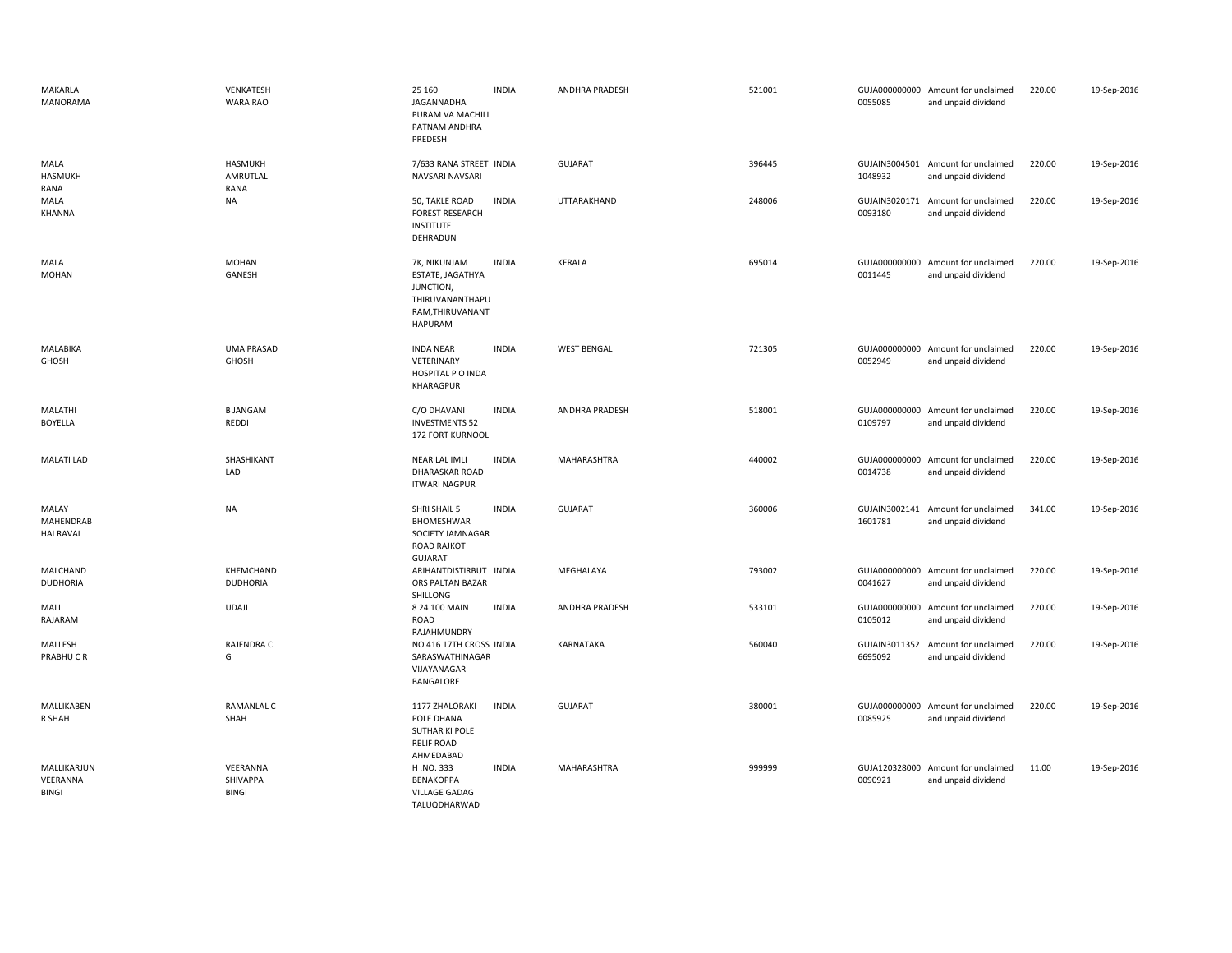| MAKARLA<br><b>MANORAMA</b>              | VENKATESH<br>WARA RAO         | 25 160<br>JAGANNADHA<br>PURAM VA MACHILI<br>PATNAM ANDHRA<br>PREDESH                                   | <b>INDIA</b> | ANDHRA PRADESH        | 521001 | 0055085                  | GUJA000000000 Amount for unclaimed<br>and unpaid dividend | 220.00 | 19-Sep-2016 |
|-----------------------------------------|-------------------------------|--------------------------------------------------------------------------------------------------------|--------------|-----------------------|--------|--------------------------|-----------------------------------------------------------|--------|-------------|
| MALA<br>HASMUKH<br>RANA                 | HASMUKH<br>AMRUTLAL<br>RANA   | 7/633 RANA STREET INDIA<br>NAVSARI NAVSARI                                                             |              | <b>GUJARAT</b>        | 396445 | 1048932                  | GUJAIN3004501 Amount for unclaimed<br>and unpaid dividend | 220.00 | 19-Sep-2016 |
| MALA<br>KHANNA                          | NA                            | 50, TAKLE ROAD<br><b>FOREST RESEARCH</b><br><b>INSTITUTE</b><br>DEHRADUN                               | <b>INDIA</b> | UTTARAKHAND           | 248006 | 0093180                  | GUJAIN3020171 Amount for unclaimed<br>and unpaid dividend | 220.00 | 19-Sep-2016 |
| MALA<br><b>MOHAN</b>                    | <b>MOHAN</b><br>GANESH        | 7K, NIKUNJAM<br>ESTATE, JAGATHYA<br>JUNCTION,<br>THIRUVANANTHAPU<br>RAM, THIRUVANANT<br><b>HAPURAM</b> | <b>INDIA</b> | <b>KERALA</b>         | 695014 | 0011445                  | GUJA000000000 Amount for unclaimed<br>and unpaid dividend | 220.00 | 19-Sep-2016 |
| MALABIKA<br><b>GHOSH</b>                | <b>UMA PRASAD</b><br>GHOSH    | <b>INDA NEAR</b><br>VETERINARY<br>HOSPITAL P O INDA<br>KHARAGPUR                                       | <b>INDIA</b> | <b>WEST BENGAL</b>    | 721305 | 0052949                  | GUJA000000000 Amount for unclaimed<br>and unpaid dividend | 220.00 | 19-Sep-2016 |
| MALATHI<br><b>BOYELLA</b>               | <b>BJANGAM</b><br>REDDI       | C/O DHAVANI<br><b>INVESTMENTS 52</b><br>172 FORT KURNOOL                                               | <b>INDIA</b> | ANDHRA PRADESH        | 518001 | 0109797                  | GUJA000000000 Amount for unclaimed<br>and unpaid dividend | 220.00 | 19-Sep-2016 |
| <b>MALATI LAD</b>                       | SHASHIKANT<br>LAD             | <b>NEAR LAL IMLI</b><br><b>DHARASKAR ROAD</b><br><b>ITWARI NAGPUR</b>                                  | <b>INDIA</b> | MAHARASHTRA           | 440002 | 0014738                  | GUJA000000000 Amount for unclaimed<br>and unpaid dividend | 220.00 | 19-Sep-2016 |
| MALAY<br>MAHENDRAB<br><b>HAI RAVAL</b>  | <b>NA</b>                     | SHRI SHAIL 5<br>BHOMESHWAR<br>SOCIETY JAMNAGAR<br><b>ROAD RAJKOT</b><br><b>GUJARAT</b>                 | <b>INDIA</b> | <b>GUJARAT</b>        | 360006 | GUJAIN3002141<br>1601781 | Amount for unclaimed<br>and unpaid dividend               | 341.00 | 19-Sep-2016 |
| MALCHAND<br><b>DUDHORIA</b>             | KHEMCHAND<br><b>DUDHORIA</b>  | ARIHANTDISTIRBUT INDIA<br>ORS PALTAN BAZAR<br>SHILLONG                                                 |              | MEGHALAYA             | 793002 | 0041627                  | GUJA000000000 Amount for unclaimed<br>and unpaid dividend | 220.00 | 19-Sep-2016 |
| MALI<br>RAJARAM                         | <b>UDAJI</b>                  | 8 24 100 MAIN<br>ROAD<br>RAJAHMUNDRY                                                                   | <b>INDIA</b> | <b>ANDHRA PRADESH</b> | 533101 | GUJA000000000<br>0105012 | Amount for unclaimed<br>and unpaid dividend               | 220.00 | 19-Sep-2016 |
| MALLESH<br>PRABHUCR                     | RAJENDRA C<br>G               | NO 416 17TH CROSS INDIA<br>SARASWATHINAGAR<br>VIJAYANAGAR<br>BANGALORE                                 |              | KARNATAKA             | 560040 | GUJAIN3011352<br>6695092 | Amount for unclaimed<br>and unpaid dividend               | 220.00 | 19-Sep-2016 |
| MALLIKABEN<br>R SHAH                    | <b>RAMANLAL C</b><br>SHAH     | 1177 ZHALORAKI<br>POLE DHANA<br>SUTHAR KI POLE<br><b>RELIF ROAD</b><br>AHMEDABAD                       | <b>INDIA</b> | <b>GUJARAT</b>        | 380001 | 0085925                  | GUJA000000000 Amount for unclaimed<br>and unpaid dividend | 220.00 | 19-Sep-2016 |
| MALLIKARJUN<br>VEERANNA<br><b>BINGI</b> | VEERANNA<br>SHIVAPPA<br>BINGI | H.NO.333<br>BENAKOPPA<br><b>VILLAGE GADAG</b><br>TALUQDHARWAD                                          | <b>INDIA</b> | MAHARASHTRA           | 999999 | 0090921                  | GUJA120328000 Amount for unclaimed<br>and unpaid dividend | 11.00  | 19-Sep-2016 |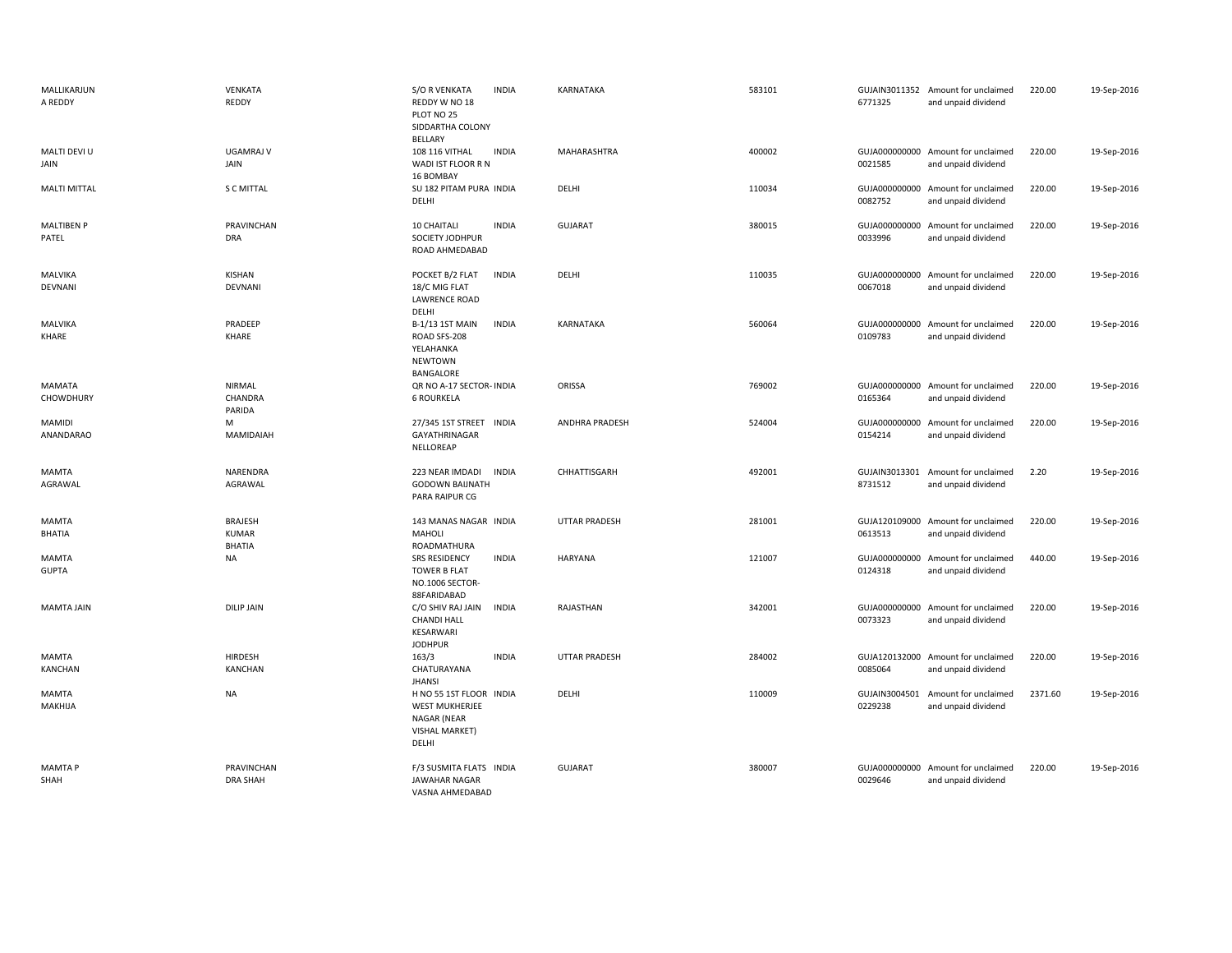| MALLIKARJUN<br>A REDDY       | VENKATA<br>REDDY                         | <b>S/O R VENKATA</b><br><b>INDIA</b><br>REDDY W NO 18<br>PLOT NO 25<br>SIDDARTHA COLONY<br>BELLARY | KARNATAKA             | 583101 | 6771325                  | GUJAIN3011352 Amount for unclaimed<br>and unpaid dividend | 220.00  | 19-Sep-2016 |
|------------------------------|------------------------------------------|----------------------------------------------------------------------------------------------------|-----------------------|--------|--------------------------|-----------------------------------------------------------|---------|-------------|
| MALTI DEVI U<br>JAIN         | <b>UGAMRAJ V</b><br>JAIN                 | 108 116 VITHAL<br><b>INDIA</b><br>WADI IST FLOOR R N<br>16 BOMBAY                                  | MAHARASHTRA           | 400002 | 0021585                  | GUJA000000000 Amount for unclaimed<br>and unpaid dividend | 220.00  | 19-Sep-2016 |
| <b>MALTI MITTAL</b>          | <b>S C MITTAL</b>                        | SU 182 PITAM PURA INDIA<br>DELHI                                                                   | DELHI                 | 110034 | 0082752                  | GUJA000000000 Amount for unclaimed<br>and unpaid dividend | 220.00  | 19-Sep-2016 |
| <b>MALTIBEN P</b><br>PATEL   | PRAVINCHAN<br><b>DRA</b>                 | 10 CHAITALI<br><b>INDIA</b><br>SOCIETY JODHPUR<br>ROAD AHMEDABAD                                   | <b>GUJARAT</b>        | 380015 | 0033996                  | GUJA000000000 Amount for unclaimed<br>and unpaid dividend | 220.00  | 19-Sep-2016 |
| MALVIKA<br>DEVNANI           | KISHAN<br>DEVNANI                        | POCKET B/2 FLAT<br><b>INDIA</b><br>18/C MIG FLAT<br><b>LAWRENCE ROAD</b><br>DELHI                  | DELHI                 | 110035 | 0067018                  | GUJA000000000 Amount for unclaimed<br>and unpaid dividend | 220.00  | 19-Sep-2016 |
| <b>MALVIKA</b><br>KHARE      | PRADEEP<br>KHARE                         | <b>INDIA</b><br>B-1/13 1ST MAIN<br>ROAD SFS-208<br>YELAHANKA<br>NEWTOWN<br>BANGALORE               | KARNATAKA             | 560064 | 0109783                  | GUJA000000000 Amount for unclaimed<br>and unpaid dividend | 220.00  | 19-Sep-2016 |
| MAMATA<br><b>CHOWDHURY</b>   | NIRMAL<br>CHANDRA<br>PARIDA              | QR NO A-17 SECTOR- INDIA<br><b>6 ROURKELA</b>                                                      | ORISSA                | 769002 | 0165364                  | GUJA000000000 Amount for unclaimed<br>and unpaid dividend | 220.00  | 19-Sep-2016 |
| <b>MAMIDI</b><br>ANANDARAO   | M<br>MAMIDAIAH                           | 27/345 1ST STREET<br><b>INDIA</b><br>GAYATHRINAGAR<br>NELLOREAP                                    | <b>ANDHRA PRADESH</b> | 524004 | 0154214                  | GUJA000000000 Amount for unclaimed<br>and unpaid dividend | 220.00  | 19-Sep-2016 |
| MAMTA<br>AGRAWAL             | NARENDRA<br>AGRAWAL                      | 223 NEAR IMDADI<br><b>INDIA</b><br><b>GODOWN BAIJNATH</b><br>PARA RAIPUR CG                        | CHHATTISGARH          | 492001 | GUJAIN3013301<br>8731512 | Amount for unclaimed<br>and unpaid dividend               | 2.20    | 19-Sep-2016 |
| MAMTA<br>BHATIA              | <b>BRAJESH</b><br>KUMAR<br><b>BHATIA</b> | 143 MANAS NAGAR INDIA<br><b>MAHOLI</b><br>ROADMATHURA                                              | <b>UTTAR PRADESH</b>  | 281001 | GUJA120109000<br>0613513 | Amount for unclaimed<br>and unpaid dividend               | 220.00  | 19-Sep-2016 |
| <b>MAMTA</b><br><b>GUPTA</b> | <b>NA</b>                                | <b>INDIA</b><br><b>SRS RESIDENCY</b><br><b>TOWER B FLAT</b><br>NO.1006 SECTOR-<br>88FARIDABAD      | <b>HARYANA</b>        | 121007 | GUJA000000000<br>0124318 | Amount for unclaimed<br>and unpaid dividend               | 440.00  | 19-Sep-2016 |
| <b>MAMTA JAIN</b>            | <b>DILIP JAIN</b>                        | C/O SHIV RAJ JAIN<br><b>INDIA</b><br><b>CHANDI HALL</b><br>KESARWARI<br><b>JODHPUR</b>             | RAJASTHAN             | 342001 | 0073323                  | GUJA000000000 Amount for unclaimed<br>and unpaid dividend | 220.00  | 19-Sep-2016 |
| <b>MAMTA</b><br>KANCHAN      | <b>HIRDESH</b><br><b>KANCHAN</b>         | <b>INDIA</b><br>163/3<br>CHATURAYANA<br><b>JHANSI</b>                                              | <b>UTTAR PRADESH</b>  | 284002 | 0085064                  | GUJA120132000 Amount for unclaimed<br>and unpaid dividend | 220.00  | 19-Sep-2016 |
| MAMTA<br>MAKHIJA             | <b>NA</b>                                | H NO 55 1ST FLOOR INDIA<br>WEST MUKHERJEE<br>NAGAR (NEAR<br>VISHAL MARKET)<br>DELHI                | DELHI                 | 110009 | GUJAIN3004501<br>0229238 | Amount for unclaimed<br>and unpaid dividend               | 2371.60 | 19-Sep-2016 |
| <b>MAMTAP</b><br>SHAH        | PRAVINCHAN<br><b>DRA SHAH</b>            | F/3 SUSMITA FLATS INDIA<br><b>JAWAHAR NAGAR</b><br>VASNA AHMEDABAD                                 | <b>GUJARAT</b>        | 380007 | 0029646                  | GUJA000000000 Amount for unclaimed<br>and unpaid dividend | 220.00  | 19-Sep-2016 |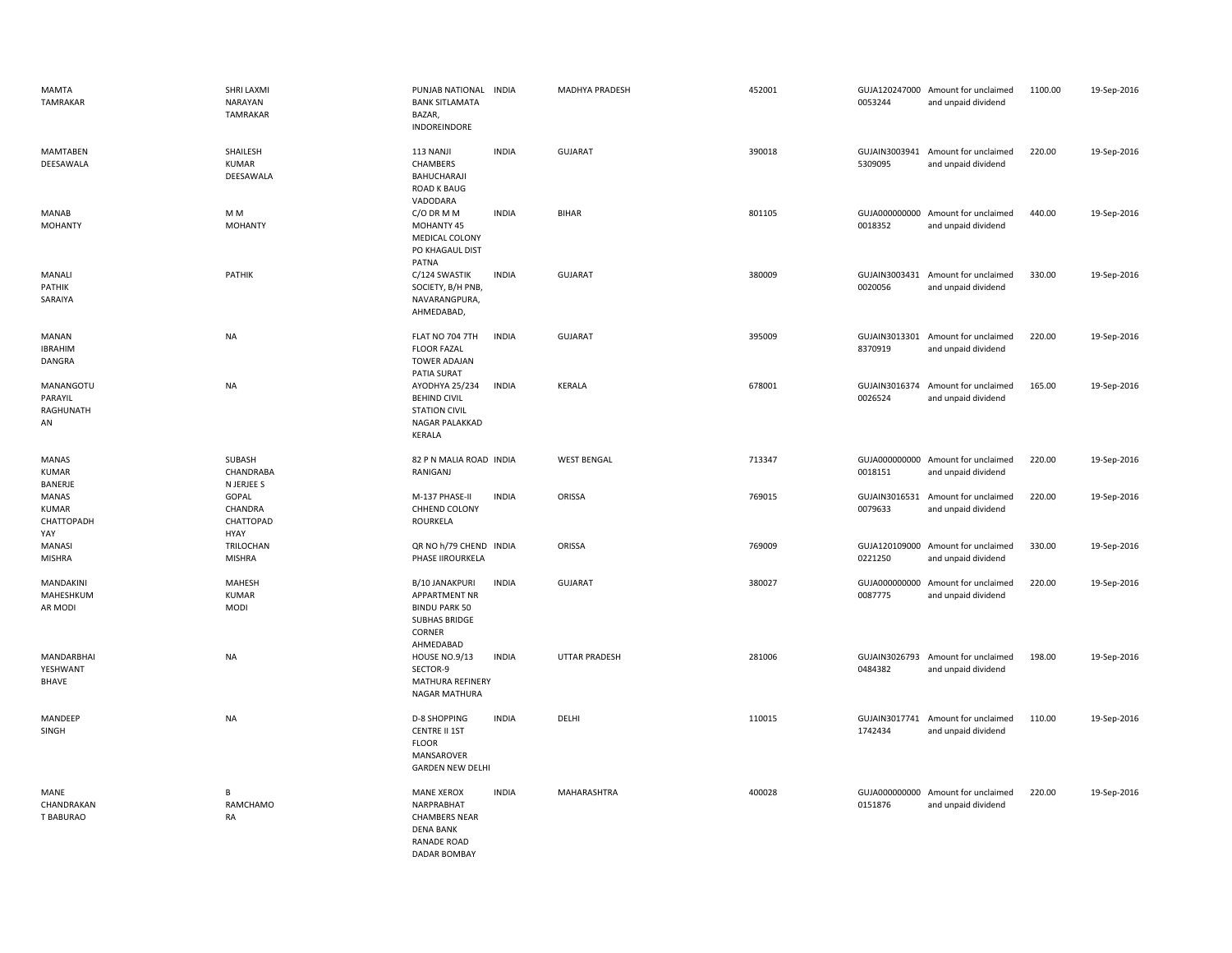| <b>MAMTA</b><br><b>TAMRAKAR</b>          | SHRI LAXMI<br>NARAYAN<br>TAMRAKAR     | PUNJAB NATIONAL INDIA<br><b>BANK SITLAMATA</b><br>BAZAR,<br>INDOREINDORE                                                 |              | MADHYA PRADESH       | 452001 | 0053244 | GUJA120247000 Amount for unclaimed<br>and unpaid dividend | 1100.00 | 19-Sep-2016 |
|------------------------------------------|---------------------------------------|--------------------------------------------------------------------------------------------------------------------------|--------------|----------------------|--------|---------|-----------------------------------------------------------|---------|-------------|
| <b>MAMTABEN</b><br>DEESAWALA             | SHAILESH<br><b>KUMAR</b><br>DEESAWALA | 113 NANJI<br><b>CHAMBERS</b><br>BAHUCHARAJI<br><b>ROAD K BAUG</b><br>VADODARA                                            | <b>INDIA</b> | <b>GUJARAT</b>       | 390018 | 5309095 | GUJAIN3003941 Amount for unclaimed<br>and unpaid dividend | 220.00  | 19-Sep-2016 |
| <b>MANAB</b><br><b>MOHANTY</b>           | M <sub>M</sub><br><b>MOHANTY</b>      | C/O DR M M<br>MOHANTY 45<br>MEDICAL COLONY<br>PO KHAGAUL DIST<br>PATNA                                                   | <b>INDIA</b> | <b>BIHAR</b>         | 801105 | 0018352 | GUJA000000000 Amount for unclaimed<br>and unpaid dividend | 440.00  | 19-Sep-2016 |
| MANALI<br>PATHIK<br>SARAIYA              | PATHIK                                | C/124 SWASTIK<br>SOCIETY, B/H PNB,<br>NAVARANGPURA,<br>AHMEDABAD,                                                        | <b>INDIA</b> | <b>GUJARAT</b>       | 380009 | 0020056 | GUJAIN3003431 Amount for unclaimed<br>and unpaid dividend | 330.00  | 19-Sep-2016 |
| <b>MANAN</b><br><b>IBRAHIM</b><br>DANGRA | <b>NA</b>                             | FLAT NO 704 7TH<br><b>FLOOR FAZAL</b><br>TOWER ADAJAN<br>PATIA SURAT                                                     | <b>INDIA</b> | <b>GUJARAT</b>       | 395009 | 8370919 | GUJAIN3013301 Amount for unclaimed<br>and unpaid dividend | 220.00  | 19-Sep-2016 |
| MANANGOTU<br>PARAYIL<br>RAGHUNATH<br>AN  | <b>NA</b>                             | AYODHYA 25/234<br><b>BEHIND CIVIL</b><br><b>STATION CIVIL</b><br>NAGAR PALAKKAD<br>KERALA                                | <b>INDIA</b> | <b>KERALA</b>        | 678001 | 0026524 | GUJAIN3016374 Amount for unclaimed<br>and unpaid dividend | 165.00  | 19-Sep-2016 |
| <b>MANAS</b><br><b>KUMAR</b><br>BANERJE  | SUBASH<br>CHANDRABA<br>N JERJEE S     | 82 P N MALIA ROAD INDIA<br>RANIGANJ                                                                                      |              | <b>WEST BENGAL</b>   | 713347 | 0018151 | GUJA000000000 Amount for unclaimed<br>and unpaid dividend | 220.00  | 19-Sep-2016 |
| MANAS<br>KUMAR<br>CHATTOPADH<br>YAY      | GOPAL<br>CHANDRA<br>CHATTOPAD<br>HYAY | M-137 PHASE-II<br>CHHEND COLONY<br>ROURKELA                                                                              | <b>INDIA</b> | ORISSA               | 769015 | 0079633 | GUJAIN3016531 Amount for unclaimed<br>and unpaid dividend | 220.00  | 19-Sep-2016 |
| <b>MANASI</b><br><b>MISHRA</b>           | TRILOCHAN<br><b>MISHRA</b>            | QR NO h/79 CHEND INDIA<br>PHASE IIROURKELA                                                                               |              | ORISSA               | 769009 | 0221250 | GUJA120109000 Amount for unclaimed<br>and unpaid dividend | 330.00  | 19-Sep-2016 |
| MANDAKINI<br>MAHESHKUM<br>AR MODI        | MAHESH<br><b>KUMAR</b><br>MODI        | B/10 JANAKPURI<br><b>APPARTMENT NR</b><br><b>BINDU PARK 50</b><br><b>SUBHAS BRIDGE</b><br>CORNER<br>AHMEDABAD            | <b>INDIA</b> | <b>GUJARAT</b>       | 380027 | 0087775 | GUJA000000000 Amount for unclaimed<br>and unpaid dividend | 220.00  | 19-Sep-2016 |
| MANDARBHAI<br>YESHWANT<br>BHAVE          | <b>NA</b>                             | <b>HOUSE NO.9/13</b><br>SECTOR-9<br>MATHURA REFINERY<br>NAGAR MATHURA                                                    | <b>INDIA</b> | <b>UTTAR PRADESH</b> | 281006 | 0484382 | GUJAIN3026793 Amount for unclaimed<br>and unpaid dividend | 198.00  | 19-Sep-2016 |
| MANDEEP<br>SINGH                         | <b>NA</b>                             | <b>D-8 SHOPPING</b><br><b>CENTRE II 1ST</b><br><b>FLOOR</b><br>MANSAROVER<br><b>GARDEN NEW DELHI</b>                     | <b>INDIA</b> | DELHI                | 110015 | 1742434 | GUJAIN3017741 Amount for unclaimed<br>and unpaid dividend | 110.00  | 19-Sep-2016 |
| MANE<br>CHANDRAKAN<br>T BABURAO          | B<br><b>RAMCHAMO</b><br>RA            | <b>MANE XEROX</b><br>NARPRABHAT<br><b>CHAMBERS NEAR</b><br><b>DENA BANK</b><br><b>RANADE ROAD</b><br><b>DADAR BOMBAY</b> | <b>INDIA</b> | MAHARASHTRA          | 400028 | 0151876 | GUJA000000000 Amount for unclaimed<br>and unpaid dividend | 220.00  | 19-Sep-2016 |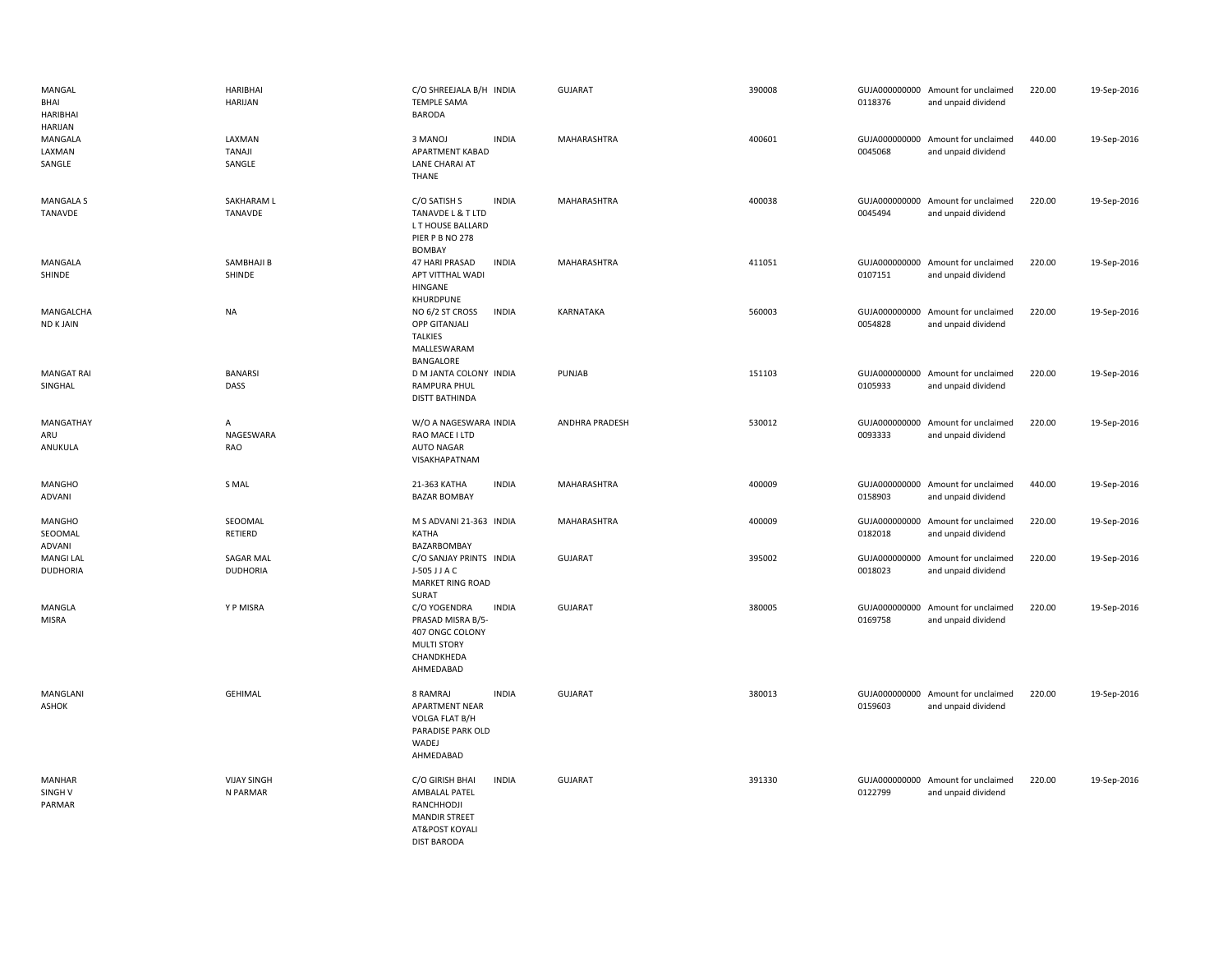| MANGAL<br>BHAI<br><b>HARIBHAI</b><br>HARIJAN | HARIBHAI<br><b>HARIJAN</b>          | C/O SHREEJALA B/H INDIA<br><b>TEMPLE SAMA</b><br><b>BARODA</b>                                                                 | GUJARAT        | 390008 | 0118376 | GUJA000000000 Amount for unclaimed<br>and unpaid dividend | 220.00 | 19-Sep-2016 |
|----------------------------------------------|-------------------------------------|--------------------------------------------------------------------------------------------------------------------------------|----------------|--------|---------|-----------------------------------------------------------|--------|-------------|
| MANGALA<br>LAXMAN<br>SANGLE                  | LAXMAN<br><b>TANAJI</b><br>SANGLE   | <b>INDIA</b><br>3 MANOJ<br>APARTMENT KABAD<br>LANE CHARAI AT<br>THANE                                                          | MAHARASHTRA    | 400601 | 0045068 | GUJA000000000 Amount for unclaimed<br>and unpaid dividend | 440.00 | 19-Sep-2016 |
| <b>MANGALA S</b><br>TANAVDE                  | SAKHARAM L<br>TANAVDE               | C/O SATISH S<br><b>INDIA</b><br>TANAVDE L & T LTD<br>L T HOUSE BALLARD<br>PIER P B NO 278<br><b>BOMBAY</b>                     | MAHARASHTRA    | 400038 | 0045494 | GUJA000000000 Amount for unclaimed<br>and unpaid dividend | 220.00 | 19-Sep-2016 |
| MANGALA<br>SHINDE                            | SAMBHAJI B<br>SHINDE                | <b>47 HARI PRASAD</b><br><b>INDIA</b><br>APT VITTHAL WADI<br>HINGANE<br>KHURDPUNE                                              | MAHARASHTRA    | 411051 | 0107151 | GUJA000000000 Amount for unclaimed<br>and unpaid dividend | 220.00 | 19-Sep-2016 |
| MANGALCHA<br><b>ND K JAIN</b>                | <b>NA</b>                           | NO 6/2 ST CROSS<br><b>INDIA</b><br>OPP GITANJALI<br><b>TALKIES</b><br>MALLESWARAM<br>BANGALORE                                 | KARNATAKA      | 560003 | 0054828 | GUJA000000000 Amount for unclaimed<br>and unpaid dividend | 220.00 | 19-Sep-2016 |
| <b>MANGAT RAI</b><br>SINGHAL                 | <b>BANARSI</b><br>DASS              | D M JANTA COLONY INDIA<br>RAMPURA PHUL<br><b>DISTT BATHINDA</b>                                                                | PUNJAB         | 151103 | 0105933 | GUJA000000000 Amount for unclaimed<br>and unpaid dividend | 220.00 | 19-Sep-2016 |
| MANGATHAY<br>ARU<br>ANUKULA                  | A<br>NAGESWARA<br>RAO               | W/O A NAGESWARA INDIA<br>RAO MACE I LTD<br><b>AUTO NAGAR</b><br>VISAKHAPATNAM                                                  | ANDHRA PRADESH | 530012 | 0093333 | GUJA000000000 Amount for unclaimed<br>and unpaid dividend | 220.00 | 19-Sep-2016 |
| <b>MANGHO</b><br>ADVANI                      | S MAL                               | <b>INDIA</b><br>21-363 KATHA<br><b>BAZAR BOMBAY</b>                                                                            | MAHARASHTRA    | 400009 | 0158903 | GUJA000000000 Amount for unclaimed<br>and unpaid dividend | 440.00 | 19-Sep-2016 |
| <b>MANGHO</b><br>SEOOMAL<br>ADVANI           | SEOOMAL<br><b>RETIERD</b>           | M S ADVANI 21-363 INDIA<br>KATHA<br>BAZARBOMBAY                                                                                | MAHARASHTRA    | 400009 | 0182018 | GUJA000000000 Amount for unclaimed<br>and unpaid dividend | 220.00 | 19-Sep-2016 |
| <b>MANGI LAL</b><br><b>DUDHORIA</b>          | <b>SAGAR MAL</b><br><b>DUDHORIA</b> | C/O SANJAY PRINTS INDIA<br>J-505 J J A C<br>MARKET RING ROAD<br>SURAT                                                          | <b>GUJARAT</b> | 395002 | 0018023 | GUJA000000000 Amount for unclaimed<br>and unpaid dividend | 220.00 | 19-Sep-2016 |
| MANGLA<br><b>MISRA</b>                       | Y P MISRA                           | <b>INDIA</b><br>C/O YOGENDRA<br>PRASAD MISRA B/5-<br>407 ONGC COLONY<br><b>MULTI STORY</b><br>CHANDKHEDA<br>AHMEDABAD          | <b>GUJARAT</b> | 380005 | 0169758 | GUJA000000000 Amount for unclaimed<br>and unpaid dividend | 220.00 | 19-Sep-2016 |
| <b>MANGLANI</b><br>ASHOK                     | <b>GEHIMAL</b>                      | <b>INDIA</b><br>8 RAMRAJ<br><b>APARTMENT NEAR</b><br>VOLGA FLAT B/H<br>PARADISE PARK OLD<br>WADEJ<br>AHMEDABAD                 | <b>GUJARAT</b> | 380013 | 0159603 | GUJA000000000 Amount for unclaimed<br>and unpaid dividend | 220.00 | 19-Sep-2016 |
| MANHAR<br>SINGH <sub>V</sub><br>PARMAR       | <b>VIJAY SINGH</b><br>N PARMAR      | C/O GIRISH BHAI<br><b>INDIA</b><br>AMBALAL PATEL<br>RANCHHODJI<br><b>MANDIR STREET</b><br>AT&POST KOYALI<br><b>DIST BARODA</b> | <b>GUJARAT</b> | 391330 | 0122799 | GUJA000000000 Amount for unclaimed<br>and unpaid dividend | 220.00 | 19-Sep-2016 |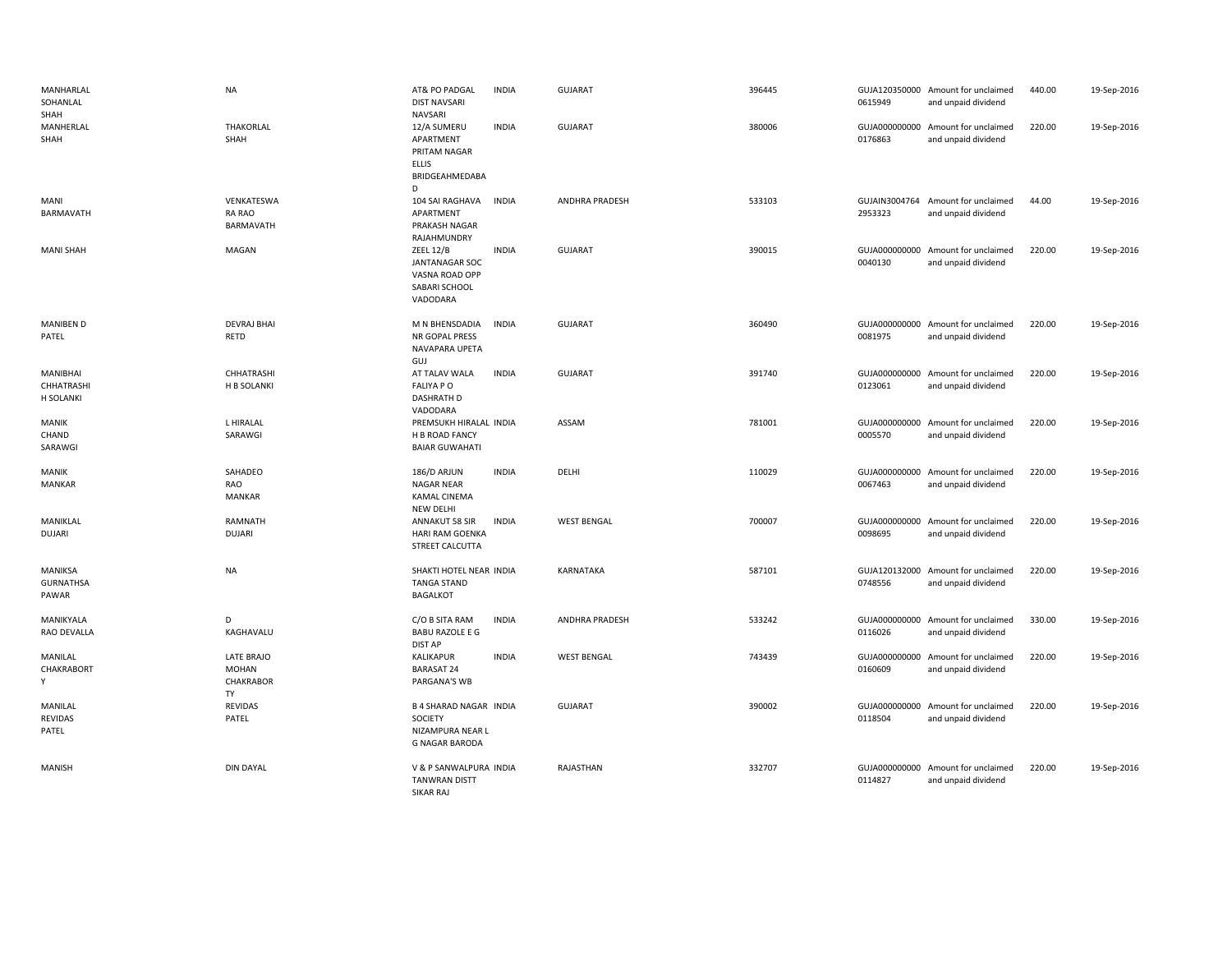| MANHARLAL<br>SOHANLAL<br>SHAH        | <b>NA</b>                                     | AT& PO PADGAL<br><b>DIST NAVSARI</b><br><b>NAVSARI</b>                                   | <b>INDIA</b> | <b>GUJARAT</b>     | 396445 | 0615949                  | GUJA120350000 Amount for unclaimed<br>and unpaid dividend | 440.00 | 19-Sep-2016 |
|--------------------------------------|-----------------------------------------------|------------------------------------------------------------------------------------------|--------------|--------------------|--------|--------------------------|-----------------------------------------------------------|--------|-------------|
| MANHERLAL<br>SHAH                    | THAKORLAL<br>SHAH                             | 12/A SUMERU<br>APARTMENT<br>PRITAM NAGAR<br><b>ELLIS</b><br>BRIDGEAHMEDABA<br>D          | <b>INDIA</b> | <b>GUJARAT</b>     | 380006 | 0176863                  | GUJA000000000 Amount for unclaimed<br>and unpaid dividend | 220.00 | 19-Sep-2016 |
| MANI<br>BARMAVATH                    | VENKATESWA<br>RA RAO<br>BARMAVATH             | 104 SAI RAGHAVA<br>APARTMENT<br>PRAKASH NAGAR<br>RAJAHMUNDRY                             | <b>INDIA</b> | ANDHRA PRADESH     | 533103 | 2953323                  | GUJAIN3004764 Amount for unclaimed<br>and unpaid dividend | 44.00  | 19-Sep-2016 |
| <b>MANI SHAH</b>                     | MAGAN                                         | <b>ZEEL 12/B</b><br><b>JANTANAGAR SOC</b><br>VASNA ROAD OPP<br>SABARI SCHOOL<br>VADODARA | <b>INDIA</b> | <b>GUJARAT</b>     | 390015 | GUJA000000000<br>0040130 | Amount for unclaimed<br>and unpaid dividend               | 220.00 | 19-Sep-2016 |
| <b>MANIBEN D</b><br>PATEL            | <b>DEVRAJ BHAI</b><br>RETD                    | M N BHENSDADIA<br>NR GOPAL PRESS<br>NAVAPARA UPETA<br>GUJ                                | <b>INDIA</b> | <b>GUJARAT</b>     | 360490 | 0081975                  | GUJA000000000 Amount for unclaimed<br>and unpaid dividend | 220.00 | 19-Sep-2016 |
| MANIBHAI<br>CHHATRASHI<br>H SOLANKI  | CHHATRASHI<br>H B SOLANKI                     | AT TALAV WALA<br><b>FALIYA PO</b><br><b>DASHRATH D</b><br>VADODARA                       | <b>INDIA</b> | <b>GUJARAT</b>     | 391740 | 0123061                  | GUJA000000000 Amount for unclaimed<br>and unpaid dividend | 220.00 | 19-Sep-2016 |
| MANIK<br>CHAND<br>SARAWGI            | L HIRALAL<br>SARAWGI                          | PREMSUKH HIRALAL INDIA<br>H B ROAD FANCY<br><b>BAIAR GUWAHATI</b>                        |              | ASSAM              | 781001 | 0005570                  | GUJA000000000 Amount for unclaimed<br>and unpaid dividend | 220.00 | 19-Sep-2016 |
| MANIK<br><b>MANKAR</b>               | SAHADEO<br>RAO<br><b>MANKAR</b>               | 186/D ARJUN<br>NAGAR NEAR<br>KAMAL CINEMA<br><b>NEW DELHI</b>                            | <b>INDIA</b> | DELHI              | 110029 | 0067463                  | GUJA000000000 Amount for unclaimed<br>and unpaid dividend | 220.00 | 19-Sep-2016 |
| MANIKLAL<br><b>DUJARI</b>            | RAMNATH<br><b>DUJARI</b>                      | ANNAKUT 58 SIR<br>HARI RAM GOENKA<br>STREET CALCUTTA                                     | <b>INDIA</b> | <b>WEST BENGAL</b> | 700007 | 0098695                  | GUJA000000000 Amount for unclaimed<br>and unpaid dividend | 220.00 | 19-Sep-2016 |
| MANIKSA<br><b>GURNATHSA</b><br>PAWAR | <b>NA</b>                                     | SHAKTI HOTEL NEAR INDIA<br><b>TANGA STAND</b><br><b>BAGALKOT</b>                         |              | KARNATAKA          | 587101 | 0748556                  | GUJA120132000 Amount for unclaimed<br>and unpaid dividend | 220.00 | 19-Sep-2016 |
| MANIKYALA<br>RAO DEVALLA             | D<br>KAGHAVALU                                | C/O B SITA RAM<br><b>BABU RAZOLE E G</b><br><b>DIST AP</b>                               | <b>INDIA</b> | ANDHRA PRADESH     | 533242 | 0116026                  | GUJA000000000 Amount for unclaimed<br>and unpaid dividend | 330.00 | 19-Sep-2016 |
| MANILAL<br>CHAKRABORT<br>Y           | LATE BRAJO<br><b>MOHAN</b><br>CHAKRABOR<br>TY | KALIKAPUR<br><b>BARASAT 24</b><br>PARGANA'S WB                                           | <b>INDIA</b> | <b>WEST BENGAL</b> | 743439 | 0160609                  | GUJA000000000 Amount for unclaimed<br>and unpaid dividend | 220.00 | 19-Sep-2016 |
| MANILAL<br>REVIDAS<br>PATEL          | <b>REVIDAS</b><br>PATEL                       | <b>B 4 SHARAD NAGAR INDIA</b><br>SOCIETY<br>NIZAMPURA NEAR L<br><b>G NAGAR BARODA</b>    |              | <b>GUJARAT</b>     | 390002 | 0118504                  | GUJA000000000 Amount for unclaimed<br>and unpaid dividend | 220.00 | 19-Sep-2016 |
| <b>MANISH</b>                        | <b>DIN DAYAL</b>                              | V & P SANWALPURA INDIA<br><b>TANWRAN DISTT</b><br><b>SIKAR RAI</b>                       |              | RAJASTHAN          | 332707 | GUJA000000000<br>0114827 | Amount for unclaimed<br>and unpaid dividend               | 220.00 | 19-Sep-2016 |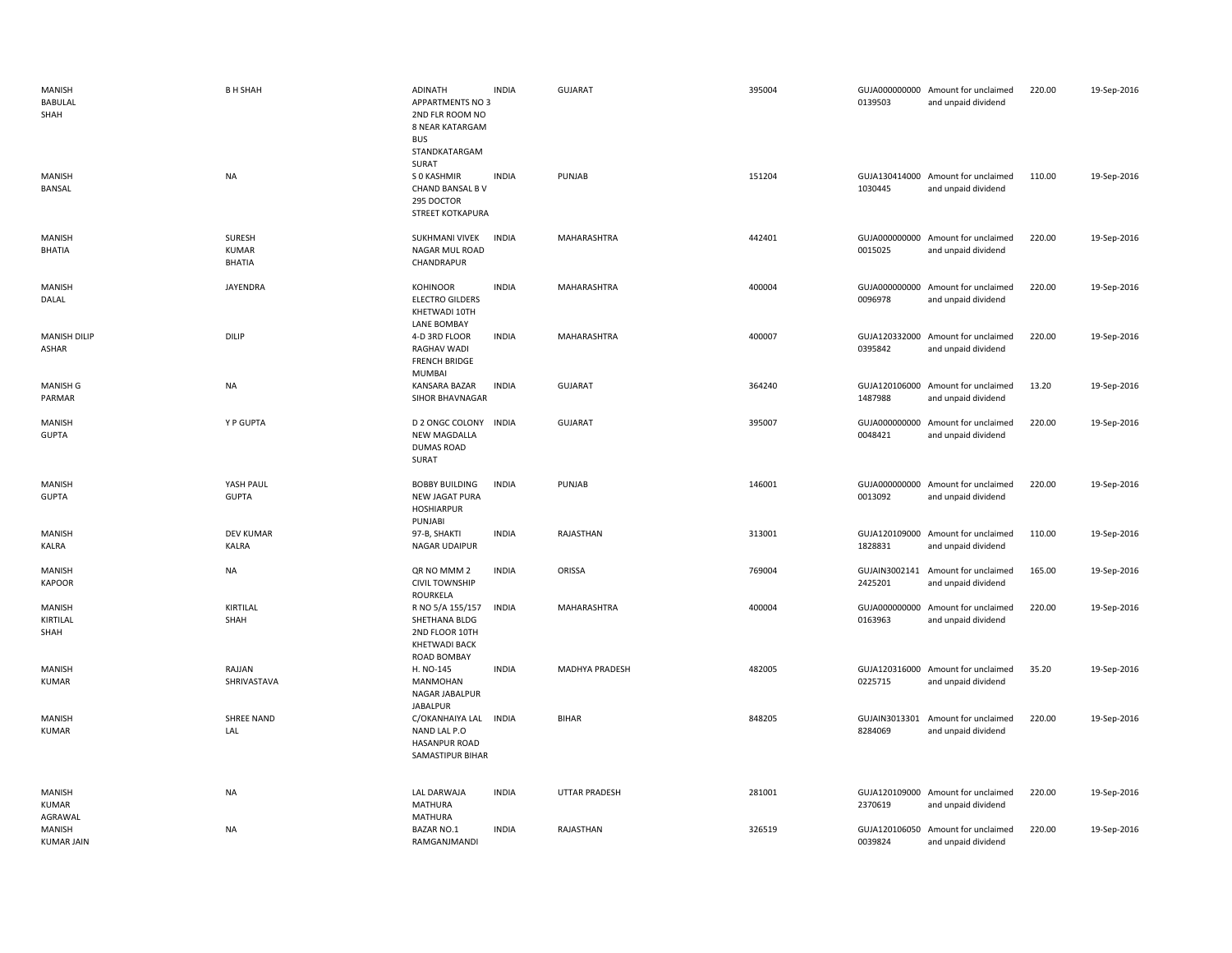| MANISH<br><b>BABULAL</b><br>SHAH  | <b>B H SHAH</b>                  | ADINATH<br><b>APPARTMENTS NO 3</b><br>2ND FLR ROOM NO<br>8 NEAR KATARGAM<br><b>BUS</b><br>STANDKATARGAM<br>SURAT | <b>INDIA</b> | <b>GUJARAT</b>       | 395004 | 0139503                  | GUJA000000000 Amount for unclaimed<br>and unpaid dividend | 220.00 | 19-Sep-2016 |
|-----------------------------------|----------------------------------|------------------------------------------------------------------------------------------------------------------|--------------|----------------------|--------|--------------------------|-----------------------------------------------------------|--------|-------------|
| <b>MANISH</b><br><b>BANSAL</b>    | <b>NA</b>                        | S 0 KASHMIR<br>CHAND BANSAL B V<br>295 DOCTOR<br><b>STREET KOTKAPURA</b>                                         | <b>INDIA</b> | PUNJAB               | 151204 | 1030445                  | GUJA130414000 Amount for unclaimed<br>and unpaid dividend | 110.00 | 19-Sep-2016 |
| <b>MANISH</b><br>BHATIA           | SURESH<br><b>KUMAR</b><br>BHATIA | SUKHMANI VIVEK<br>NAGAR MUL ROAD<br>CHANDRAPUR                                                                   | <b>INDIA</b> | MAHARASHTRA          | 442401 | 0015025                  | GUJA000000000 Amount for unclaimed<br>and unpaid dividend | 220.00 | 19-Sep-2016 |
| MANISH<br>DALAL                   | <b>JAYENDRA</b>                  | <b>KOHINOOR</b><br><b>ELECTRO GILDERS</b><br>KHETWADI 10TH<br><b>LANE BOMBAY</b>                                 | <b>INDIA</b> | MAHARASHTRA          | 400004 | 0096978                  | GUJA000000000 Amount for unclaimed<br>and unpaid dividend | 220.00 | 19-Sep-2016 |
| <b>MANISH DILIP</b><br>ASHAR      | DILIP                            | 4-D 3RD FLOOR<br><b>RAGHAV WADI</b><br><b>FRENCH BRIDGE</b><br>MUMBAI                                            | <b>INDIA</b> | MAHARASHTRA          | 400007 | 0395842                  | GUJA120332000 Amount for unclaimed<br>and unpaid dividend | 220.00 | 19-Sep-2016 |
| <b>MANISH G</b><br>PARMAR         | NA                               | KANSARA BAZAR<br>SIHOR BHAVNAGAR                                                                                 | <b>INDIA</b> | <b>GUJARAT</b>       | 364240 | 1487988                  | GUJA120106000 Amount for unclaimed<br>and unpaid dividend | 13.20  | 19-Sep-2016 |
| <b>MANISH</b><br><b>GUPTA</b>     | Y P GUPTA                        | <b>D 2 ONGC COLONY</b><br><b>NEW MAGDALLA</b><br><b>DUMAS ROAD</b><br>SURAT                                      | <b>INDIA</b> | <b>GUJARAT</b>       | 395007 | 0048421                  | GUJA000000000 Amount for unclaimed<br>and unpaid dividend | 220.00 | 19-Sep-2016 |
| <b>MANISH</b><br><b>GUPTA</b>     | YASH PAUL<br><b>GUPTA</b>        | <b>BOBBY BUILDING</b><br><b>NEW JAGAT PURA</b><br><b>HOSHIARPUR</b><br>PUNJABI                                   | <b>INDIA</b> | PUNJAB               | 146001 | 0013092                  | GUJA000000000 Amount for unclaimed<br>and unpaid dividend | 220.00 | 19-Sep-2016 |
| MANISH<br>KALRA                   | <b>DEV KUMAR</b><br><b>KALRA</b> | 97-B, SHAKTI<br>NAGAR UDAIPUR                                                                                    | <b>INDIA</b> | RAJASTHAN            | 313001 | 1828831                  | GUJA120109000 Amount for unclaimed<br>and unpaid dividend | 110.00 | 19-Sep-2016 |
| MANISH<br><b>KAPOOR</b>           | <b>NA</b>                        | QR NO MMM 2<br><b>CIVIL TOWNSHIP</b><br>ROURKELA                                                                 | <b>INDIA</b> | ORISSA               | 769004 | GUJAIN3002141<br>2425201 | Amount for unclaimed<br>and unpaid dividend               | 165.00 | 19-Sep-2016 |
| MANISH<br>KIRTILAL<br>SHAH        | KIRTILAL<br>SHAH                 | R NO 5/A 155/157<br>SHETHANA BLDG<br>2ND FLOOR 10TH<br><b>KHETWADI BACK</b><br>ROAD BOMBAY                       | <b>INDIA</b> | MAHARASHTRA          | 400004 | 0163963                  | GUJA000000000 Amount for unclaimed<br>and unpaid dividend | 220.00 | 19-Sep-2016 |
| <b>MANISH</b><br><b>KUMAR</b>     | RAJJAN<br>SHRIVASTAVA            | H. NO-145<br><b>MANMOHAN</b><br>NAGAR JABALPUR<br><b>JABALPUR</b>                                                | <b>INDIA</b> | MADHYA PRADESH       | 482005 | 0225715                  | GUJA120316000 Amount for unclaimed<br>and unpaid dividend | 35.20  | 19-Sep-2016 |
| <b>MANISH</b><br><b>KUMAR</b>     | SHREE NAND<br>LAL                | C/OKANHAIYA LAL<br>NAND LAL P.O<br><b>HASANPUR ROAD</b><br>SAMASTIPUR BIHAR                                      | <b>INDIA</b> | <b>BIHAR</b>         | 848205 | 8284069                  | GUJAIN3013301 Amount for unclaimed<br>and unpaid dividend | 220.00 | 19-Sep-2016 |
| MANISH<br><b>KUMAR</b><br>AGRAWAL | NA                               | LAL DARWAJA<br>MATHURA<br><b>MATHURA</b>                                                                         | <b>INDIA</b> | <b>UTTAR PRADESH</b> | 281001 | 2370619                  | GUJA120109000 Amount for unclaimed<br>and unpaid dividend | 220.00 | 19-Sep-2016 |
| MANISH<br><b>KUMAR JAIN</b>       | <b>NA</b>                        | <b>BAZAR NO.1</b><br>RAMGANJMANDI                                                                                | <b>INDIA</b> | RAJASTHAN            | 326519 | 0039824                  | GUJA120106050 Amount for unclaimed<br>and unpaid dividend | 220.00 | 19-Sep-2016 |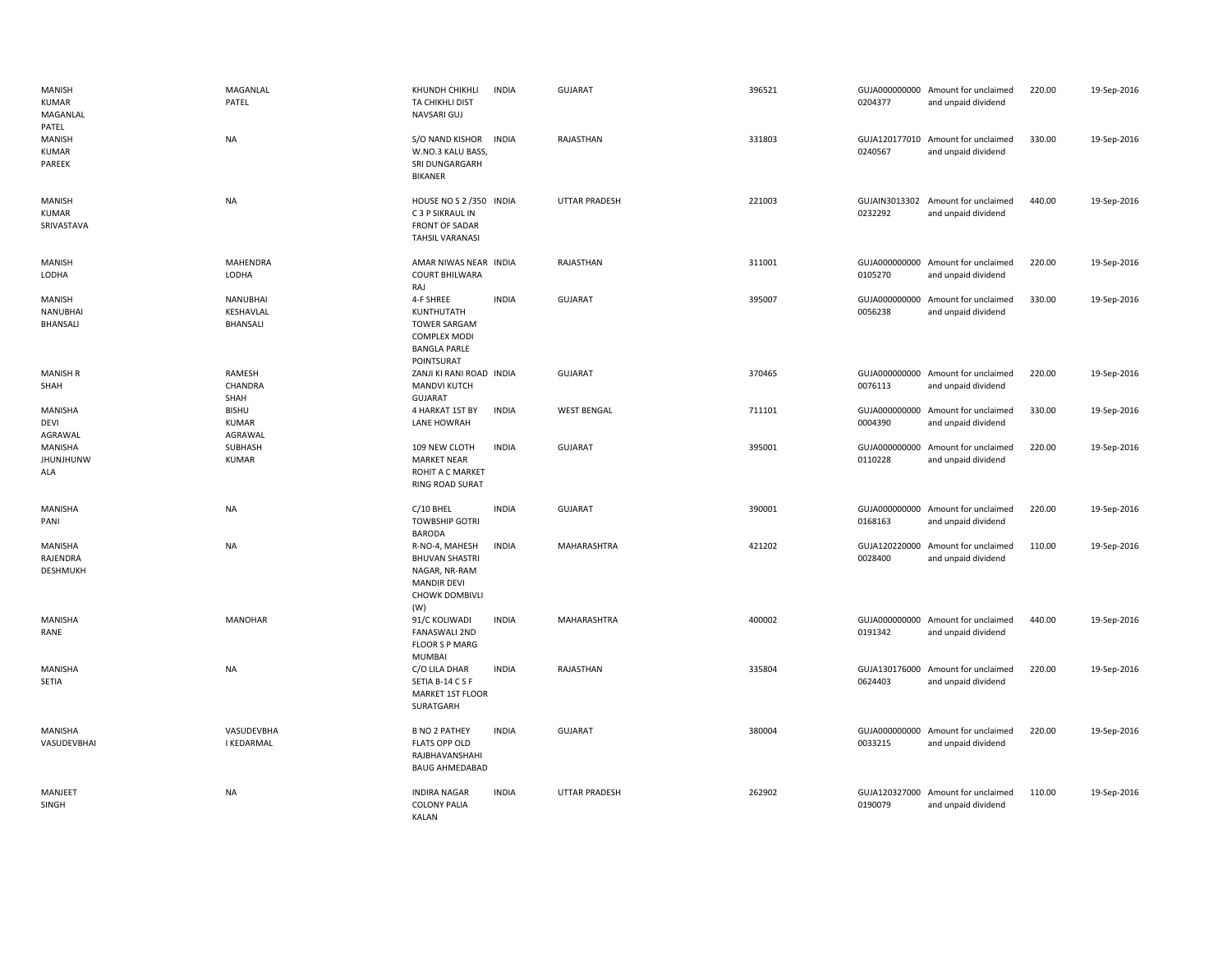| MANISH<br><b>KUMAR</b><br>MAGANLAL<br>PATEL    | MAGANLAL<br>PATEL                        | KHUNDH CHIKHLI<br>TA CHIKHLI DIST<br>NAVSARI GUJ                                                               | <b>INDIA</b> | <b>GUJARAT</b>       | 396521 | 0204377                  | GUJA000000000 Amount for unclaimed<br>and unpaid dividend | 220.00 | 19-Sep-2016 |
|------------------------------------------------|------------------------------------------|----------------------------------------------------------------------------------------------------------------|--------------|----------------------|--------|--------------------------|-----------------------------------------------------------|--------|-------------|
| <b>MANISH</b><br><b>KUMAR</b><br><b>PAREEK</b> | NA                                       | S/O NAND KISHOR<br>W.NO.3 KALU BASS<br>SRI DUNGARGARH<br><b>BIKANER</b>                                        | <b>INDIA</b> | RAJASTHAN            | 331803 | 0240567                  | GUJA120177010 Amount for unclaimed<br>and unpaid dividend | 330.00 | 19-Sep-2016 |
| MANISH<br><b>KUMAR</b><br>SRIVASTAVA           | <b>NA</b>                                | HOUSE NO S 2 /350 INDIA<br>C 3 P SIKRAUL IN<br><b>FRONT OF SADAR</b><br><b>TAHSIL VARANASI</b>                 |              | <b>UTTAR PRADESH</b> | 221003 | 0232292                  | GUJAIN3013302 Amount for unclaimed<br>and unpaid dividend | 440.00 | 19-Sep-2016 |
| <b>MANISH</b><br>LODHA                         | MAHENDRA<br>LODHA                        | AMAR NIWAS NEAR INDIA<br><b>COURT BHILWARA</b><br>RAJ                                                          |              | RAJASTHAN            | 311001 | 0105270                  | GUJA000000000 Amount for unclaimed<br>and unpaid dividend | 220.00 | 19-Sep-2016 |
| MANISH<br>NANUBHAI<br>BHANSALI                 | <b>NANUBHAI</b><br>KESHAVLAL<br>BHANSALI | 4-F SHREE<br>KUNTHUTATH<br><b>TOWER SARGAM</b><br><b>COMPLEX MODI</b><br><b>BANGLA PARLE</b><br>POINTSURAT     | <b>INDIA</b> | <b>GUJARAT</b>       | 395007 | 0056238                  | GUJA000000000 Amount for unclaimed<br>and unpaid dividend | 330.00 | 19-Sep-2016 |
| <b>MANISH R</b><br>SHAH                        | RAMESH<br>CHANDRA<br>SHAH                | ZANJI KI RANI ROAD INDIA<br>MANDVI KUTCH<br>GUJARAT                                                            |              | GUJARAT              | 370465 | 0076113                  | GUJA000000000 Amount for unclaimed<br>and unpaid dividend | 220.00 | 19-Sep-2016 |
| MANISHA<br><b>DEVI</b><br>AGRAWAL              | <b>BISHU</b><br><b>KUMAR</b><br>AGRAWAL  | 4 HARKAT 1ST BY<br><b>LANE HOWRAH</b>                                                                          | <b>INDIA</b> | <b>WEST BENGAL</b>   | 711101 | 0004390                  | GUJA000000000 Amount for unclaimed<br>and unpaid dividend | 330.00 | 19-Sep-2016 |
| MANISHA<br><b>JHUNJHUNW</b><br>ALA             | SUBHASH<br><b>KUMAR</b>                  | 109 NEW CLOTH<br><b>MARKET NEAR</b><br>ROHIT A C MARKET<br><b>RING ROAD SURAT</b>                              | <b>INDIA</b> | <b>GUJARAT</b>       | 395001 | 0110228                  | GUJA000000000 Amount for unclaimed<br>and unpaid dividend | 220.00 | 19-Sep-2016 |
| MANISHA<br>PANI                                | NA                                       | C/10 BHEL<br><b>TOWBSHIP GOTRI</b><br><b>BARODA</b>                                                            | <b>INDIA</b> | <b>GUJARAT</b>       | 390001 | 0168163                  | GUJA000000000 Amount for unclaimed<br>and unpaid dividend | 220.00 | 19-Sep-2016 |
| MANISHA<br>RAJENDRA<br>DESHMUKH                | <b>NA</b>                                | R-NO-4, MAHESH<br><b>BHUVAN SHASTRI</b><br>NAGAR, NR-RAM<br><b>MANDIR DEVI</b><br><b>CHOWK DOMBIVLI</b><br>(W) | <b>INDIA</b> | MAHARASHTRA          | 421202 | 0028400                  | GUJA120220000 Amount for unclaimed<br>and unpaid dividend | 110.00 | 19-Sep-2016 |
| MANISHA<br>RANE                                | <b>MANOHAR</b>                           | 91/C KOLIWADI<br><b>FANASWALI 2ND</b><br><b>FLOOR S P MARG</b><br><b>MUMBAI</b>                                | <b>INDIA</b> | <b>MAHARASHTRA</b>   | 400002 | 0191342                  | GUJA000000000 Amount for unclaimed<br>and unpaid dividend | 440.00 | 19-Sep-2016 |
| <b>MANISHA</b><br>SETIA                        | <b>NA</b>                                | C/O LILA DHAR<br>SETIA B-14 C S F<br>MARKET 1ST FLOOR<br>SURATGARH                                             | <b>INDIA</b> | RAJASTHAN            | 335804 | 0624403                  | GUJA130176000 Amount for unclaimed<br>and unpaid dividend | 220.00 | 19-Sep-2016 |
| MANISHA<br>VASUDEVBHAI                         | VASUDEVBHA<br><b>I KEDARMAL</b>          | <b>B NO 2 PATHEY</b><br><b>FLATS OPP OLD</b><br>RAJBHAVANSHAHI<br><b>BAUG AHMEDABAD</b>                        | <b>INDIA</b> | <b>GUJARAT</b>       | 380004 | GUJA000000000<br>0033215 | Amount for unclaimed<br>and unpaid dividend               | 220.00 | 19-Sep-2016 |
| MANJEET<br>SINGH                               | <b>NA</b>                                | <b>INDIRA NAGAR</b><br><b>COLONY PALIA</b><br><b>KAI AN</b>                                                    | <b>INDIA</b> | <b>UTTAR PRADESH</b> | 262902 | 0190079                  | GUJA120327000 Amount for unclaimed<br>and unpaid dividend | 110.00 | 19-Sep-2016 |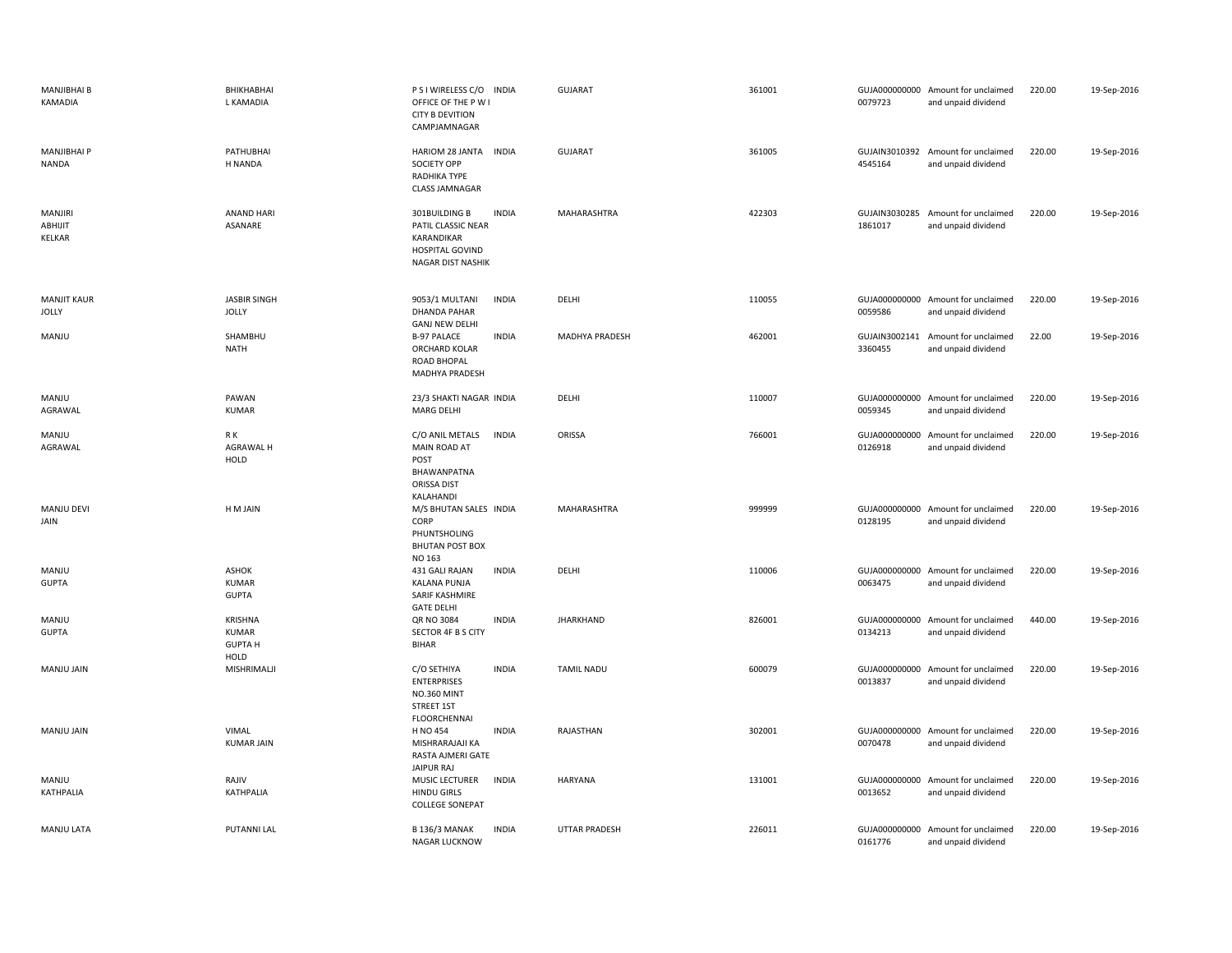| MANJIBHAI B<br>KAMADIA              | BHIKHABHAI<br>L KAMADIA                      | P S I WIRELESS C/O INDIA<br>OFFICE OF THE P W I<br><b>CITY B DEVITION</b><br>CAMPJAMNAGAR                 | <b>GUJARAT</b>    | 361001 | 0079723                  | GUJA000000000 Amount for unclaimed<br>and unpaid dividend | 220.00 | 19-Sep-2016 |
|-------------------------------------|----------------------------------------------|-----------------------------------------------------------------------------------------------------------|-------------------|--------|--------------------------|-----------------------------------------------------------|--------|-------------|
| <b>MANJIBHAI P</b><br>NANDA         | PATHUBHAI<br>H NANDA                         | HARIOM 28 JANTA INDIA<br><b>SOCIETY OPP</b><br>RADHIKA TYPE<br><b>CLASS JAMNAGAR</b>                      | <b>GUJARAT</b>    | 361005 | 4545164                  | GUJAIN3010392 Amount for unclaimed<br>and unpaid dividend | 220.00 | 19-Sep-2016 |
| <b>MANJIRI</b><br>ABHIJIT<br>KELKAR | <b>ANAND HARI</b><br>ASANARE                 | 301BUILDING B<br><b>INDIA</b><br>PATIL CLASSIC NEAR<br>KARANDIKAR<br>HOSPITAL GOVIND<br>NAGAR DIST NASHIK | MAHARASHTRA       | 422303 | 1861017                  | GUJAIN3030285 Amount for unclaimed<br>and unpaid dividend | 220.00 | 19-Sep-2016 |
| <b>MANJIT KAUR</b><br><b>JOLLY</b>  | <b>JASBIR SINGH</b><br><b>JOLLY</b>          | 9053/1 MULTANI<br><b>INDIA</b><br>DHANDA PAHAR<br><b>GANJ NEW DELHI</b>                                   | DELHI             | 110055 | 0059586                  | GUJA000000000 Amount for unclaimed<br>and unpaid dividend | 220.00 | 19-Sep-2016 |
| MANJU                               | SHAMBHU<br>NATH                              | <b>B-97 PALACE</b><br><b>INDIA</b><br>ORCHARD KOLAR<br>ROAD BHOPAL<br>MADHYA PRADESH                      | MADHYA PRADESH    | 462001 | 3360455                  | GUJAIN3002141 Amount for unclaimed<br>and unpaid dividend | 22.00  | 19-Sep-2016 |
| MANJU<br>AGRAWAL                    | PAWAN<br>KUMAR                               | 23/3 SHAKTI NAGAR INDIA<br><b>MARG DELHI</b>                                                              | DELHI             | 110007 | 0059345                  | GUJA000000000 Amount for unclaimed<br>and unpaid dividend | 220.00 | 19-Sep-2016 |
| MANJU<br>AGRAWAL                    | R K<br>AGRAWAL H<br>HOLD                     | C/O ANIL METALS<br><b>INDIA</b><br>MAIN ROAD AT<br>POST<br>BHAWANPATNA<br>ORISSA DIST<br>KALAHANDI        | ORISSA            | 766001 | 0126918                  | GUJA000000000 Amount for unclaimed<br>and unpaid dividend | 220.00 | 19-Sep-2016 |
| MANJU DEVI<br>JAIN                  | H M JAIN                                     | M/S BHUTAN SALES INDIA<br>CORP<br>PHUNTSHOLING<br><b>BHUTAN POST BOX</b><br>NO 163                        | MAHARASHTRA       | 999999 | GUJA000000000<br>0128195 | Amount for unclaimed<br>and unpaid dividend               | 220.00 | 19-Sep-2016 |
| MANJU<br><b>GUPTA</b>               | <b>ASHOK</b><br><b>KUMAR</b><br><b>GUPTA</b> | <b>INDIA</b><br>431 GALI RAJAN<br><b>KALANA PUNJA</b><br>SARIF KASHMIRE<br><b>GATE DELHI</b>              | DELHI             | 110006 | GUJA000000000<br>0063475 | Amount for unclaimed<br>and unpaid dividend               | 220.00 | 19-Sep-2016 |
| MANJU<br><b>GUPTA</b>               | KRISHNA<br>KUMAR<br><b>GUPTA H</b><br>HOLD   | QR NO 3084<br><b>INDIA</b><br>SECTOR 4F B S CITY<br><b>BIHAR</b>                                          | <b>JHARKHAND</b>  | 826001 | 0134213                  | GUJA000000000 Amount for unclaimed<br>and unpaid dividend | 440.00 | 19-Sep-2016 |
| MANJU JAIN                          | MISHRIMALJI                                  | C/O SETHIYA<br><b>INDIA</b><br><b>ENTERPRISES</b><br><b>NO.360 MINT</b><br>STREET 1ST<br>FLOORCHENNAI     | <b>TAMIL NADU</b> | 600079 | 0013837                  | GUJA000000000 Amount for unclaimed<br>and unpaid dividend | 220.00 | 19-Sep-2016 |
| MANJU JAIN                          | VIMAL<br><b>KUMAR JAIN</b>                   | H NO 454<br><b>INDIA</b><br>MISHRARAJAJI KA<br>RASTA AJMERI GATE<br><b>JAIPUR RAJ</b>                     | RAJASTHAN         | 302001 | 0070478                  | GUJA000000000 Amount for unclaimed<br>and unpaid dividend | 220.00 | 19-Sep-2016 |
| MANJU<br>KATHPALIA                  | RAJIV<br>KATHPALIA                           | <b>INDIA</b><br>MUSIC LECTURER<br><b>HINDU GIRLS</b><br><b>COLLEGE SONEPAT</b>                            | <b>HARYANA</b>    | 131001 | 0013652                  | GUJA000000000 Amount for unclaimed<br>and unpaid dividend | 220.00 | 19-Sep-2016 |
| MANJU LATA                          | <b>PUTANNI LAL</b>                           | <b>B 136/3 MANAK</b><br><b>INDIA</b><br><b>NAGAR LUCKNOW</b>                                              | UTTAR PRADESH     | 226011 | 0161776                  | GUJA000000000 Amount for unclaimed<br>and unpaid dividend | 220.00 | 19-Sep-2016 |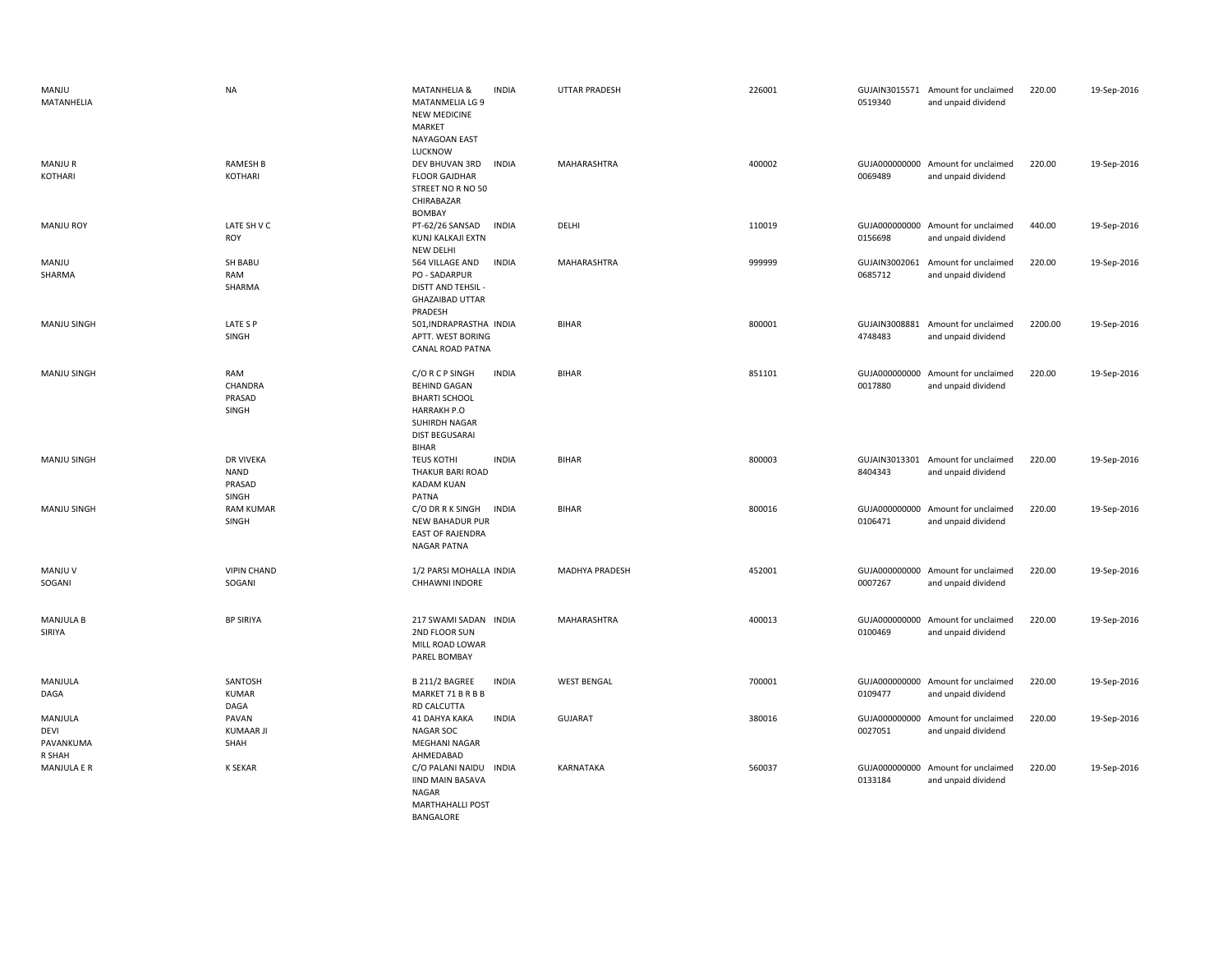| MANJU<br>MATANHELIA                           | <b>NA</b>                                          | MATANHELIA &<br><b>INDIA</b><br><b>MATANMELIA LG 9</b><br><b>NEW MEDICINE</b><br>MARKET<br>NAYAGOAN EAST<br>LUCKNOW                                            | <b>UTTAR PRADESH</b>  | 226001 | 0519340                  | GUJAIN3015571 Amount for unclaimed<br>and unpaid dividend | 220.00  | 19-Sep-2016 |
|-----------------------------------------------|----------------------------------------------------|----------------------------------------------------------------------------------------------------------------------------------------------------------------|-----------------------|--------|--------------------------|-----------------------------------------------------------|---------|-------------|
| <b>MANJUR</b><br>KOTHARI                      | <b>RAMESH B</b><br>KOTHARI                         | <b>INDIA</b><br>DEV BHUVAN 3RD<br><b>FLOOR GAJDHAR</b><br>STREET NO R NO 50<br>CHIRABAZAR<br><b>BOMBAY</b>                                                     | MAHARASHTRA           | 400002 | 0069489                  | GUJA000000000 Amount for unclaimed<br>and unpaid dividend | 220.00  | 19-Sep-2016 |
| <b>MANJU ROY</b>                              | LATE SH V C<br><b>ROY</b>                          | <b>INDIA</b><br>PT-62/26 SANSAD<br>KUNJ KALKAJI EXTN<br><b>NEW DELHI</b>                                                                                       | DELHI                 | 110019 | 0156698                  | GUJA000000000 Amount for unclaimed<br>and unpaid dividend | 440.00  | 19-Sep-2016 |
| MANJU<br>SHARMA                               | SH BABU<br>RAM<br>SHARMA                           | 564 VILLAGE AND<br><b>INDIA</b><br>PO - SADARPUR<br><b>DISTT AND TEHSIL -</b><br><b>GHAZAIBAD UTTAR</b><br>PRADESH                                             | MAHARASHTRA           | 999999 | GUJAIN3002061<br>0685712 | Amount for unclaimed<br>and unpaid dividend               | 220.00  | 19-Sep-2016 |
| MANJU SINGH                                   | LATE S P<br>SINGH                                  | 501, INDRAPRASTHA INDIA<br>APTT. WEST BORING<br><b>CANAL ROAD PATNA</b>                                                                                        | BIHAR                 | 800001 | GUJAIN3008881<br>4748483 | Amount for unclaimed<br>and unpaid dividend               | 2200.00 | 19-Sep-2016 |
| MANJU SINGH                                   | RAM<br>CHANDRA<br>PRASAD<br>SINGH                  | <b>INDIA</b><br>C/O R C P SINGH<br><b>BEHIND GAGAN</b><br><b>BHARTI SCHOOL</b><br><b>HARRAKH P.O</b><br>SUHIRDH NAGAR<br><b>DIST BEGUSARAI</b><br><b>BIHAR</b> | <b>BIHAR</b>          | 851101 | GUJA000000000<br>0017880 | Amount for unclaimed<br>and unpaid dividend               | 220.00  | 19-Sep-2016 |
| MANJU SINGH                                   | <b>DR VIVEKA</b><br><b>NAND</b><br>PRASAD<br>SINGH | <b>TEUS KOTHI</b><br><b>INDIA</b><br><b>THAKUR BARI ROAD</b><br><b>KADAM KUAN</b><br>PATNA                                                                     | <b>BIHAR</b>          | 800003 | 8404343                  | GUJAIN3013301 Amount for unclaimed<br>and unpaid dividend | 220.00  | 19-Sep-2016 |
| <b>MANJU SINGH</b>                            | <b>RAM KUMAR</b><br>SINGH                          | C/O DR R K SINGH<br><b>INDIA</b><br><b>NEW BAHADUR PUR</b><br><b>EAST OF RAJENDRA</b><br>NAGAR PATNA                                                           | <b>BIHAR</b>          | 800016 | GUJA000000000<br>0106471 | Amount for unclaimed<br>and unpaid dividend               | 220.00  | 19-Sep-2016 |
| MANJU V<br>SOGANI                             | <b>VIPIN CHAND</b><br>SOGANI                       | 1/2 PARSI MOHALLA INDIA<br>CHHAWNI INDORE                                                                                                                      | <b>MADHYA PRADESH</b> | 452001 | 0007267                  | GUJA000000000 Amount for unclaimed<br>and unpaid dividend | 220.00  | 19-Sep-2016 |
| <b>MANJULA B</b><br>SIRIYA                    | <b>BP SIRIYA</b>                                   | 217 SWAMI SADAN INDIA<br>2ND FLOOR SUN<br>MILL ROAD LOWAR<br>PAREL BOMBAY                                                                                      | MAHARASHTRA           | 400013 | 0100469                  | GUJA000000000 Amount for unclaimed<br>and unpaid dividend | 220.00  | 19-Sep-2016 |
| MANJULA<br>DAGA                               | SANTOSH<br><b>KUMAR</b><br>DAGA                    | B 211/2 BAGREE<br><b>INDIA</b><br>MARKET 71 B R B B<br>RD CALCUTTA                                                                                             | <b>WEST BENGAL</b>    | 700001 | 0109477                  | GUJA000000000 Amount for unclaimed<br>and unpaid dividend | 220.00  | 19-Sep-2016 |
| MANJULA<br><b>DEVI</b><br>PAVANKUMA<br>R SHAH | PAVAN<br><b>KUMAAR JI</b><br>SHAH                  | 41 DAHYA KAKA<br><b>INDIA</b><br><b>NAGAR SOC</b><br><b>MEGHANI NAGAR</b><br>AHMEDABAD                                                                         | <b>GUJARAT</b>        | 380016 | 0027051                  | GUJA000000000 Amount for unclaimed<br>and unpaid dividend | 220.00  | 19-Sep-2016 |
| MANJULA E R                                   | <b>K SEKAR</b>                                     | C/O PALANI NAIDU INDIA<br><b>IIND MAIN BASAVA</b><br>NAGAR<br><b>MARTHAHALLI POST</b>                                                                          | KARNATAKA             | 560037 | 0133184                  | GUJA000000000 Amount for unclaimed<br>and unpaid dividend | 220.00  | 19-Sep-2016 |

BANGALORE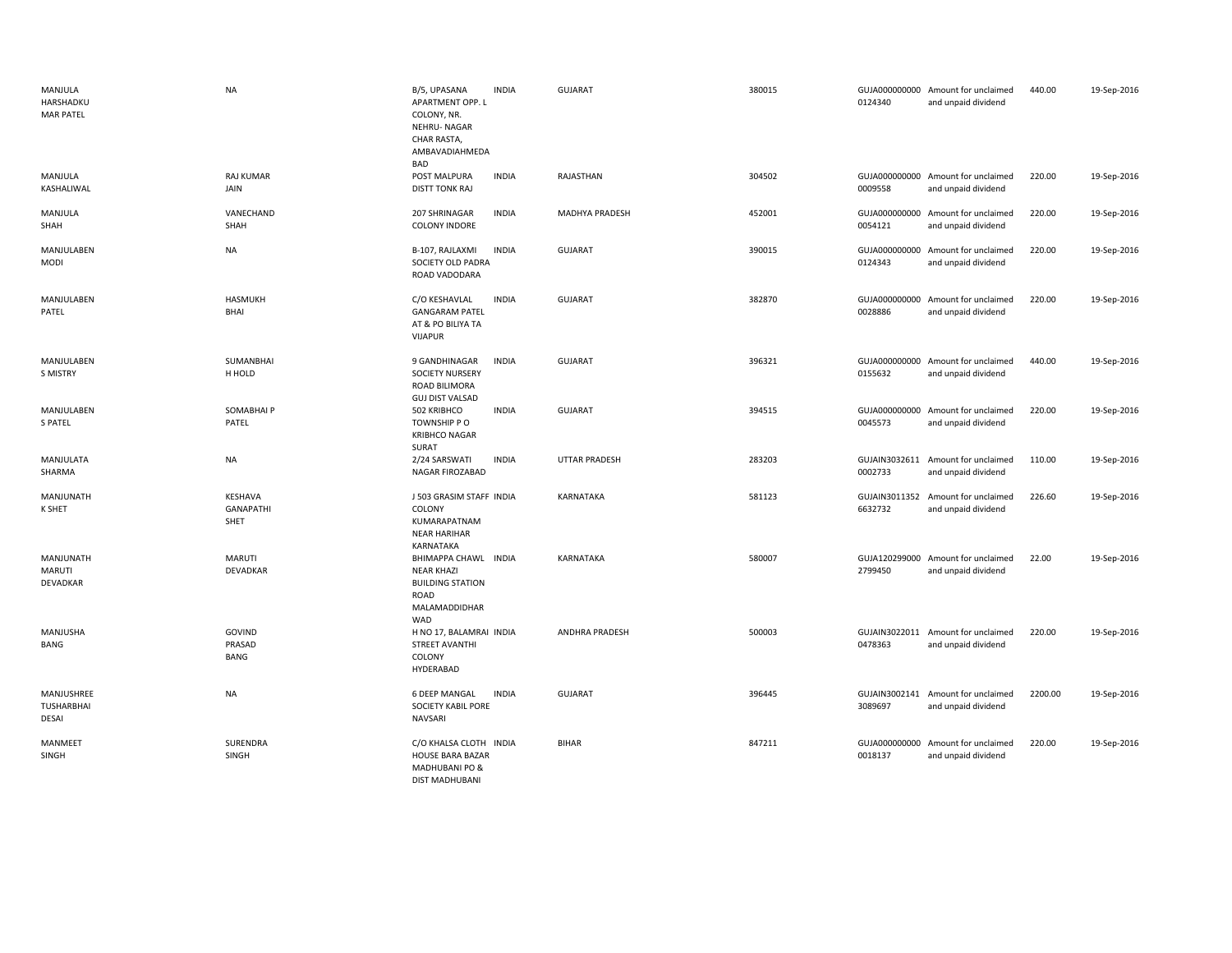| MANJULA<br>HARSHADKU<br><b>MAR PATEL</b>        | <b>NA</b>                           | B/5, UPASANA<br><b>INDIA</b><br>APARTMENT OPP. L<br>COLONY, NR.<br><b>NEHRU-NAGAR</b><br>CHAR RASTA,<br>AMBAVADIAHMEDA<br>BAD | GUJARAT               | 380015 | 0124340                  | GUJA000000000 Amount for unclaimed<br>and unpaid dividend | 440.00  | 19-Sep-2016 |
|-------------------------------------------------|-------------------------------------|-------------------------------------------------------------------------------------------------------------------------------|-----------------------|--------|--------------------------|-----------------------------------------------------------|---------|-------------|
| MANJULA<br>KASHALIWAL                           | <b>RAJ KUMAR</b><br>JAIN            | POST MALPURA<br><b>INDIA</b><br><b>DISTT TONK RAJ</b>                                                                         | RAJASTHAN             | 304502 | 0009558                  | GUJA000000000 Amount for unclaimed<br>and unpaid dividend | 220.00  | 19-Sep-2016 |
| MANJULA<br>SHAH                                 | VANECHAND<br>SHAH                   | 207 SHRINAGAR<br><b>INDIA</b><br><b>COLONY INDORE</b>                                                                         | MADHYA PRADESH        | 452001 | 0054121                  | GUJA000000000 Amount for unclaimed<br>and unpaid dividend | 220.00  | 19-Sep-2016 |
| MANJULABEN<br><b>MODI</b>                       | NA                                  | <b>INDIA</b><br>B-107, RAJLAXMI<br>SOCIETY OLD PADRA<br>ROAD VADODARA                                                         | GUJARAT               | 390015 | GUJA000000000<br>0124343 | Amount for unclaimed<br>and unpaid dividend               | 220.00  | 19-Sep-2016 |
| MANJULABEN<br>PATEL                             | HASMUKH<br><b>BHAI</b>              | C/O KESHAVLAL<br><b>INDIA</b><br><b>GANGARAM PATEL</b><br>AT & PO BILIYA TA<br><b>VIJAPUR</b>                                 | <b>GUJARAT</b>        | 382870 | 0028886                  | GUJA000000000 Amount for unclaimed<br>and unpaid dividend | 220.00  | 19-Sep-2016 |
| MANJULABEN<br>S MISTRY                          | SUMANBHAI<br>H HOLD                 | 9 GANDHINAGAR<br><b>INDIA</b><br><b>SOCIETY NURSERY</b><br>ROAD BILIMORA<br><b>GUJ DIST VALSAD</b>                            | <b>GUJARAT</b>        | 396321 | 0155632                  | GUJA000000000 Amount for unclaimed<br>and unpaid dividend | 440.00  | 19-Sep-2016 |
| MANJULABEN<br><b>S PATEL</b>                    | SOMABHAI P<br>PATEL                 | <b>INDIA</b><br>502 KRIBHCO<br>TOWNSHIP PO<br><b>KRIBHCO NAGAR</b><br>SURAT                                                   | GUJARAT               | 394515 | 0045573                  | GUJA000000000 Amount for unclaimed<br>and unpaid dividend | 220.00  | 19-Sep-2016 |
| MANJULATA<br>SHARMA                             | <b>NA</b>                           | 2/24 SARSWATI<br><b>INDIA</b><br>NAGAR FIROZABAD                                                                              | <b>UTTAR PRADESH</b>  | 283203 | 0002733                  | GUJAIN3032611 Amount for unclaimed<br>and unpaid dividend | 110.00  | 19-Sep-2016 |
| MANJUNATH<br>K SHET                             | KESHAVA<br><b>GANAPATHI</b><br>SHET | J 503 GRASIM STAFF INDIA<br>COLONY<br>KUMARAPATNAM<br><b>NEAR HARIHAR</b><br>KARNATAKA                                        | KARNATAKA             | 581123 | GUJAIN3011352<br>6632732 | Amount for unclaimed<br>and unpaid dividend               | 226.60  | 19-Sep-2016 |
| MANJUNATH<br>MARUTI<br>DEVADKAR                 | <b>MARUTI</b><br>DEVADKAR           | BHIMAPPA CHAWL INDIA<br><b>NEAR KHAZI</b><br><b>BUILDING STATION</b><br>ROAD<br>MALAMADDIDHAR<br>WAD                          | KARNATAKA             | 580007 | 2799450                  | GUJA120299000 Amount for unclaimed<br>and unpaid dividend | 22.00   | 19-Sep-2016 |
| MANJUSHA<br>BANG                                | GOVIND<br>PRASAD<br><b>BANG</b>     | H NO 17, BALAMRAI INDIA<br>STREET AVANTHI<br>COLONY<br>HYDERABAD                                                              | <b>ANDHRA PRADESH</b> | 500003 | 0478363                  | GUJAIN3022011 Amount for unclaimed<br>and unpaid dividend | 220.00  | 19-Sep-2016 |
| MANJUSHREE<br><b>TUSHARBHAI</b><br><b>DESAI</b> | <b>NA</b>                           | 6 DEEP MANGAL<br><b>INDIA</b><br>SOCIETY KABIL PORE<br><b>NAVSARI</b>                                                         | <b>GUJARAT</b>        | 396445 | 3089697                  | GUJAIN3002141 Amount for unclaimed<br>and unpaid dividend | 2200.00 | 19-Sep-2016 |
| MANMEET<br>SINGH                                | SURENDRA<br>SINGH                   | C/O KHALSA CLOTH INDIA<br><b>HOUSE BARA BAZAR</b><br>MADHUBANI PO &<br><b>DIST MADHUBANI</b>                                  | <b>BIHAR</b>          | 847211 | 0018137                  | GUJA000000000 Amount for unclaimed<br>and unpaid dividend | 220.00  | 19-Sep-2016 |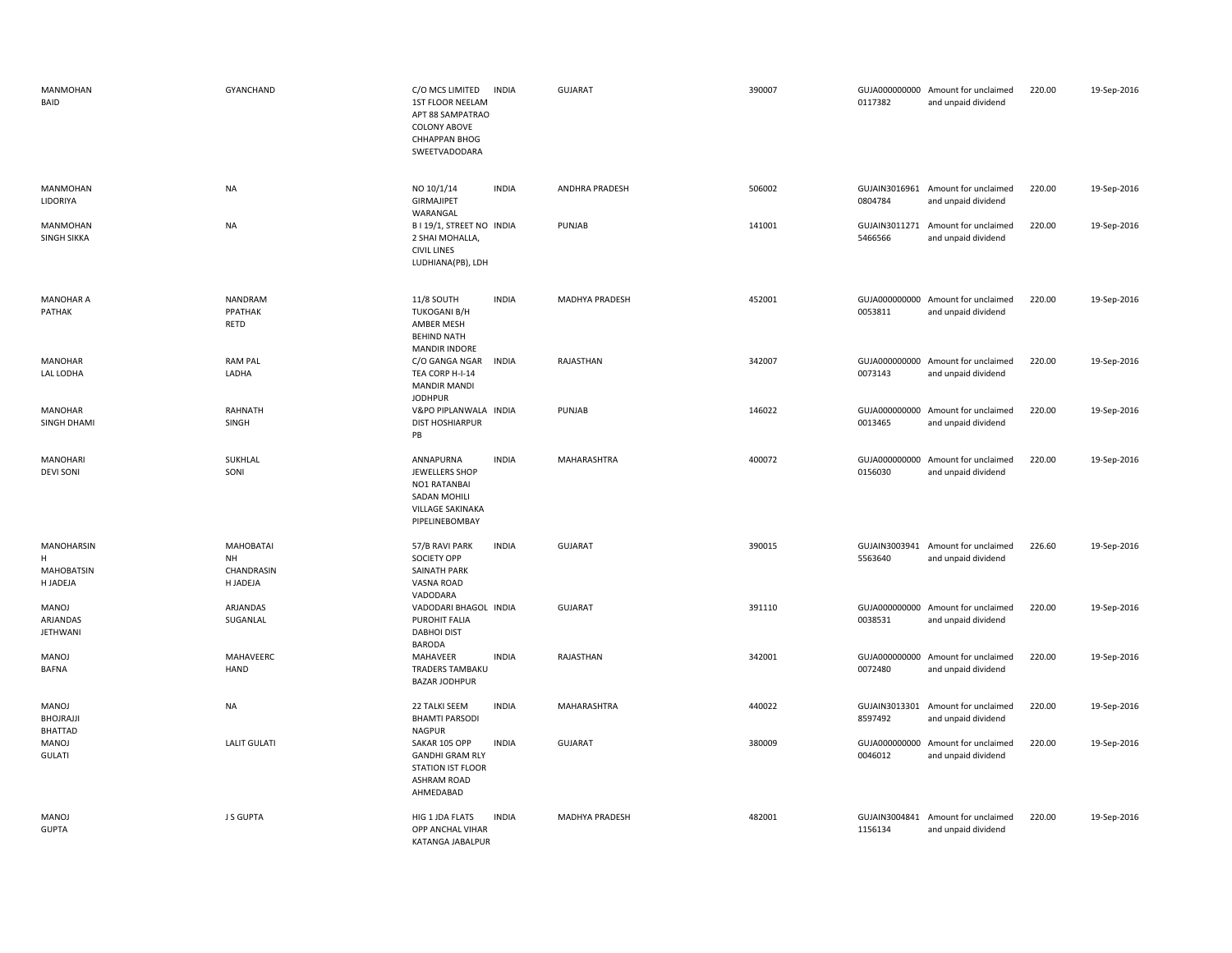| MANMOHAN<br>BAID                                        | <b>GYANCHAND</b>                                        | C/O MCS LIMITED<br><b>INDIA</b><br>1ST FLOOR NEELAM<br>APT 88 SAMPATRAO<br><b>COLONY ABOVE</b><br>CHHAPPAN BHOG<br>SWEETVADODARA | <b>GUJARAT</b>        | 390007 | 0117382                  | GUJA000000000 Amount for unclaimed<br>and unpaid dividend | 220.00 | 19-Sep-2016 |
|---------------------------------------------------------|---------------------------------------------------------|----------------------------------------------------------------------------------------------------------------------------------|-----------------------|--------|--------------------------|-----------------------------------------------------------|--------|-------------|
| MANMOHAN<br>LIDORIYA                                    | <b>NA</b>                                               | <b>INDIA</b><br>NO 10/1/14<br><b>GIRMAJIPET</b><br>WARANGAL                                                                      | ANDHRA PRADESH        | 506002 | 0804784                  | GUJAIN3016961 Amount for unclaimed<br>and unpaid dividend | 220.00 | 19-Sep-2016 |
| MANMOHAN<br><b>SINGH SIKKA</b>                          | <b>NA</b>                                               | B I 19/1, STREET NO INDIA<br>2 SHAI MOHALLA,<br><b>CIVIL LINES</b><br>LUDHIANA(PB), LDH                                          | PUNJAB                | 141001 | 5466566                  | GUJAIN3011271 Amount for unclaimed<br>and unpaid dividend | 220.00 | 19-Sep-2016 |
| <b>MANOHAR A</b><br>PATHAK                              | NANDRAM<br>PPATHAK<br>RETD                              | <b>INDIA</b><br>11/8 SOUTH<br><b>TUKOGANI B/H</b><br>AMBER MESH<br><b>BEHIND NATH</b><br><b>MANDIR INDORE</b>                    | <b>MADHYA PRADESH</b> | 452001 | 0053811                  | GUJA000000000 Amount for unclaimed<br>and unpaid dividend | 220.00 | 19-Sep-2016 |
| MANOHAR<br>LAL LODHA                                    | <b>RAM PAL</b><br>LADHA                                 | C/O GANGA NGAR<br><b>INDIA</b><br>TEA CORP H-I-14<br><b>MANDIR MANDI</b><br><b>JODHPUR</b>                                       | RAJASTHAN             | 342007 | 0073143                  | GUJA000000000 Amount for unclaimed<br>and unpaid dividend | 220.00 | 19-Sep-2016 |
| <b>MANOHAR</b><br>SINGH DHAMI                           | RAHNATH<br>SINGH                                        | V&PO PIPLANWALA INDIA<br><b>DIST HOSHIARPUR</b><br>PB                                                                            | PUNJAB                | 146022 | 0013465                  | GUJA000000000 Amount for unclaimed<br>and unpaid dividend | 220.00 | 19-Sep-2016 |
| <b>MANOHARI</b><br><b>DEVI SONI</b>                     | SUKHLAL<br>SONI                                         | ANNAPURNA<br><b>INDIA</b><br>JEWELLERS SHOP<br>NO1 RATANBAI<br>SADAN MOHILI<br><b>VILLAGE SAKINAKA</b><br>PIPELINEBOMBAY         | MAHARASHTRA           | 400072 | 0156030                  | GUJA000000000 Amount for unclaimed<br>and unpaid dividend | 220.00 | 19-Sep-2016 |
| <b>MANOHARSIN</b><br>H<br><b>MAHOBATSIN</b><br>H JADEJA | <b>MAHOBATAI</b><br><b>NH</b><br>CHANDRASIN<br>H JADEJA | 57/B RAVI PARK<br><b>INDIA</b><br>SOCIETY OPP<br>SAINATH PARK<br>VASNA ROAD<br>VADODARA                                          | <b>GUJARAT</b>        | 390015 | 5563640                  | GUJAIN3003941 Amount for unclaimed<br>and unpaid dividend | 226.60 | 19-Sep-2016 |
| <b>MANOJ</b><br>ARJANDAS<br><b>JETHWANI</b>             | ARJANDAS<br>SUGANLAL                                    | VADODARI BHAGOL INDIA<br>PUROHIT FALIA<br><b>DABHOI DIST</b><br><b>BARODA</b>                                                    | <b>GUJARAT</b>        | 391110 | 0038531                  | GUJA000000000 Amount for unclaimed<br>and unpaid dividend | 220.00 | 19-Sep-2016 |
| <b>MANOJ</b><br><b>BAFNA</b>                            | MAHAVEERC<br><b>HAND</b>                                | MAHAVEER<br><b>INDIA</b><br>TRADERS TAMBAKU<br><b>BAZAR JODHPUR</b>                                                              | RAJASTHAN             | 342001 | 0072480                  | GUJA000000000 Amount for unclaimed<br>and unpaid dividend | 220.00 | 19-Sep-2016 |
| MANOJ<br>BHOJRAJJI<br><b>BHATTAD</b>                    | <b>NA</b>                                               | <b>INDIA</b><br>22 TALKI SEEM<br><b>BHAMTI PARSODI</b><br><b>NAGPUR</b>                                                          | MAHARASHTRA           | 440022 | 8597492                  | GUJAIN3013301 Amount for unclaimed<br>and unpaid dividend | 220.00 | 19-Sep-2016 |
| <b>MANOJ</b><br><b>GULATI</b>                           | <b>LALIT GULATI</b>                                     | SAKAR 105 OPP<br><b>INDIA</b><br><b>GANDHI GRAM RLY</b><br><b>STATION IST FLOOR</b><br><b>ASHRAM ROAD</b><br>AHMEDABAD           | <b>GUJARAT</b>        | 380009 | 0046012                  | GUJA000000000 Amount for unclaimed<br>and unpaid dividend | 220.00 | 19-Sep-2016 |
| <b>MANOJ</b><br><b>GUPTA</b>                            | J S GUPTA                                               | HIG 1 JDA FLATS<br><b>INDIA</b><br>OPP ANCHAL VIHAR<br>KATANGA JABALPUR                                                          | MADHYA PRADESH        | 482001 | GUJAIN3004841<br>1156134 | Amount for unclaimed<br>and unpaid dividend               | 220.00 | 19-Sep-2016 |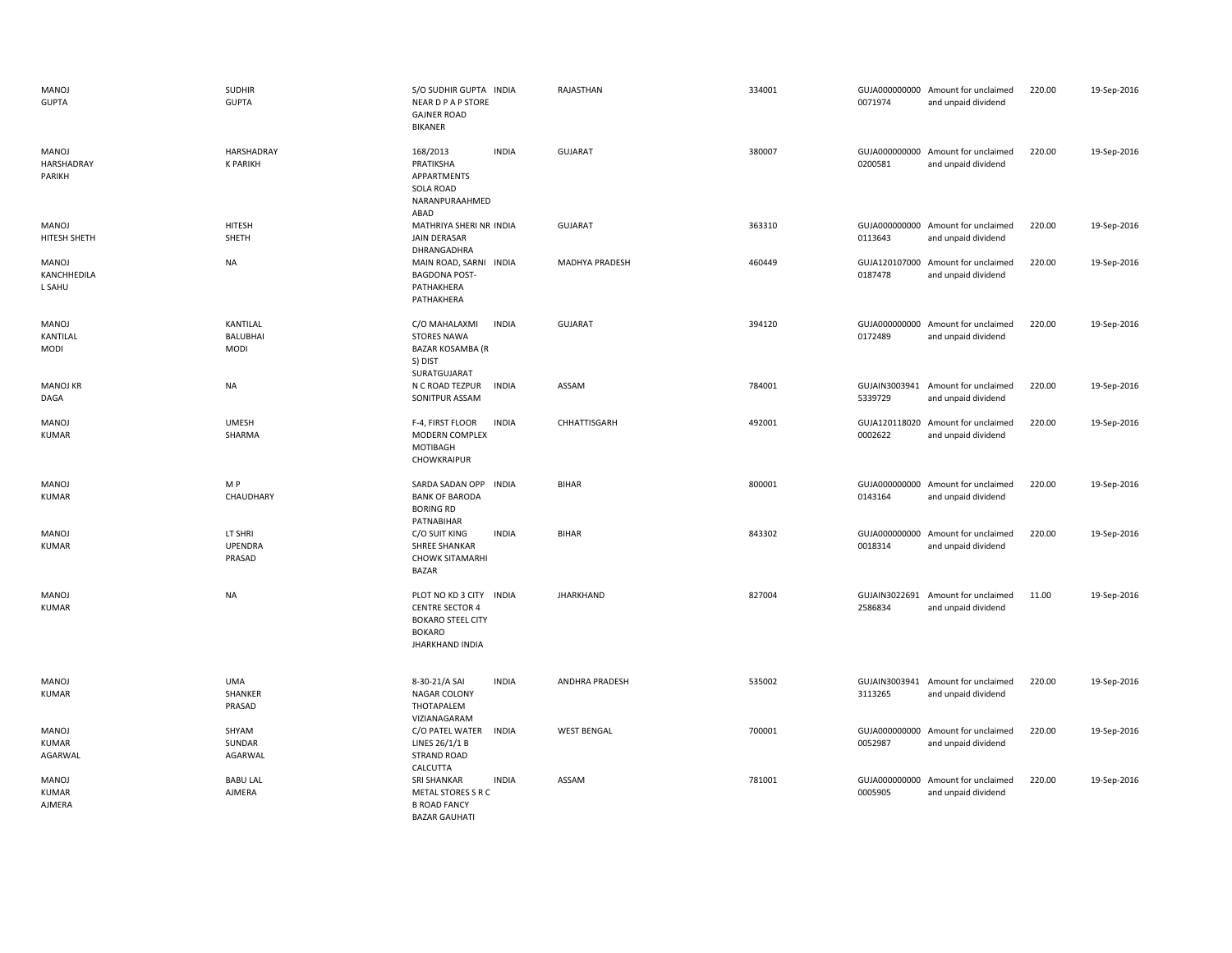| MANOJ<br><b>GUPTA</b>            | <b>SUDHIR</b><br><b>GUPTA</b>       | S/O SUDHIR GUPTA INDIA<br><b>NEAR D P A P STORE</b><br><b>GAJNER ROAD</b><br><b>BIKANER</b>                              | RAJASTHAN          | 334001 | 0071974                  | GUJA000000000 Amount for unclaimed<br>and unpaid dividend | 220.00 | 19-Sep-2016 |
|----------------------------------|-------------------------------------|--------------------------------------------------------------------------------------------------------------------------|--------------------|--------|--------------------------|-----------------------------------------------------------|--------|-------------|
| MANOJ<br>HARSHADRAY<br>PARIKH    | HARSHADRAY<br><b>K PARIKH</b>       | 168/2013<br><b>INDIA</b><br>PRATIKSHA<br>APPARTMENTS<br>SOLA ROAD<br>NARANPURAAHMED<br>ABAD                              | <b>GUJARAT</b>     | 380007 | 0200581                  | GUJA000000000 Amount for unclaimed<br>and unpaid dividend | 220.00 | 19-Sep-2016 |
| MANOJ<br>HITESH SHETH            | <b>HITESH</b><br>SHETH              | MATHRIYA SHERI NR INDIA<br>JAIN DERASAR<br>DHRANGADHRA                                                                   | <b>GUJARAT</b>     | 363310 | 0113643                  | GUJA000000000 Amount for unclaimed<br>and unpaid dividend | 220.00 | 19-Sep-2016 |
| MANOJ<br>KANCHHEDILA<br>L SAHU   | <b>NA</b>                           | MAIN ROAD, SARNI INDIA<br><b>BAGDONA POST-</b><br>PATHAKHERA<br>PATHAKHERA                                               | MADHYA PRADESH     | 460449 | 0187478                  | GUJA120107000 Amount for unclaimed<br>and unpaid dividend | 220.00 | 19-Sep-2016 |
| MANOJ<br>KANTILAL<br><b>MODI</b> | KANTILAL<br>BALUBHAI<br><b>MODI</b> | C/O MAHALAXMI<br><b>INDIA</b><br><b>STORES NAWA</b><br>BAZAR KOSAMBA (R<br>S) DIST<br>SURATGUJARAT                       | <b>GUJARAT</b>     | 394120 | 0172489                  | GUJA000000000 Amount for unclaimed<br>and unpaid dividend | 220.00 | 19-Sep-2016 |
| <b>MANOJ KR</b><br>DAGA          | <b>NA</b>                           | N C ROAD TEZPUR<br><b>INDIA</b><br>SONITPUR ASSAM                                                                        | ASSAM              | 784001 | 5339729                  | GUJAIN3003941 Amount for unclaimed<br>and unpaid dividend | 220.00 | 19-Sep-2016 |
| MANOJ<br><b>KUMAR</b>            | <b>UMESH</b><br>SHARMA              | <b>INDIA</b><br>F-4, FIRST FLOOR<br><b>MODERN COMPLEX</b><br>MOTIBAGH<br>CHOWKRAIPUR                                     | CHHATTISGARH       | 492001 | 0002622                  | GUJA120118020 Amount for unclaimed<br>and unpaid dividend | 220.00 | 19-Sep-2016 |
| MANOJ<br><b>KUMAR</b>            | M P<br>CHAUDHARY                    | SARDA SADAN OPP<br><b>INDIA</b><br><b>BANK OF BARODA</b><br><b>BORING RD</b><br>PATNABIHAR                               | <b>BIHAR</b>       | 800001 | 0143164                  | GUJA000000000 Amount for unclaimed<br>and unpaid dividend | 220.00 | 19-Sep-2016 |
| MANOJ<br><b>KUMAR</b>            | LT SHRI<br><b>UPENDRA</b><br>PRASAD | C/O SUIT KING<br><b>INDIA</b><br><b>SHREE SHANKAR</b><br><b>CHOWK SITAMARHI</b><br><b>BAZAR</b>                          | <b>BIHAR</b>       | 843302 | 0018314                  | GUJA000000000 Amount for unclaimed<br>and unpaid dividend | 220.00 | 19-Sep-2016 |
| MANOJ<br><b>KUMAR</b>            | NA                                  | PLOT NO KD 3 CITY INDIA<br><b>CENTRE SECTOR 4</b><br><b>BOKARO STEEL CITY</b><br><b>BOKARO</b><br><b>JHARKHAND INDIA</b> | <b>JHARKHAND</b>   | 827004 | GUJAIN3022691<br>2586834 | Amount for unclaimed<br>and unpaid dividend               | 11.00  | 19-Sep-2016 |
| MANOJ<br><b>KUMAR</b>            | <b>UMA</b><br>SHANKER<br>PRASAD     | 8-30-21/A SAI<br><b>INDIA</b><br>NAGAR COLONY<br>THOTAPALEM                                                              | ANDHRA PRADESH     | 535002 | 3113265                  | GUJAIN3003941 Amount for unclaimed<br>and unpaid dividend | 220.00 | 19-Sep-2016 |
| MANOJ<br><b>KUMAR</b><br>AGARWAL | SHYAM<br>SUNDAR<br>AGARWAL          | VIZIANAGARAM<br>C/O PATEL WATER<br><b>INDIA</b><br>LINES 26/1/1 B<br><b>STRAND ROAD</b><br>CALCUTTA                      | <b>WEST BENGAL</b> | 700001 | 0052987                  | GUJA000000000 Amount for unclaimed<br>and unpaid dividend | 220.00 | 19-Sep-2016 |
| MANOJ<br><b>KUMAR</b><br>AJMERA  | <b>BABU LAL</b><br>AJMERA           | SRI SHANKAR<br><b>INDIA</b><br>METAL STORES S R C<br><b>B ROAD FANCY</b><br><b>BAZAR GAUHATI</b>                         | ASSAM              | 781001 | 0005905                  | GUJA000000000 Amount for unclaimed<br>and unpaid dividend | 220.00 | 19-Sep-2016 |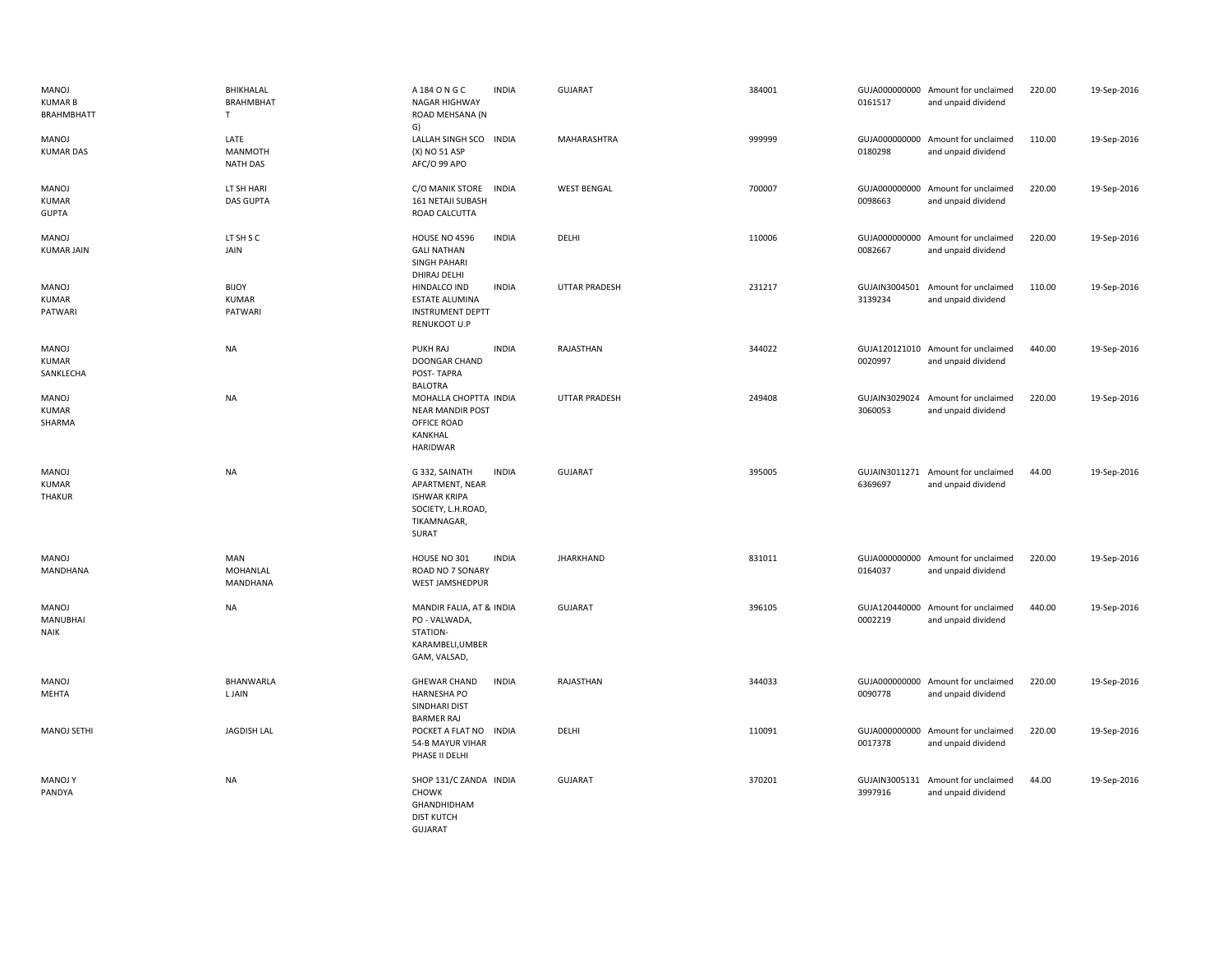| MANOJ<br><b>KUMAR B</b><br>BRAHMBHATT | BHIKHALAL<br>BRAHMBHAT<br>$\mathsf{T}$    | A 184 O N G C<br><b>INDIA</b><br><b>NAGAR HIGHWAY</b><br>ROAD MEHSANA (N                                               | <b>GUJARAT</b>       | 384001 | 0161517 | GUJA000000000 Amount for unclaimed<br>and unpaid dividend | 220.00 | 19-Sep-2016 |
|---------------------------------------|-------------------------------------------|------------------------------------------------------------------------------------------------------------------------|----------------------|--------|---------|-----------------------------------------------------------|--------|-------------|
| MANOJ<br><b>KUMAR DAS</b>             | LATE<br><b>MANMOTH</b><br><b>NATH DAS</b> | G)<br>LALLAH SINGH SCO INDIA<br>(X) NO 51 ASP<br>AFC/O 99 APO                                                          | MAHARASHTRA          | 999999 | 0180298 | GUJA000000000 Amount for unclaimed<br>and unpaid dividend | 110.00 | 19-Sep-2016 |
| MANOJ<br><b>KUMAR</b><br><b>GUPTA</b> | LT SH HARI<br><b>DAS GUPTA</b>            | C/O MANIK STORE<br><b>INDIA</b><br>161 NETAJI SUBASH<br>ROAD CALCUTTA                                                  | <b>WEST BENGAL</b>   | 700007 | 0098663 | GUJA000000000 Amount for unclaimed<br>and unpaid dividend | 220.00 | 19-Sep-2016 |
| MANOJ<br><b>KUMAR JAIN</b>            | LT SH S C<br>JAIN                         | <b>INDIA</b><br>HOUSE NO 4596<br><b>GALI NATHAN</b><br><b>SINGH PAHARI</b><br>DHIRAJ DELHI                             | DELHI                | 110006 | 0082667 | GUJA000000000 Amount for unclaimed<br>and unpaid dividend | 220.00 | 19-Sep-2016 |
| MANOJ<br><b>KUMAR</b><br>PATWARI      | <b>BIJOY</b><br><b>KUMAR</b><br>PATWARI   | <b>INDIA</b><br>HINDALCO IND<br><b>ESTATE ALUMINA</b><br><b>INSTRUMENT DEPTT</b><br><b>RENUKOOT U.P</b>                | <b>UTTAR PRADESH</b> | 231217 | 3139234 | GUJAIN3004501 Amount for unclaimed<br>and unpaid dividend | 110.00 | 19-Sep-2016 |
| MANOJ<br><b>KUMAR</b><br>SANKLECHA    | <b>NA</b>                                 | PUKH RAJ<br><b>INDIA</b><br><b>DOONGAR CHAND</b><br>POST-TAPRA<br><b>BALOTRA</b>                                       | RAJASTHAN            | 344022 | 0020997 | GUJA120121010 Amount for unclaimed<br>and unpaid dividend | 440.00 | 19-Sep-2016 |
| MANOJ<br><b>KUMAR</b><br>SHARMA       | NA                                        | MOHALLA CHOPTTA INDIA<br><b>NEAR MANDIR POST</b><br>OFFICE ROAD<br>KANKHAL<br><b>HARIDWAR</b>                          | UTTAR PRADESH        | 249408 | 3060053 | GUJAIN3029024 Amount for unclaimed<br>and unpaid dividend | 220.00 | 19-Sep-2016 |
| MANOJ<br><b>KUMAR</b><br>THAKUR       | <b>NA</b>                                 | G 332, SAINATH<br><b>INDIA</b><br>APARTMENT, NEAR<br><b>ISHWAR KRIPA</b><br>SOCIETY, L.H.ROAD,<br>TIKAMNAGAR,<br>SURAT | <b>GUJARAT</b>       | 395005 | 6369697 | GUJAIN3011271 Amount for unclaimed<br>and unpaid dividend | 44.00  | 19-Sep-2016 |
| MANOJ<br>MANDHANA                     | MAN<br>MOHANLAL<br>MANDHANA               | <b>INDIA</b><br>HOUSE NO 301<br>ROAD NO 7 SONARY<br>WEST JAMSHEDPUR                                                    | <b>JHARKHAND</b>     | 831011 | 0164037 | GUJA000000000 Amount for unclaimed<br>and unpaid dividend | 220.00 | 19-Sep-2016 |
| MANOJ<br>MANUBHAI<br><b>NAIK</b>      | <b>NA</b>                                 | MANDIR FALIA, AT & INDIA<br>PO - VALWADA,<br>STATION-<br>KARAMBELI, UMBER<br>GAM, VALSAD,                              | <b>GUJARAT</b>       | 396105 | 0002219 | GUJA120440000 Amount for unclaimed<br>and unpaid dividend | 440.00 | 19-Sep-2016 |
| <b>MANOJ</b><br>MEHTA                 | BHANWARLA<br><b>LJAIN</b>                 | <b>INDIA</b><br><b>GHEWAR CHAND</b><br><b>HARNESHA PO</b><br>SINDHARI DIST<br><b>BARMER RAJ</b>                        | RAJASTHAN            | 344033 | 0090778 | GUJA000000000 Amount for unclaimed<br>and unpaid dividend | 220.00 | 19-Sep-2016 |
| MANOJ SETHI                           | <b>JAGDISH LAL</b>                        | POCKET A FLAT NO INDIA<br>54-B MAYUR VIHAR<br>PHASE II DELHI                                                           | DELHI                | 110091 | 0017378 | GUJA000000000 Amount for unclaimed<br>and unpaid dividend | 220.00 | 19-Sep-2016 |
| <b>MANOJ Y</b><br>PANDYA              | <b>NA</b>                                 | SHOP 131/C ZANDA INDIA<br>CHOWK<br><b>GHANDHIDHAM</b><br><b>DIST KUTCH</b><br><b>GUJARAT</b>                           | <b>GUJARAT</b>       | 370201 | 3997916 | GUJAIN3005131 Amount for unclaimed<br>and unpaid dividend | 44.00  | 19-Sep-2016 |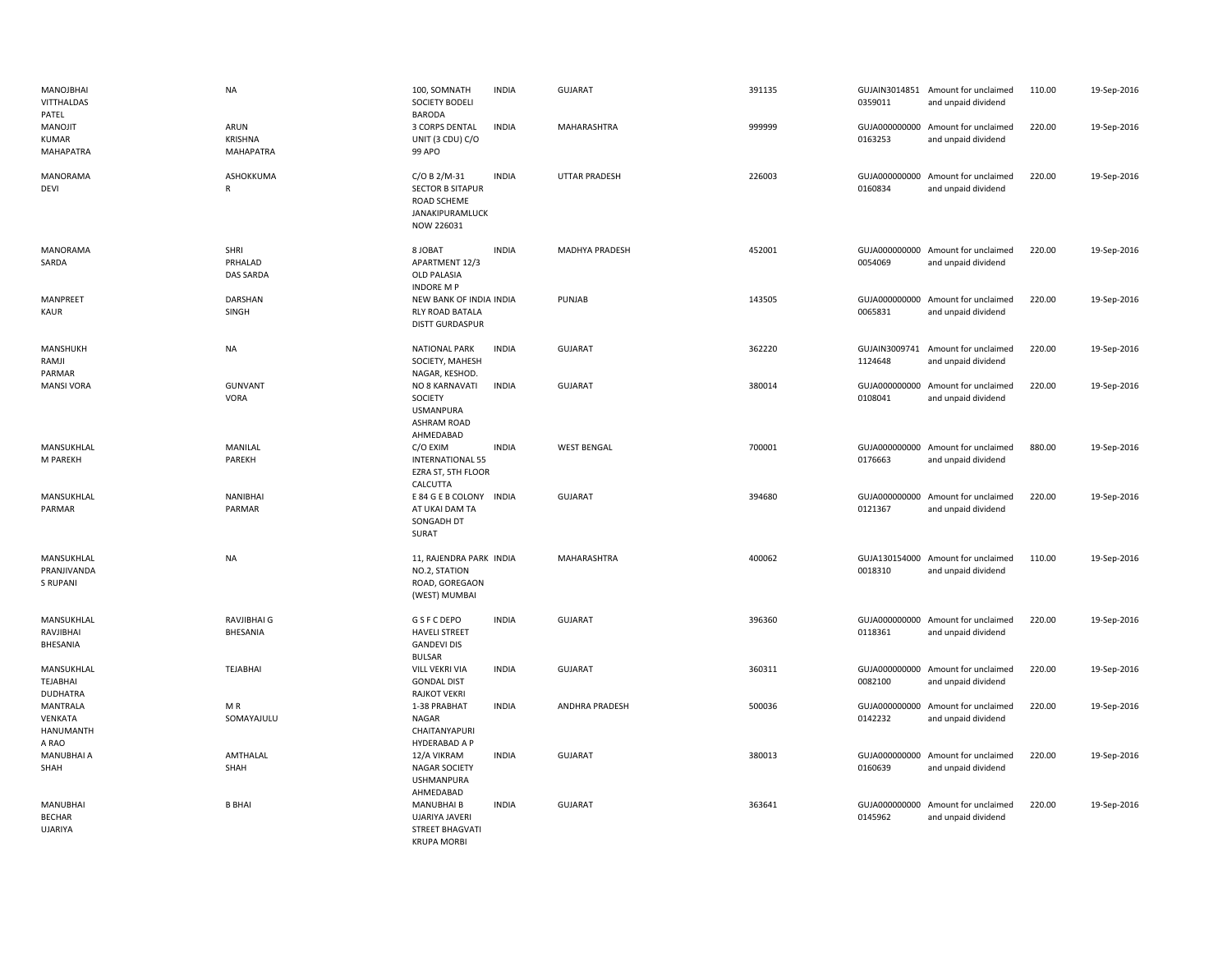| MANOJBHAI<br><b>VITTHALDAS</b><br>PATEL                 | <b>NA</b>                                  | 100, SOMNATH<br>SOCIETY BODELI<br><b>BARODA</b>                                         | <b>INDIA</b> | <b>GUJARAT</b>       | 391135 | 0359011                  | GUJAIN3014851 Amount for unclaimed<br>and unpaid dividend | 110.00 | 19-Sep-2016 |
|---------------------------------------------------------|--------------------------------------------|-----------------------------------------------------------------------------------------|--------------|----------------------|--------|--------------------------|-----------------------------------------------------------|--------|-------------|
| MANOJIT<br><b>KUMAR</b><br>MAHAPATRA                    | ARUN<br><b>KRISHNA</b><br><b>MAHAPATRA</b> | 3 CORPS DENTAL<br>UNIT (3 CDU) C/O<br>99 APO                                            | <b>INDIA</b> | MAHARASHTRA          | 999999 | 0163253                  | GUJA000000000 Amount for unclaimed<br>and unpaid dividend | 220.00 | 19-Sep-2016 |
| MANORAMA<br><b>DEVI</b>                                 | ASHOKKUMA<br>R                             | C/O B 2/M-31<br><b>SECTOR B SITAPUR</b><br>ROAD SCHEME<br>JANAKIPURAMLUCK<br>NOW 226031 | <b>INDIA</b> | <b>UTTAR PRADESH</b> | 226003 | 0160834                  | GUJA000000000 Amount for unclaimed<br>and unpaid dividend | 220.00 | 19-Sep-2016 |
| <b>MANORAMA</b><br>SARDA                                | SHRI<br>PRHALAD<br><b>DAS SARDA</b>        | 8 JOBAT<br>APARTMENT 12/3<br><b>OLD PALASIA</b><br><b>INDORE MP</b>                     | <b>INDIA</b> | MADHYA PRADESH       | 452001 | 0054069                  | GUJA000000000 Amount for unclaimed<br>and unpaid dividend | 220.00 | 19-Sep-2016 |
| MANPREET<br>KAUR                                        | DARSHAN<br>SINGH                           | NEW BANK OF INDIA INDIA<br>RLY ROAD BATALA<br>DISTT GURDASPUR                           |              | PUNJAB               | 143505 | 0065831                  | GUJA000000000 Amount for unclaimed<br>and unpaid dividend | 220.00 | 19-Sep-2016 |
| MANSHUKH<br>RAMJI<br>PARMAR                             | <b>NA</b>                                  | <b>NATIONAL PARK</b><br>SOCIETY, MAHESH<br>NAGAR, KESHOD.                               | <b>INDIA</b> | <b>GUJARAT</b>       | 362220 | 1124648                  | GUJAIN3009741 Amount for unclaimed<br>and unpaid dividend | 220.00 | 19-Sep-2016 |
| <b>MANSI VORA</b>                                       | <b>GUNVANT</b><br>VORA                     | NO 8 KARNAVATI<br>SOCIETY<br><b>USMANPURA</b><br>ASHRAM ROAD<br>AHMEDABAD               | <b>INDIA</b> | <b>GUJARAT</b>       | 380014 | GUJA000000000<br>0108041 | Amount for unclaimed<br>and unpaid dividend               | 220.00 | 19-Sep-2016 |
| MANSUKHLAL<br>M PAREKH                                  | MANILAL<br>PAREKH                          | C/O EXIM<br><b>INTERNATIONAL 55</b><br>EZRA ST, 5TH FLOOR<br>CALCUTTA                   | <b>INDIA</b> | <b>WEST BENGAL</b>   | 700001 | 0176663                  | GUJA000000000 Amount for unclaimed<br>and unpaid dividend | 880.00 | 19-Sep-2016 |
| MANSUKHLAL<br>PARMAR                                    | NANIBHAI<br>PARMAR                         | E 84 G E B COLONY<br>AT UKAI DAM TA<br>SONGADH DT<br><b>SURAT</b>                       | <b>INDIA</b> | <b>GUJARAT</b>       | 394680 | 0121367                  | GUJA000000000 Amount for unclaimed<br>and unpaid dividend | 220.00 | 19-Sep-2016 |
| MANSUKHLAL<br>PRANJIVANDA<br><b>S RUPANI</b>            | <b>NA</b>                                  | 11, RAJENDRA PARK INDIA<br>NO.2, STATION<br>ROAD, GOREGAON<br>(WEST) MUMBAI             |              | MAHARASHTRA          | 400062 | 0018310                  | GUJA130154000 Amount for unclaimed<br>and unpaid dividend | 110.00 | 19-Sep-2016 |
| MANSUKHLAL<br>RAVJIBHAI<br>BHESANIA                     | RAVJIBHAI G<br>BHESANIA                    | G S F C DEPO<br><b>HAVELI STREET</b><br><b>GANDEVI DIS</b><br><b>BULSAR</b>             | <b>INDIA</b> | <b>GUJARAT</b>       | 396360 | 0118361                  | GUJA000000000 Amount for unclaimed<br>and unpaid dividend | 220.00 | 19-Sep-2016 |
| MANSUKHLAL<br>TEJABHAI<br><b>DUDHATRA</b>               | <b>TEJABHAI</b>                            | VILL VEKRI VIA<br><b>GONDAL DIST</b><br><b>RAJKOT VEKRI</b>                             | <b>INDIA</b> | <b>GUJARAT</b>       | 360311 | 0082100                  | GUJA000000000 Amount for unclaimed<br>and unpaid dividend | 220.00 | 19-Sep-2016 |
| <b>MANTRALA</b><br>VENKATA<br><b>HANUMANTH</b><br>A RAO | MR<br>SOMAYAJULU                           | 1-38 PRABHAT<br>NAGAR<br>CHAITANYAPURI<br>HYDERABAD A P                                 | <b>INDIA</b> | ANDHRA PRADESH       | 500036 | 0142232                  | GUJA000000000 Amount for unclaimed<br>and unpaid dividend | 220.00 | 19-Sep-2016 |
| MANUBHAI A<br>SHAH                                      | AMTHALAL<br>SHAH                           | 12/A VIKRAM<br><b>NAGAR SOCIETY</b><br><b>USHMANPURA</b><br>AHMEDABAD                   | <b>INDIA</b> | GUJARAT              | 380013 | GUJA000000000<br>0160639 | Amount for unclaimed<br>and unpaid dividend               | 220.00 | 19-Sep-2016 |
| <b>MANUBHAI</b><br><b>BECHAR</b><br><b>UJARIYA</b>      | <b>B BHAI</b>                              | <b>MANUBHAI B</b><br>UJARIYA JAVERI<br>STREET BHAGVATI<br><b>KRUPA MORBI</b>            | <b>INDIA</b> | <b>GUJARAT</b>       | 363641 | 0145962                  | GUJA000000000 Amount for unclaimed<br>and unpaid dividend | 220.00 | 19-Sep-2016 |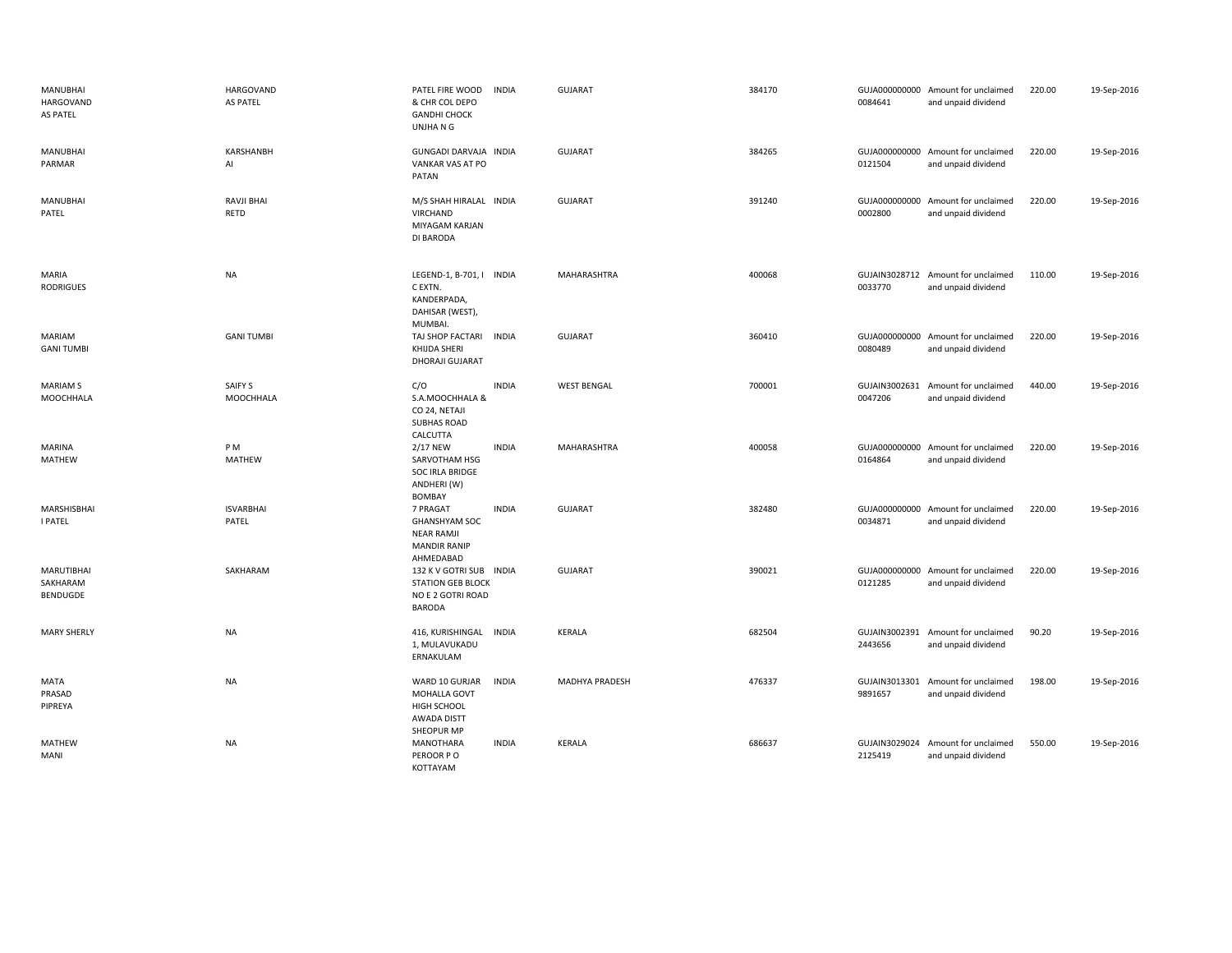| <b>MANUBHAI</b><br><b>HARGOVAND</b><br>AS PATEL | <b>HARGOVAND</b><br><b>AS PATEL</b> | PATEL FIRE WOOD<br>& CHR COL DEPO<br><b>GANDHI CHOCK</b><br>UNJHA N G                     | <b>INDIA</b> | <b>GUJARAT</b>     | 384170 | 0084641                  | GUJA000000000 Amount for unclaimed<br>and unpaid dividend | 220.00 | 19-Sep-2016 |
|-------------------------------------------------|-------------------------------------|-------------------------------------------------------------------------------------------|--------------|--------------------|--------|--------------------------|-----------------------------------------------------------|--------|-------------|
| MANUBHAI<br>PARMAR                              | KARSHANBH<br>AI                     | GUNGADI DARVAJA INDIA<br>VANKAR VAS AT PO<br>PATAN                                        |              | <b>GUJARAT</b>     | 384265 | 0121504                  | GUJA000000000 Amount for unclaimed<br>and unpaid dividend | 220.00 | 19-Sep-2016 |
| <b>MANUBHAI</b><br>PATEL                        | RAVJI BHAI<br><b>RETD</b>           | M/S SHAH HIRALAL INDIA<br>VIRCHAND<br>MIYAGAM KARJAN<br>DI BARODA                         |              | <b>GUJARAT</b>     | 391240 | 0002800                  | GUJA000000000 Amount for unclaimed<br>and unpaid dividend | 220.00 | 19-Sep-2016 |
| MARIA<br><b>RODRIGUES</b>                       | <b>NA</b>                           | LEGEND-1, B-701, I INDIA<br>C EXTN.<br>KANDERPADA,<br>DAHISAR (WEST),<br>MUMBAI.          |              | MAHARASHTRA        | 400068 | 0033770                  | GUJAIN3028712 Amount for unclaimed<br>and unpaid dividend | 110.00 | 19-Sep-2016 |
| MARIAM<br><b>GANI TUMBI</b>                     | <b>GANI TUMBI</b>                   | TAJ SHOP FACTARI<br>KHIJDA SHERI<br>DHORAJI GUJARAT                                       | <b>INDIA</b> | <b>GUJARAT</b>     | 360410 | 0080489                  | GUJA000000000 Amount for unclaimed<br>and unpaid dividend | 220.00 | 19-Sep-2016 |
| <b>MARIAM S</b><br>MOOCHHALA                    | SAIFY S<br>MOOCHHALA                | C/O<br>S.A.MOOCHHALA &<br>CO 24, NETAJI<br><b>SUBHAS ROAD</b><br>CALCUTTA                 | <b>INDIA</b> | <b>WEST BENGAL</b> | 700001 | 0047206                  | GUJAIN3002631 Amount for unclaimed<br>and unpaid dividend | 440.00 | 19-Sep-2016 |
| MARINA<br><b>MATHEW</b>                         | PM<br><b>MATHEW</b>                 | 2/17 NEW<br>SARVOTHAM HSG<br>SOC IRLA BRIDGE<br>ANDHERI (W)<br><b>BOMBAY</b>              | <b>INDIA</b> | <b>MAHARASHTRA</b> | 400058 | 0164864                  | GUJA000000000 Amount for unclaimed<br>and unpaid dividend | 220.00 | 19-Sep-2016 |
| MARSHISBHAI<br><b>I PATEL</b>                   | <b>ISVARBHAI</b><br>PATEL           | 7 PRAGAT<br><b>GHANSHYAM SOC</b><br><b>NEAR RAMJI</b><br><b>MANDIR RANIP</b><br>AHMEDABAD | <b>INDIA</b> | <b>GUJARAT</b>     | 382480 | 0034871                  | GUJA000000000 Amount for unclaimed<br>and unpaid dividend | 220.00 | 19-Sep-2016 |
| MARUTIBHAI<br>SAKHARAM<br>BENDUGDE              | SAKHARAM                            | 132 K V GOTRI SUB INDIA<br><b>STATION GEB BLOCK</b><br>NO E 2 GOTRI ROAD<br><b>BARODA</b> |              | GUJARAT            | 390021 | 0121285                  | GUJA000000000 Amount for unclaimed<br>and unpaid dividend | 220.00 | 19-Sep-2016 |
| <b>MARY SHERLY</b>                              | NA                                  | 416, KURISHINGAL<br>1, MULAVUKADU<br>ERNAKULAM                                            | <b>INDIA</b> | KERALA             | 682504 | GUJAIN3002391<br>2443656 | Amount for unclaimed<br>and unpaid dividend               | 90.20  | 19-Sep-2016 |
| MATA<br>PRASAD<br>PIPREYA                       | <b>NA</b>                           | WARD 10 GURJAR<br>MOHALLA GOVT<br>HIGH SCHOOL<br>AWADA DISTT<br><b>SHEOPUR MP</b>         | <b>INDIA</b> | MADHYA PRADESH     | 476337 | 9891657                  | GUJAIN3013301 Amount for unclaimed<br>and unpaid dividend | 198.00 | 19-Sep-2016 |
| MATHEW<br>MANI                                  | NA                                  | MANOTHARA<br>PEROOR PO<br>KOTTAYAM                                                        | <b>INDIA</b> | KERALA             | 686637 | 2125419                  | GUJAIN3029024 Amount for unclaimed<br>and unpaid dividend | 550.00 | 19-Sep-2016 |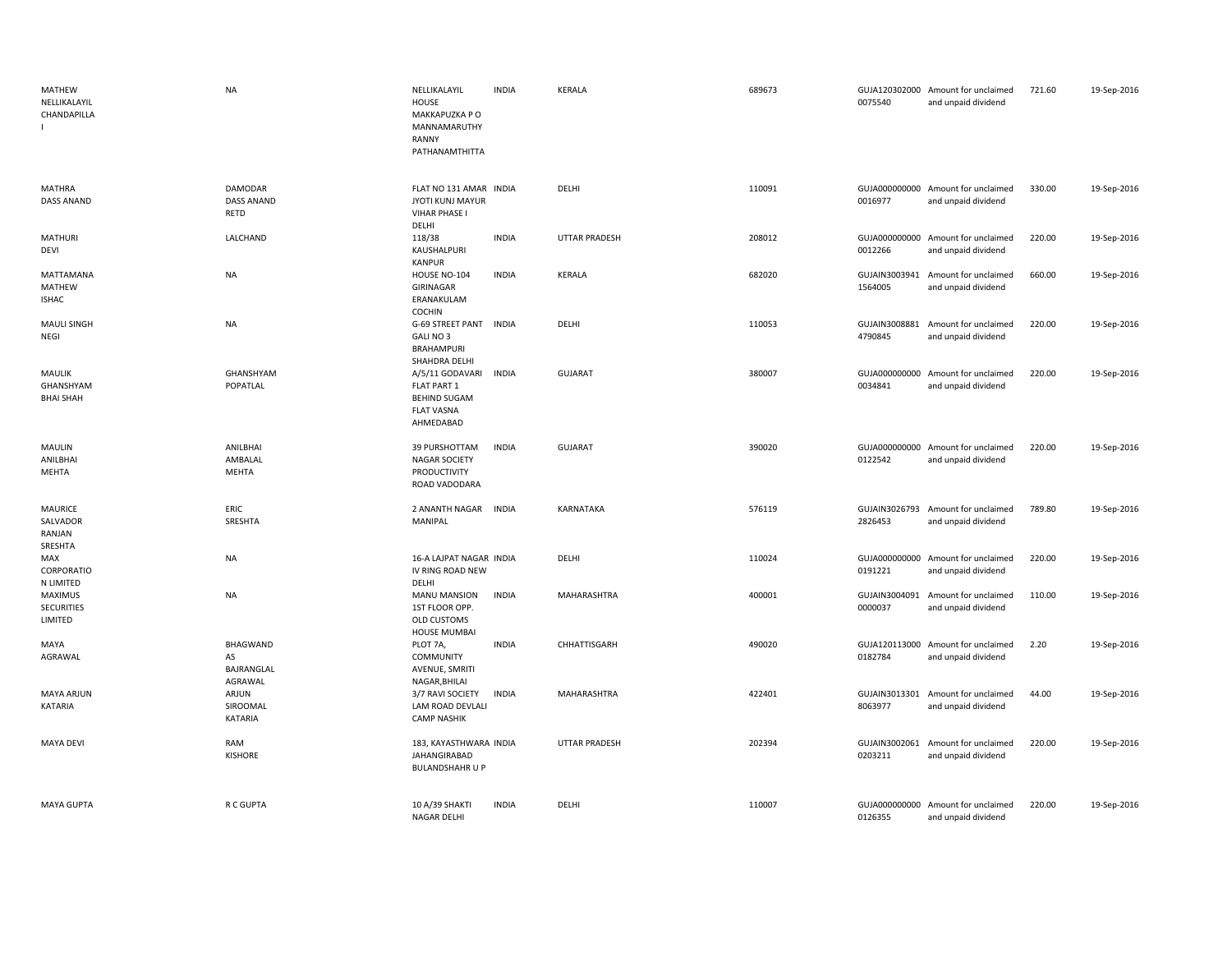| MATHEW<br>NELLIKALAYIL<br>CHANDAPILLA           | <b>NA</b>                                      | NELLIKALAYIL<br>HOUSE<br>MAKKAPUZKA P O<br>MANNAMARUTHY<br>RANNY<br>PATHANAMTHITTA      | <b>INDIA</b> | KERALA               | 689673 | 0075540                  | GUJA120302000 Amount for unclaimed<br>and unpaid dividend | 721.60 | 19-Sep-2016 |
|-------------------------------------------------|------------------------------------------------|-----------------------------------------------------------------------------------------|--------------|----------------------|--------|--------------------------|-----------------------------------------------------------|--------|-------------|
| MATHRA<br><b>DASS ANAND</b>                     | <b>DAMODAR</b><br><b>DASS ANAND</b><br>RETD    | FLAT NO 131 AMAR INDIA<br>JYOTI KUNJ MAYUR<br><b>VIHAR PHASE I</b><br>DELHI             |              | DELHI                | 110091 | 0016977                  | GUJA000000000 Amount for unclaimed<br>and unpaid dividend | 330.00 | 19-Sep-2016 |
| <b>MATHURI</b><br>DEVI                          | LALCHAND                                       | 118/38<br>KAUSHALPURI<br>KANPUR                                                         | <b>INDIA</b> | <b>UTTAR PRADESH</b> | 208012 | GUJA000000000<br>0012266 | Amount for unclaimed<br>and unpaid dividend               | 220.00 | 19-Sep-2016 |
| MATTAMANA<br>MATHEW<br><b>ISHAC</b>             | NA                                             | HOUSE NO-104<br>GIRINAGAR<br>ERANAKULAM<br>COCHIN                                       | <b>INDIA</b> | <b>KERALA</b>        | 682020 | GUJAIN3003941<br>1564005 | Amount for unclaimed<br>and unpaid dividend               | 660.00 | 19-Sep-2016 |
| <b>MAULI SINGH</b><br>NEGI                      | <b>NA</b>                                      | G-69 STREET PANT<br>GALI NO 3<br><b>BRAHAMPURI</b><br>SHAHDRA DELHI                     | <b>INDIA</b> | DELHI                | 110053 | GUJAIN3008881<br>4790845 | Amount for unclaimed<br>and unpaid dividend               | 220.00 | 19-Sep-2016 |
| <b>MAULIK</b><br>GHANSHYAM<br><b>BHAI SHAH</b>  | GHANSHYAM<br>POPATLAL                          | A/5/11 GODAVARI<br>FLAT PART 1<br><b>BEHIND SUGAM</b><br><b>FLAT VASNA</b><br>AHMEDABAD | <b>INDIA</b> | GUJARAT              | 380007 | GUJA000000000<br>0034841 | Amount for unclaimed<br>and unpaid dividend               | 220.00 | 19-Sep-2016 |
| MAULIN<br>ANILBHAI<br>MEHTA                     | ANILBHAI<br>AMBALAL<br>MEHTA                   | 39 PURSHOTTAM<br><b>NAGAR SOCIETY</b><br>PRODUCTIVITY<br>ROAD VADODARA                  | <b>INDIA</b> | <b>GUJARAT</b>       | 390020 | 0122542                  | GUJA000000000 Amount for unclaimed<br>and unpaid dividend | 220.00 | 19-Sep-2016 |
| <b>MAURICE</b><br>SALVADOR<br>RANJAN<br>SRESHTA | ERIC<br>SRESHTA                                | 2 ANANTH NAGAR<br>MANIPAL                                                               | <b>INDIA</b> | KARNATAKA            | 576119 | GUJAIN3026793<br>2826453 | Amount for unclaimed<br>and unpaid dividend               | 789.80 | 19-Sep-2016 |
| MAX<br>CORPORATIO<br>N LIMITED                  | NA                                             | 16-A LAJPAT NAGAR INDIA<br>IV RING ROAD NEW<br>DELHI                                    |              | DELHI                | 110024 | 0191221                  | GUJA000000000 Amount for unclaimed<br>and unpaid dividend | 220.00 | 19-Sep-2016 |
| MAXIMUS<br><b>SECURITIES</b><br>LIMITED         | <b>NA</b>                                      | <b>MANU MANSION</b><br>1ST FLOOR OPP.<br>OLD CUSTOMS<br><b>HOUSE MUMBAI</b>             | <b>INDIA</b> | MAHARASHTRA          | 400001 | GUJAIN3004091<br>0000037 | Amount for unclaimed<br>and unpaid dividend               | 110.00 | 19-Sep-2016 |
| MAYA<br>AGRAWAL                                 | <b>BHAGWAND</b><br>AS<br>BAJRANGLAL<br>AGRAWAL | PLOT 7A,<br><b>COMMUNITY</b><br>AVENUE, SMRITI<br>NAGAR, BHILAI                         | <b>INDIA</b> | CHHATTISGARH         | 490020 | 0182784                  | GUJA120113000 Amount for unclaimed<br>and unpaid dividend | 2.20   | 19-Sep-2016 |
| MAYA ARJUN<br>KATARIA                           | ARJUN<br>SIROOMAL<br>KATARIA                   | 3/7 RAVI SOCIETY<br>LAM ROAD DEVLALI<br><b>CAMP NASHIK</b>                              | <b>INDIA</b> | MAHARASHTRA          | 422401 | GUJAIN3013301<br>8063977 | Amount for unclaimed<br>and unpaid dividend               | 44.00  | 19-Sep-2016 |
| <b>MAYA DEVI</b>                                | RAM<br><b>KISHORE</b>                          | 183, KAYASTHWARA INDIA<br><b>JAHANGIRABAD</b><br><b>BULANDSHAHR U P</b>                 |              | <b>UTTAR PRADESH</b> | 202394 | 0203211                  | GUJAIN3002061 Amount for unclaimed<br>and unpaid dividend | 220.00 | 19-Sep-2016 |
| <b>MAYA GUPTA</b>                               | R C GUPTA                                      | 10 A/39 SHAKTI<br><b>NAGAR DELHI</b>                                                    | <b>INDIA</b> | DELHI                | 110007 | 0126355                  | GUJA000000000 Amount for unclaimed<br>and unpaid dividend | 220.00 | 19-Sep-2016 |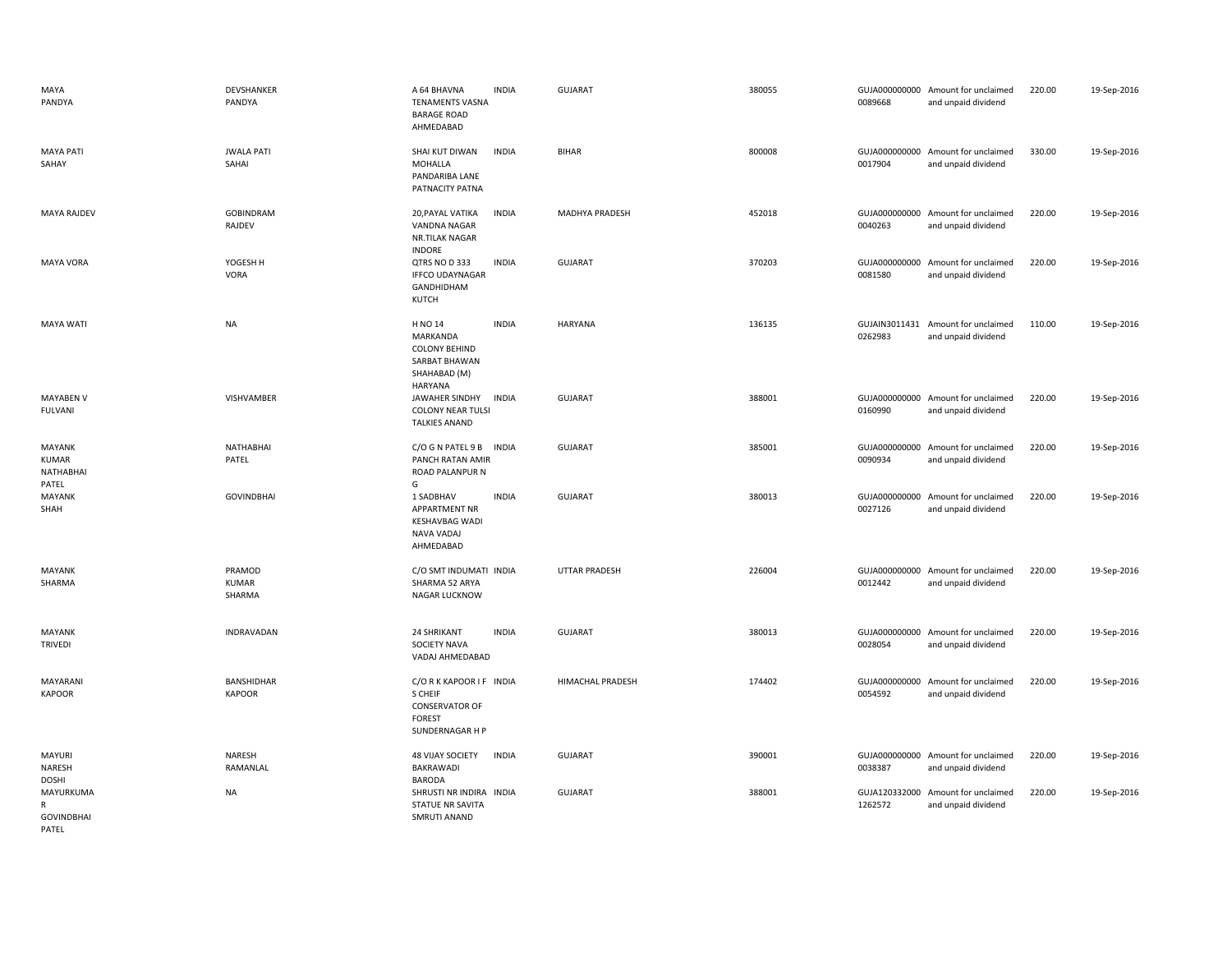| MAYA<br>PANDYA                               | DEVSHANKER<br>PANDYA             | A 64 BHAVNA<br><b>INDIA</b><br><b>TENAMENTS VASNA</b><br><b>BARAGE ROAD</b><br>AHMEDABAD                       | <b>GUJARAT</b>       | 380055 | 0089668                  | GUJA000000000 Amount for unclaimed<br>and unpaid dividend | 220.00 | 19-Sep-2016 |
|----------------------------------------------|----------------------------------|----------------------------------------------------------------------------------------------------------------|----------------------|--------|--------------------------|-----------------------------------------------------------|--------|-------------|
| <b>MAYA PATI</b><br>SAHAY                    | <b>JWALA PATI</b><br>SAHAI       | SHAI KUT DIWAN<br><b>INDIA</b><br>MOHALLA<br>PANDARIBA LANE<br>PATNACITY PATNA                                 | <b>BIHAR</b>         | 800008 | 0017904                  | GUJA000000000 Amount for unclaimed<br>and unpaid dividend | 330.00 | 19-Sep-2016 |
| <b>MAYA RAJDEV</b>                           | GOBINDRAM<br>RAJDEV              | 20, PAYAL VATIKA<br><b>INDIA</b><br>VANDNA NAGAR<br>NR.TILAK NAGAR<br><b>INDORE</b>                            | MADHYA PRADESH       | 452018 | 0040263                  | GUJA000000000 Amount for unclaimed<br>and unpaid dividend | 220.00 | 19-Sep-2016 |
| <b>MAYA VORA</b>                             | YOGESH H<br><b>VORA</b>          | QTRS NO D 333<br><b>INDIA</b><br><b>IFFCO UDAYNAGAR</b><br>GANDHIDHAM<br><b>KUTCH</b>                          | <b>GUJARAT</b>       | 370203 | 0081580                  | GUJA000000000 Amount for unclaimed<br>and unpaid dividend | 220.00 | 19-Sep-2016 |
| MAYA WATI                                    | <b>NA</b>                        | H NO 14<br><b>INDIA</b><br>MARKANDA<br><b>COLONY BEHIND</b><br>SARBAT BHAWAN<br>SHAHABAD (M)<br><b>HARYANA</b> | HARYANA              | 136135 | 0262983                  | GUJAIN3011431 Amount for unclaimed<br>and unpaid dividend | 110.00 | 19-Sep-2016 |
| <b>MAYABEN V</b><br><b>FULVANI</b>           | VISHVAMBER                       | JAWAHER SINDHY<br>INDIA<br><b>COLONY NEAR TULSI</b><br><b>TALKIES ANAND</b>                                    | <b>GUJARAT</b>       | 388001 | 0160990                  | GUJA000000000 Amount for unclaimed<br>and unpaid dividend | 220.00 | 19-Sep-2016 |
| MAYANK<br>KUMAR<br>NATHABHAI<br>PATEL        | NATHABHAI<br>PATEL               | C/O G N PATEL 9 B<br><b>INDIA</b><br>PANCH RATAN AMIR<br><b>ROAD PALANPUR N</b><br>G                           | <b>GUJARAT</b>       | 385001 | 0090934                  | GUJA000000000 Amount for unclaimed<br>and unpaid dividend | 220.00 | 19-Sep-2016 |
| MAYANK<br>SHAH                               | <b>GOVINDBHAI</b>                | 1 SADBHAV<br><b>INDIA</b><br>APPARTMENT NR<br><b>KESHAVBAG WADI</b><br>NAVA VADAJ<br>AHMEDABAD                 | <b>GUJARAT</b>       | 380013 | 0027126                  | GUJA000000000 Amount for unclaimed<br>and unpaid dividend | 220.00 | 19-Sep-2016 |
| MAYANK<br>SHARMA                             | PRAMOD<br><b>KUMAR</b><br>SHARMA | C/O SMT INDUMATI INDIA<br>SHARMA 52 ARYA<br>NAGAR LUCKNOW                                                      | <b>UTTAR PRADESH</b> | 226004 | 0012442                  | GUJA000000000 Amount for unclaimed<br>and unpaid dividend | 220.00 | 19-Sep-2016 |
| MAYANK<br><b>TRIVEDI</b>                     | INDRAVADAN                       | 24 SHRIKANT<br><b>INDIA</b><br>SOCIETY NAVA<br>VADAJ AHMEDABAD                                                 | <b>GUJARAT</b>       | 380013 | 0028054                  | GUJA000000000 Amount for unclaimed<br>and unpaid dividend | 220.00 | 19-Sep-2016 |
| MAYARANI<br><b>KAPOOR</b>                    | BANSHIDHAR<br><b>KAPOOR</b>      | C/ORKKAPOOR IF INDIA<br>S CHEIF<br><b>CONSERVATOR OF</b><br><b>FOREST</b><br>SUNDERNAGAR H P                   | HIMACHAL PRADESH     | 174402 | GUJA000000000<br>0054592 | Amount for unclaimed<br>and unpaid dividend               | 220.00 | 19-Sep-2016 |
| MAYURI<br>NARESH<br><b>DOSHI</b>             | NARESH<br>RAMANLAL               | <b>48 VIJAY SOCIETY</b><br><b>INDIA</b><br>BAKRAWADI<br><b>BARODA</b>                                          | <b>GUJARAT</b>       | 390001 | 0038387                  | GUJA000000000 Amount for unclaimed<br>and unpaid dividend | 220.00 | 19-Sep-2016 |
| MAYURKUMA<br>R<br><b>GOVINDBHAI</b><br>PATEL | <b>NA</b>                        | SHRUSTI NR INDIRA INDIA<br><b>STATUE NR SAVITA</b><br>SMRUTI ANAND                                             | <b>GUJARAT</b>       | 388001 | 1262572                  | GUJA120332000 Amount for unclaimed<br>and unpaid dividend | 220.00 | 19-Sep-2016 |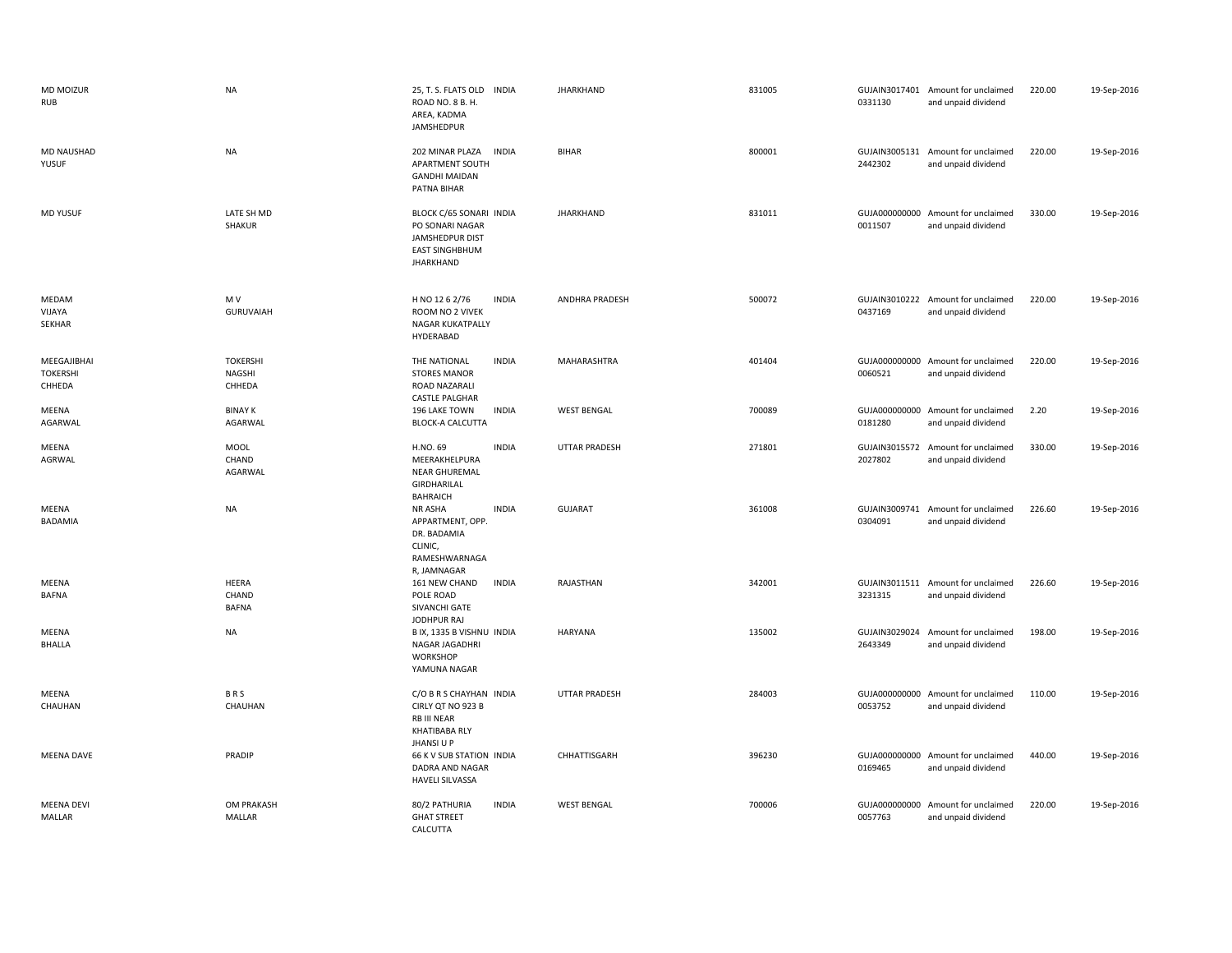| <b>MD MOIZUR</b><br><b>RUB</b>           | <b>NA</b>                                  | 25, T. S. FLATS OLD INDIA<br>ROAD NO. 8 B. H.<br>AREA, KADMA<br>JAMSHEDPUR                                        | <b>JHARKHAND</b>     | 831005 | 0331130 | GUJAIN3017401 Amount for unclaimed<br>and unpaid dividend | 220.00 | 19-Sep-2016 |
|------------------------------------------|--------------------------------------------|-------------------------------------------------------------------------------------------------------------------|----------------------|--------|---------|-----------------------------------------------------------|--------|-------------|
| <b>MD NAUSHAD</b><br>YUSUF               | <b>NA</b>                                  | 202 MINAR PLAZA<br><b>INDIA</b><br>APARTMENT SOUTH<br><b>GANDHI MAIDAN</b><br>PATNA BIHAR                         | <b>BIHAR</b>         | 800001 | 2442302 | GUJAIN3005131 Amount for unclaimed<br>and unpaid dividend | 220.00 | 19-Sep-2016 |
| <b>MD YUSUF</b>                          | LATE SH MD<br>SHAKUR                       | BLOCK C/65 SONARI INDIA<br>PO SONARI NAGAR<br><b>JAMSHEDPUR DIST</b><br><b>EAST SINGHBHUM</b><br><b>JHARKHAND</b> | <b>JHARKHAND</b>     | 831011 | 0011507 | GUJA000000000 Amount for unclaimed<br>and unpaid dividend | 330.00 | 19-Sep-2016 |
| MEDAM<br>VIJAYA<br>SEKHAR                | M V<br><b>GURUVAIAH</b>                    | H NO 12 6 2/76<br><b>INDIA</b><br>ROOM NO 2 VIVEK<br>NAGAR KUKATPALLY<br>HYDERABAD                                | ANDHRA PRADESH       | 500072 | 0437169 | GUJAIN3010222 Amount for unclaimed<br>and unpaid dividend | 220.00 | 19-Sep-2016 |
| MEEGAJIBHAI<br><b>TOKERSHI</b><br>CHHEDA | <b>TOKERSHI</b><br><b>NAGSHI</b><br>CHHEDA | <b>INDIA</b><br>THE NATIONAL<br><b>STORES MANOR</b><br>ROAD NAZARALI<br><b>CASTLE PALGHAR</b>                     | MAHARASHTRA          | 401404 | 0060521 | GUJA000000000 Amount for unclaimed<br>and unpaid dividend | 220.00 | 19-Sep-2016 |
| MEENA<br>AGARWAL                         | <b>BINAY K</b><br>AGARWAL                  | <b>INDIA</b><br>196 LAKE TOWN<br><b>BLOCK-A CALCUTTA</b>                                                          | <b>WEST BENGAL</b>   | 700089 | 0181280 | GUJA000000000 Amount for unclaimed<br>and unpaid dividend | 2.20   | 19-Sep-2016 |
| MEENA<br>AGRWAL                          | MOOL<br>CHAND<br>AGARWAL                   | <b>INDIA</b><br>H.NO. 69<br>MEERAKHELPURA<br><b>NEAR GHUREMAL</b><br>GIRDHARILAL<br><b>BAHRAICH</b>               | <b>UTTAR PRADESH</b> | 271801 | 2027802 | GUJAIN3015572 Amount for unclaimed<br>and unpaid dividend | 330.00 | 19-Sep-2016 |
| MEENA<br>BADAMIA                         | <b>NA</b>                                  | <b>INDIA</b><br>NR ASHA<br>APPARTMENT, OPP.<br>DR. BADAMIA<br>CLINIC,<br>RAMESHWARNAGA<br>R, JAMNAGAR             | <b>GUJARAT</b>       | 361008 | 0304091 | GUJAIN3009741 Amount for unclaimed<br>and unpaid dividend | 226.60 | 19-Sep-2016 |
| MEENA<br><b>BAFNA</b>                    | HEERA<br>CHAND<br><b>BAFNA</b>             | <b>INDIA</b><br>161 NEW CHAND<br>POLE ROAD<br>SIVANCHI GATE<br><b>JODHPUR RAJ</b>                                 | RAJASTHAN            | 342001 | 3231315 | GUJAIN3011511 Amount for unclaimed<br>and unpaid dividend | 226.60 | 19-Sep-2016 |
| MEENA<br><b>BHALLA</b>                   | <b>NA</b>                                  | B IX, 1335 B VISHNU INDIA<br>NAGAR JAGADHRI<br>WORKSHOP<br>YAMUNA NAGAR                                           | <b>HARYANA</b>       | 135002 | 2643349 | GUJAIN3029024 Amount for unclaimed<br>and unpaid dividend | 198.00 | 19-Sep-2016 |
| MEENA<br>CHAUHAN                         | BRS<br>CHAUHAN                             | C/O B R S CHAYHAN INDIA<br>CIRLY QT NO 923 B<br>RB III NEAR<br><b>KHATIBABA RLY</b><br>JHANSI U P                 | <b>UTTAR PRADESH</b> | 284003 | 0053752 | GUJA000000000 Amount for unclaimed<br>and unpaid dividend | 110.00 | 19-Sep-2016 |
| <b>MEENA DAVE</b>                        | PRADIP                                     | 66 K V SUB STATION INDIA<br>DADRA AND NAGAR<br><b>HAVELI SILVASSA</b>                                             | CHHATTISGARH         | 396230 | 0169465 | GUJA000000000 Amount for unclaimed<br>and unpaid dividend | 440.00 | 19-Sep-2016 |
| <b>MEENA DEVI</b><br>MALLAR              | <b>OM PRAKASH</b><br>MALLAR                | <b>INDIA</b><br>80/2 PATHURIA<br><b>GHAT STREET</b><br><b>CALCUTTA</b>                                            | <b>WEST BENGAL</b>   | 700006 | 0057763 | GUJA000000000 Amount for unclaimed<br>and unpaid dividend | 220.00 | 19-Sep-2016 |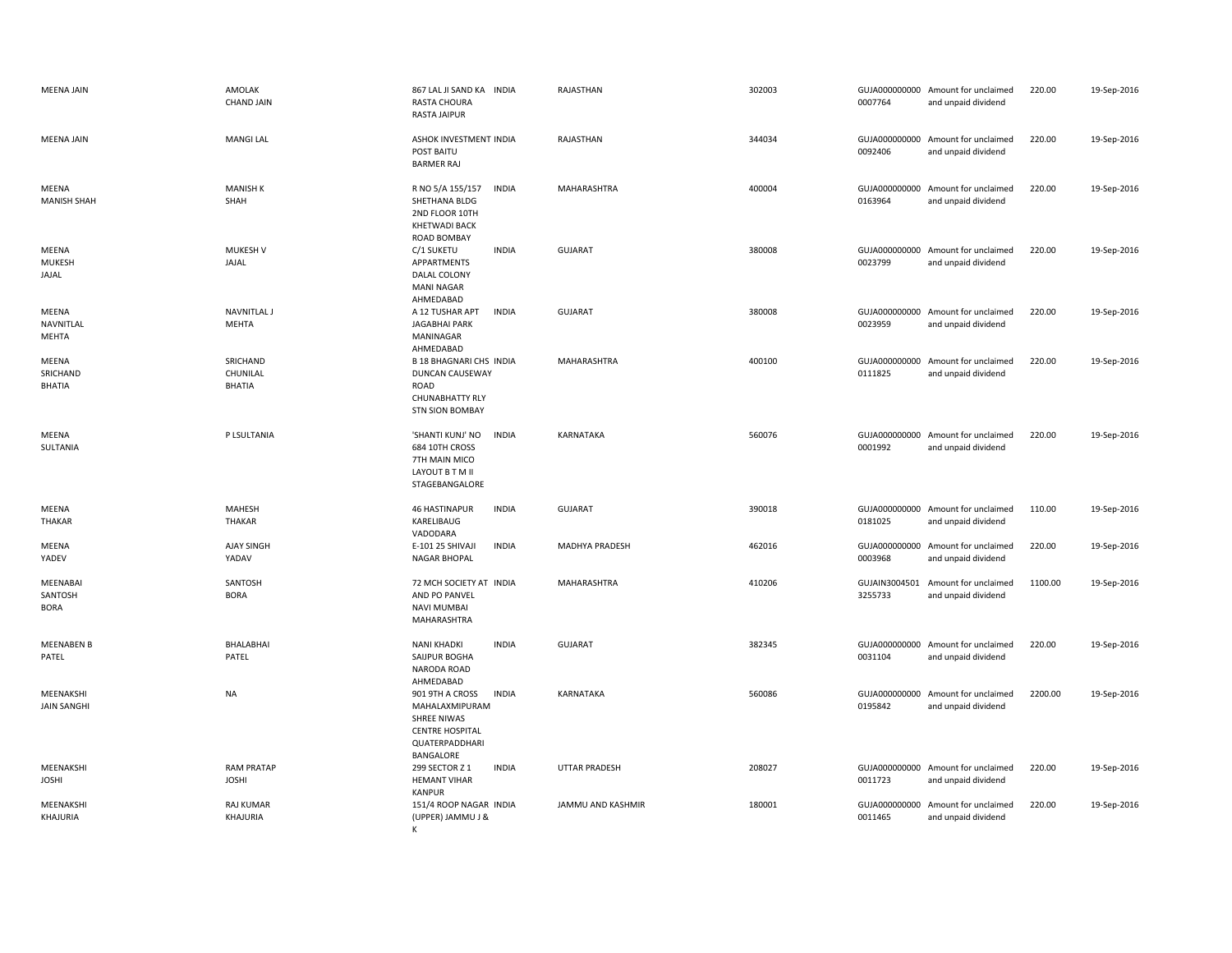| <b>MEENA JAIN</b>                         | AMOLAK<br><b>CHAND JAIN</b>           | 867 LAL JI SAND KA INDIA<br>RASTA CHOURA<br><b>RASTA JAIPUR</b>                                                           | RAJASTHAN             | 302003 | 0007764                  | GUJA000000000 Amount for unclaimed<br>and unpaid dividend | 220.00  | 19-Sep-2016 |
|-------------------------------------------|---------------------------------------|---------------------------------------------------------------------------------------------------------------------------|-----------------------|--------|--------------------------|-----------------------------------------------------------|---------|-------------|
| <b>MEENA JAIN</b>                         | <b>MANGI LAL</b>                      | ASHOK INVESTMENT INDIA<br>POST BAITU<br><b>BARMER RAJ</b>                                                                 | RAJASTHAN             | 344034 | 0092406                  | GUJA000000000 Amount for unclaimed<br>and unpaid dividend | 220.00  | 19-Sep-2016 |
| MEENA<br><b>MANISH SHAH</b>               | <b>MANISH K</b><br>SHAH               | R NO 5/A 155/157<br><b>INDIA</b><br>SHETHANA BLDG<br>2ND FLOOR 10TH<br><b>KHETWADI BACK</b><br>ROAD BOMBAY                | MAHARASHTRA           | 400004 | 0163964                  | GUJA000000000 Amount for unclaimed<br>and unpaid dividend | 220.00  | 19-Sep-2016 |
| MEENA<br><b>MUKESH</b><br>JAJAL           | <b>MUKESH V</b><br>JAJAL              | C/1 SUKETU<br><b>INDIA</b><br>APPARTMENTS<br>DALAL COLONY<br><b>MANI NAGAR</b><br>AHMEDABAD                               | <b>GUJARAT</b>        | 380008 | 0023799                  | GUJA000000000 Amount for unclaimed<br>and unpaid dividend | 220.00  | 19-Sep-2016 |
| MEENA<br>NAVNITLAL<br>MEHTA               | <b>NAVNITLAL J</b><br>MEHTA           | A 12 TUSHAR APT<br><b>INDIA</b><br><b>JAGABHAI PARK</b><br>MANINAGAR<br>AHMEDABAD                                         | <b>GUJARAT</b>        | 380008 | 0023959                  | GUJA000000000 Amount for unclaimed<br>and unpaid dividend | 220.00  | 19-Sep-2016 |
| MEENA<br>SRICHAND<br>BHATIA               | SRICHAND<br>CHUNILAL<br><b>BHATIA</b> | <b>B 18 BHAGNARI CHS INDIA</b><br><b>DUNCAN CAUSEWAY</b><br>ROAD<br>CHUNABHATTY RLY<br><b>STN SION BOMBAY</b>             | <b>MAHARASHTRA</b>    | 400100 | GUJA000000000<br>0111825 | Amount for unclaimed<br>and unpaid dividend               | 220.00  | 19-Sep-2016 |
| MEENA<br>SULTANIA                         | P LSULTANIA                           | <b>INDIA</b><br>'SHANTI KUNJ' NO<br>684 10TH CROSS<br>7TH MAIN MICO<br>LAYOUT B T M II<br>STAGEBANGALORE                  | KARNATAKA             | 560076 | 0001992                  | GUJA000000000 Amount for unclaimed<br>and unpaid dividend | 220.00  | 19-Sep-2016 |
| MEENA<br><b>THAKAR</b>                    | MAHESH<br>THAKAR                      | <b>INDIA</b><br><b>46 HASTINAPUR</b><br>KARELIBAUG<br>VADODARA                                                            | <b>GUJARAT</b>        | 390018 | 0181025                  | GUJA000000000 Amount for unclaimed<br>and unpaid dividend | 110.00  | 19-Sep-2016 |
| MEENA<br>YADEV                            | AJAY SINGH<br>YADAV                   | E-101 25 SHIVAJI<br><b>INDIA</b><br>NAGAR BHOPAL                                                                          | <b>MADHYA PRADESH</b> | 462016 | 0003968                  | GUJA000000000 Amount for unclaimed<br>and unpaid dividend | 220.00  | 19-Sep-2016 |
| <b>MEENABAI</b><br>SANTOSH<br><b>BORA</b> | SANTOSH<br><b>BORA</b>                | 72 MCH SOCIETY AT INDIA<br>AND PO PANVEL<br><b>NAVI MUMBAI</b><br>MAHARASHTRA                                             | <b>MAHARASHTRA</b>    | 410206 | GUJAIN3004501<br>3255733 | Amount for unclaimed<br>and unpaid dividend               | 1100.00 | 19-Sep-2016 |
| <b>MEENABEN B</b><br>PATEL                | BHALABHAI<br>PATEL                    | <b>NANI KHADKI</b><br><b>INDIA</b><br>SAIJPUR BOGHA<br>NARODA ROAD<br>AHMEDABAD                                           | <b>GUJARAT</b>        | 382345 | GUJA000000000<br>0031104 | Amount for unclaimed<br>and unpaid dividend               | 220.00  | 19-Sep-2016 |
| MEENAKSHI<br><b>JAIN SANGHI</b>           | <b>NA</b>                             | 901 9TH A CROSS<br><b>INDIA</b><br>MAHALAXMIPURAM<br>SHREE NIWAS<br><b>CENTRE HOSPITAL</b><br>QUATERPADDHARI<br>BANGALORE | KARNATAKA             | 560086 | 0195842                  | GUJA000000000 Amount for unclaimed<br>and unpaid dividend | 2200.00 | 19-Sep-2016 |
| MEENAKSHI<br><b>JOSHI</b>                 | <b>RAM PRATAP</b><br><b>JOSHI</b>     | 299 SECTOR Z 1<br><b>INDIA</b><br><b>HEMANT VIHAR</b><br><b>KANPUR</b>                                                    | <b>UTTAR PRADESH</b>  | 208027 | 0011723                  | GUJA000000000 Amount for unclaimed<br>and unpaid dividend | 220.00  | 19-Sep-2016 |
| MEENAKSHI<br>KHAJURIA                     | <b>RAJ KUMAR</b><br>KHAJURIA          | 151/4 ROOP NAGAR INDIA<br>(UPPER) JAMMU J &<br>К                                                                          | JAMMU AND KASHMIR     | 180001 | GUJA000000000<br>0011465 | Amount for unclaimed<br>and unpaid dividend               | 220.00  | 19-Sep-2016 |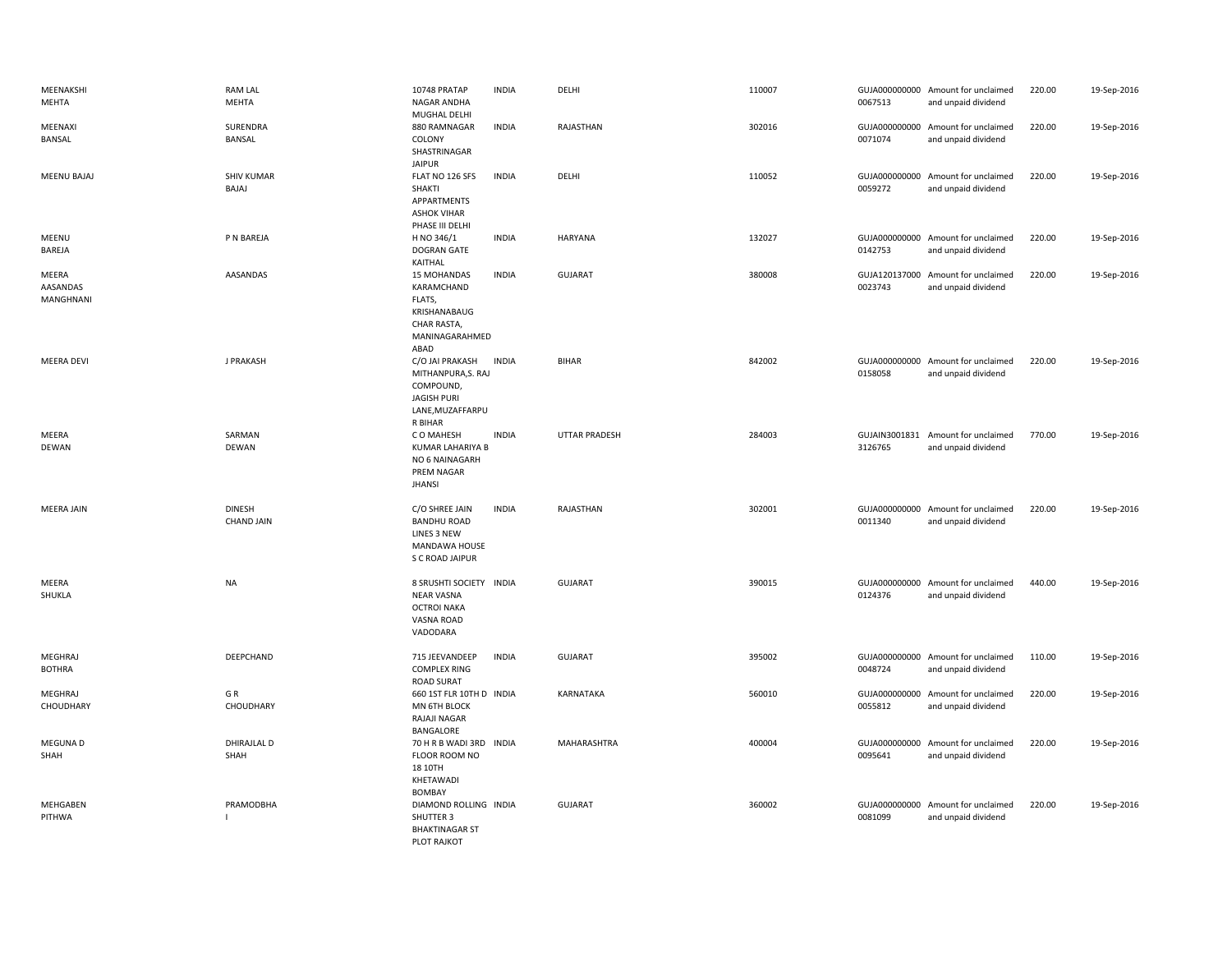| MEENAKSHI<br>MEHTA             | <b>RAM LAL</b><br><b>MEHTA</b>     | 10748 PRATAP<br>NAGAR ANDHA<br>MUGHAL DELHI                                                             | <b>INDIA</b> | DELHI                | 110007 | 0067513 | GUJA000000000 Amount for unclaimed<br>and unpaid dividend | 220.00 | 19-Sep-2016 |
|--------------------------------|------------------------------------|---------------------------------------------------------------------------------------------------------|--------------|----------------------|--------|---------|-----------------------------------------------------------|--------|-------------|
| MEENAXI<br>BANSAL              | SURENDRA<br>BANSAL                 | 880 RAMNAGAR<br>COLONY<br>SHASTRINAGAR<br><b>JAIPUR</b>                                                 | <b>INDIA</b> | RAJASTHAN            | 302016 | 0071074 | GUJA000000000 Amount for unclaimed<br>and unpaid dividend | 220.00 | 19-Sep-2016 |
| <b>MEENU BAJAJ</b>             | <b>SHIV KUMAR</b><br>BAJAJ         | FLAT NO 126 SFS<br>SHAKTI<br>APPARTMENTS<br><b>ASHOK VIHAR</b><br>PHASE III DELHI                       | <b>INDIA</b> | DELHI                | 110052 | 0059272 | GUJA000000000 Amount for unclaimed<br>and unpaid dividend | 220.00 | 19-Sep-2016 |
| MEENU<br>BAREJA                | P N BAREJA                         | H NO 346/1<br><b>DOGRAN GATE</b><br>KAITHAL                                                             | <b>INDIA</b> | <b>HARYANA</b>       | 132027 | 0142753 | GUJA000000000 Amount for unclaimed<br>and unpaid dividend | 220.00 | 19-Sep-2016 |
| MEERA<br>AASANDAS<br>MANGHNANI | AASANDAS                           | 15 MOHANDAS<br>KARAMCHAND<br>FLATS,<br>KRISHANABAUG<br>CHAR RASTA,<br>MANINAGARAHMED<br>ABAD            | <b>INDIA</b> | <b>GUJARAT</b>       | 380008 | 0023743 | GUJA120137000 Amount for unclaimed<br>and unpaid dividend | 220.00 | 19-Sep-2016 |
| <b>MEERA DEVI</b>              | J PRAKASH                          | C/O JAI PRAKASH<br>MITHANPURA, S. RAJ<br>COMPOUND,<br><b>JAGISH PURI</b><br>LANE, MUZAFFARPU<br>R BIHAR | <b>INDIA</b> | <b>BIHAR</b>         | 842002 | 0158058 | GUJA000000000 Amount for unclaimed<br>and unpaid dividend | 220.00 | 19-Sep-2016 |
| MEERA<br>DEWAN                 | SARMAN<br><b>DEWAN</b>             | C O MAHESH<br><b>KUMAR LAHARIYA B</b><br>NO 6 NAINAGARH<br>PREM NAGAR<br><b>JHANSI</b>                  | <b>INDIA</b> | <b>UTTAR PRADESH</b> | 284003 | 3126765 | GUJAIN3001831 Amount for unclaimed<br>and unpaid dividend | 770.00 | 19-Sep-2016 |
| <b>MEERA JAIN</b>              | <b>DINESH</b><br><b>CHAND JAIN</b> | C/O SHREE JAIN<br><b>BANDHU ROAD</b><br>LINES 3 NEW<br>MANDAWA HOUSE<br>S C ROAD JAIPUR                 | <b>INDIA</b> | RAJASTHAN            | 302001 | 0011340 | GUJA000000000 Amount for unclaimed<br>and unpaid dividend | 220.00 | 19-Sep-2016 |
| MEERA<br>SHUKLA                | <b>NA</b>                          | 8 SRUSHTI SOCIETY INDIA<br><b>NEAR VASNA</b><br><b>OCTROI NAKA</b><br>VASNA ROAD<br>VADODARA            |              | <b>GUJARAT</b>       | 390015 | 0124376 | GUJA000000000 Amount for unclaimed<br>and unpaid dividend | 440.00 | 19-Sep-2016 |
| MEGHRAJ<br><b>BOTHRA</b>       | DEEPCHAND                          | 715 JEEVANDEEP<br><b>COMPLEX RING</b><br><b>ROAD SURAT</b>                                              | <b>INDIA</b> | <b>GUJARAT</b>       | 395002 | 0048724 | GUJA000000000 Amount for unclaimed<br>and unpaid dividend | 110.00 | 19-Sep-2016 |
| MEGHRAJ<br>CHOUDHARY           | GR<br>CHOUDHARY                    | 660 1ST FLR 10TH D INDIA<br>MN 6TH BLOCK<br>RAJAJI NAGAR<br>BANGALORE                                   |              | KARNATAKA            | 560010 | 0055812 | GUJA000000000 Amount for unclaimed<br>and unpaid dividend | 220.00 | 19-Sep-2016 |
| MEGUNA D<br>SHAH               | <b>DHIRAJLAL D</b><br>SHAH         | 70 H R B WADI 3RD INDIA<br>FLOOR ROOM NO<br>18 10TH<br>KHETAWADI<br><b>BOMBAY</b>                       |              | MAHARASHTRA          | 400004 | 0095641 | GUJA000000000 Amount for unclaimed<br>and unpaid dividend | 220.00 | 19-Sep-2016 |
| MEHGABEN<br>PITHWA             | PRAMODBHA<br>$\blacksquare$        | DIAMOND ROLLING INDIA<br>SHUTTER 3<br><b>BHAKTINAGAR ST</b><br>PLOT RAJKOT                              |              | <b>GUJARAT</b>       | 360002 | 0081099 | GUJA000000000 Amount for unclaimed<br>and unpaid dividend | 220.00 | 19-Sep-2016 |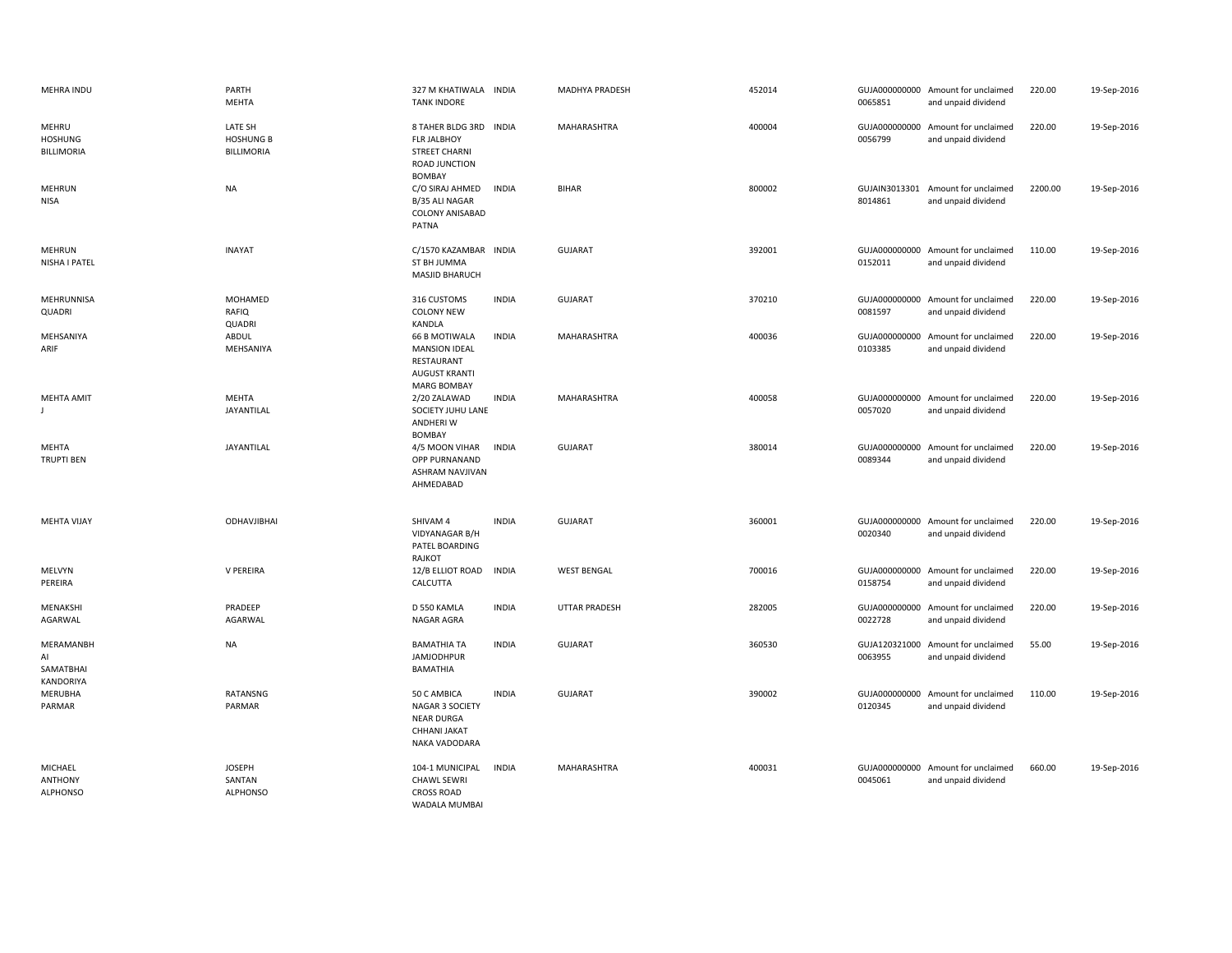| MEHRA INDU                                   | PARTH<br><b>MEHTA</b>                      | 327 M KHATIWALA INDIA<br><b>TANK INDORE</b>                                                            |              | MADHYA PRADESH       | 452014 | 0065851                  | GUJA000000000 Amount for unclaimed<br>and unpaid dividend | 220.00  | 19-Sep-2016 |
|----------------------------------------------|--------------------------------------------|--------------------------------------------------------------------------------------------------------|--------------|----------------------|--------|--------------------------|-----------------------------------------------------------|---------|-------------|
| MEHRU<br><b>HOSHUNG</b><br><b>BILLIMORIA</b> | LATE SH<br><b>HOSHUNG B</b><br>BILLIMORIA  | 8 TAHER BLDG 3RD INDIA<br><b>FLR JALBHOY</b><br><b>STREET CHARNI</b><br>ROAD JUNCTION<br><b>BOMBAY</b> |              | MAHARASHTRA          | 400004 | 0056799                  | GUJA000000000 Amount for unclaimed<br>and unpaid dividend | 220.00  | 19-Sep-2016 |
| <b>MEHRUN</b><br>NISA                        | <b>NA</b>                                  | C/O SIRAJ AHMED<br>B/35 ALI NAGAR<br>COLONY ANISABAD<br>PATNA                                          | <b>INDIA</b> | <b>BIHAR</b>         | 800002 | 8014861                  | GUJAIN3013301 Amount for unclaimed<br>and unpaid dividend | 2200.00 | 19-Sep-2016 |
| MEHRUN<br>NISHA I PATEL                      | <b>INAYAT</b>                              | C/1570 KAZAMBAR INDIA<br>ST BH JUMMA<br><b>MASJID BHARUCH</b>                                          |              | <b>GUJARAT</b>       | 392001 | 0152011                  | GUJA000000000 Amount for unclaimed<br>and unpaid dividend | 110.00  | 19-Sep-2016 |
| MEHRUNNISA<br>QUADRI                         | MOHAMED<br>RAFIQ<br>QUADRI                 | 316 CUSTOMS<br><b>COLONY NEW</b><br><b>KANDLA</b>                                                      | <b>INDIA</b> | <b>GUJARAT</b>       | 370210 | 0081597                  | GUJA000000000 Amount for unclaimed<br>and unpaid dividend | 220.00  | 19-Sep-2016 |
| MEHSANIYA<br>ARIF                            | ABDUL<br>MEHSANIYA                         | 66 B MOTIWALA<br><b>MANSION IDEAL</b><br>RESTAURANT<br><b>AUGUST KRANTI</b><br><b>MARG BOMBAY</b>      | <b>INDIA</b> | MAHARASHTRA          | 400036 | 0103385                  | GUJA000000000 Amount for unclaimed<br>and unpaid dividend | 220.00  | 19-Sep-2016 |
| <b>MEHTA AMIT</b>                            | <b>MEHTA</b><br>JAYANTILAL                 | 2/20 ZALAWAD<br>SOCIETY JUHU LANE<br>ANDHERI W<br><b>BOMBAY</b>                                        | <b>INDIA</b> | MAHARASHTRA          | 400058 | 0057020                  | GUJA000000000 Amount for unclaimed<br>and unpaid dividend | 220.00  | 19-Sep-2016 |
| MEHTA<br><b>TRUPTI BEN</b>                   | <b>JAYANTILAL</b>                          | 4/5 MOON VIHAR<br>OPP PURNANAND<br>ASHRAM NAVJIVAN<br>AHMEDABAD                                        | <b>INDIA</b> | <b>GUJARAT</b>       | 380014 | 0089344                  | GUJA000000000 Amount for unclaimed<br>and unpaid dividend | 220.00  | 19-Sep-2016 |
| <b>MEHTA VIJAY</b>                           | ODHAVJIBHAI                                | SHIVAM 4<br>VIDYANAGAR B/H<br>PATEL BOARDING<br>RAJKOT                                                 | <b>INDIA</b> | <b>GUJARAT</b>       | 360001 | 0020340                  | GUJA000000000 Amount for unclaimed<br>and unpaid dividend | 220.00  | 19-Sep-2016 |
| MELVYN<br>PEREIRA                            | V PEREIRA                                  | 12/B ELLIOT ROAD<br>CALCUTTA                                                                           | <b>INDIA</b> | <b>WEST BENGAL</b>   | 700016 | 0158754                  | GUJA000000000 Amount for unclaimed<br>and unpaid dividend | 220.00  | 19-Sep-2016 |
| MENAKSHI<br>AGARWAL                          | PRADEEP<br>AGARWAL                         | D 550 KAMLA<br>NAGAR AGRA                                                                              | <b>INDIA</b> | <b>UTTAR PRADESH</b> | 282005 | 0022728                  | GUJA000000000 Amount for unclaimed<br>and unpaid dividend | 220.00  | 19-Sep-2016 |
| MERAMANBH<br>Al<br>SAMATBHAI<br>KANDORIYA    | <b>NA</b>                                  | <b>BAMATHIA TA</b><br><b>JAMJODHPUR</b><br><b>BAMATHIA</b>                                             | <b>INDIA</b> | <b>GUJARAT</b>       | 360530 | GUJA120321000<br>0063955 | Amount for unclaimed<br>and unpaid dividend               | 55.00   | 19-Sep-2016 |
| MERUBHA<br>PARMAR                            | RATANSNG<br>PARMAR                         | 50 C AMBICA<br>NAGAR 3 SOCIETY<br><b>NEAR DURGA</b><br>CHHANI JAKAT<br>NAKA VADODARA                   | <b>INDIA</b> | <b>GUJARAT</b>       | 390002 | 0120345                  | GUJA000000000 Amount for unclaimed<br>and unpaid dividend | 110.00  | 19-Sep-2016 |
| MICHAEL<br><b>ANTHONY</b><br><b>ALPHONSO</b> | <b>JOSEPH</b><br>SANTAN<br><b>ALPHONSO</b> | 104-1 MUNICIPAL<br><b>CHAWL SEWRI</b><br><b>CROSS ROAD</b><br><b>WADALA MUMBAI</b>                     | <b>INDIA</b> | MAHARASHTRA          | 400031 | 0045061                  | GUJA000000000 Amount for unclaimed<br>and unpaid dividend | 660.00  | 19-Sep-2016 |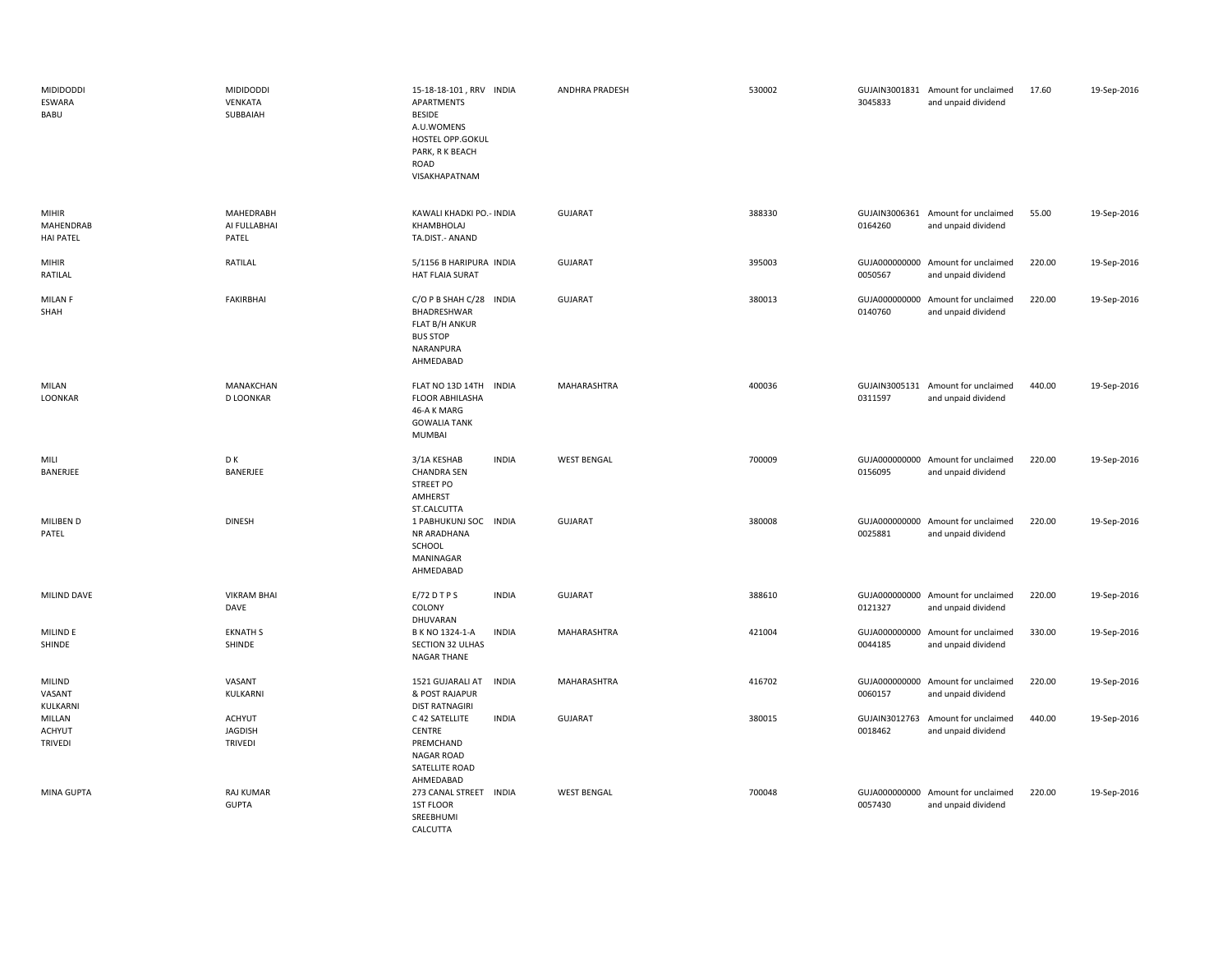| <b>MIDIDODDI</b><br>ESWARA<br>BABU            | <b>MIDIDODDI</b><br>VENKATA<br>SUBBAIAH    | 15-18-18-101, RRV INDIA<br><b>APARTMENTS</b><br><b>BESIDE</b><br>A.U.WOMENS<br>HOSTEL OPP.GOKUL<br>PARK, R K BEACH<br>ROAD<br>VISAKHAPATNAM | <b>ANDHRA PRADESH</b> | 530002 | 3045833                  | GUJAIN3001831 Amount for unclaimed<br>and unpaid dividend | 17.60  | 19-Sep-2016 |
|-----------------------------------------------|--------------------------------------------|---------------------------------------------------------------------------------------------------------------------------------------------|-----------------------|--------|--------------------------|-----------------------------------------------------------|--------|-------------|
| <b>MIHIR</b><br>MAHENDRAB<br><b>HAI PATEL</b> | MAHEDRABH<br>AI FULLABHAI<br>PATEL         | KAWALI KHADKI PO.- INDIA<br>KHAMBHOLAJ<br>TA.DIST.- ANAND                                                                                   | <b>GUJARAT</b>        | 388330 | 0164260                  | GUJAIN3006361 Amount for unclaimed<br>and unpaid dividend | 55.00  | 19-Sep-2016 |
| <b>MIHIR</b><br>RATILAL                       | RATILAL                                    | 5/1156 B HARIPURA INDIA<br>HAT FLAIA SURAT                                                                                                  | <b>GUJARAT</b>        | 395003 | 0050567                  | GUJA000000000 Amount for unclaimed<br>and unpaid dividend | 220.00 | 19-Sep-2016 |
| MILAN F<br>SHAH                               | FAKIRBHAI                                  | C/O P B SHAH C/28 INDIA<br>BHADRESHWAR<br>FLAT B/H ANKUR<br><b>BUS STOP</b><br>NARANPURA<br>AHMEDABAD                                       | <b>GUJARAT</b>        | 380013 | GUJA000000000<br>0140760 | Amount for unclaimed<br>and unpaid dividend               | 220.00 | 19-Sep-2016 |
| MILAN<br>LOONKAR                              | MANAKCHAN<br><b>D LOONKAR</b>              | FLAT NO 13D 14TH INDIA<br><b>FLOOR ABHILASHA</b><br>46-A K MARG<br><b>GOWALIA TANK</b><br>MUMBAI                                            | MAHARASHTRA           | 400036 | 0311597                  | GUJAIN3005131 Amount for unclaimed<br>and unpaid dividend | 440.00 | 19-Sep-2016 |
| MILI<br>BANERJEE                              | D K<br>BANERJEE                            | <b>INDIA</b><br>3/1A KESHAB<br><b>CHANDRA SEN</b><br><b>STREET PO</b><br>AMHERST                                                            | <b>WEST BENGAL</b>    | 700009 | 0156095                  | GUJA000000000 Amount for unclaimed<br>and unpaid dividend | 220.00 | 19-Sep-2016 |
| MILIBEN D<br>PATEL                            | <b>DINESH</b>                              | ST.CALCUTTA<br>1 PABHUKUNJ SOC INDIA<br>NR ARADHANA<br>SCHOOL<br>MANINAGAR<br>AHMEDABAD                                                     | <b>GUJARAT</b>        | 380008 | 0025881                  | GUJA000000000 Amount for unclaimed<br>and unpaid dividend | 220.00 | 19-Sep-2016 |
| MILIND DAVE                                   | <b>VIKRAM BHAI</b><br>DAVE                 | $E/72$ DTPS<br><b>INDIA</b><br>COLONY<br>DHUVARAN                                                                                           | <b>GUJARAT</b>        | 388610 | 0121327                  | GUJA000000000 Amount for unclaimed<br>and unpaid dividend | 220.00 | 19-Sep-2016 |
| MILIND E<br>SHINDE                            | <b>EKNATH S</b><br>SHINDE                  | B K NO 1324-1-A<br><b>INDIA</b><br>SECTION 32 ULHAS<br>NAGAR THANE                                                                          | MAHARASHTRA           | 421004 | 0044185                  | GUJA000000000 Amount for unclaimed<br>and unpaid dividend | 330.00 | 19-Sep-2016 |
| <b>MILIND</b><br>VASANT<br>KULKARNI           | VASANT<br>KULKARNI                         | <b>INDIA</b><br>1521 GUJARALI AT<br>& POST RAJAPUR<br><b>DIST RATNAGIRI</b>                                                                 | MAHARASHTRA           | 416702 | 0060157                  | GUJA000000000 Amount for unclaimed<br>and unpaid dividend | 220.00 | 19-Sep-2016 |
| MILLAN<br><b>ACHYUT</b><br><b>TRIVEDI</b>     | <b>ACHYUT</b><br><b>JAGDISH</b><br>TRIVEDI | C 42 SATELLITE<br><b>INDIA</b><br>CENTRE<br>PREMCHAND<br>NAGAR ROAD<br>SATELLITE ROAD<br>AHMEDABAD                                          | <b>GUJARAT</b>        | 380015 | GUJAIN3012763<br>0018462 | Amount for unclaimed<br>and unpaid dividend               | 440.00 | 19-Sep-2016 |
| MINA GUPTA                                    | RAJ KUMAR<br><b>GUPTA</b>                  | 273 CANAL STREET INDIA<br>1ST FLOOR<br>SREEBHUMI<br>CALCUTTA                                                                                | <b>WEST BENGAL</b>    | 700048 | 0057430                  | GUJA000000000 Amount for unclaimed<br>and unpaid dividend | 220.00 | 19-Sep-2016 |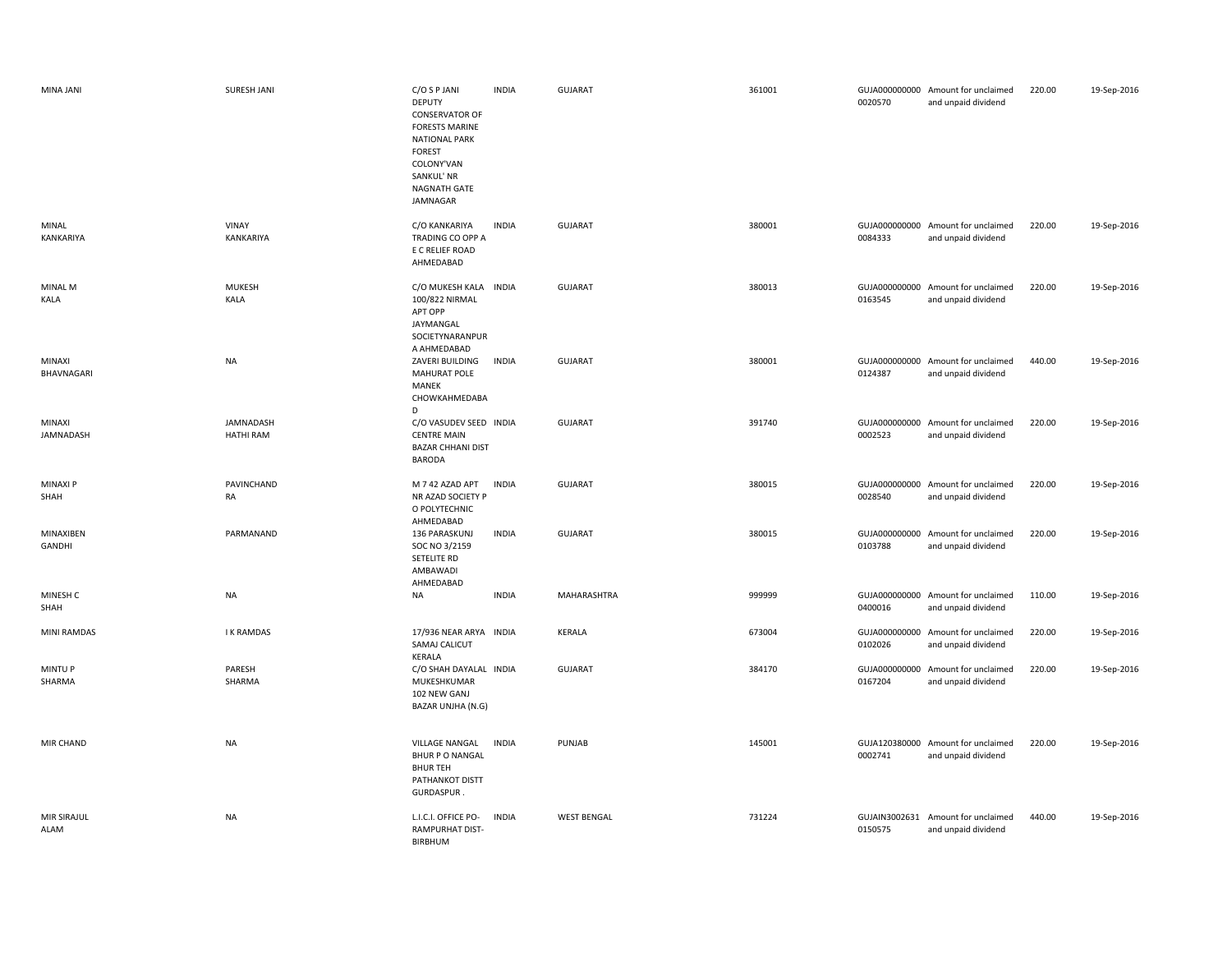| MINA JANI                  | <b>SURESH JANI</b>            | C/O S P JANI<br><b>DEPUTY</b><br><b>CONSERVATOR OF</b><br><b>FORESTS MARINE</b><br><b>NATIONAL PARK</b><br><b>FOREST</b><br>COLONY'VAN<br>SANKUL' NR<br>NAGNATH GATE<br>JAMNAGAR | <b>INDIA</b> | GUJARAT            | 361001 | 0020570 | GUJA000000000 Amount for unclaimed<br>and unpaid dividend | 220.00 | 19-Sep-2016 |
|----------------------------|-------------------------------|----------------------------------------------------------------------------------------------------------------------------------------------------------------------------------|--------------|--------------------|--------|---------|-----------------------------------------------------------|--------|-------------|
| MINAL<br>KANKARIYA         | VINAY<br>KANKARIYA            | C/O KANKARIYA<br>TRADING CO OPP A<br>E C RELIEF ROAD<br>AHMEDABAD                                                                                                                | <b>INDIA</b> | <b>GUJARAT</b>     | 380001 | 0084333 | GUJA000000000 Amount for unclaimed<br>and unpaid dividend | 220.00 | 19-Sep-2016 |
| MINAL M<br>KALA            | <b>MUKESH</b><br>KALA         | C/O MUKESH KALA INDIA<br>100/822 NIRMAL<br>APT OPP<br>JAYMANGAL<br>SOCIETYNARANPUR<br>A AHMEDABAD                                                                                |              | <b>GUJARAT</b>     | 380013 | 0163545 | GUJA000000000 Amount for unclaimed<br>and unpaid dividend | 220.00 | 19-Sep-2016 |
| MINAXI<br>BHAVNAGARI       | NA                            | ZAVERI BUILDING<br><b>MAHURAT POLE</b><br>MANEK<br>CHOWKAHMEDABA<br>D                                                                                                            | <b>INDIA</b> | GUJARAT            | 380001 | 0124387 | GUJA000000000 Amount for unclaimed<br>and unpaid dividend | 440.00 | 19-Sep-2016 |
| MINAXI<br>JAMNADASH        | JAMNADASH<br><b>HATHI RAM</b> | C/O VASUDEV SEED INDIA<br><b>CENTRE MAIN</b><br><b>BAZAR CHHANI DIST</b><br><b>BARODA</b>                                                                                        |              | <b>GUJARAT</b>     | 391740 | 0002523 | GUJA000000000 Amount for unclaimed<br>and unpaid dividend | 220.00 | 19-Sep-2016 |
| <b>MINAXIP</b><br>SHAH     | PAVINCHAND<br>RA              | M 7 42 AZAD APT<br>NR AZAD SOCIETY P<br>O POLYTECHNIC<br>AHMEDABAD                                                                                                               | <b>INDIA</b> | <b>GUJARAT</b>     | 380015 | 0028540 | GUJA000000000 Amount for unclaimed<br>and unpaid dividend | 220.00 | 19-Sep-2016 |
| MINAXIBEN<br>GANDHI        | PARMANAND                     | 136 PARASKUNJ<br>SOC NO 3/2159<br>SETELITE RD<br>AMBAWADI<br>AHMEDABAD                                                                                                           | <b>INDIA</b> | GUJARAT            | 380015 | 0103788 | GUJA000000000 Amount for unclaimed<br>and unpaid dividend | 220.00 | 19-Sep-2016 |
| MINESH C<br>SHAH           | NA                            | <b>NA</b>                                                                                                                                                                        | <b>INDIA</b> | MAHARASHTRA        | 999999 | 0400016 | GUJA000000000 Amount for unclaimed<br>and unpaid dividend | 110.00 | 19-Sep-2016 |
| <b>MINI RAMDAS</b>         | <b>IK RAMDAS</b>              | 17/936 NEAR ARYA INDIA<br>SAMAJ CALICUT<br>KERALA                                                                                                                                |              | KERALA             | 673004 | 0102026 | GUJA000000000 Amount for unclaimed<br>and unpaid dividend | 220.00 | 19-Sep-2016 |
| <b>MINTUP</b><br>SHARMA    | PARESH<br>SHARMA              | C/O SHAH DAYALAL INDIA<br>MUKESHKUMAR<br>102 NEW GANJ<br>BAZAR UNJHA (N.G)                                                                                                       |              | <b>GUJARAT</b>     | 384170 | 0167204 | GUJA000000000 Amount for unclaimed<br>and unpaid dividend | 220.00 | 19-Sep-2016 |
| MIR CHAND                  | <b>NA</b>                     | VILLAGE NANGAL<br><b>BHUR P O NANGAL</b><br><b>BHURTEH</b><br>PATHANKOT DISTT<br>GURDASPUR.                                                                                      | <b>INDIA</b> | PUNJAB             | 145001 | 0002741 | GUJA120380000 Amount for unclaimed<br>and unpaid dividend | 220.00 | 19-Sep-2016 |
| <b>MIR SIRAJUL</b><br>ALAM | <b>NA</b>                     | L.I.C.I. OFFICE PO-<br>RAMPURHAT DIST-<br>BIRBHUM                                                                                                                                | <b>INDIA</b> | <b>WEST BENGAL</b> | 731224 | 0150575 | GUJAIN3002631 Amount for unclaimed<br>and unpaid dividend | 440.00 | 19-Sep-2016 |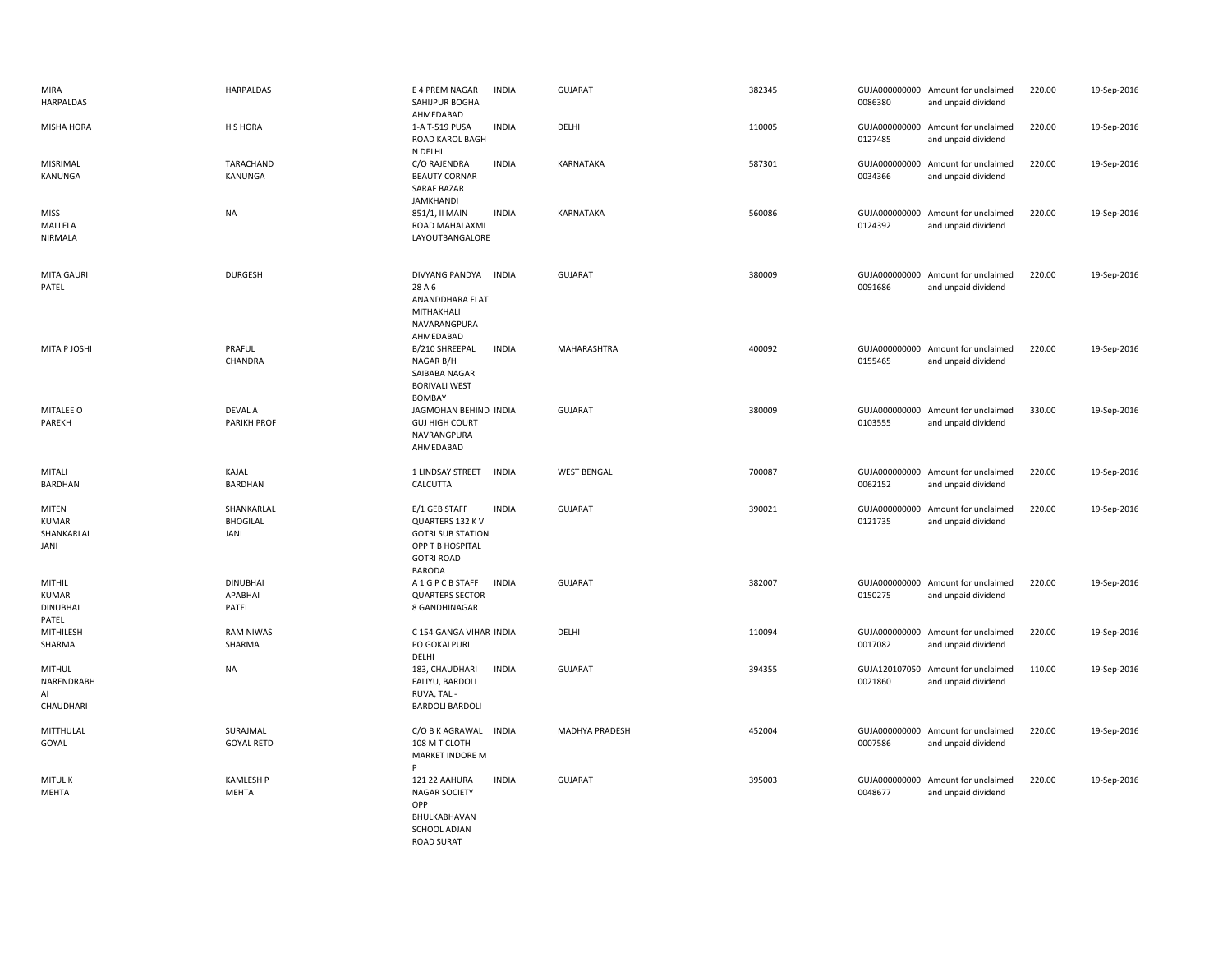| MIRA<br>HARPALDAS                                  | <b>HARPALDAS</b>                      | E 4 PREM NAGAR<br><b>INDIA</b><br>SAHIJPUR BOGHA<br>AHMEDABAD                                                                           | GUJARAT            | 382345 | 0086380                  | GUJA000000000 Amount for unclaimed<br>and unpaid dividend | 220.00 | 19-Sep-2016 |
|----------------------------------------------------|---------------------------------------|-----------------------------------------------------------------------------------------------------------------------------------------|--------------------|--------|--------------------------|-----------------------------------------------------------|--------|-------------|
| MISHA HORA                                         | H S HORA                              | <b>INDIA</b><br>1-A T-519 PUSA<br>ROAD KAROL BAGH                                                                                       | DELHI              | 110005 | 0127485                  | GUJA000000000 Amount for unclaimed<br>and unpaid dividend | 220.00 | 19-Sep-2016 |
| MISRIMAL<br>KANUNGA                                | TARACHAND<br>KANUNGA                  | N DELHI<br>C/O RAJENDRA<br><b>INDIA</b><br><b>BEAUTY CORNAR</b><br><b>SARAF BAZAR</b><br><b>JAMKHANDI</b>                               | KARNATAKA          | 587301 | 0034366                  | GUJA000000000 Amount for unclaimed<br>and unpaid dividend | 220.00 | 19-Sep-2016 |
| <b>MISS</b><br>MALLELA<br><b>NIRMALA</b>           | <b>NA</b>                             | <b>INDIA</b><br>851/1, II MAIN<br>ROAD MAHALAXMI<br>LAYOUTBANGALORE                                                                     | KARNATAKA          | 560086 | 0124392                  | GUJA000000000 Amount for unclaimed<br>and unpaid dividend | 220.00 | 19-Sep-2016 |
| <b>MITA GAURI</b><br>PATEL                         | <b>DURGESH</b>                        | <b>DIVYANG PANDYA</b><br><b>INDIA</b><br>28 A 6<br>ANANDDHARA FLAT<br>MITHAKHALI<br>NAVARANGPURA<br>AHMEDABAD                           | <b>GUJARAT</b>     | 380009 | 0091686                  | GUJA000000000 Amount for unclaimed<br>and unpaid dividend | 220.00 | 19-Sep-2016 |
| MITA P JOSHI                                       | PRAFUL<br>CHANDRA                     | B/210 SHREEPAL<br><b>INDIA</b><br>NAGAR B/H<br>SAIBABA NAGAR<br><b>BORIVALI WEST</b><br><b>BOMBAY</b>                                   | MAHARASHTRA        | 400092 | 0155465                  | GUJA000000000 Amount for unclaimed<br>and unpaid dividend | 220.00 | 19-Sep-2016 |
| MITALEE O<br>PAREKH                                | <b>DEVAL A</b><br>PARIKH PROF         | JAGMOHAN BEHIND INDIA<br><b>GUJ HIGH COURT</b><br>NAVRANGPURA<br>AHMEDABAD                                                              | GUJARAT            | 380009 | 0103555                  | GUJA000000000 Amount for unclaimed<br>and unpaid dividend | 330.00 | 19-Sep-2016 |
| MITALI<br>BARDHAN                                  | KAJAL<br>BARDHAN                      | <b>INDIA</b><br>1 LINDSAY STREET<br>CALCUTTA                                                                                            | <b>WEST BENGAL</b> | 700087 | 0062152                  | GUJA000000000 Amount for unclaimed<br>and unpaid dividend | 220.00 | 19-Sep-2016 |
| MITEN<br><b>KUMAR</b><br>SHANKARLAL<br>JANI        | SHANKARLAL<br><b>BHOGILAL</b><br>JANI | <b>INDIA</b><br>E/1 GEB STAFF<br>QUARTERS 132 K V<br><b>GOTRI SUB STATION</b><br>OPP T B HOSPITAL<br><b>GOTRI ROAD</b><br><b>BARODA</b> | <b>GUJARAT</b>     | 390021 | GUJA000000000<br>0121735 | Amount for unclaimed<br>and unpaid dividend               | 220.00 | 19-Sep-2016 |
| <b>MITHIL</b><br>KUMAR<br><b>DINUBHAI</b><br>PATEL | <b>DINUBHAI</b><br>APABHAI<br>PATEL   | A 1 G P C B STAFF<br><b>INDIA</b><br><b>QUARTERS SECTOR</b><br>8 GANDHINAGAR                                                            | GUJARAT            | 382007 | 0150275                  | GUJA000000000 Amount for unclaimed<br>and unpaid dividend | 220.00 | 19-Sep-2016 |
| MITHILESH<br>SHARMA                                | <b>RAM NIWAS</b><br>SHARMA            | C 154 GANGA VIHAR INDIA<br>PO GOKALPURI<br>DELHI                                                                                        | DELHI              | 110094 | GUJA000000000<br>0017082 | Amount for unclaimed<br>and unpaid dividend               | 220.00 | 19-Sep-2016 |
| MITHUL<br>NARENDRABH<br>AI<br>CHAUDHARI            | <b>NA</b>                             | <b>INDIA</b><br>183, CHAUDHARI<br>FALIYU, BARDOLI<br>RUVA, TAL -<br><b>BARDOLI BARDOLI</b>                                              | GUJARAT            | 394355 | 0021860                  | GUJA120107050 Amount for unclaimed<br>and unpaid dividend | 110.00 | 19-Sep-2016 |
| MITTHULAL<br>GOYAL                                 | SURAJMAL<br><b>GOYAL RETD</b>         | <b>INDIA</b><br>C/O B K AGRAWAL<br>108 M T CLOTH<br><b>MARKET INDORE M</b><br>Þ                                                         | MADHYA PRADESH     | 452004 | 0007586                  | GUJA000000000 Amount for unclaimed<br>and unpaid dividend | 220.00 | 19-Sep-2016 |
| <b>MITUL K</b><br>MEHTA                            | <b>KAMLESH P</b><br>MEHTA             | 121 22 AAHURA<br><b>INDIA</b><br><b>NAGAR SOCIETY</b><br>OPP<br>BHULKABHAVAN<br><b>SCHOOL ADJAN</b><br><b>ROAD SURAT</b>                | <b>GUJARAT</b>     | 395003 | 0048677                  | GUJA000000000 Amount for unclaimed<br>and unpaid dividend | 220.00 | 19-Sep-2016 |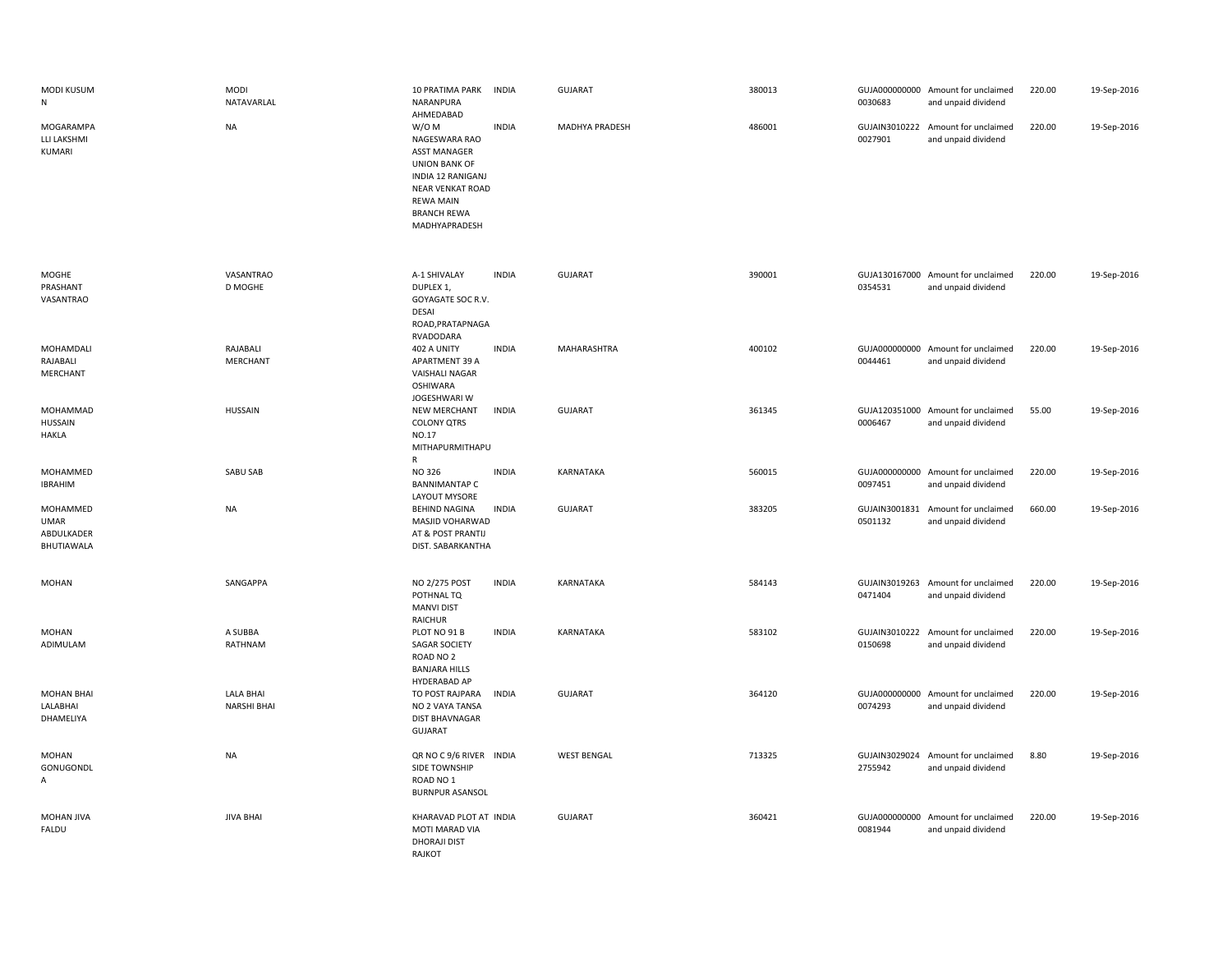| MODI KUSUM<br>${\sf N}$                             | <b>MODI</b><br>NATAVARLAL       | 10 PRATIMA PARK<br>INDIA<br>NARANPURA<br>AHMEDABAD                                                                                                                                               | <b>GUJARAT</b>     | 380013 | 0030683                  | GUJA000000000 Amount for unclaimed<br>and unpaid dividend | 220.00 | 19-Sep-2016 |
|-----------------------------------------------------|---------------------------------|--------------------------------------------------------------------------------------------------------------------------------------------------------------------------------------------------|--------------------|--------|--------------------------|-----------------------------------------------------------|--------|-------------|
| MOGARAMPA<br>LLI LAKSHMI<br>KUMARI                  | NA                              | W/O M<br><b>INDIA</b><br>NAGESWARA RAO<br><b>ASST MANAGER</b><br><b>UNION BANK OF</b><br>INDIA 12 RANIGANJ<br><b>NEAR VENKAT ROAD</b><br><b>REWA MAIN</b><br><b>BRANCH REWA</b><br>MADHYAPRADESH | MADHYA PRADESH     | 486001 | 0027901                  | GUJAIN3010222 Amount for unclaimed<br>and unpaid dividend | 220.00 | 19-Sep-2016 |
| MOGHE<br>PRASHANT<br>VASANTRAO                      | VASANTRAO<br>D MOGHE            | A-1 SHIVALAY<br><b>INDIA</b><br>DUPLEX 1,<br>GOYAGATE SOC R.V.<br><b>DESAI</b><br>ROAD, PRATAPNAGA<br>RVADODARA                                                                                  | <b>GUJARAT</b>     | 390001 | 0354531                  | GUJA130167000 Amount for unclaimed<br>and unpaid dividend | 220.00 | 19-Sep-2016 |
| MOHAMDALI<br>RAJABALI<br>MERCHANT                   | RAJABALI<br>MERCHANT            | 402 A UNITY<br><b>INDIA</b><br>APARTMENT 39 A<br>VAISHALI NAGAR<br><b>OSHIWARA</b><br>JOGESHWARI W                                                                                               | MAHARASHTRA        | 400102 | 0044461                  | GUJA000000000 Amount for unclaimed<br>and unpaid dividend | 220.00 | 19-Sep-2016 |
| MOHAMMAD<br>HUSSAIN<br><b>HAKLA</b>                 | <b>HUSSAIN</b>                  | <b>NEW MERCHANT</b><br><b>INDIA</b><br><b>COLONY QTRS</b><br>NO.17<br>MITHAPURMITHAPU<br>${\sf R}$                                                                                               | <b>GUJARAT</b>     | 361345 | GUJA120351000<br>0006467 | Amount for unclaimed<br>and unpaid dividend               | 55.00  | 19-Sep-2016 |
| MOHAMMED<br><b>IBRAHIM</b>                          | SABU SAB                        | NO 326<br><b>INDIA</b><br><b>BANNIMANTAP C</b><br>LAYOUT MYSORE                                                                                                                                  | KARNATAKA          | 560015 | GUJA000000000<br>0097451 | Amount for unclaimed<br>and unpaid dividend               | 220.00 | 19-Sep-2016 |
| MOHAMMED<br><b>UMAR</b><br>ABDULKADER<br>BHUTIAWALA | <b>NA</b>                       | BEHIND NAGINA<br><b>INDIA</b><br>MASJID VOHARWAD<br>AT & POST PRANTIJ<br>DIST. SABARKANTHA                                                                                                       | <b>GUJARAT</b>     | 383205 | GUJAIN3001831<br>0501132 | Amount for unclaimed<br>and unpaid dividend               | 660.00 | 19-Sep-2016 |
| MOHAN                                               | SANGAPPA                        | <b>INDIA</b><br>NO 2/275 POST<br>POTHNAL TQ<br><b>MANVI DIST</b><br>RAICHUR                                                                                                                      | KARNATAKA          | 584143 | 0471404                  | GUJAIN3019263 Amount for unclaimed<br>and unpaid dividend | 220.00 | 19-Sep-2016 |
| MOHAN<br>ADIMULAM                                   | A SUBBA<br>RATHNAM              | <b>INDIA</b><br>PLOT NO 91 B<br>SAGAR SOCIETY<br>ROAD NO 2<br><b>BANJARA HILLS</b><br>HYDERABAD AP                                                                                               | KARNATAKA          | 583102 | 0150698                  | GUJAIN3010222 Amount for unclaimed<br>and unpaid dividend | 220.00 | 19-Sep-2016 |
| <b>MOHAN BHAI</b><br>LALABHAI<br>DHAMELIYA          | LALA BHAI<br><b>NARSHI BHAI</b> | TO POST RAJPARA<br><b>INDIA</b><br>NO 2 VAYA TANSA<br><b>DIST BHAVNAGAR</b><br><b>GUJARAT</b>                                                                                                    | <b>GUJARAT</b>     | 364120 | 0074293                  | GUJA000000000 Amount for unclaimed<br>and unpaid dividend | 220.00 | 19-Sep-2016 |
| MOHAN<br>GONUGONDL<br>Α                             | NA                              | QR NO C 9/6 RIVER INDIA<br>SIDE TOWNSHIP<br>ROAD NO 1<br><b>BURNPUR ASANSOL</b>                                                                                                                  | <b>WEST BENGAL</b> | 713325 | GUJAIN3029024<br>2755942 | Amount for unclaimed<br>and unpaid dividend               | 8.80   | 19-Sep-2016 |
| MOHAN JIVA<br>FALDU                                 | <b>JIVA BHAI</b>                | KHARAVAD PLOT AT INDIA<br>MOTI MARAD VIA<br><b>DHORAJI DIST</b><br>RAJKOT                                                                                                                        | <b>GUJARAT</b>     | 360421 | 0081944                  | GUJA000000000 Amount for unclaimed<br>and unpaid dividend | 220.00 | 19-Sep-2016 |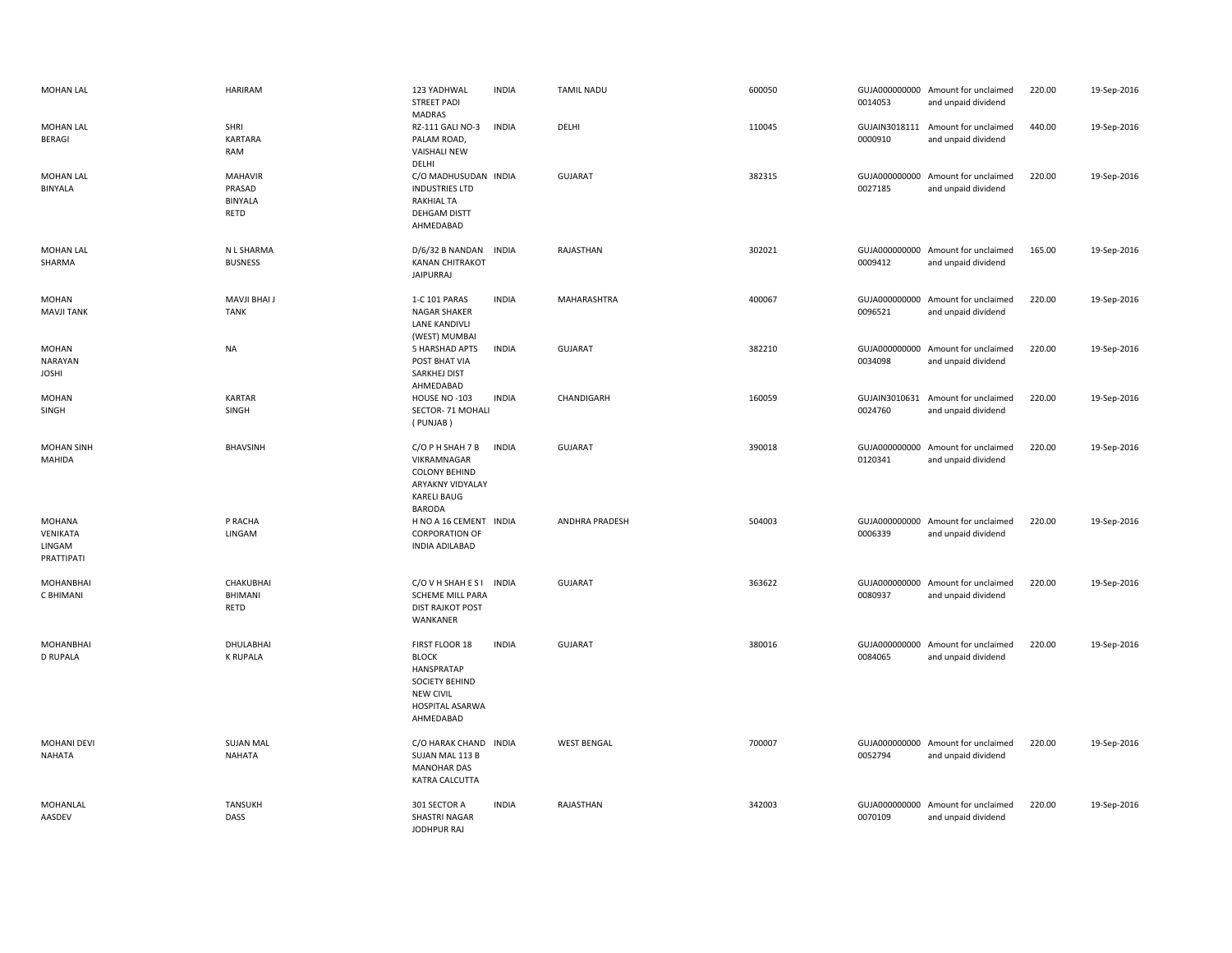| <b>MOHAN LAL</b>                               | <b>HARIRAM</b>                                     | 123 YADHWAL<br><b>STREET PADI</b><br><b>MADRAS</b>                                                                        | <b>INDIA</b> | <b>TAMIL NADU</b>     | 600050 | 0014053                  | GUJA000000000 Amount for unclaimed<br>and unpaid dividend | 220.00 | 19-Sep-2016 |
|------------------------------------------------|----------------------------------------------------|---------------------------------------------------------------------------------------------------------------------------|--------------|-----------------------|--------|--------------------------|-----------------------------------------------------------|--------|-------------|
| <b>MOHAN LAL</b><br><b>BERAGI</b>              | SHRI<br><b>KARTARA</b><br>RAM                      | RZ-111 GALI NO-3<br>PALAM ROAD,<br><b>VAISHALI NEW</b><br>DELHI                                                           | <b>INDIA</b> | DELHI                 | 110045 | 0000910                  | GUJAIN3018111 Amount for unclaimed<br>and unpaid dividend | 440.00 | 19-Sep-2016 |
| <b>MOHAN LAL</b><br>BINYALA                    | <b>MAHAVIR</b><br>PRASAD<br><b>BINYALA</b><br>RETD | C/O MADHUSUDAN INDIA<br><b>INDUSTRIES LTD</b><br><b>RAKHIAL TA</b><br>DEHGAM DISTT<br>AHMEDABAD                           |              | <b>GUJARAT</b>        | 382315 | 0027185                  | GUJA000000000 Amount for unclaimed<br>and unpaid dividend | 220.00 | 19-Sep-2016 |
| <b>MOHAN LAL</b><br>SHARMA                     | N L SHARMA<br><b>BUSNESS</b>                       | D/6/32 B NANDAN<br><b>KANAN CHITRAKOT</b><br><b>JAIPURRAJ</b>                                                             | <b>INDIA</b> | RAJASTHAN             | 302021 | 0009412                  | GUJA000000000 Amount for unclaimed<br>and unpaid dividend | 165.00 | 19-Sep-2016 |
| <b>MOHAN</b><br><b>MAVJI TANK</b>              | <b>MAVJI BHAI J</b><br><b>TANK</b>                 | 1-C 101 PARAS<br><b>NAGAR SHAKER</b><br>LANE KANDIVLI<br>(WEST) MUMBAI                                                    | <b>INDIA</b> | <b>MAHARASHTRA</b>    | 400067 | 0096521                  | GUJA000000000 Amount for unclaimed<br>and unpaid dividend | 220.00 | 19-Sep-2016 |
| <b>MOHAN</b><br><b>NARAYAN</b><br><b>JOSHI</b> | <b>NA</b>                                          | 5 HARSHAD APTS<br>POST BHAT VIA<br>SARKHEJ DIST<br>AHMEDABAD                                                              | <b>INDIA</b> | <b>GUJARAT</b>        | 382210 | 0034098                  | GUJA000000000 Amount for unclaimed<br>and unpaid dividend | 220.00 | 19-Sep-2016 |
| <b>MOHAN</b><br>SINGH                          | KARTAR<br>SINGH                                    | HOUSE NO -103<br>SECTOR- 71 MOHALI<br>(PUNJAB)                                                                            | <b>INDIA</b> | CHANDIGARH            | 160059 | 0024760                  | GUJAIN3010631 Amount for unclaimed<br>and unpaid dividend | 220.00 | 19-Sep-2016 |
| <b>MOHAN SINH</b><br>MAHIDA                    | <b>BHAVSINH</b>                                    | C/O P H SHAH 7 B<br>VIKRAMNAGAR<br><b>COLONY BEHIND</b><br><b>ARYAKNY VIDYALAY</b><br><b>KARELI BAUG</b><br>BARODA        | <b>INDIA</b> | GUJARAT               | 390018 | 0120341                  | GUJA000000000 Amount for unclaimed<br>and unpaid dividend | 220.00 | 19-Sep-2016 |
| MOHANA<br>VENIKATA<br>LINGAM<br>PRATTIPATI     | P RACHA<br>LINGAM                                  | H NO A 16 CEMENT INDIA<br><b>CORPORATION OF</b><br><b>INDIA ADILABAD</b>                                                  |              | <b>ANDHRA PRADESH</b> | 504003 | 0006339                  | GUJA000000000 Amount for unclaimed<br>and unpaid dividend | 220.00 | 19-Sep-2016 |
| MOHANBHAI<br>C BHIMANI                         | <b>CHAKUBHAI</b><br><b>BHIMANI</b><br>RETD         | C/O V H SHAH E S I<br><b>SCHEME MILL PARA</b><br><b>DIST RAJKOT POST</b><br>WANKANER                                      | <b>INDIA</b> | <b>GUJARAT</b>        | 363622 | 0080937                  | GUJA000000000 Amount for unclaimed<br>and unpaid dividend | 220.00 | 19-Sep-2016 |
| <b>MOHANBHAI</b><br><b>D RUPALA</b>            | DHULABHAI<br><b>K RUPALA</b>                       | FIRST FLOOR 18<br><b>BLOCK</b><br>HANSPRATAP<br><b>SOCIETY BEHIND</b><br><b>NEW CIVIL</b><br>HOSPITAL ASARWA<br>AHMEDABAD | <b>INDIA</b> | <b>GUJARAT</b>        | 380016 | 0084065                  | GUJA000000000 Amount for unclaimed<br>and unpaid dividend | 220.00 | 19-Sep-2016 |
| <b>MOHANI DEVI</b><br>NAHATA                   | <b>SUJAN MAL</b><br><b>NAHATA</b>                  | C/O HARAK CHAND<br>SUJAN MAL 113 B<br><b>MANOHAR DAS</b><br>KATRA CALCUTTA                                                | <b>INDIA</b> | <b>WEST BENGAL</b>    | 700007 | 0052794                  | GUJA000000000 Amount for unclaimed<br>and unpaid dividend | 220.00 | 19-Sep-2016 |
| MOHANLAL<br>AASDEV                             | <b>TANSUKH</b><br>DASS                             | 301 SECTOR A<br>SHASTRI NAGAR<br>JODHPUR RAJ                                                                              | <b>INDIA</b> | RAJASTHAN             | 342003 | GUJA000000000<br>0070109 | Amount for unclaimed<br>and unpaid dividend               | 220.00 | 19-Sep-2016 |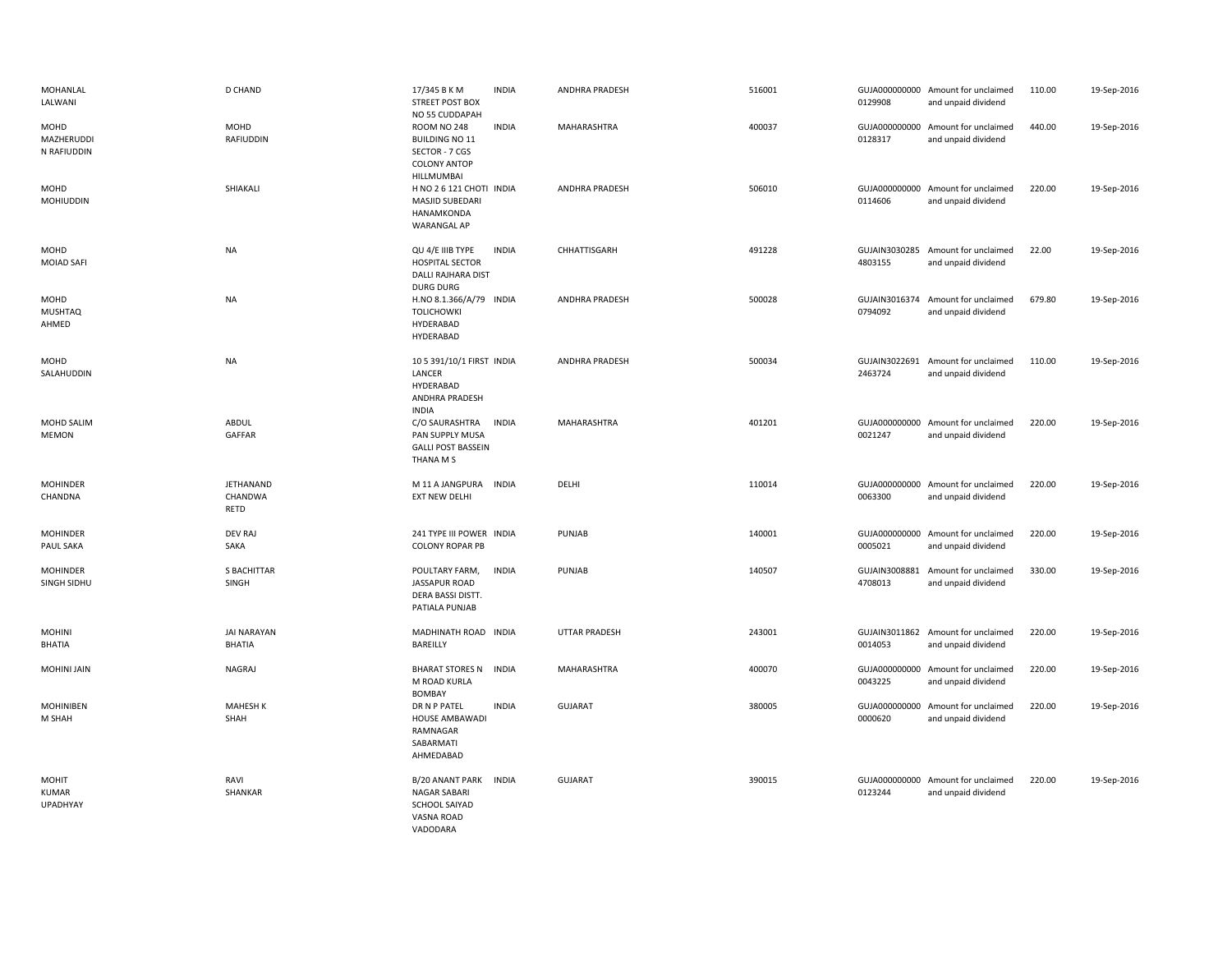| MOHANLAL<br>LALWANI               | <b>D CHAND</b>                      | 17/345 B K M<br><b>STREET POST BOX</b><br>NO 55 CUDDAPAH                                    | <b>INDIA</b> | ANDHRA PRADESH | 516001 | 0129908                  | GUJA000000000 Amount for unclaimed<br>and unpaid dividend | 110.00 | 19-Sep-2016 |
|-----------------------------------|-------------------------------------|---------------------------------------------------------------------------------------------|--------------|----------------|--------|--------------------------|-----------------------------------------------------------|--------|-------------|
| MOHD<br>MAZHERUDDI<br>N RAFIUDDIN | MOHD<br>RAFIUDDIN                   | ROOM NO 248<br><b>BUILDING NO 11</b><br>SECTOR - 7 CGS<br><b>COLONY ANTOP</b><br>HILLMUMBAI | <b>INDIA</b> | MAHARASHTRA    | 400037 | 0128317                  | GUJA000000000 Amount for unclaimed<br>and unpaid dividend | 440.00 | 19-Sep-2016 |
| MOHD<br><b>MOHIUDDIN</b>          | SHIAKALI                            | H NO 2 6 121 CHOTI INDIA<br>MASJID SUBEDARI<br>HANAMKONDA<br>WARANGAL AP                    |              | ANDHRA PRADESH | 506010 | 0114606                  | GUJA000000000 Amount for unclaimed<br>and unpaid dividend | 220.00 | 19-Sep-2016 |
| MOHD<br><b>MOIAD SAFI</b>         | <b>NA</b>                           | QU 4/E IIIB TYPE<br><b>HOSPITAL SECTOR</b><br>DALLI RAJHARA DIST<br><b>DURG DURG</b>        | <b>INDIA</b> | CHHATTISGARH   | 491228 | 4803155                  | GUJAIN3030285 Amount for unclaimed<br>and unpaid dividend | 22.00  | 19-Sep-2016 |
| MOHD<br><b>MUSHTAQ</b><br>AHMED   | <b>NA</b>                           | H.NO 8.1.366/A/79 INDIA<br><b>TOLICHOWKI</b><br>HYDERABAD<br>HYDERABAD                      |              | ANDHRA PRADESH | 500028 | GUJAIN3016374<br>0794092 | Amount for unclaimed<br>and unpaid dividend               | 679.80 | 19-Sep-2016 |
| MOHD<br>SALAHUDDIN                | <b>NA</b>                           | 10 5 391/10/1 FIRST INDIA<br>LANCER<br>HYDERABAD<br>ANDHRA PRADESH<br><b>INDIA</b>          |              | ANDHRA PRADESH | 500034 | GUJAIN3022691<br>2463724 | Amount for unclaimed<br>and unpaid dividend               | 110.00 | 19-Sep-2016 |
| MOHD SALIM<br><b>MEMON</b>        | ABDUL<br>GAFFAR                     | C/O SAURASHTRA<br>PAN SUPPLY MUSA<br><b>GALLI POST BASSEIN</b><br>THANA M S                 | <b>INDIA</b> | MAHARASHTRA    | 401201 | 0021247                  | GUJA000000000 Amount for unclaimed<br>and unpaid dividend | 220.00 | 19-Sep-2016 |
| <b>MOHINDER</b><br>CHANDNA        | <b>JETHANAND</b><br>CHANDWA<br>RETD | M 11 A JANGPURA INDIA<br><b>EXT NEW DELHI</b>                                               |              | DELHI          | 110014 | 0063300                  | GUJA000000000 Amount for unclaimed<br>and unpaid dividend | 220.00 | 19-Sep-2016 |
| MOHINDER<br>PAUL SAKA             | <b>DEV RAJ</b><br>SAKA              | 241 TYPE III POWER INDIA<br><b>COLONY ROPAR PB</b>                                          |              | PUNJAB         | 140001 | 0005021                  | GUJA000000000 Amount for unclaimed<br>and unpaid dividend | 220.00 | 19-Sep-2016 |
| <b>MOHINDER</b><br>SINGH SIDHU    | <b>S BACHITTAR</b><br>SINGH         | POULTARY FARM,<br>JASSAPUR ROAD<br><b>DERA BASSI DISTT.</b><br>PATIALA PUNJAB               | <b>INDIA</b> | PUNJAB         | 140507 | GUJAIN3008881<br>4708013 | Amount for unclaimed<br>and unpaid dividend               | 330.00 | 19-Sep-2016 |
| <b>MOHINI</b><br><b>BHATIA</b>    | <b>JAI NARAYAN</b><br><b>BHATIA</b> | MADHINATH ROAD INDIA<br>BAREILLY                                                            |              | UTTAR PRADESH  | 243001 | 0014053                  | GUJAIN3011862 Amount for unclaimed<br>and unpaid dividend | 220.00 | 19-Sep-2016 |
| <b>MOHINI JAIN</b>                | NAGRAJ                              | <b>BHARAT STORES N</b><br>M ROAD KURLA<br><b>BOMBAY</b>                                     | <b>INDIA</b> | MAHARASHTRA    | 400070 | 0043225                  | GUJA000000000 Amount for unclaimed<br>and unpaid dividend | 220.00 | 19-Sep-2016 |
| <b>MOHINIBEN</b><br>M SHAH        | <b>MAHESH K</b><br>SHAH             | DR N P PATEL<br><b>HOUSE AMBAWADI</b><br>RAMNAGAR<br>SABARMATI<br>AHMEDABAD                 | <b>INDIA</b> | <b>GUJARAT</b> | 380005 | 0000620                  | GUJA000000000 Amount for unclaimed<br>and unpaid dividend | 220.00 | 19-Sep-2016 |
| MOHIT<br>KUMAR<br>UPADHYAY        | RAVI<br>SHANKAR                     | B/20 ANANT PARK<br>NAGAR SABARI<br>SCHOOL SAIYAD<br>VASNA ROAD<br>VADODARA                  | <b>INDIA</b> | <b>GUJARAT</b> | 390015 | 0123244                  | GUJA000000000 Amount for unclaimed<br>and unpaid dividend | 220.00 | 19-Sep-2016 |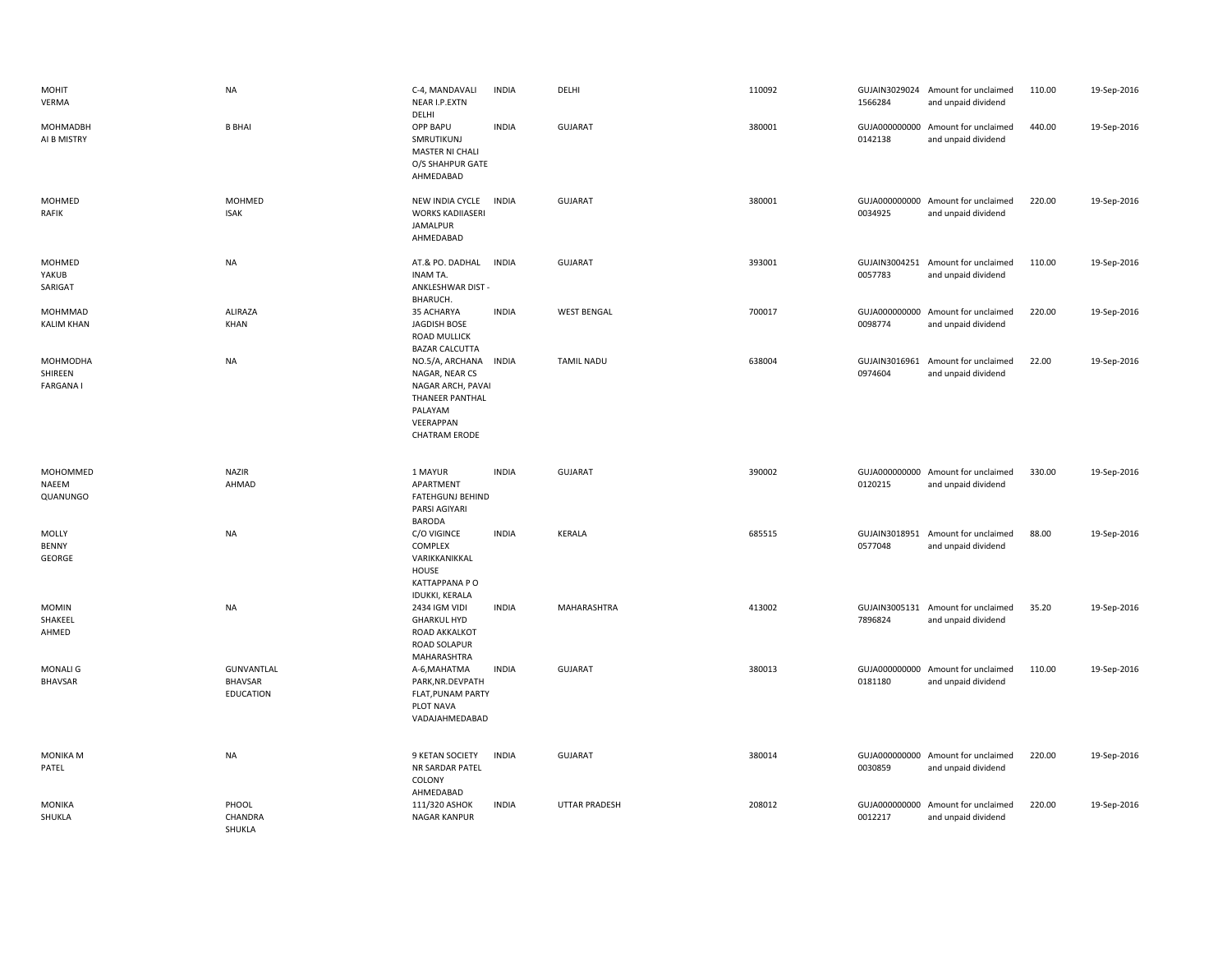| <b>MOHIT</b><br>VERMA                  | NA                                        | C-4, MANDAVALI<br>NEAR I.P.EXTN<br>DELHI                                                                                  | <b>INDIA</b> | DELHI              | 110092 | 1566284                  | GUJAIN3029024 Amount for unclaimed<br>and unpaid dividend | 110.00 | 19-Sep-2016 |
|----------------------------------------|-------------------------------------------|---------------------------------------------------------------------------------------------------------------------------|--------------|--------------------|--------|--------------------------|-----------------------------------------------------------|--------|-------------|
| <b>MOHMADBH</b><br>AI B MISTRY         | <b>B BHAI</b>                             | <b>OPP BAPU</b><br>SMRUTIKUNJ<br><b>MASTER NI CHALI</b><br>O/S SHAHPUR GATE<br>AHMEDABAD                                  | <b>INDIA</b> | <b>GUJARAT</b>     | 380001 | 0142138                  | GUJA000000000 Amount for unclaimed<br>and unpaid dividend | 440.00 | 19-Sep-2016 |
| MOHMED<br><b>RAFIK</b>                 | MOHMED<br><b>ISAK</b>                     | NEW INDIA CYCLE<br><b>WORKS KADIIASERI</b><br>JAMALPUR<br>AHMEDABAD                                                       | <b>INDIA</b> | GUJARAT            | 380001 | 0034925                  | GUJA000000000 Amount for unclaimed<br>and unpaid dividend | 220.00 | 19-Sep-2016 |
| MOHMED<br>YAKUB<br>SARIGAT             | <b>NA</b>                                 | AT.& PO. DADHAL<br>INAM TA.<br>ANKLESHWAR DIST -<br>BHARUCH.                                                              | <b>INDIA</b> | <b>GUJARAT</b>     | 393001 | 0057783                  | GUJAIN3004251 Amount for unclaimed<br>and unpaid dividend | 110.00 | 19-Sep-2016 |
| MOHMMAD<br><b>KALIM KHAN</b>           | ALIRAZA<br>KHAN                           | 35 ACHARYA<br><b>JAGDISH BOSE</b><br><b>ROAD MULLICK</b><br><b>BAZAR CALCUTTA</b>                                         | <b>INDIA</b> | <b>WEST BENGAL</b> | 700017 | 0098774                  | GUJA000000000 Amount for unclaimed<br>and unpaid dividend | 220.00 | 19-Sep-2016 |
| MOHMODHA<br>SHIREEN<br><b>FARGANAI</b> | <b>NA</b>                                 | NO.5/A, ARCHANA<br>NAGAR, NEAR CS<br>NAGAR ARCH, PAVAI<br>THANEER PANTHAL<br>PALAYAM<br>VEERAPPAN<br><b>CHATRAM ERODE</b> | <b>INDIA</b> | <b>TAMIL NADU</b>  | 638004 | GUJAIN3016961<br>0974604 | Amount for unclaimed<br>and unpaid dividend               | 22.00  | 19-Sep-2016 |
|                                        |                                           |                                                                                                                           |              |                    |        |                          |                                                           |        |             |
| MOHOMMED<br>NAEEM<br>QUANUNGO          | <b>NAZIR</b><br>AHMAD                     | 1 MAYUR<br>APARTMENT<br><b>FATEHGUNJ BEHIND</b><br>PARSI AGIYARI                                                          | <b>INDIA</b> | <b>GUJARAT</b>     | 390002 | 0120215                  | GUJA000000000 Amount for unclaimed<br>and unpaid dividend | 330.00 | 19-Sep-2016 |
| MOLLY<br><b>BENNY</b><br>GEORGE        | NA                                        | <b>BARODA</b><br>C/O VIGINCE<br>COMPLEX<br>VARIKKANIKKAL<br>HOUSE<br>KATTAPPANA PO                                        | <b>INDIA</b> | <b>KERALA</b>      | 685515 | 0577048                  | GUJAIN3018951 Amount for unclaimed<br>and unpaid dividend | 88.00  | 19-Sep-2016 |
| <b>MOMIN</b><br>SHAKEEL<br>AHMED       | <b>NA</b>                                 | <b>IDUKKI, KERALA</b><br>2434 IGM VIDI<br><b>GHARKUL HYD</b><br><b>ROAD AKKALKOT</b><br>ROAD SOLAPUR                      | <b>INDIA</b> | MAHARASHTRA        | 413002 | 7896824                  | GUJAIN3005131 Amount for unclaimed<br>and unpaid dividend | 35.20  | 19-Sep-2016 |
| <b>MONALI G</b><br>BHAVSAR             | GUNVANTLAL<br>BHAVSAR<br><b>EDUCATION</b> | MAHARASHTRA<br>A-6, MAHATMA<br>PARK, NR. DEVPATH<br>FLAT, PUNAM PARTY<br>PLOT NAVA<br>VADAJAHMEDABAD                      | <b>INDIA</b> | GUJARAT            | 380013 | 0181180                  | GUJA000000000 Amount for unclaimed<br>and unpaid dividend | 110.00 | 19-Sep-2016 |
| <b>MONIKA M</b><br>PATEL               | NA                                        | 9 KETAN SOCIETY<br>NR SARDAR PATEL<br>COLONY<br>AHMEDABAD                                                                 | <b>INDIA</b> | GUJARAT            | 380014 | 0030859                  | GUJA000000000 Amount for unclaimed<br>and unpaid dividend | 220.00 | 19-Sep-2016 |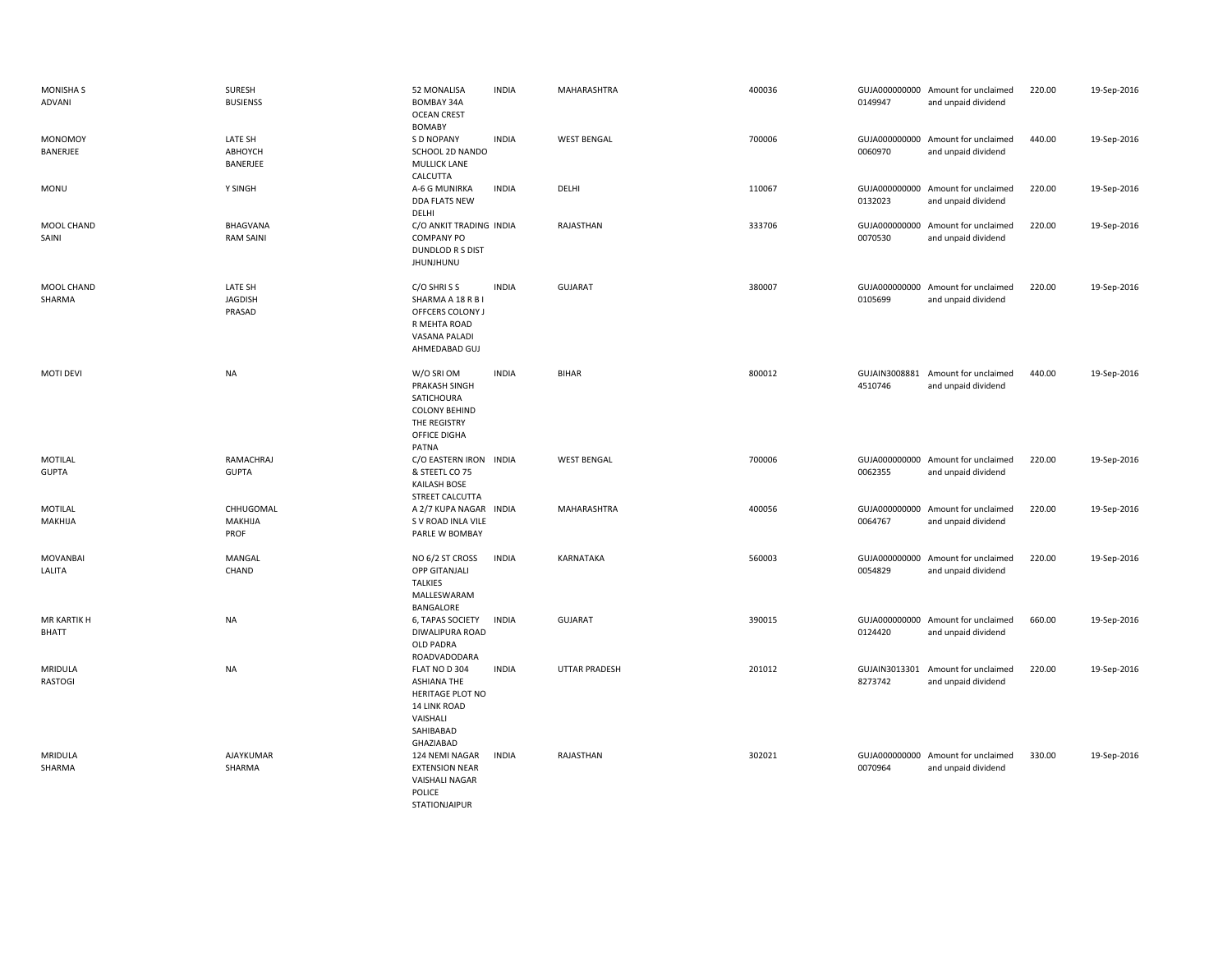| <b>MONISHAS</b><br>ADVANI   | SURESH<br><b>BUSIENSS</b>           | 52 MONALISA<br>BOMBAY 34A<br><b>OCEAN CREST</b><br><b>BOMABY</b>                                                     | <b>INDIA</b> | MAHARASHTRA          | 400036 | 0149947                  | GUJA000000000 Amount for unclaimed<br>and unpaid dividend | 220.00 | 19-Sep-2016 |
|-----------------------------|-------------------------------------|----------------------------------------------------------------------------------------------------------------------|--------------|----------------------|--------|--------------------------|-----------------------------------------------------------|--------|-------------|
| <b>MONOMOY</b><br>BANERJEE  | LATE SH<br>АВНОҮСН<br>BANERJEE      | S D NOPANY<br>SCHOOL 2D NANDO<br><b>MULLICK LANE</b><br>CALCUTTA                                                     | <b>INDIA</b> | <b>WEST BENGAL</b>   | 700006 | 0060970                  | GUJA000000000 Amount for unclaimed<br>and unpaid dividend | 440.00 | 19-Sep-2016 |
| <b>MONU</b>                 | Y SINGH                             | A-6 G MUNIRKA<br>DDA FLATS NEW<br>DELHI                                                                              | <b>INDIA</b> | DELHI                | 110067 | 0132023                  | GUJA000000000 Amount for unclaimed<br>and unpaid dividend | 220.00 | 19-Sep-2016 |
| MOOL CHAND<br>SAINI         | <b>BHAGVANA</b><br><b>RAM SAINI</b> | C/O ANKIT TRADING INDIA<br><b>COMPANY PO</b><br>DUNDLOD R S DIST<br><b>JHUNJHUNU</b>                                 |              | RAJASTHAN            | 333706 | 0070530                  | GUJA000000000 Amount for unclaimed<br>and unpaid dividend | 220.00 | 19-Sep-2016 |
| MOOL CHAND<br>SHARMA        | LATE SH<br><b>JAGDISH</b><br>PRASAD | C/O SHRISS<br>SHARMA A 18 R B I<br>OFFCERS COLONY J<br>R MEHTA ROAD<br>VASANA PALADI<br>AHMEDABAD GUJ                | <b>INDIA</b> | <b>GUJARAT</b>       | 380007 | 0105699                  | GUJA000000000 Amount for unclaimed<br>and unpaid dividend | 220.00 | 19-Sep-2016 |
| <b>MOTI DEVI</b>            | <b>NA</b>                           | W/O SRI OM<br>PRAKASH SINGH<br>SATICHOURA<br><b>COLONY BEHIND</b><br>THE REGISTRY<br>OFFICE DIGHA<br>PATNA           | <b>INDIA</b> | <b>BIHAR</b>         | 800012 | 4510746                  | GUJAIN3008881 Amount for unclaimed<br>and unpaid dividend | 440.00 | 19-Sep-2016 |
| MOTILAL<br><b>GUPTA</b>     | RAMACHRAJ<br><b>GUPTA</b>           | C/O EASTERN IRON INDIA<br>& STEETL CO 75<br>KAILASH BOSE<br>STREET CALCUTTA                                          |              | <b>WEST BENGAL</b>   | 700006 | 0062355                  | GUJA000000000 Amount for unclaimed<br>and unpaid dividend | 220.00 | 19-Sep-2016 |
| MOTILAL<br>MAKHIJA          | CHHUGOMAL<br>MAKHIJA<br>PROF        | A 2/7 KUPA NAGAR INDIA<br>S V ROAD INLA VILE<br>PARLE W BOMBAY                                                       |              | MAHARASHTRA          | 400056 | GUJA000000000<br>0064767 | Amount for unclaimed<br>and unpaid dividend               | 220.00 | 19-Sep-2016 |
| <b>MOVANBAI</b><br>LALITA   | MANGAL<br>CHAND                     | NO 6/2 ST CROSS<br><b>OPP GITANJALI</b><br><b>TALKIES</b><br>MALLESWARAM<br>BANGALORE                                | <b>INDIA</b> | KARNATAKA            | 560003 | 0054829                  | GUJA000000000 Amount for unclaimed<br>and unpaid dividend | 220.00 | 19-Sep-2016 |
| MR KARTIK H<br><b>BHATT</b> | <b>NA</b>                           | 6, TAPAS SOCIETY<br>DIWALIPURA ROAD<br>OLD PADRA<br>ROADVADODARA                                                     | INDIA        | <b>GUJARAT</b>       | 390015 | 0124420                  | GUJA000000000 Amount for unclaimed<br>and unpaid dividend | 660.00 | 19-Sep-2016 |
| MRIDULA<br>RASTOGI          | <b>NA</b>                           | FLAT NO D 304<br><b>ASHIANA THE</b><br>HERITAGE PLOT NO<br><b>14 LINK ROAD</b><br>VAISHALI<br>SAHIBABAD<br>GHAZIABAD | <b>INDIA</b> | <b>UTTAR PRADESH</b> | 201012 | 8273742                  | GUJAIN3013301 Amount for unclaimed<br>and unpaid dividend | 220.00 | 19-Sep-2016 |
| MRIDULA<br>SHARMA           | AJAYKUMAR<br>SHARMA                 | 124 NEMI NAGAR<br><b>EXTENSION NEAR</b><br>VAISHALI NAGAR<br><b>POLICE</b><br>STATIONJAIPUR                          | <b>INDIA</b> | RAJASTHAN            | 302021 | 0070964                  | GUJA000000000 Amount for unclaimed<br>and unpaid dividend | 330.00 | 19-Sep-2016 |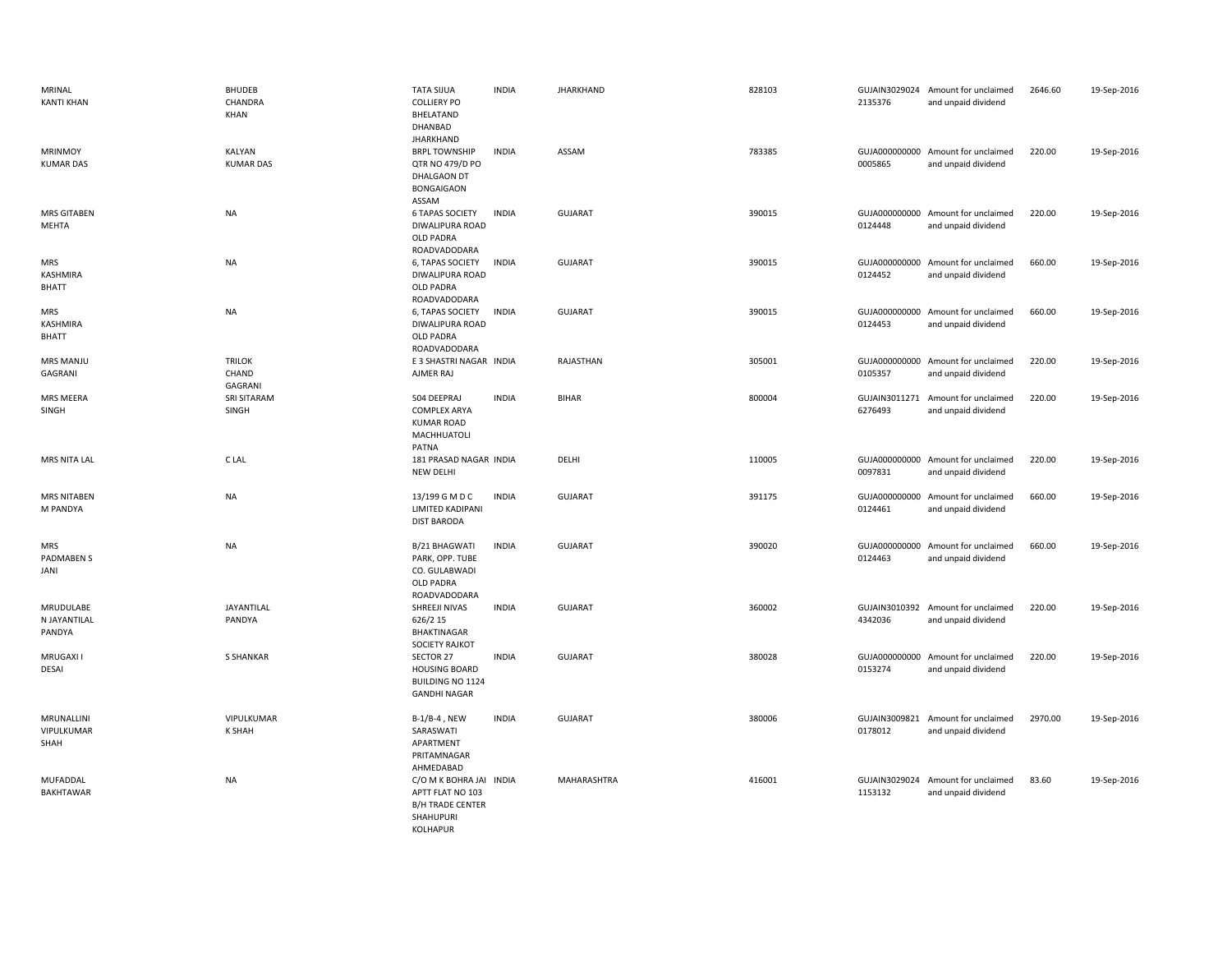| MRINAL<br><b>KANTI KHAN</b>            | <b>BHUDEB</b><br>CHANDRA<br>KHAN  | <b>TATA SIJUA</b><br><b>COLLIERY PO</b><br>BHELATAND<br>DHANBAD<br><b>JHARKHAND</b>                    | <b>INDIA</b> | <b>JHARKHAND</b> | 828103 | 2135376 | GUJAIN3029024 Amount for unclaimed<br>and unpaid dividend | 2646.60 | 19-Sep-2016 |
|----------------------------------------|-----------------------------------|--------------------------------------------------------------------------------------------------------|--------------|------------------|--------|---------|-----------------------------------------------------------|---------|-------------|
| <b>MRINMOY</b><br><b>KUMAR DAS</b>     | KALYAN<br><b>KUMAR DAS</b>        | <b>BRPL TOWNSHIP</b><br>QTR NO 479/D PO<br><b>DHALGAON DT</b><br><b>BONGAIGAON</b><br>ASSAM            | <b>INDIA</b> | ASSAM            | 783385 | 0005865 | GUJA000000000 Amount for unclaimed<br>and unpaid dividend | 220.00  | 19-Sep-2016 |
| <b>MRS GITABEN</b><br><b>MEHTA</b>     | <b>NA</b>                         | <b>6 TAPAS SOCIETY</b><br>DIWALIPURA ROAD<br><b>OLD PADRA</b><br>ROADVADODARA                          | <b>INDIA</b> | <b>GUJARAT</b>   | 390015 | 0124448 | GUJA000000000 Amount for unclaimed<br>and unpaid dividend | 220.00  | 19-Sep-2016 |
| <b>MRS</b><br>KASHMIRA<br><b>BHATT</b> | <b>NA</b>                         | 6, TAPAS SOCIETY<br>DIWALIPURA ROAD<br>OLD PADRA<br>ROADVADODARA                                       | <b>INDIA</b> | <b>GUJARAT</b>   | 390015 | 0124452 | GUJA000000000 Amount for unclaimed<br>and unpaid dividend | 660.00  | 19-Sep-2016 |
| <b>MRS</b><br>KASHMIRA<br><b>BHATT</b> | <b>NA</b>                         | 6, TAPAS SOCIETY<br>DIWALIPURA ROAD<br><b>OLD PADRA</b><br>ROADVADODARA                                | <b>INDIA</b> | <b>GUJARAT</b>   | 390015 | 0124453 | GUJA000000000 Amount for unclaimed<br>and unpaid dividend | 660.00  | 19-Sep-2016 |
| MRS MANJU<br>GAGRANI                   | <b>TRILOK</b><br>CHAND<br>GAGRANI | E 3 SHASTRI NAGAR INDIA<br>AJMER RAJ                                                                   |              | RAJASTHAN        | 305001 | 0105357 | GUJA000000000 Amount for unclaimed<br>and unpaid dividend | 220.00  | 19-Sep-2016 |
| MRS MEERA<br>SINGH                     | SRI SITARAM<br>SINGH              | 504 DEEPRAJ<br><b>COMPLEX ARYA</b><br><b>KUMAR ROAD</b><br>MACHHUATOLI<br>PATNA                        | <b>INDIA</b> | <b>BIHAR</b>     | 800004 | 6276493 | GUJAIN3011271 Amount for unclaimed<br>and unpaid dividend | 220.00  | 19-Sep-2016 |
| MRS NITA LAL                           | C LAL                             | 181 PRASAD NAGAR INDIA<br>NEW DELHI                                                                    |              | DELHI            | 110005 | 0097831 | GUJA000000000 Amount for unclaimed<br>and unpaid dividend | 220.00  | 19-Sep-2016 |
| <b>MRS NITABEN</b><br>M PANDYA         | NA                                | 13/199 G M D C<br>LIMITED KADIPANI<br><b>DIST BARODA</b>                                               | <b>INDIA</b> | <b>GUJARAT</b>   | 391175 | 0124461 | GUJA000000000 Amount for unclaimed<br>and unpaid dividend | 660.00  | 19-Sep-2016 |
| <b>MRS</b><br>PADMABEN S<br>JANI       | <b>NA</b>                         | B/21 BHAGWATI<br>PARK, OPP. TUBE<br>CO. GULABWADI<br><b>OLD PADRA</b><br>ROADVADODARA                  | <b>INDIA</b> | <b>GUJARAT</b>   | 390020 | 0124463 | GUJA000000000 Amount for unclaimed<br>and unpaid dividend | 660.00  | 19-Sep-2016 |
| MRUDULABE<br>N JAYANTILAL<br>PANDYA    | JAYANTILAL<br>PANDYA              | SHREEJI NIVAS<br>626/2 15<br><b>BHAKTINAGAR</b><br>SOCIETY RAJKOT                                      | <b>INDIA</b> | <b>GUJARAT</b>   | 360002 | 4342036 | GUJAIN3010392 Amount for unclaimed<br>and unpaid dividend | 220.00  | 19-Sep-2016 |
| MRUGAXI I<br><b>DESAI</b>              | <b>S SHANKAR</b>                  | SECTOR 27<br><b>HOUSING BOARD</b><br>BUILDING NO 1124<br><b>GANDHI NAGAR</b>                           | <b>INDIA</b> | <b>GUJARAT</b>   | 380028 | 0153274 | GUJA000000000 Amount for unclaimed<br>and unpaid dividend | 220.00  | 19-Sep-2016 |
| MRUNALLINI<br>VIPULKUMAR<br>SHAH       | VIPULKUMAR<br><b>K SHAH</b>       | $B-1/B-4$ , NEW<br>SARASWATI<br>APARTMENT<br>PRITAMNAGAR<br>AHMEDABAD                                  | <b>INDIA</b> | <b>GUJARAT</b>   | 380006 | 0178012 | GUJAIN3009821 Amount for unclaimed<br>and unpaid dividend | 2970.00 | 19-Sep-2016 |
| MUFADDAL<br>BAKHTAWAR                  | <b>NA</b>                         | C/O M K BOHRA JAI INDIA<br>APTT FLAT NO 103<br><b>B/H TRADE CENTER</b><br>SHAHUPURI<br><b>KOLHAPUR</b> |              | MAHARASHTRA      | 416001 | 1153132 | GUJAIN3029024 Amount for unclaimed<br>and unpaid dividend | 83.60   | 19-Sep-2016 |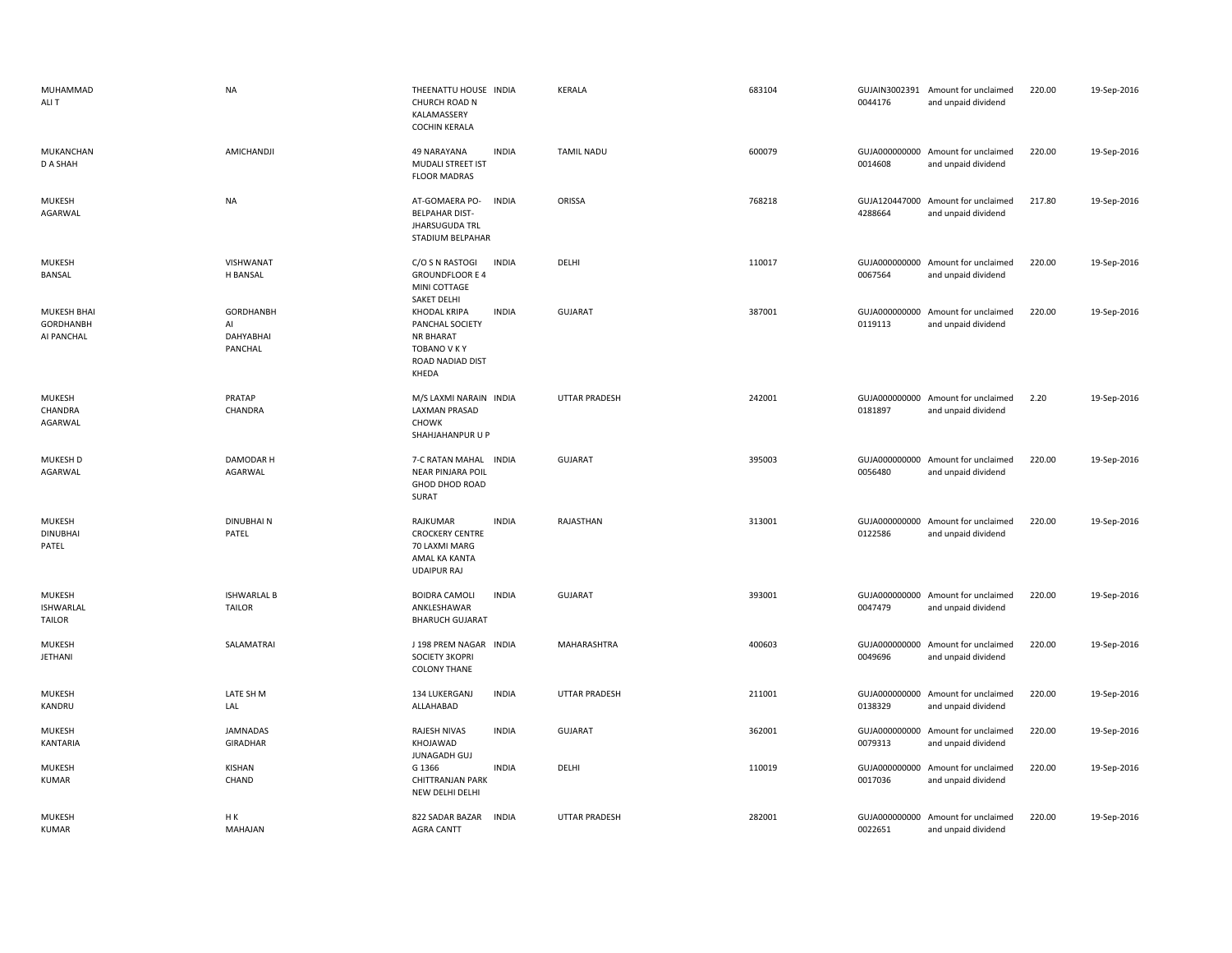| MUHAMMAD<br>ALI T                           | <b>NA</b>                               | THEENATTU HOUSE INDIA<br>CHURCH ROAD N<br>KALAMASSERY<br><b>COCHIN KERALA</b>                           |              | KERALA               | 683104 | 0044176                  | GUJAIN3002391 Amount for unclaimed<br>and unpaid dividend | 220.00 | 19-Sep-2016 |
|---------------------------------------------|-----------------------------------------|---------------------------------------------------------------------------------------------------------|--------------|----------------------|--------|--------------------------|-----------------------------------------------------------|--------|-------------|
| <b>MUKANCHAN</b><br>D A SHAH                | AMICHANDJI                              | 49 NARAYANA<br><b>MUDALI STREET IST</b><br><b>FLOOR MADRAS</b>                                          | <b>INDIA</b> | <b>TAMIL NADU</b>    | 600079 | 0014608                  | GUJA000000000 Amount for unclaimed<br>and unpaid dividend | 220.00 | 19-Sep-2016 |
| <b>MUKESH</b><br>AGARWAL                    | <b>NA</b>                               | AT-GOMAERA PO-<br><b>BELPAHAR DIST-</b><br><b>JHARSUGUDA TRL</b><br>STADIUM BELPAHAR                    | <b>INDIA</b> | ORISSA               | 768218 | GUJA120447000<br>4288664 | Amount for unclaimed<br>and unpaid dividend               | 217.80 | 19-Sep-2016 |
| <b>MUKESH</b><br>BANSAL                     | VISHWANAT<br>H BANSAL                   | C/O S N RASTOGI<br><b>GROUNDFLOOR E 4</b><br>MINI COTTAGE<br>SAKET DELHI                                | <b>INDIA</b> | DELHI                | 110017 | 0067564                  | GUJA000000000 Amount for unclaimed<br>and unpaid dividend | 220.00 | 19-Sep-2016 |
| MUKESH BHAI<br>GORDHANBH<br>AI PANCHAL      | GORDHANBH<br>AI<br>DAHYABHAI<br>PANCHAL | <b>KHODAL KRIPA</b><br>PANCHAL SOCIETY<br><b>NR BHARAT</b><br>TOBANO V K Y<br>ROAD NADIAD DIST<br>KHEDA | <b>INDIA</b> | GUJARAT              | 387001 | 0119113                  | GUJA000000000 Amount for unclaimed<br>and unpaid dividend | 220.00 | 19-Sep-2016 |
| <b>MUKESH</b><br>CHANDRA<br>AGARWAL         | PRATAP<br>CHANDRA                       | M/S LAXMI NARAIN INDIA<br><b>LAXMAN PRASAD</b><br><b>CHOWK</b><br>SHAHJAHANPUR U P                      |              | <b>UTTAR PRADESH</b> | 242001 | 0181897                  | GUJA000000000 Amount for unclaimed<br>and unpaid dividend | 2.20   | 19-Sep-2016 |
| <b>MUKESH D</b><br>AGARWAL                  | DAMODAR H<br>AGARWAL                    | 7-C RATAN MAHAL INDIA<br><b>NEAR PINJARA POIL</b><br><b>GHOD DHOD ROAD</b><br>SURAT                     |              | <b>GUJARAT</b>       | 395003 | 0056480                  | GUJA000000000 Amount for unclaimed<br>and unpaid dividend | 220.00 | 19-Sep-2016 |
| MUKESH<br><b>DINUBHAI</b><br>PATEL          | <b>DINUBHAIN</b><br>PATEL               | RAJKUMAR<br><b>CROCKERY CENTRE</b><br>70 LAXMI MARG<br>AMAL KA KANTA<br><b>UDAIPUR RAJ</b>              | <b>INDIA</b> | RAJASTHAN            | 313001 | GUJA000000000<br>0122586 | Amount for unclaimed<br>and unpaid dividend               | 220.00 | 19-Sep-2016 |
| <b>MUKESH</b><br><b>ISHWARLAL</b><br>TAILOR | <b>ISHWARLAL B</b><br><b>TAILOR</b>     | <b>BOIDRA CAMOLI</b><br>ANKLESHAWAR<br><b>BHARUCH GUJARAT</b>                                           | <b>INDIA</b> | <b>GUJARAT</b>       | 393001 | 0047479                  | GUJA000000000 Amount for unclaimed<br>and unpaid dividend | 220.00 | 19-Sep-2016 |
| <b>MUKESH</b><br>JETHANI                    | SALAMATRAI                              | J 198 PREM NAGAR INDIA<br>SOCIETY 3KOPRI<br><b>COLONY THANE</b>                                         |              | <b>MAHARASHTRA</b>   | 400603 | GUJA000000000<br>0049696 | Amount for unclaimed<br>and unpaid dividend               | 220.00 | 19-Sep-2016 |
| <b>MUKESH</b><br>KANDRU                     | LATE SH M<br>LAL                        | 134 LUKERGANJ<br>ALLAHABAD                                                                              | <b>INDIA</b> | UTTAR PRADESH        | 211001 | 0138329                  | GUJA000000000 Amount for unclaimed<br>and unpaid dividend | 220.00 | 19-Sep-2016 |
| <b>MUKESH</b><br>KANTARIA                   | JAMNADAS<br><b>GIRADHAR</b>             | <b>RAJESH NIVAS</b><br>KHOJAWAD<br>JUNAGADH GUJ                                                         | <b>INDIA</b> | GUJARAT              | 362001 | 0079313                  | GUJA000000000 Amount for unclaimed<br>and unpaid dividend | 220.00 | 19-Sep-2016 |
| <b>MUKESH</b><br><b>KUMAR</b>               | KISHAN<br>CHAND                         | G 1366<br>CHITTRANJAN PARK<br>NEW DELHI DELHI                                                           | <b>INDIA</b> | DELHI                | 110019 | 0017036                  | GUJA000000000 Amount for unclaimed<br>and unpaid dividend | 220.00 | 19-Sep-2016 |
| <b>MUKESH</b><br><b>KUMAR</b>               | H K<br>MAHAJAN                          | 822 SADAR BAZAR<br><b>AGRA CANTT</b>                                                                    | <b>INDIA</b> | <b>UTTAR PRADESH</b> | 282001 | 0022651                  | GUJA000000000 Amount for unclaimed<br>and unpaid dividend | 220.00 | 19-Sep-2016 |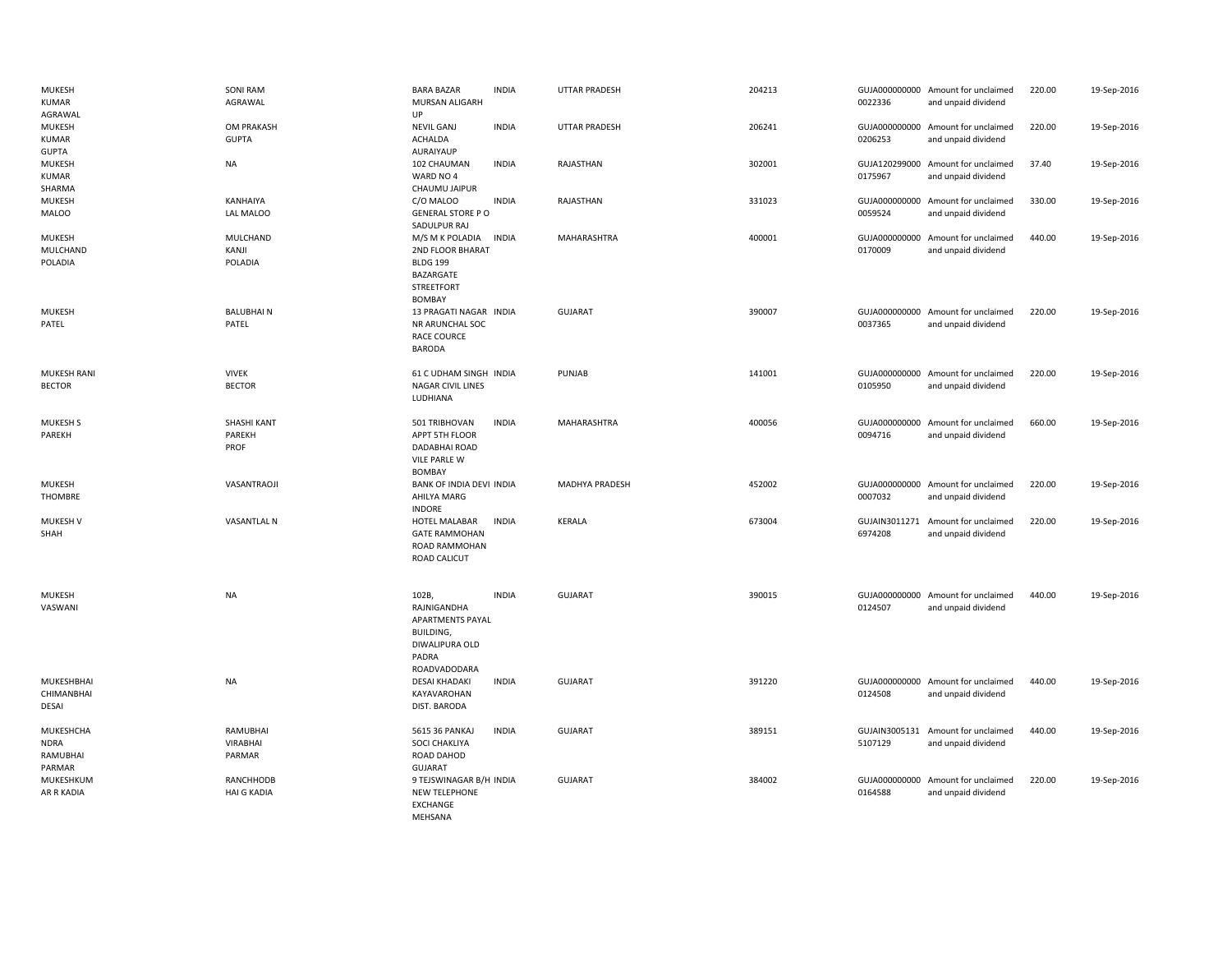| <b>MUKESH</b><br>KUMAR<br>AGRAWAL              | <b>SONI RAM</b><br>AGRAWAL            | <b>BARA BAZAR</b><br>MURSAN ALIGARH<br>UP                                                          | <b>INDIA</b> | <b>UTTAR PRADESH</b>  | 204213 | 0022336                  | GUJA000000000 Amount for unclaimed<br>and unpaid dividend | 220.00 | 19-Sep-2016 |
|------------------------------------------------|---------------------------------------|----------------------------------------------------------------------------------------------------|--------------|-----------------------|--------|--------------------------|-----------------------------------------------------------|--------|-------------|
| MUKESH<br>KUMAR<br><b>GUPTA</b>                | OM PRAKASH<br><b>GUPTA</b>            | <b>NEVIL GANJ</b><br><b>ACHALDA</b><br><b>AURAIYAUP</b>                                            | <b>INDIA</b> | <b>UTTAR PRADESH</b>  | 206241 | 0206253                  | GUJA000000000 Amount for unclaimed<br>and unpaid dividend | 220.00 | 19-Sep-2016 |
| <b>MUKESH</b><br>KUMAR<br>SHARMA               | <b>NA</b>                             | 102 CHAUMAN<br>WARD NO 4<br>CHAUMU JAIPUR                                                          | <b>INDIA</b> | RAJASTHAN             | 302001 | 0175967                  | GUJA120299000 Amount for unclaimed<br>and unpaid dividend | 37.40  | 19-Sep-2016 |
| MUKESH<br><b>MALOO</b>                         | KANHAIYA<br>LAL MALOO                 | C/O MALOO<br><b>GENERAL STORE PO</b><br>SADULPUR RAJ                                               | <b>INDIA</b> | RAJASTHAN             | 331023 | 0059524                  | GUJA000000000 Amount for unclaimed<br>and unpaid dividend | 330.00 | 19-Sep-2016 |
| <b>MUKESH</b><br>MULCHAND<br>POLADIA           | MULCHAND<br>KANJI<br>POLADIA          | M/S M K POLADIA<br>2ND FLOOR BHARAT<br><b>BLDG 199</b><br>BAZARGATE<br>STREETFORT<br><b>BOMBAY</b> | <b>INDIA</b> | MAHARASHTRA           | 400001 | GUJA000000000<br>0170009 | Amount for unclaimed<br>and unpaid dividend               | 440.00 | 19-Sep-2016 |
| <b>MUKESH</b><br>PATEL                         | <b>BALUBHAIN</b><br>PATEL             | 13 PRAGATI NAGAR INDIA<br>NR ARUNCHAL SOC<br>RACE COURCE<br><b>BARODA</b>                          |              | <b>GUJARAT</b>        | 390007 | 0037365                  | GUJA000000000 Amount for unclaimed<br>and unpaid dividend | 220.00 | 19-Sep-2016 |
| <b>MUKESH RANI</b><br><b>BECTOR</b>            | <b>VIVEK</b><br><b>BECTOR</b>         | 61 C UDHAM SINGH INDIA<br>NAGAR CIVIL LINES<br>LUDHIANA                                            |              | PUNJAB                | 141001 | 0105950                  | GUJA000000000 Amount for unclaimed<br>and unpaid dividend | 220.00 | 19-Sep-2016 |
| <b>MUKESH S</b><br>PAREKH                      | SHASHI KANT<br>PAREKH<br>PROF         | 501 TRIBHOVAN<br>APPT 5TH FLOOR<br>DADABHAI ROAD<br>VILE PARLE W<br><b>BOMBAY</b>                  | <b>INDIA</b> | MAHARASHTRA           | 400056 | 0094716                  | GUJA000000000 Amount for unclaimed<br>and unpaid dividend | 660.00 | 19-Sep-2016 |
| <b>MUKESH</b><br>THOMBRE                       | VASANTRAOJI                           | BANK OF INDIA DEVI INDIA<br>AHILYA MARG<br><b>INDORE</b>                                           |              | <b>MADHYA PRADESH</b> | 452002 | 0007032                  | GUJA000000000 Amount for unclaimed<br>and unpaid dividend | 220.00 | 19-Sep-2016 |
| MUKESH V<br>SHAH                               | <b>VASANTLAL N</b>                    | HOTEL MALABAR<br><b>GATE RAMMOHAN</b><br>ROAD RAMMOHAN<br>ROAD CALICUT                             | <b>INDIA</b> | KERALA                | 673004 | 6974208                  | GUJAIN3011271 Amount for unclaimed<br>and unpaid dividend | 220.00 | 19-Sep-2016 |
| <b>MUKESH</b><br>VASWANI                       | <b>NA</b>                             | 102B,<br>RAJNIGANDHA<br>APARTMENTS PAYAL<br>BUILDING,<br>DIWALIPURA OLD<br>PADRA<br>ROADVADODARA   | <b>INDIA</b> | <b>GUJARAT</b>        | 390015 | GUJA000000000<br>0124507 | Amount for unclaimed<br>and unpaid dividend               | 440.00 | 19-Sep-2016 |
| MUKESHBHAI<br>CHIMANBHAI<br>DESAI              | <b>NA</b>                             | <b>DESAI KHADAKI</b><br>KAYAVAROHAN<br>DIST. BARODA                                                | <b>INDIA</b> | <b>GUJARAT</b>        | 391220 | 0124508                  | GUJA000000000 Amount for unclaimed<br>and unpaid dividend | 440.00 | 19-Sep-2016 |
| MUKESHCHA<br><b>NDRA</b><br>RAMUBHAI<br>PARMAR | RAMUBHAI<br><b>VIRABHAI</b><br>PARMAR | 5615 36 PANKAJ<br>SOCI CHAKLIYA<br>ROAD DAHOD<br><b>GUJARAT</b>                                    | <b>INDIA</b> | <b>GUJARAT</b>        | 389151 | GUJAIN3005131<br>5107129 | Amount for unclaimed<br>and unpaid dividend               | 440.00 | 19-Sep-2016 |
| MUKESHKUM<br>AR R KADIA                        | RANCHHODB<br><b>HAI G KADIA</b>       | 9 TEJSWINAGAR B/H INDIA<br><b>NEW TELEPHONE</b><br><b>EXCHANGE</b><br>MEHSANA                      |              | <b>GUJARAT</b>        | 384002 | 0164588                  | GUJA000000000 Amount for unclaimed<br>and unpaid dividend | 220.00 | 19-Sep-2016 |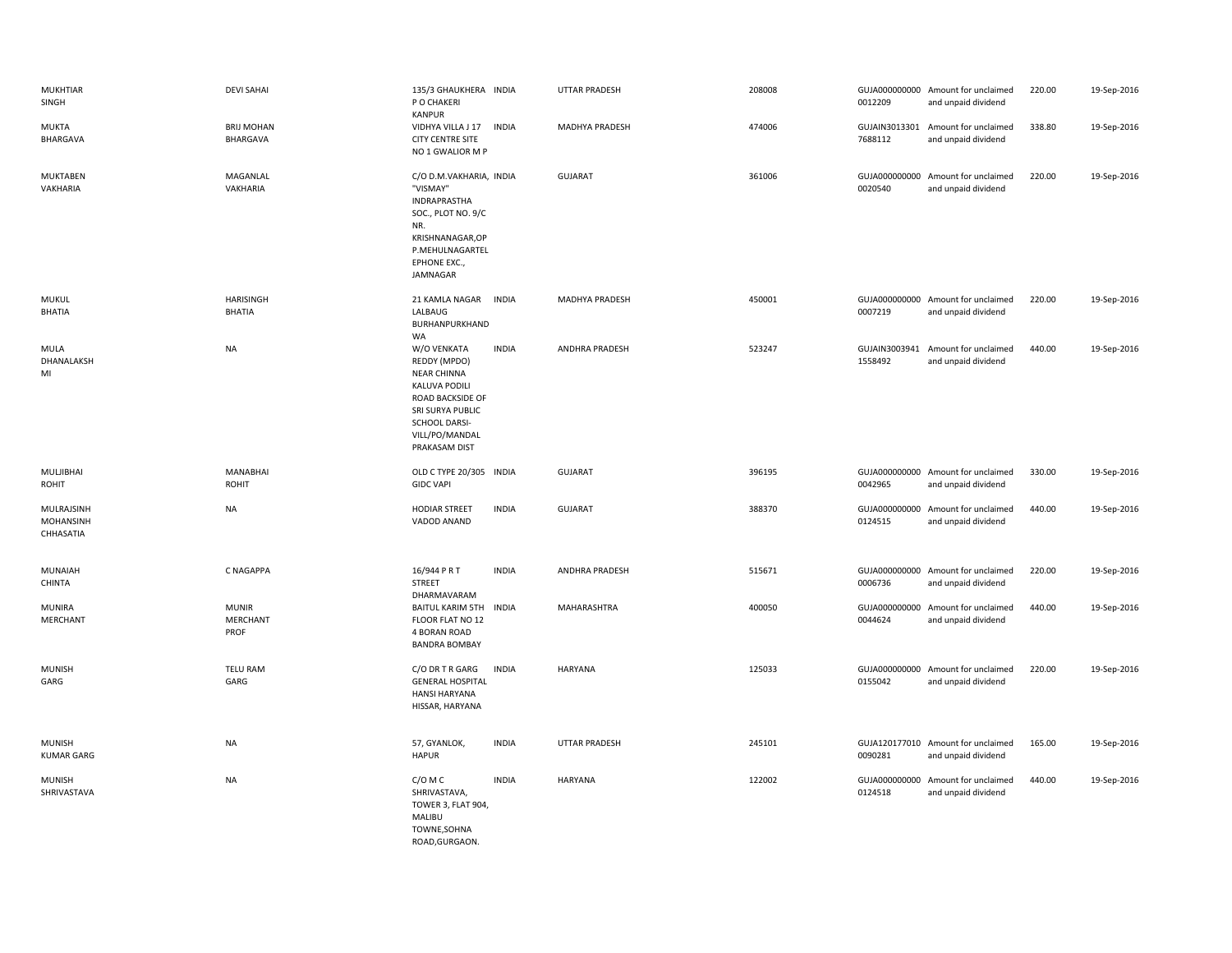| <b>MUKHTIAR</b><br>SINGH                    | <b>DEVI SAHAI</b>                       | 135/3 GHAUKHERA INDIA<br>P O CHAKERI<br><b>KANPUR</b>                                                                                                          |              | <b>UTTAR PRADESH</b>  | 208008 | 0012209                  | GUJA000000000 Amount for unclaimed<br>and unpaid dividend | 220.00 | 19-Sep-2016 |
|---------------------------------------------|-----------------------------------------|----------------------------------------------------------------------------------------------------------------------------------------------------------------|--------------|-----------------------|--------|--------------------------|-----------------------------------------------------------|--------|-------------|
| <b>MUKTA</b><br>BHARGAVA                    | <b>BRIJ MOHAN</b><br>BHARGAVA           | VIDHYA VILLA J 17<br>CITY CENTRE SITE<br>NO 1 GWALIOR M P                                                                                                      | <b>INDIA</b> | <b>MADHYA PRADESH</b> | 474006 | 7688112                  | GUJAIN3013301 Amount for unclaimed<br>and unpaid dividend | 338.80 | 19-Sep-2016 |
| <b>MUKTABEN</b><br>VAKHARIA                 | MAGANLAL<br>VAKHARIA                    | C/O D.M.VAKHARIA, INDIA<br>"VISMAY"<br>INDRAPRASTHA<br>SOC., PLOT NO. 9/C<br>NR.<br>KRISHNANAGAR, OP<br>P.MEHULNAGARTEL<br>EPHONE EXC.,<br>JAMNAGAR            |              | <b>GUJARAT</b>        | 361006 | 0020540                  | GUJA000000000 Amount for unclaimed<br>and unpaid dividend | 220.00 | 19-Sep-2016 |
| <b>MUKUL</b><br><b>BHATIA</b>               | <b>HARISINGH</b><br><b>BHATIA</b>       | 21 KAMLA NAGAR INDIA<br>LALBAUG<br>BURHANPURKHAND<br>WA                                                                                                        |              | <b>MADHYA PRADESH</b> | 450001 | 0007219                  | GUJA000000000 Amount for unclaimed<br>and unpaid dividend | 220.00 | 19-Sep-2016 |
| <b>MULA</b><br>DHANALAKSH<br>MI             | NA                                      | W/O VENKATA<br>REDDY (MPDO)<br><b>NEAR CHINNA</b><br>KALUVA PODILI<br>ROAD BACKSIDE OF<br>SRI SURYA PUBLIC<br>SCHOOL DARSI-<br>VILL/PO/MANDAL<br>PRAKASAM DIST | <b>INDIA</b> | ANDHRA PRADESH        | 523247 | 1558492                  | GUJAIN3003941 Amount for unclaimed<br>and unpaid dividend | 440.00 | 19-Sep-2016 |
| MULJIBHAI<br>ROHIT                          | <b>MANABHAI</b><br><b>ROHIT</b>         | OLD C TYPE 20/305 INDIA<br><b>GIDC VAPI</b>                                                                                                                    |              | <b>GUJARAT</b>        | 396195 | 0042965                  | GUJA000000000 Amount for unclaimed<br>and unpaid dividend | 330.00 | 19-Sep-2016 |
| MULRAJSINH<br><b>MOHANSINH</b><br>CHHASATIA | <b>NA</b>                               | <b>HODIAR STREET</b><br>VADOD ANAND                                                                                                                            | <b>INDIA</b> | <b>GUJARAT</b>        | 388370 | GUJA000000000<br>0124515 | Amount for unclaimed<br>and unpaid dividend               | 440.00 | 19-Sep-2016 |
| <b>MUNAIAH</b><br><b>CHINTA</b>             | C NAGAPPA                               | 16/944 P R T<br><b>STREET</b><br>DHARMAVARAM                                                                                                                   | <b>INDIA</b> | <b>ANDHRA PRADESH</b> | 515671 | 0006736                  | GUJA000000000 Amount for unclaimed<br>and unpaid dividend | 220.00 | 19-Sep-2016 |
| MUNIRA<br>MERCHANT                          | <b>MUNIR</b><br><b>MERCHANT</b><br>PROF | BAITUL KARIM 5TH INDIA<br>FLOOR FLAT NO 12<br>4 BORAN ROAD<br><b>BANDRA BOMBAY</b>                                                                             |              | MAHARASHTRA           | 400050 | 0044624                  | GUJA000000000 Amount for unclaimed<br>and unpaid dividend | 440.00 | 19-Sep-2016 |
| <b>MUNISH</b><br>GARG                       | <b>TELU RAM</b><br>GARG                 | C/O DR T R GARG<br><b>GENERAL HOSPITAL</b><br><b>HANSI HARYANA</b><br>HISSAR, HARYANA                                                                          | <b>INDIA</b> | <b>HARYANA</b>        | 125033 | 0155042                  | GUJA000000000 Amount for unclaimed<br>and unpaid dividend | 220.00 | 19-Sep-2016 |
| <b>MUNISH</b><br><b>KUMAR GARG</b>          | <b>NA</b>                               | 57, GYANLOK,<br><b>HAPUR</b>                                                                                                                                   | <b>INDIA</b> | <b>UTTAR PRADESH</b>  | 245101 | 0090281                  | GUJA120177010 Amount for unclaimed<br>and unpaid dividend | 165.00 | 19-Sep-2016 |
| <b>MUNISH</b><br>SHRIVASTAVA                | <b>NA</b>                               | C/O M C<br>SHRIVASTAVA,<br>TOWER 3, FLAT 904,<br>MALIBU<br>TOWNE, SOHNA<br>ROAD.GURGAON.                                                                       | <b>INDIA</b> | <b>HARYANA</b>        | 122002 | 0124518                  | GUJA000000000 Amount for unclaimed<br>and unpaid dividend | 440.00 | 19-Sep-2016 |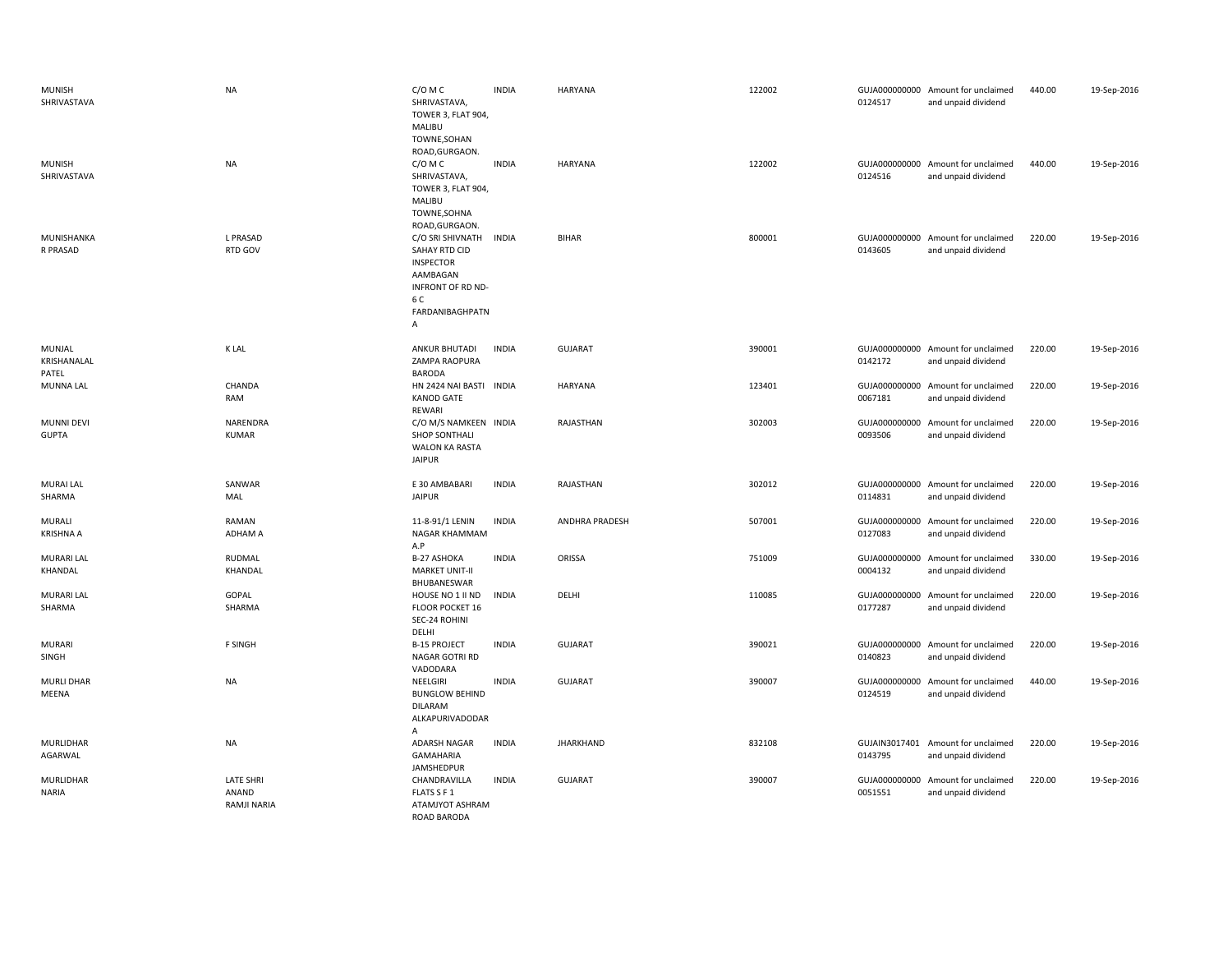| <b>MUNISH</b><br>SHRIVASTAVA      | <b>NA</b>                                | C/O M C<br>SHRIVASTAVA,<br>TOWER 3, FLAT 904,<br>MALIBU<br>TOWNE, SOHAN<br>ROAD, GURGAON.                             | <b>INDIA</b> | HARYANA          | 122002 | 0124517                  | GUJA000000000 Amount for unclaimed<br>and unpaid dividend | 440.00 | 19-Sep-2016 |
|-----------------------------------|------------------------------------------|-----------------------------------------------------------------------------------------------------------------------|--------------|------------------|--------|--------------------------|-----------------------------------------------------------|--------|-------------|
| <b>MUNISH</b><br>SHRIVASTAVA      | <b>NA</b>                                | C/O M C<br>SHRIVASTAVA,<br>TOWER 3, FLAT 904,<br>MALIBU<br>TOWNE, SOHNA<br>ROAD, GURGAON.                             | <b>INDIA</b> | HARYANA          | 122002 | 0124516                  | GUJA000000000 Amount for unclaimed<br>and unpaid dividend | 440.00 | 19-Sep-2016 |
| MUNISHANKA<br>R PRASAD            | L PRASAD<br>RTD GOV                      | C/O SRI SHIVNATH<br>SAHAY RTD CID<br><b>INSPECTOR</b><br>AAMBAGAN<br>INFRONT OF RD ND-<br>6 C<br>FARDANIBAGHPATN<br>Α | <b>INDIA</b> | <b>BIHAR</b>     | 800001 | 0143605                  | GUJA000000000 Amount for unclaimed<br>and unpaid dividend | 220.00 | 19-Sep-2016 |
| MUNJAL<br>KRISHANALAL<br>PATEL    | K LAL                                    | <b>ANKUR BHUTADI</b><br>ZAMPA RAOPURA<br><b>BARODA</b>                                                                | <b>INDIA</b> | <b>GUJARAT</b>   | 390001 | 0142172                  | GUJA000000000 Amount for unclaimed<br>and unpaid dividend | 220.00 | 19-Sep-2016 |
| <b>MUNNA LAL</b>                  | CHANDA<br>RAM                            | HN 2424 NAI BASTI INDIA<br><b>KANOD GATE</b><br>REWARI                                                                |              | HARYANA          | 123401 | 0067181                  | GUJA000000000 Amount for unclaimed<br>and unpaid dividend | 220.00 | 19-Sep-2016 |
| <b>MUNNI DEVI</b><br><b>GUPTA</b> | NARENDRA<br><b>KUMAR</b>                 | C/O M/S NAMKEEN INDIA<br><b>SHOP SONTHALI</b><br><b>WALON KA RASTA</b><br><b>JAIPUR</b>                               |              | RAJASTHAN        | 302003 | 0093506                  | GUJA000000000 Amount for unclaimed<br>and unpaid dividend | 220.00 | 19-Sep-2016 |
| <b>MURAI LAL</b><br>SHARMA        | SANWAR<br>MAL                            | E 30 AMBABARI<br><b>JAIPUR</b>                                                                                        | <b>INDIA</b> | RAJASTHAN        | 302012 | 0114831                  | GUJA000000000 Amount for unclaimed<br>and unpaid dividend | 220.00 | 19-Sep-2016 |
| MURALI<br><b>KRISHNA A</b>        | RAMAN<br><b>ADHAM A</b>                  | 11-8-91/1 LENIN<br>NAGAR KHAMMAM<br>A.P                                                                               | <b>INDIA</b> | ANDHRA PRADESH   | 507001 | 0127083                  | GUJA000000000 Amount for unclaimed<br>and unpaid dividend | 220.00 | 19-Sep-2016 |
| <b>MURARI LAL</b><br>KHANDAL      | RUDMAL<br>KHANDAL                        | <b>B-27 ASHOKA</b><br><b>MARKET UNIT-II</b><br>BHUBANESWAR                                                            | <b>INDIA</b> | ORISSA           | 751009 | 0004132                  | GUJA000000000 Amount for unclaimed<br>and unpaid dividend | 330.00 | 19-Sep-2016 |
| <b>MURARI LAL</b><br>SHARMA       | GOPAL<br>SHARMA                          | HOUSE NO 1 II ND<br>FLOOR POCKET 16<br>SEC-24 ROHINI<br>DELHI                                                         | <b>INDIA</b> | DELHI            | 110085 | GUJA000000000<br>0177287 | Amount for unclaimed<br>and unpaid dividend               | 220.00 | 19-Sep-2016 |
| <b>MURARI</b><br>SINGH            | F SINGH                                  | <b>B-15 PROJECT</b><br>NAGAR GOTRI RD<br>VADODARA                                                                     | <b>INDIA</b> | <b>GUJARAT</b>   | 390021 | 0140823                  | GUJA000000000 Amount for unclaimed<br>and unpaid dividend | 220.00 | 19-Sep-2016 |
| <b>MURLI DHAR</b><br>MEENA        | <b>NA</b>                                | NEELGIRI<br><b>BUNGLOW BEHIND</b><br><b>DILARAM</b><br>ALKAPURIVADODAR<br>A                                           | <b>INDIA</b> | <b>GUJARAT</b>   | 390007 | 0124519                  | GUJA000000000 Amount for unclaimed<br>and unpaid dividend | 440.00 | 19-Sep-2016 |
| MURLIDHAR<br>AGARWAL              | <b>NA</b>                                | ADARSH NAGAR<br><b>GAMAHARIA</b><br><b>JAMSHEDPUR</b>                                                                 | <b>INDIA</b> | <b>JHARKHAND</b> | 832108 | 0143795                  | GUJAIN3017401 Amount for unclaimed<br>and unpaid dividend | 220.00 | 19-Sep-2016 |
| MURLIDHAR<br><b>NARIA</b>         | <b>LATE SHRI</b><br>ANAND<br>RAMJI NARIA | CHANDRAVILLA<br>FLATS S F 1<br>ATAMJYOT ASHRAM<br>ROAD BARODA                                                         | <b>INDIA</b> | <b>GUJARAT</b>   | 390007 | 0051551                  | GUJA000000000 Amount for unclaimed<br>and unpaid dividend | 220.00 | 19-Sep-2016 |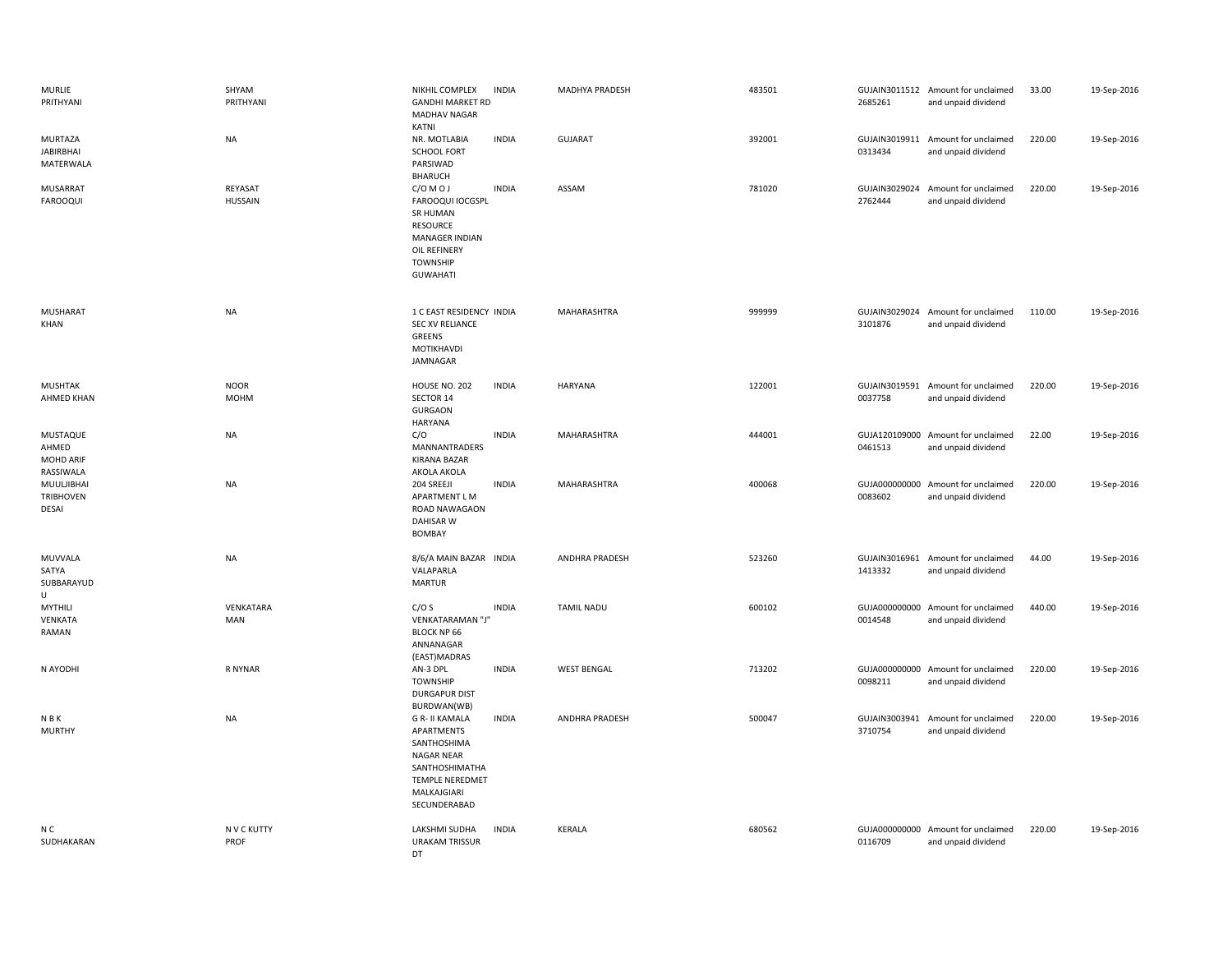| <b>MURLIE</b><br>PRITHYANI                     | SHYAM<br>PRITHYANI         | NIKHIL COMPLEX<br><b>GANDHI MARKET RD</b><br>MADHAV NAGAR<br>KATNI                                                                          | <b>INDIA</b> | MADHYA PRADESH     | 483501 | 2685261 | GUJAIN3011512 Amount for unclaimed<br>and unpaid dividend | 33.00  | 19-Sep-2016 |
|------------------------------------------------|----------------------------|---------------------------------------------------------------------------------------------------------------------------------------------|--------------|--------------------|--------|---------|-----------------------------------------------------------|--------|-------------|
| MURTAZA<br><b>JABIRBHAI</b><br>MATERWALA       | <b>NA</b>                  | NR. MOTLABIA<br><b>SCHOOL FORT</b><br>PARSIWAD<br><b>BHARUCH</b>                                                                            | <b>INDIA</b> | <b>GUJARAT</b>     | 392001 | 0313434 | GUJAIN3019911 Amount for unclaimed<br>and unpaid dividend | 220.00 | 19-Sep-2016 |
| MUSARRAT<br><b>FAROOQUI</b>                    | REYASAT<br><b>HUSSAIN</b>  | C/OMOJ<br>FAROOQUI IOCGSPL<br>SR HUMAN<br><b>RESOURCE</b><br>MANAGER INDIAN<br>OIL REFINERY<br><b>TOWNSHIP</b><br><b>GUWAHATI</b>           | <b>INDIA</b> | ASSAM              | 781020 | 2762444 | GUJAIN3029024 Amount for unclaimed<br>and unpaid dividend | 220.00 | 19-Sep-2016 |
| MUSHARAT<br>KHAN                               | <b>NA</b>                  | 1 C EAST RESIDENCY INDIA<br>SEC XV RELIANCE<br>GREENS<br>MOTIKHAVDI<br>JAMNAGAR                                                             |              | MAHARASHTRA        | 999999 | 3101876 | GUJAIN3029024 Amount for unclaimed<br>and unpaid dividend | 110.00 | 19-Sep-2016 |
| MUSHTAK<br>AHMED KHAN                          | <b>NOOR</b><br><b>MOHM</b> | <b>HOUSE NO. 202</b><br>SECTOR 14<br><b>GURGAON</b><br><b>HARYANA</b>                                                                       | <b>INDIA</b> | <b>HARYANA</b>     | 122001 | 0037758 | GUJAIN3019591 Amount for unclaimed<br>and unpaid dividend | 220.00 | 19-Sep-2016 |
| MUSTAQUE<br>AHMED<br>MOHD ARIF<br>RASSIWALA    | NA                         | C/O<br>MANNANTRADERS<br><b>KIRANA BAZAR</b><br>AKOLA AKOLA                                                                                  | <b>INDIA</b> | MAHARASHTRA        | 444001 | 0461513 | GUJA120109000 Amount for unclaimed<br>and unpaid dividend | 22.00  | 19-Sep-2016 |
| MUULJIBHAI<br><b>TRIBHOVEN</b><br><b>DESAI</b> | <b>NA</b>                  | 204 SREEJI<br>APARTMENT L M<br>ROAD NAWAGAON<br><b>DAHISAR W</b><br>BOMBAY                                                                  | <b>INDIA</b> | MAHARASHTRA        | 400068 | 0083602 | GUJA000000000 Amount for unclaimed<br>and unpaid dividend | 220.00 | 19-Sep-2016 |
| MUVVALA<br>SATYA<br>SUBBARAYUD<br>U            | <b>NA</b>                  | 8/6/A MAIN BAZAR INDIA<br>VALAPARLA<br><b>MARTUR</b>                                                                                        |              | ANDHRA PRADESH     | 523260 | 1413332 | GUJAIN3016961 Amount for unclaimed<br>and unpaid dividend | 44.00  | 19-Sep-2016 |
| MYTHILI<br>VENKATA<br>RAMAN                    | VENKATARA<br>MAN           | C/OS<br>VENKATARAMAN "J"<br><b>BLOCK NP 66</b><br>ANNANAGAR<br>(EAST)MADRAS                                                                 | <b>INDIA</b> | <b>TAMIL NADU</b>  | 600102 | 0014548 | GUJA000000000 Amount for unclaimed<br>and unpaid dividend | 440.00 | 19-Sep-2016 |
| N AYODHI                                       | R NYNAR                    | AN-3 DPL<br><b>TOWNSHIP</b><br><b>DURGAPUR DIST</b><br>BURDWAN(WB)                                                                          | <b>INDIA</b> | <b>WEST BENGAL</b> | 713202 | 0098211 | GUJA000000000 Amount for unclaimed<br>and unpaid dividend | 220.00 | 19-Sep-2016 |
| N B K<br><b>MURTHY</b>                         | <b>NA</b>                  | <b>G R- II KAMALA</b><br>APARTMENTS<br>SANTHOSHIMA<br>NAGAR NEAR<br>SANTHOSHIMATHA<br><b>TEMPLE NEREDMET</b><br>MALKAJGIARI<br>SECUNDERABAD | <b>INDIA</b> | ANDHRA PRADESH     | 500047 | 3710754 | GUJAIN3003941 Amount for unclaimed<br>and unpaid dividend | 220.00 | 19-Sep-2016 |
| N C<br>SUDHAKARAN                              | N V C KUTTY<br>PROF        | LAKSHMI SUDHA<br><b>URAKAM TRISSUR</b><br>DT                                                                                                | <b>INDIA</b> | <b>KERALA</b>      | 680562 | 0116709 | GUJA000000000 Amount for unclaimed<br>and unpaid dividend | 220.00 | 19-Sep-2016 |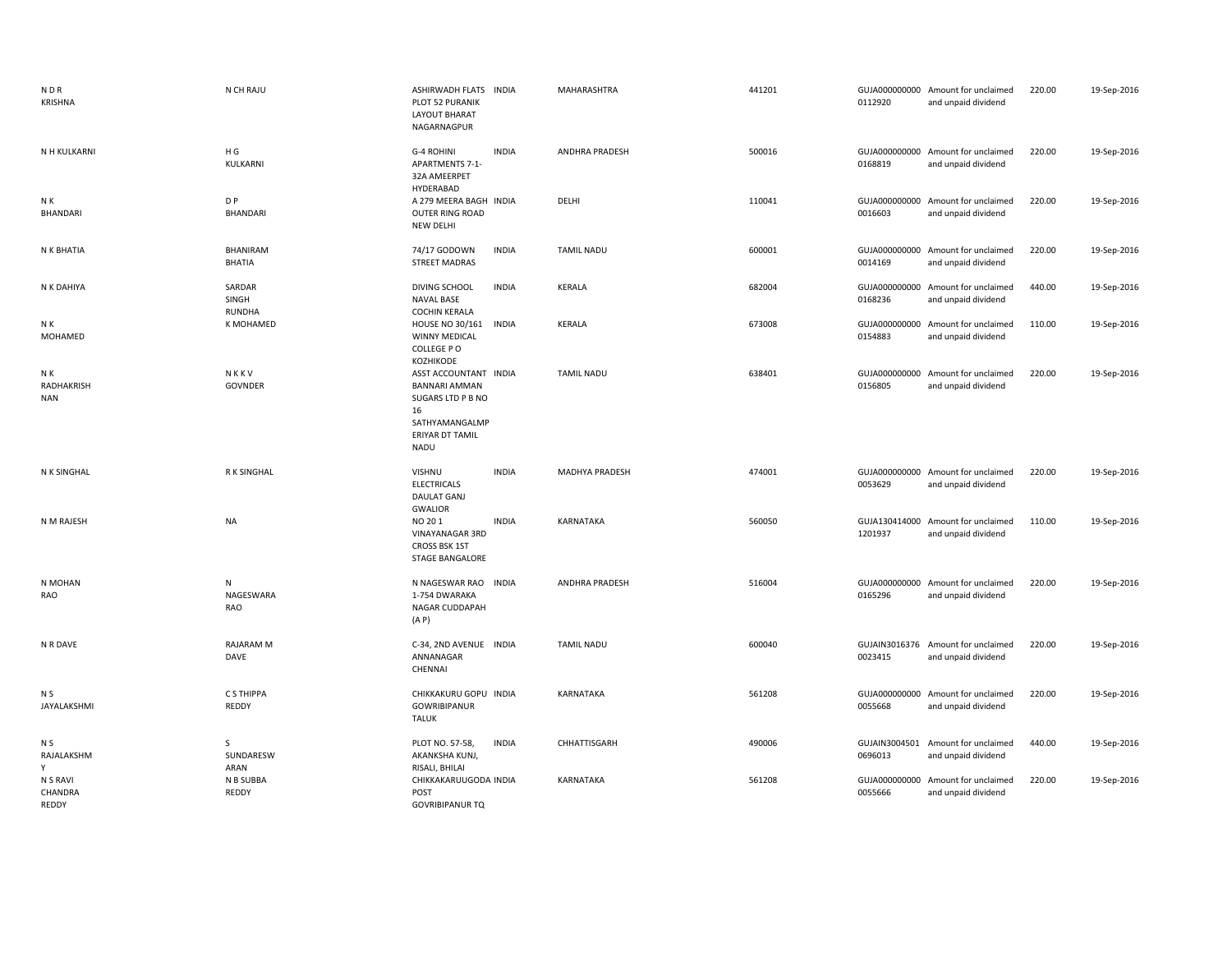| N D R<br>KRISHNA                | N CH RAJU                 | ASHIRWADH FLATS INDIA<br>PLOT 52 PURANIK<br><b>LAYOUT BHARAT</b><br>NAGARNAGPUR                                                                  |              | MAHARASHTRA           | 441201 | 0112920                  | GUJA000000000 Amount for unclaimed<br>and unpaid dividend | 220.00 | 19-Sep-2016 |
|---------------------------------|---------------------------|--------------------------------------------------------------------------------------------------------------------------------------------------|--------------|-----------------------|--------|--------------------------|-----------------------------------------------------------|--------|-------------|
| N H KULKARNI                    | H G<br>KULKARNI           | G-4 ROHINI<br><b>APARTMENTS 7-1-</b><br>32A AMEERPET<br>HYDERABAD                                                                                | <b>INDIA</b> | ANDHRA PRADESH        | 500016 | 0168819                  | GUJA000000000 Amount for unclaimed<br>and unpaid dividend | 220.00 | 19-Sep-2016 |
| N K<br>BHANDARI                 | D P<br><b>BHANDARI</b>    | A 279 MEERA BAGH INDIA<br><b>OUTER RING ROAD</b><br><b>NEW DELHI</b>                                                                             |              | DELHI                 | 110041 | 0016603                  | GUJA000000000 Amount for unclaimed<br>and unpaid dividend | 220.00 | 19-Sep-2016 |
| N K BHATIA                      | BHANIRAM<br><b>BHATIA</b> | 74/17 GODOWN<br><b>STREET MADRAS</b>                                                                                                             | <b>INDIA</b> | <b>TAMIL NADU</b>     | 600001 | 0014169                  | GUJA000000000 Amount for unclaimed<br>and unpaid dividend | 220.00 | 19-Sep-2016 |
| N K DAHIYA                      | SARDAR<br>SINGH<br>RUNDHA | <b>DIVING SCHOOL</b><br><b>NAVAL BASE</b><br><b>COCHIN KERALA</b>                                                                                | <b>INDIA</b> | KERALA                | 682004 | 0168236                  | GUJA000000000 Amount for unclaimed<br>and unpaid dividend | 440.00 | 19-Sep-2016 |
| N K<br>MOHAMED                  | K MOHAMED                 | HOUSE NO 30/161<br>WINNY MEDICAL<br>COLLEGE PO                                                                                                   | <b>INDIA</b> | KERALA                | 673008 | 0154883                  | GUJA000000000 Amount for unclaimed<br>and unpaid dividend | 110.00 | 19-Sep-2016 |
| N K<br>RADHAKRISH<br><b>NAN</b> | NKKV<br>GOVNDER           | KOZHIKODE<br>ASST ACCOUNTANT INDIA<br><b>BANNARI AMMAN</b><br>SUGARS LTD P B NO<br>16<br>SATHYAMANGALMP<br><b>ERIYAR DT TAMIL</b><br><b>NADU</b> |              | <b>TAMIL NADU</b>     | 638401 | 0156805                  | GUJA000000000 Amount for unclaimed<br>and unpaid dividend | 220.00 | 19-Sep-2016 |
| N K SINGHAL                     | R K SINGHAL               | VISHNU<br><b>ELECTRICALS</b><br><b>DAULAT GANJ</b>                                                                                               | <b>INDIA</b> | <b>MADHYA PRADESH</b> | 474001 | 0053629                  | GUJA000000000 Amount for unclaimed<br>and unpaid dividend | 220.00 | 19-Sep-2016 |
| N M RAJESH                      | NA                        | <b>GWALIOR</b><br>NO 201<br>VINAYANAGAR 3RD<br>CROSS BSK 1ST<br><b>STAGE BANGALORE</b>                                                           | <b>INDIA</b> | KARNATAKA             | 560050 | 1201937                  | GUJA130414000 Amount for unclaimed<br>and unpaid dividend | 110.00 | 19-Sep-2016 |
| N MOHAN<br>RAO                  | N<br>NAGESWARA<br>RAO     | N NAGESWAR RAO<br>1-754 DWARAKA<br>NAGAR CUDDAPAH<br>(A P)                                                                                       | <b>INDIA</b> | ANDHRA PRADESH        | 516004 | 0165296                  | GUJA000000000 Amount for unclaimed<br>and unpaid dividend | 220.00 | 19-Sep-2016 |
| N R DAVE                        | <b>RAJARAM M</b><br>DAVE  | C-34, 2ND AVENUE INDIA<br>ANNANAGAR<br>CHENNAI                                                                                                   |              | <b>TAMIL NADU</b>     | 600040 | GUJAIN3016376<br>0023415 | Amount for unclaimed<br>and unpaid dividend               | 220.00 | 19-Sep-2016 |
| N S<br>JAYALAKSHMI              | C S THIPPA<br>REDDY       | CHIKKAKURU GOPU INDIA<br><b>GOWRIBIPANUR</b><br><b>TALUK</b>                                                                                     |              | KARNATAKA             | 561208 | 0055668                  | GUJA000000000 Amount for unclaimed<br>and unpaid dividend | 220.00 | 19-Sep-2016 |
| N S<br>RAJALAKSHM<br>Y          | S<br>SUNDARESW<br>ARAN    | PLOT NO. 57-58,<br>AKANKSHA KUNJ,<br>RISALI, BHILAI                                                                                              | <b>INDIA</b> | CHHATTISGARH          | 490006 | GUJAIN3004501<br>0696013 | Amount for unclaimed<br>and unpaid dividend               | 440.00 | 19-Sep-2016 |
| N S RAVI<br>CHANDRA<br>REDDY    | N B SUBBA<br>REDDY        | CHIKKAKARUUGODA INDIA<br>POST<br><b>GOVRIBIPANUR TQ</b>                                                                                          |              | KARNATAKA             | 561208 | GUJA000000000<br>0055666 | Amount for unclaimed<br>and unpaid dividend               | 220.00 | 19-Sep-2016 |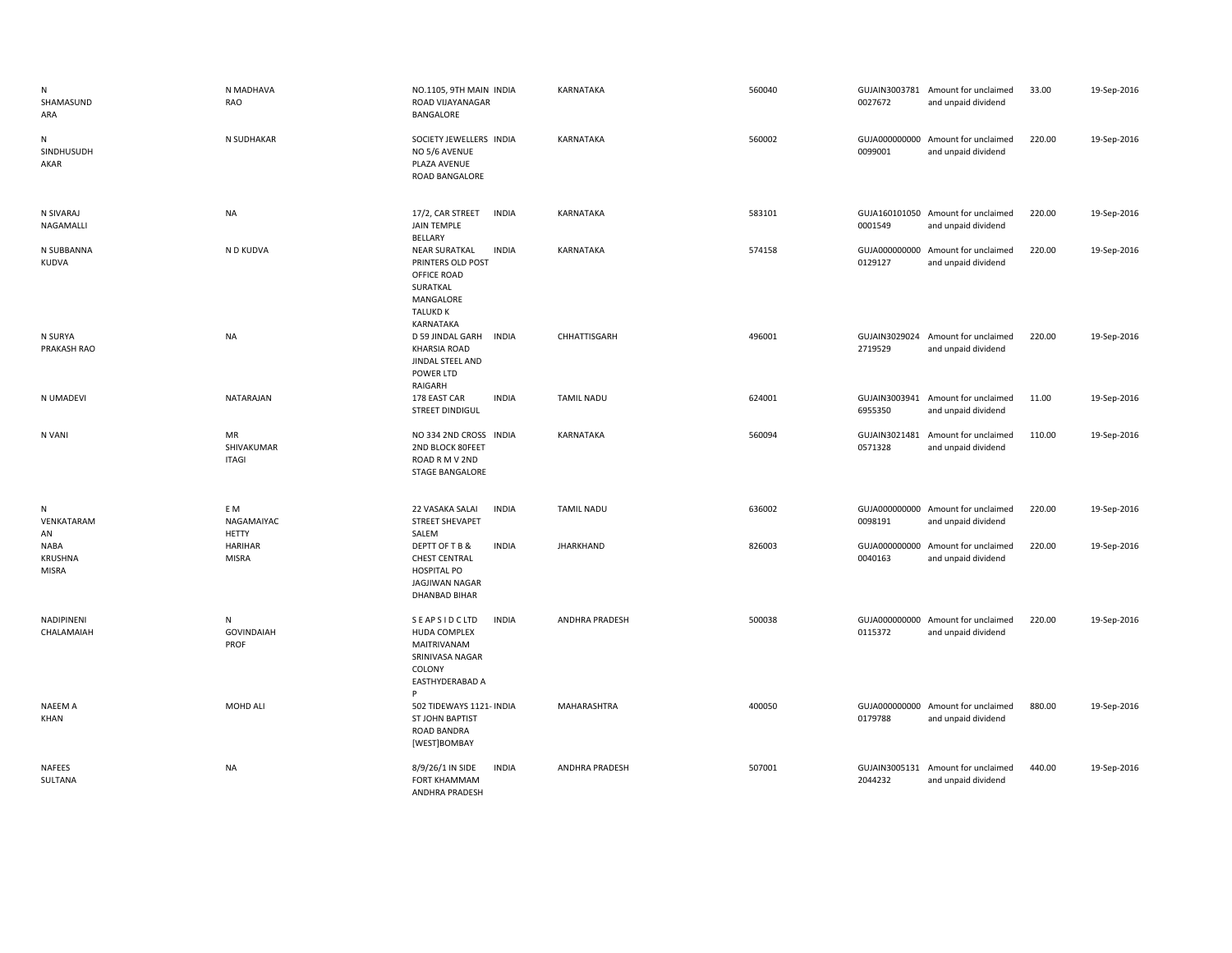| N<br>SHAMASUND<br>ARA           | N MADHAVA<br>RAO                  | NO.1105, 9TH MAIN INDIA<br>ROAD VIJAYANAGAR<br>BANGALORE                                                                          | KARNATAKA         | 560040 | 0027672                  | GUJAIN3003781 Amount for unclaimed<br>and unpaid dividend | 33.00  | 19-Sep-2016 |
|---------------------------------|-----------------------------------|-----------------------------------------------------------------------------------------------------------------------------------|-------------------|--------|--------------------------|-----------------------------------------------------------|--------|-------------|
| N<br>SINDHUSUDH<br>AKAR         | N SUDHAKAR                        | SOCIETY JEWELLERS INDIA<br>NO 5/6 AVENUE<br>PLAZA AVENUE<br>ROAD BANGALORE                                                        | KARNATAKA         | 560002 | 0099001                  | GUJA000000000 Amount for unclaimed<br>and unpaid dividend | 220.00 | 19-Sep-2016 |
| N SIVARAJ<br>NAGAMALLI          | <b>NA</b>                         | 17/2, CAR STREET<br><b>INDIA</b><br><b>JAIN TEMPLE</b><br>BELLARY                                                                 | KARNATAKA         | 583101 | 0001549                  | GUJA160101050 Amount for unclaimed<br>and unpaid dividend | 220.00 | 19-Sep-2016 |
| N SUBBANNA<br>KUDVA             | N D KUDVA                         | <b>INDIA</b><br><b>NEAR SURATKAL</b><br>PRINTERS OLD POST<br>OFFICE ROAD<br>SURATKAL<br>MANGALORE<br><b>TALUKD K</b><br>KARNATAKA | KARNATAKA         | 574158 | GUJA000000000<br>0129127 | Amount for unclaimed<br>and unpaid dividend               | 220.00 | 19-Sep-2016 |
| N SURYA<br>PRAKASH RAO          | <b>NA</b>                         | D 59 JINDAL GARH<br><b>INDIA</b><br><b>KHARSIA ROAD</b><br>JINDAL STEEL AND<br>POWER LTD<br>RAIGARH                               | CHHATTISGARH      | 496001 | 2719529                  | GUJAIN3029024 Amount for unclaimed<br>and unpaid dividend | 220.00 | 19-Sep-2016 |
| N UMADEVI                       | NATARAJAN                         | 178 EAST CAR<br><b>INDIA</b><br>STREET DINDIGUL                                                                                   | <b>TAMIL NADU</b> | 624001 | 6955350                  | GUJAIN3003941 Amount for unclaimed<br>and unpaid dividend | 11.00  | 19-Sep-2016 |
| N VANI                          | MR<br>SHIVAKUMAR<br><b>ITAGI</b>  | NO 334 2ND CROSS INDIA<br>2ND BLOCK 80FEET<br>ROAD R M V 2ND<br><b>STAGE BANGALORE</b>                                            | KARNATAKA         | 560094 | 0571328                  | GUJAIN3021481 Amount for unclaimed<br>and unpaid dividend | 110.00 | 19-Sep-2016 |
| N<br>VENKATARAM<br>AN           | E M<br>NAGAMAIYAC<br><b>HETTY</b> | 22 VASAKA SALAI<br><b>INDIA</b><br><b>STREET SHEVAPET</b><br>SALEM                                                                | <b>TAMIL NADU</b> | 636002 | 0098191                  | GUJA000000000 Amount for unclaimed<br>and unpaid dividend | 220.00 | 19-Sep-2016 |
| <b>NABA</b><br>KRUSHNA<br>MISRA | <b>HARIHAR</b><br><b>MISRA</b>    | <b>INDIA</b><br>DEPTT OF T B &<br><b>CHEST CENTRAL</b><br><b>HOSPITAL PO</b><br><b>JAGJIWAN NAGAR</b><br><b>DHANBAD BIHAR</b>     | <b>JHARKHAND</b>  | 826003 | 0040163                  | GUJA000000000 Amount for unclaimed<br>and unpaid dividend | 220.00 | 19-Sep-2016 |
| NADIPINENI<br>CHALAMAIAH        | N<br><b>GOVINDAIAH</b><br>PROF    | <b>INDIA</b><br><b>SEAPSIDCLTD</b><br><b>HUDA COMPLEX</b><br>MAITRIVANAM<br>SRINIVASA NAGAR<br>COLONY<br>EASTHYDERABAD A<br>P     | ANDHRA PRADESH    | 500038 | 0115372                  | GUJA000000000 Amount for unclaimed<br>and unpaid dividend | 220.00 | 19-Sep-2016 |
| <b>NAEEM A</b><br>KHAN          | MOHD ALI                          | 502 TIDEWAYS 1121- INDIA<br><b>ST JOHN BAPTIST</b><br>ROAD BANDRA<br>[WEST]BOMBAY                                                 | MAHARASHTRA       | 400050 | 0179788                  | GUJA000000000 Amount for unclaimed<br>and unpaid dividend | 880.00 | 19-Sep-2016 |
| <b>NAFEES</b><br>SULTANA        | <b>NA</b>                         | <b>INDIA</b><br>8/9/26/1 IN SIDE<br><b>FORT KHAMMAM</b><br>ANDHRA PRADESH                                                         | ANDHRA PRADESH    | 507001 | 2044232                  | GUJAIN3005131 Amount for unclaimed<br>and unpaid dividend | 440.00 | 19-Sep-2016 |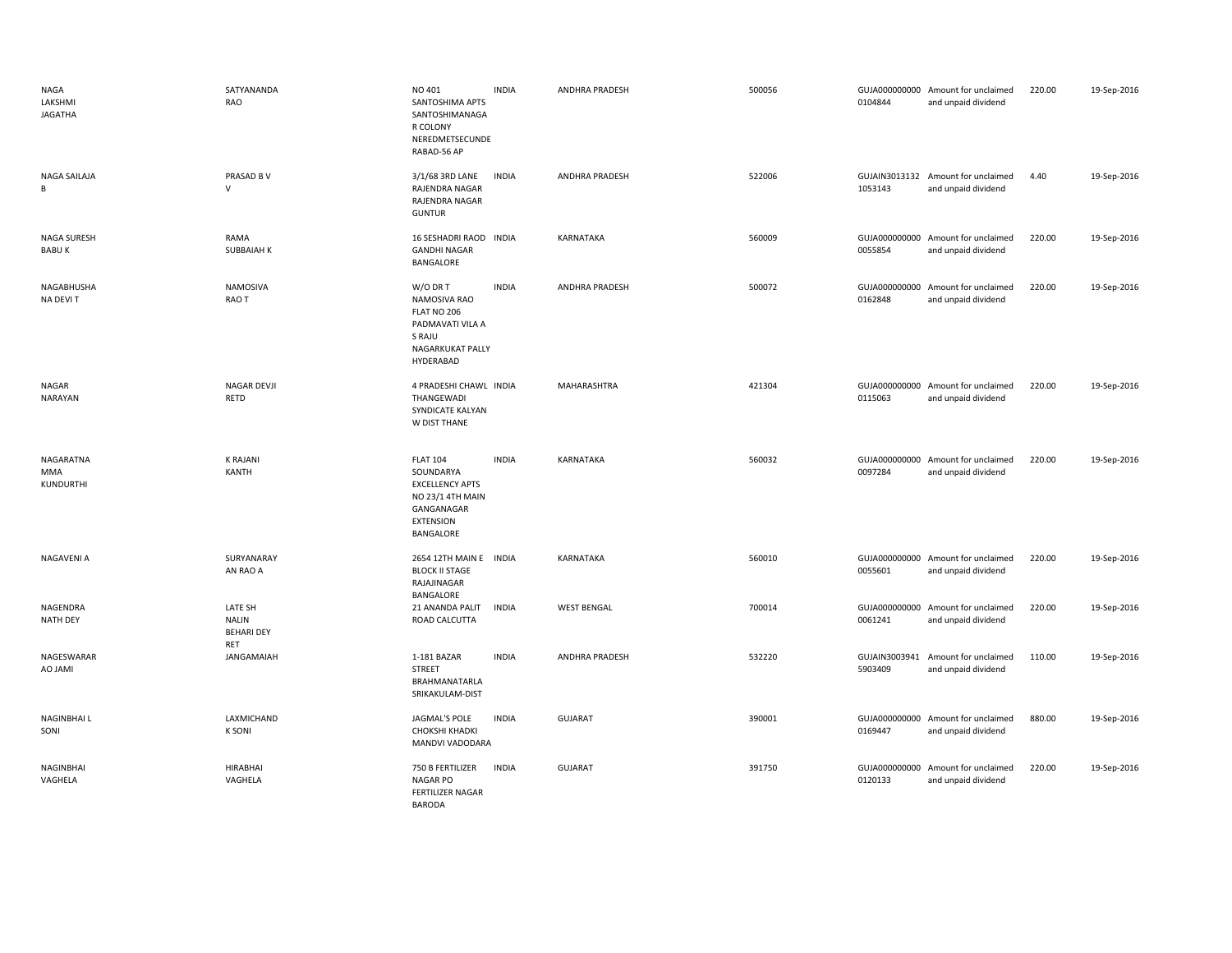| <b>NAGA</b><br>LAKSHMI<br><b>JAGATHA</b> | SATYANANDA<br>RAO                                   | NO 401<br>SANTOSHIMA APTS<br>SANTOSHIMANAGA<br>R COLONY<br>NEREDMETSECUNDE<br>RABAD-56 AP                                 | <b>INDIA</b> | ANDHRA PRADESH     | 500056 | 0104844                  | GUJA000000000 Amount for unclaimed<br>and unpaid dividend | 220.00 | 19-Sep-2016 |
|------------------------------------------|-----------------------------------------------------|---------------------------------------------------------------------------------------------------------------------------|--------------|--------------------|--------|--------------------------|-----------------------------------------------------------|--------|-------------|
| NAGA SAILAJA<br>B                        | PRASAD B V<br>$\mathsf{V}$                          | 3/1/68 3RD LANE<br>RAJENDRA NAGAR<br>RAJENDRA NAGAR<br><b>GUNTUR</b>                                                      | <b>INDIA</b> | ANDHRA PRADESH     | 522006 | 1053143                  | GUJAIN3013132 Amount for unclaimed<br>and unpaid dividend | 4.40   | 19-Sep-2016 |
| NAGA SURESH<br><b>BABUK</b>              | RAMA<br>SUBBAIAH K                                  | 16 SESHADRI RAOD INDIA<br><b>GANDHI NAGAR</b><br>BANGALORE                                                                |              | KARNATAKA          | 560009 | 0055854                  | GUJA000000000 Amount for unclaimed<br>and unpaid dividend | 220.00 | 19-Sep-2016 |
| NAGABHUSHA<br>NA DEVIT                   | NAMOSIVA<br>RAO T                                   | W/O DR T<br>NAMOSIVA RAO<br>FLAT NO 206<br>PADMAVATI VILA A<br>S RAJU<br>NAGARKUKAT PALLY<br>HYDERABAD                    | <b>INDIA</b> | ANDHRA PRADESH     | 500072 | 0162848                  | GUJA000000000 Amount for unclaimed<br>and unpaid dividend | 220.00 | 19-Sep-2016 |
| NAGAR<br><b>NARAYAN</b>                  | NAGAR DEVJI<br>RETD                                 | 4 PRADESHI CHAWL INDIA<br>THANGEWADI<br>SYNDICATE KALYAN<br>W DIST THANE                                                  |              | MAHARASHTRA        | 421304 | 0115063                  | GUJA000000000 Amount for unclaimed<br>and unpaid dividend | 220.00 | 19-Sep-2016 |
| NAGARATNA<br>MMA<br>KUNDURTHI            | <b>K RAJANI</b><br>KANTH                            | <b>FLAT 104</b><br>SOUNDARYA<br><b>EXCELLENCY APTS</b><br>NO 23/1 4TH MAIN<br>GANGANAGAR<br><b>EXTENSION</b><br>BANGALORE | <b>INDIA</b> | KARNATAKA          | 560032 | 0097284                  | GUJA000000000 Amount for unclaimed<br>and unpaid dividend | 220.00 | 19-Sep-2016 |
| NAGAVENI A                               | SURYANARAY<br>AN RAO A                              | 2654 12TH MAIN E INDIA<br><b>BLOCK II STAGE</b><br>RAJAJINAGAR<br>BANGALORE                                               |              | KARNATAKA          | 560010 | 0055601                  | GUJA000000000 Amount for unclaimed<br>and unpaid dividend | 220.00 | 19-Sep-2016 |
| NAGENDRA<br><b>NATH DEY</b>              | LATE SH<br><b>NALIN</b><br><b>BEHARI DEY</b><br>RET | 21 ANANDA PALIT<br>ROAD CALCUTTA                                                                                          | <b>INDIA</b> | <b>WEST BENGAL</b> | 700014 | GUJA000000000<br>0061241 | Amount for unclaimed<br>and unpaid dividend               | 220.00 | 19-Sep-2016 |
| NAGESWARAR<br>AO JAMI                    | JANGAMAIAH                                          | 1-181 BAZAR<br><b>STREET</b><br>BRAHMANATARLA<br>SRIKAKULAM-DIST                                                          | <b>INDIA</b> | ANDHRA PRADESH     | 532220 | GUJAIN3003941<br>5903409 | Amount for unclaimed<br>and unpaid dividend               | 110.00 | 19-Sep-2016 |
| <b>NAGINBHAIL</b><br>SONI                | LAXMICHAND<br><b>K SONI</b>                         | JAGMAL'S POLE<br>CHOKSHI KHADKI<br>MANDVI VADODARA                                                                        | <b>INDIA</b> | GUJARAT            | 390001 | 0169447                  | GUJA000000000 Amount for unclaimed<br>and unpaid dividend | 880.00 | 19-Sep-2016 |
| NAGINBHAI<br>VAGHELA                     | <b>HIRABHAI</b><br>VAGHELA                          | 750 B FERTILIZER<br><b>NAGAR PO</b><br>FERTILIZER NAGAR<br><b>BARODA</b>                                                  | <b>INDIA</b> | GUJARAT            | 391750 | 0120133                  | GUJA000000000 Amount for unclaimed<br>and unpaid dividend | 220.00 | 19-Sep-2016 |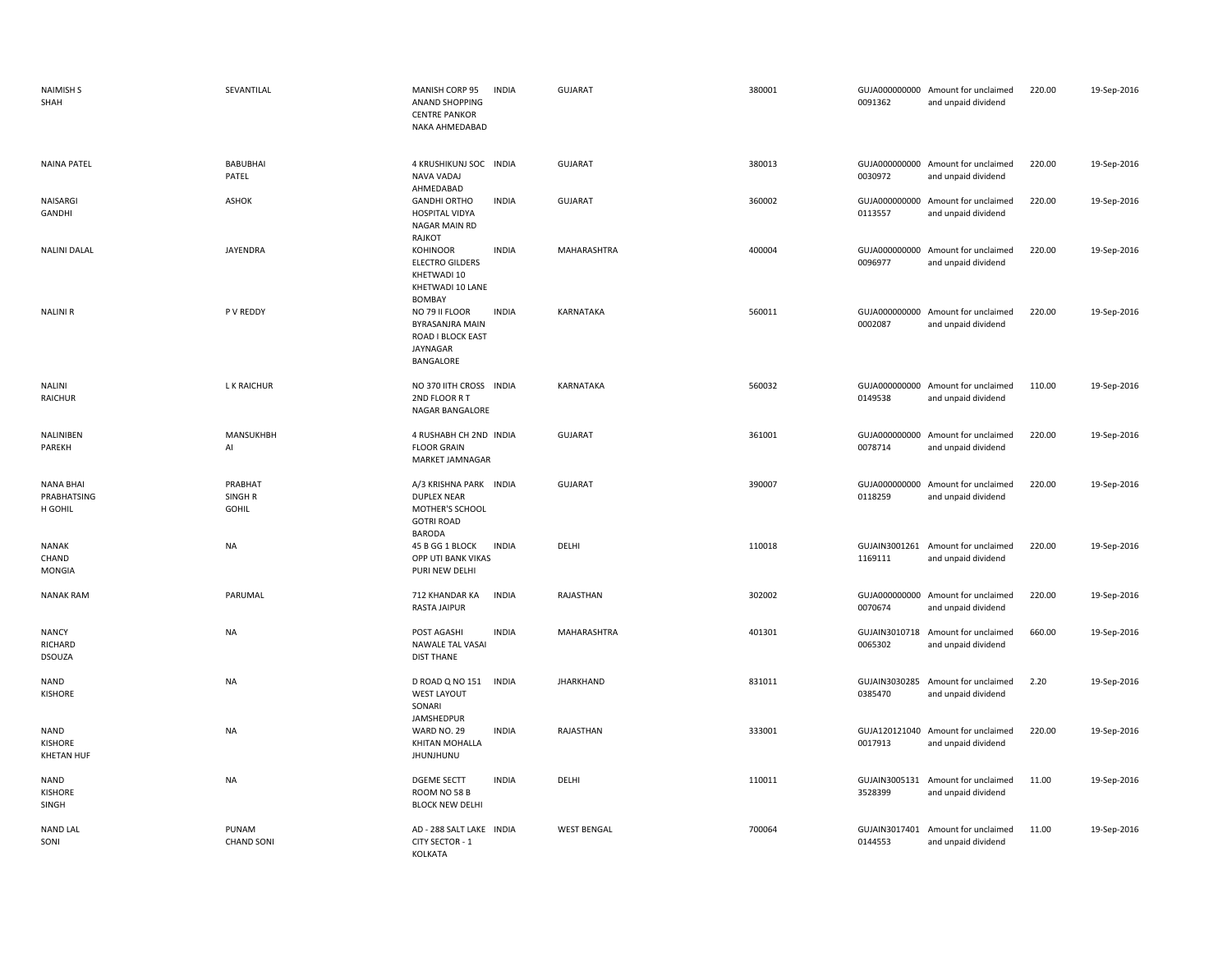| <b>NAIMISH S</b><br>SHAH                    | SEVANTILAL                                    | MANISH CORP 95<br><b>ANAND SHOPPING</b><br><b>CENTRE PANKOR</b><br>NAKA AHMEDABAD                     | <b>INDIA</b> | <b>GUJARAT</b>     | 380001 | 0091362                  | GUJA000000000 Amount for unclaimed<br>and unpaid dividend | 220.00 | 19-Sep-2016 |
|---------------------------------------------|-----------------------------------------------|-------------------------------------------------------------------------------------------------------|--------------|--------------------|--------|--------------------------|-----------------------------------------------------------|--------|-------------|
| <b>NAINA PATEL</b>                          | BABUBHAI<br>PATEL                             | 4 KRUSHIKUNJ SOC INDIA<br>NAVA VADAJ<br>AHMEDABAD                                                     |              | <b>GUJARAT</b>     | 380013 | 0030972                  | GUJA000000000 Amount for unclaimed<br>and unpaid dividend | 220.00 | 19-Sep-2016 |
| NAISARGI<br>GANDHI                          | <b>ASHOK</b>                                  | <b>GANDHI ORTHO</b><br><b>HOSPITAL VIDYA</b><br>NAGAR MAIN RD<br>RAJKOT                               | <b>INDIA</b> | <b>GUJARAT</b>     | 360002 | 0113557                  | GUJA000000000 Amount for unclaimed<br>and unpaid dividend | 220.00 | 19-Sep-2016 |
| <b>NALINI DALAL</b>                         | JAYENDRA                                      | KOHINOOR<br><b>ELECTRO GILDERS</b><br>KHETWADI 10<br>KHETWADI 10 LANE<br><b>BOMBAY</b>                | <b>INDIA</b> | MAHARASHTRA        | 400004 | 0096977                  | GUJA000000000 Amount for unclaimed<br>and unpaid dividend | 220.00 | 19-Sep-2016 |
| <b>NALINIR</b>                              | P V REDDY                                     | NO 79 II FLOOR<br>BYRASANJRA MAIN<br>ROAD I BLOCK EAST<br>JAYNAGAR<br>BANGALORE                       | <b>INDIA</b> | KARNATAKA          | 560011 | 0002087                  | GUJA000000000 Amount for unclaimed<br>and unpaid dividend | 220.00 | 19-Sep-2016 |
| <b>NALINI</b><br><b>RAICHUR</b>             | L K RAICHUR                                   | NO 370 IITH CROSS INDIA<br>2ND FLOOR RT<br>NAGAR BANGALORE                                            |              | KARNATAKA          | 560032 | 0149538                  | GUJA000000000 Amount for unclaimed<br>and unpaid dividend | 110.00 | 19-Sep-2016 |
| NALINIBEN<br>PAREKH                         | MANSUKHBH<br>AI                               | 4 RUSHABH CH 2ND INDIA<br><b>FLOOR GRAIN</b><br>MARKET JAMNAGAR                                       |              | <b>GUJARAT</b>     | 361001 | 0078714                  | GUJA000000000 Amount for unclaimed<br>and unpaid dividend | 220.00 | 19-Sep-2016 |
| <b>NANA BHAI</b><br>PRABHATSING<br>H GOHIL  | PRABHAT<br>SINGH <sub>R</sub><br><b>GOHIL</b> | A/3 KRISHNA PARK INDIA<br><b>DUPLEX NEAR</b><br>MOTHER'S SCHOOL<br><b>GOTRI ROAD</b><br><b>BARODA</b> |              | <b>GUJARAT</b>     | 390007 | 0118259                  | GUJA000000000 Amount for unclaimed<br>and unpaid dividend | 220.00 | 19-Sep-2016 |
| NANAK<br>CHAND<br>MONGIA                    | <b>NA</b>                                     | 45 B GG 1 BLOCK<br>OPP UTI BANK VIKAS<br>PURI NEW DELHI                                               | <b>INDIA</b> | DELHI              | 110018 | 1169111                  | GUJAIN3001261 Amount for unclaimed<br>and unpaid dividend | 220.00 | 19-Sep-2016 |
| <b>NANAK RAM</b>                            | PARUMAL                                       | 712 KHANDAR KA<br><b>RASTA JAIPUR</b>                                                                 | <b>INDIA</b> | RAJASTHAN          | 302002 | 0070674                  | GUJA000000000 Amount for unclaimed<br>and unpaid dividend | 220.00 | 19-Sep-2016 |
| <b>NANCY</b><br>RICHARD<br>DSOUZA           | <b>NA</b>                                     | POST AGASHI<br>NAWALE TAL VASAI<br><b>DIST THANE</b>                                                  | <b>INDIA</b> | MAHARASHTRA        | 401301 | 0065302                  | GUJAIN3010718 Amount for unclaimed<br>and unpaid dividend | 660.00 | 19-Sep-2016 |
| NAND<br><b>KISHORE</b>                      | <b>NA</b>                                     | D ROAD Q NO 151<br><b>WEST LAYOUT</b><br>SONARI                                                       | <b>INDIA</b> | <b>JHARKHAND</b>   | 831011 | GUJAIN3030285<br>0385470 | Amount for unclaimed<br>and unpaid dividend               | 2.20   | 19-Sep-2016 |
| <b>NAND</b><br>KISHORE<br><b>KHETAN HUF</b> | <b>NA</b>                                     | JAMSHEDPUR<br>WARD NO. 29<br>KHITAN MOHALLA<br><b>JHUNJHUNU</b>                                       | <b>INDIA</b> | RAJASTHAN          | 333001 | 0017913                  | GUJA120121040 Amount for unclaimed<br>and unpaid dividend | 220.00 | 19-Sep-2016 |
| NAND<br>KISHORE<br>SINGH                    | <b>NA</b>                                     | <b>DGEME SECTT</b><br>ROOM NO 58 B<br><b>BLOCK NEW DELHI</b>                                          | <b>INDIA</b> | DELHI              | 110011 | 3528399                  | GUJAIN3005131 Amount for unclaimed<br>and unpaid dividend | 11.00  | 19-Sep-2016 |
| <b>NAND LAL</b><br>SONI                     | PUNAM<br><b>CHAND SONI</b>                    | AD - 288 SALT LAKE INDIA<br>CITY SECTOR - 1<br>KOLKATA                                                |              | <b>WEST BENGAL</b> | 700064 | GUJAIN3017401<br>0144553 | Amount for unclaimed<br>and unpaid dividend               | 11.00  | 19-Sep-2016 |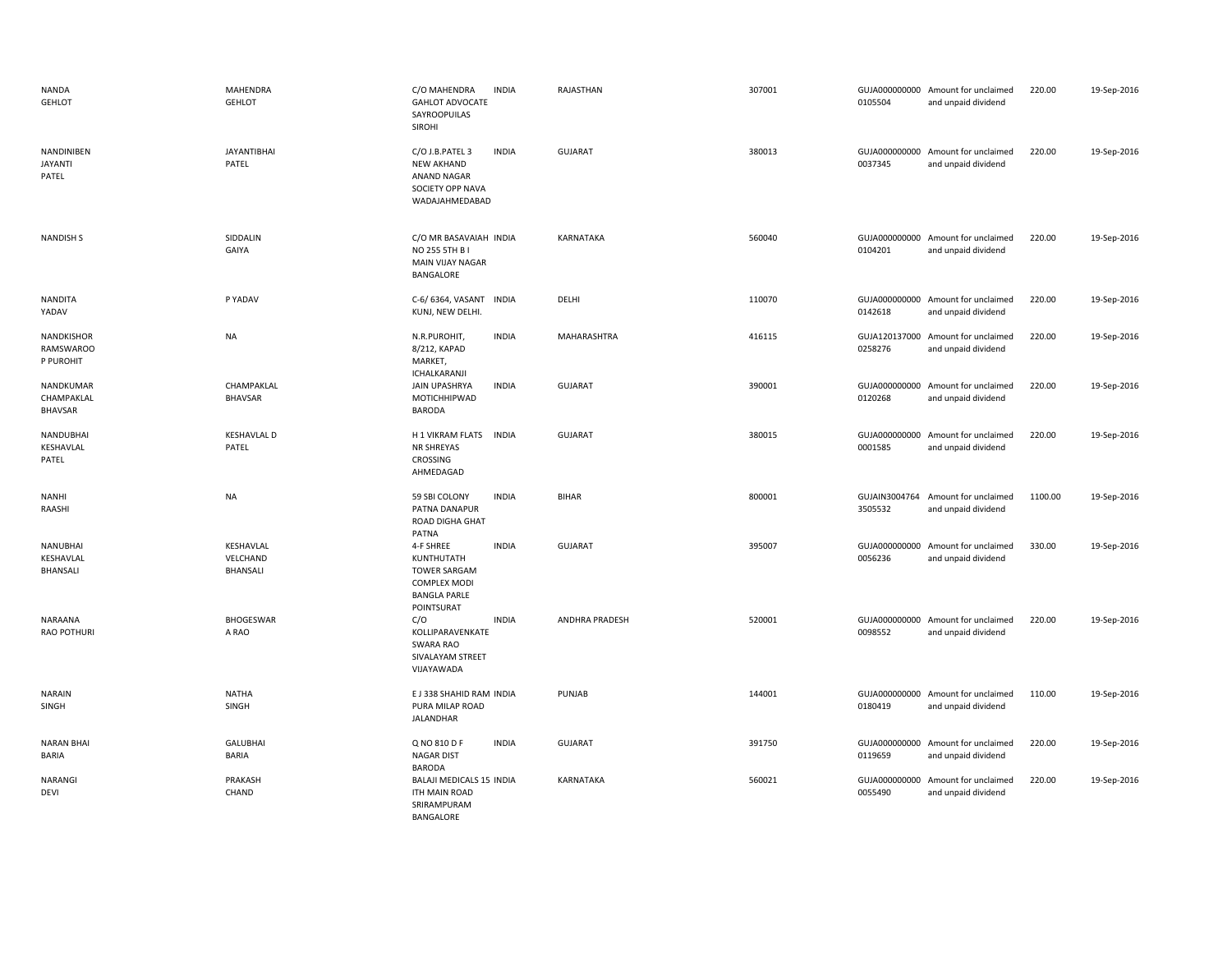| <b>NANDA</b><br><b>GEHLOT</b>               | <b>MAHENDRA</b><br><b>GEHLOT</b>         | C/O MAHENDRA<br><b>INDIA</b><br><b>GAHLOT ADVOCATE</b><br>SAYROOPUILAS<br><b>SIROHI</b>                                    | RAJASTHAN             | 307001 | 0105504                  | GUJA000000000 Amount for unclaimed<br>and unpaid dividend | 220.00  | 19-Sep-2016 |
|---------------------------------------------|------------------------------------------|----------------------------------------------------------------------------------------------------------------------------|-----------------------|--------|--------------------------|-----------------------------------------------------------|---------|-------------|
| NANDINIBEN<br><b>JAYANTI</b><br>PATEL       | <b>JAYANTIBHAI</b><br>PATEL              | C/O J.B.PATEL 3<br><b>INDIA</b><br><b>NEW AKHAND</b><br>ANAND NAGAR<br>SOCIETY OPP NAVA<br>WADAJAHMEDABAD                  | <b>GUJARAT</b>        | 380013 | 0037345                  | GUJA000000000 Amount for unclaimed<br>and unpaid dividend | 220.00  | 19-Sep-2016 |
| <b>NANDISH S</b>                            | SIDDALIN<br>GAIYA                        | C/O MR BASAVAIAH INDIA<br>NO 255 5TH B I<br>MAIN VIJAY NAGAR<br>BANGALORE                                                  | KARNATAKA             | 560040 | 0104201                  | GUJA000000000 Amount for unclaimed<br>and unpaid dividend | 220.00  | 19-Sep-2016 |
| <b>NANDITA</b><br>YADAV                     | P YADAV                                  | C-6/6364, VASANT INDIA<br>KUNJ, NEW DELHI.                                                                                 | DELHI                 | 110070 | 0142618                  | GUJA000000000 Amount for unclaimed<br>and unpaid dividend | 220.00  | 19-Sep-2016 |
| NANDKISHOR<br><b>RAMSWAROO</b><br>P PUROHIT | <b>NA</b>                                | N.R.PUROHIT,<br><b>INDIA</b><br>8/212, KAPAD<br>MARKET,<br>ICHALKARANJI                                                    | MAHARASHTRA           | 416115 | GUJA120137000<br>0258276 | Amount for unclaimed<br>and unpaid dividend               | 220.00  | 19-Sep-2016 |
| NANDKUMAR<br>CHAMPAKLAL<br><b>BHAVSAR</b>   | CHAMPAKLAL<br><b>BHAVSAR</b>             | JAIN UPASHRYA<br><b>INDIA</b><br>MOTICHHIPWAD<br><b>BARODA</b>                                                             | <b>GUJARAT</b>        | 390001 | 0120268                  | GUJA000000000 Amount for unclaimed<br>and unpaid dividend | 220.00  | 19-Sep-2016 |
| NANDUBHAI<br>KESHAVLAL<br>PATEL             | <b>KESHAVLAL D</b><br>PATEL              | H 1 VIKRAM FLATS<br><b>INDIA</b><br>NR SHREYAS<br>CROSSING<br>AHMEDAGAD                                                    | <b>GUJARAT</b>        | 380015 | 0001585                  | GUJA000000000 Amount for unclaimed<br>and unpaid dividend | 220.00  | 19-Sep-2016 |
| <b>NANHI</b><br>RAASHI                      | <b>NA</b>                                | <b>INDIA</b><br>59 SBI COLONY<br>PATNA DANAPUR<br>ROAD DIGHA GHAT<br>PATNA                                                 | <b>BIHAR</b>          | 800001 | GUJAIN3004764<br>3505532 | Amount for unclaimed<br>and unpaid dividend               | 1100.00 | 19-Sep-2016 |
| NANUBHAI<br>KESHAVLAL<br>BHANSALI           | KESHAVLAL<br>VELCHAND<br><b>BHANSALI</b> | 4-F SHREE<br><b>INDIA</b><br>KUNTHUTATH<br><b>TOWER SARGAM</b><br><b>COMPLEX MODI</b><br><b>BANGLA PARLE</b><br>POINTSURAT | <b>GUJARAT</b>        | 395007 | 0056236                  | GUJA000000000 Amount for unclaimed<br>and unpaid dividend | 330.00  | 19-Sep-2016 |
| NARAANA<br><b>RAO POTHURI</b>               | BHOGESWAR<br>A RAO                       | C/O<br><b>INDIA</b><br>KOLLIPARAVENKATE<br><b>SWARA RAO</b><br>SIVALAYAM STREET<br>VIJAYAWADA                              | <b>ANDHRA PRADESH</b> | 520001 | 0098552                  | GUJA000000000 Amount for unclaimed<br>and unpaid dividend | 220.00  | 19-Sep-2016 |
| <b>NARAIN</b><br>SINGH                      | <b>NATHA</b><br><b>SINGH</b>             | E J 338 SHAHID RAM INDIA<br>PURA MILAP ROAD<br>JALANDHAR                                                                   | PUNJAB                | 144001 | 0180419                  | GUJA000000000 Amount for unclaimed<br>and unpaid dividend | 110.00  | 19-Sep-2016 |
| <b>NARAN BHAI</b><br>BARIA                  | <b>GALUBHAI</b><br><b>BARIA</b>          | Q NO 810 D F<br><b>INDIA</b><br><b>NAGAR DIST</b><br><b>BARODA</b>                                                         | <b>GUJARAT</b>        | 391750 | 0119659                  | GUJA000000000 Amount for unclaimed<br>and unpaid dividend | 220.00  | 19-Sep-2016 |
| <b>NARANGI</b><br><b>DEVI</b>               | PRAKASH<br>CHAND                         | BALAJI MEDICALS 15 INDIA<br><b>ITH MAIN ROAD</b><br>SRIRAMPURAM<br>BANGALORE                                               | KARNATAKA             | 560021 | 0055490                  | GUJA000000000 Amount for unclaimed<br>and unpaid dividend | 220.00  | 19-Sep-2016 |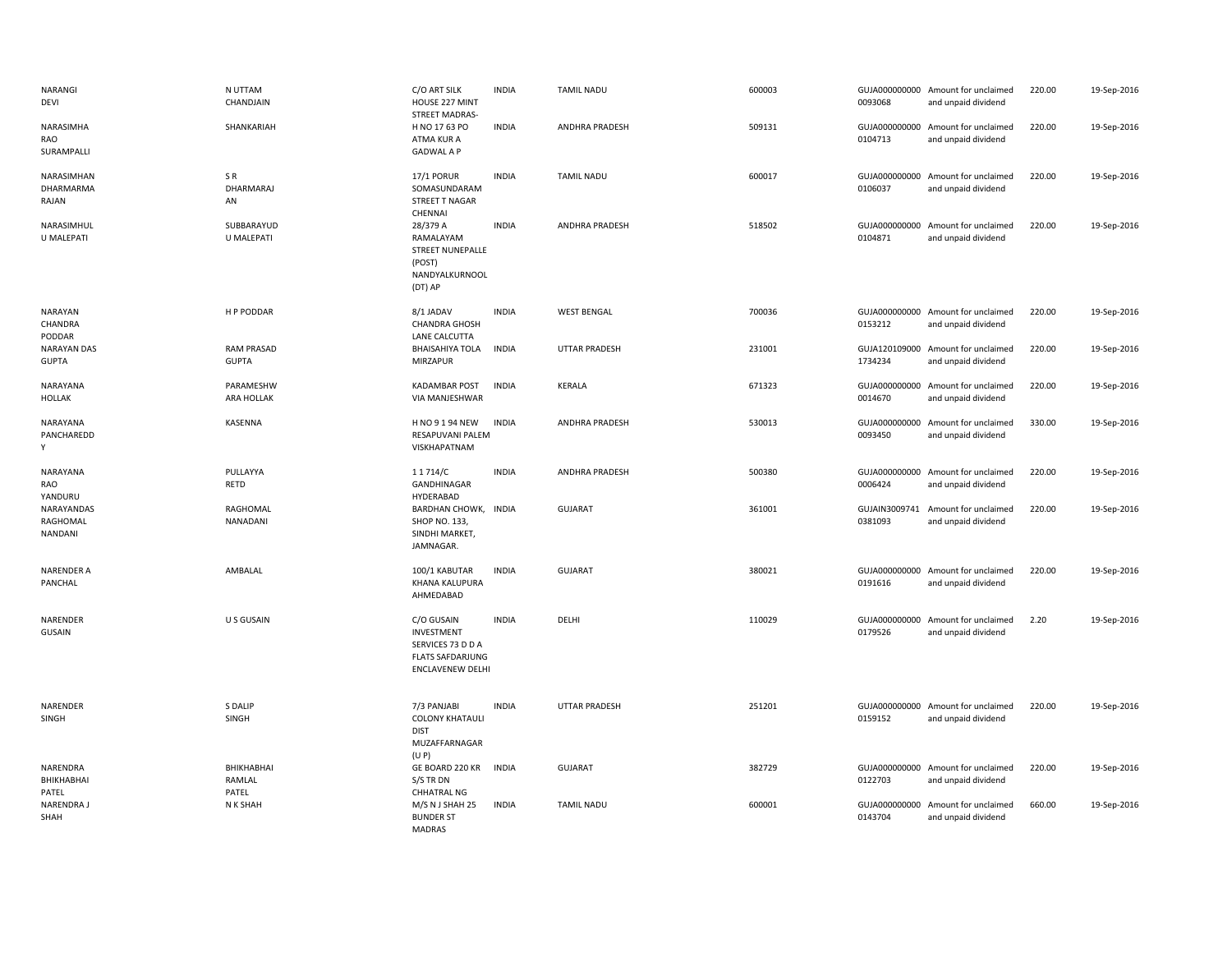| NARANGI<br>DEVI                     | N UTTAM<br>CHANDJAIN              | C/O ART SILK<br>HOUSE 227 MINT<br><b>STREET MADRAS-</b>                                             | <b>INDIA</b> | <b>TAMIL NADU</b>     | 600003 | 0093068                  | GUJA000000000 Amount for unclaimed<br>and unpaid dividend | 220.00 | 19-Sep-2016 |
|-------------------------------------|-----------------------------------|-----------------------------------------------------------------------------------------------------|--------------|-----------------------|--------|--------------------------|-----------------------------------------------------------|--------|-------------|
| NARASIMHA<br>RAO<br>SURAMPALLI      | SHANKARIAH                        | H NO 17 63 PO<br>ATMA KUR A<br><b>GADWAL A P</b>                                                    | <b>INDIA</b> | ANDHRA PRADESH        | 509131 | 0104713                  | GUJA000000000 Amount for unclaimed<br>and unpaid dividend | 220.00 | 19-Sep-2016 |
| NARASIMHAN<br>DHARMARMA<br>RAJAN    | SR.<br>DHARMARAJ<br>AN            | <b>17/1 PORUR</b><br>SOMASUNDARAM<br><b>STREET T NAGAR</b><br>CHENNAI                               | <b>INDIA</b> | <b>TAMIL NADU</b>     | 600017 | 0106037                  | GUJA000000000 Amount for unclaimed<br>and unpaid dividend | 220.00 | 19-Sep-2016 |
| NARASIMHUL<br>U MALEPATI            | SUBBARAYUD<br>U MALEPATI          | 28/379 A<br>RAMALAYAM<br><b>STREET NUNEPALLE</b><br>(POST)<br>NANDYALKURNOOL<br>(DT) AP             | <b>INDIA</b> | <b>ANDHRA PRADESH</b> | 518502 | 0104871                  | GUJA000000000 Amount for unclaimed<br>and unpaid dividend | 220.00 | 19-Sep-2016 |
| <b>NARAYAN</b><br>CHANDRA<br>PODDAR | H P PODDAR                        | 8/1 JADAV<br><b>CHANDRA GHOSH</b><br>LANE CALCUTTA                                                  | <b>INDIA</b> | <b>WEST BENGAL</b>    | 700036 | 0153212                  | GUJA000000000 Amount for unclaimed<br>and unpaid dividend | 220.00 | 19-Sep-2016 |
| <b>NARAYAN DAS</b><br><b>GUPTA</b>  | <b>RAM PRASAD</b><br><b>GUPTA</b> | <b>BHAISAHIYA TOLA</b><br>MIRZAPUR                                                                  | <b>INDIA</b> | <b>UTTAR PRADESH</b>  | 231001 | 1734234                  | GUJA120109000 Amount for unclaimed<br>and unpaid dividend | 220.00 | 19-Sep-2016 |
| NARAYANA<br>HOLLAK                  | PARAMESHW<br>ARA HOLLAK           | <b>KADAMBAR POST</b><br>VIA MANJESHWAR                                                              | <b>INDIA</b> | KERALA                | 671323 | 0014670                  | GUJA000000000 Amount for unclaimed<br>and unpaid dividend | 220.00 | 19-Sep-2016 |
| NARAYANA<br>PANCHAREDD<br>Y         | KASENNA                           | H NO 9 1 94 NEW<br>RESAPUVANI PALEM<br>VISKHAPATNAM                                                 | <b>INDIA</b> | ANDHRA PRADESH        | 530013 | GUJA000000000<br>0093450 | Amount for unclaimed<br>and unpaid dividend               | 330.00 | 19-Sep-2016 |
| NARAYANA<br>RAO<br>YANDURU          | PULLAYYA<br>RETD                  | 11714/C<br>GANDHINAGAR<br>HYDERABAD                                                                 | <b>INDIA</b> | <b>ANDHRA PRADESH</b> | 500380 | 0006424                  | GUJA000000000 Amount for unclaimed<br>and unpaid dividend | 220.00 | 19-Sep-2016 |
| NARAYANDAS<br>RAGHOMAL<br>NANDANI   | RAGHOMAL<br>NANADANI              | BARDHAN CHOWK, INDIA<br>SHOP NO. 133,<br>SINDHI MARKET,<br>JAMNAGAR.                                |              | <b>GUJARAT</b>        | 361001 | 0381093                  | GUJAIN3009741 Amount for unclaimed<br>and unpaid dividend | 220.00 | 19-Sep-2016 |
| <b>NARENDER A</b><br>PANCHAL        | AMBALAL                           | 100/1 KABUTAR<br><b>KHANA KALUPURA</b><br>AHMEDABAD                                                 | <b>INDIA</b> | <b>GUJARAT</b>        | 380021 | 0191616                  | GUJA000000000 Amount for unclaimed<br>and unpaid dividend | 220.00 | 19-Sep-2016 |
| NARENDER<br>GUSAIN                  | U S GUSAIN                        | C/O GUSAIN<br>INVESTMENT<br>SERVICES 73 D D A<br><b>FLATS SAFDARJUNG</b><br><b>ENCLAVENEW DELHI</b> | <b>INDIA</b> | DELHI                 | 110029 | 0179526                  | GUJA000000000 Amount for unclaimed<br>and unpaid dividend | 2.20   | 19-Sep-2016 |
| NARENDER<br>SINGH                   | S DALIP<br>SINGH                  | 7/3 PANJABI<br><b>COLONY KHATAULI</b><br><b>DIST</b><br>MUZAFFARNAGAR<br>(U P)                      | <b>INDIA</b> | UTTAR PRADESH         | 251201 | 0159152                  | GUJA000000000 Amount for unclaimed<br>and unpaid dividend | 220.00 | 19-Sep-2016 |
| NARENDRA<br>BHIKHABHAI<br>PATEL     | BHIKHABHAI<br>RAMLAL<br>PATEL     | GE BOARD 220 KR<br>S/S TR DN<br><b>CHHATRAL NG</b>                                                  | <b>INDIA</b> | <b>GUJARAT</b>        | 382729 | 0122703                  | GUJA000000000 Amount for unclaimed<br>and unpaid dividend | 220.00 | 19-Sep-2016 |
| NARENDRA J<br>SHAH                  | N K SHAH                          | M/S N J SHAH 25<br><b>BUNDER ST</b><br><b>MADRAS</b>                                                | <b>INDIA</b> | <b>TAMIL NADU</b>     | 600001 | GUJA000000000<br>0143704 | Amount for unclaimed<br>and unpaid dividend               | 660.00 | 19-Sep-2016 |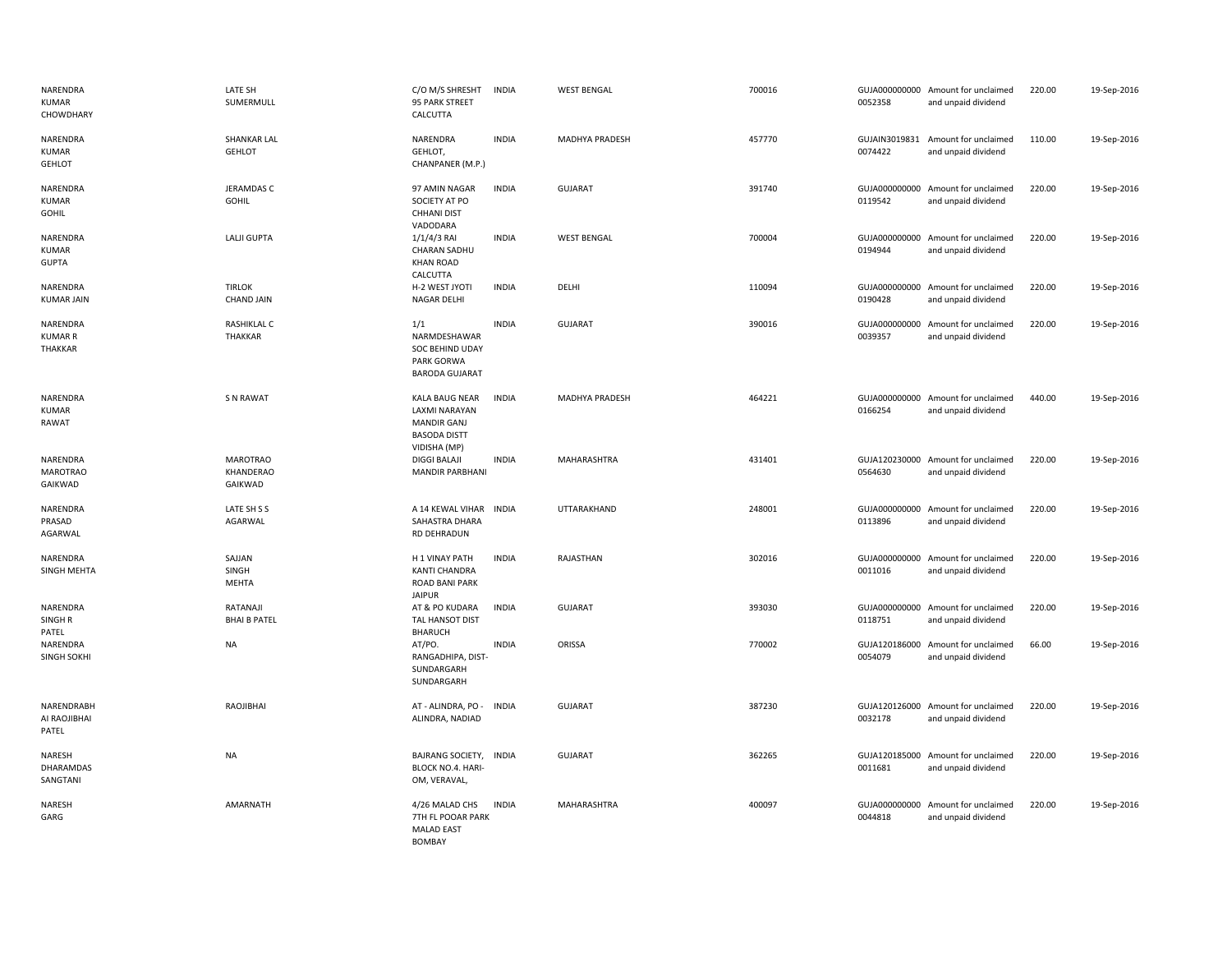| NARENDRA<br><b>KUMAR</b><br>CHOWDHARY     | LATE SH<br>SUMERMULL                    | C/O M/S SHRESHT<br>95 PARK STREET<br>CALCUTTA                                                       | <b>INDIA</b> | <b>WEST BENGAL</b> | 700016 | 0052358                  | GUJA000000000 Amount for unclaimed<br>and unpaid dividend | 220.00 | 19-Sep-2016 |
|-------------------------------------------|-----------------------------------------|-----------------------------------------------------------------------------------------------------|--------------|--------------------|--------|--------------------------|-----------------------------------------------------------|--------|-------------|
| NARENDRA<br><b>KUMAR</b><br><b>GEHLOT</b> | <b>SHANKAR LAL</b><br><b>GEHLOT</b>     | NARENDRA<br>GEHLOT,<br>CHANPANER (M.P.)                                                             | <b>INDIA</b> | MADHYA PRADESH     | 457770 | 0074422                  | GUJAIN3019831 Amount for unclaimed<br>and unpaid dividend | 110.00 | 19-Sep-2016 |
| NARENDRA<br><b>KUMAR</b><br>GOHIL         | JERAMDAS C<br><b>GOHIL</b>              | 97 AMIN NAGAR<br>SOCIETY AT PO<br><b>CHHANI DIST</b><br>VADODARA                                    | <b>INDIA</b> | <b>GUJARAT</b>     | 391740 | 0119542                  | GUJA000000000 Amount for unclaimed<br>and unpaid dividend | 220.00 | 19-Sep-2016 |
| NARENDRA<br><b>KUMAR</b><br><b>GUPTA</b>  | LALJI GUPTA                             | $1/1/4/3$ RAI<br><b>CHARAN SADHU</b><br><b>KHAN ROAD</b>                                            | <b>INDIA</b> | <b>WEST BENGAL</b> | 700004 | 0194944                  | GUJA000000000 Amount for unclaimed<br>and unpaid dividend | 220.00 | 19-Sep-2016 |
| NARENDRA<br><b>KUMAR JAIN</b>             | <b>TIRLOK</b><br><b>CHAND JAIN</b>      | CALCUTTA<br>H-2 WEST JYOTI<br><b>NAGAR DELHI</b>                                                    | <b>INDIA</b> | DELHI              | 110094 | 0190428                  | GUJA000000000 Amount for unclaimed<br>and unpaid dividend | 220.00 | 19-Sep-2016 |
| NARENDRA<br><b>KUMAR R</b><br>THAKKAR     | RASHIKLAL C<br>THAKKAR                  | 1/1<br>NARMDESHAWAR<br>SOC BEHIND UDAY<br>PARK GORWA<br><b>BARODA GUJARAT</b>                       | <b>INDIA</b> | <b>GUJARAT</b>     | 390016 | GUJA000000000<br>0039357 | Amount for unclaimed<br>and unpaid dividend               | 220.00 | 19-Sep-2016 |
| NARENDRA<br><b>KUMAR</b><br>RAWAT         | <b>S N RAWAT</b>                        | KALA BAUG NEAR<br><b>LAXMI NARAYAN</b><br><b>MANDIR GANJ</b><br><b>BASODA DISTT</b><br>VIDISHA (MP) | <b>INDIA</b> | MADHYA PRADESH     | 464221 | 0166254                  | GUJA000000000 Amount for unclaimed<br>and unpaid dividend | 440.00 | 19-Sep-2016 |
| NARENDRA<br><b>MAROTRAO</b><br>GAIKWAD    | <b>MAROTRAO</b><br>KHANDERAO<br>GAIKWAD | <b>DIGGI BALAJI</b><br><b>MANDIR PARBHANI</b>                                                       | <b>INDIA</b> | MAHARASHTRA        | 431401 | 0564630                  | GUJA120230000 Amount for unclaimed<br>and unpaid dividend | 220.00 | 19-Sep-2016 |
| NARENDRA<br>PRASAD<br>AGARWAL             | LATE SH S S<br>AGARWAL                  | A 14 KEWAL VIHAR<br>SAHASTRA DHARA<br>RD DEHRADUN                                                   | <b>INDIA</b> | UTTARAKHAND        | 248001 | GUJA000000000<br>0113896 | Amount for unclaimed<br>and unpaid dividend               | 220.00 | 19-Sep-2016 |
| NARENDRA<br>SINGH MEHTA                   | SAJJAN<br>SINGH<br><b>MEHTA</b>         | H 1 VINAY PATH<br><b>KANTI CHANDRA</b><br>ROAD BANI PARK<br><b>JAIPUR</b>                           | <b>INDIA</b> | RAJASTHAN          | 302016 | 0011016                  | GUJA000000000 Amount for unclaimed<br>and unpaid dividend | 220.00 | 19-Sep-2016 |
| NARENDRA<br>SINGH <sub>R</sub><br>PATEL   | RATANAJI<br><b>BHAI B PATEL</b>         | AT & PO KUDARA<br>TAL HANSOT DIST<br><b>BHARUCH</b>                                                 | <b>INDIA</b> | GUJARAT            | 393030 | 0118751                  | GUJA000000000 Amount for unclaimed<br>and unpaid dividend | 220.00 | 19-Sep-2016 |
| NARENDRA<br><b>SINGH SOKHI</b>            | NA                                      | AT/PO.<br>RANGADHIPA, DIST-<br>SUNDARGARH<br>SUNDARGARH                                             | <b>INDIA</b> | ORISSA             | 770002 | 0054079                  | GUJA120186000 Amount for unclaimed<br>and unpaid dividend | 66.00  | 19-Sep-2016 |
| NARENDRABH<br>AI RAOJIBHAI<br>PATEL       | RAOJIBHAI                               | AT - ALINDRA, PO -<br>ALINDRA, NADIAD                                                               | <b>INDIA</b> | <b>GUJARAT</b>     | 387230 | 0032178                  | GUJA120126000 Amount for unclaimed<br>and unpaid dividend | 220.00 | 19-Sep-2016 |
| NARESH<br>DHARAMDAS<br>SANGTANI           | <b>NA</b>                               | <b>BAJRANG SOCIETY,</b><br><b>BLOCK NO.4. HARI-</b><br>OM, VERAVAL,                                 | <b>INDIA</b> | <b>GUJARAT</b>     | 362265 | 0011681                  | GUJA120185000 Amount for unclaimed<br>and unpaid dividend | 220.00 | 19-Sep-2016 |
| NARESH<br>GARG                            | AMARNATH                                | 4/26 MALAD CHS<br>7TH FL POOAR PARK<br><b>MALAD EAST</b><br><b>BOMBAY</b>                           | <b>INDIA</b> | MAHARASHTRA        | 400097 | 0044818                  | GUJA000000000 Amount for unclaimed<br>and unpaid dividend | 220.00 | 19-Sep-2016 |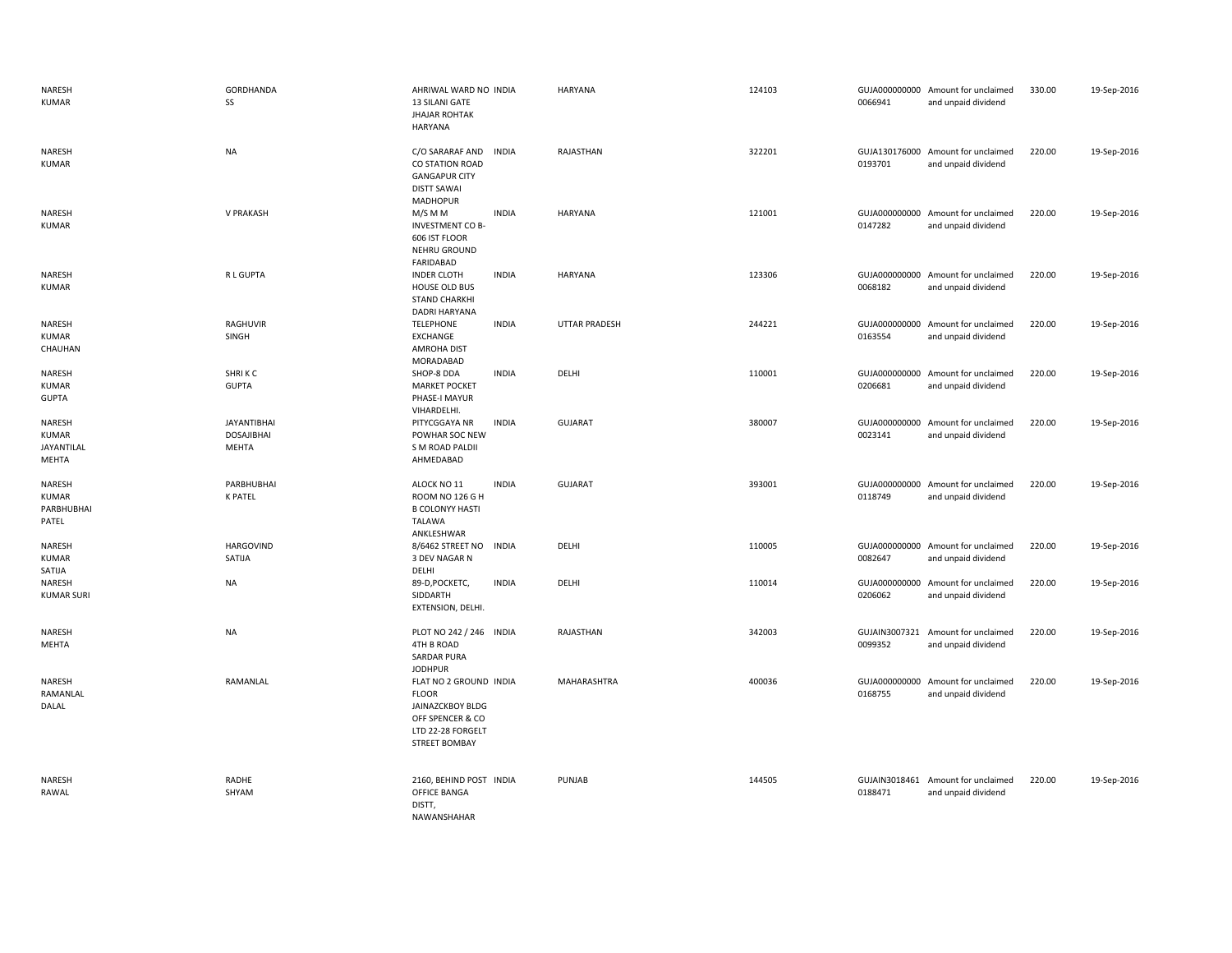| NARESH<br><b>KUMAR</b>                        | <b>GORDHANDA</b><br>SS                           | AHRIWAL WARD NO INDIA<br>13 SILANI GATE<br><b>JHAJAR ROHTAK</b><br><b>HARYANA</b>                                                  | <b>HARYANA</b>       | 124103 | 0066941                  | GUJA000000000 Amount for unclaimed<br>and unpaid dividend | 330.00 | 19-Sep-2016 |
|-----------------------------------------------|--------------------------------------------------|------------------------------------------------------------------------------------------------------------------------------------|----------------------|--------|--------------------------|-----------------------------------------------------------|--------|-------------|
| NARESH<br><b>KUMAR</b>                        | <b>NA</b>                                        | C/O SARARAF AND<br><b>INDIA</b><br><b>CO STATION ROAD</b><br><b>GANGAPUR CITY</b><br><b>DISTT SAWAI</b><br><b>MADHOPUR</b>         | RAJASTHAN            | 322201 | 0193701                  | GUJA130176000 Amount for unclaimed<br>and unpaid dividend | 220.00 | 19-Sep-2016 |
| NARESH<br><b>KUMAR</b>                        | V PRAKASH                                        | <b>INDIA</b><br>M/S M M<br><b>INVESTMENT CO B-</b><br>606 IST FLOOR<br>NEHRU GROUND<br>FARIDABAD                                   | <b>HARYANA</b>       | 121001 | 0147282                  | GUJA000000000 Amount for unclaimed<br>and unpaid dividend | 220.00 | 19-Sep-2016 |
| NARESH<br><b>KUMAR</b>                        | R L GUPTA                                        | <b>INDER CLOTH</b><br><b>INDIA</b><br>HOUSE OLD BUS<br><b>STAND CHARKHI</b><br>DADRI HARYANA                                       | <b>HARYANA</b>       | 123306 | 0068182                  | GUJA000000000 Amount for unclaimed<br>and unpaid dividend | 220.00 | 19-Sep-2016 |
| NARESH<br>KUMAR<br>CHAUHAN                    | RAGHUVIR<br>SINGH                                | <b>INDIA</b><br><b>TELEPHONE</b><br>EXCHANGE<br><b>AMROHA DIST</b><br>MORADABAD                                                    | <b>UTTAR PRADESH</b> | 244221 | 0163554                  | GUJA000000000 Amount for unclaimed<br>and unpaid dividend | 220.00 | 19-Sep-2016 |
| NARESH<br><b>KUMAR</b><br><b>GUPTA</b>        | SHRIKC<br><b>GUPTA</b>                           | SHOP-8 DDA<br><b>INDIA</b><br><b>MARKET POCKET</b><br>PHASE-I MAYUR<br>VIHARDELHI.                                                 | DELHI                | 110001 | 0206681                  | GUJA000000000 Amount for unclaimed<br>and unpaid dividend | 220.00 | 19-Sep-2016 |
| NARESH<br><b>KUMAR</b><br>JAYANTILAL<br>MEHTA | <b>JAYANTIBHAI</b><br><b>DOSAJIBHAI</b><br>MEHTA | <b>INDIA</b><br>PITYCGGAYA NR<br>POWHAR SOC NEW<br>S M ROAD PALDII<br>AHMEDABAD                                                    | <b>GUJARAT</b>       | 380007 | 0023141                  | GUJA000000000 Amount for unclaimed<br>and unpaid dividend | 220.00 | 19-Sep-2016 |
| NARESH<br><b>KUMAR</b><br>PARBHUBHAI<br>PATEL | PARBHUBHAI<br><b>K PATEL</b>                     | ALOCK NO 11<br><b>INDIA</b><br>ROOM NO 126 G H<br><b>B COLONYY HASTI</b><br><b>TALAWA</b><br>ANKLESHWAR                            | <b>GUJARAT</b>       | 393001 | 0118749                  | GUJA000000000 Amount for unclaimed<br>and unpaid dividend | 220.00 | 19-Sep-2016 |
| NARESH<br><b>KUMAR</b><br>SATIJA              | <b>HARGOVIND</b><br>SATIJA                       | 8/6462 STREET NO<br><b>INDIA</b><br>3 DEV NAGAR N<br>DELHI                                                                         | DELHI                | 110005 | 0082647                  | GUJA000000000 Amount for unclaimed<br>and unpaid dividend | 220.00 | 19-Sep-2016 |
| NARESH<br><b>KUMAR SURI</b>                   | <b>NA</b>                                        | <b>INDIA</b><br>89-D, POCKETC,<br>SIDDARTH<br>EXTENSION, DELHI.                                                                    | DELHI                | 110014 | 0206062                  | GUJA000000000 Amount for unclaimed<br>and unpaid dividend | 220.00 | 19-Sep-2016 |
| NARESH<br>MEHTA                               | <b>NA</b>                                        | PLOT NO 242 / 246 INDIA<br>4TH B ROAD<br><b>SARDAR PURA</b><br><b>JODHPUR</b>                                                      | RAJASTHAN            | 342003 | GUJAIN3007321<br>0099352 | Amount for unclaimed<br>and unpaid dividend               | 220.00 | 19-Sep-2016 |
| NARESH<br>RAMANLAL<br>DALAL                   | RAMANLAL                                         | FLAT NO 2 GROUND INDIA<br><b>FLOOR</b><br><b>JAINAZCKBOY BLDG</b><br>OFF SPENCER & CO<br>LTD 22-28 FORGELT<br><b>STREET BOMBAY</b> | MAHARASHTRA          | 400036 | 0168755                  | GUJA000000000 Amount for unclaimed<br>and unpaid dividend | 220.00 | 19-Sep-2016 |
| NARESH<br>RAWAL                               | RADHE<br>SHYAM                                   | 2160, BEHIND POST INDIA<br>OFFICE BANGA<br>DISTT,<br>NAWANSHAHAR                                                                   | PUNJAB               | 144505 | 0188471                  | GUJAIN3018461 Amount for unclaimed<br>and unpaid dividend | 220.00 | 19-Sep-2016 |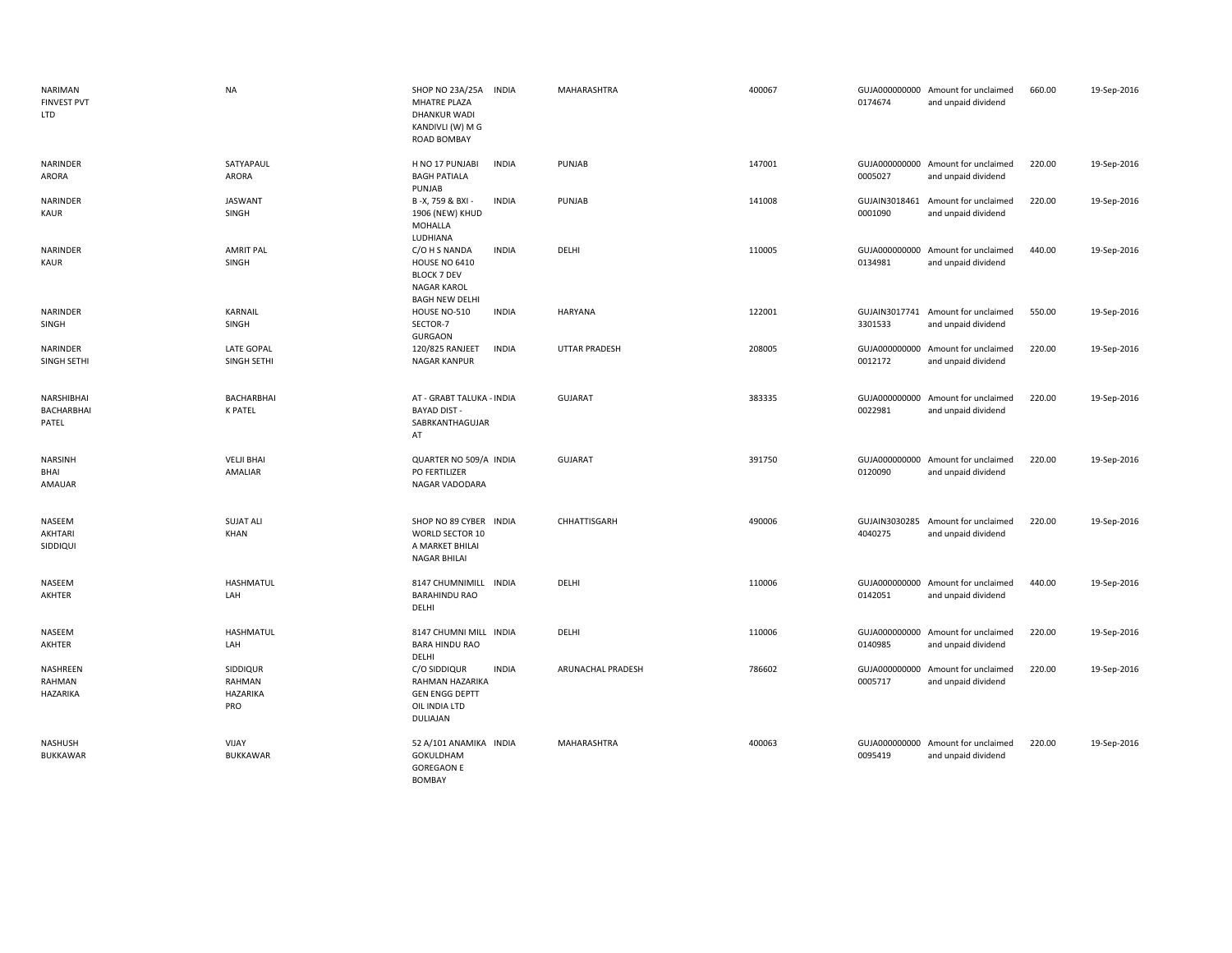| NARIMAN<br><b>FINVEST PVT</b><br>LTD     | <b>NA</b>                             | SHOP NO 23A/25A<br><b>INDIA</b><br>MHATRE PLAZA<br><b>DHANKUR WADI</b><br>KANDIVLI (W) M G<br>ROAD BOMBAY                  | MAHARASHTRA          | 400067 | 0174674                  | GUJA000000000 Amount for unclaimed<br>and unpaid dividend | 660.00 | 19-Sep-2016 |
|------------------------------------------|---------------------------------------|----------------------------------------------------------------------------------------------------------------------------|----------------------|--------|--------------------------|-----------------------------------------------------------|--------|-------------|
| NARINDER<br>ARORA                        | SATYAPAUL<br>ARORA                    | H NO 17 PUNJABI<br><b>INDIA</b><br><b>BAGH PATIALA</b><br>PUNJAB                                                           | PUNJAB               | 147001 | 0005027                  | GUJA000000000 Amount for unclaimed<br>and unpaid dividend | 220.00 | 19-Sep-2016 |
| NARINDER<br><b>KAUR</b>                  | <b>JASWANT</b><br>SINGH               | B-X, 759 & BXI -<br><b>INDIA</b><br>1906 (NEW) KHUD<br>MOHALLA<br>LUDHIANA                                                 | PUNJAB               | 141008 | 0001090                  | GUJAIN3018461 Amount for unclaimed<br>and unpaid dividend | 220.00 | 19-Sep-2016 |
| NARINDER<br><b>KAUR</b>                  | <b>AMRIT PAL</b><br>SINGH             | C/O H S NANDA<br><b>INDIA</b><br><b>HOUSE NO 6410</b><br><b>BLOCK 7 DEV</b><br><b>NAGAR KAROL</b><br><b>BAGH NEW DELHI</b> | DELHI                | 110005 | GUJA000000000<br>0134981 | Amount for unclaimed<br>and unpaid dividend               | 440.00 | 19-Sep-2016 |
| NARINDER<br>SINGH                        | KARNAIL<br>SINGH                      | HOUSE NO-510<br><b>INDIA</b><br>SECTOR-7<br><b>GURGAON</b>                                                                 | <b>HARYANA</b>       | 122001 | 3301533                  | GUJAIN3017741 Amount for unclaimed<br>and unpaid dividend | 550.00 | 19-Sep-2016 |
| NARINDER<br>SINGH SETHI                  | <b>LATE GOPAL</b><br>SINGH SETHI      | <b>INDIA</b><br>120/825 RANJEET<br>NAGAR KANPUR                                                                            | <b>UTTAR PRADESH</b> | 208005 | 0012172                  | GUJA000000000 Amount for unclaimed<br>and unpaid dividend | 220.00 | 19-Sep-2016 |
| NARSHIBHAI<br><b>BACHARBHAI</b><br>PATEL | BACHARBHAI<br><b>K PATEL</b>          | AT - GRABT TALUKA - INDIA<br><b>BAYAD DIST -</b><br>SABRKANTHAGUJAR<br>AT                                                  | <b>GUJARAT</b>       | 383335 | 0022981                  | GUJA000000000 Amount for unclaimed<br>and unpaid dividend | 220.00 | 19-Sep-2016 |
| <b>NARSINH</b><br>BHAI<br>AMAUAR         | <b>VELJI BHAI</b><br>AMALIAR          | QUARTER NO 509/A INDIA<br>PO FERTILIZER<br>NAGAR VADODARA                                                                  | <b>GUJARAT</b>       | 391750 | 0120090                  | GUJA000000000 Amount for unclaimed<br>and unpaid dividend | 220.00 | 19-Sep-2016 |
| NASEEM<br>AKHTARI<br>SIDDIQUI            | <b>SUJAT ALI</b><br>KHAN              | SHOP NO 89 CYBER INDIA<br>WORLD SECTOR 10<br>A MARKET BHILAI<br><b>NAGAR BHILAI</b>                                        | CHHATTISGARH         | 490006 | 4040275                  | GUJAIN3030285 Amount for unclaimed<br>and unpaid dividend | 220.00 | 19-Sep-2016 |
| NASEEM<br>AKHTER                         | HASHMATUL<br>LAH                      | 8147 CHUMNIMILL INDIA<br><b>BARAHINDU RAO</b><br>DELHI                                                                     | DELHI                | 110006 | 0142051                  | GUJA000000000 Amount for unclaimed<br>and unpaid dividend | 440.00 | 19-Sep-2016 |
| NASEEM<br>AKHTER                         | HASHMATUL<br>LAH                      | 8147 CHUMNI MILL INDIA<br><b>BARA HINDU RAO</b><br>DELHI                                                                   | DELHI                | 110006 | 0140985                  | GUJA000000000 Amount for unclaimed<br>and unpaid dividend | 220.00 | 19-Sep-2016 |
| NASHREEN<br>RAHMAN<br><b>HAZARIKA</b>    | SIDDIQUR<br>RAHMAN<br>HAZARIKA<br>PRO | C/O SIDDIQUR<br><b>INDIA</b><br>RAHMAN HAZARIKA<br><b>GEN ENGG DEPTT</b><br>OIL INDIA LTD<br>DULIAJAN                      | ARUNACHAL PRADESH    | 786602 | 0005717                  | GUJA000000000 Amount for unclaimed<br>and unpaid dividend | 220.00 | 19-Sep-2016 |
| <b>NASHUSH</b><br><b>BUKKAWAR</b>        | VIJAY<br><b>BUKKAWAR</b>              | 52 A/101 ANAMIKA INDIA<br>GOKULDHAM<br><b>GOREGAON E</b><br><b>BOMBAY</b>                                                  | MAHARASHTRA          | 400063 | 0095419                  | GUJA000000000 Amount for unclaimed<br>and unpaid dividend | 220.00 | 19-Sep-2016 |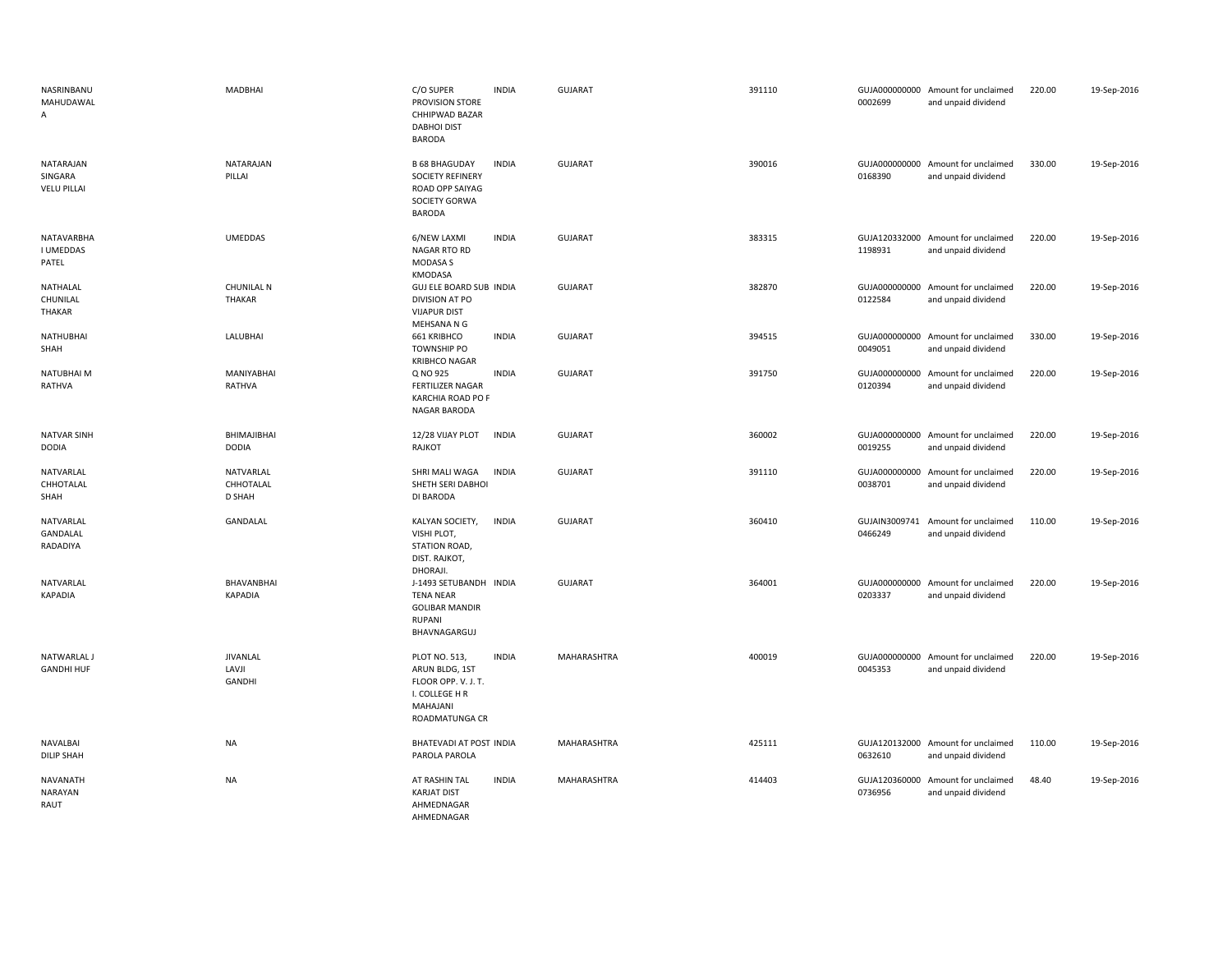| NASRINBANU<br>MAHUDAWAL<br>$\overline{A}$  | MADBHAI                            | C/O SUPER<br>PROVISION STORE<br>CHHIPWAD BAZAR<br><b>DABHOI DIST</b><br>BARODA                         | <b>INDIA</b> | <b>GUJARAT</b> | 391110 | 0002699                  | GUJA000000000 Amount for unclaimed<br>and unpaid dividend | 220.00 | 19-Sep-2016 |
|--------------------------------------------|------------------------------------|--------------------------------------------------------------------------------------------------------|--------------|----------------|--------|--------------------------|-----------------------------------------------------------|--------|-------------|
| NATARAJAN<br>SINGARA<br><b>VELU PILLAI</b> | NATARAJAN<br>PILLAI                | <b>B 68 BHAGUDAY</b><br><b>SOCIETY REFINERY</b><br>ROAD OPP SAIYAG<br>SOCIETY GORWA<br>BARODA          | <b>INDIA</b> | GUJARAT        | 390016 | 0168390                  | GUJA000000000 Amount for unclaimed<br>and unpaid dividend | 330.00 | 19-Sep-2016 |
| NATAVARBHA<br><b>I UMEDDAS</b><br>PATEL    | <b>UMEDDAS</b>                     | 6/NEW LAXMI<br>NAGAR RTO RD<br>MODASA S<br><b>KMODASA</b>                                              | <b>INDIA</b> | <b>GUJARAT</b> | 383315 | 1198931                  | GUJA120332000 Amount for unclaimed<br>and unpaid dividend | 220.00 | 19-Sep-2016 |
| NATHALAL<br>CHUNILAL<br>THAKAR             | <b>CHUNILAL N</b><br><b>THAKAR</b> | GUJ ELE BOARD SUB INDIA<br>DIVISION AT PO<br><b>VIJAPUR DIST</b><br>MEHSANA N G                        |              | <b>GUJARAT</b> | 382870 | 0122584                  | GUJA000000000 Amount for unclaimed<br>and unpaid dividend | 220.00 | 19-Sep-2016 |
| <b>NATHUBHAI</b><br>SHAH                   | LALUBHAI                           | 661 KRIBHCO<br>TOWNSHIP PO<br><b>KRIBHCO NAGAR</b>                                                     | <b>INDIA</b> | <b>GUJARAT</b> | 394515 | GUJA000000000<br>0049051 | Amount for unclaimed<br>and unpaid dividend               | 330.00 | 19-Sep-2016 |
| NATUBHAI M<br>RATHVA                       | MANIYABHAI<br>RATHVA               | Q NO 925<br><b>FERTILIZER NAGAR</b><br>KARCHIA ROAD PO F<br><b>NAGAR BARODA</b>                        | <b>INDIA</b> | GUJARAT        | 391750 | 0120394                  | GUJA000000000 Amount for unclaimed<br>and unpaid dividend | 220.00 | 19-Sep-2016 |
| <b>NATVAR SINH</b><br>DODIA                | BHIMAJIBHAI<br><b>DODIA</b>        | 12/28 VIJAY PLOT<br>RAJKOT                                                                             | <b>INDIA</b> | <b>GUJARAT</b> | 360002 | 0019255                  | GUJA000000000 Amount for unclaimed<br>and unpaid dividend | 220.00 | 19-Sep-2016 |
| NATVARLAL<br>CHHOTALAL<br>SHAH             | NATVARLAL<br>CHHOTALAL<br>D SHAH   | SHRI MALI WAGA<br>SHETH SERI DABHOI<br>DI BARODA                                                       | <b>INDIA</b> | <b>GUJARAT</b> | 391110 | GUJA000000000<br>0038701 | Amount for unclaimed<br>and unpaid dividend               | 220.00 | 19-Sep-2016 |
| NATVARLAL<br>GANDALAL<br>RADADIYA          | GANDALAL                           | KALYAN SOCIETY,<br>VISHI PLOT,<br>STATION ROAD,<br>DIST. RAJKOT,<br>DHORAJI.                           | <b>INDIA</b> | GUJARAT        | 360410 | 0466249                  | GUJAIN3009741 Amount for unclaimed<br>and unpaid dividend | 110.00 | 19-Sep-2016 |
| NATVARLAL<br>KAPADIA                       | BHAVANBHAI<br><b>KAPADIA</b>       | J-1493 SETUBANDH INDIA<br><b>TENA NEAR</b><br><b>GOLIBAR MANDIR</b><br><b>RUPANI</b><br>BHAVNAGARGUJ   |              | <b>GUJARAT</b> | 364001 | 0203337                  | GUJA000000000 Amount for unclaimed<br>and unpaid dividend | 220.00 | 19-Sep-2016 |
| NATWARLAL J<br><b>GANDHI HUF</b>           | <b>JIVANLAL</b><br>LAVJI<br>GANDHI | PLOT NO. 513,<br>ARUN BLDG, 1ST<br>FLOOR OPP. V. J. T.<br>I. COLLEGE H R<br>MAHAJANI<br>ROADMATUNGA CR | <b>INDIA</b> | MAHARASHTRA    | 400019 | 0045353                  | GUJA000000000 Amount for unclaimed<br>and unpaid dividend | 220.00 | 19-Sep-2016 |
| NAVALBAI<br><b>DILIP SHAH</b>              | NA                                 | BHATEVADI AT POST INDIA<br>PAROLA PAROLA                                                               |              | MAHARASHTRA    | 425111 | 0632610                  | GUJA120132000 Amount for unclaimed<br>and unpaid dividend | 110.00 | 19-Sep-2016 |
| NAVANATH<br>NARAYAN<br>RAUT                | NA                                 | AT RASHIN TAL<br><b>KARJAT DIST</b><br>AHMEDNAGAR<br>AHMFDNAGAR                                        | <b>INDIA</b> | MAHARASHTRA    | 414403 | 0736956                  | GUJA120360000 Amount for unclaimed<br>and unpaid dividend | 48.40  | 19-Sep-2016 |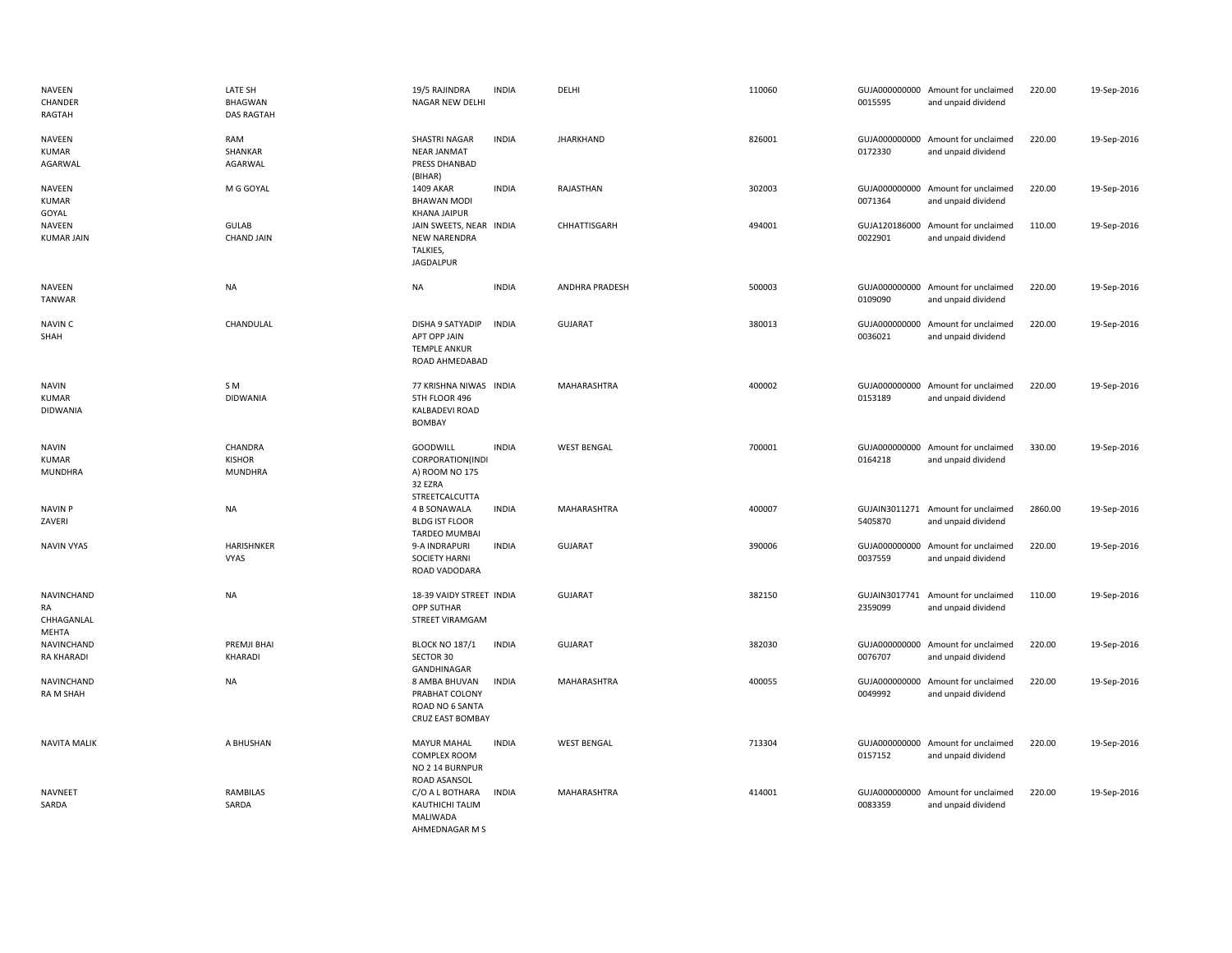| <b>NAVEEN</b><br>CHANDER<br>RAGTAH              | LATE SH<br><b>BHAGWAN</b><br><b>DAS RAGTAH</b> | 19/5 RAJINDRA<br>NAGAR NEW DELHI                                               | <b>INDIA</b> | DELHI              | 110060 | 0015595                  | GUJA000000000 Amount for unclaimed<br>and unpaid dividend | 220.00  | 19-Sep-2016 |
|-------------------------------------------------|------------------------------------------------|--------------------------------------------------------------------------------|--------------|--------------------|--------|--------------------------|-----------------------------------------------------------|---------|-------------|
| NAVEEN<br><b>KUMAR</b><br>AGARWAL               | RAM<br>SHANKAR<br>AGARWAL                      | <b>SHASTRI NAGAR</b><br><b>NEAR JANMAT</b><br>PRESS DHANBAD<br>(BIHAR)         | <b>INDIA</b> | <b>JHARKHAND</b>   | 826001 | 0172330                  | GUJA000000000 Amount for unclaimed<br>and unpaid dividend | 220.00  | 19-Sep-2016 |
| NAVEEN<br><b>KUMAR</b><br>GOYAL                 | M G GOYAL                                      | 1409 AKAR<br><b>BHAWAN MODI</b><br><b>KHANA JAIPUR</b>                         | <b>INDIA</b> | RAJASTHAN          | 302003 | 0071364                  | GUJA000000000 Amount for unclaimed<br>and unpaid dividend | 220.00  | 19-Sep-2016 |
| NAVEEN<br><b>KUMAR JAIN</b>                     | GULAB<br><b>CHAND JAIN</b>                     | JAIN SWEETS, NEAR INDIA<br><b>NEW NARENDRA</b><br>TALKIES,<br><b>JAGDALPUR</b> |              | CHHATTISGARH       | 494001 | 0022901                  | GUJA120186000 Amount for unclaimed<br>and unpaid dividend | 110.00  | 19-Sep-2016 |
| NAVEEN<br><b>TANWAR</b>                         | <b>NA</b>                                      | <b>NA</b>                                                                      | <b>INDIA</b> | ANDHRA PRADESH     | 500003 | 0109090                  | GUJA000000000 Amount for unclaimed<br>and unpaid dividend | 220.00  | 19-Sep-2016 |
| NAVIN C<br>SHAH                                 | CHANDULAL                                      | DISHA 9 SATYADIP<br>APT OPP JAIN<br><b>TEMPLE ANKUR</b><br>ROAD AHMEDABAD      | <b>INDIA</b> | <b>GUJARAT</b>     | 380013 | 0036021                  | GUJA000000000 Amount for unclaimed<br>and unpaid dividend | 220.00  | 19-Sep-2016 |
| <b>NAVIN</b><br><b>KUMAR</b><br><b>DIDWANIA</b> | S M<br><b>DIDWANIA</b>                         | 77 KRISHNA NIWAS INDIA<br>5TH FLOOR 496<br>KALBADEVI ROAD<br><b>BOMBAY</b>     |              | MAHARASHTRA        | 400002 | 0153189                  | GUJA000000000 Amount for unclaimed<br>and unpaid dividend | 220.00  | 19-Sep-2016 |
| <b>NAVIN</b><br><b>KUMAR</b><br><b>MUNDHRA</b>  | CHANDRA<br><b>KISHOR</b><br><b>MUNDHRA</b>     | <b>GOODWILL</b><br>CORPORATION(INDI<br>A) ROOM NO 175<br>32 EZRA               | <b>INDIA</b> | <b>WEST BENGAL</b> | 700001 | 0164218                  | GUJA000000000 Amount for unclaimed<br>and unpaid dividend | 330.00  | 19-Sep-2016 |
| <b>NAVIN P</b><br>ZAVERI                        | <b>NA</b>                                      | STREETCALCUTTA<br>4 B SONAWALA<br><b>BLDG IST FLOOR</b><br>TARDEO MUMBAI       | <b>INDIA</b> | MAHARASHTRA        | 400007 | 5405870                  | GUJAIN3011271 Amount for unclaimed<br>and unpaid dividend | 2860.00 | 19-Sep-2016 |
| <b>NAVIN VYAS</b>                               | HARISHNKER<br><b>VYAS</b>                      | 9-A INDRAPURI<br><b>SOCIETY HARNI</b><br>ROAD VADODARA                         | <b>INDIA</b> | <b>GUJARAT</b>     | 390006 | 0037559                  | GUJA000000000 Amount for unclaimed<br>and unpaid dividend | 220.00  | 19-Sep-2016 |
| NAVINCHAND<br>RA<br>CHHAGANLAL<br>MEHTA         | <b>NA</b>                                      | 18-39 VAIDY STREET INDIA<br>OPP SUTHAR<br>STREET VIRAMGAM                      |              | <b>GUJARAT</b>     | 382150 | 2359099                  | GUJAIN3017741 Amount for unclaimed<br>and unpaid dividend | 110.00  | 19-Sep-2016 |
| NAVINCHAND<br><b>RA KHARADI</b>                 | PREMJI BHAI<br>KHARADI                         | <b>BLOCK NO 187/1</b><br>SECTOR 30<br>GANDHINAGAR                              | <b>INDIA</b> | <b>GUJARAT</b>     | 382030 | GUJA000000000<br>0076707 | Amount for unclaimed<br>and unpaid dividend               | 220.00  | 19-Sep-2016 |
| NAVINCHAND<br>RA M SHAH                         | <b>NA</b>                                      | 8 AMBA BHUVAN<br>PRABHAT COLONY<br>ROAD NO 6 SANTA<br>CRUZ EAST BOMBAY         | <b>INDIA</b> | MAHARASHTRA        | 400055 | GUJA000000000<br>0049992 | Amount for unclaimed<br>and unpaid dividend               | 220.00  | 19-Sep-2016 |
| <b>NAVITA MALIK</b>                             | A BHUSHAN                                      | <b>MAYUR MAHAL</b><br><b>COMPLEX ROOM</b><br>NO 2 14 BURNPUR<br>ROAD ASANSOL   | <b>INDIA</b> | <b>WEST BENGAL</b> | 713304 | 0157152                  | GUJA000000000 Amount for unclaimed<br>and unpaid dividend | 220.00  | 19-Sep-2016 |
| <b>NAVNEET</b><br>SARDA                         | <b>RAMBILAS</b><br>SARDA                       | C/O A L BOTHARA<br>KAUTHICHI TALIM<br>MALIWADA<br>AHMEDNAGAR M S               | <b>INDIA</b> | MAHARASHTRA        | 414001 | 0083359                  | GUJA000000000 Amount for unclaimed<br>and unpaid dividend | 220.00  | 19-Sep-2016 |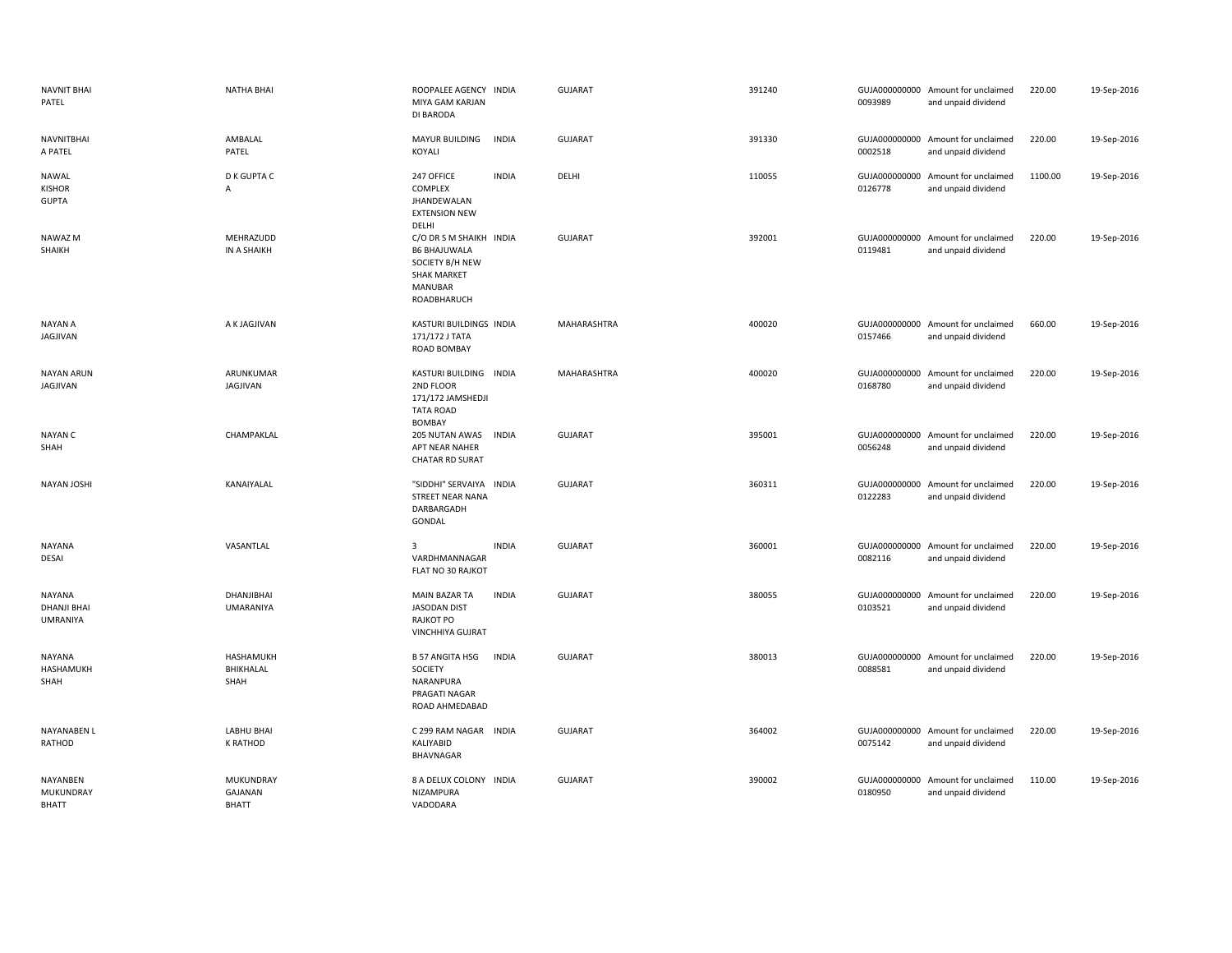| <b>NAVNIT BHAI</b><br>PATEL                     | <b>NATHA BHAI</b>                  | ROOPALEE AGENCY INDIA<br>MIYA GAM KARJAN<br>DI BARODA                                                                    |              | <b>GUJARAT</b> | 391240 | 0093989                  | GUJA000000000 Amount for unclaimed<br>and unpaid dividend | 220.00  | 19-Sep-2016 |
|-------------------------------------------------|------------------------------------|--------------------------------------------------------------------------------------------------------------------------|--------------|----------------|--------|--------------------------|-----------------------------------------------------------|---------|-------------|
| <b>NAVNITBHAI</b><br>A PATEL                    | AMBALAL<br>PATEL                   | MAYUR BUILDING<br>KOYALI                                                                                                 | <b>INDIA</b> | <b>GUJARAT</b> | 391330 | 0002518                  | GUJA000000000 Amount for unclaimed<br>and unpaid dividend | 220.00  | 19-Sep-2016 |
| NAWAL<br><b>KISHOR</b><br><b>GUPTA</b>          | <b>D K GUPTA C</b><br>$\mathsf{A}$ | 247 OFFICE<br>COMPLEX<br>JHANDEWALAN<br><b>EXTENSION NEW</b><br>DELHI                                                    | <b>INDIA</b> | DELHI          | 110055 | GUJA000000000<br>0126778 | Amount for unclaimed<br>and unpaid dividend               | 1100.00 | 19-Sep-2016 |
| <b>NAWAZ M</b><br>SHAIKH                        | MEHRAZUDD<br>IN A SHAIKH           | C/O DR S M SHAIKH INDIA<br><b>B6 BHAJUWALA</b><br>SOCIETY B/H NEW<br><b>SHAK MARKET</b><br><b>MANUBAR</b><br>ROADBHARUCH |              | <b>GUJARAT</b> | 392001 | 0119481                  | GUJA000000000 Amount for unclaimed<br>and unpaid dividend | 220.00  | 19-Sep-2016 |
| NAYAN A<br>JAGJIVAN                             | A K JAGJIVAN                       | KASTURI BUILDINGS INDIA<br>171/172 J TATA<br>ROAD BOMBAY                                                                 |              | MAHARASHTRA    | 400020 | 0157466                  | GUJA000000000 Amount for unclaimed<br>and unpaid dividend | 660.00  | 19-Sep-2016 |
| <b>NAYAN ARUN</b><br>JAGJIVAN                   | ARUNKUMAR<br>JAGJIVAN              | KASTURI BUILDING INDIA<br>2ND FLOOR<br>171/172 JAMSHEDJI<br><b>TATA ROAD</b><br><b>BOMBAY</b>                            |              | MAHARASHTRA    | 400020 | 0168780                  | GUJA000000000 Amount for unclaimed<br>and unpaid dividend | 220.00  | 19-Sep-2016 |
| <b>NAYAN C</b><br>SHAH                          | CHAMPAKLAL                         | 205 NUTAN AWAS<br>APT NEAR NAHER<br><b>CHATAR RD SURAT</b>                                                               | <b>INDIA</b> | <b>GUJARAT</b> | 395001 | 0056248                  | GUJA000000000 Amount for unclaimed<br>and unpaid dividend | 220.00  | 19-Sep-2016 |
| NAYAN JOSHI                                     | KANAIYALAL                         | "SIDDHI" SERVAIYA INDIA<br>STREET NEAR NANA<br>DARBARGADH<br>GONDAL                                                      |              | <b>GUJARAT</b> | 360311 | 0122283                  | GUJA000000000 Amount for unclaimed<br>and unpaid dividend | 220.00  | 19-Sep-2016 |
| NAYANA<br>DESAI                                 | VASANTLAL                          | 3<br>VARDHMANNAGAR<br>FLAT NO 30 RAJKOT                                                                                  | <b>INDIA</b> | <b>GUJARAT</b> | 360001 | 0082116                  | GUJA000000000 Amount for unclaimed<br>and unpaid dividend | 220.00  | 19-Sep-2016 |
| NAYANA<br><b>DHANJI BHAI</b><br><b>UMRANIYA</b> | DHANJIBHAI<br><b>UMARANIYA</b>     | <b>MAIN BAZAR TA</b><br>JASODAN DIST<br>RAJKOT PO<br><b>VINCHHIYA GUJRAT</b>                                             | <b>INDIA</b> | <b>GUJARAT</b> | 380055 | 0103521                  | GUJA000000000 Amount for unclaimed<br>and unpaid dividend | 220.00  | 19-Sep-2016 |
| NAYANA<br>HASHAMUKH<br>SHAH                     | HASHAMUKH<br>BHIKHALAL<br>SHAH     | <b>B 57 ANGITA HSG</b><br>SOCIETY<br>NARANPURA<br>PRAGATI NAGAR<br>ROAD AHMEDABAD                                        | <b>INDIA</b> | <b>GUJARAT</b> | 380013 | 0088581                  | GUJA000000000 Amount for unclaimed<br>and unpaid dividend | 220.00  | 19-Sep-2016 |
| NAYANABEN L<br>RATHOD                           | <b>LABHU BHAI</b><br>K RATHOD      | C 299 RAM NAGAR INDIA<br>KALIYABID<br>BHAVNAGAR                                                                          |              | <b>GUJARAT</b> | 364002 | 0075142                  | GUJA000000000 Amount for unclaimed<br>and unpaid dividend | 220.00  | 19-Sep-2016 |
| NAYANBEN<br>MUKUNDRAY<br>RHATT                  | MUKUNDRAY<br>GAJANAN<br>RHATT      | 8 A DELUX COLONY INDIA<br>NIZAMPURA<br>VADODARA                                                                          |              | <b>GUJARAT</b> | 390002 | 0180950                  | GUJA000000000 Amount for unclaimed<br>and unpaid dividend | 110.00  | 19-Sep-2016 |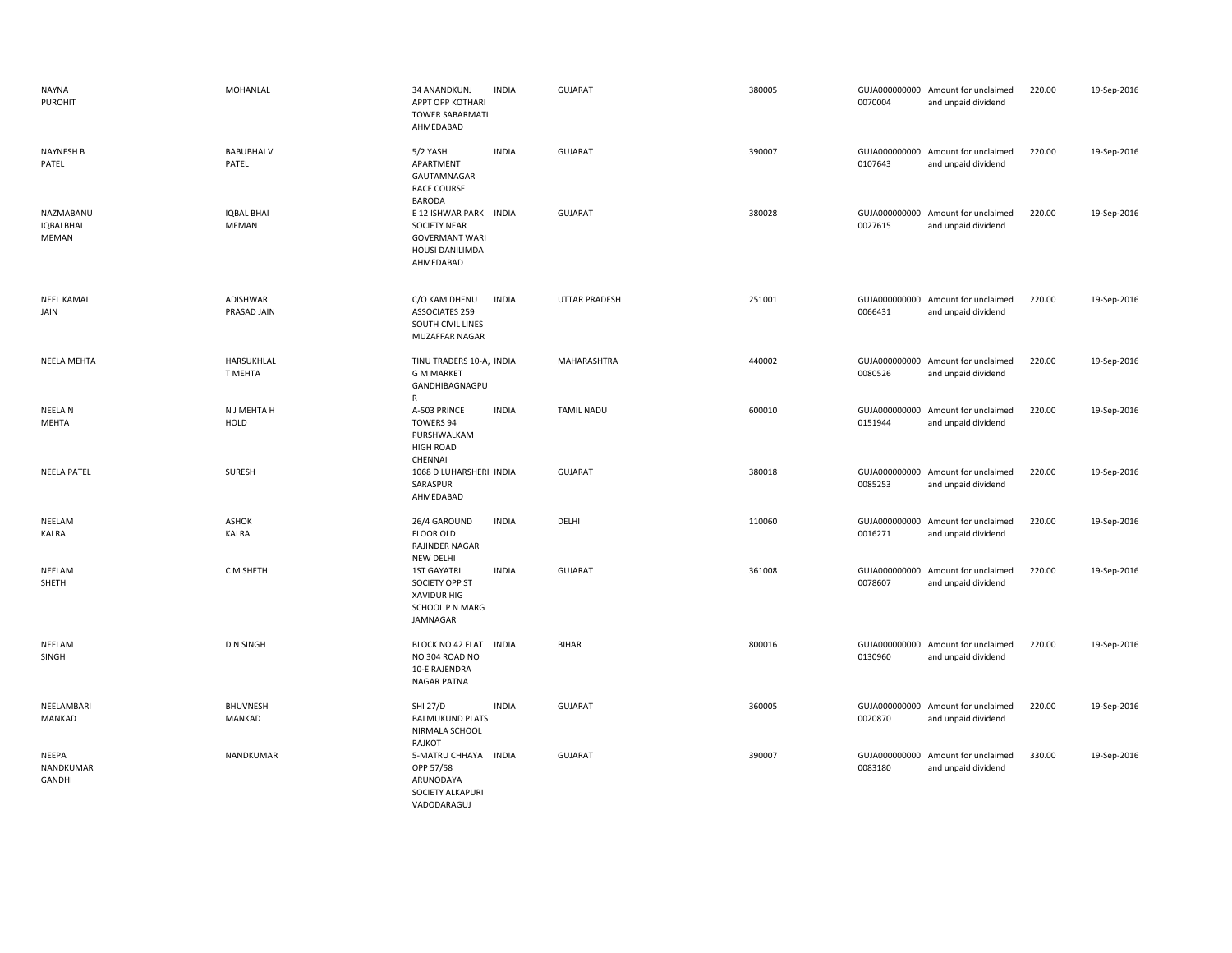| NAYNA<br><b>PUROHIT</b>                | <b>MOHANLAL</b>                  | 34 ANANDKUNJ<br>APPT OPP KOTHARI<br><b>TOWER SABARMATI</b><br>AHMEDABAD                                | <b>INDIA</b> | <b>GUJARAT</b>    | 380005 | 0070004                  | GUJA000000000 Amount for unclaimed<br>and unpaid dividend | 220.00 | 19-Sep-2016 |
|----------------------------------------|----------------------------------|--------------------------------------------------------------------------------------------------------|--------------|-------------------|--------|--------------------------|-----------------------------------------------------------|--------|-------------|
| <b>NAYNESH B</b><br>PATEL              | <b>BABUBHAIV</b><br>PATEL        | 5/2 YASH<br>APARTMENT<br>GAUTAMNAGAR<br><b>RACE COURSE</b><br><b>BARODA</b>                            | <b>INDIA</b> | <b>GUJARAT</b>    | 390007 | 0107643                  | GUJA000000000 Amount for unclaimed<br>and unpaid dividend | 220.00 | 19-Sep-2016 |
| NAZMABANU<br><b>IQBALBHAI</b><br>MEMAN | <b>IQBAL BHAI</b><br>MEMAN       | E 12 ISHWAR PARK INDIA<br><b>SOCIETY NEAR</b><br><b>GOVERMANT WARI</b><br>HOUSI DANILIMDA<br>AHMEDABAD |              | <b>GUJARAT</b>    | 380028 | GUJA000000000<br>0027615 | Amount for unclaimed<br>and unpaid dividend               | 220.00 | 19-Sep-2016 |
| <b>NEEL KAMAL</b><br>JAIN              | ADISHWAR<br>PRASAD JAIN          | C/O KAM DHENU<br><b>ASSOCIATES 259</b><br>SOUTH CIVIL LINES<br>MUZAFFAR NAGAR                          | <b>INDIA</b> | UTTAR PRADESH     | 251001 | 0066431                  | GUJA000000000 Amount for unclaimed<br>and unpaid dividend | 220.00 | 19-Sep-2016 |
| <b>NEELA MEHTA</b>                     | HARSUKHLAL<br>T MEHTA            | TINU TRADERS 10-A, INDIA<br><b>G M MARKET</b><br>GANDHIBAGNAGPU<br>R                                   |              | MAHARASHTRA       | 440002 | 0080526                  | GUJA000000000 Amount for unclaimed<br>and unpaid dividend | 220.00 | 19-Sep-2016 |
| NEELA N<br>MEHTA                       | N J MEHTA H<br>HOLD              | A-503 PRINCE<br>TOWERS 94<br>PURSHWALKAM<br><b>HIGH ROAD</b><br>CHENNAI                                | <b>INDIA</b> | <b>TAMIL NADU</b> | 600010 | GUJA000000000<br>0151944 | Amount for unclaimed<br>and unpaid dividend               | 220.00 | 19-Sep-2016 |
| <b>NEELA PATEL</b>                     | SURESH                           | 1068 D LUHARSHERI INDIA<br>SARASPUR<br>AHMEDABAD                                                       |              | <b>GUJARAT</b>    | 380018 | 0085253                  | GUJA000000000 Amount for unclaimed<br>and unpaid dividend | 220.00 | 19-Sep-2016 |
| NEELAM<br>KALRA                        | <b>ASHOK</b><br><b>KALRA</b>     | 26/4 GAROUND<br><b>FLOOR OLD</b><br>RAJINDER NAGAR<br>NEW DELHI                                        | <b>INDIA</b> | DELHI             | 110060 | GUJA000000000<br>0016271 | Amount for unclaimed<br>and unpaid dividend               | 220.00 | 19-Sep-2016 |
| NEELAM<br>SHETH                        | C M SHETH                        | <b>1ST GAYATRI</b><br>SOCIETY OPP ST<br><b>XAVIDUR HIG</b><br>SCHOOL P N MARG<br>JAMNAGAR              | <b>INDIA</b> | <b>GUJARAT</b>    | 361008 | 0078607                  | GUJA000000000 Amount for unclaimed<br>and unpaid dividend | 220.00 | 19-Sep-2016 |
| NEELAM<br>SINGH                        | <b>D N SINGH</b>                 | BLOCK NO 42 FLAT<br><b>INDIA</b><br>NO 304 ROAD NO<br>10-E RAJENDRA<br><b>NAGAR PATNA</b>              |              | <b>BIHAR</b>      | 800016 | 0130960                  | GUJA000000000 Amount for unclaimed<br>and unpaid dividend | 220.00 | 19-Sep-2016 |
| NEELAMBARI<br>MANKAD                   | <b>BHUVNESH</b><br><b>MANKAD</b> | <b>SHI 27/D</b><br><b>BALMUKUND PLATS</b><br>NIRMALA SCHOOL<br>RAJKOT                                  | <b>INDIA</b> | <b>GUJARAT</b>    | 360005 | 0020870                  | GUJA000000000 Amount for unclaimed<br>and unpaid dividend | 220.00 | 19-Sep-2016 |
| NEEPA<br>NANDKUMAR<br>GANDHI           | NANDKUMAR                        | 5-MATRU CHHAYA INDIA<br>OPP 57/58<br>ARUNODAYA<br><b>SOCIETY ALKAPURI</b>                              |              | <b>GUJARAT</b>    | 390007 | 0083180                  | GUJA000000000 Amount for unclaimed<br>and unpaid dividend | 330.00 | 19-Sep-2016 |

VADODARAGUJ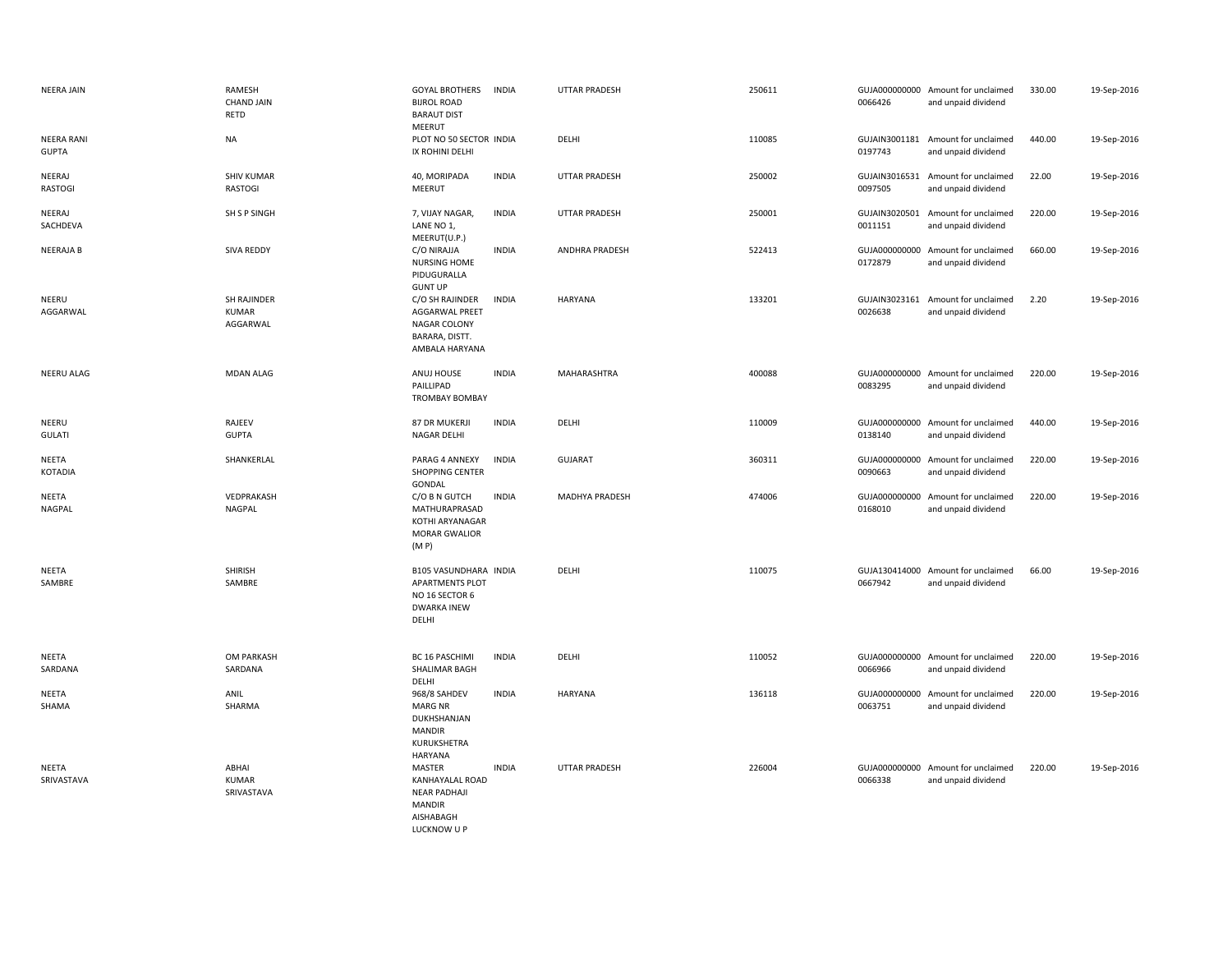| <b>NEERA JAIN</b>                 | RAMESH<br><b>CHAND JAIN</b><br>RETD            | <b>GOYAL BROTHERS</b><br><b>BIJROL ROAD</b><br><b>BARAUT DIST</b><br>MEERUT                             | <b>INDIA</b> | <b>UTTAR PRADESH</b>  | 250611 | 0066426                  | GUJA000000000 Amount for unclaimed<br>and unpaid dividend | 330.00 | 19-Sep-2016 |
|-----------------------------------|------------------------------------------------|---------------------------------------------------------------------------------------------------------|--------------|-----------------------|--------|--------------------------|-----------------------------------------------------------|--------|-------------|
| <b>NEERA RANI</b><br><b>GUPTA</b> | <b>NA</b>                                      | PLOT NO 50 SECTOR INDIA<br>IX ROHINI DELHI                                                              |              | DELHI                 | 110085 | GUJAIN3001181<br>0197743 | Amount for unclaimed<br>and unpaid dividend               | 440.00 | 19-Sep-2016 |
| NEERAJ<br><b>RASTOGI</b>          | <b>SHIV KUMAR</b><br><b>RASTOGI</b>            | 40, MORIPADA<br>MEERUT                                                                                  | <b>INDIA</b> | <b>UTTAR PRADESH</b>  | 250002 | 0097505                  | GUJAIN3016531 Amount for unclaimed<br>and unpaid dividend | 22.00  | 19-Sep-2016 |
| NEERAJ<br>SACHDEVA                | SH S P SINGH                                   | 7, VIJAY NAGAR,<br>LANE NO 1,<br>MEERUT(U.P.)                                                           | <b>INDIA</b> | <b>UTTAR PRADESH</b>  | 250001 | 0011151                  | GUJAIN3020501 Amount for unclaimed<br>and unpaid dividend | 220.00 | 19-Sep-2016 |
| <b>NEERAJAB</b>                   | <b>SIVA REDDY</b>                              | C/O NIRAJJA<br>NURSING HOME<br>PIDUGURALLA<br><b>GUNT UP</b>                                            | <b>INDIA</b> | <b>ANDHRA PRADESH</b> | 522413 | 0172879                  | GUJA000000000 Amount for unclaimed<br>and unpaid dividend | 660.00 | 19-Sep-2016 |
| NEERU<br>AGGARWAL                 | <b>SH RAJINDER</b><br><b>KUMAR</b><br>AGGARWAL | C/O SH RAJINDER<br>AGGARWAL PREET<br><b>NAGAR COLONY</b><br>BARARA, DISTT.<br>AMBALA HARYANA            | <b>INDIA</b> | HARYANA               | 133201 | GUJAIN3023161<br>0026638 | Amount for unclaimed<br>and unpaid dividend               | 2.20   | 19-Sep-2016 |
| NEERU ALAG                        | <b>MDAN ALAG</b>                               | ANUJ HOUSE<br>PAILLIPAD<br><b>TROMBAY BOMBAY</b>                                                        | <b>INDIA</b> | MAHARASHTRA           | 400088 | 0083295                  | GUJA000000000 Amount for unclaimed<br>and unpaid dividend | 220.00 | 19-Sep-2016 |
| NEERU<br><b>GULATI</b>            | RAJEEV<br><b>GUPTA</b>                         | 87 DR MUKERJI<br><b>NAGAR DELHI</b>                                                                     | <b>INDIA</b> | DELHI                 | 110009 | 0138140                  | GUJA000000000 Amount for unclaimed<br>and unpaid dividend | 440.00 | 19-Sep-2016 |
| <b>NEETA</b><br><b>KOTADIA</b>    | SHANKERLAL                                     | PARAG 4 ANNEXY<br><b>SHOPPING CENTER</b><br>GONDAL                                                      | <b>INDIA</b> | <b>GUJARAT</b>        | 360311 | 0090663                  | GUJA000000000 Amount for unclaimed<br>and unpaid dividend | 220.00 | 19-Sep-2016 |
| NEETA<br>NAGPAL                   | VEDPRAKASH<br>NAGPAL                           | C/O B N GUTCH<br>MATHURAPRASAD<br>KOTHI ARYANAGAR<br>MORAR GWALIOR<br>(M P)                             | <b>INDIA</b> | MADHYA PRADESH        | 474006 | 0168010                  | GUJA000000000 Amount for unclaimed<br>and unpaid dividend | 220.00 | 19-Sep-2016 |
| <b>NEETA</b><br>SAMBRE            | <b>SHIRISH</b><br>SAMBRE                       | <b>B105 VASUNDHARA INDIA</b><br><b>APARTMENTS PLOT</b><br>NO 16 SECTOR 6<br><b>DWARKA INEW</b><br>DELHI |              | DELHI                 | 110075 | 0667942                  | GUJA130414000 Amount for unclaimed<br>and unpaid dividend | 66.00  | 19-Sep-2016 |
| <b>NEETA</b><br>SARDANA           | OM PARKASH<br>SARDANA                          | BC 16 PASCHIMI<br>SHALIMAR BAGH<br>DELHI                                                                | <b>INDIA</b> | DELHI                 | 110052 | 0066966                  | GUJA000000000 Amount for unclaimed<br>and unpaid dividend | 220.00 | 19-Sep-2016 |
| NEETA<br>SHAMA                    | ANIL<br>SHARMA                                 | 968/8 SAHDEV<br><b>MARG NR</b><br>DUKHSHANJAN<br><b>MANDIR</b><br>KURUKSHETRA<br>HARYANA                | <b>INDIA</b> | <b>HARYANA</b>        | 136118 | 0063751                  | GUJA000000000 Amount for unclaimed<br>and unpaid dividend | 220.00 | 19-Sep-2016 |
| NEETA<br>SRIVASTAVA               | ABHAI<br><b>KUMAR</b><br>SRIVASTAVA            | MASTER<br>KANHAYALAL ROAD<br><b>NEAR PADHAJI</b><br><b>MANDIR</b><br>AISHABAGH<br>LUCKNOW U P           | <b>INDIA</b> | UTTAR PRADESH         | 226004 | 0066338                  | GUJA000000000 Amount for unclaimed<br>and unpaid dividend | 220.00 | 19-Sep-2016 |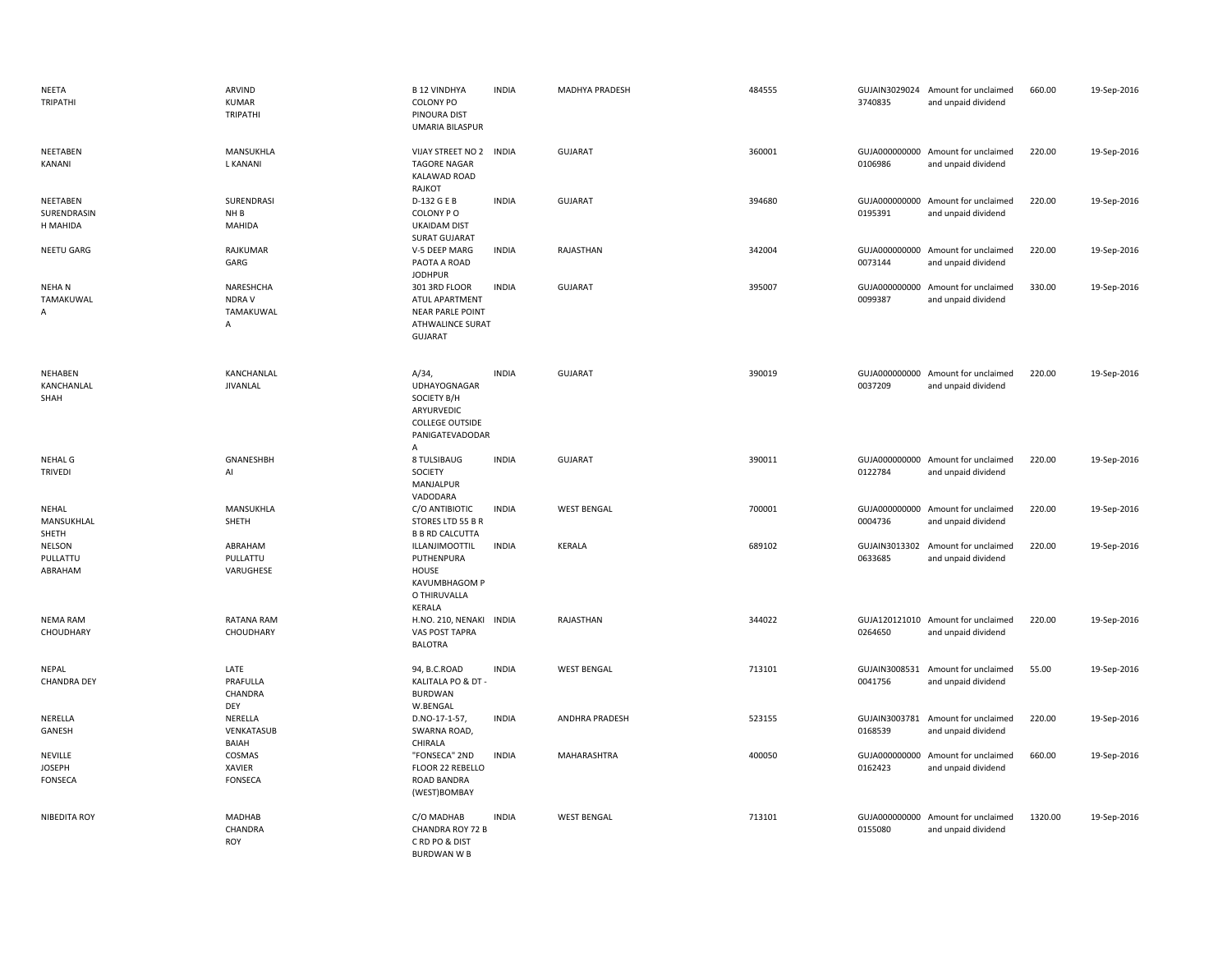| NEETA<br>TRIPATHI                          | ARVIND<br><b>KUMAR</b><br>TRIPATHI      | <b>B 12 VINDHYA</b><br><b>COLONY PO</b><br>PINOURA DIST<br>UMARIA BILASPUR                          | <b>INDIA</b> | <b>MADHYA PRADESH</b> | 484555 | 3740835                  | GUJAIN3029024 Amount for unclaimed<br>and unpaid dividend | 660.00  | 19-Sep-2016 |
|--------------------------------------------|-----------------------------------------|-----------------------------------------------------------------------------------------------------|--------------|-----------------------|--------|--------------------------|-----------------------------------------------------------|---------|-------------|
| <b>NEETABEN</b><br>KANANI                  | MANSUKHLA<br>L KANANI                   | VIJAY STREET NO 2 INDIA<br><b>TAGORE NAGAR</b><br>KALAWAD ROAD<br>RAJKOT                            |              | <b>GUJARAT</b>        | 360001 | 0106986                  | GUJA000000000 Amount for unclaimed<br>and unpaid dividend | 220.00  | 19-Sep-2016 |
| NEETABEN<br>SURENDRASIN<br>H MAHIDA        | SURENDRASI<br>NH <sub>B</sub><br>MAHIDA | D-132 G E B<br>COLONY PO<br><b>UKAIDAM DIST</b><br><b>SURAT GUJARAT</b>                             | <b>INDIA</b> | <b>GUJARAT</b>        | 394680 | 0195391                  | GUJA000000000 Amount for unclaimed<br>and unpaid dividend | 220.00  | 19-Sep-2016 |
| <b>NEETU GARG</b>                          | RAJKUMAR<br>GARG                        | V-5 DEEP MARG<br>PAOTA A ROAD<br><b>JODHPUR</b>                                                     | <b>INDIA</b> | RAJASTHAN             | 342004 | 0073144                  | GUJA000000000 Amount for unclaimed<br>and unpaid dividend | 220.00  | 19-Sep-2016 |
| <b>NEHAN</b><br>TAMAKUWAL<br>Α             | NARESHCHA<br>NDRA V<br>TAMAKUWAL<br>A   | 301 3RD FLOOR<br>ATUL APARTMENT<br><b>NEAR PARLE POINT</b><br>ATHWALINCE SURAT<br><b>GUJARAT</b>    | <b>INDIA</b> | <b>GUJARAT</b>        | 395007 | GUJA000000000<br>0099387 | Amount for unclaimed<br>and unpaid dividend               | 330.00  | 19-Sep-2016 |
| <b>NEHABEN</b><br>KANCHANLAL<br>SHAH       | KANCHANLAL<br>JIVANLAL                  | A/34<br>UDHAYOGNAGAR<br>SOCIETY B/H<br>ARYURVEDIC<br><b>COLLEGE OUTSIDE</b><br>PANIGATEVADODAR<br>A | <b>INDIA</b> | <b>GUJARAT</b>        | 390019 | 0037209                  | GUJA000000000 Amount for unclaimed<br>and unpaid dividend | 220.00  | 19-Sep-2016 |
| NEHAL G<br><b>TRIVEDI</b>                  | GNANESHBH<br>Al                         | 8 TULSIBAUG<br>SOCIETY<br>MANJALPUR<br>VADODARA                                                     | <b>INDIA</b> | <b>GUJARAT</b>        | 390011 | 0122784                  | GUJA000000000 Amount for unclaimed<br>and unpaid dividend | 220.00  | 19-Sep-2016 |
| NEHAL<br>MANSUKHLAL<br>SHETH               | MANSUKHLA<br>SHETH                      | C/O ANTIBIOTIC<br>STORES LTD 55 B R<br><b>B B RD CALCUTTA</b>                                       | <b>INDIA</b> | <b>WEST BENGAL</b>    | 700001 | 0004736                  | GUJA000000000 Amount for unclaimed<br>and unpaid dividend | 220.00  | 19-Sep-2016 |
| <b>NELSON</b><br>PULLATTU<br>ABRAHAM       | ABRAHAM<br>PULLATTU<br>VARUGHESE        | ILLANJIMOOTTIL<br>PUTHENPURA<br>HOUSE<br>KAVUMBHAGOM P<br>O THIRUVALLA<br>KERALA                    | <b>INDIA</b> | <b>KERALA</b>         | 689102 | 0633685                  | GUJAIN3013302 Amount for unclaimed<br>and unpaid dividend | 220.00  | 19-Sep-2016 |
| <b>NEMA RAM</b><br>CHOUDHARY               | RATANA RAM<br>CHOUDHARY                 | H.NO. 210, NENAKI<br>VAS POST TAPRA<br><b>BALOTRA</b>                                               | <b>INDIA</b> | RAJASTHAN             | 344022 | 0264650                  | GUJA120121010 Amount for unclaimed<br>and unpaid dividend | 220.00  | 19-Sep-2016 |
| NEPAL<br><b>CHANDRA DEY</b>                | LATE<br>PRAFULLA<br>CHANDRA<br>DEY      | 94, B.C.ROAD<br>KALITALA PO & DT -<br><b>BURDWAN</b><br>W.BENGAL                                    | <b>INDIA</b> | <b>WEST BENGAL</b>    | 713101 | GUJAIN3008531<br>0041756 | Amount for unclaimed<br>and unpaid dividend               | 55.00   | 19-Sep-2016 |
| NERELLA<br>GANESH                          | NERELLA<br>VENKATASUB<br>BAIAH          | D.NO-17-1-57,<br>SWARNA ROAD,<br>CHIRALA                                                            | <b>INDIA</b> | ANDHRA PRADESH        | 523155 | 0168539                  | GUJAIN3003781 Amount for unclaimed<br>and unpaid dividend | 220.00  | 19-Sep-2016 |
| NEVILLE<br><b>JOSEPH</b><br><b>FONSECA</b> | COSMAS<br>XAVIER<br><b>FONSECA</b>      | "FONSECA" 2ND<br>FLOOR 22 REBELLO<br>ROAD BANDRA<br>(WEST)BOMBAY                                    | <b>INDIA</b> | MAHARASHTRA           | 400050 | 0162423                  | GUJA000000000 Amount for unclaimed<br>and unpaid dividend | 660.00  | 19-Sep-2016 |
| NIBEDITA ROY                               | MADHAB<br>CHANDRA<br><b>ROY</b>         | C/O MADHAB<br>CHANDRA ROY 72 B<br>C RD PO & DIST<br><b>BURDWAN W B</b>                              | <b>INDIA</b> | <b>WEST BENGAL</b>    | 713101 | 0155080                  | GUJA000000000 Amount for unclaimed<br>and unpaid dividend | 1320.00 | 19-Sep-2016 |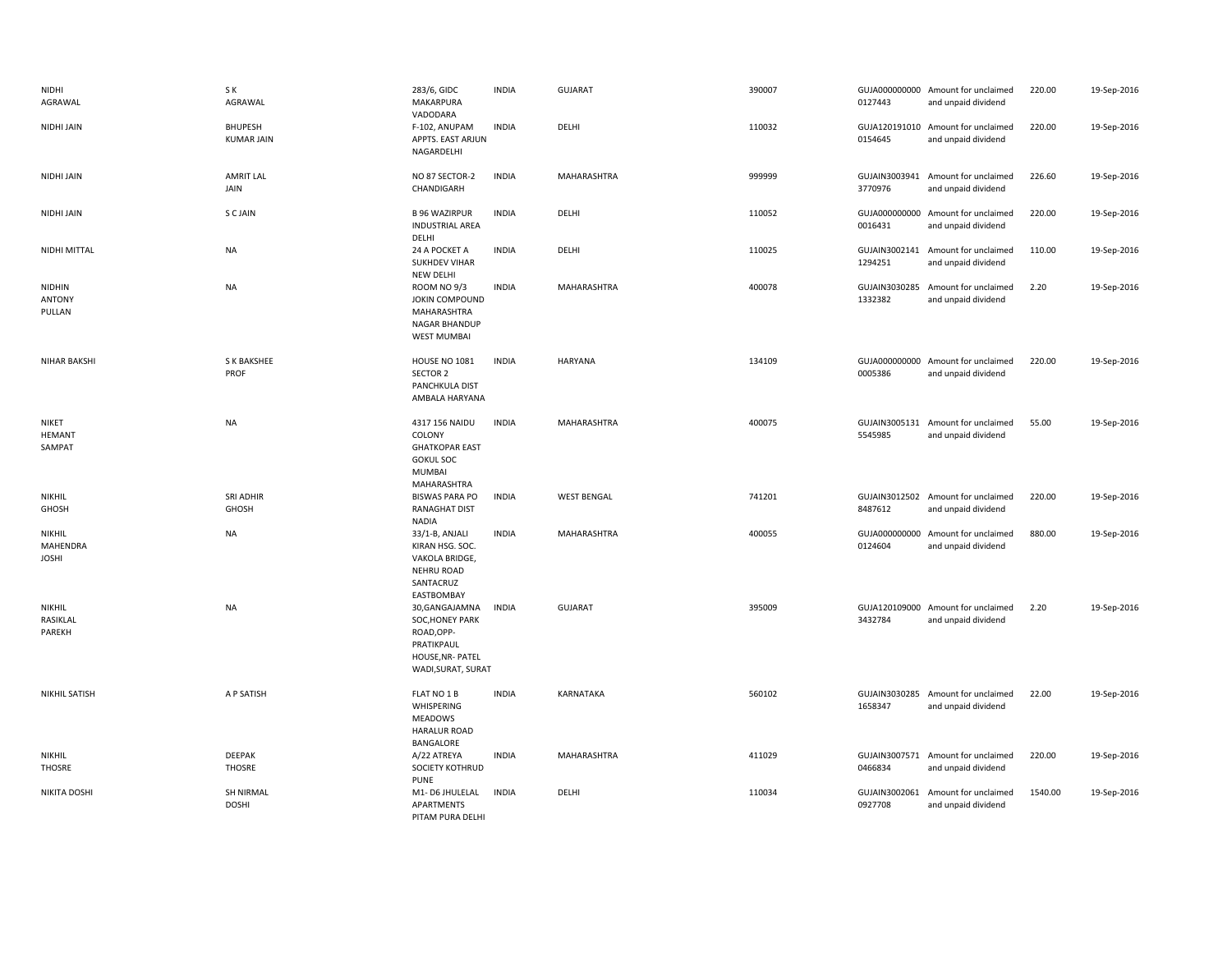| NIDHI<br>AGRAWAL                   | S K<br>AGRAWAL                      | 283/6, GIDC<br>MAKARPURA<br>VADODARA                                                                    | <b>INDIA</b> | <b>GUJARAT</b>     | 390007 | 0127443                  | GUJA000000000 Amount for unclaimed<br>and unpaid dividend | 220.00  | 19-Sep-2016 |
|------------------------------------|-------------------------------------|---------------------------------------------------------------------------------------------------------|--------------|--------------------|--------|--------------------------|-----------------------------------------------------------|---------|-------------|
| NIDHI JAIN                         | <b>BHUPESH</b><br><b>KUMAR JAIN</b> | F-102, ANUPAM<br>APPTS. EAST ARJUN<br>NAGARDELHI                                                        | <b>INDIA</b> | DELHI              | 110032 | 0154645                  | GUJA120191010 Amount for unclaimed<br>and unpaid dividend | 220.00  | 19-Sep-2016 |
| NIDHI JAIN                         | <b>AMRIT LAL</b><br>JAIN            | NO 87 SECTOR-2<br>CHANDIGARH                                                                            | <b>INDIA</b> | MAHARASHTRA        | 999999 | 3770976                  | GUJAIN3003941 Amount for unclaimed<br>and unpaid dividend | 226.60  | 19-Sep-2016 |
| NIDHI JAIN                         | S C JAIN                            | <b>B 96 WAZIRPUR</b><br><b>INDUSTRIAL AREA</b><br>DELHI                                                 | <b>INDIA</b> | DELHI              | 110052 | 0016431                  | GUJA000000000 Amount for unclaimed<br>and unpaid dividend | 220.00  | 19-Sep-2016 |
| NIDHI MITTAL                       | <b>NA</b>                           | 24 A POCKET A<br><b>SUKHDEV VIHAR</b><br>NEW DELHI                                                      | <b>INDIA</b> | DELHI              | 110025 | 1294251                  | GUJAIN3002141 Amount for unclaimed<br>and unpaid dividend | 110.00  | 19-Sep-2016 |
| NIDHIN<br><b>ANTONY</b><br>PULLAN  | <b>NA</b>                           | <b>ROOM NO 9/3</b><br>JOKIN COMPOUND<br>MAHARASHTRA<br><b>NAGAR BHANDUP</b><br><b>WEST MUMBAI</b>       | <b>INDIA</b> | MAHARASHTRA        | 400078 | 1332382                  | GUJAIN3030285 Amount for unclaimed<br>and unpaid dividend | 2.20    | 19-Sep-2016 |
| <b>NIHAR BAKSHI</b>                | S K BAKSHEE<br>PROF                 | <b>HOUSE NO 1081</b><br>SECTOR 2<br>PANCHKULA DIST<br>AMBALA HARYANA                                    | <b>INDIA</b> | <b>HARYANA</b>     | 134109 | 0005386                  | GUJA000000000 Amount for unclaimed<br>and unpaid dividend | 220.00  | 19-Sep-2016 |
| NIKET<br><b>HEMANT</b><br>SAMPAT   | <b>NA</b>                           | 4317 156 NAIDU<br>COLONY<br><b>GHATKOPAR EAST</b><br><b>GOKUL SOC</b><br><b>MUMBAI</b><br>MAHARASHTRA   | <b>INDIA</b> | MAHARASHTRA        | 400075 | 5545985                  | GUJAIN3005131 Amount for unclaimed<br>and unpaid dividend | 55.00   | 19-Sep-2016 |
| NIKHIL<br>GHOSH                    | SRI ADHIR<br>GHOSH                  | <b>BISWAS PARA PO</b><br>RANAGHAT DIST<br><b>NADIA</b>                                                  | <b>INDIA</b> | <b>WEST BENGAL</b> | 741201 | 8487612                  | GUJAIN3012502 Amount for unclaimed<br>and unpaid dividend | 220.00  | 19-Sep-2016 |
| NIKHIL<br>MAHENDRA<br><b>JOSHI</b> | <b>NA</b>                           | 33/1-B, ANJALI<br>KIRAN HSG. SOC.<br>VAKOLA BRIDGE,<br><b>NEHRU ROAD</b><br>SANTACRUZ<br>EASTBOMBAY     | <b>INDIA</b> | MAHARASHTRA        | 400055 | GUJA000000000<br>0124604 | Amount for unclaimed<br>and unpaid dividend               | 880.00  | 19-Sep-2016 |
| NIKHIL<br>RASIKLAL<br>PAREKH       | <b>NA</b>                           | 30, GANGAJAMNA<br>SOC, HONEY PARK<br>ROAD, OPP-<br>PRATIKPAUL<br>HOUSE, NR- PATEL<br>WADI, SURAT, SURAT | <b>INDIA</b> | <b>GUJARAT</b>     | 395009 | 3432784                  | GUJA120109000 Amount for unclaimed<br>and unpaid dividend | 2.20    | 19-Sep-2016 |
| NIKHIL SATISH                      | A P SATISH                          | FLAT NO 1 B<br>WHISPERING<br><b>MEADOWS</b><br><b>HARALUR ROAD</b><br>BANGALORE                         | <b>INDIA</b> | KARNATAKA          | 560102 | 1658347                  | GUJAIN3030285 Amount for unclaimed<br>and unpaid dividend | 22.00   | 19-Sep-2016 |
| NIKHIL<br>THOSRE                   | <b>DEEPAK</b><br>THOSRE             | A/22 ATREYA<br>SOCIETY KOTHRUD<br><b>PUNE</b>                                                           | <b>INDIA</b> | MAHARASHTRA        | 411029 | 0466834                  | GUJAIN3007571 Amount for unclaimed<br>and unpaid dividend | 220.00  | 19-Sep-2016 |
| NIKITA DOSHI                       | <b>SH NIRMAL</b><br><b>DOSHI</b>    | M1-D6 JHULELAL<br><b>APARTMENTS</b><br>PITAM PURA DELHI                                                 | <b>INDIA</b> | DELHI              | 110034 | GUJAIN3002061<br>0927708 | Amount for unclaimed<br>and unpaid dividend               | 1540.00 | 19-Sep-2016 |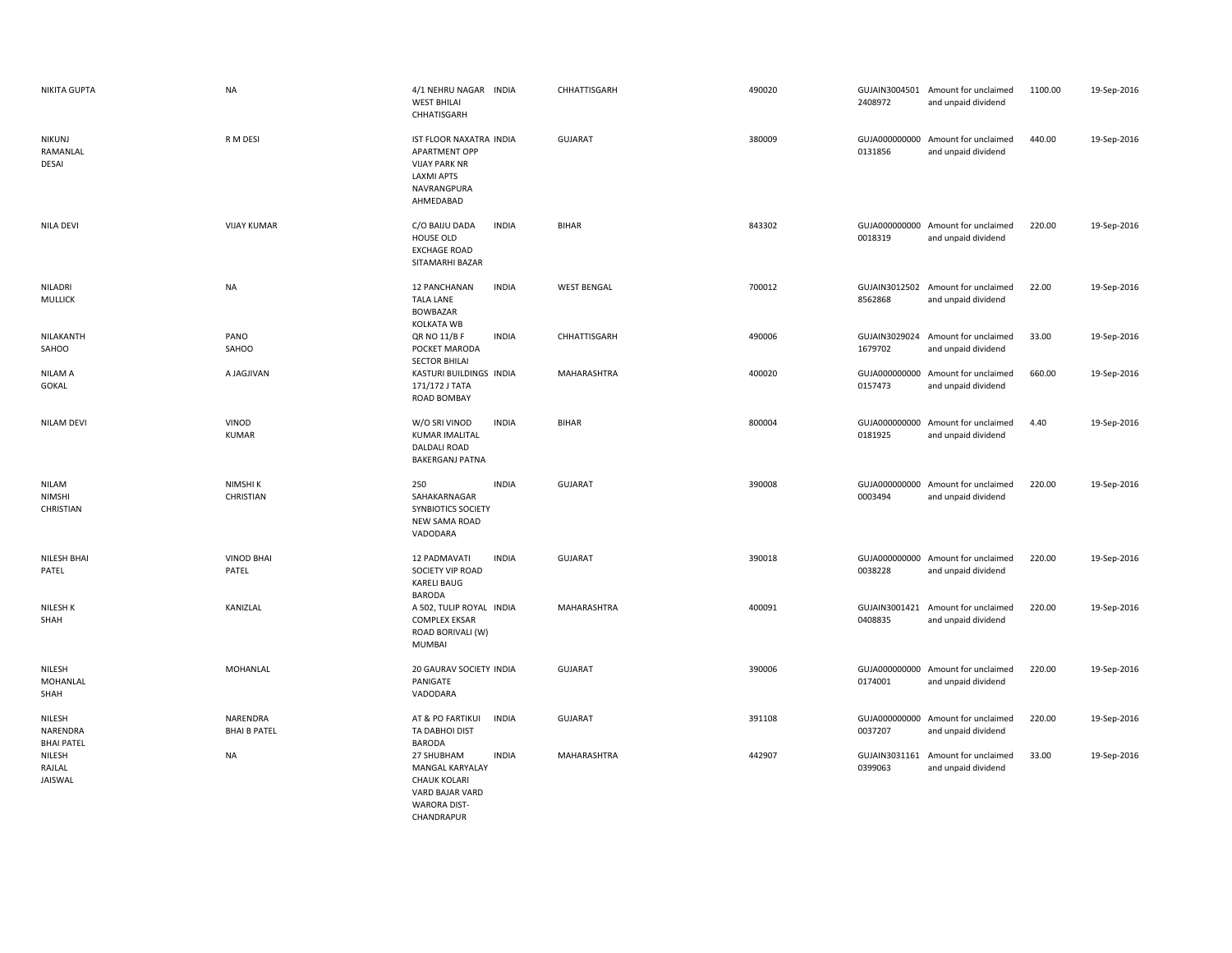| <b>NIKITA GUPTA</b>                        | <b>NA</b>                       | 4/1 NEHRU NAGAR INDIA<br><b>WEST BHILAI</b><br>CHHATISGARH                                                     | CHHATTISGARH       | 490020 | 2408972                  | GUJAIN3004501 Amount for unclaimed<br>and unpaid dividend | 1100.00 | 19-Sep-2016 |
|--------------------------------------------|---------------------------------|----------------------------------------------------------------------------------------------------------------|--------------------|--------|--------------------------|-----------------------------------------------------------|---------|-------------|
| <b>NIKUNJ</b><br>RAMANLAL<br>DESAI         | R M DESI                        | IST FLOOR NAXATRA INDIA<br>APARTMENT OPP<br><b>VIJAY PARK NR</b><br>LAXMI APTS<br>NAVRANGPURA<br>AHMEDABAD     | <b>GUJARAT</b>     | 380009 | 0131856                  | GUJA000000000 Amount for unclaimed<br>and unpaid dividend | 440.00  | 19-Sep-2016 |
| <b>NILA DEVI</b>                           | <b>VIJAY KUMAR</b>              | C/O BAIJU DADA<br><b>INDIA</b><br>HOUSE OLD<br><b>EXCHAGE ROAD</b><br>SITAMARHI BAZAR                          | <b>BIHAR</b>       | 843302 | 0018319                  | GUJA000000000 Amount for unclaimed<br>and unpaid dividend | 220.00  | 19-Sep-2016 |
| NILADRI<br><b>MULLICK</b>                  | <b>NA</b>                       | <b>INDIA</b><br>12 PANCHANAN<br><b>TALA LANE</b><br><b>BOWBAZAR</b><br>KOLKATA WB                              | <b>WEST BENGAL</b> | 700012 | 8562868                  | GUJAIN3012502 Amount for unclaimed<br>and unpaid dividend | 22.00   | 19-Sep-2016 |
| NILAKANTH<br>SAHOO                         | PANO<br>SAHOO                   | QR NO 11/B F<br><b>INDIA</b><br>POCKET MARODA<br><b>SECTOR BHILAI</b>                                          | CHHATTISGARH       | 490006 | GUJAIN3029024<br>1679702 | Amount for unclaimed<br>and unpaid dividend               | 33.00   | 19-Sep-2016 |
| NILAM A<br>GOKAL                           | A JAGJIVAN                      | KASTURI BUILDINGS INDIA<br>171/172 J TATA<br>ROAD BOMBAY                                                       | MAHARASHTRA        | 400020 | 0157473                  | GUJA000000000 Amount for unclaimed<br>and unpaid dividend | 660.00  | 19-Sep-2016 |
| <b>NILAM DEVI</b>                          | VINOD<br><b>KUMAR</b>           | <b>INDIA</b><br>W/O SRI VINOD<br><b>KUMAR IMALITAL</b><br>DALDALI ROAD<br><b>BAKERGANJ PATNA</b>               | <b>BIHAR</b>       | 800004 | 0181925                  | GUJA000000000 Amount for unclaimed<br>and unpaid dividend | 4.40    | 19-Sep-2016 |
| <b>NILAM</b><br><b>NIMSHI</b><br>CHRISTIAN | NIMSHI K<br>CHRISTIAN           | 250<br><b>INDIA</b><br>SAHAKARNAGAR<br>SYNBIOTICS SOCIETY<br><b>NEW SAMA ROAD</b><br>VADODARA                  | GUJARAT            | 390008 | 0003494                  | GUJA000000000 Amount for unclaimed<br>and unpaid dividend | 220.00  | 19-Sep-2016 |
| NILESH BHAI<br>PATEL                       | <b>VINOD BHAI</b><br>PATEL      | 12 PADMAVATI<br><b>INDIA</b><br>SOCIETY VIP ROAD<br><b>KARELI BAUG</b><br><b>BARODA</b>                        | <b>GUJARAT</b>     | 390018 | 0038228                  | GUJA000000000 Amount for unclaimed<br>and unpaid dividend | 220.00  | 19-Sep-2016 |
| NILESH K<br>SHAH                           | KANIZLAL                        | A 502, TULIP ROYAL INDIA<br><b>COMPLEX EKSAR</b><br>ROAD BORIVALI (W)<br>MUMBAI                                | MAHARASHTRA        | 400091 | GUJAIN3001421<br>0408835 | Amount for unclaimed<br>and unpaid dividend               | 220.00  | 19-Sep-2016 |
| NILESH<br>MOHANLAL<br>SHAH                 | MOHANLAL                        | 20 GAURAV SOCIETY INDIA<br>PANIGATE<br>VADODARA                                                                | <b>GUJARAT</b>     | 390006 | 0174001                  | GUJA000000000 Amount for unclaimed<br>and unpaid dividend | 220.00  | 19-Sep-2016 |
| NILESH<br>NARENDRA<br><b>BHAI PATEL</b>    | NARENDRA<br><b>BHAI B PATEL</b> | <b>INDIA</b><br>AT & PO FARTIKUI<br>TA DABHOI DIST<br><b>BARODA</b>                                            | <b>GUJARAT</b>     | 391108 | 0037207                  | GUJA000000000 Amount for unclaimed<br>and unpaid dividend | 220.00  | 19-Sep-2016 |
| NILESH<br>RAJLAL<br>JAISWAL                | <b>NA</b>                       | 27 SHUBHAM<br><b>INDIA</b><br>MANGAL KARYALAY<br><b>CHAUK KOLARI</b><br>VARD BAJAR VARD<br><b>WARORA DIST-</b> | MAHARASHTRA        | 442907 | GUJAIN3031161<br>0399063 | Amount for unclaimed<br>and unpaid dividend               | 33.00   | 19-Sep-2016 |

CHANDRAPUR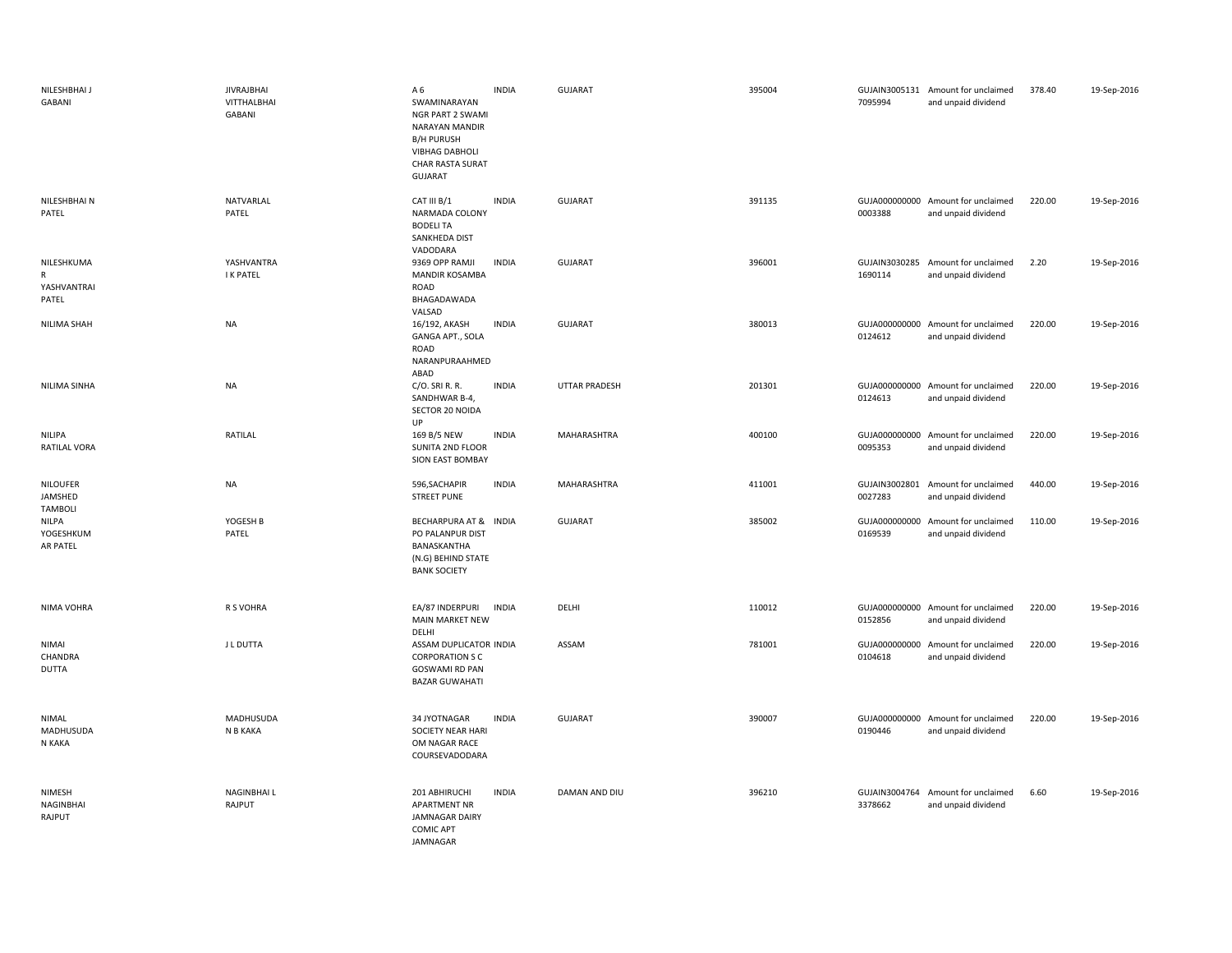| NILESHBHAI J<br>GABANI                             | <b>JIVRAJBHAI</b><br>VITTHALBHAI<br>GABANI | A 6<br>SWAMINARAYAN<br>NGR PART 2 SWAMI<br><b>NARAYAN MANDIR</b><br><b>B/H PURUSH</b><br><b>VIBHAG DABHOLI</b><br>CHAR RASTA SURAT<br><b>GUJARAT</b> | <b>INDIA</b> | GUJARAT              | 395004 | 7095994 | GUJAIN3005131 Amount for unclaimed<br>and unpaid dividend | 378.40 | 19-Sep-2016 |
|----------------------------------------------------|--------------------------------------------|------------------------------------------------------------------------------------------------------------------------------------------------------|--------------|----------------------|--------|---------|-----------------------------------------------------------|--------|-------------|
| NILESHBHAI N<br>PATEL                              | NATVARLAL<br>PATEL                         | CAT III B/1<br>NARMADA COLONY<br><b>BODELI TA</b><br>SANKHEDA DIST<br>VADODARA                                                                       | <b>INDIA</b> | GUJARAT              | 391135 | 0003388 | GUJA000000000 Amount for unclaimed<br>and unpaid dividend | 220.00 | 19-Sep-2016 |
| NILESHKUMA<br>$\mathsf{R}$<br>YASHVANTRAI<br>PATEL | YASHVANTRA<br><b>I K PATEL</b>             | 9369 OPP RAMJI<br>MANDIR KOSAMBA<br>ROAD<br>BHAGADAWADA<br>VALSAD                                                                                    | <b>INDIA</b> | GUJARAT              | 396001 | 1690114 | GUJAIN3030285 Amount for unclaimed<br>and unpaid dividend | 2.20   | 19-Sep-2016 |
| NILIMA SHAH                                        | <b>NA</b>                                  | 16/192, AKASH<br>GANGA APT., SOLA<br>ROAD<br>NARANPURAAHMED<br>ABAD                                                                                  | <b>INDIA</b> | GUJARAT              | 380013 | 0124612 | GUJA000000000 Amount for unclaimed<br>and unpaid dividend | 220.00 | 19-Sep-2016 |
| NILIMA SINHA                                       | <b>NA</b>                                  | C/O. SRI R. R.<br>SANDHWAR B-4,<br>SECTOR 20 NOIDA<br>UP                                                                                             | <b>INDIA</b> | <b>UTTAR PRADESH</b> | 201301 | 0124613 | GUJA000000000 Amount for unclaimed<br>and unpaid dividend | 220.00 | 19-Sep-2016 |
| NILIPA<br>RATILAL VORA                             | RATILAL                                    | 169 B/5 NEW<br>SUNITA 2ND FLOOR<br>SION EAST BOMBAY                                                                                                  | <b>INDIA</b> | MAHARASHTRA          | 400100 | 0095353 | GUJA000000000 Amount for unclaimed<br>and unpaid dividend | 220.00 | 19-Sep-2016 |
| <b>NILOUFER</b><br>JAMSHED<br><b>TAMBOLI</b>       | <b>NA</b>                                  | 596, SACHAPIR<br><b>STREET PUNE</b>                                                                                                                  | <b>INDIA</b> | MAHARASHTRA          | 411001 | 0027283 | GUJAIN3002801 Amount for unclaimed<br>and unpaid dividend | 440.00 | 19-Sep-2016 |
| NILPA<br>YOGESHKUM<br>AR PATEL                     | YOGESH B<br>PATEL                          | BECHARPURA AT & INDIA<br>PO PALANPUR DIST<br>BANASKANTHA<br>(N.G) BEHIND STATE<br><b>BANK SOCIETY</b>                                                |              | GUJARAT              | 385002 | 0169539 | GUJA000000000 Amount for unclaimed<br>and unpaid dividend | 110.00 | 19-Sep-2016 |
| NIMA VOHRA                                         | R S VOHRA                                  | EA/87 INDERPURI INDIA<br><b>MAIN MARKET NEW</b><br>DELHI                                                                                             |              | DELHI                | 110012 | 0152856 | GUJA000000000 Amount for unclaimed<br>and unpaid dividend | 220.00 | 19-Sep-2016 |
| <b>NIMAI</b><br>CHANDRA<br><b>DUTTA</b>            | J L DUTTA                                  | ASSAM DUPLICATOR INDIA<br><b>CORPORATION S C</b><br><b>GOSWAMI RD PAN</b><br><b>BAZAR GUWAHATI</b>                                                   |              | ASSAM                | 781001 | 0104618 | GUJA000000000 Amount for unclaimed<br>and unpaid dividend | 220.00 | 19-Sep-2016 |
| NIMAL<br>MADHUSUDA<br>N KAKA                       | MADHUSUDA<br>N B KAKA                      | 34 JYOTNAGAR<br>SOCIETY NEAR HARI<br>OM NAGAR RACE<br>COURSEVADODARA                                                                                 | <b>INDIA</b> | GUJARAT              | 390007 | 0190446 | GUJA000000000 Amount for unclaimed<br>and unpaid dividend | 220.00 | 19-Sep-2016 |
| NIMESH<br>NAGINBHAI<br>RAJPUT                      | NAGINBHAI L<br>RAJPUT                      | 201 ABHIRUCHI<br><b>APARTMENT NR</b><br><b>JAMNAGAR DAIRY</b><br><b>COMIC APT</b><br>JAMNAGAR                                                        | <b>INDIA</b> | DAMAN AND DIU        | 396210 | 3378662 | GUJAIN3004764 Amount for unclaimed<br>and unpaid dividend | 6.60   | 19-Sep-2016 |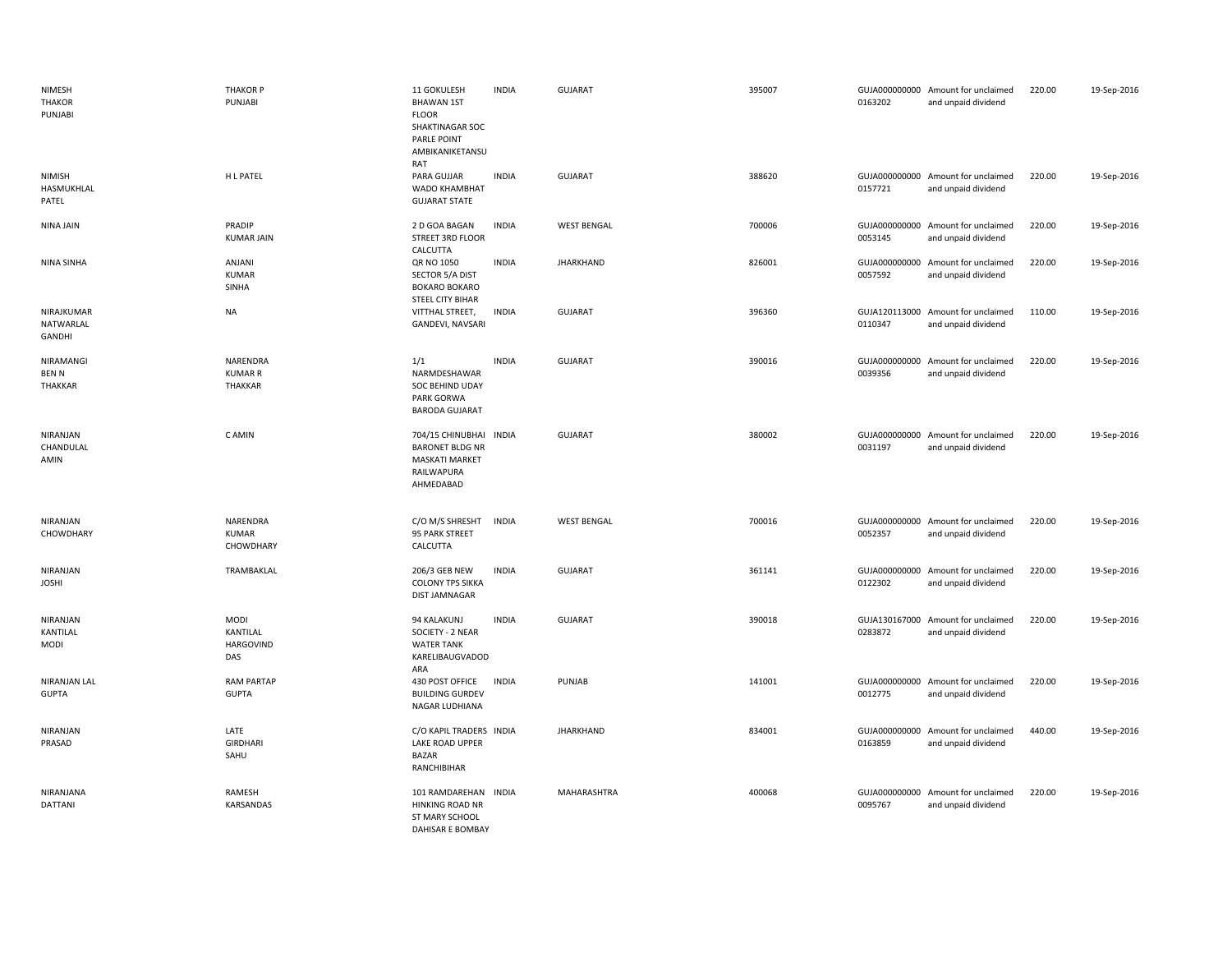| NIMESH<br><b>THAKOR</b><br>PUNJABI         | <b>THAKOR P</b><br>PUNJABI                         | 11 GOKULESH<br><b>BHAWAN 1ST</b><br><b>FLOOR</b><br>SHAKTINAGAR SOC<br>PARLE POINT<br>AMBIKANIKETANSU<br>RAT | <b>INDIA</b> | <b>GUJARAT</b>     | 395007 | 0163202 | GUJA000000000 Amount for unclaimed<br>and unpaid dividend | 220.00 | 19-Sep-2016 |
|--------------------------------------------|----------------------------------------------------|--------------------------------------------------------------------------------------------------------------|--------------|--------------------|--------|---------|-----------------------------------------------------------|--------|-------------|
| <b>NIMISH</b><br>HASMUKHLAL<br>PATEL       | H L PATEL                                          | PARA GUJJAR<br>WADO KHAMBHAT<br><b>GUJARAT STATE</b>                                                         | <b>INDIA</b> | <b>GUJARAT</b>     | 388620 | 0157721 | GUJA000000000 Amount for unclaimed<br>and unpaid dividend | 220.00 | 19-Sep-2016 |
| NINA JAIN                                  | PRADIP<br><b>KUMAR JAIN</b>                        | 2 D GOA BAGAN<br>STREET 3RD FLOOR<br>CALCUTTA                                                                | <b>INDIA</b> | <b>WEST BENGAL</b> | 700006 | 0053145 | GUJA000000000 Amount for unclaimed<br>and unpaid dividend | 220.00 | 19-Sep-2016 |
| NINA SINHA                                 | ANJANI<br><b>KUMAR</b><br>SINHA                    | QR NO 1050<br>SECTOR 5/A DIST<br><b>BOKARO BOKARO</b><br>STEEL CITY BIHAR                                    | <b>INDIA</b> | <b>JHARKHAND</b>   | 826001 | 0057592 | GUJA000000000 Amount for unclaimed<br>and unpaid dividend | 220.00 | 19-Sep-2016 |
| NIRAJKUMAR<br>NATWARLAL<br>GANDHI          | <b>NA</b>                                          | VITTHAL STREET,<br>GANDEVI, NAVSARI                                                                          | <b>INDIA</b> | <b>GUJARAT</b>     | 396360 | 0110347 | GUJA120113000 Amount for unclaimed<br>and unpaid dividend | 110.00 | 19-Sep-2016 |
| NIRAMANGI<br><b>BENN</b><br><b>THAKKAR</b> | NARENDRA<br><b>KUMAR R</b><br>THAKKAR              | 1/1<br>NARMDESHAWAR<br>SOC BEHIND UDAY<br>PARK GORWA<br><b>BARODA GUJARAT</b>                                | <b>INDIA</b> | <b>GUJARAT</b>     | 390016 | 0039356 | GUJA000000000 Amount for unclaimed<br>and unpaid dividend | 220.00 | 19-Sep-2016 |
| NIRANJAN<br>CHANDULAL<br>AMIN              | C AMIN                                             | 704/15 CHINUBHAI INDIA<br><b>BARONET BLDG NR</b><br><b>MASKATI MARKET</b><br>RAILWAPURA<br>AHMEDABAD         |              | <b>GUJARAT</b>     | 380002 | 0031197 | GUJA000000000 Amount for unclaimed<br>and unpaid dividend | 220.00 | 19-Sep-2016 |
| NIRANJAN<br>CHOWDHARY                      | NARENDRA<br><b>KUMAR</b><br>CHOWDHARY              | C/O M/S SHRESHT<br>95 PARK STREET<br>CALCUTTA                                                                | <b>INDIA</b> | <b>WEST BENGAL</b> | 700016 | 0052357 | GUJA000000000 Amount for unclaimed<br>and unpaid dividend | 220.00 | 19-Sep-2016 |
| NIRANJAN<br><b>JOSHI</b>                   | TRAMBAKLAL                                         | 206/3 GEB NEW<br><b>COLONY TPS SIKKA</b><br><b>DIST JAMNAGAR</b>                                             | <b>INDIA</b> | <b>GUJARAT</b>     | 361141 | 0122302 | GUJA000000000 Amount for unclaimed<br>and unpaid dividend | 220.00 | 19-Sep-2016 |
| NIRANJAN<br>KANTILAL<br><b>MODI</b>        | <b>MODI</b><br>KANTILAL<br><b>HARGOVIND</b><br>DAS | 94 KALAKUNJ<br>SOCIETY - 2 NEAR<br><b>WATER TANK</b><br>KARELIBAUGVADOD<br>ARA                               | <b>INDIA</b> | GUJARAT            | 390018 | 0283872 | GUJA130167000 Amount for unclaimed<br>and unpaid dividend | 220.00 | 19-Sep-2016 |
| NIRANJAN LAL<br><b>GUPTA</b>               | <b>RAM PARTAP</b><br><b>GUPTA</b>                  | 430 POST OFFICE<br><b>BUILDING GURDEV</b><br>NAGAR LUDHIANA                                                  | <b>INDIA</b> | PUNJAB             | 141001 | 0012775 | GUJA000000000 Amount for unclaimed<br>and unpaid dividend | 220.00 | 19-Sep-2016 |
| NIRANJAN<br>PRASAD                         | LATE<br><b>GIRDHARI</b><br>SAHU                    | C/O KAPIL TRADERS INDIA<br><b>LAKE ROAD UPPER</b><br><b>BAZAR</b><br>RANCHIBIHAR                             |              | <b>JHARKHAND</b>   | 834001 | 0163859 | GUJA000000000 Amount for unclaimed<br>and unpaid dividend | 440.00 | 19-Sep-2016 |
| NIRANJANA<br>DATTANI                       | RAMESH<br>KARSANDAS                                | 101 RAMDAREHAN INDIA<br><b>HINKING ROAD NR</b><br>ST MARY SCHOOL<br><b>DAHISAR E BOMBAY</b>                  |              | MAHARASHTRA        | 400068 | 0095767 | GUJA000000000 Amount for unclaimed<br>and unpaid dividend | 220.00 | 19-Sep-2016 |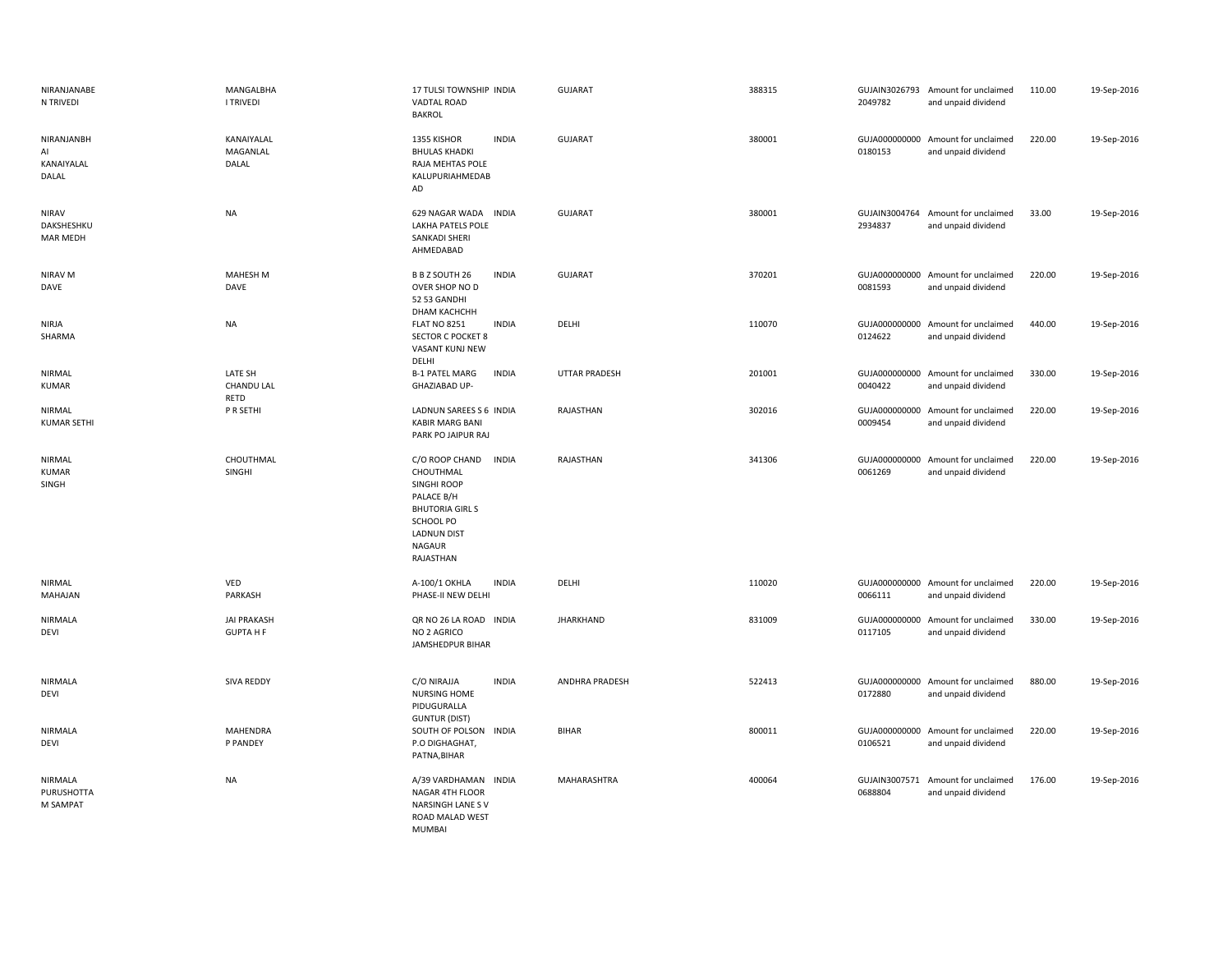| NIRANJANABE<br>N TRIVEDI                      | MANGALBHA<br><b>I TRIVEDI</b>          | 17 TULSI TOWNSHIP INDIA<br>VADTAL ROAD<br><b>BAKROL</b>                                                                                                            | <b>GUJARAT</b>       | 388315 | 2049782                  | GUJAIN3026793 Amount for unclaimed<br>and unpaid dividend | 110.00 | 19-Sep-2016 |
|-----------------------------------------------|----------------------------------------|--------------------------------------------------------------------------------------------------------------------------------------------------------------------|----------------------|--------|--------------------------|-----------------------------------------------------------|--------|-------------|
| NIRANJANBH<br>AI<br>KANAIYALAL<br>DALAL       | KANAIYALAL<br>MAGANLAL<br>DALAL        | <b>INDIA</b><br>1355 KISHOR<br><b>BHULAS KHADKI</b><br>RAJA MEHTAS POLE<br>KALUPURIAHMEDAB<br>AD                                                                   | <b>GUJARAT</b>       | 380001 | 0180153                  | GUJA000000000 Amount for unclaimed<br>and unpaid dividend | 220.00 | 19-Sep-2016 |
| <b>NIRAV</b><br>DAKSHESHKU<br><b>MAR MEDH</b> | <b>NA</b>                              | 629 NAGAR WADA INDIA<br>LAKHA PATELS POLE<br>SANKADI SHERI<br>AHMEDABAD                                                                                            | <b>GUJARAT</b>       | 380001 | 2934837                  | GUJAIN3004764 Amount for unclaimed<br>and unpaid dividend | 33.00  | 19-Sep-2016 |
| NIRAV M<br>DAVE                               | MAHESH M<br>DAVE                       | B B Z SOUTH 26<br><b>INDIA</b><br>OVER SHOP NO D<br>52 53 GANDHI<br>DHAM KACHCHH                                                                                   | GUJARAT              | 370201 | 0081593                  | GUJA000000000 Amount for unclaimed<br>and unpaid dividend | 220.00 | 19-Sep-2016 |
| <b>NIRJA</b><br>SHARMA                        | <b>NA</b>                              | <b>FLAT NO 8251</b><br><b>INDIA</b><br><b>SECTOR C POCKET 8</b><br>VASANT KUNJ NEW<br>DELHI                                                                        | DELHI                | 110070 | 0124622                  | GUJA000000000 Amount for unclaimed<br>and unpaid dividend | 440.00 | 19-Sep-2016 |
| NIRMAL<br><b>KUMAR</b>                        | <b>LATE SH</b><br>CHANDU LAL<br>RETD   | <b>B-1 PATEL MARG</b><br><b>INDIA</b><br>GHAZIABAD UP-                                                                                                             | <b>UTTAR PRADESH</b> | 201001 | 0040422                  | GUJA000000000 Amount for unclaimed<br>and unpaid dividend | 330.00 | 19-Sep-2016 |
| NIRMAL<br><b>KUMAR SETHI</b>                  | P R SETHI                              | LADNUN SAREES S 6 INDIA<br><b>KABIR MARG BANI</b><br>PARK PO JAIPUR RAJ                                                                                            | RAJASTHAN            | 302016 | 0009454                  | GUJA000000000 Amount for unclaimed<br>and unpaid dividend | 220.00 | 19-Sep-2016 |
| NIRMAL<br><b>KUMAR</b><br>SINGH               | CHOUTHMAL<br><b>SINGHI</b>             | <b>INDIA</b><br>C/O ROOP CHAND<br>CHOUTHMAL<br>SINGHI ROOP<br>PALACE B/H<br><b>BHUTORIA GIRLS</b><br>SCHOOL PO<br><b>LADNUN DIST</b><br><b>NAGAUR</b><br>RAJASTHAN | RAJASTHAN            | 341306 | 0061269                  | GUJA000000000 Amount for unclaimed<br>and unpaid dividend | 220.00 | 19-Sep-2016 |
| NIRMAL<br>MAHAJAN                             | VED<br>PARKASH                         | A-100/1 OKHLA<br><b>INDIA</b><br>PHASE-II NEW DELHI                                                                                                                | DELHI                | 110020 | 0066111                  | GUJA000000000 Amount for unclaimed<br>and unpaid dividend | 220.00 | 19-Sep-2016 |
| NIRMALA<br>DEVI                               | <b>JAI PRAKASH</b><br><b>GUPTA H F</b> | QR NO 26 LA ROAD INDIA<br>NO 2 AGRICO<br>JAMSHEDPUR BIHAR                                                                                                          | <b>JHARKHAND</b>     | 831009 | 0117105                  | GUJA000000000 Amount for unclaimed<br>and unpaid dividend | 330.00 | 19-Sep-2016 |
| NIRMALA<br><b>DEVI</b>                        | SIVA REDDY                             | C/O NIRAJJA<br><b>INDIA</b><br><b>NURSING HOME</b><br>PIDUGURALLA<br><b>GUNTUR (DIST)</b>                                                                          | ANDHRA PRADESH       | 522413 | 0172880                  | GUJA000000000 Amount for unclaimed<br>and unpaid dividend | 880.00 | 19-Sep-2016 |
| <b>NIRMALA</b><br>DEVI                        | MAHENDRA<br>P PANDEY                   | SOUTH OF POLSON INDIA<br>P.O DIGHAGHAT,<br>PATNA, BIHAR                                                                                                            | <b>BIHAR</b>         | 800011 | 0106521                  | GUJA000000000 Amount for unclaimed<br>and unpaid dividend | 220.00 | 19-Sep-2016 |
| NIRMALA<br><b>PURUSHOTTA</b><br>M SAMPAT      | <b>NA</b>                              | A/39 VARDHAMAN INDIA<br>NAGAR 4TH FLOOR<br>NARSINGH LANE SV<br>ROAD MALAD WEST<br>MUMBAL                                                                           | MAHARASHTRA          | 400064 | GUJAIN3007571<br>0688804 | Amount for unclaimed<br>and unpaid dividend               | 176.00 | 19-Sep-2016 |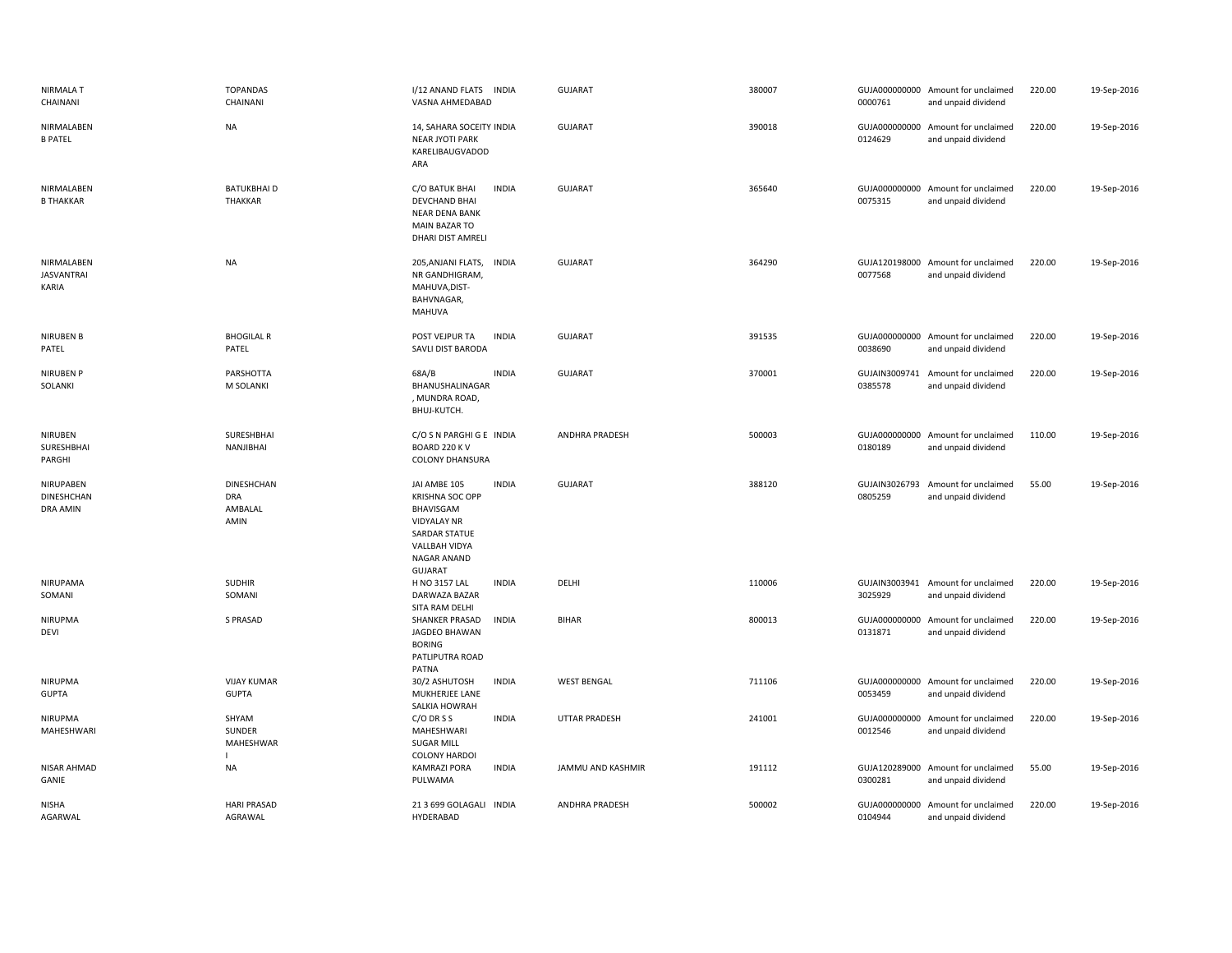| <b>NIRMALA T</b><br>CHAINANI             | <b>TOPANDAS</b><br>CHAINANI                        | I/12 ANAND FLATS<br><b>INDIA</b><br>VASNA AHMEDABAD                                                                                                          | GUJARAT            | 380007 | 0000761                  | GUJA000000000 Amount for unclaimed<br>and unpaid dividend | 220.00 | 19-Sep-2016 |
|------------------------------------------|----------------------------------------------------|--------------------------------------------------------------------------------------------------------------------------------------------------------------|--------------------|--------|--------------------------|-----------------------------------------------------------|--------|-------------|
| NIRMALABEN<br><b>B PATEL</b>             | <b>NA</b>                                          | 14, SAHARA SOCEITY INDIA<br><b>NEAR JYOTI PARK</b><br>KARELIBAUGVADOD<br>ARA                                                                                 | <b>GUJARAT</b>     | 390018 | 0124629                  | GUJA000000000 Amount for unclaimed<br>and unpaid dividend | 220.00 | 19-Sep-2016 |
| NIRMALABEN<br><b>B THAKKAR</b>           | <b>BATUKBHAID</b><br>THAKKAR                       | C/O BATUK BHAI<br><b>INDIA</b><br><b>DEVCHAND BHAI</b><br><b>NEAR DENA BANK</b><br><b>MAIN BAZAR TO</b><br>DHARI DIST AMRELI                                 | <b>GUJARAT</b>     | 365640 | 0075315                  | GUJA000000000 Amount for unclaimed<br>and unpaid dividend | 220.00 | 19-Sep-2016 |
| NIRMALABEN<br><b>JASVANTRAI</b><br>KARIA | <b>NA</b>                                          | 205, ANJANI FLATS,<br><b>INDIA</b><br>NR GANDHIGRAM<br>MAHUVA, DIST-<br>BAHVNAGAR,<br>MAHUVA                                                                 | <b>GUJARAT</b>     | 364290 | 0077568                  | GUJA120198000 Amount for unclaimed<br>and unpaid dividend | 220.00 | 19-Sep-2016 |
| <b>NIRUBEN B</b><br>PATEL                | <b>BHOGILAL R</b><br>PATEL                         | POST VEJPUR TA<br><b>INDIA</b><br>SAVLI DIST BARODA                                                                                                          | <b>GUJARAT</b>     | 391535 | 0038690                  | GUJA000000000 Amount for unclaimed<br>and unpaid dividend | 220.00 | 19-Sep-2016 |
| <b>NIRUBEN P</b><br>SOLANKI              | PARSHOTTA<br>M SOLANKI                             | <b>INDIA</b><br>68A/B<br>BHANUSHALINAGAR<br>, MUNDRA ROAD,<br>BHUJ-KUTCH.                                                                                    | GUJARAT            | 370001 | 0385578                  | GUJAIN3009741 Amount for unclaimed<br>and unpaid dividend | 220.00 | 19-Sep-2016 |
| <b>NIRUBEN</b><br>SURESHBHAI<br>PARGHI   | SURESHBHAI<br>NANJIBHAI                            | C/O S N PARGHI G E INDIA<br>BOARD 220 KV<br><b>COLONY DHANSURA</b>                                                                                           | ANDHRA PRADESH     | 500003 | 0180189                  | GUJA000000000 Amount for unclaimed<br>and unpaid dividend | 110.00 | 19-Sep-2016 |
| NIRUPABEN<br>DINESHCHAN<br>DRA AMIN      | <b>DINESHCHAN</b><br><b>DRA</b><br>AMBALAL<br>AMIN | JAI AMBE 105<br><b>INDIA</b><br><b>KRISHNA SOC OPP</b><br>BHAVISGAM<br><b>VIDYALAY NR</b><br>SARDAR STATUE<br>VALLBAH VIDYA<br>NAGAR ANAND<br><b>GUJARAT</b> | <b>GUJARAT</b>     | 388120 | GUJAIN3026793<br>0805259 | Amount for unclaimed<br>and unpaid dividend               | 55.00  | 19-Sep-2016 |
| NIRUPAMA<br>SOMANI                       | <b>SUDHIR</b><br>SOMANI                            | <b>INDIA</b><br>H NO 3157 LAL<br>DARWAZA BAZAR<br>SITA RAM DELHI                                                                                             | DELHI              | 110006 | 3025929                  | GUJAIN3003941 Amount for unclaimed<br>and unpaid dividend | 220.00 | 19-Sep-2016 |
| NIRUPMA<br>DEVI                          | S PRASAD                                           | <b>INDIA</b><br>SHANKER PRASAD<br>JAGDEO BHAWAN<br><b>BORING</b><br>PATLIPUTRA ROAD<br>PATNA                                                                 | <b>BIHAR</b>       | 800013 | 0131871                  | GUJA000000000 Amount for unclaimed<br>and unpaid dividend | 220.00 | 19-Sep-2016 |
| NIRUPMA<br><b>GUPTA</b>                  | <b>VIJAY KUMAR</b><br><b>GUPTA</b>                 | <b>INDIA</b><br>30/2 ASHUTOSH<br>MUKHERJEE LANE<br>SALKIA HOWRAH                                                                                             | <b>WEST BENGAL</b> | 711106 | 0053459                  | GUJA000000000 Amount for unclaimed<br>and unpaid dividend | 220.00 | 19-Sep-2016 |
| NIRUPMA<br>MAHESHWARI                    | SHYAM<br>SUNDER<br>MAHESHWAR                       | <b>INDIA</b><br>$C/O$ DR S S<br><b>MAHESHWARI</b><br><b>SUGAR MILL</b><br><b>COLONY HARDOI</b>                                                               | UTTAR PRADESH      | 241001 | 0012546                  | GUJA000000000 Amount for unclaimed<br>and unpaid dividend | 220.00 | 19-Sep-2016 |
| NISAR AHMAD<br>GANIE                     | <b>NA</b>                                          | <b>KAMRAZI PORA</b><br><b>INDIA</b><br>PULWAMA                                                                                                               | JAMMU AND KASHMIR  | 191112 | 0300281                  | GUJA120289000 Amount for unclaimed<br>and unpaid dividend | 55.00  | 19-Sep-2016 |
| <b>NISHA</b><br>AGARWAL                  | <b>HARI PRASAD</b><br>AGRAWAL                      | 21 3 699 GOLAGALI INDIA<br>HYDERABAD                                                                                                                         | ANDHRA PRADESH     | 500002 | GUJA000000000<br>0104944 | Amount for unclaimed<br>and unpaid dividend               | 220.00 | 19-Sep-2016 |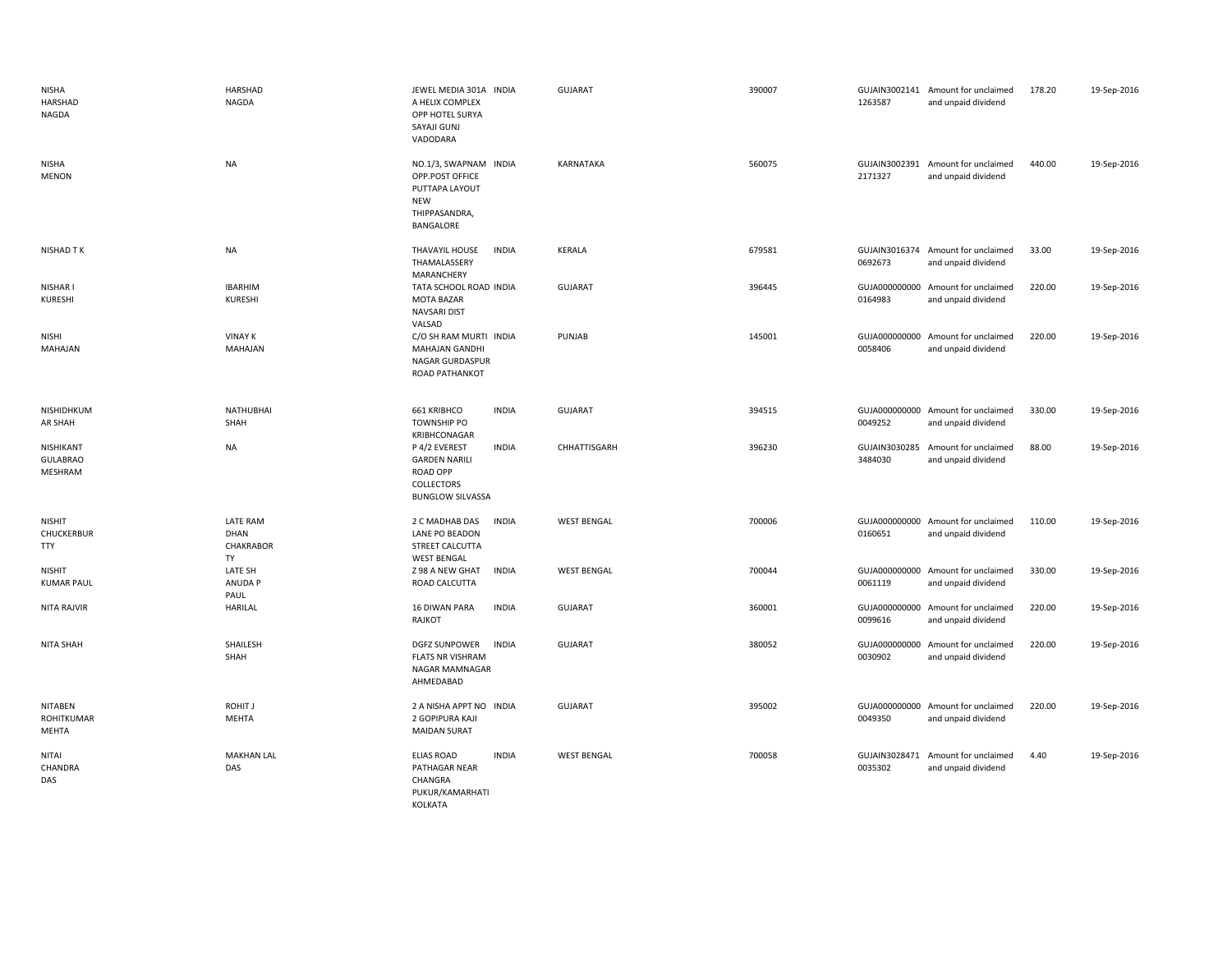| <b>NISHA</b><br>HARSHAD<br>NAGDA          | HARSHAD<br>NAGDA                    | JEWEL MEDIA 301A INDIA<br>A HELIX COMPLEX<br>OPP HOTEL SURYA<br>SAYAJI GUNJ<br>VADODARA                           | GUJARAT            | 390007 | 1263587                  | GUJAIN3002141 Amount for unclaimed<br>and unpaid dividend | 178.20 | 19-Sep-2016 |
|-------------------------------------------|-------------------------------------|-------------------------------------------------------------------------------------------------------------------|--------------------|--------|--------------------------|-----------------------------------------------------------|--------|-------------|
| <b>NISHA</b><br><b>MENON</b>              | <b>NA</b>                           | NO.1/3, SWAPNAM INDIA<br>OPP.POST OFFICE<br>PUTTAPA LAYOUT<br><b>NEW</b><br>THIPPASANDRA,<br>BANGALORE            | KARNATAKA          | 560075 | 2171327                  | GUJAIN3002391 Amount for unclaimed<br>and unpaid dividend | 440.00 | 19-Sep-2016 |
| <b>NISHAD TK</b>                          | <b>NA</b>                           | THAVAYIL HOUSE<br><b>INDIA</b><br>THAMALASSERY<br>MARANCHERY                                                      | KERALA             | 679581 | 0692673                  | GUJAIN3016374 Amount for unclaimed<br>and unpaid dividend | 33.00  | 19-Sep-2016 |
| NISHAR I<br>KURESHI                       | <b>IBARHIM</b><br>KURESHI           | TATA SCHOOL ROAD INDIA<br><b>MOTA BAZAR</b><br><b>NAVSARI DIST</b><br>VALSAD                                      | GUJARAT            | 396445 | 0164983                  | GUJA000000000 Amount for unclaimed<br>and unpaid dividend | 220.00 | 19-Sep-2016 |
| <b>NISHI</b><br>MAHAJAN                   | <b>VINAY K</b><br>MAHAJAN           | C/O SH RAM MURTI INDIA<br><b>MAHAJAN GANDHI</b><br><b>NAGAR GURDASPUR</b><br>ROAD PATHANKOT                       | PUNJAB             | 145001 | 0058406                  | GUJA000000000 Amount for unclaimed<br>and unpaid dividend | 220.00 | 19-Sep-2016 |
| NISHIDHKUM<br>AR SHAH                     | <b>NATHUBHAI</b><br>SHAH            | 661 KRIBHCO<br><b>INDIA</b><br><b>TOWNSHIP PO</b><br>KRIBHCONAGAR                                                 | <b>GUJARAT</b>     | 394515 | 0049252                  | GUJA000000000 Amount for unclaimed<br>and unpaid dividend | 330.00 | 19-Sep-2016 |
| NISHIKANT<br><b>GULABRAO</b><br>MESHRAM   | <b>NA</b>                           | P 4/2 EVEREST<br><b>INDIA</b><br><b>GARDEN NARILI</b><br><b>ROAD OPP</b><br>COLLECTORS<br><b>BUNGLOW SILVASSA</b> | CHHATTISGARH       | 396230 | GUJAIN3030285<br>3484030 | Amount for unclaimed<br>and unpaid dividend               | 88.00  | 19-Sep-2016 |
| <b>NISHIT</b><br>CHUCKERBUR<br><b>TTY</b> | LATE RAM<br>DHAN<br>CHAKRABOR<br>TY | 2 C MADHAB DAS<br><b>INDIA</b><br>LANE PO BEADON<br>STREET CALCUTTA<br><b>WEST BENGAL</b>                         | <b>WEST BENGAL</b> | 700006 | 0160651                  | GUJA000000000 Amount for unclaimed<br>and unpaid dividend | 110.00 | 19-Sep-2016 |
| <b>NISHIT</b><br><b>KUMAR PAUL</b>        | LATE SH<br>ANUDA P<br>PAUL          | Z 98 A NEW GHAT<br><b>INDIA</b><br>ROAD CALCUTTA                                                                  | <b>WEST BENGAL</b> | 700044 | 0061119                  | GUJA000000000 Amount for unclaimed<br>and unpaid dividend | 330.00 | 19-Sep-2016 |
| <b>NITA RAJVIR</b>                        | <b>HARILAL</b>                      | <b>16 DIWAN PARA</b><br><b>INDIA</b><br>RAJKOT                                                                    | <b>GUJARAT</b>     | 360001 | GUJA000000000<br>0099616 | Amount for unclaimed<br>and unpaid dividend               | 220.00 | 19-Sep-2016 |
| <b>NITA SHAH</b>                          | SHAILESH<br>SHAH                    | <b>INDIA</b><br><b>DGFZ SUNPOWER</b><br><b>FLATS NR VISHRAM</b><br>NAGAR MAMNAGAR<br>AHMEDABAD                    | <b>GUJARAT</b>     | 380052 | GUJA000000000<br>0030902 | Amount for unclaimed<br>and unpaid dividend               | 220.00 | 19-Sep-2016 |
| NITABEN<br>ROHITKUMAR<br><b>MEHTA</b>     | ROHIT J<br>MEHTA                    | 2 A NISHA APPT NO INDIA<br>2 GOPIPURA KAJI<br><b>MAIDAN SURAT</b>                                                 | <b>GUJARAT</b>     | 395002 | 0049350                  | GUJA000000000 Amount for unclaimed<br>and unpaid dividend | 220.00 | 19-Sep-2016 |
| <b>NITAI</b><br>CHANDRA<br>DAS            | <b>MAKHAN LAL</b><br>DAS            | <b>ELIAS ROAD</b><br><b>INDIA</b><br>PATHAGAR NEAR<br>CHANGRA<br>PUKUR/KAMARHATI<br>KOLKATA                       | <b>WEST BENGAL</b> | 700058 | 0035302                  | GUJAIN3028471 Amount for unclaimed<br>and unpaid dividend | 4.40   | 19-Sep-2016 |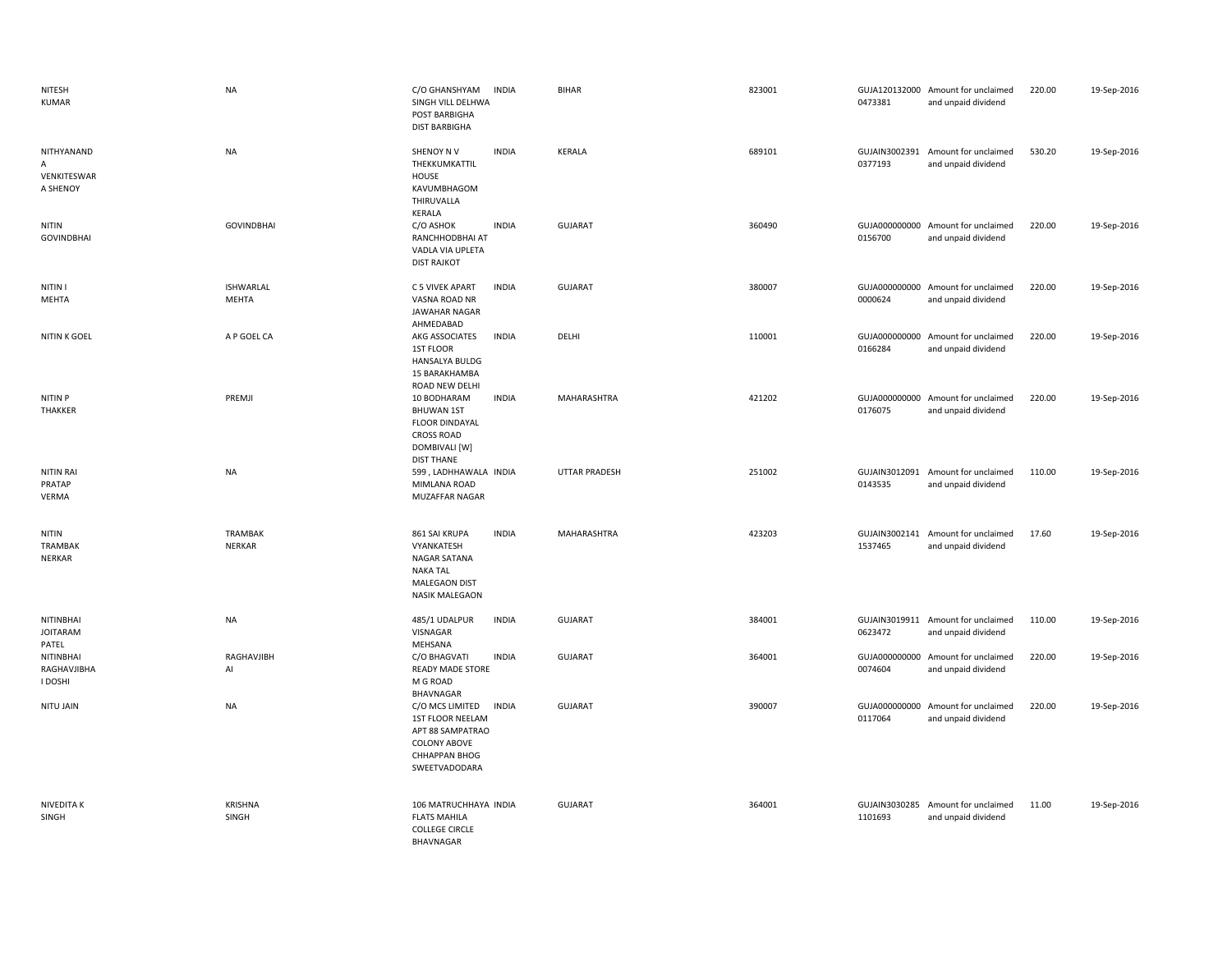| NITESH<br><b>KUMAR</b>                     | <b>NA</b>                        | C/O GHANSHYAM<br><b>INDIA</b><br>SINGH VILL DELHWA<br>POST BARBIGHA<br><b>DIST BARBIGHA</b>                                                          | <b>BIHAR</b>         | 823001 | 0473381                  | GUJA120132000 Amount for unclaimed<br>and unpaid dividend | 220.00 | 19-Sep-2016 |
|--------------------------------------------|----------------------------------|------------------------------------------------------------------------------------------------------------------------------------------------------|----------------------|--------|--------------------------|-----------------------------------------------------------|--------|-------------|
| NITHYANAND<br>А<br>VENKITESWAR<br>A SHENOY | <b>NA</b>                        | SHENOY NV<br><b>INDIA</b><br>THEKKUMKATTIL<br>HOUSE<br>KAVUMBHAGOM<br>THIRUVALLA<br>KERALA                                                           | KERALA               | 689101 | 0377193                  | GUJAIN3002391 Amount for unclaimed<br>and unpaid dividend | 530.20 | 19-Sep-2016 |
| <b>NITIN</b><br><b>GOVINDBHAI</b>          | <b>GOVINDBHAI</b>                | C/O ASHOK<br><b>INDIA</b><br>RANCHHODBHAI AT<br>VADLA VIA UPLETA<br><b>DIST RAJKOT</b>                                                               | <b>GUJARAT</b>       | 360490 | 0156700                  | GUJA000000000 Amount for unclaimed<br>and unpaid dividend | 220.00 | 19-Sep-2016 |
| NITIN I<br>MEHTA                           | <b>ISHWARLAL</b><br><b>MEHTA</b> | C 5 VIVEK APART<br><b>INDIA</b><br>VASNA ROAD NR<br><b>JAWAHAR NAGAR</b><br>AHMEDABAD                                                                | <b>GUJARAT</b>       | 380007 | 0000624                  | GUJA000000000 Amount for unclaimed<br>and unpaid dividend | 220.00 | 19-Sep-2016 |
| NITIN K GOEL                               | A P GOEL CA                      | AKG ASSOCIATES<br><b>INDIA</b><br>1ST FLOOR<br><b>HANSALYA BULDG</b><br>15 BARAKHAMBA<br>ROAD NEW DELHI                                              | DELHI                | 110001 | 0166284                  | GUJA000000000 Amount for unclaimed<br>and unpaid dividend | 220.00 | 19-Sep-2016 |
| NITIN P<br><b>THAKKER</b>                  | PREMJI                           | 10 BODHARAM<br><b>INDIA</b><br><b>BHUWAN 1ST</b><br><b>FLOOR DINDAYAL</b><br><b>CROSS ROAD</b><br>DOMBIVALI [W]<br><b>DIST THANE</b>                 | MAHARASHTRA          | 421202 | 0176075                  | GUJA000000000 Amount for unclaimed<br>and unpaid dividend | 220.00 | 19-Sep-2016 |
| <b>NITIN RAI</b><br>PRATAP<br>VERMA        | <b>NA</b>                        | 599, LADHHAWALA INDIA<br>MIMLANA ROAD<br>MUZAFFAR NAGAR                                                                                              | <b>UTTAR PRADESH</b> | 251002 | 0143535                  | GUJAIN3012091 Amount for unclaimed<br>and unpaid dividend | 110.00 | 19-Sep-2016 |
| <b>NITIN</b><br>TRAMBAK<br><b>NERKAR</b>   | TRAMBAK<br><b>NERKAR</b>         | 861 SAI KRUPA<br><b>INDIA</b><br>VYANKATESH<br>NAGAR SATANA<br><b>NAKA TAL</b><br>MALEGAON DIST<br><b>NASIK MALEGAON</b>                             | MAHARASHTRA          | 423203 | 1537465                  | GUJAIN3002141 Amount for unclaimed<br>and unpaid dividend | 17.60  | 19-Sep-2016 |
| NITINBHAI<br><b>JOITARAM</b><br>PATEL      | <b>NA</b>                        | <b>INDIA</b><br>485/1 UDALPUR<br>VISNAGAR<br>MEHSANA                                                                                                 | <b>GUJARAT</b>       | 384001 | 0623472                  | GUJAIN3019911 Amount for unclaimed<br>and unpaid dividend | 110.00 | 19-Sep-2016 |
| NITINBHAI<br>RAGHAVJIBHA<br>I DOSHI        | RAGHAVJIBH<br>Al                 | C/O BHAGVATI<br><b>INDIA</b><br><b>READY MADE STORE</b><br>M G ROAD                                                                                  | <b>GUJARAT</b>       | 364001 | GUJA000000000<br>0074604 | Amount for unclaimed<br>and unpaid dividend               | 220.00 | 19-Sep-2016 |
| NITU JAIN                                  | <b>NA</b>                        | BHAVNAGAR<br>C/O MCS LIMITED<br><b>INDIA</b><br>1ST FLOOR NEELAM<br>APT 88 SAMPATRAO<br><b>COLONY ABOVE</b><br><b>CHHAPPAN BHOG</b><br>SWEETVADODARA | <b>GUJARAT</b>       | 390007 | 0117064                  | GUJA000000000 Amount for unclaimed<br>and unpaid dividend | 220.00 | 19-Sep-2016 |
| NIVEDITA K<br>SINGH                        | <b>KRISHNA</b><br>SINGH          | 106 MATRUCHHAYA INDIA<br><b>FLATS MAHILA</b><br><b>COLLEGE CIRCLE</b><br>BHAVNAGAR                                                                   | <b>GUJARAT</b>       | 364001 | 1101693                  | GUJAIN3030285 Amount for unclaimed<br>and unpaid dividend | 11.00  | 19-Sep-2016 |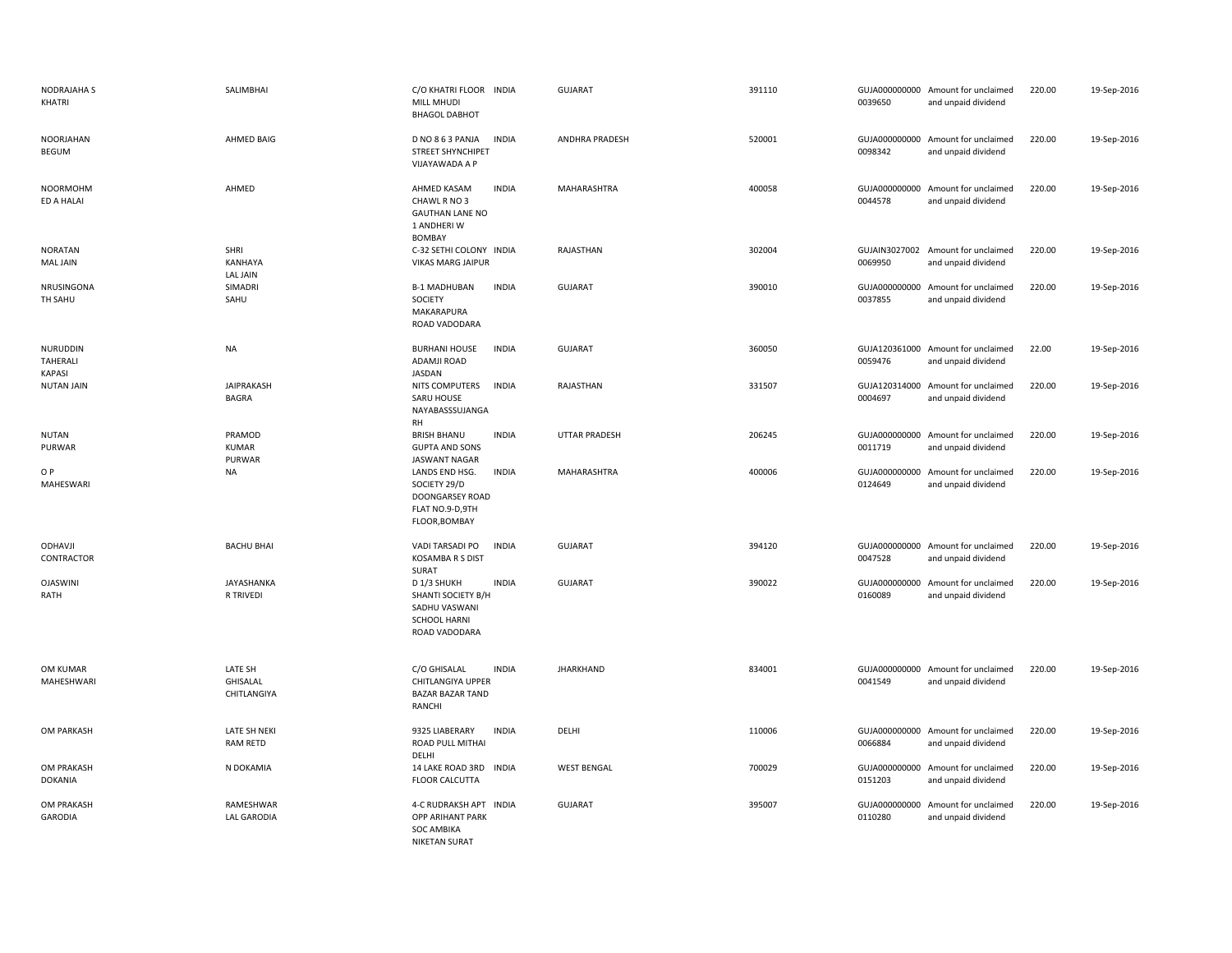| <b>NODRAJAHA S</b><br>KHATRI      | SALIMBHAI                          | C/O KHATRI FLOOR INDIA<br>MILL MHUDI<br><b>BHAGOL DABHOT</b>                                               | <b>GUJARAT</b>        | 391110 | 0039650                  | GUJA000000000 Amount for unclaimed<br>and unpaid dividend | 220.00 | 19-Sep-2016 |
|-----------------------------------|------------------------------------|------------------------------------------------------------------------------------------------------------|-----------------------|--------|--------------------------|-----------------------------------------------------------|--------|-------------|
| <b>NOORJAHAN</b><br>BEGUM         | AHMED BAIG                         | <b>INDIA</b><br>D NO 8 6 3 PANJA<br><b>STREET SHYNCHIPET</b><br>VIJAYAWADA A P                             | <b>ANDHRA PRADESH</b> | 520001 | 0098342                  | GUJA000000000 Amount for unclaimed<br>and unpaid dividend | 220.00 | 19-Sep-2016 |
| <b>NOORMOHM</b><br>ED A HALAI     | AHMED                              | <b>INDIA</b><br>AHMED KASAM<br>CHAWL R NO 3<br><b>GAUTHAN LANE NO</b><br>1 ANDHERI W<br><b>BOMBAY</b>      | MAHARASHTRA           | 400058 | 0044578                  | GUJA000000000 Amount for unclaimed<br>and unpaid dividend | 220.00 | 19-Sep-2016 |
| <b>NORATAN</b><br><b>MAL JAIN</b> | SHRI<br>KANHAYA<br><b>LAL JAIN</b> | C-32 SETHI COLONY INDIA<br><b>VIKAS MARG JAIPUR</b>                                                        | RAJASTHAN             | 302004 | 0069950                  | GUJAIN3027002 Amount for unclaimed<br>and unpaid dividend | 220.00 | 19-Sep-2016 |
| NRUSINGONA<br>TH SAHU             | SIMADRI<br>SAHU                    | <b>B-1 MADHUBAN</b><br><b>INDIA</b><br>SOCIETY<br>MAKARAPURA<br>ROAD VADODARA                              | <b>GUJARAT</b>        | 390010 | 0037855                  | GUJA000000000 Amount for unclaimed<br>and unpaid dividend | 220.00 | 19-Sep-2016 |
| NURUDDIN<br>TAHERALI<br>KAPASI    | <b>NA</b>                          | <b>BURHANI HOUSE</b><br><b>INDIA</b><br>ADAMJI ROAD<br>JASDAN                                              | GUJARAT               | 360050 | 0059476                  | GUJA120361000 Amount for unclaimed<br>and unpaid dividend | 22.00  | 19-Sep-2016 |
| <b>NUTAN JAIN</b>                 | JAIPRAKASH<br>BAGRA                | NITS COMPUTERS<br><b>INDIA</b><br>SARU HOUSE<br>NAYABASSSUJANGA<br><b>RH</b>                               | RAJASTHAN             | 331507 | GUJA120314000<br>0004697 | Amount for unclaimed<br>and unpaid dividend               | 220.00 | 19-Sep-2016 |
| <b>NUTAN</b><br>PURWAR            | PRAMOD<br><b>KUMAR</b><br>PURWAR   | <b>BRISH BHANU</b><br><b>INDIA</b><br><b>GUPTA AND SONS</b><br><b>JASWANT NAGAR</b>                        | <b>UTTAR PRADESH</b>  | 206245 | 0011719                  | GUJA000000000 Amount for unclaimed<br>and unpaid dividend | 220.00 | 19-Sep-2016 |
| O P<br>MAHESWARI                  | NA                                 | <b>INDIA</b><br>LANDS END HSG.<br>SOCIETY 29/D<br>DOONGARSEY ROAD<br>FLAT NO.9-D,9TH<br>FLOOR, BOMBAY      | MAHARASHTRA           | 400006 | 0124649                  | GUJA000000000 Amount for unclaimed<br>and unpaid dividend | 220.00 | 19-Sep-2016 |
| ODHAVJI<br>CONTRACTOR             | <b>BACHU BHAI</b>                  | <b>INDIA</b><br>VADI TARSADI PO<br><b>KOSAMBA R S DIST</b><br>SURAT                                        | <b>GUJARAT</b>        | 394120 | 0047528                  | GUJA000000000 Amount for unclaimed<br>and unpaid dividend | 220.00 | 19-Sep-2016 |
| <b>OJASWINI</b><br>RATH           | JAYASHANKA<br>R TRIVEDI            | <b>INDIA</b><br>D 1/3 SHUKH<br>SHANTI SOCIETY B/H<br>SADHU VASWANI<br><b>SCHOOL HARNI</b><br>ROAD VADODARA | <b>GUJARAT</b>        | 390022 | 0160089                  | GUJA000000000 Amount for unclaimed<br>and unpaid dividend | 220.00 | 19-Sep-2016 |
| OM KUMAR<br>MAHESHWARI            | LATE SH<br>GHISALAL<br>CHITLANGIYA | C/O GHISALAL<br><b>INDIA</b><br>CHITLANGIYA UPPER<br><b>BAZAR BAZAR TAND</b><br>RANCHI                     | <b>JHARKHAND</b>      | 834001 | 0041549                  | GUJA000000000 Amount for unclaimed<br>and unpaid dividend | 220.00 | 19-Sep-2016 |
| OM PARKASH                        | LATE SH NEKI<br><b>RAM RETD</b>    | 9325 LIABERARY<br><b>INDIA</b><br>ROAD PULL MITHAI<br>DELHI                                                | DELHI                 | 110006 | 0066884                  | GUJA000000000 Amount for unclaimed<br>and unpaid dividend | 220.00 | 19-Sep-2016 |
| OM PRAKASH<br><b>DOKANIA</b>      | N DOKAMIA                          | 14 LAKE ROAD 3RD INDIA<br><b>FLOOR CALCUTTA</b>                                                            | <b>WEST BENGAL</b>    | 700029 | 0151203                  | GUJA000000000 Amount for unclaimed<br>and unpaid dividend | 220.00 | 19-Sep-2016 |
| OM PRAKASH<br><b>GARODIA</b>      | RAMESHWAR<br><b>LAL GARODIA</b>    | 4-C RUDRAKSH APT INDIA<br><b>OPP ARIHANT PARK</b><br><b>SOC AMBIKA</b><br><b>NIKETAN SURAT</b>             | <b>GUJARAT</b>        | 395007 | 0110280                  | GUJA000000000 Amount for unclaimed<br>and unpaid dividend | 220.00 | 19-Sep-2016 |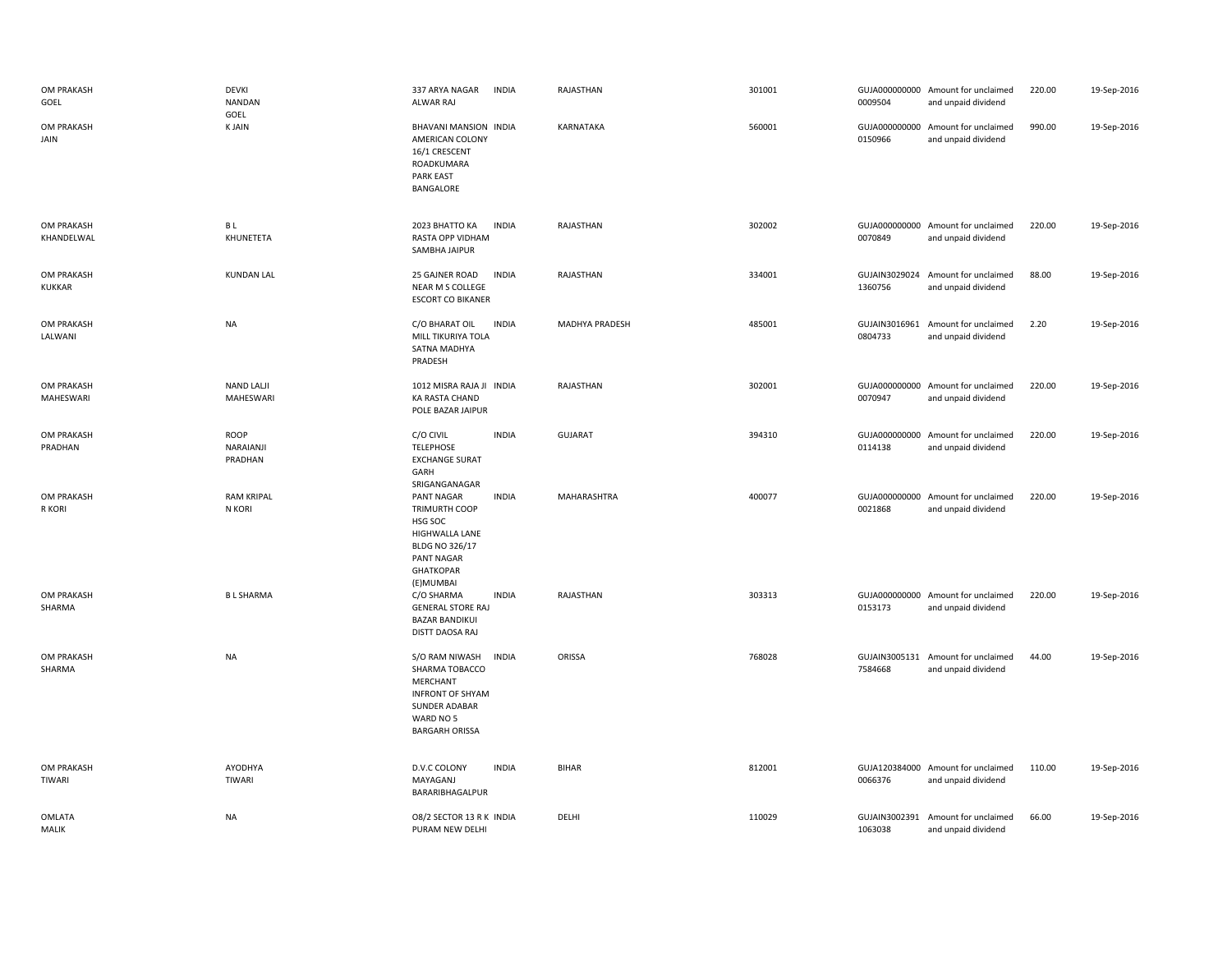| OM PRAKASH<br>GOEL          | DEVKI<br><b>NANDAN</b><br>GOEL | 337 ARYA NAGAR<br>INDIA<br>ALWAR RAJ                                                                                                             | RAJASTHAN      | 301001 | 0009504                  | GUJA000000000 Amount for unclaimed<br>and unpaid dividend | 220.00 | 19-Sep-2016 |
|-----------------------------|--------------------------------|--------------------------------------------------------------------------------------------------------------------------------------------------|----------------|--------|--------------------------|-----------------------------------------------------------|--------|-------------|
| OM PRAKASH<br>JAIN          | <b>KJAIN</b>                   | BHAVANI MANSION INDIA<br>AMERICAN COLONY<br>16/1 CRESCENT<br>ROADKUMARA<br><b>PARK EAST</b><br>BANGALORE                                         | KARNATAKA      | 560001 | 0150966                  | GUJA000000000 Amount for unclaimed<br>and unpaid dividend | 990.00 | 19-Sep-2016 |
| OM PRAKASH<br>KHANDELWAL    | B L<br>KHUNETETA               | <b>INDIA</b><br>2023 BHATTO KA<br>RASTA OPP VIDHAM<br>SAMBHA JAIPUR                                                                              | RAJASTHAN      | 302002 | 0070849                  | GUJA000000000 Amount for unclaimed<br>and unpaid dividend | 220.00 | 19-Sep-2016 |
| OM PRAKASH<br><b>KUKKAR</b> | <b>KUNDAN LAL</b>              | 25 GAJNER ROAD<br><b>INDIA</b><br>NEAR M S COLLEGE<br><b>ESCORT CO BIKANER</b>                                                                   | RAJASTHAN      | 334001 | 1360756                  | GUJAIN3029024 Amount for unclaimed<br>and unpaid dividend | 88.00  | 19-Sep-2016 |
| OM PRAKASH<br>LALWANI       | NA                             | <b>INDIA</b><br>C/O BHARAT OIL<br>MILL TIKURIYA TOLA<br>SATNA MADHYA<br>PRADESH                                                                  | MADHYA PRADESH | 485001 | GUJAIN3016961<br>0804733 | Amount for unclaimed<br>and unpaid dividend               | 2.20   | 19-Sep-2016 |
| OM PRAKASH<br>MAHESWARI     | <b>NAND LALJI</b><br>MAHESWARI | 1012 MISRA RAJA JI INDIA<br>KA RASTA CHAND<br>POLE BAZAR JAIPUR                                                                                  | RAJASTHAN      | 302001 | 0070947                  | GUJA000000000 Amount for unclaimed<br>and unpaid dividend | 220.00 | 19-Sep-2016 |
| OM PRAKASH<br>PRADHAN       | ROOP<br>NARAIANJI<br>PRADHAN   | C/O CIVIL<br><b>INDIA</b><br><b>TELEPHOSE</b><br><b>EXCHANGE SURAT</b><br>GARH<br>SRIGANGANAGAR                                                  | <b>GUJARAT</b> | 394310 | 0114138                  | GUJA000000000 Amount for unclaimed<br>and unpaid dividend | 220.00 | 19-Sep-2016 |
| OM PRAKASH<br>R KORI        | <b>RAM KRIPAL</b><br>N KORI    | PANT NAGAR<br><b>INDIA</b><br>TRIMURTH COOP<br>HSG SOC<br>HIGHWALLA LANE<br><b>BLDG NO 326/17</b><br>PANT NAGAR<br><b>GHATKOPAR</b><br>(E)MUMBAI | MAHARASHTRA    | 400077 | 0021868                  | GUJA000000000 Amount for unclaimed<br>and unpaid dividend | 220.00 | 19-Sep-2016 |
| OM PRAKASH<br>SHARMA        | <b>BL SHARMA</b>               | C/O SHARMA<br><b>INDIA</b><br><b>GENERAL STORE RAJ</b><br><b>BAZAR BANDIKUI</b><br>DISTT DAOSA RAJ                                               | RAJASTHAN      | 303313 | 0153173                  | GUJA000000000 Amount for unclaimed<br>and unpaid dividend | 220.00 | 19-Sep-2016 |
| OM PRAKASH<br>SHARMA        | <b>NA</b>                      | <b>INDIA</b><br>S/O RAM NIWASH<br>SHARMA TOBACCO<br>MERCHANT<br><b>INFRONT OF SHYAM</b><br>SUNDER ADABAR<br>WARD NO 5<br><b>BARGARH ORISSA</b>   | ORISSA         | 768028 | 7584668                  | GUJAIN3005131 Amount for unclaimed<br>and unpaid dividend | 44.00  | 19-Sep-2016 |
| OM PRAKASH<br>TIWARI        | AYODHYA<br>TIWARI              | <b>INDIA</b><br><b>D.V.C COLONY</b><br>MAYAGANJ<br>BARARIBHAGALPUR                                                                               | <b>BIHAR</b>   | 812001 | 0066376                  | GUJA120384000 Amount for unclaimed<br>and unpaid dividend | 110.00 | 19-Sep-2016 |
| OMLATA<br><b>MALIK</b>      | NA                             | O8/2 SECTOR 13 R K INDIA<br>PURAM NEW DELHI                                                                                                      | DELHI          | 110029 | 1063038                  | GUJAIN3002391 Amount for unclaimed<br>and unpaid dividend | 66.00  | 19-Sep-2016 |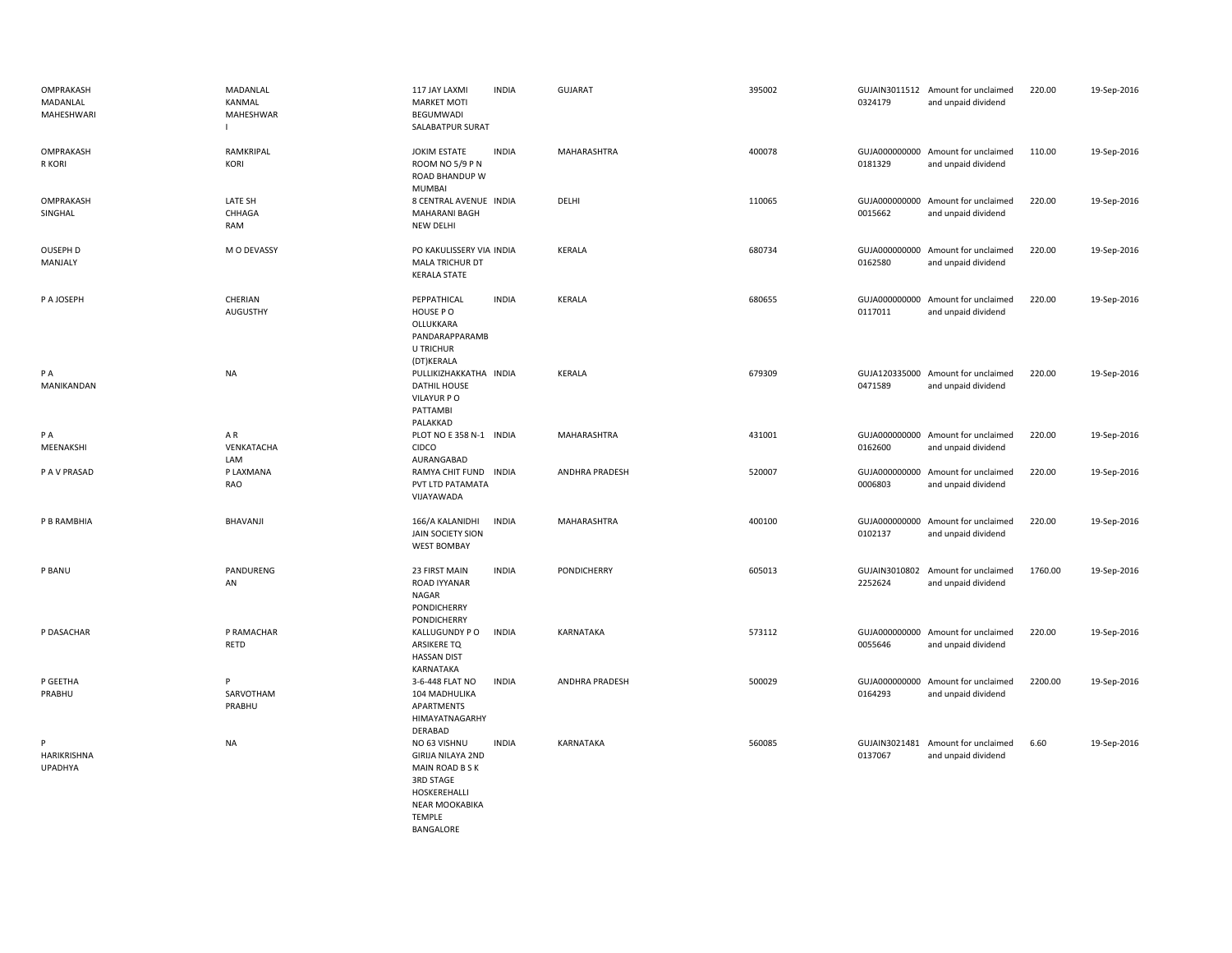| OMPRAKASH<br>MADANLAL<br><b>MAHESHWARI</b> | MADANLAL<br>KANMAL<br><b>MAHESHWAR</b> | 117 JAY LAXMI<br><b>INDIA</b><br><b>MARKET MOTI</b><br>BEGUMWADI<br>SALABATPUR SURAT                                                                     | <b>GUJARAT</b>        | 395002 | 0324179                  | GUJAIN3011512 Amount for unclaimed<br>and unpaid dividend | 220.00  | 19-Sep-2016 |
|--------------------------------------------|----------------------------------------|----------------------------------------------------------------------------------------------------------------------------------------------------------|-----------------------|--------|--------------------------|-----------------------------------------------------------|---------|-------------|
| OMPRAKASH<br>R KORI                        | RAMKRIPAL<br>KORI                      | <b>INDIA</b><br><b>JOKIM ESTATE</b><br>ROOM NO 5/9 P N<br>ROAD BHANDUP W<br>MUMBAI                                                                       | MAHARASHTRA           | 400078 | 0181329                  | GUJA000000000 Amount for unclaimed<br>and unpaid dividend | 110.00  | 19-Sep-2016 |
| OMPRAKASH<br>SINGHAL                       | LATE SH<br>CHHAGA<br>RAM               | 8 CENTRAL AVENUE INDIA<br><b>MAHARANI BAGH</b><br>NEW DELHI                                                                                              | DELHI                 | 110065 | GUJA000000000<br>0015662 | Amount for unclaimed<br>and unpaid dividend               | 220.00  | 19-Sep-2016 |
| OUSEPH D<br>MANJALY                        | M O DEVASSY                            | PO KAKULISSERY VIA INDIA<br>MALA TRICHUR DT<br><b>KERALA STATE</b>                                                                                       | <b>KERALA</b>         | 680734 | 0162580                  | GUJA000000000 Amount for unclaimed<br>and unpaid dividend | 220.00  | 19-Sep-2016 |
| P A JOSEPH                                 | CHERIAN<br>AUGUSTHY                    | <b>INDIA</b><br>PEPPATHICAL<br>HOUSE PO<br>OLLUKKARA<br>PANDARAPPARAMB<br>U TRICHUR<br>(DT)KERALA                                                        | <b>KERALA</b>         | 680655 | 0117011                  | GUJA000000000 Amount for unclaimed<br>and unpaid dividend | 220.00  | 19-Sep-2016 |
| P A<br>MANIKANDAN                          | <b>NA</b>                              | PULLIKIZHAKKATHA INDIA<br>DATHIL HOUSE<br>VILAYUR PO<br>PATTAMBI<br>PALAKKAD                                                                             | KERALA                | 679309 | 0471589                  | GUJA120335000 Amount for unclaimed<br>and unpaid dividend | 220.00  | 19-Sep-2016 |
| PA<br>MEENAKSHI                            | AR<br>VENKATACHA<br>LAM                | PLOT NO E 358 N-1 INDIA<br>CIDCO<br>AURANGABAD                                                                                                           | MAHARASHTRA           | 431001 | 0162600                  | GUJA000000000 Amount for unclaimed<br>and unpaid dividend | 220.00  | 19-Sep-2016 |
| P A V PRASAD                               | P LAXMANA<br>RAO                       | RAMYA CHIT FUND INDIA<br>PVT LTD PATAMATA<br>VIJAYAWADA                                                                                                  | ANDHRA PRADESH        | 520007 | 0006803                  | GUJA000000000 Amount for unclaimed<br>and unpaid dividend | 220.00  | 19-Sep-2016 |
| P B RAMBHIA                                | BHAVANJI                               | <b>INDIA</b><br>166/A KALANIDHI<br><b>JAIN SOCIETY SION</b><br><b>WEST BOMBAY</b>                                                                        | MAHARASHTRA           | 400100 | 0102137                  | GUJA000000000 Amount for unclaimed<br>and unpaid dividend | 220.00  | 19-Sep-2016 |
| P BANU                                     | PANDURENG<br>AN                        | 23 FIRST MAIN<br><b>INDIA</b><br><b>ROAD IYYANAR</b><br><b>NAGAR</b><br><b>PONDICHERRY</b><br>PONDICHERRY                                                | PONDICHERRY           | 605013 | 2252624                  | GUJAIN3010802 Amount for unclaimed<br>and unpaid dividend | 1760.00 | 19-Sep-2016 |
| P DASACHAR                                 | P RAMACHAR<br>RETD                     | KALLUGUNDY P O<br><b>INDIA</b><br>ARSIKERE TQ<br><b>HASSAN DIST</b><br>KARNATAKA                                                                         | KARNATAKA             | 573112 | 0055646                  | GUJA000000000 Amount for unclaimed<br>and unpaid dividend | 220.00  | 19-Sep-2016 |
| P GEETHA<br>PRABHU                         | P<br>SARVOTHAM<br>PRABHU               | 3-6-448 FLAT NO<br><b>INDIA</b><br>104 MADHULIKA<br>APARTMENTS<br>HIMAYATNAGARHY<br>DERABAD                                                              | <b>ANDHRA PRADESH</b> | 500029 | 0164293                  | GUJA000000000 Amount for unclaimed<br>and unpaid dividend | 2200.00 | 19-Sep-2016 |
| P<br>HARIKRISHNA<br>UPADHYA                | <b>NA</b>                              | <b>INDIA</b><br>NO 63 VISHNU<br><b>GIRIJA NILAYA 2ND</b><br>MAIN ROAD B S K<br>3RD STAGE<br>HOSKEREHALLI<br>NEAR MOOKABIKA<br><b>TEMPLE</b><br>BANGALORE | KARNATAKA             | 560085 | GUJAIN3021481<br>0137067 | Amount for unclaimed<br>and unpaid dividend               | 6.60    | 19-Sep-2016 |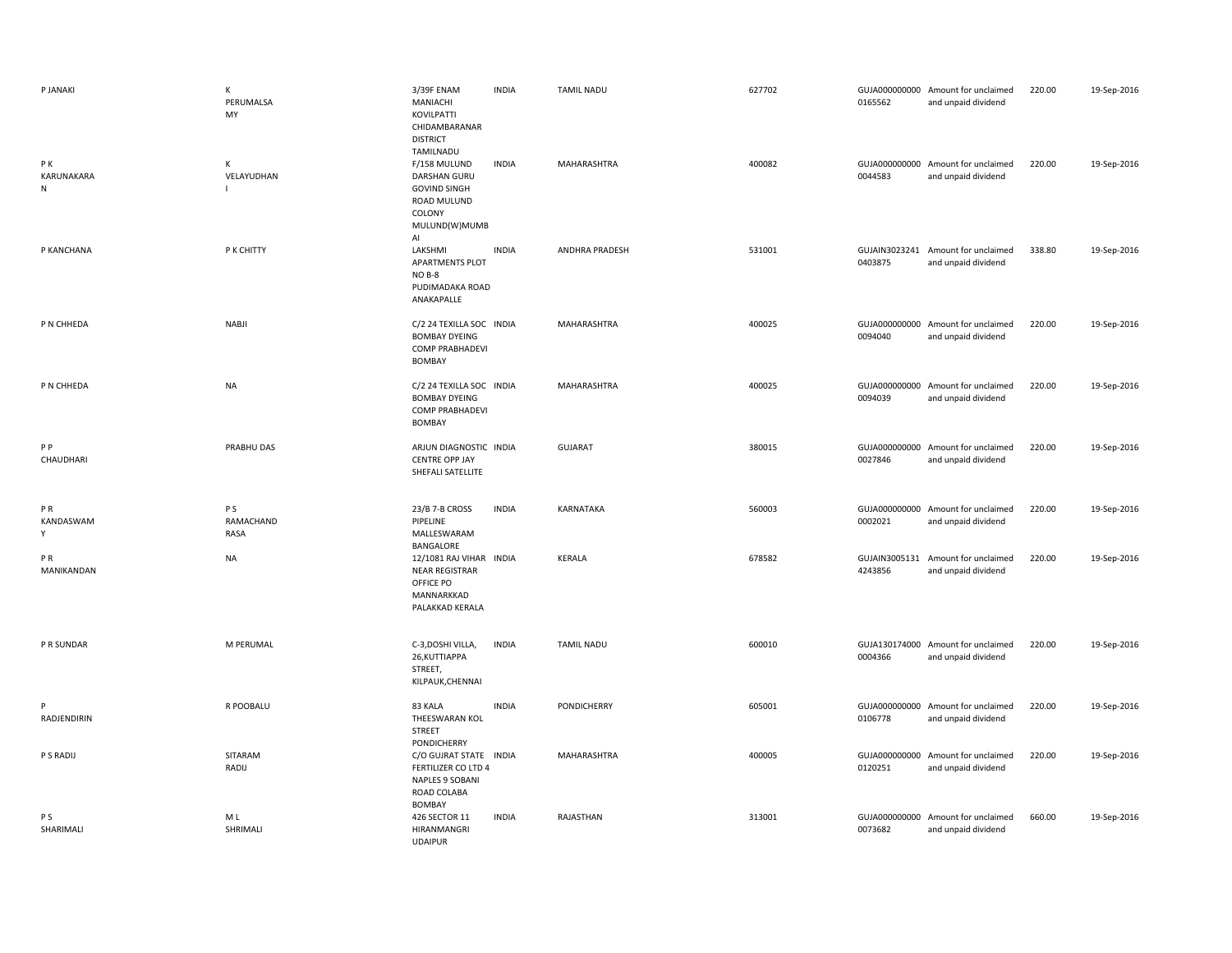| P JANAKI                      | К<br>PERUMALSA<br>MY     | 3/39F ENAM<br>MANIACHI<br>KOVILPATTI<br>CHIDAMBARANAR<br><b>DISTRICT</b>                                                | <b>INDIA</b> | <b>TAMIL NADU</b> | 627702 | 0165562 | GUJA000000000 Amount for unclaimed<br>and unpaid dividend | 220.00 | 19-Sep-2016 |
|-------------------------------|--------------------------|-------------------------------------------------------------------------------------------------------------------------|--------------|-------------------|--------|---------|-----------------------------------------------------------|--------|-------------|
| PK<br>KARUNAKARA<br>${\sf N}$ | К<br>VELAYUDHAN<br>I.    | TAMILNADU<br>F/158 MULUND<br><b>DARSHAN GURU</b><br><b>GOVIND SINGH</b><br>ROAD MULUND<br>COLONY<br>MULUND(W)MUMB<br>AI | <b>INDIA</b> | MAHARASHTRA       | 400082 | 0044583 | GUJA000000000 Amount for unclaimed<br>and unpaid dividend | 220.00 | 19-Sep-2016 |
| P KANCHANA                    | P K CHITTY               | LAKSHMI<br><b>APARTMENTS PLOT</b><br>NO B-8<br>PUDIMADAKA ROAD<br>ANAKAPALLE                                            | <b>INDIA</b> | ANDHRA PRADESH    | 531001 | 0403875 | GUJAIN3023241 Amount for unclaimed<br>and unpaid dividend | 338.80 | 19-Sep-2016 |
| P N CHHEDA                    | <b>NABJI</b>             | C/2 24 TEXILLA SOC INDIA<br><b>BOMBAY DYEING</b><br><b>COMP PRABHADEVI</b><br>BOMBAY                                    |              | MAHARASHTRA       | 400025 | 0094040 | GUJA000000000 Amount for unclaimed<br>and unpaid dividend | 220.00 | 19-Sep-2016 |
| P N CHHEDA                    | <b>NA</b>                | C/2 24 TEXILLA SOC INDIA<br><b>BOMBAY DYEING</b><br><b>COMP PRABHADEVI</b><br>BOMBAY                                    |              | MAHARASHTRA       | 400025 | 0094039 | GUJA000000000 Amount for unclaimed<br>and unpaid dividend | 220.00 | 19-Sep-2016 |
| PP<br>CHAUDHARI               | PRABHU DAS               | ARJUN DIAGNOSTIC INDIA<br><b>CENTRE OPP JAY</b><br>SHEFALI SATELLITE                                                    |              | <b>GUJARAT</b>    | 380015 | 0027846 | GUJA000000000 Amount for unclaimed<br>and unpaid dividend | 220.00 | 19-Sep-2016 |
| PR<br>KANDASWAM<br>Υ          | P S<br>RAMACHAND<br>RASA | 23/B 7-B CROSS<br>PIPELINE<br>MALLESWARAM<br>BANGALORE                                                                  | <b>INDIA</b> | KARNATAKA         | 560003 | 0002021 | GUJA000000000 Amount for unclaimed<br>and unpaid dividend | 220.00 | 19-Sep-2016 |
| P <sub>R</sub><br>MANIKANDAN  | <b>NA</b>                | 12/1081 RAJ VIHAR INDIA<br><b>NEAR REGISTRAR</b><br>OFFICE PO<br>MANNARKKAD<br>PALAKKAD KERALA                          |              | KERALA            | 678582 | 4243856 | GUJAIN3005131 Amount for unclaimed<br>and unpaid dividend | 220.00 | 19-Sep-2016 |
| P R SUNDAR                    | M PERUMAL                | C-3,DOSHI VILLA,<br>26, KUTTIAPPA<br>STREET,<br>KILPAUK, CHENNAI                                                        | <b>INDIA</b> | <b>TAMIL NADU</b> | 600010 | 0004366 | GUJA130174000 Amount for unclaimed<br>and unpaid dividend | 220.00 | 19-Sep-2016 |
| RADJENDIRIN                   | R POOBALU                | 83 KALA<br>THEESWARAN KOL<br>STREET                                                                                     | <b>INDIA</b> | PONDICHERRY       | 605001 | 0106778 | GUJA000000000 Amount for unclaimed<br>and unpaid dividend | 220.00 | 19-Sep-2016 |
| P S RADIJ                     | SITARAM<br>RADIJ         | PONDICHERRY<br>C/O GUJRAT STATE INDIA<br>FERTILIZER CO LTD 4<br>NAPLES 9 SOBANI<br>ROAD COLABA                          |              | MAHARASHTRA       | 400005 | 0120251 | GUJA000000000 Amount for unclaimed<br>and unpaid dividend | 220.00 | 19-Sep-2016 |
| P <sub>S</sub><br>SHARIMALI   | M L<br>SHRIMALI          | BOMBAY<br>426 SECTOR 11<br>HIRANMANGRI<br><b>UDAIPUR</b>                                                                | <b>INDIA</b> | RAJASTHAN         | 313001 | 0073682 | GUJA000000000 Amount for unclaimed<br>and unpaid dividend | 660.00 | 19-Sep-2016 |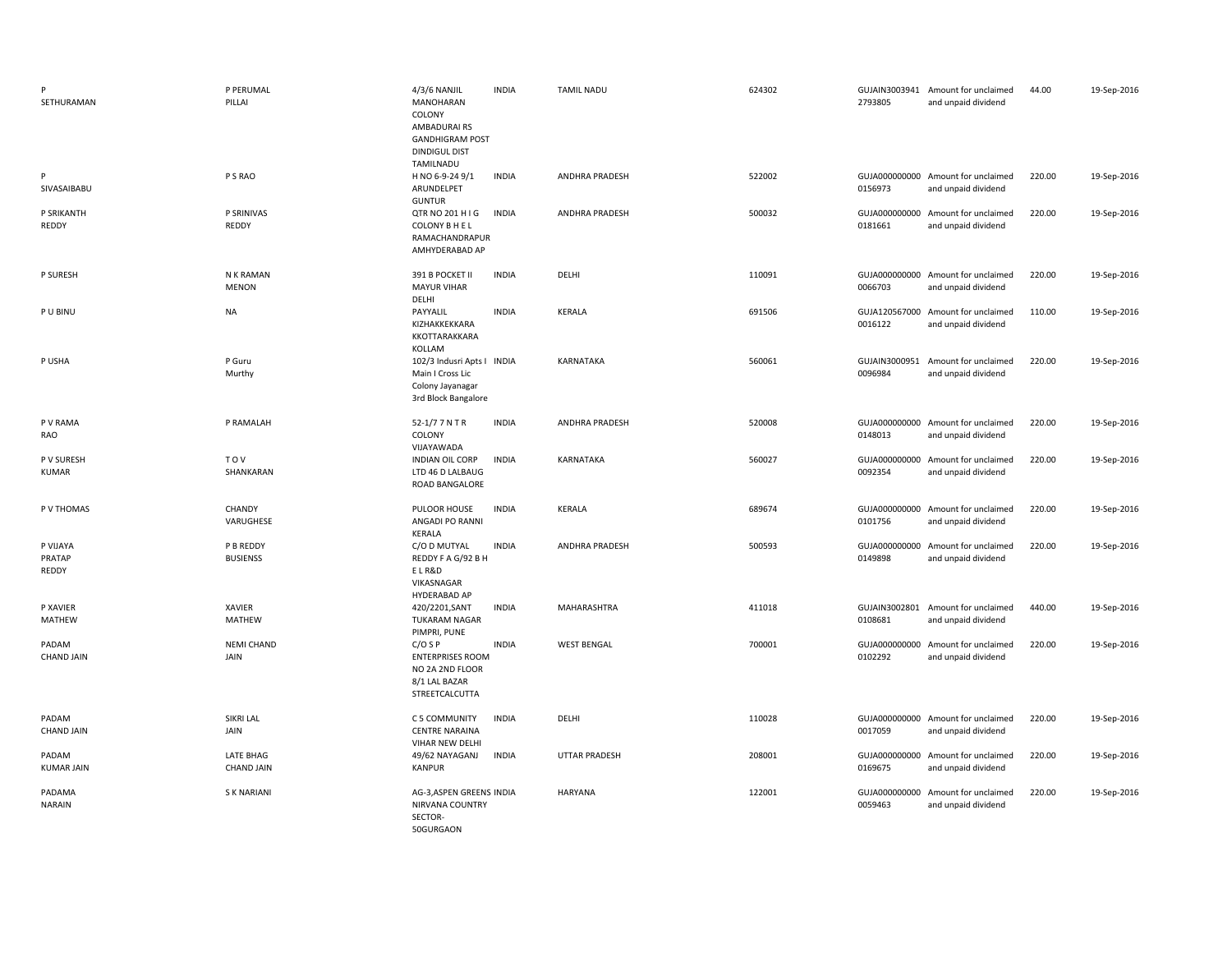| SETHURAMAN                  | P PERUMAL<br>PILLAI            | 4/3/6 NANJIL<br><b>MANOHARAN</b><br>COLONY<br>AMBADURAIRS<br><b>GANDHIGRAM POST</b><br><b>DINDIGUL DIST</b> | <b>INDIA</b> | <b>TAMIL NADU</b>  | 624302 | 2793805                  | GUJAIN3003941 Amount for unclaimed<br>and unpaid dividend | 44.00  | 19-Sep-2016 |
|-----------------------------|--------------------------------|-------------------------------------------------------------------------------------------------------------|--------------|--------------------|--------|--------------------------|-----------------------------------------------------------|--------|-------------|
| P<br>SIVASAIBABU            | P S RAO                        | TAMILNADU<br>H NO 6-9-24 9/1<br>ARUNDELPET<br><b>GUNTUR</b>                                                 | <b>INDIA</b> | ANDHRA PRADESH     | 522002 | 0156973                  | GUJA000000000 Amount for unclaimed<br>and unpaid dividend | 220.00 | 19-Sep-2016 |
| P SRIKANTH<br>REDDY         | P SRINIVAS<br>REDDY            | QTR NO 201 H I G<br>COLONY B H E L<br>RAMACHANDRAPUR<br>AMHYDERABAD AP                                      | <b>INDIA</b> | ANDHRA PRADESH     | 500032 | 0181661                  | GUJA000000000 Amount for unclaimed<br>and unpaid dividend | 220.00 | 19-Sep-2016 |
| P SURESH                    | N K RAMAN<br><b>MENON</b>      | 391 B POCKET II<br><b>MAYUR VIHAR</b><br>DELHI                                                              | <b>INDIA</b> | DELHI              | 110091 | 0066703                  | GUJA000000000 Amount for unclaimed<br>and unpaid dividend | 220.00 | 19-Sep-2016 |
| P U BINU                    | NA                             | PAYYALIL<br>KIZHAKKEKKARA<br>KKOTTARAKKARA<br>KOLLAM                                                        | <b>INDIA</b> | <b>KERALA</b>      | 691506 | 0016122                  | GUJA120567000 Amount for unclaimed<br>and unpaid dividend | 110.00 | 19-Sep-2016 |
| P USHA                      | P Guru<br>Murthy               | 102/3 Indusri Apts I INDIA<br>Main I Cross Lic<br>Colony Jayanagar<br>3rd Block Bangalore                   |              | KARNATAKA          | 560061 | GUJAIN3000951<br>0096984 | Amount for unclaimed<br>and unpaid dividend               | 220.00 | 19-Sep-2016 |
| P V RAMA<br>RAO             | P RAMALAH                      | 52-1/7 7 N T R<br>COLONY<br>VIJAYAWADA                                                                      | <b>INDIA</b> | ANDHRA PRADESH     | 520008 | 0148013                  | GUJA000000000 Amount for unclaimed<br>and unpaid dividend | 220.00 | 19-Sep-2016 |
| P V SURESH<br><b>KUMAR</b>  | <b>TOV</b><br>SHANKARAN        | <b>INDIAN OIL CORP</b><br>LTD 46 D LALBAUG<br>ROAD BANGALORE                                                | <b>INDIA</b> | KARNATAKA          | 560027 | 0092354                  | GUJA000000000 Amount for unclaimed<br>and unpaid dividend | 220.00 | 19-Sep-2016 |
| P V THOMAS                  | CHANDY<br>VARUGHESE            | PULOOR HOUSE<br>ANGADI PO RANNI<br>KERALA                                                                   | <b>INDIA</b> | <b>KERALA</b>      | 689674 | 0101756                  | GUJA000000000 Amount for unclaimed<br>and unpaid dividend | 220.00 | 19-Sep-2016 |
| P VIJAYA<br>PRATAP<br>REDDY | P B REDDY<br><b>BUSIENSS</b>   | C/O D MUTYAL<br>REDDY F A G/92 B H<br>ELR&D<br>VIKASNAGAR<br>HYDERABAD AP                                   | <b>INDIA</b> | ANDHRA PRADESH     | 500593 | 0149898                  | GUJA000000000 Amount for unclaimed<br>and unpaid dividend | 220.00 | 19-Sep-2016 |
| P XAVIER<br>MATHEW          | XAVIER<br>MATHEW               | 420/2201, SANT<br><b>TUKARAM NAGAR</b><br>PIMPRI, PUNE                                                      | <b>INDIA</b> | MAHARASHTRA        | 411018 | 0108681                  | GUJAIN3002801 Amount for unclaimed<br>and unpaid dividend | 440.00 | 19-Sep-2016 |
| PADAM<br><b>CHAND JAIN</b>  | <b>NEMI CHAND</b><br>JAIN      | $C/O$ S P<br><b>ENTERPRISES ROOM</b><br>NO 2A 2ND FLOOR<br>8/1 LAL BAZAR<br>STREETCALCUTTA                  | <b>INDIA</b> | <b>WEST BENGAL</b> | 700001 | GUJA000000000<br>0102292 | Amount for unclaimed<br>and unpaid dividend               | 220.00 | 19-Sep-2016 |
| PADAM<br><b>CHAND JAIN</b>  | SIKRI LAL<br>JAIN              | C 5 COMMUNITY<br><b>CENTRE NARAINA</b><br>VIHAR NEW DELHI                                                   | <b>INDIA</b> | DELHI              | 110028 | 0017059                  | GUJA000000000 Amount for unclaimed<br>and unpaid dividend | 220.00 | 19-Sep-2016 |
| PADAM<br><b>KUMAR JAIN</b>  | LATE BHAG<br><b>CHAND JAIN</b> | 49/62 NAYAGANJ<br>KANPUR                                                                                    | <b>INDIA</b> | UTTAR PRADESH      | 208001 | 0169675                  | GUJA000000000 Amount for unclaimed<br>and unpaid dividend | 220.00 | 19-Sep-2016 |
| PADAMA<br><b>NARAIN</b>     | <b>SK NARIANI</b>              | AG-3, ASPEN GREENS INDIA<br>NIRVANA COUNTRY<br>SECTOR-<br>50GURGAON                                         |              | <b>HARYANA</b>     | 122001 | 0059463                  | GUJA000000000 Amount for unclaimed<br>and unpaid dividend | 220.00 | 19-Sep-2016 |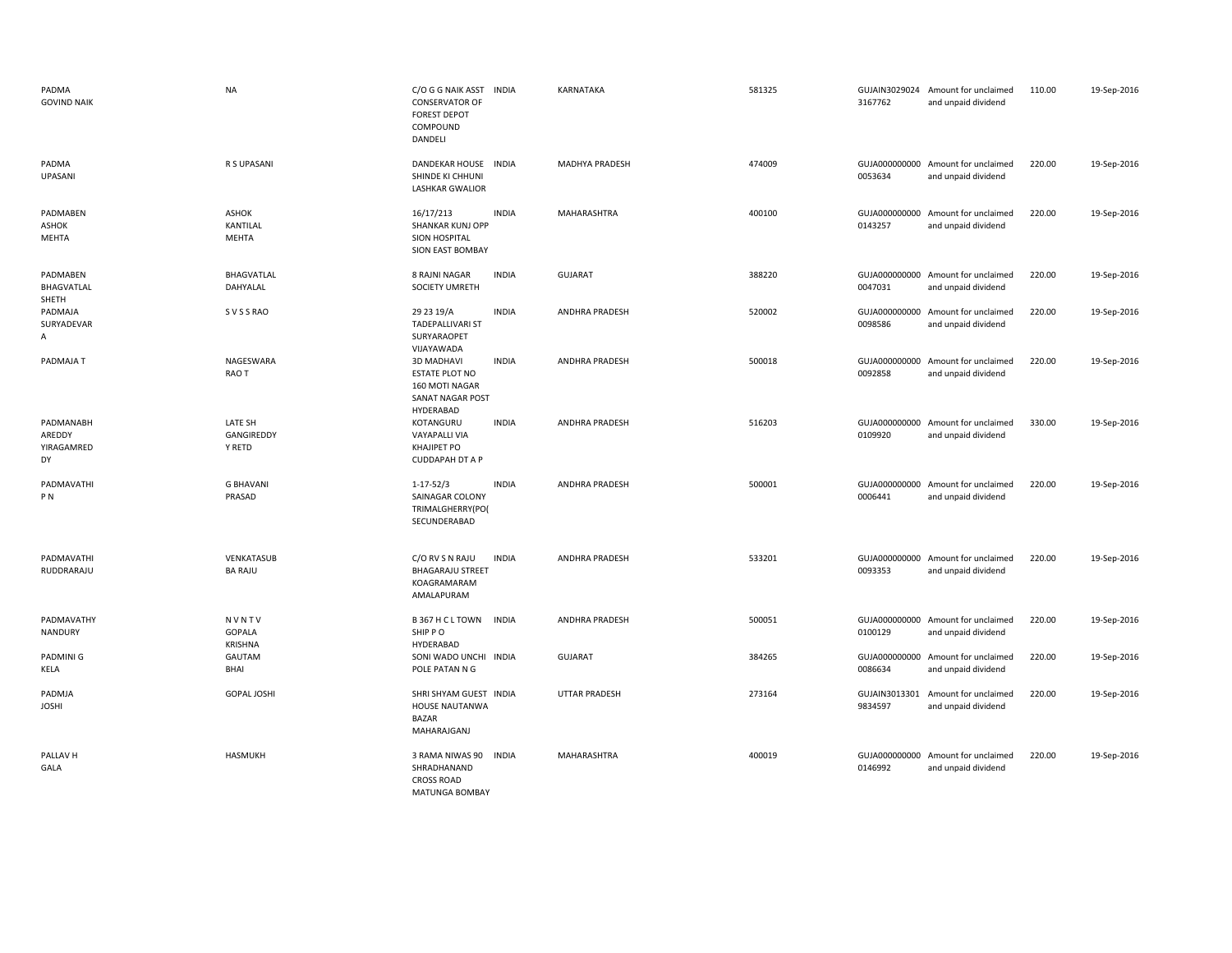| PADMA<br><b>GOVIND NAIK</b>             | <b>NA</b>                       | C/O G G NAIK ASST INDIA<br><b>CONSERVATOR OF</b><br><b>FOREST DEPOT</b><br>COMPOUND<br>DANDELI |              | KARNATAKA             | 581325 | 3167762                  | GUJAIN3029024 Amount for unclaimed<br>and unpaid dividend | 110.00 | 19-Sep-2016 |
|-----------------------------------------|---------------------------------|------------------------------------------------------------------------------------------------|--------------|-----------------------|--------|--------------------------|-----------------------------------------------------------|--------|-------------|
| PADMA<br>UPASANI                        | R S UPASANI                     | DANDEKAR HOUSE INDIA<br>SHINDE KI CHHUNI<br><b>LASHKAR GWALIOR</b>                             |              | MADHYA PRADESH        | 474009 | 0053634                  | GUJA000000000 Amount for unclaimed<br>and unpaid dividend | 220.00 | 19-Sep-2016 |
| PADMABEN<br><b>ASHOK</b><br>MEHTA       | ASHOK<br>KANTILAL<br>MEHTA      | 16/17/213<br>SHANKAR KUNJ OPP<br><b>SION HOSPITAL</b><br>SION EAST BOMBAY                      | <b>INDIA</b> | MAHARASHTRA           | 400100 | 0143257                  | GUJA000000000 Amount for unclaimed<br>and unpaid dividend | 220.00 | 19-Sep-2016 |
| PADMABEN<br>BHAGVATLAL<br>SHETH         | BHAGVATLAL<br>DAHYALAL          | 8 RAJNI NAGAR<br>SOCIETY UMRETH                                                                | <b>INDIA</b> | <b>GUJARAT</b>        | 388220 | 0047031                  | GUJA000000000 Amount for unclaimed<br>and unpaid dividend | 220.00 | 19-Sep-2016 |
| PADMAJA<br>SURYADEVAR<br>A              | S V S S RAO                     | 29 23 19/A<br><b>TADEPALLIVARI ST</b><br>SURYARAOPET<br>VIJAYAWADA                             | <b>INDIA</b> | ANDHRA PRADESH        | 520002 | GUJA000000000<br>0098586 | Amount for unclaimed<br>and unpaid dividend               | 220.00 | 19-Sep-2016 |
| PADMAJA T                               | NAGESWARA<br>RAO T              | <b>3D MADHAVI</b><br><b>ESTATE PLOT NO</b><br>160 MOTI NAGAR<br>SANAT NAGAR POST<br>HYDERABAD  | <b>INDIA</b> | ANDHRA PRADESH        | 500018 | 0092858                  | GUJA000000000 Amount for unclaimed<br>and unpaid dividend | 220.00 | 19-Sep-2016 |
| PADMANABH<br>AREDDY<br>YIRAGAMRED<br>DY | LATE SH<br>GANGIREDDY<br>Y RETD | KOTANGURU<br>VAYAPALLI VIA<br>KHAJIPET PO<br><b>CUDDAPAH DT A P</b>                            | <b>INDIA</b> | <b>ANDHRA PRADESH</b> | 516203 | 0109920                  | GUJA000000000 Amount for unclaimed<br>and unpaid dividend | 330.00 | 19-Sep-2016 |
| PADMAVATHI<br>P <sub>N</sub>            | <b>G BHAVANI</b><br>PRASAD      | $1 - 17 - 52/3$<br>SAINAGAR COLONY<br>TRIMALGHERRY(PO)<br>SECUNDERABAD                         | <b>INDIA</b> | <b>ANDHRA PRADESH</b> | 500001 | 0006441                  | GUJA000000000 Amount for unclaimed<br>and unpaid dividend | 220.00 | 19-Sep-2016 |
| PADMAVATHI<br>RUDDRARAJU                | VENKATASUB<br><b>BA RAJU</b>    | C/O RV S N RAJU<br><b>BHAGARAJU STREET</b><br>KOAGRAMARAM<br>AMALAPURAM                        | <b>INDIA</b> | <b>ANDHRA PRADESH</b> | 533201 | GUJA000000000<br>0093353 | Amount for unclaimed<br>and unpaid dividend               | 220.00 | 19-Sep-2016 |
| PADMAVATHY<br>NANDURY                   | NVNTV<br>GOPALA<br>KRISHNA      | B 367 H C L TOWN<br>SHIP PO<br>HYDERABAD                                                       | <b>INDIA</b> | ANDHRA PRADESH        | 500051 | 0100129                  | GUJA000000000 Amount for unclaimed<br>and unpaid dividend | 220.00 | 19-Sep-2016 |
| PADMINI G<br>KELA                       | GAUTAM<br>BHAI                  | SONI WADO UNCHI INDIA<br>POLE PATAN N G                                                        |              | <b>GUJARAT</b>        | 384265 | 0086634                  | GUJA000000000 Amount for unclaimed<br>and unpaid dividend | 220.00 | 19-Sep-2016 |
| PADMJA<br><b>JOSHI</b>                  | <b>GOPAL JOSHI</b>              | SHRI SHYAM GUEST INDIA<br>HOUSE NAUTANWA<br><b>BAZAR</b><br>MAHARAJGANJ                        |              | <b>UTTAR PRADESH</b>  | 273164 | GUJAIN3013301<br>9834597 | Amount for unclaimed<br>and unpaid dividend               | 220.00 | 19-Sep-2016 |
| PALLAV H<br>GALA                        | HASMUKH                         | 3 RAMA NIWAS 90<br>SHRADHANAND<br><b>CROSS ROAD</b><br>MATUNGA BOMBAY                          | <b>INDIA</b> | MAHARASHTRA           | 400019 | 0146992                  | GUJA000000000 Amount for unclaimed<br>and unpaid dividend | 220.00 | 19-Sep-2016 |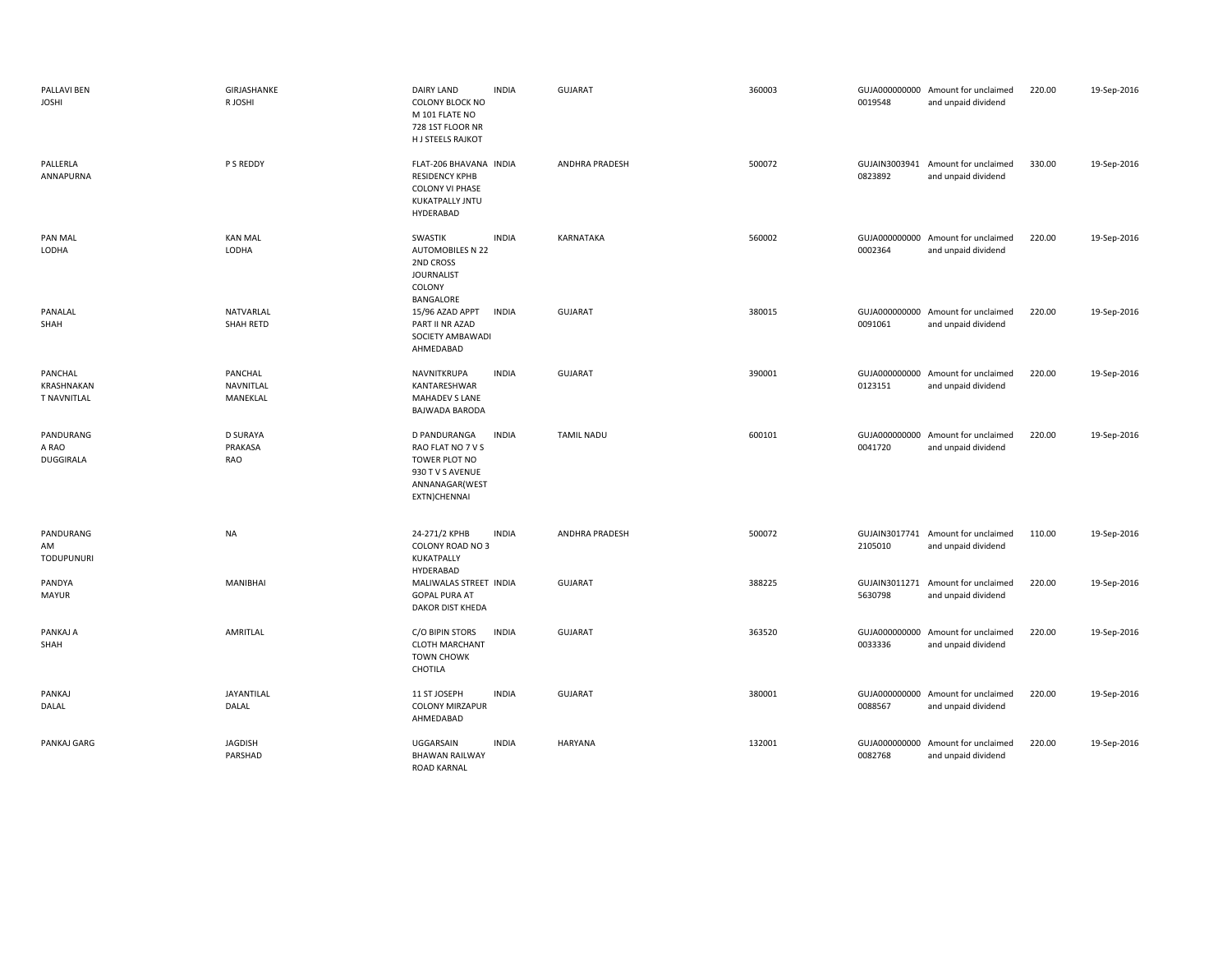| PALLAVI BEN<br><b>JOSHI</b>                 | <b>GIRJASHANKE</b><br>R JOSHI     | <b>DAIRY LAND</b><br><b>INDIA</b><br>COLONY BLOCK NO<br>M 101 FLATE NO<br>728 1ST FLOOR NR<br>H J STEELS RAJKOT          | <b>GUJARAT</b>        | 360003 | GUJA000000000 Amount for unclaimed<br>0019548<br>and unpaid dividend | 220.00 | 19-Sep-2016 |
|---------------------------------------------|-----------------------------------|--------------------------------------------------------------------------------------------------------------------------|-----------------------|--------|----------------------------------------------------------------------|--------|-------------|
| PALLERLA<br>ANNAPURNA                       | P S REDDY                         | FLAT-206 BHAVANA INDIA<br>RESIDENCY KPHB<br><b>COLONY VI PHASE</b><br>KUKATPALLY JNTU<br>HYDERABAD                       | <b>ANDHRA PRADESH</b> | 500072 | GUJAIN3003941 Amount for unclaimed<br>0823892<br>and unpaid dividend | 330.00 | 19-Sep-2016 |
| PAN MAL<br>LODHA                            | <b>KAN MAL</b><br>LODHA           | <b>INDIA</b><br>SWASTIK<br><b>AUTOMOBILES N 22</b><br>2ND CROSS<br><b>JOURNALIST</b><br>COLONY<br>BANGALORE              | KARNATAKA             | 560002 | GUJA000000000 Amount for unclaimed<br>0002364<br>and unpaid dividend | 220.00 | 19-Sep-2016 |
| PANALAL<br>SHAH                             | NATVARLAL<br>SHAH RETD            | 15/96 AZAD APPT<br><b>INDIA</b><br>PART II NR AZAD<br>SOCIETY AMBAWADI<br>AHMEDABAD                                      | <b>GUJARAT</b>        | 380015 | GUJA000000000 Amount for unclaimed<br>0091061<br>and unpaid dividend | 220.00 | 19-Sep-2016 |
| PANCHAL<br>KRASHNAKAN<br><b>T NAVNITLAL</b> | PANCHAL<br>NAVNITLAL<br>MANEKLAL  | <b>INDIA</b><br>NAVNITKRUPA<br>KANTARESHWAR<br>MAHADEV S LANE<br>BAJWADA BARODA                                          | <b>GUJARAT</b>        | 390001 | GUJA000000000 Amount for unclaimed<br>0123151<br>and unpaid dividend | 220.00 | 19-Sep-2016 |
| PANDURANG<br>A RAO<br>DUGGIRALA             | <b>D SURAYA</b><br>PRAKASA<br>RAO | D PANDURANGA<br><b>INDIA</b><br>RAO FLAT NO 7 V S<br>TOWER PLOT NO<br>930 T V S AVENUE<br>ANNANAGAR(WEST<br>EXTN)CHENNAI | <b>TAMIL NADU</b>     | 600101 | GUJA000000000 Amount for unclaimed<br>0041720<br>and unpaid dividend | 220.00 | 19-Sep-2016 |
| PANDURANG<br>AM<br><b>TODUPUNURI</b>        | <b>NA</b>                         | 24-271/2 KPHB<br><b>INDIA</b><br>COLONY ROAD NO 3<br>KUKATPALLY<br>HYDERABAD                                             | <b>ANDHRA PRADESH</b> | 500072 | GUJAIN3017741 Amount for unclaimed<br>2105010<br>and unpaid dividend | 110.00 | 19-Sep-2016 |
| PANDYA<br><b>MAYUR</b>                      | MANIBHAI                          | MALIWALAS STREET INDIA<br><b>GOPAL PURA AT</b><br>DAKOR DIST KHEDA                                                       | <b>GUJARAT</b>        | 388225 | GUJAIN3011271 Amount for unclaimed<br>5630798<br>and unpaid dividend | 220.00 | 19-Sep-2016 |
| PANKAJ A<br>SHAH                            | <b>AMRITLAL</b>                   | C/O BIPIN STORS<br><b>INDIA</b><br><b>CLOTH MARCHANT</b><br><b>TOWN CHOWK</b><br>CHOTILA                                 | <b>GUJARAT</b>        | 363520 | GUJA000000000 Amount for unclaimed<br>0033336<br>and unpaid dividend | 220.00 | 19-Sep-2016 |
| PANKAJ<br>DALAL                             | JAYANTILAL<br>DALAL               | 11 ST JOSEPH<br><b>INDIA</b><br><b>COLONY MIRZAPUR</b><br>AHMEDABAD                                                      | <b>GUJARAT</b>        | 380001 | GUJA000000000 Amount for unclaimed<br>0088567<br>and unpaid dividend | 220.00 | 19-Sep-2016 |
| PANKAJ GARG                                 | <b>JAGDISH</b><br>PARSHAD         | UGGARSAIN<br><b>INDIA</b><br><b>BHAWAN RAILWAY</b><br><b>ROAD KARNAL</b>                                                 | HARYANA               | 132001 | GUJA000000000 Amount for unclaimed<br>0082768<br>and unpaid dividend | 220.00 | 19-Sep-2016 |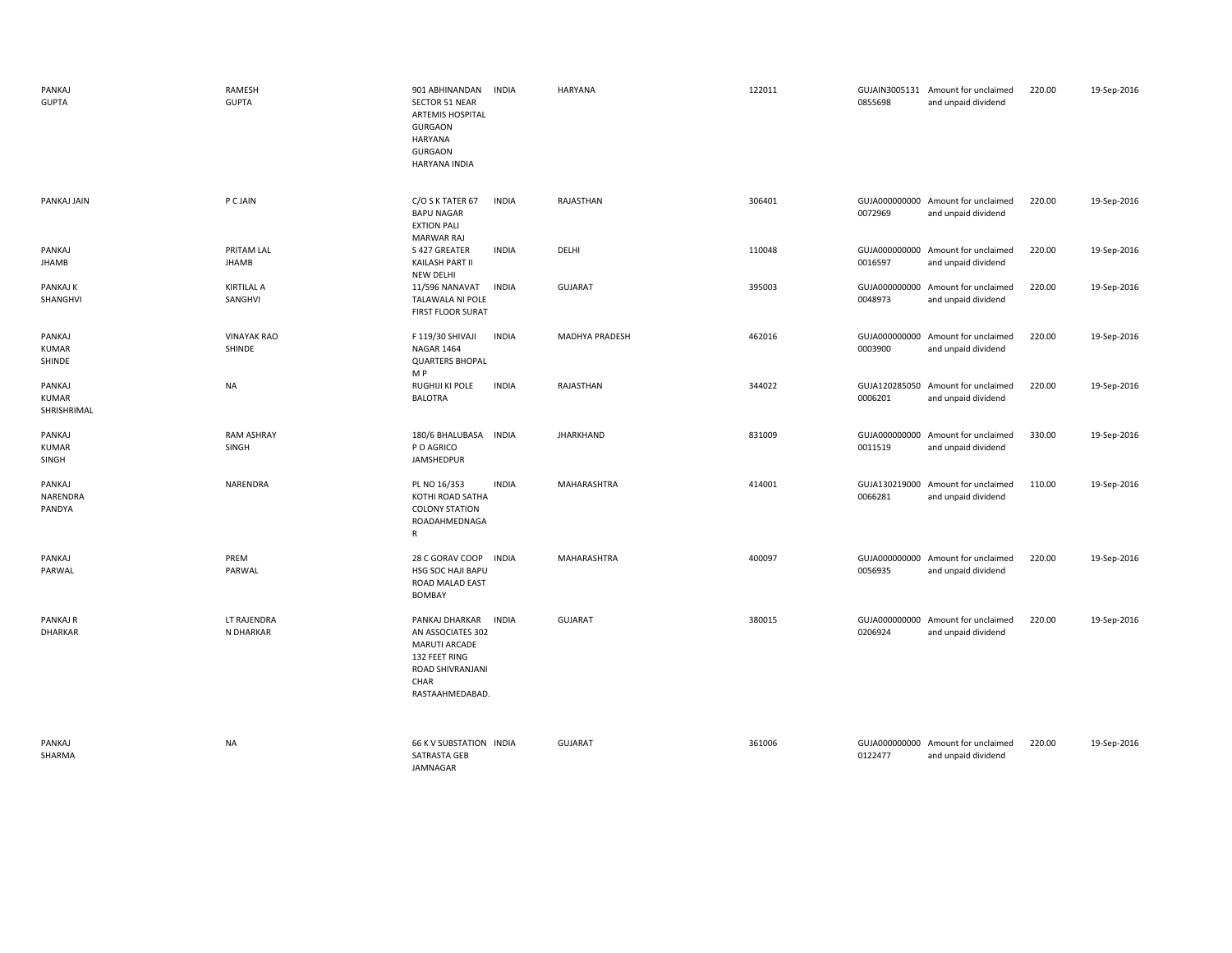| PANKAJ<br><b>GUPTA</b>                | RAMESH<br><b>GUPTA</b>       | 901 ABHINANDAN<br>SECTOR 51 NEAR<br><b>ARTEMIS HOSPITAL</b><br><b>GURGAON</b><br><b>HARYANA</b><br><b>GURGAON</b><br>HARYANA INDIA | <b>INDIA</b> | HARYANA          | 122011 | 0855698 | GUJAIN3005131 Amount for unclaimed<br>and unpaid dividend | 220.00 | 19-Sep-2016 |
|---------------------------------------|------------------------------|------------------------------------------------------------------------------------------------------------------------------------|--------------|------------------|--------|---------|-----------------------------------------------------------|--------|-------------|
| PANKAJ JAIN                           | <b>P C JAIN</b>              | C/O S K TATER 67<br><b>BAPU NAGAR</b><br><b>EXTION PALI</b><br><b>MARWAR RAJ</b>                                                   | <b>INDIA</b> | RAJASTHAN        | 306401 | 0072969 | GUJA000000000 Amount for unclaimed<br>and unpaid dividend | 220.00 | 19-Sep-2016 |
| PANKAJ<br>JHAMB                       | PRITAM LAL<br><b>JHAMB</b>   | S 427 GREATER<br>KAILASH PART II<br><b>NEW DELHI</b>                                                                               | <b>INDIA</b> | DELHI            | 110048 | 0016597 | GUJA000000000 Amount for unclaimed<br>and unpaid dividend | 220.00 | 19-Sep-2016 |
| PANKAJ K<br>SHANGHVI                  | <b>KIRTILAL A</b><br>SANGHVI | 11/596 NANAVAT<br>TALAWALA NI POLE<br>FIRST FLOOR SURAT                                                                            | <b>INDIA</b> | GUJARAT          | 395003 | 0048973 | GUJA000000000 Amount for unclaimed<br>and unpaid dividend | 220.00 | 19-Sep-2016 |
| PANKAJ<br><b>KUMAR</b><br>SHINDE      | <b>VINAYAK RAO</b><br>SHINDE | F 119/30 SHIVAJI<br><b>NAGAR 1464</b><br><b>QUARTERS BHOPAL</b><br>M P                                                             | <b>INDIA</b> | MADHYA PRADESH   | 462016 | 0003900 | GUJA000000000 Amount for unclaimed<br>and unpaid dividend | 220.00 | 19-Sep-2016 |
| PANKAJ<br><b>KUMAR</b><br>SHRISHRIMAL | NA                           | RUGHIJI KI POLE<br><b>BALOTRA</b>                                                                                                  | <b>INDIA</b> | RAJASTHAN        | 344022 | 0006201 | GUJA120285050 Amount for unclaimed<br>and unpaid dividend | 220.00 | 19-Sep-2016 |
| PANKAJ<br><b>KUMAR</b><br>SINGH       | <b>RAM ASHRAY</b><br>SINGH   | 180/6 BHALUBASA<br>P O AGRICO<br>JAMSHEDPUR                                                                                        | <b>INDIA</b> | <b>JHARKHAND</b> | 831009 | 0011519 | GUJA000000000 Amount for unclaimed<br>and unpaid dividend | 330.00 | 19-Sep-2016 |
| PANKAJ<br>NARENDRA<br>PANDYA          | NARENDRA                     | PL NO 16/353<br>KOTHI ROAD SATHA<br><b>COLONY STATION</b><br>ROADAHMEDNAGA<br>R                                                    | <b>INDIA</b> | MAHARASHTRA      | 414001 | 0066281 | GUJA130219000 Amount for unclaimed<br>and unpaid dividend | 110.00 | 19-Sep-2016 |
| PANKAJ<br>PARWAL                      | PREM<br>PARWAL               | 28 C GORAV COOP<br>HSG SOC HAJI BAPU<br>ROAD MALAD EAST<br>BOMBAY                                                                  | <b>INDIA</b> | MAHARASHTRA      | 400097 | 0056935 | GUJA000000000 Amount for unclaimed<br>and unpaid dividend | 220.00 | 19-Sep-2016 |
| PANKAJ R<br><b>DHARKAR</b>            | LT RAJENDRA<br>N DHARKAR     | PANKAJ DHARKAR<br>AN ASSOCIATES 302<br>MARUTI ARCADE<br>132 FEET RING<br>ROAD SHIVRANJANI<br>CHAR<br>RASTAAHMEDABAD.               | <b>INDIA</b> | <b>GUJARAT</b>   | 380015 | 0206924 | GUJA000000000 Amount for unclaimed<br>and unpaid dividend | 220.00 | 19-Sep-2016 |
| PANKAJ<br>SHARMA                      | <b>NA</b>                    | 66 K V SUBSTATION INDIA<br>SATRASTA GEB<br>JAMNAGAR                                                                                |              | <b>GUJARAT</b>   | 361006 | 0122477 | GUJA000000000 Amount for unclaimed<br>and unpaid dividend | 220.00 | 19-Sep-2016 |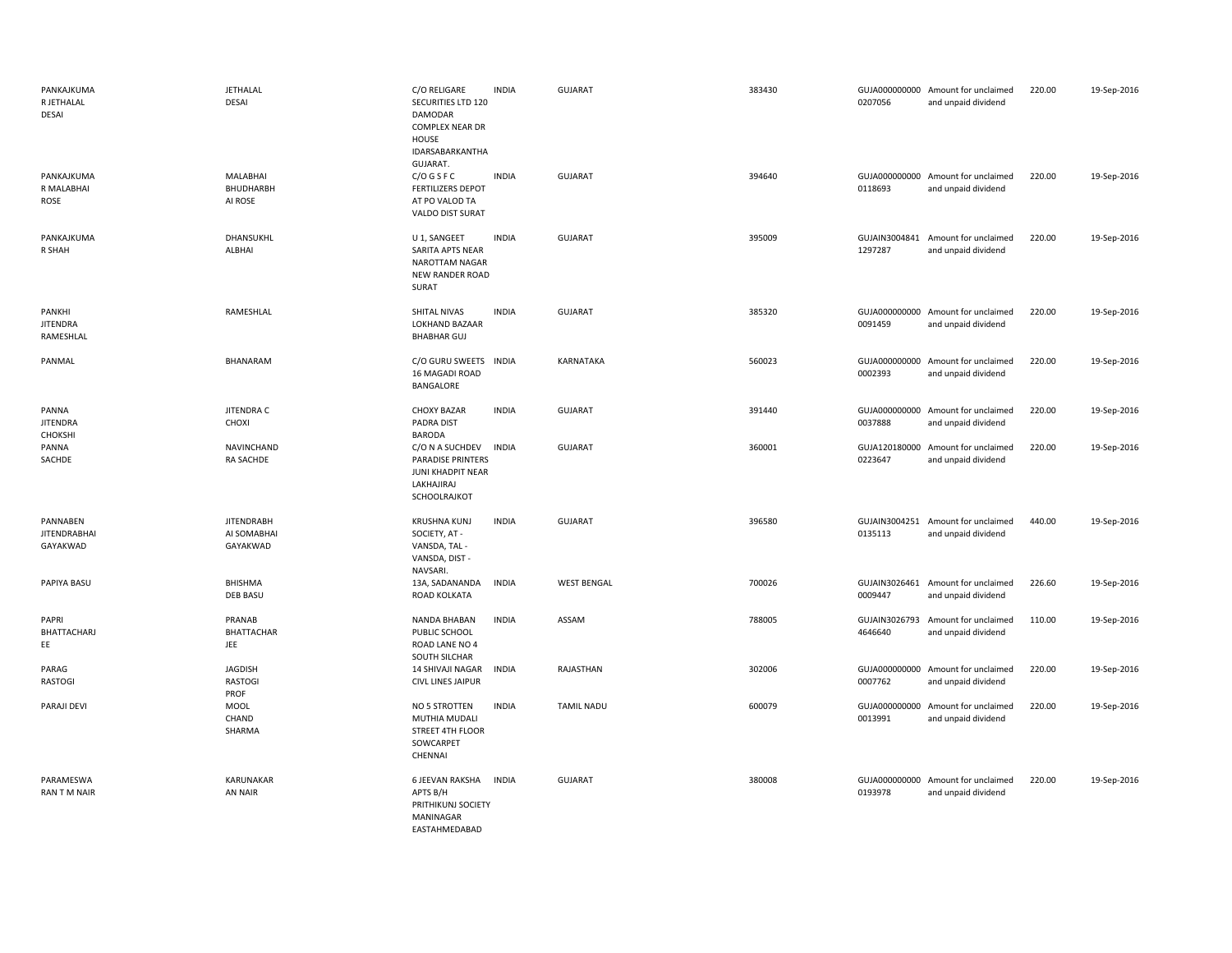| PANKAJKUMA<br>R JETHALAL<br><b>DESAI</b>    | <b>JETHALAL</b><br>DESAI                     | C/O RELIGARE<br>SECURITIES LTD 120<br>DAMODAR<br>COMPLEX NEAR DR<br>HOUSE<br>IDARSABARKANTHA   | <b>INDIA</b> | <b>GUJARAT</b>     | 383430 | 0207056                  | GUJA000000000 Amount for unclaimed<br>and unpaid dividend | 220.00 | 19-Sep-2016 |
|---------------------------------------------|----------------------------------------------|------------------------------------------------------------------------------------------------|--------------|--------------------|--------|--------------------------|-----------------------------------------------------------|--------|-------------|
| PANKAJKUMA<br>R MALABHAI<br>ROSE            | MALABHAI<br>BHUDHARBH<br>AI ROSE             | GUJARAT.<br>$C/O$ G S F C<br><b>FERTILIZERS DEPOT</b><br>AT PO VALOD TA<br>VALDO DIST SURAT    | <b>INDIA</b> | <b>GUJARAT</b>     | 394640 | 0118693                  | GUJA000000000 Amount for unclaimed<br>and unpaid dividend | 220.00 | 19-Sep-2016 |
| PANKAJKUMA<br>R SHAH                        | DHANSUKHL<br>ALBHAI                          | U 1, SANGEET<br>SARITA APTS NEAR<br>NAROTTAM NAGAR<br>NEW RANDER ROAD<br>SURAT                 | <b>INDIA</b> | GUJARAT            | 395009 | 1297287                  | GUJAIN3004841 Amount for unclaimed<br>and unpaid dividend | 220.00 | 19-Sep-2016 |
| PANKHI<br><b>JITENDRA</b><br>RAMESHLAL      | RAMESHLAL                                    | SHITAL NIVAS<br>LOKHAND BAZAAR<br><b>BHABHAR GUJ</b>                                           | <b>INDIA</b> | <b>GUJARAT</b>     | 385320 | 0091459                  | GUJA000000000 Amount for unclaimed<br>and unpaid dividend | 220.00 | 19-Sep-2016 |
| PANMAL                                      | BHANARAM                                     | C/O GURU SWEETS<br>16 MAGADI ROAD<br>BANGALORE                                                 | <b>INDIA</b> | KARNATAKA          | 560023 | 0002393                  | GUJA000000000 Amount for unclaimed<br>and unpaid dividend | 220.00 | 19-Sep-2016 |
| PANNA<br><b>JITENDRA</b><br>CHOKSHI         | JITENDRA C<br>CHOXI                          | <b>CHOXY BAZAR</b><br><b>PADRA DIST</b><br><b>BARODA</b>                                       | <b>INDIA</b> | GUJARAT            | 391440 | 0037888                  | GUJA000000000 Amount for unclaimed<br>and unpaid dividend | 220.00 | 19-Sep-2016 |
| PANNA<br>SACHDE                             | NAVINCHAND<br>RA SACHDE                      | C/O N A SUCHDEV<br><b>PARADISE PRINTERS</b><br>JUNI KHADPIT NEAR<br>LAKHAJIRAJ<br>SCHOOLRAJKOT | <b>INDIA</b> | <b>GUJARAT</b>     | 360001 | 0223647                  | GUJA120180000 Amount for unclaimed<br>and unpaid dividend | 220.00 | 19-Sep-2016 |
| PANNABEN<br><b>JITENDRABHAI</b><br>GAYAKWAD | <b>JITENDRABH</b><br>AI SOMABHAI<br>GAYAKWAD | <b>KRUSHNA KUNJ</b><br>SOCIETY, AT -<br>VANSDA, TAL -<br>VANSDA, DIST -<br>NAVSARI.            | <b>INDIA</b> | <b>GUJARAT</b>     | 396580 | 0135113                  | GUJAIN3004251 Amount for unclaimed<br>and unpaid dividend | 440.00 | 19-Sep-2016 |
| PAPIYA BASU                                 | BHISHMA<br><b>DEB BASU</b>                   | 13A, SADANANDA<br>ROAD KOLKATA                                                                 | <b>INDIA</b> | <b>WEST BENGAL</b> | 700026 | GUJAIN3026461<br>0009447 | Amount for unclaimed<br>and unpaid dividend               | 226.60 | 19-Sep-2016 |
| PAPRI<br>BHATTACHARJ<br>EE                  | PRANAB<br><b>BHATTACHAR</b><br>JEE           | NANDA BHABAN<br>PUBLIC SCHOOL<br>ROAD LANE NO 4<br>SOUTH SILCHAR                               | <b>INDIA</b> | ASSAM              | 788005 | GUJAIN3026793<br>4646640 | Amount for unclaimed<br>and unpaid dividend               | 110.00 | 19-Sep-2016 |
| PARAG<br><b>RASTOGI</b>                     | <b>JAGDISH</b><br><b>RASTOGI</b><br>PROF     | 14 SHIVAJI NAGAR<br><b>CIVL LINES JAIPUR</b>                                                   | <b>INDIA</b> | RAJASTHAN          | 302006 | 0007762                  | GUJA000000000 Amount for unclaimed<br>and unpaid dividend | 220.00 | 19-Sep-2016 |
| PARAJI DEVI                                 | <b>MOOL</b><br>CHAND<br>SHARMA               | NO 5 STROTTEN<br>MUTHIA MUDALI<br>STREET 4TH FLOOR<br>SOWCARPET<br>CHENNAI                     | <b>INDIA</b> | <b>TAMIL NADU</b>  | 600079 | GUJA000000000<br>0013991 | Amount for unclaimed<br>and unpaid dividend               | 220.00 | 19-Sep-2016 |
| PARAMESWA<br><b>RAN T M NAIR</b>            | KARUNAKAR<br>AN NAIR                         | 6 JEEVAN RAKSHA INDIA<br>APTS B/H<br>PRITHIKUNJ SOCIETY<br>MANINAGAR<br>EASTAHMEDABAD          |              | <b>GUJARAT</b>     | 380008 | 0193978                  | GUJA000000000 Amount for unclaimed<br>and unpaid dividend | 220.00 | 19-Sep-2016 |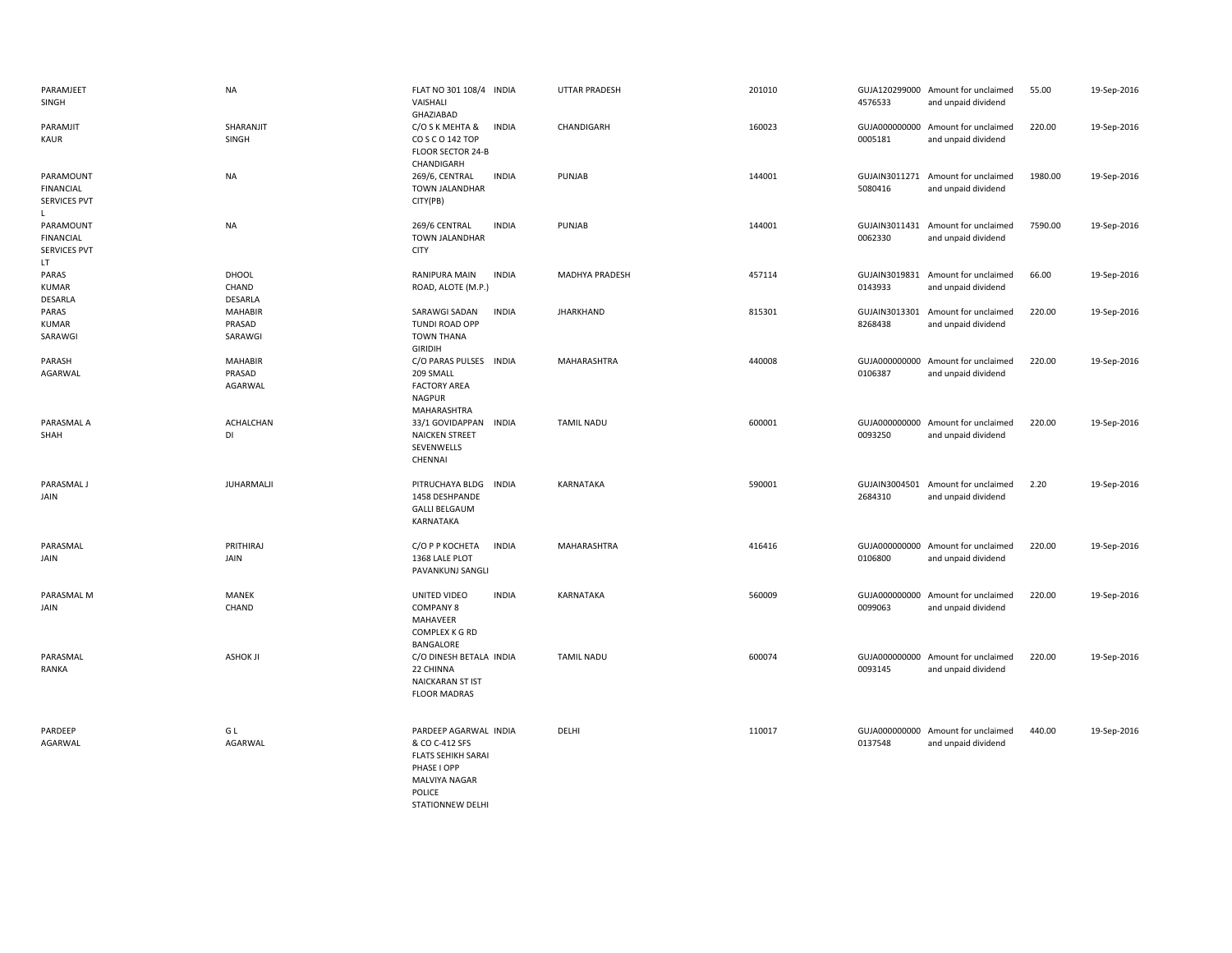| PARAMJEET<br>SINGH                                        | <b>NA</b>                           | FLAT NO 301 108/4 INDIA<br>VAISHALI<br>GHAZIABAD                                                                                          | <b>UTTAR PRADESH</b>  | 201010 | 4576533                  | GUJA120299000 Amount for unclaimed<br>and unpaid dividend | 55.00   | 19-Sep-2016 |
|-----------------------------------------------------------|-------------------------------------|-------------------------------------------------------------------------------------------------------------------------------------------|-----------------------|--------|--------------------------|-----------------------------------------------------------|---------|-------------|
| PARAMJIT<br><b>KAUR</b>                                   | SHARANJIT<br>SINGH                  | C/O S K MEHTA &<br><b>INDIA</b><br>COSCO 142 TOP<br>FLOOR SECTOR 24-B                                                                     | CHANDIGARH            | 160023 | 0005181                  | GUJA000000000 Amount for unclaimed<br>and unpaid dividend | 220.00  | 19-Sep-2016 |
| PARAMOUNT<br><b>FINANCIAL</b><br><b>SERVICES PVT</b><br>L | NA                                  | CHANDIGARH<br>269/6, CENTRAL<br><b>INDIA</b><br>TOWN JALANDHAR<br>CITY(PB)                                                                | PUNJAB                | 144001 | 5080416                  | GUJAIN3011271 Amount for unclaimed<br>and unpaid dividend | 1980.00 | 19-Sep-2016 |
| PARAMOUNT<br><b>FINANCIAL</b><br>SERVICES PVT<br>LT.      | <b>NA</b>                           | 269/6 CENTRAL<br><b>INDIA</b><br>TOWN JALANDHAR<br><b>CITY</b>                                                                            | PUNJAB                | 144001 | 0062330                  | GUJAIN3011431 Amount for unclaimed<br>and unpaid dividend | 7590.00 | 19-Sep-2016 |
| PARAS<br><b>KUMAR</b><br>DESARLA                          | <b>DHOOL</b><br>CHAND<br>DESARLA    | RANIPURA MAIN<br><b>INDIA</b><br>ROAD, ALOTE (M.P.)                                                                                       | <b>MADHYA PRADESH</b> | 457114 | GUJAIN3019831<br>0143933 | Amount for unclaimed<br>and unpaid dividend               | 66.00   | 19-Sep-2016 |
| PARAS<br><b>KUMAR</b><br>SARAWGI                          | <b>MAHABIR</b><br>PRASAD<br>SARAWGI | SARAWGI SADAN<br><b>INDIA</b><br>TUNDI ROAD OPP<br><b>TOWN THANA</b><br><b>GIRIDIH</b>                                                    | <b>JHARKHAND</b>      | 815301 | GUJAIN3013301<br>8268438 | Amount for unclaimed<br>and unpaid dividend               | 220.00  | 19-Sep-2016 |
| PARASH<br>AGARWAL                                         | <b>MAHABIR</b><br>PRASAD<br>AGARWAL | C/O PARAS PULSES INDIA<br>209 SMALL<br><b>FACTORY AREA</b><br><b>NAGPUR</b><br>MAHARASHTRA                                                | MAHARASHTRA           | 440008 | 0106387                  | GUJA000000000 Amount for unclaimed<br>and unpaid dividend | 220.00  | 19-Sep-2016 |
| PARASMAL A<br>SHAH                                        | ACHALCHAN<br>DI                     | 33/1 GOVIDAPPAN INDIA<br><b>NAICKEN STREET</b><br>SEVENWELLS<br>CHENNAI                                                                   | <b>TAMIL NADU</b>     | 600001 | 0093250                  | GUJA000000000 Amount for unclaimed<br>and unpaid dividend | 220.00  | 19-Sep-2016 |
| PARASMAL J<br>JAIN                                        | JUHARMALJI                          | PITRUCHAYA BLDG<br><b>INDIA</b><br>1458 DESHPANDE<br><b>GALLI BELGAUM</b><br>KARNATAKA                                                    | KARNATAKA             | 590001 | 2684310                  | GUJAIN3004501 Amount for unclaimed<br>and unpaid dividend | 2.20    | 19-Sep-2016 |
| PARASMAL<br>JAIN                                          | PRITHIRAJ<br>JAIN                   | С/О Р Р КОСНЕТА<br><b>INDIA</b><br>1368 LALE PLOT<br>PAVANKUNJ SANGLI                                                                     | MAHARASHTRA           | 416416 | 0106800                  | GUJA000000000 Amount for unclaimed<br>and unpaid dividend | 220.00  | 19-Sep-2016 |
| PARASMAL M<br>JAIN                                        | MANEK<br>CHAND                      | UNITED VIDEO<br><b>INDIA</b><br><b>COMPANY 8</b><br>MAHAVEER<br>COMPLEX K G RD<br>BANGALORE                                               | KARNATAKA             | 560009 | 0099063                  | GUJA000000000 Amount for unclaimed<br>and unpaid dividend | 220.00  | 19-Sep-2016 |
| PARASMAL<br>RANKA                                         | <b>ASHOK JI</b>                     | C/O DINESH BETALA INDIA<br>22 CHINNA<br><b>NAICKARAN ST IST</b><br><b>FLOOR MADRAS</b>                                                    | <b>TAMIL NADU</b>     | 600074 | 0093145                  | GUJA000000000 Amount for unclaimed<br>and unpaid dividend | 220.00  | 19-Sep-2016 |
| PARDEEP<br>AGARWAL                                        | GL<br>AGARWAL                       | PARDEEP AGARWAL INDIA<br>& CO C-412 SFS<br><b>FLATS SEHIKH SARAI</b><br>PHASE I OPP<br><b>MALVIYA NAGAR</b><br>POLICE<br>STATIONNEW DELHI | DELHI                 | 110017 | 0137548                  | GUJA000000000 Amount for unclaimed<br>and unpaid dividend | 440.00  | 19-Sep-2016 |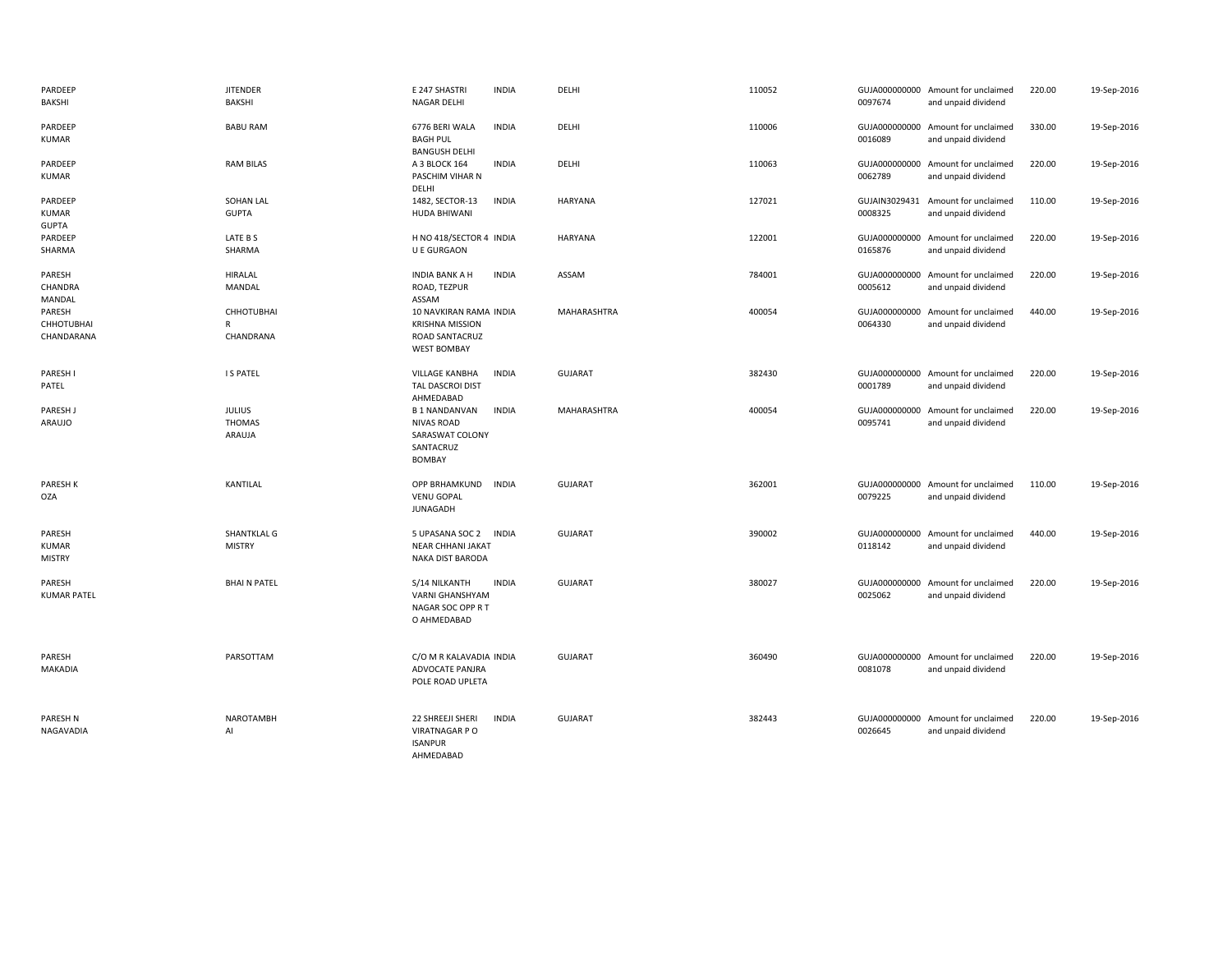| PARDEEP<br>BAKSHI                       | <b>JITENDER</b><br>BAKSHI                | E 247 SHASTRI<br><b>INDIA</b><br>NAGAR DELHI                                                              | DELHI          | 110052 | 0097674                  | GUJA000000000 Amount for unclaimed<br>and unpaid dividend | 220.00 | 19-Sep-2016 |
|-----------------------------------------|------------------------------------------|-----------------------------------------------------------------------------------------------------------|----------------|--------|--------------------------|-----------------------------------------------------------|--------|-------------|
| PARDEEP<br>KUMAR                        | <b>BABU RAM</b>                          | 6776 BERI WALA<br><b>INDIA</b><br><b>BAGH PUL</b><br><b>BANGUSH DELHI</b>                                 | DELHI          | 110006 | 0016089                  | GUJA000000000 Amount for unclaimed<br>and unpaid dividend | 330.00 | 19-Sep-2016 |
| PARDEEP<br>KUMAR                        | <b>RAM BILAS</b>                         | <b>INDIA</b><br>A 3 BLOCK 164<br>PASCHIM VIHAR N<br>DELHI                                                 | DELHI          | 110063 | 0062789                  | GUJA000000000 Amount for unclaimed<br>and unpaid dividend | 220.00 | 19-Sep-2016 |
| PARDEEP<br>KUMAR<br><b>GUPTA</b>        | <b>SOHAN LAL</b><br><b>GUPTA</b>         | <b>INDIA</b><br>1482, SECTOR-13<br>HUDA BHIWANI                                                           | <b>HARYANA</b> | 127021 | 0008325                  | GUJAIN3029431 Amount for unclaimed<br>and unpaid dividend | 110.00 | 19-Sep-2016 |
| PARDEEP<br>SHARMA                       | LATE B S<br>SHARMA                       | H NO 418/SECTOR 4 INDIA<br><b>U E GURGAON</b>                                                             | <b>HARYANA</b> | 122001 | 0165876                  | GUJA000000000 Amount for unclaimed<br>and unpaid dividend | 220.00 | 19-Sep-2016 |
| PARESH<br>CHANDRA<br>MANDAL             | <b>HIRALAL</b><br>MANDAL                 | <b>INDIA</b><br><b>INDIA BANK A H</b><br>ROAD, TEZPUR<br>ASSAM                                            | ASSAM          | 784001 | 0005612                  | GUJA000000000 Amount for unclaimed<br>and unpaid dividend | 220.00 | 19-Sep-2016 |
| PARESH<br>CHHOTUBHAI<br>CHANDARANA      | <b>CHHOTUBHAI</b><br>R<br>CHANDRANA      | 10 NAVKIRAN RAMA INDIA<br><b>KRISHNA MISSION</b><br>ROAD SANTACRUZ<br><b>WEST BOMBAY</b>                  | MAHARASHTRA    | 400054 | 0064330                  | GUJA000000000 Amount for unclaimed<br>and unpaid dividend | 440.00 | 19-Sep-2016 |
| PARESH I<br>PATEL                       | <b>IS PATEL</b>                          | VILLAGE KANBHA<br><b>INDIA</b><br>TAL DASCROI DIST<br>AHMEDABAD                                           | <b>GUJARAT</b> | 382430 | 0001789                  | GUJA000000000 Amount for unclaimed<br>and unpaid dividend | 220.00 | 19-Sep-2016 |
| PARESH J<br>ARAUJO                      | <b>JULIUS</b><br><b>THOMAS</b><br>ARAUJA | <b>B1 NANDANVAN</b><br><b>INDIA</b><br><b>NIVAS ROAD</b><br>SARASWAT COLONY<br>SANTACRUZ<br><b>BOMBAY</b> | MAHARASHTRA    | 400054 | GUJA000000000<br>0095741 | Amount for unclaimed<br>and unpaid dividend               | 220.00 | 19-Sep-2016 |
| PARESH K<br><b>OZA</b>                  | KANTILAL                                 | <b>OPP BRHAMKUND</b><br><b>INDIA</b><br><b>VENU GOPAL</b><br><b>JUNAGADH</b>                              | <b>GUJARAT</b> | 362001 | 0079225                  | GUJA000000000 Amount for unclaimed<br>and unpaid dividend | 110.00 | 19-Sep-2016 |
| PARESH<br><b>KUMAR</b><br><b>MISTRY</b> | SHANTKLAL G<br><b>MISTRY</b>             | 5 UPASANA SOC 2<br><b>INDIA</b><br><b>NEAR CHHANI JAKAT</b><br>NAKA DIST BARODA                           | <b>GUJARAT</b> | 390002 | 0118142                  | GUJA000000000 Amount for unclaimed<br>and unpaid dividend | 440.00 | 19-Sep-2016 |
| PARESH<br><b>KUMAR PATEL</b>            | <b>BHAIN PATEL</b>                       | S/14 NILKANTH<br><b>INDIA</b><br><b>VARNI GHANSHYAM</b><br>NAGAR SOC OPP R T<br>O AHMEDABAD               | <b>GUJARAT</b> | 380027 | 0025062                  | GUJA000000000 Amount for unclaimed<br>and unpaid dividend | 220.00 | 19-Sep-2016 |
| PARESH<br>MAKADIA                       | PARSOTTAM                                | C/O M R KALAVADIA INDIA<br>ADVOCATE PANJRA<br>POLE ROAD UPLETA                                            | <b>GUJARAT</b> | 360490 | 0081078                  | GUJA000000000 Amount for unclaimed<br>and unpaid dividend | 220.00 | 19-Sep-2016 |
| PARESH N<br>NAGAVADIA                   | <b>NAROTAMBH</b><br>AI                   | 22 SHREEJI SHERI<br><b>INDIA</b><br>VIRATNAGAR P O<br><b>ISANPUR</b><br>AHMEDABAD                         | <b>GUJARAT</b> | 382443 | 0026645                  | GUJA000000000 Amount for unclaimed<br>and unpaid dividend | 220.00 | 19-Sep-2016 |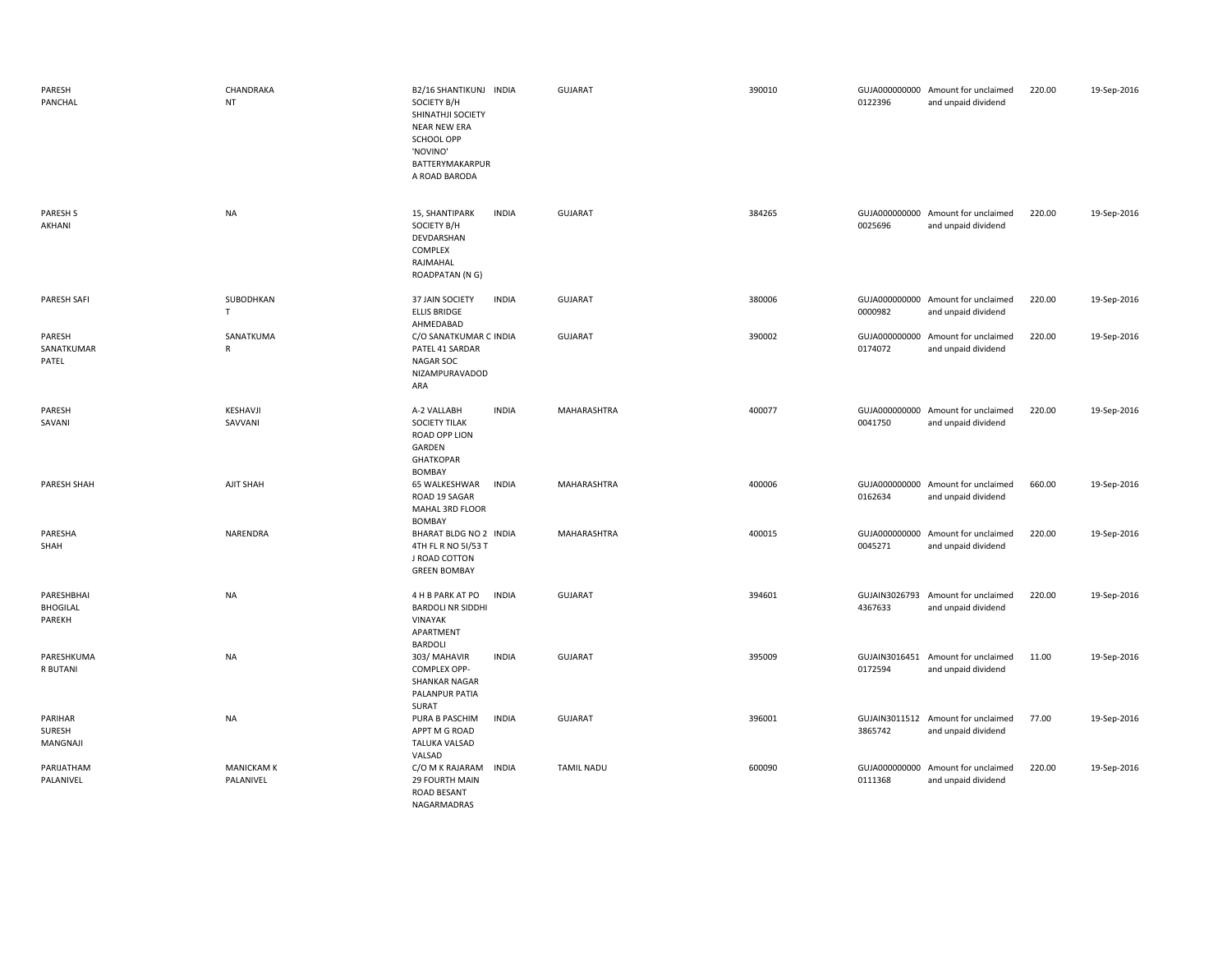| PARESH<br>PANCHAL                       | CHANDRAKA<br>NT                | B2/16 SHANTIKUNJ INDIA<br>SOCIETY B/H<br>SHINATHJI SOCIETY<br><b>NEAR NEW ERA</b><br>SCHOOL OPP<br>'NOVINO'<br>BATTERYMAKARPUR<br>A ROAD BARODA | <b>GUJARAT</b>    | 390010 | 0122396 | GUJA000000000 Amount for unclaimed<br>and unpaid dividend | 220.00 | 19-Sep-2016 |
|-----------------------------------------|--------------------------------|-------------------------------------------------------------------------------------------------------------------------------------------------|-------------------|--------|---------|-----------------------------------------------------------|--------|-------------|
| <b>PARESH S</b><br>AKHANI               | <b>NA</b>                      | 15, SHANTIPARK<br><b>INDIA</b><br>SOCIETY B/H<br>DEVDARSHAN<br>COMPLEX<br>RAJMAHAL<br>ROADPATAN (N G)                                           | <b>GUJARAT</b>    | 384265 | 0025696 | GUJA000000000 Amount for unclaimed<br>and unpaid dividend | 220.00 | 19-Sep-2016 |
| <b>PARESH SAFI</b>                      | SUBODHKAN<br>T.                | 37 JAIN SOCIETY<br><b>INDIA</b><br><b>ELLIS BRIDGE</b><br>AHMEDABAD                                                                             | <b>GUJARAT</b>    | 380006 | 0000982 | GUJA000000000 Amount for unclaimed<br>and unpaid dividend | 220.00 | 19-Sep-2016 |
| PARESH<br>SANATKUMAR<br>PATEL           | SANATKUMA<br>$\mathsf{R}$      | C/O SANATKUMAR C INDIA<br>PATEL 41 SARDAR<br>NAGAR SOC<br>NIZAMPURAVADOD<br>ARA                                                                 | <b>GUJARAT</b>    | 390002 | 0174072 | GUJA000000000 Amount for unclaimed<br>and unpaid dividend | 220.00 | 19-Sep-2016 |
| PARESH<br>SAVANI                        | KESHAVJI<br>SAVVANI            | <b>INDIA</b><br>A-2 VALLABH<br><b>SOCIETY TILAK</b><br>ROAD OPP LION<br>GARDEN<br><b>GHATKOPAR</b><br>BOMBAY                                    | MAHARASHTRA       | 400077 | 0041750 | GUJA000000000 Amount for unclaimed<br>and unpaid dividend | 220.00 | 19-Sep-2016 |
| PARESH SHAH                             | AJIT SHAH                      | <b>INDIA</b><br>65 WALKESHWAR<br>ROAD 19 SAGAR<br>MAHAL 3RD FLOOR<br>BOMBAY                                                                     | MAHARASHTRA       | 400006 | 0162634 | GUJA000000000 Amount for unclaimed<br>and unpaid dividend | 660.00 | 19-Sep-2016 |
| PARESHA<br>SHAH                         | NARENDRA                       | BHARAT BLDG NO 2 INDIA<br>4TH FL R NO 51/53 T<br>J ROAD COTTON<br><b>GREEN BOMBAY</b>                                                           | MAHARASHTRA       | 400015 | 0045271 | GUJA000000000 Amount for unclaimed<br>and unpaid dividend | 220.00 | 19-Sep-2016 |
| PARESHBHAI<br><b>BHOGILAL</b><br>PAREKH | <b>NA</b>                      | <b>INDIA</b><br>4 H B PARK AT PO<br><b>BARDOLI NR SIDDHI</b><br>VINAYAK<br>APARTMENT<br>BARDOLI                                                 | GUJARAT           | 394601 | 4367633 | GUJAIN3026793 Amount for unclaimed<br>and unpaid dividend | 220.00 | 19-Sep-2016 |
| PARESHKUMA<br>R BUTANI                  | <b>NA</b>                      | 303/ MAHAVIR<br><b>INDIA</b><br>COMPLEX OPP-<br><b>SHANKAR NAGAR</b><br>PALANPUR PATIA<br>SURAT                                                 | <b>GUJARAT</b>    | 395009 | 0172594 | GUJAIN3016451 Amount for unclaimed<br>and unpaid dividend | 11.00  | 19-Sep-2016 |
| PARIHAR<br>SURESH<br>MANGNAJI           | <b>NA</b>                      | PURA B PASCHIM<br><b>INDIA</b><br>APPT M G ROAD<br><b>TALUKA VALSAD</b><br>VALSAD                                                               | GUJARAT           | 396001 | 3865742 | GUJAIN3011512 Amount for unclaimed<br>and unpaid dividend | 77.00  | 19-Sep-2016 |
| PARIJATHAM<br>PALANIVEL                 | <b>MANICKAM K</b><br>PALANIVEL | <b>INDIA</b><br>C/O M K RAJARAM<br>29 FOURTH MAIN<br>ROAD BESANT<br>NAGARMADRAS                                                                 | <b>TAMIL NADU</b> | 600090 | 0111368 | GUJA000000000 Amount for unclaimed<br>and unpaid dividend | 220.00 | 19-Sep-2016 |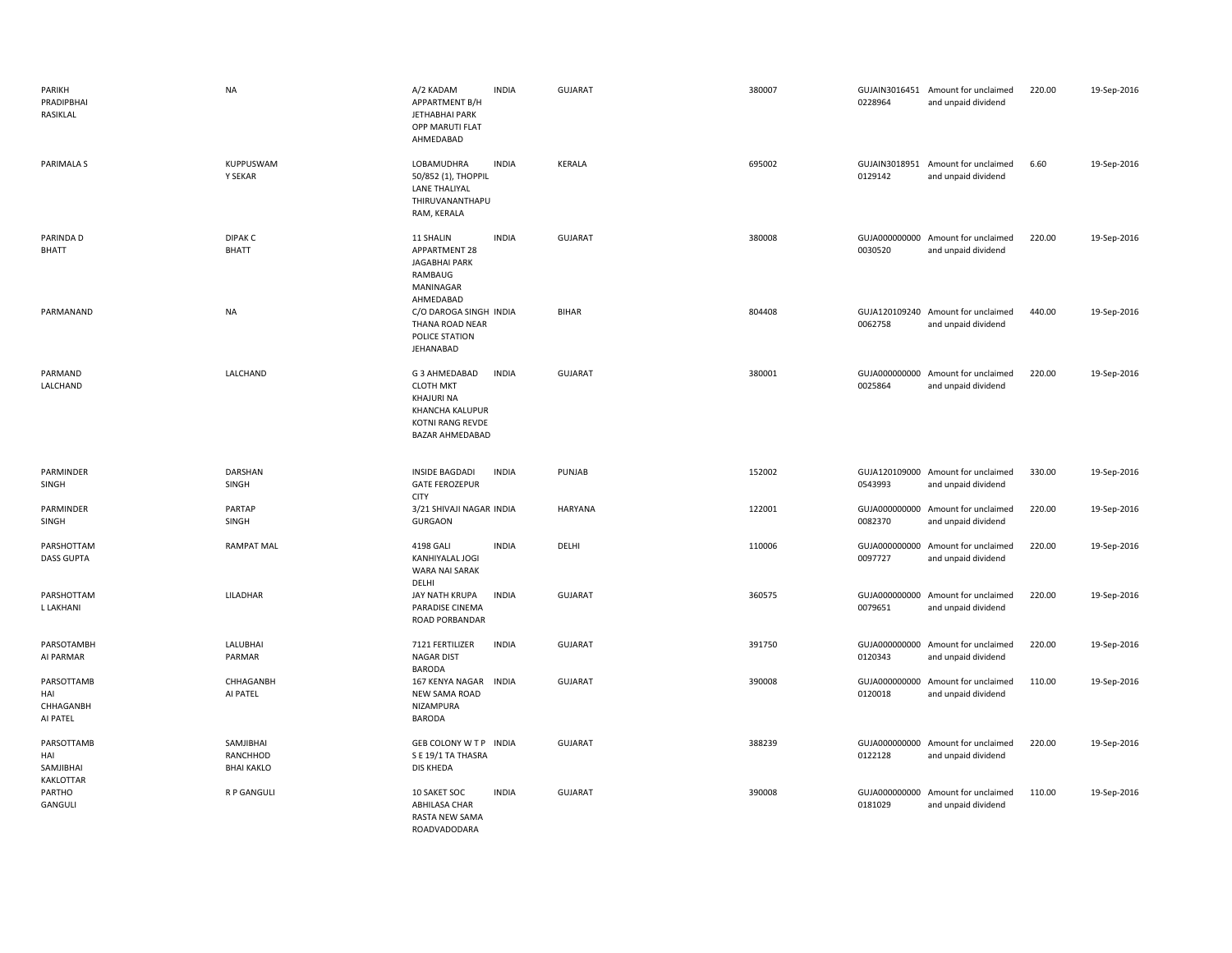| PARIKH<br>PRADIPBHAI<br>RASIKLAL            | <b>NA</b>                                  | A/2 KADAM<br>APPARTMENT B/H<br>JETHABHAI PARK<br>OPP MARUTI FLAT<br>AHMEDABAD                             | <b>INDIA</b> | <b>GUJARAT</b> | 380007 | 0228964                  | GUJAIN3016451 Amount for unclaimed<br>and unpaid dividend | 220.00 | 19-Sep-2016 |
|---------------------------------------------|--------------------------------------------|-----------------------------------------------------------------------------------------------------------|--------------|----------------|--------|--------------------------|-----------------------------------------------------------|--------|-------------|
| PARIMALA S                                  | KUPPUSWAM<br>Y SEKAR                       | LOBAMUDHRA<br>50/852 (1), THOPPIL<br><b>LANE THALIYAL</b><br>THIRUVANANTHAPU<br>RAM, KERALA               | <b>INDIA</b> | KERALA         | 695002 | 0129142                  | GUJAIN3018951 Amount for unclaimed<br>and unpaid dividend | 6.60   | 19-Sep-2016 |
| PARINDA D<br><b>BHATT</b>                   | DIPAK <sub>C</sub><br><b>BHATT</b>         | 11 SHALIN<br><b>APPARTMENT 28</b><br>JAGABHAI PARK<br>RAMBAUG<br>MANINAGAR<br>AHMEDABAD                   | <b>INDIA</b> | <b>GUJARAT</b> | 380008 | 0030520                  | GUJA000000000 Amount for unclaimed<br>and unpaid dividend | 220.00 | 19-Sep-2016 |
| PARMANAND                                   | <b>NA</b>                                  | C/O DAROGA SINGH INDIA<br>THANA ROAD NEAR<br>POLICE STATION<br>JEHANABAD                                  |              | <b>BIHAR</b>   | 804408 | 0062758                  | GUJA120109240 Amount for unclaimed<br>and unpaid dividend | 440.00 | 19-Sep-2016 |
| PARMAND<br>LALCHAND                         | LALCHAND                                   | G 3 AHMEDABAD<br><b>CLOTH MKT</b><br>KHAJURI NA<br>KHANCHA KALUPUR<br>KOTNI RANG REVDE<br>BAZAR AHMEDABAD | <b>INDIA</b> | <b>GUJARAT</b> | 380001 | 0025864                  | GUJA000000000 Amount for unclaimed<br>and unpaid dividend | 220.00 | 19-Sep-2016 |
| PARMINDER<br>SINGH                          | DARSHAN<br>SINGH                           | INSIDE BAGDADI<br><b>GATE FEROZEPUR</b><br><b>CITY</b>                                                    | <b>INDIA</b> | PUNJAB         | 152002 | 0543993                  | GUJA120109000 Amount for unclaimed<br>and unpaid dividend | 330.00 | 19-Sep-2016 |
| PARMINDER<br>SINGH                          | PARTAP<br>SINGH                            | 3/21 SHIVAJI NAGAR INDIA<br><b>GURGAON</b>                                                                |              | HARYANA        | 122001 | 0082370                  | GUJA000000000 Amount for unclaimed<br>and unpaid dividend | 220.00 | 19-Sep-2016 |
| PARSHOTTAM<br><b>DASS GUPTA</b>             | <b>RAMPAT MAL</b>                          | 4198 GALI<br>KANHIYALAL JOGI<br>WARA NAI SARAK<br>DELHI                                                   | <b>INDIA</b> | DELHI          | 110006 | 0097727                  | GUJA000000000 Amount for unclaimed<br>and unpaid dividend | 220.00 | 19-Sep-2016 |
| PARSHOTTAM<br>L LAKHANI                     | LILADHAR                                   | JAY NATH KRUPA<br>PARADISE CINEMA<br>ROAD PORBANDAR                                                       | <b>INDIA</b> | <b>GUJARAT</b> | 360575 | 0079651                  | GUJA000000000 Amount for unclaimed<br>and unpaid dividend | 220.00 | 19-Sep-2016 |
| PARSOTAMBH<br>AI PARMAR                     |                                            |                                                                                                           |              |                |        |                          |                                                           |        |             |
|                                             | LALUBHAI<br>PARMAR                         | 7121 FERTILIZER<br><b>NAGAR DIST</b>                                                                      | <b>INDIA</b> | <b>GUJARAT</b> | 391750 | 0120343                  | GUJA000000000 Amount for unclaimed<br>and unpaid dividend | 220.00 | 19-Sep-2016 |
| PARSOTTAMB<br>HAI<br>CHHAGANBH<br>AI PATEL  | CHHAGANBH<br>AI PATEL                      | <b>BARODA</b><br>167 KENYA NAGAR<br><b>NEW SAMA ROAD</b><br>NIZAMPURA<br><b>BARODA</b>                    | <b>INDIA</b> | <b>GUJARAT</b> | 390008 | GUJA000000000<br>0120018 | Amount for unclaimed<br>and unpaid dividend               | 110.00 | 19-Sep-2016 |
| PARSOTTAMB<br>HAI<br>SAMJIBHAI<br>KAKLOTTAR | SAMJIBHAI<br>RANCHHOD<br><b>BHAI KAKLO</b> | GEB COLONY W T P INDIA<br>S E 19/1 TA THASRA<br><b>DIS KHEDA</b>                                          |              | <b>GUJARAT</b> | 388239 | 0122128                  | GUJA000000000 Amount for unclaimed<br>and unpaid dividend | 220.00 | 19-Sep-2016 |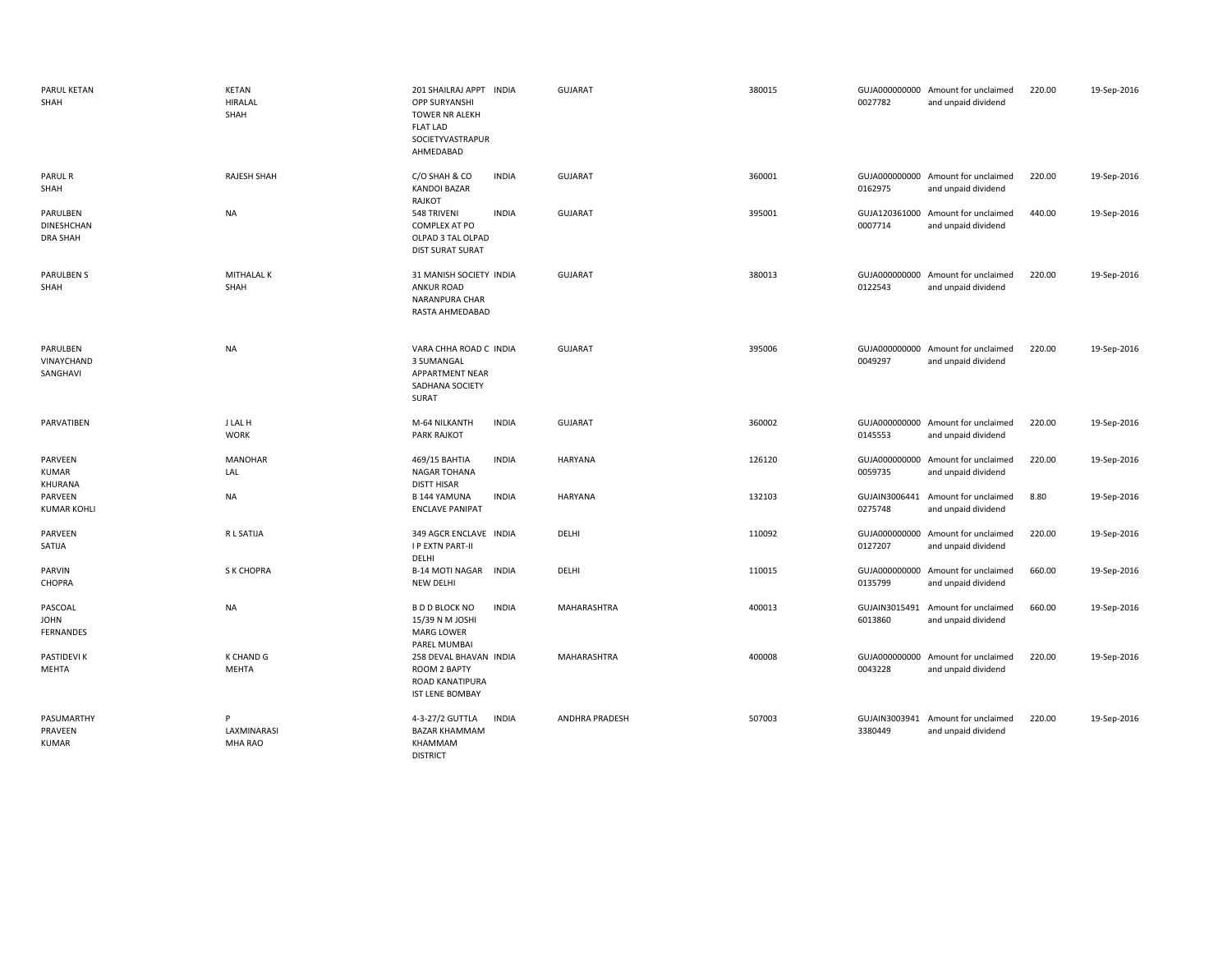| PARUL KETAN<br>SHAH                              | KETAN<br><b>HIRALAL</b><br>SHAH | 201 SHAILRAJ APPT INDIA<br><b>OPP SURYANSHI</b><br>TOWER NR ALEKH<br><b>FLAT LAD</b><br>SOCIETYVASTRAPUR<br>AHMEDABAD | GUJARAT               | 380015 | 0027782                  | GUJA000000000 Amount for unclaimed<br>and unpaid dividend | 220.00 | 19-Sep-2016 |
|--------------------------------------------------|---------------------------------|-----------------------------------------------------------------------------------------------------------------------|-----------------------|--------|--------------------------|-----------------------------------------------------------|--------|-------------|
| PARUL R<br>SHAH                                  | RAJESH SHAH                     | <b>INDIA</b><br>C/O SHAH & CO<br><b>KANDOI BAZAR</b><br>RAJKOT                                                        | GUJARAT               | 360001 | 0162975                  | GUJA000000000 Amount for unclaimed<br>and unpaid dividend | 220.00 | 19-Sep-2016 |
| PARULBEN<br><b>DINESHCHAN</b><br><b>DRA SHAH</b> | <b>NA</b>                       | 548 TRIVENI<br><b>INDIA</b><br>COMPLEX AT PO<br>OLPAD 3 TAL OLPAD<br><b>DIST SURAT SURAT</b>                          | <b>GUJARAT</b>        | 395001 | 0007714                  | GUJA120361000 Amount for unclaimed<br>and unpaid dividend | 440.00 | 19-Sep-2016 |
| <b>PARULBEN S</b><br>SHAH                        | MITHALAL K<br>SHAH              | 31 MANISH SOCIETY INDIA<br><b>ANKUR ROAD</b><br>NARANPURA CHAR<br>RASTA AHMEDABAD                                     | <b>GUJARAT</b>        | 380013 | 0122543                  | GUJA000000000 Amount for unclaimed<br>and unpaid dividend | 220.00 | 19-Sep-2016 |
| PARULBEN<br>VINAYCHAND<br>SANGHAVI               | NA                              | VARA CHHA ROAD C INDIA<br>3 SUMANGAL<br>APPARTMENT NEAR<br>SADHANA SOCIETY<br>SURAT                                   | <b>GUJARAT</b>        | 395006 | 0049297                  | GUJA000000000 Amount for unclaimed<br>and unpaid dividend | 220.00 | 19-Sep-2016 |
| PARVATIBEN                                       | J LAL H<br><b>WORK</b>          | M-64 NILKANTH<br><b>INDIA</b><br><b>PARK RAJKOT</b>                                                                   | <b>GUJARAT</b>        | 360002 | 0145553                  | GUJA000000000 Amount for unclaimed<br>and unpaid dividend | 220.00 | 19-Sep-2016 |
| PARVEEN<br><b>KUMAR</b><br>KHURANA               | <b>MANOHAR</b><br>LAL           | <b>INDIA</b><br>469/15 BAHTIA<br><b>NAGAR TOHANA</b><br><b>DISTT HISAR</b>                                            | HARYANA               | 126120 | GUJA000000000<br>0059735 | Amount for unclaimed<br>and unpaid dividend               | 220.00 | 19-Sep-2016 |
| PARVEEN<br><b>KUMAR KOHLI</b>                    | NA                              | <b>INDIA</b><br><b>B144 YAMUNA</b><br><b>ENCLAVE PANIPAT</b>                                                          | HARYANA               | 132103 | GUJAIN3006441<br>0275748 | Amount for unclaimed<br>and unpaid dividend               | 8.80   | 19-Sep-2016 |
| PARVEEN<br>SATIJA                                | R L SATIJA                      | 349 AGCR ENCLAVE INDIA<br><b>I P EXTN PART-II</b><br>DELHI                                                            | DELHI                 | 110092 | GUJA000000000<br>0127207 | Amount for unclaimed<br>and unpaid dividend               | 220.00 | 19-Sep-2016 |
| PARVIN<br>CHOPRA                                 | <b>S K CHOPRA</b>               | <b>B-14 MOTI NAGAR</b><br><b>INDIA</b><br>NEW DELHI                                                                   | DELHI                 | 110015 | GUJA000000000<br>0135799 | Amount for unclaimed<br>and unpaid dividend               | 660.00 | 19-Sep-2016 |
| PASCOAL<br><b>JOHN</b><br>FERNANDES              | NA                              | <b>B D D BLOCK NO</b><br><b>INDIA</b><br>15/39 N M JOSHI<br>MARG LOWER<br>PAREL MUMBAI                                | MAHARASHTRA           | 400013 | GUJAIN3015491<br>6013860 | Amount for unclaimed<br>and unpaid dividend               | 660.00 | 19-Sep-2016 |
| PASTIDEVI K<br>MEHTA                             | K CHAND G<br>MEHTA              | 258 DEVAL BHAVAN INDIA<br>ROOM 2 BAPTY<br><b>ROAD KANATIPURA</b><br><b>IST LENE BOMBAY</b>                            | <b>MAHARASHTRA</b>    | 400008 | GUJA000000000<br>0043228 | Amount for unclaimed<br>and unpaid dividend               | 220.00 | 19-Sep-2016 |
| PASUMARTHY<br>PRAVEEN<br><b>KUMAR</b>            | P<br>LAXMINARASI<br>MHA RAO     | <b>INDIA</b><br>4-3-27/2 GUTTLA<br><b>BAZAR KHAMMAM</b><br>KHAMMAM<br><b>DISTRICT</b>                                 | <b>ANDHRA PRADESH</b> | 507003 | 3380449                  | GUJAIN3003941 Amount for unclaimed<br>and unpaid dividend | 220.00 | 19-Sep-2016 |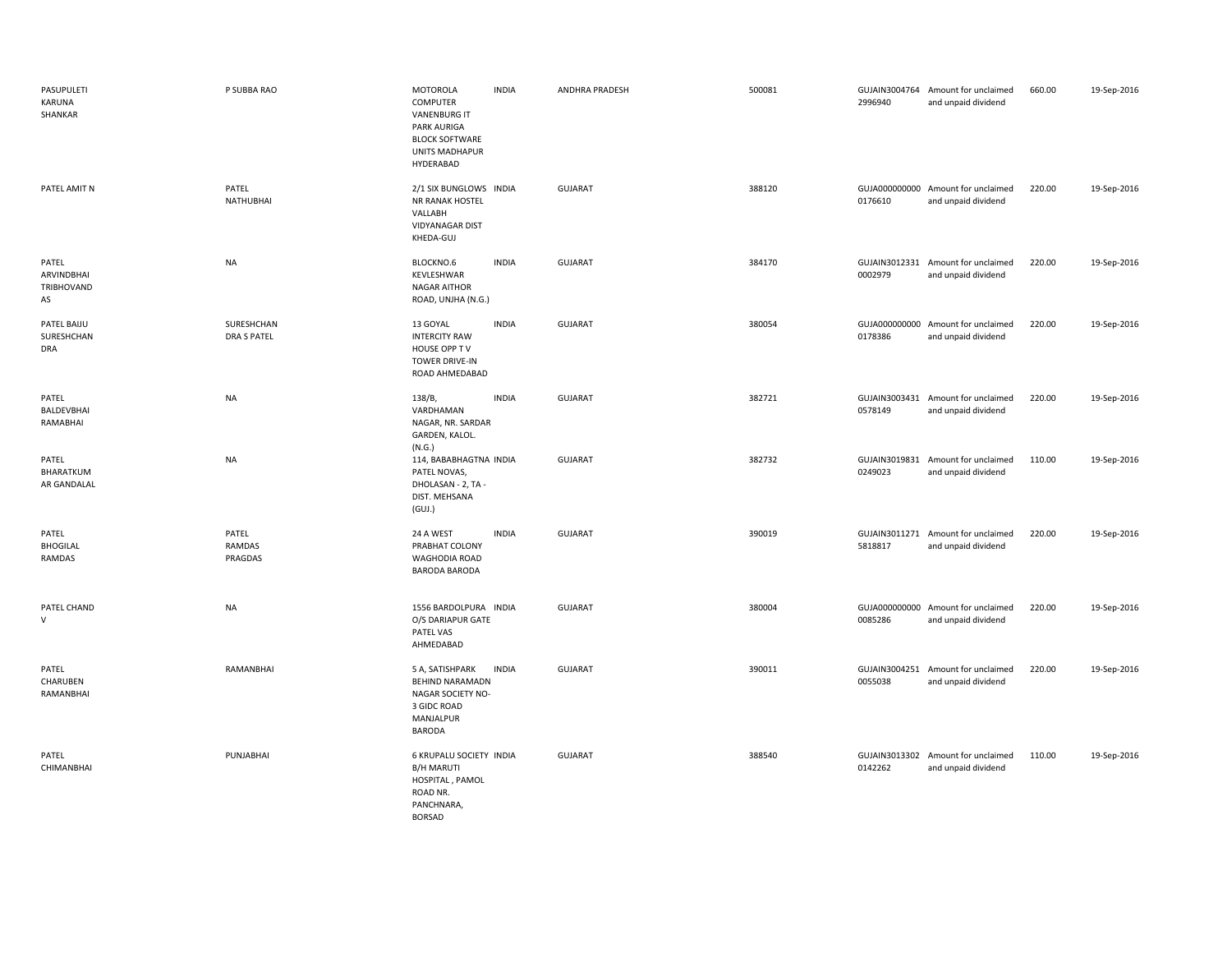| PASUPULETI<br>KARUNA<br>SHANKAR         | P SUBBA RAO                      | <b>MOTOROLA</b><br><b>COMPUTER</b><br><b>VANENBURG IT</b><br><b>PARK AURIGA</b><br><b>BLOCK SOFTWARE</b><br><b>UNITS MADHAPUR</b><br>HYDERABAD | <b>INDIA</b> | ANDHRA PRADESH | 500081 | 2996940 | GUJAIN3004764 Amount for unclaimed<br>and unpaid dividend | 660.00 | 19-Sep-2016 |
|-----------------------------------------|----------------------------------|------------------------------------------------------------------------------------------------------------------------------------------------|--------------|----------------|--------|---------|-----------------------------------------------------------|--------|-------------|
| PATEL AMIT N                            | PATEL<br><b>NATHUBHAI</b>        | 2/1 SIX BUNGLOWS INDIA<br>NR RANAK HOSTEL<br>VALLABH<br><b>VIDYANAGAR DIST</b><br>KHEDA-GUJ                                                    |              | <b>GUJARAT</b> | 388120 | 0176610 | GUJA000000000 Amount for unclaimed<br>and unpaid dividend | 220.00 | 19-Sep-2016 |
| PATEL<br>ARVINDBHAI<br>TRIBHOVAND<br>AS | <b>NA</b>                        | BLOCKNO.6<br>KEVLESHWAR<br><b>NAGAR AITHOR</b><br>ROAD, UNJHA (N.G.)                                                                           | <b>INDIA</b> | GUJARAT        | 384170 | 0002979 | GUJAIN3012331 Amount for unclaimed<br>and unpaid dividend | 220.00 | 19-Sep-2016 |
| PATEL BAIJU<br>SURESHCHAN<br><b>DRA</b> | SURESHCHAN<br><b>DRA S PATEL</b> | 13 GOYAL<br><b>INTERCITY RAW</b><br>HOUSE OPP TV<br><b>TOWER DRIVE-IN</b><br>ROAD AHMEDABAD                                                    | <b>INDIA</b> | <b>GUJARAT</b> | 380054 | 0178386 | GUJA000000000 Amount for unclaimed<br>and unpaid dividend | 220.00 | 19-Sep-2016 |
| PATEL<br>BALDEVBHAI<br>RAMABHAI         | <b>NA</b>                        | 138/B,<br>VARDHAMAN<br>NAGAR, NR. SARDAR<br>GARDEN, KALOL.<br>(N.G.)                                                                           | <b>INDIA</b> | <b>GUJARAT</b> | 382721 | 0578149 | GUJAIN3003431 Amount for unclaimed<br>and unpaid dividend | 220.00 | 19-Sep-2016 |
| PATEL<br>BHARATKUM<br>AR GANDALAL       | <b>NA</b>                        | 114, BABABHAGTNA INDIA<br>PATEL NOVAS,<br>DHOLASAN - 2, TA -<br>DIST. MEHSANA<br>(GUI.)                                                        |              | <b>GUJARAT</b> | 382732 | 0249023 | GUJAIN3019831 Amount for unclaimed<br>and unpaid dividend | 110.00 | 19-Sep-2016 |
| PATEL<br><b>BHOGILAL</b><br>RAMDAS      | PATEL<br>RAMDAS<br>PRAGDAS       | 24 A WEST<br>PRABHAT COLONY<br><b>WAGHODIA ROAD</b><br>BARODA BARODA                                                                           | <b>INDIA</b> | <b>GUJARAT</b> | 390019 | 5818817 | GUJAIN3011271 Amount for unclaimed<br>and unpaid dividend | 220.00 | 19-Sep-2016 |
| PATEL CHAND<br>$\vee$                   | <b>NA</b>                        | 1556 BARDOLPURA INDIA<br>O/S DARIAPUR GATE<br>PATEL VAS<br>AHMEDABAD                                                                           |              | <b>GUJARAT</b> | 380004 | 0085286 | GUJA000000000 Amount for unclaimed<br>and unpaid dividend | 220.00 | 19-Sep-2016 |
| PATEL<br>CHARUBEN<br>RAMANBHAI          | RAMANBHAI                        | 5 A, SATISHPARK<br><b>BEHIND NARAMADN</b><br>NAGAR SOCIETY NO-<br>3 GIDC ROAD<br>MANJALPUR<br><b>BARODA</b>                                    | <b>INDIA</b> | <b>GUJARAT</b> | 390011 | 0055038 | GUJAIN3004251 Amount for unclaimed<br>and unpaid dividend | 220.00 | 19-Sep-2016 |
| PATEL<br>CHIMANBHAI                     | PUNJABHAI                        | 6 KRUPALU SOCIETY INDIA<br><b>B/H MARUTI</b><br>HOSPITAL, PAMOL<br>ROAD NR.<br>PANCHNARA,<br><b>BORSAD</b>                                     |              | <b>GUJARAT</b> | 388540 | 0142262 | GUJAIN3013302 Amount for unclaimed<br>and unpaid dividend | 110.00 | 19-Sep-2016 |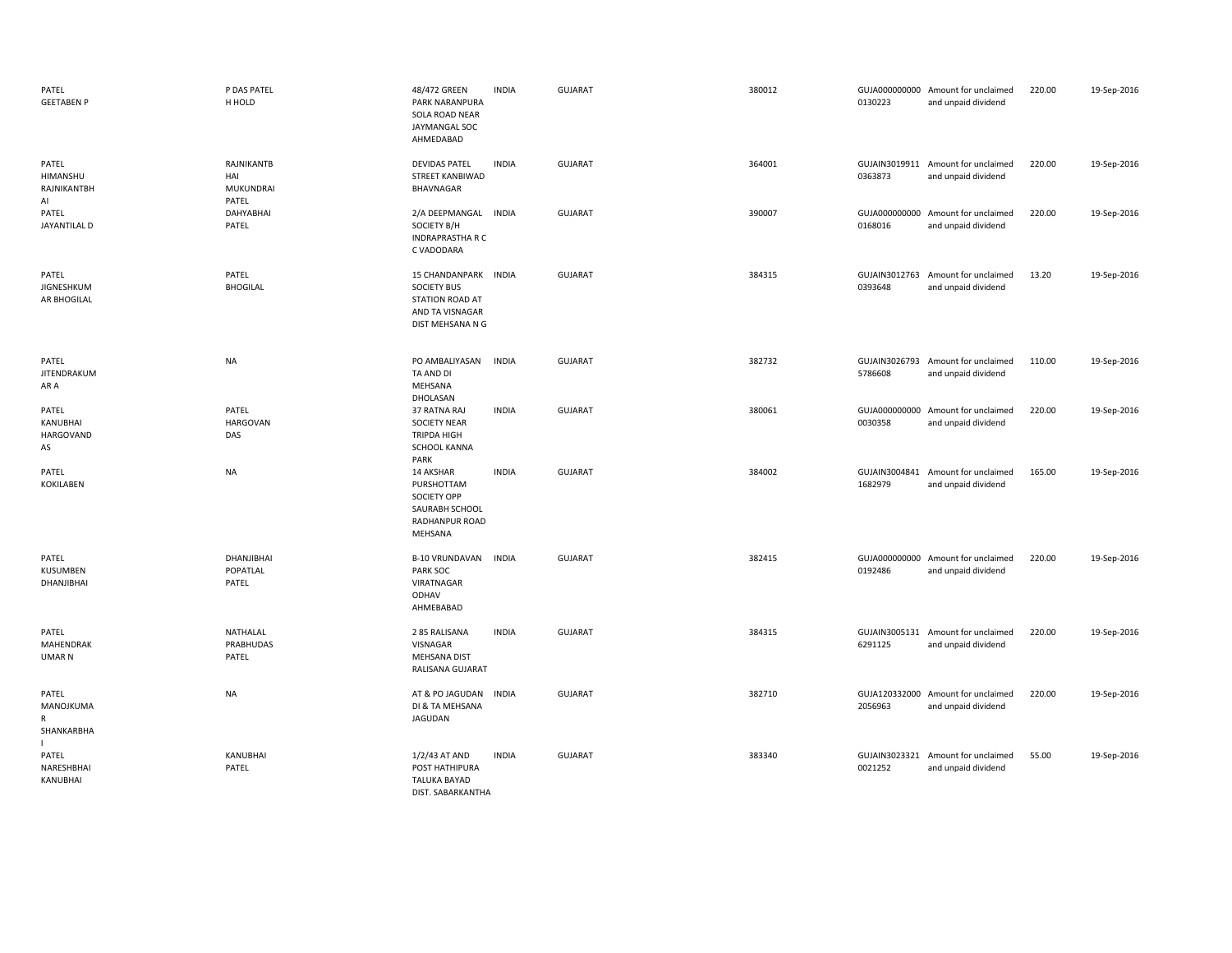| PATEL<br><b>GEETABEN P</b>             | P DAS PATEL<br>H HOLD                                 | 48/472 GREEN<br>PARK NARANPURA<br>SOLA ROAD NEAR<br>JAYMANGAL SOC<br>AHMEDABAD                              | <b>INDIA</b> | <b>GUJARAT</b> | 380012 | 0130223 | GUJA000000000 Amount for unclaimed<br>and unpaid dividend | 220.00 | 19-Sep-2016 |
|----------------------------------------|-------------------------------------------------------|-------------------------------------------------------------------------------------------------------------|--------------|----------------|--------|---------|-----------------------------------------------------------|--------|-------------|
| PATEL<br>HIMANSHU<br>RAJNIKANTBH<br>AI | <b>RAJNIKANTB</b><br>HAI<br><b>MUKUNDRAI</b><br>PATEL | <b>DEVIDAS PATEL</b><br>STREET KANBIWAD<br>BHAVNAGAR                                                        | <b>INDIA</b> | <b>GUJARAT</b> | 364001 | 0363873 | GUJAIN3019911 Amount for unclaimed<br>and unpaid dividend | 220.00 | 19-Sep-2016 |
| PATEL<br>JAYANTILAL D                  | DAHYABHAI<br>PATEL                                    | 2/A DEEPMANGAL INDIA<br>SOCIETY B/H<br><b>INDRAPRASTHA R C</b><br>C VADODARA                                |              | <b>GUJARAT</b> | 390007 | 0168016 | GUJA000000000 Amount for unclaimed<br>and unpaid dividend | 220.00 | 19-Sep-2016 |
| PATEL<br>JIGNESHKUM<br>AR BHOGILAL     | PATEL<br><b>BHOGILAL</b>                              | 15 CHANDANPARK INDIA<br><b>SOCIETY BUS</b><br><b>STATION ROAD AT</b><br>AND TA VISNAGAR<br>DIST MEHSANA N G |              | <b>GUJARAT</b> | 384315 | 0393648 | GUJAIN3012763 Amount for unclaimed<br>and unpaid dividend | 13.20  | 19-Sep-2016 |
| PATEL<br>JITENDRAKUM<br>AR A           | <b>NA</b>                                             | PO AMBALIYASAN<br>TA AND DI<br>MEHSANA<br>DHOLASAN                                                          | <b>INDIA</b> | <b>GUJARAT</b> | 382732 | 5786608 | GUJAIN3026793 Amount for unclaimed<br>and unpaid dividend | 110.00 | 19-Sep-2016 |
| PATEL<br>KANUBHAI<br>HARGOVAND<br>AS   | PATEL<br><b>HARGOVAN</b><br>DAS                       | 37 RATNA RAJ<br><b>SOCIETY NEAR</b><br>TRIPDA HIGH<br>SCHOOL KANNA<br>PARK                                  | <b>INDIA</b> | <b>GUJARAT</b> | 380061 | 0030358 | GUJA000000000 Amount for unclaimed<br>and unpaid dividend | 220.00 | 19-Sep-2016 |
| PATEL<br><b>KOKILABEN</b>              | <b>NA</b>                                             | 14 AKSHAR<br>PURSHOTTAM<br>SOCIETY OPP<br>SAURABH SCHOOL<br>RADHANPUR ROAD<br>MEHSANA                       | <b>INDIA</b> | <b>GUJARAT</b> | 384002 | 1682979 | GUJAIN3004841 Amount for unclaimed<br>and unpaid dividend | 165.00 | 19-Sep-2016 |
| PATEL<br>KUSUMBEN<br>DHANJIBHAI        | DHANJIBHAI<br>POPATLAL<br>PATEL                       | <b>B-10 VRUNDAVAN</b><br>PARK SOC<br>VIRATNAGAR<br>ODHAV<br>AHMEBABAD                                       | <b>INDIA</b> | <b>GUJARAT</b> | 382415 | 0192486 | GUJA000000000 Amount for unclaimed<br>and unpaid dividend | 220.00 | 19-Sep-2016 |
| PATEL<br>MAHENDRAK<br>UMAR N           | NATHALAL<br>PRABHUDAS<br>PATEL                        | 285 RALISANA<br>VISNAGAR<br>MEHSANA DIST<br>RALISANA GUJARAT                                                | <b>INDIA</b> | <b>GUJARAT</b> | 384315 | 6291125 | GUJAIN3005131 Amount for unclaimed<br>and unpaid dividend | 220.00 | 19-Sep-2016 |
| PATEL<br>MANOJKUMA<br>R<br>SHANKARBHA  | <b>NA</b>                                             | AT & PO JAGUDAN<br>DI & TA MEHSANA<br><b>JAGUDAN</b>                                                        | <b>INDIA</b> | <b>GUJARAT</b> | 382710 | 2056963 | GUJA120332000 Amount for unclaimed<br>and unpaid dividend | 220.00 | 19-Sep-2016 |
| PATEL<br>NARESHBHAI<br>KANUBHAI        | KANUBHAI<br>PATEL                                     | 1/2/43 AT AND<br>POST HATHIPURA<br><b>TALUKA BAYAD</b><br>DIST. SABARKANTHA                                 | <b>INDIA</b> | <b>GUJARAT</b> | 383340 | 0021252 | GUJAIN3023321 Amount for unclaimed<br>and unpaid dividend | 55.00  | 19-Sep-2016 |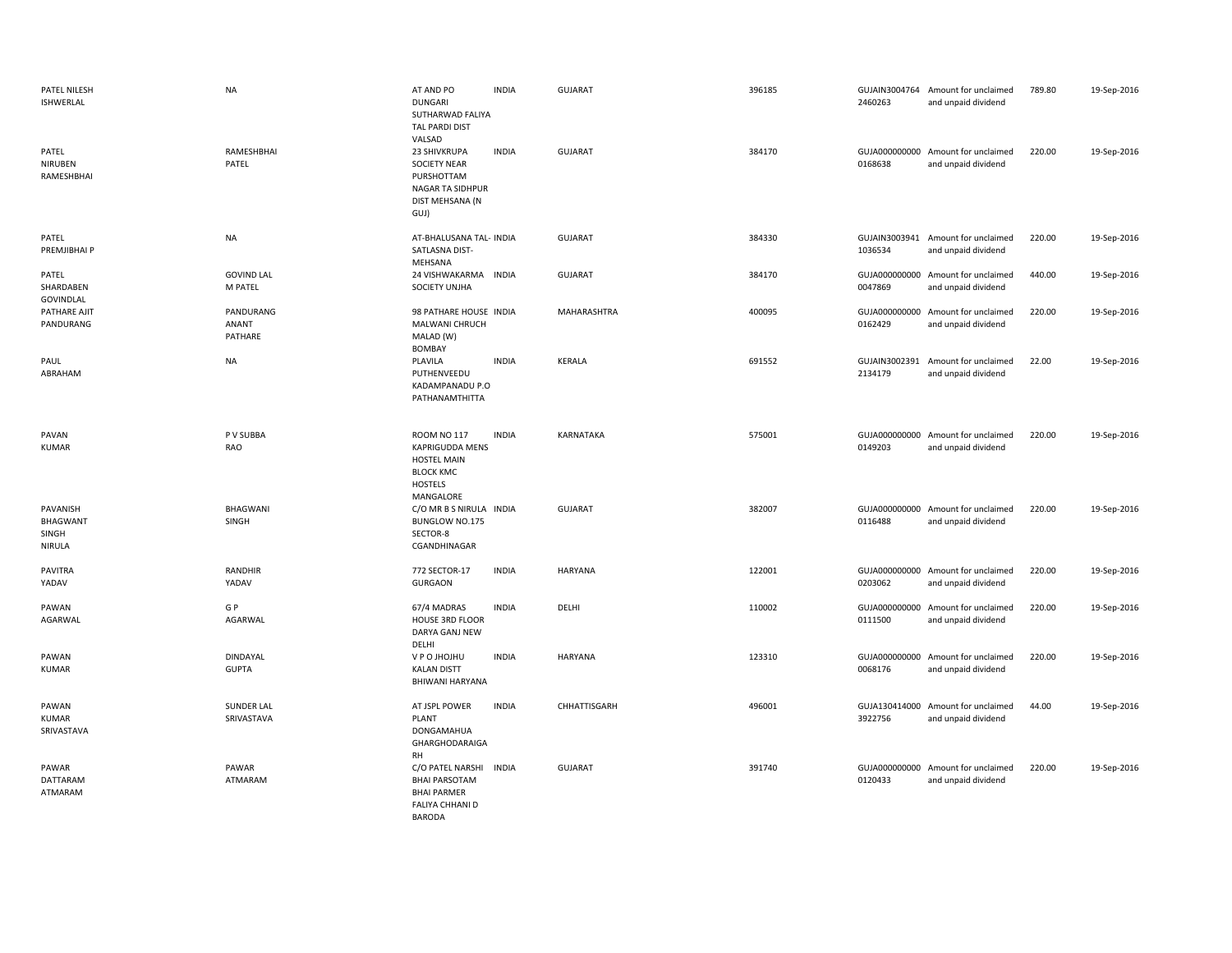| PATEL NILESH<br>ISHWERLAL               | <b>NA</b>                     | AT AND PO<br><b>DUNGARI</b><br>SUTHARWAD FALIYA<br><b>TAL PARDI DIST</b><br>VALSAD                      | <b>INDIA</b> | <b>GUJARAT</b> | 396185 | 2460263                  | GUJAIN3004764 Amount for unclaimed<br>and unpaid dividend | 789.80 | 19-Sep-2016 |
|-----------------------------------------|-------------------------------|---------------------------------------------------------------------------------------------------------|--------------|----------------|--------|--------------------------|-----------------------------------------------------------|--------|-------------|
| PATEL<br>NIRUBEN<br>RAMESHBHAI          | RAMESHBHAI<br>PATEL           | 23 SHIVKRUPA<br><b>SOCIETY NEAR</b><br>PURSHOTTAM<br>NAGAR TA SIDHPUR<br>DIST MEHSANA (N<br>GUJ)        | <b>INDIA</b> | <b>GUJARAT</b> | 384170 | 0168638                  | GUJA000000000 Amount for unclaimed<br>and unpaid dividend | 220.00 | 19-Sep-2016 |
| PATEL<br>PREMJIBHAI P                   | <b>NA</b>                     | AT-BHALUSANA TAL- INDIA<br>SATLASNA DIST-<br>MEHSANA                                                    |              | <b>GUJARAT</b> | 384330 | 1036534                  | GUJAIN3003941 Amount for unclaimed<br>and unpaid dividend | 220.00 | 19-Sep-2016 |
| PATEL<br>SHARDABEN<br>GOVINDLAL         | <b>GOVIND LAL</b><br>M PATEL  | 24 VISHWAKARMA<br>SOCIETY UNJHA                                                                         | INDIA        | <b>GUJARAT</b> | 384170 | GUJA000000000<br>0047869 | Amount for unclaimed<br>and unpaid dividend               | 440.00 | 19-Sep-2016 |
| PATHARE AJIT<br>PANDURANG               | PANDURANG<br>ANANT<br>PATHARE | 98 PATHARE HOUSE INDIA<br>MALWANI CHRUCH<br>MALAD (W)<br><b>BOMBAY</b>                                  |              | MAHARASHTRA    | 400095 | 0162429                  | GUJA000000000 Amount for unclaimed<br>and unpaid dividend | 220.00 | 19-Sep-2016 |
| PAUL<br>ABRAHAM                         | <b>NA</b>                     | PLAVILA<br>PUTHENVEEDU<br>KADAMPANADU P.O<br>PATHANAMTHITTA                                             | <b>INDIA</b> | KERALA         | 691552 | GUJAIN3002391<br>2134179 | Amount for unclaimed<br>and unpaid dividend               | 22.00  | 19-Sep-2016 |
| PAVAN<br><b>KUMAR</b>                   | P V SUBBA<br>RAO              | <b>ROOM NO 117</b><br>KAPRIGUDDA MENS<br><b>HOSTEL MAIN</b><br><b>BLOCK KMC</b><br>HOSTELS<br>MANGALORE | <b>INDIA</b> | KARNATAKA      | 575001 | 0149203                  | GUJA000000000 Amount for unclaimed<br>and unpaid dividend | 220.00 | 19-Sep-2016 |
| PAVANISH<br>BHAGWANT<br>SINGH<br>NIRULA | BHAGWANI<br>SINGH             | C/O MR B S NIRULA INDIA<br>BUNGLOW NO.175<br>SECTOR-8<br>CGANDHINAGAR                                   |              | <b>GUJARAT</b> | 382007 | 0116488                  | GUJA000000000 Amount for unclaimed<br>and unpaid dividend | 220.00 | 19-Sep-2016 |
| PAVITRA<br>YADAV                        | RANDHIR<br>YADAV              | 772 SECTOR-17<br><b>GURGAON</b>                                                                         | <b>INDIA</b> | HARYANA        | 122001 | 0203062                  | GUJA000000000 Amount for unclaimed<br>and unpaid dividend | 220.00 | 19-Sep-2016 |
| PAWAN<br>AGARWAL                        | G P<br>AGARWAL                | 67/4 MADRAS<br>HOUSE 3RD FLOOR<br>DARYA GANJ NEW<br>DELHI                                               | <b>INDIA</b> | DELHI          | 110002 | 0111500                  | GUJA000000000 Amount for unclaimed<br>and unpaid dividend | 220.00 | 19-Sep-2016 |
| PAWAN<br><b>KUMAR</b>                   | DINDAYAL<br><b>GUPTA</b>      | V P O JHOJHU<br><b>KALAN DISTT</b><br>BHIWANI HARYANA                                                   | <b>INDIA</b> | <b>HARYANA</b> | 123310 | 0068176                  | GUJA000000000 Amount for unclaimed<br>and unpaid dividend | 220.00 | 19-Sep-2016 |
| PAWAN<br><b>KUMAR</b><br>SRIVASTAVA     | SUNDER LAL<br>SRIVASTAVA      | AT JSPL POWER<br><b>PLANT</b><br>DONGAMAHUA<br><b>GHARGHODARAIGA</b><br><b>RH</b>                       | <b>INDIA</b> | CHHATTISGARH   | 496001 | GUJA130414000<br>3922756 | Amount for unclaimed<br>and unpaid dividend               | 44.00  | 19-Sep-2016 |
| PAWAR<br>DATTARAM<br>ATMARAM            | PAWAR<br>ATMARAM              | C/O PATEL NARSHI<br><b>BHAI PARSOTAM</b><br><b>BHAI PARMER</b><br><b>FALIYA CHHANI D</b>                | INDIA        | <b>GUJARAT</b> | 391740 | 0120433                  | GUJA000000000 Amount for unclaimed<br>and unpaid dividend | 220.00 | 19-Sep-2016 |

BARODA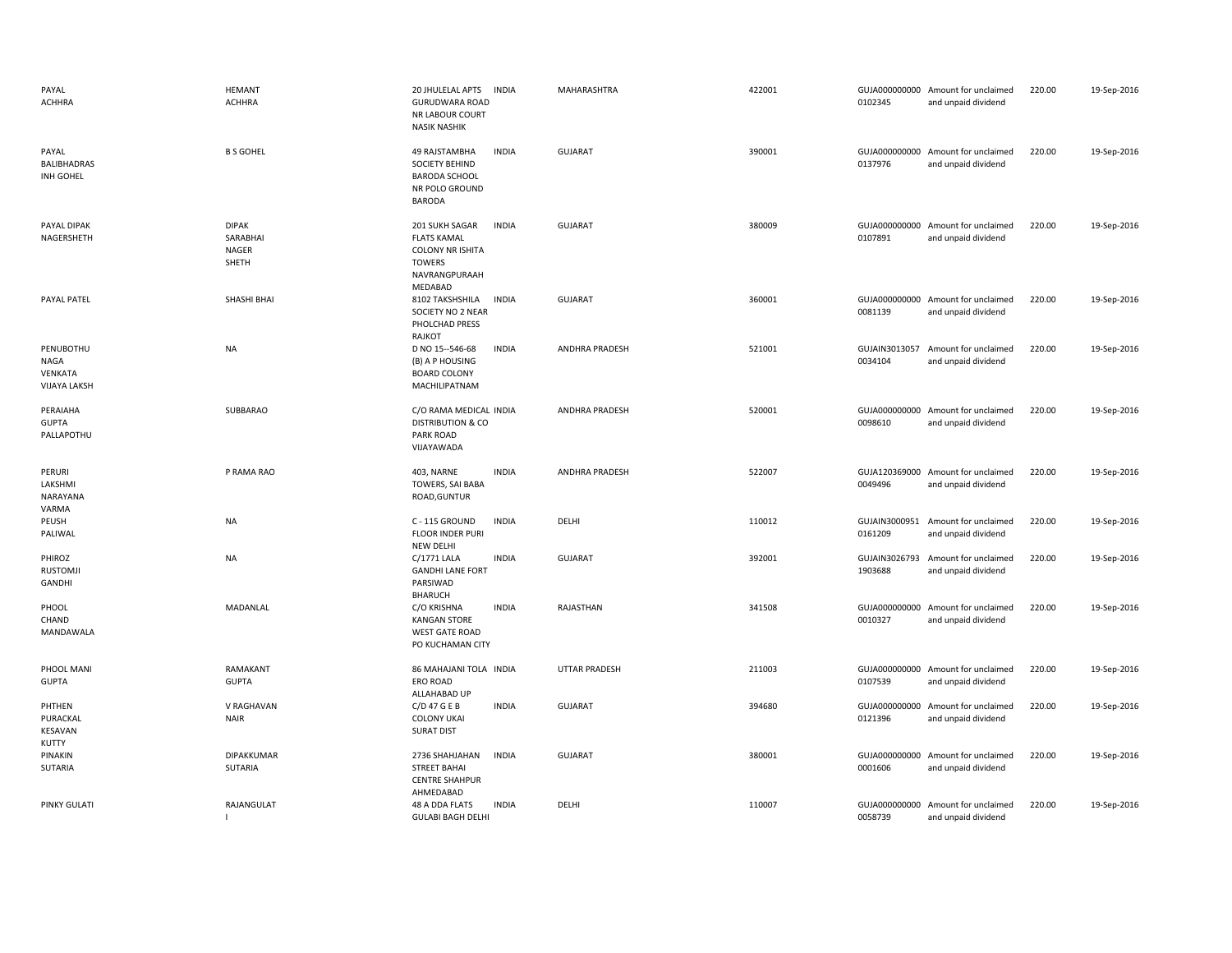| PAYAL<br><b>ACHHRA</b>                                     | <b>HEMANT</b><br><b>ACHHRA</b>                    | 20 JHULELAL APTS<br><b>INDIA</b><br><b>GURUDWARA ROAD</b><br>NR LABOUR COURT<br><b>NASIK NASHIK</b>                                 | MAHARASHTRA           | 422001 | 0102345                  | GUJA000000000 Amount for unclaimed<br>and unpaid dividend | 220.00 | 19-Sep-2016 |
|------------------------------------------------------------|---------------------------------------------------|-------------------------------------------------------------------------------------------------------------------------------------|-----------------------|--------|--------------------------|-----------------------------------------------------------|--------|-------------|
| PAYAL<br>BALIBHADRAS<br>INH GOHEL                          | <b>B S GOHEL</b>                                  | 49 RAJSTAMBHA<br><b>INDIA</b><br>SOCIETY BEHIND<br><b>BARODA SCHOOL</b><br>NR POLO GROUND<br><b>BARODA</b>                          | <b>GUJARAT</b>        | 390001 | 0137976                  | GUJA000000000 Amount for unclaimed<br>and unpaid dividend | 220.00 | 19-Sep-2016 |
| PAYAL DIPAK<br>NAGERSHETH                                  | <b>DIPAK</b><br>SARABHAI<br><b>NAGER</b><br>SHETH | 201 SUKH SAGAR<br><b>INDIA</b><br><b>FLATS KAMAL</b><br><b>COLONY NR ISHITA</b><br><b>TOWERS</b><br>NAVRANGPURAAH<br><b>MEDABAD</b> | <b>GUJARAT</b>        | 380009 | 0107891                  | GUJA000000000 Amount for unclaimed<br>and unpaid dividend | 220.00 | 19-Sep-2016 |
| PAYAL PATEL                                                | SHASHI BHAI                                       | 8102 TAKSHSHILA<br><b>INDIA</b><br>SOCIETY NO 2 NEAR<br>PHOLCHAD PRESS<br>RAJKOT                                                    | <b>GUJARAT</b>        | 360001 | 0081139                  | GUJA000000000 Amount for unclaimed<br>and unpaid dividend | 220.00 | 19-Sep-2016 |
| PENUBOTHU<br><b>NAGA</b><br>VENKATA<br><b>VIJAYA LAKSH</b> | <b>NA</b>                                         | D NO 15--546-68<br><b>INDIA</b><br>(B) A P HOUSING<br><b>BOARD COLONY</b><br>MACHILIPATNAM                                          | <b>ANDHRA PRADESH</b> | 521001 | GUJAIN3013057<br>0034104 | Amount for unclaimed<br>and unpaid dividend               | 220.00 | 19-Sep-2016 |
| PERAIAHA<br><b>GUPTA</b><br>PALLAPOTHU                     | SUBBARAO                                          | C/O RAMA MEDICAL INDIA<br><b>DISTRIBUTION &amp; CO</b><br>PARK ROAD<br>VIJAYAWADA                                                   | ANDHRA PRADESH        | 520001 | 0098610                  | GUJA000000000 Amount for unclaimed<br>and unpaid dividend | 220.00 | 19-Sep-2016 |
| PERURI<br>LAKSHMI<br>NARAYANA<br>VARMA                     | P RAMA RAO                                        | <b>INDIA</b><br>403, NARNE<br>TOWERS, SAI BABA<br>ROAD, GUNTUR                                                                      | ANDHRA PRADESH        | 522007 | 0049496                  | GUJA120369000 Amount for unclaimed<br>and unpaid dividend | 220.00 | 19-Sep-2016 |
| PEUSH<br>PALIWAL                                           | NA                                                | <b>INDIA</b><br>C - 115 GROUND<br>FLOOR INDER PURI<br><b>NEW DELHI</b>                                                              | DELHI                 | 110012 | 0161209                  | GUJAIN3000951 Amount for unclaimed<br>and unpaid dividend | 220.00 | 19-Sep-2016 |
| PHIROZ<br><b>RUSTOMJI</b><br>GANDHI                        | <b>NA</b>                                         | C/1771 LALA<br><b>INDIA</b><br><b>GANDHI LANE FORT</b><br>PARSIWAD<br><b>BHARUCH</b>                                                | <b>GUJARAT</b>        | 392001 | GUJAIN3026793<br>1903688 | Amount for unclaimed<br>and unpaid dividend               | 220.00 | 19-Sep-2016 |
| PHOOL<br>CHAND<br>MANDAWALA                                | MADANLAL                                          | C/O KRISHNA<br><b>INDIA</b><br><b>KANGAN STORE</b><br><b>WEST GATE ROAD</b><br>PO KUCHAMAN CITY                                     | RAJASTHAN             | 341508 | 0010327                  | GUJA000000000 Amount for unclaimed<br>and unpaid dividend | 220.00 | 19-Sep-2016 |
| PHOOL MANI<br><b>GUPTA</b>                                 | RAMAKANT<br><b>GUPTA</b>                          | 86 MAHAJANI TOLA INDIA<br><b>ERO ROAD</b><br>ALLAHABAD UP                                                                           | <b>UTTAR PRADESH</b>  | 211003 | 0107539                  | GUJA000000000 Amount for unclaimed<br>and unpaid dividend | 220.00 | 19-Sep-2016 |
| PHTHEN<br>PURACKAL<br>KESAVAN<br>KUTTY                     | V RAGHAVAN<br><b>NAIR</b>                         | $C/D$ 47 G E B<br><b>INDIA</b><br><b>COLONY UKAI</b><br><b>SURAT DIST</b>                                                           | <b>GUJARAT</b>        | 394680 | 0121396                  | GUJA000000000 Amount for unclaimed<br>and unpaid dividend | 220.00 | 19-Sep-2016 |
| PINAKIN<br><b>SUTARIA</b>                                  | DIPAKKUMAR<br>SUTARIA                             | <b>INDIA</b><br>2736 SHAHJAHAN<br><b>STREET BAHAI</b><br><b>CENTRE SHAHPUR</b><br>AHMEDABAD                                         | <b>GUJARAT</b>        | 380001 | GUJA000000000<br>0001606 | Amount for unclaimed<br>and unpaid dividend               | 220.00 | 19-Sep-2016 |
| <b>PINKY GULATI</b>                                        | RAJANGULAT<br>$\mathbf{I}$                        | 48 A DDA FLATS<br><b>INDIA</b><br><b>GULABI BAGH DELHI</b>                                                                          | DELHI                 | 110007 | 0058739                  | GUJA000000000 Amount for unclaimed<br>and unpaid dividend | 220.00 | 19-Sep-2016 |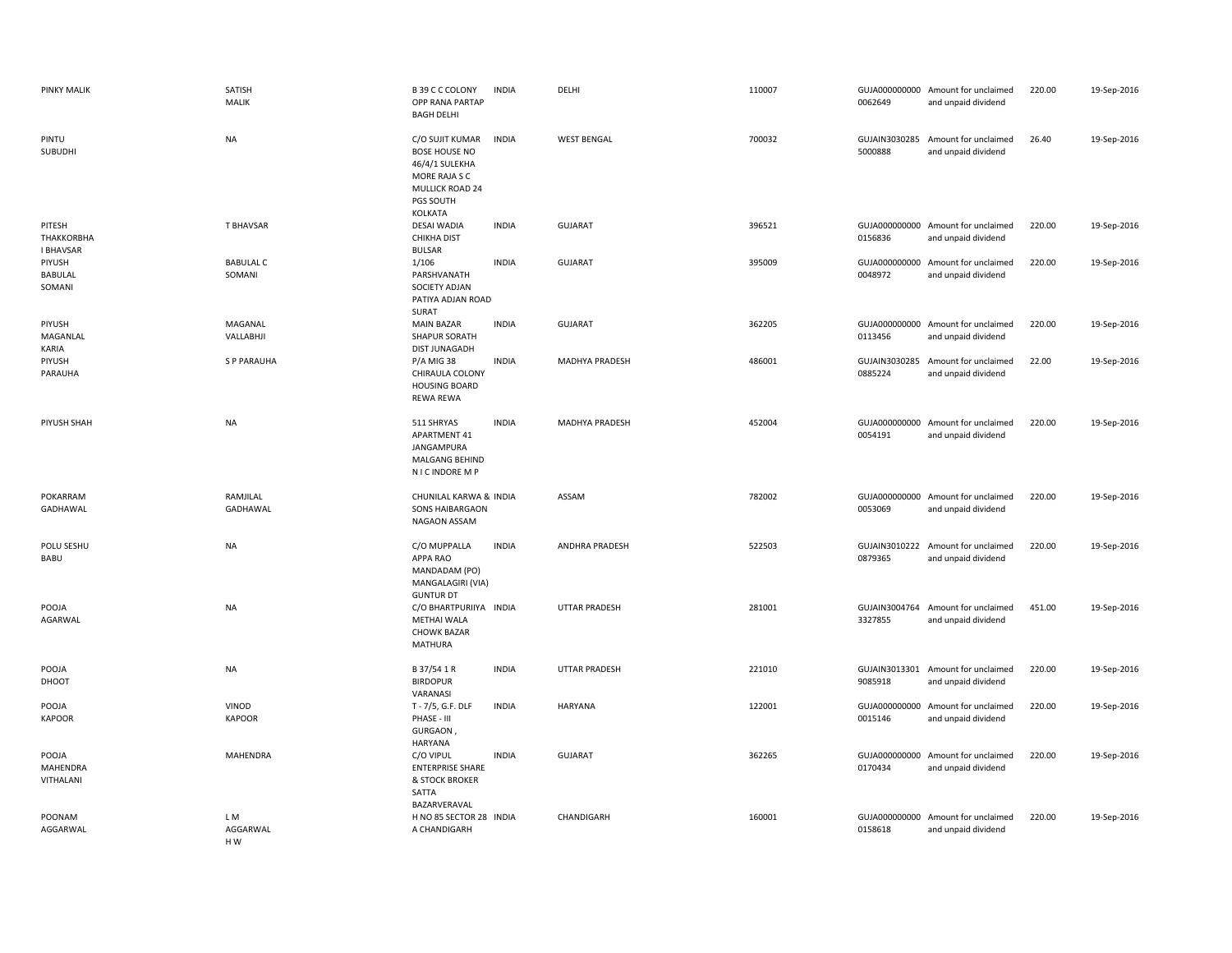| <b>PINKY MALIK</b>                       | SATISH<br>MALIK            | B 39 C C COLONY<br>OPP RANA PARTAP<br><b>BAGH DELHI</b>                                                                      | <b>INDIA</b> | DELHI                 | 110007 | 0062649                  | GUJA000000000 Amount for unclaimed<br>and unpaid dividend | 220.00 | 19-Sep-2016 |
|------------------------------------------|----------------------------|------------------------------------------------------------------------------------------------------------------------------|--------------|-----------------------|--------|--------------------------|-----------------------------------------------------------|--------|-------------|
| PINTU<br>SUBUDHI                         | <b>NA</b>                  | C/O SUJIT KUMAR<br><b>BOSE HOUSE NO</b><br>46/4/1 SULEKHA<br>MORE RAJA S C<br><b>MULLICK ROAD 24</b><br>PGS SOUTH<br>KOLKATA | <b>INDIA</b> | <b>WEST BENGAL</b>    | 700032 | GUJAIN3030285<br>5000888 | Amount for unclaimed<br>and unpaid dividend               | 26.40  | 19-Sep-2016 |
| PITESH<br>THAKKORBHA<br><b>I BHAVSAR</b> | T BHAVSAR                  | <b>DESAI WADIA</b><br><b>CHIKHA DIST</b><br><b>BULSAR</b>                                                                    | <b>INDIA</b> | <b>GUJARAT</b>        | 396521 | 0156836                  | GUJA000000000 Amount for unclaimed<br>and unpaid dividend | 220.00 | 19-Sep-2016 |
| PIYUSH<br>BABULAL<br>SOMANI              | <b>BABULAL C</b><br>SOMANI | 1/106<br>PARSHVANATH<br>SOCIETY ADJAN<br>PATIYA ADJAN ROAD<br>SURAT                                                          | <b>INDIA</b> | <b>GUJARAT</b>        | 395009 | GUJA000000000<br>0048972 | Amount for unclaimed<br>and unpaid dividend               | 220.00 | 19-Sep-2016 |
| PIYUSH<br>MAGANLAL<br>KARIA              | MAGANAL<br>VALLABHJI       | <b>MAIN BAZAR</b><br>SHAPUR SORATH<br><b>DIST JUNAGADH</b>                                                                   | <b>INDIA</b> | <b>GUJARAT</b>        | 362205 | 0113456                  | GUJA000000000 Amount for unclaimed<br>and unpaid dividend | 220.00 | 19-Sep-2016 |
| PIYUSH<br>PARAUHA                        | <b>SP PARAUHA</b>          | P/A MIG 38<br>CHIRAULA COLONY<br><b>HOUSING BOARD</b><br>REWA REWA                                                           | <b>INDIA</b> | MADHYA PRADESH        | 486001 | GUJAIN3030285<br>0885224 | Amount for unclaimed<br>and unpaid dividend               | 22.00  | 19-Sep-2016 |
| PIYUSH SHAH                              | <b>NA</b>                  | 511 SHRYAS<br>APARTMENT 41<br>JANGAMPURA<br>MALGANG BEHIND<br>N I C INDORE M P                                               | <b>INDIA</b> | <b>MADHYA PRADESH</b> | 452004 | 0054191                  | GUJA000000000 Amount for unclaimed<br>and unpaid dividend | 220.00 | 19-Sep-2016 |
| POKARRAM<br>GADHAWAL                     | RAMJILAL<br>GADHAWAL       | CHUNILAL KARWA & INDIA<br><b>SONS HAIBARGAON</b><br>NAGAON ASSAM                                                             |              | ASSAM                 | 782002 | 0053069                  | GUJA000000000 Amount for unclaimed<br>and unpaid dividend | 220.00 | 19-Sep-2016 |
| POLU SESHU<br>BABU                       | <b>NA</b>                  | C/O MUPPALLA<br>APPA RAO<br>MANDADAM (PO)<br>MANGALAGIRI (VIA)<br><b>GUNTUR DT</b>                                           | <b>INDIA</b> | ANDHRA PRADESH        | 522503 | 0879365                  | GUJAIN3010222 Amount for unclaimed<br>and unpaid dividend | 220.00 | 19-Sep-2016 |
| POOJA<br>AGARWAL                         | <b>NA</b>                  | C/O BHARTPURIIYA INDIA<br><b>METHAI WALA</b><br><b>CHOWK BAZAR</b><br>MATHURA                                                |              | <b>UTTAR PRADESH</b>  | 281001 | 3327855                  | GUJAIN3004764 Amount for unclaimed<br>and unpaid dividend | 451.00 | 19-Sep-2016 |
| POOJA<br>DHOOT                           | <b>NA</b>                  | B 37/54 1 R<br><b>BIRDOPUR</b><br>VARANASI                                                                                   | <b>INDIA</b> | <b>UTTAR PRADESH</b>  | 221010 | 9085918                  | GUJAIN3013301 Amount for unclaimed<br>and unpaid dividend | 220.00 | 19-Sep-2016 |
| POOJA<br><b>KAPOOR</b>                   | VINOD<br><b>KAPOOR</b>     | T - 7/5, G.F. DLF<br>PHASE - III<br>GURGAON<br><b>HARYANA</b>                                                                | <b>INDIA</b> | HARYANA               | 122001 | 0015146                  | GUJA000000000 Amount for unclaimed<br>and unpaid dividend | 220.00 | 19-Sep-2016 |
| POOJA<br>MAHENDRA<br>VITHALANI           | MAHENDRA                   | C/O VIPUL<br><b>ENTERPRISE SHARE</b><br>& STOCK BROKER<br>SATTA                                                              | <b>INDIA</b> | <b>GUJARAT</b>        | 362265 | 0170434                  | GUJA000000000 Amount for unclaimed<br>and unpaid dividend | 220.00 | 19-Sep-2016 |
| POONAM<br>AGGARWAL                       | LM<br>AGGARWAL<br>HW       | BAZARVERAVAL<br>H NO 85 SECTOR 28 INDIA<br>A CHANDIGARH                                                                      |              | CHANDIGARH            | 160001 | 0158618                  | GUJA000000000 Amount for unclaimed<br>and unpaid dividend | 220.00 | 19-Sep-2016 |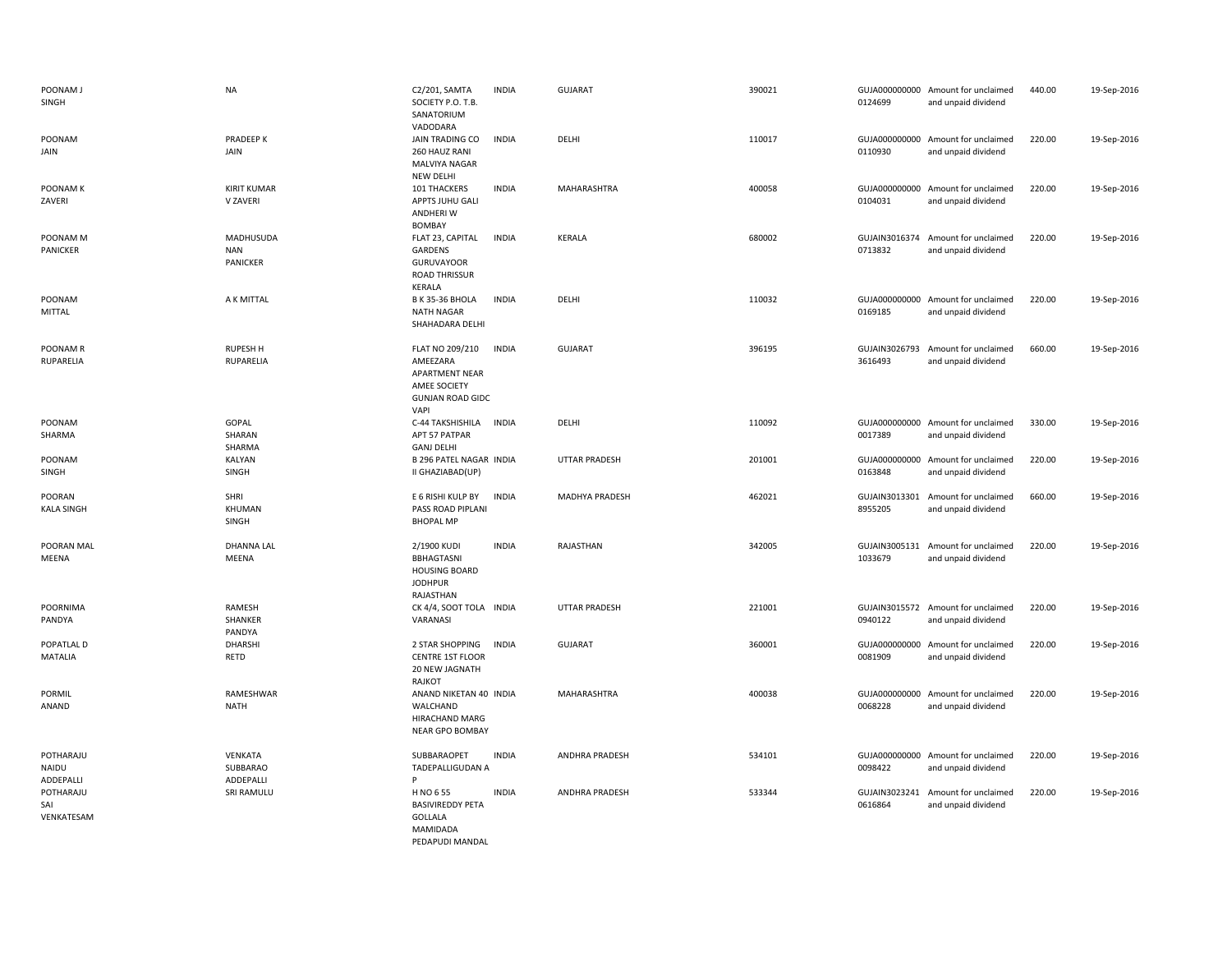| POONAM J<br>SINGH                      | <b>NA</b>                           | C2/201, SAMTA<br>SOCIETY P.O. T.B.<br>SANATORIUM<br>VADODARA                                            | <b>INDIA</b> | <b>GUJARAT</b>        | 390021 | 0124699                  | GUJA000000000 Amount for unclaimed<br>and unpaid dividend | 440.00 | 19-Sep-2016 |
|----------------------------------------|-------------------------------------|---------------------------------------------------------------------------------------------------------|--------------|-----------------------|--------|--------------------------|-----------------------------------------------------------|--------|-------------|
| POONAM<br>JAIN                         | PRADEEP K<br>JAIN                   | JAIN TRADING CO<br>260 HAUZ RANI<br><b>MALVIYA NAGAR</b><br><b>NEW DELHI</b>                            | <b>INDIA</b> | DELHI                 | 110017 | 0110930                  | GUJA000000000 Amount for unclaimed<br>and unpaid dividend | 220.00 | 19-Sep-2016 |
| POONAM K<br>ZAVERI                     | <b>KIRIT KUMAR</b><br>V ZAVERI      | 101 THACKERS<br>APPTS JUHU GALI<br>ANDHERI W<br><b>BOMBAY</b>                                           | <b>INDIA</b> | MAHARASHTRA           | 400058 | 0104031                  | GUJA000000000 Amount for unclaimed<br>and unpaid dividend | 220.00 | 19-Sep-2016 |
| POONAM M<br>PANICKER                   | MADHUSUDA<br><b>NAN</b><br>PANICKER | FLAT 23, CAPITAL<br>GARDENS<br><b>GURUVAYOOR</b><br><b>ROAD THRISSUR</b><br>KERALA                      | <b>INDIA</b> | KERALA                | 680002 | 0713832                  | GUJAIN3016374 Amount for unclaimed<br>and unpaid dividend | 220.00 | 19-Sep-2016 |
| POONAM<br><b>MITTAL</b>                | A K MITTAL                          | B K 35-36 BHOLA<br>NATH NAGAR<br>SHAHADARA DELHI                                                        | <b>INDIA</b> | DELHI                 | 110032 | 0169185                  | GUJA000000000 Amount for unclaimed<br>and unpaid dividend | 220.00 | 19-Sep-2016 |
| POONAM R<br><b>RUPARELIA</b>           | <b>RUPESH H</b><br>RUPARELIA        | FLAT NO 209/210<br>AMEEZARA<br><b>APARTMENT NEAR</b><br>AMEE SOCIETY<br><b>GUNJAN ROAD GIDC</b><br>VAPI | <b>INDIA</b> | <b>GUJARAT</b>        | 396195 | GUJAIN3026793<br>3616493 | Amount for unclaimed<br>and unpaid dividend               | 660.00 | 19-Sep-2016 |
| POONAM<br>SHARMA                       | GOPAL<br>SHARAN<br>SHARMA           | C-44 TAKSHISHILA<br>APT 57 PATPAR<br><b>GANJ DELHI</b>                                                  | <b>INDIA</b> | DELHI                 | 110092 | 0017389                  | GUJA000000000 Amount for unclaimed<br>and unpaid dividend | 330.00 | 19-Sep-2016 |
| POONAM<br><b>SINGH</b>                 | KALYAN<br>SINGH                     | <b>B 296 PATEL NAGAR INDIA</b><br>II GHAZIABAD(UP)                                                      |              | <b>UTTAR PRADESH</b>  | 201001 | 0163848                  | GUJA000000000 Amount for unclaimed<br>and unpaid dividend | 220.00 | 19-Sep-2016 |
| POORAN<br><b>KALA SINGH</b>            | SHRI<br>KHUMAN<br>SINGH             | E 6 RISHI KULP BY<br>PASS ROAD PIPLANI<br><b>BHOPAL MP</b>                                              | <b>INDIA</b> | <b>MADHYA PRADESH</b> | 462021 | 8955205                  | GUJAIN3013301 Amount for unclaimed<br>and unpaid dividend | 660.00 | 19-Sep-2016 |
| POORAN MAL<br>MEENA                    | <b>DHANNA LAL</b><br>MEENA          | 2/1900 KUDI<br>BBHAGTASNI<br><b>HOUSING BOARD</b><br><b>JODHPUR</b><br>RAJASTHAN                        | <b>INDIA</b> | RAJASTHAN             | 342005 | 1033679                  | GUJAIN3005131 Amount for unclaimed<br>and unpaid dividend | 220.00 | 19-Sep-2016 |
| POORNIMA<br>PANDYA                     | RAMESH<br>SHANKER<br>PANDYA         | CK 4/4, SOOT TOLA INDIA<br>VARANASI                                                                     |              | <b>UTTAR PRADESH</b>  | 221001 | 0940122                  | GUJAIN3015572 Amount for unclaimed<br>and unpaid dividend | 220.00 | 19-Sep-2016 |
| POPATLAL D<br><b>MATALIA</b>           | DHARSHI<br>RETD                     | 2 STAR SHOPPING<br>CENTRE 1ST FLOOR<br>20 NEW JAGNATH<br>RAJKOT                                         | <b>INDIA</b> | <b>GUJARAT</b>        | 360001 | 0081909                  | GUJA000000000 Amount for unclaimed<br>and unpaid dividend | 220.00 | 19-Sep-2016 |
| PORMIL<br>ANAND                        | RAMESHWAR<br><b>NATH</b>            | ANAND NIKETAN 40 INDIA<br>WALCHAND<br>HIRACHAND MARG<br>NEAR GPO BOMBAY                                 |              | MAHARASHTRA           | 400038 | GUJA000000000<br>0068228 | Amount for unclaimed<br>and unpaid dividend               | 220.00 | 19-Sep-2016 |
| POTHARAJU<br><b>NAIDU</b><br>ADDEPALLI | VENKATA<br>SUBBARAO<br>ADDEPALLI    | SUBBARAOPET<br><b>TADEPALLIGUDAN A</b><br>P                                                             | <b>INDIA</b> | <b>ANDHRA PRADESH</b> | 534101 | 0098422                  | GUJA000000000 Amount for unclaimed<br>and unpaid dividend | 220.00 | 19-Sep-2016 |
| POTHARAJU<br>SAI<br>VENKATESAM         | SRI RAMULU                          | H NO 6 55<br><b>BASIVIREDDY PETA</b><br>GOLLALA<br><b>MAMIDADA</b><br>PEDAPUDI MANDAL                   | <b>INDIA</b> | ANDHRA PRADESH        | 533344 | GUJAIN3023241<br>0616864 | Amount for unclaimed<br>and unpaid dividend               | 220.00 | 19-Sep-2016 |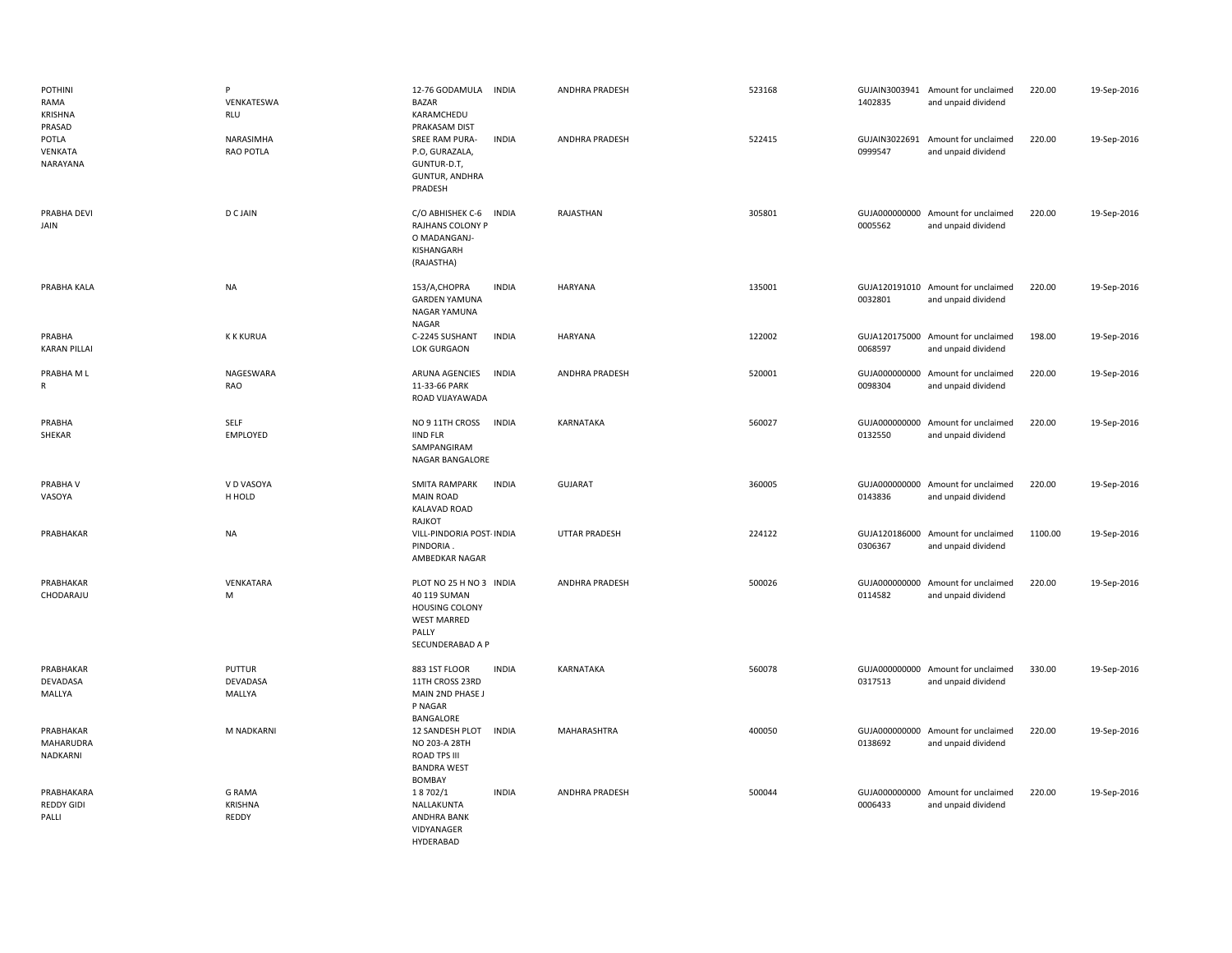| <b>POTHINI</b><br>RAMA<br>KRISHNA<br>PRASAD | P<br>VENKATESWA<br><b>RLU</b>            | <b>INDIA</b><br>12-76 GODAMULA<br>BAZAR<br>KARAMCHEDU<br>PRAKASAM DIST                                              | ANDHRA PRADESH        | 523168 | 1402835                  | GUJAIN3003941 Amount for unclaimed<br>and unpaid dividend | 220.00  | 19-Sep-2016 |
|---------------------------------------------|------------------------------------------|---------------------------------------------------------------------------------------------------------------------|-----------------------|--------|--------------------------|-----------------------------------------------------------|---------|-------------|
| POTLA<br>VENKATA<br>NARAYANA                | NARASIMHA<br>RAO POTLA                   | SREE RAM PURA-<br><b>INDIA</b><br>P.O, GURAZALA,<br>GUNTUR-D.T,<br>GUNTUR, ANDHRA<br>PRADESH                        | ANDHRA PRADESH        | 522415 | GUJAIN3022691<br>0999547 | Amount for unclaimed<br>and unpaid dividend               | 220.00  | 19-Sep-2016 |
| PRABHA DEVI<br>JAIN                         | D C JAIN                                 | C/O ABHISHEK C-6<br><b>INDIA</b><br>RAJHANS COLONY P<br>O MADANGANJ-<br>KISHANGARH<br>(RAJASTHA)                    | RAJASTHAN             | 305801 | 0005562                  | GUJA000000000 Amount for unclaimed<br>and unpaid dividend | 220.00  | 19-Sep-2016 |
| PRABHA KALA                                 | <b>NA</b>                                | <b>INDIA</b><br>153/A,CHOPRA<br><b>GARDEN YAMUNA</b><br>NAGAR YAMUNA<br>NAGAR                                       | HARYANA               | 135001 | 0032801                  | GUJA120191010 Amount for unclaimed<br>and unpaid dividend | 220.00  | 19-Sep-2016 |
| PRABHA<br><b>KARAN PILLAI</b>               | <b>K K KURUA</b>                         | C-2245 SUSHANT<br><b>INDIA</b><br>LOK GURGAON                                                                       | HARYANA               | 122002 | 0068597                  | GUJA120175000 Amount for unclaimed<br>and unpaid dividend | 198.00  | 19-Sep-2016 |
| PRABHA M L<br>R                             | NAGESWARA<br>RAO                         | ARUNA AGENCIES<br><b>INDIA</b><br>11-33-66 PARK<br>ROAD VIJAYAWADA                                                  | <b>ANDHRA PRADESH</b> | 520001 | 0098304                  | GUJA000000000 Amount for unclaimed<br>and unpaid dividend | 220.00  | 19-Sep-2016 |
| PRABHA<br>SHEKAR                            | SELF<br>EMPLOYED                         | NO 9 11TH CROSS<br><b>INDIA</b><br><b>IIND FLR</b><br>SAMPANGIRAM<br>NAGAR BANGALORE                                | KARNATAKA             | 560027 | 0132550                  | GUJA000000000 Amount for unclaimed<br>and unpaid dividend | 220.00  | 19-Sep-2016 |
| PRABHA V<br>VASOYA                          | V D VASOYA<br>H HOLD                     | <b>INDIA</b><br>SMITA RAMPARK<br><b>MAIN ROAD</b><br><b>KALAVAD ROAD</b><br>RAJKOT                                  | <b>GUJARAT</b>        | 360005 | 0143836                  | GUJA000000000 Amount for unclaimed<br>and unpaid dividend | 220.00  | 19-Sep-2016 |
| PRABHAKAR                                   | <b>NA</b>                                | VILL-PINDORIA POST- INDIA<br>PINDORIA.<br>AMBEDKAR NAGAR                                                            | <b>UTTAR PRADESH</b>  | 224122 | 0306367                  | GUJA120186000 Amount for unclaimed<br>and unpaid dividend | 1100.00 | 19-Sep-2016 |
| PRABHAKAR<br>CHODARAJU                      | VENKATARA<br>M                           | PLOT NO 25 H NO 3 INDIA<br>40 119 SUMAN<br><b>HOUSING COLONY</b><br><b>WEST MARRED</b><br>PALLY<br>SECUNDERABAD A P | ANDHRA PRADESH        | 500026 | 0114582                  | GUJA000000000 Amount for unclaimed<br>and unpaid dividend | 220.00  | 19-Sep-2016 |
| PRABHAKAR<br>DEVADASA<br>MALLYA             | <b>PUTTUR</b><br>DEVADASA<br>MALLYA      | <b>INDIA</b><br>883 1ST FLOOR<br>11TH CROSS 23RD<br>MAIN 2ND PHASE J<br>P NAGAR<br>BANGALORE                        | KARNATAKA             | 560078 | 0317513                  | GUJA000000000 Amount for unclaimed<br>and unpaid dividend | 330.00  | 19-Sep-2016 |
| PRABHAKAR<br>MAHARUDRA<br>NADKARNI          | M NADKARNI                               | 12 SANDESH PLOT<br><b>INDIA</b><br>NO 203-A 28TH<br><b>ROAD TPS III</b><br><b>BANDRA WEST</b><br>BOMBAY             | MAHARASHTRA           | 400050 | 0138692                  | GUJA000000000 Amount for unclaimed<br>and unpaid dividend | 220.00  | 19-Sep-2016 |
| PRABHAKARA<br><b>REDDY GIDI</b><br>PALLI    | <b>G RAMA</b><br><b>KRISHNA</b><br>REDDY | <b>INDIA</b><br>18702/1<br>NALLAKUNTA<br>ANDHRA BANK<br>VIDYANAGER<br>HYDERABAD                                     | ANDHRA PRADESH        | 500044 | 0006433                  | GUJA000000000 Amount for unclaimed<br>and unpaid dividend | 220.00  | 19-Sep-2016 |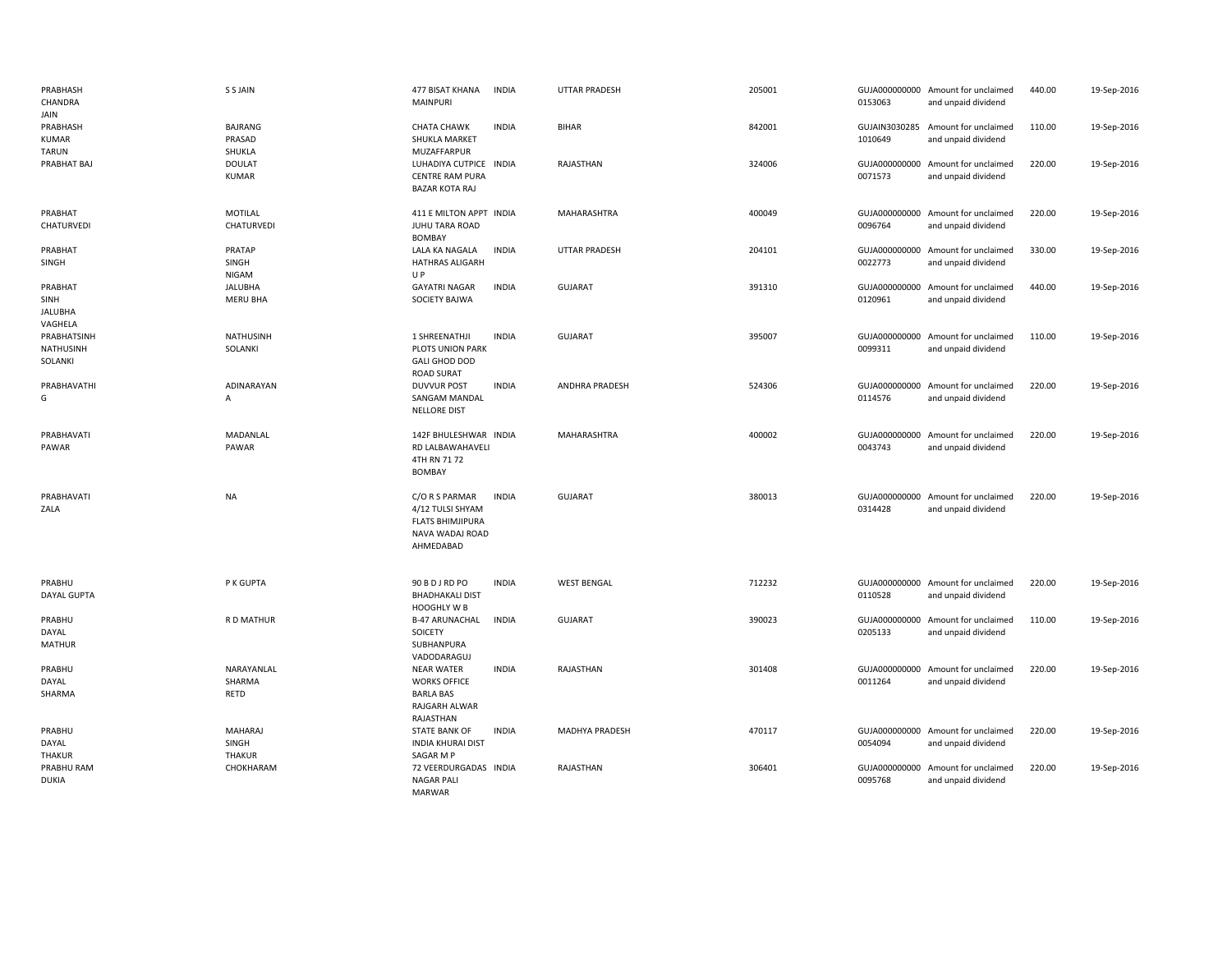| PRABHASH<br>CHANDRA<br>JAIN                           | S S JAIN                           | 477 BISAT KHANA<br><b>INDIA</b><br><b>MAINPURI</b>                                                            | <b>UTTAR PRADESH</b>  | 205001 | 0153063                  | GUJA000000000 Amount for unclaimed<br>and unpaid dividend | 440.00 | 19-Sep-2016 |
|-------------------------------------------------------|------------------------------------|---------------------------------------------------------------------------------------------------------------|-----------------------|--------|--------------------------|-----------------------------------------------------------|--------|-------------|
| PRABHASH<br><b>KUMAR</b><br><b>TARUN</b>              | <b>BAJRANG</b><br>PRASAD<br>SHUKLA | <b>CHATA CHAWK</b><br><b>INDIA</b><br>SHUKLA MARKET<br>MUZAFFARPUR                                            | <b>BIHAR</b>          | 842001 | 1010649                  | GUJAIN3030285 Amount for unclaimed<br>and unpaid dividend | 110.00 | 19-Sep-2016 |
| PRABHAT BAJ                                           | <b>DOULAT</b><br><b>KUMAR</b>      | LUHADIYA CUTPICE INDIA<br><b>CENTRE RAM PURA</b><br><b>BAZAR KOTA RAJ</b>                                     | RAJASTHAN             | 324006 | 0071573                  | GUJA000000000 Amount for unclaimed<br>and unpaid dividend | 220.00 | 19-Sep-2016 |
| PRABHAT<br>CHATURVEDI                                 | MOTILAL<br>CHATURVEDI              | 411 E MILTON APPT INDIA<br><b>JUHU TARA ROAD</b><br><b>BOMBAY</b>                                             | MAHARASHTRA           | 400049 | 0096764                  | GUJA000000000 Amount for unclaimed<br>and unpaid dividend | 220.00 | 19-Sep-2016 |
| PRABHAT<br>SINGH                                      | PRATAP<br>SINGH<br>NIGAM           | LALA KA NAGALA<br><b>INDIA</b><br><b>HATHRAS ALIGARH</b><br>UP                                                | <b>UTTAR PRADESH</b>  | 204101 | 0022773                  | GUJA000000000 Amount for unclaimed<br>and unpaid dividend | 330.00 | 19-Sep-2016 |
| PRABHAT<br>SINH<br><b>JALUBHA</b>                     | <b>JALUBHA</b><br>MERU BHA         | <b>INDIA</b><br><b>GAYATRI NAGAR</b><br><b>SOCIETY BAJWA</b>                                                  | <b>GUJARAT</b>        | 391310 | 0120961                  | GUJA000000000 Amount for unclaimed<br>and unpaid dividend | 440.00 | 19-Sep-2016 |
| VAGHELA<br>PRABHATSINH<br><b>NATHUSINH</b><br>SOLANKI | <b>NATHUSINH</b><br>SOLANKI        | 1 SHREENATHJI<br><b>INDIA</b><br>PLOTS UNION PARK<br><b>GALI GHOD DOD</b><br><b>ROAD SURAT</b>                | <b>GUJARAT</b>        | 395007 | 0099311                  | GUJA000000000 Amount for unclaimed<br>and unpaid dividend | 110.00 | 19-Sep-2016 |
| PRABHAVATHI<br>G                                      | ADINARAYAN<br>A                    | <b>INDIA</b><br><b>DUVVUR POST</b><br><b>SANGAM MANDAL</b><br>NELLORE DIST                                    | <b>ANDHRA PRADESH</b> | 524306 | GUJA000000000<br>0114576 | Amount for unclaimed<br>and unpaid dividend               | 220.00 | 19-Sep-2016 |
| PRABHAVATI<br>PAWAR                                   | MADANLAL<br>PAWAR                  | 142F BHULESHWAR INDIA<br>RD LALBAWAHAVELI<br>4TH RN 71 72<br><b>BOMBAY</b>                                    | MAHARASHTRA           | 400002 | 0043743                  | GUJA000000000 Amount for unclaimed<br>and unpaid dividend | 220.00 | 19-Sep-2016 |
| PRABHAVATI<br>ZALA                                    | <b>NA</b>                          | C/O R S PARMAR<br><b>INDIA</b><br>4/12 TULSI SHYAM<br><b>FLATS BHIMJIPURA</b><br>NAVA WADAJ ROAD<br>AHMEDABAD | <b>GUJARAT</b>        | 380013 | 0314428                  | GUJA000000000 Amount for unclaimed<br>and unpaid dividend | 220.00 | 19-Sep-2016 |
| PRABHU<br><b>DAYAL GUPTA</b>                          | P K GUPTA                          | <b>INDIA</b><br>90 B D J RD PO<br><b>BHADHAKALI DIST</b><br>HOOGHLY W B                                       | <b>WEST BENGAL</b>    | 712232 | 0110528                  | GUJA000000000 Amount for unclaimed<br>and unpaid dividend | 220.00 | 19-Sep-2016 |
| PRABHU<br>DAYAL<br><b>MATHUR</b>                      | R D MATHUR                         | <b>B-47 ARUNACHAL</b><br><b>INDIA</b><br>SOICETY<br>SUBHANPURA<br>VADODARAGUJ                                 | <b>GUJARAT</b>        | 390023 | 0205133                  | GUJA000000000 Amount for unclaimed<br>and unpaid dividend | 110.00 | 19-Sep-2016 |
| PRABHU<br>DAYAL<br>SHARMA                             | NARAYANLAL<br>SHARMA<br>RETD       | <b>INDIA</b><br>NEAR WATER<br><b>WORKS OFFICE</b><br><b>BARLA BAS</b><br>RAJGARH ALWAR<br>RAJASTHAN           | RAJASTHAN             | 301408 | 0011264                  | GUJA000000000 Amount for unclaimed<br>and unpaid dividend | 220.00 | 19-Sep-2016 |
| PRABHU<br>DAYAL<br><b>THAKUR</b>                      | MAHARAJ<br>SINGH<br>THAKUR         | <b>INDIA</b><br>STATE BANK OF<br><b>INDIA KHURAI DIST</b><br>SAGAR M P                                        | MADHYA PRADESH        | 470117 | GUJA000000000<br>0054094 | Amount for unclaimed<br>and unpaid dividend               | 220.00 | 19-Sep-2016 |
| PRABHU RAM<br>DUKIA                                   | CHOKHARAM                          | 72 VEERDURGADAS INDIA<br><b>NAGAR PALI</b><br><b>MARWAR</b>                                                   | RAJASTHAN             | 306401 | GUJA000000000<br>0095768 | Amount for unclaimed<br>and unpaid dividend               | 220.00 | 19-Sep-2016 |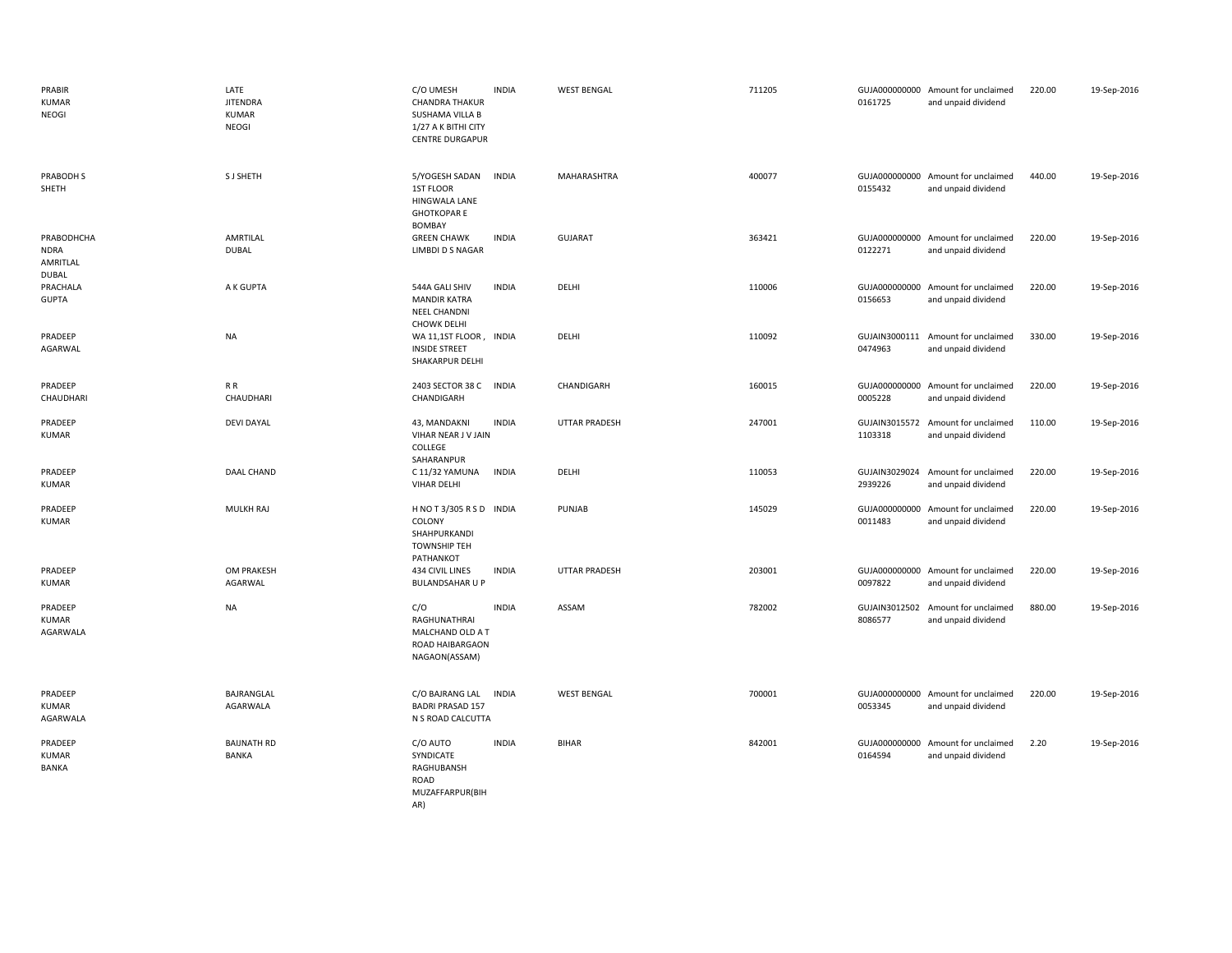| PRABIR<br><b>KUMAR</b><br><b>NEOGI</b>                | LATE<br><b>JITENDRA</b><br><b>KUMAR</b><br>NEOGI | C/O UMESH<br><b>CHANDRA THAKUR</b><br>SUSHAMA VILLA B<br>1/27 A K BITHI CITY<br><b>CENTRE DURGAPUR</b> | <b>INDIA</b> | <b>WEST BENGAL</b>   | 711205 | 0161725                  | GUJA000000000 Amount for unclaimed<br>and unpaid dividend | 220.00 | 19-Sep-2016 |
|-------------------------------------------------------|--------------------------------------------------|--------------------------------------------------------------------------------------------------------|--------------|----------------------|--------|--------------------------|-----------------------------------------------------------|--------|-------------|
| PRABODH S<br>SHETH                                    | S J SHETH                                        | 5/YOGESH SADAN<br>1ST FLOOR<br>HINGWALA LANE<br><b>GHOTKOPARE</b><br><b>BOMBAY</b>                     | <b>INDIA</b> | MAHARASHTRA          | 400077 | 0155432                  | GUJA000000000 Amount for unclaimed<br>and unpaid dividend | 440.00 | 19-Sep-2016 |
| PRABODHCHA<br><b>NDRA</b><br>AMRITLAL<br><b>DUBAL</b> | AMRTILAL<br><b>DUBAL</b>                         | <b>GREEN CHAWK</b><br><b>LIMBDI D S NAGAR</b>                                                          | <b>INDIA</b> | <b>GUJARAT</b>       | 363421 | 0122271                  | GUJA000000000 Amount for unclaimed<br>and unpaid dividend | 220.00 | 19-Sep-2016 |
| PRACHALA<br><b>GUPTA</b>                              | A K GUPTA                                        | 544A GALI SHIV<br><b>MANDIR KATRA</b><br>NEEL CHANDNI<br><b>CHOWK DELHI</b>                            | <b>INDIA</b> | DELHI                | 110006 | 0156653                  | GUJA000000000 Amount for unclaimed<br>and unpaid dividend | 220.00 | 19-Sep-2016 |
| PRADEEP<br>AGARWAL                                    | <b>NA</b>                                        | WA 11,1ST FLOOR, INDIA<br><b>INSIDE STREET</b><br>SHAKARPUR DELHI                                      |              | DELHI                | 110092 | 0474963                  | GUJAIN3000111 Amount for unclaimed<br>and unpaid dividend | 330.00 | 19-Sep-2016 |
| PRADEEP<br>CHAUDHARI                                  | R R<br>CHAUDHARI                                 | 2403 SECTOR 38 C INDIA<br>CHANDIGARH                                                                   |              | CHANDIGARH           | 160015 | 0005228                  | GUJA000000000 Amount for unclaimed<br>and unpaid dividend | 220.00 | 19-Sep-2016 |
| PRADEEP<br><b>KUMAR</b>                               | <b>DEVI DAYAL</b>                                | 43, MANDAKNI<br>VIHAR NEAR J V JAIN<br>COLLEGE<br>SAHARANPUR                                           | <b>INDIA</b> | <b>UTTAR PRADESH</b> | 247001 | 1103318                  | GUJAIN3015572 Amount for unclaimed<br>and unpaid dividend | 110.00 | 19-Sep-2016 |
| PRADEEP<br><b>KUMAR</b>                               | DAAL CHAND                                       | C 11/32 YAMUNA<br><b>VIHAR DELHI</b>                                                                   | <b>INDIA</b> | DELHI                | 110053 | 2939226                  | GUJAIN3029024 Amount for unclaimed<br>and unpaid dividend | 220.00 | 19-Sep-2016 |
| PRADEEP<br><b>KUMAR</b>                               | MULKH RAJ                                        | HNOT3/305 RSD INDIA<br>COLONY<br>SHAHPURKANDI<br><b>TOWNSHIP TEH</b><br>PATHANKOT                      |              | PUNJAB               | 145029 | GUJA000000000<br>0011483 | Amount for unclaimed<br>and unpaid dividend               | 220.00 | 19-Sep-2016 |
| PRADEEP<br>KUMAR                                      | OM PRAKESH<br>AGARWAL                            | 434 CIVIL LINES<br><b>BULANDSAHAR U P</b>                                                              | <b>INDIA</b> | <b>UTTAR PRADESH</b> | 203001 | 0097822                  | GUJA000000000 Amount for unclaimed<br>and unpaid dividend | 220.00 | 19-Sep-2016 |
| PRADEEP<br>KUMAR<br>AGARWALA                          | <b>NA</b>                                        | C/O<br>RAGHUNATHRAI<br>MALCHAND OLD A T<br>ROAD HAIBARGAON<br>NAGAON(ASSAM)                            | <b>INDIA</b> | ASSAM                | 782002 | GUJAIN3012502<br>8086577 | Amount for unclaimed<br>and unpaid dividend               | 880.00 | 19-Sep-2016 |
| PRADEEP<br>KUMAR<br>AGARWALA                          | BAJRANGLAL<br>AGARWALA                           | C/O BAJRANG LAL<br><b>BADRI PRASAD 157</b><br>N S ROAD CALCUTTA                                        | <b>INDIA</b> | <b>WEST BENGAL</b>   | 700001 | 0053345                  | GUJA000000000 Amount for unclaimed<br>and unpaid dividend | 220.00 | 19-Sep-2016 |
| PRADEEP<br><b>KUMAR</b><br><b>BANKA</b>               | <b>BAIJNATH RD</b><br><b>BANKA</b>               | C/O AUTO<br>SYNDICATE<br>RAGHUBANSH<br>ROAD<br>MUZAFFARPUR(BIH<br>AR)                                  | <b>INDIA</b> | <b>BIHAR</b>         | 842001 | 0164594                  | GUJA000000000 Amount for unclaimed<br>and unpaid dividend | 2.20   | 19-Sep-2016 |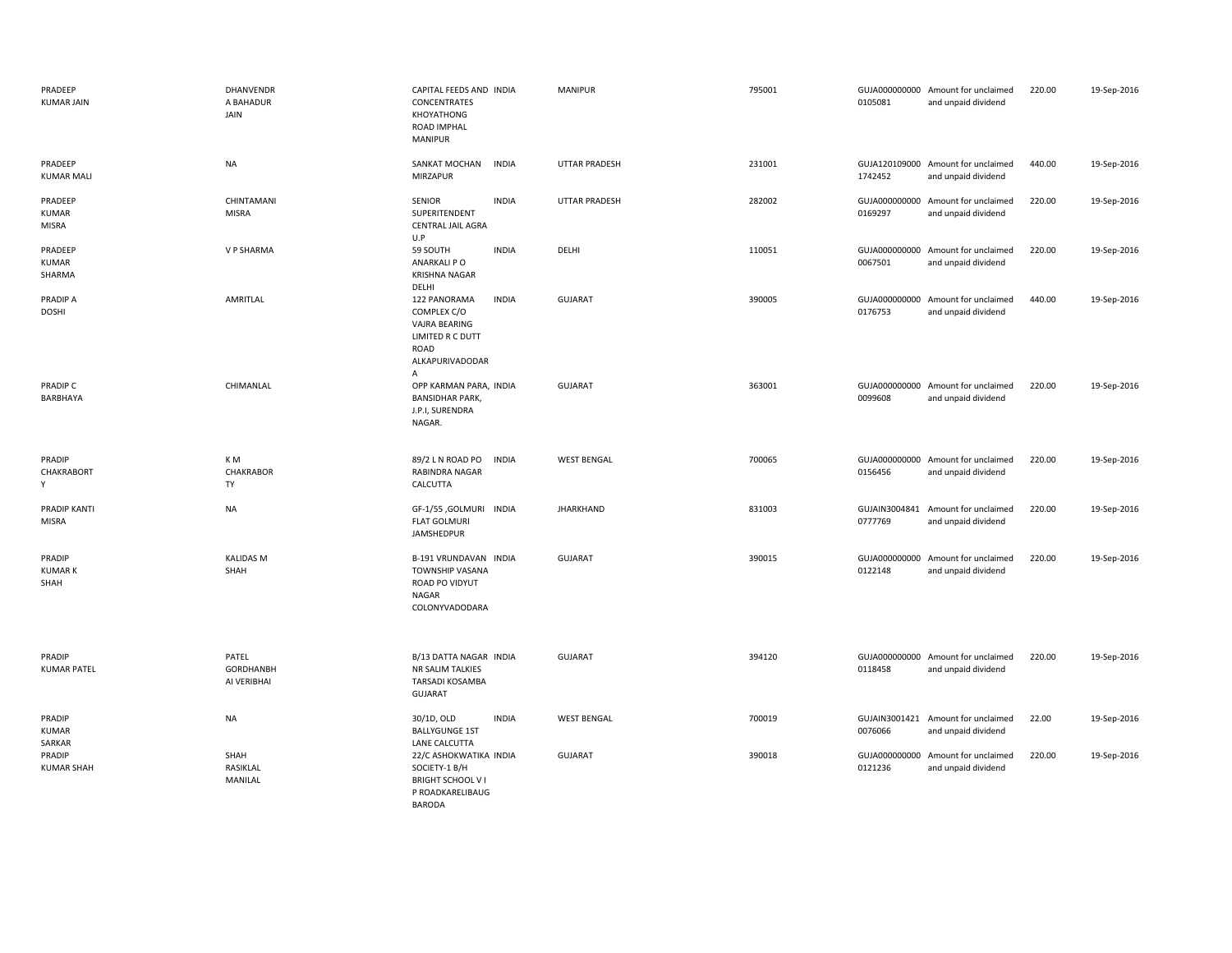| PRADEEP<br><b>KUMAR JAIN</b>      | DHANVENDR<br>A BAHADUR<br>JAIN           | CAPITAL FEEDS AND INDIA<br>CONCENTRATES<br>KHOYATHONG<br>ROAD IMPHAL<br>MANIPUR                                  | <b>MANIPUR</b>       | 795001 | 0105081                  | GUJA000000000 Amount for unclaimed<br>and unpaid dividend | 220.00 | 19-Sep-2016 |
|-----------------------------------|------------------------------------------|------------------------------------------------------------------------------------------------------------------|----------------------|--------|--------------------------|-----------------------------------------------------------|--------|-------------|
| PRADEEP<br><b>KUMAR MALI</b>      | <b>NA</b>                                | SANKAT MOCHAN<br><b>INDIA</b><br>MIRZAPUR                                                                        | <b>UTTAR PRADESH</b> | 231001 | 1742452                  | GUJA120109000 Amount for unclaimed<br>and unpaid dividend | 440.00 | 19-Sep-2016 |
| PRADEEP<br><b>KUMAR</b><br>MISRA  | CHINTAMANI<br><b>MISRA</b>               | <b>SENIOR</b><br><b>INDIA</b><br>SUPERITENDENT<br>CENTRAL JAIL AGRA<br>U.P                                       | <b>UTTAR PRADESH</b> | 282002 | 0169297                  | GUJA000000000 Amount for unclaimed<br>and unpaid dividend | 220.00 | 19-Sep-2016 |
| PRADEEP<br><b>KUMAR</b><br>SHARMA | V P SHARMA                               | <b>INDIA</b><br>59 SOUTH<br>ANARKALI PO<br>KRISHNA NAGAR<br>DELHI                                                | DELHI                | 110051 | 0067501                  | GUJA000000000 Amount for unclaimed<br>and unpaid dividend | 220.00 | 19-Sep-2016 |
| <b>PRADIP A</b><br><b>DOSHI</b>   | AMRITLAL                                 | <b>INDIA</b><br>122 PANORAMA<br>COMPLEX C/O<br>VAJRA BEARING<br>LIMITED R C DUTT<br>ROAD<br>ALKAPURIVADODAR<br>Α | GUJARAT              | 390005 | 0176753                  | GUJA000000000 Amount for unclaimed<br>and unpaid dividend | 440.00 | 19-Sep-2016 |
| PRADIP C<br>BARBHAYA              | CHIMANLAL                                | OPP KARMAN PARA, INDIA<br><b>BANSIDHAR PARK,</b><br>J.P.I, SURENDRA<br>NAGAR.                                    | GUJARAT              | 363001 | 0099608                  | GUJA000000000 Amount for unclaimed<br>and unpaid dividend | 220.00 | 19-Sep-2016 |
| PRADIP<br>CHAKRABORT<br>Y         | K M<br>CHAKRABOR<br>TY                   | 89/2 L N ROAD PO<br><b>INDIA</b><br><b>RABINDRA NAGAR</b><br>CALCUTTA                                            | <b>WEST BENGAL</b>   | 700065 | 0156456                  | GUJA000000000 Amount for unclaimed<br>and unpaid dividend | 220.00 | 19-Sep-2016 |
| PRADIP KANTI<br><b>MISRA</b>      | <b>NA</b>                                | GF-1/55 ,GOLMURI INDIA<br><b>FLAT GOLMURI</b><br>JAMSHEDPUR                                                      | <b>JHARKHAND</b>     | 831003 | GUJAIN3004841<br>0777769 | Amount for unclaimed<br>and unpaid dividend               | 220.00 | 19-Sep-2016 |
| PRADIP<br><b>KUMARK</b><br>SHAH   | <b>KALIDAS M</b><br>SHAH                 | B-191 VRUNDAVAN INDIA<br>TOWNSHIP VASANA<br>ROAD PO VIDYUT<br><b>NAGAR</b><br>COLONYVADODARA                     | GUJARAT              | 390015 | 0122148                  | GUJA000000000 Amount for unclaimed<br>and unpaid dividend | 220.00 | 19-Sep-2016 |
| PRADIP<br><b>KUMAR PATEL</b>      | PATEL<br><b>GORDHANBH</b><br>AI VERIBHAI | B/13 DATTA NAGAR INDIA<br>NR SALIM TALKIES<br>TARSADI KOSAMBA<br><b>GUJARAT</b>                                  | GUJARAT              | 394120 | 0118458                  | GUJA000000000 Amount for unclaimed<br>and unpaid dividend | 220.00 | 19-Sep-2016 |
| PRADIP<br><b>KUMAR</b><br>SARKAR  | <b>NA</b>                                | 30/1D, OLD<br><b>INDIA</b><br><b>BALLYGUNGE 1ST</b><br>LANE CALCUTTA                                             | <b>WEST BENGAL</b>   | 700019 | 0076066                  | GUJAIN3001421 Amount for unclaimed<br>and unpaid dividend | 22.00  | 19-Sep-2016 |
| PRADIP<br><b>KUMAR SHAH</b>       | SHAH<br>RASIKLAL<br>MANILAL              | 22/C ASHOKWATIKA INDIA<br>SOCIETY-1 B/H<br><b>BRIGHT SCHOOL VI</b><br>P ROADKARELIBAUG<br><b>BARODA</b>          | GUJARAT              | 390018 | 0121236                  | GUJA000000000 Amount for unclaimed<br>and unpaid dividend | 220.00 | 19-Sep-2016 |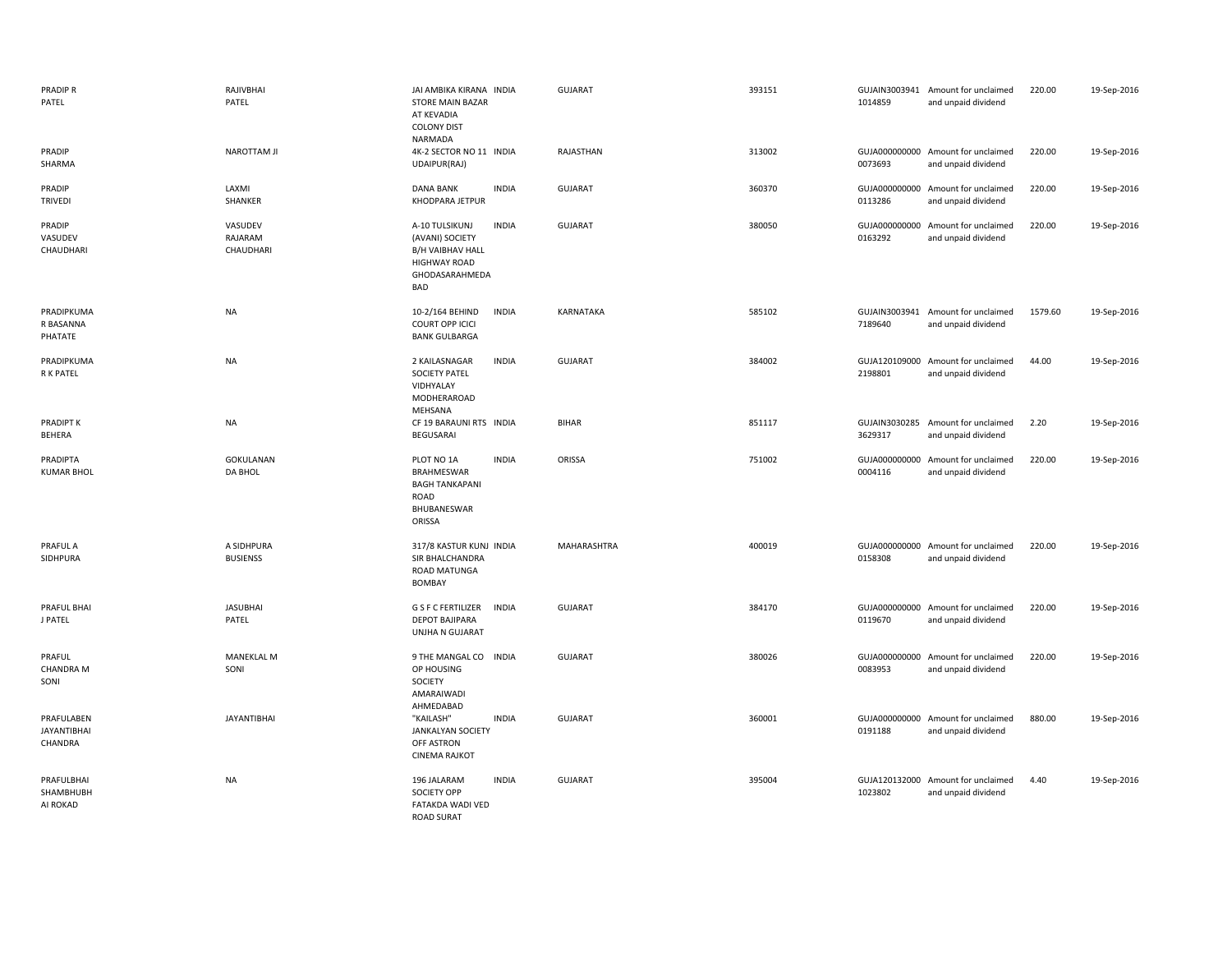| PRADIP R<br>PATEL                           | RAJIVBHAI<br>PATEL              | JAI AMBIKA KIRANA INDIA<br><b>STORE MAIN BAZAR</b><br>AT KEVADIA<br><b>COLONY DIST</b><br>NARMADA                   |              | <b>GUJARAT</b>     | 393151 | 1014859 | GUJAIN3003941 Amount for unclaimed<br>and unpaid dividend | 220.00  | 19-Sep-2016 |
|---------------------------------------------|---------------------------------|---------------------------------------------------------------------------------------------------------------------|--------------|--------------------|--------|---------|-----------------------------------------------------------|---------|-------------|
| PRADIP<br>SHARMA                            | <b>NAROTTAM JI</b>              | 4K-2 SECTOR NO 11 INDIA<br>UDAIPUR(RAJ)                                                                             |              | RAJASTHAN          | 313002 | 0073693 | GUJA000000000 Amount for unclaimed<br>and unpaid dividend | 220.00  | 19-Sep-2016 |
| PRADIP<br><b>TRIVEDI</b>                    | LAXMI<br>SHANKER                | <b>DANA BANK</b><br>KHODPARA JETPUR                                                                                 | <b>INDIA</b> | <b>GUJARAT</b>     | 360370 | 0113286 | GUJA000000000 Amount for unclaimed<br>and unpaid dividend | 220.00  | 19-Sep-2016 |
| PRADIP<br>VASUDEV<br>CHAUDHARI              | VASUDEV<br>RAJARAM<br>CHAUDHARI | A-10 TULSIKUNJ<br>(AVANI) SOCIETY<br><b>B/H VAIBHAV HALL</b><br><b>HIGHWAY ROAD</b><br>GHODASARAHMEDA<br><b>BAD</b> | <b>INDIA</b> | <b>GUJARAT</b>     | 380050 | 0163292 | GUJA000000000 Amount for unclaimed<br>and unpaid dividend | 220.00  | 19-Sep-2016 |
| PRADIPKUMA<br>R BASANNA<br>PHATATE          | <b>NA</b>                       | 10-2/164 BEHIND<br>COURT OPP ICICI<br><b>BANK GULBARGA</b>                                                          | <b>INDIA</b> | KARNATAKA          | 585102 | 7189640 | GUJAIN3003941 Amount for unclaimed<br>and unpaid dividend | 1579.60 | 19-Sep-2016 |
| PRADIPKUMA<br>R K PATEL                     | <b>NA</b>                       | 2 KAILASNAGAR<br><b>SOCIETY PATEL</b><br>VIDHYALAY<br>MODHERAROAD<br>MEHSANA                                        | <b>INDIA</b> | <b>GUJARAT</b>     | 384002 | 2198801 | GUJA120109000 Amount for unclaimed<br>and unpaid dividend | 44.00   | 19-Sep-2016 |
| PRADIPT K<br>BEHERA                         | <b>NA</b>                       | CF 19 BARAUNI RTS INDIA<br>BEGUSARAI                                                                                |              | <b>BIHAR</b>       | 851117 | 3629317 | GUJAIN3030285 Amount for unclaimed<br>and unpaid dividend | 2.20    | 19-Sep-2016 |
| PRADIPTA<br><b>KUMAR BHOL</b>               | GOKULANAN<br>DA BHOL            | PLOT NO 1A<br><b>BRAHMESWAR</b><br><b>BAGH TANKAPANI</b><br>ROAD<br>BHUBANESWAR<br>ORISSA                           | <b>INDIA</b> | ORISSA             | 751002 | 0004116 | GUJA000000000 Amount for unclaimed<br>and unpaid dividend | 220.00  | 19-Sep-2016 |
| PRAFUL A<br>SIDHPURA                        | A SIDHPURA<br><b>BUSIENSS</b>   | 317/8 KASTUR KUNJ INDIA<br>SIR BHALCHANDRA<br>ROAD MATUNGA<br>BOMBAY                                                |              | <b>MAHARASHTRA</b> | 400019 | 0158308 | GUJA000000000 Amount for unclaimed<br>and unpaid dividend | 220.00  | 19-Sep-2016 |
| PRAFUL BHAI<br>J PATEL                      | <b>JASUBHAI</b><br>PATEL        | G S F C FERTILIZER<br><b>DEPOT BAJIPARA</b><br>UNJHA N GUJARAT                                                      | <b>INDIA</b> | <b>GUJARAT</b>     | 384170 | 0119670 | GUJA000000000 Amount for unclaimed<br>and unpaid dividend | 220.00  | 19-Sep-2016 |
| PRAFUL<br><b>CHANDRA M</b><br>SONI          | <b>MANEKLAL M</b><br>SONI       | 9 THE MANGAL CO INDIA<br>OP HOUSING<br>SOCIETY<br>AMARAIWADI<br>AHMEDABAD                                           |              | <b>GUJARAT</b>     | 380026 | 0083953 | GUJA000000000 Amount for unclaimed<br>and unpaid dividend | 220.00  | 19-Sep-2016 |
| PRAFULABEN<br><b>JAYANTIBHAI</b><br>CHANDRA | <b>JAYANTIBHAI</b>              | "KAILASH"<br><b>JANKALYAN SOCIETY</b><br>OFF ASTRON<br><b>CINEMA RAJKOT</b>                                         | <b>INDIA</b> | <b>GUJARAT</b>     | 360001 | 0191188 | GUJA000000000 Amount for unclaimed<br>and unpaid dividend | 880.00  | 19-Sep-2016 |
| PRAFULBHAI<br>SHAMBHUBH<br>AI ROKAD         | <b>NA</b>                       | 196 JALARAM<br><b>SOCIETY OPP</b><br>FATAKDA WADI VED<br><b>ROAD SURAT</b>                                          | <b>INDIA</b> | <b>GUJARAT</b>     | 395004 | 1023802 | GUJA120132000 Amount for unclaimed<br>and unpaid dividend | 4.40    | 19-Sep-2016 |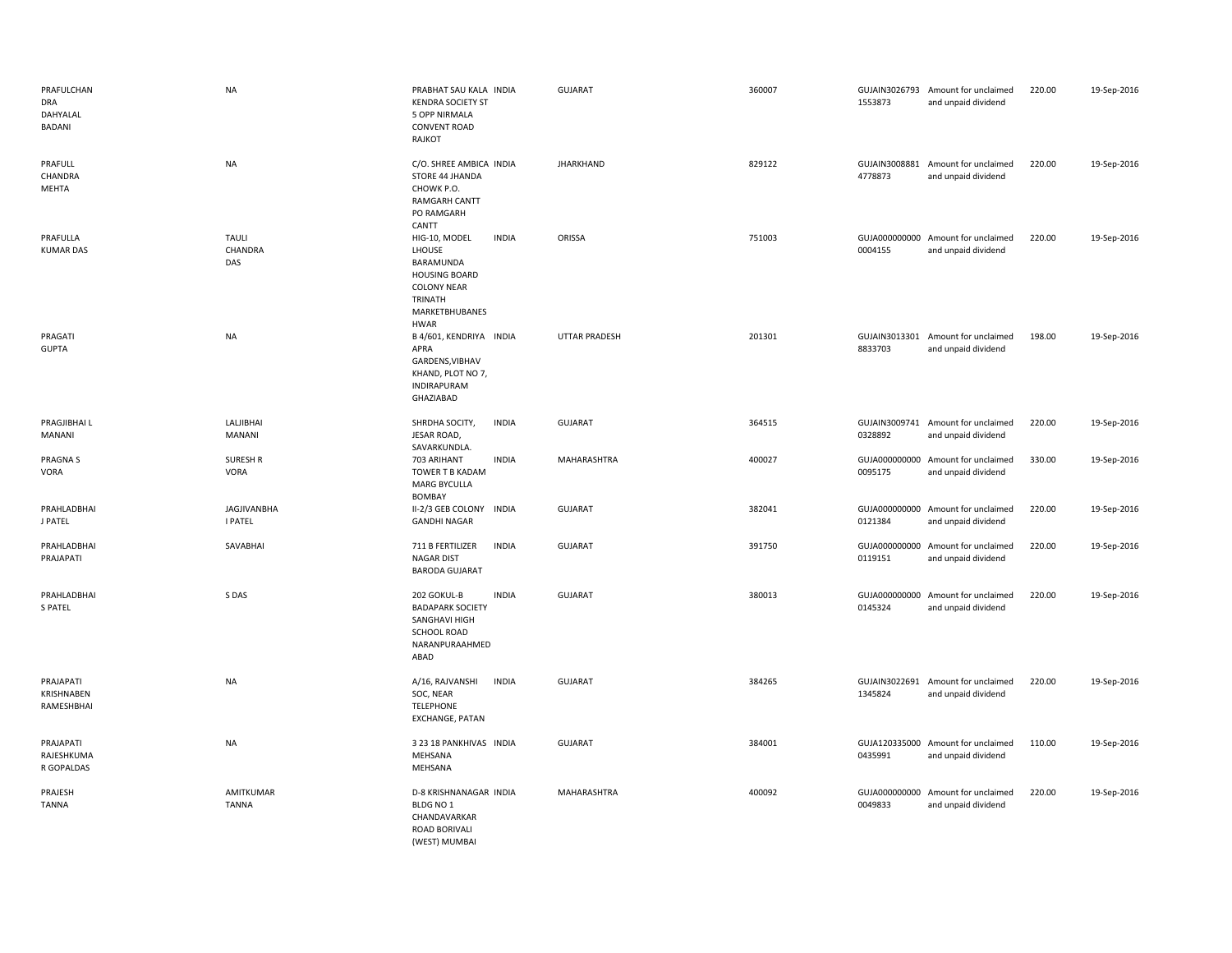| PRAFULCHAN<br><b>DRA</b><br>DAHYALAL<br><b>BADANI</b> | <b>NA</b>                            | PRABHAT SAU KALA INDIA<br><b>KENDRA SOCIETY ST</b><br>5 OPP NIRMALA<br><b>CONVENT ROAD</b><br>RAJKOT                                           | <b>GUJARAT</b>       | 360007 | 1553873                  | GUJAIN3026793 Amount for unclaimed<br>and unpaid dividend | 220.00 | 19-Sep-2016 |
|-------------------------------------------------------|--------------------------------------|------------------------------------------------------------------------------------------------------------------------------------------------|----------------------|--------|--------------------------|-----------------------------------------------------------|--------|-------------|
| PRAFULL<br>CHANDRA<br>MEHTA                           | <b>NA</b>                            | C/O. SHREE AMBICA INDIA<br>STORE 44 JHANDA<br>CHOWK P.O.<br><b>RAMGARH CANTT</b><br>PO RAMGARH<br>CANTT                                        | <b>JHARKHAND</b>     | 829122 | 4778873                  | GUJAIN3008881 Amount for unclaimed<br>and unpaid dividend | 220.00 | 19-Sep-2016 |
| PRAFULLA<br><b>KUMAR DAS</b>                          | <b>TAULI</b><br>CHANDRA<br>DAS       | <b>INDIA</b><br>HIG-10, MODEL<br>LHOUSE<br>BARAMUNDA<br><b>HOUSING BOARD</b><br><b>COLONY NEAR</b><br>TRINATH<br>MARKETBHUBANES<br><b>HWAR</b> | ORISSA               | 751003 | 0004155                  | GUJA000000000 Amount for unclaimed<br>and unpaid dividend | 220.00 | 19-Sep-2016 |
| PRAGATI<br><b>GUPTA</b>                               | <b>NA</b>                            | B 4/601, KENDRIYA INDIA<br>APRA<br>GARDENS, VIBHAV<br>KHAND, PLOT NO 7,<br><b>INDIRAPURAM</b><br>GHAZIABAD                                     | <b>UTTAR PRADESH</b> | 201301 | 8833703                  | GUJAIN3013301 Amount for unclaimed<br>and unpaid dividend | 198.00 | 19-Sep-2016 |
| PRAGJIBHAI L<br>MANANI                                | LALJIBHAI<br>MANANI                  | SHRDHA SOCITY,<br><b>INDIA</b><br>JESAR ROAD,<br>SAVARKUNDLA.                                                                                  | <b>GUJARAT</b>       | 364515 | 0328892                  | GUJAIN3009741 Amount for unclaimed<br>and unpaid dividend | 220.00 | 19-Sep-2016 |
| <b>PRAGNAS</b><br>VORA                                | <b>SURESH R</b><br><b>VORA</b>       | 703 ARIHANT<br><b>INDIA</b><br>TOWER T B KADAM<br><b>MARG BYCULLA</b><br>BOMBAY                                                                | MAHARASHTRA          | 400027 | 0095175                  | GUJA000000000 Amount for unclaimed<br>and unpaid dividend | 330.00 | 19-Sep-2016 |
| PRAHLADBHAI<br>J PATEL                                | <b>JAGJIVANBHA</b><br><b>I PATEL</b> | II-2/3 GEB COLONY<br><b>INDIA</b><br><b>GANDHI NAGAR</b>                                                                                       | <b>GUJARAT</b>       | 382041 | 0121384                  | GUJA000000000 Amount for unclaimed<br>and unpaid dividend | 220.00 | 19-Sep-2016 |
| PRAHLADBHAI<br>PRAJAPATI                              | SAVABHAI                             | 711 B FERTILIZER<br><b>INDIA</b><br><b>NAGAR DIST</b><br><b>BARODA GUJARAT</b>                                                                 | <b>GUJARAT</b>       | 391750 | 0119151                  | GUJA000000000 Amount for unclaimed<br>and unpaid dividend | 220.00 | 19-Sep-2016 |
| PRAHLADBHAI<br><b>S PATEL</b>                         | S DAS                                | 202 GOKUL-B<br><b>INDIA</b><br><b>BADAPARK SOCIETY</b><br>SANGHAVI HIGH<br><b>SCHOOL ROAD</b><br>NARANPURAAHMED<br>ABAD                        | <b>GUJARAT</b>       | 380013 | GUJA000000000<br>0145324 | Amount for unclaimed<br>and unpaid dividend               | 220.00 | 19-Sep-2016 |
| PRAJAPATI<br>KRISHNABEN<br>RAMESHBHAI                 | <b>NA</b>                            | A/16, RAJVANSHI<br><b>INDIA</b><br>SOC, NEAR<br><b>TELEPHONE</b><br><b>EXCHANGE, PATAN</b>                                                     | <b>GUJARAT</b>       | 384265 | 1345824                  | GUJAIN3022691 Amount for unclaimed<br>and unpaid dividend | 220.00 | 19-Sep-2016 |
| PRAJAPATI<br>RAJESHKUMA<br>R GOPALDAS                 | <b>NA</b>                            | 3 23 18 PANKHIVAS INDIA<br>MEHSANA<br>MEHSANA                                                                                                  | <b>GUJARAT</b>       | 384001 | 0435991                  | GUJA120335000 Amount for unclaimed<br>and unpaid dividend | 110.00 | 19-Sep-2016 |
| PRAJESH<br><b>TANNA</b>                               | AMITKUMAR<br><b>TANNA</b>            | D-8 KRISHNANAGAR INDIA<br>BLDG NO 1<br>CHANDAVARKAR<br>ROAD BORIVALI<br>(WEST) MUMBAI                                                          | MAHARASHTRA          | 400092 | 0049833                  | GUJA000000000 Amount for unclaimed<br>and unpaid dividend | 220.00 | 19-Sep-2016 |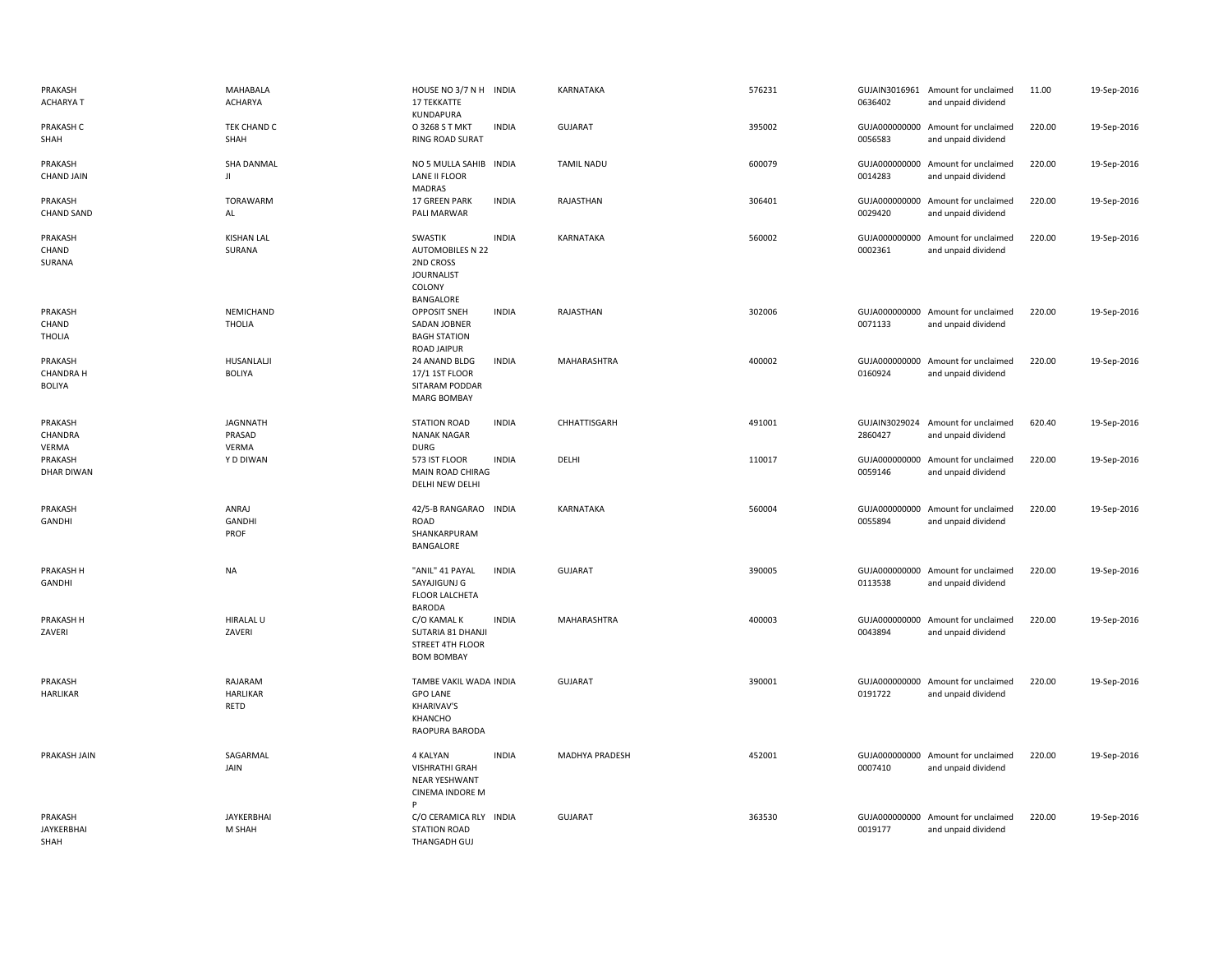| PRAKASH<br><b>ACHARYAT</b>                   | MAHABALA<br><b>ACHARYA</b>         | HOUSE NO 3/7 N H INDIA<br>17 TEKKATTE<br>KUNDAPURA                                                          | KARNATAKA         | 576231 | 0636402                  | GUJAIN3016961 Amount for unclaimed<br>and unpaid dividend | 11.00  | 19-Sep-2016 |
|----------------------------------------------|------------------------------------|-------------------------------------------------------------------------------------------------------------|-------------------|--------|--------------------------|-----------------------------------------------------------|--------|-------------|
| PRAKASH C<br>SHAH                            | TEK CHAND C<br>SHAH                | <b>INDIA</b><br>O 3268 S T MKT<br>RING ROAD SURAT                                                           | <b>GUJARAT</b>    | 395002 | 0056583                  | GUJA000000000 Amount for unclaimed<br>and unpaid dividend | 220.00 | 19-Sep-2016 |
| PRAKASH<br><b>CHAND JAIN</b>                 | <b>SHA DANMAL</b><br>Л             | NO 5 MULLA SAHIB INDIA<br>LANE II FLOOR<br><b>MADRAS</b>                                                    | <b>TAMIL NADU</b> | 600079 | 0014283                  | GUJA000000000 Amount for unclaimed<br>and unpaid dividend | 220.00 | 19-Sep-2016 |
| PRAKASH<br><b>CHAND SAND</b>                 | <b>TORAWARM</b><br>AL              | 17 GREEN PARK<br><b>INDIA</b><br>PALI MARWAR                                                                | RAJASTHAN         | 306401 | 0029420                  | GUJA000000000 Amount for unclaimed<br>and unpaid dividend | 220.00 | 19-Sep-2016 |
| PRAKASH<br>CHAND<br>SURANA                   | <b>KISHAN LAL</b><br>SURANA        | SWASTIK<br><b>INDIA</b><br><b>AUTOMOBILES N 22</b><br>2ND CROSS<br><b>JOURNALIST</b><br>COLONY<br>BANGALORE | KARNATAKA         | 560002 | 0002361                  | GUJA000000000 Amount for unclaimed<br>and unpaid dividend | 220.00 | 19-Sep-2016 |
| PRAKASH<br>CHAND<br><b>THOLIA</b>            | NEMICHAND<br><b>THOLIA</b>         | <b>INDIA</b><br><b>OPPOSIT SNEH</b><br>SADAN JOBNER<br><b>BAGH STATION</b><br>ROAD JAIPUR                   | RAJASTHAN         | 302006 | 0071133                  | GUJA000000000 Amount for unclaimed<br>and unpaid dividend | 220.00 | 19-Sep-2016 |
| PRAKASH<br><b>CHANDRA H</b><br><b>BOLIYA</b> | HUSANLALJI<br><b>BOLIYA</b>        | <b>INDIA</b><br>24 ANAND BLDG<br>17/1 1ST FLOOR<br>SITARAM PODDAR<br><b>MARG BOMBAY</b>                     | MAHARASHTRA       | 400002 | 0160924                  | GUJA000000000 Amount for unclaimed<br>and unpaid dividend | 220.00 | 19-Sep-2016 |
| PRAKASH<br>CHANDRA<br>VERMA                  | JAGNNATH<br>PRASAD<br>VERMA        | <b>STATION ROAD</b><br><b>INDIA</b><br><b>NANAK NAGAR</b><br><b>DURG</b>                                    | CHHATTISGARH      | 491001 | 2860427                  | GUJAIN3029024 Amount for unclaimed<br>and unpaid dividend | 620.40 | 19-Sep-2016 |
| PRAKASH<br>DHAR DIWAN                        | Y D DIWAN                          | 573 IST FLOOR<br><b>INDIA</b><br>MAIN ROAD CHIRAG<br>DELHI NEW DELHI                                        | DELHI             | 110017 | 0059146                  | GUJA000000000 Amount for unclaimed<br>and unpaid dividend | 220.00 | 19-Sep-2016 |
| PRAKASH<br>GANDHI                            | ANRAJ<br><b>GANDHI</b><br>PROF     | <b>INDIA</b><br>42/5-B RANGARAO<br>ROAD<br>SHANKARPURAM<br>BANGALORE                                        | KARNATAKA         | 560004 | GUJA000000000<br>0055894 | Amount for unclaimed<br>and unpaid dividend               | 220.00 | 19-Sep-2016 |
| PRAKASH H<br>GANDHI                          | <b>NA</b>                          | "ANIL" 41 PAYAL<br><b>INDIA</b><br>SAYAJIGUNJ G<br>FLOOR LALCHETA<br>BARODA                                 | <b>GUJARAT</b>    | 390005 | 0113538                  | GUJA000000000 Amount for unclaimed<br>and unpaid dividend | 220.00 | 19-Sep-2016 |
| PRAKASH H<br>ZAVERI                          | <b>HIRALAL U</b><br>ZAVERI         | <b>INDIA</b><br>C/O KAMAL K<br>SUTARIA 81 DHANJI<br>STREET 4TH FLOOR<br><b>BOM BOMBAY</b>                   | MAHARASHTRA       | 400003 | 0043894                  | GUJA000000000 Amount for unclaimed<br>and unpaid dividend | 220.00 | 19-Sep-2016 |
| PRAKASH<br>HARLIKAR                          | RAJARAM<br><b>HARLIKAR</b><br>RETD | TAMBE VAKIL WADA INDIA<br><b>GPO LANE</b><br><b>KHARIVAV'S</b><br>KHANCHO<br>RAOPURA BARODA                 | <b>GUJARAT</b>    | 390001 | 0191722                  | GUJA000000000 Amount for unclaimed<br>and unpaid dividend | 220.00 | 19-Sep-2016 |
| PRAKASH JAIN                                 | SAGARMAL<br>JAIN                   | <b>INDIA</b><br>4 KALYAN<br><b>VISHRATHI GRAH</b><br>NEAR YESHWANT<br>CINEMA INDORE M<br>Þ                  | MADHYA PRADESH    | 452001 | 0007410                  | GUJA000000000 Amount for unclaimed<br>and unpaid dividend | 220.00 | 19-Sep-2016 |
| PRAKASH<br><b>JAYKERBHAI</b><br>SHAH         | JAYKERBHAI<br>M SHAH               | C/O CERAMICA RLY INDIA<br><b>STATION ROAD</b><br>THANGADH GUJ                                               | <b>GUJARAT</b>    | 363530 | 0019177                  | GUJA000000000 Amount for unclaimed<br>and unpaid dividend | 220.00 | 19-Sep-2016 |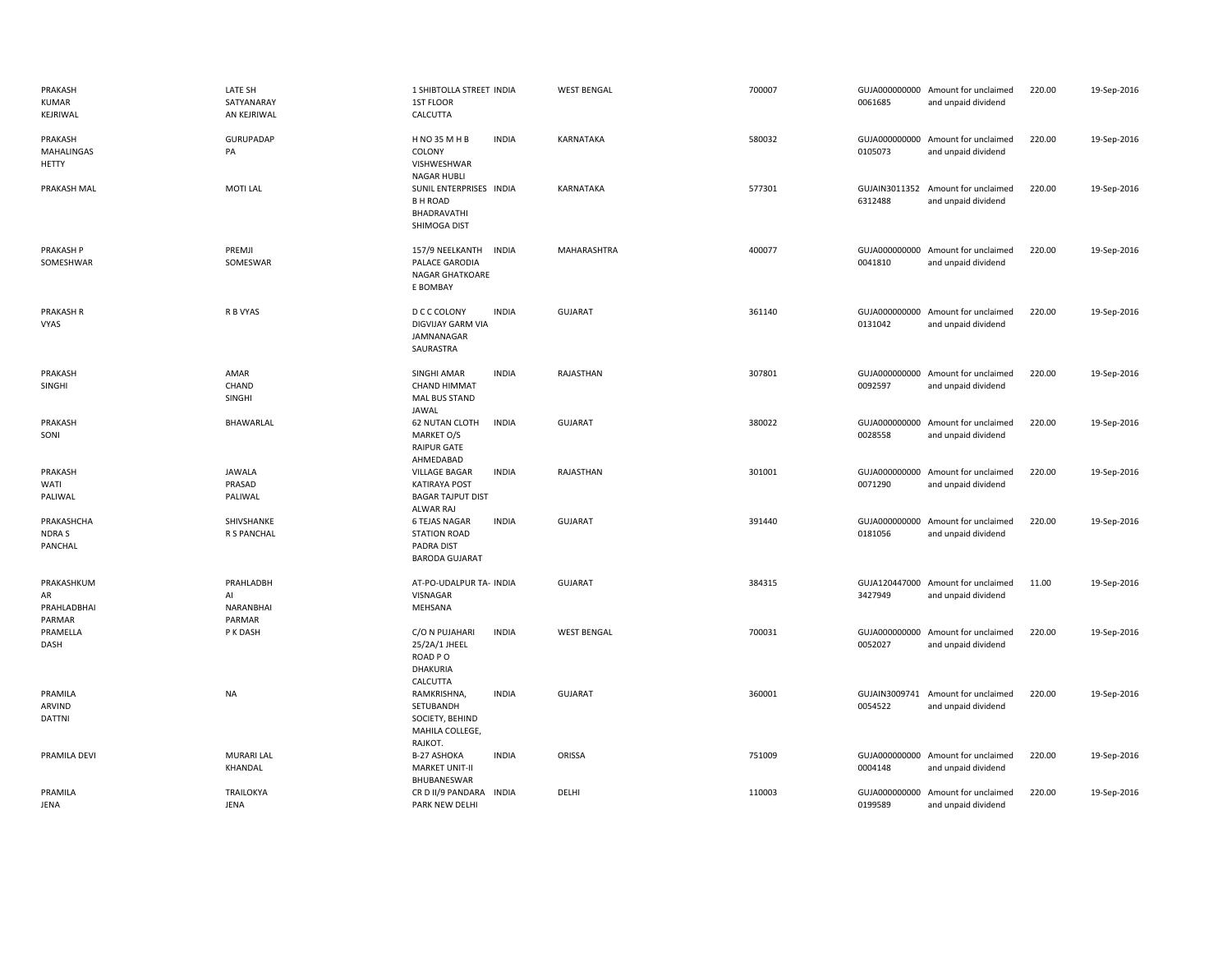| PRAKASH<br>KUMAR<br>KEJRIWAL                 | LATE SH<br>SATYANARAY<br>AN KEJRIWAL   | 1 SHIBTOLLA STREET INDIA<br>1ST FLOOR<br>CALCUTTA                                     |              | <b>WEST BENGAL</b> | 700007 | 0061685                  | GUJA000000000 Amount for unclaimed<br>and unpaid dividend | 220.00 | 19-Sep-2016 |
|----------------------------------------------|----------------------------------------|---------------------------------------------------------------------------------------|--------------|--------------------|--------|--------------------------|-----------------------------------------------------------|--------|-------------|
| PRAKASH<br><b>MAHALINGAS</b><br><b>HETTY</b> | <b>GURUPADAP</b><br>PA                 | <b>HNO 35 MHB</b><br>COLONY<br>VISHWESHWAR<br><b>NAGAR HUBLI</b>                      | <b>INDIA</b> | KARNATAKA          | 580032 | 0105073                  | GUJA000000000 Amount for unclaimed<br>and unpaid dividend | 220.00 | 19-Sep-2016 |
| PRAKASH MAL                                  | <b>MOTI LAL</b>                        | SUNIL ENTERPRISES INDIA<br><b>B H ROAD</b><br>BHADRAVATHI<br>SHIMOGA DIST             |              | KARNATAKA          | 577301 | 6312488                  | GUJAIN3011352 Amount for unclaimed<br>and unpaid dividend | 220.00 | 19-Sep-2016 |
| <b>PRAKASH P</b><br>SOMESHWAR                | PREMJI<br>SOMESWAR                     | 157/9 NEELKANTH<br>PALACE GARODIA<br><b>NAGAR GHATKOARE</b><br>E BOMBAY               | <b>INDIA</b> | MAHARASHTRA        | 400077 | 0041810                  | GUJA000000000 Amount for unclaimed<br>and unpaid dividend | 220.00 | 19-Sep-2016 |
| <b>PRAKASH R</b><br><b>VYAS</b>              | R B VYAS                               | D C C COLONY<br>DIGVIJAY GARM VIA<br>JAMNANAGAR<br>SAURASTRA                          | <b>INDIA</b> | <b>GUJARAT</b>     | 361140 | GUJA000000000<br>0131042 | Amount for unclaimed<br>and unpaid dividend               | 220.00 | 19-Sep-2016 |
| PRAKASH<br>SINGHI                            | AMAR<br>CHAND<br>SINGHI                | <b>SINGHI AMAR</b><br><b>CHAND HIMMAT</b><br><b>MAL BUS STAND</b><br>JAWAL            | <b>INDIA</b> | RAJASTHAN          | 307801 | 0092597                  | GUJA000000000 Amount for unclaimed<br>and unpaid dividend | 220.00 | 19-Sep-2016 |
| PRAKASH<br>SONI                              | BHAWARLAL                              | <b>62 NUTAN CLOTH</b><br>MARKET O/S<br>RAIPUR GATE<br>AHMEDABAD                       | <b>INDIA</b> | <b>GUJARAT</b>     | 380022 | 0028558                  | GUJA000000000 Amount for unclaimed<br>and unpaid dividend | 220.00 | 19-Sep-2016 |
| PRAKASH<br>WATI<br>PALIWAL                   | <b>JAWALA</b><br>PRASAD<br>PALIWAL     | <b>VILLAGE BAGAR</b><br><b>KATIRAYA POST</b><br><b>BAGAR TAJPUT DIST</b><br>ALWAR RAJ | <b>INDIA</b> | RAJASTHAN          | 301001 | 0071290                  | GUJA000000000 Amount for unclaimed<br>and unpaid dividend | 220.00 | 19-Sep-2016 |
| PRAKASHCHA<br>NDRA S<br>PANCHAL              | SHIVSHANKE<br>R S PANCHAL              | <b>6 TEJAS NAGAR</b><br><b>STATION ROAD</b><br>PADRA DIST<br><b>BARODA GUJARAT</b>    | <b>INDIA</b> | <b>GUJARAT</b>     | 391440 | 0181056                  | GUJA000000000 Amount for unclaimed<br>and unpaid dividend | 220.00 | 19-Sep-2016 |
| PRAKASHKUM<br>AR<br>PRAHLADBHAI<br>PARMAR    | PRAHLADBH<br>AI<br>NARANBHAI<br>PARMAR | AT-PO-UDALPUR TA- INDIA<br>VISNAGAR<br>MEHSANA                                        |              | <b>GUJARAT</b>     | 384315 | 3427949                  | GUJA120447000 Amount for unclaimed<br>and unpaid dividend | 11.00  | 19-Sep-2016 |
| PRAMELLA<br>DASH                             | P K DASH                               | C/O N PUJAHARI<br>25/2A/1 JHEEL<br>ROAD PO<br>DHAKURIA<br>CALCUTTA                    | <b>INDIA</b> | <b>WEST BENGAL</b> | 700031 | 0052027                  | GUJA000000000 Amount for unclaimed<br>and unpaid dividend | 220.00 | 19-Sep-2016 |
| PRAMILA<br>ARVIND<br>DATTNI                  | <b>NA</b>                              | RAMKRISHNA,<br>SETUBANDH<br>SOCIETY, BEHIND<br>MAHILA COLLEGE,<br>RAJKOT.             | <b>INDIA</b> | <b>GUJARAT</b>     | 360001 | 0054522                  | GUJAIN3009741 Amount for unclaimed<br>and unpaid dividend | 220.00 | 19-Sep-2016 |
| PRAMILA DEVI                                 | <b>MURARI LAL</b><br>KHANDAL           | B-27 ASHOKA<br><b>MARKET UNIT-II</b><br>BHUBANESWAR                                   | <b>INDIA</b> | ORISSA             | 751009 | 0004148                  | GUJA000000000 Amount for unclaimed<br>and unpaid dividend | 220.00 | 19-Sep-2016 |
| PRAMILA<br><b>JENA</b>                       | <b>TRAILOKYA</b><br>JENA               | CR D II/9 PANDARA INDIA<br><b>PARK NEW DELHI</b>                                      |              | DELHI              | 110003 | 0199589                  | GUJA000000000 Amount for unclaimed<br>and unpaid dividend | 220.00 | 19-Sep-2016 |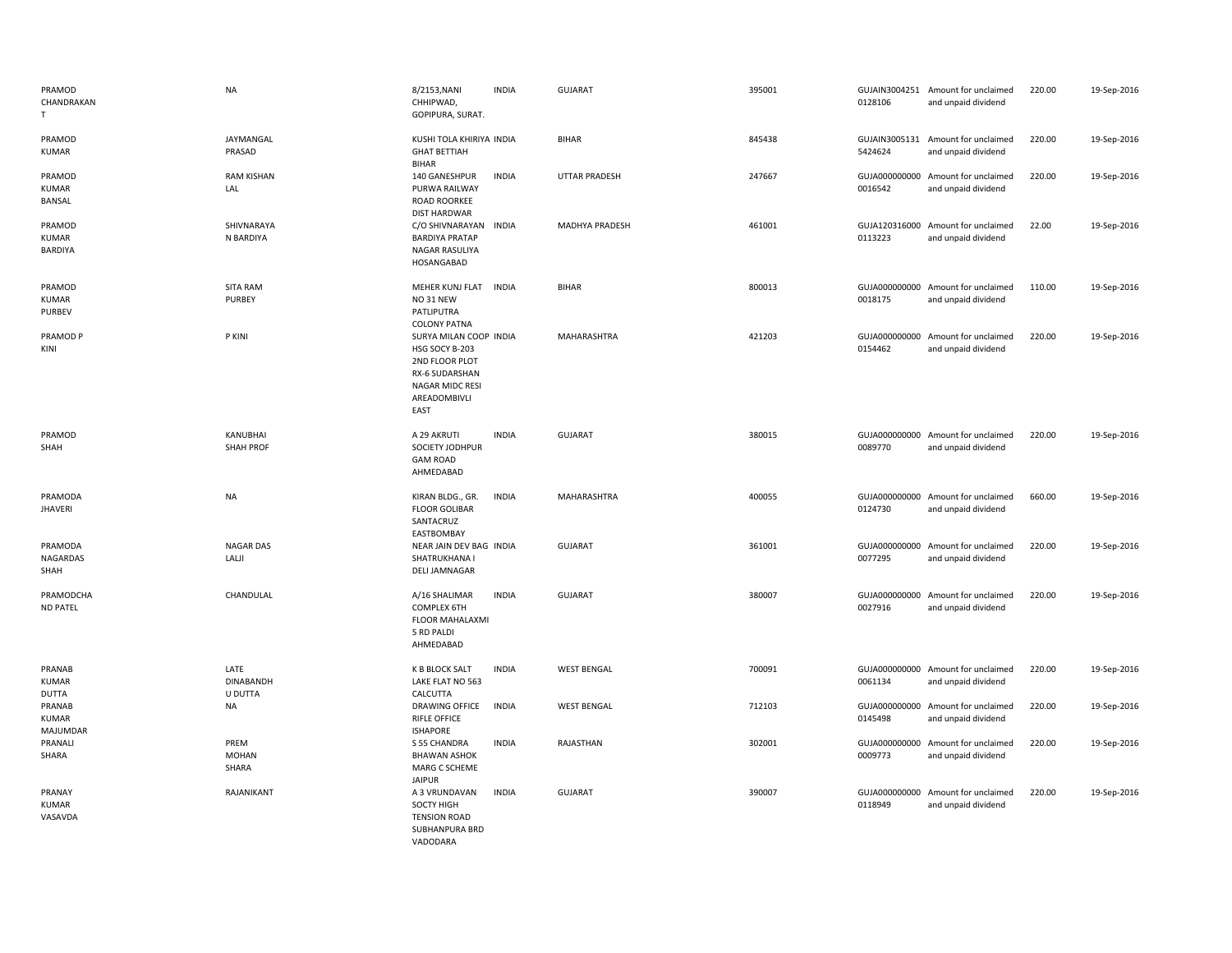| PRAMOD<br>CHANDRAKAN<br>T.             | <b>NA</b>                           | 8/2153, NANI<br>CHHIPWAD,<br>GOPIPURA, SURAT.                                                                                  | <b>INDIA</b> | GUJARAT               | 395001 | 0128106 | GUJAIN3004251 Amount for unclaimed<br>and unpaid dividend | 220.00 | 19-Sep-2016 |
|----------------------------------------|-------------------------------------|--------------------------------------------------------------------------------------------------------------------------------|--------------|-----------------------|--------|---------|-----------------------------------------------------------|--------|-------------|
| PRAMOD<br><b>KUMAR</b>                 | JAYMANGAL<br>PRASAD                 | KUSHI TOLA KHIRIYA INDIA<br><b>GHAT BETTIAH</b><br><b>BIHAR</b>                                                                |              | <b>BIHAR</b>          | 845438 | 5424624 | GUJAIN3005131 Amount for unclaimed<br>and unpaid dividend | 220.00 | 19-Sep-2016 |
| PRAMOD<br><b>KUMAR</b><br>BANSAL       | <b>RAM KISHAN</b><br>LAL            | 140 GANESHPUR<br>PURWA RAILWAY<br>ROAD ROORKEE<br><b>DIST HARDWAR</b>                                                          | <b>INDIA</b> | <b>UTTAR PRADESH</b>  | 247667 | 0016542 | GUJA000000000 Amount for unclaimed<br>and unpaid dividend | 220.00 | 19-Sep-2016 |
| PRAMOD<br>KUMAR<br>BARDIYA             | SHIVNARAYA<br>N BARDIYA             | C/O SHIVNARAYAN INDIA<br><b>BARDIYA PRATAP</b><br>NAGAR RASULIYA<br>HOSANGABAD                                                 |              | <b>MADHYA PRADESH</b> | 461001 | 0113223 | GUJA120316000 Amount for unclaimed<br>and unpaid dividend | 22.00  | 19-Sep-2016 |
| PRAMOD<br><b>KUMAR</b><br>PURBEV       | <b>SITA RAM</b><br><b>PURBEY</b>    | MEHER KUNJ FLAT INDIA<br>NO 31 NEW<br>PATLIPUTRA<br><b>COLONY PATNA</b>                                                        |              | <b>BIHAR</b>          | 800013 | 0018175 | GUJA000000000 Amount for unclaimed<br>and unpaid dividend | 110.00 | 19-Sep-2016 |
| PRAMOD P<br>KINI                       | P KINI                              | SURYA MILAN COOP INDIA<br>HSG SOCY B-203<br>2ND FLOOR PLOT<br>RX-6 SUDARSHAN<br><b>NAGAR MIDC RESI</b><br>AREADOMBIVLI<br>EAST |              | MAHARASHTRA           | 421203 | 0154462 | GUJA000000000 Amount for unclaimed<br>and unpaid dividend | 220.00 | 19-Sep-2016 |
| PRAMOD<br>SHAH                         | KANUBHAI<br><b>SHAH PROF</b>        | A 29 AKRUTI<br>SOCIETY JODHPUR<br><b>GAM ROAD</b><br>AHMEDABAD                                                                 | <b>INDIA</b> | <b>GUJARAT</b>        | 380015 | 0089770 | GUJA000000000 Amount for unclaimed<br>and unpaid dividend | 220.00 | 19-Sep-2016 |
| PRAMODA<br><b>JHAVERI</b>              | <b>NA</b>                           | KIRAN BLDG., GR.<br><b>FLOOR GOLIBAR</b><br>SANTACRUZ<br>EASTBOMBAY                                                            | <b>INDIA</b> | MAHARASHTRA           | 400055 | 0124730 | GUJA000000000 Amount for unclaimed<br>and unpaid dividend | 660.00 | 19-Sep-2016 |
| PRAMODA<br>NAGARDAS<br>SHAH            | <b>NAGAR DAS</b><br>LALJI           | NEAR JAIN DEV BAG INDIA<br>SHATRUKHANA I<br><b>DELI JAMNAGAR</b>                                                               |              | <b>GUJARAT</b>        | 361001 | 0077295 | GUJA000000000 Amount for unclaimed<br>and unpaid dividend | 220.00 | 19-Sep-2016 |
| PRAMODCHA<br><b>ND PATEL</b>           | CHANDULAL                           | A/16 SHALIMAR<br><b>COMPLEX 6TH</b><br>FLOOR MAHALAXMI<br>5 RD PALDI<br>AHMEDABAD                                              | <b>INDIA</b> | <b>GUJARAT</b>        | 380007 | 0027916 | GUJA000000000 Amount for unclaimed<br>and unpaid dividend | 220.00 | 19-Sep-2016 |
| PRANAB<br><b>KUMAR</b><br><b>DUTTA</b> | LATE<br><b>DINABANDH</b><br>U DUTTA | <b>K B BLOCK SALT</b><br>LAKE FLAT NO 563<br>CALCUTTA                                                                          | <b>INDIA</b> | <b>WEST BENGAL</b>    | 700091 | 0061134 | GUJA000000000 Amount for unclaimed<br>and unpaid dividend | 220.00 | 19-Sep-2016 |
| PRANAB<br><b>KUMAR</b><br>MAJUMDAR     | <b>NA</b>                           | DRAWING OFFICE<br><b>RIFLE OFFICE</b><br><b>ISHAPORE</b>                                                                       | <b>INDIA</b> | <b>WEST BENGAL</b>    | 712103 | 0145498 | GUJA000000000 Amount for unclaimed<br>and unpaid dividend | 220.00 | 19-Sep-2016 |
| PRANALI<br>SHARA                       | PREM<br><b>MOHAN</b><br>SHARA       | S 55 CHANDRA<br><b>BHAWAN ASHOK</b><br>MARG C SCHEME<br><b>JAIPUR</b>                                                          | <b>INDIA</b> | RAJASTHAN             | 302001 | 0009773 | GUJA000000000 Amount for unclaimed<br>and unpaid dividend | 220.00 | 19-Sep-2016 |
| PRANAY<br><b>KUMAR</b><br>VASAVDA      | RAJANIKANT                          | A 3 VRUNDAVAN<br>SOCTY HIGH<br><b>TENSION ROAD</b><br>SUBHANPURA BRD<br>VADODARA                                               | <b>INDIA</b> | <b>GUJARAT</b>        | 390007 | 0118949 | GUJA000000000 Amount for unclaimed<br>and unpaid dividend | 220.00 | 19-Sep-2016 |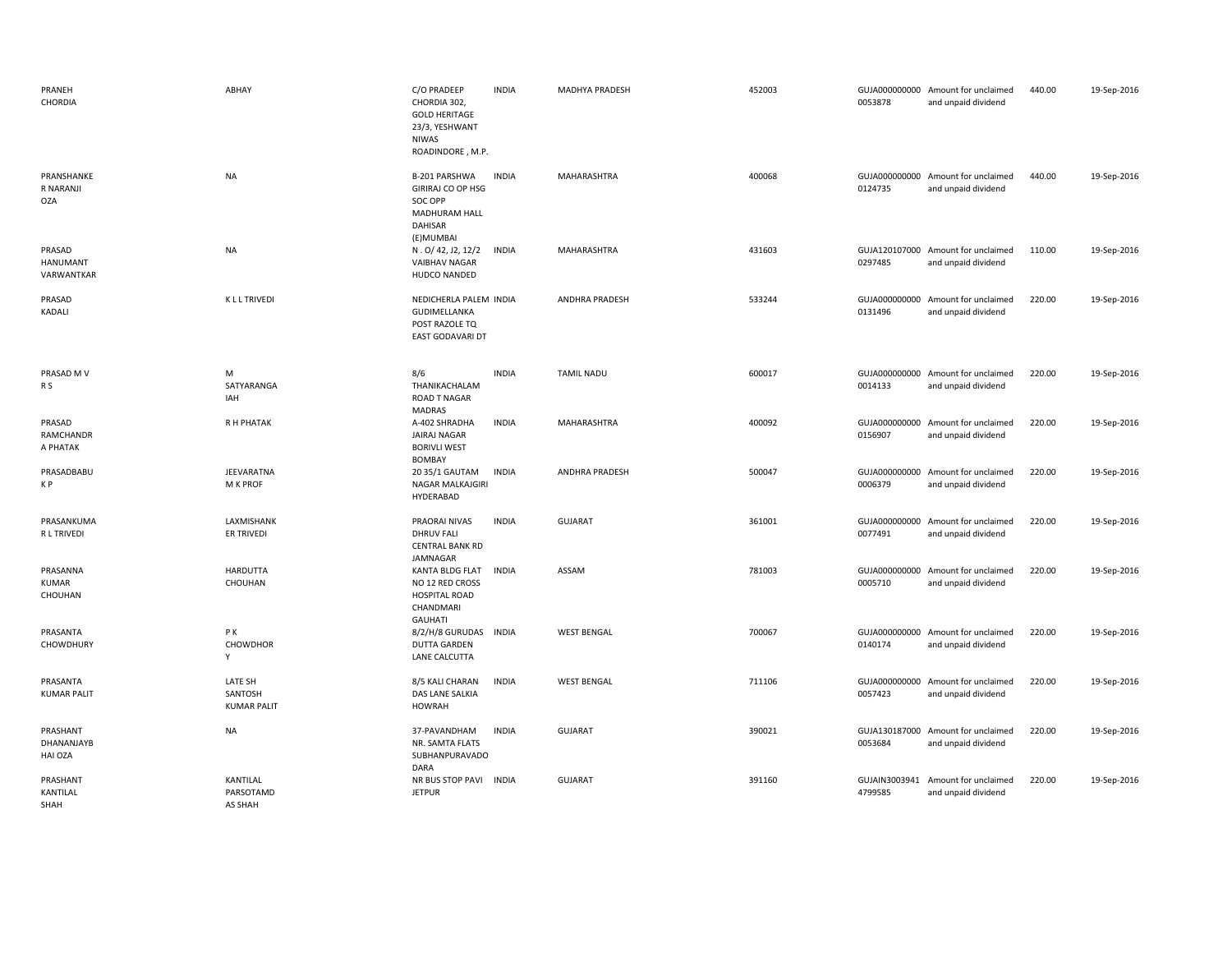| PRANEH<br>CHORDIA                       | ABHAY                                    | C/O PRADEEP<br>CHORDIA 302,<br><b>GOLD HERITAGE</b><br>23/3, YESHWANT<br>NIWAS<br>ROADINDORE, M.P. | <b>INDIA</b> | MADHYA PRADESH        | 452003 | 0053878                  | GUJA000000000 Amount for unclaimed<br>and unpaid dividend | 440.00 | 19-Sep-2016 |
|-----------------------------------------|------------------------------------------|----------------------------------------------------------------------------------------------------|--------------|-----------------------|--------|--------------------------|-----------------------------------------------------------|--------|-------------|
| PRANSHANKE<br>R NARANJI<br><b>OZA</b>   | <b>NA</b>                                | B-201 PARSHWA<br>GIRIRAJ CO OP HSG<br>SOC OPP<br>MADHURAM HALL<br>DAHISAR<br>(E)MUMBAI             | <b>INDIA</b> | MAHARASHTRA           | 400068 | 0124735                  | GUJA000000000 Amount for unclaimed<br>and unpaid dividend | 440.00 | 19-Sep-2016 |
| PRASAD<br><b>HANUMANT</b><br>VARWANTKAR | <b>NA</b>                                | N. O/ 42, J2, 12/2<br>VAIBHAV NAGAR<br>HUDCO NANDED                                                | <b>INDIA</b> | MAHARASHTRA           | 431603 | 0297485                  | GUJA120107000 Amount for unclaimed<br>and unpaid dividend | 110.00 | 19-Sep-2016 |
| PRASAD<br>KADALI                        | <b>KLLTRIVEDI</b>                        | NEDICHERLA PALEM INDIA<br>GUDIMELLANKA<br>POST RAZOLE TQ<br><b>EAST GODAVARI DT</b>                |              | ANDHRA PRADESH        | 533244 | 0131496                  | GUJA000000000 Amount for unclaimed<br>and unpaid dividend | 220.00 | 19-Sep-2016 |
| PRASAD M V<br>R S                       | М<br>SATYARANGA<br>IAH                   | 8/6<br>THANIKACHALAM<br><b>ROAD T NAGAR</b><br>MADRAS                                              | <b>INDIA</b> | <b>TAMIL NADU</b>     | 600017 | 0014133                  | GUJA000000000 Amount for unclaimed<br>and unpaid dividend | 220.00 | 19-Sep-2016 |
| PRASAD<br>RAMCHANDR<br>A PHATAK         | R H PHATAK                               | A-402 SHRADHA<br>JAIRAJ NAGAR<br><b>BORIVLI WEST</b><br><b>BOMBAY</b>                              | <b>INDIA</b> | MAHARASHTRA           | 400092 | 0156907                  | GUJA000000000 Amount for unclaimed<br>and unpaid dividend | 220.00 | 19-Sep-2016 |
| PRASADBABU<br>K P                       | JEEVARATNA<br>M K PROF                   | 20 35/1 GAUTAM<br>NAGAR MALKAJGIRI<br>HYDERABAD                                                    | <b>INDIA</b> | <b>ANDHRA PRADESH</b> | 500047 | 0006379                  | GUJA000000000 Amount for unclaimed<br>and unpaid dividend | 220.00 | 19-Sep-2016 |
| PRASANKUMA<br>R L TRIVEDI               | LAXMISHANK<br>ER TRIVEDI                 | PRAORAI NIVAS<br><b>DHRUV FALI</b><br><b>CENTRAL BANK RD</b><br>JAMNAGAR                           | <b>INDIA</b> | <b>GUJARAT</b>        | 361001 | 0077491                  | GUJA000000000 Amount for unclaimed<br>and unpaid dividend | 220.00 | 19-Sep-2016 |
| PRASANNA<br><b>KUMAR</b><br>CHOUHAN     | <b>HARDUTTA</b><br>CHOUHAN               | <b>KANTA BLDG FLAT</b><br>NO 12 RED CROSS<br><b>HOSPITAL ROAD</b><br>CHANDMARI<br><b>GAUHATI</b>   | <b>INDIA</b> | ASSAM                 | 781003 | 0005710                  | GUJA000000000 Amount for unclaimed<br>and unpaid dividend | 220.00 | 19-Sep-2016 |
| PRASANTA<br>CHOWDHURY                   | P K<br>CHOWDHOR<br>Y                     | 8/2/H/8 GURUDAS<br><b>DUTTA GARDEN</b><br>LANE CALCUTTA                                            | <b>INDIA</b> | <b>WEST BENGAL</b>    | 700067 | 0140174                  | GUJA000000000 Amount for unclaimed<br>and unpaid dividend | 220.00 | 19-Sep-2016 |
| PRASANTA<br><b>KUMAR PALIT</b>          | LATE SH<br>SANTOSH<br><b>KUMAR PALIT</b> | 8/5 KALI CHARAN<br>DAS LANE SALKIA<br><b>HOWRAH</b>                                                | <b>INDIA</b> | <b>WEST BENGAL</b>    | 711106 | 0057423                  | GUJA000000000 Amount for unclaimed<br>and unpaid dividend | 220.00 | 19-Sep-2016 |
| PRASHANT<br>DHANANJAYB<br>HAI OZA       | <b>NA</b>                                | 37-PAVANDHAM<br>NR. SAMTA FLATS<br>SUBHANPURAVADO<br>DARA                                          | <b>INDIA</b> | <b>GUJARAT</b>        | 390021 | 0053684                  | GUJA130187000 Amount for unclaimed<br>and unpaid dividend | 220.00 | 19-Sep-2016 |
| PRASHANT<br>KANTILAL<br>SHAH            | KANTILAL<br>PARSOTAMD<br><b>AS SHAH</b>  | NR BUS STOP PAVI<br><b>JETPUR</b>                                                                  | <b>INDIA</b> | <b>GUJARAT</b>        | 391160 | GUJAIN3003941<br>4799585 | Amount for unclaimed<br>and unpaid dividend               | 220.00 | 19-Sep-2016 |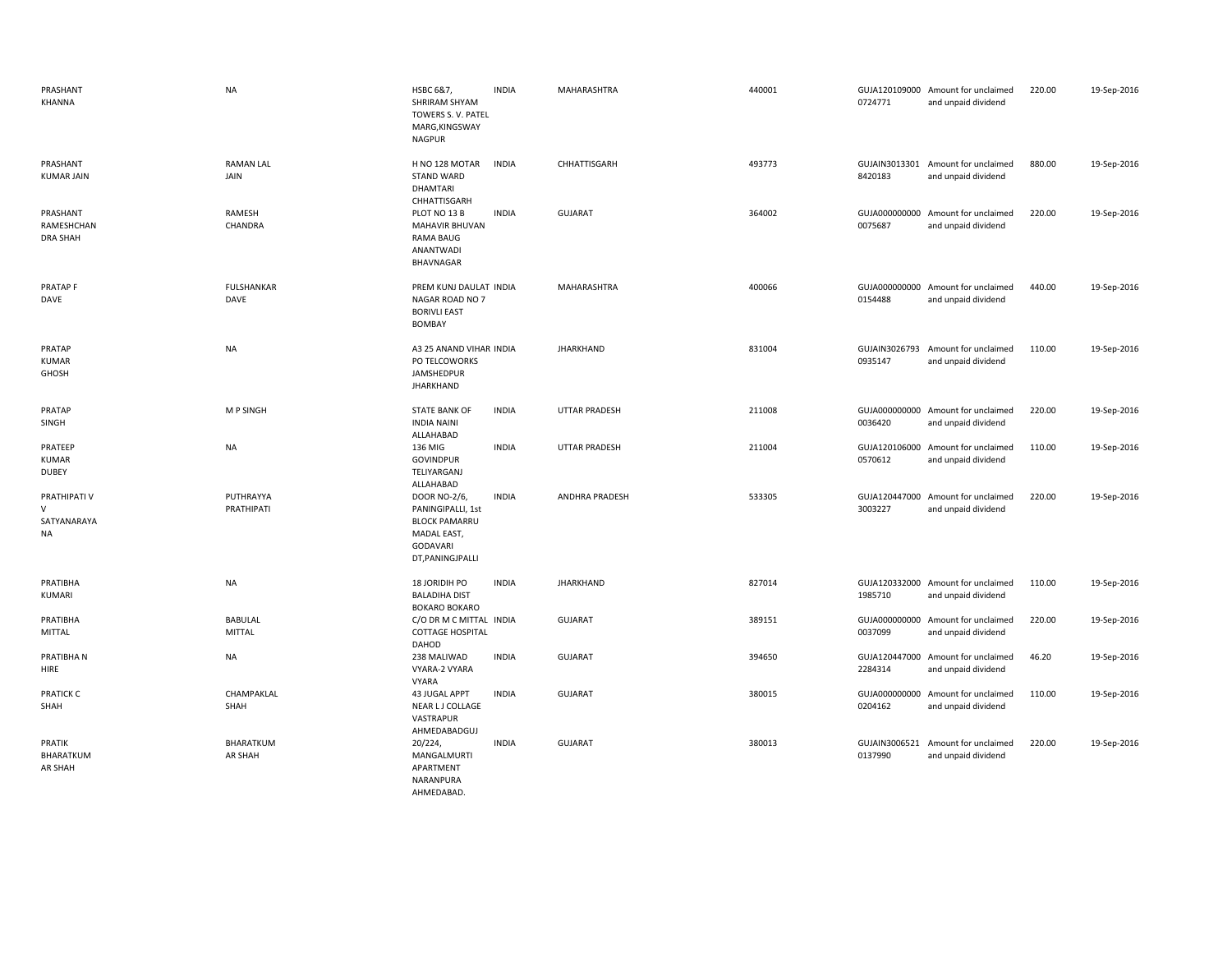| PRASHANT<br>KHANNA                                 | <b>NA</b>                 | HSBC 6&7,<br>SHRIRAM SHYAM<br>TOWERS S. V. PATEL<br>MARG, KINGSWAY<br><b>NAGPUR</b>                             | <b>INDIA</b> | MAHARASHTRA          | 440001 | 0724771                  | GUJA120109000 Amount for unclaimed<br>and unpaid dividend | 220.00 | 19-Sep-2016 |
|----------------------------------------------------|---------------------------|-----------------------------------------------------------------------------------------------------------------|--------------|----------------------|--------|--------------------------|-----------------------------------------------------------|--------|-------------|
| PRASHANT<br><b>KUMAR JAIN</b>                      | <b>RAMAN LAL</b><br>JAIN  | H NO 128 MOTAR<br><b>STAND WARD</b><br>DHAMTARI<br>CHHATTISGARH                                                 | <b>INDIA</b> | CHHATTISGARH         | 493773 | 8420183                  | GUJAIN3013301 Amount for unclaimed<br>and unpaid dividend | 880.00 | 19-Sep-2016 |
| PRASHANT<br>RAMESHCHAN<br><b>DRA SHAH</b>          | RAMESH<br>CHANDRA         | PLOT NO 13 B<br><b>MAHAVIR BHUVAN</b><br><b>RAMA BAUG</b><br>ANANTWADI<br>BHAVNAGAR                             | <b>INDIA</b> | <b>GUJARAT</b>       | 364002 | GUJA000000000<br>0075687 | Amount for unclaimed<br>and unpaid dividend               | 220.00 | 19-Sep-2016 |
| PRATAP <sub>F</sub><br>DAVE                        | <b>FULSHANKAR</b><br>DAVE | PREM KUNJ DAULAT INDIA<br>NAGAR ROAD NO 7<br><b>BORIVLI EAST</b><br><b>BOMBAY</b>                               |              | MAHARASHTRA          | 400066 | 0154488                  | GUJA000000000 Amount for unclaimed<br>and unpaid dividend | 440.00 | 19-Sep-2016 |
| PRATAP<br><b>KUMAR</b><br>GHOSH                    | <b>NA</b>                 | A3 25 ANAND VIHAR INDIA<br>PO TELCOWORKS<br>JAMSHEDPUR<br><b>JHARKHAND</b>                                      |              | <b>JHARKHAND</b>     | 831004 | GUJAIN3026793<br>0935147 | Amount for unclaimed<br>and unpaid dividend               | 110.00 | 19-Sep-2016 |
| PRATAP<br>SINGH                                    | M P SINGH                 | <b>STATE BANK OF</b><br><b>INDIA NAINI</b><br>ALLAHABAD                                                         | <b>INDIA</b> | <b>UTTAR PRADESH</b> | 211008 | 0036420                  | GUJA000000000 Amount for unclaimed<br>and unpaid dividend | 220.00 | 19-Sep-2016 |
| PRATEEP<br><b>KUMAR</b><br><b>DUBEY</b>            | <b>NA</b>                 | 136 MIG<br><b>GOVINDPUR</b><br>TELIYARGANJ<br>ALLAHABAD                                                         | <b>INDIA</b> | UTTAR PRADESH        | 211004 | 0570612                  | GUJA120106000 Amount for unclaimed<br>and unpaid dividend | 110.00 | 19-Sep-2016 |
| PRATHIPATI V<br>$\vee$<br>SATYANARAYA<br><b>NA</b> | PUTHRAYYA<br>PRATHIPATI   | DOOR NO-2/6,<br>PANINGIPALLI, 1st<br><b>BLOCK PAMARRU</b><br>MADAL EAST,<br><b>GODAVARI</b><br>DT, PANINGJPALLI | <b>INDIA</b> | ANDHRA PRADESH       | 533305 | 3003227                  | GUJA120447000 Amount for unclaimed<br>and unpaid dividend | 220.00 | 19-Sep-2016 |
| PRATIBHA<br>KUMARI                                 | <b>NA</b>                 | 18 JORIDIH PO<br><b>BALADIHA DIST</b><br><b>BOKARO BOKARO</b>                                                   | <b>INDIA</b> | <b>JHARKHAND</b>     | 827014 | 1985710                  | GUJA120332000 Amount for unclaimed<br>and unpaid dividend | 110.00 | 19-Sep-2016 |
| PRATIBHA<br><b>MITTAL</b>                          | BABULAL<br>MITTAL         | C/O DR M C MITTAL INDIA<br><b>COTTAGE HOSPITAL</b><br>DAHOD                                                     |              | <b>GUJARAT</b>       | 389151 | 0037099                  | GUJA000000000 Amount for unclaimed<br>and unpaid dividend | 220.00 | 19-Sep-2016 |
| PRATIBHA N<br>HIRE                                 | <b>NA</b>                 | 238 MALIWAD<br>VYARA-2 VYARA<br><b>VYARA</b>                                                                    | <b>INDIA</b> | GUJARAT              | 394650 | 2284314                  | GUJA120447000 Amount for unclaimed<br>and unpaid dividend | 46.20  | 19-Sep-2016 |
| <b>PRATICK C</b><br>SHAH                           | CHAMPAKLAL<br>SHAH        | <b>43 JUGAL APPT</b><br>NEAR LJ COLLAGE<br>VASTRAPUR<br>AHMEDABADGUJ                                            | <b>INDIA</b> | <b>GUJARAT</b>       | 380015 | GUJA000000000<br>0204162 | Amount for unclaimed<br>and unpaid dividend               | 110.00 | 19-Sep-2016 |
| PRATIK<br>BHARATKUM<br>AR SHAH                     | BHARATKUM<br>AR SHAH      | 20/224,<br>MANGALMURTI<br>APARTMENT<br>NARANPURA<br>AHMEDABAD.                                                  | <b>INDIA</b> | <b>GUJARAT</b>       | 380013 | 0137990                  | GUJAIN3006521 Amount for unclaimed<br>and unpaid dividend | 220.00 | 19-Sep-2016 |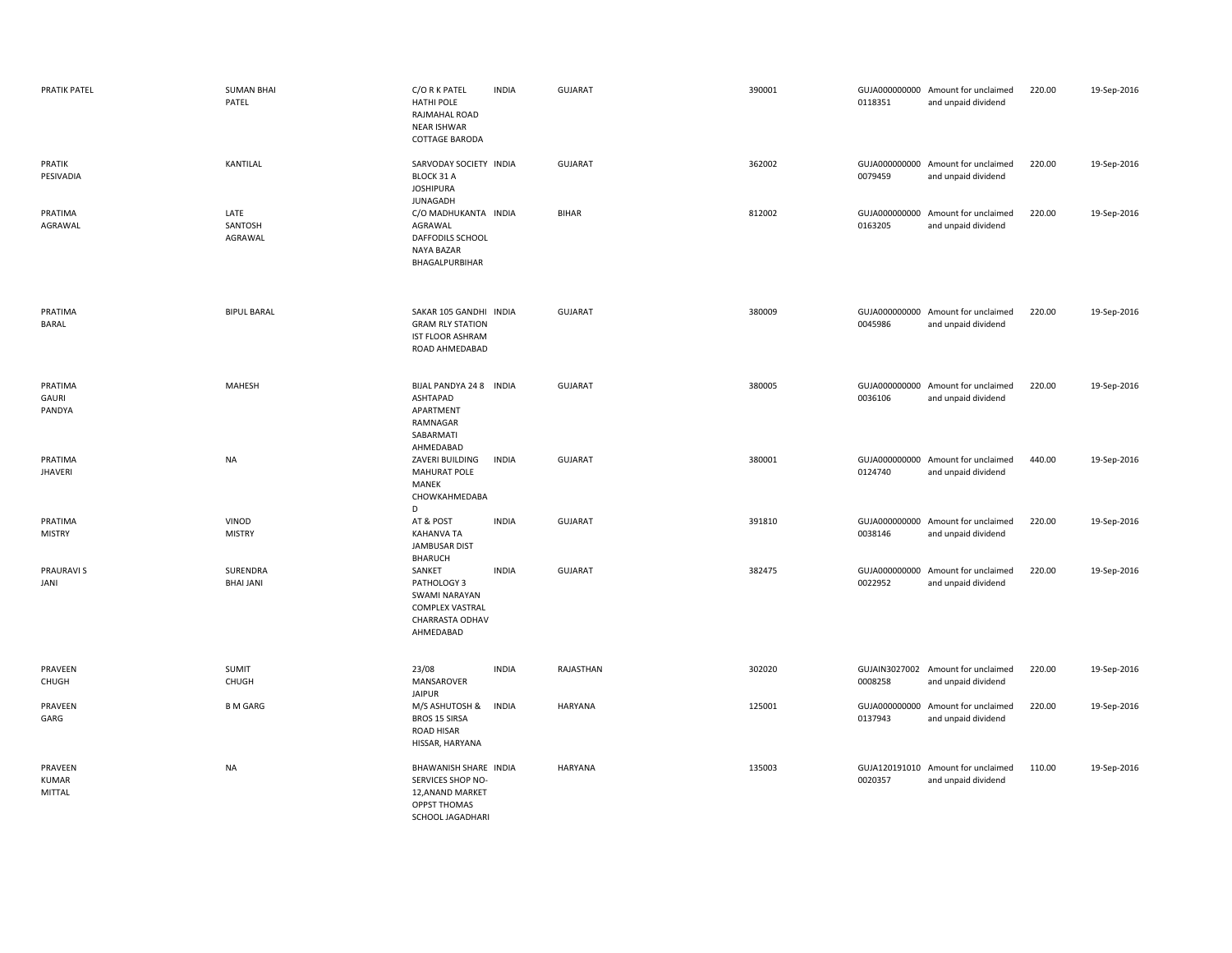| <b>PRATIK PATEL</b>                      | <b>SUMAN BHAI</b><br>PATEL   | C/O R K PATEL<br><b>HATHI POLE</b><br>RAJMAHAL ROAD<br>NEAR ISHWAR<br>COTTAGE BARODA                             | <b>INDIA</b> | <b>GUJARAT</b> | 390001 | 0118351 | GUJA000000000 Amount for unclaimed<br>and unpaid dividend | 220.00 | 19-Sep-2016 |
|------------------------------------------|------------------------------|------------------------------------------------------------------------------------------------------------------|--------------|----------------|--------|---------|-----------------------------------------------------------|--------|-------------|
| PRATIK<br>PESIVADIA                      | KANTILAL                     | SARVODAY SOCIETY INDIA<br>BLOCK 31 A<br><b>JOSHIPURA</b><br>JUNAGADH                                             |              | GUJARAT        | 362002 | 0079459 | GUJA000000000 Amount for unclaimed<br>and unpaid dividend | 220.00 | 19-Sep-2016 |
| PRATIMA<br>AGRAWAL                       | LATE<br>SANTOSH<br>AGRAWAL   | C/O MADHUKANTA INDIA<br>AGRAWAL<br>DAFFODILS SCHOOL<br><b>NAYA BAZAR</b><br>BHAGALPURBIHAR                       |              | <b>BIHAR</b>   | 812002 | 0163205 | GUJA000000000 Amount for unclaimed<br>and unpaid dividend | 220.00 | 19-Sep-2016 |
| PRATIMA<br>BARAL                         | <b>BIPUL BARAL</b>           | SAKAR 105 GANDHI INDIA<br><b>GRAM RLY STATION</b><br>IST FLOOR ASHRAM<br>ROAD AHMEDABAD                          |              | GUJARAT        | 380009 | 0045986 | GUJA000000000 Amount for unclaimed<br>and unpaid dividend | 220.00 | 19-Sep-2016 |
| PRATIMA<br>GAURI<br>PANDYA               | MAHESH                       | BIJAL PANDYA 24 8 INDIA<br>ASHTAPAD<br>APARTMENT<br>RAMNAGAR<br>SABARMATI<br>AHMEDABAD                           |              | <b>GUJARAT</b> | 380005 | 0036106 | GUJA000000000 Amount for unclaimed<br>and unpaid dividend | 220.00 | 19-Sep-2016 |
| PRATIMA<br>JHAVERI                       | NA                           | ZAVERI BUILDING<br>MAHURAT POLE<br>MANEK<br>CHOWKAHMEDABA<br>D                                                   | <b>INDIA</b> | <b>GUJARAT</b> | 380001 | 0124740 | GUJA000000000 Amount for unclaimed<br>and unpaid dividend | 440.00 | 19-Sep-2016 |
| PRATIMA<br><b>MISTRY</b>                 | VINOD<br><b>MISTRY</b>       | AT & POST<br>KAHANVA TA<br><b>JAMBUSAR DIST</b><br><b>BHARUCH</b>                                                | <b>INDIA</b> | GUJARAT        | 391810 | 0038146 | GUJA000000000 Amount for unclaimed<br>and unpaid dividend | 220.00 | 19-Sep-2016 |
| PRAURAVI S<br>JANI                       | SURENDRA<br><b>BHAI JANI</b> | SANKET<br>PATHOLOGY 3<br>SWAMI NARAYAN<br><b>COMPLEX VASTRAL</b><br>CHARRASTA ODHAV<br>AHMEDABAD                 | <b>INDIA</b> | GUJARAT        | 382475 | 0022952 | GUJA000000000 Amount for unclaimed<br>and unpaid dividend | 220.00 | 19-Sep-2016 |
| PRAVEEN<br>CHUGH                         | SUMIT<br>CHUGH               | 23/08<br>MANSAROVER<br><b>JAIPUR</b>                                                                             | <b>INDIA</b> | RAJASTHAN      | 302020 | 0008258 | GUJAIN3027002 Amount for unclaimed<br>and unpaid dividend | 220.00 | 19-Sep-2016 |
| PRAVEEN<br>GARG                          | <b>B M GARG</b>              | M/S ASHUTOSH &<br><b>BROS 15 SIRSA</b><br>ROAD HISAR<br>HISSAR, HARYANA                                          | <b>INDIA</b> | HARYANA        | 125001 | 0137943 | GUJA000000000 Amount for unclaimed<br>and unpaid dividend | 220.00 | 19-Sep-2016 |
| PRAVEEN<br><b>KUMAR</b><br><b>MITTAL</b> | NA                           | BHAWANISH SHARE INDIA<br>SERVICES SHOP NO-<br>12, ANAND MARKET<br><b>OPPST THOMAS</b><br><b>SCHOOL JAGADHARI</b> |              | HARYANA        | 135003 | 0020357 | GUJA120191010 Amount for unclaimed<br>and unpaid dividend | 110.00 | 19-Sep-2016 |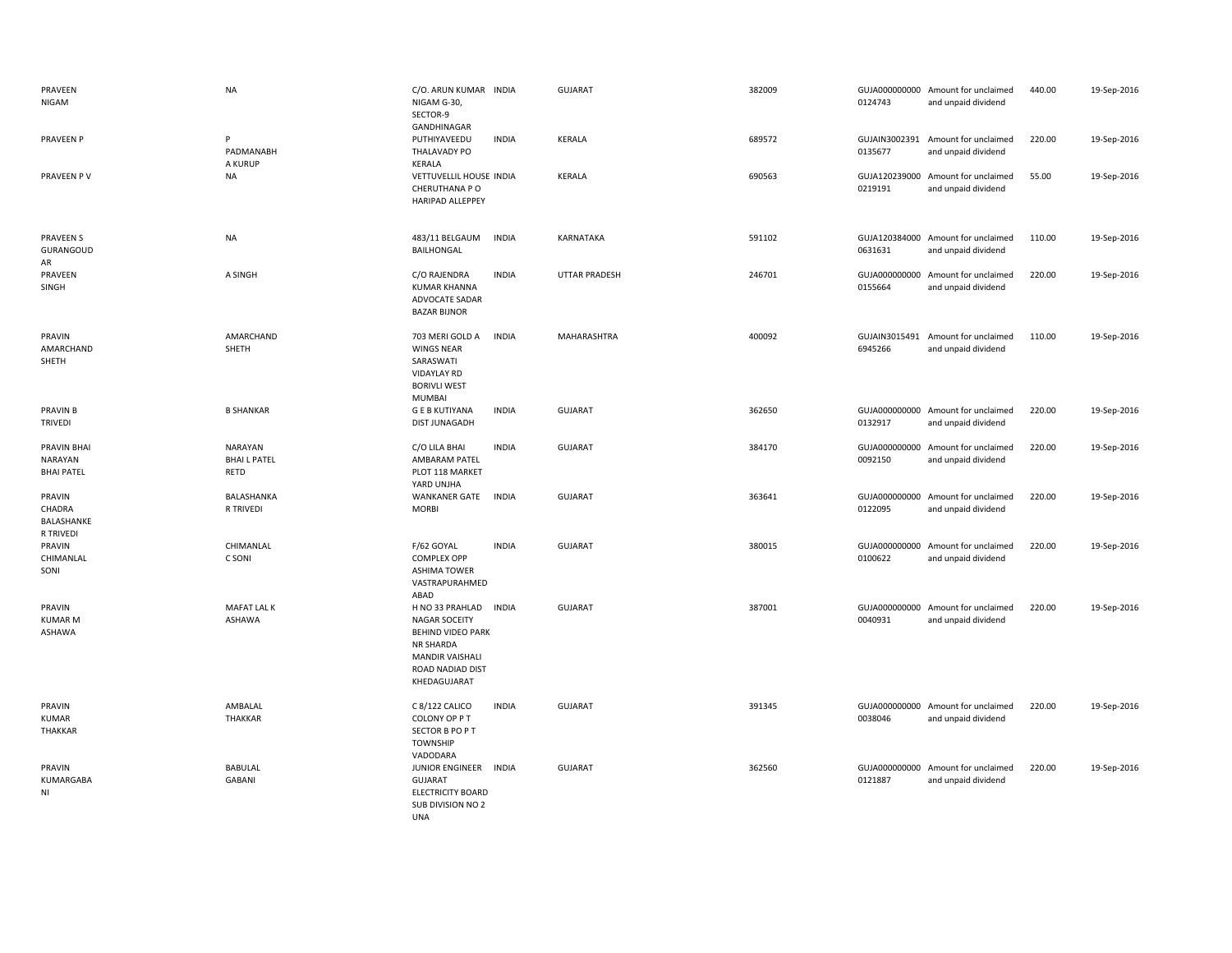| PRAVEEN<br>NIGAM                            | <b>NA</b>                            | C/O. ARUN KUMAR INDIA<br>NIGAM G-30,<br>SECTOR-9<br>GANDHINAGAR                                                                                                | <b>GUJARAT</b>       | 382009 | 0124743                  | GUJA000000000 Amount for unclaimed<br>and unpaid dividend | 440.00 | 19-Sep-2016 |
|---------------------------------------------|--------------------------------------|----------------------------------------------------------------------------------------------------------------------------------------------------------------|----------------------|--------|--------------------------|-----------------------------------------------------------|--------|-------------|
| <b>PRAVEEN P</b>                            | P<br>PADMANABH<br>A KURUP            | PUTHIYAVEEDU<br><b>INDIA</b><br>THALAVADY PO<br>KERALA                                                                                                         | <b>KERALA</b>        | 689572 | 0135677                  | GUJAIN3002391 Amount for unclaimed<br>and unpaid dividend | 220.00 | 19-Sep-2016 |
| PRAVEEN PV                                  | NA                                   | VETTUVELLIL HOUSE INDIA<br>CHERUTHANA P O<br><b>HARIPAD ALLEPPEY</b>                                                                                           | <b>KERALA</b>        | 690563 | 0219191                  | GUJA120239000 Amount for unclaimed<br>and unpaid dividend | 55.00  | 19-Sep-2016 |
| <b>PRAVEEN S</b><br><b>GURANGOUD</b><br>AR  | <b>NA</b>                            | 483/11 BELGAUM<br><b>INDIA</b><br>BAILHONGAL                                                                                                                   | KARNATAKA            | 591102 | 0631631                  | GUJA120384000 Amount for unclaimed<br>and unpaid dividend | 110.00 | 19-Sep-2016 |
| PRAVEEN<br>SINGH                            | A SINGH                              | C/O RAJENDRA<br><b>INDIA</b><br><b>KUMAR KHANNA</b><br>ADVOCATE SADAR<br><b>BAZAR BIJNOR</b>                                                                   | <b>UTTAR PRADESH</b> | 246701 | 0155664                  | GUJA000000000 Amount for unclaimed<br>and unpaid dividend | 220.00 | 19-Sep-2016 |
| PRAVIN<br>AMARCHAND<br>SHETH                | AMARCHAND<br>SHETH                   | <b>INDIA</b><br>703 MERI GOLD A<br><b>WINGS NEAR</b><br>SARASWATI<br>VIDAYLAY RD<br><b>BORIVLI WEST</b><br>MUMBAI                                              | MAHARASHTRA          | 400092 | GUJAIN3015491<br>6945266 | Amount for unclaimed<br>and unpaid dividend               | 110.00 | 19-Sep-2016 |
| PRAVIN B<br>TRIVEDI                         | <b>B SHANKAR</b>                     | <b>GEB KUTIYANA</b><br><b>INDIA</b><br>DIST JUNAGADH                                                                                                           | <b>GUJARAT</b>       | 362650 | 0132917                  | GUJA000000000 Amount for unclaimed<br>and unpaid dividend | 220.00 | 19-Sep-2016 |
| PRAVIN BHAI<br>NARAYAN<br><b>BHAI PATEL</b> | NARAYAN<br><b>BHAILPATEL</b><br>RETD | <b>INDIA</b><br>C/O LILA BHAI<br>AMBARAM PATEL<br>PLOT 118 MARKET<br>YARD UNJHA                                                                                | <b>GUJARAT</b>       | 384170 | 0092150                  | GUJA000000000 Amount for unclaimed<br>and unpaid dividend | 220.00 | 19-Sep-2016 |
| PRAVIN<br>CHADRA<br>BALASHANKE<br>R TRIVEDI | BALASHANKA<br>R TRIVEDI              | <b>WANKANER GATE</b><br><b>INDIA</b><br><b>MORBI</b>                                                                                                           | <b>GUJARAT</b>       | 363641 | GUJA000000000<br>0122095 | Amount for unclaimed<br>and unpaid dividend               | 220.00 | 19-Sep-2016 |
| PRAVIN<br>CHIMANLAL<br>SONI                 | CHIMANLAL<br>C SONI                  | F/62 GOYAL<br><b>INDIA</b><br><b>COMPLEX OPP</b><br><b>ASHIMA TOWER</b><br>VASTRAPURAHMED<br>ABAD                                                              | <b>GUJARAT</b>       | 380015 | 0100622                  | GUJA000000000 Amount for unclaimed<br>and unpaid dividend | 220.00 | 19-Sep-2016 |
| PRAVIN<br><b>KUMAR M</b><br>ASHAWA          | MAFAT LAL K<br><b>ASHAWA</b>         | H NO 33 PRAHLAD<br><b>INDIA</b><br><b>NAGAR SOCEITY</b><br><b>BEHIND VIDEO PARK</b><br>NR SHARDA<br><b>MANDIR VAISHALI</b><br>ROAD NADIAD DIST<br>KHEDAGUJARAT | <b>GUJARAT</b>       | 387001 | 0040931                  | GUJA000000000 Amount for unclaimed<br>and unpaid dividend | 220.00 | 19-Sep-2016 |
| PRAVIN<br>KUMAR<br>THAKKAR                  | AMBALAL<br>THAKKAR                   | C 8/122 CALICO<br><b>INDIA</b><br>COLONY OP PT<br>SECTOR B PO P T<br><b>TOWNSHIP</b><br>VADODARA                                                               | <b>GUJARAT</b>       | 391345 | 0038046                  | GUJA000000000 Amount for unclaimed<br>and unpaid dividend | 220.00 | 19-Sep-2016 |
| PRAVIN<br>KUMARGABA<br>ΝI                   | BABULAL<br><b>GABANI</b>             | JUNIOR ENGINEER INDIA<br><b>GUJARAT</b><br><b>ELECTRICITY BOARD</b><br>SUB DIVISION NO 2<br>UNA                                                                | <b>GUJARAT</b>       | 362560 | 0121887                  | GUJA000000000 Amount for unclaimed<br>and unpaid dividend | 220.00 | 19-Sep-2016 |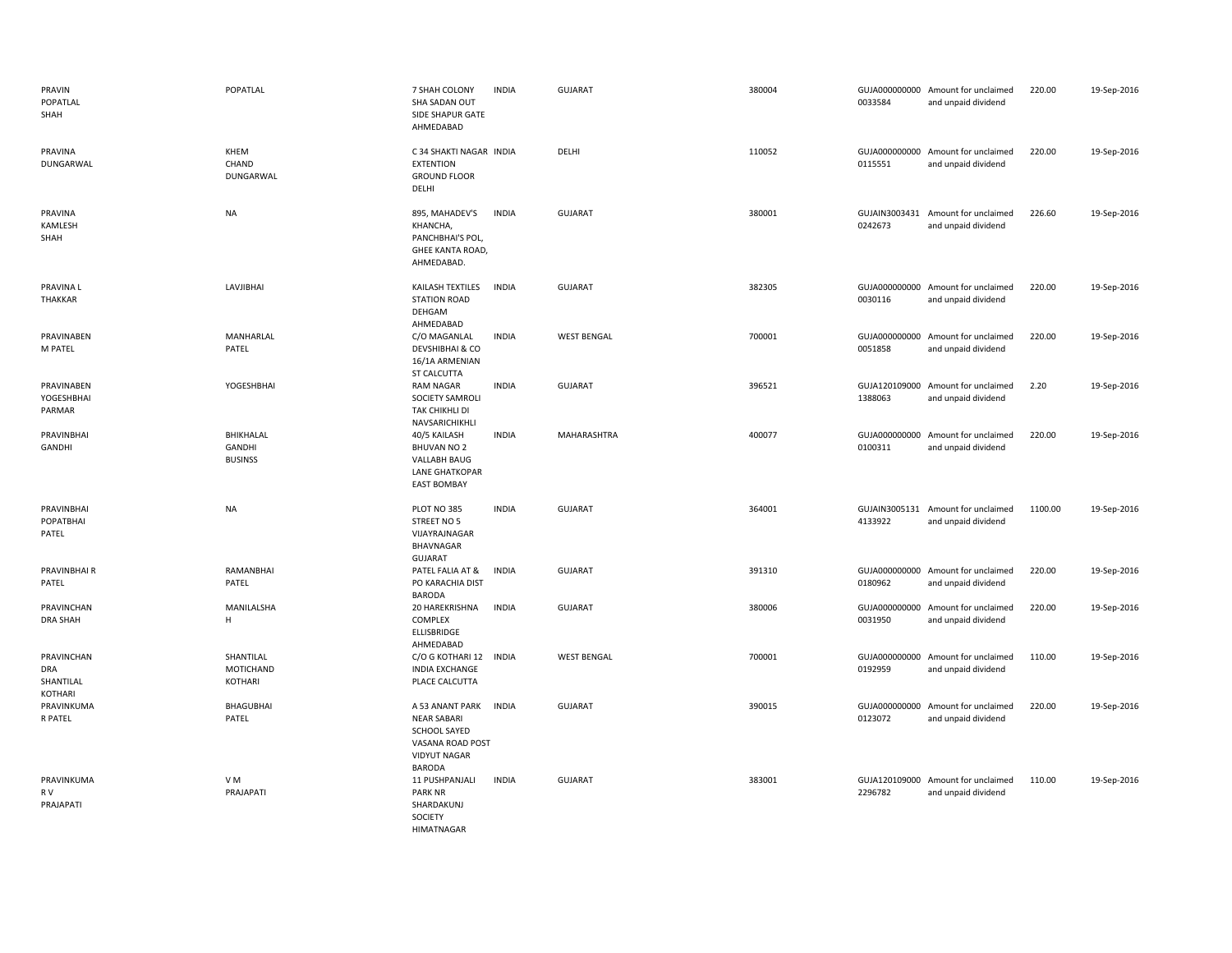| PRAVIN<br>POPATLAL<br>SHAH                       | POPATLAL                                     | 7 SHAH COLONY<br>SHA SADAN OUT<br>SIDE SHAPUR GATE<br>AHMEDABAD                                                   | <b>INDIA</b> | <b>GUJARAT</b>     | 380004 | 0033584 | GUJA000000000 Amount for unclaimed<br>and unpaid dividend | 220.00  | 19-Sep-2016 |
|--------------------------------------------------|----------------------------------------------|-------------------------------------------------------------------------------------------------------------------|--------------|--------------------|--------|---------|-----------------------------------------------------------|---------|-------------|
| PRAVINA<br>DUNGARWAL                             | KHEM<br>CHAND<br>DUNGARWAL                   | C 34 SHAKTI NAGAR INDIA<br><b>EXTENTION</b><br><b>GROUND FLOOR</b><br>DELHI                                       |              | DELHI              | 110052 | 0115551 | GUJA000000000 Amount for unclaimed<br>and unpaid dividend | 220.00  | 19-Sep-2016 |
| PRAVINA<br><b>KAMLESH</b><br>SHAH                | <b>NA</b>                                    | 895, MAHADEV'S<br>KHANCHA,<br>PANCHBHAI'S POL,<br>GHEE KANTA ROAD,<br>AHMEDABAD.                                  | <b>INDIA</b> | <b>GUJARAT</b>     | 380001 | 0242673 | GUJAIN3003431 Amount for unclaimed<br>and unpaid dividend | 226.60  | 19-Sep-2016 |
| PRAVINA L<br><b>THAKKAR</b>                      | LAVJIBHAI                                    | KAILASH TEXTILES<br><b>STATION ROAD</b><br>DEHGAM<br>AHMEDABAD                                                    | <b>INDIA</b> | <b>GUJARAT</b>     | 382305 | 0030116 | GUJA000000000 Amount for unclaimed<br>and unpaid dividend | 220.00  | 19-Sep-2016 |
| PRAVINABEN<br>M PATEL                            | MANHARLAL<br>PATEL                           | C/O MAGANLAL<br>DEVSHIBHAI & CO<br>16/1A ARMENIAN<br><b>ST CALCUTTA</b>                                           | <b>INDIA</b> | <b>WEST BENGAL</b> | 700001 | 0051858 | GUJA000000000 Amount for unclaimed<br>and unpaid dividend | 220.00  | 19-Sep-2016 |
| PRAVINABEN<br>YOGESHBHAI<br>PARMAR               | YOGESHBHAI                                   | <b>RAM NAGAR</b><br>SOCIETY SAMROLI<br>TAK CHIKHLI DI<br>NAVSARICHIKHLI                                           | <b>INDIA</b> | <b>GUJARAT</b>     | 396521 | 1388063 | GUJA120109000 Amount for unclaimed<br>and unpaid dividend | 2.20    | 19-Sep-2016 |
| PRAVINBHAI<br><b>GANDHI</b>                      | BHIKHALAL<br><b>GANDHI</b><br><b>BUSINSS</b> | 40/5 KAILASH<br><b>BHUVAN NO 2</b><br><b>VALLABH BAUG</b><br><b>LANE GHATKOPAR</b><br><b>EAST BOMBAY</b>          | <b>INDIA</b> | MAHARASHTRA        | 400077 | 0100311 | GUJA000000000 Amount for unclaimed<br>and unpaid dividend | 220.00  | 19-Sep-2016 |
| PRAVINBHAI<br>POPATBHAI<br>PATEL                 | <b>NA</b>                                    | PLOT NO 385<br>STREET NO 5<br>VIJAYRAJNAGAR<br>BHAVNAGAR<br><b>GUJARAT</b>                                        | <b>INDIA</b> | <b>GUJARAT</b>     | 364001 | 4133922 | GUJAIN3005131 Amount for unclaimed<br>and unpaid dividend | 1100.00 | 19-Sep-2016 |
| PRAVINBHAI R<br>PATEL                            | RAMANBHAI<br>PATEL                           | PATEL FALIA AT &<br>PO KARACHIA DIST<br><b>BARODA</b>                                                             | <b>INDIA</b> | <b>GUJARAT</b>     | 391310 | 0180962 | GUJA000000000 Amount for unclaimed<br>and unpaid dividend | 220.00  | 19-Sep-2016 |
| PRAVINCHAN<br><b>DRA SHAH</b>                    | MANILALSHA<br>Н.                             | 20 HAREKRISHNA<br>COMPLEX<br>ELLISBRIDGE<br>AHMEDABAD                                                             | <b>INDIA</b> | <b>GUJARAT</b>     | 380006 | 0031950 | GUJA000000000 Amount for unclaimed<br>and unpaid dividend | 220.00  | 19-Sep-2016 |
| PRAVINCHAN<br><b>DRA</b><br>SHANTILAL<br>KOTHARI | SHANTILAL<br>MOTICHAND<br>KOTHARI            | C/O G KOTHARI 12 INDIA<br><b>INDIA EXCHANGE</b><br>PLACE CALCUTTA                                                 |              | <b>WEST BENGAL</b> | 700001 | 0192959 | GUJA000000000 Amount for unclaimed<br>and unpaid dividend | 110.00  | 19-Sep-2016 |
| PRAVINKUMA<br>R PATEL                            | <b>BHAGUBHAI</b><br>PATEL                    | A 53 ANANT PARK<br><b>NEAR SABARI</b><br>SCHOOL SAYED<br>VASANA ROAD POST<br><b>VIDYUT NAGAR</b><br><b>BARODA</b> | <b>INDIA</b> | <b>GUJARAT</b>     | 390015 | 0123072 | GUJA000000000 Amount for unclaimed<br>and unpaid dividend | 220.00  | 19-Sep-2016 |
| PRAVINKUMA<br>R V<br>PRAJAPATI                   | VM<br>PRAJAPATI                              | 11 PUSHPANJALI<br><b>PARK NR</b><br>SHARDAKUNJ<br>SOCIETY<br><b>HIMATNAGAR</b>                                    | <b>INDIA</b> | <b>GUJARAT</b>     | 383001 | 2296782 | GUJA120109000 Amount for unclaimed<br>and unpaid dividend | 110.00  | 19-Sep-2016 |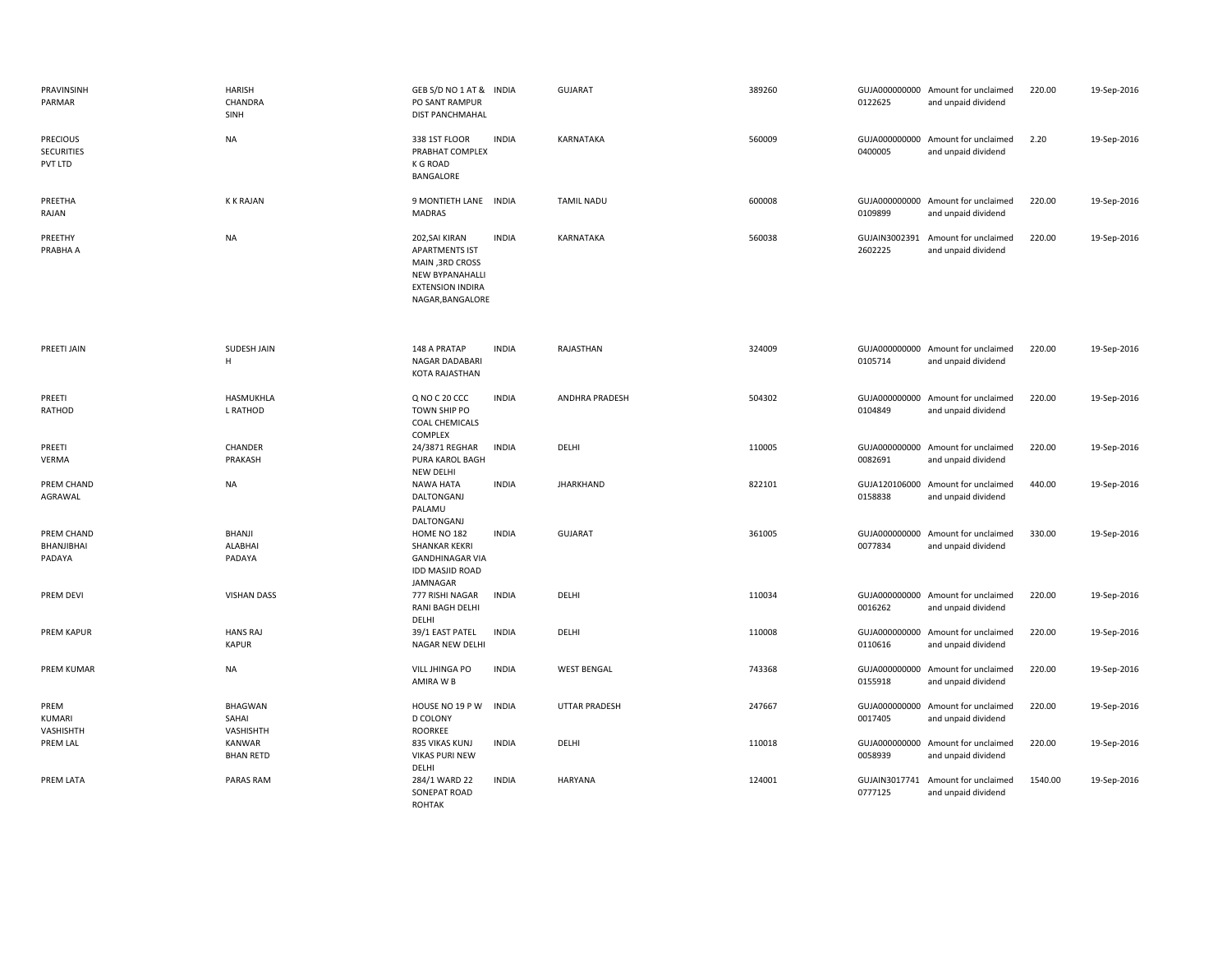| PRAVINSINH<br>PARMAR                            | <b>HARISH</b><br>CHANDRA<br>SINH     | GEB S/D NO 1 AT & INDIA<br>PO SANT RAMPUR<br><b>DIST PANCHMAHAL</b>                                                   |              | <b>GUJARAT</b>       | 389260 | 0122625                  | GUJA000000000 Amount for unclaimed<br>and unpaid dividend | 220.00  | 19-Sep-2016 |
|-------------------------------------------------|--------------------------------------|-----------------------------------------------------------------------------------------------------------------------|--------------|----------------------|--------|--------------------------|-----------------------------------------------------------|---------|-------------|
| <b>PRECIOUS</b><br><b>SECURITIES</b><br>PVT LTD | <b>NA</b>                            | 338 1ST FLOOR<br>PRABHAT COMPLEX<br>K G ROAD<br>BANGALORE                                                             | <b>INDIA</b> | KARNATAKA            | 560009 | 0400005                  | GUJA000000000 Amount for unclaimed<br>and unpaid dividend | 2.20    | 19-Sep-2016 |
| PREETHA<br>RAJAN                                | <b>K K RAJAN</b>                     | 9 MONTIETH LANE INDIA<br><b>MADRAS</b>                                                                                |              | <b>TAMIL NADU</b>    | 600008 | 0109899                  | GUJA000000000 Amount for unclaimed<br>and unpaid dividend | 220.00  | 19-Sep-2016 |
| PREETHY<br>PRABHA A                             | <b>NA</b>                            | 202, SAI KIRAN<br><b>APARTMENTS IST</b><br>MAIN, 3RD CROSS<br>NEW BYPANAHALLI<br>EXTENSION INDIRA<br>NAGAR, BANGALORE | <b>INDIA</b> | KARNATAKA            | 560038 | 2602225                  | GUJAIN3002391 Amount for unclaimed<br>and unpaid dividend | 220.00  | 19-Sep-2016 |
| PREETI JAIN                                     | SUDESH JAIN<br>H                     | 148 A PRATAP<br>NAGAR DADABARI<br>KOTA RAJASTHAN                                                                      | <b>INDIA</b> | RAJASTHAN            | 324009 | 0105714                  | GUJA000000000 Amount for unclaimed<br>and unpaid dividend | 220.00  | 19-Sep-2016 |
| PREETI<br>RATHOD                                | HASMUKHLA<br>L RATHOD                | Q NO C 20 CCC<br>TOWN SHIP PO<br><b>COAL CHEMICALS</b><br>COMPLEX                                                     | <b>INDIA</b> | ANDHRA PRADESH       | 504302 | 0104849                  | GUJA000000000 Amount for unclaimed<br>and unpaid dividend | 220.00  | 19-Sep-2016 |
| PREETI<br>VERMA                                 | CHANDER<br>PRAKASH                   | 24/3871 REGHAR<br>PURA KAROL BAGH<br><b>NEW DELHI</b>                                                                 | <b>INDIA</b> | DELHI                | 110005 | 0082691                  | GUJA000000000 Amount for unclaimed<br>and unpaid dividend | 220.00  | 19-Sep-2016 |
| PREM CHAND<br>AGRAWAL                           | NA                                   | <b>NAWA HATA</b><br>DALTONGANJ<br>PALAMU<br>DALTONGANJ                                                                | <b>INDIA</b> | <b>JHARKHAND</b>     | 822101 | 0158838                  | GUJA120106000 Amount for unclaimed<br>and unpaid dividend | 440.00  | 19-Sep-2016 |
| PREM CHAND<br>BHANJIBHAI<br>PADAYA              | <b>BHANJI</b><br>ALABHAI<br>PADAYA   | HOME NO 182<br><b>SHANKAR KEKRI</b><br><b>GANDHINAGAR VIA</b><br><b>IDD MASJID ROAD</b><br>JAMNAGAR                   | <b>INDIA</b> | <b>GUJARAT</b>       | 361005 | 0077834                  | GUJA000000000 Amount for unclaimed<br>and unpaid dividend | 330.00  | 19-Sep-2016 |
| PREM DEVI                                       | <b>VISHAN DASS</b>                   | 777 RISHI NAGAR<br>RANI BAGH DELHI<br>DELHI                                                                           | <b>INDIA</b> | DELHI                | 110034 | 0016262                  | GUJA000000000 Amount for unclaimed<br>and unpaid dividend | 220.00  | 19-Sep-2016 |
| PREM KAPUR                                      | <b>HANS RAJ</b><br><b>KAPUR</b>      | 39/1 EAST PATEL<br>NAGAR NEW DELHI                                                                                    | <b>INDIA</b> | DELHI                | 110008 | 0110616                  | GUJA000000000 Amount for unclaimed<br>and unpaid dividend | 220.00  | 19-Sep-2016 |
| PREM KUMAR                                      | <b>NA</b>                            | VILL JHINGA PO<br>AMIRA W B                                                                                           | <b>INDIA</b> | <b>WEST BENGAL</b>   | 743368 | 0155918                  | GUJA000000000 Amount for unclaimed<br>and unpaid dividend | 220.00  | 19-Sep-2016 |
| PREM<br>KUMARI<br>VASHISHTH                     | <b>BHAGWAN</b><br>SAHAI<br>VASHISHTH | HOUSE NO 19 P W<br><b>D COLONY</b><br><b>ROORKEE</b>                                                                  | <b>INDIA</b> | <b>UTTAR PRADESH</b> | 247667 | 0017405                  | GUJA000000000 Amount for unclaimed<br>and unpaid dividend | 220.00  | 19-Sep-2016 |
| PREM LAL                                        | KANWAR<br><b>BHAN RETD</b>           | 835 VIKAS KUNJ<br><b>VIKAS PURI NEW</b>                                                                               | <b>INDIA</b> | DELHI                | 110018 | GUJA000000000<br>0058939 | Amount for unclaimed<br>and unpaid dividend               | 220.00  | 19-Sep-2016 |
| PREM LATA                                       | PARAS RAM                            | DELHI<br>284/1 WARD 22<br>SONEPAT ROAD<br><b>ROHTAK</b>                                                               | <b>INDIA</b> | <b>HARYANA</b>       | 124001 | GUJAIN3017741<br>0777125 | Amount for unclaimed<br>and unpaid dividend               | 1540.00 | 19-Sep-2016 |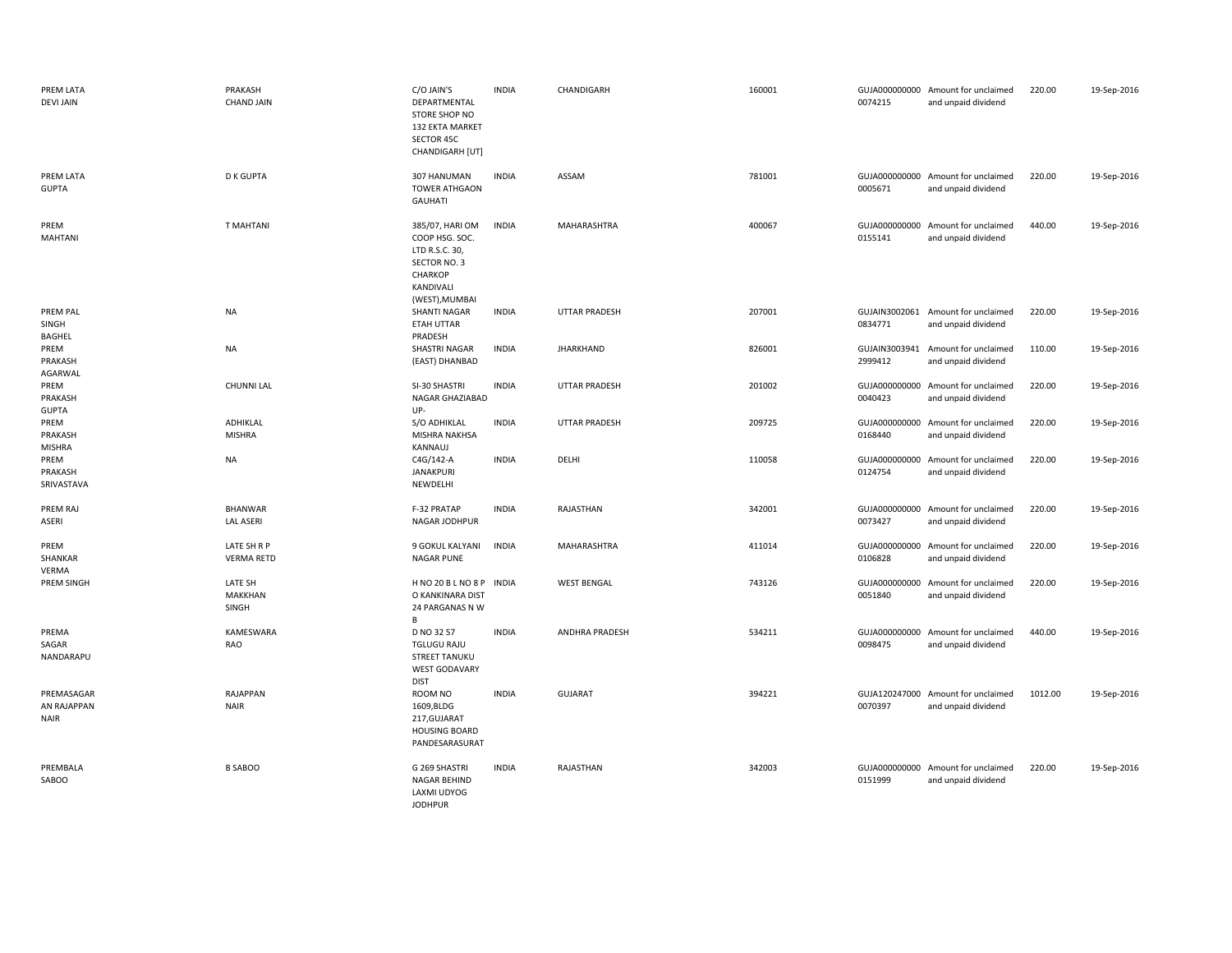| PREM LATA<br><b>DEVI JAIN</b>            | PRAKASH<br><b>CHAND JAIN</b>       | C/O JAIN'S<br>DEPARTMENTAL<br>STORE SHOP NO<br>132 EKTA MARKET<br>SECTOR 45C<br>CHANDIGARH [UT]               | <b>INDIA</b> | CHANDIGARH            | 160001 | 0074215                  | GUJA000000000 Amount for unclaimed<br>and unpaid dividend | 220.00  | 19-Sep-2016 |
|------------------------------------------|------------------------------------|---------------------------------------------------------------------------------------------------------------|--------------|-----------------------|--------|--------------------------|-----------------------------------------------------------|---------|-------------|
| PREM LATA<br><b>GUPTA</b>                | <b>D K GUPTA</b>                   | 307 HANUMAN<br>TOWER ATHGAON<br><b>GAUHATI</b>                                                                | <b>INDIA</b> | ASSAM                 | 781001 | 0005671                  | GUJA000000000 Amount for unclaimed<br>and unpaid dividend | 220.00  | 19-Sep-2016 |
| PREM<br><b>MAHTANI</b>                   | <b>T MAHTANI</b>                   | 385/07, HARI OM<br>COOP HSG. SOC.<br>LTD R.S.C. 30,<br>SECTOR NO. 3<br>CHARKOP<br>KANDIVALI<br>(WEST), MUMBAI | <b>INDIA</b> | MAHARASHTRA           | 400067 | 0155141                  | GUJA000000000 Amount for unclaimed<br>and unpaid dividend | 440.00  | 19-Sep-2016 |
| PREM PAL<br>SINGH<br><b>BAGHEL</b>       | <b>NA</b>                          | <b>SHANTI NAGAR</b><br><b>ETAH UTTAR</b><br>PRADESH                                                           | <b>INDIA</b> | UTTAR PRADESH         | 207001 | 0834771                  | GUJAIN3002061 Amount for unclaimed<br>and unpaid dividend | 220.00  | 19-Sep-2016 |
| PREM<br>PRAKASH<br>AGARWAL               | <b>NA</b>                          | SHASTRI NAGAR<br>(EAST) DHANBAD                                                                               | <b>INDIA</b> | <b>JHARKHAND</b>      | 826001 | 2999412                  | GUJAIN3003941 Amount for unclaimed<br>and unpaid dividend | 110.00  | 19-Sep-2016 |
| PREM<br>PRAKASH<br><b>GUPTA</b>          | <b>CHUNNI LAL</b>                  | SI-30 SHASTRI<br>NAGAR GHAZIABAD<br>UP-                                                                       | <b>INDIA</b> | UTTAR PRADESH         | 201002 | 0040423                  | GUJA000000000 Amount for unclaimed<br>and unpaid dividend | 220.00  | 19-Sep-2016 |
| PREM<br>PRAKASH<br><b>MISHRA</b>         | ADHIKLAL<br>MISHRA                 | S/O ADHIKLAL<br>MISHRA NAKHSA<br>KANNAUJ                                                                      | <b>INDIA</b> | <b>UTTAR PRADESH</b>  | 209725 | 0168440                  | GUJA000000000 Amount for unclaimed<br>and unpaid dividend | 220.00  | 19-Sep-2016 |
| PREM<br>PRAKASH<br>SRIVASTAVA            | <b>NA</b>                          | C4G/142-A<br><b>JANAKPURI</b><br>NEWDELHI                                                                     | <b>INDIA</b> | DELHI                 | 110058 | 0124754                  | GUJA000000000 Amount for unclaimed<br>and unpaid dividend | 220.00  | 19-Sep-2016 |
| PREM RAJ<br>ASERI                        | <b>BHANWAR</b><br><b>LAL ASERI</b> | F-32 PRATAP<br>NAGAR JODHPUR                                                                                  | <b>INDIA</b> | RAJASTHAN             | 342001 | GUJA000000000<br>0073427 | Amount for unclaimed<br>and unpaid dividend               | 220.00  | 19-Sep-2016 |
| PREM<br>SHANKAR<br>VERMA                 | LATE SH R P<br><b>VERMA RETD</b>   | 9 GOKUL KALYANI<br>NAGAR PUNE                                                                                 | <b>INDIA</b> | MAHARASHTRA           | 411014 | GUJA000000000<br>0106828 | Amount for unclaimed<br>and unpaid dividend               | 220.00  | 19-Sep-2016 |
| PREM SINGH                               | LATE SH<br>MAKKHAN<br>SINGH        | H NO 20 B L NO 8 P INDIA<br>O KANKINARA DIST<br>24 PARGANAS N W<br>B                                          |              | <b>WEST BENGAL</b>    | 743126 | GUJA000000000<br>0051840 | Amount for unclaimed<br>and unpaid dividend               | 220.00  | 19-Sep-2016 |
| PREMA<br>SAGAR<br>NANDARAPU              | KAMESWARA<br><b>RAO</b>            | D NO 32 57<br><b>TGLUGU RAJU</b><br><b>STREET TANUKU</b><br><b>WEST GODAVARY</b><br><b>DIST</b>               | <b>INDIA</b> | <b>ANDHRA PRADESH</b> | 534211 | 0098475                  | GUJA000000000 Amount for unclaimed<br>and unpaid dividend | 440.00  | 19-Sep-2016 |
| PREMASAGAR<br>AN RAJAPPAN<br><b>NAIR</b> | RAJAPPAN<br><b>NAIR</b>            | ROOM NO<br>1609, BLDG<br>217, GUJARAT<br><b>HOUSING BOARD</b><br>PANDESARASURAT                               | <b>INDIA</b> | <b>GUJARAT</b>        | 394221 | 0070397                  | GUJA120247000 Amount for unclaimed<br>and unpaid dividend | 1012.00 | 19-Sep-2016 |
| PREMBALA<br>SABOO                        | <b>B SABOO</b>                     | G 269 SHASTRI<br>NAGAR BEHIND<br>LAXMI UDYOG<br><b>JODHPUR</b>                                                | <b>INDIA</b> | RAJASTHAN             | 342003 | 0151999                  | GUJA000000000 Amount for unclaimed<br>and unpaid dividend | 220.00  | 19-Sep-2016 |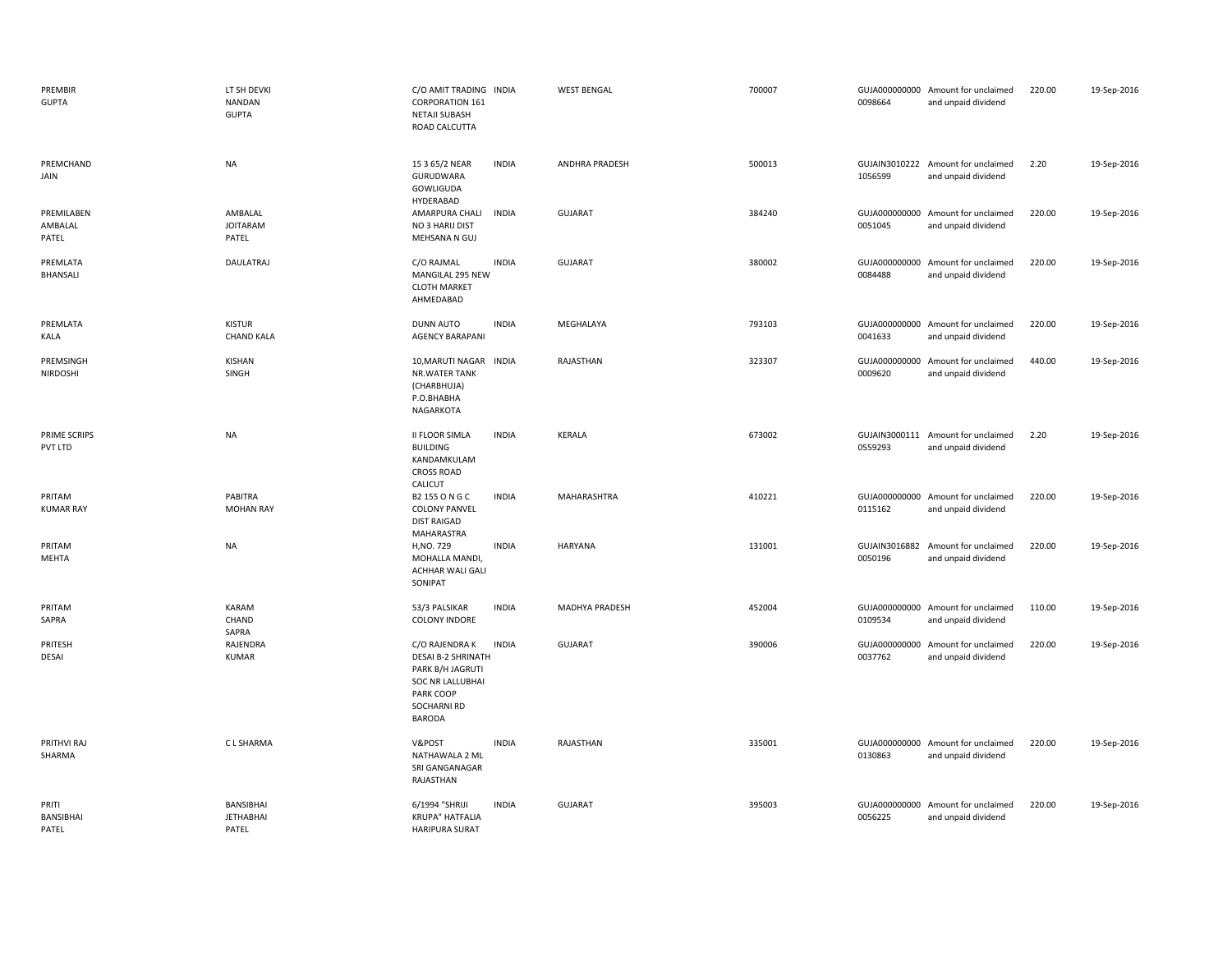| PREMBIR<br><b>GUPTA</b>            | LT SH DEVKI<br><b>NANDAN</b><br><b>GUPTA</b> | C/O AMIT TRADING INDIA<br>CORPORATION 161<br><b>NETAJI SUBASH</b><br>ROAD CALCUTTA                                                      |              | <b>WEST BENGAL</b> | 700007 | 0098664                  | GUJA000000000 Amount for unclaimed<br>and unpaid dividend | 220.00 | 19-Sep-2016 |
|------------------------------------|----------------------------------------------|-----------------------------------------------------------------------------------------------------------------------------------------|--------------|--------------------|--------|--------------------------|-----------------------------------------------------------|--------|-------------|
| PREMCHAND<br>JAIN                  | NA                                           | 15 3 65/2 NEAR<br>GURUDWARA<br>GOWLIGUDA<br>HYDERABAD                                                                                   | <b>INDIA</b> | ANDHRA PRADESH     | 500013 | 1056599                  | GUJAIN3010222 Amount for unclaimed<br>and unpaid dividend | 2.20   | 19-Sep-2016 |
| PREMILABEN<br>AMBALAL<br>PATEL     | AMBALAL<br><b>JOITARAM</b><br>PATEL          | AMARPURA CHALI<br>NO 3 HARIJ DIST<br>MEHSANA N GUJ                                                                                      | <b>INDIA</b> | GUJARAT            | 384240 | 0051045                  | GUJA000000000 Amount for unclaimed<br>and unpaid dividend | 220.00 | 19-Sep-2016 |
| PREMLATA<br><b>BHANSALI</b>        | <b>DAULATRAJ</b>                             | C/O RAJMAL<br>MANGILAL 295 NEW<br><b>CLOTH MARKET</b><br>AHMEDABAD                                                                      | <b>INDIA</b> | <b>GUJARAT</b>     | 380002 | 0084488                  | GUJA000000000 Amount for unclaimed<br>and unpaid dividend | 220.00 | 19-Sep-2016 |
| PREMLATA<br>KALA                   | <b>KISTUR</b><br><b>CHAND KALA</b>           | <b>DUNN AUTO</b><br><b>AGENCY BARAPANI</b>                                                                                              | <b>INDIA</b> | MEGHALAYA          | 793103 | 0041633                  | GUJA000000000 Amount for unclaimed<br>and unpaid dividend | 220.00 | 19-Sep-2016 |
| PREMSINGH<br>NIRDOSHI              | KISHAN<br>SINGH                              | 10, MARUTI NAGAR INDIA<br>NR.WATER TANK<br>(CHARBHUJA)<br>P.O.BHABHA<br>NAGARKOTA                                                       |              | RAJASTHAN          | 323307 | GUJA000000000<br>0009620 | Amount for unclaimed<br>and unpaid dividend               | 440.00 | 19-Sep-2016 |
| PRIME SCRIPS<br>PVT LTD            | <b>NA</b>                                    | <b>II FLOOR SIMLA</b><br><b>BUILDING</b><br>KANDAMKULAM<br><b>CROSS ROAD</b><br>CALICUT                                                 | <b>INDIA</b> | KERALA             | 673002 | 0559293                  | GUJAIN3000111 Amount for unclaimed<br>and unpaid dividend | 2.20   | 19-Sep-2016 |
| PRITAM<br><b>KUMAR RAY</b>         | PABITRA<br><b>MOHAN RAY</b>                  | B2 155 O N G C<br><b>COLONY PANVEL</b><br><b>DIST RAIGAD</b><br>MAHARASTRA                                                              | <b>INDIA</b> | MAHARASHTRA        | 410221 | 0115162                  | GUJA000000000 Amount for unclaimed<br>and unpaid dividend | 220.00 | 19-Sep-2016 |
| PRITAM<br>MEHTA                    | <b>NA</b>                                    | H, NO. 729<br>MOHALLA MANDI,<br>ACHHAR WALI GALI<br>SONIPAT                                                                             | <b>INDIA</b> | <b>HARYANA</b>     | 131001 | GUJAIN3016882<br>0050196 | Amount for unclaimed<br>and unpaid dividend               | 220.00 | 19-Sep-2016 |
| PRITAM<br>SAPRA                    | KARAM<br>CHAND<br>SAPRA                      | 53/3 PALSIKAR<br><b>COLONY INDORE</b>                                                                                                   | <b>INDIA</b> | MADHYA PRADESH     | 452004 | 0109534                  | GUJA000000000 Amount for unclaimed<br>and unpaid dividend | 110.00 | 19-Sep-2016 |
| PRITESH<br><b>DESAI</b>            | RAJENDRA<br><b>KUMAR</b>                     | C/O RAJENDRA K<br><b>DESAI B-2 SHRINATH</b><br>PARK B/H JAGRUTI<br>SOC NR LALLUBHAI<br>PARK COOP<br><b>SOCHARNI RD</b><br><b>BARODA</b> | <b>INDIA</b> | GUJARAT            | 390006 | GUJA000000000<br>0037762 | Amount for unclaimed<br>and unpaid dividend               | 220.00 | 19-Sep-2016 |
| PRITHVI RAJ<br>SHARMA              | C L SHARMA                                   | V&POST<br>NATHAWALA 2 ML<br>SRI GANGANAGAR<br>RAJASTHAN                                                                                 | <b>INDIA</b> | RAJASTHAN          | 335001 | 0130863                  | GUJA000000000 Amount for unclaimed<br>and unpaid dividend | 220.00 | 19-Sep-2016 |
| PRITI<br><b>BANSIBHAI</b><br>PATEL | BANSIBHAI<br><b>JETHABHAI</b><br>PATEL       | 6/1994 "SHRIJI<br><b>KRUPA" HATFALIA</b><br><b>HARIPURA SURAT</b>                                                                       | <b>INDIA</b> | <b>GUJARAT</b>     | 395003 | 0056225                  | GUJA000000000 Amount for unclaimed<br>and unpaid dividend | 220.00 | 19-Sep-2016 |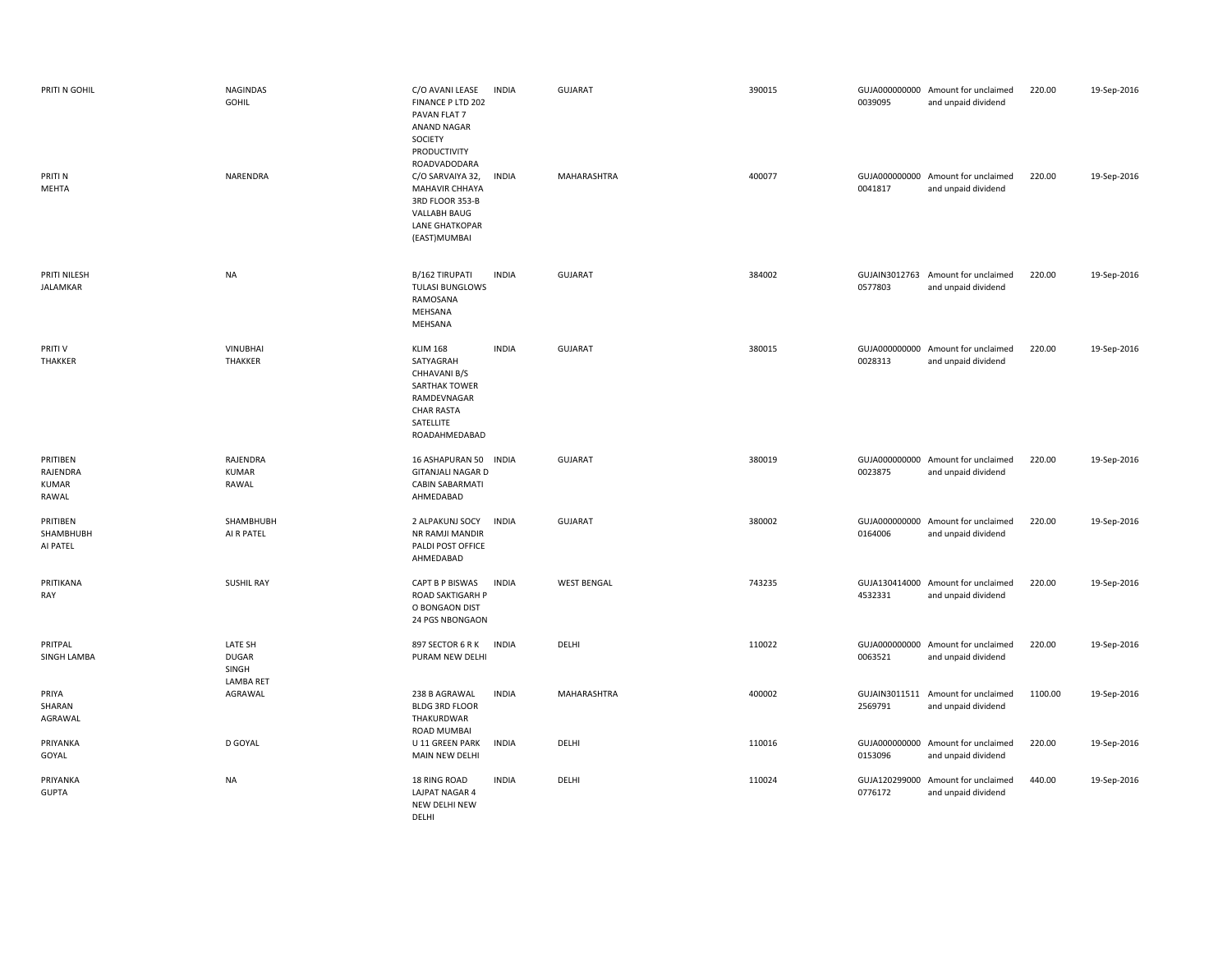| PRITI N GOHIL<br>PRITI N<br><b>MEHTA</b>      | <b>NAGINDAS</b><br>GOHIL<br>NARENDRA          | C/O AVANI LEASE<br><b>INDIA</b><br>FINANCE P LTD 202<br>PAVAN FLAT 7<br><b>ANAND NAGAR</b><br>SOCIETY<br>PRODUCTIVITY<br>ROADVADODARA<br>C/O SARVAIYA 32,<br><b>INDIA</b><br><b>MAHAVIR CHHAYA</b><br>3RD FLOOR 353-B<br>VALLABH BAUG<br><b>LANE GHATKOPAR</b><br>(EAST) MUMBAI | <b>GUJARAT</b><br>MAHARASHTRA | 390015<br>400077 | 0039095<br>0041817       | GUJA000000000 Amount for unclaimed<br>and unpaid dividend<br>GUJA000000000 Amount for unclaimed<br>and unpaid dividend | 220.00<br>220.00 | 19-Sep-2016<br>19-Sep-2016 |
|-----------------------------------------------|-----------------------------------------------|---------------------------------------------------------------------------------------------------------------------------------------------------------------------------------------------------------------------------------------------------------------------------------|-------------------------------|------------------|--------------------------|------------------------------------------------------------------------------------------------------------------------|------------------|----------------------------|
| PRITI NILESH<br>JALAMKAR                      | <b>NA</b>                                     | B/162 TIRUPATI<br><b>INDIA</b><br><b>TULASI BUNGLOWS</b><br>RAMOSANA<br>MEHSANA<br>MEHSANA                                                                                                                                                                                      | <b>GUJARAT</b>                | 384002           | 0577803                  | GUJAIN3012763 Amount for unclaimed<br>and unpaid dividend                                                              | 220.00           | 19-Sep-2016                |
| PRITI V<br>THAKKER                            | <b>VINUBHAI</b><br>THAKKER                    | <b>KLIM 168</b><br><b>INDIA</b><br>SATYAGRAH<br>CHHAVANI B/S<br>SARTHAK TOWER<br>RAMDEVNAGAR<br><b>CHAR RASTA</b><br>SATELLITE<br>ROADAHMEDABAD                                                                                                                                 | <b>GUJARAT</b>                | 380015           | 0028313                  | GUJA000000000 Amount for unclaimed<br>and unpaid dividend                                                              | 220.00           | 19-Sep-2016                |
| PRITIBEN<br>RAJENDRA<br><b>KUMAR</b><br>RAWAL | RAJENDRA<br><b>KUMAR</b><br>RAWAL             | 16 ASHAPURAN 50<br><b>INDIA</b><br><b>GITANJALI NAGAR D</b><br><b>CABIN SABARMATI</b><br>AHMEDABAD                                                                                                                                                                              | <b>GUJARAT</b>                | 380019           | 0023875                  | GUJA000000000 Amount for unclaimed<br>and unpaid dividend                                                              | 220.00           | 19-Sep-2016                |
| PRITIBEN<br>SHAMBHUBH<br>AI PATEL             | SHAMBHUBH<br>AI R PATEL                       | <b>INDIA</b><br>2 ALPAKUNJ SOCY<br>NR RAMJI MANDIR<br>PALDI POST OFFICE<br>AHMEDABAD                                                                                                                                                                                            | <b>GUJARAT</b>                | 380002           | 0164006                  | GUJA000000000 Amount for unclaimed<br>and unpaid dividend                                                              | 220.00           | 19-Sep-2016                |
| PRITIKANA<br>RAY                              | <b>SUSHIL RAY</b>                             | CAPT B P BISWAS<br><b>INDIA</b><br>ROAD SAKTIGARH P<br>O BONGAON DIST<br>24 PGS NBONGAON                                                                                                                                                                                        | <b>WEST BENGAL</b>            | 743235           | 4532331                  | GUJA130414000 Amount for unclaimed<br>and unpaid dividend                                                              | 220.00           | 19-Sep-2016                |
| PRITPAL<br>SINGH LAMBA                        | LATE SH<br><b>DUGAR</b><br>SINGH<br>LAMBA RET | <b>INDIA</b><br>897 SECTOR 6 R K<br>PURAM NEW DELHI                                                                                                                                                                                                                             | DELHI                         | 110022           | 0063521                  | GUJA000000000 Amount for unclaimed<br>and unpaid dividend                                                              | 220.00           | 19-Sep-2016                |
| PRIYA<br>SHARAN<br>AGRAWAL                    | AGRAWAL                                       | 238 B AGRAWAL<br><b>INDIA</b><br><b>BLDG 3RD FLOOR</b><br>THAKURDWAR<br>ROAD MUMBAI                                                                                                                                                                                             | MAHARASHTRA                   | 400002           | GUJAIN3011511<br>2569791 | Amount for unclaimed<br>and unpaid dividend                                                                            | 1100.00          | 19-Sep-2016                |
| PRIYANKA<br>GOYAL                             | D GOYAL                                       | U 11 GREEN PARK<br><b>INDIA</b><br>MAIN NEW DELHI                                                                                                                                                                                                                               | DELHI                         | 110016           | 0153096                  | GUJA000000000 Amount for unclaimed<br>and unpaid dividend                                                              | 220.00           | 19-Sep-2016                |
| PRIYANKA<br><b>GUPTA</b>                      | <b>NA</b>                                     | <b>INDIA</b><br>18 RING ROAD<br>LAJPAT NAGAR 4<br>NEW DELHI NEW<br>DELHI                                                                                                                                                                                                        | DELHI                         | 110024           | 0776172                  | GUJA120299000 Amount for unclaimed<br>and unpaid dividend                                                              | 440.00           | 19-Sep-2016                |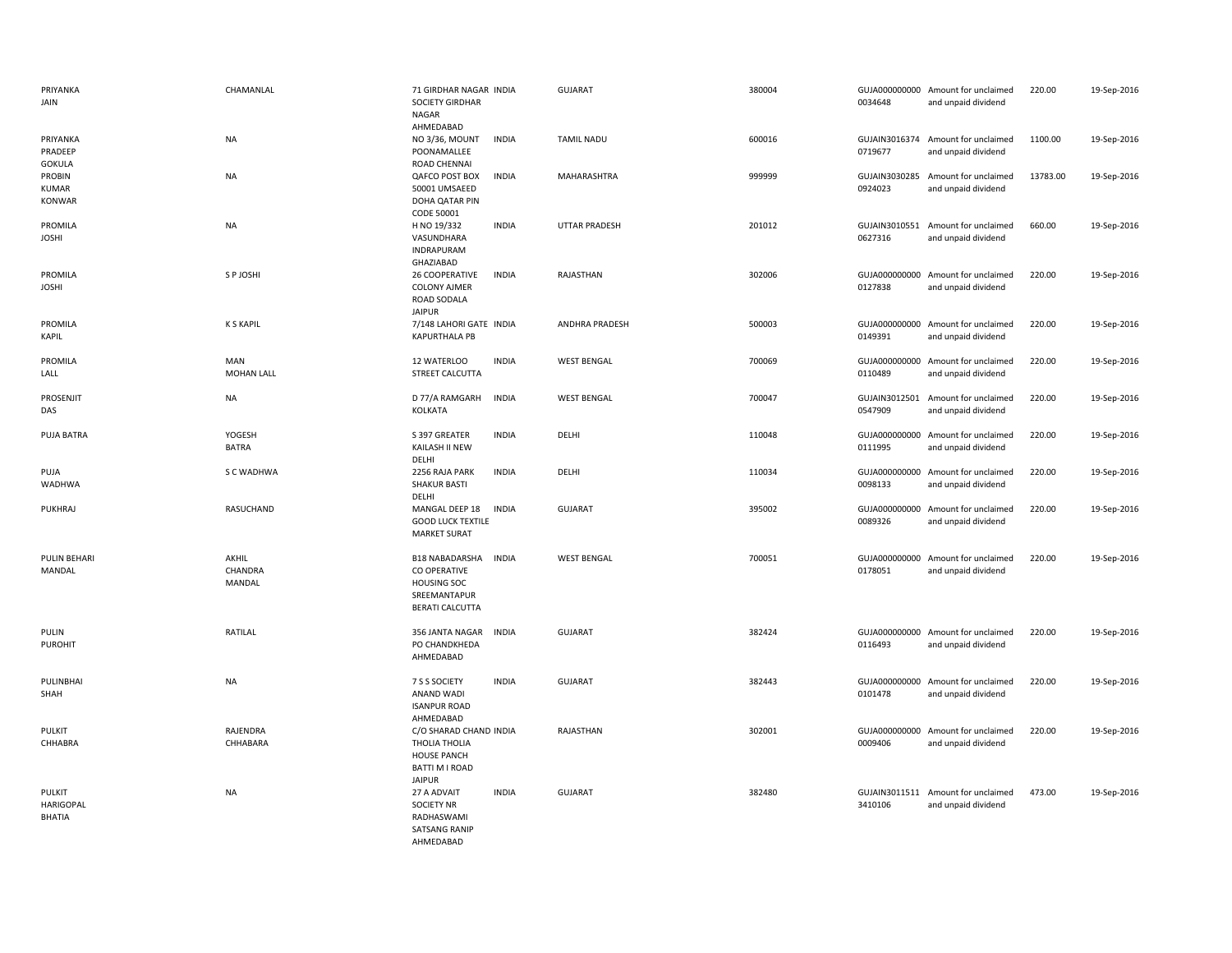| PRIYANKA<br>JAIN                            | CHAMANLAL                       | 71 GIRDHAR NAGAR INDIA<br><b>SOCIETY GIRDHAR</b><br><b>NAGAR</b>                                                             | <b>GUJARAT</b>     | 380004 | 0034648                  | GUJA000000000 Amount for unclaimed<br>and unpaid dividend | 220.00   | 19-Sep-2016 |
|---------------------------------------------|---------------------------------|------------------------------------------------------------------------------------------------------------------------------|--------------------|--------|--------------------------|-----------------------------------------------------------|----------|-------------|
| PRIYANKA<br>PRADEEP<br><b>GOKULA</b>        | NA                              | AHMEDABAD<br>NO 3/36, MOUNT<br><b>INDIA</b><br>POONAMALLEE<br>ROAD CHENNAI                                                   | <b>TAMIL NADU</b>  | 600016 | 0719677                  | GUJAIN3016374 Amount for unclaimed<br>and unpaid dividend | 1100.00  | 19-Sep-2016 |
| PROBIN<br><b>KUMAR</b><br>KONWAR            | NA                              | QAFCO POST BOX<br><b>INDIA</b><br>50001 UMSAEED<br>DOHA QATAR PIN                                                            | MAHARASHTRA        | 999999 | 0924023                  | GUJAIN3030285 Amount for unclaimed<br>and unpaid dividend | 13783.00 | 19-Sep-2016 |
| PROMILA<br><b>JOSHI</b>                     | NA                              | CODE 50001<br>H NO 19/332<br><b>INDIA</b><br>VASUNDHARA<br>INDRAPURAM                                                        | UTTAR PRADESH      | 201012 | GUJAIN3010551<br>0627316 | Amount for unclaimed<br>and unpaid dividend               | 660.00   | 19-Sep-2016 |
| PROMILA<br><b>JOSHI</b>                     | S P JOSHI                       | GHAZIABAD<br>26 COOPERATIVE<br><b>INDIA</b><br><b>COLONY AJMER</b><br>ROAD SODALA<br><b>JAIPUR</b>                           | RAJASTHAN          | 302006 | 0127838                  | GUJA000000000 Amount for unclaimed<br>and unpaid dividend | 220.00   | 19-Sep-2016 |
| PROMILA<br>KAPIL                            | <b>K S KAPIL</b>                | 7/148 LAHORI GATE INDIA<br><b>KAPURTHALA PB</b>                                                                              | ANDHRA PRADESH     | 500003 | 0149391                  | GUJA000000000 Amount for unclaimed<br>and unpaid dividend | 220.00   | 19-Sep-2016 |
| PROMILA<br>LALL                             | <b>MAN</b><br><b>MOHAN LALL</b> | <b>INDIA</b><br>12 WATERLOO<br>STREET CALCUTTA                                                                               | <b>WEST BENGAL</b> | 700069 | 0110489                  | GUJA000000000 Amount for unclaimed<br>and unpaid dividend | 220.00   | 19-Sep-2016 |
| PROSENJIT<br>DAS                            | <b>NA</b>                       | D 77/A RAMGARH<br><b>INDIA</b><br><b>KOLKATA</b>                                                                             | <b>WEST BENGAL</b> | 700047 | 0547909                  | GUJAIN3012501 Amount for unclaimed<br>and unpaid dividend | 220.00   | 19-Sep-2016 |
| PUJA BATRA                                  | YOGESH<br><b>BATRA</b>          | S 397 GREATER<br><b>INDIA</b><br>KAILASH II NEW<br>DELHI                                                                     | DELHI              | 110048 | 0111995                  | GUJA000000000 Amount for unclaimed<br>and unpaid dividend | 220.00   | 19-Sep-2016 |
| PUJA<br><b>WADHWA</b>                       | S C WADHWA                      | 2256 RAJA PARK<br><b>INDIA</b><br><b>SHAKUR BASTI</b><br>DELHI                                                               | DELHI              | 110034 | 0098133                  | GUJA000000000 Amount for unclaimed<br>and unpaid dividend | 220.00   | 19-Sep-2016 |
| PUKHRAJ                                     | RASUCHAND                       | MANGAL DEEP 18<br><b>INDIA</b><br><b>GOOD LUCK TEXTILE</b><br><b>MARKET SURAT</b>                                            | <b>GUJARAT</b>     | 395002 | GUJA000000000<br>0089326 | Amount for unclaimed<br>and unpaid dividend               | 220.00   | 19-Sep-2016 |
| PULIN BEHARI<br>MANDAL                      | AKHIL<br>CHANDRA<br>MANDAL      | <b>B18 NABADARSHA</b><br><b>INDIA</b><br><b>CO OPERATIVE</b><br><b>HOUSING SOC</b><br>SREEMANTAPUR<br><b>BERATI CALCUTTA</b> | <b>WEST BENGAL</b> | 700051 | 0178051                  | GUJA000000000 Amount for unclaimed<br>and unpaid dividend | 220.00   | 19-Sep-2016 |
| PULIN<br><b>PUROHIT</b>                     | RATILAL                         | 356 JANTA NAGAR<br><b>INDIA</b><br>PO CHANDKHEDA<br>AHMEDABAD                                                                | <b>GUJARAT</b>     | 382424 | 0116493                  | GUJA000000000 Amount for unclaimed<br>and unpaid dividend | 220.00   | 19-Sep-2016 |
| PULINBHAI<br>SHAH                           | NA                              | <b>INDIA</b><br>7 S S SOCIETY<br>ANAND WADI<br><b>ISANPUR ROAD</b><br>AHMEDABAD                                              | <b>GUJARAT</b>     | 382443 | 0101478                  | GUJA000000000 Amount for unclaimed<br>and unpaid dividend | 220.00   | 19-Sep-2016 |
| PULKIT<br>CHHABRA                           | RAJENDRA<br>CHHABARA            | C/O SHARAD CHAND INDIA<br>THOLIA THOLIA<br><b>HOUSE PANCH</b><br>BATTI M I ROAD<br><b>JAIPUR</b>                             | RAJASTHAN          | 302001 | 0009406                  | GUJA000000000 Amount for unclaimed<br>and unpaid dividend | 220.00   | 19-Sep-2016 |
| <b>PULKIT</b><br><b>HARIGOPAL</b><br>BHATIA | <b>NA</b>                       | 27 A ADVAIT<br><b>INDIA</b><br><b>SOCIETY NR</b><br>RADHASWAMI<br><b>SATSANG RANIP</b><br>AHMEDABAD                          | <b>GUJARAT</b>     | 382480 | 3410106                  | GUJAIN3011511 Amount for unclaimed<br>and unpaid dividend | 473.00   | 19-Sep-2016 |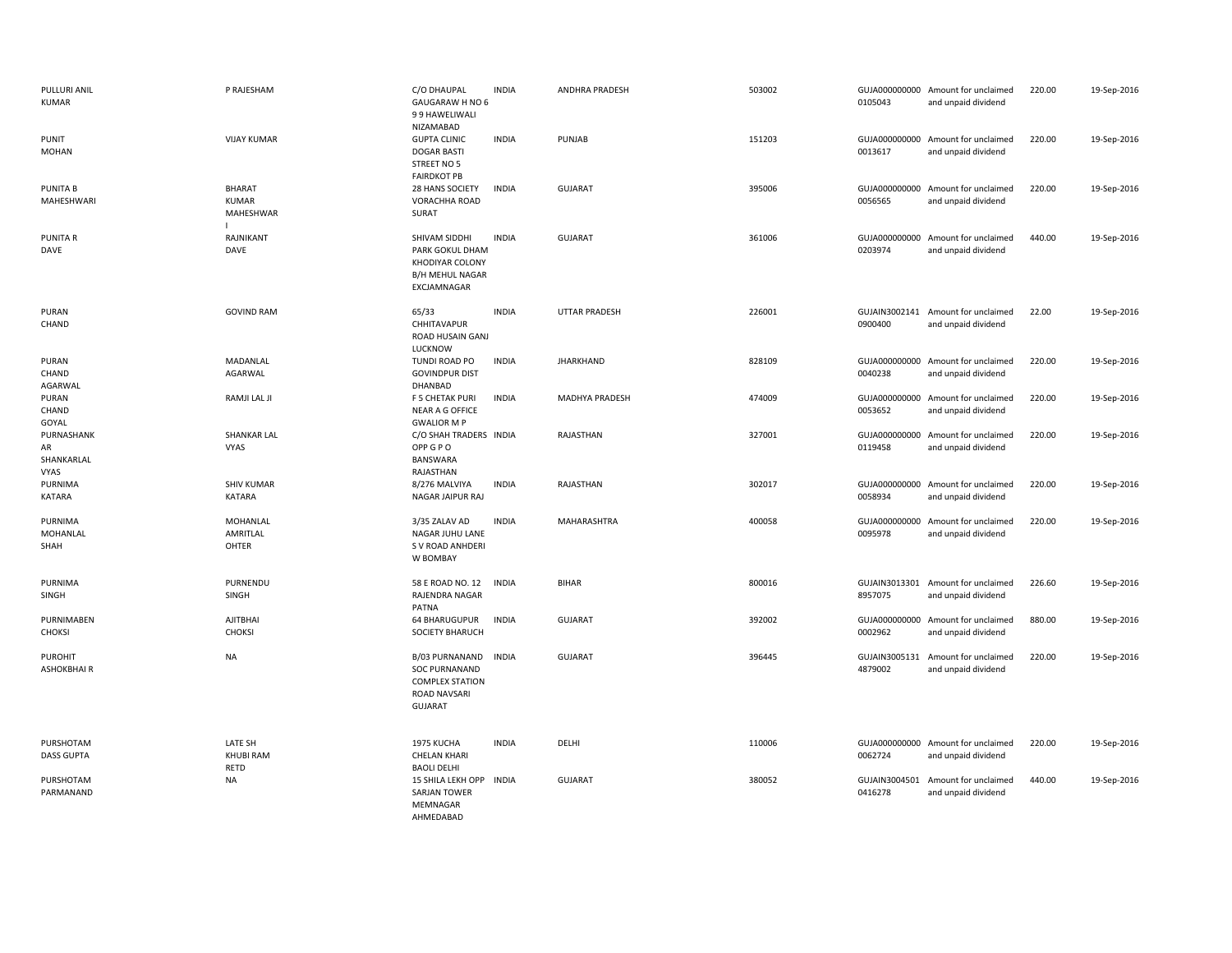| PULLURI ANIL<br><b>KUMAR</b>                  | P RAJESHAM                          | C/O DHAUPAL<br>GAUGARAW H NO 6<br>99 HAWELIWALI<br>NIZAMABAD                                              | <b>INDIA</b> | ANDHRA PRADESH   | 503002 | 0105043                  | GUJA000000000 Amount for unclaimed<br>and unpaid dividend | 220.00 | 19-Sep-2016 |
|-----------------------------------------------|-------------------------------------|-----------------------------------------------------------------------------------------------------------|--------------|------------------|--------|--------------------------|-----------------------------------------------------------|--------|-------------|
| PUNIT<br><b>MOHAN</b>                         | <b>VIJAY KUMAR</b>                  | <b>GUPTA CLINIC</b><br><b>DOGAR BASTI</b><br>STREET NO 5<br><b>FAIRDKOT PB</b>                            | <b>INDIA</b> | PUNJAB           | 151203 | 0013617                  | GUJA000000000 Amount for unclaimed<br>and unpaid dividend | 220.00 | 19-Sep-2016 |
| <b>PUNITA B</b><br>MAHESHWARI                 | BHARAT<br><b>KUMAR</b><br>MAHESHWAR | 28 HANS SOCIETY<br>VORACHHA ROAD<br>SURAT                                                                 | <b>INDIA</b> | <b>GUJARAT</b>   | 395006 | 0056565                  | GUJA000000000 Amount for unclaimed<br>and unpaid dividend | 220.00 | 19-Sep-2016 |
| PUNITA R<br>DAVE                              | RAJNIKANT<br>DAVE                   | SHIVAM SIDDHI<br>PARK GOKUL DHAM<br>KHODIYAR COLONY<br><b>B/H MEHUL NAGAR</b><br>EXCJAMNAGAR              | <b>INDIA</b> | <b>GUJARAT</b>   | 361006 | GUJA000000000<br>0203974 | Amount for unclaimed<br>and unpaid dividend               | 440.00 | 19-Sep-2016 |
| PURAN<br>CHAND                                | <b>GOVIND RAM</b>                   | 65/33<br>CHHITAVAPUR<br>ROAD HUSAIN GANJ<br>LUCKNOW                                                       | <b>INDIA</b> | UTTAR PRADESH    | 226001 | 0900400                  | GUJAIN3002141 Amount for unclaimed<br>and unpaid dividend | 22.00  | 19-Sep-2016 |
| PURAN<br>CHAND<br>AGARWAL                     | MADANLAL<br>AGARWAL                 | TUNDI ROAD PO<br><b>GOVINDPUR DIST</b><br>DHANBAD                                                         | <b>INDIA</b> | <b>JHARKHAND</b> | 828109 | 0040238                  | GUJA000000000 Amount for unclaimed<br>and unpaid dividend | 220.00 | 19-Sep-2016 |
| PURAN<br>CHAND<br>GOYAL                       | RAMJI LAL JI                        | F 5 CHETAK PURI<br>NEAR A G OFFICE<br><b>GWALIOR M P</b>                                                  | <b>INDIA</b> | MADHYA PRADESH   | 474009 | GUJA000000000<br>0053652 | Amount for unclaimed<br>and unpaid dividend               | 220.00 | 19-Sep-2016 |
| PURNASHANK<br>AR<br>SHANKARLAL<br><b>VYAS</b> | <b>SHANKAR LAL</b><br><b>VYAS</b>   | C/O SHAH TRADERS INDIA<br>OPP G P O<br>BANSWARA<br>RAJASTHAN                                              |              | RAJASTHAN        | 327001 | GUJA000000000<br>0119458 | Amount for unclaimed<br>and unpaid dividend               | 220.00 | 19-Sep-2016 |
| PURNIMA<br><b>KATARA</b>                      | <b>SHIV KUMAR</b><br>KATARA         | 8/276 MALVIYA<br>NAGAR JAIPUR RAJ                                                                         | <b>INDIA</b> | RAJASTHAN        | 302017 | 0058934                  | GUJA000000000 Amount for unclaimed<br>and unpaid dividend | 220.00 | 19-Sep-2016 |
| PURNIMA<br>MOHANLAL<br>SHAH                   | MOHANLAL<br>AMRITLAL<br>OHTER       | 3/35 ZALAV AD<br>NAGAR JUHU LANE<br>S V ROAD ANHDERI<br>W BOMBAY                                          | <b>INDIA</b> | MAHARASHTRA      | 400058 | 0095978                  | GUJA000000000 Amount for unclaimed<br>and unpaid dividend | 220.00 | 19-Sep-2016 |
| PURNIMA<br>SINGH                              | PURNENDU<br>SINGH                   | 58 E ROAD NO. 12<br>RAJENDRA NAGAR<br>PATNA                                                               | <b>INDIA</b> | <b>BIHAR</b>     | 800016 | 8957075                  | GUJAIN3013301 Amount for unclaimed<br>and unpaid dividend | 226.60 | 19-Sep-2016 |
| PURNIMABEN<br><b>CHOKSI</b>                   | AJITBHAI<br><b>CHOKSI</b>           | 64 BHARUGUPUR<br><b>SOCIETY BHARUCH</b>                                                                   | <b>INDIA</b> | <b>GUJARAT</b>   | 392002 | 0002962                  | GUJA000000000 Amount for unclaimed<br>and unpaid dividend | 880.00 | 19-Sep-2016 |
| <b>PUROHIT</b><br>ASHOKBHAIR                  | NA                                  | B/03 PURNANAND<br><b>SOC PURNANAND</b><br><b>COMPLEX STATION</b><br><b>ROAD NAVSARI</b><br><b>GUJARAT</b> | <b>INDIA</b> | <b>GUJARAT</b>   | 396445 | GUJAIN3005131<br>4879002 | Amount for unclaimed<br>and unpaid dividend               | 220.00 | 19-Sep-2016 |
| PURSHOTAM<br><b>DASS GUPTA</b>                | LATE SH<br>KHUBI RAM<br>RETD        | 1975 KUCHA<br><b>CHELAN KHARI</b><br><b>BAOLI DELHI</b>                                                   | <b>INDIA</b> | DELHI            | 110006 | 0062724                  | GUJA000000000 Amount for unclaimed<br>and unpaid dividend | 220.00 | 19-Sep-2016 |
| PURSHOTAM<br>PARMANAND                        | NA                                  | 15 SHILA LEKH OPP<br>SARJAN TOWER<br>MEMNAGAR<br>AHMEDABAD                                                | <b>INDIA</b> | <b>GUJARAT</b>   | 380052 | 0416278                  | GUJAIN3004501 Amount for unclaimed<br>and unpaid dividend | 440.00 | 19-Sep-2016 |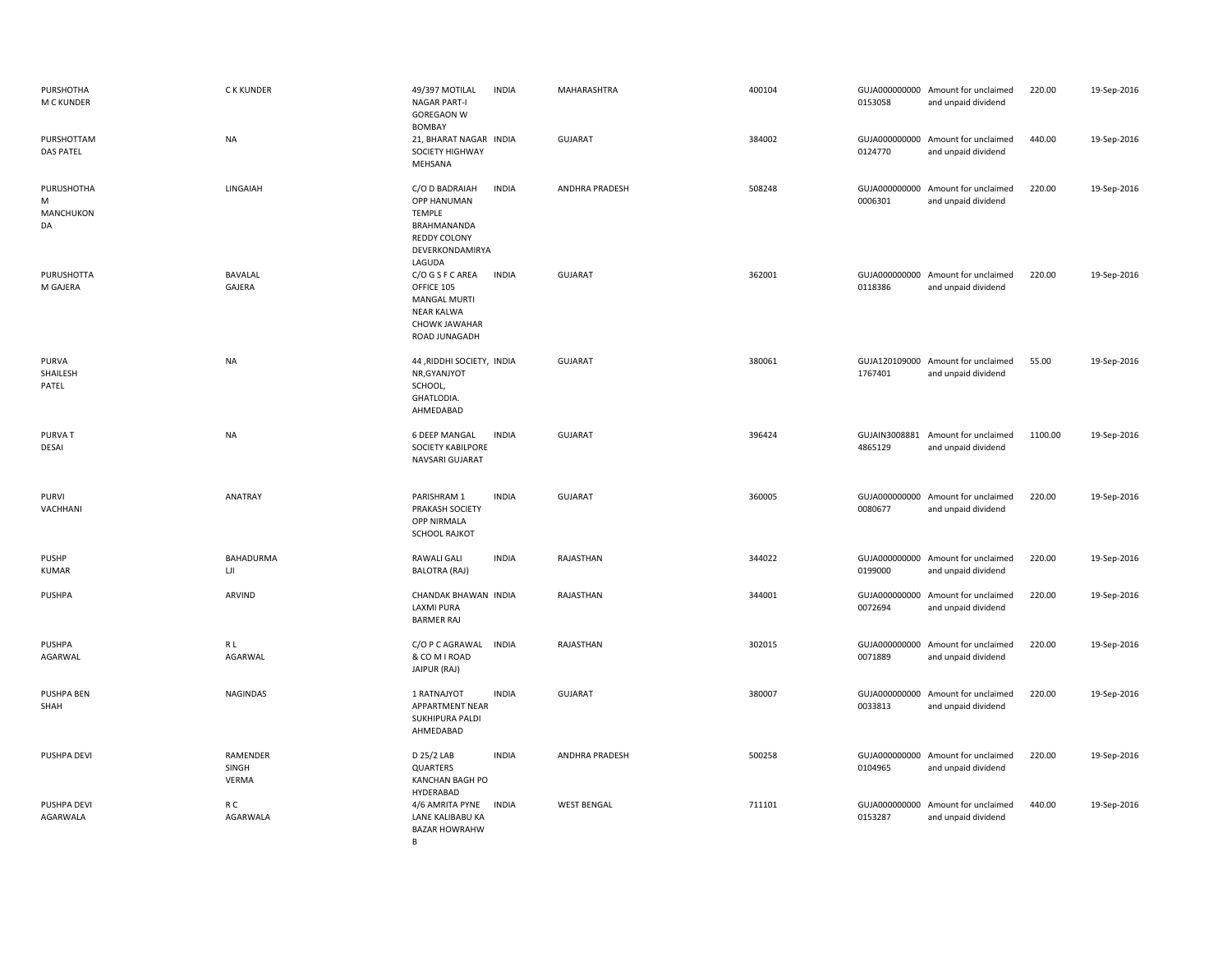| PURSHOTHA<br>M C KUNDER            | <b>CKKUNDER</b>            | 49/397 MOTILAL<br><b>NAGAR PART-I</b><br><b>GOREGAON W</b><br><b>BOMBAY</b>                                  | <b>INDIA</b> | MAHARASHTRA        | 400104 | 0153058 | GUJA000000000 Amount for unclaimed<br>and unpaid dividend | 220.00  | 19-Sep-2016 |
|------------------------------------|----------------------------|--------------------------------------------------------------------------------------------------------------|--------------|--------------------|--------|---------|-----------------------------------------------------------|---------|-------------|
| PURSHOTTAM<br><b>DAS PATEL</b>     | <b>NA</b>                  | 21, BHARAT NAGAR INDIA<br>SOCIETY HIGHWAY<br>MEHSANA                                                         |              | <b>GUJARAT</b>     | 384002 | 0124770 | GUJA000000000 Amount for unclaimed<br>and unpaid dividend | 440.00  | 19-Sep-2016 |
| PURUSHOTHA<br>M<br>MANCHUKON<br>DA | LINGAIAH                   | C/O D BADRAIAH<br>OPP HANUMAN<br>TEMPLE<br>BRAHMANANDA<br><b>REDDY COLONY</b><br>DEVERKONDAMIRYA<br>LAGUDA   | <b>INDIA</b> | ANDHRA PRADESH     | 508248 | 0006301 | GUJA000000000 Amount for unclaimed<br>and unpaid dividend | 220.00  | 19-Sep-2016 |
| PURUSHOTTA<br>M GAJERA             | BAVALAL<br>GAJERA          | C/O G S F C AREA<br>OFFICE 105<br><b>MANGAL MURTI</b><br><b>NEAR KALWA</b><br>CHOWK JAWAHAR<br>ROAD JUNAGADH | <b>INDIA</b> | <b>GUJARAT</b>     | 362001 | 0118386 | GUJA000000000 Amount for unclaimed<br>and unpaid dividend | 220.00  | 19-Sep-2016 |
| PURVA<br>SHAILESH<br>PATEL         | <b>NA</b>                  | 44, RIDDHI SOCIETY, INDIA<br>NR, GYANJYOT<br>SCHOOL,<br>GHATLODIA.<br>AHMEDABAD                              |              | <b>GUJARAT</b>     | 380061 | 1767401 | GUJA120109000 Amount for unclaimed<br>and unpaid dividend | 55.00   | 19-Sep-2016 |
| <b>PURVAT</b><br>DESAI             | <b>NA</b>                  | <b>6 DEEP MANGAL</b><br><b>SOCIETY KABILPORE</b><br>NAVSARI GUJARAT                                          | <b>INDIA</b> | <b>GUJARAT</b>     | 396424 | 4865129 | GUJAIN3008881 Amount for unclaimed<br>and unpaid dividend | 1100.00 | 19-Sep-2016 |
| PURVI<br>VACHHANI                  | ANATRAY                    | PARISHRAM 1<br>PRAKASH SOCIETY<br>OPP NIRMALA<br><b>SCHOOL RAJKOT</b>                                        | <b>INDIA</b> | <b>GUJARAT</b>     | 360005 | 0080677 | GUJA000000000 Amount for unclaimed<br>and unpaid dividend | 220.00  | 19-Sep-2016 |
| PUSHP<br><b>KUMAR</b>              | BAHADURMA<br>UI            | RAWALI GALI<br><b>BALOTRA (RAJ)</b>                                                                          | <b>INDIA</b> | RAJASTHAN          | 344022 | 0199000 | GUJA000000000 Amount for unclaimed<br>and unpaid dividend | 220.00  | 19-Sep-2016 |
| PUSHPA                             | ARVIND                     | CHANDAK BHAWAN INDIA<br>LAXMI PURA<br><b>BARMER RAJ</b>                                                      |              | RAJASTHAN          | 344001 | 0072694 | GUJA000000000 Amount for unclaimed<br>and unpaid dividend | 220.00  | 19-Sep-2016 |
| <b>PUSHPA</b><br>AGARWAL           | R L<br>AGARWAL             | C/O P C AGRAWAL<br>& CO M I ROAD<br>JAIPUR (RAJ)                                                             | <b>INDIA</b> | RAJASTHAN          | 302015 | 0071889 | GUJA000000000 Amount for unclaimed<br>and unpaid dividend | 220.00  | 19-Sep-2016 |
| PUSHPA BEN<br>SHAH                 | NAGINDAS                   | 1 RATNAJYOT<br>APPARTMENT NEAR<br>SUKHIPURA PALDI<br>AHMEDABAD                                               | <b>INDIA</b> | <b>GUJARAT</b>     | 380007 | 0033813 | GUJA000000000 Amount for unclaimed<br>and unpaid dividend | 220.00  | 19-Sep-2016 |
| PUSHPA DEVI                        | RAMENDER<br>SINGH<br>VERMA | D 25/2 LAB<br><b>QUARTERS</b><br>KANCHAN BAGH PO<br>HYDERABAD                                                | <b>INDIA</b> | ANDHRA PRADESH     | 500258 | 0104965 | GUJA000000000 Amount for unclaimed<br>and unpaid dividend | 220.00  | 19-Sep-2016 |
| PUSHPA DEVI<br>AGARWALA            | R C<br>AGARWALA            | 4/6 AMRITA PYNE<br>LANE KALIBABU KA<br><b>BAZAR HOWRAHW</b><br>B                                             | <b>INDIA</b> | <b>WEST BENGAL</b> | 711101 | 0153287 | GUJA000000000 Amount for unclaimed<br>and unpaid dividend | 440.00  | 19-Sep-2016 |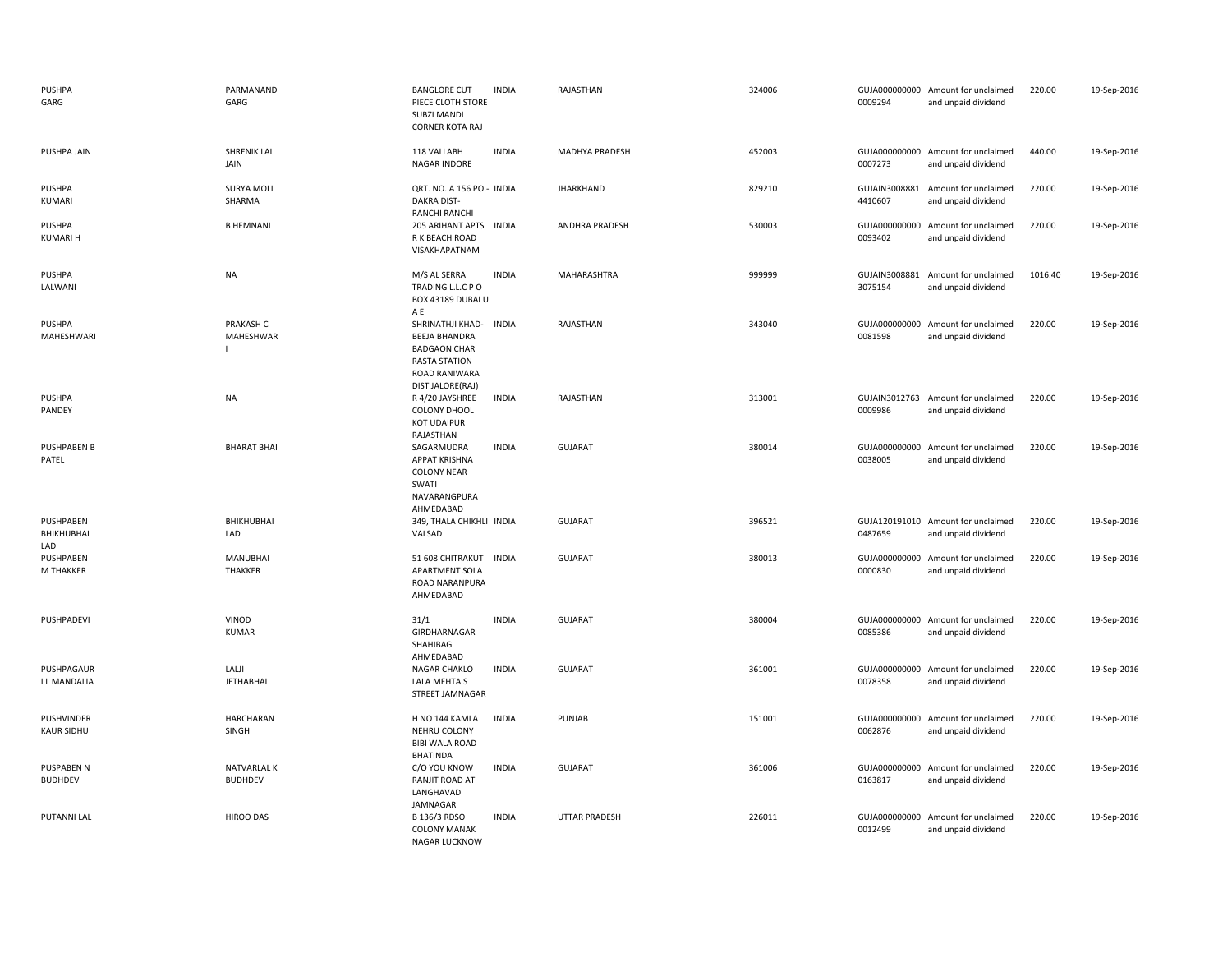| <b>PUSHPA</b><br>GARG               | PARMANAND<br>GARG                        | <b>BANGLORE CUT</b><br>PIECE CLOTH STORE<br>SUBZI MANDI<br><b>CORNER KOTA RAJ</b>                                                   | <b>INDIA</b> | RAJASTHAN             | 324006 | 0009294                  | GUJA000000000 Amount for unclaimed<br>and unpaid dividend | 220.00  | 19-Sep-2016 |
|-------------------------------------|------------------------------------------|-------------------------------------------------------------------------------------------------------------------------------------|--------------|-----------------------|--------|--------------------------|-----------------------------------------------------------|---------|-------------|
| PUSHPA JAIN                         | <b>SHRENIK LAL</b><br>JAIN               | 118 VALLABH<br>NAGAR INDORE                                                                                                         | <b>INDIA</b> | MADHYA PRADESH        | 452003 | 0007273                  | GUJA000000000 Amount for unclaimed<br>and unpaid dividend | 440.00  | 19-Sep-2016 |
| <b>PUSHPA</b><br>KUMARI             | <b>SURYA MOLI</b><br>SHARMA              | QRT. NO. A 156 PO.- INDIA<br>DAKRA DIST-<br>RANCHI RANCHI                                                                           |              | <b>JHARKHAND</b>      | 829210 | 4410607                  | GUJAIN3008881 Amount for unclaimed<br>and unpaid dividend | 220.00  | 19-Sep-2016 |
| <b>PUSHPA</b><br><b>KUMARI H</b>    | <b>B HEMNANI</b>                         | 205 ARIHANT APTS INDIA<br>R K BEACH ROAD<br>VISAKHAPATNAM                                                                           |              | <b>ANDHRA PRADESH</b> | 530003 | 0093402                  | GUJA000000000 Amount for unclaimed<br>and unpaid dividend | 220.00  | 19-Sep-2016 |
| PUSHPA<br>LALWANI                   | NA                                       | M/S AL SERRA<br>TRADING L.L.C P O<br>BOX 43189 DUBAI U                                                                              | <b>INDIA</b> | MAHARASHTRA           | 999999 | GUJAIN3008881<br>3075154 | Amount for unclaimed<br>and unpaid dividend               | 1016.40 | 19-Sep-2016 |
| <b>PUSHPA</b><br>MAHESHWARI         | PRAKASH C<br>MAHESHWAR<br>$\overline{1}$ | A E<br>SHRINATHJI KHAD-<br><b>BEEJA BHANDRA</b><br><b>BADGAON CHAR</b><br><b>RASTA STATION</b><br>ROAD RANIWARA<br>DIST JALORE(RAJ) | <b>INDIA</b> | RAJASTHAN             | 343040 | 0081598                  | GUJA000000000 Amount for unclaimed<br>and unpaid dividend | 220.00  | 19-Sep-2016 |
| <b>PUSHPA</b><br>PANDEY             | <b>NA</b>                                | R 4/20 JAYSHREE<br><b>COLONY DHOOL</b><br><b>KOT UDAIPUR</b><br>RAJASTHAN                                                           | <b>INDIA</b> | RAJASTHAN             | 313001 | 0009986                  | GUJAIN3012763 Amount for unclaimed<br>and unpaid dividend | 220.00  | 19-Sep-2016 |
| <b>PUSHPABEN B</b><br>PATEL         | <b>BHARAT BHAI</b>                       | SAGARMUDRA<br><b>APPAT KRISHNA</b><br><b>COLONY NEAR</b><br>SWATI<br>NAVARANGPURA<br>AHMEDABAD                                      | <b>INDIA</b> | <b>GUJARAT</b>        | 380014 | 0038005                  | GUJA000000000 Amount for unclaimed<br>and unpaid dividend | 220.00  | 19-Sep-2016 |
| PUSHPABEN<br>BHIKHUBHAI<br>LAD      | BHIKHUBHAI<br>LAD                        | 349, THALA CHIKHLI INDIA<br>VALSAD                                                                                                  |              | <b>GUJARAT</b>        | 396521 | 0487659                  | GUJA120191010 Amount for unclaimed<br>and unpaid dividend | 220.00  | 19-Sep-2016 |
| PUSHPABEN<br>M THAKKER              | <b>MANUBHAI</b><br>THAKKER               | 51 608 CHITRAKUT<br>APARTMENT SOLA<br>ROAD NARANPURA<br>AHMEDABAD                                                                   | <b>INDIA</b> | <b>GUJARAT</b>        | 380013 | 0000830                  | GUJA000000000 Amount for unclaimed<br>and unpaid dividend | 220.00  | 19-Sep-2016 |
| PUSHPADEVI                          | VINOD<br><b>KUMAR</b>                    | 31/1<br>GIRDHARNAGAR<br>SHAHIBAG<br>AHMEDABAD                                                                                       | <b>INDIA</b> | <b>GUJARAT</b>        | 380004 | 0085386                  | GUJA000000000 Amount for unclaimed<br>and unpaid dividend | 220.00  | 19-Sep-2016 |
| PUSHPAGAUR<br><b>ILMANDALIA</b>     | LALJI<br><b>JETHABHAI</b>                | NAGAR CHAKLO<br>LALA MEHTA S<br>STREET JAMNAGAR                                                                                     | <b>INDIA</b> | <b>GUJARAT</b>        | 361001 | 0078358                  | GUJA000000000 Amount for unclaimed<br>and unpaid dividend | 220.00  | 19-Sep-2016 |
| PUSHVINDER<br><b>KAUR SIDHU</b>     | HARCHARAN<br>SINGH                       | H NO 144 KAMLA<br>NEHRU COLONY<br><b>BIBI WALA ROAD</b><br><b>BHATINDA</b>                                                          | <b>INDIA</b> | PUNJAB                | 151001 | 0062876                  | GUJA000000000 Amount for unclaimed<br>and unpaid dividend | 220.00  | 19-Sep-2016 |
| <b>PUSPABEN N</b><br><b>BUDHDEV</b> | <b>NATVARLAL K</b><br><b>BUDHDEV</b>     | C/O YOU KNOW<br>RANJIT ROAD AT<br>LANGHAVAD<br>JAMNAGAR                                                                             | <b>INDIA</b> | <b>GUJARAT</b>        | 361006 | 0163817                  | GUJA000000000 Amount for unclaimed<br>and unpaid dividend | 220.00  | 19-Sep-2016 |
| <b>PUTANNI LAL</b>                  | HIROO DAS                                | B 136/3 RDSO<br><b>COLONY MANAK</b><br>NAGAR LUCKNOW                                                                                | <b>INDIA</b> | <b>UTTAR PRADESH</b>  | 226011 | GUJA000000000<br>0012499 | Amount for unclaimed<br>and unpaid dividend               | 220.00  | 19-Sep-2016 |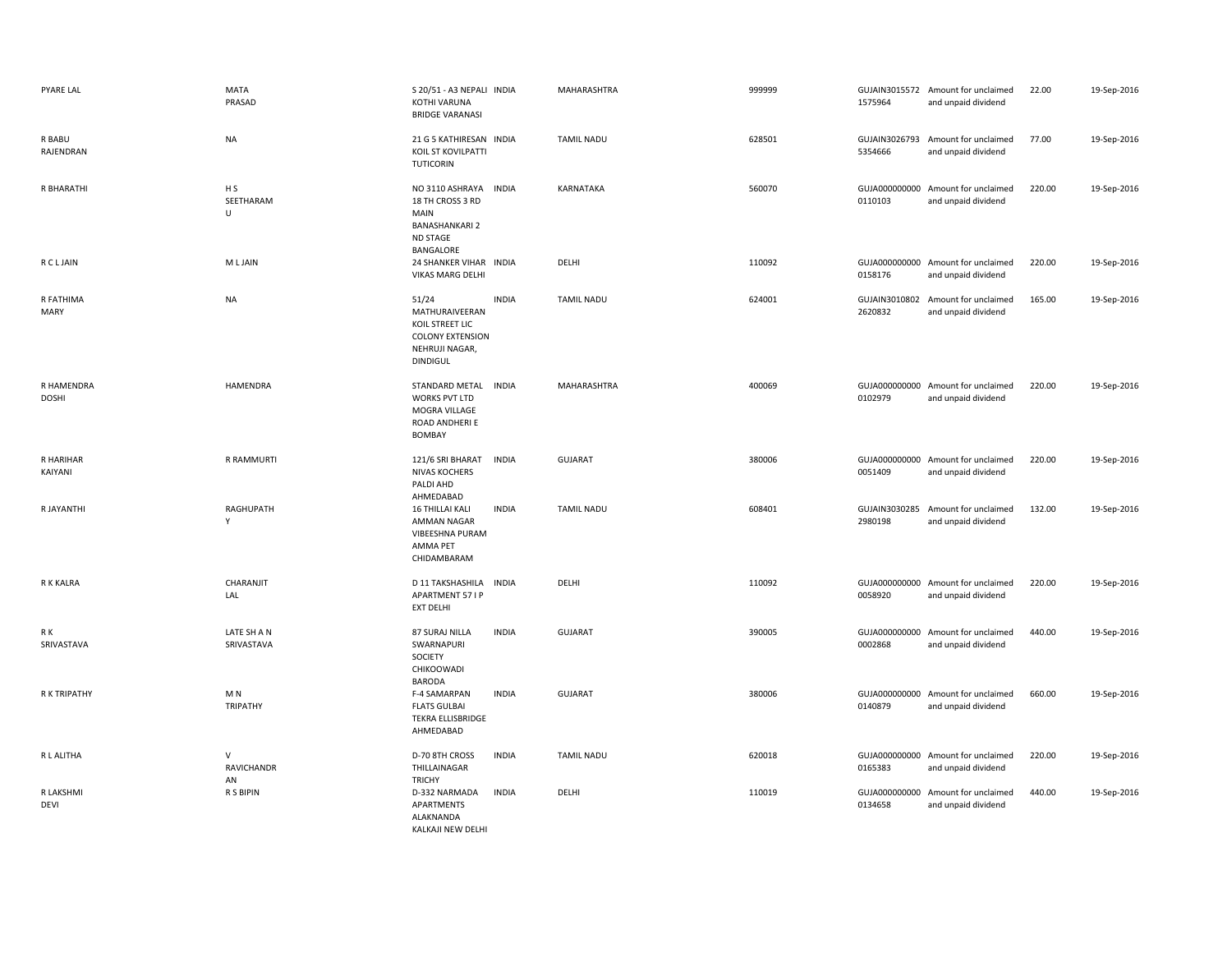| PYARE LAL                  | <b>MATA</b><br>PRASAD             | S 20/51 - A3 NEPALI INDIA<br>KOTHI VARUNA<br><b>BRIDGE VARANASI</b>                                           |              | MAHARASHTRA       | 999999 | 1575964                  | GUJAIN3015572 Amount for unclaimed<br>and unpaid dividend | 22.00  | 19-Sep-2016 |
|----------------------------|-----------------------------------|---------------------------------------------------------------------------------------------------------------|--------------|-------------------|--------|--------------------------|-----------------------------------------------------------|--------|-------------|
| R BABU<br>RAJENDRAN        | <b>NA</b>                         | 21 G 5 KATHIRESAN INDIA<br>KOIL ST KOVILPATTI<br><b>TUTICORIN</b>                                             |              | <b>TAMIL NADU</b> | 628501 | GUJAIN3026793<br>5354666 | Amount for unclaimed<br>and unpaid dividend               | 77.00  | 19-Sep-2016 |
| R BHARATHI                 | H <sub>S</sub><br>SEETHARAM<br>U  | NO 3110 ASHRAYA<br>INDIA<br>18 TH CROSS 3 RD<br>MAIN<br><b>BANASHANKARI 2</b><br><b>ND STAGE</b><br>BANGALORE |              | KARNATAKA         | 560070 | 0110103                  | GUJA000000000 Amount for unclaimed<br>and unpaid dividend | 220.00 | 19-Sep-2016 |
| <b>RCLJAIN</b>             | M L JAIN                          | 24 SHANKER VIHAR INDIA<br><b>VIKAS MARG DELHI</b>                                                             |              | DELHI             | 110092 | 0158176                  | GUJA000000000 Amount for unclaimed<br>and unpaid dividend | 220.00 | 19-Sep-2016 |
| R FATHIMA<br>MARY          | <b>NA</b>                         | 51/24<br>MATHURAIVEERAN<br>KOIL STREET LIC<br><b>COLONY EXTENSION</b><br>NEHRUJI NAGAR,<br><b>DINDIGUL</b>    | <b>INDIA</b> | <b>TAMIL NADU</b> | 624001 | GUJAIN3010802<br>2620832 | Amount for unclaimed<br>and unpaid dividend               | 165.00 | 19-Sep-2016 |
| R HAMENDRA<br><b>DOSHI</b> | <b>HAMENDRA</b>                   | STANDARD METAL INDIA<br><b>WORKS PVT LTD</b><br>MOGRA VILLAGE<br>ROAD ANDHERI E<br>BOMBAY                     |              | MAHARASHTRA       | 400069 | 0102979                  | GUJA000000000 Amount for unclaimed<br>and unpaid dividend | 220.00 | 19-Sep-2016 |
| R HARIHAR<br>KAIYANI       | R RAMMURTI                        | 121/6 SRI BHARAT<br><b>NIVAS KOCHERS</b><br>PALDI AHD<br>AHMEDABAD                                            | <b>INDIA</b> | <b>GUJARAT</b>    | 380006 | 0051409                  | GUJA000000000 Amount for unclaimed<br>and unpaid dividend | 220.00 | 19-Sep-2016 |
| R JAYANTHI                 | RAGHUPATH<br>Y                    | <b>16 THILLAI KALI</b><br>AMMAN NAGAR<br>VIBEESHNA PURAM<br>AMMA PET<br>CHIDAMBARAM                           | <b>INDIA</b> | <b>TAMIL NADU</b> | 608401 | 2980198                  | GUJAIN3030285 Amount for unclaimed<br>and unpaid dividend | 132.00 | 19-Sep-2016 |
| R K KALRA                  | CHARANJIT<br>LAL                  | D 11 TAKSHASHILA<br><b>APARTMENT 57 I P</b><br><b>EXT DELHI</b>                                               | <b>INDIA</b> | DELHI             | 110092 | 0058920                  | GUJA000000000 Amount for unclaimed<br>and unpaid dividend | 220.00 | 19-Sep-2016 |
| R K<br>SRIVASTAVA          | LATE SH A N<br>SRIVASTAVA         | 87 SURAJ NILLA<br>SWARNAPURI<br>SOCIETY<br>CHIKOOWADI<br><b>BARODA</b>                                        | <b>INDIA</b> | <b>GUJARAT</b>    | 390005 | 0002868                  | GUJA000000000 Amount for unclaimed<br>and unpaid dividend | 440.00 | 19-Sep-2016 |
| <b>RKTRIPATHY</b>          | M <sub>N</sub><br><b>TRIPATHY</b> | F-4 SAMARPAN<br><b>FLATS GULBAI</b><br><b>TEKRA ELLISBRIDGE</b><br>AHMEDABAD                                  | <b>INDIA</b> | <b>GUJARAT</b>    | 380006 | 0140879                  | GUJA000000000 Amount for unclaimed<br>and unpaid dividend | 660.00 | 19-Sep-2016 |
| R L ALITHA                 | V<br>RAVICHANDR<br>AN             | D-70 8TH CROSS<br>THILLAINAGAR<br><b>TRICHY</b>                                                               | <b>INDIA</b> | <b>TAMIL NADU</b> | 620018 | 0165383                  | GUJA000000000 Amount for unclaimed<br>and unpaid dividend | 220.00 | 19-Sep-2016 |
| R LAKSHMI<br><b>DEVI</b>   | R S BIPIN                         | D-332 NARMADA<br>APARTMENTS<br>ALAKNANDA<br>KALKAJI NEW DELHI                                                 | <b>INDIA</b> | DELHI             | 110019 | 0134658                  | GUJA000000000 Amount for unclaimed<br>and unpaid dividend | 440.00 | 19-Sep-2016 |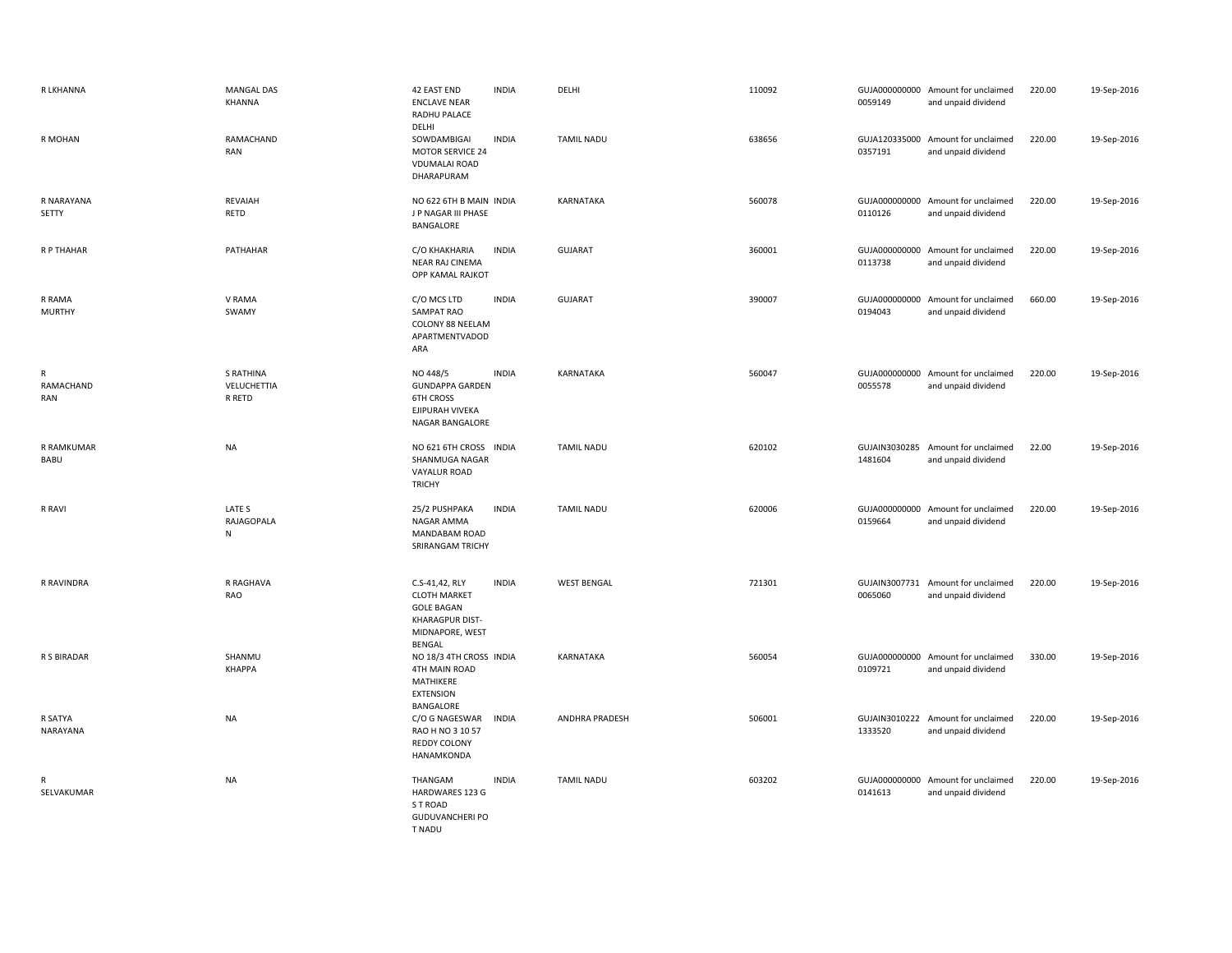| R LKHANNA                 | MANGAL DAS<br>KHANNA                      | 42 EAST END<br><b>INDIA</b><br><b>ENCLAVE NEAR</b><br>RADHU PALACE<br>DELHI                                                | DELHI              | 110092 | 0059149 | GUJA000000000 Amount for unclaimed<br>and unpaid dividend | 220.00 | 19-Sep-2016 |
|---------------------------|-------------------------------------------|----------------------------------------------------------------------------------------------------------------------------|--------------------|--------|---------|-----------------------------------------------------------|--------|-------------|
| R MOHAN                   | RAMACHAND<br><b>RAN</b>                   | SOWDAMBIGAI<br><b>INDIA</b><br><b>MOTOR SERVICE 24</b><br><b>VDUMALAI ROAD</b><br>DHARAPURAM                               | TAMIL NADU         | 638656 | 0357191 | GUJA120335000 Amount for unclaimed<br>and unpaid dividend | 220.00 | 19-Sep-2016 |
| R NARAYANA<br>SETTY       | REVAIAH<br>RETD                           | NO 622 6TH B MAIN INDIA<br>J P NAGAR III PHASE<br>BANGALORE                                                                | KARNATAKA          | 560078 | 0110126 | GUJA000000000 Amount for unclaimed<br>and unpaid dividend | 220.00 | 19-Sep-2016 |
| R P THAHAR                | PATHAHAR                                  | C/O KHAKHARIA<br><b>INDIA</b><br>NEAR RAJ CINEMA<br>OPP KAMAL RAJKOT                                                       | <b>GUJARAT</b>     | 360001 | 0113738 | GUJA000000000 Amount for unclaimed<br>and unpaid dividend | 220.00 | 19-Sep-2016 |
| R RAMA<br><b>MURTHY</b>   | V RAMA<br>SWAMY                           | <b>INDIA</b><br>C/O MCS LTD<br>SAMPAT RAO<br>COLONY 88 NEELAM<br>APARTMENTVADOD<br>ARA                                     | <b>GUJARAT</b>     | 390007 | 0194043 | GUJA000000000 Amount for unclaimed<br>and unpaid dividend | 660.00 | 19-Sep-2016 |
| R<br>RAMACHAND<br>RAN     | <b>S RATHINA</b><br>VELUCHETTIA<br>R RETD | NO 448/5<br><b>INDIA</b><br><b>GUNDAPPA GARDEN</b><br><b>6TH CROSS</b><br>EJIPURAH VIVEKA<br>NAGAR BANGALORE               | KARNATAKA          | 560047 | 0055578 | GUJA000000000 Amount for unclaimed<br>and unpaid dividend | 220.00 | 19-Sep-2016 |
| R RAMKUMAR<br><b>BABU</b> | <b>NA</b>                                 | NO 621 6TH CROSS INDIA<br>SHANMUGA NAGAR<br>VAYALUR ROAD<br><b>TRICHY</b>                                                  | <b>TAMIL NADU</b>  | 620102 | 1481604 | GUJAIN3030285 Amount for unclaimed<br>and unpaid dividend | 22.00  | 19-Sep-2016 |
| R RAVI                    | LATE S<br>RAJAGOPALA<br>${\sf N}$         | <b>INDIA</b><br>25/2 PUSHPAKA<br>NAGAR AMMA<br>MANDABAM ROAD<br>SRIRANGAM TRICHY                                           | <b>TAMIL NADU</b>  | 620006 | 0159664 | GUJA000000000 Amount for unclaimed<br>and unpaid dividend | 220.00 | 19-Sep-2016 |
| R RAVINDRA                | R RAGHAVA<br>RAO                          | C.S-41,42, RLY<br><b>INDIA</b><br><b>CLOTH MARKET</b><br><b>GOLE BAGAN</b><br>KHARAGPUR DIST-<br>MIDNAPORE, WEST<br>BENGAL | <b>WEST BENGAL</b> | 721301 | 0065060 | GUJAIN3007731 Amount for unclaimed<br>and unpaid dividend | 220.00 | 19-Sep-2016 |
| R S BIRADAR               | SHANMU<br><b>КНАРРА</b>                   | NO 18/3 4TH CROSS INDIA<br>4TH MAIN ROAD<br>MATHIKERE<br><b>EXTENSION</b>                                                  | KARNATAKA          | 560054 | 0109721 | GUJA000000000 Amount for unclaimed<br>and unpaid dividend | 330.00 | 19-Sep-2016 |
| R SATYA<br>NARAYANA       | NA                                        | BANGALORE<br>C/O G NAGESWAR<br><b>INDIA</b><br>RAO H NO 3 10 57<br><b>REDDY COLONY</b><br>HANAMKONDA                       | ANDHRA PRADESH     | 506001 | 1333520 | GUJAIN3010222 Amount for unclaimed<br>and unpaid dividend | 220.00 | 19-Sep-2016 |
| R<br>SELVAKUMAR           | <b>NA</b>                                 | <b>INDIA</b><br>THANGAM<br>HARDWARES 123 G<br>S T ROAD<br><b>GUDUVANCHERI PO</b><br>T NADU                                 | <b>TAMIL NADU</b>  | 603202 | 0141613 | GUJA000000000 Amount for unclaimed<br>and unpaid dividend | 220.00 | 19-Sep-2016 |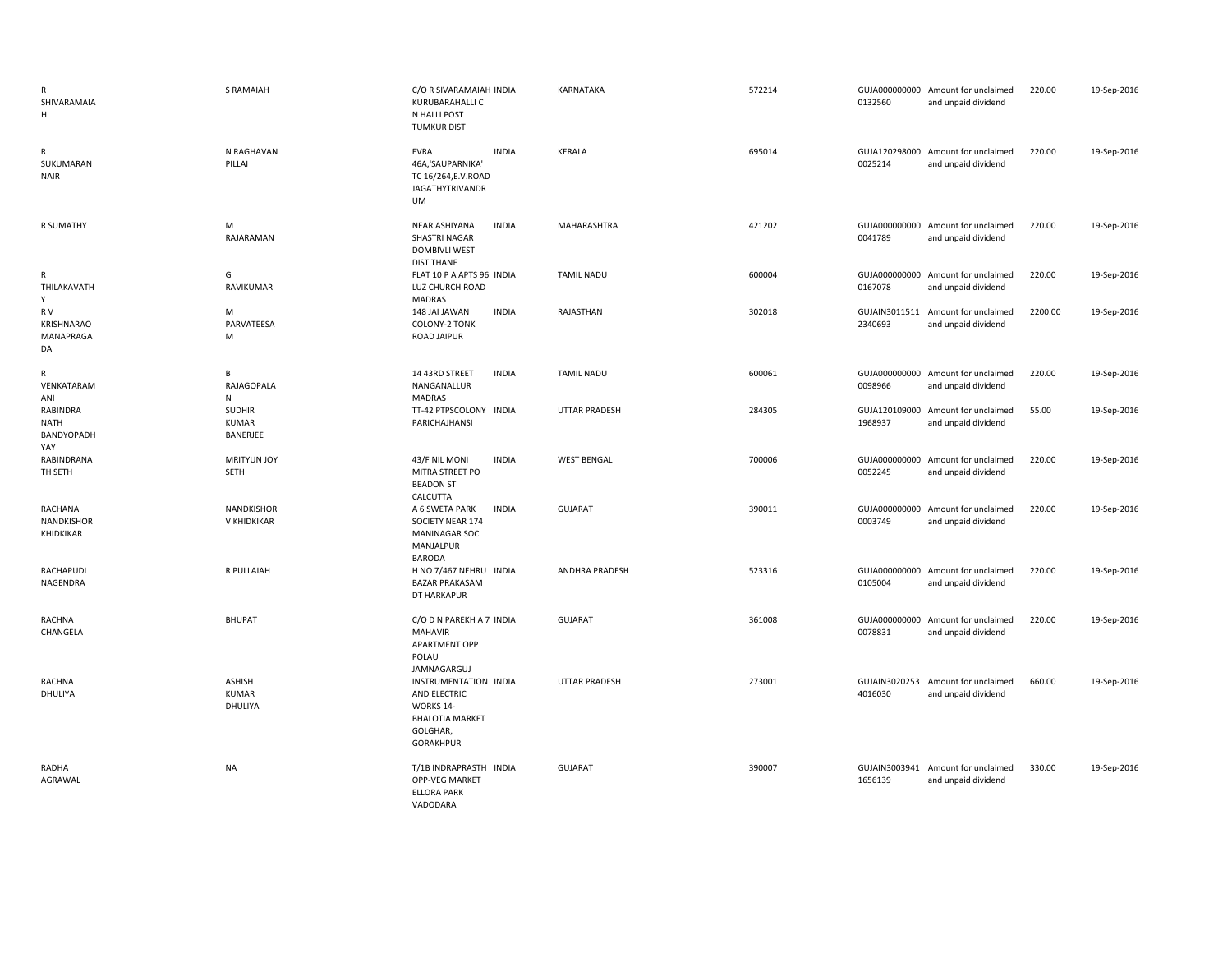| R<br>SHIVARAMAIA<br>H                 | <b>S RAMAIAH</b>                          | C/O R SIVARAMAIAH INDIA<br>KURUBARAHALLI C<br>N HALLI POST<br><b>TUMKUR DIST</b>                             | KARNATAKA             | 572214 | 0132560                  | GUJA000000000 Amount for unclaimed<br>and unpaid dividend | 220.00  | 19-Sep-2016 |
|---------------------------------------|-------------------------------------------|--------------------------------------------------------------------------------------------------------------|-----------------------|--------|--------------------------|-----------------------------------------------------------|---------|-------------|
| R<br>SUKUMARAN<br><b>NAIR</b>         | N RAGHAVAN<br>PILLAI                      | <b>INDIA</b><br>EVRA<br>46A,'SAUPARNIKA'<br>TC 16/264, E.V. ROAD<br><b>JAGATHYTRIVANDR</b><br>UM             | KERALA                | 695014 | 0025214                  | GUJA120298000 Amount for unclaimed<br>and unpaid dividend | 220.00  | 19-Sep-2016 |
| <b>R SUMATHY</b>                      | M<br>RAJARAMAN                            | NEAR ASHIYANA<br><b>INDIA</b><br><b>SHASTRI NAGAR</b><br><b>DOMBIVLI WEST</b><br><b>DIST THANE</b>           | <b>MAHARASHTRA</b>    | 421202 | 0041789                  | GUJA000000000 Amount for unclaimed<br>and unpaid dividend | 220.00  | 19-Sep-2016 |
| R<br>THILAKAVATH<br>Y                 | G<br>RAVIKUMAR                            | FLAT 10 P A APTS 96 INDIA<br>LUZ CHURCH ROAD<br><b>MADRAS</b>                                                | TAMIL NADU            | 600004 | 0167078                  | GUJA000000000 Amount for unclaimed<br>and unpaid dividend | 220.00  | 19-Sep-2016 |
| R V<br>KRISHNARAO<br>MANAPRAGA<br>DA  | M<br>PARVATEESA<br>M                      | <b>INDIA</b><br>148 JAI JAWAN<br><b>COLONY-2 TONK</b><br><b>ROAD JAIPUR</b>                                  | RAJASTHAN             | 302018 | GUJAIN3011511<br>2340693 | Amount for unclaimed<br>and unpaid dividend               | 2200.00 | 19-Sep-2016 |
| R<br>VENKATARAM<br>ANI                | В<br>RAJAGOPALA<br>N                      | <b>INDIA</b><br>14 43RD STREET<br>NANGANALLUR<br><b>MADRAS</b>                                               | <b>TAMIL NADU</b>     | 600061 | 0098966                  | GUJA000000000 Amount for unclaimed<br>and unpaid dividend | 220.00  | 19-Sep-2016 |
| RABINDRA<br>NATH<br>BANDYOPADH<br>YAY | <b>SUDHIR</b><br><b>KUMAR</b><br>BANERJEE | TT-42 PTPSCOLONY INDIA<br>PARICHAJHANSI                                                                      | <b>UTTAR PRADESH</b>  | 284305 | GUJA120109000<br>1968937 | Amount for unclaimed<br>and unpaid dividend               | 55.00   | 19-Sep-2016 |
| RABINDRANA<br>TH SETH                 | <b>MRITYUN JOY</b><br><b>SETH</b>         | 43/F NIL MONI<br><b>INDIA</b><br>MITRA STREET PO<br><b>BEADON ST</b><br>CALCUTTA                             | <b>WEST BENGAL</b>    | 700006 | 0052245                  | GUJA000000000 Amount for unclaimed<br>and unpaid dividend | 220.00  | 19-Sep-2016 |
| RACHANA<br>NANDKISHOR<br>KHIDKIKAR    | NANDKISHOR<br>V KHIDKIKAR                 | A 6 SWETA PARK<br><b>INDIA</b><br>SOCIETY NEAR 174<br>MANINAGAR SOC<br>MANJALPUR<br><b>BARODA</b>            | GUJARAT               | 390011 | 0003749                  | GUJA000000000 Amount for unclaimed<br>and unpaid dividend | 220.00  | 19-Sep-2016 |
| RACHAPUDI<br>NAGENDRA                 | R PULLAIAH                                | H NO 7/467 NEHRU INDIA<br><b>BAZAR PRAKASAM</b><br>DT HARKAPUR                                               | <b>ANDHRA PRADESH</b> | 523316 | 0105004                  | GUJA000000000 Amount for unclaimed<br>and unpaid dividend | 220.00  | 19-Sep-2016 |
| RACHNA<br>CHANGELA                    | <b>BHUPAT</b>                             | C/O D N PAREKH A 7 INDIA<br><b>MAHAVIR</b><br><b>APARTMENT OPP</b><br>POLAU<br>JAMNAGARGUJ                   | <b>GUJARAT</b>        | 361008 | 0078831                  | GUJA000000000 Amount for unclaimed<br>and unpaid dividend | 220.00  | 19-Sep-2016 |
| RACHNA<br>DHULIYA                     | <b>ASHISH</b><br><b>KUMAR</b><br>DHULIYA  | INSTRUMENTATION INDIA<br>AND ELECTRIC<br>WORKS 14-<br><b>BHALOTIA MARKET</b><br>GOLGHAR,<br><b>GORAKHPUR</b> | <b>UTTAR PRADESH</b>  | 273001 | GUJAIN3020253<br>4016030 | Amount for unclaimed<br>and unpaid dividend               | 660.00  | 19-Sep-2016 |
| RADHA<br>AGRAWAL                      | <b>NA</b>                                 | T/1B INDRAPRASTH INDIA<br>OPP-VEG MARKET<br><b>ELLORA PARK</b><br>VADODARA                                   | GUJARAT               | 390007 | 1656139                  | GUJAIN3003941 Amount for unclaimed<br>and unpaid dividend | 330.00  | 19-Sep-2016 |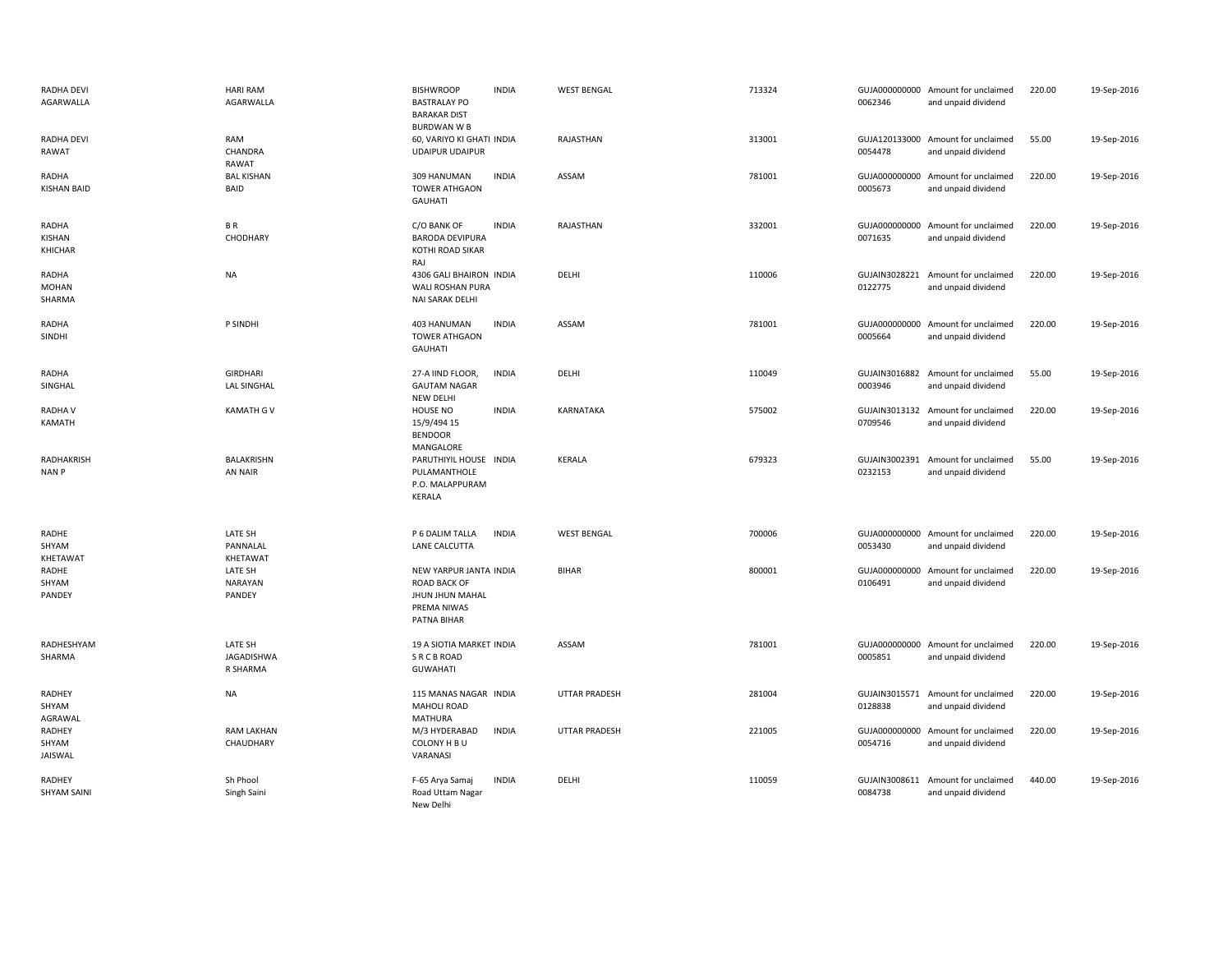| <b>RADHA DEVI</b><br>AGARWALLA  | <b>HARI RAM</b><br>AGARWALLA             | <b>BISHWROOP</b><br><b>INDIA</b><br><b>BASTRALAY PO</b><br><b>BARAKAR DIST</b><br><b>BURDWAN W B</b> | <b>WEST BENGAL</b>   | 713324 | 0062346                  | GUJA000000000 Amount for unclaimed<br>and unpaid dividend | 220.00 | 19-Sep-2016 |
|---------------------------------|------------------------------------------|------------------------------------------------------------------------------------------------------|----------------------|--------|--------------------------|-----------------------------------------------------------|--------|-------------|
| RADHA DEVI<br><b>RAWAT</b>      | RAM<br>CHANDRA<br>RAWAT                  | 60, VARIYO KI GHATI INDIA<br><b>UDAIPUR UDAIPUR</b>                                                  | RAJASTHAN            | 313001 | 0054478                  | GUJA120133000 Amount for unclaimed<br>and unpaid dividend | 55.00  | 19-Sep-2016 |
| RADHA<br><b>KISHAN BAID</b>     | <b>BAL KISHAN</b><br><b>BAID</b>         | <b>INDIA</b><br>309 HANUMAN<br><b>TOWER ATHGAON</b><br><b>GAUHATI</b>                                | ASSAM                | 781001 | GUJA000000000<br>0005673 | Amount for unclaimed<br>and unpaid dividend               | 220.00 | 19-Sep-2016 |
| RADHA<br>KISHAN<br>KHICHAR      | BR<br>CHODHARY                           | <b>INDIA</b><br>C/O BANK OF<br><b>BARODA DEVIPURA</b><br>KOTHI ROAD SIKAR<br>RAJ                     | RAJASTHAN            | 332001 | 0071635                  | GUJA000000000 Amount for unclaimed<br>and unpaid dividend | 220.00 | 19-Sep-2016 |
| RADHA<br><b>MOHAN</b><br>SHARMA | <b>NA</b>                                | 4306 GALI BHAIRON INDIA<br>WALI ROSHAN PURA<br>NAI SARAK DELHI                                       | DELHI                | 110006 | GUJAIN3028221<br>0122775 | Amount for unclaimed<br>and unpaid dividend               | 220.00 | 19-Sep-2016 |
| <b>RADHA</b><br>SINDHI          | P SINDHI                                 | <b>INDIA</b><br>403 HANUMAN<br><b>TOWER ATHGAON</b><br><b>GAUHATI</b>                                | ASSAM                | 781001 | 0005664                  | GUJA000000000 Amount for unclaimed<br>and unpaid dividend | 220.00 | 19-Sep-2016 |
| RADHA<br>SINGHAL                | <b>GIRDHARI</b><br><b>LAL SINGHAL</b>    | <b>INDIA</b><br>27-A IIND FLOOR,<br><b>GAUTAM NAGAR</b><br><b>NEW DELHI</b>                          | DELHI                | 110049 | GUJAIN3016882<br>0003946 | Amount for unclaimed<br>and unpaid dividend               | 55.00  | 19-Sep-2016 |
| <b>RADHAV</b><br>KAMATH         | <b>KAMATH G V</b>                        | <b>INDIA</b><br><b>HOUSE NO</b><br>15/9/494 15<br><b>BENDOOR</b><br>MANGALORE                        | KARNATAKA            | 575002 | GUJAIN3013132<br>0709546 | Amount for unclaimed<br>and unpaid dividend               | 220.00 | 19-Sep-2016 |
| RADHAKRISH<br><b>NANP</b>       | <b>BALAKRISHN</b><br><b>AN NAIR</b>      | PARUTHIYIL HOUSE INDIA<br>PULAMANTHOLE<br>P.O. MALAPPURAM<br>KERALA                                  | KERALA               | 679323 | GUJAIN3002391<br>0232153 | Amount for unclaimed<br>and unpaid dividend               | 55.00  | 19-Sep-2016 |
| RADHE<br>SHYAM<br>KHETAWAT      | LATE SH<br>PANNALAL<br>KHETAWAT          | P 6 DALIM TALLA<br><b>INDIA</b><br>LANE CALCUTTA                                                     | <b>WEST BENGAL</b>   | 700006 | 0053430                  | GUJA000000000 Amount for unclaimed<br>and unpaid dividend | 220.00 | 19-Sep-2016 |
| RADHE<br>SHYAM<br>PANDEY        | LATE SH<br><b>NARAYAN</b><br>PANDEY      | NEW YARPUR JANTA INDIA<br><b>ROAD BACK OF</b><br>JHUN JHUN MAHAL<br>PREMA NIWAS<br>PATNA BIHAR       | <b>BIHAR</b>         | 800001 | GUJA000000000<br>0106491 | Amount for unclaimed<br>and unpaid dividend               | 220.00 | 19-Sep-2016 |
| RADHESHYAM<br>SHARMA            | LATE SH<br><b>JAGADISHWA</b><br>R SHARMA | 19 A SIOTIA MARKET INDIA<br><b>SRCBROAD</b><br><b>GUWAHATI</b>                                       | ASSAM                | 781001 | GUJA000000000<br>0005851 | Amount for unclaimed<br>and unpaid dividend               | 220.00 | 19-Sep-2016 |
| RADHEY<br>SHYAM<br>AGRAWAL      | <b>NA</b>                                | 115 MANAS NAGAR INDIA<br><b>MAHOLI ROAD</b><br><b>MATHURA</b>                                        | <b>UTTAR PRADESH</b> | 281004 | 0128838                  | GUJAIN3015571 Amount for unclaimed<br>and unpaid dividend | 220.00 | 19-Sep-2016 |
| RADHEY<br>SHYAM<br>JAISWAL      | <b>RAM LAKHAN</b><br>CHAUDHARY           | <b>INDIA</b><br>M/3 HYDERABAD<br>COLONY H B U<br>VARANASI                                            | <b>UTTAR PRADESH</b> | 221005 | 0054716                  | GUJA000000000 Amount for unclaimed<br>and unpaid dividend | 220.00 | 19-Sep-2016 |
| RADHEY<br><b>SHYAM SAINI</b>    | Sh Phool<br>Singh Saini                  | F-65 Arya Samaj<br><b>INDIA</b><br>Road Uttam Nagar<br>New Delhi                                     | DELHI                | 110059 | GUJAIN3008611<br>0084738 | Amount for unclaimed<br>and unpaid dividend               | 440.00 | 19-Sep-2016 |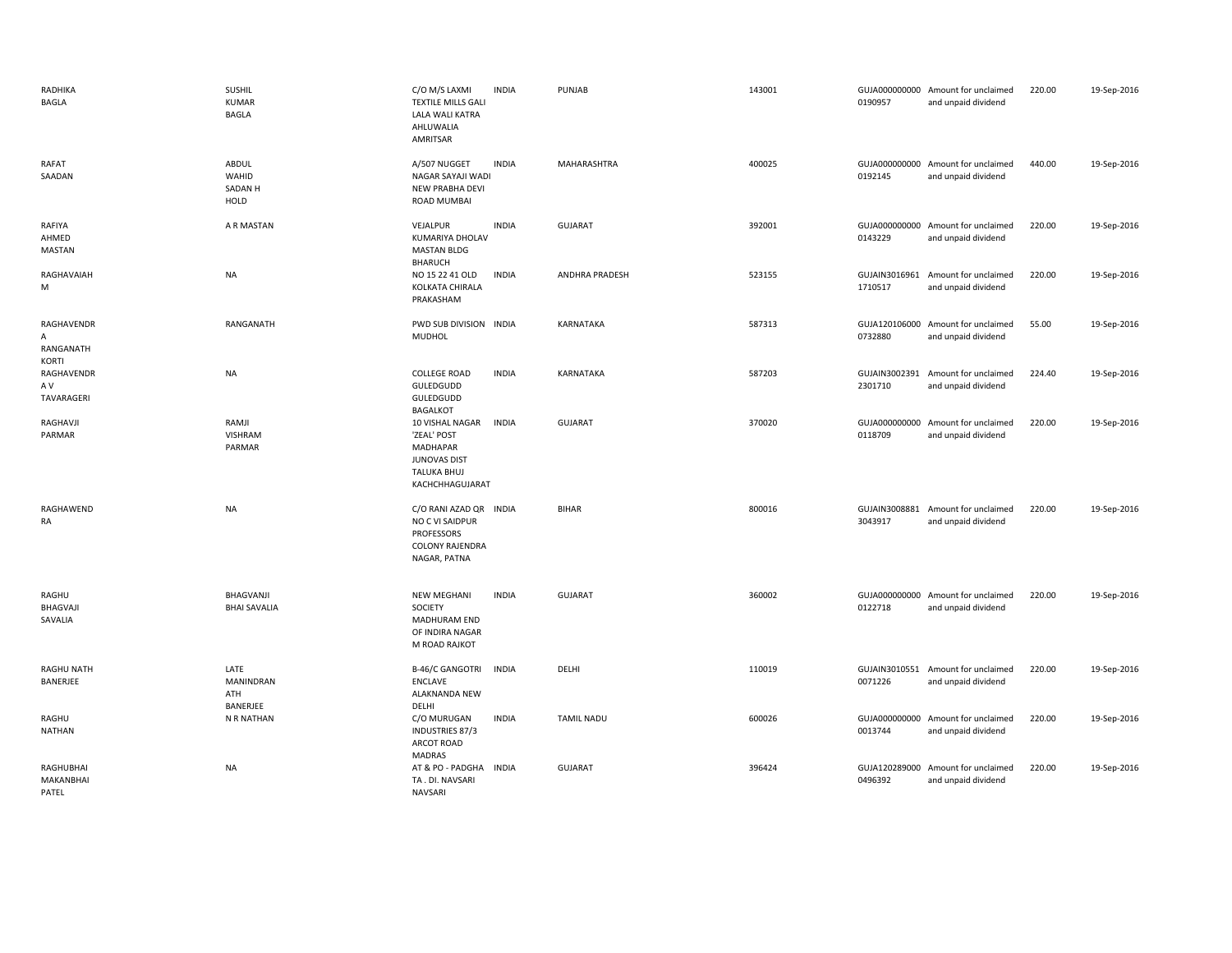| RADHIKA<br>BAGLA                      | <b>SUSHIL</b><br>KUMAR<br><b>BAGLA</b>   | C/O M/S LAXMI<br><b>TEXTILE MILLS GALI</b><br>LALA WALI KATRA<br>AHLUWALIA<br>AMRITSAR                     | <b>INDIA</b> | PUNJAB                | 143001 | 0190957                  | GUJA000000000 Amount for unclaimed<br>and unpaid dividend | 220.00 | 19-Sep-2016 |
|---------------------------------------|------------------------------------------|------------------------------------------------------------------------------------------------------------|--------------|-----------------------|--------|--------------------------|-----------------------------------------------------------|--------|-------------|
| RAFAT<br>SAADAN                       | ABDUL<br>WAHID<br><b>SADAN H</b><br>HOLD | A/507 NUGGET<br>NAGAR SAYAJI WADI<br>NEW PRABHA DEVI<br>ROAD MUMBAI                                        | <b>INDIA</b> | MAHARASHTRA           | 400025 | 0192145                  | GUJA000000000 Amount for unclaimed<br>and unpaid dividend | 440.00 | 19-Sep-2016 |
| RAFIYA<br>AHMED<br>MASTAN             | A R MASTAN                               | VEJALPUR<br><b>KUMARIYA DHOLAV</b><br><b>MASTAN BLDG</b><br><b>BHARUCH</b>                                 | <b>INDIA</b> | <b>GUJARAT</b>        | 392001 | 0143229                  | GUJA000000000 Amount for unclaimed<br>and unpaid dividend | 220.00 | 19-Sep-2016 |
| RAGHAVAIAH<br>M                       | NA                                       | NO 15 22 41 OLD<br>KOLKATA CHIRALA<br>PRAKASHAM                                                            | INDIA        | <b>ANDHRA PRADESH</b> | 523155 | GUJAIN3016961<br>1710517 | Amount for unclaimed<br>and unpaid dividend               | 220.00 | 19-Sep-2016 |
| RAGHAVENDR<br>A<br>RANGANATH<br>KORTI | RANGANATH                                | PWD SUB DIVISION INDIA<br>MUDHOL                                                                           |              | KARNATAKA             | 587313 | 0732880                  | GUJA120106000 Amount for unclaimed<br>and unpaid dividend | 55.00  | 19-Sep-2016 |
| RAGHAVENDR<br>A V<br>TAVARAGERI       | NA                                       | <b>COLLEGE ROAD</b><br>GULEDGUDD<br>GULEDGUDD<br><b>BAGALKOT</b>                                           | <b>INDIA</b> | KARNATAKA             | 587203 | 2301710                  | GUJAIN3002391 Amount for unclaimed<br>and unpaid dividend | 224.40 | 19-Sep-2016 |
| RAGHAVJI<br>PARMAR                    | RAMJI<br>VISHRAM<br>PARMAR               | 10 VISHAL NAGAR<br>'ZEAL' POST<br><b>MADHAPAR</b><br>JUNOVAS DIST<br><b>TALUKA BHUJ</b><br>KACHCHHAGUJARAT | <b>INDIA</b> | <b>GUJARAT</b>        | 370020 | 0118709                  | GUJA000000000 Amount for unclaimed<br>and unpaid dividend | 220.00 | 19-Sep-2016 |
| RAGHAWEND<br>RA                       | <b>NA</b>                                | C/O RANI AZAD QR<br>NO C VI SAIDPUR<br><b>PROFESSORS</b><br>COLONY RAJENDRA<br>NAGAR, PATNA                | <b>INDIA</b> | <b>BIHAR</b>          | 800016 | 3043917                  | GUJAIN3008881 Amount for unclaimed<br>and unpaid dividend | 220.00 | 19-Sep-2016 |
| RAGHU<br>BHAGVAJI<br>SAVALIA          | BHAGVANJI<br><b>BHAI SAVALIA</b>         | <b>NEW MEGHANI</b><br><b>SOCIETY</b><br><b>MADHURAM END</b><br>OF INDIRA NAGAR<br>M ROAD RAJKOT            | <b>INDIA</b> | <b>GUJARAT</b>        | 360002 | 0122718                  | GUJA000000000 Amount for unclaimed<br>and unpaid dividend | 220.00 | 19-Sep-2016 |
| RAGHU NATH<br>BANERJEE                | LATE<br>MANINDRAN<br>ATH<br>BANERJEE     | <b>B-46/C GANGOTRI</b><br>ENCLAVE<br>ALAKNANDA NEW<br>DELHI                                                | <b>INDIA</b> | DELHI                 | 110019 | 0071226                  | GUJAIN3010551 Amount for unclaimed<br>and unpaid dividend | 220.00 | 19-Sep-2016 |
| RAGHU<br>NATHAN                       | N R NATHAN                               | C/O MURUGAN<br>INDUSTRIES 87/3<br>ARCOT ROAD<br><b>MADRAS</b>                                              | <b>INDIA</b> | <b>TAMIL NADU</b>     | 600026 | 0013744                  | GUJA000000000 Amount for unclaimed<br>and unpaid dividend | 220.00 | 19-Sep-2016 |
| RAGHUBHAI<br>MAKANBHAI<br>PATEL       | <b>NA</b>                                | AT & PO - PADGHA<br>TA. DI. NAVSARI<br><b>NAVSARI</b>                                                      | <b>INDIA</b> | <b>GUJARAT</b>        | 396424 | GUJA120289000<br>0496392 | Amount for unclaimed<br>and unpaid dividend               | 220.00 | 19-Sep-2016 |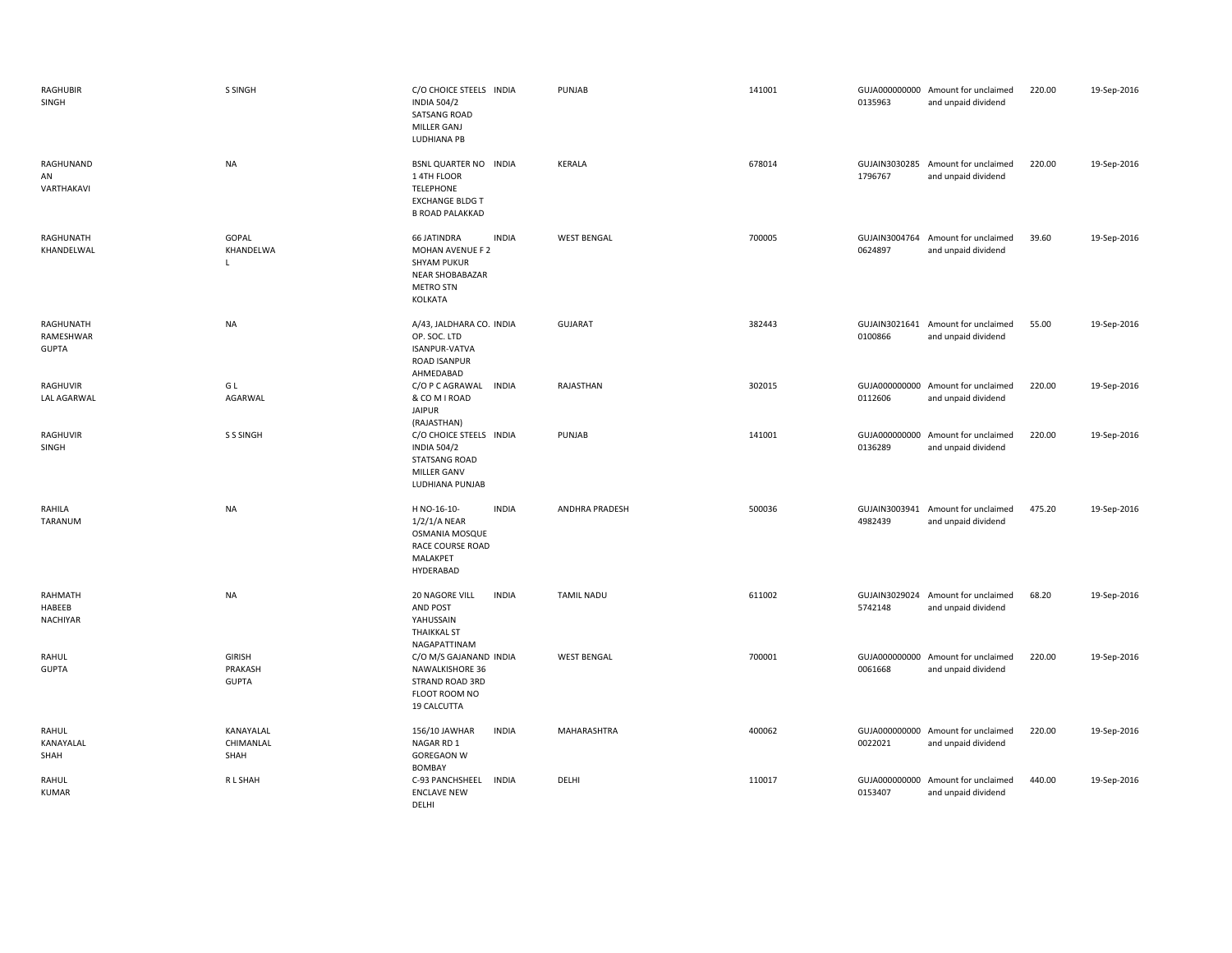| RAGHUBIR<br>SINGH                      | S SINGH                                  | C/O CHOICE STEELS INDIA<br><b>INDIA 504/2</b><br><b>SATSANG ROAD</b><br>MILLER GANJ<br>LUDHIANA PB                                    | PUNJAB                | 141001 | 0135963                  | GUJA000000000 Amount for unclaimed<br>and unpaid dividend | 220.00 | 19-Sep-2016 |
|----------------------------------------|------------------------------------------|---------------------------------------------------------------------------------------------------------------------------------------|-----------------------|--------|--------------------------|-----------------------------------------------------------|--------|-------------|
| RAGHUNAND<br>AN<br>VARTHAKAVI          | NA                                       | BSNL QUARTER NO INDIA<br>14TH FLOOR<br><b>TELEPHONE</b><br><b>EXCHANGE BLDG T</b><br><b>B ROAD PALAKKAD</b>                           | KERALA                | 678014 | 1796767                  | GUJAIN3030285 Amount for unclaimed<br>and unpaid dividend | 220.00 | 19-Sep-2016 |
| RAGHUNATH<br>KHANDELWAL                | GOPAL<br>KHANDELWA<br>$\mathbf{L}$       | <b>66 JATINDRA</b><br><b>INDIA</b><br>MOHAN AVENUE F 2<br><b>SHYAM PUKUR</b><br><b>NEAR SHOBABAZAR</b><br><b>METRO STN</b><br>KOLKATA | <b>WEST BENGAL</b>    | 700005 | 0624897                  | GUJAIN3004764 Amount for unclaimed<br>and unpaid dividend | 39.60  | 19-Sep-2016 |
| RAGHUNATH<br>RAMESHWAR<br><b>GUPTA</b> | NA                                       | A/43, JALDHARA CO. INDIA<br>OP. SOC. LTD<br>ISANPUR-VATVA<br><b>ROAD ISANPUR</b><br>AHMEDABAD                                         | <b>GUJARAT</b>        | 382443 | 0100866                  | GUJAIN3021641 Amount for unclaimed<br>and unpaid dividend | 55.00  | 19-Sep-2016 |
| RAGHUVIR<br><b>LAL AGARWAL</b>         | G L<br><b>AGARWAL</b>                    | C/O P C AGRAWAL<br><b>INDIA</b><br>& CO M I ROAD<br><b>JAIPUR</b><br>(RAJASTHAN)                                                      | RAJASTHAN             | 302015 | 0112606                  | GUJA000000000 Amount for unclaimed<br>and unpaid dividend | 220.00 | 19-Sep-2016 |
| RAGHUVIR<br>SINGH                      | S S SINGH                                | C/O CHOICE STEELS INDIA<br><b>INDIA 504/2</b><br><b>STATSANG ROAD</b><br>MILLER GANV<br>LUDHIANA PUNJAB                               | PUNJAB                | 141001 | 0136289                  | GUJA000000000 Amount for unclaimed<br>and unpaid dividend | 220.00 | 19-Sep-2016 |
| RAHILA<br>TARANUM                      | NA                                       | <b>INDIA</b><br>H NO-16-10-<br>$1/2/1/A$ NEAR<br>OSMANIA MOSQUE<br>RACE COURSE ROAD<br>MALAKPET<br>HYDERABAD                          | <b>ANDHRA PRADESH</b> | 500036 | GUJAIN3003941<br>4982439 | Amount for unclaimed<br>and unpaid dividend               | 475.20 | 19-Sep-2016 |
| RAHMATH<br>HABEEB<br>NACHIYAR          | <b>NA</b>                                | 20 NAGORE VILL<br><b>INDIA</b><br><b>AND POST</b><br>YAHUSSAIN<br><b>THAIKKAL ST</b><br>NAGAPATTINAM                                  | TAMIL NADU            | 611002 | 5742148                  | GUJAIN3029024 Amount for unclaimed<br>and unpaid dividend | 68.20  | 19-Sep-2016 |
| RAHUL<br><b>GUPTA</b>                  | <b>GIRISH</b><br>PRAKASH<br><b>GUPTA</b> | C/O M/S GAJANAND INDIA<br>NAWALKISHORE 36<br>STRAND ROAD 3RD<br>FLOOT ROOM NO<br>19 CALCUTTA                                          | <b>WEST BENGAL</b>    | 700001 | 0061668                  | GUJA000000000 Amount for unclaimed<br>and unpaid dividend | 220.00 | 19-Sep-2016 |
| RAHUL<br>KANAYALAL<br>SHAH             | KANAYALAL<br>CHIMANLAL<br>SHAH           | <b>INDIA</b><br>156/10 JAWHAR<br>NAGAR RD 1<br><b>GOREGAON W</b><br><b>BOMBAY</b>                                                     | MAHARASHTRA           | 400062 | 0022021                  | GUJA000000000 Amount for unclaimed<br>and unpaid dividend | 220.00 | 19-Sep-2016 |
| RAHUL<br><b>KUMAR</b>                  | R L SHAH                                 | C-93 PANCHSHEEL<br><b>INDIA</b><br><b>ENCLAVE NEW</b><br>DELHI                                                                        | DELHI                 | 110017 | 0153407                  | GUJA000000000 Amount for unclaimed<br>and unpaid dividend | 440.00 | 19-Sep-2016 |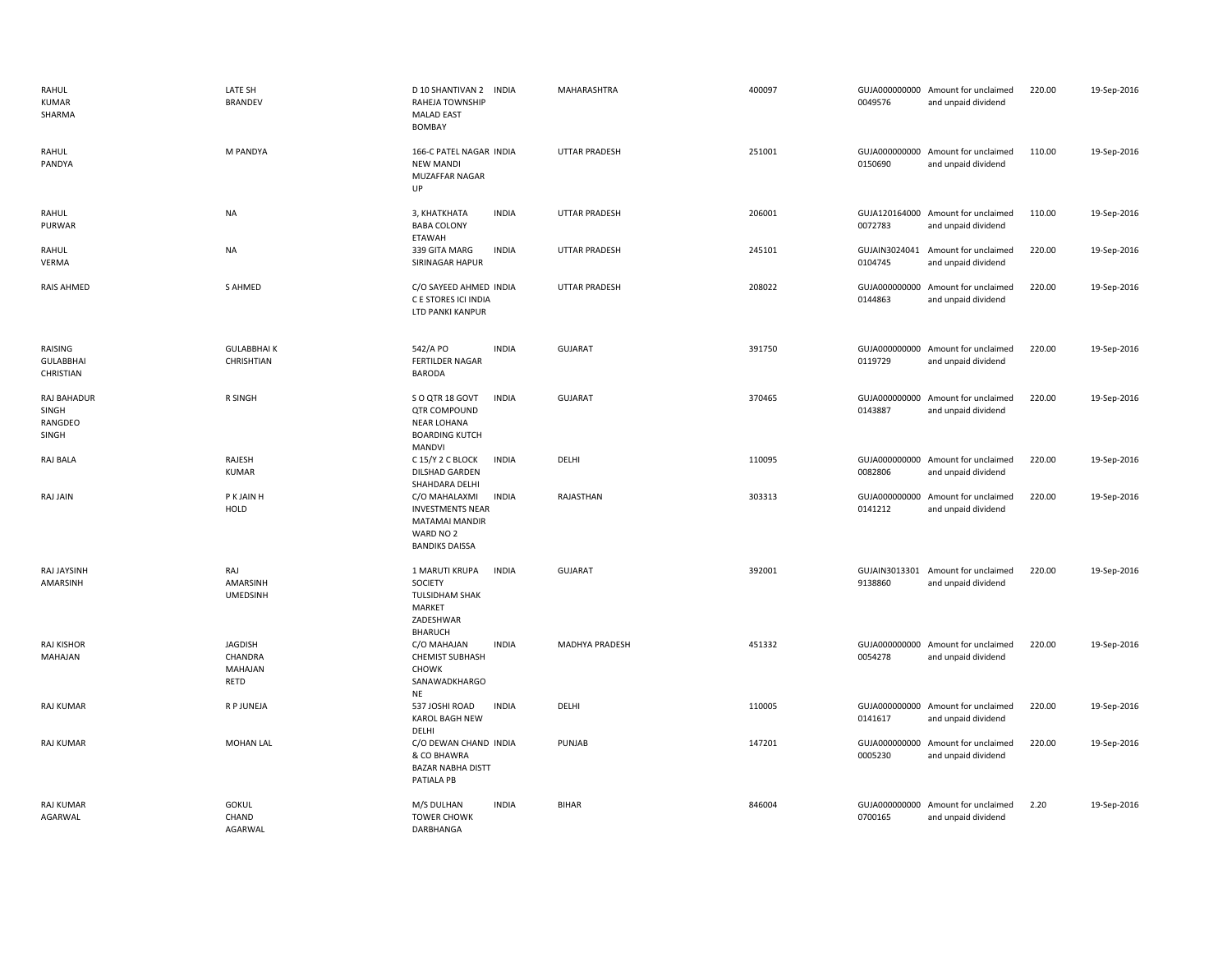| RAHUL<br><b>KUMAR</b><br>SHARMA          | LATE SH<br><b>BRANDEV</b>                    | D 10 SHANTIVAN 2 INDIA<br>RAHEJA TOWNSHIP<br><b>MALAD EAST</b><br><b>BOMBAY</b>                                  | MAHARASHTRA          | 400097 | 0049576 | GUJA000000000 Amount for unclaimed<br>and unpaid dividend | 220.00 | 19-Sep-2016 |
|------------------------------------------|----------------------------------------------|------------------------------------------------------------------------------------------------------------------|----------------------|--------|---------|-----------------------------------------------------------|--------|-------------|
| RAHUL<br>PANDYA                          | M PANDYA                                     | 166-C PATEL NAGAR INDIA<br><b>NEW MANDI</b><br>MUZAFFAR NAGAR<br>UP                                              | <b>UTTAR PRADESH</b> | 251001 | 0150690 | GUJA000000000 Amount for unclaimed<br>and unpaid dividend | 110.00 | 19-Sep-2016 |
| RAHUL<br>PURWAR                          | <b>NA</b>                                    | <b>INDIA</b><br>3, КНАТКНАТА<br><b>BABA COLONY</b><br><b>ETAWAH</b>                                              | <b>UTTAR PRADESH</b> | 206001 | 0072783 | GUJA120164000 Amount for unclaimed<br>and unpaid dividend | 110.00 | 19-Sep-2016 |
| RAHUL<br>VERMA                           | <b>NA</b>                                    | 339 GITA MARG<br><b>INDIA</b><br>SIRINAGAR HAPUR                                                                 | <b>UTTAR PRADESH</b> | 245101 | 0104745 | GUJAIN3024041 Amount for unclaimed<br>and unpaid dividend | 220.00 | 19-Sep-2016 |
| RAIS AHMED                               | S AHMED                                      | C/O SAYEED AHMED INDIA<br>C E STORES ICI INDIA<br>LTD PANKI KANPUR                                               | <b>UTTAR PRADESH</b> | 208022 | 0144863 | GUJA000000000 Amount for unclaimed<br>and unpaid dividend | 220.00 | 19-Sep-2016 |
| RAISING<br><b>GULABBHAI</b><br>CHRISTIAN | <b>GULABBHAIK</b><br>CHRISHTIAN              | 542/A PO<br><b>INDIA</b><br><b>FERTILDER NAGAR</b><br><b>BARODA</b>                                              | <b>GUJARAT</b>       | 391750 | 0119729 | GUJA000000000 Amount for unclaimed<br>and unpaid dividend | 220.00 | 19-Sep-2016 |
| RAJ BAHADUR<br>SINGH<br>RANGDEO<br>SINGH | R SINGH                                      | <b>INDIA</b><br>S O QTR 18 GOVT<br>QTR COMPOUND<br><b>NEAR LOHANA</b><br><b>BOARDING KUTCH</b><br>MANDVI         | <b>GUJARAT</b>       | 370465 | 0143887 | GUJA000000000 Amount for unclaimed<br>and unpaid dividend | 220.00 | 19-Sep-2016 |
| RAJ BALA                                 | RAJESH<br><b>KUMAR</b>                       | C 15/Y 2 C BLOCK<br><b>INDIA</b><br>DILSHAD GARDEN<br>SHAHDARA DELHI                                             | DELHI                | 110095 | 0082806 | GUJA000000000 Amount for unclaimed<br>and unpaid dividend | 220.00 | 19-Sep-2016 |
| RAJ JAIN                                 | P K JAIN H<br>HOLD                           | <b>INDIA</b><br>C/O MAHALAXMI<br><b>INVESTMENTS NEAR</b><br>MATAMAI MANDIR<br>WARD NO 2<br><b>BANDIKS DAISSA</b> | RAJASTHAN            | 303313 | 0141212 | GUJA000000000 Amount for unclaimed<br>and unpaid dividend | 220.00 | 19-Sep-2016 |
| RAJ JAYSINH<br>AMARSINH                  | RAJ<br>AMARSINH<br><b>UMEDSINH</b>           | <b>INDIA</b><br>1 MARUTI KRUPA<br>SOCIETY<br><b>TULSIDHAM SHAK</b><br>MARKET<br>ZADESHWAR<br>BHARUCH             | <b>GUJARAT</b>       | 392001 | 9138860 | GUJAIN3013301 Amount for unclaimed<br>and unpaid dividend | 220.00 | 19-Sep-2016 |
| RAJ KISHOR<br>MAHAJAN                    | <b>JAGDISH</b><br>CHANDRA<br>MAHAJAN<br>RETD | C/O MAHAJAN<br><b>INDIA</b><br><b>CHEMIST SUBHASH</b><br><b>CHOWK</b><br>SANAWADKHARGO<br><b>NE</b>              | MADHYA PRADESH       | 451332 | 0054278 | GUJA000000000 Amount for unclaimed<br>and unpaid dividend | 220.00 | 19-Sep-2016 |
| <b>RAJ KUMAR</b>                         | R P JUNEJA                                   | 537 JOSHI ROAD<br><b>INDIA</b><br><b>KAROL BAGH NEW</b><br>DELHI                                                 | DELHI                | 110005 | 0141617 | GUJA000000000 Amount for unclaimed<br>and unpaid dividend | 220.00 | 19-Sep-2016 |
| <b>RAJ KUMAR</b>                         | <b>MOHAN LAL</b>                             | C/O DEWAN CHAND INDIA<br>& CO BHAWRA<br><b>BAZAR NABHA DISTT</b><br>PATIALA PB                                   | PUNJAB               | 147201 | 0005230 | GUJA000000000 Amount for unclaimed<br>and unpaid dividend | 220.00 | 19-Sep-2016 |
| <b>RAJ KUMAR</b><br>AGARWAL              | <b>GOKUL</b><br>CHAND<br>AGARWAL             | <b>INDIA</b><br>M/S DULHAN<br><b>TOWER CHOWK</b><br>DARBHANGA                                                    | <b>BIHAR</b>         | 846004 | 0700165 | GUJA000000000 Amount for unclaimed<br>and unpaid dividend | 2.20   | 19-Sep-2016 |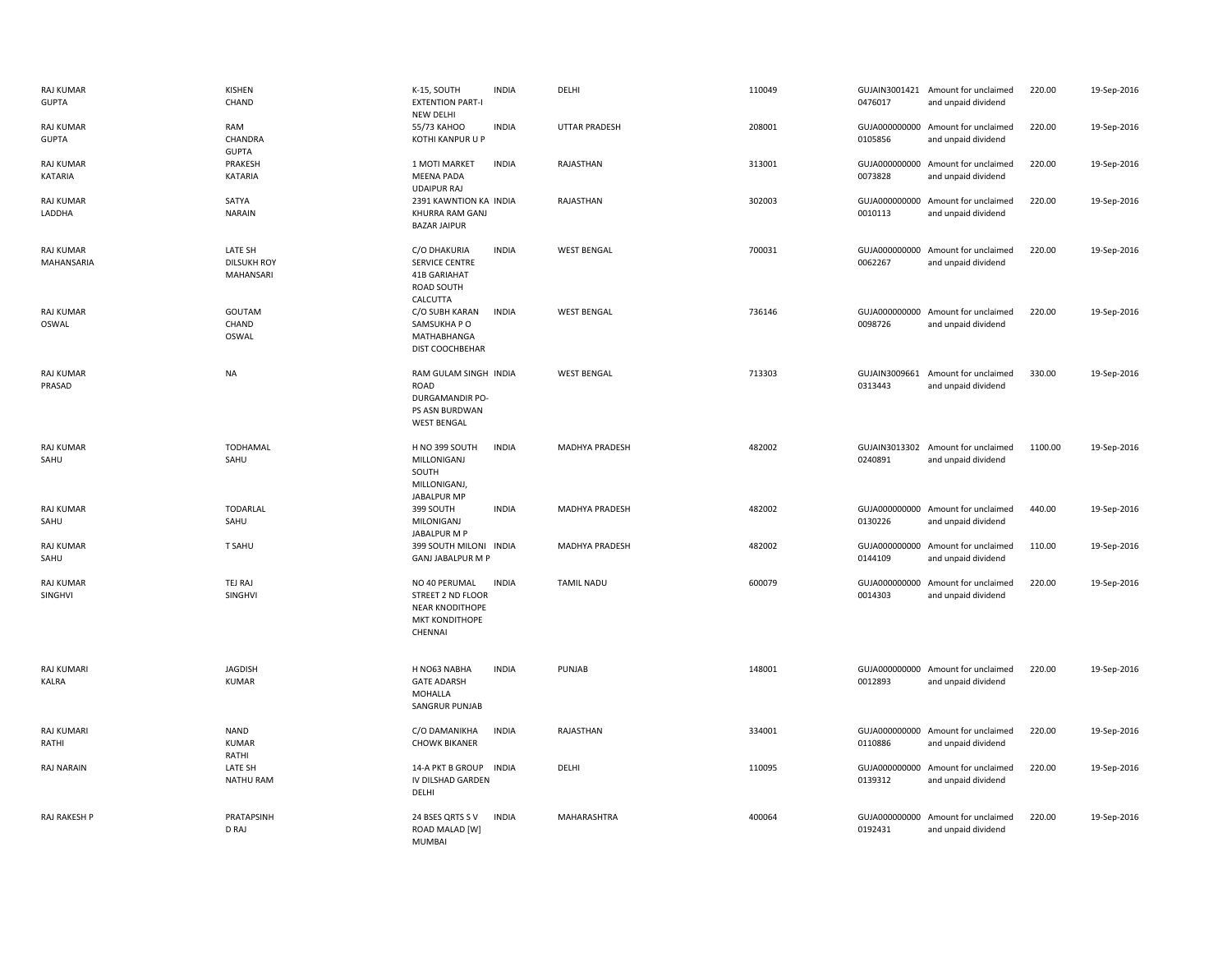| <b>RAJ KUMAR</b><br><b>GUPTA</b> | KISHEN<br>CHAND                            | K-15, SOUTH<br><b>EXTENTION PART-I</b><br><b>NEW DELHI</b>                                | <b>INDIA</b> | DELHI                | 110049 | 0476017 | GUJAIN3001421 Amount for unclaimed<br>and unpaid dividend | 220.00  | 19-Sep-2016 |
|----------------------------------|--------------------------------------------|-------------------------------------------------------------------------------------------|--------------|----------------------|--------|---------|-----------------------------------------------------------|---------|-------------|
| RAJ KUMAR<br><b>GUPTA</b>        | RAM<br>CHANDRA<br><b>GUPTA</b>             | 55/73 KAHOO<br>KOTHI KANPUR U P                                                           | <b>INDIA</b> | <b>UTTAR PRADESH</b> | 208001 | 0105856 | GUJA000000000 Amount for unclaimed<br>and unpaid dividend | 220.00  | 19-Sep-2016 |
| RAJ KUMAR<br>KATARIA             | PRAKESH<br>KATARIA                         | 1 MOTI MARKET<br><b>MEENA PADA</b><br><b>UDAIPUR RAJ</b>                                  | <b>INDIA</b> | RAJASTHAN            | 313001 | 0073828 | GUJA000000000 Amount for unclaimed<br>and unpaid dividend | 220.00  | 19-Sep-2016 |
| <b>RAJ KUMAR</b><br>LADDHA       | SATYA<br><b>NARAIN</b>                     | 2391 KAWNTION KA INDIA<br>KHURRA RAM GANJ<br><b>BAZAR JAIPUR</b>                          |              | RAJASTHAN            | 302003 | 0010113 | GUJA000000000 Amount for unclaimed<br>and unpaid dividend | 220.00  | 19-Sep-2016 |
| RAJ KUMAR<br>MAHANSARIA          | LATE SH<br><b>DILSUKH ROY</b><br>MAHANSARI | C/O DHAKURIA<br>SERVICE CENTRE<br>41B GARIAHAT<br>ROAD SOUTH<br>CALCUTTA                  | <b>INDIA</b> | <b>WEST BENGAL</b>   | 700031 | 0062267 | GUJA000000000 Amount for unclaimed<br>and unpaid dividend | 220.00  | 19-Sep-2016 |
| RAJ KUMAR<br>OSWAL               | GOUTAM<br>CHAND<br>OSWAL                   | C/O SUBH KARAN<br>SAMSUKHA P O<br>MATHABHANGA<br>DIST COOCHBEHAR                          | <b>INDIA</b> | <b>WEST BENGAL</b>   | 736146 | 0098726 | GUJA000000000 Amount for unclaimed<br>and unpaid dividend | 220.00  | 19-Sep-2016 |
| RAJ KUMAR<br>PRASAD              | <b>NA</b>                                  | RAM GULAM SINGH INDIA<br>ROAD<br>DURGAMANDIR PO-<br>PS ASN BURDWAN<br><b>WEST BENGAL</b>  |              | <b>WEST BENGAL</b>   | 713303 | 0313443 | GUJAIN3009661 Amount for unclaimed<br>and unpaid dividend | 330.00  | 19-Sep-2016 |
| RAJ KUMAR<br>SAHU                | TODHAMAL<br>SAHU                           | H NO 399 SOUTH<br>MILLONIGANJ<br>SOUTH<br>MILLONIGANJ,<br><b>JABALPUR MP</b>              | <b>INDIA</b> | MADHYA PRADESH       | 482002 | 0240891 | GUJAIN3013302 Amount for unclaimed<br>and unpaid dividend | 1100.00 | 19-Sep-2016 |
| <b>RAJ KUMAR</b><br>SAHU         | <b>TODARLAL</b><br>SAHU                    | 399 SOUTH<br>MILONIGANJ<br>JABALPUR M P                                                   | <b>INDIA</b> | MADHYA PRADESH       | 482002 | 0130226 | GUJA000000000 Amount for unclaimed<br>and unpaid dividend | 440.00  | 19-Sep-2016 |
| RAJ KUMAR<br>SAHU                | <b>T SAHU</b>                              | 399 SOUTH MILONI INDIA<br><b>GANJ JABALPUR M P</b>                                        |              | MADHYA PRADESH       | 482002 | 0144109 | GUJA000000000 Amount for unclaimed<br>and unpaid dividend | 110.00  | 19-Sep-2016 |
| RAJ KUMAR<br>SINGHVI             | TEJ RAJ<br>SINGHVI                         | NO 40 PERUMAL<br>STREET 2 ND FLOOR<br><b>NEAR KNODITHOPE</b><br>MKT KONDITHOPE<br>CHENNAI | <b>INDIA</b> | <b>TAMIL NADU</b>    | 600079 | 0014303 | GUJA000000000 Amount for unclaimed<br>and unpaid dividend | 220.00  | 19-Sep-2016 |
| RAJ KUMARI<br><b>KALRA</b>       | <b>JAGDISH</b><br><b>KUMAR</b>             | H NO63 NABHA<br><b>GATE ADARSH</b><br>MOHALLA<br><b>SANGRUR PUNJAB</b>                    | <b>INDIA</b> | PUNJAB               | 148001 | 0012893 | GUJA000000000 Amount for unclaimed<br>and unpaid dividend | 220.00  | 19-Sep-2016 |
| <b>RAJ KUMARI</b><br>RATHI       | <b>NAND</b><br><b>KUMAR</b><br>RATHI       | C/O DAMANIKHA<br><b>CHOWK BIKANER</b>                                                     | <b>INDIA</b> | RAJASTHAN            | 334001 | 0110886 | GUJA000000000 Amount for unclaimed<br>and unpaid dividend | 220.00  | 19-Sep-2016 |
| <b>RAJ NARAIN</b>                | LATE SH<br><b>NATHU RAM</b>                | 14-A PKT B GROUP INDIA<br>IV DILSHAD GARDEN<br>DELHI                                      |              | DELHI                | 110095 | 0139312 | GUJA000000000 Amount for unclaimed<br>and unpaid dividend | 220.00  | 19-Sep-2016 |
| RAJ RAKESH P                     | PRATAPSINH<br>D RAJ                        | 24 BSES QRTS SV<br>ROAD MALAD [W]<br><b>MUMBAI</b>                                        | <b>INDIA</b> | MAHARASHTRA          | 400064 | 0192431 | GUJA000000000 Amount for unclaimed<br>and unpaid dividend | 220.00  | 19-Sep-2016 |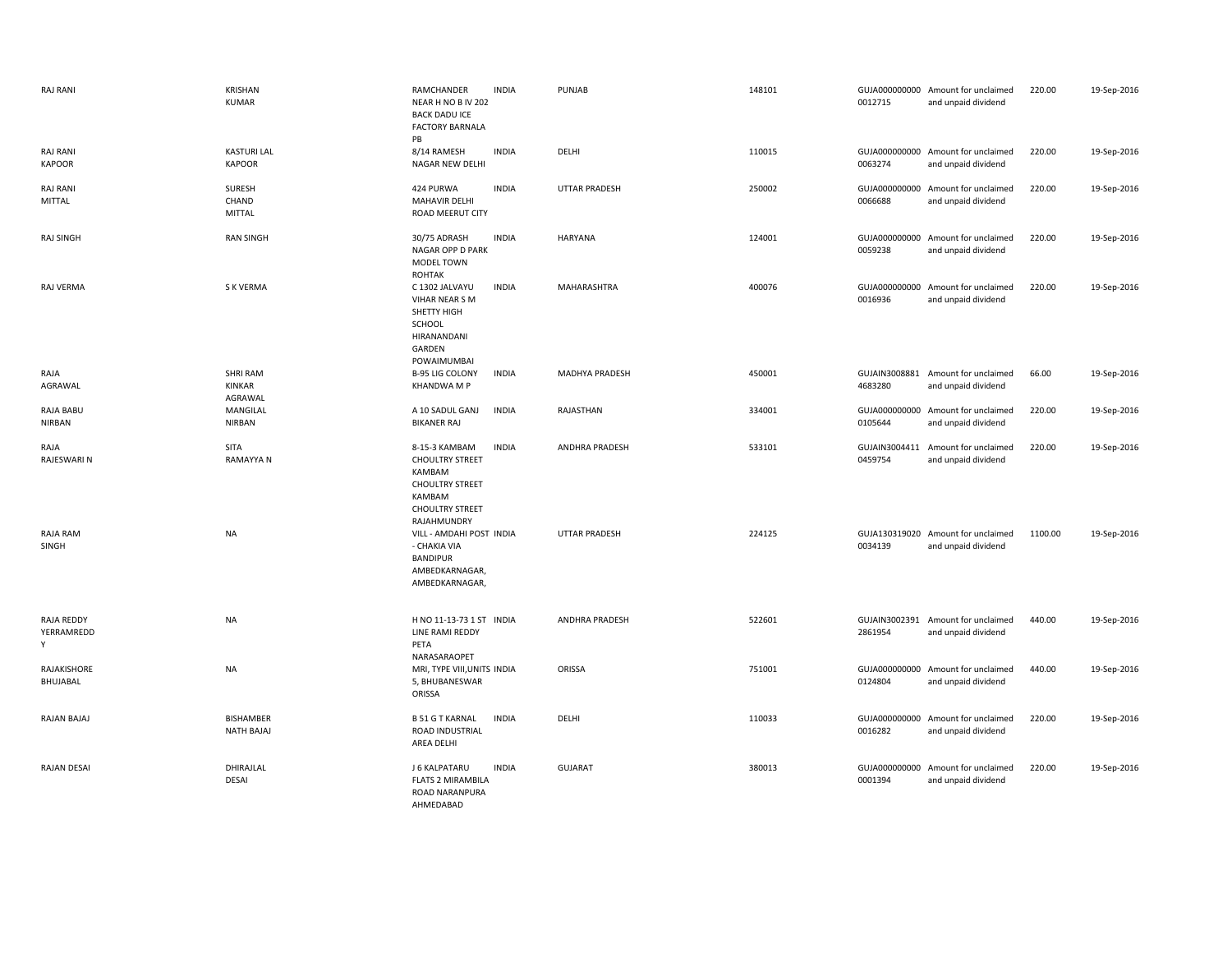| <b>RAJ RANI</b>                  | KRISHAN<br><b>KUMAR</b>               | RAMCHANDER<br><b>INDIA</b><br>NEAR H NO B IV 202<br><b>BACK DADU ICE</b><br><b>FACTORY BARNALA</b><br><b>PB</b>                 | PUNJAB                | 148101 | 0012715                  | GUJA000000000 Amount for unclaimed<br>and unpaid dividend | 220.00  | 19-Sep-2016 |
|----------------------------------|---------------------------------------|---------------------------------------------------------------------------------------------------------------------------------|-----------------------|--------|--------------------------|-----------------------------------------------------------|---------|-------------|
| <b>RAJ RANI</b><br><b>KAPOOR</b> | <b>KASTURI LAL</b><br><b>KAPOOR</b>   | 8/14 RAMESH<br><b>INDIA</b><br>NAGAR NEW DELHI                                                                                  | DELHI                 | 110015 | 0063274                  | GUJA000000000 Amount for unclaimed<br>and unpaid dividend | 220.00  | 19-Sep-2016 |
| <b>RAJ RANI</b><br>MITTAL        | SURESH<br>CHAND<br><b>MITTAL</b>      | 424 PURWA<br><b>INDIA</b><br>MAHAVIR DELHI<br>ROAD MEERUT CITY                                                                  | <b>UTTAR PRADESH</b>  | 250002 | 0066688                  | GUJA000000000 Amount for unclaimed<br>and unpaid dividend | 220.00  | 19-Sep-2016 |
| <b>RAJ SINGH</b>                 | <b>RAN SINGH</b>                      | 30/75 ADRASH<br><b>INDIA</b><br>NAGAR OPP D PARK<br>MODEL TOWN<br><b>ROHTAK</b>                                                 | <b>HARYANA</b>        | 124001 | GUJA000000000<br>0059238 | Amount for unclaimed<br>and unpaid dividend               | 220.00  | 19-Sep-2016 |
| RAJ VERMA                        | S K VERMA                             | C 1302 JALVAYU<br><b>INDIA</b><br>VIHAR NEAR S M<br>SHETTY HIGH<br>SCHOOL<br>HIRANANDANI<br>GARDEN<br>POWAIMUMBAI               | MAHARASHTRA           | 400076 | 0016936                  | GUJA000000000 Amount for unclaimed<br>and unpaid dividend | 220.00  | 19-Sep-2016 |
| RAJA<br>AGRAWAL                  | <b>SHRI RAM</b><br>KINKAR<br>AGRAWAL  | <b>B-95 LIG COLONY</b><br><b>INDIA</b><br>KHANDWA M P                                                                           | <b>MADHYA PRADESH</b> | 450001 | 4683280                  | GUJAIN3008881 Amount for unclaimed<br>and unpaid dividend | 66.00   | 19-Sep-2016 |
| RAJA BABU<br><b>NIRBAN</b>       | MANGILAL<br><b>NIRBAN</b>             | A 10 SADUL GANJ<br><b>INDIA</b><br><b>BIKANER RAJ</b>                                                                           | RAJASTHAN             | 334001 | GUJA000000000<br>0105644 | Amount for unclaimed<br>and unpaid dividend               | 220.00  | 19-Sep-2016 |
| RAJA<br>RAJESWARI N              | SITA<br><b>RAMAYYA N</b>              | 8-15-3 KAMBAM<br><b>INDIA</b><br><b>CHOULTRY STREET</b><br>KAMBAM<br><b>CHOULTRY STREET</b><br>KAMBAM<br><b>CHOULTRY STREET</b> | <b>ANDHRA PRADESH</b> | 533101 | GUJAIN3004411<br>0459754 | Amount for unclaimed<br>and unpaid dividend               | 220.00  | 19-Sep-2016 |
| RAJA RAM<br>SINGH                | <b>NA</b>                             | RAJAHMUNDRY<br>VILL - AMDAHI POST INDIA<br>- CHAKIA VIA<br><b>BANDIPUR</b><br>AMBEDKARNAGAR,<br>AMBEDKARNAGAR,                  | <b>UTTAR PRADESH</b>  | 224125 | 0034139                  | GUJA130319020 Amount for unclaimed<br>and unpaid dividend | 1100.00 | 19-Sep-2016 |
| RAJA REDDY<br>YERRAMREDD<br>Υ    | <b>NA</b>                             | H NO 11-13-73 1 ST INDIA<br>LINE RAMI REDDY<br>PETA<br>NARASARAOPET                                                             | ANDHRA PRADESH        | 522601 | 2861954                  | GUJAIN3002391 Amount for unclaimed<br>and unpaid dividend | 440.00  | 19-Sep-2016 |
| RAJAKISHORE<br>BHUJABAL          | <b>NA</b>                             | MRI, TYPE VIII, UNITS INDIA<br>5, BHUBANESWAR<br>ORISSA                                                                         | ORISSA                | 751001 | 0124804                  | GUJA000000000 Amount for unclaimed<br>and unpaid dividend | 440.00  | 19-Sep-2016 |
| RAJAN BAJAJ                      | <b>BISHAMBER</b><br><b>NATH BAJAJ</b> | <b>B 51 G T KARNAL</b><br><b>INDIA</b><br>ROAD INDUSTRIAL<br>AREA DELHI                                                         | DELHI                 | 110033 | 0016282                  | GUJA000000000 Amount for unclaimed<br>and unpaid dividend | 220.00  | 19-Sep-2016 |
| RAJAN DESAI                      | DHIRAJLAL<br>DESAI                    | <b>INDIA</b><br>J 6 KALPATARU<br><b>FLATS 2 MIRAMBILA</b><br>ROAD NARANPURA<br>AHMEDABAD                                        | <b>GUJARAT</b>        | 380013 | 0001394                  | GUJA000000000 Amount for unclaimed<br>and unpaid dividend | 220.00  | 19-Sep-2016 |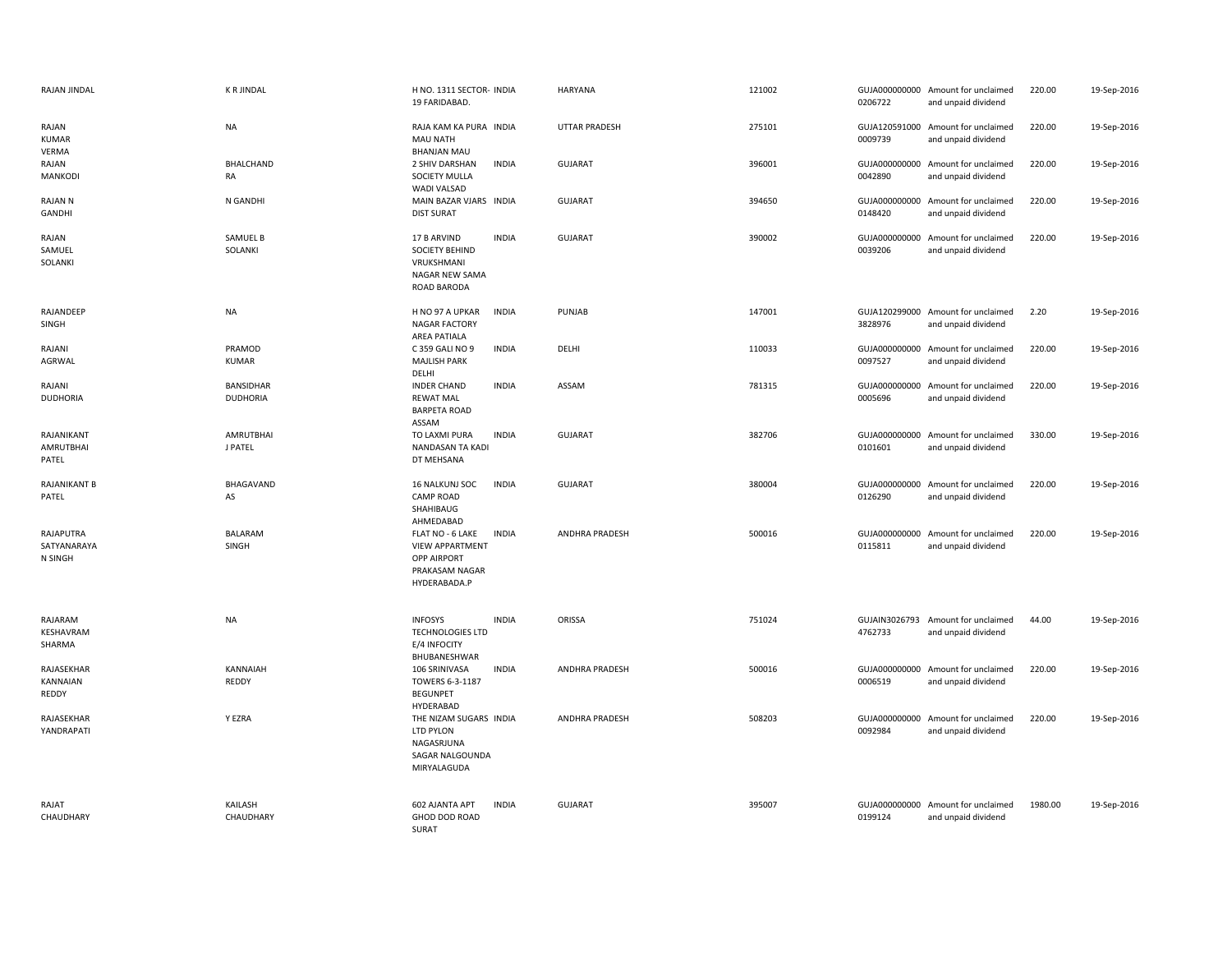| RAJAN JINDAL                        | <b>K R JINDAL</b>                   | H NO. 1311 SECTOR- INDIA<br>19 FARIDABAD.                                                                          | <b>HARYANA</b>       | 121002 | 0206722                  | GUJA000000000 Amount for unclaimed<br>and unpaid dividend | 220.00  | 19-Sep-2016 |
|-------------------------------------|-------------------------------------|--------------------------------------------------------------------------------------------------------------------|----------------------|--------|--------------------------|-----------------------------------------------------------|---------|-------------|
| RAJAN<br><b>KUMAR</b><br>VERMA      | <b>NA</b>                           | RAJA KAM KA PURA INDIA<br>MAU NATH<br><b>BHANJAN MAU</b>                                                           | <b>UTTAR PRADESH</b> | 275101 | 0009739                  | GUJA120591000 Amount for unclaimed<br>and unpaid dividend | 220.00  | 19-Sep-2016 |
| RAJAN<br><b>MANKODI</b>             | <b>BHALCHAND</b><br>RA              | 2 SHIV DARSHAN<br><b>INDIA</b><br>SOCIETY MULLA<br>WADI VALSAD                                                     | <b>GUJARAT</b>       | 396001 | 0042890                  | GUJA000000000 Amount for unclaimed<br>and unpaid dividend | 220.00  | 19-Sep-2016 |
| RAJAN N<br>GANDHI                   | N GANDHI                            | MAIN BAZAR VJARS INDIA<br><b>DIST SURAT</b>                                                                        | <b>GUJARAT</b>       | 394650 | GUJA000000000<br>0148420 | Amount for unclaimed<br>and unpaid dividend               | 220.00  | 19-Sep-2016 |
| RAJAN<br>SAMUEL<br>SOLANKI          | SAMUEL B<br>SOLANKI                 | <b>INDIA</b><br>17 B ARVIND<br>SOCIETY BEHIND<br>VRUKSHMANI<br>NAGAR NEW SAMA<br><b>ROAD BARODA</b>                | <b>GUJARAT</b>       | 390002 | 0039206                  | GUJA000000000 Amount for unclaimed<br>and unpaid dividend | 220.00  | 19-Sep-2016 |
| RAJANDEEP<br>SINGH                  | <b>NA</b>                           | H NO 97 A UPKAR<br><b>INDIA</b><br><b>NAGAR FACTORY</b><br>AREA PATIALA                                            | PUNJAB               | 147001 | 3828976                  | GUJA120299000 Amount for unclaimed<br>and unpaid dividend | 2.20    | 19-Sep-2016 |
| RAJANI<br><b>AGRWAL</b>             | PRAMOD<br><b>KUMAR</b>              | <b>INDIA</b><br>C 359 GALI NO 9<br><b>MAJLISH PARK</b><br>DELHI                                                    | DELHI                | 110033 | 0097527                  | GUJA000000000 Amount for unclaimed<br>and unpaid dividend | 220.00  | 19-Sep-2016 |
| RAJANI<br><b>DUDHORIA</b>           | <b>BANSIDHAR</b><br><b>DUDHORIA</b> | <b>INDER CHAND</b><br><b>INDIA</b><br><b>REWAT MAL</b><br><b>BARPETA ROAD</b><br>ASSAM                             | ASSAM                | 781315 | 0005696                  | GUJA000000000 Amount for unclaimed<br>and unpaid dividend | 220.00  | 19-Sep-2016 |
| RAJANIKANT<br>AMRUTBHAI<br>PATEL    | <b>AMRUTBHAI</b><br>J PATEL         | TO LAXMI PURA<br><b>INDIA</b><br>NANDASAN TA KADI<br>DT MEHSANA                                                    | <b>GUJARAT</b>       | 382706 | 0101601                  | GUJA000000000 Amount for unclaimed<br>and unpaid dividend | 330.00  | 19-Sep-2016 |
| RAJANIKANT B<br>PATEL               | BHAGAVAND<br>AS                     | <b>INDIA</b><br>16 NALKUNJ SOC<br><b>CAMP ROAD</b><br>SHAHIBAUG<br>AHMEDABAD                                       | <b>GUJARAT</b>       | 380004 | 0126290                  | GUJA000000000 Amount for unclaimed<br>and unpaid dividend | 220.00  | 19-Sep-2016 |
| RAJAPUTRA<br>SATYANARAYA<br>N SINGH | <b>BALARAM</b><br>SINGH             | <b>INDIA</b><br>FLAT NO - 6 LAKE<br><b>VIEW APPARTMENT</b><br><b>OPP AIRPORT</b><br>PRAKASAM NAGAR<br>HYDERABADA.P | ANDHRA PRADESH       | 500016 | 0115811                  | GUJA000000000 Amount for unclaimed<br>and unpaid dividend | 220.00  | 19-Sep-2016 |
| RAJARAM<br>KESHAVRAM<br>SHARMA      | <b>NA</b>                           | <b>INFOSYS</b><br><b>INDIA</b><br><b>TECHNOLOGIES LTD</b><br>E/4 INFOCITY<br>BHUBANESHWAR                          | ORISSA               | 751024 | 4762733                  | GUJAIN3026793 Amount for unclaimed<br>and unpaid dividend | 44.00   | 19-Sep-2016 |
| RAJASEKHAR<br>KANNAIAN<br>REDDY     | KANNAIAH<br><b>REDDY</b>            | <b>INDIA</b><br>106 SRINIVASA<br>TOWERS 6-3-1187<br><b>BEGUNPET</b><br>HYDERABAD                                   | ANDHRA PRADESH       | 500016 | 0006519                  | GUJA000000000 Amount for unclaimed<br>and unpaid dividend | 220.00  | 19-Sep-2016 |
| RAJASEKHAR<br>YANDRAPATI            | Y EZRA                              | THE NIZAM SUGARS INDIA<br>LTD PYLON<br>NAGASRJUNA<br>SAGAR NALGOUNDA<br>MIRYALAGUDA                                | ANDHRA PRADESH       | 508203 | 0092984                  | GUJA000000000 Amount for unclaimed<br>and unpaid dividend | 220.00  | 19-Sep-2016 |
| RAJAT<br>CHAUDHARY                  | KAILASH<br>CHAUDHARY                | 602 AJANTA APT<br><b>INDIA</b><br>GHOD DOD ROAD<br>SURAT                                                           | <b>GUJARAT</b>       | 395007 | 0199124                  | GUJA000000000 Amount for unclaimed<br>and unpaid dividend | 1980.00 | 19-Sep-2016 |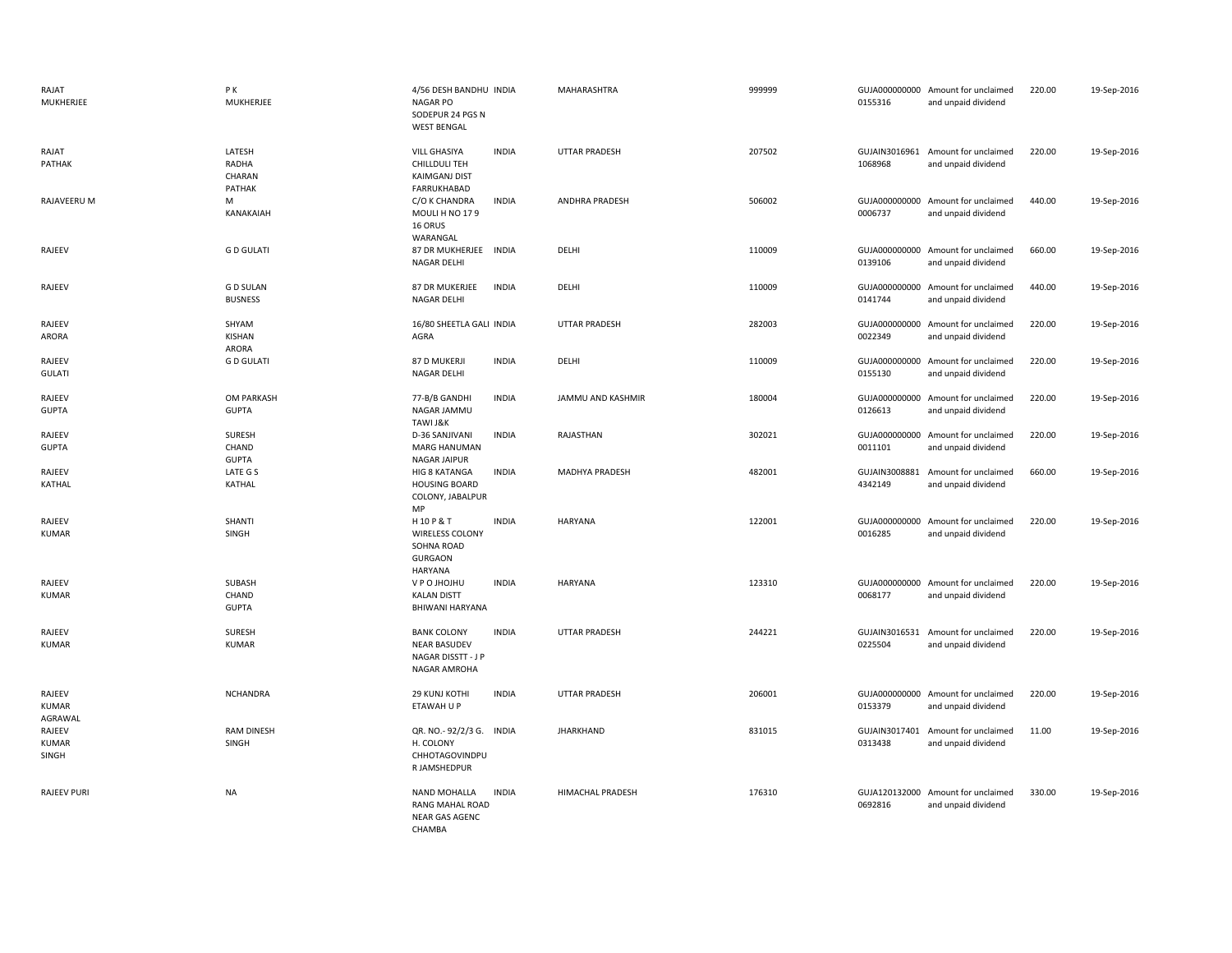| RAJAT<br>MUKHERJEE                | P K<br>MUKHERJEE                    | 4/56 DESH BANDHU INDIA<br>NAGAR PO<br>SODEPUR 24 PGS N<br><b>WEST BENGAL</b>                       | MAHARASHTRA           | 999999 | 0155316                  | GUJA000000000 Amount for unclaimed<br>and unpaid dividend | 220.00 | 19-Sep-2016 |
|-----------------------------------|-------------------------------------|----------------------------------------------------------------------------------------------------|-----------------------|--------|--------------------------|-----------------------------------------------------------|--------|-------------|
| RAJAT<br>PATHAK                   | LATESH<br>RADHA<br>CHARAN<br>PATHAK | <b>INDIA</b><br><b>VILL GHASIYA</b><br>CHILLDULI TEH<br><b>KAIMGANJ DIST</b><br>FARRUKHABAD        | <b>UTTAR PRADESH</b>  | 207502 | 1068968                  | GUJAIN3016961 Amount for unclaimed<br>and unpaid dividend | 220.00 | 19-Sep-2016 |
| RAJAVEERU M                       | M<br>KANAKAIAH                      | <b>INDIA</b><br>C/O K CHANDRA<br>MOULI H NO 179<br>16 ORUS<br>WARANGAL                             | <b>ANDHRA PRADESH</b> | 506002 | 0006737                  | GUJA000000000 Amount for unclaimed<br>and unpaid dividend | 440.00 | 19-Sep-2016 |
| RAJEEV                            | <b>GD GULATI</b>                    | 87 DR MUKHERJEE INDIA<br>NAGAR DELHI                                                               | DELHI                 | 110009 | 0139106                  | GUJA000000000 Amount for unclaimed<br>and unpaid dividend | 660.00 | 19-Sep-2016 |
| RAJEEV                            | <b>GD SULAN</b><br><b>BUSNESS</b>   | 87 DR MUKERJEE<br><b>INDIA</b><br><b>NAGAR DELHI</b>                                               | DELHI                 | 110009 | 0141744                  | GUJA000000000 Amount for unclaimed<br>and unpaid dividend | 440.00 | 19-Sep-2016 |
| RAJEEV<br>ARORA                   | SHYAM<br>KISHAN<br>ARORA            | 16/80 SHEETLA GALI INDIA<br>AGRA                                                                   | <b>UTTAR PRADESH</b>  | 282003 | 0022349                  | GUJA000000000 Amount for unclaimed<br>and unpaid dividend | 220.00 | 19-Sep-2016 |
| RAJEEV<br><b>GULATI</b>           | <b>GD GULATI</b>                    | 87 D MUKERJI<br><b>INDIA</b><br>NAGAR DELHI                                                        | DELHI                 | 110009 | GUJA000000000<br>0155130 | Amount for unclaimed<br>and unpaid dividend               | 220.00 | 19-Sep-2016 |
| RAJEEV<br><b>GUPTA</b>            | OM PARKASH<br><b>GUPTA</b>          | 77-B/B GANDHI<br><b>INDIA</b><br>NAGAR JAMMU<br>TAWI J&K                                           | JAMMU AND KASHMIR     | 180004 | 0126613                  | GUJA000000000 Amount for unclaimed<br>and unpaid dividend | 220.00 | 19-Sep-2016 |
| RAJEEV<br><b>GUPTA</b>            | SURESH<br>CHAND<br><b>GUPTA</b>     | D-36 SANJIVANI<br><b>INDIA</b><br><b>MARG HANUMAN</b><br>NAGAR JAIPUR                              | RAJASTHAN             | 302021 | 0011101                  | GUJA000000000 Amount for unclaimed<br>and unpaid dividend | 220.00 | 19-Sep-2016 |
| RAJEEV<br><b>KATHAL</b>           | LATE G S<br>KATHAL                  | HIG 8 KATANGA<br><b>INDIA</b><br><b>HOUSING BOARD</b><br>COLONY, JABALPUR<br>MP                    | <b>MADHYA PRADESH</b> | 482001 | GUJAIN3008881<br>4342149 | Amount for unclaimed<br>and unpaid dividend               | 660.00 | 19-Sep-2016 |
| RAJEEV<br><b>KUMAR</b>            | SHANTI<br>SINGH                     | <b>INDIA</b><br>H10P&T<br><b>WIRELESS COLONY</b><br>SOHNA ROAD<br><b>GURGAON</b><br><b>HARYANA</b> | HARYANA               | 122001 | 0016285                  | GUJA000000000 Amount for unclaimed<br>and unpaid dividend | 220.00 | 19-Sep-2016 |
| RAJEEV<br><b>KUMAR</b>            | SUBASH<br>CHAND<br><b>GUPTA</b>     | V P O JHOJHU<br><b>INDIA</b><br><b>KALAN DISTT</b><br>BHIWANI HARYANA                              | <b>HARYANA</b>        | 123310 | 0068177                  | GUJA000000000 Amount for unclaimed<br>and unpaid dividend | 220.00 | 19-Sep-2016 |
| RAJEEV<br><b>KUMAR</b>            | <b>SURESH</b><br><b>KUMAR</b>       | <b>INDIA</b><br><b>BANK COLONY</b><br><b>NEAR BASUDEV</b><br>NAGAR DISSTT - J P<br>NAGAR AMROHA    | <b>UTTAR PRADESH</b>  | 244221 | GUJAIN3016531<br>0225504 | Amount for unclaimed<br>and unpaid dividend               | 220.00 | 19-Sep-2016 |
| RAJEEV<br><b>KUMAR</b><br>AGRAWAL | <b>NCHANDRA</b>                     | 29 KUNJ KOTHI<br><b>INDIA</b><br>ETAWAH U P                                                        | <b>UTTAR PRADESH</b>  | 206001 | 0153379                  | GUJA000000000 Amount for unclaimed<br>and unpaid dividend | 220.00 | 19-Sep-2016 |
| RAJEEV<br><b>KUMAR</b><br>SINGH   | <b>RAM DINESH</b><br>SINGH          | QR. NO.- 92/2/3 G. INDIA<br>H. COLONY<br>CHHOTAGOVINDPU<br>R JAMSHEDPUR                            | <b>JHARKHAND</b>      | 831015 | 0313438                  | GUJAIN3017401 Amount for unclaimed<br>and unpaid dividend | 11.00  | 19-Sep-2016 |
| <b>RAJEEV PURI</b>                | <b>NA</b>                           | NAND MOHALLA<br><b>INDIA</b><br>RANG MAHAL ROAD<br><b>NEAR GAS AGENC</b><br>CHAMBA                 | HIMACHAL PRADESH      | 176310 | 0692816                  | GUJA120132000 Amount for unclaimed<br>and unpaid dividend | 330.00 | 19-Sep-2016 |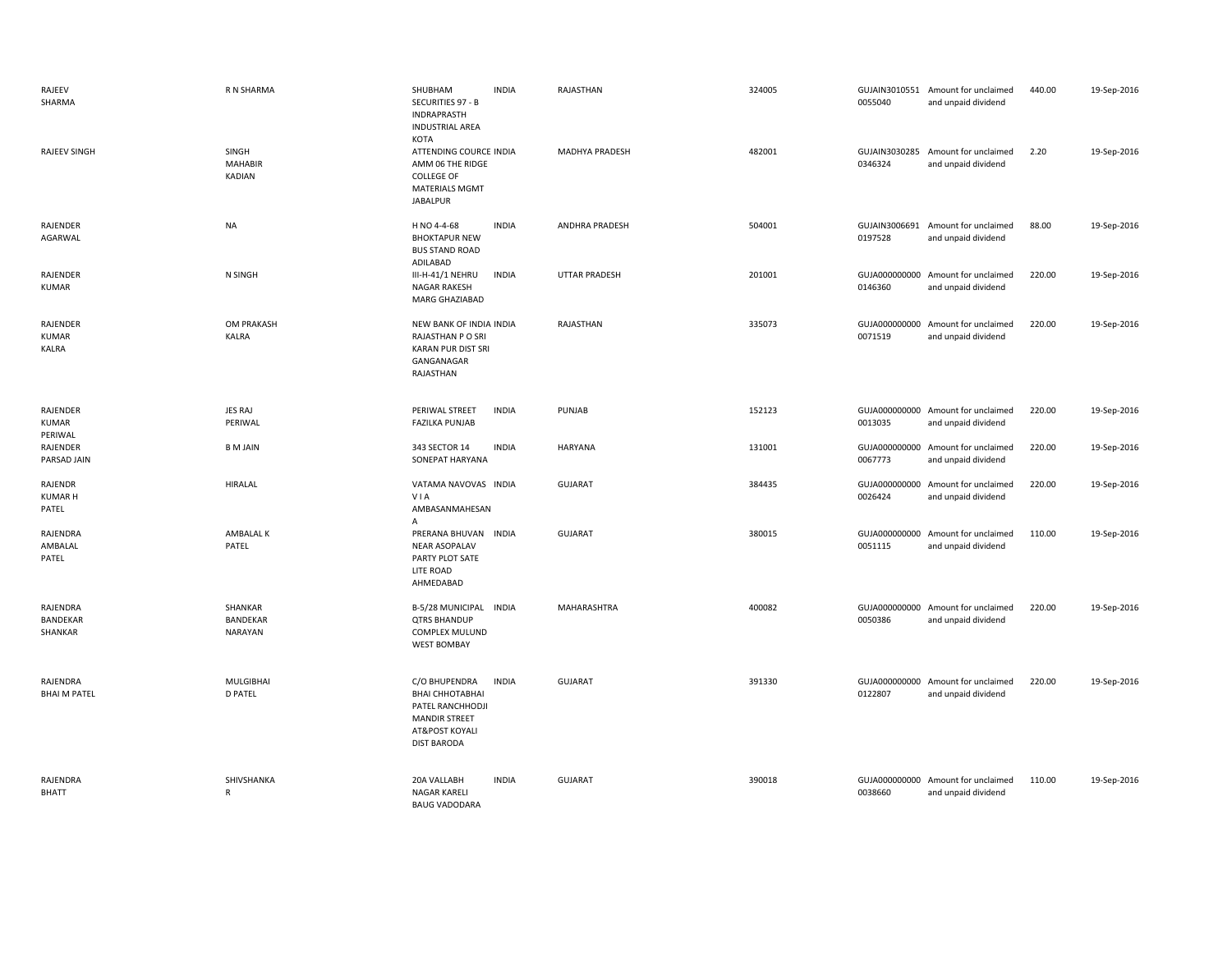| RAJEEV<br>SHARMA                    | R N SHARMA                         | SHUBHAM<br><b>INDIA</b><br>SECURITIES 97 - B<br>INDRAPRASTH<br><b>INDUSTRIAL AREA</b><br>KOTA                                               | RAJASTHAN            | 324005 | 0055040                  | GUJAIN3010551 Amount for unclaimed<br>and unpaid dividend | 440.00 | 19-Sep-2016 |
|-------------------------------------|------------------------------------|---------------------------------------------------------------------------------------------------------------------------------------------|----------------------|--------|--------------------------|-----------------------------------------------------------|--------|-------------|
| <b>RAJEEV SINGH</b>                 | SINGH<br><b>MAHABIR</b><br>KADIAN  | ATTENDING COURCE INDIA<br>AMM 06 THE RIDGE<br><b>COLLEGE OF</b><br><b>MATERIALS MGMT</b><br><b>JABALPUR</b>                                 | MADHYA PRADESH       | 482001 | GUJAIN3030285<br>0346324 | Amount for unclaimed<br>and unpaid dividend               | 2.20   | 19-Sep-2016 |
| RAJENDER<br>AGARWAL                 | <b>NA</b>                          | H NO 4-4-68<br><b>INDIA</b><br><b>BHOKTAPUR NEW</b><br><b>BUS STAND ROAD</b><br>ADILABAD                                                    | ANDHRA PRADESH       | 504001 | 0197528                  | GUJAIN3006691 Amount for unclaimed<br>and unpaid dividend | 88.00  | 19-Sep-2016 |
| RAJENDER<br><b>KUMAR</b>            | N SINGH                            | III-H-41/1 NEHRU<br><b>INDIA</b><br><b>NAGAR RAKESH</b><br>MARG GHAZIABAD                                                                   | <b>UTTAR PRADESH</b> | 201001 | 0146360                  | GUJA000000000 Amount for unclaimed<br>and unpaid dividend | 220.00 | 19-Sep-2016 |
| RAJENDER<br><b>KUMAR</b><br>KALRA   | OM PRAKASH<br>KALRA                | NEW BANK OF INDIA INDIA<br>RAJASTHAN P O SRI<br><b>KARAN PUR DIST SRI</b><br>GANGANAGAR<br>RAJASTHAN                                        | RAJASTHAN            | 335073 | 0071519                  | GUJA000000000 Amount for unclaimed<br>and unpaid dividend | 220.00 | 19-Sep-2016 |
| RAJENDER<br><b>KUMAR</b><br>PERIWAL | JES RAJ<br>PERIWAL                 | PERIWAL STREET<br><b>INDIA</b><br><b>FAZILKA PUNJAB</b>                                                                                     | PUNJAB               | 152123 | 0013035                  | GUJA000000000 Amount for unclaimed<br>and unpaid dividend | 220.00 | 19-Sep-2016 |
| RAJENDER<br>PARSAD JAIN             | <b>B</b> M JAIN                    | 343 SECTOR 14<br><b>INDIA</b><br>SONEPAT HARYANA                                                                                            | <b>HARYANA</b>       | 131001 | 0067773                  | GUJA000000000 Amount for unclaimed<br>and unpaid dividend | 220.00 | 19-Sep-2016 |
| RAJENDR<br><b>KUMAR H</b><br>PATEL  | <b>HIRALAL</b>                     | VATAMA NAVOVAS INDIA<br>VIA<br>AMBASANMAHESAN<br>Α                                                                                          | <b>GUJARAT</b>       | 384435 | 0026424                  | GUJA000000000 Amount for unclaimed<br>and unpaid dividend | 220.00 | 19-Sep-2016 |
| RAJENDRA<br>AMBALAL<br>PATEL        | AMBALAL K<br>PATEL                 | PRERANA BHUVAN INDIA<br><b>NEAR ASOPALAV</b><br>PARTY PLOT SATE<br>LITE ROAD<br>AHMEDABAD                                                   | <b>GUJARAT</b>       | 380015 | 0051115                  | GUJA000000000 Amount for unclaimed<br>and unpaid dividend | 110.00 | 19-Sep-2016 |
| RAJENDRA<br>BANDEKAR<br>SHANKAR     | SHANKAR<br>BANDEKAR<br>NARAYAN     | B-5/28 MUNICIPAL INDIA<br><b>QTRS BHANDUP</b><br>COMPLEX MULUND<br><b>WEST BOMBAY</b>                                                       | MAHARASHTRA          | 400082 | 0050386                  | GUJA000000000 Amount for unclaimed<br>and unpaid dividend | 220.00 | 19-Sep-2016 |
| RAJENDRA<br><b>BHAI M PATEL</b>     | <b>MULGIBHAI</b><br><b>D PATEL</b> | C/O BHUPENDRA<br><b>INDIA</b><br><b>BHAI CHHOTABHAI</b><br>PATEL RANCHHODJI<br><b>MANDIR STREET</b><br>AT&POST KOYALI<br><b>DIST BARODA</b> | <b>GUJARAT</b>       | 391330 | 0122807                  | GUJA000000000 Amount for unclaimed<br>and unpaid dividend | 220.00 | 19-Sep-2016 |
| RAJENDRA<br>BHATT                   | SHIVSHANKA<br>R                    | 20A VALLABH<br><b>INDIA</b><br><b>NAGAR KARELI</b><br><b>BAUG VADODARA</b>                                                                  | <b>GUJARAT</b>       | 390018 | 0038660                  | GUJA000000000 Amount for unclaimed<br>and unpaid dividend | 110.00 | 19-Sep-2016 |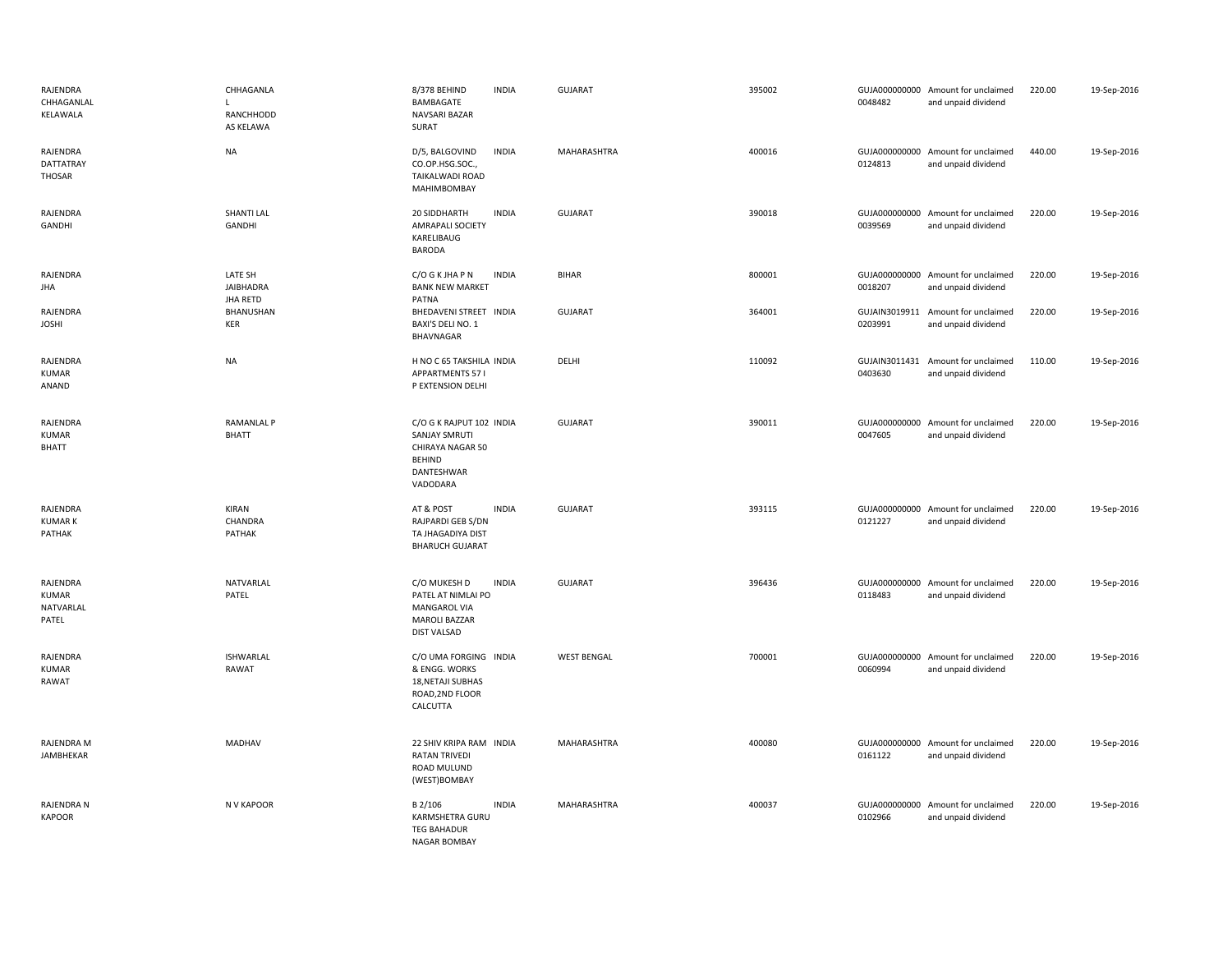| RAJENDRA<br>CHHAGANLAL<br>KELAWALA             | CHHAGANLA<br>L.<br>RANCHHODD<br>AS KELAWA      | 8/378 BEHIND<br><b>INDIA</b><br>BAMBAGATE<br>NAVSARI BAZAR<br>SURAT                                              | GUJARAT            | 395002 | 0048482                  | GUJA000000000 Amount for unclaimed<br>and unpaid dividend | 220.00 | 19-Sep-2016 |
|------------------------------------------------|------------------------------------------------|------------------------------------------------------------------------------------------------------------------|--------------------|--------|--------------------------|-----------------------------------------------------------|--------|-------------|
| RAJENDRA<br>DATTATRAY<br><b>THOSAR</b>         | <b>NA</b>                                      | D/5, BALGOVIND<br><b>INDIA</b><br>CO.OP.HSG.SOC.,<br><b>TAIKALWADI ROAD</b><br>MAHIMBOMBAY                       | MAHARASHTRA        | 400016 | 0124813                  | GUJA000000000 Amount for unclaimed<br>and unpaid dividend | 440.00 | 19-Sep-2016 |
| RAJENDRA<br>GANDHI                             | <b>SHANTI LAL</b><br>GANDHI                    | <b>INDIA</b><br>20 SIDDHARTH<br><b>AMRAPALI SOCIETY</b><br>KARELIBAUG<br><b>BARODA</b>                           | <b>GUJARAT</b>     | 390018 | 0039569                  | GUJA000000000 Amount for unclaimed<br>and unpaid dividend | 220.00 | 19-Sep-2016 |
| RAJENDRA<br>JHA                                | LATE SH<br><b>JAIBHADRA</b><br><b>JHA RETD</b> | C/O G K JHA P N<br><b>INDIA</b><br><b>BANK NEW MARKET</b><br>PATNA                                               | <b>BIHAR</b>       | 800001 | 0018207                  | GUJA000000000 Amount for unclaimed<br>and unpaid dividend | 220.00 | 19-Sep-2016 |
| RAJENDRA<br><b>JOSHI</b>                       | BHANUSHAN<br>KER                               | BHEDAVENI STREET INDIA<br>BAXI'S DELI NO. 1<br>BHAVNAGAR                                                         | <b>GUJARAT</b>     | 364001 | 0203991                  | GUJAIN3019911 Amount for unclaimed<br>and unpaid dividend | 220.00 | 19-Sep-2016 |
| RAJENDRA<br><b>KUMAR</b><br>ANAND              | <b>NA</b>                                      | H NO C 65 TAKSHILA INDIA<br><b>APPARTMENTS 571</b><br>P EXTENSION DELHI                                          | DELHI              | 110092 | 0403630                  | GUJAIN3011431 Amount for unclaimed<br>and unpaid dividend | 110.00 | 19-Sep-2016 |
| RAJENDRA<br>KUMAR<br><b>BHATT</b>              | <b>RAMANLAL P</b><br><b>BHATT</b>              | C/O G K RAJPUT 102 INDIA<br><b>SANJAY SMRUTI</b><br>CHIRAYA NAGAR 50<br><b>BEHIND</b><br>DANTESHWAR<br>VADODARA  | <b>GUJARAT</b>     | 390011 | 0047605                  | GUJA000000000 Amount for unclaimed<br>and unpaid dividend | 220.00 | 19-Sep-2016 |
| RAJENDRA<br><b>KUMARK</b><br>PATHAK            | KIRAN<br>CHANDRA<br>PATHAK                     | <b>INDIA</b><br>AT & POST<br>RAJPARDI GEB S/DN<br>TA JHAGADIYA DIST<br><b>BHARUCH GUJARAT</b>                    | GUJARAT            | 393115 | 0121227                  | GUJA000000000 Amount for unclaimed<br>and unpaid dividend | 220.00 | 19-Sep-2016 |
| RAJENDRA<br><b>KUMAR</b><br>NATVARLAL<br>PATEL | NATVARLAL<br>PATEL                             | C/O MUKESH D<br><b>INDIA</b><br>PATEL AT NIMLAI PO<br>MANGAROL VIA<br><b>MAROLI BAZZAR</b><br><b>DIST VALSAD</b> | <b>GUJARAT</b>     | 396436 | 0118483                  | GUJA000000000 Amount for unclaimed<br>and unpaid dividend | 220.00 | 19-Sep-2016 |
| RAJENDRA<br><b>KUMAR</b><br>RAWAT              | <b>ISHWARLAL</b><br>RAWAT                      | C/O UMA FORGING INDIA<br>& ENGG. WORKS<br>18, NETAJI SUBHAS<br>ROAD, 2ND FLOOR<br>CALCUTTA                       | <b>WEST BENGAL</b> | 700001 | GUJA000000000<br>0060994 | Amount for unclaimed<br>and unpaid dividend               | 220.00 | 19-Sep-2016 |
| RAJENDRA M<br>JAMBHEKAR                        | MADHAV                                         | 22 SHIV KRIPA RAM INDIA<br><b>RATAN TRIVEDI</b><br>ROAD MULUND<br>(WEST)BOMBAY                                   | MAHARASHTRA        | 400080 | 0161122                  | GUJA000000000 Amount for unclaimed<br>and unpaid dividend | 220.00 | 19-Sep-2016 |
| RAJENDRA N<br><b>KAPOOR</b>                    | N V KAPOOR                                     | B 2/106<br><b>INDIA</b><br>KARMSHETRA GURU<br><b>TEG BAHADUR</b><br><b>NAGAR BOMBAY</b>                          | MAHARASHTRA        | 400037 | 0102966                  | GUJA000000000 Amount for unclaimed<br>and unpaid dividend | 220.00 | 19-Sep-2016 |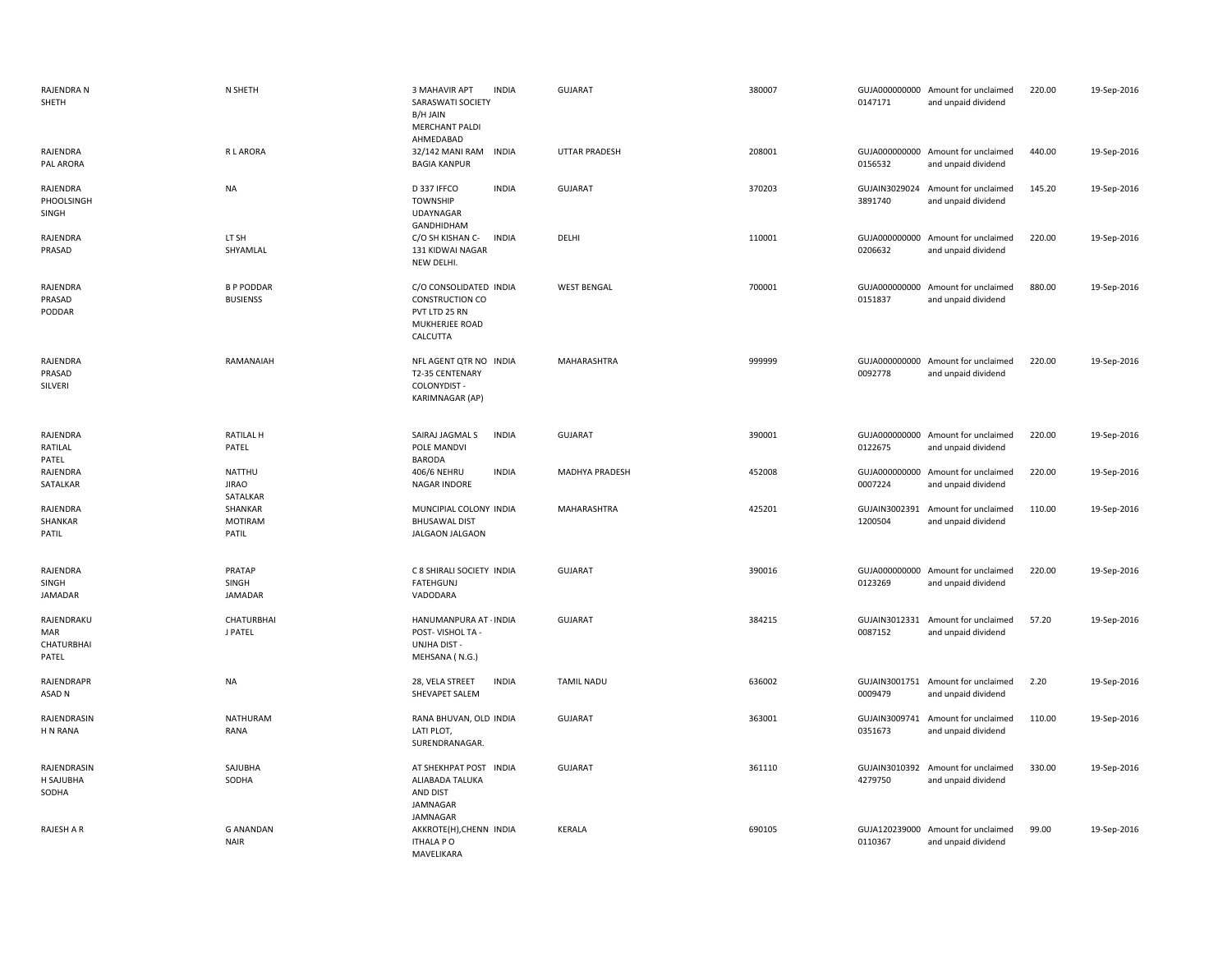| RAJENDRA N<br>SHETH                      | N SHETH                              | 3 MAHAVIR APT<br><b>INDIA</b><br>SARASWATI SOCIETY<br>B/H JAIN<br><b>MERCHANT PALDI</b><br>AHMEDABAD | <b>GUJARAT</b>       | 380007 | 0147171                  | GUJA000000000 Amount for unclaimed<br>and unpaid dividend | 220.00 | 19-Sep-2016 |
|------------------------------------------|--------------------------------------|------------------------------------------------------------------------------------------------------|----------------------|--------|--------------------------|-----------------------------------------------------------|--------|-------------|
| RAJENDRA<br>PAL ARORA                    | R L ARORA                            | 32/142 MANI RAM<br><b>INDIA</b><br><b>BAGIA KANPUR</b>                                               | <b>UTTAR PRADESH</b> | 208001 | 0156532                  | GUJA000000000 Amount for unclaimed<br>and unpaid dividend | 440.00 | 19-Sep-2016 |
| RAJENDRA<br>PHOOLSINGH<br>SINGH          | <b>NA</b>                            | D 337 IFFCO<br><b>INDIA</b><br>TOWNSHIP<br>UDAYNAGAR<br>GANDHIDHAM                                   | GUJARAT              | 370203 | 3891740                  | GUJAIN3029024 Amount for unclaimed<br>and unpaid dividend | 145.20 | 19-Sep-2016 |
| RAJENDRA<br>PRASAD                       | LT SH<br>SHYAMLAL                    | C/O SH KISHAN C-<br><b>INDIA</b><br>131 KIDWAI NAGAR<br>NEW DELHI.                                   | DELHI                | 110001 | 0206632                  | GUJA000000000 Amount for unclaimed<br>and unpaid dividend | 220.00 | 19-Sep-2016 |
| <b>RAJENDRA</b><br>PRASAD<br>PODDAR      | <b>B P PODDAR</b><br><b>BUSIENSS</b> | C/O CONSOLIDATED INDIA<br>CONSTRUCTION CO<br>PVT LTD 25 RN<br>MUKHERJEE ROAD<br>CALCUTTA             | <b>WEST BENGAL</b>   | 700001 | GUJA000000000<br>0151837 | Amount for unclaimed<br>and unpaid dividend               | 880.00 | 19-Sep-2016 |
| RAJENDRA<br>PRASAD<br>SILVERI            | RAMANAIAH                            | NFL AGENT QTR NO INDIA<br>T2-35 CENTENARY<br>COLONYDIST -<br>KARIMNAGAR (AP)                         | MAHARASHTRA          | 999999 | 0092778                  | GUJA000000000 Amount for unclaimed<br>and unpaid dividend | 220.00 | 19-Sep-2016 |
| <b>RAJENDRA</b><br>RATILAL<br>PATEL      | <b>RATILAL H</b><br>PATEL            | SAIRAJ JAGMAL S<br><b>INDIA</b><br>POLE MANDVI<br><b>BARODA</b>                                      | <b>GUJARAT</b>       | 390001 | 0122675                  | GUJA000000000 Amount for unclaimed<br>and unpaid dividend | 220.00 | 19-Sep-2016 |
| RAJENDRA<br>SATALKAR                     | NATTHU<br><b>JIRAO</b><br>SATALKAR   | 406/6 NEHRU<br><b>INDIA</b><br>NAGAR INDORE                                                          | MADHYA PRADESH       | 452008 | GUJA000000000<br>0007224 | Amount for unclaimed<br>and unpaid dividend               | 220.00 | 19-Sep-2016 |
| RAJENDRA<br>SHANKAR<br>PATIL             | SHANKAR<br><b>MOTIRAM</b><br>PATIL   | MUNCIPIAL COLONY INDIA<br><b>BHUSAWAL DIST</b><br><b>JALGAON JALGAON</b>                             | MAHARASHTRA          | 425201 | GUJAIN3002391<br>1200504 | Amount for unclaimed<br>and unpaid dividend               | 110.00 | 19-Sep-2016 |
| RAJENDRA<br>SINGH<br><b>JAMADAR</b>      | PRATAP<br>SINGH<br>JAMADAR           | C 8 SHIRALI SOCIETY INDIA<br>FATEHGUNJ<br>VADODARA                                                   | <b>GUJARAT</b>       | 390016 | 0123269                  | GUJA000000000 Amount for unclaimed<br>and unpaid dividend | 220.00 | 19-Sep-2016 |
| RAJENDRAKU<br>MAR<br>CHATURBHAI<br>PATEL | <b>CHATURBHAI</b><br>J PATEL         | HANUMANPURA AT · INDIA<br>POST-VISHOL TA -<br><b>UNJHA DIST -</b><br>MEHSANA (N.G.)                  | GUJARAT              | 384215 | GUJAIN3012331<br>0087152 | Amount for unclaimed<br>and unpaid dividend               | 57.20  | 19-Sep-2016 |
| RAJENDRAPR<br>ASAD N                     | <b>NA</b>                            | 28, VELA STREET<br><b>INDIA</b><br>SHEVAPET SALEM                                                    | <b>TAMIL NADU</b>    | 636002 | GUJAIN3001751<br>0009479 | Amount for unclaimed<br>and unpaid dividend               | 2.20   | 19-Sep-2016 |
| RAJENDRASIN<br>H N RANA                  | NATHURAM<br>RANA                     | RANA BHUVAN, OLD INDIA<br>LATI PLOT,<br>SURENDRANAGAR.                                               | GUJARAT              | 363001 | GUJAIN3009741<br>0351673 | Amount for unclaimed<br>and unpaid dividend               | 110.00 | 19-Sep-2016 |
| RAJENDRASIN<br>H SAJUBHA<br>SODHA        | SAJUBHA<br>SODHA                     | AT SHEKHPAT POST INDIA<br>ALIABADA TALUKA<br>AND DIST<br>JAMNAGAR<br>JAMNAGAR                        | <b>GUJARAT</b>       | 361110 | 4279750                  | GUJAIN3010392 Amount for unclaimed<br>and unpaid dividend | 330.00 | 19-Sep-2016 |
| RAJESH A R                               | <b>G ANANDAN</b><br><b>NAIR</b>      | AKKROTE(H), CHENN INDIA<br><b>ITHALA PO</b><br><b>MAVFLIKARA</b>                                     | KERALA               | 690105 | 0110367                  | GUJA120239000 Amount for unclaimed<br>and unpaid dividend | 99.00  | 19-Sep-2016 |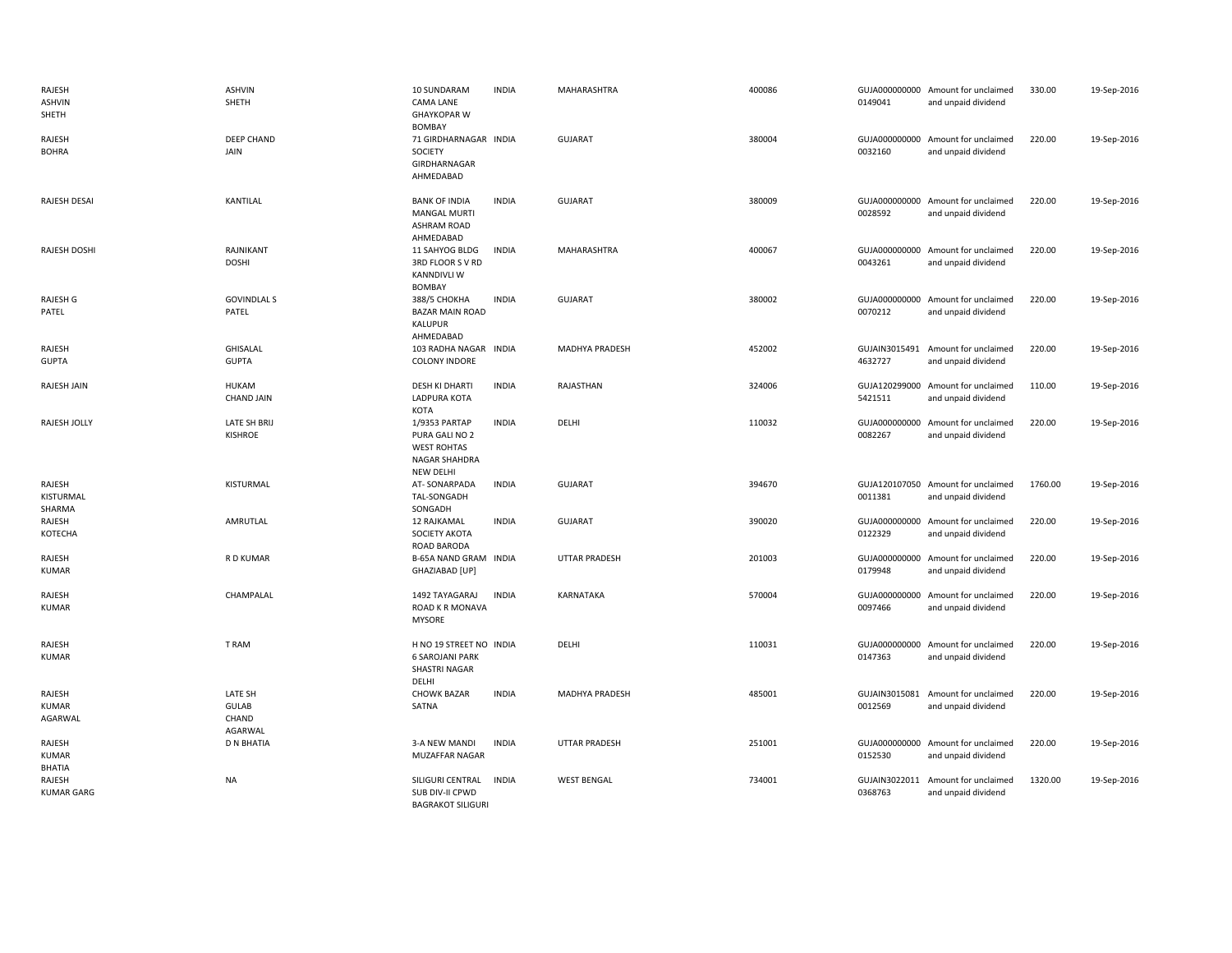| RAJESH<br><b>ASHVIN</b><br>SHETH  | ASHVIN<br>SHETH                      | 10 SUNDARAM<br><b>CAMA LANE</b><br><b>GHAYKOPAR W</b><br><b>BOMBAY</b>                     | <b>INDIA</b> | MAHARASHTRA           | 400086 | 0149041                  | GUJA000000000 Amount for unclaimed<br>and unpaid dividend | 330.00  | 19-Sep-2016 |
|-----------------------------------|--------------------------------------|--------------------------------------------------------------------------------------------|--------------|-----------------------|--------|--------------------------|-----------------------------------------------------------|---------|-------------|
| RAJESH<br><b>BOHRA</b>            | DEEP CHAND<br>JAIN                   | 71 GIRDHARNAGAR INDIA<br>SOCIETY<br>GIRDHARNAGAR<br>AHMEDABAD                              |              | <b>GUJARAT</b>        | 380004 | GUJA000000000<br>0032160 | Amount for unclaimed<br>and unpaid dividend               | 220.00  | 19-Sep-2016 |
| <b>RAJESH DESAI</b>               | KANTILAL                             | <b>BANK OF INDIA</b><br><b>MANGAL MURTI</b><br><b>ASHRAM ROAD</b><br>AHMEDABAD             | <b>INDIA</b> | <b>GUJARAT</b>        | 380009 | 0028592                  | GUJA000000000 Amount for unclaimed<br>and unpaid dividend | 220.00  | 19-Sep-2016 |
| RAJESH DOSHI                      | RAJNIKANT<br><b>DOSHI</b>            | 11 SAHYOG BLDG<br>3RD FLOOR SV RD<br><b>KANNDIVLI W</b><br><b>BOMBAY</b>                   | <b>INDIA</b> | MAHARASHTRA           | 400067 | 0043261                  | GUJA000000000 Amount for unclaimed<br>and unpaid dividend | 220.00  | 19-Sep-2016 |
| RAJESH G<br>PATEL                 | <b>GOVINDLAL S</b><br>PATEL          | 388/5 CHOKHA<br><b>BAZAR MAIN ROAD</b><br>KALUPUR<br>AHMEDABAD                             | <b>INDIA</b> | <b>GUJARAT</b>        | 380002 | 0070212                  | GUJA000000000 Amount for unclaimed<br>and unpaid dividend | 220.00  | 19-Sep-2016 |
| RAJESH<br><b>GUPTA</b>            | <b>GHISALAL</b><br><b>GUPTA</b>      | 103 RADHA NAGAR INDIA<br><b>COLONY INDORE</b>                                              |              | <b>MADHYA PRADESH</b> | 452002 | 4632727                  | GUJAIN3015491 Amount for unclaimed<br>and unpaid dividend | 220.00  | 19-Sep-2016 |
| RAJESH JAIN                       | <b>HUKAM</b><br><b>CHAND JAIN</b>    | <b>DESH KI DHARTI</b><br>LADPURA KOTA<br>KOTA                                              | <b>INDIA</b> | RAJASTHAN             | 324006 | 5421511                  | GUJA120299000 Amount for unclaimed<br>and unpaid dividend | 110.00  | 19-Sep-2016 |
| RAJESH JOLLY                      | LATE SH BRIJ<br><b>KISHROE</b>       | 1/9353 PARTAP<br>PURA GALI NO 2<br><b>WEST ROHTAS</b><br><b>NAGAR SHAHDRA</b><br>NEW DELHI | <b>INDIA</b> | DELHI                 | 110032 | 0082267                  | GUJA000000000 Amount for unclaimed<br>and unpaid dividend | 220.00  | 19-Sep-2016 |
| RAJESH<br>KISTURMAL<br>SHARMA     | KISTURMAL                            | AT-SONARPADA<br>TAL-SONGADH<br>SONGADH                                                     | <b>INDIA</b> | <b>GUJARAT</b>        | 394670 | 0011381                  | GUJA120107050 Amount for unclaimed<br>and unpaid dividend | 1760.00 | 19-Sep-2016 |
| RAJESH<br>KOTECHA                 | AMRUTLAL                             | 12 RAJKAMAL<br>SOCIETY AKOTA<br>ROAD BARODA                                                | <b>INDIA</b> | <b>GUJARAT</b>        | 390020 | 0122329                  | GUJA000000000 Amount for unclaimed<br>and unpaid dividend | 220.00  | 19-Sep-2016 |
| RAJESH<br><b>KUMAR</b>            | R D KUMAR                            | B-65A NAND GRAM INDIA<br>GHAZIABAD [UP]                                                    |              | <b>UTTAR PRADESH</b>  | 201003 | 0179948                  | GUJA000000000 Amount for unclaimed<br>and unpaid dividend | 220.00  | 19-Sep-2016 |
| RAJESH<br><b>KUMAR</b>            | CHAMPALAL                            | 1492 TAYAGARAJ<br>ROAD K R MONAVA<br><b>MYSORE</b>                                         | <b>INDIA</b> | KARNATAKA             | 570004 | 0097466                  | GUJA000000000 Amount for unclaimed<br>and unpaid dividend | 220.00  | 19-Sep-2016 |
| RAJESH<br><b>KUMAR</b>            | T RAM                                | H NO 19 STREET NO INDIA<br><b>6 SAROJANI PARK</b><br>SHASTRI NAGAR<br>DELHI                |              | DELHI                 | 110031 | GUJA000000000<br>0147363 | Amount for unclaimed<br>and unpaid dividend               | 220.00  | 19-Sep-2016 |
| RAJESH<br><b>KUMAR</b><br>AGARWAL | LATE SH<br>GULAB<br>CHAND<br>AGARWAL | <b>CHOWK BAZAR</b><br>SATNA                                                                | <b>INDIA</b> | <b>MADHYA PRADESH</b> | 485001 | 0012569                  | GUJAIN3015081 Amount for unclaimed<br>and unpaid dividend | 220.00  | 19-Sep-2016 |
| RAJESH<br><b>KUMAR</b><br>BHATIA  | <b>D N BHATIA</b>                    | 3-A NEW MANDI<br>MUZAFFAR NAGAR                                                            | <b>INDIA</b> | <b>UTTAR PRADESH</b>  | 251001 | GUJA000000000<br>0152530 | Amount for unclaimed<br>and unpaid dividend               | 220.00  | 19-Sep-2016 |
| RAJESH<br><b>KUMAR GARG</b>       | <b>NA</b>                            | SILIGURI CENTRAL<br>SUB DIV-II CPWD<br><b>BAGRAKOT SILIGURI</b>                            | <b>INDIA</b> | <b>WEST BENGAL</b>    | 734001 | GUJAIN3022011<br>0368763 | Amount for unclaimed<br>and unpaid dividend               | 1320.00 | 19-Sep-2016 |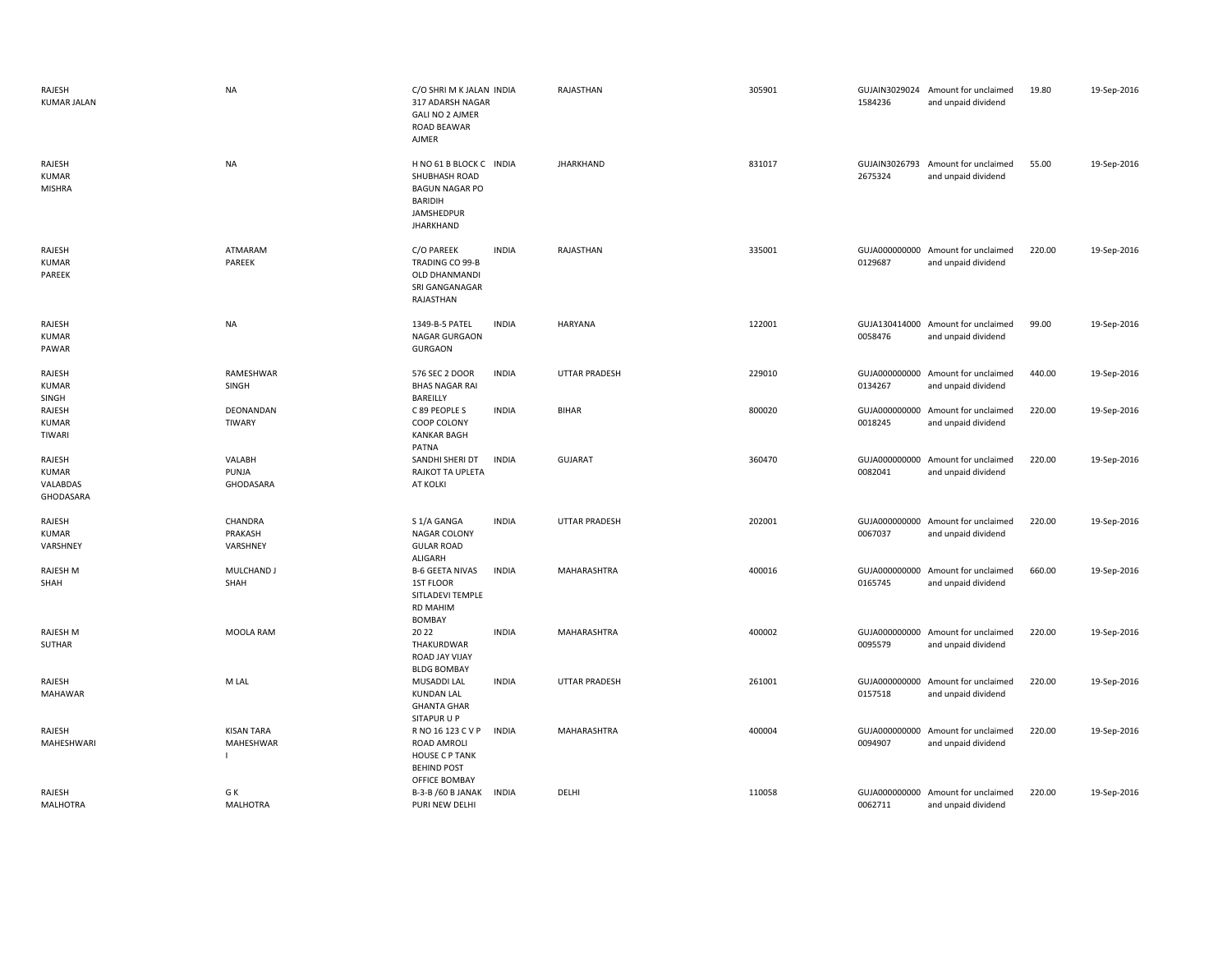| RAJESH<br><b>KUMAR JALAN</b>             | <b>NA</b>                      | C/O SHRI M K JALAN INDIA<br>317 ADARSH NAGAR<br><b>GALI NO 2 AJMER</b><br><b>ROAD BEAWAR</b><br>AJMER                  | RAJASTHAN            | 305901 | 1584236                  | GUJAIN3029024 Amount for unclaimed<br>and unpaid dividend | 19.80  | 19-Sep-2016 |
|------------------------------------------|--------------------------------|------------------------------------------------------------------------------------------------------------------------|----------------------|--------|--------------------------|-----------------------------------------------------------|--------|-------------|
| RAJESH<br><b>KUMAR</b><br><b>MISHRA</b>  | <b>NA</b>                      | H NO 61 B BLOCK C INDIA<br>SHUBHASH ROAD<br><b>BAGUN NAGAR PO</b><br>BARIDIH<br>JAMSHEDPUR<br><b>JHARKHAND</b>         | <b>JHARKHAND</b>     | 831017 | 2675324                  | GUJAIN3026793 Amount for unclaimed<br>and unpaid dividend | 55.00  | 19-Sep-2016 |
| RAJESH<br><b>KUMAR</b><br>PAREEK         | ATMARAM<br>PAREEK              | C/O PAREEK<br><b>INDIA</b><br>TRADING CO 99-B<br><b>OLD DHANMANDI</b><br>SRI GANGANAGAR<br>RAJASTHAN                   | RAJASTHAN            | 335001 | 0129687                  | GUJA000000000 Amount for unclaimed<br>and unpaid dividend | 220.00 | 19-Sep-2016 |
| RAJESH<br>KUMAR<br>PAWAR                 | <b>NA</b>                      | 1349-B-5 PATEL<br><b>INDIA</b><br><b>NAGAR GURGAON</b><br><b>GURGAON</b>                                               | HARYANA              | 122001 | 0058476                  | GUJA130414000 Amount for unclaimed<br>and unpaid dividend | 99.00  | 19-Sep-2016 |
| RAJESH<br><b>KUMAR</b><br>SINGH          | RAMESHWAR<br>SINGH             | 576 SEC 2 DOOR<br><b>INDIA</b><br><b>BHAS NAGAR RAI</b><br>BAREILLY                                                    | <b>UTTAR PRADESH</b> | 229010 | 0134267                  | GUJA000000000 Amount for unclaimed<br>and unpaid dividend | 440.00 | 19-Sep-2016 |
| RAJESH<br><b>KUMAR</b><br>TIWARI         | DEONANDAN<br>TIWARY            | C 89 PEOPLE S<br><b>INDIA</b><br>COOP COLONY<br><b>KANKAR BAGH</b><br>PATNA                                            | <b>BIHAR</b>         | 800020 | GUJA000000000<br>0018245 | Amount for unclaimed<br>and unpaid dividend               | 220.00 | 19-Sep-2016 |
| RAJESH<br>KUMAR<br>VALABDAS<br>GHODASARA | VALABH<br>PUNJA<br>GHODASARA   | SANDHI SHERI DT<br><b>INDIA</b><br>RAJKOT TA UPLETA<br>AT KOLKI                                                        | <b>GUJARAT</b>       | 360470 | 0082041                  | GUJA000000000 Amount for unclaimed<br>and unpaid dividend | 220.00 | 19-Sep-2016 |
| RAJESH<br><b>KUMAR</b><br>VARSHNEY       | CHANDRA<br>PRAKASH<br>VARSHNEY | <b>INDIA</b><br>S 1/A GANGA<br>NAGAR COLONY<br><b>GULAR ROAD</b>                                                       | <b>UTTAR PRADESH</b> | 202001 | 0067037                  | GUJA000000000 Amount for unclaimed<br>and unpaid dividend | 220.00 | 19-Sep-2016 |
| <b>RAJESH M</b><br>SHAH                  | MULCHAND J<br>SHAH             | ALIGARH<br><b>B-6 GEETA NIVAS</b><br><b>INDIA</b><br>1ST FLOOR<br>SITLADEVI TEMPLE<br><b>RD MAHIM</b><br><b>BOMBAY</b> | MAHARASHTRA          | 400016 | 0165745                  | GUJA000000000 Amount for unclaimed<br>and unpaid dividend | 660.00 | 19-Sep-2016 |
| <b>RAJESH M</b><br>SUTHAR                | MOOLA RAM                      | <b>INDIA</b><br>2022<br>THAKURDWAR<br>ROAD JAY VIJAY<br><b>BLDG BOMBAY</b>                                             | MAHARASHTRA          | 400002 | 0095579                  | GUJA000000000 Amount for unclaimed<br>and unpaid dividend | 220.00 | 19-Sep-2016 |
| RAJESH<br><b>MAHAWAR</b>                 | M LAL                          | <b>INDIA</b><br>MUSADDI LAL<br><b>KUNDAN LAL</b><br><b>GHANTA GHAR</b><br>SITAPUR U P                                  | UTTAR PRADESH        | 261001 | 0157518                  | GUJA000000000 Amount for unclaimed<br>and unpaid dividend | 220.00 | 19-Sep-2016 |
| RAJESH<br>MAHESHWARI                     | <b>KISAN TARA</b><br>MAHESHWAR | <b>INDIA</b><br>R NO 16 123 C V P<br>ROAD AMROLI<br><b>HOUSE C P TANK</b><br><b>BEHIND POST</b><br>OFFICE BOMBAY       | MAHARASHTRA          | 400004 | 0094907                  | GUJA000000000 Amount for unclaimed<br>and unpaid dividend | 220.00 | 19-Sep-2016 |
| RAJESH<br><b>MALHOTRA</b>                | G K<br><b>MALHOTRA</b>         | B-3-B /60 B JANAK<br><b>INDIA</b><br>PURI NEW DELHI                                                                    | DELHI                | 110058 | 0062711                  | GUJA000000000 Amount for unclaimed<br>and unpaid dividend | 220.00 | 19-Sep-2016 |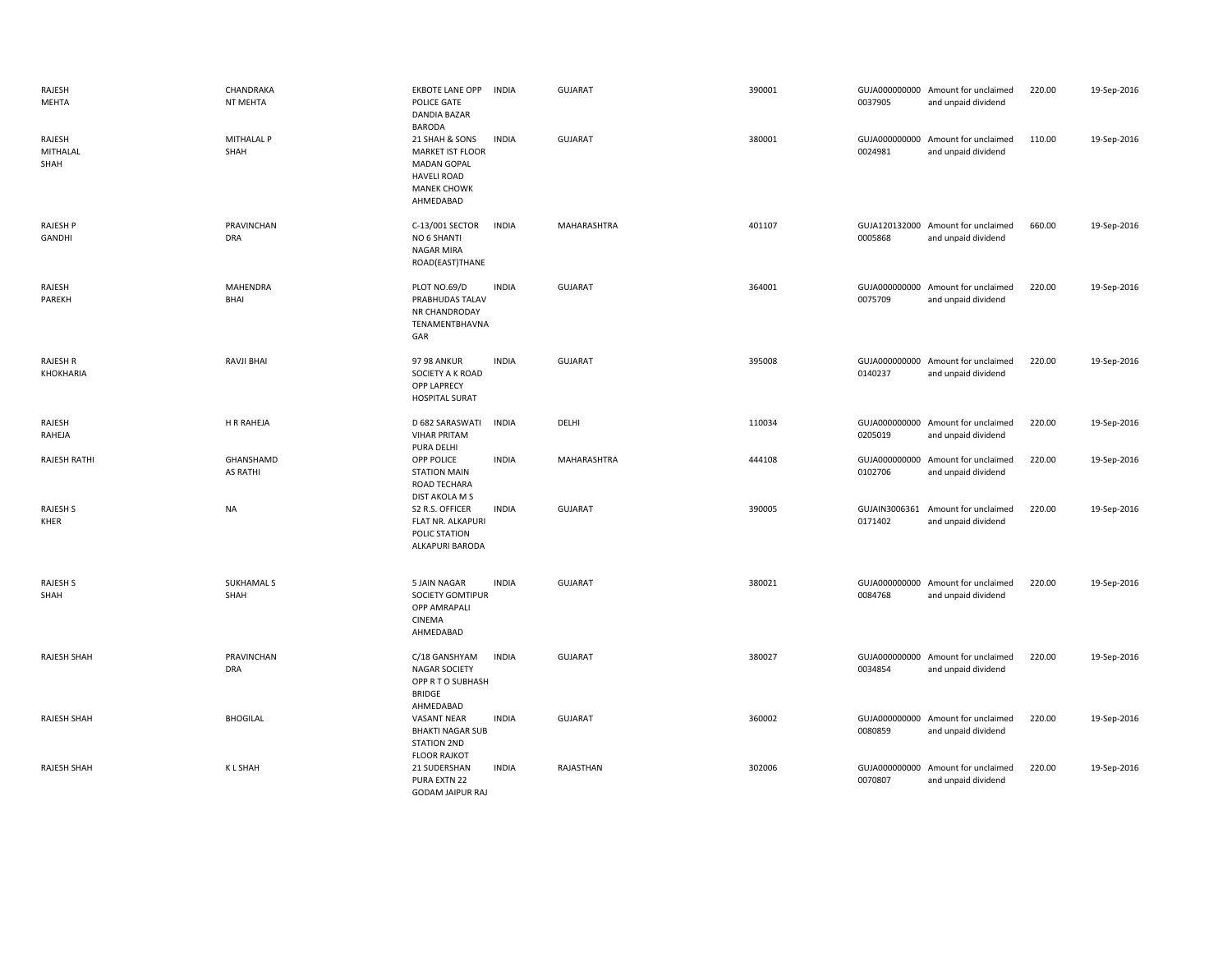| RAJESH<br>MEHTA            | CHANDRAKA<br>NT MEHTA        | <b>EKBOTE LANE OPP</b><br><b>INDIA</b><br>POLICE GATE<br>DANDIA BAZAR<br><b>BARODA</b>                                                   | <b>GUJARAT</b> | 390001 | 0037905                  | GUJA000000000 Amount for unclaimed<br>and unpaid dividend | 220.00 | 19-Sep-2016 |
|----------------------------|------------------------------|------------------------------------------------------------------------------------------------------------------------------------------|----------------|--------|--------------------------|-----------------------------------------------------------|--------|-------------|
| RAJESH<br>MITHALAL<br>SHAH | MITHALAL P<br>SHAH           | <b>INDIA</b><br>21 SHAH & SONS<br><b>MARKET IST FLOOR</b><br><b>MADAN GOPAL</b><br><b>HAVELI ROAD</b><br><b>MANEK CHOWK</b><br>AHMEDABAD | <b>GUJARAT</b> | 380001 | 0024981                  | GUJA000000000 Amount for unclaimed<br>and unpaid dividend | 110.00 | 19-Sep-2016 |
| RAJESH P<br>GANDHI         | PRAVINCHAN<br><b>DRA</b>     | C-13/001 SECTOR<br><b>INDIA</b><br>NO 6 SHANTI<br>NAGAR MIRA<br>ROAD(EAST)THANE                                                          | MAHARASHTRA    | 401107 | 0005868                  | GUJA120132000 Amount for unclaimed<br>and unpaid dividend | 660.00 | 19-Sep-2016 |
| RAJESH<br>PAREKH           | <b>MAHENDRA</b><br>BHAI      | <b>INDIA</b><br>PLOT NO.69/D<br>PRABHUDAS TALAV<br>NR CHANDRODAY<br>TENAMENTBHAVNA<br>GAR                                                | <b>GUJARAT</b> | 364001 | 0075709                  | GUJA000000000 Amount for unclaimed<br>and unpaid dividend | 220.00 | 19-Sep-2016 |
| RAJESH R<br>KHOKHARIA      | <b>RAVJI BHAI</b>            | <b>97 98 ANKUR</b><br><b>INDIA</b><br>SOCIETY A K ROAD<br><b>OPP LAPRECY</b><br><b>HOSPITAL SURAT</b>                                    | <b>GUJARAT</b> | 395008 | 0140237                  | GUJA000000000 Amount for unclaimed<br>and unpaid dividend | 220.00 | 19-Sep-2016 |
| RAJESH<br>RAHEJA           | H R RAHEJA                   | D 682 SARASWATI<br><b>INDIA</b><br><b>VIHAR PRITAM</b><br>PURA DELHI                                                                     | DELHI          | 110034 | 0205019                  | GUJA000000000 Amount for unclaimed<br>and unpaid dividend | 220.00 | 19-Sep-2016 |
| <b>RAJESH RATHI</b>        | GHANSHAMD<br><b>AS RATHI</b> | OPP POLICE<br><b>INDIA</b><br><b>STATION MAIN</b><br>ROAD TECHARA<br>DIST AKOLA M S                                                      | MAHARASHTRA    | 444108 | 0102706                  | GUJA000000000 Amount for unclaimed<br>and unpaid dividend | 220.00 | 19-Sep-2016 |
| <b>RAJESH S</b><br>KHER    | <b>NA</b>                    | S2 R.S. OFFICER<br><b>INDIA</b><br>FLAT NR. ALKAPURI<br>POLIC STATION<br>ALKAPURI BARODA                                                 | <b>GUJARAT</b> | 390005 | GUJAIN3006361<br>0171402 | Amount for unclaimed<br>and unpaid dividend               | 220.00 | 19-Sep-2016 |
| RAJESH S<br>SHAH           | SUKHAMAL S<br>SHAH           | 5 JAIN NAGAR<br><b>INDIA</b><br>SOCIETY GOMTIPUR<br><b>OPP AMRAPALI</b><br>CINEMA<br>AHMEDABAD                                           | <b>GUJARAT</b> | 380021 | 0084768                  | GUJA000000000 Amount for unclaimed<br>and unpaid dividend | 220.00 | 19-Sep-2016 |
| <b>RAJESH SHAH</b>         | PRAVINCHAN<br><b>DRA</b>     | <b>INDIA</b><br>C/18 GANSHYAM<br><b>NAGAR SOCIETY</b><br>OPP R T O SUBHASH<br><b>BRIDGE</b><br>AHMEDABAD                                 | <b>GUJARAT</b> | 380027 | 0034854                  | GUJA000000000 Amount for unclaimed<br>and unpaid dividend | 220.00 | 19-Sep-2016 |
| RAJESH SHAH                | <b>BHOGILAL</b>              | VASANT NEAR<br><b>INDIA</b><br><b>BHAKTI NAGAR SUB</b><br><b>STATION 2ND</b><br><b>FLOOR RAJKOT</b>                                      | <b>GUJARAT</b> | 360002 | 0080859                  | GUJA000000000 Amount for unclaimed<br>and unpaid dividend | 220.00 | 19-Sep-2016 |
| RAJESH SHAH                | <b>KLSHAH</b>                | 21 SUDERSHAN<br><b>INDIA</b><br>PURA EXTN 22<br><b>GODAM JAIPUR RAJ</b>                                                                  | RAJASTHAN      | 302006 | 0070807                  | GUJA000000000 Amount for unclaimed<br>and unpaid dividend | 220.00 | 19-Sep-2016 |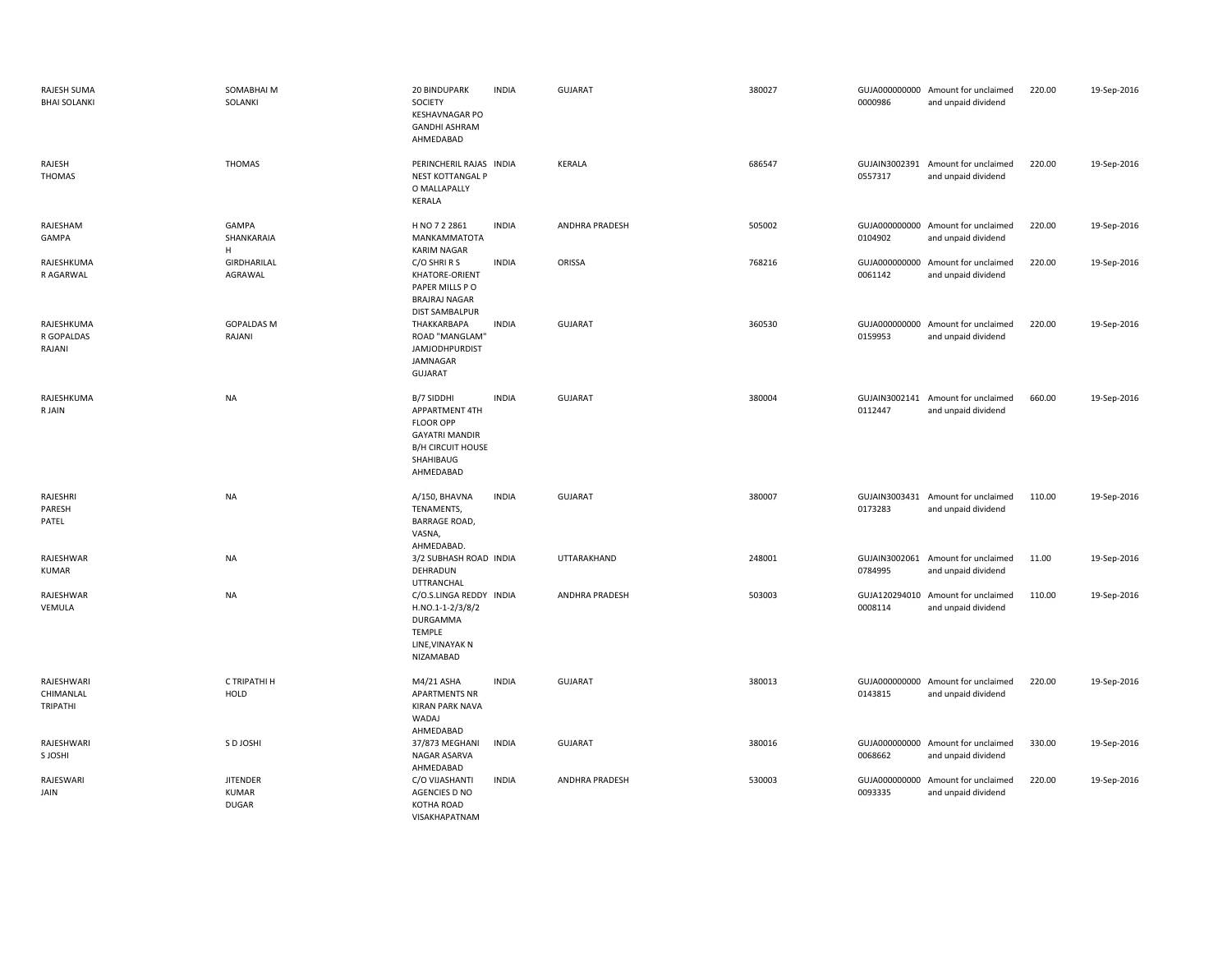| RAJESH SUMA<br><b>BHAI SOLANKI</b>  | SOMABHAI M<br>SOLANKI                    | 20 BINDUPARK<br>SOCIETY<br><b>KESHAVNAGAR PO</b><br><b>GANDHI ASHRAM</b><br>AHMEDABAD                                           | <b>INDIA</b> | <b>GUJARAT</b> | 380027 | 0000986                  | GUJA000000000 Amount for unclaimed<br>and unpaid dividend | 220.00 | 19-Sep-2016 |
|-------------------------------------|------------------------------------------|---------------------------------------------------------------------------------------------------------------------------------|--------------|----------------|--------|--------------------------|-----------------------------------------------------------|--------|-------------|
| RAJESH<br>THOMAS                    | <b>THOMAS</b>                            | PERINCHERIL RAJAS INDIA<br><b>NEST KOTTANGAL P</b><br>O MALLAPALLY<br>KERALA                                                    |              | <b>KERALA</b>  | 686547 | 0557317                  | GUJAIN3002391 Amount for unclaimed<br>and unpaid dividend | 220.00 | 19-Sep-2016 |
| RAJESHAM<br>GAMPA                   | GAMPA<br>SHANKARAIA<br>H                 | H NO 7 2 2861<br>MANKAMMATOTA<br><b>KARIM NAGAR</b>                                                                             | <b>INDIA</b> | ANDHRA PRADESH | 505002 | 0104902                  | GUJA000000000 Amount for unclaimed<br>and unpaid dividend | 220.00 | 19-Sep-2016 |
| RAJESHKUMA<br>R AGARWAL             | GIRDHARILAL<br>AGRAWAL                   | C/O SHRIRS<br>KHATORE-ORIENT<br>PAPER MILLS PO<br><b>BRAJRAJ NAGAR</b><br><b>DIST SAMBALPUR</b>                                 | <b>INDIA</b> | ORISSA         | 768216 | 0061142                  | GUJA000000000 Amount for unclaimed<br>and unpaid dividend | 220.00 | 19-Sep-2016 |
| RAJESHKUMA<br>R GOPALDAS<br>RAJANI  | <b>GOPALDAS M</b><br>RAJANI              | THAKKARBAPA<br>ROAD "MANGLAM"<br><b>JAMJODHPURDIST</b><br>JAMNAGAR<br><b>GUJARAT</b>                                            | <b>INDIA</b> | <b>GUJARAT</b> | 360530 | 0159953                  | GUJA000000000 Amount for unclaimed<br>and unpaid dividend | 220.00 | 19-Sep-2016 |
| RAJESHKUMA<br>R JAIN                | <b>NA</b>                                | B/7 SIDDHI<br>APPARTMENT 4TH<br><b>FLOOR OPP</b><br><b>GAYATRI MANDIR</b><br><b>B/H CIRCUIT HOUSE</b><br>SHAHIBAUG<br>AHMEDABAD | <b>INDIA</b> | <b>GUJARAT</b> | 380004 | 0112447                  | GUJAIN3002141 Amount for unclaimed<br>and unpaid dividend | 660.00 | 19-Sep-2016 |
| RAJESHRI<br>PARESH<br>PATEL         | <b>NA</b>                                | A/150, BHAVNA<br>TENAMENTS,<br>BARRAGE ROAD,<br>VASNA,<br>AHMEDABAD.                                                            | <b>INDIA</b> | <b>GUJARAT</b> | 380007 | 0173283                  | GUJAIN3003431 Amount for unclaimed<br>and unpaid dividend | 110.00 | 19-Sep-2016 |
| RAJESHWAR<br><b>KUMAR</b>           | <b>NA</b>                                | 3/2 SUBHASH ROAD INDIA<br>DEHRADUN<br><b>UTTRANCHAL</b>                                                                         |              | UTTARAKHAND    | 248001 | 0784995                  | GUJAIN3002061 Amount for unclaimed<br>and unpaid dividend | 11.00  | 19-Sep-2016 |
| RAJESHWAR<br>VEMULA                 | <b>NA</b>                                | C/O.S.LINGA REDDY INDIA<br>H.NO.1-1-2/3/8/2<br><b>DURGAMMA</b><br><b>TEMPLE</b><br>LINE, VINAYAK N<br>NIZAMABAD                 |              | ANDHRA PRADESH | 503003 | GUJA120294010<br>0008114 | Amount for unclaimed<br>and unpaid dividend               | 110.00 | 19-Sep-2016 |
| RAJESHWARI<br>CHIMANLAL<br>TRIPATHI | C TRIPATHI H<br>HOLD                     | M4/21 ASHA<br><b>APARTMENTS NR</b><br><b>KIRAN PARK NAVA</b><br>WADAJ<br>AHMEDABAD                                              | <b>INDIA</b> | <b>GUJARAT</b> | 380013 | 0143815                  | GUJA000000000 Amount for unclaimed<br>and unpaid dividend | 220.00 | 19-Sep-2016 |
| RAJESHWARI<br>S JOSHI               | S D JOSHI                                | 37/873 MEGHANI<br>NAGAR ASARVA<br>AHMEDABAD                                                                                     | <b>INDIA</b> | <b>GUJARAT</b> | 380016 | 0068662                  | GUJA000000000 Amount for unclaimed<br>and unpaid dividend | 330.00 | 19-Sep-2016 |
| RAJESWARI<br>JAIN                   | <b>JITENDER</b><br>KUMAR<br><b>DUGAR</b> | C/O VIJASHANTI<br>AGENCIES D NO<br>KOTHA ROAD<br>VISAKHAPATNAM                                                                  | <b>INDIA</b> | ANDHRA PRADESH | 530003 | 0093335                  | GUJA000000000 Amount for unclaimed<br>and unpaid dividend | 220.00 | 19-Sep-2016 |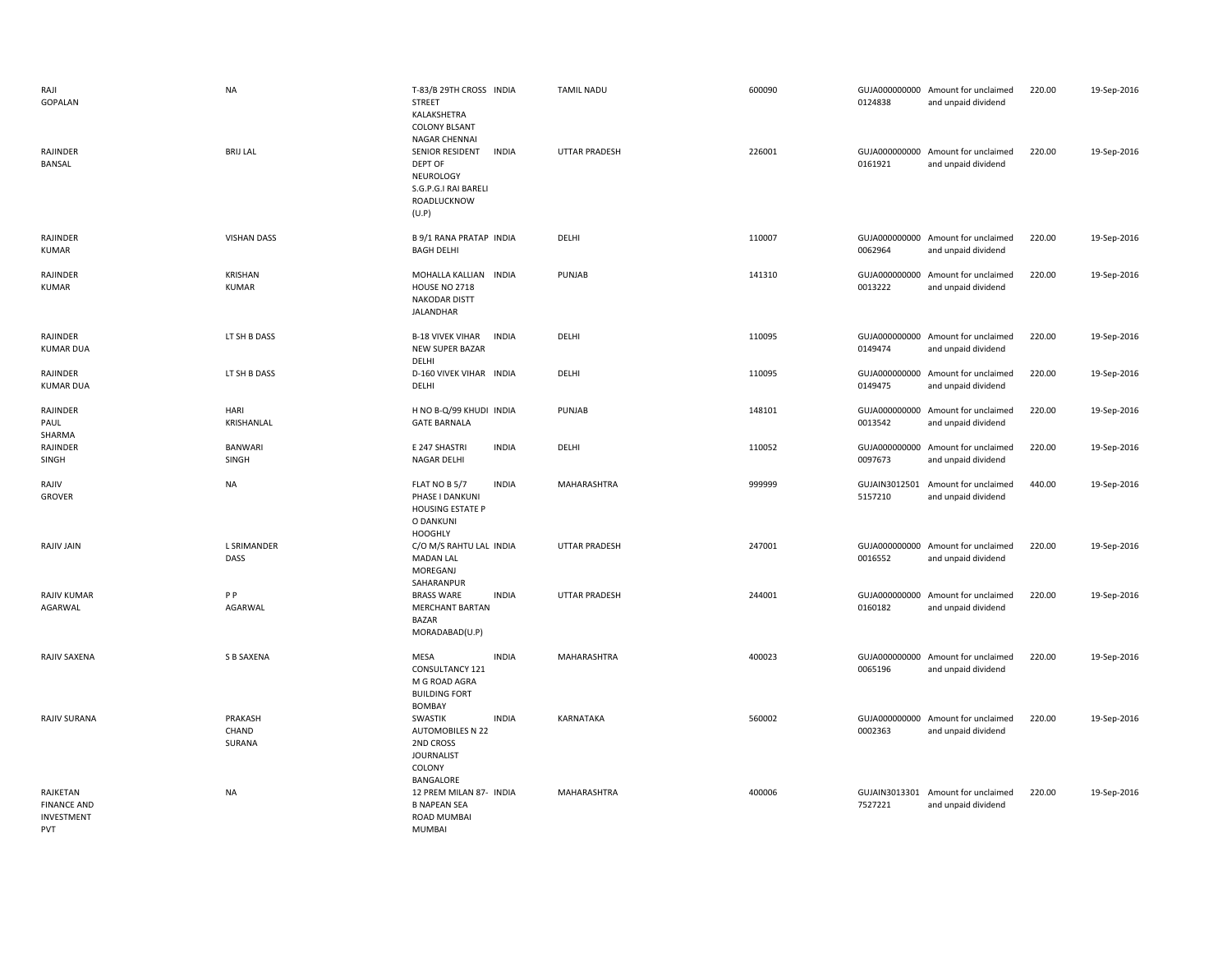| RAJI<br>GOPALAN                                            | <b>NA</b>                      | T-83/B 29TH CROSS INDIA<br><b>STREET</b><br>KALAKSHETRA<br><b>COLONY BLSANT</b><br>NAGAR CHENNAI               | <b>TAMIL NADU</b>    | 600090 | 0124838 | GUJA000000000 Amount for unclaimed<br>and unpaid dividend | 220.00 | 19-Sep-2016 |
|------------------------------------------------------------|--------------------------------|----------------------------------------------------------------------------------------------------------------|----------------------|--------|---------|-----------------------------------------------------------|--------|-------------|
| RAJINDER<br>BANSAL                                         | <b>BRIJ LAL</b>                | SENIOR RESIDENT<br><b>INDIA</b><br><b>DEPT OF</b><br>NEUROLOGY<br>S.G.P.G.I RAI BARELI<br>ROADLUCKNOW<br>(U.P) | <b>UTTAR PRADESH</b> | 226001 | 0161921 | GUJA000000000 Amount for unclaimed<br>and unpaid dividend | 220.00 | 19-Sep-2016 |
| RAJINDER<br>KUMAR                                          | <b>VISHAN DASS</b>             | <b>B 9/1 RANA PRATAP INDIA</b><br><b>BAGH DELHI</b>                                                            | DELHI                | 110007 | 0062964 | GUJA000000000 Amount for unclaimed<br>and unpaid dividend | 220.00 | 19-Sep-2016 |
| RAJINDER<br><b>KUMAR</b>                                   | <b>KRISHAN</b><br><b>KUMAR</b> | MOHALLA KALLIAN INDIA<br>HOUSE NO 2718<br>NAKODAR DISTT<br>JALANDHAR                                           | PUNJAB               | 141310 | 0013222 | GUJA000000000 Amount for unclaimed<br>and unpaid dividend | 220.00 | 19-Sep-2016 |
| RAJINDER<br><b>KUMAR DUA</b>                               | LT SH B DASS                   | <b>B-18 VIVEK VIHAR</b><br><b>INDIA</b><br><b>NEW SUPER BAZAR</b><br>DELHI                                     | DELHI                | 110095 | 0149474 | GUJA000000000 Amount for unclaimed<br>and unpaid dividend | 220.00 | 19-Sep-2016 |
| RAJINDER<br><b>KUMAR DUA</b>                               | LT SH B DASS                   | D-160 VIVEK VIHAR INDIA<br>DELHI                                                                               | DELHI                | 110095 | 0149475 | GUJA000000000 Amount for unclaimed<br>and unpaid dividend | 220.00 | 19-Sep-2016 |
| RAJINDER<br>PAUL<br>SHARMA                                 | HARI<br>KRISHANLAL             | H NO B-Q/99 KHUDI INDIA<br><b>GATE BARNALA</b>                                                                 | PUNJAB               | 148101 | 0013542 | GUJA000000000 Amount for unclaimed<br>and unpaid dividend | 220.00 | 19-Sep-2016 |
| RAJINDER<br>SINGH                                          | <b>BANWARI</b><br>SINGH        | <b>INDIA</b><br>E 247 SHASTRI<br>NAGAR DELHI                                                                   | DELHI                | 110052 | 0097673 | GUJA000000000 Amount for unclaimed<br>and unpaid dividend | 220.00 | 19-Sep-2016 |
| RAJIV<br><b>GROVER</b>                                     | <b>NA</b>                      | FLAT NO B 5/7<br><b>INDIA</b><br>PHASE I DANKUNI<br><b>HOUSING ESTATE P</b><br>O DANKUNI<br><b>HOOGHLY</b>     | MAHARASHTRA          | 999999 | 5157210 | GUJAIN3012501 Amount for unclaimed<br>and unpaid dividend | 440.00 | 19-Sep-2016 |
| RAJIV JAIN                                                 | <b>L SRIMANDER</b><br>DASS     | C/O M/S RAHTU LAL INDIA<br><b>MADAN LAL</b><br>MOREGANJ<br>SAHARANPUR                                          | UTTAR PRADESH        | 247001 | 0016552 | GUJA000000000 Amount for unclaimed<br>and unpaid dividend | 220.00 | 19-Sep-2016 |
| <b>RAJIV KUMAR</b><br>AGARWAL                              | P P<br>AGARWAL                 | <b>INDIA</b><br><b>BRASS WARE</b><br><b>MERCHANT BARTAN</b><br><b>BAZAR</b><br>MORADABAD(U.P)                  | <b>UTTAR PRADESH</b> | 244001 | 0160182 | GUJA000000000 Amount for unclaimed<br>and unpaid dividend | 220.00 | 19-Sep-2016 |
| RAJIV SAXENA                                               | S B SAXENA                     | <b>MESA</b><br><b>INDIA</b><br>CONSULTANCY 121<br>M G ROAD AGRA<br><b>BUILDING FORT</b><br>BOMBAY              | MAHARASHTRA          | 400023 | 0065196 | GUJA000000000 Amount for unclaimed<br>and unpaid dividend | 220.00 | 19-Sep-2016 |
| RAJIV SURANA                                               | PRAKASH<br>CHAND<br>SURANA     | <b>INDIA</b><br>SWASTIK<br>AUTOMOBILES N 22<br>2ND CROSS<br><b>JOURNALIST</b><br>COLONY<br>BANGALORE           | KARNATAKA            | 560002 | 0002363 | GUJA000000000 Amount for unclaimed<br>and unpaid dividend | 220.00 | 19-Sep-2016 |
| RAJKETAN<br><b>FINANCE AND</b><br>INVESTMENT<br><b>PVT</b> | <b>NA</b>                      | 12 PREM MILAN 87- INDIA<br><b>B NAPEAN SEA</b><br>ROAD MUMBAI<br><b>MUMBAL</b>                                 | MAHARASHTRA          | 400006 | 7527221 | GUJAIN3013301 Amount for unclaimed<br>and unpaid dividend | 220.00 | 19-Sep-2016 |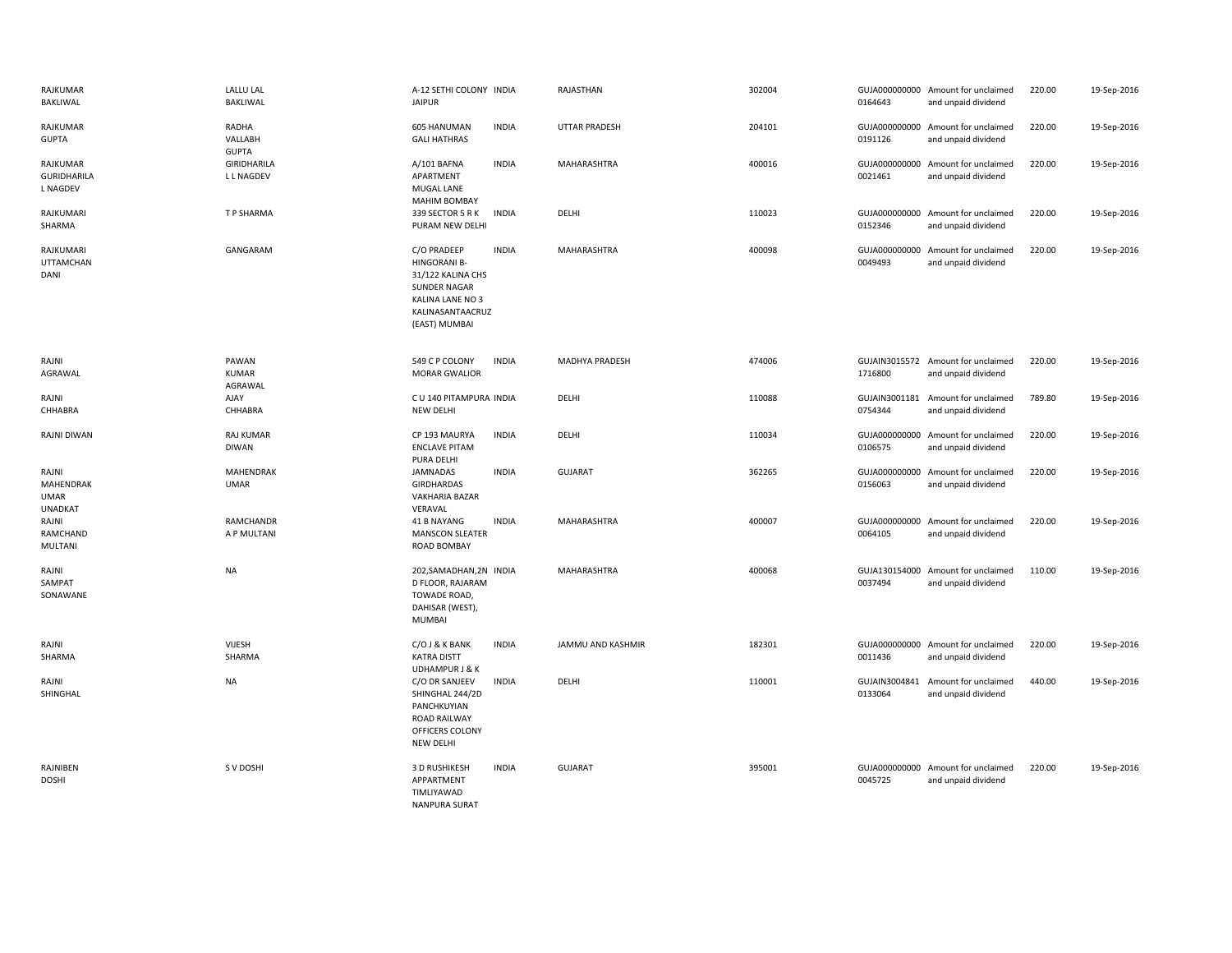| RAJKUMAR<br>BAKLIWAL                                | <b>LALLU LAL</b><br><b>BAKLIWAL</b> | A-12 SETHI COLONY INDIA<br><b>JAIPUR</b>                                                                                                |              | RAJASTHAN             | 302004 | 0164643                  | GUJA000000000 Amount for unclaimed<br>and unpaid dividend | 220.00 | 19-Sep-2016 |
|-----------------------------------------------------|-------------------------------------|-----------------------------------------------------------------------------------------------------------------------------------------|--------------|-----------------------|--------|--------------------------|-----------------------------------------------------------|--------|-------------|
| RAJKUMAR<br><b>GUPTA</b>                            | RADHA<br>VALLABH<br><b>GUPTA</b>    | 605 HANUMAN<br><b>GALI HATHRAS</b>                                                                                                      | <b>INDIA</b> | <b>UTTAR PRADESH</b>  | 204101 | 0191126                  | GUJA000000000 Amount for unclaimed<br>and unpaid dividend | 220.00 | 19-Sep-2016 |
| RAJKUMAR<br><b>GURIDHARILA</b><br><b>L NAGDEV</b>   | GIRIDHARILA<br>L L NAGDEV           | A/101 BAFNA<br>APARTMENT<br>MUGAL LANE<br><b>MAHIM BOMBAY</b>                                                                           | <b>INDIA</b> | MAHARASHTRA           | 400016 | 0021461                  | GUJA000000000 Amount for unclaimed<br>and unpaid dividend | 220.00 | 19-Sep-2016 |
| RAJKUMARI<br>SHARMA                                 | T P SHARMA                          | 339 SECTOR 5 R K<br>PURAM NEW DELHI                                                                                                     | <b>INDIA</b> | DELHI                 | 110023 | 0152346                  | GUJA000000000 Amount for unclaimed<br>and unpaid dividend | 220.00 | 19-Sep-2016 |
| RAJKUMARI<br><b>UTTAMCHAN</b><br>DANI               | GANGARAM                            | C/O PRADEEP<br><b>HINGORANI B-</b><br>31/122 KALINA CHS<br><b>SUNDER NAGAR</b><br>KALINA LANE NO 3<br>KALINASANTAACRUZ<br>(EAST) MUMBAI | <b>INDIA</b> | <b>MAHARASHTRA</b>    | 400098 | 0049493                  | GUJA000000000 Amount for unclaimed<br>and unpaid dividend | 220.00 | 19-Sep-2016 |
| RAJNI<br>AGRAWAL                                    | PAWAN<br><b>KUMAR</b><br>AGRAWAL    | 549 C P COLONY<br><b>MORAR GWALIOR</b>                                                                                                  | <b>INDIA</b> | <b>MADHYA PRADESH</b> | 474006 | 1716800                  | GUJAIN3015572 Amount for unclaimed<br>and unpaid dividend | 220.00 | 19-Sep-2016 |
| RAJNI<br>CHHABRA                                    | AJAY<br>CHHABRA                     | C U 140 PITAMPURA INDIA<br><b>NEW DELHI</b>                                                                                             |              | DELHI                 | 110088 | 0754344                  | GUJAIN3001181 Amount for unclaimed<br>and unpaid dividend | 789.80 | 19-Sep-2016 |
| RAJNI DIWAN                                         | <b>RAJ KUMAR</b><br><b>DIWAN</b>    | CP 193 MAURYA<br><b>ENCLAVE PITAM</b><br>PURA DELHI                                                                                     | <b>INDIA</b> | DELHI                 | 110034 | 0106575                  | GUJA000000000 Amount for unclaimed<br>and unpaid dividend | 220.00 | 19-Sep-2016 |
| RAJNI<br>MAHENDRAK<br><b>UMAR</b><br><b>UNADKAT</b> | MAHENDRAK<br><b>UMAR</b>            | JAMNADAS<br>GIRDHARDAS<br><b>VAKHARIA BAZAR</b><br>VERAVAL                                                                              | <b>INDIA</b> | <b>GUJARAT</b>        | 362265 | 0156063                  | GUJA000000000 Amount for unclaimed<br>and unpaid dividend | 220.00 | 19-Sep-2016 |
| RAJNI<br>RAMCHAND<br>MULTANI                        | <b>RAMCHANDR</b><br>A P MULTANI     | 41 B NAYANG<br><b>MANSCON SLEATER</b><br><b>ROAD BOMBAY</b>                                                                             | <b>INDIA</b> | MAHARASHTRA           | 400007 | 0064105                  | GUJA000000000 Amount for unclaimed<br>and unpaid dividend | 220.00 | 19-Sep-2016 |
| RAJNI<br>SAMPAT<br>SONAWANE                         | <b>NA</b>                           | 202, SAMADHAN, 2N INDIA<br>D FLOOR, RAJARAM<br>TOWADE ROAD,<br>DAHISAR (WEST),<br><b>MUMBAI</b>                                         |              | MAHARASHTRA           | 400068 | 0037494                  | GUJA130154000 Amount for unclaimed<br>and unpaid dividend | 110.00 | 19-Sep-2016 |
| RAJNI<br>SHARMA                                     | VIJESH<br>SHARMA                    | C/O J & K BANK<br><b>KATRA DISTT</b><br><b>UDHAMPUR J &amp; K</b>                                                                       | <b>INDIA</b> | JAMMU AND KASHMIR     | 182301 | 0011436                  | GUJA000000000 Amount for unclaimed<br>and unpaid dividend | 220.00 | 19-Sep-2016 |
| RAJNI<br>SHINGHAL                                   | <b>NA</b>                           | C/O DR SANJEEV<br>SHINGHAL 244/2D<br>PANCHKUYIAN<br>ROAD RAILWAY<br>OFFICERS COLONY<br><b>NEW DELHI</b>                                 | <b>INDIA</b> | DELHI                 | 110001 | GUJAIN3004841<br>0133064 | Amount for unclaimed<br>and unpaid dividend               | 440.00 | 19-Sep-2016 |
| RAJNIBEN<br><b>DOSHI</b>                            | S V DOSHI                           | 3 D RUSHIKESH<br>APPARTMENT<br>TIMLIYAWAD<br>NANPURA SURAT                                                                              | <b>INDIA</b> | <b>GUJARAT</b>        | 395001 | 0045725                  | GUJA000000000 Amount for unclaimed<br>and unpaid dividend | 220.00 | 19-Sep-2016 |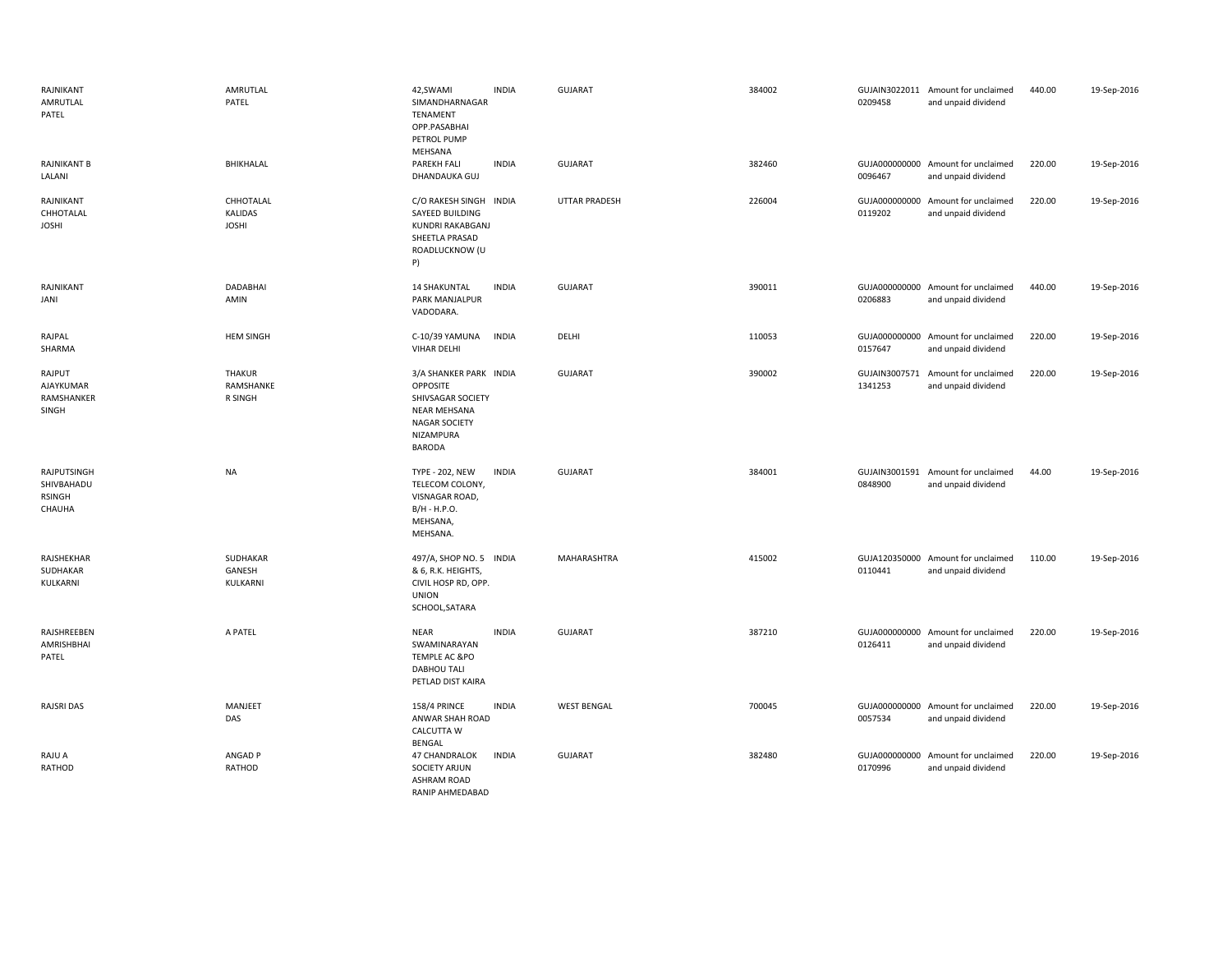| RAJNIKANT<br>AMRUTLAL<br>PATEL                       | AMRUTLAL<br>PATEL                           | 42,SWAMI<br><b>INDIA</b><br>SIMANDHARNAGAR<br>TENAMENT<br>OPP.PASABHAI<br>PETROL PUMP<br>MEHSANA                                     | <b>GUJARAT</b>     | 384002 | 0209458 | GUJAIN3022011 Amount for unclaimed<br>and unpaid dividend | 440.00 | 19-Sep-2016 |
|------------------------------------------------------|---------------------------------------------|--------------------------------------------------------------------------------------------------------------------------------------|--------------------|--------|---------|-----------------------------------------------------------|--------|-------------|
| <b>RAJNIKANT B</b><br>LALANI                         | BHIKHALAL                                   | <b>PAREKH FALI</b><br><b>INDIA</b><br>DHANDAUKA GUJ                                                                                  | <b>GUJARAT</b>     | 382460 | 0096467 | GUJA000000000 Amount for unclaimed<br>and unpaid dividend | 220.00 | 19-Sep-2016 |
| RAJNIKANT<br>CHHOTALAL<br><b>JOSHI</b>               | CHHOTALAL<br><b>KALIDAS</b><br><b>JOSHI</b> | C/O RAKESH SINGH INDIA<br>SAYEED BUILDING<br>KUNDRI RAKABGANJ<br>SHEETLA PRASAD<br>ROADLUCKNOW (U<br>P)                              | UTTAR PRADESH      | 226004 | 0119202 | GUJA000000000 Amount for unclaimed<br>and unpaid dividend | 220.00 | 19-Sep-2016 |
| RAJNIKANT<br>JANI                                    | DADABHAI<br>AMIN                            | <b>14 SHAKUNTAL</b><br><b>INDIA</b><br><b>PARK MANJALPUR</b><br>VADODARA.                                                            | <b>GUJARAT</b>     | 390011 | 0206883 | GUJA000000000 Amount for unclaimed<br>and unpaid dividend | 440.00 | 19-Sep-2016 |
| RAJPAL<br>SHARMA                                     | <b>HEM SINGH</b>                            | C-10/39 YAMUNA<br><b>INDIA</b><br><b>VIHAR DELHI</b>                                                                                 | DELHI              | 110053 | 0157647 | GUJA000000000 Amount for unclaimed<br>and unpaid dividend | 220.00 | 19-Sep-2016 |
| RAJPUT<br><b>AJAYKUMAR</b><br>RAMSHANKER<br>SINGH    | <b>THAKUR</b><br>RAMSHANKE<br>R SINGH       | 3/A SHANKER PARK INDIA<br>OPPOSITE<br>SHIVSAGAR SOCIETY<br><b>NEAR MEHSANA</b><br><b>NAGAR SOCIETY</b><br>NIZAMPURA<br><b>BARODA</b> | <b>GUJARAT</b>     | 390002 | 1341253 | GUJAIN3007571 Amount for unclaimed<br>and unpaid dividend | 220.00 | 19-Sep-2016 |
| RAJPUTSINGH<br>SHIVBAHADU<br><b>RSINGH</b><br>CHAUHA | <b>NA</b>                                   | <b>TYPE - 202, NEW</b><br><b>INDIA</b><br>TELECOM COLONY,<br>VISNAGAR ROAD,<br>B/H - H.P.O.<br>MEHSANA,<br>MEHSANA.                  | <b>GUJARAT</b>     | 384001 | 0848900 | GUJAIN3001591 Amount for unclaimed<br>and unpaid dividend | 44.00  | 19-Sep-2016 |
| RAJSHEKHAR<br>SUDHAKAR<br>KULKARNI                   | SUDHAKAR<br>GANESH<br>KULKARNI              | 497/A, SHOP NO. 5 INDIA<br>& 6, R.K. HEIGHTS,<br>CIVIL HOSP RD, OPP.<br><b>UNION</b><br>SCHOOL, SATARA                               | MAHARASHTRA        | 415002 | 0110441 | GUJA120350000 Amount for unclaimed<br>and unpaid dividend | 110.00 | 19-Sep-2016 |
| RAJSHREEBEN<br>AMRISHBHAI<br>PATEL                   | A PATEL                                     | <b>NEAR</b><br><b>INDIA</b><br>SWAMINARAYAN<br><b>TEMPLE AC &amp;PO</b><br><b>DABHOU TALI</b><br>PETLAD DIST KAIRA                   | <b>GUJARAT</b>     | 387210 | 0126411 | GUJA000000000 Amount for unclaimed<br>and unpaid dividend | 220.00 | 19-Sep-2016 |
| RAJSRI DAS                                           | MANJEET<br>DAS                              | <b>INDIA</b><br><b>158/4 PRINCE</b><br>ANWAR SHAH ROAD<br><b>CALCUTTA W</b><br>BENGAL                                                | <b>WEST BENGAL</b> | 700045 | 0057534 | GUJA000000000 Amount for unclaimed<br>and unpaid dividend | 220.00 | 19-Sep-2016 |
| RAJU A<br>RATHOD                                     | ANGAD P<br>RATHOD                           | <b>INDIA</b><br>47 CHANDRALOK<br><b>SOCIETY ARJUN</b><br><b>ASHRAM ROAD</b><br>RANIP AHMEDABAD                                       | <b>GUJARAT</b>     | 382480 | 0170996 | GUJA000000000 Amount for unclaimed<br>and unpaid dividend | 220.00 | 19-Sep-2016 |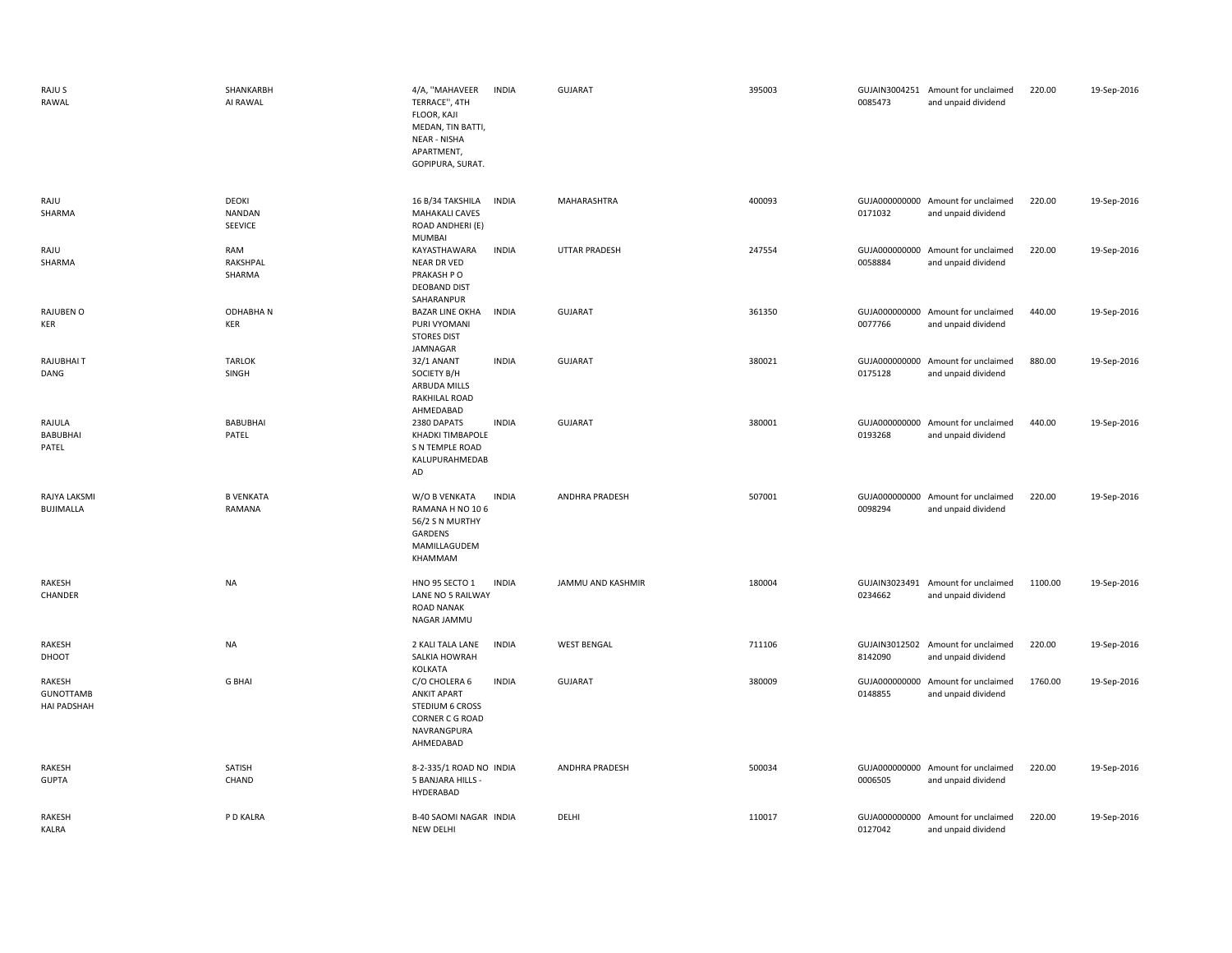| RAJU S<br>RAWAL                                  | SHANKARBH<br>AI RAWAL                    | 4/A, "MAHAVEER<br><b>INDIA</b><br>TERRACE", 4TH<br>FLOOR, KAJI<br>MEDAN, TIN BATTI,<br><b>NEAR - NISHA</b><br>APARTMENT,<br>GOPIPURA, SURAT. | <b>GUJARAT</b>     | 395003 | 0085473                  | GUJAIN3004251 Amount for unclaimed<br>and unpaid dividend | 220.00  | 19-Sep-2016 |
|--------------------------------------------------|------------------------------------------|----------------------------------------------------------------------------------------------------------------------------------------------|--------------------|--------|--------------------------|-----------------------------------------------------------|---------|-------------|
| RAJU<br>SHARMA                                   | DEOKI<br><b>NANDAN</b><br><b>SEEVICE</b> | 16 B/34 TAKSHILA<br><b>INDIA</b><br><b>MAHAKALI CAVES</b><br>ROAD ANDHERI (E)<br><b>MUMBAI</b>                                               | MAHARASHTRA        | 400093 | 0171032                  | GUJA000000000 Amount for unclaimed<br>and unpaid dividend | 220.00  | 19-Sep-2016 |
| RAJU<br>SHARMA                                   | RAM<br>RAKSHPAL<br>SHARMA                | <b>INDIA</b><br>KAYASTHAWARA<br><b>NEAR DR VED</b><br>PRAKASH P O<br><b>DEOBAND DIST</b><br>SAHARANPUR                                       | UTTAR PRADESH      | 247554 | 0058884                  | GUJA000000000 Amount for unclaimed<br>and unpaid dividend | 220.00  | 19-Sep-2016 |
| RAJUBEN O<br>KER                                 | <b>ODHABHAN</b><br>KER                   | <b>BAZAR LINE OKHA</b><br><b>INDIA</b><br>PURI VYOMANI<br><b>STORES DIST</b><br>JAMNAGAR                                                     | <b>GUJARAT</b>     | 361350 | 0077766                  | GUJA000000000 Amount for unclaimed<br>and unpaid dividend | 440.00  | 19-Sep-2016 |
| RAJUBHAI T<br>DANG                               | <b>TARLOK</b><br>SINGH                   | 32/1 ANANT<br><b>INDIA</b><br>SOCIETY B/H<br>ARBUDA MILLS<br>RAKHILAL ROAD<br>AHMEDABAD                                                      | <b>GUJARAT</b>     | 380021 | 0175128                  | GUJA000000000 Amount for unclaimed<br>and unpaid dividend | 880.00  | 19-Sep-2016 |
| RAJULA<br>BABUBHAI<br>PATEL                      | BABUBHAI<br>PATEL                        | 2380 DAPATS<br><b>INDIA</b><br>KHADKI TIMBAPOLE<br>S N TEMPLE ROAD<br>KALUPURAHMEDAB<br>AD                                                   | <b>GUJARAT</b>     | 380001 | GUJA000000000<br>0193268 | Amount for unclaimed<br>and unpaid dividend               | 440.00  | 19-Sep-2016 |
| RAJYA LAKSMI<br>BUJIMALLA                        | <b>B VENKATA</b><br>RAMANA               | W/O B VENKATA<br><b>INDIA</b><br>RAMANA H NO 106<br>56/2 S N MURTHY<br>GARDENS<br>MAMILLAGUDEM<br>KHAMMAM                                    | ANDHRA PRADESH     | 507001 | 0098294                  | GUJA000000000 Amount for unclaimed<br>and unpaid dividend | 220.00  | 19-Sep-2016 |
| RAKESH<br>CHANDER                                | <b>NA</b>                                | HNO 95 SECTO 1<br><b>INDIA</b><br>LANE NO 5 RAILWAY<br><b>ROAD NANAK</b><br>NAGAR JAMMU                                                      | JAMMU AND KASHMIR  | 180004 | 0234662                  | GUJAIN3023491 Amount for unclaimed<br>and unpaid dividend | 1100.00 | 19-Sep-2016 |
| RAKESH<br>DHOOT                                  | <b>NA</b>                                | <b>INDIA</b><br>2 KALI TALA LANE<br>SALKIA HOWRAH<br>KOLKATA                                                                                 | <b>WEST BENGAL</b> | 711106 | 8142090                  | GUJAIN3012502 Amount for unclaimed<br>and unpaid dividend | 220.00  | 19-Sep-2016 |
| RAKESH<br><b>GUNOTTAMB</b><br><b>HAI PADSHAH</b> | <b>G BHAI</b>                            | C/O CHOLERA 6<br><b>INDIA</b><br><b>ANKIT APART</b><br><b>STEDIUM 6 CROSS</b><br><b>CORNER C G ROAD</b><br>NAVRANGPURA<br>AHMEDABAD          | <b>GUJARAT</b>     | 380009 | GUJA000000000<br>0148855 | Amount for unclaimed<br>and unpaid dividend               | 1760.00 | 19-Sep-2016 |
| RAKESH<br><b>GUPTA</b>                           | SATISH<br>CHAND                          | 8-2-335/1 ROAD NO INDIA<br>5 BANJARA HILLS -<br>HYDERABAD                                                                                    | ANDHRA PRADESH     | 500034 | 0006505                  | GUJA000000000 Amount for unclaimed<br>and unpaid dividend | 220.00  | 19-Sep-2016 |
| RAKESH<br><b>KALRA</b>                           | P D KALRA                                | B-40 SAOMI NAGAR INDIA<br>NEW DELHI                                                                                                          | DELHI              | 110017 | 0127042                  | GUJA000000000 Amount for unclaimed<br>and unpaid dividend | 220.00  | 19-Sep-2016 |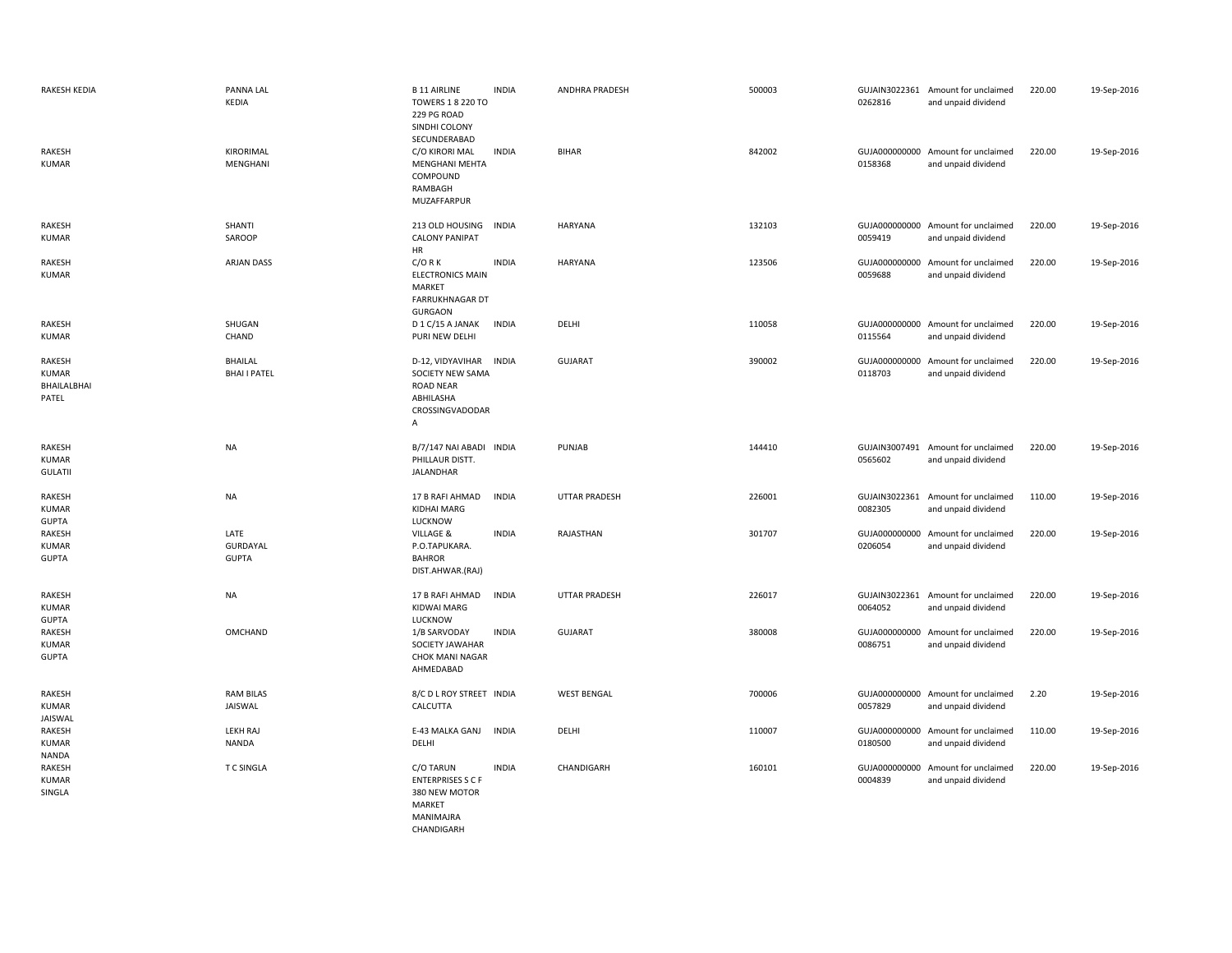| <b>RAKESH KEDIA</b>                            | PANNA LAL<br><b>KEDIA</b>             | <b>B 11 AIRLINE</b><br><b>TOWERS 1 8 220 TO</b><br>229 PG ROAD<br>SINDHI COLONY<br>SECUNDERABAD | <b>INDIA</b> | ANDHRA PRADESH       | 500003 | 0262816                  | GUJAIN3022361 Amount for unclaimed<br>and unpaid dividend | 220.00 | 19-Sep-2016 |
|------------------------------------------------|---------------------------------------|-------------------------------------------------------------------------------------------------|--------------|----------------------|--------|--------------------------|-----------------------------------------------------------|--------|-------------|
| <b>RAKESH</b><br><b>KUMAR</b>                  | KIRORIMAL<br>MENGHANI                 | C/O KIRORI MAL<br>MENGHANI MEHTA<br>COMPOUND<br>RAMBAGH<br>MUZAFFARPUR                          | <b>INDIA</b> | <b>BIHAR</b>         | 842002 | 0158368                  | GUJA000000000 Amount for unclaimed<br>and unpaid dividend | 220.00 | 19-Sep-2016 |
| RAKESH<br><b>KUMAR</b>                         | SHANTI<br>SAROOP                      | 213 OLD HOUSING<br><b>CALONY PANIPAT</b><br>HR                                                  | <b>INDIA</b> | <b>HARYANA</b>       | 132103 | 0059419                  | GUJA000000000 Amount for unclaimed<br>and unpaid dividend | 220.00 | 19-Sep-2016 |
| RAKESH<br><b>KUMAR</b>                         | ARJAN DASS                            | $C/O$ R K<br><b>ELECTRONICS MAIN</b><br>MARKET<br><b>FARRUKHNAGAR DT</b><br><b>GURGAON</b>      | <b>INDIA</b> | <b>HARYANA</b>       | 123506 | GUJA000000000<br>0059688 | Amount for unclaimed<br>and unpaid dividend               | 220.00 | 19-Sep-2016 |
| RAKESH<br><b>KUMAR</b>                         | SHUGAN<br>CHAND                       | D 1 C/15 A JANAK<br>PURI NEW DELHI                                                              | <b>INDIA</b> | DELHI                | 110058 | 0115564                  | GUJA000000000 Amount for unclaimed<br>and unpaid dividend | 220.00 | 19-Sep-2016 |
| RAKESH<br><b>KUMAR</b><br>BHAILALBHAI<br>PATEL | <b>BHAILAL</b><br><b>BHAI I PATEL</b> | D-12, VIDYAVIHAR<br>SOCIETY NEW SAMA<br><b>ROAD NEAR</b><br>ABHILASHA<br>CROSSINGVADODAR<br>Α   | <b>INDIA</b> | <b>GUJARAT</b>       | 390002 | GUJA000000000<br>0118703 | Amount for unclaimed<br>and unpaid dividend               | 220.00 | 19-Sep-2016 |
| RAKESH<br><b>KUMAR</b><br><b>GULATII</b>       | <b>NA</b>                             | B/7/147 NAI ABADI INDIA<br>PHILLAUR DISTT.<br>JALANDHAR                                         |              | PUNJAB               | 144410 | 0565602                  | GUJAIN3007491 Amount for unclaimed<br>and unpaid dividend | 220.00 | 19-Sep-2016 |
| RAKESH<br><b>KUMAR</b><br><b>GUPTA</b>         | <b>NA</b>                             | 17 B RAFI AHMAD<br><b>KIDHAI MARG</b><br>LUCKNOW                                                | <b>INDIA</b> | <b>UTTAR PRADESH</b> | 226001 | 0082305                  | GUJAIN3022361 Amount for unclaimed<br>and unpaid dividend | 110.00 | 19-Sep-2016 |
| RAKESH<br><b>KUMAR</b><br><b>GUPTA</b>         | LATE<br>GURDAYAL<br><b>GUPTA</b>      | VILLAGE &<br>P.O.TAPUKARA.<br><b>BAHROR</b><br>DIST.AHWAR.(RAJ)                                 | <b>INDIA</b> | RAJASTHAN            | 301707 | 0206054                  | GUJA000000000 Amount for unclaimed<br>and unpaid dividend | 220.00 | 19-Sep-2016 |
| RAKESH<br><b>KUMAR</b><br><b>GUPTA</b>         | <b>NA</b>                             | 17 B RAFI AHMAD<br>KIDWAI MARG<br>LUCKNOW                                                       | <b>INDIA</b> | <b>UTTAR PRADESH</b> | 226017 | 0064052                  | GUJAIN3022361 Amount for unclaimed<br>and unpaid dividend | 220.00 | 19-Sep-2016 |
| RAKESH<br><b>KUMAR</b><br><b>GUPTA</b>         | OMCHAND                               | 1/B SARVODAY<br>SOCIETY JAWAHAR<br>CHOK MANI NAGAR<br>AHMEDABAD                                 | <b>INDIA</b> | <b>GUJARAT</b>       | 380008 | 0086751                  | GUJA000000000 Amount for unclaimed<br>and unpaid dividend | 220.00 | 19-Sep-2016 |
| RAKESH<br><b>KUMAR</b><br>JAISWAL              | <b>RAM BILAS</b><br>JAISWAL           | 8/C D L ROY STREET INDIA<br>CALCUTTA                                                            |              | <b>WEST BENGAL</b>   | 700006 | 0057829                  | GUJA000000000 Amount for unclaimed<br>and unpaid dividend | 2.20   | 19-Sep-2016 |
| RAKESH<br><b>KUMAR</b><br><b>NANDA</b>         | <b>LEKH RAJ</b><br><b>NANDA</b>       | E-43 MALKA GANJ<br>DELHI                                                                        | <b>INDIA</b> | DELHI                | 110007 | 0180500                  | GUJA000000000 Amount for unclaimed<br>and unpaid dividend | 110.00 | 19-Sep-2016 |
| RAKESH<br><b>KUMAR</b><br>SINGLA               | <b>TC SINGLA</b>                      | C/O TARUN<br><b>ENTERPRISES S C F</b><br>380 NEW MOTOR<br>MARKET<br>MANIMAJRA<br>CHANDIGARH     | <b>INDIA</b> | CHANDIGARH           | 160101 | 0004839                  | GUJA000000000 Amount for unclaimed<br>and unpaid dividend | 220.00 | 19-Sep-2016 |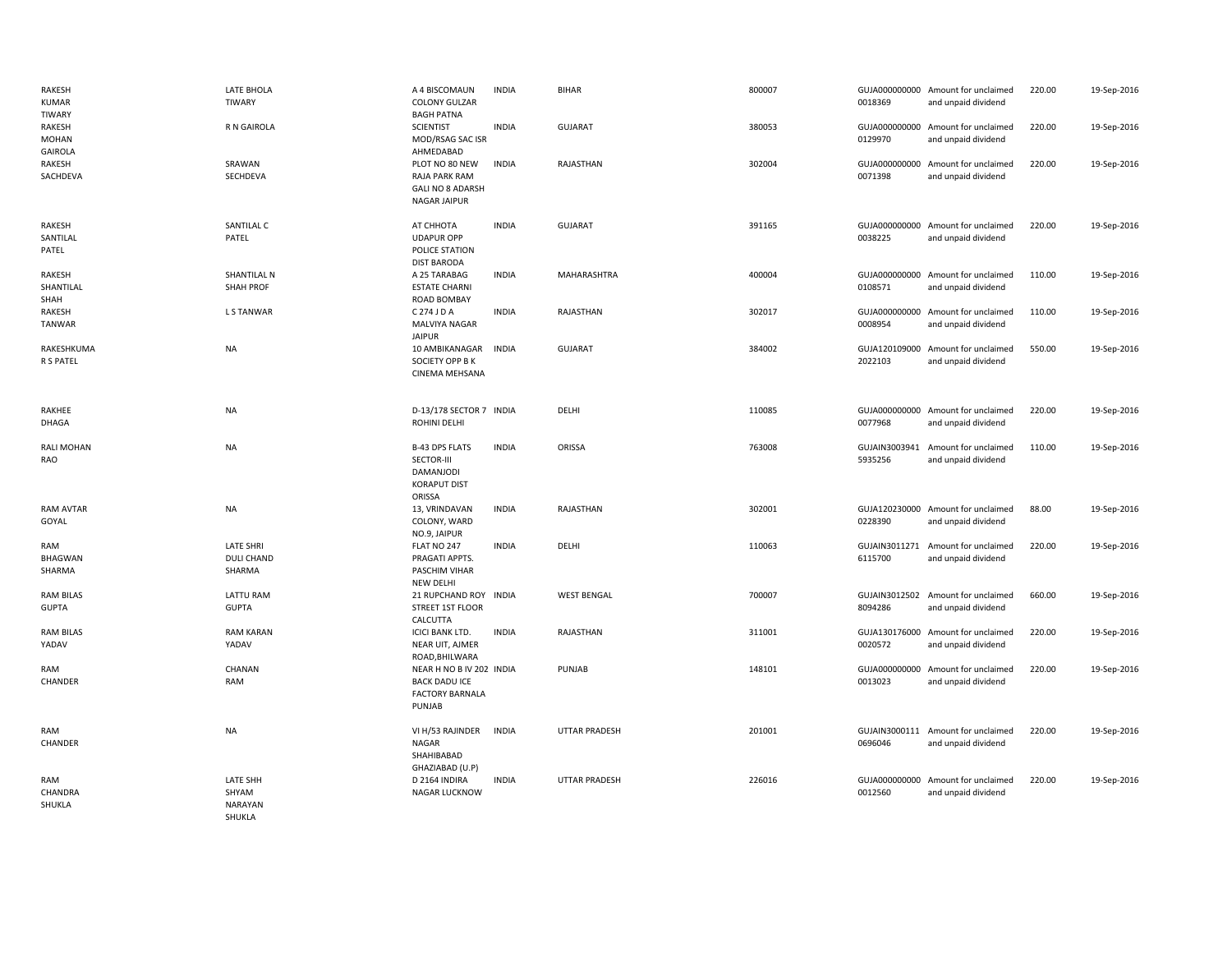| RAKESH<br><b>KUMAR</b><br><b>TIWARY</b> | LATE BHOLA<br>TIWARY                            | A 4 BISCOMAUN<br><b>COLONY GULZAR</b><br><b>BAGH PATNA</b>                           | <b>INDIA</b> | BIHAR                | 800007 | 0018369                  | GUJA000000000 Amount for unclaimed<br>and unpaid dividend | 220.00 | 19-Sep-2016 |
|-----------------------------------------|-------------------------------------------------|--------------------------------------------------------------------------------------|--------------|----------------------|--------|--------------------------|-----------------------------------------------------------|--------|-------------|
| RAKESH<br>MOHAN<br><b>GAIROLA</b>       | <b>R N GAIROLA</b>                              | <b>SCIENTIST</b><br>MOD/RSAG SAC ISR<br>AHMEDABAD                                    | <b>INDIA</b> | <b>GUJARAT</b>       | 380053 | 0129970                  | GUJA000000000 Amount for unclaimed<br>and unpaid dividend | 220.00 | 19-Sep-2016 |
| RAKESH<br>SACHDEVA                      | SRAWAN<br>SECHDEVA                              | PLOT NO 80 NEW<br>RAJA PARK RAM<br><b>GALI NO 8 ADARSH</b><br><b>NAGAR JAIPUR</b>    | <b>INDIA</b> | RAJASTHAN            | 302004 | 0071398                  | GUJA000000000 Amount for unclaimed<br>and unpaid dividend | 220.00 | 19-Sep-2016 |
| RAKESH<br>SANTILAL<br>PATEL             | SANTILAL C<br>PATEL                             | АТ СННОТА<br><b>UDAPUR OPP</b><br>POLICE STATION<br><b>DIST BARODA</b>               | <b>INDIA</b> | <b>GUJARAT</b>       | 391165 | 0038225                  | GUJA000000000 Amount for unclaimed<br>and unpaid dividend | 220.00 | 19-Sep-2016 |
| RAKESH<br>SHANTILAL<br>SHAH             | <b>SHANTILAL N</b><br><b>SHAH PROF</b>          | A 25 TARABAG<br><b>ESTATE CHARNI</b><br>ROAD BOMBAY                                  | <b>INDIA</b> | MAHARASHTRA          | 400004 | 0108571                  | GUJA000000000 Amount for unclaimed<br>and unpaid dividend | 110.00 | 19-Sep-2016 |
| RAKESH<br><b>TANWAR</b>                 | L S TANWAR                                      | C 274 J D A<br>MALVIYA NAGAR<br><b>JAIPUR</b>                                        | <b>INDIA</b> | RAJASTHAN            | 302017 | 0008954                  | GUJA000000000 Amount for unclaimed<br>and unpaid dividend | 110.00 | 19-Sep-2016 |
| RAKESHKUMA<br>R S PATEL                 | <b>NA</b>                                       | 10 AMBIKANAGAR<br>SOCIETY OPP B K<br>CINEMA MEHSANA                                  | <b>INDIA</b> | <b>GUJARAT</b>       | 384002 | 2022103                  | GUJA120109000 Amount for unclaimed<br>and unpaid dividend | 550.00 | 19-Sep-2016 |
| RAKHEE<br>DHAGA                         | <b>NA</b>                                       | D-13/178 SECTOR 7 INDIA<br>ROHINI DELHI                                              |              | DELHI                | 110085 | 0077968                  | GUJA000000000 Amount for unclaimed<br>and unpaid dividend | 220.00 | 19-Sep-2016 |
| RALI MOHAN<br>RAO                       | <b>NA</b>                                       | <b>B-43 DPS FLATS</b><br>SECTOR-III<br>DAMANJODI<br><b>KORAPUT DIST</b><br>ORISSA    | <b>INDIA</b> | ORISSA               | 763008 | 5935256                  | GUJAIN3003941 Amount for unclaimed<br>and unpaid dividend | 110.00 | 19-Sep-2016 |
| RAM AVTAR<br>GOYAL                      | <b>NA</b>                                       | 13, VRINDAVAN<br>COLONY, WARD<br>NO.9, JAIPUR                                        | <b>INDIA</b> | RAJASTHAN            | 302001 | 0228390                  | GUJA120230000 Amount for unclaimed<br>and unpaid dividend | 88.00  | 19-Sep-2016 |
| RAM<br>BHAGWAN<br>SHARMA                | <b>LATE SHRI</b><br><b>DULI CHAND</b><br>SHARMA | FLAT NO 247<br>PRAGATI APPTS.<br>PASCHIM VIHAR<br>NEW DELHI                          | <b>INDIA</b> | DELHI                | 110063 | 6115700                  | GUJAIN3011271 Amount for unclaimed<br>and unpaid dividend | 220.00 | 19-Sep-2016 |
| <b>RAM BILAS</b><br><b>GUPTA</b>        | <b>LATTU RAM</b><br><b>GUPTA</b>                | 21 RUPCHAND ROY INDIA<br><b>STREET 1ST FLOOR</b><br>CALCUTTA                         |              | <b>WEST BENGAL</b>   | 700007 | GUJAIN3012502<br>8094286 | Amount for unclaimed<br>and unpaid dividend               | 660.00 | 19-Sep-2016 |
| <b>RAM BILAS</b><br>YADAV               | <b>RAM KARAN</b><br>YADAV                       | <b>ICICI BANK LTD.</b><br>NEAR UIT, AJMER<br>ROAD, BHILWARA                          | <b>INDIA</b> | RAJASTHAN            | 311001 | 0020572                  | GUJA130176000 Amount for unclaimed<br>and unpaid dividend | 220.00 | 19-Sep-2016 |
| RAM<br>CHANDER                          | CHANAN<br>RAM                                   | NEAR H NO B IV 202 INDIA<br><b>BACK DADU ICE</b><br><b>FACTORY BARNALA</b><br>PUNJAB |              | PUNJAB               | 148101 | 0013023                  | GUJA000000000 Amount for unclaimed<br>and unpaid dividend | 220.00 | 19-Sep-2016 |
| RAM<br>CHANDER                          | NA                                              | VI H/53 RAJINDER<br>NAGAR<br>SHAHIBABAD<br>GHAZIABAD (U.P)                           | <b>INDIA</b> | <b>UTTAR PRADESH</b> | 201001 | 0696046                  | GUJAIN3000111 Amount for unclaimed<br>and unpaid dividend | 220.00 | 19-Sep-2016 |
| RAM<br>CHANDRA<br>SHUKLA                | LATE SHH<br>SHYAM<br>NARAYAN                    | D 2164 INDIRA<br>NAGAR LUCKNOW                                                       | <b>INDIA</b> | <b>UTTAR PRADESH</b> | 226016 | 0012560                  | GUJA000000000 Amount for unclaimed<br>and unpaid dividend | 220.00 | 19-Sep-2016 |

SHUKLA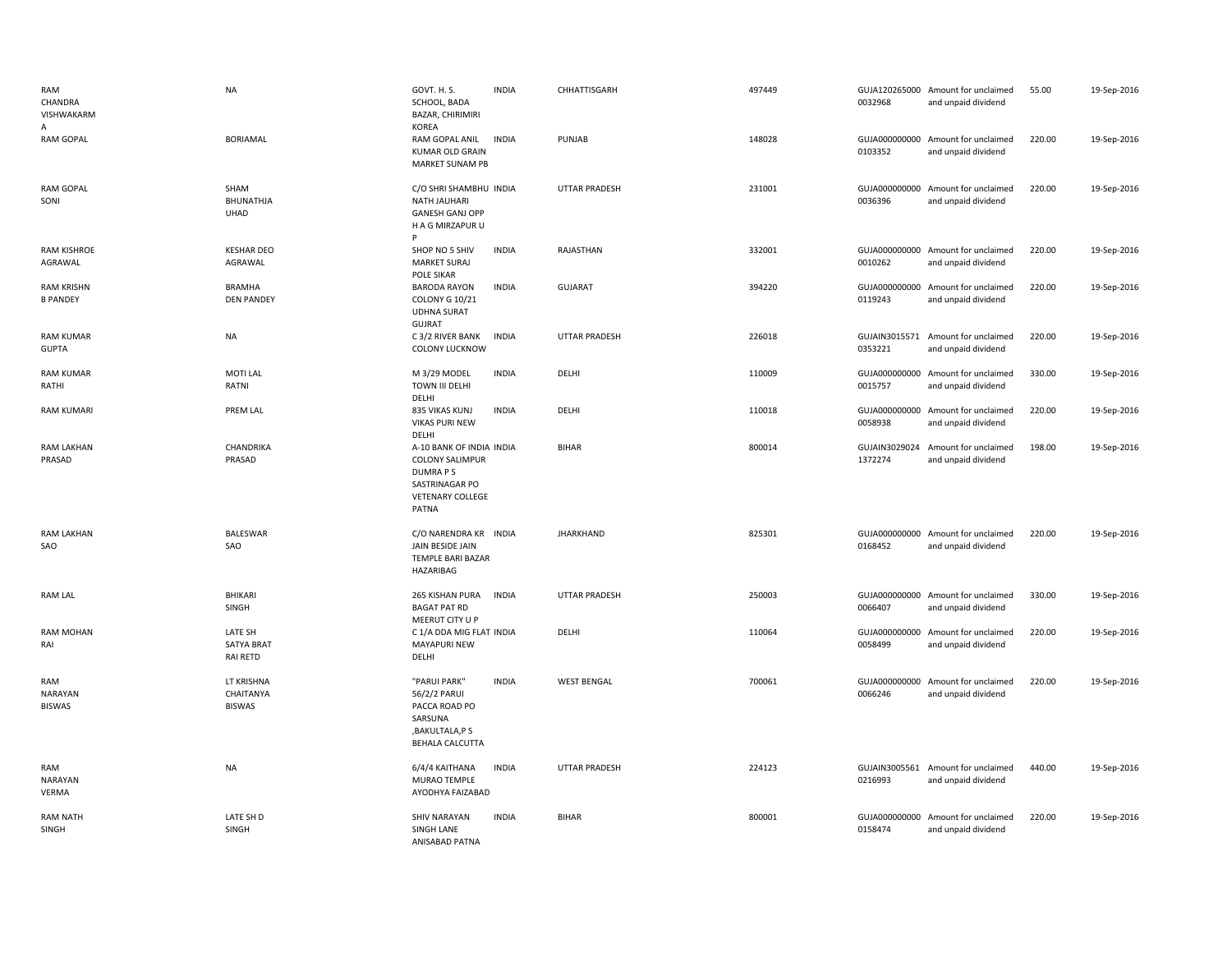| RAM<br>CHANDRA<br>VISHWAKARM<br>A      | NA                                              | GOVT. H. S.<br>SCHOOL, BADA<br>BAZAR, CHIRIMIRI<br><b>KOREA</b>                                                            | <b>INDIA</b> | CHHATTISGARH         | 497449 | 0032968                  | GUJA120265000 Amount for unclaimed<br>and unpaid dividend | 55.00  | 19-Sep-2016 |
|----------------------------------------|-------------------------------------------------|----------------------------------------------------------------------------------------------------------------------------|--------------|----------------------|--------|--------------------------|-----------------------------------------------------------|--------|-------------|
| <b>RAM GOPAL</b>                       | <b>BORIAMAL</b>                                 | RAM GOPAL ANIL<br><b>KUMAR OLD GRAIN</b><br>MARKET SUNAM PB                                                                | <b>INDIA</b> | PUNJAB               | 148028 | 0103352                  | GUJA000000000 Amount for unclaimed<br>and unpaid dividend | 220.00 | 19-Sep-2016 |
| <b>RAM GOPAL</b><br>SONI               | SHAM<br>BHUNATHJA<br>UHAD                       | C/O SHRI SHAMBHU INDIA<br><b>NATH JAUHARI</b><br><b>GANESH GANJ OPP</b><br>H A G MIRZAPUR U                                |              | <b>UTTAR PRADESH</b> | 231001 | 0036396                  | GUJA000000000 Amount for unclaimed<br>and unpaid dividend | 220.00 | 19-Sep-2016 |
| <b>RAM KISHROE</b><br>AGRAWAL          | <b>KESHAR DEO</b><br>AGRAWAL                    | SHOP NO 5 SHIV<br><b>MARKET SURAJ</b><br>POLE SIKAR                                                                        | <b>INDIA</b> | RAJASTHAN            | 332001 | 0010262                  | GUJA000000000 Amount for unclaimed<br>and unpaid dividend | 220.00 | 19-Sep-2016 |
| <b>RAM KRISHN</b><br><b>B PANDEY</b>   | <b>BRAMHA</b><br><b>DEN PANDEY</b>              | <b>BARODA RAYON</b><br><b>COLONY G 10/21</b><br><b>UDHNA SURAT</b><br><b>GUJRAT</b>                                        | <b>INDIA</b> | <b>GUJARAT</b>       | 394220 | 0119243                  | GUJA000000000 Amount for unclaimed<br>and unpaid dividend | 220.00 | 19-Sep-2016 |
| <b>RAM KUMAR</b><br><b>GUPTA</b>       | <b>NA</b>                                       | C 3/2 RIVER BANK<br><b>COLONY LUCKNOW</b>                                                                                  | <b>INDIA</b> | <b>UTTAR PRADESH</b> | 226018 | 0353221                  | GUJAIN3015571 Amount for unclaimed<br>and unpaid dividend | 220.00 | 19-Sep-2016 |
| <b>RAM KUMAR</b><br>RATHI              | <b>MOTI LAL</b><br>RATNI                        | M 3/29 MODEL<br>TOWN III DELHI<br>DELHI                                                                                    | <b>INDIA</b> | DELHI                | 110009 | 0015757                  | GUJA000000000 Amount for unclaimed<br>and unpaid dividend | 330.00 | 19-Sep-2016 |
| <b>RAM KUMARI</b>                      | PREM LAL                                        | 835 VIKAS KUNJ<br><b>VIKAS PURI NEW</b><br>DELHI                                                                           | <b>INDIA</b> | DELHI                | 110018 | 0058938                  | GUJA000000000 Amount for unclaimed<br>and unpaid dividend | 220.00 | 19-Sep-2016 |
| RAM LAKHAN<br>PRASAD                   | CHANDRIKA<br>PRASAD                             | A-10 BANK OF INDIA INDIA<br><b>COLONY SALIMPUR</b><br><b>DUMRAPS</b><br>SASTRINAGAR PO<br><b>VETENARY COLLEGE</b><br>PATNA |              | <b>BIHAR</b>         | 800014 | GUJAIN3029024<br>1372274 | Amount for unclaimed<br>and unpaid dividend               | 198.00 | 19-Sep-2016 |
| <b>RAM LAKHAN</b><br>SAO               | BALESWAR<br>SAO                                 | C/O NARENDRA KR INDIA<br>JAIN BESIDE JAIN<br>TEMPLE BARI BAZAR<br>HAZARIBAG                                                |              | <b>JHARKHAND</b>     | 825301 | 0168452                  | GUJA000000000 Amount for unclaimed<br>and unpaid dividend | 220.00 | 19-Sep-2016 |
| <b>RAM LAL</b>                         | <b>BHIKARI</b><br>SINGH                         | 265 KISHAN PURA<br><b>BAGAT PAT RD</b><br>MEERUT CITY U P                                                                  | <b>INDIA</b> | <b>UTTAR PRADESH</b> | 250003 | 0066407                  | GUJA000000000 Amount for unclaimed<br>and unpaid dividend | 330.00 | 19-Sep-2016 |
| <b>RAM MOHAN</b><br>RAI                | LATE SH<br><b>SATYA BRAT</b><br><b>RAI RETD</b> | C 1/A DDA MIG FLAT INDIA<br>MAYAPURI NEW<br>DELHI                                                                          |              | DELHI                | 110064 | GUJA000000000<br>0058499 | Amount for unclaimed<br>and unpaid dividend               | 220.00 | 19-Sep-2016 |
| RAM<br><b>NARAYAN</b><br><b>BISWAS</b> | LT KRISHNA<br>CHAITANYA<br><b>BISWAS</b>        | "PARUI PARK"<br>56/2/2 PARUI<br>PACCA ROAD PO<br>SARSUNA<br>, BAKULTALA, P S<br><b>BEHALA CALCUTTA</b>                     | <b>INDIA</b> | <b>WEST BENGAL</b>   | 700061 | 0066246                  | GUJA000000000 Amount for unclaimed<br>and unpaid dividend | 220.00 | 19-Sep-2016 |
| RAM<br><b>NARAYAN</b><br>VERMA         | NA                                              | 6/4/4 KAITHANA<br>MURAO TEMPLE<br>AYODHYA FAIZABAD                                                                         | <b>INDIA</b> | <b>UTTAR PRADESH</b> | 224123 | 0216993                  | GUJAIN3005561 Amount for unclaimed<br>and unpaid dividend | 440.00 | 19-Sep-2016 |
| <b>RAM NATH</b><br>SINGH               | LATE SH D<br>SINGH                              | <b>SHIV NARAYAN</b><br>SINGH LANE<br>ANISABAD PATNA                                                                        | <b>INDIA</b> | <b>BIHAR</b>         | 800001 | 0158474                  | GUJA000000000 Amount for unclaimed<br>and unpaid dividend | 220.00 | 19-Sep-2016 |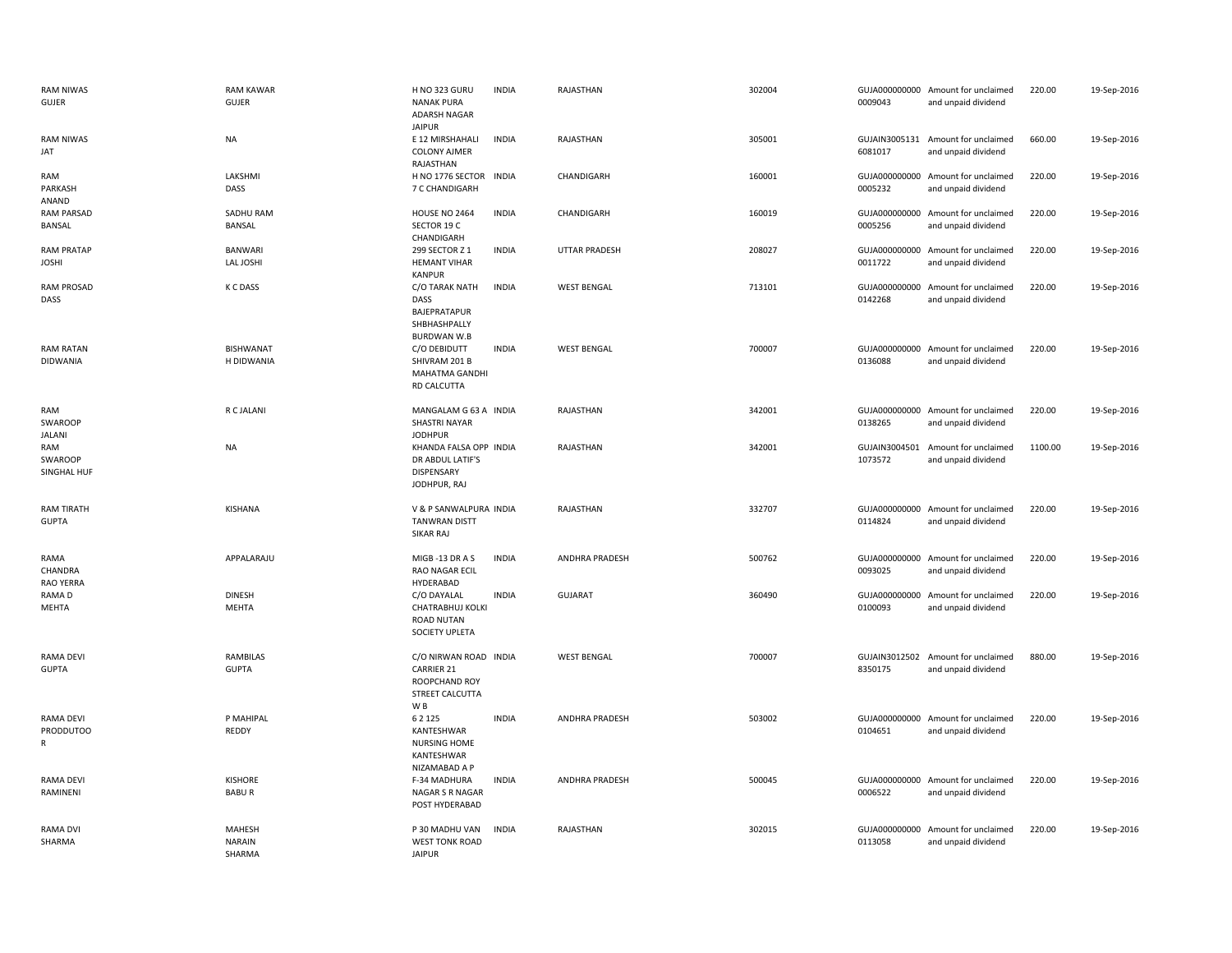| <b>RAM NIWAS</b><br><b>GUJER</b>          | <b>RAM KAWAR</b><br><b>GUJER</b>  | H NO 323 GURU<br><b>NANAK PURA</b><br>ADARSH NAGAR<br><b>JAIPUR</b>                              | <b>INDIA</b> | RAJASTHAN            | 302004 | 0009043 | GUJA000000000 Amount for unclaimed<br>and unpaid dividend | 220.00  | 19-Sep-2016 |
|-------------------------------------------|-----------------------------------|--------------------------------------------------------------------------------------------------|--------------|----------------------|--------|---------|-----------------------------------------------------------|---------|-------------|
| <b>RAM NIWAS</b><br>JAT                   | <b>NA</b>                         | E 12 MIRSHAHALI<br><b>COLONY AJMER</b><br>RAJASTHAN                                              | <b>INDIA</b> | RAJASTHAN            | 305001 | 6081017 | GUJAIN3005131 Amount for unclaimed<br>and unpaid dividend | 660.00  | 19-Sep-2016 |
| RAM<br>PARKASH<br>ANAND                   | LAKSHMI<br>DASS                   | H NO 1776 SECTOR INDIA<br>7 C CHANDIGARH                                                         |              | CHANDIGARH           | 160001 | 0005232 | GUJA000000000 Amount for unclaimed<br>and unpaid dividend | 220.00  | 19-Sep-2016 |
| <b>RAM PARSAD</b><br>BANSAL               | SADHU RAM<br>BANSAL               | <b>HOUSE NO 2464</b><br>SECTOR 19 C<br>CHANDIGARH                                                | <b>INDIA</b> | CHANDIGARH           | 160019 | 0005256 | GUJA000000000 Amount for unclaimed<br>and unpaid dividend | 220.00  | 19-Sep-2016 |
| <b>RAM PRATAP</b><br><b>JOSHI</b>         | <b>BANWARI</b><br>LAL JOSHI       | 299 SECTOR Z 1<br><b>HEMANT VIHAR</b><br><b>KANPUR</b>                                           | <b>INDIA</b> | <b>UTTAR PRADESH</b> | 208027 | 0011722 | GUJA000000000 Amount for unclaimed<br>and unpaid dividend | 220.00  | 19-Sep-2016 |
| RAM PROSAD<br>DASS                        | K C DASS                          | C/O TARAK NATH<br>DASS<br>BAJEPRATAPUR<br>SHBHASHPALLY<br><b>BURDWAN W.B</b>                     | <b>INDIA</b> | <b>WEST BENGAL</b>   | 713101 | 0142268 | GUJA000000000 Amount for unclaimed<br>and unpaid dividend | 220.00  | 19-Sep-2016 |
| <b>RAM RATAN</b><br><b>DIDWANIA</b>       | <b>BISHWANAT</b><br>H DIDWANIA    | C/O DEBIDUTT<br>SHIVRAM 201 B<br><b>MAHATMA GANDHI</b><br>RD CALCUTTA                            | <b>INDIA</b> | <b>WEST BENGAL</b>   | 700007 | 0136088 | GUJA000000000 Amount for unclaimed<br>and unpaid dividend | 220.00  | 19-Sep-2016 |
| RAM<br>SWAROOP<br>JALANI                  | R C JALANI                        | MANGALAM G 63 A INDIA<br>SHASTRI NAYAR<br><b>JODHPUR</b>                                         |              | RAJASTHAN            | 342001 | 0138265 | GUJA000000000 Amount for unclaimed<br>and unpaid dividend | 220.00  | 19-Sep-2016 |
| RAM<br>SWAROOP<br>SINGHAL HUF             | <b>NA</b>                         | KHANDA FALSA OPP INDIA<br>DR ABDUL LATIF'S<br>DISPENSARY<br>JODHPUR, RAJ                         |              | RAJASTHAN            | 342001 | 1073572 | GUJAIN3004501 Amount for unclaimed<br>and unpaid dividend | 1100.00 | 19-Sep-2016 |
| <b>RAM TIRATH</b><br><b>GUPTA</b>         | <b>KISHANA</b>                    | V & P SANWALPURA INDIA<br><b>TANWRAN DISTT</b><br>SIKAR RAJ                                      |              | RAJASTHAN            | 332707 | 0114824 | GUJA000000000 Amount for unclaimed<br>and unpaid dividend | 220.00  | 19-Sep-2016 |
| RAMA<br>CHANDRA<br>RAO YERRA              | APPALARAJU                        | MIGB-13 DR A S<br>RAO NAGAR ECIL<br>HYDERABAD                                                    | <b>INDIA</b> | ANDHRA PRADESH       | 500762 | 0093025 | GUJA000000000 Amount for unclaimed<br>and unpaid dividend | 220.00  | 19-Sep-2016 |
| RAMA D<br>MEHTA                           | <b>DINESH</b><br><b>MEHTA</b>     | C/O DAYALAL<br>CHATRABHUJ KOLKI<br><b>ROAD NUTAN</b><br>SOCIETY UPLETA                           | <b>INDIA</b> | <b>GUJARAT</b>       | 360490 | 0100093 | GUJA000000000 Amount for unclaimed<br>and unpaid dividend | 220.00  | 19-Sep-2016 |
| <b>RAMA DEVI</b><br><b>GUPTA</b>          | <b>RAMBILAS</b><br><b>GUPTA</b>   | C/O NIRWAN ROAD INDIA<br><b>CARRIER 21</b><br>ROOPCHAND ROY<br>STREET CALCUTTA<br>W <sub>B</sub> |              | <b>WEST BENGAL</b>   | 700007 | 8350175 | GUJAIN3012502 Amount for unclaimed<br>and unpaid dividend | 880.00  | 19-Sep-2016 |
| <b>RAMA DEVI</b><br><b>PRODDUTOO</b><br>R | P MAHIPAL<br>REDDY                | 6 2 1 2 5<br>KANTESHWAR<br><b>NURSING HOME</b><br>KANTESHWAR<br>NIZAMABAD A P                    | <b>INDIA</b> | ANDHRA PRADESH       | 503002 | 0104651 | GUJA000000000 Amount for unclaimed<br>and unpaid dividend | 220.00  | 19-Sep-2016 |
| RAMA DEVI<br>RAMINENI                     | <b>KISHORE</b><br><b>BABUR</b>    | F-34 MADHURA<br>NAGAR S R NAGAR<br>POST HYDERABAD                                                | <b>INDIA</b> | ANDHRA PRADESH       | 500045 | 0006522 | GUJA000000000 Amount for unclaimed<br>and unpaid dividend | 220.00  | 19-Sep-2016 |
| RAMA DVI<br>SHARMA                        | MAHESH<br><b>NARAIN</b><br>SHARMA | P 30 MADHU VAN<br><b>WEST TONK ROAD</b><br><b>JAIPUR</b>                                         | <b>INDIA</b> | RAJASTHAN            | 302015 | 0113058 | GUJA000000000 Amount for unclaimed<br>and unpaid dividend | 220.00  | 19-Sep-2016 |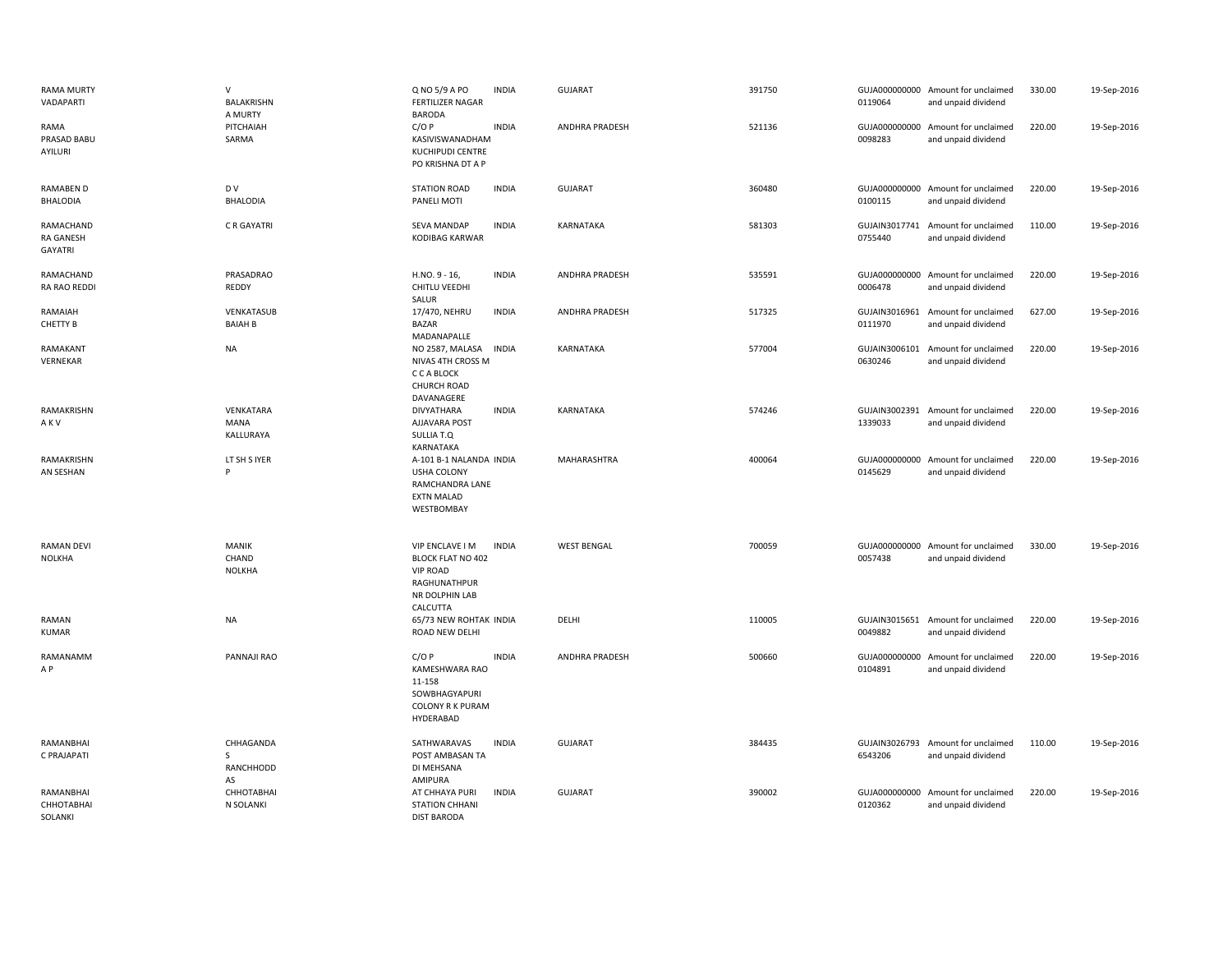| <b>RAMA MURTY</b><br>VADAPARTI            | $\mathsf{V}$<br><b>BALAKRISHN</b><br>A MURTY | Q NO 5/9 A PO<br><b>INDIA</b><br><b>FERTILIZER NAGAR</b><br><b>BARODA</b>                                                    | <b>GUJARAT</b>        | 391750 | 0119064                  | GUJA000000000 Amount for unclaimed<br>and unpaid dividend | 330.00 | 19-Sep-2016 |
|-------------------------------------------|----------------------------------------------|------------------------------------------------------------------------------------------------------------------------------|-----------------------|--------|--------------------------|-----------------------------------------------------------|--------|-------------|
| RAMA<br>PRASAD BABU<br>AYILURI            | PITCHAIAH<br>SARMA                           | <b>INDIA</b><br>C/OP<br>KASIVISWANADHAM<br>KUCHIPUDI CENTRE<br>PO KRISHNA DT A P                                             | ANDHRA PRADESH        | 521136 | 0098283                  | GUJA000000000 Amount for unclaimed<br>and unpaid dividend | 220.00 | 19-Sep-2016 |
| RAMABEN D<br><b>BHALODIA</b>              | D V<br><b>BHALODIA</b>                       | <b>INDIA</b><br><b>STATION ROAD</b><br>PANELI MOTI                                                                           | GUJARAT               | 360480 | 0100115                  | GUJA000000000 Amount for unclaimed<br>and unpaid dividend | 220.00 | 19-Sep-2016 |
| RAMACHAND<br><b>RA GANESH</b><br>GAYATRI  | C R GAYATRI                                  | SEVA MANDAP<br><b>INDIA</b><br>KODIBAG KARWAR                                                                                | KARNATAKA             | 581303 | 0755440                  | GUJAIN3017741 Amount for unclaimed<br>and unpaid dividend | 110.00 | 19-Sep-2016 |
| RAMACHAND<br>RA RAO REDDI                 | PRASADRAO<br>REDDY                           | H.NO. 9 - 16,<br><b>INDIA</b><br>CHITLU VEEDHI<br>SALUR                                                                      | <b>ANDHRA PRADESH</b> | 535591 | 0006478                  | GUJA000000000 Amount for unclaimed<br>and unpaid dividend | 220.00 | 19-Sep-2016 |
| RAMAIAH<br>CHETTY B                       | VENKATASUB<br><b>BAIAH B</b>                 | 17/470, NEHRU<br><b>INDIA</b><br><b>BAZAR</b><br>MADANAPALLE                                                                 | ANDHRA PRADESH        | 517325 | 0111970                  | GUJAIN3016961 Amount for unclaimed<br>and unpaid dividend | 627.00 | 19-Sep-2016 |
| RAMAKANT<br>VERNEKAR                      | <b>NA</b>                                    | <b>INDIA</b><br>NO 2587, MALASA<br>NIVAS 4TH CROSS M<br>C C A BLOCK<br><b>CHURCH ROAD</b><br>DAVANAGERE                      | KARNATAKA             | 577004 | 0630246                  | GUJAIN3006101 Amount for unclaimed<br>and unpaid dividend | 220.00 | 19-Sep-2016 |
| RAMAKRISHN<br>AKV                         | VENKATARA<br>MANA<br>KALLURAYA               | <b>DIVYATHARA</b><br><b>INDIA</b><br>AJJAVARA POST<br>SULLIA T.Q<br>KARNATAKA                                                | KARNATAKA             | 574246 | 1339033                  | GUJAIN3002391 Amount for unclaimed<br>and unpaid dividend | 220.00 | 19-Sep-2016 |
| RAMAKRISHN<br>AN SESHAN                   | LT SH S IYER<br>P                            | A-101 B-1 NALANDA INDIA<br>USHA COLONY<br>RAMCHANDRA LANE<br><b>EXTN MALAD</b><br>WESTBOMBAY                                 | MAHARASHTRA           | 400064 | 0145629                  | GUJA000000000 Amount for unclaimed<br>and unpaid dividend | 220.00 | 19-Sep-2016 |
| <b>RAMAN DEVI</b><br><b>NOLKHA</b>        | <b>MANIK</b><br>CHAND<br><b>NOLKHA</b>       | VIP ENCLAVE I M<br><b>INDIA</b><br><b>BLOCK FLAT NO 402</b><br><b>VIP ROAD</b><br>RAGHUNATHPUR<br>NR DOLPHIN LAB<br>CALCUTTA | <b>WEST BENGAL</b>    | 700059 | 0057438                  | GUJA000000000 Amount for unclaimed<br>and unpaid dividend | 330.00 | 19-Sep-2016 |
| RAMAN<br>KUMAR                            | <b>NA</b>                                    | 65/73 NEW ROHTAK INDIA<br>ROAD NEW DELHI                                                                                     | DELHI                 | 110005 | 0049882                  | GUJAIN3015651 Amount for unclaimed<br>and unpaid dividend | 220.00 | 19-Sep-2016 |
| RAMANAMM<br>A P                           | PANNAJI RAO                                  | C/OP<br><b>INDIA</b><br>KAMESHWARA RAO<br>11-158<br>SOWBHAGYAPURI<br><b>COLONY R K PURAM</b><br>HYDERABAD                    | ANDHRA PRADESH        | 500660 | 0104891                  | GUJA000000000 Amount for unclaimed<br>and unpaid dividend | 220.00 | 19-Sep-2016 |
| RAMANBHAI<br>C PRAJAPATI                  | CHHAGANDA<br>S<br>RANCHHODD<br>AS            | SATHWARAVAS<br><b>INDIA</b><br>POST AMBASAN TA<br>DI MEHSANA<br>AMIPURA                                                      | <b>GUJARAT</b>        | 384435 | 6543206                  | GUJAIN3026793 Amount for unclaimed<br>and unpaid dividend | 110.00 | 19-Sep-2016 |
| <b>RAMANBHAI</b><br>СННОТАВНАІ<br>SOLANKI | СННОТАВНАІ<br>N SOLANKI                      | <b>INDIA</b><br>AT CHHAYA PURI<br><b>STATION CHHANI</b><br><b>DIST BARODA</b>                                                | <b>GUJARAT</b>        | 390002 | GUJA000000000<br>0120362 | Amount for unclaimed<br>and unpaid dividend               | 220.00 | 19-Sep-2016 |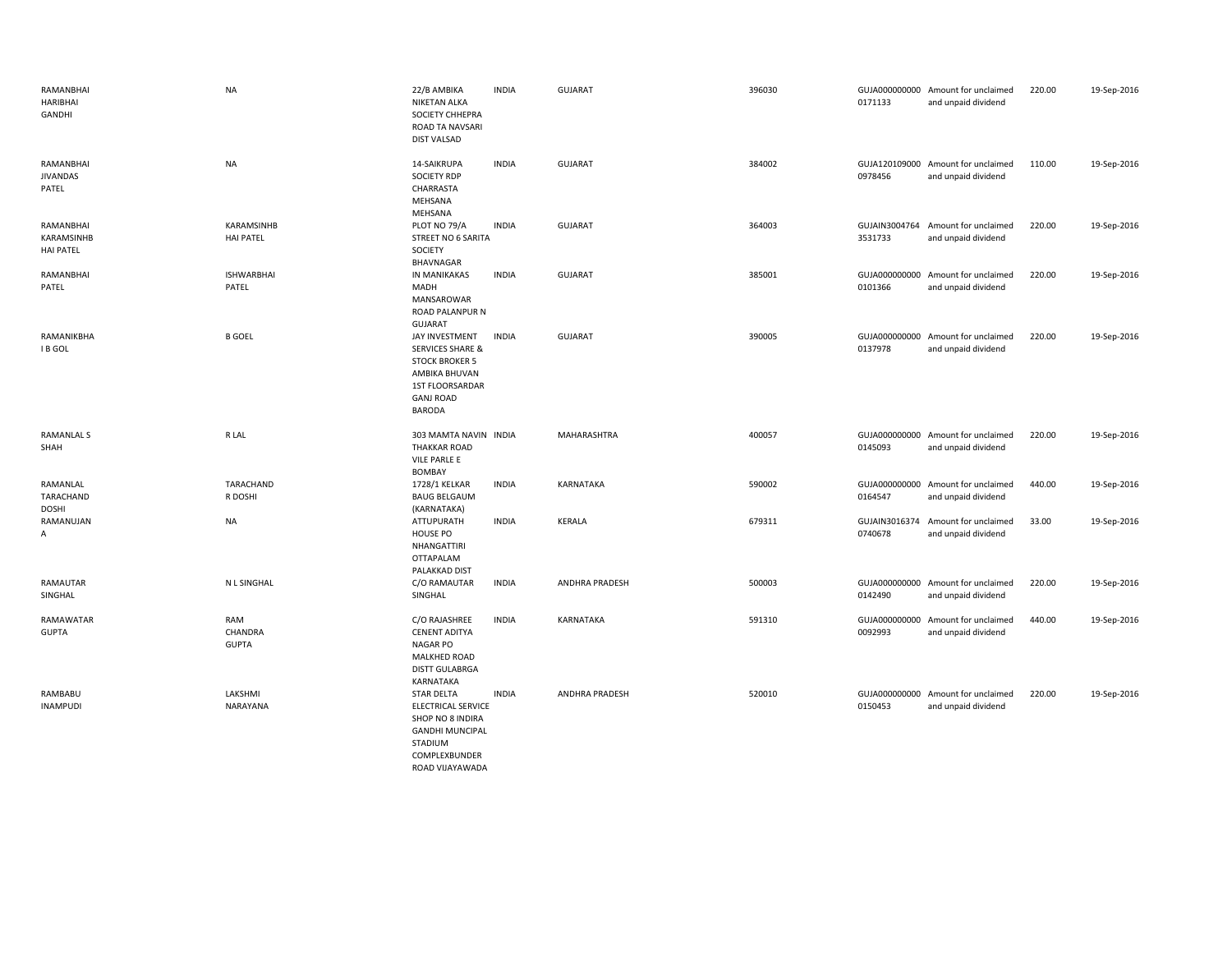| RAMANBHAI<br>HARIBHAI<br>GANDHI             | <b>NA</b>                      | 22/B AMBIKA<br><b>NIKETAN ALKA</b><br>SOCIETY CHHEPRA<br>ROAD TA NAVSARI<br><b>DIST VALSAD</b>                                                  | <b>INDIA</b> | <b>GUJARAT</b>        | 396030 | 0171133                  | GUJA000000000 Amount for unclaimed<br>and unpaid dividend | 220.00 | 19-Sep-2016 |
|---------------------------------------------|--------------------------------|-------------------------------------------------------------------------------------------------------------------------------------------------|--------------|-----------------------|--------|--------------------------|-----------------------------------------------------------|--------|-------------|
| RAMANBHAI<br><b>JIVANDAS</b><br>PATEL       | <b>NA</b>                      | 14-SAIKRUPA<br><b>SOCIETY RDP</b><br>CHARRASTA<br>MEHSANA<br>MEHSANA                                                                            | <b>INDIA</b> | <b>GUJARAT</b>        | 384002 | 0978456                  | GUJA120109000 Amount for unclaimed<br>and unpaid dividend | 110.00 | 19-Sep-2016 |
| RAMANBHAI<br>KARAMSINHB<br><b>HAI PATEL</b> | KARAMSINHB<br><b>HAI PATEL</b> | PLOT NO 79/A<br>STREET NO 6 SARITA<br>SOCIETY<br>BHAVNAGAR                                                                                      | <b>INDIA</b> | <b>GUJARAT</b>        | 364003 | 3531733                  | GUJAIN3004764 Amount for unclaimed<br>and unpaid dividend | 220.00 | 19-Sep-2016 |
| RAMANBHAI<br>PATEL                          | <b>ISHWARBHAI</b><br>PATEL     | IN MANIKAKAS<br>MADH<br>MANSAROWAR<br>ROAD PALANPUR N<br><b>GUJARAT</b>                                                                         | <b>INDIA</b> | <b>GUJARAT</b>        | 385001 | 0101366                  | GUJA000000000 Amount for unclaimed<br>and unpaid dividend | 220.00 | 19-Sep-2016 |
| RAMANIKBHA<br>I B GOL                       | <b>B GOEL</b>                  | JAY INVESTMENT<br><b>SERVICES SHARE &amp;</b><br><b>STOCK BROKER 5</b><br>AMBIKA BHUVAN<br>1ST FLOORSARDAR<br><b>GANJ ROAD</b><br><b>BARODA</b> | <b>INDIA</b> | <b>GUJARAT</b>        | 390005 | 0137978                  | GUJA000000000 Amount for unclaimed<br>and unpaid dividend | 220.00 | 19-Sep-2016 |
| <b>RAMANLAL S</b><br>SHAH                   | R LAL                          | 303 MAMTA NAVIN INDIA<br><b>THAKKAR ROAD</b><br>VILE PARLE E<br><b>BOMBAY</b>                                                                   |              | MAHARASHTRA           | 400057 | 0145093                  | GUJA000000000 Amount for unclaimed<br>and unpaid dividend | 220.00 | 19-Sep-2016 |
| RAMANLAL<br>TARACHAND<br><b>DOSHI</b>       | TARACHAND<br>R DOSHI           | 1728/1 KELKAR<br><b>BAUG BELGAUM</b><br>(KARNATAKA)                                                                                             | <b>INDIA</b> | KARNATAKA             | 590002 | 0164547                  | GUJA000000000 Amount for unclaimed<br>and unpaid dividend | 440.00 | 19-Sep-2016 |
| RAMANUJAN<br>Α                              | <b>NA</b>                      | <b>ATTUPURATH</b><br>HOUSE PO<br>NHANGATTIRI<br>OTTAPALAM<br>PALAKKAD DIST                                                                      | <b>INDIA</b> | <b>KERALA</b>         | 679311 | GUJAIN3016374<br>0740678 | Amount for unclaimed<br>and unpaid dividend               | 33.00  | 19-Sep-2016 |
| RAMAUTAR<br>SINGHAL                         | N L SINGHAL                    | C/O RAMAUTAR<br>SINGHAL                                                                                                                         | <b>INDIA</b> | <b>ANDHRA PRADESH</b> | 500003 | 0142490                  | GUJA000000000 Amount for unclaimed<br>and unpaid dividend | 220.00 | 19-Sep-2016 |
| RAMAWATAR<br><b>GUPTA</b>                   | RAM<br>CHANDRA<br><b>GUPTA</b> | C/O RAJASHREE<br><b>CENENT ADITYA</b><br><b>NAGAR PO</b><br>MALKHED ROAD<br><b>DISTT GULABRGA</b><br>KARNATAKA                                  | <b>INDIA</b> | KARNATAKA             | 591310 | 0092993                  | GUJA000000000 Amount for unclaimed<br>and unpaid dividend | 440.00 | 19-Sep-2016 |
|                                             |                                | STAR DELTA                                                                                                                                      | <b>INDIA</b> | ANDHRA PRADESH        | 520010 |                          | GUJA000000000 Amount for unclaimed                        | 220.00 | 19-Sep-2016 |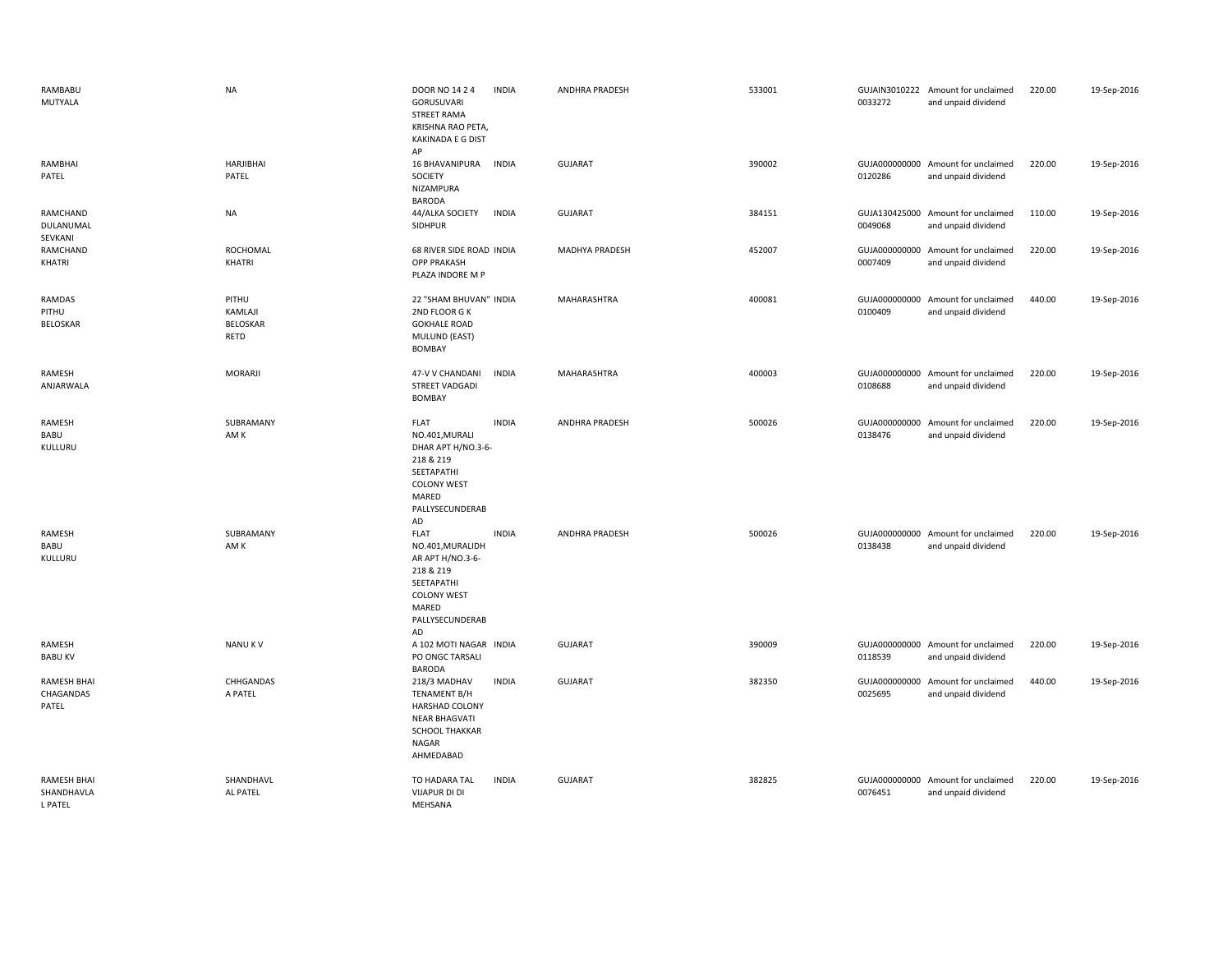| RAMBABU<br>MUTYALA                          | <b>NA</b>                                   | DOOR NO 14 2 4<br><b>GORUSUVARI</b><br><b>STREET RAMA</b><br><b>KRISHNA RAO PETA</b><br>KAKINADA E G DIST<br>AP                        | <b>INDIA</b> | <b>ANDHRA PRADESH</b> | 533001 | 0033272                  | GUJAIN3010222 Amount for unclaimed<br>and unpaid dividend | 220.00 | 19-Sep-2016 |
|---------------------------------------------|---------------------------------------------|----------------------------------------------------------------------------------------------------------------------------------------|--------------|-----------------------|--------|--------------------------|-----------------------------------------------------------|--------|-------------|
| RAMBHAI<br>PATEL                            | HARJIBHAI<br>PATEL                          | 16 BHAVANIPURA<br>SOCIETY<br>NIZAMPURA<br><b>BARODA</b>                                                                                | <b>INDIA</b> | <b>GUJARAT</b>        | 390002 | 0120286                  | GUJA000000000 Amount for unclaimed<br>and unpaid dividend | 220.00 | 19-Sep-2016 |
| RAMCHAND<br>DULANUMAL<br>SEVKANI            | <b>NA</b>                                   | 44/ALKA SOCIETY<br>SIDHPUR                                                                                                             | <b>INDIA</b> | <b>GUJARAT</b>        | 384151 | 0049068                  | GUJA130425000 Amount for unclaimed<br>and unpaid dividend | 110.00 | 19-Sep-2016 |
| RAMCHAND<br>KHATRI                          | ROCHOMAL<br>KHATRI                          | 68 RIVER SIDE ROAD INDIA<br>OPP PRAKASH<br>PLAZA INDORE M P                                                                            |              | MADHYA PRADESH        | 452007 | 0007409                  | GUJA000000000 Amount for unclaimed<br>and unpaid dividend | 220.00 | 19-Sep-2016 |
| RAMDAS<br>PITHU<br><b>BELOSKAR</b>          | PITHU<br>KAMLAJI<br><b>BELOSKAR</b><br>RETD | 22 "SHAM BHUVAN" INDIA<br>2ND FLOOR GK<br><b>GOKHALE ROAD</b><br>MULUND (EAST)<br><b>BOMBAY</b>                                        |              | MAHARASHTRA           | 400081 | 0100409                  | GUJA000000000 Amount for unclaimed<br>and unpaid dividend | 440.00 | 19-Sep-2016 |
| RAMESH<br>ANJARWALA                         | <b>MORARJI</b>                              | 47-V V CHANDANI<br>STREET VADGADI<br><b>BOMBAY</b>                                                                                     | <b>INDIA</b> | MAHARASHTRA           | 400003 | 0108688                  | GUJA000000000 Amount for unclaimed<br>and unpaid dividend | 220.00 | 19-Sep-2016 |
| RAMESH<br>BABU<br>KULLURU                   | SUBRAMANY<br>AM K                           | <b>FLAT</b><br>NO.401, MURALI<br>DHAR APT H/NO.3-6-<br>218 & 219<br>SEETAPATHI<br><b>COLONY WEST</b><br>MARED<br>PALLYSECUNDERAB<br>AD | <b>INDIA</b> | ANDHRA PRADESH        | 500026 | 0138476                  | GUJA000000000 Amount for unclaimed<br>and unpaid dividend | 220.00 | 19-Sep-2016 |
| <b>RAMESH</b><br>BABU<br>KULLURU            | SUBRAMANY<br>AM K                           | <b>FLAT</b><br>NO.401, MURALIDH<br>AR APT H/NO.3-6-<br>218 & 219<br>SEETAPATHI<br><b>COLONY WEST</b><br>MARED<br>PALLYSECUNDERAB<br>AD | <b>INDIA</b> | <b>ANDHRA PRADESH</b> | 500026 | 0138438                  | GUJA000000000 Amount for unclaimed<br>and unpaid dividend | 220.00 | 19-Sep-2016 |
| RAMESH<br><b>BABU KV</b>                    | <b>NANUKV</b>                               | A 102 MOTI NAGAR INDIA<br>PO ONGC TARSALI<br><b>BARODA</b>                                                                             |              | <b>GUJARAT</b>        | 390009 | 0118539                  | GUJA000000000 Amount for unclaimed<br>and unpaid dividend | 220.00 | 19-Sep-2016 |
| <b>RAMESH BHAI</b><br>CHAGANDAS<br>PATEL    | CHHGANDAS<br>A PATEL                        | 218/3 MADHAV<br><b>TENAMENT B/H</b><br><b>HARSHAD COLONY</b><br><b>NEAR BHAGVATI</b><br>SCHOOL THAKKAR<br>NAGAR<br>AHMEDABAD           | <b>INDIA</b> | <b>GUJARAT</b>        | 382350 | GUJA000000000<br>0025695 | Amount for unclaimed<br>and unpaid dividend               | 440.00 | 19-Sep-2016 |
| <b>RAMESH BHAI</b><br>SHANDHAVLA<br>I PATFI | SHANDHAVL<br>AL PATEL                       | TO HADARA TAL<br><b>VIJAPUR DI DI</b><br><b>MFHSANA</b>                                                                                | <b>INDIA</b> | <b>GUJARAT</b>        | 382825 | 0076451                  | GUJA000000000 Amount for unclaimed<br>and unpaid dividend | 220.00 | 19-Sep-2016 |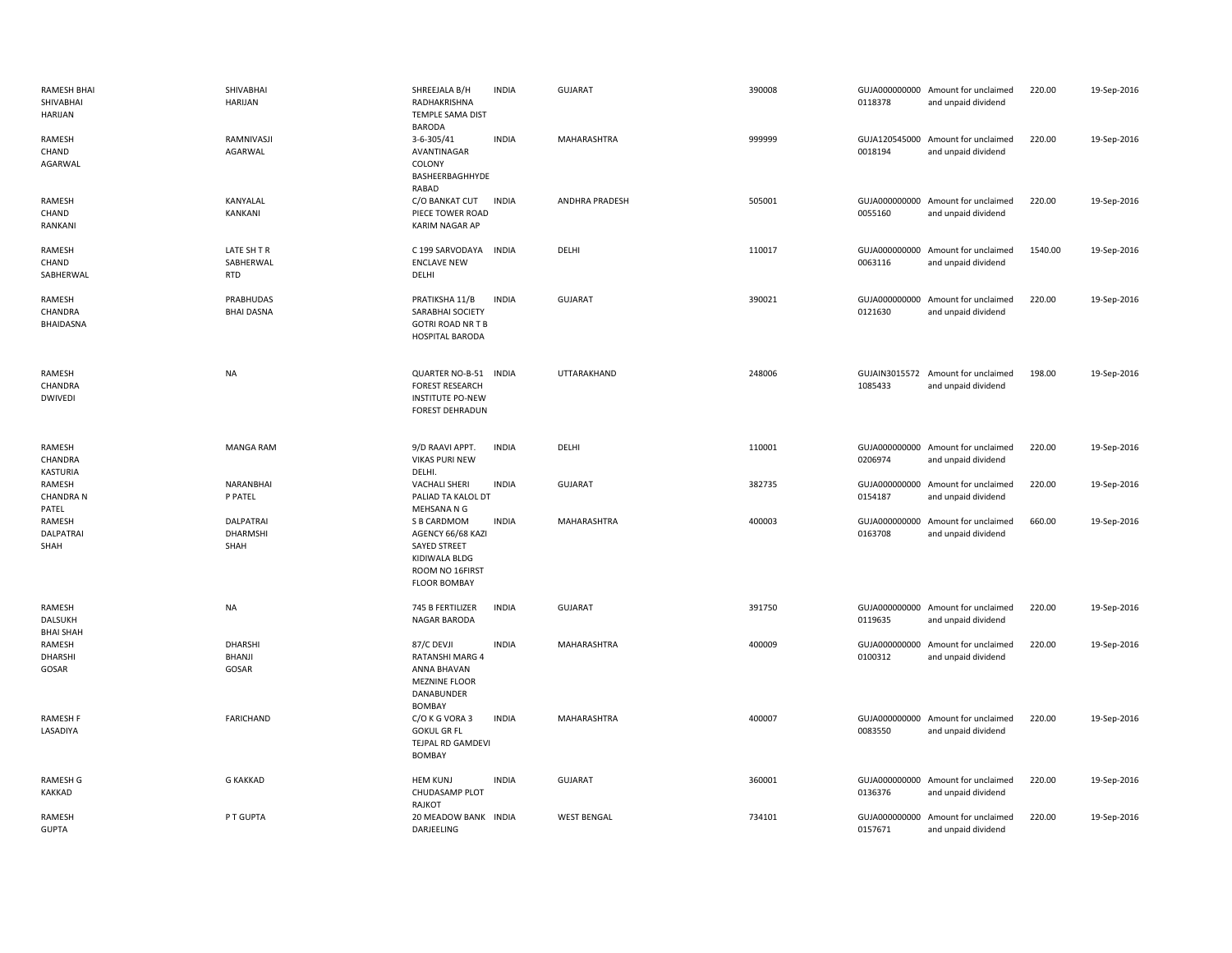| <b>RAMESH BHAI</b><br>SHIVABHAI<br><b>HARIJAN</b> | SHIVABHAI<br><b>HARIJAN</b>                 | SHREEJALA B/H<br>RADHAKRISHNA<br>TEMPLE SAMA DIST<br><b>BARODA</b>                                                 | <b>INDIA</b> | <b>GUJARAT</b>     | 390008 | 0118378                  | GUJA000000000 Amount for unclaimed<br>and unpaid dividend | 220.00  | 19-Sep-2016 |
|---------------------------------------------------|---------------------------------------------|--------------------------------------------------------------------------------------------------------------------|--------------|--------------------|--------|--------------------------|-----------------------------------------------------------|---------|-------------|
| RAMESH<br>CHAND<br>AGARWAL                        | RAMNIVASJI<br>AGARWAL                       | 3-6-305/41<br>AVANTINAGAR<br>COLONY<br>BASHEERBAGHHYDE<br>RABAD                                                    | <b>INDIA</b> | MAHARASHTRA        | 999999 | 0018194                  | GUJA120545000 Amount for unclaimed<br>and unpaid dividend | 220.00  | 19-Sep-2016 |
| RAMESH<br>CHAND<br>RANKANI                        | KANYALAL<br>KANKANI                         | C/O BANKAT CUT<br>PIECE TOWER ROAD<br><b>KARIM NAGAR AP</b>                                                        | <b>INDIA</b> | ANDHRA PRADESH     | 505001 | 0055160                  | GUJA000000000 Amount for unclaimed<br>and unpaid dividend | 220.00  | 19-Sep-2016 |
| RAMESH<br>CHAND<br>SABHERWAL                      | LATE SH T R<br>SABHERWAL<br><b>RTD</b>      | C 199 SARVODAYA<br><b>ENCLAVE NEW</b><br>DELHI                                                                     | <b>INDIA</b> | DELHI              | 110017 | 0063116                  | GUJA000000000 Amount for unclaimed<br>and unpaid dividend | 1540.00 | 19-Sep-2016 |
| RAMESH<br>CHANDRA<br><b>BHAIDASNA</b>             | PRABHUDAS<br><b>BHAI DASNA</b>              | PRATIKSHA 11/B<br>SARABHAI SOCIETY<br><b>GOTRI ROAD NR T B</b><br>HOSPITAL BARODA                                  | <b>INDIA</b> | <b>GUJARAT</b>     | 390021 | 0121630                  | GUJA000000000 Amount for unclaimed<br>and unpaid dividend | 220.00  | 19-Sep-2016 |
| RAMESH<br>CHANDRA<br><b>DWIVEDI</b>               | <b>NA</b>                                   | QUARTER NO-B-51<br><b>FOREST RESEARCH</b><br><b>INSTITUTE PO-NEW</b><br><b>FOREST DEHRADUN</b>                     | <b>INDIA</b> | UTTARAKHAND        | 248006 | 1085433                  | GUJAIN3015572 Amount for unclaimed<br>and unpaid dividend | 198.00  | 19-Sep-2016 |
| RAMESH<br>CHANDRA<br>KASTURIA                     | <b>MANGA RAM</b>                            | 9/D RAAVI APPT.<br><b>VIKAS PURI NEW</b><br>DELHI.                                                                 | <b>INDIA</b> | DELHI              | 110001 | 0206974                  | GUJA000000000 Amount for unclaimed<br>and unpaid dividend | 220.00  | 19-Sep-2016 |
| RAMESH<br><b>CHANDRA N</b><br>PATEL               | <b>NARANBHAI</b><br>P PATEL                 | <b>VACHALI SHERI</b><br>PALIAD TA KALOL DT<br>MEHSANA N G                                                          | <b>INDIA</b> | <b>GUJARAT</b>     | 382735 | GUJA000000000<br>0154187 | Amount for unclaimed<br>and unpaid dividend               | 220.00  | 19-Sep-2016 |
| RAMESH<br>DALPATRAI<br>SHAH                       | <b>DALPATRAI</b><br><b>DHARMSHI</b><br>SHAH | S B CARDMOM<br>AGENCY 66/68 KAZI<br><b>SAYED STREET</b><br>KIDIWALA BLDG<br>ROOM NO 16FIRST<br><b>FLOOR BOMBAY</b> | <b>INDIA</b> | MAHARASHTRA        | 400003 | GUJA000000000<br>0163708 | Amount for unclaimed<br>and unpaid dividend               | 660.00  | 19-Sep-2016 |
| RAMESH<br>DALSUKH<br><b>BHAI SHAH</b>             | <b>NA</b>                                   | 745 B FERTILIZER<br>NAGAR BARODA                                                                                   | <b>INDIA</b> | <b>GUJARAT</b>     | 391750 | 0119635                  | GUJA000000000 Amount for unclaimed<br>and unpaid dividend | 220.00  | 19-Sep-2016 |
| RAMESH<br><b>DHARSHI</b><br>GOSAR                 | DHARSHI<br><b>BHANJI</b><br>GOSAR           | 87/C DEVJI<br><b>RATANSHI MARG 4</b><br>ANNA BHAVAN<br><b>MEZNINE FLOOR</b><br>DANABUNDER<br><b>BOMBAY</b>         | <b>INDIA</b> | MAHARASHTRA        | 400009 | GUJA000000000<br>0100312 | Amount for unclaimed<br>and unpaid dividend               | 220.00  | 19-Sep-2016 |
| <b>RAMESH F</b><br>LASADIYA                       | <b>FARICHAND</b>                            | C/O K G VORA 3<br><b>GOKUL GR FL</b><br>TEJPAL RD GAMDEVI<br><b>BOMBAY</b>                                         | <b>INDIA</b> | MAHARASHTRA        | 400007 | 0083550                  | GUJA000000000 Amount for unclaimed<br>and unpaid dividend | 220.00  | 19-Sep-2016 |
| <b>RAMESH G</b><br>KAKKAD                         | <b>G KAKKAD</b>                             | <b>HEM KUNJ</b><br>CHUDASAMP PLOT<br>RAJKOT                                                                        | <b>INDIA</b> | <b>GUJARAT</b>     | 360001 | 0136376                  | GUJA000000000 Amount for unclaimed<br>and unpaid dividend | 220.00  | 19-Sep-2016 |
| RAMESH<br><b>GUPTA</b>                            | P T GUPTA                                   | 20 MEADOW BANK INDIA<br>DARJEELING                                                                                 |              | <b>WEST BENGAL</b> | 734101 | 0157671                  | GUJA000000000 Amount for unclaimed<br>and unpaid dividend | 220.00  | 19-Sep-2016 |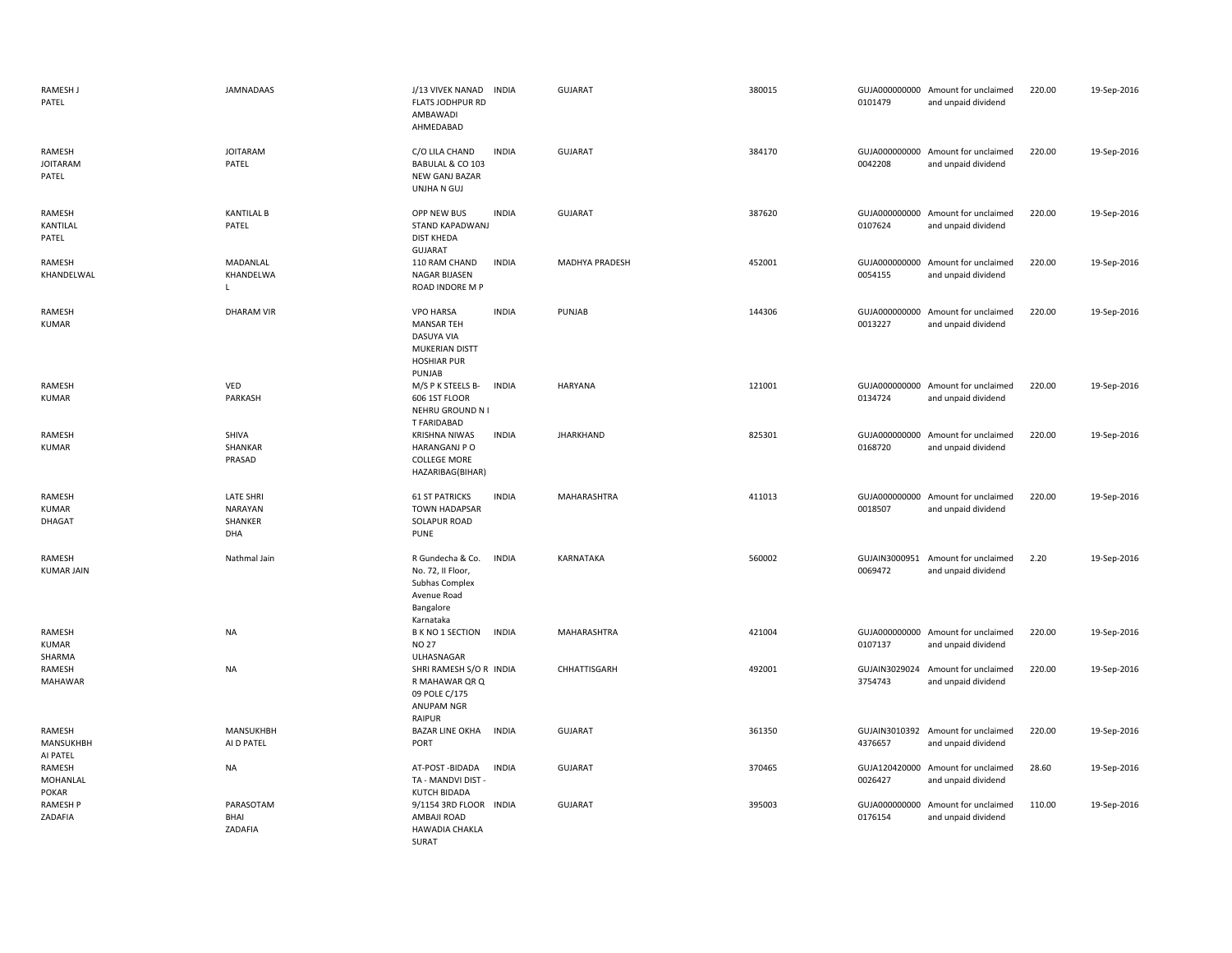| RAMESH J<br>PATEL                  | <b>JAMNADAAS</b>                                     | J/13 VIVEK NANAD<br><b>FLATS JODHPUR RD</b><br>AMBAWADI<br>AHMEDABAD                                  | <b>INDIA</b> | <b>GUJARAT</b>   | 380015 | 0101479                  | GUJA000000000 Amount for unclaimed<br>and unpaid dividend | 220.00 | 19-Sep-2016 |
|------------------------------------|------------------------------------------------------|-------------------------------------------------------------------------------------------------------|--------------|------------------|--------|--------------------------|-----------------------------------------------------------|--------|-------------|
| RAMESH<br><b>JOITARAM</b><br>PATEL | <b>JOITARAM</b><br>PATEL                             | C/O LILA CHAND<br>BABULAL & CO 103<br>NEW GANJ BAZAR<br>UNJHA N GUJ                                   | <b>INDIA</b> | <b>GUJARAT</b>   | 384170 | 0042208                  | GUJA000000000 Amount for unclaimed<br>and unpaid dividend | 220.00 | 19-Sep-2016 |
| RAMESH<br>KANTILAL<br>PATEL        | <b>KANTILAL B</b><br>PATEL                           | OPP NEW BUS<br>STAND KAPADWANJ<br><b>DIST KHEDA</b><br><b>GUJARAT</b>                                 | <b>INDIA</b> | <b>GUJARAT</b>   | 387620 | 0107624                  | GUJA000000000 Amount for unclaimed<br>and unpaid dividend | 220.00 | 19-Sep-2016 |
| RAMESH<br>KHANDELWAL               | MADANLAL<br>KHANDELWA<br>$\mathsf{L}$                | 110 RAM CHAND<br>NAGAR BIJASEN<br>ROAD INDORE M P                                                     | <b>INDIA</b> | MADHYA PRADESH   | 452001 | 0054155                  | GUJA000000000 Amount for unclaimed<br>and unpaid dividend | 220.00 | 19-Sep-2016 |
| RAMESH<br><b>KUMAR</b>             | <b>DHARAM VIR</b>                                    | <b>VPO HARSA</b><br><b>MANSAR TEH</b><br>DASUYA VIA<br>MUKERIAN DISTT<br><b>HOSHIAR PUR</b><br>PUNJAB | <b>INDIA</b> | PUNJAB           | 144306 | 0013227                  | GUJA000000000 Amount for unclaimed<br>and unpaid dividend | 220.00 | 19-Sep-2016 |
| RAMESH<br><b>KUMAR</b>             | VED<br>PARKASH                                       | M/S P K STEELS B-<br>606 1ST FLOOR<br>NEHRU GROUND N I<br>T FARIDABAD                                 | <b>INDIA</b> | <b>HARYANA</b>   | 121001 | 0134724                  | GUJA000000000 Amount for unclaimed<br>and unpaid dividend | 220.00 | 19-Sep-2016 |
| RAMESH<br><b>KUMAR</b>             | SHIVA<br>SHANKAR<br>PRASAD                           | <b>KRISHNA NIWAS</b><br><b>HARANGANJ P O</b><br><b>COLLEGE MORE</b><br>HAZARIBAG(BIHAR)               | <b>INDIA</b> | <b>JHARKHAND</b> | 825301 | 0168720                  | GUJA000000000 Amount for unclaimed<br>and unpaid dividend | 220.00 | 19-Sep-2016 |
| RAMESH<br>KUMAR<br>DHAGAT          | <b>LATE SHRI</b><br><b>NARAYAN</b><br>SHANKER<br>DHA | <b>61 ST PATRICKS</b><br><b>TOWN HADAPSAR</b><br>SOLAPUR ROAD<br><b>PUNE</b>                          | <b>INDIA</b> | MAHARASHTRA      | 411013 | 0018507                  | GUJA000000000 Amount for unclaimed<br>and unpaid dividend | 220.00 | 19-Sep-2016 |
| RAMESH<br><b>KUMAR JAIN</b>        | Nathmal Jain                                         | R Gundecha & Co.<br>No. 72, II Floor,<br>Subhas Complex<br>Avenue Road<br>Bangalore<br>Karnataka      | <b>INDIA</b> | KARNATAKA        | 560002 | 0069472                  | GUJAIN3000951 Amount for unclaimed<br>and unpaid dividend | 2.20   | 19-Sep-2016 |
| RAMESH<br><b>KUMAR</b><br>SHARMA   | <b>NA</b>                                            | <b>B K NO 1 SECTION</b><br><b>NO 27</b><br>ULHASNAGAR                                                 | <b>INDIA</b> | MAHARASHTRA      | 421004 | 0107137                  | GUJA000000000 Amount for unclaimed<br>and unpaid dividend | 220.00 | 19-Sep-2016 |
| RAMESH<br>MAHAWAR                  | <b>NA</b>                                            | SHRI RAMESH S/O R INDIA<br>R MAHAWAR QR Q<br>09 POLE C/175<br>ANUPAM NGR<br>RAIPUR                    |              | CHHATTISGARH     | 492001 | GUJAIN3029024<br>3754743 | Amount for unclaimed<br>and unpaid dividend               | 220.00 | 19-Sep-2016 |
| RAMESH<br>MANSUKHBH<br>AI PATEL    | MANSUKHBH<br>AI D PATEL                              | <b>BAZAR LINE OKHA</b><br>PORT                                                                        | <b>INDIA</b> | <b>GUJARAT</b>   | 361350 | 4376657                  | GUJAIN3010392 Amount for unclaimed<br>and unpaid dividend | 220.00 | 19-Sep-2016 |
| RAMESH<br>MOHANLAL<br><b>POKAR</b> | <b>NA</b>                                            | AT-POST-BIDADA<br>TA - MANDVI DIST -<br>KUTCH BIDADA                                                  | <b>INDIA</b> | <b>GUJARAT</b>   | 370465 | 0026427                  | GUJA120420000 Amount for unclaimed<br>and unpaid dividend | 28.60  | 19-Sep-2016 |
| RAMESH P<br>ZADAFIA                | PARASOTAM<br>BHAI<br>ZADAFIA                         | 9/1154 3RD FLOOR INDIA<br>AMBAJI ROAD<br><b>HAWADIA CHAKLA</b><br>SURAT                               |              | <b>GUJARAT</b>   | 395003 | 0176154                  | GUJA000000000 Amount for unclaimed<br>and unpaid dividend | 110.00 | 19-Sep-2016 |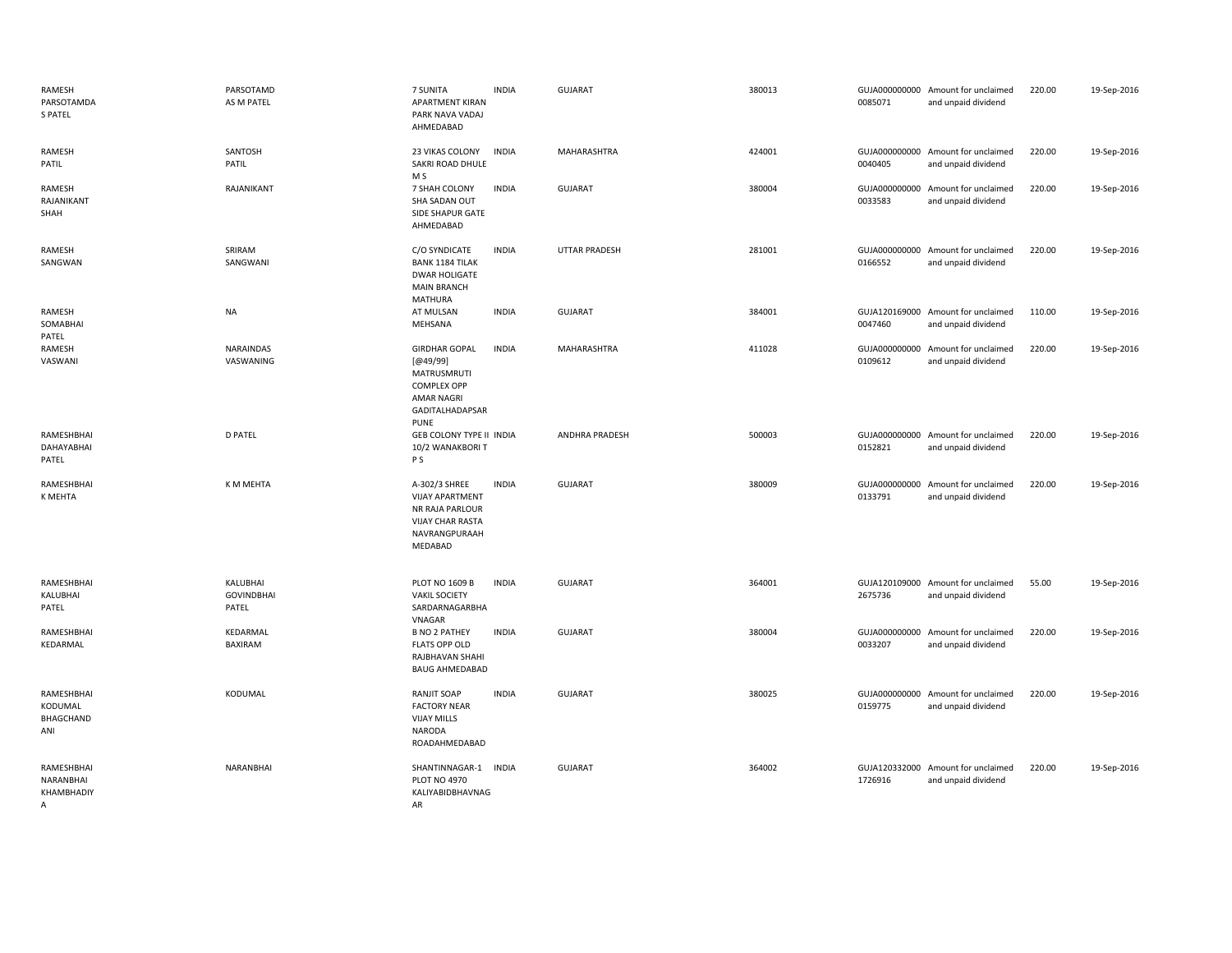| RAMESH<br>PARSOTAMDA<br><b>S PATEL</b>     | PARSOTAMD<br>AS M PATEL                | 7 SUNITA<br><b>APARTMENT KIRAN</b><br>PARK NAVA VADAJ<br>AHMEDABAD                                                           | <b>INDIA</b> | <b>GUJARAT</b>        | 380013 | 0085071 | GUJA000000000 Amount for unclaimed<br>and unpaid dividend | 220.00 | 19-Sep-2016 |
|--------------------------------------------|----------------------------------------|------------------------------------------------------------------------------------------------------------------------------|--------------|-----------------------|--------|---------|-----------------------------------------------------------|--------|-------------|
| RAMESH<br>PATIL                            | SANTOSH<br>PATIL                       | 23 VIKAS COLONY<br>SAKRI ROAD DHULE<br>M S                                                                                   | <b>INDIA</b> | MAHARASHTRA           | 424001 | 0040405 | GUJA000000000 Amount for unclaimed<br>and unpaid dividend | 220.00 | 19-Sep-2016 |
| RAMESH<br>RAJANIKANT<br>SHAH               | RAJANIKANT                             | 7 SHAH COLONY<br>SHA SADAN OUT<br>SIDE SHAPUR GATE<br>AHMEDABAD                                                              | <b>INDIA</b> | <b>GUJARAT</b>        | 380004 | 0033583 | GUJA000000000 Amount for unclaimed<br>and unpaid dividend | 220.00 | 19-Sep-2016 |
| RAMESH<br>SANGWAN                          | SRIRAM<br>SANGWANI                     | C/O SYNDICATE<br><b>BANK 1184 TILAK</b><br><b>DWAR HOLIGATE</b><br><b>MAIN BRANCH</b><br><b>MATHURA</b>                      | <b>INDIA</b> | <b>UTTAR PRADESH</b>  | 281001 | 0166552 | GUJA000000000 Amount for unclaimed<br>and unpaid dividend | 220.00 | 19-Sep-2016 |
| RAMESH<br>SOMABHAI<br>PATEL                | <b>NA</b>                              | AT MULSAN<br>MEHSANA                                                                                                         | <b>INDIA</b> | <b>GUJARAT</b>        | 384001 | 0047460 | GUJA120169000 Amount for unclaimed<br>and unpaid dividend | 110.00 | 19-Sep-2016 |
| RAMESH<br>VASWANI                          | <b>NARAINDAS</b><br>VASWANING          | <b>GIRDHAR GOPAL</b><br>[@49/99]<br><b>MATRUSMRUTI</b><br><b>COMPLEX OPP</b><br>AMAR NAGRI<br>GADITALHADAPSAR<br><b>PUNE</b> | <b>INDIA</b> | MAHARASHTRA           | 411028 | 0109612 | GUJA000000000 Amount for unclaimed<br>and unpaid dividend | 220.00 | 19-Sep-2016 |
| RAMESHBHAI<br>DAHAYABHAI<br>PATEL          | <b>D PATEL</b>                         | GEB COLONY TYPE II INDIA<br>10/2 WANAKBORIT<br>P S                                                                           |              | <b>ANDHRA PRADESH</b> | 500003 | 0152821 | GUJA000000000 Amount for unclaimed<br>and unpaid dividend | 220.00 | 19-Sep-2016 |
| RAMESHBHAI<br>K MEHTA                      | K M MEHTA                              | A-302/3 SHREE<br><b>VIJAY APARTMENT</b><br>NR RAJA PARLOUR<br><b>VIJAY CHAR RASTA</b><br>NAVRANGPURAAH<br>MEDABAD            | <b>INDIA</b> | <b>GUJARAT</b>        | 380009 | 0133791 | GUJA000000000 Amount for unclaimed<br>and unpaid dividend | 220.00 | 19-Sep-2016 |
| RAMESHBHAI<br>KALUBHAI<br>PATEL            | KALUBHAI<br><b>GOVINDBHAI</b><br>PATEL | <b>PLOT NO 1609 B</b><br><b>VAKIL SOCIETY</b><br>SARDARNAGARBHA<br>VNAGAR                                                    | <b>INDIA</b> | <b>GUJARAT</b>        | 364001 | 2675736 | GUJA120109000 Amount for unclaimed<br>and unpaid dividend | 55.00  | 19-Sep-2016 |
| RAMESHBHAI<br>KEDARMAL                     | KEDARMAL<br>BAXIRAM                    | <b>B NO 2 PATHEY</b><br><b>FLATS OPP OLD</b><br>RAJBHAVAN SHAHI<br><b>BAUG AHMEDABAD</b>                                     | <b>INDIA</b> | <b>GUJARAT</b>        | 380004 | 0033207 | GUJA000000000 Amount for unclaimed<br>and unpaid dividend | 220.00 | 19-Sep-2016 |
| RAMESHBHAI<br>KODUMAL<br>BHAGCHAND<br>ANI  | KODUMAL                                | <b>RANJIT SOAP</b><br><b>FACTORY NEAR</b><br><b>VIJAY MILLS</b><br><b>NARODA</b><br>ROADAHMEDABAD                            | <b>INDIA</b> | <b>GUJARAT</b>        | 380025 | 0159775 | GUJA000000000 Amount for unclaimed<br>and unpaid dividend | 220.00 | 19-Sep-2016 |
| RAMESHBHAI<br>NARANBHAI<br>KHAMBHADIY<br>A | NARANBHAI                              | SHANTINNAGAR-1<br><b>PLOT NO 4970</b><br>KALIYABIDBHAVNAG<br>AR                                                              | <b>INDIA</b> | <b>GUJARAT</b>        | 364002 | 1726916 | GUJA120332000 Amount for unclaimed<br>and unpaid dividend | 220.00 | 19-Sep-2016 |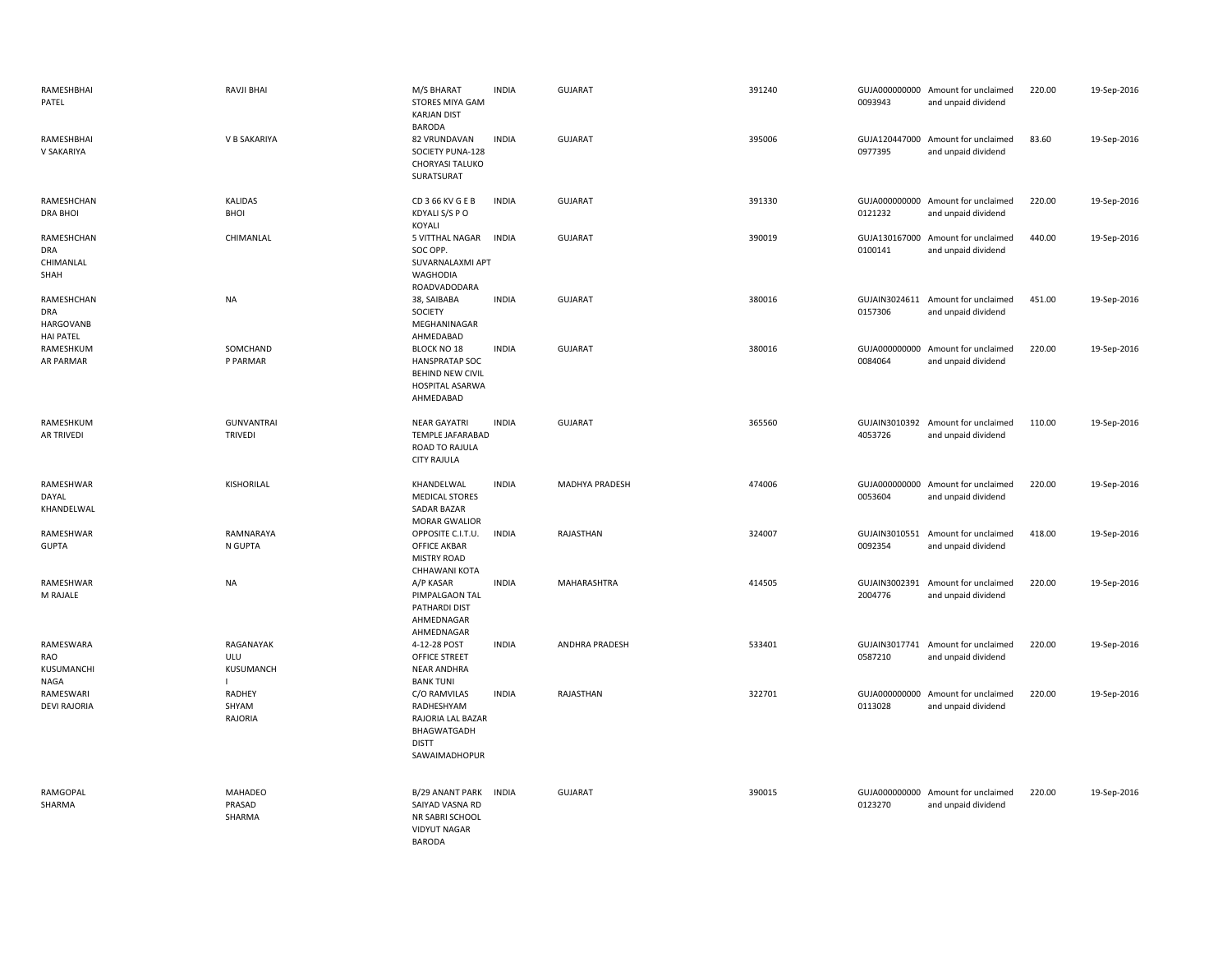| RAMESHBHAI<br>PATEL                                       | RAVJI BHAI                          | M/S BHARAT<br>STORES MIYA GAM<br><b>KARJAN DIST</b><br><b>BARODA</b>                            | <b>INDIA</b> | <b>GUJARAT</b>        | 391240 | 0093943                  | GUJA000000000 Amount for unclaimed<br>and unpaid dividend | 220.00 | 19-Sep-2016 |
|-----------------------------------------------------------|-------------------------------------|-------------------------------------------------------------------------------------------------|--------------|-----------------------|--------|--------------------------|-----------------------------------------------------------|--------|-------------|
| RAMESHBHAI<br>V SAKARIYA                                  | V B SAKARIYA                        | 82 VRUNDAVAN<br>SOCIETY PUNA-128<br><b>CHORYASI TALUKO</b><br>SURATSURAT                        | <b>INDIA</b> | <b>GUJARAT</b>        | 395006 | 0977395                  | GUJA120447000 Amount for unclaimed<br>and unpaid dividend | 83.60  | 19-Sep-2016 |
| RAMESHCHAN<br><b>DRA BHOI</b>                             | <b>KALIDAS</b><br><b>BHOI</b>       | CD 3 66 KV G E B<br>KDYALI S/S P O<br>KOYALI                                                    | <b>INDIA</b> | <b>GUJARAT</b>        | 391330 | 0121232                  | GUJA000000000 Amount for unclaimed<br>and unpaid dividend | 220.00 | 19-Sep-2016 |
| RAMESHCHAN<br><b>DRA</b><br>CHIMANLAL<br>SHAH             | CHIMANLAL                           | 5 VITTHAL NAGAR<br>SOC OPP.<br>SUVARNALAXMI APT<br>WAGHODIA<br>ROADVADODARA                     | <b>INDIA</b> | GUJARAT               | 390019 | 0100141                  | GUJA130167000 Amount for unclaimed<br>and unpaid dividend | 440.00 | 19-Sep-2016 |
| RAMESHCHAN<br><b>DRA</b><br>HARGOVANB<br><b>HAI PATEL</b> | <b>NA</b>                           | 38, SAIBABA<br>SOCIETY<br>MEGHANINAGAR<br>AHMEDABAD                                             | <b>INDIA</b> | <b>GUJARAT</b>        | 380016 | 0157306                  | GUJAIN3024611 Amount for unclaimed<br>and unpaid dividend | 451.00 | 19-Sep-2016 |
| RAMESHKUM<br>AR PARMAR                                    | SOMCHAND<br>P PARMAR                | <b>BLOCK NO 18</b><br><b>HANSPRATAP SOC</b><br>BEHIND NEW CIVIL<br>HOSPITAL ASARWA<br>AHMEDABAD | <b>INDIA</b> | GUJARAT               | 380016 | 0084064                  | GUJA000000000 Amount for unclaimed<br>and unpaid dividend | 220.00 | 19-Sep-2016 |
| RAMESHKUM<br>AR TRIVEDI                                   | <b>GUNVANTRAI</b><br><b>TRIVEDI</b> | <b>NEAR GAYATRI</b><br>TEMPLE JAFARABAD<br>ROAD TO RAJULA<br><b>CITY RAJULA</b>                 | <b>INDIA</b> | <b>GUJARAT</b>        | 365560 | 4053726                  | GUJAIN3010392 Amount for unclaimed<br>and unpaid dividend | 110.00 | 19-Sep-2016 |
| RAMESHWAR<br>DAYAL<br>KHANDELWAL                          | KISHORILAL                          | KHANDELWAL<br><b>MEDICAL STORES</b><br>SADAR BAZAR<br><b>MORAR GWALIOR</b>                      | <b>INDIA</b> | MADHYA PRADESH        | 474006 | 0053604                  | GUJA000000000 Amount for unclaimed<br>and unpaid dividend | 220.00 | 19-Sep-2016 |
| RAMESHWAR<br><b>GUPTA</b>                                 | RAMNARAYA<br>N GUPTA                | OPPOSITE C.I.T.U.<br><b>OFFICE AKBAR</b><br><b>MISTRY ROAD</b><br>CHHAWANI KOTA                 | <b>INDIA</b> | RAJASTHAN             | 324007 | 0092354                  | GUJAIN3010551 Amount for unclaimed<br>and unpaid dividend | 418.00 | 19-Sep-2016 |
| RAMESHWAR<br>M RAJALE                                     | <b>NA</b>                           | A/P KASAR<br>PIMPALGAON TAL<br>PATHARDI DIST<br>AHMEDNAGAR<br>AHMEDNAGAR                        | <b>INDIA</b> | MAHARASHTRA           | 414505 | 2004776                  | GUJAIN3002391 Amount for unclaimed<br>and unpaid dividend | 220.00 | 19-Sep-2016 |
| RAMESWARA<br>RAO<br>KUSUMANCHI<br>NAGA                    | RAGANAYAK<br>ULU<br>KUSUMANCH<br>L  | 4-12-28 POST<br>OFFICE STREET<br>NEAR ANDHRA<br><b>BANK TUNI</b>                                | <b>INDIA</b> | <b>ANDHRA PRADESH</b> | 533401 | 0587210                  | GUJAIN3017741 Amount for unclaimed<br>and unpaid dividend | 220.00 | 19-Sep-2016 |
| RAMESWARI<br><b>DEVI RAJORIA</b>                          | RADHEY<br>SHYAM<br>RAJORIA          | C/O RAMVILAS<br>RADHESHYAM<br>RAJORIA LAL BAZAR<br>BHAGWATGADH<br><b>DISTT</b><br>SAWAIMADHOPUR | <b>INDIA</b> | RAJASTHAN             | 322701 | GUJA000000000<br>0113028 | Amount for unclaimed<br>and unpaid dividend               | 220.00 | 19-Sep-2016 |
| RAMGOPAL<br>SHARMA                                        | MAHADEO<br>PRASAD<br>SHARMA         | B/29 ANANT PARK<br>SAIYAD VASNA RD<br>NR SABRI SCHOOL<br><b>VIDYUT NAGAR</b><br><b>BARODA</b>   | <b>INDIA</b> | GUJARAT               | 390015 | 0123270                  | GUJA000000000 Amount for unclaimed<br>and unpaid dividend | 220.00 | 19-Sep-2016 |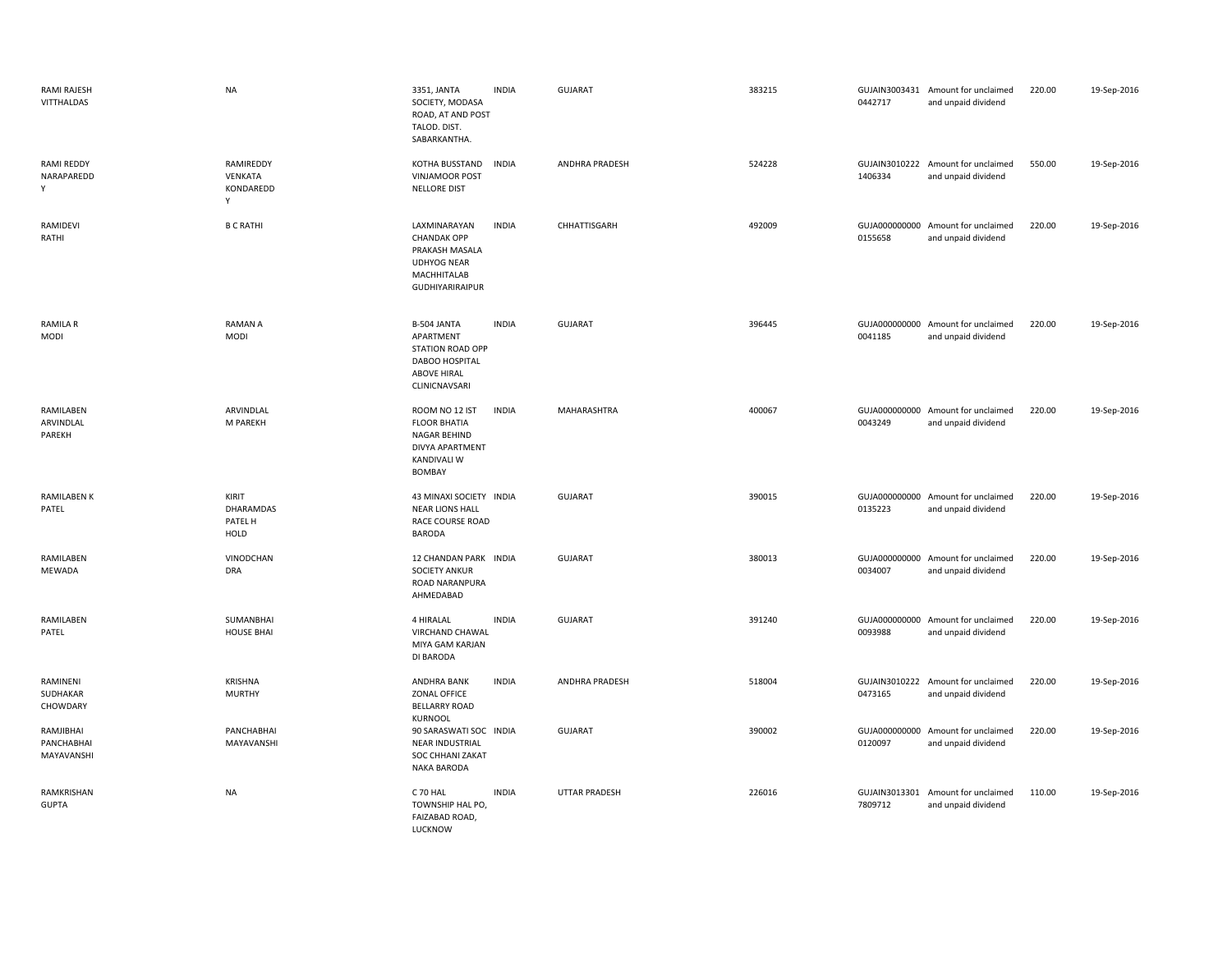| RAMI RAJESH<br>VITTHALDAS             | <b>NA</b>                              | 3351, JANTA<br>SOCIETY, MODASA<br>ROAD, AT AND POST<br>TALOD. DIST.<br>SABARKANTHA.                                 | <b>INDIA</b> | GUJARAT        | 383215 | 0442717 | GUJAIN3003431 Amount for unclaimed<br>and unpaid dividend | 220.00 | 19-Sep-2016 |
|---------------------------------------|----------------------------------------|---------------------------------------------------------------------------------------------------------------------|--------------|----------------|--------|---------|-----------------------------------------------------------|--------|-------------|
| RAMI REDDY<br>NARAPAREDD<br>Y         | RAMIREDDY<br>VENKATA<br>KONDAREDD<br>Υ | KOTHA BUSSTAND<br><b>VINJAMOOR POST</b><br>NELLORE DIST                                                             | <b>INDIA</b> | ANDHRA PRADESH | 524228 | 1406334 | GUJAIN3010222 Amount for unclaimed<br>and unpaid dividend | 550.00 | 19-Sep-2016 |
| RAMIDEVI<br>RATHI                     | <b>B C RATHI</b>                       | LAXMINARAYAN<br><b>CHANDAK OPP</b><br>PRAKASH MASALA<br><b>UDHYOG NEAR</b><br>MACHHITALAB<br><b>GUDHIYARIRAIPUR</b> | <b>INDIA</b> | CHHATTISGARH   | 492009 | 0155658 | GUJA000000000 Amount for unclaimed<br>and unpaid dividend | 220.00 | 19-Sep-2016 |
| <b>RAMILA R</b><br><b>MODI</b>        | <b>RAMAN A</b><br><b>MODI</b>          | B-504 JANTA<br>APARTMENT<br>STATION ROAD OPP<br>DABOO HOSPITAL<br><b>ABOVE HIRAL</b><br>CLINICNAVSARI               | <b>INDIA</b> | <b>GUJARAT</b> | 396445 | 0041185 | GUJA000000000 Amount for unclaimed<br>and unpaid dividend | 220.00 | 19-Sep-2016 |
| RAMILABEN<br>ARVINDLAL<br>PAREKH      | ARVINDLAL<br>M PAREKH                  | ROOM NO 12 IST<br><b>FLOOR BHATIA</b><br><b>NAGAR BEHIND</b><br>DIVYA APARTMENT<br><b>KANDIVALI W</b><br>BOMBAY     | <b>INDIA</b> | MAHARASHTRA    | 400067 | 0043249 | GUJA000000000 Amount for unclaimed<br>and unpaid dividend | 220.00 | 19-Sep-2016 |
| <b>RAMILABEN K</b><br>PATEL           | KIRIT<br>DHARAMDAS<br>PATEL H<br>HOLD  | 43 MINAXI SOCIETY INDIA<br><b>NEAR LIONS HALL</b><br>RACE COURSE ROAD<br><b>BARODA</b>                              |              | <b>GUJARAT</b> | 390015 | 0135223 | GUJA000000000 Amount for unclaimed<br>and unpaid dividend | 220.00 | 19-Sep-2016 |
| RAMILABEN<br>MEWADA                   | VINODCHAN<br><b>DRA</b>                | 12 CHANDAN PARK INDIA<br><b>SOCIETY ANKUR</b><br>ROAD NARANPURA<br>AHMEDABAD                                        |              | <b>GUJARAT</b> | 380013 | 0034007 | GUJA000000000 Amount for unclaimed<br>and unpaid dividend | 220.00 | 19-Sep-2016 |
| RAMILABEN<br>PATEL                    | SUMANBHAI<br><b>HOUSE BHAI</b>         | 4 HIRALAL<br>VIRCHAND CHAWAL<br>MIYA GAM KARJAN<br>DI BARODA                                                        | <b>INDIA</b> | GUJARAT        | 391240 | 0093988 | GUJA000000000 Amount for unclaimed<br>and unpaid dividend | 220.00 | 19-Sep-2016 |
| RAMINENI<br>SUDHAKAR<br>CHOWDARY      | <b>KRISHNA</b><br><b>MURTHY</b>        | ANDHRA BANK<br>ZONAL OFFICE<br><b>BELLARRY ROAD</b><br>KURNOOL                                                      | <b>INDIA</b> | ANDHRA PRADESH | 518004 | 0473165 | GUJAIN3010222 Amount for unclaimed<br>and unpaid dividend | 220.00 | 19-Sep-2016 |
| RAMJIBHAI<br>PANCHABHAI<br>MAYAVANSHI | PANCHABHAI<br>MAYAVANSHI               | 90 SARASWATI SOC INDIA<br><b>NEAR INDUSTRIAL</b><br>SOC CHHANI ZAKAT<br><b>NAKA BARODA</b>                          |              | <b>GUJARAT</b> | 390002 | 0120097 | GUJA000000000 Amount for unclaimed<br>and unpaid dividend | 220.00 | 19-Sep-2016 |
| RAMKRISHAN<br><b>GUPTA</b>            | <b>NA</b>                              | C 70 HAL<br>TOWNSHIP HAL PO<br>FAIZABAD ROAD,<br>LUCKNOW                                                            | <b>INDIA</b> | UTTAR PRADESH  | 226016 | 7809712 | GUJAIN3013301 Amount for unclaimed<br>and unpaid dividend | 110.00 | 19-Sep-2016 |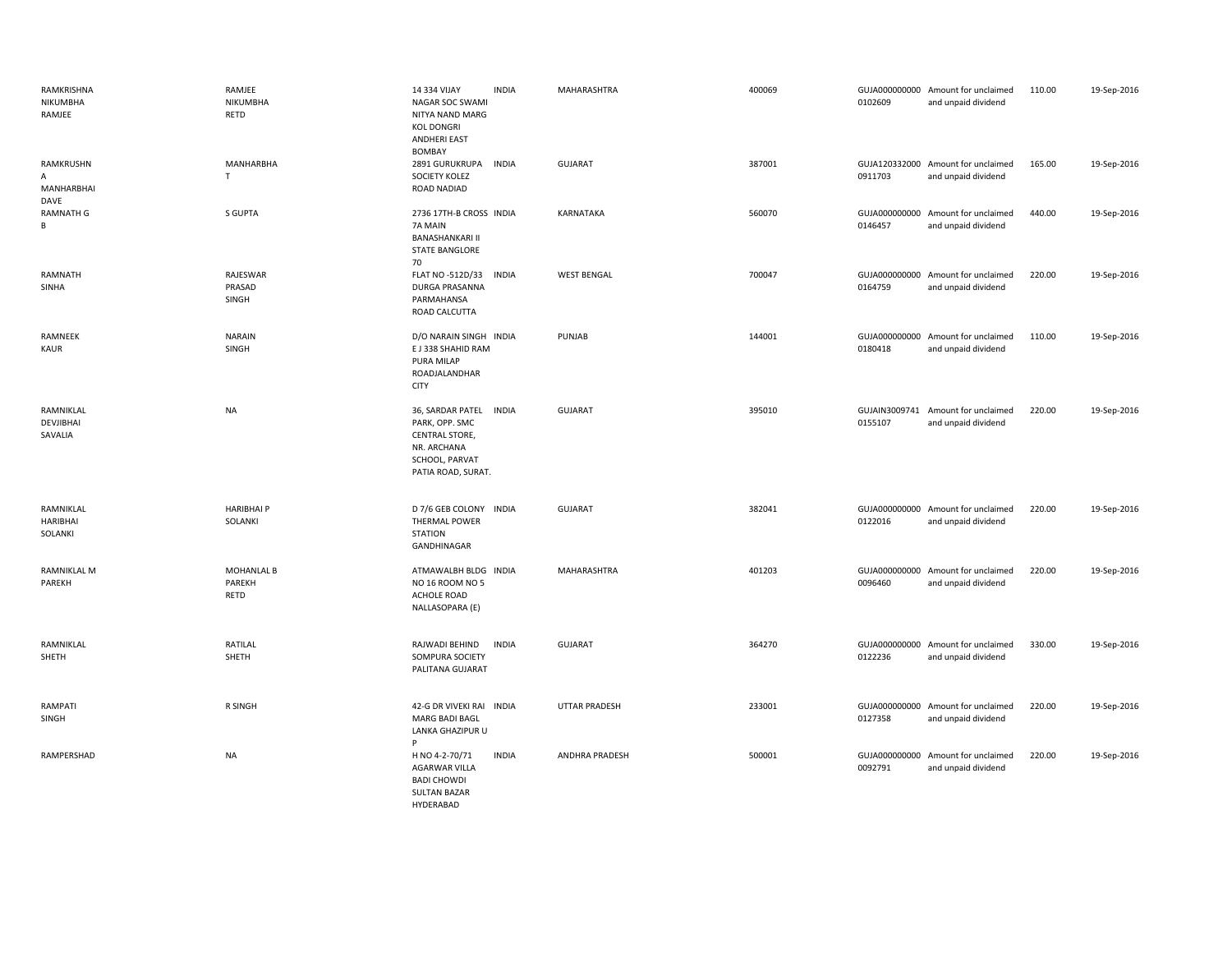| RAMKRISHNA<br>NIKUMBHA<br>RAMJEE     | RAMJEE<br>NIKUMBHA<br>RETD          | 14 334 VIJAY<br><b>INDIA</b><br>NAGAR SOC SWAMI<br>NITYA NAND MARG<br><b>KOL DONGRI</b><br><b>ANDHERI EAST</b>              | MAHARASHTRA          | 400069 | 0102609                  | GUJA000000000 Amount for unclaimed<br>and unpaid dividend | 110.00 | 19-Sep-2016 |
|--------------------------------------|-------------------------------------|-----------------------------------------------------------------------------------------------------------------------------|----------------------|--------|--------------------------|-----------------------------------------------------------|--------|-------------|
| RAMKRUSHN<br>Α<br>MANHARBHAI<br>DAVE | <b>MANHARBHA</b><br>T               | <b>BOMBAY</b><br>2891 GURUKRUPA<br><b>INDIA</b><br>SOCIETY KOLEZ<br>ROAD NADIAD                                             | <b>GUJARAT</b>       | 387001 | 0911703                  | GUJA120332000 Amount for unclaimed<br>and unpaid dividend | 165.00 | 19-Sep-2016 |
| <b>RAMNATH G</b><br>B                | S GUPTA                             | 2736 17TH-B CROSS INDIA<br>7A MAIN<br><b>BANASHANKARI II</b><br><b>STATE BANGLORE</b><br>70                                 | <b>KARNATAKA</b>     | 560070 | 0146457                  | GUJA000000000 Amount for unclaimed<br>and unpaid dividend | 440.00 | 19-Sep-2016 |
| RAMNATH<br>SINHA                     | RAJESWAR<br>PRASAD<br>SINGH         | FLAT NO -512D/33<br><b>INDIA</b><br>DURGA PRASANNA<br>PARMAHANSA<br>ROAD CALCUTTA                                           | <b>WEST BENGAL</b>   | 700047 | GUJA000000000<br>0164759 | Amount for unclaimed<br>and unpaid dividend               | 220.00 | 19-Sep-2016 |
| RAMNEEK<br><b>KAUR</b>               | <b>NARAIN</b><br>SINGH              | D/O NARAIN SINGH INDIA<br>E J 338 SHAHID RAM<br>PURA MILAP<br>ROADJALANDHAR<br><b>CITY</b>                                  | PUNJAB               | 144001 | 0180418                  | GUJA000000000 Amount for unclaimed<br>and unpaid dividend | 110.00 | 19-Sep-2016 |
| RAMNIKLAL<br>DEVJIBHAI<br>SAVALIA    | <b>NA</b>                           | 36, SARDAR PATEL<br><b>INDIA</b><br>PARK, OPP. SMC<br>CENTRAL STORE,<br>NR. ARCHANA<br>SCHOOL, PARVAT<br>PATIA ROAD, SURAT. | <b>GUJARAT</b>       | 395010 | 0155107                  | GUJAIN3009741 Amount for unclaimed<br>and unpaid dividend | 220.00 | 19-Sep-2016 |
| RAMNIKLAL<br>HARIBHAI<br>SOLANKI     | <b>HARIBHAI P</b><br>SOLANKI        | D 7/6 GEB COLONY INDIA<br>THERMAL POWER<br><b>STATION</b><br>GANDHINAGAR                                                    | GUJARAT              | 382041 | 0122016                  | GUJA000000000 Amount for unclaimed<br>and unpaid dividend | 220.00 | 19-Sep-2016 |
| <b>RAMNIKLAL M</b><br>PAREKH         | <b>MOHANLAL B</b><br>PAREKH<br>RETD | ATMAWALBH BLDG INDIA<br>NO 16 ROOM NO 5<br>ACHOLE ROAD<br>NALLASOPARA (E)                                                   | MAHARASHTRA          | 401203 | 0096460                  | GUJA000000000 Amount for unclaimed<br>and unpaid dividend | 220.00 | 19-Sep-2016 |
| RAMNIKLAL<br>SHETH                   | RATILAL<br>SHETH                    | RAJWADI BEHIND<br><b>INDIA</b><br>SOMPURA SOCIETY<br>PALITANA GUJARAT                                                       | <b>GUJARAT</b>       | 364270 | 0122236                  | GUJA000000000 Amount for unclaimed<br>and unpaid dividend | 330.00 | 19-Sep-2016 |
| RAMPATI<br>SINGH                     | R SINGH                             | 42-G DR VIVEKI RAI INDIA<br>MARG BADI BAGL<br>LANKA GHAZIPUR U<br>Þ                                                         | <b>UTTAR PRADESH</b> | 233001 | 0127358                  | GUJA000000000 Amount for unclaimed<br>and unpaid dividend | 220.00 | 19-Sep-2016 |
| RAMPERSHAD                           | <b>NA</b>                           | H NO 4-2-70/71<br><b>INDIA</b><br><b>AGARWAR VILLA</b><br><b>BADI CHOWDI</b><br><b>SULTAN BAZAR</b><br>HYDERABAD            | ANDHRA PRADESH       | 500001 | 0092791                  | GUJA000000000 Amount for unclaimed<br>and unpaid dividend | 220.00 | 19-Sep-2016 |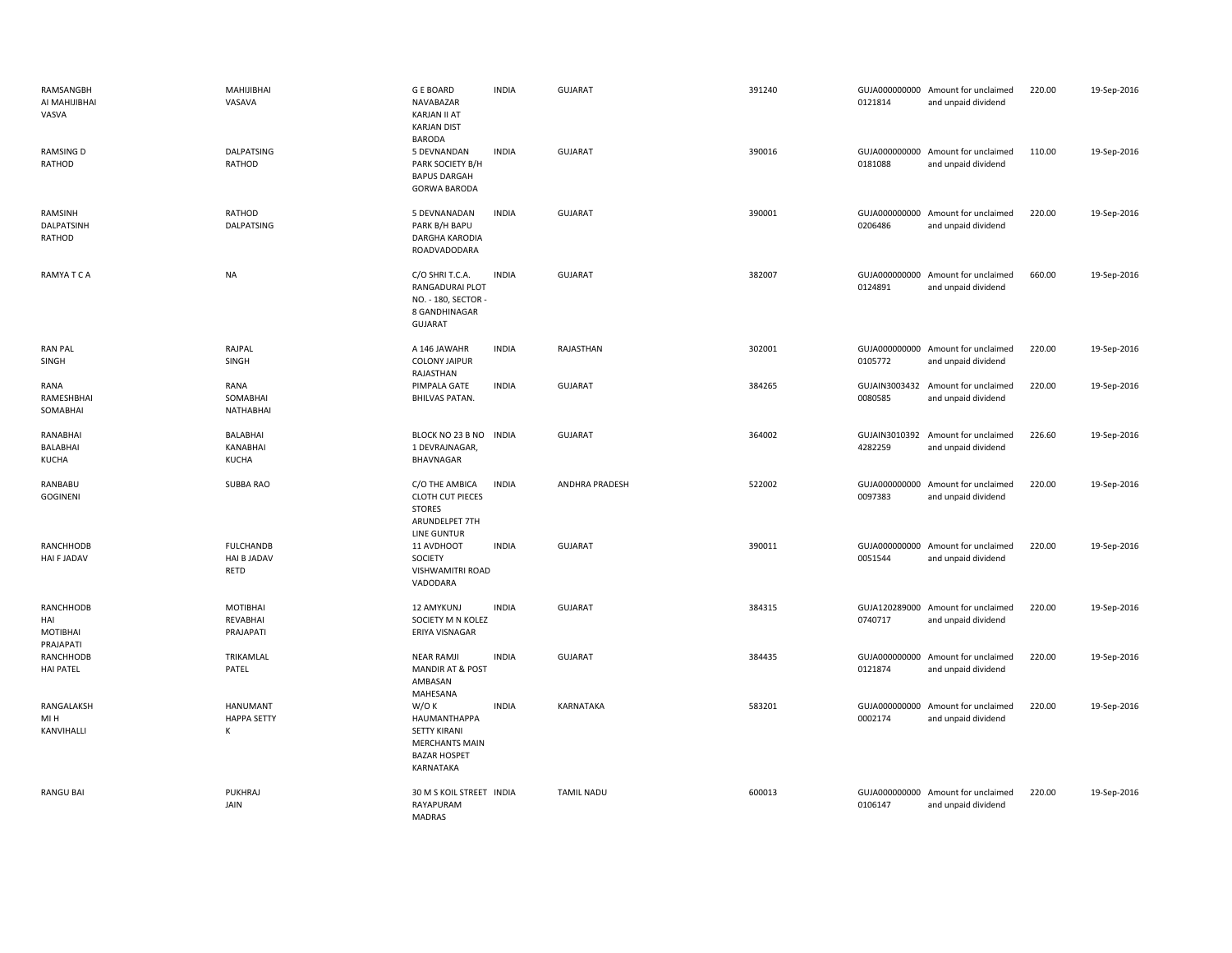| RAMSANGBH<br>AI MAHIJIBHAI<br>VASVA       | MAHIJIBHAI<br>VASAVA                           | <b>GE BOARD</b><br>NAVABAZAR<br>KARJAN II AT<br><b>KARJAN DIST</b><br><b>BARODA</b>                      | <b>INDIA</b> | <b>GUJARAT</b>    | 391240 | 0121814 | GUJA000000000 Amount for unclaimed<br>and unpaid dividend | 220.00 | 19-Sep-2016 |
|-------------------------------------------|------------------------------------------------|----------------------------------------------------------------------------------------------------------|--------------|-------------------|--------|---------|-----------------------------------------------------------|--------|-------------|
| <b>RAMSING D</b><br>RATHOD                | <b>DALPATSING</b><br>RATHOD                    | 5 DEVNANDAN<br>PARK SOCIETY B/H<br><b>BAPUS DARGAH</b><br><b>GORWA BARODA</b>                            | <b>INDIA</b> | <b>GUJARAT</b>    | 390016 | 0181088 | GUJA000000000 Amount for unclaimed<br>and unpaid dividend | 110.00 | 19-Sep-2016 |
| RAMSINH<br>DALPATSINH<br>RATHOD           | RATHOD<br>DALPATSING                           | 5 DEVNANADAN<br>PARK B/H BAPU<br>DARGHA KARODIA<br>ROADVADODARA                                          | <b>INDIA</b> | GUJARAT           | 390001 | 0206486 | GUJA000000000 Amount for unclaimed<br>and unpaid dividend | 220.00 | 19-Sep-2016 |
| RAMYA T C A                               | <b>NA</b>                                      | C/O SHRI T.C.A.<br>RANGADURAI PLOT<br>NO. - 180, SECTOR -<br>8 GANDHINAGAR<br><b>GUJARAT</b>             | <b>INDIA</b> | <b>GUJARAT</b>    | 382007 | 0124891 | GUJA000000000 Amount for unclaimed<br>and unpaid dividend | 660.00 | 19-Sep-2016 |
| <b>RAN PAL</b><br>SINGH                   | RAJPAL<br>SINGH                                | A 146 JAWAHR<br><b>COLONY JAIPUR</b><br>RAJASTHAN                                                        | <b>INDIA</b> | RAJASTHAN         | 302001 | 0105772 | GUJA000000000 Amount for unclaimed<br>and unpaid dividend | 220.00 | 19-Sep-2016 |
| RANA<br>RAMESHBHAI<br>SOMABHAI            | RANA<br>SOMABHAI<br>NATHABHAI                  | PIMPALA GATE<br><b>BHILVAS PATAN.</b>                                                                    | <b>INDIA</b> | <b>GUJARAT</b>    | 384265 | 0080585 | GUJAIN3003432 Amount for unclaimed<br>and unpaid dividend | 220.00 | 19-Sep-2016 |
| RANABHAI<br>BALABHAI<br><b>KUCHA</b>      | <b>BALABHAI</b><br>KANABHAI<br><b>KUCHA</b>    | BLOCK NO 23 B NO<br>1 DEVRAJNAGAR,<br>BHAVNAGAR                                                          | <b>INDIA</b> | GUJARAT           | 364002 | 4282259 | GUJAIN3010392 Amount for unclaimed<br>and unpaid dividend | 226.60 | 19-Sep-2016 |
| RANBABU<br><b>GOGINENI</b>                | SUBBA RAO                                      | C/O THE AMBICA<br><b>CLOTH CUT PIECES</b><br><b>STORES</b><br>ARUNDELPET 7TH<br>LINE GUNTUR              | <b>INDIA</b> | ANDHRA PRADESH    | 522002 | 0097383 | GUJA000000000 Amount for unclaimed<br>and unpaid dividend | 220.00 | 19-Sep-2016 |
| RANCHHODB<br>HAI F JADAV                  | <b>FULCHANDB</b><br><b>HAI B JADAV</b><br>RETD | 11 AVDHOOT<br>SOCIETY<br>VISHWAMITRI ROAD<br>VADODARA                                                    | <b>INDIA</b> | <b>GUJARAT</b>    | 390011 | 0051544 | GUJA000000000 Amount for unclaimed<br>and unpaid dividend | 220.00 | 19-Sep-2016 |
| RANCHHODB<br>HAI<br>MOTIBHAI<br>PRAJAPATI | <b>MOTIBHAI</b><br>REVABHAI<br>PRAJAPATI       | 12 AMYKUNJ<br>SOCIETY M N KOLEZ<br>ERIYA VISNAGAR                                                        | <b>INDIA</b> | <b>GUJARAT</b>    | 384315 | 0740717 | GUJA120289000 Amount for unclaimed<br>and unpaid dividend | 220.00 | 19-Sep-2016 |
| RANCHHODB<br><b>HAI PATEL</b>             | TRIKAMLAL<br>PATEL                             | <b>NEAR RAMJI</b><br><b>MANDIR AT &amp; POST</b><br>AMBASAN<br>MAHESANA                                  | <b>INDIA</b> | <b>GUJARAT</b>    | 384435 | 0121874 | GUJA000000000 Amount for unclaimed<br>and unpaid dividend | 220.00 | 19-Sep-2016 |
| RANGALAKSH<br>MI H<br>KANVIHALLI          | <b>HANUMANT</b><br><b>HAPPA SETTY</b><br>К     | W/OK<br>HAUMANTHAPPA<br><b>SETTY KIRANI</b><br><b>MERCHANTS MAIN</b><br><b>BAZAR HOSPET</b><br>KARNATAKA | <b>INDIA</b> | KARNATAKA         | 583201 | 0002174 | GUJA000000000 Amount for unclaimed<br>and unpaid dividend | 220.00 | 19-Sep-2016 |
| <b>RANGU BAI</b>                          | <b>PUKHRAJ</b><br>JAIN                         | 30 M S KOIL STREET INDIA<br>RAYAPURAM<br>MADRAS                                                          |              | <b>TAMIL NADU</b> | 600013 | 0106147 | GUJA000000000 Amount for unclaimed<br>and unpaid dividend | 220.00 | 19-Sep-2016 |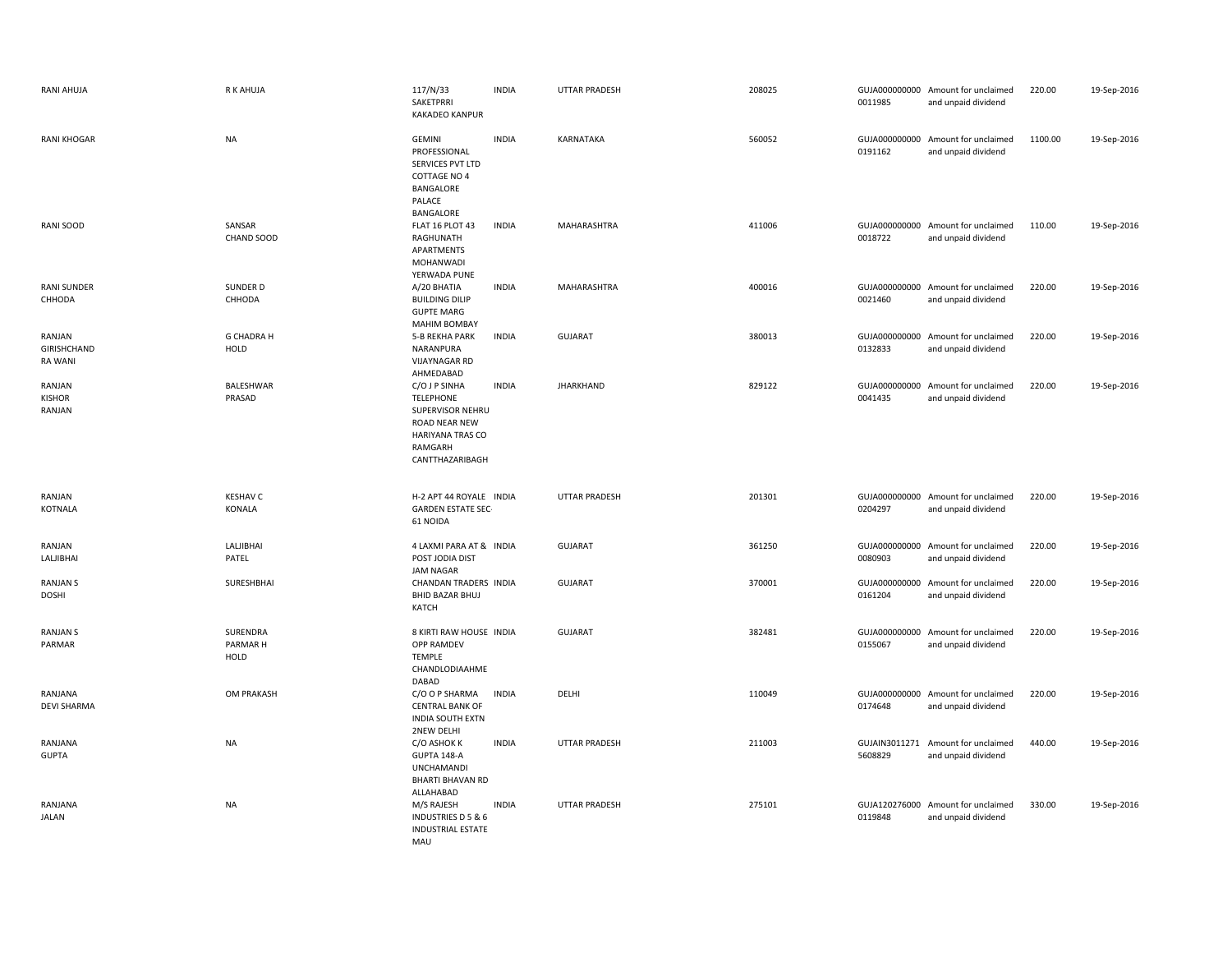| RANI AHUJA                        | R K AHUJA                    | 117/N/33<br>SAKETPRRI<br><b>KAKADEO KANPUR</b>                                                                           | <b>INDIA</b> | UTTAR PRADESH        | 208025 | 0011985                  | GUJA000000000 Amount for unclaimed<br>and unpaid dividend | 220.00  | 19-Sep-2016 |
|-----------------------------------|------------------------------|--------------------------------------------------------------------------------------------------------------------------|--------------|----------------------|--------|--------------------------|-----------------------------------------------------------|---------|-------------|
| <b>RANI KHOGAR</b>                | <b>NA</b>                    | <b>GEMINI</b><br>PROFESSIONAL<br>SERVICES PVT LTD<br><b>COTTAGE NO 4</b><br>BANGALORE<br>PALACE<br>BANGALORE             | <b>INDIA</b> | KARNATAKA            | 560052 | GUJA000000000<br>0191162 | Amount for unclaimed<br>and unpaid dividend               | 1100.00 | 19-Sep-2016 |
| RANI SOOD                         | SANSAR<br>CHAND SOOD         | FLAT 16 PLOT 43<br>RAGHUNATH<br>APARTMENTS<br>MOHANWADI<br>YERWADA PUNE                                                  | <b>INDIA</b> | MAHARASHTRA          | 411006 | 0018722                  | GUJA000000000 Amount for unclaimed<br>and unpaid dividend | 110.00  | 19-Sep-2016 |
| <b>RANI SUNDER</b><br>CHHODA      | SUNDER D<br>CHHODA           | A/20 BHATIA<br><b>BUILDING DILIP</b><br><b>GUPTE MARG</b><br><b>MAHIM BOMBAY</b>                                         | <b>INDIA</b> | MAHARASHTRA          | 400016 | 0021460                  | GUJA000000000 Amount for unclaimed<br>and unpaid dividend | 220.00  | 19-Sep-2016 |
| RANJAN<br>GIRISHCHAND<br>RA WANI  | <b>G CHADRA H</b><br>HOLD    | <b>5-B REKHA PARK</b><br>NARANPURA<br><b>VIJAYNAGAR RD</b><br>AHMEDABAD                                                  | <b>INDIA</b> | <b>GUJARAT</b>       | 380013 | 0132833                  | GUJA000000000 Amount for unclaimed<br>and unpaid dividend | 220.00  | 19-Sep-2016 |
| RANJAN<br><b>KISHOR</b><br>RANJAN | BALESHWAR<br>PRASAD          | C/O J P SINHA<br><b>TELEPHONE</b><br>SUPERVISOR NEHRU<br>ROAD NEAR NEW<br>HARIYANA TRAS CO<br>RAMGARH<br>CANTTHAZARIBAGH | <b>INDIA</b> | <b>JHARKHAND</b>     | 829122 | GUJA000000000<br>0041435 | Amount for unclaimed<br>and unpaid dividend               | 220.00  | 19-Sep-2016 |
| RANJAN<br><b>KOTNALA</b>          | <b>KESHAV C</b><br>KONALA    | H-2 APT 44 ROYALE INDIA<br><b>GARDEN ESTATE SEC-</b><br>61 NOIDA                                                         |              | <b>UTTAR PRADESH</b> | 201301 | 0204297                  | GUJA000000000 Amount for unclaimed<br>and unpaid dividend | 220.00  | 19-Sep-2016 |
| RANJAN<br>LALJIBHAI               | LALJIBHAI<br>PATEL           | 4 LAXMI PARA AT & INDIA<br>POST JODIA DIST<br><b>JAM NAGAR</b>                                                           |              | <b>GUJARAT</b>       | 361250 | 0080903                  | GUJA000000000 Amount for unclaimed<br>and unpaid dividend | 220.00  | 19-Sep-2016 |
| <b>RANJAN S</b><br><b>DOSHI</b>   | SURESHBHAI                   | CHANDAN TRADERS INDIA<br><b>BHID BAZAR BHUJ</b><br>KATCH                                                                 |              | <b>GUJARAT</b>       | 370001 | 0161204                  | GUJA000000000 Amount for unclaimed<br>and unpaid dividend | 220.00  | 19-Sep-2016 |
| <b>RANJAN S</b><br>PARMAR         | SURENDRA<br>PARMAR H<br>HOLD | 8 KIRTI RAW HOUSE INDIA<br><b>OPP RAMDEV</b>                                                                             |              | <b>GUJARAT</b>       | 382481 | GUJA000000000<br>0155067 | Amount for unclaimed<br>and unpaid dividend               | 220.00  | 19-Sep-2016 |
| RANJANA                           |                              | TEMPLE<br>CHANDLODIAAHME<br>DABAD                                                                                        |              |                      |        |                          |                                                           |         |             |
| <b>DEVI SHARMA</b>                | OM PRAKASH                   | C/O O P SHARMA<br><b>CENTRAL BANK OF</b><br><b>INDIA SOUTH EXTN</b><br><b>2NEW DELHI</b>                                 | <b>INDIA</b> | DELHI                | 110049 | 0174648                  | GUJA000000000 Amount for unclaimed<br>and unpaid dividend | 220.00  | 19-Sep-2016 |
| RANJANA<br><b>GUPTA</b>           | <b>NA</b>                    | C/O ASHOK K<br>GUPTA 148-A<br><b>UNCHAMANDI</b><br><b>BHARTI BHAVAN RD</b><br>ALLAHABAD                                  | <b>INDIA</b> | <b>UTTAR PRADESH</b> | 211003 | 5608829                  | GUJAIN3011271 Amount for unclaimed<br>and unpaid dividend | 440.00  | 19-Sep-2016 |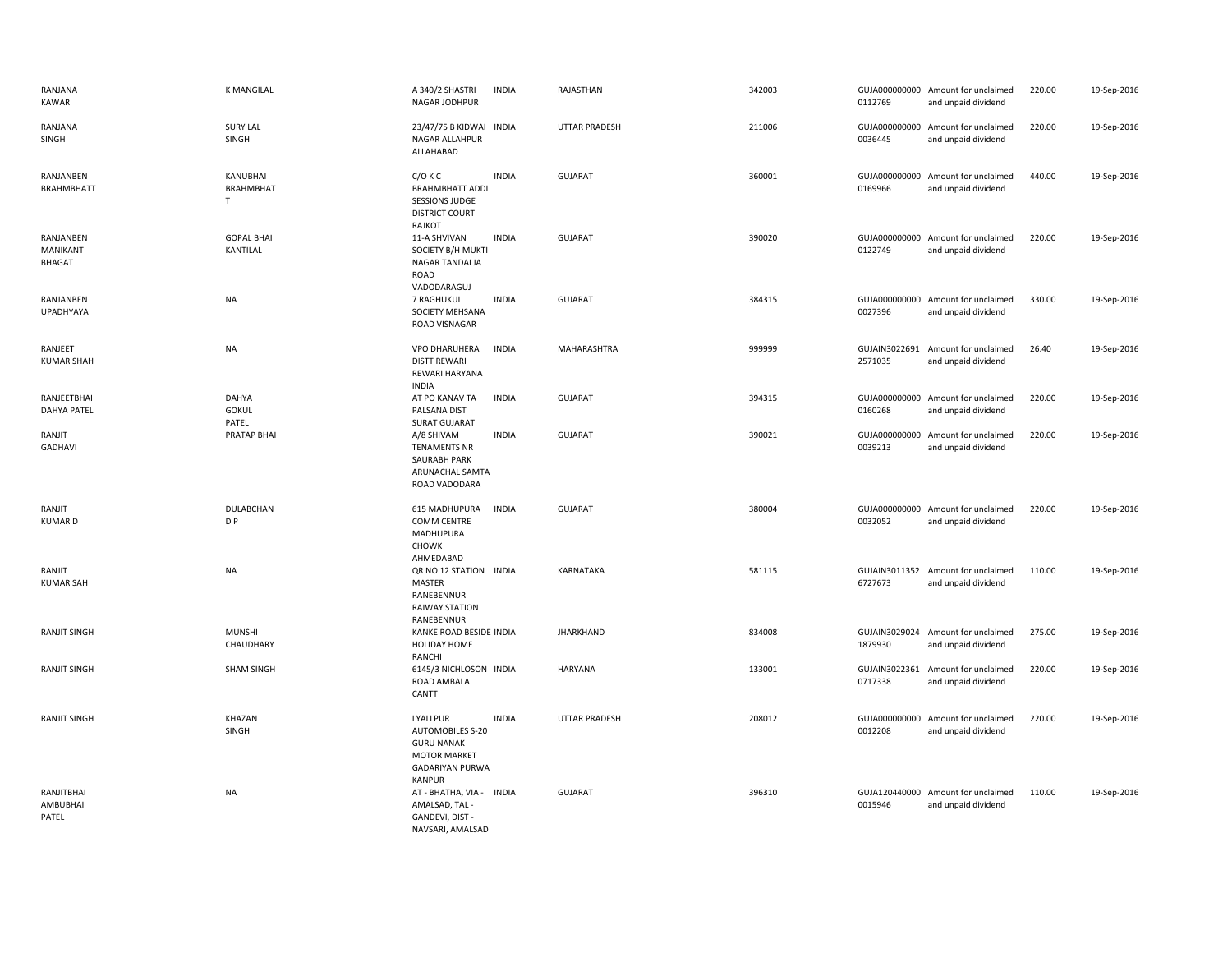| RANJANA<br>KAWAR                       | <b>K MANGILAL</b>                  | A 340/2 SHASTRI<br>NAGAR JODHPUR                                                                                           | <b>INDIA</b> | RAJASTHAN            | 342003 | 0112769                  | GUJA000000000 Amount for unclaimed<br>and unpaid dividend | 220.00 | 19-Sep-2016 |
|----------------------------------------|------------------------------------|----------------------------------------------------------------------------------------------------------------------------|--------------|----------------------|--------|--------------------------|-----------------------------------------------------------|--------|-------------|
| RANJANA<br>SINGH                       | <b>SURY LAL</b><br>SINGH           | 23/47/75 B KIDWAI INDIA<br>NAGAR ALLAHPUR<br>ALLAHABAD                                                                     |              | <b>UTTAR PRADESH</b> | 211006 | 0036445                  | GUJA000000000 Amount for unclaimed<br>and unpaid dividend | 220.00 | 19-Sep-2016 |
| RANJANBEN<br><b>BRAHMBHATT</b>         | KANUBHAI<br>BRAHMBHAT<br>T         | $C/O$ K $C$<br><b>BRAHMBHATT ADDL</b><br><b>SESSIONS JUDGE</b><br><b>DISTRICT COURT</b><br>RAJKOT                          | <b>INDIA</b> | <b>GUJARAT</b>       | 360001 | 0169966                  | GUJA000000000 Amount for unclaimed<br>and unpaid dividend | 440.00 | 19-Sep-2016 |
| RANJANBEN<br>MANIKANT<br><b>BHAGAT</b> | <b>GOPAL BHAI</b><br>KANTILAL      | 11-A SHVIVAN<br>SOCIETY B/H MUKTI<br>NAGAR TANDALJA<br>ROAD<br>VADODARAGUJ                                                 | <b>INDIA</b> | <b>GUJARAT</b>       | 390020 | 0122749                  | GUJA000000000 Amount for unclaimed<br>and unpaid dividend | 220.00 | 19-Sep-2016 |
| RANJANBEN<br>UPADHYAYA                 | <b>NA</b>                          | 7 RAGHUKUL<br>SOCIETY MEHSANA<br>ROAD VISNAGAR                                                                             | <b>INDIA</b> | <b>GUJARAT</b>       | 384315 | 0027396                  | GUJA000000000 Amount for unclaimed<br>and unpaid dividend | 330.00 | 19-Sep-2016 |
| RANJEET<br><b>KUMAR SHAH</b>           | <b>NA</b>                          | VPO DHARUHERA<br><b>DISTT REWARI</b><br>REWARI HARYANA<br><b>INDIA</b>                                                     | <b>INDIA</b> | MAHARASHTRA          | 999999 | 2571035                  | GUJAIN3022691 Amount for unclaimed<br>and unpaid dividend | 26.40  | 19-Sep-2016 |
| RANJEETBHAI<br><b>DAHYA PATEL</b>      | DAHYA<br><b>GOKUL</b><br>PATEL     | AT PO KANAV TA<br>PALSANA DIST<br><b>SURAT GUJARAT</b>                                                                     | <b>INDIA</b> | <b>GUJARAT</b>       | 394315 | 0160268                  | GUJA000000000 Amount for unclaimed<br>and unpaid dividend | 220.00 | 19-Sep-2016 |
| RANJIT<br>GADHAVI                      | PRATAP BHAI                        | A/8 SHIVAM<br><b>TENAMENTS NR</b><br><b>SAURABH PARK</b><br>ARUNACHAL SAMTA<br>ROAD VADODARA                               | <b>INDIA</b> | <b>GUJARAT</b>       | 390021 | 0039213                  | GUJA000000000 Amount for unclaimed<br>and unpaid dividend | 220.00 | 19-Sep-2016 |
| RANJIT<br><b>KUMARD</b>                | <b>DULABCHAN</b><br>D <sub>P</sub> | 615 MADHUPURA<br><b>COMM CENTRE</b><br>MADHUPURA<br><b>CHOWK</b><br>AHMEDABAD                                              | <b>INDIA</b> | <b>GUJARAT</b>       | 380004 | 0032052                  | GUJA000000000 Amount for unclaimed<br>and unpaid dividend | 220.00 | 19-Sep-2016 |
| RANJIT<br><b>KUMAR SAH</b>             | <b>NA</b>                          | QR NO 12 STATION INDIA<br>MASTER<br>RANEBENNUR<br>RAIWAY STATION<br>RANEBENNUR                                             |              | KARNATAKA            | 581115 | 6727673                  | GUJAIN3011352 Amount for unclaimed<br>and unpaid dividend | 110.00 | 19-Sep-2016 |
| <b>RANJIT SINGH</b>                    | <b>MUNSHI</b><br>CHAUDHARY         | KANKE ROAD BESIDE INDIA<br><b>HOLIDAY HOME</b><br>RANCHI                                                                   |              | <b>JHARKHAND</b>     | 834008 | 1879930                  | GUJAIN3029024 Amount for unclaimed<br>and unpaid dividend | 275.00 | 19-Sep-2016 |
| <b>RANJIT SINGH</b>                    | <b>SHAM SINGH</b>                  | 6145/3 NICHLOSON INDIA<br>ROAD AMBALA<br>CANTT                                                                             |              | <b>HARYANA</b>       | 133001 | GUJAIN3022361<br>0717338 | Amount for unclaimed<br>and unpaid dividend               | 220.00 | 19-Sep-2016 |
| <b>RANJIT SINGH</b>                    | KHAZAN<br>SINGH                    | LYALLPUR<br><b>AUTOMOBILES S-20</b><br><b>GURU NANAK</b><br><b>MOTOR MARKET</b><br><b>GADARIYAN PURWA</b><br><b>KANPUR</b> | <b>INDIA</b> | <b>UTTAR PRADESH</b> | 208012 | 0012208                  | GUJA000000000 Amount for unclaimed<br>and unpaid dividend | 220.00 | 19-Sep-2016 |
| RANJITBHAI<br>AMBUBHAI<br>PATEL        | NA                                 | AT - BHATHA, VIA - INDIA<br>AMALSAD, TAL -<br>GANDEVI, DIST -<br>NAVSARI, AMALSAD                                          |              | <b>GUJARAT</b>       | 396310 | 0015946                  | GUJA120440000 Amount for unclaimed<br>and unpaid dividend | 110.00 | 19-Sep-2016 |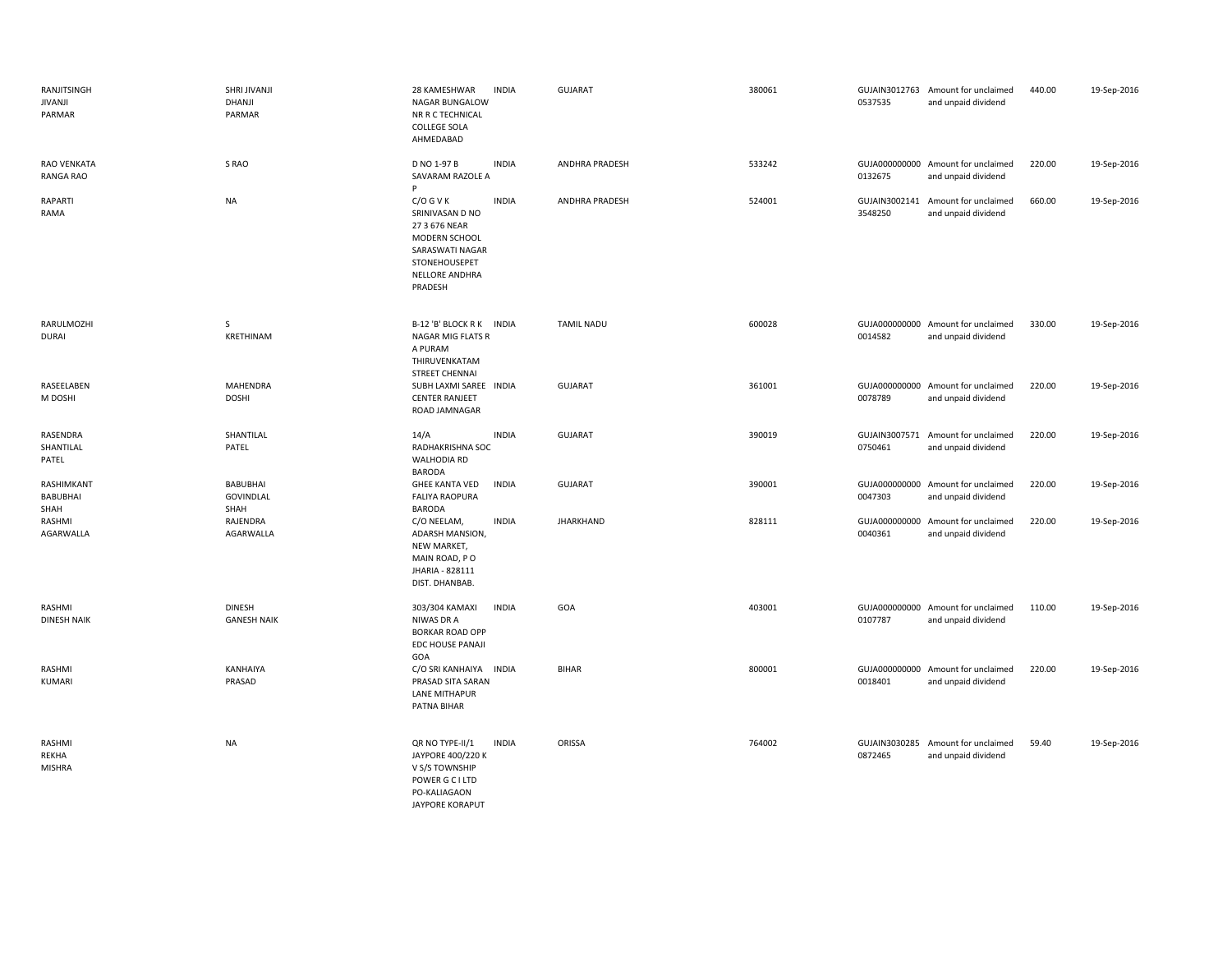| RANJITSINGH<br>JIVANJI<br>PARMAR | SHRI JIVANJI<br>DHANJI<br>PARMAR            | 28 KAMESHWAR<br>NAGAR BUNGALOW<br>NR R C TECHNICAL<br><b>COLLEGE SOLA</b><br>AHMEDABAD                                            | <b>INDIA</b> | GUJARAT               | 380061 | 0537535                  | GUJAIN3012763 Amount for unclaimed<br>and unpaid dividend | 440.00 | 19-Sep-2016 |
|----------------------------------|---------------------------------------------|-----------------------------------------------------------------------------------------------------------------------------------|--------------|-----------------------|--------|--------------------------|-----------------------------------------------------------|--------|-------------|
| <b>RAO VENKATA</b><br>RANGA RAO  | S RAO                                       | D NO 1-97 B<br>SAVARAM RAZOLE A<br>Þ                                                                                              | <b>INDIA</b> | <b>ANDHRA PRADESH</b> | 533242 | 0132675                  | GUJA000000000 Amount for unclaimed<br>and unpaid dividend | 220.00 | 19-Sep-2016 |
| RAPARTI<br>RAMA                  | <b>NA</b>                                   | $C/O$ G V K<br>SRINIVASAN D NO<br>27 3 676 NEAR<br>MODERN SCHOOL<br>SARASWATI NAGAR<br>STONEHOUSEPET<br>NELLORE ANDHRA<br>PRADESH | <b>INDIA</b> | ANDHRA PRADESH        | 524001 | 3548250                  | GUJAIN3002141 Amount for unclaimed<br>and unpaid dividend | 660.00 | 19-Sep-2016 |
| RARULMOZHI<br>DURAI              | S<br>KRETHINAM                              | B-12 'B' BLOCK R K INDIA<br>NAGAR MIG FLATS R<br>A PURAM<br>THIRUVENKATAM<br><b>STREET CHENNAI</b>                                |              | <b>TAMIL NADU</b>     | 600028 | 0014582                  | GUJA000000000 Amount for unclaimed<br>and unpaid dividend | 330.00 | 19-Sep-2016 |
| RASEELABEN<br>M DOSHI            | <b>MAHENDRA</b><br><b>DOSHI</b>             | SUBH LAXMI SAREE INDIA<br><b>CENTER RANJEET</b><br>ROAD JAMNAGAR                                                                  |              | <b>GUJARAT</b>        | 361001 | 0078789                  | GUJA000000000 Amount for unclaimed<br>and unpaid dividend | 220.00 | 19-Sep-2016 |
| RASENDRA<br>SHANTILAL<br>PATEL   | SHANTILAL<br>PATEL                          | 14/A<br>RADHAKRISHNA SOC<br><b>WALHODIA RD</b><br><b>BARODA</b>                                                                   | <b>INDIA</b> | <b>GUJARAT</b>        | 390019 | 0750461                  | GUJAIN3007571 Amount for unclaimed<br>and unpaid dividend | 220.00 | 19-Sep-2016 |
| RASHIMKANT<br>BABUBHAI<br>SHAH   | <b>BABUBHAI</b><br><b>GOVINDLAL</b><br>SHAH | <b>GHEE KANTA VED</b><br><b>FALIYA RAOPURA</b><br><b>BARODA</b>                                                                   | <b>INDIA</b> | <b>GUJARAT</b>        | 390001 | 0047303                  | GUJA000000000 Amount for unclaimed<br>and unpaid dividend | 220.00 | 19-Sep-2016 |
| RASHMI<br>AGARWALLA              | RAJENDRA<br>AGARWALLA                       | C/O NEELAM,<br>ADARSH MANSION,<br>NEW MARKET,<br>MAIN ROAD, PO<br>JHARIA - 828111<br>DIST. DHANBAB.                               | <b>INDIA</b> | <b>JHARKHAND</b>      | 828111 | 0040361                  | GUJA000000000 Amount for unclaimed<br>and unpaid dividend | 220.00 | 19-Sep-2016 |
| RASHMI<br>DINESH NAIK            | <b>DINESH</b><br><b>GANESH NAIK</b>         | 303/304 KAMAXI<br>NIWAS DR A<br><b>BORKAR ROAD OPP</b><br><b>EDC HOUSE PANAJI</b><br>GOA                                          | <b>INDIA</b> | GOA                   | 403001 | 0107787                  | GUJA000000000 Amount for unclaimed<br>and unpaid dividend | 110.00 | 19-Sep-2016 |
| RASHMI<br>KUMARI                 | KANHAIYA<br>PRASAD                          | C/O SRI KANHAIYA INDIA<br>PRASAD SITA SARAN<br>LANE MITHAPUR<br>PATNA BIHAR                                                       |              | <b>BIHAR</b>          | 800001 | 0018401                  | GUJA000000000 Amount for unclaimed<br>and unpaid dividend | 220.00 | 19-Sep-2016 |
| RASHMI<br>REKHA<br><b>MISHRA</b> | <b>NA</b>                                   | QR NO TYPE-II/1<br>JAYPORE 400/220 K<br>V S/S TOWNSHIP<br>POWER G C I LTD<br>PO-KALIAGAON<br><b>JAYPORE KORAPUT</b>               | <b>INDIA</b> | ORISSA                | 764002 | GUJAIN3030285<br>0872465 | Amount for unclaimed<br>and unpaid dividend               | 59.40  | 19-Sep-2016 |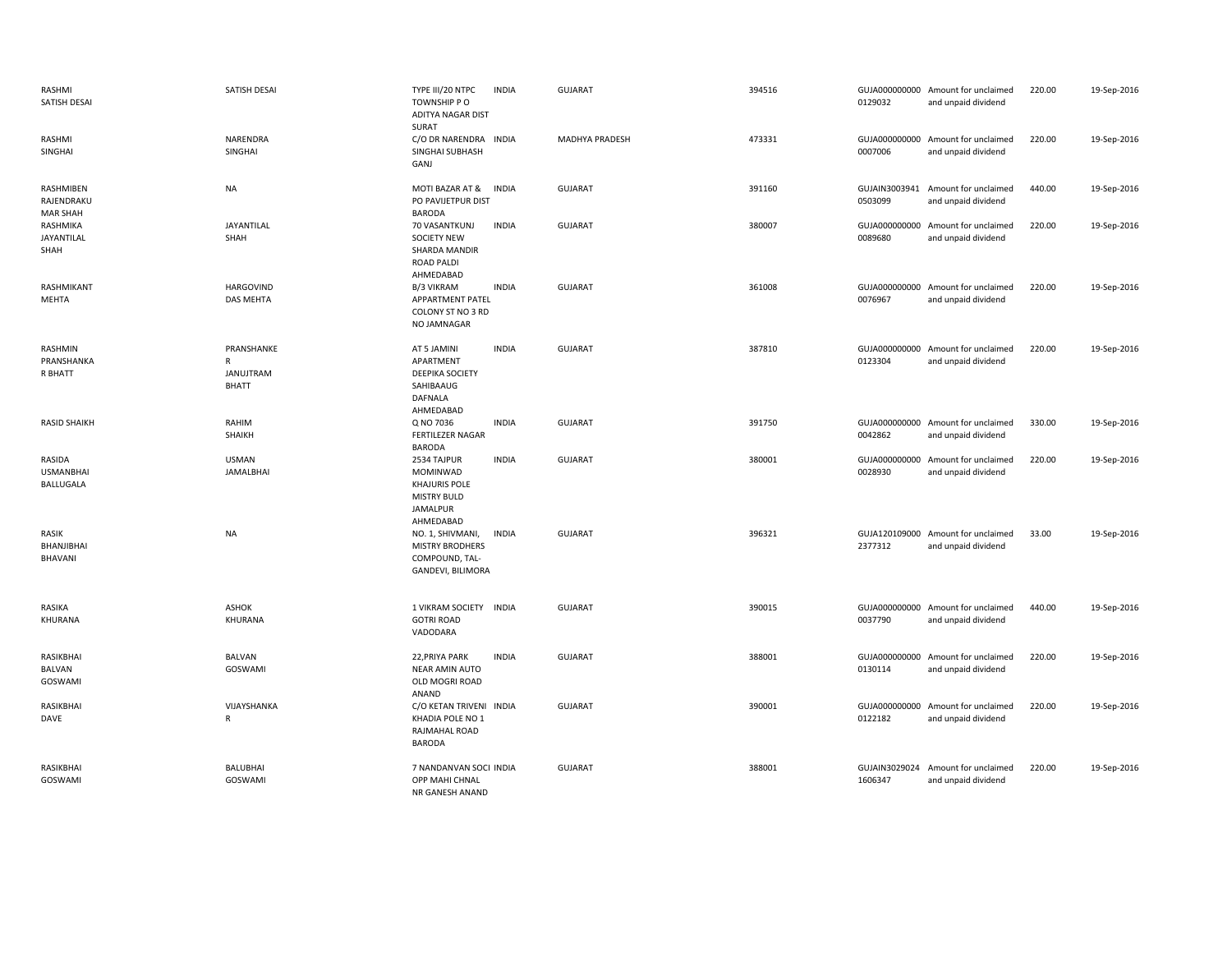| RASHMI<br>SATISH DESAI                     | SATISH DESAI                                                   | TYPE III/20 NTPC<br><b>INDIA</b><br>TOWNSHIP PO<br>ADITYA NAGAR DIST<br>SURAT                                  | <b>GUJARAT</b> | 394516 | 0129032                  | GUJA000000000 Amount for unclaimed<br>and unpaid dividend | 220.00 | 19-Sep-2016 |
|--------------------------------------------|----------------------------------------------------------------|----------------------------------------------------------------------------------------------------------------|----------------|--------|--------------------------|-----------------------------------------------------------|--------|-------------|
| RASHMI<br>SINGHAI                          | NARENDRA<br>SINGHAI                                            | C/O DR NARENDRA INDIA<br>SINGHAI SUBHASH<br>GANJ                                                               | MADHYA PRADESH | 473331 | 0007006                  | GUJA000000000 Amount for unclaimed<br>and unpaid dividend | 220.00 | 19-Sep-2016 |
| RASHMIBEN<br>RAJENDRAKU<br><b>MAR SHAH</b> | <b>NA</b>                                                      | MOTI BAZAR AT &<br><b>INDIA</b><br>PO PAVIJETPUR DIST<br><b>BARODA</b>                                         | <b>GUJARAT</b> | 391160 | 0503099                  | GUJAIN3003941 Amount for unclaimed<br>and unpaid dividend | 440.00 | 19-Sep-2016 |
| RASHMIKA<br>JAYANTILAL<br>SHAH             | JAYANTILAL<br>SHAH                                             | <b>INDIA</b><br>70 VASANTKUNJ<br><b>SOCIETY NEW</b><br>SHARDA MANDIR<br><b>ROAD PALDI</b><br>AHMEDABAD         | GUJARAT        | 380007 | 0089680                  | GUJA000000000 Amount for unclaimed<br>and unpaid dividend | 220.00 | 19-Sep-2016 |
| RASHMIKANT<br>MEHTA                        | <b>HARGOVIND</b><br><b>DAS MEHTA</b>                           | <b>INDIA</b><br><b>B/3 VIKRAM</b><br>APPARTMENT PATEL<br>COLONY ST NO 3 RD<br>NO JAMNAGAR                      | <b>GUJARAT</b> | 361008 | 0076967                  | GUJA000000000 Amount for unclaimed<br>and unpaid dividend | 220.00 | 19-Sep-2016 |
| RASHMIN<br>PRANSHANKA<br>R BHATT           | PRANSHANKE<br>$\mathsf{R}$<br><b>JANUJTRAM</b><br><b>BHATT</b> | AT 5 JAMINI<br><b>INDIA</b><br>APARTMENT<br>DEEPIKA SOCIETY<br>SAHIBAAUG<br><b>DAFNALA</b><br>AHMEDABAD        | GUJARAT        | 387810 | GUJA000000000<br>0123304 | Amount for unclaimed<br>and unpaid dividend               | 220.00 | 19-Sep-2016 |
| <b>RASID SHAIKH</b>                        | RAHIM<br>SHAIKH                                                | Q NO 7036<br><b>INDIA</b><br>FERTILEZER NAGAR<br><b>BARODA</b>                                                 | <b>GUJARAT</b> | 391750 | 0042862                  | GUJA000000000 Amount for unclaimed<br>and unpaid dividend | 330.00 | 19-Sep-2016 |
| RASIDA<br><b>USMANBHAI</b><br>BALLUGALA    | <b>USMAN</b><br><b>JAMALBHAI</b>                               | 2534 TAJPUR<br><b>INDIA</b><br>MOMINWAD<br><b>KHAJURIS POLE</b><br><b>MISTRY BULD</b><br>JAMALPUR<br>AHMEDABAD | GUJARAT        | 380001 | GUJA000000000<br>0028930 | Amount for unclaimed<br>and unpaid dividend               | 220.00 | 19-Sep-2016 |
| RASIK<br>BHANJIBHAI<br>BHAVANI             | <b>NA</b>                                                      | <b>INDIA</b><br>NO. 1, SHIVMANI,<br><b>MISTRY BRODHERS</b><br>COMPOUND, TAL-<br>GANDEVI, BILIMORA              | <b>GUJARAT</b> | 396321 | 2377312                  | GUJA120109000 Amount for unclaimed<br>and unpaid dividend | 33.00  | 19-Sep-2016 |
| RASIKA<br>KHURANA                          | ASHOK<br>KHURANA                                               | 1 VIKRAM SOCIETY INDIA<br><b>GOTRI ROAD</b><br>VADODARA                                                        | <b>GUJARAT</b> | 390015 | 0037790                  | GUJA000000000 Amount for unclaimed<br>and unpaid dividend | 440.00 | 19-Sep-2016 |
| RASIKBHAI<br>BALVAN<br>GOSWAMI             | <b>BALVAN</b><br>GOSWAMI                                       | 22, PRIYA PARK<br><b>INDIA</b><br>NEAR AMIN AUTO<br>OLD MOGRI ROAD<br>ANAND                                    | <b>GUJARAT</b> | 388001 | 0130114                  | GUJA000000000 Amount for unclaimed<br>and unpaid dividend | 220.00 | 19-Sep-2016 |
| RASIKBHAI<br>DAVE                          | VIJAYSHANKA<br>R                                               | C/O KETAN TRIVENI INDIA<br>KHADIA POLE NO 1<br>RAJMAHAL ROAD<br><b>BARODA</b>                                  | GUJARAT        | 390001 | 0122182                  | GUJA000000000 Amount for unclaimed<br>and unpaid dividend | 220.00 | 19-Sep-2016 |
| RASIKBHAI<br>GOSWAMI                       | <b>BALUBHAI</b><br>GOSWAMI                                     | 7 NANDANVAN SOCI INDIA<br>OPP MAHI CHNAL<br>NR GANESH ANAND                                                    | <b>GUJARAT</b> | 388001 | GUJAIN3029024<br>1606347 | Amount for unclaimed<br>and unpaid dividend               | 220.00 | 19-Sep-2016 |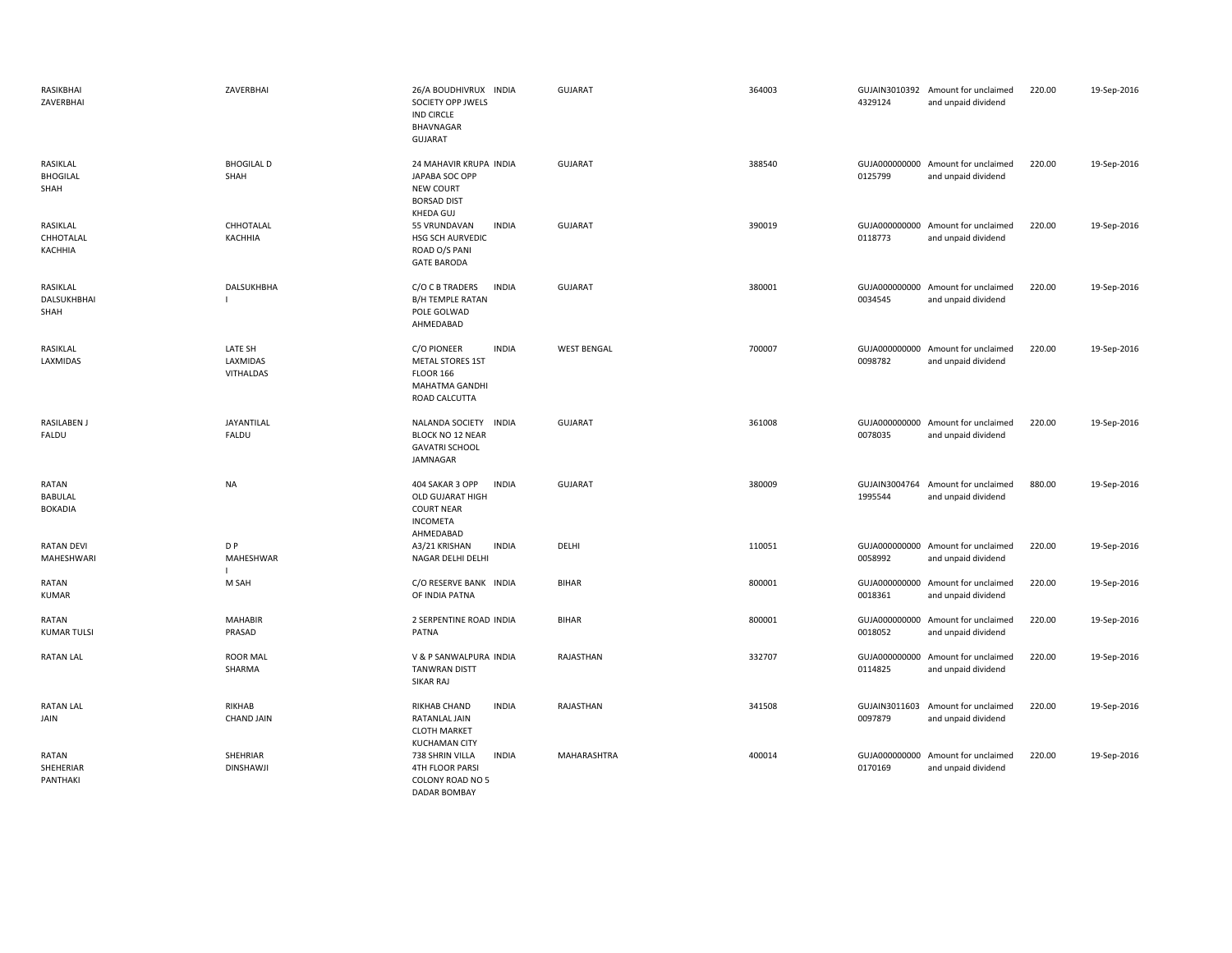| RASIKBHAI<br>ZAVERBHAI              | ZAVERBHAI                        | 26/A BOUDHIVRUX INDIA<br>SOCIETY OPP JWELS<br><b>IND CIRCLE</b><br>BHAVNAGAR<br><b>GUJARAT</b>                       | <b>GUJARAT</b>     | 364003 | 4329124                  | GUJAIN3010392 Amount for unclaimed<br>and unpaid dividend | 220.00 | 19-Sep-2016 |
|-------------------------------------|----------------------------------|----------------------------------------------------------------------------------------------------------------------|--------------------|--------|--------------------------|-----------------------------------------------------------|--------|-------------|
| RASIKLAL<br><b>BHOGILAL</b><br>SHAH | <b>BHOGILAL D</b><br>SHAH        | 24 MAHAVIR KRUPA INDIA<br>JAPABA SOC OPP<br><b>NEW COURT</b><br><b>BORSAD DIST</b><br>KHEDA GUJ                      | <b>GUJARAT</b>     | 388540 | 0125799                  | GUJA000000000 Amount for unclaimed<br>and unpaid dividend | 220.00 | 19-Sep-2016 |
| RASIKLAL<br>CHHOTALAL<br>KACHHIA    | CHHOTALAL<br>KACHHIA             | 55 VRUNDAVAN<br><b>INDIA</b><br>HSG SCH AURVEDIC<br>ROAD O/S PANI<br><b>GATE BARODA</b>                              | <b>GUJARAT</b>     | 390019 | 0118773                  | GUJA000000000 Amount for unclaimed<br>and unpaid dividend | 220.00 | 19-Sep-2016 |
| RASIKLAL<br>DALSUKHBHAI<br>SHAH     | DALSUKHBHA                       | <b>INDIA</b><br>C/O C B TRADERS<br>B/H TEMPLE RATAN<br>POLE GOLWAD<br>AHMEDABAD                                      | <b>GUJARAT</b>     | 380001 | GUJA000000000<br>0034545 | Amount for unclaimed<br>and unpaid dividend               | 220.00 | 19-Sep-2016 |
| RASIKLAL<br>LAXMIDAS                | LATE SH<br>LAXMIDAS<br>VITHALDAS | <b>INDIA</b><br>C/O PIONEER<br><b>METAL STORES 1ST</b><br><b>FLOOR 166</b><br><b>MAHATMA GANDHI</b><br>ROAD CALCUTTA | <b>WEST BENGAL</b> | 700007 | GUJA000000000<br>0098782 | Amount for unclaimed<br>and unpaid dividend               | 220.00 | 19-Sep-2016 |
| RASILABEN J<br>FALDU                | JAYANTILAL<br>FALDU              | NALANDA SOCIETY<br><b>INDIA</b><br>BLOCK NO 12 NEAR<br><b>GAVATRI SCHOOL</b><br>JAMNAGAR                             | <b>GUJARAT</b>     | 361008 | 0078035                  | GUJA000000000 Amount for unclaimed<br>and unpaid dividend | 220.00 | 19-Sep-2016 |
| RATAN<br>BABULAL<br><b>BOKADIA</b>  | <b>NA</b>                        | 404 SAKAR 3 OPP<br><b>INDIA</b><br>OLD GUJARAT HIGH<br><b>COURT NEAR</b><br><b>INCOMETA</b><br>AHMEDABAD             | <b>GUJARAT</b>     | 380009 | GUJAIN3004764<br>1995544 | Amount for unclaimed<br>and unpaid dividend               | 880.00 | 19-Sep-2016 |
| <b>RATAN DEVI</b><br>MAHESHWARI     | D <sub>P</sub><br>MAHESHWAR      | <b>INDIA</b><br>A3/21 KRISHAN<br>NAGAR DELHI DELHI                                                                   | DELHI              | 110051 | 0058992                  | GUJA000000000 Amount for unclaimed<br>and unpaid dividend | 220.00 | 19-Sep-2016 |
| RATAN<br><b>KUMAR</b>               | M SAH                            | C/O RESERVE BANK INDIA<br>OF INDIA PATNA                                                                             | <b>BIHAR</b>       | 800001 | 0018361                  | GUJA000000000 Amount for unclaimed<br>and unpaid dividend | 220.00 | 19-Sep-2016 |
| RATAN<br><b>KUMAR TULSI</b>         | <b>MAHABIR</b><br>PRASAD         | 2 SERPENTINE ROAD INDIA<br>PATNA                                                                                     | <b>BIHAR</b>       | 800001 | 0018052                  | GUJA000000000 Amount for unclaimed<br>and unpaid dividend | 220.00 | 19-Sep-2016 |
| <b>RATAN LAL</b>                    | <b>ROOR MAL</b><br>SHARMA        | V & P SANWALPURA INDIA<br><b>TANWRAN DISTT</b><br>SIKAR RAJ                                                          | RAJASTHAN          | 332707 | GUJA000000000<br>0114825 | Amount for unclaimed<br>and unpaid dividend               | 220.00 | 19-Sep-2016 |
| <b>RATAN LAL</b><br>JAIN            | RIKHAB<br><b>CHAND JAIN</b>      | <b>INDIA</b><br>RIKHAB CHAND<br>RATANLAL JAIN<br><b>CLOTH MARKET</b><br><b>KUCHAMAN CITY</b>                         | RAJASTHAN          | 341508 | 0097879                  | GUJAIN3011603 Amount for unclaimed<br>and unpaid dividend | 220.00 | 19-Sep-2016 |
| RATAN<br>SHEHERIAR<br>PANTHAKI      | SHEHRIAR<br><b>DINSHAWJI</b>     | <b>INDIA</b><br>738 SHRIN VILLA<br><b>4TH FLOOR PARSI</b><br>COLONY ROAD NO 5<br><b>DADAR BOMBAY</b>                 | MAHARASHTRA        | 400014 | 0170169                  | GUJA000000000 Amount for unclaimed<br>and unpaid dividend | 220.00 | 19-Sep-2016 |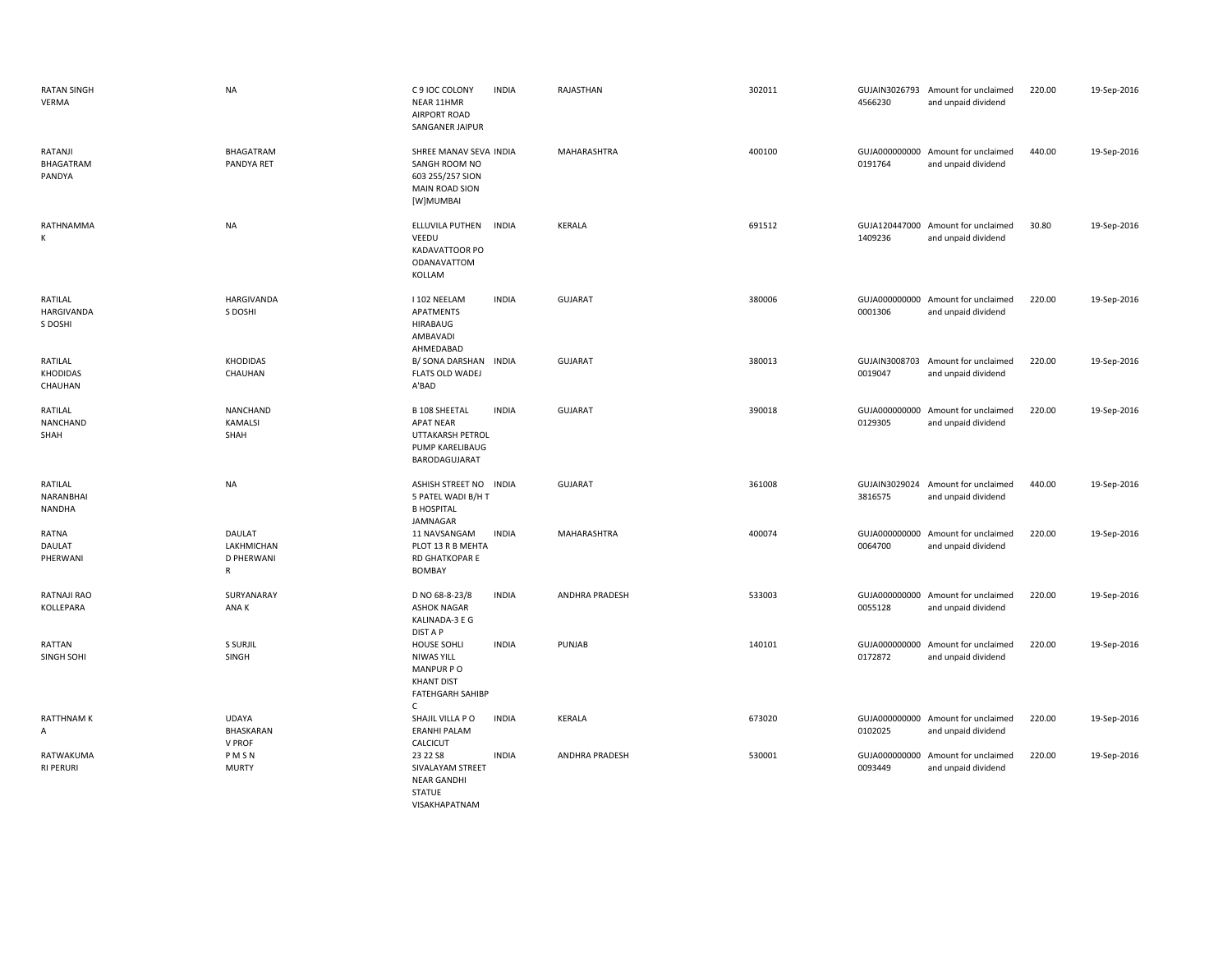| <b>RATAN SINGH</b><br>VERMA           | <b>NA</b>                                              | C 9 IOC COLONY<br>NEAR 11HMR<br>AIRPORT ROAD<br>SANGANER JAIPUR                                                      | <b>INDIA</b> | RAJASTHAN      | 302011 | 4566230                  | GUJAIN3026793 Amount for unclaimed<br>and unpaid dividend | 220.00 | 19-Sep-2016 |
|---------------------------------------|--------------------------------------------------------|----------------------------------------------------------------------------------------------------------------------|--------------|----------------|--------|--------------------------|-----------------------------------------------------------|--------|-------------|
| RATANJI<br>BHAGATRAM<br>PANDYA        | BHAGATRAM<br>PANDYA RET                                | SHREE MANAV SEVA INDIA<br>SANGH ROOM NO<br>603 255/257 SION<br><b>MAIN ROAD SION</b><br>[W]MUMBAI                    |              | MAHARASHTRA    | 400100 | 0191764                  | GUJA000000000 Amount for unclaimed<br>and unpaid dividend | 440.00 | 19-Sep-2016 |
| RATHNAMMA<br>К                        | <b>NA</b>                                              | ELLUVILA PUTHEN<br>VEEDU<br>KADAVATTOOR PO<br>ODANAVATTOM<br>KOLLAM                                                  | <b>INDIA</b> | KERALA         | 691512 | 1409236                  | GUJA120447000 Amount for unclaimed<br>and unpaid dividend | 30.80  | 19-Sep-2016 |
| RATILAL<br>HARGIVANDA<br>S DOSHI      | <b>HARGIVANDA</b><br>S DOSHI                           | I 102 NEELAM<br><b>APATMENTS</b><br><b>HIRABAUG</b><br>AMBAVADI<br>AHMEDABAD                                         | <b>INDIA</b> | <b>GUJARAT</b> | 380006 | 0001306                  | GUJA000000000 Amount for unclaimed<br>and unpaid dividend | 220.00 | 19-Sep-2016 |
| RATILAL<br><b>KHODIDAS</b><br>CHAUHAN | <b>KHODIDAS</b><br>CHAUHAN                             | B/ SONA DARSHAN INDIA<br><b>FLATS OLD WADEJ</b><br>A'BAD                                                             |              | <b>GUJARAT</b> | 380013 | 0019047                  | GUJAIN3008703 Amount for unclaimed<br>and unpaid dividend | 220.00 | 19-Sep-2016 |
| RATILAL<br>NANCHAND<br>SHAH           | NANCHAND<br><b>KAMALSI</b><br>SHAH                     | <b>B 108 SHEETAL</b><br><b>APAT NEAR</b><br>UTTAKARSH PETROL<br>PUMP KARELIBAUG<br>BARODAGUJARAT                     | <b>INDIA</b> | <b>GUJARAT</b> | 390018 | GUJA000000000<br>0129305 | Amount for unclaimed<br>and unpaid dividend               | 220.00 | 19-Sep-2016 |
| RATILAL<br>NARANBHAI<br>NANDHA        | <b>NA</b>                                              | ASHISH STREET NO INDIA<br>5 PATEL WADI B/H T<br><b>B HOSPITAL</b><br>JAMNAGAR                                        |              | <b>GUJARAT</b> | 361008 | 3816575                  | GUJAIN3029024 Amount for unclaimed<br>and unpaid dividend | 440.00 | 19-Sep-2016 |
| RATNA<br>DAULAT<br>PHERWANI           | DAULAT<br>LAKHMICHAN<br><b>D PHERWANI</b><br>${\sf R}$ | 11 NAVSANGAM<br>PLOT 13 R B MEHTA<br>RD GHATKOPAR E<br>BOMBAY                                                        | <b>INDIA</b> | MAHARASHTRA    | 400074 | 0064700                  | GUJA000000000 Amount for unclaimed<br>and unpaid dividend | 220.00 | 19-Sep-2016 |
| RATNAJI RAO<br>KOLLEPARA              | SURYANARAY<br>ANA K                                    | D NO 68-8-23/8<br><b>ASHOK NAGAR</b><br>KALINADA-3 E G<br>DIST A P                                                   | <b>INDIA</b> | ANDHRA PRADESH | 533003 | 0055128                  | GUJA000000000 Amount for unclaimed<br>and unpaid dividend | 220.00 | 19-Sep-2016 |
| RATTAN<br>SINGH SOHI                  | S SURJIL<br>SINGH                                      | <b>HOUSE SOHLI</b><br><b>NIWAS YILL</b><br>MANPUR PO<br><b>KHANT DIST</b><br><b>FATEHGARH SAHIBP</b><br>$\mathsf{C}$ | <b>INDIA</b> | PUNJAB         | 140101 | 0172872                  | GUJA000000000 Amount for unclaimed<br>and unpaid dividend | 220.00 | 19-Sep-2016 |
| <b>RATTHNAM K</b><br>A                | <b>UDAYA</b><br>BHASKARAN<br>V PROF                    | SHAJIL VILLA PO<br><b>ERANHI PALAM</b><br>CALCICUT                                                                   | <b>INDIA</b> | KERALA         | 673020 | 0102025                  | GUJA000000000 Amount for unclaimed<br>and unpaid dividend | 220.00 | 19-Sep-2016 |
| RATWAKUMA<br><b>RI PERURI</b>         | PMSN<br><b>MURTY</b>                                   | 23 22 S8<br>SIVALAYAM STREET<br><b>NEAR GANDHI</b><br><b>STATUE</b><br>VISAKHAPATNAM                                 | <b>INDIA</b> | ANDHRA PRADESH | 530001 | 0093449                  | GUJA000000000 Amount for unclaimed<br>and unpaid dividend | 220.00 | 19-Sep-2016 |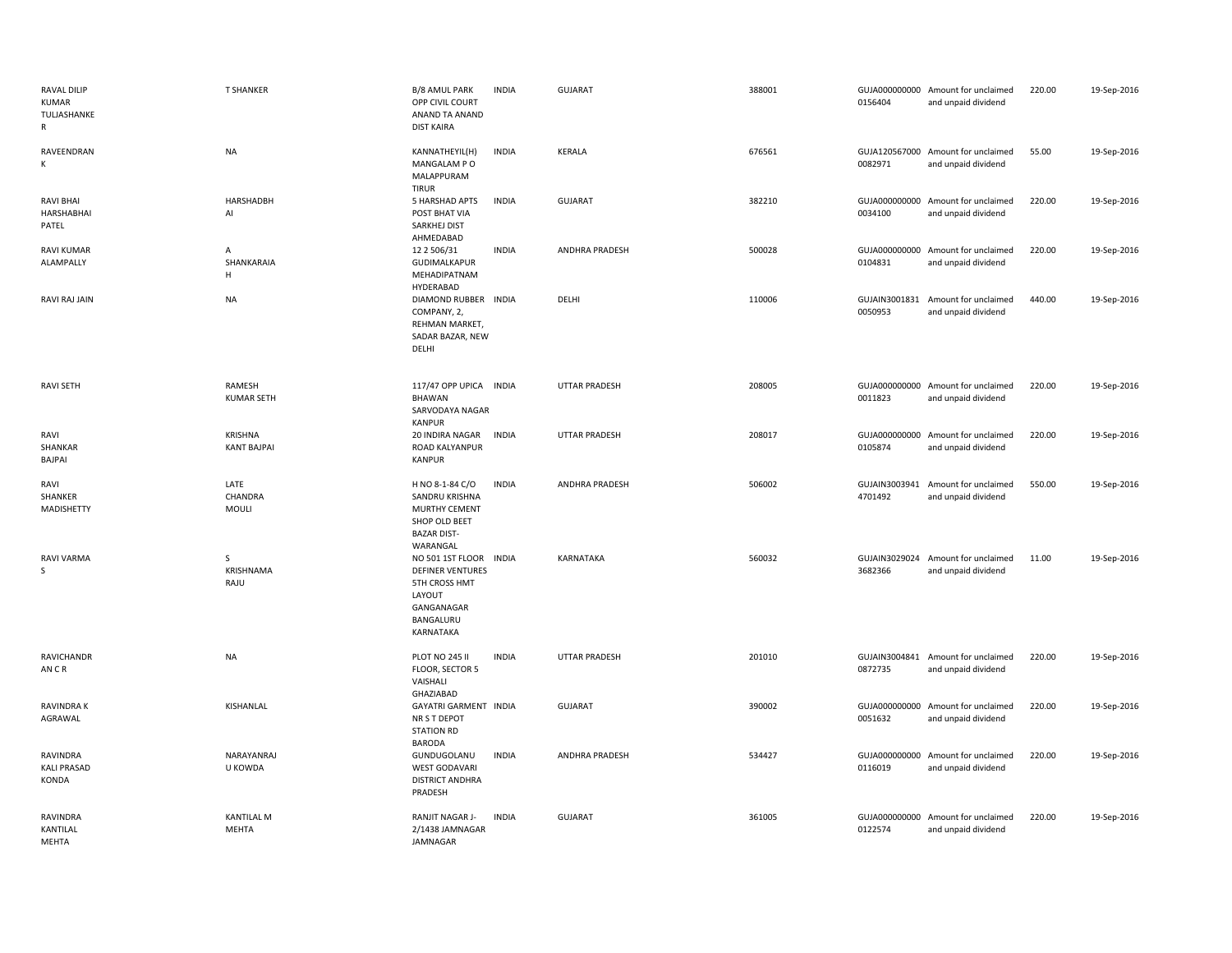| RAVAL DILIP<br><b>KUMAR</b><br>TULJASHANKE<br>R | <b>T SHANKER</b>                  | B/8 AMUL PARK<br>OPP CIVIL COURT<br>ANAND TA ANAND<br><b>DIST KAIRA</b>                                                     | <b>INDIA</b> | GUJARAT               | 388001 | 0156404 | GUJA000000000 Amount for unclaimed<br>and unpaid dividend | 220.00 | 19-Sep-2016 |
|-------------------------------------------------|-----------------------------------|-----------------------------------------------------------------------------------------------------------------------------|--------------|-----------------------|--------|---------|-----------------------------------------------------------|--------|-------------|
| RAVEENDRAN<br>K                                 | <b>NA</b>                         | KANNATHEYIL(H)<br>MANGALAM PO<br>MALAPPURAM<br><b>TIRUR</b>                                                                 | <b>INDIA</b> | KERALA                | 676561 | 0082971 | GUJA120567000 Amount for unclaimed<br>and unpaid dividend | 55.00  | 19-Sep-2016 |
| <b>RAVI BHAI</b><br>HARSHABHAI<br>PATEL         | HARSHADBH<br>Al                   | 5 HARSHAD APTS<br>POST BHAT VIA<br>SARKHEJ DIST<br>AHMEDABAD                                                                | <b>INDIA</b> | <b>GUJARAT</b>        | 382210 | 0034100 | GUJA000000000 Amount for unclaimed<br>and unpaid dividend | 220.00 | 19-Sep-2016 |
| <b>RAVI KUMAR</b><br>ALAMPALLY                  | $\mathsf{A}$<br>SHANKARAIA<br>H   | 12 2 506/31<br>GUDIMALKAPUR<br>MEHADIPATNAM<br>HYDERABAD                                                                    | <b>INDIA</b> | ANDHRA PRADESH        | 500028 | 0104831 | GUJA000000000 Amount for unclaimed<br>and unpaid dividend | 220.00 | 19-Sep-2016 |
| RAVI RAJ JAIN                                   | <b>NA</b>                         | DIAMOND RUBBER INDIA<br>COMPANY, 2,<br>REHMAN MARKET,<br>SADAR BAZAR, NEW<br>DELHI                                          |              | DELHI                 | 110006 | 0050953 | GUJAIN3001831 Amount for unclaimed<br>and unpaid dividend | 440.00 | 19-Sep-2016 |
| <b>RAVI SETH</b>                                | RAMESH<br><b>KUMAR SETH</b>       | 117/47 OPP UPICA<br>BHAWAN<br>SARVODAYA NAGAR<br><b>KANPUR</b>                                                              | INDIA        | <b>UTTAR PRADESH</b>  | 208005 | 0011823 | GUJA000000000 Amount for unclaimed<br>and unpaid dividend | 220.00 | 19-Sep-2016 |
| RAVI<br>SHANKAR<br><b>BAJPAI</b>                | KRISHNA<br><b>KANT BAJPAI</b>     | 20 INDIRA NAGAR<br>ROAD KALYANPUR<br><b>KANPUR</b>                                                                          | <b>INDIA</b> | <b>UTTAR PRADESH</b>  | 208017 | 0105874 | GUJA000000000 Amount for unclaimed<br>and unpaid dividend | 220.00 | 19-Sep-2016 |
| RAVI<br>SHANKER<br>MADISHETTY                   | LATE<br>CHANDRA<br>MOULI          | H NO 8-1-84 C/O<br>SANDRU KRISHNA<br>MURTHY CEMENT<br>SHOP OLD BEET<br><b>BAZAR DIST-</b><br>WARANGAL                       | <b>INDIA</b> | <b>ANDHRA PRADESH</b> | 506002 | 4701492 | GUJAIN3003941 Amount for unclaimed<br>and unpaid dividend | 550.00 | 19-Sep-2016 |
| <b>RAVI VARMA</b><br>S.                         | S<br>KRISHNAMA<br>RAJU            | NO 501 1ST FLOOR INDIA<br><b>DEFINER VENTURES</b><br><b>5TH CROSS HMT</b><br>LAYOUT<br>GANGANAGAR<br>BANGALURU<br>KARNATAKA |              | <b>KARNATAKA</b>      | 560032 | 3682366 | GUJAIN3029024 Amount for unclaimed<br>and unpaid dividend | 11.00  | 19-Sep-2016 |
| RAVICHANDR<br>AN CR                             | <b>NA</b>                         | PLOT NO 245 II<br>FLOOR, SECTOR 5<br>VAISHALI<br>GHAZIABAD                                                                  | <b>INDIA</b> | UTTAR PRADESH         | 201010 | 0872735 | GUJAIN3004841 Amount for unclaimed<br>and unpaid dividend | 220.00 | 19-Sep-2016 |
| RAVINDRA K<br>AGRAWAL                           | KISHANLAL                         | GAYATRI GARMENT INDIA<br>NR S T DEPOT<br><b>STATION RD</b><br><b>BARODA</b>                                                 |              | <b>GUJARAT</b>        | 390002 | 0051632 | GUJA000000000 Amount for unclaimed<br>and unpaid dividend | 220.00 | 19-Sep-2016 |
| RAVINDRA<br><b>KALI PRASAD</b><br>KONDA         | NARAYANRAJ<br>U KOWDA             | GUNDUGOLANU<br><b>WEST GODAVARI</b><br><b>DISTRICT ANDHRA</b><br>PRADESH                                                    | <b>INDIA</b> | ANDHRA PRADESH        | 534427 | 0116019 | GUJA000000000 Amount for unclaimed<br>and unpaid dividend | 220.00 | 19-Sep-2016 |
| RAVINDRA<br>KANTILAL<br>MEHTA                   | <b>KANTILAL M</b><br><b>MEHTA</b> | RANJIT NAGAR J-<br>2/1438 JAMNAGAR<br>JAMNAGAR                                                                              | <b>INDIA</b> | <b>GUJARAT</b>        | 361005 | 0122574 | GUJA000000000 Amount for unclaimed<br>and unpaid dividend | 220.00 | 19-Sep-2016 |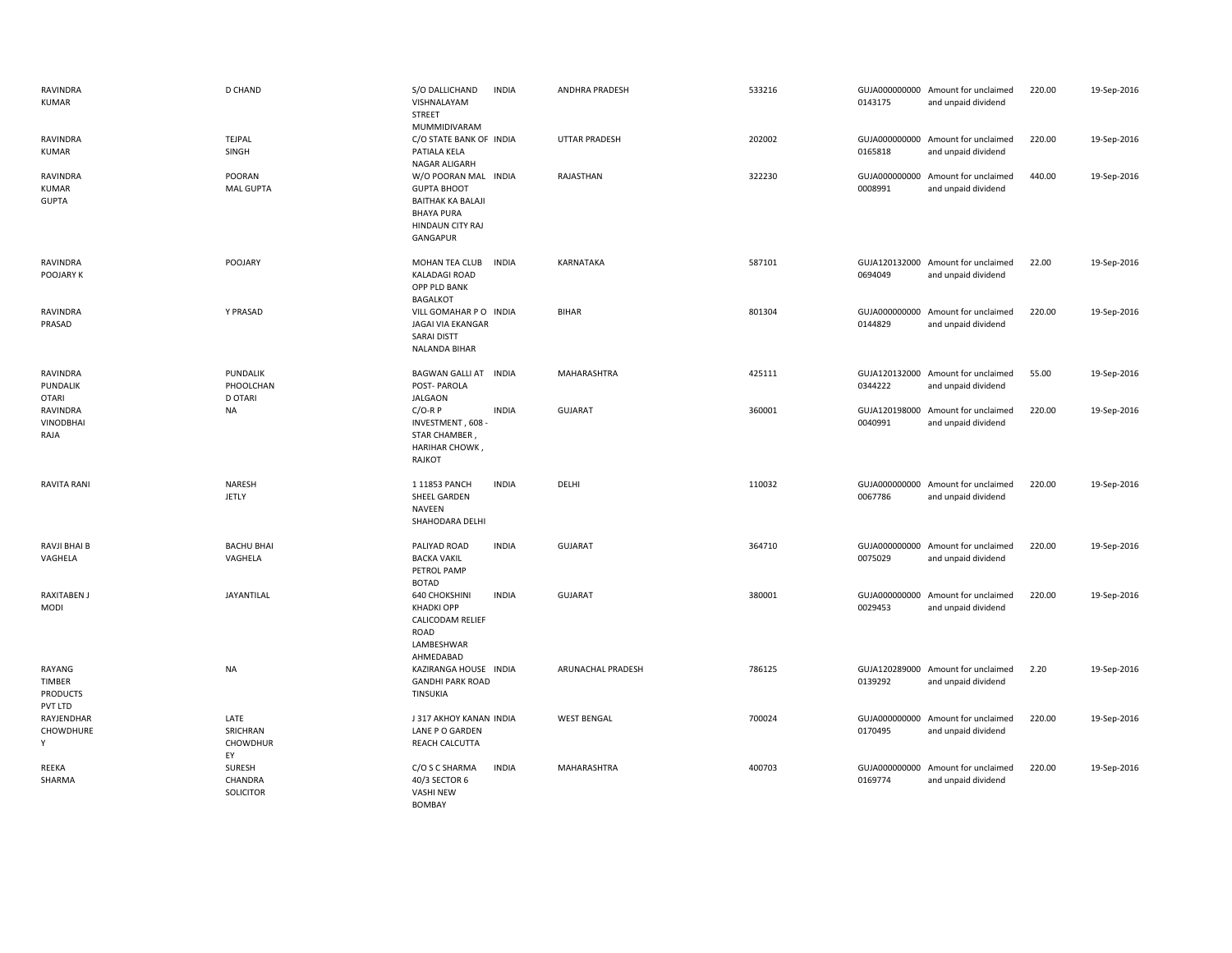| RAVINDRA<br><b>KUMAR</b>                       | <b>D CHAND</b>                          | S/O DALLICHAND<br>VISHNALAYAM<br>STREET<br>MUMMIDIVARAM                                                                     | <b>INDIA</b> | ANDHRA PRADESH       | 533216 | 0143175                  | GUJA000000000 Amount for unclaimed<br>and unpaid dividend | 220.00 | 19-Sep-2016 |
|------------------------------------------------|-----------------------------------------|-----------------------------------------------------------------------------------------------------------------------------|--------------|----------------------|--------|--------------------------|-----------------------------------------------------------|--------|-------------|
| RAVINDRA<br>KUMAR                              | TEJPAL<br>SINGH                         | C/O STATE BANK OF INDIA<br>PATIALA KELA<br>NAGAR ALIGARH                                                                    |              | <b>UTTAR PRADESH</b> | 202002 | 0165818                  | GUJA000000000 Amount for unclaimed<br>and unpaid dividend | 220.00 | 19-Sep-2016 |
| RAVINDRA<br><b>KUMAR</b><br><b>GUPTA</b>       | POORAN<br><b>MAL GUPTA</b>              | W/O POORAN MAL INDIA<br><b>GUPTA BHOOT</b><br><b>BAITHAK KA BALAJI</b><br><b>BHAYA PURA</b><br>HINDAUN CITY RAJ<br>GANGAPUR |              | RAJASTHAN            | 322230 | GUJA000000000<br>0008991 | Amount for unclaimed<br>and unpaid dividend               | 440.00 | 19-Sep-2016 |
| RAVINDRA<br>POOJARY K                          | POOJARY                                 | MOHAN TEA CLUB<br><b>KALADAGI ROAD</b><br>OPP PLD BANK<br><b>BAGALKOT</b>                                                   | <b>INDIA</b> | KARNATAKA            | 587101 | 0694049                  | GUJA120132000 Amount for unclaimed<br>and unpaid dividend | 22.00  | 19-Sep-2016 |
| RAVINDRA<br>PRASAD                             | Y PRASAD                                | VILL GOMAHAR P O INDIA<br><b>JAGAI VIA EKANGAR</b><br><b>SARAI DISTT</b><br>NALANDA BIHAR                                   |              | <b>BIHAR</b>         | 801304 | 0144829                  | GUJA000000000 Amount for unclaimed<br>and unpaid dividend | 220.00 | 19-Sep-2016 |
| RAVINDRA<br>PUNDALIK<br><b>OTARI</b>           | PUNDALIK<br>PHOOLCHAN<br><b>D OTARI</b> | BAGWAN GALLI AT INDIA<br>POST-PAROLA<br>JALGAON                                                                             |              | MAHARASHTRA          | 425111 | 0344222                  | GUJA120132000 Amount for unclaimed<br>and unpaid dividend | 55.00  | 19-Sep-2016 |
| RAVINDRA<br><b>VINODBHAI</b><br>RAJA           | <b>NA</b>                               | $C/O-R P$<br>INVESTMENT, 608<br>STAR CHAMBER,<br>HARIHAR CHOWK<br>RAJKOT                                                    | <b>INDIA</b> | <b>GUJARAT</b>       | 360001 | GUJA120198000<br>0040991 | Amount for unclaimed<br>and unpaid dividend               | 220.00 | 19-Sep-2016 |
| <b>RAVITA RANI</b>                             | NARESH<br>JETLY                         | 1 11853 PANCH<br>SHEEL GARDEN<br>NAVEEN<br>SHAHODARA DELHI                                                                  | <b>INDIA</b> | DELHI                | 110032 | 0067786                  | GUJA000000000 Amount for unclaimed<br>and unpaid dividend | 220.00 | 19-Sep-2016 |
| RAVJI BHAI B<br>VAGHELA                        | <b>BACHU BHAI</b><br>VAGHELA            | PALIYAD ROAD<br><b>BACKA VAKIL</b><br>PETROL PAMP<br><b>BOTAD</b>                                                           | <b>INDIA</b> | <b>GUJARAT</b>       | 364710 | 0075029                  | GUJA000000000 Amount for unclaimed<br>and unpaid dividend | 220.00 | 19-Sep-2016 |
| RAXITABEN J<br>MODI                            | JAYANTILAL                              | <b>640 CHOKSHINI</b><br><b>KHADKI OPP</b><br>CALICODAM RELIEF<br>ROAD<br>LAMBESHWAR<br>AHMEDABAD                            | <b>INDIA</b> | <b>GUJARAT</b>       | 380001 | GUJA000000000<br>0029453 | Amount for unclaimed<br>and unpaid dividend               | 220.00 | 19-Sep-2016 |
| RAYANG<br>TIMBER<br><b>PRODUCTS</b><br>PVT LTD | <b>NA</b>                               | KAZIRANGA HOUSE INDIA<br><b>GANDHI PARK ROAD</b><br>TINSUKIA                                                                |              | ARUNACHAL PRADESH    | 786125 | 0139292                  | GUJA120289000 Amount for unclaimed<br>and unpaid dividend | 2.20   | 19-Sep-2016 |
| RAYJENDHAR<br>CHOWDHURE<br>Y                   | LATE<br>SRICHRAN<br>CHOWDHUR<br>EY      | J 317 AKHOY KANAN INDIA<br>LANE P O GARDEN<br>REACH CALCUTTA                                                                |              | <b>WEST BENGAL</b>   | 700024 | 0170495                  | GUJA000000000 Amount for unclaimed<br>and unpaid dividend | 220.00 | 19-Sep-2016 |
| REEKA<br>SHARMA                                | SURESH<br>CHANDRA<br>SOLICITOR          | C/O S C SHARMA<br>40/3 SECTOR 6<br><b>VASHI NEW</b><br><b>BOMBAY</b>                                                        | <b>INDIA</b> | MAHARASHTRA          | 400703 | 0169774                  | GUJA000000000 Amount for unclaimed<br>and unpaid dividend | 220.00 | 19-Sep-2016 |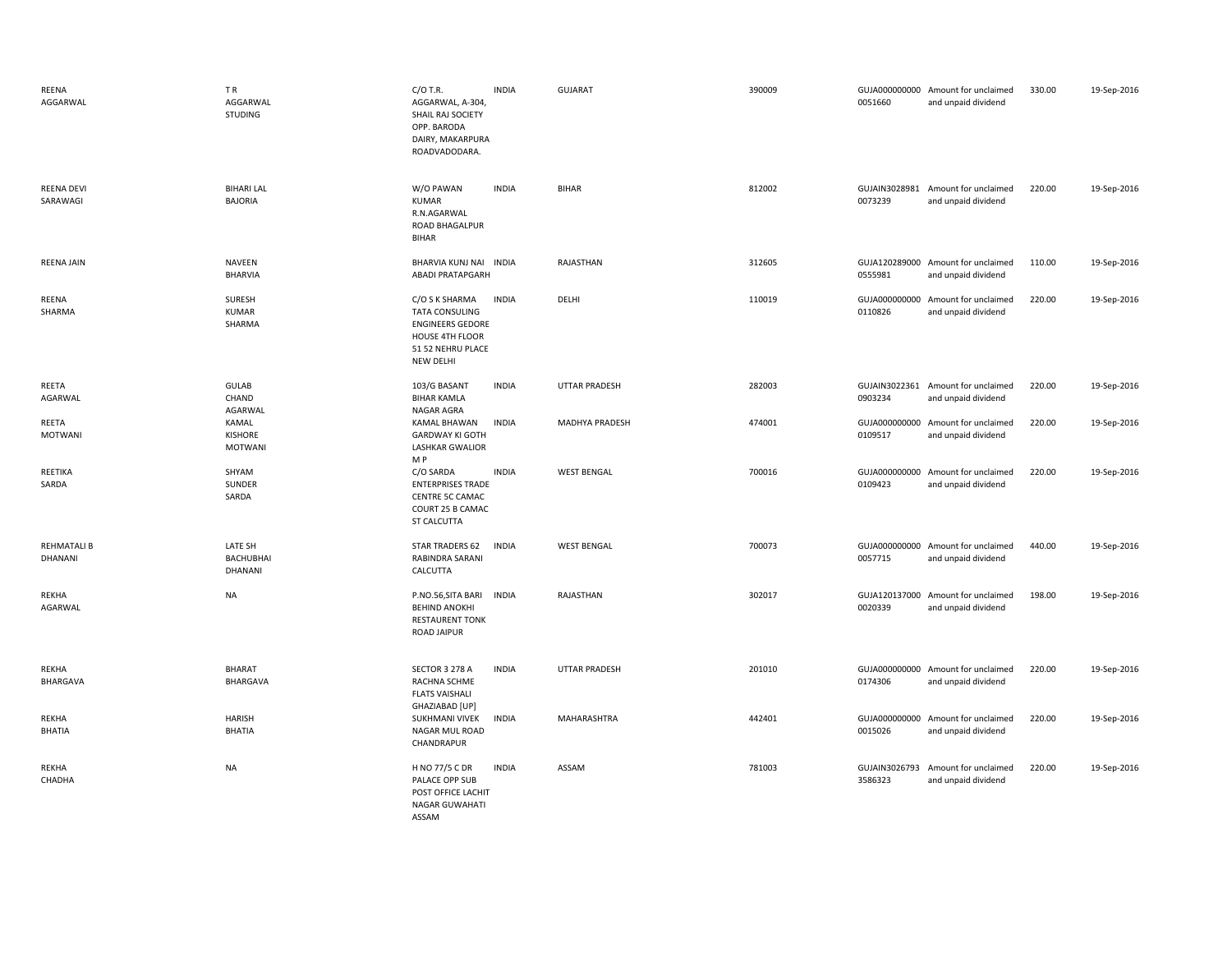| REENA<br>AGGARWAL             | TR.<br>AGGARWAL<br>STUDING             | $C/O$ T.R.<br>AGGARWAL, A-304,<br>SHAIL RAJ SOCIETY<br>OPP. BARODA<br>DAIRY, MAKARPURA<br>ROADVADODARA.                        | <b>INDIA</b> | <b>GUJARAT</b>       | 390009 | 0051660 | GUJA000000000 Amount for unclaimed<br>and unpaid dividend | 330.00 | 19-Sep-2016 |
|-------------------------------|----------------------------------------|--------------------------------------------------------------------------------------------------------------------------------|--------------|----------------------|--------|---------|-----------------------------------------------------------|--------|-------------|
| <b>REENA DEVI</b><br>SARAWAGI | <b>BIHARI LAL</b><br><b>BAJORIA</b>    | W/O PAWAN<br><b>KUMAR</b><br>R.N.AGARWAL<br>ROAD BHAGALPUR<br><b>BIHAR</b>                                                     | <b>INDIA</b> | <b>BIHAR</b>         | 812002 | 0073239 | GUJAIN3028981 Amount for unclaimed<br>and unpaid dividend | 220.00 | 19-Sep-2016 |
| <b>REENA JAIN</b>             | <b>NAVEEN</b><br><b>BHARVIA</b>        | BHARVIA KUNJ NAI INDIA<br><b>ABADI PRATAPGARH</b>                                                                              |              | RAJASTHAN            | 312605 | 0555981 | GUJA120289000 Amount for unclaimed<br>and unpaid dividend | 110.00 | 19-Sep-2016 |
| REENA<br>SHARMA               | SURESH<br><b>KUMAR</b><br>SHARMA       | C/O S K SHARMA<br><b>TATA CONSULING</b><br><b>ENGINEERS GEDORE</b><br>HOUSE 4TH FLOOR<br>51 52 NEHRU PLACE<br><b>NEW DELHI</b> | <b>INDIA</b> | DELHI                | 110019 | 0110826 | GUJA000000000 Amount for unclaimed<br>and unpaid dividend | 220.00 | 19-Sep-2016 |
| REETA<br>AGARWAL              | GULAB<br>CHAND<br>AGARWAL              | 103/G BASANT<br><b>BIHAR KAMLA</b><br>NAGAR AGRA                                                                               | <b>INDIA</b> | <b>UTTAR PRADESH</b> | 282003 | 0903234 | GUJAIN3022361 Amount for unclaimed<br>and unpaid dividend | 220.00 | 19-Sep-2016 |
| REETA<br><b>MOTWANI</b>       | KAMAL<br>KISHORE<br><b>MOTWANI</b>     | KAMAL BHAWAN<br><b>GARDWAY KI GOTH</b><br><b>LASHKAR GWALIOR</b><br>M P                                                        | <b>INDIA</b> | MADHYA PRADESH       | 474001 | 0109517 | GUJA000000000 Amount for unclaimed<br>and unpaid dividend | 220.00 | 19-Sep-2016 |
| REETIKA<br>SARDA              | SHYAM<br>SUNDER<br>SARDA               | C/O SARDA<br><b>ENTERPRISES TRADE</b><br>CENTRE 5C CAMAC<br>COURT 25 B CAMAC<br>ST CALCUTTA                                    | <b>INDIA</b> | <b>WEST BENGAL</b>   | 700016 | 0109423 | GUJA000000000 Amount for unclaimed<br>and unpaid dividend | 220.00 | 19-Sep-2016 |
| <b>REHMATALI B</b><br>DHANANI | LATE SH<br><b>BACHUBHAI</b><br>DHANANI | <b>STAR TRADERS 62</b><br>RABINDRA SARANI<br>CALCUTTA                                                                          | <b>INDIA</b> | <b>WEST BENGAL</b>   | 700073 | 0057715 | GUJA000000000 Amount for unclaimed<br>and unpaid dividend | 440.00 | 19-Sep-2016 |
| REKHA<br>AGARWAL              | <b>NA</b>                              | P.NO.56, SITA BARI<br><b>BEHIND ANOKHI</b><br><b>RESTAURENT TONK</b><br><b>ROAD JAIPUR</b>                                     | <b>INDIA</b> | RAJASTHAN            | 302017 | 0020339 | GUJA120137000 Amount for unclaimed<br>and unpaid dividend | 198.00 | 19-Sep-2016 |
| REKHA<br>BHARGAVA             | <b>BHARAT</b><br>BHARGAVA              | SECTOR 3 278 A<br>RACHNA SCHME<br><b>FLATS VAISHALI</b><br>GHAZIABAD [UP]                                                      | <b>INDIA</b> | <b>UTTAR PRADESH</b> | 201010 | 0174306 | GUJA000000000 Amount for unclaimed<br>and unpaid dividend | 220.00 | 19-Sep-2016 |
| REKHA<br><b>BHATIA</b>        | <b>HARISH</b><br>BHATIA                | SUKHMANI VIVEK<br>NAGAR MUL ROAD<br>CHANDRAPUR                                                                                 | <b>INDIA</b> | MAHARASHTRA          | 442401 | 0015026 | GUJA000000000 Amount for unclaimed<br>and unpaid dividend | 220.00 | 19-Sep-2016 |
| REKHA<br>CHADHA               | <b>NA</b>                              | H NO 77/5 C DR<br>PALACE OPP SUB<br>POST OFFICE LACHIT<br>NAGAR GUWAHATI<br>ASSAM                                              | <b>INDIA</b> | ASSAM                | 781003 | 3586323 | GUJAIN3026793 Amount for unclaimed<br>and unpaid dividend | 220.00 | 19-Sep-2016 |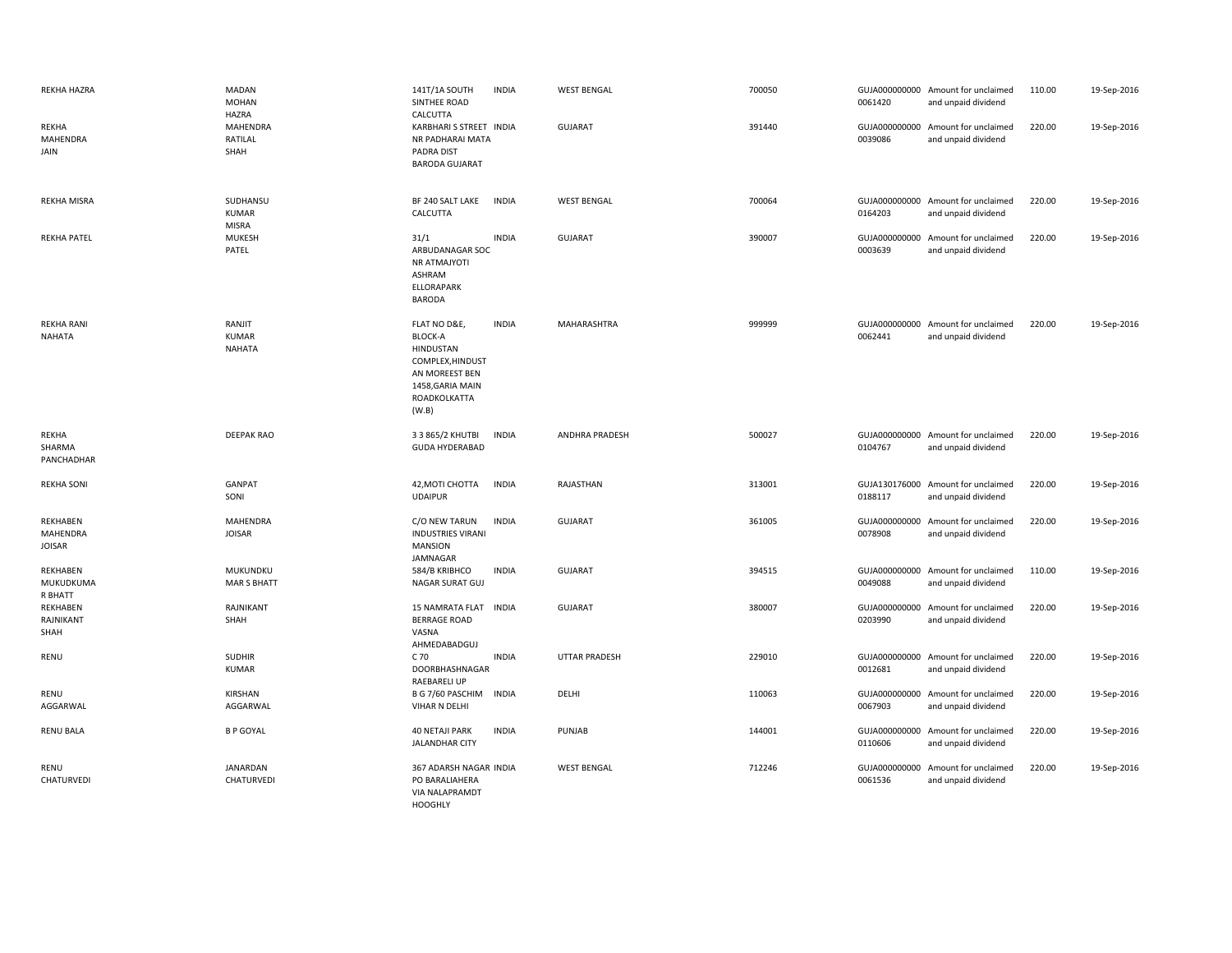| <b>REKHA HAZRA</b>                           | MADAN<br><b>MOHAN</b><br>HAZRA          | 141T/1A SOUTH<br>SINTHEE ROAD<br>CALCUTTA                                                                                      | <b>INDIA</b> | <b>WEST BENGAL</b>   | 700050 | 0061420 | GUJA000000000 Amount for unclaimed<br>and unpaid dividend | 110.00 | 19-Sep-2016 |
|----------------------------------------------|-----------------------------------------|--------------------------------------------------------------------------------------------------------------------------------|--------------|----------------------|--------|---------|-----------------------------------------------------------|--------|-------------|
| <b>REKHA</b><br>MAHENDRA<br>JAIN             | <b>MAHENDRA</b><br>RATILAL<br>SHAH      | KARBHARI S STREET INDIA<br>NR PADHARAI MATA<br>PADRA DIST<br><b>BARODA GUJARAT</b>                                             |              | <b>GUJARAT</b>       | 391440 | 0039086 | GUJA000000000 Amount for unclaimed<br>and unpaid dividend | 220.00 | 19-Sep-2016 |
| <b>REKHA MISRA</b>                           | SUDHANSU<br>KUMAR<br><b>MISRA</b>       | BF 240 SALT LAKE<br>CALCUTTA                                                                                                   | <b>INDIA</b> | <b>WEST BENGAL</b>   | 700064 | 0164203 | GUJA000000000 Amount for unclaimed<br>and unpaid dividend | 220.00 | 19-Sep-2016 |
| <b>REKHA PATEL</b>                           | MUKESH<br>PATEL                         | 31/1<br>ARBUDANAGAR SOC<br>NR ATMAJYOTI<br>ASHRAM<br><b>ELLORAPARK</b><br><b>BARODA</b>                                        | <b>INDIA</b> | <b>GUJARAT</b>       | 390007 | 0003639 | GUJA000000000 Amount for unclaimed<br>and unpaid dividend | 220.00 | 19-Sep-2016 |
| <b>REKHA RANI</b><br>NAHATA                  | RANJIT<br><b>KUMAR</b><br><b>NAHATA</b> | FLAT NO D&E,<br><b>BLOCK-A</b><br>HINDUSTAN<br>COMPLEX, HINDUST<br>AN MOREEST BEN<br>1458, GARIA MAIN<br>ROADKOLKATTA<br>(W.B) | <b>INDIA</b> | MAHARASHTRA          | 999999 | 0062441 | GUJA000000000 Amount for unclaimed<br>and unpaid dividend | 220.00 | 19-Sep-2016 |
| REKHA<br>SHARMA<br>PANCHADHAR                | <b>DEEPAK RAO</b>                       | 3 3 865/2 KHUTBI<br><b>GUDA HYDERABAD</b>                                                                                      | <b>INDIA</b> | ANDHRA PRADESH       | 500027 | 0104767 | GUJA000000000 Amount for unclaimed<br>and unpaid dividend | 220.00 | 19-Sep-2016 |
| <b>REKHA SONI</b>                            | GANPAT<br>SONI                          | 42, MOTI CHOTTA<br><b>UDAIPUR</b>                                                                                              | <b>INDIA</b> | RAJASTHAN            | 313001 | 0188117 | GUJA130176000 Amount for unclaimed<br>and unpaid dividend | 220.00 | 19-Sep-2016 |
| REKHABEN<br><b>MAHENDRA</b><br><b>JOISAR</b> | MAHENDRA<br><b>JOISAR</b>               | C/O NEW TARUN<br><b>INDUSTRIES VIRANI</b><br><b>MANSION</b><br>JAMNAGAR                                                        | <b>INDIA</b> | <b>GUJARAT</b>       | 361005 | 0078908 | GUJA000000000 Amount for unclaimed<br>and unpaid dividend | 220.00 | 19-Sep-2016 |
| REKHABEN<br>MUKUDKUMA<br>R BHATT             | MUKUNDKU<br><b>MAR S BHATT</b>          | 584/B KRIBHCO<br>NAGAR SURAT GUJ                                                                                               | <b>INDIA</b> | <b>GUJARAT</b>       | 394515 | 0049088 | GUJA000000000 Amount for unclaimed<br>and unpaid dividend | 110.00 | 19-Sep-2016 |
| REKHABEN<br>RAJNIKANT<br>SHAH                | RAJNIKANT<br>SHAH                       | 15 NAMRATA FLAT INDIA<br><b>BERRAGE ROAD</b><br>VASNA<br>AHMEDABADGUJ                                                          |              | <b>GUJARAT</b>       | 380007 | 0203990 | GUJA000000000 Amount for unclaimed<br>and unpaid dividend | 220.00 | 19-Sep-2016 |
| RENU                                         | <b>SUDHIR</b><br><b>KUMAR</b>           | C 70<br>DOORBHASHNAGAR<br><b>RAEBARELI UP</b>                                                                                  | <b>INDIA</b> | <b>UTTAR PRADESH</b> | 229010 | 0012681 | GUJA000000000 Amount for unclaimed<br>and unpaid dividend | 220.00 | 19-Sep-2016 |
| <b>RENU</b><br>AGGARWAL                      | KIRSHAN<br>AGGARWAL                     | B G 7/60 PASCHIM<br>VIHAR N DELHI                                                                                              | <b>INDIA</b> | DELHI                | 110063 | 0067903 | GUJA000000000 Amount for unclaimed<br>and unpaid dividend | 220.00 | 19-Sep-2016 |
| <b>RENU BALA</b>                             | <b>B P GOYAL</b>                        | <b>40 NETAJI PARK</b><br><b>JALANDHAR CITY</b>                                                                                 | <b>INDIA</b> | PUNJAB               | 144001 | 0110606 | GUJA000000000 Amount for unclaimed<br>and unpaid dividend | 220.00 | 19-Sep-2016 |
| RENU<br>CHATURVEDI                           | JANARDAN<br>CHATURVEDI                  | 367 ADARSH NAGAR INDIA<br>PO BARALIAHERA<br><b>VIA NALAPRAMDT</b><br><b>HOOGHLY</b>                                            |              | <b>WEST BENGAL</b>   | 712246 | 0061536 | GUJA000000000 Amount for unclaimed<br>and unpaid dividend | 220.00 | 19-Sep-2016 |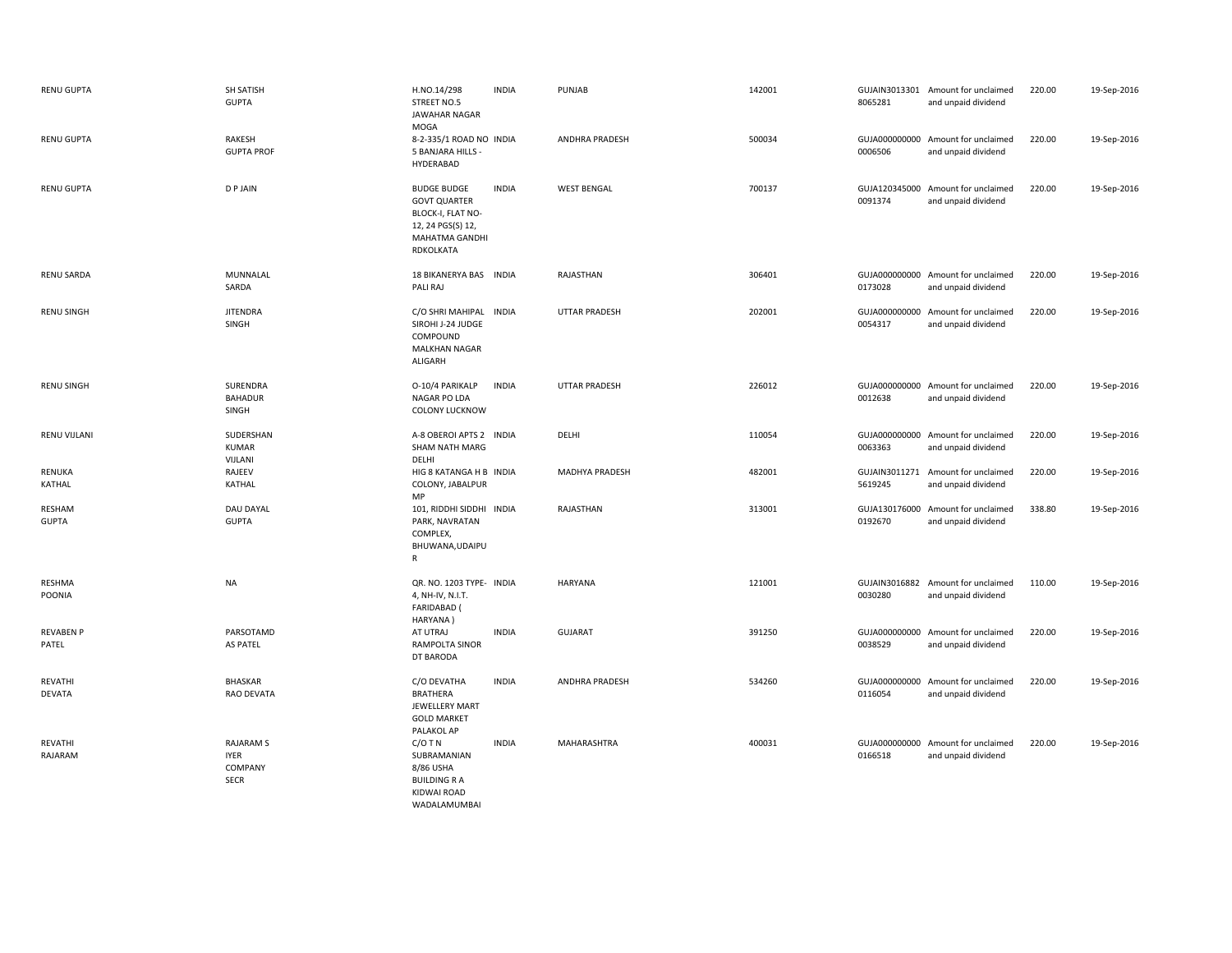| RENU GUPTA                | SH SATISH<br><b>GUPTA</b>                                 | H.NO.14/298<br>STREET NO.5<br>JAWAHAR NAGAR<br>MOGA                                                                | <b>INDIA</b> | PUNJAB                | 142001 | 8065281                  | GUJAIN3013301 Amount for unclaimed<br>and unpaid dividend | 220.00 | 19-Sep-2016 |
|---------------------------|-----------------------------------------------------------|--------------------------------------------------------------------------------------------------------------------|--------------|-----------------------|--------|--------------------------|-----------------------------------------------------------|--------|-------------|
| <b>RENU GUPTA</b>         | RAKESH<br><b>GUPTA PROF</b>                               | 8-2-335/1 ROAD NO INDIA<br>5 BANJARA HILLS -<br>HYDERABAD                                                          |              | <b>ANDHRA PRADESH</b> | 500034 | 0006506                  | GUJA000000000 Amount for unclaimed<br>and unpaid dividend | 220.00 | 19-Sep-2016 |
| <b>RENU GUPTA</b>         | <b>DPJAIN</b>                                             | <b>BUDGE BUDGE</b><br><b>GOVT QUARTER</b><br>BLOCK-I, FLAT NO-<br>12, 24 PGS(S) 12,<br>MAHATMA GANDHI<br>RDKOLKATA | <b>INDIA</b> | <b>WEST BENGAL</b>    | 700137 | 0091374                  | GUJA120345000 Amount for unclaimed<br>and unpaid dividend | 220.00 | 19-Sep-2016 |
| <b>RENU SARDA</b>         | MUNNALAL<br>SARDA                                         | 18 BIKANERYA BAS INDIA<br>PALI RAJ                                                                                 |              | RAJASTHAN             | 306401 | 0173028                  | GUJA000000000 Amount for unclaimed<br>and unpaid dividend | 220.00 | 19-Sep-2016 |
| <b>RENU SINGH</b>         | <b>JITENDRA</b><br>SINGH                                  | C/O SHRI MAHIPAL<br>SIROHI J-24 JUDGE<br>COMPOUND<br><b>MALKHAN NAGAR</b><br>ALIGARH                               | <b>INDIA</b> | UTTAR PRADESH         | 202001 | GUJA000000000<br>0054317 | Amount for unclaimed<br>and unpaid dividend               | 220.00 | 19-Sep-2016 |
| <b>RENU SINGH</b>         | SURENDRA<br><b>BAHADUR</b><br>SINGH                       | O-10/4 PARIKALP<br>NAGAR PO LDA<br><b>COLONY LUCKNOW</b>                                                           | <b>INDIA</b> | <b>UTTAR PRADESH</b>  | 226012 | 0012638                  | GUJA000000000 Amount for unclaimed<br>and unpaid dividend | 220.00 | 19-Sep-2016 |
| RENU VIJLANI              | SUDERSHAN<br><b>KUMAR</b><br>VIJLANI                      | A-8 OBEROI APTS 2 INDIA<br><b>SHAM NATH MARG</b><br>DELHI                                                          |              | DELHI                 | 110054 | 0063363                  | GUJA000000000 Amount for unclaimed<br>and unpaid dividend | 220.00 | 19-Sep-2016 |
| RENUKA<br>KATHAL          | RAJEEV<br>KATHAL                                          | HIG 8 KATANGA H B INDIA<br>COLONY, JABALPUR<br>MP                                                                  |              | MADHYA PRADESH        | 482001 | 5619245                  | GUJAIN3011271 Amount for unclaimed<br>and unpaid dividend | 220.00 | 19-Sep-2016 |
| RESHAM<br><b>GUPTA</b>    | <b>DAU DAYAL</b><br><b>GUPTA</b>                          | 101, RIDDHI SIDDHI INDIA<br>PARK, NAVRATAN<br>COMPLEX,<br>BHUWANA, UDAIPU<br>R                                     |              | RAJASTHAN             | 313001 | 0192670                  | GUJA130176000 Amount for unclaimed<br>and unpaid dividend | 338.80 | 19-Sep-2016 |
| <b>RESHMA</b><br>POONIA   | <b>NA</b>                                                 | QR. NO. 1203 TYPE- INDIA<br>4, NH-IV, N.I.T.<br><b>FARIDABAD</b> (<br>HARYANA)                                     |              | <b>HARYANA</b>        | 121001 | 0030280                  | GUJAIN3016882 Amount for unclaimed<br>and unpaid dividend | 110.00 | 19-Sep-2016 |
| <b>REVABEN P</b><br>PATEL | PARSOTAMD<br><b>AS PATEL</b>                              | AT UTRAJ<br>RAMPOLTA SINOR<br>DT BARODA                                                                            | <b>INDIA</b> | <b>GUJARAT</b>        | 391250 | 0038529                  | GUJA000000000 Amount for unclaimed<br>and unpaid dividend | 220.00 | 19-Sep-2016 |
| REVATHI<br><b>DEVATA</b>  | BHASKAR<br><b>RAO DEVATA</b>                              | C/O DEVATHA<br><b>BRATHERA</b><br>JEWELLERY MART<br><b>GOLD MARKET</b><br>PALAKOL AP                               | <b>INDIA</b> | ANDHRA PRADESH        | 534260 | 0116054                  | GUJA000000000 Amount for unclaimed<br>and unpaid dividend | 220.00 | 19-Sep-2016 |
| REVATHI<br>RAJARAM        | <b>RAJARAM S</b><br><b>IYER</b><br>COMPANY<br><b>SECR</b> | $C/O$ T N<br>SUBRAMANIAN<br>8/86 USHA<br><b>BUILDING R A</b><br>KIDWAI ROAD<br><b>WADALAMUMBAI</b>                 | <b>INDIA</b> | MAHARASHTRA           | 400031 | 0166518                  | GUJA000000000 Amount for unclaimed<br>and unpaid dividend | 220.00 | 19-Sep-2016 |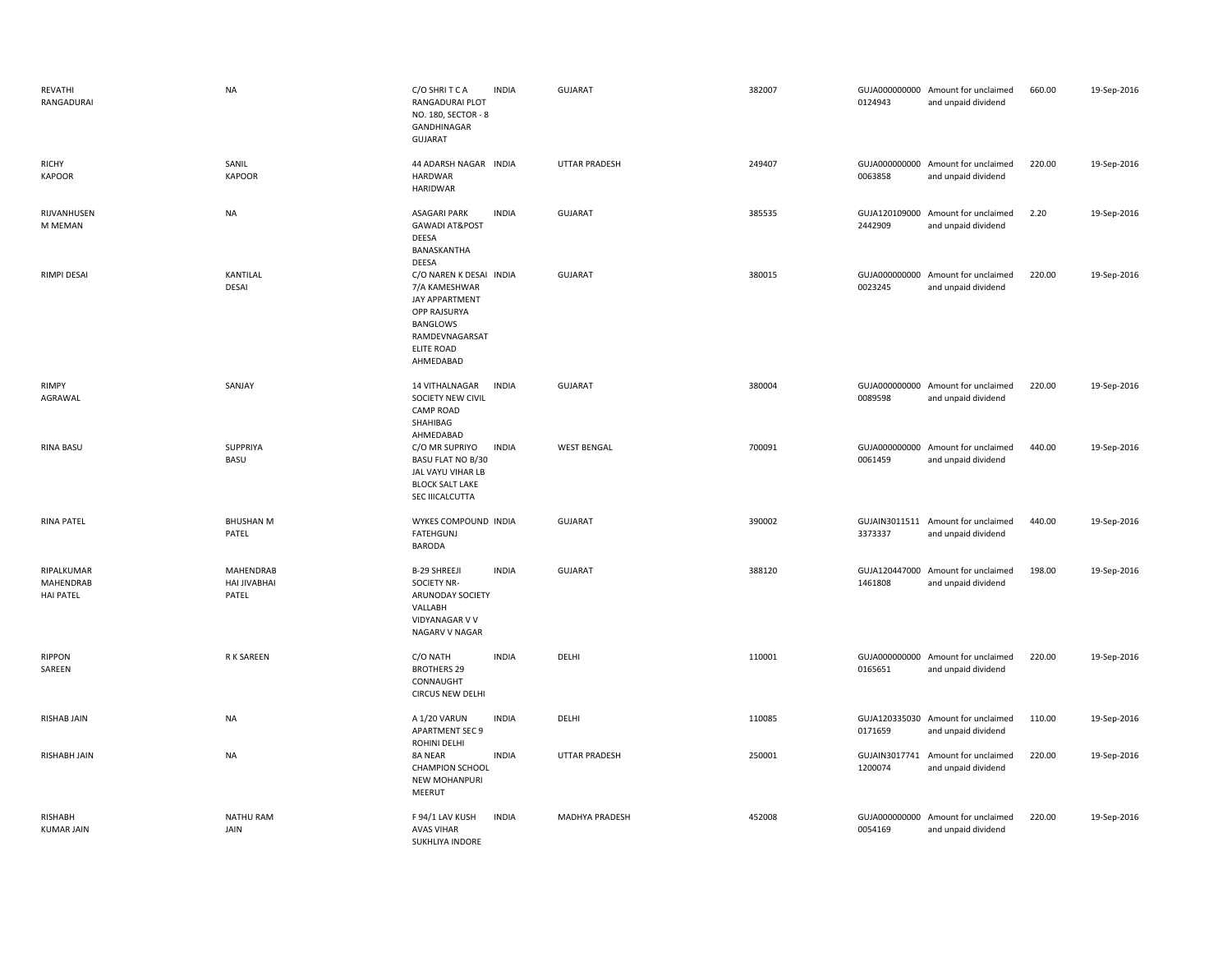| REVATHI<br>RANGADURAI                              | <b>NA</b>                                 | C/O SHRITCA<br><b>INDIA</b><br><b>RANGADURAI PLOT</b><br>NO. 180, SECTOR - 8<br>GANDHINAGAR<br><b>GUJARAT</b>                              | <b>GUJARAT</b>        | 382007 | 0124943                  | GUJA000000000 Amount for unclaimed<br>and unpaid dividend | 660.00 | 19-Sep-2016 |
|----------------------------------------------------|-------------------------------------------|--------------------------------------------------------------------------------------------------------------------------------------------|-----------------------|--------|--------------------------|-----------------------------------------------------------|--------|-------------|
| <b>RICHY</b><br><b>KAPOOR</b>                      | SANIL<br><b>KAPOOR</b>                    | 44 ADARSH NAGAR INDIA<br><b>HARDWAR</b><br><b>HARIDWAR</b>                                                                                 | <b>UTTAR PRADESH</b>  | 249407 | 0063858                  | GUJA000000000 Amount for unclaimed<br>and unpaid dividend | 220.00 | 19-Sep-2016 |
| RIJVANHUSEN<br>M MEMAN                             | <b>NA</b>                                 | <b>INDIA</b><br><b>ASAGARI PARK</b><br><b>GAWADI AT&amp;POST</b><br>DEESA<br>BANASKANTHA<br><b>DEESA</b>                                   | <b>GUJARAT</b>        | 385535 | 2442909                  | GUJA120109000 Amount for unclaimed<br>and unpaid dividend | 2.20   | 19-Sep-2016 |
| RIMPI DESAI                                        | KANTILAL<br>DESAI                         | C/O NAREN K DESAI INDIA<br>7/A KAMESHWAR<br>JAY APPARTMENT<br>OPP RAJSURYA<br>BANGLOWS<br>RAMDEVNAGARSAT<br><b>ELITE ROAD</b><br>AHMEDABAD | GUJARAT               | 380015 | 0023245                  | GUJA000000000 Amount for unclaimed<br>and unpaid dividend | 220.00 | 19-Sep-2016 |
| <b>RIMPY</b><br>AGRAWAL                            | SANJAY                                    | 14 VITHALNAGAR<br><b>INDIA</b><br>SOCIETY NEW CIVIL<br><b>CAMP ROAD</b><br>SHAHIBAG<br>AHMEDABAD                                           | <b>GUJARAT</b>        | 380004 | 0089598                  | GUJA000000000 Amount for unclaimed<br>and unpaid dividend | 220.00 | 19-Sep-2016 |
| <b>RINA BASU</b>                                   | SUPPRIYA<br>BASU                          | C/O MR SUPRIYO<br><b>INDIA</b><br><b>BASU FLAT NO B/30</b><br>JAL VAYU VIHAR LB<br><b>BLOCK SALT LAKE</b><br>SEC IIICALCUTTA               | <b>WEST BENGAL</b>    | 700091 | GUJA000000000<br>0061459 | Amount for unclaimed<br>and unpaid dividend               | 440.00 | 19-Sep-2016 |
| <b>RINA PATEL</b>                                  | <b>BHUSHAN M</b><br>PATEL                 | WYKES COMPOUND INDIA<br><b>FATEHGUNJ</b><br><b>BARODA</b>                                                                                  | GUJARAT               | 390002 | 3373337                  | GUJAIN3011511 Amount for unclaimed<br>and unpaid dividend | 440.00 | 19-Sep-2016 |
| RIPALKUMAR<br><b>MAHENDRAB</b><br><b>HAI PATEL</b> | <b>MAHENDRAB</b><br>HAI JIVABHAI<br>PATEL | <b>B-29 SHREEJI</b><br><b>INDIA</b><br><b>SOCIETY NR-</b><br>ARUNODAY SOCIETY<br>VALLABH<br>VIDYANAGAR V V<br>NAGARV V NAGAR               | <b>GUJARAT</b>        | 388120 | GUJA120447000<br>1461808 | Amount for unclaimed<br>and unpaid dividend               | 198.00 | 19-Sep-2016 |
| <b>RIPPON</b><br>SAREEN                            | R K SAREEN                                | <b>INDIA</b><br>C/O NATH<br><b>BROTHERS 29</b><br>CONNAUGHT<br><b>CIRCUS NEW DELHI</b>                                                     | DELHI                 | 110001 | 0165651                  | GUJA000000000 Amount for unclaimed<br>and unpaid dividend | 220.00 | 19-Sep-2016 |
| RISHAB JAIN                                        | <b>NA</b>                                 | <b>INDIA</b><br>A 1/20 VARUN<br><b>APARTMENT SEC 9</b><br>ROHINI DELHI                                                                     | DELHI                 | 110085 | 0171659                  | GUJA120335030 Amount for unclaimed<br>and unpaid dividend | 110.00 | 19-Sep-2016 |
| RISHABH JAIN                                       | <b>NA</b>                                 | <b>INDIA</b><br>8A NEAR<br><b>CHAMPION SCHOOL</b><br><b>NEW MOHANPURI</b><br>MEERUT                                                        | <b>UTTAR PRADESH</b>  | 250001 | GUJAIN3017741<br>1200074 | Amount for unclaimed<br>and unpaid dividend               | 220.00 | 19-Sep-2016 |
| RISHABH<br><b>KUMAR JAIN</b>                       | <b>NATHU RAM</b><br>JAIN                  | F 94/1 LAV KUSH<br><b>INDIA</b><br><b>AVAS VIHAR</b><br>SUKHLIYA INDORE                                                                    | <b>MADHYA PRADESH</b> | 452008 | 0054169                  | GUJA000000000 Amount for unclaimed<br>and unpaid dividend | 220.00 | 19-Sep-2016 |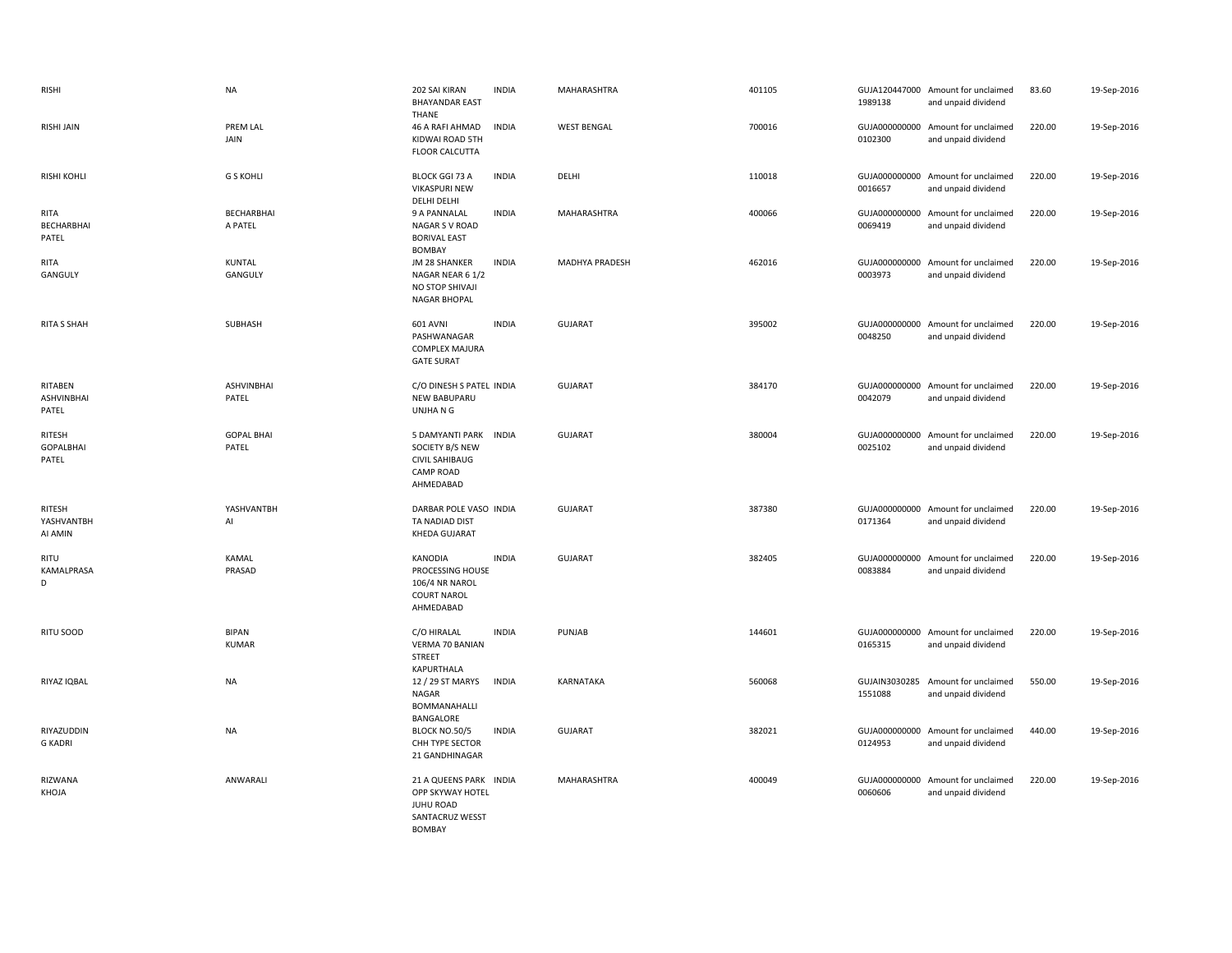| <b>RISHI</b>                    | <b>NA</b>                    | 202 SAI KIRAN<br><b>BHAYANDAR EAST</b><br>THANE                                                    | <b>INDIA</b> | MAHARASHTRA        | 401105 | 1989138                  | GUJA120447000 Amount for unclaimed<br>and unpaid dividend | 83.60  | 19-Sep-2016 |
|---------------------------------|------------------------------|----------------------------------------------------------------------------------------------------|--------------|--------------------|--------|--------------------------|-----------------------------------------------------------|--------|-------------|
| <b>RISHI JAIN</b>               | <b>PREM LAL</b><br>JAIN      | 46 A RAFI AHMAD<br>KIDWAI ROAD 5TH<br><b>FLOOR CALCUTTA</b>                                        | <b>INDIA</b> | <b>WEST BENGAL</b> | 700016 | 0102300                  | GUJA000000000 Amount for unclaimed<br>and unpaid dividend | 220.00 | 19-Sep-2016 |
| <b>RISHI KOHLI</b>              | <b>G S KOHLI</b>             | <b>BLOCK GGI 73 A</b><br><b>VIKASPURI NEW</b><br>DELHI DELHI                                       | <b>INDIA</b> | DELHI              | 110018 | 0016657                  | GUJA000000000 Amount for unclaimed<br>and unpaid dividend | 220.00 | 19-Sep-2016 |
| RITA<br>BECHARBHAI<br>PATEL     | BECHARBHAI<br>A PATEL        | 9 A PANNALAL<br>NAGAR S V ROAD<br><b>BORIVAL EAST</b><br>BOMBAY                                    | <b>INDIA</b> | <b>MAHARASHTRA</b> | 400066 | 0069419                  | GUJA000000000 Amount for unclaimed<br>and unpaid dividend | 220.00 | 19-Sep-2016 |
| <b>RITA</b><br>GANGULY          | <b>KUNTAL</b><br>GANGULY     | JM 28 SHANKER<br>NAGAR NEAR 6 1/2<br>NO STOP SHIVAJI<br>NAGAR BHOPAL                               | <b>INDIA</b> | MADHYA PRADESH     | 462016 | 0003973                  | GUJA000000000 Amount for unclaimed<br>and unpaid dividend | 220.00 | 19-Sep-2016 |
| <b>RITA S SHAH</b>              | SUBHASH                      | <b>601 AVNI</b><br>PASHWANAGAR<br><b>COMPLEX MAJURA</b><br><b>GATE SURAT</b>                       | <b>INDIA</b> | GUJARAT            | 395002 | 0048250                  | GUJA000000000 Amount for unclaimed<br>and unpaid dividend | 220.00 | 19-Sep-2016 |
| RITABEN<br>ASHVINBHAI<br>PATEL  | ASHVINBHAI<br>PATEL          | C/O DINESH S PATEL INDIA<br>NEW BABUPARU<br>UNJHA N G                                              |              | <b>GUJARAT</b>     | 384170 | 0042079                  | GUJA000000000 Amount for unclaimed<br>and unpaid dividend | 220.00 | 19-Sep-2016 |
| RITESH<br>GOPALBHAI<br>PATEL    | <b>GOPAL BHAI</b><br>PATEL   | 5 DAMYANTI PARK INDIA<br>SOCIETY B/S NEW<br>CIVIL SAHIBAUG<br><b>CAMP ROAD</b><br>AHMEDABAD        |              | GUJARAT            | 380004 | 0025102                  | GUJA000000000 Amount for unclaimed<br>and unpaid dividend | 220.00 | 19-Sep-2016 |
| RITESH<br>YASHVANTBH<br>AI AMIN | YASHVANTBH<br>Al             | DARBAR POLE VASO INDIA<br>TA NADIAD DIST<br>KHEDA GUJARAT                                          |              | GUJARAT            | 387380 | 0171364                  | GUJA000000000 Amount for unclaimed<br>and unpaid dividend | 220.00 | 19-Sep-2016 |
| RITU<br>KAMALPRASA<br>D         | KAMAL<br>PRASAD              | <b>KANODIA</b><br>PROCESSING HOUSE<br>106/4 NR NAROL<br><b>COURT NAROL</b><br>AHMEDABAD            | <b>INDIA</b> | GUJARAT            | 382405 | 0083884                  | GUJA000000000 Amount for unclaimed<br>and unpaid dividend | 220.00 | 19-Sep-2016 |
| RITU SOOD                       | <b>BIPAN</b><br><b>KUMAR</b> | C/O HIRALAL<br>VERMA 70 BANIAN<br><b>STREET</b><br>KAPURTHALA                                      | <b>INDIA</b> | PUNJAB             | 144601 | 0165315                  | GUJA000000000 Amount for unclaimed<br>and unpaid dividend | 220.00 | 19-Sep-2016 |
| RIYAZ IQBAL                     | <b>NA</b>                    | 12 / 29 ST MARYS<br>NAGAR<br>BOMMANAHALLI<br>BANGALORE                                             | <b>INDIA</b> | KARNATAKA          | 560068 | GUJAIN3030285<br>1551088 | Amount for unclaimed<br>and unpaid dividend               | 550.00 | 19-Sep-2016 |
| RIYAZUDDIN<br><b>G KADRI</b>    | <b>NA</b>                    | <b>BLOCK NO.50/5</b><br>CHH TYPE SECTOR<br>21 GANDHINAGAR                                          | <b>INDIA</b> | GUJARAT            | 382021 | 0124953                  | GUJA000000000 Amount for unclaimed<br>and unpaid dividend | 440.00 | 19-Sep-2016 |
| RIZWANA<br>KHOJA                | ANWARALI                     | 21 A QUEENS PARK INDIA<br>OPP SKYWAY HOTEL<br><b>JUHU ROAD</b><br>SANTACRUZ WESST<br><b>BOMBAY</b> |              | <b>MAHARASHTRA</b> | 400049 | 0060606                  | GUJA000000000 Amount for unclaimed<br>and unpaid dividend | 220.00 | 19-Sep-2016 |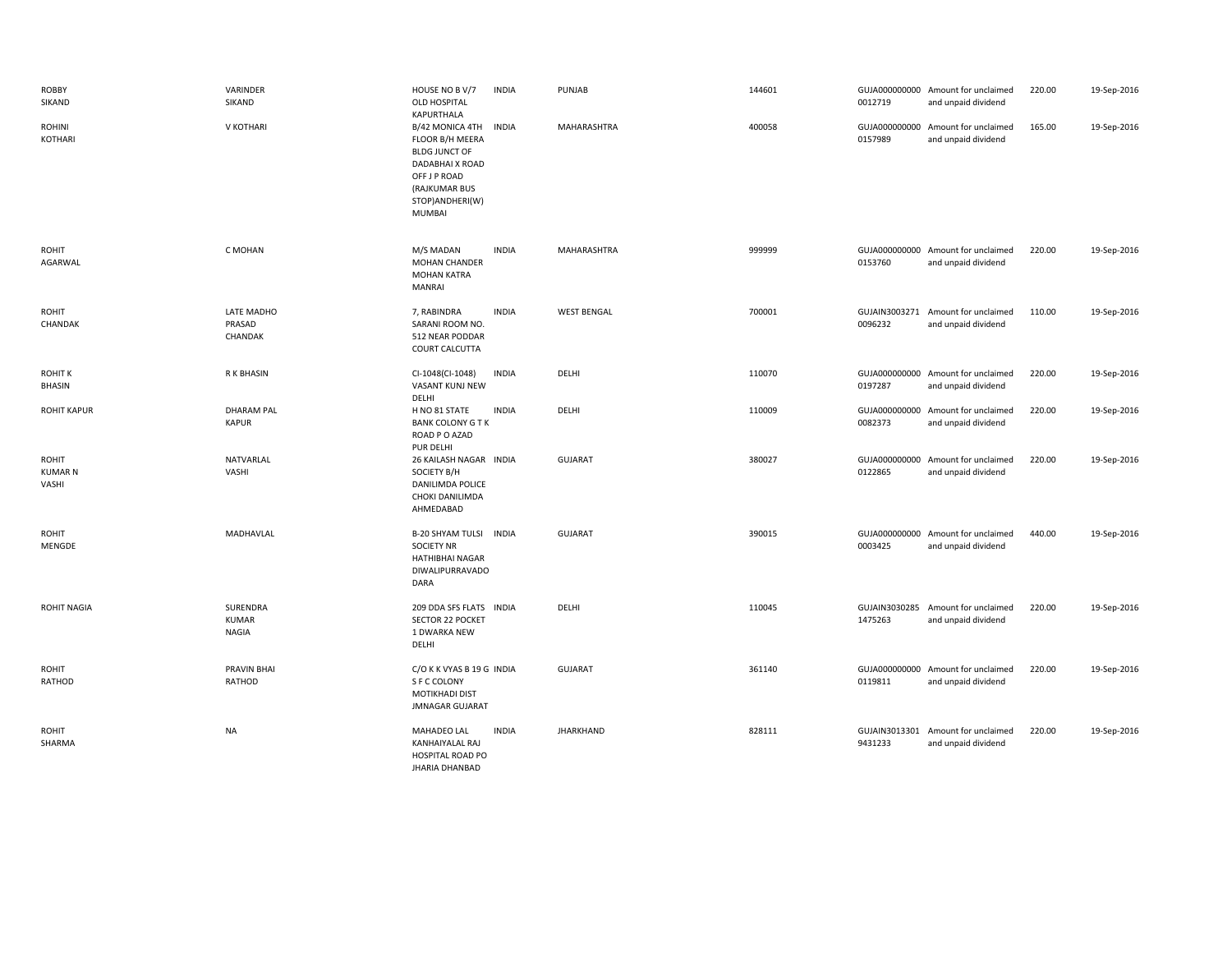| <b>ROBBY</b><br>SIKAND                  | VARINDER<br>SIKAND                       | HOUSE NO B V/7<br>OLD HOSPITAL<br>KAPURTHALA                                                                                                              | <b>INDIA</b> | PUNJAB             | 144601 | 0012719                  | GUJA000000000 Amount for unclaimed<br>and unpaid dividend | 220.00 | 19-Sep-2016 |
|-----------------------------------------|------------------------------------------|-----------------------------------------------------------------------------------------------------------------------------------------------------------|--------------|--------------------|--------|--------------------------|-----------------------------------------------------------|--------|-------------|
| <b>ROHINI</b><br>KOTHARI                | V KOTHARI                                | B/42 MONICA 4TH INDIA<br>FLOOR B/H MEERA<br><b>BLDG JUNCT OF</b><br>DADABHAI X ROAD<br>OFF J P ROAD<br>(RAJKUMAR BUS<br>STOP) ANDHERI(W)<br><b>MUMBAI</b> |              | MAHARASHTRA        | 400058 | 0157989                  | GUJA000000000 Amount for unclaimed<br>and unpaid dividend | 165.00 | 19-Sep-2016 |
| ROHIT<br>AGARWAL                        | C MOHAN                                  | M/S MADAN<br><b>MOHAN CHANDER</b><br><b>MOHAN KATRA</b><br><b>MANRAI</b>                                                                                  | <b>INDIA</b> | MAHARASHTRA        | 999999 | 0153760                  | GUJA000000000 Amount for unclaimed<br>and unpaid dividend | 220.00 | 19-Sep-2016 |
| <b>ROHIT</b><br>CHANDAK                 | LATE MADHO<br>PRASAD<br>CHANDAK          | 7, RABINDRA<br>SARANI ROOM NO.<br>512 NEAR PODDAR<br>COURT CALCUTTA                                                                                       | <b>INDIA</b> | <b>WEST BENGAL</b> | 700001 | 0096232                  | GUJAIN3003271 Amount for unclaimed<br>and unpaid dividend | 110.00 | 19-Sep-2016 |
| <b>ROHIT K</b><br>BHASIN                | R K BHASIN                               | CI-1048(CI-1048)<br>VASANT KUNJ NEW<br>DELHI                                                                                                              | INDIA        | DELHI              | 110070 | 0197287                  | GUJA000000000 Amount for unclaimed<br>and unpaid dividend | 220.00 | 19-Sep-2016 |
| <b>ROHIT KAPUR</b>                      | <b>DHARAM PAL</b><br><b>KAPUR</b>        | H NO 81 STATE<br><b>BANK COLONY G T K</b><br>ROAD P O AZAD<br>PUR DELHI                                                                                   | <b>INDIA</b> | DELHI              | 110009 | GUJA000000000<br>0082373 | Amount for unclaimed<br>and unpaid dividend               | 220.00 | 19-Sep-2016 |
| <b>ROHIT</b><br><b>KUMAR N</b><br>VASHI | NATVARLAL<br>VASHI                       | 26 KAILASH NAGAR INDIA<br>SOCIETY B/H<br>DANILIMDA POLICE<br>CHOKI DANILIMDA<br>AHMEDABAD                                                                 |              | <b>GUJARAT</b>     | 380027 | 0122865                  | GUJA000000000 Amount for unclaimed<br>and unpaid dividend | 220.00 | 19-Sep-2016 |
| <b>ROHIT</b><br>MENGDE                  | MADHAVLAL                                | B-20 SHYAM TULSI INDIA<br><b>SOCIETY NR</b><br>HATHIBHAI NAGAR<br>DIWALIPURRAVADO<br>DARA                                                                 |              | <b>GUJARAT</b>     | 390015 | 0003425                  | GUJA000000000 Amount for unclaimed<br>and unpaid dividend | 440.00 | 19-Sep-2016 |
| <b>ROHIT NAGIA</b>                      | SURENDRA<br><b>KUMAR</b><br><b>NAGIA</b> | 209 DDA SFS FLATS INDIA<br>SECTOR 22 POCKET<br>1 DWARKA NEW<br>DELHI                                                                                      |              | DELHI              | 110045 | 1475263                  | GUJAIN3030285 Amount for unclaimed<br>and unpaid dividend | 220.00 | 19-Sep-2016 |
| ROHIT<br>RATHOD                         | <b>PRAVIN BHAI</b><br>RATHOD             | C/O K K VYAS B 19 G INDIA<br>S F C COLONY<br>MOTIKHADI DIST<br><b>JMNAGAR GUJARAT</b>                                                                     |              | <b>GUJARAT</b>     | 361140 | 0119811                  | GUJA000000000 Amount for unclaimed<br>and unpaid dividend | 220.00 | 19-Sep-2016 |
| ROHIT<br>SHARMA                         | <b>NA</b>                                | MAHADEO LAL<br>KANHAIYALAL RAJ<br><b>HOSPITAL ROAD PO</b><br><b>JHARIA DHANBAD</b>                                                                        | <b>INDIA</b> | <b>JHARKHAND</b>   | 828111 | 9431233                  | GUJAIN3013301 Amount for unclaimed<br>and unpaid dividend | 220.00 | 19-Sep-2016 |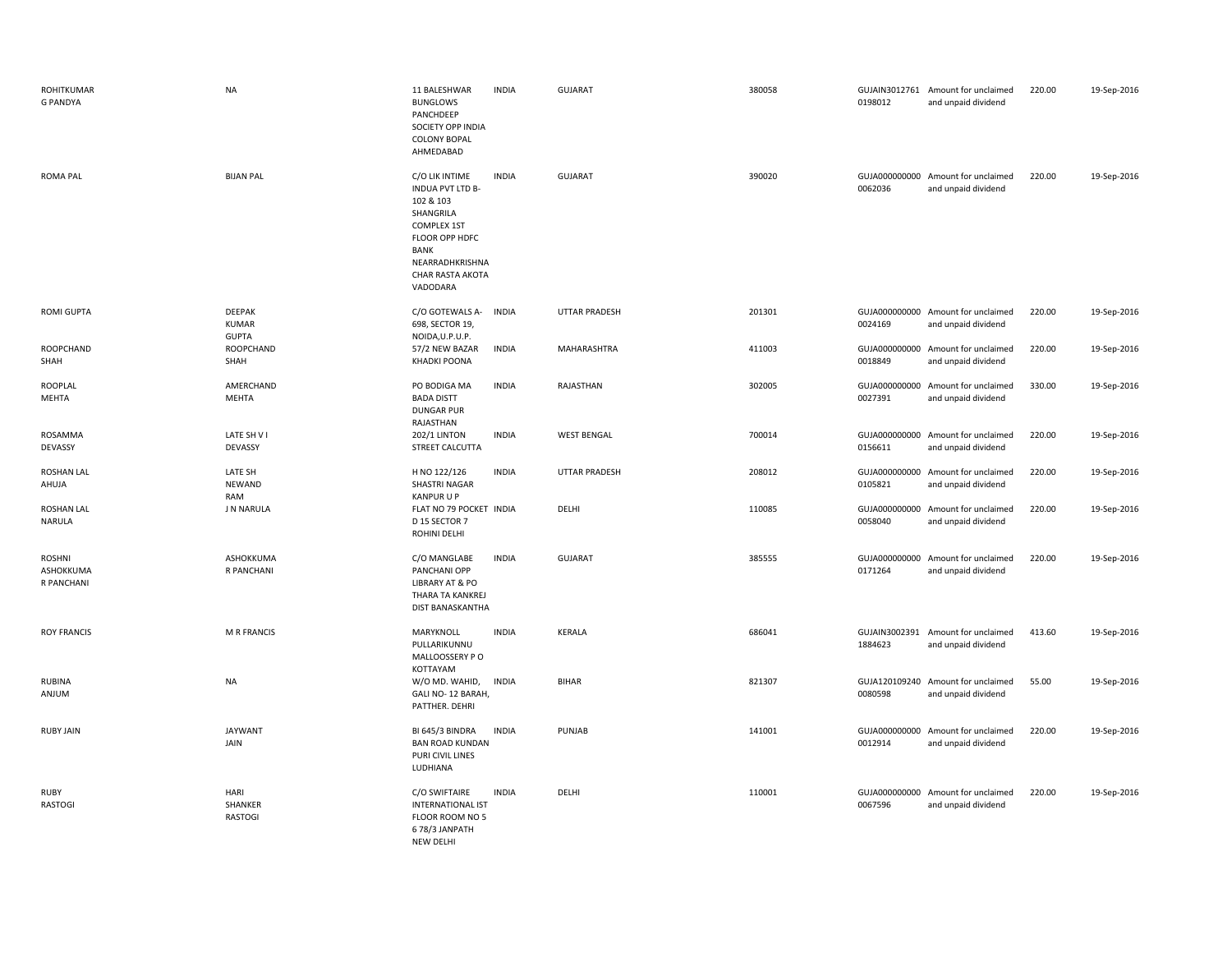| <b>ROHITKUMAR</b><br><b>G PANDYA</b>     | <b>NA</b>                                     | 11 BALESHWAR<br><b>BUNGLOWS</b><br>PANCHDEEP<br>SOCIETY OPP INDIA<br><b>COLONY BOPAL</b><br>AHMEDABAD                                                                  | <b>INDIA</b> | <b>GUJARAT</b>       | 380058 | 0198012                  | GUJAIN3012761 Amount for unclaimed<br>and unpaid dividend | 220.00 | 19-Sep-2016 |
|------------------------------------------|-----------------------------------------------|------------------------------------------------------------------------------------------------------------------------------------------------------------------------|--------------|----------------------|--------|--------------------------|-----------------------------------------------------------|--------|-------------|
| <b>ROMA PAL</b>                          | <b>BIJAN PAL</b>                              | C/O LIK INTIME<br>INDUA PVT LTD B-<br>102 & 103<br>SHANGRILA<br><b>COMPLEX 1ST</b><br>FLOOR OPP HDFC<br>BANK<br>NEARRADHKRISHNA<br><b>CHAR RASTA AKOTA</b><br>VADODARA | <b>INDIA</b> | GUJARAT              | 390020 | 0062036                  | GUJA000000000 Amount for unclaimed<br>and unpaid dividend | 220.00 | 19-Sep-2016 |
| <b>ROMI GUPTA</b>                        | <b>DEEPAK</b><br><b>KUMAR</b><br><b>GUPTA</b> | C/O GOTEWALS A-<br>698, SECTOR 19,<br>NOIDA, U.P.U.P.                                                                                                                  | <b>INDIA</b> | <b>UTTAR PRADESH</b> | 201301 | 0024169                  | GUJA000000000 Amount for unclaimed<br>and unpaid dividend | 220.00 | 19-Sep-2016 |
| <b>ROOPCHAND</b><br>SHAH                 | ROOPCHAND<br>SHAH                             | 57/2 NEW BAZAR<br><b>KHADKI POONA</b>                                                                                                                                  | <b>INDIA</b> | MAHARASHTRA          | 411003 | 0018849                  | GUJA000000000 Amount for unclaimed<br>and unpaid dividend | 220.00 | 19-Sep-2016 |
| <b>ROOPLAL</b><br><b>MEHTA</b>           | AMERCHAND<br><b>MEHTA</b>                     | PO BODIGA MA<br><b>BADA DISTT</b><br><b>DUNGAR PUR</b><br>RAJASTHAN                                                                                                    | <b>INDIA</b> | RAJASTHAN            | 302005 | GUJA000000000<br>0027391 | Amount for unclaimed<br>and unpaid dividend               | 330.00 | 19-Sep-2016 |
| ROSAMMA<br>DEVASSY                       | LATE SH V I<br>DEVASSY                        | <b>202/1 LINTON</b><br>STREET CALCUTTA                                                                                                                                 | <b>INDIA</b> | <b>WEST BENGAL</b>   | 700014 | 0156611                  | GUJA000000000 Amount for unclaimed<br>and unpaid dividend | 220.00 | 19-Sep-2016 |
| <b>ROSHAN LAL</b><br>AHUJA               | LATE SH<br><b>NEWAND</b><br>RAM               | H NO 122/126<br><b>SHASTRI NAGAR</b><br><b>KANPURUP</b>                                                                                                                | <b>INDIA</b> | <b>UTTAR PRADESH</b> | 208012 | 0105821                  | GUJA000000000 Amount for unclaimed<br>and unpaid dividend | 220.00 | 19-Sep-2016 |
| <b>ROSHAN LAL</b><br><b>NARULA</b>       | J N NARULA                                    | FLAT NO 79 POCKET INDIA<br>D 15 SECTOR 7<br>ROHINI DELHI                                                                                                               |              | DELHI                | 110085 | GUJA000000000<br>0058040 | Amount for unclaimed<br>and unpaid dividend               | 220.00 | 19-Sep-2016 |
| <b>ROSHNI</b><br>ASHOKKUMA<br>R PANCHANI | ASHOKKUMA<br>R PANCHANI                       | C/O MANGLABE<br>PANCHANI OPP<br>LIBRARY AT & PO<br>THARA TA KANKREJ<br>DIST BANASKANTHA                                                                                | <b>INDIA</b> | <b>GUJARAT</b>       | 385555 | 0171264                  | GUJA000000000 Amount for unclaimed<br>and unpaid dividend | 220.00 | 19-Sep-2016 |
| <b>ROY FRANCIS</b>                       | <b>M R FRANCIS</b>                            | MARYKNOLL<br>PULLARIKUNNU<br>MALLOOSSERY PO<br>KOTTAYAM                                                                                                                | <b>INDIA</b> | KERALA               | 686041 | 1884623                  | GUJAIN3002391 Amount for unclaimed<br>and unpaid dividend | 413.60 | 19-Sep-2016 |
| <b>RUBINA</b><br>ANJUM                   | <b>NA</b>                                     | W/O MD. WAHID,<br>GALI NO-12 BARAH,<br>PATTHER. DEHRI                                                                                                                  | <b>INDIA</b> | <b>BIHAR</b>         | 821307 | 0080598                  | GUJA120109240 Amount for unclaimed<br>and unpaid dividend | 55.00  | 19-Sep-2016 |
| <b>RUBY JAIN</b>                         | <b>JAYWANT</b><br>JAIN                        | BI 645/3 BINDRA<br><b>BAN ROAD KUNDAN</b><br>PURI CIVIL LINES<br>LUDHIANA                                                                                              | <b>INDIA</b> | PUNJAB               | 141001 | GUJA000000000<br>0012914 | Amount for unclaimed<br>and unpaid dividend               | 220.00 | 19-Sep-2016 |
| <b>RUBY</b><br>RASTOGI                   | HARI<br>SHANKER<br><b>RASTOGI</b>             | C/O SWIFTAIRE<br><b>INTERNATIONAL IST</b><br>FLOOR ROOM NO 5<br>678/3 JANPATH<br>NFW DFI HI                                                                            | <b>INDIA</b> | DELHI                | 110001 | 0067596                  | GUJA000000000 Amount for unclaimed<br>and unpaid dividend | 220.00 | 19-Sep-2016 |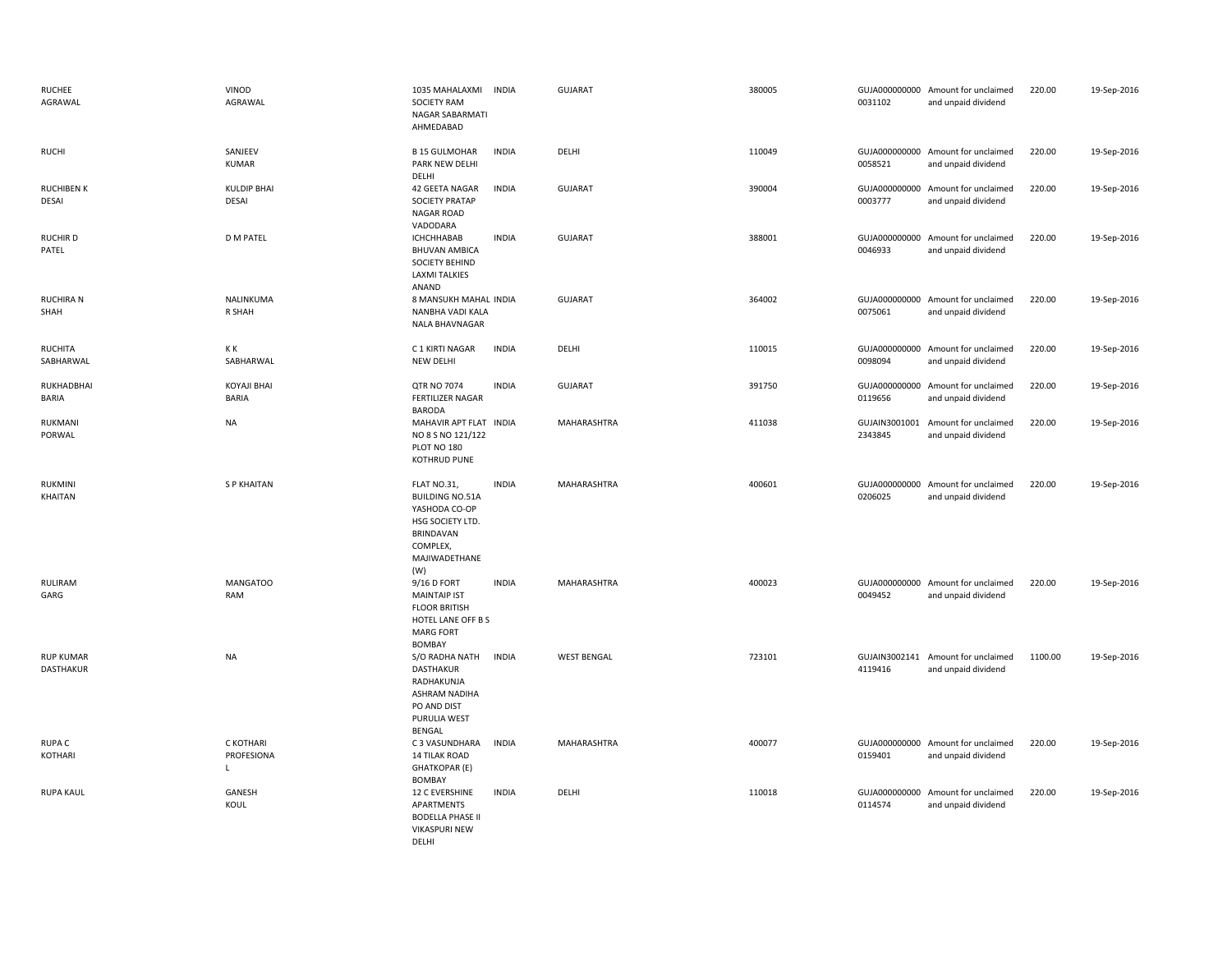| <b>RUCHEE</b><br>AGRAWAL             | VINOD<br>AGRAWAL                   | 1035 MAHALAXMI<br><b>SOCIETY RAM</b><br>NAGAR SABARMATI<br>AHMEDABAD                                                               | INDIA        | <b>GUJARAT</b>     | 380005 | 0031102                  | GUJA000000000 Amount for unclaimed<br>and unpaid dividend | 220.00  | 19-Sep-2016 |
|--------------------------------------|------------------------------------|------------------------------------------------------------------------------------------------------------------------------------|--------------|--------------------|--------|--------------------------|-----------------------------------------------------------|---------|-------------|
| <b>RUCHI</b>                         | SANJEEV<br><b>KUMAR</b>            | <b>B 15 GULMOHAR</b><br>PARK NEW DELHI<br>DELHI                                                                                    | <b>INDIA</b> | DELHI              | 110049 | 0058521                  | GUJA000000000 Amount for unclaimed<br>and unpaid dividend | 220.00  | 19-Sep-2016 |
| <b>RUCHIBEN K</b><br>DESAI           | <b>KULDIP BHAI</b><br>DESAI        | 42 GEETA NAGAR<br>SOCIETY PRATAP<br><b>NAGAR ROAD</b><br>VADODARA                                                                  | <b>INDIA</b> | <b>GUJARAT</b>     | 390004 | 0003777                  | GUJA000000000 Amount for unclaimed<br>and unpaid dividend | 220.00  | 19-Sep-2016 |
| RUCHIR D<br>PATEL                    | <b>D M PATEL</b>                   | ICHCHHABAB<br><b>BHUVAN AMBICA</b><br>SOCIETY BEHIND<br><b>LAXMI TALKIES</b><br>ANAND                                              | <b>INDIA</b> | <b>GUJARAT</b>     | 388001 | 0046933                  | GUJA000000000 Amount for unclaimed<br>and unpaid dividend | 220.00  | 19-Sep-2016 |
| <b>RUCHIRA N</b><br>SHAH             | NALINKUMA<br>R SHAH                | 8 MANSUKH MAHAL INDIA<br>NANBHA VADI KALA<br>NALA BHAVNAGAR                                                                        |              | <b>GUJARAT</b>     | 364002 | 0075061                  | GUJA000000000 Amount for unclaimed<br>and unpaid dividend | 220.00  | 19-Sep-2016 |
| <b>RUCHITA</b><br>SABHARWAL          | K K<br>SABHARWAL                   | C 1 KIRTI NAGAR<br><b>NEW DELHI</b>                                                                                                | <b>INDIA</b> | DELHI              | 110015 | 0098094                  | GUJA000000000 Amount for unclaimed<br>and unpaid dividend | 220.00  | 19-Sep-2016 |
| RUKHADBHAI<br>BARIA                  | <b>KOYAJI BHAI</b><br><b>BARIA</b> | QTR NO 7074<br><b>FERTILIZER NAGAR</b><br><b>BARODA</b>                                                                            | <b>INDIA</b> | <b>GUJARAT</b>     | 391750 | GUJA000000000<br>0119656 | Amount for unclaimed<br>and unpaid dividend               | 220.00  | 19-Sep-2016 |
| RUKMANI<br>PORWAL                    | <b>NA</b>                          | MAHAVIR APT FLAT INDIA<br>NO 8 S NO 121/122<br>PLOT NO 180<br>KOTHRUD PUNE                                                         |              | MAHARASHTRA        | 411038 | 2343845                  | GUJAIN3001001 Amount for unclaimed<br>and unpaid dividend | 220.00  | 19-Sep-2016 |
| RUKMINI<br>KHAITAN                   | <b>SP KHAITAN</b>                  | FLAT NO.31,<br><b>BUILDING NO.51A</b><br>YASHODA CO-OP<br>HSG SOCIETY LTD.<br><b>BRINDAVAN</b><br>COMPLEX,<br>MAJIWADETHANE<br>(W) | <b>INDIA</b> | MAHARASHTRA        | 400601 | 0206025                  | GUJA000000000 Amount for unclaimed<br>and unpaid dividend | 220.00  | 19-Sep-2016 |
| RULIRAM<br>GARG                      | <b>MANGATOO</b><br>RAM             | 9/16 D FORT<br><b>MAINTAIP IST</b><br><b>FLOOR BRITISH</b><br>HOTEL LANE OFF B S<br><b>MARG FORT</b><br><b>BOMBAY</b>              | <b>INDIA</b> | MAHARASHTRA        | 400023 | 0049452                  | GUJA000000000 Amount for unclaimed<br>and unpaid dividend | 220.00  | 19-Sep-2016 |
| <b>RUP KUMAR</b><br><b>DASTHAKUR</b> | <b>NA</b>                          | S/O RADHA NATH<br>DASTHAKUR<br>RADHAKUNJA<br>ASHRAM NADIHA<br>PO AND DIST<br>PURULIA WEST<br><b>BENGAL</b>                         | <b>INDIA</b> | <b>WEST BENGAL</b> | 723101 | 4119416                  | GUJAIN3002141 Amount for unclaimed<br>and unpaid dividend | 1100.00 | 19-Sep-2016 |
| RUPA C<br>KOTHARI                    | C KOTHARI<br>PROFESIONA            | C 3 VASUNDHARA<br><b>14 TILAK ROAD</b><br><b>GHATKOPAR (E)</b><br><b>BOMBAY</b>                                                    | <b>INDIA</b> | MAHARASHTRA        | 400077 | 0159401                  | GUJA000000000 Amount for unclaimed<br>and unpaid dividend | 220.00  | 19-Sep-2016 |
| <b>RUPA KAUL</b>                     | GANESH<br>KOUL                     | 12 C EVERSHINE<br>APARTMENTS<br><b>BODELLA PHASE II</b><br><b>VIKASPURI NEW</b><br>DELHI                                           | <b>INDIA</b> | DELHI              | 110018 | 0114574                  | GUJA000000000 Amount for unclaimed<br>and unpaid dividend | 220.00  | 19-Sep-2016 |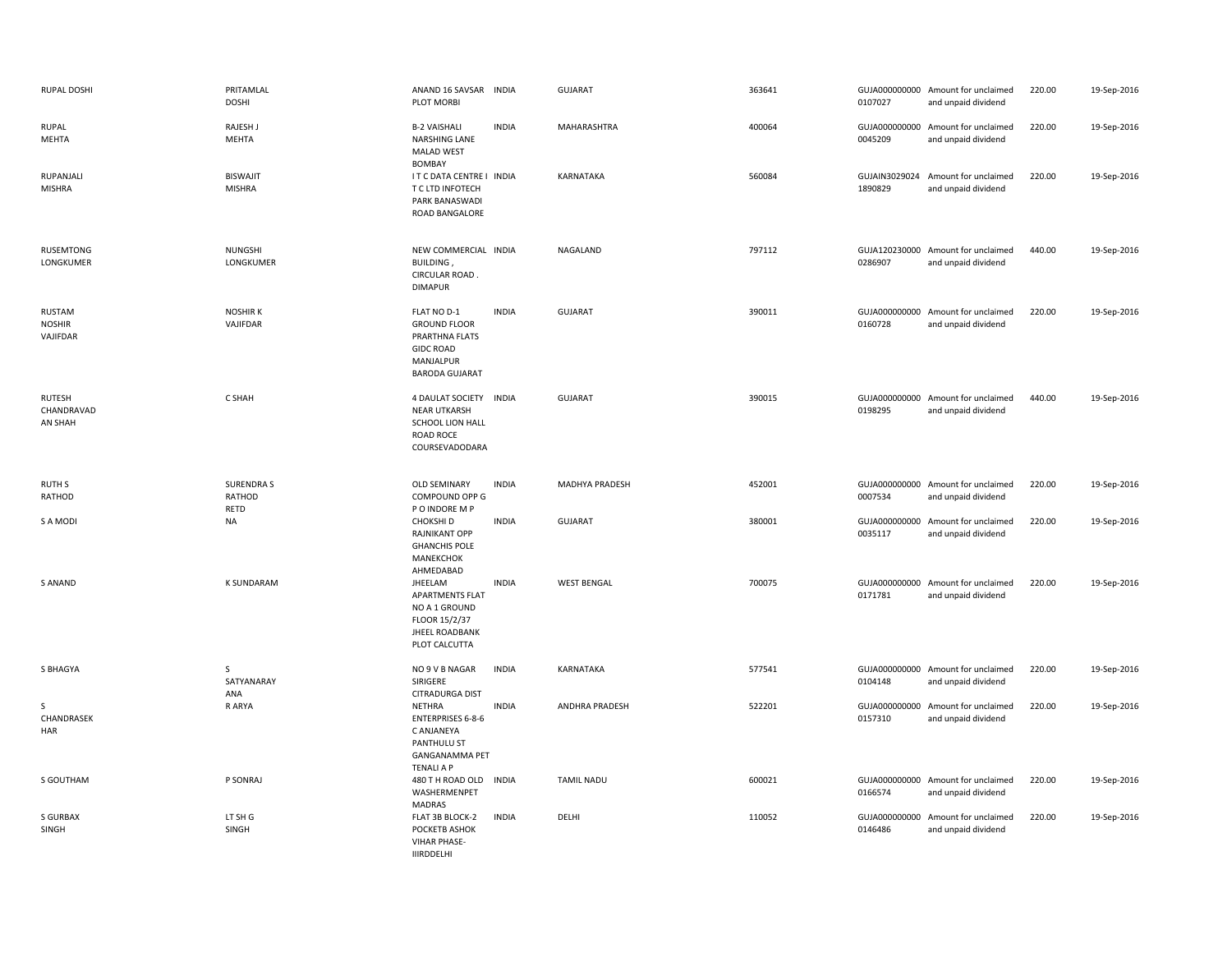| RUPAL DOSHI                            | PRITAMLAL<br><b>DOSHI</b>          | ANAND 16 SAVSAR INDIA<br>PLOT MORBI                                                                                  |              | <b>GUJARAT</b>     | 363641 | 0107027 | GUJA000000000 Amount for unclaimed<br>and unpaid dividend | 220.00 | 19-Sep-2016 |
|----------------------------------------|------------------------------------|----------------------------------------------------------------------------------------------------------------------|--------------|--------------------|--------|---------|-----------------------------------------------------------|--------|-------------|
| RUPAL<br>MEHTA                         | RAJESH J<br><b>MEHTA</b>           | <b>B-2 VAISHALI</b><br>NARSHING LANE<br><b>MALAD WEST</b><br><b>BOMBAY</b>                                           | <b>INDIA</b> | MAHARASHTRA        | 400064 | 0045209 | GUJA000000000 Amount for unclaimed<br>and unpaid dividend | 220.00 | 19-Sep-2016 |
| RUPANJALI<br><b>MISHRA</b>             | <b>BISWAJIT</b><br><b>MISHRA</b>   | I T C DATA CENTRE I INDIA<br>T C LTD INFOTECH<br>PARK BANASWADI<br>ROAD BANGALORE                                    |              | KARNATAKA          | 560084 | 1890829 | GUJAIN3029024 Amount for unclaimed<br>and unpaid dividend | 220.00 | 19-Sep-2016 |
| <b>RUSEMTONG</b><br>LONGKUMER          | <b>NUNGSHI</b><br>LONGKUMER        | NEW COMMERCIAL INDIA<br>BUILDING,<br>CIRCULAR ROAD.<br><b>DIMAPUR</b>                                                |              | NAGALAND           | 797112 | 0286907 | GUJA120230000 Amount for unclaimed<br>and unpaid dividend | 440.00 | 19-Sep-2016 |
| RUSTAM<br><b>NOSHIR</b><br>VAJIFDAR    | <b>NOSHIRK</b><br>VAJIFDAR         | FLAT NO D-1<br><b>GROUND FLOOR</b><br>PRARTHNA FLATS<br><b>GIDC ROAD</b><br>MANJALPUR<br><b>BARODA GUJARAT</b>       | <b>INDIA</b> | <b>GUJARAT</b>     | 390011 | 0160728 | GUJA000000000 Amount for unclaimed<br>and unpaid dividend | 220.00 | 19-Sep-2016 |
| <b>RUTESH</b><br>CHANDRAVAD<br>AN SHAH | C SHAH                             | 4 DAULAT SOCIETY INDIA<br><b>NEAR UTKARSH</b><br>SCHOOL LION HALL<br>ROAD ROCE<br>COURSEVADODARA                     |              | <b>GUJARAT</b>     | 390015 | 0198295 | GUJA000000000 Amount for unclaimed<br>and unpaid dividend | 440.00 | 19-Sep-2016 |
| <b>RUTH S</b><br>RATHOD                | <b>SURENDRAS</b><br>RATHOD<br>RETD | OLD SEMINARY<br>COMPOUND OPP G<br>P O INDORE M P                                                                     | <b>INDIA</b> | MADHYA PRADESH     | 452001 | 0007534 | GUJA000000000 Amount for unclaimed<br>and unpaid dividend | 220.00 | 19-Sep-2016 |
| S A MODI                               | <b>NA</b>                          | CHOKSHI D<br>RAJNIKANT OPP<br><b>GHANCHIS POLE</b><br>MANEKCHOK<br>AHMEDABAD                                         | <b>INDIA</b> | <b>GUJARAT</b>     | 380001 | 0035117 | GUJA000000000 Amount for unclaimed<br>and unpaid dividend | 220.00 | 19-Sep-2016 |
| S ANAND                                | <b>K SUNDARAM</b>                  | JHEELAM<br><b>APARTMENTS FLAT</b><br>NO A 1 GROUND<br>FLOOR 15/2/37<br><b>JHEEL ROADBANK</b><br>PLOT CALCUTTA        | <b>INDIA</b> | <b>WEST BENGAL</b> | 700075 | 0171781 | GUJA000000000 Amount for unclaimed<br>and unpaid dividend | 220.00 | 19-Sep-2016 |
| S BHAGYA                               | S<br>SATYANARAY<br>ANA             | NO 9 V B NAGAR<br>SIRIGERE<br><b>CITRADURGA DIST</b>                                                                 | <b>INDIA</b> | KARNATAKA          | 577541 | 0104148 | GUJA000000000 Amount for unclaimed<br>and unpaid dividend | 220.00 | 19-Sep-2016 |
| -S<br>CHANDRASEK<br>HAR                | R ARYA                             | <b>NETHRA</b><br><b>ENTERPRISES 6-8-6</b><br>C ANJANEYA<br>PANTHULU ST<br><b>GANGANAMMA PET</b><br><b>TENALI A P</b> | <b>INDIA</b> | ANDHRA PRADESH     | 522201 | 0157310 | GUJA000000000 Amount for unclaimed<br>and unpaid dividend | 220.00 | 19-Sep-2016 |
| S GOUTHAM                              | P SONRAJ                           | 480 T H ROAD OLD INDIA<br>WASHERMENPET<br><b>MADRAS</b>                                                              |              | <b>TAMIL NADU</b>  | 600021 | 0166574 | GUJA000000000 Amount for unclaimed<br>and unpaid dividend | 220.00 | 19-Sep-2016 |
| <b>S GURBAX</b><br>SINGH               | LT SH G<br>SINGH                   | FLAT 3B BLOCK-2<br>POCKETB ASHOK<br><b>VIHAR PHASE-</b><br><b>IIIRDDELHI</b>                                         | <b>INDIA</b> | DELHI              | 110052 | 0146486 | GUJA000000000 Amount for unclaimed<br>and unpaid dividend | 220.00 | 19-Sep-2016 |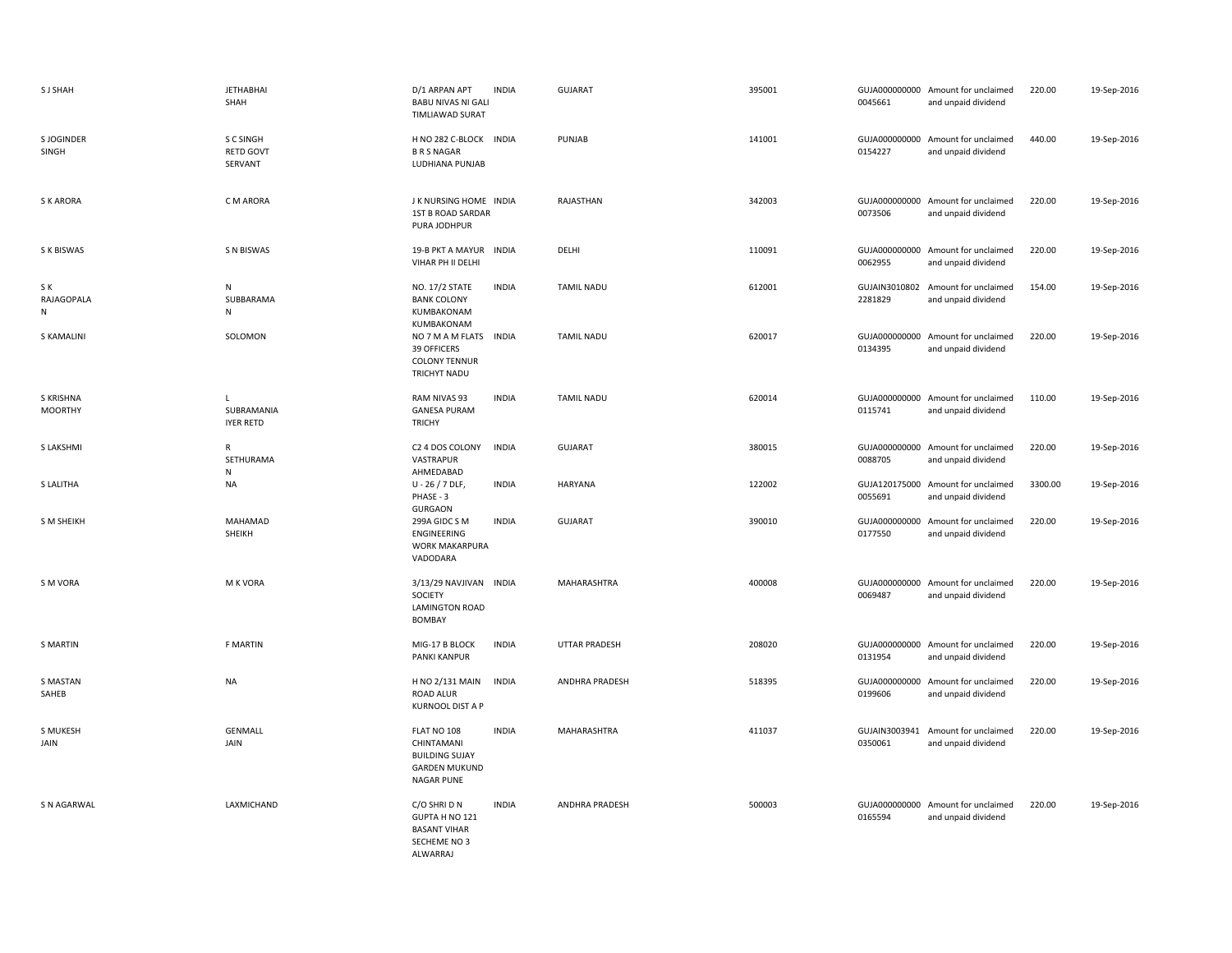| <b>SJ SHAH</b>              | <b>JETHABHAI</b><br>SHAH                 | D/1 ARPAN APT<br><b>BABU NIVAS NI GALI</b><br><b>TIMLIAWAD SURAT</b>                            | <b>INDIA</b> | <b>GUJARAT</b>        | 395001 | 0045661                  | GUJA000000000 Amount for unclaimed<br>and unpaid dividend | 220.00  | 19-Sep-2016 |
|-----------------------------|------------------------------------------|-------------------------------------------------------------------------------------------------|--------------|-----------------------|--------|--------------------------|-----------------------------------------------------------|---------|-------------|
| S JOGINDER<br>SINGH         | S C SINGH<br><b>RETD GOVT</b><br>SERVANT | H NO 282 C-BLOCK INDIA<br><b>B R S NAGAR</b><br>LUDHIANA PUNJAB                                 |              | PUNJAB                | 141001 | 0154227                  | GUJA000000000 Amount for unclaimed<br>and unpaid dividend | 440.00  | 19-Sep-2016 |
| <b>SKARORA</b>              | C M ARORA                                | J K NURSING HOME INDIA<br><b>1ST B ROAD SARDAR</b><br>PURA JODHPUR                              |              | RAJASTHAN             | 342003 | 0073506                  | GUJA000000000 Amount for unclaimed<br>and unpaid dividend | 220.00  | 19-Sep-2016 |
| S K BISWAS                  | <b>S N BISWAS</b>                        | 19-B PKT A MAYUR INDIA<br>VIHAR PH II DELHI                                                     |              | DELHI                 | 110091 | 0062955                  | GUJA000000000 Amount for unclaimed<br>and unpaid dividend | 220.00  | 19-Sep-2016 |
| S K<br>RAJAGOPALA<br>N      | ${\sf N}$<br>SUBBARAMA<br>N              | NO. 17/2 STATE<br><b>BANK COLONY</b><br>KUMBAKONAM<br>KUMBAKONAM                                | <b>INDIA</b> | <b>TAMIL NADU</b>     | 612001 | 2281829                  | GUJAIN3010802 Amount for unclaimed<br>and unpaid dividend | 154.00  | 19-Sep-2016 |
| <b>S KAMALINI</b>           | SOLOMON                                  | NO 7 M A M FLATS<br>39 OFFICERS<br><b>COLONY TENNUR</b><br>TRICHYT NADU                         | <b>INDIA</b> | <b>TAMIL NADU</b>     | 620017 | 0134395                  | GUJA000000000 Amount for unclaimed<br>and unpaid dividend | 220.00  | 19-Sep-2016 |
| S KRISHNA<br><b>MOORTHY</b> | L<br>SUBRAMANIA<br><b>IYER RETD</b>      | RAM NIVAS 93<br><b>GANESA PURAM</b><br><b>TRICHY</b>                                            | <b>INDIA</b> | <b>TAMIL NADU</b>     | 620014 | 0115741                  | GUJA000000000 Amount for unclaimed<br>and unpaid dividend | 110.00  | 19-Sep-2016 |
| S LAKSHMI                   | $\mathsf{R}$<br>SETHURAMA<br>${\sf N}$   | C2 4 DOS COLONY<br>VASTRAPUR<br>AHMEDABAD                                                       | <b>INDIA</b> | <b>GUJARAT</b>        | 380015 | 0088705                  | GUJA000000000 Amount for unclaimed<br>and unpaid dividend | 220.00  | 19-Sep-2016 |
| S LALITHA                   | <b>NA</b>                                | $U - 26 / 7$ DLF,<br>PHASE - 3<br><b>GURGAON</b>                                                | <b>INDIA</b> | HARYANA               | 122002 | 0055691                  | GUJA120175000 Amount for unclaimed<br>and unpaid dividend | 3300.00 | 19-Sep-2016 |
| S M SHEIKH                  | MAHAMAD<br>SHEIKH                        | 299A GIDC S M<br>ENGINEERING<br><b>WORK MAKARPURA</b><br>VADODARA                               | <b>INDIA</b> | <b>GUJARAT</b>        | 390010 | 0177550                  | GUJA000000000 Amount for unclaimed<br>and unpaid dividend | 220.00  | 19-Sep-2016 |
| S M VORA                    | M K VORA                                 | 3/13/29 NAVJIVAN INDIA<br>SOCIETY<br><b>LAMINGTON ROAD</b><br>BOMBAY                            |              | MAHARASHTRA           | 400008 | 0069487                  | GUJA000000000 Amount for unclaimed<br>and unpaid dividend | 220.00  | 19-Sep-2016 |
| <b>S MARTIN</b>             | <b>F MARTIN</b>                          | MIG-17 B BLOCK<br>PANKI KANPUR                                                                  | <b>INDIA</b> | UTTAR PRADESH         | 208020 | 0131954                  | GUJA000000000 Amount for unclaimed<br>and unpaid dividend | 220.00  | 19-Sep-2016 |
| <b>S MASTAN</b><br>SAHEB    | <b>NA</b>                                | H NO 2/131 MAIN<br><b>ROAD ALUR</b><br>KURNOOL DIST A P                                         | <b>INDIA</b> | <b>ANDHRA PRADESH</b> | 518395 | 0199606                  | GUJA000000000 Amount for unclaimed<br>and unpaid dividend | 220.00  | 19-Sep-2016 |
| S MUKESH<br>JAIN            | <b>GENMALL</b><br>JAIN                   | FLAT NO 108<br>CHINTAMANI<br><b>BUILDING SUJAY</b><br><b>GARDEN MUKUND</b><br><b>NAGAR PUNE</b> | <b>INDIA</b> | MAHARASHTRA           | 411037 | GUJAIN3003941<br>0350061 | Amount for unclaimed<br>and unpaid dividend               | 220.00  | 19-Sep-2016 |
| S N AGARWAL                 | LAXMICHAND                               | C/O SHRI D N<br>GUPTA H NO 121<br><b>BASANT VIHAR</b><br>SECHEME NO 3<br>ALWARRAJ               | <b>INDIA</b> | ANDHRA PRADESH        | 500003 | 0165594                  | GUJA000000000 Amount for unclaimed<br>and unpaid dividend | 220.00  | 19-Sep-2016 |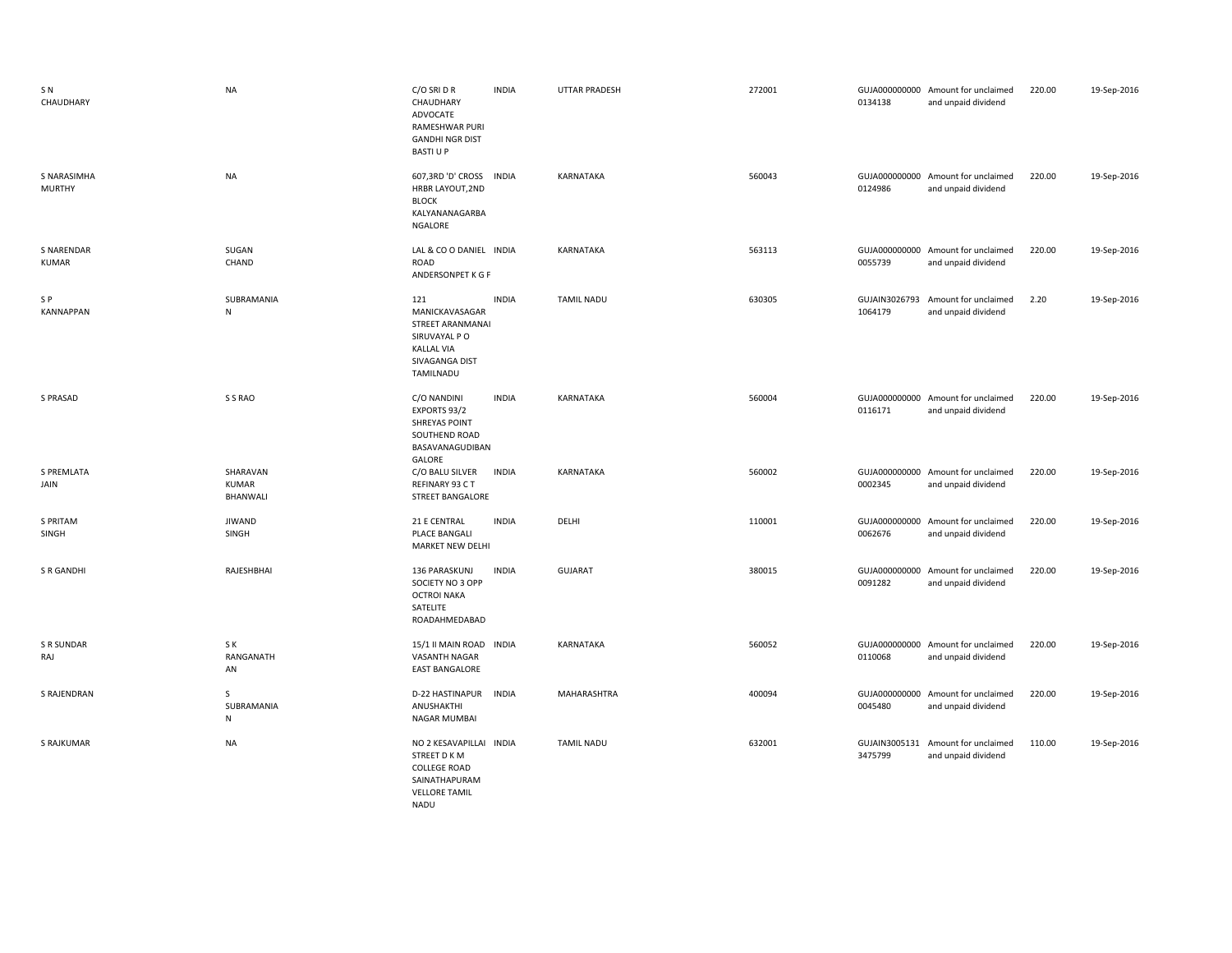| SN <sub></sub><br>CHAUDHARY  | <b>NA</b>                            | C/O SRI D R<br>CHAUDHARY<br>ADVOCATE<br>RAMESHWAR PURI<br><b>GANDHI NGR DIST</b><br><b>BASTI U P</b>            | <b>INDIA</b> | <b>UTTAR PRADESH</b> | 272001 | 0134138                  | GUJA000000000 Amount for unclaimed<br>and unpaid dividend | 220.00 | 19-Sep-2016 |
|------------------------------|--------------------------------------|-----------------------------------------------------------------------------------------------------------------|--------------|----------------------|--------|--------------------------|-----------------------------------------------------------|--------|-------------|
| S NARASIMHA<br><b>MURTHY</b> | <b>NA</b>                            | 607,3RD 'D' CROSS<br>HRBR LAYOUT, 2ND<br><b>BLOCK</b><br>KALYANANAGARBA<br>NGALORE                              | <b>INDIA</b> | KARNATAKA            | 560043 | 0124986                  | GUJA000000000 Amount for unclaimed<br>and unpaid dividend | 220.00 | 19-Sep-2016 |
| S NARENDAR<br><b>KUMAR</b>   | SUGAN<br>CHAND                       | LAL & CO O DANIEL INDIA<br>ROAD<br>ANDERSONPET K G F                                                            |              | KARNATAKA            | 563113 | 0055739                  | GUJA000000000 Amount for unclaimed<br>and unpaid dividend | 220.00 | 19-Sep-2016 |
| S P<br><b>KANNAPPAN</b>      | SUBRAMANIA<br>$\mathsf{N}$           | 121<br>MANICKAVASAGAR<br>STREET ARANMANAI<br>SIRUVAYAL P O<br><b>KALLAL VIA</b><br>SIVAGANGA DIST<br>TAMILNADU  | <b>INDIA</b> | <b>TAMIL NADU</b>    | 630305 | GUJAIN3026793<br>1064179 | Amount for unclaimed<br>and unpaid dividend               | 2.20   | 19-Sep-2016 |
| S PRASAD                     | S S RAO                              | C/O NANDINI<br>EXPORTS 93/2<br><b>SHREYAS POINT</b><br>SOUTHEND ROAD<br>BASAVANAGUDIBAN<br>GALORE               | <b>INDIA</b> | KARNATAKA            | 560004 | 0116171                  | GUJA000000000 Amount for unclaimed<br>and unpaid dividend | 220.00 | 19-Sep-2016 |
| S PREMLATA<br>JAIN           | SHARAVAN<br><b>KUMAR</b><br>BHANWALI | C/O BALU SILVER<br>REFINARY 93 CT<br><b>STREET BANGALORE</b>                                                    | <b>INDIA</b> | KARNATAKA            | 560002 | 0002345                  | GUJA000000000 Amount for unclaimed<br>and unpaid dividend | 220.00 | 19-Sep-2016 |
| S PRITAM<br>SINGH            | <b>JIWAND</b><br>SINGH               | 21 E CENTRAL<br>PLACE BANGALI<br>MARKET NEW DELHI                                                               | <b>INDIA</b> | DELHI                | 110001 | 0062676                  | GUJA000000000 Amount for unclaimed<br>and unpaid dividend | 220.00 | 19-Sep-2016 |
| S R GANDHI                   | RAJESHBHAI                           | 136 PARASKUNJ<br>SOCIETY NO 3 OPP<br><b>OCTROI NAKA</b><br>SATELITE<br>ROADAHMEDABAD                            | <b>INDIA</b> | <b>GUJARAT</b>       | 380015 | 0091282                  | GUJA000000000 Amount for unclaimed<br>and unpaid dividend | 220.00 | 19-Sep-2016 |
| S R SUNDAR<br>RAJ            | S K<br>RANGANATH<br>AN               | 15/1 II MAIN ROAD INDIA<br>VASANTH NAGAR<br><b>EAST BANGALORE</b>                                               |              | KARNATAKA            | 560052 | 0110068                  | GUJA000000000 Amount for unclaimed<br>and unpaid dividend | 220.00 | 19-Sep-2016 |
| <b>S RAJENDRAN</b>           | $\mathsf{S}$<br>SUBRAMANIA<br>N      | D-22 HASTINAPUR<br>ANUSHAKTHI<br>NAGAR MUMBAI                                                                   | <b>INDIA</b> | MAHARASHTRA          | 400094 | 0045480                  | GUJA000000000 Amount for unclaimed<br>and unpaid dividend | 220.00 | 19-Sep-2016 |
| S RAJKUMAR                   | <b>NA</b>                            | NO 2 KESAVAPILLAI INDIA<br>STREET D K M<br><b>COLLEGE ROAD</b><br>SAINATHAPURAM<br><b>VELLORE TAMIL</b><br>NADU |              | TAMIL NADU           | 632001 | GUJAIN3005131<br>3475799 | Amount for unclaimed<br>and unpaid dividend               | 110.00 | 19-Sep-2016 |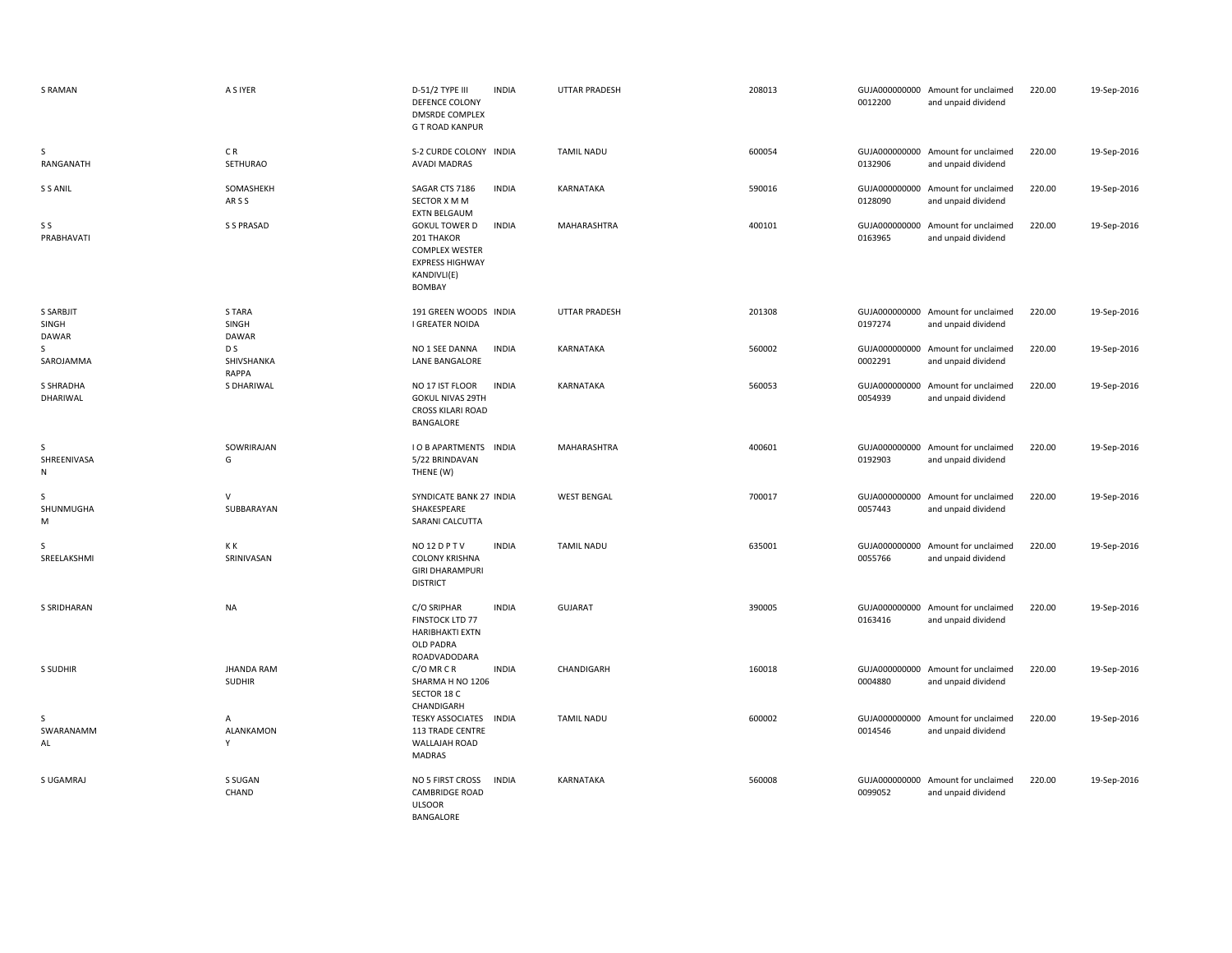| <b>S RAMAN</b>                     | A S IYER                           | D-51/2 TYPE III<br><b>DEFENCE COLONY</b><br><b>DMSRDE COMPLEX</b><br><b>G T ROAD KANPUR</b>                           | <b>INDIA</b> | <b>UTTAR PRADESH</b> | 208013 | 0012200                  | GUJA000000000 Amount for unclaimed<br>and unpaid dividend | 220.00 | 19-Sep-2016 |
|------------------------------------|------------------------------------|-----------------------------------------------------------------------------------------------------------------------|--------------|----------------------|--------|--------------------------|-----------------------------------------------------------|--------|-------------|
| S<br>RANGANATH                     | CR<br><b>SETHURAO</b>              | S-2 CURDE COLONY INDIA<br><b>AVADI MADRAS</b>                                                                         |              | <b>TAMIL NADU</b>    | 600054 | 0132906                  | GUJA000000000 Amount for unclaimed<br>and unpaid dividend | 220.00 | 19-Sep-2016 |
| S S ANIL                           | SOMASHEKH<br>ARSS                  | SAGAR CTS 7186<br>SECTOR X M M<br><b>EXTN BELGAUM</b>                                                                 | <b>INDIA</b> | KARNATAKA            | 590016 | 0128090                  | GUJA000000000 Amount for unclaimed<br>and unpaid dividend | 220.00 | 19-Sep-2016 |
| S S<br>PRABHAVATI                  | S S PRASAD                         | <b>GOKUL TOWER D</b><br>201 THAKOR<br><b>COMPLEX WESTER</b><br><b>EXPRESS HIGHWAY</b><br>KANDIVLI(E)<br><b>BOMBAY</b> | <b>INDIA</b> | MAHARASHTRA          | 400101 | 0163965                  | GUJA000000000 Amount for unclaimed<br>and unpaid dividend | 220.00 | 19-Sep-2016 |
| S SARBJIT<br>SINGH<br><b>DAWAR</b> | S TARA<br>SINGH<br>DAWAR           | 191 GREEN WOODS INDIA<br>I GREATER NOIDA                                                                              |              | UTTAR PRADESH        | 201308 | 0197274                  | GUJA000000000 Amount for unclaimed<br>and unpaid dividend | 220.00 | 19-Sep-2016 |
| S.<br>SAROJAMMA                    | D S<br>SHIVSHANKA<br>RAPPA         | NO 1 SEE DANNA<br>LANE BANGALORE                                                                                      | <b>INDIA</b> | KARNATAKA            | 560002 | 0002291                  | GUJA000000000 Amount for unclaimed<br>and unpaid dividend | 220.00 | 19-Sep-2016 |
| S SHRADHA<br>DHARIWAL              | S DHARIWAL                         | NO 17 IST FLOOR<br><b>GOKUL NIVAS 29TH</b><br><b>CROSS KILARI ROAD</b><br>BANGALORE                                   | <b>INDIA</b> | KARNATAKA            | 560053 | 0054939                  | GUJA000000000 Amount for unclaimed<br>and unpaid dividend | 220.00 | 19-Sep-2016 |
| S<br>SHREENIVASA<br>N              | SOWRIRAJAN<br>G                    | <b>I O B APARTMENTS INDIA</b><br>5/22 BRINDAVAN<br>THENE (W)                                                          |              | MAHARASHTRA          | 400601 | 0192903                  | GUJA000000000 Amount for unclaimed<br>and unpaid dividend | 220.00 | 19-Sep-2016 |
| S<br>SHUNMUGHA<br>M                | $\vee$<br>SUBBARAYAN               | SYNDICATE BANK 27 INDIA<br>SHAKESPEARE<br>SARANI CALCUTTA                                                             |              | <b>WEST BENGAL</b>   | 700017 | GUJA000000000<br>0057443 | Amount for unclaimed<br>and unpaid dividend               | 220.00 | 19-Sep-2016 |
| S<br>SREELAKSHMI                   | K K<br>SRINIVASAN                  | NO <sub>12</sub> DPTV<br><b>COLONY KRISHNA</b><br><b>GIRI DHARAMPURI</b><br><b>DISTRICT</b>                           | <b>INDIA</b> | <b>TAMIL NADU</b>    | 635001 | 0055766                  | GUJA000000000 Amount for unclaimed<br>and unpaid dividend | 220.00 | 19-Sep-2016 |
| <b>S SRIDHARAN</b>                 | <b>NA</b>                          | C/O SRIPHAR<br>FINSTOCK LTD 77<br><b>HARIBHAKTI EXTN</b><br>OLD PADRA<br>ROADVADODARA                                 | <b>INDIA</b> | <b>GUJARAT</b>       | 390005 | 0163416                  | GUJA000000000 Amount for unclaimed<br>and unpaid dividend | 220.00 | 19-Sep-2016 |
| S SUDHIR                           | <b>JHANDA RAM</b><br><b>SUDHIR</b> | C/O MR C R<br>SHARMA H NO 1206<br>SECTOR 18 C<br>CHANDIGARH                                                           | <b>INDIA</b> | CHANDIGARH           | 160018 | 0004880                  | GUJA000000000 Amount for unclaimed<br>and unpaid dividend | 220.00 | 19-Sep-2016 |
| S<br>SWARANAMM<br>AL               | Α<br>ALANKAMON<br>Υ                | TESKY ASSOCIATES INDIA<br>113 TRADE CENTRE<br>WALLAJAH ROAD<br>MADRAS                                                 |              | TAMIL NADU           | 600002 | 0014546                  | GUJA000000000 Amount for unclaimed<br>and unpaid dividend | 220.00 | 19-Sep-2016 |
| S UGAMRAJ                          | S SUGAN<br>CHAND                   | NO 5 FIRST CROSS<br><b>CAMBRIDGE ROAD</b><br><b>ULSOOR</b><br>BANGALORE                                               | <b>INDIA</b> | KARNATAKA            | 560008 | 0099052                  | GUJA000000000 Amount for unclaimed<br>and unpaid dividend | 220.00 | 19-Sep-2016 |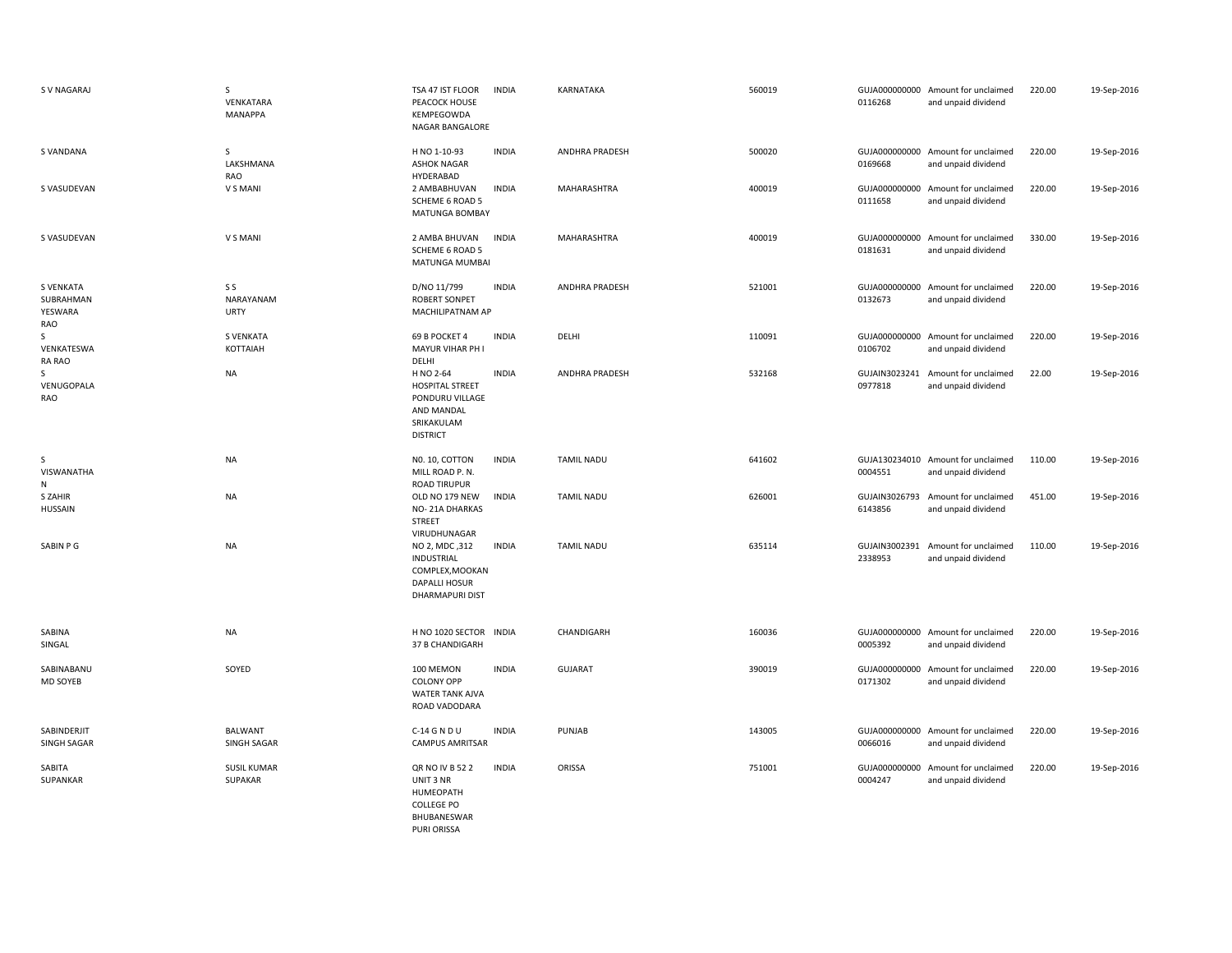| S V NAGARAJ                                     | S<br>VENKATARA<br><b>MANAPPA</b> | TSA 47 IST FLOOR<br>PEACOCK HOUSE<br>KEMPEGOWDA<br>NAGAR BANGALORE                                    | <b>INDIA</b> | KARNATAKA             | 560019 | 0116268                  | GUJA000000000 Amount for unclaimed<br>and unpaid dividend | 220.00 | 19-Sep-2016 |
|-------------------------------------------------|----------------------------------|-------------------------------------------------------------------------------------------------------|--------------|-----------------------|--------|--------------------------|-----------------------------------------------------------|--------|-------------|
| S VANDANA                                       | S<br>LAKSHMANA<br>RAO            | H NO 1-10-93<br><b>ASHOK NAGAR</b><br>HYDERABAD                                                       | <b>INDIA</b> | <b>ANDHRA PRADESH</b> | 500020 | 0169668                  | GUJA000000000 Amount for unclaimed<br>and unpaid dividend | 220.00 | 19-Sep-2016 |
| S VASUDEVAN                                     | V S MANI                         | 2 AMBABHUVAN<br><b>SCHEME 6 ROAD 5</b><br>MATUNGA BOMBAY                                              | <b>INDIA</b> | MAHARASHTRA           | 400019 | 0111658                  | GUJA000000000 Amount for unclaimed<br>and unpaid dividend | 220.00 | 19-Sep-2016 |
| S VASUDEVAN                                     | V S MANI                         | 2 AMBA BHUVAN<br>SCHEME 6 ROAD 5<br>MATUNGA MUMBAI                                                    | <b>INDIA</b> | MAHARASHTRA           | 400019 | 0181631                  | GUJA000000000 Amount for unclaimed<br>and unpaid dividend | 330.00 | 19-Sep-2016 |
| <b>S VENKATA</b><br>SUBRAHMAN<br>YESWARA<br>RAO | S S<br>NARAYANAM<br><b>URTY</b>  | D/NO 11/799<br><b>ROBERT SONPET</b><br>MACHILIPATNAM AP                                               | <b>INDIA</b> | ANDHRA PRADESH        | 521001 | 0132673                  | GUJA000000000 Amount for unclaimed<br>and unpaid dividend | 220.00 | 19-Sep-2016 |
| S<br>VENKATESWA<br><b>RA RAO</b>                | <b>S VENKATA</b><br>KOTTAIAH     | 69 B POCKET 4<br>MAYUR VIHAR PH I<br>DELHI                                                            | <b>INDIA</b> | DELHI                 | 110091 | 0106702                  | GUJA000000000 Amount for unclaimed<br>and unpaid dividend | 220.00 | 19-Sep-2016 |
| S<br>VENUGOPALA<br>RAO                          | <b>NA</b>                        | H NO 2-64<br><b>HOSPITAL STREET</b><br>PONDURU VILLAGE<br>AND MANDAL<br>SRIKAKULAM<br><b>DISTRICT</b> | <b>INDIA</b> | <b>ANDHRA PRADESH</b> | 532168 | GUJAIN3023241<br>0977818 | Amount for unclaimed<br>and unpaid dividend               | 22.00  | 19-Sep-2016 |
| S<br>VISWANATHA<br>N                            | <b>NA</b>                        | NO. 10, COTTON<br>MILL ROAD P. N.<br><b>ROAD TIRUPUR</b>                                              | <b>INDIA</b> | <b>TAMIL NADU</b>     | 641602 | 0004551                  | GUJA130234010 Amount for unclaimed<br>and unpaid dividend | 110.00 | 19-Sep-2016 |
| S ZAHIR<br><b>HUSSAIN</b>                       | <b>NA</b>                        | OLD NO 179 NEW<br>NO-21A DHARKAS<br><b>STREET</b><br>VIRUDHUNAGAR                                     | <b>INDIA</b> | <b>TAMIL NADU</b>     | 626001 | GUJAIN3026793<br>6143856 | Amount for unclaimed<br>and unpaid dividend               | 451.00 | 19-Sep-2016 |
| SABIN P G                                       | <b>NA</b>                        | NO 2, MDC, 312<br><b>INDUSTRIAL</b><br>COMPLEX, MOOKAN<br>DAPALLI HOSUR<br><b>DHARMAPURI DIST</b>     | <b>INDIA</b> | <b>TAMIL NADU</b>     | 635114 | 2338953                  | GUJAIN3002391 Amount for unclaimed<br>and unpaid dividend | 110.00 | 19-Sep-2016 |
| SABINA<br>SINGAL                                | <b>NA</b>                        | H NO 1020 SECTOR INDIA<br>37 B CHANDIGARH                                                             |              | CHANDIGARH            | 160036 | 0005392                  | GUJA000000000 Amount for unclaimed<br>and unpaid dividend | 220.00 | 19-Sep-2016 |
| SABINABANU<br><b>MD SOYEB</b>                   | SOYED                            | 100 MEMON<br><b>COLONY OPP</b><br>WATER TANK AJVA<br>ROAD VADODARA                                    | <b>INDIA</b> | <b>GUJARAT</b>        | 390019 | 0171302                  | GUJA000000000 Amount for unclaimed<br>and unpaid dividend | 220.00 | 19-Sep-2016 |
| SABINDERJIT<br>SINGH SAGAR                      | <b>BALWANT</b><br>SINGH SAGAR    | C-14 G N D U<br><b>CAMPUS AMRITSAR</b>                                                                | <b>INDIA</b> | PUNJAB                | 143005 | 0066016                  | GUJA000000000 Amount for unclaimed<br>and unpaid dividend | 220.00 | 19-Sep-2016 |
| SABITA<br>SUPANKAR                              | <b>SUSIL KUMAR</b><br>SUPAKAR    | QR NO IV B 52 2<br>UNIT 3 NR<br>HUMEOPATH<br><b>COLLEGE PO</b><br>BHUBANESWAR                         | <b>INDIA</b> | ORISSA                | 751001 | 0004247                  | GUJA000000000 Amount for unclaimed<br>and unpaid dividend | 220.00 | 19-Sep-2016 |

PURI ORISSA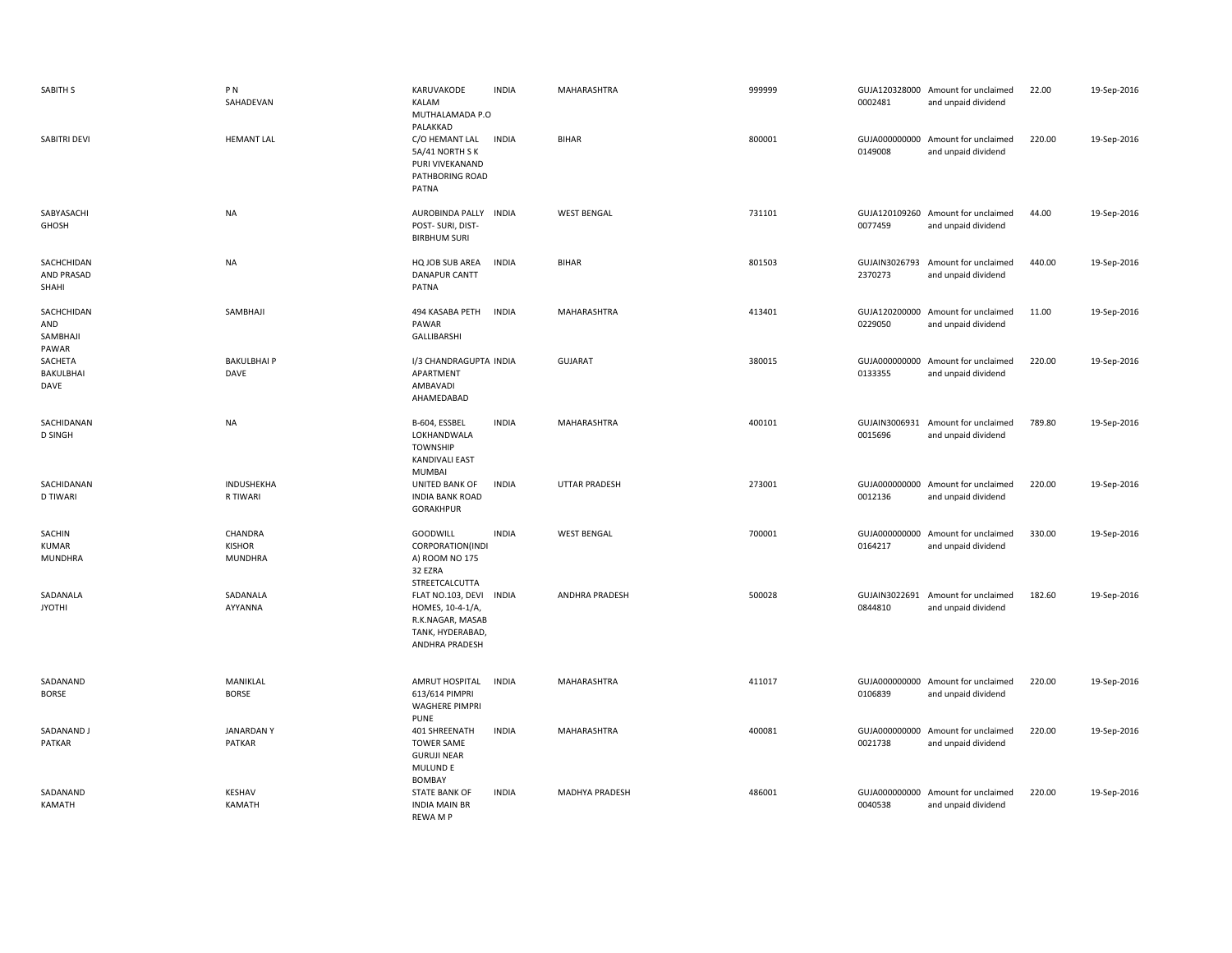| SABITH S                               | PN<br>SAHADEVAN                     | KARUVAKODE<br>KALAM<br>MUTHALAMADA P.O<br>PALAKKAD                                                              | <b>INDIA</b> | MAHARASHTRA           | 999999 | 0002481                  | GUJA120328000 Amount for unclaimed<br>and unpaid dividend | 22.00  | 19-Sep-2016 |
|----------------------------------------|-------------------------------------|-----------------------------------------------------------------------------------------------------------------|--------------|-----------------------|--------|--------------------------|-----------------------------------------------------------|--------|-------------|
| SABITRI DEVI                           | <b>HEMANT LAL</b>                   | C/O HEMANT LAL<br>5A/41 NORTH SK<br>PURI VIVEKANAND<br>PATHBORING ROAD<br>PATNA                                 | <b>INDIA</b> | <b>BIHAR</b>          | 800001 | 0149008                  | GUJA000000000 Amount for unclaimed<br>and unpaid dividend | 220.00 | 19-Sep-2016 |
| SABYASACHI<br>GHOSH                    | <b>NA</b>                           | AUROBINDA PALLY INDIA<br>POST- SURI, DIST-<br><b>BIRBHUM SURI</b>                                               |              | <b>WEST BENGAL</b>    | 731101 | 0077459                  | GUJA120109260 Amount for unclaimed<br>and unpaid dividend | 44.00  | 19-Sep-2016 |
| SACHCHIDAN<br>AND PRASAD<br>SHAHI      | <b>NA</b>                           | HQ JOB SUB AREA<br><b>DANAPUR CANTT</b><br>PATNA                                                                | <b>INDIA</b> | <b>BIHAR</b>          | 801503 | GUJAIN3026793<br>2370273 | Amount for unclaimed<br>and unpaid dividend               | 440.00 | 19-Sep-2016 |
| SACHCHIDAN<br>AND<br>SAMBHAJI<br>PAWAR | SAMBHAJI                            | 494 KASABA PETH<br><b>INDIA</b><br>PAWAR<br>GALLIBARSHI                                                         |              | MAHARASHTRA           | 413401 | 0229050                  | GUJA120200000 Amount for unclaimed<br>and unpaid dividend | 11.00  | 19-Sep-2016 |
| SACHETA<br>BAKULBHAI<br>DAVE           | <b>BAKULBHAIP</b><br>DAVE           | I/3 CHANDRAGUPTA INDIA<br>APARTMENT<br>AMBAVADI<br>AHAMEDABAD                                                   |              | <b>GUJARAT</b>        | 380015 | 0133355                  | GUJA000000000 Amount for unclaimed<br>and unpaid dividend | 220.00 | 19-Sep-2016 |
| SACHIDANAN<br><b>D SINGH</b>           | <b>NA</b>                           | B-604, ESSBEL<br>LOKHANDWALA<br><b>TOWNSHIP</b><br><b>KANDIVALI EAST</b><br><b>MUMBAI</b>                       | <b>INDIA</b> | MAHARASHTRA           | 400101 | 0015696                  | GUJAIN3006931 Amount for unclaimed<br>and unpaid dividend | 789.80 | 19-Sep-2016 |
| SACHIDANAN<br><b>D TIWARI</b>          | INDUSHEKHA<br>R TIWARI              | UNITED BANK OF<br><b>INDIA BANK ROAD</b><br><b>GORAKHPUR</b>                                                    | <b>INDIA</b> | <b>UTTAR PRADESH</b>  | 273001 | 0012136                  | GUJA000000000 Amount for unclaimed<br>and unpaid dividend | 220.00 | 19-Sep-2016 |
| SACHIN<br>KUMAR<br>MUNDHRA             | CHANDRA<br><b>KISHOR</b><br>MUNDHRA | GOODWILL<br>CORPORATION(INDI<br>A) ROOM NO 175<br>32 EZRA<br>STREETCALCUTTA                                     | <b>INDIA</b> | <b>WEST BENGAL</b>    | 700001 | 0164217                  | GUJA000000000 Amount for unclaimed<br>and unpaid dividend | 330.00 | 19-Sep-2016 |
| SADANALA<br><b>JYOTHI</b>              | SADANALA<br>AYYANNA                 | FLAT NO.103, DEVI<br><b>INDIA</b><br>HOMES, 10-4-1/A,<br>R.K.NAGAR, MASAB<br>TANK, HYDERABAD,<br>ANDHRA PRADESH |              | <b>ANDHRA PRADESH</b> | 500028 | GUJAIN3022691<br>0844810 | Amount for unclaimed<br>and unpaid dividend               | 182.60 | 19-Sep-2016 |
| SADANAND<br><b>BORSE</b>               | MANIKLAL<br><b>BORSE</b>            | AMRUT HOSPITAL<br><b>INDIA</b><br>613/614 PIMPRI<br><b>WAGHERE PIMPRI</b><br><b>PUNE</b>                        |              | MAHARASHTRA           | 411017 | 0106839                  | GUJA000000000 Amount for unclaimed<br>and unpaid dividend | 220.00 | 19-Sep-2016 |
| SADANAND J<br>PATKAR                   | <b>JANARDANY</b><br><b>PATKAR</b>   | 401 SHREENATH<br><b>TOWER SAME</b><br><b>GURUJI NEAR</b><br>MULUND E                                            | <b>INDIA</b> | MAHARASHTRA           | 400081 | 0021738                  | GUJA000000000 Amount for unclaimed<br>and unpaid dividend | 220.00 | 19-Sep-2016 |
| SADANAND<br>KAMATH                     | <b>KESHAV</b><br><b>KAMATH</b>      | <b>BOMBAY</b><br><b>STATE BANK OF</b><br><b>INDIA MAIN BR</b><br><b>REWAMP</b>                                  | <b>INDIA</b> | MADHYA PRADESH        | 486001 | 0040538                  | GUJA000000000 Amount for unclaimed<br>and unpaid dividend | 220.00 | 19-Sep-2016 |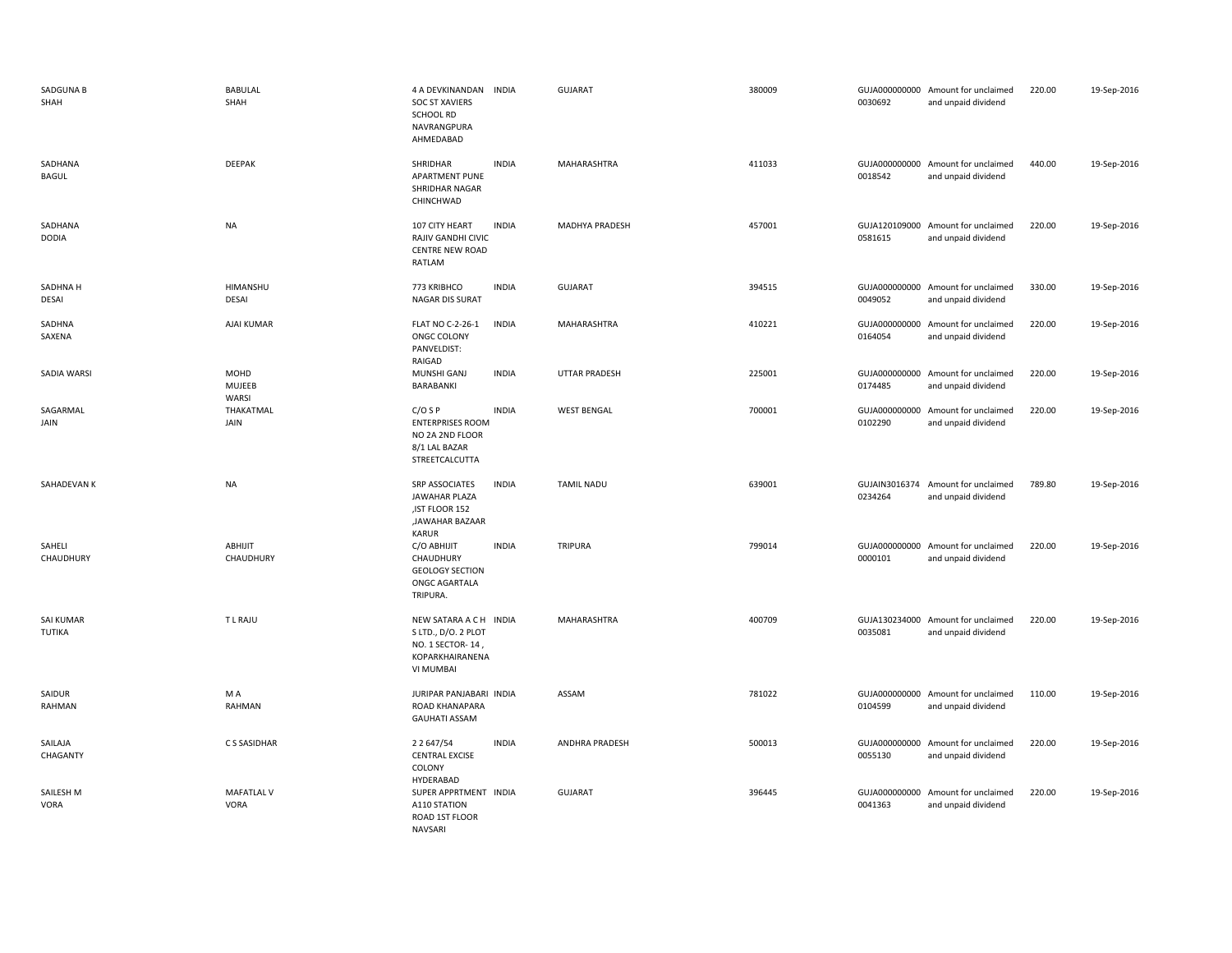| SADGUNA B<br>SHAH        | <b>BABULAL</b><br>SHAH    | 4 A DEVKINANDAN INDIA<br><b>SOC ST XAVIERS</b><br>SCHOOL RD<br>NAVRANGPURA<br>AHMEDABAD            |              | <b>GUJARAT</b>        | 380009 | 0030692 | GUJA000000000 Amount for unclaimed<br>and unpaid dividend | 220.00 | 19-Sep-2016 |
|--------------------------|---------------------------|----------------------------------------------------------------------------------------------------|--------------|-----------------------|--------|---------|-----------------------------------------------------------|--------|-------------|
| SADHANA<br><b>BAGUL</b>  | DEEPAK                    | SHRIDHAR<br><b>APARTMENT PUNE</b><br>SHRIDHAR NAGAR<br>CHINCHWAD                                   | <b>INDIA</b> | MAHARASHTRA           | 411033 | 0018542 | GUJA000000000 Amount for unclaimed<br>and unpaid dividend | 440.00 | 19-Sep-2016 |
| SADHANA<br><b>DODIA</b>  | <b>NA</b>                 | 107 CITY HEART<br>RAJIV GANDHI CIVIC<br><b>CENTRE NEW ROAD</b><br>RATLAM                           | <b>INDIA</b> | <b>MADHYA PRADESH</b> | 457001 | 0581615 | GUJA120109000 Amount for unclaimed<br>and unpaid dividend | 220.00 | 19-Sep-2016 |
| SADHNA H<br>DESAI        | HIMANSHU<br>DESAI         | 773 KRIBHCO<br>NAGAR DIS SURAT                                                                     | <b>INDIA</b> | <b>GUJARAT</b>        | 394515 | 0049052 | GUJA000000000 Amount for unclaimed<br>and unpaid dividend | 330.00 | 19-Sep-2016 |
| SADHNA<br>SAXENA         | AJAI KUMAR                | FLAT NO C-2-26-1<br>ONGC COLONY<br>PANVELDIST:<br>RAIGAD                                           | <b>INDIA</b> | MAHARASHTRA           | 410221 | 0164054 | GUJA000000000 Amount for unclaimed<br>and unpaid dividend | 220.00 | 19-Sep-2016 |
| SADIA WARSI              | MOHD<br>MUJEEB<br>WARSI   | MUNSHI GANJ<br>BARABANKI                                                                           | <b>INDIA</b> | <b>UTTAR PRADESH</b>  | 225001 | 0174485 | GUJA000000000 Amount for unclaimed<br>and unpaid dividend | 220.00 | 19-Sep-2016 |
| SAGARMAL<br>JAIN         | THAKATMAL<br>JAIN         | $C/O$ S P<br><b>ENTERPRISES ROOM</b><br>NO 2A 2ND FLOOR<br>8/1 LAL BAZAR<br>STREETCALCUTTA         | <b>INDIA</b> | <b>WEST BENGAL</b>    | 700001 | 0102290 | GUJA000000000 Amount for unclaimed<br>and unpaid dividend | 220.00 | 19-Sep-2016 |
| SAHADEVAN K              | <b>NA</b>                 | <b>SRP ASSOCIATES</b><br>JAWAHAR PLAZA<br>, IST FLOOR 152<br>,JAWAHAR BAZAAR<br>KARUR              | <b>INDIA</b> | <b>TAMIL NADU</b>     | 639001 | 0234264 | GUJAIN3016374 Amount for unclaimed<br>and unpaid dividend | 789.80 | 19-Sep-2016 |
| SAHELI<br>CHAUDHURY      | ABHIJIT<br>CHAUDHURY      | C/O ABHIJIT<br>CHAUDHURY<br><b>GEOLOGY SECTION</b><br>ONGC AGARTALA<br>TRIPURA.                    | <b>INDIA</b> | <b>TRIPURA</b>        | 799014 | 0000101 | GUJA000000000 Amount for unclaimed<br>and unpaid dividend | 220.00 | 19-Sep-2016 |
| SAI KUMAR<br>TUTIKA      | <b>TLRAJU</b>             | NEW SATARA A C H INDIA<br>S LTD., D/O. 2 PLOT<br>NO. 1 SECTOR- 14,<br>KOPARKHAIRANENA<br>VI MUMBAI |              | MAHARASHTRA           | 400709 | 0035081 | GUJA130234000 Amount for unclaimed<br>and unpaid dividend | 220.00 | 19-Sep-2016 |
| SAIDUR<br>RAHMAN         | M A<br>RAHMAN             | JURIPAR PANJABARI INDIA<br>ROAD KHANAPARA<br><b>GAUHATI ASSAM</b>                                  |              | ASSAM                 | 781022 | 0104599 | GUJA000000000 Amount for unclaimed<br>and unpaid dividend | 110.00 | 19-Sep-2016 |
| SAILAJA<br>CHAGANTY      | C S SASIDHAR              | 2 2 6 4 7 / 5 4<br><b>CENTRAL EXCISE</b><br>COLONY<br>HYDERABAD                                    | <b>INDIA</b> | ANDHRA PRADESH        | 500013 | 0055130 | GUJA000000000 Amount for unclaimed<br>and unpaid dividend | 220.00 | 19-Sep-2016 |
| SAILESH M<br><b>VORA</b> | <b>MAFATLAL V</b><br>VORA | SUPER APPRTMENT INDIA<br>A110 STATION<br>ROAD 1ST FLOOR<br>NAVSARI                                 |              | <b>GUJARAT</b>        | 396445 | 0041363 | GUJA000000000 Amount for unclaimed<br>and unpaid dividend | 220.00 | 19-Sep-2016 |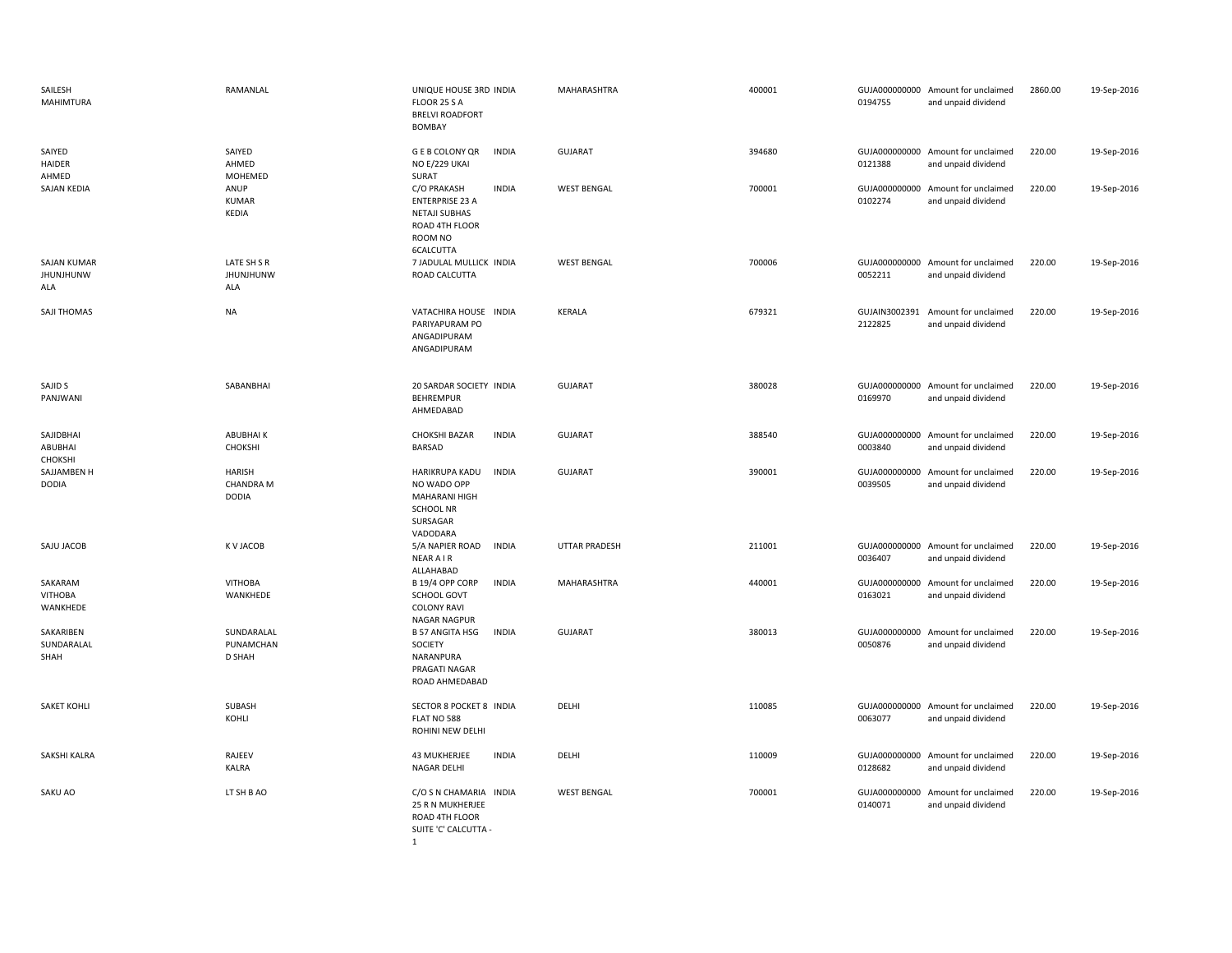| SAILESH<br><b>MAHIMTURA</b>            | RAMANLAL                                   | UNIQUE HOUSE 3RD INDIA<br>FLOOR 25 S A<br><b>BRELVI ROADFORT</b><br><b>BOMBAY</b>                                       | MAHARASHTRA          | 400001 | 0194755                  | GUJA000000000 Amount for unclaimed<br>and unpaid dividend | 2860.00 | 19-Sep-2016 |
|----------------------------------------|--------------------------------------------|-------------------------------------------------------------------------------------------------------------------------|----------------------|--------|--------------------------|-----------------------------------------------------------|---------|-------------|
| SAIYED<br><b>HAIDER</b><br>AHMED       | SAIYED<br>AHMED<br>MOHEMED                 | <b>GEB COLONY QR</b><br><b>INDIA</b><br>NO E/229 UKAI<br>SURAT                                                          | <b>GUJARAT</b>       | 394680 | 0121388                  | GUJA000000000 Amount for unclaimed<br>and unpaid dividend | 220.00  | 19-Sep-2016 |
| SAJAN KEDIA                            | ANUP<br>KUMAR<br>KEDIA                     | C/O PRAKASH<br><b>INDIA</b><br><b>ENTERPRISE 23 A</b><br><b>NETAJI SUBHAS</b><br>ROAD 4TH FLOOR<br>ROOM NO<br>6CALCUTTA | <b>WEST BENGAL</b>   | 700001 | 0102274                  | GUJA000000000 Amount for unclaimed<br>and unpaid dividend | 220.00  | 19-Sep-2016 |
| <b>SAJAN KUMAR</b><br>JHUNJHUNW<br>ALA | LATE SH S R<br><b>JHUNJHUNW</b><br>ALA     | 7 JADULAL MULLICK INDIA<br>ROAD CALCUTTA                                                                                | <b>WEST BENGAL</b>   | 700006 | 0052211                  | GUJA000000000 Amount for unclaimed<br>and unpaid dividend | 220.00  | 19-Sep-2016 |
| SAJI THOMAS                            | <b>NA</b>                                  | VATACHIRA HOUSE INDIA<br>PARIYAPURAM PO<br>ANGADIPURAM<br>ANGADIPURAM                                                   | <b>KERALA</b>        | 679321 | GUJAIN3002391<br>2122825 | Amount for unclaimed<br>and unpaid dividend               | 220.00  | 19-Sep-2016 |
| SAJID S<br>PANJWANI                    | SABANBHAI                                  | 20 SARDAR SOCIETY INDIA<br><b>BEHREMPUR</b><br>AHMEDABAD                                                                | <b>GUJARAT</b>       | 380028 | 0169970                  | GUJA000000000 Amount for unclaimed<br>and unpaid dividend | 220.00  | 19-Sep-2016 |
| SAJIDBHAI<br>ABUBHAI<br>CHOKSHI        | <b>ABUBHAIK</b><br>CHOKSHI                 | <b>CHOKSHI BAZAR</b><br><b>INDIA</b><br>BARSAD                                                                          | <b>GUJARAT</b>       | 388540 | 0003840                  | GUJA000000000 Amount for unclaimed<br>and unpaid dividend | 220.00  | 19-Sep-2016 |
| SAJJAMBEN H<br><b>DODIA</b>            | HARISH<br><b>CHANDRA M</b><br><b>DODIA</b> | <b>INDIA</b><br>HARIKRUPA KADU<br>NO WADO OPP<br>MAHARANI HIGH<br><b>SCHOOL NR</b><br>SURSAGAR<br>VADODARA              | <b>GUJARAT</b>       | 390001 | 0039505                  | GUJA000000000 Amount for unclaimed<br>and unpaid dividend | 220.00  | 19-Sep-2016 |
| SAJU JACOB                             | K V JACOB                                  | 5/A NAPIER ROAD<br><b>INDIA</b><br><b>NEAR AIR</b><br>ALLAHABAD                                                         | <b>UTTAR PRADESH</b> | 211001 | 0036407                  | GUJA000000000 Amount for unclaimed<br>and unpaid dividend | 220.00  | 19-Sep-2016 |
| SAKARAM<br>VITHOBA<br>WANKHEDE         | <b>VITHOBA</b><br>WANKHEDE                 | B 19/4 OPP CORP<br><b>INDIA</b><br>SCHOOL GOVT<br><b>COLONY RAVI</b><br>NAGAR NAGPUR                                    | MAHARASHTRA          | 440001 | 0163021                  | GUJA000000000 Amount for unclaimed<br>and unpaid dividend | 220.00  | 19-Sep-2016 |
| SAKARIBEN<br>SUNDARALAL<br>SHAH        | SUNDARALAL<br>PUNAMCHAN<br>D SHAH          | <b>INDIA</b><br><b>B 57 ANGITA HSG</b><br>SOCIETY<br>NARANPURA<br>PRAGATI NAGAR<br>ROAD AHMEDABAD                       | <b>GUJARAT</b>       | 380013 | GUJA000000000<br>0050876 | Amount for unclaimed<br>and unpaid dividend               | 220.00  | 19-Sep-2016 |
| <b>SAKET KOHLI</b>                     | SUBASH<br>KOHLI                            | SECTOR 8 POCKET 8 INDIA<br>FLAT NO 588<br>ROHINI NEW DELHI                                                              | DELHI                | 110085 | 0063077                  | GUJA000000000 Amount for unclaimed<br>and unpaid dividend | 220.00  | 19-Sep-2016 |
| SAKSHI KALRA                           | RAJEEV<br>KALRA                            | <b>INDIA</b><br>43 MUKHERJEE<br>NAGAR DELHI                                                                             | DELHI                | 110009 | 0128682                  | GUJA000000000 Amount for unclaimed<br>and unpaid dividend | 220.00  | 19-Sep-2016 |
| SAKU AO                                | LT SH B AO                                 | C/O S N CHAMARIA INDIA<br>25 R N MUKHERJEE<br>ROAD 4TH FLOOR<br>SUITE 'C' CALCUTTA -<br>1                               | <b>WEST BENGAL</b>   | 700001 | GUJA000000000<br>0140071 | Amount for unclaimed<br>and unpaid dividend               | 220.00  | 19-Sep-2016 |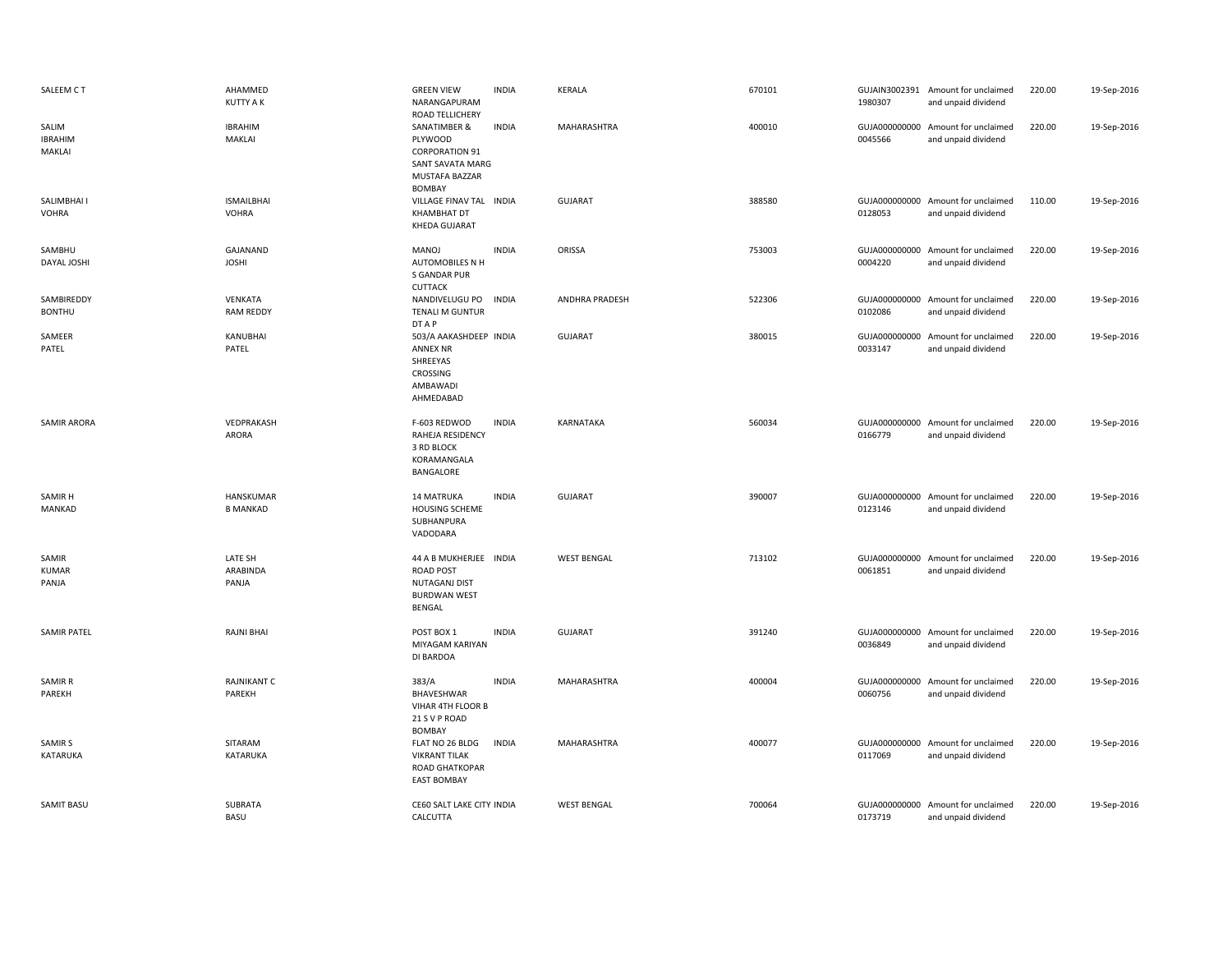| SALEEM CT                         | AHAMMED<br><b>KUTTY A K</b>       | <b>GREEN VIEW</b><br>NARANGAPURAM<br>ROAD TELLICHERY                                                    | <b>INDIA</b> | <b>KERALA</b>      | 670101 | 1980307                  | GUJAIN3002391 Amount for unclaimed<br>and unpaid dividend | 220.00 | 19-Sep-2016 |
|-----------------------------------|-----------------------------------|---------------------------------------------------------------------------------------------------------|--------------|--------------------|--------|--------------------------|-----------------------------------------------------------|--------|-------------|
| SALIM<br><b>IBRAHIM</b><br>MAKLAI | <b>IBRAHIM</b><br>MAKLAI          | SANATIMBER &<br>PLYWOOD<br><b>CORPORATION 91</b><br>SANT SAVATA MARG<br>MUSTAFA BAZZAR<br><b>BOMBAY</b> | <b>INDIA</b> | MAHARASHTRA        | 400010 | 0045566                  | GUJA000000000 Amount for unclaimed<br>and unpaid dividend | 220.00 | 19-Sep-2016 |
| SALIMBHAI I<br><b>VOHRA</b>       | <b>ISMAILBHAI</b><br><b>VOHRA</b> | VILLAGE FINAV TAL INDIA<br><b>KHAMBHAT DT</b><br><b>KHEDA GUJARAT</b>                                   |              | <b>GUJARAT</b>     | 388580 | 0128053                  | GUJA000000000 Amount for unclaimed<br>and unpaid dividend | 110.00 | 19-Sep-2016 |
| SAMBHU<br>DAYAL JOSHI             | GAJANAND<br><b>JOSHI</b>          | MANOJ<br><b>AUTOMOBILES N H</b><br>S GANDAR PUR<br><b>CUTTACK</b>                                       | <b>INDIA</b> | ORISSA             | 753003 | 0004220                  | GUJA000000000 Amount for unclaimed<br>and unpaid dividend | 220.00 | 19-Sep-2016 |
| SAMBIREDDY<br><b>BONTHU</b>       | VENKATA<br><b>RAM REDDY</b>       | NANDIVELUGU PO<br>TENALI M GUNTUR<br>DT A P                                                             | <b>INDIA</b> | ANDHRA PRADESH     | 522306 | 0102086                  | GUJA000000000 Amount for unclaimed<br>and unpaid dividend | 220.00 | 19-Sep-2016 |
| SAMEER<br>PATEL                   | KANUBHAI<br>PATEL                 | 503/A AAKASHDEEP INDIA<br><b>ANNEX NR</b><br>SHREEYAS<br><b>CROSSING</b><br>AMBAWADI<br>AHMEDABAD       |              | <b>GUJARAT</b>     | 380015 | GUJA000000000<br>0033147 | Amount for unclaimed<br>and unpaid dividend               | 220.00 | 19-Sep-2016 |
| <b>SAMIR ARORA</b>                | VEDPRAKASH<br>ARORA               | F-603 REDWOD<br>RAHEJA RESIDENCY<br>3 RD BLOCK<br>KORAMANGALA<br>BANGALORE                              | <b>INDIA</b> | KARNATAKA          | 560034 | 0166779                  | GUJA000000000 Amount for unclaimed<br>and unpaid dividend | 220.00 | 19-Sep-2016 |
| SAMIR H<br>MANKAD                 | HANSKUMAR<br><b>B MANKAD</b>      | 14 MATRUKA<br><b>HOUSING SCHEME</b><br>SUBHANPURA<br>VADODARA                                           | <b>INDIA</b> | <b>GUJARAT</b>     | 390007 | 0123146                  | GUJA000000000 Amount for unclaimed<br>and unpaid dividend | 220.00 | 19-Sep-2016 |
| SAMIR<br><b>KUMAR</b><br>PANJA    | LATE SH<br>ARABINDA<br>PANJA      | 44 A B MUKHERJEE INDIA<br><b>ROAD POST</b><br><b>NUTAGANJ DIST</b><br><b>BURDWAN WEST</b><br>BENGAL     |              | <b>WEST BENGAL</b> | 713102 | 0061851                  | GUJA000000000 Amount for unclaimed<br>and unpaid dividend | 220.00 | 19-Sep-2016 |
| <b>SAMIR PATEL</b>                | <b>RAJNI BHAI</b>                 | POST BOX 1<br>MIYAGAM KARIYAN<br>DI BARDOA                                                              | <b>INDIA</b> | <b>GUJARAT</b>     | 391240 | 0036849                  | GUJA000000000 Amount for unclaimed<br>and unpaid dividend | 220.00 | 19-Sep-2016 |
| <b>SAMIR R</b><br>PAREKH          | <b>RAJNIKANT C</b><br>PAREKH      | 383/A<br>BHAVESHWAR<br>VIHAR 4TH FLOOR B<br>21 S V P ROAD<br><b>BOMBAY</b>                              | <b>INDIA</b> | MAHARASHTRA        | 400004 | 0060756                  | GUJA000000000 Amount for unclaimed<br>and unpaid dividend | 220.00 | 19-Sep-2016 |
| SAMIR S<br>KATARUKA               | SITARAM<br>KATARUKA               | FLAT NO 26 BLDG<br><b>VIKRANT TILAK</b><br>ROAD GHATKOPAR<br><b>EAST BOMBAY</b>                         | <b>INDIA</b> | MAHARASHTRA        | 400077 | 0117069                  | GUJA000000000 Amount for unclaimed<br>and unpaid dividend | 220.00 | 19-Sep-2016 |
| <b>SAMIT BASU</b>                 | SUBRATA<br><b>BASU</b>            | CE60 SALT LAKE CITY INDIA<br>CALCUTTA                                                                   |              | <b>WEST BENGAL</b> | 700064 | 0173719                  | GUJA000000000 Amount for unclaimed<br>and unpaid dividend | 220.00 | 19-Sep-2016 |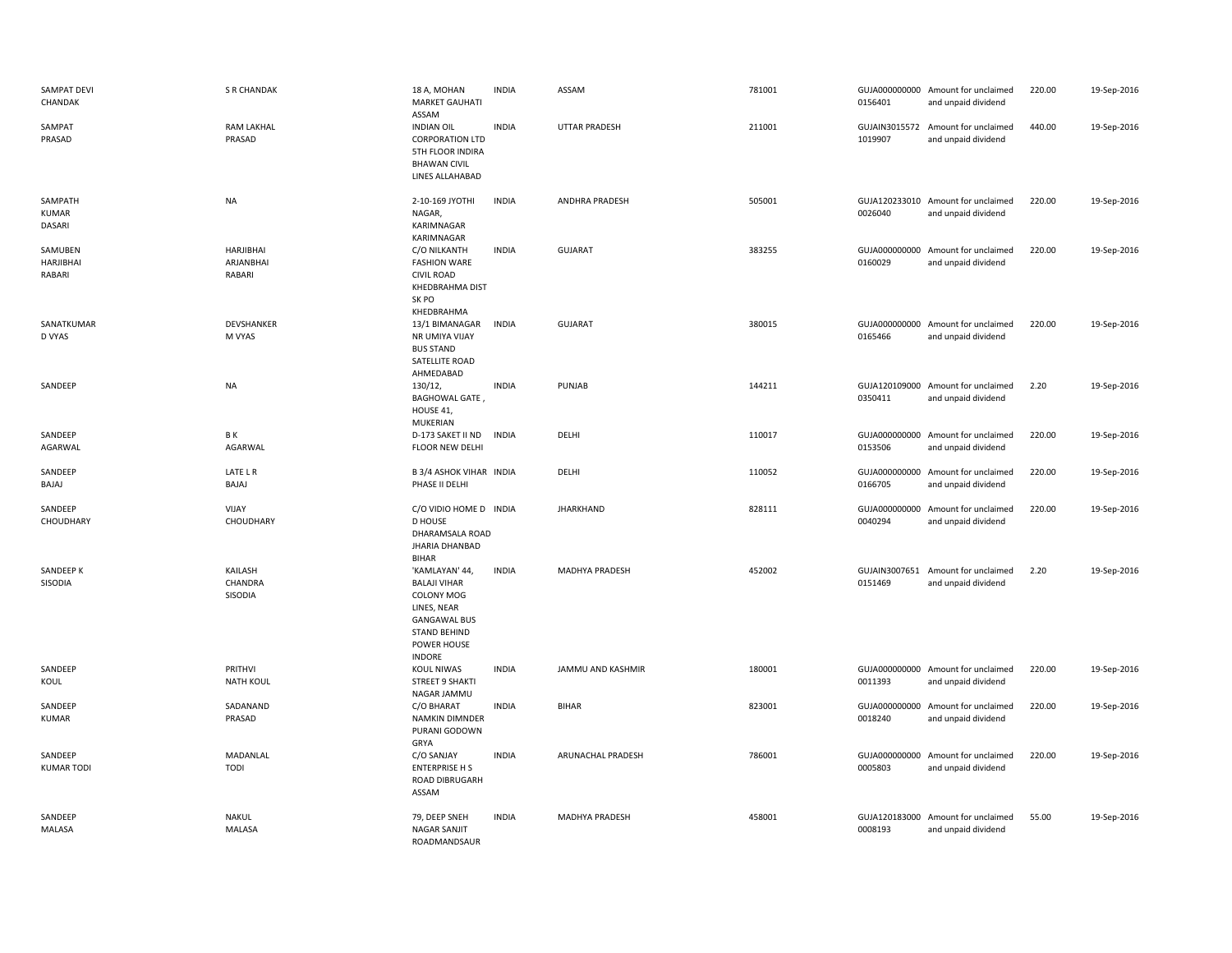| SAMPAT DEVI<br>CHANDAK                | <b>S R CHANDAK</b>                      | 18 A, MOHAN<br><b>MARKET GAUHATI</b><br>ASSAM                                                                                                    | <b>INDIA</b> | ASSAM                 | 781001 | 0156401                  | GUJA000000000 Amount for unclaimed<br>and unpaid dividend | 220.00 | 19-Sep-2016 |
|---------------------------------------|-----------------------------------------|--------------------------------------------------------------------------------------------------------------------------------------------------|--------------|-----------------------|--------|--------------------------|-----------------------------------------------------------|--------|-------------|
| SAMPAT<br>PRASAD                      | <b>RAM LAKHAL</b><br>PRASAD             | <b>INDIAN OIL</b><br><b>CORPORATION LTD</b><br>5TH FLOOR INDIRA<br><b>BHAWAN CIVIL</b><br>LINES ALLAHABAD                                        | <b>INDIA</b> | <b>UTTAR PRADESH</b>  | 211001 | 1019907                  | GUJAIN3015572 Amount for unclaimed<br>and unpaid dividend | 440.00 | 19-Sep-2016 |
| SAMPATH<br><b>KUMAR</b><br>DASARI     | <b>NA</b>                               | 2-10-169 JYOTHI<br>NAGAR,<br>KARIMNAGAR<br>KARIMNAGAR                                                                                            | <b>INDIA</b> | <b>ANDHRA PRADESH</b> | 505001 | 0026040                  | GUJA120233010 Amount for unclaimed<br>and unpaid dividend | 220.00 | 19-Sep-2016 |
| SAMUBEN<br><b>HARJIBHAI</b><br>RABARI | <b>HARJIBHAI</b><br>ARJANBHAI<br>RABARI | C/O NILKANTH<br><b>FASHION WARE</b><br><b>CIVIL ROAD</b><br><b>KHEDBRAHMA DIST</b><br>SK PO<br>KHEDBRAHMA                                        | <b>INDIA</b> | <b>GUJARAT</b>        | 383255 | 0160029                  | GUJA000000000 Amount for unclaimed<br>and unpaid dividend | 220.00 | 19-Sep-2016 |
| SANATKUMAR<br>D VYAS                  | DEVSHANKER<br>M VYAS                    | 13/1 BIMANAGAR<br>NR UMIYA VIJAY<br><b>BUS STAND</b><br>SATELLITE ROAD<br>AHMEDABAD                                                              | <b>INDIA</b> | <b>GUJARAT</b>        | 380015 | 0165466                  | GUJA000000000 Amount for unclaimed<br>and unpaid dividend | 220.00 | 19-Sep-2016 |
| SANDEEP                               | <b>NA</b>                               | 130/12,<br><b>BAGHOWAL GATE,</b><br>HOUSE 41,<br>MUKERIAN                                                                                        | <b>INDIA</b> | PUNJAB                | 144211 | 0350411                  | GUJA120109000 Amount for unclaimed<br>and unpaid dividend | 2.20   | 19-Sep-2016 |
| SANDEEP<br>AGARWAL                    | ΒK<br>AGARWAL                           | D-173 SAKET II ND<br>FLOOR NEW DELHI                                                                                                             | <b>INDIA</b> | DELHI                 | 110017 | 0153506                  | GUJA000000000 Amount for unclaimed<br>and unpaid dividend | 220.00 | 19-Sep-2016 |
| SANDEEP<br>BAJAJ                      | LATE L R<br>BAJAJ                       | <b>B 3/4 ASHOK VIHAR INDIA</b><br>PHASE II DELHI                                                                                                 |              | DELHI                 | 110052 | 0166705                  | GUJA000000000 Amount for unclaimed<br>and unpaid dividend | 220.00 | 19-Sep-2016 |
| SANDEEP<br>CHOUDHARY                  | VIJAY<br>CHOUDHARY                      | C/O VIDIO HOME D INDIA<br><b>D HOUSE</b><br>DHARAMSALA ROAD<br><b>JHARIA DHANBAD</b><br><b>BIHAR</b>                                             |              | <b>JHARKHAND</b>      | 828111 | GUJA000000000<br>0040294 | Amount for unclaimed<br>and unpaid dividend               | 220.00 | 19-Sep-2016 |
| SANDEEP K<br>SISODIA                  | KAILASH<br>CHANDRA<br>SISODIA           | 'KAMLAYAN' 44,<br><b>BALAJI VIHAR</b><br>COLONY MOG<br>LINES, NEAR<br><b>GANGAWAL BUS</b><br><b>STAND BEHIND</b><br>POWER HOUSE<br><b>INDORE</b> | <b>INDIA</b> | MADHYA PRADESH        | 452002 | GUJAIN3007651<br>0151469 | Amount for unclaimed<br>and unpaid dividend               | 2.20   | 19-Sep-2016 |
| SANDEEP<br>KOUL                       | PRITHVI<br><b>NATH KOUL</b>             | KOUL NIWAS<br><b>STREET 9 SHAKTI</b><br>NAGAR JAMMU                                                                                              | <b>INDIA</b> | JAMMU AND KASHMIR     | 180001 | 0011393                  | GUJA000000000 Amount for unclaimed<br>and unpaid dividend | 220.00 | 19-Sep-2016 |
| SANDEEP<br><b>KUMAR</b>               | SADANAND<br>PRASAD                      | C/O BHARAT<br>NAMKIN DIMNDER<br>PURANI GODOWN<br>GRYA                                                                                            | <b>INDIA</b> | <b>BIHAR</b>          | 823001 | 0018240                  | GUJA000000000 Amount for unclaimed<br>and unpaid dividend | 220.00 | 19-Sep-2016 |
| SANDEEP<br><b>KUMAR TODI</b>          | MADANLAL<br>TODI                        | C/O SANJAY<br><b>ENTERPRISE H S</b><br><b>ROAD DIBRUGARH</b><br>ASSAM                                                                            | <b>INDIA</b> | ARUNACHAL PRADESH     | 786001 | GUJA000000000<br>0005803 | Amount for unclaimed<br>and unpaid dividend               | 220.00 | 19-Sep-2016 |
| SANDEEP<br>MALASA                     | <b>NAKUL</b><br><b>MALASA</b>           | 79, DEEP SNEH<br><b>NAGAR SANJIT</b>                                                                                                             | <b>INDIA</b> | MADHYA PRADESH        | 458001 | 0008193                  | GUJA120183000 Amount for unclaimed<br>and unpaid dividend | 55.00  | 19-Sep-2016 |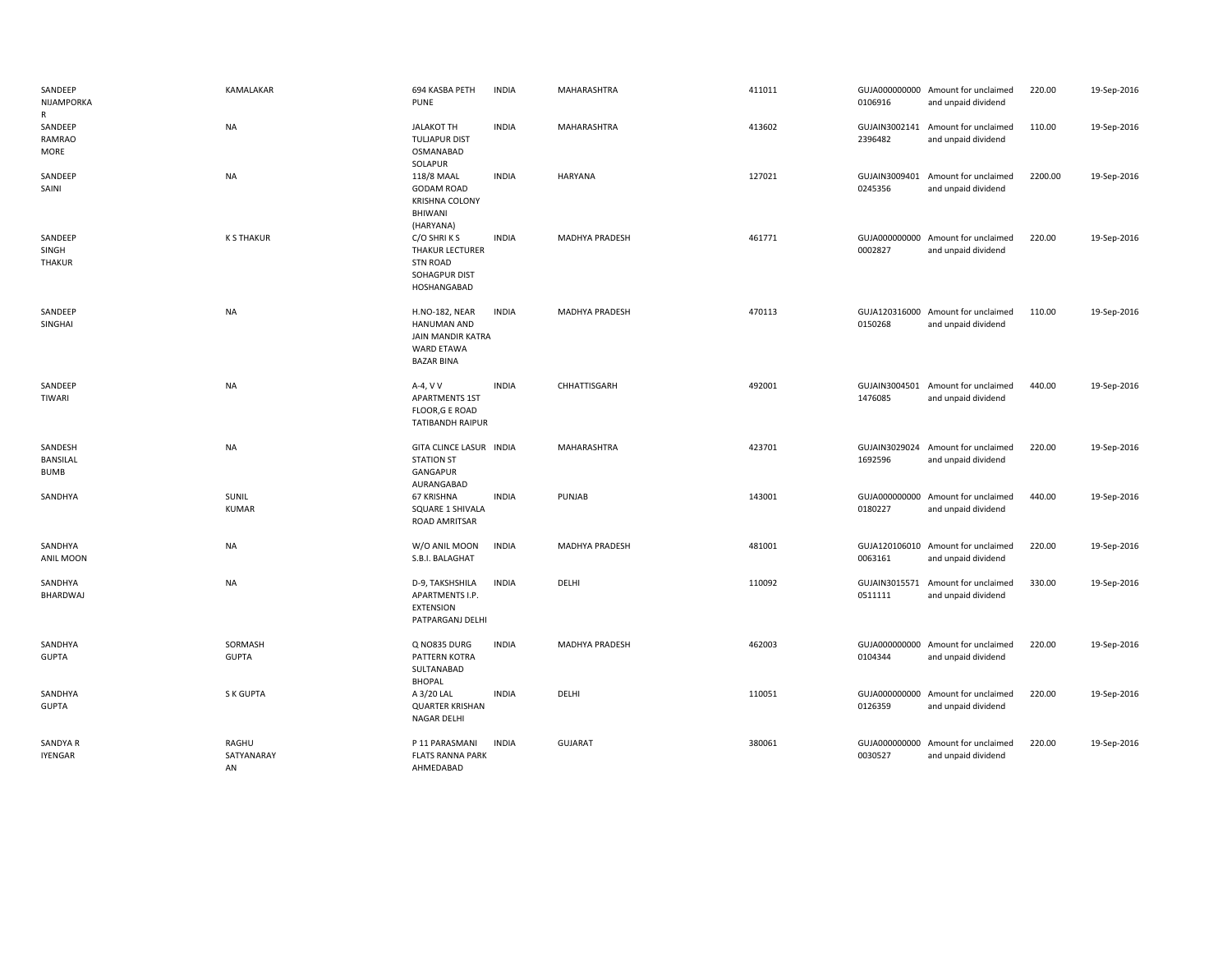| SANDEEP<br>NIJAMPORKA<br>R         | KAMALAKAR                 | 694 KASBA PETH<br><b>PUNE</b>                                                                       | <b>INDIA</b> | MAHARASHTRA    | 411011 | 0106916                  | GUJA000000000 Amount for unclaimed<br>and unpaid dividend | 220.00  | 19-Sep-2016 |
|------------------------------------|---------------------------|-----------------------------------------------------------------------------------------------------|--------------|----------------|--------|--------------------------|-----------------------------------------------------------|---------|-------------|
| SANDEEP<br><b>RAMRAO</b><br>MORE   | <b>NA</b>                 | <b>JALAKOT TH</b><br><b>TULJAPUR DIST</b><br>OSMANABAD<br>SOLAPUR                                   | <b>INDIA</b> | MAHARASHTRA    | 413602 | 2396482                  | GUJAIN3002141 Amount for unclaimed<br>and unpaid dividend | 110.00  | 19-Sep-2016 |
| SANDEEP<br>SAINI                   | <b>NA</b>                 | 118/8 MAAL<br><b>GODAM ROAD</b><br><b>KRISHNA COLONY</b><br>BHIWANI<br>(HARYANA)                    | <b>INDIA</b> | <b>HARYANA</b> | 127021 | GUJAIN3009401<br>0245356 | Amount for unclaimed<br>and unpaid dividend               | 2200.00 | 19-Sep-2016 |
| SANDEEP<br>SINGH<br>THAKUR         | <b>K S THAKUR</b>         | C/O SHRIKS<br><b>THAKUR LECTURER</b><br><b>STN ROAD</b><br>SOHAGPUR DIST<br>HOSHANGABAD             | <b>INDIA</b> | MADHYA PRADESH | 461771 | 0002827                  | GUJA000000000 Amount for unclaimed<br>and unpaid dividend | 220.00  | 19-Sep-2016 |
| SANDEEP<br>SINGHAI                 | <b>NA</b>                 | H.NO-182, NEAR<br><b>HANUMAN AND</b><br>JAIN MANDIR KATRA<br><b>WARD ETAWA</b><br><b>BAZAR BINA</b> | <b>INDIA</b> | MADHYA PRADESH | 470113 | 0150268                  | GUJA120316000 Amount for unclaimed<br>and unpaid dividend | 110.00  | 19-Sep-2016 |
| SANDEEP<br><b>TIWARI</b>           | <b>NA</b>                 | A-4, V V<br><b>APARTMENTS 1ST</b><br>FLOOR, G E ROAD<br><b>TATIBANDH RAIPUR</b>                     | <b>INDIA</b> | CHHATTISGARH   | 492001 | 1476085                  | GUJAIN3004501 Amount for unclaimed<br>and unpaid dividend | 440.00  | 19-Sep-2016 |
| SANDESH<br>BANSILAL<br><b>BUMB</b> | <b>NA</b>                 | GITA CLINCE LASUR INDIA<br><b>STATION ST</b><br>GANGAPUR<br>AURANGABAD                              |              | MAHARASHTRA    | 423701 | 1692596                  | GUJAIN3029024 Amount for unclaimed<br>and unpaid dividend | 220.00  | 19-Sep-2016 |
| SANDHYA                            | SUNIL<br><b>KUMAR</b>     | 67 KRISHNA<br>SQUARE 1 SHIVALA<br><b>ROAD AMRITSAR</b>                                              | <b>INDIA</b> | PUNJAB         | 143001 | 0180227                  | GUJA000000000 Amount for unclaimed<br>and unpaid dividend | 440.00  | 19-Sep-2016 |
| SANDHYA<br>ANIL MOON               | <b>NA</b>                 | W/O ANIL MOON<br>S.B.I. BALAGHAT                                                                    | <b>INDIA</b> | MADHYA PRADESH | 481001 | 0063161                  | GUJA120106010 Amount for unclaimed<br>and unpaid dividend | 220.00  | 19-Sep-2016 |
| SANDHYA<br>BHARDWAJ                | <b>NA</b>                 | D-9, TAKSHSHILA<br>APARTMENTS I.P.<br><b>EXTENSION</b><br>PATPARGANJ DELHI                          | <b>INDIA</b> | DELHI          | 110092 | 0511111                  | GUJAIN3015571 Amount for unclaimed<br>and unpaid dividend | 330.00  | 19-Sep-2016 |
| SANDHYA<br><b>GUPTA</b>            | SORMASH<br><b>GUPTA</b>   | Q NO835 DURG<br>PATTERN KOTRA<br>SULTANABAD<br><b>BHOPAL</b>                                        | <b>INDIA</b> | MADHYA PRADESH | 462003 | 0104344                  | GUJA000000000 Amount for unclaimed<br>and unpaid dividend | 220.00  | 19-Sep-2016 |
| SANDHYA<br><b>GUPTA</b>            | S K GUPTA                 | A 3/20 LAL<br><b>QUARTER KRISHAN</b><br><b>NAGAR DELHI</b>                                          | <b>INDIA</b> | DELHI          | 110051 | 0126359                  | GUJA000000000 Amount for unclaimed<br>and unpaid dividend | 220.00  | 19-Sep-2016 |
| SANDYA R<br><b>IYENGAR</b>         | RAGHU<br>SATYANARAY<br>AN | P 11 PARASMANI<br><b>FLATS RANNA PARK</b><br>AHMEDABAD                                              | <b>INDIA</b> | <b>GUJARAT</b> | 380061 | 0030527                  | GUJA000000000 Amount for unclaimed<br>and unpaid dividend | 220.00  | 19-Sep-2016 |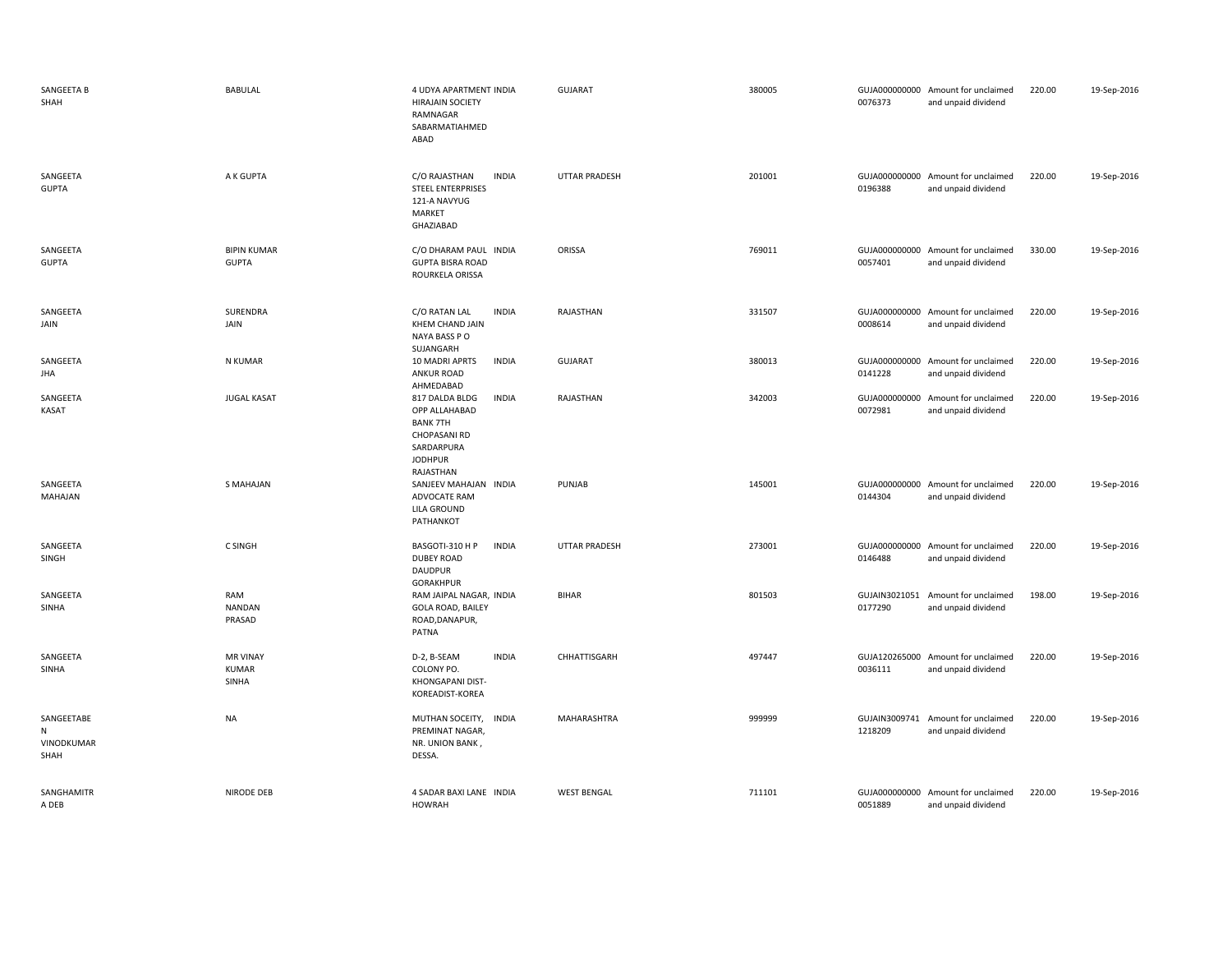| SANGEETA B<br>SHAH                            | <b>BABULAL</b>                           | 4 UDYA APARTMENT INDIA<br><b>HIRAJAIN SOCIETY</b><br>RAMNAGAR<br>SABARMATIAHMED<br>ABAD                                         | <b>GUJARAT</b>       | 380005 | 0076373                  | GUJA000000000 Amount for unclaimed<br>and unpaid dividend | 220.00 | 19-Sep-2016 |
|-----------------------------------------------|------------------------------------------|---------------------------------------------------------------------------------------------------------------------------------|----------------------|--------|--------------------------|-----------------------------------------------------------|--------|-------------|
| SANGEETA<br><b>GUPTA</b>                      | A K GUPTA                                | C/O RAJASTHAN<br><b>INDIA</b><br><b>STEEL ENTERPRISES</b><br>121-A NAVYUG<br>MARKET<br>GHAZIABAD                                | <b>UTTAR PRADESH</b> | 201001 | 0196388                  | GUJA000000000 Amount for unclaimed<br>and unpaid dividend | 220.00 | 19-Sep-2016 |
| SANGEETA<br><b>GUPTA</b>                      | <b>BIPIN KUMAR</b><br><b>GUPTA</b>       | C/O DHARAM PAUL INDIA<br><b>GUPTA BISRA ROAD</b><br>ROURKELA ORISSA                                                             | ORISSA               | 769011 | 0057401                  | GUJA000000000 Amount for unclaimed<br>and unpaid dividend | 330.00 | 19-Sep-2016 |
| SANGEETA<br>JAIN                              | SURENDRA<br>JAIN                         | C/O RATAN LAL<br><b>INDIA</b><br>KHEM CHAND JAIN<br>NAYA BASS PO<br>SUJANGARH                                                   | RAJASTHAN            | 331507 | 0008614                  | GUJA000000000 Amount for unclaimed<br>and unpaid dividend | 220.00 | 19-Sep-2016 |
| SANGEETA<br>JHA                               | N KUMAR                                  | 10 MADRI APRTS<br><b>INDIA</b><br><b>ANKUR ROAD</b><br>AHMEDABAD                                                                | <b>GUJARAT</b>       | 380013 | 0141228                  | GUJA000000000 Amount for unclaimed<br>and unpaid dividend | 220.00 | 19-Sep-2016 |
| SANGEETA<br><b>KASAT</b>                      | <b>JUGAL KASAT</b>                       | 817 DALDA BLDG<br><b>INDIA</b><br>OPP ALLAHABAD<br><b>BANK 7TH</b><br>CHOPASANI RD<br>SARDARPURA<br><b>JODHPUR</b><br>RAJASTHAN | RAJASTHAN            | 342003 | 0072981                  | GUJA000000000 Amount for unclaimed<br>and unpaid dividend | 220.00 | 19-Sep-2016 |
| SANGEETA<br>MAHAJAN                           | S MAHAJAN                                | SANJEEV MAHAJAN INDIA<br>ADVOCATE RAM<br><b>LILA GROUND</b><br>PATHANKOT                                                        | PUNJAB               | 145001 | 0144304                  | GUJA000000000 Amount for unclaimed<br>and unpaid dividend | 220.00 | 19-Sep-2016 |
| SANGEETA<br>SINGH                             | C SINGH                                  | BASGOTI-310 H P<br><b>INDIA</b><br><b>DUBEY ROAD</b><br>DAUDPUR<br>GORAKHPUR                                                    | <b>UTTAR PRADESH</b> | 273001 | 0146488                  | GUJA000000000 Amount for unclaimed<br>and unpaid dividend | 220.00 | 19-Sep-2016 |
| SANGEETA<br><b>SINHA</b>                      | RAM<br><b>NANDAN</b><br>PRASAD           | RAM JAIPAL NAGAR, INDIA<br><b>GOLA ROAD, BAILEY</b><br>ROAD, DANAPUR,<br>PATNA                                                  | <b>BIHAR</b>         | 801503 | GUJAIN3021051<br>0177290 | Amount for unclaimed<br>and unpaid dividend               | 198.00 | 19-Sep-2016 |
| SANGEETA<br>SINHA                             | <b>MR VINAY</b><br><b>KUMAR</b><br>SINHA | D-2, B-SEAM<br><b>INDIA</b><br>COLONY PO.<br>KHONGAPANI DIST-<br>KOREADIST-KOREA                                                | CHHATTISGARH         | 497447 | 0036111                  | GUJA120265000 Amount for unclaimed<br>and unpaid dividend | 220.00 | 19-Sep-2016 |
| SANGEETABE<br>${\sf N}$<br>VINODKUMAR<br>SHAH | <b>NA</b>                                | MUTHAN SOCEITY,<br><b>INDIA</b><br>PREMINAT NAGAR,<br>NR. UNION BANK,<br>DESSA.                                                 | <b>MAHARASHTRA</b>   | 999999 | 1218209                  | GUJAIN3009741 Amount for unclaimed<br>and unpaid dividend | 220.00 | 19-Sep-2016 |
| SANGHAMITR<br>A DEB                           | NIRODE DEB                               | 4 SADAR BAXI LANE INDIA<br><b>HOWRAH</b>                                                                                        | <b>WEST BENGAL</b>   | 711101 | 0051889                  | GUJA000000000 Amount for unclaimed<br>and unpaid dividend | 220.00 | 19-Sep-2016 |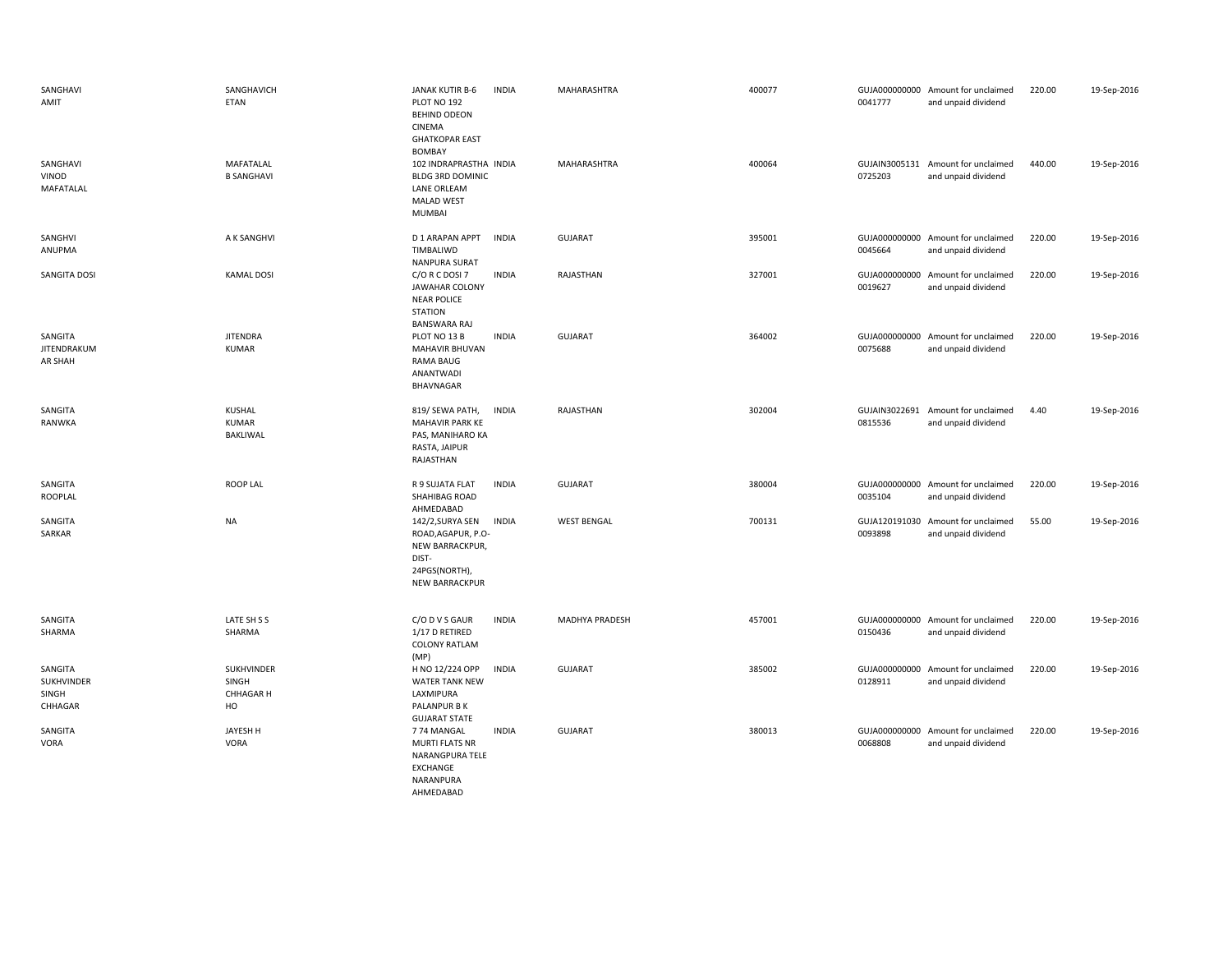| SANGHAVI<br>AMIT                          | SANGHAVICH<br>ETAN                            | JANAK KUTIR B-6<br>PLOT NO 192<br><b>BEHIND ODEON</b><br>CINEMA<br><b>GHATKOPAR EAST</b>                                | <b>INDIA</b> | MAHARASHTRA        | 400077 | 0041777                  | GUJA000000000 Amount for unclaimed<br>and unpaid dividend | 220.00 | 19-Sep-2016 |
|-------------------------------------------|-----------------------------------------------|-------------------------------------------------------------------------------------------------------------------------|--------------|--------------------|--------|--------------------------|-----------------------------------------------------------|--------|-------------|
| SANGHAVI<br>VINOD<br>MAFATALAL            | MAFATALAL<br><b>B SANGHAVI</b>                | <b>BOMBAY</b><br>102 INDRAPRASTHA INDIA<br><b>BLDG 3RD DOMINIC</b><br>LANE ORLEAM<br><b>MALAD WEST</b><br><b>MUMBAI</b> |              | <b>MAHARASHTRA</b> | 400064 | 0725203                  | GUJAIN3005131 Amount for unclaimed<br>and unpaid dividend | 440.00 | 19-Sep-2016 |
| SANGHVI<br>ANUPMA                         | A K SANGHVI                                   | D 1 ARAPAN APPT<br>TIMBALIWD<br><b>NANPURA SURAT</b>                                                                    | <b>INDIA</b> | GUJARAT            | 395001 | 0045664                  | GUJA000000000 Amount for unclaimed<br>and unpaid dividend | 220.00 | 19-Sep-2016 |
| SANGITA DOSI                              | <b>KAMAL DOSI</b>                             | C/O R C DOSI 7<br><b>JAWAHAR COLONY</b><br><b>NEAR POLICE</b><br><b>STATION</b><br><b>BANSWARA RAJ</b>                  | <b>INDIA</b> | RAJASTHAN          | 327001 | 0019627                  | GUJA000000000 Amount for unclaimed<br>and unpaid dividend | 220.00 | 19-Sep-2016 |
| SANGITA<br>JITENDRAKUM<br>AR SHAH         | <b>JITENDRA</b><br>KUMAR                      | PLOT NO 13 B<br>MAHAVIR BHUVAN<br><b>RAMA BAUG</b><br>ANANTWADI<br><b>BHAVNAGAR</b>                                     | <b>INDIA</b> | <b>GUJARAT</b>     | 364002 | 0075688                  | GUJA000000000 Amount for unclaimed<br>and unpaid dividend | 220.00 | 19-Sep-2016 |
| SANGITA<br>RANWKA                         | KUSHAL<br><b>KUMAR</b><br>BAKLIWAL            | 819/ SEWA PATH,<br><b>MAHAVIR PARK KE</b><br>PAS, MANIHARO KA<br>RASTA, JAIPUR<br>RAJASTHAN                             | <b>INDIA</b> | RAJASTHAN          | 302004 | 0815536                  | GUJAIN3022691 Amount for unclaimed<br>and unpaid dividend | 4.40   | 19-Sep-2016 |
| SANGITA<br>ROOPLAL                        | <b>ROOP LAL</b>                               | R 9 SUJATA FLAT<br>SHAHIBAG ROAD<br>AHMEDABAD                                                                           | <b>INDIA</b> | <b>GUJARAT</b>     | 380004 | 0035104                  | GUJA000000000 Amount for unclaimed<br>and unpaid dividend | 220.00 | 19-Sep-2016 |
| SANGITA<br>SARKAR                         | <b>NA</b>                                     | 142/2,SURYA SEN<br>ROAD, AGAPUR, P.O-<br>NEW BARRACKPUR,<br>DIST-<br>24PGS(NORTH),<br>NEW BARRACKPUR                    | <b>INDIA</b> | <b>WEST BENGAL</b> | 700131 | GUJA120191030<br>0093898 | Amount for unclaimed<br>and unpaid dividend               | 55.00  | 19-Sep-2016 |
| SANGITA<br>SHARMA                         | LATE SH S S<br>SHARMA                         | C/O D V S GAUR<br>1/17 D RETIRED<br><b>COLONY RATLAM</b><br>(MP)                                                        | <b>INDIA</b> | MADHYA PRADESH     | 457001 | 0150436                  | GUJA000000000 Amount for unclaimed<br>and unpaid dividend | 220.00 | 19-Sep-2016 |
| SANGITA<br>SUKHVINDER<br>SINGH<br>CHHAGAR | SUKHVINDER<br>SINGH<br><b>CHHAGAR H</b><br>HO | H NO 12/224 OPP<br><b>WATER TANK NEW</b><br>LAXMIPURA<br>PALANPUR B K<br><b>GUJARAT STATE</b>                           | <b>INDIA</b> | GUJARAT            | 385002 | 0128911                  | GUJA000000000 Amount for unclaimed<br>and unpaid dividend | 220.00 | 19-Sep-2016 |
| SANGITA<br>VORA                           | JAYESH H<br><b>VORA</b>                       | 774 MANGAL<br><b>MURTI FLATS NR</b><br>NARANGPURA TELE<br>EXCHANGE<br>NARANPURA<br>AHMEDABAD                            | <b>INDIA</b> | <b>GUJARAT</b>     | 380013 | GUJA000000000<br>0068808 | Amount for unclaimed<br>and unpaid dividend               | 220.00 | 19-Sep-2016 |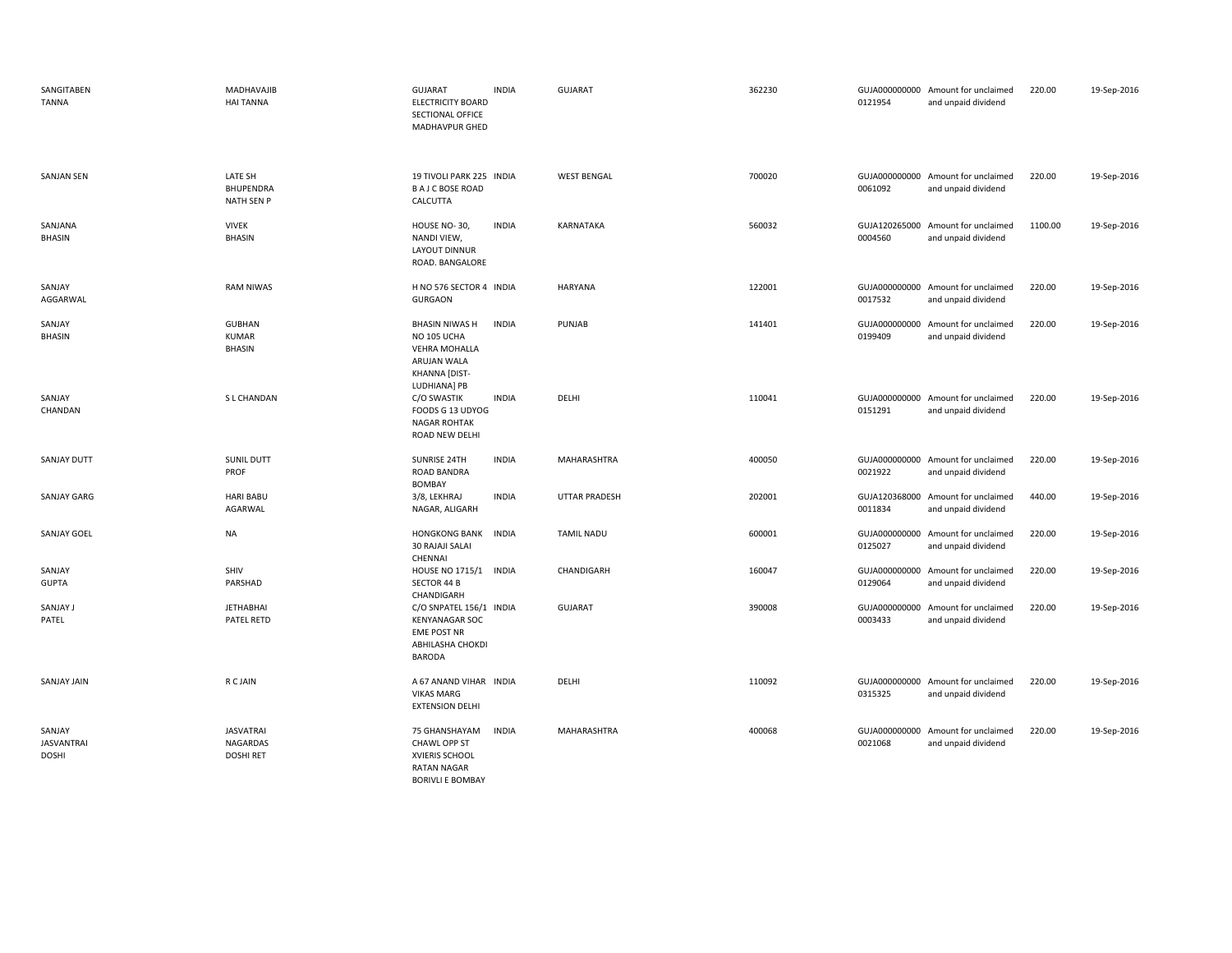| SANGITABEN<br><b>TANNA</b>                  | MADHAVAJIB<br><b>HAI TANNA</b>                   | <b>GUJARAT</b><br><b>ELECTRICITY BOARD</b><br>SECTIONAL OFFICE<br>MADHAVPUR GHED                             | <b>INDIA</b> | <b>GUJARAT</b>       | 362230 | 0121954                  | GUJA000000000 Amount for unclaimed<br>and unpaid dividend | 220.00  | 19-Sep-2016 |
|---------------------------------------------|--------------------------------------------------|--------------------------------------------------------------------------------------------------------------|--------------|----------------------|--------|--------------------------|-----------------------------------------------------------|---------|-------------|
| <b>SANJAN SEN</b>                           | LATE SH<br><b>BHUPENDRA</b><br><b>NATH SEN P</b> | 19 TIVOLI PARK 225 INDIA<br><b>BAJCBOSE ROAD</b><br>CALCUTTA                                                 |              | <b>WEST BENGAL</b>   | 700020 | 0061092                  | GUJA000000000 Amount for unclaimed<br>and unpaid dividend | 220.00  | 19-Sep-2016 |
| SANJANA<br><b>BHASIN</b>                    | <b>VIVEK</b><br><b>BHASIN</b>                    | HOUSE NO-30,<br>NANDI VIEW,<br><b>LAYOUT DINNUR</b><br>ROAD. BANGALORE                                       | <b>INDIA</b> | KARNATAKA            | 560032 | 0004560                  | GUJA120265000 Amount for unclaimed<br>and unpaid dividend | 1100.00 | 19-Sep-2016 |
| SANJAY<br>AGGARWAL                          | <b>RAM NIWAS</b>                                 | H NO 576 SECTOR 4 INDIA<br><b>GURGAON</b>                                                                    |              | HARYANA              | 122001 | 0017532                  | GUJA000000000 Amount for unclaimed<br>and unpaid dividend | 220.00  | 19-Sep-2016 |
| SANJAY<br><b>BHASIN</b>                     | <b>GUBHAN</b><br>KUMAR<br><b>BHASIN</b>          | <b>BHASIN NIWAS H</b><br>NO 105 UCHA<br><b>VEHRA MOHALLA</b><br>ARUJAN WALA<br>KHANNA [DIST-<br>LUDHIANA] PB | <b>INDIA</b> | PUNJAB               | 141401 | 0199409                  | GUJA000000000 Amount for unclaimed<br>and unpaid dividend | 220.00  | 19-Sep-2016 |
| SANJAY<br>CHANDAN                           | S L CHANDAN                                      | C/O SWASTIK<br>FOODS G 13 UDYOG<br><b>NAGAR ROHTAK</b><br>ROAD NEW DELHI                                     | <b>INDIA</b> | DELHI                | 110041 | 0151291                  | GUJA000000000 Amount for unclaimed<br>and unpaid dividend | 220.00  | 19-Sep-2016 |
| <b>SANJAY DUTT</b>                          | <b>SUNIL DUTT</b><br>PROF                        | SUNRISE 24TH<br>ROAD BANDRA<br><b>BOMBAY</b>                                                                 | <b>INDIA</b> | <b>MAHARASHTRA</b>   | 400050 | 0021922                  | GUJA000000000 Amount for unclaimed<br>and unpaid dividend | 220.00  | 19-Sep-2016 |
| <b>SANJAY GARG</b>                          | <b>HARI BABU</b><br>AGARWAL                      | 3/8, LEKHRAJ<br>NAGAR, ALIGARH                                                                               | <b>INDIA</b> | <b>UTTAR PRADESH</b> | 202001 | 0011834                  | GUJA120368000 Amount for unclaimed<br>and unpaid dividend | 440.00  | 19-Sep-2016 |
| <b>SANJAY GOEL</b>                          | <b>NA</b>                                        | <b>HONGKONG BANK</b><br><b>30 RAJAJI SALAI</b><br>CHENNAI                                                    | <b>INDIA</b> | <b>TAMIL NADU</b>    | 600001 | 0125027                  | GUJA000000000 Amount for unclaimed<br>and unpaid dividend | 220.00  | 19-Sep-2016 |
| SANJAY<br><b>GUPTA</b>                      | SHIV<br>PARSHAD                                  | HOUSE NO 1715/1<br>SECTOR 44 B<br>CHANDIGARH                                                                 | <b>INDIA</b> | CHANDIGARH           | 160047 | 0129064                  | GUJA000000000 Amount for unclaimed<br>and unpaid dividend | 220.00  | 19-Sep-2016 |
| SANJAY J<br>PATEL                           | <b>JETHABHAI</b><br>PATEL RETD                   | C/O SNPATEL 156/1 INDIA<br><b>KENYANAGAR SOC</b><br><b>EME POST NR</b><br>ABHILASHA CHOKDI<br><b>BARODA</b>  |              | <b>GUJARAT</b>       | 390008 | GUJA000000000<br>0003433 | Amount for unclaimed<br>and unpaid dividend               | 220.00  | 19-Sep-2016 |
| <b>SANJAY JAIN</b>                          | R C JAIN                                         | A 67 ANAND VIHAR INDIA<br><b>VIKAS MARG</b><br><b>EXTENSION DELHI</b>                                        |              | DELHI                | 110092 | 0315325                  | GUJA000000000 Amount for unclaimed<br>and unpaid dividend | 220.00  | 19-Sep-2016 |
| SANJAY<br><b>JASVANTRAI</b><br><b>DOSHI</b> | <b>JASVATRAI</b><br>NAGARDAS<br><b>DOSHI RET</b> | 75 GHANSHAYAM<br>CHAWL OPP ST<br>XVIERIS SCHOOL<br><b>RATAN NAGAR</b><br><b>BORIVLI E BOMBAY</b>             | <b>INDIA</b> | MAHARASHTRA          | 400068 | 0021068                  | GUJA000000000 Amount for unclaimed<br>and unpaid dividend | 220.00  | 19-Sep-2016 |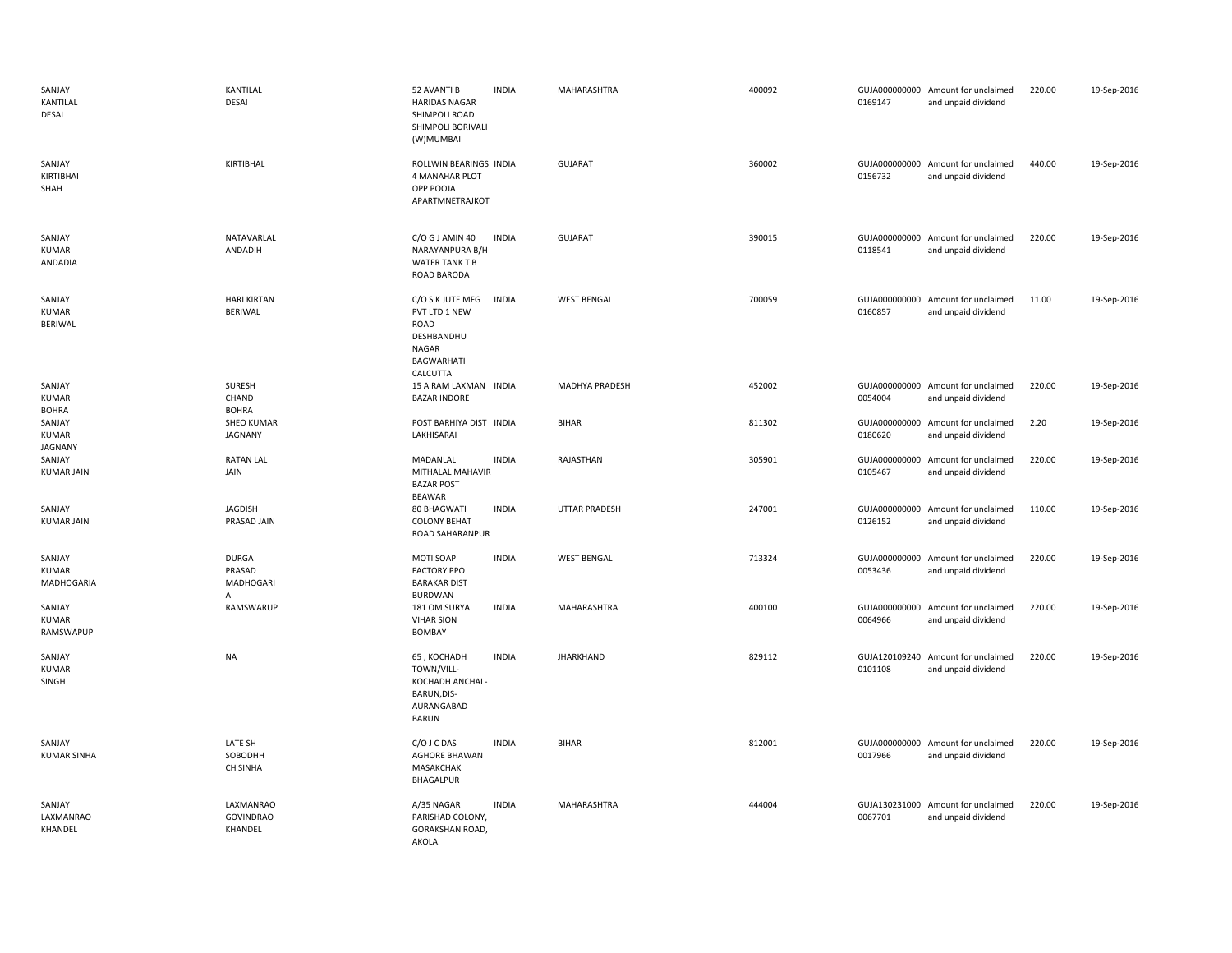| SANJAY<br>KANTILAL<br>DESAI            | KANTILAL<br>DESAI                        | 52 AVANTI B<br><b>HARIDAS NAGAR</b><br>SHIMPOLI ROAD<br>SHIMPOLI BORIVALI<br>(W)MUMBAI            | <b>INDIA</b> | MAHARASHTRA           | 400092 | 0169147                  | GUJA000000000 Amount for unclaimed<br>and unpaid dividend | 220.00 | 19-Sep-2016 |
|----------------------------------------|------------------------------------------|---------------------------------------------------------------------------------------------------|--------------|-----------------------|--------|--------------------------|-----------------------------------------------------------|--------|-------------|
| SANJAY<br>KIRTIBHAI<br>SHAH            | KIRTIBHAL                                | ROLLWIN BEARINGS INDIA<br>4 MANAHAR PLOT<br>OPP POOJA<br>APARTMNETRAJKOT                          |              | <b>GUJARAT</b>        | 360002 | 0156732                  | GUJA000000000 Amount for unclaimed<br>and unpaid dividend | 440.00 | 19-Sep-2016 |
| SANJAY<br><b>KUMAR</b><br>ANDADIA      | NATAVARLAL<br>ANDADIH                    | C/O G J AMIN 40<br>NARAYANPURA B/H<br>WATER TANK T B<br>ROAD BARODA                               | <b>INDIA</b> | <b>GUJARAT</b>        | 390015 | 0118541                  | GUJA000000000 Amount for unclaimed<br>and unpaid dividend | 220.00 | 19-Sep-2016 |
| SANJAY<br><b>KUMAR</b><br>BERIWAL      | <b>HARI KIRTAN</b><br>BERIWAL            | C/O S K JUTE MFG<br>PVT LTD 1 NEW<br>ROAD<br>DESHBANDHU<br>NAGAR<br><b>BAGWARHATI</b><br>CALCUTTA | <b>INDIA</b> | <b>WEST BENGAL</b>    | 700059 | 0160857                  | GUJA000000000 Amount for unclaimed<br>and unpaid dividend | 11.00  | 19-Sep-2016 |
| SANJAY<br><b>KUMAR</b><br><b>BOHRA</b> | SURESH<br>CHAND<br><b>BOHRA</b>          | 15 A RAM LAXMAN INDIA<br><b>BAZAR INDORE</b>                                                      |              | <b>MADHYA PRADESH</b> | 452002 | 0054004                  | GUJA000000000 Amount for unclaimed<br>and unpaid dividend | 220.00 | 19-Sep-2016 |
| SANJAY<br>KUMAR<br><b>JAGNANY</b>      | <b>SHEO KUMAR</b><br>JAGNANY             | POST BARHIYA DIST INDIA<br>LAKHISARAI                                                             |              | <b>BIHAR</b>          | 811302 | 0180620                  | GUJA000000000 Amount for unclaimed<br>and unpaid dividend | 2.20   | 19-Sep-2016 |
| SANJAY<br><b>KUMAR JAIN</b>            | <b>RATAN LAL</b><br>JAIN                 | MADANLAL<br>MITHALAL MAHAVIR<br><b>BAZAR POST</b><br>BEAWAR                                       | <b>INDIA</b> | RAJASTHAN             | 305901 | 0105467                  | GUJA000000000 Amount for unclaimed<br>and unpaid dividend | 220.00 | 19-Sep-2016 |
| SANJAY<br><b>KUMAR JAIN</b>            | JAGDISH<br>PRASAD JAIN                   | 80 BHAGWATI<br><b>COLONY BEHAT</b><br>ROAD SAHARANPUR                                             | <b>INDIA</b> | <b>UTTAR PRADESH</b>  | 247001 | GUJA000000000<br>0126152 | Amount for unclaimed<br>and unpaid dividend               | 110.00 | 19-Sep-2016 |
| SANJAY<br><b>KUMAR</b><br>MADHOGARIA   | <b>DURGA</b><br>PRASAD<br>MADHOGARI<br>A | MOTI SOAP<br><b>FACTORY PPO</b><br><b>BARAKAR DIST</b><br><b>BURDWAN</b>                          | <b>INDIA</b> | <b>WEST BENGAL</b>    | 713324 | 0053436                  | GUJA000000000 Amount for unclaimed<br>and unpaid dividend | 220.00 | 19-Sep-2016 |
| SANJAY<br><b>KUMAR</b><br>RAMSWAPUP    | RAMSWARUP                                | 181 OM SURYA<br><b>VIHAR SION</b><br>BOMBAY                                                       | <b>INDIA</b> | MAHARASHTRA           | 400100 | 0064966                  | GUJA000000000 Amount for unclaimed<br>and unpaid dividend | 220.00 | 19-Sep-2016 |
| SANJAY<br><b>KUMAR</b><br>SINGH        | <b>NA</b>                                | 65, KOCHADH<br>TOWN/VILL-<br>KOCHADH ANCHAL-<br>BARUN, DIS-<br>AURANGABAD<br><b>BARUN</b>         | <b>INDIA</b> | <b>JHARKHAND</b>      | 829112 | 0101108                  | GUJA120109240 Amount for unclaimed<br>and unpaid dividend | 220.00 | 19-Sep-2016 |
| SANJAY<br><b>KUMAR SINHA</b>           | LATE SH<br>SOBODHH<br>CH SINHA           | C/O J C DAS<br><b>AGHORE BHAWAN</b><br><b>MASAKCHAK</b><br>BHAGALPUR                              | <b>INDIA</b> | <b>BIHAR</b>          | 812001 | 0017966                  | GUJA000000000 Amount for unclaimed<br>and unpaid dividend | 220.00 | 19-Sep-2016 |
| SANJAY<br>LAXMANRAO<br>KHANDEL         | LAXMANRAO<br><b>GOVINDRAO</b><br>KHANDEL | A/35 NAGAR<br>PARISHAD COLONY,<br>GORAKSHAN ROAD,<br>AKOLA.                                       | <b>INDIA</b> | MAHARASHTRA           | 444004 | 0067701                  | GUJA130231000 Amount for unclaimed<br>and unpaid dividend | 220.00 | 19-Sep-2016 |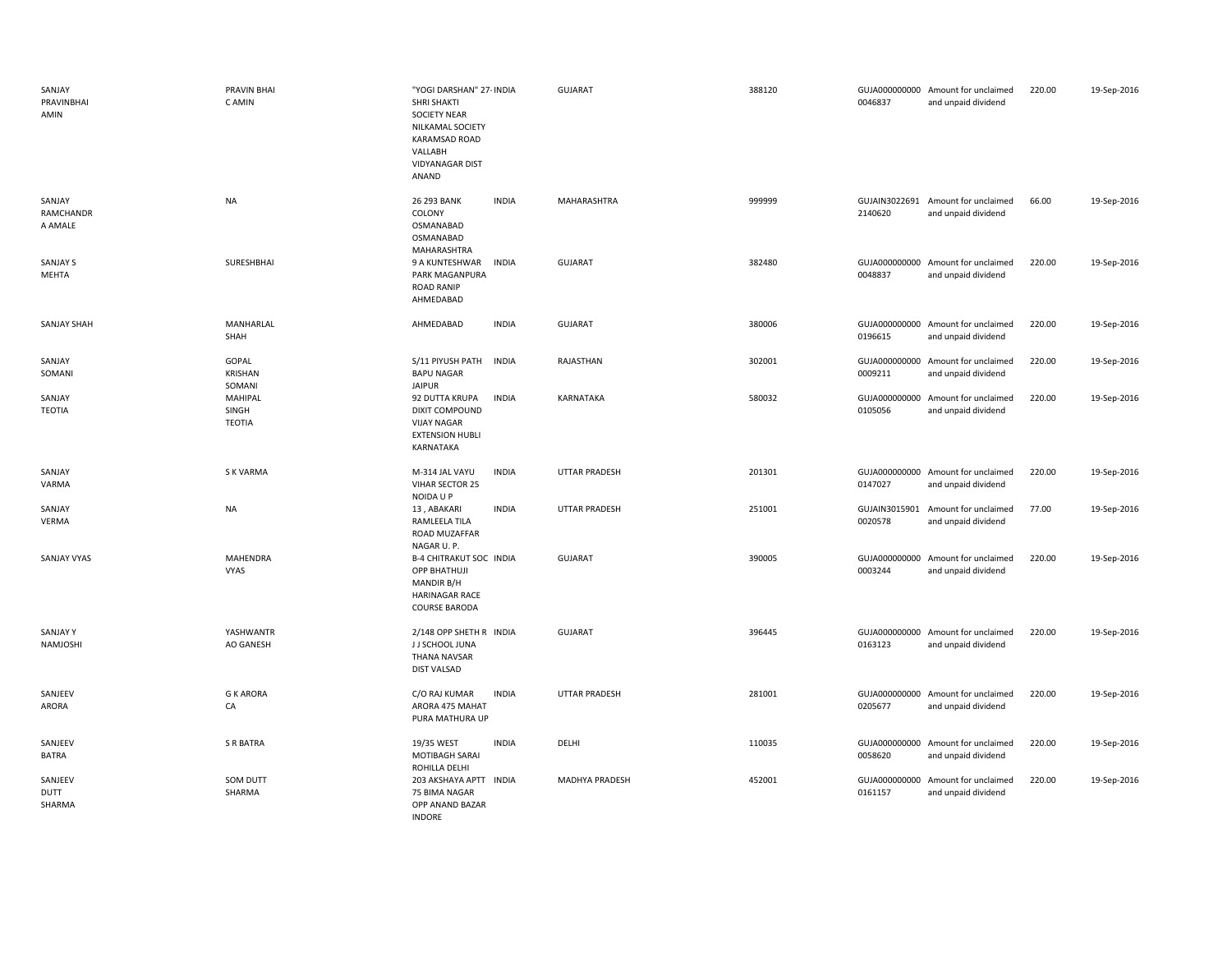| SANJAY<br>PRAVINBHAI<br>AMIN   | PRAVIN BHAI<br>C AMIN             | "YOGI DARSHAN" 27- INDIA<br><b>SHRI SHAKTI</b><br><b>SOCIETY NEAR</b><br>NILKAMAL SOCIETY<br>KARAMSAD ROAD<br>VALLABH<br><b>VIDYANAGAR DIST</b><br>ANAND | GUJARAT              | 388120 | 0046837                  | GUJA000000000 Amount for unclaimed<br>and unpaid dividend | 220.00 | 19-Sep-2016 |
|--------------------------------|-----------------------------------|----------------------------------------------------------------------------------------------------------------------------------------------------------|----------------------|--------|--------------------------|-----------------------------------------------------------|--------|-------------|
| SANJAY<br>RAMCHANDR<br>A AMALE | <b>NA</b>                         | 26 293 BANK<br><b>INDIA</b><br>COLONY<br>OSMANABAD<br>OSMANABAD<br>MAHARASHTRA                                                                           | MAHARASHTRA          | 999999 | 2140620                  | GUJAIN3022691 Amount for unclaimed<br>and unpaid dividend | 66.00  | 19-Sep-2016 |
| <b>SANJAY S</b><br>MEHTA       | SURESHBHAI                        | 9 A KUNTESHWAR<br><b>INDIA</b><br>PARK MAGANPURA<br><b>ROAD RANIP</b><br>AHMEDABAD                                                                       | GUJARAT              | 382480 | 0048837                  | GUJA000000000 Amount for unclaimed<br>and unpaid dividend | 220.00 | 19-Sep-2016 |
| SANJAY SHAH                    | MANHARLAL<br>SHAH                 | <b>INDIA</b><br>AHMEDABAD                                                                                                                                | <b>GUJARAT</b>       | 380006 | 0196615                  | GUJA000000000 Amount for unclaimed<br>and unpaid dividend | 220.00 | 19-Sep-2016 |
| SANJAY<br>SOMANI               | GOPAL<br><b>KRISHAN</b><br>SOMANI | S/11 PIYUSH PATH INDIA<br><b>BAPU NAGAR</b><br><b>JAIPUR</b>                                                                                             | RAJASTHAN            | 302001 | 0009211                  | GUJA000000000 Amount for unclaimed<br>and unpaid dividend | 220.00 | 19-Sep-2016 |
| SANJAY<br>TEOTIA               | MAHIPAL<br>SINGH<br>TEOTIA        | <b>INDIA</b><br>92 DUTTA KRUPA<br><b>DIXIT COMPOUND</b><br><b>VIJAY NAGAR</b><br><b>EXTENSION HUBLI</b><br>KARNATAKA                                     | KARNATAKA            | 580032 | GUJA000000000<br>0105056 | Amount for unclaimed<br>and unpaid dividend               | 220.00 | 19-Sep-2016 |
| SANJAY<br>VARMA                | S K VARMA                         | <b>INDIA</b><br>M-314 JAL VAYU<br>VIHAR SECTOR 25<br>NOIDA U P                                                                                           | <b>UTTAR PRADESH</b> | 201301 | 0147027                  | GUJA000000000 Amount for unclaimed<br>and unpaid dividend | 220.00 | 19-Sep-2016 |
| SANJAY<br>VERMA                | <b>NA</b>                         | 13, ABAKARI<br><b>INDIA</b><br>RAMLEELA TILA<br>ROAD MUZAFFAR<br>NAGAR U.P.                                                                              | <b>UTTAR PRADESH</b> | 251001 | 0020578                  | GUJAIN3015901 Amount for unclaimed<br>and unpaid dividend | 77.00  | 19-Sep-2016 |
| <b>SANJAY VYAS</b>             | <b>MAHENDRA</b><br><b>VYAS</b>    | <b>B-4 CHITRAKUT SOC INDIA</b><br><b>OPP BHATHUJI</b><br>MANDIR B/H<br><b>HARINAGAR RACE</b><br><b>COURSE BARODA</b>                                     | <b>GUJARAT</b>       | 390005 | 0003244                  | GUJA000000000 Amount for unclaimed<br>and unpaid dividend | 220.00 | 19-Sep-2016 |
| <b>SANJAYY</b><br>NAMJOSHI     | YASHWANTR<br>AO GANESH            | 2/148 OPP SHETH R INDIA<br>J J SCHOOL JUNA<br>THANA NAVSAR<br><b>DIST VALSAD</b>                                                                         | <b>GUJARAT</b>       | 396445 | 0163123                  | GUJA000000000 Amount for unclaimed<br>and unpaid dividend | 220.00 | 19-Sep-2016 |
| SANJEEV<br>ARORA               | <b>G K ARORA</b><br>CA            | C/O RAJ KUMAR<br><b>INDIA</b><br>ARORA 475 MAHAT<br>PURA MATHURA UP                                                                                      | <b>UTTAR PRADESH</b> | 281001 | 0205677                  | GUJA000000000 Amount for unclaimed<br>and unpaid dividend | 220.00 | 19-Sep-2016 |
| SANJEEV<br>BATRA               | <b>S R BATRA</b>                  | 19/35 WEST<br><b>INDIA</b><br><b>MOTIBAGH SARAI</b><br>ROHILLA DELHI                                                                                     | DELHI                | 110035 | 0058620                  | GUJA000000000 Amount for unclaimed<br>and unpaid dividend | 220.00 | 19-Sep-2016 |
| SANJEEV<br>DUTT<br>SHARMA      | SOM DUTT<br>SHARMA                | 203 AKSHAYA APTT INDIA<br>75 BIMA NAGAR<br>OPP ANAND BAZAR<br><b>INDORE</b>                                                                              | MADHYA PRADESH       | 452001 | 0161157                  | GUJA000000000 Amount for unclaimed<br>and unpaid dividend | 220.00 | 19-Sep-2016 |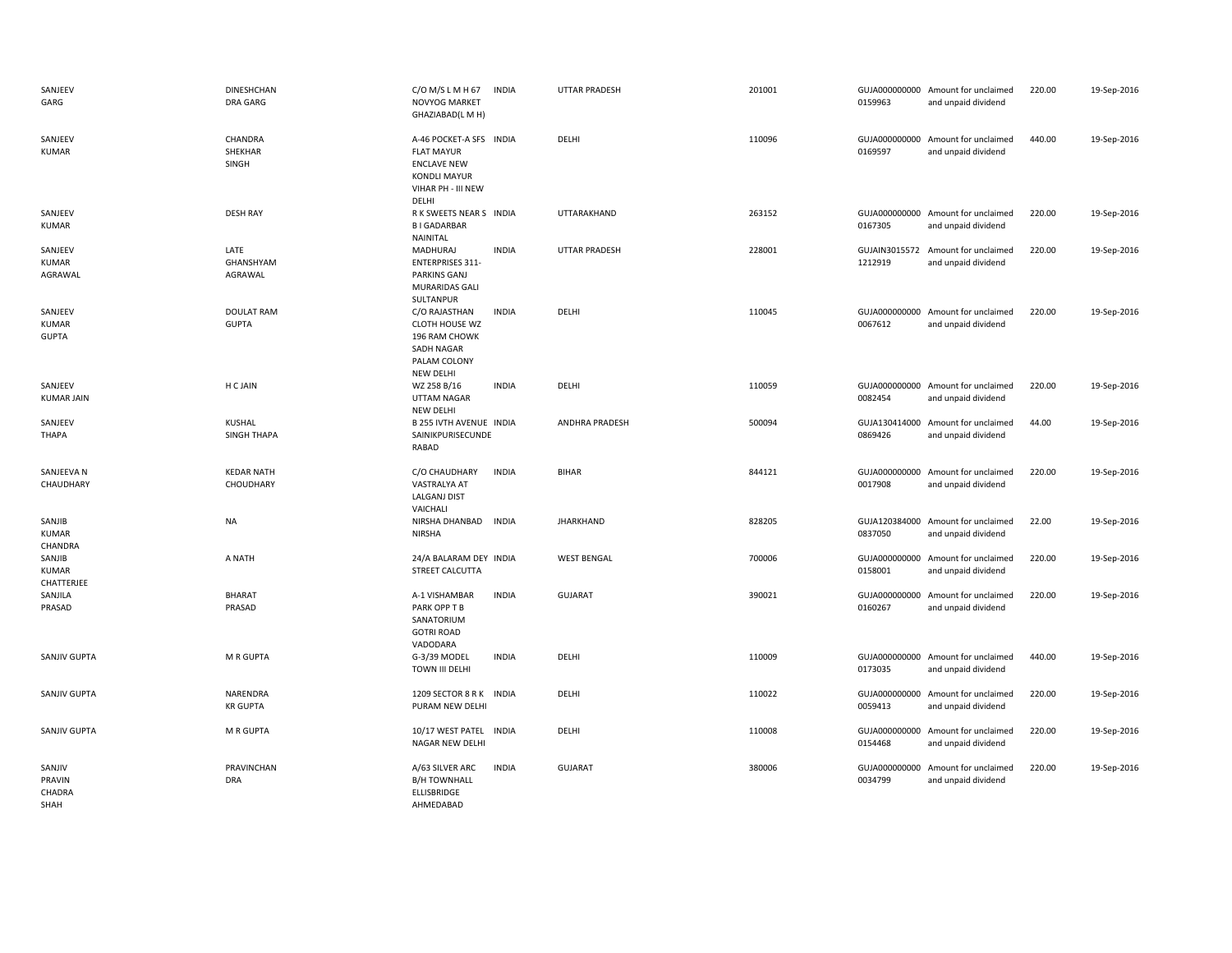| SANJEEV<br>GARG                           | <b>DINESHCHAN</b><br>DRA GARG     | $C/O$ M/S L M H 67<br>NOVYOG MARKET<br>GHAZIABAD(L M H)                                                                  | <b>INDIA</b> | UTTAR PRADESH         | 201001 | 0159963 | GUJA000000000 Amount for unclaimed<br>and unpaid dividend | 220.00 | 19-Sep-2016 |
|-------------------------------------------|-----------------------------------|--------------------------------------------------------------------------------------------------------------------------|--------------|-----------------------|--------|---------|-----------------------------------------------------------|--------|-------------|
| SANJEEV<br><b>KUMAR</b>                   | CHANDRA<br>SHEKHAR<br>SINGH       | A-46 POCKET-A SFS INDIA<br><b>FLAT MAYUR</b><br><b>ENCLAVE NEW</b><br><b>KONDLI MAYUR</b><br>VIHAR PH - III NEW<br>DELHI |              | DELHI                 | 110096 | 0169597 | GUJA000000000 Amount for unclaimed<br>and unpaid dividend | 440.00 | 19-Sep-2016 |
| SANJEEV<br><b>KUMAR</b>                   | <b>DESH RAY</b>                   | R K SWEETS NEAR S INDIA<br><b>BIGADARBAR</b><br>NAINITAL                                                                 |              | UTTARAKHAND           | 263152 | 0167305 | GUJA000000000 Amount for unclaimed<br>and unpaid dividend | 220.00 | 19-Sep-2016 |
| SANJEEV<br><b>KUMAR</b><br>AGRAWAL        | LATE<br>GHANSHYAM<br>AGRAWAL      | MADHURAJ<br><b>ENTERPRISES 311-</b><br><b>PARKINS GANJ</b><br><b>MURARIDAS GALI</b><br>SULTANPUR                         | <b>INDIA</b> | UTTAR PRADESH         | 228001 | 1212919 | GUJAIN3015572 Amount for unclaimed<br>and unpaid dividend | 220.00 | 19-Sep-2016 |
| SANJEEV<br><b>KUMAR</b><br><b>GUPTA</b>   | <b>DOULAT RAM</b><br><b>GUPTA</b> | C/O RAJASTHAN<br>CLOTH HOUSE WZ<br>196 RAM CHOWK<br><b>SADH NAGAR</b><br>PALAM COLONY<br>NEW DELHI                       | <b>INDIA</b> | DELHI                 | 110045 | 0067612 | GUJA000000000 Amount for unclaimed<br>and unpaid dividend | 220.00 | 19-Sep-2016 |
| SANJEEV<br><b>KUMAR JAIN</b>              | H C JAIN                          | WZ 258 B/16<br><b>UTTAM NAGAR</b><br>NEW DELHI                                                                           | <b>INDIA</b> | DELHI                 | 110059 | 0082454 | GUJA000000000 Amount for unclaimed<br>and unpaid dividend | 220.00 | 19-Sep-2016 |
| SANJEEV<br><b>THAPA</b>                   | KUSHAL<br>SINGH THAPA             | <b>B 255 IVTH AVENUE INDIA</b><br>SAINIKPURISECUNDE<br>RABAD                                                             |              | <b>ANDHRA PRADESH</b> | 500094 | 0869426 | GUJA130414000 Amount for unclaimed<br>and unpaid dividend | 44.00  | 19-Sep-2016 |
| SANJEEVA N<br>CHAUDHARY                   | <b>KEDAR NATH</b><br>CHOUDHARY    | C/O CHAUDHARY<br>VASTRALYA AT<br>LALGANJ DIST<br>VAICHALI                                                                | <b>INDIA</b> | <b>BIHAR</b>          | 844121 | 0017908 | GUJA000000000 Amount for unclaimed<br>and unpaid dividend | 220.00 | 19-Sep-2016 |
| SANJIB<br><b>KUMAR</b><br>CHANDRA         | NA                                | NIRSHA DHANBAD<br><b>NIRSHA</b>                                                                                          | <b>INDIA</b> | <b>JHARKHAND</b>      | 828205 | 0837050 | GUJA120384000 Amount for unclaimed<br>and unpaid dividend | 22.00  | 19-Sep-2016 |
| SANJIB<br><b>KUMAR</b><br>CHATTERJEE      | A NATH                            | 24/A BALARAM DEY INDIA<br>STREET CALCUTTA                                                                                |              | <b>WEST BENGAL</b>    | 700006 | 0158001 | GUJA000000000 Amount for unclaimed<br>and unpaid dividend | 220.00 | 19-Sep-2016 |
| SANJILA<br>PRASAD                         | <b>BHARAT</b><br>PRASAD           | A-1 VISHAMBAR<br>PARK OPP T B<br>SANATORIUM<br><b>GOTRI ROAD</b><br>VADODARA                                             | <b>INDIA</b> | <b>GUJARAT</b>        | 390021 | 0160267 | GUJA000000000 Amount for unclaimed<br>and unpaid dividend | 220.00 | 19-Sep-2016 |
| SANJIV GUPTA                              | M R GUPTA                         | G-3/39 MODEL<br>TOWN III DELHI                                                                                           | <b>INDIA</b> | DELHI                 | 110009 | 0173035 | GUJA000000000 Amount for unclaimed<br>and unpaid dividend | 440.00 | 19-Sep-2016 |
| SANJIV GUPTA                              | NARENDRA<br><b>KR GUPTA</b>       | 1209 SECTOR 8 R K INDIA<br>PURAM NEW DELHI                                                                               |              | DELHI                 | 110022 | 0059413 | GUJA000000000 Amount for unclaimed<br>and unpaid dividend | 220.00 | 19-Sep-2016 |
| SANJIV GUPTA                              | M R GUPTA                         | 10/17 WEST PATEL<br>NAGAR NEW DELHI                                                                                      | <b>INDIA</b> | DELHI                 | 110008 | 0154468 | GUJA000000000 Amount for unclaimed<br>and unpaid dividend | 220.00 | 19-Sep-2016 |
| SANJIV<br>PRAVIN<br>CHADRA<br><b>SHAH</b> | PRAVINCHAN<br><b>DRA</b>          | A/63 SILVER ARC<br><b>B/H TOWNHALL</b><br>ELLISBRIDGE<br>AHMFDARAD                                                       | <b>INDIA</b> | <b>GUJARAT</b>        | 380006 | 0034799 | GUJA000000000 Amount for unclaimed<br>and unpaid dividend | 220.00 | 19-Sep-2016 |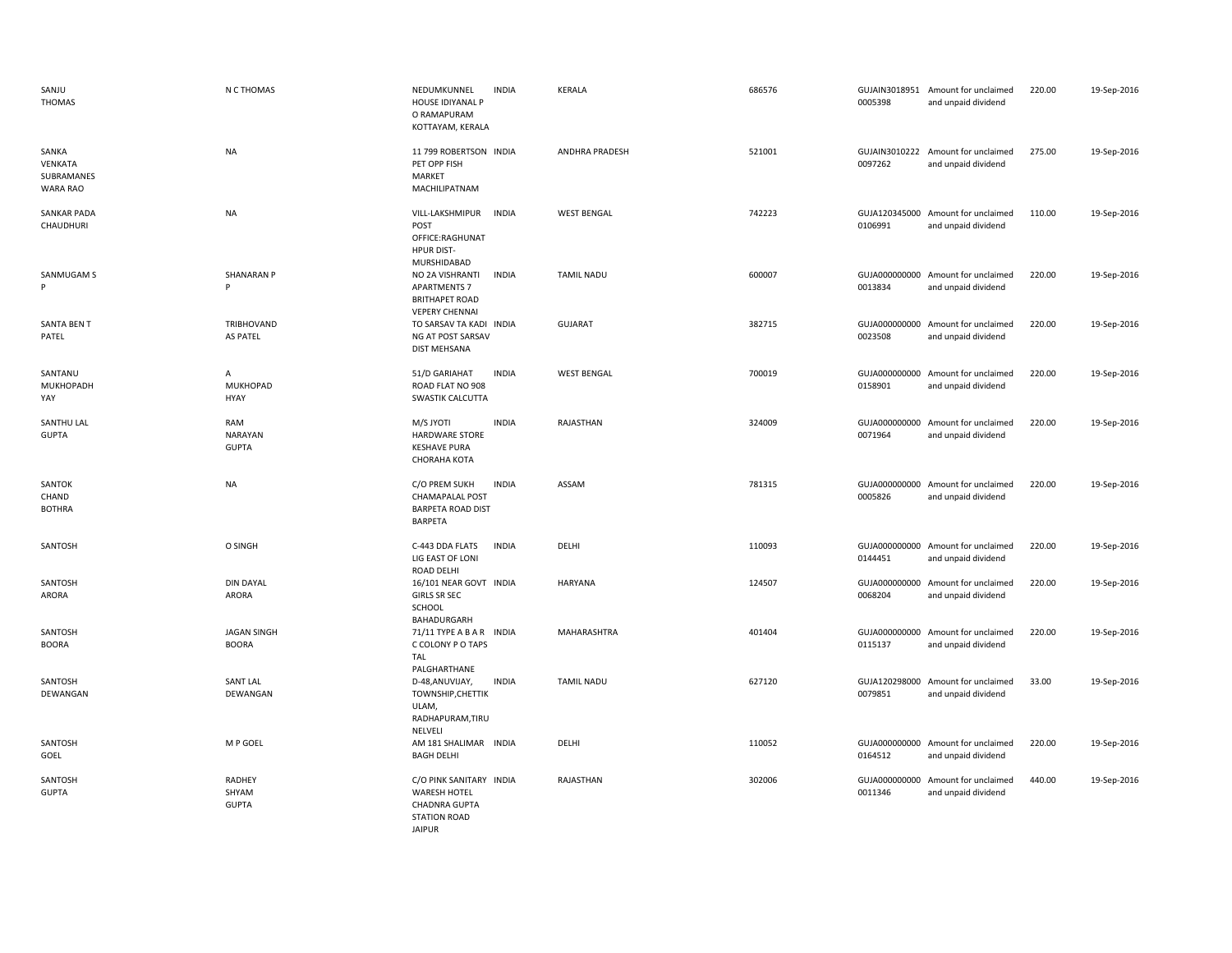| SANJU<br><b>THOMAS</b>                     | N C THOMAS                             | NEDUMKUNNEL<br>HOUSE IDIYANAL P<br>O RAMAPURAM<br>KOTTAYAM, KERALA                                             | <b>INDIA</b> | <b>KERALA</b>      | 686576 | 0005398                  | GUJAIN3018951 Amount for unclaimed<br>and unpaid dividend | 220.00 | 19-Sep-2016 |
|--------------------------------------------|----------------------------------------|----------------------------------------------------------------------------------------------------------------|--------------|--------------------|--------|--------------------------|-----------------------------------------------------------|--------|-------------|
| SANKA<br>VENKATA<br>SUBRAMANES<br>WARA RAO | <b>NA</b>                              | 11 799 ROBERTSON INDIA<br>PET OPP FISH<br>MARKET<br>MACHILIPATNAM                                              |              | ANDHRA PRADESH     | 521001 | 0097262                  | GUJAIN3010222 Amount for unclaimed<br>and unpaid dividend | 275.00 | 19-Sep-2016 |
| <b>SANKAR PADA</b><br>CHAUDHURI            | <b>NA</b>                              | VILL-LAKSHMIPUR<br>POST<br>OFFICE:RAGHUNAT<br><b>HPUR DIST-</b><br>MURSHIDABAD                                 | <b>INDIA</b> | <b>WEST BENGAL</b> | 742223 | 0106991                  | GUJA120345000 Amount for unclaimed<br>and unpaid dividend | 110.00 | 19-Sep-2016 |
| SANMUGAM S<br>P                            | <b>SHANARAN P</b><br>P                 | NO 2A VISHRANTI<br><b>APARTMENTS 7</b><br><b>BRITHAPET ROAD</b><br><b>VEPERY CHENNAI</b>                       | <b>INDIA</b> | <b>TAMIL NADU</b>  | 600007 | 0013834                  | GUJA000000000 Amount for unclaimed<br>and unpaid dividend | 220.00 | 19-Sep-2016 |
| <b>SANTA BEN T</b><br>PATEL                | <b>TRIBHOVAND</b><br><b>AS PATEL</b>   | TO SARSAV TA KADI INDIA<br>NG AT POST SARSAV<br><b>DIST MEHSANA</b>                                            |              | <b>GUJARAT</b>     | 382715 | 0023508                  | GUJA000000000 Amount for unclaimed<br>and unpaid dividend | 220.00 | 19-Sep-2016 |
| SANTANU<br>MUKHOPADH<br>YAY                | A<br><b>MUKHOPAD</b><br><b>HYAY</b>    | 51/D GARIAHAT<br>ROAD FLAT NO 908<br>SWASTIK CALCUTTA                                                          | <b>INDIA</b> | <b>WEST BENGAL</b> | 700019 | 0158901                  | GUJA000000000 Amount for unclaimed<br>and unpaid dividend | 220.00 | 19-Sep-2016 |
| SANTHU LAL<br><b>GUPTA</b>                 | RAM<br><b>NARAYAN</b><br><b>GUPTA</b>  | M/S JYOTI<br>HARDWARE STORE<br><b>KESHAVE PURA</b><br>CHORAHA KOTA                                             | <b>INDIA</b> | RAJASTHAN          | 324009 | 0071964                  | GUJA000000000 Amount for unclaimed<br>and unpaid dividend | 220.00 | 19-Sep-2016 |
| SANTOK<br>CHAND<br><b>BOTHRA</b>           | <b>NA</b>                              | C/O PREM SUKH<br>CHAMAPALAL POST<br><b>BARPETA ROAD DIST</b><br>BARPETA                                        | <b>INDIA</b> | ASSAM              | 781315 | 0005826                  | GUJA000000000 Amount for unclaimed<br>and unpaid dividend | 220.00 | 19-Sep-2016 |
| SANTOSH                                    | O SINGH                                | C-443 DDA FLATS<br>LIG EAST OF LONI<br><b>ROAD DELHI</b>                                                       | <b>INDIA</b> | DELHI              | 110093 | 0144451                  | GUJA000000000 Amount for unclaimed<br>and unpaid dividend | 220.00 | 19-Sep-2016 |
| SANTOSH<br>ARORA                           | <b>DIN DAYAL</b><br>ARORA              | 16/101 NEAR GOVT INDIA<br><b>GIRLS SR SEC</b><br>SCHOOL<br>BAHADURGARH                                         |              | <b>HARYANA</b>     | 124507 | GUJA000000000<br>0068204 | Amount for unclaimed<br>and unpaid dividend               | 220.00 | 19-Sep-2016 |
| SANTOSH<br><b>BOORA</b>                    | <b>JAGAN SINGH</b><br><b>BOORA</b>     | 71/11 TYPE A B A R INDIA<br>C COLONY P O TAPS<br>TAL<br>PALGHARTHANE                                           |              | MAHARASHTRA        | 401404 | 0115137                  | GUJA000000000 Amount for unclaimed<br>and unpaid dividend | 220.00 | 19-Sep-2016 |
| SANTOSH<br>DEWANGAN                        | <b>SANT LAL</b><br>DEWANGAN            | D-48, ANUVIJAY,<br>TOWNSHIP, CHETTIK<br>ULAM,<br>RADHAPURAM, TIRU<br>NELVELI                                   | <b>INDIA</b> | <b>TAMIL NADU</b>  | 627120 | 0079851                  | GUJA120298000 Amount for unclaimed<br>and unpaid dividend | 33.00  | 19-Sep-2016 |
| SANTOSH<br>GOEL                            | M P GOEL                               | AM 181 SHALIMAR INDIA<br><b>BAGH DELHI</b>                                                                     |              | DELHI              | 110052 | 0164512                  | GUJA000000000 Amount for unclaimed<br>and unpaid dividend | 220.00 | 19-Sep-2016 |
| SANTOSH<br><b>GUPTA</b>                    | <b>RADHEY</b><br>SHYAM<br><b>GUPTA</b> | C/O PINK SANITARY INDIA<br><b>WARESH HOTEL</b><br><b>CHADNRA GUPTA</b><br><b>STATION ROAD</b><br><b>JAIPUR</b> |              | RAJASTHAN          | 302006 | 0011346                  | GUJA000000000 Amount for unclaimed<br>and unpaid dividend | 440.00 | 19-Sep-2016 |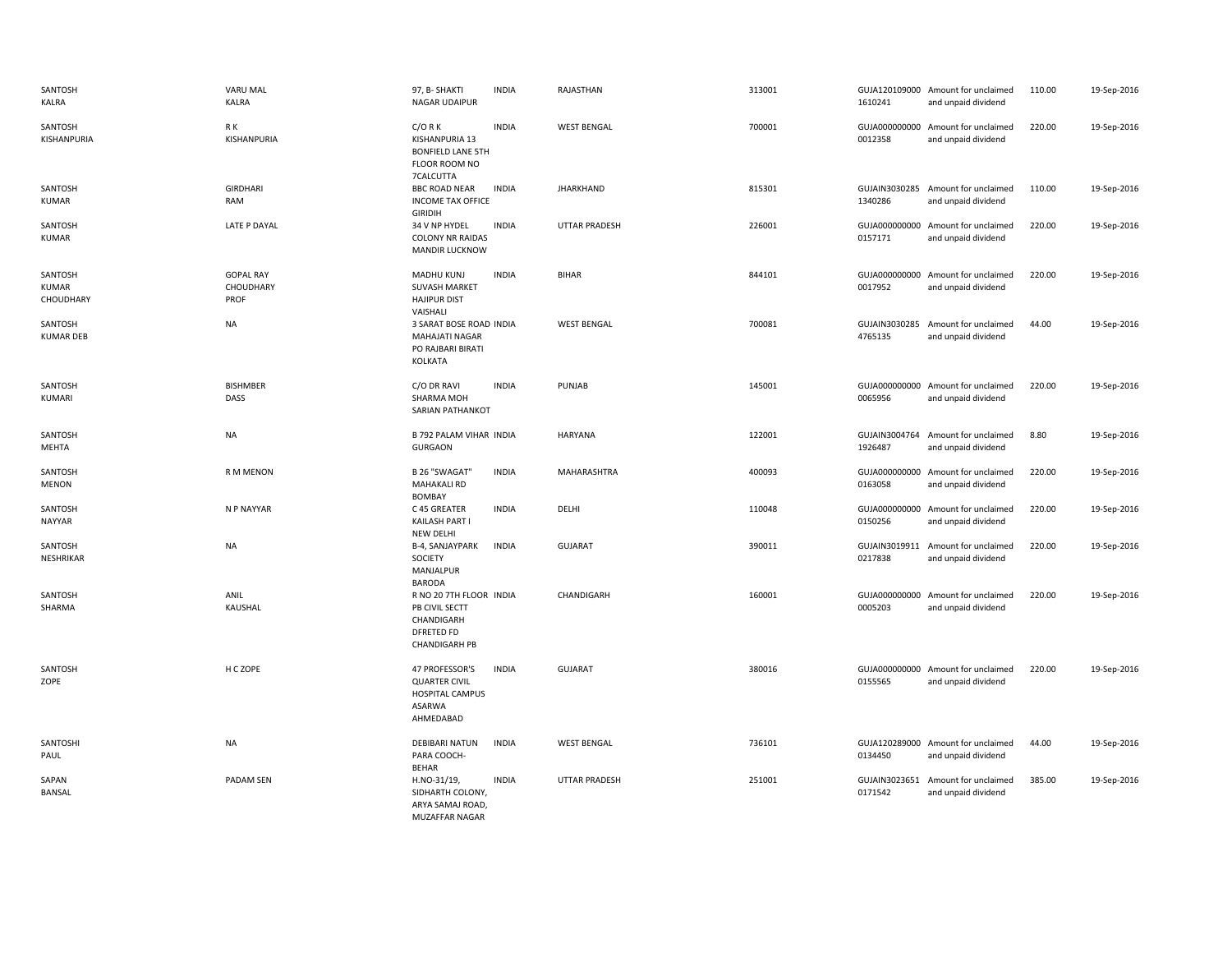| SANTOSH<br>KALRA                     | <b>VARU MAL</b><br><b>KALRA</b>       | 97, B-SHAKTI<br><b>NAGAR UDAIPUR</b>                                                                 | <b>INDIA</b> | RAJASTHAN            | 313001 | 1610241                  | GUJA120109000 Amount for unclaimed<br>and unpaid dividend | 110.00 | 19-Sep-2016 |
|--------------------------------------|---------------------------------------|------------------------------------------------------------------------------------------------------|--------------|----------------------|--------|--------------------------|-----------------------------------------------------------|--------|-------------|
| SANTOSH<br>KISHANPURIA               | R K<br>KISHANPURIA                    | $C/O$ R K<br>KISHANPURIA 13<br><b>BONFIELD LANE 5TH</b><br>FLOOR ROOM NO<br>7CALCUTTA                | <b>INDIA</b> | <b>WEST BENGAL</b>   | 700001 | 0012358                  | GUJA000000000 Amount for unclaimed<br>and unpaid dividend | 220.00 | 19-Sep-2016 |
| SANTOSH<br><b>KUMAR</b>              | GIRDHARI<br>RAM                       | <b>BBC ROAD NEAR</b><br><b>INCOME TAX OFFICE</b><br><b>GIRIDIH</b>                                   | <b>INDIA</b> | <b>JHARKHAND</b>     | 815301 | GUJAIN3030285<br>1340286 | Amount for unclaimed<br>and unpaid dividend               | 110.00 | 19-Sep-2016 |
| SANTOSH<br><b>KUMAR</b>              | LATE P DAYAL                          | 34 V NP HYDEL<br><b>COLONY NR RAIDAS</b><br><b>MANDIR LUCKNOW</b>                                    | <b>INDIA</b> | <b>UTTAR PRADESH</b> | 226001 | 0157171                  | GUJA000000000 Amount for unclaimed<br>and unpaid dividend | 220.00 | 19-Sep-2016 |
| SANTOSH<br><b>KUMAR</b><br>CHOUDHARY | <b>GOPAL RAY</b><br>CHOUDHARY<br>PROF | <b>MADHU KUNJ</b><br><b>SUVASH MARKET</b><br><b>HAJIPUR DIST</b><br>VAISHALI                         | <b>INDIA</b> | <b>BIHAR</b>         | 844101 | 0017952                  | GUJA000000000 Amount for unclaimed<br>and unpaid dividend | 220.00 | 19-Sep-2016 |
| SANTOSH<br><b>KUMAR DEB</b>          | <b>NA</b>                             | 3 SARAT BOSE ROAD INDIA<br><b>MAHAJATI NAGAR</b><br>PO RAJBARI BIRATI<br>KOLKATA                     |              | <b>WEST BENGAL</b>   | 700081 | 4765135                  | GUJAIN3030285 Amount for unclaimed<br>and unpaid dividend | 44.00  | 19-Sep-2016 |
| SANTOSH<br>KUMARI                    | <b>BISHMBER</b><br>DASS               | C/O DR RAVI<br>SHARMA MOH<br>SARIAN PATHANKOT                                                        | <b>INDIA</b> | PUNJAB               | 145001 | 0065956                  | GUJA000000000 Amount for unclaimed<br>and unpaid dividend | 220.00 | 19-Sep-2016 |
| SANTOSH<br>MEHTA                     | <b>NA</b>                             | B 792 PALAM VIHAR INDIA<br><b>GURGAON</b>                                                            |              | HARYANA              | 122001 | 1926487                  | GUJAIN3004764 Amount for unclaimed<br>and unpaid dividend | 8.80   | 19-Sep-2016 |
| SANTOSH<br><b>MENON</b>              | R M MENON                             | B 26 "SWAGAT"<br><b>MAHAKALI RD</b><br><b>BOMBAY</b>                                                 | <b>INDIA</b> | MAHARASHTRA          | 400093 | 0163058                  | GUJA000000000 Amount for unclaimed<br>and unpaid dividend | 220.00 | 19-Sep-2016 |
| SANTOSH<br>NAYYAR                    | N P NAYYAR                            | C 45 GREATER<br>KAILASH PART I<br>NEW DELHI                                                          | <b>INDIA</b> | DELHI                | 110048 | 0150256                  | GUJA000000000 Amount for unclaimed<br>and unpaid dividend | 220.00 | 19-Sep-2016 |
| SANTOSH<br>NESHRIKAR                 | <b>NA</b>                             | B-4, SANJAYPARK<br>SOCIETY<br>MANJALPUR<br><b>BARODA</b>                                             | <b>INDIA</b> | <b>GUJARAT</b>       | 390011 | 0217838                  | GUJAIN3019911 Amount for unclaimed<br>and unpaid dividend | 220.00 | 19-Sep-2016 |
| SANTOSH<br>SHARMA                    | ANIL<br>KAUSHAL                       | R NO 20 7TH FLOOR INDIA<br>PB CIVIL SECTT<br>CHANDIGARH<br><b>DFRETED FD</b><br><b>CHANDIGARH PB</b> |              | CHANDIGARH           | 160001 | GUJA000000000<br>0005203 | Amount for unclaimed<br>and unpaid dividend               | 220.00 | 19-Sep-2016 |
| SANTOSH<br>ZOPE                      | H C ZOPE                              | 47 PROFESSOR'S<br><b>QUARTER CIVIL</b><br><b>HOSPITAL CAMPUS</b><br><b>ASARWA</b><br>AHMEDABAD       | <b>INDIA</b> | <b>GUJARAT</b>       | 380016 | 0155565                  | GUJA000000000 Amount for unclaimed<br>and unpaid dividend | 220.00 | 19-Sep-2016 |
| SANTOSHI<br>PAUL                     | <b>NA</b>                             | <b>DEBIBARI NATUN</b><br>PARA COOCH-<br><b>BEHAR</b>                                                 | <b>INDIA</b> | <b>WEST BENGAL</b>   | 736101 | 0134450                  | GUJA120289000 Amount for unclaimed<br>and unpaid dividend | 44.00  | 19-Sep-2016 |
| SAPAN<br><b>BANSAL</b>               | PADAM SEN                             | H.NO-31/19,<br>SIDHARTH COLONY,<br>ARYA SAMAJ ROAD,<br><b>MUZAFFAR NAGAR</b>                         | <b>INDIA</b> | <b>UTTAR PRADESH</b> | 251001 | 0171542                  | GUJAIN3023651 Amount for unclaimed<br>and unpaid dividend | 385.00 | 19-Sep-2016 |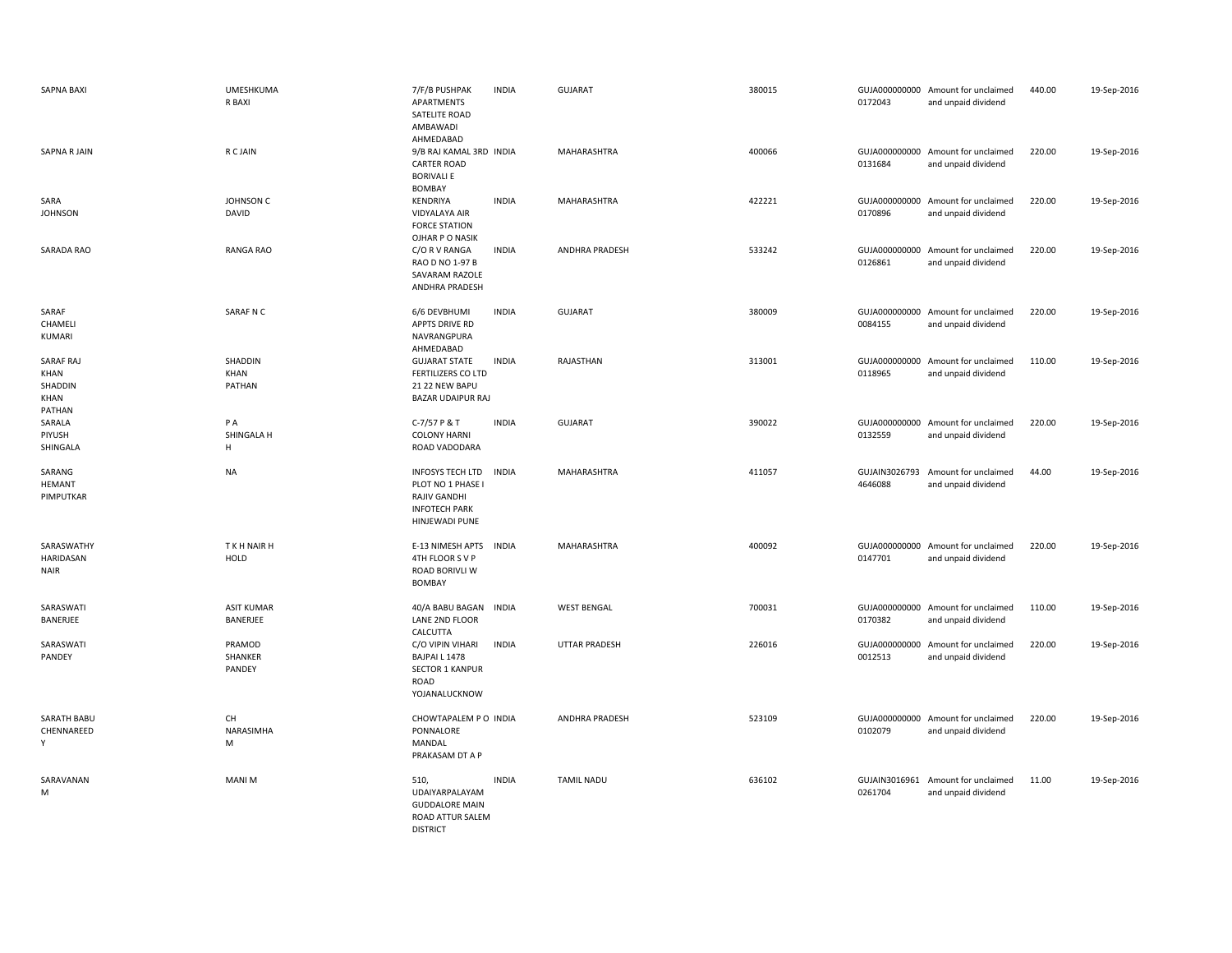| <b>SAPNA BAXI</b>                              | <b>UMESHKUMA</b><br>R BAXI    | 7/F/B PUSHPAK<br>APARTMENTS<br>SATELITE ROAD<br>AMBAWADI<br>AHMEDABAD                                  | <b>INDIA</b> | <b>GUJARAT</b>        | 380015 | 0172043                  | GUJA000000000 Amount for unclaimed<br>and unpaid dividend | 440.00 | 19-Sep-2016 |
|------------------------------------------------|-------------------------------|--------------------------------------------------------------------------------------------------------|--------------|-----------------------|--------|--------------------------|-----------------------------------------------------------|--------|-------------|
| <b>SAPNA R JAIN</b>                            | R C JAIN                      | 9/B RAJ KAMAL 3RD INDIA<br><b>CARTER ROAD</b><br><b>BORIVALI E</b><br>BOMBAY                           |              | MAHARASHTRA           | 400066 | 0131684                  | GUJA000000000 Amount for unclaimed<br>and unpaid dividend | 220.00 | 19-Sep-2016 |
| SARA<br><b>JOHNSON</b>                         | JOHNSON C<br>DAVID            | KENDRIYA<br>VIDYALAYA AIR<br><b>FORCE STATION</b><br>OJHAR P O NASIK                                   | <b>INDIA</b> | MAHARASHTRA           | 422221 | GUJA000000000<br>0170896 | Amount for unclaimed<br>and unpaid dividend               | 220.00 | 19-Sep-2016 |
| SARADA RAO                                     | <b>RANGA RAO</b>              | C/O R V RANGA<br>RAO D NO 1-97 B<br>SAVARAM RAZOLE<br>ANDHRA PRADESH                                   | <b>INDIA</b> | <b>ANDHRA PRADESH</b> | 533242 | 0126861                  | GUJA000000000 Amount for unclaimed<br>and unpaid dividend | 220.00 | 19-Sep-2016 |
| SARAF<br>CHAMELI<br>KUMARI                     | SARAF N C                     | 6/6 DEVBHUMI<br>APPTS DRIVE RD<br>NAVRANGPURA<br>AHMEDABAD                                             | <b>INDIA</b> | <b>GUJARAT</b>        | 380009 | 0084155                  | GUJA000000000 Amount for unclaimed<br>and unpaid dividend | 220.00 | 19-Sep-2016 |
| SARAF RAJ<br>KHAN<br>SHADDIN<br>KHAN<br>PATHAN | SHADDIN<br>KHAN<br>PATHAN     | <b>GUJARAT STATE</b><br><b>FERTILIZERS CO LTD</b><br>21 22 NEW BAPU<br><b>BAZAR UDAIPUR RAJ</b>        | <b>INDIA</b> | RAJASTHAN             | 313001 | 0118965                  | GUJA000000000 Amount for unclaimed<br>and unpaid dividend | 110.00 | 19-Sep-2016 |
| SARALA<br>PIYUSH<br>SHINGALA                   | P A<br>SHINGALA H<br>H        | C-7/57 P & T<br><b>COLONY HARNI</b><br>ROAD VADODARA                                                   | <b>INDIA</b> | <b>GUJARAT</b>        | 390022 | GUJA000000000<br>0132559 | Amount for unclaimed<br>and unpaid dividend               | 220.00 | 19-Sep-2016 |
| SARANG<br><b>HEMANT</b><br>PIMPUTKAR           | <b>NA</b>                     | <b>INFOSYS TECH LTD</b><br>PLOT NO 1 PHASE I<br>RAJIV GANDHI<br><b>INFOTECH PARK</b><br>HINJEWADI PUNE | <b>INDIA</b> | <b>MAHARASHTRA</b>    | 411057 | GUJAIN3026793<br>4646088 | Amount for unclaimed<br>and unpaid dividend               | 44.00  | 19-Sep-2016 |
| SARASWATHY<br>HARIDASAN<br><b>NAIR</b>         | T K H NAIR H<br>HOLD          | E-13 NIMESH APTS<br>4TH FLOOR S V P<br>ROAD BORIVLI W<br><b>BOMBAY</b>                                 | <b>INDIA</b> | MAHARASHTRA           | 400092 | 0147701                  | GUJA000000000 Amount for unclaimed<br>and unpaid dividend | 220.00 | 19-Sep-2016 |
| SARASWATI<br>BANERJEE                          | <b>ASIT KUMAR</b><br>BANERJEE | 40/A BABU BAGAN INDIA<br>LANE 2ND FLOOR<br>CALCUTTA                                                    |              | <b>WEST BENGAL</b>    | 700031 | 0170382                  | GUJA000000000 Amount for unclaimed<br>and unpaid dividend | 110.00 | 19-Sep-2016 |
| SARASWATI<br>PANDEY                            | PRAMOD<br>SHANKER<br>PANDEY   | C/O VIPIN VIHARI<br>BAJPAI L 1478<br><b>SECTOR 1 KANPUR</b><br>ROAD<br>YOJANALUCKNOW                   | <b>INDIA</b> | <b>UTTAR PRADESH</b>  | 226016 | GUJA000000000<br>0012513 | Amount for unclaimed<br>and unpaid dividend               | 220.00 | 19-Sep-2016 |
| SARATH BABU<br>CHENNAREED<br>Y                 | CH<br>NARASIMHA<br>M          | CHOWTAPALEM P O INDIA<br>PONNALORE<br>MANDAL<br>PRAKASAM DT A P                                        |              | ANDHRA PRADESH        | 523109 | 0102079                  | GUJA000000000 Amount for unclaimed<br>and unpaid dividend | 220.00 | 19-Sep-2016 |
| SARAVANAN<br>M                                 | <b>MANIM</b>                  | 510,<br>UDAIYARPALAYAM<br><b>GUDDALORE MAIN</b><br>ROAD ATTUR SALEM<br><b>DISTRICT</b>                 | <b>INDIA</b> | <b>TAMIL NADU</b>     | 636102 | 0261704                  | GUJAIN3016961 Amount for unclaimed<br>and unpaid dividend | 11.00  | 19-Sep-2016 |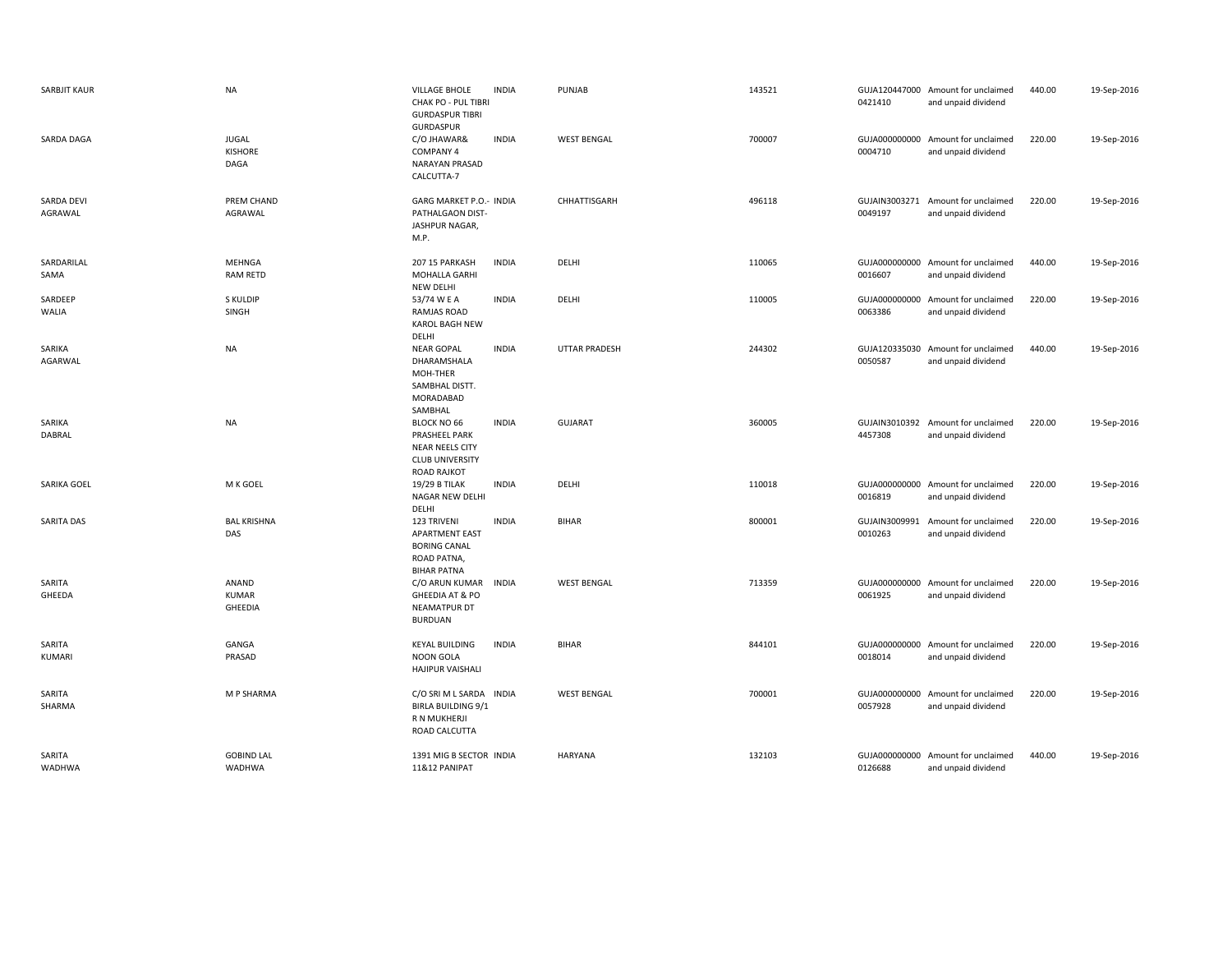| <b>SARBJIT KAUR</b>     | <b>NA</b>                               | VILLAGE BHOLE<br>CHAK PO - PUL TIBRI<br><b>GURDASPUR TIBRI</b>                                         | <b>INDIA</b> | PUNJAB               | 143521 | 0421410                  | GUJA120447000 Amount for unclaimed<br>and unpaid dividend | 440.00 | 19-Sep-2016 |
|-------------------------|-----------------------------------------|--------------------------------------------------------------------------------------------------------|--------------|----------------------|--------|--------------------------|-----------------------------------------------------------|--------|-------------|
| SARDA DAGA              | JUGAL<br><b>KISHORE</b><br>DAGA         | GURDASPUR<br>C/O JHAWAR&<br><b>COMPANY 4</b><br><b>NARAYAN PRASAD</b><br>CALCUTTA-7                    | <b>INDIA</b> | <b>WEST BENGAL</b>   | 700007 | 0004710                  | GUJA000000000 Amount for unclaimed<br>and unpaid dividend | 220.00 | 19-Sep-2016 |
| SARDA DEVI<br>AGRAWAL   | PREM CHAND<br>AGRAWAL                   | GARG MARKET P.O.- INDIA<br>PATHALGAON DIST-<br>JASHPUR NAGAR,<br>M.P.                                  |              | CHHATTISGARH         | 496118 | 0049197                  | GUJAIN3003271 Amount for unclaimed<br>and unpaid dividend | 220.00 | 19-Sep-2016 |
| SARDARILAL<br>SAMA      | MEHNGA<br><b>RAM RETD</b>               | 207 15 PARKASH<br>MOHALLA GARHI<br>NEW DELHI                                                           | <b>INDIA</b> | DELHI                | 110065 | 0016607                  | GUJA000000000 Amount for unclaimed<br>and unpaid dividend | 440.00 | 19-Sep-2016 |
| SARDEEP<br>WALIA        | S KULDIP<br>SINGH                       | 53/74 W E A<br><b>RAMJAS ROAD</b><br><b>KAROL BAGH NEW</b><br>DELHI                                    | <b>INDIA</b> | DELHI                | 110005 | GUJA000000000<br>0063386 | Amount for unclaimed<br>and unpaid dividend               | 220.00 | 19-Sep-2016 |
| SARIKA<br>AGARWAL       | <b>NA</b>                               | <b>NEAR GOPAL</b><br>DHARAMSHALA<br>MOH-THER<br>SAMBHAL DISTT.<br>MORADABAD<br>SAMBHAL                 | <b>INDIA</b> | <b>UTTAR PRADESH</b> | 244302 | 0050587                  | GUJA120335030 Amount for unclaimed<br>and unpaid dividend | 440.00 | 19-Sep-2016 |
| SARIKA<br>DABRAL        | NA                                      | <b>BLOCK NO 66</b><br>PRASHEEL PARK<br>NEAR NEELS CITY<br><b>CLUB UNIVERSITY</b><br><b>ROAD RAJKOT</b> | <b>INDIA</b> | <b>GUJARAT</b>       | 360005 | 4457308                  | GUJAIN3010392 Amount for unclaimed<br>and unpaid dividend | 220.00 | 19-Sep-2016 |
| SARIKA GOEL             | M K GOEL                                | 19/29 B TILAK<br>NAGAR NEW DELHI<br>DELHI                                                              | <b>INDIA</b> | DELHI                | 110018 | 0016819                  | GUJA000000000 Amount for unclaimed<br>and unpaid dividend | 220.00 | 19-Sep-2016 |
| <b>SARITA DAS</b>       | <b>BAL KRISHNA</b><br>DAS               | 123 TRIVENI<br><b>APARTMENT EAST</b><br><b>BORING CANAL</b><br>ROAD PATNA,<br><b>BIHAR PATNA</b>       | <b>INDIA</b> | <b>BIHAR</b>         | 800001 | GUJAIN3009991<br>0010263 | Amount for unclaimed<br>and unpaid dividend               | 220.00 | 19-Sep-2016 |
| SARITA<br>GHEEDA        | ANAND<br><b>KUMAR</b><br><b>GHEEDIA</b> | C/O ARUN KUMAR<br>GHEEDIA AT & PO<br>NEAMATPUR DT<br><b>BURDUAN</b>                                    | INDIA        | <b>WEST BENGAL</b>   | 713359 | 0061925                  | GUJA000000000 Amount for unclaimed<br>and unpaid dividend | 220.00 | 19-Sep-2016 |
| SARITA<br><b>KUMARI</b> | GANGA<br>PRASAD                         | <b>KEYAL BUILDING</b><br><b>NOON GOLA</b><br><b>HAJIPUR VAISHALI</b>                                   | <b>INDIA</b> | <b>BIHAR</b>         | 844101 | 0018014                  | GUJA000000000 Amount for unclaimed<br>and unpaid dividend | 220.00 | 19-Sep-2016 |
| SARITA<br>SHARMA        | M P SHARMA                              | C/O SRI M L SARDA INDIA<br><b>BIRLA BUILDING 9/1</b><br>R N MUKHERJI<br>ROAD CALCUTTA                  |              | <b>WEST BENGAL</b>   | 700001 | 0057928                  | GUJA000000000 Amount for unclaimed<br>and unpaid dividend | 220.00 | 19-Sep-2016 |
| SARITA<br>WADHWA        | <b>GOBIND LAL</b><br>WADHWA             | 1391 MIG B SECTOR INDIA<br>11&12 PANIPAT                                                               |              | <b>HARYANA</b>       | 132103 | 0126688                  | GUJA000000000 Amount for unclaimed<br>and unpaid dividend | 440.00 | 19-Sep-2016 |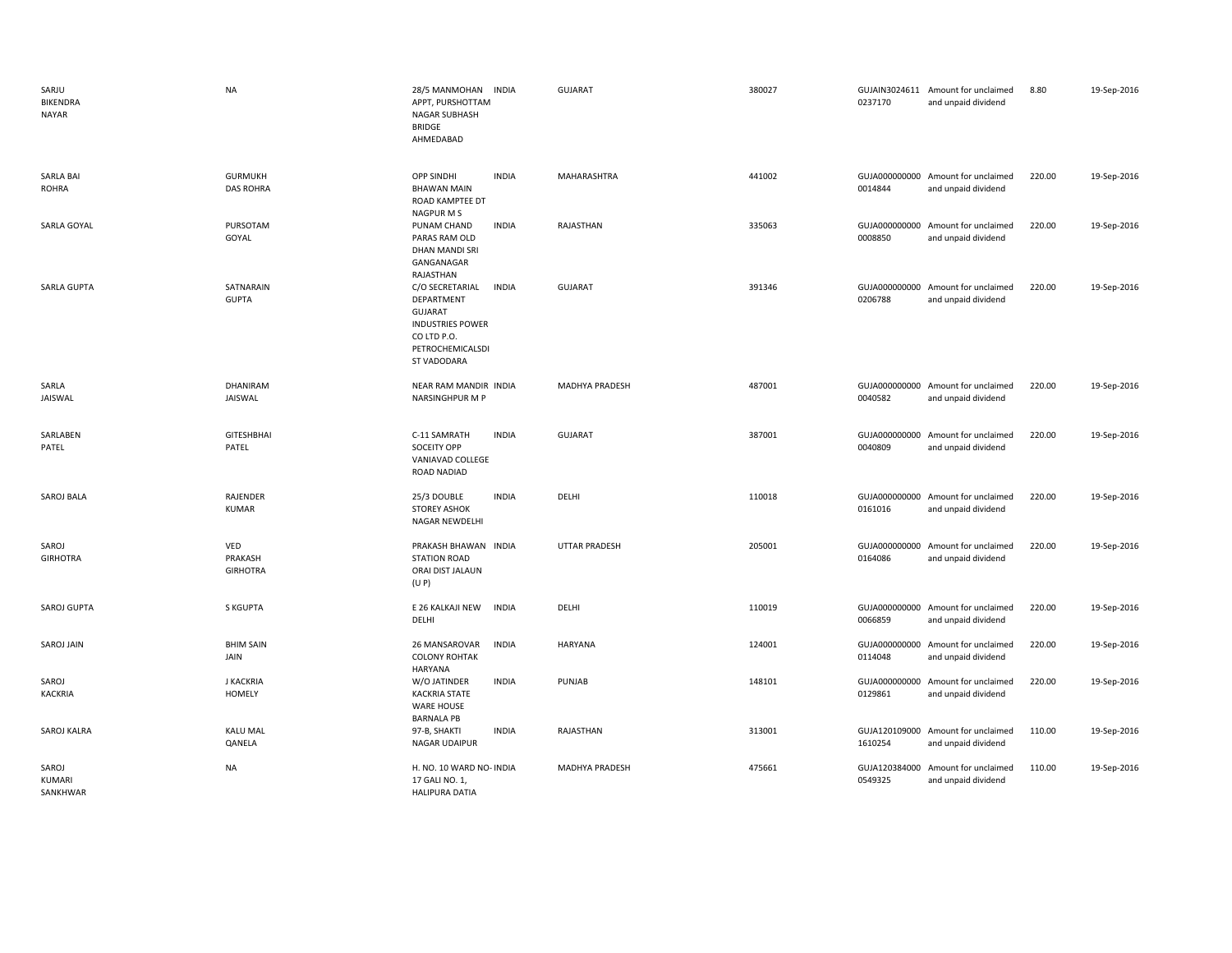| SARJU<br>BIKENDRA<br><b>NAYAR</b> | <b>NA</b>                          | 28/5 MANMOHAN INDIA<br>APPT, PURSHOTTAM<br><b>NAGAR SUBHASH</b><br><b>BRIDGE</b><br>AHMEDABAD                                                | <b>GUJARAT</b>       | 380027 | 0237170                  | GUJAIN3024611 Amount for unclaimed<br>and unpaid dividend | 8.80   | 19-Sep-2016 |
|-----------------------------------|------------------------------------|----------------------------------------------------------------------------------------------------------------------------------------------|----------------------|--------|--------------------------|-----------------------------------------------------------|--------|-------------|
| <b>SARLA BAI</b><br><b>ROHRA</b>  | <b>GURMUKH</b><br><b>DAS ROHRA</b> | <b>OPP SINDHI</b><br><b>INDIA</b><br><b>BHAWAN MAIN</b><br>ROAD KAMPTEE DT<br>NAGPUR M S                                                     | MAHARASHTRA          | 441002 | 0014844                  | GUJA000000000 Amount for unclaimed<br>and unpaid dividend | 220.00 | 19-Sep-2016 |
| SARLA GOYAL                       | PURSOTAM<br>GOYAL                  | <b>INDIA</b><br>PUNAM CHAND<br>PARAS RAM OLD<br>DHAN MANDI SRI<br>GANGANAGAR<br>RAJASTHAN                                                    | RAJASTHAN            | 335063 | 0008850                  | GUJA000000000 Amount for unclaimed<br>and unpaid dividend | 220.00 | 19-Sep-2016 |
| SARLA GUPTA                       | SATNARAIN<br><b>GUPTA</b>          | C/O SECRETARIAL<br><b>INDIA</b><br>DEPARTMENT<br><b>GUJARAT</b><br><b>INDUSTRIES POWER</b><br>CO LTD P.O.<br>PETROCHEMICALSDI<br>ST VADODARA | <b>GUJARAT</b>       | 391346 | 0206788                  | GUJA000000000 Amount for unclaimed<br>and unpaid dividend | 220.00 | 19-Sep-2016 |
| SARLA<br>JAISWAL                  | DHANIRAM<br>JAISWAL                | NEAR RAM MANDIR INDIA<br><b>NARSINGHPUR M P</b>                                                                                              | MADHYA PRADESH       | 487001 | 0040582                  | GUJA000000000 Amount for unclaimed<br>and unpaid dividend | 220.00 | 19-Sep-2016 |
| SARLABEN<br>PATEL                 | <b>GITESHBHAI</b><br>PATEL         | <b>INDIA</b><br>C-11 SAMRATH<br>SOCEITY OPP<br>VANIAVAD COLLEGE<br>ROAD NADIAD                                                               | <b>GUJARAT</b>       | 387001 | 0040809                  | GUJA000000000 Amount for unclaimed<br>and unpaid dividend | 220.00 | 19-Sep-2016 |
| SAROJ BALA                        | RAJENDER<br><b>KUMAR</b>           | 25/3 DOUBLE<br><b>INDIA</b><br><b>STOREY ASHOK</b><br>NAGAR NEWDELHI                                                                         | DELHI                | 110018 | 0161016                  | GUJA000000000 Amount for unclaimed<br>and unpaid dividend | 220.00 | 19-Sep-2016 |
| SAROJ<br><b>GIRHOTRA</b>          | VED<br>PRAKASH<br><b>GIRHOTRA</b>  | PRAKASH BHAWAN INDIA<br><b>STATION ROAD</b><br>ORAI DIST JALAUN<br>(U P)                                                                     | <b>UTTAR PRADESH</b> | 205001 | 0164086                  | GUJA000000000 Amount for unclaimed<br>and unpaid dividend | 220.00 | 19-Sep-2016 |
| SAROJ GUPTA                       | <b>S KGUPTA</b>                    | E 26 KALKAJI NEW<br><b>INDIA</b><br>DELHI                                                                                                    | DELHI                | 110019 | 0066859                  | GUJA000000000 Amount for unclaimed<br>and unpaid dividend | 220.00 | 19-Sep-2016 |
| SAROJ JAIN                        | <b>BHIM SAIN</b><br>JAIN           | 26 MANSAROVAR<br><b>INDIA</b><br><b>COLONY ROHTAK</b>                                                                                        | HARYANA              | 124001 | 0114048                  | GUJA000000000 Amount for unclaimed<br>and unpaid dividend | 220.00 | 19-Sep-2016 |
| SAROJ<br><b>KACKRIA</b>           | <b>J KACKRIA</b><br>HOMELY         | HARYANA<br>W/O JATINDER<br><b>INDIA</b><br><b>KACKRIA STATE</b><br><b>WARE HOUSE</b><br><b>BARNALA PB</b>                                    | <b>PUNJAB</b>        | 148101 | 0129861                  | GUJA000000000 Amount for unclaimed<br>and unpaid dividend | 220.00 | 19-Sep-2016 |
| SAROJ KALRA                       | <b>KALU MAL</b><br>QANELA          | <b>INDIA</b><br>97-B, SHAKTI<br>NAGAR UDAIPUR                                                                                                | RAJASTHAN            | 313001 | GUJA120109000<br>1610254 | Amount for unclaimed<br>and unpaid dividend               | 110.00 | 19-Sep-2016 |
| SAROJ<br>KUMARI<br>SANKHWAR       | NA                                 | H. NO. 10 WARD NO- INDIA<br>17 GALI NO. 1,<br><b>HALIPURA DATIA</b>                                                                          | MADHYA PRADESH       | 475661 | GUJA120384000<br>0549325 | Amount for unclaimed<br>and unpaid dividend               | 110.00 | 19-Sep-2016 |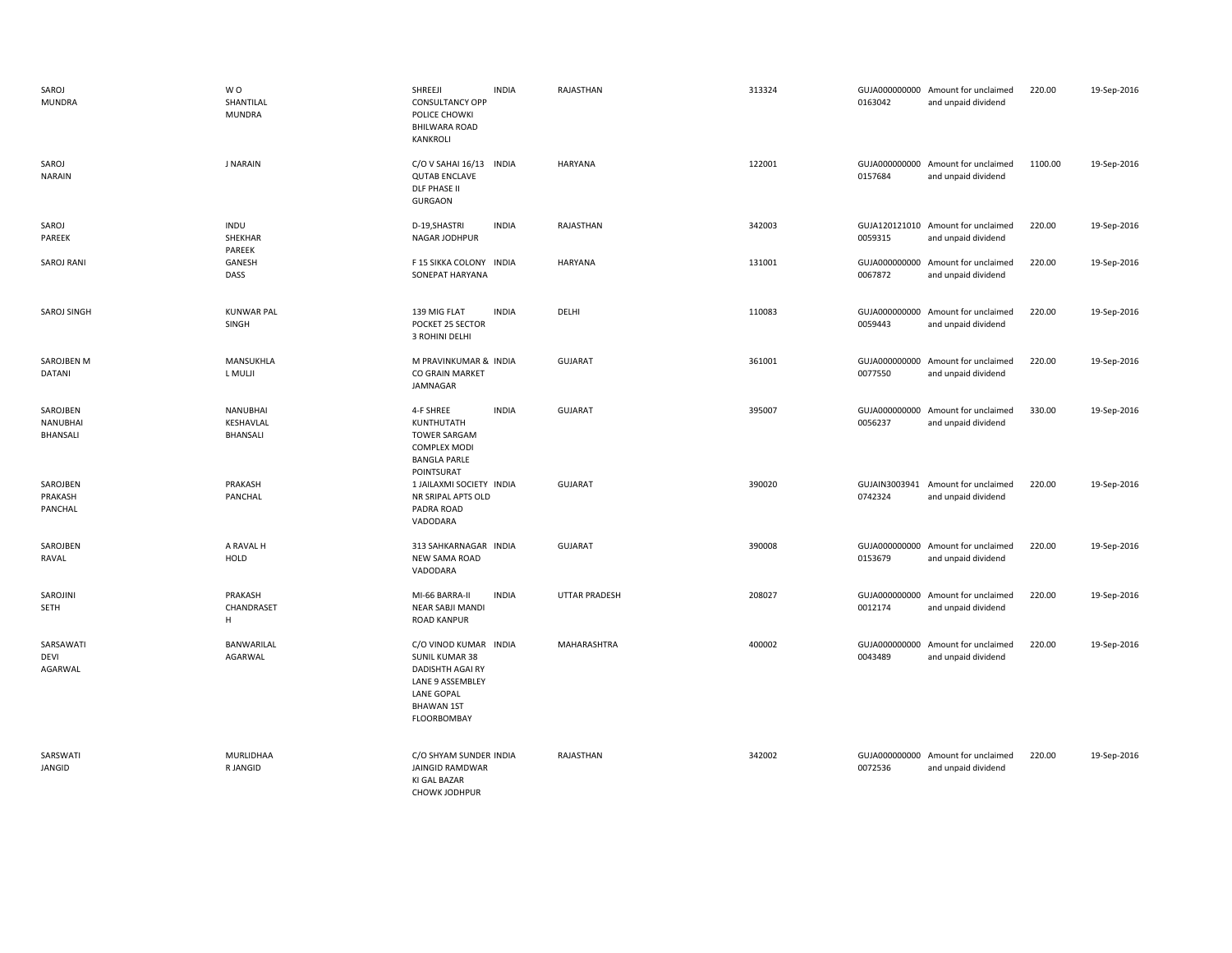| SAROJ<br><b>MUNDRA</b>              | W <sub>O</sub><br>SHANTILAL<br><b>MUNDRA</b> | SHREEJI<br><b>INDIA</b><br><b>CONSULTANCY OPP</b><br>POLICE CHOWKI<br>BHILWARA ROAD<br>KANKROLI                                          | RAJASTHAN      | 313324 | 0163042                  | GUJA000000000 Amount for unclaimed<br>and unpaid dividend | 220.00  | 19-Sep-2016 |
|-------------------------------------|----------------------------------------------|------------------------------------------------------------------------------------------------------------------------------------------|----------------|--------|--------------------------|-----------------------------------------------------------|---------|-------------|
| SAROJ<br><b>NARAIN</b>              | <b>J NARAIN</b>                              | C/O V SAHAI 16/13<br><b>INDIA</b><br><b>QUTAB ENCLAVE</b><br>DLF PHASE II<br><b>GURGAON</b>                                              | <b>HARYANA</b> | 122001 | 0157684                  | GUJA000000000 Amount for unclaimed<br>and unpaid dividend | 1100.00 | 19-Sep-2016 |
| SAROJ<br>PAREEK                     | INDU<br>SHEKHAR<br>PAREEK                    | D-19, SHASTRI<br><b>INDIA</b><br>NAGAR JODHPUR                                                                                           | RAJASTHAN      | 342003 | 0059315                  | GUJA120121010 Amount for unclaimed<br>and unpaid dividend | 220.00  | 19-Sep-2016 |
| <b>SAROJ RANI</b>                   | GANESH<br>DASS                               | F 15 SIKKA COLONY INDIA<br>SONEPAT HARYANA                                                                                               | <b>HARYANA</b> | 131001 | 0067872                  | GUJA000000000 Amount for unclaimed<br>and unpaid dividend | 220.00  | 19-Sep-2016 |
| SAROJ SINGH                         | <b>KUNWAR PAL</b><br>SINGH                   | 139 MIG FLAT<br><b>INDIA</b><br>POCKET 25 SECTOR<br>3 ROHINI DELHI                                                                       | DELHI          | 110083 | GUJA000000000<br>0059443 | Amount for unclaimed<br>and unpaid dividend               | 220.00  | 19-Sep-2016 |
| SAROJBEN M<br>DATANI                | MANSUKHLA<br>L MULJI                         | M PRAVINKUMAR & INDIA<br>CO GRAIN MARKET<br>JAMNAGAR                                                                                     | <b>GUJARAT</b> | 361001 | 0077550                  | GUJA000000000 Amount for unclaimed<br>and unpaid dividend | 220.00  | 19-Sep-2016 |
| SAROJBEN<br>NANUBHAI<br>BHANSALI    | <b>NANUBHAI</b><br>KESHAVLAL<br>BHANSALI     | 4-F SHREE<br><b>INDIA</b><br>KUNTHUTATH<br><b>TOWER SARGAM</b><br><b>COMPLEX MODI</b><br><b>BANGLA PARLE</b><br>POINTSURAT               | <b>GUJARAT</b> | 395007 | 0056237                  | GUJA000000000 Amount for unclaimed<br>and unpaid dividend | 330.00  | 19-Sep-2016 |
| SAROJBEN<br>PRAKASH<br>PANCHAL      | PRAKASH<br>PANCHAL                           | 1 JAILAXMI SOCIETY INDIA<br>NR SRIPAL APTS OLD<br>PADRA ROAD<br>VADODARA                                                                 | <b>GUJARAT</b> | 390020 | 0742324                  | GUJAIN3003941 Amount for unclaimed<br>and unpaid dividend | 220.00  | 19-Sep-2016 |
| SAROJBEN<br>RAVAL                   | A RAVAL H<br>HOLD                            | 313 SAHKARNAGAR INDIA<br><b>NEW SAMA ROAD</b><br>VADODARA                                                                                | <b>GUJARAT</b> | 390008 | 0153679                  | GUJA000000000 Amount for unclaimed<br>and unpaid dividend | 220.00  | 19-Sep-2016 |
| SAROJINI<br>SETH                    | PRAKASH<br>CHANDRASET<br>H                   | MI-66 BARRA-II<br><b>INDIA</b><br>NEAR SABJI MANDI<br><b>ROAD KANPUR</b>                                                                 | UTTAR PRADESH  | 208027 | 0012174                  | GUJA000000000 Amount for unclaimed<br>and unpaid dividend | 220.00  | 19-Sep-2016 |
| SARSAWATI<br><b>DEVI</b><br>AGARWAL | BANWARILAL<br>AGARWAL                        | C/O VINOD KUMAR INDIA<br><b>SUNIL KUMAR 38</b><br>DADISHTH AGAI RY<br>LANE 9 ASSEMBLEY<br>LANE GOPAL<br><b>BHAWAN 1ST</b><br>FLOORBOMBAY | MAHARASHTRA    | 400002 | GUJA000000000<br>0043489 | Amount for unclaimed<br>and unpaid dividend               | 220.00  | 19-Sep-2016 |
| SARSWATI<br>JANGID                  | MURLIDHAA<br>R JANGID                        | C/O SHYAM SUNDER INDIA<br><b>JAINGID RAMDWAR</b><br>KI GAL BAZAR<br>CHOWK JODHPUR                                                        | RAJASTHAN      | 342002 | 0072536                  | GUJA000000000 Amount for unclaimed<br>and unpaid dividend | 220.00  | 19-Sep-2016 |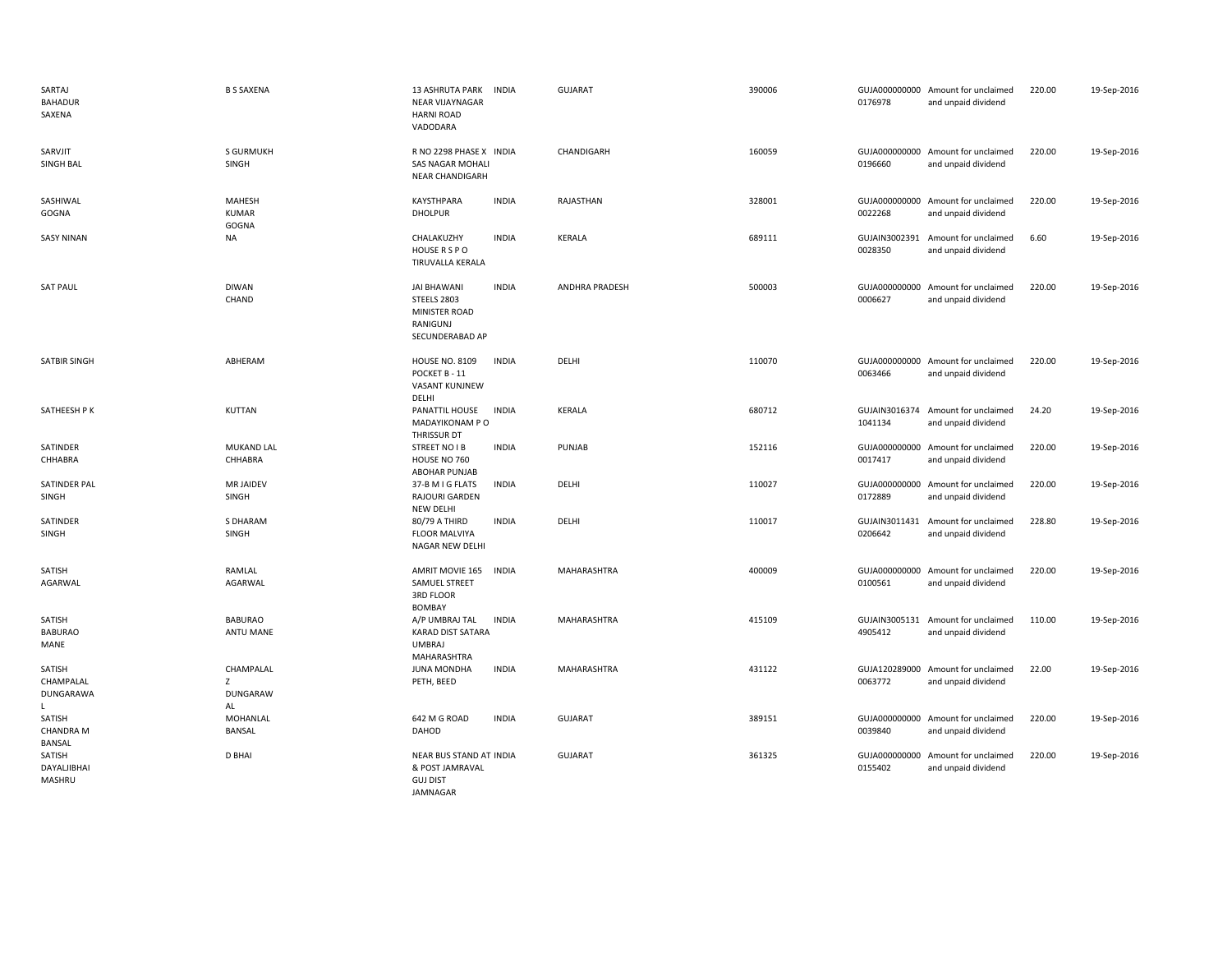| SARTAJ<br><b>BAHADUR</b><br>SAXENA          | <b>B S SAXENA</b>                | <b>13 ASHRUTA PARK</b><br><b>INDIA</b><br>NEAR VIJAYNAGAR<br><b>HARNI ROAD</b><br>VADODARA        | <b>GUJARAT</b> | 390006 | 0176978                  | GUJA000000000 Amount for unclaimed<br>and unpaid dividend | 220.00 | 19-Sep-2016 |
|---------------------------------------------|----------------------------------|---------------------------------------------------------------------------------------------------|----------------|--------|--------------------------|-----------------------------------------------------------|--------|-------------|
| SARVJIT<br>SINGH BAL                        | S GURMUKH<br>SINGH               | R NO 2298 PHASE X INDIA<br>SAS NAGAR MOHALI<br>NEAR CHANDIGARH                                    | CHANDIGARH     | 160059 | 0196660                  | GUJA000000000 Amount for unclaimed<br>and unpaid dividend | 220.00 | 19-Sep-2016 |
| SASHIWAL<br>GOGNA                           | MAHESH<br><b>KUMAR</b><br>GOGNA  | <b>INDIA</b><br>KAYSTHPARA<br><b>DHOLPUR</b>                                                      | RAJASTHAN      | 328001 | 0022268                  | GUJA000000000 Amount for unclaimed<br>and unpaid dividend | 220.00 | 19-Sep-2016 |
| <b>SASY NINAN</b>                           | <b>NA</b>                        | CHALAKUZHY<br><b>INDIA</b><br>HOUSE R S P O<br>TIRUVALLA KERALA                                   | <b>KERALA</b>  | 689111 | GUJAIN3002391<br>0028350 | Amount for unclaimed<br>and unpaid dividend               | 6.60   | 19-Sep-2016 |
| <b>SAT PAUL</b>                             | <b>DIWAN</b><br>CHAND            | <b>INDIA</b><br><b>JAI BHAWANI</b><br>STEELS 2803<br>MINISTER ROAD<br>RANIGUNJ<br>SECUNDERABAD AP | ANDHRA PRADESH | 500003 | 0006627                  | GUJA000000000 Amount for unclaimed<br>and unpaid dividend | 220.00 | 19-Sep-2016 |
| SATBIR SINGH                                | ABHERAM                          | <b>INDIA</b><br><b>HOUSE NO. 8109</b><br>POCKET B - 11<br>VASANT KUNJNEW<br>DELHI                 | DELHI          | 110070 | 0063466                  | GUJA000000000 Amount for unclaimed<br>and unpaid dividend | 220.00 | 19-Sep-2016 |
| SATHEESH P K                                | KUTTAN                           | PANATTIL HOUSE<br>INDIA<br>MADAYIKONAM P O<br>THRISSUR DT                                         | <b>KERALA</b>  | 680712 | 1041134                  | GUJAIN3016374 Amount for unclaimed<br>and unpaid dividend | 24.20  | 19-Sep-2016 |
| SATINDER<br>CHHABRA                         | <b>MUKAND LAL</b><br>CHHABRA     | <b>INDIA</b><br><b>STREET NO IB</b><br>HOUSE NO 760<br>ABOHAR PUNJAB                              | PUNJAB         | 152116 | 0017417                  | GUJA000000000 Amount for unclaimed<br>and unpaid dividend | 220.00 | 19-Sep-2016 |
| SATINDER PAL<br>SINGH                       | <b>MR JAIDEV</b><br>SINGH        | 37-B M I G FLATS<br><b>INDIA</b><br>RAJOURI GARDEN<br>NEW DELHI                                   | DELHI          | 110027 | GUJA000000000<br>0172889 | Amount for unclaimed<br>and unpaid dividend               | 220.00 | 19-Sep-2016 |
| SATINDER<br>SINGH                           | S DHARAM<br>SINGH                | <b>INDIA</b><br>80/79 A THIRD<br><b>FLOOR MALVIYA</b><br>NAGAR NEW DELHI                          | DELHI          | 110017 | GUJAIN3011431<br>0206642 | Amount for unclaimed<br>and unpaid dividend               | 228.80 | 19-Sep-2016 |
| SATISH<br>AGARWAL                           | RAMLAL<br>AGARWAL                | AMRIT MOVIE 165<br><b>INDIA</b><br>SAMUEL STREET<br>3RD FLOOR<br><b>BOMBAY</b>                    | MAHARASHTRA    | 400009 | 0100561                  | GUJA000000000 Amount for unclaimed<br>and unpaid dividend | 220.00 | 19-Sep-2016 |
| SATISH<br><b>BABURAO</b><br>MANE            | <b>BABURAO</b><br>ANTU MANE      | <b>INDIA</b><br>A/P UMBRAJ TAL<br><b>KARAD DIST SATARA</b><br><b>UMBRAJ</b><br>MAHARASHTRA        | MAHARASHTRA    | 415109 | 4905412                  | GUJAIN3005131 Amount for unclaimed<br>and unpaid dividend | 110.00 | 19-Sep-2016 |
| SATISH<br>CHAMPALAL<br>DUNGARAWA<br>L       | CHAMPALAL<br>Z<br>DUNGARAW<br>AL | <b>JUNA MONDHA</b><br><b>INDIA</b><br>PETH, BEED                                                  | MAHARASHTRA    | 431122 | 0063772                  | GUJA120289000 Amount for unclaimed<br>and unpaid dividend | 22.00  | 19-Sep-2016 |
| SATISH<br><b>CHANDRA M</b><br><b>BANSAL</b> | MOHANLAL<br><b>BANSAL</b>        | 642 M G ROAD<br><b>INDIA</b><br>DAHOD                                                             | <b>GUJARAT</b> | 389151 | 0039840                  | GUJA000000000 Amount for unclaimed<br>and unpaid dividend | 220.00 | 19-Sep-2016 |
| SATISH<br>DAYALJIBHAI<br>MASHRU             | <b>D BHAI</b>                    | NEAR BUS STAND AT INDIA<br>& POST JAMRAVAL<br><b>GUJ DIST</b><br>JAMNAGAR                         | <b>GUJARAT</b> | 361325 | 0155402                  | GUJA000000000 Amount for unclaimed<br>and unpaid dividend | 220.00 | 19-Sep-2016 |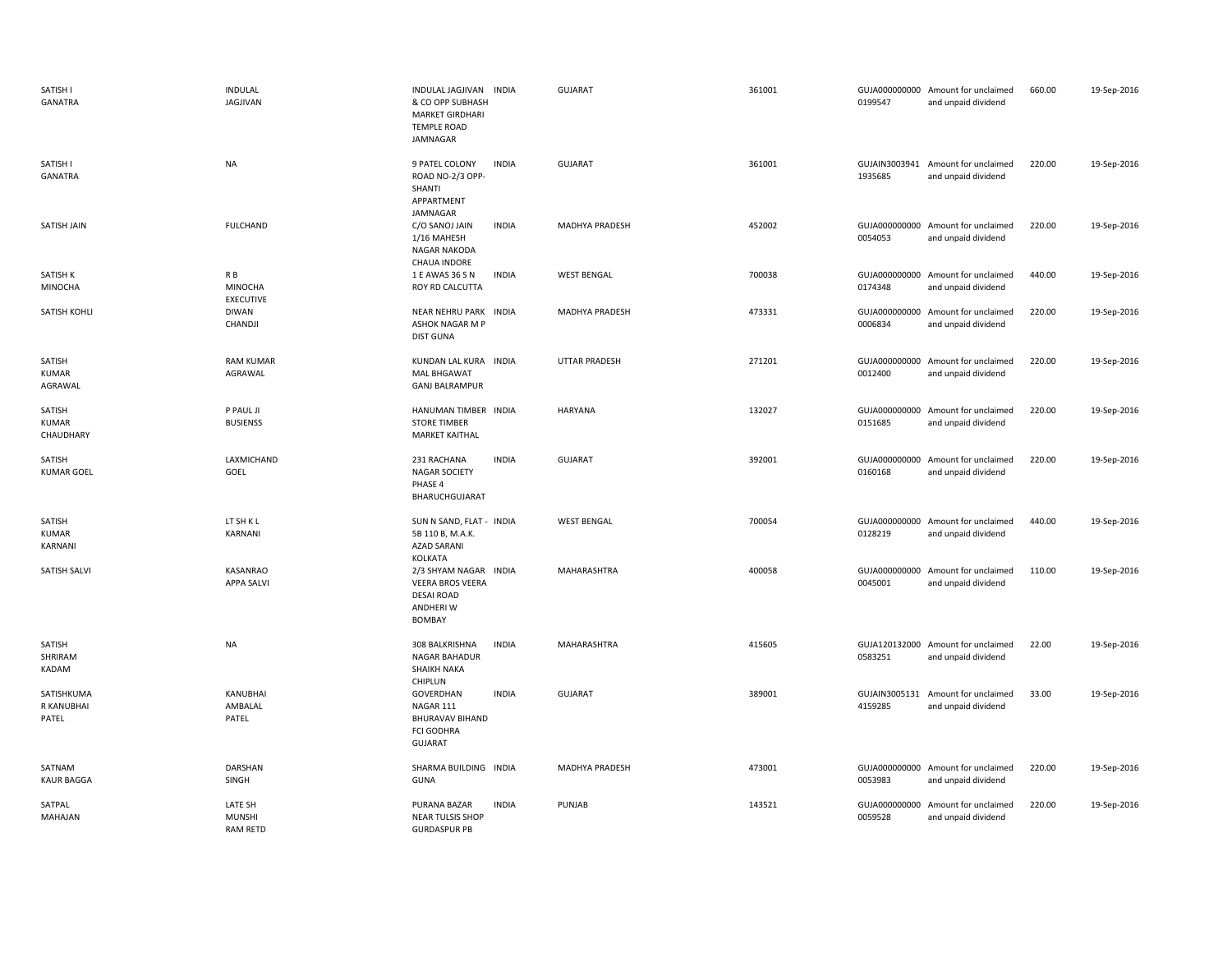| SATISH I<br>GANATRA                 | INDULAL<br>JAGJIVAN                         | INDULAL JAGJIVAN INDIA<br>& CO OPP SUBHASH<br><b>MARKET GIRDHARI</b><br><b>TEMPLE ROAD</b><br>JAMNAGAR |              | <b>GUJARAT</b>       | 361001 | 0199547                  | GUJA000000000 Amount for unclaimed<br>and unpaid dividend | 660.00 | 19-Sep-2016 |
|-------------------------------------|---------------------------------------------|--------------------------------------------------------------------------------------------------------|--------------|----------------------|--------|--------------------------|-----------------------------------------------------------|--------|-------------|
| SATISH I<br>GANATRA                 | <b>NA</b>                                   | 9 PATEL COLONY<br>ROAD NO-2/3 OPP-<br>SHANTI<br>APPARTMENT                                             | <b>INDIA</b> | <b>GUJARAT</b>       | 361001 | 1935685                  | GUJAIN3003941 Amount for unclaimed<br>and unpaid dividend | 220.00 | 19-Sep-2016 |
| SATISH JAIN                         | <b>FULCHAND</b>                             | JAMNAGAR<br>C/O SANOJ JAIN<br>1/16 MAHESH<br><b>NAGAR NAKODA</b><br><b>CHAUA INDORE</b>                | <b>INDIA</b> | MADHYA PRADESH       | 452002 | 0054053                  | GUJA000000000 Amount for unclaimed<br>and unpaid dividend | 220.00 | 19-Sep-2016 |
| SATISH K<br>MINOCHA                 | R B<br>MINOCHA<br><b>EXECUTIVE</b>          | 1 E AWAS 36 S N<br>ROY RD CALCUTTA                                                                     | <b>INDIA</b> | <b>WEST BENGAL</b>   | 700038 | 0174348                  | GUJA000000000 Amount for unclaimed<br>and unpaid dividend | 440.00 | 19-Sep-2016 |
| SATISH KOHLI                        | <b>DIWAN</b><br>CHANDJI                     | NEAR NEHRU PARK INDIA<br>ASHOK NAGAR M P<br><b>DIST GUNA</b>                                           |              | MADHYA PRADESH       | 473331 | 0006834                  | GUJA000000000 Amount for unclaimed<br>and unpaid dividend | 220.00 | 19-Sep-2016 |
| SATISH<br><b>KUMAR</b><br>AGRAWAL   | <b>RAM KUMAR</b><br>AGRAWAL                 | KUNDAN LAL KURA INDIA<br><b>MAL BHGAWAT</b><br><b>GANJ BALRAMPUR</b>                                   |              | <b>UTTAR PRADESH</b> | 271201 | GUJA000000000<br>0012400 | Amount for unclaimed<br>and unpaid dividend               | 220.00 | 19-Sep-2016 |
| SATISH<br><b>KUMAR</b><br>CHAUDHARY | P PAUL JI<br><b>BUSIENSS</b>                | HANUMAN TIMBER INDIA<br><b>STORE TIMBER</b><br><b>MARKET KAITHAL</b>                                   |              | <b>HARYANA</b>       | 132027 | 0151685                  | GUJA000000000 Amount for unclaimed<br>and unpaid dividend | 220.00 | 19-Sep-2016 |
| SATISH<br><b>KUMAR GOEL</b>         | LAXMICHAND<br>GOEL                          | 231 RACHANA<br><b>NAGAR SOCIETY</b><br>PHASE 4<br>BHARUCHGUJARAT                                       | <b>INDIA</b> | <b>GUJARAT</b>       | 392001 | 0160168                  | GUJA000000000 Amount for unclaimed<br>and unpaid dividend | 220.00 | 19-Sep-2016 |
| SATISH<br><b>KUMAR</b><br>KARNANI   | LT SH K L<br>KARNANI                        | SUN N SAND, FLAT - INDIA<br>5B 110 B, M.A.K.<br><b>AZAD SARANI</b><br>KOLKATA                          |              | <b>WEST BENGAL</b>   | 700054 | 0128219                  | GUJA000000000 Amount for unclaimed<br>and unpaid dividend | 440.00 | 19-Sep-2016 |
| <b>SATISH SALVI</b>                 | KASANRAO<br><b>APPA SALVI</b>               | 2/3 SHYAM NAGAR INDIA<br><b>VEERA BROS VEERA</b><br><b>DESAI ROAD</b><br>ANDHERI W<br><b>BOMBAY</b>    |              | MAHARASHTRA          | 400058 | 0045001                  | GUJA000000000 Amount for unclaimed<br>and unpaid dividend | 110.00 | 19-Sep-2016 |
| SATISH<br>SHRIRAM<br>KADAM          | <b>NA</b>                                   | 308 BALKRISHNA<br><b>NAGAR BAHADUR</b><br><b>SHAIKH NAKA</b><br>CHIPLUN                                | <b>INDIA</b> | MAHARASHTRA          | 415605 | 0583251                  | GUJA120132000 Amount for unclaimed<br>and unpaid dividend | 22.00  | 19-Sep-2016 |
| SATISHKUMA<br>R KANUBHAI<br>PATEL   | KANUBHAI<br>AMBALAL<br>PATEL                | GOVERDHAN<br>NAGAR 111<br><b>BHURAVAV BIHAND</b><br><b>FCI GODHRA</b><br>GUJARAT                       | <b>INDIA</b> | <b>GUJARAT</b>       | 389001 | GUJAIN3005131<br>4159285 | Amount for unclaimed<br>and unpaid dividend               | 33.00  | 19-Sep-2016 |
| SATNAM<br><b>KAUR BAGGA</b>         | DARSHAN<br>SINGH                            | SHARMA BUILDING INDIA<br><b>GUNA</b>                                                                   |              | MADHYA PRADESH       | 473001 | 0053983                  | GUJA000000000 Amount for unclaimed<br>and unpaid dividend | 220.00 | 19-Sep-2016 |
| SATPAL<br>MAHAJAN                   | LATE SH<br><b>MUNSHI</b><br><b>RAM RETD</b> | PURANA BAZAR<br><b>NEAR TULSIS SHOP</b><br><b>GURDASPUR PB</b>                                         | <b>INDIA</b> | PUNJAB               | 143521 | GUJA000000000<br>0059528 | Amount for unclaimed<br>and unpaid dividend               | 220.00 | 19-Sep-2016 |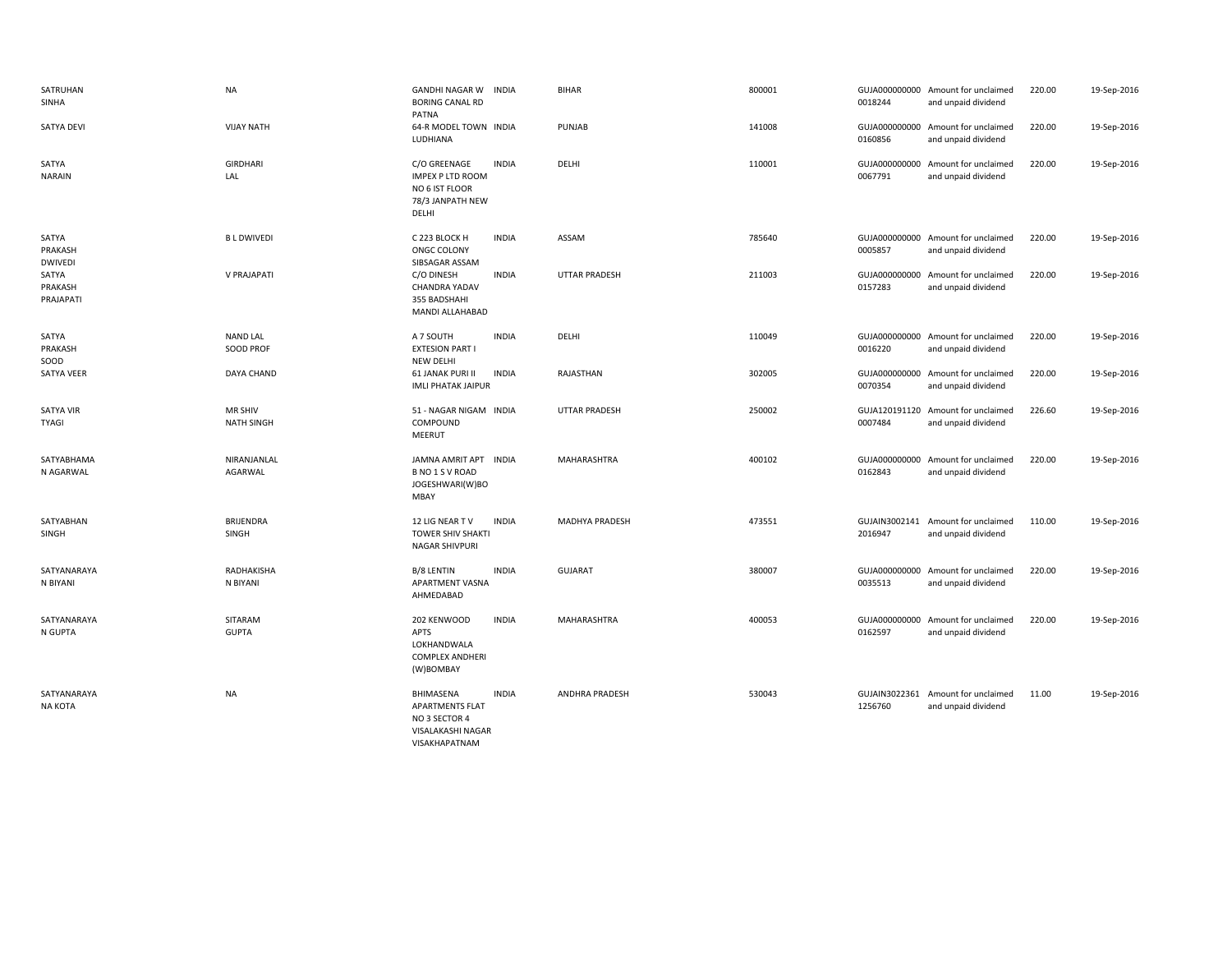| SATRUHAN<br>SINHA                  | <b>NA</b>                           | <b>GANDHI NAGAR W</b><br><b>INDIA</b><br><b>BORING CANAL RD</b><br>PATNA                                   | <b>BIHAR</b>         | 800001 | 0018244                  | GUJA000000000 Amount for unclaimed<br>and unpaid dividend | 220.00 | 19-Sep-2016 |
|------------------------------------|-------------------------------------|------------------------------------------------------------------------------------------------------------|----------------------|--------|--------------------------|-----------------------------------------------------------|--------|-------------|
| <b>SATYA DEVI</b>                  | <b>VIJAY NATH</b>                   | 64-R MODEL TOWN INDIA<br>LUDHIANA                                                                          | PUNJAB               | 141008 | 0160856                  | GUJA000000000 Amount for unclaimed<br>and unpaid dividend | 220.00 | 19-Sep-2016 |
| SATYA<br><b>NARAIN</b>             | <b>GIRDHARI</b><br>LAL              | C/O GREENAGE<br><b>INDIA</b><br><b>IMPEX P LTD ROOM</b><br>NO 6 IST FLOOR<br>78/3 JANPATH NEW<br>DELHI     | DELHI                | 110001 | 0067791                  | GUJA000000000 Amount for unclaimed<br>and unpaid dividend | 220.00 | 19-Sep-2016 |
| SATYA<br>PRAKASH<br><b>DWIVEDI</b> | <b>BLDWIVEDI</b>                    | C 223 BLOCK H<br><b>INDIA</b><br>ONGC COLONY<br>SIBSAGAR ASSAM                                             | ASSAM                | 785640 | 0005857                  | GUJA000000000 Amount for unclaimed<br>and unpaid dividend | 220.00 | 19-Sep-2016 |
| SATYA<br>PRAKASH<br>PRAJAPATI      | V PRAJAPATI                         | C/O DINESH<br><b>INDIA</b><br>CHANDRA YADAV<br>355 BADSHAHI<br>MANDI ALLAHABAD                             | <b>UTTAR PRADESH</b> | 211003 | GUJA000000000<br>0157283 | Amount for unclaimed<br>and unpaid dividend               | 220.00 | 19-Sep-2016 |
| SATYA<br>PRAKASH<br>SOOD           | <b>NAND LAL</b><br><b>SOOD PROF</b> | A 7 SOUTH<br><b>INDIA</b><br><b>EXTESION PART I</b><br><b>NEW DELHI</b>                                    | DELHI                | 110049 | 0016220                  | GUJA000000000 Amount for unclaimed<br>and unpaid dividend | 220.00 | 19-Sep-2016 |
| SATYA VEER                         | DAYA CHAND                          | <b>61 JANAK PURI II</b><br><b>INDIA</b><br><b>IMLI PHATAK JAIPUR</b>                                       | RAJASTHAN            | 302005 | 0070354                  | GUJA000000000 Amount for unclaimed<br>and unpaid dividend | 220.00 | 19-Sep-2016 |
| <b>SATYA VIR</b><br><b>TYAGI</b>   | MR SHIV<br><b>NATH SINGH</b>        | 51 - NAGAR NIGAM INDIA<br>COMPOUND<br>MEERUT                                                               | <b>UTTAR PRADESH</b> | 250002 | 0007484                  | GUJA120191120 Amount for unclaimed<br>and unpaid dividend | 226.60 | 19-Sep-2016 |
| SATYABHAMA<br>N AGARWAL            | NIRANJANLAL<br>AGARWAL              | JAMNA AMRIT APT INDIA<br>B NO 1 S V ROAD<br>JOGESHWARI(W)BO<br>MBAY                                        | MAHARASHTRA          | 400102 | 0162843                  | GUJA000000000 Amount for unclaimed<br>and unpaid dividend | 220.00 | 19-Sep-2016 |
| SATYABHAN<br>SINGH                 | BRIJENDRA<br>SINGH                  | <b>INDIA</b><br>12 LIG NEAR TV<br><b>TOWER SHIV SHAKTI</b><br><b>NAGAR SHIVPURI</b>                        | MADHYA PRADESH       | 473551 | 2016947                  | GUJAIN3002141 Amount for unclaimed<br>and unpaid dividend | 110.00 | 19-Sep-2016 |
| SATYANARAYA<br>N BIYANI            | RADHAKISHA<br>N BIYANI              | <b>INDIA</b><br>B/8 LENTIN<br>APARTMENT VASNA<br>AHMEDABAD                                                 | <b>GUJARAT</b>       | 380007 | GUJA000000000<br>0035513 | Amount for unclaimed<br>and unpaid dividend               | 220.00 | 19-Sep-2016 |
| SATYANARAYA<br>N GUPTA             | SITARAM<br><b>GUPTA</b>             | <b>INDIA</b><br>202 KENWOOD<br><b>APTS</b><br>LOKHANDWALA<br><b>COMPLEX ANDHERI</b><br>(W)BOMBAY           | MAHARASHTRA          | 400053 | 0162597                  | GUJA000000000 Amount for unclaimed<br>and unpaid dividend | 220.00 | 19-Sep-2016 |
| SATYANARAYA<br><b>NA KOTA</b>      | <b>NA</b>                           | BHIMASENA<br><b>INDIA</b><br><b>APARTMENTS FLAT</b><br>NO 3 SECTOR 4<br>VISALAKASHI NAGAR<br>VISAKHAPATNAM | ANDHRA PRADESH       | 530043 | 1256760                  | GUJAIN3022361 Amount for unclaimed<br>and unpaid dividend | 11.00  | 19-Sep-2016 |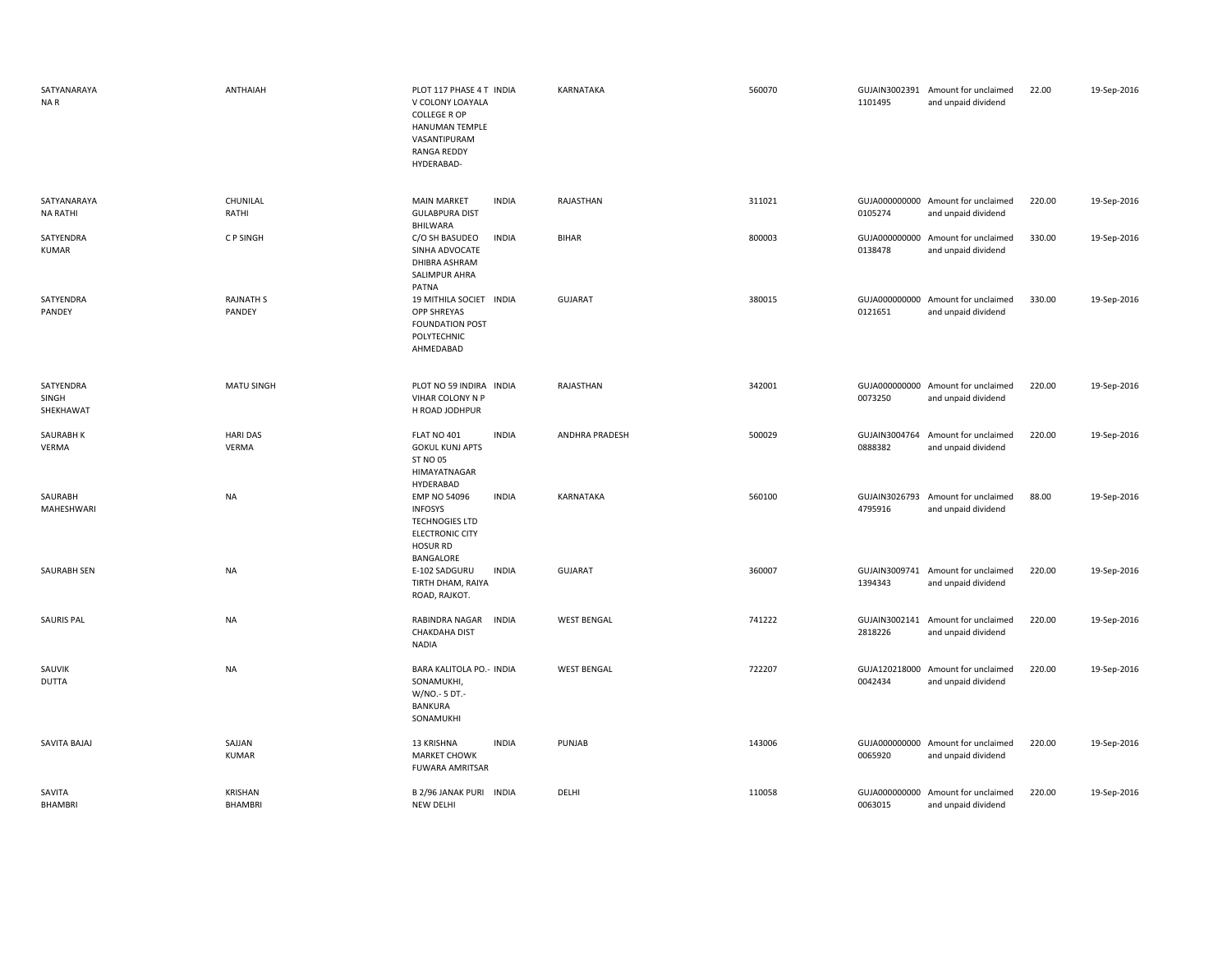| SATYANARAYA<br>NA R             | ANTHAIAH                         | PLOT 117 PHASE 4 T INDIA<br>V COLONY LOAYALA<br><b>COLLEGE R OP</b><br>HANUMAN TEMPLE<br>VASANTIPURAM<br><b>RANGA REDDY</b><br>HYDERABAD- | KARNATAKA             | 560070 | 1101495                  | GUJAIN3002391 Amount for unclaimed<br>and unpaid dividend | 22.00  | 19-Sep-2016 |
|---------------------------------|----------------------------------|-------------------------------------------------------------------------------------------------------------------------------------------|-----------------------|--------|--------------------------|-----------------------------------------------------------|--------|-------------|
| SATYANARAYA<br><b>NA RATHI</b>  | CHUNILAL<br>RATHI                | <b>MAIN MARKET</b><br><b>INDIA</b><br><b>GULABPURA DIST</b><br><b>BHILWARA</b>                                                            | RAJASTHAN             | 311021 | 0105274                  | GUJA000000000 Amount for unclaimed<br>and unpaid dividend | 220.00 | 19-Sep-2016 |
| SATYENDRA<br><b>KUMAR</b>       | C P SINGH                        | C/O SH BASUDEO<br><b>INDIA</b><br>SINHA ADVOCATE<br>DHIBRA ASHRAM<br>SALIMPUR AHRA<br>PATNA                                               | <b>BIHAR</b>          | 800003 | 0138478                  | GUJA000000000 Amount for unclaimed<br>and unpaid dividend | 330.00 | 19-Sep-2016 |
| SATYENDRA<br>PANDEY             | <b>RAJNATH S</b><br>PANDEY       | 19 MITHILA SOCIET INDIA<br><b>OPP SHREYAS</b><br><b>FOUNDATION POST</b><br>POLYTECHNIC<br>AHMEDABAD                                       | <b>GUJARAT</b>        | 380015 | 0121651                  | GUJA000000000 Amount for unclaimed<br>and unpaid dividend | 330.00 | 19-Sep-2016 |
| SATYENDRA<br>SINGH<br>SHEKHAWAT | MATU SINGH                       | PLOT NO 59 INDIRA INDIA<br>VIHAR COLONY N P<br>H ROAD JODHPUR                                                                             | RAJASTHAN             | 342001 | 0073250                  | GUJA000000000 Amount for unclaimed<br>and unpaid dividend | 220.00 | 19-Sep-2016 |
| SAURABH K<br>VERMA              | <b>HARI DAS</b><br>VERMA         | FLAT NO 401<br><b>INDIA</b><br><b>GOKUL KUNJ APTS</b><br><b>ST NO 05</b><br>HIMAYATNAGAR<br>HYDERABAD                                     | <b>ANDHRA PRADESH</b> | 500029 | GUJAIN3004764<br>0888382 | Amount for unclaimed<br>and unpaid dividend               | 220.00 | 19-Sep-2016 |
| SAURABH<br>MAHESHWARI           | <b>NA</b>                        | <b>EMP NO 54096</b><br><b>INDIA</b><br><b>INFOSYS</b><br><b>TECHNOGIES LTD</b><br><b>ELECTRONIC CITY</b><br><b>HOSUR RD</b>               | KARNATAKA             | 560100 | GUJAIN3026793<br>4795916 | Amount for unclaimed<br>and unpaid dividend               | 88.00  | 19-Sep-2016 |
| SAURABH SEN                     | <b>NA</b>                        | BANGALORE<br>E-102 SADGURU<br>INDIA<br>TIRTH DHAM, RAIYA<br>ROAD, RAJKOT.                                                                 | <b>GUJARAT</b>        | 360007 | 1394343                  | GUJAIN3009741 Amount for unclaimed<br>and unpaid dividend | 220.00 | 19-Sep-2016 |
| <b>SAURIS PAL</b>               | <b>NA</b>                        | RABINDRA NAGAR<br><b>INDIA</b><br><b>CHAKDAHA DIST</b><br>NADIA                                                                           | <b>WEST BENGAL</b>    | 741222 | 2818226                  | GUJAIN3002141 Amount for unclaimed<br>and unpaid dividend | 220.00 | 19-Sep-2016 |
| SAUVIK<br><b>DUTTA</b>          | <b>NA</b>                        | BARA KALITOLA PO .- INDIA<br>SONAMUKHI,<br>W/NO.- 5 DT.-<br><b>BANKURA</b><br>SONAMUKHI                                                   | <b>WEST BENGAL</b>    | 722207 | 0042434                  | GUJA120218000 Amount for unclaimed<br>and unpaid dividend | 220.00 | 19-Sep-2016 |
| SAVITA BAJAJ                    | SAJJAN<br><b>KUMAR</b>           | <b>INDIA</b><br>13 KRISHNA<br><b>MARKET CHOWK</b><br><b>FUWARA AMRITSAR</b>                                                               | <b>PUNJAB</b>         | 143006 | 0065920                  | GUJA000000000 Amount for unclaimed<br>and unpaid dividend | 220.00 | 19-Sep-2016 |
| SAVITA<br><b>BHAMBRI</b>        | <b>KRISHAN</b><br><b>BHAMBRI</b> | B 2/96 JANAK PURI INDIA<br>NEW DELHI                                                                                                      | DELHI                 | 110058 | 0063015                  | GUJA000000000 Amount for unclaimed<br>and unpaid dividend | 220.00 | 19-Sep-2016 |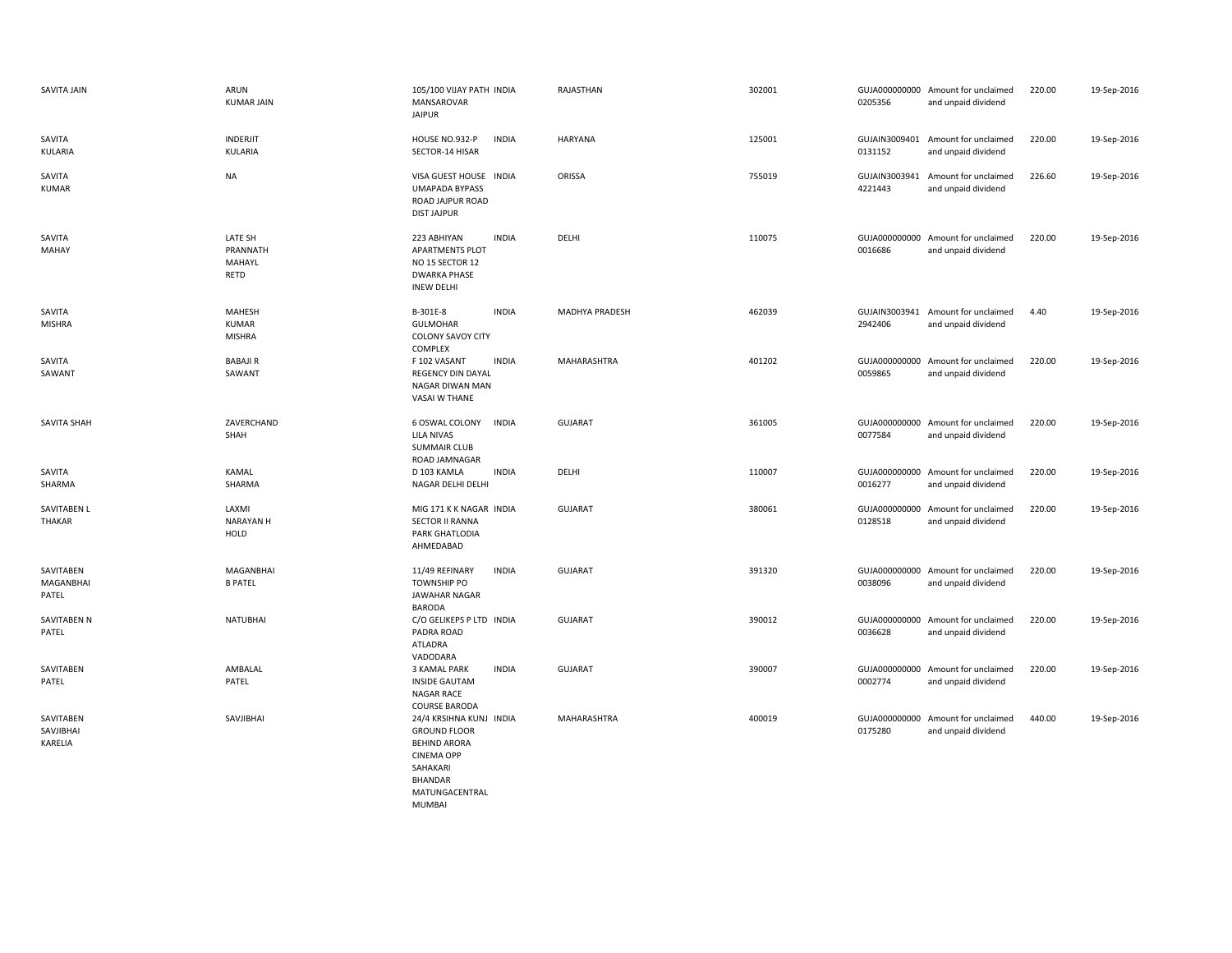| SAVITA JAIN                       | ARUN<br><b>KUMAR JAIN</b>               | 105/100 VIJAY PATH INDIA<br>MANSAROVAR<br><b>JAIPUR</b>                                                                                    | RAJASTHAN          | 302001 | 0205356                  | GUJA000000000 Amount for unclaimed<br>and unpaid dividend | 220.00 | 19-Sep-2016 |
|-----------------------------------|-----------------------------------------|--------------------------------------------------------------------------------------------------------------------------------------------|--------------------|--------|--------------------------|-----------------------------------------------------------|--------|-------------|
| SAVITA<br>KULARIA                 | INDERJIT<br>KULARIA                     | HOUSE NO.932-P<br><b>INDIA</b><br>SECTOR-14 HISAR                                                                                          | <b>HARYANA</b>     | 125001 | 0131152                  | GUJAIN3009401 Amount for unclaimed<br>and unpaid dividend | 220.00 | 19-Sep-2016 |
| SAVITA<br><b>KUMAR</b>            | NA                                      | VISA GUEST HOUSE INDIA<br><b>UMAPADA BYPASS</b><br>ROAD JAJPUR ROAD<br><b>DIST JAJPUR</b>                                                  | ORISSA             | 755019 | GUJAIN3003941<br>4221443 | Amount for unclaimed<br>and unpaid dividend               | 226.60 | 19-Sep-2016 |
| SAVITA<br><b>MAHAY</b>            | LATE SH<br>PRANNATH<br>MAHAYL<br>RETD   | 223 ABHIYAN<br><b>INDIA</b><br><b>APARTMENTS PLOT</b><br>NO 15 SECTOR 12<br><b>DWARKA PHASE</b><br><b>INEW DELHI</b>                       | DELHI              | 110075 | 0016686                  | GUJA000000000 Amount for unclaimed<br>and unpaid dividend | 220.00 | 19-Sep-2016 |
| SAVITA<br><b>MISHRA</b>           | MAHESH<br><b>KUMAR</b><br><b>MISHRA</b> | B-301E-8<br><b>INDIA</b><br><b>GULMOHAR</b><br>COLONY SAVOY CITY<br>COMPLEX                                                                | MADHYA PRADESH     | 462039 | 2942406                  | GUJAIN3003941 Amount for unclaimed<br>and unpaid dividend | 4.40   | 19-Sep-2016 |
| SAVITA<br>SAWANT                  | <b>BABAJIR</b><br>SAWANT                | F 102 VASANT<br><b>INDIA</b><br><b>REGENCY DIN DAYAL</b><br>NAGAR DIWAN MAN<br><b>VASAI W THANE</b>                                        | MAHARASHTRA        | 401202 | 0059865                  | GUJA000000000 Amount for unclaimed<br>and unpaid dividend | 220.00 | 19-Sep-2016 |
| SAVITA SHAH                       | ZAVERCHAND<br>SHAH                      | 6 OSWAL COLONY<br><b>INDIA</b><br><b>LILA NIVAS</b><br><b>SUMMAIR CLUB</b><br>ROAD JAMNAGAR                                                | <b>GUJARAT</b>     | 361005 | 0077584                  | GUJA000000000 Amount for unclaimed<br>and unpaid dividend | 220.00 | 19-Sep-2016 |
| SAVITA<br>SHARMA                  | KAMAL<br>SHARMA                         | <b>INDIA</b><br>D 103 KAMLA<br>NAGAR DELHI DELHI                                                                                           | DELHI              | 110007 | 0016277                  | GUJA000000000 Amount for unclaimed<br>and unpaid dividend | 220.00 | 19-Sep-2016 |
| <b>SAVITABEN L</b><br>THAKAR      | LAXMI<br><b>NARAYAN H</b><br>HOLD       | MIG 171 K K NAGAR INDIA<br><b>SECTOR II RANNA</b><br>PARK GHATLODIA<br>AHMEDABAD                                                           | <b>GUJARAT</b>     | 380061 | 0128518                  | GUJA000000000 Amount for unclaimed<br>and unpaid dividend | 220.00 | 19-Sep-2016 |
| SAVITABEN<br>MAGANBHAI<br>PATEL   | MAGANBHAI<br><b>B PATEL</b>             | 11/49 REFINARY<br><b>INDIA</b><br><b>TOWNSHIP PO</b><br>JAWAHAR NAGAR<br><b>BARODA</b>                                                     | <b>GUJARAT</b>     | 391320 | 0038096                  | GUJA000000000 Amount for unclaimed<br>and unpaid dividend | 220.00 | 19-Sep-2016 |
| SAVITABEN N<br>PATEL              | <b>NATUBHAI</b>                         | C/O GELIKEPS P LTD INDIA<br>PADRA ROAD<br>ATLADRA<br>VADODARA                                                                              | <b>GUJARAT</b>     | 390012 | 0036628                  | GUJA000000000 Amount for unclaimed<br>and unpaid dividend | 220.00 | 19-Sep-2016 |
| SAVITABEN<br>PATEL                | AMBALAL<br>PATEL                        | 3 KAMAL PARK<br><b>INDIA</b><br><b>INSIDE GAUTAM</b><br>NAGAR RACE<br><b>COURSE BARODA</b>                                                 | <b>GUJARAT</b>     | 390007 | 0002774                  | GUJA000000000 Amount for unclaimed<br>and unpaid dividend | 220.00 | 19-Sep-2016 |
| SAVITABEN<br>SAVJIBHAI<br>KARELIA | SAVJIBHAI                               | 24/4 KRSIHNA KUNJ INDIA<br><b>GROUND FLOOR</b><br><b>BEHIND ARORA</b><br><b>CINEMA OPP</b><br>SAHAKARI<br><b>BHANDAR</b><br>MATUNGACENTRAL | <b>MAHARASHTRA</b> | 400019 | 0175280                  | GUJA000000000 Amount for unclaimed<br>and unpaid dividend | 440.00 | 19-Sep-2016 |

MUMBAI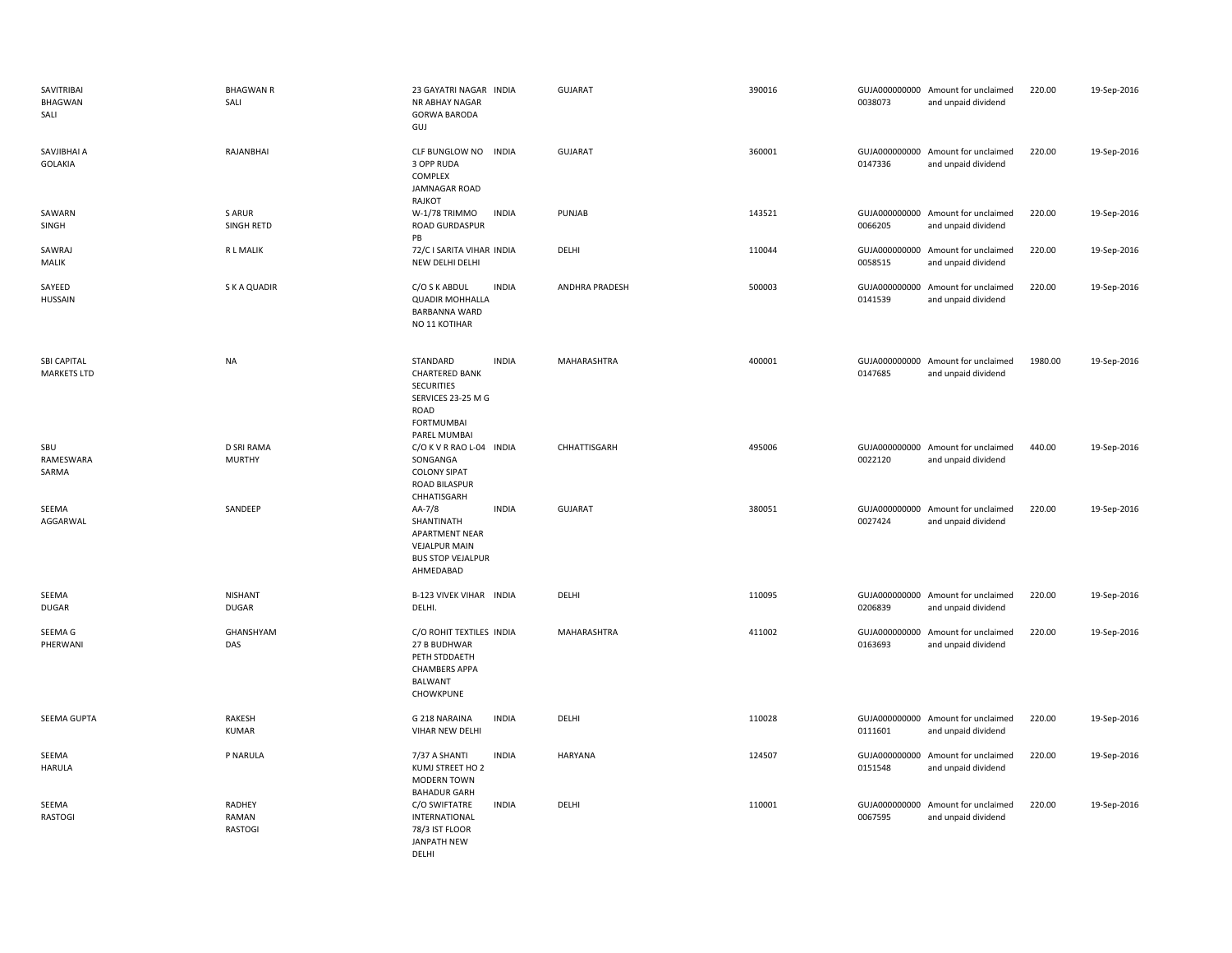| SAVITRIBAI<br>BHAGWAN<br>SALI            | <b>BHAGWAN R</b><br>SALI                 | 23 GAYATRI NAGAR INDIA<br>NR ABHAY NAGAR<br><b>GORWA BARODA</b><br>GUJ                                                    |              | <b>GUJARAT</b> | 390016 | 0038073                  | GUJA000000000 Amount for unclaimed<br>and unpaid dividend | 220.00  | 19-Sep-2016 |
|------------------------------------------|------------------------------------------|---------------------------------------------------------------------------------------------------------------------------|--------------|----------------|--------|--------------------------|-----------------------------------------------------------|---------|-------------|
| SAVJIBHAI A<br><b>GOLAKIA</b>            | RAJANBHAI                                | CLF BUNGLOW NO<br><b>INDIA</b><br>3 OPP RUDA<br>COMPLEX<br>JAMNAGAR ROAD<br>RAJKOT                                        |              | <b>GUJARAT</b> | 360001 | 0147336                  | GUJA000000000 Amount for unclaimed<br>and unpaid dividend | 220.00  | 19-Sep-2016 |
| SAWARN<br>SINGH                          | S ARUR<br>SINGH RETD                     | W-1/78 TRIMMO<br><b>ROAD GURDASPUR</b><br>PB                                                                              | <b>INDIA</b> | PUNJAB         | 143521 | 0066205                  | GUJA000000000 Amount for unclaimed<br>and unpaid dividend | 220.00  | 19-Sep-2016 |
| SAWRAJ<br>MALIK                          | <b>RL MALIK</b>                          | 72/C I SARITA VIHAR INDIA<br>NEW DELHI DELHI                                                                              |              | DELHI          | 110044 | 0058515                  | GUJA000000000 Amount for unclaimed<br>and unpaid dividend | 220.00  | 19-Sep-2016 |
| SAYEED<br><b>HUSSAIN</b>                 | S K A QUADIR                             | C/O S K ABDUL<br><b>QUADIR MOHHALLA</b><br>BARBANNA WARD<br>NO 11 KOTIHAR                                                 | <b>INDIA</b> | ANDHRA PRADESH | 500003 | GUJA000000000<br>0141539 | Amount for unclaimed<br>and unpaid dividend               | 220.00  | 19-Sep-2016 |
| <b>SBI CAPITAL</b><br><b>MARKETS LTD</b> | <b>NA</b>                                | STANDARD<br><b>CHARTERED BANK</b><br><b>SECURITIES</b><br>SERVICES 23-25 M G<br>ROAD<br><b>FORTMUMBAI</b><br>PAREL MUMBAI | <b>INDIA</b> | MAHARASHTRA    | 400001 | 0147685                  | GUJA000000000 Amount for unclaimed<br>and unpaid dividend | 1980.00 | 19-Sep-2016 |
| SBU<br>RAMESWARA<br>SARMA                | D SRI RAMA<br><b>MURTHY</b>              | C/O K V R RAO L-04 INDIA<br>SONGANGA<br><b>COLONY SIPAT</b><br><b>ROAD BILASPUR</b><br>CHHATISGARH                        |              | CHHATTISGARH   | 495006 | 0022120                  | GUJA000000000 Amount for unclaimed<br>and unpaid dividend | 440.00  | 19-Sep-2016 |
| SEEMA<br>AGGARWAL                        | SANDEEP                                  | AA-7/8<br>SHANTINATH<br><b>APARTMENT NEAR</b><br><b>VEJALPUR MAIN</b><br><b>BUS STOP VEJALPUR</b><br>AHMEDABAD            | <b>INDIA</b> | <b>GUJARAT</b> | 380051 | 0027424                  | GUJA000000000 Amount for unclaimed<br>and unpaid dividend | 220.00  | 19-Sep-2016 |
| SEEMA<br>DUGAR                           | <b>NISHANT</b><br><b>DUGAR</b>           | B-123 VIVEK VIHAR INDIA<br>DELHI.                                                                                         |              | DELHI          | 110095 | 0206839                  | GUJA000000000 Amount for unclaimed<br>and unpaid dividend | 220.00  | 19-Sep-2016 |
| SEEMA G<br>PHERWANI                      | GHANSHYAM<br>DAS                         | C/O ROHIT TEXTILES INDIA<br>27 B BUDHWAR<br>PETH STDDAETH<br><b>CHAMBERS APPA</b><br>BALWANT<br>CHOWKPUNE                 |              | MAHARASHTRA    | 411002 | 0163693                  | GUJA000000000 Amount for unclaimed<br>and unpaid dividend | 220.00  | 19-Sep-2016 |
| <b>SEEMA GUPTA</b>                       | RAKESH<br><b>KUMAR</b>                   | G 218 NARAINA<br>VIHAR NEW DELHI                                                                                          | <b>INDIA</b> | DELHI          | 110028 | 0111601                  | GUJA000000000 Amount for unclaimed<br>and unpaid dividend | 220.00  | 19-Sep-2016 |
| SEEMA<br><b>HARULA</b>                   | P NARULA                                 | 7/37 A SHANTI<br>KUMJ STREET HO 2<br>MODERN TOWN<br><b>BAHADUR GARH</b>                                                   | <b>INDIA</b> | <b>HARYANA</b> | 124507 | 0151548                  | GUJA000000000 Amount for unclaimed<br>and unpaid dividend | 220.00  | 19-Sep-2016 |
| SEEMA<br><b>RASTOGI</b>                  | <b>RADHEY</b><br>RAMAN<br><b>RASTOGI</b> | C/O SWIFTATRE<br>INTERNATIONAL<br>78/3 IST FLOOR<br><b>JANPATH NEW</b><br>DELHI                                           | <b>INDIA</b> | DELHI          | 110001 | 0067595                  | GUJA000000000 Amount for unclaimed<br>and unpaid dividend | 220.00  | 19-Sep-2016 |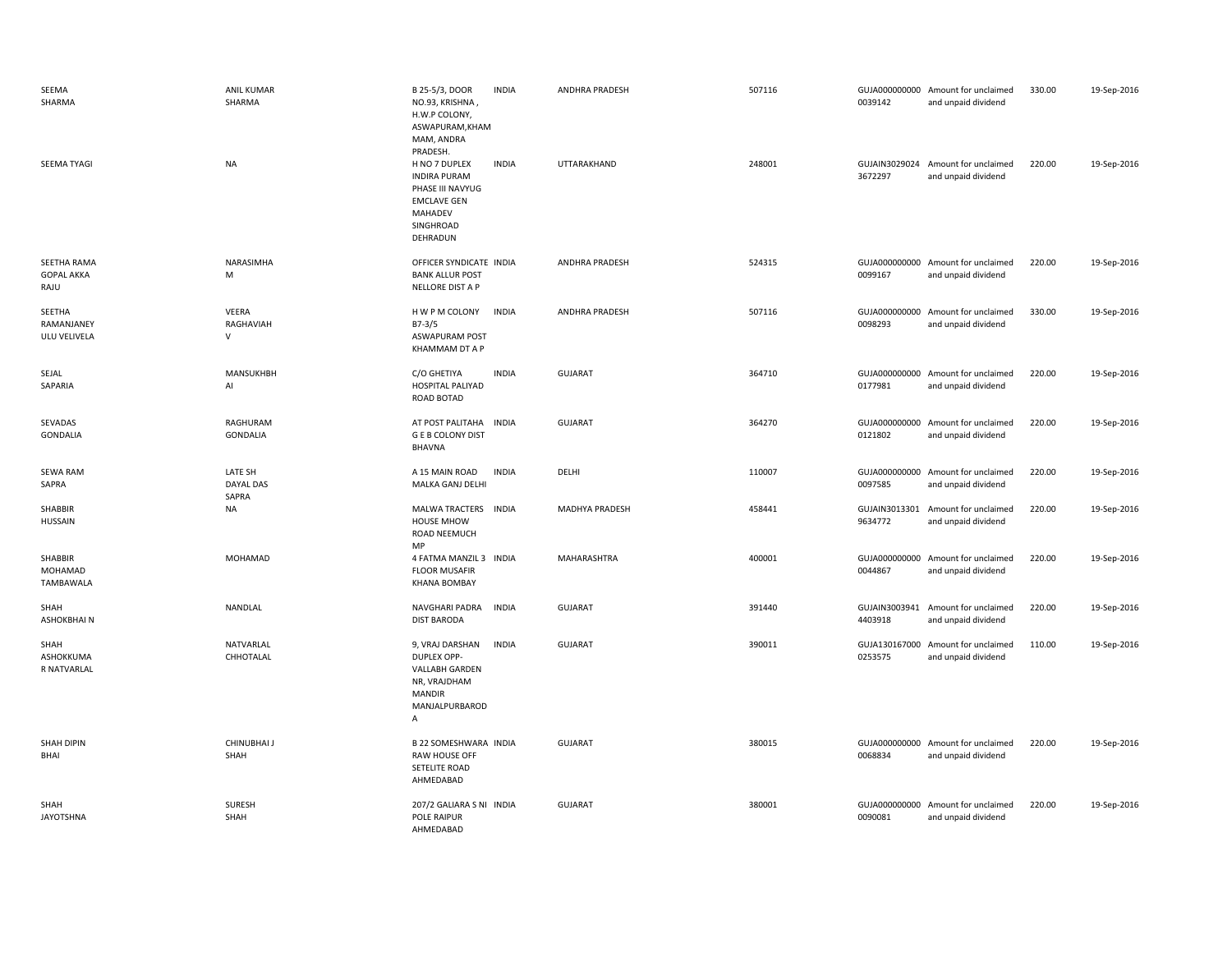| SEEMA<br>SHARMA                          | <b>ANIL KUMAR</b><br>SHARMA   | B 25-5/3, DOOR<br><b>INDIA</b><br>NO.93, KRISHNA,<br>H.W.P COLONY,<br>ASWAPURAM, KHAM<br>MAM, ANDRA                                            | <b>ANDHRA PRADESH</b> | 507116 | 0039142 | GUJA000000000 Amount for unclaimed<br>and unpaid dividend | 330.00 | 19-Sep-2016 |
|------------------------------------------|-------------------------------|------------------------------------------------------------------------------------------------------------------------------------------------|-----------------------|--------|---------|-----------------------------------------------------------|--------|-------------|
| SEEMA TYAGI                              | <b>NA</b>                     | PRADESH.<br><b>INDIA</b><br>H NO 7 DUPLEX<br><b>INDIRA PURAM</b><br>PHASE III NAVYUG<br><b>EMCLAVE GEN</b><br>MAHADEV<br>SINGHROAD<br>DEHRADUN | UTTARAKHAND           | 248001 | 3672297 | GUJAIN3029024 Amount for unclaimed<br>and unpaid dividend | 220.00 | 19-Sep-2016 |
| SEETHA RAMA<br><b>GOPAL AKKA</b><br>RAJU | NARASIMHA<br>M                | OFFICER SYNDICATE INDIA<br><b>BANK ALLUR POST</b><br>NELLORE DIST A P                                                                          | ANDHRA PRADESH        | 524315 | 0099167 | GUJA000000000 Amount for unclaimed<br>and unpaid dividend | 220.00 | 19-Sep-2016 |
| SEETHA<br>RAMANJANEY<br>ULU VELIVELA     | VEERA<br>RAGHAVIAH<br>V       | H W P M COLONY<br><b>INDIA</b><br>$B7-3/5$<br><b>ASWAPURAM POST</b><br>KHAMMAM DT A P                                                          | ANDHRA PRADESH        | 507116 | 0098293 | GUJA000000000 Amount for unclaimed<br>and unpaid dividend | 330.00 | 19-Sep-2016 |
| SEJAL<br>SAPARIA                         | MANSUKHBH<br>Al               | C/O GHETIYA<br><b>INDIA</b><br>HOSPITAL PALIYAD<br>ROAD BOTAD                                                                                  | <b>GUJARAT</b>        | 364710 | 0177981 | GUJA000000000 Amount for unclaimed<br>and unpaid dividend | 220.00 | 19-Sep-2016 |
| SEVADAS<br><b>GONDALIA</b>               | RAGHURAM<br><b>GONDALIA</b>   | AT POST PALITAHA INDIA<br><b>GEB COLONY DIST</b><br><b>BHAVNA</b>                                                                              | <b>GUJARAT</b>        | 364270 | 0121802 | GUJA000000000 Amount for unclaimed<br>and unpaid dividend | 220.00 | 19-Sep-2016 |
| SEWA RAM<br>SAPRA                        | LATE SH<br>DAYAL DAS<br>SAPRA | A 15 MAIN ROAD<br><b>INDIA</b><br>MALKA GANJ DELHI                                                                                             | DELHI                 | 110007 | 0097585 | GUJA000000000 Amount for unclaimed<br>and unpaid dividend | 220.00 | 19-Sep-2016 |
| SHABBIR<br><b>HUSSAIN</b>                | <b>NA</b>                     | <b>MALWA TRACTERS</b><br><b>INDIA</b><br><b>HOUSE MHOW</b><br>ROAD NEEMUCH<br>MP                                                               | MADHYA PRADESH        | 458441 | 9634772 | GUJAIN3013301 Amount for unclaimed<br>and unpaid dividend | 220.00 | 19-Sep-2016 |
| SHABBIR<br>MOHAMAD<br>TAMBAWALA          | MOHAMAD                       | 4 FATMA MANZIL 3 INDIA<br><b>FLOOR MUSAFIR</b><br><b>KHANA BOMBAY</b>                                                                          | <b>MAHARASHTRA</b>    | 400001 | 0044867 | GUJA000000000 Amount for unclaimed<br>and unpaid dividend | 220.00 | 19-Sep-2016 |
| SHAH<br>ASHOKBHAIN                       | NANDLAL                       | NAVGHARI PADRA<br><b>INDIA</b><br><b>DIST BARODA</b>                                                                                           | <b>GUJARAT</b>        | 391440 | 4403918 | GUJAIN3003941 Amount for unclaimed<br>and unpaid dividend | 220.00 | 19-Sep-2016 |
| SHAH<br>ASHOKKUMA<br>R NATVARLAL         | NATVARLAL<br>CHHOTALAL        | 9, VRAJ DARSHAN<br><b>INDIA</b><br><b>DUPLEX OPP-</b><br><b>VALLABH GARDEN</b><br>NR, VRAJDHAM<br><b>MANDIR</b><br>MANJALPURBAROD<br>Α         | <b>GUJARAT</b>        | 390011 | 0253575 | GUJA130167000 Amount for unclaimed<br>and unpaid dividend | 110.00 | 19-Sep-2016 |
| SHAH DIPIN<br>BHAI                       | CHINUBHAI J<br>SHAH           | B 22 SOMESHWARA INDIA<br>RAW HOUSE OFF<br>SETELITE ROAD<br>AHMEDABAD                                                                           | <b>GUJARAT</b>        | 380015 | 0068834 | GUJA000000000 Amount for unclaimed<br>and unpaid dividend | 220.00 | 19-Sep-2016 |
| SHAH<br><b>JAYOTSHNA</b>                 | SURESH<br>SHAH                | 207/2 GALIARA S NI INDIA<br>POLE RAIPUR<br>AHMFDABAD                                                                                           | <b>GUJARAT</b>        | 380001 | 0090081 | GUJA000000000 Amount for unclaimed<br>and unpaid dividend | 220.00 | 19-Sep-2016 |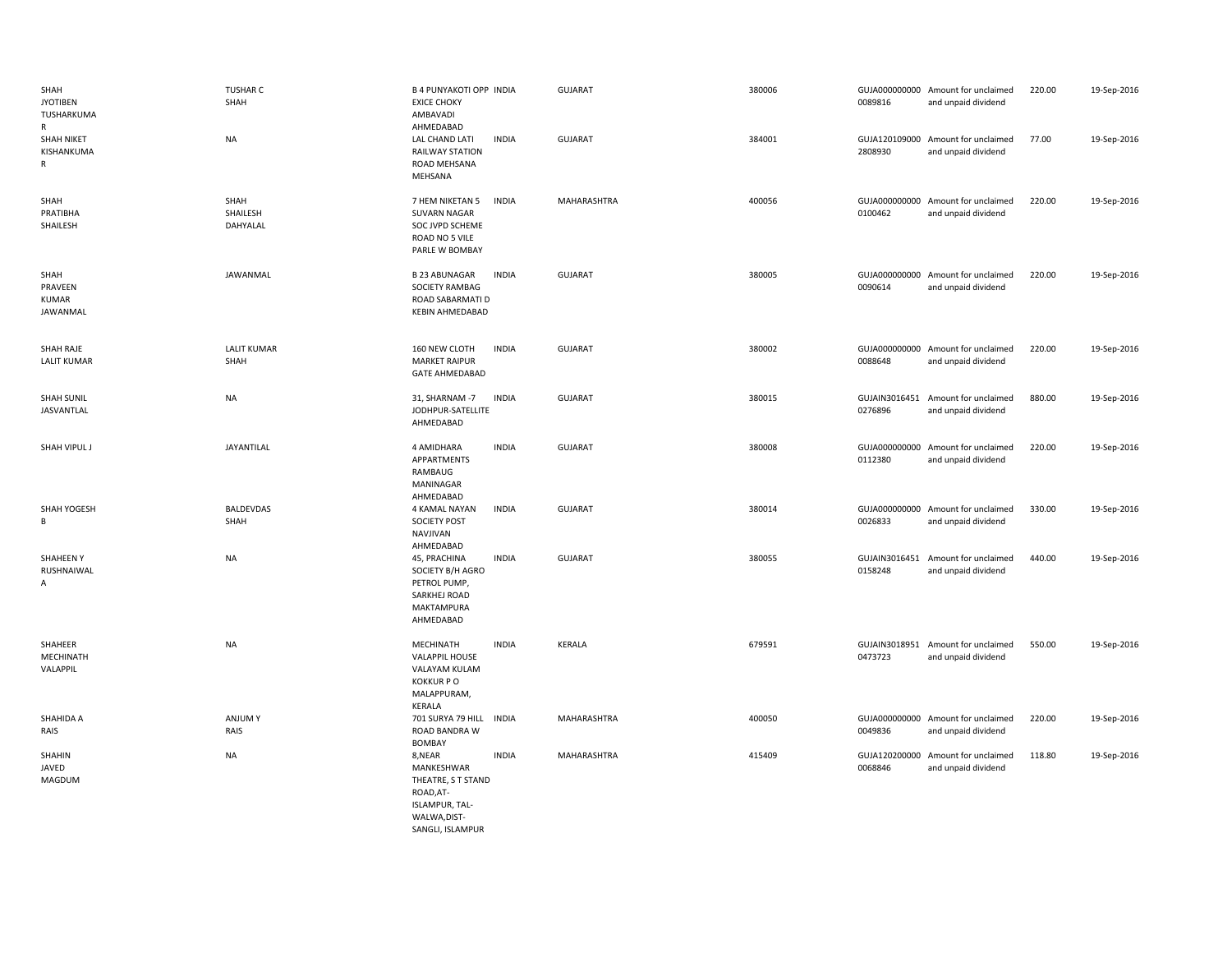| SHAH<br><b>JYOTIBEN</b><br>TUSHARKUMA<br>$\mathsf{R}$ | <b>TUSHAR C</b><br>SHAH      | B 4 PUNYAKOTI OPP INDIA<br><b>EXICE CHOKY</b><br>AMBAVADI<br>AHMEDABAD                        |              | <b>GUJARAT</b> | 380006 | 0089816 | GUJA000000000 Amount for unclaimed<br>and unpaid dividend | 220.00 | 19-Sep-2016 |
|-------------------------------------------------------|------------------------------|-----------------------------------------------------------------------------------------------|--------------|----------------|--------|---------|-----------------------------------------------------------|--------|-------------|
| SHAH NIKET<br>KISHANKUMA<br>R                         | <b>NA</b>                    | LAL CHAND LATI<br>RAILWAY STATION<br>ROAD MEHSANA<br>MEHSANA                                  | <b>INDIA</b> | <b>GUJARAT</b> | 384001 | 2808930 | GUJA120109000 Amount for unclaimed<br>and unpaid dividend | 77.00  | 19-Sep-2016 |
| SHAH<br>PRATIBHA<br>SHAILESH                          | SHAH<br>SHAILESH<br>DAHYALAL | 7 HEM NIKETAN 5<br><b>SUVARN NAGAR</b><br>SOC JVPD SCHEME<br>ROAD NO 5 VILE<br>PARLE W BOMBAY | <b>INDIA</b> | MAHARASHTRA    | 400056 | 0100462 | GUJA000000000 Amount for unclaimed<br>and unpaid dividend | 220.00 | 19-Sep-2016 |
| SHAH<br>PRAVEEN<br><b>KUMAR</b><br>JAWANMAL           | JAWANMAL                     | <b>B 23 ABUNAGAR</b><br>SOCIETY RAMBAG<br>ROAD SABARMATI D<br>KEBIN AHMEDABAD                 | <b>INDIA</b> | <b>GUJARAT</b> | 380005 | 0090614 | GUJA000000000 Amount for unclaimed<br>and unpaid dividend | 220.00 | 19-Sep-2016 |
| SHAH RAJE<br><b>LALIT KUMAR</b>                       | <b>LALIT KUMAR</b><br>SHAH   | 160 NEW CLOTH<br><b>MARKET RAIPUR</b><br><b>GATE AHMEDABAD</b>                                | <b>INDIA</b> | <b>GUJARAT</b> | 380002 | 0088648 | GUJA000000000 Amount for unclaimed<br>and unpaid dividend | 220.00 | 19-Sep-2016 |
| <b>SHAH SUNIL</b><br>JASVANTLAL                       | <b>NA</b>                    | 31, SHARNAM -7<br>JODHPUR-SATELLITE<br>AHMEDABAD                                              | <b>INDIA</b> | <b>GUJARAT</b> | 380015 | 0276896 | GUJAIN3016451 Amount for unclaimed<br>and unpaid dividend | 880.00 | 19-Sep-2016 |
| SHAH VIPUL J                                          | JAYANTILAL                   | 4 AMIDHARA<br>APPARTMENTS<br>RAMBAUG<br>MANINAGAR<br>AHMEDABAD                                | <b>INDIA</b> | <b>GUJARAT</b> | 380008 | 0112380 | GUJA000000000 Amount for unclaimed<br>and unpaid dividend | 220.00 | 19-Sep-2016 |
| SHAH YOGESH<br>В                                      | <b>BALDEVDAS</b><br>SHAH     | 4 KAMAL NAYAN<br><b>SOCIETY POST</b><br>NAVJIVAN<br>AHMEDABAD                                 | <b>INDIA</b> | <b>GUJARAT</b> | 380014 | 0026833 | GUJA000000000 Amount for unclaimed<br>and unpaid dividend | 330.00 | 19-Sep-2016 |
| SHAHEEN Y<br>RUSHNAIWAL<br>Α                          | <b>NA</b>                    | 45, PRACHINA<br>SOCIETY B/H AGRO<br>PETROL PUMP,<br>SARKHEJ ROAD<br>MAKTAMPURA<br>AHMEDABAD   | <b>INDIA</b> | <b>GUJARAT</b> | 380055 | 0158248 | GUJAIN3016451 Amount for unclaimed<br>and unpaid dividend | 440.00 | 19-Sep-2016 |
| SHAHEER<br>MECHINATH<br>VALAPPIL                      | <b>NA</b>                    | MECHINATH<br>VALAPPIL HOUSE<br>VALAYAM KULAM<br><b>KOKKURPO</b><br>MALAPPURAM,<br>KERALA      | <b>INDIA</b> | <b>KERALA</b>  | 679591 | 0473723 | GUJAIN3018951 Amount for unclaimed<br>and unpaid dividend | 550.00 | 19-Sep-2016 |
| SHAHIDA A<br>RAIS                                     | ANJUM Y<br>RAIS              | 701 SURYA 79 HILL<br>ROAD BANDRA W<br><b>BOMBAY</b>                                           | <b>INDIA</b> | MAHARASHTRA    | 400050 | 0049836 | GUJA000000000 Amount for unclaimed<br>and unpaid dividend | 220.00 | 19-Sep-2016 |
| SHAHIN<br>JAVED<br>MAGDUM                             | <b>NA</b>                    | 8,NEAR<br>MANKESHWAR<br>THEATRE, S T STAND<br>ROAD, AT-<br>ISLAMPUR, TAL-<br>WALWA.DIST-      | <b>INDIA</b> | MAHARASHTRA    | 415409 | 0068846 | GUJA120200000 Amount for unclaimed<br>and unpaid dividend | 118.80 | 19-Sep-2016 |

SANGLI, ISLAMPUR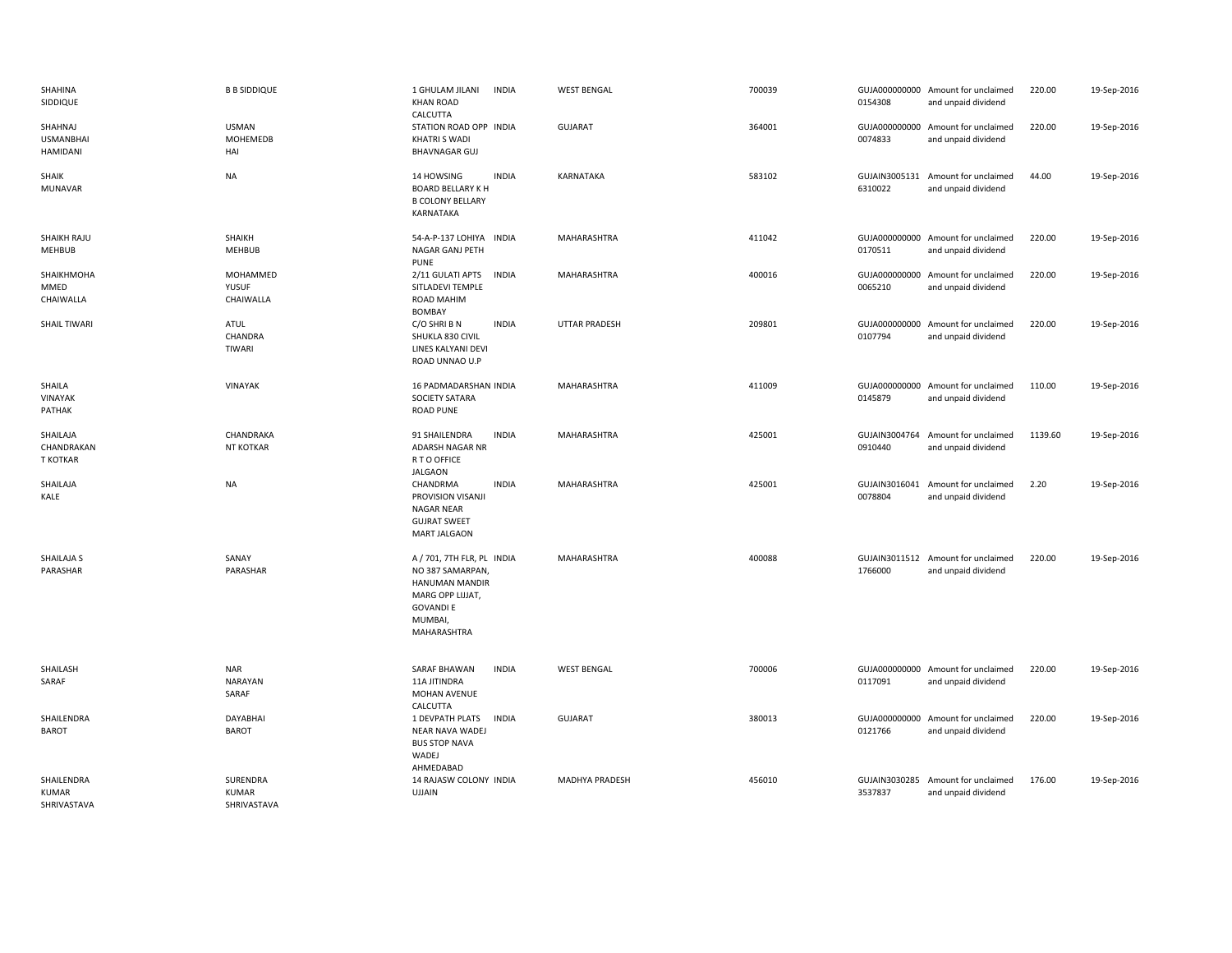| SHAHINA<br>SIDDIQUE                       | <b>B B SIDDIQUE</b>                     | 1 GHULAM JILANI<br><b>INDIA</b><br><b>KHAN ROAD</b><br>CALCUTTA                                                                   |              | <b>WEST BENGAL</b>   | 700039 | 0154308                  | GUJA000000000 Amount for unclaimed<br>and unpaid dividend | 220.00  | 19-Sep-2016 |
|-------------------------------------------|-----------------------------------------|-----------------------------------------------------------------------------------------------------------------------------------|--------------|----------------------|--------|--------------------------|-----------------------------------------------------------|---------|-------------|
| SHAHNAJ<br><b>USMANBHAI</b><br>HAMIDANI   | <b>USMAN</b><br><b>MOHEMEDB</b><br>HAI  | STATION ROAD OPP INDIA<br><b>KHATRI S WADI</b><br><b>BHAVNAGAR GUJ</b>                                                            |              | <b>GUJARAT</b>       | 364001 | 0074833                  | GUJA000000000 Amount for unclaimed<br>and unpaid dividend | 220.00  | 19-Sep-2016 |
| SHAIK<br>MUNAVAR                          | <b>NA</b>                               | 14 HOWSING<br><b>BOARD BELLARY K H</b><br><b>B COLONY BELLARY</b><br>KARNATAKA                                                    | <b>INDIA</b> | KARNATAKA            | 583102 | 6310022                  | GUJAIN3005131 Amount for unclaimed<br>and unpaid dividend | 44.00   | 19-Sep-2016 |
| SHAIKH RAJU<br>MEHBUB                     | SHAIKH<br><b>MEHBUB</b>                 | 54-A-P-137 LOHIYA INDIA<br>NAGAR GANJ PETH                                                                                        |              | MAHARASHTRA          | 411042 | 0170511                  | GUJA000000000 Amount for unclaimed<br>and unpaid dividend | 220.00  | 19-Sep-2016 |
| SHAIKHMOHA<br>MMED<br>CHAIWALLA           | MOHAMMED<br>YUSUF<br>CHAIWALLA          | PUNE<br>2/11 GULATI APTS<br>SITLADEVI TEMPLE<br><b>ROAD MAHIM</b>                                                                 | <b>INDIA</b> | MAHARASHTRA          | 400016 | GUJA000000000<br>0065210 | Amount for unclaimed<br>and unpaid dividend               | 220.00  | 19-Sep-2016 |
| <b>SHAIL TIWARI</b>                       | ATUL<br>CHANDRA<br>TIWARI               | <b>BOMBAY</b><br>C/O SHRI B N<br>SHUKLA 830 CIVIL<br>LINES KALYANI DEVI<br>ROAD UNNAO U.P                                         | <b>INDIA</b> | <b>UTTAR PRADESH</b> | 209801 | 0107794                  | GUJA000000000 Amount for unclaimed<br>and unpaid dividend | 220.00  | 19-Sep-2016 |
| SHAILA<br>VINAYAK<br>PATHAK               | VINAYAK                                 | 16 PADMADARSHAN INDIA<br>SOCIETY SATARA<br><b>ROAD PUNE</b>                                                                       |              | MAHARASHTRA          | 411009 | 0145879                  | GUJA000000000 Amount for unclaimed<br>and unpaid dividend | 110.00  | 19-Sep-2016 |
| SHAILAJA<br>CHANDRAKAN<br><b>T KOTKAR</b> | CHANDRAKA<br><b>NT KOTKAR</b>           | 91 SHAILENDRA<br><b>INDIA</b><br>ADARSH NAGAR NR<br>R T O OFFICE<br><b>JALGAON</b>                                                |              | MAHARASHTRA          | 425001 | GUJAIN3004764<br>0910440 | Amount for unclaimed<br>and unpaid dividend               | 1139.60 | 19-Sep-2016 |
| SHAILAJA<br>KALE                          | <b>NA</b>                               | CHANDRMA<br>PROVISION VISANJI<br><b>NAGAR NEAR</b><br><b>GUJRAT SWEET</b><br><b>MART JALGAON</b>                                  | <b>INDIA</b> | MAHARASHTRA          | 425001 | 0078804                  | GUJAIN3016041 Amount for unclaimed<br>and unpaid dividend | 2.20    | 19-Sep-2016 |
| SHAILAJA S<br>PARASHAR                    | SANAY<br>PARASHAR                       | A / 701, 7TH FLR, PL INDIA<br>NO 387 SAMARPAN<br>HANUMAN MANDIR<br>MARG OPP LIJJAT,<br><b>GOVANDI E</b><br>MUMBAI,<br>MAHARASHTRA |              | MAHARASHTRA          | 400088 | 1766000                  | GUJAIN3011512 Amount for unclaimed<br>and unpaid dividend | 220.00  | 19-Sep-2016 |
| SHAILASH<br>SARAF                         | <b>NAR</b><br>NARAYAN<br>SARAF          | <b>SARAF BHAWAN</b><br>11A JITINDRA<br>MOHAN AVENUE                                                                               | <b>INDIA</b> | <b>WEST BENGAL</b>   | 700006 | 0117091                  | GUJA000000000 Amount for unclaimed<br>and unpaid dividend | 220.00  | 19-Sep-2016 |
| SHAILENDRA<br><b>BAROT</b>                | DAYABHAI<br><b>BAROT</b>                | CALCUTTA<br>1 DEVPATH PLATS<br><b>INDIA</b><br>NEAR NAVA WADEJ<br><b>BUS STOP NAVA</b><br>WADEJ                                   |              | <b>GUJARAT</b>       | 380013 | 0121766                  | GUJA000000000 Amount for unclaimed<br>and unpaid dividend | 220.00  | 19-Sep-2016 |
| SHAILENDRA<br>KUMAR<br>SHRIVASTAVA        | SURENDRA<br><b>KUMAR</b><br>SHRIVASTAVA | AHMEDABAD<br>14 RAJASW COLONY INDIA<br><b>UJJAIN</b>                                                                              |              | MADHYA PRADESH       | 456010 | GUJAIN3030285<br>3537837 | Amount for unclaimed<br>and unpaid dividend               | 176.00  | 19-Sep-2016 |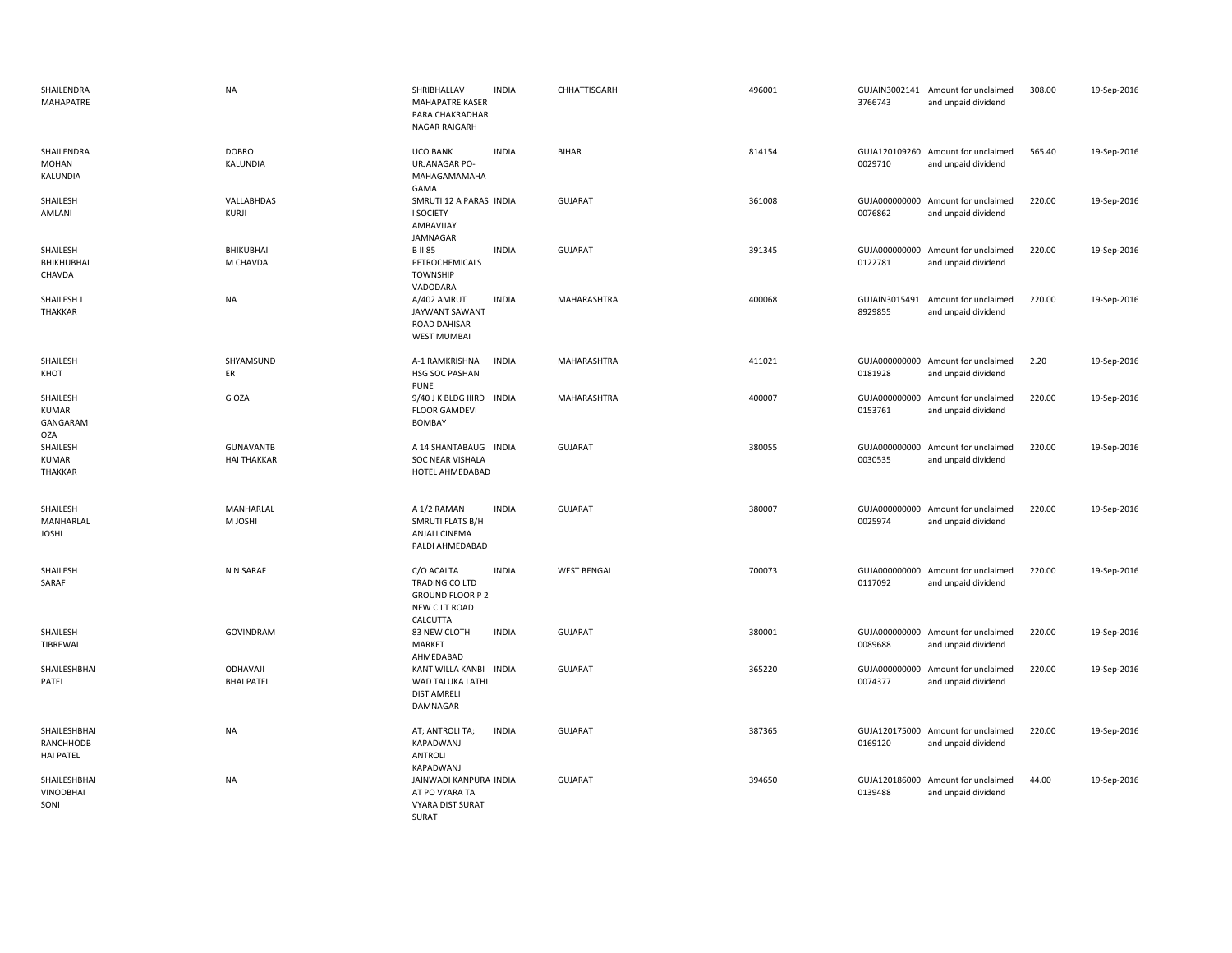| SHAILENDRA<br><b>MAHAPATRE</b>                | <b>NA</b>                              | SHRIBHALLAV<br><b>MAHAPATRE KASER</b><br>PARA CHAKRADHAR<br>NAGAR RAIGARH            | <b>INDIA</b> | CHHATTISGARH       | 496001 | 3766743                  | GUJAIN3002141 Amount for unclaimed<br>and unpaid dividend | 308.00 | 19-Sep-2016 |
|-----------------------------------------------|----------------------------------------|--------------------------------------------------------------------------------------|--------------|--------------------|--------|--------------------------|-----------------------------------------------------------|--------|-------------|
| SHAILENDRA<br><b>MOHAN</b><br>KALUNDIA        | <b>DOBRO</b><br>KALUNDIA               | <b>UCO BANK</b><br>URJANAGAR PO-<br>MAHAGAMAMAHA<br>GAMA                             | <b>INDIA</b> | <b>BIHAR</b>       | 814154 | 0029710                  | GUJA120109260 Amount for unclaimed<br>and unpaid dividend | 565.40 | 19-Sep-2016 |
| SHAILESH<br>AMLANI                            | VALLABHDAS<br>KURJI                    | SMRUTI 12 A PARAS INDIA<br><b>I SOCIETY</b><br>AMBAVIJAY<br>JAMNAGAR                 |              | <b>GUJARAT</b>     | 361008 | 0076862                  | GUJA000000000 Amount for unclaimed<br>and unpaid dividend | 220.00 | 19-Sep-2016 |
| SHAILESH<br>BHIKHUBHAI<br>CHAVDA              | BHIKUBHAI<br>M CHAVDA                  | <b>BII85</b><br>PETROCHEMICALS<br><b>TOWNSHIP</b><br>VADODARA                        | <b>INDIA</b> | <b>GUJARAT</b>     | 391345 | 0122781                  | GUJA000000000 Amount for unclaimed<br>and unpaid dividend | 220.00 | 19-Sep-2016 |
| SHAILESH J<br>THAKKAR                         | <b>NA</b>                              | A/402 AMRUT<br>JAYWANT SAWANT<br>ROAD DAHISAR<br><b>WEST MUMBAI</b>                  | <b>INDIA</b> | MAHARASHTRA        | 400068 | GUJAIN3015491<br>8929855 | Amount for unclaimed<br>and unpaid dividend               | 220.00 | 19-Sep-2016 |
| SHAILESH<br>KHOT                              | SHYAMSUND<br>ER                        | A-1 RAMKRISHNA<br>HSG SOC PASHAN<br><b>PUNE</b>                                      | <b>INDIA</b> | MAHARASHTRA        | 411021 | 0181928                  | GUJA000000000 Amount for unclaimed<br>and unpaid dividend | 2.20   | 19-Sep-2016 |
| SHAILESH<br>KUMAR<br>GANGARAM<br><b>OZA</b>   | G OZA                                  | 9/40 J K BLDG IIIRD<br><b>FLOOR GAMDEVI</b><br><b>BOMBAY</b>                         | <b>INDIA</b> | MAHARASHTRA        | 400007 | GUJA000000000<br>0153761 | Amount for unclaimed<br>and unpaid dividend               | 220.00 | 19-Sep-2016 |
| SHAILESH<br>KUMAR<br>THAKKAR                  | <b>GUNAVANTB</b><br><b>HAI THAKKAR</b> | A 14 SHANTABAUG INDIA<br>SOC NEAR VISHALA<br>HOTEL AHMEDABAD                         |              | <b>GUJARAT</b>     | 380055 | 0030535                  | GUJA000000000 Amount for unclaimed<br>and unpaid dividend | 220.00 | 19-Sep-2016 |
| SHAILESH<br>MANHARLAL<br><b>JOSHI</b>         | MANHARLAL<br>M JOSHI                   | A 1/2 RAMAN<br>SMRUTI FLATS B/H<br>ANJALI CINEMA<br>PALDI AHMEDABAD                  | <b>INDIA</b> | <b>GUJARAT</b>     | 380007 | 0025974                  | GUJA000000000 Amount for unclaimed<br>and unpaid dividend | 220.00 | 19-Sep-2016 |
| SHAILESH<br>SARAF                             | N N SARAF                              | C/O ACALTA<br>TRADING CO LTD<br><b>GROUND FLOOR P 2</b><br>NEW C IT ROAD<br>CALCUTTA | <b>INDIA</b> | <b>WEST BENGAL</b> | 700073 | 0117092                  | GUJA000000000 Amount for unclaimed<br>and unpaid dividend | 220.00 | 19-Sep-2016 |
| SHAILESH<br>TIBREWAL                          | <b>GOVINDRAM</b>                       | 83 NEW CLOTH<br>MARKET<br>AHMEDABAD                                                  | <b>INDIA</b> | <b>GUJARAT</b>     | 380001 | 0089688                  | GUJA000000000 Amount for unclaimed<br>and unpaid dividend | 220.00 | 19-Sep-2016 |
| SHAILESHBHAI<br>PATEL                         | ODHAVAJI<br><b>BHAI PATEL</b>          | KANT WILLA KANBI INDIA<br>WAD TALUKA LATHI<br><b>DIST AMRELI</b><br>DAMNAGAR         |              | <b>GUJARAT</b>     | 365220 | 0074377                  | GUJA000000000 Amount for unclaimed<br>and unpaid dividend | 220.00 | 19-Sep-2016 |
| SHAILESHBHAI<br>RANCHHODB<br><b>HAI PATEL</b> | <b>NA</b>                              | AT; ANTROLI TA;<br>KAPADWANJ<br>ANTROLI<br>KAPADWANJ                                 | <b>INDIA</b> | <b>GUJARAT</b>     | 387365 | 0169120                  | GUJA120175000 Amount for unclaimed<br>and unpaid dividend | 220.00 | 19-Sep-2016 |
| SHAILESHBHAI<br><b>VINODBHAI</b><br>SONI      | <b>NA</b>                              | JAINWADI KANPURA INDIA<br>AT PO VYARA TA<br><b>VYARA DIST SURAT</b><br>SURAT         |              | <b>GUJARAT</b>     | 394650 | 0139488                  | GUJA120186000 Amount for unclaimed<br>and unpaid dividend | 44.00  | 19-Sep-2016 |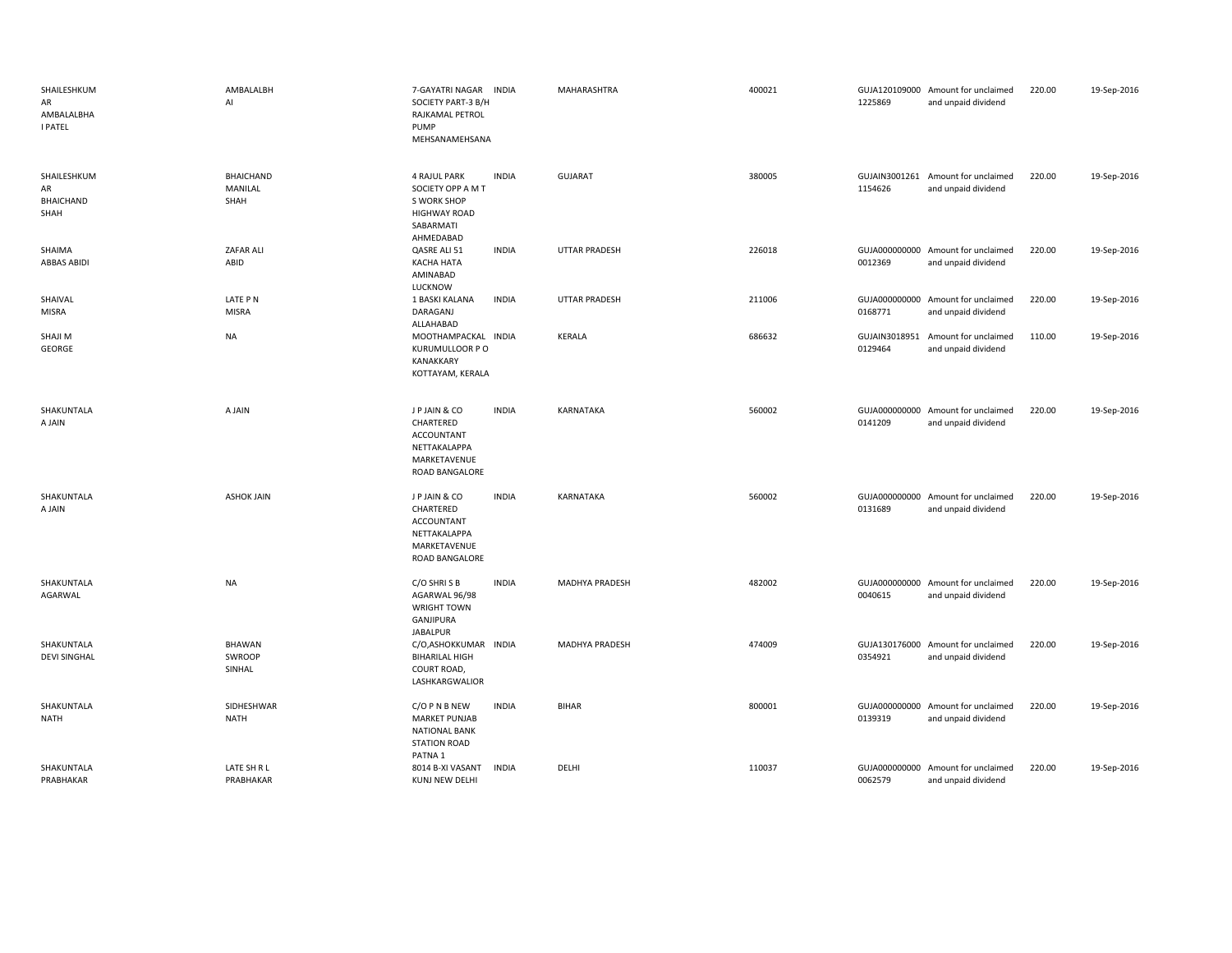| SHAILESHKUM<br>AR<br>AMBALALBHA<br><b>I PATEL</b> | AMBALALBH<br>AI                     | 7-GAYATRI NAGAR<br>SOCIETY PART-3 B/H<br>RAJKAMAL PETROL<br>PUMP<br>MEHSANAMEHSANA                              | INDIA        | MAHARASHTRA          | 400021 | 1225869 | GUJA120109000 Amount for unclaimed<br>and unpaid dividend | 220.00 | 19-Sep-2016 |
|---------------------------------------------------|-------------------------------------|-----------------------------------------------------------------------------------------------------------------|--------------|----------------------|--------|---------|-----------------------------------------------------------|--------|-------------|
| SHAILESHKUM<br>AR<br><b>BHAICHAND</b><br>SHAH     | <b>BHAICHAND</b><br>MANILAL<br>SHAH | <b>4 RAJUL PARK</b><br>SOCIETY OPP A M T<br><b>S WORK SHOP</b><br><b>HIGHWAY ROAD</b><br>SABARMATI<br>AHMEDABAD | <b>INDIA</b> | <b>GUJARAT</b>       | 380005 | 1154626 | GUJAIN3001261 Amount for unclaimed<br>and unpaid dividend | 220.00 | 19-Sep-2016 |
| SHAIMA<br><b>ABBAS ABIDI</b>                      | <b>ZAFAR ALI</b><br>ABID            | QASRE ALI 51<br><b>KACHA HATA</b><br>AMINABAD<br>LUCKNOW                                                        | <b>INDIA</b> | <b>UTTAR PRADESH</b> | 226018 | 0012369 | GUJA000000000 Amount for unclaimed<br>and unpaid dividend | 220.00 | 19-Sep-2016 |
| SHAIVAL<br><b>MISRA</b>                           | LATE PN<br><b>MISRA</b>             | 1 BASKI KALANA<br>DARAGANJ<br>ALLAHABAD                                                                         | <b>INDIA</b> | UTTAR PRADESH        | 211006 | 0168771 | GUJA000000000 Amount for unclaimed<br>and unpaid dividend | 220.00 | 19-Sep-2016 |
| SHAJI M<br>GEORGE                                 | <b>NA</b>                           | MOOTHAMPACKAL INDIA<br>KURUMULLOOR P O<br>KANAKKARY<br>KOTTAYAM, KERALA                                         |              | <b>KERALA</b>        | 686632 | 0129464 | GUJAIN3018951 Amount for unclaimed<br>and unpaid dividend | 110.00 | 19-Sep-2016 |
| SHAKUNTALA<br>A JAIN                              | A JAIN                              | J P JAIN & CO<br>CHARTERED<br><b>ACCOUNTANT</b><br>NETTAKALAPPA<br>MARKETAVENUE<br>ROAD BANGALORE               | <b>INDIA</b> | KARNATAKA            | 560002 | 0141209 | GUJA000000000 Amount for unclaimed<br>and unpaid dividend | 220.00 | 19-Sep-2016 |
| SHAKUNTALA<br>A JAIN                              | <b>ASHOK JAIN</b>                   | J P JAIN & CO<br>CHARTERED<br><b>ACCOUNTANT</b><br>NETTAKALAPPA<br>MARKETAVENUE<br>ROAD BANGALORE               | <b>INDIA</b> | KARNATAKA            | 560002 | 0131689 | GUJA000000000 Amount for unclaimed<br>and unpaid dividend | 220.00 | 19-Sep-2016 |
| SHAKUNTALA<br>AGARWAL                             | <b>NA</b>                           | C/O SHRISB<br>AGARWAL 96/98<br><b>WRIGHT TOWN</b><br>GANJIPURA<br><b>JABALPUR</b>                               | <b>INDIA</b> | MADHYA PRADESH       | 482002 | 0040615 | GUJA000000000 Amount for unclaimed<br>and unpaid dividend | 220.00 | 19-Sep-2016 |
| SHAKUNTALA<br><b>DEVI SINGHAL</b>                 | <b>BHAWAN</b><br>SWROOP<br>SINHAL   | C/O,ASHOKKUMAR INDIA<br><b>BIHARILAL HIGH</b><br>COURT ROAD,<br>LASHKARGWALIOR                                  |              | MADHYA PRADESH       | 474009 | 0354921 | GUJA130176000 Amount for unclaimed<br>and unpaid dividend | 220.00 | 19-Sep-2016 |
| SHAKUNTALA<br>NATH                                | SIDHESHWAR<br>NATH                  | C/O P N B NEW<br><b>MARKET PUNJAB</b><br><b>NATIONAL BANK</b><br><b>STATION ROAD</b><br>PATNA <sub>1</sub>      | <b>INDIA</b> | <b>BIHAR</b>         | 800001 | 0139319 | GUJA000000000 Amount for unclaimed<br>and unpaid dividend | 220.00 | 19-Sep-2016 |
| SHAKUNTALA<br>PRABHAKAR                           | LATE SH R L<br>PRABHAKAR            | 8014 B-XI VASANT<br><b>KUNJ NEW DELHI</b>                                                                       | INDIA        | DELHI                | 110037 | 0062579 | GUJA000000000 Amount for unclaimed<br>and unpaid dividend | 220.00 | 19-Sep-2016 |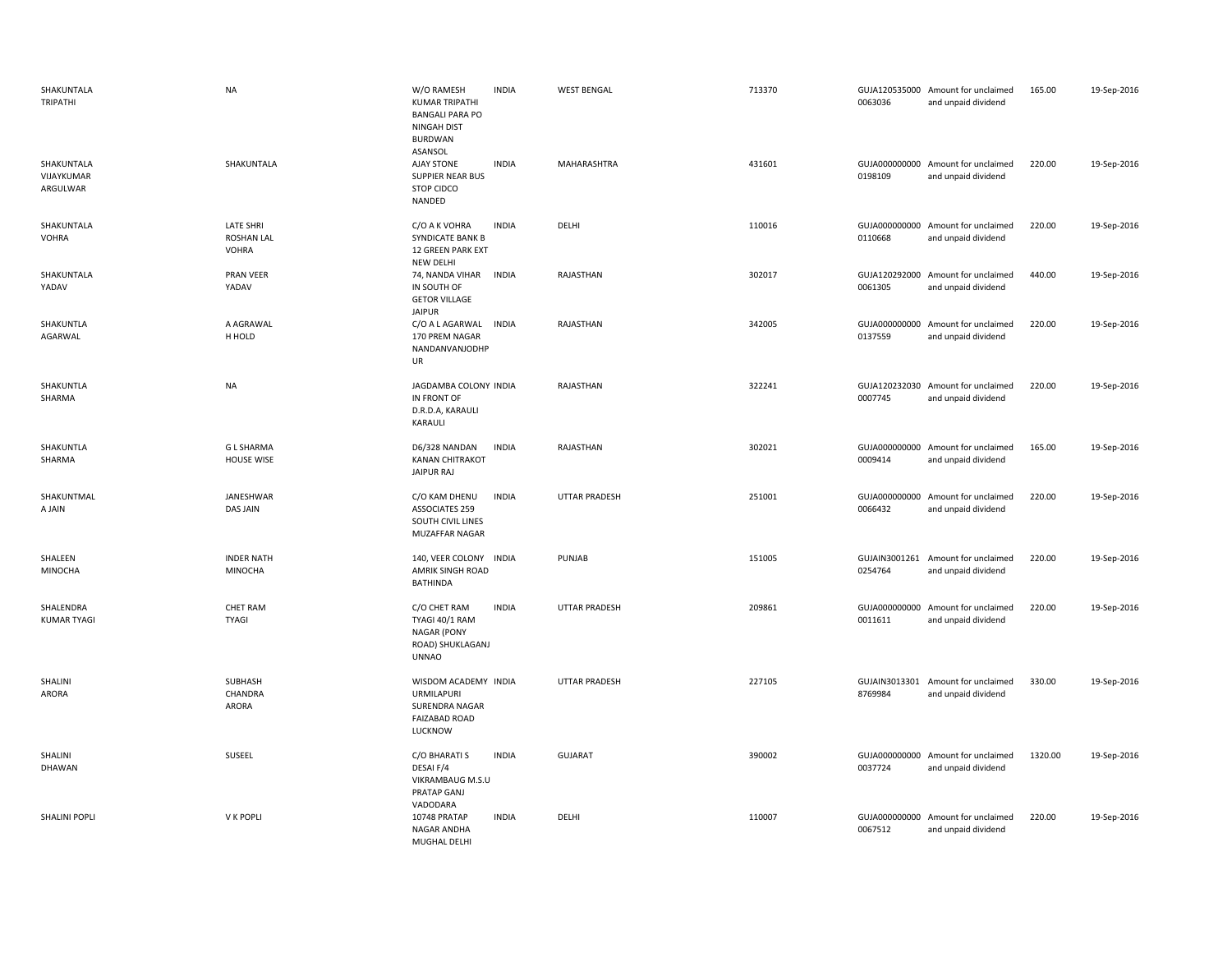| SHAKUNTALA<br>TRIPATHI               | <b>NA</b>                                      | W/O RAMESH<br><b>INDIA</b><br><b>KUMAR TRIPATHI</b><br><b>BANGALI PARA PO</b><br>NINGAH DIST<br><b>BURDWAN</b><br>ASANSOL | <b>WEST BENGAL</b>   | 713370 | 0063036 | GUJA120535000 Amount for unclaimed<br>and unpaid dividend | 165.00  | 19-Sep-2016 |
|--------------------------------------|------------------------------------------------|---------------------------------------------------------------------------------------------------------------------------|----------------------|--------|---------|-----------------------------------------------------------|---------|-------------|
| SHAKUNTALA<br>VIJAYKUMAR<br>ARGULWAR | SHAKUNTALA                                     | <b>INDIA</b><br><b>AJAY STONE</b><br><b>SUPPIER NEAR BUS</b><br>STOP CIDCO<br>NANDED                                      | MAHARASHTRA          | 431601 | 0198109 | GUJA000000000 Amount for unclaimed<br>and unpaid dividend | 220.00  | 19-Sep-2016 |
| SHAKUNTALA<br><b>VOHRA</b>           | <b>LATE SHRI</b><br><b>ROSHAN LAL</b><br>VOHRA | C/O A K VOHRA<br><b>INDIA</b><br><b>SYNDICATE BANK B</b><br><b>12 GREEN PARK EXT</b><br>NEW DELHI                         | DELHI                | 110016 | 0110668 | GUJA000000000 Amount for unclaimed<br>and unpaid dividend | 220.00  | 19-Sep-2016 |
| SHAKUNTALA<br>YADAV                  | PRAN VEER<br>YADAV                             | 74, NANDA VIHAR<br><b>INDIA</b><br>IN SOUTH OF<br><b>GETOR VILLAGE</b><br><b>JAIPUR</b>                                   | RAJASTHAN            | 302017 | 0061305 | GUJA120292000 Amount for unclaimed<br>and unpaid dividend | 440.00  | 19-Sep-2016 |
| SHAKUNTLA<br>AGARWAL                 | A AGRAWAL<br>H HOLD                            | C/O A L AGARWAL<br><b>INDIA</b><br>170 PREM NAGAR<br>NANDANVANJODHP<br>UR                                                 | RAJASTHAN            | 342005 | 0137559 | GUJA000000000 Amount for unclaimed<br>and unpaid dividend | 220.00  | 19-Sep-2016 |
| SHAKUNTLA<br>SHARMA                  | <b>NA</b>                                      | JAGDAMBA COLONY INDIA<br>IN FRONT OF<br>D.R.D.A, KARAULI<br>KARAULI                                                       | RAJASTHAN            | 322241 | 0007745 | GUJA120232030 Amount for unclaimed<br>and unpaid dividend | 220.00  | 19-Sep-2016 |
| SHAKUNTLA<br>SHARMA                  | <b>GLSHARMA</b><br><b>HOUSE WISE</b>           | <b>INDIA</b><br>D6/328 NANDAN<br><b>KANAN CHITRAKOT</b><br>JAIPUR RAJ                                                     | RAJASTHAN            | 302021 | 0009414 | GUJA000000000 Amount for unclaimed<br>and unpaid dividend | 165.00  | 19-Sep-2016 |
| SHAKUNTMAL<br>A JAIN                 | JANESHWAR<br>DAS JAIN                          | C/O KAM DHENU<br><b>INDIA</b><br><b>ASSOCIATES 259</b><br>SOUTH CIVIL LINES<br>MUZAFFAR NAGAR                             | <b>UTTAR PRADESH</b> | 251001 | 0066432 | GUJA000000000 Amount for unclaimed<br>and unpaid dividend | 220.00  | 19-Sep-2016 |
| SHALEEN<br><b>MINOCHA</b>            | <b>INDER NATH</b><br><b>MINOCHA</b>            | 140, VEER COLONY INDIA<br>AMRIK SINGH ROAD<br><b>BATHINDA</b>                                                             | PUNJAB               | 151005 | 0254764 | GUJAIN3001261 Amount for unclaimed<br>and unpaid dividend | 220.00  | 19-Sep-2016 |
| SHALENDRA<br><b>KUMAR TYAGI</b>      | CHET RAM<br><b>TYAGI</b>                       | <b>INDIA</b><br>C/O CHET RAM<br>TYAGI 40/1 RAM<br><b>NAGAR (PONY</b><br>ROAD) SHUKLAGANJ<br><b>UNNAO</b>                  | <b>UTTAR PRADESH</b> | 209861 | 0011611 | GUJA000000000 Amount for unclaimed<br>and unpaid dividend | 220.00  | 19-Sep-2016 |
| SHALINI<br>ARORA                     | SUBHASH<br>CHANDRA<br>ARORA                    | WISDOM ACADEMY INDIA<br><b>URMILAPURI</b><br><b>SURENDRA NAGAR</b><br><b>FAIZABAD ROAD</b><br>LUCKNOW                     | <b>UTTAR PRADESH</b> | 227105 | 8769984 | GUJAIN3013301 Amount for unclaimed<br>and unpaid dividend | 330.00  | 19-Sep-2016 |
| SHALINI<br><b>DHAWAN</b>             | SUSEEL                                         | C/O BHARATI S<br><b>INDIA</b><br>DESAI F/4<br>VIKRAMBAUG M.S.U<br>PRATAP GANJ                                             | <b>GUJARAT</b>       | 390002 | 0037724 | GUJA000000000 Amount for unclaimed<br>and unpaid dividend | 1320.00 | 19-Sep-2016 |
| <b>SHALINI POPLI</b>                 | V K POPLI                                      | VADODARA<br>10748 PRATAP<br><b>INDIA</b><br><b>NAGAR ANDHA</b><br>MUGHAL DELHI                                            | DELHI                | 110007 | 0067512 | GUJA000000000 Amount for unclaimed<br>and unpaid dividend | 220.00  | 19-Sep-2016 |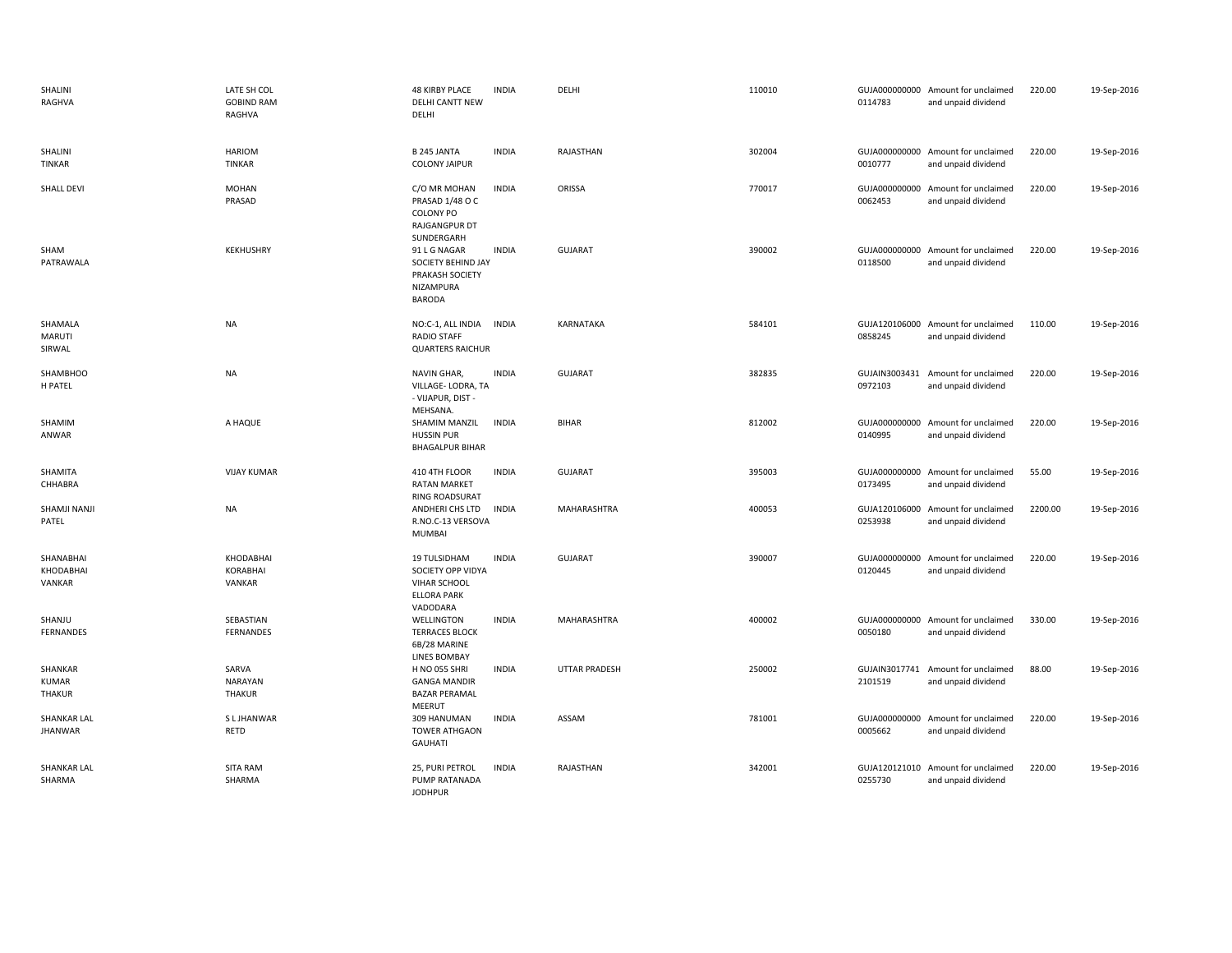| SHALINI<br>RAGHVA                    | LATE SH COL<br><b>GOBIND RAM</b><br>RAGHVA | <b>48 KIRBY PLACE</b><br><b>DELHI CANTT NEW</b><br>DELHI                                   | <b>INDIA</b> | DELHI                | 110010 | 0114783                  | GUJA000000000 Amount for unclaimed<br>and unpaid dividend | 220.00  | 19-Sep-2016 |
|--------------------------------------|--------------------------------------------|--------------------------------------------------------------------------------------------|--------------|----------------------|--------|--------------------------|-----------------------------------------------------------|---------|-------------|
| SHALINI<br><b>TINKAR</b>             | <b>HARIOM</b><br>TINKAR                    | <b>B245 JANTA</b><br><b>COLONY JAIPUR</b>                                                  | <b>INDIA</b> | RAJASTHAN            | 302004 | 0010777                  | GUJA000000000 Amount for unclaimed<br>and unpaid dividend | 220.00  | 19-Sep-2016 |
| SHALL DEVI                           | <b>MOHAN</b><br>PRASAD                     | C/O MR MOHAN<br>PRASAD 1/48 O C<br>COLONY PO<br>RAJGANGPUR DT<br>SUNDERGARH                | <b>INDIA</b> | ORISSA               | 770017 | 0062453                  | GUJA000000000 Amount for unclaimed<br>and unpaid dividend | 220.00  | 19-Sep-2016 |
| SHAM<br>PATRAWALA                    | KEKHUSHRY                                  | 91 L G NAGAR<br>SOCIETY BEHIND JAY<br>PRAKASH SOCIETY<br>NIZAMPURA<br><b>BARODA</b>        | <b>INDIA</b> | <b>GUJARAT</b>       | 390002 | 0118500                  | GUJA000000000 Amount for unclaimed<br>and unpaid dividend | 220.00  | 19-Sep-2016 |
| SHAMALA<br><b>MARUTI</b><br>SIRWAL   | NA                                         | NO:C-1, ALL INDIA INDIA<br><b>RADIO STAFF</b><br><b>QUARTERS RAICHUR</b>                   |              | KARNATAKA            | 584101 | 0858245                  | GUJA120106000 Amount for unclaimed<br>and unpaid dividend | 110.00  | 19-Sep-2016 |
| <b>SHAMBHOO</b><br>H PATEL           | NA                                         | NAVIN GHAR,<br>VILLAGE-LODRA, TA<br>- VIJAPUR, DIST -<br>MEHSANA.                          | <b>INDIA</b> | <b>GUJARAT</b>       | 382835 | 0972103                  | GUJAIN3003431 Amount for unclaimed<br>and unpaid dividend | 220.00  | 19-Sep-2016 |
| SHAMIM<br>ANWAR                      | A HAQUE                                    | SHAMIM MANZIL<br><b>HUSSIN PUR</b><br><b>BHAGALPUR BIHAR</b>                               | <b>INDIA</b> | <b>BIHAR</b>         | 812002 | 0140995                  | GUJA000000000 Amount for unclaimed<br>and unpaid dividend | 220.00  | 19-Sep-2016 |
| SHAMITA<br>CHHABRA                   | <b>VIJAY KUMAR</b>                         | 410 4TH FLOOR<br><b>RATAN MARKET</b><br><b>RING ROADSURAT</b>                              | <b>INDIA</b> | <b>GUJARAT</b>       | 395003 | 0173495                  | GUJA000000000 Amount for unclaimed<br>and unpaid dividend | 55.00   | 19-Sep-2016 |
| SHAMJI NANJI<br>PATEL                | <b>NA</b>                                  | ANDHERI CHS LTD<br>R.NO.C-13 VERSOVA<br><b>MUMBAI</b>                                      | <b>INDIA</b> | MAHARASHTRA          | 400053 | 0253938                  | GUJA120106000 Amount for unclaimed<br>and unpaid dividend | 2200.00 | 19-Sep-2016 |
| SHANABHAI<br>KHODABHAI<br>VANKAR     | KHODABHAI<br><b>KORABHAI</b><br>VANKAR     | 19 TULSIDHAM<br>SOCIETY OPP VIDYA<br><b>VIHAR SCHOOL</b><br><b>ELLORA PARK</b><br>VADODARA | <b>INDIA</b> | <b>GUJARAT</b>       | 390007 | GUJA000000000<br>0120445 | Amount for unclaimed<br>and unpaid dividend               | 220.00  | 19-Sep-2016 |
| SHANJU<br><b>FERNANDES</b>           | SEBASTIAN<br>FERNANDES                     | WELLINGTON<br><b>TERRACES BLOCK</b><br>6B/28 MARINE<br><b>LINES BOMBAY</b>                 | <b>INDIA</b> | MAHARASHTRA          | 400002 | 0050180                  | GUJA000000000 Amount for unclaimed<br>and unpaid dividend | 330.00  | 19-Sep-2016 |
| SHANKAR<br><b>KUMAR</b><br>THAKUR    | SARVA<br><b>NARAYAN</b><br><b>THAKUR</b>   | <b>H NO 055 SHRI</b><br><b>GANGA MANDIR</b><br><b>BAZAR PERAMAL</b><br>MEERUT              | <b>INDIA</b> | <b>UTTAR PRADESH</b> | 250002 | 2101519                  | GUJAIN3017741 Amount for unclaimed<br>and unpaid dividend | 88.00   | 19-Sep-2016 |
| <b>SHANKAR LAL</b><br><b>JHANWAR</b> | S L JHANWAR<br><b>RETD</b>                 | 309 HANUMAN<br><b>TOWER ATHGAON</b><br><b>GAUHATI</b>                                      | <b>INDIA</b> | ASSAM                | 781001 | 0005662                  | GUJA000000000 Amount for unclaimed<br>and unpaid dividend | 220.00  | 19-Sep-2016 |
| <b>SHANKAR LAL</b><br>SHARMA         | <b>SITA RAM</b><br>SHARMA                  | 25, PURI PETROL<br>PUMP RATANADA<br><b>JODHPUR</b>                                         | <b>INDIA</b> | RAJASTHAN            | 342001 | 0255730                  | GUJA120121010 Amount for unclaimed<br>and unpaid dividend | 220.00  | 19-Sep-2016 |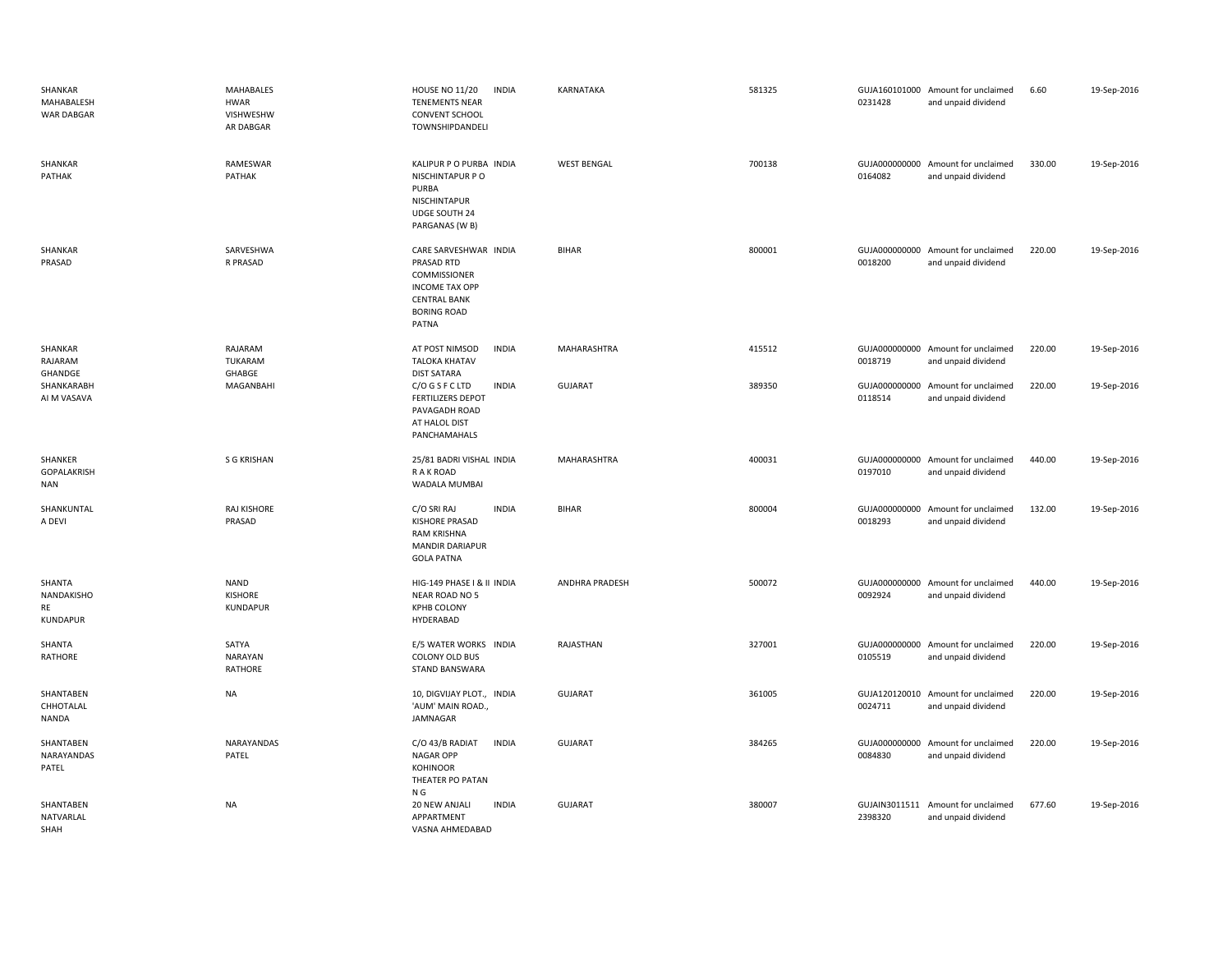| SHANKAR<br>MAHABALESH<br><b>WAR DABGAR</b>           | <b>MAHABALES</b><br><b>HWAR</b><br>VISHWESHW<br>AR DABGAR | <b>HOUSE NO 11/20</b><br><b>INDIA</b><br><b>TENEMENTS NEAR</b><br><b>CONVENT SCHOOL</b><br>TOWNSHIPDANDELI                         | KARNATAKA             | 581325 | 0231428                  | GUJA160101000 Amount for unclaimed<br>and unpaid dividend | 6.60   | 19-Sep-2016 |
|------------------------------------------------------|-----------------------------------------------------------|------------------------------------------------------------------------------------------------------------------------------------|-----------------------|--------|--------------------------|-----------------------------------------------------------|--------|-------------|
| SHANKAR<br>PATHAK                                    | RAMESWAR<br>PATHAK                                        | KALIPUR P O PURBA INDIA<br>NISCHINTAPUR PO<br>PURBA<br>NISCHINTAPUR<br>UDGE SOUTH 24<br>PARGANAS (W B)                             | <b>WEST BENGAL</b>    | 700138 | 0164082                  | GUJA000000000 Amount for unclaimed<br>and unpaid dividend | 330.00 | 19-Sep-2016 |
| SHANKAR<br>PRASAD                                    | SARVESHWA<br>R PRASAD                                     | CARE SARVESHWAR INDIA<br>PRASAD RTD<br>COMMISSIONER<br><b>INCOME TAX OPP</b><br><b>CENTRAL BANK</b><br><b>BORING ROAD</b><br>PATNA | <b>BIHAR</b>          | 800001 | 0018200                  | GUJA000000000 Amount for unclaimed<br>and unpaid dividend | 220.00 | 19-Sep-2016 |
| SHANKAR<br>RAJARAM<br>GHANDGE                        | RAJARAM<br>TUKARAM<br>GHABGE                              | AT POST NIMSOD<br><b>INDIA</b><br><b>TALOKA KHATAV</b><br><b>DIST SATARA</b>                                                       | <b>MAHARASHTRA</b>    | 415512 | 0018719                  | GUJA000000000 Amount for unclaimed<br>and unpaid dividend | 220.00 | 19-Sep-2016 |
| SHANKARABH<br>AI M VASAVA                            | MAGANBAHI                                                 | C/O G S F C LTD<br><b>INDIA</b><br><b>FERTILIZERS DEPOT</b><br>PAVAGADH ROAD<br>AT HALOL DIST<br>PANCHAMAHALS                      | <b>GUJARAT</b>        | 389350 | 0118514                  | GUJA000000000 Amount for unclaimed<br>and unpaid dividend | 220.00 | 19-Sep-2016 |
| SHANKER<br>GOPALAKRISH<br><b>NAN</b>                 | S G KRISHAN                                               | 25/81 BADRI VISHAL INDIA<br>R A K ROAD<br>WADALA MUMBAI                                                                            | MAHARASHTRA           | 400031 | 0197010                  | GUJA000000000 Amount for unclaimed<br>and unpaid dividend | 440.00 | 19-Sep-2016 |
| SHANKUNTAL<br>A DEVI                                 | RAJ KISHORE<br>PRASAD                                     | C/O SRI RAJ<br><b>INDIA</b><br><b>KISHORE PRASAD</b><br><b>RAM KRISHNA</b><br><b>MANDIR DARIAPUR</b><br><b>GOLA PATNA</b>          | <b>BIHAR</b>          | 800004 | 0018293                  | GUJA000000000 Amount for unclaimed<br>and unpaid dividend | 132.00 | 19-Sep-2016 |
| SHANTA<br><b>NANDAKISHO</b><br>RE<br><b>KUNDAPUR</b> | <b>NAND</b><br>KISHORE<br>KUNDAPUR                        | HIG-149 PHASE I & II INDIA<br><b>NEAR ROAD NO 5</b><br><b>KPHB COLONY</b><br>HYDERABAD                                             | <b>ANDHRA PRADESH</b> | 500072 | GUJA000000000<br>0092924 | Amount for unclaimed<br>and unpaid dividend               | 440.00 | 19-Sep-2016 |
| SHANTA<br>RATHORE                                    | SATYA<br><b>NARAYAN</b><br>RATHORE                        | E/5 WATER WORKS INDIA<br>COLONY OLD BUS<br>STAND BANSWARA                                                                          | RAJASTHAN             | 327001 | 0105519                  | GUJA000000000 Amount for unclaimed<br>and unpaid dividend | 220.00 | 19-Sep-2016 |
| SHANTABEN<br>CHHOTALAL<br><b>NANDA</b>               | <b>NA</b>                                                 | 10, DIGVIJAY PLOT., INDIA<br>'AUM' MAIN ROAD.,<br>JAMNAGAR                                                                         | <b>GUJARAT</b>        | 361005 | 0024711                  | GUJA120120010 Amount for unclaimed<br>and unpaid dividend | 220.00 | 19-Sep-2016 |
| SHANTABEN<br>NARAYANDAS<br>PATEL                     | NARAYANDAS<br>PATEL                                       | <b>INDIA</b><br>C/O 43/B RADIAT<br><b>NAGAR OPP</b><br><b>KOHINOOR</b><br>THEATER PO PATAN<br>N G                                  | <b>GUJARAT</b>        | 384265 | 0084830                  | GUJA000000000 Amount for unclaimed<br>and unpaid dividend | 220.00 | 19-Sep-2016 |
| SHANTABEN<br>NATVARLAL<br>SHAH                       | <b>NA</b>                                                 | <b>INDIA</b><br>20 NEW ANJALI<br>APPARTMENT<br>VASNA AHMEDABAD                                                                     | <b>GUJARAT</b>        | 380007 | GUJAIN3011511<br>2398320 | Amount for unclaimed<br>and unpaid dividend               | 677.60 | 19-Sep-2016 |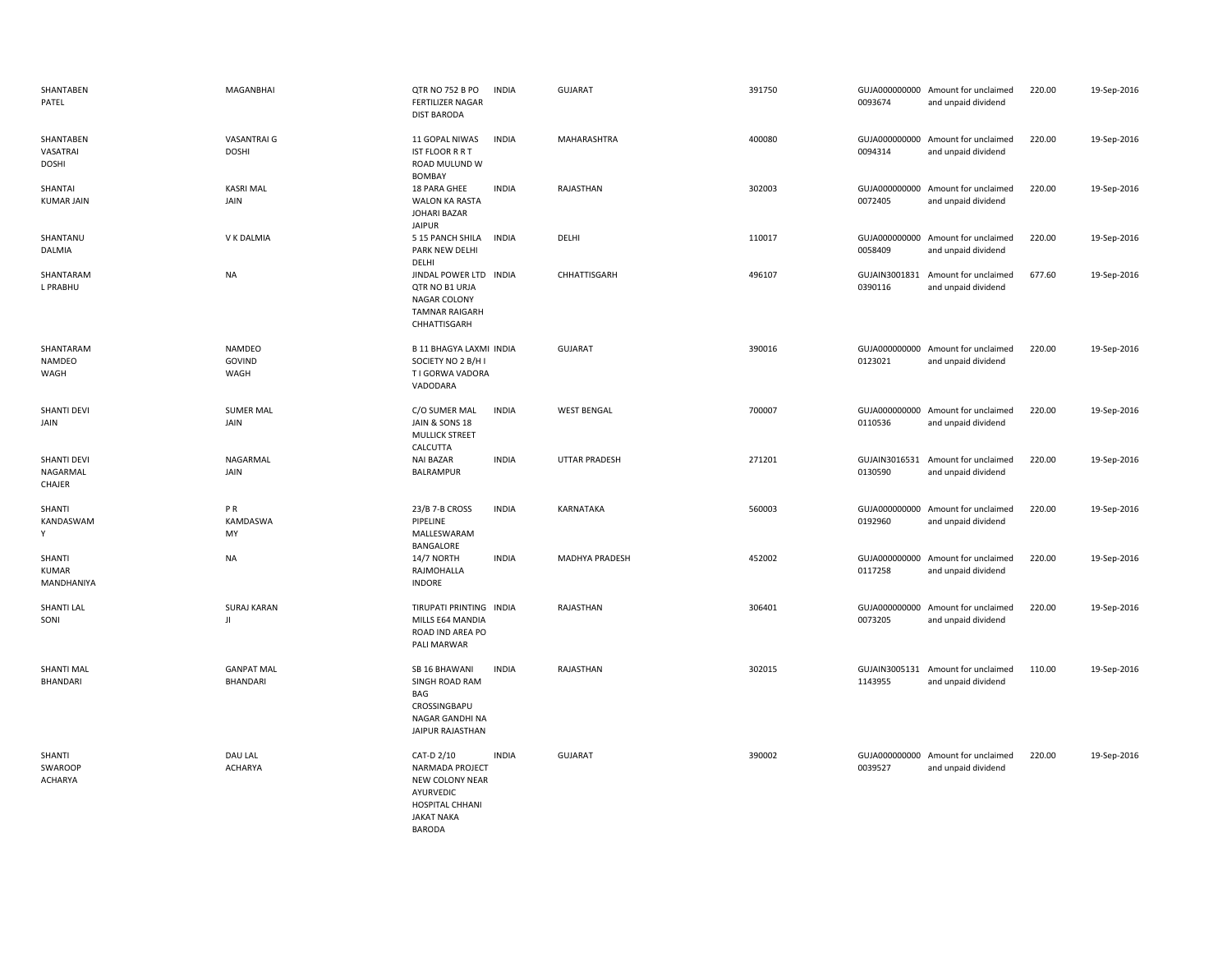| SHANTABEN<br>PATEL                       | MAGANBHAI                       | QTR NO 752 B PO<br><b>FERTILIZER NAGAR</b><br><b>DIST BARODA</b>                                                              | <b>INDIA</b> | <b>GUJARAT</b>       | 391750 | 0093674                  | GUJA000000000 Amount for unclaimed<br>and unpaid dividend | 220.00 | 19-Sep-2016 |
|------------------------------------------|---------------------------------|-------------------------------------------------------------------------------------------------------------------------------|--------------|----------------------|--------|--------------------------|-----------------------------------------------------------|--------|-------------|
| SHANTABEN<br>VASATRAI<br>DOSHI           | VASANTRAI G<br><b>DOSHI</b>     | 11 GOPAL NIWAS<br><b>IST FLOOR R R T</b><br>ROAD MULUND W<br><b>BOMBAY</b>                                                    | <b>INDIA</b> | MAHARASHTRA          | 400080 | 0094314                  | GUJA000000000 Amount for unclaimed<br>and unpaid dividend | 220.00 | 19-Sep-2016 |
| SHANTAI<br><b>KUMAR JAIN</b>             | <b>KASRI MAL</b><br>JAIN        | 18 PARA GHEE<br><b>WALON KA RASTA</b><br>JOHARI BAZAR<br><b>JAIPUR</b>                                                        | <b>INDIA</b> | RAJASTHAN            | 302003 | 0072405                  | GUJA000000000 Amount for unclaimed<br>and unpaid dividend | 220.00 | 19-Sep-2016 |
| SHANTANU<br>DALMIA                       | V K DALMIA                      | 5 15 PANCH SHILA<br>PARK NEW DELHI<br>DELHI                                                                                   | <b>INDIA</b> | DELHI                | 110017 | 0058409                  | GUJA000000000 Amount for unclaimed<br>and unpaid dividend | 220.00 | 19-Sep-2016 |
| SHANTARAM<br>L PRABHU                    | <b>NA</b>                       | JINDAL POWER LTD INDIA<br>QTR NO B1 URJA<br>NAGAR COLONY<br><b>TAMNAR RAIGARH</b><br>CHHATTISGARH                             |              | CHHATTISGARH         | 496107 | GUJAIN3001831<br>0390116 | Amount for unclaimed<br>and unpaid dividend               | 677.60 | 19-Sep-2016 |
| SHANTARAM<br>NAMDEO<br>WAGH              | <b>NAMDEO</b><br>GOVIND<br>WAGH | <b>B 11 BHAGYA LAXMI INDIA</b><br>SOCIETY NO 2 B/H I<br>T I GORWA VADORA<br>VADODARA                                          |              | <b>GUJARAT</b>       | 390016 | 0123021                  | GUJA000000000 Amount for unclaimed<br>and unpaid dividend | 220.00 | 19-Sep-2016 |
| SHANTI DEVI<br>JAIN                      | <b>SUMER MAL</b><br>JAIN        | C/O SUMER MAL<br><b>JAIN &amp; SONS 18</b><br><b>MULLICK STREET</b><br>CALCUTTA                                               | <b>INDIA</b> | <b>WEST BENGAL</b>   | 700007 | 0110536                  | GUJA000000000 Amount for unclaimed<br>and unpaid dividend | 220.00 | 19-Sep-2016 |
| <b>SHANTI DEVI</b><br>NAGARMAL<br>CHAJER | NAGARMAL<br>JAIN                | <b>NAI BAZAR</b><br><b>BALRAMPUR</b>                                                                                          | <b>INDIA</b> | <b>UTTAR PRADESH</b> | 271201 | 0130590                  | GUJAIN3016531 Amount for unclaimed<br>and unpaid dividend | 220.00 | 19-Sep-2016 |
| SHANTI<br>KANDASWAM<br>Y                 | PR<br>KAMDASWA<br>MY            | 23/B 7-B CROSS<br>PIPELINE<br>MALLESWARAM<br>BANGALORE                                                                        | <b>INDIA</b> | KARNATAKA            | 560003 | 0192960                  | GUJA000000000 Amount for unclaimed<br>and unpaid dividend | 220.00 | 19-Sep-2016 |
| SHANTI<br><b>KUMAR</b><br>MANDHANIYA     | <b>NA</b>                       | 14/7 NORTH<br>RAJMOHALLA<br><b>INDORE</b>                                                                                     | <b>INDIA</b> | MADHYA PRADESH       | 452002 | 0117258                  | GUJA000000000 Amount for unclaimed<br>and unpaid dividend | 220.00 | 19-Sep-2016 |
| SHANTI LAL<br>SONI                       | <b>SURAJ KARAN</b><br>JI.       | TIRUPATI PRINTING INDIA<br>MILLS E64 MANDIA<br>ROAD IND AREA PO<br>PALI MARWAR                                                |              | RAJASTHAN            | 306401 | 0073205                  | GUJA000000000 Amount for unclaimed<br>and unpaid dividend | 220.00 | 19-Sep-2016 |
| <b>SHANTI MAL</b><br>BHANDARI            | <b>GANPAT MAL</b><br>BHANDARI   | SB 16 BHAWANI<br>SINGH ROAD RAM<br>BAG<br>CROSSINGBAPU<br>NAGAR GANDHI NA<br>JAIPUR RAJASTHAN                                 | <b>INDIA</b> | RAJASTHAN            | 302015 | 1143955                  | GUJAIN3005131 Amount for unclaimed<br>and unpaid dividend | 110.00 | 19-Sep-2016 |
| SHANTI<br>SWAROOP<br>ACHARYA             | DAU LAL<br><b>ACHARYA</b>       | CAT-D 2/10<br>NARMADA PROJECT<br>NEW COLONY NEAR<br>AYURVEDIC<br><b>HOSPITAL CHHANI</b><br><b>JAKAT NAKA</b><br><b>BARODA</b> | <b>INDIA</b> | <b>GUJARAT</b>       | 390002 | 0039527                  | GUJA000000000 Amount for unclaimed<br>and unpaid dividend | 220.00 | 19-Sep-2016 |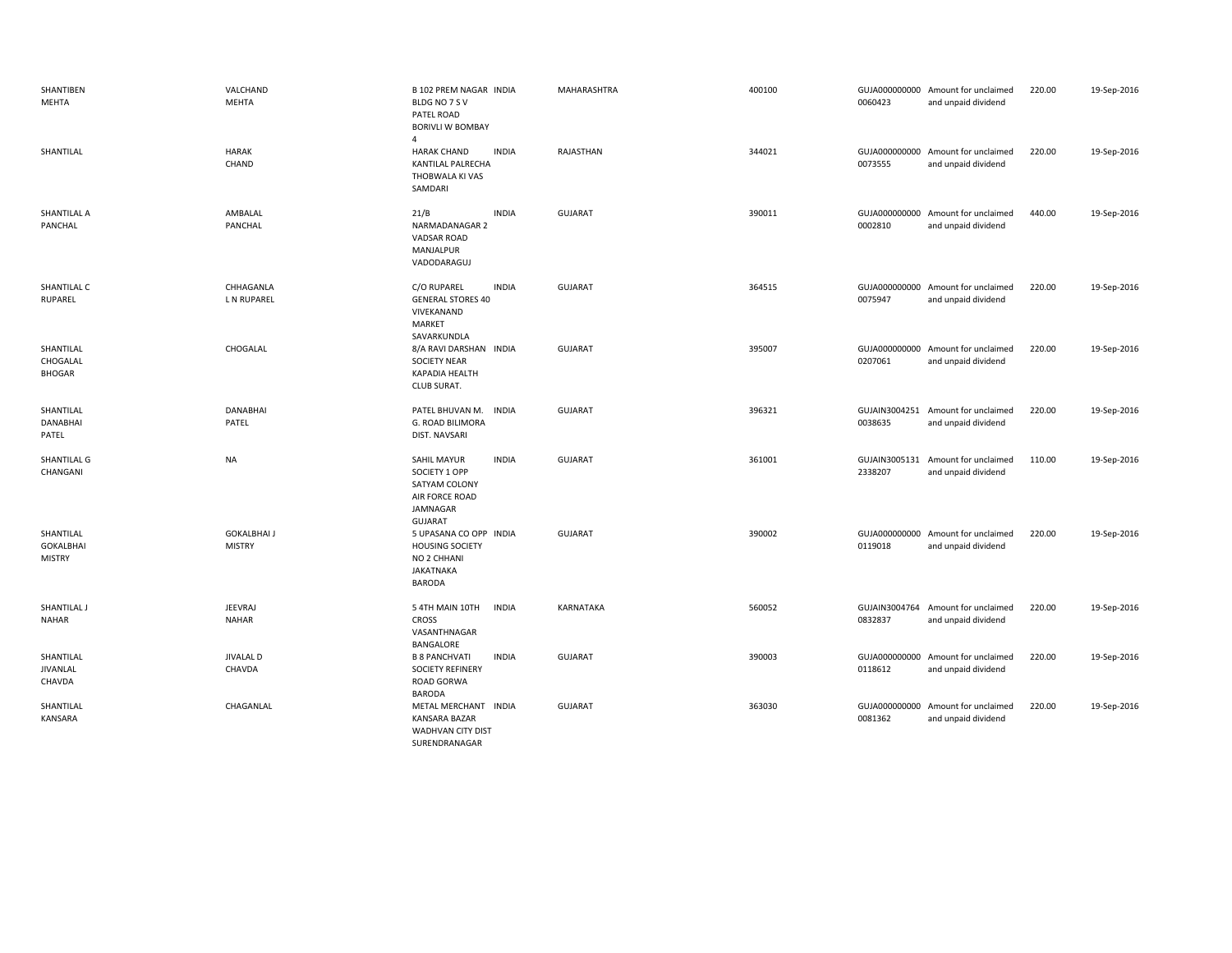| SHANTIBEN<br>MEHTA                             | VALCHAND<br>MEHTA                   | <b>B 102 PREM NAGAR INDIA</b><br>BLDG NO 7 S V<br>PATEL ROAD<br><b>BORIVLI W BOMBAY</b><br>4                         | MAHARASHTRA    | 400100 | 0060423                  | GUJA000000000 Amount for unclaimed<br>and unpaid dividend | 220.00 | 19-Sep-2016 |
|------------------------------------------------|-------------------------------------|----------------------------------------------------------------------------------------------------------------------|----------------|--------|--------------------------|-----------------------------------------------------------|--------|-------------|
| SHANTILAL                                      | <b>HARAK</b><br>CHAND               | <b>HARAK CHAND</b><br><b>INDIA</b><br>KANTILAL PALRECHA<br>THOBWALA KI VAS<br>SAMDARI                                | RAJASTHAN      | 344021 | GUJA000000000<br>0073555 | Amount for unclaimed<br>and unpaid dividend               | 220.00 | 19-Sep-2016 |
| SHANTILAL A<br>PANCHAL                         | AMBALAL<br>PANCHAL                  | 21/B<br><b>INDIA</b><br>NARMADANAGAR 2<br><b>VADSAR ROAD</b><br>MANJALPUR<br>VADODARAGUJ                             | <b>GUJARAT</b> | 390011 | 0002810                  | GUJA000000000 Amount for unclaimed<br>and unpaid dividend | 440.00 | 19-Sep-2016 |
| SHANTILAL C<br>RUPAREL                         | CHHAGANLA<br>L N RUPAREL            | C/O RUPAREL<br><b>INDIA</b><br><b>GENERAL STORES 40</b><br>VIVEKANAND<br>MARKET<br>SAVARKUNDLA                       | <b>GUJARAT</b> | 364515 | 0075947                  | GUJA000000000 Amount for unclaimed<br>and unpaid dividend | 220.00 | 19-Sep-2016 |
| SHANTILAL<br>CHOGALAL<br><b>BHOGAR</b>         | CHOGALAL                            | 8/A RAVI DARSHAN INDIA<br><b>SOCIETY NEAR</b><br><b>KAPADIA HEALTH</b><br><b>CLUB SURAT.</b>                         | <b>GUJARAT</b> | 395007 | GUJA000000000<br>0207061 | Amount for unclaimed<br>and unpaid dividend               | 220.00 | 19-Sep-2016 |
| SHANTILAL<br>DANABHAI<br>PATEL                 | <b>DANABHAI</b><br>PATEL            | PATEL BHUVAN M.<br><b>INDIA</b><br>G. ROAD BILIMORA<br>DIST. NAVSARI                                                 | <b>GUJARAT</b> | 396321 | 0038635                  | GUJAIN3004251 Amount for unclaimed<br>and unpaid dividend | 220.00 | 19-Sep-2016 |
| SHANTILAL G<br>CHANGANI                        | <b>NA</b>                           | <b>SAHIL MAYUR</b><br><b>INDIA</b><br>SOCIETY 1 OPP<br>SATYAM COLONY<br>AIR FORCE ROAD<br>JAMNAGAR<br><b>GUJARAT</b> | <b>GUJARAT</b> | 361001 | 2338207                  | GUJAIN3005131 Amount for unclaimed<br>and unpaid dividend | 110.00 | 19-Sep-2016 |
| SHANTILAL<br><b>GOKALBHAI</b><br><b>MISTRY</b> | <b>GOKALBHAI J</b><br><b>MISTRY</b> | 5 UPASANA CO OPP INDIA<br><b>HOUSING SOCIETY</b><br>NO 2 CHHANI<br><b>JAKATNAKA</b><br><b>BARODA</b>                 | <b>GUJARAT</b> | 390002 | 0119018                  | GUJA000000000 Amount for unclaimed<br>and unpaid dividend | 220.00 | 19-Sep-2016 |
| SHANTILAL J<br><b>NAHAR</b>                    | <b>JEEVRAJ</b><br><b>NAHAR</b>      | 5 4TH MAIN 10TH<br><b>INDIA</b><br><b>CROSS</b><br>VASANTHNAGAR<br>BANGALORE                                         | KARNATAKA      | 560052 | GUJAIN3004764<br>0832837 | Amount for unclaimed<br>and unpaid dividend               | 220.00 | 19-Sep-2016 |
| SHANTILAL<br>JIVANLAL<br>CHAVDA                | <b>JIVALAL D</b><br>CHAVDA          | <b>B 8 PANCHVATI</b><br><b>INDIA</b><br><b>SOCIETY REFINERY</b><br>ROAD GORWA<br><b>BARODA</b>                       | <b>GUJARAT</b> | 390003 | 0118612                  | GUJA000000000 Amount for unclaimed<br>and unpaid dividend | 220.00 | 19-Sep-2016 |
| SHANTILAL<br><b>KANSARA</b>                    | CHAGANLAL                           | METAL MERCHANT INDIA<br>KANSARA BAZAR<br><b>WADHVAN CITY DIST</b><br>SURENDRANAGAR                                   | <b>GUJARAT</b> | 363030 | 0081362                  | GUJA000000000 Amount for unclaimed<br>and unpaid dividend | 220.00 | 19-Sep-2016 |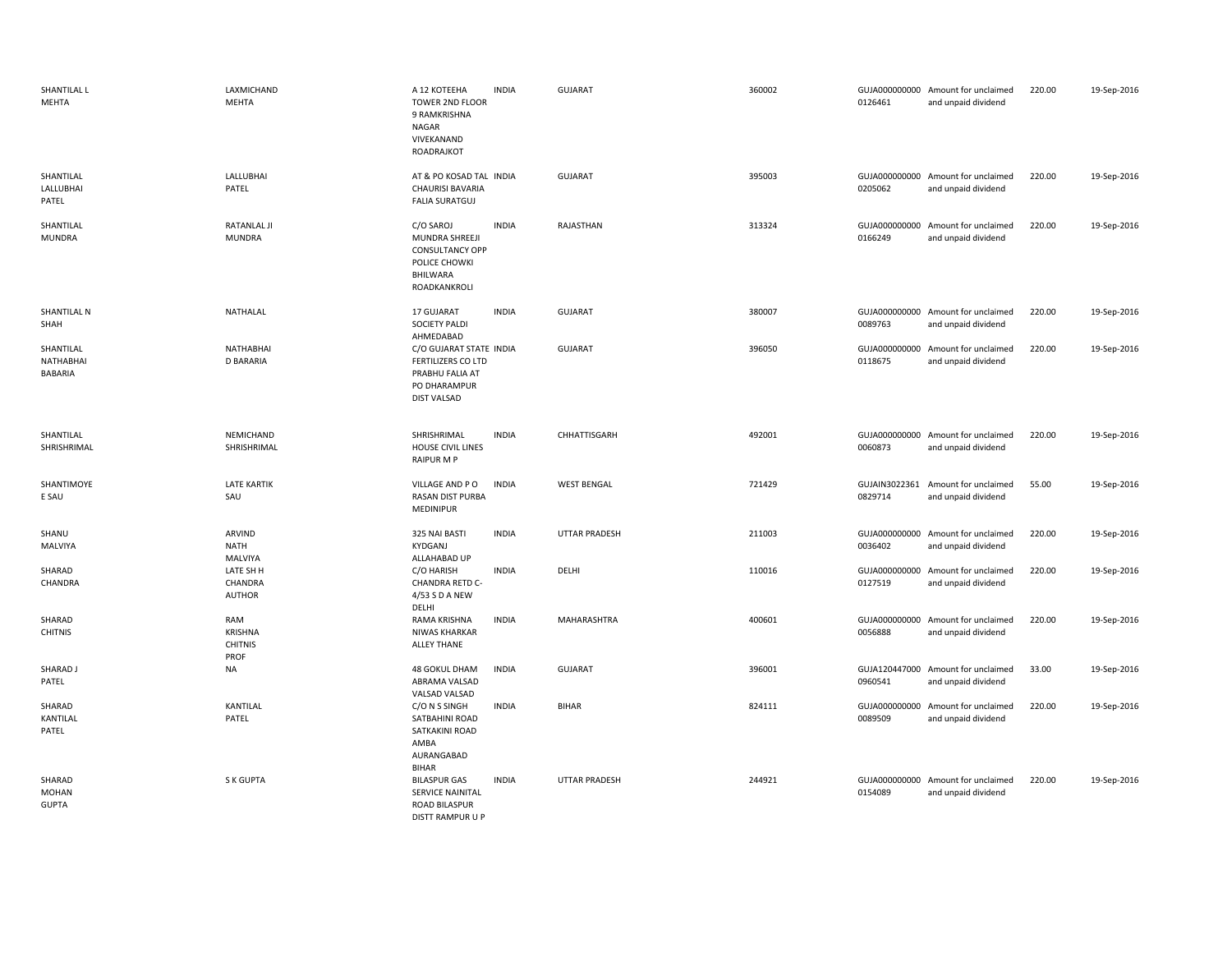| SHANTILAL L<br>MEHTA                     | LAXMICHAND<br><b>MEHTA</b>                      | A 12 KOTEEHA<br>TOWER 2ND FLOOR<br>9 RAMKRISHNA<br>NAGAR<br>VIVEKANAND<br>ROADRAJKOT                          | <b>INDIA</b> | GUJARAT              | 360002 | 0126461                  | GUJA000000000 Amount for unclaimed<br>and unpaid dividend | 220.00 | 19-Sep-2016 |
|------------------------------------------|-------------------------------------------------|---------------------------------------------------------------------------------------------------------------|--------------|----------------------|--------|--------------------------|-----------------------------------------------------------|--------|-------------|
| SHANTILAL<br>LALLUBHAI<br>PATEL          | LALLUBHAI<br>PATEL                              | AT & PO KOSAD TAL INDIA<br><b>CHAURISI BAVARIA</b><br><b>FALIA SURATGUJ</b>                                   |              | GUJARAT              | 395003 | 0205062                  | GUJA000000000 Amount for unclaimed<br>and unpaid dividend | 220.00 | 19-Sep-2016 |
| SHANTILAL<br><b>MUNDRA</b>               | <b>RATANLAL JI</b><br>MUNDRA                    | C/O SAROJ<br>MUNDRA SHREEJI<br><b>CONSULTANCY OPP</b><br>POLICE CHOWKI<br><b>BHILWARA</b><br>ROADKANKROLI     | <b>INDIA</b> | RAJASTHAN            | 313324 | 0166249                  | GUJA000000000 Amount for unclaimed<br>and unpaid dividend | 220.00 | 19-Sep-2016 |
| SHANTILAL N<br>SHAH                      | NATHALAL                                        | 17 GUJARAT<br><b>SOCIETY PALDI</b><br>AHMEDABAD                                                               | <b>INDIA</b> | <b>GUJARAT</b>       | 380007 | 0089763                  | GUJA000000000 Amount for unclaimed<br>and unpaid dividend | 220.00 | 19-Sep-2016 |
| SHANTILAL<br>NATHABHAI<br><b>BABARIA</b> | <b>NATHABHAI</b><br><b>D BARARIA</b>            | C/O GUJARAT STATE INDIA<br><b>FERTILIZERS CO LTD</b><br>PRABHU FALIA AT<br>PO DHARAMPUR<br><b>DIST VALSAD</b> |              | <b>GUJARAT</b>       | 396050 | 0118675                  | GUJA000000000 Amount for unclaimed<br>and unpaid dividend | 220.00 | 19-Sep-2016 |
| SHANTILAL<br>SHRISHRIMAL                 | NEMICHAND<br>SHRISHRIMAL                        | SHRISHRIMAL<br>HOUSE CIVIL LINES<br><b>RAIPUR M P</b>                                                         | <b>INDIA</b> | CHHATTISGARH         | 492001 | 0060873                  | GUJA000000000 Amount for unclaimed<br>and unpaid dividend | 220.00 | 19-Sep-2016 |
| SHANTIMOYE<br>E SAU                      | <b>LATE KARTIK</b><br>SAU                       | VILLAGE AND PO<br>RASAN DIST PURBA<br>MEDINIPUR                                                               | <b>INDIA</b> | <b>WEST BENGAL</b>   | 721429 | GUJAIN3022361<br>0829714 | Amount for unclaimed<br>and unpaid dividend               | 55.00  | 19-Sep-2016 |
| SHANU<br>MALVIYA                         | ARVIND<br>NATH<br>MALVIYA                       | 325 NAI BASTI<br>KYDGANJ<br>ALLAHABAD UP                                                                      | <b>INDIA</b> | <b>UTTAR PRADESH</b> | 211003 | 0036402                  | GUJA000000000 Amount for unclaimed<br>and unpaid dividend | 220.00 | 19-Sep-2016 |
| SHARAD<br>CHANDRA                        | LATE SH H<br>CHANDRA<br>AUTHOR                  | C/O HARISH<br>CHANDRA RETD C-<br>4/53 S D A NEW<br>DELHI                                                      | <b>INDIA</b> | DELHI                | 110016 | 0127519                  | GUJA000000000 Amount for unclaimed<br>and unpaid dividend | 220.00 | 19-Sep-2016 |
| SHARAD<br><b>CHITNIS</b>                 | RAM<br><b>KRISHNA</b><br><b>CHITNIS</b><br>PROF | RAMA KRISHNA<br>NIWAS KHARKAR<br><b>ALLEY THANE</b>                                                           | <b>INDIA</b> | MAHARASHTRA          | 400601 | 0056888                  | GUJA000000000 Amount for unclaimed<br>and unpaid dividend | 220.00 | 19-Sep-2016 |
| SHARAD J<br>PATEL                        | NA                                              | 48 GOKUL DHAM<br>ABRAMA VALSAD<br>VALSAD VALSAD                                                               | <b>INDIA</b> | GUJARAT              | 396001 | 0960541                  | GUJA120447000 Amount for unclaimed<br>and unpaid dividend | 33.00  | 19-Sep-2016 |
| SHARAD<br>KANTILAL<br>PATEL              | <b>KANTILAL</b><br>PATEL                        | C/O N S SINGH<br>SATBAHINI ROAD<br>SATKAKINI ROAD<br>AMBA<br>AURANGABAD<br><b>BIHAR</b>                       | <b>INDIA</b> | <b>BIHAR</b>         | 824111 | 0089509                  | GUJA000000000 Amount for unclaimed<br>and unpaid dividend | 220.00 | 19-Sep-2016 |
| SHARAD<br><b>MOHAN</b><br><b>GUPTA</b>   | S K GUPTA                                       | <b>BILASPUR GAS</b><br>SERVICE NAINITAL<br><b>ROAD BILASPUR</b><br><b>DISTT RAMPUR U P</b>                    | <b>INDIA</b> | <b>UTTAR PRADESH</b> | 244921 | 0154089                  | GUJA000000000 Amount for unclaimed<br>and unpaid dividend | 220.00 | 19-Sep-2016 |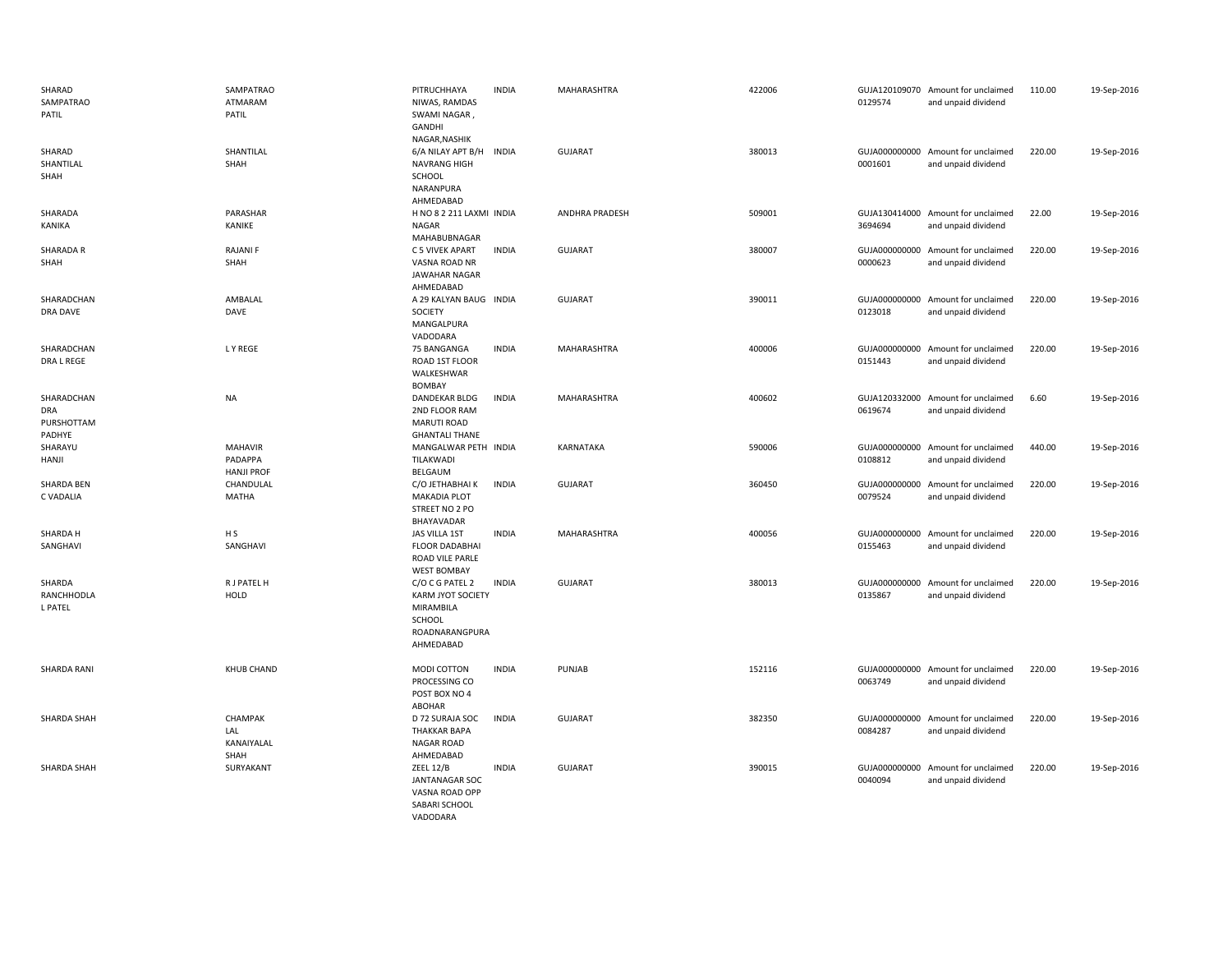| SHARAD<br>SAMPATRAO<br>PATIL                     | SAMPATRAO<br>ATMARAM<br>PATIL                  | PITRUCHHAYA<br>NIWAS, RAMDAS<br>SWAMI NAGAR,<br>GANDHI<br>NAGAR, NASHIK                                  | <b>INDIA</b> | MAHARASHTRA        | 422006 | 0129574 | GUJA120109070 Amount for unclaimed<br>and unpaid dividend | 110.00 | 19-Sep-2016 |
|--------------------------------------------------|------------------------------------------------|----------------------------------------------------------------------------------------------------------|--------------|--------------------|--------|---------|-----------------------------------------------------------|--------|-------------|
| SHARAD<br>SHANTILAL<br>SHAH                      | SHANTILAL<br>SHAH                              | 6/A NILAY APT B/H INDIA<br><b>NAVRANG HIGH</b><br>SCHOOL<br>NARANPURA<br>AHMEDABAD                       |              | <b>GUJARAT</b>     | 380013 | 0001601 | GUJA000000000 Amount for unclaimed<br>and unpaid dividend | 220.00 | 19-Sep-2016 |
| SHARADA<br>KANIKA                                | PARASHAR<br>KANIKE                             | H NO 8 2 211 LAXMI INDIA<br>NAGAR<br>MAHABUBNAGAR                                                        |              | ANDHRA PRADESH     | 509001 | 3694694 | GUJA130414000 Amount for unclaimed<br>and unpaid dividend | 22.00  | 19-Sep-2016 |
| SHARADA R<br>SHAH                                | <b>RAJANIF</b><br>SHAH                         | C 5 VIVEK APART<br>VASNA ROAD NR<br>JAWAHAR NAGAR<br>AHMEDABAD                                           | <b>INDIA</b> | GUJARAT            | 380007 | 0000623 | GUJA000000000 Amount for unclaimed<br>and unpaid dividend | 220.00 | 19-Sep-2016 |
| SHARADCHAN<br>DRA DAVE                           | AMBALAL<br>DAVE                                | A 29 KALYAN BAUG INDIA<br>SOCIETY<br>MANGALPURA<br>VADODARA                                              |              | <b>GUJARAT</b>     | 390011 | 0123018 | GUJA000000000 Amount for unclaimed<br>and unpaid dividend | 220.00 | 19-Sep-2016 |
| SHARADCHAN<br>DRA L REGE                         | L Y REGE                                       | 75 BANGANGA<br>ROAD 1ST FLOOR<br>WALKESHWAR<br><b>BOMBAY</b>                                             | <b>INDIA</b> | <b>MAHARASHTRA</b> | 400006 | 0151443 | GUJA000000000 Amount for unclaimed<br>and unpaid dividend | 220.00 | 19-Sep-2016 |
| SHARADCHAN<br><b>DRA</b><br>PURSHOTTAM<br>PADHYE | <b>NA</b>                                      | <b>DANDEKAR BLDG</b><br>2ND FLOOR RAM<br><b>MARUTI ROAD</b><br><b>GHANTALI THANE</b>                     | <b>INDIA</b> | MAHARASHTRA        | 400602 | 0619674 | GUJA120332000 Amount for unclaimed<br>and unpaid dividend | 6.60   | 19-Sep-2016 |
| SHARAYU<br>HANJI                                 | <b>MAHAVIR</b><br>PADAPPA<br><b>HANJI PROF</b> | MANGALWAR PETH INDIA<br>TILAKWADI<br>BELGAUM                                                             |              | KARNATAKA          | 590006 | 0108812 | GUJA000000000 Amount for unclaimed<br>and unpaid dividend | 440.00 | 19-Sep-2016 |
| <b>SHARDA BEN</b><br>C VADALIA                   | CHANDULAL<br>MATHA                             | C/O JETHABHAI K<br><b>MAKADIA PLOT</b><br>STREET NO 2 PO<br>BHAYAVADAR                                   | <b>INDIA</b> | <b>GUJARAT</b>     | 360450 | 0079524 | GUJA000000000 Amount for unclaimed<br>and unpaid dividend | 220.00 | 19-Sep-2016 |
| SHARDA H<br>SANGHAVI                             | H <sub>S</sub><br>SANGHAVI                     | JAS VILLA 1ST<br><b>FLOOR DADABHAI</b><br>ROAD VILE PARLE<br><b>WEST BOMBAY</b>                          | <b>INDIA</b> | MAHARASHTRA        | 400056 | 0155463 | GUJA000000000 Amount for unclaimed<br>and unpaid dividend | 220.00 | 19-Sep-2016 |
| SHARDA<br>RANCHHODLA<br>L PATEL                  | R J PATEL H<br>HOLD                            | C/O C G PATEL 2<br><b>KARM JYOT SOCIETY</b><br>MIRAMBILA<br><b>SCHOOL</b><br>ROADNARANGPURA<br>AHMEDABAD | <b>INDIA</b> | <b>GUJARAT</b>     | 380013 | 0135867 | GUJA000000000 Amount for unclaimed<br>and unpaid dividend | 220.00 | 19-Sep-2016 |
| SHARDA RANI                                      | <b>KHUB CHAND</b>                              | MODI COTTON<br>PROCESSING CO<br>POST BOX NO 4<br>ABOHAR                                                  | <b>INDIA</b> | PUNJAB             | 152116 | 0063749 | GUJA000000000 Amount for unclaimed<br>and unpaid dividend | 220.00 | 19-Sep-2016 |
| SHARDA SHAH                                      | CHAMPAK<br>LAL<br>KANAIYALAL<br>SHAH           | D 72 SURAJA SOC<br><b>THAKKAR BAPA</b><br><b>NAGAR ROAD</b><br>AHMEDABAD                                 | <b>INDIA</b> | <b>GUJARAT</b>     | 382350 | 0084287 | GUJA000000000 Amount for unclaimed<br>and unpaid dividend | 220.00 | 19-Sep-2016 |
| SHARDA SHAH                                      | SURYAKANT                                      | <b>ZEEL 12/B</b><br><b>JANTANAGAR SOC</b><br>VASNA ROAD OPP<br>SABARI SCHOOL                             | <b>INDIA</b> | <b>GUJARAT</b>     | 390015 | 0040094 | GUJA000000000 Amount for unclaimed<br>and unpaid dividend | 220.00 | 19-Sep-2016 |

VADODARA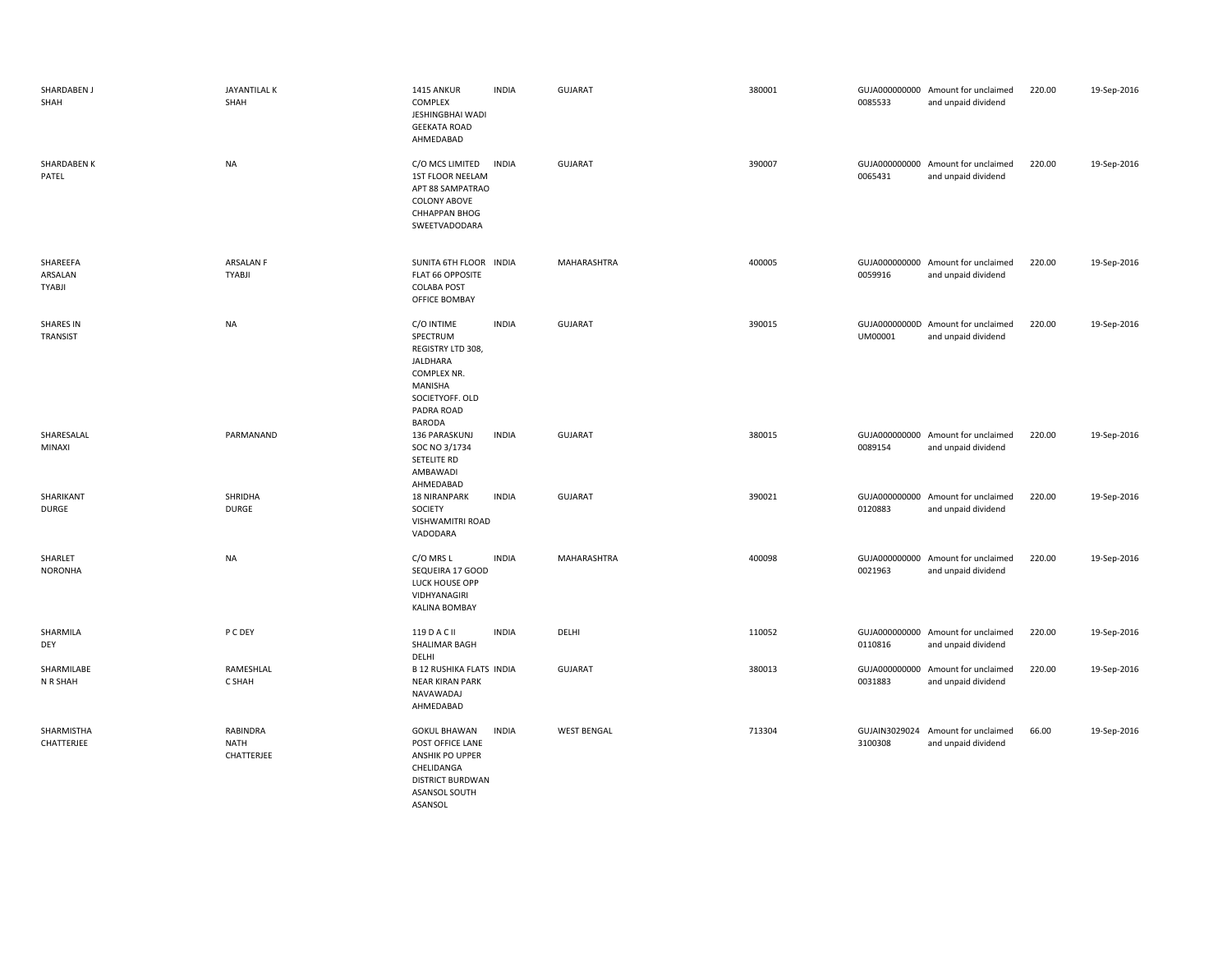| SHARDABEN J<br>SHAH                  | JAYANTILAL K<br>SHAH                  | 1415 ANKUR<br>COMPLEX<br>JESHINGBHAI WADI<br><b>GEEKATA ROAD</b><br>AHMEDABAD                                                       | <b>INDIA</b> | <b>GUJARAT</b>     | 380001 | 0085533 | GUJA000000000 Amount for unclaimed<br>and unpaid dividend | 220.00 | 19-Sep-2016 |
|--------------------------------------|---------------------------------------|-------------------------------------------------------------------------------------------------------------------------------------|--------------|--------------------|--------|---------|-----------------------------------------------------------|--------|-------------|
| <b>SHARDABEN K</b><br>PATEL          | <b>NA</b>                             | C/O MCS LIMITED<br>1ST FLOOR NEELAM<br>APT 88 SAMPATRAO<br><b>COLONY ABOVE</b><br><b>CHHAPPAN BHOG</b><br>SWEETVADODARA             | <b>INDIA</b> | <b>GUJARAT</b>     | 390007 | 0065431 | GUJA000000000 Amount for unclaimed<br>and unpaid dividend | 220.00 | 19-Sep-2016 |
| SHAREEFA<br>ARSALAN<br><b>TYABJI</b> | <b>ARSALAN F</b><br><b>TYABJI</b>     | SUNITA 6TH FLOOR INDIA<br>FLAT 66 OPPOSITE<br><b>COLABA POST</b><br>OFFICE BOMBAY                                                   |              | MAHARASHTRA        | 400005 | 0059916 | GUJA000000000 Amount for unclaimed<br>and unpaid dividend | 220.00 | 19-Sep-2016 |
| <b>SHARES IN</b><br>TRANSIST         | <b>NA</b>                             | C/O INTIME<br>SPECTRUM<br>REGISTRY LTD 308,<br>JALDHARA<br>COMPLEX NR.<br>MANISHA<br>SOCIETYOFF. OLD<br>PADRA ROAD<br><b>BARODA</b> | <b>INDIA</b> | <b>GUJARAT</b>     | 390015 | UM00001 | GUJA00000000D Amount for unclaimed<br>and unpaid dividend | 220.00 | 19-Sep-2016 |
| SHARESALAL<br>MINAXI                 | PARMANAND                             | 136 PARASKUNJ<br>SOC NO 3/1734<br>SETELITE RD<br>AMBAWADI<br>AHMEDABAD                                                              | <b>INDIA</b> | <b>GUJARAT</b>     | 380015 | 0089154 | GUJA000000000 Amount for unclaimed<br>and unpaid dividend | 220.00 | 19-Sep-2016 |
| SHARIKANT<br>DURGE                   | SHRIDHA<br><b>DURGE</b>               | <b>18 NIRANPARK</b><br>SOCIETY<br>VISHWAMITRI ROAD<br>VADODARA                                                                      | <b>INDIA</b> | <b>GUJARAT</b>     | 390021 | 0120883 | GUJA000000000 Amount for unclaimed<br>and unpaid dividend | 220.00 | 19-Sep-2016 |
| SHARLET<br><b>NORONHA</b>            | <b>NA</b>                             | C/O MRS L<br>SEQUEIRA 17 GOOD<br>LUCK HOUSE OPP<br>VIDHYANAGIRI<br><b>KALINA BOMBAY</b>                                             | <b>INDIA</b> | MAHARASHTRA        | 400098 | 0021963 | GUJA000000000 Amount for unclaimed<br>and unpaid dividend | 220.00 | 19-Sep-2016 |
| SHARMILA<br>DEY                      | P C DEY                               | 119 D A C II<br>SHALIMAR BAGH<br>DELHI                                                                                              | <b>INDIA</b> | DELHI              | 110052 | 0110816 | GUJA000000000 Amount for unclaimed<br>and unpaid dividend | 220.00 | 19-Sep-2016 |
| SHARMILABE<br>N R SHAH               | RAMESHLAL<br>C SHAH                   | <b>B 12 RUSHIKA FLATS INDIA</b><br><b>NEAR KIRAN PARK</b><br>NAVAWADAJ<br>AHMEDABAD                                                 |              | <b>GUJARAT</b>     | 380013 | 0031883 | GUJA000000000 Amount for unclaimed<br>and unpaid dividend | 220.00 | 19-Sep-2016 |
| SHARMISTHA<br>CHATTERJEE             | RABINDRA<br><b>NATH</b><br>CHATTERJEE | <b>GOKUL BHAWAN</b><br>POST OFFICE LANE<br>ANSHIK PO UPPER<br>CHELIDANGA<br><b>DISTRICT BURDWAN</b><br>ASANSOL SOUTH<br>ASANSOL     | <b>INDIA</b> | <b>WEST BENGAL</b> | 713304 | 3100308 | GUJAIN3029024 Amount for unclaimed<br>and unpaid dividend | 66.00  | 19-Sep-2016 |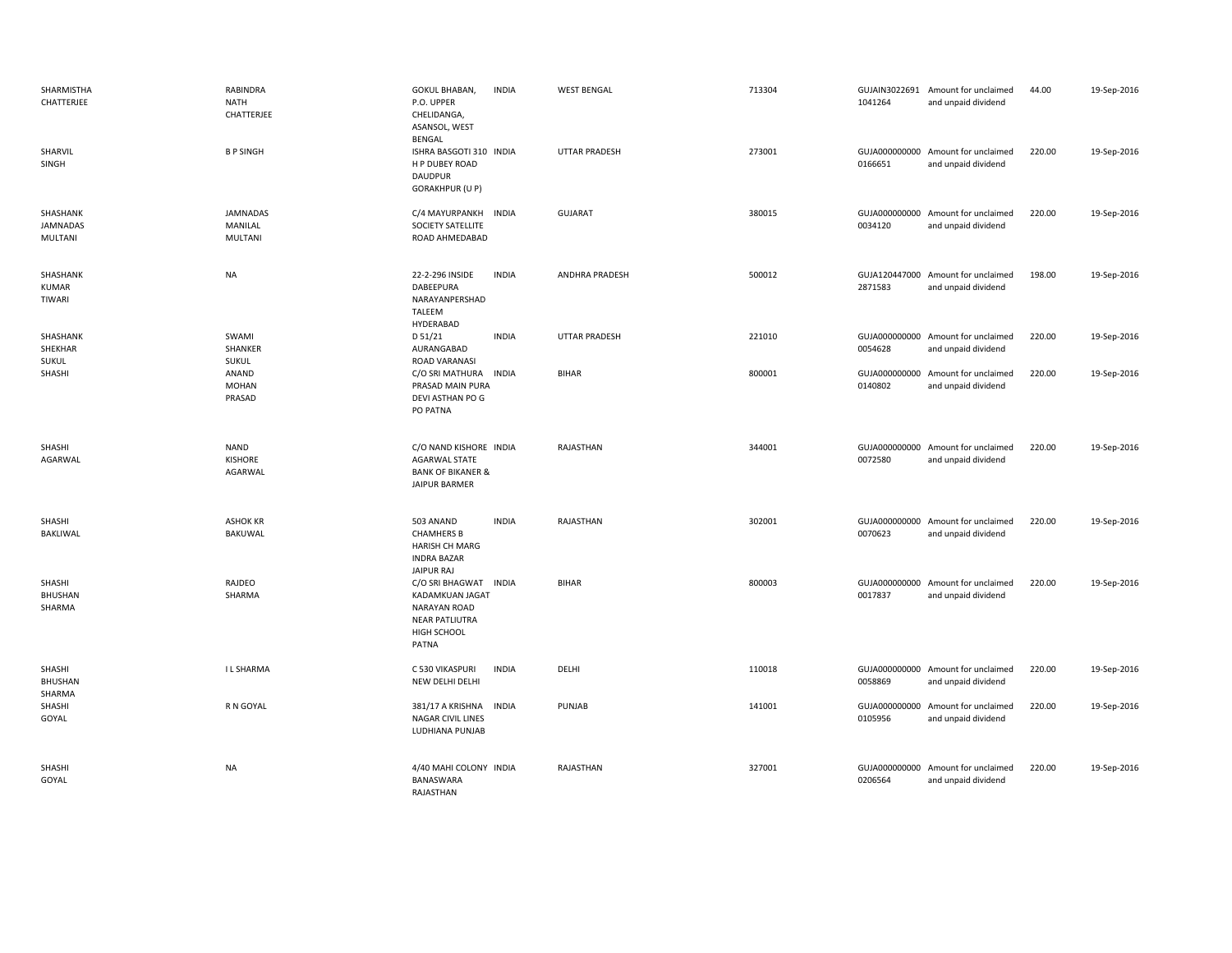| SHARMISTHA<br>CHATTERJEE            | RABINDRA<br>NATH<br>CHATTERJEE           | GOKUL BHABAN,<br><b>INDIA</b><br>P.O. UPPER<br>CHELIDANGA,<br>ASANSOL, WEST<br>BENGAL                                   | <b>WEST BENGAL</b>   | 713304 | 1041264                  | GUJAIN3022691 Amount for unclaimed<br>and unpaid dividend | 44.00  | 19-Sep-2016 |
|-------------------------------------|------------------------------------------|-------------------------------------------------------------------------------------------------------------------------|----------------------|--------|--------------------------|-----------------------------------------------------------|--------|-------------|
| SHARVIL<br>SINGH                    | <b>BPSINGH</b>                           | ISHRA BASGOTI 310 INDIA<br>H P DUBEY ROAD<br><b>DAUDPUR</b><br><b>GORAKHPUR (U P)</b>                                   | UTTAR PRADESH        | 273001 | 0166651                  | GUJA000000000 Amount for unclaimed<br>and unpaid dividend | 220.00 | 19-Sep-2016 |
| SHASHANK<br>JAMNADAS<br>MULTANI     | <b>JAMNADAS</b><br>MANILAL<br>MULTANI    | C/4 MAYURPANKH<br><b>INDIA</b><br>SOCIETY SATELLITE<br>ROAD AHMEDABAD                                                   | GUJARAT              | 380015 | GUJA000000000<br>0034120 | Amount for unclaimed<br>and unpaid dividend               | 220.00 | 19-Sep-2016 |
| SHASHANK<br><b>KUMAR</b><br>TIWARI  | <b>NA</b>                                | 22-2-296 INSIDE<br><b>INDIA</b><br>DABEEPURA<br>NARAYANPERSHAD<br>TALEEM<br>HYDERABAD                                   | ANDHRA PRADESH       | 500012 | 2871583                  | GUJA120447000 Amount for unclaimed<br>and unpaid dividend | 198.00 | 19-Sep-2016 |
| SHASHANK<br>SHEKHAR<br><b>SUKUL</b> | SWAMI<br>SHANKER<br><b>SUKUL</b>         | D 51/21<br><b>INDIA</b><br>AURANGABAD<br>ROAD VARANASI                                                                  | <b>UTTAR PRADESH</b> | 221010 | 0054628                  | GUJA000000000 Amount for unclaimed<br>and unpaid dividend | 220.00 | 19-Sep-2016 |
| SHASHI                              | ANAND<br><b>MOHAN</b><br>PRASAD          | C/O SRI MATHURA<br><b>INDIA</b><br>PRASAD MAIN PURA<br>DEVI ASTHAN PO G<br>PO PATNA                                     | <b>BIHAR</b>         | 800001 | 0140802                  | GUJA000000000 Amount for unclaimed<br>and unpaid dividend | 220.00 | 19-Sep-2016 |
| SHASHI<br>AGARWAL                   | <b>NAND</b><br><b>KISHORE</b><br>AGARWAL | C/O NAND KISHORE INDIA<br><b>AGARWAL STATE</b><br><b>BANK OF BIKANER &amp;</b><br>JAIPUR BARMER                         | RAJASTHAN            | 344001 | 0072580                  | GUJA000000000 Amount for unclaimed<br>and unpaid dividend | 220.00 | 19-Sep-2016 |
| SHASHI<br>BAKLIWAL                  | <b>ASHOK KR</b><br>BAKUWAL               | 503 ANAND<br><b>INDIA</b><br><b>CHAMHERS B</b><br>HARISH CH MARG<br><b>INDRA BAZAR</b><br>JAIPUR RAJ                    | RAJASTHAN            | 302001 | 0070623                  | GUJA000000000 Amount for unclaimed<br>and unpaid dividend | 220.00 | 19-Sep-2016 |
| SHASHI<br>BHUSHAN<br>SHARMA         | RAJDEO<br>SHARMA                         | C/O SRI BHAGWAT INDIA<br>KADAMKUAN JAGAT<br><b>NARAYAN ROAD</b><br><b>NEAR PATLIUTRA</b><br>HIGH SCHOOL<br><b>PATNA</b> | <b>BIHAR</b>         | 800003 | 0017837                  | GUJA000000000 Amount for unclaimed<br>and unpaid dividend | 220.00 | 19-Sep-2016 |
| SHASHI<br><b>BHUSHAN</b>            | <b>ILSHARMA</b>                          | <b>INDIA</b><br>C 530 VIKASPURI<br>NEW DELHI DELHI                                                                      | DELHI                | 110018 | 0058869                  | GUJA000000000 Amount for unclaimed<br>and unpaid dividend | 220.00 | 19-Sep-2016 |
| SHARMA<br>SHASHI<br>GOYAL           | R N GOYAL                                | 381/17 A KRISHNA<br><b>INDIA</b><br>NAGAR CIVIL LINES<br>LUDHIANA PUNJAB                                                | PUNJAB               | 141001 | 0105956                  | GUJA000000000 Amount for unclaimed<br>and unpaid dividend | 220.00 | 19-Sep-2016 |
| SHASHI<br>GOYAL                     | <b>NA</b>                                | 4/40 MAHI COLONY INDIA<br>BANASWARA<br>RAIASTHAN                                                                        | RAJASTHAN            | 327001 | 0206564                  | GUJA000000000 Amount for unclaimed<br>and unpaid dividend | 220.00 | 19-Sep-2016 |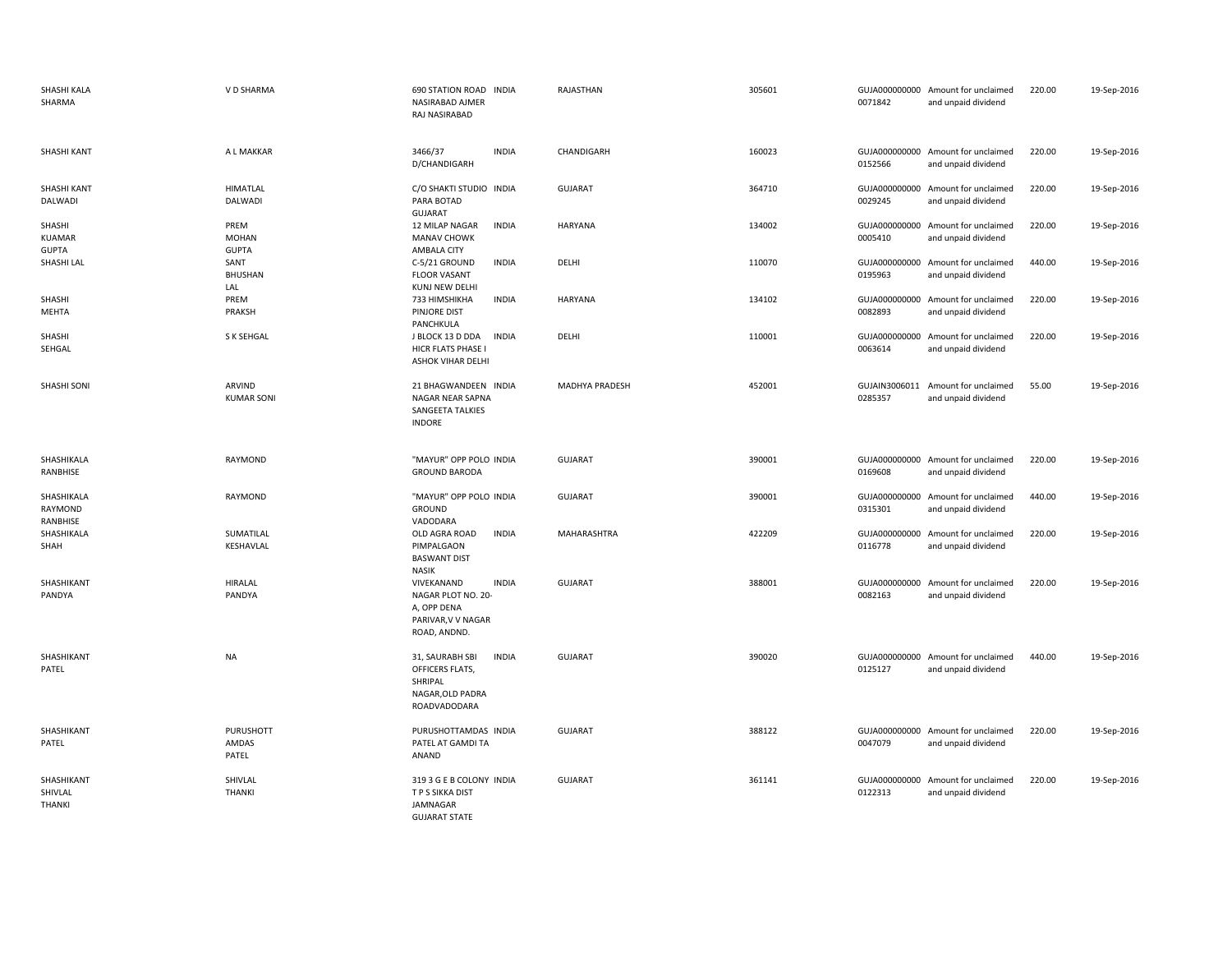| SHASHI KALA<br>SHARMA                   | V D SHARMA                           | 690 STATION ROAD INDIA<br>NASIRABAD AJMER<br>RAJ NASIRABAD                                            | RAJASTHAN          | 305601 | 0071842                  | GUJA000000000 Amount for unclaimed<br>and unpaid dividend | 220.00 | 19-Sep-2016 |
|-----------------------------------------|--------------------------------------|-------------------------------------------------------------------------------------------------------|--------------------|--------|--------------------------|-----------------------------------------------------------|--------|-------------|
| SHASHI KANT                             | A L MAKKAR                           | 3466/37<br><b>INDIA</b><br>D/CHANDIGARH                                                               | CHANDIGARH         | 160023 | 0152566                  | GUJA000000000 Amount for unclaimed<br>and unpaid dividend | 220.00 | 19-Sep-2016 |
| SHASHI KANT<br>DALWADI                  | <b>HIMATLAL</b><br>DALWADI           | C/O SHAKTI STUDIO INDIA<br>PARA BOTAD<br><b>GUJARAT</b>                                               | <b>GUJARAT</b>     | 364710 | 0029245                  | GUJA000000000 Amount for unclaimed<br>and unpaid dividend | 220.00 | 19-Sep-2016 |
| SHASHI<br><b>KUAMAR</b><br><b>GUPTA</b> | PREM<br><b>MOHAN</b><br><b>GUPTA</b> | <b>INDIA</b><br>12 MILAP NAGAR<br><b>MANAV CHOWK</b><br><b>AMBALA CITY</b>                            | HARYANA            | 134002 | 0005410                  | GUJA000000000 Amount for unclaimed<br>and unpaid dividend | 220.00 | 19-Sep-2016 |
| SHASHI LAL                              | SANT<br><b>BHUSHAN</b><br>LAL        | <b>INDIA</b><br>C-5/21 GROUND<br><b>FLOOR VASANT</b><br>KUNJ NEW DELHI                                | DELHI              | 110070 | 0195963                  | GUJA000000000 Amount for unclaimed<br>and unpaid dividend | 440.00 | 19-Sep-2016 |
| SHASHI<br>MEHTA                         | PREM<br>PRAKSH                       | 733 HIMSHIKHA<br><b>INDIA</b><br>PINJORE DIST<br>PANCHKULA                                            | <b>HARYANA</b>     | 134102 | GUJA000000000<br>0082893 | Amount for unclaimed<br>and unpaid dividend               | 220.00 | 19-Sep-2016 |
| SHASHI<br>SEHGAL                        | S K SEHGAL                           | J BLOCK 13 D DDA<br><b>INDIA</b><br>HICR FLATS PHASE I<br>ASHOK VIHAR DELHI                           | DELHI              | 110001 | 0063614                  | GUJA000000000 Amount for unclaimed<br>and unpaid dividend | 220.00 | 19-Sep-2016 |
| SHASHI SONI                             | ARVIND<br><b>KUMAR SONI</b>          | 21 BHAGWANDEEN INDIA<br>NAGAR NEAR SAPNA<br>SANGEETA TALKIES<br><b>INDORE</b>                         | MADHYA PRADESH     | 452001 | GUJAIN3006011<br>0285357 | Amount for unclaimed<br>and unpaid dividend               | 55.00  | 19-Sep-2016 |
| SHASHIKALA<br>RANBHISE                  | RAYMOND                              | "MAYUR" OPP POLO INDIA<br><b>GROUND BARODA</b>                                                        | <b>GUJARAT</b>     | 390001 | 0169608                  | GUJA000000000 Amount for unclaimed<br>and unpaid dividend | 220.00 | 19-Sep-2016 |
| SHASHIKALA<br>RAYMOND<br>RANBHISE       | RAYMOND                              | "MAYUR" OPP POLO INDIA<br>GROUND<br>VADODARA                                                          | <b>GUJARAT</b>     | 390001 | GUJA000000000<br>0315301 | Amount for unclaimed<br>and unpaid dividend               | 440.00 | 19-Sep-2016 |
| SHASHIKALA<br>SHAH                      | SUMATILAL<br>KESHAVLAL               | OLD AGRA ROAD<br><b>INDIA</b><br>PIMPALGAON<br><b>BASWANT DIST</b><br><b>NASIK</b>                    | <b>MAHARASHTRA</b> | 422209 | 0116778                  | GUJA000000000 Amount for unclaimed<br>and unpaid dividend | 220.00 | 19-Sep-2016 |
| SHASHIKANT<br>PANDYA                    | <b>HIRALAL</b><br>PANDYA             | <b>INDIA</b><br>VIVEKANAND<br>NAGAR PLOT NO. 20-<br>A, OPP DENA<br>PARIVAR, V V NAGAR<br>ROAD, ANDND. | <b>GUJARAT</b>     | 388001 | 0082163                  | GUJA000000000 Amount for unclaimed<br>and unpaid dividend | 220.00 | 19-Sep-2016 |
| SHASHIKANT<br>PATEL                     | <b>NA</b>                            | <b>INDIA</b><br>31, SAURABH SBI<br>OFFICERS FLATS,<br>SHRIPAL<br>NAGAR, OLD PADRA<br>ROADVADODARA     | <b>GUJARAT</b>     | 390020 | 0125127                  | GUJA000000000 Amount for unclaimed<br>and unpaid dividend | 440.00 | 19-Sep-2016 |
| SHASHIKANT<br>PATEL                     | PURUSHOTT<br>AMDAS<br>PATEL          | PURUSHOTTAMDAS INDIA<br>PATEL AT GAMDI TA<br>ANAND                                                    | <b>GUJARAT</b>     | 388122 | 0047079                  | GUJA000000000 Amount for unclaimed<br>and unpaid dividend | 220.00 | 19-Sep-2016 |
| SHASHIKANT<br>SHIVLAL<br><b>THANKI</b>  | SHIVLAL<br><b>THANKI</b>             | 319 3 G E B COLONY INDIA<br>T P S SIKKA DIST<br>JAMNAGAR<br><b>GUJARAT STATE</b>                      | <b>GUJARAT</b>     | 361141 | 0122313                  | GUJA000000000 Amount for unclaimed<br>and unpaid dividend | 220.00 | 19-Sep-2016 |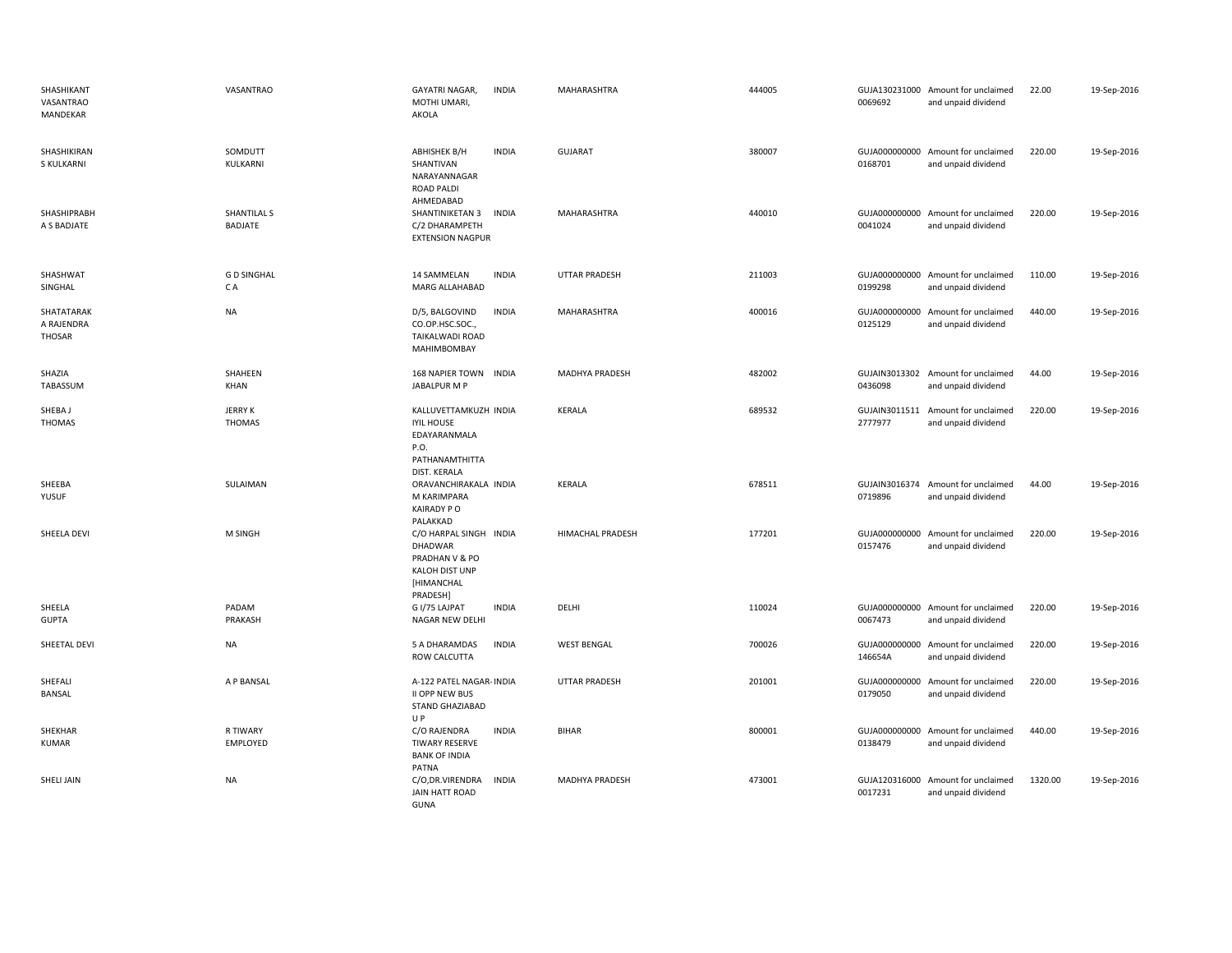| SHASHIKANT<br>VASANTRAO<br>MANDEKAR | VASANTRAO                       | GAYATRI NAGAR,<br><b>INDIA</b><br>MOTHI UMARI,<br>AKOLA                                              | MAHARASHTRA           | 444005 | 0069692                  | GUJA130231000 Amount for unclaimed<br>and unpaid dividend | 22.00   | 19-Sep-2016 |
|-------------------------------------|---------------------------------|------------------------------------------------------------------------------------------------------|-----------------------|--------|--------------------------|-----------------------------------------------------------|---------|-------------|
| SHASHIKIRAN<br><b>S KULKARNI</b>    | SOMDUTT<br>KULKARNI             | <b>INDIA</b><br>ABHISHEK B/H<br>SHANTIVAN<br>NARAYANNAGAR<br><b>ROAD PALDI</b><br>AHMEDABAD          | <b>GUJARAT</b>        | 380007 | 0168701                  | GUJA000000000 Amount for unclaimed<br>and unpaid dividend | 220.00  | 19-Sep-2016 |
| <b>SHASHIPRABH</b><br>A S BADJATE   | SHANTILAL S<br><b>BADJATE</b>   | SHANTINIKETAN 3<br><b>INDIA</b><br>C/2 DHARAMPETH<br><b>EXTENSION NAGPUR</b>                         | <b>MAHARASHTRA</b>    | 440010 | 0041024                  | GUJA000000000 Amount for unclaimed<br>and unpaid dividend | 220.00  | 19-Sep-2016 |
| SHASHWAT<br>SINGHAL                 | <b>GD SINGHAL</b><br>C A        | 14 SAMMELAN<br><b>INDIA</b><br>MARG ALLAHABAD                                                        | <b>UTTAR PRADESH</b>  | 211003 | 0199298                  | GUJA000000000 Amount for unclaimed<br>and unpaid dividend | 110.00  | 19-Sep-2016 |
| SHATATARAK<br>A RAJENDRA<br>THOSAR  | NA                              | <b>INDIA</b><br>D/5, BALGOVIND<br>CO.OP.HSC.SOC.,<br>TAIKALWADI ROAD<br>MAHIMBOMBAY                  | MAHARASHTRA           | 400016 | GUJA000000000<br>0125129 | Amount for unclaimed<br>and unpaid dividend               | 440.00  | 19-Sep-2016 |
| SHAZIA<br>TABASSUM                  | SHAHEEN<br>KHAN                 | 168 NAPIER TOWN INDIA<br>JABALPUR M P                                                                | <b>MADHYA PRADESH</b> | 482002 | 0436098                  | GUJAIN3013302 Amount for unclaimed<br>and unpaid dividend | 44.00   | 19-Sep-2016 |
| SHEBA J<br>THOMAS                   | <b>JERRY K</b><br><b>THOMAS</b> | KALLUVETTAMKUZH INDIA<br><b>IYIL HOUSE</b><br>EDAYARANMALA<br>P.O.<br>PATHANAMTHITTA<br>DIST. KERALA | KERALA                | 689532 | GUJAIN3011511<br>2777977 | Amount for unclaimed<br>and unpaid dividend               | 220.00  | 19-Sep-2016 |
| SHEEBA<br>YUSUF                     | SULAIMAN                        | ORAVANCHIRAKALA INDIA<br>M KARIMPARA<br><b>KAIRADY PO</b><br>PALAKKAD                                | KERALA                | 678511 | 0719896                  | GUJAIN3016374 Amount for unclaimed<br>and unpaid dividend | 44.00   | 19-Sep-2016 |
| SHEELA DEVI                         | M SINGH                         | C/O HARPAL SINGH INDIA<br>DHADWAR<br>PRADHAN V & PO<br>KALOH DIST UNP<br>[HIMANCHAL<br>PRADESH]      | HIMACHAL PRADESH      | 177201 | 0157476                  | GUJA000000000 Amount for unclaimed<br>and unpaid dividend | 220.00  | 19-Sep-2016 |
| SHEELA<br><b>GUPTA</b>              | PADAM<br>PRAKASH                | G I/75 LAJPAT<br><b>INDIA</b><br>NAGAR NEW DELHI                                                     | DELHI                 | 110024 | 0067473                  | GUJA000000000 Amount for unclaimed<br>and unpaid dividend | 220.00  | 19-Sep-2016 |
| SHEETAL DEVI                        | NA                              | 5 A DHARAMDAS<br><b>INDIA</b><br>ROW CALCUTTA                                                        | <b>WEST BENGAL</b>    | 700026 | GUJA000000000<br>146654A | Amount for unclaimed<br>and unpaid dividend               | 220.00  | 19-Sep-2016 |
| SHEFALI<br><b>BANSAL</b>            | A P BANSAL                      | A-122 PATEL NAGAR- INDIA<br>II OPP NEW BUS<br><b>STAND GHAZIABAD</b><br>U P                          | <b>UTTAR PRADESH</b>  | 201001 | 0179050                  | GUJA000000000 Amount for unclaimed<br>and unpaid dividend | 220.00  | 19-Sep-2016 |
| SHEKHAR<br><b>KUMAR</b>             | R TIWARY<br>EMPLOYED            | C/O RAJENDRA<br><b>INDIA</b><br><b>TIWARY RESERVE</b><br><b>BANK OF INDIA</b><br>PATNA               | <b>BIHAR</b>          | 800001 | 0138479                  | GUJA000000000 Amount for unclaimed<br>and unpaid dividend | 440.00  | 19-Sep-2016 |
| SHELI JAIN                          | <b>NA</b>                       | C/O, DR. VIRENDRA<br><b>INDIA</b><br>JAIN HATT ROAD<br>GUNA                                          | MADHYA PRADESH        | 473001 | 0017231                  | GUJA120316000 Amount for unclaimed<br>and unpaid dividend | 1320.00 | 19-Sep-2016 |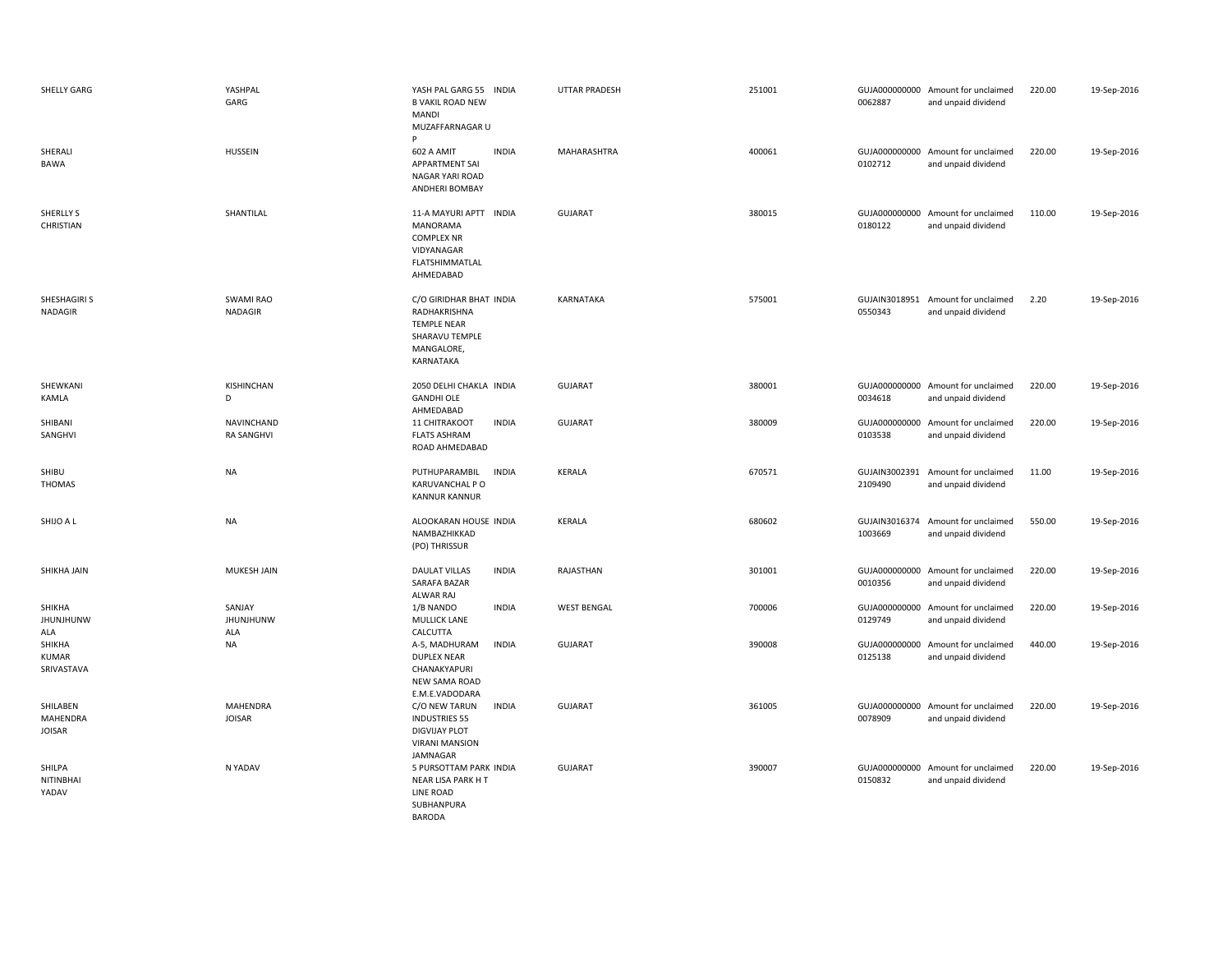| SHELLY GARG                           | YASHPAL<br>GARG                        | YASH PAL GARG 55 INDIA<br><b>B VAKIL ROAD NEW</b><br>MANDI<br>MUZAFFARNAGAR U<br>P                                 | <b>UTTAR PRADESH</b> | 251001 | 0062887                  | GUJA000000000 Amount for unclaimed<br>and unpaid dividend | 220.00 | 19-Sep-2016 |
|---------------------------------------|----------------------------------------|--------------------------------------------------------------------------------------------------------------------|----------------------|--------|--------------------------|-----------------------------------------------------------|--------|-------------|
| SHERALI<br><b>BAWA</b>                | <b>HUSSEIN</b>                         | 602 A AMIT<br><b>INDIA</b><br><b>APPARTMENT SAI</b><br>NAGAR YARI ROAD<br>ANDHERI BOMBAY                           | MAHARASHTRA          | 400061 | 0102712                  | GUJA000000000 Amount for unclaimed<br>and unpaid dividend | 220.00 | 19-Sep-2016 |
| SHERLLY S<br>CHRISTIAN                | SHANTILAL                              | 11-A MAYURI APTT INDIA<br>MANORAMA<br><b>COMPLEX NR</b><br>VIDYANAGAR<br>FLATSHIMMATLAL<br>AHMEDABAD               | <b>GUJARAT</b>       | 380015 | GUJA000000000<br>0180122 | Amount for unclaimed<br>and unpaid dividend               | 110.00 | 19-Sep-2016 |
| SHESHAGIRI S<br><b>NADAGIR</b>        | <b>SWAMI RAO</b><br>NADAGIR            | C/O GIRIDHAR BHAT INDIA<br>RADHAKRISHNA<br><b>TEMPLE NEAR</b><br>SHARAVU TEMPLE<br>MANGALORE,<br>KARNATAKA         | KARNATAKA            | 575001 | 0550343                  | GUJAIN3018951 Amount for unclaimed<br>and unpaid dividend | 2.20   | 19-Sep-2016 |
| SHEWKANI<br>KAMLA                     | KISHINCHAN<br>D                        | 2050 DELHI CHAKLA INDIA<br><b>GANDHI OLE</b><br>AHMEDABAD                                                          | <b>GUJARAT</b>       | 380001 | 0034618                  | GUJA000000000 Amount for unclaimed<br>and unpaid dividend | 220.00 | 19-Sep-2016 |
| SHIBANI<br>SANGHVI                    | <b>NAVINCHAND</b><br><b>RA SANGHVI</b> | <b>INDIA</b><br>11 CHITRAKOOT<br><b>FLATS ASHRAM</b><br>ROAD AHMEDABAD                                             | <b>GUJARAT</b>       | 380009 | GUJA000000000<br>0103538 | Amount for unclaimed<br>and unpaid dividend               | 220.00 | 19-Sep-2016 |
| SHIBU<br>THOMAS                       | <b>NA</b>                              | <b>INDIA</b><br>PUTHUPARAMBIL<br>KARUVANCHAL PO<br><b>KANNUR KANNUR</b>                                            | KERALA               | 670571 | GUJAIN3002391<br>2109490 | Amount for unclaimed<br>and unpaid dividend               | 11.00  | 19-Sep-2016 |
| SHIJO A L                             | <b>NA</b>                              | ALOOKARAN HOUSE INDIA<br>NAMBAZHIKKAD<br>(PO) THRISSUR                                                             | KERALA               | 680602 | 1003669                  | GUJAIN3016374 Amount for unclaimed<br>and unpaid dividend | 550.00 | 19-Sep-2016 |
| SHIKHA JAIN                           | <b>MUKESH JAIN</b>                     | <b>DAULAT VILLAS</b><br><b>INDIA</b><br>SARAFA BAZAR<br>ALWAR RAJ                                                  | RAJASTHAN            | 301001 | GUJA000000000<br>0010356 | Amount for unclaimed<br>and unpaid dividend               | 220.00 | 19-Sep-2016 |
| SHIKHA<br><b>JHUNJHUNW</b><br>ALA     | SANJAY<br><b>JHUNJHUNW</b><br>ALA      | 1/B NANDO<br><b>INDIA</b><br><b>MULLICK LANE</b><br>CALCUTTA                                                       | <b>WEST BENGAL</b>   | 700006 | GUJA000000000<br>0129749 | Amount for unclaimed<br>and unpaid dividend               | 220.00 | 19-Sep-2016 |
| SHIKHA<br><b>KUMAR</b><br>SRIVASTAVA  | <b>NA</b>                              | A-5, MADHURAM<br><b>INDIA</b><br><b>DUPLEX NEAR</b><br>CHANAKYAPURI<br>NEW SAMA ROAD<br>E.M.E.VADODARA             | <b>GUJARAT</b>       | 390008 | GUJA000000000<br>0125138 | Amount for unclaimed<br>and unpaid dividend               | 440.00 | 19-Sep-2016 |
| SHILABEN<br>MAHENDRA<br><b>JOISAR</b> | <b>MAHENDRA</b><br><b>JOISAR</b>       | C/O NEW TARUN<br><b>INDIA</b><br><b>INDUSTRIES 55</b><br><b>DIGVIJAY PLOT</b><br><b>VIRANI MANSION</b><br>JAMNAGAR | <b>GUJARAT</b>       | 361005 | GUJA000000000<br>0078909 | Amount for unclaimed<br>and unpaid dividend               | 220.00 | 19-Sep-2016 |
| SHILPA<br>NITINBHAI<br>YADAV          | N YADAV                                | 5 PURSOTTAM PARK INDIA<br>NEAR LISA PARK HT<br>LINE ROAD<br>SUBHANPURA                                             | <b>GUJARAT</b>       | 390007 | GUJA000000000<br>0150832 | Amount for unclaimed<br>and unpaid dividend               | 220.00 | 19-Sep-2016 |

BARODA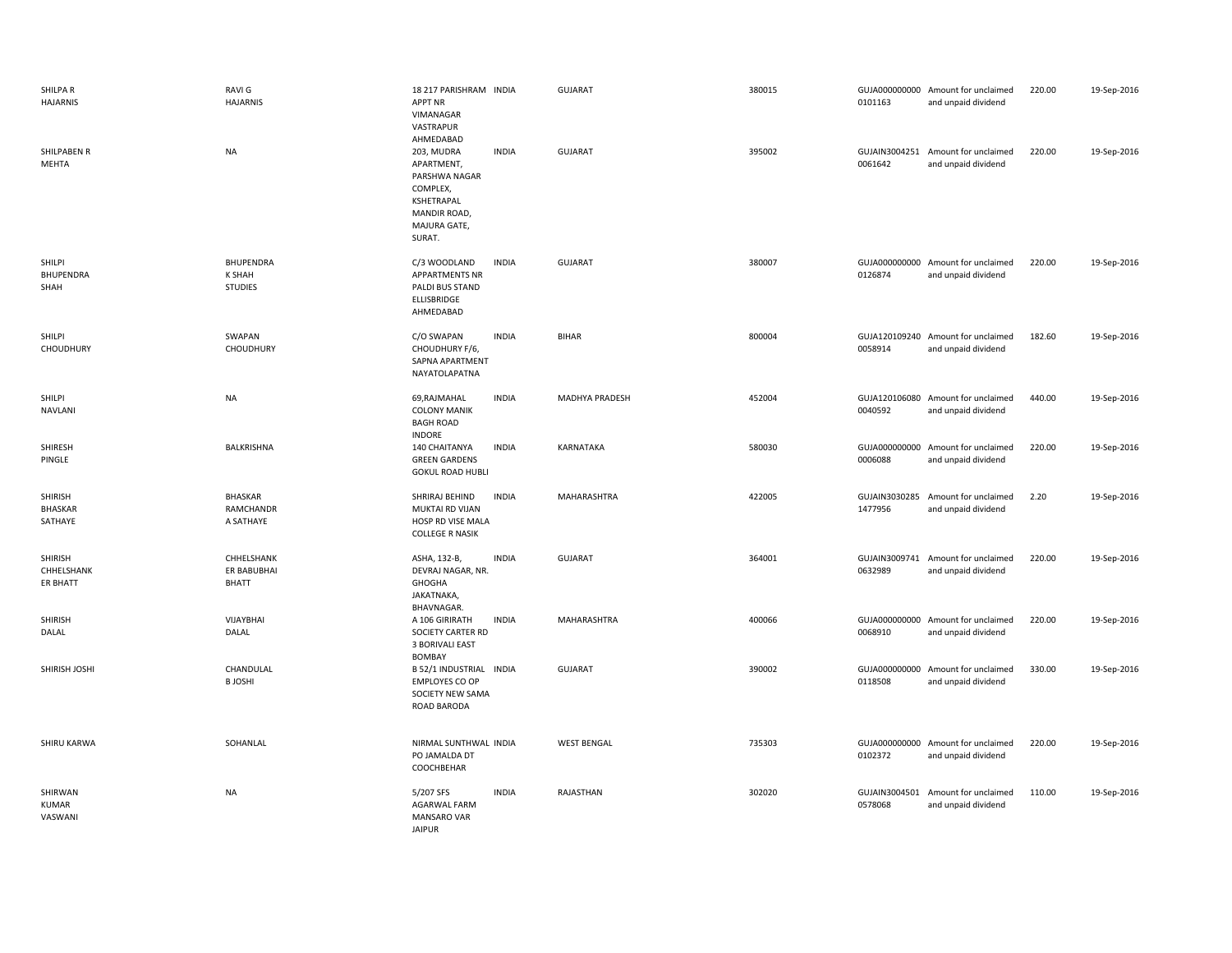| SHILPA R<br><b>HAJARNIS</b>          | RAVI G<br><b>HAJARNIS</b>                           | 18 217 PARISHRAM INDIA<br><b>APPT NR</b><br>VIMANAGAR<br>VASTRAPUR<br>AHMEDABAD                               |              | <b>GUJARAT</b>        | 380015 | 0101163                  | GUJA000000000 Amount for unclaimed<br>and unpaid dividend | 220.00 | 19-Sep-2016 |
|--------------------------------------|-----------------------------------------------------|---------------------------------------------------------------------------------------------------------------|--------------|-----------------------|--------|--------------------------|-----------------------------------------------------------|--------|-------------|
| SHILPABEN R<br>MEHTA                 | <b>NA</b>                                           | 203, MUDRA<br>APARTMENT,<br>PARSHWA NAGAR<br>COMPLEX,<br>KSHETRAPAL<br>MANDIR ROAD,<br>MAJURA GATE,<br>SURAT. | <b>INDIA</b> | GUJARAT               | 395002 | 0061642                  | GUJAIN3004251 Amount for unclaimed<br>and unpaid dividend | 220.00 | 19-Sep-2016 |
| SHILPI<br>BHUPENDRA<br>SHAH          | <b>BHUPENDRA</b><br><b>K SHAH</b><br><b>STUDIES</b> | C/3 WOODLAND<br><b>APPARTMENTS NR</b><br>PALDI BUS STAND<br>ELLISBRIDGE<br>AHMEDABAD                          | <b>INDIA</b> | <b>GUJARAT</b>        | 380007 | 0126874                  | GUJA000000000 Amount for unclaimed<br>and unpaid dividend | 220.00 | 19-Sep-2016 |
| <b>SHILPI</b><br>CHOUDHURY           | SWAPAN<br>CHOUDHURY                                 | C/O SWAPAN<br>CHOUDHURY F/6,<br>SAPNA APARTMENT<br>NAYATOLAPATNA                                              | <b>INDIA</b> | <b>BIHAR</b>          | 800004 | 0058914                  | GUJA120109240 Amount for unclaimed<br>and unpaid dividend | 182.60 | 19-Sep-2016 |
| SHILPI<br><b>NAVLANI</b>             | <b>NA</b>                                           | 69, RAJMAHAL<br><b>COLONY MANIK</b><br><b>BAGH ROAD</b><br><b>INDORE</b>                                      | <b>INDIA</b> | <b>MADHYA PRADESH</b> | 452004 | 0040592                  | GUJA120106080 Amount for unclaimed<br>and unpaid dividend | 440.00 | 19-Sep-2016 |
| SHIRESH<br>PINGLE                    | BALKRISHNA                                          | 140 CHAITANYA<br><b>GREEN GARDENS</b><br><b>GOKUL ROAD HUBLI</b>                                              | <b>INDIA</b> | KARNATAKA             | 580030 | 0006088                  | GUJA000000000 Amount for unclaimed<br>and unpaid dividend | 220.00 | 19-Sep-2016 |
| SHIRISH<br><b>BHASKAR</b><br>SATHAYE | <b>BHASKAR</b><br>RAMCHANDR<br>A SATHAYE            | SHRIRAJ BEHIND<br><b>MUKTAI RD VIJAN</b><br>HOSP RD VISE MALA<br><b>COLLEGE R NASIK</b>                       | <b>INDIA</b> | MAHARASHTRA           | 422005 | 1477956                  | GUJAIN3030285 Amount for unclaimed<br>and unpaid dividend | 2.20   | 19-Sep-2016 |
| SHIRISH<br>CHHELSHANK<br>ER BHATT    | CHHELSHANK<br>ER BABUBHAI<br><b>BHATT</b>           | ASHA, 132-B,<br>DEVRAJ NAGAR, NR.<br>GHOGHA<br>JAKATNAKA,<br>BHAVNAGAR.                                       | <b>INDIA</b> | <b>GUJARAT</b>        | 364001 | 0632989                  | GUJAIN3009741 Amount for unclaimed<br>and unpaid dividend | 220.00 | 19-Sep-2016 |
| <b>SHIRISH</b><br>DALAL              | VIJAYBHAI<br>DALAL                                  | A 106 GIRIRATH<br>SOCIETY CARTER RD<br><b>3 BORIVALI EAST</b><br>BOMBAY                                       | <b>INDIA</b> | MAHARASHTRA           | 400066 | GUJA000000000<br>0068910 | Amount for unclaimed<br>and unpaid dividend               | 220.00 | 19-Sep-2016 |
| SHIRISH JOSHI                        | CHANDULAL<br><b>BJOSHI</b>                          | B 52/1 INDUSTRIAL INDIA<br><b>EMPLOYES CO OP</b><br>SOCIETY NEW SAMA<br>ROAD BARODA                           |              | <b>GUJARAT</b>        | 390002 | 0118508                  | GUJA000000000 Amount for unclaimed<br>and unpaid dividend | 330.00 | 19-Sep-2016 |
| SHIRU KARWA                          | SOHANLAL                                            | NIRMAL SUNTHWAL INDIA<br>PO JAMALDA DT<br>COOCHBEHAR                                                          |              | <b>WEST BENGAL</b>    | 735303 | GUJA000000000<br>0102372 | Amount for unclaimed<br>and unpaid dividend               | 220.00 | 19-Sep-2016 |
| SHIRWAN<br>KUMAR<br>VASWANI          | <b>NA</b>                                           | 5/207 SFS<br>AGARWAL FARM<br>MANSARO VAR<br><b>JAIPUR</b>                                                     | <b>INDIA</b> | RAJASTHAN             | 302020 | 0578068                  | GUJAIN3004501 Amount for unclaimed<br>and unpaid dividend | 110.00 | 19-Sep-2016 |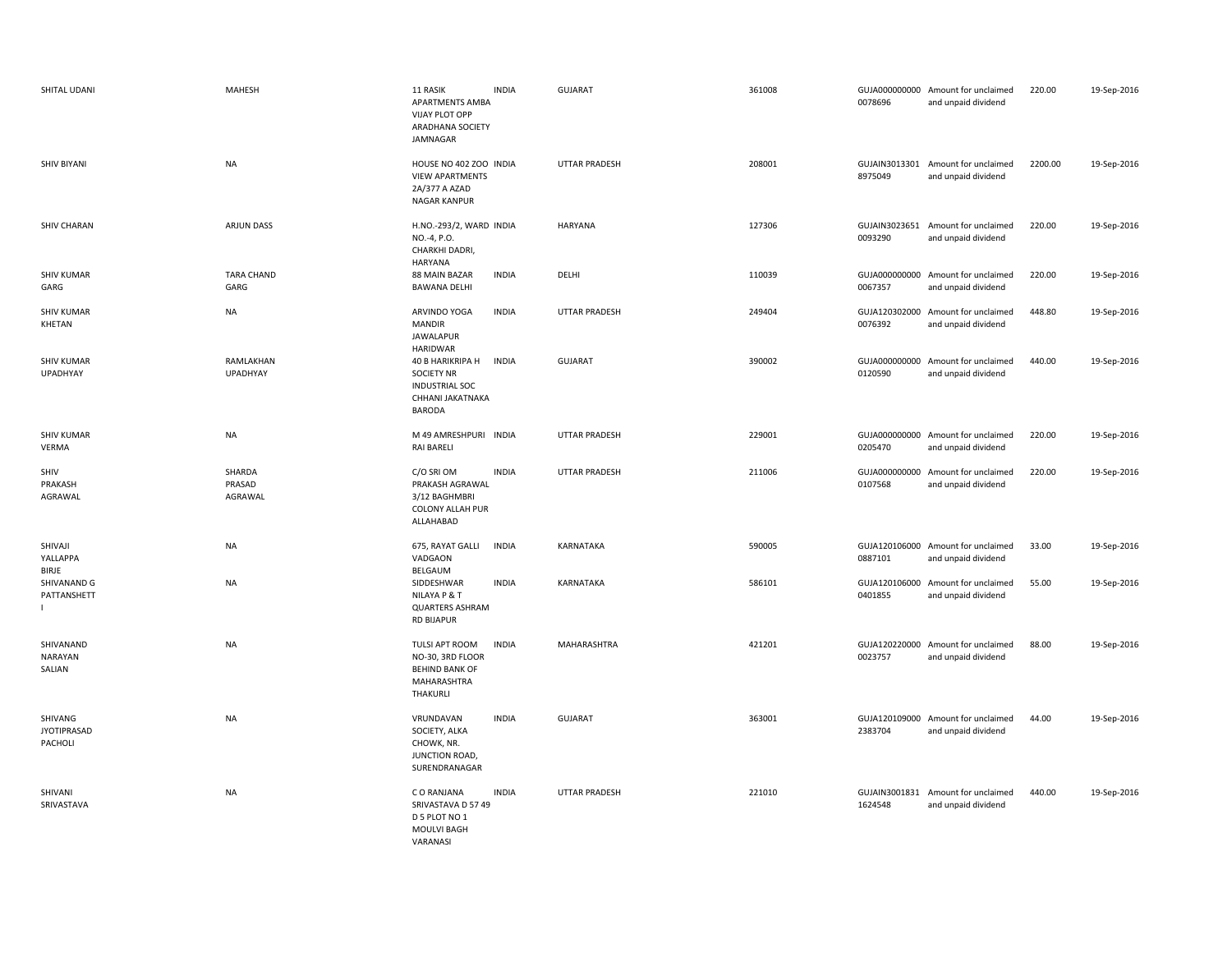| SHITAL UDANI                             | <b>MAHESH</b>               | 11 RASIK<br><b>APARTMENTS AMBA</b><br>VIJAY PLOT OPP<br>ARADHANA SOCIETY<br>JAMNAGAR                | <b>INDIA</b> | <b>GUJARAT</b>       | 361008 | 0078696                  | GUJA000000000 Amount for unclaimed<br>and unpaid dividend | 220.00  | 19-Sep-2016 |
|------------------------------------------|-----------------------------|-----------------------------------------------------------------------------------------------------|--------------|----------------------|--------|--------------------------|-----------------------------------------------------------|---------|-------------|
| SHIV BIYANI                              | <b>NA</b>                   | HOUSE NO 402 ZOO INDIA<br><b>VIEW APARTMENTS</b><br>2A/377 A AZAD<br><b>NAGAR KANPUR</b>            |              | <b>UTTAR PRADESH</b> | 208001 | 8975049                  | GUJAIN3013301 Amount for unclaimed<br>and unpaid dividend | 2200.00 | 19-Sep-2016 |
| <b>SHIV CHARAN</b>                       | <b>ARJUN DASS</b>           | H.NO.-293/2, WARD INDIA<br>NO.-4, P.O.<br>CHARKHI DADRI,<br>HARYANA                                 |              | HARYANA              | 127306 | 0093290                  | GUJAIN3023651 Amount for unclaimed<br>and unpaid dividend | 220.00  | 19-Sep-2016 |
| <b>SHIV KUMAR</b><br>GARG                | TARA CHAND<br>GARG          | 88 MAIN BAZAR<br><b>BAWANA DELHI</b>                                                                | <b>INDIA</b> | DELHI                | 110039 | 0067357                  | GUJA000000000 Amount for unclaimed<br>and unpaid dividend | 220.00  | 19-Sep-2016 |
| <b>SHIV KUMAR</b><br>KHETAN              | <b>NA</b>                   | ARVINDO YOGA<br><b>MANDIR</b><br><b>JAWALAPUR</b><br><b>HARIDWAR</b>                                | <b>INDIA</b> | <b>UTTAR PRADESH</b> | 249404 | 0076392                  | GUJA120302000 Amount for unclaimed<br>and unpaid dividend | 448.80  | 19-Sep-2016 |
| <b>SHIV KUMAR</b><br><b>UPADHYAY</b>     | RAMLAKHAN<br>UPADHYAY       | 40 B HARIKRIPA H<br><b>SOCIETY NR</b><br><b>INDUSTRIAL SOC</b><br>CHHANI JAKATNAKA<br><b>BARODA</b> | <b>INDIA</b> | <b>GUJARAT</b>       | 390002 | 0120590                  | GUJA000000000 Amount for unclaimed<br>and unpaid dividend | 440.00  | 19-Sep-2016 |
| <b>SHIV KUMAR</b><br><b>VERMA</b>        | <b>NA</b>                   | M 49 AMRESHPURI INDIA<br><b>RAI BARELI</b>                                                          |              | <b>UTTAR PRADESH</b> | 229001 | 0205470                  | GUJA000000000 Amount for unclaimed<br>and unpaid dividend | 220.00  | 19-Sep-2016 |
| SHIV<br>PRAKASH<br>AGRAWAL               | SHARDA<br>PRASAD<br>AGRAWAL | C/O SRI OM<br>PRAKASH AGRAWAL<br>3/12 BAGHMBRI<br><b>COLONY ALLAH PUR</b><br>ALLAHABAD              | <b>INDIA</b> | UTTAR PRADESH        | 211006 | 0107568                  | GUJA000000000 Amount for unclaimed<br>and unpaid dividend | 220.00  | 19-Sep-2016 |
| SHIVAJI<br>YALLAPPA<br>BIRJE             | <b>NA</b>                   | 675, RAYAT GALLI<br>VADGAON<br>BELGAUM                                                              | <b>INDIA</b> | KARNATAKA            | 590005 | 0887101                  | GUJA120106000 Amount for unclaimed<br>and unpaid dividend | 33.00   | 19-Sep-2016 |
| SHIVANAND G<br>PATTANSHETT               | <b>NA</b>                   | SIDDESHWAR<br>NILAYA P & T<br><b>QUARTERS ASHRAM</b><br><b>RD BIJAPUR</b>                           | <b>INDIA</b> | KARNATAKA            | 586101 | 0401855                  | GUJA120106000 Amount for unclaimed<br>and unpaid dividend | 55.00   | 19-Sep-2016 |
| SHIVANAND<br>NARAYAN<br>SALIAN           | <b>NA</b>                   | TULSI APT ROOM<br>NO-30, 3RD FLOOR<br><b>BEHIND BANK OF</b><br>MAHARASHTRA<br>THAKURLI              | <b>INDIA</b> | MAHARASHTRA          | 421201 | 0023757                  | GUJA120220000 Amount for unclaimed<br>and unpaid dividend | 88.00   | 19-Sep-2016 |
| SHIVANG<br><b>JYOTIPRASAD</b><br>PACHOLI | <b>NA</b>                   | VRUNDAVAN<br>SOCIETY, ALKA<br>CHOWK, NR.<br>JUNCTION ROAD,<br>SURENDRANAGAR                         | <b>INDIA</b> | <b>GUJARAT</b>       | 363001 | 2383704                  | GUJA120109000 Amount for unclaimed<br>and unpaid dividend | 44.00   | 19-Sep-2016 |
| SHIVANI<br>SRIVASTAVA                    | <b>NA</b>                   | C O RANJANA<br>SRIVASTAVA D 57 49<br>D 5 PLOT NO 1<br>MOULVI BAGH<br>VARANASI                       | <b>INDIA</b> | <b>UTTAR PRADESH</b> | 221010 | GUJAIN3001831<br>1624548 | Amount for unclaimed<br>and unpaid dividend               | 440.00  | 19-Sep-2016 |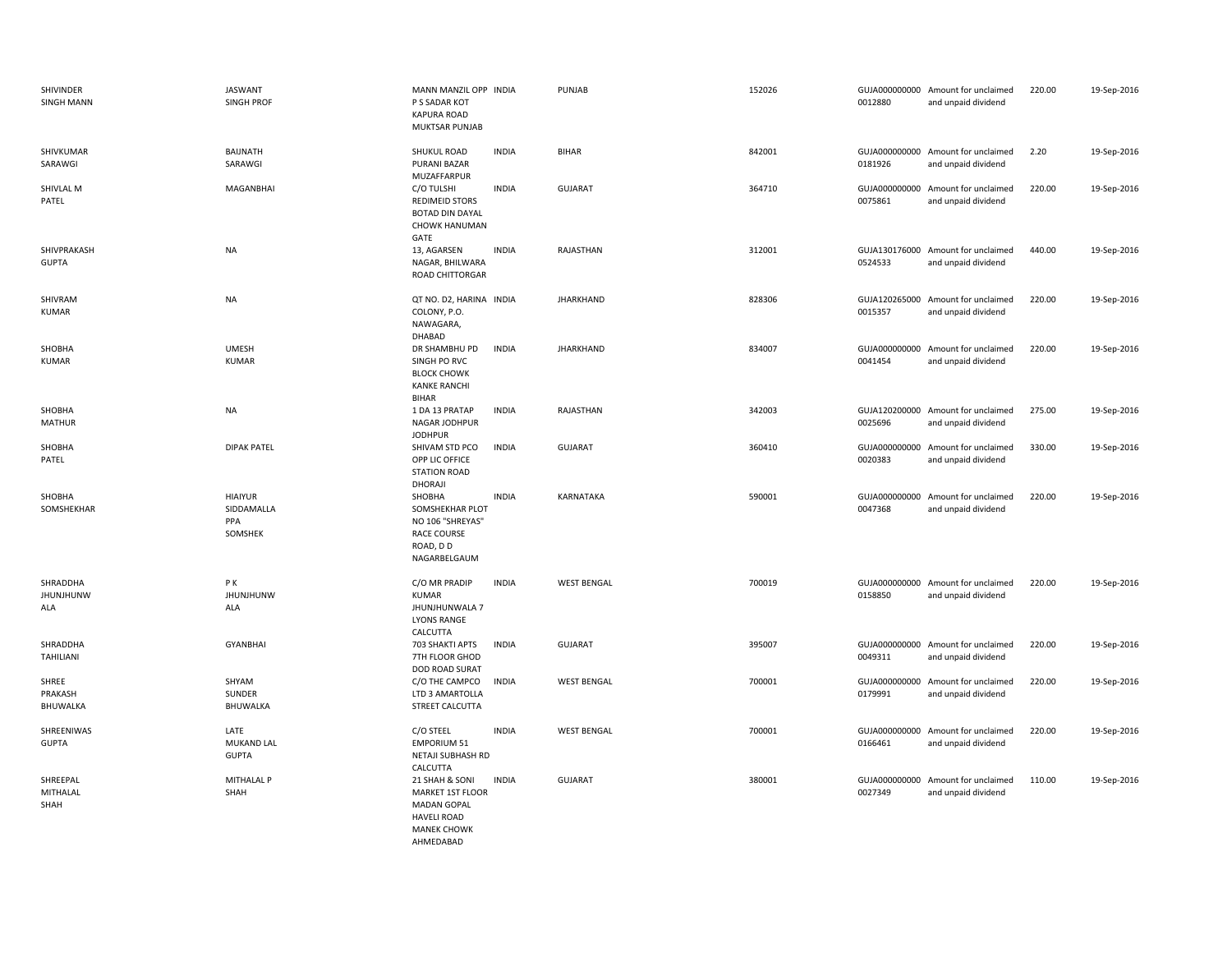| SHIVINDER<br><b>SINGH MANN</b>      | <b>JASWANT</b><br><b>SINGH PROF</b>            | MANN MANZIL OPP INDIA<br>P S SADAR KOT<br><b>KAPURA ROAD</b><br>MUKTSAR PUNJAB                             |              | PUNJAB             | 152026 | 0012880 | GUJA000000000 Amount for unclaimed<br>and unpaid dividend | 220.00 | 19-Sep-2016 |
|-------------------------------------|------------------------------------------------|------------------------------------------------------------------------------------------------------------|--------------|--------------------|--------|---------|-----------------------------------------------------------|--------|-------------|
| SHIVKUMAR<br>SARAWGI                | BAIJNATH<br>SARAWGI                            | SHUKUL ROAD<br><b>PURANI BAZAR</b><br>MUZAFFARPUR                                                          | <b>INDIA</b> | <b>BIHAR</b>       | 842001 | 0181926 | GUJA000000000 Amount for unclaimed<br>and unpaid dividend | 2.20   | 19-Sep-2016 |
| SHIVLAL M<br>PATEL                  | MAGANBHAI                                      | C/O TULSHI<br><b>REDIMEID STORS</b><br><b>BOTAD DIN DAYAL</b><br><b>CHOWK HANUMAN</b><br>GATE              | <b>INDIA</b> | <b>GUJARAT</b>     | 364710 | 0075861 | GUJA000000000 Amount for unclaimed<br>and unpaid dividend | 220.00 | 19-Sep-2016 |
| SHIVPRAKASH<br><b>GUPTA</b>         | NA                                             | 13, AGARSEN<br>NAGAR, BHILWARA<br>ROAD CHITTORGAR                                                          | <b>INDIA</b> | RAJASTHAN          | 312001 | 0524533 | GUJA130176000 Amount for unclaimed<br>and unpaid dividend | 440.00 | 19-Sep-2016 |
| SHIVRAM<br><b>KUMAR</b>             | NA                                             | QT NO. D2, HARINA INDIA<br>COLONY, P.O.<br>NAWAGARA,<br>DHABAD                                             |              | <b>JHARKHAND</b>   | 828306 | 0015357 | GUJA120265000 Amount for unclaimed<br>and unpaid dividend | 220.00 | 19-Sep-2016 |
| SHOBHA<br><b>KUMAR</b>              | <b>UMESH</b><br><b>KUMAR</b>                   | DR SHAMBHU PD<br>SINGH PO RVC<br><b>BLOCK CHOWK</b><br><b>KANKE RANCHI</b><br><b>BIHAR</b>                 | <b>INDIA</b> | <b>JHARKHAND</b>   | 834007 | 0041454 | GUJA000000000 Amount for unclaimed<br>and unpaid dividend | 220.00 | 19-Sep-2016 |
| SHOBHA<br><b>MATHUR</b>             | <b>NA</b>                                      | 1 DA 13 PRATAP<br>NAGAR JODHPUR<br><b>JODHPUR</b>                                                          | <b>INDIA</b> | RAJASTHAN          | 342003 | 0025696 | GUJA120200000 Amount for unclaimed<br>and unpaid dividend | 275.00 | 19-Sep-2016 |
| SHOBHA<br>PATEL                     | <b>DIPAK PATEL</b>                             | SHIVAM STD PCO<br>OPP LIC OFFICE<br><b>STATION ROAD</b><br>DHORAJI                                         | <b>INDIA</b> | <b>GUJARAT</b>     | 360410 | 0020383 | GUJA000000000 Amount for unclaimed<br>and unpaid dividend | 330.00 | 19-Sep-2016 |
| SHOBHA<br>SOMSHEKHAR                | <b>HIAIYUR</b><br>SIDDAMALLA<br>PPA<br>SOMSHEK | SHOBHA<br>SOMSHEKHAR PLOT<br>NO 106 "SHREYAS"<br>RACE COURSE<br>ROAD, DD<br>NAGARBELGAUM                   | <b>INDIA</b> | KARNATAKA          | 590001 | 0047368 | GUJA000000000 Amount for unclaimed<br>and unpaid dividend | 220.00 | 19-Sep-2016 |
| SHRADDHA<br><b>JHUNJHUNW</b><br>ALA | PК<br><b>JHUNJHUNW</b><br>ALA                  | C/O MR PRADIP<br><b>KUMAR</b><br>JHUNJHUNWALA 7<br><b>LYONS RANGE</b><br>CALCUTTA                          | <b>INDIA</b> | <b>WEST BENGAL</b> | 700019 | 0158850 | GUJA000000000 Amount for unclaimed<br>and unpaid dividend | 220.00 | 19-Sep-2016 |
| SHRADDHA<br>TAHILIANI               | <b>GYANBHAI</b>                                | 703 SHAKTI APTS<br>7TH FLOOR GHOD<br>DOD ROAD SURAT                                                        | <b>INDIA</b> | <b>GUJARAT</b>     | 395007 | 0049311 | GUJA000000000 Amount for unclaimed<br>and unpaid dividend | 220.00 | 19-Sep-2016 |
| SHREE<br>PRAKASH<br>BHUWALKA        | SHYAM<br>SUNDER<br>BHUWALKA                    | C/O THE CAMPCO<br>LTD 3 AMARTOLLA<br>STREET CALCUTTA                                                       | <b>INDIA</b> | <b>WEST BENGAL</b> | 700001 | 0179991 | GUJA000000000 Amount for unclaimed<br>and unpaid dividend | 220.00 | 19-Sep-2016 |
| SHREENIWAS<br><b>GUPTA</b>          | LATE<br><b>MUKAND LAL</b><br><b>GUPTA</b>      | C/O STEEL<br><b>EMPORIUM 51</b><br>NETAJI SUBHASH RD<br>CALCUTTA                                           | <b>INDIA</b> | <b>WEST BENGAL</b> | 700001 | 0166461 | GUJA000000000 Amount for unclaimed<br>and unpaid dividend | 220.00 | 19-Sep-2016 |
| SHREEPAL<br>MITHALAL<br>SHAH        | MITHALAL P<br>SHAH                             | 21 SHAH & SONI<br>MARKET 1ST FLOOR<br>MADAN GOPAL<br><b>HAVELI ROAD</b><br><b>MANEK CHOWK</b><br>AHMEDABAD | <b>INDIA</b> | <b>GUJARAT</b>     | 380001 | 0027349 | GUJA000000000 Amount for unclaimed<br>and unpaid dividend | 110.00 | 19-Sep-2016 |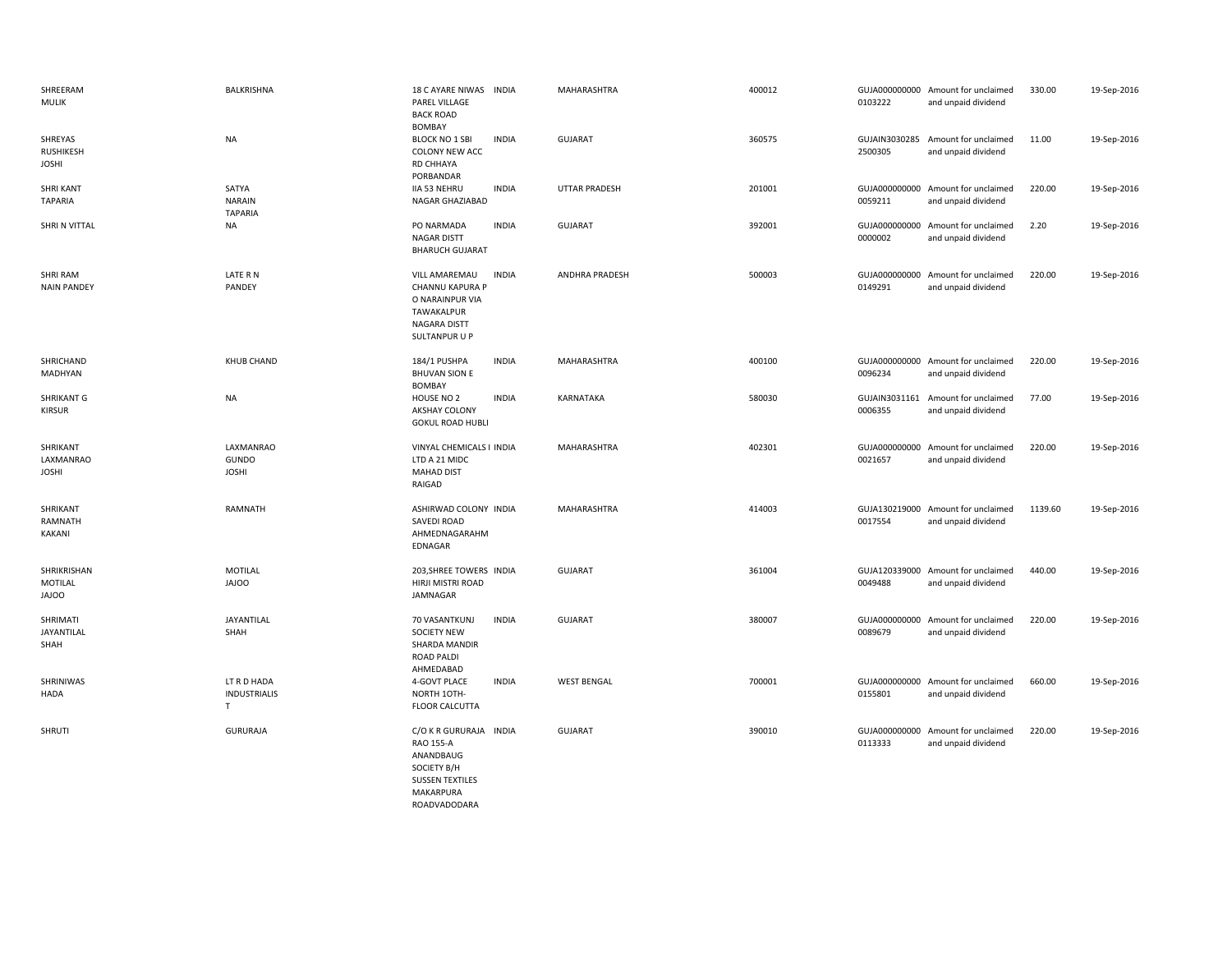| SHREERAM<br><b>MULIK</b>               | BALKRISHNA                                        | 18 C AYARE NIWAS INDIA<br>PAREL VILLAGE<br><b>BACK ROAD</b><br><b>BOMBAY</b>                                              | MAHARASHTRA          | 400012 | 0103222 | GUJA000000000 Amount for unclaimed<br>and unpaid dividend | 330.00  | 19-Sep-2016 |
|----------------------------------------|---------------------------------------------------|---------------------------------------------------------------------------------------------------------------------------|----------------------|--------|---------|-----------------------------------------------------------|---------|-------------|
| SHREYAS<br>RUSHIKESH<br><b>JOSHI</b>   | <b>NA</b>                                         | <b>INDIA</b><br><b>BLOCK NO 1 SBI</b><br>COLONY NEW ACC<br>RD CHHAYA<br>PORBANDAR                                         | <b>GUJARAT</b>       | 360575 | 2500305 | GUJAIN3030285 Amount for unclaimed<br>and unpaid dividend | 11.00   | 19-Sep-2016 |
| <b>SHRI KANT</b><br><b>TAPARIA</b>     | SATYA<br><b>NARAIN</b><br><b>TAPARIA</b>          | <b>INDIA</b><br><b>IIA 53 NEHRU</b><br>NAGAR GHAZIABAD                                                                    | <b>UTTAR PRADESH</b> | 201001 | 0059211 | GUJA000000000 Amount for unclaimed<br>and unpaid dividend | 220.00  | 19-Sep-2016 |
| SHRI N VITTAL                          | NA                                                | PO NARMADA<br><b>INDIA</b><br>NAGAR DISTT<br><b>BHARUCH GUJARAT</b>                                                       | <b>GUJARAT</b>       | 392001 | 0000002 | GUJA000000000 Amount for unclaimed<br>and unpaid dividend | 2.20    | 19-Sep-2016 |
| <b>SHRI RAM</b><br><b>NAIN PANDEY</b>  | LATE R N<br>PANDEY                                | <b>INDIA</b><br>VILL AMAREMAU<br>CHANNU KAPURA P<br>O NARAINPUR VIA<br>TAWAKALPUR<br><b>NAGARA DISTT</b><br>SULTANPUR U P | ANDHRA PRADESH       | 500003 | 0149291 | GUJA000000000 Amount for unclaimed<br>and unpaid dividend | 220.00  | 19-Sep-2016 |
| SHRICHAND<br>MADHYAN                   | <b>KHUB CHAND</b>                                 | 184/1 PUSHPA<br><b>INDIA</b><br><b>BHUVAN SION E</b><br><b>BOMBAY</b>                                                     | MAHARASHTRA          | 400100 | 0096234 | GUJA000000000 Amount for unclaimed<br>and unpaid dividend | 220.00  | 19-Sep-2016 |
| <b>SHRIKANT G</b><br><b>KIRSUR</b>     | <b>NA</b>                                         | HOUSE NO 2<br><b>INDIA</b><br>AKSHAY COLONY<br><b>GOKUL ROAD HUBLI</b>                                                    | KARNATAKA            | 580030 | 0006355 | GUJAIN3031161 Amount for unclaimed<br>and unpaid dividend | 77.00   | 19-Sep-2016 |
| SHRIKANT<br>LAXMANRAO<br><b>JOSHI</b>  | LAXMANRAO<br>GUNDO<br><b>JOSHI</b>                | VINYAL CHEMICALS I INDIA<br>LTD A 21 MIDC<br><b>MAHAD DIST</b><br>RAIGAD                                                  | MAHARASHTRA          | 402301 | 0021657 | GUJA000000000 Amount for unclaimed<br>and unpaid dividend | 220.00  | 19-Sep-2016 |
| SHRIKANT<br>RAMNATH<br>KAKANI          | RAMNATH                                           | ASHIRWAD COLONY INDIA<br>SAVEDI ROAD<br>AHMEDNAGARAHM<br>EDNAGAR                                                          | MAHARASHTRA          | 414003 | 0017554 | GUJA130219000 Amount for unclaimed<br>and unpaid dividend | 1139.60 | 19-Sep-2016 |
| SHRIKRISHAN<br>MOTILAL<br><b>JAJOO</b> | MOTILAL<br><b>OOLAL</b>                           | 203, SHREE TOWERS INDIA<br>HIRJI MISTRI ROAD<br>JAMNAGAR                                                                  | <b>GUJARAT</b>       | 361004 | 0049488 | GUJA120339000 Amount for unclaimed<br>and unpaid dividend | 440.00  | 19-Sep-2016 |
| SHRIMATI<br>JAYANTILAL<br>SHAH         | JAYANTILAL<br>SHAH                                | <b>INDIA</b><br>70 VASANTKUNJ<br><b>SOCIETY NEW</b><br>SHARDA MANDIR<br><b>ROAD PALDI</b><br>AHMEDABAD                    | <b>GUJARAT</b>       | 380007 | 0089679 | GUJA000000000 Amount for unclaimed<br>and unpaid dividend | 220.00  | 19-Sep-2016 |
| SHRINIWAS<br>HADA                      | LT R D HADA<br><b>INDUSTRIALIS</b><br>$\mathsf T$ | 4-GOVT PLACE<br><b>INDIA</b><br>NORTH 1OTH-<br><b>FLOOR CALCUTTA</b>                                                      | <b>WEST BENGAL</b>   | 700001 | 0155801 | GUJA000000000 Amount for unclaimed<br>and unpaid dividend | 660.00  | 19-Sep-2016 |
| SHRUTI                                 | <b>GURURAJA</b>                                   | C/O K R GURURAJA INDIA<br>RAO 155-A<br>ANANDBAUG<br>SOCIETY B/H<br><b>SUSSEN TEXTILES</b><br><b>MAKARPURA</b>             | <b>GUJARAT</b>       | 390010 | 0113333 | GUJA000000000 Amount for unclaimed<br>and unpaid dividend | 220.00  | 19-Sep-2016 |

ROADVADODARA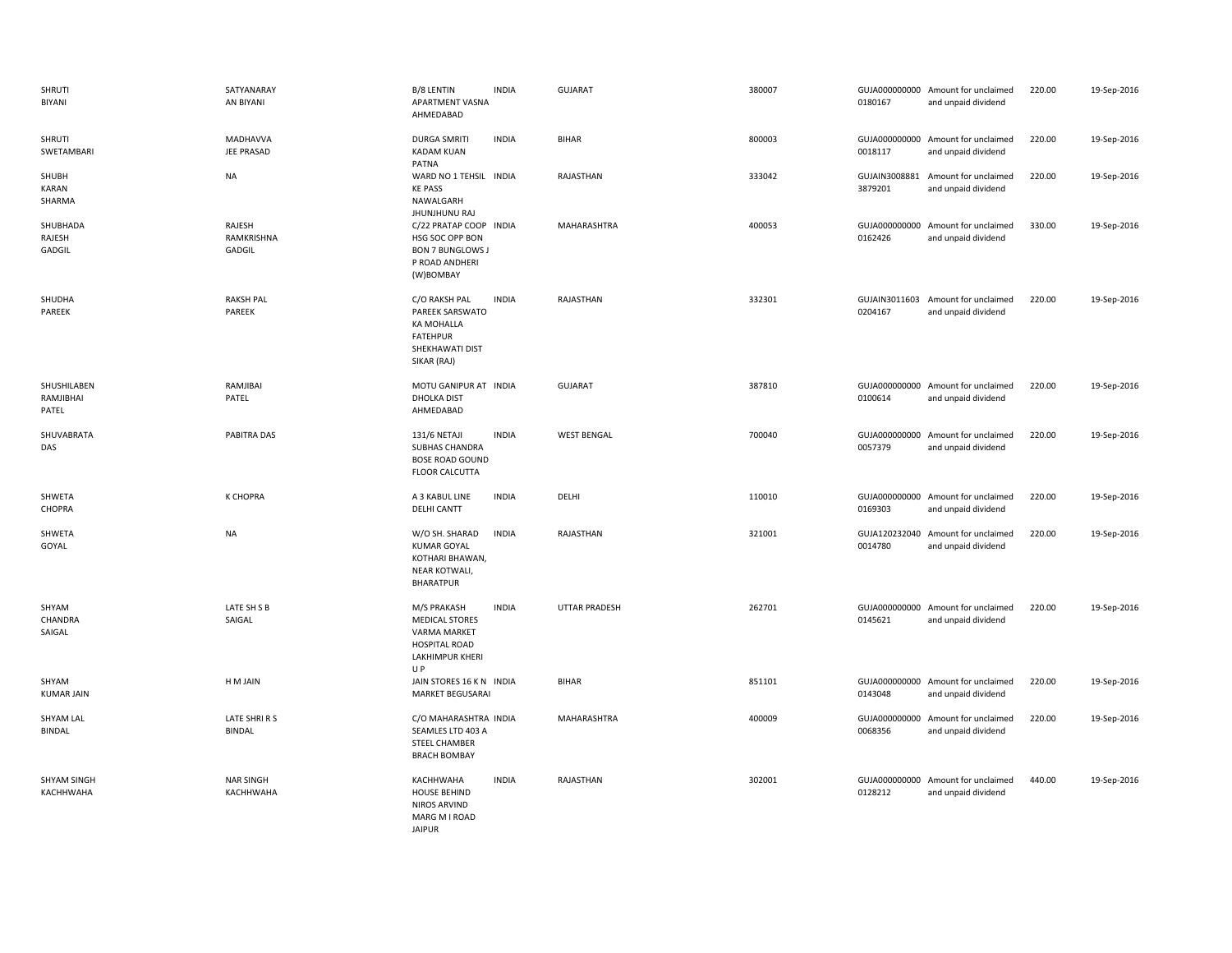| SHRUTI<br>BIYANI                  | SATYANARAY<br>AN BIYANI              | B/8 LENTIN<br><b>INDIA</b><br>APARTMENT VASNA<br>AHMEDABAD                                                                           | GUJARAT              | 380007 | 0180167                  | GUJA000000000 Amount for unclaimed<br>and unpaid dividend | 220.00 | 19-Sep-2016 |
|-----------------------------------|--------------------------------------|--------------------------------------------------------------------------------------------------------------------------------------|----------------------|--------|--------------------------|-----------------------------------------------------------|--------|-------------|
| SHRUTI<br>SWETAMBARI              | <b>MADHAVVA</b><br><b>JEE PRASAD</b> | <b>DURGA SMRITI</b><br><b>INDIA</b><br><b>KADAM KUAN</b><br>PATNA                                                                    | <b>BIHAR</b>         | 800003 | 0018117                  | GUJA000000000 Amount for unclaimed<br>and unpaid dividend | 220.00 | 19-Sep-2016 |
| SHUBH<br>KARAN<br>SHARMA          | <b>NA</b>                            | WARD NO 1 TEHSIL INDIA<br><b>KE PASS</b><br>NAWALGARH<br>JHUNJHUNU RAJ                                                               | RAJASTHAN            | 333042 | GUJAIN3008881<br>3879201 | Amount for unclaimed<br>and unpaid dividend               | 220.00 | 19-Sep-2016 |
| SHUBHADA<br>RAJESH<br>GADGIL      | RAJESH<br>RAMKRISHNA<br>GADGIL       | C/22 PRATAP COOP INDIA<br>HSG SOC OPP BON<br><b>BON 7 BUNGLOWS J</b><br>P ROAD ANDHERI<br>(W)BOMBAY                                  | MAHARASHTRA          | 400053 | 0162426                  | GUJA000000000 Amount for unclaimed<br>and unpaid dividend | 330.00 | 19-Sep-2016 |
| SHUDHA<br>PAREEK                  | <b>RAKSH PAL</b><br>PAREEK           | <b>INDIA</b><br>C/O RAKSH PAL<br>PAREEK SARSWATO<br>KA MOHALLA<br><b>FATEHPUR</b><br>SHEKHAWATI DIST<br>SIKAR (RAJ)                  | RAJASTHAN            | 332301 | 0204167                  | GUJAIN3011603 Amount for unclaimed<br>and unpaid dividend | 220.00 | 19-Sep-2016 |
| SHUSHILABEN<br>RAMJIBHAI<br>PATEL | RAMJIBAI<br>PATEL                    | MOTU GANIPUR AT INDIA<br>DHOLKA DIST<br>AHMEDABAD                                                                                    | <b>GUJARAT</b>       | 387810 | 0100614                  | GUJA000000000 Amount for unclaimed<br>and unpaid dividend | 220.00 | 19-Sep-2016 |
| SHUVABRATA<br>DAS                 | PABITRA DAS                          | 131/6 NETAJI<br><b>INDIA</b><br>SUBHAS CHANDRA<br><b>BOSE ROAD GOUND</b><br><b>FLOOR CALCUTTA</b>                                    | <b>WEST BENGAL</b>   | 700040 | 0057379                  | GUJA000000000 Amount for unclaimed<br>and unpaid dividend | 220.00 | 19-Sep-2016 |
| SHWETA<br>CHOPRA                  | K CHOPRA                             | A 3 KABUL LINE<br><b>INDIA</b><br>DELHI CANTT                                                                                        | DELHI                | 110010 | 0169303                  | GUJA000000000 Amount for unclaimed<br>and unpaid dividend | 220.00 | 19-Sep-2016 |
| SHWETA<br>GOYAL                   | <b>NA</b>                            | <b>INDIA</b><br>W/O SH. SHARAD<br><b>KUMAR GOYAL</b><br>KOTHARI BHAWAN,<br>NEAR KOTWALI,<br><b>BHARATPUR</b>                         | RAJASTHAN            | 321001 | 0014780                  | GUJA120232040 Amount for unclaimed<br>and unpaid dividend | 220.00 | 19-Sep-2016 |
| SHYAM<br>CHANDRA<br>SAIGAL        | LATE SH S B<br>SAIGAL                | M/S PRAKASH<br><b>INDIA</b><br><b>MEDICAL STORES</b><br><b>VARMA MARKET</b><br><b>HOSPITAL ROAD</b><br><b>LAKHIMPUR KHERI</b><br>U P | <b>UTTAR PRADESH</b> | 262701 | 0145621                  | GUJA000000000 Amount for unclaimed<br>and unpaid dividend | 220.00 | 19-Sep-2016 |
| SHYAM<br><b>KUMAR JAIN</b>        | H M JAIN                             | JAIN STORES 16 K N INDIA<br><b>MARKET BEGUSARAI</b>                                                                                  | <b>BIHAR</b>         | 851101 | 0143048                  | GUJA000000000 Amount for unclaimed<br>and unpaid dividend | 220.00 | 19-Sep-2016 |
| <b>SHYAM LAL</b><br><b>BINDAL</b> | LATE SHRIRS<br><b>BINDAL</b>         | C/O MAHARASHTRA INDIA<br>SEAMLES LTD 403 A<br><b>STEEL CHAMBER</b><br><b>BRACH BOMBAY</b>                                            | MAHARASHTRA          | 400009 | 0068356                  | GUJA000000000 Amount for unclaimed<br>and unpaid dividend | 220.00 | 19-Sep-2016 |
| SHYAM SINGH<br>KACHHWAHA          | <b>NAR SINGH</b><br>KACHHWAHA        | KACHHWAHA<br><b>INDIA</b><br><b>HOUSE BEHIND</b><br><b>NIROS ARVIND</b><br>MARG M I ROAD<br><b>JAIPUR</b>                            | RAJASTHAN            | 302001 | 0128212                  | GUJA000000000 Amount for unclaimed<br>and unpaid dividend | 440.00 | 19-Sep-2016 |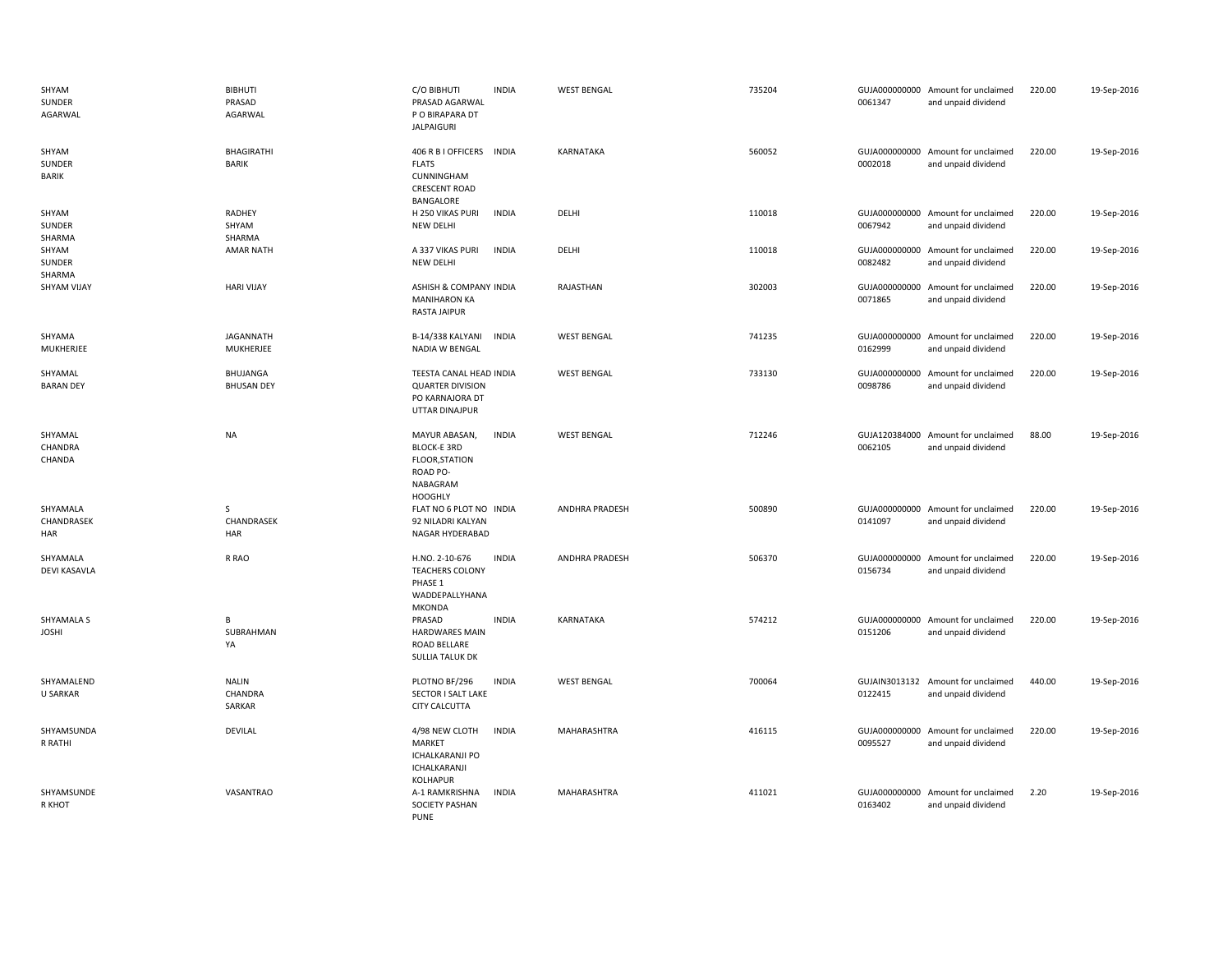| SHYAM<br>SUNDER<br>AGARWAL        | <b>BIBHUTI</b><br>PRASAD<br>AGARWAL | C/O BIBHUTI<br>PRASAD AGARWAL<br>P O BIRAPARA DT<br><b>JALPAIGURI</b>                           | <b>INDIA</b> | <b>WEST BENGAL</b> | 735204 | 0061347                  | GUJA000000000 Amount for unclaimed<br>and unpaid dividend | 220.00 | 19-Sep-2016 |
|-----------------------------------|-------------------------------------|-------------------------------------------------------------------------------------------------|--------------|--------------------|--------|--------------------------|-----------------------------------------------------------|--------|-------------|
| SHYAM<br>SUNDER<br><b>BARIK</b>   | BHAGIRATHI<br><b>BARIK</b>          | 406 R B I OFFICERS INDIA<br><b>FLATS</b><br>CUNNINGHAM<br><b>CRESCENT ROAD</b><br>BANGALORE     |              | KARNATAKA          | 560052 | 0002018                  | GUJA000000000 Amount for unclaimed<br>and unpaid dividend | 220.00 | 19-Sep-2016 |
| SHYAM<br>SUNDER<br>SHARMA         | RADHEY<br>SHYAM<br>SHARMA           | H 250 VIKAS PURI<br>NEW DELHI                                                                   | <b>INDIA</b> | DELHI              | 110018 | 0067942                  | GUJA000000000 Amount for unclaimed<br>and unpaid dividend | 220.00 | 19-Sep-2016 |
| SHYAM<br>SUNDER<br>SHARMA         | <b>AMAR NATH</b>                    | A 337 VIKAS PURI<br>NEW DELHI                                                                   | <b>INDIA</b> | DELHI              | 110018 | 0082482                  | GUJA000000000 Amount for unclaimed<br>and unpaid dividend | 220.00 | 19-Sep-2016 |
| <b>SHYAM VIJAY</b>                | <b>HARI VIJAY</b>                   | ASHISH & COMPANY INDIA<br><b>MANIHARON KA</b><br>RASTA JAIPUR                                   |              | RAJASTHAN          | 302003 | 0071865                  | GUJA000000000 Amount for unclaimed<br>and unpaid dividend | 220.00 | 19-Sep-2016 |
| SHYAMA<br>MUKHERJEE               | JAGANNATH<br>MUKHERJEE              | B-14/338 KALYANI<br>NADIA W BENGAL                                                              | <b>INDIA</b> | <b>WEST BENGAL</b> | 741235 | GUJA000000000<br>0162999 | Amount for unclaimed<br>and unpaid dividend               | 220.00 | 19-Sep-2016 |
| SHYAMAL<br><b>BARAN DEY</b>       | BHUJANGA<br><b>BHUSAN DEY</b>       | TEESTA CANAL HEAD INDIA<br><b>QUARTER DIVISION</b><br>PO KARNAJORA DT<br>UTTAR DINAJPUR         |              | <b>WEST BENGAL</b> | 733130 | GUJA000000000<br>0098786 | Amount for unclaimed<br>and unpaid dividend               | 220.00 | 19-Sep-2016 |
| SHYAMAL<br>CHANDRA<br>CHANDA      | <b>NA</b>                           | MAYUR ABASAN,<br><b>BLOCK-E 3RD</b><br>FLOOR, STATION<br>ROAD PO-<br>NABAGRAM<br><b>HOOGHLY</b> | <b>INDIA</b> | <b>WEST BENGAL</b> | 712246 | GUJA120384000<br>0062105 | Amount for unclaimed<br>and unpaid dividend               | 88.00  | 19-Sep-2016 |
| SHYAMALA<br>CHANDRASEK<br>HAR     | S<br>CHANDRASEK<br>HAR              | FLAT NO 6 PLOT NO INDIA<br>92 NILADRI KALYAN<br>NAGAR HYDERABAD                                 |              | ANDHRA PRADESH     | 500890 | 0141097                  | GUJA000000000 Amount for unclaimed<br>and unpaid dividend | 220.00 | 19-Sep-2016 |
| SHYAMALA<br><b>DEVI KASAVLA</b>   | R RAO                               | H.NO. 2-10-676<br><b>TEACHERS COLONY</b><br>PHASE 1<br>WADDEPALLYHANA<br>MKONDA                 | <b>INDIA</b> | ANDHRA PRADESH     | 506370 | 0156734                  | GUJA000000000 Amount for unclaimed<br>and unpaid dividend | 220.00 | 19-Sep-2016 |
| <b>SHYAMALA S</b><br><b>JOSHI</b> | В<br>SUBRAHMAN<br>YA                | PRASAD<br><b>HARDWARES MAIN</b><br>ROAD BELLARE<br><b>SULLIA TALUK DK</b>                       | <b>INDIA</b> | KARNATAKA          | 574212 | 0151206                  | GUJA000000000 Amount for unclaimed<br>and unpaid dividend | 220.00 | 19-Sep-2016 |
| SHYAMALEND<br>U SARKAR            | <b>NALIN</b><br>CHANDRA<br>SARKAR   | PLOTNO BF/296<br>SECTOR I SALT LAKE<br>CITY CALCUTTA                                            | <b>INDIA</b> | <b>WEST BENGAL</b> | 700064 | 0122415                  | GUJAIN3013132 Amount for unclaimed<br>and unpaid dividend | 440.00 | 19-Sep-2016 |
| SHYAMSUNDA<br>R RATHI             | DEVILAL                             | 4/98 NEW CLOTH<br><b>MARKET</b><br><b>ICHALKARANJI PO</b><br>ICHALKARANJI<br>KOLHAPUR           | <b>INDIA</b> | MAHARASHTRA        | 416115 | 0095527                  | GUJA000000000 Amount for unclaimed<br>and unpaid dividend | 220.00 | 19-Sep-2016 |
| SHYAMSUNDE<br>R KHOT              | VASANTRAO                           | A-1 RAMKRISHNA<br>SOCIETY PASHAN<br>PUNE                                                        | <b>INDIA</b> | MAHARASHTRA        | 411021 | 0163402                  | GUJA000000000 Amount for unclaimed<br>and unpaid dividend | 2.20   | 19-Sep-2016 |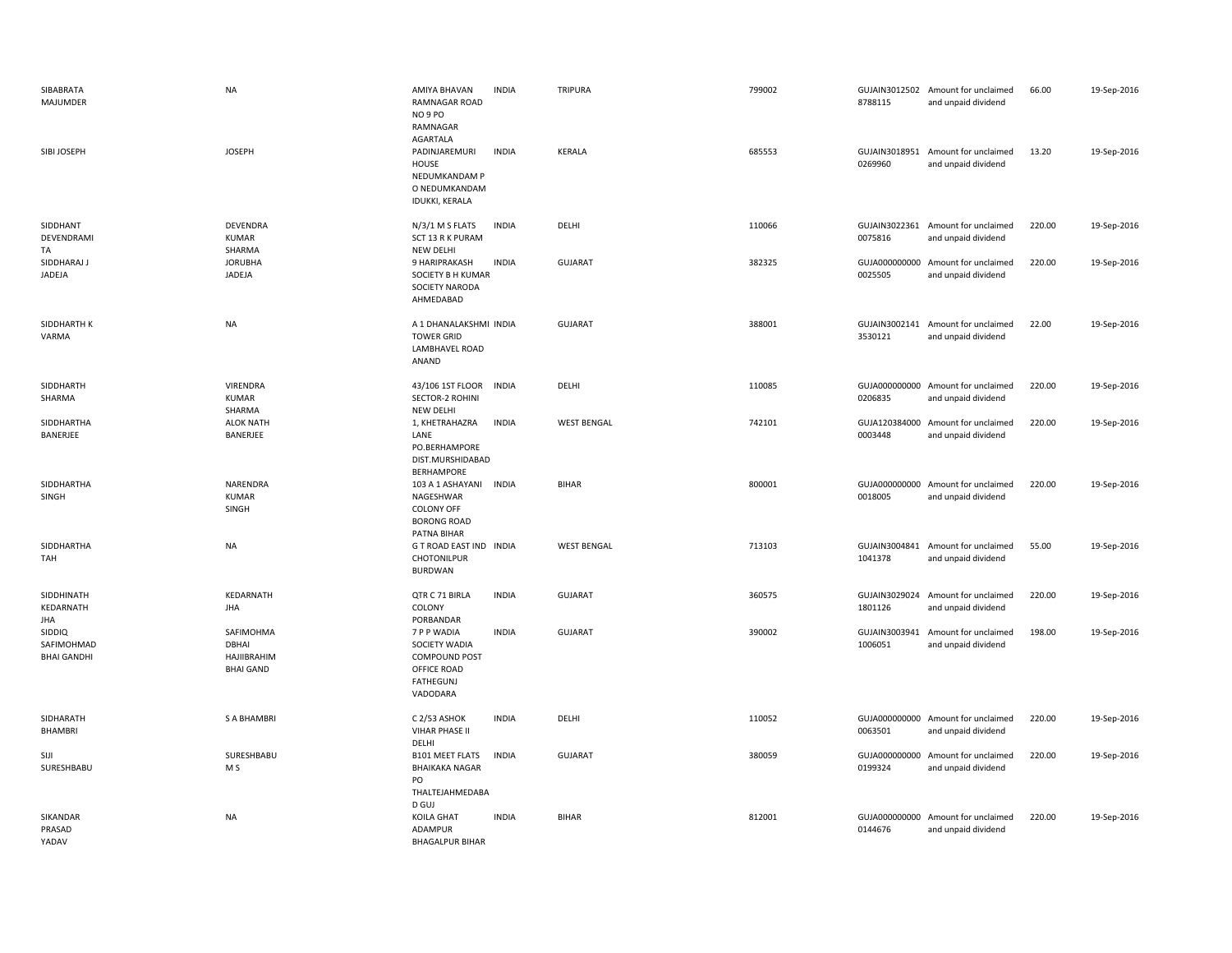| SIBABRATA<br>MAJUMDER                             | <b>NA</b>                                             | AMIYA BHAVAN<br><b>INDIA</b><br><b>RAMNAGAR ROAD</b><br>NO 9 PO<br>RAMNAGAR<br>AGARTALA                      | TRIPURA            | 799002 | 8788115                  | GUJAIN3012502 Amount for unclaimed<br>and unpaid dividend | 66.00  | 19-Sep-2016 |
|---------------------------------------------------|-------------------------------------------------------|--------------------------------------------------------------------------------------------------------------|--------------------|--------|--------------------------|-----------------------------------------------------------|--------|-------------|
| SIBI JOSEPH                                       | <b>JOSEPH</b>                                         | <b>INDIA</b><br>PADINJAREMURI<br>HOUSE<br>NEDUMKANDAM P<br>O NEDUMKANDAM<br><b>IDUKKI, KERALA</b>            | KERALA             | 685553 | 0269960                  | GUJAIN3018951 Amount for unclaimed<br>and unpaid dividend | 13.20  | 19-Sep-2016 |
| SIDDHANT<br>DEVENDRAMI<br>TA                      | DEVENDRA<br><b>KUMAR</b><br>SHARMA                    | N/3/1 M S FLATS<br><b>INDIA</b><br>SCT 13 R K PURAM<br><b>NEW DELHI</b>                                      | DELHI              | 110066 | 0075816                  | GUJAIN3022361 Amount for unclaimed<br>and unpaid dividend | 220.00 | 19-Sep-2016 |
| SIDDHARAJ J<br>JADEJA                             | <b>JORUBHA</b><br>JADEJA                              | <b>INDIA</b><br>9 HARIPRAKASH<br>SOCIETY B H KUMAR<br>SOCIETY NARODA<br>AHMEDABAD                            | <b>GUJARAT</b>     | 382325 | GUJA000000000<br>0025505 | Amount for unclaimed<br>and unpaid dividend               | 220.00 | 19-Sep-2016 |
| SIDDHARTH K<br>VARMA                              | <b>NA</b>                                             | A 1 DHANALAKSHMI INDIA<br><b>TOWER GRID</b><br>LAMBHAVEL ROAD<br>ANAND                                       | <b>GUJARAT</b>     | 388001 | GUJAIN3002141<br>3530121 | Amount for unclaimed<br>and unpaid dividend               | 22.00  | 19-Sep-2016 |
| SIDDHARTH<br>SHARMA                               | VIRENDRA<br><b>KUMAR</b><br>SHARMA                    | 43/106 1ST FLOOR<br><b>INDIA</b><br><b>SECTOR-2 ROHINI</b><br><b>NEW DELHI</b>                               | DELHI              | 110085 | 0206835                  | GUJA000000000 Amount for unclaimed<br>and unpaid dividend | 220.00 | 19-Sep-2016 |
| SIDDHARTHA<br>BANERJEE                            | <b>ALOK NATH</b><br>BANERJEE                          | 1, KHETRAHAZRA<br><b>INDIA</b><br>LANE<br>PO.BERHAMPORE<br>DIST.MURSHIDABAD<br>BERHAMPORE                    | <b>WEST BENGAL</b> | 742101 | 0003448                  | GUJA120384000 Amount for unclaimed<br>and unpaid dividend | 220.00 | 19-Sep-2016 |
| SIDDHARTHA<br>SINGH                               | NARENDRA<br><b>KUMAR</b><br>SINGH                     | 103 A 1 ASHAYANI<br><b>INDIA</b><br>NAGESHWAR<br><b>COLONY OFF</b><br><b>BORONG ROAD</b><br>PATNA BIHAR      | <b>BIHAR</b>       | 800001 | 0018005                  | GUJA000000000 Amount for unclaimed<br>and unpaid dividend | 220.00 | 19-Sep-2016 |
| SIDDHARTHA<br>TAH                                 | <b>NA</b>                                             | G T ROAD EAST IND INDIA<br>CHOTONILPUR<br>BURDWAN                                                            | <b>WEST BENGAL</b> | 713103 | 1041378                  | GUJAIN3004841 Amount for unclaimed<br>and unpaid dividend | 55.00  | 19-Sep-2016 |
| SIDDHINATH<br>KEDARNATH<br><b>JHA</b>             | KEDARNATH<br><b>JHA</b>                               | QTR C 71 BIRLA<br><b>INDIA</b><br>COLONY<br>PORBANDAR                                                        | <b>GUJARAT</b>     | 360575 | 1801126                  | GUJAIN3029024 Amount for unclaimed<br>and unpaid dividend | 220.00 | 19-Sep-2016 |
| <b>SIDDIQ</b><br>SAFIMOHMAD<br><b>BHAI GANDHI</b> | SAFIMOHMA<br>DBHAI<br>HAJIIBRAHIM<br><b>BHAI GAND</b> | 7 P P WADIA<br><b>INDIA</b><br>SOCIETY WADIA<br>COMPOUND POST<br>OFFICE ROAD<br><b>FATHEGUNJ</b><br>VADODARA | <b>GUJARAT</b>     | 390002 | GUJAIN3003941<br>1006051 | Amount for unclaimed<br>and unpaid dividend               | 198.00 | 19-Sep-2016 |
| SIDHARATH<br><b>BHAMBRI</b>                       | S A BHAMBRI                                           | <b>INDIA</b><br>C 2/53 ASHOK<br><b>VIHAR PHASE II</b><br>DELHI                                               | DELHI              | 110052 | 0063501                  | GUJA000000000 Amount for unclaimed<br>and unpaid dividend | 220.00 | 19-Sep-2016 |
| SIJI<br>SURESHBABU                                | SURESHBABU<br>M S                                     | <b>B101 MEET FLATS</b><br><b>INDIA</b><br><b>BHAIKAKA NAGAR</b><br>PO                                        | <b>GUJARAT</b>     | 380059 | 0199324                  | GUJA000000000 Amount for unclaimed<br>and unpaid dividend | 220.00 | 19-Sep-2016 |
| SIKANDAR<br>PRASAD<br>YADAV                       | <b>NA</b>                                             | THALTEJAHMEDABA<br>D GUJ<br><b>KOILA GHAT</b><br><b>INDIA</b><br>ADAMPUR<br><b>BHAGALPUR BIHAR</b>           | <b>BIHAR</b>       | 812001 | 0144676                  | GUJA000000000 Amount for unclaimed<br>and unpaid dividend | 220.00 | 19-Sep-2016 |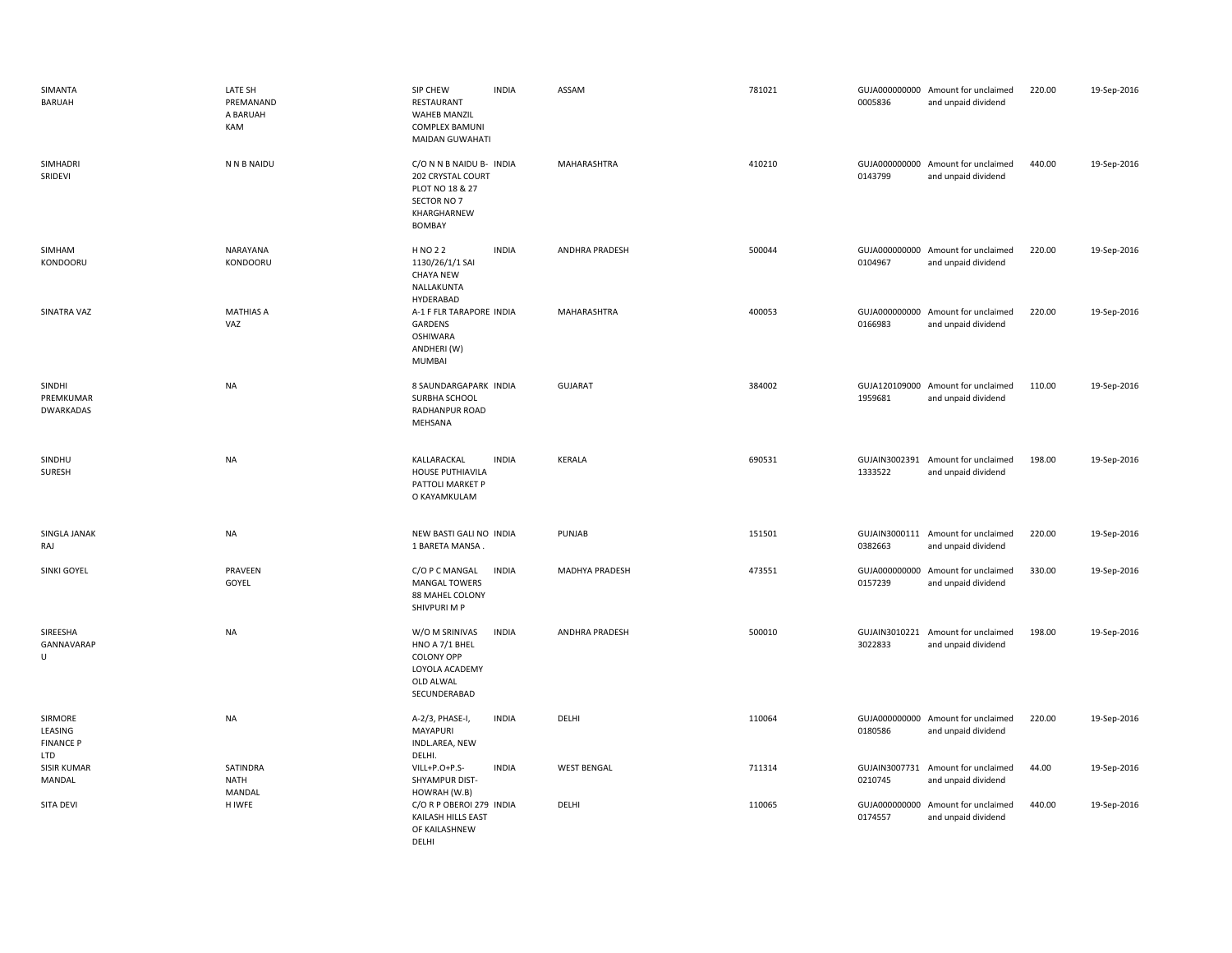| SIMANTA<br>BARUAH                             | LATE SH<br>PREMANAND<br>A BARUAH<br>KAM | SIP CHEW<br><b>INDIA</b><br>RESTAURANT<br><b>WAHEB MANZIL</b><br><b>COMPLEX BAMUNI</b><br>MAIDAN GUWAHATI            | ASSAM              | 781021 | 0005836                  | GUJA000000000 Amount for unclaimed<br>and unpaid dividend | 220.00 | 19-Sep-2016 |
|-----------------------------------------------|-----------------------------------------|----------------------------------------------------------------------------------------------------------------------|--------------------|--------|--------------------------|-----------------------------------------------------------|--------|-------------|
| SIMHADRI<br>SRIDEVI                           | N N B NAIDU                             | C/O N N B NAIDU B- INDIA<br>202 CRYSTAL COURT<br>PLOT NO 18 & 27<br>SECTOR NO 7<br>KHARGHARNEW<br><b>BOMBAY</b>      | MAHARASHTRA        | 410210 | 0143799                  | GUJA000000000 Amount for unclaimed<br>and unpaid dividend | 440.00 | 19-Sep-2016 |
| SIMHAM<br>KONDOORU                            | NARAYANA<br>KONDOORU                    | H NO 2 2<br><b>INDIA</b><br>1130/26/1/1 SAI<br><b>CHAYA NEW</b><br>NALLAKUNTA<br>HYDERABAD                           | ANDHRA PRADESH     | 500044 | 0104967                  | GUJA000000000 Amount for unclaimed<br>and unpaid dividend | 220.00 | 19-Sep-2016 |
| SINATRA VAZ                                   | <b>MATHIAS A</b><br>VAZ                 | A-1 F FLR TARAPORE INDIA<br>GARDENS<br><b>OSHIWARA</b><br>ANDHERI (W)<br>MUMBAI                                      | MAHARASHTRA        | 400053 | 0166983                  | GUJA000000000 Amount for unclaimed<br>and unpaid dividend | 220.00 | 19-Sep-2016 |
| SINDHI<br>PREMKUMAR<br>DWARKADAS              | <b>NA</b>                               | 8 SAUNDARGAPARK INDIA<br>SURBHA SCHOOL<br>RADHANPUR ROAD<br>MEHSANA                                                  | <b>GUJARAT</b>     | 384002 | 1959681                  | GUJA120109000 Amount for unclaimed<br>and unpaid dividend | 110.00 | 19-Sep-2016 |
| SINDHU<br><b>SURESH</b>                       | <b>NA</b>                               | KALLARACKAL<br><b>INDIA</b><br>HOUSE PUTHIAVILA<br>PATTOLI MARKET P<br>O KAYAMKULAM                                  | KERALA             | 690531 | 1333522                  | GUJAIN3002391 Amount for unclaimed<br>and unpaid dividend | 198.00 | 19-Sep-2016 |
| SINGLA JANAK<br>RAJ                           | NA                                      | NEW BASTI GALI NO INDIA<br>1 BARETA MANSA.                                                                           | PUNJAB             | 151501 | 0382663                  | GUJAIN3000111 Amount for unclaimed<br>and unpaid dividend | 220.00 | 19-Sep-2016 |
| SINKI GOYEL                                   | PRAVEEN<br>GOYEL                        | <b>INDIA</b><br>C/O P C MANGAL<br><b>MANGAL TOWERS</b><br>88 MAHEL COLONY<br>SHIVPURI M P                            | MADHYA PRADESH     | 473551 | GUJA000000000<br>0157239 | Amount for unclaimed<br>and unpaid dividend               | 330.00 | 19-Sep-2016 |
| SIREESHA<br>GANNAVARAP<br>U                   | <b>NA</b>                               | W/O M SRINIVAS<br><b>INDIA</b><br>HNO A 7/1 BHEL<br><b>COLONY OPP</b><br>LOYOLA ACADEMY<br>OLD ALWAL<br>SECUNDERABAD | ANDHRA PRADESH     | 500010 | 3022833                  | GUJAIN3010221 Amount for unclaimed<br>and unpaid dividend | 198.00 | 19-Sep-2016 |
| SIRMORE<br>LEASING<br><b>FINANCE P</b><br>LTD | <b>NA</b>                               | <b>INDIA</b><br>A-2/3, PHASE-I,<br><b>MAYAPURI</b><br>INDL.AREA, NEW<br>DELHI.                                       | DELHI              | 110064 | 0180586                  | GUJA000000000 Amount for unclaimed<br>and unpaid dividend | 220.00 | 19-Sep-2016 |
| SISIR KUMAR<br>MANDAL                         | SATINDRA<br>NATH<br>MANDAL              | VILL+P.O+P.S-<br><b>INDIA</b><br>SHYAMPUR DIST-<br>HOWRAH (W.B)                                                      | <b>WEST BENGAL</b> | 711314 | 0210745                  | GUJAIN3007731 Amount for unclaimed<br>and unpaid dividend | 44.00  | 19-Sep-2016 |
| SITA DEVI                                     | H IWFE                                  | C/O R P OBEROI 279 INDIA<br>KAILASH HILLS EAST<br>OF KAILASHNEW<br>DELHI                                             | DELHI              | 110065 | 0174557                  | GUJA000000000 Amount for unclaimed<br>and unpaid dividend | 440.00 | 19-Sep-2016 |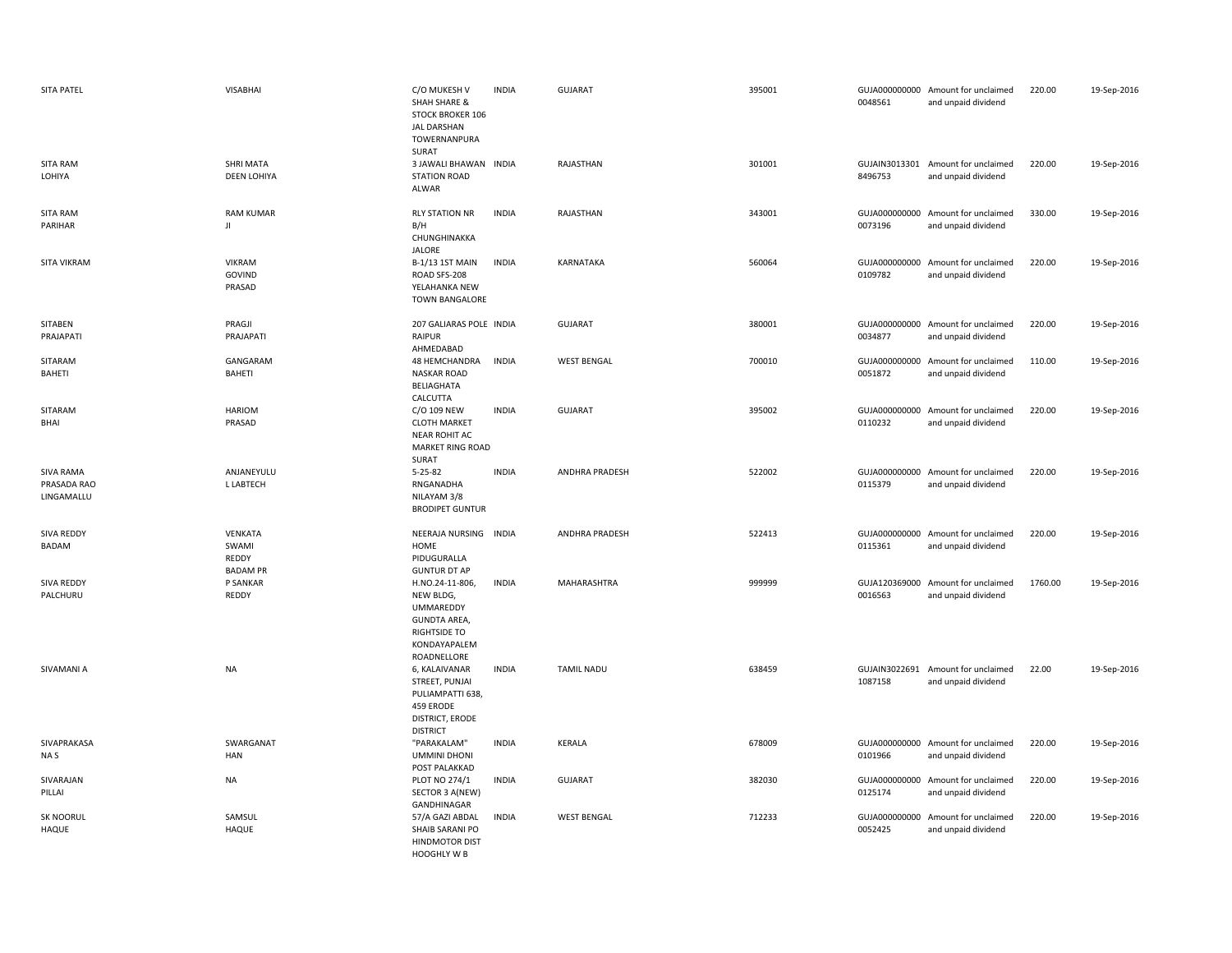| SITA PATEL                                    | <b>VISABHAI</b>                              | C/O MUKESH V<br><b>SHAH SHARE &amp;</b><br><b>STOCK BROKER 106</b><br><b>JAL DARSHAN</b><br>TOWERNANPURA<br>SURAT      | <b>INDIA</b> | <b>GUJARAT</b>     | 395001 | 0048561 | GUJA000000000 Amount for unclaimed<br>and unpaid dividend | 220.00  | 19-Sep-2016 |
|-----------------------------------------------|----------------------------------------------|------------------------------------------------------------------------------------------------------------------------|--------------|--------------------|--------|---------|-----------------------------------------------------------|---------|-------------|
| <b>SITA RAM</b><br>LOHIYA                     | SHRI MATA<br><b>DEEN LOHIYA</b>              | 3 JAWALI BHAWAN INDIA<br><b>STATION ROAD</b><br>ALWAR                                                                  |              | RAJASTHAN          | 301001 | 8496753 | GUJAIN3013301 Amount for unclaimed<br>and unpaid dividend | 220.00  | 19-Sep-2016 |
| SITA RAM<br>PARIHAR                           | <b>RAM KUMAR</b><br>JI                       | <b>RLY STATION NR</b><br>B/H<br>CHUNGHINAKKA<br><b>JALORE</b>                                                          | <b>INDIA</b> | RAJASTHAN          | 343001 | 0073196 | GUJA000000000 Amount for unclaimed<br>and unpaid dividend | 330.00  | 19-Sep-2016 |
| SITA VIKRAM                                   | <b>VIKRAM</b><br>GOVIND<br>PRASAD            | B-1/13 1ST MAIN<br>ROAD SFS-208<br>YELAHANKA NEW<br>TOWN BANGALORE                                                     | <b>INDIA</b> | KARNATAKA          | 560064 | 0109782 | GUJA000000000 Amount for unclaimed<br>and unpaid dividend | 220.00  | 19-Sep-2016 |
| <b>SITABEN</b><br>PRAJAPATI                   | PRAGJI<br>PRAJAPATI                          | 207 GALIARAS POLE INDIA<br>RAIPUR<br>AHMEDABAD                                                                         |              | <b>GUJARAT</b>     | 380001 | 0034877 | GUJA000000000 Amount for unclaimed<br>and unpaid dividend | 220.00  | 19-Sep-2016 |
| SITARAM<br>BAHETI                             | GANGARAM<br>BAHETI                           | 48 HEMCHANDRA<br><b>NASKAR ROAD</b><br>BELIAGHATA<br>CALCUTTA                                                          | <b>INDIA</b> | <b>WEST BENGAL</b> | 700010 | 0051872 | GUJA000000000 Amount for unclaimed<br>and unpaid dividend | 110.00  | 19-Sep-2016 |
| SITARAM<br>BHAI                               | <b>HARIOM</b><br>PRASAD                      | C/O 109 NEW<br><b>CLOTH MARKET</b><br><b>NEAR ROHIT AC</b><br><b>MARKET RING ROAD</b><br>SURAT                         | <b>INDIA</b> | <b>GUJARAT</b>     | 395002 | 0110232 | GUJA000000000 Amount for unclaimed<br>and unpaid dividend | 220.00  | 19-Sep-2016 |
| <b>SIVA RAMA</b><br>PRASADA RAO<br>LINGAMALLU | ANJANEYULU<br>L LABTECH                      | $5 - 25 - 82$<br>RNGANADHA<br>NILAYAM 3/8<br><b>BRODIPET GUNTUR</b>                                                    | <b>INDIA</b> | ANDHRA PRADESH     | 522002 | 0115379 | GUJA000000000 Amount for unclaimed<br>and unpaid dividend | 220.00  | 19-Sep-2016 |
| SIVA REDDY<br>BADAM                           | VENKATA<br>SWAMI<br>REDDY<br><b>BADAM PR</b> | NEERAJA NURSING INDIA<br>HOME<br>PIDUGURALLA<br><b>GUNTUR DT AP</b>                                                    |              | ANDHRA PRADESH     | 522413 | 0115361 | GUJA000000000 Amount for unclaimed<br>and unpaid dividend | 220.00  | 19-Sep-2016 |
| SIVA REDDY<br>PALCHURU                        | P SANKAR<br>REDDY                            | H.NO.24-11-806,<br>NEW BLDG,<br><b>UMMAREDDY</b><br><b>GUNDTA AREA,</b><br>RIGHTSIDE TO<br>KONDAYAPALEM<br>ROADNELLORE | <b>INDIA</b> | MAHARASHTRA        | 999999 | 0016563 | GUJA120369000 Amount for unclaimed<br>and unpaid dividend | 1760.00 | 19-Sep-2016 |
| SIVAMANI A                                    | <b>NA</b>                                    | 6, KALAIVANAR<br>STREET, PUNJAI<br>PULIAMPATTI 638,<br>459 ERODE<br><b>DISTRICT, ERODE</b><br><b>DISTRICT</b>          | <b>INDIA</b> | <b>TAMIL NADU</b>  | 638459 | 1087158 | GUJAIN3022691 Amount for unclaimed<br>and unpaid dividend | 22.00   | 19-Sep-2016 |
| SIVAPRAKASA<br>NA S                           | SWARGANAT<br><b>HAN</b>                      | "PARAKALAM"<br><b>UMMINI DHONI</b>                                                                                     | <b>INDIA</b> | <b>KERALA</b>      | 678009 | 0101966 | GUJA000000000 Amount for unclaimed<br>and unpaid dividend | 220.00  | 19-Sep-2016 |
|                                               |                                              | POST PALAKKAD                                                                                                          |              |                    |        |         |                                                           |         |             |
| SIVARAJAN<br>PILLAI                           | <b>NA</b>                                    | PLOT NO 274/1<br>SECTOR 3 A(NEW)<br>GANDHINAGAR                                                                        | <b>INDIA</b> | <b>GUJARAT</b>     | 382030 | 0125174 | GUJA000000000 Amount for unclaimed<br>and unpaid dividend | 220.00  | 19-Sep-2016 |
| SK NOORUL<br><b>HAQUE</b>                     | SAMSUL<br>HAQUE                              | 57/A GAZI ABDAL<br>SHAIB SARANI PO<br><b>HINDMOTOR DIST</b><br>HOOGHLY W B                                             | <b>INDIA</b> | <b>WEST BENGAL</b> | 712233 | 0052425 | GUJA000000000 Amount for unclaimed<br>and unpaid dividend | 220.00  | 19-Sep-2016 |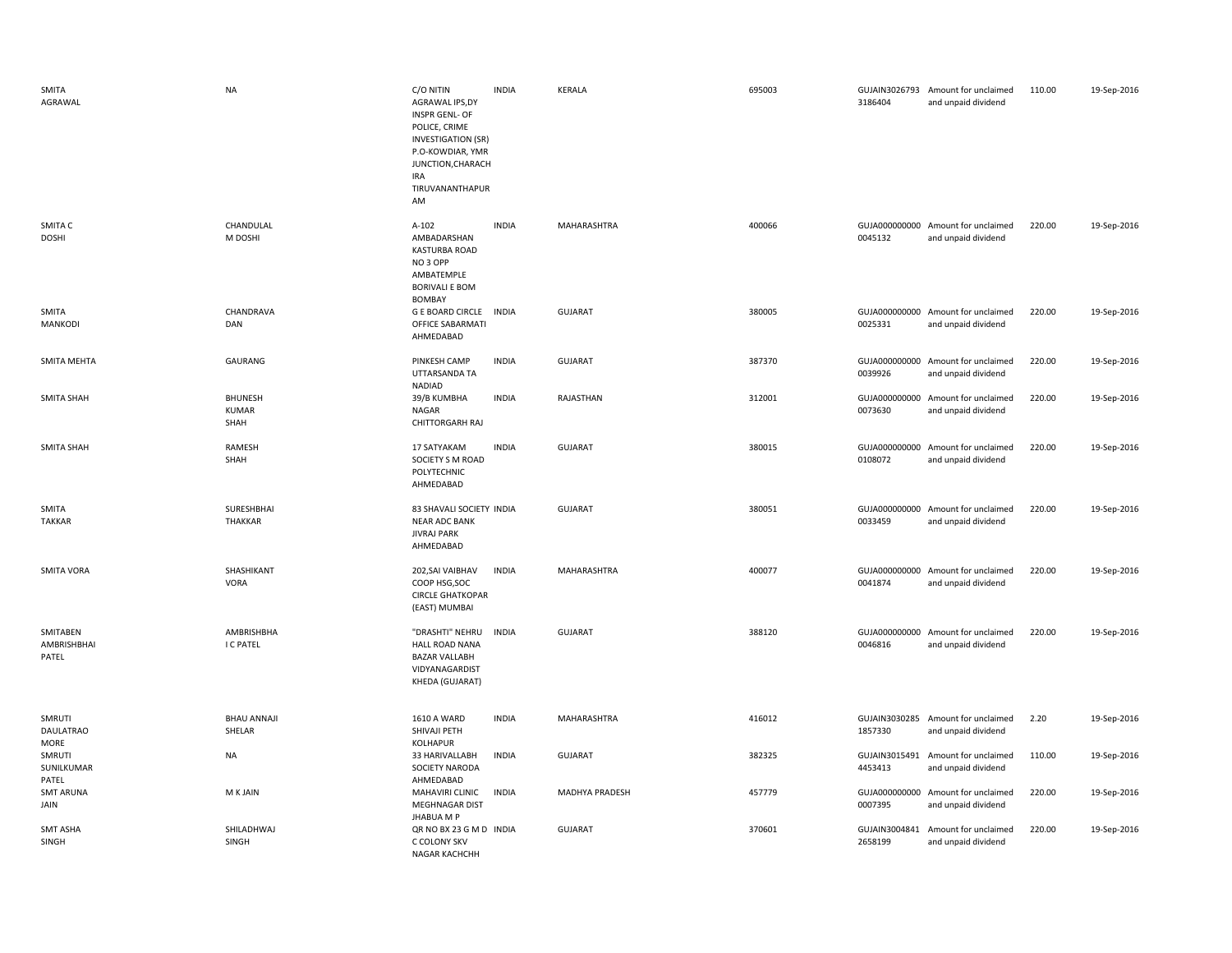| SMITA<br>AGRAWAL                 | <b>NA</b>                              | C/O NITIN<br>AGRAWAL IPS,DY<br><b>INSPR GENL- OF</b><br>POLICE, CRIME<br><b>INVESTIGATION (SR)</b><br>P.O-KOWDIAR, YMR<br>JUNCTION, CHARACH<br>IRA<br>TIRUVANANTHAPUR<br>AM | <b>INDIA</b> | <b>KERALA</b>  | 695003 | 3186404                  | GUJAIN3026793 Amount for unclaimed<br>and unpaid dividend | 110.00 | 19-Sep-2016 |
|----------------------------------|----------------------------------------|-----------------------------------------------------------------------------------------------------------------------------------------------------------------------------|--------------|----------------|--------|--------------------------|-----------------------------------------------------------|--------|-------------|
| SMITA C<br><b>DOSHI</b>          | CHANDULAL<br>M DOSHI                   | A-102<br>AMBADARSHAN<br>KASTURBA ROAD<br>NO <sub>3</sub> OPP<br>AMBATEMPLE<br><b>BORIVALI E BOM</b><br><b>BOMBAY</b>                                                        | <b>INDIA</b> | MAHARASHTRA    | 400066 | 0045132                  | GUJA000000000 Amount for unclaimed<br>and unpaid dividend | 220.00 | 19-Sep-2016 |
| SMITA<br>MANKODI                 | CHANDRAVA<br>DAN                       | <b>G E BOARD CIRCLE</b><br>OFFICE SABARMATI<br>AHMEDABAD                                                                                                                    | <b>INDIA</b> | <b>GUJARAT</b> | 380005 | 0025331                  | GUJA000000000 Amount for unclaimed<br>and unpaid dividend | 220.00 | 19-Sep-2016 |
| SMITA MEHTA                      | GAURANG                                | PINKESH CAMP<br>UTTARSANDA TA<br>NADIAD                                                                                                                                     | <b>INDIA</b> | <b>GUJARAT</b> | 387370 | 0039926                  | GUJA000000000 Amount for unclaimed<br>and unpaid dividend | 220.00 | 19-Sep-2016 |
| SMITA SHAH                       | <b>BHUNESH</b><br><b>KUMAR</b><br>SHAH | 39/B KUMBHA<br>NAGAR<br><b>CHITTORGARH RAJ</b>                                                                                                                              | <b>INDIA</b> | RAJASTHAN      | 312001 | 0073630                  | GUJA000000000 Amount for unclaimed<br>and unpaid dividend | 220.00 | 19-Sep-2016 |
| <b>SMITA SHAH</b>                | RAMESH<br>SHAH                         | 17 SATYAKAM<br>SOCIETY S M ROAD<br>POLYTECHNIC<br>AHMEDABAD                                                                                                                 | <b>INDIA</b> | <b>GUJARAT</b> | 380015 | 0108072                  | GUJA000000000 Amount for unclaimed<br>and unpaid dividend | 220.00 | 19-Sep-2016 |
| SMITA<br><b>TAKKAR</b>           | SURESHBHAI<br>THAKKAR                  | 83 SHAVALI SOCIETY INDIA<br><b>NEAR ADC BANK</b><br><b>JIVRAJ PARK</b><br>AHMEDABAD                                                                                         |              | <b>GUJARAT</b> | 380051 | 0033459                  | GUJA000000000 Amount for unclaimed<br>and unpaid dividend | 220.00 | 19-Sep-2016 |
| <b>SMITA VORA</b>                | SHASHIKANT<br>VORA                     | 202, SAI VAIBHAV<br>COOP HSG, SOC<br><b>CIRCLE GHATKOPAR</b><br>(EAST) MUMBAI                                                                                               | <b>INDIA</b> | MAHARASHTRA    | 400077 | 0041874                  | GUJA000000000 Amount for unclaimed<br>and unpaid dividend | 220.00 | 19-Sep-2016 |
| SMITABEN<br>AMBRISHBHAI<br>PATEL | AMBRISHBHA<br>I C PATEL                | "DRASHTI" NEHRU<br><b>HALL ROAD NANA</b><br><b>BAZAR VALLABH</b><br>VIDYANAGARDIST<br>KHEDA (GUJARAT)                                                                       | <b>INDIA</b> | GUJARAT        | 388120 | 0046816                  | GUJA000000000 Amount for unclaimed<br>and unpaid dividend | 220.00 | 19-Sep-2016 |
| SMRUTI<br>DAULATRAO<br>MORE      | <b>BHAU ANNAJI</b><br>SHELAR           | 1610 A WARD<br>SHIVAJI PETH<br>KOLHAPUR                                                                                                                                     | <b>INDIA</b> | MAHARASHTRA    | 416012 | 1857330                  | GUJAIN3030285 Amount for unclaimed<br>and unpaid dividend | 2.20   | 19-Sep-2016 |
| SMRUTI<br>SUNILKUMAR<br>PATEL    | NA                                     | 33 HARIVALLABH<br>SOCIETY NARODA<br>AHMEDABAD                                                                                                                               | <b>INDIA</b> | GUJARAT        | 382325 | GUJAIN3015491<br>4453413 | Amount for unclaimed<br>and unpaid dividend               | 110.00 | 19-Sep-2016 |
| <b>SMT ARUNA</b><br>JAIN         | M K JAIN                               | <b>MAHAVIRI CLINIC</b><br>MEGHNAGAR DIST<br>JHABUA M P                                                                                                                      | <b>INDIA</b> | MADHYA PRADESH | 457779 | 0007395                  | GUJA000000000 Amount for unclaimed<br>and unpaid dividend | 220.00 | 19-Sep-2016 |
| <b>SMT ASHA</b><br>SINGH         | SHILADHWAJ<br>SINGH                    | QR NO BX 23 G M D INDIA<br>C COLONY SKV<br>NAGAR KACHCHH                                                                                                                    |              | <b>GUJARAT</b> | 370601 | GUJAIN3004841<br>2658199 | Amount for unclaimed<br>and unpaid dividend               | 220.00 | 19-Sep-2016 |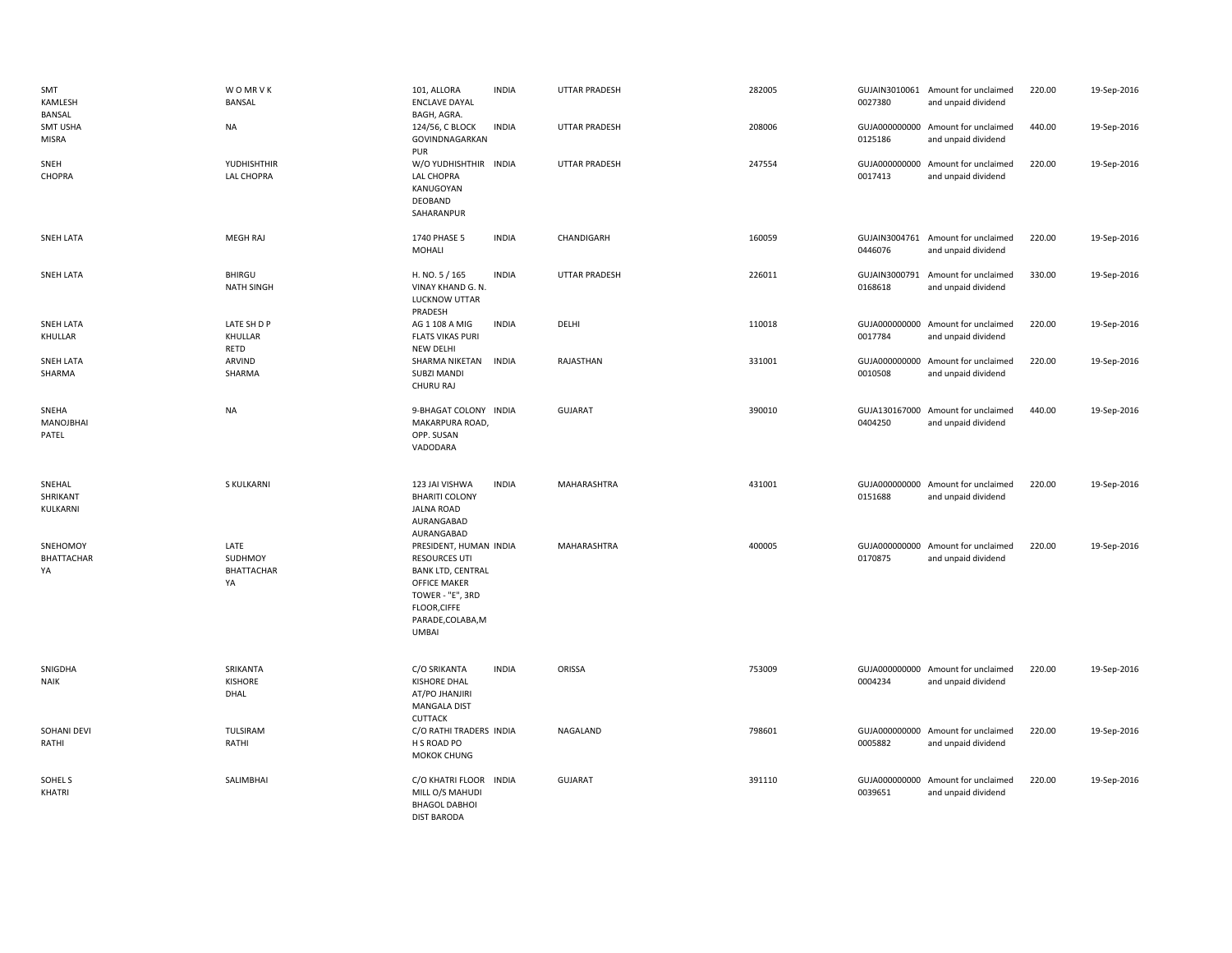| SMT<br>KAMLESH<br>BANSAL            | <b>WOMRVK</b><br><b>BANSAL</b>      | 101, ALLORA<br><b>ENCLAVE DAYAL</b><br>BAGH, AGRA.                                                                                                                         | <b>INDIA</b> | <b>UTTAR PRADESH</b> | 282005 | 0027380                  | GUJAIN3010061 Amount for unclaimed<br>and unpaid dividend | 220.00 | 19-Sep-2016 |
|-------------------------------------|-------------------------------------|----------------------------------------------------------------------------------------------------------------------------------------------------------------------------|--------------|----------------------|--------|--------------------------|-----------------------------------------------------------|--------|-------------|
| SMT USHA<br><b>MISRA</b>            | <b>NA</b>                           | 124/56, C BLOCK<br>GOVINDNAGARKAN<br>PUR                                                                                                                                   | <b>INDIA</b> | UTTAR PRADESH        | 208006 | 0125186                  | GUJA000000000 Amount for unclaimed<br>and unpaid dividend | 440.00 | 19-Sep-2016 |
| SNEH<br>CHOPRA                      | YUDHISHTHIR<br>LAL CHOPRA           | W/O YUDHISHTHIR INDIA<br>LAL CHOPRA<br>KANUGOYAN<br>DEOBAND<br>SAHARANPUR                                                                                                  |              | <b>UTTAR PRADESH</b> | 247554 | 0017413                  | GUJA000000000 Amount for unclaimed<br>and unpaid dividend | 220.00 | 19-Sep-2016 |
| SNEH LATA                           | <b>MEGH RAJ</b>                     | 1740 PHASE 5<br>MOHALI                                                                                                                                                     | <b>INDIA</b> | CHANDIGARH           | 160059 | 0446076                  | GUJAIN3004761 Amount for unclaimed<br>and unpaid dividend | 220.00 | 19-Sep-2016 |
| SNEH LATA                           | BHIRGU<br><b>NATH SINGH</b>         | H. NO. 5 / 165<br>VINAY KHAND G. N.<br>LUCKNOW UTTAR<br>PRADESH                                                                                                            | <b>INDIA</b> | <b>UTTAR PRADESH</b> | 226011 | GUJAIN3000791<br>0168618 | Amount for unclaimed<br>and unpaid dividend               | 330.00 | 19-Sep-2016 |
| <b>SNEH LATA</b><br>KHULLAR         | LATE SH D P<br>KHULLAR<br>RETD      | AG 1 108 A MIG<br><b>FLATS VIKAS PURI</b><br><b>NEW DELHI</b>                                                                                                              | <b>INDIA</b> | DELHI                | 110018 | 0017784                  | GUJA000000000 Amount for unclaimed<br>and unpaid dividend | 220.00 | 19-Sep-2016 |
| SNEH LATA<br>SHARMA                 | ARVIND<br>SHARMA                    | SHARMA NIKETAN<br><b>SUBZI MANDI</b><br>CHURU RAJ                                                                                                                          | <b>INDIA</b> | RAJASTHAN            | 331001 | 0010508                  | GUJA000000000 Amount for unclaimed<br>and unpaid dividend | 220.00 | 19-Sep-2016 |
| SNEHA<br>MANOJBHAI<br>PATEL         | <b>NA</b>                           | 9-BHAGAT COLONY INDIA<br>MAKARPURA ROAD,<br>OPP. SUSAN<br>VADODARA                                                                                                         |              | <b>GUJARAT</b>       | 390010 | 0404250                  | GUJA130167000 Amount for unclaimed<br>and unpaid dividend | 440.00 | 19-Sep-2016 |
| SNEHAL<br>SHRIKANT<br>KULKARNI      | S KULKARNI                          | 123 JAI VISHWA<br><b>BHARITI COLONY</b><br><b>JALNA ROAD</b><br>AURANGABAD<br>AURANGABAD                                                                                   | <b>INDIA</b> | MAHARASHTRA          | 431001 | 0151688                  | GUJA000000000 Amount for unclaimed<br>and unpaid dividend | 220.00 | 19-Sep-2016 |
| SNEHOMOY<br><b>BHATTACHAR</b><br>YA | LATE<br>SUDHMOY<br>BHATTACHAR<br>YA | PRESIDENT, HUMAN INDIA<br><b>RESOURCES UTI</b><br><b>BANK LTD, CENTRAL</b><br><b>OFFICE MAKER</b><br>TOWER - "E", 3RD<br>FLOOR, CIFFE<br>PARADE, COLABA, M<br><b>UMBAI</b> |              | <b>MAHARASHTRA</b>   | 400005 | 0170875                  | GUJA000000000 Amount for unclaimed<br>and unpaid dividend | 220.00 | 19-Sep-2016 |
| SNIGDHA<br><b>NAIK</b>              | SRIKANTA<br><b>KISHORE</b><br>DHAL  | C/O SRIKANTA<br>KISHORE DHAL<br>AT/PO JHANJIRI<br><b>MANGALA DIST</b><br><b>CUTTACK</b>                                                                                    | <b>INDIA</b> | ORISSA               | 753009 | 0004234                  | GUJA000000000 Amount for unclaimed<br>and unpaid dividend | 220.00 | 19-Sep-2016 |
| SOHANI DEVI<br>RATHI                | TULSIRAM<br>RATHI                   | C/O RATHI TRADERS INDIA<br>H S ROAD PO<br><b>MOKOK CHUNG</b>                                                                                                               |              | NAGALAND             | 798601 | 0005882                  | GUJA000000000 Amount for unclaimed<br>and unpaid dividend | 220.00 | 19-Sep-2016 |
| SOHEL S<br>KHATRI                   | SALIMBHAI                           | C/O KHATRI FLOOR<br>MILL O/S MAHUDI<br><b>BHAGOL DABHOI</b><br><b>DIST BARODA</b>                                                                                          | <b>INDIA</b> | <b>GUJARAT</b>       | 391110 | 0039651                  | GUJA000000000 Amount for unclaimed<br>and unpaid dividend | 220.00 | 19-Sep-2016 |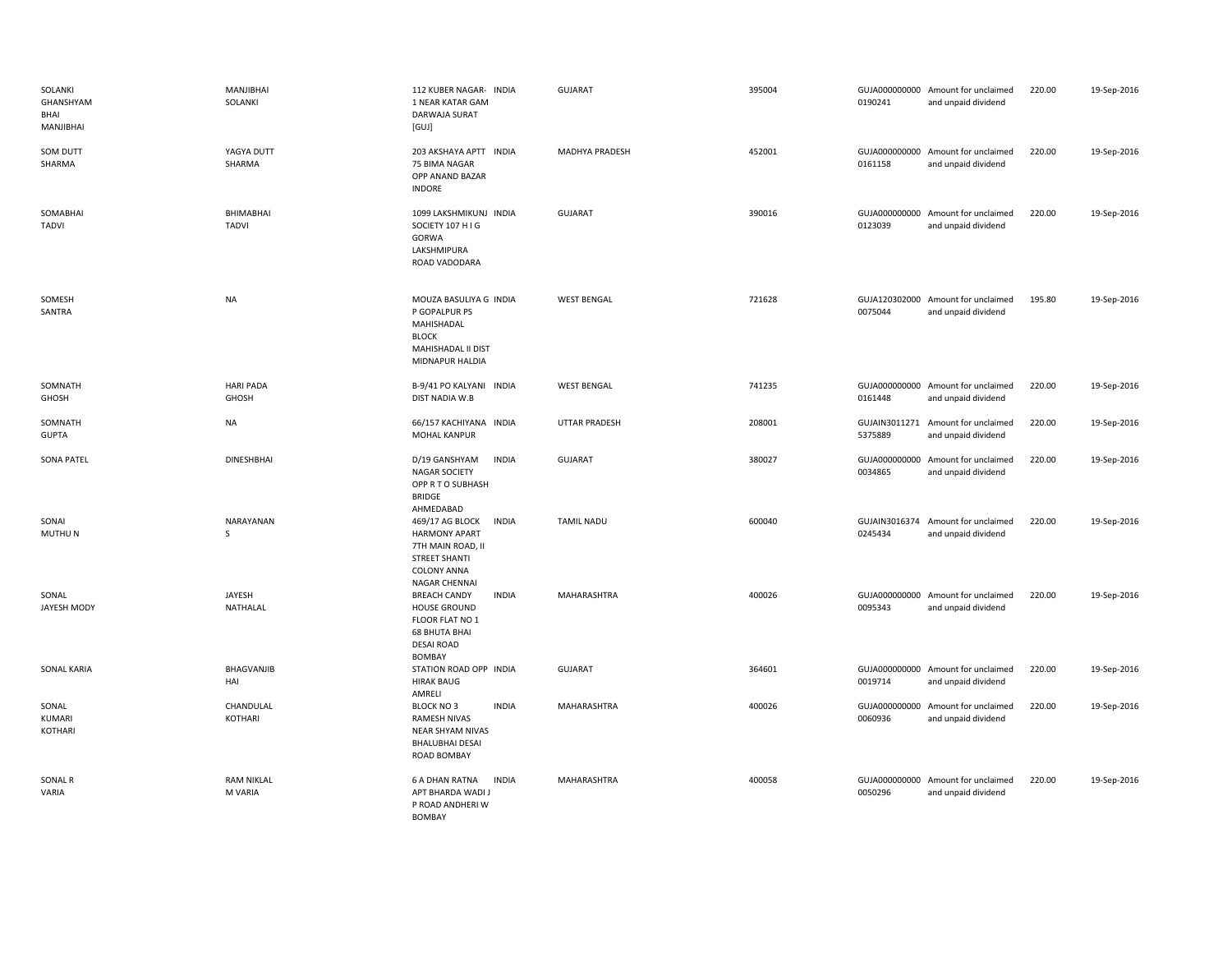| SOLANKI<br>GHANSHYAM<br>BHAI<br>MANJIBHAI | MANJIBHAI<br>SOLANKI         | 112 KUBER NAGAR- INDIA<br>1 NEAR KATAR GAM<br>DARWAJA SURAT<br>[GUI]                                                                               | <b>GUJARAT</b>       | 395004 | 0190241                  | GUJA000000000 Amount for unclaimed<br>and unpaid dividend | 220.00 | 19-Sep-2016 |
|-------------------------------------------|------------------------------|----------------------------------------------------------------------------------------------------------------------------------------------------|----------------------|--------|--------------------------|-----------------------------------------------------------|--------|-------------|
| SOM DUTT<br>SHARMA                        | YAGYA DUTT<br>SHARMA         | 203 AKSHAYA APTT INDIA<br>75 BIMA NAGAR<br>OPP ANAND BAZAR<br><b>INDORE</b>                                                                        | MADHYA PRADESH       | 452001 | 0161158                  | GUJA000000000 Amount for unclaimed<br>and unpaid dividend | 220.00 | 19-Sep-2016 |
| SOMABHAI<br><b>TADVI</b>                  | BHIMABHAI<br><b>TADVI</b>    | 1099 LAKSHMIKUNJ INDIA<br>SOCIETY 107 H I G<br>GORWA<br>LAKSHMIPURA<br>ROAD VADODARA                                                               | <b>GUJARAT</b>       | 390016 | GUJA000000000<br>0123039 | Amount for unclaimed<br>and unpaid dividend               | 220.00 | 19-Sep-2016 |
| SOMESH<br>SANTRA                          | <b>NA</b>                    | MOUZA BASULIYA G INDIA<br>P GOPALPUR PS<br>MAHISHADAL<br><b>BLOCK</b><br>MAHISHADAL II DIST<br>MIDNAPUR HALDIA                                     | <b>WEST BENGAL</b>   | 721628 | 0075044                  | GUJA120302000 Amount for unclaimed<br>and unpaid dividend | 195.80 | 19-Sep-2016 |
| SOMNATH<br>GHOSH                          | <b>HARI PADA</b><br>GHOSH    | B-9/41 PO KALYANI INDIA<br>DIST NADIA W.B                                                                                                          | <b>WEST BENGAL</b>   | 741235 | 0161448                  | GUJA000000000 Amount for unclaimed<br>and unpaid dividend | 220.00 | 19-Sep-2016 |
| SOMNATH<br><b>GUPTA</b>                   | <b>NA</b>                    | 66/157 KACHIYANA INDIA<br>MOHAL KANPUR                                                                                                             | <b>UTTAR PRADESH</b> | 208001 | 5375889                  | GUJAIN3011271 Amount for unclaimed<br>and unpaid dividend | 220.00 | 19-Sep-2016 |
| <b>SONA PATEL</b>                         | <b>DINESHBHAI</b>            | <b>INDIA</b><br>D/19 GANSHYAM<br>NAGAR SOCIETY<br>OPP R T O SUBHASH<br><b>BRIDGE</b><br>AHMEDABAD                                                  | <b>GUJARAT</b>       | 380027 | 0034865                  | GUJA000000000 Amount for unclaimed<br>and unpaid dividend | 220.00 | 19-Sep-2016 |
| SONAI<br>MUTHU N                          | NARAYANAN<br>S               | <b>INDIA</b><br>469/17 AG BLOCK<br><b>HARMONY APART</b><br>7TH MAIN ROAD, II<br><b>STREET SHANTI</b><br><b>COLONY ANNA</b><br><b>NAGAR CHENNAI</b> | <b>TAMIL NADU</b>    | 600040 | 0245434                  | GUJAIN3016374 Amount for unclaimed<br>and unpaid dividend | 220.00 | 19-Sep-2016 |
| SONAL<br>JAYESH MODY                      | JAYESH<br>NATHALAL           | <b>BREACH CANDY</b><br><b>INDIA</b><br><b>HOUSE GROUND</b><br>FLOOR FLAT NO 1<br><b>68 BHUTA BHAI</b><br><b>DESAI ROAD</b><br><b>BOMBAY</b>        | MAHARASHTRA          | 400026 | GUJA000000000<br>0095343 | Amount for unclaimed<br>and unpaid dividend               | 220.00 | 19-Sep-2016 |
| <b>SONAL KARIA</b>                        | BHAGVANJIB<br>HAI            | STATION ROAD OPP INDIA<br><b>HIRAK BAUG</b><br>AMRELI                                                                                              | <b>GUJARAT</b>       | 364601 | 0019714                  | GUJA000000000 Amount for unclaimed<br>and unpaid dividend | 220.00 | 19-Sep-2016 |
| SONAL<br>KUMARI<br>KOTHARI                | CHANDULAL<br>KOTHARI         | <b>INDIA</b><br>BLOCK NO3<br>RAMESH NIVAS<br>NEAR SHYAM NIVAS<br><b>BHALUBHAI DESAI</b><br>ROAD BOMBAY                                             | MAHARASHTRA          | 400026 | GUJA000000000<br>0060936 | Amount for unclaimed<br>and unpaid dividend               | 220.00 | 19-Sep-2016 |
| <b>SONAL R</b><br>VARIA                   | <b>RAM NIKLAL</b><br>M VARIA | <b>6 A DHAN RATNA</b><br><b>INDIA</b><br>APT BHARDA WADI J<br>P ROAD ANDHERI W<br><b>BOMBAY</b>                                                    | MAHARASHTRA          | 400058 | 0050296                  | GUJA000000000 Amount for unclaimed<br>and unpaid dividend | 220.00 | 19-Sep-2016 |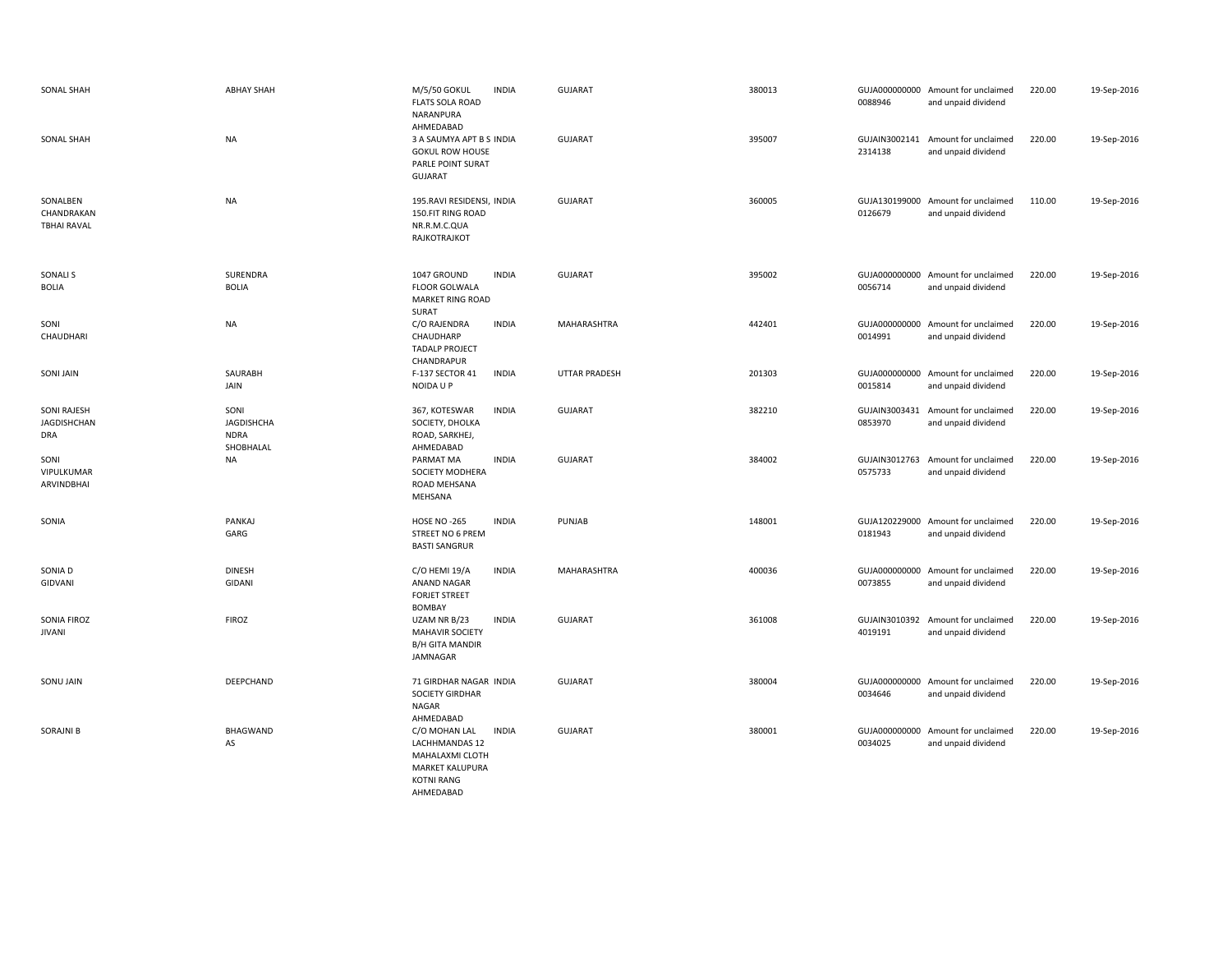| SONAL SHAH                                      | <b>ABHAY SHAH</b>                                     | <b>M/5/50 GOKUL</b><br><b>INDIA</b><br><b>FLATS SOLA ROAD</b><br>NARANPURA<br>AHMEDABAD                                               | <b>GUJARAT</b>       | 380013 | 0088946                  | GUJA000000000 Amount for unclaimed<br>and unpaid dividend | 220.00 | 19-Sep-2016 |
|-------------------------------------------------|-------------------------------------------------------|---------------------------------------------------------------------------------------------------------------------------------------|----------------------|--------|--------------------------|-----------------------------------------------------------|--------|-------------|
| <b>SONAL SHAH</b>                               | <b>NA</b>                                             | 3 A SAUMYA APT B S INDIA<br><b>GOKUL ROW HOUSE</b><br>PARLE POINT SURAT<br><b>GUJARAT</b>                                             | <b>GUJARAT</b>       | 395007 | GUJAIN3002141<br>2314138 | Amount for unclaimed<br>and unpaid dividend               | 220.00 | 19-Sep-2016 |
| SONALBEN<br>CHANDRAKAN<br><b>TBHAI RAVAL</b>    | <b>NA</b>                                             | 195. RAVI RESIDENSI, INDIA<br>150.FIT RING ROAD<br>NR.R.M.C.QUA<br>RAJKOTRAJKOT                                                       | <b>GUJARAT</b>       | 360005 | 0126679                  | GUJA130199000 Amount for unclaimed<br>and unpaid dividend | 110.00 | 19-Sep-2016 |
| <b>SONALI S</b><br><b>BOLIA</b>                 | SURENDRA<br><b>BOLIA</b>                              | <b>INDIA</b><br>1047 GROUND<br><b>FLOOR GOLWALA</b><br><b>MARKET RING ROAD</b><br>SURAT                                               | <b>GUJARAT</b>       | 395002 | 0056714                  | GUJA000000000 Amount for unclaimed<br>and unpaid dividend | 220.00 | 19-Sep-2016 |
| SONI<br>CHAUDHARI                               | <b>NA</b>                                             | C/O RAJENDRA<br><b>INDIA</b><br>CHAUDHARP<br><b>TADALP PROJECT</b><br>CHANDRAPUR                                                      | MAHARASHTRA          | 442401 | 0014991                  | GUJA000000000 Amount for unclaimed<br>and unpaid dividend | 220.00 | 19-Sep-2016 |
| <b>SONI JAIN</b>                                | SAURABH<br>JAIN                                       | <b>INDIA</b><br>F-137 SECTOR 41<br>NOIDA U P                                                                                          | <b>UTTAR PRADESH</b> | 201303 | 0015814                  | GUJA000000000 Amount for unclaimed<br>and unpaid dividend | 220.00 | 19-Sep-2016 |
| <b>SONI RAJESH</b><br>JAGDISHCHAN<br><b>DRA</b> | SONI<br><b>JAGDISHCHA</b><br><b>NDRA</b><br>SHOBHALAL | 367, KOTESWAR<br><b>INDIA</b><br>SOCIETY, DHOLKA<br>ROAD, SARKHEJ,<br>AHMEDABAD                                                       | <b>GUJARAT</b>       | 382210 | GUJAIN3003431<br>0853970 | Amount for unclaimed<br>and unpaid dividend               | 220.00 | 19-Sep-2016 |
| SONI<br>VIPULKUMAR<br>ARVINDBHAI                | <b>NA</b>                                             | <b>INDIA</b><br>PARMAT MA<br>SOCIETY MODHERA<br>ROAD MEHSANA<br>MEHSANA                                                               | <b>GUJARAT</b>       | 384002 | GUJAIN3012763<br>0575733 | Amount for unclaimed<br>and unpaid dividend               | 220.00 | 19-Sep-2016 |
| SONIA                                           | PANKAJ<br>GARG                                        | <b>HOSE NO -265</b><br><b>INDIA</b><br>STREET NO 6 PREM<br><b>BASTI SANGRUR</b>                                                       | PUNJAB               | 148001 | GUJA120229000<br>0181943 | Amount for unclaimed<br>and unpaid dividend               | 220.00 | 19-Sep-2016 |
| SONIA D<br>GIDVANI                              | <b>DINESH</b><br>GIDANI                               | C/O HEMI 19/A<br><b>INDIA</b><br>ANAND NAGAR<br><b>FORJET STREET</b><br><b>BOMBAY</b>                                                 | MAHARASHTRA          | 400036 | 0073855                  | GUJA000000000 Amount for unclaimed<br>and unpaid dividend | 220.00 | 19-Sep-2016 |
| SONIA FIROZ<br><b>JIVANI</b>                    | <b>FIROZ</b>                                          | <b>INDIA</b><br>UZAM NR B/23<br><b>MAHAVIR SOCIETY</b><br><b>B/H GITA MANDIR</b><br>JAMNAGAR                                          | <b>GUJARAT</b>       | 361008 | GUJAIN3010392<br>4019191 | Amount for unclaimed<br>and unpaid dividend               | 220.00 | 19-Sep-2016 |
| SONU JAIN                                       | DEEPCHAND                                             | 71 GIRDHAR NAGAR INDIA<br><b>SOCIETY GIRDHAR</b><br>NAGAR<br>AHMEDABAD                                                                | <b>GUJARAT</b>       | 380004 | 0034646                  | GUJA000000000 Amount for unclaimed<br>and unpaid dividend | 220.00 | 19-Sep-2016 |
| <b>SORAJNI B</b>                                | <b>BHAGWAND</b><br>AS                                 | <b>INDIA</b><br>C/O MOHAN LAL<br><b>LACHHMANDAS 12</b><br>MAHALAXMI CLOTH<br><b>MARKET KALUPURA</b><br><b>KOTNI RANG</b><br>AHMEDABAD | <b>GUJARAT</b>       | 380001 | GUJA000000000<br>0034025 | Amount for unclaimed<br>and unpaid dividend               | 220.00 | 19-Sep-2016 |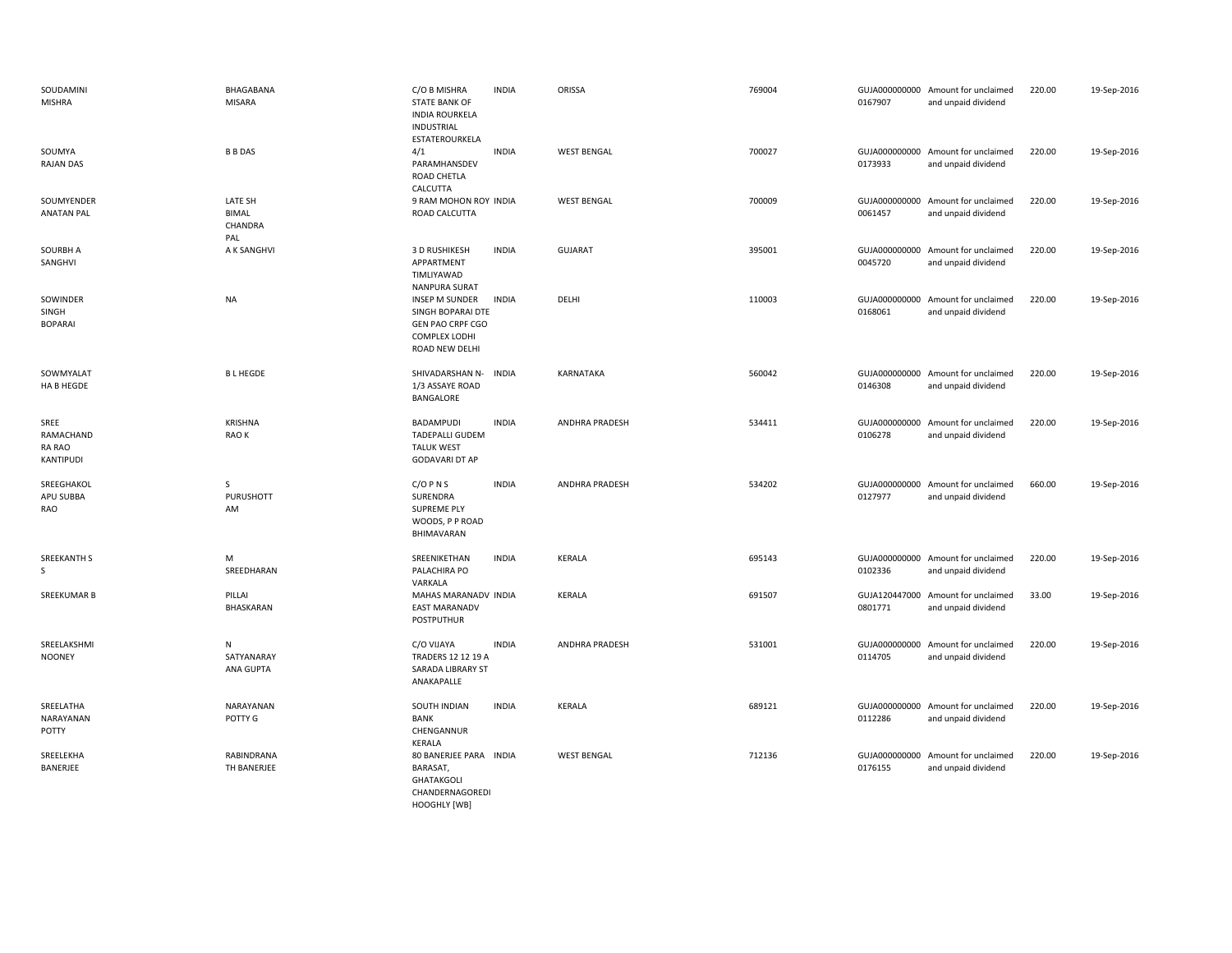| SOUDAMINI<br>MISHRA                      | BHAGABANA<br><b>MISARA</b>                | C/O B MISHRA<br><b>STATE BANK OF</b><br><b>INDIA ROURKELA</b><br>INDUSTRIAL<br>ESTATEROURKELA            | <b>INDIA</b> | ORISSA                | 769004 | 0167907                  | GUJA000000000 Amount for unclaimed<br>and unpaid dividend | 220.00 | 19-Sep-2016 |
|------------------------------------------|-------------------------------------------|----------------------------------------------------------------------------------------------------------|--------------|-----------------------|--------|--------------------------|-----------------------------------------------------------|--------|-------------|
| SOUMYA<br><b>RAJAN DAS</b>               | <b>B B DAS</b>                            | 4/1<br>PARAMHANSDEV<br>ROAD CHETLA<br>CALCUTTA                                                           | <b>INDIA</b> | <b>WEST BENGAL</b>    | 700027 | 0173933                  | GUJA000000000 Amount for unclaimed<br>and unpaid dividend | 220.00 | 19-Sep-2016 |
| SOUMYENDER<br><b>ANATAN PAL</b>          | LATE SH<br><b>BIMAL</b><br>CHANDRA<br>PAL | 9 RAM MOHON ROY INDIA<br>ROAD CALCUTTA                                                                   |              | <b>WEST BENGAL</b>    | 700009 | 0061457                  | GUJA000000000 Amount for unclaimed<br>and unpaid dividend | 220.00 | 19-Sep-2016 |
| SOURBH A<br>SANGHVI                      | A K SANGHVI                               | 3 D RUSHIKESH<br>APPARTMENT<br>TIMLIYAWAD<br>NANPURA SURAT                                               | <b>INDIA</b> | GUJARAT               | 395001 | 0045720                  | GUJA000000000 Amount for unclaimed<br>and unpaid dividend | 220.00 | 19-Sep-2016 |
| SOWINDER<br>SINGH<br><b>BOPARAI</b>      | <b>NA</b>                                 | INSEP M SUNDER<br>SINGH BOPARAI DTE<br><b>GEN PAO CRPF CGO</b><br><b>COMPLEX LODHI</b><br>ROAD NEW DELHI | <b>INDIA</b> | DELHI                 | 110003 | 0168061                  | GUJA000000000 Amount for unclaimed<br>and unpaid dividend | 220.00 | 19-Sep-2016 |
| SOWMYALAT<br>HA B HEGDE                  | <b>BLHEGDE</b>                            | SHIVADARSHAN N-<br>1/3 ASSAYE ROAD<br>BANGALORE                                                          | <b>INDIA</b> | KARNATAKA             | 560042 | 0146308                  | GUJA000000000 Amount for unclaimed<br>and unpaid dividend | 220.00 | 19-Sep-2016 |
| SREE<br>RAMACHAND<br>RA RAO<br>KANTIPUDI | <b>KRISHNA</b><br>RAO K                   | BADAMPUDI<br><b>TADEPALLI GUDEM</b><br><b>TALUK WEST</b><br><b>GODAVARI DT AP</b>                        | <b>INDIA</b> | <b>ANDHRA PRADESH</b> | 534411 | 0106278                  | GUJA000000000 Amount for unclaimed<br>and unpaid dividend | 220.00 | 19-Sep-2016 |
| SREEGHAKOL<br>APU SUBBA<br>RAO           | $\mathsf{S}$<br>PURUSHOTT<br>AM           | $C/O$ P N S<br>SURENDRA<br>SUPREME PLY<br>WOODS, P P ROAD<br>BHIMAVARAN                                  | <b>INDIA</b> | ANDHRA PRADESH        | 534202 | 0127977                  | GUJA000000000 Amount for unclaimed<br>and unpaid dividend | 660.00 | 19-Sep-2016 |
| <b>SREEKANTH S</b><br>S                  | M<br>SREEDHARAN                           | SREENIKETHAN<br>PALACHIRA PO<br>VARKALA                                                                  | <b>INDIA</b> | KERALA                | 695143 | 0102336                  | GUJA000000000 Amount for unclaimed<br>and unpaid dividend | 220.00 | 19-Sep-2016 |
| SREEKUMAR B                              | PILLAI<br>BHASKARAN                       | MAHAS MARANADV INDIA<br><b>EAST MARANADV</b><br>POSTPUTHUR                                               |              | KERALA                | 691507 | 0801771                  | GUJA120447000 Amount for unclaimed<br>and unpaid dividend | 33.00  | 19-Sep-2016 |
| SREELAKSHMI<br><b>NOONEY</b>             | N<br>SATYANARAY<br>ANA GUPTA              | C/O VIJAYA<br>TRADERS 12 12 19 A<br>SARADA LIBRARY ST<br>ANAKAPALLE                                      | <b>INDIA</b> | ANDHRA PRADESH        | 531001 | GUJA000000000<br>0114705 | Amount for unclaimed<br>and unpaid dividend               | 220.00 | 19-Sep-2016 |
| SREELATHA<br>NARAYANAN<br>POTTY          | NARAYANAN<br>POTTY G                      | SOUTH INDIAN<br>BANK<br>CHENGANNUR<br><b>KERALA</b>                                                      | <b>INDIA</b> | KERALA                | 689121 | 0112286                  | GUJA000000000 Amount for unclaimed<br>and unpaid dividend | 220.00 | 19-Sep-2016 |
| SREELEKHA<br>BANERJEE                    | RABINDRANA<br>TH BANERJEE                 | 80 BANERJEE PARA INDIA<br>BARASAT,<br><b>GHATAKGOLI</b><br>CHANDERNAGOREDI<br><b>HOOGHLY</b> [WB]        |              | <b>WEST BENGAL</b>    | 712136 | 0176155                  | GUJA000000000 Amount for unclaimed<br>and unpaid dividend | 220.00 | 19-Sep-2016 |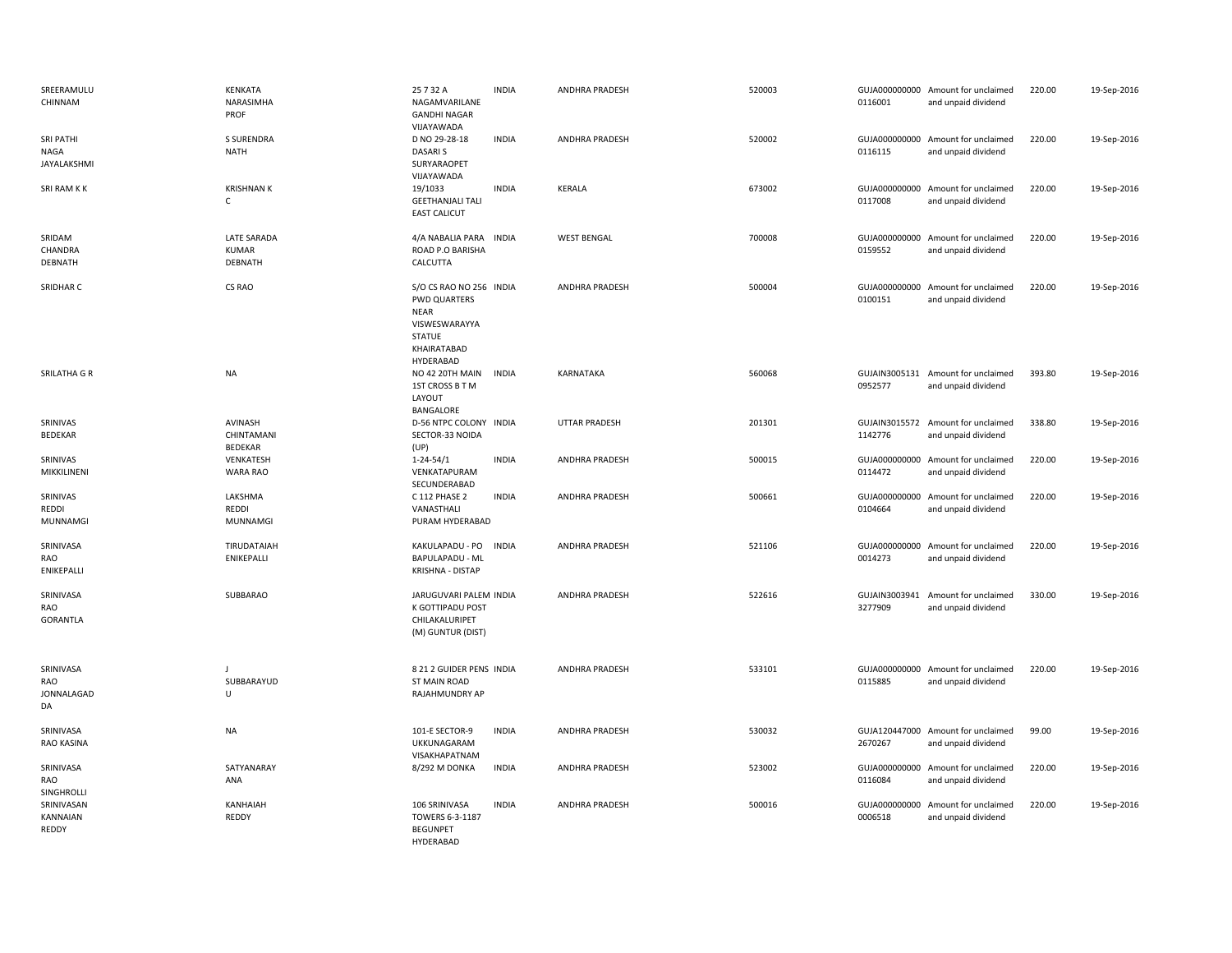| SREERAMULU<br>CHINNAM                | KENKATA<br>NARASIMHA<br>PROF                  | 25 7 32 A<br>NAGAMVARILANE<br><b>GANDHI NAGAR</b><br>VIJAYAWADA                                               | <b>INDIA</b> | ANDHRA PRADESH       | 520003 | 0116001 | GUJA000000000 Amount for unclaimed<br>and unpaid dividend | 220.00 | 19-Sep-2016 |
|--------------------------------------|-----------------------------------------------|---------------------------------------------------------------------------------------------------------------|--------------|----------------------|--------|---------|-----------------------------------------------------------|--------|-------------|
| SRI PATHI<br>NAGA<br>JAYALAKSHMI     | <b>S SURENDRA</b><br><b>NATH</b>              | D NO 29-28-18<br><b>DASARIS</b><br>SURYARAOPET<br>VIJAYAWADA                                                  | <b>INDIA</b> | ANDHRA PRADESH       | 520002 | 0116115 | GUJA000000000 Amount for unclaimed<br>and unpaid dividend | 220.00 | 19-Sep-2016 |
| SRI RAM K K                          | <b>KRISHNAN K</b><br>$\mathsf{C}$             | 19/1033<br><b>GEETHANJALI TALI</b><br><b>EAST CALICUT</b>                                                     | <b>INDIA</b> | KERALA               | 673002 | 0117008 | GUJA000000000 Amount for unclaimed<br>and unpaid dividend | 220.00 | 19-Sep-2016 |
| SRIDAM<br>CHANDRA<br>DEBNATH         | <b>LATE SARADA</b><br><b>KUMAR</b><br>DEBNATH | 4/A NABALIA PARA INDIA<br>ROAD P.O BARISHA<br>CALCUTTA                                                        |              | <b>WEST BENGAL</b>   | 700008 | 0159552 | GUJA000000000 Amount for unclaimed<br>and unpaid dividend | 220.00 | 19-Sep-2016 |
| SRIDHAR C                            | CS RAO                                        | S/O CS RAO NO 256 INDIA<br>PWD QUARTERS<br><b>NEAR</b><br>VISWESWARAYYA<br>STATUE<br>KHAIRATABAD<br>HYDERABAD |              | ANDHRA PRADESH       | 500004 | 0100151 | GUJA000000000 Amount for unclaimed<br>and unpaid dividend | 220.00 | 19-Sep-2016 |
| SRILATHA G R                         | <b>NA</b>                                     | NO 42 20TH MAIN<br>1ST CROSS B T M<br>LAYOUT<br>BANGALORE                                                     | <b>INDIA</b> | KARNATAKA            | 560068 | 0952577 | GUJAIN3005131 Amount for unclaimed<br>and unpaid dividend | 393.80 | 19-Sep-2016 |
| SRINIVAS<br><b>BEDEKAR</b>           | AVINASH<br>CHINTAMANI<br><b>BEDEKAR</b>       | D-56 NTPC COLONY INDIA<br>SECTOR-33 NOIDA<br>(UP)                                                             |              | <b>UTTAR PRADESH</b> | 201301 | 1142776 | GUJAIN3015572 Amount for unclaimed<br>and unpaid dividend | 338.80 | 19-Sep-2016 |
| SRINIVAS<br>MIKKILINENI              | VENKATESH<br>WARA RAO                         | $1 - 24 - 54/1$<br>VENKATAPURAM<br>SECUNDERABAD                                                               | <b>INDIA</b> | ANDHRA PRADESH       | 500015 | 0114472 | GUJA000000000 Amount for unclaimed<br>and unpaid dividend | 220.00 | 19-Sep-2016 |
| SRINIVAS<br>REDDI<br><b>MUNNAMGI</b> | LAKSHMA<br>REDDI<br><b>MUNNAMGI</b>           | C 112 PHASE 2<br>VANASTHALI<br>PURAM HYDERABAD                                                                | <b>INDIA</b> | ANDHRA PRADESH       | 500661 | 0104664 | GUJA000000000 Amount for unclaimed<br>and unpaid dividend | 220.00 | 19-Sep-2016 |
| SRINIVASA<br>RAO<br>ENIKEPALLI       | TIRUDATAIAH<br>ENIKEPALLI                     | KAKULAPADU - PO<br><b>BAPULAPADU - ML</b><br>KRISHNA - DISTAP                                                 | <b>INDIA</b> | ANDHRA PRADESH       | 521106 | 0014273 | GUJA000000000 Amount for unclaimed<br>and unpaid dividend | 220.00 | 19-Sep-2016 |
| SRINIVASA<br>RAO<br><b>GORANTLA</b>  | SUBBARAO                                      | JARUGUVARI PALEM INDIA<br>K GOTTIPADU POST<br>CHILAKALURIPET<br>(M) GUNTUR (DIST)                             |              | ANDHRA PRADESH       | 522616 | 3277909 | GUJAIN3003941 Amount for unclaimed<br>and unpaid dividend | 330.00 | 19-Sep-2016 |
| SRINIVASA<br>RAO<br>JONNALAGAD<br>DA | J<br>SUBBARAYUD<br>U                          | 8 21 2 GUIDER PENS INDIA<br><b>ST MAIN ROAD</b><br>RAJAHMUNDRY AP                                             |              | ANDHRA PRADESH       | 533101 | 0115885 | GUJA000000000 Amount for unclaimed<br>and unpaid dividend | 220.00 | 19-Sep-2016 |
| SRINIVASA<br>RAO KASINA              | <b>NA</b>                                     | 101-E SECTOR-9<br>UKKUNAGARAM<br>VISAKHAPATNAM                                                                | <b>INDIA</b> | ANDHRA PRADESH       | 530032 | 2670267 | GUJA120447000 Amount for unclaimed<br>and unpaid dividend | 99.00  | 19-Sep-2016 |
| SRINIVASA<br>RAO<br>SINGHROLLI       | SATYANARAY<br>ANA                             | 8/292 M DONKA                                                                                                 | <b>INDIA</b> | ANDHRA PRADESH       | 523002 | 0116084 | GUJA000000000 Amount for unclaimed<br>and unpaid dividend | 220.00 | 19-Sep-2016 |
| SRINIVASAN<br>KANNAIAN<br>REDDY      | KANHAIAH<br>REDDY                             | 106 SRINIVASA<br>TOWERS 6-3-1187<br><b>BEGUNPET</b><br>HYDERABAD                                              | <b>INDIA</b> | ANDHRA PRADESH       | 500016 | 0006518 | GUJA000000000 Amount for unclaimed<br>and unpaid dividend | 220.00 | 19-Sep-2016 |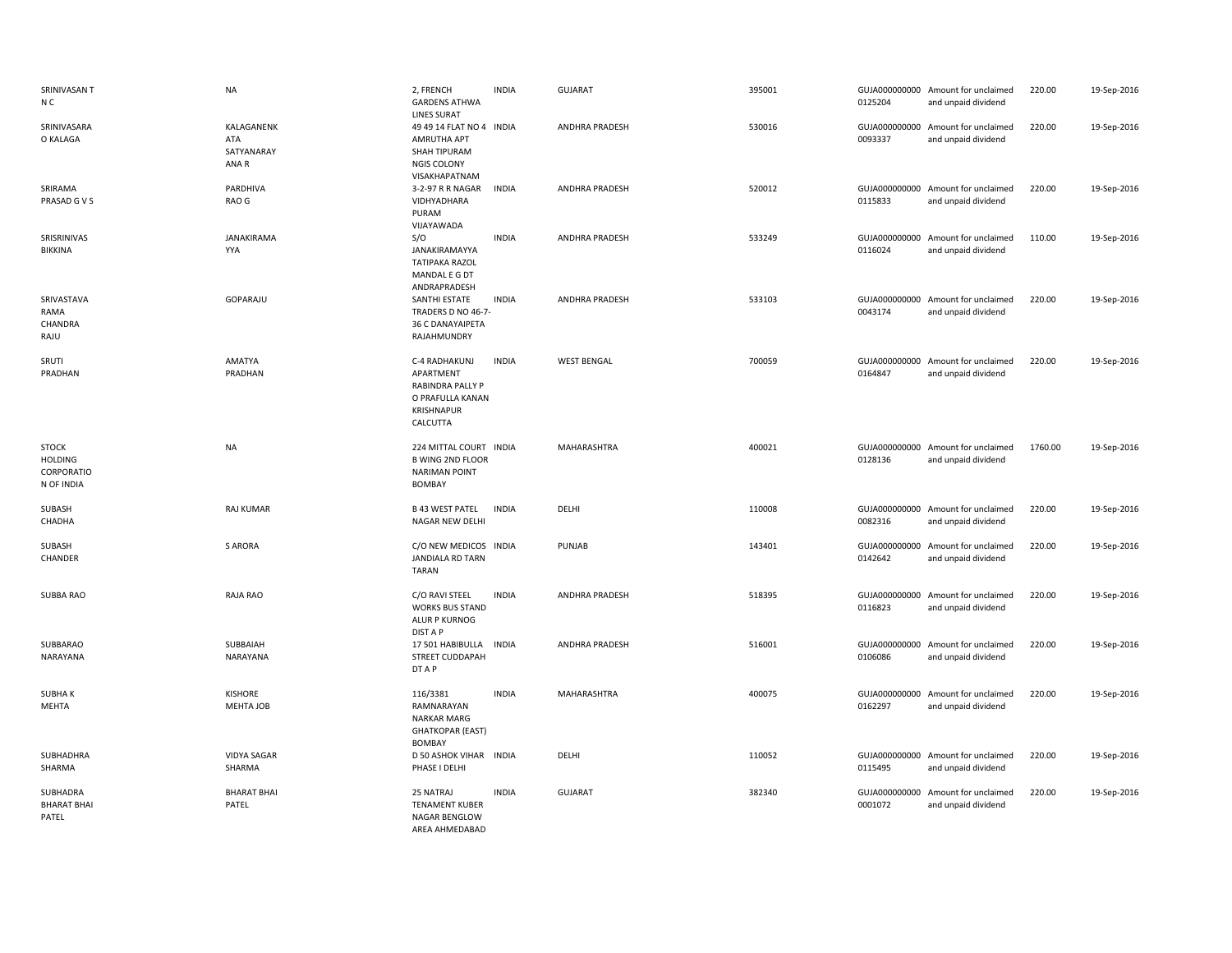| SRINIVASAN T<br>N C                                        | <b>NA</b>                                | 2, FRENCH<br><b>GARDENS ATHWA</b><br><b>LINES SURAT</b>                                             | <b>INDIA</b> | <b>GUJARAT</b>        | 395001 | 0125204                  | GUJA000000000 Amount for unclaimed<br>and unpaid dividend | 220.00  | 19-Sep-2016 |
|------------------------------------------------------------|------------------------------------------|-----------------------------------------------------------------------------------------------------|--------------|-----------------------|--------|--------------------------|-----------------------------------------------------------|---------|-------------|
| SRINIVASARA<br>O KALAGA                                    | KALAGANENK<br>ATA<br>SATYANARAY<br>ANA R | 49 49 14 FLAT NO 4 INDIA<br>AMRUTHA APT<br>SHAH TIPURAM<br><b>NGIS COLONY</b><br>VISAKHAPATNAM      |              | ANDHRA PRADESH        | 530016 | 0093337                  | GUJA000000000 Amount for unclaimed<br>and unpaid dividend | 220.00  | 19-Sep-2016 |
| SRIRAMA<br>PRASAD G V S                                    | PARDHIVA<br>RAO G                        | 3-2-97 R R NAGAR<br>VIDHYADHARA<br>PURAM<br>VIJAYAWADA                                              | <b>INDIA</b> | <b>ANDHRA PRADESH</b> | 520012 | 0115833                  | GUJA000000000 Amount for unclaimed<br>and unpaid dividend | 220.00  | 19-Sep-2016 |
| SRISRINIVAS<br><b>BIKKINA</b>                              | <b>JANAKIRAMA</b><br>YYA                 | S/O<br>JANAKIRAMAYYA<br><b>TATIPAKA RAZOL</b><br>MANDAL E G DT<br>ANDRAPRADESH                      | <b>INDIA</b> | ANDHRA PRADESH        | 533249 | 0116024                  | GUJA000000000 Amount for unclaimed<br>and unpaid dividend | 110.00  | 19-Sep-2016 |
| SRIVASTAVA<br>RAMA<br>CHANDRA<br>RAJU                      | GOPARAJU                                 | SANTHI ESTATE<br>TRADERS D NO 46-7-<br>36 C DANAYAIPETA<br>RAJAHMUNDRY                              | <b>INDIA</b> | ANDHRA PRADESH        | 533103 | 0043174                  | GUJA000000000 Amount for unclaimed<br>and unpaid dividend | 220.00  | 19-Sep-2016 |
| SRUTI<br>PRADHAN                                           | AMATYA<br>PRADHAN                        | C-4 RADHAKUNJ<br>APARTMENT<br><b>RABINDRA PALLY P</b><br>O PRAFULLA KANAN<br>KRISHNAPUR<br>CALCUTTA | <b>INDIA</b> | <b>WEST BENGAL</b>    | 700059 | 0164847                  | GUJA000000000 Amount for unclaimed<br>and unpaid dividend | 220.00  | 19-Sep-2016 |
| <b>STOCK</b><br><b>HOLDING</b><br>CORPORATIO<br>N OF INDIA | <b>NA</b>                                | 224 MITTAL COURT INDIA<br><b>B WING 2ND FLOOR</b><br><b>NARIMAN POINT</b><br><b>BOMBAY</b>          |              | MAHARASHTRA           | 400021 | 0128136                  | GUJA000000000 Amount for unclaimed<br>and unpaid dividend | 1760.00 | 19-Sep-2016 |
| SUBASH<br>CHADHA                                           | RAJ KUMAR                                | <b>B 43 WEST PATEL</b><br>NAGAR NEW DELHI                                                           | <b>INDIA</b> | DELHI                 | 110008 | 0082316                  | GUJA000000000 Amount for unclaimed<br>and unpaid dividend | 220.00  | 19-Sep-2016 |
| SUBASH<br>CHANDER                                          | <b>S ARORA</b>                           | C/O NEW MEDICOS INDIA<br><b>JANDIALA RD TARN</b><br><b>TARAN</b>                                    |              | PUNJAB                | 143401 | 0142642                  | GUJA000000000 Amount for unclaimed<br>and unpaid dividend | 220.00  | 19-Sep-2016 |
| SUBBA RAO                                                  | RAJA RAO                                 | C/O RAVI STEEL<br><b>WORKS BUS STAND</b><br>ALUR P KURNOG<br><b>DIST A P</b>                        | <b>INDIA</b> | ANDHRA PRADESH        | 518395 | 0116823                  | GUJA000000000 Amount for unclaimed<br>and unpaid dividend | 220.00  | 19-Sep-2016 |
| SUBBARAO<br>NARAYANA                                       | SUBBAIAH<br>NARAYANA                     | 17 501 HABIBULLA<br>STREET CUDDAPAH<br>DT A P                                                       | <b>INDIA</b> | ANDHRA PRADESH        | 516001 | GUJA000000000<br>0106086 | Amount for unclaimed<br>and unpaid dividend               | 220.00  | 19-Sep-2016 |
| <b>SUBHAK</b><br>MEHTA                                     | <b>KISHORE</b><br>MEHTA JOB              | 116/3381<br>RAMNARAYAN<br><b>NARKAR MARG</b><br><b>GHATKOPAR (EAST)</b><br><b>BOMBAY</b>            | <b>INDIA</b> | MAHARASHTRA           | 400075 | 0162297                  | GUJA000000000 Amount for unclaimed<br>and unpaid dividend | 220.00  | 19-Sep-2016 |
| SUBHADHRA<br>SHARMA                                        | <b>VIDYA SAGAR</b><br>SHARMA             | D 50 ASHOK VIHAR INDIA<br>PHASE I DELHI                                                             |              | DELHI                 | 110052 | 0115495                  | GUJA000000000 Amount for unclaimed<br>and unpaid dividend | 220.00  | 19-Sep-2016 |
| SUBHADRA<br><b>BHARAT BHAI</b><br>PATEL                    | <b>BHARAT BHAI</b><br>PATEL              | 25 NATRAJ<br><b>TENAMENT KUBER</b><br>NAGAR BENGLOW<br>AREA AHMEDABAD                               | <b>INDIA</b> | <b>GUJARAT</b>        | 382340 | 0001072                  | GUJA000000000 Amount for unclaimed<br>and unpaid dividend | 220.00  | 19-Sep-2016 |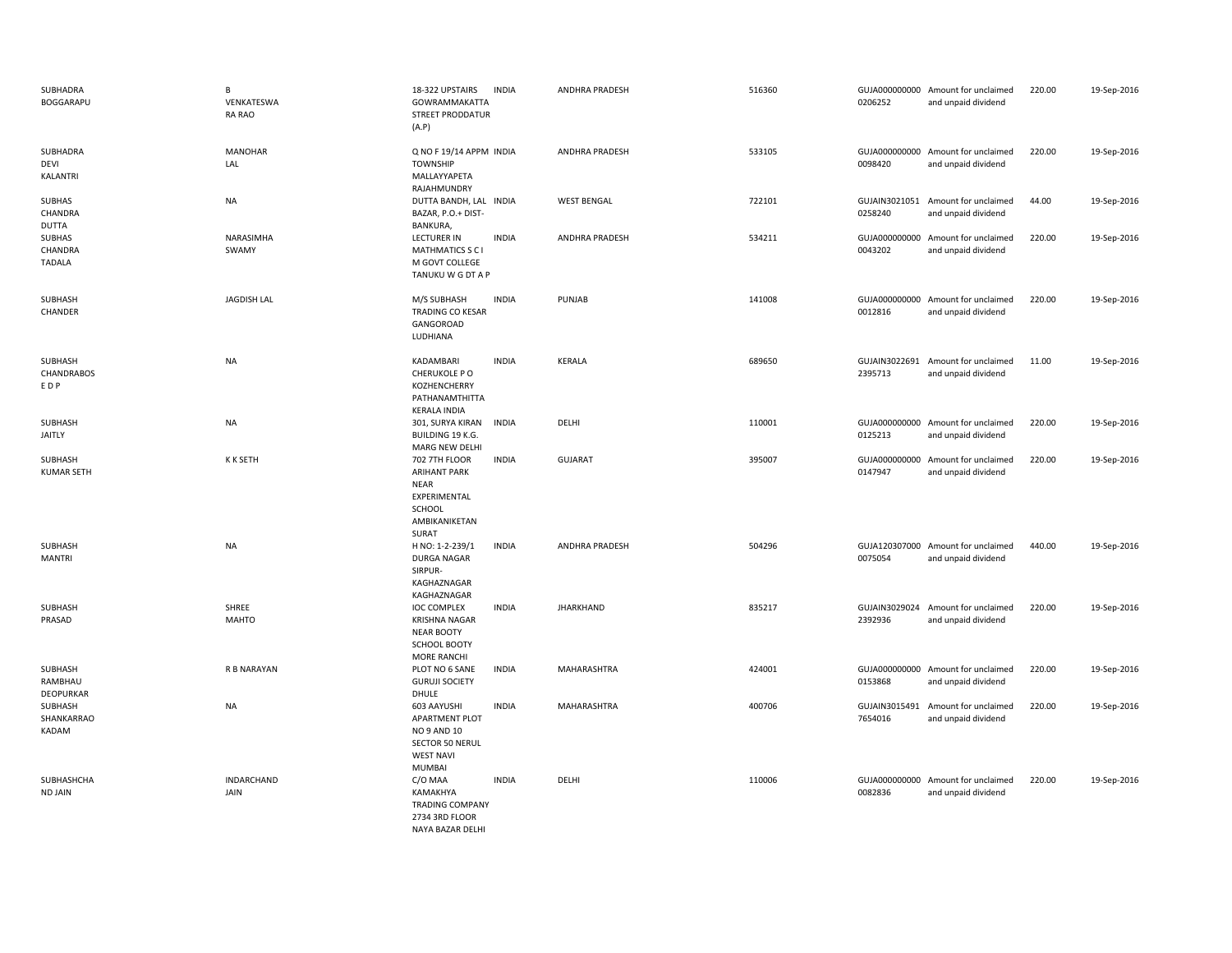| SUBHADRA<br>BOGGARAPU                    | B<br>VENKATESWA<br><b>RA RAO</b> | 18-322 UPSTAIRS<br><b>INDIA</b><br>GOWRAMMAKATTA<br>STREET PRODDATUR<br>(A.P)                                                  | <b>ANDHRA PRADESH</b> | 516360 | 0206252                  | GUJA000000000 Amount for unclaimed<br>and unpaid dividend | 220.00 | 19-Sep-2016 |
|------------------------------------------|----------------------------------|--------------------------------------------------------------------------------------------------------------------------------|-----------------------|--------|--------------------------|-----------------------------------------------------------|--------|-------------|
| SUBHADRA<br>DEVI<br>KALANTRI             | <b>MANOHAR</b><br>LAL            | Q NO F 19/14 APPM INDIA<br><b>TOWNSHIP</b><br>MALLAYYAPETA<br>RAJAHMUNDRY                                                      | <b>ANDHRA PRADESH</b> | 533105 | 0098420                  | GUJA000000000 Amount for unclaimed<br>and unpaid dividend | 220.00 | 19-Sep-2016 |
| <b>SUBHAS</b><br>CHANDRA<br><b>DUTTA</b> | <b>NA</b>                        | DUTTA BANDH, LAL INDIA<br>BAZAR, P.O.+ DIST-<br>BANKURA,                                                                       | <b>WEST BENGAL</b>    | 722101 | GUJAIN3021051<br>0258240 | Amount for unclaimed<br>and unpaid dividend               | 44.00  | 19-Sep-2016 |
| SUBHAS<br>CHANDRA<br>TADALA              | NARASIMHA<br>SWAMY               | <b>INDIA</b><br><b>LECTURER IN</b><br><b>MATHMATICS S C I</b><br>M GOVT COLLEGE<br>TANUKU W G DT A P                           | ANDHRA PRADESH        | 534211 | 0043202                  | GUJA000000000 Amount for unclaimed<br>and unpaid dividend | 220.00 | 19-Sep-2016 |
| SUBHASH<br>CHANDER                       | <b>JAGDISH LAL</b>               | <b>INDIA</b><br>M/S SUBHASH<br>TRADING CO KESAR<br>GANGOROAD<br>LUDHIANA                                                       | PUNJAB                | 141008 | 0012816                  | GUJA000000000 Amount for unclaimed<br>and unpaid dividend | 220.00 | 19-Sep-2016 |
| SUBHASH<br><b>CHANDRABOS</b><br>EDP      | <b>NA</b>                        | <b>INDIA</b><br>KADAMBARI<br>CHERUKOLE PO<br>KOZHENCHERRY<br>PATHANAMTHITTA<br><b>KERALA INDIA</b>                             | KERALA                | 689650 | GUJAIN3022691<br>2395713 | Amount for unclaimed<br>and unpaid dividend               | 11.00  | 19-Sep-2016 |
| SUBHASH<br>JAITLY                        | <b>NA</b>                        | 301, SURYA KIRAN<br><b>INDIA</b><br>BUILDING 19 K.G.<br>MARG NEW DELHI                                                         | DELHI                 | 110001 | 0125213                  | GUJA000000000 Amount for unclaimed<br>and unpaid dividend | 220.00 | 19-Sep-2016 |
| <b>SUBHASH</b><br><b>KUMAR SETH</b>      | K K SETH                         | <b>702 7TH FLOOR</b><br><b>INDIA</b><br><b>ARIHANT PARK</b><br><b>NEAR</b><br>EXPERIMENTAL<br>SCHOOL<br>AMBIKANIKETAN<br>SURAT | <b>GUJARAT</b>        | 395007 | 0147947                  | GUJA000000000 Amount for unclaimed<br>and unpaid dividend | 220.00 | 19-Sep-2016 |
| SUBHASH<br><b>MANTRI</b>                 | <b>NA</b>                        | H NO: 1-2-239/1<br><b>INDIA</b><br><b>DURGA NAGAR</b><br>SIRPUR-<br>KAGHAZNAGAR<br>KAGHAZNAGAR                                 | ANDHRA PRADESH        | 504296 | 0075054                  | GUJA120307000 Amount for unclaimed<br>and unpaid dividend | 440.00 | 19-Sep-2016 |
| SUBHASH<br>PRASAD                        | SHREE<br><b>MAHTO</b>            | <b>IOC COMPLEX</b><br><b>INDIA</b><br><b>KRISHNA NAGAR</b><br>NEAR BOOTY<br><b>SCHOOL BOOTY</b><br><b>MORE RANCHI</b>          | <b>JHARKHAND</b>      | 835217 | 2392936                  | GUJAIN3029024 Amount for unclaimed<br>and unpaid dividend | 220.00 | 19-Sep-2016 |
| SUBHASH<br>RAMBHAU<br>DEOPURKAR          | R B NARAYAN                      | PLOT NO 6 SANE<br><b>INDIA</b><br><b>GURUJI SOCIETY</b><br>DHULE                                                               | MAHARASHTRA           | 424001 | 0153868                  | GUJA000000000 Amount for unclaimed<br>and unpaid dividend | 220.00 | 19-Sep-2016 |
| SUBHASH<br>SHANKARRAO<br>KADAM           | <b>NA</b>                        | 603 AAYUSHI<br><b>INDIA</b><br>APARTMENT PLOT<br>NO 9 AND 10<br>SECTOR 50 NERUL<br><b>WEST NAVI</b><br>MUMBAI                  | MAHARASHTRA           | 400706 | GUJAIN3015491<br>7654016 | Amount for unclaimed<br>and unpaid dividend               | 220.00 | 19-Sep-2016 |
| SUBHASHCHA<br>ND JAIN                    | INDARCHAND<br>JAIN               | C/O MAA<br><b>INDIA</b><br>KAMAKHYA<br><b>TRADING COMPANY</b><br>2734 3RD FLOOR<br>NAYA BAZAR DELHI                            | DELHI                 | 110006 | 0082836                  | GUJA000000000 Amount for unclaimed<br>and unpaid dividend | 220.00 | 19-Sep-2016 |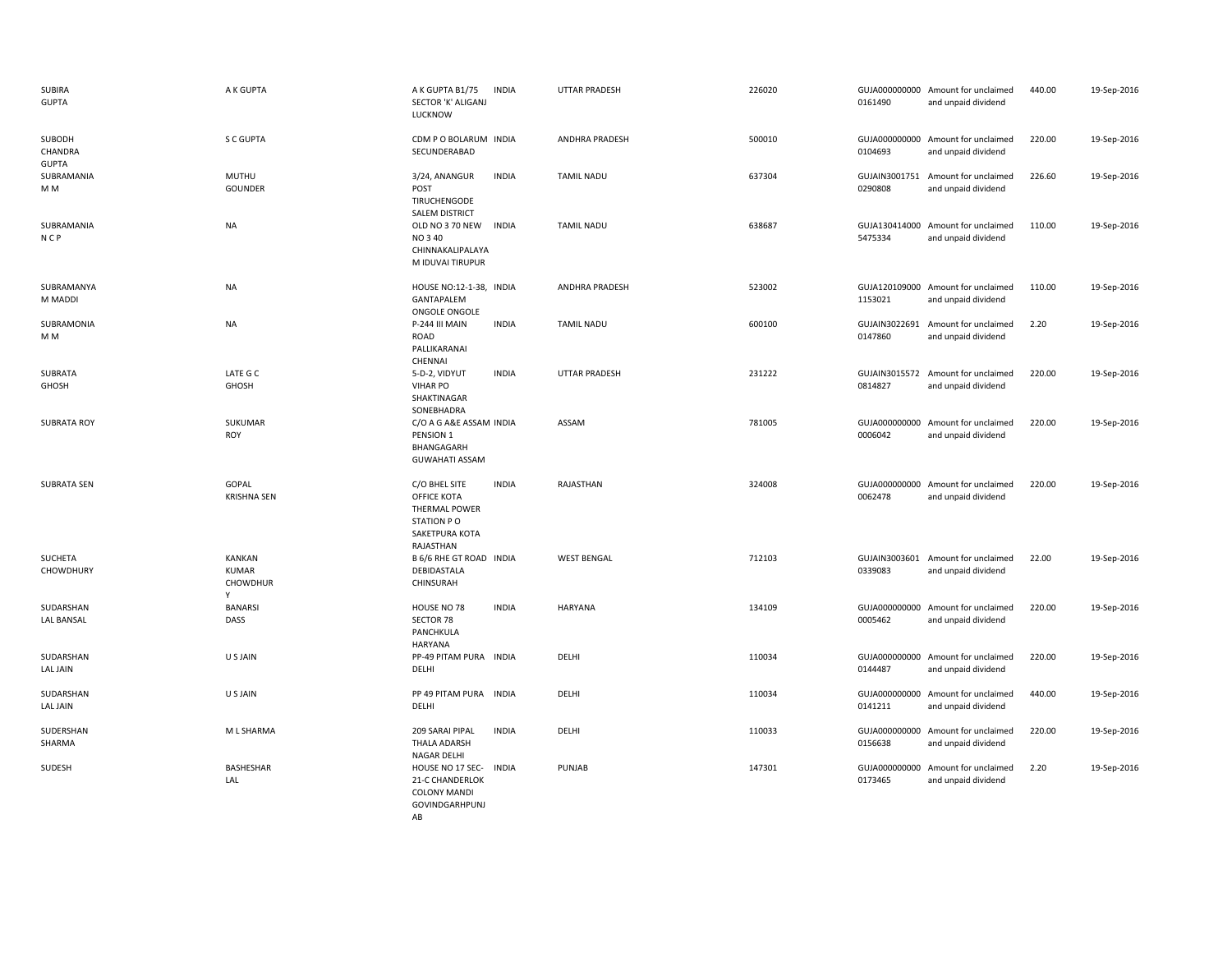| SUBIRA<br><b>GUPTA</b>            | A K GUPTA                                             | A K GUPTA B1/75<br>SECTOR 'K' ALIGANJ<br>LUCKNOW                                                 | <b>INDIA</b> | <b>UTTAR PRADESH</b> | 226020 | 0161490                  | GUJA000000000 Amount for unclaimed<br>and unpaid dividend | 440.00 | 19-Sep-2016 |
|-----------------------------------|-------------------------------------------------------|--------------------------------------------------------------------------------------------------|--------------|----------------------|--------|--------------------------|-----------------------------------------------------------|--------|-------------|
| SUBODH<br>CHANDRA<br><b>GUPTA</b> | S C GUPTA                                             | CDM P O BOLARUM INDIA<br>SECUNDERABAD                                                            |              | ANDHRA PRADESH       | 500010 | 0104693                  | GUJA000000000 Amount for unclaimed<br>and unpaid dividend | 220.00 | 19-Sep-2016 |
| SUBRAMANIA<br>M M                 | MUTHU<br>GOUNDER                                      | 3/24, ANANGUR<br>POST<br>TIRUCHENGODE<br><b>SALEM DISTRICT</b>                                   | <b>INDIA</b> | <b>TAMIL NADU</b>    | 637304 | GUJAIN3001751<br>0290808 | Amount for unclaimed<br>and unpaid dividend               | 226.60 | 19-Sep-2016 |
| SUBRAMANIA<br>N <sub>CP</sub>     | <b>NA</b>                                             | OLD NO 3 70 NEW<br>NO 340<br>CHINNAKALIPALAYA<br>M IDUVAI TIRUPUR                                | <b>INDIA</b> | <b>TAMIL NADU</b>    | 638687 | 5475334                  | GUJA130414000 Amount for unclaimed<br>and unpaid dividend | 110.00 | 19-Sep-2016 |
| SUBRAMANYA<br>M MADDI             | <b>NA</b>                                             | HOUSE NO:12-1-38, INDIA<br>GANTAPALEM<br>ONGOLE ONGOLE                                           |              | ANDHRA PRADESH       | 523002 | 1153021                  | GUJA120109000 Amount for unclaimed<br>and unpaid dividend | 110.00 | 19-Sep-2016 |
| SUBRAMONIA<br>M <sub>M</sub>      | <b>NA</b>                                             | P-244 III MAIN<br>ROAD<br>PALLIKARANAI<br>CHENNAI                                                | <b>INDIA</b> | <b>TAMIL NADU</b>    | 600100 | 0147860                  | GUJAIN3022691 Amount for unclaimed<br>and unpaid dividend | 2.20   | 19-Sep-2016 |
| SUBRATA<br>GHOSH                  | LATE G C<br>GHOSH                                     | 5-D-2, VIDYUT<br><b>VIHAR PO</b><br>SHAKTINAGAR<br>SONEBHADRA                                    | <b>INDIA</b> | <b>UTTAR PRADESH</b> | 231222 | 0814827                  | GUJAIN3015572 Amount for unclaimed<br>and unpaid dividend | 220.00 | 19-Sep-2016 |
| <b>SUBRATA ROY</b>                | SUKUMAR<br>ROY                                        | C/O A G A&E ASSAM INDIA<br>PENSION 1<br>BHANGAGARH<br><b>GUWAHATI ASSAM</b>                      |              | ASSAM                | 781005 | 0006042                  | GUJA000000000 Amount for unclaimed<br>and unpaid dividend | 220.00 | 19-Sep-2016 |
| <b>SUBRATA SEN</b>                | GOPAL<br><b>KRISHNA SEN</b>                           | C/O BHEL SITE<br>OFFICE KOTA<br>THERMAL POWER<br>STATION PO<br>SAKETPURA KOTA<br>RAJASTHAN       | <b>INDIA</b> | RAJASTHAN            | 324008 | 0062478                  | GUJA000000000 Amount for unclaimed<br>and unpaid dividend | 220.00 | 19-Sep-2016 |
| SUCHETA<br><b>CHOWDHURY</b>       | <b>KANKAN</b><br><b>KUMAR</b><br><b>CHOWDHUR</b><br>Y | B 6/6 RHE GT ROAD INDIA<br>DEBIDASTALA<br>CHINSURAH                                              |              | <b>WEST BENGAL</b>   | 712103 | 0339083                  | GUJAIN3003601 Amount for unclaimed<br>and unpaid dividend | 22.00  | 19-Sep-2016 |
| SUDARSHAN<br><b>LAL BANSAL</b>    | <b>BANARS</b><br>DASS                                 | HOUSE NO 78<br>SECTOR 78<br>PANCHKULA<br>HARYANA                                                 | <b>INDIA</b> | <b>HARYANA</b>       | 134109 | 0005462                  | GUJA000000000 Amount for unclaimed<br>and unpaid dividend | 220.00 | 19-Sep-2016 |
| SUDARSHAN<br><b>LAL JAIN</b>      | U S JAIN                                              | PP-49 PITAM PURA INDIA<br>DELHI                                                                  |              | DELHI                | 110034 | 0144487                  | GUJA000000000 Amount for unclaimed<br>and unpaid dividend | 220.00 | 19-Sep-2016 |
| SUDARSHAN<br><b>LAL JAIN</b>      | U S JAIN                                              | PP 49 PITAM PURA INDIA<br>DELHI                                                                  |              | DELHI                | 110034 | 0141211                  | GUJA000000000 Amount for unclaimed<br>and unpaid dividend | 440.00 | 19-Sep-2016 |
| SUDERSHAN<br>SHARMA               | M L SHARMA                                            | 209 SARAI PIPAL<br>THALA ADARSH<br><b>NAGAR DELHI</b>                                            | <b>INDIA</b> | DELHI                | 110033 | 0156638                  | GUJA000000000 Amount for unclaimed<br>and unpaid dividend | 220.00 | 19-Sep-2016 |
| SUDESH                            | <b>BASHESHAR</b><br>LAL                               | HOUSE NO 17 SEC- INDIA<br><b>21-C CHANDERLOK</b><br><b>COLONY MANDI</b><br><b>GOVINDGARHPUNJ</b> |              | PUNJAB               | 147301 | 0173465                  | GUJA000000000 Amount for unclaimed<br>and unpaid dividend | 2.20   | 19-Sep-2016 |

AB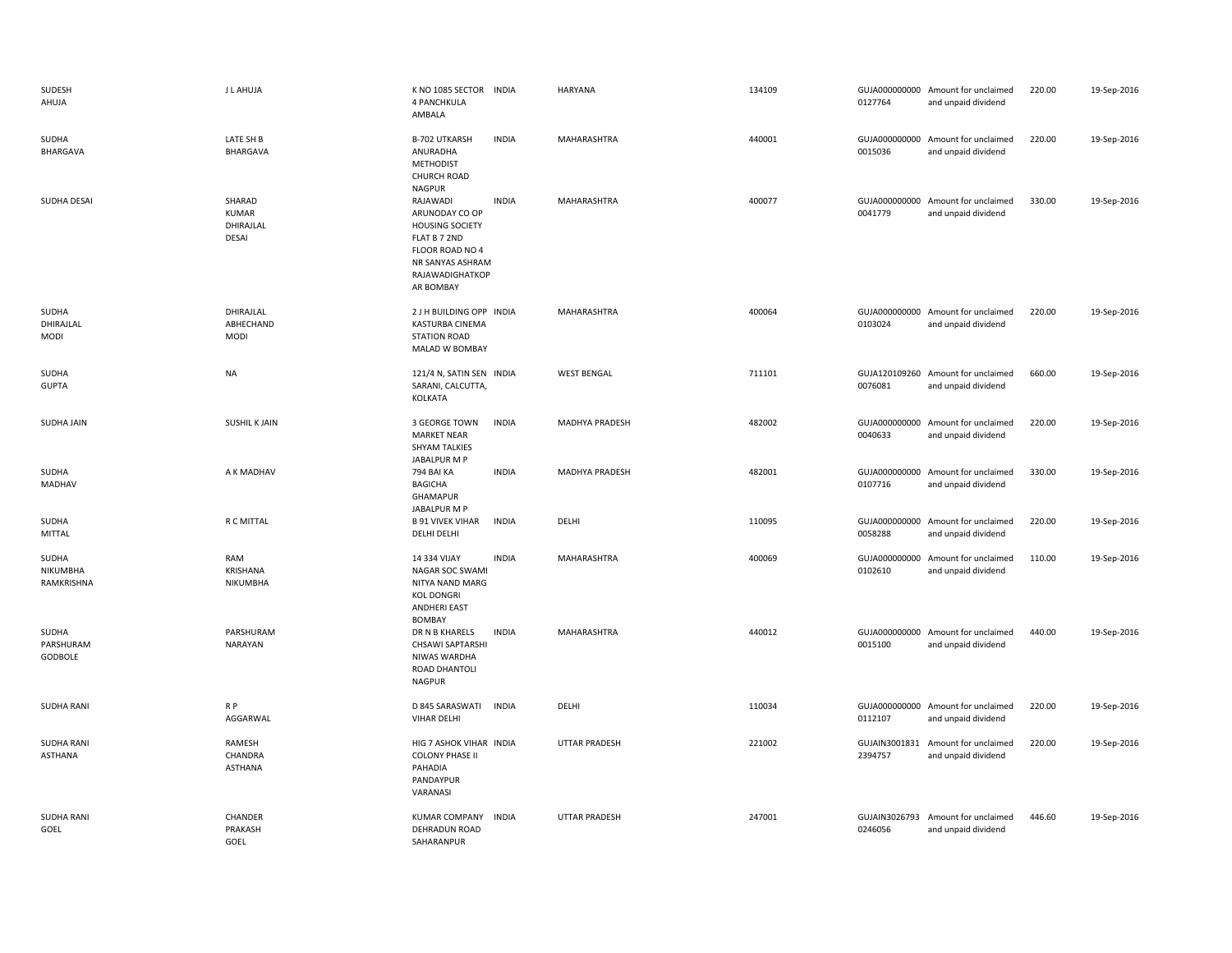| SUDESH<br>AHUJA                 | J L AHUJA                                    | K NO 1085 SECTOR INDIA<br>4 PANCHKULA<br>AMBALA                                                                                             |              | HARYANA              | 134109 | 0127764                  | GUJA000000000 Amount for unclaimed<br>and unpaid dividend | 220.00 | 19-Sep-2016 |
|---------------------------------|----------------------------------------------|---------------------------------------------------------------------------------------------------------------------------------------------|--------------|----------------------|--------|--------------------------|-----------------------------------------------------------|--------|-------------|
| SUDHA<br>BHARGAVA               | LATE SH B<br>BHARGAVA                        | <b>B-702 UTKARSH</b><br>ANURADHA<br><b>METHODIST</b><br>CHURCH ROAD<br><b>NAGPUR</b>                                                        | <b>INDIA</b> | MAHARASHTRA          | 440001 | 0015036                  | GUJA000000000 Amount for unclaimed<br>and unpaid dividend | 220.00 | 19-Sep-2016 |
| SUDHA DESAI                     | SHARAD<br><b>KUMAR</b><br>DHIRAJLAL<br>DESAI | RAJAWADI<br>ARUNODAY CO OP<br><b>HOUSING SOCIETY</b><br>FLAT B 7 2ND<br>FLOOR ROAD NO 4<br>NR SANYAS ASHRAM<br>RAJAWADIGHATKOP<br>AR BOMBAY | <b>INDIA</b> | MAHARASHTRA          | 400077 | 0041779                  | GUJA000000000 Amount for unclaimed<br>and unpaid dividend | 330.00 | 19-Sep-2016 |
| SUDHA<br>DHIRAJLAL<br>MODI      | DHIRAJLAL<br>ABHECHAND<br>MODI               | 2 J H BUILDING OPP INDIA<br>KASTURBA CINEMA<br><b>STATION ROAD</b><br>MALAD W BOMBAY                                                        |              | <b>MAHARASHTRA</b>   | 400064 | 0103024                  | GUJA000000000 Amount for unclaimed<br>and unpaid dividend | 220.00 | 19-Sep-2016 |
| SUDHA<br><b>GUPTA</b>           | <b>NA</b>                                    | 121/4 N, SATIN SEN INDIA<br>SARANI, CALCUTTA,<br>KOLKATA                                                                                    |              | <b>WEST BENGAL</b>   | 711101 | 0076081                  | GUJA120109260 Amount for unclaimed<br>and unpaid dividend | 660.00 | 19-Sep-2016 |
| SUDHA JAIN                      | <b>SUSHIL K JAIN</b>                         | 3 GEORGE TOWN<br><b>MARKET NEAR</b><br><b>SHYAM TALKIES</b><br>JABALPUR M P                                                                 | <b>INDIA</b> | MADHYA PRADESH       | 482002 | 0040633                  | GUJA000000000 Amount for unclaimed<br>and unpaid dividend | 220.00 | 19-Sep-2016 |
| SUDHA<br>MADHAV                 | A K MADHAV                                   | 794 BAI KA<br><b>BAGICHA</b><br>GHAMAPUR<br>JABALPUR M P                                                                                    | <b>INDIA</b> | MADHYA PRADESH       | 482001 | 0107716                  | GUJA000000000 Amount for unclaimed<br>and unpaid dividend | 330.00 | 19-Sep-2016 |
| SUDHA<br><b>MITTAL</b>          | R C MITTAL                                   | <b>B 91 VIVEK VIHAR</b><br><b>DELHI DELHI</b>                                                                                               | <b>INDIA</b> | DELHI                | 110095 | 0058288                  | GUJA000000000 Amount for unclaimed<br>and unpaid dividend | 220.00 | 19-Sep-2016 |
| SUDHA<br>NIKUMBHA<br>RAMKRISHNA | RAM<br><b>KRISHANA</b><br>NIKUMBHA           | 14 334 VIJAY<br><b>NAGAR SOC SWAMI</b><br>NITYA NAND MARG<br><b>KOL DONGRI</b><br><b>ANDHERI EAST</b><br><b>BOMBAY</b>                      | <b>INDIA</b> | MAHARASHTRA          | 400069 | 0102610                  | GUJA000000000 Amount for unclaimed<br>and unpaid dividend | 110.00 | 19-Sep-2016 |
| SUDHA<br>PARSHURAM<br>GODBOLE   | PARSHURAM<br><b>NARAYAN</b>                  | DR N B KHARELS<br><b>CHSAWI SAPTARSHI</b><br>NIWAS WARDHA<br>ROAD DHANTOLI<br><b>NAGPUR</b>                                                 | <b>INDIA</b> | MAHARASHTRA          | 440012 | 0015100                  | GUJA000000000 Amount for unclaimed<br>and unpaid dividend | 440.00 | 19-Sep-2016 |
| <b>SUDHA RANI</b>               | R P<br>AGGARWAL                              | D 845 SARASWATI<br>VIHAR DELHI                                                                                                              | <b>INDIA</b> | DELHI                | 110034 | 0112107                  | GUJA000000000 Amount for unclaimed<br>and unpaid dividend | 220.00 | 19-Sep-2016 |
| <b>SUDHA RANI</b><br>ASTHANA    | RAMESH<br>CHANDRA<br><b>ASTHANA</b>          | HIG 7 ASHOK VIHAR INDIA<br><b>COLONY PHASE II</b><br>PAHADIA<br>PANDAYPUR<br>VARANASI                                                       |              | <b>UTTAR PRADESH</b> | 221002 | 2394757                  | GUJAIN3001831 Amount for unclaimed<br>and unpaid dividend | 220.00 | 19-Sep-2016 |
| <b>SUDHA RANI</b><br>GOEL       | CHANDER<br>PRAKASH<br>GOEL                   | <b>KUMAR COMPANY</b><br>DEHRADUN ROAD<br>SAHARANPUR                                                                                         | <b>INDIA</b> | <b>UTTAR PRADESH</b> | 247001 | GUJAIN3026793<br>0246056 | Amount for unclaimed<br>and unpaid dividend               | 446.60 | 19-Sep-2016 |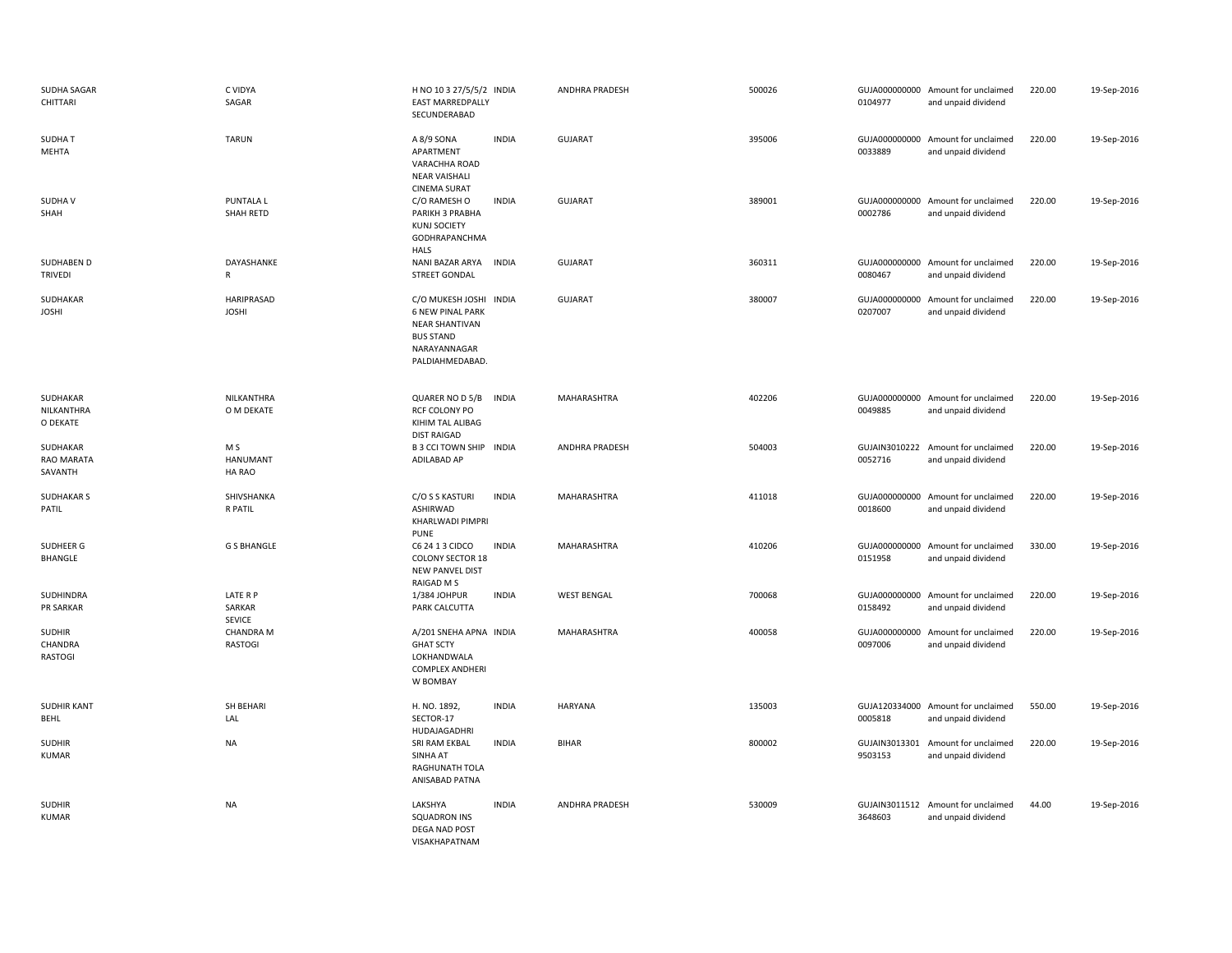| SUDHA SAGAR<br>CHITTARI             | C VIDYA<br>SAGAR                   | H NO 10 3 27/5/5/2 INDIA<br>EAST MARREDPALLY<br>SECUNDERABAD                                                                      |              | ANDHRA PRADESH        | 500026 | 0104977                  | GUJA000000000 Amount for unclaimed<br>and unpaid dividend | 220.00 | 19-Sep-2016 |
|-------------------------------------|------------------------------------|-----------------------------------------------------------------------------------------------------------------------------------|--------------|-----------------------|--------|--------------------------|-----------------------------------------------------------|--------|-------------|
| <b>SUDHAT</b><br>MEHTA              | <b>TARUN</b>                       | A 8/9 SONA<br>APARTMENT<br>VARACHHA ROAD<br><b>NEAR VAISHALI</b><br><b>CINEMA SURAT</b>                                           | <b>INDIA</b> | <b>GUJARAT</b>        | 395006 | 0033889                  | GUJA000000000 Amount for unclaimed<br>and unpaid dividend | 220.00 | 19-Sep-2016 |
| <b>SUDHAV</b><br>SHAH               | PUNTALA L<br>SHAH RETD             | C/O RAMESH O<br>PARIKH 3 PRABHA<br><b>KUNJ SOCIETY</b><br><b>GODHRAPANCHMA</b><br><b>HALS</b>                                     | <b>INDIA</b> | <b>GUJARAT</b>        | 389001 | 0002786                  | GUJA000000000 Amount for unclaimed<br>and unpaid dividend | 220.00 | 19-Sep-2016 |
| SUDHABEN D<br><b>TRIVEDI</b>        | DAYASHANKE<br>R                    | NANI BAZAR ARYA<br><b>STREET GONDAL</b>                                                                                           | <b>INDIA</b> | <b>GUJARAT</b>        | 360311 | 0080467                  | GUJA000000000 Amount for unclaimed<br>and unpaid dividend | 220.00 | 19-Sep-2016 |
| SUDHAKAR<br><b>JOSHI</b>            | HARIPRASAD<br><b>JOSHI</b>         | C/O MUKESH JOSHI INDIA<br><b>6 NEW PINAL PARK</b><br><b>NEAR SHANTIVAN</b><br><b>BUS STAND</b><br>NARAYANNAGAR<br>PALDIAHMEDABAD. |              | <b>GUJARAT</b>        | 380007 | 0207007                  | GUJA000000000 Amount for unclaimed<br>and unpaid dividend | 220.00 | 19-Sep-2016 |
| SUDHAKAR<br>NILKANTHRA<br>O DEKATE  | NILKANTHRA<br>O M DEKATE           | QUARER NO D 5/B<br>RCF COLONY PO<br>KIHIM TAL ALIBAG<br><b>DIST RAIGAD</b>                                                        | INDIA        | MAHARASHTRA           | 402206 | 0049885                  | GUJA000000000 Amount for unclaimed<br>and unpaid dividend | 220.00 | 19-Sep-2016 |
| SUDHAKAR<br>RAO MARATA<br>SAVANTH   | M S<br>HANUMANT<br>HA RAO          | B 3 CCI TOWN SHIP INDIA<br>ADILABAD AP                                                                                            |              | ANDHRA PRADESH        | 504003 | GUJAIN3010222<br>0052716 | Amount for unclaimed<br>and unpaid dividend               | 220.00 | 19-Sep-2016 |
| <b>SUDHAKAR S</b><br>PATIL          | SHIVSHANKA<br>R PATIL              | C/O S S KASTURI<br><b>ASHIRWAD</b><br><b>KHARLWADI PIMPRI</b><br>PUNE                                                             | <b>INDIA</b> | <b>MAHARASHTRA</b>    | 411018 | 0018600                  | GUJA000000000 Amount for unclaimed<br>and unpaid dividend | 220.00 | 19-Sep-2016 |
| SUDHEER G<br><b>BHANGLE</b>         | <b>G S BHANGLE</b>                 | C6 24 1 3 CIDCO<br><b>COLONY SECTOR 18</b><br><b>NEW PANVEL DIST</b><br>RAIGAD M S                                                | <b>INDIA</b> | MAHARASHTRA           | 410206 | 0151958                  | GUJA000000000 Amount for unclaimed<br>and unpaid dividend | 330.00 | 19-Sep-2016 |
| SUDHINDRA<br>PR SARKAR              | LATE R P<br>SARKAR<br>SEVICE       | 1/384 JOHPUR<br>PARK CALCUTTA                                                                                                     | <b>INDIA</b> | <b>WEST BENGAL</b>    | 700068 | 0158492                  | GUJA000000000 Amount for unclaimed<br>and unpaid dividend | 220.00 | 19-Sep-2016 |
| <b>SUDHIR</b><br>CHANDRA<br>RASTOGI | <b>CHANDRA M</b><br><b>RASTOGI</b> | A/201 SNEHA APNA INDIA<br><b>GHAT SCTY</b><br>LOKHANDWALA<br><b>COMPLEX ANDHERI</b><br>W BOMBAY                                   |              | MAHARASHTRA           | 400058 | GUJA000000000<br>0097006 | Amount for unclaimed<br>and unpaid dividend               | 220.00 | 19-Sep-2016 |
| <b>SUDHIR KANT</b><br>BEHL          | SH BEHARI<br>LAL                   | H. NO. 1892,<br>SECTOR-17<br>HUDAJAGADHRI                                                                                         | <b>INDIA</b> | <b>HARYANA</b>        | 135003 | 0005818                  | GUJA120334000 Amount for unclaimed<br>and unpaid dividend | 550.00 | 19-Sep-2016 |
| <b>SUDHIR</b><br><b>KUMAR</b>       | NA                                 | SRI RAM EKBAL<br>SINHA AT<br>RAGHUNATH TOLA<br>ANISABAD PATNA                                                                     | <b>INDIA</b> | <b>BIHAR</b>          | 800002 | 9503153                  | GUJAIN3013301 Amount for unclaimed<br>and unpaid dividend | 220.00 | 19-Sep-2016 |
| <b>SUDHIR</b><br><b>KUMAR</b>       | <b>NA</b>                          | LAKSHYA<br><b>SQUADRON INS</b><br>DEGA NAD POST<br>VISAKHAPATNAM                                                                  | <b>INDIA</b> | <b>ANDHRA PRADESH</b> | 530009 | 3648603                  | GUJAIN3011512 Amount for unclaimed<br>and unpaid dividend | 44.00  | 19-Sep-2016 |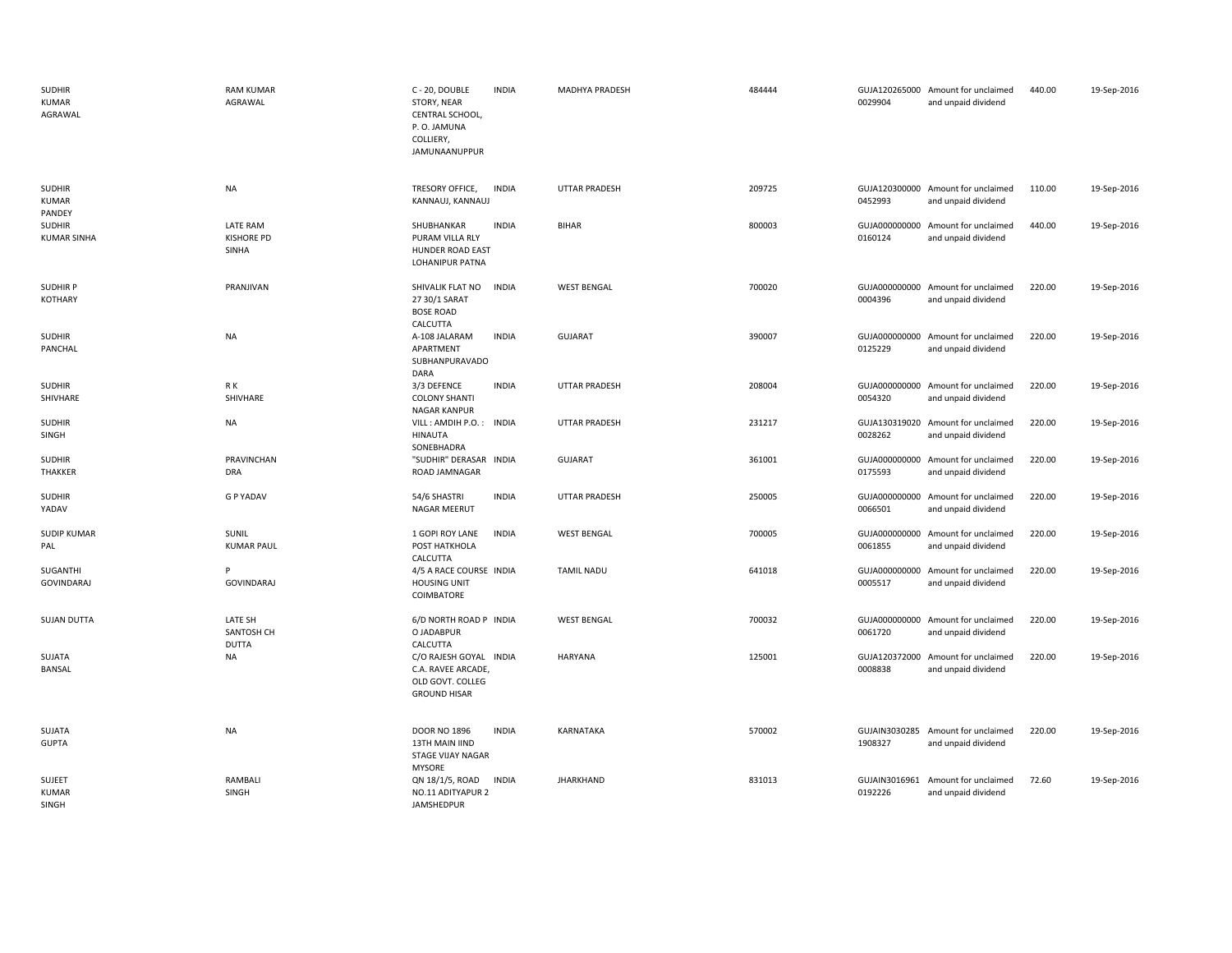| <b>SUDHIR</b><br><b>KUMAR</b><br>AGRAWAL | <b>RAM KUMAR</b><br>AGRAWAL            | C - 20, DOUBLE<br><b>INDIA</b><br>STORY, NEAR<br>CENTRAL SCHOOL,<br>P.O. JAMUNA<br>COLLIERY,<br>JAMUNAANUPPUR |              | <b>MADHYA PRADESH</b> | 484444 | 0029904                  | GUJA120265000 Amount for unclaimed<br>and unpaid dividend | 440.00 | 19-Sep-2016 |
|------------------------------------------|----------------------------------------|---------------------------------------------------------------------------------------------------------------|--------------|-----------------------|--------|--------------------------|-----------------------------------------------------------|--------|-------------|
| <b>SUDHIR</b><br><b>KUMAR</b><br>PANDEY  | NA                                     | <b>INDIA</b><br>TRESORY OFFICE,<br>KANNAUJ, KANNAUJ                                                           |              | UTTAR PRADESH         | 209725 | 0452993                  | GUJA120300000 Amount for unclaimed<br>and unpaid dividend | 110.00 | 19-Sep-2016 |
| <b>SUDHIR</b><br><b>KUMAR SINHA</b>      | LATE RAM<br><b>KISHORE PD</b><br>SINHA | <b>INDIA</b><br>SHUBHANKAR<br>PURAM VILLA RLY<br>HUNDER ROAD EAST<br><b>LOHANIPUR PATNA</b>                   | <b>BIHAR</b> |                       | 800003 | 0160124                  | GUJA000000000 Amount for unclaimed<br>and unpaid dividend | 440.00 | 19-Sep-2016 |
| <b>SUDHIRP</b><br><b>KOTHARY</b>         | PRANJIVAN                              | SHIVALIK FLAT NO<br><b>INDIA</b><br>27 30/1 SARAT<br><b>BOSE ROAD</b><br>CALCUTTA                             |              | <b>WEST BENGAL</b>    | 700020 | 0004396                  | GUJA000000000 Amount for unclaimed<br>and unpaid dividend | 220.00 | 19-Sep-2016 |
| <b>SUDHIR</b><br>PANCHAL                 | <b>NA</b>                              | A-108 JALARAM<br><b>INDIA</b><br>APARTMENT<br>SUBHANPURAVADO<br>DARA                                          |              | <b>GUJARAT</b>        | 390007 | 0125229                  | GUJA000000000 Amount for unclaimed<br>and unpaid dividend | 220.00 | 19-Sep-2016 |
| <b>SUDHIR</b><br>SHIVHARE                | R K<br>SHIVHARE                        | 3/3 DEFENCE<br><b>INDIA</b><br><b>COLONY SHANTI</b><br>NAGAR KANPUR                                           |              | UTTAR PRADESH         | 208004 | 0054320                  | GUJA000000000 Amount for unclaimed<br>and unpaid dividend | 220.00 | 19-Sep-2016 |
| <b>SUDHIR</b><br>SINGH                   | <b>NA</b>                              | VILL: AMDIH P.O.: INDIA<br>HINAUTA<br>SONEBHADRA                                                              |              | UTTAR PRADESH         | 231217 | 0028262                  | GUJA130319020 Amount for unclaimed<br>and unpaid dividend | 220.00 | 19-Sep-2016 |
| <b>SUDHIR</b><br><b>THAKKER</b>          | <b>PRAVINCHAN</b><br><b>DRA</b>        | "SUDHIR" DERASAR INDIA<br>ROAD JAMNAGAR                                                                       |              | <b>GUJARAT</b>        | 361001 | 0175593                  | GUJA000000000 Amount for unclaimed<br>and unpaid dividend | 220.00 | 19-Sep-2016 |
| <b>SUDHIR</b><br>YADAV                   | <b>G P YADAV</b>                       | <b>INDIA</b><br>54/6 SHASTRI<br>NAGAR MEERUT                                                                  |              | <b>UTTAR PRADESH</b>  | 250005 | 0066501                  | GUJA000000000 Amount for unclaimed<br>and unpaid dividend | 220.00 | 19-Sep-2016 |
| <b>SUDIP KUMAR</b><br>PAL                | SUNIL<br><b>KUMAR PAUL</b>             | 1 GOPI ROY LANE<br><b>INDIA</b><br>POST HATKHOLA<br>CALCUTTA                                                  |              | <b>WEST BENGAL</b>    | 700005 | 0061855                  | GUJA000000000 Amount for unclaimed<br>and unpaid dividend | 220.00 | 19-Sep-2016 |
| SUGANTHI<br><b>GOVINDARAJ</b>            | P<br>GOVINDARAJ                        | 4/5 A RACE COURSE INDIA<br><b>HOUSING UNIT</b><br>COIMBATORE                                                  |              | TAMIL NADU            | 641018 | 0005517                  | GUJA000000000 Amount for unclaimed<br>and unpaid dividend | 220.00 | 19-Sep-2016 |
| <b>SUJAN DUTTA</b>                       | LATE SH<br>SANTOSH CH<br><b>DUTTA</b>  | 6/D NORTH ROAD P INDIA<br>O JADABPUR<br>CALCUTTA                                                              |              | <b>WEST BENGAL</b>    | 700032 | 0061720                  | GUJA000000000 Amount for unclaimed<br>and unpaid dividend | 220.00 | 19-Sep-2016 |
| SUJATA<br><b>BANSAL</b>                  | <b>NA</b>                              | C/O RAJESH GOYAL INDIA<br>C.A. RAVEE ARCADE,<br>OLD GOVT. COLLEG<br><b>GROUND HISAR</b>                       |              | <b>HARYANA</b>        | 125001 | 0008838                  | GUJA120372000 Amount for unclaimed<br>and unpaid dividend | 220.00 | 19-Sep-2016 |
| SUJATA<br><b>GUPTA</b>                   | <b>NA</b>                              | <b>DOOR NO 1896</b><br><b>INDIA</b><br>13TH MAIN IIND<br>STAGE VIJAY NAGAR<br><b>MYSORE</b>                   |              | KARNATAKA             | 570002 | 1908327                  | GUJAIN3030285 Amount for unclaimed<br>and unpaid dividend | 220.00 | 19-Sep-2016 |
| SUJEET<br><b>KUMAR</b><br>SINGH          | RAMBALI<br>SINGH                       | QN 18/1/5, ROAD<br><b>INDIA</b><br>NO.11 ADITYAPUR 2<br>JAMSHEDPUR                                            |              | <b>JHARKHAND</b>      | 831013 | GUJAIN3016961<br>0192226 | Amount for unclaimed<br>and unpaid dividend               | 72.60  | 19-Sep-2016 |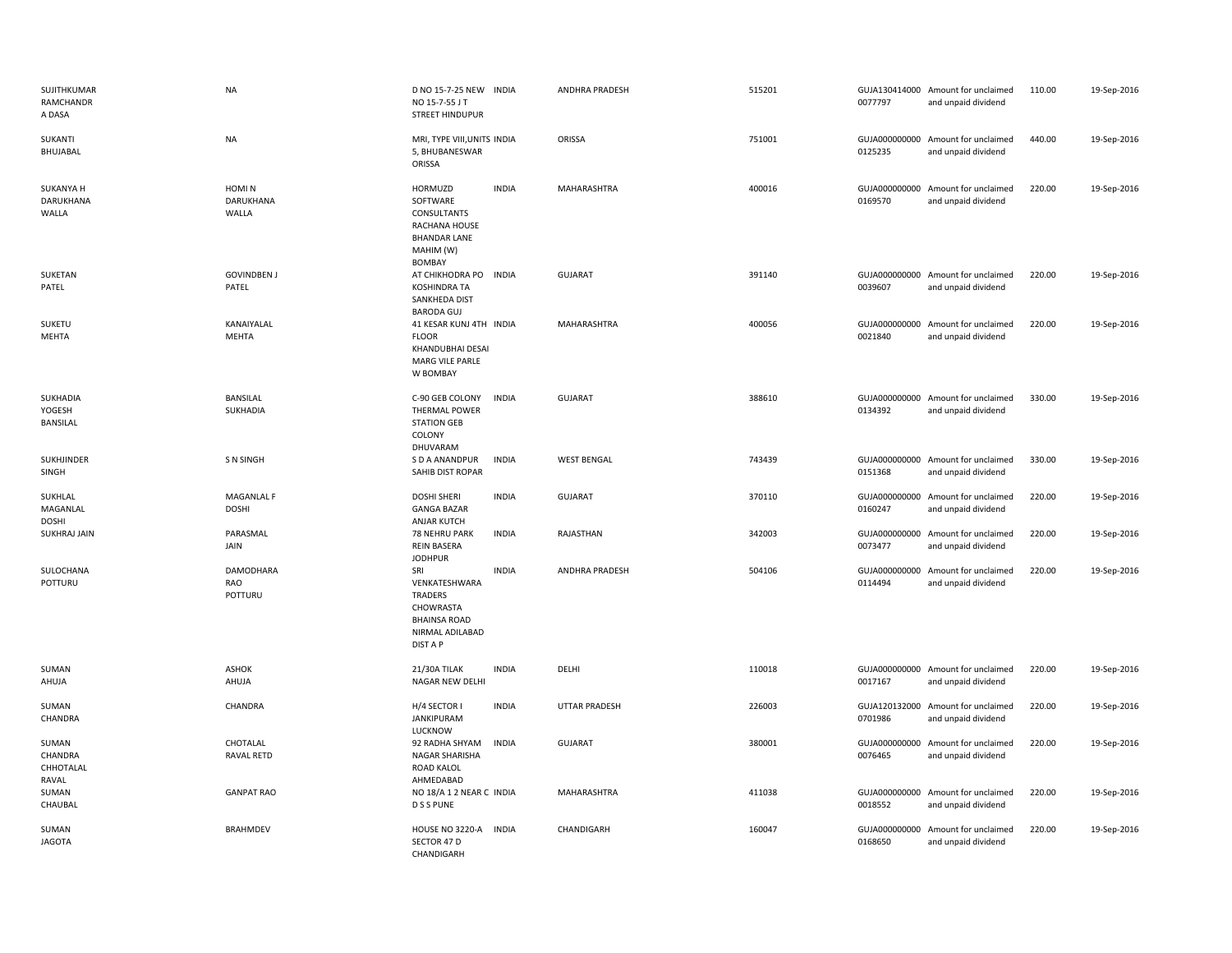| SUJITHKUMAR<br>RAMCHANDR<br>A DASA     | <b>NA</b>                     | D NO 15-7-25 NEW INDIA<br>NO 15-7-55 J T<br><b>STREET HINDUPUR</b>                                 |              | <b>ANDHRA PRADESH</b> | 515201 | 0077797                  | GUJA130414000 Amount for unclaimed<br>and unpaid dividend | 110.00 | 19-Sep-2016 |
|----------------------------------------|-------------------------------|----------------------------------------------------------------------------------------------------|--------------|-----------------------|--------|--------------------------|-----------------------------------------------------------|--------|-------------|
| SUKANTI<br>BHUJABAL                    | <b>NA</b>                     | MRI, TYPE VIII, UNITS INDIA<br>5, BHUBANESWAR<br>ORISSA                                            |              | ORISSA                | 751001 | 0125235                  | GUJA000000000 Amount for unclaimed<br>and unpaid dividend | 440.00 | 19-Sep-2016 |
| <b>SUKANYA H</b><br>DARUKHANA<br>WALLA | HOMI N<br>DARUKHANA<br>WALLA  | HORMUZD<br>SOFTWARE<br>CONSULTANTS<br>RACHANA HOUSE<br><b>BHANDAR LANE</b><br>MAHIM (W)<br>BOMBAY  | <b>INDIA</b> | MAHARASHTRA           | 400016 | 0169570                  | GUJA000000000 Amount for unclaimed<br>and unpaid dividend | 220.00 | 19-Sep-2016 |
| SUKETAN<br>PATEL                       | <b>GOVINDBEN J</b><br>PATEL   | AT CHIKHODRA PO<br><b>KOSHINDRA TA</b><br>SANKHEDA DIST<br>BARODA GUJ                              | <b>INDIA</b> | <b>GUJARAT</b>        | 391140 | 0039607                  | GUJA000000000 Amount for unclaimed<br>and unpaid dividend | 220.00 | 19-Sep-2016 |
| SUKETU<br>MEHTA                        | KANAIYALAL<br>MEHTA           | 41 KESAR KUNJ 4TH INDIA<br><b>FLOOR</b><br>KHANDUBHAI DESAI<br>MARG VILE PARLE<br>W BOMBAY         |              | MAHARASHTRA           | 400056 | 0021840                  | GUJA000000000 Amount for unclaimed<br>and unpaid dividend | 220.00 | 19-Sep-2016 |
| SUKHADIA<br>YOGESH<br>BANSILAL         | BANSILAL<br>SUKHADIA          | C-90 GEB COLONY<br><b>THERMAL POWER</b><br><b>STATION GEB</b><br>COLONY<br>DHUVARAM                | <b>INDIA</b> | <b>GUJARAT</b>        | 388610 | 0134392                  | GUJA000000000 Amount for unclaimed<br>and unpaid dividend | 330.00 | 19-Sep-2016 |
| SUKHJINDER<br>SINGH                    | S N SINGH                     | S D A ANANDPUR<br>SAHIB DIST ROPAR                                                                 | <b>INDIA</b> | <b>WEST BENGAL</b>    | 743439 | 0151368                  | GUJA000000000 Amount for unclaimed<br>and unpaid dividend | 330.00 | 19-Sep-2016 |
| SUKHLAL<br>MAGANLAL<br><b>DOSHI</b>    | MAGANLAL F<br><b>DOSHI</b>    | <b>DOSHI SHERI</b><br><b>GANGA BAZAR</b><br>ANJAR KUTCH                                            | <b>INDIA</b> | <b>GUJARAT</b>        | 370110 | GUJA000000000<br>0160247 | Amount for unclaimed<br>and unpaid dividend               | 220.00 | 19-Sep-2016 |
| <b>SUKHRAJ JAIN</b>                    | PARASMAL<br>JAIN              | 78 NEHRU PARK<br><b>REIN BASERA</b><br><b>JODHPUR</b>                                              | <b>INDIA</b> | RAJASTHAN             | 342003 | 0073477                  | GUJA000000000 Amount for unclaimed<br>and unpaid dividend | 220.00 | 19-Sep-2016 |
| SULOCHANA<br>POTTURU                   | DAMODHARA<br>RAO<br>POTTURU   | SRI<br>VENKATESHWARA<br>TRADERS<br>CHOWRASTA<br><b>BHAINSA ROAD</b><br>NIRMAL ADILABAD<br>DIST A P | <b>INDIA</b> | <b>ANDHRA PRADESH</b> | 504106 | 0114494                  | GUJA000000000 Amount for unclaimed<br>and unpaid dividend | 220.00 | 19-Sep-2016 |
| SUMAN<br>AHUJA                         | <b>ASHOK</b><br>AHUJA         | <b>21/30A TILAK</b><br>NAGAR NEW DELHI                                                             | <b>INDIA</b> | DELHI                 | 110018 | 0017167                  | GUJA000000000 Amount for unclaimed<br>and unpaid dividend | 220.00 | 19-Sep-2016 |
| SUMAN<br>CHANDRA                       | CHANDRA                       | H/4 SECTOR I<br><b>JANKIPURAM</b><br>LUCKNOW                                                       | <b>INDIA</b> | <b>UTTAR PRADESH</b>  | 226003 | GUJA120132000<br>0701986 | Amount for unclaimed<br>and unpaid dividend               | 220.00 | 19-Sep-2016 |
| SUMAN<br>CHANDRA<br>CHHOTALAL<br>RAVAL | CHOTALAL<br><b>RAVAL RETD</b> | 92 RADHA SHYAM<br>NAGAR SHARISHA<br>ROAD KALOL<br>AHMEDABAD                                        | <b>INDIA</b> | <b>GUJARAT</b>        | 380001 | 0076465                  | GUJA000000000 Amount for unclaimed<br>and unpaid dividend | 220.00 | 19-Sep-2016 |
| SUMAN<br>CHAUBAL                       | <b>GANPAT RAO</b>             | NO 18/A 1 2 NEAR C INDIA<br>D S S PUNE                                                             |              | MAHARASHTRA           | 411038 | 0018552                  | GUJA000000000 Amount for unclaimed<br>and unpaid dividend | 220.00 | 19-Sep-2016 |
| SUMAN<br><b>JAGOTA</b>                 | <b>BRAHMDEV</b>               | HOUSE NO 3220-A<br>SECTOR 47 D<br>CHANDIGARH                                                       | <b>INDIA</b> | CHANDIGARH            | 160047 | GUJA000000000<br>0168650 | Amount for unclaimed<br>and unpaid dividend               | 220.00 | 19-Sep-2016 |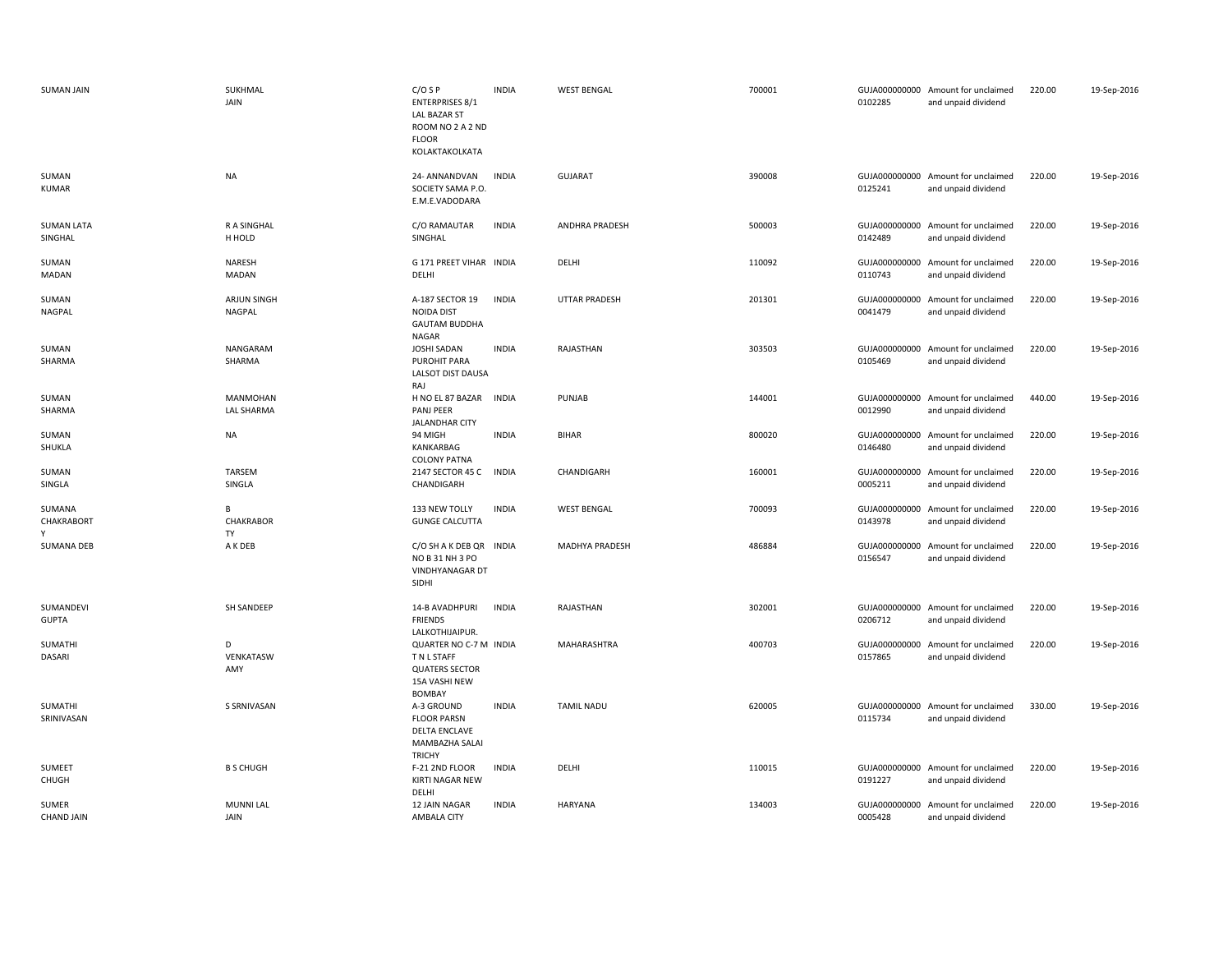| <b>SUMAN JAIN</b>            | SUKHMAL<br>JAIN               | $C/O$ S P<br><b>ENTERPRISES 8/1</b><br><b>LAL BAZAR ST</b><br>ROOM NO 2 A 2 ND<br><b>FLOOR</b><br>KOLAKTAKOLKATA | <b>INDIA</b> | <b>WEST BENGAL</b>   | 700001 | 0102285                  | GUJA000000000 Amount for unclaimed<br>and unpaid dividend | 220.00 | 19-Sep-2016 |
|------------------------------|-------------------------------|------------------------------------------------------------------------------------------------------------------|--------------|----------------------|--------|--------------------------|-----------------------------------------------------------|--------|-------------|
| SUMAN<br><b>KUMAR</b>        | NA                            | 24- ANNANDVAN<br>SOCIETY SAMA P.O.<br>E.M.E.VADODARA                                                             | <b>INDIA</b> | <b>GUJARAT</b>       | 390008 | 0125241                  | GUJA000000000 Amount for unclaimed<br>and unpaid dividend | 220.00 | 19-Sep-2016 |
| <b>SUMAN LATA</b><br>SINGHAL | R A SINGHAL<br>H HOLD         | C/O RAMAUTAR<br>SINGHAL                                                                                          | <b>INDIA</b> | ANDHRA PRADESH       | 500003 | 0142489                  | GUJA000000000 Amount for unclaimed<br>and unpaid dividend | 220.00 | 19-Sep-2016 |
| SUMAN<br>MADAN               | NARESH<br>MADAN               | G 171 PREET VIHAR INDIA<br>DELHI                                                                                 |              | DELHI                | 110092 | 0110743                  | GUJA000000000 Amount for unclaimed<br>and unpaid dividend | 220.00 | 19-Sep-2016 |
| SUMAN<br>NAGPAL              | ARJUN SINGH<br><b>NAGPAL</b>  | A-187 SECTOR 19<br><b>NOIDA DIST</b><br><b>GAUTAM BUDDHA</b><br>NAGAR                                            | <b>INDIA</b> | <b>UTTAR PRADESH</b> | 201301 | GUJA000000000<br>0041479 | Amount for unclaimed<br>and unpaid dividend               | 220.00 | 19-Sep-2016 |
| SUMAN<br>SHARMA              | NANGARAM<br>SHARMA            | <b>JOSHI SADAN</b><br>PUROHIT PARA<br>LALSOT DIST DAUSA<br>RAJ                                                   | <b>INDIA</b> | RAJASTHAN            | 303503 | 0105469                  | GUJA000000000 Amount for unclaimed<br>and unpaid dividend | 220.00 | 19-Sep-2016 |
| SUMAN<br>SHARMA              | MANMOHAN<br><b>LAL SHARMA</b> | H NO EL 87 BAZAR<br>PANJ PEER<br>JALANDHAR CITY                                                                  | <b>INDIA</b> | PUNJAB               | 144001 | 0012990                  | GUJA000000000 Amount for unclaimed<br>and unpaid dividend | 440.00 | 19-Sep-2016 |
| SUMAN<br>SHUKLA              | <b>NA</b>                     | 94 MIGH<br>KANKARBAG<br><b>COLONY PATNA</b>                                                                      | <b>INDIA</b> | BIHAR                | 800020 | GUJA000000000<br>0146480 | Amount for unclaimed<br>and unpaid dividend               | 220.00 | 19-Sep-2016 |
| SUMAN<br>SINGLA              | <b>TARSEM</b><br>SINGLA       | 2147 SECTOR 45 C<br>CHANDIGARH                                                                                   | <b>INDIA</b> | CHANDIGARH           | 160001 | 0005211                  | GUJA000000000 Amount for unclaimed<br>and unpaid dividend | 220.00 | 19-Sep-2016 |
| SUMANA<br>CHAKRABORT<br>Y    | В<br>CHAKRABOR<br>TY          | 133 NEW TOLLY<br><b>GUNGE CALCUTTA</b>                                                                           | <b>INDIA</b> | <b>WEST BENGAL</b>   | 700093 | 0143978                  | GUJA000000000 Amount for unclaimed<br>and unpaid dividend | 220.00 | 19-Sep-2016 |
| <b>SUMANA DEB</b>            | A K DEB                       | C/O SH A K DEB QR<br>NO B 31 NH 3 PO<br><b>VINDHYANAGAR DT</b><br>SIDHI                                          | <b>INDIA</b> | MADHYA PRADESH       | 486884 | 0156547                  | GUJA000000000 Amount for unclaimed<br>and unpaid dividend | 220.00 | 19-Sep-2016 |
| SUMANDEVI<br><b>GUPTA</b>    | <b>SH SANDEEP</b>             | 14-B AVADHPURI<br><b>FRIENDS</b><br>LALKOTHIJAIPUR.                                                              | <b>INDIA</b> | RAJASTHAN            | 302001 | 0206712                  | GUJA000000000 Amount for unclaimed<br>and unpaid dividend | 220.00 | 19-Sep-2016 |
| SUMATHI<br>DASARI            | D<br>VENKATASW<br>AMY         | QUARTER NO C-7 M INDIA<br>T N L STAFF<br><b>QUATERS SECTOR</b><br>15A VASHI NEW<br><b>BOMBAY</b>                 |              | MAHARASHTRA          | 400703 | 0157865                  | GUJA000000000 Amount for unclaimed<br>and unpaid dividend | 220.00 | 19-Sep-2016 |
| SUMATHI<br>SRINIVASAN        | S SRNIVASAN                   | A-3 GROUND<br><b>FLOOR PARSN</b><br><b>DELTA ENCLAVE</b><br>MAMBAZHA SALAI<br><b>TRICHY</b>                      | <b>INDIA</b> | <b>TAMIL NADU</b>    | 620005 | 0115734                  | GUJA000000000 Amount for unclaimed<br>and unpaid dividend | 330.00 | 19-Sep-2016 |
| SUMEET<br>CHUGH              | <b>B S CHUGH</b>              | F-21 2ND FLOOR<br>KIRTI NAGAR NEW<br>DELHI                                                                       | <b>INDIA</b> | DELHI                | 110015 | 0191227                  | GUJA000000000 Amount for unclaimed<br>and unpaid dividend | 220.00 | 19-Sep-2016 |
| SUMER<br><b>CHAND JAIN</b>   | <b>MUNNI LAL</b><br>JAIN      | 12 JAIN NAGAR<br>AMBALA CITY                                                                                     | <b>INDIA</b> | <b>HARYANA</b>       | 134003 | 0005428                  | GUJA000000000 Amount for unclaimed<br>and unpaid dividend | 220.00 | 19-Sep-2016 |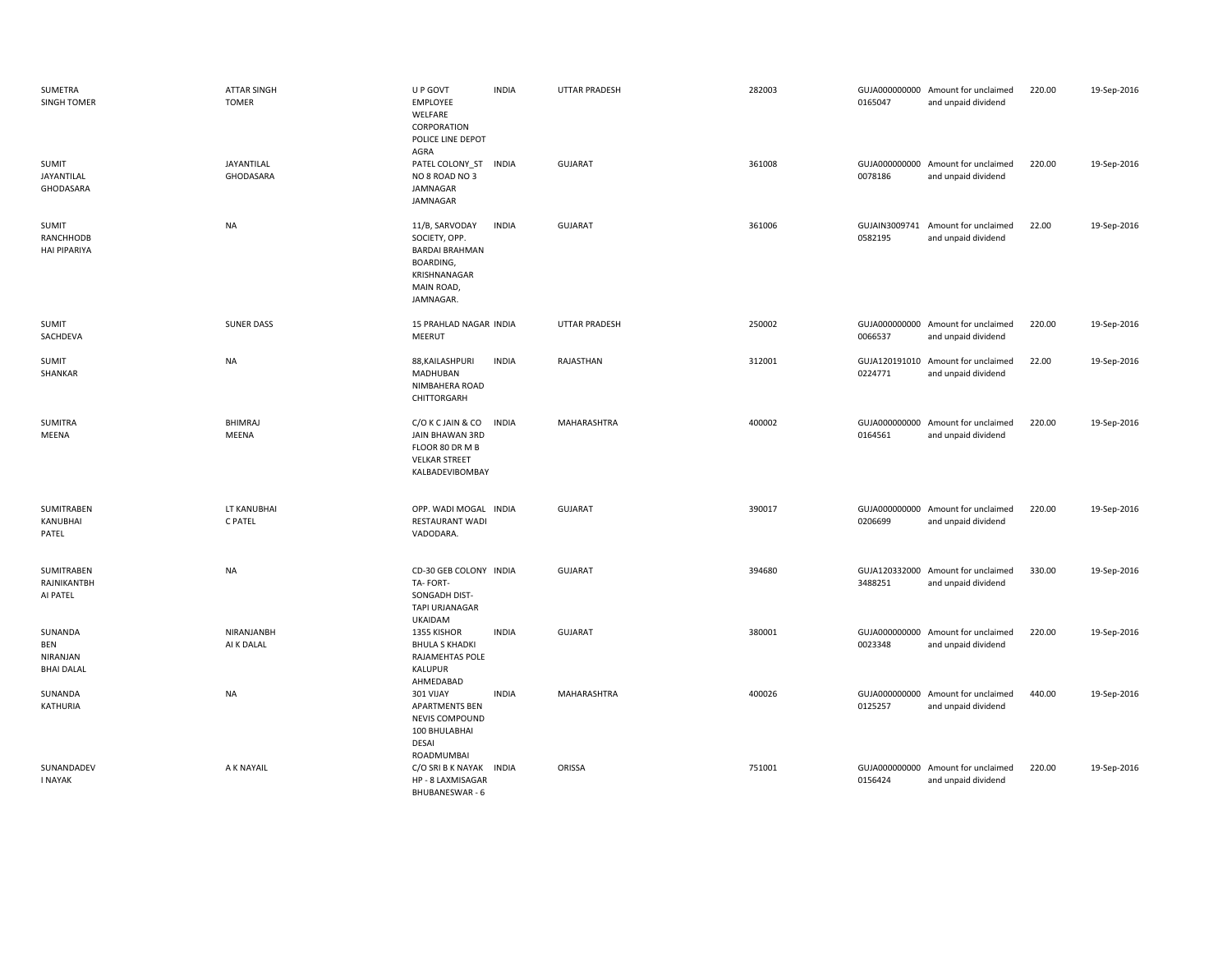| SUMETRA<br><b>SINGH TOMER</b>                   | <b>ATTAR SINGH</b><br><b>TOMER</b> | U P GOVT<br><b>EMPLOYEE</b><br>WELFARE<br>CORPORATION<br>POLICE LINE DEPOT<br>AGRA                               | <b>INDIA</b> | <b>UTTAR PRADESH</b> | 282003 | 0165047                  | GUJA000000000 Amount for unclaimed<br>and unpaid dividend | 220.00 | 19-Sep-2016 |
|-------------------------------------------------|------------------------------------|------------------------------------------------------------------------------------------------------------------|--------------|----------------------|--------|--------------------------|-----------------------------------------------------------|--------|-------------|
| <b>SUMIT</b><br>JAYANTILAL<br>GHODASARA         | JAYANTILAL<br>GHODASARA            | PATEL COLONY_ST<br>NO 8 ROAD NO 3<br>JAMNAGAR<br>JAMNAGAR                                                        | <b>INDIA</b> | <b>GUJARAT</b>       | 361008 | 0078186                  | GUJA000000000 Amount for unclaimed<br>and unpaid dividend | 220.00 | 19-Sep-2016 |
| <b>SUMIT</b><br>RANCHHODB<br>HAI PIPARIYA       | <b>NA</b>                          | 11/B, SARVODAY<br>SOCIETY, OPP.<br><b>BARDAI BRAHMAN</b><br>BOARDING,<br>KRISHNANAGAR<br>MAIN ROAD,<br>JAMNAGAR. | <b>INDIA</b> | <b>GUJARAT</b>       | 361006 | 0582195                  | GUJAIN3009741 Amount for unclaimed<br>and unpaid dividend | 22.00  | 19-Sep-2016 |
| <b>SUMIT</b><br>SACHDEVA                        | <b>SUNER DASS</b>                  | 15 PRAHLAD NAGAR INDIA<br><b>MEERUT</b>                                                                          |              | UTTAR PRADESH        | 250002 | 0066537                  | GUJA000000000 Amount for unclaimed<br>and unpaid dividend | 220.00 | 19-Sep-2016 |
| <b>SUMIT</b><br>SHANKAR                         | <b>NA</b>                          | 88, KAILASHPURI<br>MADHUBAN<br>NIMBAHERA ROAD<br>CHITTORGARH                                                     | <b>INDIA</b> | RAJASTHAN            | 312001 | 0224771                  | GUJA120191010 Amount for unclaimed<br>and unpaid dividend | 22.00  | 19-Sep-2016 |
| SUMITRA<br>MEENA                                | <b>BHIMRAJ</b><br>MEENA            | C/O K C JAIN & CO<br>JAIN BHAWAN 3RD<br>FLOOR 80 DR M B<br><b>VELKAR STREET</b><br>KALBADEVIBOMBAY               | <b>INDIA</b> | MAHARASHTRA          | 400002 | GUJA000000000<br>0164561 | Amount for unclaimed<br>and unpaid dividend               | 220.00 | 19-Sep-2016 |
| SUMITRABEN<br>KANUBHAI<br>PATEL                 | LT KANUBHAI<br>C PATEL             | OPP. WADI MOGAL INDIA<br><b>RESTAURANT WADI</b><br>VADODARA.                                                     |              | <b>GUJARAT</b>       | 390017 | 0206699                  | GUJA000000000 Amount for unclaimed<br>and unpaid dividend | 220.00 | 19-Sep-2016 |
| SUMITRABEN<br>RAJNIKANTBH<br>AI PATEL           | <b>NA</b>                          | CD-30 GEB COLONY INDIA<br>TA-FORT-<br>SONGADH DIST-<br><b>TAPI URJANAGAR</b><br><b>UKAIDAM</b>                   |              | <b>GUJARAT</b>       | 394680 | 3488251                  | GUJA120332000 Amount for unclaimed<br>and unpaid dividend | 330.00 | 19-Sep-2016 |
| SUNANDA<br>BEN<br>NIRANJAN<br><b>BHAI DALAL</b> | NIRANJANBH<br>AI K DALAL           | 1355 KISHOR<br><b>BHULA S KHADKI</b><br>RAJAMEHTAS POLE<br>KALUPUR<br>AHMEDABAD                                  | <b>INDIA</b> | <b>GUJARAT</b>       | 380001 | GUJA000000000<br>0023348 | Amount for unclaimed<br>and unpaid dividend               | 220.00 | 19-Sep-2016 |
| SUNANDA<br>KATHURIA                             | <b>NA</b>                          | 301 VIJAY<br><b>APARTMENTS BEN</b><br>NEVIS COMPOUND<br>100 BHULABHAI<br><b>DESAI</b><br>ROADMUMBAI              | <b>INDIA</b> | MAHARASHTRA          | 400026 | GUJA000000000<br>0125257 | Amount for unclaimed<br>and unpaid dividend               | 440.00 | 19-Sep-2016 |
| SUNANDADEV<br><b>I NAYAK</b>                    | A K NAYAIL                         | C/O SRI B K NAYAK INDIA<br>HP - 8 LAXMISAGAR<br><b>BHUBANESWAR - 6</b>                                           |              | ORISSA               | 751001 | 0156424                  | GUJA000000000 Amount for unclaimed<br>and unpaid dividend | 220.00 | 19-Sep-2016 |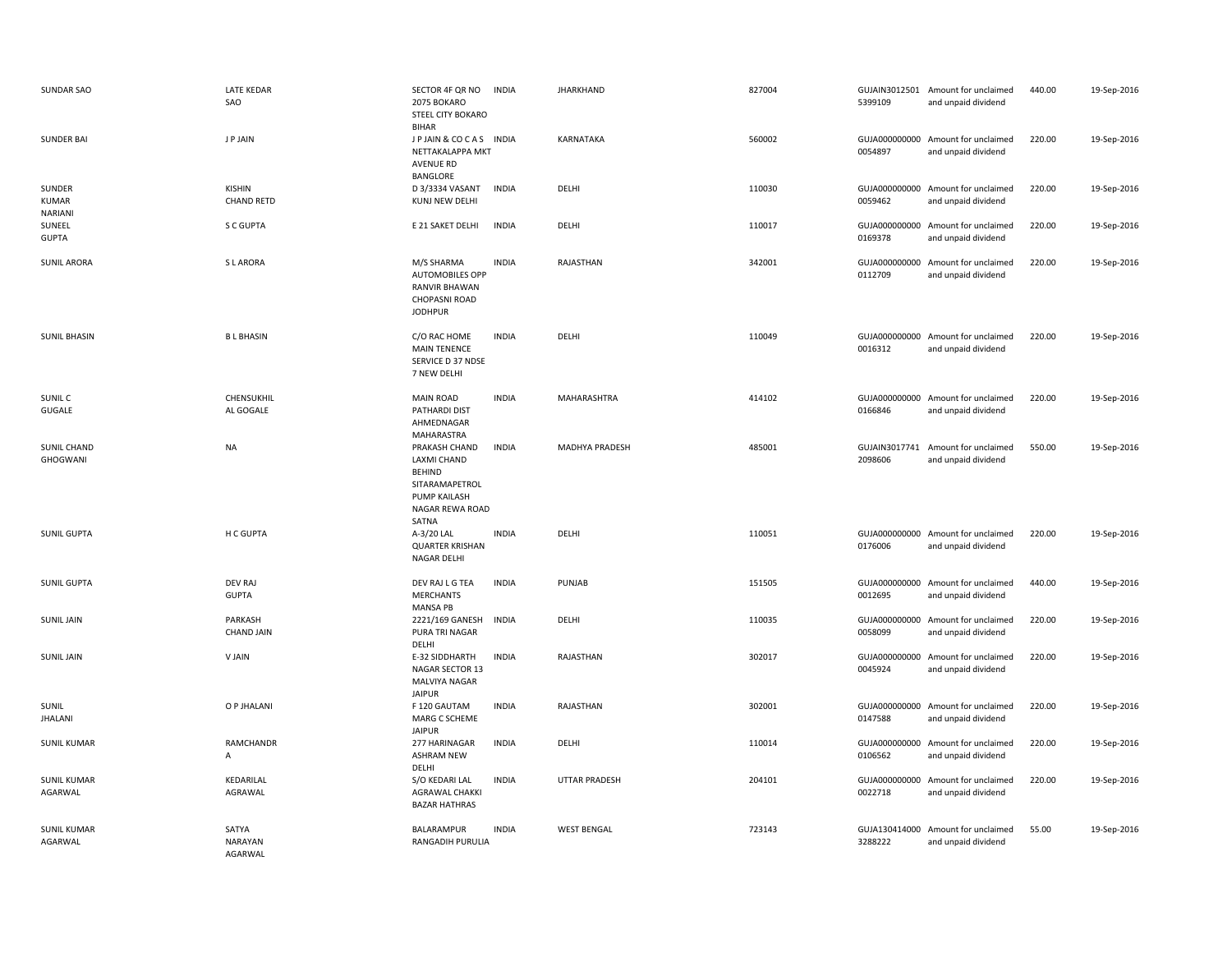| <b>SUNDAR SAO</b>                 | <b>LATE KEDAR</b><br>SAO           | SECTOR 4F QR NO<br>2075 BOKARO<br>STEEL CITY BOKARO<br><b>BIHAR</b>                                                       | <b>INDIA</b> | <b>JHARKHAND</b>      | 827004 | 5399109                  | GUJAIN3012501 Amount for unclaimed<br>and unpaid dividend | 440.00 | 19-Sep-2016 |
|-----------------------------------|------------------------------------|---------------------------------------------------------------------------------------------------------------------------|--------------|-----------------------|--------|--------------------------|-----------------------------------------------------------|--------|-------------|
| <b>SUNDER BAI</b>                 | J P JAIN                           | JP JAIN & COCAS INDIA<br>NETTAKALAPPA MKT<br>AVENUE RD<br>BANGLORE                                                        |              | KARNATAKA             | 560002 | 0054897                  | GUJA000000000 Amount for unclaimed<br>and unpaid dividend | 220.00 | 19-Sep-2016 |
| SUNDER<br><b>KUMAR</b><br>NARIANI | <b>KISHIN</b><br><b>CHAND RETD</b> | D 3/3334 VASANT<br>KUNJ NEW DELHI                                                                                         | <b>INDIA</b> | DELHI                 | 110030 | 0059462                  | GUJA000000000 Amount for unclaimed<br>and unpaid dividend | 220.00 | 19-Sep-2016 |
| SUNEEL<br><b>GUPTA</b>            | S C GUPTA                          | E 21 SAKET DELHI                                                                                                          | <b>INDIA</b> | DELHI                 | 110017 | GUJA000000000<br>0169378 | Amount for unclaimed<br>and unpaid dividend               | 220.00 | 19-Sep-2016 |
| <b>SUNIL ARORA</b>                | S L ARORA                          | M/S SHARMA<br><b>AUTOMOBILES OPP</b><br><b>RANVIR BHAWAN</b><br><b>CHOPASNI ROAD</b><br><b>JODHPUR</b>                    | <b>INDIA</b> | RAJASTHAN             | 342001 | GUJA000000000<br>0112709 | Amount for unclaimed<br>and unpaid dividend               | 220.00 | 19-Sep-2016 |
| <b>SUNIL BHASIN</b>               | <b>BL BHASIN</b>                   | C/O RAC HOME<br><b>MAIN TENENCE</b><br>SERVICE D 37 NDSE<br>7 NEW DELHI                                                   | <b>INDIA</b> | DELHI                 | 110049 | 0016312                  | GUJA000000000 Amount for unclaimed<br>and unpaid dividend | 220.00 | 19-Sep-2016 |
| SUNIL C<br>GUGALE                 | CHENSUKHIL<br>AL GOGALE            | <b>MAIN ROAD</b><br>PATHARDI DIST<br>AHMEDNAGAR<br>MAHARASTRA                                                             | <b>INDIA</b> | MAHARASHTRA           | 414102 | 0166846                  | GUJA000000000 Amount for unclaimed<br>and unpaid dividend | 220.00 | 19-Sep-2016 |
| <b>SUNIL CHAND</b><br>GHOGWANI    | <b>NA</b>                          | PRAKASH CHAND<br><b>LAXMI CHAND</b><br><b>BEHIND</b><br>SITARAMAPETROL<br><b>PUMP KAILASH</b><br>NAGAR REWA ROAD<br>SATNA | <b>INDIA</b> | <b>MADHYA PRADESH</b> | 485001 | 2098606                  | GUJAIN3017741 Amount for unclaimed<br>and unpaid dividend | 550.00 | 19-Sep-2016 |
| <b>SUNIL GUPTA</b>                | H C GUPTA                          | A-3/20 LAL<br><b>QUARTER KRISHAN</b><br>NAGAR DELHI                                                                       | <b>INDIA</b> | DELHI                 | 110051 | 0176006                  | GUJA000000000 Amount for unclaimed<br>and unpaid dividend | 220.00 | 19-Sep-2016 |
| <b>SUNIL GUPTA</b>                | <b>DEV RAJ</b><br><b>GUPTA</b>     | DEV RAJ L G TEA<br><b>MERCHANTS</b><br><b>MANSA PB</b>                                                                    | <b>INDIA</b> | PUNJAB                | 151505 | 0012695                  | GUJA000000000 Amount for unclaimed<br>and unpaid dividend | 440.00 | 19-Sep-2016 |
| <b>SUNIL JAIN</b>                 | PARKASH<br><b>CHAND JAIN</b>       | 2221/169 GANESH<br>PURA TRI NAGAR<br>DELHI                                                                                | <b>INDIA</b> | DELHI                 | 110035 | GUJA000000000<br>0058099 | Amount for unclaimed<br>and unpaid dividend               | 220.00 | 19-Sep-2016 |
| <b>SUNIL JAIN</b>                 | V JAIN                             | E-32 SIDDHARTH<br>NAGAR SECTOR 13<br>MALVIYA NAGAR<br><b>JAIPUR</b>                                                       | <b>INDIA</b> | RAJASTHAN             | 302017 | 0045924                  | GUJA000000000 Amount for unclaimed<br>and unpaid dividend | 220.00 | 19-Sep-2016 |
| SUNIL<br><b>JHALANI</b>           | O P JHALANI                        | F 120 GAUTAM<br>MARG C SCHEME<br><b>JAIPUR</b>                                                                            | <b>INDIA</b> | RAJASTHAN             | 302001 | 0147588                  | GUJA000000000 Amount for unclaimed<br>and unpaid dividend | 220.00 | 19-Sep-2016 |
| <b>SUNIL KUMAR</b>                | RAMCHANDR<br>A                     | 277 HARINAGAR<br><b>ASHRAM NEW</b><br>DELHI                                                                               | <b>INDIA</b> | DELHI                 | 110014 | 0106562                  | GUJA000000000 Amount for unclaimed<br>and unpaid dividend | 220.00 | 19-Sep-2016 |
| <b>SUNIL KUMAR</b><br>AGARWAL     | KEDARILAL<br>AGRAWAL               | S/O KEDARI LAL<br><b>AGRAWAL CHAKKI</b><br><b>BAZAR HATHRAS</b>                                                           | <b>INDIA</b> | <b>UTTAR PRADESH</b>  | 204101 | 0022718                  | GUJA000000000 Amount for unclaimed<br>and unpaid dividend | 220.00 | 19-Sep-2016 |
| <b>SUNIL KUMAR</b><br>AGARWAL     | SATYA<br>NARAYAN<br>AGARWAL        | BALARAMPUR<br>RANGADIH PURULIA                                                                                            | <b>INDIA</b> | <b>WEST BENGAL</b>    | 723143 | GUJA130414000<br>3288222 | Amount for unclaimed<br>and unpaid dividend               | 55.00  | 19-Sep-2016 |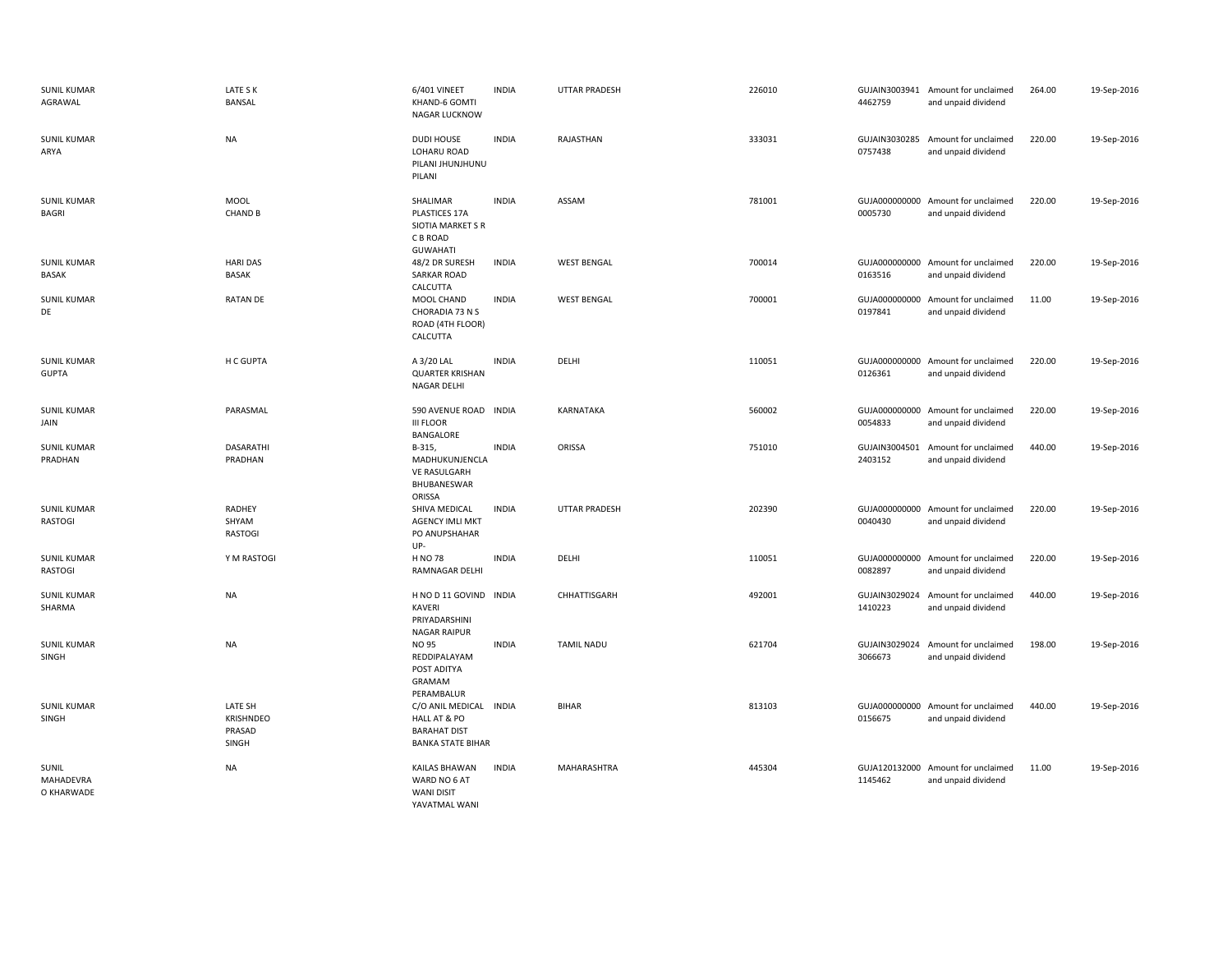| <b>SUNIL KUMAR</b><br>AGRAWAL        | LATE S K<br><b>BANSAL</b>               | 6/401 VINEET<br>KHAND-6 GOMTI<br>NAGAR LUCKNOW                                            | <b>INDIA</b> | <b>UTTAR PRADESH</b> | 226010 | 4462759                  | GUJAIN3003941 Amount for unclaimed<br>and unpaid dividend | 264.00 | 19-Sep-2016 |
|--------------------------------------|-----------------------------------------|-------------------------------------------------------------------------------------------|--------------|----------------------|--------|--------------------------|-----------------------------------------------------------|--------|-------------|
| <b>SUNIL KUMAR</b><br>ARYA           | <b>NA</b>                               | <b>DUDI HOUSE</b><br>LOHARU ROAD<br>PILANI JHUNJHUNU<br>PILANI                            | <b>INDIA</b> | RAJASTHAN            | 333031 | GUJAIN3030285<br>0757438 | Amount for unclaimed<br>and unpaid dividend               | 220.00 | 19-Sep-2016 |
| <b>SUNIL KUMAR</b><br>BAGRI          | MOOL<br><b>CHAND B</b>                  | <b>SHALIMAR</b><br>PLASTICES 17A<br>SIOTIA MARKET S R<br>C B ROAD<br><b>GUWAHATI</b>      | <b>INDIA</b> | ASSAM                | 781001 | 0005730                  | GUJA000000000 Amount for unclaimed<br>and unpaid dividend | 220.00 | 19-Sep-2016 |
| <b>SUNIL KUMAR</b><br><b>BASAK</b>   | <b>HARI DAS</b><br>BASAK                | 48/2 DR SURESH<br>SARKAR ROAD<br>CALCUTTA                                                 | <b>INDIA</b> | <b>WEST BENGAL</b>   | 700014 | 0163516                  | GUJA000000000 Amount for unclaimed<br>and unpaid dividend | 220.00 | 19-Sep-2016 |
| <b>SUNIL KUMAR</b><br>DE             | <b>RATAN DE</b>                         | MOOL CHAND<br>CHORADIA 73 N S<br>ROAD (4TH FLOOR)<br>CALCUTTA                             | <b>INDIA</b> | <b>WEST BENGAL</b>   | 700001 | 0197841                  | GUJA000000000 Amount for unclaimed<br>and unpaid dividend | 11.00  | 19-Sep-2016 |
| <b>SUNIL KUMAR</b><br><b>GUPTA</b>   | H C GUPTA                               | A 3/20 LAL<br><b>QUARTER KRISHAN</b><br>NAGAR DELHI                                       | <b>INDIA</b> | DELHI                | 110051 | 0126361                  | GUJA000000000 Amount for unclaimed<br>and unpaid dividend | 220.00 | 19-Sep-2016 |
| <b>SUNIL KUMAR</b><br>JAIN           | PARASMAL                                | 590 AVENUE ROAD<br><b>III FLOOR</b><br>BANGALORE                                          | <b>INDIA</b> | <b>KARNATAKA</b>     | 560002 | 0054833                  | GUJA000000000 Amount for unclaimed<br>and unpaid dividend | 220.00 | 19-Sep-2016 |
| <b>SUNIL KUMAR</b><br>PRADHAN        | <b>DASARATHI</b><br>PRADHAN             | B-315,<br>MADHUKUNJENCLA<br><b>VE RASULGARH</b><br>BHUBANESWAR<br>ORISSA                  | <b>INDIA</b> | ORISSA               | 751010 | GUJAIN3004501<br>2403152 | Amount for unclaimed<br>and unpaid dividend               | 440.00 | 19-Sep-2016 |
| <b>SUNIL KUMAR</b><br><b>RASTOGI</b> | RADHEY<br>SHYAM<br><b>RASTOGI</b>       | SHIVA MEDICAL<br><b>AGENCY IMLI MKT</b><br>PO ANUPSHAHAR<br>UP-                           | <b>INDIA</b> | <b>UTTAR PRADESH</b> | 202390 | GUJA000000000<br>0040430 | Amount for unclaimed<br>and unpaid dividend               | 220.00 | 19-Sep-2016 |
| <b>SUNIL KUMAR</b><br><b>RASTOGI</b> | Y M RASTOGI                             | <b>H NO 78</b><br><b>RAMNAGAR DELHI</b>                                                   | <b>INDIA</b> | DELHI                | 110051 | 0082897                  | GUJA000000000 Amount for unclaimed<br>and unpaid dividend | 220.00 | 19-Sep-2016 |
| <b>SUNIL KUMAR</b><br>SHARMA         | <b>NA</b>                               | H NO D 11 GOVIND<br><b>KAVERI</b><br>PRIYADARSHINI<br><b>NAGAR RAIPUR</b>                 | <b>INDIA</b> | CHHATTISGARH         | 492001 | GUJAIN3029024<br>1410223 | Amount for unclaimed<br>and unpaid dividend               | 440.00 | 19-Sep-2016 |
| <b>SUNIL KUMAR</b><br>SINGH          | <b>NA</b>                               | NO 95<br>REDDIPALAYAM<br>POST ADITYA<br>GRAMAM<br>PERAMBALUR                              | <b>INDIA</b> | <b>TAMIL NADU</b>    | 621704 | GUJAIN3029024<br>3066673 | Amount for unclaimed<br>and unpaid dividend               | 198.00 | 19-Sep-2016 |
| <b>SUNIL KUMAR</b><br>SINGH          | LATE SH<br>KRISHNDEO<br>PRASAD<br>SINGH | C/O ANIL MEDICAL INDIA<br>HALL AT & PO<br><b>BARAHAT DIST</b><br><b>BANKA STATE BIHAR</b> |              | <b>BIHAR</b>         | 813103 | 0156675                  | GUJA000000000 Amount for unclaimed<br>and unpaid dividend | 440.00 | 19-Sep-2016 |
| SUNIL<br>MAHADEVRA<br>O KHARWADE     | <b>NA</b>                               | KAILAS BHAWAN<br>WARD NO 6 AT<br><b>WANI DISIT</b><br>YAVATMAL WANI                       | <b>INDIA</b> | MAHARASHTRA          | 445304 | 1145462                  | GUJA120132000 Amount for unclaimed<br>and unpaid dividend | 11.00  | 19-Sep-2016 |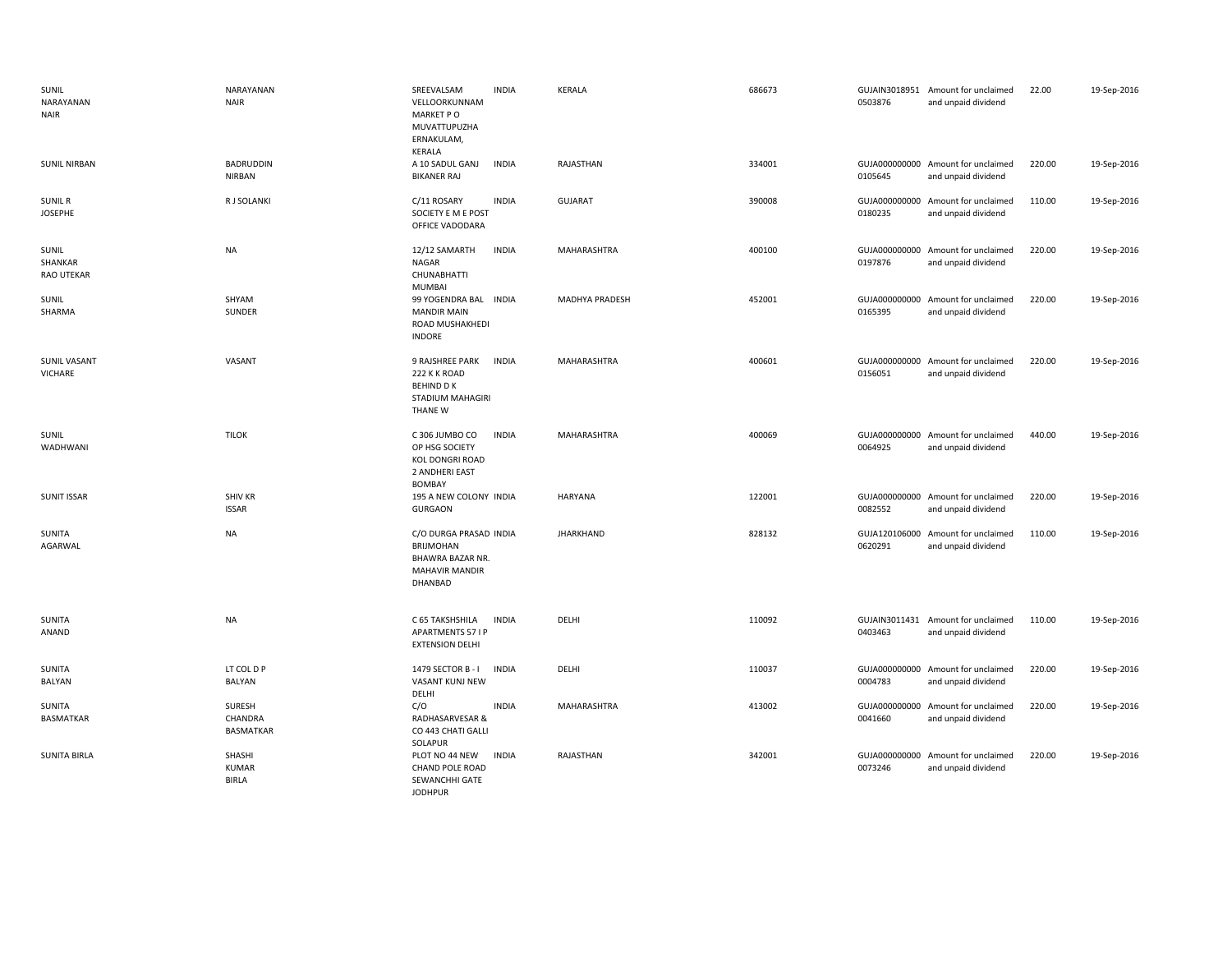| SUNIL<br>NARAYANAN<br><b>NAIR</b>     | NARAYANAN<br><b>NAIR</b>              | SREEVALSAM<br><b>INDIA</b><br>VELLOORKUNNAM<br>MARKET PO<br>MUVATTUPUZHA<br>ERNAKULAM,<br>KERALA           | <b>KERALA</b>         | 686673 | 0503876 | GUJAIN3018951 Amount for unclaimed<br>and unpaid dividend | 22.00  | 19-Sep-2016 |
|---------------------------------------|---------------------------------------|------------------------------------------------------------------------------------------------------------|-----------------------|--------|---------|-----------------------------------------------------------|--------|-------------|
| <b>SUNIL NIRBAN</b>                   | <b>BADRUDDIN</b><br>NIRBAN            | A 10 SADUL GANJ<br><b>INDIA</b><br><b>BIKANER RAJ</b>                                                      | RAJASTHAN             | 334001 | 0105645 | GUJA000000000 Amount for unclaimed<br>and unpaid dividend | 220.00 | 19-Sep-2016 |
| <b>SUNIL R</b><br><b>JOSEPHE</b>      | R J SOLANKI                           | C/11 ROSARY<br><b>INDIA</b><br>SOCIETY E M E POST<br>OFFICE VADODARA                                       | <b>GUJARAT</b>        | 390008 | 0180235 | GUJA000000000 Amount for unclaimed<br>and unpaid dividend | 110.00 | 19-Sep-2016 |
| SUNIL<br>SHANKAR<br><b>RAO UTEKAR</b> | <b>NA</b>                             | 12/12 SAMARTH<br><b>INDIA</b><br>NAGAR<br><b>CHUNABHATTI</b><br><b>MUMBAI</b>                              | MAHARASHTRA           | 400100 | 0197876 | GUJA000000000 Amount for unclaimed<br>and unpaid dividend | 220.00 | 19-Sep-2016 |
| <b>SUNIL</b><br>SHARMA                | SHYAM<br>SUNDER                       | 99 YOGENDRA BAL INDIA<br><b>MANDIR MAIN</b><br>ROAD MUSHAKHEDI<br><b>INDORE</b>                            | <b>MADHYA PRADESH</b> | 452001 | 0165395 | GUJA000000000 Amount for unclaimed<br>and unpaid dividend | 220.00 | 19-Sep-2016 |
| <b>SUNIL VASANT</b><br>VICHARE        | VASANT                                | 9 RAJSHREE PARK<br><b>INDIA</b><br>222 K K ROAD<br><b>BEHIND D K</b><br>STADIUM MAHAGIRI<br><b>THANE W</b> | MAHARASHTRA           | 400601 | 0156051 | GUJA000000000 Amount for unclaimed<br>and unpaid dividend | 220.00 | 19-Sep-2016 |
| SUNIL<br>WADHWANI                     | <b>TILOK</b>                          | C 306 JUMBO CO<br><b>INDIA</b><br>OP HSG SOCIETY<br>KOL DONGRI ROAD<br>2 ANDHERI EAST<br><b>BOMBAY</b>     | MAHARASHTRA           | 400069 | 0064925 | GUJA000000000 Amount for unclaimed<br>and unpaid dividend | 440.00 | 19-Sep-2016 |
| <b>SUNIT ISSAR</b>                    | <b>SHIV KR</b><br><b>ISSAR</b>        | 195 A NEW COLONY INDIA<br><b>GURGAON</b>                                                                   | <b>HARYANA</b>        | 122001 | 0082552 | GUJA000000000 Amount for unclaimed<br>and unpaid dividend | 220.00 | 19-Sep-2016 |
| SUNITA<br>AGARWAL                     | <b>NA</b>                             | C/O DURGA PRASAD INDIA<br><b>BRIJMOHAN</b><br>BHAWRA BAZAR NR.<br>MAHAVIR MANDIR<br>DHANBAD                | <b>JHARKHAND</b>      | 828132 | 0620291 | GUJA120106000 Amount for unclaimed<br>and unpaid dividend | 110.00 | 19-Sep-2016 |
| SUNITA<br>ANAND                       | <b>NA</b>                             | <b>INDIA</b><br>C 65 TAKSHSHILA<br><b>APARTMENTS 57 I P</b><br><b>EXTENSION DELHI</b>                      | DELHI                 | 110092 | 0403463 | GUJAIN3011431 Amount for unclaimed<br>and unpaid dividend | 110.00 | 19-Sep-2016 |
| SUNITA<br>BALYAN                      | LT COL D P<br><b>BALYAN</b>           | 1479 SECTOR B - I<br><b>INDIA</b><br>VASANT KUNJ NEW                                                       | DELHI                 | 110037 | 0004783 | GUJA000000000 Amount for unclaimed<br>and unpaid dividend | 220.00 | 19-Sep-2016 |
| SUNITA<br><b>BASMATKAR</b>            | SURESH<br>CHANDRA<br><b>BASMATKAR</b> | DELHI<br>C/O<br><b>INDIA</b><br>RADHASARVESAR &<br>CO 443 CHATI GALLI<br>SOLAPUR                           | MAHARASHTRA           | 413002 | 0041660 | GUJA000000000 Amount for unclaimed<br>and unpaid dividend | 220.00 | 19-Sep-2016 |
| <b>SUNITA BIRLA</b>                   | SHASHI<br><b>KUMAR</b><br>BIRLA       | PLOT NO 44 NEW<br><b>INDIA</b><br>CHAND POLE ROAD<br>SEWANCHHI GATE<br><b>JODHPUR</b>                      | RAJASTHAN             | 342001 | 0073246 | GUJA000000000 Amount for unclaimed<br>and unpaid dividend | 220.00 | 19-Sep-2016 |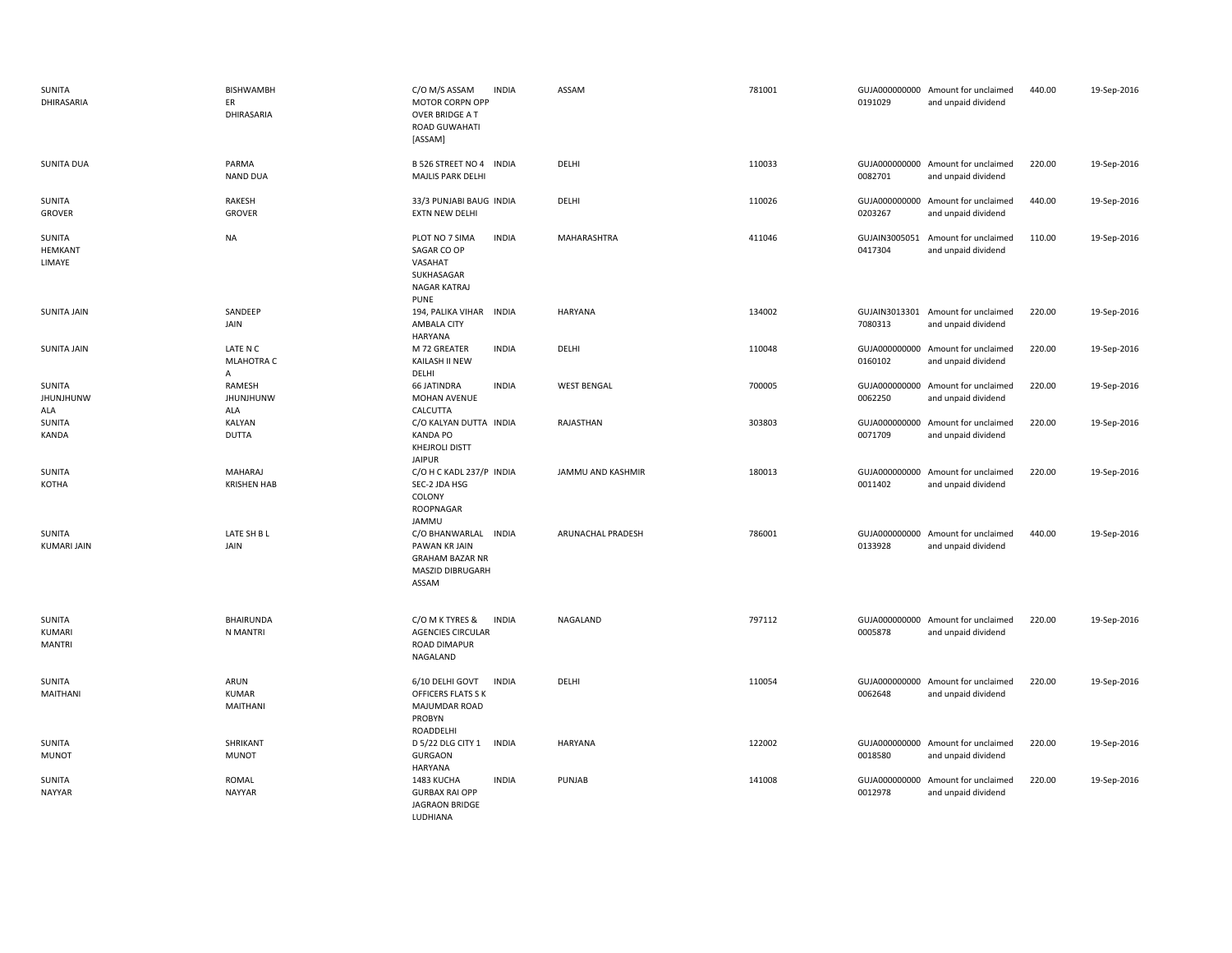| SUNITA<br>DHIRASARIA               | <b>BISHWAMBH</b><br>ER<br>DHIRASARIA | C/O M/S ASSAM<br><b>INDIA</b><br>MOTOR CORPN OPP<br>OVER BRIDGE A T<br><b>ROAD GUWAHATI</b><br>[ASSAM] | ASSAM              | 781001 | 0191029                  | GUJA000000000 Amount for unclaimed<br>and unpaid dividend | 440.00 | 19-Sep-2016 |
|------------------------------------|--------------------------------------|--------------------------------------------------------------------------------------------------------|--------------------|--------|--------------------------|-----------------------------------------------------------|--------|-------------|
| <b>SUNITA DUA</b>                  | PARMA<br><b>NAND DUA</b>             | B 526 STREET NO 4 INDIA<br>MAJLIS PARK DELHI                                                           | DELHI              | 110033 | 0082701                  | GUJA000000000 Amount for unclaimed<br>and unpaid dividend | 220.00 | 19-Sep-2016 |
| <b>SUNITA</b><br><b>GROVER</b>     | RAKESH<br><b>GROVER</b>              | 33/3 PUNJABI BAUG INDIA<br><b>EXTN NEW DELHI</b>                                                       | DELHI              | 110026 | GUJA000000000<br>0203267 | Amount for unclaimed<br>and unpaid dividend               | 440.00 | 19-Sep-2016 |
| SUNITA<br><b>HEMKANT</b><br>LIMAYE | NA                                   | <b>INDIA</b><br>PLOT NO 7 SIMA<br>SAGAR CO OP<br>VASAHAT<br>SUKHASAGAR<br><b>NAGAR KATRAJ</b><br>PUNE  | MAHARASHTRA        | 411046 | GUJAIN3005051<br>0417304 | Amount for unclaimed<br>and unpaid dividend               | 110.00 | 19-Sep-2016 |
| <b>SUNITA JAIN</b>                 | SANDEEP<br>JAIN                      | 194, PALIKA VIHAR INDIA<br>AMBALA CITY<br><b>HARYANA</b>                                               | <b>HARYANA</b>     | 134002 | 7080313                  | GUJAIN3013301 Amount for unclaimed<br>and unpaid dividend | 220.00 | 19-Sep-2016 |
| SUNITA JAIN                        | LATE N C<br><b>MLAHOTRA C</b><br>A   | <b>INDIA</b><br>M 72 GREATER<br>KAILASH II NEW<br>DELHI                                                | DELHI              | 110048 | 0160102                  | GUJA000000000 Amount for unclaimed<br>and unpaid dividend | 220.00 | 19-Sep-2016 |
| SUNITA<br><b>JHUNJHUNW</b><br>ALA  | RAMESH<br><b>JHUNJHUNW</b><br>ALA    | <b>INDIA</b><br><b>66 JATINDRA</b><br>MOHAN AVENUE<br>CALCUTTA                                         | <b>WEST BENGAL</b> | 700005 | 0062250                  | GUJA000000000 Amount for unclaimed<br>and unpaid dividend | 220.00 | 19-Sep-2016 |
| SUNITA<br>KANDA                    | KALYAN<br><b>DUTTA</b>               | C/O KALYAN DUTTA INDIA<br><b>KANDA PO</b><br><b>KHEJROLI DISTT</b><br><b>JAIPUR</b>                    | RAJASTHAN          | 303803 | 0071709                  | GUJA000000000 Amount for unclaimed<br>and unpaid dividend | 220.00 | 19-Sep-2016 |
| <b>SUNITA</b><br>KOTHA             | MAHARAJ<br><b>KRISHEN HAB</b>        | C/O H C KADL 237/P INDIA<br>SEC-2 JDA HSG<br>COLONY<br>ROOPNAGAR<br>JAMMU                              | JAMMU AND KASHMIR  | 180013 | 0011402                  | GUJA000000000 Amount for unclaimed<br>and unpaid dividend | 220.00 | 19-Sep-2016 |
| SUNITA<br>KUMARI JAIN              | LATE SH B L<br>JAIN                  | C/O BHANWARLAL INDIA<br>PAWAN KR JAIN<br><b>GRAHAM BAZAR NR</b><br>MASZID DIBRUGARH<br>ASSAM           | ARUNACHAL PRADESH  | 786001 | 0133928                  | GUJA000000000 Amount for unclaimed<br>and unpaid dividend | 440.00 | 19-Sep-2016 |
| SUNITA<br>KUMARI<br><b>MANTRI</b>  | <b>BHAIRUNDA</b><br>N MANTRI         | C/O M K TYRES &<br><b>INDIA</b><br><b>AGENCIES CIRCULAR</b><br>ROAD DIMAPUR<br>NAGALAND                | NAGALAND           | 797112 | 0005878                  | GUJA000000000 Amount for unclaimed<br>and unpaid dividend | 220.00 | 19-Sep-2016 |
| SUNITA<br>MAITHANI                 | ARUN<br><b>KUMAR</b><br>MAITHANI     | 6/10 DELHI GOVT<br><b>INDIA</b><br>OFFICERS FLATS S K<br>MAJUMDAR ROAD<br>PROBYN<br>ROADDELHI          | DELHI              | 110054 | 0062648                  | GUJA000000000 Amount for unclaimed<br>and unpaid dividend | 220.00 | 19-Sep-2016 |
| <b>SUNITA</b><br><b>MUNOT</b>      | SHRIKANT<br><b>MUNOT</b>             | D 5/22 DLG CITY 1<br><b>INDIA</b><br><b>GURGAON</b><br><b>HARYANA</b>                                  | <b>HARYANA</b>     | 122002 | 0018580                  | GUJA000000000 Amount for unclaimed<br>and unpaid dividend | 220.00 | 19-Sep-2016 |
| <b>SUNITA</b><br><b>NAYYAR</b>     | ROMAL<br><b>NAYYAR</b>               | 1483 KUCHA<br><b>INDIA</b><br><b>GURBAX RAI OPP</b><br><b>JAGRAON BRIDGE</b><br>LUDHIANA               | PUNJAB             | 141008 | 0012978                  | GUJA000000000 Amount for unclaimed<br>and unpaid dividend | 220.00 | 19-Sep-2016 |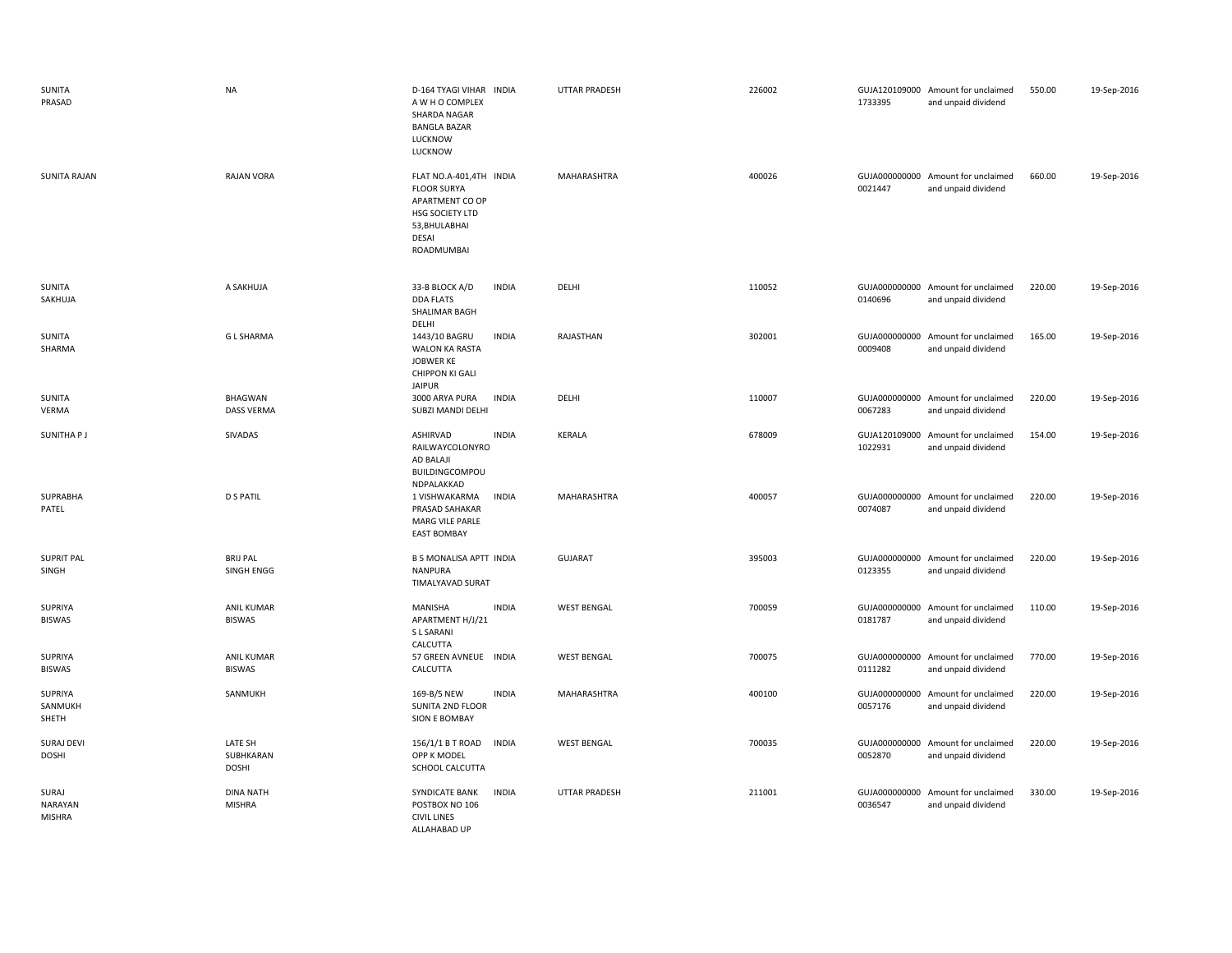| <b>SUNITA</b><br>PRASAD                  | <b>NA</b>                            | D-164 TYAGI VIHAR INDIA<br>A W H O COMPLEX<br>SHARDA NAGAR<br><b>BANGLA BAZAR</b><br>LUCKNOW<br>LUCKNOW                     | <b>UTTAR PRADESH</b> | 226002 | 1733395 | GUJA120109000 Amount for unclaimed<br>and unpaid dividend | 550.00 | 19-Sep-2016 |
|------------------------------------------|--------------------------------------|-----------------------------------------------------------------------------------------------------------------------------|----------------------|--------|---------|-----------------------------------------------------------|--------|-------------|
| <b>SUNITA RAJAN</b>                      | <b>RAJAN VORA</b>                    | FLAT NO.A-401,4TH INDIA<br><b>FLOOR SURYA</b><br>APARTMENT CO OP<br>HSG SOCIETY LTD<br>53, BHULABHAI<br>DESAI<br>ROADMUMBAI | MAHARASHTRA          | 400026 | 0021447 | GUJA000000000 Amount for unclaimed<br>and unpaid dividend | 660.00 | 19-Sep-2016 |
| SUNITA<br>SAKHUJA                        | A SAKHUJA                            | 33-B BLOCK A/D<br><b>INDIA</b><br><b>DDA FLATS</b><br>SHALIMAR BAGH<br>DELHI                                                | DELHI                | 110052 | 0140696 | GUJA000000000 Amount for unclaimed<br>and unpaid dividend | 220.00 | 19-Sep-2016 |
| <b>SUNITA</b><br>SHARMA                  | <b>GL SHARMA</b>                     | <b>INDIA</b><br>1443/10 BAGRU<br>WALON KA RASTA<br>JOBWER KE<br><b>CHIPPON KI GALI</b><br><b>JAIPUR</b>                     | RAJASTHAN            | 302001 | 0009408 | GUJA000000000 Amount for unclaimed<br>and unpaid dividend | 165.00 | 19-Sep-2016 |
| <b>SUNITA</b><br><b>VERMA</b>            | <b>BHAGWAN</b><br><b>DASS VERMA</b>  | 3000 ARYA PURA<br><b>INDIA</b><br>SUBZI MANDI DELHI                                                                         | DELHI                | 110007 | 0067283 | GUJA000000000 Amount for unclaimed<br>and unpaid dividend | 220.00 | 19-Sep-2016 |
| <b>SUNITHAPJ</b>                         | SIVADAS                              | ASHIRVAD<br><b>INDIA</b><br>RAILWAYCOLONYRO<br>AD BALAJI<br>BUILDINGCOMPOU<br>NDPALAKKAD                                    | KERALA               | 678009 | 1022931 | GUJA120109000 Amount for unclaimed<br>and unpaid dividend | 154.00 | 19-Sep-2016 |
| SUPRABHA<br>PATEL                        | <b>D S PATIL</b>                     | <b>INDIA</b><br>1 VISHWAKARMA<br>PRASAD SAHAKAR<br><b>MARG VILE PARLE</b><br><b>EAST BOMBAY</b>                             | MAHARASHTRA          | 400057 | 0074087 | GUJA000000000 Amount for unclaimed<br>and unpaid dividend | 220.00 | 19-Sep-2016 |
| <b>SUPRIT PAL</b><br>SINGH               | <b>BRIJ PAL</b><br>SINGH ENGG        | <b>B 5 MONALISA APTT INDIA</b><br><b>NANPURA</b><br>TIMALYAVAD SURAT                                                        | <b>GUJARAT</b>       | 395003 | 0123355 | GUJA000000000 Amount for unclaimed<br>and unpaid dividend | 220.00 | 19-Sep-2016 |
| SUPRIYA<br><b>BISWAS</b>                 | <b>ANIL KUMAR</b><br><b>BISWAS</b>   | MANISHA<br><b>INDIA</b><br>APARTMENT H/J/21<br>S L SARANI<br>CALCUTTA                                                       | <b>WEST BENGAL</b>   | 700059 | 0181787 | GUJA000000000 Amount for unclaimed<br>and unpaid dividend | 110.00 | 19-Sep-2016 |
| SUPRIYA<br><b>BISWAS</b>                 | <b>ANIL KUMAR</b><br><b>BISWAS</b>   | 57 GREEN AVNEUE INDIA<br>CALCUTTA                                                                                           | <b>WEST BENGAL</b>   | 700075 | 0111282 | GUJA000000000 Amount for unclaimed<br>and unpaid dividend | 770.00 | 19-Sep-2016 |
| SUPRIYA<br>SANMUKH<br>SHETH              | SANMUKH                              | <b>INDIA</b><br>169-B/5 NEW<br>SUNITA 2ND FLOOR<br>SION E BOMBAY                                                            | MAHARASHTRA          | 400100 | 0057176 | GUJA000000000 Amount for unclaimed<br>and unpaid dividend | 220.00 | 19-Sep-2016 |
| <b>SURAJ DEVI</b><br><b>DOSHI</b>        | LATE SH<br>SUBHKARAN<br><b>DOSHI</b> | <b>INDIA</b><br>156/1/1 B T ROAD<br>OPP K MODEL<br>SCHOOL CALCUTTA                                                          | <b>WEST BENGAL</b>   | 700035 | 0052870 | GUJA000000000 Amount for unclaimed<br>and unpaid dividend | 220.00 | 19-Sep-2016 |
| SURAJ<br><b>NARAYAN</b><br><b>MISHRA</b> | <b>DINA NATH</b><br><b>MISHRA</b>    | SYNDICATE BANK<br><b>INDIA</b><br>POSTBOX NO 106<br><b>CIVIL LINES</b><br>ALLAHABAD UP                                      | <b>UTTAR PRADESH</b> | 211001 | 0036547 | GUJA000000000 Amount for unclaimed<br>and unpaid dividend | 330.00 | 19-Sep-2016 |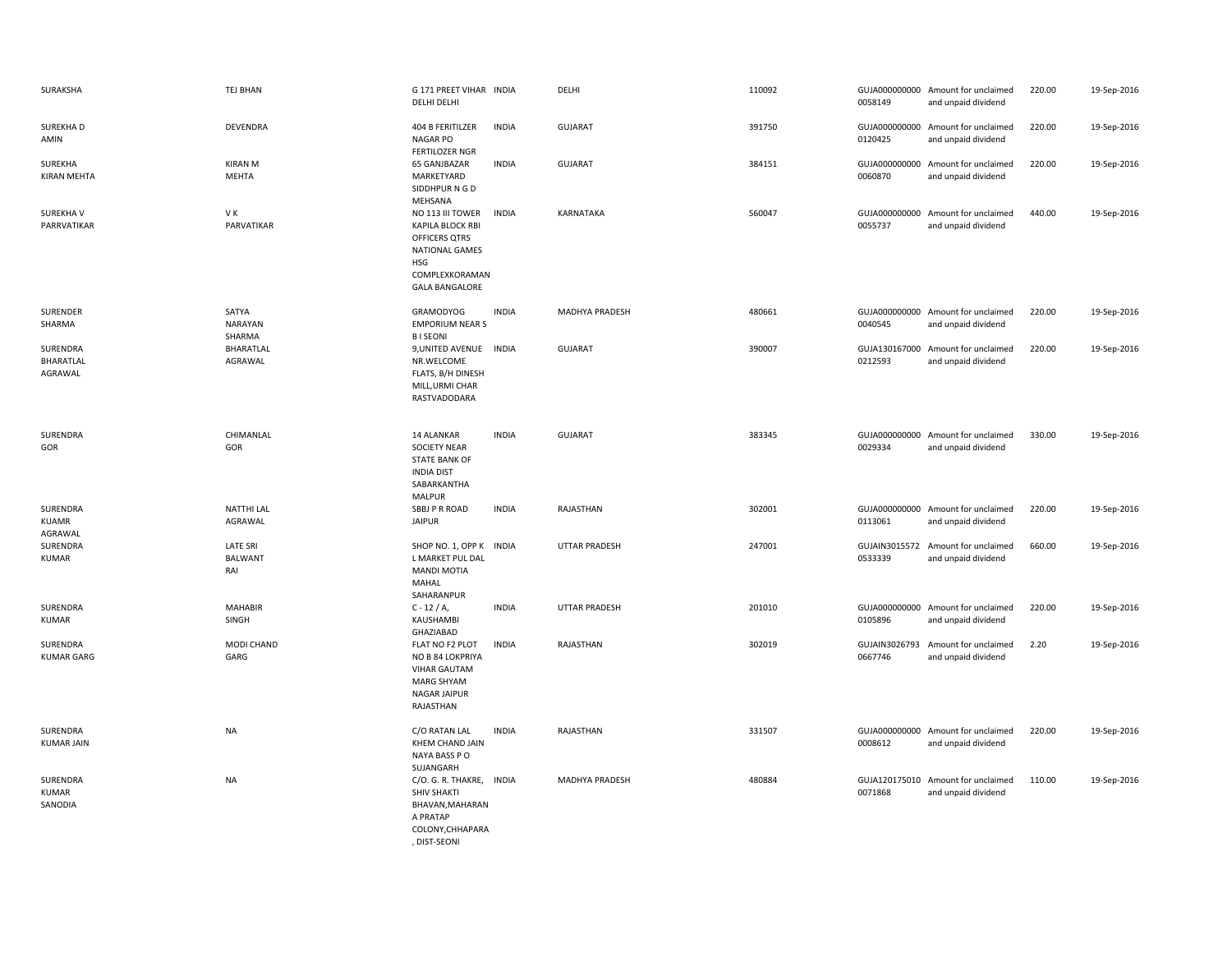| SURAKSHA                            | TEJ BHAN                                 | G 171 PREET VIHAR INDIA<br>DELHI DELHI                                                                                                  |              | DELHI                | 110092 | 0058149                  | GUJA000000000 Amount for unclaimed<br>and unpaid dividend | 220.00 | 19-Sep-2016 |
|-------------------------------------|------------------------------------------|-----------------------------------------------------------------------------------------------------------------------------------------|--------------|----------------------|--------|--------------------------|-----------------------------------------------------------|--------|-------------|
| SUREKHA D<br>AMIN                   | <b>DEVENDRA</b>                          | 404 B FERITILZER<br><b>NAGAR PO</b><br><b>FERTILOZER NGR</b>                                                                            | <b>INDIA</b> | <b>GUJARAT</b>       | 391750 | 0120425                  | GUJA000000000 Amount for unclaimed<br>and unpaid dividend | 220.00 | 19-Sep-2016 |
| SUREKHA<br><b>KIRAN MEHTA</b>       | <b>KIRAN M</b><br>MEHTA                  | 65 GANJBAZAR<br>MARKETYARD<br>SIDDHPURNGD<br>MEHSANA                                                                                    | <b>INDIA</b> | <b>GUJARAT</b>       | 384151 | 0060870                  | GUJA000000000 Amount for unclaimed<br>and unpaid dividend | 220.00 | 19-Sep-2016 |
| SUREKHA V<br>PARRVATIKAR            | VK<br>PARVATIKAR                         | NO 113 III TOWER<br><b>KAPILA BLOCK RBI</b><br>OFFICERS QTRS<br>NATIONAL GAMES<br><b>HSG</b><br>COMPLEXKORAMAN<br><b>GALA BANGALORE</b> | <b>INDIA</b> | KARNATAKA            | 560047 | 0055737                  | GUJA000000000 Amount for unclaimed<br>and unpaid dividend | 440.00 | 19-Sep-2016 |
| SURENDER<br>SHARMA                  | SATYA<br><b>NARAYAN</b><br>SHARMA        | GRAMODYOG<br><b>EMPORIUM NEAR S</b><br><b>BISEONI</b>                                                                                   | <b>INDIA</b> | MADHYA PRADESH       | 480661 | 0040545                  | GUJA000000000 Amount for unclaimed<br>and unpaid dividend | 220.00 | 19-Sep-2016 |
| SURENDRA<br>BHARATLAL<br>AGRAWAL    | BHARATLAL<br>AGRAWAL                     | 9, UNITED AVENUE INDIA<br>NR.WELCOME<br>FLATS, B/H DINESH<br>MILL, URMI CHAR<br>RASTVADODARA                                            |              | <b>GUJARAT</b>       | 390007 | 0212593                  | GUJA130167000 Amount for unclaimed<br>and unpaid dividend | 220.00 | 19-Sep-2016 |
| SURENDRA<br>GOR                     | CHIMANLAL<br>GOR                         | 14 ALANKAR<br>SOCIETY NEAR<br><b>STATE BANK OF</b><br><b>INDIA DIST</b><br>SABARKANTHA<br><b>MALPUR</b>                                 | <b>INDIA</b> | <b>GUJARAT</b>       | 383345 | 0029334                  | GUJA000000000 Amount for unclaimed<br>and unpaid dividend | 330.00 | 19-Sep-2016 |
| SURENDRA<br><b>KUAMR</b><br>AGRAWAL | <b>NATTHI LAL</b><br>AGRAWAL             | SBBJ P R ROAD<br><b>JAIPUR</b>                                                                                                          | <b>INDIA</b> | RAJASTHAN            | 302001 | 0113061                  | GUJA000000000 Amount for unclaimed<br>and unpaid dividend | 220.00 | 19-Sep-2016 |
| SURENDRA<br><b>KUMAR</b>            | <b>LATE SRI</b><br><b>BALWANT</b><br>RAI | SHOP NO. 1, OPP K INDIA<br>L MARKET PUL DAL<br><b>MANDI MOTIA</b><br>MAHAL<br>SAHARANPUR                                                |              | <b>UTTAR PRADESH</b> | 247001 | 0533339                  | GUJAIN3015572 Amount for unclaimed<br>and unpaid dividend | 660.00 | 19-Sep-2016 |
| SURENDRA<br>KUMAR                   | <b>MAHABIR</b><br>SINGH                  | $C - 12 / A$ ,<br>KAUSHAMBI<br>GHAZIABAD                                                                                                | <b>INDIA</b> | UTTAR PRADESH        | 201010 | 0105896                  | GUJA000000000 Amount for unclaimed<br>and unpaid dividend | 220.00 | 19-Sep-2016 |
| SURENDRA<br><b>KUMAR GARG</b>       | MODI CHAND<br>GARG                       | FLAT NO F2 PLOT<br>NO B 84 LOKPRIYA<br><b>VIHAR GAUTAM</b><br>MARG SHYAM<br><b>NAGAR JAIPUR</b><br>RAJASTHAN                            | <b>INDIA</b> | RAJASTHAN            | 302019 | GUJAIN3026793<br>0667746 | Amount for unclaimed<br>and unpaid dividend               | 2.20   | 19-Sep-2016 |
| SURENDRA<br><b>KUMAR JAIN</b>       | NA                                       | C/O RATAN LAL<br>KHEM CHAND JAIN<br>NAYA BASS PO<br>SUJANGARH                                                                           | <b>INDIA</b> | RAJASTHAN            | 331507 | 0008612                  | GUJA000000000 Amount for unclaimed<br>and unpaid dividend | 220.00 | 19-Sep-2016 |
| SURENDRA<br><b>KUMAR</b><br>SANODIA | <b>NA</b>                                | C/O. G. R. THAKRE, INDIA<br><b>SHIV SHAKTI</b><br>BHAVAN, MAHARAN<br>A PRATAP<br>COLONY, CHHAPARA<br>. DIST-SEONI                       |              | MADHYA PRADESH       | 480884 | 0071868                  | GUJA120175010 Amount for unclaimed<br>and unpaid dividend | 110.00 | 19-Sep-2016 |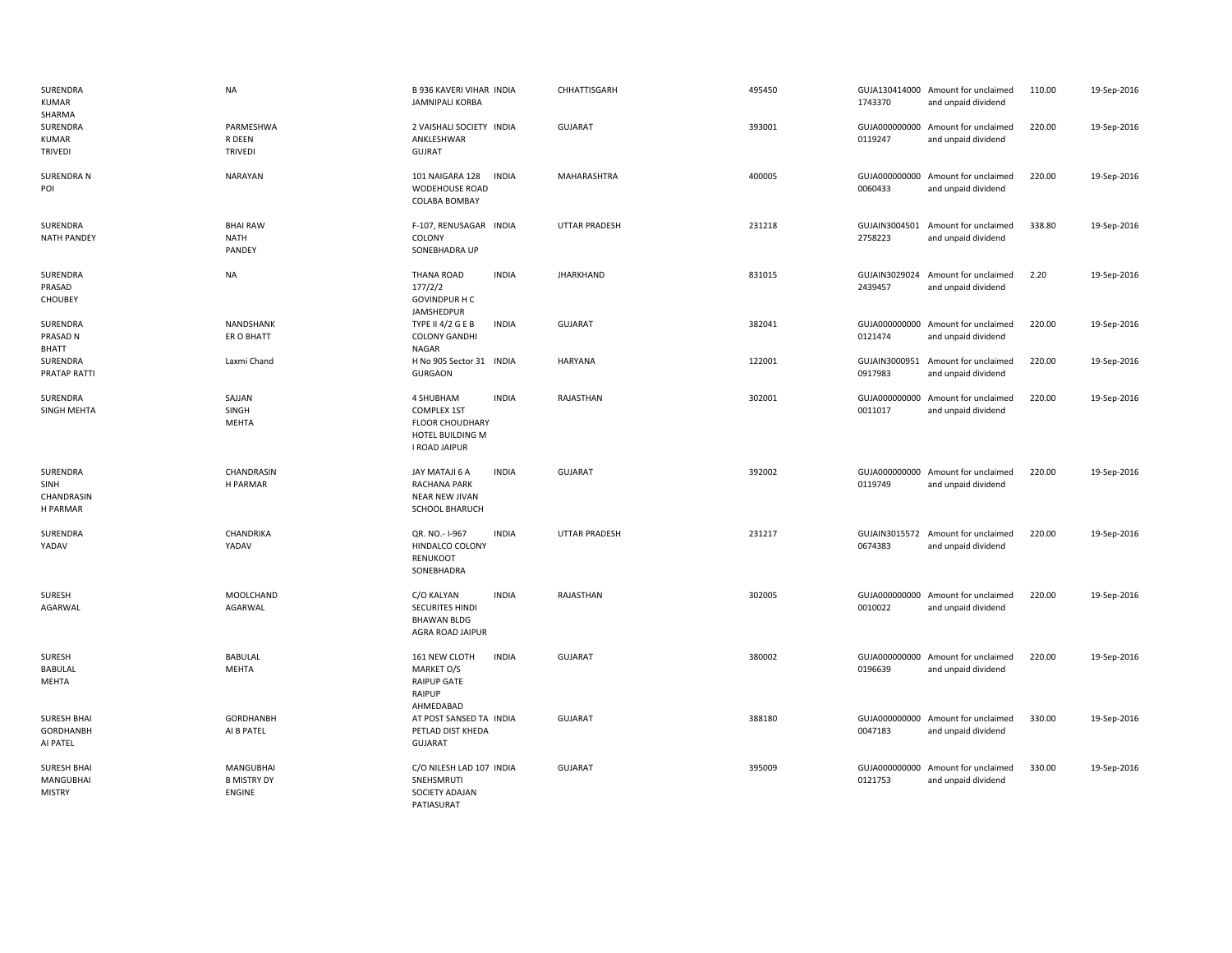| SURENDRA<br><b>KUMAR</b><br>SHARMA               | <b>NA</b>                                 | <b>B 936 KAVERI VIHAR INDIA</b><br><b>JAMNIPALI KORBA</b>                                                      | CHHATTISGARH         | 495450 | 1743370                  | GUJA130414000 Amount for unclaimed<br>and unpaid dividend | 110.00 | 19-Sep-2016 |
|--------------------------------------------------|-------------------------------------------|----------------------------------------------------------------------------------------------------------------|----------------------|--------|--------------------------|-----------------------------------------------------------|--------|-------------|
| SURENDRA<br>KUMAR<br><b>TRIVEDI</b>              | PARMESHWA<br>R DEEN<br><b>TRIVEDI</b>     | 2 VAISHALI SOCIETY INDIA<br>ANKLESHWAR<br><b>GUJRAT</b>                                                        | <b>GUJARAT</b>       | 393001 | 0119247                  | GUJA000000000 Amount for unclaimed<br>and unpaid dividend | 220.00 | 19-Sep-2016 |
| <b>SURENDRA N</b><br>POI                         | NARAYAN                                   | 101 NAIGARA 128<br><b>INDIA</b><br><b>WODEHOUSE ROAD</b><br>COLABA BOMBAY                                      | MAHARASHTRA          | 400005 | 0060433                  | GUJA000000000 Amount for unclaimed<br>and unpaid dividend | 220.00 | 19-Sep-2016 |
| SURENDRA<br><b>NATH PANDEY</b>                   | <b>BHAI RAW</b><br>NATH<br>PANDEY         | F-107, RENUSAGAR INDIA<br>COLONY<br>SONEBHADRA UP                                                              | <b>UTTAR PRADESH</b> | 231218 | GUJAIN3004501<br>2758223 | Amount for unclaimed<br>and unpaid dividend               | 338.80 | 19-Sep-2016 |
| SURENDRA<br>PRASAD<br>CHOUBEY                    | <b>NA</b>                                 | <b>THANA ROAD</b><br><b>INDIA</b><br>177/2/2<br><b>GOVINDPUR H C</b><br>JAMSHEDPUR                             | <b>JHARKHAND</b>     | 831015 | GUJAIN3029024<br>2439457 | Amount for unclaimed<br>and unpaid dividend               | 2.20   | 19-Sep-2016 |
| SURENDRA<br>PRASAD N<br>BHATT                    | NANDSHANK<br>ER O BHATT                   | <b>INDIA</b><br><b>TYPE II 4/2 G E B</b><br><b>COLONY GANDHI</b><br>NAGAR                                      | <b>GUJARAT</b>       | 382041 | 0121474                  | GUJA000000000 Amount for unclaimed<br>and unpaid dividend | 220.00 | 19-Sep-2016 |
| SURENDRA<br>PRATAP RATTI                         | Laxmi Chand                               | H No 905 Sector 31 INDIA<br><b>GURGAON</b>                                                                     | <b>HARYANA</b>       | 122001 | GUJAIN3000951<br>0917983 | Amount for unclaimed<br>and unpaid dividend               | 220.00 | 19-Sep-2016 |
| SURENDRA<br>SINGH MEHTA                          | SAJJAN<br>SINGH<br><b>MEHTA</b>           | <b>INDIA</b><br>4 SHUBHAM<br><b>COMPLEX 1ST</b><br><b>FLOOR CHOUDHARY</b><br>HOTEL BUILDING M<br>I ROAD JAIPUR | RAJASTHAN            | 302001 | 0011017                  | GUJA000000000 Amount for unclaimed<br>and unpaid dividend | 220.00 | 19-Sep-2016 |
| SURENDRA<br>SINH<br>CHANDRASIN<br>H PARMAR       | CHANDRASIN<br>H PARMAR                    | JAY MATAJI 6 A<br><b>INDIA</b><br><b>RACHANA PARK</b><br>NEAR NEW JIVAN<br><b>SCHOOL BHARUCH</b>               | <b>GUJARAT</b>       | 392002 | 0119749                  | GUJA000000000 Amount for unclaimed<br>and unpaid dividend | 220.00 | 19-Sep-2016 |
| SURENDRA<br>YADAV                                | CHANDRIKA<br>YADAV                        | <b>INDIA</b><br>QR. NO.-1-967<br>HINDALCO COLONY<br>RENUKOOT<br>SONEBHADRA                                     | <b>UTTAR PRADESH</b> | 231217 | 0674383                  | GUJAIN3015572 Amount for unclaimed<br>and unpaid dividend | 220.00 | 19-Sep-2016 |
| SURESH<br>AGARWAL                                | MOOLCHAND<br>AGARWAL                      | <b>INDIA</b><br>C/O KALYAN<br>SECURITES HINDI<br><b>BHAWAN BLDG</b><br>AGRA ROAD JAIPUR                        | RAJASTHAN            | 302005 | 0010022                  | GUJA000000000 Amount for unclaimed<br>and unpaid dividend | 220.00 | 19-Sep-2016 |
| SURESH<br><b>BABULAL</b><br><b>MEHTA</b>         | <b>BABULAL</b><br><b>MEHTA</b>            | 161 NEW CLOTH<br><b>INDIA</b><br>MARKET O/S<br><b>RAIPUP GATE</b><br>RAIPUP<br>AHMEDABAD                       | <b>GUJARAT</b>       | 380002 | 0196639                  | GUJA000000000 Amount for unclaimed<br>and unpaid dividend | 220.00 | 19-Sep-2016 |
| <b>SURESH BHAI</b><br>GORDHANBH<br>AI PATEL      | <b>GORDHANBH</b><br>AI B PATEL            | AT POST SANSED TA INDIA<br>PETLAD DIST KHEDA<br><b>GUJARAT</b>                                                 | <b>GUJARAT</b>       | 388180 | 0047183                  | GUJA000000000 Amount for unclaimed<br>and unpaid dividend | 330.00 | 19-Sep-2016 |
| <b>SURESH BHAI</b><br>MANGUBHAI<br><b>MISTRY</b> | MANGUBHAI<br><b>B MISTRY DY</b><br>ENGINE | C/O NILESH LAD 107 INDIA<br>SNEHSMRUTI<br>SOCIETY ADAJAN<br>PATIASURAT                                         | <b>GUJARAT</b>       | 395009 | 0121753                  | GUJA000000000 Amount for unclaimed<br>and unpaid dividend | 330.00 | 19-Sep-2016 |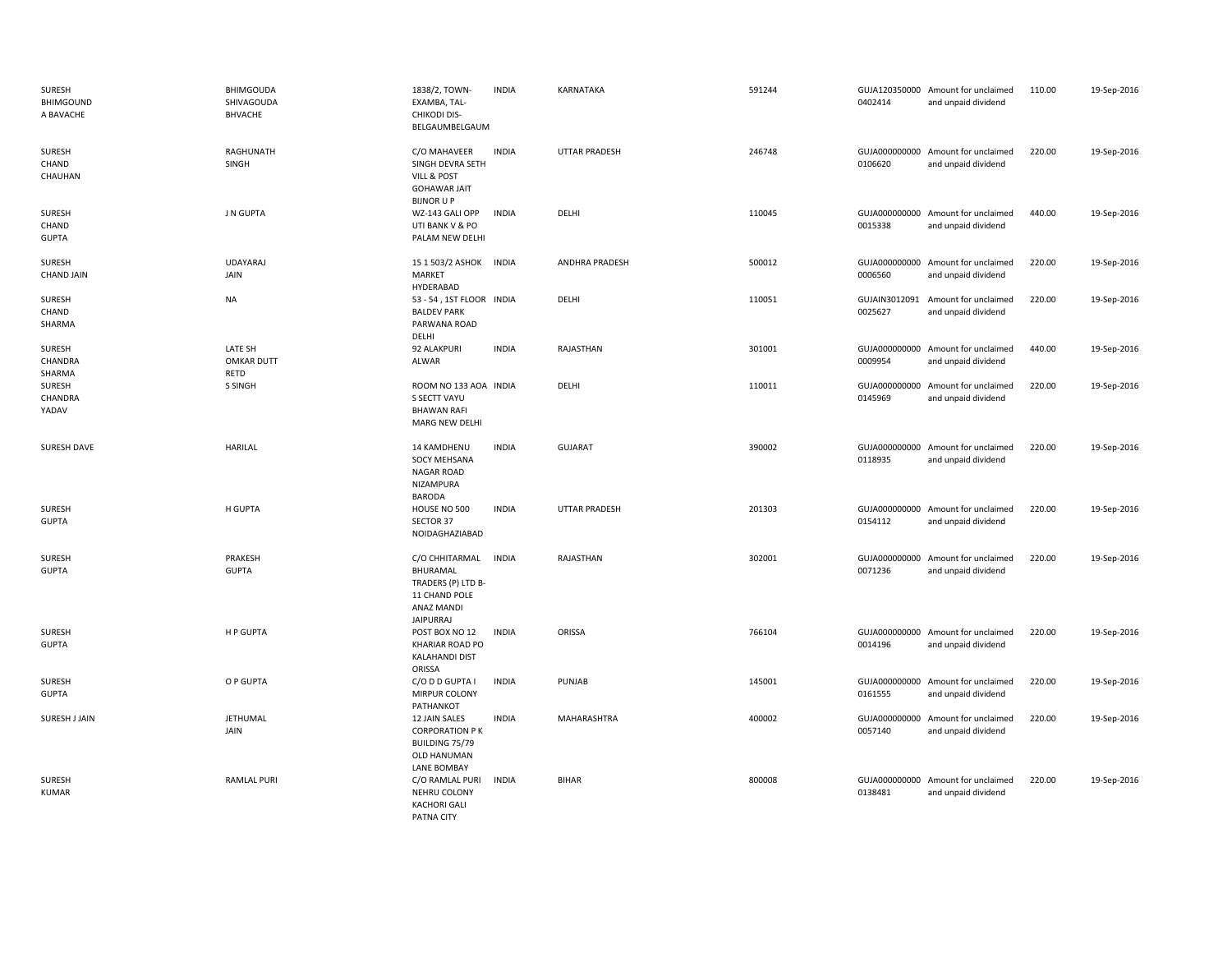| SURESH<br><b>BHIMGOUND</b><br>A BAVACHE | <b>BHIMGOUDA</b><br>SHIVAGOUDA<br><b>BHVACHE</b> | 1838/2, TOWN-<br>EXAMBA, TAL-<br><b>CHIKODI DIS-</b><br>BELGAUMBELGAUM                               | <b>INDIA</b> | KARNATAKA             | 591244 | 0402414                  | GUJA120350000 Amount for unclaimed<br>and unpaid dividend | 110.00 | 19-Sep-2016 |
|-----------------------------------------|--------------------------------------------------|------------------------------------------------------------------------------------------------------|--------------|-----------------------|--------|--------------------------|-----------------------------------------------------------|--------|-------------|
| SURESH<br>CHAND<br>CHAUHAN              | <b>RAGHUNATH</b><br>SINGH                        | C/O MAHAVEER<br>SINGH DEVRA SETH<br>VILL & POST<br><b>GOHAWAR JAIT</b><br><b>BIJNOR U P</b>          | <b>INDIA</b> | <b>UTTAR PRADESH</b>  | 246748 | 0106620                  | GUJA000000000 Amount for unclaimed<br>and unpaid dividend | 220.00 | 19-Sep-2016 |
| SURESH<br>CHAND<br><b>GUPTA</b>         | J N GUPTA                                        | WZ-143 GALI OPP<br>UTI BANK V & PO<br>PALAM NEW DELHI                                                | <b>INDIA</b> | DELHI                 | 110045 | 0015338                  | GUJA000000000 Amount for unclaimed<br>and unpaid dividend | 440.00 | 19-Sep-2016 |
| SURESH<br><b>CHAND JAIN</b>             | <b>UDAYARAJ</b><br>JAIN                          | 15 1 503/2 ASHOK<br>MARKET<br>HYDERABAD                                                              | <b>INDIA</b> | <b>ANDHRA PRADESH</b> | 500012 | 0006560                  | GUJA000000000 Amount for unclaimed<br>and unpaid dividend | 220.00 | 19-Sep-2016 |
| SURESH<br>CHAND<br>SHARMA               | NA                                               | 53 - 54, 1ST FLOOR INDIA<br><b>BALDEV PARK</b><br>PARWANA ROAD<br>DELHI                              |              | DELHI                 | 110051 | GUJAIN3012091<br>0025627 | Amount for unclaimed<br>and unpaid dividend               | 220.00 | 19-Sep-2016 |
| SURESH<br>CHANDRA<br>SHARMA             | LATE SH<br><b>OMKAR DUTT</b><br>RETD             | 92 ALAKPURI<br>ALWAR                                                                                 | <b>INDIA</b> | RAJASTHAN             | 301001 | 0009954                  | GUJA000000000 Amount for unclaimed<br>and unpaid dividend | 440.00 | 19-Sep-2016 |
| SURESH<br>CHANDRA<br>YADAV              | S SINGH                                          | ROOM NO 133 AOA INDIA<br>S SECTT VAYU<br><b>BHAWAN RAFI</b><br>MARG NEW DELHI                        |              | DELHI                 | 110011 | 0145969                  | GUJA000000000 Amount for unclaimed<br>and unpaid dividend | 220.00 | 19-Sep-2016 |
| SURESH DAVE                             | <b>HARILAL</b>                                   | 14 KAMDHENU<br>SOCY MEHSANA<br><b>NAGAR ROAD</b><br>NIZAMPURA<br><b>BARODA</b>                       | <b>INDIA</b> | <b>GUJARAT</b>        | 390002 | 0118935                  | GUJA000000000 Amount for unclaimed<br>and unpaid dividend | 220.00 | 19-Sep-2016 |
| <b>SURESH</b><br><b>GUPTA</b>           | H GUPTA                                          | HOUSE NO 500<br>SECTOR 37<br>NOIDAGHAZIABAD                                                          | <b>INDIA</b> | <b>UTTAR PRADESH</b>  | 201303 | 0154112                  | GUJA000000000 Amount for unclaimed<br>and unpaid dividend | 220.00 | 19-Sep-2016 |
| <b>SURESH</b><br><b>GUPTA</b>           | PRAKESH<br><b>GUPTA</b>                          | C/O CHHITARMAL<br>BHURAMAL<br>TRADERS (P) LTD B-<br>11 CHAND POLE<br>ANAZ MANDI<br><b>JAIPURRAJ</b>  | <b>INDIA</b> | RAJASTHAN             | 302001 | 0071236                  | GUJA000000000 Amount for unclaimed<br>and unpaid dividend | 220.00 | 19-Sep-2016 |
| SURESH<br><b>GUPTA</b>                  | H P GUPTA                                        | POST BOX NO 12<br><b>KHARIAR ROAD PO</b><br><b>KALAHANDI DIST</b><br>ORISSA                          | <b>INDIA</b> | ORISSA                | 766104 | 0014196                  | GUJA000000000 Amount for unclaimed<br>and unpaid dividend | 220.00 | 19-Sep-2016 |
| SURESH<br><b>GUPTA</b>                  | O P GUPTA                                        | C/O D D GUPTA I<br>MIRPUR COLONY<br>PATHANKOT                                                        | <b>INDIA</b> | PUNJAB                | 145001 | 0161555                  | GUJA000000000 Amount for unclaimed<br>and unpaid dividend | 220.00 | 19-Sep-2016 |
| SURESH J JAIN                           | JETHUMAL<br>JAIN                                 | 12 JAIN SALES<br><b>CORPORATION PK</b><br>BUILDING 75/79<br><b>OLD HANUMAN</b><br><b>LANE BOMBAY</b> | <b>INDIA</b> | MAHARASHTRA           | 400002 | 0057140                  | GUJA000000000 Amount for unclaimed<br>and unpaid dividend | 220.00 | 19-Sep-2016 |
| <b>SURESH</b><br><b>KUMAR</b>           | <b>RAMLAL PURI</b>                               | C/O RAMLAL PURI<br>NEHRU COLONY<br><b>KACHORI GALI</b><br>PATNA CITY                                 | <b>INDIA</b> | <b>BIHAR</b>          | 800008 | 0138481                  | GUJA000000000 Amount for unclaimed<br>and unpaid dividend | 220.00 | 19-Sep-2016 |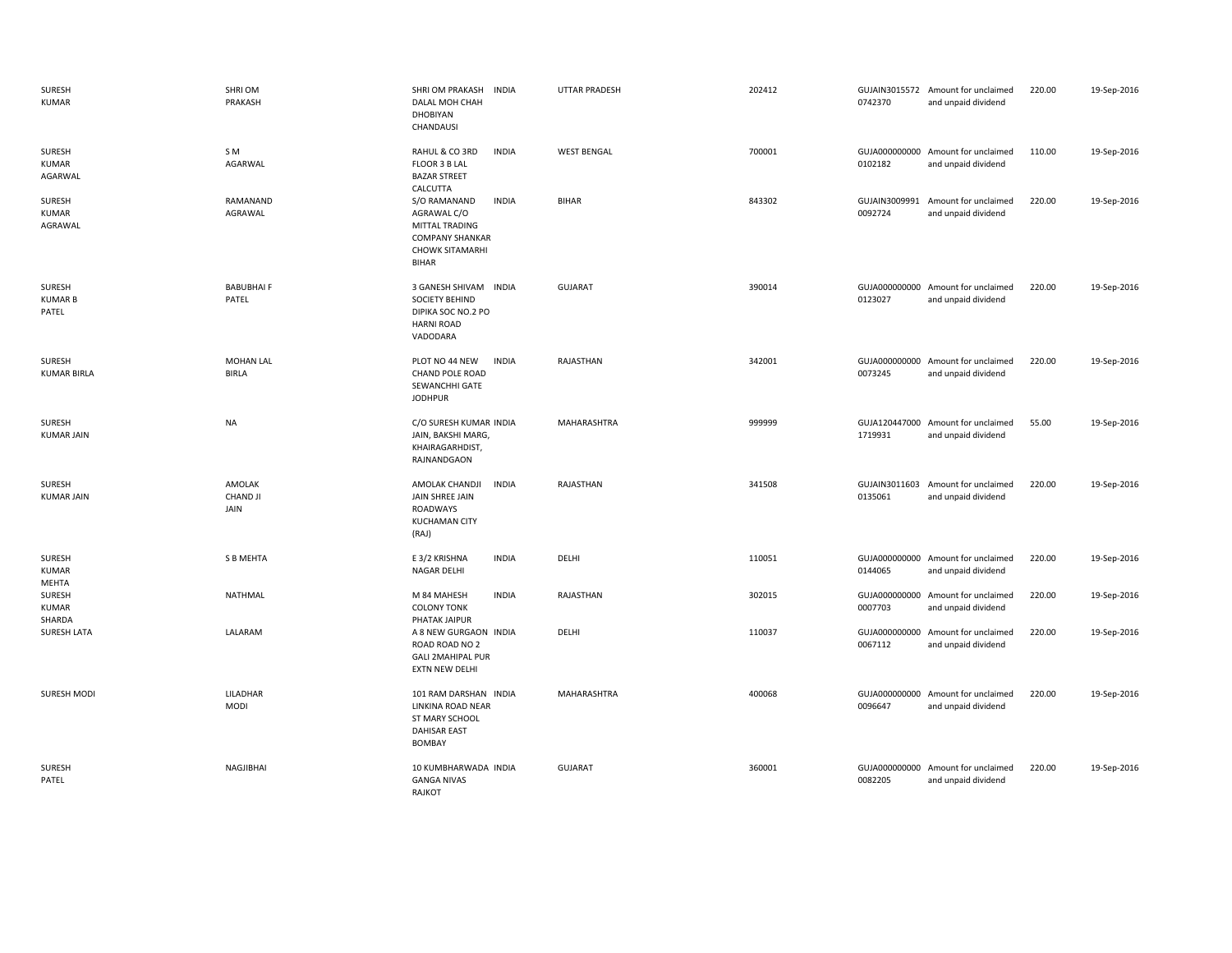| <b>SURESH</b><br><b>KUMAR</b>     | SHRI OM<br>PRAKASH                | SHRI OM PRAKASH<br><b>INDIA</b><br>DALAL MOH CHAH<br><b>DHOBIYAN</b><br>CHANDAUSI                                                 | <b>UTTAR PRADESH</b> | 202412 | 0742370                  | GUJAIN3015572 Amount for unclaimed<br>and unpaid dividend | 220.00 | 19-Sep-2016 |
|-----------------------------------|-----------------------------------|-----------------------------------------------------------------------------------------------------------------------------------|----------------------|--------|--------------------------|-----------------------------------------------------------|--------|-------------|
| SURESH<br>KUMAR<br>AGARWAL        | S M<br>AGARWAL                    | RAHUL & CO 3RD<br><b>INDIA</b><br>FLOOR 3 B LAL<br><b>BAZAR STREET</b><br>CALCUTTA                                                | <b>WEST BENGAL</b>   | 700001 | 0102182                  | GUJA000000000 Amount for unclaimed<br>and unpaid dividend | 110.00 | 19-Sep-2016 |
| SURESH<br>KUMAR<br>AGRAWAL        | RAMANAND<br>AGRAWAL               | <b>INDIA</b><br>S/O RAMANAND<br>AGRAWAL C/O<br>MITTAL TRADING<br><b>COMPANY SHANKAR</b><br><b>CHOWK SITAMARHI</b><br><b>BIHAR</b> | <b>BIHAR</b>         | 843302 | 0092724                  | GUJAIN3009991 Amount for unclaimed<br>and unpaid dividend | 220.00 | 19-Sep-2016 |
| SURESH<br><b>KUMAR B</b><br>PATEL | <b>BABUBHAIF</b><br>PATEL         | 3 GANESH SHIVAM INDIA<br><b>SOCIETY BEHIND</b><br>DIPIKA SOC NO.2 PO<br><b>HARNI ROAD</b><br>VADODARA                             | <b>GUJARAT</b>       | 390014 | 0123027                  | GUJA000000000 Amount for unclaimed<br>and unpaid dividend | 220.00 | 19-Sep-2016 |
| SURESH<br><b>KUMAR BIRLA</b>      | <b>MOHAN LAL</b><br><b>BIRLA</b>  | PLOT NO 44 NEW<br><b>INDIA</b><br>CHAND POLE ROAD<br>SEWANCHHI GATE<br><b>JODHPUR</b>                                             | RAJASTHAN            | 342001 | 0073245                  | GUJA000000000 Amount for unclaimed<br>and unpaid dividend | 220.00 | 19-Sep-2016 |
| SURESH<br><b>KUMAR JAIN</b>       | <b>NA</b>                         | C/O SURESH KUMAR INDIA<br>JAIN, BAKSHI MARG,<br>KHAIRAGARHDIST,<br>RAJNANDGAON                                                    | MAHARASHTRA          | 999999 | 1719931                  | GUJA120447000 Amount for unclaimed<br>and unpaid dividend | 55.00  | 19-Sep-2016 |
| SURESH<br><b>KUMAR JAIN</b>       | AMOLAK<br><b>CHAND JI</b><br>JAIN | AMOLAK CHANDJI<br><b>INDIA</b><br>JAIN SHREE JAIN<br>ROADWAYS<br><b>KUCHAMAN CITY</b><br>(RAJ)                                    | RAJASTHAN            | 341508 | 0135061                  | GUJAIN3011603 Amount for unclaimed<br>and unpaid dividend | 220.00 | 19-Sep-2016 |
| SURESH<br><b>KUMAR</b><br>MEHTA   | <b>S B MEHTA</b>                  | E 3/2 KRISHNA<br><b>INDIA</b><br>NAGAR DELHI                                                                                      | DELHI                | 110051 | 0144065                  | GUJA000000000 Amount for unclaimed<br>and unpaid dividend | 220.00 | 19-Sep-2016 |
| SURESH<br><b>KUMAR</b><br>SHARDA  | <b>NATHMAL</b>                    | <b>INDIA</b><br>M 84 MAHESH<br><b>COLONY TONK</b><br>PHATAK JAIPUR                                                                | RAJASTHAN            | 302015 | GUJA000000000<br>0007703 | Amount for unclaimed<br>and unpaid dividend               | 220.00 | 19-Sep-2016 |
| <b>SURESH LATA</b>                | LALARAM                           | A 8 NEW GURGAON INDIA<br>ROAD ROAD NO 2<br><b>GALI 2MAHIPAL PUR</b><br>EXTN NEW DELHI                                             | DELHI                | 110037 | GUJA000000000<br>0067112 | Amount for unclaimed<br>and unpaid dividend               | 220.00 | 19-Sep-2016 |
| SURESH MODI                       | LILADHAR<br>MODI                  | 101 RAM DARSHAN INDIA<br>LINKINA ROAD NEAR<br>ST MARY SCHOOL<br><b>DAHISAR EAST</b><br><b>BOMBAY</b>                              | MAHARASHTRA          | 400068 | 0096647                  | GUJA000000000 Amount for unclaimed<br>and unpaid dividend | 220.00 | 19-Sep-2016 |
| <b>SURESH</b><br>PATEL            | NAGJIBHAI                         | 10 KUMBHARWADA INDIA<br><b>GANGA NIVAS</b><br>RAJKOT                                                                              | <b>GUJARAT</b>       | 360001 | 0082205                  | GUJA000000000 Amount for unclaimed<br>and unpaid dividend | 220.00 | 19-Sep-2016 |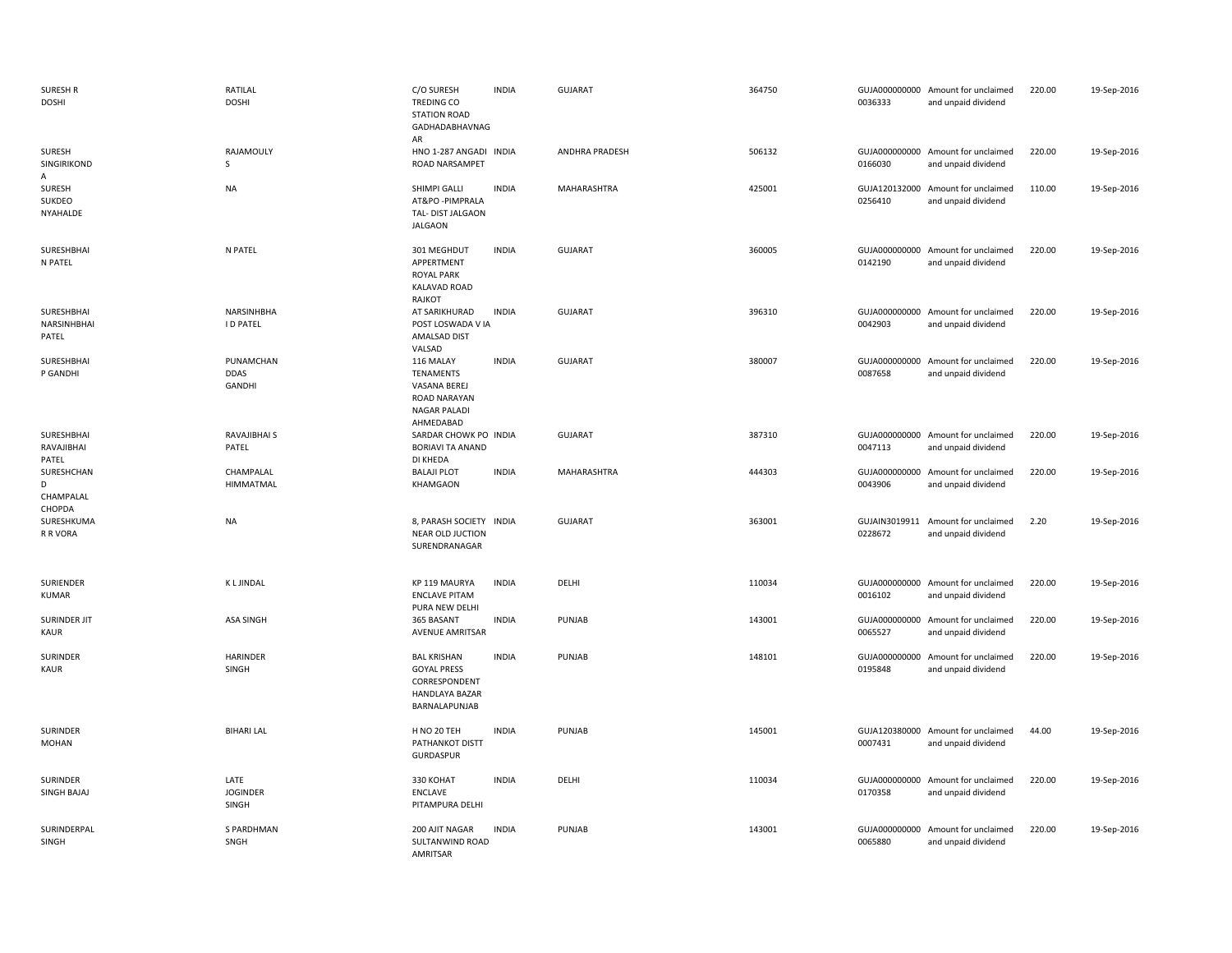| <b>SURESH R</b><br><b>DOSHI</b>        | RATILAL<br><b>DOSHI</b>            | C/O SURESH<br>TREDING CO<br><b>STATION ROAD</b><br>GADHADABHAVNAG<br>AR                      | <b>INDIA</b> | <b>GUJARAT</b>        | 364750 | 0036333                  | GUJA000000000 Amount for unclaimed<br>and unpaid dividend | 220.00 | 19-Sep-2016 |
|----------------------------------------|------------------------------------|----------------------------------------------------------------------------------------------|--------------|-----------------------|--------|--------------------------|-----------------------------------------------------------|--------|-------------|
| <b>SURESH</b><br>SINGIRIKOND<br>Α      | RAJAMOULY<br><sub>S</sub>          | HNO 1-287 ANGADI INDIA<br>ROAD NARSAMPET                                                     |              | <b>ANDHRA PRADESH</b> | 506132 | 0166030                  | GUJA000000000 Amount for unclaimed<br>and unpaid dividend | 220.00 | 19-Sep-2016 |
| SURESH<br><b>SUKDEO</b><br>NYAHALDE    | <b>NA</b>                          | SHIMPI GALLI<br>AT&PO-PIMPRALA<br>TAL- DIST JALGAON<br><b>JALGAON</b>                        | <b>INDIA</b> | MAHARASHTRA           | 425001 | 0256410                  | GUJA120132000 Amount for unclaimed<br>and unpaid dividend | 110.00 | 19-Sep-2016 |
| SURESHBHAI<br>N PATEL                  | N PATEL                            | 301 MEGHDUT<br>APPERTMENT<br><b>ROYAL PARK</b><br><b>KALAVAD ROAD</b><br>RAJKOT              | <b>INDIA</b> | <b>GUJARAT</b>        | 360005 | 0142190                  | GUJA000000000 Amount for unclaimed<br>and unpaid dividend | 220.00 | 19-Sep-2016 |
| SURESHBHAI<br>NARSINHBHAI<br>PATEL     | NARSINHBHA<br><b>ID PATEL</b>      | AT SARIKHURAD<br>POST LOSWADA V IA<br>AMALSAD DIST<br>VALSAD                                 | <b>INDIA</b> | <b>GUJARAT</b>        | 396310 | 0042903                  | GUJA000000000 Amount for unclaimed<br>and unpaid dividend | 220.00 | 19-Sep-2016 |
| SURESHBHAI<br>P GANDHI                 | PUNAMCHAN<br><b>DDAS</b><br>GANDHI | 116 MALAY<br><b>TENAMENTS</b><br>VASANA BEREJ<br>ROAD NARAYAN<br>NAGAR PALADI<br>AHMEDABAD   | <b>INDIA</b> | GUJARAT               | 380007 | 0087658                  | GUJA000000000 Amount for unclaimed<br>and unpaid dividend | 220.00 | 19-Sep-2016 |
| SURESHBHAI<br>RAVAJIBHAI<br>PATEL      | RAVAJIBHAI S<br>PATEL              | SARDAR CHOWK PO INDIA<br><b>BORIAVI TA ANAND</b><br>DI KHEDA                                 |              | <b>GUJARAT</b>        | 387310 | 0047113                  | GUJA000000000 Amount for unclaimed<br>and unpaid dividend | 220.00 | 19-Sep-2016 |
| SURESHCHAN<br>D<br>CHAMPALAL<br>CHOPDA | CHAMPALAL<br>HIMMATMAL             | <b>BALAJI PLOT</b><br>KHAMGAON                                                               | <b>INDIA</b> | MAHARASHTRA           | 444303 | 0043906                  | GUJA000000000 Amount for unclaimed<br>and unpaid dividend | 220.00 | 19-Sep-2016 |
| SURESHKUMA<br>R R VORA                 | <b>NA</b>                          | 8, PARASH SOCIETY INDIA<br>NEAR OLD JUCTION<br>SURENDRANAGAR                                 |              | <b>GUJARAT</b>        | 363001 | 0228672                  | GUJAIN3019911 Amount for unclaimed<br>and unpaid dividend | 2.20   | 19-Sep-2016 |
| SURIENDER<br>KUMAR                     | <b>KLJINDAL</b>                    | KP 119 MAURYA<br><b>ENCLAVE PITAM</b><br>PURA NEW DELHI                                      | <b>INDIA</b> | DELHI                 | 110034 | 0016102                  | GUJA000000000 Amount for unclaimed<br>and unpaid dividend | 220.00 | 19-Sep-2016 |
| SURINDER JIT<br><b>KAUR</b>            | <b>ASA SINGH</b>                   | 365 BASANT<br>AVENUE AMRITSAR                                                                | <b>INDIA</b> | PUNJAB                | 143001 | GUJA000000000<br>0065527 | Amount for unclaimed<br>and unpaid dividend               | 220.00 | 19-Sep-2016 |
| <b>SURINDER</b><br>KAUR                | <b>HARINDER</b><br>SINGH           | <b>BAL KRISHAN</b><br><b>GOYAL PRESS</b><br>CORRESPONDENT<br>HANDLAYA BAZAR<br>BARNALAPUNJAB | <b>INDIA</b> | PUNJAB                | 148101 | 0195848                  | GUJA000000000 Amount for unclaimed<br>and unpaid dividend | 220.00 | 19-Sep-2016 |
| <b>SURINDER</b><br><b>MOHAN</b>        | <b>BIHARI LAL</b>                  | H NO 20 TEH<br>PATHANKOT DISTT<br>GURDASPUR                                                  | <b>INDIA</b> | PUNJAB                | 145001 | 0007431                  | GUJA120380000 Amount for unclaimed<br>and unpaid dividend | 44.00  | 19-Sep-2016 |
| SURINDER<br>SINGH BAJAJ                | LATE<br><b>JOGINDER</b><br>SINGH   | 330 KOHAT<br>ENCLAVE<br>PITAMPURA DELHI                                                      | <b>INDIA</b> | DELHI                 | 110034 | 0170358                  | GUJA000000000 Amount for unclaimed<br>and unpaid dividend | 220.00 | 19-Sep-2016 |
| SURINDERPAL<br>SINGH                   | S PARDHMAN<br>SNGH                 | 200 AJIT NAGAR<br>SULTANWIND ROAD<br>AMRITSAR                                                | <b>INDIA</b> | PUNJAB                | 143001 | GUJA000000000<br>0065880 | Amount for unclaimed<br>and unpaid dividend               | 220.00 | 19-Sep-2016 |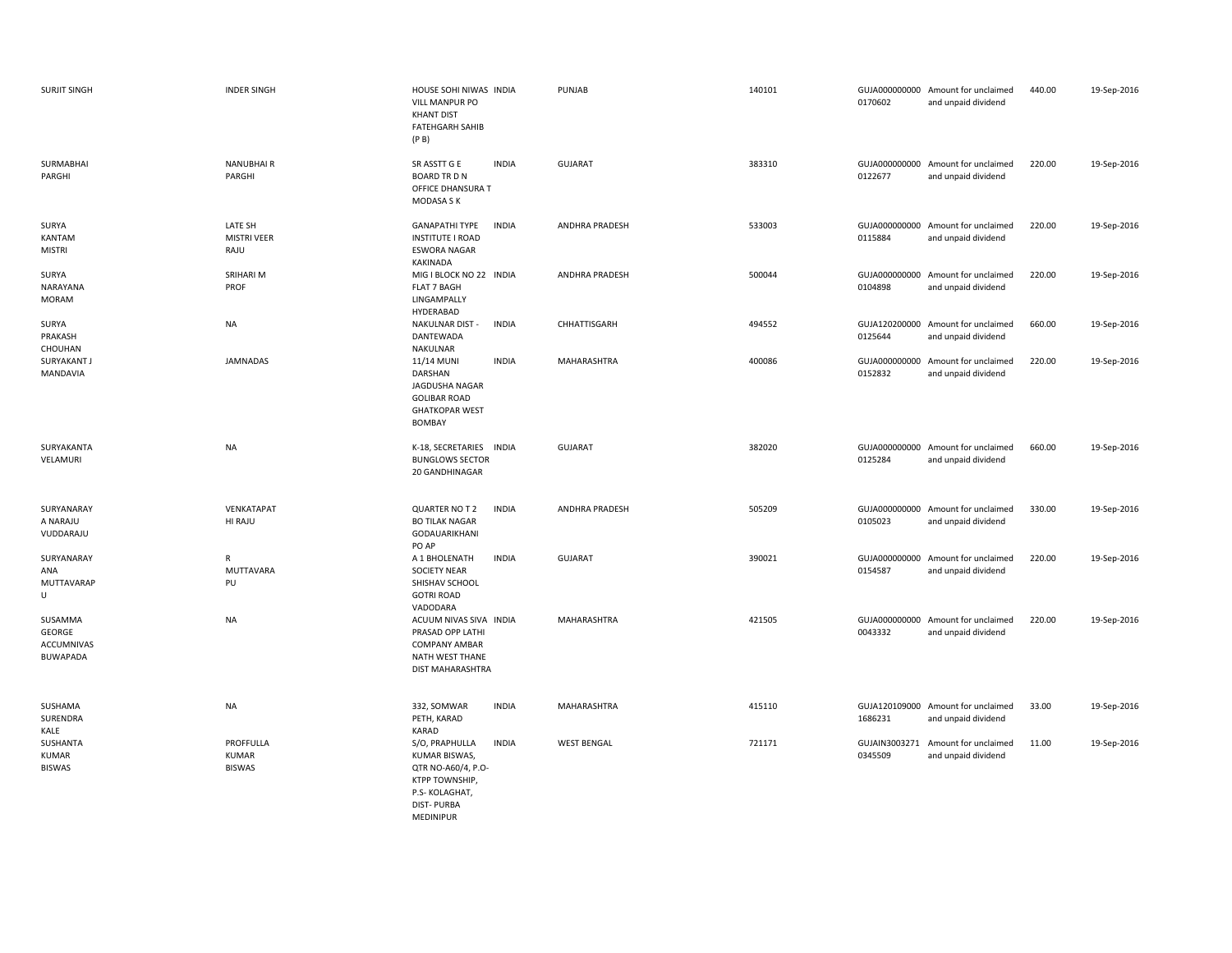| <b>SURJIT SINGH</b>                                | <b>INDER SINGH</b>                         | HOUSE SOHI NIWAS INDIA<br><b>VILL MANPUR PO</b><br><b>KHANT DIST</b><br><b>FATEHGARH SAHIB</b><br>(P B)                                     | PUNJAB                | 140101 | GUJA000000000 Amount for unclaimed<br>0170602<br>and unpaid dividend    | 440.00 | 19-Sep-2016 |
|----------------------------------------------------|--------------------------------------------|---------------------------------------------------------------------------------------------------------------------------------------------|-----------------------|--------|-------------------------------------------------------------------------|--------|-------------|
| SURMABHAI<br>PARGHI                                | <b>NANUBHAIR</b><br>PARGHI                 | SR ASSTT G E<br><b>INDIA</b><br><b>BOARD TR D N</b><br>OFFICE DHANSURA T<br>MODASA S K                                                      | <b>GUJARAT</b>        | 383310 | GUJA000000000 Amount for unclaimed<br>0122677<br>and unpaid dividend    | 220.00 | 19-Sep-2016 |
| SURYA<br>KANTAM<br><b>MISTRI</b>                   | LATE SH<br><b>MISTRI VEER</b><br>RAJU      | <b>GANAPATHI TYPE</b><br><b>INDIA</b><br><b>INSTITUTE I ROAD</b><br><b>ESWORA NAGAR</b><br>KAKINADA                                         | <b>ANDHRA PRADESH</b> | 533003 | GUJA000000000 Amount for unclaimed<br>and unpaid dividend<br>0115884    | 220.00 | 19-Sep-2016 |
| SURYA<br>NARAYANA<br><b>MORAM</b>                  | SRIHARI M<br>PROF                          | MIG I BLOCK NO 22 INDIA<br><b>FLAT 7 BAGH</b><br>LINGAMPALLY<br>HYDERABAD                                                                   | <b>ANDHRA PRADESH</b> | 500044 | GUJA000000000 Amount for unclaimed<br>0104898<br>and unpaid dividend    | 220.00 | 19-Sep-2016 |
| SURYA<br>PRAKASH<br>CHOUHAN                        | <b>NA</b>                                  | NAKULNAR DIST -<br><b>INDIA</b><br>DANTEWADA<br>NAKULNAR                                                                                    | CHHATTISGARH          | 494552 | GUJA120200000 Amount for unclaimed<br>0125644<br>and unpaid dividend    | 660.00 | 19-Sep-2016 |
| SURYAKANT J<br>MANDAVIA                            | JAMNADAS                                   | 11/14 MUNI<br><b>INDIA</b><br>DARSHAN<br>JAGDUSHA NAGAR<br><b>GOLIBAR ROAD</b><br><b>GHATKOPAR WEST</b><br>BOMBAY                           | MAHARASHTRA           | 400086 | GUJA000000000 Amount for unclaimed<br>0152832<br>and unpaid dividend    | 220.00 | 19-Sep-2016 |
| SURYAKANTA<br>VELAMURI                             | <b>NA</b>                                  | K-18, SECRETARIES INDIA<br><b>BUNGLOWS SECTOR</b><br>20 GANDHINAGAR                                                                         | GUJARAT               | 382020 | GUJA000000000 Amount for unclaimed<br>0125284<br>and unpaid dividend    | 660.00 | 19-Sep-2016 |
| SURYANARAY<br>A NARAJU<br>VUDDARAJU                | VENKATAPAT<br>HI RAJU                      | QUARTER NO T 2<br><b>INDIA</b><br><b>BO TILAK NAGAR</b><br>GODAUARIKHANI<br>PO AP                                                           | ANDHRA PRADESH        | 505209 | GUJA000000000 Amount for unclaimed<br>0105023<br>and unpaid dividend    | 330.00 | 19-Sep-2016 |
| SURYANARAY<br>ANA<br>MUTTAVARAP<br>U               | ${\sf R}$<br>MUTTAVARA<br>PU               | <b>INDIA</b><br>A 1 BHOLENATH<br>SOCIETY NEAR<br>SHISHAV SCHOOL<br><b>GOTRI ROAD</b><br>VADODARA                                            | <b>GUJARAT</b>        | 390021 | GUJA000000000 Amount for unclaimed<br>0154587<br>and unpaid dividend    | 220.00 | 19-Sep-2016 |
| SUSAMMA<br>GEORGE<br><b>ACCUMNIVAS</b><br>BUWAPADA | <b>NA</b>                                  | ACUUM NIVAS SIVA INDIA<br>PRASAD OPP LATHI<br><b>COMPANY AMBAR</b><br>NATH WEST THANE<br>DIST MAHARASHTRA                                   | MAHARASHTRA           | 421505 | GUJA000000000 Amount for unclaimed<br>0043332<br>and unpaid dividend    | 220.00 | 19-Sep-2016 |
| SUSHAMA<br>SURENDRA<br>KALE                        | <b>NA</b>                                  | 332, SOMWAR<br><b>INDIA</b><br>PETH, KARAD<br>KARAD                                                                                         | <b>MAHARASHTRA</b>    | 415110 | GUJA120109000 Amount for unclaimed<br>1686231<br>and unpaid dividend    | 33.00  | 19-Sep-2016 |
| SUSHANTA<br><b>KUMAR</b><br><b>BISWAS</b>          | PROFFULLA<br><b>KUMAR</b><br><b>BISWAS</b> | S/O, PRAPHULLA<br><b>INDIA</b><br>KUMAR BISWAS,<br>QTR NO-A60/4, P.O-<br>KTPP TOWNSHIP,<br>P.S- KOLAGHAT,<br><b>DIST-PURBA</b><br>MEDINIPUR | <b>WEST BENGAL</b>    | 721171 | GUJAIN3003271<br>Amount for unclaimed<br>0345509<br>and unpaid dividend | 11.00  | 19-Sep-2016 |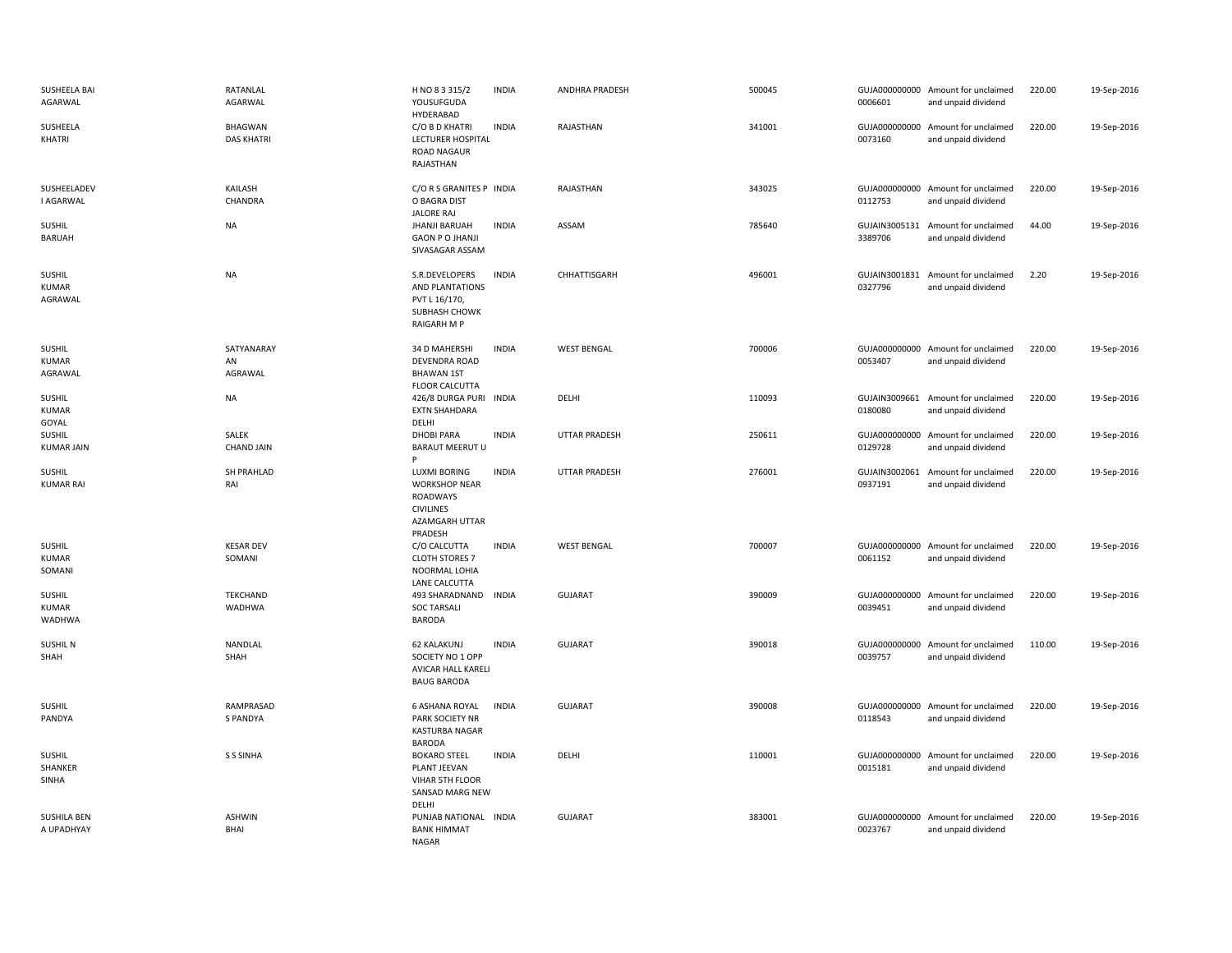| SUSHEELA BAI<br>AGARWAL                 | RATANLAL<br>AGARWAL          | H NO 8 3 315/2<br>YOUSUFGUDA<br>HYDERABAD                                                                | <b>INDIA</b> | ANDHRA PRADESH       | 500045 | 0006601                  | GUJA000000000 Amount for unclaimed<br>and unpaid dividend | 220.00 | 19-Sep-2016 |
|-----------------------------------------|------------------------------|----------------------------------------------------------------------------------------------------------|--------------|----------------------|--------|--------------------------|-----------------------------------------------------------|--------|-------------|
| SUSHEELA<br>KHATRI                      | BHAGWAN<br><b>DAS KHATRI</b> | C/O B D KHATRI<br>LECTURER HOSPITAL<br><b>ROAD NAGAUR</b><br>RAJASTHAN                                   | <b>INDIA</b> | RAJASTHAN            | 341001 | 0073160                  | GUJA000000000 Amount for unclaimed<br>and unpaid dividend | 220.00 | 19-Sep-2016 |
| SUSHEELADEV<br>I AGARWAL                | KAILASH<br>CHANDRA           | C/O R S GRANITES P INDIA<br>O BAGRA DIST<br><b>JALORE RAJ</b>                                            |              | RAJASTHAN            | 343025 | 0112753                  | GUJA000000000 Amount for unclaimed<br>and unpaid dividend | 220.00 | 19-Sep-2016 |
| SUSHIL<br><b>BARUAH</b>                 | <b>NA</b>                    | <b>JHANJI BARUAH</b><br><b>GAON P O JHANJI</b><br>SIVASAGAR ASSAM                                        | <b>INDIA</b> | ASSAM                | 785640 | 3389706                  | GUJAIN3005131 Amount for unclaimed<br>and unpaid dividend | 44.00  | 19-Sep-2016 |
| SUSHIL<br><b>KUMAR</b><br>AGRAWAL       | <b>NA</b>                    | S.R.DEVELOPERS<br>AND PLANTATIONS<br>PVT L 16/170,<br>SUBHASH CHOWK<br>RAIGARH M P                       | <b>INDIA</b> | CHHATTISGARH         | 496001 | 0327796                  | GUJAIN3001831 Amount for unclaimed<br>and unpaid dividend | 2.20   | 19-Sep-2016 |
| SUSHIL<br>KUMAR<br>AGRAWAL              | SATYANARAY<br>AN<br>AGRAWAL  | 34 D MAHERSHI<br>DEVENDRA ROAD<br><b>BHAWAN 1ST</b><br><b>FLOOR CALCUTTA</b>                             | <b>INDIA</b> | <b>WEST BENGAL</b>   | 700006 | 0053407                  | GUJA000000000 Amount for unclaimed<br>and unpaid dividend | 220.00 | 19-Sep-2016 |
| SUSHIL<br><b>KUMAR</b><br>GOYAL         | <b>NA</b>                    | 426/8 DURGA PURI<br><b>EXTN SHAHDARA</b><br>DELHI                                                        | INDIA        | DELHI                | 110093 | GUJAIN3009661<br>0180080 | Amount for unclaimed<br>and unpaid dividend               | 220.00 | 19-Sep-2016 |
| SUSHIL<br><b>KUMAR JAIN</b>             | SALEK<br><b>CHAND JAIN</b>   | <b>DHOBI PARA</b><br><b>BARAUT MEERUT U</b><br>Þ                                                         | <b>INDIA</b> | <b>UTTAR PRADESH</b> | 250611 | 0129728                  | GUJA000000000 Amount for unclaimed<br>and unpaid dividend | 220.00 | 19-Sep-2016 |
| <b>SUSHIL</b><br><b>KUMAR RAI</b>       | SH PRAHLAD<br>RAI            | <b>LUXMI BORING</b><br><b>WORKSHOP NEAR</b><br>ROADWAYS<br><b>CIVILINES</b><br>AZAMGARH UTTAR<br>PRADESH | <b>INDIA</b> | <b>UTTAR PRADESH</b> | 276001 | GUJAIN3002061<br>0937191 | Amount for unclaimed<br>and unpaid dividend               | 220.00 | 19-Sep-2016 |
| <b>SUSHIL</b><br><b>KUMAR</b><br>SOMANI | <b>KESAR DEV</b><br>SOMANI   | C/O CALCUTTA<br><b>CLOTH STORES 7</b><br>NOORMAL LOHIA<br>LANE CALCUTTA                                  | <b>INDIA</b> | <b>WEST BENGAL</b>   | 700007 | 0061152                  | GUJA000000000 Amount for unclaimed<br>and unpaid dividend | 220.00 | 19-Sep-2016 |
| <b>SUSHIL</b><br><b>KUMAR</b><br>WADHWA | <b>TEKCHAND</b><br>WADHWA    | 493 SHARADNAND<br><b>SOC TARSALI</b><br><b>BARODA</b>                                                    | <b>INDIA</b> | <b>GUJARAT</b>       | 390009 | 0039451                  | GUJA000000000 Amount for unclaimed<br>and unpaid dividend | 220.00 | 19-Sep-2016 |
| <b>SUSHIL N</b><br>SHAH                 | NANDLAL<br>SHAH              | <b>62 KALAKUNJ</b><br>SOCIETY NO 1 OPP<br>AVICAR HALL KARELI<br><b>BAUG BARODA</b>                       | <b>INDIA</b> | <b>GUJARAT</b>       | 390018 | 0039757                  | GUJA000000000 Amount for unclaimed<br>and unpaid dividend | 110.00 | 19-Sep-2016 |
| SUSHIL<br>PANDYA                        | RAMPRASAD<br>S PANDYA        | <b>6 ASHANA ROYAL</b><br>PARK SOCIETY NR<br><b>KASTURBA NAGAR</b><br><b>BARODA</b>                       | <b>INDIA</b> | GUJARAT              | 390008 | 0118543                  | GUJA000000000 Amount for unclaimed<br>and unpaid dividend | 220.00 | 19-Sep-2016 |
| <b>SUSHIL</b><br>SHANKER<br>SINHA       | <b>S S SINHA</b>             | <b>BOKARO STEEL</b><br>PLANT JEEVAN<br>VIHAR 5TH FLOOR<br>SANSAD MARG NEW<br>DELHI                       | <b>INDIA</b> | DELHI                | 110001 | GUJA000000000<br>0015181 | Amount for unclaimed<br>and unpaid dividend               | 220.00 | 19-Sep-2016 |
| <b>SUSHILA BEN</b><br>A UPADHYAY        | <b>ASHWIN</b><br>BHAI        | PUNJAB NATIONAL INDIA<br><b>BANK HIMMAT</b>                                                              |              | <b>GUJARAT</b>       | 383001 | GUJA000000000<br>0023767 | Amount for unclaimed<br>and unpaid dividend               | 220.00 | 19-Sep-2016 |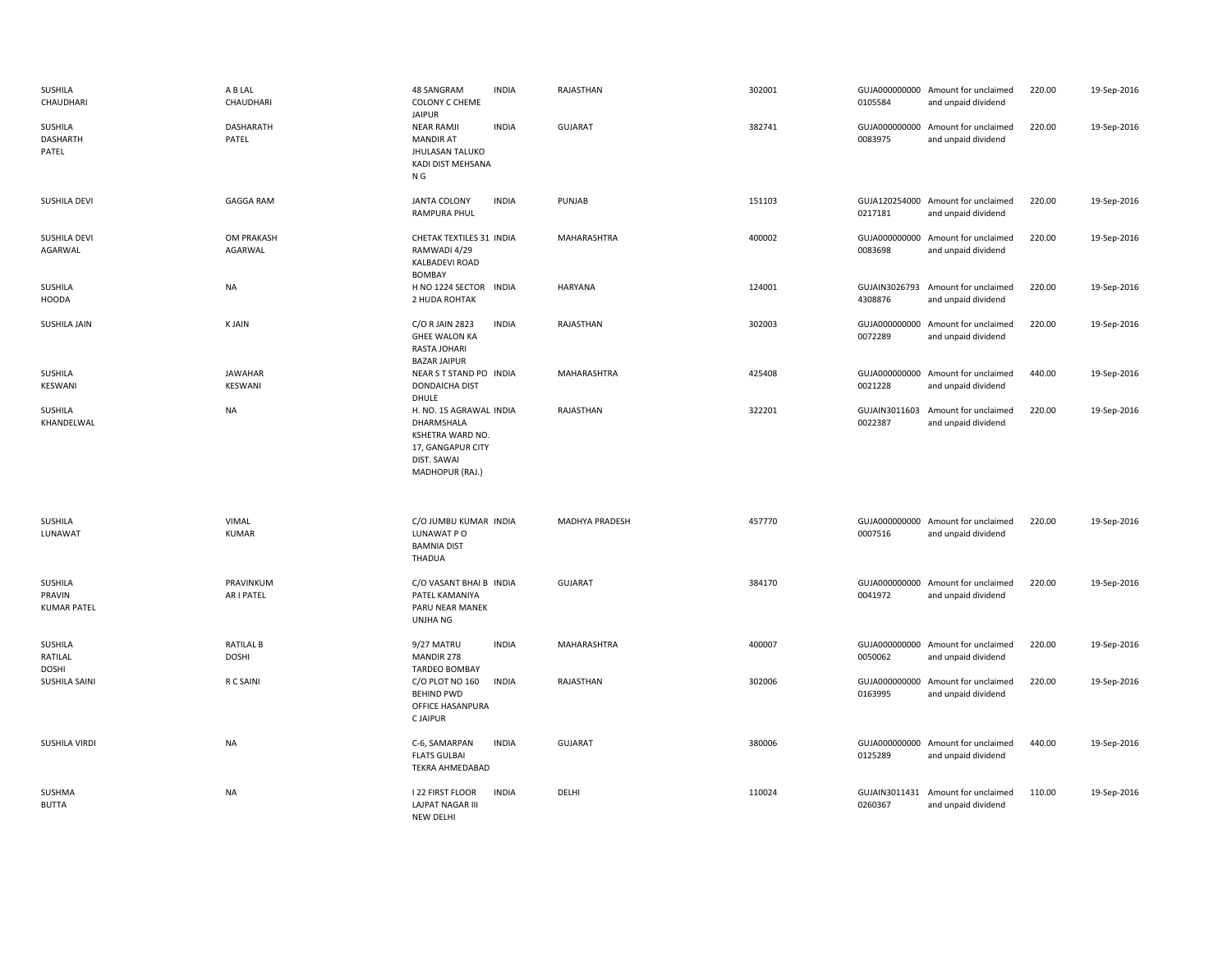| SUSHILA<br>CHAUDHARI                      | A B LAL<br>CHAUDHARI             | 48 SANGRAM<br>COLONY C CHEME<br><b>JAIPUR</b>                                                                    | <b>INDIA</b> | RAJASTHAN      | 302001 | 0105584                  | GUJA000000000 Amount for unclaimed<br>and unpaid dividend | 220.00 | 19-Sep-2016 |
|-------------------------------------------|----------------------------------|------------------------------------------------------------------------------------------------------------------|--------------|----------------|--------|--------------------------|-----------------------------------------------------------|--------|-------------|
| SUSHILA<br>DASHARTH<br>PATEL              | <b>DASHARATH</b><br>PATEL        | <b>NEAR RAMJI</b><br><b>MANDIR AT</b><br><b>JHULASAN TALUKO</b><br>KADI DIST MEHSANA<br>N G                      | <b>INDIA</b> | <b>GUJARAT</b> | 382741 | 0083975                  | GUJA000000000 Amount for unclaimed<br>and unpaid dividend | 220.00 | 19-Sep-2016 |
| SUSHILA DEVI                              | <b>GAGGA RAM</b>                 | <b>JANTA COLONY</b><br>RAMPURA PHUL                                                                              | <b>INDIA</b> | PUNJAB         | 151103 | 0217181                  | GUJA120254000 Amount for unclaimed<br>and unpaid dividend | 220.00 | 19-Sep-2016 |
| <b>SUSHILA DEVI</b><br>AGARWAL            | OM PRAKASH<br>AGARWAL            | CHETAK TEXTILES 31 INDIA<br>RAMWADI 4/29<br>KALBADEVI ROAD<br><b>BOMBAY</b>                                      |              | MAHARASHTRA    | 400002 | GUJA000000000<br>0083698 | Amount for unclaimed<br>and unpaid dividend               | 220.00 | 19-Sep-2016 |
| SUSHILA<br><b>HOODA</b>                   | <b>NA</b>                        | H NO 1224 SECTOR INDIA<br>2 HUDA ROHTAK                                                                          |              | HARYANA        | 124001 | GUJAIN3026793<br>4308876 | Amount for unclaimed<br>and unpaid dividend               | 220.00 | 19-Sep-2016 |
| SUSHILA JAIN                              | <b>KJAIN</b>                     | C/O R JAIN 2823<br><b>GHEE WALON KA</b><br>RASTA JOHARI<br><b>BAZAR JAIPUR</b>                                   | <b>INDIA</b> | RAJASTHAN      | 302003 | 0072289                  | GUJA000000000 Amount for unclaimed<br>and unpaid dividend | 220.00 | 19-Sep-2016 |
| SUSHILA<br>KESWANI                        | <b>JAWAHAR</b><br>KESWANI        | NEAR S T STAND PO INDIA<br><b>DONDAICHA DIST</b><br>DHULE                                                        |              | MAHARASHTRA    | 425408 | 0021228                  | GUJA000000000 Amount for unclaimed<br>and unpaid dividend | 440.00 | 19-Sep-2016 |
| SUSHILA<br>KHANDELWAL                     | <b>NA</b>                        | H. NO. 15 AGRAWAL INDIA<br>DHARMSHALA<br>KSHETRA WARD NO.<br>17, GANGAPUR CITY<br>DIST. SAWAI<br>MADHOPUR (RAJ.) |              | RAJASTHAN      | 322201 | GUJAIN3011603<br>0022387 | Amount for unclaimed<br>and unpaid dividend               | 220.00 | 19-Sep-2016 |
| SUSHILA<br>LUNAWAT                        | VIMAL<br><b>KUMAR</b>            | C/O JUMBU KUMAR INDIA<br>LUNAWAT PO<br><b>BAMNIA DIST</b><br><b>THADUA</b>                                       |              | MADHYA PRADESH | 457770 | 0007516                  | GUJA000000000 Amount for unclaimed<br>and unpaid dividend | 220.00 | 19-Sep-2016 |
| SUSHILA<br>PRAVIN<br><b>KUMAR PATEL</b>   | PRAVINKUM<br>AR I PATEL          | C/O VASANT BHAI B INDIA<br>PATEL KAMANIYA<br>PARU NEAR MANEK<br>UNJHA NG                                         |              | <b>GUJARAT</b> | 384170 | 0041972                  | GUJA000000000 Amount for unclaimed<br>and unpaid dividend | 220.00 | 19-Sep-2016 |
| <b>SUSHILA</b><br>RATILAL<br><b>DOSHI</b> | <b>RATILAL B</b><br><b>DOSHI</b> | 9/27 MATRU<br>MANDIR 278<br><b>TARDEO BOMBAY</b>                                                                 | <b>INDIA</b> | MAHARASHTRA    | 400007 | 0050062                  | GUJA000000000 Amount for unclaimed<br>and unpaid dividend | 220.00 | 19-Sep-2016 |
| SUSHILA SAINI                             | R C SAINI                        | C/O PLOT NO 160<br><b>BEHIND PWD</b><br>OFFICE HASANPURA<br><b>CJAIPUR</b>                                       | <b>INDIA</b> | RAJASTHAN      | 302006 | 0163995                  | GUJA000000000 Amount for unclaimed<br>and unpaid dividend | 220.00 | 19-Sep-2016 |
| SUSHILA VIRDI                             | <b>NA</b>                        | C-6, SAMARPAN<br><b>FLATS GULBAI</b><br>TEKRA AHMEDABAD                                                          | <b>INDIA</b> | <b>GUJARAT</b> | 380006 | 0125289                  | GUJA000000000 Amount for unclaimed<br>and unpaid dividend | 440.00 | 19-Sep-2016 |
|                                           |                                  |                                                                                                                  |              |                |        |                          |                                                           |        |             |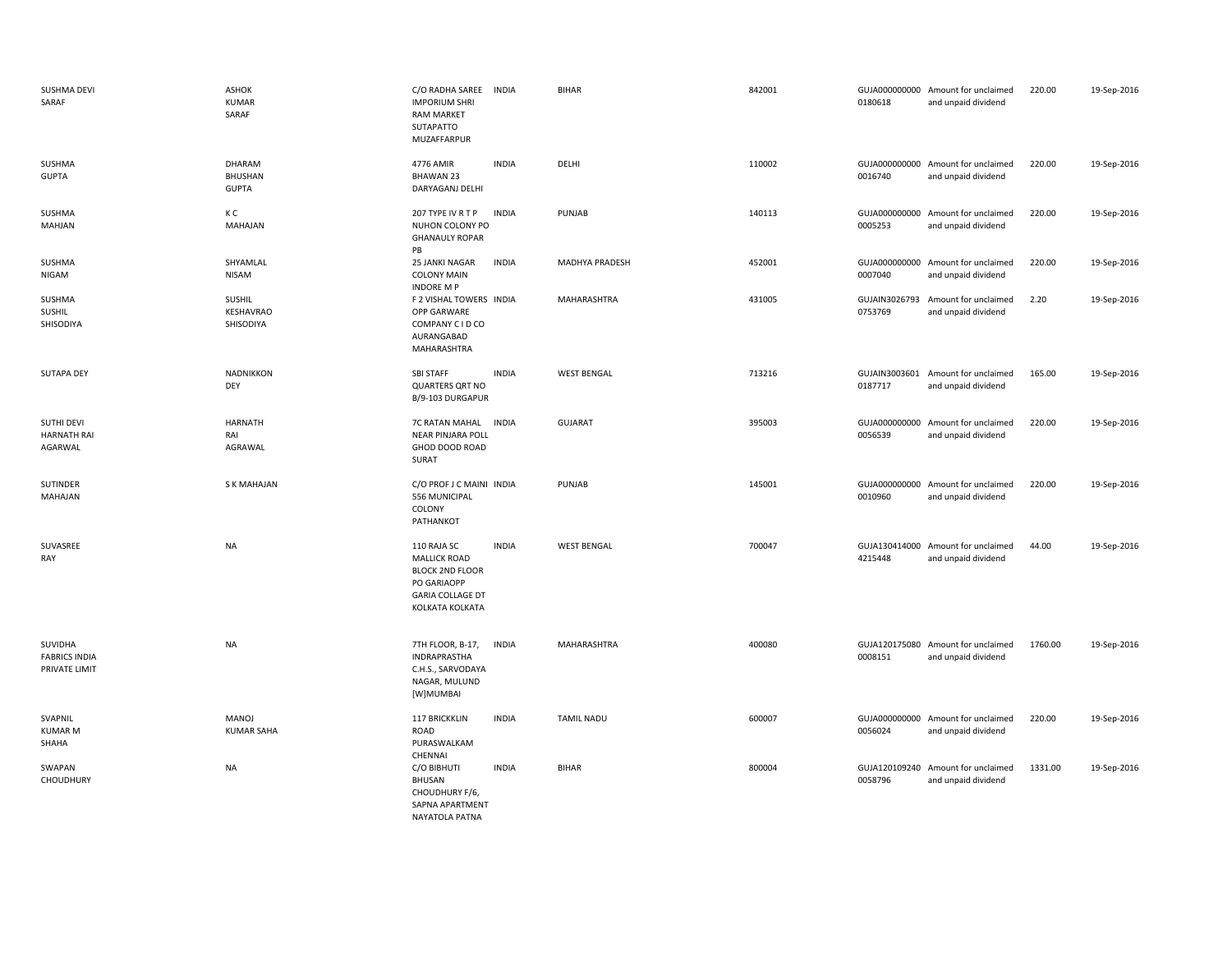| SUSHMA DEVI<br>SARAF                             | ASHOK<br><b>KUMAR</b><br>SARAF           | C/O RADHA SAREE<br><b>IMPORIUM SHRI</b><br><b>RAM MARKET</b><br>SUTAPATTO<br>MUZAFFARPUR                                  | <b>INDIA</b> | <b>BIHAR</b>          | 842001 | 0180618 | GUJA000000000 Amount for unclaimed<br>and unpaid dividend | 220.00  | 19-Sep-2016 |
|--------------------------------------------------|------------------------------------------|---------------------------------------------------------------------------------------------------------------------------|--------------|-----------------------|--------|---------|-----------------------------------------------------------|---------|-------------|
| SUSHMA<br><b>GUPTA</b>                           | DHARAM<br><b>BHUSHAN</b><br><b>GUPTA</b> | 4776 AMIR<br><b>BHAWAN 23</b><br>DARYAGANJ DELHI                                                                          | <b>INDIA</b> | DELHI                 | 110002 | 0016740 | GUJA000000000 Amount for unclaimed<br>and unpaid dividend | 220.00  | 19-Sep-2016 |
| SUSHMA<br>MAHJAN                                 | КC<br>MAHAJAN                            | 207 TYPE IV R T P<br>NUHON COLONY PO<br><b>GHANAULY ROPAR</b><br>PB                                                       | <b>INDIA</b> | PUNJAB                | 140113 | 0005253 | GUJA000000000 Amount for unclaimed<br>and unpaid dividend | 220.00  | 19-Sep-2016 |
| SUSHMA<br>NIGAM                                  | SHYAMLAL<br><b>NISAM</b>                 | 25 JANKI NAGAR<br><b>COLONY MAIN</b><br><b>INDORE MP</b>                                                                  | <b>INDIA</b> | <b>MADHYA PRADESH</b> | 452001 | 0007040 | GUJA000000000 Amount for unclaimed<br>and unpaid dividend | 220.00  | 19-Sep-2016 |
| SUSHMA<br>SUSHIL<br>SHISODIYA                    | <b>SUSHIL</b><br>KESHAVRAO<br>SHISODIYA  | F 2 VISHAL TOWERS INDIA<br>OPP GARWARE<br>COMPANY C I D CO<br>AURANGABAD<br>MAHARASHTRA                                   |              | MAHARASHTRA           | 431005 | 0753769 | GUJAIN3026793 Amount for unclaimed<br>and unpaid dividend | 2.20    | 19-Sep-2016 |
| SUTAPA DEY                                       | NADNIKKON<br>DEY                         | SBI STAFF<br><b>QUARTERS QRT NO</b><br>B/9-103 DURGAPUR                                                                   | <b>INDIA</b> | <b>WEST BENGAL</b>    | 713216 | 0187717 | GUJAIN3003601 Amount for unclaimed<br>and unpaid dividend | 165.00  | 19-Sep-2016 |
| SUTHI DEVI<br><b>HARNATH RAI</b><br>AGARWAL      | <b>HARNATH</b><br>RAI<br>AGRAWAL         | 7C RATAN MAHAL<br><b>NEAR PINJARA POLL</b><br>GHOD DOOD ROAD<br>SURAT                                                     | <b>INDIA</b> | <b>GUJARAT</b>        | 395003 | 0056539 | GUJA000000000 Amount for unclaimed<br>and unpaid dividend | 220.00  | 19-Sep-2016 |
| SUTINDER<br>MAHAJAN                              | S K MAHAJAN                              | C/O PROF J C MAINI INDIA<br>556 MUNICIPAL<br>COLONY<br>PATHANKOT                                                          |              | PUNJAB                | 145001 | 0010960 | GUJA000000000 Amount for unclaimed<br>and unpaid dividend | 220.00  | 19-Sep-2016 |
| SUVASREE<br>RAY                                  | <b>NA</b>                                | 110 RAJA SC<br><b>MALLICK ROAD</b><br><b>BLOCK 2ND FLOOR</b><br>PO GARIAOPP<br><b>GARIA COLLAGE DT</b><br>KOLKATA KOLKATA | <b>INDIA</b> | <b>WEST BENGAL</b>    | 700047 | 4215448 | GUJA130414000 Amount for unclaimed<br>and unpaid dividend | 44.00   | 19-Sep-2016 |
| SUVIDHA<br><b>FABRICS INDIA</b><br>PRIVATE LIMIT | NA                                       | 7TH FLOOR, B-17,<br><b>INDRAPRASTHA</b><br>C.H.S., SARVODAYA<br>NAGAR, MULUND<br>[W]MUMBAI                                | <b>INDIA</b> | <b>MAHARASHTRA</b>    | 400080 | 0008151 | GUJA120175080 Amount for unclaimed<br>and unpaid dividend | 1760.00 | 19-Sep-2016 |
| SVAPNIL<br><b>KUMAR M</b><br>SHAHA               | MANOJ<br><b>KUMAR SAHA</b>               | 117 BRICKKLIN<br>ROAD<br>PURASWALKAM<br>CHENNAI                                                                           | <b>INDIA</b> | <b>TAMIL NADU</b>     | 600007 | 0056024 | GUJA000000000 Amount for unclaimed<br>and unpaid dividend | 220.00  | 19-Sep-2016 |
| SWAPAN<br>CHOUDHURY                              | NA                                       | C/O BIBHUTI<br><b>BHUSAN</b><br>CHOUDHURY F/6,<br>SAPNA APARTMENT                                                         | <b>INDIA</b> | <b>BIHAR</b>          | 800004 | 0058796 | GUJA120109240 Amount for unclaimed<br>and unpaid dividend | 1331.00 | 19-Sep-2016 |

NAYATOLA PATNA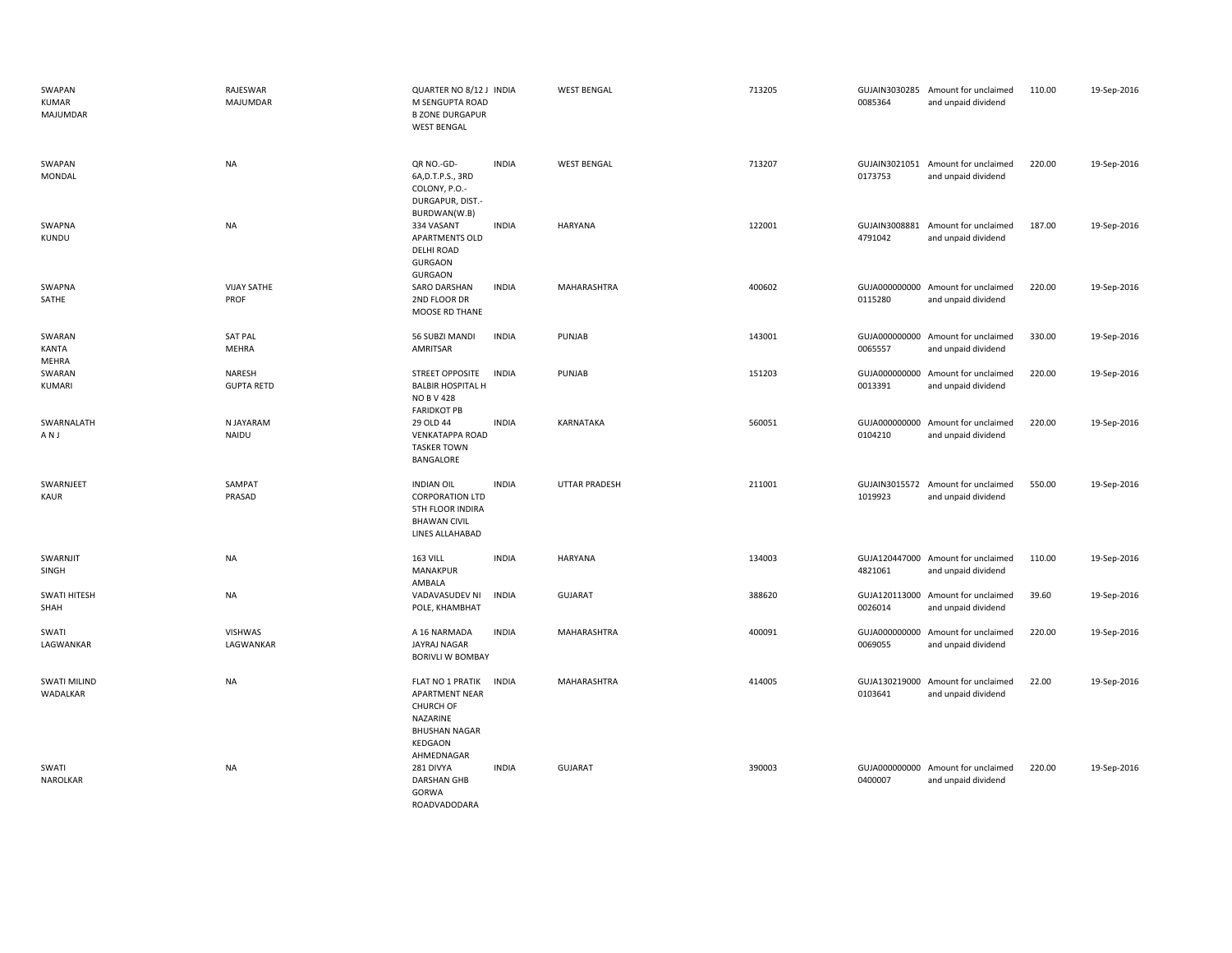| SWAPAN<br>KUMAR<br>MAJUMDAR     | RAJESWAR<br>MAJUMDAR        | QUARTER NO 8/12 J INDIA<br>M SENGUPTA ROAD<br><b>B ZONE DURGAPUR</b><br><b>WEST BENGAL</b>                          |              | <b>WEST BENGAL</b>   | 713205 | 0085364                  | GUJAIN3030285 Amount for unclaimed<br>and unpaid dividend | 110.00 | 19-Sep-2016 |
|---------------------------------|-----------------------------|---------------------------------------------------------------------------------------------------------------------|--------------|----------------------|--------|--------------------------|-----------------------------------------------------------|--------|-------------|
| SWAPAN<br>MONDAL                | <b>NA</b>                   | QR NO.-GD-<br>6A, D.T.P.S., 3RD<br>COLONY, P.O.-<br>DURGAPUR, DIST.-<br>BURDWAN(W.B)                                | <b>INDIA</b> | <b>WEST BENGAL</b>   | 713207 | 0173753                  | GUJAIN3021051 Amount for unclaimed<br>and unpaid dividend | 220.00 | 19-Sep-2016 |
| SWAPNA<br>KUNDU                 | <b>NA</b>                   | 334 VASANT<br><b>APARTMENTS OLD</b><br><b>DELHI ROAD</b><br>GURGAON<br><b>GURGAON</b>                               | <b>INDIA</b> | <b>HARYANA</b>       | 122001 | GUJAIN3008881<br>4791042 | Amount for unclaimed<br>and unpaid dividend               | 187.00 | 19-Sep-2016 |
| SWAPNA<br>SATHE                 | <b>VIJAY SATHE</b><br>PROF  | SARO DARSHAN<br>2ND FLOOR DR<br>MOOSE RD THANE                                                                      | <b>INDIA</b> | MAHARASHTRA          | 400602 | 0115280                  | GUJA000000000 Amount for unclaimed<br>and unpaid dividend | 220.00 | 19-Sep-2016 |
| SWARAN<br><b>KANTA</b><br>MEHRA | <b>SAT PAL</b><br>MEHRA     | 56 SUBZI MANDI<br>AMRITSAR                                                                                          | <b>INDIA</b> | PUNJAB               | 143001 | 0065557                  | GUJA000000000 Amount for unclaimed<br>and unpaid dividend | 330.00 | 19-Sep-2016 |
| SWARAN<br>KUMARI                | NARESH<br><b>GUPTA RETD</b> | STREET OPPOSITE<br><b>BALBIR HOSPITAL H</b><br><b>NO B V 428</b><br><b>FARIDKOT PB</b>                              | <b>INDIA</b> | PUNJAB               | 151203 | 0013391                  | GUJA000000000 Amount for unclaimed<br>and unpaid dividend | 220.00 | 19-Sep-2016 |
| SWARNALATH<br>ANJ               | N JAYARAM<br>NAIDU          | 29 OLD 44<br><b>VENKATAPPA ROAD</b><br><b>TASKER TOWN</b><br>BANGALORE                                              | <b>INDIA</b> | KARNATAKA            | 560051 | 0104210                  | GUJA000000000 Amount for unclaimed<br>and unpaid dividend | 220.00 | 19-Sep-2016 |
| SWARNJEET<br><b>KAUR</b>        | SAMPAT<br>PRASAD            | <b>INDIAN OIL</b><br><b>CORPORATION LTD</b><br>5TH FLOOR INDIRA<br><b>BHAWAN CIVIL</b><br>LINES ALLAHABAD           | <b>INDIA</b> | <b>UTTAR PRADESH</b> | 211001 | 1019923                  | GUJAIN3015572 Amount for unclaimed<br>and unpaid dividend | 550.00 | 19-Sep-2016 |
| SWARNJIT<br>SINGH               | <b>NA</b>                   | <b>163 VILL</b><br>MANAKPUR<br>AMBALA                                                                               | <b>INDIA</b> | <b>HARYANA</b>       | 134003 | 4821061                  | GUJA120447000 Amount for unclaimed<br>and unpaid dividend | 110.00 | 19-Sep-2016 |
| SWATI HITESH<br>SHAH            | <b>NA</b>                   | VADAVASUDEV NI<br>POLE, KHAMBHAT                                                                                    | <b>INDIA</b> | GUJARAT              | 388620 | 0026014                  | GUJA120113000 Amount for unclaimed<br>and unpaid dividend | 39.60  | 19-Sep-2016 |
| SWATI<br>LAGWANKAR              | VISHWAS<br>LAGWANKAR        | A 16 NARMADA<br>JAYRAJ NAGAR<br><b>BORIVLI W BOMBAY</b>                                                             | <b>INDIA</b> | MAHARASHTRA          | 400091 | 0069055                  | GUJA000000000 Amount for unclaimed<br>and unpaid dividend | 220.00 | 19-Sep-2016 |
| <b>SWATI MILIND</b><br>WADALKAR | <b>NA</b>                   | FLAT NO 1 PRATIK<br>APARTMENT NEAR<br><b>CHURCH OF</b><br>NAZARINE<br><b>BHUSHAN NAGAR</b><br>KEDGAON<br>AHMEDNAGAR | <b>INDIA</b> | MAHARASHTRA          | 414005 | 0103641                  | GUJA130219000 Amount for unclaimed<br>and unpaid dividend | 22.00  | 19-Sep-2016 |
| SWATI<br>NAROLKAR               | <b>NA</b>                   | 281 DIVYA<br>DARSHAN GHB<br>GORWA<br>ROADVADODARA                                                                   | <b>INDIA</b> | GUJARAT              | 390003 | 0400007                  | GUJA000000000 Amount for unclaimed<br>and unpaid dividend | 220.00 | 19-Sep-2016 |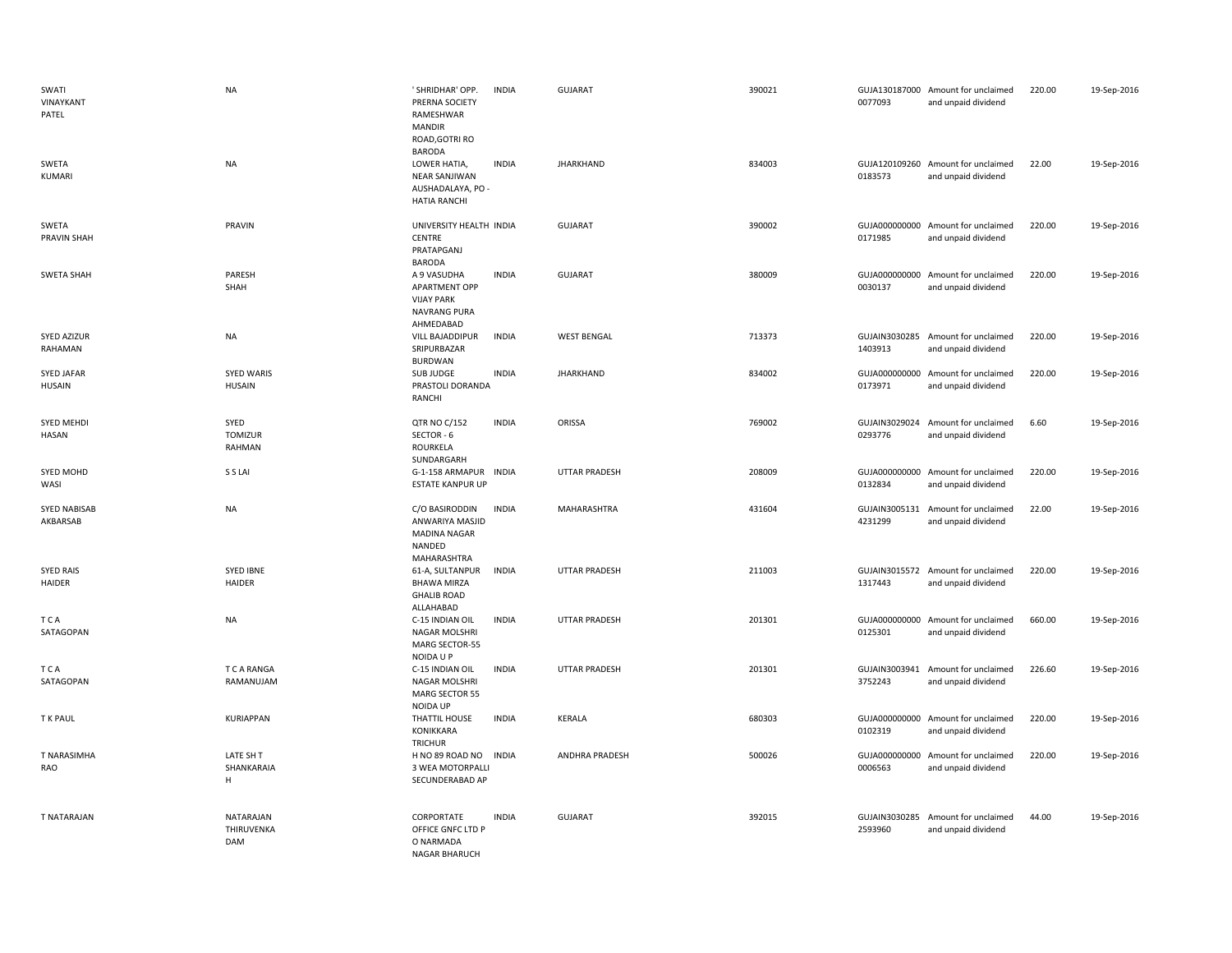| SWATI<br>VINAYKANT<br>PATEL     | <b>NA</b>                          | ' SHRIDHAR' OPP.<br>PRERNA SOCIETY<br>RAMESHWAR<br><b>MANDIR</b><br>ROAD, GOTRI RO<br><b>BARODA</b> | <b>INDIA</b> | <b>GUJARAT</b>        | 390021 | 0077093 | GUJA130187000 Amount for unclaimed<br>and unpaid dividend | 220.00 | 19-Sep-2016 |
|---------------------------------|------------------------------------|-----------------------------------------------------------------------------------------------------|--------------|-----------------------|--------|---------|-----------------------------------------------------------|--------|-------------|
| SWETA<br>KUMARI                 | <b>NA</b>                          | LOWER HATIA,<br><b>NEAR SANJIWAN</b><br>AUSHADALAYA, PO -<br><b>HATIA RANCHI</b>                    | <b>INDIA</b> | <b>JHARKHAND</b>      | 834003 | 0183573 | GUJA120109260 Amount for unclaimed<br>and unpaid dividend | 22.00  | 19-Sep-2016 |
| SWETA<br><b>PRAVIN SHAH</b>     | PRAVIN                             | UNIVERSITY HEALTH INDIA<br>CENTRE<br>PRATAPGANJ<br><b>BARODA</b>                                    |              | <b>GUJARAT</b>        | 390002 | 0171985 | GUJA000000000 Amount for unclaimed<br>and unpaid dividend | 220.00 | 19-Sep-2016 |
| SWETA SHAH                      | PARESH<br>SHAH                     | A 9 VASUDHA<br><b>APARTMENT OPP</b><br><b>VIJAY PARK</b><br>NAVRANG PURA<br>AHMEDABAD               | <b>INDIA</b> | GUJARAT               | 380009 | 0030137 | GUJA000000000 Amount for unclaimed<br>and unpaid dividend | 220.00 | 19-Sep-2016 |
| <b>SYED AZIZUR</b><br>RAHAMAN   | NA                                 | <b>VILL BAJADDIPUR</b><br>SRIPURBAZAR<br><b>BURDWAN</b>                                             | <b>INDIA</b> | <b>WEST BENGAL</b>    | 713373 | 1403913 | GUJAIN3030285 Amount for unclaimed<br>and unpaid dividend | 220.00 | 19-Sep-2016 |
| SYED JAFAR<br><b>HUSAIN</b>     | <b>SYED WARIS</b><br><b>HUSAIN</b> | SUB JUDGE<br>PRASTOLI DORANDA<br>RANCHI                                                             | <b>INDIA</b> | <b>JHARKHAND</b>      | 834002 | 0173971 | GUJA000000000 Amount for unclaimed<br>and unpaid dividend | 220.00 | 19-Sep-2016 |
| <b>SYED MEHDI</b><br>HASAN      | SYED<br>TOMIZUR<br>RAHMAN          | <b>QTR NO C/152</b><br>SECTOR - 6<br>ROURKELA<br>SUNDARGARH                                         | <b>INDIA</b> | ORISSA                | 769002 | 0293776 | GUJAIN3029024 Amount for unclaimed<br>and unpaid dividend | 6.60   | 19-Sep-2016 |
| SYED MOHD<br>WASI               | S S LAI                            | G-1-158 ARMAPUR INDIA<br><b>ESTATE KANPUR UP</b>                                                    |              | <b>UTTAR PRADESH</b>  | 208009 | 0132834 | GUJA000000000 Amount for unclaimed<br>and unpaid dividend | 220.00 | 19-Sep-2016 |
| <b>SYED NABISAB</b><br>AKBARSAB | <b>NA</b>                          | C/O BASIRODDIN<br>ANWARIYA MASJID<br><b>MADINA NAGAR</b><br>NANDED<br>MAHARASHTRA                   | <b>INDIA</b> | MAHARASHTRA           | 431604 | 4231299 | GUJAIN3005131 Amount for unclaimed<br>and unpaid dividend | 22.00  | 19-Sep-2016 |
| <b>SYED RAIS</b><br>HAIDER      | <b>SYED IBNE</b><br>HAIDER         | 61-A, SULTANPUR<br><b>BHAWA MIRZA</b><br><b>GHALIB ROAD</b><br>ALLAHABAD                            | <b>INDIA</b> | <b>UTTAR PRADESH</b>  | 211003 | 1317443 | GUJAIN3015572 Amount for unclaimed<br>and unpaid dividend | 220.00 | 19-Sep-2016 |
| T C A<br>SATAGOPAN              | <b>NA</b>                          | C-15 INDIAN OIL<br>NAGAR MOLSHRI<br>MARG SECTOR-55<br>NOIDA U P                                     | <b>INDIA</b> | <b>UTTAR PRADESH</b>  | 201301 | 0125301 | GUJA000000000 Amount for unclaimed<br>and unpaid dividend | 660.00 | 19-Sep-2016 |
| <b>TCA</b><br>SATAGOPAN         | T C A RANGA<br>RAMANUJAM           | C-15 INDIAN OIL<br>NAGAR MOLSHRI<br><b>MARG SECTOR 55</b><br>NOIDA UP                               | <b>INDIA</b> | <b>UTTAR PRADESH</b>  | 201301 | 3752243 | GUJAIN3003941 Amount for unclaimed<br>and unpaid dividend | 226.60 | 19-Sep-2016 |
| T K PAUL                        | <b>KURIAPPAN</b>                   | THATTIL HOUSE<br>KONIKKARA<br>TRICHUR                                                               | <b>INDIA</b> | KERALA                | 680303 | 0102319 | GUJA000000000 Amount for unclaimed<br>and unpaid dividend | 220.00 | 19-Sep-2016 |
| T NARASIMHA<br>RAO              | LATE SH T<br>SHANKARAIA<br>H       | H NO 89 ROAD NO<br>3 WEA MOTORPALLI<br>SECUNDERABAD AP                                              | <b>INDIA</b> | <b>ANDHRA PRADESH</b> | 500026 | 0006563 | GUJA000000000 Amount for unclaimed<br>and unpaid dividend | 220.00 | 19-Sep-2016 |
| <b>T NATARAJAN</b>              | NATARAJAN<br>THIRUVENKA<br>DAM     | CORPORTATE<br>OFFICE GNFC LTD P<br>O NARMADA<br>NAGAR BHARUCH                                       | <b>INDIA</b> | <b>GUJARAT</b>        | 392015 | 2593960 | GUJAIN3030285 Amount for unclaimed<br>and unpaid dividend | 44.00  | 19-Sep-2016 |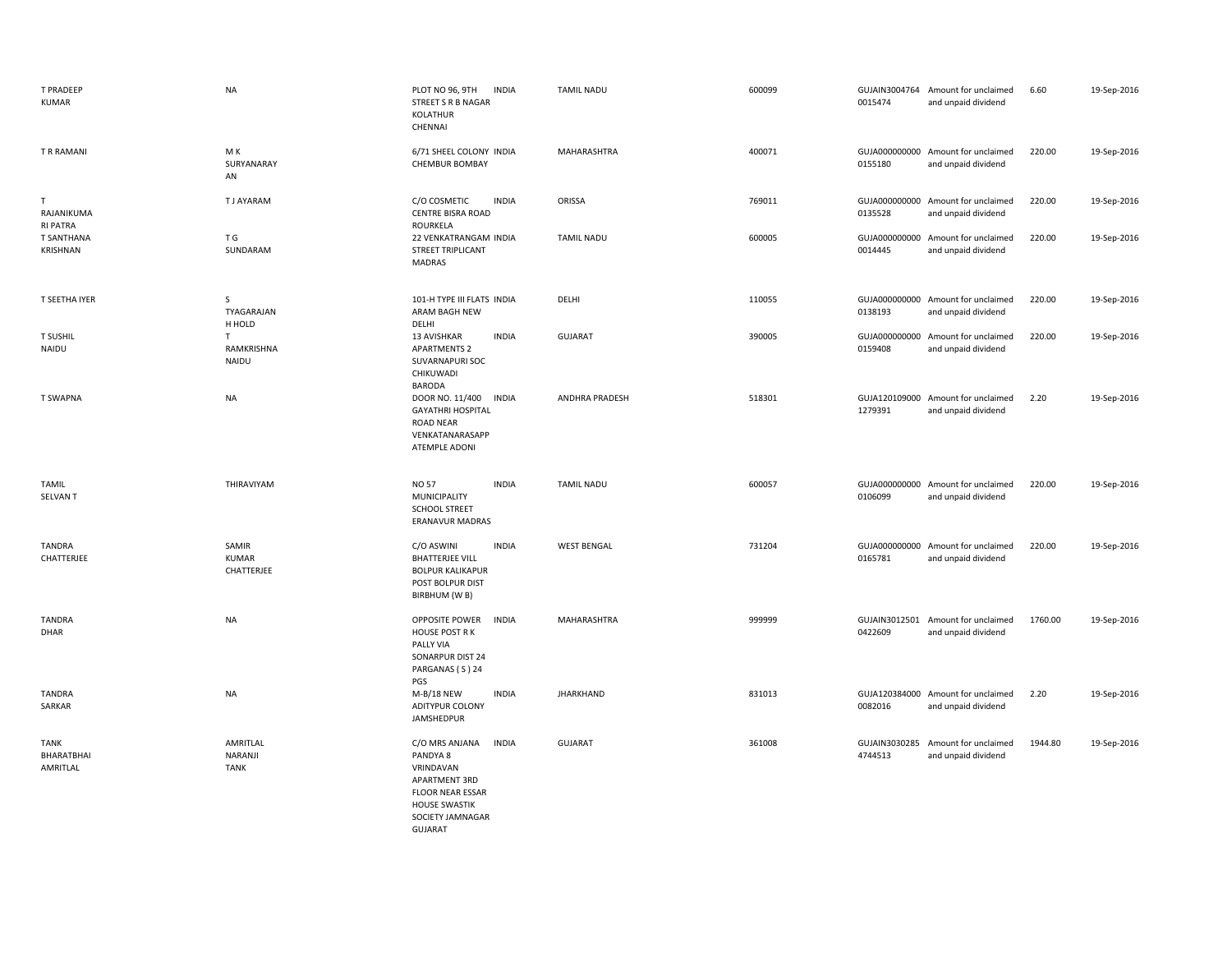| <b>T PRADEEP</b><br>KUMAR                     | <b>NA</b>                           | PLOT NO 96, 9TH<br><b>INDIA</b><br>STREET S R B NAGAR<br>KOLATHUR<br>CHENNAI                                                                    | <b>TAMIL NADU</b>     | 600099 | 0015474                  | GUJAIN3004764 Amount for unclaimed<br>and unpaid dividend | 6.60    | 19-Sep-2016 |
|-----------------------------------------------|-------------------------------------|-------------------------------------------------------------------------------------------------------------------------------------------------|-----------------------|--------|--------------------------|-----------------------------------------------------------|---------|-------------|
| T R RAMANI                                    | M K<br>SURYANARAY<br>AN             | 6/71 SHEEL COLONY INDIA<br><b>CHEMBUR BOMBAY</b>                                                                                                | <b>MAHARASHTRA</b>    | 400071 | 0155180                  | GUJA000000000 Amount for unclaimed<br>and unpaid dividend | 220.00  | 19-Sep-2016 |
| $\mathsf{T}$<br>RAJANIKUMA<br><b>RI PATRA</b> | <b>TJ AYARAM</b>                    | C/O COSMETIC<br><b>INDIA</b><br><b>CENTRE BISRA ROAD</b><br>ROURKELA                                                                            | ORISSA                | 769011 | 0135528                  | GUJA000000000 Amount for unclaimed<br>and unpaid dividend | 220.00  | 19-Sep-2016 |
| <b>T SANTHANA</b><br>KRISHNAN                 | T G<br>SUNDARAM                     | 22 VENKATRANGAM INDIA<br><b>STREET TRIPLICANT</b><br>MADRAS                                                                                     | <b>TAMIL NADU</b>     | 600005 | GUJA000000000<br>0014445 | Amount for unclaimed<br>and unpaid dividend               | 220.00  | 19-Sep-2016 |
| T SEETHA IYER                                 | S<br>TYAGARAJAN<br>H HOLD           | 101-H TYPE III FLATS INDIA<br>ARAM BAGH NEW<br>DELHI                                                                                            | DELHI                 | 110055 | GUJA000000000<br>0138193 | Amount for unclaimed<br>and unpaid dividend               | 220.00  | 19-Sep-2016 |
| <b>T SUSHIL</b><br>NAIDU                      | $\mathsf T$<br>RAMKRISHNA<br>NAIDU  | <b>INDIA</b><br>13 AVISHKAR<br><b>APARTMENTS 2</b><br>SUVARNAPURI SOC<br>CHIKUWADI<br>BARODA                                                    | <b>GUJARAT</b>        | 390005 | GUJA000000000<br>0159408 | Amount for unclaimed<br>and unpaid dividend               | 220.00  | 19-Sep-2016 |
| T SWAPNA                                      | <b>NA</b>                           | DOOR NO. 11/400 INDIA<br><b>GAYATHRI HOSPITAL</b><br><b>ROAD NEAR</b><br>VENKATANARASAPP<br>ATEMPLE ADONI                                       | <b>ANDHRA PRADESH</b> | 518301 | GUJA120109000<br>1279391 | Amount for unclaimed<br>and unpaid dividend               | 2.20    | 19-Sep-2016 |
| <b>TAMIL</b><br><b>SELVANT</b>                | THIRAVIYAM                          | <b>NO 57</b><br><b>INDIA</b><br>MUNICIPALITY<br><b>SCHOOL STREET</b><br>ERANAVUR MADRAS                                                         | <b>TAMIL NADU</b>     | 600057 | 0106099                  | GUJA000000000 Amount for unclaimed<br>and unpaid dividend | 220.00  | 19-Sep-2016 |
| <b>TANDRA</b><br>CHATTERJEE                   | SAMIR<br><b>KUMAR</b><br>CHATTERJEE | <b>INDIA</b><br>C/O ASWINI<br><b>BHATTERJEE VILL</b><br><b>BOLPUR KALIKAPUR</b><br>POST BOLPUR DIST<br>BIRBHUM (W B)                            | <b>WEST BENGAL</b>    | 731204 | 0165781                  | GUJA000000000 Amount for unclaimed<br>and unpaid dividend | 220.00  | 19-Sep-2016 |
| <b>TANDRA</b><br>DHAR                         | <b>NA</b>                           | OPPOSITE POWER<br><b>INDIA</b><br><b>HOUSE POST RK</b><br>PALLY VIA<br>SONARPUR DIST 24<br>PARGANAS (S) 24<br>PGS                               | MAHARASHTRA           | 999999 | 0422609                  | GUJAIN3012501 Amount for unclaimed<br>and unpaid dividend | 1760.00 | 19-Sep-2016 |
| <b>TANDRA</b><br>SARKAR                       | <b>NA</b>                           | M-B/18 NEW<br><b>INDIA</b><br>ADITYPUR COLONY<br>JAMSHEDPUR                                                                                     | <b>JHARKHAND</b>      | 831013 | 0082016                  | GUJA120384000 Amount for unclaimed<br>and unpaid dividend | 2.20    | 19-Sep-2016 |
| <b>TANK</b><br>BHARATBHAI<br>AMRITLAL         | AMRITLAL<br>NARANJI<br><b>TANK</b>  | <b>INDIA</b><br>C/O MRS ANJANA<br>PANDYA 8<br>VRINDAVAN<br>APARTMENT 3RD<br><b>FLOOR NEAR ESSAR</b><br><b>HOUSE SWASTIK</b><br>SOCIETY JAMNAGAR | <b>GUJARAT</b>        | 361008 | GUJAIN3030285<br>4744513 | Amount for unclaimed<br>and unpaid dividend               | 1944.80 | 19-Sep-2016 |

GUJARAT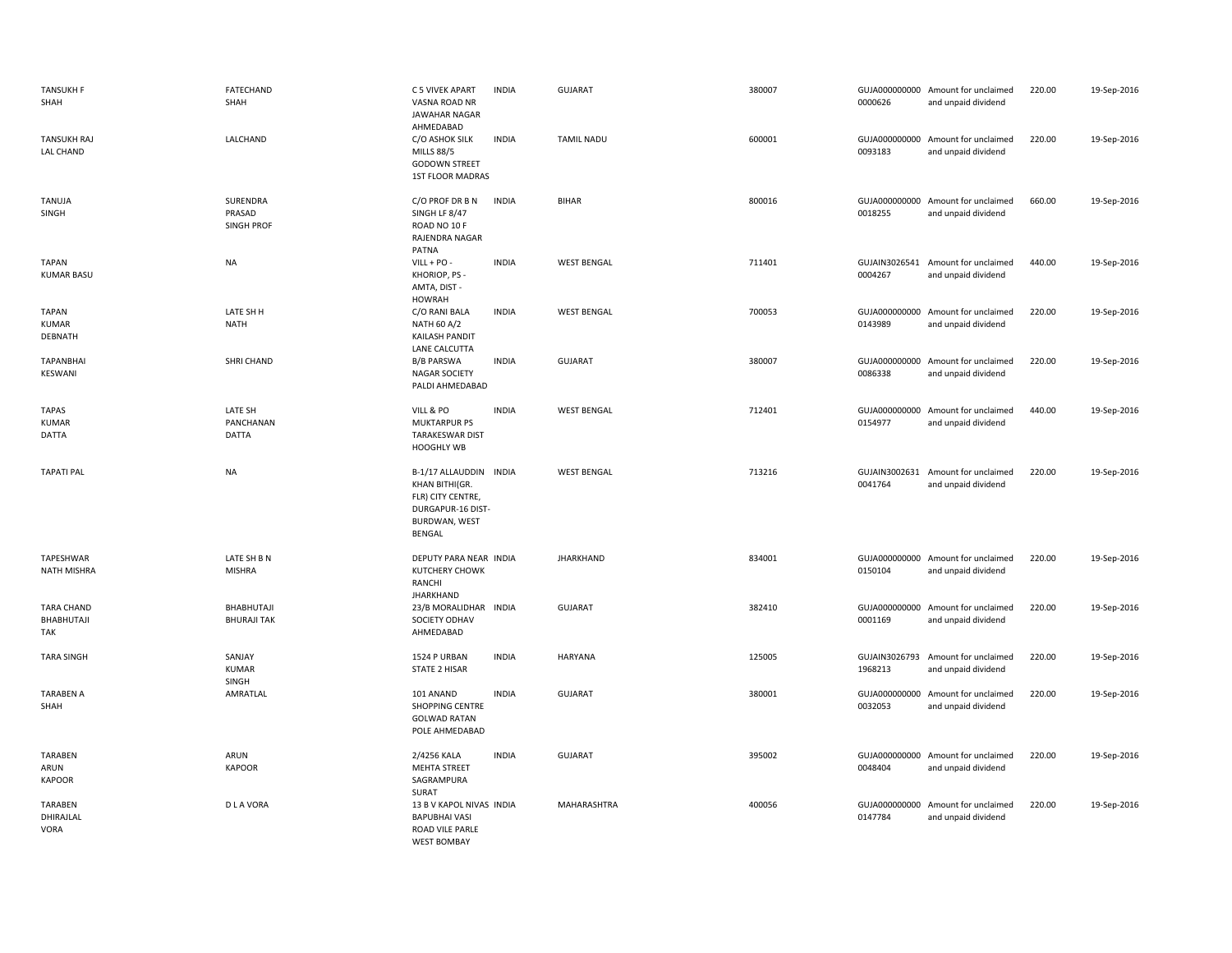| <b>TANSUKH F</b><br>SHAH                     | FATECHAND<br>SHAH                       | C 5 VIVEK APART<br>VASNA ROAD NR<br><b>JAWAHAR NAGAR</b><br>AHMEDABAD                                         | <b>INDIA</b> | <b>GUJARAT</b>     | 380007 | 0000626                  | GUJA000000000 Amount for unclaimed<br>and unpaid dividend | 220.00 | 19-Sep-2016 |
|----------------------------------------------|-----------------------------------------|---------------------------------------------------------------------------------------------------------------|--------------|--------------------|--------|--------------------------|-----------------------------------------------------------|--------|-------------|
| <b>TANSUKH RAJ</b><br>LAL CHAND              | LALCHAND                                | C/O ASHOK SILK<br><b>MILLS 88/5</b><br><b>GODOWN STREET</b><br>1ST FLOOR MADRAS                               | <b>INDIA</b> | <b>TAMIL NADU</b>  | 600001 | 0093183                  | GUJA000000000 Amount for unclaimed<br>and unpaid dividend | 220.00 | 19-Sep-2016 |
| <b>TANUJA</b><br>SINGH                       | SURENDRA<br>PRASAD<br><b>SINGH PROF</b> | C/O PROF DR B N<br>SINGH LF 8/47<br>ROAD NO 10 F<br>RAJENDRA NAGAR<br>PATNA                                   | <b>INDIA</b> | BIHAR              | 800016 | 0018255                  | GUJA000000000 Amount for unclaimed<br>and unpaid dividend | 660.00 | 19-Sep-2016 |
| <b>TAPAN</b><br><b>KUMAR BASU</b>            | <b>NA</b>                               | $VILL + PO -$<br>KHORIOP, PS -<br>AMTA, DIST -<br><b>HOWRAH</b>                                               | <b>INDIA</b> | <b>WEST BENGAL</b> | 711401 | GUJAIN3026541<br>0004267 | Amount for unclaimed<br>and unpaid dividend               | 440.00 | 19-Sep-2016 |
| <b>TAPAN</b><br><b>KUMAR</b><br>DEBNATH      | LATE SH H<br><b>NATH</b>                | C/O RANI BALA<br>NATH 60 A/2<br>KAILASH PANDIT<br>LANE CALCUTTA                                               | <b>INDIA</b> | <b>WEST BENGAL</b> | 700053 | 0143989                  | GUJA000000000 Amount for unclaimed<br>and unpaid dividend | 220.00 | 19-Sep-2016 |
| <b>TAPANBHAI</b><br>KESWANI                  | SHRI CHAND                              | <b>B/B PARSWA</b><br>NAGAR SOCIETY<br>PALDI AHMEDABAD                                                         | <b>INDIA</b> | <b>GUJARAT</b>     | 380007 | 0086338                  | GUJA000000000 Amount for unclaimed<br>and unpaid dividend | 220.00 | 19-Sep-2016 |
| <b>TAPAS</b><br><b>KUMAR</b><br><b>DATTA</b> | LATE SH<br>PANCHANAN<br>DATTA           | VILL & PO<br>MUKTARPUR PS<br><b>TARAKESWAR DIST</b><br><b>HOOGHLY WB</b>                                      | <b>INDIA</b> | <b>WEST BENGAL</b> | 712401 | 0154977                  | GUJA000000000 Amount for unclaimed<br>and unpaid dividend | 440.00 | 19-Sep-2016 |
| <b>TAPATI PAL</b>                            | <b>NA</b>                               | B-1/17 ALLAUDDIN INDIA<br>KHAN BITHI(GR.<br>FLR) CITY CENTRE,<br>DURGAPUR-16 DIST-<br>BURDWAN, WEST<br>BENGAL |              | <b>WEST BENGAL</b> | 713216 | 0041764                  | GUJAIN3002631 Amount for unclaimed<br>and unpaid dividend | 220.00 | 19-Sep-2016 |
| TAPESHWAR<br>NATH MISHRA                     | LATE SH B N<br><b>MISHRA</b>            | DEPUTY PARA NEAR INDIA<br>KUTCHERY CHOWK<br>RANCHI<br><b>JHARKHAND</b>                                        |              | <b>JHARKHAND</b>   | 834001 | 0150104                  | GUJA000000000 Amount for unclaimed<br>and unpaid dividend | 220.00 | 19-Sep-2016 |
| TARA CHAND<br>BHABHUTAJI<br>TAK              | BHABHUTAJI<br><b>BHURAJI TAK</b>        | 23/B MORALIDHAR INDIA<br>SOCIETY ODHAV<br>AHMEDABAD                                                           |              | <b>GUJARAT</b>     | 382410 | 0001169                  | GUJA000000000 Amount for unclaimed<br>and unpaid dividend | 220.00 | 19-Sep-2016 |
| <b>TARA SINGH</b>                            | SANJAY<br><b>KUMAR</b><br>SINGH         | 1524 P URBAN<br>STATE 2 HISAR                                                                                 | <b>INDIA</b> | <b>HARYANA</b>     | 125005 | GUJAIN3026793<br>1968213 | Amount for unclaimed<br>and unpaid dividend               | 220.00 | 19-Sep-2016 |
| <b>TARABEN A</b><br>SHAH                     | AMRATLAL                                | 101 ANAND<br><b>SHOPPING CENTRE</b><br><b>GOLWAD RATAN</b><br>POLE AHMEDABAD                                  | <b>INDIA</b> | <b>GUJARAT</b>     | 380001 | GUJA000000000<br>0032053 | Amount for unclaimed<br>and unpaid dividend               | 220.00 | 19-Sep-2016 |
| TARABEN<br>ARUN<br><b>KAPOOR</b>             | ARUN<br><b>KAPOOR</b>                   | 2/4256 KALA<br><b>MEHTA STREET</b><br>SAGRAMPURA<br>SURAT                                                     | <b>INDIA</b> | <b>GUJARAT</b>     | 395002 | GUJA000000000<br>0048404 | Amount for unclaimed<br>and unpaid dividend               | 220.00 | 19-Sep-2016 |
| TARABEN<br>DHIRAJLAL<br>VORA                 | <b>DLAVORA</b>                          | 13 B V KAPOL NIVAS INDIA<br><b>BAPUBHAI VASI</b><br>ROAD VILE PARLE<br><b>WEST BOMBAY</b>                     |              | MAHARASHTRA        | 400056 | 0147784                  | GUJA000000000 Amount for unclaimed<br>and unpaid dividend | 220.00 | 19-Sep-2016 |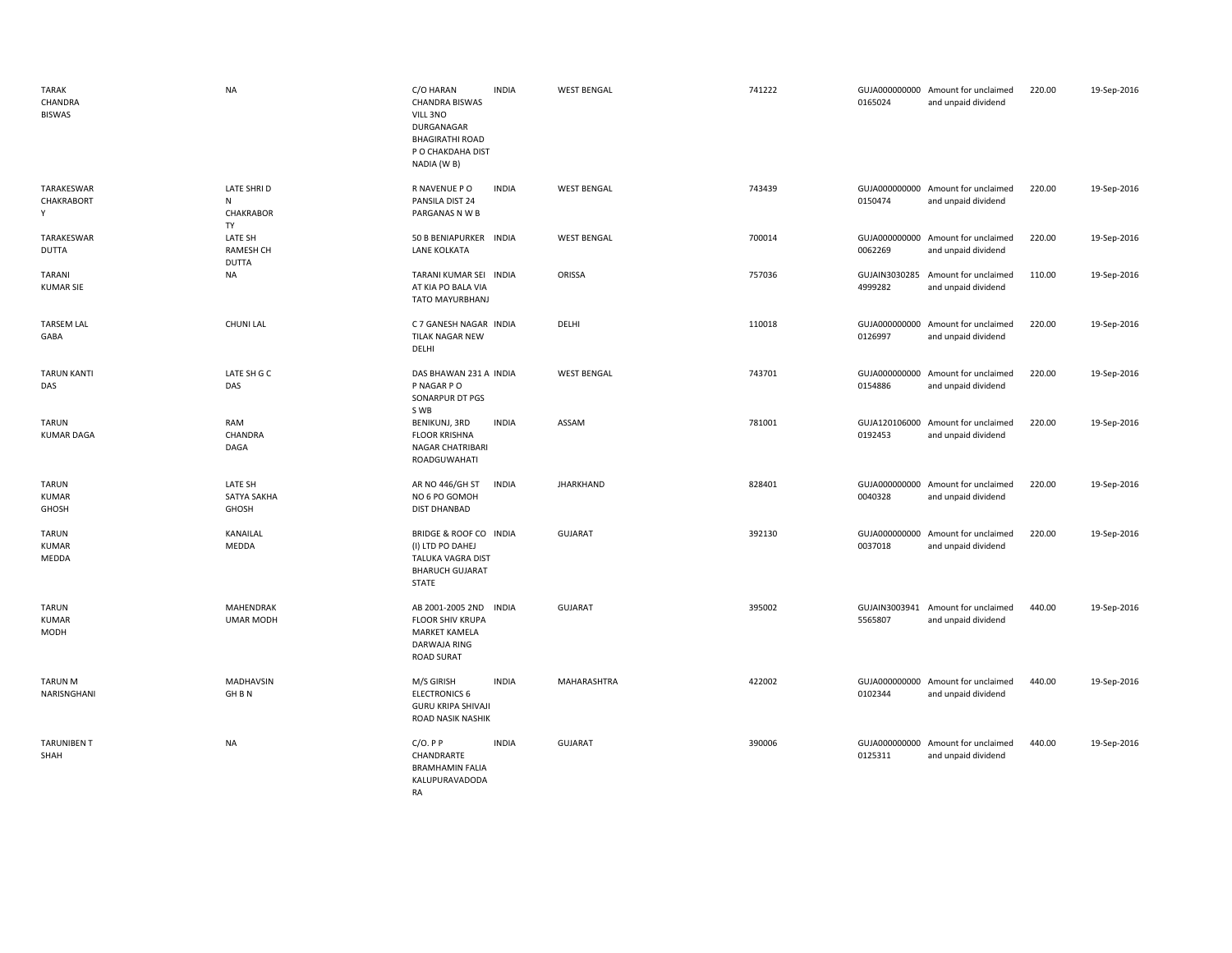| <b>TARAK</b><br>CHANDRA<br><b>BISWAS</b>    | <b>NA</b>                                        | C/O HARAN<br><b>INDIA</b><br><b>CHANDRA BISWAS</b><br>VILL 3NO<br>DURGANAGAR<br><b>BHAGIRATHI ROAD</b><br>P O CHAKDAHA DIST<br>NADIA (W B) | <b>WEST BENGAL</b> | 741222 | 0165024                  | GUJA000000000 Amount for unclaimed<br>and unpaid dividend | 220.00 | 19-Sep-2016 |
|---------------------------------------------|--------------------------------------------------|--------------------------------------------------------------------------------------------------------------------------------------------|--------------------|--------|--------------------------|-----------------------------------------------------------|--------|-------------|
| TARAKESWAR<br>CHAKRABORT<br>Y               | <b>LATE SHRID</b><br>N<br><b>CHAKRABOR</b><br>TY | <b>INDIA</b><br>R NAVENUE P O<br>PANSILA DIST 24<br>PARGANAS N W B                                                                         | <b>WEST BENGAL</b> | 743439 | 0150474                  | GUJA000000000 Amount for unclaimed<br>and unpaid dividend | 220.00 | 19-Sep-2016 |
| TARAKESWAR<br><b>DUTTA</b>                  | LATE SH<br><b>RAMESH CH</b><br><b>DUTTA</b>      | 50 B BENIAPURKER INDIA<br>LANE KOLKATA                                                                                                     | <b>WEST BENGAL</b> | 700014 | 0062269                  | GUJA000000000 Amount for unclaimed<br>and unpaid dividend | 220.00 | 19-Sep-2016 |
| <b>TARANI</b><br><b>KUMAR SIE</b>           | <b>NA</b>                                        | TARANI KUMAR SEI INDIA<br>AT KIA PO BALA VIA<br>TATO MAYURBHANJ                                                                            | ORISSA             | 757036 | GUJAIN3030285<br>4999282 | Amount for unclaimed<br>and unpaid dividend               | 110.00 | 19-Sep-2016 |
| <b>TARSEM LAL</b><br>GABA                   | <b>CHUNI LAL</b>                                 | C 7 GANESH NAGAR INDIA<br>TILAK NAGAR NEW<br>DELHI                                                                                         | DELHI              | 110018 | 0126997                  | GUJA000000000 Amount for unclaimed<br>and unpaid dividend | 220.00 | 19-Sep-2016 |
| <b>TARUN KANTI</b><br>DAS                   | LATE SH G C<br>DAS                               | DAS BHAWAN 231 A INDIA<br>P NAGAR P O<br>SONARPUR DT PGS<br>S WB                                                                           | <b>WEST BENGAL</b> | 743701 | 0154886                  | GUJA000000000 Amount for unclaimed<br>and unpaid dividend | 220.00 | 19-Sep-2016 |
| <b>TARUN</b><br><b>KUMAR DAGA</b>           | RAM<br>CHANDRA<br>DAGA                           | <b>INDIA</b><br>BENIKUNJ, 3RD<br><b>FLOOR KRISHNA</b><br>NAGAR CHATRIBARI<br>ROADGUWAHATI                                                  | ASSAM              | 781001 | 0192453                  | GUJA120106000 Amount for unclaimed<br>and unpaid dividend | 220.00 | 19-Sep-2016 |
| <b>TARUN</b><br><b>KUMAR</b><br>GHOSH       | LATE SH<br>SATYA SAKHA<br>GHOSH                  | AR NO 446/GH ST<br><b>INDIA</b><br>NO 6 PO GOMOH<br><b>DIST DHANBAD</b>                                                                    | <b>JHARKHAND</b>   | 828401 | 0040328                  | GUJA000000000 Amount for unclaimed<br>and unpaid dividend | 220.00 | 19-Sep-2016 |
| <b>TARUN</b><br><b>KUMAR</b><br>MEDDA       | KANAILAL<br>MEDDA                                | BRIDGE & ROOF CO INDIA<br>(I) LTD PO DAHEJ<br>TALUKA VAGRA DIST<br><b>BHARUCH GUJARAT</b><br><b>STATE</b>                                  | <b>GUJARAT</b>     | 392130 | 0037018                  | GUJA000000000 Amount for unclaimed<br>and unpaid dividend | 220.00 | 19-Sep-2016 |
| <b>TARUN</b><br><b>KUMAR</b><br><b>MODH</b> | MAHENDRAK<br><b>UMAR MODH</b>                    | AB 2001-2005 2ND<br><b>INDIA</b><br><b>FLOOR SHIV KRUPA</b><br><b>MARKET KAMELA</b><br>DARWAJA RING<br><b>ROAD SURAT</b>                   | <b>GUJARAT</b>     | 395002 | 5565807                  | GUJAIN3003941 Amount for unclaimed<br>and unpaid dividend | 440.00 | 19-Sep-2016 |
| <b>TARUN M</b><br>NARISNGHANI               | MADHAVSIN<br>GH B N                              | <b>INDIA</b><br>M/S GIRISH<br><b>ELECTRONICS 6</b><br><b>GURU KRIPA SHIVAJI</b><br>ROAD NASIK NASHIK                                       | MAHARASHTRA        | 422002 | 0102344                  | GUJA000000000 Amount for unclaimed<br>and unpaid dividend | 440.00 | 19-Sep-2016 |
| <b>TARUNIBEN T</b><br>SHAH                  | <b>NA</b>                                        | $C/O.$ P P<br><b>INDIA</b><br>CHANDRARTE<br><b>BRAMHAMIN FALIA</b><br>KALUPURAVADODA<br><b>RA</b>                                          | <b>GUJARAT</b>     | 390006 | 0125311                  | GUJA000000000 Amount for unclaimed<br>and unpaid dividend | 440.00 | 19-Sep-2016 |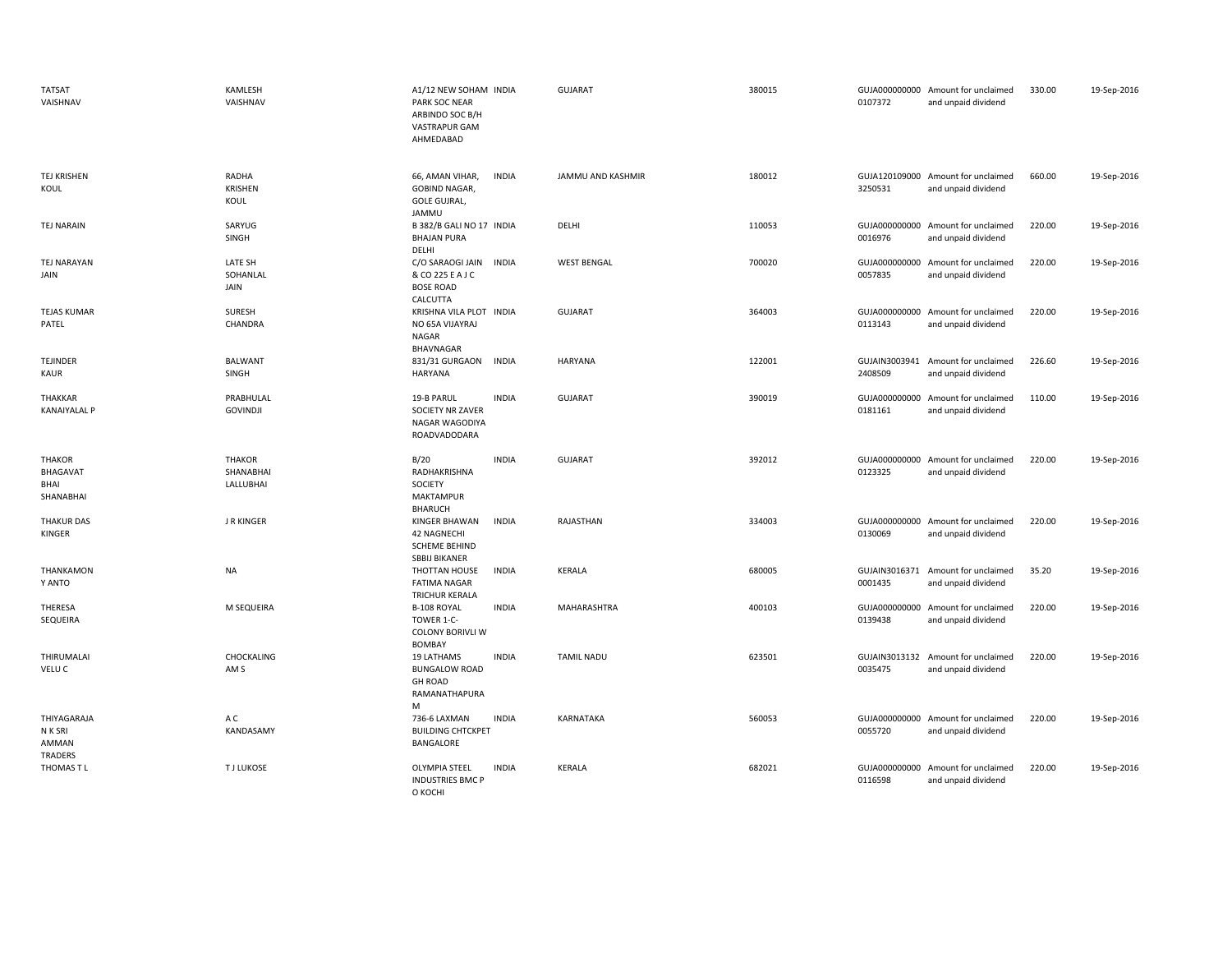| <b>TATSAT</b><br>VAISHNAV                      | KAMLESH<br>VAISHNAV                     | A1/12 NEW SOHAM INDIA<br>PARK SOC NEAR<br>ARBINDO SOC B/H<br>VASTRAPUR GAM<br>AHMEDABAD |              | <b>GUJARAT</b>     | 380015 | 0107372                  | GUJA000000000 Amount for unclaimed<br>and unpaid dividend | 330.00 | 19-Sep-2016 |
|------------------------------------------------|-----------------------------------------|-----------------------------------------------------------------------------------------|--------------|--------------------|--------|--------------------------|-----------------------------------------------------------|--------|-------------|
| TEJ KRISHEN<br>KOUL                            | RADHA<br>KRISHEN<br>KOUL                | 66, AMAN VIHAR,<br><b>GOBIND NAGAR,</b><br><b>GOLE GUJRAL,</b><br>JAMMU                 | <b>INDIA</b> | JAMMU AND KASHMIR  | 180012 | 3250531                  | GUJA120109000 Amount for unclaimed<br>and unpaid dividend | 660.00 | 19-Sep-2016 |
| <b>TEJ NARAIN</b>                              | SARYUG<br>SINGH                         | B 382/B GALI NO 17 INDIA<br><b>BHAJAN PURA</b><br>DELHI                                 |              | DELHI              | 110053 | 0016976                  | GUJA000000000 Amount for unclaimed<br>and unpaid dividend | 220.00 | 19-Sep-2016 |
| TEJ NARAYAN<br>JAIN                            | LATE SH<br>SOHANLAL<br>JAIN             | C/O SARAOGI JAIN<br>& CO 225 E A J C<br><b>BOSE ROAD</b><br>CALCUTTA                    | <b>INDIA</b> | <b>WEST BENGAL</b> | 700020 | 0057835                  | GUJA000000000 Amount for unclaimed<br>and unpaid dividend | 220.00 | 19-Sep-2016 |
| <b>TEJAS KUMAR</b><br>PATEL                    | SURESH<br>CHANDRA                       | KRISHNA VILA PLOT INDIA<br>NO 65A VIJAYRAJ<br>NAGAR<br><b>BHAVNAGAR</b>                 |              | <b>GUJARAT</b>     | 364003 | 0113143                  | GUJA000000000 Amount for unclaimed<br>and unpaid dividend | 220.00 | 19-Sep-2016 |
| TEJINDER<br><b>KAUR</b>                        | BALWANT<br>SINGH                        | 831/31 GURGAON<br><b>HARYANA</b>                                                        | INDIA        | <b>HARYANA</b>     | 122001 | 2408509                  | GUJAIN3003941 Amount for unclaimed<br>and unpaid dividend | 226.60 | 19-Sep-2016 |
| THAKKAR<br><b>KANAIYALAL P</b>                 | PRABHULAL<br><b>GOVINDJI</b>            | 19-B PARUL<br>SOCIETY NR ZAVER<br>NAGAR WAGODIYA<br>ROADVADODARA                        | <b>INDIA</b> | <b>GUJARAT</b>     | 390019 | 0181161                  | GUJA000000000 Amount for unclaimed<br>and unpaid dividend | 110.00 | 19-Sep-2016 |
| <b>THAKOR</b><br>BHAGAVAT<br>BHAI<br>SHANABHAI | <b>THAKOR</b><br>SHANABHAI<br>LALLUBHAI | B/20<br>RADHAKRISHNA<br>SOCIETY<br><b>MAKTAMPUR</b><br><b>BHARUCH</b>                   | <b>INDIA</b> | <b>GUJARAT</b>     | 392012 | 0123325                  | GUJA000000000 Amount for unclaimed<br>and unpaid dividend | 220.00 | 19-Sep-2016 |
| <b>THAKUR DAS</b><br>KINGER                    | <b>J R KINGER</b>                       | KINGER BHAWAN<br><b>42 NAGNECHI</b><br><b>SCHEME BEHIND</b><br><b>SBBIJ BIKANER</b>     | <b>INDIA</b> | RAJASTHAN          | 334003 | 0130069                  | GUJA000000000 Amount for unclaimed<br>and unpaid dividend | 220.00 | 19-Sep-2016 |
| THANKAMON<br>Y ANTO                            | NA                                      | THOTTAN HOUSE<br><b>FATIMA NAGAR</b><br>TRICHUR KERALA                                  | <b>INDIA</b> | KERALA             | 680005 | 0001435                  | GUJAIN3016371 Amount for unclaimed<br>and unpaid dividend | 35.20  | 19-Sep-2016 |
| THERESA<br>SEQUEIRA                            | M SEQUEIRA                              | B-108 ROYAL<br>TOWER 1-C-<br><b>COLONY BORIVLI W</b><br><b>BOMBAY</b>                   | <b>INDIA</b> | MAHARASHTRA        | 400103 | 0139438                  | GUJA000000000 Amount for unclaimed<br>and unpaid dividend | 220.00 | 19-Sep-2016 |
| THIRUMALAI<br>VELU C                           | CHOCKALING<br>AM <sub>S</sub>           | 19 LATHAMS<br><b>BUNGALOW ROAD</b><br><b>GH ROAD</b><br>RAMANATHAPURA<br>M              | <b>INDIA</b> | <b>TAMIL NADU</b>  | 623501 | 0035475                  | GUJAIN3013132 Amount for unclaimed<br>and unpaid dividend | 220.00 | 19-Sep-2016 |
| THIYAGARAJA<br>N K SRI<br>AMMAN<br>TRADERS     | A C<br>KANDASAMY                        | 736-6 LAXMAN<br><b>BUILDING CHTCKPET</b><br>BANGALORE                                   | <b>INDIA</b> | <b>KARNATAKA</b>   | 560053 | 0055720                  | GUJA000000000 Amount for unclaimed<br>and unpaid dividend | 220.00 | 19-Sep-2016 |
| THOMAS T L                                     | <b>TJ LUKOSE</b>                        | <b>OLYMPIA STEEL</b><br><b>INDUSTRIES BMC P</b><br>O KOCHI                              | <b>INDIA</b> | <b>KERALA</b>      | 682021 | GUJA000000000<br>0116598 | Amount for unclaimed<br>and unpaid dividend               | 220.00 | 19-Sep-2016 |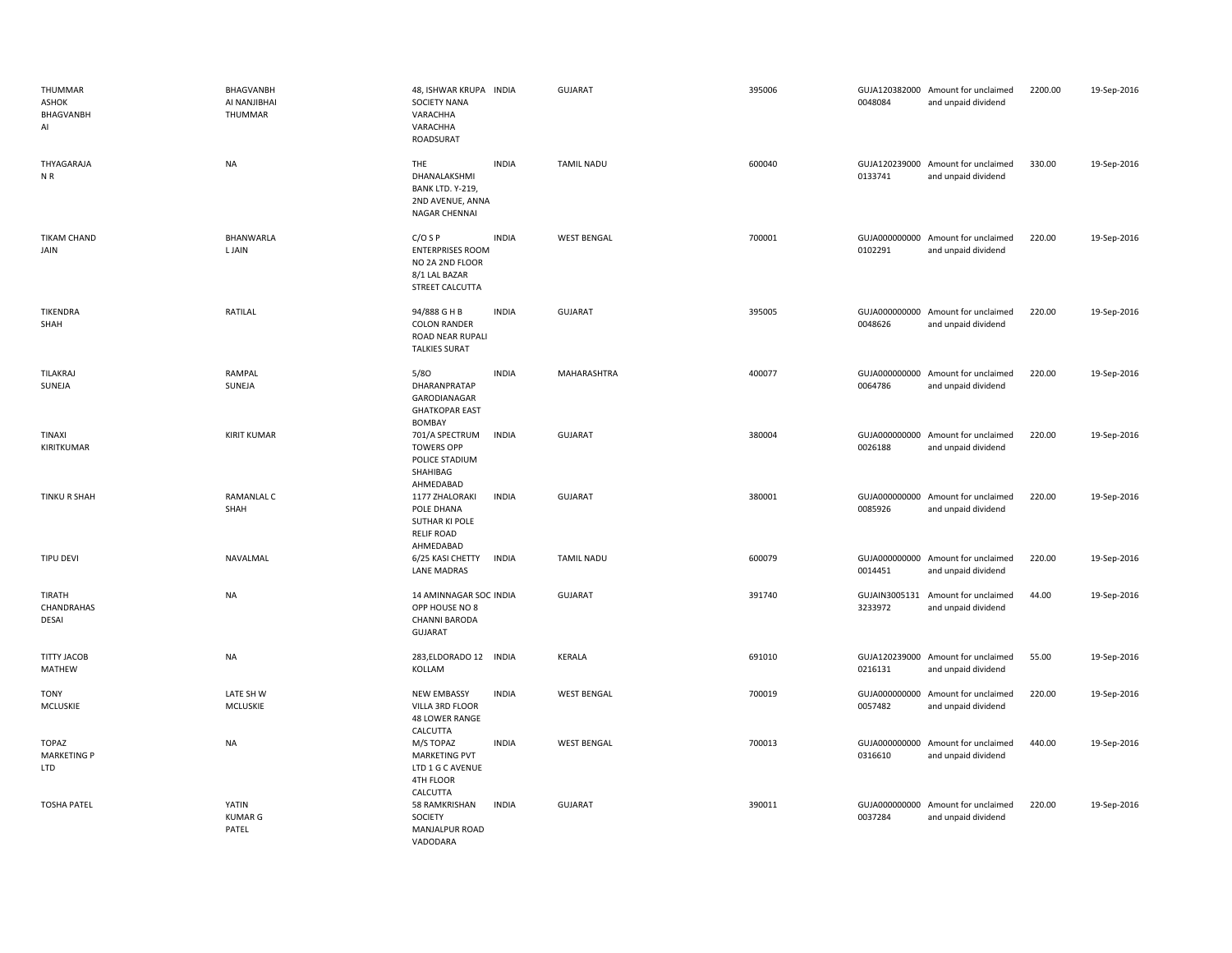| THUMMAR<br>ASHOK<br>BHAGVANBH<br>AI              | BHAGVANBH<br>AI NANJIBHAI<br>THUMMAR | 48, ISHWAR KRUPA INDIA<br>SOCIETY NANA<br>VARACHHA<br>VARACHHA<br>ROADSURAT                 |              | <b>GUJARAT</b>     | 395006 | 0048084 | GUJA120382000 Amount for unclaimed<br>and unpaid dividend | 2200.00 | 19-Sep-2016 |
|--------------------------------------------------|--------------------------------------|---------------------------------------------------------------------------------------------|--------------|--------------------|--------|---------|-----------------------------------------------------------|---------|-------------|
| THYAGARAJA<br>NR                                 | <b>NA</b>                            | <b>THE</b><br>DHANALAKSHMI<br>BANK LTD. Y-219,<br>2ND AVENUE, ANNA<br>NAGAR CHENNAI         | <b>INDIA</b> | <b>TAMIL NADU</b>  | 600040 | 0133741 | GUJA120239000 Amount for unclaimed<br>and unpaid dividend | 330.00  | 19-Sep-2016 |
| <b>TIKAM CHAND</b><br>JAIN                       | BHANWARLA<br><b>LJAIN</b>            | $C/O$ S P<br><b>ENTERPRISES ROOM</b><br>NO 2A 2ND FLOOR<br>8/1 LAL BAZAR<br>STREET CALCUTTA | <b>INDIA</b> | <b>WEST BENGAL</b> | 700001 | 0102291 | GUJA000000000 Amount for unclaimed<br>and unpaid dividend | 220.00  | 19-Sep-2016 |
| <b>TIKENDRA</b><br>SHAH                          | RATILAL                              | 94/888 G H B<br><b>COLON RANDER</b><br>ROAD NEAR RUPALI<br><b>TALKIES SURAT</b>             | <b>INDIA</b> | <b>GUJARAT</b>     | 395005 | 0048626 | GUJA000000000 Amount for unclaimed<br>and unpaid dividend | 220.00  | 19-Sep-2016 |
| TILAKRAJ<br>SUNEJA                               | RAMPAL<br>SUNEJA                     | 5/80<br>DHARANPRATAP<br>GARODIANAGAR<br><b>GHATKOPAR EAST</b><br><b>BOMBAY</b>              | <b>INDIA</b> | MAHARASHTRA        | 400077 | 0064786 | GUJA000000000 Amount for unclaimed<br>and unpaid dividend | 220.00  | 19-Sep-2016 |
| <b>TINAXI</b><br>KIRITKUMAR                      | <b>KIRIT KUMAR</b>                   | 701/A SPECTRUM<br><b>TOWERS OPP</b><br>POLICE STADIUM<br>SHAHIBAG<br>AHMEDABAD              | <b>INDIA</b> | <b>GUJARAT</b>     | 380004 | 0026188 | GUJA000000000 Amount for unclaimed<br>and unpaid dividend | 220.00  | 19-Sep-2016 |
| TINKU R SHAH                                     | <b>RAMANLAL C</b><br>SHAH            | 1177 ZHALORAKI<br>POLE DHANA<br>SUTHAR KI POLE<br><b>RELIF ROAD</b><br>AHMEDABAD            | <b>INDIA</b> | <b>GUJARAT</b>     | 380001 | 0085926 | GUJA000000000 Amount for unclaimed<br>and unpaid dividend | 220.00  | 19-Sep-2016 |
| <b>TIPU DEVI</b>                                 | NAVALMAL                             | 6/25 KASI CHETTY<br><b>LANE MADRAS</b>                                                      | <b>INDIA</b> | <b>TAMIL NADU</b>  | 600079 | 0014451 | GUJA000000000 Amount for unclaimed<br>and unpaid dividend | 220.00  | 19-Sep-2016 |
| TIRATH<br>CHANDRAHAS<br><b>DESAI</b>             | <b>NA</b>                            | 14 AMINNAGAR SOC INDIA<br>OPP HOUSE NO 8<br>CHANNI BARODA<br>GUJARAT                        |              | <b>GUJARAT</b>     | 391740 | 3233972 | GUJAIN3005131 Amount for unclaimed<br>and unpaid dividend | 44.00   | 19-Sep-2016 |
| <b>TITTY JACOB</b><br>MATHEW                     | NA                                   | 283, ELDORADO 12 INDIA<br>KOLLAM                                                            |              | <b>KERALA</b>      | 691010 | 0216131 | GUJA120239000 Amount for unclaimed<br>and unpaid dividend | 55.00   | 19-Sep-2016 |
| <b>TONY</b><br>MCLUSKIE                          | LATE SH W<br>MCLUSKIE                | <b>NEW EMBASSY</b><br>VILLA 3RD FLOOR<br><b>48 LOWER RANGE</b><br>CALCUTTA                  | <b>INDIA</b> | <b>WEST BENGAL</b> | 700019 | 0057482 | GUJA000000000 Amount for unclaimed<br>and unpaid dividend | 220.00  | 19-Sep-2016 |
| <b>TOPAZ</b><br><b>MARKETING P</b><br><b>LTD</b> | <b>NA</b>                            | M/S TOPAZ<br><b>MARKETING PVT</b><br>LTD 1 G C AVENUE<br>4TH FLOOR<br>CALCUTTA              | <b>INDIA</b> | <b>WEST BENGAL</b> | 700013 | 0316610 | GUJA000000000 Amount for unclaimed<br>and unpaid dividend | 440.00  | 19-Sep-2016 |
| <b>TOSHA PATEL</b>                               | YATIN<br><b>KUMAR G</b><br>PATEL     | 58 RAMKRISHAN<br>SOCIETY<br>MANJALPUR ROAD<br>VADODARA                                      | <b>INDIA</b> | <b>GUJARAT</b>     | 390011 | 0037284 | GUJA000000000 Amount for unclaimed<br>and unpaid dividend | 220.00  | 19-Sep-2016 |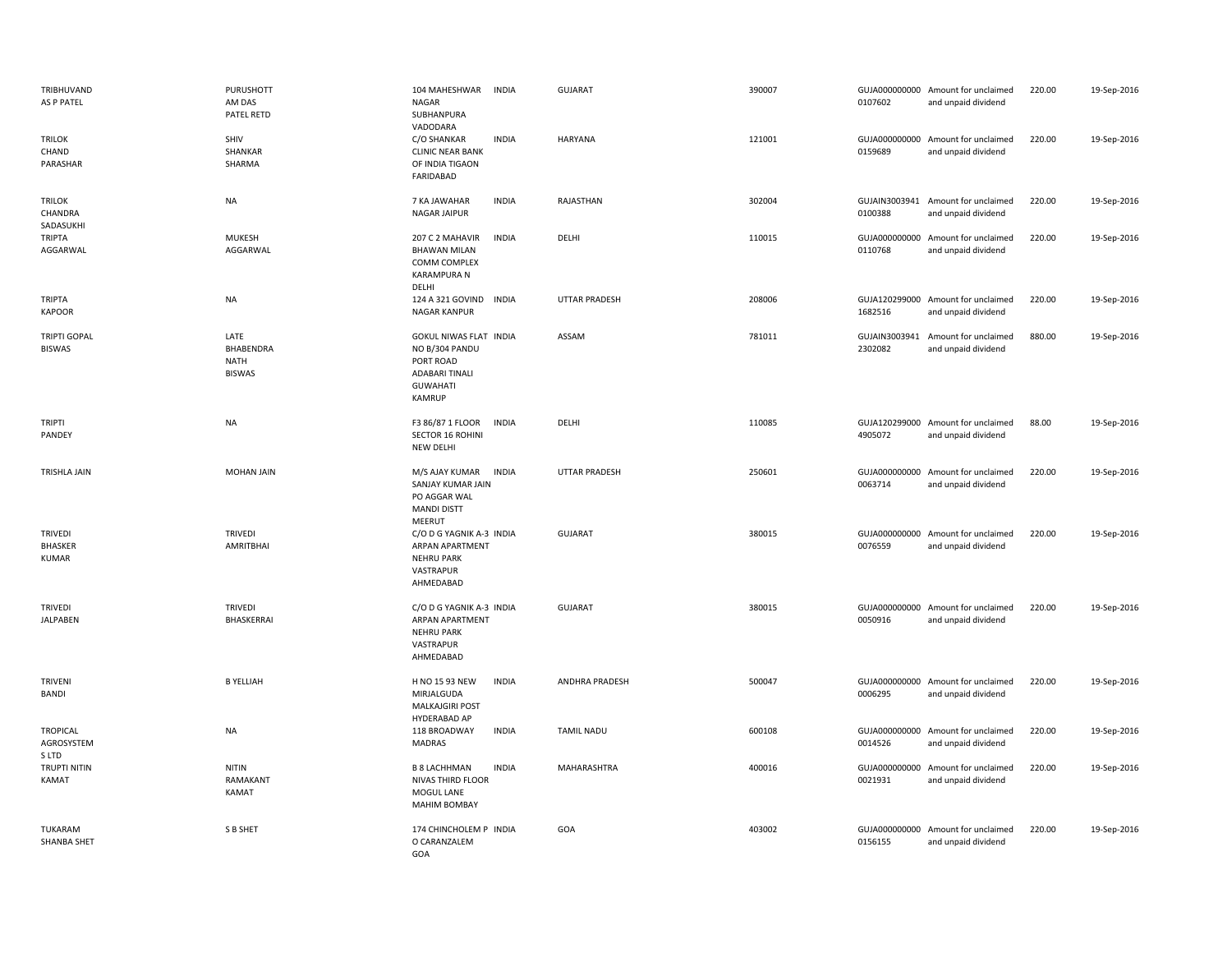| TRIBHUVAND<br>AS P PATEL                         | PURUSHOTT<br>AM DAS<br>PATEL RETD          | 104 MAHESHWAR<br><b>INDIA</b><br><b>NAGAR</b><br>SUBHANPURA<br>VADODARA                                     | <b>GUJARAT</b>       | 390007 | 0107602 | GUJA000000000 Amount for unclaimed<br>and unpaid dividend | 220.00 | 19-Sep-2016 |
|--------------------------------------------------|--------------------------------------------|-------------------------------------------------------------------------------------------------------------|----------------------|--------|---------|-----------------------------------------------------------|--------|-------------|
| <b>TRILOK</b><br>CHAND<br>PARASHAR               | SHIV<br>SHANKAR<br>SHARMA                  | C/O SHANKAR<br><b>INDIA</b><br><b>CLINIC NEAR BANK</b><br>OF INDIA TIGAON<br>FARIDABAD                      | <b>HARYANA</b>       | 121001 | 0159689 | GUJA000000000 Amount for unclaimed<br>and unpaid dividend | 220.00 | 19-Sep-2016 |
| <b>TRILOK</b><br>CHANDRA<br>SADASUKHI            | <b>NA</b>                                  | 7 KA JAWAHAR<br><b>INDIA</b><br>NAGAR JAIPUR                                                                | RAJASTHAN            | 302004 | 0100388 | GUJAIN3003941 Amount for unclaimed<br>and unpaid dividend | 220.00 | 19-Sep-2016 |
| <b>TRIPTA</b><br>AGGARWAL                        | <b>MUKESH</b><br>AGGARWAL                  | 207 C 2 MAHAVIR<br><b>INDIA</b><br><b>BHAWAN MILAN</b><br>COMM COMPLEX<br><b>KARAMPURA N</b><br>DELHI       | <b>DELHI</b>         | 110015 | 0110768 | GUJA000000000 Amount for unclaimed<br>and unpaid dividend | 220.00 | 19-Sep-2016 |
| TRIPTA<br><b>KAPOOR</b>                          | <b>NA</b>                                  | 124 A 321 GOVIND INDIA<br><b>NAGAR KANPUR</b>                                                               | <b>UTTAR PRADESH</b> | 208006 | 1682516 | GUJA120299000 Amount for unclaimed<br>and unpaid dividend | 220.00 | 19-Sep-2016 |
| <b>TRIPTI GOPAL</b><br><b>BISWAS</b>             | LATE<br>BHABENDRA<br>NATH<br><b>BISWAS</b> | GOKUL NIWAS FLAT INDIA<br>NO B/304 PANDU<br>PORT ROAD<br><b>ADABARI TINALI</b><br><b>GUWAHATI</b><br>KAMRUP | ASSAM                | 781011 | 2302082 | GUJAIN3003941 Amount for unclaimed<br>and unpaid dividend | 880.00 | 19-Sep-2016 |
| <b>TRIPTI</b><br>PANDEY                          | <b>NA</b>                                  | F3 86/87 1 FLOOR<br><b>INDIA</b><br><b>SECTOR 16 ROHINI</b><br>NEW DELHI                                    | DELHI                | 110085 | 4905072 | GUJA120299000 Amount for unclaimed<br>and unpaid dividend | 88.00  | 19-Sep-2016 |
| TRISHLA JAIN                                     | MOHAN JAIN                                 | M/S AJAY KUMAR<br><b>INDIA</b><br>SANJAY KUMAR JAIN<br>PO AGGAR WAL<br><b>MANDI DISTT</b><br>MEERUT         | <b>UTTAR PRADESH</b> | 250601 | 0063714 | GUJA000000000 Amount for unclaimed<br>and unpaid dividend | 220.00 | 19-Sep-2016 |
| <b>TRIVEDI</b><br><b>BHASKER</b><br><b>KUMAR</b> | <b>TRIVEDI</b><br>AMRITBHAI                | C/O D G YAGNIK A-3 INDIA<br>ARPAN APARTMENT<br><b>NEHRU PARK</b><br>VASTRAPUR<br>AHMEDABAD                  | GUJARAT              | 380015 | 0076559 | GUJA000000000 Amount for unclaimed<br>and unpaid dividend | 220.00 | 19-Sep-2016 |
| TRIVEDI<br><b>JALPABEN</b>                       | <b>TRIVEDI</b><br>BHASKERRAI               | C/O D G YAGNIK A-3 INDIA<br>ARPAN APARTMENT<br><b>NEHRU PARK</b><br>VASTRAPUR<br>AHMEDABAD                  | <b>GUJARAT</b>       | 380015 | 0050916 | GUJA000000000 Amount for unclaimed<br>and unpaid dividend | 220.00 | 19-Sep-2016 |
| <b>TRIVENI</b><br><b>BANDI</b>                   | <b>B YELLIAH</b>                           | H NO 15 93 NEW<br><b>INDIA</b><br>MIRJALGUDA<br><b>MALKAJGIRI POST</b><br><b>HYDERABAD AP</b>               | ANDHRA PRADESH       | 500047 | 0006295 | GUJA000000000 Amount for unclaimed<br>and unpaid dividend | 220.00 | 19-Sep-2016 |
| <b>TROPICAL</b><br>AGROSYSTEM<br>S LTD           | <b>NA</b>                                  | 118 BROADWAY<br><b>INDIA</b><br>MADRAS                                                                      | <b>TAMIL NADU</b>    | 600108 | 0014526 | GUJA000000000 Amount for unclaimed<br>and unpaid dividend | 220.00 | 19-Sep-2016 |
| <b>TRUPTI NITIN</b><br>KAMAT                     | <b>NITIN</b><br>RAMAKANT<br>KAMAT          | <b>B 8 LACHHMAN</b><br><b>INDIA</b><br>NIVAS THIRD FLOOR<br>MOGUL LANE<br><b>MAHIM BOMBAY</b>               | MAHARASHTRA          | 400016 | 0021931 | GUJA000000000 Amount for unclaimed<br>and unpaid dividend | 220.00 | 19-Sep-2016 |
| TUKARAM<br><b>SHANBA SHET</b>                    | S B SHET                                   | 174 CHINCHOLEM P INDIA<br>O CARANZALEM<br>GOA                                                               | GOA                  | 403002 | 0156155 | GUJA000000000 Amount for unclaimed<br>and unpaid dividend | 220.00 | 19-Sep-2016 |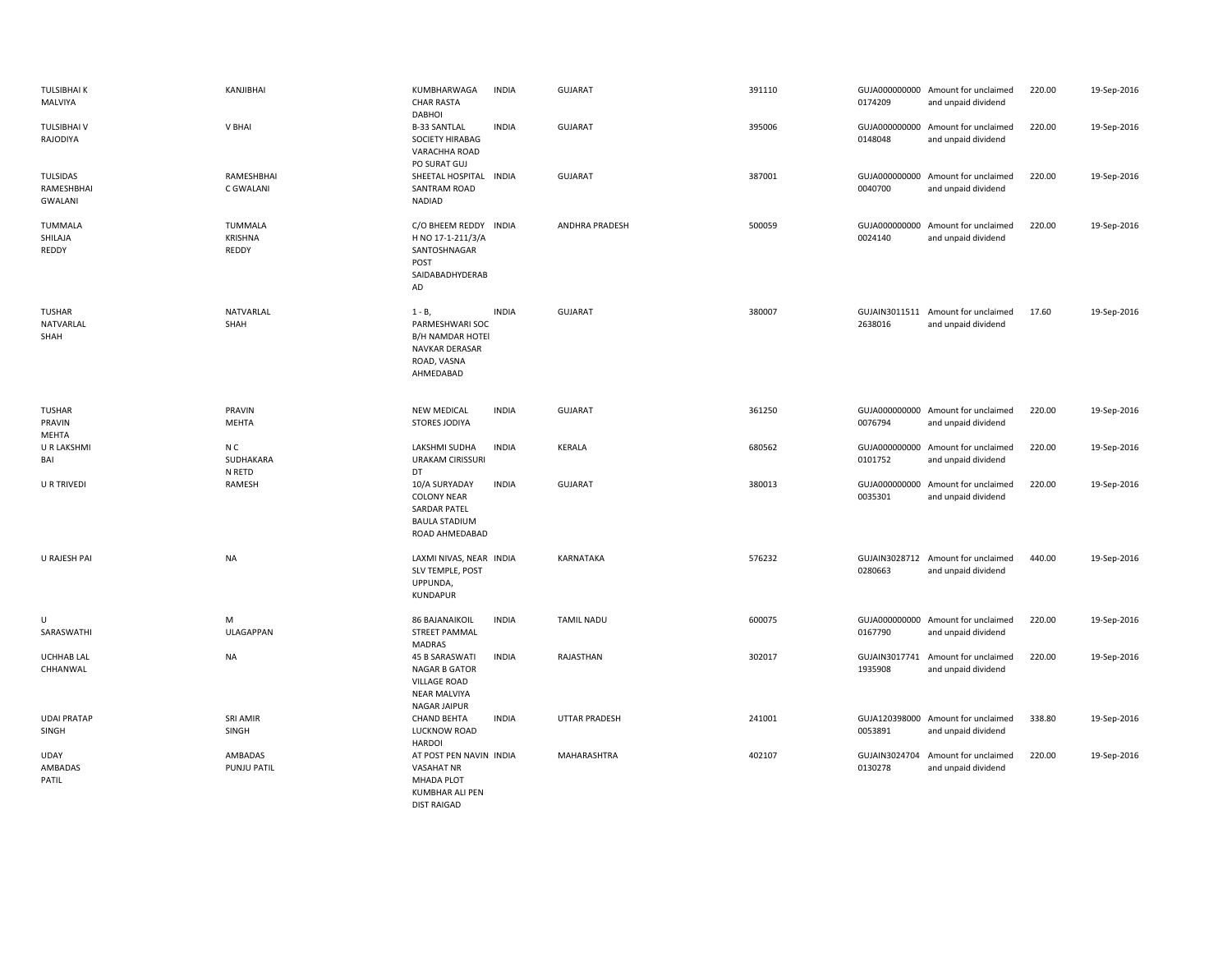| <b>TULSIBHAI K</b><br>MALVIYA            | KANJIBHAI                          | KUMBHARWAGA<br><b>CHAR RASTA</b><br><b>DABHOI</b>                                                           | <b>INDIA</b> | <b>GUJARAT</b>       | 391110 | 0174209                  | GUJA000000000 Amount for unclaimed<br>and unpaid dividend | 220.00 | 19-Sep-2016 |
|------------------------------------------|------------------------------------|-------------------------------------------------------------------------------------------------------------|--------------|----------------------|--------|--------------------------|-----------------------------------------------------------|--------|-------------|
| <b>TULSIBHAI V</b><br>RAJODIYA           | V BHAI                             | <b>B-33 SANTLAL</b><br><b>SOCIETY HIRABAG</b><br>VARACHHA ROAD<br>PO SURAT GUJ                              | <b>INDIA</b> | <b>GUJARAT</b>       | 395006 | 0148048                  | GUJA000000000 Amount for unclaimed<br>and unpaid dividend | 220.00 | 19-Sep-2016 |
| TULSIDAS<br>RAMESHBHAI<br><b>GWALANI</b> | RAMESHBHAI<br>C GWALANI            | SHEETAL HOSPITAL INDIA<br>SANTRAM ROAD<br><b>NADIAD</b>                                                     |              | <b>GUJARAT</b>       | 387001 | GUJA000000000<br>0040700 | Amount for unclaimed<br>and unpaid dividend               | 220.00 | 19-Sep-2016 |
| TUMMALA<br>SHILAJA<br>REDDY              | <b>TUMMALA</b><br>KRISHNA<br>REDDY | C/O BHEEM REDDY INDIA<br>H NO 17-1-211/3/A<br>SANTOSHNAGAR<br>POST<br>SAIDABADHYDERAB<br>AD                 |              | ANDHRA PRADESH       | 500059 | 0024140                  | GUJA000000000 Amount for unclaimed<br>and unpaid dividend | 220.00 | 19-Sep-2016 |
| TUSHAR<br>NATVARLAL<br>SHAH              | NATVARLAL<br>SHAH                  | $1 - B$ ,<br>PARMESHWARI SOC<br><b>B/H NAMDAR HOTEI</b><br>NAVKAR DERASAR<br>ROAD, VASNA<br>AHMEDABAD       | <b>INDIA</b> | <b>GUJARAT</b>       | 380007 | 2638016                  | GUJAIN3011511 Amount for unclaimed<br>and unpaid dividend | 17.60  | 19-Sep-2016 |
| <b>TUSHAR</b><br>PRAVIN<br>MEHTA         | PRAVIN<br><b>MEHTA</b>             | <b>NEW MEDICAL</b><br>STORES JODIYA                                                                         | <b>INDIA</b> | <b>GUJARAT</b>       | 361250 | 0076794                  | GUJA000000000 Amount for unclaimed<br>and unpaid dividend | 220.00 | 19-Sep-2016 |
| U R LAKSHMI<br>BAI                       | N C<br>SUDHAKARA<br>N RETD         | LAKSHMI SUDHA<br><b>URAKAM CIRISSURI</b><br>DT                                                              | <b>INDIA</b> | KERALA               | 680562 | 0101752                  | GUJA000000000 Amount for unclaimed<br>and unpaid dividend | 220.00 | 19-Sep-2016 |
| <b>U R TRIVEDI</b>                       | RAMESH                             | 10/A SURYADAY<br><b>COLONY NEAR</b><br><b>SARDAR PATEL</b><br><b>BAULA STADIUM</b><br>ROAD AHMEDABAD        | <b>INDIA</b> | <b>GUJARAT</b>       | 380013 | GUJA000000000<br>0035301 | Amount for unclaimed<br>and unpaid dividend               | 220.00 | 19-Sep-2016 |
| U RAJESH PAI                             | NA                                 | LAXMI NIVAS, NEAR INDIA<br>SLV TEMPLE, POST<br>UPPUNDA,<br>KUNDAPUR                                         |              | KARNATAKA            | 576232 | GUJAIN3028712<br>0280663 | Amount for unclaimed<br>and unpaid dividend               | 440.00 | 19-Sep-2016 |
| U<br>SARASWATHI                          | M<br><b>ULAGAPPAN</b>              | <b>86 BAJANAIKOIL</b><br><b>STREET PAMMAL</b><br><b>MADRAS</b>                                              | <b>INDIA</b> | <b>TAMIL NADU</b>    | 600075 | 0167790                  | GUJA000000000 Amount for unclaimed<br>and unpaid dividend | 220.00 | 19-Sep-2016 |
| <b>UCHHAB LAL</b><br>CHHANWAL            | <b>NA</b>                          | <b>45 B SARASWATI</b><br><b>NAGAR B GATOR</b><br><b>VILLAGE ROAD</b><br><b>NEAR MALVIYA</b><br>NAGAR JAIPUR | <b>INDIA</b> | RAJASTHAN            | 302017 | GUJAIN3017741<br>1935908 | Amount for unclaimed<br>and unpaid dividend               | 220.00 | 19-Sep-2016 |
| <b>UDAI PRATAP</b><br>SINGH              | <b>SRI AMIR</b><br>SINGH           | <b>CHAND BEHTA</b><br>LUCKNOW ROAD<br><b>HARDOI</b>                                                         | <b>INDIA</b> | <b>UTTAR PRADESH</b> | 241001 | 0053891                  | GUJA120398000 Amount for unclaimed<br>and unpaid dividend | 338.80 | 19-Sep-2016 |
| <b>UDAY</b><br>AMBADAS<br>PATIL          | AMBADAS<br>PUNJU PATIL             | AT POST PEN NAVIN INDIA<br><b>VASAHAT NR</b><br><b>MHADA PLOT</b><br><b>KUMBHAR ALI PEN</b>                 |              | MAHARASHTRA          | 402107 | GUJAIN3024704<br>0130278 | Amount for unclaimed<br>and unpaid dividend               | 220.00 | 19-Sep-2016 |

DIST RAIGAD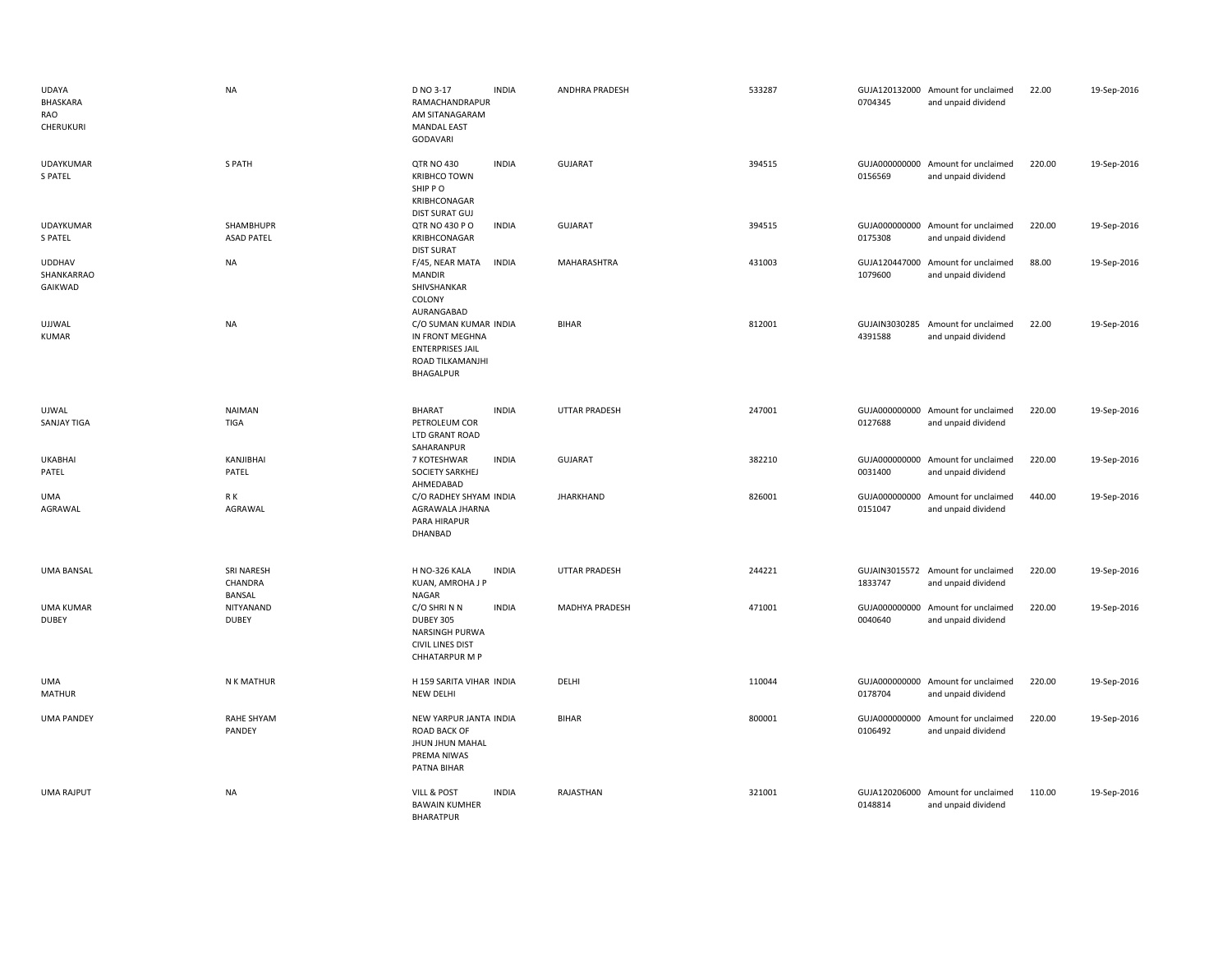| <b>UDAYA</b><br>BHASKARA<br>RAO<br>CHERUKURI | <b>NA</b>                       | D NO 3-17<br>RAMACHANDRAPUR<br>AM SITANAGARAM<br><b>MANDAL EAST</b><br>GODAVARI                      | <b>INDIA</b> | ANDHRA PRADESH       | 533287 | 0704345                  | GUJA120132000 Amount for unclaimed<br>and unpaid dividend | 22.00  | 19-Sep-2016 |
|----------------------------------------------|---------------------------------|------------------------------------------------------------------------------------------------------|--------------|----------------------|--------|--------------------------|-----------------------------------------------------------|--------|-------------|
| UDAYKUMAR<br><b>S PATEL</b>                  | S PATH                          | <b>QTR NO 430</b><br><b>KRIBHCO TOWN</b><br>SHIP PO<br>KRIBHCONAGAR<br><b>DIST SURAT GUJ</b>         | <b>INDIA</b> | <b>GUJARAT</b>       | 394515 | 0156569                  | GUJA000000000 Amount for unclaimed<br>and unpaid dividend | 220.00 | 19-Sep-2016 |
| UDAYKUMAR<br><b>S PATEL</b>                  | SHAMBHUPR<br><b>ASAD PATEL</b>  | QTR NO 430 P O<br>KRIBHCONAGAR<br><b>DIST SURAT</b>                                                  | <b>INDIA</b> | <b>GUJARAT</b>       | 394515 | 0175308                  | GUJA000000000 Amount for unclaimed<br>and unpaid dividend | 220.00 | 19-Sep-2016 |
| <b>UDDHAV</b><br>SHANKARRAO<br>GAIKWAD       | <b>NA</b>                       | F/45, NEAR MATA<br><b>MANDIR</b><br>SHIVSHANKAR<br>COLONY<br>AURANGABAD                              | <b>INDIA</b> | MAHARASHTRA          | 431003 | 1079600                  | GUJA120447000 Amount for unclaimed<br>and unpaid dividend | 88.00  | 19-Sep-2016 |
| <b>UJJWAL</b><br><b>KUMAR</b>                | NA                              | C/O SUMAN KUMAR INDIA<br>IN FRONT MEGHNA<br><b>ENTERPRISES JAIL</b><br>ROAD TILKAMANJHI<br>BHAGALPUR |              | <b>BIHAR</b>         | 812001 | GUJAIN3030285<br>4391588 | Amount for unclaimed<br>and unpaid dividend               | 22.00  | 19-Sep-2016 |
| UJWAL<br><b>SANJAY TIGA</b>                  | <b>NAIMAN</b><br><b>TIGA</b>    | BHARAT<br>PETROLEUM COR<br>LTD GRANT ROAD<br>SAHARANPUR                                              | <b>INDIA</b> | <b>UTTAR PRADESH</b> | 247001 | 0127688                  | GUJA000000000 Amount for unclaimed<br>and unpaid dividend | 220.00 | 19-Sep-2016 |
| <b>UKABHAI</b><br>PATEL                      | KANJIBHAI<br>PATEL              | 7 KOTESHWAR<br>SOCIETY SARKHEJ<br>AHMEDABAD                                                          | <b>INDIA</b> | <b>GUJARAT</b>       | 382210 | 0031400                  | GUJA000000000 Amount for unclaimed<br>and unpaid dividend | 220.00 | 19-Sep-2016 |
| <b>UMA</b><br>AGRAWAL                        | R K<br>AGRAWAL                  | C/O RADHEY SHYAM INDIA<br>AGRAWALA JHARNA<br>PARA HIRAPUR<br>DHANBAD                                 |              | <b>JHARKHAND</b>     | 826001 | GUJA000000000<br>0151047 | Amount for unclaimed<br>and unpaid dividend               | 440.00 | 19-Sep-2016 |
| <b>UMA BANSAL</b>                            | SRI NARESH<br>CHANDRA<br>BANSAL | H NO-326 KALA<br>KUAN, AMROHA J P<br>NAGAR                                                           | <b>INDIA</b> | UTTAR PRADESH        | 244221 | 1833747                  | GUJAIN3015572 Amount for unclaimed<br>and unpaid dividend | 220.00 | 19-Sep-2016 |
| <b>UMA KUMAR</b><br><b>DUBEY</b>             | NITYANAND<br><b>DUBEY</b>       | C/O SHRINN<br>DUBEY 305<br>NARSINGH PURWA<br><b>CIVIL LINES DIST</b><br>CHHATARPUR M P               | <b>INDIA</b> | MADHYA PRADESH       | 471001 | 0040640                  | GUJA000000000 Amount for unclaimed<br>and unpaid dividend | 220.00 | 19-Sep-2016 |
| <b>UMA</b><br><b>MATHUR</b>                  | N K MATHUR                      | H 159 SARITA VIHAR INDIA<br><b>NEW DELHI</b>                                                         |              | DELHI                | 110044 | 0178704                  | GUJA000000000 Amount for unclaimed<br>and unpaid dividend | 220.00 | 19-Sep-2016 |
| <b>UMA PANDEY</b>                            | <b>RAHE SHYAM</b><br>PANDEY     | NEW YARPUR JANTA INDIA<br>ROAD BACK OF<br>JHUN JHUN MAHAL<br>PREMA NIWAS<br>PATNA BIHAR              |              | <b>BIHAR</b>         | 800001 | 0106492                  | GUJA000000000 Amount for unclaimed<br>and unpaid dividend | 220.00 | 19-Sep-2016 |
| <b>UMA RAJPUT</b>                            | NA                              | VILL & POST<br><b>BAWAIN KUMHER</b><br><b>BHARATPUR</b>                                              | <b>INDIA</b> | RAJASTHAN            | 321001 | 0148814                  | GUJA120206000 Amount for unclaimed<br>and unpaid dividend | 110.00 | 19-Sep-2016 |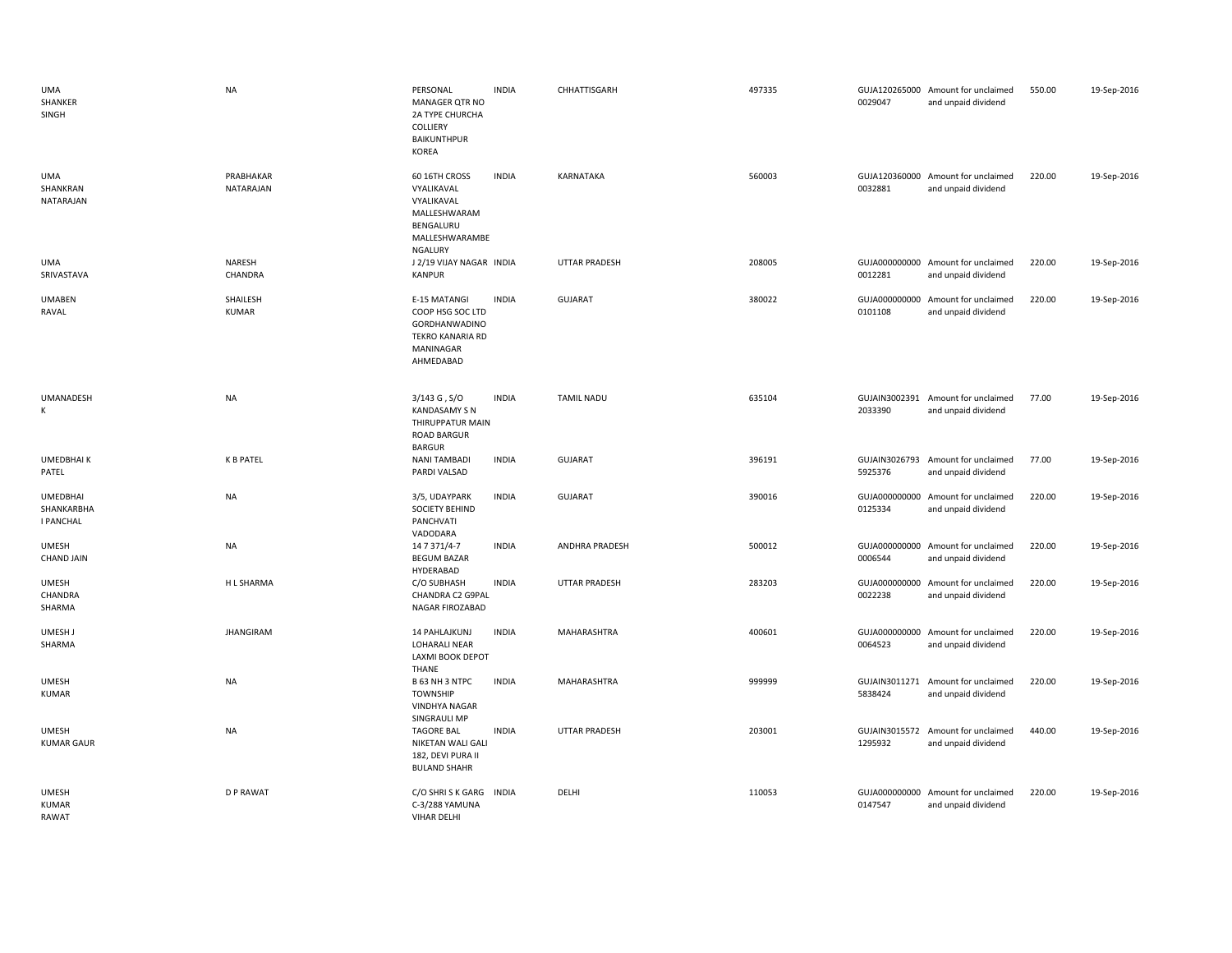| UMA<br>SHANKER<br>SINGH                           | <b>NA</b>              | PERSONAL<br>MANAGER QTR NO<br>2A TYPE CHURCHA<br>COLLIERY<br><b>BAIKUNTHPUR</b><br><b>KOREA</b>            | <b>INDIA</b> | CHHATTISGARH         | 497335 | 0029047                  | GUJA120265000 Amount for unclaimed<br>and unpaid dividend | 550.00 | 19-Sep-2016 |
|---------------------------------------------------|------------------------|------------------------------------------------------------------------------------------------------------|--------------|----------------------|--------|--------------------------|-----------------------------------------------------------|--------|-------------|
| UMA<br>SHANKRAN<br>NATARAJAN                      | PRABHAKAR<br>NATARAJAN | 60 16TH CROSS<br>VYALIKAVAL<br>VYALIKAVAL<br>MALLESHWARAM<br>BENGALURU<br>MALLESHWARAMBE<br><b>NGALURY</b> | <b>INDIA</b> | KARNATAKA            | 560003 | 0032881                  | GUJA120360000 Amount for unclaimed<br>and unpaid dividend | 220.00 | 19-Sep-2016 |
| UMA<br>SRIVASTAVA                                 | NARESH<br>CHANDRA      | J 2/19 VIJAY NAGAR INDIA<br><b>KANPUR</b>                                                                  |              | <b>UTTAR PRADESH</b> | 208005 | 0012281                  | GUJA000000000 Amount for unclaimed<br>and unpaid dividend | 220.00 | 19-Sep-2016 |
| <b>UMABEN</b><br>RAVAL                            | SHAILESH<br>KUMAR      | E-15 MATANGI<br>COOP HSG SOC LTD<br>GORDHANWADINO<br><b>TEKRO KANARIA RD</b><br>MANINAGAR<br>AHMEDABAD     | <b>INDIA</b> | GUJARAT              | 380022 | 0101108                  | GUJA000000000 Amount for unclaimed<br>and unpaid dividend | 220.00 | 19-Sep-2016 |
| <b>UMANADESH</b><br>К                             | <b>NA</b>              | $3/143$ G, $S/O$<br><b>KANDASAMY S N</b><br>THIRUPPATUR MAIN<br><b>ROAD BARGUR</b><br><b>BARGUR</b>        | <b>INDIA</b> | <b>TAMIL NADU</b>    | 635104 | 2033390                  | GUJAIN3002391 Amount for unclaimed<br>and unpaid dividend | 77.00  | 19-Sep-2016 |
| <b>UMEDBHAIK</b><br>PATEL                         | <b>K B PATEL</b>       | <b>NANI TAMBADI</b><br>PARDI VALSAD                                                                        | <b>INDIA</b> | GUJARAT              | 396191 | 5925376                  | GUJAIN3026793 Amount for unclaimed<br>and unpaid dividend | 77.00  | 19-Sep-2016 |
| <b>UMEDBHAI</b><br>SHANKARBHA<br><b>I PANCHAL</b> | <b>NA</b>              | 3/5, UDAYPARK<br><b>SOCIETY BEHIND</b><br>PANCHVATI<br>VADODARA                                            | <b>INDIA</b> | <b>GUJARAT</b>       | 390016 | 0125334                  | GUJA000000000 Amount for unclaimed<br>and unpaid dividend | 220.00 | 19-Sep-2016 |
| <b>UMESH</b><br><b>CHAND JAIN</b>                 | <b>NA</b>              | 14 7 371/4-7<br><b>BEGUM BAZAR</b><br>HYDERABAD                                                            | <b>INDIA</b> | ANDHRA PRADESH       | 500012 | 0006544                  | GUJA000000000 Amount for unclaimed<br>and unpaid dividend | 220.00 | 19-Sep-2016 |
| <b>UMESH</b><br>CHANDRA<br>SHARMA                 | H L SHARMA             | C/O SUBHASH<br>CHANDRA C2 G9PAL<br>NAGAR FIROZABAD                                                         | <b>INDIA</b> | <b>UTTAR PRADESH</b> | 283203 | 0022238                  | GUJA000000000 Amount for unclaimed<br>and unpaid dividend | 220.00 | 19-Sep-2016 |
| UMESH J<br>SHARMA                                 | <b>JHANGIRAM</b>       | 14 PAHLAJKUNJ<br>LOHARALI NEAR<br>LAXMI BOOK DEPOT<br><b>THANE</b>                                         | <b>INDIA</b> | <b>MAHARASHTRA</b>   | 400601 | GUJA000000000<br>0064523 | Amount for unclaimed<br>and unpaid dividend               | 220.00 | 19-Sep-2016 |
| <b>UMESH</b><br><b>KUMAR</b>                      | <b>NA</b>              | B 63 NH 3 NTPC<br><b>TOWNSHIP</b><br><b>VINDHYA NAGAR</b><br>SINGRAULI MP                                  | <b>INDIA</b> | MAHARASHTRA          | 999999 | 5838424                  | GUJAIN3011271 Amount for unclaimed<br>and unpaid dividend | 220.00 | 19-Sep-2016 |
| <b>UMESH</b><br><b>KUMAR GAUR</b>                 | <b>NA</b>              | <b>TAGORE BAL</b><br>NIKETAN WALI GALI<br>182, DEVI PURA II<br><b>BULAND SHAHR</b>                         | <b>INDIA</b> | <b>UTTAR PRADESH</b> | 203001 | GUJAIN3015572<br>1295932 | Amount for unclaimed<br>and unpaid dividend               | 440.00 | 19-Sep-2016 |
| <b>UMESH</b><br><b>KUMAR</b><br>RAWAT             | <b>D P RAWAT</b>       | C/O SHRISK GARG<br>C-3/288 YAMUNA<br><b>VIHAR DELHI</b>                                                    | <b>INDIA</b> | DELHI                | 110053 | 0147547                  | GUJA000000000 Amount for unclaimed<br>and unpaid dividend | 220.00 | 19-Sep-2016 |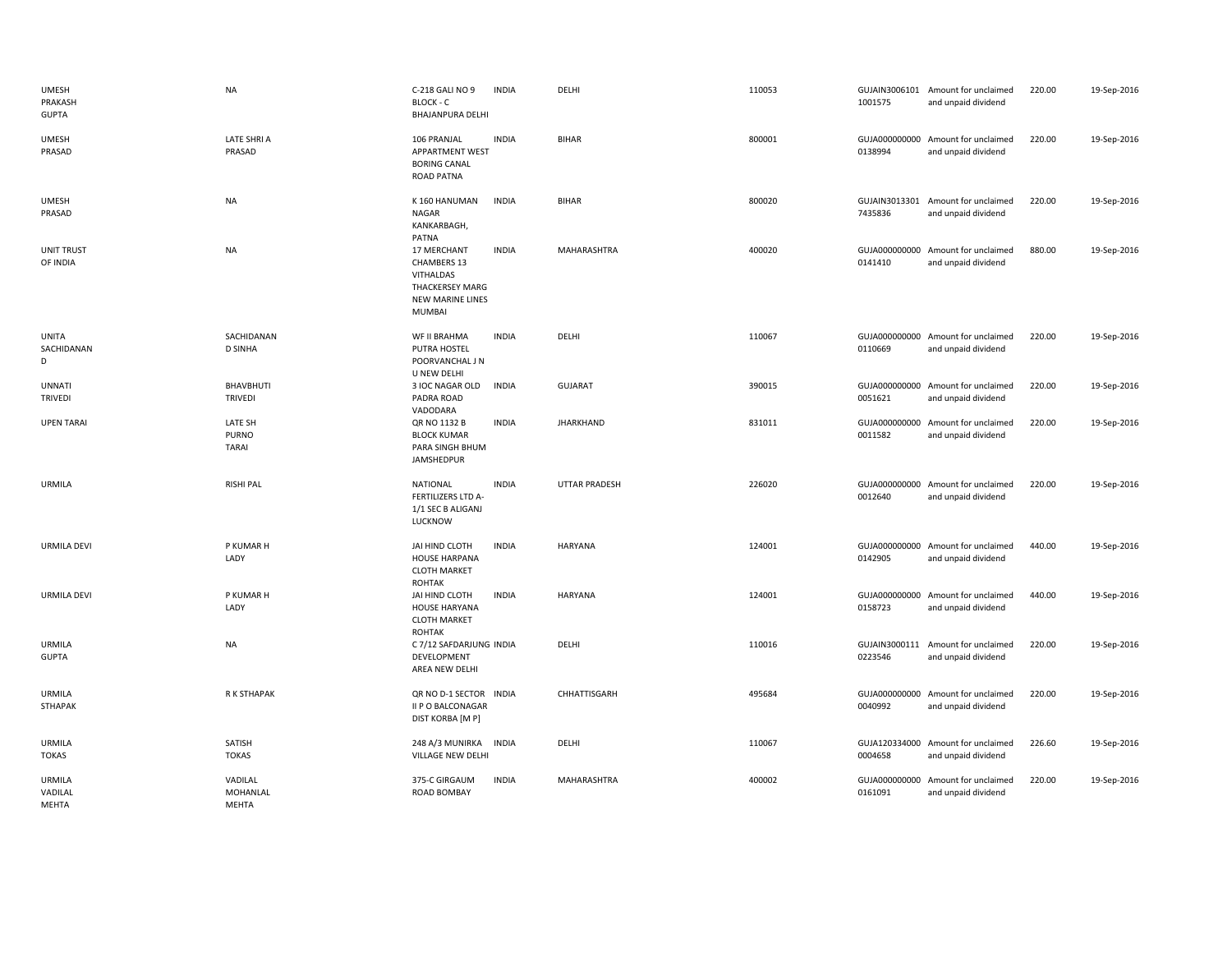| <b>UMESH</b><br>PRAKASH<br><b>GUPTA</b> | <b>NA</b>                    | C-218 GALI NO 9<br>BLOCK - C<br>BHAJANPURA DELHI                                                       | <b>INDIA</b> | DELHI                | 110053 | 1001575                  | GUJAIN3006101 Amount for unclaimed<br>and unpaid dividend | 220.00 | 19-Sep-2016 |
|-----------------------------------------|------------------------------|--------------------------------------------------------------------------------------------------------|--------------|----------------------|--------|--------------------------|-----------------------------------------------------------|--------|-------------|
| <b>UMESH</b><br>PRASAD                  | LATE SHRI A<br>PRASAD        | 106 PRANJAL<br><b>APPARTMENT WEST</b><br><b>BORING CANAL</b><br>ROAD PATNA                             | <b>INDIA</b> | BIHAR                | 800001 | 0138994                  | GUJA000000000 Amount for unclaimed<br>and unpaid dividend | 220.00 | 19-Sep-2016 |
| <b>UMESH</b><br>PRASAD                  | <b>NA</b>                    | K 160 HANUMAN<br>NAGAR<br>KANKARBAGH,<br>PATNA                                                         | <b>INDIA</b> | <b>BIHAR</b>         | 800020 | 7435836                  | GUJAIN3013301 Amount for unclaimed<br>and unpaid dividend | 220.00 | 19-Sep-2016 |
| <b>UNIT TRUST</b><br>OF INDIA           | NA                           | 17 MERCHANT<br>CHAMBERS 13<br>VITHALDAS<br><b>THACKERSEY MARG</b><br><b>NEW MARINE LINES</b><br>MUMBAI | <b>INDIA</b> | MAHARASHTRA          | 400020 | 0141410                  | GUJA000000000 Amount for unclaimed<br>and unpaid dividend | 880.00 | 19-Sep-2016 |
| <b>UNITA</b><br>SACHIDANAN<br>D         | SACHIDANAN<br><b>D SINHA</b> | WF II BRAHMA<br>PUTRA HOSTEL<br>POORVANCHAL J N<br>U NEW DELHI                                         | <b>INDIA</b> | DELHI                | 110067 | 0110669                  | GUJA000000000 Amount for unclaimed<br>and unpaid dividend | 220.00 | 19-Sep-2016 |
| <b>UNNATI</b><br><b>TRIVEDI</b>         | BHAVBHUTI<br><b>TRIVEDI</b>  | 3 IOC NAGAR OLD<br>PADRA ROAD<br>VADODARA                                                              | <b>INDIA</b> | <b>GUJARAT</b>       | 390015 | 0051621                  | GUJA000000000 Amount for unclaimed<br>and unpaid dividend | 220.00 | 19-Sep-2016 |
| <b>UPEN TARAI</b>                       | LATE SH<br>PURNO<br>TARAI    | QR NO 1132 B<br><b>BLOCK KUMAR</b><br>PARA SINGH BHUM<br>JAMSHEDPUR                                    | <b>INDIA</b> | <b>JHARKHAND</b>     | 831011 | 0011582                  | GUJA000000000 Amount for unclaimed<br>and unpaid dividend | 220.00 | 19-Sep-2016 |
| URMILA                                  | <b>RISHI PAL</b>             | <b>NATIONAL</b><br>FERTILIZERS LTD A-<br>1/1 SEC B ALIGANJ<br>LUCKNOW                                  | <b>INDIA</b> | <b>UTTAR PRADESH</b> | 226020 | 0012640                  | GUJA000000000 Amount for unclaimed<br>and unpaid dividend | 220.00 | 19-Sep-2016 |
| <b>URMILA DEVI</b>                      | P KUMAR H<br>LADY            | JAI HIND CLOTH<br><b>HOUSE HARPANA</b><br><b>CLOTH MARKET</b><br>ROHTAK                                | <b>INDIA</b> | <b>HARYANA</b>       | 124001 | 0142905                  | GUJA000000000 Amount for unclaimed<br>and unpaid dividend | 440.00 | 19-Sep-2016 |
| <b>URMILA DEVI</b>                      | P KUMAR H<br>LADY            | JAI HIND CLOTH<br><b>HOUSE HARYANA</b><br><b>CLOTH MARKET</b><br>ROHTAK                                | <b>INDIA</b> | <b>HARYANA</b>       | 124001 | 0158723                  | GUJA000000000 Amount for unclaimed<br>and unpaid dividend | 440.00 | 19-Sep-2016 |
| <b>URMILA</b><br><b>GUPTA</b>           | <b>NA</b>                    | C 7/12 SAFDARJUNG INDIA<br>DEVELOPMENT<br>AREA NEW DELHI                                               |              | DELHI                | 110016 | GUJAIN3000111<br>0223546 | Amount for unclaimed<br>and unpaid dividend               | 220.00 | 19-Sep-2016 |
| URMILA<br>STHAPAK                       | R K STHAPAK                  | QR NO D-1 SECTOR INDIA<br>II P O BALCONAGAR<br>DIST KORBA [M P]                                        |              | CHHATTISGARH         | 495684 | 0040992                  | GUJA000000000 Amount for unclaimed<br>and unpaid dividend | 220.00 | 19-Sep-2016 |
| <b>URMILA</b><br><b>TOKAS</b>           | SATISH<br><b>TOKAS</b>       | 248 A/3 MUNIRKA<br>VILLAGE NEW DELHI                                                                   | <b>INDIA</b> | DELHI                | 110067 | GUJA120334000<br>0004658 | Amount for unclaimed<br>and unpaid dividend               | 226.60 | 19-Sep-2016 |
| URMILA<br>VADILAL<br>MEHTA              | VADILAL<br>MOHANLAL<br>MEHTA | 375-C GIRGAUM<br>ROAD BOMBAY                                                                           | <b>INDIA</b> | MAHARASHTRA          | 400002 | GUJA000000000<br>0161091 | Amount for unclaimed<br>and unpaid dividend               | 220.00 | 19-Sep-2016 |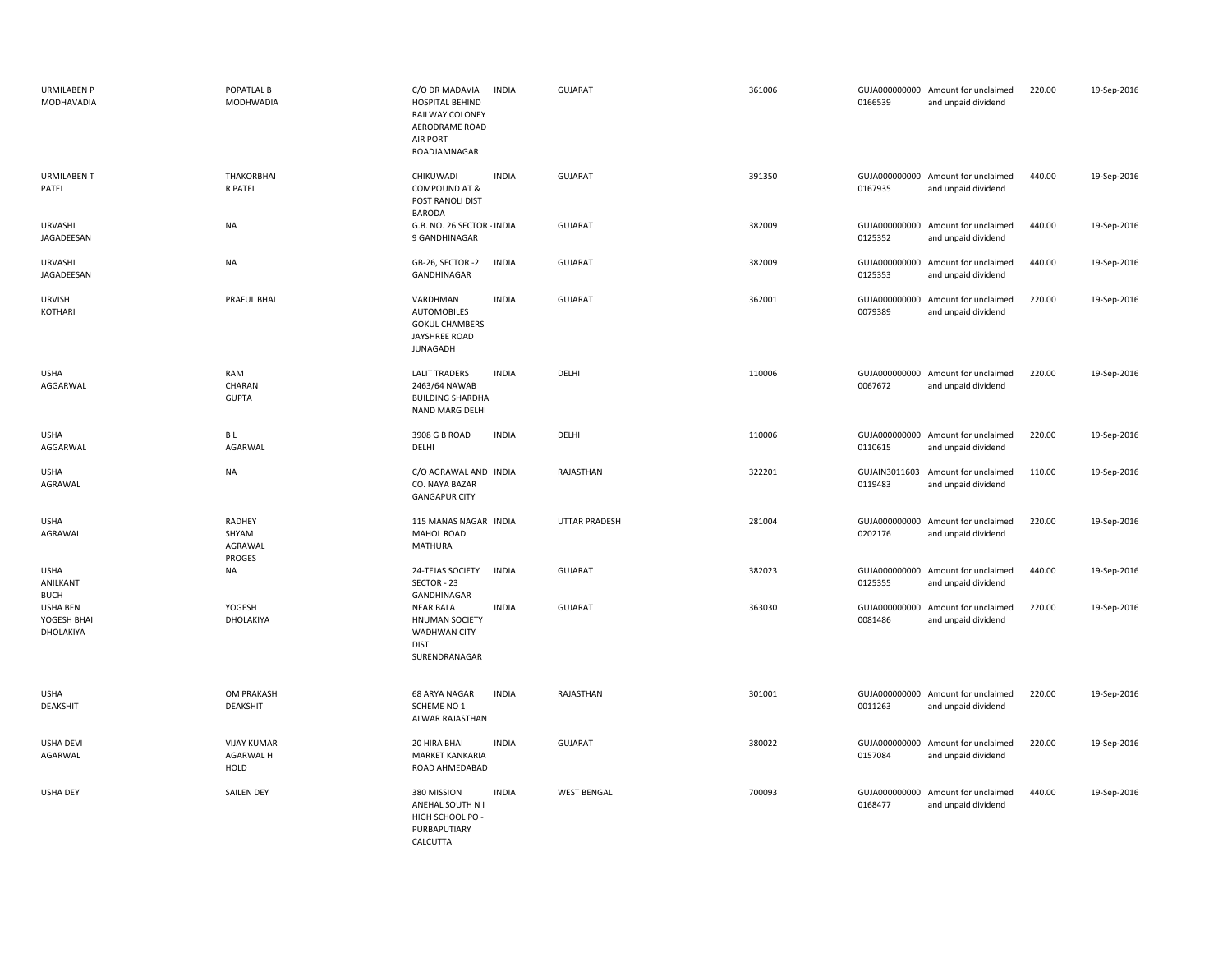| <b>URMILABEN P</b><br><b>MODHAVADIA</b> | POPATLAL B<br><b>MODHWADIA</b>              | C/O DR MADAVIA<br><b>INDIA</b><br><b>HOSPITAL BEHIND</b><br>RAILWAY COLONEY<br>AERODRAME ROAD<br>AIR PORT<br>ROADJAMNAGAR | <b>GUJARAT</b>       | 361006 | 0166539                  | GUJA000000000 Amount for unclaimed<br>and unpaid dividend | 220.00 | 19-Sep-2016 |
|-----------------------------------------|---------------------------------------------|---------------------------------------------------------------------------------------------------------------------------|----------------------|--------|--------------------------|-----------------------------------------------------------|--------|-------------|
| <b>URMILABEN T</b><br>PATEL             | THAKORBHAI<br>R PATEL                       | CHIKUWADI<br><b>INDIA</b><br><b>COMPOUND AT &amp;</b><br>POST RANOLI DIST<br><b>BARODA</b>                                | <b>GUJARAT</b>       | 391350 | 0167935                  | GUJA000000000 Amount for unclaimed<br>and unpaid dividend | 440.00 | 19-Sep-2016 |
| URVASHI<br>JAGADEESAN                   | <b>NA</b>                                   | G.B. NO. 26 SECTOR - INDIA<br>9 GANDHINAGAR                                                                               | <b>GUJARAT</b>       | 382009 | 0125352                  | GUJA000000000 Amount for unclaimed<br>and unpaid dividend | 440.00 | 19-Sep-2016 |
| URVASHI<br>JAGADEESAN                   | <b>NA</b>                                   | GB-26, SECTOR -2<br><b>INDIA</b><br>GANDHINAGAR                                                                           | <b>GUJARAT</b>       | 382009 | GUJA000000000<br>0125353 | Amount for unclaimed<br>and unpaid dividend               | 440.00 | 19-Sep-2016 |
| <b>URVISH</b><br>KOTHARI                | PRAFUL BHAI                                 | <b>INDIA</b><br>VARDHMAN<br><b>AUTOMOBILES</b><br><b>GOKUL CHAMBERS</b><br><b>JAYSHREE ROAD</b><br>JUNAGADH               | <b>GUJARAT</b>       | 362001 | 0079389                  | GUJA000000000 Amount for unclaimed<br>and unpaid dividend | 220.00 | 19-Sep-2016 |
| <b>USHA</b><br>AGGARWAL                 | RAM<br>CHARAN<br><b>GUPTA</b>               | <b>LALIT TRADERS</b><br><b>INDIA</b><br>2463/64 NAWAB<br><b>BUILDING SHARDHA</b><br>NAND MARG DELHI                       | DELHI                | 110006 | 0067672                  | GUJA000000000 Amount for unclaimed<br>and unpaid dividend | 220.00 | 19-Sep-2016 |
| <b>USHA</b><br>AGGARWAL                 | B L<br>AGARWAL                              | <b>INDIA</b><br>3908 G B ROAD<br>DELHI                                                                                    | DELHI                | 110006 | 0110615                  | GUJA000000000 Amount for unclaimed<br>and unpaid dividend | 220.00 | 19-Sep-2016 |
| <b>USHA</b><br>AGRAWAL                  | <b>NA</b>                                   | C/O AGRAWAL AND INDIA<br>CO. NAYA BAZAR<br><b>GANGAPUR CITY</b>                                                           | RAJASTHAN            | 322201 | 0119483                  | GUJAIN3011603 Amount for unclaimed<br>and unpaid dividend | 110.00 | 19-Sep-2016 |
| <b>USHA</b><br>AGRAWAL                  | RADHEY<br>SHYAM<br>AGRAWAL<br><b>PROGES</b> | 115 MANAS NAGAR INDIA<br>MAHOL ROAD<br>MATHURA                                                                            | <b>UTTAR PRADESH</b> | 281004 | 0202176                  | GUJA000000000 Amount for unclaimed<br>and unpaid dividend | 220.00 | 19-Sep-2016 |
| <b>USHA</b><br>ANILKANT<br><b>BUCH</b>  | NA                                          | 24-TEJAS SOCIETY<br><b>INDIA</b><br>SECTOR - 23<br>GANDHINAGAR                                                            | <b>GUJARAT</b>       | 382023 | GUJA000000000<br>0125355 | Amount for unclaimed<br>and unpaid dividend               | 440.00 | 19-Sep-2016 |
| USHA BEN<br>YOGESH BHAI<br>DHOLAKIYA    | YOGESH<br>DHOLAKIYA                         | <b>INDIA</b><br>NEAR BALA<br><b>HNUMAN SOCIETY</b><br><b>WADHWAN CITY</b><br><b>DIST</b><br>SURENDRANAGAR                 | GUJARAT              | 363030 | GUJA000000000<br>0081486 | Amount for unclaimed<br>and unpaid dividend               | 220.00 | 19-Sep-2016 |
| <b>USHA</b><br>DEAKSHIT                 | OM PRAKASH<br>DEAKSHIT                      | 68 ARYA NAGAR<br><b>INDIA</b><br>SCHEME NO 1<br>ALWAR RAJASTHAN                                                           | RAJASTHAN            | 301001 | 0011263                  | GUJA000000000 Amount for unclaimed<br>and unpaid dividend | 220.00 | 19-Sep-2016 |
| <b>USHA DEVI</b><br>AGARWAL             | <b>VIJAY KUMAR</b><br>AGARWAL H<br>HOLD     | 20 HIRA BHAI<br><b>INDIA</b><br><b>MARKET KANKARIA</b><br>ROAD AHMEDABAD                                                  | <b>GUJARAT</b>       | 380022 | 0157084                  | GUJA000000000 Amount for unclaimed<br>and unpaid dividend | 220.00 | 19-Sep-2016 |
| <b>USHA DEY</b>                         | <b>SAILEN DEY</b>                           | 380 MISSION<br><b>INDIA</b><br>ANEHAL SOUTH N I<br>HIGH SCHOOL PO -<br>PURBAPUTIARY<br>CALCUTTA                           | <b>WEST BENGAL</b>   | 700093 | 0168477                  | GUJA000000000 Amount for unclaimed<br>and unpaid dividend | 440.00 | 19-Sep-2016 |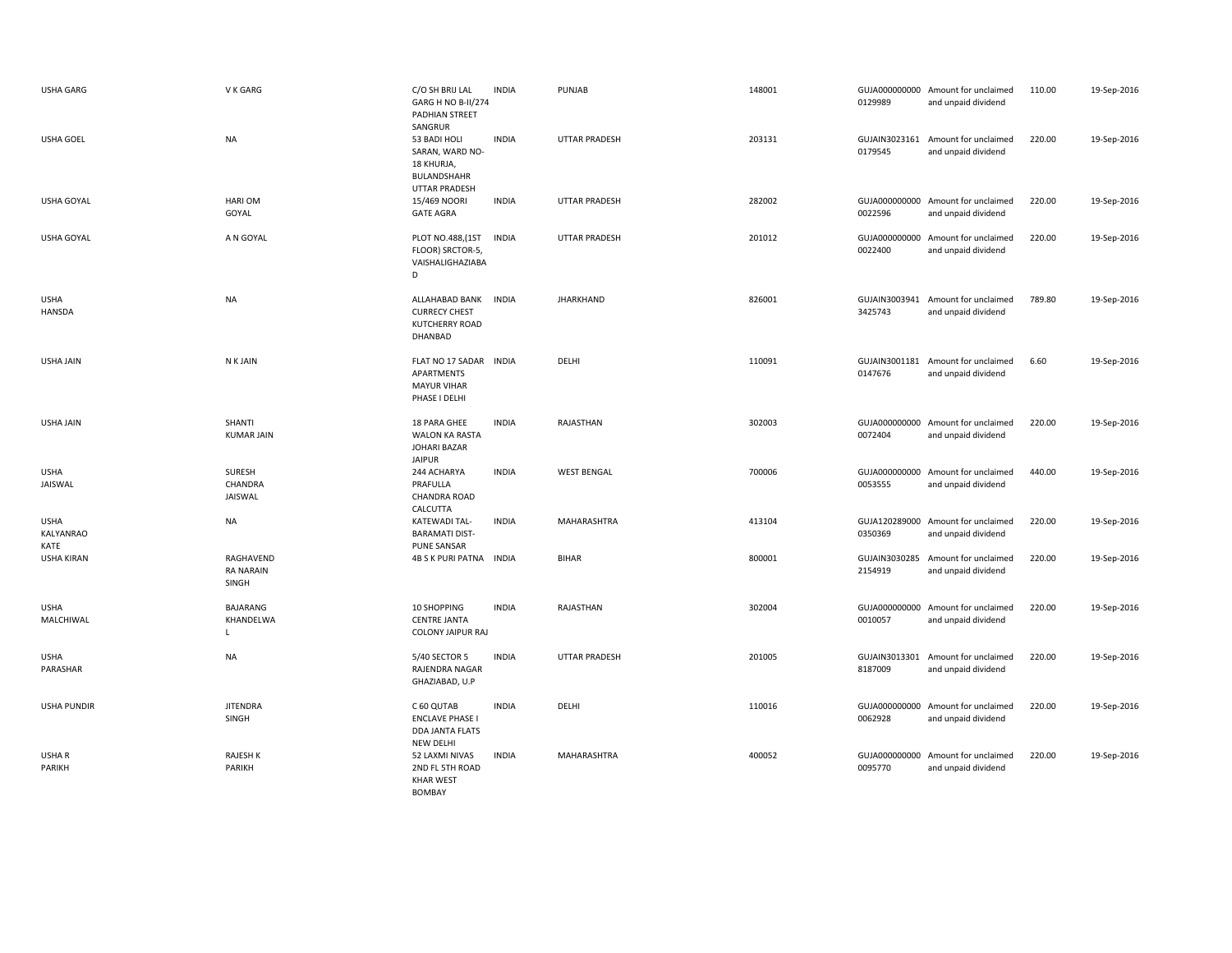| <b>USHA GARG</b>                 | V K GARG                               | C/O SH BRIJ LAL<br>GARG H NO B-II/274<br>PADHIAN STREET                                  | <b>INDIA</b> | PUNJAB               | 148001 | 0129989                  | GUJA000000000 Amount for unclaimed<br>and unpaid dividend | 110.00 | 19-Sep-2016 |
|----------------------------------|----------------------------------------|------------------------------------------------------------------------------------------|--------------|----------------------|--------|--------------------------|-----------------------------------------------------------|--------|-------------|
| <b>USHA GOEL</b>                 | <b>NA</b>                              | SANGRUR<br>53 BADI HOLI<br>SARAN, WARD NO-<br>18 KHURJA,<br>BULANDSHAHR<br>UTTAR PRADESH | <b>INDIA</b> | <b>UTTAR PRADESH</b> | 203131 | 0179545                  | GUJAIN3023161 Amount for unclaimed<br>and unpaid dividend | 220.00 | 19-Sep-2016 |
| <b>USHA GOYAL</b>                | <b>HARIOM</b><br>GOYAL                 | 15/469 NOORI<br><b>GATE AGRA</b>                                                         | <b>INDIA</b> | <b>UTTAR PRADESH</b> | 282002 | 0022596                  | GUJA000000000 Amount for unclaimed<br>and unpaid dividend | 220.00 | 19-Sep-2016 |
| <b>USHA GOYAL</b>                | A N GOYAL                              | PLOT NO.488, (1ST<br>FLOOR) SRCTOR-5,<br>VAISHALIGHAZIABA<br>D                           | <b>INDIA</b> | <b>UTTAR PRADESH</b> | 201012 | 0022400                  | GUJA000000000 Amount for unclaimed<br>and unpaid dividend | 220.00 | 19-Sep-2016 |
| <b>USHA</b><br><b>HANSDA</b>     | <b>NA</b>                              | ALLAHABAD BANK<br><b>CURRECY CHEST</b><br>KUTCHERRY ROAD<br>DHANBAD                      | <b>INDIA</b> | <b>JHARKHAND</b>     | 826001 | GUJAIN3003941<br>3425743 | Amount for unclaimed<br>and unpaid dividend               | 789.80 | 19-Sep-2016 |
| <b>USHA JAIN</b>                 | N K JAIN                               | FLAT NO 17 SADAR INDIA<br>APARTMENTS<br><b>MAYUR VIHAR</b><br>PHASE I DELHI              |              | DELHI                | 110091 | 0147676                  | GUJAIN3001181 Amount for unclaimed<br>and unpaid dividend | 6.60   | 19-Sep-2016 |
| <b>USHA JAIN</b>                 | SHANTI<br><b>KUMAR JAIN</b>            | 18 PARA GHEE<br>WALON KA RASTA<br>JOHARI BAZAR<br><b>JAIPUR</b>                          | <b>INDIA</b> | RAJASTHAN            | 302003 | 0072404                  | GUJA000000000 Amount for unclaimed<br>and unpaid dividend | 220.00 | 19-Sep-2016 |
| <b>USHA</b><br>JAISWAL           | SURESH<br>CHANDRA<br>JAISWAL           | 244 ACHARYA<br>PRAFULLA<br><b>CHANDRA ROAD</b><br>CALCUTTA                               | <b>INDIA</b> | <b>WEST BENGAL</b>   | 700006 | 0053555                  | GUJA000000000 Amount for unclaimed<br>and unpaid dividend | 440.00 | 19-Sep-2016 |
| <b>USHA</b><br>KALYANRAO<br>KATE | NA                                     | KATEWADI TAL-<br><b>BARAMATI DIST-</b><br><b>PUNE SANSAR</b>                             | <b>INDIA</b> | MAHARASHTRA          | 413104 | 0350369                  | GUJA120289000 Amount for unclaimed<br>and unpaid dividend | 220.00 | 19-Sep-2016 |
| <b>USHA KIRAN</b>                | RAGHAVEND<br><b>RA NARAIN</b><br>SINGH | 4B S K PURI PATNA INDIA                                                                  |              | <b>BIHAR</b>         | 800001 | GUJAIN3030285<br>2154919 | Amount for unclaimed<br>and unpaid dividend               | 220.00 | 19-Sep-2016 |
| <b>USHA</b><br>MALCHIWAL         | <b>BAJARANG</b><br>KHANDELWA<br>I.     | 10 SHOPPING<br><b>CENTRE JANTA</b><br><b>COLONY JAIPUR RAJ</b>                           | <b>INDIA</b> | RAJASTHAN            | 302004 | 0010057                  | GUJA000000000 Amount for unclaimed<br>and unpaid dividend | 220.00 | 19-Sep-2016 |
| <b>USHA</b><br>PARASHAR          | <b>NA</b>                              | 5/40 SECTOR 5<br>RAJENDRA NAGAR<br>GHAZIABAD, U.P                                        | <b>INDIA</b> | <b>UTTAR PRADESH</b> | 201005 | 8187009                  | GUJAIN3013301 Amount for unclaimed<br>and unpaid dividend | 220.00 | 19-Sep-2016 |
| <b>USHA PUNDIR</b>               | <b>JITENDRA</b><br>SINGH               | C 60 QUTAB<br><b>ENCLAVE PHASE I</b><br>DDA JANTA FLATS<br>NEW DELHI                     | <b>INDIA</b> | DELHI                | 110016 | 0062928                  | GUJA000000000 Amount for unclaimed<br>and unpaid dividend | 220.00 | 19-Sep-2016 |
| USHA R<br>PARIKH                 | <b>RAJESH K</b><br>PARIKH              | 52 LAXMI NIVAS<br>2ND FL 5TH ROAD<br><b>KHAR WEST</b><br><b>BOMBAY</b>                   | <b>INDIA</b> | MAHARASHTRA          | 400052 | 0095770                  | GUJA000000000 Amount for unclaimed<br>and unpaid dividend | 220.00 | 19-Sep-2016 |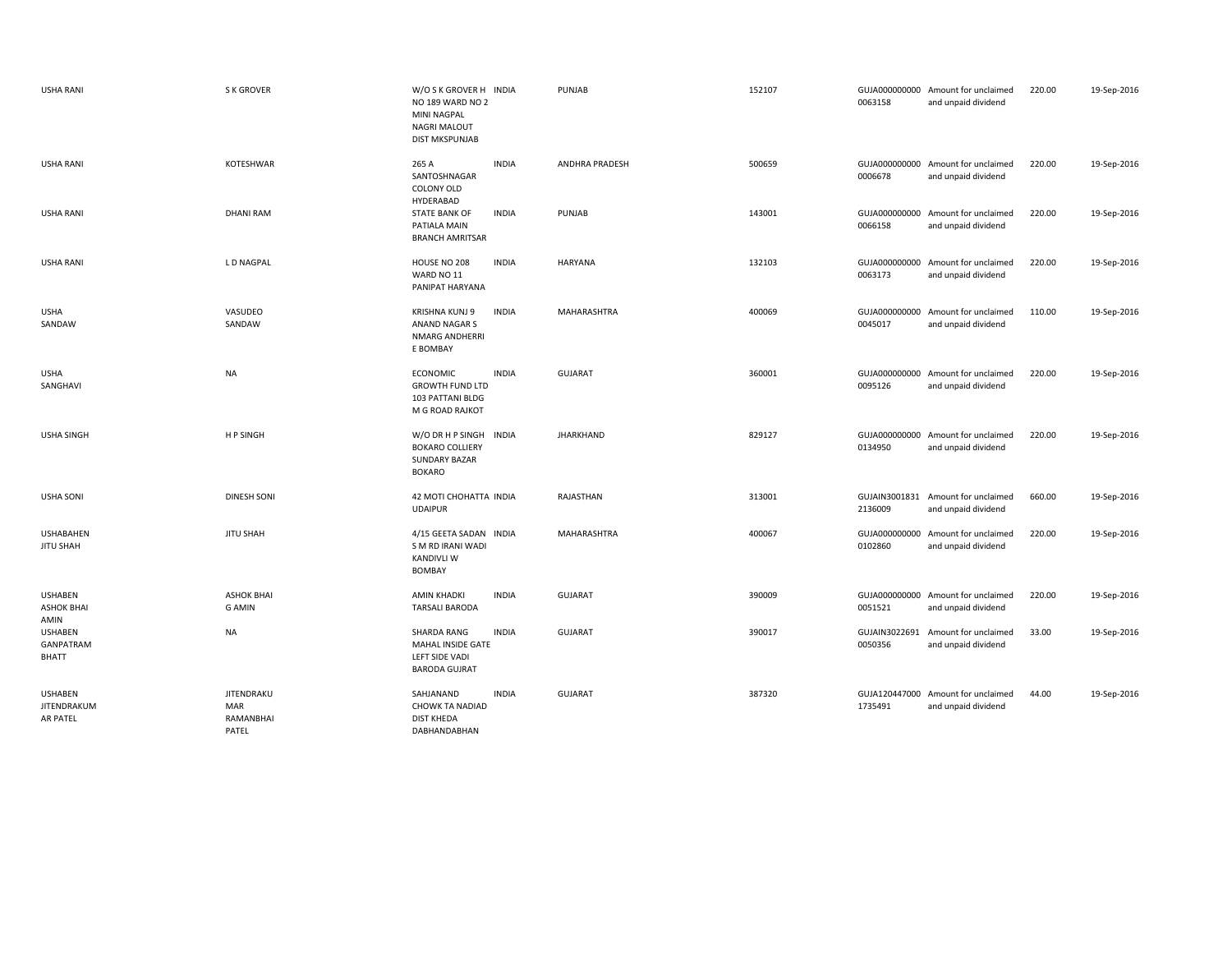| <b>USHA RANI</b>                            | <b>S K GROVER</b>                              | W/O S K GROVER H INDIA<br>NO 189 WARD NO 2<br><b>MINI NAGPAL</b><br><b>NAGRI MALOUT</b><br><b>DIST MKSPUNJAB</b> | PUNJAB                | 152107 | 0063158                  | GUJA000000000 Amount for unclaimed<br>and unpaid dividend | 220.00 | 19-Sep-2016 |
|---------------------------------------------|------------------------------------------------|------------------------------------------------------------------------------------------------------------------|-----------------------|--------|--------------------------|-----------------------------------------------------------|--------|-------------|
| <b>USHA RANI</b>                            | KOTESHWAR                                      | 265 A<br><b>INDIA</b><br>SANTOSHNAGAR<br>COLONY OLD<br>HYDERABAD                                                 | <b>ANDHRA PRADESH</b> | 500659 | 0006678                  | GUJA000000000 Amount for unclaimed<br>and unpaid dividend | 220.00 | 19-Sep-2016 |
| <b>USHA RANI</b>                            | <b>DHANI RAM</b>                               | <b>INDIA</b><br><b>STATE BANK OF</b><br>PATIALA MAIN<br><b>BRANCH AMRITSAR</b>                                   | PUNJAB                | 143001 | 0066158                  | GUJA000000000 Amount for unclaimed<br>and unpaid dividend | 220.00 | 19-Sep-2016 |
| <b>USHA RANI</b>                            | L D NAGPAL                                     | <b>INDIA</b><br>HOUSE NO 208<br>WARD NO 11<br>PANIPAT HARYANA                                                    | <b>HARYANA</b>        | 132103 | 0063173                  | GUJA000000000 Amount for unclaimed<br>and unpaid dividend | 220.00 | 19-Sep-2016 |
| <b>USHA</b><br>SANDAW                       | VASUDEO<br>SANDAW                              | <b>INDIA</b><br>KRISHNA KUNJ 9<br>ANAND NAGAR S<br>NMARG ANDHERRI<br>E BOMBAY                                    | MAHARASHTRA           | 400069 | 0045017                  | GUJA000000000 Amount for unclaimed<br>and unpaid dividend | 110.00 | 19-Sep-2016 |
| <b>USHA</b><br>SANGHAVI                     | <b>NA</b>                                      | <b>INDIA</b><br><b>ECONOMIC</b><br><b>GROWTH FUND LTD</b><br>103 PATTANI BLDG<br>M G ROAD RAJKOT                 | <b>GUJARAT</b>        | 360001 | 0095126                  | GUJA000000000 Amount for unclaimed<br>and unpaid dividend | 220.00 | 19-Sep-2016 |
| <b>USHA SINGH</b>                           | H P SINGH                                      | W/O DR H P SINGH<br><b>INDIA</b><br><b>BOKARO COLLIERY</b><br>SUNDARY BAZAR<br><b>BOKARO</b>                     | <b>JHARKHAND</b>      | 829127 | 0134950                  | GUJA000000000 Amount for unclaimed<br>and unpaid dividend | 220.00 | 19-Sep-2016 |
| <b>USHA SONI</b>                            | <b>DINESH SONI</b>                             | 42 MOTI CHOHATTA INDIA<br><b>UDAIPUR</b>                                                                         | RAJASTHAN             | 313001 | 2136009                  | GUJAIN3001831 Amount for unclaimed<br>and unpaid dividend | 660.00 | 19-Sep-2016 |
| <b>USHABAHEN</b><br><b>JITU SHAH</b>        | <b>JITU SHAH</b>                               | 4/15 GEETA SADAN INDIA<br>S M RD IRANI WADI<br><b>KANDIVLI W</b><br><b>BOMBAY</b>                                | <b>MAHARASHTRA</b>    | 400067 | GUJA000000000<br>0102860 | Amount for unclaimed<br>and unpaid dividend               | 220.00 | 19-Sep-2016 |
| <b>USHABEN</b><br><b>ASHOK BHAI</b><br>AMIN | <b>ASHOK BHAI</b><br><b>G AMIN</b>             | <b>AMIN KHADKI</b><br><b>INDIA</b><br><b>TARSALI BARODA</b>                                                      | <b>GUJARAT</b>        | 390009 | 0051521                  | GUJA000000000 Amount for unclaimed<br>and unpaid dividend | 220.00 | 19-Sep-2016 |
| <b>USHABEN</b><br>GANPATRAM<br><b>BHATT</b> | <b>NA</b>                                      | <b>SHARDA RANG</b><br><b>INDIA</b><br>MAHAL INSIDE GATE<br><b>LEFT SIDE VADI</b><br><b>BARODA GUJRAT</b>         | <b>GUJARAT</b>        | 390017 | GUJAIN3022691<br>0050356 | Amount for unclaimed<br>and unpaid dividend               | 33.00  | 19-Sep-2016 |
| <b>USHABEN</b><br>JITENDRAKUM<br>AR PATEL   | <b>JITENDRAKU</b><br>MAR<br>RAMANBHAI<br>PATEL | SAHJANAND<br><b>INDIA</b><br>CHOWK TA NADIAD<br><b>DIST KHEDA</b><br>DABHANDABHAN                                | <b>GUJARAT</b>        | 387320 | 1735491                  | GUJA120447000 Amount for unclaimed<br>and unpaid dividend | 44.00  | 19-Sep-2016 |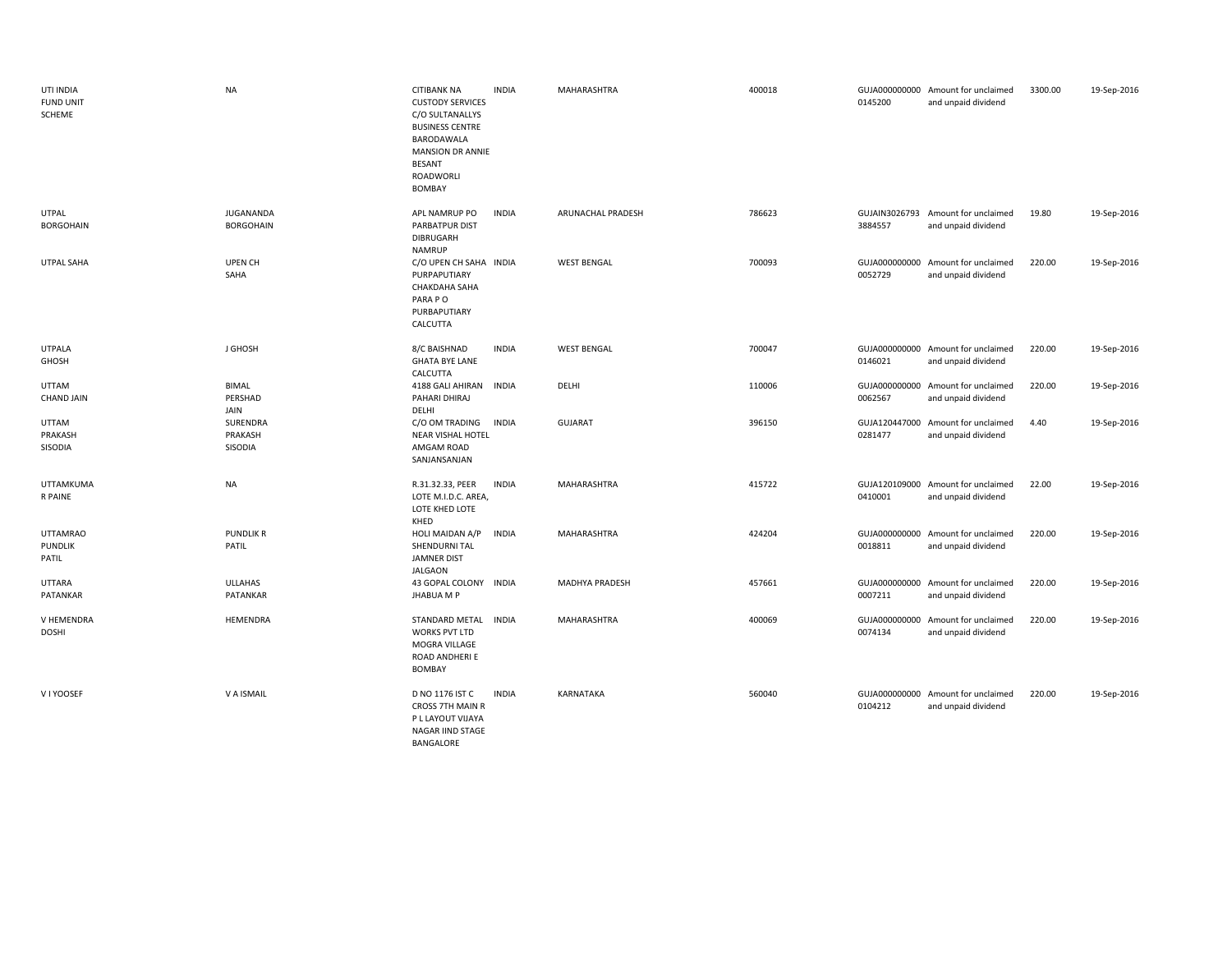| UTI INDIA<br><b>FUND UNIT</b><br>SCHEME    | <b>NA</b>                       | <b>CITIBANK NA</b><br><b>CUSTODY SERVICES</b><br>C/O SULTANALLYS<br><b>BUSINESS CENTRE</b><br>BARODAWALA<br><b>MANSION DR ANNIE</b><br><b>BESANT</b><br>ROADWORLI<br>BOMBAY | <b>INDIA</b> | MAHARASHTRA           | 400018 | 0145200 | GUJA000000000 Amount for unclaimed<br>and unpaid dividend | 3300.00 | 19-Sep-2016 |
|--------------------------------------------|---------------------------------|-----------------------------------------------------------------------------------------------------------------------------------------------------------------------------|--------------|-----------------------|--------|---------|-----------------------------------------------------------|---------|-------------|
| <b>UTPAL</b><br><b>BORGOHAIN</b>           | JUGANANDA<br><b>BORGOHAIN</b>   | APL NAMRUP PO<br>PARBATPUR DIST<br>DIBRUGARH<br><b>NAMRUP</b>                                                                                                               | <b>INDIA</b> | ARUNACHAL PRADESH     | 786623 | 3884557 | GUJAIN3026793 Amount for unclaimed<br>and unpaid dividend | 19.80   | 19-Sep-2016 |
| UTPAL SAHA                                 | UPEN CH<br>SAHA                 | C/O UPEN CH SAHA INDIA<br>PURPAPUTIARY<br><b>CHAKDAHA SAHA</b><br>PARA PO<br>PURBAPUTIARY<br>CALCUTTA                                                                       |              | <b>WEST BENGAL</b>    | 700093 | 0052729 | GUJA000000000 Amount for unclaimed<br>and unpaid dividend | 220.00  | 19-Sep-2016 |
| <b>UTPALA</b><br>GHOSH                     | J GHOSH                         | 8/C BAISHNAD<br><b>GHATA BYE LANE</b><br>CALCUTTA                                                                                                                           | <b>INDIA</b> | <b>WEST BENGAL</b>    | 700047 | 0146021 | GUJA000000000 Amount for unclaimed<br>and unpaid dividend | 220.00  | 19-Sep-2016 |
| <b>UTTAM</b><br><b>CHAND JAIN</b>          | <b>BIMAL</b><br>PERSHAD<br>JAIN | 4188 GALI AHIRAN<br>PAHARI DHIRAJ<br>DELHI                                                                                                                                  | <b>INDIA</b> | DELHI                 | 110006 | 0062567 | GUJA000000000 Amount for unclaimed<br>and unpaid dividend | 220.00  | 19-Sep-2016 |
| <b>UTTAM</b><br>PRAKASH<br>SISODIA         | SURENDRA<br>PRAKASH<br>SISODIA  | C/O OM TRADING<br>NEAR VISHAL HOTEL<br>AMGAM ROAD<br>SANJANSANJAN                                                                                                           | <b>INDIA</b> | <b>GUJARAT</b>        | 396150 | 0281477 | GUJA120447000 Amount for unclaimed<br>and unpaid dividend | 4.40    | 19-Sep-2016 |
| UTTAMKUMA<br>R PAINE                       | <b>NA</b>                       | R.31.32.33, PEER<br>LOTE M.I.D.C. AREA,<br>LOTE KHED LOTE<br>KHED                                                                                                           | <b>INDIA</b> | MAHARASHTRA           | 415722 | 0410001 | GUJA120109000 Amount for unclaimed<br>and unpaid dividend | 22.00   | 19-Sep-2016 |
| <b>UTTAMRAO</b><br><b>PUNDLIK</b><br>PATIL | <b>PUNDLIK R</b><br>PATIL       | HOLI MAIDAN A/P<br>SHENDURNI TAL<br>JAMNER DIST<br><b>JALGAON</b>                                                                                                           | <b>INDIA</b> | MAHARASHTRA           | 424204 | 0018811 | GUJA000000000 Amount for unclaimed<br>and unpaid dividend | 220.00  | 19-Sep-2016 |
| <b>UTTARA</b><br>PATANKAR                  | ULLAHAS<br>PATANKAR             | 43 GOPAL COLONY INDIA<br><b>JHABUA M P</b>                                                                                                                                  |              | <b>MADHYA PRADESH</b> | 457661 | 0007211 | GUJA000000000 Amount for unclaimed<br>and unpaid dividend | 220.00  | 19-Sep-2016 |
| V HEMENDRA<br><b>DOSHI</b>                 | HEMENDRA                        | STANDARD METAL<br><b>WORKS PVT LTD</b><br>MOGRA VILLAGE<br>ROAD ANDHERI E<br>BOMBAY                                                                                         | <b>INDIA</b> | MAHARASHTRA           | 400069 | 0074134 | GUJA000000000 Amount for unclaimed<br>and unpaid dividend | 220.00  | 19-Sep-2016 |
| V I YOOSEF                                 | V A ISMAIL                      | D NO 1176 IST C<br>CROSS 7TH MAIN R<br>P L LAYOUT VIJAYA<br>NAGAR IIND STAGE<br>BANGALORE                                                                                   | <b>INDIA</b> | KARNATAKA             | 560040 | 0104212 | GUJA000000000 Amount for unclaimed<br>and unpaid dividend | 220.00  | 19-Sep-2016 |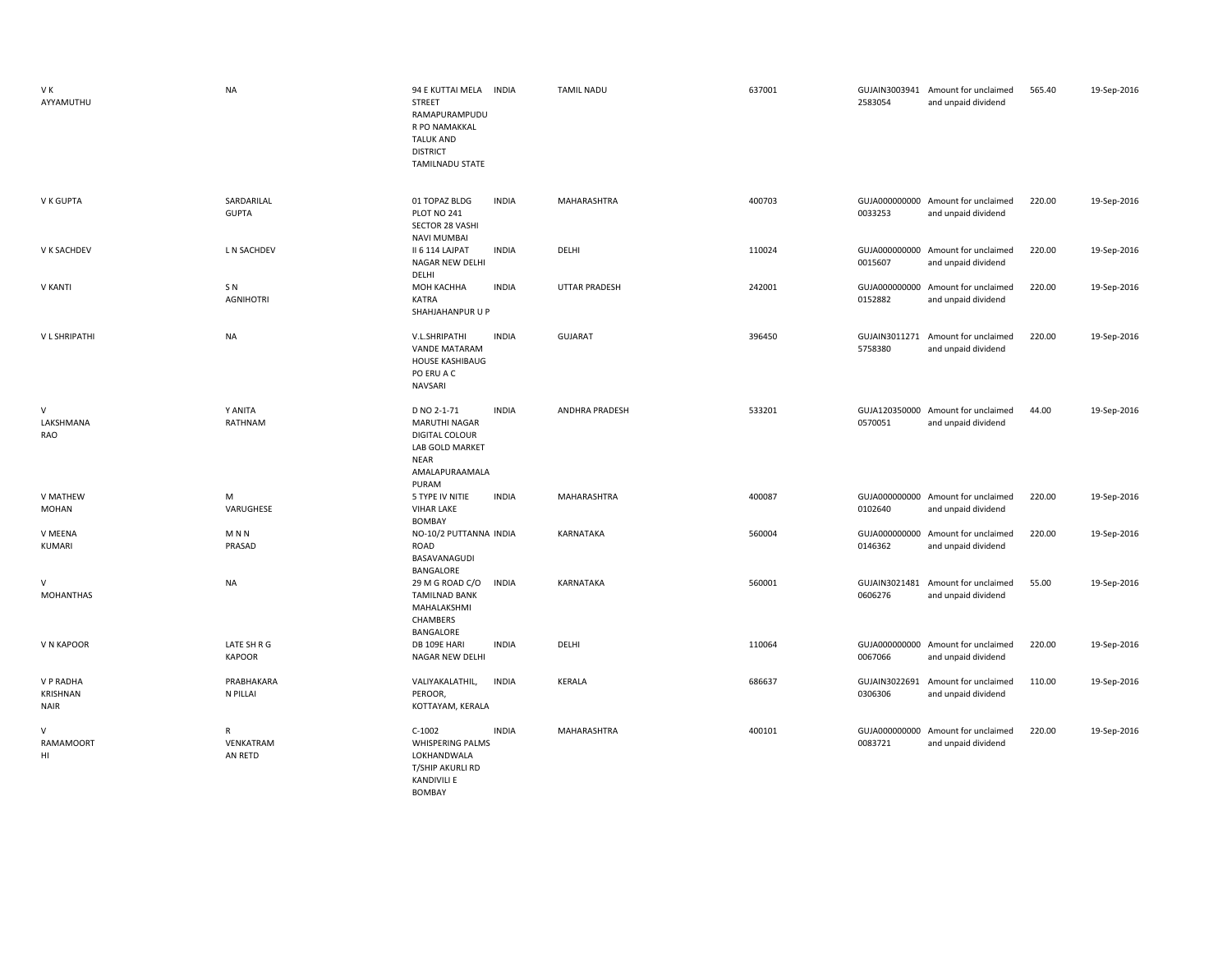| V K<br>AYYAMUTHU                     | <b>NA</b>                          | 94 E KUTTAI MELA INDIA<br>STREET<br>RAMAPURAMPUDU<br>R PO NAMAKKAL<br><b>TALUK AND</b><br><b>DISTRICT</b><br><b>TAMILNADU STATE</b> | <b>TAMIL NADU</b>     | 637001 | 2583054                  | GUJAIN3003941 Amount for unclaimed<br>and unpaid dividend | 565.40 | 19-Sep-2016 |
|--------------------------------------|------------------------------------|-------------------------------------------------------------------------------------------------------------------------------------|-----------------------|--------|--------------------------|-----------------------------------------------------------|--------|-------------|
| V K GUPTA                            | SARDARILAL<br><b>GUPTA</b>         | <b>INDIA</b><br>01 TOPAZ BLDG<br>PLOT NO 241<br>SECTOR 28 VASHI<br><b>NAVI MUMBAI</b>                                               | MAHARASHTRA           | 400703 | 0033253                  | GUJA000000000 Amount for unclaimed<br>and unpaid dividend | 220.00 | 19-Sep-2016 |
| V K SACHDEV                          | L N SACHDEV                        | II 6 114 LAJPAT<br><b>INDIA</b><br>NAGAR NEW DELHI<br>DELHI                                                                         | DELHI                 | 110024 | 0015607                  | GUJA000000000 Amount for unclaimed<br>and unpaid dividend | 220.00 | 19-Sep-2016 |
| <b>V KANTI</b>                       | SN <sub></sub><br><b>AGNIHOTRI</b> | <b>INDIA</b><br>МОН КАСННА<br><b>KATRA</b><br>SHAHJAHANPUR U P                                                                      | UTTAR PRADESH         | 242001 | 0152882                  | GUJA000000000 Amount for unclaimed<br>and unpaid dividend | 220.00 | 19-Sep-2016 |
| <b>VL SHRIPATHI</b>                  | <b>NA</b>                          | V.L.SHRIPATHI<br><b>INDIA</b><br><b>VANDE MATARAM</b><br>HOUSE KASHIBAUG<br>PO ERU A C<br>NAVSARI                                   | <b>GUJARAT</b>        | 396450 | 5758380                  | GUJAIN3011271 Amount for unclaimed<br>and unpaid dividend | 220.00 | 19-Sep-2016 |
| V<br>LAKSHMANA<br>RAO                | Y ANITA<br>RATHNAM                 | D NO 2-1-71<br><b>INDIA</b><br><b>MARUTHI NAGAR</b><br>DIGITAL COLOUR<br>LAB GOLD MARKET<br><b>NEAR</b><br>AMALAPURAAMALA<br>PURAM  | <b>ANDHRA PRADESH</b> | 533201 | 0570051                  | GUJA120350000 Amount for unclaimed<br>and unpaid dividend | 44.00  | 19-Sep-2016 |
| V MATHEW<br>MOHAN                    | M<br>VARUGHESE                     | 5 TYPE IV NITIE<br><b>INDIA</b><br><b>VIHAR LAKE</b><br><b>BOMBAY</b>                                                               | MAHARASHTRA           | 400087 | 0102640                  | GUJA000000000 Amount for unclaimed<br>and unpaid dividend | 220.00 | 19-Sep-2016 |
| V MEENA<br>KUMARI                    | M <sub>N</sub><br>PRASAD           | NO-10/2 PUTTANNA INDIA<br>ROAD<br>BASAVANAGUDI<br>BANGALORE                                                                         | KARNATAKA             | 560004 | 0146362                  | GUJA000000000 Amount for unclaimed<br>and unpaid dividend | 220.00 | 19-Sep-2016 |
| $\vee$<br><b>MOHANTHAS</b>           | <b>NA</b>                          | 29 M G ROAD C/O<br><b>INDIA</b><br><b>TAMILNAD BANK</b><br>MAHALAKSHMI<br>CHAMBERS<br>BANGALORE                                     | KARNATAKA             | 560001 | 0606276                  | GUJAIN3021481 Amount for unclaimed<br>and unpaid dividend | 55.00  | 19-Sep-2016 |
| V N KAPOOR                           | LATE SH R G<br><b>KAPOOR</b>       | <b>INDIA</b><br>DB 109E HARI<br>NAGAR NEW DELHI                                                                                     | DELHI                 | 110064 | 0067066                  | GUJA000000000 Amount for unclaimed<br>and unpaid dividend | 220.00 | 19-Sep-2016 |
| V P RADHA<br>KRISHNAN<br><b>NAIR</b> | PRABHAKARA<br>N PILLAI             | VALIYAKALATHIL,<br><b>INDIA</b><br>PEROOR,<br>KOTTAYAM, KERALA                                                                      | KERALA                | 686637 | 0306306                  | GUJAIN3022691 Amount for unclaimed<br>and unpaid dividend | 110.00 | 19-Sep-2016 |
| $\vee$<br><b>RAMAMOORT</b><br>HI     | R<br>VENKATRAM<br>AN RETD          | <b>INDIA</b><br>$C-1002$<br><b>WHISPERING PALMS</b><br>LOKHANDWALA<br>T/SHIP AKURLI RD<br><b>KANDIVILI E</b><br>BOMBAY              | MAHARASHTRA           | 400101 | GUJA000000000<br>0083721 | Amount for unclaimed<br>and unpaid dividend               | 220.00 | 19-Sep-2016 |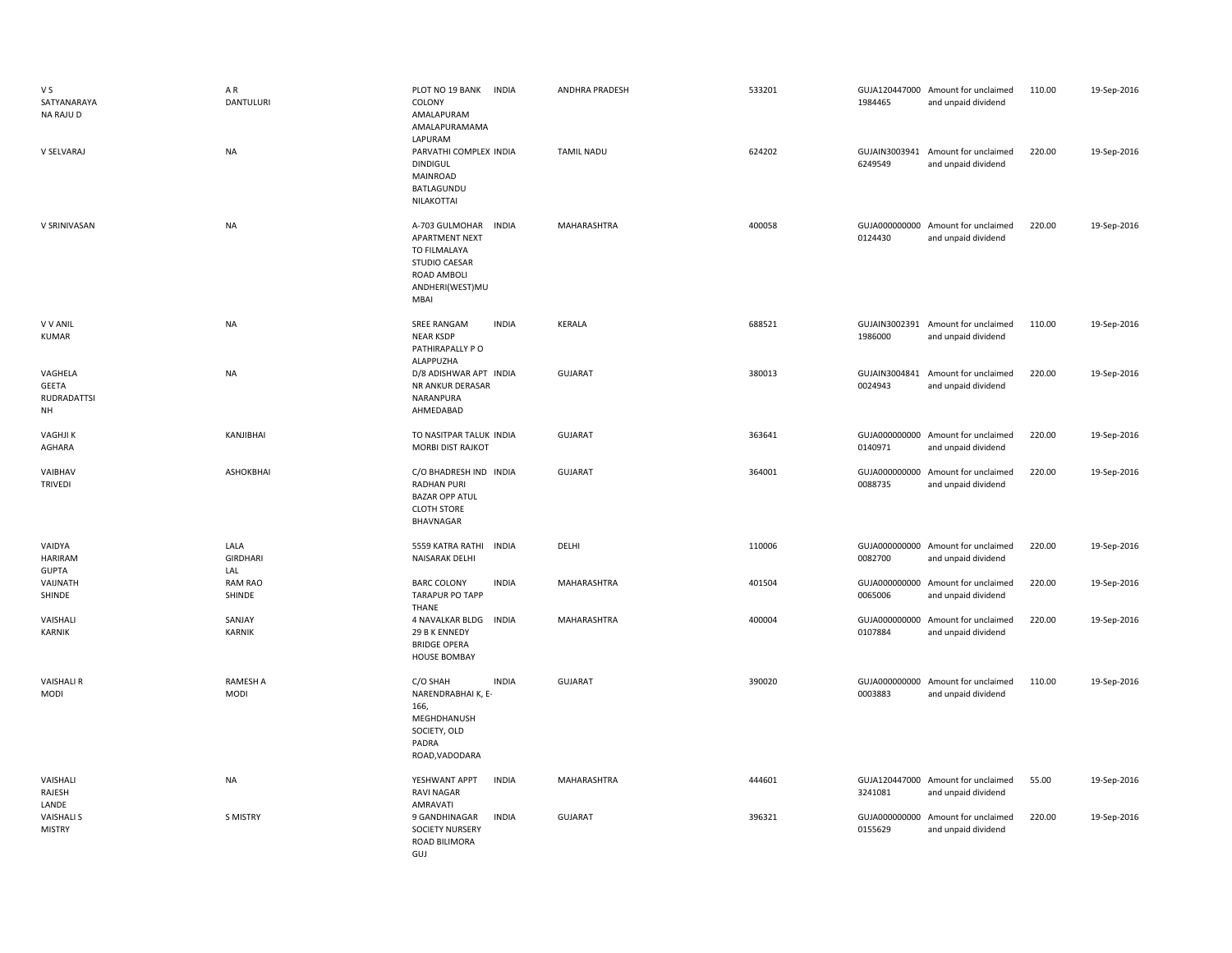| V S<br>SATYANARAYA<br>NA RAJU D              | AR<br><b>DANTULURI</b>         | PLOT NO 19 BANK INDIA<br>COLONY<br>AMALAPURAM<br>AMALAPURAMAMA<br>LAPURAM                                                          | ANDHRA PRADESH    | 533201 | 1984465                  | GUJA120447000 Amount for unclaimed<br>and unpaid dividend | 110.00 | 19-Sep-2016 |
|----------------------------------------------|--------------------------------|------------------------------------------------------------------------------------------------------------------------------------|-------------------|--------|--------------------------|-----------------------------------------------------------|--------|-------------|
| V SELVARAJ                                   | <b>NA</b>                      | PARVATHI COMPLEX INDIA<br><b>DINDIGUL</b><br>MAINROAD<br>BATLAGUNDU<br>NILAKOTTAI                                                  | <b>TAMIL NADU</b> | 624202 | 6249549                  | GUJAIN3003941 Amount for unclaimed<br>and unpaid dividend | 220.00 | 19-Sep-2016 |
| V SRINIVASAN                                 | <b>NA</b>                      | A-703 GULMOHAR<br><b>INDIA</b><br><b>APARTMENT NEXT</b><br>TO FILMALAYA<br>STUDIO CAESAR<br>ROAD AMBOLI<br>ANDHERI(WEST)MU<br>MBAI | MAHARASHTRA       | 400058 | GUJA000000000<br>0124430 | Amount for unclaimed<br>and unpaid dividend               | 220.00 | 19-Sep-2016 |
| <b>V V ANIL</b><br><b>KUMAR</b>              | <b>NA</b>                      | SREE RANGAM<br><b>INDIA</b><br><b>NEAR KSDP</b><br>PATHIRAPALLY PO<br>ALAPPUZHA                                                    | KERALA            | 688521 | 1986000                  | GUJAIN3002391 Amount for unclaimed<br>and unpaid dividend | 110.00 | 19-Sep-2016 |
| VAGHELA<br><b>GEETA</b><br>RUDRADATTSI<br>NH | <b>NA</b>                      | D/8 ADISHWAR APT INDIA<br>NR ANKUR DERASAR<br>NARANPURA<br>AHMEDABAD                                                               | GUJARAT           | 380013 | GUJAIN3004841<br>0024943 | Amount for unclaimed<br>and unpaid dividend               | 220.00 | 19-Sep-2016 |
| <b>VAGHJIK</b><br>AGHARA                     | KANJIBHAI                      | TO NASITPAR TALUK INDIA<br><b>MORBI DIST RAJKOT</b>                                                                                | <b>GUJARAT</b>    | 363641 | 0140971                  | GUJA000000000 Amount for unclaimed<br>and unpaid dividend | 220.00 | 19-Sep-2016 |
| VAIBHAV<br><b>TRIVEDI</b>                    | <b>ASHOKBHAI</b>               | C/O BHADRESH IND INDIA<br><b>RADHAN PURI</b><br><b>BAZAR OPP ATUL</b><br><b>CLOTH STORE</b><br>BHAVNAGAR                           | <b>GUJARAT</b>    | 364001 | GUJA000000000<br>0088735 | Amount for unclaimed<br>and unpaid dividend               | 220.00 | 19-Sep-2016 |
| VAIDYA<br>HARIRAM<br><b>GUPTA</b>            | LALA<br><b>GIRDHARI</b><br>LAL | 5559 KATRA RATHI<br><b>INDIA</b><br>NAISARAK DELHI                                                                                 | DELHI             | 110006 | 0082700                  | GUJA000000000 Amount for unclaimed<br>and unpaid dividend | 220.00 | 19-Sep-2016 |
| VAIJNATH<br>SHINDE                           | <b>RAM RAO</b><br>SHINDE       | <b>INDIA</b><br><b>BARC COLONY</b><br><b>TARAPUR PO TAPP</b><br>THANE                                                              | MAHARASHTRA       | 401504 | 0065006                  | GUJA000000000 Amount for unclaimed<br>and unpaid dividend | 220.00 | 19-Sep-2016 |
| VAISHALI<br>KARNIK                           | SANJAY<br><b>KARNIK</b>        | 4 NAVALKAR BLDG INDIA<br>29 B K ENNEDY<br><b>BRIDGE OPERA</b><br><b>HOUSE BOMBAY</b>                                               | MAHARASHTRA       | 400004 | GUJA000000000<br>0107884 | Amount for unclaimed<br>and unpaid dividend               | 220.00 | 19-Sep-2016 |
| <b>VAISHALI R</b><br><b>MODI</b>             | RAMESH A<br>MODI               | <b>INDIA</b><br>C/O SHAH<br>NARENDRABHAI K, E-<br>166,<br>MEGHDHANUSH<br>SOCIETY, OLD<br>PADRA<br>ROAD, VADODARA                   | <b>GUJARAT</b>    | 390020 | GUJA000000000<br>0003883 | Amount for unclaimed<br>and unpaid dividend               | 110.00 | 19-Sep-2016 |
| VAISHALI<br>RAJESH<br>LANDE                  | <b>NA</b>                      | <b>INDIA</b><br>YESHWANT APPT<br><b>RAVI NAGAR</b><br>AMRAVATI                                                                     | MAHARASHTRA       | 444601 | 3241081                  | GUJA120447000 Amount for unclaimed<br>and unpaid dividend | 55.00  | 19-Sep-2016 |
| <b>VAISHALI S</b><br><b>MISTRY</b>           | S MISTRY                       | <b>INDIA</b><br>9 GANDHINAGAR<br>SOCIETY NURSERY<br>ROAD BILIMORA<br>GUJ                                                           | <b>GUJARAT</b>    | 396321 | 0155629                  | GUJA000000000 Amount for unclaimed<br>and unpaid dividend | 220.00 | 19-Sep-2016 |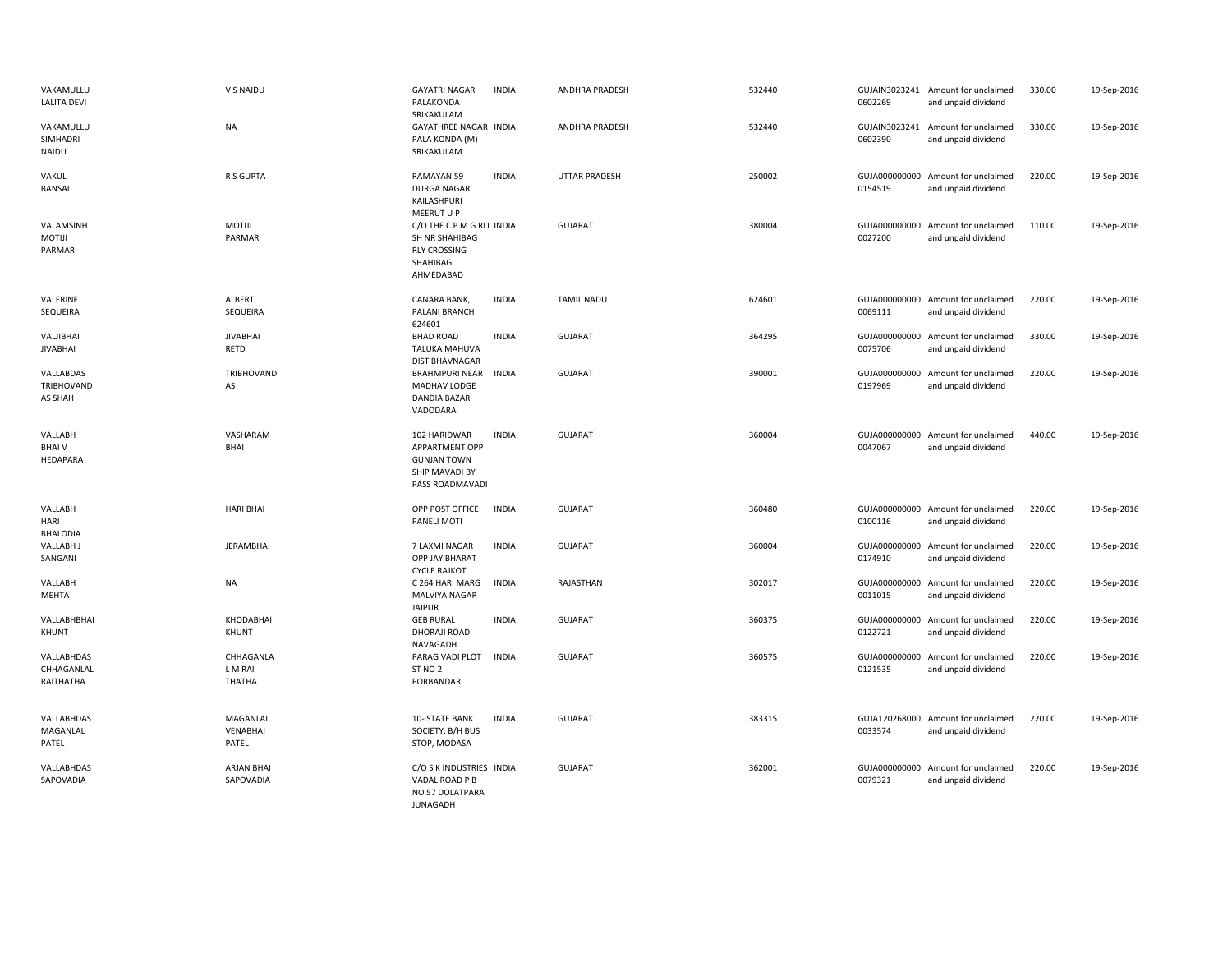| VAKAMULLU<br><b>LALITA DEVI</b>       | V S NAIDU                      | <b>GAYATRI NAGAR</b><br>PALAKONDA<br>SRIKAKULAM                                             | <b>INDIA</b> | ANDHRA PRADESH       | 532440 | 0602269                  | GUJAIN3023241 Amount for unclaimed<br>and unpaid dividend | 330.00 | 19-Sep-2016 |
|---------------------------------------|--------------------------------|---------------------------------------------------------------------------------------------|--------------|----------------------|--------|--------------------------|-----------------------------------------------------------|--------|-------------|
| VAKAMULLU<br>SIMHADRI<br>NAIDU        | NA                             | GAYATHREE NAGAR INDIA<br>PALA KONDA (M)<br>SRIKAKULAM                                       |              | ANDHRA PRADESH       | 532440 | 0602390                  | GUJAIN3023241 Amount for unclaimed<br>and unpaid dividend | 330.00 | 19-Sep-2016 |
| VAKUL<br><b>BANSAL</b>                | R S GUPTA                      | RAMAYAN 59<br><b>DURGA NAGAR</b><br>KAILASHPURI<br>MEERUT U P                               | <b>INDIA</b> | <b>UTTAR PRADESH</b> | 250002 | 0154519                  | GUJA000000000 Amount for unclaimed<br>and unpaid dividend | 220.00 | 19-Sep-2016 |
| VALAMSINH<br><b>MOTIJI</b><br>PARMAR  | <b>MOTIJI</b><br>PARMAR        | C/O THE C P M G RLI INDIA<br>SH NR SHAHIBAG<br><b>RLY CROSSING</b><br>SHAHIBAG<br>AHMEDABAD |              | <b>GUJARAT</b>       | 380004 | 0027200                  | GUJA000000000 Amount for unclaimed<br>and unpaid dividend | 110.00 | 19-Sep-2016 |
| VALERINE<br>SEQUEIRA                  | ALBERT<br>SEQUEIRA             | CANARA BANK,<br>PALANI BRANCH<br>624601                                                     | <b>INDIA</b> | <b>TAMIL NADU</b>    | 624601 | 0069111                  | GUJA000000000 Amount for unclaimed<br>and unpaid dividend | 220.00 | 19-Sep-2016 |
| VALJIBHAI<br><b>JIVABHAI</b>          | <b>JIVABHAI</b><br>RETD        | <b>BHAD ROAD</b><br><b>TALUKA MAHUVA</b><br><b>DIST BHAVNAGAR</b>                           | <b>INDIA</b> | <b>GUJARAT</b>       | 364295 | 0075706                  | GUJA000000000 Amount for unclaimed<br>and unpaid dividend | 330.00 | 19-Sep-2016 |
| VALLABDAS<br>TRIBHOVAND<br>AS SHAH    | TRIBHOVAND<br>AS               | <b>BRAHMPURI NEAR</b><br>MADHAV LODGE<br>DANDIA BAZAR<br>VADODARA                           | <b>INDIA</b> | <b>GUJARAT</b>       | 390001 | 0197969                  | GUJA000000000 Amount for unclaimed<br>and unpaid dividend | 220.00 | 19-Sep-2016 |
| VALLABH<br><b>BHAIV</b><br>HEDAPARA   | VASHARAM<br>BHAI               | 102 HARIDWAR<br>APPARTMENT OPP<br><b>GUNJAN TOWN</b><br>SHIP MAVADI BY<br>PASS ROADMAVADI   | <b>INDIA</b> | <b>GUJARAT</b>       | 360004 | 0047067                  | GUJA000000000 Amount for unclaimed<br>and unpaid dividend | 440.00 | 19-Sep-2016 |
| VALLABH<br>HARI<br><b>BHALODIA</b>    | <b>HARI BHAI</b>               | OPP POST OFFICE<br>PANELI MOTI                                                              | <b>INDIA</b> | <b>GUJARAT</b>       | 360480 | 0100116                  | GUJA000000000 Amount for unclaimed<br>and unpaid dividend | 220.00 | 19-Sep-2016 |
| <b>VALLABH J</b><br>SANGANI           | JERAMBHAI                      | 7 LAXMI NAGAR<br>OPP JAY BHARAT<br><b>CYCLE RAJKOT</b>                                      | <b>INDIA</b> | <b>GUJARAT</b>       | 360004 | 0174910                  | GUJA000000000 Amount for unclaimed<br>and unpaid dividend | 220.00 | 19-Sep-2016 |
| VALLABH<br>MEHTA                      | NA                             | C 264 HARI MARG<br>MALVIYA NAGAR<br><b>JAIPUR</b>                                           | <b>INDIA</b> | RAJASTHAN            | 302017 | 0011015                  | GUJA000000000 Amount for unclaimed<br>and unpaid dividend | 220.00 | 19-Sep-2016 |
| VALLABHBHAI<br>KHUNT                  | KHODABHAI<br>KHUNT             | <b>GEB RURAL</b><br>DHORAJI ROAD<br>NAVAGADH                                                | <b>INDIA</b> | <b>GUJARAT</b>       | 360375 | GUJA000000000<br>0122721 | Amount for unclaimed<br>and unpaid dividend               | 220.00 | 19-Sep-2016 |
| VALLABHDAS<br>CHHAGANLAL<br>RAITHATHA | CHHAGANLA<br>L M RAI<br>THATHA | PARAG VADI PLOT<br>ST <sub>NO</sub> 2<br>PORBANDAR                                          | <b>INDIA</b> | <b>GUJARAT</b>       | 360575 | GUJA000000000<br>0121535 | Amount for unclaimed<br>and unpaid dividend               | 220.00 | 19-Sep-2016 |
| VALLABHDAS<br>MAGANLAL<br>PATEL       | MAGANLAL<br>VENABHAI<br>PATEL  | 10- STATE BANK<br>SOCIETY, B/H BUS<br>STOP, MODASA                                          | <b>INDIA</b> | <b>GUJARAT</b>       | 383315 | 0033574                  | GUJA120268000 Amount for unclaimed<br>and unpaid dividend | 220.00 | 19-Sep-2016 |
| VALLABHDAS<br>SAPOVADIA               | <b>ARJAN BHAI</b><br>SAPOVADIA | C/O S K INDUSTRIES INDIA<br>VADAL ROAD P B<br>NO 57 DOLATPARA                               |              | <b>GUJARAT</b>       | 362001 | GUJA000000000<br>0079321 | Amount for unclaimed<br>and unpaid dividend               | 220.00 | 19-Sep-2016 |

JUNAGADH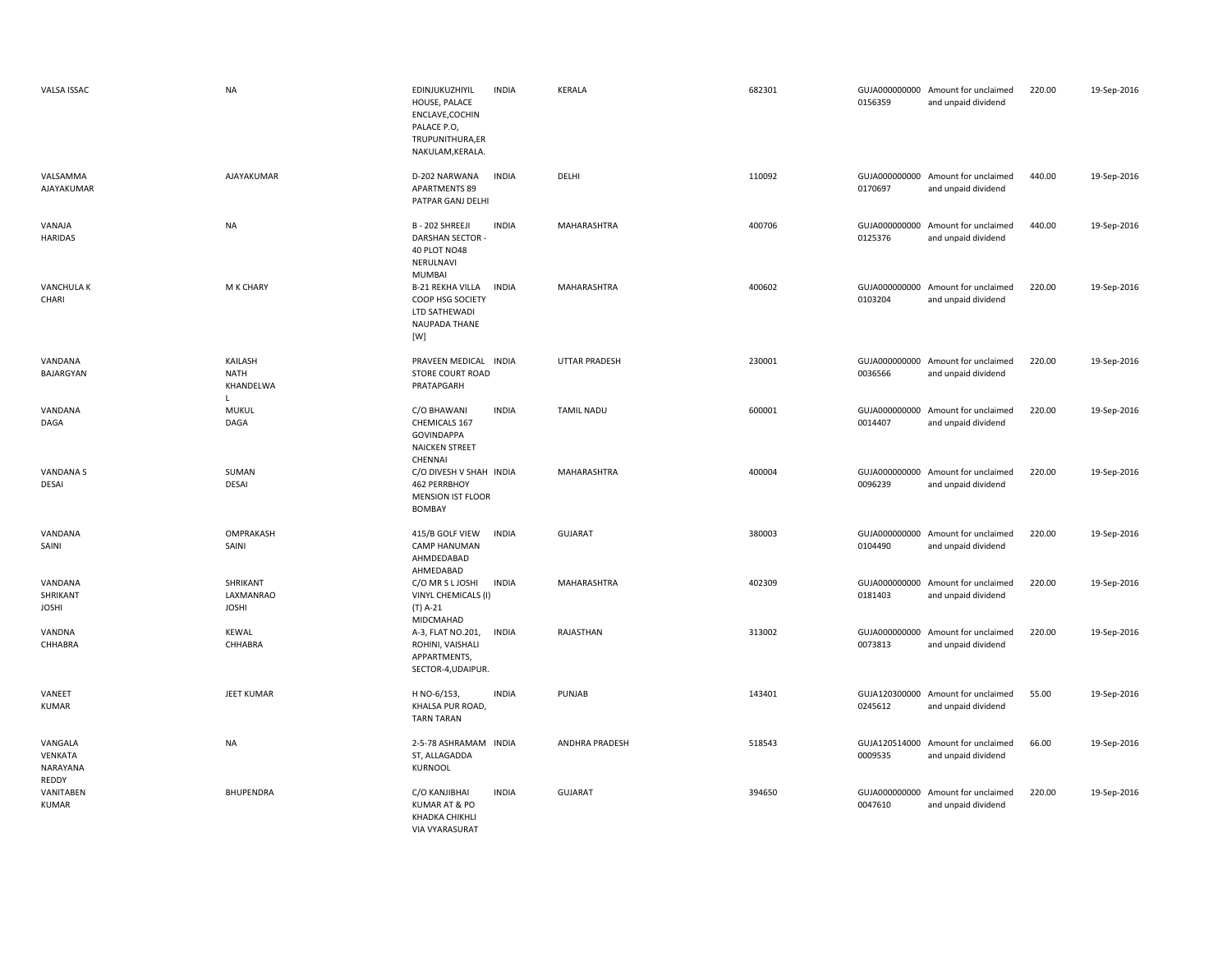| VALSA ISSAC                             | <b>NA</b>                                           | EDINJUKUZHIYIL<br><b>INDIA</b><br>HOUSE, PALACE<br>ENCLAVE, COCHIN<br>PALACE P.O.<br>TRUPUNITHURA,ER<br>NAKULAM, KERALA. | <b>KERALA</b>        | 682301 | 0156359 | GUJA000000000 Amount for unclaimed<br>and unpaid dividend | 220.00 | 19-Sep-2016 |
|-----------------------------------------|-----------------------------------------------------|--------------------------------------------------------------------------------------------------------------------------|----------------------|--------|---------|-----------------------------------------------------------|--------|-------------|
| VALSAMMA<br>AJAYAKUMAR                  | AJAYAKUMAR                                          | <b>INDIA</b><br>D-202 NARWANA<br><b>APARTMENTS 89</b><br>PATPAR GANJ DELHI                                               | DELHI                | 110092 | 0170697 | GUJA000000000 Amount for unclaimed<br>and unpaid dividend | 440.00 | 19-Sep-2016 |
| VANAJA<br><b>HARIDAS</b>                | <b>NA</b>                                           | B - 202 SHREEJI<br><b>INDIA</b><br><b>DARSHAN SECTOR</b><br><b>40 PLOT NO48</b><br>NERULNAVI<br>MUMBAI                   | MAHARASHTRA          | 400706 | 0125376 | GUJA000000000 Amount for unclaimed<br>and unpaid dividend | 440.00 | 19-Sep-2016 |
| <b>VANCHULA K</b><br>CHARI              | M K CHARY                                           | <b>B-21 REKHA VILLA</b><br><b>INDIA</b><br>COOP HSG SOCIETY<br>LTD SATHEWADI<br>NAUPADA THANE<br>[W]                     | MAHARASHTRA          | 400602 | 0103204 | GUJA000000000 Amount for unclaimed<br>and unpaid dividend | 220.00 | 19-Sep-2016 |
| VANDANA<br>BAJARGYAN                    | KAILASH<br><b>NATH</b><br>KHANDELWA<br>$\mathsf{L}$ | PRAVEEN MEDICAL INDIA<br><b>STORE COURT ROAD</b><br>PRATAPGARH                                                           | <b>UTTAR PRADESH</b> | 230001 | 0036566 | GUJA000000000 Amount for unclaimed<br>and unpaid dividend | 220.00 | 19-Sep-2016 |
| VANDANA<br>DAGA                         | <b>MUKUL</b><br>DAGA                                | <b>INDIA</b><br>C/O BHAWANI<br>CHEMICALS 167<br><b>GOVINDAPPA</b><br><b>NAICKEN STREET</b><br>CHENNAI                    | <b>TAMIL NADU</b>    | 600001 | 0014407 | GUJA000000000 Amount for unclaimed<br>and unpaid dividend | 220.00 | 19-Sep-2016 |
| <b>VANDANA S</b><br><b>DESAI</b>        | SUMAN<br><b>DESAI</b>                               | C/O DIVESH V SHAH INDIA<br>462 PERRBHOY<br><b>MENSION IST FLOOR</b><br><b>BOMBAY</b>                                     | MAHARASHTRA          | 400004 | 0096239 | GUJA000000000 Amount for unclaimed<br>and unpaid dividend | 220.00 | 19-Sep-2016 |
| VANDANA<br>SAINI                        | OMPRAKASH<br>SAINI                                  | 415/B GOLF VIEW<br><b>INDIA</b><br>CAMP HANUMAN<br>AHMDEDABAD<br>AHMEDABAD                                               | <b>GUJARAT</b>       | 380003 | 0104490 | GUJA000000000 Amount for unclaimed<br>and unpaid dividend | 220.00 | 19-Sep-2016 |
| VANDANA<br>SHRIKANT<br>JOSHI            | SHRIKANT<br>LAXMANRAO<br><b>JOSHI</b>               | C/O MR S L JOSHI<br><b>INDIA</b><br>VINYL CHEMICALS (I)<br>(T) A-21<br>MIDCMAHAD                                         | MAHARASHTRA          | 402309 | 0181403 | GUJA000000000 Amount for unclaimed<br>and unpaid dividend | 220.00 | 19-Sep-2016 |
| VANDNA<br>CHHABRA                       | KEWAL<br>CHHABRA                                    | A-3, FLAT NO.201,<br><b>INDIA</b><br>ROHINI, VAISHALI<br>APPARTMENTS,<br>SECTOR-4, UDAIPUR.                              | RAJASTHAN            | 313002 | 0073813 | GUJA000000000 Amount for unclaimed<br>and unpaid dividend | 220.00 | 19-Sep-2016 |
| VANEET<br><b>KUMAR</b>                  | <b>JEET KUMAR</b>                                   | H NO-6/153,<br><b>INDIA</b><br>KHALSA PUR ROAD,<br><b>TARN TARAN</b>                                                     | PUNJAB               | 143401 | 0245612 | GUJA120300000 Amount for unclaimed<br>and unpaid dividend | 55.00  | 19-Sep-2016 |
| VANGALA<br>VENKATA<br>NARAYANA<br>REDDY | <b>NA</b>                                           | 2-5-78 ASHRAMAM INDIA<br>ST, ALLAGADDA<br>KURNOOL                                                                        | ANDHRA PRADESH       | 518543 | 0009535 | GUJA120514000 Amount for unclaimed<br>and unpaid dividend | 66.00  | 19-Sep-2016 |
| VANITABEN<br><b>KUMAR</b>               | <b>BHUPENDRA</b>                                    | <b>INDIA</b><br>C/O KANJIBHAI<br>KUMAR AT & PO<br>KHADKA CHIKHLI<br><b>VIA VYARASURAT</b>                                | <b>GUJARAT</b>       | 394650 | 0047610 | GUJA000000000 Amount for unclaimed<br>and unpaid dividend | 220.00 | 19-Sep-2016 |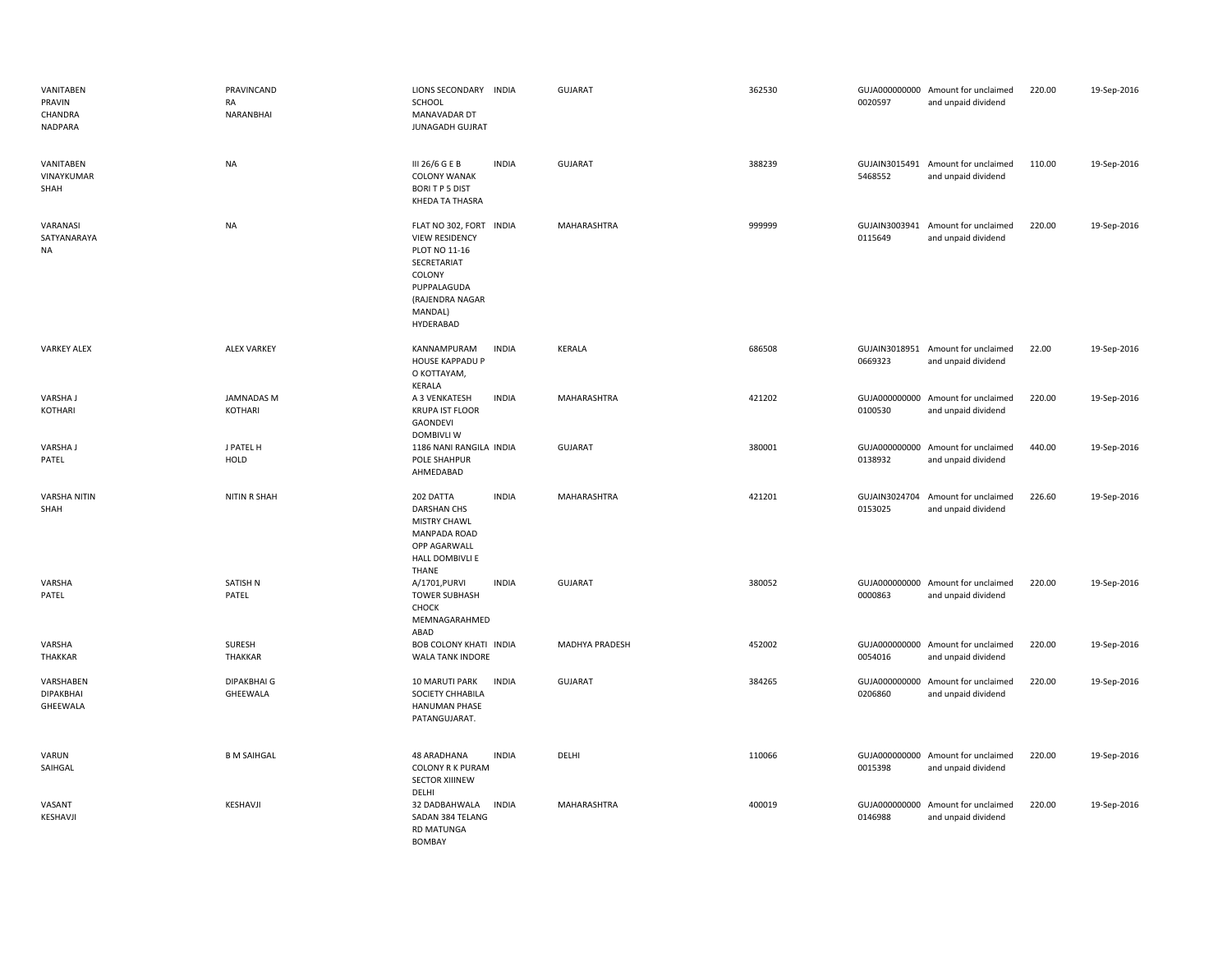| VANITABEN<br>PRAVIN<br>CHANDRA<br><b>NADPARA</b> | PRAVINCAND<br>RA<br>NARANBHAI  | LIONS SECONDARY INDIA<br>SCHOOL<br>MANAVADAR DT<br><b>JUNAGADH GUJRAT</b>                                                                            | <b>GUJARAT</b> | 362530 | 0020597                  | GUJA000000000 Amount for unclaimed<br>and unpaid dividend | 220.00 | 19-Sep-2016 |
|--------------------------------------------------|--------------------------------|------------------------------------------------------------------------------------------------------------------------------------------------------|----------------|--------|--------------------------|-----------------------------------------------------------|--------|-------------|
| VANITABEN<br>VINAYKUMAR<br>SHAH                  | <b>NA</b>                      | <b>INDIA</b><br>III 26/6 G E B<br><b>COLONY WANAK</b><br><b>BORITP5 DIST</b><br>KHEDA TA THASRA                                                      | GUJARAT        | 388239 | 5468552                  | GUJAIN3015491 Amount for unclaimed<br>and unpaid dividend | 110.00 | 19-Sep-2016 |
| VARANASI<br>SATYANARAYA<br><b>NA</b>             | <b>NA</b>                      | FLAT NO 302, FORT INDIA<br><b>VIEW RESIDENCY</b><br>PLOT NO 11-16<br>SECRETARIAT<br>COLONY<br>PUPPALAGUDA<br>(RAJENDRA NAGAR<br>MANDAL)<br>HYDERABAD | MAHARASHTRA    | 999999 | GUJAIN3003941<br>0115649 | Amount for unclaimed<br>and unpaid dividend               | 220.00 | 19-Sep-2016 |
| <b>VARKEY ALEX</b>                               | <b>ALEX VARKEY</b>             | KANNAMPURAM<br><b>INDIA</b><br><b>HOUSE KAPPADU P</b><br>O KOTTAYAM,<br>KERALA                                                                       | KERALA         | 686508 | 0669323                  | GUJAIN3018951 Amount for unclaimed<br>and unpaid dividend | 22.00  | 19-Sep-2016 |
| <b>VARSHAJ</b><br>KOTHARI                        | <b>JAMNADAS M</b><br>KOTHARI   | A 3 VENKATESH<br><b>INDIA</b><br><b>KRUPA IST FLOOR</b><br>GAONDEVI<br><b>DOMBIVLI W</b>                                                             | MAHARASHTRA    | 421202 | 0100530                  | GUJA000000000 Amount for unclaimed<br>and unpaid dividend | 220.00 | 19-Sep-2016 |
| VARSHA J<br>PATEL                                | J PATEL H<br>HOLD              | 1186 NANI RANGILA INDIA<br><b>POLE SHAHPUR</b><br>AHMEDABAD                                                                                          | GUJARAT        | 380001 | GUJA000000000<br>0138932 | Amount for unclaimed<br>and unpaid dividend               | 440.00 | 19-Sep-2016 |
| <b>VARSHA NITIN</b><br>SHAH                      | <b>NITIN R SHAH</b>            | 202 DATTA<br><b>INDIA</b><br><b>DARSHAN CHS</b><br><b>MISTRY CHAWL</b><br><b>MANPADA ROAD</b><br>OPP AGARWALL<br>HALL DOMBIVLI E<br>THANE            | MAHARASHTRA    | 421201 | GUJAIN3024704<br>0153025 | Amount for unclaimed<br>and unpaid dividend               | 226.60 | 19-Sep-2016 |
| VARSHA<br>PATEL                                  | SATISH N<br>PATEL              | A/1701, PURVI<br><b>INDIA</b><br><b>TOWER SUBHASH</b><br>CHOCK<br>MEMNAGARAHMED<br>ABAD                                                              | <b>GUJARAT</b> | 380052 | 0000863                  | GUJA000000000 Amount for unclaimed<br>and unpaid dividend | 220.00 | 19-Sep-2016 |
| VARSHA<br>THAKKAR                                | <b>SURESH</b><br>THAKKAR       | <b>BOB COLONY KHATI INDIA</b><br><b>WALA TANK INDORE</b>                                                                                             | MADHYA PRADESH | 452002 | 0054016                  | GUJA000000000 Amount for unclaimed<br>and unpaid dividend | 220.00 | 19-Sep-2016 |
| VARSHABEN<br>DIPAKBHAI<br>GHEEWALA               | <b>DIPAKBHAI G</b><br>GHEEWALA | <b>INDIA</b><br>10 MARUTI PARK<br>SOCIETY CHHABILA<br><b>HANUMAN PHASE</b><br>PATANGUJARAT.                                                          | GUJARAT        | 384265 | 0206860                  | GUJA000000000 Amount for unclaimed<br>and unpaid dividend | 220.00 | 19-Sep-2016 |
| VARUN<br>SAIHGAL                                 | <b>B M SAIHGAL</b>             | 48 ARADHANA<br><b>INDIA</b><br><b>COLONY R K PURAM</b><br><b>SECTOR XIIINEW</b><br>DELHI                                                             | DELHI          | 110066 | GUJA000000000<br>0015398 | Amount for unclaimed<br>and unpaid dividend               | 220.00 | 19-Sep-2016 |
| VASANT<br>KESHAVJI                               | KESHAVJI                       | <b>INDIA</b><br>32 DADBAHWALA<br>SADAN 384 TELANG<br><b>RD MATUNGA</b><br><b>BOMBAY</b>                                                              | MAHARASHTRA    | 400019 | GUJA000000000<br>0146988 | Amount for unclaimed<br>and unpaid dividend               | 220.00 | 19-Sep-2016 |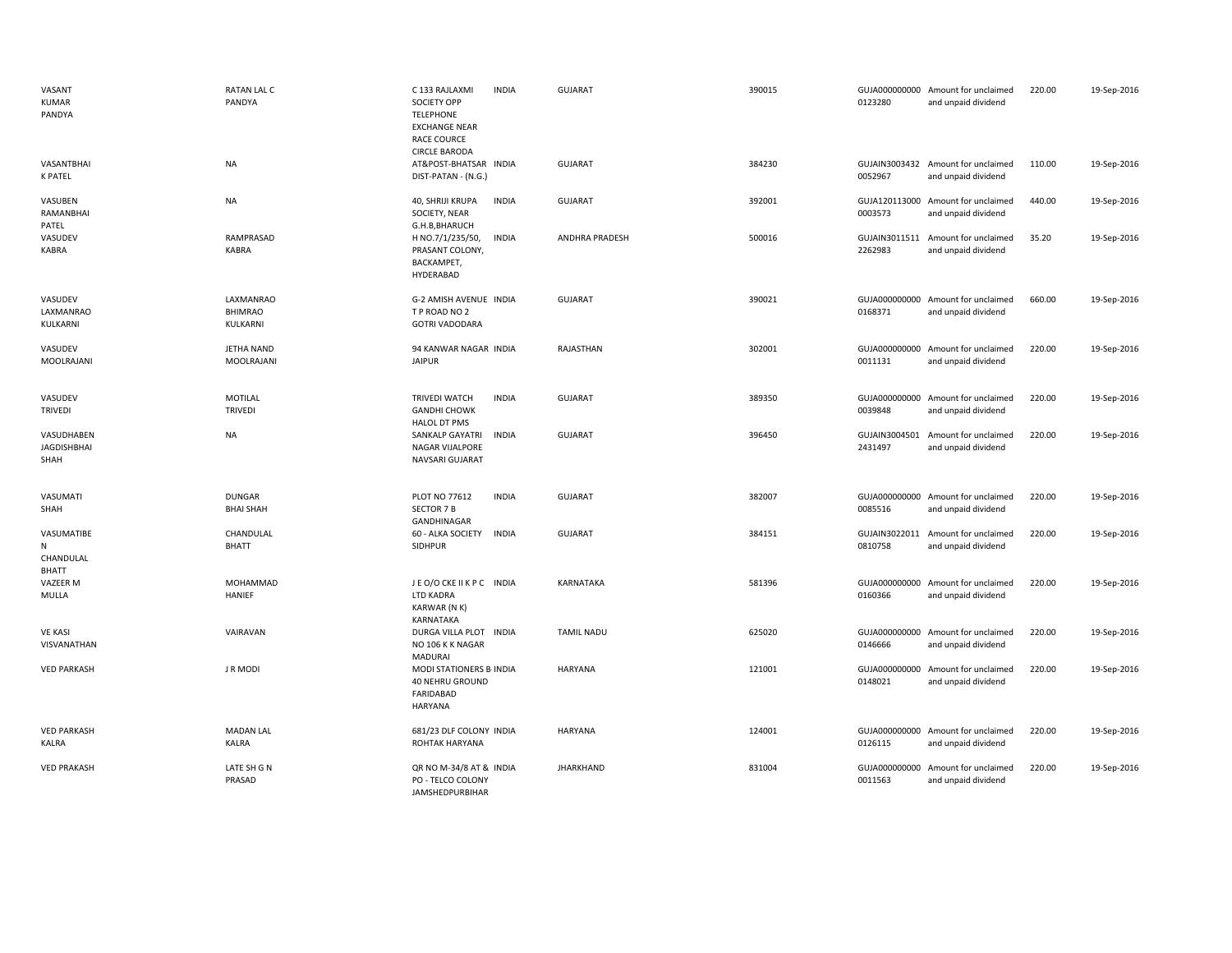| VASANT<br><b>KUMAR</b><br>PANDYA         | RATAN LAL C<br>PANDYA                   | C 133 RAJLAXMI<br><b>INDIA</b><br>SOCIETY OPP<br><b>TELEPHONE</b><br><b>EXCHANGE NEAR</b><br><b>RACE COURCE</b><br><b>CIRCLE BARODA</b> | GUJARAT           | 390015 | 0123280                  | GUJA000000000 Amount for unclaimed<br>and unpaid dividend | 220.00 | 19-Sep-2016 |
|------------------------------------------|-----------------------------------------|-----------------------------------------------------------------------------------------------------------------------------------------|-------------------|--------|--------------------------|-----------------------------------------------------------|--------|-------------|
| VASANTBHAI<br>K PATEL                    | <b>NA</b>                               | AT&POST-BHATSAR INDIA<br>DIST-PATAN - (N.G.)                                                                                            | <b>GUJARAT</b>    | 384230 | 0052967                  | GUJAIN3003432 Amount for unclaimed<br>and unpaid dividend | 110.00 | 19-Sep-2016 |
| VASUBEN<br>RAMANBHAI<br>PATEL            | <b>NA</b>                               | <b>INDIA</b><br>40, SHRIJI KRUPA<br>SOCIETY, NEAR<br>G.H.B, BHARUCH                                                                     | GUJARAT           | 392001 | 0003573                  | GUJA120113000 Amount for unclaimed<br>and unpaid dividend | 440.00 | 19-Sep-2016 |
| VASUDEV<br>KABRA                         | RAMPRASAD<br>KABRA                      | H NO.7/1/235/50,<br><b>INDIA</b><br>PRASANT COLONY,<br>BACKAMPET,<br>HYDERABAD                                                          | ANDHRA PRADESH    | 500016 | 2262983                  | GUJAIN3011511 Amount for unclaimed<br>and unpaid dividend | 35.20  | 19-Sep-2016 |
| VASUDEV<br>LAXMANRAO<br>KULKARNI         | LAXMANRAO<br><b>BHIMRAO</b><br>KULKARNI | G-2 AMISH AVENUE INDIA<br>T P ROAD NO 2<br><b>GOTRI VADODARA</b>                                                                        | <b>GUJARAT</b>    | 390021 | 0168371                  | GUJA000000000 Amount for unclaimed<br>and unpaid dividend | 660.00 | 19-Sep-2016 |
| VASUDEV<br>MOOLRAJANI                    | <b>JETHA NAND</b><br>MOOLRAJANI         | 94 KANWAR NAGAR INDIA<br><b>JAIPUR</b>                                                                                                  | RAJASTHAN         | 302001 | 0011131                  | GUJA000000000 Amount for unclaimed<br>and unpaid dividend | 220.00 | 19-Sep-2016 |
| VASUDEV<br><b>TRIVEDI</b>                | <b>MOTILAL</b><br><b>TRIVEDI</b>        | <b>TRIVEDI WATCH</b><br><b>INDIA</b><br><b>GANDHI CHOWK</b><br>HALOL DT PMS                                                             | <b>GUJARAT</b>    | 389350 | 0039848                  | GUJA000000000 Amount for unclaimed<br>and unpaid dividend | 220.00 | 19-Sep-2016 |
| VASUDHABEN<br><b>JAGDISHBHAI</b><br>SHAH | <b>NA</b>                               | SANKALP GAYATRI<br><b>INDIA</b><br>NAGAR VIJALPORE<br>NAVSARI GUJARAT                                                                   | GUJARAT           | 396450 | GUJAIN3004501<br>2431497 | Amount for unclaimed<br>and unpaid dividend               | 220.00 | 19-Sep-2016 |
| VASUMATI<br>SHAH                         | <b>DUNGAR</b><br><b>BHAI SHAH</b>       | PLOT NO 77612<br><b>INDIA</b><br><b>SECTOR 7 B</b><br>GANDHINAGAR                                                                       | <b>GUJARAT</b>    | 382007 | 0085516                  | GUJA000000000 Amount for unclaimed<br>and unpaid dividend | 220.00 | 19-Sep-2016 |
| VASUMATIBE<br>${\sf N}$<br>CHANDULAL     | CHANDULAL<br><b>BHATT</b>               | <b>INDIA</b><br>60 - ALKA SOCIETY<br>SIDHPUR                                                                                            | <b>GUJARAT</b>    | 384151 | GUJAIN3022011<br>0810758 | Amount for unclaimed<br>and unpaid dividend               | 220.00 | 19-Sep-2016 |
| BHATT<br>VAZEER M<br>MULLA               | MOHAMMAD<br>HANIEF                      | JEO/OCKEIIKPC INDIA<br>LTD KADRA<br>KARWAR (N K)<br>KARNATAKA                                                                           | KARNATAKA         | 581396 | 0160366                  | GUJA000000000 Amount for unclaimed<br>and unpaid dividend | 220.00 | 19-Sep-2016 |
| <b>VE KASI</b><br>VISVANATHAN            | VAIRAVAN                                | DURGA VILLA PLOT INDIA<br>NO 106 K K NAGAR<br><b>MADURAI</b>                                                                            | <b>TAMIL NADU</b> | 625020 | 0146666                  | GUJA000000000 Amount for unclaimed<br>and unpaid dividend | 220.00 | 19-Sep-2016 |
| <b>VED PARKASH</b>                       | <b>JRMODI</b>                           | MODI STATIONERS B- INDIA<br>40 NEHRU GROUND<br>FARIDABAD<br>HARYANA                                                                     | HARYANA           | 121001 | 0148021                  | GUJA000000000 Amount for unclaimed<br>and unpaid dividend | 220.00 | 19-Sep-2016 |
| <b>VED PARKASH</b><br>KALRA              | <b>MADAN LAL</b><br><b>KALRA</b>        | 681/23 DLF COLONY INDIA<br>ROHTAK HARYANA                                                                                               | HARYANA           | 124001 | 0126115                  | GUJA000000000 Amount for unclaimed<br>and unpaid dividend | 220.00 | 19-Sep-2016 |
| <b>VED PRAKASH</b>                       | LATE SH G N<br>PRASAD                   | QR NO M-34/8 AT & INDIA<br>PO - TELCO COLONY<br><b>JAMSHEDPURBIHAR</b>                                                                  | <b>JHARKHAND</b>  | 831004 | GUJA000000000<br>0011563 | Amount for unclaimed<br>and unpaid dividend               | 220.00 | 19-Sep-2016 |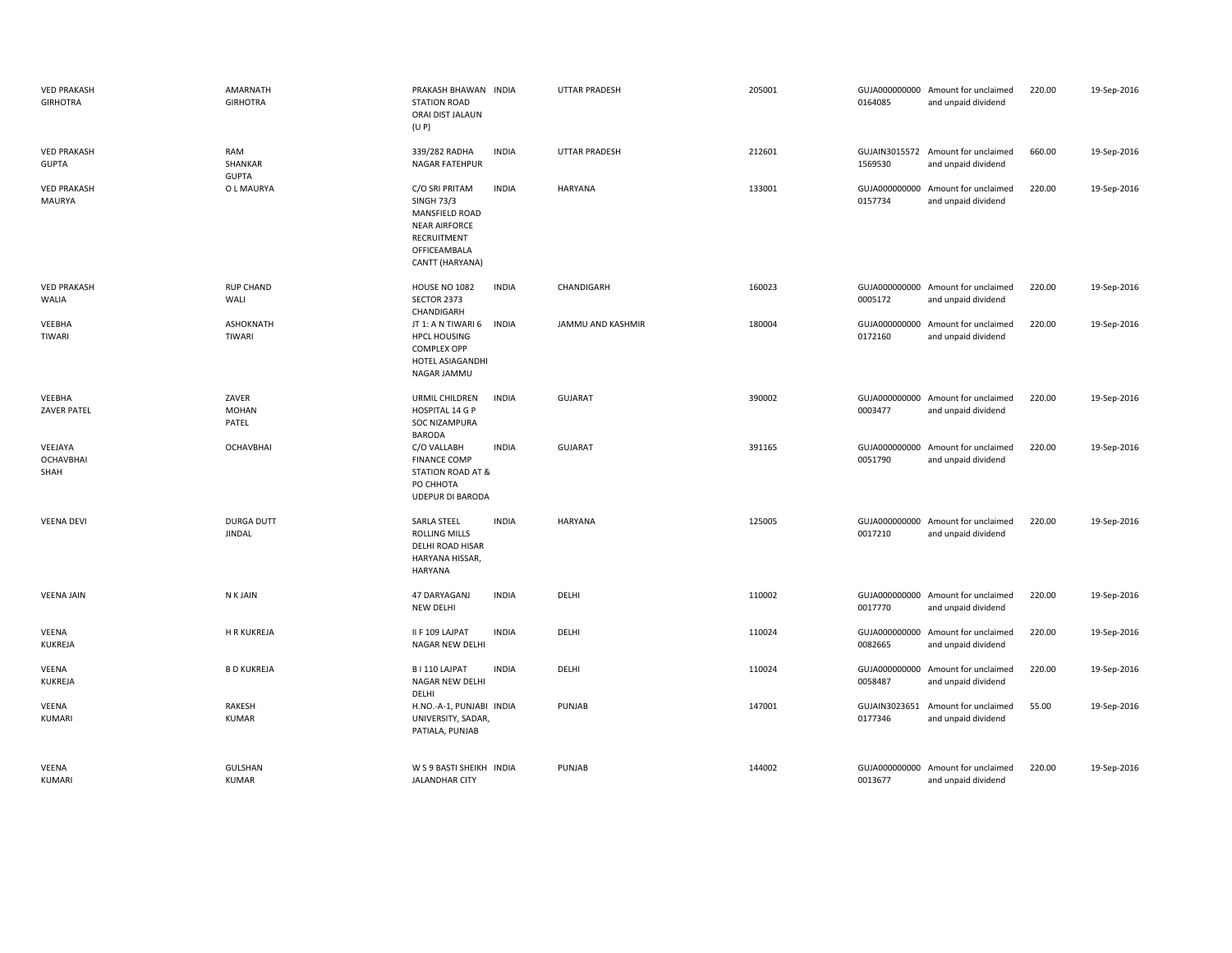| <b>VED PRAKASH</b><br><b>GIRHOTRA</b> | AMARNATH<br><b>GIRHOTRA</b>        | PRAKASH BHAWAN INDIA<br><b>STATION ROAD</b><br>ORAI DIST JALAUN<br>(U P)                                                        |              | <b>UTTAR PRADESH</b> | 205001 | 0164085                  | GUJA000000000 Amount for unclaimed<br>and unpaid dividend | 220.00 | 19-Sep-2016 |
|---------------------------------------|------------------------------------|---------------------------------------------------------------------------------------------------------------------------------|--------------|----------------------|--------|--------------------------|-----------------------------------------------------------|--------|-------------|
| <b>VED PRAKASH</b><br><b>GUPTA</b>    | RAM<br>SHANKAR<br><b>GUPTA</b>     | 339/282 RADHA<br>NAGAR FATEHPUR                                                                                                 | <b>INDIA</b> | <b>UTTAR PRADESH</b> | 212601 | 1569530                  | GUJAIN3015572 Amount for unclaimed<br>and unpaid dividend | 660.00 | 19-Sep-2016 |
| <b>VED PRAKASH</b><br>MAURYA          | O L MAURYA                         | C/O SRI PRITAM<br><b>SINGH 73/3</b><br>MANSFIELD ROAD<br><b>NEAR AIRFORCE</b><br>RECRUITMENT<br>OFFICEAMBALA<br>CANTT (HARYANA) | <b>INDIA</b> | <b>HARYANA</b>       | 133001 | 0157734                  | GUJA000000000 Amount for unclaimed<br>and unpaid dividend | 220.00 | 19-Sep-2016 |
| <b>VED PRAKASH</b><br>WALIA           | <b>RUP CHAND</b><br>WALI           | HOUSE NO 1082<br>SECTOR 2373<br>CHANDIGARH                                                                                      | <b>INDIA</b> | CHANDIGARH           | 160023 | 0005172                  | GUJA000000000 Amount for unclaimed<br>and unpaid dividend | 220.00 | 19-Sep-2016 |
| VEEBHA<br>TIWARI                      | <b>ASHOKNATH</b><br><b>TIWARI</b>  | JT 1: A N TIWARI 6<br><b>HPCL HOUSING</b><br><b>COMPLEX OPP</b><br>HOTEL ASIAGANDHI<br>NAGAR JAMMU                              | <b>INDIA</b> | JAMMU AND KASHMIR    | 180004 | GUJA000000000<br>0172160 | Amount for unclaimed<br>and unpaid dividend               | 220.00 | 19-Sep-2016 |
| VEEBHA<br>ZAVER PATEL                 | ZAVER<br><b>MOHAN</b><br>PATEL     | URMIL CHILDREN<br>HOSPITAL 14 G P<br><b>SOC NIZAMPURA</b><br><b>BARODA</b>                                                      | <b>INDIA</b> | <b>GUJARAT</b>       | 390002 | 0003477                  | GUJA000000000 Amount for unclaimed<br>and unpaid dividend | 220.00 | 19-Sep-2016 |
| VEEJAYA<br><b>OCHAVBHAI</b><br>SHAH   | <b>OCHAVBHAI</b>                   | C/O VALLABH<br><b>FINANCE COMP</b><br>STATION ROAD AT &<br>PO CHHOTA<br><b>UDEPUR DI BARODA</b>                                 | <b>INDIA</b> | <b>GUJARAT</b>       | 391165 | 0051790                  | GUJA000000000 Amount for unclaimed<br>and unpaid dividend | 220.00 | 19-Sep-2016 |
| <b>VEENA DEVI</b>                     | <b>DURGA DUTT</b><br><b>JINDAL</b> | SARLA STEEL<br>ROLLING MILLS<br>DELHI ROAD HISAR<br>HARYANA HISSAR,<br><b>HARYANA</b>                                           | <b>INDIA</b> | <b>HARYANA</b>       | 125005 | 0017210                  | GUJA000000000 Amount for unclaimed<br>and unpaid dividend | 220.00 | 19-Sep-2016 |
| <b>VEENA JAIN</b>                     | N K JAIN                           | 47 DARYAGANJ<br><b>NEW DELHI</b>                                                                                                | <b>INDIA</b> | DELHI                | 110002 | 0017770                  | GUJA000000000 Amount for unclaimed<br>and unpaid dividend | 220.00 | 19-Sep-2016 |
| VEENA<br>KUKREJA                      | H R KUKREJA                        | II F 109 LAJPAT<br>NAGAR NEW DELHI                                                                                              | <b>INDIA</b> | DELHI                | 110024 | 0082665                  | GUJA000000000 Amount for unclaimed<br>and unpaid dividend | 220.00 | 19-Sep-2016 |
| <b>VEENA</b><br>KUKREJA               | <b>B D KUKREJA</b>                 | B I 110 LAJPAT<br>NAGAR NEW DELHI<br>DELHI                                                                                      | <b>INDIA</b> | DELHI                | 110024 | 0058487                  | GUJA000000000 Amount for unclaimed<br>and unpaid dividend | 220.00 | 19-Sep-2016 |
| <b>VEENA</b><br><b>KUMARI</b>         | RAKESH<br><b>KUMAR</b>             | H.NO.-A-1, PUNJABI INDIA<br>UNIVERSITY, SADAR,<br>PATIALA, PUNJAB                                                               |              | PUNJAB               | 147001 | 0177346                  | GUJAIN3023651 Amount for unclaimed<br>and unpaid dividend | 55.00  | 19-Sep-2016 |
| VEENA<br><b>KUMARI</b>                | GULSHAN<br>KUMAR                   | W S 9 BASTI SHEIKH INDIA<br><b>JALANDHAR CITY</b>                                                                               |              | PUNJAB               | 144002 | 0013677                  | GUJA000000000 Amount for unclaimed<br>and unpaid dividend | 220.00 | 19-Sep-2016 |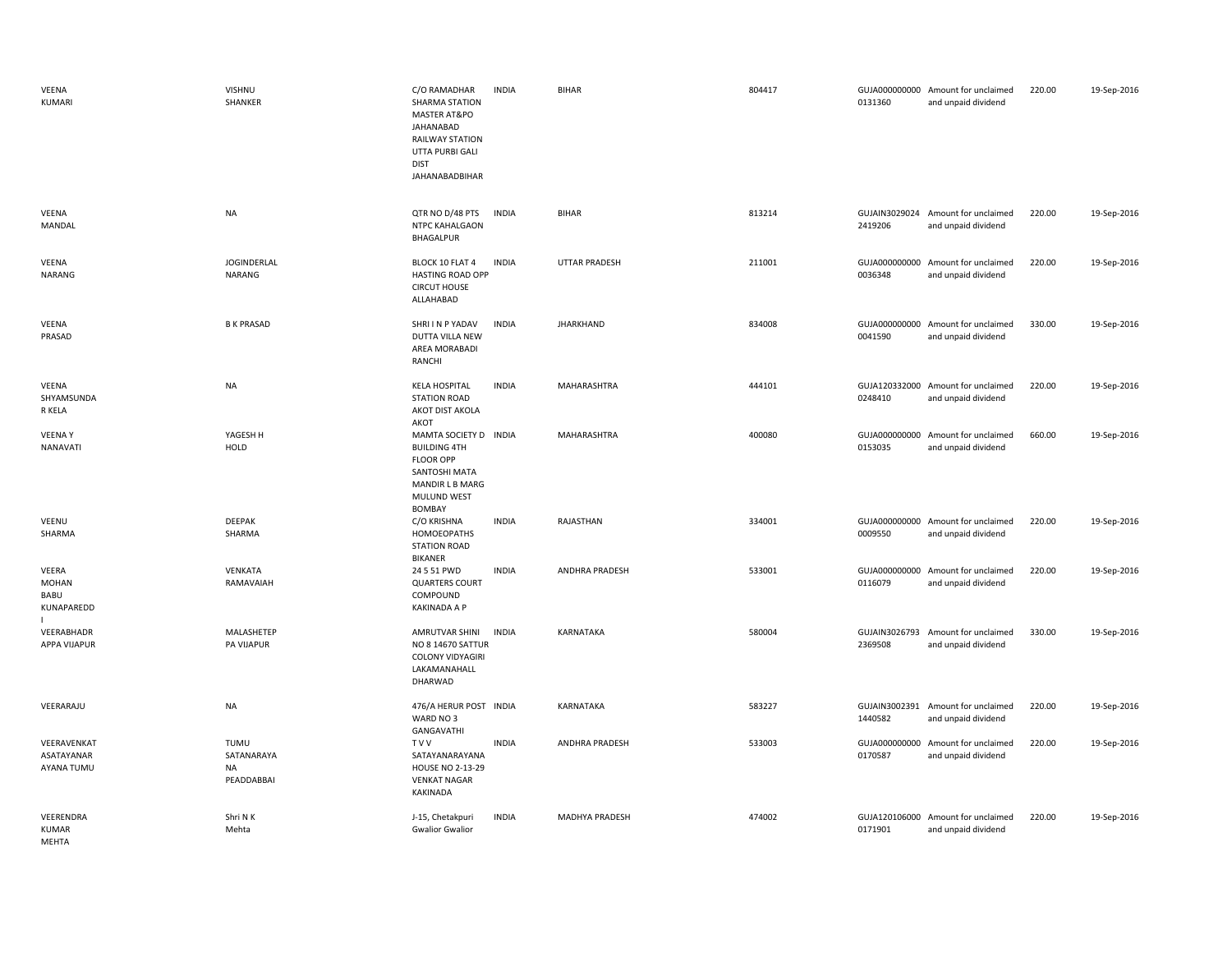| VEENA<br>KUMARI                             | VISHNU<br>SHANKER                             | C/O RAMADHAR<br><b>SHARMA STATION</b><br>MASTER AT&PO<br>JAHANABAD<br><b>RAILWAY STATION</b><br>UTTA PURBI GALI<br><b>DIST</b><br><b>JAHANABADBIHAR</b> | <b>INDIA</b> | <b>BIHAR</b>          | 804417 | 0131360                  | GUJA000000000 Amount for unclaimed<br>and unpaid dividend | 220.00 | 19-Sep-2016 |
|---------------------------------------------|-----------------------------------------------|---------------------------------------------------------------------------------------------------------------------------------------------------------|--------------|-----------------------|--------|--------------------------|-----------------------------------------------------------|--------|-------------|
| VEENA<br>MANDAL                             | <b>NA</b>                                     | QTR NO D/48 PTS<br>NTPC KAHALGAON<br>BHAGALPUR                                                                                                          | <b>INDIA</b> | <b>BIHAR</b>          | 813214 | 2419206                  | GUJAIN3029024 Amount for unclaimed<br>and unpaid dividend | 220.00 | 19-Sep-2016 |
| VEENA<br><b>NARANG</b>                      | <b>JOGINDERLAL</b><br>NARANG                  | BLOCK 10 FLAT 4<br>HASTING ROAD OPP<br><b>CIRCUT HOUSE</b><br>ALLAHABAD                                                                                 | <b>INDIA</b> | <b>UTTAR PRADESH</b>  | 211001 | 0036348                  | GUJA000000000 Amount for unclaimed<br>and unpaid dividend | 220.00 | 19-Sep-2016 |
| VEENA<br>PRASAD                             | <b>B K PRASAD</b>                             | SHRI I N P YADAV<br><b>DUTTA VILLA NEW</b><br>AREA MORABADI<br>RANCHI                                                                                   | <b>INDIA</b> | <b>JHARKHAND</b>      | 834008 | 0041590                  | GUJA000000000 Amount for unclaimed<br>and unpaid dividend | 330.00 | 19-Sep-2016 |
| VEENA<br>SHYAMSUNDA<br>R KELA               | NA                                            | <b>KELA HOSPITAL</b><br><b>STATION ROAD</b><br>AKOT DIST AKOLA<br>AKOT                                                                                  | <b>INDIA</b> | MAHARASHTRA           | 444101 | 0248410                  | GUJA120332000 Amount for unclaimed<br>and unpaid dividend | 220.00 | 19-Sep-2016 |
| <b>VEENAY</b><br><b>NANAVATI</b>            | YAGESH H<br>HOLD                              | MAMTA SOCIETY D INDIA<br><b>BUILDING 4TH</b><br><b>FLOOR OPP</b><br>SANTOSHI MATA<br>MANDIR L B MARG<br>MULUND WEST<br>BOMBAY                           |              | MAHARASHTRA           | 400080 | 0153035                  | GUJA000000000 Amount for unclaimed<br>and unpaid dividend | 660.00 | 19-Sep-2016 |
| VEENU<br>SHARMA                             | <b>DEEPAK</b><br>SHARMA                       | C/O KRISHNA<br>HOMOEOPATHS<br><b>STATION ROAD</b><br><b>BIKANER</b>                                                                                     | <b>INDIA</b> | RAJASTHAN             | 334001 | 0009550                  | GUJA000000000 Amount for unclaimed<br>and unpaid dividend | 220.00 | 19-Sep-2016 |
| VEERA<br><b>MOHAN</b><br>BABU<br>KUNAPAREDD | VENKATA<br>RAMAVAIAH                          | 24 5 51 PWD<br><b>QUARTERS COURT</b><br>COMPOUND<br>KAKINADA A P                                                                                        | <b>INDIA</b> | <b>ANDHRA PRADESH</b> | 533001 | GUJA000000000<br>0116079 | Amount for unclaimed<br>and unpaid dividend               | 220.00 | 19-Sep-2016 |
| VEERABHADR<br>APPA VIJAPUR                  | MALASHETEP<br>PA VIJAPUR                      | AMRUTVAR SHINI<br>NO 8 14670 SATTUR<br>COLONY VIDYAGIRI<br>LAKAMANAHALL<br>DHARWAD                                                                      | <b>INDIA</b> | KARNATAKA             | 580004 | GUJAIN3026793<br>2369508 | Amount for unclaimed<br>and unpaid dividend               | 330.00 | 19-Sep-2016 |
| VEERARAJU                                   | NA                                            | 476/A HERUR POST INDIA<br>WARD NO 3<br>GANGAVATHI                                                                                                       |              | KARNATAKA             | 583227 | 1440582                  | GUJAIN3002391 Amount for unclaimed<br>and unpaid dividend | 220.00 | 19-Sep-2016 |
| VEERAVENKAT<br>ASATAYANAR<br>AYANA TUMU     | <b>TUMU</b><br>SATANARAYA<br>NA<br>PEADDABBAI | <b>TVV</b><br>SATAYANARAYANA<br><b>HOUSE NO 2-13-29</b><br><b>VENKAT NAGAR</b><br>KAKINADA                                                              | <b>INDIA</b> | ANDHRA PRADESH        | 533003 | 0170587                  | GUJA000000000 Amount for unclaimed<br>and unpaid dividend | 220.00 | 19-Sep-2016 |
| VEERENDRA<br><b>KUMAR</b><br><b>MEHTA</b>   | Shri N K<br>Mehta                             | J-15, Chetakpuri<br><b>Gwalior Gwalior</b>                                                                                                              | <b>INDIA</b> | MADHYA PRADESH        | 474002 | 0171901                  | GUJA120106000 Amount for unclaimed<br>and unpaid dividend | 220.00 | 19-Sep-2016 |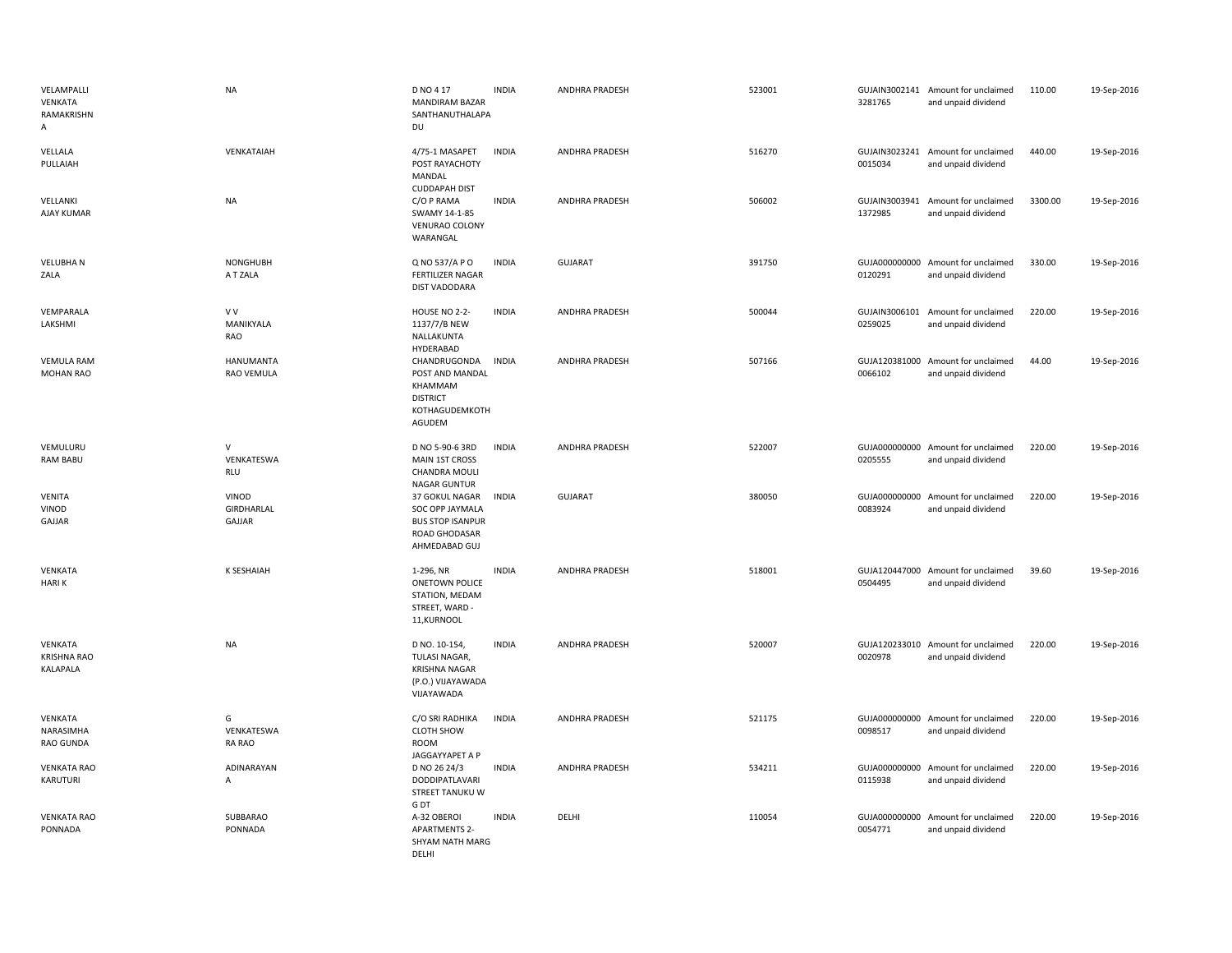| VELAMPALLI<br><b>VENKATA</b><br>RAMAKRISHN<br>A | <b>NA</b>                                | D NO 4 17<br><b>MANDIRAM BAZAR</b><br>SANTHANUTHALAPA<br>DU                                    | <b>INDIA</b> | ANDHRA PRADESH        | 523001 | 3281765                  | GUJAIN3002141 Amount for unclaimed<br>and unpaid dividend | 110.00  | 19-Sep-2016 |
|-------------------------------------------------|------------------------------------------|------------------------------------------------------------------------------------------------|--------------|-----------------------|--------|--------------------------|-----------------------------------------------------------|---------|-------------|
| VELLALA<br>PULLAIAH                             | VENKATAIAH                               | 4/75-1 MASAPET<br>POST RAYACHOTY<br>MANDAL<br><b>CUDDAPAH DIST</b>                             | <b>INDIA</b> | ANDHRA PRADESH        | 516270 | 0015034                  | GUJAIN3023241 Amount for unclaimed<br>and unpaid dividend | 440.00  | 19-Sep-2016 |
| VELLANKI<br>AJAY KUMAR                          | <b>NA</b>                                | C/O P RAMA<br>SWAMY 14-1-85<br>VENURAO COLONY<br>WARANGAL                                      | <b>INDIA</b> | ANDHRA PRADESH        | 506002 | 1372985                  | GUJAIN3003941 Amount for unclaimed<br>and unpaid dividend | 3300.00 | 19-Sep-2016 |
| <b>VELUBHAN</b><br>ZALA                         | <b>NONGHUBH</b><br>A T ZALA              | Q NO 537/A P O<br><b>FERTILIZER NAGAR</b><br><b>DIST VADODARA</b>                              | <b>INDIA</b> | GUJARAT               | 391750 | 0120291                  | GUJA000000000 Amount for unclaimed<br>and unpaid dividend | 330.00  | 19-Sep-2016 |
| VEMPARALA<br>LAKSHMI                            | V V<br>MANIKYALA<br>RAO                  | HOUSE NO 2-2-<br>1137/7/B NEW<br>NALLAKUNTA<br>HYDERABAD                                       | <b>INDIA</b> | <b>ANDHRA PRADESH</b> | 500044 | GUJAIN3006101<br>0259025 | Amount for unclaimed<br>and unpaid dividend               | 220.00  | 19-Sep-2016 |
| <b>VEMULA RAM</b><br>MOHAN RAO                  | <b>HANUMANTA</b><br>RAO VEMULA           | CHANDRUGONDA<br>POST AND MANDAL<br>KHAMMAM<br><b>DISTRICT</b><br>KOTHAGUDEMKOTH<br>AGUDEM      | <b>INDIA</b> | <b>ANDHRA PRADESH</b> | 507166 | 0066102                  | GUJA120381000 Amount for unclaimed<br>and unpaid dividend | 44.00   | 19-Sep-2016 |
| VEMULURU<br>RAM BABU                            | $\mathsf{V}$<br>VENKATESWA<br><b>RLU</b> | D NO 5-90-6 3RD<br>MAIN 1ST CROSS<br>CHANDRA MOULI<br>NAGAR GUNTUR                             | <b>INDIA</b> | <b>ANDHRA PRADESH</b> | 522007 | 0205555                  | GUJA000000000 Amount for unclaimed<br>and unpaid dividend | 220.00  | 19-Sep-2016 |
| <b>VENITA</b><br>VINOD<br>GAJJAR                | VINOD<br>GIRDHARLAL<br>GAJJAR            | 37 GOKUL NAGAR<br>SOC OPP JAYMALA<br><b>BUS STOP ISANPUR</b><br>ROAD GHODASAR<br>AHMEDABAD GUJ | <b>INDIA</b> | <b>GUJARAT</b>        | 380050 | 0083924                  | GUJA000000000 Amount for unclaimed<br>and unpaid dividend | 220.00  | 19-Sep-2016 |
| VENKATA<br><b>HARIK</b>                         | <b>K SESHAIAH</b>                        | 1-296, NR<br><b>ONETOWN POLICE</b><br>STATION, MEDAM<br>STREET, WARD -<br>11, KURNOOL          | <b>INDIA</b> | ANDHRA PRADESH        | 518001 | 0504495                  | GUJA120447000 Amount for unclaimed<br>and unpaid dividend | 39.60   | 19-Sep-2016 |
| VENKATA<br><b>KRISHNA RAO</b><br>KALAPALA       | <b>NA</b>                                | D NO. 10-154,<br>TULASI NAGAR,<br>KRISHNA NAGAR<br>(P.O.) VIJAYAWADA<br>VIJAYAWADA             | <b>INDIA</b> | ANDHRA PRADESH        | 520007 | 0020978                  | GUJA120233010 Amount for unclaimed<br>and unpaid dividend | 220.00  | 19-Sep-2016 |
| VENKATA<br>NARASIMHA<br>RAO GUNDA               | G<br>VENKATESWA<br>RA RAO                | C/O SRI RADHIKA<br><b>CLOTH SHOW</b><br>ROOM<br>JAGGAYYAPET A P                                | <b>INDIA</b> | <b>ANDHRA PRADESH</b> | 521175 | 0098517                  | GUJA000000000 Amount for unclaimed<br>and unpaid dividend | 220.00  | 19-Sep-2016 |
| <b>VENKATA RAO</b><br>KARUTURI                  | ADINARAYAN<br>A                          | D NO 26 24/3<br>DODDIPATLAVARI<br>STREET TANUKU W<br>G DT                                      | <b>INDIA</b> | <b>ANDHRA PRADESH</b> | 534211 | 0115938                  | GUJA000000000 Amount for unclaimed<br>and unpaid dividend | 220.00  | 19-Sep-2016 |
| <b>VENKATA RAO</b><br>PONNADA                   | SUBBARAO<br>PONNADA                      | A-32 OBEROI<br><b>APARTMENTS 2-</b><br>SHYAM NATH MARG<br>DELHI                                | <b>INDIA</b> | DELHI                 | 110054 | 0054771                  | GUJA000000000 Amount for unclaimed<br>and unpaid dividend | 220.00  | 19-Sep-2016 |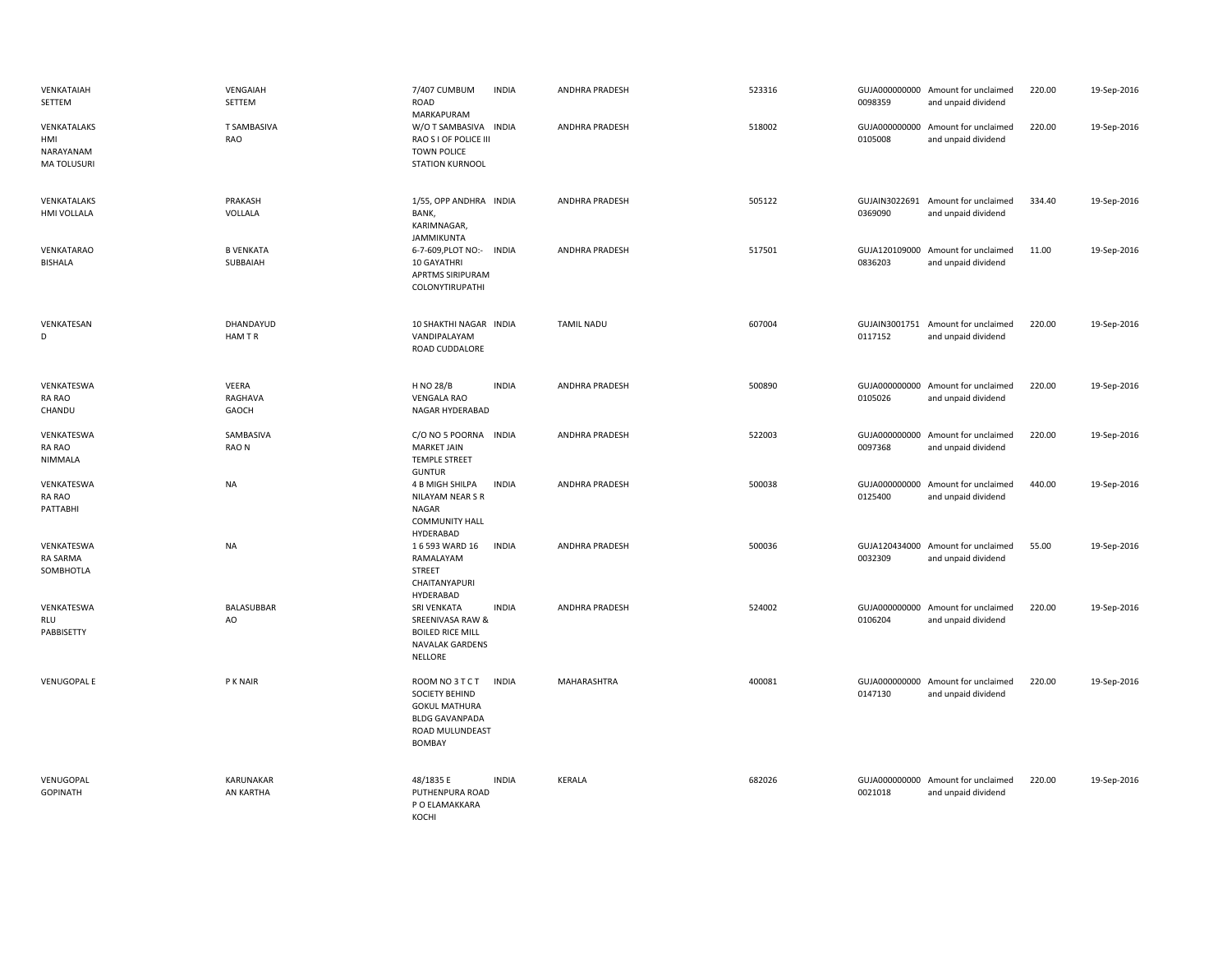| VENKATAIAH<br>SETTEM                                 | VENGAIAH<br>SETTEM           | 7/407 CUMBUM<br>ROAD<br>MARKAPURAM                                                                                     | <b>INDIA</b> | <b>ANDHRA PRADESH</b> | 523316 | 0098359 | GUJA000000000 Amount for unclaimed<br>and unpaid dividend | 220.00 | 19-Sep-2016 |
|------------------------------------------------------|------------------------------|------------------------------------------------------------------------------------------------------------------------|--------------|-----------------------|--------|---------|-----------------------------------------------------------|--------|-------------|
| VENKATALAKS<br>HMI<br>NARAYANAM<br><b>MATOLUSURI</b> | <b>T SAMBASIVA</b><br>RAO    | W/O T SAMBASIVA INDIA<br>RAO S I OF POLICE III<br><b>TOWN POLICE</b><br><b>STATION KURNOOL</b>                         |              | ANDHRA PRADESH        | 518002 | 0105008 | GUJA000000000 Amount for unclaimed<br>and unpaid dividend | 220.00 | 19-Sep-2016 |
| VENKATALAKS<br>HMI VOLLALA                           | PRAKASH<br>VOLLALA           | 1/55, OPP ANDHRA INDIA<br>BANK,<br>KARIMNAGAR,<br>JAMMIKUNTA                                                           |              | ANDHRA PRADESH        | 505122 | 0369090 | GUJAIN3022691 Amount for unclaimed<br>and unpaid dividend | 334.40 | 19-Sep-2016 |
| VENKATARAO<br><b>BISHALA</b>                         | <b>B VENKATA</b><br>SUBBAIAH | 6-7-609, PLOT NO:- INDIA<br>10 GAYATHRI<br>APRTMS SIRIPURAM<br>COLONYTIRUPATHI                                         |              | ANDHRA PRADESH        | 517501 | 0836203 | GUJA120109000 Amount for unclaimed<br>and unpaid dividend | 11.00  | 19-Sep-2016 |
| VENKATESAN<br>D                                      | DHANDAYUD<br>HAM TR          | 10 SHAKTHI NAGAR INDIA<br>VANDIPALAYAM<br>ROAD CUDDALORE                                                               |              | <b>TAMIL NADU</b>     | 607004 | 0117152 | GUJAIN3001751 Amount for unclaimed<br>and unpaid dividend | 220.00 | 19-Sep-2016 |
| VENKATESWA<br>RA RAO<br>CHANDU                       | VEERA<br>RAGHAVA<br>GAOCH    | H NO 28/B<br><b>VENGALA RAO</b><br>NAGAR HYDERABAD                                                                     | <b>INDIA</b> | <b>ANDHRA PRADESH</b> | 500890 | 0105026 | GUJA000000000 Amount for unclaimed<br>and unpaid dividend | 220.00 | 19-Sep-2016 |
| VENKATESWA<br>RA RAO<br>NIMMALA                      | SAMBASIVA<br>RAO N           | C/O NO 5 POORNA<br><b>MARKET JAIN</b><br><b>TEMPLE STREET</b>                                                          | <b>INDIA</b> | <b>ANDHRA PRADESH</b> | 522003 | 0097368 | GUJA000000000 Amount for unclaimed<br>and unpaid dividend | 220.00 | 19-Sep-2016 |
| VENKATESWA<br>RA RAO<br>PATTABHI                     | <b>NA</b>                    | <b>GUNTUR</b><br>4 B MIGH SHILPA<br>NILAYAM NEAR S R<br>NAGAR<br><b>COMMUNITY HALL</b><br>HYDERABAD                    | <b>INDIA</b> | <b>ANDHRA PRADESH</b> | 500038 | 0125400 | GUJA000000000 Amount for unclaimed<br>and unpaid dividend | 440.00 | 19-Sep-2016 |
| VENKATESWA<br>RA SARMA<br>SOMBHOTLA                  | <b>NA</b>                    | 16 593 WARD 16<br>RAMALAYAM<br><b>STREET</b><br>CHAITANYAPURI<br>HYDERABAD                                             | <b>INDIA</b> | ANDHRA PRADESH        | 500036 | 0032309 | GUJA120434000 Amount for unclaimed<br>and unpaid dividend | 55.00  | 19-Sep-2016 |
| VENKATESWA<br>RLU<br>PABBISETTY                      | BALASUBBAR<br>AO             | SRI VENKATA<br>SREENIVASA RAW &<br><b>BOILED RICE MILL</b><br>NAVALAK GARDENS<br><b>NELLORE</b>                        | <b>INDIA</b> | ANDHRA PRADESH        | 524002 | 0106204 | GUJA000000000 Amount for unclaimed<br>and unpaid dividend | 220.00 | 19-Sep-2016 |
| <b>VENUGOPAL E</b>                                   | P K NAIR                     | ROOM NO 3 T C T<br>SOCIETY BEHIND<br><b>GOKUL MATHURA</b><br><b>BLDG GAVANPADA</b><br>ROAD MULUNDEAST<br><b>BOMBAY</b> | <b>INDIA</b> | MAHARASHTRA           | 400081 | 0147130 | GUJA000000000 Amount for unclaimed<br>and unpaid dividend | 220.00 | 19-Sep-2016 |
| VENUGOPAL<br><b>GOPINATH</b>                         | KARUNAKAR<br>AN KARTHA       | 48/1835 E<br>PUTHENPURA ROAD<br>P O ELAMAKKARA<br>KOCHI                                                                | <b>INDIA</b> | <b>KERALA</b>         | 682026 | 0021018 | GUJA000000000 Amount for unclaimed<br>and unpaid dividend | 220.00 | 19-Sep-2016 |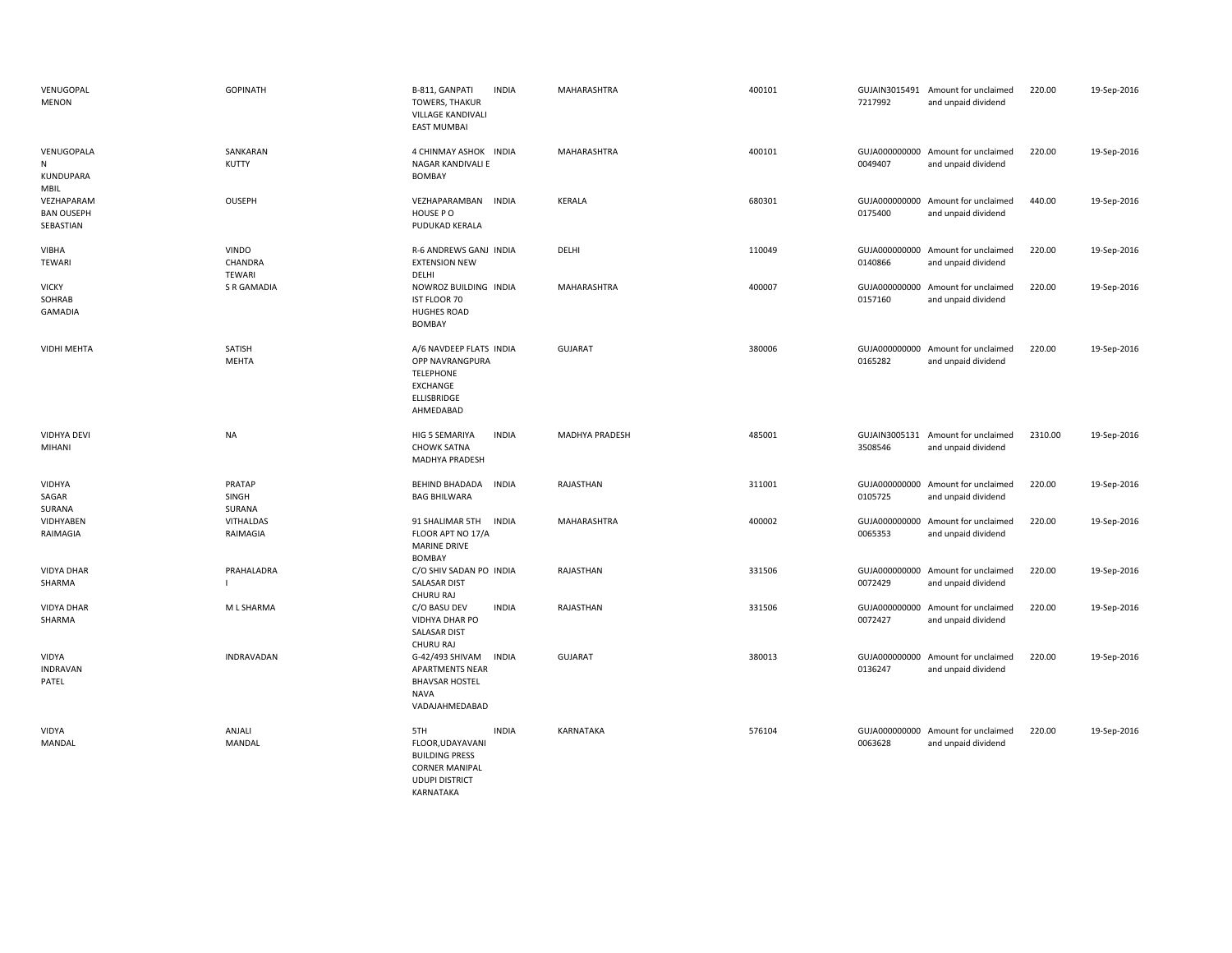| VENUGOPAL<br><b>MENON</b>                    | <b>GOPINATH</b>                   | B-811, GANPATI<br><b>INDIA</b><br><b>TOWERS, THAKUR</b><br>VILLAGE KANDIVALI<br><b>EAST MUMBAI</b>                              | MAHARASHTRA           | 400101 | 7217992                  | GUJAIN3015491 Amount for unclaimed<br>and unpaid dividend | 220.00  | 19-Sep-2016 |
|----------------------------------------------|-----------------------------------|---------------------------------------------------------------------------------------------------------------------------------|-----------------------|--------|--------------------------|-----------------------------------------------------------|---------|-------------|
| VENUGOPALA<br>N<br>KUNDUPARA<br>MBIL         | SANKARAN<br>KUTTY                 | 4 CHINMAY ASHOK INDIA<br>NAGAR KANDIVALI E<br>BOMBAY                                                                            | MAHARASHTRA           | 400101 | 0049407                  | GUJA000000000 Amount for unclaimed<br>and unpaid dividend | 220.00  | 19-Sep-2016 |
| VEZHAPARAM<br><b>BAN OUSEPH</b><br>SEBASTIAN | <b>OUSEPH</b>                     | VEZHAPARAMBAN INDIA<br>HOUSE PO<br>PUDUKAD KERALA                                                                               | KERALA                | 680301 | 0175400                  | GUJA000000000 Amount for unclaimed<br>and unpaid dividend | 440.00  | 19-Sep-2016 |
| <b>VIBHA</b><br><b>TEWARI</b>                | <b>VINDO</b><br>CHANDRA<br>TEWARI | R-6 ANDREWS GANJ INDIA<br><b>EXTENSION NEW</b><br>DELHI                                                                         | DELHI                 | 110049 | 0140866                  | GUJA000000000 Amount for unclaimed<br>and unpaid dividend | 220.00  | 19-Sep-2016 |
| <b>VICKY</b><br>SOHRAB<br><b>GAMADIA</b>     | <b>S R GAMADIA</b>                | NOWROZ BUILDING INDIA<br>IST FLOOR 70<br><b>HUGHES ROAD</b><br><b>BOMBAY</b>                                                    | MAHARASHTRA           | 400007 | 0157160                  | GUJA000000000 Amount for unclaimed<br>and unpaid dividend | 220.00  | 19-Sep-2016 |
| <b>VIDHI MEHTA</b>                           | SATISH<br><b>MEHTA</b>            | A/6 NAVDEEP FLATS INDIA<br>OPP NAVRANGPURA<br><b>TELEPHONE</b><br>EXCHANGE<br>ELLISBRIDGE<br>AHMEDABAD                          | <b>GUJARAT</b>        | 380006 | GUJA000000000<br>0165282 | Amount for unclaimed<br>and unpaid dividend               | 220.00  | 19-Sep-2016 |
| <b>VIDHYA DEVI</b><br>MIHANI                 | <b>NA</b>                         | <b>INDIA</b><br>HIG 5 SEMARIYA<br><b>CHOWK SATNA</b><br>MADHYA PRADESH                                                          | <b>MADHYA PRADESH</b> | 485001 | 3508546                  | GUJAIN3005131 Amount for unclaimed<br>and unpaid dividend | 2310.00 | 19-Sep-2016 |
| <b>VIDHYA</b><br>SAGAR<br>SURANA             | PRATAP<br>SINGH<br>SURANA         | <b>BEHIND BHADADA</b><br><b>INDIA</b><br><b>BAG BHILWARA</b>                                                                    | RAJASTHAN             | 311001 | 0105725                  | GUJA000000000 Amount for unclaimed<br>and unpaid dividend | 220.00  | 19-Sep-2016 |
| VIDHYABEN<br>RAIMAGIA                        | VITHALDAS<br>RAIMAGIA             | 91 SHALIMAR 5TH<br><b>INDIA</b><br>FLOOR APT NO 17/A<br><b>MARINE DRIVE</b><br><b>BOMBAY</b>                                    | MAHARASHTRA           | 400002 | GUJA000000000<br>0065353 | Amount for unclaimed<br>and unpaid dividend               | 220.00  | 19-Sep-2016 |
| <b>VIDYA DHAR</b><br>SHARMA                  | PRAHALADRA                        | C/O SHIV SADAN PO INDIA<br><b>SALASAR DIST</b><br>CHURU RAJ                                                                     | RAJASTHAN             | 331506 | 0072429                  | GUJA000000000 Amount for unclaimed<br>and unpaid dividend | 220.00  | 19-Sep-2016 |
| <b>VIDYA DHAR</b><br>SHARMA                  | M L SHARMA                        | C/O BASU DEV<br><b>INDIA</b><br>VIDHYA DHAR PO<br><b>SALASAR DIST</b><br><b>CHURU RAJ</b>                                       | RAJASTHAN             | 331506 | 0072427                  | GUJA000000000 Amount for unclaimed<br>and unpaid dividend | 220.00  | 19-Sep-2016 |
| VIDYA<br><b>INDRAVAN</b><br>PATEL            | INDRAVADAN                        | G-42/493 SHIVAM<br><b>INDIA</b><br><b>APARTMENTS NEAR</b><br><b>BHAVSAR HOSTEL</b><br><b>NAVA</b><br>VADAJAHMEDABAD             | <b>GUJARAT</b>        | 380013 | GUJA000000000<br>0136247 | Amount for unclaimed<br>and unpaid dividend               | 220.00  | 19-Sep-2016 |
| VIDYA<br><b>MANDAL</b>                       | ANJALI<br>MANDAL                  | <b>INDIA</b><br>5TH<br>FLOOR, UDAYAVANI<br><b>BUILDING PRESS</b><br><b>CORNER MANIPAL</b><br><b>UDUPI DISTRICT</b><br>KARNATAKA | KARNATAKA             | 576104 | 0063628                  | GUJA000000000 Amount for unclaimed<br>and unpaid dividend | 220.00  | 19-Sep-2016 |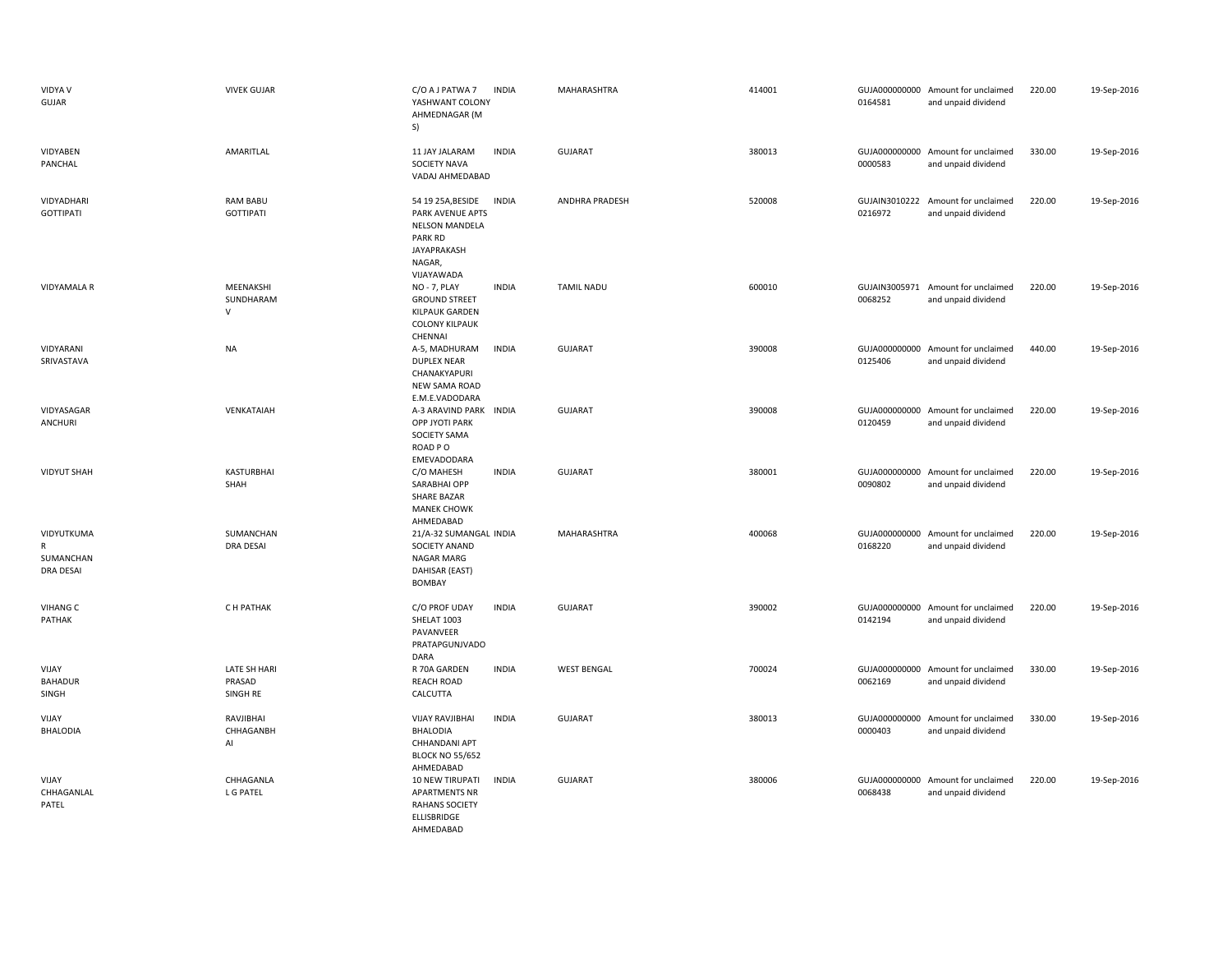| <b>VIDYA V</b><br>GUJAR                          | <b>VIVEK GUJAR</b>                  | C/O A J PATWA 7<br><b>INDIA</b><br>YASHWANT COLONY<br>AHMEDNAGAR (M<br>S)                                                                      | MAHARASHTRA        | 414001 | 0164581                  | GUJA000000000 Amount for unclaimed<br>and unpaid dividend | 220.00 | 19-Sep-2016 |
|--------------------------------------------------|-------------------------------------|------------------------------------------------------------------------------------------------------------------------------------------------|--------------------|--------|--------------------------|-----------------------------------------------------------|--------|-------------|
| VIDYABEN<br>PANCHAL                              | AMARITLAL                           | 11 JAY JALARAM<br><b>INDIA</b><br>SOCIETY NAVA<br>VADAJ AHMEDABAD                                                                              | <b>GUJARAT</b>     | 380013 | 0000583                  | GUJA000000000 Amount for unclaimed<br>and unpaid dividend | 330.00 | 19-Sep-2016 |
| VIDYADHARI<br><b>GOTTIPATI</b>                   | <b>RAM BABU</b><br><b>GOTTIPATI</b> | 54 19 25A, BESIDE<br><b>INDIA</b><br>PARK AVENUE APTS<br><b>NELSON MANDELA</b><br><b>PARK RD</b><br><b>JAYAPRAKASH</b><br>NAGAR,<br>VIJAYAWADA | ANDHRA PRADESH     | 520008 | GUJAIN3010222<br>0216972 | Amount for unclaimed<br>and unpaid dividend               | 220.00 | 19-Sep-2016 |
| <b>VIDYAMALA R</b>                               | MEENAKSHI<br>SUNDHARAM<br>V         | <b>INDIA</b><br><b>NO - 7, PLAY</b><br><b>GROUND STREET</b><br><b>KILPAUK GARDEN</b><br><b>COLONY KILPAUK</b><br>CHENNAI                       | <b>TAMIL NADU</b>  | 600010 | 0068252                  | GUJAIN3005971 Amount for unclaimed<br>and unpaid dividend | 220.00 | 19-Sep-2016 |
| VIDYARANI<br>SRIVASTAVA                          | <b>NA</b>                           | <b>INDIA</b><br>A-5, MADHURAM<br><b>DUPLEX NEAR</b><br>CHANAKYAPURI<br>NEW SAMA ROAD<br>E.M.E.VADODARA                                         | <b>GUJARAT</b>     | 390008 | 0125406                  | GUJA000000000 Amount for unclaimed<br>and unpaid dividend | 440.00 | 19-Sep-2016 |
| VIDYASAGAR<br>ANCHURI                            | VENKATAIAH                          | A-3 ARAVIND PARK<br><b>INDIA</b><br><b>OPP JYOTI PARK</b><br>SOCIETY SAMA<br>ROAD PO<br>EMEVADODARA                                            | GUJARAT            | 390008 | 0120459                  | GUJA000000000 Amount for unclaimed<br>and unpaid dividend | 220.00 | 19-Sep-2016 |
| <b>VIDYUT SHAH</b>                               | <b>KASTURBHAI</b><br>SHAH           | C/O MAHESH<br><b>INDIA</b><br>SARABHAI OPP<br>SHARE BAZAR<br><b>MANEK CHOWK</b><br>AHMEDABAD                                                   | <b>GUJARAT</b>     | 380001 | 0090802                  | GUJA000000000 Amount for unclaimed<br>and unpaid dividend | 220.00 | 19-Sep-2016 |
| VIDYUTKUMA<br>R<br>SUMANCHAN<br><b>DRA DESAI</b> | SUMANCHAN<br><b>DRA DESAI</b>       | 21/A-32 SUMANGAL INDIA<br>SOCIETY ANAND<br>NAGAR MARG<br>DAHISAR (EAST)<br><b>BOMBAY</b>                                                       | MAHARASHTRA        | 400068 | 0168220                  | GUJA000000000 Amount for unclaimed<br>and unpaid dividend | 220.00 | 19-Sep-2016 |
| <b>VIHANG C</b><br>PATHAK                        | C H PATHAK                          | C/O PROF UDAY<br><b>INDIA</b><br>SHELAT 1003<br>PAVANVEER<br>PRATAPGUNJVADO<br>DARA                                                            | <b>GUJARAT</b>     | 390002 | 0142194                  | GUJA000000000 Amount for unclaimed<br>and unpaid dividend | 220.00 | 19-Sep-2016 |
| VIJAY<br><b>BAHADUR</b><br>SINGH                 | LATE SH HARI<br>PRASAD<br>SINGH RE  | <b>INDIA</b><br>R 70A GARDEN<br><b>REACH ROAD</b><br>CALCUTTA                                                                                  | <b>WEST BENGAL</b> | 700024 | 0062169                  | GUJA000000000 Amount for unclaimed<br>and unpaid dividend | 330.00 | 19-Sep-2016 |
| VIJAY<br><b>BHALODIA</b>                         | RAVJIBHAI<br>CHHAGANBH<br>AI        | <b>VIJAY RAVJIBHAI</b><br><b>INDIA</b><br><b>BHALODIA</b><br>CHHANDANI APT<br><b>BLOCK NO 55/652</b><br>AHMEDABAD                              | <b>GUJARAT</b>     | 380013 | 0000403                  | GUJA000000000 Amount for unclaimed<br>and unpaid dividend | 330.00 | 19-Sep-2016 |
| VIJAY<br>CHHAGANLAL<br>PATEL                     | CHHAGANLA<br>L G PATEL              | <b>INDIA</b><br>10 NEW TIRUPATI<br><b>APARTMENTS NR</b><br><b>RAHANS SOCIETY</b><br>ELLISBRIDGE<br>AHMEDABAD                                   | <b>GUJARAT</b>     | 380006 | 0068438                  | GUJA000000000 Amount for unclaimed<br>and unpaid dividend | 220.00 | 19-Sep-2016 |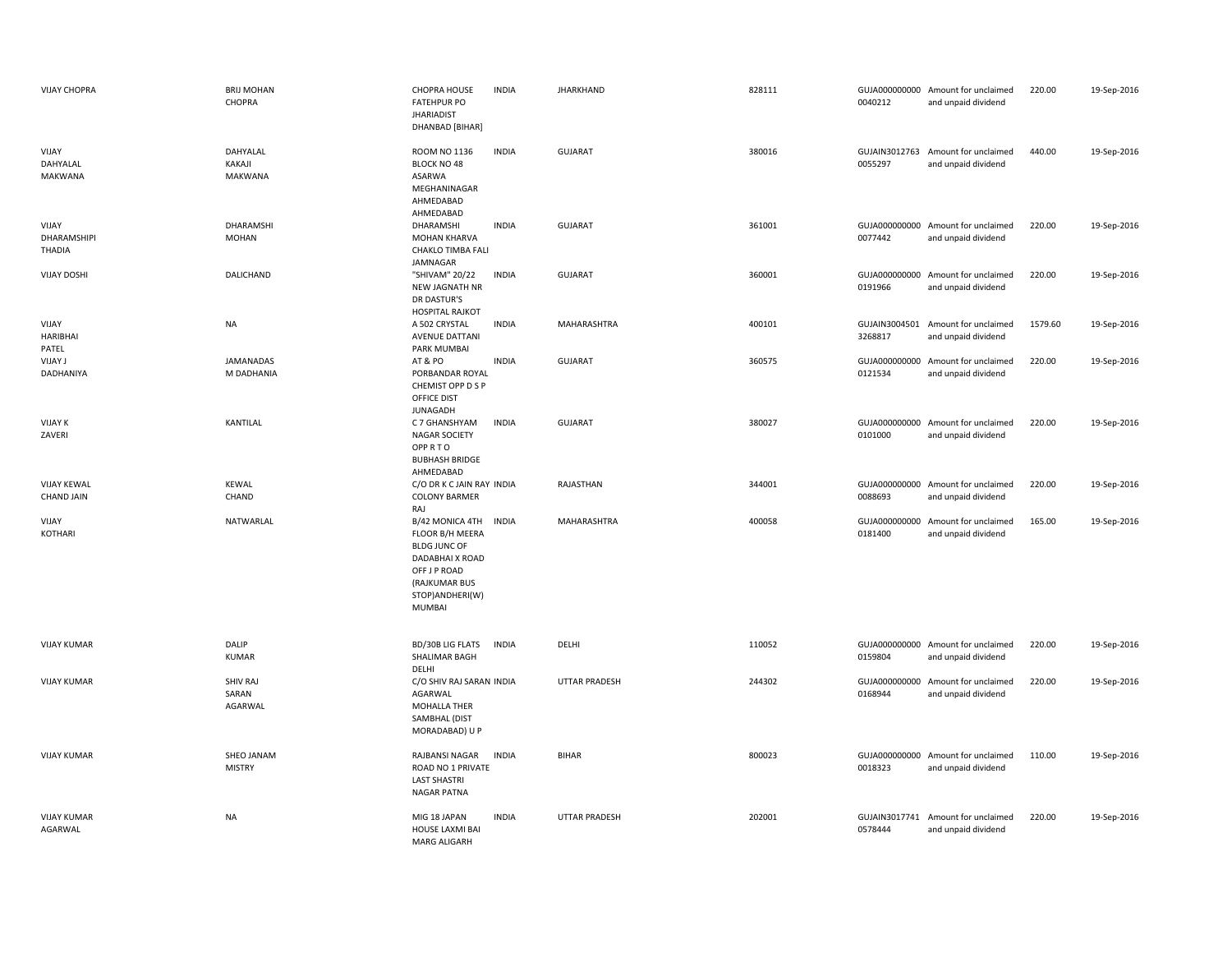| <b>VIJAY CHOPRA</b>                          | <b>BRIJ MOHAN</b><br>CHOPRA         | <b>CHOPRA HOUSE</b><br><b>INDIA</b><br><b>FATEHPUR PO</b><br><b>JHARIADIST</b><br>DHANBAD [BIHAR]                                                           | <b>JHARKHAND</b>     | 828111 | 0040212                  | GUJA000000000 Amount for unclaimed<br>and unpaid dividend | 220.00  | 19-Sep-2016 |
|----------------------------------------------|-------------------------------------|-------------------------------------------------------------------------------------------------------------------------------------------------------------|----------------------|--------|--------------------------|-----------------------------------------------------------|---------|-------------|
| VIJAY<br>DAHYALAL<br><b>MAKWANA</b>          | DAHYALAL<br>KAKAJI<br>MAKWANA       | <b>INDIA</b><br>ROOM NO 1136<br>BLOCK NO 48<br>ASARWA<br>MEGHANINAGAR<br>AHMEDABAD<br>AHMEDABAD                                                             | <b>GUJARAT</b>       | 380016 | 0055297                  | GUJAIN3012763 Amount for unclaimed<br>and unpaid dividend | 440.00  | 19-Sep-2016 |
| VIJAY<br><b>DHARAMSHIPI</b><br><b>THADIA</b> | DHARAMSHI<br><b>MOHAN</b>           | DHARAMSHI<br><b>INDIA</b><br>MOHAN KHARVA<br>CHAKLO TIMBA FALI<br>JAMNAGAR                                                                                  | <b>GUJARAT</b>       | 361001 | 0077442                  | GUJA000000000 Amount for unclaimed<br>and unpaid dividend | 220.00  | 19-Sep-2016 |
| <b>VIJAY DOSHI</b>                           | DALICHAND                           | "SHIVAM" 20/22<br><b>INDIA</b><br>NEW JAGNATH NR<br>DR DASTUR'S<br><b>HOSPITAL RAJKOT</b>                                                                   | <b>GUJARAT</b>       | 360001 | 0191966                  | GUJA000000000 Amount for unclaimed<br>and unpaid dividend | 220.00  | 19-Sep-2016 |
| VIJAY<br><b>HARIBHAI</b><br>PATEL            | <b>NA</b>                           | A 502 CRYSTAL<br><b>INDIA</b><br><b>AVENUE DATTANI</b><br>PARK MUMBAI                                                                                       | MAHARASHTRA          | 400101 | GUJAIN3004501<br>3268817 | Amount for unclaimed<br>and unpaid dividend               | 1579.60 | 19-Sep-2016 |
| <b>VIJAY J</b><br>DADHANIYA                  | <b>JAMANADAS</b><br>M DADHANIA      | <b>INDIA</b><br>AT&PO<br>PORBANDAR ROYAL<br>CHEMIST OPP D S P<br>OFFICE DIST<br><b>JUNAGADH</b>                                                             | <b>GUJARAT</b>       | 360575 | 0121534                  | GUJA000000000 Amount for unclaimed<br>and unpaid dividend | 220.00  | 19-Sep-2016 |
| <b>VIJAY K</b><br>ZAVERI                     | KANTILAL                            | <b>INDIA</b><br>C 7 GHANSHYAM<br><b>NAGAR SOCIETY</b><br>OPPRTO<br><b>BUBHASH BRIDGE</b><br>AHMEDABAD                                                       | <b>GUJARAT</b>       | 380027 | 0101000                  | GUJA000000000 Amount for unclaimed<br>and unpaid dividend | 220.00  | 19-Sep-2016 |
| <b>VIJAY KEWAL</b><br><b>CHAND JAIN</b>      | <b>KEWAL</b><br>CHAND               | C/O DR K C JAIN RAY INDIA<br><b>COLONY BARMER</b><br>RAJ                                                                                                    | RAJASTHAN            | 344001 | 0088693                  | GUJA000000000 Amount for unclaimed<br>and unpaid dividend | 220.00  | 19-Sep-2016 |
| VIJAY<br>KOTHARI                             | NATWARLAL                           | B/42 MONICA 4TH<br><b>INDIA</b><br>FLOOR B/H MEERA<br><b>BLDG JUNC OF</b><br>DADABHAI X ROAD<br>OFF J P ROAD<br>(RAJKUMAR BUS<br>STOP) ANDHERI(W)<br>MUMBAI | MAHARASHTRA          | 400058 | 0181400                  | GUJA000000000 Amount for unclaimed<br>and unpaid dividend | 165.00  | 19-Sep-2016 |
| <b>VIJAY KUMAR</b>                           | DALIP<br><b>KUMAR</b>               | BD/30B LIG FLATS<br><b>INDIA</b><br>SHALIMAR BAGH<br>DELHI                                                                                                  | DELHI                | 110052 | 0159804                  | GUJA000000000 Amount for unclaimed<br>and unpaid dividend | 220.00  | 19-Sep-2016 |
| <b>VIJAY KUMAR</b>                           | <b>SHIV RAJ</b><br>SARAN<br>AGARWAL | C/O SHIV RAJ SARAN INDIA<br>AGARWAL<br>MOHALLA THER<br>SAMBHAL (DIST<br>MORADABAD) U P                                                                      | <b>UTTAR PRADESH</b> | 244302 | 0168944                  | GUJA000000000 Amount for unclaimed<br>and unpaid dividend | 220.00  | 19-Sep-2016 |
| <b>VIJAY KUMAR</b>                           | SHEO JANAM<br><b>MISTRY</b>         | RAJBANSI NAGAR<br><b>INDIA</b><br>ROAD NO 1 PRIVATE<br><b>LAST SHASTRI</b><br>NAGAR PATNA                                                                   | <b>BIHAR</b>         | 800023 | 0018323                  | GUJA000000000 Amount for unclaimed<br>and unpaid dividend | 110.00  | 19-Sep-2016 |
| <b>VIJAY KUMAR</b><br>AGARWAL                | <b>NA</b>                           | MIG 18 JAPAN<br><b>INDIA</b><br>HOUSE LAXMI BAI<br><b>MARG ALIGARH</b>                                                                                      | UTTAR PRADESH        | 202001 | 0578444                  | GUJAIN3017741 Amount for unclaimed<br>and unpaid dividend | 220.00  | 19-Sep-2016 |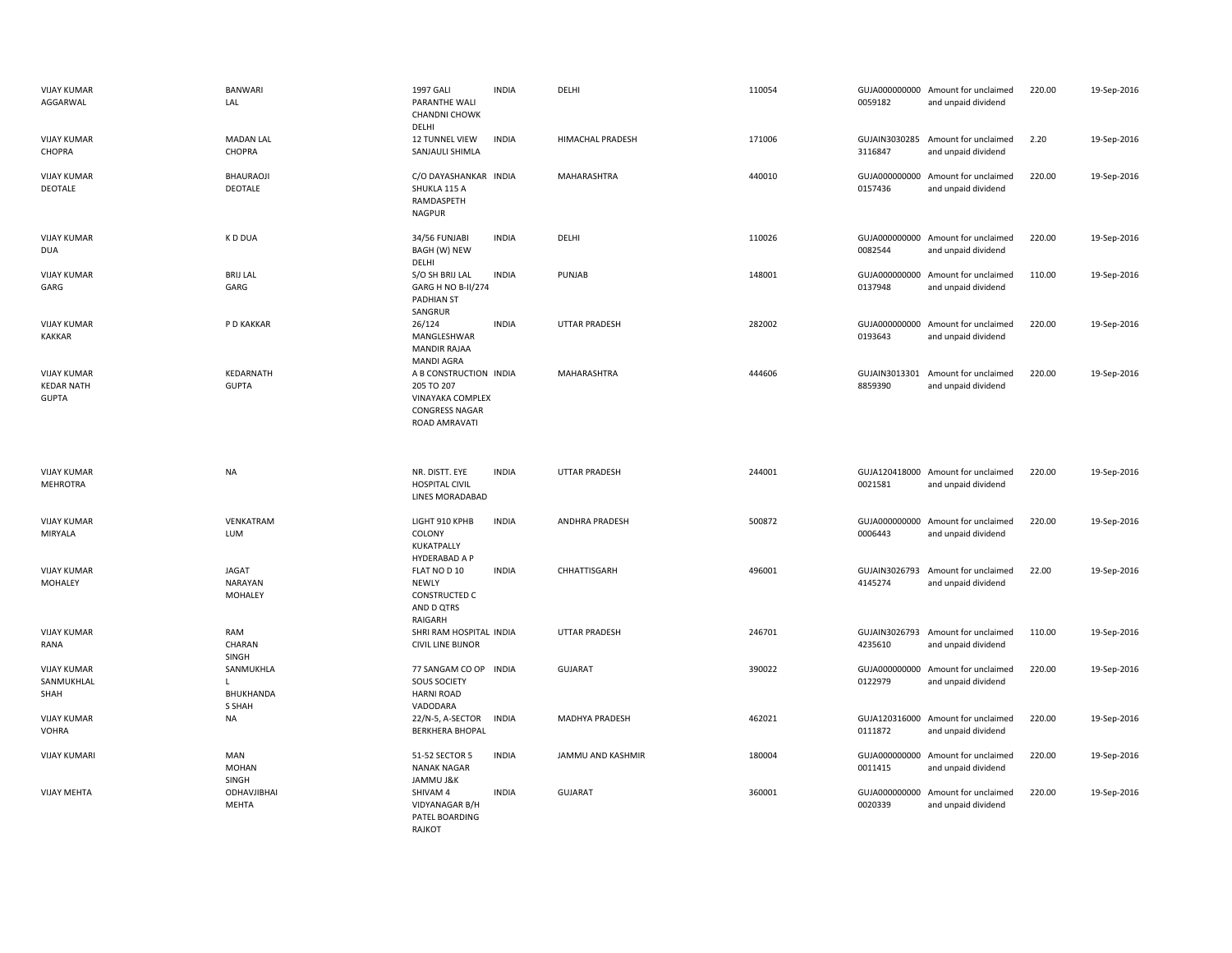| <b>VIJAY KUMAR</b><br>AGGARWAL                          | <b>BANWARI</b><br>LAL                     | 1997 GALI<br>PARANTHE WALI<br><b>CHANDNI CHOWK</b><br>DELHI                                        | <b>INDIA</b> | DELHI                   | 110054 | 0059182                  | GUJA000000000 Amount for unclaimed<br>and unpaid dividend | 220.00 | 19-Sep-2016 |
|---------------------------------------------------------|-------------------------------------------|----------------------------------------------------------------------------------------------------|--------------|-------------------------|--------|--------------------------|-----------------------------------------------------------|--------|-------------|
| <b>VIJAY KUMAR</b><br>CHOPRA                            | <b>MADAN LAL</b><br>CHOPRA                | 12 TUNNEL VIEW<br>SANJAULI SHIMLA                                                                  | <b>INDIA</b> | <b>HIMACHAL PRADESH</b> | 171006 | 3116847                  | GUJAIN3030285 Amount for unclaimed<br>and unpaid dividend | 2.20   | 19-Sep-2016 |
| <b>VIJAY KUMAR</b><br>DEOTALE                           | BHAURAOJI<br>DEOTALE                      | C/O DAYASHANKAR INDIA<br>SHUKLA 115 A<br>RAMDASPETH<br><b>NAGPUR</b>                               |              | MAHARASHTRA             | 440010 | 0157436                  | GUJA000000000 Amount for unclaimed<br>and unpaid dividend | 220.00 | 19-Sep-2016 |
| <b>VIJAY KUMAR</b><br><b>DUA</b>                        | K D DUA                                   | 34/56 FUNJABI<br>BAGH (W) NEW<br>DELHI                                                             | <b>INDIA</b> | DELHI                   | 110026 | 0082544                  | GUJA000000000 Amount for unclaimed<br>and unpaid dividend | 220.00 | 19-Sep-2016 |
| <b>VIJAY KUMAR</b><br>GARG                              | <b>BRIJ LAL</b><br>GARG                   | S/O SH BRIJ LAL<br>GARG H NO B-II/274<br><b>PADHIAN ST</b><br>SANGRUR                              | <b>INDIA</b> | PUNJAB                  | 148001 | 0137948                  | GUJA000000000 Amount for unclaimed<br>and unpaid dividend | 110.00 | 19-Sep-2016 |
| <b>VIJAY KUMAR</b><br><b>KAKKAR</b>                     | P D KAKKAR                                | 26/124<br>MANGLESHWAR<br><b>MANDIR RAJAA</b><br><b>MANDI AGRA</b>                                  | <b>INDIA</b> | <b>UTTAR PRADESH</b>    | 282002 | 0193643                  | GUJA000000000 Amount for unclaimed<br>and unpaid dividend | 220.00 | 19-Sep-2016 |
| <b>VIJAY KUMAR</b><br><b>KEDAR NATH</b><br><b>GUPTA</b> | KEDARNATH<br><b>GUPTA</b>                 | A B CONSTRUCTION INDIA<br>205 TO 207<br>VINAYAKA COMPLEX<br><b>CONGRESS NAGAR</b><br>ROAD AMRAVATI |              | MAHARASHTRA             | 444606 | 8859390                  | GUJAIN3013301 Amount for unclaimed<br>and unpaid dividend | 220.00 | 19-Sep-2016 |
| <b>VIJAY KUMAR</b><br><b>MEHROTRA</b>                   | NA                                        | NR. DISTT. EYE<br><b>HOSPITAL CIVIL</b><br>LINES MORADABAD                                         | <b>INDIA</b> | <b>UTTAR PRADESH</b>    | 244001 | 0021581                  | GUJA120418000 Amount for unclaimed<br>and unpaid dividend | 220.00 | 19-Sep-2016 |
| <b>VIJAY KUMAR</b><br>MIRYALA                           | VENKATRAM<br><b>LUM</b>                   | LIGHT 910 KPHB<br>COLONY<br>KUKATPALLY<br>HYDERABAD A P                                            | <b>INDIA</b> | ANDHRA PRADESH          | 500872 | 0006443                  | GUJA000000000 Amount for unclaimed<br>and unpaid dividend | 220.00 | 19-Sep-2016 |
| <b>VIJAY KUMAR</b><br>MOHALEY                           | <b>JAGAT</b><br>NARAYAN<br><b>MOHALEY</b> | FLAT NO D 10<br><b>NEWLY</b><br><b>CONSTRUCTED C</b><br>AND D QTRS<br>RAIGARH                      | <b>INDIA</b> | CHHATTISGARH            | 496001 | GUJAIN3026793<br>4145274 | Amount for unclaimed<br>and unpaid dividend               | 22.00  | 19-Sep-2016 |
| <b>VIJAY KUMAR</b><br>RANA                              | RAM<br>CHARAN<br>SINGH                    | SHRI RAM HOSPITAL INDIA<br><b>CIVIL LINE BIJNOR</b>                                                |              | <b>UTTAR PRADESH</b>    | 246701 | 4235610                  | GUJAIN3026793 Amount for unclaimed<br>and unpaid dividend | 110.00 | 19-Sep-2016 |
| <b>VIJAY KUMAR</b><br>SANMUKHLAL<br>SHAH                | SANMUKHLA<br>ъ.<br>BHUKHANDA<br>S SHAH    | 77 SANGAM CO OP INDIA<br>SOUS SOCIETY<br><b>HARNI ROAD</b><br>VADODARA                             |              | <b>GUJARAT</b>          | 390022 | 0122979                  | GUJA000000000 Amount for unclaimed<br>and unpaid dividend | 220.00 | 19-Sep-2016 |
| <b>VIJAY KUMAR</b><br><b>VOHRA</b>                      | NA                                        | 22/N-5, A-SECTOR<br><b>BERKHERA BHOPAL</b>                                                         | <b>INDIA</b> | MADHYA PRADESH          | 462021 | 0111872                  | GUJA120316000 Amount for unclaimed<br>and unpaid dividend | 220.00 | 19-Sep-2016 |
| <b>VIJAY KUMARI</b>                                     | MAN<br><b>MOHAN</b><br>SINGH              | 51-52 SECTOR 5<br>NANAK NAGAR<br>JAMMU J&K                                                         | <b>INDIA</b> | JAMMU AND KASHMIR       | 180004 | 0011415                  | GUJA000000000 Amount for unclaimed<br>and unpaid dividend | 220.00 | 19-Sep-2016 |
| <b>VIJAY MEHTA</b>                                      | ODHAVJIBHAI<br><b>MEHTA</b>               | SHIVAM 4<br>VIDYANAGAR B/H<br>PATEL BOARDING<br>RAJKOT                                             | <b>INDIA</b> | <b>GUJARAT</b>          | 360001 | 0020339                  | GUJA000000000 Amount for unclaimed<br>and unpaid dividend | 220.00 | 19-Sep-2016 |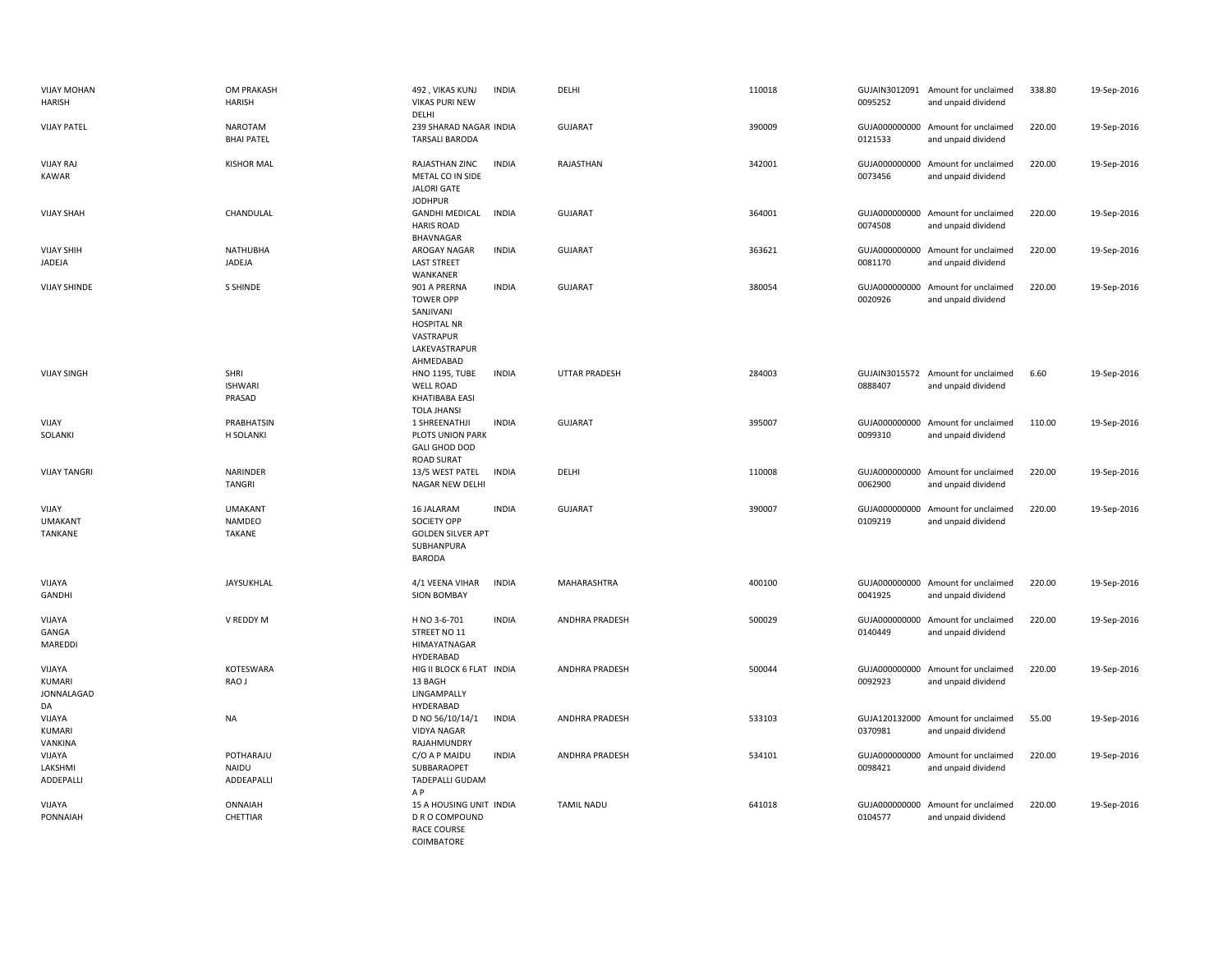| <b>VIJAY MOHAN</b><br><b>HARISH</b>  | OM PRAKASH<br><b>HARISH</b>             | 492, VIKAS KUNJ<br><b>VIKAS PURI NEW</b><br>DELHI                                                              | <b>INDIA</b> | DELHI                 | 110018 | 0095252                  | GUJAIN3012091 Amount for unclaimed<br>and unpaid dividend | 338.80 | 19-Sep-2016 |
|--------------------------------------|-----------------------------------------|----------------------------------------------------------------------------------------------------------------|--------------|-----------------------|--------|--------------------------|-----------------------------------------------------------|--------|-------------|
| <b>VIJAY PATEL</b>                   | <b>NAROTAM</b><br><b>BHAI PATEL</b>     | 239 SHARAD NAGAR INDIA<br><b>TARSALI BARODA</b>                                                                |              | <b>GUJARAT</b>        | 390009 | 0121533                  | GUJA000000000 Amount for unclaimed<br>and unpaid dividend | 220.00 | 19-Sep-2016 |
| <b>VIJAY RAJ</b><br>KAWAR            | <b>KISHOR MAL</b>                       | RAJASTHAN ZINC<br>METAL CO IN SIDE<br><b>JALORI GATE</b><br><b>JODHPUR</b>                                     | <b>INDIA</b> | RAJASTHAN             | 342001 | GUJA000000000<br>0073456 | Amount for unclaimed<br>and unpaid dividend               | 220.00 | 19-Sep-2016 |
| <b>VIJAY SHAH</b>                    | CHANDULAL                               | <b>GANDHI MEDICAL</b><br><b>HARIS ROAD</b><br>BHAVNAGAR                                                        | <b>INDIA</b> | <b>GUJARAT</b>        | 364001 | 0074508                  | GUJA000000000 Amount for unclaimed<br>and unpaid dividend | 220.00 | 19-Sep-2016 |
| <b>VIJAY SHIH</b><br>JADEJA          | <b>NATHUBHA</b><br>JADEJA               | <b>AROGAY NAGAR</b><br><b>LAST STREET</b><br>WANKANER                                                          | <b>INDIA</b> | <b>GUJARAT</b>        | 363621 | 0081170                  | GUJA000000000 Amount for unclaimed<br>and unpaid dividend | 220.00 | 19-Sep-2016 |
| <b>VIJAY SHINDE</b>                  | <b>S SHINDE</b>                         | 901 A PRERNA<br><b>TOWER OPP</b><br>SANJIVANI<br><b>HOSPITAL NR</b><br>VASTRAPUR<br>LAKEVASTRAPUR<br>AHMEDABAD | <b>INDIA</b> | <b>GUJARAT</b>        | 380054 | GUJA000000000<br>0020926 | Amount for unclaimed<br>and unpaid dividend               | 220.00 | 19-Sep-2016 |
| <b>VIJAY SINGH</b>                   | SHRI<br><b>ISHWARI</b><br>PRASAD        | <b>HNO 1195, TUBE</b><br><b>WELL ROAD</b><br><b>KHATIBABA EASI</b><br><b>TOLA JHANSI</b>                       | <b>INDIA</b> | UTTAR PRADESH         | 284003 | 0888407                  | GUJAIN3015572 Amount for unclaimed<br>and unpaid dividend | 6.60   | 19-Sep-2016 |
| VIJAY<br>SOLANKI                     | PRABHATSIN<br>H SOLANKI                 | 1 SHREENATHJI<br>PLOTS UNION PARK<br><b>GALI GHOD DOD</b><br><b>ROAD SURAT</b>                                 | <b>INDIA</b> | <b>GUJARAT</b>        | 395007 | 0099310                  | GUJA000000000 Amount for unclaimed<br>and unpaid dividend | 110.00 | 19-Sep-2016 |
| <b>VIJAY TANGRI</b>                  | <b>NARINDER</b><br><b>TANGRI</b>        | 13/5 WEST PATEL<br>NAGAR NEW DELHI                                                                             | <b>INDIA</b> | DELHI                 | 110008 | 0062900                  | GUJA000000000 Amount for unclaimed<br>and unpaid dividend | 220.00 | 19-Sep-2016 |
| VIJAY<br><b>UMAKANT</b><br>TANKANE   | <b>UMAKANT</b><br>NAMDEO<br>TAKANE      | 16 JALARAM<br><b>SOCIETY OPP</b><br><b>GOLDEN SILVER APT</b><br>SUBHANPURA<br><b>BARODA</b>                    | <b>INDIA</b> | <b>GUJARAT</b>        | 390007 | GUJA000000000<br>0109219 | Amount for unclaimed<br>and unpaid dividend               | 220.00 | 19-Sep-2016 |
| VIJAYA<br>GANDHI                     | JAYSUKHLAL                              | 4/1 VEENA VIHAR<br><b>SION BOMBAY</b>                                                                          | <b>INDIA</b> | MAHARASHTRA           | 400100 | 0041925                  | GUJA000000000 Amount for unclaimed<br>and unpaid dividend | 220.00 | 19-Sep-2016 |
| VIJAYA<br>GANGA<br>MAREDDI           | V REDDY M                               | H NO 3-6-701<br>STREET NO 11<br>HIMAYATNAGAR<br>HYDERABAD                                                      | <b>INDIA</b> | <b>ANDHRA PRADESH</b> | 500029 | 0140449                  | GUJA000000000 Amount for unclaimed<br>and unpaid dividend | 220.00 | 19-Sep-2016 |
| VIJAYA<br>KUMARI<br>JONNALAGAD<br>DA | KOTESWARA<br>RAO J                      | HIG II BLOCK 6 FLAT INDIA<br>13 BAGH<br>LINGAMPALLY<br>HYDERABAD                                               |              | ANDHRA PRADESH        | 500044 | 0092923                  | GUJA000000000 Amount for unclaimed<br>and unpaid dividend | 220.00 | 19-Sep-2016 |
| VIJAYA<br>KUMARI<br>VANKINA          | <b>NA</b>                               | D NO 56/10/14/1<br><b>VIDYA NAGAR</b><br>RAJAHMUNDRY                                                           | <b>INDIA</b> | ANDHRA PRADESH        | 533103 | 0370981                  | GUJA120132000 Amount for unclaimed<br>and unpaid dividend | 55.00  | 19-Sep-2016 |
| VIJAYA<br>LAKSHMI<br>ADDEPALLI       | POTHARAJU<br><b>NAIDU</b><br>ADDEAPALLI | C/O A P MAIDU<br>SUBBARAOPET<br>TADEPALLI GUDAM<br>A P                                                         | <b>INDIA</b> | ANDHRA PRADESH        | 534101 | GUJA000000000<br>0098421 | Amount for unclaimed<br>and unpaid dividend               | 220.00 | 19-Sep-2016 |
| VIJAYA<br>PONNAIAH                   | ONNAIAH<br>CHETTIAR                     | 15 A HOUSING UNIT INDIA<br>D R O COMPOUND<br><b>RACE COURSE</b><br>COIMBATORE                                  |              | <b>TAMIL NADU</b>     | 641018 | 0104577                  | GUJA000000000 Amount for unclaimed<br>and unpaid dividend | 220.00 | 19-Sep-2016 |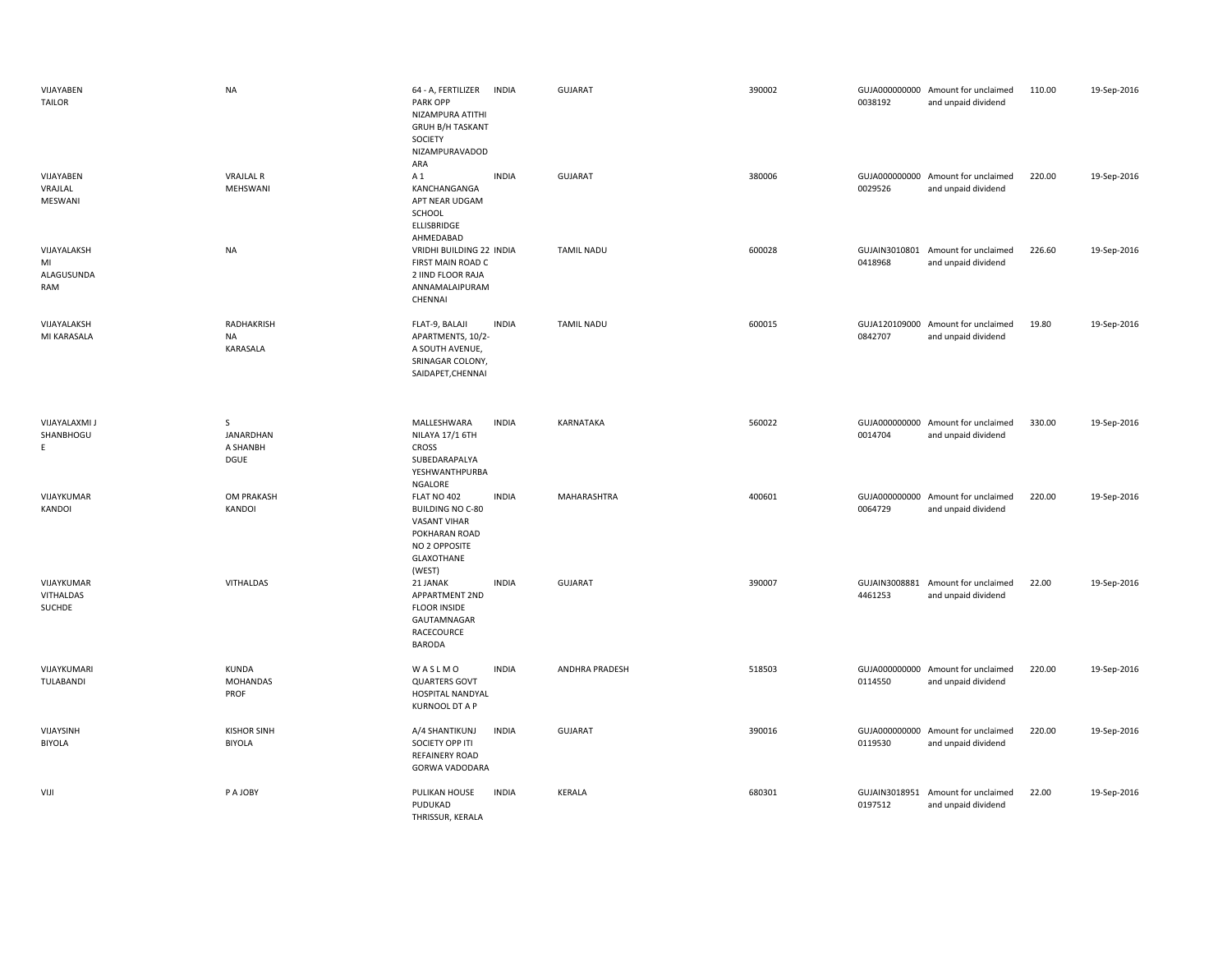| VIJAYABEN<br><b>TAILOR</b>             | <b>NA</b>                                  | 64 - A, FERTILIZER INDIA<br>PARK OPP<br>NIZAMPURA ATITHI<br><b>GRUH B/H TASKANT</b><br>SOCIETY<br>NIZAMPURAVADOD<br>ARA |              | <b>GUJARAT</b>    | 390002 | 0038192                  | GUJA000000000 Amount for unclaimed<br>and unpaid dividend | 110.00 | 19-Sep-2016 |
|----------------------------------------|--------------------------------------------|-------------------------------------------------------------------------------------------------------------------------|--------------|-------------------|--------|--------------------------|-----------------------------------------------------------|--------|-------------|
| VIJAYABEN<br>VRAJLAL<br>MESWANI        | <b>VRAJLAL R</b><br>MEHSWANI               | A 1<br>KANCHANGANGA<br>APT NEAR UDGAM<br>SCHOOL<br>ELLISBRIDGE<br>AHMEDABAD                                             | <b>INDIA</b> | <b>GUJARAT</b>    | 380006 | 0029526                  | GUJA000000000 Amount for unclaimed<br>and unpaid dividend | 220.00 | 19-Sep-2016 |
| VIJAYALAKSH<br>MI<br>ALAGUSUNDA<br>RAM | <b>NA</b>                                  | VRIDHI BUILDING 22 INDIA<br>FIRST MAIN ROAD C<br>2 IIND FLOOR RAJA<br>ANNAMALAIPURAM<br>CHENNAI                         |              | <b>TAMIL NADU</b> | 600028 | 0418968                  | GUJAIN3010801 Amount for unclaimed<br>and unpaid dividend | 226.60 | 19-Sep-2016 |
| VIJAYALAKSH<br>MI KARASALA             | <b>RADHAKRISH</b><br><b>NA</b><br>KARASALA | FLAT-9, BALAJI<br>APARTMENTS, 10/2-<br>A SOUTH AVENUE,<br>SRINAGAR COLONY,<br>SAIDAPET, CHENNAI                         | <b>INDIA</b> | <b>TAMIL NADU</b> | 600015 | 0842707                  | GUJA120109000 Amount for unclaimed<br>and unpaid dividend | 19.80  | 19-Sep-2016 |
| <b>VIJAYALAXMI J</b><br>SHANBHOGU<br>E | S.<br>JANARDHAN<br>A SHANBH<br><b>DGUE</b> | MALLESHWARA<br>NILAYA 17/1 6TH<br><b>CROSS</b><br>SUBEDARAPALYA<br>YESHWANTHPURBA<br>NGALORE                            | <b>INDIA</b> | KARNATAKA         | 560022 | 0014704                  | GUJA000000000 Amount for unclaimed<br>and unpaid dividend | 330.00 | 19-Sep-2016 |
| VIJAYKUMAR<br>KANDOI                   | OM PRAKASH<br>KANDOI                       | FLAT NO 402<br><b>BUILDING NO C-80</b><br><b>VASANT VIHAR</b><br>POKHARAN ROAD<br>NO 2 OPPOSITE<br>GLAXOTHANE<br>(WEST) | <b>INDIA</b> | MAHARASHTRA       | 400601 | 0064729                  | GUJA000000000 Amount for unclaimed<br>and unpaid dividend | 220.00 | 19-Sep-2016 |
| VIJAYKUMAR<br>VITHALDAS<br>SUCHDE      | VITHALDAS                                  | 21 JANAK<br>APPARTMENT 2ND<br><b>FLOOR INSIDE</b><br>GAUTAMNAGAR<br>RACECOURCE<br><b>BARODA</b>                         | <b>INDIA</b> | <b>GUJARAT</b>    | 390007 | 4461253                  | GUJAIN3008881 Amount for unclaimed<br>and unpaid dividend | 22.00  | 19-Sep-2016 |
| VIJAYKUMARI<br>TULABANDI               | <b>KUNDA</b><br><b>MOHANDAS</b><br>PROF    | WASLMO<br><b>QUARTERS GOVT</b><br>HOSPITAL NANDYAL<br><b>KURNOOL DT A P</b>                                             | <b>INDIA</b> | ANDHRA PRADESH    | 518503 | 0114550                  | GUJA000000000 Amount for unclaimed<br>and unpaid dividend | 220.00 | 19-Sep-2016 |
| VIJAYSINH<br><b>BIYOLA</b>             | <b>KISHOR SINH</b><br><b>BIYOLA</b>        | A/4 SHANTIKUNJ<br>SOCIETY OPP ITI<br><b>REFAINERY ROAD</b><br>GORWA VADODARA                                            | <b>INDIA</b> | <b>GUJARAT</b>    | 390016 | GUJA000000000<br>0119530 | Amount for unclaimed<br>and unpaid dividend               | 220.00 | 19-Sep-2016 |
| VIJI                                   | P A JOBY                                   | PULIKAN HOUSE<br>PUDUKAD<br>THRISSUR, KERALA                                                                            | <b>INDIA</b> | KERALA            | 680301 | 0197512                  | GUJAIN3018951 Amount for unclaimed<br>and unpaid dividend | 22.00  | 19-Sep-2016 |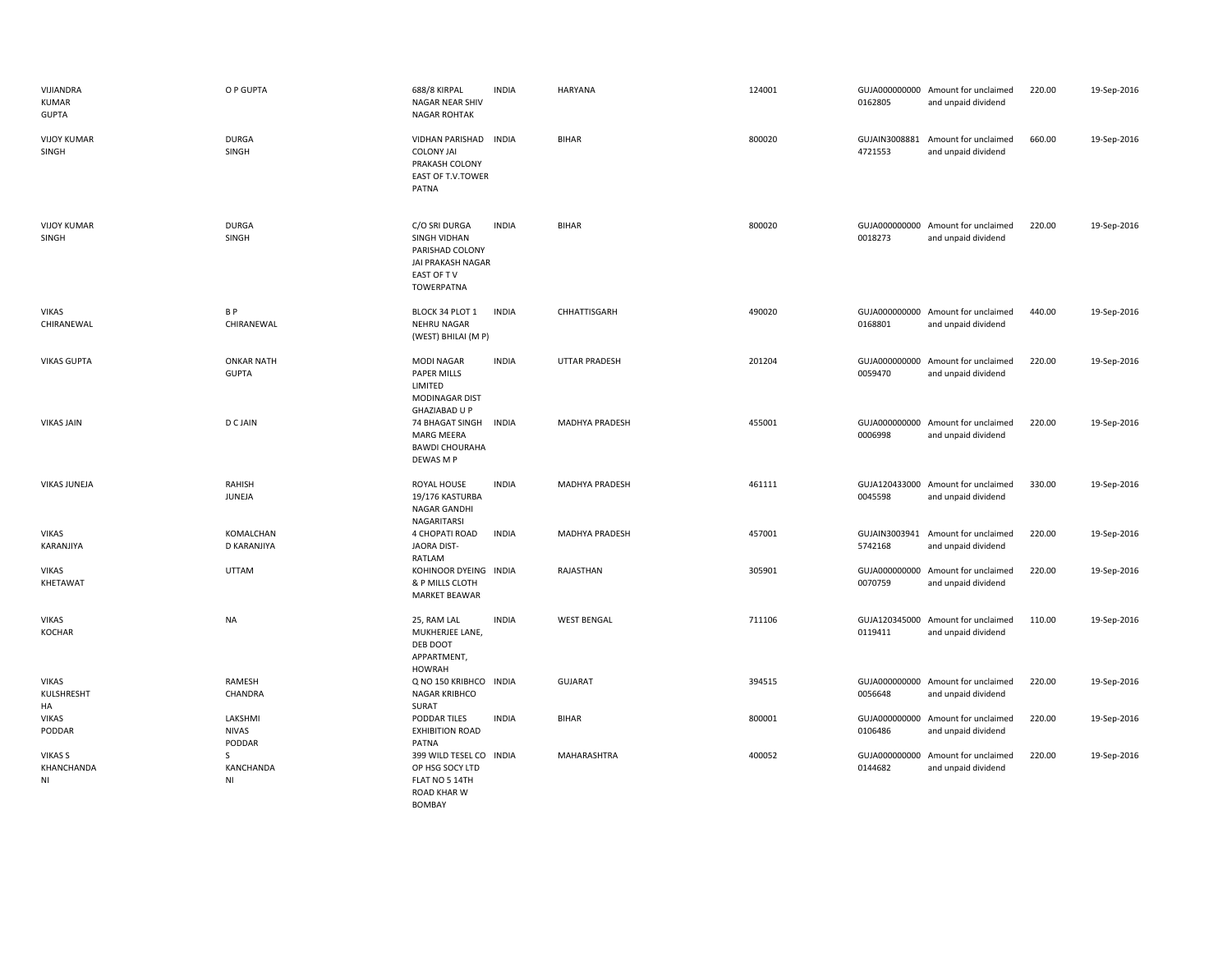| VIJIANDRA<br><b>KUMAR</b><br><b>GUPTA</b> | O P GUPTA                         | 688/8 KIRPAL<br><b>NAGAR NEAR SHIV</b><br><b>NAGAR ROHTAK</b>                                            | <b>INDIA</b> | HARYANA               | 124001 | 0162805                  | GUJA000000000 Amount for unclaimed<br>and unpaid dividend | 220.00 | 19-Sep-2016 |
|-------------------------------------------|-----------------------------------|----------------------------------------------------------------------------------------------------------|--------------|-----------------------|--------|--------------------------|-----------------------------------------------------------|--------|-------------|
| <b>VIJOY KUMAR</b><br>SINGH               | <b>DURGA</b><br>SINGH             | VIDHAN PARISHAD INDIA<br><b>COLONY JAI</b><br>PRAKASH COLONY<br>EAST OF T.V.TOWER<br>PATNA               |              | <b>BIHAR</b>          | 800020 | GUJAIN3008881<br>4721553 | Amount for unclaimed<br>and unpaid dividend               | 660.00 | 19-Sep-2016 |
| <b>VIJOY KUMAR</b><br>SINGH               | <b>DURGA</b><br>SINGH             | C/O SRI DURGA<br>SINGH VIDHAN<br>PARISHAD COLONY<br>JAI PRAKASH NAGAR<br>EAST OF TV<br><b>TOWERPATNA</b> | <b>INDIA</b> | <b>BIHAR</b>          | 800020 | 0018273                  | GUJA000000000 Amount for unclaimed<br>and unpaid dividend | 220.00 | 19-Sep-2016 |
| <b>VIKAS</b><br>CHIRANEWAL                | B P<br>CHIRANEWAL                 | BLOCK 34 PLOT 1<br>NEHRU NAGAR<br>(WEST) BHILAI (M P)                                                    | <b>INDIA</b> | CHHATTISGARH          | 490020 | 0168801                  | GUJA000000000 Amount for unclaimed<br>and unpaid dividend | 440.00 | 19-Sep-2016 |
| <b>VIKAS GUPTA</b>                        | <b>ONKAR NATH</b><br><b>GUPTA</b> | <b>MODI NAGAR</b><br><b>PAPER MILLS</b><br>LIMITED<br>MODINAGAR DIST<br>GHAZIABAD U P                    | <b>INDIA</b> | <b>UTTAR PRADESH</b>  | 201204 | 0059470                  | GUJA000000000 Amount for unclaimed<br>and unpaid dividend | 220.00 | 19-Sep-2016 |
| <b>VIKAS JAIN</b>                         | <b>D C JAIN</b>                   | 74 BHAGAT SINGH<br>MARG MEERA<br><b>BAWDI CHOURAHA</b><br>DEWAS M P                                      | <b>INDIA</b> | MADHYA PRADESH        | 455001 | 0006998                  | GUJA000000000 Amount for unclaimed<br>and unpaid dividend | 220.00 | 19-Sep-2016 |
| <b>VIKAS JUNEJA</b>                       | RAHISH<br>JUNEJA                  | ROYAL HOUSE<br>19/176 KASTURBA<br><b>NAGAR GANDHI</b><br>NAGARITARSI                                     | <b>INDIA</b> | <b>MADHYA PRADESH</b> | 461111 | 0045598                  | GUJA120433000 Amount for unclaimed<br>and unpaid dividend | 330.00 | 19-Sep-2016 |
| VIKAS<br>KARANJIYA                        | KOMALCHAN<br>D KARANJIYA          | 4 CHOPATI ROAD<br>JAORA DIST-<br>RATLAM                                                                  | <b>INDIA</b> | MADHYA PRADESH        | 457001 | 5742168                  | GUJAIN3003941 Amount for unclaimed<br>and unpaid dividend | 220.00 | 19-Sep-2016 |
| <b>VIKAS</b><br>KHETAWAT                  | UTTAM                             | KOHINOOR DYEING INDIA<br>& P MILLS CLOTH<br><b>MARKET BEAWAR</b>                                         |              | RAJASTHAN             | 305901 | 0070759                  | GUJA000000000 Amount for unclaimed<br>and unpaid dividend | 220.00 | 19-Sep-2016 |
| <b>VIKAS</b><br><b>KOCHAR</b>             | <b>NA</b>                         | 25, RAM LAL<br>MUKHERJEE LANE,<br>DEB DOOT<br>APPARTMENT,<br><b>HOWRAH</b>                               | <b>INDIA</b> | <b>WEST BENGAL</b>    | 711106 | 0119411                  | GUJA120345000 Amount for unclaimed<br>and unpaid dividend | 110.00 | 19-Sep-2016 |
| VIKAS<br>KULSHRESHT<br>HA                 | RAMESH<br>CHANDRA                 | Q NO 150 KRIBHCO<br><b>NAGAR KRIBHCO</b><br>SURAT                                                        | <b>INDIA</b> | <b>GUJARAT</b>        | 394515 | 0056648                  | GUJA000000000 Amount for unclaimed<br>and unpaid dividend | 220.00 | 19-Sep-2016 |
| <b>VIKAS</b><br>PODDAR                    | LAKSHMI<br><b>NIVAS</b><br>PODDAR | PODDAR TILES<br><b>EXHIBITION ROAD</b><br>PATNA                                                          | <b>INDIA</b> | <b>BIHAR</b>          | 800001 | 0106486                  | GUJA000000000 Amount for unclaimed<br>and unpaid dividend | 220.00 | 19-Sep-2016 |
| <b>VIKAS S</b><br>KHANCHANDA<br>ΝI        | S.<br>KANCHANDA<br>NI             | 399 WILD TESEL CO INDIA<br>OP HSG SOCY LTD<br>FLAT NO 5 14TH<br><b>ROAD KHAR W</b>                       |              | MAHARASHTRA           | 400052 | 0144682                  | GUJA000000000 Amount for unclaimed<br>and unpaid dividend | 220.00 | 19-Sep-2016 |

BOMBAY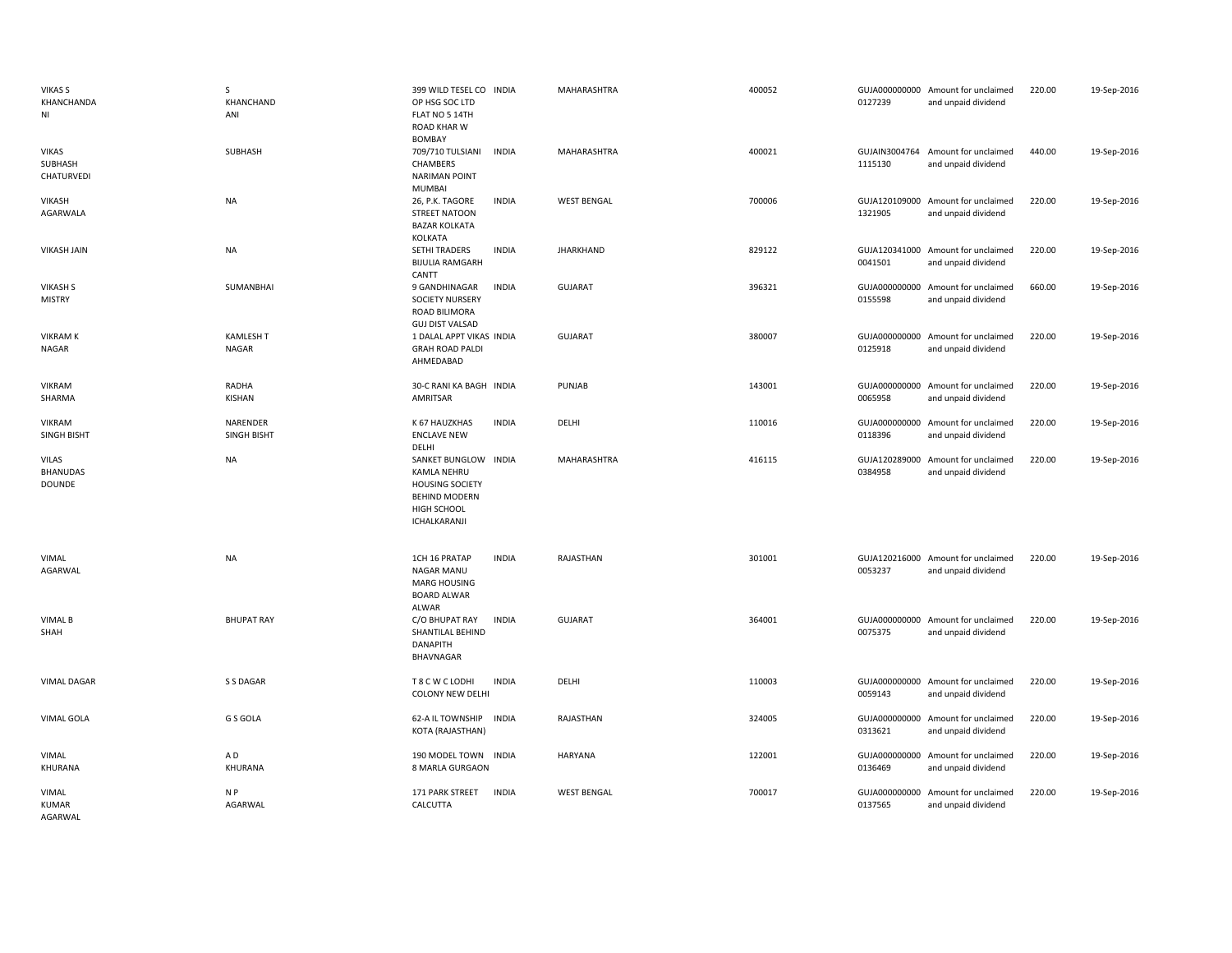| <b>VIKAS S</b><br>KHANCHANDA<br>ΝI               | S<br>KHANCHAND<br>ANI          | 399 WILD TESEL CO INDIA<br>OP HSG SOC LTD<br>FLAT NO 5 14TH<br><b>ROAD KHAR W</b><br>BOMBAY                          | MAHARASHTRA        | 400052 | 0127239                  | GUJA000000000 Amount for unclaimed<br>and unpaid dividend | 220.00 | 19-Sep-2016 |
|--------------------------------------------------|--------------------------------|----------------------------------------------------------------------------------------------------------------------|--------------------|--------|--------------------------|-----------------------------------------------------------|--------|-------------|
| <b>VIKAS</b><br><b>SUBHASH</b><br>CHATURVEDI     | SUBHASH                        | 709/710 TULSIANI<br><b>INDIA</b><br>CHAMBERS<br><b>NARIMAN POINT</b><br>MUMBAI                                       | MAHARASHTRA        | 400021 | 1115130                  | GUJAIN3004764 Amount for unclaimed<br>and unpaid dividend | 440.00 | 19-Sep-2016 |
| <b>VIKASH</b><br>AGARWALA                        | NA                             | <b>INDIA</b><br>26, P.K. TAGORE<br><b>STREET NATOON</b><br><b>BAZAR KOLKATA</b><br>KOLKATA                           | <b>WEST BENGAL</b> | 700006 | 1321905                  | GUJA120109000 Amount for unclaimed<br>and unpaid dividend | 220.00 | 19-Sep-2016 |
| <b>VIKASH JAIN</b>                               | NA                             | <b>INDIA</b><br><b>SETHI TRADERS</b><br><b>BIJULIA RAMGARH</b><br>CANTT                                              | <b>JHARKHAND</b>   | 829122 | 0041501                  | GUJA120341000 Amount for unclaimed<br>and unpaid dividend | 220.00 | 19-Sep-2016 |
| <b>VIKASH S</b><br><b>MISTRY</b>                 | SUMANBHAI                      | <b>INDIA</b><br>9 GANDHINAGAR<br><b>SOCIETY NURSERY</b><br>ROAD BILIMORA<br><b>GUJ DIST VALSAD</b>                   | <b>GUJARAT</b>     | 396321 | 0155598                  | GUJA000000000 Amount for unclaimed<br>and unpaid dividend | 660.00 | 19-Sep-2016 |
| <b>VIKRAM K</b><br>NAGAR                         | KAMLESH T<br>NAGAR             | 1 DALAL APPT VIKAS INDIA<br><b>GRAH ROAD PALDI</b><br>AHMEDABAD                                                      | <b>GUJARAT</b>     | 380007 | 0125918                  | GUJA000000000 Amount for unclaimed<br>and unpaid dividend | 220.00 | 19-Sep-2016 |
| VIKRAM<br>SHARMA                                 | RADHA<br>KISHAN                | 30-C RANI KA BAGH INDIA<br>AMRITSAR                                                                                  | PUNJAB             | 143001 | 0065958                  | GUJA000000000 Amount for unclaimed<br>and unpaid dividend | 220.00 | 19-Sep-2016 |
| <b>VIKRAM</b><br>SINGH BISHT                     | NARENDER<br><b>SINGH BISHT</b> | K 67 HAUZKHAS<br><b>INDIA</b><br><b>ENCLAVE NEW</b><br>DELHI                                                         | DELHI              | 110016 | 0118396                  | GUJA000000000 Amount for unclaimed<br>and unpaid dividend | 220.00 | 19-Sep-2016 |
| <b>VILAS</b><br><b>BHANUDAS</b><br><b>DOUNDE</b> | <b>NA</b>                      | SANKET BUNGLOW INDIA<br>KAMLA NEHRU<br><b>HOUSING SOCIETY</b><br><b>BEHIND MODERN</b><br>HIGH SCHOOL<br>ICHALKARANJI | MAHARASHTRA        | 416115 | 0384958                  | GUJA120289000 Amount for unclaimed<br>and unpaid dividend | 220.00 | 19-Sep-2016 |
| VIMAL<br>AGARWAL                                 | <b>NA</b>                      | 1CH 16 PRATAP<br><b>INDIA</b><br>NAGAR MANU<br><b>MARG HOUSING</b><br><b>BOARD ALWAR</b><br>ALWAR                    | RAJASTHAN          | 301001 | 0053237                  | GUJA120216000 Amount for unclaimed<br>and unpaid dividend | 220.00 | 19-Sep-2016 |
| <b>VIMAL B</b><br>SHAH                           | <b>BHUPAT RAY</b>              | <b>INDIA</b><br>C/O BHUPAT RAY<br>SHANTILAL BEHIND<br>DANAPITH<br>BHAVNAGAR                                          | <b>GUJARAT</b>     | 364001 | 0075375                  | GUJA000000000 Amount for unclaimed<br>and unpaid dividend | 220.00 | 19-Sep-2016 |
| <b>VIMAL DAGAR</b>                               | S S DAGAR                      | T 8 C W C LODHI<br><b>INDIA</b><br><b>COLONY NEW DELHI</b>                                                           | DELHI              | 110003 | 0059143                  | GUJA000000000 Amount for unclaimed<br>and unpaid dividend | 220.00 | 19-Sep-2016 |
| VIMAL GOLA                                       | G S GOLA                       | 62-A IL TOWNSHIP<br><b>INDIA</b><br>KOTA (RAJASTHAN)                                                                 | RAJASTHAN          | 324005 | 0313621                  | GUJA000000000 Amount for unclaimed<br>and unpaid dividend | 220.00 | 19-Sep-2016 |
| VIMAL<br>KHURANA                                 | A D<br>KHURANA                 | 190 MODEL TOWN INDIA<br>8 MARLA GURGAON                                                                              | <b>HARYANA</b>     | 122001 | 0136469                  | GUJA000000000 Amount for unclaimed<br>and unpaid dividend | 220.00 | 19-Sep-2016 |
| VIMAL<br><b>KUMAR</b><br>AGARWAL                 | N P<br>AGARWAL                 | 171 PARK STREET<br><b>INDIA</b><br>CALCUTTA                                                                          | <b>WEST BENGAL</b> | 700017 | GUJA000000000<br>0137565 | Amount for unclaimed<br>and unpaid dividend               | 220.00 | 19-Sep-2016 |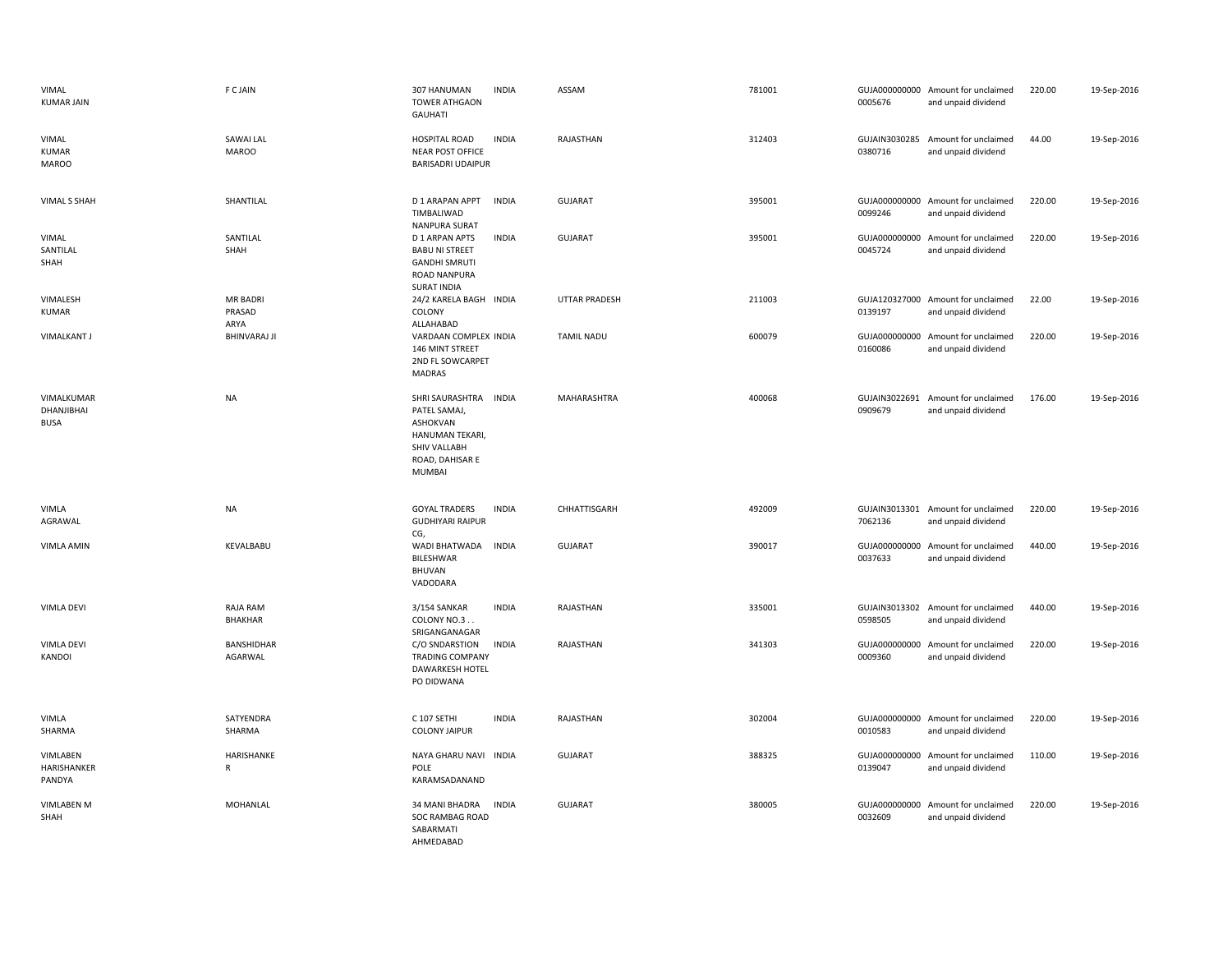| VIMAL<br><b>KUMAR JAIN</b>              | F C JAIN                          | <b>INDIA</b><br>307 HANUMAN<br><b>TOWER ATHGAON</b><br><b>GAUHATI</b>                                                    | ASSAM                | 781001 | 0005676                  | GUJA000000000 Amount for unclaimed<br>and unpaid dividend | 220.00 | 19-Sep-2016 |
|-----------------------------------------|-----------------------------------|--------------------------------------------------------------------------------------------------------------------------|----------------------|--------|--------------------------|-----------------------------------------------------------|--------|-------------|
| VIMAL<br><b>KUMAR</b><br><b>MAROO</b>   | SAWAI LAL<br><b>MAROO</b>         | <b>INDIA</b><br><b>HOSPITAL ROAD</b><br><b>NEAR POST OFFICE</b><br><b>BARISADRI UDAIPUR</b>                              | RAJASTHAN            | 312403 | GUJAIN3030285<br>0380716 | Amount for unclaimed<br>and unpaid dividend               | 44.00  | 19-Sep-2016 |
| <b>VIMAL S SHAH</b>                     | SHANTILAL                         | D 1 ARAPAN APPT<br><b>INDIA</b><br>TIMBALIWAD<br>NANPURA SURAT                                                           | <b>GUJARAT</b>       | 395001 | GUJA000000000<br>0099246 | Amount for unclaimed<br>and unpaid dividend               | 220.00 | 19-Sep-2016 |
| VIMAL<br>SANTILAL<br>SHAH               | SANTILAL<br>SHAH                  | <b>INDIA</b><br>D 1 ARPAN APTS<br><b>BABU NI STREET</b><br><b>GANDHI SMRUTI</b><br>ROAD NANPURA<br><b>SURAT INDIA</b>    | <b>GUJARAT</b>       | 395001 | 0045724                  | GUJA000000000 Amount for unclaimed<br>and unpaid dividend | 220.00 | 19-Sep-2016 |
| VIMALESH<br><b>KUMAR</b>                | <b>MR BADRI</b><br>PRASAD<br>ARYA | 24/2 KARELA BAGH INDIA<br>COLONY<br>ALLAHABAD                                                                            | <b>UTTAR PRADESH</b> | 211003 | 0139197                  | GUJA120327000 Amount for unclaimed<br>and unpaid dividend | 22.00  | 19-Sep-2016 |
| <b>VIMALKANT J</b>                      | <b>BHINVARAJ JI</b>               | VARDAAN COMPLEX INDIA<br>146 MINT STREET<br>2ND FL SOWCARPET<br><b>MADRAS</b>                                            | <b>TAMIL NADU</b>    | 600079 | 0160086                  | GUJA000000000 Amount for unclaimed<br>and unpaid dividend | 220.00 | 19-Sep-2016 |
| VIMALKUMAR<br>DHANJIBHAI<br><b>BUSA</b> | <b>NA</b>                         | SHRI SAURASHTRA INDIA<br>PATEL SAMAJ,<br>ASHOKVAN<br>HANUMAN TEKARI,<br>SHIV VALLABH<br>ROAD, DAHISAR E<br><b>MUMBAI</b> | MAHARASHTRA          | 400068 | GUJAIN3022691<br>0909679 | Amount for unclaimed<br>and unpaid dividend               | 176.00 | 19-Sep-2016 |
| VIMLA<br>AGRAWAL                        | <b>NA</b>                         | <b>GOYAL TRADERS</b><br><b>INDIA</b><br><b>GUDHIYARI RAIPUR</b><br>CG,                                                   | CHHATTISGARH         | 492009 | 7062136                  | GUJAIN3013301 Amount for unclaimed<br>and unpaid dividend | 220.00 | 19-Sep-2016 |
| <b>VIMLA AMIN</b>                       | KEVALBABU                         | WADI BHATWADA<br><b>INDIA</b><br>BILESHWAR<br><b>BHUVAN</b><br>VADODARA                                                  | <b>GUJARAT</b>       | 390017 | 0037633                  | GUJA000000000 Amount for unclaimed<br>and unpaid dividend | 440.00 | 19-Sep-2016 |
| <b>VIMLA DEVI</b>                       | <b>RAJA RAM</b><br>BHAKHAR        | <b>INDIA</b><br>3/154 SANKAR<br>COLONY NO.3<br>SRIGANGANAGAR                                                             | RAJASTHAN            | 335001 | GUJAIN3013302<br>0598505 | Amount for unclaimed<br>and unpaid dividend               | 440.00 | 19-Sep-2016 |
| VIMLA DEVI<br>KANDOI                    | <b>BANSHIDHAR</b><br>AGARWAL      | <b>INDIA</b><br>C/O SNDARSTION<br><b>TRADING COMPANY</b><br><b>DAWARKESH HOTEL</b><br>PO DIDWANA                         | RAJASTHAN            | 341303 | 0009360                  | GUJA000000000 Amount for unclaimed<br>and unpaid dividend | 220.00 | 19-Sep-2016 |
| VIMLA<br>SHARMA                         | SATYENDRA<br>SHARMA               | C 107 SETHI<br><b>INDIA</b><br><b>COLONY JAIPUR</b>                                                                      | RAJASTHAN            | 302004 | 0010583                  | GUJA000000000 Amount for unclaimed<br>and unpaid dividend | 220.00 | 19-Sep-2016 |
| VIMLABEN<br>HARISHANKER<br>PANDYA       | HARISHANKE<br>$\mathsf{R}$        | NAYA GHARU NAVI INDIA<br>POLE<br>KARAMSADANAND                                                                           | <b>GUJARAT</b>       | 388325 | GUJA000000000<br>0139047 | Amount for unclaimed<br>and unpaid dividend               | 110.00 | 19-Sep-2016 |
| <b>VIMLABEN M</b><br>SHAH               | MOHANLAL                          | 34 MANI BHADRA<br><b>INDIA</b><br>SOC RAMBAG ROAD<br>SABARMATI<br>AHMEDABAD                                              | <b>GUJARAT</b>       | 380005 | 0032609                  | GUJA000000000 Amount for unclaimed<br>and unpaid dividend | 220.00 | 19-Sep-2016 |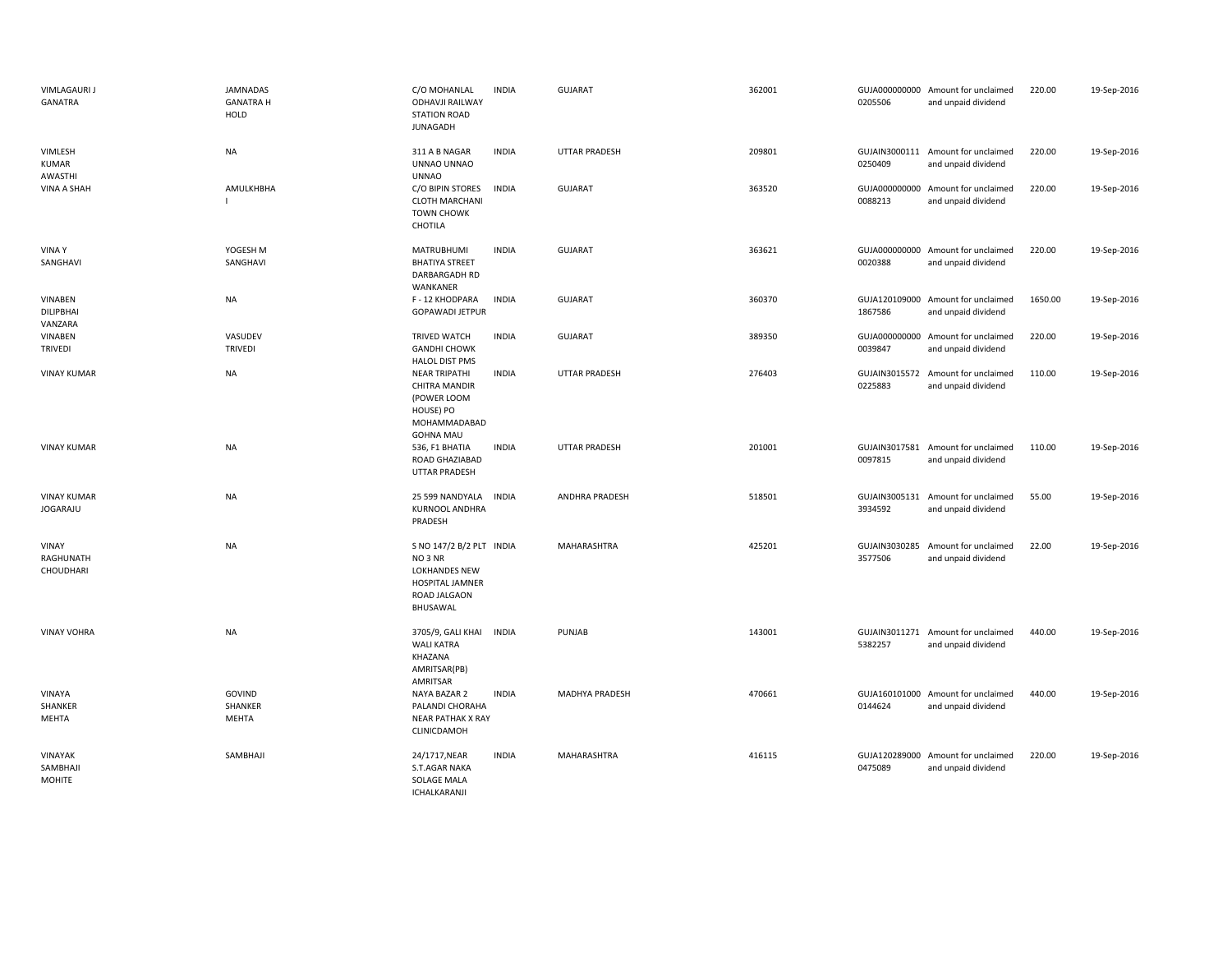| <b>VIMLAGAURI J</b><br>GANATRA         | <b>JAMNADAS</b><br><b>GANATRA H</b><br>HOLD | C/O MOHANLAL<br><b>ODHAVJI RAILWAY</b><br><b>STATION ROAD</b><br><b>JUNAGADH</b>                               | <b>INDIA</b> | <b>GUJARAT</b>       | 362001 | 0205506                  | GUJA000000000 Amount for unclaimed<br>and unpaid dividend | 220.00  | 19-Sep-2016 |
|----------------------------------------|---------------------------------------------|----------------------------------------------------------------------------------------------------------------|--------------|----------------------|--------|--------------------------|-----------------------------------------------------------|---------|-------------|
| VIMLESH<br>KUMAR<br>AWASTHI            | <b>NA</b>                                   | 311 A B NAGAR<br>UNNAO UNNAO<br><b>UNNAO</b>                                                                   | <b>INDIA</b> | <b>UTTAR PRADESH</b> | 209801 | 0250409                  | GUJAIN3000111 Amount for unclaimed<br>and unpaid dividend | 220.00  | 19-Sep-2016 |
| VINA A SHAH                            | AMULKHBHA                                   | C/O BIPIN STORES<br><b>CLOTH MARCHANI</b><br><b>TOWN CHOWK</b><br>CHOTILA                                      | <b>INDIA</b> | <b>GUJARAT</b>       | 363520 | 0088213                  | GUJA000000000 Amount for unclaimed<br>and unpaid dividend | 220.00  | 19-Sep-2016 |
| <b>VINAY</b><br>SANGHAVI               | YOGESH M<br>SANGHAVI                        | <b>MATRUBHUMI</b><br><b>BHATIYA STREET</b><br>DARBARGADH RD<br>WANKANER                                        | <b>INDIA</b> | <b>GUJARAT</b>       | 363621 | 0020388                  | GUJA000000000 Amount for unclaimed<br>and unpaid dividend | 220.00  | 19-Sep-2016 |
| VINABEN<br><b>DILIPBHAI</b><br>VANZARA | <b>NA</b>                                   | F - 12 KHODPARA<br><b>GOPAWADI JETPUR</b>                                                                      | <b>INDIA</b> | <b>GUJARAT</b>       | 360370 | 1867586                  | GUJA120109000 Amount for unclaimed<br>and unpaid dividend | 1650.00 | 19-Sep-2016 |
| VINABEN<br><b>TRIVEDI</b>              | VASUDEV<br><b>TRIVEDI</b>                   | TRIVED WATCH<br><b>GANDHI CHOWK</b><br><b>HALOL DIST PMS</b>                                                   | <b>INDIA</b> | <b>GUJARAT</b>       | 389350 | 0039847                  | GUJA000000000 Amount for unclaimed<br>and unpaid dividend | 220.00  | 19-Sep-2016 |
| <b>VINAY KUMAR</b>                     | <b>NA</b>                                   | <b>NEAR TRIPATHI</b><br><b>CHITRA MANDIR</b><br>(POWER LOOM<br>HOUSE) PO<br>MOHAMMADABAD<br><b>GOHNA MAU</b>   | <b>INDIA</b> | <b>UTTAR PRADESH</b> | 276403 | 0225883                  | GUJAIN3015572 Amount for unclaimed<br>and unpaid dividend | 110.00  | 19-Sep-2016 |
| <b>VINAY KUMAR</b>                     | <b>NA</b>                                   | 536, F1 BHATIA<br>ROAD GHAZIABAD<br>UTTAR PRADESH                                                              | <b>INDIA</b> | UTTAR PRADESH        | 201001 | 0097815                  | GUJAIN3017581 Amount for unclaimed<br>and unpaid dividend | 110.00  | 19-Sep-2016 |
| <b>VINAY KUMAR</b><br><b>JOGARAJU</b>  | <b>NA</b>                                   | 25 599 NANDYALA<br><b>KURNOOL ANDHRA</b><br>PRADESH                                                            | <b>INDIA</b> | ANDHRA PRADESH       | 518501 | 3934592                  | GUJAIN3005131 Amount for unclaimed<br>and unpaid dividend | 55.00   | 19-Sep-2016 |
| VINAY<br>RAGHUNATH<br>CHOUDHARI        | <b>NA</b>                                   | S NO 147/2 B/2 PLT INDIA<br>NO <sub>3</sub> NR<br>LOKHANDES NEW<br>HOSPITAL JAMNER<br>ROAD JALGAON<br>BHUSAWAL |              | MAHARASHTRA          | 425201 | GUJAIN3030285<br>3577506 | Amount for unclaimed<br>and unpaid dividend               | 22.00   | 19-Sep-2016 |
| <b>VINAY VOHRA</b>                     | <b>NA</b>                                   | 3705/9, GALI KHAI<br><b>WALI KATRA</b><br>KHAZANA<br>AMRITSAR(PB)<br>AMRITSAR                                  | <b>INDIA</b> | PUNJAB               | 143001 | 5382257                  | GUJAIN3011271 Amount for unclaimed<br>and unpaid dividend | 440.00  | 19-Sep-2016 |
| VINAYA<br>SHANKER<br>MEHTA             | GOVIND<br>SHANKER<br>MEHTA                  | NAYA BAZAR 2<br>PALANDI CHORAHA<br><b>NEAR PATHAK X RAY</b><br>CLINICDAMOH                                     | <b>INDIA</b> | MADHYA PRADESH       | 470661 | 0144624                  | GUJA160101000 Amount for unclaimed<br>and unpaid dividend | 440.00  | 19-Sep-2016 |
| VINAYAK<br>SAMBHAJI<br><b>MOHITE</b>   | SAMBHAJI                                    | 24/1717, NEAR<br><b>S.T.AGAR NAKA</b><br>SOLAGE MALA<br>ICHALKARANJI                                           | <b>INDIA</b> | MAHARASHTRA          | 416115 | 0475089                  | GUJA120289000 Amount for unclaimed<br>and unpaid dividend | 220.00  | 19-Sep-2016 |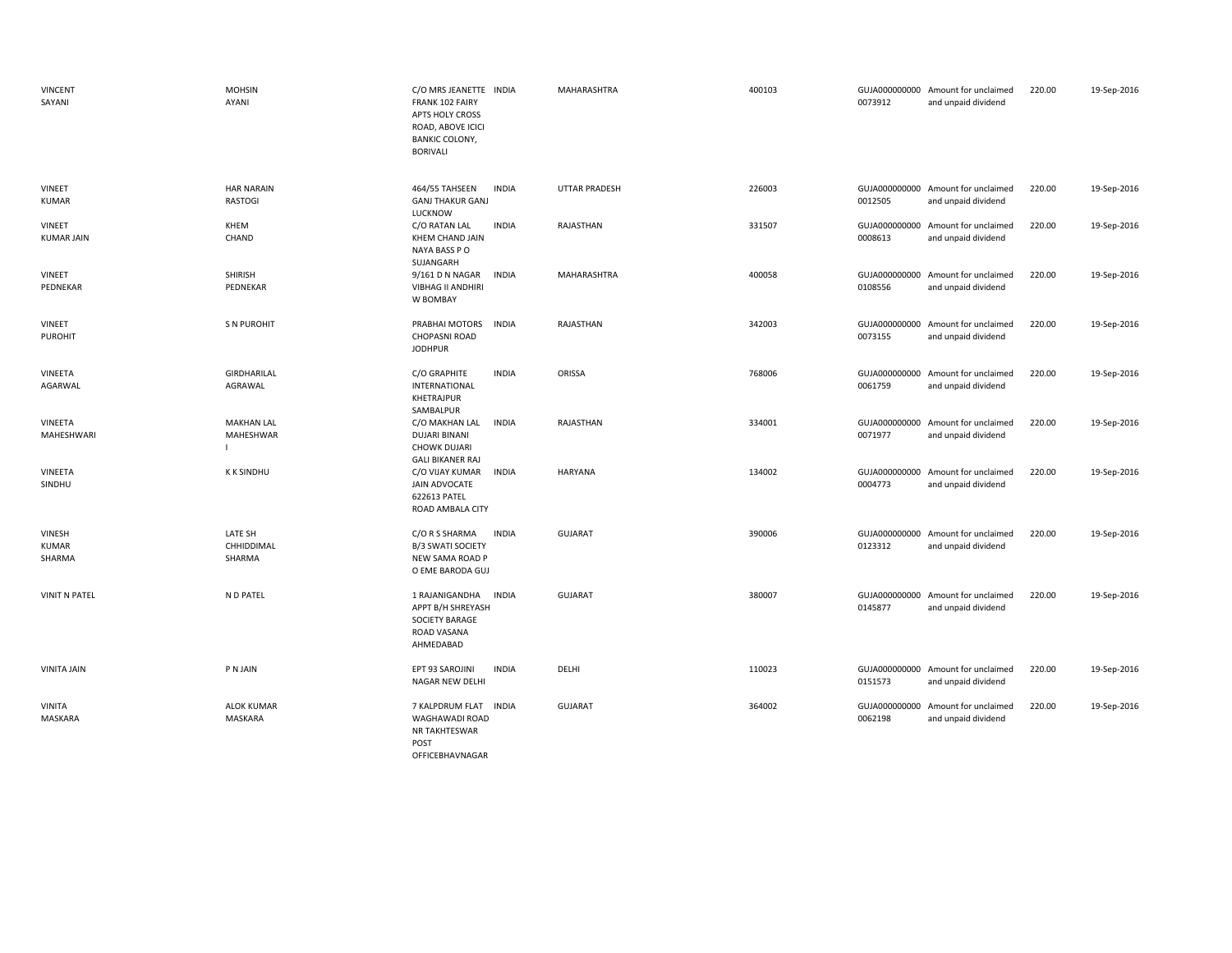| <b>VINCENT</b><br>SAYANI    | <b>MOHSIN</b><br>AYANI               | C/O MRS JEANETTE INDIA<br>FRANK 102 FAIRY<br>APTS HOLY CROSS<br>ROAD, ABOVE ICICI<br><b>BANKIC COLONY,</b><br><b>BORIVALI</b> | MAHARASHTRA          | 400103 | 0073912                  | GUJA000000000 Amount for unclaimed<br>and unpaid dividend | 220.00 | 19-Sep-2016 |
|-----------------------------|--------------------------------------|-------------------------------------------------------------------------------------------------------------------------------|----------------------|--------|--------------------------|-----------------------------------------------------------|--------|-------------|
| VINEET<br>KUMAR             | <b>HAR NARAIN</b><br>RASTOGI         | 464/55 TAHSEEN<br><b>INDIA</b><br><b>GANJ THAKUR GANJ</b><br>LUCKNOW                                                          | <b>UTTAR PRADESH</b> | 226003 | 0012505                  | GUJA000000000 Amount for unclaimed<br>and unpaid dividend | 220.00 | 19-Sep-2016 |
| VINEET<br><b>KUMAR JAIN</b> | KHEM<br>CHAND                        | C/O RATAN LAL<br><b>INDIA</b><br><b>KHEM CHAND JAIN</b><br>NAYA BASS PO<br>SUJANGARH                                          | RAJASTHAN            | 331507 | GUJA000000000<br>0008613 | Amount for unclaimed<br>and unpaid dividend               | 220.00 | 19-Sep-2016 |
| VINEET<br>PEDNEKAR          | SHIRISH<br>PEDNEKAR                  | 9/161 D N NAGAR<br><b>INDIA</b><br>VIBHAG II ANDHIRI<br>W BOMBAY                                                              | MAHARASHTRA          | 400058 | 0108556                  | GUJA000000000 Amount for unclaimed<br>and unpaid dividend | 220.00 | 19-Sep-2016 |
| VINEET<br><b>PUROHIT</b>    | <b>S N PUROHIT</b>                   | PRABHAI MOTORS<br><b>INDIA</b><br><b>CHOPASNI ROAD</b><br><b>JODHPUR</b>                                                      | RAJASTHAN            | 342003 | 0073155                  | GUJA000000000 Amount for unclaimed<br>and unpaid dividend | 220.00 | 19-Sep-2016 |
| VINEETA<br>AGARWAL          | GIRDHARILAL<br>AGRAWAL               | C/O GRAPHITE<br><b>INDIA</b><br>INTERNATIONAL<br>KHETRAJPUR                                                                   | ORISSA               | 768006 | 0061759                  | GUJA000000000 Amount for unclaimed<br>and unpaid dividend | 220.00 | 19-Sep-2016 |
| VINEETA<br>MAHESHWARI       | <b>MAKHAN LAL</b><br>MAHESHWAR<br>L. | SAMBALPUR<br>C/O MAKHAN LAL<br>INDIA<br><b>DUJARI BINANI</b><br><b>CHOWK DUJARI</b><br><b>GALI BIKANER RAJ</b>                | RAJASTHAN            | 334001 | 0071977                  | GUJA000000000 Amount for unclaimed<br>and unpaid dividend | 220.00 | 19-Sep-2016 |
| VINEETA<br>SINDHU           | <b>K K SINDHU</b>                    | <b>INDIA</b><br>C/O VIJAY KUMAR<br>JAIN ADVOCATE<br>622613 PATEL<br>ROAD AMBALA CITY                                          | <b>HARYANA</b>       | 134002 | 0004773                  | GUJA000000000 Amount for unclaimed<br>and unpaid dividend | 220.00 | 19-Sep-2016 |
| VINESH<br>KUMAR<br>SHARMA   | LATE SH<br>CHHIDDIMAL<br>SHARMA      | <b>INDIA</b><br>C/O R S SHARMA<br><b>B/3 SWATI SOCIETY</b><br>NEW SAMA ROAD P<br>O EME BARODA GUJ                             | <b>GUJARAT</b>       | 390006 | 0123312                  | GUJA000000000 Amount for unclaimed<br>and unpaid dividend | 220.00 | 19-Sep-2016 |
| <b>VINIT N PATEL</b>        | N D PATEL                            | 1 RAJANIGANDHA<br><b>INDIA</b><br>APPT B/H SHREYASH<br><b>SOCIETY BARAGE</b><br>ROAD VASANA<br>AHMEDABAD                      | <b>GUJARAT</b>       | 380007 | 0145877                  | GUJA000000000 Amount for unclaimed<br>and unpaid dividend | 220.00 | 19-Sep-2016 |
| VINITA JAIN                 | P N JAIN                             | <b>INDIA</b><br>EPT 93 SAROJINI<br>NAGAR NEW DELHI                                                                            | DELHI                | 110023 | 0151573                  | GUJA000000000 Amount for unclaimed<br>and unpaid dividend | 220.00 | 19-Sep-2016 |
| <b>VINITA</b><br>MASKARA    | <b>ALOK KUMAR</b><br>MASKARA         | <b>INDIA</b><br>7 KALPDRUM FLAT<br>WAGHAWADI ROAD<br>NR TAKHTESWAR<br>POST<br>OFFICEBHAVNAGAR                                 | <b>GUJARAT</b>       | 364002 | 0062198                  | GUJA000000000 Amount for unclaimed<br>and unpaid dividend | 220.00 | 19-Sep-2016 |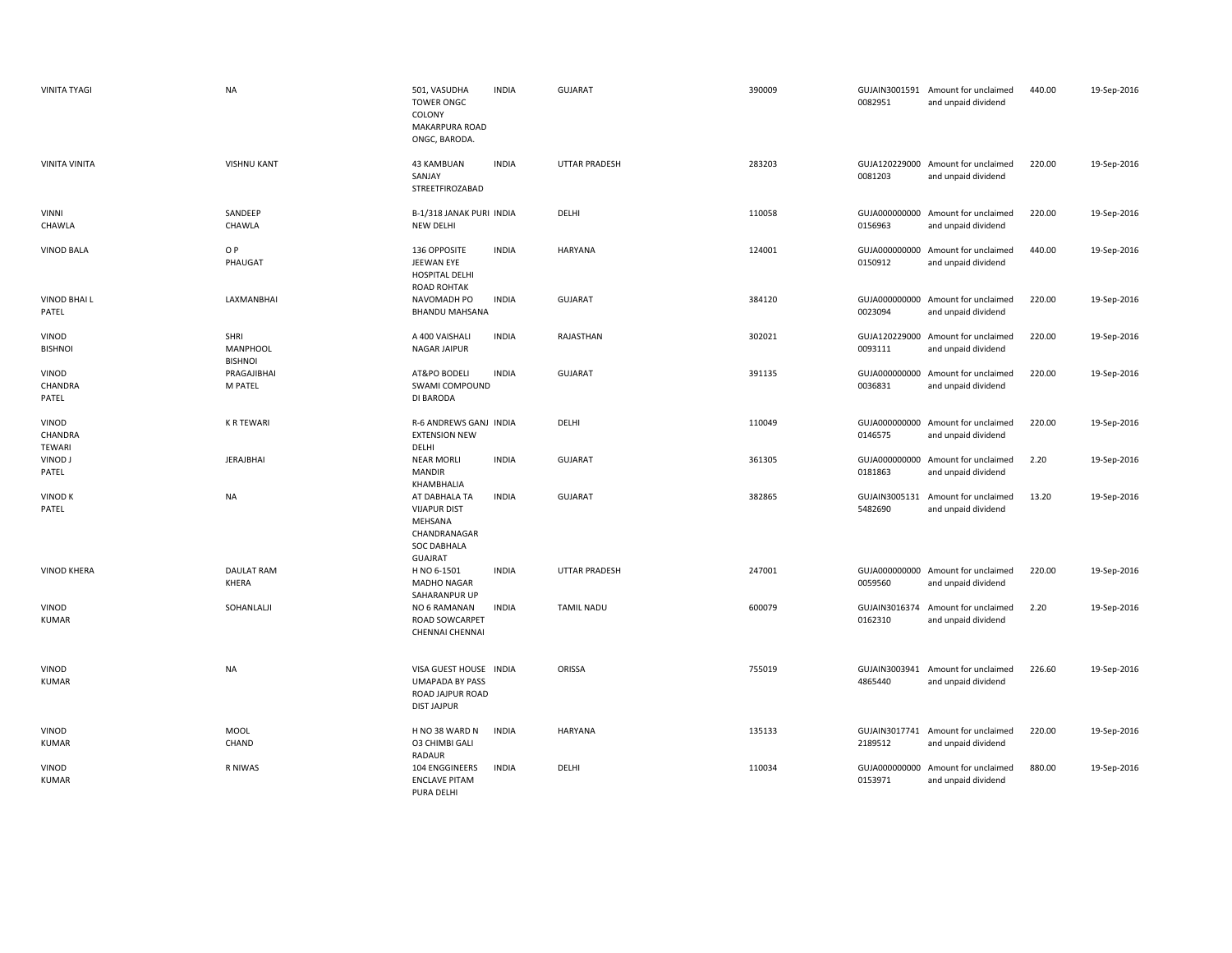| <b>VINITA TYAGI</b>               | <b>NA</b>                                 | 501, VASUDHA<br><b>TOWER ONGC</b><br>COLONY<br>MAKARPURA ROAD<br>ONGC, BARODA.                          | <b>INDIA</b> | <b>GUJARAT</b>       | 390009 | 0082951                  | GUJAIN3001591 Amount for unclaimed<br>and unpaid dividend | 440.00 | 19-Sep-2016 |
|-----------------------------------|-------------------------------------------|---------------------------------------------------------------------------------------------------------|--------------|----------------------|--------|--------------------------|-----------------------------------------------------------|--------|-------------|
| <b>VINITA VINITA</b>              | <b>VISHNU KANT</b>                        | 43 KAMBUAN<br>SANJAY<br>STREETFIROZABAD                                                                 | <b>INDIA</b> | <b>UTTAR PRADESH</b> | 283203 | 0081203                  | GUJA120229000 Amount for unclaimed<br>and unpaid dividend | 220.00 | 19-Sep-2016 |
| <b>VINNI</b><br>CHAWLA            | SANDEEP<br>CHAWLA                         | B-1/318 JANAK PURI INDIA<br>NEW DELHI                                                                   |              | DELHI                | 110058 | 0156963                  | GUJA000000000 Amount for unclaimed<br>and unpaid dividend | 220.00 | 19-Sep-2016 |
| <b>VINOD BALA</b>                 | O P<br>PHAUGAT                            | 136 OPPOSITE<br>JEEWAN EYE<br>HOSPITAL DELHI<br><b>ROAD ROHTAK</b>                                      | <b>INDIA</b> | HARYANA              | 124001 | 0150912                  | GUJA000000000 Amount for unclaimed<br>and unpaid dividend | 440.00 | 19-Sep-2016 |
| VINOD BHAI L<br>PATEL             | LAXMANBHAI                                | NAVOMADH PO<br><b>BHANDU MAHSANA</b>                                                                    | <b>INDIA</b> | <b>GUJARAT</b>       | 384120 | 0023094                  | GUJA000000000 Amount for unclaimed<br>and unpaid dividend | 220.00 | 19-Sep-2016 |
| <b>VINOD</b><br><b>BISHNOI</b>    | SHRI<br><b>MANPHOOL</b><br><b>BISHNOI</b> | A 400 VAISHALI<br>NAGAR JAIPUR                                                                          | <b>INDIA</b> | RAJASTHAN            | 302021 | 0093111                  | GUJA120229000 Amount for unclaimed<br>and unpaid dividend | 220.00 | 19-Sep-2016 |
| VINOD<br>CHANDRA<br>PATEL         | PRAGAJIBHAI<br>M PATEL                    | AT&PO BODELI<br>SWAMI COMPOUND<br>DI BARODA                                                             | <b>INDIA</b> | <b>GUJARAT</b>       | 391135 | 0036831                  | GUJA000000000 Amount for unclaimed<br>and unpaid dividend | 220.00 | 19-Sep-2016 |
| <b>VINOD</b><br>CHANDRA<br>TEWARI | <b>K R TEWARI</b>                         | R-6 ANDREWS GANJ INDIA<br><b>EXTENSION NEW</b><br>DELHI                                                 |              | DELHI                | 110049 | 0146575                  | GUJA000000000 Amount for unclaimed<br>and unpaid dividend | 220.00 | 19-Sep-2016 |
| VINOD J<br>PATEL                  | <b>JERAJBHAI</b>                          | <b>NEAR MORLI</b><br><b>MANDIR</b><br>KHAMBHALIA                                                        | <b>INDIA</b> | <b>GUJARAT</b>       | 361305 | 0181863                  | GUJA000000000 Amount for unclaimed<br>and unpaid dividend | 2.20   | 19-Sep-2016 |
| <b>VINOD K</b><br>PATEL           | <b>NA</b>                                 | AT DABHALA TA<br><b>VIJAPUR DIST</b><br>MEHSANA<br>CHANDRANAGAR<br><b>SOC DABHALA</b><br><b>GUAJRAT</b> | <b>INDIA</b> | <b>GUJARAT</b>       | 382865 | GUJAIN3005131<br>5482690 | Amount for unclaimed<br>and unpaid dividend               | 13.20  | 19-Sep-2016 |
| <b>VINOD KHERA</b>                | <b>DAULAT RAM</b><br>KHERA                | H NO 6-1501<br>MADHO NAGAR<br>SAHARANPUR UP                                                             | <b>INDIA</b> | <b>UTTAR PRADESH</b> | 247001 | 0059560                  | GUJA000000000 Amount for unclaimed<br>and unpaid dividend | 220.00 | 19-Sep-2016 |
| VINOD<br><b>KUMAR</b>             | SOHANLALJI                                | NO 6 RAMANAN<br><b>ROAD SOWCARPET</b><br><b>CHENNAI CHENNAI</b>                                         | <b>INDIA</b> | <b>TAMIL NADU</b>    | 600079 | 0162310                  | GUJAIN3016374 Amount for unclaimed<br>and unpaid dividend | 2.20   | 19-Sep-2016 |
| VINOD<br><b>KUMAR</b>             | <b>NA</b>                                 | VISA GUEST HOUSE INDIA<br><b>UMAPADA BY PASS</b><br>ROAD JAJPUR ROAD<br><b>DIST JAJPUR</b>              |              | ORISSA               | 755019 | GUJAIN3003941<br>4865440 | Amount for unclaimed<br>and unpaid dividend               | 226.60 | 19-Sep-2016 |
| VINOD<br><b>KUMAR</b>             | <b>MOOL</b><br>CHAND                      | H NO 38 WARD N<br><b>03 CHIMBI GALI</b><br>RADAUR                                                       | <b>INDIA</b> | <b>HARYANA</b>       | 135133 | 2189512                  | GUJAIN3017741 Amount for unclaimed<br>and unpaid dividend | 220.00 | 19-Sep-2016 |
| VINOD<br><b>KUMAR</b>             | R NIWAS                                   | 104 ENGGINEERS<br><b>ENCLAVE PITAM</b><br>PURA DELHI                                                    | <b>INDIA</b> | DELHI                | 110034 | GUJA000000000<br>0153971 | Amount for unclaimed<br>and unpaid dividend               | 880.00 | 19-Sep-2016 |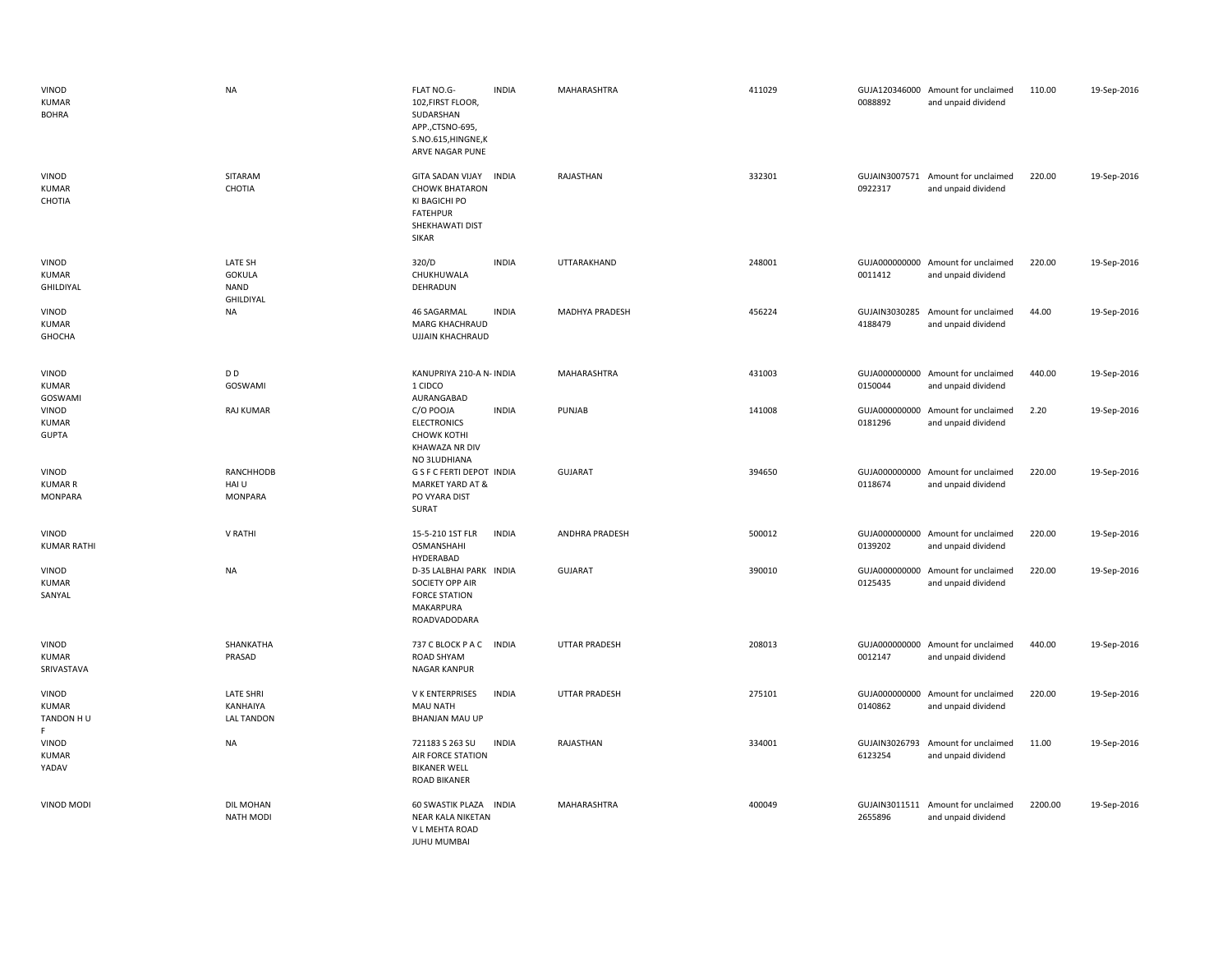| VINOD<br><b>KUMAR</b><br><b>BOHRA</b>     | <b>NA</b>                                         | FLAT NO.G-<br><b>INDIA</b><br>102, FIRST FLOOR,<br>SUDARSHAN<br>APP.,CTSNO-695,<br>S.NO.615,HINGNE,K<br>ARVE NAGAR PUNE | MAHARASHTRA           | 411029 | 0088892                  | GUJA120346000 Amount for unclaimed<br>and unpaid dividend | 110.00  | 19-Sep-2016 |
|-------------------------------------------|---------------------------------------------------|-------------------------------------------------------------------------------------------------------------------------|-----------------------|--------|--------------------------|-----------------------------------------------------------|---------|-------------|
| VINOD<br><b>KUMAR</b><br>CHOTIA           | SITARAM<br>CHOTIA                                 | GITA SADAN VIJAY INDIA<br><b>CHOWK BHATARON</b><br>KI BAGICHI PO<br><b>FATEHPUR</b><br>SHEKHAWATI DIST<br>SIKAR         | RAJASTHAN             | 332301 | 0922317                  | GUJAIN3007571 Amount for unclaimed<br>and unpaid dividend | 220.00  | 19-Sep-2016 |
| VINOD<br><b>KUMAR</b><br>GHILDIYAL        | LATE SH<br><b>GOKULA</b><br>NAND<br>GHILDIYAL     | 320/D<br><b>INDIA</b><br>CHUKHUWALA<br>DEHRADUN                                                                         | UTTARAKHAND           | 248001 | 0011412                  | GUJA000000000 Amount for unclaimed<br>and unpaid dividend | 220.00  | 19-Sep-2016 |
| VINOD<br>KUMAR<br>GHOCHA                  | <b>NA</b>                                         | 46 SAGARMAL<br><b>INDIA</b><br>MARG KHACHRAUD<br><b>UJJAIN KHACHRAUD</b>                                                | MADHYA PRADESH        | 456224 | 4188479                  | GUJAIN3030285 Amount for unclaimed<br>and unpaid dividend | 44.00   | 19-Sep-2016 |
| VINOD<br>KUMAR<br>GOSWAMI                 | D D<br>GOSWAMI                                    | KANUPRIYA 210-A N- INDIA<br>1 CIDCO<br>AURANGABAD                                                                       | MAHARASHTRA           | 431003 | 0150044                  | GUJA000000000 Amount for unclaimed<br>and unpaid dividend | 440.00  | 19-Sep-2016 |
| VINOD<br><b>KUMAR</b><br><b>GUPTA</b>     | RAJ KUMAR                                         | <b>INDIA</b><br>C/O POOJA<br><b>ELECTRONICS</b><br><b>CHOWK KOTHI</b><br>KHAWAZA NR DIV<br>NO 3LUDHIANA                 | PUNJAB                | 141008 | 0181296                  | GUJA000000000 Amount for unclaimed<br>and unpaid dividend | 2.20    | 19-Sep-2016 |
| VINOD<br><b>KUMAR R</b><br><b>MONPARA</b> | RANCHHODB<br>HAI U<br><b>MONPARA</b>              | G S F C FERTI DEPOT INDIA<br>MARKET YARD AT &<br>PO VYARA DIST<br>SURAT                                                 | <b>GUJARAT</b>        | 394650 | 0118674                  | GUJA000000000 Amount for unclaimed<br>and unpaid dividend | 220.00  | 19-Sep-2016 |
| VINOD<br><b>KUMAR RATHI</b>               | V RATHI                                           | 15-5-210 1ST FLR<br><b>INDIA</b><br><b>OSMANSHAHI</b><br>HYDERABAD                                                      | <b>ANDHRA PRADESH</b> | 500012 | 0139202                  | GUJA000000000 Amount for unclaimed<br>and unpaid dividend | 220.00  | 19-Sep-2016 |
| VINOD<br><b>KUMAR</b><br>SANYAL           | <b>NA</b>                                         | D-35 LALBHAI PARK INDIA<br>SOCIETY OPP AIR<br><b>FORCE STATION</b><br>MAKARPURA<br>ROADVADODARA                         | <b>GUJARAT</b>        | 390010 | GUJA000000000<br>0125435 | Amount for unclaimed<br>and unpaid dividend               | 220.00  | 19-Sep-2016 |
| VINOD<br><b>KUMAR</b><br>SRIVASTAVA       | SHANKATHA<br>PRASAD                               | 737 C BLOCK P A C INDIA<br>ROAD SHYAM<br>NAGAR KANPUR                                                                   | UTTAR PRADESH         | 208013 | 0012147                  | GUJA000000000 Amount for unclaimed<br>and unpaid dividend | 440.00  | 19-Sep-2016 |
| VINOD<br><b>KUMAR</b><br>TANDON H U<br>F. | <b>LATE SHRI</b><br>KANHAIYA<br><b>LAL TANDON</b> | V K ENTERPRISES<br><b>INDIA</b><br><b>MAU NATH</b><br><b>BHANJAN MAU UP</b>                                             | UTTAR PRADESH         | 275101 | GUJA000000000<br>0140862 | Amount for unclaimed<br>and unpaid dividend               | 220.00  | 19-Sep-2016 |
| VINOD<br><b>KUMAR</b><br>YADAV            | <b>NA</b>                                         | <b>INDIA</b><br>721183 S 263 SU<br>AIR FORCE STATION<br><b>BIKANER WELL</b><br><b>ROAD BIKANER</b>                      | RAJASTHAN             | 334001 | 6123254                  | GUJAIN3026793 Amount for unclaimed<br>and unpaid dividend | 11.00   | 19-Sep-2016 |
| VINOD MODI                                | <b>DIL MOHAN</b><br><b>NATH MODI</b>              | 60 SWASTIK PLAZA<br><b>INDIA</b><br>NEAR KALA NIKETAN<br>V L MEHTA ROAD<br><b>JUHU MUMBAI</b>                           | MAHARASHTRA           | 400049 | 2655896                  | GUJAIN3011511 Amount for unclaimed<br>and unpaid dividend | 2200.00 | 19-Sep-2016 |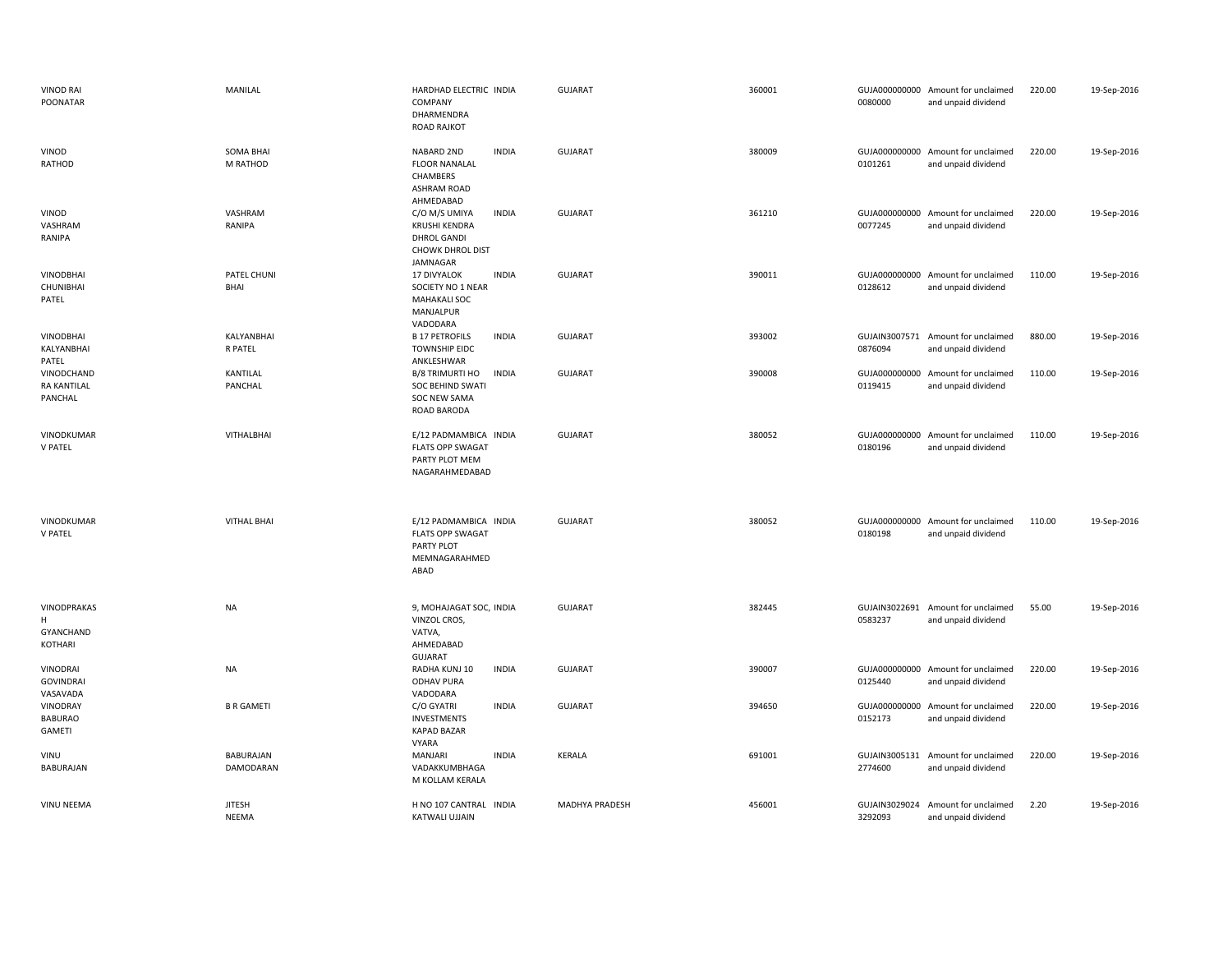| <b>VINOD RAI</b><br>POONATAR                | MANILAL                       | HARDHAD ELECTRIC INDIA<br>COMPANY<br>DHARMENDRA<br><b>ROAD RAJKOT</b>                              |              | GUJARAT        | 360001 | 0080000                  | GUJA000000000 Amount for unclaimed<br>and unpaid dividend | 220.00 | 19-Sep-2016 |
|---------------------------------------------|-------------------------------|----------------------------------------------------------------------------------------------------|--------------|----------------|--------|--------------------------|-----------------------------------------------------------|--------|-------------|
| VINOD<br>RATHOD                             | <b>SOMA BHAI</b><br>M RATHOD  | NABARD 2ND<br><b>FLOOR NANALAL</b><br>CHAMBERS<br><b>ASHRAM ROAD</b><br>AHMEDABAD                  | <b>INDIA</b> | GUJARAT        | 380009 | 0101261                  | GUJA000000000 Amount for unclaimed<br>and unpaid dividend | 220.00 | 19-Sep-2016 |
| VINOD<br>VASHRAM<br>RANIPA                  | VASHRAM<br>RANIPA             | C/O M/S UMIYA<br><b>KRUSHI KENDRA</b><br><b>DHROL GANDI</b><br><b>CHOWK DHROL DIST</b><br>JAMNAGAR | <b>INDIA</b> | <b>GUJARAT</b> | 361210 | 0077245                  | GUJA000000000 Amount for unclaimed<br>and unpaid dividend | 220.00 | 19-Sep-2016 |
| <b>VINODBHAI</b><br>CHUNIBHAI<br>PATEL      | PATEL CHUNI<br>BHAI           | <b>17 DIVYALOK</b><br>SOCIETY NO 1 NEAR<br><b>MAHAKALI SOC</b><br>MANJALPUR<br>VADODARA            | <b>INDIA</b> | <b>GUJARAT</b> | 390011 | 0128612                  | GUJA000000000 Amount for unclaimed<br>and unpaid dividend | 110.00 | 19-Sep-2016 |
| <b>VINODBHAI</b><br>KALYANBHAI<br>PATEL     | KALYANBHAI<br><b>R PATEL</b>  | <b>B 17 PETROFILS</b><br><b>TOWNSHIP EIDC</b><br>ANKLESHWAR                                        | <b>INDIA</b> | GUJARAT        | 393002 | GUJAIN3007571<br>0876094 | Amount for unclaimed<br>and unpaid dividend               | 880.00 | 19-Sep-2016 |
| VINODCHAND<br><b>RA KANTILAL</b><br>PANCHAL | KANTILAL<br>PANCHAL           | B/8 TRIMURTI HO<br>SOC BEHIND SWATI<br><b>SOC NEW SAMA</b><br>ROAD BARODA                          | <b>INDIA</b> | GUJARAT        | 390008 | GUJA000000000<br>0119415 | Amount for unclaimed<br>and unpaid dividend               | 110.00 | 19-Sep-2016 |
| VINODKUMAR<br>V PATEL                       | VITHALBHAI                    | E/12 PADMAMBICA INDIA<br><b>FLATS OPP SWAGAT</b><br>PARTY PLOT MEM<br>NAGARAHMEDABAD               |              | <b>GUJARAT</b> | 380052 | 0180196                  | GUJA000000000 Amount for unclaimed<br>and unpaid dividend | 110.00 | 19-Sep-2016 |
| VINODKUMAR<br>V PATEL                       | <b>VITHAL BHAI</b>            | E/12 PADMAMBICA INDIA<br><b>FLATS OPP SWAGAT</b><br>PARTY PLOT<br>MEMNAGARAHMED<br>ABAD            |              | <b>GUJARAT</b> | 380052 | 0180198                  | GUJA000000000 Amount for unclaimed<br>and unpaid dividend | 110.00 | 19-Sep-2016 |
| VINODPRAKAS<br>H<br>GYANCHAND<br>KOTHARI    | <b>NA</b>                     | 9, MOHAJAGAT SOC, INDIA<br>VINZOL CROS,<br>VATVA,<br>AHMEDABAD<br><b>GUJARAT</b>                   |              | <b>GUJARAT</b> | 382445 | 0583237                  | GUJAIN3022691 Amount for unclaimed<br>and unpaid dividend | 55.00  | 19-Sep-2016 |
| VINODRAI<br><b>GOVINDRAI</b><br>VASAVADA    | NA                            | RADHA KUNJ 10<br><b>ODHAV PURA</b><br>VADODARA                                                     | <b>INDIA</b> | GUJARAT        | 390007 | 0125440                  | GUJA000000000 Amount for unclaimed<br>and unpaid dividend | 220.00 | 19-Sep-2016 |
| VINODRAY<br><b>BABURAO</b><br><b>GAMETI</b> | <b>B R GAMETI</b>             | C/O GYATRI<br><b>INVESTMENTS</b><br><b>KAPAD BAZAR</b><br><b>VYARA</b>                             | <b>INDIA</b> | GUJARAT        | 394650 | 0152173                  | GUJA000000000 Amount for unclaimed<br>and unpaid dividend | 220.00 | 19-Sep-2016 |
| VINU<br>BABURAJAN                           | BABURAJAN<br>DAMODARAN        | MANJARI<br>VADAKKUMBHAGA<br>M KOLLAM KERALA                                                        | <b>INDIA</b> | KERALA         | 691001 | GUJAIN3005131<br>2774600 | Amount for unclaimed<br>and unpaid dividend               | 220.00 | 19-Sep-2016 |
| VINU NEEMA                                  | <b>JITESH</b><br><b>NEEMA</b> | H NO 107 CANTRAL INDIA<br><b>KATWALI UJJAIN</b>                                                    |              | MADHYA PRADESH | 456001 | GUJAIN3029024<br>3292093 | Amount for unclaimed<br>and unpaid dividend               | 2.20   | 19-Sep-2016 |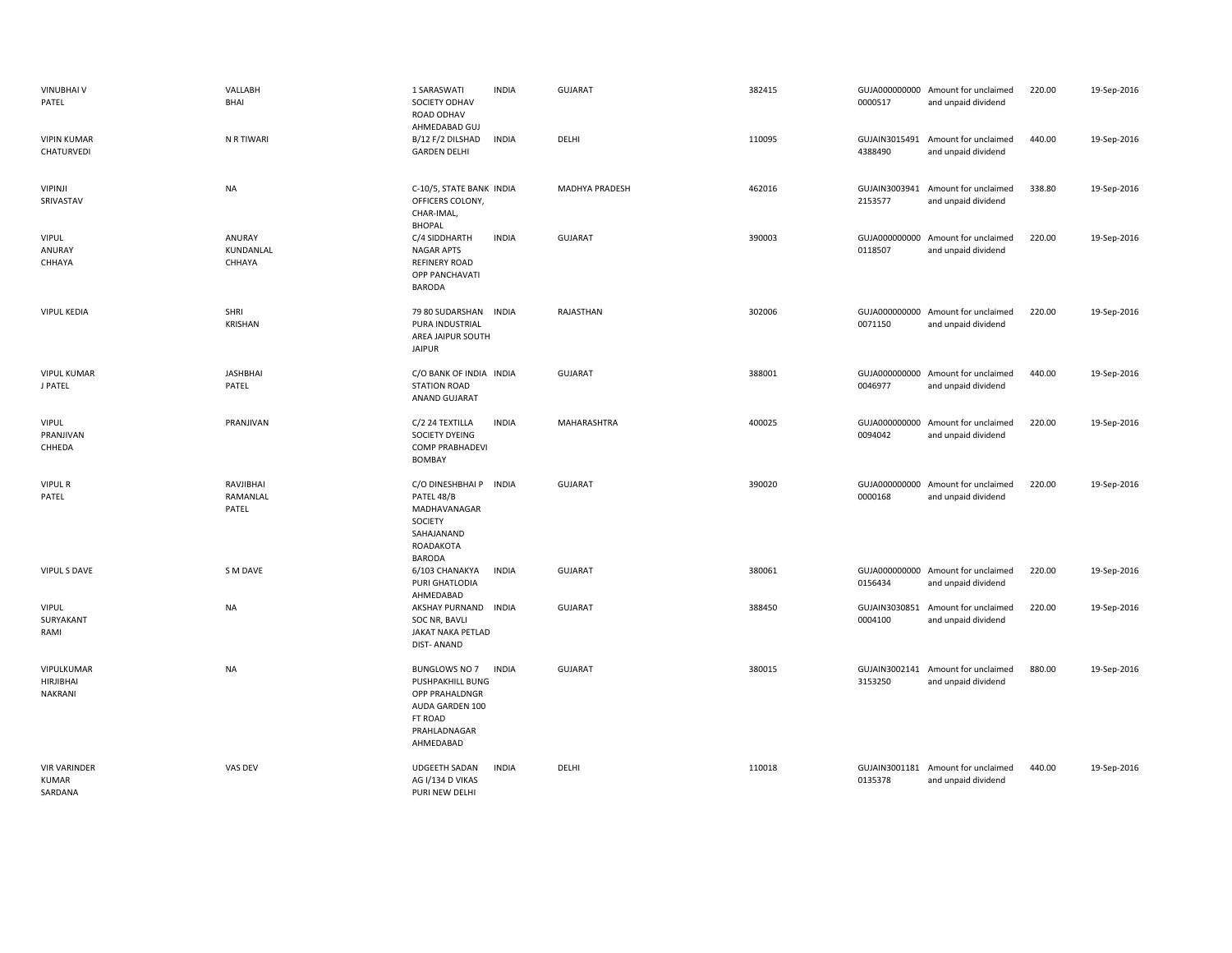| VINUBHAI V<br>PATEL                            | VALLABH<br>BHAI                | 1 SARASWATI<br>SOCIETY ODHAV<br>ROAD ODHAV<br>AHMEDABAD GUJ                                                                  | <b>INDIA</b> | <b>GUJARAT</b>        | 382415 | 0000517                  | GUJA000000000 Amount for unclaimed<br>and unpaid dividend | 220.00 | 19-Sep-2016 |
|------------------------------------------------|--------------------------------|------------------------------------------------------------------------------------------------------------------------------|--------------|-----------------------|--------|--------------------------|-----------------------------------------------------------|--------|-------------|
| <b>VIPIN KUMAR</b><br>CHATURVEDI               | N R TIWARI                     | B/12 F/2 DILSHAD<br><b>GARDEN DELHI</b>                                                                                      | <b>INDIA</b> | DELHI                 | 110095 | GUJAIN3015491<br>4388490 | Amount for unclaimed<br>and unpaid dividend               | 440.00 | 19-Sep-2016 |
| <b>VIPINJI</b><br>SRIVASTAV                    | NA                             | C-10/5, STATE BANK INDIA<br>OFFICERS COLONY,<br>CHAR-IMAL,<br><b>BHOPAL</b>                                                  |              | <b>MADHYA PRADESH</b> | 462016 | 2153577                  | GUJAIN3003941 Amount for unclaimed<br>and unpaid dividend | 338.80 | 19-Sep-2016 |
| <b>VIPUL</b><br>ANURAY<br>CHHAYA               | ANURAY<br>KUNDANLAL<br>CHHAYA  | C/4 SIDDHARTH<br><b>NAGAR APTS</b><br><b>REFINERY ROAD</b><br>OPP PANCHAVATI<br>BARODA                                       | <b>INDIA</b> | <b>GUJARAT</b>        | 390003 | 0118507                  | GUJA000000000 Amount for unclaimed<br>and unpaid dividend | 220.00 | 19-Sep-2016 |
| <b>VIPUL KEDIA</b>                             | SHRI<br><b>KRISHAN</b>         | 79 80 SUDARSHAN<br>PURA INDUSTRIAL<br>AREA JAIPUR SOUTH<br><b>JAIPUR</b>                                                     | <b>INDIA</b> | RAJASTHAN             | 302006 | 0071150                  | GUJA000000000 Amount for unclaimed<br>and unpaid dividend | 220.00 | 19-Sep-2016 |
| <b>VIPUL KUMAR</b><br>J PATEL                  | <b>JASHBHAI</b><br>PATEL       | C/O BANK OF INDIA INDIA<br><b>STATION ROAD</b><br>ANAND GUJARAT                                                              |              | <b>GUJARAT</b>        | 388001 | 0046977                  | GUJA000000000 Amount for unclaimed<br>and unpaid dividend | 440.00 | 19-Sep-2016 |
| <b>VIPUL</b><br>PRANJIVAN<br>CHHEDA            | PRANJIVAN                      | C/2 24 TEXTILLA<br>SOCIETY DYEING<br><b>COMP PRABHADEVI</b><br><b>BOMBAY</b>                                                 | <b>INDIA</b> | MAHARASHTRA           | 400025 | 0094042                  | GUJA000000000 Amount for unclaimed<br>and unpaid dividend | 220.00 | 19-Sep-2016 |
| <b>VIPUL R</b><br>PATEL                        | RAVJIBHAI<br>RAMANLAL<br>PATEL | C/O DINESHBHAI P INDIA<br>PATEL 48/B<br>MADHAVANAGAR<br>SOCIETY<br>SAHAJANAND<br>ROADAKOTA<br><b>BARODA</b>                  |              | <b>GUJARAT</b>        | 390020 | 0000168                  | GUJA000000000 Amount for unclaimed<br>and unpaid dividend | 220.00 | 19-Sep-2016 |
| <b>VIPUL S DAVE</b>                            | S M DAVE                       | 6/103 CHANAKYA<br>PURI GHATLODIA<br>AHMEDABAD                                                                                | <b>INDIA</b> | <b>GUJARAT</b>        | 380061 | 0156434                  | GUJA000000000 Amount for unclaimed<br>and unpaid dividend | 220.00 | 19-Sep-2016 |
| <b>VIPUL</b><br>SURYAKANT<br>RAMI              | <b>NA</b>                      | AKSHAY PURNAND INDIA<br>SOC NR, BAVLI<br>JAKAT NAKA PETLAD<br><b>DIST-ANAND</b>                                              |              | <b>GUJARAT</b>        | 388450 | 0004100                  | GUJAIN3030851 Amount for unclaimed<br>and unpaid dividend | 220.00 | 19-Sep-2016 |
| VIPULKUMAR<br><b>HIRJIBHAI</b><br>NAKRANI      | NA                             | <b>BUNGLOWS NO 7</b><br><b>PUSHPAKHILL BUNG</b><br>OPP PRAHALDNGR<br>AUDA GARDEN 100<br>FT ROAD<br>PRAHLADNAGAR<br>AHMEDABAD | <b>INDIA</b> | <b>GUJARAT</b>        | 380015 | GUJAIN3002141<br>3153250 | Amount for unclaimed<br>and unpaid dividend               | 880.00 | 19-Sep-2016 |
| <b>VIR VARINDER</b><br><b>KUMAR</b><br>SARDANA | VAS DEV                        | <b>UDGEETH SADAN</b><br>AG I/134 D VIKAS<br>PURI NFW DFLHI                                                                   | <b>INDIA</b> | DELHI                 | 110018 | 0135378                  | GUJAIN3001181 Amount for unclaimed<br>and unpaid dividend | 440.00 | 19-Sep-2016 |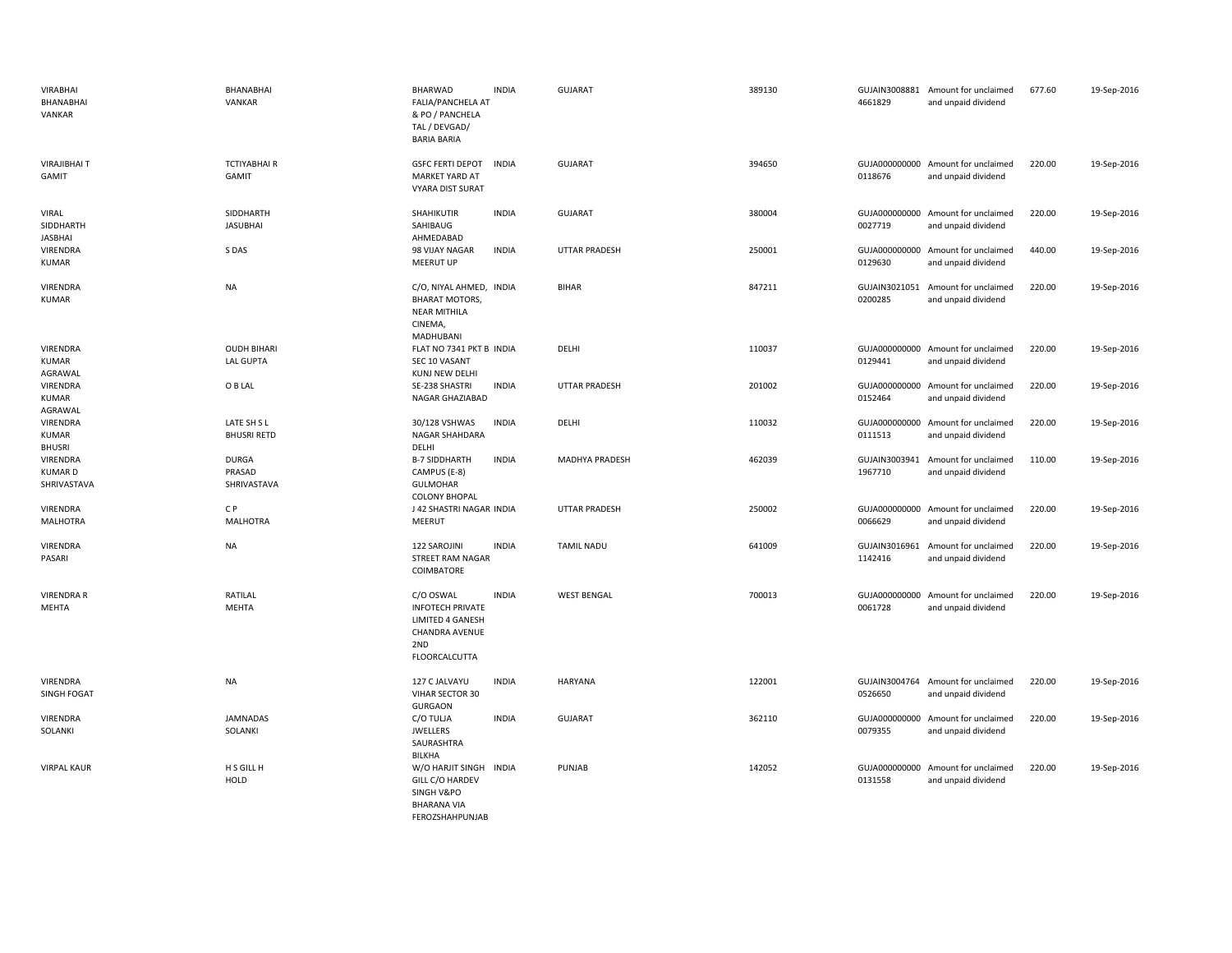| <b>VIRABHAI</b><br>BHANABHAI<br>VANKAR          | BHANABHAI<br>VANKAR                    | <b>BHARWAD</b><br>FALIA/PANCHELA AT<br>& PO / PANCHELA<br>TAL / DEVGAD/<br><b>BARIA BARIA</b>             | <b>INDIA</b> | <b>GUJARAT</b>        | 389130 | 4661829                  | GUJAIN3008881 Amount for unclaimed<br>and unpaid dividend | 677.60 | 19-Sep-2016 |
|-------------------------------------------------|----------------------------------------|-----------------------------------------------------------------------------------------------------------|--------------|-----------------------|--------|--------------------------|-----------------------------------------------------------|--------|-------------|
| <b>VIRAJIBHAIT</b><br>GAMIT                     | <b>TCTIYABHAI R</b><br><b>GAMIT</b>    | <b>GSFC FERTI DEPOT</b><br><b>MARKET YARD AT</b><br><b>VYARA DIST SURAT</b>                               | <b>INDIA</b> | <b>GUJARAT</b>        | 394650 | 0118676                  | GUJA000000000 Amount for unclaimed<br>and unpaid dividend | 220.00 | 19-Sep-2016 |
| <b>VIRAL</b><br>SIDDHARTH<br>JASBHAI            | SIDDHARTH<br><b>JASUBHAI</b>           | SHAHIKUTIR<br>SAHIBAUG<br>AHMEDABAD                                                                       | <b>INDIA</b> | <b>GUJARAT</b>        | 380004 | 0027719                  | GUJA000000000 Amount for unclaimed<br>and unpaid dividend | 220.00 | 19-Sep-2016 |
| VIRENDRA<br><b>KUMAR</b>                        | S DAS                                  | 98 VIJAY NAGAR<br><b>MEERUT UP</b>                                                                        | <b>INDIA</b> | <b>UTTAR PRADESH</b>  | 250001 | 0129630                  | GUJA000000000 Amount for unclaimed<br>and unpaid dividend | 440.00 | 19-Sep-2016 |
| <b>VIRENDRA</b><br><b>KUMAR</b>                 | <b>NA</b>                              | C/O, NIYAL AHMED, INDIA<br><b>BHARAT MOTORS,</b><br><b>NEAR MITHILA</b><br>CINEMA,<br>MADHUBANI           |              | <b>BIHAR</b>          | 847211 | GUJAIN3021051<br>0200285 | Amount for unclaimed<br>and unpaid dividend               | 220.00 | 19-Sep-2016 |
| <b>VIRENDRA</b><br>KUMAR<br>AGRAWAL             | <b>OUDH BIHARI</b><br><b>LAL GUPTA</b> | FLAT NO 7341 PKT B INDIA<br>SEC 10 VASANT<br>KUNJ NEW DELHI                                               |              | DELHI                 | 110037 | 0129441                  | GUJA000000000 Amount for unclaimed<br>and unpaid dividend | 220.00 | 19-Sep-2016 |
| VIRENDRA<br>KUMAR<br>AGRAWAL                    | O B LAL                                | SE-238 SHASTRI<br>NAGAR GHAZIABAD                                                                         | <b>INDIA</b> | <b>UTTAR PRADESH</b>  | 201002 | 0152464                  | GUJA000000000 Amount for unclaimed<br>and unpaid dividend | 220.00 | 19-Sep-2016 |
| VIRENDRA<br><b>KUMAR</b><br><b>BHUSRI</b>       | LATE SH S L<br><b>BHUSRI RETD</b>      | 30/128 VSHWAS<br>NAGAR SHAHDARA<br>DELHI                                                                  | <b>INDIA</b> | DELHI                 | 110032 | 0111513                  | GUJA000000000 Amount for unclaimed<br>and unpaid dividend | 220.00 | 19-Sep-2016 |
| <b>VIRENDRA</b><br><b>KUMARD</b><br>SHRIVASTAVA | <b>DURGA</b><br>PRASAD<br>SHRIVASTAVA  | <b>B-7 SIDDHARTH</b><br>CAMPUS (E-8)<br><b>GULMOHAR</b><br><b>COLONY BHOPAL</b>                           | <b>INDIA</b> | <b>MADHYA PRADESH</b> | 462039 | 1967710                  | GUJAIN3003941 Amount for unclaimed<br>and unpaid dividend | 110.00 | 19-Sep-2016 |
| <b>VIRENDRA</b><br>MALHOTRA                     | CP<br><b>MALHOTRA</b>                  | J 42 SHASTRI NAGAR INDIA<br>MEERUT                                                                        |              | <b>UTTAR PRADESH</b>  | 250002 | 0066629                  | GUJA000000000 Amount for unclaimed<br>and unpaid dividend | 220.00 | 19-Sep-2016 |
| VIRENDRA<br>PASARI                              | <b>NA</b>                              | 122 SAROJINI<br>STREET RAM NAGAR<br>COIMBATORE                                                            | <b>INDIA</b> | <b>TAMIL NADU</b>     | 641009 | GUJAIN3016961<br>1142416 | Amount for unclaimed<br>and unpaid dividend               | 220.00 | 19-Sep-2016 |
| <b>VIRENDRA R</b><br><b>MEHTA</b>               | RATILAL<br><b>MEHTA</b>                | C/O OSWAL<br><b>INFOTECH PRIVATE</b><br>LIMITED 4 GANESH<br>CHANDRA AVENUE<br>2ND<br><b>FLOORCALCUTTA</b> | <b>INDIA</b> | <b>WEST BENGAL</b>    | 700013 | GUJA000000000<br>0061728 | Amount for unclaimed<br>and unpaid dividend               | 220.00 | 19-Sep-2016 |
| <b>VIRENDRA</b><br>SINGH FOGAT                  | <b>NA</b>                              | 127 C JALVAYU<br>VIHAR SECTOR 30<br><b>GURGAON</b>                                                        | <b>INDIA</b> | <b>HARYANA</b>        | 122001 | 0526650                  | GUJAIN3004764 Amount for unclaimed<br>and unpaid dividend | 220.00 | 19-Sep-2016 |
| VIRENDRA<br>SOLANKI                             | <b>JAMNADAS</b><br>SOLANKI             | C/O TULJA<br><b>JWELLERS</b><br>SAURASHTRA<br>BILKHA                                                      | <b>INDIA</b> | <b>GUJARAT</b>        | 362110 | 0079355                  | GUJA000000000 Amount for unclaimed<br>and unpaid dividend | 220.00 | 19-Sep-2016 |
| <b>VIRPAL KAUR</b>                              | H S GILL H<br><b>HOLD</b>              | W/O HARJIT SINGH INDIA<br>GILL C/O HARDEV<br>SINGH V&PO<br><b>BHARANA VIA</b><br>FEROZSHAHPUNJAB          |              | PUNJAB                | 142052 | 0131558                  | GUJA000000000 Amount for unclaimed<br>and unpaid dividend | 220.00 | 19-Sep-2016 |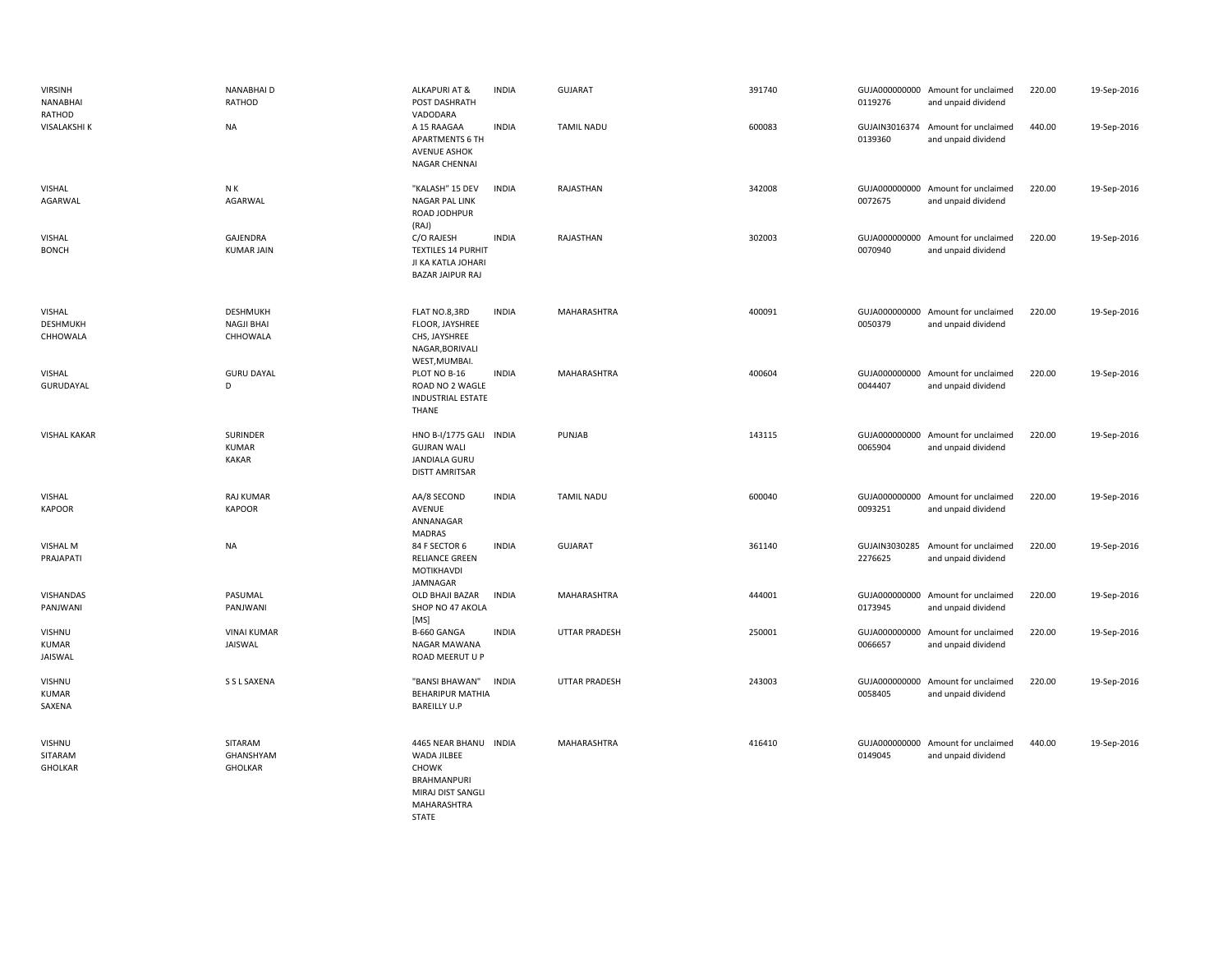| <b>VIRSINH</b><br>NANABHAI<br>RATHOD  | <b>NANABHAID</b><br>RATHOD                       | <b>ALKAPURI AT &amp;</b><br>POST DASHRATH<br>VADODARA                                                            | <b>INDIA</b> | GUJARAT              | 391740 | 0119276                  | GUJA000000000 Amount for unclaimed<br>and unpaid dividend | 220.00 | 19-Sep-2016 |
|---------------------------------------|--------------------------------------------------|------------------------------------------------------------------------------------------------------------------|--------------|----------------------|--------|--------------------------|-----------------------------------------------------------|--------|-------------|
| VISALAKSHI K                          | NA                                               | A 15 RAAGAA<br><b>APARTMENTS 6 TH</b><br><b>AVENUE ASHOK</b><br>NAGAR CHENNAI                                    | <b>INDIA</b> | <b>TAMIL NADU</b>    | 600083 | 0139360                  | GUJAIN3016374 Amount for unclaimed<br>and unpaid dividend | 440.00 | 19-Sep-2016 |
| <b>VISHAL</b><br>AGARWAL              | N K<br>AGARWAL                                   | "KALASH" 15 DEV<br>NAGAR PAL LINK<br>ROAD JODHPUR<br>(RAJ)                                                       | <b>INDIA</b> | RAJASTHAN            | 342008 | 0072675                  | GUJA000000000 Amount for unclaimed<br>and unpaid dividend | 220.00 | 19-Sep-2016 |
| <b>VISHAL</b><br><b>BONCH</b>         | GAJENDRA<br><b>KUMAR JAIN</b>                    | C/O RAJESH<br><b>TEXTILES 14 PURHIT</b><br>JI KA KATLA JOHARI<br><b>BAZAR JAIPUR RAJ</b>                         | <b>INDIA</b> | RAJASTHAN            | 302003 | 0070940                  | GUJA000000000 Amount for unclaimed<br>and unpaid dividend | 220.00 | 19-Sep-2016 |
| VISHAL<br><b>DESHMUKH</b><br>CHHOWALA | <b>DESHMUKH</b><br><b>NAGJI BHAI</b><br>CHHOWALA | FLAT NO.8,3RD<br>FLOOR, JAYSHREE<br>CHS, JAYSHREE<br>NAGAR, BORIVALI<br>WEST, MUMBAI.                            | <b>INDIA</b> | MAHARASHTRA          | 400091 | 0050379                  | GUJA000000000 Amount for unclaimed<br>and unpaid dividend | 220.00 | 19-Sep-2016 |
| VISHAL<br>GURUDAYAL                   | <b>GURU DAYAL</b><br>D                           | PLOT NO B-16<br>ROAD NO 2 WAGLE<br><b>INDUSTRIAL ESTATE</b><br>THANE                                             | <b>INDIA</b> | MAHARASHTRA          | 400604 | 0044407                  | GUJA000000000 Amount for unclaimed<br>and unpaid dividend | 220.00 | 19-Sep-2016 |
| <b>VISHAL KAKAR</b>                   | <b>SURINDER</b><br><b>KUMAR</b><br>KAKAR         | <b>HNO B-I/1775 GALI</b><br><b>INDIA</b><br><b>GUJRAN WALI</b><br>JANDIALA GURU<br><b>DISTT AMRITSAR</b>         |              | PUNJAB               | 143115 | 0065904                  | GUJA000000000 Amount for unclaimed<br>and unpaid dividend | 220.00 | 19-Sep-2016 |
| VISHAL<br><b>KAPOOR</b>               | <b>RAJ KUMAR</b><br><b>KAPOOR</b>                | AA/8 SECOND<br>AVENUE<br>ANNANAGAR<br><b>MADRAS</b>                                                              | <b>INDIA</b> | <b>TAMIL NADU</b>    | 600040 | GUJA000000000<br>0093251 | Amount for unclaimed<br>and unpaid dividend               | 220.00 | 19-Sep-2016 |
| <b>VISHAL M</b><br>PRAJAPATI          | NA                                               | 84 F SECTOR 6<br>RELIANCE GREEN<br>MOTIKHAVDI<br>JAMNAGAR                                                        | <b>INDIA</b> | <b>GUJARAT</b>       | 361140 | 2276625                  | GUJAIN3030285 Amount for unclaimed<br>and unpaid dividend | 220.00 | 19-Sep-2016 |
| VISHANDAS<br>PANJWANI                 | PASUMAL<br>PANJWANI                              | <b>OLD BHAJI BAZAR</b><br>SHOP NO 47 AKOLA<br>[MS]                                                               | <b>INDIA</b> | MAHARASHTRA          | 444001 | GUJA000000000<br>0173945 | Amount for unclaimed<br>and unpaid dividend               | 220.00 | 19-Sep-2016 |
| VISHNU<br><b>KUMAR</b><br>JAISWAL     | <b>VINAI KUMAR</b><br>JAISWAL                    | B-660 GANGA<br>NAGAR MAWANA<br>ROAD MEERUT U P                                                                   | <b>INDIA</b> | <b>UTTAR PRADESH</b> | 250001 | 0066657                  | GUJA000000000 Amount for unclaimed<br>and unpaid dividend | 220.00 | 19-Sep-2016 |
| VISHNU<br><b>KUMAR</b><br>SAXENA      | S S L SAXENA                                     | "BANSI BHAWAN"<br><b>BEHARIPUR MATHIA</b><br><b>BAREILLY U.P</b>                                                 | <b>INDIA</b> | <b>UTTAR PRADESH</b> | 243003 | 0058405                  | GUJA000000000 Amount for unclaimed<br>and unpaid dividend | 220.00 | 19-Sep-2016 |
| VISHNU<br>SITARAM<br><b>GHOLKAR</b>   | SITARAM<br>GHANSHYAM<br><b>GHOLKAR</b>           | 4465 NEAR BHANU INDIA<br>WADA JILBEE<br><b>CHOWK</b><br>BRAHMANPURI<br>MIRAJ DIST SANGLI<br>MAHARASHTRA<br>STATE |              | MAHARASHTRA          | 416410 | 0149045                  | GUJA000000000 Amount for unclaimed<br>and unpaid dividend | 440.00 | 19-Sep-2016 |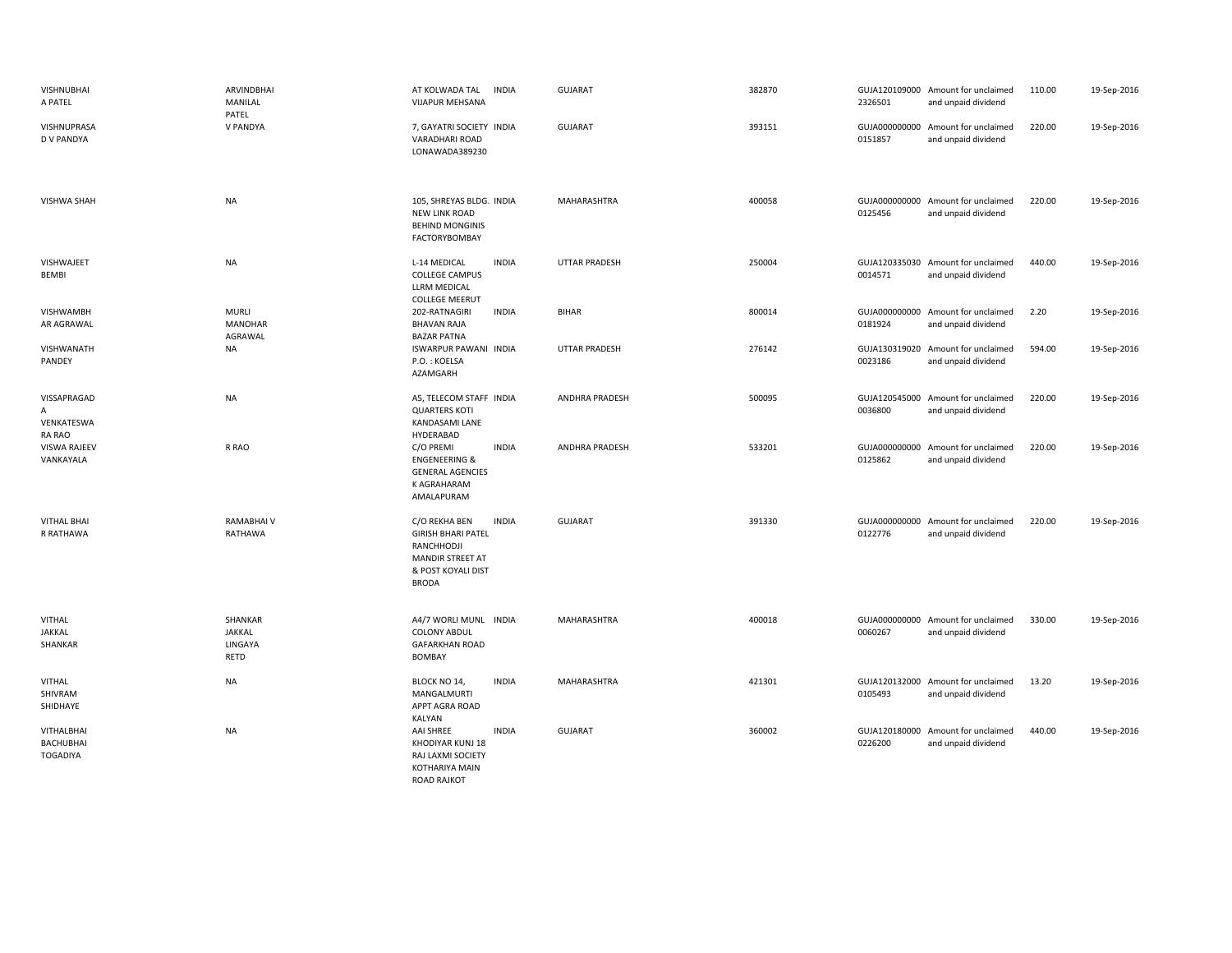| <b>VISHNUBHAI</b><br>A PATEL               | ARVINDBHAI<br>MANILAL<br>PATEL            | AT KOLWADA TAL<br>INDIA<br>VIJAPUR MEHSANA                                                                                         | <b>GUJARAT</b>        | 382870 | 2326501 | GUJA120109000 Amount for unclaimed<br>and unpaid dividend | 110.00 | 19-Sep-2016 |
|--------------------------------------------|-------------------------------------------|------------------------------------------------------------------------------------------------------------------------------------|-----------------------|--------|---------|-----------------------------------------------------------|--------|-------------|
| VISHNUPRASA<br>D V PANDYA                  | V PANDYA                                  | 7, GAYATRI SOCIETY INDIA<br>VARADHARI ROAD<br>LONAWADA389230                                                                       | <b>GUJARAT</b>        | 393151 | 0151857 | GUJA000000000 Amount for unclaimed<br>and unpaid dividend | 220.00 | 19-Sep-2016 |
| <b>VISHWA SHAH</b>                         | <b>NA</b>                                 | 105, SHREYAS BLDG. INDIA<br><b>NEW LINK ROAD</b><br><b>BEHIND MONGINIS</b><br><b>FACTORYBOMBAY</b>                                 | MAHARASHTRA           | 400058 | 0125456 | GUJA000000000 Amount for unclaimed<br>and unpaid dividend | 220.00 | 19-Sep-2016 |
| VISHWAJEET<br>BEMBI                        | <b>NA</b>                                 | L-14 MEDICAL<br><b>INDIA</b><br><b>COLLEGE CAMPUS</b><br>LLRM MEDICAL<br><b>COLLEGE MEERUT</b>                                     | <b>UTTAR PRADESH</b>  | 250004 | 0014571 | GUJA120335030 Amount for unclaimed<br>and unpaid dividend | 440.00 | 19-Sep-2016 |
| VISHWAMBH<br>AR AGRAWAL                    | <b>MURLI</b><br><b>MANOHAR</b><br>AGRAWAL | 202-RATNAGIRI<br><b>INDIA</b><br><b>BHAVAN RAJA</b><br><b>BAZAR PATNA</b>                                                          | <b>BIHAR</b>          | 800014 | 0181924 | GUJA000000000 Amount for unclaimed<br>and unpaid dividend | 2.20   | 19-Sep-2016 |
| VISHWANATH<br>PANDEY                       | <b>NA</b>                                 | <b>ISWARPUR PAWANI INDIA</b><br>P.O.: KOELSA<br>AZAMGARH                                                                           | <b>UTTAR PRADESH</b>  | 276142 | 0023186 | GUJA130319020 Amount for unclaimed<br>and unpaid dividend | 594.00 | 19-Sep-2016 |
| VISSAPRAGAD<br>A<br>VENKATESWA<br>RA RAO   | <b>NA</b>                                 | A5, TELECOM STAFF INDIA<br><b>QUARTERS KOTI</b><br>KANDASAMI LANE<br>HYDERABAD                                                     | <b>ANDHRA PRADESH</b> | 500095 | 0036800 | GUJA120545000 Amount for unclaimed<br>and unpaid dividend | 220.00 | 19-Sep-2016 |
| VISWA RAJEEV<br>VANKAYALA                  | R RAO                                     | C/O PREMI<br><b>INDIA</b><br><b>ENGENEERING &amp;</b><br><b>GENERAL AGENCIES</b><br>K AGRAHARAM<br>AMALAPURAM                      | <b>ANDHRA PRADESH</b> | 533201 | 0125862 | GUJA000000000 Amount for unclaimed<br>and unpaid dividend | 220.00 | 19-Sep-2016 |
| <b>VITHAL BHAI</b><br>R RATHAWA            | <b>RAMABHAIV</b><br>RATHAWA               | <b>INDIA</b><br>C/O REKHA BEN<br><b>GIRISH BHARI PATEL</b><br>RANCHHODJI<br>MANDIR STREET AT<br>& POST KOYALI DIST<br><b>BRODA</b> | <b>GUJARAT</b>        | 391330 | 0122776 | GUJA000000000 Amount for unclaimed<br>and unpaid dividend | 220.00 | 19-Sep-2016 |
| <b>VITHAL</b><br><b>JAKKAL</b><br>SHANKAR  | SHANKAR<br>JAKKAL<br>LINGAYA<br>RETD      | A4/7 WORLI MUNL INDIA<br><b>COLONY ABDUL</b><br><b>GAFARKHAN ROAD</b><br><b>BOMBAY</b>                                             | MAHARASHTRA           | 400018 | 0060267 | GUJA000000000 Amount for unclaimed<br>and unpaid dividend | 330.00 | 19-Sep-2016 |
| VITHAL<br>SHIVRAM<br>SHIDHAYE              | NA                                        | <b>INDIA</b><br>BLOCK NO 14,<br>MANGALMURTI<br>APPT AGRA ROAD<br>KALYAN                                                            | MAHARASHTRA           | 421301 | 0105493 | GUJA120132000 Amount for unclaimed<br>and unpaid dividend | 13.20  | 19-Sep-2016 |
| VITHALBHAI<br><b>BACHUBHAI</b><br>TOGADIYA | NA                                        | AAI SHREE<br><b>INDIA</b><br>KHODIYAR KUNJ 18<br>RAJ LAXMI SOCIETY<br><b>KOTHARIYA MAIN</b><br><b>ROAD RAJKOT</b>                  | <b>GUJARAT</b>        | 360002 | 0226200 | GUJA120180000 Amount for unclaimed<br>and unpaid dividend | 440.00 | 19-Sep-2016 |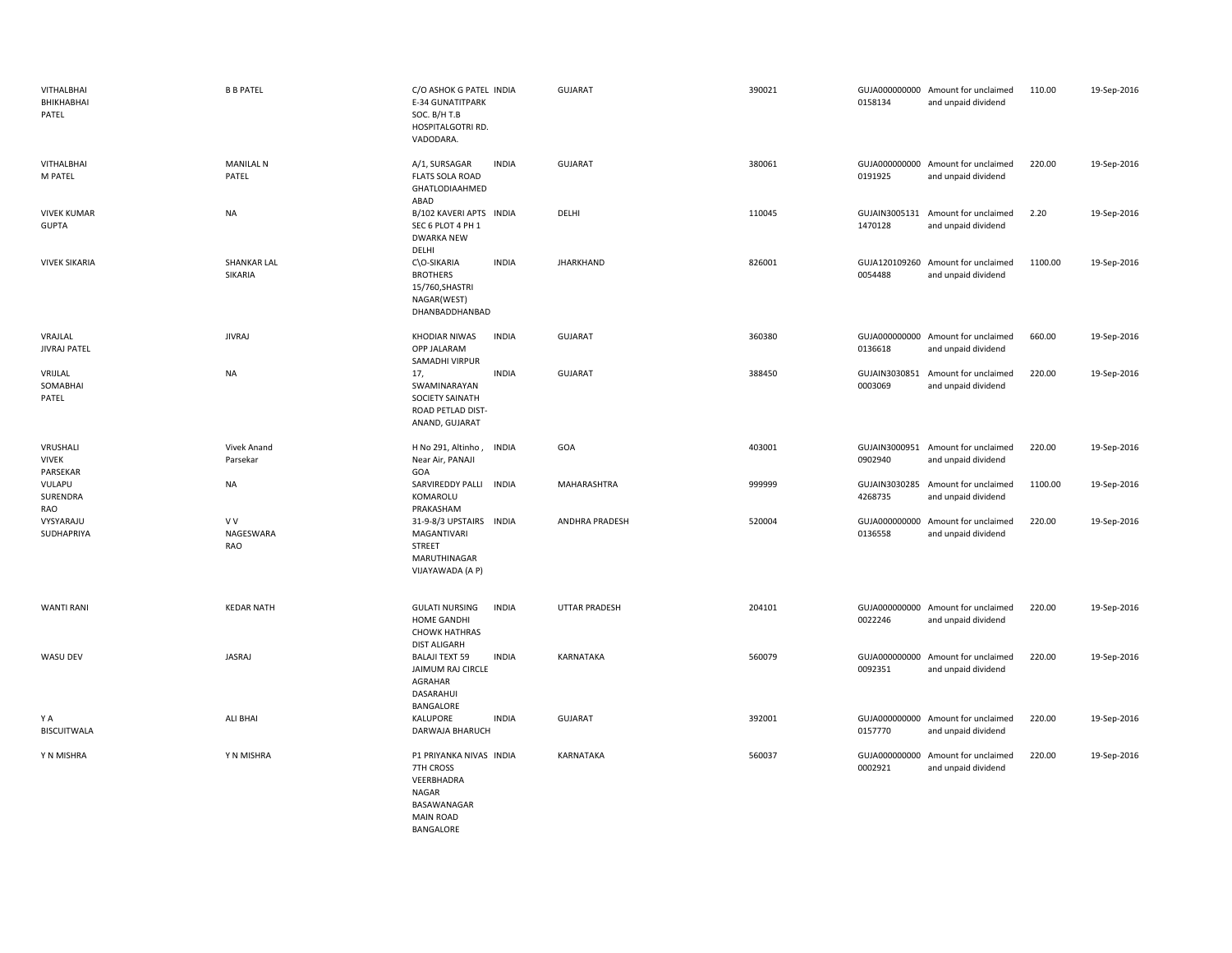| VITHALBHAI<br>BHIKHABHAI<br>PATEL    | <b>B B PATEL</b>               | C/O ASHOK G PATEL INDIA<br><b>E-34 GUNATITPARK</b><br>SOC. B/H T.B<br>HOSPITALGOTRI RD.<br>VADODARA.               | <b>GUJARAT</b>   | 390021 | 0158134                  | GUJA000000000 Amount for unclaimed<br>and unpaid dividend | 110.00  | 19-Sep-2016 |
|--------------------------------------|--------------------------------|--------------------------------------------------------------------------------------------------------------------|------------------|--------|--------------------------|-----------------------------------------------------------|---------|-------------|
| VITHALBHAI<br>M PATEL                | <b>MANILAL N</b><br>PATEL      | <b>INDIA</b><br>A/1, SURSAGAR<br><b>FLATS SOLA ROAD</b><br>GHATLODIAAHMED<br>ABAD                                  | GUJARAT          | 380061 | 0191925                  | GUJA000000000 Amount for unclaimed<br>and unpaid dividend | 220.00  | 19-Sep-2016 |
| <b>VIVEK KUMAR</b><br><b>GUPTA</b>   | <b>NA</b>                      | B/102 KAVERI APTS INDIA<br>SEC 6 PLOT 4 PH 1<br><b>DWARKA NEW</b><br>DELHI                                         | DELHI            | 110045 | 1470128                  | GUJAIN3005131 Amount for unclaimed<br>and unpaid dividend | 2.20    | 19-Sep-2016 |
| <b>VIVEK SIKARIA</b>                 | <b>SHANKAR LAL</b><br>SIKARIA  | C\O-SIKARIA<br><b>INDIA</b><br><b>BROTHERS</b><br>15/760, SHASTRI<br>NAGAR(WEST)<br>DHANBADDHANBAD                 | <b>JHARKHAND</b> | 826001 | 0054488                  | GUJA120109260 Amount for unclaimed<br>and unpaid dividend | 1100.00 | 19-Sep-2016 |
| VRAJLAL<br><b>JIVRAJ PATEL</b>       | <b>JIVRAJ</b>                  | <b>KHODIAR NIWAS</b><br><b>INDIA</b><br>OPP JALARAM<br>SAMADHI VIRPUR                                              | <b>GUJARAT</b>   | 360380 | 0136618                  | GUJA000000000 Amount for unclaimed<br>and unpaid dividend | 660.00  | 19-Sep-2016 |
| VRIJLAL<br>SOMABHAI<br>PATEL         | <b>NA</b>                      | <b>INDIA</b><br>17,<br>SWAMINARAYAN<br>SOCIETY SAINATH<br>ROAD PETLAD DIST-<br>ANAND, GUJARAT                      | <b>GUJARAT</b>   | 388450 | GUJAIN3030851<br>0003069 | Amount for unclaimed<br>and unpaid dividend               | 220.00  | 19-Sep-2016 |
| VRUSHALI<br><b>VIVEK</b><br>PARSEKAR | Vivek Anand<br>Parsekar        | H No 291, Altinho,<br><b>INDIA</b><br>Near Air, PANAJI<br>GOA                                                      | GOA              | 403001 | 0902940                  | GUJAIN3000951 Amount for unclaimed<br>and unpaid dividend | 220.00  | 19-Sep-2016 |
| VULAPU<br>SURENDRA                   | <b>NA</b>                      | SARVIREDDY PALLI<br><b>INDIA</b><br>KOMAROLU<br>PRAKASHAM                                                          | MAHARASHTRA      | 999999 | GUJAIN3030285<br>4268735 | Amount for unclaimed<br>and unpaid dividend               | 1100.00 | 19-Sep-2016 |
| RAO<br>VYSYARAJU<br>SUDHAPRIYA       | V V<br>NAGESWARA<br><b>RAO</b> | 31-9-8/3 UPSTAIRS INDIA<br>MAGANTIVARI<br><b>STREET</b><br>MARUTHINAGAR<br>VIJAYAWADA (A P)                        | ANDHRA PRADESH   | 520004 | GUJA000000000<br>0136558 | Amount for unclaimed<br>and unpaid dividend               | 220.00  | 19-Sep-2016 |
| <b>WANTI RANI</b>                    | <b>KEDAR NATH</b>              | <b>GULATI NURSING</b><br><b>INDIA</b><br>HOME GANDHI<br><b>CHOWK HATHRAS</b><br><b>DIST ALIGARH</b>                | UTTAR PRADESH    | 204101 | 0022246                  | GUJA000000000 Amount for unclaimed<br>and unpaid dividend | 220.00  | 19-Sep-2016 |
| WASU DEV                             | JASRAJ                         | <b>BALAJI TEXT 59</b><br><b>INDIA</b><br>JAIMUM RAJ CIRCLE<br>AGRAHAR<br>DASARAHUI<br>BANGALORE                    | KARNATAKA        | 560079 | 0092351                  | GUJA000000000 Amount for unclaimed<br>and unpaid dividend | 220.00  | 19-Sep-2016 |
| ΥA<br><b>BISCUITWALA</b>             | <b>ALI BHAI</b>                | <b>INDIA</b><br>KALUPORE<br>DARWAJA BHARUCH                                                                        | GUJARAT          | 392001 | 0157770                  | GUJA000000000 Amount for unclaimed<br>and unpaid dividend | 220.00  | 19-Sep-2016 |
| Y N MISHRA                           | Y N MISHRA                     | P1 PRIYANKA NIVAS INDIA<br>7TH CROSS<br>VEERBHADRA<br>NAGAR<br>BASAWANAGAR<br><b>MAIN ROAD</b><br><b>BANGALORE</b> | KARNATAKA        | 560037 | GUJA000000000<br>0002921 | Amount for unclaimed<br>and unpaid dividend               | 220.00  | 19-Sep-2016 |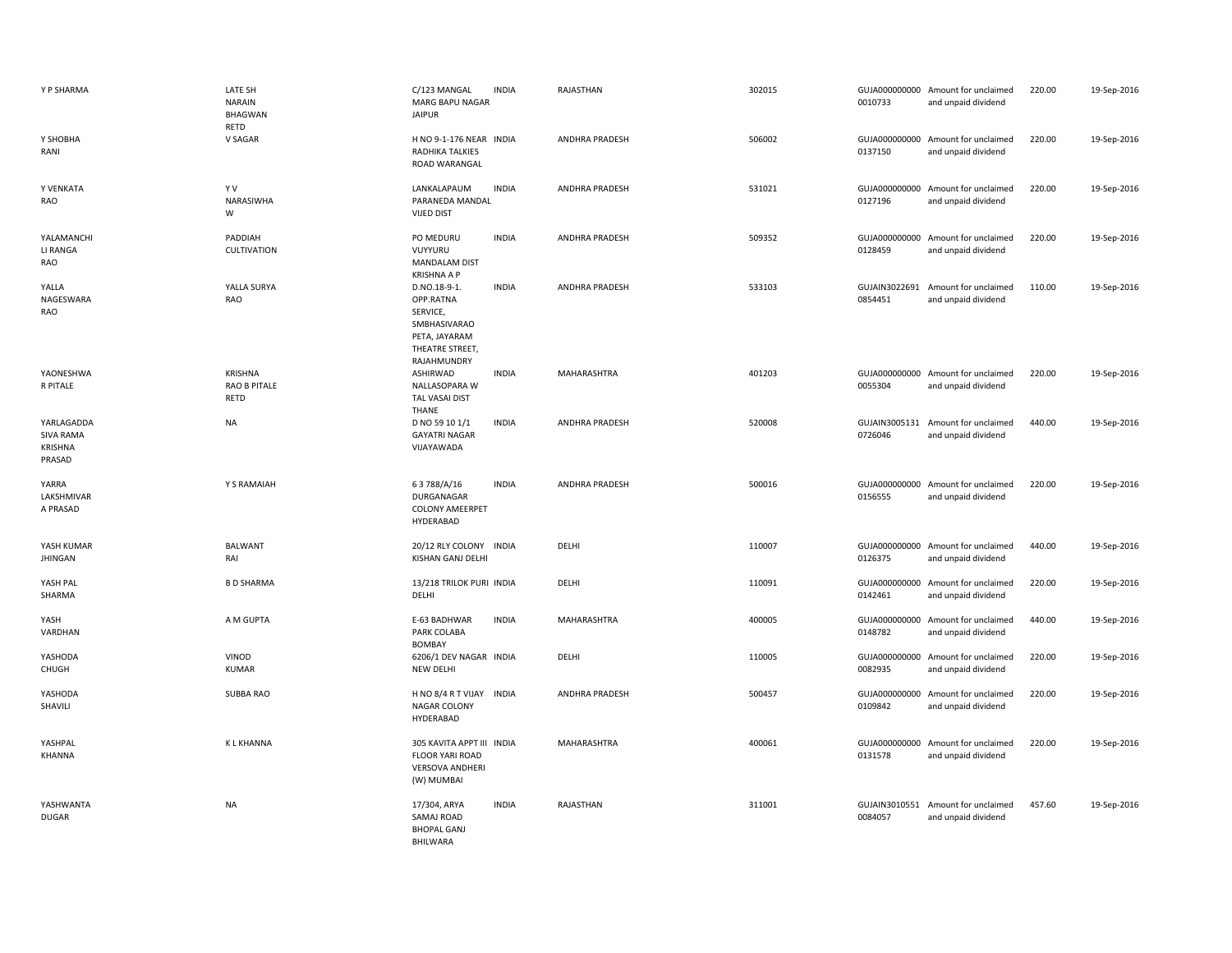| Y P SHARMA                                          | LATE SH<br><b>NARAIN</b><br><b>BHAGWAN</b><br>RETD | C/123 MANGAL<br><b>INDIA</b><br>MARG BAPU NAGAR<br><b>JAIPUR</b>                                                         | RAJASTHAN             | 302015 | 0010733                  | GUJA000000000 Amount for unclaimed<br>and unpaid dividend | 220.00 | 19-Sep-2016 |
|-----------------------------------------------------|----------------------------------------------------|--------------------------------------------------------------------------------------------------------------------------|-----------------------|--------|--------------------------|-----------------------------------------------------------|--------|-------------|
| Y SHOBHA<br>RANI                                    | V SAGAR                                            | H NO 9-1-176 NEAR INDIA<br>RADHIKA TALKIES<br>ROAD WARANGAL                                                              | ANDHRA PRADESH        | 506002 | 0137150                  | GUJA000000000 Amount for unclaimed<br>and unpaid dividend | 220.00 | 19-Sep-2016 |
| Y VENKATA<br>RAO                                    | YV<br>NARASIWHA<br>W                               | LANKALAPAUM<br><b>INDIA</b><br>PARANEDA MANDAL<br><b>VIJED DIST</b>                                                      | <b>ANDHRA PRADESH</b> | 531021 | 0127196                  | GUJA000000000 Amount for unclaimed<br>and unpaid dividend | 220.00 | 19-Sep-2016 |
| YALAMANCHI<br>LI RANGA<br>RAO                       | PADDIAH<br>CULTIVATION                             | PO MEDURU<br><b>INDIA</b><br>VUYYURU<br><b>MANDALAM DIST</b><br><b>KRISHNA A P</b>                                       | ANDHRA PRADESH        | 509352 | 0128459                  | GUJA000000000 Amount for unclaimed<br>and unpaid dividend | 220.00 | 19-Sep-2016 |
| YALLA<br>NAGESWARA<br>RAO                           | YALLA SURYA<br>RAO                                 | D.NO.18-9-1.<br><b>INDIA</b><br>OPP.RATNA<br>SERVICE,<br>SMBHASIVARAO<br>PETA, JAYARAM<br>THEATRE STREET,<br>RAJAHMUNDRY | ANDHRA PRADESH        | 533103 | GUJAIN3022691<br>0854451 | Amount for unclaimed<br>and unpaid dividend               | 110.00 | 19-Sep-2016 |
| YAONESHWA<br>R PITALE                               | KRISHNA<br>RAO B PITALE<br>RETD                    | ASHIRWAD<br><b>INDIA</b><br>NALLASOPARA W<br>TAL VASAI DIST<br><b>THANE</b>                                              | MAHARASHTRA           | 401203 | 0055304                  | GUJA000000000 Amount for unclaimed<br>and unpaid dividend | 220.00 | 19-Sep-2016 |
| YARLAGADDA<br><b>SIVA RAMA</b><br>KRISHNA<br>PRASAD | <b>NA</b>                                          | <b>INDIA</b><br>D NO 59 10 1/1<br><b>GAYATRI NAGAR</b><br>VIJAYAWADA                                                     | <b>ANDHRA PRADESH</b> | 520008 | 0726046                  | GUJAIN3005131 Amount for unclaimed<br>and unpaid dividend | 440.00 | 19-Sep-2016 |
| YARRA<br>LAKSHMIVAR<br>A PRASAD                     | Y S RAMAIAH                                        | <b>INDIA</b><br>63788/A/16<br>DURGANAGAR<br><b>COLONY AMEERPET</b><br>HYDERABAD                                          | <b>ANDHRA PRADESH</b> | 500016 | 0156555                  | GUJA000000000 Amount for unclaimed<br>and unpaid dividend | 220.00 | 19-Sep-2016 |
| YASH KUMAR<br><b>JHINGAN</b>                        | <b>BALWANT</b><br>RAI                              | 20/12 RLY COLONY INDIA<br><b>KISHAN GANJ DELHI</b>                                                                       | DELHI                 | 110007 | 0126375                  | GUJA000000000 Amount for unclaimed<br>and unpaid dividend | 440.00 | 19-Sep-2016 |
| YASH PAL<br>SHARMA                                  | <b>B D SHARMA</b>                                  | 13/218 TRILOK PURI INDIA<br>DELHI                                                                                        | DELHI                 | 110091 | 0142461                  | GUJA000000000 Amount for unclaimed<br>and unpaid dividend | 220.00 | 19-Sep-2016 |
| YASH<br>VARDHAN                                     | A M GUPTA                                          | E-63 BADHWAR<br><b>INDIA</b><br>PARK COLABA<br><b>BOMBAY</b>                                                             | MAHARASHTRA           | 400005 | 0148782                  | GUJA000000000 Amount for unclaimed<br>and unpaid dividend | 440.00 | 19-Sep-2016 |
| YASHODA<br>CHUGH                                    | VINOD<br><b>KUMAR</b>                              | 6206/1 DEV NAGAR INDIA<br><b>NEW DELHI</b>                                                                               | DELHI                 | 110005 | 0082935                  | GUJA000000000 Amount for unclaimed<br>and unpaid dividend | 220.00 | 19-Sep-2016 |
| YASHODA<br>SHAVILI                                  | SUBBA RAO                                          | H NO 8/4 R T VIJAY<br><b>INDIA</b><br>NAGAR COLONY<br>HYDERABAD                                                          | <b>ANDHRA PRADESH</b> | 500457 | GUJA000000000<br>0109842 | Amount for unclaimed<br>and unpaid dividend               | 220.00 | 19-Sep-2016 |
| YASHPAL<br>KHANNA                                   | <b>KLKHANNA</b>                                    | 305 KAVITA APPT III INDIA<br><b>FLOOR YARI ROAD</b><br>VERSOVA ANDHERI<br>(W) MUMBAI                                     | MAHARASHTRA           | 400061 | 0131578                  | GUJA000000000 Amount for unclaimed<br>and unpaid dividend | 220.00 | 19-Sep-2016 |
| YASHWANTA<br><b>DUGAR</b>                           | <b>NA</b>                                          | <b>INDIA</b><br>17/304, ARYA<br>SAMAJ ROAD<br><b>BHOPAL GANJ</b><br><b>BHILWARA</b>                                      | RAJASTHAN             | 311001 | 0084057                  | GUJAIN3010551 Amount for unclaimed<br>and unpaid dividend | 457.60 | 19-Sep-2016 |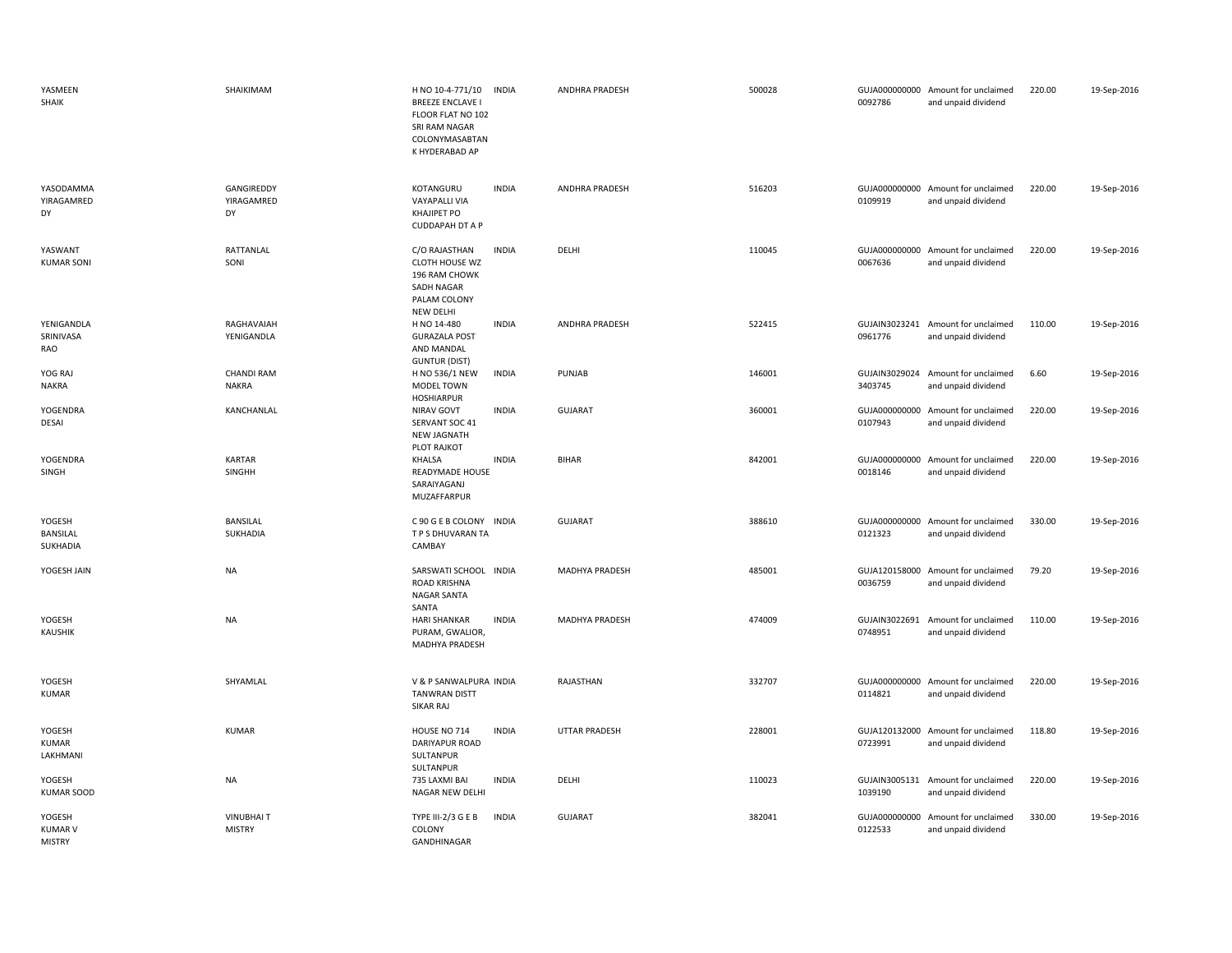| YASMEEN<br>SHAIK                          | SHAIKIMAM                         | H NO 10-4-771/10<br><b>BREEZE ENCLAVE I</b><br>FLOOR FLAT NO 102<br>SRI RAM NAGAR<br>COLONYMASABTAN<br>K HYDERABAD AP | <b>INDIA</b> | ANDHRA PRADESH        | 500028 | 0092786                  | GUJA000000000 Amount for unclaimed<br>and unpaid dividend | 220.00 | 19-Sep-2016 |
|-------------------------------------------|-----------------------------------|-----------------------------------------------------------------------------------------------------------------------|--------------|-----------------------|--------|--------------------------|-----------------------------------------------------------|--------|-------------|
| YASODAMMA<br>YIRAGAMRED<br>DY             | GANGIREDDY<br>YIRAGAMRED<br>DY    | KOTANGURU<br><b>VAYAPALLI VIA</b><br>KHAJIPET PO<br><b>CUDDAPAH DT A P</b>                                            | <b>INDIA</b> | <b>ANDHRA PRADESH</b> | 516203 | 0109919                  | GUJA000000000 Amount for unclaimed<br>and unpaid dividend | 220.00 | 19-Sep-2016 |
| YASWANT<br><b>KUMAR SONI</b>              | RATTANLAL<br>SONI                 | C/O RAJASTHAN<br>CLOTH HOUSE WZ<br>196 RAM CHOWK<br>SADH NAGAR<br>PALAM COLONY<br>NEW DELHI                           | <b>INDIA</b> | DELHI                 | 110045 | 0067636                  | GUJA000000000 Amount for unclaimed<br>and unpaid dividend | 220.00 | 19-Sep-2016 |
| YENIGANDLA<br>SRINIVASA<br>RAO            | RAGHAVAIAH<br>YENIGANDLA          | H NO 14-480<br><b>GURAZALA POST</b><br>AND MANDAL<br><b>GUNTUR (DIST)</b>                                             | <b>INDIA</b> | ANDHRA PRADESH        | 522415 | 0961776                  | GUJAIN3023241 Amount for unclaimed<br>and unpaid dividend | 110.00 | 19-Sep-2016 |
| YOG RAJ<br><b>NAKRA</b>                   | <b>CHANDI RAM</b><br><b>NAKRA</b> | H NO 536/1 NEW<br>MODEL TOWN<br><b>HOSHIARPUR</b>                                                                     | <b>INDIA</b> | PUNJAB                | 146001 | GUJAIN3029024<br>3403745 | Amount for unclaimed<br>and unpaid dividend               | 6.60   | 19-Sep-2016 |
| YOGENDRA<br><b>DESAI</b>                  | KANCHANLAL                        | NIRAV GOVT<br>SERVANT SOC 41<br>NEW JAGNATH<br>PLOT RAJKOT                                                            | <b>INDIA</b> | <b>GUJARAT</b>        | 360001 | 0107943                  | GUJA000000000 Amount for unclaimed<br>and unpaid dividend | 220.00 | 19-Sep-2016 |
| YOGENDRA<br>SINGH                         | <b>KARTAR</b><br><b>SINGHH</b>    | KHALSA<br>READYMADE HOUSE<br>SARAIYAGANJ<br>MUZAFFARPUR                                                               | <b>INDIA</b> | <b>BIHAR</b>          | 842001 | 0018146                  | GUJA000000000 Amount for unclaimed<br>and unpaid dividend | 220.00 | 19-Sep-2016 |
| YOGESH<br>BANSILAL<br>SUKHADIA            | <b>BANSILAL</b><br>SUKHADIA       | C 90 G E B COLONY INDIA<br>T P S DHUVARAN TA<br>CAMBAY                                                                |              | <b>GUJARAT</b>        | 388610 | 0121323                  | GUJA000000000 Amount for unclaimed<br>and unpaid dividend | 330.00 | 19-Sep-2016 |
| YOGESH JAIN                               | <b>NA</b>                         | SARSWATI SCHOOL INDIA<br>ROAD KRISHNA<br><b>NAGAR SANTA</b><br>SANTA                                                  |              | MADHYA PRADESH        | 485001 | GUJA120158000<br>0036759 | Amount for unclaimed<br>and unpaid dividend               | 79.20  | 19-Sep-2016 |
| YOGESH<br><b>KAUSHIK</b>                  | NA                                | HARI SHANKAR<br>PURAM, GWALIOR,<br>MADHYA PRADESH                                                                     | <b>INDIA</b> | MADHYA PRADESH        | 474009 | 0748951                  | GUJAIN3022691 Amount for unclaimed<br>and unpaid dividend | 110.00 | 19-Sep-2016 |
| YOGESH<br><b>KUMAR</b>                    | SHYAMLAL                          | V & P SANWALPURA INDIA<br><b>TANWRAN DISTT</b><br>SIKAR RAJ                                                           |              | RAJASTHAN             | 332707 | 0114821                  | GUJA000000000 Amount for unclaimed<br>and unpaid dividend | 220.00 | 19-Sep-2016 |
| YOGESH<br><b>KUMAR</b><br>LAKHMANI        | <b>KUMAR</b>                      | HOUSE NO 714<br>DARIYAPUR ROAD<br>SULTANPUR<br>SULTANPUR                                                              | <b>INDIA</b> | <b>UTTAR PRADESH</b>  | 228001 | 0723991                  | GUJA120132000 Amount for unclaimed<br>and unpaid dividend | 118.80 | 19-Sep-2016 |
| YOGESH<br><b>KUMAR SOOD</b>               | <b>NA</b>                         | 735 LAXMI BAI<br>NAGAR NEW DELHI                                                                                      | <b>INDIA</b> | DELHI                 | 110023 | 1039190                  | GUJAIN3005131 Amount for unclaimed<br>and unpaid dividend | 220.00 | 19-Sep-2016 |
| YOGESH<br><b>KUMAR V</b><br><b>MISTRY</b> | <b>VINUBHAIT</b><br><b>MISTRY</b> | TYPE III-2/3 G E B<br>COLONY<br><b>GANDHINAGAR</b>                                                                    | <b>INDIA</b> | <b>GUJARAT</b>        | 382041 | GUJA000000000<br>0122533 | Amount for unclaimed<br>and unpaid dividend               | 330.00 | 19-Sep-2016 |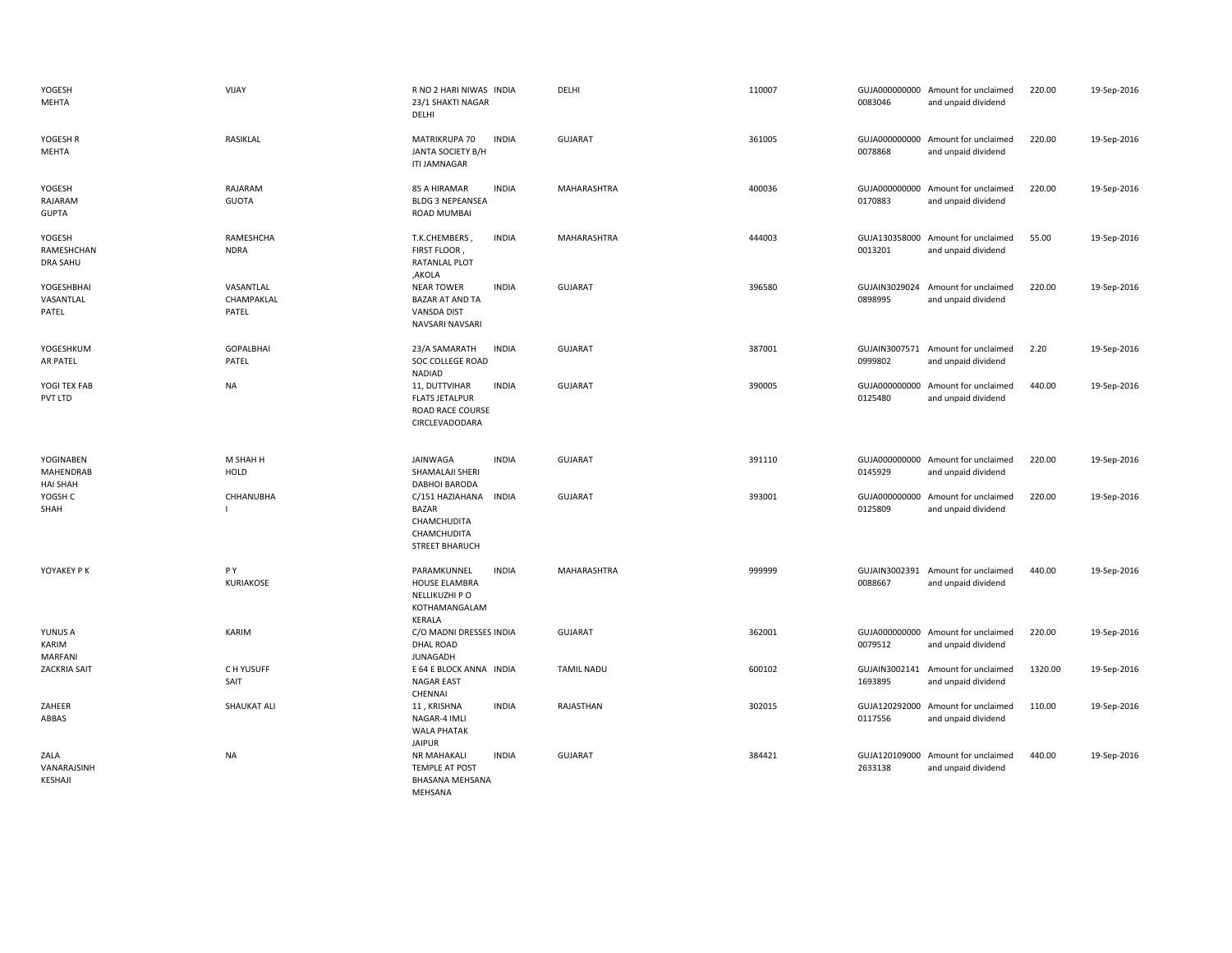| YOGESH<br>MEHTA                           | VIJAY                            | R NO 2 HARI NIWAS INDIA<br>23/1 SHAKTI NAGAR<br>DELHI                                                  | DELHI              | 110007 | 0083046                  | GUJA000000000 Amount for unclaimed<br>and unpaid dividend | 220.00  | 19-Sep-2016 |
|-------------------------------------------|----------------------------------|--------------------------------------------------------------------------------------------------------|--------------------|--------|--------------------------|-----------------------------------------------------------|---------|-------------|
| YOGESH R<br>MEHTA                         | RASIKLAL                         | MATRIKRUPA 70<br><b>INDIA</b><br>JANTA SOCIETY B/H<br><b>ITI JAMNAGAR</b>                              | <b>GUJARAT</b>     | 361005 | 0078868                  | GUJA000000000 Amount for unclaimed<br>and unpaid dividend | 220.00  | 19-Sep-2016 |
| YOGESH<br>RAJARAM<br><b>GUPTA</b>         | RAJARAM<br><b>GUOTA</b>          | 85 A HIRAMAR<br><b>INDIA</b><br><b>BLDG 3 NEPEANSEA</b><br>ROAD MUMBAI                                 | <b>MAHARASHTRA</b> | 400036 | 0170883                  | GUJA000000000 Amount for unclaimed<br>and unpaid dividend | 220.00  | 19-Sep-2016 |
| YOGESH<br>RAMESHCHAN<br><b>DRA SAHU</b>   | RAMESHCHA<br><b>NDRA</b>         | T.K.CHEMBERS,<br><b>INDIA</b><br>FIRST FLOOR,<br>RATANLAL PLOT<br>,AKOLA                               | MAHARASHTRA        | 444003 | 0013201                  | GUJA130358000 Amount for unclaimed<br>and unpaid dividend | 55.00   | 19-Sep-2016 |
| YOGESHBHAI<br>VASANTLAL<br>PATEL          | VASANTLAL<br>CHAMPAKLAL<br>PATEL | <b>NEAR TOWER</b><br><b>INDIA</b><br><b>BAZAR AT AND TA</b><br><b>VANSDA DIST</b><br>NAVSARI NAVSARI   | <b>GUJARAT</b>     | 396580 | 0898995                  | GUJAIN3029024 Amount for unclaimed<br>and unpaid dividend | 220.00  | 19-Sep-2016 |
| YOGESHKUM<br>AR PATEL                     | GOPALBHAI<br>PATEL               | 23/A SAMARATH<br><b>INDIA</b><br>SOC COLLEGE ROAD<br><b>NADIAD</b>                                     | <b>GUJARAT</b>     | 387001 | 0999802                  | GUJAIN3007571 Amount for unclaimed<br>and unpaid dividend | 2.20    | 19-Sep-2016 |
| YOGI TEX FAB<br>PVT LTD                   | <b>NA</b>                        | <b>INDIA</b><br>11, DUTTVIHAR<br><b>FLATS JETALPUR</b><br>ROAD RACE COURSE<br>CIRCLEVADODARA           | <b>GUJARAT</b>     | 390005 | GUJA000000000<br>0125480 | Amount for unclaimed<br>and unpaid dividend               | 440.00  | 19-Sep-2016 |
| YOGINABEN<br>MAHENDRAB<br><b>HAI SHAH</b> | M SHAH H<br>HOLD                 | JAINWAGA<br><b>INDIA</b><br>SHAMALAJI SHERI<br>DABHOI BARODA                                           | <b>GUJARAT</b>     | 391110 | 0145929                  | GUJA000000000 Amount for unclaimed<br>and unpaid dividend | 220.00  | 19-Sep-2016 |
| YOGSH C<br>SHAH                           | CHHANUBHA                        | C/151 HAZIAHANA<br><b>INDIA</b><br><b>BAZAR</b><br>CHAMCHUDITA<br>CHAMCHUDITA<br><b>STREET BHARUCH</b> | <b>GUJARAT</b>     | 393001 | 0125809                  | GUJA000000000 Amount for unclaimed<br>and unpaid dividend | 220.00  | 19-Sep-2016 |
| YOYAKEY P K                               | PY<br>KURIAKOSE                  | PARAMKUNNEL<br><b>INDIA</b><br>HOUSE ELAMBRA<br>NELLIKUZHI P O<br>KOTHAMANGALAM<br>KERALA              | <b>MAHARASHTRA</b> | 999999 | 0088667                  | GUJAIN3002391 Amount for unclaimed<br>and unpaid dividend | 440.00  | 19-Sep-2016 |
| YUNUS A<br>KARIM<br>MARFANI               | KARIM                            | C/O MADNI DRESSES INDIA<br><b>DHAL ROAD</b><br><b>JUNAGADH</b>                                         | <b>GUJARAT</b>     | 362001 | 0079512                  | GUJA000000000 Amount for unclaimed<br>and unpaid dividend | 220.00  | 19-Sep-2016 |
| <b>ZACKRIA SAIT</b>                       | C H YUSUFF<br>SAIT               | E 64 E BLOCK ANNA INDIA<br><b>NAGAR EAST</b><br>CHENNAI                                                | <b>TAMIL NADU</b>  | 600102 | 1693895                  | GUJAIN3002141 Amount for unclaimed<br>and unpaid dividend | 1320.00 | 19-Sep-2016 |
| ZAHEER<br>ABBAS                           | SHAUKAT ALI                      | <b>INDIA</b><br>11, KRISHNA<br>NAGAR-4 IMLI<br><b>WALA PHATAK</b><br><b>JAIPUR</b>                     | RAJASTHAN          | 302015 | 0117556                  | GUJA120292000 Amount for unclaimed<br>and unpaid dividend | 110.00  | 19-Sep-2016 |
| ZALA<br>VANARAJSINH<br>KESHAJI            | <b>NA</b>                        | <b>INDIA</b><br>NR MAHAKALI<br><b>TEMPLE AT POST</b><br><b>BHASANA MEHSANA</b><br>MEHSANA              | <b>GUJARAT</b>     | 384421 | 2633138                  | GUJA120109000 Amount for unclaimed<br>and unpaid dividend | 440.00  | 19-Sep-2016 |